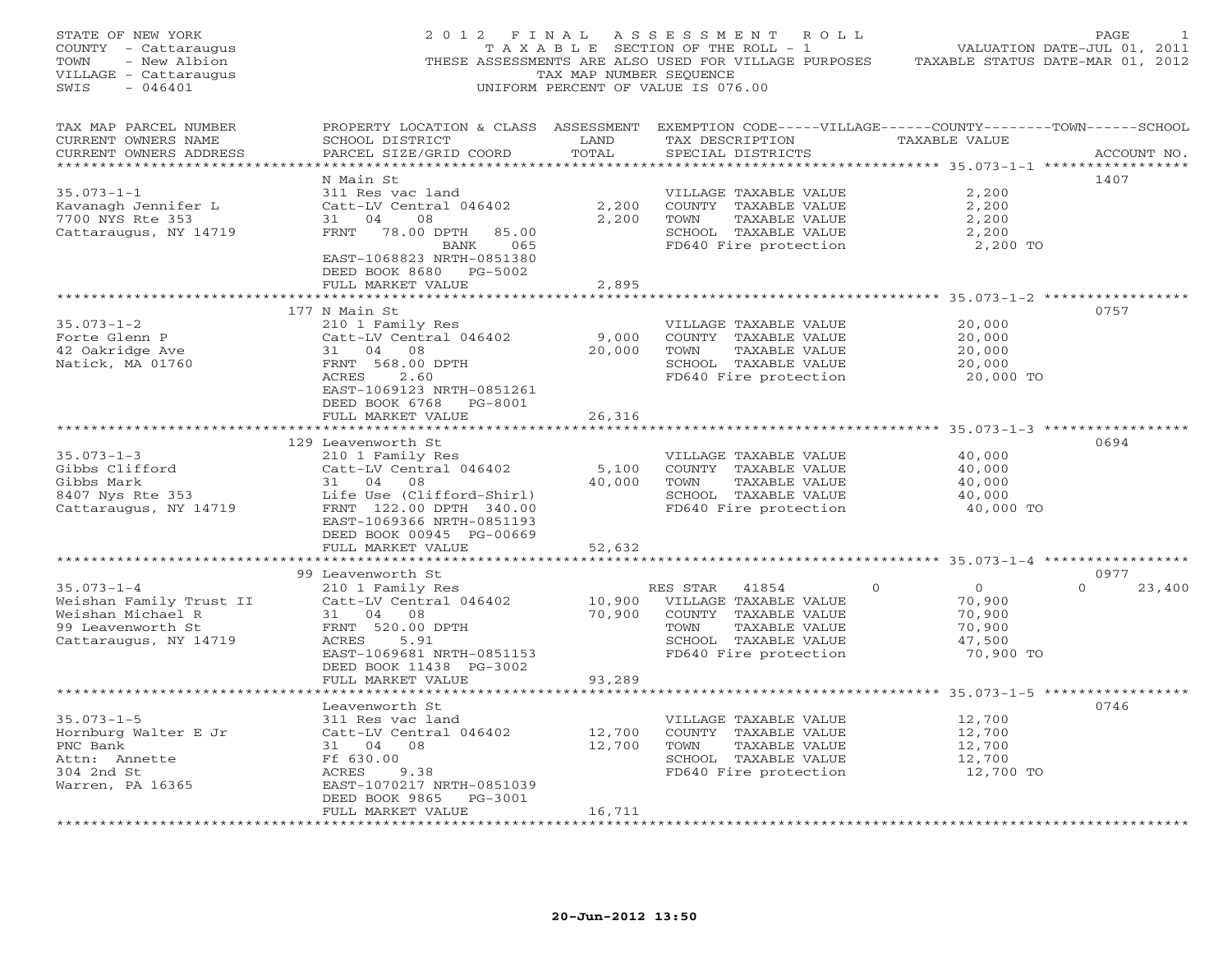| STATE OF NEW YORK<br>COUNTY - Cattaraugus<br>- New Albion<br>TOWN<br>VILLAGE - Cattaraugus<br>SWIS<br>$-046401$ | 2012 FINAL                                                                  | TAX MAP NUMBER SEQUENCE | A S S E S S M E N T<br>ROLL<br>TAXABLE SECTION OF THE ROLL - 1<br>THESE ASSESSMENTS ARE ALSO USED FOR VILLAGE PURPOSES<br>UNIFORM PERCENT OF VALUE IS 076.00 | TAXABLE STATUS DATE-MAR 01, 2012 | PAGE<br>VALUATION DATE-JUL 01, 2011 |
|-----------------------------------------------------------------------------------------------------------------|-----------------------------------------------------------------------------|-------------------------|--------------------------------------------------------------------------------------------------------------------------------------------------------------|----------------------------------|-------------------------------------|
| TAX MAP PARCEL NUMBER<br>CURRENT OWNERS NAME<br>CURRENT OWNERS ADDRESS<br>*************************             | SCHOOL DISTRICT<br>PARCEL SIZE/GRID COORD                                   | LAND<br>TOTAL           | PROPERTY LOCATION & CLASS ASSESSMENT EXEMPTION CODE-----VILLAGE------COUNTY-------TOWN------SCHOOL<br>TAX DESCRIPTION<br>SPECIAL DISTRICTS                   | TAXABLE VALUE                    | ACCOUNT NO.                         |
|                                                                                                                 | N Main St                                                                   |                         |                                                                                                                                                              |                                  | 1407                                |
| $35.073 - 1 - 1$                                                                                                | 311 Res vac land                                                            |                         | VILLAGE TAXABLE VALUE                                                                                                                                        | 2,200                            |                                     |
| Kavanagh Jennifer L                                                                                             | Catt-LV Central 046402                                                      | 2,200                   | COUNTY TAXABLE VALUE                                                                                                                                         | 2,200                            |                                     |
| 7700 NYS Rte 353                                                                                                | 31 04<br>08                                                                 | 2,200                   | TOWN<br>TAXABLE VALUE                                                                                                                                        | 2,200                            |                                     |
| Cattaraugus, NY 14719                                                                                           | FRNT<br>78.00 DPTH<br>85.00<br>BANK<br>065<br>EAST-1068823 NRTH-0851380     |                         | SCHOOL TAXABLE VALUE<br>FD640 Fire protection                                                                                                                | 2,200<br>2,200 TO                |                                     |
|                                                                                                                 | DEED BOOK 8680 PG-5002                                                      |                         |                                                                                                                                                              |                                  |                                     |
|                                                                                                                 | FULL MARKET VALUE                                                           | 2,895                   |                                                                                                                                                              |                                  |                                     |
|                                                                                                                 | *******************                                                         |                         | ******************************** 35.073-1-2 ***************                                                                                                  |                                  |                                     |
| $35.073 - 1 - 2$                                                                                                | 177 N Main St<br>210 1 Family Res                                           |                         | VILLAGE TAXABLE VALUE                                                                                                                                        | 20,000                           | 0757                                |
| Forte Glenn P                                                                                                   | Catt-LV Central 046402                                                      | 9,000                   | COUNTY TAXABLE VALUE                                                                                                                                         | 20,000                           |                                     |
| 42 Oakridge Ave                                                                                                 | 31 04 08                                                                    | 20,000                  | TAXABLE VALUE<br>TOWN                                                                                                                                        | 20,000                           |                                     |
| Natick, MA 01760                                                                                                | FRNT 568.00 DPTH                                                            |                         | SCHOOL TAXABLE VALUE                                                                                                                                         | 20,000                           |                                     |
|                                                                                                                 | ACRES<br>2.60                                                               |                         | FD640 Fire protection                                                                                                                                        | 20,000 TO                        |                                     |
|                                                                                                                 | EAST-1069123 NRTH-0851261                                                   |                         |                                                                                                                                                              |                                  |                                     |
|                                                                                                                 | DEED BOOK 6768 PG-8001                                                      |                         |                                                                                                                                                              |                                  |                                     |
|                                                                                                                 | FULL MARKET VALUE                                                           | 26,316                  |                                                                                                                                                              |                                  |                                     |
|                                                                                                                 | 129 Leavenworth St                                                          |                         |                                                                                                                                                              |                                  | 0694                                |
| $35.073 - 1 - 3$                                                                                                | 210 1 Family Res                                                            |                         | VILLAGE TAXABLE VALUE                                                                                                                                        | 40,000                           |                                     |
| Gibbs Clifford                                                                                                  | Catt-LV Central 046402                                                      | 5,100                   | COUNTY TAXABLE VALUE                                                                                                                                         | 40,000                           |                                     |
| Gibbs Mark                                                                                                      | 31 04 08                                                                    | 40,000                  | TOWN<br>TAXABLE VALUE                                                                                                                                        | 40,000                           |                                     |
| 8407 Nys Rte 353                                                                                                | Life Use (Clifford-Shirl)                                                   |                         | SCHOOL TAXABLE VALUE                                                                                                                                         | 40,000                           |                                     |
| Cattaraugus, NY 14719                                                                                           | FRNT 122.00 DPTH 340.00<br>EAST-1069366 NRTH-0851193                        |                         | FD640 Fire protection                                                                                                                                        | 40,000 TO                        |                                     |
|                                                                                                                 | DEED BOOK 00945 PG-00669<br>FULL MARKET VALUE                               | 52,632                  |                                                                                                                                                              |                                  |                                     |
|                                                                                                                 | *******************                                                         |                         | ************************************* 35.073-1-4 *****************                                                                                           |                                  |                                     |
|                                                                                                                 | 99 Leavenworth St                                                           |                         |                                                                                                                                                              |                                  | 0977                                |
| $35.073 - 1 - 4$                                                                                                | 210 1 Family Res                                                            |                         | RES STAR<br>41854<br>$\Omega$                                                                                                                                | $\circ$                          | $\Omega$<br>23,400                  |
| Weishan Family Trust II                                                                                         | Catt-LV Central 046402                                                      | 10,900                  | VILLAGE TAXABLE VALUE                                                                                                                                        | 70,900                           |                                     |
| Weishan Michael R                                                                                               | 31 04 08                                                                    | 70,900                  | COUNTY TAXABLE VALUE                                                                                                                                         | 70,900                           |                                     |
| 99 Leavenworth St                                                                                               | FRNT 520.00 DPTH                                                            |                         | TOWN<br>TAXABLE VALUE                                                                                                                                        | 70,900                           |                                     |
| Cattaraugus, NY 14719                                                                                           | ACRES<br>5.91                                                               |                         | SCHOOL TAXABLE VALUE                                                                                                                                         | 47,500                           |                                     |
|                                                                                                                 | EAST-1069681 NRTH-0851153                                                   |                         | FD640 Fire protection                                                                                                                                        | 70,900 TO                        |                                     |
|                                                                                                                 | DEED BOOK 11438 PG-3002<br>FULL MARKET VALUE                                | 93,289                  |                                                                                                                                                              |                                  |                                     |
|                                                                                                                 |                                                                             |                         |                                                                                                                                                              |                                  |                                     |
|                                                                                                                 | Leavenworth St                                                              |                         |                                                                                                                                                              |                                  | 0746                                |
| $35.073 - 1 - 5$                                                                                                | 311 Res vac land                                                            |                         | VILLAGE TAXABLE VALUE                                                                                                                                        | 12,700                           |                                     |
| Hornburg Walter E Jr                                                                                            | Catt-LV Central 046402                                                      | 12,700                  | COUNTY TAXABLE VALUE                                                                                                                                         | 12,700                           |                                     |
| PNC Bank                                                                                                        | 31 04 08                                                                    | 12,700                  | TOWN<br>TAXABLE VALUE                                                                                                                                        | 12,700                           |                                     |
| Attn: Annette                                                                                                   | Ff 630.00                                                                   |                         | SCHOOL TAXABLE VALUE                                                                                                                                         | 12,700                           |                                     |
| 304 2nd St                                                                                                      | ACRES<br>9.38                                                               |                         | FD640 Fire protection                                                                                                                                        | 12,700 TO                        |                                     |
| Warren, PA 16365                                                                                                | EAST-1070217 NRTH-0851039<br>DEED BOOK 9865<br>PG-3001<br>FULL MARKET VALUE | 16,711                  |                                                                                                                                                              |                                  |                                     |
|                                                                                                                 |                                                                             |                         |                                                                                                                                                              |                                  |                                     |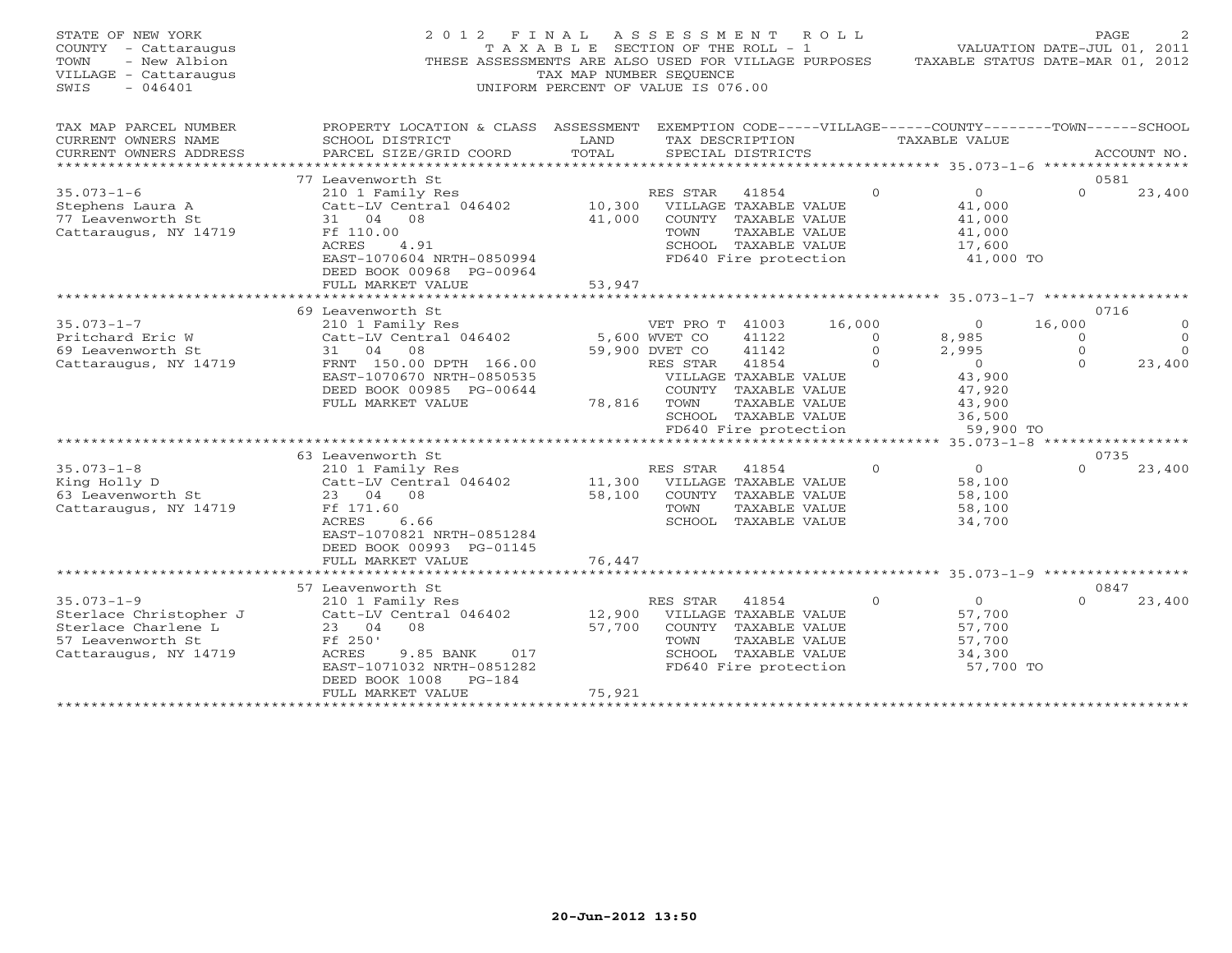| STATE OF NEW YORK<br>COUNTY - Cattaraugus<br>TOWN<br>- New Albion<br>VILLAGE - Cattaraugus<br>SWIS<br>$-046401$ | 2 0 1 2<br>FINAL                                                                                                                                                                                                |                            | ASSESSMENT<br>ROLL<br>T A X A B L E SECTION OF THE ROLL - 1<br>THESE ASSESSMENTS ARE ALSO USED FOR VILLAGE PURPOSES<br>TAX MAP NUMBER SEOUENCE<br>UNIFORM PERCENT OF VALUE IS 076.00                                 |                                            | VALUATION DATE-JUL 01, 2011<br>TAXABLE STATUS DATE-MAR 01, 2012                                                       |                                            | PAGE                                           |
|-----------------------------------------------------------------------------------------------------------------|-----------------------------------------------------------------------------------------------------------------------------------------------------------------------------------------------------------------|----------------------------|----------------------------------------------------------------------------------------------------------------------------------------------------------------------------------------------------------------------|--------------------------------------------|-----------------------------------------------------------------------------------------------------------------------|--------------------------------------------|------------------------------------------------|
| TAX MAP PARCEL NUMBER<br>CURRENT OWNERS NAME<br>CURRENT OWNERS ADDRESS<br>***********************               | PROPERTY LOCATION & CLASS ASSESSMENT<br>SCHOOL DISTRICT<br>PARCEL SIZE/GRID COORD                                                                                                                               | LAND<br>TOTAL              | EXEMPTION CODE-----VILLAGE------COUNTY--------TOWN------SCHOOL<br>TAX DESCRIPTION<br>SPECIAL DISTRICTS                                                                                                               |                                            | TAXABLE VALUE                                                                                                         |                                            | ACCOUNT NO.                                    |
| $35.073 - 1 - 6$<br>Stephens Laura A<br>77 Leavenworth St<br>Cattaraugus, NY 14719                              | 77 Leavenworth St<br>210 1 Family Res<br>Catt-LV Central 046402<br>31<br>04<br>08<br>Ff 110.00<br>ACRES<br>4.91<br>EAST-1070604 NRTH-0850994<br>DEED BOOK 00968 PG-00964<br>FULL MARKET VALUE                   | 10,300<br>41,000<br>53,947 | RES STAR<br>41854<br>VILLAGE TAXABLE VALUE<br>COUNTY TAXABLE VALUE<br>TOWN<br><b>TAXABLE VALUE</b><br>SCHOOL TAXABLE VALUE<br>FD640 Fire protection                                                                  | $\Omega$                                   | $\circ$<br>41,000<br>41,000<br>41,000<br>17,600<br>41,000 TO                                                          | $\Omega$                                   | 0581<br>23,400                                 |
|                                                                                                                 |                                                                                                                                                                                                                 |                            |                                                                                                                                                                                                                      |                                            |                                                                                                                       |                                            | *****************                              |
| $35.073 - 1 - 7$<br>Pritchard Eric W<br>69 Leavenworth St<br>Cattaraugus, NY 14719                              | 69 Leavenworth St<br>210 1 Family Res<br>Catt-LV Central 046402<br>08<br>31<br>04<br>FRNT 150.00 DPTH 166.00<br>EAST-1070670 NRTH-0850535<br>DEED BOOK 00985 PG-00644<br>FULL MARKET VALUE<br>63 Leavenworth St | 78,816                     | VET PRO T 41003<br>5,600 WVET CO<br>41122<br>41142<br>59,900 DVET CO<br>41854<br>RES STAR<br>VILLAGE TAXABLE VALUE<br>COUNTY TAXABLE VALUE<br>TOWN<br>TAXABLE VALUE<br>SCHOOL TAXABLE VALUE<br>FD640 Fire protection | 16,000<br>$\Omega$<br>$\Omega$<br>$\Omega$ | $\circ$<br>8,985<br>2,995<br>$\Omega$<br>43,900<br>47,920<br>43,900<br>36,500<br>59,900 TO<br>$35.073 - 1 - 8$ ****** | 16,000<br>$\Omega$<br>$\Omega$<br>$\Omega$ | 0716<br>$\Omega$<br>$\Omega$<br>23,400<br>0735 |
| $35.073 - 1 - 8$<br>King Holly D<br>63 Leavenworth St<br>Cattaraugus, NY 14719                                  | 210 1 Family Res<br>Catt-LV Central 046402<br>23 04<br>08<br>Ff 171.60<br><b>ACRES</b><br>6.66<br>EAST-1070821 NRTH-0851284<br>DEED BOOK 00993 PG-01145<br>FULL MARKET VALUE                                    | 11,300<br>58,100<br>76,447 | RES STAR<br>41854<br>VILLAGE TAXABLE VALUE<br>COUNTY TAXABLE VALUE<br>TOWN<br>TAXABLE VALUE<br>SCHOOL TAXABLE VALUE                                                                                                  | $\Omega$                                   | $\Omega$<br>58,100<br>58,100<br>58,100<br>34,700                                                                      | $\Omega$                                   | 23,400                                         |
|                                                                                                                 | 57 Leavenworth St                                                                                                                                                                                               |                            |                                                                                                                                                                                                                      |                                            | ********** 35.073-1-9 ******                                                                                          |                                            | 0847                                           |
| $35.073 - 1 - 9$<br>Sterlace Christopher J<br>Sterlace Charlene L<br>57 Leavenworth St<br>Cattaraugus, NY 14719 | 210 1 Family Res<br>Catt-LV Central 046402<br>23 04<br>08<br>Ff 250'<br>ACRES<br>9.85 BANK<br>017<br>EAST-1071032 NRTH-0851282<br>DEED BOOK 1008<br>$PG-184$<br>FULL MARKET VALUE                               | 12,900<br>57,700<br>75,921 | RES STAR<br>41854<br>VILLAGE TAXABLE VALUE<br>COUNTY TAXABLE VALUE<br>TAXABLE VALUE<br>TOWN<br>SCHOOL TAXABLE VALUE<br>FD640 Fire protection                                                                         | $\circ$                                    | $\circ$<br>57,700<br>57,700<br>57,700<br>34,300<br>57,700 TO                                                          | $\Omega$                                   | 23,400                                         |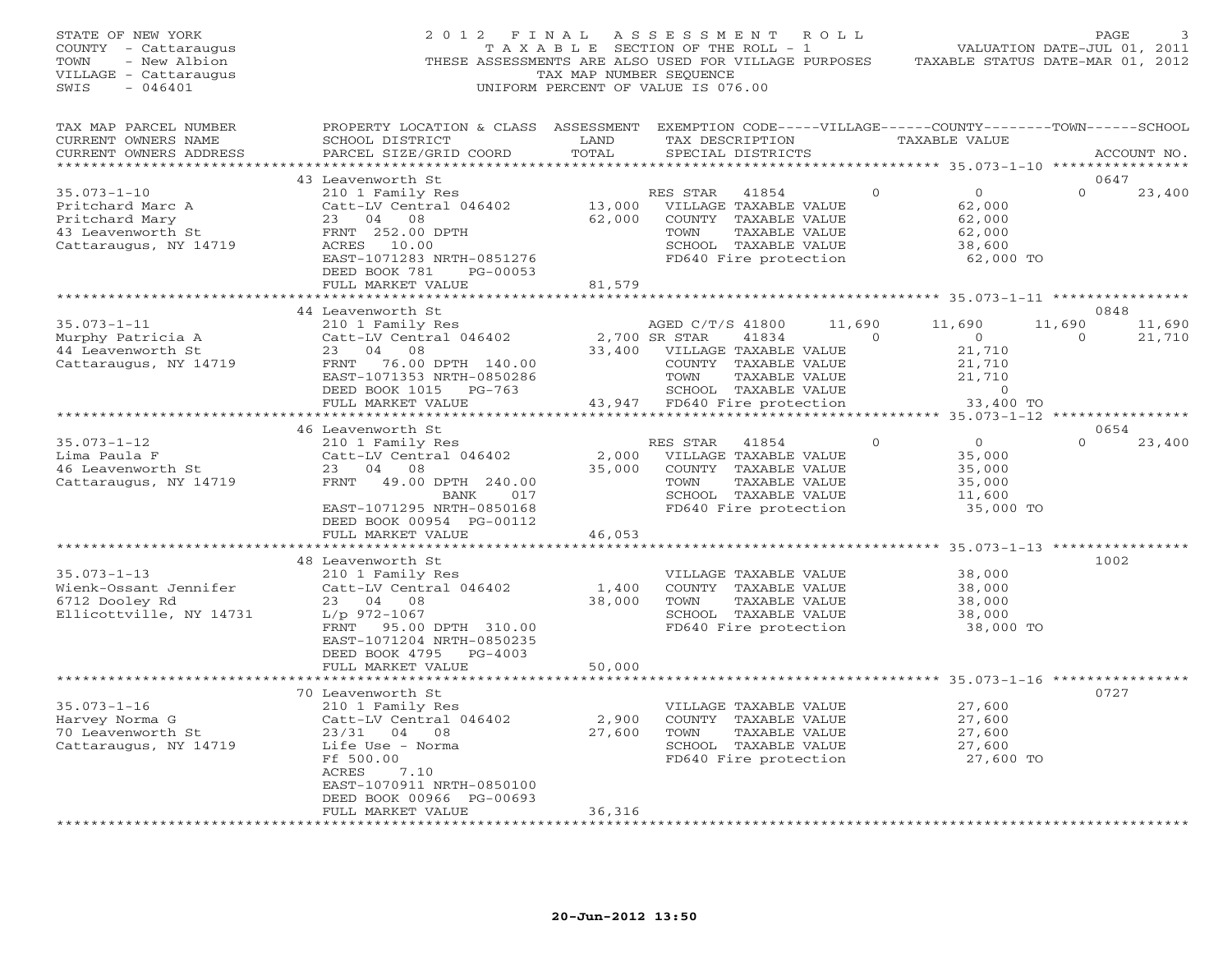| STATE OF NEW YORK<br>COUNTY - Cattaraugus<br>TOWN<br>- New Albion<br>VILLAGE - Cattaraugus<br>$-046401$<br>SWIS | 2012 FINAL ASSESSMENT ROLL<br>THESE ASSESSMENTS ARE ALSO USED FOR VILLAGE PURPOSES                                                                                                        | T A X A B L E SECTION OF THE ROLL - 1<br>TAX MAP NUMBER SEOUENCE<br>UNIFORM PERCENT OF VALUE IS 076.00 |                                           |                                                                                                                          |        |          | TAXABLE STATUS DATE-MAR 01, 2012                                       | PAGE<br>VALUATION DATE-JUL 01, 2011 |                  |
|-----------------------------------------------------------------------------------------------------------------|-------------------------------------------------------------------------------------------------------------------------------------------------------------------------------------------|--------------------------------------------------------------------------------------------------------|-------------------------------------------|--------------------------------------------------------------------------------------------------------------------------|--------|----------|------------------------------------------------------------------------|-------------------------------------|------------------|
| TAX MAP PARCEL NUMBER<br>CURRENT OWNERS NAME<br>CURRENT OWNERS ADDRESS                                          | PROPERTY LOCATION & CLASS ASSESSMENT EXEMPTION CODE-----VILLAGE------COUNTY-------TOWN------SCHOOL<br>SCHOOL DISTRICT<br>PARCEL SIZE/GRID COORD                                           | LAND<br>TOTAL                                                                                          |                                           | TAX DESCRIPTION<br>SPECIAL DISTRICTS                                                                                     |        |          | TAXABLE VALUE                                                          |                                     | ACCOUNT NO.      |
|                                                                                                                 | 43 Leavenworth St                                                                                                                                                                         |                                                                                                        |                                           |                                                                                                                          |        |          |                                                                        | 0647                                |                  |
| $35.073 - 1 - 10$<br>Pritchard Marc A<br>Pritchard Mary<br>43 Leavenworth St<br>Cattaraugus, NY 14719           | 210 1 Family Res<br>Catt-LV Central 046402<br>23 04 08<br>FRNT 252.00 DPTH<br>ACRES 10.00<br>EAST-1071283 NRTH-0851276<br>DEED BOOK 781<br>PG-00053                                       | 13,000<br>62,000                                                                                       | RES STAR<br>TOWN                          | 41854<br>VILLAGE TAXABLE VALUE<br>COUNTY TAXABLE VALUE<br>TAXABLE VALUE<br>SCHOOL TAXABLE VALUE<br>FD640 Fire protection |        | $\Omega$ | $\circ$<br>62,000<br>62,000<br>62,000<br>38,600<br>62,000 TO           | $\Omega$                            | 23,400           |
|                                                                                                                 | FULL MARKET VALUE                                                                                                                                                                         | 81,579                                                                                                 |                                           |                                                                                                                          |        |          |                                                                        |                                     |                  |
|                                                                                                                 |                                                                                                                                                                                           |                                                                                                        |                                           |                                                                                                                          |        |          |                                                                        | 0848                                |                  |
| $35.073 - 1 - 11$<br>Murphy Patricia A<br>44 Leavenworth St<br>Cattaraugus, NY 14719                            | 44 Leavenworth St<br>210 1 Family Res<br>Catt-LV Central 046402<br>23 04 08<br>FRNT 76.00 DPTH 140.00<br>EAST-1071353 NRTH-0850286                                                        | 33,400                                                                                                 | AGED C/T/S 41800<br>2,700 SR STAR<br>TOWN | 41834<br>VILLAGE TAXABLE VALUE<br>COUNTY TAXABLE VALUE<br>TAXABLE VALUE                                                  | 11,690 | $\Omega$ | 11,690<br>$\overline{0}$<br>21,710<br>21,710<br>21,710                 | 11,690<br>$\Omega$                  | 11,690<br>21,710 |
|                                                                                                                 | DEED BOOK 1015 PG-763                                                                                                                                                                     |                                                                                                        |                                           | SCHOOL TAXABLE VALUE                                                                                                     |        |          | $\sim$ 0                                                               |                                     |                  |
|                                                                                                                 | FULL MARKET VALUE                                                                                                                                                                         |                                                                                                        | 43,947 FD640 Fire protection              |                                                                                                                          |        |          | 33,400 TO<br>********************** 35.073-1-12 ***********            |                                     |                  |
|                                                                                                                 | 46 Leavenworth St                                                                                                                                                                         |                                                                                                        |                                           |                                                                                                                          |        |          |                                                                        | 0654                                |                  |
| $35.073 - 1 - 12$<br>Lima Paula F<br>46 Leavenworth St<br>Cattaraugus, NY 14719                                 | 210 1 Family Res<br>Catt-LV Central 046402<br>23 04<br>08<br>FRNT<br>49.00 DPTH 240.00<br>BANK<br>017<br>EAST-1071295 NRTH-0850168<br>DEED BOOK 00954 PG-00112                            | 2,000<br>35,000                                                                                        | RES STAR<br>TOWN                          | 41854<br>VILLAGE TAXABLE VALUE<br>COUNTY TAXABLE VALUE<br>TAXABLE VALUE<br>SCHOOL TAXABLE VALUE<br>FD640 Fire protection |        | $\circ$  | $0 \qquad \qquad$<br>35,000<br>35,000<br>35,000<br>11,600<br>35,000 TO | $\Omega$                            | 23,400           |
|                                                                                                                 | FULL MARKET VALUE                                                                                                                                                                         | 46,053                                                                                                 |                                           |                                                                                                                          |        |          |                                                                        |                                     |                  |
|                                                                                                                 | *******************                                                                                                                                                                       | *****************                                                                                      |                                           |                                                                                                                          |        |          | *************** 35.073-1-13 ****************                           |                                     |                  |
| $35.073 - 1 - 13$<br>Wienk-Ossant Jennifer<br>6712 Dooley Rd<br>Ellicottville, NY 14731                         | 48 Leavenworth St<br>210 1 Family Res<br>Catt-LV Central 046402<br>23 04 08<br>$L/p$ 972-1067<br>FRNT<br>95.00 DPTH 310.00<br>EAST-1071204 NRTH-0850235                                   | 1,400<br>38,000                                                                                        | TOWN                                      | VILLAGE TAXABLE VALUE<br>COUNTY TAXABLE VALUE<br>TAXABLE VALUE<br>SCHOOL TAXABLE VALUE<br>FD640 Fire protection          |        |          | 38,000<br>38,000<br>38,000<br>38,000<br>38,000 TO                      | 1002                                |                  |
|                                                                                                                 | DEED BOOK 4795 PG-4003<br>FULL MARKET VALUE                                                                                                                                               | 50,000                                                                                                 |                                           |                                                                                                                          |        |          |                                                                        |                                     |                  |
|                                                                                                                 |                                                                                                                                                                                           | * * * * * * * * * *                                                                                    |                                           |                                                                                                                          |        |          | *********** 35.073-1-16 ***********                                    |                                     |                  |
| $35.073 - 1 - 16$<br>Harvey Norma G<br>70 Leavenworth St<br>Cattaraugus, NY 14719                               | 70 Leavenworth St<br>210 1 Family Res<br>Catt-LV Central 046402<br>23/31 04 08<br>Life Use - Norma<br>Ff 500.00<br>ACRES<br>7.10<br>EAST-1070911 NRTH-0850100<br>DEED BOOK 00966 PG-00693 | 2,900<br>27,600                                                                                        | TOWN                                      | VILLAGE TAXABLE VALUE<br>COUNTY TAXABLE VALUE<br>TAXABLE VALUE<br>SCHOOL TAXABLE VALUE<br>FD640 Fire protection          |        |          | 27,600<br>27,600<br>27,600<br>27,600<br>27,600 TO                      | 0727                                |                  |
| ***********************                                                                                         | FULL MARKET VALUE                                                                                                                                                                         | 36,316                                                                                                 |                                           |                                                                                                                          |        |          |                                                                        |                                     |                  |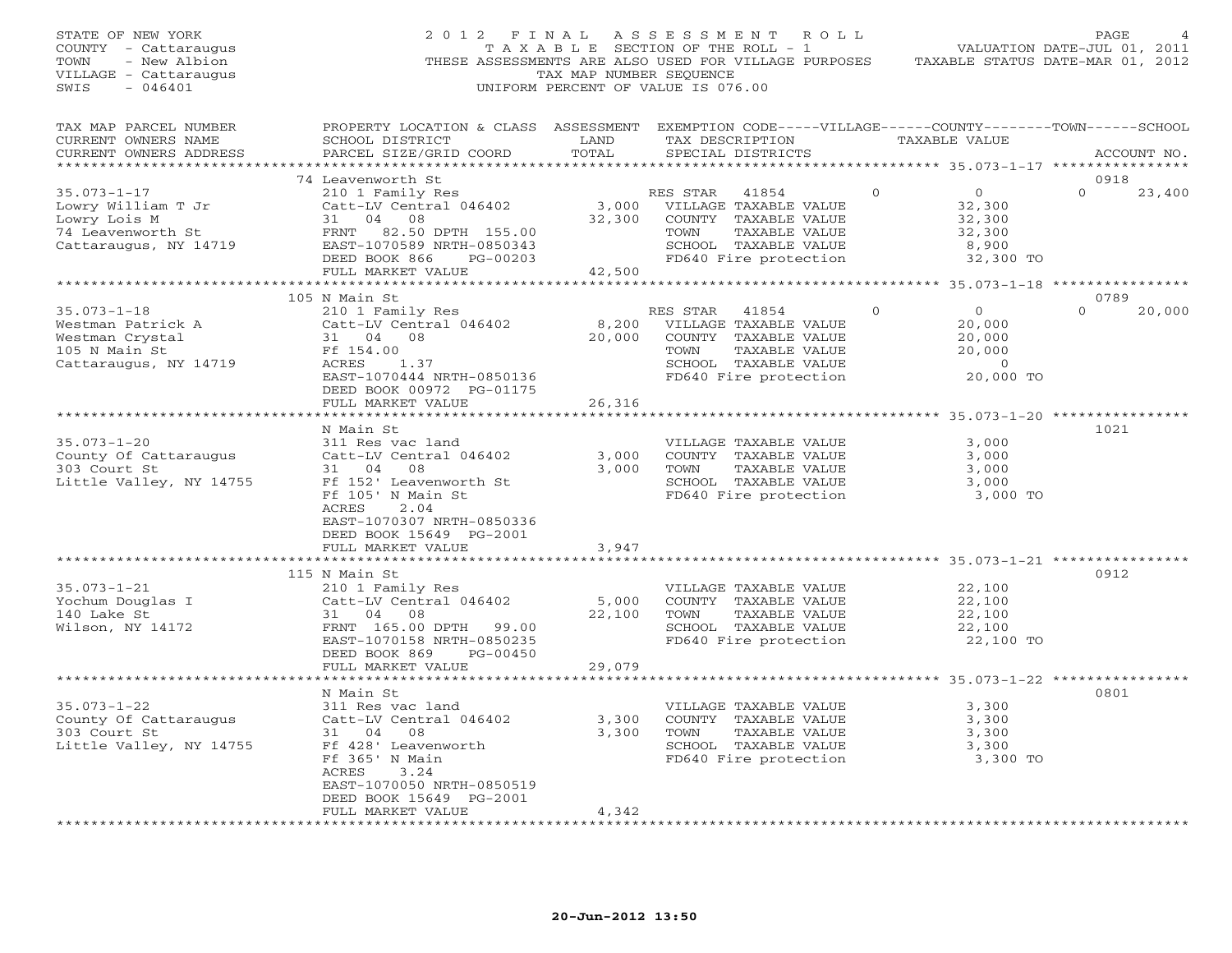| STATE OF NEW YORK<br>COUNTY - Cattaraugus<br>- New Albion<br>TOWN<br>VILLAGE - Cattaraugus<br>SWIS<br>- 046401 |                                                                                                                                                                                          | TAX MAP NUMBER SEQUENCE   | 2012 FINAL ASSESSMENT ROLL<br>T A X A B L E SECTION OF THE ROLL - 1<br>THESE ASSESSMENTS ARE ALSO USED FOR VILLAGE PURPOSES<br>UNIFORM PERCENT OF VALUE IS 076.00 |                                                                                         | PAGE<br>VALUATION DATE-JUL 01, 2011<br>TAXABLE STATUS DATE-MAR 01, 2012 |
|----------------------------------------------------------------------------------------------------------------|------------------------------------------------------------------------------------------------------------------------------------------------------------------------------------------|---------------------------|-------------------------------------------------------------------------------------------------------------------------------------------------------------------|-----------------------------------------------------------------------------------------|-------------------------------------------------------------------------|
| TAX MAP PARCEL NUMBER<br>CURRENT OWNERS NAME<br>CURRENT OWNERS ADDRESS<br>************************             | PROPERTY LOCATION & CLASS ASSESSMENT EXEMPTION CODE-----VILLAGE------COUNTY-------TOWN------SCHOOL<br>SCHOOL DISTRICT<br>PARCEL SIZE/GRID COORD                                          | LAND<br>TOTAL             | TAX DESCRIPTION<br>SPECIAL DISTRICTS                                                                                                                              | TAXABLE VALUE                                                                           | ACCOUNT NO.                                                             |
|                                                                                                                | 74 Leavenworth St                                                                                                                                                                        |                           |                                                                                                                                                                   |                                                                                         | 0918                                                                    |
| $35.073 - 1 - 17$<br>Lowry William T Jr<br>Lowry Lois M<br>74 Leavenworth St<br>Cattaraugus, NY 14719          | 210 1 Family Res<br>Catt-LV Central 046402<br>31 04 08<br>FRNT<br>82.50 DPTH 155.00<br>EAST-1070589 NRTH-0850343<br>DEED BOOK 866<br>PG-00203<br>FULL MARKET VALUE                       | 32,300<br>42,500          | RES STAR<br>41854<br>3,000 VILLAGE TAXABLE VALUE<br>COUNTY TAXABLE VALUE<br>TOWN<br>TAXABLE VALUE<br>SCHOOL TAXABLE VALUE<br>FD640 Fire protection                | $\Omega$<br>$\overline{0}$<br>32,300<br>32,300<br>32,300<br>8,900<br>32,300 TO          | $\Omega$<br>23,400                                                      |
|                                                                                                                |                                                                                                                                                                                          |                           |                                                                                                                                                                   | ********** 35.073-1-18 **************                                                   |                                                                         |
|                                                                                                                | 105 N Main St                                                                                                                                                                            |                           |                                                                                                                                                                   |                                                                                         | 0789                                                                    |
| $35.073 - 1 - 18$<br>Westman Patrick A<br>Westman Crystal<br>105 N Main St<br>Cattaraugus, NY 14719            | 210 1 Family Res<br>Catt-LV Central 046402<br>31 04 08<br>Ff 154.00<br>ACRES<br>1.37<br>EAST-1070444 NRTH-0850136<br>DEED BOOK 00972 PG-01175                                            | 8,200<br>20,000           | RES STAR<br>41854<br>VILLAGE TAXABLE VALUE<br>COUNTY TAXABLE VALUE<br>TOWN<br>TAXABLE VALUE<br>SCHOOL TAXABLE VALUE<br>FD640 Fire protection                      | $\overline{0}$<br>$\Omega$<br>20,000<br>20,000<br>20,000<br>$\overline{0}$<br>20,000 TO | 20,000<br>$\Omega$                                                      |
|                                                                                                                | FULL MARKET VALUE                                                                                                                                                                        | 26,316                    |                                                                                                                                                                   |                                                                                         |                                                                         |
|                                                                                                                |                                                                                                                                                                                          |                           |                                                                                                                                                                   |                                                                                         |                                                                         |
| $35.073 - 1 - 20$<br>County Of Cattaraugus<br>303 Court St<br>Little Valley, NY 14755                          | N Main St<br>311 Res vac land<br>Catt-LV Central 046402<br>31 04<br>08<br>Ff 152' Leavenworth St<br>Ff 105' N Main St                                                                    | 3,000<br>3,000            | VILLAGE TAXABLE VALUE<br>COUNTY TAXABLE VALUE<br>TAXABLE VALUE<br>TOWN<br>SCHOOL TAXABLE VALUE<br>FD640 Fire protection                                           | 3,000<br>3,000<br>3,000<br>3,000<br>3,000 TO                                            | 1021                                                                    |
|                                                                                                                | ACRES<br>2.04<br>EAST-1070307 NRTH-0850336<br>DEED BOOK 15649 PG-2001<br>FULL MARKET VALUE<br>******************                                                                         | 3,947                     |                                                                                                                                                                   |                                                                                         |                                                                         |
|                                                                                                                | 115 N Main St                                                                                                                                                                            |                           |                                                                                                                                                                   |                                                                                         | 0912                                                                    |
| $35.073 - 1 - 21$<br>Yochum Douglas I<br>140 Lake St<br>Wilson, NY 14172                                       | 210 1 Family Res<br>Catt-LV Central 046402<br>31 04 08<br>FRNT 165.00 DPTH 99.00<br>EAST-1070158 NRTH-0850235<br>DEED BOOK 869<br>PG-00450<br>FULL MARKET VALUE                          | 5,000<br>22,100<br>29,079 | VILLAGE TAXABLE VALUE<br>COUNTY TAXABLE VALUE<br>TAXABLE VALUE<br>TOWN<br>SCHOOL TAXABLE VALUE<br>FD640 Fire protection                                           | 22,100<br>22,100<br>22,100<br>22,100<br>22,100 TO                                       |                                                                         |
|                                                                                                                |                                                                                                                                                                                          | ********                  |                                                                                                                                                                   | *********** 35.073-1-22 ***********                                                     |                                                                         |
| $35.073 - 1 - 22$<br>County Of Cattaraugus<br>303 Court St<br>Little Valley, NY 14755                          | N Main St<br>311 Res vac land<br>Catt-LV Central 046402<br>31 04<br>08<br>Ff 428' Leavenworth<br>Ff 365' N Main<br>ACRES<br>3.24<br>EAST-1070050 NRTH-0850519<br>DEED BOOK 15649 PG-2001 | 3,300<br>3,300            | VILLAGE TAXABLE VALUE<br>COUNTY TAXABLE VALUE<br>TOWN<br>TAXABLE VALUE<br>SCHOOL TAXABLE VALUE<br>FD640 Fire protection                                           | 3,300<br>3,300<br>3,300<br>3,300<br>3,300 TO                                            | 0801                                                                    |
|                                                                                                                | FULL MARKET VALUE                                                                                                                                                                        | 4,342                     |                                                                                                                                                                   |                                                                                         |                                                                         |
|                                                                                                                | .                                                                                                                                                                                        |                           |                                                                                                                                                                   |                                                                                         |                                                                         |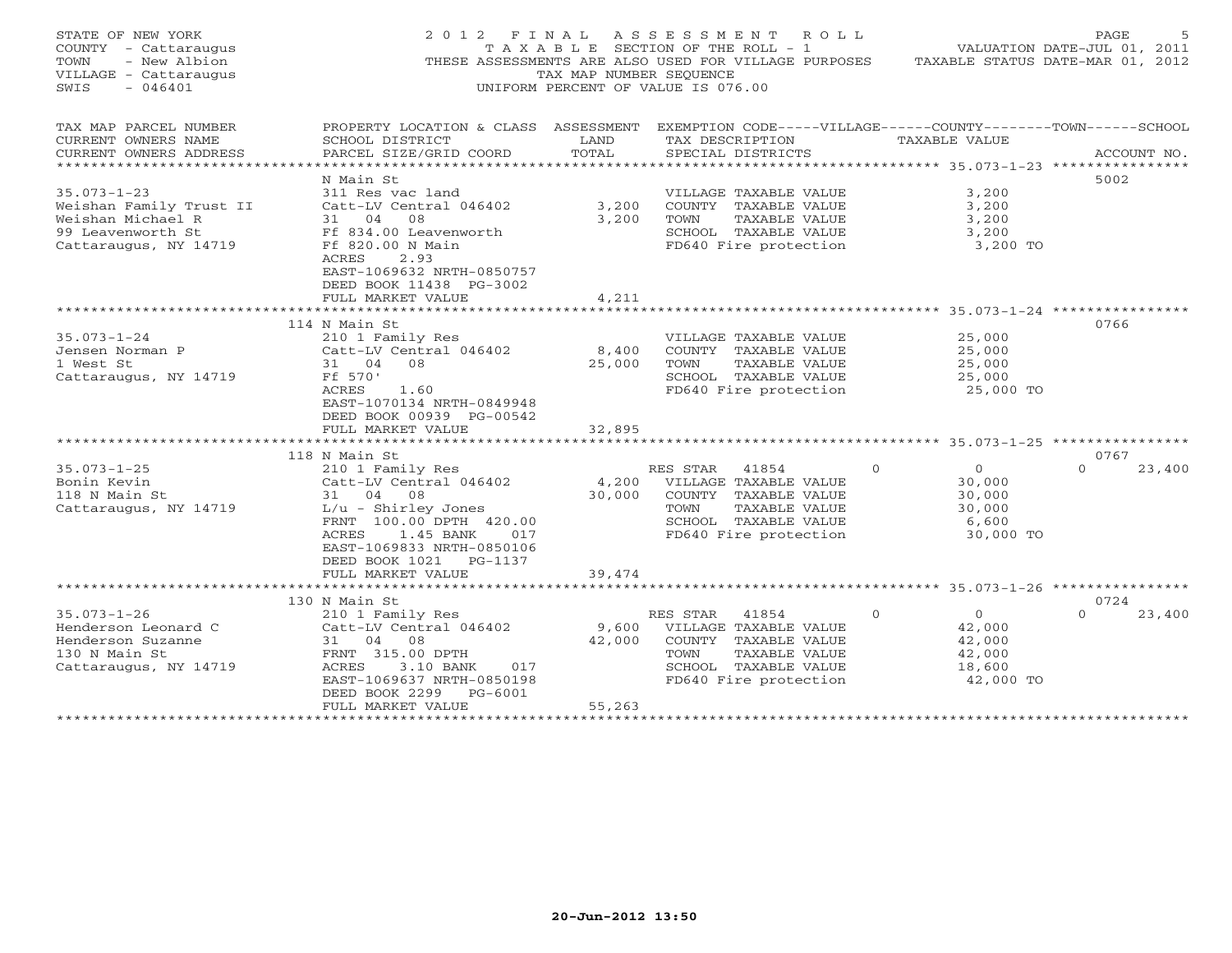| STATE OF NEW YORK<br>COUNTY - Cattaraugus<br>TOWN<br>- New Albion<br>VILLAGE - Cattaraugus<br>SWIS<br>$-046401$ | 2 0 1 2<br>F I N A L                                                                                                                                                                                               | TAX MAP NUMBER SEQUENCE   | A S S E S S M E N T R O L L<br>T A X A B L E SECTION OF THE ROLL - 1<br>THESE ASSESSMENTS ARE ALSO USED FOR VILLAGE PURPOSES<br>UNIFORM PERCENT OF VALUE IS 076.00 |                                                                          | 5<br>PAGE<br>VALUATION DATE-JUL 01, 2011<br>TAXABLE STATUS DATE-MAR 01, 2012 |
|-----------------------------------------------------------------------------------------------------------------|--------------------------------------------------------------------------------------------------------------------------------------------------------------------------------------------------------------------|---------------------------|--------------------------------------------------------------------------------------------------------------------------------------------------------------------|--------------------------------------------------------------------------|------------------------------------------------------------------------------|
| TAX MAP PARCEL NUMBER<br>CURRENT OWNERS NAME<br>CURRENT OWNERS ADDRESS<br>**************************            | PROPERTY LOCATION & CLASS ASSESSMENT EXEMPTION CODE-----VILLAGE------COUNTY-------TOWN------SCHOOL<br>SCHOOL DISTRICT<br>PARCEL SIZE/GRID COORD                                                                    | LAND<br>TOTAL             | TAX DESCRIPTION<br>SPECIAL DISTRICTS                                                                                                                               | TAXABLE VALUE                                                            | ACCOUNT NO.                                                                  |
| $35.073 - 1 - 23$<br>Weishan Family Trust II<br>Weishan Michael R<br>99 Leavenworth St<br>Cattaraugus, NY 14719 | N Main St<br>311 Res vac land<br>Catt-LV Central 046402<br>31 04<br>08<br>Ff 834.00 Leavenworth<br>Ff 820.00 N Main<br>2.93<br><b>ACRES</b><br>EAST-1069632 NRTH-0850757<br>DEED BOOK 11438 PG-3002                | 3,200<br>3,200            | VILLAGE TAXABLE VALUE<br>COUNTY TAXABLE VALUE<br>TOWN<br>TAXABLE VALUE<br>SCHOOL TAXABLE VALUE<br>FD640 Fire protection                                            | 3,200<br>3,200<br>3,200<br>3,200<br>3,200 TO                             | 5002                                                                         |
|                                                                                                                 | FULL MARKET VALUE                                                                                                                                                                                                  | 4,211                     |                                                                                                                                                                    |                                                                          |                                                                              |
|                                                                                                                 | 114 N Main St                                                                                                                                                                                                      |                           |                                                                                                                                                                    |                                                                          | 0766                                                                         |
| $35.073 - 1 - 24$<br>Jensen Norman P<br>1 West St<br>Cattaraugus, NY 14719                                      | 210 1 Family Res<br>Catt-LV Central 046402<br>31 04 08<br>Ff 570'<br>1.60<br>ACRES<br>EAST-1070134 NRTH-0849948<br>DEED BOOK 00939 PG-00542<br>FULL MARKET VALUE                                                   | 8,400<br>25,000<br>32,895 | VILLAGE TAXABLE VALUE<br>COUNTY TAXABLE VALUE<br>TOWN<br>TAXABLE VALUE<br>SCHOOL TAXABLE VALUE<br>FD640 Fire protection                                            | 25,000<br>25,000<br>25,000<br>25,000<br>25,000 TO                        |                                                                              |
|                                                                                                                 | **********************                                                                                                                                                                                             | *********                 |                                                                                                                                                                    | ****************** 35.073-1-25 ***********                               |                                                                              |
| $35.073 - 1 - 25$<br>Bonin Kevin<br>118 N Main St<br>Cattaraugus, NY 14719                                      | 118 N Main St<br>210 1 Family Res<br>Catt-LV Central 046402<br>31 04 08<br>$L/u - Shirley Jones$<br>FRNT 100.00 DPTH 420.00<br>1.45 BANK<br>ACRES<br>017<br>EAST-1069833 NRTH-0850106<br>DEED BOOK 1021<br>PG-1137 | 4,200<br>30,000           | RES STAR<br>41854<br>VILLAGE TAXABLE VALUE<br>COUNTY TAXABLE VALUE<br>TOWN<br>TAXABLE VALUE<br>SCHOOL TAXABLE VALUE<br>FD640 Fire protection                       | $\circ$<br>$\circ$<br>30,000<br>30,000<br>30,000<br>6,600<br>30,000 TO   | 0767<br>$\Omega$<br>23,400                                                   |
|                                                                                                                 | FULL MARKET VALUE<br>*************************                                                                                                                                                                     | 39,474                    |                                                                                                                                                                    |                                                                          |                                                                              |
|                                                                                                                 | 130 N Main St                                                                                                                                                                                                      |                           |                                                                                                                                                                    |                                                                          | 0724                                                                         |
| $35.073 - 1 - 26$<br>Henderson Leonard C<br>Henderson Suzanne<br>130 N Main St<br>Cattaraugus, NY 14719         | 210 1 Family Res<br>Catt-LV Central 046402<br>31 04 08<br>FRNT 315.00 DPTH<br>ACRES<br>3.10 BANK<br>017<br>EAST-1069637 NRTH-0850198<br>DEED BOOK 2299<br>PG-6001<br>FULL MARKET VALUE                             | 9,600<br>42,000<br>55,263 | 41854<br>RES STAR<br>VILLAGE TAXABLE VALUE<br>COUNTY TAXABLE VALUE<br>TOWN<br>TAXABLE VALUE<br>SCHOOL TAXABLE VALUE<br>FD640 Fire protection                       | $\Omega$<br>$\circ$<br>42,000<br>42,000<br>42,000<br>18,600<br>42,000 TO | $\Omega$<br>23,400                                                           |
| *********************                                                                                           | **************************                                                                                                                                                                                         | *******************       |                                                                                                                                                                    |                                                                          |                                                                              |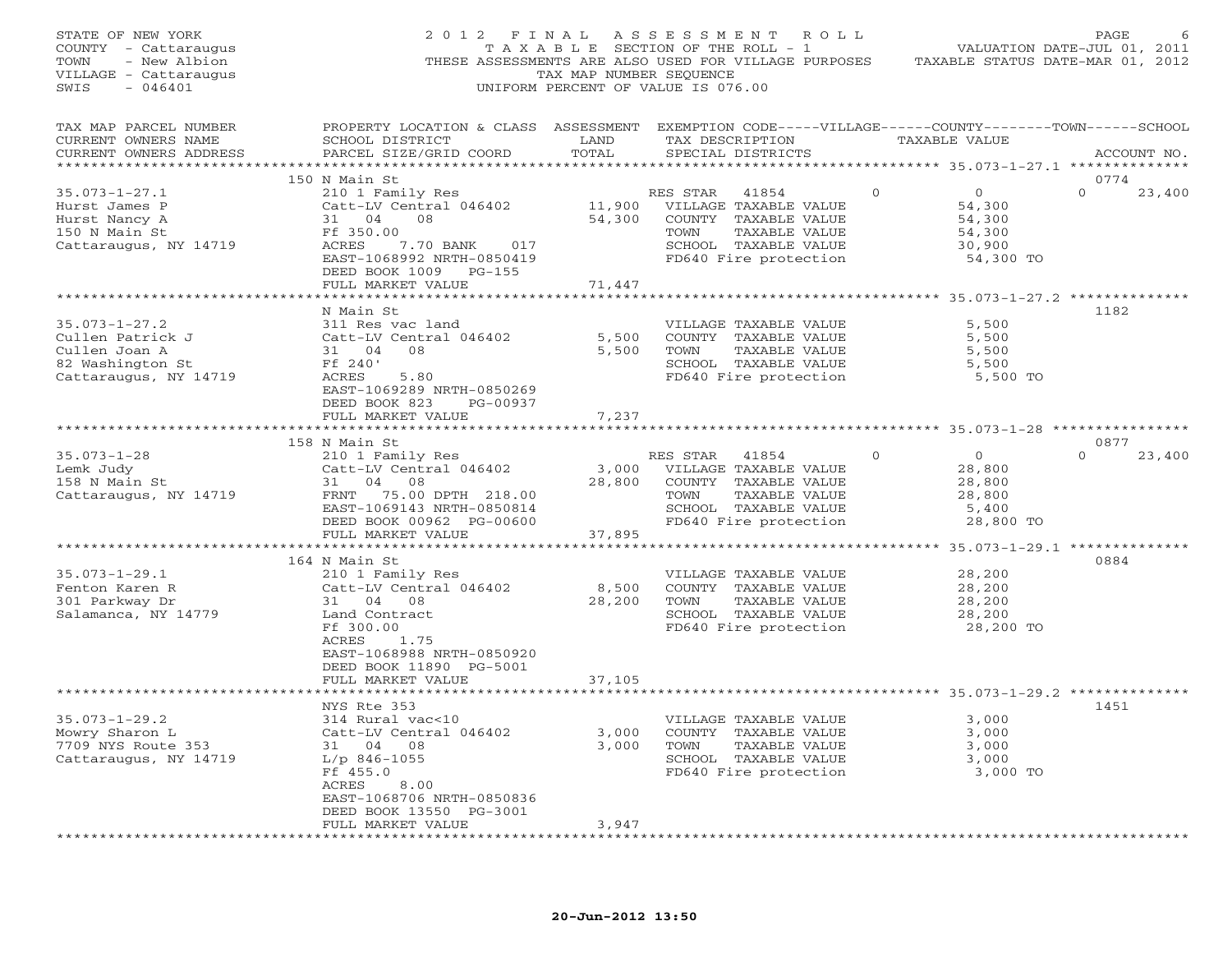| STATE OF NEW YORK<br>COUNTY - Cattaraugus<br>- New Albion<br>TOWN<br>VILLAGE - Cattaraugus<br>SWIS<br>$-046401$ | 2012 FINAL                                                                                                                                                                        | TAX MAP NUMBER SEOUENCE   | ASSESSMENT<br>T A X A B L E SECTION OF THE ROLL - 1<br>THESE ASSESSMENTS ARE ALSO USED FOR VILLAGE PURPOSES<br>UNIFORM PERCENT OF VALUE IS 076.00 | ROLL         |                                                                     | PAGE<br>6<br>VALUATION DATE-JUL 01, 2011<br>TAXABLE STATUS DATE-MAR 01, 2012 |
|-----------------------------------------------------------------------------------------------------------------|-----------------------------------------------------------------------------------------------------------------------------------------------------------------------------------|---------------------------|---------------------------------------------------------------------------------------------------------------------------------------------------|--------------|---------------------------------------------------------------------|------------------------------------------------------------------------------|
| TAX MAP PARCEL NUMBER<br>CURRENT OWNERS NAME<br>CURRENT OWNERS ADDRESS<br>*************************             | PROPERTY LOCATION & CLASS ASSESSMENT EXEMPTION CODE-----VILLAGE------COUNTY-------TOWN------SCHOOL<br>SCHOOL DISTRICT<br>PARCEL SIZE/GRID COORD                                   | LAND<br>TOTAL             | TAX DESCRIPTION<br>SPECIAL DISTRICTS                                                                                                              |              | TAXABLE VALUE                                                       | ACCOUNT NO.                                                                  |
| $35.073 - 1 - 27.1$<br>Hurst James P<br>Hurst Nancy A<br>150 N Main St<br>Cattaraugus, NY 14719                 | 150 N Main St<br>210 1 Family Res<br>Catt-LV Central 046402<br>31 04<br>08<br>Ff 350.00<br>ACRES<br>7.70 BANK<br>017<br>EAST-1068992 NRTH-0850419<br>DEED BOOK 1009<br>PG-155     | 11,900<br>54,300          | RES STAR<br>41854<br>VILLAGE TAXABLE VALUE<br>COUNTY TAXABLE VALUE<br>TOWN<br>TAXABLE VALUE<br>SCHOOL TAXABLE VALUE<br>FD640 Fire protection      | $\circ$      | $\overline{0}$<br>54,300<br>54,300<br>54,300<br>30,900<br>54,300 TO | 0774<br>$\Omega$<br>23,400                                                   |
|                                                                                                                 | FULL MARKET VALUE                                                                                                                                                                 | 71,447                    |                                                                                                                                                   |              |                                                                     |                                                                              |
| $35.073 - 1 - 27.2$<br>Cullen Patrick J<br>Cullen Joan A<br>82 Washington St<br>Cattaraugus, NY 14719           | N Main St<br>311 Res vac land<br>Catt-LV Central 046402<br>31 04<br>08<br>Ff 240'<br>ACRES<br>5.80<br>EAST-1069289 NRTH-0850269<br>DEED BOOK 823<br>PG-00937                      | 5,500<br>5,500            | VILLAGE TAXABLE VALUE<br>COUNTY TAXABLE VALUE<br>TOWN<br>TAXABLE VALUE<br>SCHOOL TAXABLE VALUE<br>FD640 Fire protection                           |              | 5,500<br>5,500<br>5,500<br>5,500<br>5,500 TO                        | 1182                                                                         |
|                                                                                                                 | FULL MARKET VALUE                                                                                                                                                                 | 7,237                     |                                                                                                                                                   |              |                                                                     |                                                                              |
|                                                                                                                 |                                                                                                                                                                                   |                           |                                                                                                                                                   |              |                                                                     | 0877                                                                         |
| $35.073 - 1 - 28$<br>Lemk Judy<br>158 N Main St<br>Cattaraugus, NY 14719                                        | 158 N Main St<br>210 1 Family Res<br>Catt-LV Central 046402<br>31 04 08<br>FRNT 75.00 DPTH 218.00<br>EAST-1069143 NRTH-0850814<br>DEED BOOK 00962 PG-00600<br>FULL MARKET VALUE   | 3,000<br>28,800<br>37,895 | RES STAR 41854<br>VILLAGE TAXABLE VALUE<br>COUNTY TAXABLE VALUE<br>TOWN<br>TAXABLE VALUE<br>SCHOOL TAXABLE VALUE<br>FD640 Fire protection         | $\mathbf{0}$ | $\circ$<br>28,800<br>28,800<br>28,800<br>5,400<br>28,800 TO         | $\Omega$<br>23,400                                                           |
|                                                                                                                 | ************************                                                                                                                                                          |                           |                                                                                                                                                   |              |                                                                     |                                                                              |
| $35.073 - 1 - 29.1$<br>Fenton Karen R<br>301 Parkway Dr<br>Salamanca, NY 14779                                  | 164 N Main St<br>210 1 Family Res<br>Catt-LV Central 046402<br>31 04<br>08<br>Land Contract<br>Ff 300.00<br>ACRES<br>1.75<br>EAST-1068988 NRTH-0850920<br>DEED BOOK 11890 PG-5001 | 8,500<br>28,200           | VILLAGE TAXABLE VALUE<br>COUNTY TAXABLE VALUE<br>TOWN<br>TAXABLE VALUE<br>SCHOOL TAXABLE VALUE<br>FD640 Fire protection                           |              | 28,200<br>28,200<br>28,200<br>28,200<br>28,200 TO                   | 0884                                                                         |
|                                                                                                                 | FULL MARKET VALUE                                                                                                                                                                 | 37,105                    |                                                                                                                                                   |              |                                                                     |                                                                              |
| $35.073 - 1 - 29.2$<br>Mowry Sharon L<br>7709 NYS Route 353<br>Cattaraugus, NY 14719                            | NYS Rte 353<br>314 Rural vac<10<br>Catt-LV Central 046402<br>31 04<br>08<br>$L/p$ 846-1055<br>Ff 455.0<br>8.00<br>ACRES<br>EAST-1068706 NRTH-0850836<br>DEED BOOK 13550 PG-3001   | 3,000<br>3,000            | VILLAGE TAXABLE VALUE<br>COUNTY TAXABLE VALUE<br>TOWN<br>TAXABLE VALUE<br>SCHOOL TAXABLE VALUE<br>FD640 Fire protection                           |              | 3,000<br>3,000<br>3,000<br>3,000<br>3,000 TO                        | 1451                                                                         |
|                                                                                                                 | FULL MARKET VALUE                                                                                                                                                                 | 3,947                     |                                                                                                                                                   |              |                                                                     |                                                                              |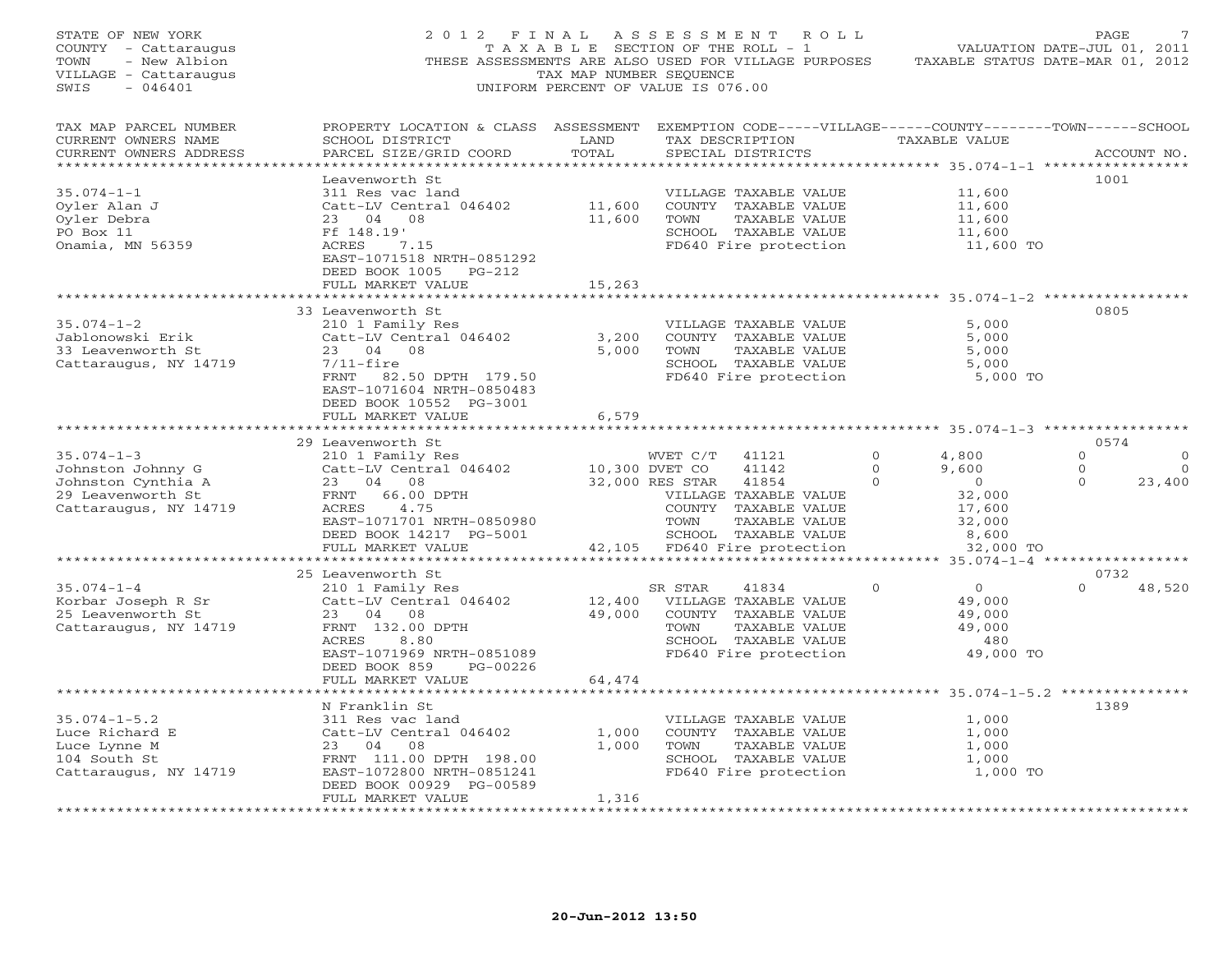| STATE OF NEW YORK<br>COUNTY - Cattaraugus<br>- New Albion<br>TOWN<br>VILLAGE - Cattaraugus<br>SWIS<br>$-046401$ | 2012 FINAL                                                                                                                                                                                         | TAX MAP NUMBER SEQUENCE    | ASSESSMENT ROLL<br>T A X A B L E SECTION OF THE ROLL - 1<br>THESE ASSESSMENTS ARE ALSO USED FOR VILLAGE PURPOSES<br>UNIFORM PERCENT OF VALUE IS 076.00                            |                                 | VALUATION DATE-JUL 01, 2011<br>TAXABLE STATUS DATE-MAR 01, 2012                      | PAGE                             |                                        |
|-----------------------------------------------------------------------------------------------------------------|----------------------------------------------------------------------------------------------------------------------------------------------------------------------------------------------------|----------------------------|-----------------------------------------------------------------------------------------------------------------------------------------------------------------------------------|---------------------------------|--------------------------------------------------------------------------------------|----------------------------------|----------------------------------------|
| TAX MAP PARCEL NUMBER<br>CURRENT OWNERS NAME<br>CURRENT OWNERS ADDRESS                                          | PROPERTY LOCATION & CLASS ASSESSMENT EXEMPTION CODE-----VILLAGE------COUNTY-------TOWN------SCHOOL<br>SCHOOL DISTRICT<br>PARCEL SIZE/GRID COORD                                                    | LAND<br>TOTAL              | TAX DESCRIPTION TAXABLE VALUE<br>SPECIAL DISTRICTS                                                                                                                                |                                 |                                                                                      |                                  | ACCOUNT NO.                            |
| $35.074 - 1 - 1$<br>Oyler Alan J<br>Oyler Debra<br>PO Box 11<br>Onamia, MN 56359                                | Leavenworth St<br>311 Res vac land<br>Catt-LV Central 046402<br>23 04 08<br>Ff 148.19'<br>ACRES<br>7.15<br>EAST-1071518 NRTH-0851292<br>DEED BOOK 1005 PG-212<br>FULL MARKET VALUE                 | 11,600<br>11,600<br>15,263 | VILLAGE TAXABLE VALUE<br>COUNTY TAXABLE VALUE<br>TAXABLE VALUE<br>TOWN<br>SCHOOL TAXABLE VALUE<br>FD640 Fire protection                                                           |                                 | 11,600<br>11,600<br>11,600<br>11,600<br>11,600 TO                                    | 1001                             |                                        |
|                                                                                                                 | ******************                                                                                                                                                                                 |                            |                                                                                                                                                                                   |                                 |                                                                                      |                                  |                                        |
| $35.074 - 1 - 2$<br>Jablonowski Erik<br>33 Leavenworth St<br>Cattaraugus, NY 14719                              | 33 Leavenworth St<br>210 1 Family Res<br>Catt-LV Central 046402<br>23 04 08<br>$7/11$ -fire<br>FRNT 82.50 DPTH 179.50<br>EAST-1071604 NRTH-0850483<br>DEED BOOK 10552 PG-3001<br>FULL MARKET VALUE | 3,200<br>5,000<br>6,579    | VILLAGE TAXABLE VALUE<br>COUNTY TAXABLE VALUE<br>TAXABLE VALUE<br>TOWN<br>SCHOOL TAXABLE VALUE<br>FD640 Fire protection                                                           |                                 | 5,000<br>5,000<br>5,000<br>5,000<br>5,000 TO                                         | 0805                             |                                        |
|                                                                                                                 | ********************<br>29 Leavenworth St                                                                                                                                                          |                            |                                                                                                                                                                                   |                                 | *********************** 35.074-1-3 ****************                                  | 0574                             |                                        |
| $35.074 - 1 - 3$<br>Johnston Johnny G<br>Johnston Cynthia A<br>29 Leavenworth St<br>Cattaraugus, NY 14719       | 210 1 Family Res<br>Catt-LV Central 046402<br>23 04 08<br>FRNT 66.00 DPTH<br>ACRES<br>4.75<br>EAST-1071701 NRTH-0850980<br>DEED BOOK 14217 PG-5001<br>FULL MARKET VALUE                            | 10,300 DVET CO<br>42,105   | WVET C/T<br>41121<br>41142<br>32,000 RES STAR<br>41854<br>VILLAGE TAXABLE VALUE<br>COUNTY TAXABLE VALUE<br>TAXABLE VALUE<br>TOWN<br>SCHOOL TAXABLE VALUE<br>FD640 Fire protection | $\circ$<br>$\Omega$<br>$\Omega$ | 4,800<br>9,600<br>$\overline{0}$<br>32,000<br>17,600<br>32,000<br>8,600<br>32,000 TO | $\Omega$<br>$\Omega$<br>$\Omega$ | $\overline{0}$<br>$\bigcirc$<br>23,400 |
|                                                                                                                 | ***********************                                                                                                                                                                            |                            |                                                                                                                                                                                   |                                 |                                                                                      | 0732                             |                                        |
| $35.074 - 1 - 4$<br>Korbar Joseph R Sr<br>25 Leavenworth St<br>Cattaraugus, NY 14719                            | 25 Leavenworth St<br>210 1 Family Res<br>Catt-LV Central 046402<br>23<br>04 08<br>FRNT 132.00 DPTH<br>8.80<br>ACRES<br>EAST-1071969 NRTH-0851089<br>DEED BOOK 859<br>PG-00226                      | 49,000                     | SR STAR<br>41834<br>12,400 VILLAGE TAXABLE VALUE<br>COUNTY TAXABLE VALUE<br>TOWN<br>TAXABLE VALUE<br>SCHOOL TAXABLE VALUE<br>FD640 Fire protection                                | $\mathbf{0}$                    | $\overline{0}$<br>49,000<br>49,000<br>49,000<br>480<br>49,000 TO                     | $\cap$                           | 48,520                                 |
|                                                                                                                 | FULL MARKET VALUE<br>***********************                                                                                                                                                       | 64,474                     |                                                                                                                                                                                   |                                 |                                                                                      |                                  |                                        |
| $35.074 - 1 - 5.2$<br>Luce Richard E<br>Luce Lynne M<br>104 South St<br>Cattaraugus, NY 14719                   | N Franklin St<br>311 Res vac land<br>Catt-LV Central 046402<br>23 04<br>08<br>FRNT 111.00 DPTH 198.00<br>EAST-1072800 NRTH-0851241<br>DEED BOOK 00929 PG-00589<br>FULL MARKET VALUE                | 1,000<br>1,000<br>1,316    | VILLAGE TAXABLE VALUE<br>COUNTY TAXABLE VALUE<br>TOWN<br>TAXABLE VALUE<br>SCHOOL TAXABLE VALUE<br>FD640 Fire protection                                                           |                                 | 1,000<br>1,000<br>1,000<br>1,000<br>1,000 TO                                         | 1389                             |                                        |
| *************************                                                                                       |                                                                                                                                                                                                    |                            |                                                                                                                                                                                   |                                 |                                                                                      |                                  |                                        |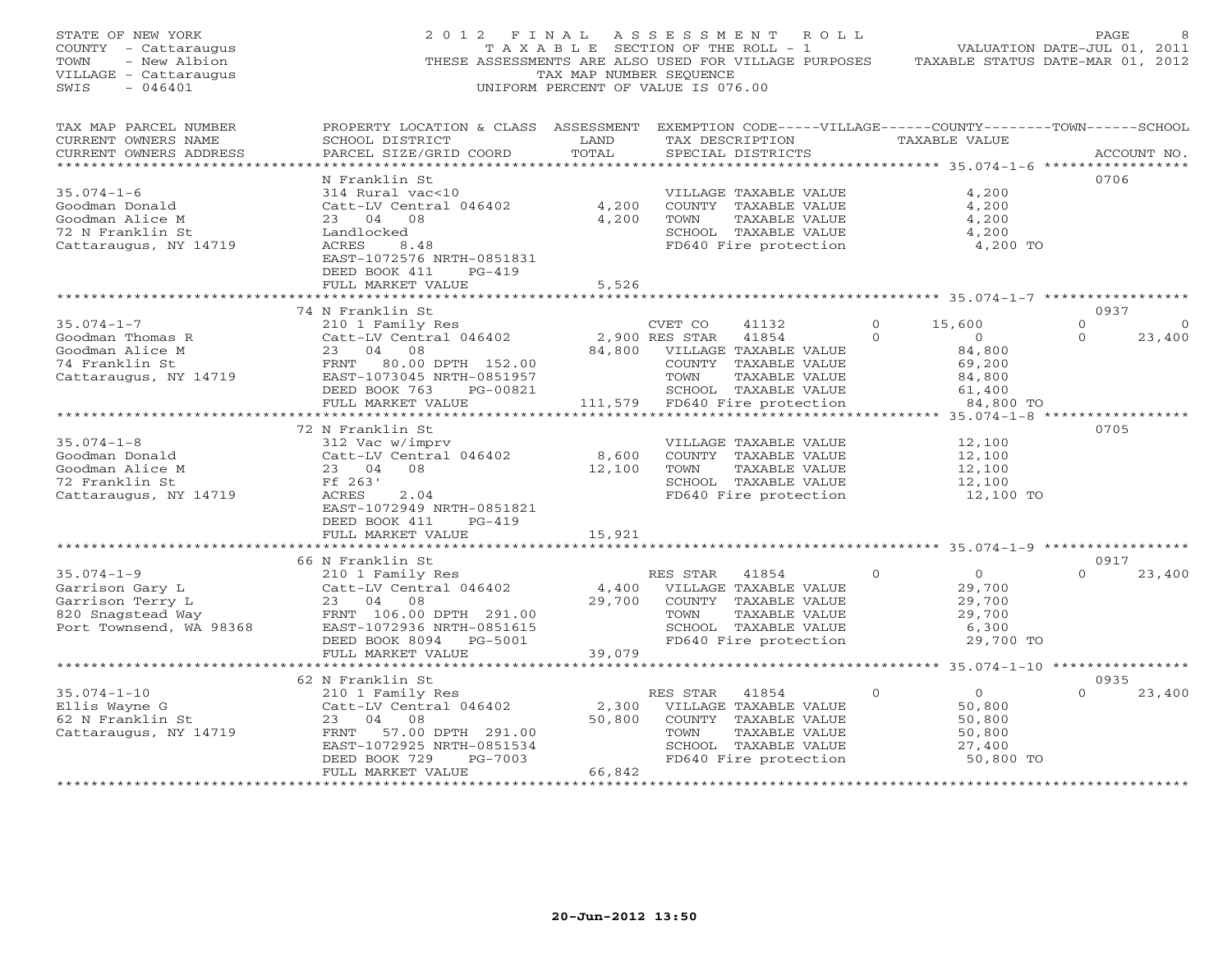| STATE OF NEW YORK<br>COUNTY - Cattaraugus<br>- New Albion<br>TOWN<br>VILLAGE - Cattaraugus<br>$-046401$<br>SWIS | 2 0 1 2<br>F I N A L<br>THESE ASSESSMENTS ARE ALSO USED FOR VILLAGE PURPOSES                                                                                                                | T A X A B L E SECTION OF THE ROLL - 1<br>TAX MAP NUMBER SEQUENCE<br>UNIFORM PERCENT OF VALUE IS 076.00 | A S S E S S M E N T               | ROLL                                                                                                                                      |                          | TAXABLE STATUS DATE-MAR 01, 2012                                              | <b>PAGE</b><br>VALUATION DATE-JUL 01, 2011 |                   |
|-----------------------------------------------------------------------------------------------------------------|---------------------------------------------------------------------------------------------------------------------------------------------------------------------------------------------|--------------------------------------------------------------------------------------------------------|-----------------------------------|-------------------------------------------------------------------------------------------------------------------------------------------|--------------------------|-------------------------------------------------------------------------------|--------------------------------------------|-------------------|
| TAX MAP PARCEL NUMBER<br>CURRENT OWNERS NAME<br>CURRENT OWNERS ADDRESS<br>******************                    | PROPERTY LOCATION & CLASS ASSESSMENT EXEMPTION CODE-----VILLAGE------COUNTY-------TOWN------SCHOOL<br>SCHOOL DISTRICT<br>PARCEL SIZE/GRID COORD                                             | LAND<br>TOTAL                                                                                          |                                   | TAX DESCRIPTION<br>SPECIAL DISTRICTS<br>************************************** 35.074-1-6 ******************                              |                          | TAXABLE VALUE                                                                 |                                            | ACCOUNT NO.       |
| $35.074 - 1 - 6$<br>Goodman Donald<br>Goodman Alice M<br>72 N Franklin St<br>Cattaraugus, NY 14719              | N Franklin St<br>314 Rural vac<10<br>Catt-LV Central 046402<br>23 04 08<br>Landlocked<br>ACRES<br>8.48<br>EAST-1072576 NRTH-0851831<br>DEED BOOK 411<br>$PG-419$<br>FULL MARKET VALUE       | 4,200<br>4,200<br>5,526                                                                                | TOWN                              | VILLAGE TAXABLE VALUE<br>COUNTY TAXABLE VALUE<br>TAXABLE VALUE<br>SCHOOL TAXABLE VALUE<br>FD640 Fire protection                           |                          | 4,200<br>4,200<br>4,200<br>4,200<br>4,200 TO                                  | 0706                                       |                   |
|                                                                                                                 |                                                                                                                                                                                             | ********                                                                                               |                                   |                                                                                                                                           |                          | ********************* 35.074-1-7 ******************                           |                                            |                   |
| $35.074 - 1 - 7$<br>Goodman Thomas R<br>Goodman Alice M<br>74 Franklin St<br>Cattaraugus, NY 14719              | 74 N Franklin St<br>210 1 Family Res<br>Catt-LV Central 046402<br>23<br>04 08<br>FRNT<br>80.00 DPTH 152.00<br>EAST-1073045 NRTH-0851957<br>DEED BOOK 763<br>PG-00821<br>FULL MARKET VALUE   | 84,800                                                                                                 | CVET CO<br>2,900 RES STAR<br>TOWN | 41132<br>41854<br>VILLAGE TAXABLE VALUE<br>COUNTY TAXABLE VALUE<br>TAXABLE VALUE<br>SCHOOL TAXABLE VALUE<br>111,579 FD640 Fire protection | $\mathbf{0}$<br>$\Omega$ | 15,600<br>$\overline{O}$<br>84,800<br>69,200<br>84,800<br>61,400<br>84,800 TO | 0937<br>$\mathbf{0}$<br>$\Omega$           | $\circ$<br>23,400 |
|                                                                                                                 |                                                                                                                                                                                             |                                                                                                        |                                   |                                                                                                                                           |                          | $35.074 - 1 - 8$ ***                                                          |                                            |                   |
| $35.074 - 1 - 8$<br>Goodman Donald<br>Goodman Alice M<br>72 Franklin St<br>Cattaraugus, NY 14719                | 72 N Franklin St<br>312 Vac w/imprv<br>Catt-LV Central 046402<br>23 04<br>08<br>Ff 263'<br>ACRES<br>2.04<br>EAST-1072949 NRTH-0851821<br>DEED BOOK 411<br>$PG-419$<br>FULL MARKET VALUE     | 8,600<br>12,100<br>15,921                                                                              | TOWN                              | VILLAGE TAXABLE VALUE<br>COUNTY TAXABLE VALUE<br>TAXABLE VALUE<br>SCHOOL TAXABLE VALUE<br>FD640 Fire protection                           |                          | 12,100<br>12,100<br>12,100<br>12,100<br>12,100 TO                             | 0705                                       |                   |
|                                                                                                                 |                                                                                                                                                                                             |                                                                                                        |                                   |                                                                                                                                           |                          |                                                                               |                                            |                   |
| $35.074 - 1 - 9$<br>Garrison Gary L<br>Garrison Terry L<br>820 Snagstead Way<br>Port Townsend, WA 98368         | 66 N Franklin St<br>210 1 Family Res<br>Catt-LV Central 046402<br>23 04 08<br>FRNT 106.00 DPTH 291.00<br>EAST-1072936 NRTH-0851615<br>DEED BOOK 8094 PG-5001                                | 4,400<br>29,700                                                                                        | RES STAR<br>TOWN                  | 41854<br>VILLAGE TAXABLE VALUE<br>COUNTY TAXABLE VALUE<br>TAXABLE VALUE<br>SCHOOL TAXABLE VALUE<br>FD640 Fire protection                  | $\Omega$                 | $\overline{O}$<br>29,700<br>29,700<br>29,700<br>6,300<br>29,700 TO            | 0917<br>$\Omega$                           | 23,400            |
|                                                                                                                 | FULL MARKET VALUE                                                                                                                                                                           | 39,079                                                                                                 |                                   |                                                                                                                                           |                          |                                                                               |                                            |                   |
|                                                                                                                 |                                                                                                                                                                                             | * * * * * * * * * *                                                                                    |                                   |                                                                                                                                           |                          | ******** 35.074-1-10 *****************                                        |                                            |                   |
| $35.074 - 1 - 10$<br>Ellis Wayne G<br>62 N Franklin St<br>Cattaraugus, NY 14719                                 | 62 N Franklin St<br>210 1 Family Res<br>Catt-LV Central 046402<br>04<br>23<br>08<br>FRNT<br>57.00 DPTH 291.00<br>EAST-1072925 NRTH-0851534<br>DEED BOOK 729<br>PG-7003<br>FULL MARKET VALUE | 2,300<br>50,800<br>66,842<br>* * * * * * * * * * * * * * * *                                           | RES STAR<br>TOWN                  | 41854<br>VILLAGE TAXABLE VALUE<br>COUNTY TAXABLE VALUE<br>TAXABLE VALUE<br>SCHOOL TAXABLE VALUE<br>FD640 Fire protection                  | $\mathbf{0}$             | $\overline{0}$<br>50,800<br>50,800<br>50,800<br>27,400<br>50,800 TO           | 0935<br>$\Omega$                           | 23,400            |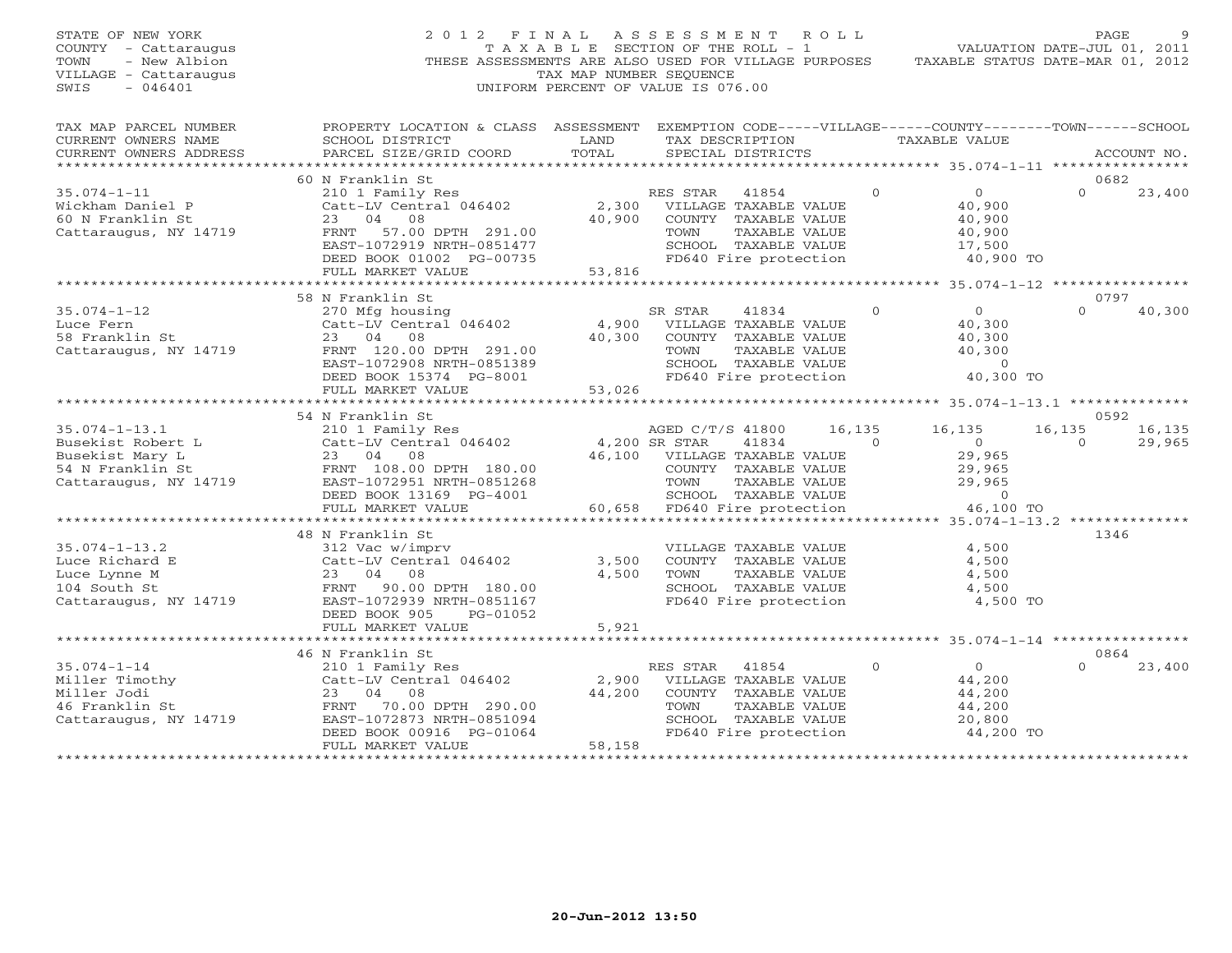| STATE OF NEW YORK<br>COUNTY - Cattaraugus<br>- New Albion<br>TOWN<br>VILLAGE - Cattaraugus<br>$-046401$<br>SWIS |                                                                                                                                                                                                   | TAX MAP NUMBER SEQUENCE | 2012 FINAL ASSESSMENT ROLL<br>T A X A B L E SECTION OF THE ROLL - 1<br>THESE ASSESSMENTS ARE ALSO USED FOR VILLAGE PURPOSES<br>UNIFORM PERCENT OF VALUE IS 076.00 |          | VALUATION DATE-JUL 01, 2011<br>TAXABLE STATUS DATE-MAR 01, 2012 | PAGE     |             |
|-----------------------------------------------------------------------------------------------------------------|---------------------------------------------------------------------------------------------------------------------------------------------------------------------------------------------------|-------------------------|-------------------------------------------------------------------------------------------------------------------------------------------------------------------|----------|-----------------------------------------------------------------|----------|-------------|
| TAX MAP PARCEL NUMBER<br>CURRENT OWNERS NAME<br>CURRENT OWNERS ADDRESS                                          | PROPERTY LOCATION & CLASS ASSESSMENT EXEMPTION CODE-----VILLAGE------COUNTY-------TOWN------SCHOOL<br>SCHOOL DISTRICT<br>PARCEL SIZE/GRID COORD                                                   | LAND<br>TOTAL           | TAX DESCRIPTION<br>SPECIAL DISTRICTS                                                                                                                              |          | TAXABLE VALUE                                                   |          | ACCOUNT NO. |
| ******************                                                                                              |                                                                                                                                                                                                   |                         |                                                                                                                                                                   |          |                                                                 | 0682     |             |
| $35.074 - 1 - 11$                                                                                               | 60 N Franklin St<br>210 1 Family Res                                                                                                                                                              |                         | RES STAR<br>41854                                                                                                                                                 | $\Omega$ | $\overline{O}$                                                  | $\Omega$ | 23,400      |
| Wickham Daniel P                                                                                                | Catt-LV Central 046402                                                                                                                                                                            |                         | 2,300 VILLAGE TAXABLE VALUE                                                                                                                                       |          | 40,900                                                          |          |             |
| 60 N Franklin St                                                                                                | 23 04 08                                                                                                                                                                                          |                         | 40,900 COUNTY TAXABLE VALUE                                                                                                                                       |          | 40,900                                                          |          |             |
| Cattaraugus, NY 14719                                                                                           | FRNT 57.00 DPTH 291.00                                                                                                                                                                            |                         | TOWN<br>TAXABLE VALUE                                                                                                                                             |          | 40,900                                                          |          |             |
|                                                                                                                 |                                                                                                                                                                                                   |                         | SCHOOL TAXABLE VALUE                                                                                                                                              |          | 17,500                                                          |          |             |
|                                                                                                                 | EAST-1072919 NRTH-0851477<br>DEED BOOK 01002 PG-00735<br>FULL MARKET VALUE 53,816                                                                                                                 |                         | FD640 Fire protection                                                                                                                                             |          | 40,900 TO                                                       |          |             |
|                                                                                                                 |                                                                                                                                                                                                   |                         |                                                                                                                                                                   |          |                                                                 |          |             |
|                                                                                                                 | 58 N Franklin St                                                                                                                                                                                  |                         |                                                                                                                                                                   |          |                                                                 | 0797     |             |
| $35.074 - 1 - 12$                                                                                               | 270 Mfg housing                                                                                                                                                                                   |                         | SR STAR<br>41834                                                                                                                                                  | $\Omega$ | $\overline{O}$                                                  | $\Omega$ | 40,300      |
| Luce Fern                                                                                                       | Catt-LV Central 046402                                                                                                                                                                            |                         | 4,900 VILLAGE TAXABLE VALUE                                                                                                                                       |          | 40,300                                                          |          |             |
| 58 Franklin St                                                                                                  | 23 04 08                                                                                                                                                                                          |                         | 40,300 COUNTY TAXABLE VALUE                                                                                                                                       |          | 40,300                                                          |          |             |
| Cattaraugus, NY 14719                                                                                           | FRNT 120.00 DPTH 291.00                                                                                                                                                                           |                         | TOWN<br>TAXABLE VALUE                                                                                                                                             |          | 40,300                                                          |          |             |
|                                                                                                                 | EAST-1072908 NRTH-0851389                                                                                                                                                                         |                         | SCHOOL TAXABLE VALUE                                                                                                                                              |          | $\sim$ 0                                                        |          |             |
|                                                                                                                 | DEED BOOK 15374 PG-8001                                                                                                                                                                           |                         | FD640 Fire protection                                                                                                                                             |          | 40,300 TO                                                       |          |             |
|                                                                                                                 | FULL MARKET VALUE                                                                                                                                                                                 | 53,026                  |                                                                                                                                                                   |          |                                                                 |          |             |
|                                                                                                                 | 54 N Franklin St                                                                                                                                                                                  |                         |                                                                                                                                                                   |          |                                                                 | 0592     |             |
|                                                                                                                 |                                                                                                                                                                                                   |                         | AGED C/T/S 41800                                                                                                                                                  | 16,135   | 16,135                                                          | 16,135   | 16,135      |
|                                                                                                                 | 35.074-1-13.1<br>Busekist Robert L<br>Busekist Mary L<br>54 N Franklin St<br>Catt -LV Central 046402<br>23 04 08<br>FRNT 108.00 DPTH 180.00<br>Cattaraugus, NY 14719<br>EAST-1072951 NRTH-0851268 | 4,200 SR STAR           | 41834<br>$\sim$ 0                                                                                                                                                 |          | $\overline{0}$                                                  | $\Omega$ | 29,965      |
|                                                                                                                 |                                                                                                                                                                                                   |                         | 46,100 VILLAGE TAXABLE VALUE                                                                                                                                      |          | 29,965                                                          |          |             |
|                                                                                                                 |                                                                                                                                                                                                   |                         | COUNTY TAXABLE VALUE                                                                                                                                              |          | 29,965                                                          |          |             |
|                                                                                                                 |                                                                                                                                                                                                   |                         | TOWN<br>TAXABLE VALUE                                                                                                                                             |          | 29,965                                                          |          |             |
|                                                                                                                 | DEED BOOK 13169 PG-4001                                                                                                                                                                           |                         | SCHOOL TAXABLE VALUE<br>FD640 Fire protection                                                                                                                     |          | $\overline{0}$                                                  |          |             |
|                                                                                                                 | FULL MARKET VALUE                                                                                                                                                                                 |                         | 60,658 FD640 Fire protection                                                                                                                                      |          | 46,100 TO                                                       |          |             |
|                                                                                                                 |                                                                                                                                                                                                   |                         |                                                                                                                                                                   |          |                                                                 |          |             |
|                                                                                                                 | 48 N Franklin St                                                                                                                                                                                  |                         |                                                                                                                                                                   |          |                                                                 | 1346     |             |
| $35.074 - 1 - 13.2$                                                                                             | 312 Vac w/imprv                                                                                                                                                                                   | 3,500                   | VILLAGE TAXABLE VALUE<br>COUNTY TAXABLE VALUE                                                                                                                     |          | 4,500<br>4,500                                                  |          |             |
|                                                                                                                 |                                                                                                                                                                                                   | 4,500                   | TAXABLE VALUE<br>TOWN                                                                                                                                             |          | 4,500                                                           |          |             |
|                                                                                                                 |                                                                                                                                                                                                   |                         | SCHOOL TAXABLE VALUE                                                                                                                                              |          | 4,500                                                           |          |             |
|                                                                                                                 | 35.074-1-13.2<br>Luce Richard E<br>Luce Lynne M<br>104 South St Cattaraugus, NY 14719<br>Cattaraugus, NY 14719<br>Cattaraugus, NY 14719<br>EAST-1072939 NRTH-0851167                              |                         | FD640 Fire protection                                                                                                                                             |          | 4,500 TO                                                        |          |             |
|                                                                                                                 | DEED BOOK 905<br>PG-01052                                                                                                                                                                         |                         |                                                                                                                                                                   |          |                                                                 |          |             |
|                                                                                                                 | FULL MARKET VALUE                                                                                                                                                                                 | 5,921                   |                                                                                                                                                                   |          |                                                                 |          |             |
|                                                                                                                 |                                                                                                                                                                                                   |                         |                                                                                                                                                                   |          |                                                                 |          |             |
|                                                                                                                 | 46 N Franklin St                                                                                                                                                                                  |                         |                                                                                                                                                                   |          |                                                                 | 0864     |             |
|                                                                                                                 |                                                                                                                                                                                                   |                         | RES STAR<br>41854                                                                                                                                                 | $\Omega$ | $\overline{O}$                                                  | $\cap$   | 23,400      |
|                                                                                                                 | 35.074-1-14<br>Miller Timothy<br>Miller Jodi 23 04 08<br>46 Franklin St Cattaraugus, NY 14719<br>23.04 08<br>Cattaraugus, NY 14719<br>EAST-1072873 NRTH-0851094                                   | 2,900<br>44,200         | VILLAGE TAXABLE VALUE<br>COUNTY TAXABLE VALUE                                                                                                                     |          | 44,200<br>44,200                                                |          |             |
|                                                                                                                 |                                                                                                                                                                                                   |                         | TOWN<br>TAXABLE VALUE                                                                                                                                             |          | 44,200                                                          |          |             |
|                                                                                                                 |                                                                                                                                                                                                   |                         | SCHOOL TAXABLE VALUE                                                                                                                                              |          | 20,800                                                          |          |             |
|                                                                                                                 | DEED BOOK 00916 PG-01064                                                                                                                                                                          |                         | FD640 Fire protection                                                                                                                                             |          | 44,200 TO                                                       |          |             |
|                                                                                                                 | FULL MARKET VALUE                                                                                                                                                                                 | 58,158                  |                                                                                                                                                                   |          |                                                                 |          |             |
| *********************                                                                                           | ***************************                                                                                                                                                                       |                         | *****************************                                                                                                                                     |          |                                                                 |          |             |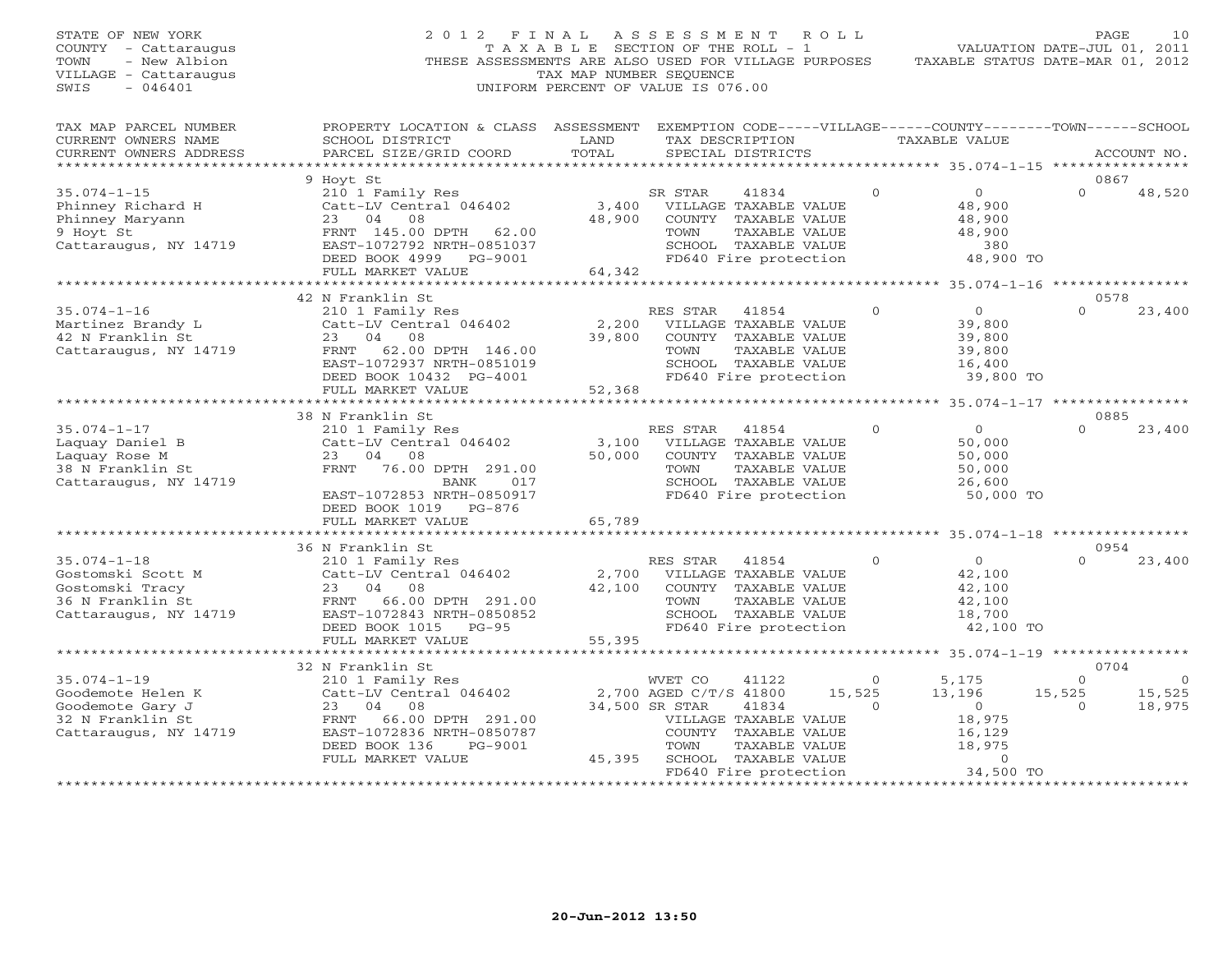| STATE OF NEW YORK<br>COUNTY - Cattaraugus<br>- New Albion<br>TOWN<br>VILLAGE - Cattaraugus<br>$-046401$<br>SWIS | 2 0 1 2<br>FINAL<br>T A X A B L E SECTION OF THE ROLL - 1<br>THESE ASSESSMENTS ARE ALSO USED FOR VILLAGE PURPOSES<br>UNIFORM PERCENT OF VALUE IS 076.00 |                    | ASSESSMENT<br>TAX MAP NUMBER SEQUENCE |                                               | ROLL         | TAXABLE STATUS DATE-MAR 01, 2012                    | PAGE<br>VALUATION DATE-JUL 01, 2011 | 10          |
|-----------------------------------------------------------------------------------------------------------------|---------------------------------------------------------------------------------------------------------------------------------------------------------|--------------------|---------------------------------------|-----------------------------------------------|--------------|-----------------------------------------------------|-------------------------------------|-------------|
| TAX MAP PARCEL NUMBER<br>CURRENT OWNERS NAME<br>CURRENT OWNERS ADDRESS                                          | PROPERTY LOCATION & CLASS ASSESSMENT EXEMPTION CODE-----VILLAGE------COUNTY-------TOWN------SCHOOL<br>SCHOOL DISTRICT<br>PARCEL SIZE/GRID COORD         | LAND<br>TOTAL      |                                       | TAX DESCRIPTION<br>SPECIAL DISTRICTS          |              | <b>TAXABLE VALUE</b>                                |                                     | ACCOUNT NO. |
| ***********************                                                                                         |                                                                                                                                                         |                    |                                       |                                               |              |                                                     |                                     |             |
|                                                                                                                 | 9 Hoyt St                                                                                                                                               |                    |                                       |                                               | $\Omega$     | $\Omega$                                            | 0867<br>$\cap$                      |             |
| $35.074 - 1 - 15$<br>Phinney Richard H                                                                          | 210 1 Family Res<br>Catt-LV Central 046402                                                                                                              | 3,400              | SR STAR                               | 41834<br>VILLAGE TAXABLE VALUE                |              | 48,900                                              |                                     | 48,520      |
| Phinney Maryann                                                                                                 | 04<br>08<br>23                                                                                                                                          | 48,900             |                                       | COUNTY TAXABLE VALUE                          |              | 48,900                                              |                                     |             |
| 9 Hoyt St                                                                                                       | FRNT 145.00 DPTH<br>62.00                                                                                                                               |                    | TOWN                                  | TAXABLE VALUE                                 |              | 48,900                                              |                                     |             |
| Cattaraugus, NY 14719                                                                                           | EAST-1072792 NRTH-0851037                                                                                                                               |                    |                                       | SCHOOL TAXABLE VALUE                          |              | 380                                                 |                                     |             |
|                                                                                                                 | DEED BOOK 4999<br>PG-9001                                                                                                                               |                    |                                       | FD640 Fire protection                         |              | 48,900 TO                                           |                                     |             |
|                                                                                                                 | FULL MARKET VALUE                                                                                                                                       | 64,342             |                                       |                                               |              |                                                     |                                     |             |
|                                                                                                                 | **********************                                                                                                                                  | ****************** |                                       |                                               |              | ********************* 35.074-1-16 ***************** |                                     |             |
|                                                                                                                 | 42 N Franklin St                                                                                                                                        |                    |                                       |                                               |              |                                                     | 0578                                |             |
| $35.074 - 1 - 16$                                                                                               | 210 1 Family Res                                                                                                                                        |                    | RES STAR                              | 41854                                         | $\mathbf{0}$ | $\circ$                                             | $\Omega$                            | 23,400      |
| Martinez Brandy L                                                                                               | Catt-LV Central 046402                                                                                                                                  | 2,200              |                                       | VILLAGE TAXABLE VALUE                         |              | 39,800                                              |                                     |             |
| 42 N Franklin St<br>Cattaraugus, NY 14719                                                                       | 08<br>23<br>04<br>62.00 DPTH 146.00<br>FRNT                                                                                                             | 39,800             | TOWN                                  | COUNTY TAXABLE VALUE<br>TAXABLE VALUE         |              | 39,800<br>39,800                                    |                                     |             |
|                                                                                                                 | EAST-1072937 NRTH-0851019                                                                                                                               |                    |                                       | SCHOOL TAXABLE VALUE                          |              | 16,400                                              |                                     |             |
|                                                                                                                 | DEED BOOK 10432 PG-4001                                                                                                                                 |                    |                                       | FD640 Fire protection                         |              | 39,800 TO                                           |                                     |             |
|                                                                                                                 | FULL MARKET VALUE                                                                                                                                       | 52,368             |                                       |                                               |              |                                                     |                                     |             |
|                                                                                                                 |                                                                                                                                                         | ********           |                                       |                                               |              | ******** 35.074-1-17 ****************               |                                     |             |
|                                                                                                                 | 38 N Franklin St                                                                                                                                        |                    |                                       |                                               |              |                                                     | 0885                                |             |
| $35.074 - 1 - 17$                                                                                               | 210 1 Family Res                                                                                                                                        |                    | RES STAR                              | 41854                                         | $\Omega$     | $\circ$                                             | $\cap$                              | 23,400      |
| Laquay Daniel B                                                                                                 | Catt-LV Central 046402                                                                                                                                  | 3,100              |                                       | VILLAGE TAXABLE VALUE                         |              | 50,000                                              |                                     |             |
| Laquay Rose M                                                                                                   | 23<br>04<br>08                                                                                                                                          | 50,000             |                                       | COUNTY TAXABLE VALUE                          |              | 50,000                                              |                                     |             |
| 38 N Franklin St                                                                                                | FRNT<br>76.00 DPTH 291.00                                                                                                                               |                    | TOWN                                  | TAXABLE VALUE                                 |              | 50,000                                              |                                     |             |
| Cattaraugus, NY 14719                                                                                           | <b>BANK</b><br>017<br>EAST-1072853 NRTH-0850917                                                                                                         |                    |                                       | SCHOOL TAXABLE VALUE<br>FD640 Fire protection |              | 26,600<br>50,000 TO                                 |                                     |             |
|                                                                                                                 | DEED BOOK 1019 PG-876                                                                                                                                   |                    |                                       |                                               |              |                                                     |                                     |             |
|                                                                                                                 | FULL MARKET VALUE                                                                                                                                       | 65,789             |                                       |                                               |              |                                                     |                                     |             |
|                                                                                                                 |                                                                                                                                                         |                    |                                       |                                               |              | ********* 35.074-1-18 ****************              |                                     |             |
|                                                                                                                 | 36 N Franklin St                                                                                                                                        |                    |                                       |                                               |              |                                                     | 0954                                |             |
| $35.074 - 1 - 18$                                                                                               | 210 1 Family Res                                                                                                                                        |                    | RES STAR                              | 41854                                         | $\Omega$     | $\overline{O}$                                      | $\cap$                              | 23,400      |
| Gostomski Scott M                                                                                               | Catt-LV Central 046402                                                                                                                                  | 2,700              |                                       | VILLAGE TAXABLE VALUE                         |              | 42,100                                              |                                     |             |
| Gostomski Tracy                                                                                                 | 23<br>04<br>08                                                                                                                                          | 42,100             |                                       | COUNTY TAXABLE VALUE                          |              | 42,100                                              |                                     |             |
| 36 N Franklin St                                                                                                | 66.00 DPTH 291.00<br>FRNT                                                                                                                               |                    | TOWN                                  | TAXABLE VALUE                                 |              | 42,100                                              |                                     |             |
| Cattaraugus, NY 14719                                                                                           | EAST-1072843 NRTH-0850852                                                                                                                               |                    |                                       | SCHOOL TAXABLE VALUE                          |              | 18,700                                              |                                     |             |
|                                                                                                                 | DEED BOOK 1015<br>PG-95<br>FULL MARKET VALUE                                                                                                            |                    |                                       | FD640 Fire protection                         |              | 42,100 TO                                           |                                     |             |
|                                                                                                                 |                                                                                                                                                         | 55,395             | ***********************               |                                               |              | ********* 35.074-1-19 ***************               |                                     |             |
|                                                                                                                 | 32 N Franklin St                                                                                                                                        |                    |                                       |                                               |              |                                                     | 0704                                |             |
| $35.074 - 1 - 19$                                                                                               | 210 1 Family Res                                                                                                                                        |                    | WVET CO                               | 41122                                         | $\Omega$     | 5,175                                               | $\Omega$                            | $\cap$      |
| Goodemote Helen K                                                                                               | Catt-LV Central 046402                                                                                                                                  |                    | 2,700 AGED C/T/S 41800                |                                               | 15,525       | 13,196                                              | 15,525                              | 15,525      |
| Goodemote Gary J                                                                                                | 04<br>08<br>23                                                                                                                                          |                    | 34,500 SR STAR                        | 41834                                         | $\Omega$     | $\circ$                                             | $\Omega$                            | 18,975      |
| 32 N Franklin St                                                                                                | 66.00 DPTH 291.00<br>FRNT                                                                                                                               |                    |                                       | VILLAGE TAXABLE VALUE                         |              | 18,975                                              |                                     |             |
| Cattaraugus, NY 14719                                                                                           | EAST-1072836 NRTH-0850787                                                                                                                               |                    |                                       | COUNTY TAXABLE VALUE                          |              | 16,129                                              |                                     |             |
|                                                                                                                 | DEED BOOK 136<br>PG-9001                                                                                                                                |                    | TOWN                                  | TAXABLE VALUE                                 |              | 18,975                                              |                                     |             |
|                                                                                                                 | FULL MARKET VALUE                                                                                                                                       | 45,395             |                                       | SCHOOL TAXABLE VALUE                          |              | $\Omega$                                            |                                     |             |
|                                                                                                                 |                                                                                                                                                         |                    |                                       | FD640 Fire protection                         |              | 34,500 TO<br>******************                     |                                     |             |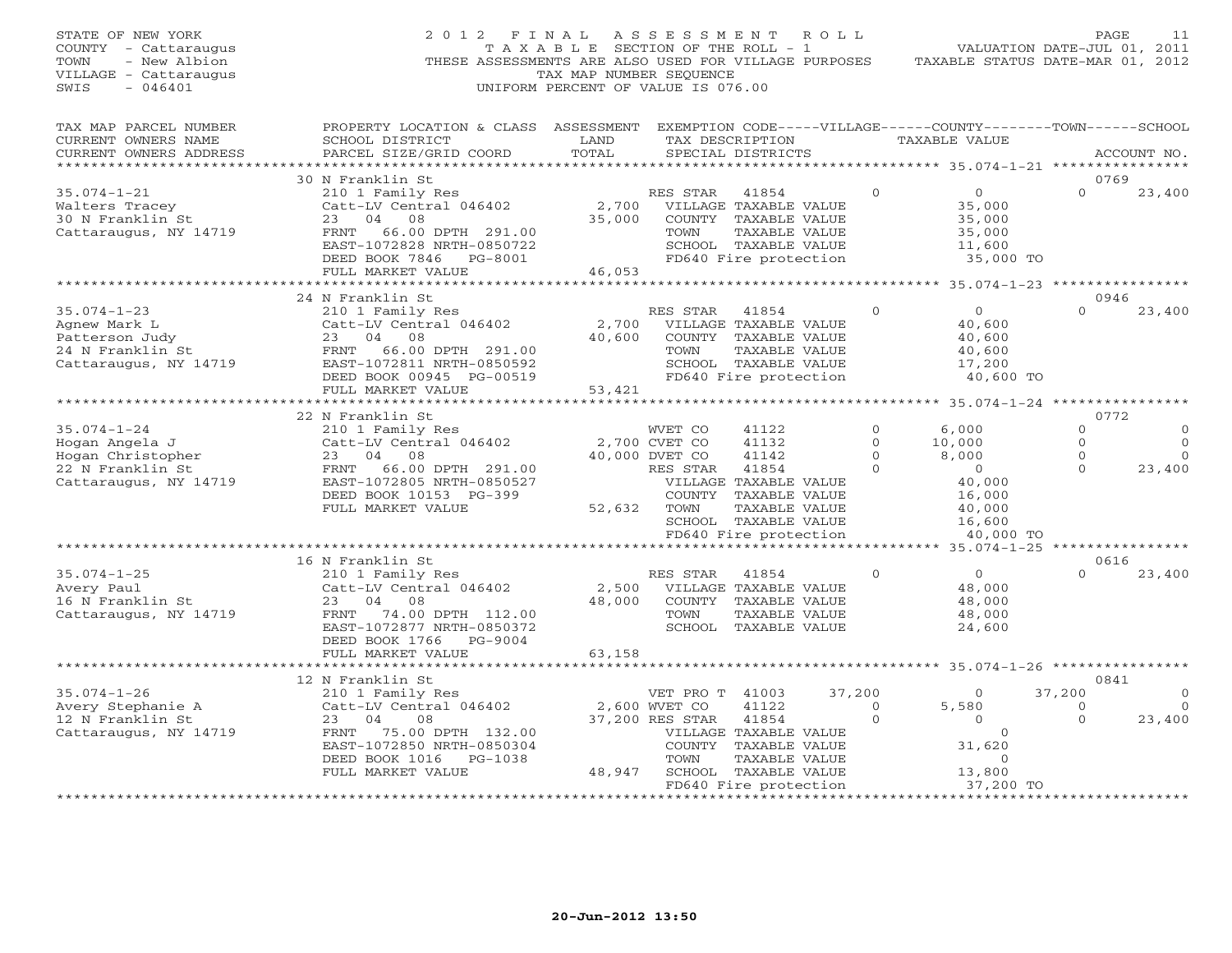| STATE OF NEW YORK<br>COUNTY - Cattaraugus<br>- New Albion<br>TOWN<br>VILLAGE - Cattaraugus<br>SWIS<br>$-046401$ | 2 0 1 2<br>THESE ASSESSMENTS ARE ALSO USED FOR VILLAGE PURPOSES                                                                                                       | FINAL<br>TAXABLE SECTION OF THE ROLL - 1<br>TAX MAP NUMBER SEQUENCE<br>UNIFORM PERCENT OF VALUE IS 076.00 | A S S E S S M E N T              |                                                                                                                          | ROLL               | TAXABLE STATUS DATE-MAR 01, 2012                                    | PAGE<br>VALUATION DATE-JUL 01, 2011 | 11                   |
|-----------------------------------------------------------------------------------------------------------------|-----------------------------------------------------------------------------------------------------------------------------------------------------------------------|-----------------------------------------------------------------------------------------------------------|----------------------------------|--------------------------------------------------------------------------------------------------------------------------|--------------------|---------------------------------------------------------------------|-------------------------------------|----------------------|
| TAX MAP PARCEL NUMBER<br>CURRENT OWNERS NAME<br>CURRENT OWNERS ADDRESS                                          | PROPERTY LOCATION & CLASS ASSESSMENT EXEMPTION CODE-----VILLAGE------COUNTY-------TOWN------SCHOOL<br>SCHOOL DISTRICT<br>PARCEL SIZE/GRID COORD                       | LAND<br>TOTAL                                                                                             |                                  | TAX DESCRIPTION<br>SPECIAL DISTRICTS                                                                                     |                    | TAXABLE VALUE                                                       |                                     | ACCOUNT NO.          |
|                                                                                                                 |                                                                                                                                                                       | *************************                                                                                 |                                  |                                                                                                                          |                    | ********************* 35.074-1-21 ****************                  |                                     |                      |
| $35.074 - 1 - 21$                                                                                               | 30 N Franklin St                                                                                                                                                      |                                                                                                           | RES STAR                         |                                                                                                                          | $\mathbf{0}$       | $\overline{O}$                                                      | 0769<br>$\Omega$                    |                      |
| Walters Tracey<br>30 N Franklin St<br>Cattaraugus, NY 14719                                                     | 210 1 Family Res<br>Catt-LV Central 046402<br>23<br>04<br>08<br>66.00 DPTH 291.00<br>FRNT<br>EAST-1072828 NRTH-0850722<br>DEED BOOK 7846 PG-8001<br>FULL MARKET VALUE | 2,700<br>35,000<br>46,053                                                                                 | TOWN                             | 41854<br>VILLAGE TAXABLE VALUE<br>COUNTY TAXABLE VALUE<br>TAXABLE VALUE<br>SCHOOL TAXABLE VALUE<br>FD640 Fire protection |                    | 35,000<br>35,000<br>35,000<br>11,600<br>35,000 TO                   |                                     | 23,400               |
|                                                                                                                 |                                                                                                                                                                       |                                                                                                           |                                  |                                                                                                                          |                    | ******** 35.074-1-23 *************                                  |                                     |                      |
|                                                                                                                 | 24 N Franklin St                                                                                                                                                      |                                                                                                           |                                  |                                                                                                                          |                    |                                                                     | 0946                                |                      |
| $35.074 - 1 - 23$<br>Agnew Mark L<br>Patterson Judy<br>24 N Franklin St<br>Cattaraugus, NY 14719                | 210 1 Family Res<br>Catt-LV Central 046402<br>23<br>04 08<br>FRNT<br>66.00 DPTH 291.00<br>EAST-1072811 NRTH-0850592                                                   | 2,700<br>40,600                                                                                           | RES STAR<br>TOWN                 | 41854<br>VILLAGE TAXABLE VALUE<br>COUNTY TAXABLE VALUE<br>TAXABLE VALUE<br>SCHOOL TAXABLE VALUE                          | $\Omega$           | $\overline{0}$<br>40,600<br>40,600<br>40,600<br>17,200              | $\Omega$                            | 23,400               |
|                                                                                                                 | DEED BOOK 00945 PG-00519<br>FULL MARKET VALUE                                                                                                                         | 53,421                                                                                                    |                                  | FD640 Fire protection                                                                                                    |                    | 40,600 TO                                                           |                                     |                      |
|                                                                                                                 | * * * * * * * * * * * * * * * * *                                                                                                                                     |                                                                                                           |                                  |                                                                                                                          |                    | ********* 35.074-1-24 ***********                                   |                                     |                      |
| $35.074 - 1 - 24$                                                                                               | 22 N Franklin St<br>210 1 Family Res                                                                                                                                  |                                                                                                           | WVET CO                          | 41122                                                                                                                    | $\Omega$           | 6,000                                                               | 0772<br>$\Omega$                    | $\Omega$             |
| Hogan Angela J                                                                                                  | Catt-LV Central 046402                                                                                                                                                |                                                                                                           | 2,700 CVET CO                    | 41132                                                                                                                    | $\Omega$           | 10,000                                                              | $\mathbf{O}$                        | $\Omega$             |
| Hogan Christopher                                                                                               | 23 04<br>08                                                                                                                                                           |                                                                                                           | 40,000 DVET CO                   | 41142                                                                                                                    | $\mathbf{0}$       | 8,000                                                               | $\mathbf{0}$                        | $\Omega$             |
| 22 N Franklin St<br>Cattaraugus, NY 14719                                                                       | FRNT 66.00 DPTH 291.00<br>EAST-1072805 NRTH-0850527<br>DEED BOOK 10153 PG-399<br>FULL MARKET VALUE                                                                    | 52,632                                                                                                    | RES STAR<br>TOWN                 | 41854<br>VILLAGE TAXABLE VALUE<br>COUNTY TAXABLE VALUE<br>TAXABLE VALUE<br>SCHOOL TAXABLE VALUE<br>FD640 Fire protection | $\Omega$           | $\overline{0}$<br>40,000<br>16,000<br>40,000<br>16,600<br>40,000 TO | $\Omega$                            | 23,400               |
|                                                                                                                 |                                                                                                                                                                       |                                                                                                           |                                  |                                                                                                                          |                    |                                                                     |                                     |                      |
| $35.074 - 1 - 25$<br>Avery Paul<br>16 N Franklin St<br>Cattaraugus, NY 14719                                    | 16 N Franklin St<br>210 1 Family Res<br>Catt-LV Central 046402<br>23 04<br>08<br>FRNT 74.00 DPTH 112.00<br>EAST-1072877 NRTH-0850372<br>DEED BOOK 1766<br>PG-9004     | 2,500<br>48,000                                                                                           | RES STAR<br>TOWN                 | 41854<br>VILLAGE TAXABLE VALUE<br>COUNTY TAXABLE VALUE<br>TAXABLE VALUE<br>SCHOOL TAXABLE VALUE                          | $\mathbf 0$        | $\overline{0}$<br>48,000<br>48,000<br>48,000<br>24,600              | 0616<br>$\Omega$                    | 23,400               |
|                                                                                                                 | FULL MARKET VALUE                                                                                                                                                     | 63,158                                                                                                    |                                  |                                                                                                                          |                    |                                                                     |                                     |                      |
|                                                                                                                 |                                                                                                                                                                       |                                                                                                           |                                  |                                                                                                                          |                    |                                                                     |                                     |                      |
|                                                                                                                 | 12 N Franklin St                                                                                                                                                      |                                                                                                           |                                  |                                                                                                                          |                    |                                                                     | 0841                                |                      |
| $35.074 - 1 - 26$<br>Avery Stephanie A                                                                          | 210 1 Family Res<br>Catt-LV Central 046402                                                                                                                            |                                                                                                           | VET PRO T 41003<br>2,600 WVET CO | 41122                                                                                                                    | 37,200<br>$\Omega$ | $\Omega$<br>5,580                                                   | 37,200<br>$\Omega$                  | $\Omega$<br>$\Omega$ |
| 12 N Franklin St<br>Cattaraugus, NY 14719                                                                       | 23<br>04<br>08<br>FRNT 75.00 DPTH 132.00<br>EAST-1072850 NRTH-0850304<br>DEED BOOK 1016<br>PG-1038                                                                    |                                                                                                           | 37,200 RES STAR<br>TOWN          | 41854<br>VILLAGE TAXABLE VALUE<br>COUNTY TAXABLE VALUE<br>TAXABLE VALUE                                                  | $\mathbf{0}$       | $\overline{0}$<br>$\Omega$<br>31,620<br>$\Omega$                    | $\Omega$                            | 23,400               |
|                                                                                                                 | FULL MARKET VALUE                                                                                                                                                     | 48,947                                                                                                    |                                  | SCHOOL TAXABLE VALUE                                                                                                     |                    | 13,800                                                              |                                     |                      |
|                                                                                                                 |                                                                                                                                                                       |                                                                                                           |                                  | FD640 Fire protection                                                                                                    |                    | 37,200 TO                                                           |                                     |                      |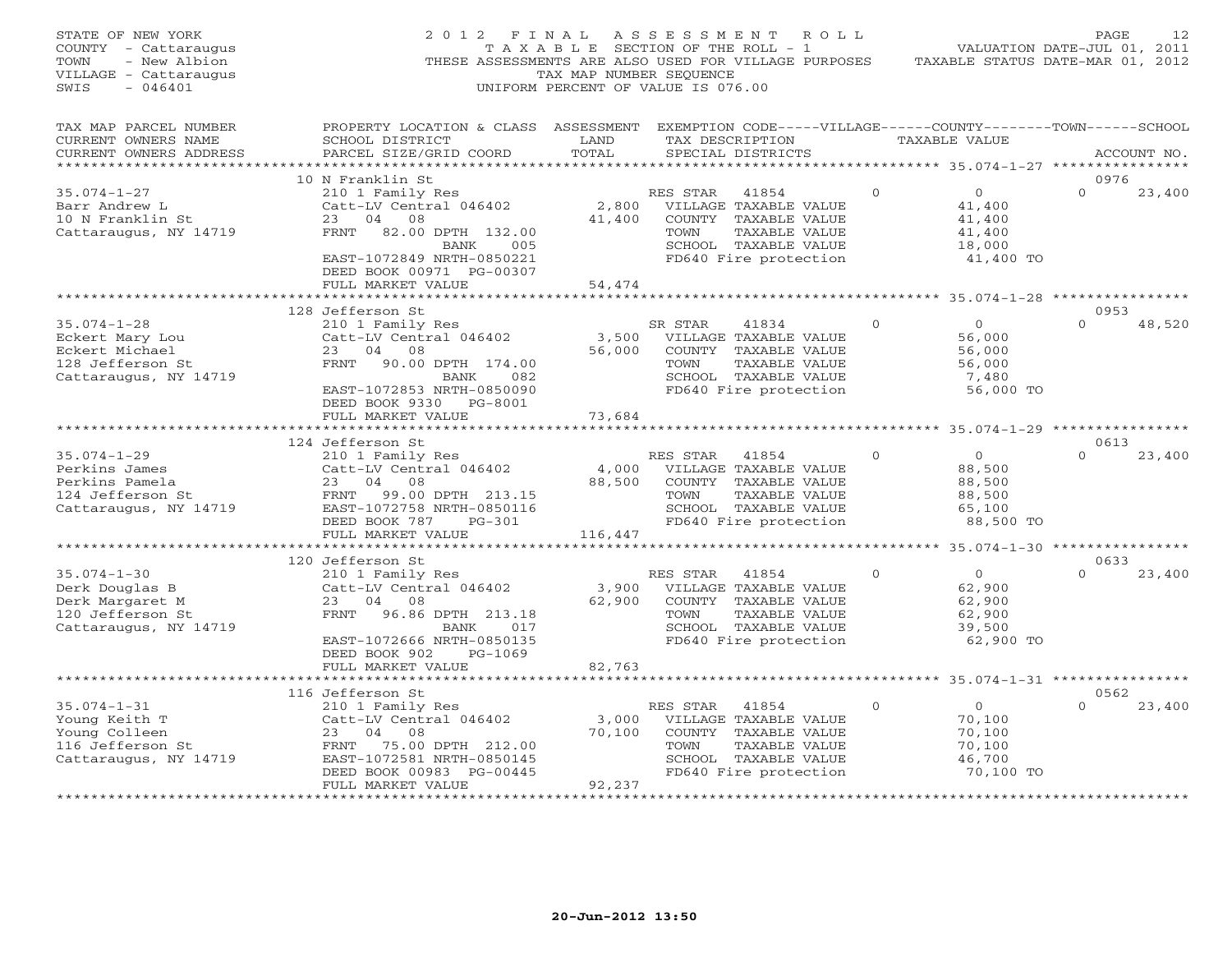| STATE OF NEW YORK<br>COUNTY - Cattaraugus<br>TOWN<br>- New Albion<br>VILLAGE - Cattaraugus<br>SWIS<br>$-046401$ | 2012 FINAL                                                                                                                                                        | TAX MAP NUMBER SEQUENCE   | A S S E S S M E N T<br>R O L L<br>T A X A B L E SECTION OF THE ROLL - 1<br>THESE ASSESSMENTS ARE ALSO USED FOR VILLAGE PURPOSES<br>UNIFORM PERCENT OF VALUE IS 076.00 |          |                                                                     | PAGE<br>12<br>VALUATION DATE-JUL 01, 2011<br>TAXABLE STATUS DATE-MAR 01, 2012 |
|-----------------------------------------------------------------------------------------------------------------|-------------------------------------------------------------------------------------------------------------------------------------------------------------------|---------------------------|-----------------------------------------------------------------------------------------------------------------------------------------------------------------------|----------|---------------------------------------------------------------------|-------------------------------------------------------------------------------|
| TAX MAP PARCEL NUMBER<br>CURRENT OWNERS NAME<br>CURRENT OWNERS ADDRESS<br>***********************               | PROPERTY LOCATION & CLASS ASSESSMENT EXEMPTION CODE-----VILLAGE------COUNTY-------TOWN------SCHOOL<br>SCHOOL DISTRICT<br>PARCEL SIZE/GRID COORD                   | LAND<br>TOTAL             | TAX DESCRIPTION<br>SPECIAL DISTRICTS                                                                                                                                  |          | TAXABLE VALUE                                                       | ACCOUNT NO.                                                                   |
|                                                                                                                 | 10 N Franklin St                                                                                                                                                  |                           |                                                                                                                                                                       |          |                                                                     | 0976                                                                          |
| $35.074 - 1 - 27$<br>Barr Andrew L<br>10 N Franklin St<br>Cattaraugus, NY 14719                                 | 210 1 Family Res<br>Catt-LV Central 046402<br>23<br>04 08<br>82.00 DPTH 132.00<br>FRNT<br>005<br>BANK<br>EAST-1072849 NRTH-0850221                                | 2,800<br>41,400           | RES STAR<br>41854<br>VILLAGE TAXABLE VALUE<br>COUNTY TAXABLE VALUE<br>TAXABLE VALUE<br>TOWN<br>SCHOOL TAXABLE VALUE<br>FD640 Fire protection                          | $\Omega$ | $\overline{0}$<br>41,400<br>41,400<br>41,400<br>18,000<br>41,400 TO | $\Omega$<br>23,400                                                            |
|                                                                                                                 | DEED BOOK 00971 PG-00307<br>FULL MARKET VALUE                                                                                                                     | 54,474                    |                                                                                                                                                                       |          |                                                                     |                                                                               |
|                                                                                                                 | *************************                                                                                                                                         |                           |                                                                                                                                                                       |          |                                                                     |                                                                               |
| $35.074 - 1 - 28$<br>Eckert Mary Lou                                                                            | 128 Jefferson St<br>210 1 Family Res<br>Catt-LV Central 046402                                                                                                    | 3,500                     | SR STAR<br>41834<br>VILLAGE TAXABLE VALUE                                                                                                                             | $\Omega$ | $\Omega$<br>56,000                                                  | 0953<br>$\Omega$<br>48,520                                                    |
| Eckert Michael<br>128 Jefferson St<br>Cattaraugus, NY 14719                                                     | 23 04<br>08<br>FRNT<br>90.00 DPTH 174.00<br>082<br>BANK<br>EAST-1072853 NRTH-0850090<br>DEED BOOK 9330 PG-8001                                                    | 56,000                    | COUNTY TAXABLE VALUE<br>TOWN<br>TAXABLE VALUE<br>SCHOOL TAXABLE VALUE<br>FD640 Fire protection                                                                        |          | 56,000<br>56,000<br>7,480<br>56,000 TO                              |                                                                               |
|                                                                                                                 | FULL MARKET VALUE                                                                                                                                                 | 73,684                    |                                                                                                                                                                       |          |                                                                     |                                                                               |
|                                                                                                                 | 124 Jefferson St                                                                                                                                                  |                           |                                                                                                                                                                       |          |                                                                     | 0613                                                                          |
| $35.074 - 1 - 29$<br>Perkins James<br>Perkins Pamela<br>124 Jefferson St<br>Cattaraugus, NY 14719               | 210 1 Family Res<br>Catt-LV Central 046402<br>23<br>04<br>08<br>FRNT<br>99.00 DPTH 213.15<br>EAST-1072758 NRTH-0850116<br>DEED BOOK 787<br>$PG-301$               | 4,000<br>88,500           | RES STAR<br>41854<br>VILLAGE TAXABLE VALUE<br>COUNTY TAXABLE VALUE<br>TOWN<br>TAXABLE VALUE<br>SCHOOL TAXABLE VALUE<br>FD640 Fire protection                          | $\Omega$ | $\circ$<br>88,500<br>88,500<br>88,500<br>65,100<br>88,500 TO        | $\Omega$<br>23,400                                                            |
|                                                                                                                 | FULL MARKET VALUE                                                                                                                                                 | 116,447                   |                                                                                                                                                                       |          |                                                                     |                                                                               |
|                                                                                                                 | 120 Jefferson St                                                                                                                                                  |                           |                                                                                                                                                                       |          |                                                                     | ******* 35.074-1-30 *****************<br>0633                                 |
| $35.074 - 1 - 30$<br>Derk Douglas B<br>Derk Margaret M<br>120 Jefferson St<br>Cattaraugus, NY 14719             | 210 1 Family Res<br>Catt-LV Central 046402<br>23<br>04<br>08<br>96.86 DPTH 213.18<br>FRNT<br>017<br>BANK<br>EAST-1072666 NRTH-0850135                             | 3,900<br>62,900           | RES STAR<br>41854<br>VILLAGE TAXABLE VALUE<br>COUNTY TAXABLE VALUE<br>TOWN<br>TAXABLE VALUE<br>SCHOOL TAXABLE VALUE<br>FD640 Fire protection                          | $\Omega$ | $\circ$<br>62,900<br>62,900<br>62,900<br>39,500<br>62,900 TO        | $\Omega$<br>23,400                                                            |
|                                                                                                                 | DEED BOOK 902<br>PG-1069<br>FULL MARKET VALUE                                                                                                                     | 82,763                    |                                                                                                                                                                       |          |                                                                     |                                                                               |
|                                                                                                                 | 116 Jefferson St                                                                                                                                                  |                           |                                                                                                                                                                       |          |                                                                     | ********* 35.074-1-31 **************<br>0562                                  |
| $35.074 - 1 - 31$<br>Young Keith T<br>Young Colleen<br>116 Jefferson St<br>Cattaraugus, NY 14719                | 210 1 Family Res<br>Catt-LV Central 046402<br>23<br>04 08<br>FRNT 75.00 DPTH 212.00<br>EAST-1072581 NRTH-0850145<br>DEED BOOK 00983 PG-00445<br>FULL MARKET VALUE | 3,000<br>70,100<br>92,237 | RES STAR<br>41854<br>VILLAGE TAXABLE VALUE<br>COUNTY TAXABLE VALUE<br>TOWN<br>TAXABLE VALUE<br>SCHOOL TAXABLE VALUE<br>FD640 Fire protection                          | $\Omega$ | $\overline{0}$<br>70,100<br>70,100<br>70,100<br>46,700<br>70,100 TO | $\Omega$<br>23,400                                                            |
|                                                                                                                 | .                                                                                                                                                                 |                           |                                                                                                                                                                       |          |                                                                     |                                                                               |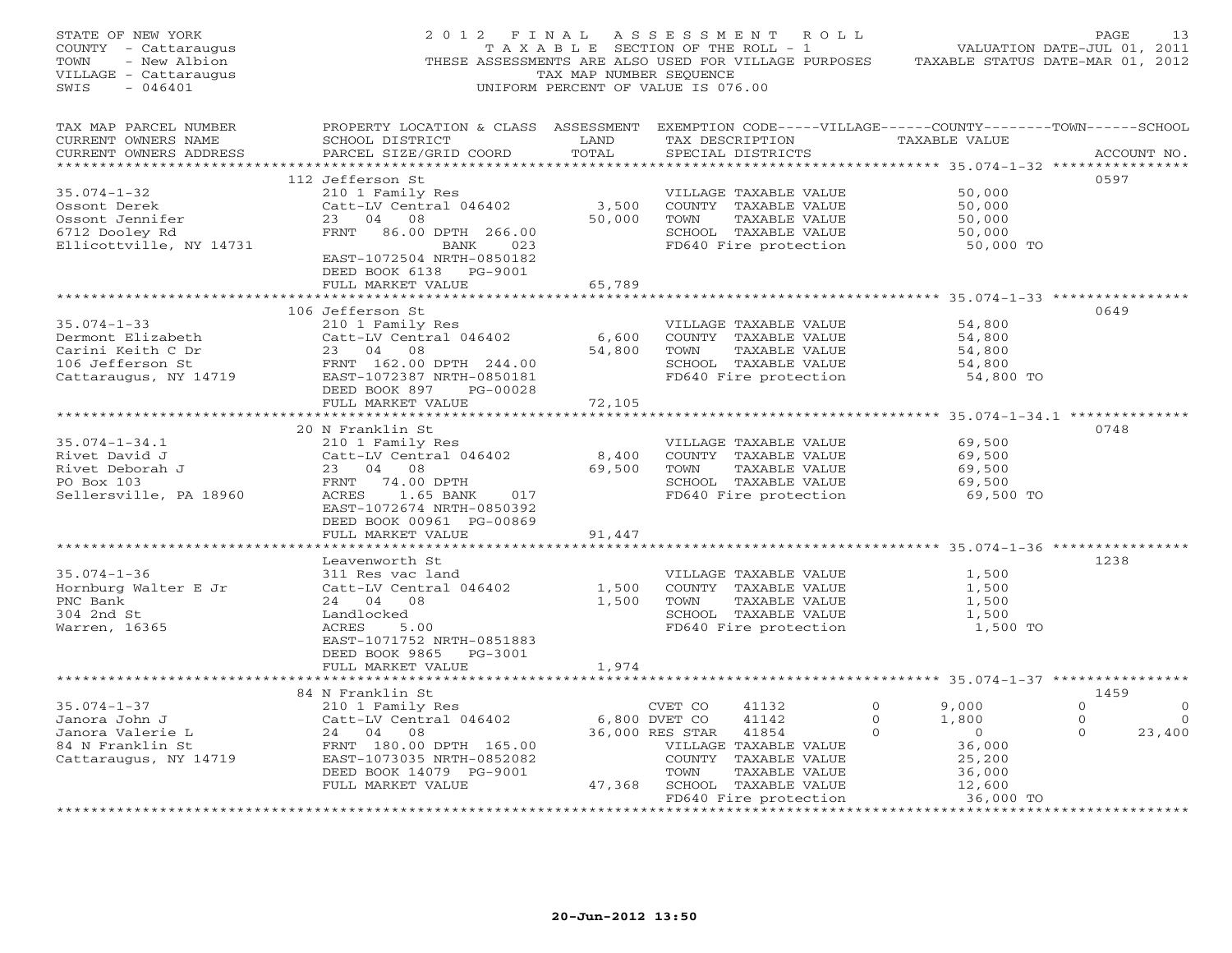| STATE OF NEW YORK<br>COUNTY - Cattaraugus<br>- New Albion<br>TOWN<br>VILLAGE - Cattaraugus<br>SWIS<br>- 046401 | 2012 FINAL                                                                                                                                                                         | TAX MAP NUMBER SEQUENCE | ASSESSMENT ROLL<br>T A X A B L E SECTION OF THE ROLL - 1<br>THESE ASSESSMENTS ARE ALSO USED FOR VILLAGE PURPOSES TAXABLE STATUS DATE-MAR 01, 2012<br>UNIFORM PERCENT OF VALUE IS 076.00 |                                                                                                              | PAGE<br>13<br>VALUATION DATE-JUL 01, 2011                                 |
|----------------------------------------------------------------------------------------------------------------|------------------------------------------------------------------------------------------------------------------------------------------------------------------------------------|-------------------------|-----------------------------------------------------------------------------------------------------------------------------------------------------------------------------------------|--------------------------------------------------------------------------------------------------------------|---------------------------------------------------------------------------|
| TAX MAP PARCEL NUMBER<br>CURRENT OWNERS NAME<br>CURRENT OWNERS ADDRESS                                         | PROPERTY LOCATION & CLASS ASSESSMENT EXEMPTION CODE-----VILLAGE------COUNTY-------TOWN------SCHOOL<br>SCHOOL DISTRICT<br>PARCEL SIZE/GRID COORD                                    | LAND<br>TOTAL           | TAX DESCRIPTION<br>SPECIAL DISTRICTS                                                                                                                                                    | TAXABLE VALUE                                                                                                | ACCOUNT NO.                                                               |
|                                                                                                                | 112 Jefferson St                                                                                                                                                                   |                         |                                                                                                                                                                                         |                                                                                                              | 0597                                                                      |
| $35.074 - 1 - 32$<br>Ossont Derek<br>Ossont Jennifer<br>6712 Dooley Rd<br>Ellicottville, NY 14731              | 210 1 Family Res<br>Catt-LV Central 046402<br>23 04 08<br>FRNT 86.00 DPTH 266.00<br>BANK 023                                                                                       | 3,500<br>50,000         | VILLAGE TAXABLE VALUE<br>COUNTY TAXABLE VALUE<br>TOWN<br>TAXABLE VALUE<br>SCHOOL TAXABLE VALUE<br>FD640 Fire protection                                                                 | 50,000<br>50,000<br>50,000<br>50,000<br>50,000 TO                                                            |                                                                           |
|                                                                                                                | EAST-1072504 NRTH-0850182<br>DEED BOOK 6138 PG-9001<br>FULL MARKET VALUE                                                                                                           | 65,789                  |                                                                                                                                                                                         |                                                                                                              |                                                                           |
|                                                                                                                |                                                                                                                                                                                    | **********              |                                                                                                                                                                                         |                                                                                                              |                                                                           |
| $35.074 - 1 - 33$<br>Dermont Elizabeth<br>Carini Keith C Dr<br>106 Jefferson St<br>Cattaraugus, NY 14719       | 106 Jefferson St<br>210 1 Family Res<br>Catt-LV Central 046402<br>23 04 08<br>FRNT 162.00 DPTH 244.00<br>EAST-1072387 NRTH-0850181                                                 | 6,600<br>54,800         | VILLAGE TAXABLE VALUE<br>COUNTY TAXABLE VALUE<br>TOWN<br>TAXABLE VALUE<br>SCHOOL TAXABLE VALUE<br>FD640 Fire protection                                                                 | 54,800<br>54,800<br>54,800<br>54,800<br>54,800 TO                                                            | 0649                                                                      |
|                                                                                                                | DEED BOOK 897<br>PG-00028                                                                                                                                                          |                         |                                                                                                                                                                                         |                                                                                                              |                                                                           |
|                                                                                                                | FULL MARKET VALUE                                                                                                                                                                  | 72,105                  |                                                                                                                                                                                         |                                                                                                              |                                                                           |
|                                                                                                                | 20 N Franklin St                                                                                                                                                                   |                         |                                                                                                                                                                                         |                                                                                                              | 0748                                                                      |
| $35.074 - 1 - 34.1$<br>Rivet David J<br>Rivet Deborah J<br>PO Box 103<br>Sellersville, PA 18960                | 210 1 Family Res<br>Catt-LV Central 046402<br>23 04 08<br>FRNT 74.00 DPTH<br>ACRES 1.65 BANK<br>017<br>EAST-1072674 NRTH-0850392                                                   | 8,400<br>69,500         | VILLAGE TAXABLE VALUE<br>COUNTY TAXABLE VALUE<br>TOWN<br>TAXABLE VALUE<br>SCHOOL TAXABLE VALUE<br>FD640 Fire protection                                                                 | 69,500<br>69,500<br>69,500<br>69,500<br>69,500 TO                                                            |                                                                           |
|                                                                                                                | DEED BOOK 00961 PG-00869                                                                                                                                                           |                         |                                                                                                                                                                                         |                                                                                                              |                                                                           |
|                                                                                                                | FULL MARKET VALUE                                                                                                                                                                  | 91,447                  |                                                                                                                                                                                         |                                                                                                              |                                                                           |
|                                                                                                                |                                                                                                                                                                                    |                         |                                                                                                                                                                                         |                                                                                                              |                                                                           |
|                                                                                                                | Leavenworth St                                                                                                                                                                     |                         |                                                                                                                                                                                         |                                                                                                              | 1238                                                                      |
| $35.074 - 1 - 36$<br>Hornburg Walter E Jr<br>PNC Bank<br>304 2nd St<br>Warren, 16365                           | 311 Res vac land<br>Catt-LV Central 046402<br>24 04 08<br>Landlocked<br>5.00<br>ACRES<br>EAST-1071752 NRTH-0851883<br>DEED BOOK 9865 PG-3001                                       | 1,500<br>1,500          | VILLAGE TAXABLE VALUE<br>COUNTY TAXABLE VALUE<br>TOWN<br>TAXABLE VALUE<br>SCHOOL TAXABLE VALUE<br>FD640 Fire protection                                                                 | 1,500<br>1,500<br>1,500<br>1,500<br>1,500 TO                                                                 |                                                                           |
|                                                                                                                | FULL MARKET VALUE                                                                                                                                                                  | 1,974                   |                                                                                                                                                                                         |                                                                                                              |                                                                           |
|                                                                                                                |                                                                                                                                                                                    |                         |                                                                                                                                                                                         |                                                                                                              |                                                                           |
| $35.074 - 1 - 37$<br>Janora John J<br>Janora Valerie L<br>84 N Franklin St<br>Cattaraugus, NY 14719            | 84 N Franklin St<br>210 1 Family Res<br>Catt-LV Central 046402<br>24 04 08<br>FRNT 180.00 DPTH 165.00<br>EAST-1073035 NRTH-0852082<br>DEED BOOK 14079 PG-9001<br>FULL MARKET VALUE | 6,800 DVET CO<br>47,368 | 41132<br>CVET CO<br>41142<br>36,000 RES STAR<br>41854<br>VILLAGE TAXABLE VALUE<br>COUNTY TAXABLE VALUE<br>TOWN<br>TAXABLE VALUE<br>SCHOOL TAXABLE VALUE                                 | $\Omega$<br>9,000<br>1,800<br>$\Omega$<br>$\Omega$<br>$\overline{0}$<br>36,000<br>25,200<br>36,000<br>12,600 | 1459<br>$\Omega$<br>$\mathbf{0}$<br>$\bigcirc$<br>0<br>$\Omega$<br>23,400 |
|                                                                                                                |                                                                                                                                                                                    |                         | FD640 Fire protection                                                                                                                                                                   | 36,000 TO                                                                                                    | * * * * * * * * * * * * * * * * *                                         |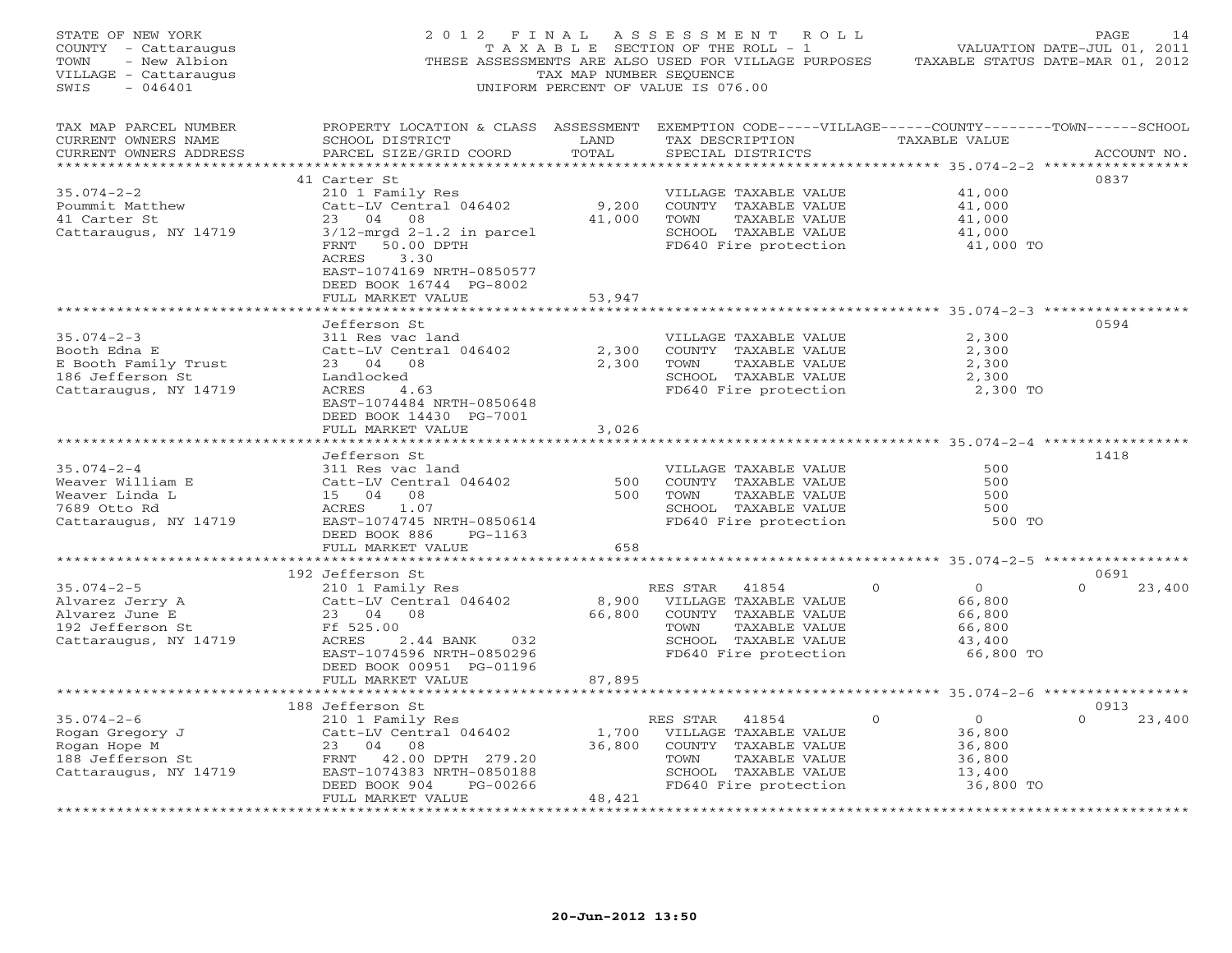| STATE OF NEW YORK<br>COUNTY - Cattaraugus<br>- New Albion<br>TOWN<br>VILLAGE - Cattaraugus<br>SWIS<br>$-046401$ | 2 0 1 2<br>F I N A L                                                                                                                 | TAX MAP NUMBER SEQUENCE           | ASSESSMENT ROLL<br>TAXABLE SECTION OF THE ROLL - 1<br>THESE ASSESSMENTS ARE ALSO USED FOR VILLAGE PURPOSES<br>UNIFORM PERCENT OF VALUE IS 076.00 |                            | PAGE<br>14<br>VALUATION DATE-JUL 01, 2011<br>TAXABLE STATUS DATE-MAR 01, 2012 |
|-----------------------------------------------------------------------------------------------------------------|--------------------------------------------------------------------------------------------------------------------------------------|-----------------------------------|--------------------------------------------------------------------------------------------------------------------------------------------------|----------------------------|-------------------------------------------------------------------------------|
| TAX MAP PARCEL NUMBER<br>CURRENT OWNERS NAME<br>CURRENT OWNERS ADDRESS<br>*************************             | PROPERTY LOCATION & CLASS ASSESSMENT<br>SCHOOL DISTRICT<br>PARCEL SIZE/GRID COORD                                                    | LAND<br>TOTAL                     | EXEMPTION CODE-----VILLAGE------COUNTY-------TOWN------SCHOOL<br>TAX DESCRIPTION<br>SPECIAL DISTRICTS                                            | TAXABLE VALUE              | ACCOUNT NO.                                                                   |
| $35.074 - 2 - 2$<br>Poummit Matthew<br>41 Carter St                                                             | 41 Carter St<br>210 1 Family Res<br>Catt-LV Central 046402<br>23 04<br>08                                                            | 9,200<br>41,000                   | VILLAGE TAXABLE VALUE<br>COUNTY TAXABLE VALUE<br>TOWN<br>TAXABLE VALUE<br>SCHOOL TAXABLE VALUE                                                   | 41,000<br>41,000<br>41,000 | 0837                                                                          |
| Cattaraugus, NY 14719                                                                                           | $3/12$ -mrgd $2-1.2$ in parcel<br>50.00 DPTH<br>FRNT<br><b>ACRES</b><br>3.30<br>EAST-1074169 NRTH-0850577<br>DEED BOOK 16744 PG-8002 |                                   | FD640 Fire protection                                                                                                                            | 41,000<br>41,000 TO        |                                                                               |
|                                                                                                                 | FULL MARKET VALUE                                                                                                                    | 53,947                            |                                                                                                                                                  |                            |                                                                               |
|                                                                                                                 |                                                                                                                                      |                                   |                                                                                                                                                  |                            |                                                                               |
| $35.074 - 2 - 3$<br>Booth Edna E                                                                                | Jefferson St<br>311 Res vac land<br>Catt-LV Central 046402                                                                           | 2,300                             | VILLAGE TAXABLE VALUE<br>COUNTY TAXABLE VALUE                                                                                                    | 2,300<br>2,300             | 0594                                                                          |
| E Booth Family Trust<br>186 Jefferson St<br>Cattaraugus, NY 14719                                               | 23 04<br>08<br>Landlocked<br>ACRES<br>4.63                                                                                           | 2,300                             | TOWN<br>TAXABLE VALUE<br>SCHOOL TAXABLE VALUE<br>FD640 Fire protection                                                                           | 2,300<br>2,300             | 2,300 TO                                                                      |
|                                                                                                                 | EAST-1074484 NRTH-0850648<br>DEED BOOK 14430 PG-7001<br>FULL MARKET VALUE                                                            | 3,026                             |                                                                                                                                                  |                            |                                                                               |
|                                                                                                                 |                                                                                                                                      |                                   |                                                                                                                                                  |                            |                                                                               |
|                                                                                                                 | Jefferson St                                                                                                                         |                                   |                                                                                                                                                  |                            | 1418                                                                          |
| $35.074 - 2 - 4$                                                                                                | 311 Res vac land                                                                                                                     |                                   | VILLAGE TAXABLE VALUE                                                                                                                            | 500                        |                                                                               |
| Weaver William E<br>Weaver Linda L                                                                              | Catt-LV Central 046402<br>15 04 08                                                                                                   | 500<br>500                        | COUNTY TAXABLE VALUE<br>TOWN<br>TAXABLE VALUE                                                                                                    | 500<br>500                 |                                                                               |
| 7689 Otto Rd                                                                                                    | ACRES<br>1.07                                                                                                                        |                                   | SCHOOL TAXABLE VALUE                                                                                                                             | 500                        |                                                                               |
| Cattaraugus, NY 14719                                                                                           | EAST-1074745 NRTH-0850614                                                                                                            |                                   | FD640 Fire protection                                                                                                                            |                            | 500 TO                                                                        |
|                                                                                                                 | DEED BOOK 886<br>$PG-1163$<br>FULL MARKET VALUE                                                                                      | 658                               |                                                                                                                                                  |                            |                                                                               |
|                                                                                                                 | 192 Jefferson St                                                                                                                     | * * * * * * * * *                 |                                                                                                                                                  |                            | ********** 35.074-2-5 ******************<br>0691                              |
| $35.074 - 2 - 5$                                                                                                | 210 1 Family Res                                                                                                                     |                                   | RES STAR<br>41854                                                                                                                                | $\Omega$<br>$\circ$        | $\Omega$<br>23,400                                                            |
| Alvarez Jerry A                                                                                                 | Catt-LV Central 046402                                                                                                               | 8,900                             | VILLAGE TAXABLE VALUE                                                                                                                            | 66,800                     |                                                                               |
| Alvarez June E                                                                                                  | 23 04<br>08                                                                                                                          | 66,800                            | COUNTY TAXABLE VALUE                                                                                                                             | 66,800                     |                                                                               |
| 192 Jefferson St                                                                                                | Ff 525.00                                                                                                                            |                                   | TAXABLE VALUE<br>TOWN                                                                                                                            | 66,800                     |                                                                               |
| Cattaraugus, NY 14719                                                                                           | ACRES<br>2.44 BANK<br>032                                                                                                            |                                   | SCHOOL TAXABLE VALUE                                                                                                                             | 43,400                     |                                                                               |
|                                                                                                                 | EAST-1074596 NRTH-0850296<br>DEED BOOK 00951 PG-01196<br>FULL MARKET VALUE                                                           | 87,895                            | FD640 Fire protection                                                                                                                            |                            | 66,800 TO                                                                     |
|                                                                                                                 |                                                                                                                                      |                                   |                                                                                                                                                  |                            |                                                                               |
|                                                                                                                 | 188 Jefferson St                                                                                                                     |                                   |                                                                                                                                                  |                            | 0913                                                                          |
| $35.074 - 2 - 6$                                                                                                | 210 1 Family Res                                                                                                                     |                                   | RES STAR<br>41854                                                                                                                                | $\Omega$<br>$\overline{0}$ | $\Omega$<br>23,400                                                            |
| Rogan Gregory J<br>Rogan Hope M                                                                                 | Catt-LV Central 046402<br>23<br>04<br>08                                                                                             | 1,700<br>36,800                   | VILLAGE TAXABLE VALUE<br>COUNTY TAXABLE VALUE                                                                                                    | 36,800<br>36,800           |                                                                               |
| 188 Jefferson St                                                                                                | FRNT 42.00 DPTH 279.20                                                                                                               |                                   | TOWN<br>TAXABLE VALUE                                                                                                                            | 36,800                     |                                                                               |
| Cattaraugus, NY 14719                                                                                           | EAST-1074383 NRTH-0850188                                                                                                            |                                   | SCHOOL TAXABLE VALUE                                                                                                                             | 13,400                     |                                                                               |
|                                                                                                                 | DEED BOOK 904<br>PG-00266                                                                                                            |                                   | FD640 Fire protection                                                                                                                            |                            | 36,800 TO                                                                     |
|                                                                                                                 | FULL MARKET VALUE<br>* * * * * * * * * * * * * * * * * * * *                                                                         | 48,421<br>* * * * * * * * * * * * |                                                                                                                                                  |                            |                                                                               |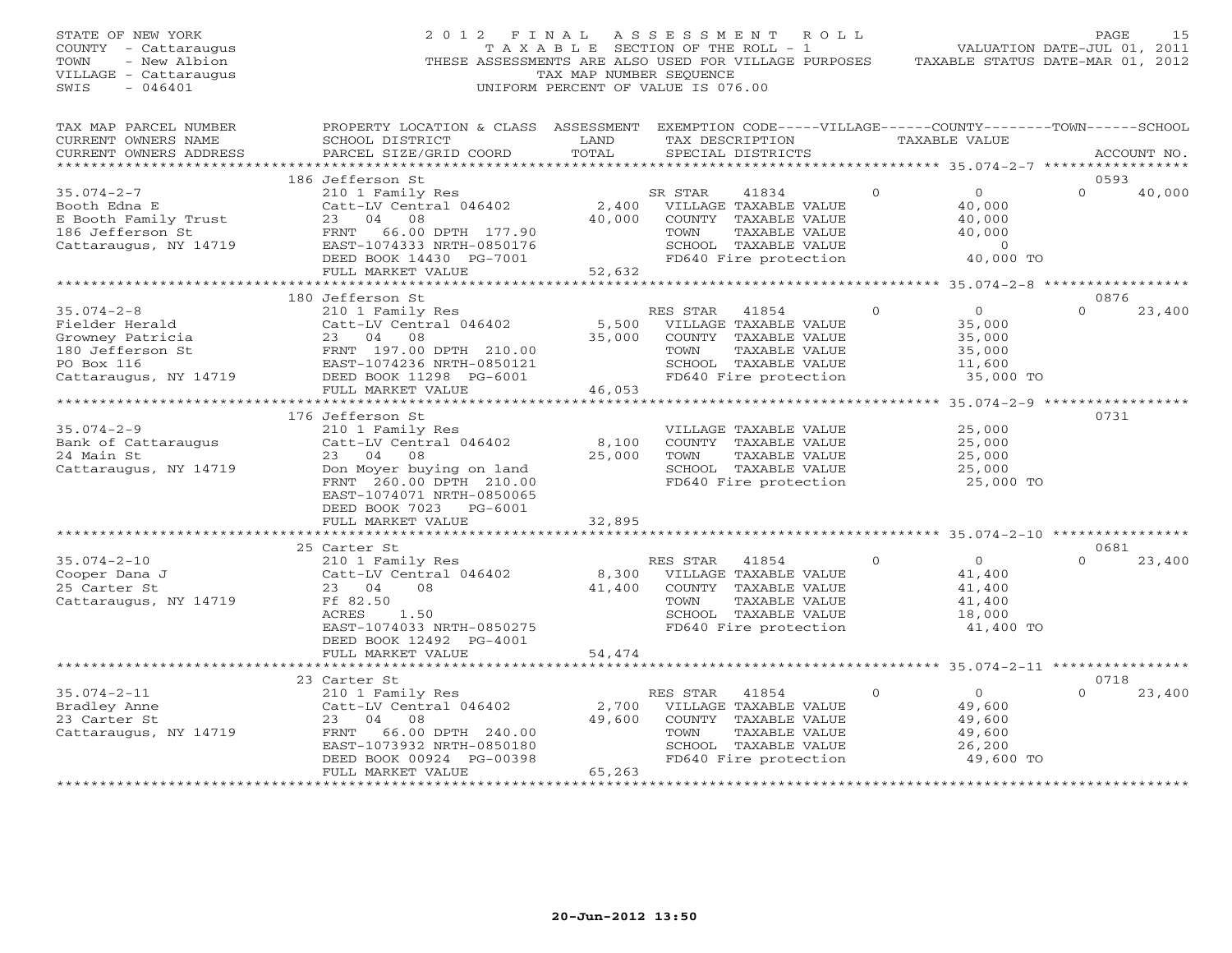| STATE OF NEW YORK<br>COUNTY - Cattaraugus<br>- New Albion<br>TOWN<br>VILLAGE - Cattaraugus<br>SWIS<br>$-046401$ | 2 0 1 2                                                                                                                                         | FINAL<br>TAX MAP NUMBER SEQUENCE | A S S E S S M E N T<br>R O L L<br>T A X A B L E SECTION OF THE ROLL - 1<br>THESE ASSESSMENTS ARE ALSO USED FOR VILLAGE PURPOSES<br>UNIFORM PERCENT OF VALUE IS 076.00 |          | VALUATION DATE-JUL 01, 2011<br>TAXABLE STATUS DATE-MAR 01, 2012 | PAGE             | 15          |
|-----------------------------------------------------------------------------------------------------------------|-------------------------------------------------------------------------------------------------------------------------------------------------|----------------------------------|-----------------------------------------------------------------------------------------------------------------------------------------------------------------------|----------|-----------------------------------------------------------------|------------------|-------------|
| TAX MAP PARCEL NUMBER<br>CURRENT OWNERS NAME<br>CURRENT OWNERS ADDRESS                                          | PROPERTY LOCATION & CLASS ASSESSMENT EXEMPTION CODE-----VILLAGE------COUNTY-------TOWN------SCHOOL<br>SCHOOL DISTRICT<br>PARCEL SIZE/GRID COORD | LAND<br>TOTAL                    | TAX DESCRIPTION<br>SPECIAL DISTRICTS                                                                                                                                  |          | TAXABLE VALUE                                                   |                  | ACCOUNT NO. |
| **********************                                                                                          |                                                                                                                                                 |                                  |                                                                                                                                                                       |          |                                                                 |                  |             |
|                                                                                                                 | 186 Jefferson St                                                                                                                                |                                  |                                                                                                                                                                       |          |                                                                 | 0593             |             |
| $35.074 - 2 - 7$                                                                                                | 210 1 Family Res                                                                                                                                |                                  | SR STAR<br>41834<br>VILLAGE TAXABLE VALUE                                                                                                                             | $\Omega$ | $\overline{O}$                                                  | $\Omega$         | 40,000      |
| Booth Edna E<br>E Booth Family Trust                                                                            | Catt-LV Central 046402<br>23<br>04<br>08                                                                                                        | 2,400<br>40,000                  | COUNTY TAXABLE VALUE                                                                                                                                                  |          | 40,000<br>40,000                                                |                  |             |
| 186 Jefferson St                                                                                                | 66.00 DPTH 177.90<br>FRNT                                                                                                                       |                                  | TOWN<br>TAXABLE VALUE                                                                                                                                                 |          | 40,000                                                          |                  |             |
| Cattaraugus, NY 14719                                                                                           | EAST-1074333 NRTH-0850176                                                                                                                       |                                  | SCHOOL TAXABLE VALUE                                                                                                                                                  |          | $\Omega$                                                        |                  |             |
|                                                                                                                 | DEED BOOK 14430 PG-7001                                                                                                                         |                                  | FD640 Fire protection                                                                                                                                                 |          | 40,000 TO                                                       |                  |             |
|                                                                                                                 | FULL MARKET VALUE                                                                                                                               | 52,632                           |                                                                                                                                                                       |          |                                                                 |                  |             |
|                                                                                                                 |                                                                                                                                                 |                                  |                                                                                                                                                                       |          |                                                                 |                  |             |
|                                                                                                                 | 180 Jefferson St                                                                                                                                |                                  |                                                                                                                                                                       |          |                                                                 | 0876             |             |
| $35.074 - 2 - 8$                                                                                                | 210 1 Family Res                                                                                                                                |                                  | RES STAR<br>41854                                                                                                                                                     | $\circ$  | $\overline{0}$                                                  | $\Omega$         | 23,400      |
| Fielder Herald                                                                                                  | Catt-LV Central 046402                                                                                                                          | 5,500                            | VILLAGE TAXABLE VALUE                                                                                                                                                 |          | 35,000                                                          |                  |             |
| Growney Patricia<br>180 Jefferson St                                                                            | 23 04<br>08<br>FRNT 197.00 DPTH 210.00                                                                                                          | 35,000                           | COUNTY TAXABLE VALUE<br>TOWN<br>TAXABLE VALUE                                                                                                                         |          | 35,000<br>35,000                                                |                  |             |
| PO Box 116                                                                                                      | EAST-1074236 NRTH-0850121                                                                                                                       |                                  | SCHOOL TAXABLE VALUE                                                                                                                                                  |          | 11,600                                                          |                  |             |
| Cattaraugus, NY 14719                                                                                           | DEED BOOK 11298 PG-6001                                                                                                                         |                                  | FD640 Fire protection                                                                                                                                                 |          | 35,000 TO                                                       |                  |             |
|                                                                                                                 | FULL MARKET VALUE                                                                                                                               | 46,053                           |                                                                                                                                                                       |          |                                                                 |                  |             |
|                                                                                                                 |                                                                                                                                                 | *********                        |                                                                                                                                                                       |          | ************ 35.074-2-9 ***                                     |                  |             |
|                                                                                                                 | 176 Jefferson St                                                                                                                                |                                  |                                                                                                                                                                       |          |                                                                 | 0731             |             |
| $35.074 - 2 - 9$                                                                                                | 210 1 Family Res                                                                                                                                |                                  | VILLAGE TAXABLE VALUE                                                                                                                                                 |          | 25,000                                                          |                  |             |
| Bank of Cattaraugus                                                                                             | Catt-LV Central 046402                                                                                                                          | 8,100                            | COUNTY TAXABLE VALUE                                                                                                                                                  |          | 25,000                                                          |                  |             |
| 24 Main St                                                                                                      | 23 04<br>08                                                                                                                                     | 25,000                           | TOWN<br>TAXABLE VALUE                                                                                                                                                 |          | 25,000                                                          |                  |             |
| Cattaraugus, NY 14719                                                                                           | Don Moyer buying on land<br>FRNT 260.00 DPTH 210.00<br>EAST-1074071 NRTH-0850065<br>DEED BOOK 7023 PG-6001                                      |                                  | SCHOOL TAXABLE VALUE<br>FD640 Fire protection                                                                                                                         |          | 25,000<br>25,000 TO                                             |                  |             |
|                                                                                                                 | FULL MARKET VALUE                                                                                                                               | 32,895                           |                                                                                                                                                                       |          |                                                                 |                  |             |
|                                                                                                                 | ***********************                                                                                                                         |                                  |                                                                                                                                                                       |          |                                                                 |                  |             |
| $35.074 - 2 - 10$                                                                                               | 25 Carter St                                                                                                                                    |                                  | RES STAR 41854                                                                                                                                                        | $\Omega$ | $\overline{0}$                                                  | 0681<br>$\Omega$ | 23,400      |
| Cooper Dana J                                                                                                   | 210 1 Family Res<br>Catt-LV Central 046402                                                                                                      | 8,300                            | VILLAGE TAXABLE VALUE                                                                                                                                                 |          | 41,400                                                          |                  |             |
| 25 Carter St                                                                                                    | 23 04<br>08                                                                                                                                     | 41,400                           | COUNTY TAXABLE VALUE                                                                                                                                                  |          | 41,400                                                          |                  |             |
| Cattaraugus, NY 14719                                                                                           | Ff 82.50                                                                                                                                        |                                  | TOWN<br>TAXABLE VALUE                                                                                                                                                 |          | 41,400                                                          |                  |             |
|                                                                                                                 | ACRES<br>1.50                                                                                                                                   |                                  | SCHOOL TAXABLE VALUE                                                                                                                                                  |          | 18,000                                                          |                  |             |
|                                                                                                                 | EAST-1074033 NRTH-0850275                                                                                                                       |                                  | FD640 Fire protection                                                                                                                                                 |          | 41,400 TO                                                       |                  |             |
|                                                                                                                 | DEED BOOK 12492 PG-4001                                                                                                                         |                                  |                                                                                                                                                                       |          |                                                                 |                  |             |
|                                                                                                                 | FULL MARKET VALUE                                                                                                                               | 54,474                           |                                                                                                                                                                       |          |                                                                 |                  |             |
|                                                                                                                 | **********************                                                                                                                          | ***********                      |                                                                                                                                                                       |          | ********** 35.074-2-11 ****************                         |                  |             |
|                                                                                                                 | 23 Carter St                                                                                                                                    |                                  |                                                                                                                                                                       |          |                                                                 | 0718             |             |
| $35.074 - 2 - 11$                                                                                               | 210 1 Family Res<br>Catt-LV Central 046402                                                                                                      | 2,700                            | 41854<br>RES STAR<br>VILLAGE TAXABLE VALUE                                                                                                                            | $\Omega$ | $\overline{O}$<br>49,600                                        |                  | 23,400      |
| Bradley Anne<br>23 Carter St                                                                                    | 23<br>04<br>08                                                                                                                                  | 49,600                           | COUNTY TAXABLE VALUE                                                                                                                                                  |          | 49,600                                                          |                  |             |
| Cattaraugus, NY 14719                                                                                           | FRNT<br>66.00 DPTH 240.00                                                                                                                       |                                  | TOWN<br>TAXABLE VALUE                                                                                                                                                 |          | 49,600                                                          |                  |             |
|                                                                                                                 | EAST-1073932 NRTH-0850180                                                                                                                       |                                  | SCHOOL TAXABLE VALUE                                                                                                                                                  |          | 26,200                                                          |                  |             |
|                                                                                                                 | DEED BOOK 00924 PG-00398                                                                                                                        |                                  | FD640 Fire protection                                                                                                                                                 |          | 49,600 TO                                                       |                  |             |
|                                                                                                                 | FULL MARKET VALUE                                                                                                                               | 65,263                           |                                                                                                                                                                       |          |                                                                 |                  |             |
| ***********************                                                                                         | *****************************                                                                                                                   | *******************              |                                                                                                                                                                       |          |                                                                 |                  |             |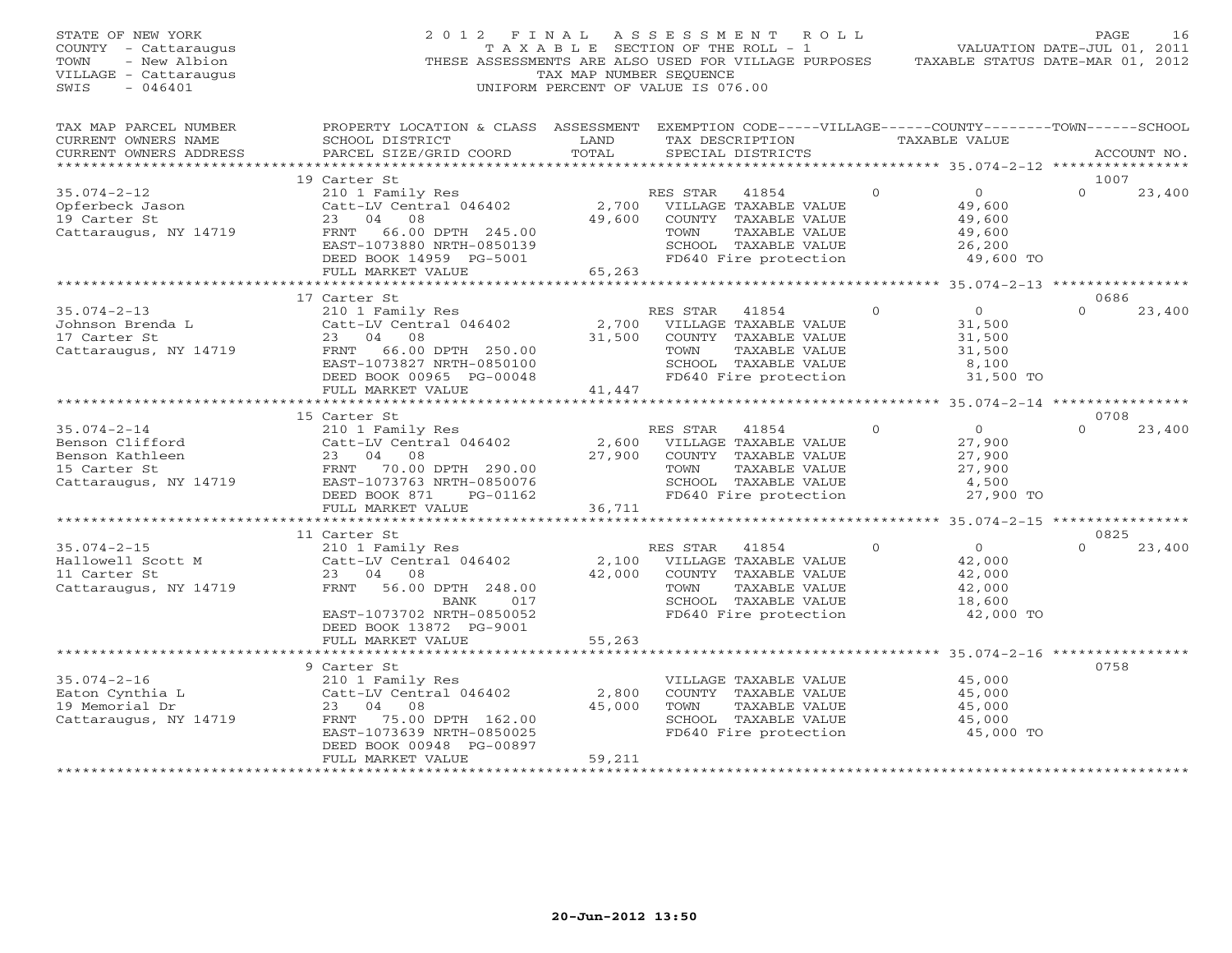| STATE OF NEW YORK<br>COUNTY - Cattaraugus<br>- New Albion<br>TOWN<br>VILLAGE - Cattaraugus<br>$-046401$<br>SWIS | 2012 FINAL ASSESSMENT ROLL<br>THESE ASSESSMENTS ARE ALSO USED FOR VILLAGE PURPOSES                                                              | TAX MAP NUMBER SEQUENCE<br>UNIFORM PERCENT OF VALUE IS 076.00 |                | T A X A B L E SECTION OF THE ROLL - 1         |          | VALUATION DATE-JUL 01, 2011<br>TAXABLE STATUS DATE-MAR 01, 2012 | PAGE             | 16          |
|-----------------------------------------------------------------------------------------------------------------|-------------------------------------------------------------------------------------------------------------------------------------------------|---------------------------------------------------------------|----------------|-----------------------------------------------|----------|-----------------------------------------------------------------|------------------|-------------|
| TAX MAP PARCEL NUMBER<br>CURRENT OWNERS NAME<br>CURRENT OWNERS ADDRESS                                          | PROPERTY LOCATION & CLASS ASSESSMENT EXEMPTION CODE-----VILLAGE------COUNTY-------TOWN------SCHOOL<br>SCHOOL DISTRICT<br>PARCEL SIZE/GRID COORD | LAND<br>TOTAL                                                 |                | SPECIAL DISTRICTS                             |          | TAX DESCRIPTION TAXABLE VALUE                                   |                  | ACCOUNT NO. |
| ******************                                                                                              |                                                                                                                                                 |                                                               |                |                                               |          | ****************** 35.074-2-12 ***************                  |                  |             |
| $35.074 - 2 - 12$                                                                                               | 19 Carter St<br>210 1 Family Res                                                                                                                |                                                               | RES STAR 41854 |                                               | $\Omega$ | $\Omega$                                                        | 1007<br>$\Omega$ | 23,400      |
| Opferbeck Jason                                                                                                 | Catt-LV Central 046402                                                                                                                          |                                                               |                | 2,700 VILLAGE TAXABLE VALUE                   |          | 49,600                                                          |                  |             |
| 19 Carter St                                                                                                    | 23 04 08                                                                                                                                        |                                                               |                | 49,600 COUNTY TAXABLE VALUE                   |          | 49,600                                                          |                  |             |
| Cattaraugus, NY 14719                                                                                           | FRNT 66.00 DPTH 245.00                                                                                                                          |                                                               | TOWN           | TAXABLE VALUE                                 |          | 49,600                                                          |                  |             |
|                                                                                                                 | EAST-1073880 NRTH-0850139                                                                                                                       |                                                               |                | SCHOOL TAXABLE VALUE                          |          | 26,200                                                          |                  |             |
|                                                                                                                 | DEED BOOK 14959 PG-5001                                                                                                                         |                                                               |                | FD640 Fire protection                         |          | 49,600 TO                                                       |                  |             |
|                                                                                                                 | FULL MARKET VALUE                                                                                                                               | 65,263                                                        |                |                                               |          |                                                                 |                  |             |
|                                                                                                                 | 17 Carter St                                                                                                                                    |                                                               |                |                                               |          |                                                                 | 0686             |             |
| $35.074 - 2 - 13$                                                                                               | 210 1 Family Res                                                                                                                                |                                                               | RES STAR 41854 |                                               | $\Omega$ | $\overline{0}$                                                  | $\Omega$         | 23,400      |
| Johnson Brenda L                                                                                                | Catt-LV Central 046402                                                                                                                          | 2,700                                                         |                | VILLAGE TAXABLE VALUE                         |          | 31,500                                                          |                  |             |
| 17 Carter St                                                                                                    | 23 04 08                                                                                                                                        | 31,500                                                        |                | COUNTY TAXABLE VALUE                          |          | 31,500                                                          |                  |             |
| Cattaraugus, NY 14719                                                                                           | FRNT 66.00 DPTH 250.00                                                                                                                          |                                                               | TOWN           | TAXABLE VALUE                                 |          | 31,500                                                          |                  |             |
|                                                                                                                 | EAST-1073827 NRTH-0850100<br>DEED BOOK 00965 PG-00048                                                                                           |                                                               |                | SCHOOL TAXABLE VALUE<br>FD640 Fire protection |          | 8,100<br>31,500 TO                                              |                  |             |
|                                                                                                                 | FULL MARKET VALUE                                                                                                                               | 41,447                                                        |                |                                               |          |                                                                 |                  |             |
|                                                                                                                 |                                                                                                                                                 |                                                               |                |                                               |          |                                                                 |                  |             |
|                                                                                                                 | 15 Carter St                                                                                                                                    |                                                               |                |                                               |          |                                                                 | 0708             |             |
| $35.074 - 2 - 14$                                                                                               | 210 1 Family Res                                                                                                                                |                                                               | RES STAR 41854 |                                               | $\Omega$ | $\overline{0}$                                                  | $\Omega$         | 23,400      |
| Benson Clifford                                                                                                 | Catt-LV Central 046402                                                                                                                          | 2,600                                                         |                | VILLAGE TAXABLE VALUE                         |          | 27,900                                                          |                  |             |
| Benson Kathleen                                                                                                 | 23 04 08                                                                                                                                        | 27,900                                                        |                | COUNTY TAXABLE VALUE                          |          | 27,900                                                          |                  |             |
| 15 Carter St<br>Cattaraugus, NY 14719                                                                           | FRNT 70.00 DPTH 290.00<br>EAST-1073763 NRTH-0850076                                                                                             |                                                               | TOWN           | TAXABLE VALUE<br>SCHOOL TAXABLE VALUE         |          | 27,900<br>4,500                                                 |                  |             |
|                                                                                                                 | DEED BOOK 871<br>PG-01162                                                                                                                       |                                                               |                | FD640 Fire protection                         |          | 27,900 TO                                                       |                  |             |
|                                                                                                                 | FULL MARKET VALUE                                                                                                                               | 36,711                                                        |                |                                               |          |                                                                 |                  |             |
|                                                                                                                 | **************************                                                                                                                      |                                                               |                |                                               |          |                                                                 |                  |             |
|                                                                                                                 | 11 Carter St                                                                                                                                    |                                                               |                |                                               |          |                                                                 | 0825             |             |
| $35.074 - 2 - 15$                                                                                               | 210 1 Family Res                                                                                                                                |                                                               | RES STAR       | 41854                                         | $\Omega$ | $\Omega$                                                        | $\cap$           | 23,400      |
| Hallowell Scott M<br>11 Carter St                                                                               | Catt-LV Central 046402<br>23 04 08                                                                                                              | 2,100<br>42,000                                               |                | VILLAGE TAXABLE VALUE<br>COUNTY TAXABLE VALUE |          | 42,000<br>42,000                                                |                  |             |
| Cattaraugus, NY 14719                                                                                           | FRNT 56.00 DPTH 248.00                                                                                                                          |                                                               | TOWN           | TAXABLE VALUE                                 |          | 42,000                                                          |                  |             |
|                                                                                                                 | 017<br>BANK                                                                                                                                     |                                                               |                | SCHOOL TAXABLE VALUE                          |          | 18,600                                                          |                  |             |
|                                                                                                                 | EAST-1073702 NRTH-0850052                                                                                                                       |                                                               |                | FD640 Fire protection                         |          | 42,000 TO                                                       |                  |             |
|                                                                                                                 | DEED BOOK 13872 PG-9001                                                                                                                         |                                                               |                |                                               |          |                                                                 |                  |             |
|                                                                                                                 | FULL MARKET VALUE                                                                                                                               | 55,263                                                        |                |                                               |          |                                                                 |                  |             |
|                                                                                                                 | ************************                                                                                                                        |                                                               |                |                                               |          |                                                                 | 0758             |             |
| $35.074 - 2 - 16$                                                                                               | 9 Carter St<br>210 1 Family Res                                                                                                                 |                                                               |                | VILLAGE TAXABLE VALUE                         |          | 45,000                                                          |                  |             |
| Eaton Cynthia L                                                                                                 | Catt-LV Central 046402                                                                                                                          | 2,800                                                         |                | COUNTY TAXABLE VALUE                          |          | 45,000                                                          |                  |             |
| 19 Memorial Dr                                                                                                  | 23 04 08                                                                                                                                        | 45,000                                                        | TOWN           | TAXABLE VALUE                                 |          | 45,000                                                          |                  |             |
| Cattaraugus, NY 14719                                                                                           | FRNT 75.00 DPTH 162.00                                                                                                                          |                                                               |                | SCHOOL TAXABLE VALUE                          |          | 45,000                                                          |                  |             |
|                                                                                                                 | EAST-1073639 NRTH-0850025                                                                                                                       |                                                               |                | FD640 Fire protection                         |          | 45,000 TO                                                       |                  |             |
|                                                                                                                 | DEED BOOK 00948 PG-00897                                                                                                                        |                                                               |                |                                               |          |                                                                 |                  |             |
|                                                                                                                 | FULL MARKET VALUE                                                                                                                               | 59,211<br>+ + + + + + + + + + + + + +                         |                |                                               |          |                                                                 |                  |             |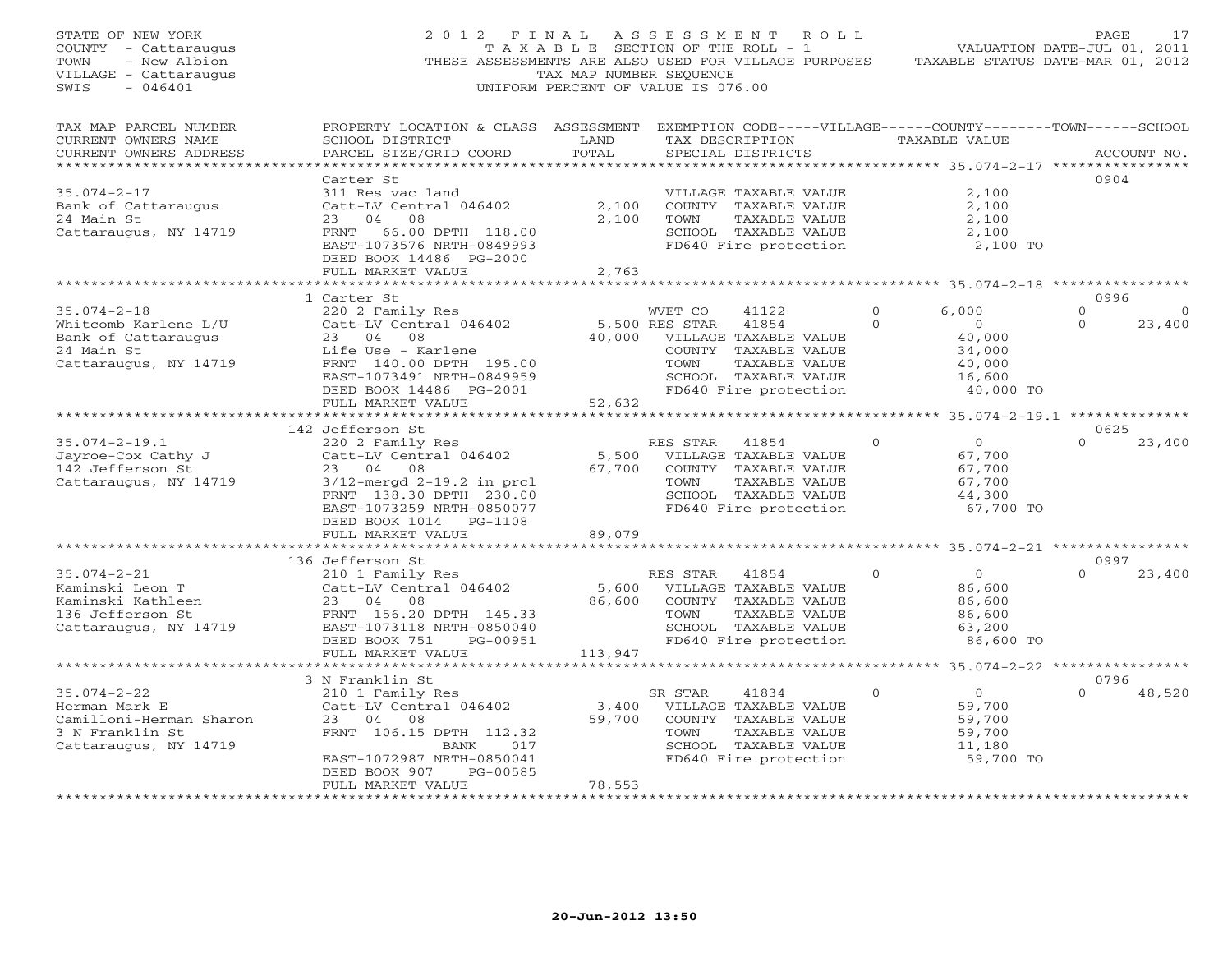| STATE OF NEW YORK<br>COUNTY - Cattaraugus<br>TOWN<br>- New Albion<br>VILLAGE - Cattaraugus<br>SWIS<br>$-046401$ | 2012 FINAL ASSESSMENT ROLL<br>THESE ASSESSMENTS ARE ALSO USED FOR VILLAGE PURPOSES                                                              | T A X A B L E SECTION OF THE ROLL - 1<br>TAX MAP NUMBER SEQUENCE<br>UNIFORM PERCENT OF VALUE IS 076.00 |                              |                       |                 | VALUATION DATE-JUL 01, 2011<br>TAXABLE STATUS DATE-MAR 01, 2012     | PAGE     | 17          |
|-----------------------------------------------------------------------------------------------------------------|-------------------------------------------------------------------------------------------------------------------------------------------------|--------------------------------------------------------------------------------------------------------|------------------------------|-----------------------|-----------------|---------------------------------------------------------------------|----------|-------------|
| TAX MAP PARCEL NUMBER<br>CURRENT OWNERS NAME<br>CURRENT OWNERS ADDRESS<br>******************************        | PROPERTY LOCATION & CLASS ASSESSMENT EXEMPTION CODE-----VILLAGE------COUNTY-------TOWN------SCHOOL<br>SCHOOL DISTRICT<br>PARCEL SIZE/GRID COORD | LAND<br>TOTAL                                                                                          |                              | SPECIAL DISTRICTS     | TAX DESCRIPTION | TAXABLE VALUE                                                       |          | ACCOUNT NO. |
|                                                                                                                 | Carter St                                                                                                                                       |                                                                                                        |                              |                       |                 |                                                                     | 0904     |             |
| $35.074 - 2 - 17$                                                                                               | 311 Res vac land                                                                                                                                |                                                                                                        |                              | VILLAGE TAXABLE VALUE |                 | 2,100                                                               |          |             |
| Bank of Cattaraugus                                                                                             | Catt-LV Central 046402                                                                                                                          | 2,100                                                                                                  |                              | COUNTY TAXABLE VALUE  |                 | 2,100                                                               |          |             |
| 24 Main St                                                                                                      | 23 04<br>08                                                                                                                                     | 2,100                                                                                                  | TOWN                         | TAXABLE VALUE         |                 | 2,100                                                               |          |             |
| Cattaraugus, NY 14719                                                                                           | 66.00 DPTH 118.00<br>FRNT                                                                                                                       |                                                                                                        |                              | SCHOOL TAXABLE VALUE  |                 | 2,100                                                               |          |             |
|                                                                                                                 | EAST-1073576 NRTH-0849993                                                                                                                       |                                                                                                        |                              | FD640 Fire protection |                 | 2,100 TO                                                            |          |             |
|                                                                                                                 | DEED BOOK 14486 PG-2000                                                                                                                         |                                                                                                        |                              |                       |                 |                                                                     |          |             |
|                                                                                                                 | FULL MARKET VALUE                                                                                                                               | 2,763<br>* * * * * * * * * * *                                                                         |                              |                       |                 | ************************************* 35.074-2-18 ***************** |          |             |
|                                                                                                                 | 1 Carter St                                                                                                                                     |                                                                                                        |                              |                       |                 |                                                                     | 0996     |             |
| $35.074 - 2 - 18$                                                                                               | 220 2 Family Res                                                                                                                                |                                                                                                        | WVET CO                      | 41122                 | $\Omega$        | 6,000                                                               | $\Omega$ | $\circ$     |
| Whitcomb Karlene L/U                                                                                            | Catt-LV Central 046402                                                                                                                          |                                                                                                        | 5,500 RES STAR               | 41854                 | $\Omega$        | $\overline{0}$                                                      | $\Omega$ | 23,400      |
| Bank of Cattaraugus                                                                                             | 23 04 08                                                                                                                                        |                                                                                                        | 40,000 VILLAGE TAXABLE VALUE |                       |                 | 40,000                                                              |          |             |
| 24 Main St                                                                                                      | Life Use - Karlene                                                                                                                              |                                                                                                        |                              | COUNTY TAXABLE VALUE  |                 | 34,000                                                              |          |             |
| Cattaraugus, NY 14719                                                                                           | FRNT 140.00 DPTH 195.00                                                                                                                         |                                                                                                        | TOWN                         | TAXABLE VALUE         |                 | 40,000                                                              |          |             |
|                                                                                                                 | EAST-1073491 NRTH-0849959                                                                                                                       |                                                                                                        |                              | SCHOOL TAXABLE VALUE  |                 | 16,600                                                              |          |             |
|                                                                                                                 | DEED BOOK 14486 PG-2001                                                                                                                         |                                                                                                        |                              | FD640 Fire protection |                 | 40,000 TO                                                           |          |             |
|                                                                                                                 | FULL MARKET VALUE                                                                                                                               | 52,632                                                                                                 |                              |                       |                 |                                                                     |          |             |
|                                                                                                                 |                                                                                                                                                 |                                                                                                        |                              |                       |                 |                                                                     |          |             |
|                                                                                                                 | 142 Jefferson St                                                                                                                                |                                                                                                        |                              |                       |                 |                                                                     | 0625     |             |
| $35.074 - 2 - 19.1$                                                                                             | 220 2 Family Res                                                                                                                                |                                                                                                        | RES STAR 41854               |                       | $\mathbf{0}$    | $\overline{0}$                                                      | $\Omega$ | 23,400      |
| Jayroe-Cox Cathy J                                                                                              | Catt-LV Central 046402                                                                                                                          |                                                                                                        | 5,500 VILLAGE TAXABLE VALUE  |                       |                 | 67,700                                                              |          |             |
| 142 Jefferson St                                                                                                | 23 04 08                                                                                                                                        | 67,700                                                                                                 |                              | COUNTY TAXABLE VALUE  |                 | 67,700                                                              |          |             |
| Cattaraugus, NY 14719                                                                                           | $3/12$ -mergd $2-19.2$ in prcl                                                                                                                  |                                                                                                        | TOWN                         | TAXABLE VALUE         |                 | 67,700                                                              |          |             |
|                                                                                                                 | FRNT 138.30 DPTH 230.00                                                                                                                         |                                                                                                        |                              | SCHOOL TAXABLE VALUE  |                 | 44,300                                                              |          |             |
|                                                                                                                 | EAST-1073259 NRTH-0850077                                                                                                                       |                                                                                                        |                              | FD640 Fire protection |                 | 67,700 TO                                                           |          |             |
|                                                                                                                 | DEED BOOK 1014 PG-1108                                                                                                                          |                                                                                                        |                              |                       |                 |                                                                     |          |             |
|                                                                                                                 | FULL MARKET VALUE                                                                                                                               | 89,079                                                                                                 |                              |                       |                 | ********* 35.074-2-21 **********                                    |          |             |
|                                                                                                                 | 136 Jefferson St                                                                                                                                |                                                                                                        |                              |                       |                 |                                                                     | 0997     |             |
| $35.074 - 2 - 21$                                                                                               | 210 1 Family Res                                                                                                                                |                                                                                                        | RES STAR                     | 41854                 | $\Omega$        | $\overline{O}$                                                      | $\Omega$ | 23,400      |
| Kaminski Leon T                                                                                                 | Catt-LV Central 046402                                                                                                                          | 5,600                                                                                                  |                              | VILLAGE TAXABLE VALUE |                 | 86,600                                                              |          |             |
| Kaminski Kathleen                                                                                               | 23 04 08                                                                                                                                        | 86,600                                                                                                 |                              | COUNTY TAXABLE VALUE  |                 | 86,600                                                              |          |             |
| 136 Jefferson St                                                                                                | FRNT 156.20 DPTH 145.33                                                                                                                         |                                                                                                        | TOWN                         | TAXABLE VALUE         |                 | 86,600                                                              |          |             |
| Cattaraugus, NY 14719                                                                                           | EAST-1073118 NRTH-0850040                                                                                                                       |                                                                                                        |                              | SCHOOL TAXABLE VALUE  |                 | 63,200                                                              |          |             |
|                                                                                                                 | DEED BOOK 751<br>PG-00951                                                                                                                       |                                                                                                        |                              | FD640 Fire protection |                 | 86,600 TO                                                           |          |             |
|                                                                                                                 | FULL MARKET VALUE                                                                                                                               | 113,947                                                                                                |                              |                       |                 |                                                                     |          |             |
|                                                                                                                 |                                                                                                                                                 |                                                                                                        |                              |                       |                 | ********* 35.074-2-22 *****************                             |          |             |
|                                                                                                                 | 3 N Franklin St                                                                                                                                 |                                                                                                        |                              |                       |                 |                                                                     | 0796     |             |
| $35.074 - 2 - 22$                                                                                               | 210 1 Family Res                                                                                                                                |                                                                                                        | SR STAR                      | 41834                 | $\Omega$        | $\overline{0}$                                                      | $\Omega$ | 48,520      |
| Herman Mark E                                                                                                   | Catt-LV Central 046402                                                                                                                          | 3,400                                                                                                  |                              | VILLAGE TAXABLE VALUE |                 | 59,700                                                              |          |             |
| Camilloni-Herman Sharon                                                                                         | 23 04 08                                                                                                                                        | 59,700                                                                                                 |                              | COUNTY TAXABLE VALUE  |                 | 59,700                                                              |          |             |
| 3 N Franklin St                                                                                                 | FRNT 106.15 DPTH 112.32                                                                                                                         |                                                                                                        | TOWN                         | TAXABLE VALUE         |                 | 59,700                                                              |          |             |
| Cattaraugus, NY 14719                                                                                           | BANK<br>017                                                                                                                                     |                                                                                                        |                              | SCHOOL TAXABLE VALUE  |                 | 11,180                                                              |          |             |
|                                                                                                                 | EAST-1072987 NRTH-0850041                                                                                                                       |                                                                                                        |                              | FD640 Fire protection |                 | 59,700 TO                                                           |          |             |
|                                                                                                                 | PG-00585<br>DEED BOOK 907                                                                                                                       |                                                                                                        |                              |                       |                 |                                                                     |          |             |
|                                                                                                                 | FULL MARKET VALUE                                                                                                                               | 78,553<br><b>+++++++++++</b>                                                                           |                              |                       |                 |                                                                     |          |             |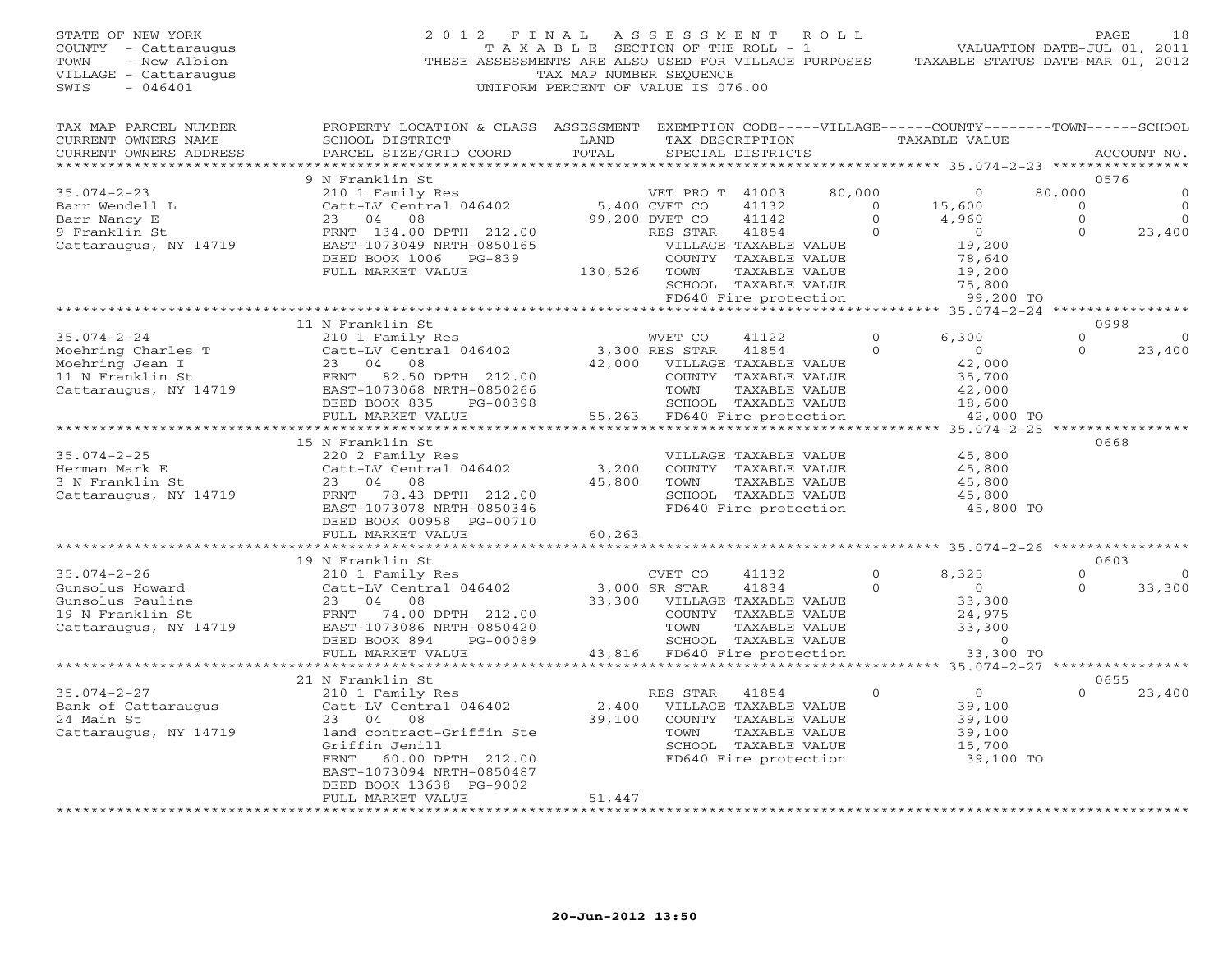| STATE OF NEW YORK       | 2012                                                                                               | FINAL                                 | ASSESSMENT      |                              | R O L L        |                                  |              | 18<br>PAGE                  |
|-------------------------|----------------------------------------------------------------------------------------------------|---------------------------------------|-----------------|------------------------------|----------------|----------------------------------|--------------|-----------------------------|
| COUNTY<br>- Cattaraugus |                                                                                                    | T A X A B L E SECTION OF THE ROLL - 1 |                 |                              |                |                                  |              | VALUATION DATE-JUL 01, 2011 |
| - New Albion<br>TOWN    | THESE ASSESSMENTS ARE ALSO USED FOR VILLAGE PURPOSES                                               |                                       |                 |                              |                | TAXABLE STATUS DATE-MAR 01, 2012 |              |                             |
| VILLAGE - Cattaraugus   |                                                                                                    | TAX MAP NUMBER SEQUENCE               |                 |                              |                |                                  |              |                             |
| SWIS<br>$-046401$       |                                                                                                    | UNIFORM PERCENT OF VALUE IS 076.00    |                 |                              |                |                                  |              |                             |
|                         |                                                                                                    |                                       |                 |                              |                |                                  |              |                             |
|                         |                                                                                                    |                                       |                 |                              |                |                                  |              |                             |
| TAX MAP PARCEL NUMBER   | PROPERTY LOCATION & CLASS ASSESSMENT EXEMPTION CODE-----VILLAGE------COUNTY-------TOWN------SCHOOL |                                       |                 |                              |                |                                  |              |                             |
| CURRENT OWNERS NAME     | SCHOOL DISTRICT                                                                                    | LAND                                  |                 | TAX DESCRIPTION              |                | TAXABLE VALUE                    |              |                             |
| CURRENT OWNERS ADDRESS  | PARCEL SIZE/GRID COORD                                                                             | TOTAL                                 |                 | SPECIAL DISTRICTS            |                |                                  |              | ACCOUNT NO.                 |
| *********************** | ***********************                                                                            |                                       |                 |                              |                |                                  |              |                             |
|                         | 9 N Franklin St                                                                                    |                                       |                 |                              |                |                                  |              | 0576                        |
| $35.074 - 2 - 23$       | 210 1 Family Res                                                                                   |                                       | VET PRO T 41003 |                              | 80,000         | $\Omega$                         | 80,000       |                             |
| Barr Wendell L          | Catt-LV Central 046402                                                                             |                                       | 5,400 CVET CO   | 41132                        | $\overline{O}$ | 15,600                           | $\circ$      | 0                           |
|                         | 04                                                                                                 |                                       |                 | 41142                        | $\Omega$       |                                  | $\circ$      | $\overline{0}$              |
| Barr Nancy E            | 23<br>08                                                                                           |                                       | 99,200 DVET CO  |                              |                | 4,960                            |              |                             |
| 9 Franklin St           | FRNT 134.00 DPTH 212.00                                                                            |                                       | RES STAR        | 41854                        | $\circ$        | $\overline{0}$                   | $\Omega$     | 23,400                      |
| Cattaraugus, NY 14719   | EAST-1073049 NRTH-0850165                                                                          |                                       |                 | VILLAGE TAXABLE VALUE        |                | 19,200                           |              |                             |
|                         | DEED BOOK 1006 PG-839                                                                              |                                       |                 | COUNTY TAXABLE VALUE         |                | 78,640                           |              |                             |
|                         | FULL MARKET VALUE                                                                                  | 130,526                               | TOWN            | TAXABLE VALUE                |                | 19,200                           |              |                             |
|                         |                                                                                                    |                                       |                 | SCHOOL TAXABLE VALUE         |                | 75,800                           |              |                             |
|                         |                                                                                                    |                                       |                 | FD640 Fire protection        |                | 99,200 TO                        |              |                             |
|                         | ************************                                                                           |                                       |                 |                              |                |                                  |              |                             |
|                         | 11 N Franklin St                                                                                   |                                       |                 |                              |                |                                  |              | 0998                        |
| $35.074 - 2 - 24$       | 210 1 Family Res                                                                                   |                                       | WVET CO         | 41122                        | $\Omega$       | 6,300                            | $\Omega$     |                             |
|                         | Catt-LV Central 046402                                                                             |                                       | 3,300 RES STAR  | 41854                        | $\mathbf{0}$   | $\overline{0}$                   | $\Omega$     | 23,400                      |
| Moehring Charles T      |                                                                                                    |                                       |                 |                              |                |                                  |              |                             |
| Moehring Jean I         | 23<br>04<br>08                                                                                     | 42,000                                |                 | VILLAGE TAXABLE VALUE        |                | 42,000                           |              |                             |
| 11 N Franklin St        | FRNT 82.50 DPTH 212.00                                                                             |                                       |                 | COUNTY TAXABLE VALUE         |                | 35,700                           |              |                             |
| Cattaraugus, NY $14719$ | EAST-1073068 NRTH-0850266                                                                          |                                       | TOWN            | TAXABLE VALUE                |                | 42,000                           |              |                             |
|                         | DEED BOOK 835<br>PG-00398                                                                          |                                       |                 | SCHOOL TAXABLE VALUE         |                | 18,600                           |              |                             |
|                         | FULL MARKET VALUE                                                                                  | 55,263                                |                 | FD640 Fire protection        |                | 42,000 TO                        |              |                             |
|                         |                                                                                                    |                                       |                 |                              |                | **** 35.074-2-25 **              |              |                             |
|                         | 15 N Franklin St                                                                                   |                                       |                 |                              |                |                                  |              | 0668                        |
| $35.074 - 2 - 25$       | 220 2 Family Res                                                                                   |                                       |                 | VILLAGE TAXABLE VALUE        |                | 45,800                           |              |                             |
| Herman Mark E           | Catt-LV Central 046402                                                                             | 3,200                                 |                 | COUNTY TAXABLE VALUE         |                | 45,800                           |              |                             |
| 3 N Franklin St         | 23<br>04 08                                                                                        | 45,800                                | TOWN            | TAXABLE VALUE                |                | 45,800                           |              |                             |
| Cattaraugus, NY 14719   | 78.43 DPTH 212.00<br>FRNT                                                                          |                                       |                 | SCHOOL TAXABLE VALUE         |                | 45,800                           |              |                             |
|                         | EAST-1073078 NRTH-0850346                                                                          |                                       |                 | FD640 Fire protection        |                | 45,800 TO                        |              |                             |
|                         | DEED BOOK 00958 PG-00710                                                                           |                                       |                 |                              |                |                                  |              |                             |
|                         |                                                                                                    |                                       |                 |                              |                |                                  |              |                             |
|                         | FULL MARKET VALUE<br>************************                                                      | 60,263                                |                 |                              |                |                                  |              |                             |
|                         |                                                                                                    |                                       |                 |                              |                |                                  |              |                             |
|                         | 19 N Franklin St                                                                                   |                                       |                 |                              |                |                                  |              | 0603                        |
| $35.074 - 2 - 26$       | 210 1 Family Res                                                                                   |                                       | CVET CO         | 41132                        | $\circ$        | 8,325                            | $\mathbf{0}$ |                             |
| Gunsolus Howard         | Catt-LV Central 046402                                                                             |                                       | 3,000 SR STAR   | 41834                        | $\Omega$       | $\overline{0}$                   | $\Omega$     | 33,300                      |
| Gunsolus Pauline        | 23<br>04<br>08                                                                                     | 33,300                                |                 | VILLAGE TAXABLE VALUE        |                | 33,300                           |              |                             |
| 19 N Franklin St        | FRNT 74.00 DPTH 212.00                                                                             |                                       |                 | COUNTY TAXABLE VALUE         |                | 24,975                           |              |                             |
| Cattaraugus, NY 14719   | EAST-1073086 NRTH-0850420                                                                          |                                       | TOWN            | TAXABLE VALUE                |                | 33,300                           |              |                             |
|                         | DEED BOOK 894<br>PG-00089                                                                          |                                       |                 | SCHOOL TAXABLE VALUE         |                | $\Omega$                         |              |                             |
|                         | FULL MARKET VALUE                                                                                  |                                       |                 | 43,816 FD640 Fire protection |                | 33,300 TO                        |              |                             |
|                         | ************************                                                                           |                                       |                 |                              |                |                                  |              |                             |
|                         | 21 N Franklin St                                                                                   |                                       |                 |                              |                |                                  |              | 0655                        |
| $35.074 - 2 - 27$       |                                                                                                    |                                       | RES STAR        | 41854                        | $\mathbf{0}$   | $\circ$                          |              | 23,400                      |
|                         | 210 1 Family Res                                                                                   |                                       |                 |                              |                |                                  |              |                             |
| Bank of Cattaraugus     | Catt-LV Central 046402                                                                             | 2,400                                 |                 | VILLAGE TAXABLE VALUE        |                | 39,100                           |              |                             |
| 24 Main St              | 23 04 08                                                                                           | 39,100                                |                 | COUNTY TAXABLE VALUE         |                | 39,100                           |              |                             |
| Cattaraugus, NY 14719   | land contract-Griffin Ste                                                                          |                                       | TOWN            | TAXABLE VALUE                |                | 39,100                           |              |                             |
|                         | Griffin Jenill                                                                                     |                                       |                 | SCHOOL TAXABLE VALUE         |                | 15,700                           |              |                             |
|                         | FRNT<br>60.00 DPTH 212.00                                                                          |                                       |                 | FD640 Fire protection        |                | 39,100 TO                        |              |                             |
|                         | EAST-1073094 NRTH-0850487                                                                          |                                       |                 |                              |                |                                  |              |                             |
|                         | DEED BOOK 13638 PG-9002                                                                            |                                       |                 |                              |                |                                  |              |                             |
|                         | FULL MARKET VALUE                                                                                  | 51,447                                |                 |                              |                |                                  |              |                             |
|                         | . * * * * * * * * * * * * * * * * * *                                                              | * * * * * * * * * *                   |                 |                              |                |                                  |              |                             |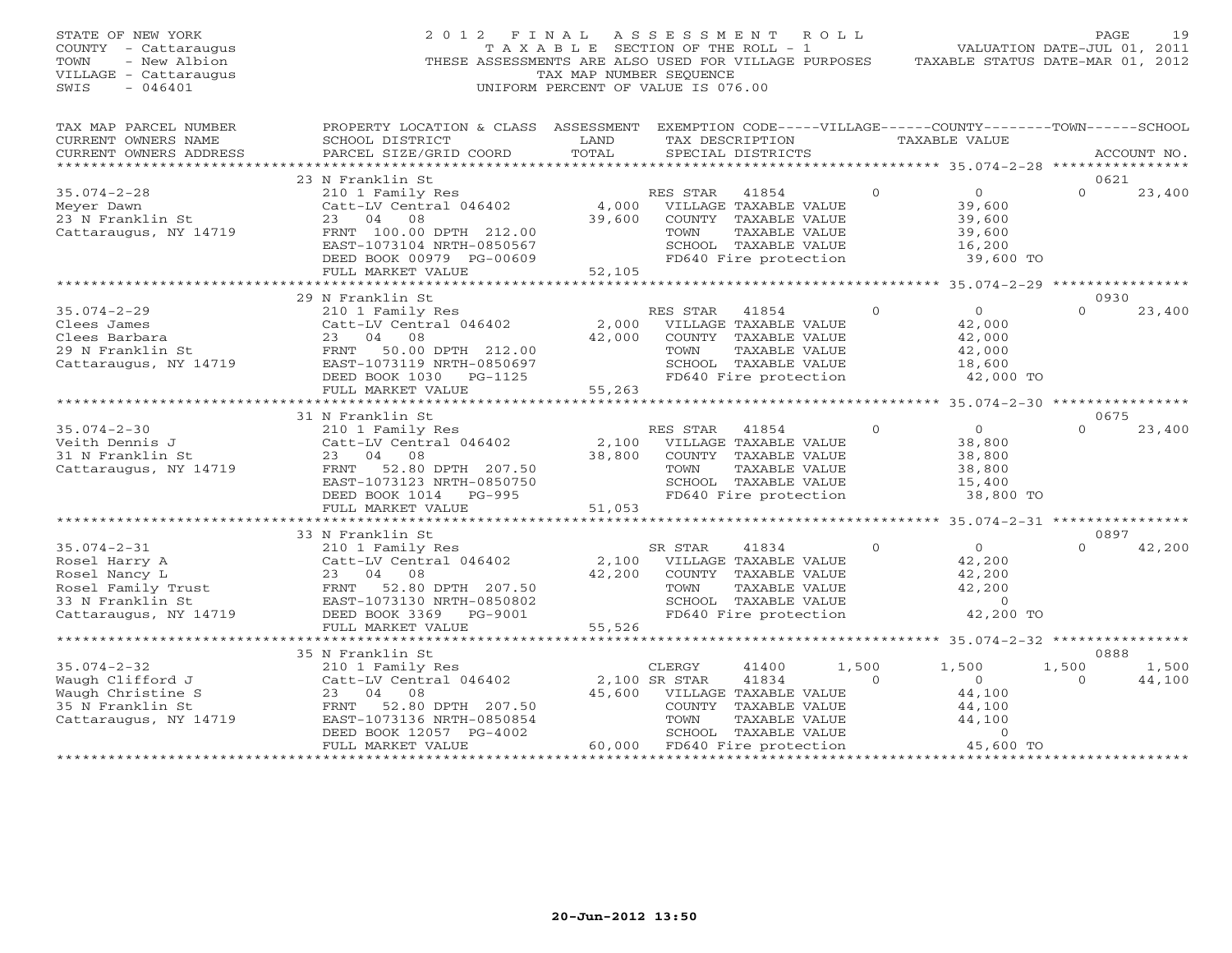| STATE OF NEW YORK<br>COUNTY - Cattaraugus<br>- New Albion<br>TOWN<br>VILLAGE - Cattaraugus<br>SWIS<br>$-046401$ | 2012 FINAL ASSESSMENT<br>THESE ASSESSMENTS ARE ALSO USED FOR VILLAGE PURPOSES                                                                                                                                                                      | TAXABLE SECTION OF THE ROLL - 1<br>TAX MAP NUMBER SEQUENCE<br>UNIFORM PERCENT OF VALUE IS 076.00 |          | ROLL ROLL                             |                   | VALUATION DATE-JUL 01, 2011<br>TAXABLE STATUS DATE-MAR 01, 2012 | PAGE              | 19          |
|-----------------------------------------------------------------------------------------------------------------|----------------------------------------------------------------------------------------------------------------------------------------------------------------------------------------------------------------------------------------------------|--------------------------------------------------------------------------------------------------|----------|---------------------------------------|-------------------|-----------------------------------------------------------------|-------------------|-------------|
| TAX MAP PARCEL NUMBER<br>CURRENT OWNERS NAME<br>CURRENT OWNERS ADDRESS                                          | PROPERTY LOCATION & CLASS ASSESSMENT EXEMPTION CODE-----VILLAGE------COUNTY-------TOWN------SCHOOL<br>SCHOOL DISTRICT<br>PARCEL SIZE/GRID COORD                                                                                                    | LAND<br>TOTAL                                                                                    |          | TAX DESCRIPTION<br>SPECIAL DISTRICTS  |                   | TAXABLE VALUE                                                   |                   | ACCOUNT NO. |
|                                                                                                                 |                                                                                                                                                                                                                                                    |                                                                                                  |          |                                       |                   |                                                                 |                   |             |
| $35.074 - 2 - 28$                                                                                               | 23 N Franklin St                                                                                                                                                                                                                                   |                                                                                                  | RES STAR | 41854                                 | $\overline{0}$    | $\overline{0}$                                                  | 0621<br>$\Omega$  | 23,400      |
| Meyer Dawn                                                                                                      | 210 1 Family Res<br>Catt-LV Central 046402                                                                                                                                                                                                         | 4,000                                                                                            |          | VILLAGE TAXABLE VALUE                 |                   | 39,600                                                          |                   |             |
| $23$ N Franklin St                                                                                              | 23 04<br>08                                                                                                                                                                                                                                        | 39,600                                                                                           |          | COUNTY TAXABLE VALUE                  |                   | 39,600                                                          |                   |             |
| Cattaraugus, NY 14719                                                                                           | FRNT 100.00 DPTH 212.00                                                                                                                                                                                                                            |                                                                                                  | TOWN     | TAXABLE VALUE                         |                   | 39,600                                                          |                   |             |
|                                                                                                                 | EAST-1073104 NRTH-0850567                                                                                                                                                                                                                          |                                                                                                  |          | SCHOOL TAXABLE VALUE                  |                   | 16,200                                                          |                   |             |
|                                                                                                                 | DEED BOOK 00979 PG-00609                                                                                                                                                                                                                           |                                                                                                  |          | FD640 Fire protection                 |                   | 39,600 TO                                                       |                   |             |
|                                                                                                                 | FULL MARKET VALUE                                                                                                                                                                                                                                  | 52,105                                                                                           |          |                                       |                   |                                                                 |                   |             |
|                                                                                                                 |                                                                                                                                                                                                                                                    |                                                                                                  |          |                                       |                   |                                                                 |                   |             |
|                                                                                                                 | 29 N Franklin St                                                                                                                                                                                                                                   |                                                                                                  |          |                                       |                   |                                                                 | 0930              |             |
| $35.074 - 2 - 29$                                                                                               | 210 1 Family Res                                                                                                                                                                                                                                   |                                                                                                  | RES STAR | 41854                                 | $\Omega$          | $\overline{0}$                                                  | $\Omega$          | 23,400      |
| Clees James                                                                                                     | Catt-LV Central 046402                                                                                                                                                                                                                             | 2,000                                                                                            |          | VILLAGE TAXABLE VALUE                 |                   | 42,000                                                          |                   |             |
|                                                                                                                 |                                                                                                                                                                                                                                                    | 42,000                                                                                           | TOWN     | COUNTY TAXABLE VALUE<br>TAXABLE VALUE |                   | 42,000<br>42,000                                                |                   |             |
|                                                                                                                 |                                                                                                                                                                                                                                                    |                                                                                                  |          | SCHOOL TAXABLE VALUE                  |                   | 18,600                                                          |                   |             |
|                                                                                                                 | DEED BOOK 1030 PG-1125                                                                                                                                                                                                                             |                                                                                                  |          | FD640 Fire protection                 |                   | 42,000 TO                                                       |                   |             |
|                                                                                                                 | FULL MARKET VALUE                                                                                                                                                                                                                                  | 55,263                                                                                           |          |                                       |                   |                                                                 |                   |             |
|                                                                                                                 |                                                                                                                                                                                                                                                    |                                                                                                  |          |                                       |                   |                                                                 |                   |             |
|                                                                                                                 | 31 N Franklin St                                                                                                                                                                                                                                   |                                                                                                  |          |                                       |                   |                                                                 | 0675              |             |
| $35.074 - 2 - 30$                                                                                               | 210 1 Family Res                                                                                                                                                                                                                                   |                                                                                                  | RES STAR | 41854                                 | $\Omega$          | $\overline{0}$                                                  | $\Omega$          | 23,400      |
| Veith Dennis J                                                                                                  | Catt-LV Central 046402                                                                                                                                                                                                                             |                                                                                                  |          | 2,100 VILLAGE TAXABLE VALUE           |                   | 38,800                                                          |                   |             |
| 31 N Franklin St                                                                                                | 23 04 08                                                                                                                                                                                                                                           |                                                                                                  |          | 38,800 COUNTY TAXABLE VALUE           |                   | 38,800                                                          |                   |             |
| Cattaraugus, NY 14719                                                                                           | FRNT 52.80 DPTH 207.50                                                                                                                                                                                                                             |                                                                                                  | TOWN     | TAXABLE VALUE                         |                   | 38,800                                                          |                   |             |
|                                                                                                                 | EAST-1073123 NRTH-0850750                                                                                                                                                                                                                          |                                                                                                  |          | SCHOOL TAXABLE VALUE                  |                   | 15,400                                                          |                   |             |
|                                                                                                                 | DEED BOOK 1014 PG-995                                                                                                                                                                                                                              | 51,053                                                                                           |          | FD640 Fire protection                 |                   | 38,800 TO                                                       |                   |             |
|                                                                                                                 | FULL MARKET VALUE                                                                                                                                                                                                                                  |                                                                                                  |          |                                       |                   |                                                                 |                   |             |
|                                                                                                                 | 33 N Franklin St                                                                                                                                                                                                                                   |                                                                                                  |          |                                       |                   |                                                                 | 0897              |             |
| $35.074 - 2 - 31$                                                                                               | 210 1 Family Res                                                                                                                                                                                                                                   |                                                                                                  | SR STAR  | 41834                                 | $\circ$           | $\overline{0}$                                                  | $\Omega$          | 42,200      |
|                                                                                                                 |                                                                                                                                                                                                                                                    |                                                                                                  |          | 2,100 VILLAGE TAXABLE VALUE           |                   | 42,200                                                          |                   |             |
|                                                                                                                 |                                                                                                                                                                                                                                                    | 42,200                                                                                           |          | COUNTY TAXABLE VALUE                  |                   | 42,200                                                          |                   |             |
|                                                                                                                 |                                                                                                                                                                                                                                                    |                                                                                                  | TOWN     | TAXABLE VALUE                         |                   | 42,200                                                          |                   |             |
|                                                                                                                 |                                                                                                                                                                                                                                                    |                                                                                                  |          | SCHOOL TAXABLE VALUE                  |                   | $\overline{0}$                                                  |                   |             |
|                                                                                                                 | 35.074-2-31<br>Rosel Harry A<br>Rosel Harry A<br>Rosel Temily Trust<br>The Catter of Sand Of Sand Care of Sand Catter<br>33 N Franklin St<br>Cattaraugus, NY 14719<br>Cattaraugus, NY 14719<br>Cattaraugus, NY 14719<br>Cattaraugus, NY 14719<br>C |                                                                                                  |          | FD640 Fire protection                 |                   | 42,200 TO                                                       |                   |             |
|                                                                                                                 | FULL MARKET VALUE                                                                                                                                                                                                                                  | 55,526                                                                                           |          |                                       |                   |                                                                 |                   |             |
|                                                                                                                 |                                                                                                                                                                                                                                                    |                                                                                                  |          |                                       |                   |                                                                 |                   |             |
|                                                                                                                 | 35 N Franklin St                                                                                                                                                                                                                                   |                                                                                                  |          |                                       |                   |                                                                 | 0888              | 1,500       |
| $35.074 - 2 - 32$                                                                                               | 210 1 Family Res<br>Catt-LV Central 046402                                                                                                                                                                                                         |                                                                                                  | CLERGY   | 41400                                 | 1,500<br>$\Omega$ | 1,500                                                           | 1,500<br>$\Omega$ |             |
| Waugh Clifford J<br>Waugh Christine S                                                                           | 08<br>23 04                                                                                                                                                                                                                                        | 2,100 SR STAR                                                                                    |          | 41834<br>45,600 VILLAGE TAXABLE VALUE |                   | $\overline{0}$<br>44,100                                        |                   | 44,100      |
| 35 N Franklin St                                                                                                | FRNT 52.80 DPTH 207.50                                                                                                                                                                                                                             |                                                                                                  |          | COUNTY TAXABLE VALUE                  |                   | 44,100                                                          |                   |             |
| Cattaraugus, NY 14719                                                                                           | EAST-1073136 NRTH-0850854                                                                                                                                                                                                                          |                                                                                                  | TOWN     | TAXABLE VALUE                         |                   | 44,100                                                          |                   |             |
|                                                                                                                 | DEED BOOK 12057 PG-4002                                                                                                                                                                                                                            |                                                                                                  |          | SCHOOL TAXABLE VALUE                  |                   | $\overline{0}$                                                  |                   |             |
|                                                                                                                 | FULL MARKET VALUE                                                                                                                                                                                                                                  |                                                                                                  |          | 60,000 FD640 Fire protection          |                   | 45,600 TO                                                       |                   |             |
|                                                                                                                 |                                                                                                                                                                                                                                                    |                                                                                                  |          |                                       |                   |                                                                 |                   |             |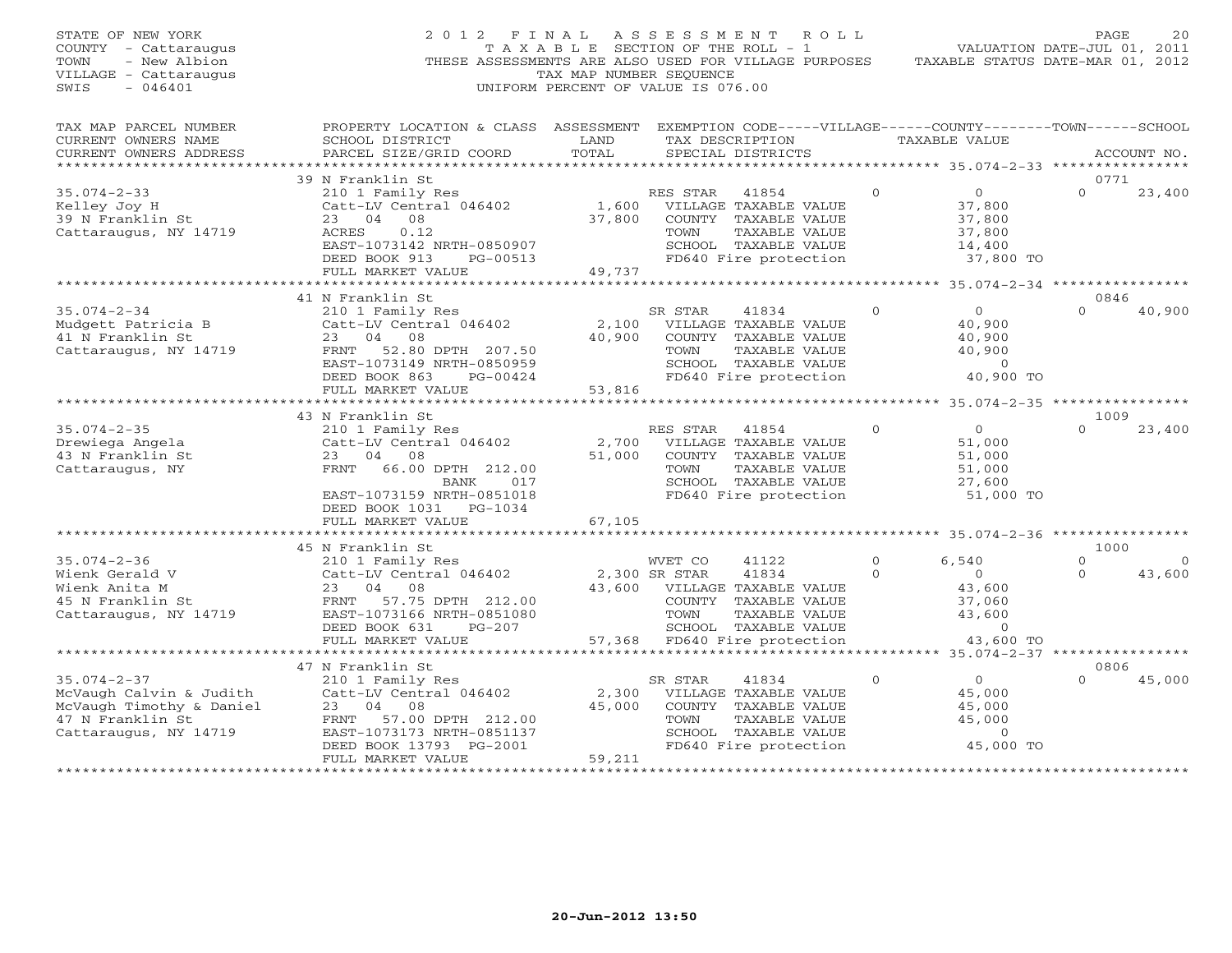| PROPERTY LOCATION & CLASS ASSESSMENT EXEMPTION CODE-----VILLAGE------COUNTY-------TOWN------SCHOOL<br>TAX MAP PARCEL NUMBER<br>CURRENT OWNERS NAME<br>SCHOOL DISTRICT<br>LAND<br>TAX DESCRIPTION<br>TAXABLE VALUE<br>TOTAL<br>CURRENT OWNERS ADDRESS<br>PARCEL SIZE/GRID COORD<br>SPECIAL DISTRICTS<br>ACCOUNT NO.<br>***************<br>0771<br>39 N Franklin St<br>$35.074 - 2 - 33$<br>$\circ$<br>$\Omega$<br>210 1 Family Res<br>RES STAR<br>41854<br>$\Omega$<br>23,400<br>Kelley Joy H<br>Catt-LV Central 046402<br>1,600<br>VILLAGE TAXABLE VALUE<br>37,800<br>37,800<br>COUNTY TAXABLE VALUE<br>37,800<br>39 N Franklin St<br>23 04 08<br>Cattaraugus, NY 14719<br>0.12<br>TAXABLE VALUE<br>37,800<br>ACRES<br>TOWN<br>SCHOOL TAXABLE VALUE<br>EAST-1073142 NRTH-0850907<br>14,400<br>DEED BOOK 913<br>FD640 Fire protection<br>37,800 TO<br>PG-00513<br>49,737<br>FULL MARKET VALUE<br>********* 35.074-2-34 ***************<br>41 N Franklin St<br>0846<br>$35.074 - 2 - 34$<br>$\circ$<br>$\Omega$<br>40,900<br>210 1 Family Res<br>SR STAR<br>41834<br>$\Omega$<br>Mudgett Patricia B<br>Catt-LV Central 046402<br>VILLAGE TAXABLE VALUE<br>40,900<br>2,100<br>41 N Franklin St<br>23 04 08<br>40,900<br>COUNTY TAXABLE VALUE<br>40,900<br>Cattaraugus, NY 14719<br>FRNT 52.80 DPTH 207.50<br>TAXABLE VALUE<br>40,900<br>TOWN<br>EAST-1073149 NRTH-0850959<br>SCHOOL TAXABLE VALUE<br>$\overline{0}$<br>DEED BOOK 863<br>FD640 Fire protection<br>40,900 TO<br>PG-00424<br>FULL MARKET VALUE<br>53,816<br>*******************************<br>43 N Franklin St<br>1009<br>$35.074 - 2 - 35$<br>RES STAR 41854<br>$\Omega$<br>$\overline{0}$<br>$\Omega$<br>23,400<br>210 1 Family Res<br>Drewiega Angela<br>Catt-LV Central 046402<br>2,700<br>VILLAGE TAXABLE VALUE<br>51,000<br>43 N Franklin St<br>23 04 08<br>51,000<br>COUNTY TAXABLE VALUE<br>51,000<br>Cattaraugus, NY<br>FRNT 66.00 DPTH 212.00<br>TOWN<br>TAXABLE VALUE<br>51,000<br>SCHOOL TAXABLE VALUE<br>BANK<br>017<br>27,600<br>EAST-1073159 NRTH-0851018<br>FD640 Fire protection<br>51,000 TO<br>DEED BOOK 1031 PG-1034<br>FULL MARKET VALUE<br>67,105<br>* * * * * * * * * * *<br>********* 35.074-2-36 ***************<br>45 N Franklin St<br>1000<br>$35.074 - 2 - 36$<br>$\Omega$<br>210 1 Family Res<br>WVET CO<br>$\Omega$<br>6,540<br>41122<br>$\Omega$<br>Wienk Gerald V<br>Catt-LV Central 046402<br>2,300 SR STAR<br>41834<br>$\Omega$<br>$\Omega$<br>$\Omega$<br>43,600<br>23<br>04 08<br>43,600<br>Wienk Anita M<br>43,600<br>VILLAGE TAXABLE VALUE<br>45 N Franklin St<br>FRNT 57.75 DPTH 212.00<br>COUNTY TAXABLE VALUE<br>37,060<br>Cattaraugus, NY 14719<br>EAST-1073166 NRTH-0851080<br>TOWN<br><b>TAXABLE VALUE</b><br>43,600<br>DEED BOOK 631<br>SCHOOL TAXABLE VALUE<br>$\overline{0}$<br>$PG-207$<br>FULL MARKET VALUE<br>57,368 FD640 Fire protection<br>43,600 TO<br>************************<br>************************************<br>******** 35.074-2-37 ****************<br>47 N Franklin St<br>0806<br>$\circ$<br>$35.074 - 2 - 37$<br>210 1 Family Res<br>SR STAR<br>$\Omega$<br>45,000<br>41834<br>$\cap$<br>2,300<br>McVaugh Calvin & Judith<br>Catt-LV Central 046402<br>VILLAGE TAXABLE VALUE<br>45,000<br>McVaugh Timothy & Daniel<br>45,000<br>45,000<br>23<br>04<br>08<br>COUNTY TAXABLE VALUE<br>47 N Franklin St<br>57.00 DPTH 212.00<br>TOWN<br>TAXABLE VALUE<br>45,000<br>FRNT<br>Cattaraugus, NY 14719<br>EAST-1073173 NRTH-0851137<br>SCHOOL TAXABLE VALUE<br>$\Omega$<br>FD640 Fire protection<br>45,000 TO<br>DEED BOOK 13793 PG-2001 | STATE OF NEW YORK<br>COUNTY - Cattaraugus<br>TOWN<br>- New Albion<br>VILLAGE - Cattaraugus<br>$-046401$<br>SWIS | 2012 FINAL<br>THESE ASSESSMENTS ARE ALSO USED FOR VILLAGE PURPOSES | T A X A B L E SECTION OF THE ROLL - 1<br>TAX MAP NUMBER SEOUENCE<br>UNIFORM PERCENT OF VALUE IS 076.00 | A S S E S S M E N T | R O L L | VALUATION DATE-JUL 01, 2011<br>TAXABLE STATUS DATE-MAR 01, 2012 | PAGE | 20 |
|-----------------------------------------------------------------------------------------------------------------------------------------------------------------------------------------------------------------------------------------------------------------------------------------------------------------------------------------------------------------------------------------------------------------------------------------------------------------------------------------------------------------------------------------------------------------------------------------------------------------------------------------------------------------------------------------------------------------------------------------------------------------------------------------------------------------------------------------------------------------------------------------------------------------------------------------------------------------------------------------------------------------------------------------------------------------------------------------------------------------------------------------------------------------------------------------------------------------------------------------------------------------------------------------------------------------------------------------------------------------------------------------------------------------------------------------------------------------------------------------------------------------------------------------------------------------------------------------------------------------------------------------------------------------------------------------------------------------------------------------------------------------------------------------------------------------------------------------------------------------------------------------------------------------------------------------------------------------------------------------------------------------------------------------------------------------------------------------------------------------------------------------------------------------------------------------------------------------------------------------------------------------------------------------------------------------------------------------------------------------------------------------------------------------------------------------------------------------------------------------------------------------------------------------------------------------------------------------------------------------------------------------------------------------------------------------------------------------------------------------------------------------------------------------------------------------------------------------------------------------------------------------------------------------------------------------------------------------------------------------------------------------------------------------------------------------------------------------------------------------------------------------------------------------------------------------------------------------------------------------------------------------------------------------------------------------------------------------------------------------------------------------------------------------------------------------------------------------------------------------------------------------------------------------------------------------|-----------------------------------------------------------------------------------------------------------------|--------------------------------------------------------------------|--------------------------------------------------------------------------------------------------------|---------------------|---------|-----------------------------------------------------------------|------|----|
|                                                                                                                                                                                                                                                                                                                                                                                                                                                                                                                                                                                                                                                                                                                                                                                                                                                                                                                                                                                                                                                                                                                                                                                                                                                                                                                                                                                                                                                                                                                                                                                                                                                                                                                                                                                                                                                                                                                                                                                                                                                                                                                                                                                                                                                                                                                                                                                                                                                                                                                                                                                                                                                                                                                                                                                                                                                                                                                                                                                                                                                                                                                                                                                                                                                                                                                                                                                                                                                                                                                                                                 |                                                                                                                 |                                                                    |                                                                                                        |                     |         |                                                                 |      |    |
|                                                                                                                                                                                                                                                                                                                                                                                                                                                                                                                                                                                                                                                                                                                                                                                                                                                                                                                                                                                                                                                                                                                                                                                                                                                                                                                                                                                                                                                                                                                                                                                                                                                                                                                                                                                                                                                                                                                                                                                                                                                                                                                                                                                                                                                                                                                                                                                                                                                                                                                                                                                                                                                                                                                                                                                                                                                                                                                                                                                                                                                                                                                                                                                                                                                                                                                                                                                                                                                                                                                                                                 |                                                                                                                 |                                                                    |                                                                                                        |                     |         |                                                                 |      |    |
|                                                                                                                                                                                                                                                                                                                                                                                                                                                                                                                                                                                                                                                                                                                                                                                                                                                                                                                                                                                                                                                                                                                                                                                                                                                                                                                                                                                                                                                                                                                                                                                                                                                                                                                                                                                                                                                                                                                                                                                                                                                                                                                                                                                                                                                                                                                                                                                                                                                                                                                                                                                                                                                                                                                                                                                                                                                                                                                                                                                                                                                                                                                                                                                                                                                                                                                                                                                                                                                                                                                                                                 |                                                                                                                 |                                                                    |                                                                                                        |                     |         |                                                                 |      |    |
|                                                                                                                                                                                                                                                                                                                                                                                                                                                                                                                                                                                                                                                                                                                                                                                                                                                                                                                                                                                                                                                                                                                                                                                                                                                                                                                                                                                                                                                                                                                                                                                                                                                                                                                                                                                                                                                                                                                                                                                                                                                                                                                                                                                                                                                                                                                                                                                                                                                                                                                                                                                                                                                                                                                                                                                                                                                                                                                                                                                                                                                                                                                                                                                                                                                                                                                                                                                                                                                                                                                                                                 |                                                                                                                 |                                                                    |                                                                                                        |                     |         |                                                                 |      |    |
|                                                                                                                                                                                                                                                                                                                                                                                                                                                                                                                                                                                                                                                                                                                                                                                                                                                                                                                                                                                                                                                                                                                                                                                                                                                                                                                                                                                                                                                                                                                                                                                                                                                                                                                                                                                                                                                                                                                                                                                                                                                                                                                                                                                                                                                                                                                                                                                                                                                                                                                                                                                                                                                                                                                                                                                                                                                                                                                                                                                                                                                                                                                                                                                                                                                                                                                                                                                                                                                                                                                                                                 |                                                                                                                 |                                                                    |                                                                                                        |                     |         |                                                                 |      |    |
|                                                                                                                                                                                                                                                                                                                                                                                                                                                                                                                                                                                                                                                                                                                                                                                                                                                                                                                                                                                                                                                                                                                                                                                                                                                                                                                                                                                                                                                                                                                                                                                                                                                                                                                                                                                                                                                                                                                                                                                                                                                                                                                                                                                                                                                                                                                                                                                                                                                                                                                                                                                                                                                                                                                                                                                                                                                                                                                                                                                                                                                                                                                                                                                                                                                                                                                                                                                                                                                                                                                                                                 |                                                                                                                 |                                                                    |                                                                                                        |                     |         |                                                                 |      |    |
|                                                                                                                                                                                                                                                                                                                                                                                                                                                                                                                                                                                                                                                                                                                                                                                                                                                                                                                                                                                                                                                                                                                                                                                                                                                                                                                                                                                                                                                                                                                                                                                                                                                                                                                                                                                                                                                                                                                                                                                                                                                                                                                                                                                                                                                                                                                                                                                                                                                                                                                                                                                                                                                                                                                                                                                                                                                                                                                                                                                                                                                                                                                                                                                                                                                                                                                                                                                                                                                                                                                                                                 |                                                                                                                 |                                                                    |                                                                                                        |                     |         |                                                                 |      |    |
|                                                                                                                                                                                                                                                                                                                                                                                                                                                                                                                                                                                                                                                                                                                                                                                                                                                                                                                                                                                                                                                                                                                                                                                                                                                                                                                                                                                                                                                                                                                                                                                                                                                                                                                                                                                                                                                                                                                                                                                                                                                                                                                                                                                                                                                                                                                                                                                                                                                                                                                                                                                                                                                                                                                                                                                                                                                                                                                                                                                                                                                                                                                                                                                                                                                                                                                                                                                                                                                                                                                                                                 |                                                                                                                 |                                                                    |                                                                                                        |                     |         |                                                                 |      |    |
|                                                                                                                                                                                                                                                                                                                                                                                                                                                                                                                                                                                                                                                                                                                                                                                                                                                                                                                                                                                                                                                                                                                                                                                                                                                                                                                                                                                                                                                                                                                                                                                                                                                                                                                                                                                                                                                                                                                                                                                                                                                                                                                                                                                                                                                                                                                                                                                                                                                                                                                                                                                                                                                                                                                                                                                                                                                                                                                                                                                                                                                                                                                                                                                                                                                                                                                                                                                                                                                                                                                                                                 |                                                                                                                 |                                                                    |                                                                                                        |                     |         |                                                                 |      |    |
|                                                                                                                                                                                                                                                                                                                                                                                                                                                                                                                                                                                                                                                                                                                                                                                                                                                                                                                                                                                                                                                                                                                                                                                                                                                                                                                                                                                                                                                                                                                                                                                                                                                                                                                                                                                                                                                                                                                                                                                                                                                                                                                                                                                                                                                                                                                                                                                                                                                                                                                                                                                                                                                                                                                                                                                                                                                                                                                                                                                                                                                                                                                                                                                                                                                                                                                                                                                                                                                                                                                                                                 |                                                                                                                 |                                                                    |                                                                                                        |                     |         |                                                                 |      |    |
|                                                                                                                                                                                                                                                                                                                                                                                                                                                                                                                                                                                                                                                                                                                                                                                                                                                                                                                                                                                                                                                                                                                                                                                                                                                                                                                                                                                                                                                                                                                                                                                                                                                                                                                                                                                                                                                                                                                                                                                                                                                                                                                                                                                                                                                                                                                                                                                                                                                                                                                                                                                                                                                                                                                                                                                                                                                                                                                                                                                                                                                                                                                                                                                                                                                                                                                                                                                                                                                                                                                                                                 |                                                                                                                 |                                                                    |                                                                                                        |                     |         |                                                                 |      |    |
|                                                                                                                                                                                                                                                                                                                                                                                                                                                                                                                                                                                                                                                                                                                                                                                                                                                                                                                                                                                                                                                                                                                                                                                                                                                                                                                                                                                                                                                                                                                                                                                                                                                                                                                                                                                                                                                                                                                                                                                                                                                                                                                                                                                                                                                                                                                                                                                                                                                                                                                                                                                                                                                                                                                                                                                                                                                                                                                                                                                                                                                                                                                                                                                                                                                                                                                                                                                                                                                                                                                                                                 |                                                                                                                 |                                                                    |                                                                                                        |                     |         |                                                                 |      |    |
|                                                                                                                                                                                                                                                                                                                                                                                                                                                                                                                                                                                                                                                                                                                                                                                                                                                                                                                                                                                                                                                                                                                                                                                                                                                                                                                                                                                                                                                                                                                                                                                                                                                                                                                                                                                                                                                                                                                                                                                                                                                                                                                                                                                                                                                                                                                                                                                                                                                                                                                                                                                                                                                                                                                                                                                                                                                                                                                                                                                                                                                                                                                                                                                                                                                                                                                                                                                                                                                                                                                                                                 |                                                                                                                 |                                                                    |                                                                                                        |                     |         |                                                                 |      |    |
|                                                                                                                                                                                                                                                                                                                                                                                                                                                                                                                                                                                                                                                                                                                                                                                                                                                                                                                                                                                                                                                                                                                                                                                                                                                                                                                                                                                                                                                                                                                                                                                                                                                                                                                                                                                                                                                                                                                                                                                                                                                                                                                                                                                                                                                                                                                                                                                                                                                                                                                                                                                                                                                                                                                                                                                                                                                                                                                                                                                                                                                                                                                                                                                                                                                                                                                                                                                                                                                                                                                                                                 |                                                                                                                 |                                                                    |                                                                                                        |                     |         |                                                                 |      |    |
|                                                                                                                                                                                                                                                                                                                                                                                                                                                                                                                                                                                                                                                                                                                                                                                                                                                                                                                                                                                                                                                                                                                                                                                                                                                                                                                                                                                                                                                                                                                                                                                                                                                                                                                                                                                                                                                                                                                                                                                                                                                                                                                                                                                                                                                                                                                                                                                                                                                                                                                                                                                                                                                                                                                                                                                                                                                                                                                                                                                                                                                                                                                                                                                                                                                                                                                                                                                                                                                                                                                                                                 |                                                                                                                 |                                                                    |                                                                                                        |                     |         |                                                                 |      |    |
|                                                                                                                                                                                                                                                                                                                                                                                                                                                                                                                                                                                                                                                                                                                                                                                                                                                                                                                                                                                                                                                                                                                                                                                                                                                                                                                                                                                                                                                                                                                                                                                                                                                                                                                                                                                                                                                                                                                                                                                                                                                                                                                                                                                                                                                                                                                                                                                                                                                                                                                                                                                                                                                                                                                                                                                                                                                                                                                                                                                                                                                                                                                                                                                                                                                                                                                                                                                                                                                                                                                                                                 |                                                                                                                 |                                                                    |                                                                                                        |                     |         |                                                                 |      |    |
|                                                                                                                                                                                                                                                                                                                                                                                                                                                                                                                                                                                                                                                                                                                                                                                                                                                                                                                                                                                                                                                                                                                                                                                                                                                                                                                                                                                                                                                                                                                                                                                                                                                                                                                                                                                                                                                                                                                                                                                                                                                                                                                                                                                                                                                                                                                                                                                                                                                                                                                                                                                                                                                                                                                                                                                                                                                                                                                                                                                                                                                                                                                                                                                                                                                                                                                                                                                                                                                                                                                                                                 |                                                                                                                 |                                                                    |                                                                                                        |                     |         |                                                                 |      |    |
|                                                                                                                                                                                                                                                                                                                                                                                                                                                                                                                                                                                                                                                                                                                                                                                                                                                                                                                                                                                                                                                                                                                                                                                                                                                                                                                                                                                                                                                                                                                                                                                                                                                                                                                                                                                                                                                                                                                                                                                                                                                                                                                                                                                                                                                                                                                                                                                                                                                                                                                                                                                                                                                                                                                                                                                                                                                                                                                                                                                                                                                                                                                                                                                                                                                                                                                                                                                                                                                                                                                                                                 |                                                                                                                 |                                                                    |                                                                                                        |                     |         |                                                                 |      |    |
|                                                                                                                                                                                                                                                                                                                                                                                                                                                                                                                                                                                                                                                                                                                                                                                                                                                                                                                                                                                                                                                                                                                                                                                                                                                                                                                                                                                                                                                                                                                                                                                                                                                                                                                                                                                                                                                                                                                                                                                                                                                                                                                                                                                                                                                                                                                                                                                                                                                                                                                                                                                                                                                                                                                                                                                                                                                                                                                                                                                                                                                                                                                                                                                                                                                                                                                                                                                                                                                                                                                                                                 |                                                                                                                 |                                                                    |                                                                                                        |                     |         |                                                                 |      |    |
|                                                                                                                                                                                                                                                                                                                                                                                                                                                                                                                                                                                                                                                                                                                                                                                                                                                                                                                                                                                                                                                                                                                                                                                                                                                                                                                                                                                                                                                                                                                                                                                                                                                                                                                                                                                                                                                                                                                                                                                                                                                                                                                                                                                                                                                                                                                                                                                                                                                                                                                                                                                                                                                                                                                                                                                                                                                                                                                                                                                                                                                                                                                                                                                                                                                                                                                                                                                                                                                                                                                                                                 |                                                                                                                 |                                                                    |                                                                                                        |                     |         |                                                                 |      |    |
|                                                                                                                                                                                                                                                                                                                                                                                                                                                                                                                                                                                                                                                                                                                                                                                                                                                                                                                                                                                                                                                                                                                                                                                                                                                                                                                                                                                                                                                                                                                                                                                                                                                                                                                                                                                                                                                                                                                                                                                                                                                                                                                                                                                                                                                                                                                                                                                                                                                                                                                                                                                                                                                                                                                                                                                                                                                                                                                                                                                                                                                                                                                                                                                                                                                                                                                                                                                                                                                                                                                                                                 |                                                                                                                 |                                                                    |                                                                                                        |                     |         |                                                                 |      |    |
|                                                                                                                                                                                                                                                                                                                                                                                                                                                                                                                                                                                                                                                                                                                                                                                                                                                                                                                                                                                                                                                                                                                                                                                                                                                                                                                                                                                                                                                                                                                                                                                                                                                                                                                                                                                                                                                                                                                                                                                                                                                                                                                                                                                                                                                                                                                                                                                                                                                                                                                                                                                                                                                                                                                                                                                                                                                                                                                                                                                                                                                                                                                                                                                                                                                                                                                                                                                                                                                                                                                                                                 |                                                                                                                 |                                                                    |                                                                                                        |                     |         |                                                                 |      |    |
|                                                                                                                                                                                                                                                                                                                                                                                                                                                                                                                                                                                                                                                                                                                                                                                                                                                                                                                                                                                                                                                                                                                                                                                                                                                                                                                                                                                                                                                                                                                                                                                                                                                                                                                                                                                                                                                                                                                                                                                                                                                                                                                                                                                                                                                                                                                                                                                                                                                                                                                                                                                                                                                                                                                                                                                                                                                                                                                                                                                                                                                                                                                                                                                                                                                                                                                                                                                                                                                                                                                                                                 |                                                                                                                 |                                                                    |                                                                                                        |                     |         |                                                                 |      |    |
|                                                                                                                                                                                                                                                                                                                                                                                                                                                                                                                                                                                                                                                                                                                                                                                                                                                                                                                                                                                                                                                                                                                                                                                                                                                                                                                                                                                                                                                                                                                                                                                                                                                                                                                                                                                                                                                                                                                                                                                                                                                                                                                                                                                                                                                                                                                                                                                                                                                                                                                                                                                                                                                                                                                                                                                                                                                                                                                                                                                                                                                                                                                                                                                                                                                                                                                                                                                                                                                                                                                                                                 |                                                                                                                 |                                                                    |                                                                                                        |                     |         |                                                                 |      |    |
|                                                                                                                                                                                                                                                                                                                                                                                                                                                                                                                                                                                                                                                                                                                                                                                                                                                                                                                                                                                                                                                                                                                                                                                                                                                                                                                                                                                                                                                                                                                                                                                                                                                                                                                                                                                                                                                                                                                                                                                                                                                                                                                                                                                                                                                                                                                                                                                                                                                                                                                                                                                                                                                                                                                                                                                                                                                                                                                                                                                                                                                                                                                                                                                                                                                                                                                                                                                                                                                                                                                                                                 |                                                                                                                 |                                                                    |                                                                                                        |                     |         |                                                                 |      |    |
|                                                                                                                                                                                                                                                                                                                                                                                                                                                                                                                                                                                                                                                                                                                                                                                                                                                                                                                                                                                                                                                                                                                                                                                                                                                                                                                                                                                                                                                                                                                                                                                                                                                                                                                                                                                                                                                                                                                                                                                                                                                                                                                                                                                                                                                                                                                                                                                                                                                                                                                                                                                                                                                                                                                                                                                                                                                                                                                                                                                                                                                                                                                                                                                                                                                                                                                                                                                                                                                                                                                                                                 |                                                                                                                 |                                                                    |                                                                                                        |                     |         |                                                                 |      |    |
|                                                                                                                                                                                                                                                                                                                                                                                                                                                                                                                                                                                                                                                                                                                                                                                                                                                                                                                                                                                                                                                                                                                                                                                                                                                                                                                                                                                                                                                                                                                                                                                                                                                                                                                                                                                                                                                                                                                                                                                                                                                                                                                                                                                                                                                                                                                                                                                                                                                                                                                                                                                                                                                                                                                                                                                                                                                                                                                                                                                                                                                                                                                                                                                                                                                                                                                                                                                                                                                                                                                                                                 |                                                                                                                 |                                                                    |                                                                                                        |                     |         |                                                                 |      |    |
|                                                                                                                                                                                                                                                                                                                                                                                                                                                                                                                                                                                                                                                                                                                                                                                                                                                                                                                                                                                                                                                                                                                                                                                                                                                                                                                                                                                                                                                                                                                                                                                                                                                                                                                                                                                                                                                                                                                                                                                                                                                                                                                                                                                                                                                                                                                                                                                                                                                                                                                                                                                                                                                                                                                                                                                                                                                                                                                                                                                                                                                                                                                                                                                                                                                                                                                                                                                                                                                                                                                                                                 |                                                                                                                 |                                                                    |                                                                                                        |                     |         |                                                                 |      |    |
|                                                                                                                                                                                                                                                                                                                                                                                                                                                                                                                                                                                                                                                                                                                                                                                                                                                                                                                                                                                                                                                                                                                                                                                                                                                                                                                                                                                                                                                                                                                                                                                                                                                                                                                                                                                                                                                                                                                                                                                                                                                                                                                                                                                                                                                                                                                                                                                                                                                                                                                                                                                                                                                                                                                                                                                                                                                                                                                                                                                                                                                                                                                                                                                                                                                                                                                                                                                                                                                                                                                                                                 |                                                                                                                 |                                                                    |                                                                                                        |                     |         |                                                                 |      |    |
|                                                                                                                                                                                                                                                                                                                                                                                                                                                                                                                                                                                                                                                                                                                                                                                                                                                                                                                                                                                                                                                                                                                                                                                                                                                                                                                                                                                                                                                                                                                                                                                                                                                                                                                                                                                                                                                                                                                                                                                                                                                                                                                                                                                                                                                                                                                                                                                                                                                                                                                                                                                                                                                                                                                                                                                                                                                                                                                                                                                                                                                                                                                                                                                                                                                                                                                                                                                                                                                                                                                                                                 |                                                                                                                 |                                                                    |                                                                                                        |                     |         |                                                                 |      |    |
|                                                                                                                                                                                                                                                                                                                                                                                                                                                                                                                                                                                                                                                                                                                                                                                                                                                                                                                                                                                                                                                                                                                                                                                                                                                                                                                                                                                                                                                                                                                                                                                                                                                                                                                                                                                                                                                                                                                                                                                                                                                                                                                                                                                                                                                                                                                                                                                                                                                                                                                                                                                                                                                                                                                                                                                                                                                                                                                                                                                                                                                                                                                                                                                                                                                                                                                                                                                                                                                                                                                                                                 |                                                                                                                 |                                                                    |                                                                                                        |                     |         |                                                                 |      |    |
|                                                                                                                                                                                                                                                                                                                                                                                                                                                                                                                                                                                                                                                                                                                                                                                                                                                                                                                                                                                                                                                                                                                                                                                                                                                                                                                                                                                                                                                                                                                                                                                                                                                                                                                                                                                                                                                                                                                                                                                                                                                                                                                                                                                                                                                                                                                                                                                                                                                                                                                                                                                                                                                                                                                                                                                                                                                                                                                                                                                                                                                                                                                                                                                                                                                                                                                                                                                                                                                                                                                                                                 |                                                                                                                 |                                                                    |                                                                                                        |                     |         |                                                                 |      |    |
|                                                                                                                                                                                                                                                                                                                                                                                                                                                                                                                                                                                                                                                                                                                                                                                                                                                                                                                                                                                                                                                                                                                                                                                                                                                                                                                                                                                                                                                                                                                                                                                                                                                                                                                                                                                                                                                                                                                                                                                                                                                                                                                                                                                                                                                                                                                                                                                                                                                                                                                                                                                                                                                                                                                                                                                                                                                                                                                                                                                                                                                                                                                                                                                                                                                                                                                                                                                                                                                                                                                                                                 |                                                                                                                 |                                                                    |                                                                                                        |                     |         |                                                                 |      |    |
|                                                                                                                                                                                                                                                                                                                                                                                                                                                                                                                                                                                                                                                                                                                                                                                                                                                                                                                                                                                                                                                                                                                                                                                                                                                                                                                                                                                                                                                                                                                                                                                                                                                                                                                                                                                                                                                                                                                                                                                                                                                                                                                                                                                                                                                                                                                                                                                                                                                                                                                                                                                                                                                                                                                                                                                                                                                                                                                                                                                                                                                                                                                                                                                                                                                                                                                                                                                                                                                                                                                                                                 |                                                                                                                 |                                                                    |                                                                                                        |                     |         |                                                                 |      |    |
|                                                                                                                                                                                                                                                                                                                                                                                                                                                                                                                                                                                                                                                                                                                                                                                                                                                                                                                                                                                                                                                                                                                                                                                                                                                                                                                                                                                                                                                                                                                                                                                                                                                                                                                                                                                                                                                                                                                                                                                                                                                                                                                                                                                                                                                                                                                                                                                                                                                                                                                                                                                                                                                                                                                                                                                                                                                                                                                                                                                                                                                                                                                                                                                                                                                                                                                                                                                                                                                                                                                                                                 |                                                                                                                 |                                                                    |                                                                                                        |                     |         |                                                                 |      |    |
|                                                                                                                                                                                                                                                                                                                                                                                                                                                                                                                                                                                                                                                                                                                                                                                                                                                                                                                                                                                                                                                                                                                                                                                                                                                                                                                                                                                                                                                                                                                                                                                                                                                                                                                                                                                                                                                                                                                                                                                                                                                                                                                                                                                                                                                                                                                                                                                                                                                                                                                                                                                                                                                                                                                                                                                                                                                                                                                                                                                                                                                                                                                                                                                                                                                                                                                                                                                                                                                                                                                                                                 |                                                                                                                 |                                                                    |                                                                                                        |                     |         |                                                                 |      |    |
|                                                                                                                                                                                                                                                                                                                                                                                                                                                                                                                                                                                                                                                                                                                                                                                                                                                                                                                                                                                                                                                                                                                                                                                                                                                                                                                                                                                                                                                                                                                                                                                                                                                                                                                                                                                                                                                                                                                                                                                                                                                                                                                                                                                                                                                                                                                                                                                                                                                                                                                                                                                                                                                                                                                                                                                                                                                                                                                                                                                                                                                                                                                                                                                                                                                                                                                                                                                                                                                                                                                                                                 |                                                                                                                 |                                                                    |                                                                                                        |                     |         |                                                                 |      |    |
|                                                                                                                                                                                                                                                                                                                                                                                                                                                                                                                                                                                                                                                                                                                                                                                                                                                                                                                                                                                                                                                                                                                                                                                                                                                                                                                                                                                                                                                                                                                                                                                                                                                                                                                                                                                                                                                                                                                                                                                                                                                                                                                                                                                                                                                                                                                                                                                                                                                                                                                                                                                                                                                                                                                                                                                                                                                                                                                                                                                                                                                                                                                                                                                                                                                                                                                                                                                                                                                                                                                                                                 |                                                                                                                 |                                                                    |                                                                                                        |                     |         |                                                                 |      |    |
|                                                                                                                                                                                                                                                                                                                                                                                                                                                                                                                                                                                                                                                                                                                                                                                                                                                                                                                                                                                                                                                                                                                                                                                                                                                                                                                                                                                                                                                                                                                                                                                                                                                                                                                                                                                                                                                                                                                                                                                                                                                                                                                                                                                                                                                                                                                                                                                                                                                                                                                                                                                                                                                                                                                                                                                                                                                                                                                                                                                                                                                                                                                                                                                                                                                                                                                                                                                                                                                                                                                                                                 |                                                                                                                 |                                                                    |                                                                                                        |                     |         |                                                                 |      |    |
|                                                                                                                                                                                                                                                                                                                                                                                                                                                                                                                                                                                                                                                                                                                                                                                                                                                                                                                                                                                                                                                                                                                                                                                                                                                                                                                                                                                                                                                                                                                                                                                                                                                                                                                                                                                                                                                                                                                                                                                                                                                                                                                                                                                                                                                                                                                                                                                                                                                                                                                                                                                                                                                                                                                                                                                                                                                                                                                                                                                                                                                                                                                                                                                                                                                                                                                                                                                                                                                                                                                                                                 |                                                                                                                 |                                                                    |                                                                                                        |                     |         |                                                                 |      |    |
|                                                                                                                                                                                                                                                                                                                                                                                                                                                                                                                                                                                                                                                                                                                                                                                                                                                                                                                                                                                                                                                                                                                                                                                                                                                                                                                                                                                                                                                                                                                                                                                                                                                                                                                                                                                                                                                                                                                                                                                                                                                                                                                                                                                                                                                                                                                                                                                                                                                                                                                                                                                                                                                                                                                                                                                                                                                                                                                                                                                                                                                                                                                                                                                                                                                                                                                                                                                                                                                                                                                                                                 |                                                                                                                 |                                                                    |                                                                                                        |                     |         |                                                                 |      |    |
| <b>++++++++++++</b>                                                                                                                                                                                                                                                                                                                                                                                                                                                                                                                                                                                                                                                                                                                                                                                                                                                                                                                                                                                                                                                                                                                                                                                                                                                                                                                                                                                                                                                                                                                                                                                                                                                                                                                                                                                                                                                                                                                                                                                                                                                                                                                                                                                                                                                                                                                                                                                                                                                                                                                                                                                                                                                                                                                                                                                                                                                                                                                                                                                                                                                                                                                                                                                                                                                                                                                                                                                                                                                                                                                                             |                                                                                                                 | FULL MARKET VALUE                                                  | 59,211                                                                                                 |                     |         |                                                                 |      |    |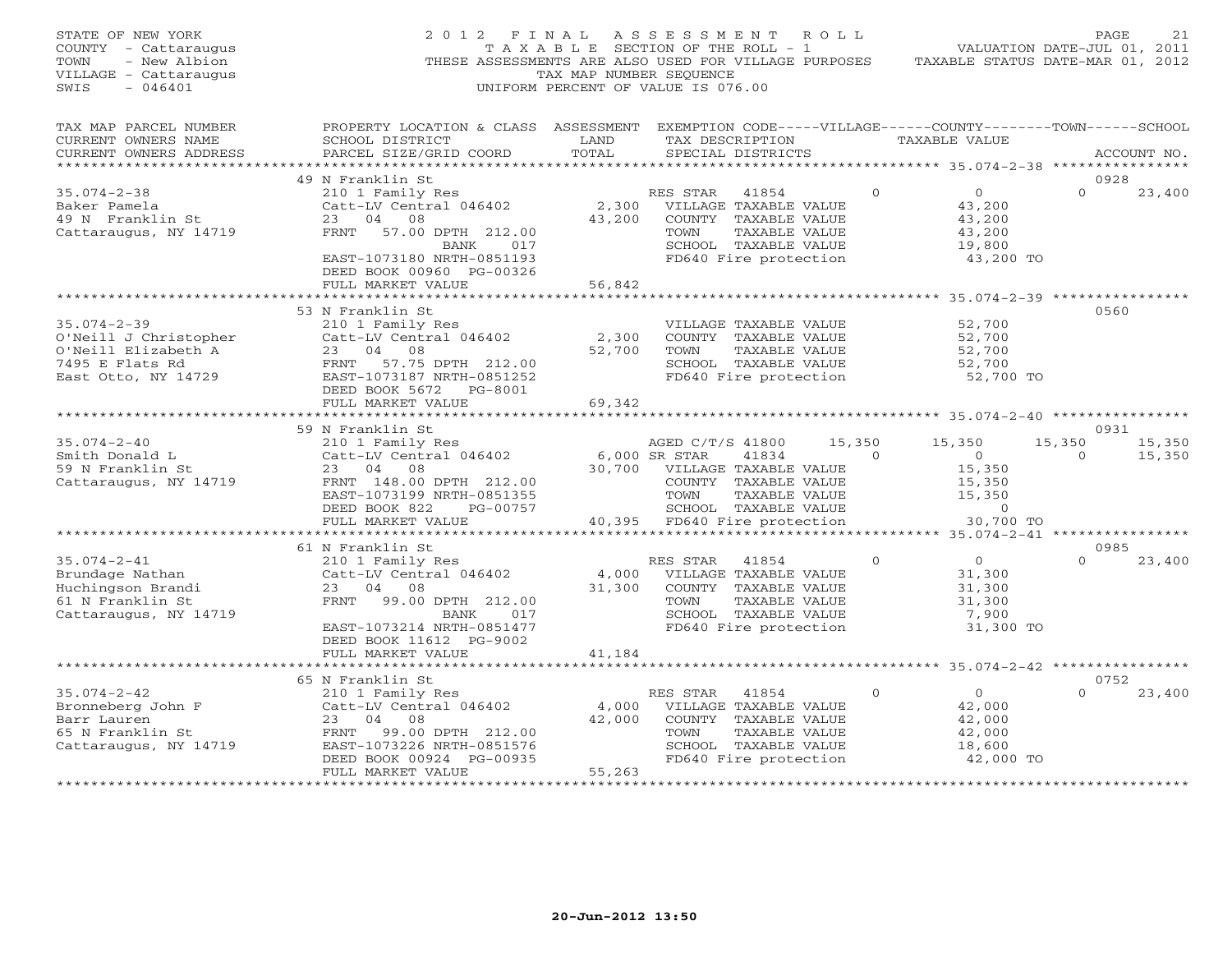| STATE OF NEW YORK<br>COUNTY - Cattaraugus<br>- New Albion<br>TOWN<br>VILLAGE - Cattaraugus<br>$-046401$<br>SWIS | 2012 FINAL<br>THESE ASSESSMENTS ARE ALSO USED FOR VILLAGE PURPOSES                                                                                              | T A X A B L E SECTION OF THE ROLL - 1<br>TAX MAP NUMBER SEQUENCE<br>UNIFORM PERCENT OF VALUE IS 076.00 | A S S E S S M E N T                                                       |                                                                                                                          | R O L L |          | VALUATION DATE-JUL 01, 2011<br>TAXABLE STATUS DATE-MAR 01, 2012          |                    | PAGE<br>2.1              |
|-----------------------------------------------------------------------------------------------------------------|-----------------------------------------------------------------------------------------------------------------------------------------------------------------|--------------------------------------------------------------------------------------------------------|---------------------------------------------------------------------------|--------------------------------------------------------------------------------------------------------------------------|---------|----------|--------------------------------------------------------------------------|--------------------|--------------------------|
| TAX MAP PARCEL NUMBER<br>CURRENT OWNERS NAME<br>CURRENT OWNERS ADDRESS<br>***************                       | PROPERTY LOCATION & CLASS ASSESSMENT EXEMPTION CODE-----VILLAGE------COUNTY-------TOWN------SCHOOL<br>SCHOOL DISTRICT<br>PARCEL SIZE/GRID COORD                 | LAND<br>TOTAL<br>**************                                                                        |                                                                           | TAX DESCRIPTION<br>SPECIAL DISTRICTS                                                                                     |         |          | TAXABLE VALUE<br>****************** 35.074-2-38 ****************         |                    | ACCOUNT NO.              |
|                                                                                                                 | 49 N Franklin St                                                                                                                                                |                                                                                                        |                                                                           |                                                                                                                          |         |          |                                                                          |                    | 0928                     |
| $35.074 - 2 - 38$<br>Baker Pamela<br>49 N Franklin St<br>Cattaraugus, NY 14719                                  | 210 1 Family Res<br>Catt-LV Central 046402<br>23 04 08<br>57.00 DPTH 212.00<br>FRNT                                                                             | 2,300<br>43,200                                                                                        | RES STAR 41854<br>TOWN                                                    | VILLAGE TAXABLE VALUE<br>COUNTY TAXABLE VALUE<br>TAXABLE VALUE                                                           |         | $\Omega$ | $\overline{0}$<br>43,200<br>43,200<br>43,200                             | $\Omega$           | 23,400                   |
|                                                                                                                 | 017<br>BANK<br>EAST-1073180 NRTH-0851193<br>DEED BOOK 00960 PG-00326<br>FULL MARKET VALUE                                                                       | 56,842                                                                                                 |                                                                           | SCHOOL TAXABLE VALUE<br>FD640 Fire protection                                                                            |         |          | 19,800<br>43,200 TO                                                      |                    |                          |
|                                                                                                                 |                                                                                                                                                                 |                                                                                                        |                                                                           |                                                                                                                          |         |          |                                                                          |                    |                          |
| $35.074 - 2 - 39$<br>O'Neill J Christopher<br>O'Neill Elizabeth A<br>7495 E Flats Rd<br>East Otto, NY 14729     | 53 N Franklin St<br>210 1 Family Res<br>Catt-LV Central 046402<br>23 04 08<br>FRNT 57.75 DPTH 212.00<br>EAST-1073187 NRTH-0851252<br>DEED BOOK 5672<br>PG-8001  | 2,300<br>52,700                                                                                        | TOWN                                                                      | VILLAGE TAXABLE VALUE<br>COUNTY TAXABLE VALUE<br>TAXABLE VALUE<br>SCHOOL TAXABLE VALUE<br>FD640 Fire protection          |         |          | 52,700<br>52,700<br>52,700<br>52,700<br>52,700 TO                        |                    | 0560                     |
|                                                                                                                 | FULL MARKET VALUE                                                                                                                                               | 69,342                                                                                                 |                                                                           |                                                                                                                          |         |          |                                                                          |                    |                          |
|                                                                                                                 | * * * * * * * * * * * * * * * * * * * *                                                                                                                         |                                                                                                        |                                                                           |                                                                                                                          |         |          | ************************ 35.074-2-40 **********                          |                    |                          |
| $35.074 - 2 - 40$<br>Smith Donald L<br>59 N Franklin St<br>Cattaraugus, NY 14719                                | 59 N Franklin St<br>210 1 Family Res<br>Catt-LV Central 046402<br>23 04 08<br>FRNT 148.00 DPTH 212.00<br>EAST-1073199 NRTH-0851355<br>DEED BOOK 822<br>PG-00757 |                                                                                                        | AGED C/T/S 41800<br>6,000 SR STAR<br>30,700 VILLAGE TAXABLE VALUE<br>TOWN | 41834<br>COUNTY TAXABLE VALUE<br>TAXABLE VALUE<br>SCHOOL TAXABLE VALUE                                                   | 15,350  | $\Omega$ | 15,350<br>$\overline{0}$<br>15,350<br>15,350<br>15,350<br>$\overline{0}$ | 15,350<br>$\Omega$ | 0931<br>15,350<br>15,350 |
|                                                                                                                 | FULL MARKET VALUE                                                                                                                                               | 40,395                                                                                                 |                                                                           | FD640 Fire protection                                                                                                    |         |          | 30,700 TO                                                                |                    |                          |
|                                                                                                                 |                                                                                                                                                                 |                                                                                                        |                                                                           |                                                                                                                          |         |          | ************* 35.074-2-41 *****************                              |                    |                          |
|                                                                                                                 | 61 N Franklin St                                                                                                                                                |                                                                                                        |                                                                           |                                                                                                                          |         |          |                                                                          |                    | 0985                     |
| $35.074 - 2 - 41$                                                                                               | 210 1 Family Res                                                                                                                                                |                                                                                                        | RES STAR                                                                  | 41854                                                                                                                    |         | $\Omega$ | $\overline{0}$                                                           | $\Omega$           | 23,400                   |
| Brundage Nathan<br>Huchingson Brandi<br>61 N Franklin St<br>Cattaraugus, NY 14719                               | Catt-LV Central 046402<br>23 04 08<br>FRNT<br>99.00 DPTH 212.00<br>017<br>BANK<br>EAST-1073214 NRTH-0851477<br>DEED BOOK 11612 PG-9002                          | 4,000<br>31,300                                                                                        | TOWN                                                                      | VILLAGE TAXABLE VALUE<br>COUNTY TAXABLE VALUE<br>TAXABLE VALUE<br>SCHOOL TAXABLE VALUE<br>FD640 Fire protection          |         |          | 31,300<br>31,300<br>31,300<br>7,900<br>31,300 TO                         |                    |                          |
|                                                                                                                 | FULL MARKET VALUE                                                                                                                                               | 41,184                                                                                                 |                                                                           |                                                                                                                          |         |          |                                                                          |                    |                          |
|                                                                                                                 |                                                                                                                                                                 |                                                                                                        |                                                                           |                                                                                                                          |         |          | ********* 35.074-2-42 ****************                                   |                    |                          |
| $35.074 - 2 - 42$<br>Bronneberg John F<br>Barr Lauren<br>65 N Franklin St<br>Cattaraugus, NY 14719              | 65 N Franklin St<br>210 1 Family Res<br>Catt-LV Central 046402<br>23 04 08<br>FRNT 99.00 DPTH 212.00<br>EAST-1073226 NRTH-0851576<br>DEED BOOK 00924 PG-00935   | 4,000<br>42,000                                                                                        | RES STAR<br>TOWN                                                          | 41854<br>VILLAGE TAXABLE VALUE<br>COUNTY TAXABLE VALUE<br>TAXABLE VALUE<br>SCHOOL TAXABLE VALUE<br>FD640 Fire protection |         | $\Omega$ | $\circ$<br>42,000<br>42,000<br>42,000<br>18,600<br>42,000 TO             | $\Omega$           | 0752<br>23,400           |
| *******************                                                                                             | FULL MARKET VALUE<br>*******************                                                                                                                        | 55,263<br>****************                                                                             |                                                                           |                                                                                                                          |         |          |                                                                          |                    |                          |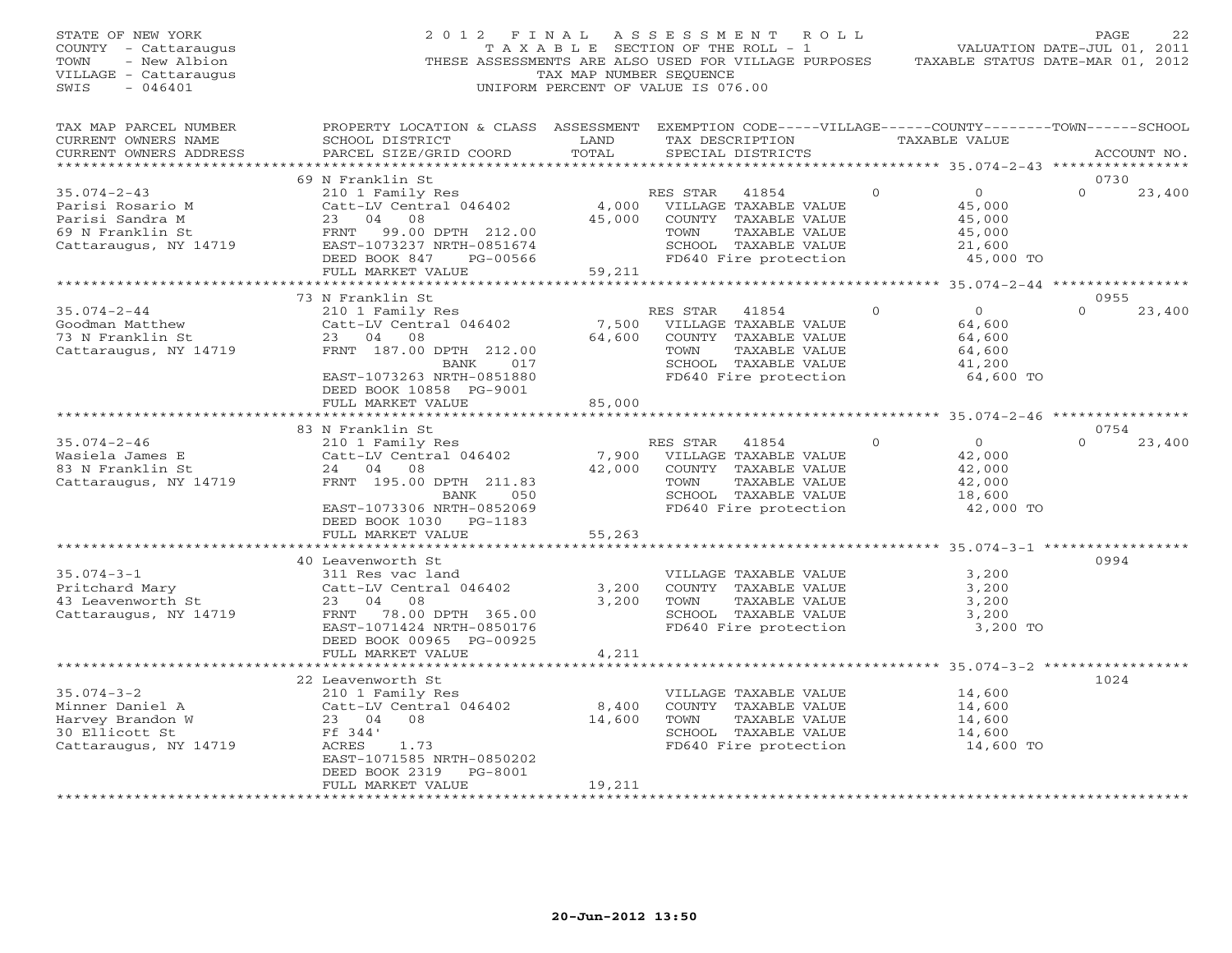| STATE OF NEW YORK<br>COUNTY - Cattaraugus<br>- New Albion<br>TOWN<br>VILLAGE - Cattaraugus<br>SWIS<br>$-046401$ | 2012 FINAL<br>THESE ASSESSMENTS ARE ALSO USED FOR VILLAGE PURPOSES                                                                              | T A X A B L E SECTION OF THE ROLL - 1<br>TAX MAP NUMBER SEQUENCE<br>UNIFORM PERCENT OF VALUE IS 076.00 | ASSESSMENT |                                               | ROLL         | TAXABLE STATUS DATE-MAR 01, 2012           | PAGE<br>VALUATION DATE-JUL 01, 2011 | 22          |
|-----------------------------------------------------------------------------------------------------------------|-------------------------------------------------------------------------------------------------------------------------------------------------|--------------------------------------------------------------------------------------------------------|------------|-----------------------------------------------|--------------|--------------------------------------------|-------------------------------------|-------------|
| TAX MAP PARCEL NUMBER<br>CURRENT OWNERS NAME<br>CURRENT OWNERS ADDRESS                                          | PROPERTY LOCATION & CLASS ASSESSMENT EXEMPTION CODE-----VILLAGE------COUNTY-------TOWN------SCHOOL<br>SCHOOL DISTRICT<br>PARCEL SIZE/GRID COORD | LAND<br>TOTAL                                                                                          |            | TAX DESCRIPTION<br>SPECIAL DISTRICTS          |              | <b>TAXABLE VALUE</b>                       |                                     | ACCOUNT NO. |
|                                                                                                                 |                                                                                                                                                 |                                                                                                        |            |                                               |              | ************ 35.074-2-43 ***************** |                                     |             |
|                                                                                                                 | 69 N Franklin St                                                                                                                                |                                                                                                        |            |                                               | $\mathbf{0}$ |                                            | 0730<br>$\Omega$                    |             |
| $35.074 - 2 - 43$<br>Parisi Rosario M                                                                           | 210 1 Family Res<br>Catt-LV Central 046402                                                                                                      | 4,000                                                                                                  | RES STAR   | 41854<br>VILLAGE TAXABLE VALUE                |              | $\overline{0}$<br>45,000                   |                                     | 23,400      |
| Parisi Sandra M                                                                                                 | 23 04<br>08                                                                                                                                     | 45,000                                                                                                 |            | COUNTY TAXABLE VALUE                          |              | 45,000                                     |                                     |             |
| 69 N Franklin St                                                                                                | FRNT<br>99.00 DPTH 212.00                                                                                                                       |                                                                                                        | TOWN       | TAXABLE VALUE                                 |              | 45,000                                     |                                     |             |
| Cattaraugus, NY 14719                                                                                           | EAST-1073237 NRTH-0851674                                                                                                                       |                                                                                                        |            | SCHOOL TAXABLE VALUE                          |              | 21,600                                     |                                     |             |
|                                                                                                                 | DEED BOOK 847<br>PG-00566                                                                                                                       |                                                                                                        |            | FD640 Fire protection                         |              | 45,000 TO                                  |                                     |             |
|                                                                                                                 | FULL MARKET VALUE                                                                                                                               | 59,211                                                                                                 |            |                                               |              |                                            |                                     |             |
|                                                                                                                 |                                                                                                                                                 |                                                                                                        |            |                                               |              |                                            |                                     |             |
|                                                                                                                 | 73 N Franklin St                                                                                                                                |                                                                                                        |            |                                               |              |                                            | 0955                                |             |
| $35.074 - 2 - 44$                                                                                               | 210 1 Family Res                                                                                                                                |                                                                                                        | RES STAR   | 41854                                         | $\Omega$     | $\overline{0}$                             | $\Omega$                            | 23,400      |
| Goodman Matthew<br>73 N Franklin St                                                                             | Catt-LV Central 046402<br>23 04<br>08                                                                                                           | 7,500<br>64,600                                                                                        |            | VILLAGE TAXABLE VALUE<br>COUNTY TAXABLE VALUE |              | 64,600<br>64,600                           |                                     |             |
| Cattaraugus, NY 14719                                                                                           | FRNT 187.00 DPTH 212.00                                                                                                                         |                                                                                                        | TOWN       | TAXABLE VALUE                                 |              | 64,600                                     |                                     |             |
|                                                                                                                 | 017<br>BANK                                                                                                                                     |                                                                                                        |            | SCHOOL TAXABLE VALUE                          |              | 41,200                                     |                                     |             |
|                                                                                                                 | EAST-1073263 NRTH-0851880                                                                                                                       |                                                                                                        |            | FD640 Fire protection                         |              | 64,600 TO                                  |                                     |             |
|                                                                                                                 | DEED BOOK 10858 PG-9001                                                                                                                         |                                                                                                        |            |                                               |              |                                            |                                     |             |
|                                                                                                                 | FULL MARKET VALUE                                                                                                                               | 85,000                                                                                                 |            |                                               |              |                                            |                                     |             |
|                                                                                                                 |                                                                                                                                                 |                                                                                                        |            |                                               |              |                                            |                                     |             |
|                                                                                                                 | 83 N Franklin St                                                                                                                                |                                                                                                        |            |                                               |              |                                            | 0754                                |             |
| $35.074 - 2 - 46$                                                                                               | 210 1 Family Res                                                                                                                                |                                                                                                        | RES STAR   | 41854                                         | $\Omega$     | $\Omega$                                   | $\Omega$                            | 23,400      |
| Wasiela James E                                                                                                 | Catt-LV Central 046402                                                                                                                          | 7,900                                                                                                  |            | VILLAGE TAXABLE VALUE                         |              | 42,000                                     |                                     |             |
| 83 N Franklin St<br>Cattaraugus, NY 14719                                                                       | 24 04 08<br>FRNT 195.00 DPTH 211.83                                                                                                             | 42,000                                                                                                 | TOWN       | COUNTY TAXABLE VALUE<br>TAXABLE VALUE         |              | 42,000<br>42,000                           |                                     |             |
|                                                                                                                 | 050<br>BANK                                                                                                                                     |                                                                                                        |            | SCHOOL TAXABLE VALUE                          |              | 18,600                                     |                                     |             |
|                                                                                                                 | EAST-1073306 NRTH-0852069                                                                                                                       |                                                                                                        |            | FD640 Fire protection                         |              | 42,000 TO                                  |                                     |             |
|                                                                                                                 | DEED BOOK 1030 PG-1183                                                                                                                          |                                                                                                        |            |                                               |              |                                            |                                     |             |
|                                                                                                                 | FULL MARKET VALUE                                                                                                                               | 55,263                                                                                                 |            |                                               |              |                                            |                                     |             |
|                                                                                                                 |                                                                                                                                                 |                                                                                                        |            |                                               |              |                                            |                                     |             |
|                                                                                                                 | 40 Leavenworth St                                                                                                                               |                                                                                                        |            |                                               |              |                                            | 0994                                |             |
| $35.074 - 3 - 1$                                                                                                | 311 Res vac land                                                                                                                                |                                                                                                        |            | VILLAGE TAXABLE VALUE                         |              | 3,200                                      |                                     |             |
| Pritchard Mary                                                                                                  | Catt-LV Central 046402                                                                                                                          | 3,200                                                                                                  |            | COUNTY TAXABLE VALUE                          |              | 3,200                                      |                                     |             |
| 43 Leavenworth St                                                                                               | 23<br>04<br>08                                                                                                                                  | 3,200                                                                                                  | TOWN       | TAXABLE VALUE                                 |              | 3,200                                      |                                     |             |
| Cattaraugus, NY 14719                                                                                           | FRNT 78.00 DPTH 365.00                                                                                                                          |                                                                                                        |            | SCHOOL TAXABLE VALUE                          |              | 3,200                                      |                                     |             |
|                                                                                                                 | EAST-1071424 NRTH-0850176<br>DEED BOOK 00965 PG-00925                                                                                           |                                                                                                        |            | FD640 Fire protection                         |              | 3,200 TO                                   |                                     |             |
|                                                                                                                 | FULL MARKET VALUE                                                                                                                               | 4,211                                                                                                  |            |                                               |              |                                            |                                     |             |
|                                                                                                                 | *******************                                                                                                                             | *******                                                                                                |            |                                               |              | **************** 35.074-3-2 ******         |                                     |             |
|                                                                                                                 | 22 Leavenworth St                                                                                                                               |                                                                                                        |            |                                               |              |                                            | 1024                                |             |
| $35.074 - 3 - 2$                                                                                                | 210 1 Family Res                                                                                                                                |                                                                                                        |            | VILLAGE TAXABLE VALUE                         |              | 14,600                                     |                                     |             |
| Minner Daniel A                                                                                                 | Catt-LV Central 046402                                                                                                                          | 8,400                                                                                                  |            | COUNTY TAXABLE VALUE                          |              | 14,600                                     |                                     |             |
| Harvey Brandon W                                                                                                | 23 04<br>08                                                                                                                                     | 14,600                                                                                                 | TOWN       | TAXABLE VALUE                                 |              | 14,600                                     |                                     |             |
| 30 Ellicott St                                                                                                  | Ff 344'                                                                                                                                         |                                                                                                        |            | SCHOOL TAXABLE VALUE                          |              | 14,600                                     |                                     |             |
| Cattaraugus, NY 14719                                                                                           | ACRES<br>1.73                                                                                                                                   |                                                                                                        |            | FD640 Fire protection                         |              | 14,600 TO                                  |                                     |             |
|                                                                                                                 | EAST-1071585 NRTH-0850202                                                                                                                       |                                                                                                        |            |                                               |              |                                            |                                     |             |
|                                                                                                                 | PG-8001<br>DEED BOOK 2319<br>FULL MARKET VALUE                                                                                                  | 19,211                                                                                                 |            |                                               |              |                                            |                                     |             |
|                                                                                                                 | ********************                                                                                                                            | * * * * * * * * * * * *                                                                                |            |                                               |              |                                            |                                     |             |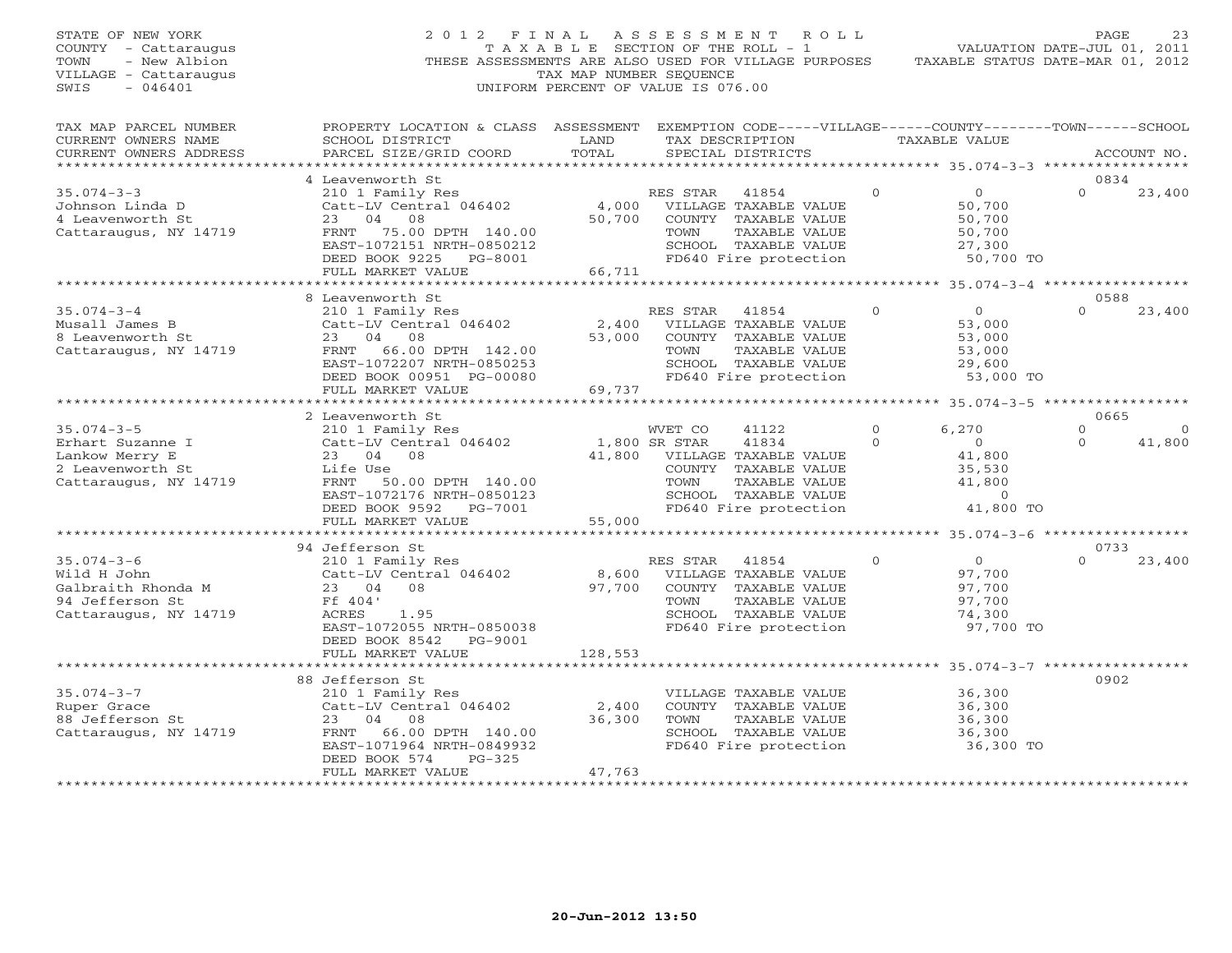| STATE OF NEW YORK<br>COUNTY - Cattaraugus<br>- New Albion<br>TOWN<br>VILLAGE - Cattaraugus<br>$-046401$<br>SWIS | 2012 FINAL                                                                                                                                                              | TAX MAP NUMBER SEQUENCE        | A S S E S S M E N T<br>R O L L<br>T A X A B L E SECTION OF THE ROLL - 1<br>THESE ASSESSMENTS ARE ALSO USED FOR VILLAGE PURPOSES<br>UNIFORM PERCENT OF VALUE IS 076.00 |                                                                                                                  | PAGE<br>23<br>VALUATION DATE-JUL 01, 2011<br>TAXABLE STATUS DATE-MAR 01, 2012 |
|-----------------------------------------------------------------------------------------------------------------|-------------------------------------------------------------------------------------------------------------------------------------------------------------------------|--------------------------------|-----------------------------------------------------------------------------------------------------------------------------------------------------------------------|------------------------------------------------------------------------------------------------------------------|-------------------------------------------------------------------------------|
| TAX MAP PARCEL NUMBER<br>CURRENT OWNERS NAME<br>CURRENT OWNERS ADDRESS                                          | PROPERTY LOCATION & CLASS ASSESSMENT<br>SCHOOL DISTRICT<br>PARCEL SIZE/GRID COORD                                                                                       | LAND<br>TOTAL                  | EXEMPTION CODE-----VILLAGE------COUNTY-------TOWN------SCHOOL<br>TAX DESCRIPTION<br>SPECIAL DISTRICTS                                                                 | TAXABLE VALUE                                                                                                    | ACCOUNT NO.                                                                   |
| ***********************                                                                                         |                                                                                                                                                                         |                                |                                                                                                                                                                       |                                                                                                                  |                                                                               |
| $35.074 - 3 - 3$<br>Johnson Linda D<br>4 Leavenworth St<br>Cattaraugus, NY 14719                                | 4 Leavenworth St<br>210 1 Family Res<br>Catt-LV Central 046402<br>23<br>04<br>08<br>FRNT<br>75.00 DPTH 140.00<br>EAST-1072151 NRTH-0850212<br>DEED BOOK 9225<br>PG-8001 | 4,000<br>50,700                | RES STAR<br>41854<br>VILLAGE TAXABLE VALUE<br>COUNTY TAXABLE VALUE<br>TOWN<br>TAXABLE VALUE<br>SCHOOL TAXABLE VALUE<br>FD640 Fire protection                          | $\mathbf{0}$<br>$\overline{O}$<br>50,700<br>50,700<br>50,700<br>27,300<br>50,700 TO                              | 0834<br>$\Omega$<br>23,400                                                    |
|                                                                                                                 | FULL MARKET VALUE                                                                                                                                                       | 66,711                         |                                                                                                                                                                       |                                                                                                                  |                                                                               |
|                                                                                                                 | 8 Leavenworth St                                                                                                                                                        |                                |                                                                                                                                                                       |                                                                                                                  | 0588                                                                          |
| $35.074 - 3 - 4$<br>Musall James B<br>8 Leavenworth St<br>Cattaraugus, NY 14719                                 | 210 1 Family Res<br>Catt-LV Central 046402<br>23<br>04<br>08<br>66.00 DPTH 142.00<br>FRNT<br>EAST-1072207 NRTH-0850253<br>DEED BOOK 00951 PG-00080                      | 2,400<br>53,000                | RES STAR<br>41854<br>VILLAGE TAXABLE VALUE<br>COUNTY TAXABLE VALUE<br>TOWN<br>TAXABLE VALUE<br>SCHOOL TAXABLE VALUE<br>FD640 Fire protection                          | $\overline{0}$<br>$\circ$<br>53,000<br>53,000<br>53,000<br>29,600<br>53,000 TO                                   | $\Omega$<br>23,400                                                            |
|                                                                                                                 | FULL MARKET VALUE                                                                                                                                                       | 69,737                         |                                                                                                                                                                       |                                                                                                                  |                                                                               |
|                                                                                                                 |                                                                                                                                                                         | ***********                    |                                                                                                                                                                       | ************* 35.074-3-5 ******************                                                                      |                                                                               |
|                                                                                                                 | 2 Leavenworth St                                                                                                                                                        |                                |                                                                                                                                                                       |                                                                                                                  | 0665                                                                          |
| $35.074 - 3 - 5$<br>Erhart Suzanne I<br>Lankow Merry E<br>2 Leavenworth St<br>Cattaraugus, NY 14719             | 210 1 Family Res<br>Catt-LV Central 046402<br>23 04<br>08<br>Life Use<br>FRNT 50.00 DPTH 140.00<br>EAST-1072176 NRTH-0850123<br>DEED BOOK 9592 PG-7001                  | 1,800 SR STAR<br>41,800        | WVET CO<br>41122<br>41834<br>VILLAGE TAXABLE VALUE<br>COUNTY TAXABLE VALUE<br>TOWN<br>TAXABLE VALUE<br>SCHOOL TAXABLE VALUE<br>FD640 Fire protection                  | $\mathbf{0}$<br>6,270<br>$\Omega$<br>$\overline{0}$<br>41,800<br>35,530<br>41,800<br>$\overline{0}$<br>41,800 TO | $\mathbf{0}$<br>$\circ$<br>$\Omega$<br>41,800                                 |
|                                                                                                                 | FULL MARKET VALUE<br>***********************                                                                                                                            | 55,000                         |                                                                                                                                                                       |                                                                                                                  |                                                                               |
|                                                                                                                 | 94 Jefferson St                                                                                                                                                         |                                |                                                                                                                                                                       |                                                                                                                  | 0733                                                                          |
| $35.074 - 3 - 6$<br>Wild H John<br>Galbraith Rhonda M<br>94 Jefferson St<br>Cattaraugus, NY 14719               | 210 1 Family Res<br>Catt-LV Central 046402<br>08<br>23 04<br>Ff 404'<br>ACRES<br>1.95<br>EAST-1072055 NRTH-0850038<br>DEED BOOK 8542<br>PG-9001                         | 8,600<br>97,700                | RES STAR<br>41854<br>VILLAGE TAXABLE VALUE<br>COUNTY TAXABLE VALUE<br>TAXABLE VALUE<br>TOWN<br>SCHOOL TAXABLE VALUE<br>FD640 Fire protection                          | $\overline{O}$<br>$\Omega$<br>97,700<br>97,700<br>97,700<br>74,300<br>97,700 TO                                  | $\Omega$<br>23,400                                                            |
|                                                                                                                 |                                                                                                                                                                         |                                |                                                                                                                                                                       |                                                                                                                  |                                                                               |
|                                                                                                                 | FULL MARKET VALUE<br>**********************<br>88 Jefferson St                                                                                                          | 128,553<br>******************* |                                                                                                                                                                       | ************ 35.074-3-7 *****************                                                                        | 0902                                                                          |
| $35.074 - 3 - 7$<br>Ruper Grace<br>88 Jefferson St<br>Cattaraugus, NY 14719                                     | 210 1 Family Res<br>Catt-LV Central 046402<br>23<br>04<br>08<br>FRNT<br>66.00 DPTH 140.00<br>EAST-1071964 NRTH-0849932<br>$PG-325$<br>DEED BOOK 574                     | 2,400<br>36,300                | VILLAGE TAXABLE VALUE<br>COUNTY TAXABLE VALUE<br>TOWN<br>TAXABLE VALUE<br>SCHOOL TAXABLE VALUE<br>FD640 Fire protection                                               | 36,300<br>36,300<br>36,300<br>36,300<br>36,300 TO                                                                |                                                                               |
| **********************                                                                                          | FULL MARKET VALUE                                                                                                                                                       | 47,763                         |                                                                                                                                                                       |                                                                                                                  |                                                                               |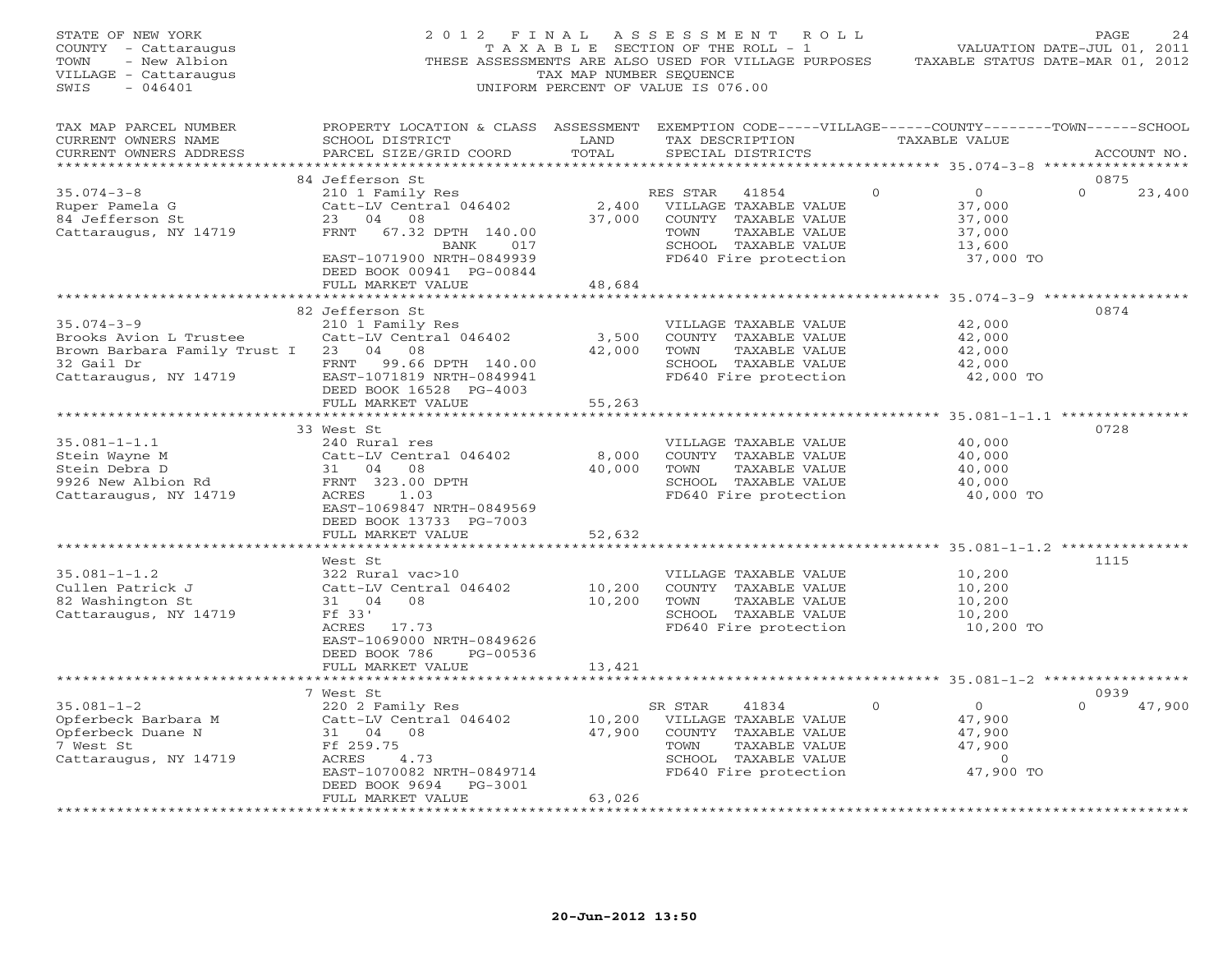| STATE OF NEW YORK<br>COUNTY - Cattaraugus<br>- New Albion<br>TOWN<br>VILLAGE - Cattaraugus<br>SWIS<br>$-046401$            |                                                                                                                                                                                                                   | TAX MAP NUMBER SEQUENCE      | 2012 FINAL ASSESSMENT ROLL<br>T A X A B L E SECTION OF THE ROLL - 1<br>THESE ASSESSMENTS ARE ALSO USED FOR VILLAGE PURPOSES TAXABLE STATUS DATE-MAR 01, 2012<br>UNIFORM PERCENT OF VALUE IS 076.00 |          | VALUATION DATE-JUL 01, 2011                                         | PAGE<br>24                 |
|----------------------------------------------------------------------------------------------------------------------------|-------------------------------------------------------------------------------------------------------------------------------------------------------------------------------------------------------------------|------------------------------|----------------------------------------------------------------------------------------------------------------------------------------------------------------------------------------------------|----------|---------------------------------------------------------------------|----------------------------|
| TAX MAP PARCEL NUMBER<br>CURRENT OWNERS NAME<br>CURRENT OWNERS ADDRESS                                                     | PROPERTY LOCATION & CLASS ASSESSMENT EXEMPTION CODE-----VILLAGE------COUNTY-------TOWN------SCHOOL<br>SCHOOL DISTRICT<br>PARCEL SIZE/GRID COORD                                                                   | LAND<br>TOTAL                | TAX DESCRIPTION TAXABLE VALUE<br>SPECIAL DISTRICTS                                                                                                                                                 |          |                                                                     | ACCOUNT NO.                |
| $35.074 - 3 - 8$<br>Ruper Pamela G<br>84 Jefferson St<br>Cattaraugus, NY 14719                                             | 84 Jefferson St<br>210 1 Family Res<br>210 1 Family Res<br>Catt-LV Central 046402<br>23 04 08<br>FRNT 67.32 DPTH 140.00<br>BANK 017<br>EAST-1071900 NRTH-0849939<br>DEED BOOK 00941 PG-00844<br>FULL MARKET VALUE | 48,684                       | RES STAR 41854<br>KES STAR 41004<br>2,400 VILLAGE TAXABLE VALUE<br>37,000 COUNTY TAXABLE VALUE<br>COUNTY TAXABLE VALUE<br>TOWN<br>TAXABLE VALUE<br>SCHOOL TAXABLE VALUE<br>FD640 Fire protection   | $\Omega$ | $\overline{0}$<br>37,000<br>37,000<br>37,000<br>13,600<br>37,000 TO | 0875<br>23,400<br>$\Omega$ |
|                                                                                                                            |                                                                                                                                                                                                                   | **********                   | **********************************35.074-3-9 ************                                                                                                                                          |          |                                                                     |                            |
| $35.074 - 3 - 9$<br>Brooks Avion L Trustee<br>Brown Barbara Family Trust I 23 04 08<br>32 Gail Dr<br>Cattaraugus, NY 14719 | 82 Jefferson St<br>210 1 Family Res<br>Catt-LV Central 046402<br>FRNT 99.66 DPTH 140.00<br>EAST-1071819 NRTH-0849941<br>DEED BOOK 16528 PG-4003                                                                   | 3,500<br>42,000              | VILLAGE TAXABLE VALUE<br>COUNTY TAXABLE VALUE<br>TOWN<br>TAXABLE VALUE<br>SCHOOL TAXABLE VALUE<br>FD640 Fire protection                                                                            |          | 42,000<br>42,000<br>42,000<br>42,000<br>42,000 TO                   | 0874                       |
|                                                                                                                            | FULL MARKET VALUE                                                                                                                                                                                                 | 55,263                       |                                                                                                                                                                                                    |          |                                                                     |                            |
| $35.081 - 1 - 1.1$<br>Stein Wayne M<br>Stein Debra D<br>9926 New Albion Rd<br>Cattaraugus, NY 14719                        | 33 West St<br>240 Rural res<br>Catt-LV Central 046402<br>Catt-LV Central 046<br>31 04 08<br>FRNT 323.00 DPTH<br>ACRES 1.03<br>EAST-1069847 NRTH-0849569<br>DEED BOOK 13733 PG-7003                                | $8,000$<br>40.00             | VILLAGE TAXABLE VALUE<br>COUNTY TAXABLE VALUE<br>TOWN<br>TAXABLE VALUE<br>SCHOOL TAXABLE VALUE<br>FD640 Fire protection                                                                            |          | 40,000<br>40,000<br>40,000<br>40,000<br>40,000 TO                   | 0728                       |
|                                                                                                                            | FULL MARKET VALUE                                                                                                                                                                                                 | 52,632                       |                                                                                                                                                                                                    |          |                                                                     |                            |
| $35.081 - 1 - 1.2$<br>Cullen Patrick J<br>82 Washington St<br>Cattaraugus, NY 14719                                        | West St<br>322 Rural vac>10<br>Catt-LV Central 046402<br>31 04 08<br>Ff 33'<br>ACRES 17.73<br>EAST-1069000 NRTH-0849626<br>DEED BOOK 786<br>PG-00536                                                              | 10,200<br>10,200             | VILLAGE TAXABLE VALUE<br>COUNTY TAXABLE VALUE<br>TAXABLE VALUE<br>TOWN<br>SCHOOL TAXABLE VALUE<br>FD640 Fire protection                                                                            |          | 10,200<br>10,200<br>10,200<br>10,200<br>10,200 TO                   | 1115                       |
|                                                                                                                            | FULL MARKET VALUE                                                                                                                                                                                                 | 13,421                       |                                                                                                                                                                                                    |          |                                                                     |                            |
|                                                                                                                            | **********************<br>7 West St                                                                                                                                                                               |                              |                                                                                                                                                                                                    |          |                                                                     | 0939                       |
| $35.081 - 1 - 2$<br>Opferbeck Barbara M<br>Opferbeck Duane N<br>7 West St<br>Cattaraugus, NY 14719                         | 220 2 Family Res<br>Catt-LV Central 046402<br>Catu-Ly - 08<br>31 04 08<br>Ff 259.75<br>ACRES<br>4.73<br>EAST-1070082 NRTH-0849714<br>DEED BOOK 9694 PG-3001                                                       | 10,200<br>47,900             | SR STAR<br>41834<br>VILLAGE TAXABLE VALUE<br>COUNTY TAXABLE VALUE<br>TOWN<br>TAXABLE VALUE<br>SCHOOL TAXABLE VALUE<br>FD640 Fire protection 47,900 TO                                              | $\Omega$ | $\overline{0}$<br>47,900<br>47,900<br>47,900<br>$\overline{0}$      | $\Omega$<br>47,900         |
|                                                                                                                            | FULL MARKET VALUE<br>* * * * * * * * * * * * * * * * * * * *                                                                                                                                                      | 63,026<br>****************** |                                                                                                                                                                                                    |          |                                                                     |                            |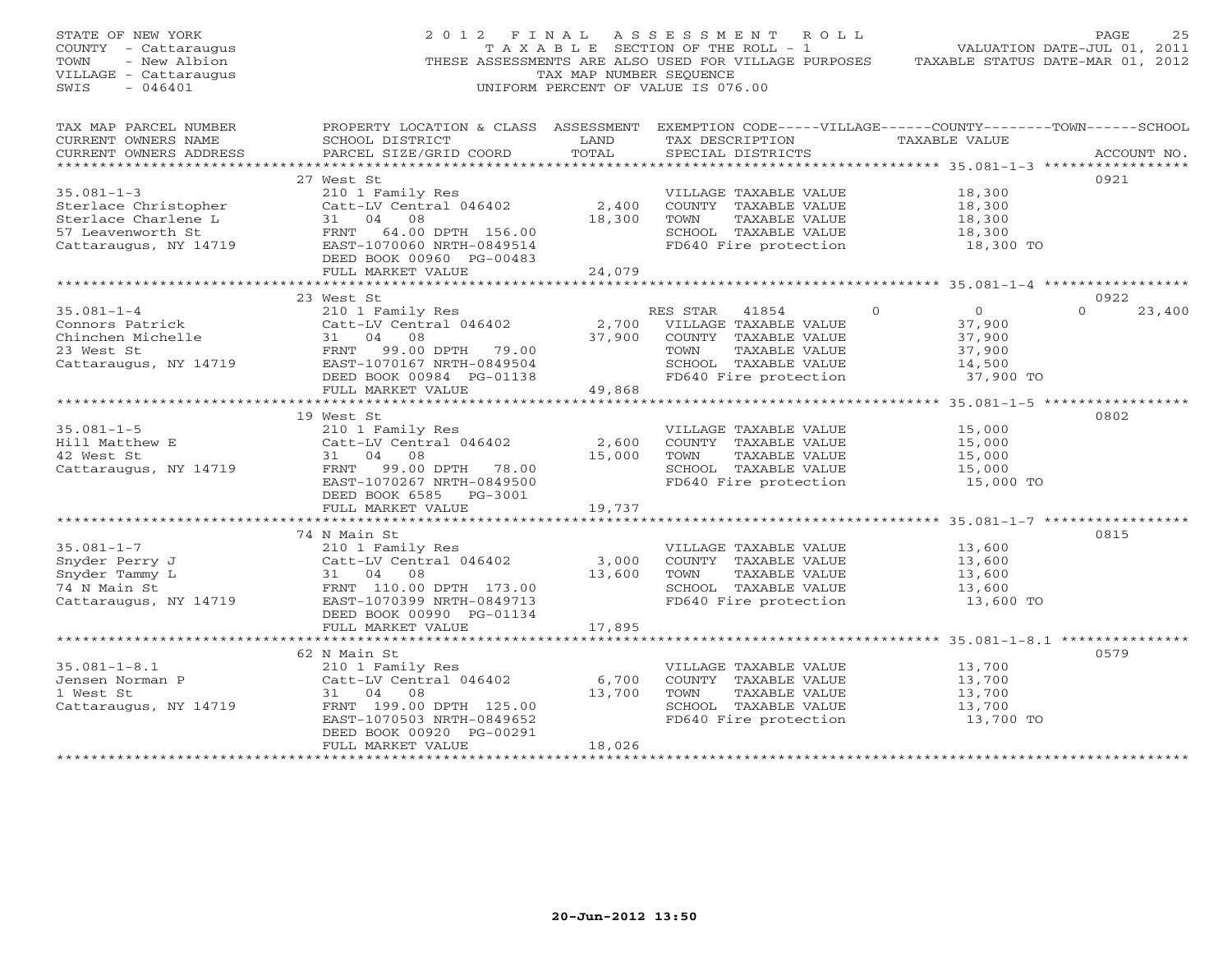| STATE OF NEW YORK<br>COUNTY - Cattaraugus<br>- New Albion<br>TOWN<br>VILLAGE - Cattaraugus<br>$-046401$<br>SWIS |                                                                                                                                                                                                                                                                                | TAX MAP NUMBER SEQUENCE | 2012 FINAL ASSESSMENT ROLL<br>THESE ASSESSMENTS ARE ALSO USED FOR VILLAGE PURPOSES TAXABLE STATUS DATE-MAR 01, 2012<br>UNIFORM PERCENT OF VALUE IS 076.00 |                            | PAGE<br>25         |
|-----------------------------------------------------------------------------------------------------------------|--------------------------------------------------------------------------------------------------------------------------------------------------------------------------------------------------------------------------------------------------------------------------------|-------------------------|-----------------------------------------------------------------------------------------------------------------------------------------------------------|----------------------------|--------------------|
|                                                                                                                 | TAX MAP PARCEL NUMBER THE PROPERTY LOCATION & CLASS ASSESSMENT EXEMPTION CODE-----VILLAGE------COUNTY-------TOWN------SCHOOL                                                                                                                                                   |                         |                                                                                                                                                           |                            |                    |
| CURRENT OWNERS NAME<br>CURRENT OWNERS ADDRESS                                                                   | SCHOOL DISTRICT LAND<br>PARCEL SIZE/GRID COORD                                                                                                                                                                                                                                 | TOTAL                   | TAX DESCRIPTION TAXABLE VALUE<br>SPECIAL DISTRICTS                                                                                                        |                            | ACCOUNT NO.        |
|                                                                                                                 |                                                                                                                                                                                                                                                                                |                         |                                                                                                                                                           |                            |                    |
|                                                                                                                 | 27 West St                                                                                                                                                                                                                                                                     |                         |                                                                                                                                                           |                            | 0921               |
|                                                                                                                 |                                                                                                                                                                                                                                                                                |                         | VILLAGE TAXABLE VALUE 18,300<br>COUNTY TAXABLE VALUE 18,300                                                                                               |                            |                    |
|                                                                                                                 |                                                                                                                                                                                                                                                                                |                         |                                                                                                                                                           |                            |                    |
|                                                                                                                 |                                                                                                                                                                                                                                                                                |                         |                                                                                                                                                           | 18,300                     |                    |
|                                                                                                                 |                                                                                                                                                                                                                                                                                |                         | SCHOOL TAXABLE VALUE                                                                                                                                      | 18,300<br>18,300 TO        |                    |
|                                                                                                                 | 35.081-1-3<br>Sterlace Christopher<br>Sterlace Charlene L<br>Sterlace Charlene L<br>Sterlace Charlene L<br>31 04 08<br>ST Leavenworth St<br>Cattaraugus, NY 14719<br>Cattaraugus, NY 14719<br>EAST-1070060 NRTH-0849514<br>CATT-1070060 NRTH-08491<br>DEED BOOK 00960 PG-00483 |                         | FD640 Fire protection                                                                                                                                     |                            |                    |
|                                                                                                                 | FULL MARKET VALUE                                                                                                                                                                                                                                                              | 24,079                  |                                                                                                                                                           |                            |                    |
|                                                                                                                 | 23 West St                                                                                                                                                                                                                                                                     |                         |                                                                                                                                                           |                            | 0922               |
| $35.081 - 1 - 4$                                                                                                |                                                                                                                                                                                                                                                                                |                         | RES STAR 41854                                                                                                                                            | $\Omega$<br>$\overline{0}$ | $\Omega$<br>23,400 |
|                                                                                                                 |                                                                                                                                                                                                                                                                                |                         |                                                                                                                                                           | 37,900                     |                    |
|                                                                                                                 |                                                                                                                                                                                                                                                                                |                         |                                                                                                                                                           | 37,900                     |                    |
|                                                                                                                 |                                                                                                                                                                                                                                                                                |                         |                                                                                                                                                           | 37,900<br>14,500           |                    |
| 23 West St<br>Cattaraugus, NY 14719                                                                             |                                                                                                                                                                                                                                                                                |                         |                                                                                                                                                           |                            |                    |
|                                                                                                                 |                                                                                                                                                                                                                                                                                |                         |                                                                                                                                                           | 37,900 TO                  |                    |
|                                                                                                                 | West St<br>210 1 Family Res<br>Catt-LV Central 046402<br>31 04 08<br>37,900 COUNTY TAXABLE VALUE<br>FRNT 99.00<br>EAST-1070167 NRTH-0849504<br>DEED BOOK 00984 PG-01138<br>FULL MARKET VALUE<br>49,868<br>FULL MARKET VALUE<br>2,968<br>2,700 COUNTY T                         |                         |                                                                                                                                                           |                            |                    |
|                                                                                                                 | 19 West St                                                                                                                                                                                                                                                                     |                         |                                                                                                                                                           |                            | 0802               |
| $35.081 - 1 - 5$                                                                                                | 210 1 Family Res                                                                                                                                                                                                                                                               |                         | VILLAGE TAXABLE VALUE                                                                                                                                     | 15,000                     |                    |
| Hill Matthew E                                                                                                  | 210 1 Family Res<br>E Catt-LV Central 046402<br>31 04 08                                                                                                                                                                                                                       |                         | 2,600 COUNTY TAXABLE VALUE                                                                                                                                | 15,000                     |                    |
| 42 West St                                                                                                      |                                                                                                                                                                                                                                                                                |                         | 15,000 TOWN TAXABLE VALUE                                                                                                                                 | 15,000                     |                    |
|                                                                                                                 | Cattaraugus, NY 14719 FRNT 99.00 DPTH 78.00                                                                                                                                                                                                                                    |                         | SCHOOL TAXABLE VALUE                                                                                                                                      | 15,000<br>15,000 TO        |                    |
|                                                                                                                 | EAST-1070267 NRTH-0849500                                                                                                                                                                                                                                                      |                         | FD640 Fire protection                                                                                                                                     |                            |                    |
|                                                                                                                 | DEED BOOK 6585 PG-3001                                                                                                                                                                                                                                                         |                         |                                                                                                                                                           |                            |                    |
|                                                                                                                 | FULL MARKET VALUE                                                                                                                                                                                                                                                              | 19,737                  |                                                                                                                                                           |                            |                    |
|                                                                                                                 | 74 N Main St                                                                                                                                                                                                                                                                   |                         |                                                                                                                                                           |                            | 0815               |
| $35.081 - 1 - 7$                                                                                                |                                                                                                                                                                                                                                                                                |                         | VILLAGE TAXABLE VALUE                                                                                                                                     | 13,600                     |                    |
| Snyder Perry J                                                                                                  |                                                                                                                                                                                                                                                                                |                         | 3,000 COUNTY TAXABLE VALUE                                                                                                                                | 13,600                     |                    |
| Snyder Tammy L                                                                                                  | 210 1 Family Res<br>Catt-LV Central 046402<br>31 04 08<br>FRNT 110 00 T                                                                                                                                                                                                        |                         | 13,600 TOWN TAXABLE VALUE                                                                                                                                 | 13,600                     |                    |
| 74 N Main St                                                                                                    | FRNT 110.00 DPTH 173.00<br>EAST-1070399 NRTH-0849713                                                                                                                                                                                                                           |                         | SCHOOL TAXABLE VALUE                                                                                                                                      | 13,600                     |                    |
| Cattaraugus, NY 14719                                                                                           |                                                                                                                                                                                                                                                                                |                         | FD640 Fire protection                                                                                                                                     | 13,600 TO                  |                    |
|                                                                                                                 | DEED BOOK 00990 PG-01134                                                                                                                                                                                                                                                       |                         |                                                                                                                                                           |                            |                    |
|                                                                                                                 | FULL MARKET VALUE                                                                                                                                                                                                                                                              | 17,895                  |                                                                                                                                                           |                            |                    |
|                                                                                                                 | 62 N Main St                                                                                                                                                                                                                                                                   |                         |                                                                                                                                                           |                            | 0579               |
| $35.081 - 1 - 8.1$                                                                                              |                                                                                                                                                                                                                                                                                |                         | VILLAGE TAXABLE VALUE                                                                                                                                     | 13,700                     |                    |
| Jensen Norman P                                                                                                 | 210 1 Family Res<br>Catt-LV Central 046402<br>31 04 08                                                                                                                                                                                                                         | 6,700                   | COUNTY TAXABLE VALUE                                                                                                                                      | 13,700                     |                    |
| 1 West St                                                                                                       |                                                                                                                                                                                                                                                                                | 13,700                  | TOWN TAXABLE VALUE                                                                                                                                        | 13,700                     |                    |
|                                                                                                                 | Cattaraugus, NY 14719 FRNT 199.00 DPTH 125.00                                                                                                                                                                                                                                  |                         | SCHOOL TAXABLE VALUE                                                                                                                                      |                            |                    |
|                                                                                                                 | EAST-1070503 NRTH-0849652                                                                                                                                                                                                                                                      |                         | FD640 Fire protection                                                                                                                                     | 13,700<br>13,700 TO        |                    |
|                                                                                                                 | DEED BOOK 00920 PG-00291                                                                                                                                                                                                                                                       |                         |                                                                                                                                                           |                            |                    |
|                                                                                                                 | FULL MARKET VALUE                                                                                                                                                                                                                                                              | 18,026                  |                                                                                                                                                           |                            |                    |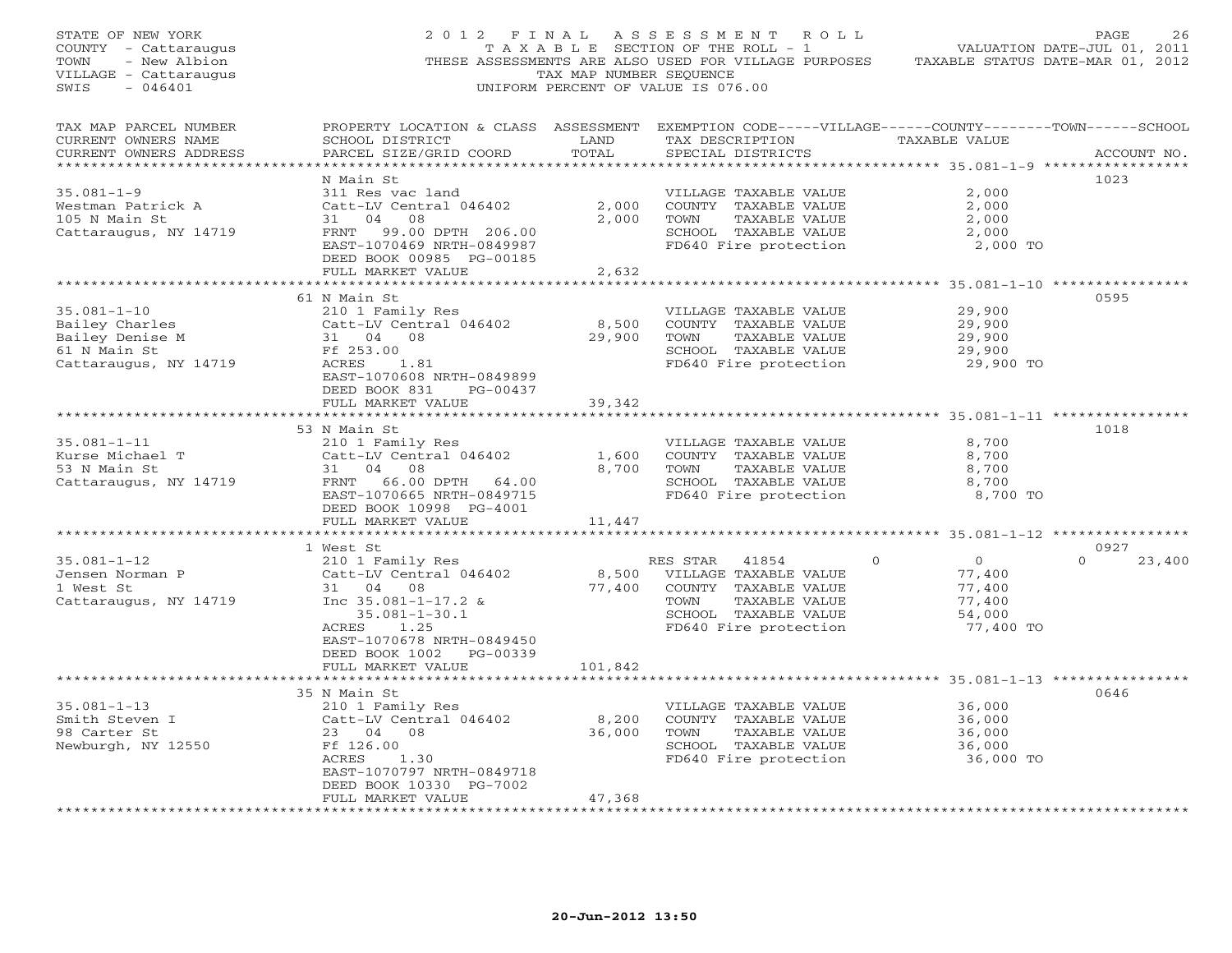| STATE OF NEW YORK<br>COUNTY - Cattaraugus<br>TOWN<br>- New Albion<br>VILLAGE - Cattaraugus<br>SWIS<br>$-046401$ |                                                                                                                                                 | TAX MAP NUMBER SEQUENCE | 2012 FINAL ASSESSMENT ROLL<br>T A X A B L E SECTION OF THE ROLL - 1<br>THESE ASSESSMENTS ARE ALSO USED FOR VILLAGE PURPOSES<br>UNIFORM PERCENT OF VALUE IS 076.00 | VALUATION DATE-JUL 01, 2011<br>TAXABLE STATUS DATE-MAR 01, 2012 | PAGE<br>26       |
|-----------------------------------------------------------------------------------------------------------------|-------------------------------------------------------------------------------------------------------------------------------------------------|-------------------------|-------------------------------------------------------------------------------------------------------------------------------------------------------------------|-----------------------------------------------------------------|------------------|
| TAX MAP PARCEL NUMBER<br>CURRENT OWNERS NAME<br>CURRENT OWNERS ADDRESS                                          | PROPERTY LOCATION & CLASS ASSESSMENT EXEMPTION CODE-----VILLAGE------COUNTY-------TOWN------SCHOOL<br>SCHOOL DISTRICT<br>PARCEL SIZE/GRID COORD | LAND<br>TOTAL           | TAX DESCRIPTION TAXABLE VALUE<br>SPECIAL DISTRICTS                                                                                                                |                                                                 | ACCOUNT NO.      |
|                                                                                                                 | N Main St                                                                                                                                       |                         |                                                                                                                                                                   |                                                                 | 1023             |
| $35.081 - 1 - 9$                                                                                                | 311 Res vac land                                                                                                                                |                         | VILLAGE TAXABLE VALUE                                                                                                                                             | 2,000                                                           |                  |
| Westman Patrick A                                                                                               | Catt-LV Central 046402                                                                                                                          |                         | 2,000 COUNTY TAXABLE VALUE                                                                                                                                        | 2,000                                                           |                  |
| 105 N Main St                                                                                                   | 31 04 08                                                                                                                                        | 2,000                   | TAXABLE VALUE<br>TOWN                                                                                                                                             | 2,000                                                           |                  |
| Cattaraugus, NY 14719                                                                                           | FRNT 99.00 DPTH 206.00                                                                                                                          |                         | SCHOOL TAXABLE VALUE<br>FD640 Fire protection 2,000 TO                                                                                                            | 2,000                                                           |                  |
|                                                                                                                 | EAST-1070469 NRTH-0849987                                                                                                                       |                         |                                                                                                                                                                   |                                                                 |                  |
|                                                                                                                 | DEED BOOK 00985 PG-00185<br>FULL MARKET VALUE                                                                                                   | 2,632                   |                                                                                                                                                                   |                                                                 |                  |
|                                                                                                                 |                                                                                                                                                 |                         |                                                                                                                                                                   |                                                                 |                  |
|                                                                                                                 | 61 N Main St                                                                                                                                    |                         |                                                                                                                                                                   |                                                                 | 0595             |
| $35.081 - 1 - 10$                                                                                               | 210 1 Family Res                                                                                                                                |                         | VILLAGE TAXABLE VALUE                                                                                                                                             | 29,900                                                          |                  |
| Bailey Charles                                                                                                  |                                                                                                                                                 |                         |                                                                                                                                                                   | 29,900                                                          |                  |
|                                                                                                                 | Catt-LV Central 046402<br>31 04 08<br>Ff 353.00                                                                                                 |                         | 8,500 COUNTY TAXABLE VALUE<br>29,900 TOWN TAXABLE VALUE<br>29,900 TOWN TAXABLE VALUE<br>TAXABLE VALUE                                                             | 29,900                                                          |                  |
|                                                                                                                 | Ff 253.00                                                                                                                                       |                         |                                                                                                                                                                   |                                                                 |                  |
| Bailey Charles<br>Bailey Denise M<br>61 N Main St<br>Cattaraugus, NY 14719                                      | ACRES<br>1.81                                                                                                                                   |                         | SCHOOL TAXABLE VALUE 29,900<br>FD640 Fire protection 29,900 TO                                                                                                    |                                                                 |                  |
|                                                                                                                 | EAST-1070608 NRTH-0849899<br>DEED BOOK 831 PG-00437                                                                                             |                         |                                                                                                                                                                   |                                                                 |                  |
|                                                                                                                 | FULL MARKET VALUE                                                                                                                               | 39,342                  |                                                                                                                                                                   |                                                                 |                  |
|                                                                                                                 |                                                                                                                                                 |                         |                                                                                                                                                                   |                                                                 |                  |
|                                                                                                                 | 53 N Main St                                                                                                                                    |                         |                                                                                                                                                                   |                                                                 | 1018             |
| $35.081 - 1 - 11$                                                                                               | 210 1 Family Res                                                                                                                                |                         | VILLAGE TAXABLE VALUE                                                                                                                                             | 8,700                                                           |                  |
| Kurse Michael T                                                                                                 | Catt-LV Central 046402<br>31 04 08                                                                                                              |                         | 1,600 COUNTY TAXABLE VALUE                                                                                                                                        | 8,700                                                           |                  |
| $53$ N Main St<br>Catter:                                                                                       | --------- Centi<br>31 04 08<br>FRNT 11                                                                                                          |                         | 8,700 TOWN<br>TAXABLE VALUE                                                                                                                                       | 8,700                                                           |                  |
| Cattaraugus, NY 14719                                                                                           | FRNT 66.00 DPTH 64.00                                                                                                                           |                         | SCHOOL TAXABLE VALUE                                                                                                                                              | 8,700                                                           |                  |
|                                                                                                                 | EAST-1070665 NRTH-0849715                                                                                                                       |                         | FD640 Fire protection                                                                                                                                             | 8,700 TO                                                        |                  |
|                                                                                                                 | DEED BOOK 10998 PG-4001                                                                                                                         |                         |                                                                                                                                                                   |                                                                 |                  |
|                                                                                                                 | FULL MARKET VALUE                                                                                                                               | 11,447                  |                                                                                                                                                                   |                                                                 |                  |
|                                                                                                                 |                                                                                                                                                 |                         |                                                                                                                                                                   |                                                                 |                  |
|                                                                                                                 | 1 West St                                                                                                                                       |                         |                                                                                                                                                                   |                                                                 | 0927<br>$\Omega$ |
| $35.081 - 1 - 12$<br>Jensen Norman P                                                                            | 210 1 Family Res<br>Catt-LV Central 046402                                                                                                      |                         | RES STAR 41854<br>8,500 VILLAGE TAXABLE VALUE                                                                                                                     | $\mathbf{0}$<br>$\overline{0}$<br>77,400                        | 23,400           |
| 1 West St                                                                                                       | 31 04 08                                                                                                                                        |                         |                                                                                                                                                                   | 77,400                                                          |                  |
| Cattaraugus, NY 14719                                                                                           | Inc 35.081-1-17.2 &                                                                                                                             |                         | 77,400 COUNTY TAXABLE VALUE 77,400 COUNTY TAXABLE VALUE 7000 TOWN TAXABLE VALUE                                                                                   | 77,400                                                          |                  |
|                                                                                                                 | $35.081 - 1 - 30.1$                                                                                                                             |                         | SCHOOL TAXABLE VALUE                                                                                                                                              | 54,000                                                          |                  |
|                                                                                                                 | ACRES 1.25                                                                                                                                      |                         | FD640 Fire protection                                                                                                                                             | 77,400 TO                                                       |                  |
|                                                                                                                 | EAST-1070678 NRTH-0849450                                                                                                                       |                         |                                                                                                                                                                   |                                                                 |                  |
|                                                                                                                 | DEED BOOK 1002 PG-00339                                                                                                                         |                         |                                                                                                                                                                   |                                                                 |                  |
|                                                                                                                 | FULL MARKET VALUE                                                                                                                               | 101,842                 |                                                                                                                                                                   |                                                                 |                  |
|                                                                                                                 | *************************                                                                                                                       | ***********             |                                                                                                                                                                   | ******************************* 35.081-1-13 **************      |                  |
|                                                                                                                 | 35 N Main St                                                                                                                                    |                         |                                                                                                                                                                   |                                                                 | 0646             |
| $35.081 - 1 - 13$                                                                                               | 210 1 Family Res                                                                                                                                |                         | VILLAGE TAXABLE VALUE                                                                                                                                             | 36,000                                                          |                  |
| Smith Steven I                                                                                                  | Catt-LV Central 046402                                                                                                                          | 8,200                   | COUNTY TAXABLE VALUE                                                                                                                                              | 36,000                                                          |                  |
| 98 Carter St                                                                                                    | 23 04 08                                                                                                                                        | 36,000                  | TOWN<br>TAXABLE VALUE                                                                                                                                             | 36,000                                                          |                  |
| Newburgh, NY 12550                                                                                              | Ff 126.00                                                                                                                                       |                         | SCHOOL TAXABLE VALUE                                                                                                                                              | 36,000                                                          |                  |
|                                                                                                                 | ACRES<br>1.30                                                                                                                                   |                         | FD640 Fire protection                                                                                                                                             | 36,000 TO                                                       |                  |
|                                                                                                                 | EAST-1070797 NRTH-0849718                                                                                                                       |                         |                                                                                                                                                                   |                                                                 |                  |
|                                                                                                                 | DEED BOOK 10330 PG-7002                                                                                                                         |                         |                                                                                                                                                                   |                                                                 |                  |
|                                                                                                                 | FULL MARKET VALUE                                                                                                                               | 47,368                  |                                                                                                                                                                   |                                                                 |                  |
|                                                                                                                 |                                                                                                                                                 |                         |                                                                                                                                                                   |                                                                 |                  |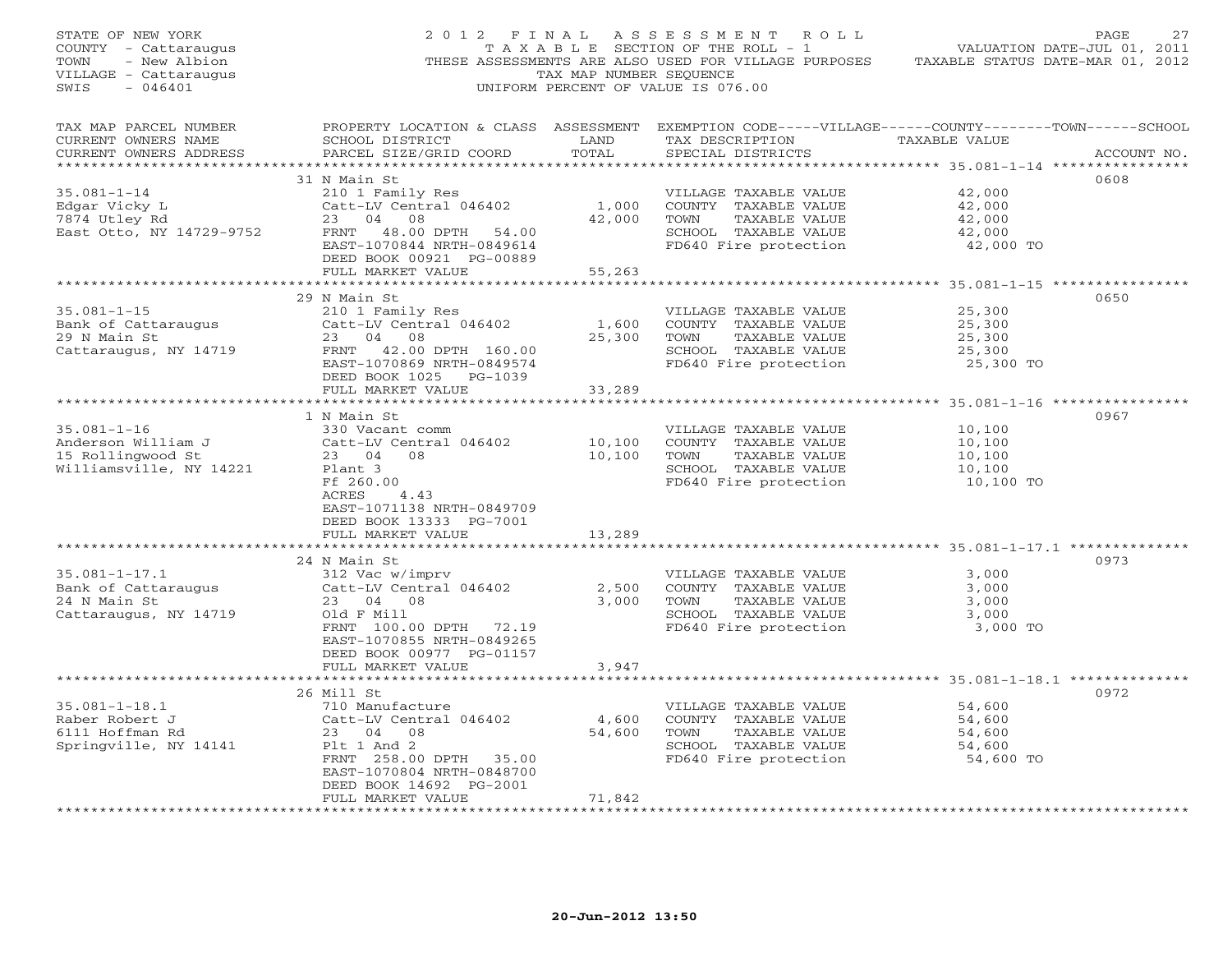| STATE OF NEW YORK<br>COUNTY - Cattaraugus<br>TOWN<br>- New Albion<br>VILLAGE - Cattaraugus<br>SWIS<br>$-046401$ |                                                                     | TAX MAP NUMBER SEQUENCE                       | 2012 FINAL ASSESSMENT ROLL<br>T A X A B L E SECTION OF THE ROLL - 1<br>UNIFORM PERCENT OF VALUE IS 076.00 | PAGE<br>27<br>VALUATION DATE-JUL 01, 2011<br>THESE ASSESSMENTS ARE ALSO USED FOR VILLAGE PURPOSES TAXABLE STATUS DATE-MAR 01, 2012 |
|-----------------------------------------------------------------------------------------------------------------|---------------------------------------------------------------------|-----------------------------------------------|-----------------------------------------------------------------------------------------------------------|------------------------------------------------------------------------------------------------------------------------------------|
| TAX MAP PARCEL NUMBER<br>CURRENT OWNERS NAME<br>CURRENT OWNERS ADDRESS                                          | SCHOOL DISTRICT<br>PARCEL SIZE/GRID COORD                           | LAND<br>TOTAL                                 | TAX DESCRIPTION<br>SPECIAL DISTRICTS                                                                      | PROPERTY LOCATION & CLASS ASSESSMENT EXEMPTION CODE-----VILLAGE------COUNTY-------TOWN------SCHOOL<br>TAXABLE VALUE<br>ACCOUNT NO. |
|                                                                                                                 | 31 N Main St                                                        |                                               |                                                                                                           | 0608                                                                                                                               |
| $35.081 - 1 - 14$                                                                                               | 210 1 Family Res<br>Catt-LV Central 046402 1,000<br>23 04 08 42,000 |                                               | VILLAGE TAXABLE VALUE                                                                                     | 42,000                                                                                                                             |
| Edgar Vicky L<br>7874 Utley Rd                                                                                  |                                                                     |                                               | COUNTY TAXABLE VALUE<br>TAXABLE VALUE<br>TOWN                                                             | 42,000<br>42,000                                                                                                                   |
| East Otto, NY 14729-9752                                                                                        | FRNT 48.00 DPTH 54.00                                               |                                               |                                                                                                           |                                                                                                                                    |
|                                                                                                                 | EAST-1070844 NRTH-0849614                                           |                                               | SCHOOL TAXABLE VALUE 42,000<br>FD640 Fire protection 42,000 TO                                            |                                                                                                                                    |
|                                                                                                                 | DEED BOOK 00921 PG-00889                                            |                                               |                                                                                                           |                                                                                                                                    |
|                                                                                                                 | FULL MARKET VALUE                                                   | 55,263                                        |                                                                                                           |                                                                                                                                    |
|                                                                                                                 | 29 N Main St                                                        |                                               |                                                                                                           | 0650                                                                                                                               |
| $35.081 - 1 - 15$                                                                                               | 210 1 Family Res                                                    |                                               | VILLAGE TAXABLE VALUE                                                                                     | 25,300                                                                                                                             |
| $35.001 - 1$<br>Bank of Cattaraugus                                                                             |                                                                     | 1,600                                         | COUNTY TAXABLE VALUE                                                                                      | 25,300                                                                                                                             |
|                                                                                                                 | Catt-LV Central 046402<br>23 04 08<br>$Catt-LV$ $Cent$<br>23 04 08  | 25,300                                        | TOWN TAXABLE VALUE                                                                                        | 25,300                                                                                                                             |
| Cattaraugus, NY 14719 FRNT 42.00 DPTH 160.00                                                                    |                                                                     |                                               | SCHOOL TAXABLE VALUE<br>FD640 Fire protection                                                             | 25,300                                                                                                                             |
|                                                                                                                 | EAST-1070869 NRTH-0849574                                           |                                               |                                                                                                           | 25,300 TO                                                                                                                          |
|                                                                                                                 | DEED BOOK 1025 PG-1039<br>FULL MARKET VALUE                         | 33,289                                        |                                                                                                           |                                                                                                                                    |
|                                                                                                                 | **************************                                          | * * * * * * * * * * * * *                     |                                                                                                           | ************************************ 35.081–1–16 *************                                                                     |
|                                                                                                                 | 1 N Main St                                                         |                                               |                                                                                                           | 0967                                                                                                                               |
| $35.081 - 1 - 16$                                                                                               | 330 Vacant comm                                                     |                                               | VILLAGE TAXABLE VALUE                                                                                     | 10,100                                                                                                                             |
| Anderson William J<br>15 Rollingwood St                                                                         | Catt-LV Central 046402                                              | 10,100<br>10,100                              | COUNTY TAXABLE VALUE                                                                                      | 10,100                                                                                                                             |
|                                                                                                                 | 23 04 08                                                            |                                               | TOWN<br>TAXABLE VALUE                                                                                     | 10,100                                                                                                                             |
| Williamsville, NY 14221                                                                                         | Plant 3<br>Ff 260.00                                                |                                               | SCHOOL TAXABLE VALUE<br>FD640 Fire protection                                                             | 10,100<br>10,100 TO                                                                                                                |
|                                                                                                                 | ACRES 4.43                                                          |                                               |                                                                                                           |                                                                                                                                    |
|                                                                                                                 | EAST-1071138 NRTH-0849709                                           |                                               |                                                                                                           |                                                                                                                                    |
|                                                                                                                 | DEED BOOK 13333 PG-7001                                             |                                               |                                                                                                           |                                                                                                                                    |
|                                                                                                                 | FULL MARKET VALUE                                                   | 13,289                                        |                                                                                                           |                                                                                                                                    |
|                                                                                                                 | 24 N Main St                                                        |                                               |                                                                                                           | 0973                                                                                                                               |
| $35.081 - 1 - 17.1$                                                                                             | 312 Vac w/imprv                                                     |                                               | VILLAGE TAXABLE VALUE                                                                                     | 3,000                                                                                                                              |
| $33.001 + 7.00$<br>Bank of Cattaraugus                                                                          | Catt-LV Central 046402                                              | 2,500                                         | COUNTY TAXABLE VALUE                                                                                      | 3,000                                                                                                                              |
| 24 N Main St                                                                                                    | 23 04 08                                                            | 3,000                                         | TOWN<br>TAXABLE VALUE                                                                                     | 3,000                                                                                                                              |
| Cattaraugus, NY 14719                                                                                           | Old F Mill                                                          |                                               | SCHOOL TAXABLE VALUE<br>FD640 Fire protection                                                             | 3,000                                                                                                                              |
|                                                                                                                 | FRNT 100.00 DPTH 72.19<br>EAST-1070855 NRTH-0849265                 |                                               |                                                                                                           | 3,000 TO                                                                                                                           |
|                                                                                                                 | DEED BOOK 00977 PG-01157                                            |                                               |                                                                                                           |                                                                                                                                    |
|                                                                                                                 | FULL MARKET VALUE                                                   | 3,947                                         |                                                                                                           |                                                                                                                                    |
|                                                                                                                 |                                                                     |                                               |                                                                                                           |                                                                                                                                    |
|                                                                                                                 | 26 Mill St                                                          |                                               |                                                                                                           | 0972                                                                                                                               |
| $35.081 - 1 - 18.1$<br>Raber Robert J                                                                           | 710 Manufacture<br>Catt-LV Central 046402                           |                                               | VILLAGE TAXABLE VALUE                                                                                     | 54,600<br>54,600                                                                                                                   |
| 6111 Hoffman Rd                                                                                                 | 23 04 08                                                            | 4,600<br>54,600                               | COUNTY TAXABLE VALUE<br>TAXABLE VALUE<br>TOWN                                                             | 54,600                                                                                                                             |
| Springville, NY 14141                                                                                           | Plt 1 And 2                                                         |                                               | SCHOOL TAXABLE VALUE                                                                                      | 54,600                                                                                                                             |
|                                                                                                                 | FRNT 258.00 DPTH 35.00                                              |                                               | FD640 Fire protection                                                                                     | 54,600 TO                                                                                                                          |
|                                                                                                                 | EAST-1070804 NRTH-0848700                                           |                                               |                                                                                                           |                                                                                                                                    |
|                                                                                                                 | DEED BOOK 14692 PG-2001                                             |                                               |                                                                                                           |                                                                                                                                    |
| *************************                                                                                       | FULL MARKET VALUE                                                   | 71,842<br>* * * * * * * * * * * * * * * * * * |                                                                                                           |                                                                                                                                    |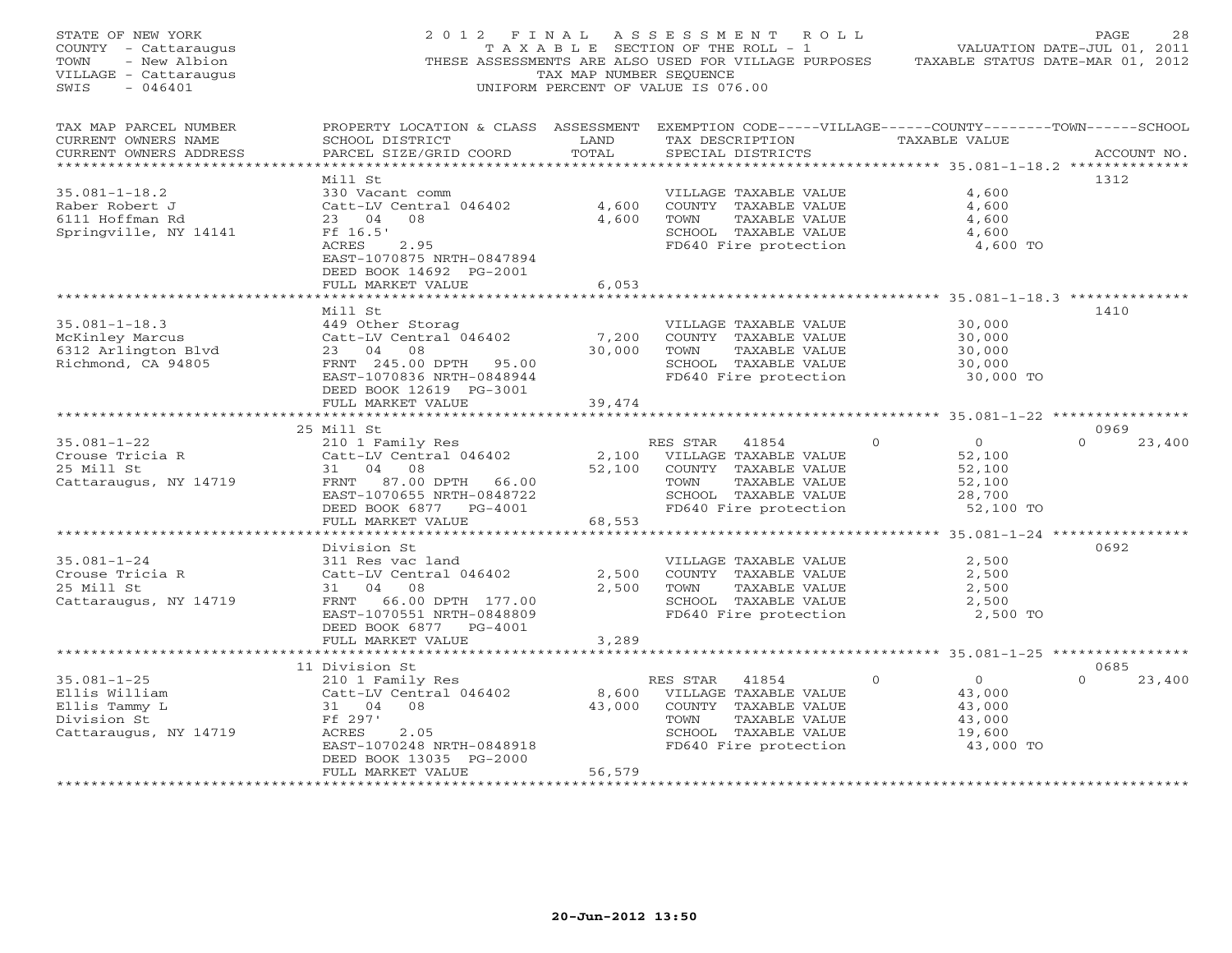| STATE OF NEW YORK<br>COUNTY - Cattaraugus<br>- New Albion<br>TOWN<br>VILLAGE - Cattaraugus<br>$-046401$<br>SWIS |                                                                                                                                                                                        | TAX MAP NUMBER SEQUENCE | 2012 FINAL ASSESSMENT ROLL<br>TAXABLE SECTION OF THE ROLL - 1 VALUATION DATE-JUL 01, 2011<br>THESE ASSESSMENTS ARE ALSO USED FOR VILLAGE PURPOSES TAXABLE STATUS DATE-MAR 01, 2012<br>UNIFORM PERCENT OF VALUE IS 076.00 |                                                                                                            | 28<br>PAGE                 |
|-----------------------------------------------------------------------------------------------------------------|----------------------------------------------------------------------------------------------------------------------------------------------------------------------------------------|-------------------------|--------------------------------------------------------------------------------------------------------------------------------------------------------------------------------------------------------------------------|------------------------------------------------------------------------------------------------------------|----------------------------|
| TAX MAP PARCEL NUMBER<br>CURRENT OWNERS NAME<br>CURRENT OWNERS ADDRESS                                          | PROPERTY LOCATION & CLASS ASSESSMENT EXEMPTION CODE-----VILLAGE------COUNTY-------TOWN------SCHOOL<br>SCHOOL DISTRICT LAND<br>PARCEL SIZE/GRID COORD                                   | TOTAL                   | TAX DESCRIPTION TAXABLE VALUE<br>SPECIAL DISTRICTS                                                                                                                                                                       |                                                                                                            | ACCOUNT NO.                |
| $35.081 - 1 - 18.2$<br>Raber Robert J<br>6111 Hoffman Rd<br>Springville, NY 14141                               | Mill St<br>330 Vacant comm<br>Catt-LV Central 046402<br>23 04 08<br>Ff 16.5'<br>ACRES<br>2.95<br>EAST-1070875 NRTH-0847894<br>DEED BOOK 14692 PG-2001                                  | 4,600<br>4,600          | VILLAGE TAXABLE VALUE<br>COUNTY TAXABLE VALUE<br>TOWN<br>TAXABLE VALUE<br>SCHOOL TAXABLE VALUE<br>FD640 Fire protection                                                                                                  | 4,600<br>4,600<br>4,600<br>4,600<br>4,600 TO                                                               | 1312                       |
|                                                                                                                 | FULL MARKET VALUE                                                                                                                                                                      | 6,053                   |                                                                                                                                                                                                                          |                                                                                                            |                            |
| $35.081 - 1 - 18.3$<br>35.081-1-18.3<br>McKinley Marcus<br>6312 Arlington Blvd<br>3.02.94805                    | Mill St<br>449 Other Storag<br>Catt-LV Central 046402 7,200<br>23 04 08 30,000<br>FRNT 245.00 DPTH 95.00<br>EAST-1070836 NRTH-0848944<br>DEED BOOK 12619 PG-3001<br>FULL MARKET VALUE  | 30,000<br>39,474        | VILLAGE TAXABLE VALUE<br>COUNTY TAXABLE VALUE<br>TOWN<br>TAXABLE VALUE<br>SCHOOL TAXABLE VALUE<br>FD640 Fire protection                                                                                                  | 30,000<br>30,000<br>30,000<br>30,000<br>30,000 TO                                                          | 1410                       |
|                                                                                                                 |                                                                                                                                                                                        |                         |                                                                                                                                                                                                                          |                                                                                                            |                            |
|                                                                                                                 |                                                                                                                                                                                        |                         | RES STAR 41854<br>TAXABLE VALUE<br>SCHOOL TAXABLE VALUE                                                                                                                                                                  | $\begin{array}{c} 0 \\ 52,100 \end{array}$<br>$\Omega$<br>52,100<br>52,100<br>28,700<br>52,100 TO          | 0969<br>$\Omega$<br>23,400 |
|                                                                                                                 | FULL MARKET VALUE                                                                                                                                                                      | 68,553                  |                                                                                                                                                                                                                          |                                                                                                            |                            |
| $35.081 - 1 - 24$<br>Crouse Tricia R<br>25 Mill St<br>25 Mill St<br>Cattaraugus, NY 14719                       | Division St<br>311 Res vac land<br>311 Res vac 1010<br>Catt-LV Central 046402<br>31 04 08<br>31 04 08<br>FRNT 66.00 DPTH 177.00<br>EAST-1070551 NRTH-0848809<br>DEED BOOK 6877 PG-4001 | 2,500<br>2,500          | VILLAGE TAXABLE VALUE<br>COUNTY TAXABLE VALUE<br>TOWN     TAXABLE VALUE<br>SCHOOL TAXABLE VALUE<br>FD640 Fire protection                                                                                                 | 2,500<br>2,500<br>2,500<br>2,500<br>2,500 TO                                                               | 0692                       |
|                                                                                                                 | FULL MARKET VALUE                                                                                                                                                                      | 3,289                   |                                                                                                                                                                                                                          |                                                                                                            |                            |
|                                                                                                                 | 11 Division St                                                                                                                                                                         |                         |                                                                                                                                                                                                                          |                                                                                                            | 0685                       |
| $35.081 - 1 - 25$<br>Ellis William<br>Ellis Tammy L<br>Division St<br>Cattaraugus, NY 14719                     | m<br>210 1 Family Res<br>Catt-LV Central 046402<br>L<br>31 04 08<br>Ff 297'<br>ACRES<br>2.05<br>EAST-1070248 NRTH-0848918<br>DEED BOOK 13035 PG-2000                                   |                         | RES STAR 41854<br>8,600 VILLAGE TAXABLE VALUE<br>43,000 COUNTY TAXABLE VALUE<br>TAXABLE VALUE<br>TOWN<br>SCHOOL TAXABLE VALUE<br>FD640 Fire protection                                                                   | $\Omega$<br>$\begin{smallmatrix}&&0\0&43\end{smallmatrix}$ ,000<br>43,000<br>43,000<br>19,600<br>43,000 TO | $\Omega$<br>23,400         |
|                                                                                                                 | FULL MARKET VALUE                                                                                                                                                                      | 56,579                  |                                                                                                                                                                                                                          |                                                                                                            |                            |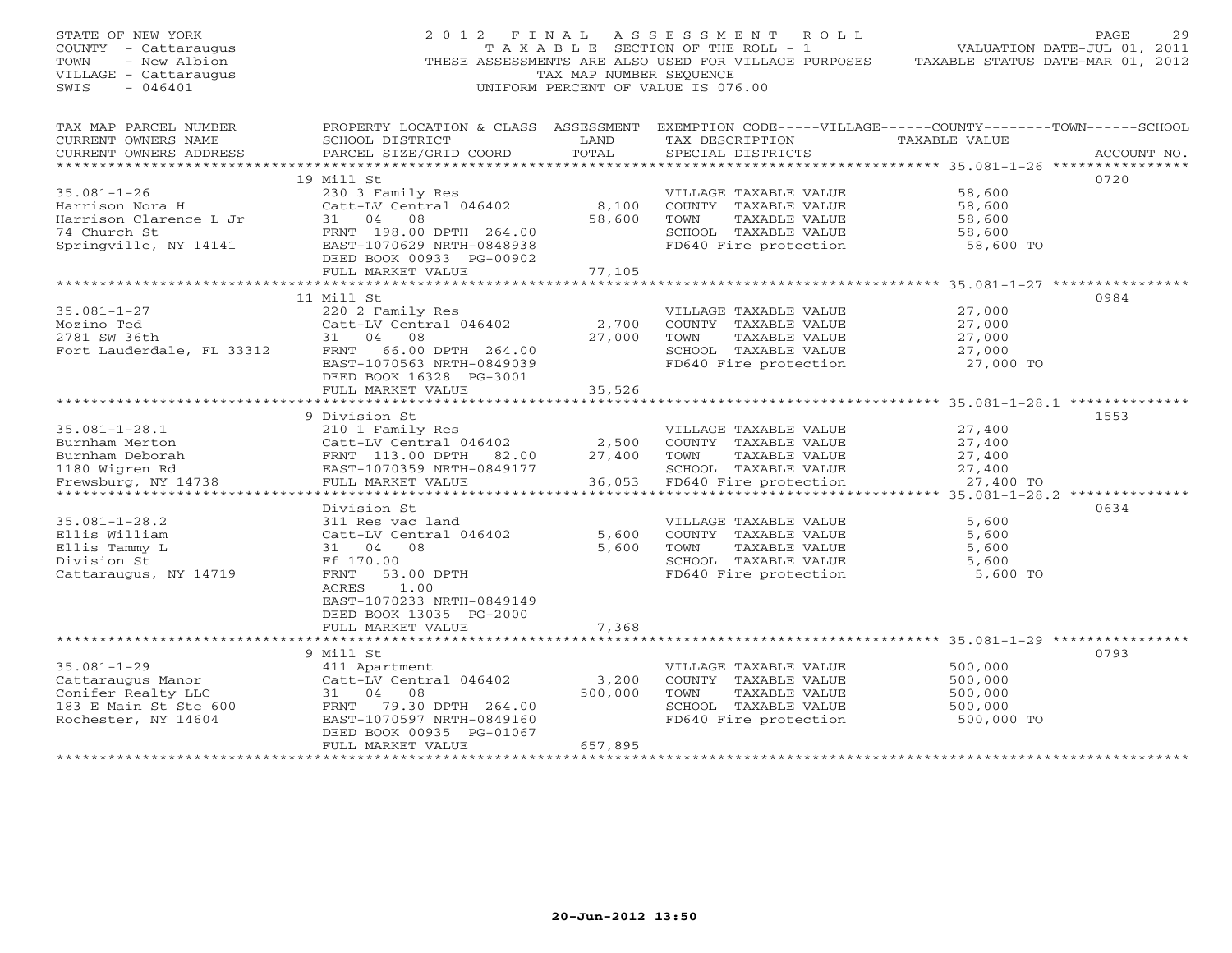| TAX MAP PARCEL NUMBER<br>PROPERTY LOCATION & CLASS ASSESSMENT EXEMPTION CODE-----VILLAGE------COUNTY-------TOWN------SCHOOL<br>CURRENT OWNERS NAME<br>SCHOOL DISTRICT<br>LAND<br>TAX DESCRIPTION TAXABLE VALUE<br>PARCEL SIZE/GRID COORD<br>TOTAL<br>CURRENT OWNERS ADDRESS<br>SPECIAL DISTRICTS<br>19 Mill St<br>0720<br>$35.081 - 1 - 26$<br>230 3 Family Res<br>58,600<br>VILLAGE TAXABLE VALUE<br>35.081-1-26 230 3 Family Res<br>Harrison Nora H<br>Harrison Clarence L Jr 31 04 08<br>74 Church St<br>Springville, NY 14141 EAST-1070629 NRTH-0848938<br>RESP ROOK 0033 PC-00902<br>RESP ROOK 0033 PC-00902<br>8,100<br>COUNTY TAXABLE VALUE<br>58,600<br>58,600<br>TOWN<br>TAXABLE VALUE<br>58,600<br>SCHOOL TAXABLE VALUE<br>58,600<br>FD640 Fire protection<br>58,600 TO<br>DEED BOOK 00933 PG-00902<br>77,105<br>FULL MARKET VALUE<br>11 Mill St<br>0984 | STATE OF NEW YORK<br>COUNTY - Cattaraugus<br>- New Albion<br>TOWN<br>VILLAGE - Cattaraugus<br>$-046401$<br>SWIS | 2012 FINAL       | TAX MAP NUMBER SEOUENCE | ASSESSMENT ROLL<br>T A X A B L E SECTION OF THE ROLL - 1<br>UNIFORM PERCENT OF VALUE IS 076.00 | 29<br>PAGE<br>VALUATION DATE-JUL 01, 2011<br>THESE ASSESSMENTS ARE ALSO USED FOR VILLAGE PURPOSES TAXABLE STATUS DATE-MAR 01, 2012 |
|--------------------------------------------------------------------------------------------------------------------------------------------------------------------------------------------------------------------------------------------------------------------------------------------------------------------------------------------------------------------------------------------------------------------------------------------------------------------------------------------------------------------------------------------------------------------------------------------------------------------------------------------------------------------------------------------------------------------------------------------------------------------------------------------------------------------------------------------------------------------|-----------------------------------------------------------------------------------------------------------------|------------------|-------------------------|------------------------------------------------------------------------------------------------|------------------------------------------------------------------------------------------------------------------------------------|
|                                                                                                                                                                                                                                                                                                                                                                                                                                                                                                                                                                                                                                                                                                                                                                                                                                                                    |                                                                                                                 |                  |                         |                                                                                                | ACCOUNT NO.                                                                                                                        |
|                                                                                                                                                                                                                                                                                                                                                                                                                                                                                                                                                                                                                                                                                                                                                                                                                                                                    |                                                                                                                 |                  |                         |                                                                                                |                                                                                                                                    |
|                                                                                                                                                                                                                                                                                                                                                                                                                                                                                                                                                                                                                                                                                                                                                                                                                                                                    |                                                                                                                 |                  |                         |                                                                                                |                                                                                                                                    |
|                                                                                                                                                                                                                                                                                                                                                                                                                                                                                                                                                                                                                                                                                                                                                                                                                                                                    |                                                                                                                 |                  |                         |                                                                                                |                                                                                                                                    |
|                                                                                                                                                                                                                                                                                                                                                                                                                                                                                                                                                                                                                                                                                                                                                                                                                                                                    |                                                                                                                 |                  |                         |                                                                                                |                                                                                                                                    |
|                                                                                                                                                                                                                                                                                                                                                                                                                                                                                                                                                                                                                                                                                                                                                                                                                                                                    |                                                                                                                 |                  |                         |                                                                                                |                                                                                                                                    |
|                                                                                                                                                                                                                                                                                                                                                                                                                                                                                                                                                                                                                                                                                                                                                                                                                                                                    |                                                                                                                 |                  |                         |                                                                                                |                                                                                                                                    |
| VILLAGE TAXABLE VALUE                                                                                                                                                                                                                                                                                                                                                                                                                                                                                                                                                                                                                                                                                                                                                                                                                                              | $35.081 - 1 - 27$                                                                                               | 220 2 Family Res |                         |                                                                                                | 27,000                                                                                                                             |
| Catt-LV Central 046402<br>2,700<br>COUNTY TAXABLE VALUE<br>27,000                                                                                                                                                                                                                                                                                                                                                                                                                                                                                                                                                                                                                                                                                                                                                                                                  |                                                                                                                 |                  |                         |                                                                                                |                                                                                                                                    |
| Mozino Ted Catt-LV Central 046402<br>2781 SW 36th 31 04 08<br>Fort Lauderdale, FL 33312 FRNT 66.00 DPTH 264.00<br>27,000<br>TOWN TAXABLE VALUE<br>27,000                                                                                                                                                                                                                                                                                                                                                                                                                                                                                                                                                                                                                                                                                                           |                                                                                                                 |                  |                         |                                                                                                |                                                                                                                                    |
| SCHOOL TAXABLE VALUE                                                                                                                                                                                                                                                                                                                                                                                                                                                                                                                                                                                                                                                                                                                                                                                                                                               |                                                                                                                 |                  |                         |                                                                                                |                                                                                                                                    |
| 27,000<br>27,000 TO<br>EAST-1070563 NRTH-0849039<br>FD640 Fire protection                                                                                                                                                                                                                                                                                                                                                                                                                                                                                                                                                                                                                                                                                                                                                                                          |                                                                                                                 |                  |                         |                                                                                                |                                                                                                                                    |
| DEED BOOK 16328 PG-3001                                                                                                                                                                                                                                                                                                                                                                                                                                                                                                                                                                                                                                                                                                                                                                                                                                            |                                                                                                                 |                  |                         |                                                                                                |                                                                                                                                    |
| 35,526<br>FULL MARKET VALUE                                                                                                                                                                                                                                                                                                                                                                                                                                                                                                                                                                                                                                                                                                                                                                                                                                        |                                                                                                                 |                  |                         |                                                                                                |                                                                                                                                    |
|                                                                                                                                                                                                                                                                                                                                                                                                                                                                                                                                                                                                                                                                                                                                                                                                                                                                    |                                                                                                                 |                  |                         |                                                                                                |                                                                                                                                    |
| 9 Division St<br>1553                                                                                                                                                                                                                                                                                                                                                                                                                                                                                                                                                                                                                                                                                                                                                                                                                                              |                                                                                                                 |                  |                         |                                                                                                |                                                                                                                                    |
| $35.081 - 1 - 28.1$<br>27,400<br>210 1 Family Res<br>VILLAGE TAXABLE VALUE                                                                                                                                                                                                                                                                                                                                                                                                                                                                                                                                                                                                                                                                                                                                                                                         |                                                                                                                 |                  |                         |                                                                                                |                                                                                                                                    |
| COUNTY TAXABLE VALUE<br>27,400                                                                                                                                                                                                                                                                                                                                                                                                                                                                                                                                                                                                                                                                                                                                                                                                                                     |                                                                                                                 |                  |                         |                                                                                                |                                                                                                                                    |
| TAXABLE VALUE<br>27,400                                                                                                                                                                                                                                                                                                                                                                                                                                                                                                                                                                                                                                                                                                                                                                                                                                            |                                                                                                                 |                  |                         |                                                                                                |                                                                                                                                    |
| 35.081-1-28.1 210 1 Family Res WILLAGE<br>Burnham Merton Catt-LV Central 046402 2,500 COUNTY<br>Burnham Deborah FRNT 113.00 DPTH 82.00 27,400 TOWN<br>1180 Wigren Rd EAST-1070359 NRTH-0849177 SCHOOL<br>Frewsburg, NY 14738 FULL MARK<br>SCHOOL TAXABLE VALUE<br>27,400                                                                                                                                                                                                                                                                                                                                                                                                                                                                                                                                                                                           |                                                                                                                 |                  |                         |                                                                                                |                                                                                                                                    |
| 36,053 FD640 Fire protection<br>27,400 TO                                                                                                                                                                                                                                                                                                                                                                                                                                                                                                                                                                                                                                                                                                                                                                                                                          |                                                                                                                 |                  |                         |                                                                                                |                                                                                                                                    |
|                                                                                                                                                                                                                                                                                                                                                                                                                                                                                                                                                                                                                                                                                                                                                                                                                                                                    |                                                                                                                 |                  |                         |                                                                                                |                                                                                                                                    |
| 0634<br>Division St                                                                                                                                                                                                                                                                                                                                                                                                                                                                                                                                                                                                                                                                                                                                                                                                                                                |                                                                                                                 |                  |                         |                                                                                                |                                                                                                                                    |
| $35.081 - 1 - 28.2$<br>311 Res vac land<br>VILLAGE TAXABLE VALUE<br>5,600                                                                                                                                                                                                                                                                                                                                                                                                                                                                                                                                                                                                                                                                                                                                                                                          |                                                                                                                 |                  |                         |                                                                                                |                                                                                                                                    |
| Catt-LV Central 046402<br>Ellis William<br>5,600<br>COUNTY TAXABLE VALUE<br>5,600                                                                                                                                                                                                                                                                                                                                                                                                                                                                                                                                                                                                                                                                                                                                                                                  |                                                                                                                 |                  |                         |                                                                                                |                                                                                                                                    |
| TAXABLE VALUE<br>Ellis Tammy L<br>5,600<br>5,600<br>31 04 08<br>TOWN                                                                                                                                                                                                                                                                                                                                                                                                                                                                                                                                                                                                                                                                                                                                                                                               |                                                                                                                 |                  |                         |                                                                                                |                                                                                                                                    |
| Division St<br>Ff 170.00<br>SCHOOL TAXABLE VALUE<br>5,600                                                                                                                                                                                                                                                                                                                                                                                                                                                                                                                                                                                                                                                                                                                                                                                                          |                                                                                                                 |                  |                         |                                                                                                |                                                                                                                                    |
| FD640 Fire protection<br>Cattaraugus, NY 14719<br>FRNT<br>53.00 DPTH<br>5,600 TO                                                                                                                                                                                                                                                                                                                                                                                                                                                                                                                                                                                                                                                                                                                                                                                   |                                                                                                                 |                  |                         |                                                                                                |                                                                                                                                    |
| 1.00<br>ACRES<br>EAST-1070233 NRTH-0849149                                                                                                                                                                                                                                                                                                                                                                                                                                                                                                                                                                                                                                                                                                                                                                                                                         |                                                                                                                 |                  |                         |                                                                                                |                                                                                                                                    |
| DEED BOOK 13035 PG-2000                                                                                                                                                                                                                                                                                                                                                                                                                                                                                                                                                                                                                                                                                                                                                                                                                                            |                                                                                                                 |                  |                         |                                                                                                |                                                                                                                                    |
| 7,368<br>FULL MARKET VALUE                                                                                                                                                                                                                                                                                                                                                                                                                                                                                                                                                                                                                                                                                                                                                                                                                                         |                                                                                                                 |                  |                         |                                                                                                |                                                                                                                                    |
|                                                                                                                                                                                                                                                                                                                                                                                                                                                                                                                                                                                                                                                                                                                                                                                                                                                                    |                                                                                                                 |                  |                         |                                                                                                |                                                                                                                                    |
| 9 Mill St<br>0793                                                                                                                                                                                                                                                                                                                                                                                                                                                                                                                                                                                                                                                                                                                                                                                                                                                  |                                                                                                                 |                  |                         |                                                                                                |                                                                                                                                    |
| $35.081 - 1 - 29$<br>500,000<br>411 Apartment<br>VILLAGE TAXABLE VALUE                                                                                                                                                                                                                                                                                                                                                                                                                                                                                                                                                                                                                                                                                                                                                                                             |                                                                                                                 |                  |                         |                                                                                                |                                                                                                                                    |
| 3,200<br>COUNTY TAXABLE VALUE<br>500,000<br>Cattaraugus Manor Catt-LV Central 046402<br>Conifer Realty LLC 31 04 08<br>183 E Main St Ste 600 FRNT 79.30 DPTH 264.00                                                                                                                                                                                                                                                                                                                                                                                                                                                                                                                                                                                                                                                                                                |                                                                                                                 |                  |                         |                                                                                                |                                                                                                                                    |
| 500,000<br>TOWN<br>TAXABLE VALUE<br>500,000                                                                                                                                                                                                                                                                                                                                                                                                                                                                                                                                                                                                                                                                                                                                                                                                                        |                                                                                                                 |                  |                         |                                                                                                |                                                                                                                                    |
| SCHOOL TAXABLE VALUE<br>500,000                                                                                                                                                                                                                                                                                                                                                                                                                                                                                                                                                                                                                                                                                                                                                                                                                                    |                                                                                                                 |                  |                         |                                                                                                |                                                                                                                                    |
| Rochester, NY 14604<br>FD640 Fire protection<br>500,000 TO<br>EAST-1070597 NRTH-0849160                                                                                                                                                                                                                                                                                                                                                                                                                                                                                                                                                                                                                                                                                                                                                                            |                                                                                                                 |                  |                         |                                                                                                |                                                                                                                                    |
| DEED BOOK 00935 PG-01067                                                                                                                                                                                                                                                                                                                                                                                                                                                                                                                                                                                                                                                                                                                                                                                                                                           |                                                                                                                 |                  |                         |                                                                                                |                                                                                                                                    |
| FULL MARKET VALUE<br>657,895                                                                                                                                                                                                                                                                                                                                                                                                                                                                                                                                                                                                                                                                                                                                                                                                                                       |                                                                                                                 |                  |                         |                                                                                                |                                                                                                                                    |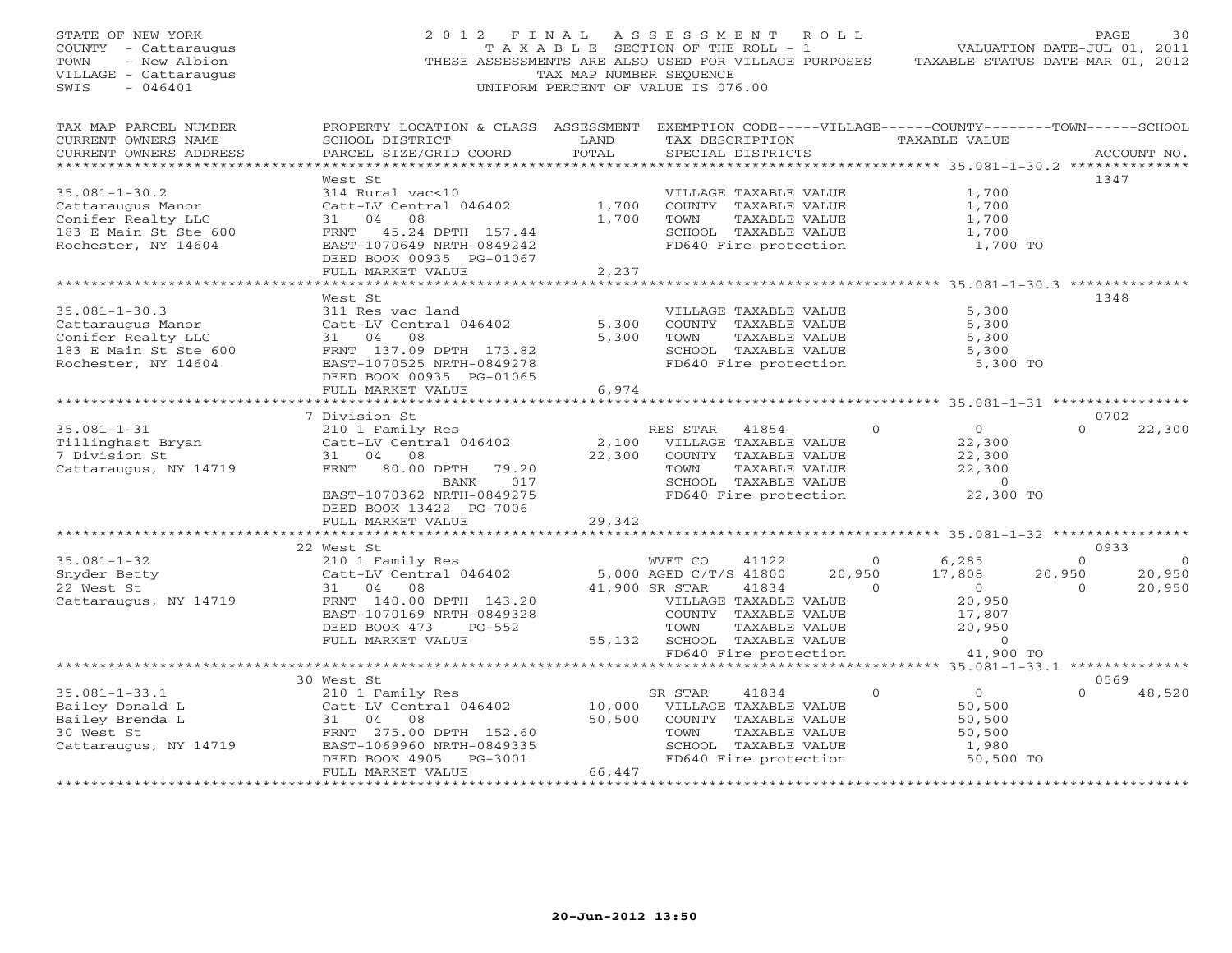| STATE OF NEW YORK<br>COUNTY - Cattaraugus<br>- New Albion<br>TOWN<br>VILLAGE - Cattaraugus<br>$-046401$<br>SWIS | 2012 FINAL ASSESSMENT ROLL<br>THESE ASSESSMENTS ARE ALSO USED FOR VILLAGE PURPOSES                                                                                         | T A X A B L E SECTION OF THE ROLL - 1<br>TAX MAP NUMBER SEQUENCE<br>UNIFORM PERCENT OF VALUE IS 076.00 |                                                     |                                                                                                                          |                                | VALUATION DATE-JUL 01, 2011<br>TAXABLE STATUS DATE-MAR 01, 2012             | PAGE.                                  | 30                                 |
|-----------------------------------------------------------------------------------------------------------------|----------------------------------------------------------------------------------------------------------------------------------------------------------------------------|--------------------------------------------------------------------------------------------------------|-----------------------------------------------------|--------------------------------------------------------------------------------------------------------------------------|--------------------------------|-----------------------------------------------------------------------------|----------------------------------------|------------------------------------|
| TAX MAP PARCEL NUMBER<br>CURRENT OWNERS NAME<br>CURRENT OWNERS ADDRESS<br>****************                      | PROPERTY LOCATION & CLASS ASSESSMENT EXEMPTION CODE-----VILLAGE------COUNTY-------TOWN------SCHOOL<br>SCHOOL DISTRICT<br>PARCEL SIZE/GRID COORD                            | LAND<br>TOTAL<br>************                                                                          |                                                     | TAX DESCRIPTION<br>SPECIAL DISTRICTS                                                                                     |                                | TAXABLE VALUE<br>****************** 35.081-1-30.2 **************            |                                        | ACCOUNT NO.                        |
| $35.081 - 1 - 30.2$<br>Cattaraugus Manor<br>Conifer Realty LLC<br>183 E Main St Ste 600<br>Rochester, NY 14604  | West St<br>314 Rural vac<10<br>Catt-LV Central 046402<br>31 04 08<br>FRNT 45.24 DPTH 157.44<br>EAST-1070649 NRTH-0849242<br>DEED BOOK 00935 PG-01067<br>FULL MARKET VALUE  | 1,700<br>1,700<br>2,237                                                                                | TOWN                                                | VILLAGE TAXABLE VALUE<br>COUNTY TAXABLE VALUE<br>TAXABLE VALUE<br>SCHOOL TAXABLE VALUE<br>FD640 Fire protection          |                                | 1,700<br>1,700<br>1,700<br>1,700<br>1,700 TO                                | 1347                                   |                                    |
|                                                                                                                 |                                                                                                                                                                            |                                                                                                        |                                                     |                                                                                                                          |                                |                                                                             |                                        |                                    |
| $35.081 - 1 - 30.3$<br>Cattaraugus Manor<br>Conifer Realty LLC<br>183 E Main St Ste 600<br>Rochester, NY 14604  | West St<br>311 Res vac land<br>Catt-LV Central 046402<br>31 04<br>08<br>FRNT 137.09 DPTH 173.82<br>EAST-1070525 NRTH-0849278<br>DEED BOOK 00935 PG-01065                   | 5,300<br>5,300                                                                                         | TOWN                                                | VILLAGE TAXABLE VALUE<br>COUNTY TAXABLE VALUE<br>TAXABLE VALUE<br>SCHOOL TAXABLE VALUE<br>FD640 Fire protection          |                                | 5,300<br>5,300<br>5,300<br>5,300<br>5,300 TO                                | 1348                                   |                                    |
|                                                                                                                 | FULL MARKET VALUE<br>***************************                                                                                                                           | 6,974                                                                                                  |                                                     |                                                                                                                          |                                |                                                                             |                                        |                                    |
| $35.081 - 1 - 31$<br>Tillinghast Bryan<br>7 Division St<br>Cattaraugus, NY 14719                                | 7 Division St<br>210 1 Family Res<br>Catt-LV Central 046402<br>31 04 08<br>FRNT 80.00 DPTH<br>79.20<br>017<br>BANK<br>EAST-1070362 NRTH-0849275<br>DEED BOOK 13422 PG-7006 | 2,100<br>22,300                                                                                        | RES STAR<br>TOWN                                    | 41854<br>VILLAGE TAXABLE VALUE<br>COUNTY TAXABLE VALUE<br>TAXABLE VALUE<br>SCHOOL TAXABLE VALUE<br>FD640 Fire protection | $\Omega$                       | $\overline{0}$<br>22,300<br>22,300<br>22,300<br>$\overline{0}$<br>22,300 TO | 0702<br>$\Omega$                       | 22,300                             |
|                                                                                                                 | FULL MARKET VALUE<br>***********************                                                                                                                               | 29,342                                                                                                 |                                                     |                                                                                                                          |                                |                                                                             |                                        |                                    |
| $35.081 - 1 - 32$<br>Snyder Betty<br>22 West St<br>Cattaraugus, NY 14719                                        | 22 West St<br>210 1 Family Res<br>Catt-LV Central 046402<br>31 04 08<br>FRNT 140.00 DPTH 143.20                                                                            |                                                                                                        | WVET CO<br>5,000 AGED C/T/S 41800<br>41,900 SR STAR | 41122<br>41834<br>VILLAGE TAXABLE VALUE                                                                                  | $\Omega$<br>20,950<br>$\Omega$ | 6,285<br>17,808<br>$\overline{0}$<br>20,950                                 | 0933<br>$\Omega$<br>20,950<br>$\Omega$ | $\overline{0}$<br>20,950<br>20,950 |
|                                                                                                                 | EAST-1070169 NRTH-0849328<br>DEED BOOK 473<br>PG-552<br>FULL MARKET VALUE<br>***********************************                                                           | 55,132                                                                                                 | TOWN                                                | COUNTY TAXABLE VALUE<br>TAXABLE VALUE<br>SCHOOL TAXABLE VALUE<br>FD640 Fire protection                                   |                                | 17,807<br>20,950<br>$\Omega$<br>41,900 TO                                   |                                        |                                    |
|                                                                                                                 | 30 West St                                                                                                                                                                 |                                                                                                        |                                                     |                                                                                                                          |                                |                                                                             | 0569                                   |                                    |
| $35.081 - 1 - 33.1$<br>Bailey Donald L<br>Bailey Brenda L<br>30 West St<br>Cattaraugus, NY 14719                | 210 1 Family Res<br>Catt-LV Central 046402<br>31 04<br>08<br>FRNT 275.00 DPTH 152.60<br>EAST-1069960 NRTH-0849335<br>DEED BOOK 4905<br>PG-3001<br>FULL MARKET VALUE        | 10,000<br>50,500<br>66,447<br>********************                                                     | SR STAR<br>TOWN                                     | 41834<br>VILLAGE TAXABLE VALUE<br>COUNTY TAXABLE VALUE<br>TAXABLE VALUE<br>SCHOOL TAXABLE VALUE<br>FD640 Fire protection | $\mathbf{0}$                   | $\overline{0}$<br>50,500<br>50,500<br>50,500<br>1,980<br>50,500 TO          | $\Omega$                               | 48,520                             |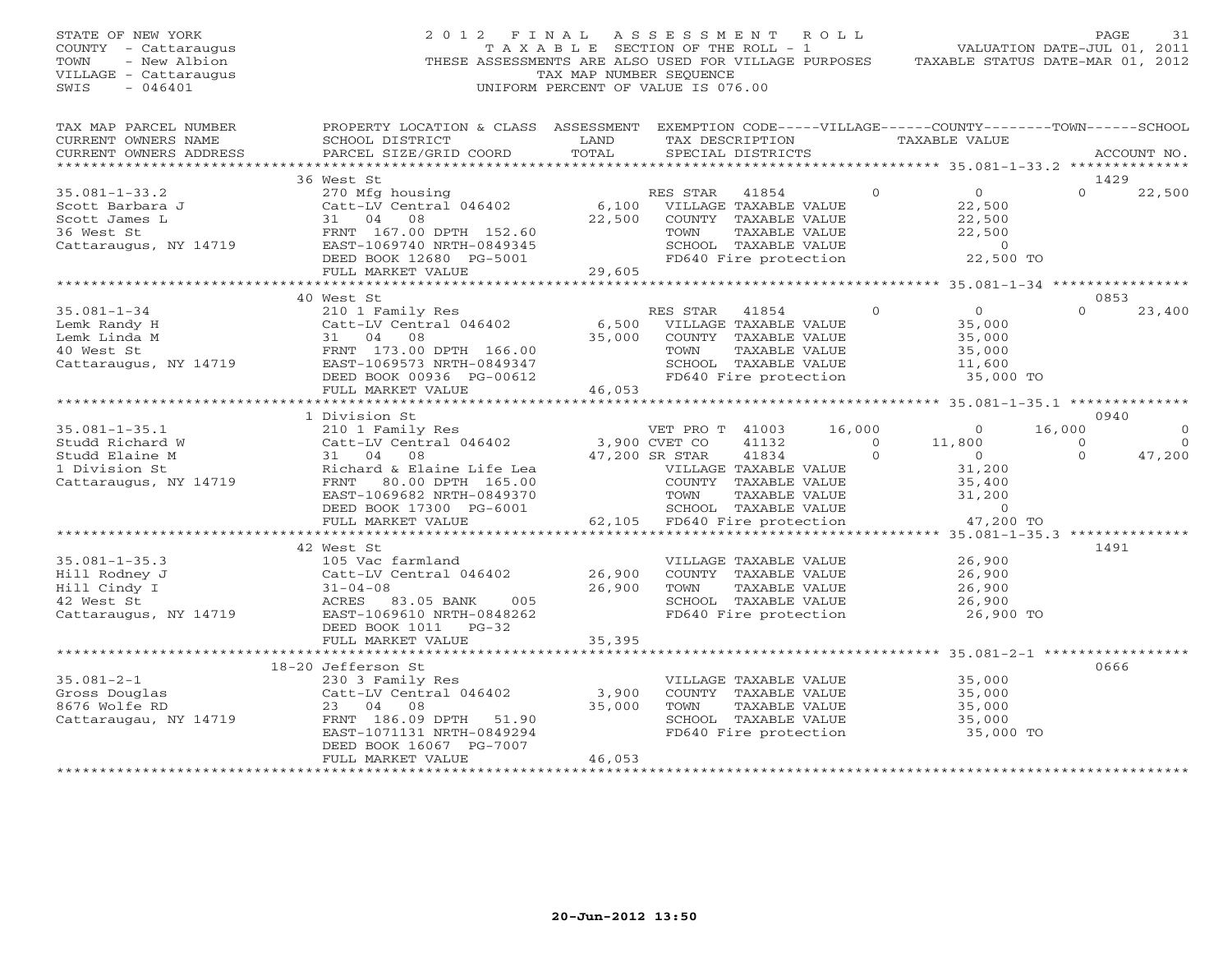| STATE OF NEW YORK<br>COUNTY - Cattaraugus<br>- New Albion<br>TOWN<br>VILLAGE - Cattaraugus<br>SWIS<br>$-046401$ | 2012 FINAL                                                                                                                                      | TAX MAP NUMBER SEQUENCE | UNIFORM PERCENT OF VALUE IS 076.00 | ASSESSMENT ROLL<br>T A X A B L E SECTION OF THE ROLL - 1                                                                  |                           | VALUATION DATE-JUL 01, 2011<br>THESE ASSESSMENTS ARE ALSO USED FOR VILLAGE PURPOSES TAXABLE STATUS DATE-MAR 01, 2012 | PAGE                 | 31                 |
|-----------------------------------------------------------------------------------------------------------------|-------------------------------------------------------------------------------------------------------------------------------------------------|-------------------------|------------------------------------|---------------------------------------------------------------------------------------------------------------------------|---------------------------|----------------------------------------------------------------------------------------------------------------------|----------------------|--------------------|
| TAX MAP PARCEL NUMBER<br>CURRENT OWNERS NAME<br>CURRENT OWNERS ADDRESS                                          | PROPERTY LOCATION & CLASS ASSESSMENT EXEMPTION CODE-----VILLAGE------COUNTY-------TOWN------SCHOOL<br>SCHOOL DISTRICT<br>PARCEL SIZE/GRID COORD | LAND<br>TOTAL           | SPECIAL DISTRICTS                  |                                                                                                                           |                           | TAX DESCRIPTION TAXABLE VALUE                                                                                        |                      | ACCOUNT NO.        |
|                                                                                                                 | 36 West St                                                                                                                                      |                         |                                    |                                                                                                                           |                           |                                                                                                                      | 1429                 |                    |
| $35.081 - 1 - 33.2$<br>Scott Barbara J<br>Scott James L                                                         | 270 Mfg housing<br>Catt-LV Central 046402<br>31 04<br>08                                                                                        |                         | RES STAR 41854                     | 6,100 VILLAGE TAXABLE VALUE<br>22,500 COUNTY TAXABLE VALUE                                                                | $\Omega$                  | $\overline{0}$<br>22,500<br>22,500                                                                                   | $\Omega$             | 22,500             |
| 36 West St<br>Cattaraugus, NY 14719                                                                             | FRNT 167.00 DPTH 152.60<br>EAST-1069740 NRTH-0849345<br>DEED BOOK 12680 PG-5001                                                                 |                         | TOWN                               | TAXABLE VALUE<br>SCHOOL TAXABLE VALUE<br>FD640 Fire protection                                                            |                           | 22,500<br>$\overline{0}$<br>22,500 TO                                                                                |                      |                    |
|                                                                                                                 | FULL MARKET VALUE                                                                                                                               | 29,605                  |                                    |                                                                                                                           |                           |                                                                                                                      |                      |                    |
|                                                                                                                 | 40 West St                                                                                                                                      |                         |                                    |                                                                                                                           |                           |                                                                                                                      | 0853                 |                    |
| $35.081 - 1 - 34$<br>Lemk Randy H                                                                               | 210 1 Family Res<br>Catt-LV Central 046402                                                                                                      | 6,500                   | RES STAR 41854                     | VILLAGE TAXABLE VALUE                                                                                                     | $\circ$                   | $\overline{0}$<br>35,000                                                                                             | $\Omega$             | 23,400             |
|                                                                                                                 | Lemk Linda M<br>40 West St<br>40 West St<br>Cattaraugus, NY 14719<br>Cattaraugus, NY 14719<br>EAST-1069573 NRTH-0849347                         | 35,000                  | TOWN                               | COUNTY TAXABLE VALUE<br>TAXABLE VALUE<br>SCHOOL TAXABLE VALUE                                                             |                           | 35,000<br>35,000<br>11,600                                                                                           |                      |                    |
|                                                                                                                 | DEED BOOK 00936 PG-00612<br>FULL MARKET VALUE                                                                                                   | 46,053                  |                                    | FD640 Fire protection                                                                                                     |                           | 35,000 TO                                                                                                            |                      |                    |
|                                                                                                                 | 1 Division St                                                                                                                                   |                         |                                    |                                                                                                                           |                           |                                                                                                                      | 0940                 |                    |
| $35.081 - 1 - 35.1$                                                                                             |                                                                                                                                                 |                         | VET PRO T 41003                    | 16,000                                                                                                                    |                           | $\circ$                                                                                                              | 16,000               | $\circ$            |
| Studd Richard W<br>Studd Elaine M                                                                               | 210 1 Family Res<br>Catt-LV Central 046402 3,900 CVET CO<br>31 04 08 47,200 SR STAR<br>31 04 08                                                 |                         | 47,200 SR STAR                     | 41132<br>41834                                                                                                            | $\overline{0}$<br>$\circ$ | 11,800<br>$\overline{0}$                                                                                             | $\Omega$<br>$\Omega$ | $\Omega$<br>47,200 |
| 1 Division St<br>Cattaraugus, NY 14719                                                                          | Richard & Elaine Life Lea<br>FRNT 80.00 DPTH 165.00<br>EAST-1069682 NRTH-0849370<br>DEED BOOK 17300 PG-6001                                     |                         | TOWN                               | VILLAGE TAXABLE VALUE<br>COUNTY TAXABLE VALUE<br>TAXABLE VALUE<br>TAXABLE VALUE<br>ire protection<br>SCHOOL TAXABLE VALUE |                           | 31,200<br>35,400<br>31,200<br>$\sim$ 0                                                                               |                      |                    |
|                                                                                                                 | FULL MARKET VALUE                                                                                                                               |                         |                                    | 62,105 FD640 Fire protection                                                                                              |                           | 47,200 TO                                                                                                            |                      |                    |
|                                                                                                                 | 42 West St                                                                                                                                      |                         |                                    |                                                                                                                           |                           |                                                                                                                      | 1491                 |                    |
| $35.081 - 1 - 35.3$<br>Hill Rodney J<br>Hill Cindy I<br>42 West St<br>Cattaraugus, NY 14719                     | 105 Vac farmland<br>Catt-LV Central 046402<br>$31 - 04 - 08$<br>ACRES 83.05 BANK<br>005<br>EAST-1069610 NRTH-0848262                            | 26,900<br>26,900        | TOWN                               | VILLAGE TAXABLE VALUE<br>COUNTY TAXABLE VALUE<br>TAXABLE VALUE<br>SCHOOL TAXABLE VALUE<br>FD640 Fire protection           |                           | 26,900<br>26,900<br>26,900<br>26,900<br>26,900 TO                                                                    |                      |                    |
|                                                                                                                 | DEED BOOK 1011 PG-32<br>FULL MARKET VALUE                                                                                                       | 35,395                  |                                    |                                                                                                                           |                           |                                                                                                                      |                      |                    |
|                                                                                                                 | **********************************                                                                                                              |                         |                                    |                                                                                                                           |                           |                                                                                                                      |                      |                    |
| $35.081 - 2 - 1$                                                                                                | 18-20 Jefferson St<br>230 3 Family Res                                                                                                          |                         |                                    | VILLAGE TAXABLE VALUE                                                                                                     |                           | 35,000                                                                                                               | 0666                 |                    |
| Gross Douglas                                                                                                   | Catt-LV Central 046402                                                                                                                          | 3,900                   |                                    | COUNTY TAXABLE VALUE                                                                                                      |                           | 35,000                                                                                                               |                      |                    |
| 8676 Wolfe RD<br>Cattaraugau, NY 14719                                                                          | 23 04 08<br>FRNT 186.09 DPTH 51.90<br>EAST-1071131 NRTH-0849294<br>DEED BOOK 16067 PG-7007                                                      | 35,000                  | TOWN                               | TAXABLE VALUE<br>SCHOOL TAXABLE VALUE<br>FD640 Fire protection                                                            |                           | 35,000<br>35,000<br>35,000 TO                                                                                        |                      |                    |
|                                                                                                                 | FULL MARKET VALUE                                                                                                                               | 46,053                  |                                    |                                                                                                                           |                           |                                                                                                                      |                      |                    |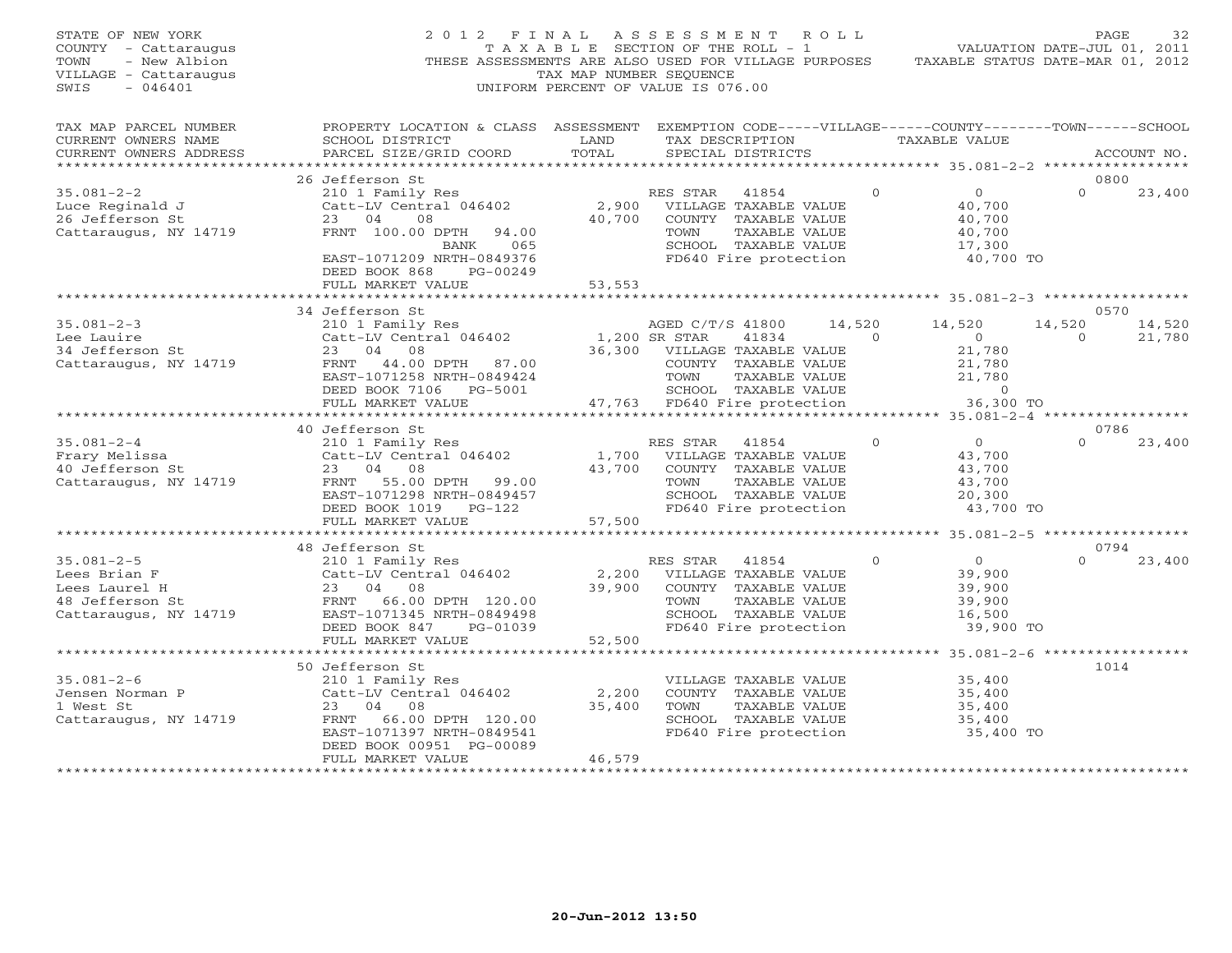| STATE OF NEW YORK<br>COUNTY - Cattaraugus<br>TOWN<br>- New Albion<br>VILLAGE - Cattaraugus<br>$-046401$<br>SWIS | 2012 FINAL<br>THESE ASSESSMENTS ARE ALSO USED FOR VILLAGE PURPOSES                                                                                              | TAXABLE SECTION OF THE ROLL - 1<br>TAX MAP NUMBER SEOUENCE<br>UNIFORM PERCENT OF VALUE IS 076.00 | A S S E S S M E N T                                                                                                      |                                                                                                                 | R O L L |                | VALUATION DATE-JUL 01, 2011<br>TAXABLE STATUS DATE-MAR 01, 2012                 |                    | PAGE<br>32       |
|-----------------------------------------------------------------------------------------------------------------|-----------------------------------------------------------------------------------------------------------------------------------------------------------------|--------------------------------------------------------------------------------------------------|--------------------------------------------------------------------------------------------------------------------------|-----------------------------------------------------------------------------------------------------------------|---------|----------------|---------------------------------------------------------------------------------|--------------------|------------------|
| TAX MAP PARCEL NUMBER<br>CURRENT OWNERS NAME<br>CURRENT OWNERS ADDRESS<br>******************                    | PROPERTY LOCATION & CLASS ASSESSMENT EXEMPTION CODE-----VILLAGE------COUNTY-------TOWN------SCHOOL<br>SCHOOL DISTRICT<br>PARCEL SIZE/GRID COORD                 | LAND<br>TOTAL                                                                                    |                                                                                                                          | TAX DESCRIPTION<br>SPECIAL DISTRICTS                                                                            |         |                | TAXABLE VALUE                                                                   |                    | ACCOUNT NO.      |
|                                                                                                                 | 26 Jefferson St                                                                                                                                                 |                                                                                                  |                                                                                                                          |                                                                                                                 |         |                |                                                                                 | 0800               |                  |
| $35.081 - 2 - 2$<br>Luce Reginald J<br>26 Jefferson St<br>Cattaraugus, NY 14719                                 | 210 1 Family Res<br>Catt-LV Central 046402<br>23 04<br>08<br>FRNT 100.00 DPTH<br>94.00<br>065<br>BANK<br>EAST-1071209 NRTH-0849376<br>DEED BOOK 868<br>PG-00249 | 40,700                                                                                           | RES STAR<br>2,900 VILLAGE TAXABLE VALUE<br>COUNTY TAXABLE VALUE<br>TOWN<br>SCHOOL TAXABLE VALUE<br>FD640 Fire protection | 41854<br>TAXABLE VALUE                                                                                          |         | $\Omega$       | $\overline{0}$<br>40,700<br>40,700<br>40,700<br>17,300<br>40,700 TO             | $\Omega$           | 23,400           |
|                                                                                                                 | FULL MARKET VALUE<br>**********************                                                                                                                     | 53,553                                                                                           |                                                                                                                          |                                                                                                                 |         |                |                                                                                 |                    |                  |
|                                                                                                                 | 34 Jefferson St                                                                                                                                                 |                                                                                                  |                                                                                                                          |                                                                                                                 |         |                |                                                                                 |                    | 0570             |
| $35.081 - 2 - 3$<br>Lee Lauire<br>34 Jefferson St<br>Cattaraugus, NY 14719                                      | 210 1 Family Res<br>Catt-LV Central 046402<br>23 04 08<br>FRNT 44.00 DPTH 87.00<br>EAST-1071258 NRTH-0849424<br>DEED BOOK 7106 PG-5001<br>FULL MARKET VALUE     | 1,200 SR STAR<br>36,300<br>47,763                                                                | AGED C/T/S 41800<br>VILLAGE TAXABLE VALUE<br>COUNTY TAXABLE VALUE<br>TOWN<br>FD640 Fire protection                       | 41834<br>TAXABLE VALUE<br>SCHOOL TAXABLE VALUE                                                                  | 14,520  | $\overline{0}$ | 14,520<br>$\overline{0}$<br>21,780<br>21,780<br>21,780<br>$\sim$ 0<br>36,300 TO | 14,520<br>$\Omega$ | 14,520<br>21,780 |
|                                                                                                                 |                                                                                                                                                                 |                                                                                                  |                                                                                                                          |                                                                                                                 |         |                |                                                                                 |                    |                  |
| $35.081 - 2 - 4$<br>Frary Melissa<br>40 Jefferson St<br>Cattaraugus, NY 14719                                   | 40 Jefferson St<br>210 1 Family Res<br>Catt-LV Central 046402<br>23 04 08<br>FRNT 55.00 DPTH 99.00<br>EAST-1071298 NRTH-0849457<br>DEED BOOK 1019<br>$PG-122$   | 1,700<br>43,700                                                                                  | RES STAR<br>VILLAGE TAXABLE VALUE<br>TOWN<br>SCHOOL TAXABLE VALUE<br>FD640 Fire protection                               | 41854<br>COUNTY TAXABLE VALUE<br>TAXABLE VALUE                                                                  |         | $\Omega$       | $\Omega$<br>43,700<br>43,700<br>43,700<br>20,300<br>43,700 TO                   | 0786<br>$\Omega$   | 23,400           |
|                                                                                                                 | FULL MARKET VALUE<br>* * * * * * * * * * * * * * * * * * *                                                                                                      | 57,500<br>************                                                                           |                                                                                                                          |                                                                                                                 |         |                | $x********$ 35.081-2-5 ******************                                       |                    |                  |
|                                                                                                                 | 48 Jefferson St                                                                                                                                                 |                                                                                                  |                                                                                                                          |                                                                                                                 |         |                |                                                                                 |                    | 0794             |
| $35.081 - 2 - 5$<br>Lees Brian F<br>Lees Laurel H<br>48 Jefferson St<br>Cattaraugus, NY 14719                   | 210 1 Family Res<br>Catt-LV Central 046402<br>04 08<br>23<br>FRNT 66.00 DPTH 120.00<br>EAST-1071345 NRTH-0849498<br>DEED BOOK 847<br>PG-01039                   | 2,200<br>39,900                                                                                  | RES STAR<br>VILLAGE TAXABLE VALUE<br>TOWN<br>FD640 Fire protection                                                       | 41854<br>COUNTY TAXABLE VALUE<br>TAXABLE VALUE<br>SCHOOL TAXABLE VALUE                                          |         | $\Omega$       | $\circ$<br>39,900<br>39,900<br>39,900<br>16,500<br>39,900 TO                    | $\Omega$           | 23,400           |
|                                                                                                                 | FULL MARKET VALUE                                                                                                                                               | 52,500                                                                                           |                                                                                                                          |                                                                                                                 |         |                |                                                                                 |                    |                  |
|                                                                                                                 | ***********************                                                                                                                                         | ********************                                                                             |                                                                                                                          |                                                                                                                 |         |                | ************* 35.081-2-6 ******************                                     |                    |                  |
| $35.081 - 2 - 6$<br>Jensen Norman P<br>1 West St<br>Cattaraugus, NY 14719                                       | 50 Jefferson St<br>210 1 Family Res<br>Catt-LV Central 046402<br>23<br>04 08<br>66.00 DPTH 120.00<br>FRNT<br>EAST-1071397 NRTH-0849541                          | 2,200<br>35,400                                                                                  | TOWN                                                                                                                     | VILLAGE TAXABLE VALUE<br>COUNTY TAXABLE VALUE<br>TAXABLE VALUE<br>SCHOOL TAXABLE VALUE<br>FD640 Fire protection |         |                | 35,400<br>35,400<br>35,400<br>35,400<br>35,400 TO                               | 1014               |                  |
|                                                                                                                 | DEED BOOK 00951 PG-00089<br>FULL MARKET VALUE                                                                                                                   | 46,579<br><b>+++++++++++</b>                                                                     |                                                                                                                          |                                                                                                                 |         |                |                                                                                 |                    |                  |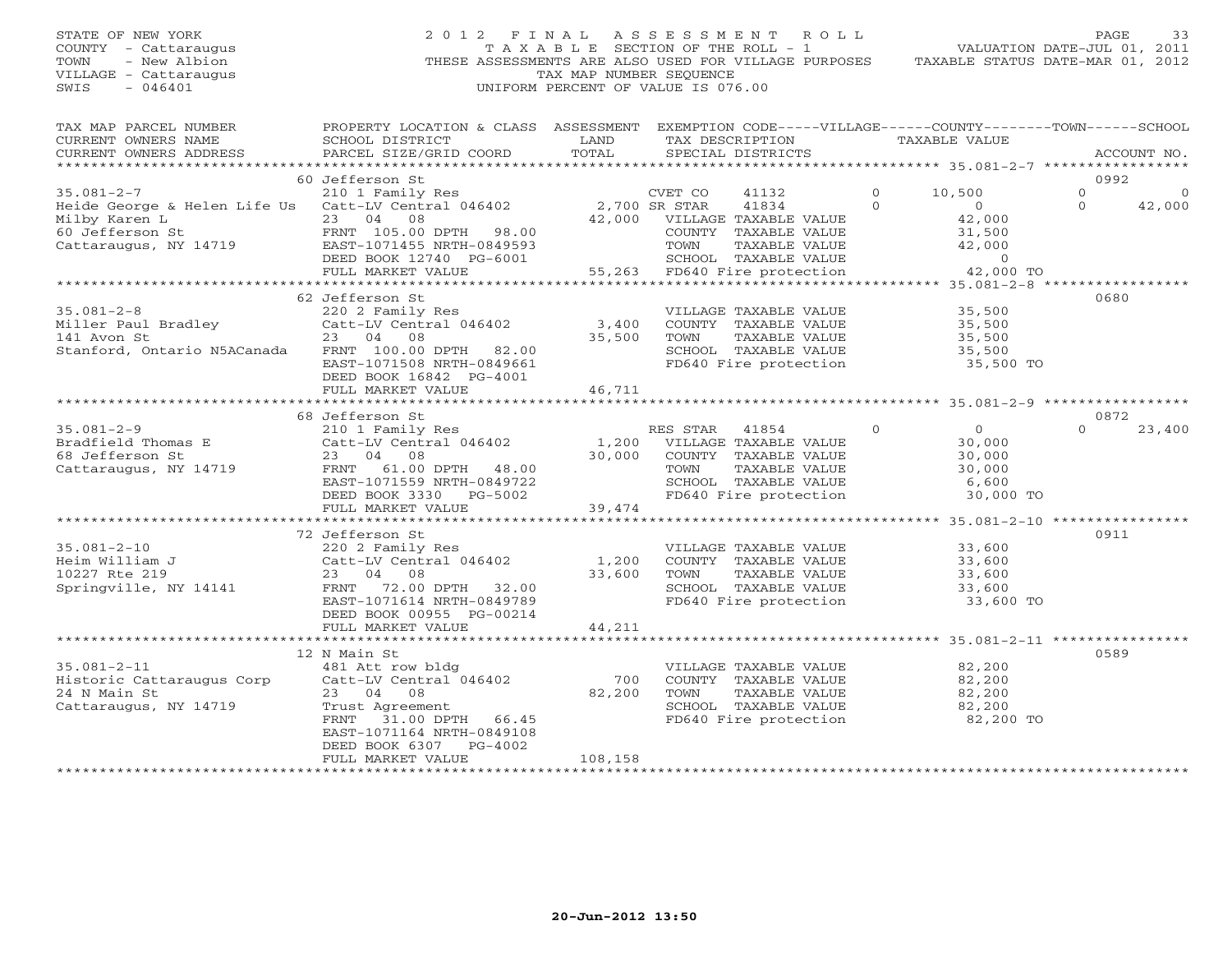## STATE OF NEW YORK 2 0 1 2 F I N A L A S S E S S M E N T R O L L PAGE 33 COUNTY - Cattaraugus T A X A B L E SECTION OF THE ROLL - 1 VALUATION DATE-JUL 01, 2011 TOWN - New Albion THESE ASSESSMENTS ARE ALSO USED FOR VILLAGE PURPOSES TAXABLE STATUS DATE-MAR 01, 2012 VILLAGE - Cattaraugus TAX MAP NUMBER SEQUENCE SWIS - 046401 UNIFORM PERCENT OF VALUE IS 076.00

| TAX MAP PARCEL NUMBER<br>CURRENT OWNERS NAME                                                                                                                                                                                    | PROPERTY LOCATION & CLASS ASSESSMENT<br>SCHOOL DISTRICT | LAND         | EXEMPTION CODE-----VILLAGE------COUNTY--------TOWN------SCHOOL<br>TAX DESCRIPTION | TAXABLE VALUE                              |                      |
|---------------------------------------------------------------------------------------------------------------------------------------------------------------------------------------------------------------------------------|---------------------------------------------------------|--------------|-----------------------------------------------------------------------------------|--------------------------------------------|----------------------|
| CURRENT OWNERS ADDRESS                                                                                                                                                                                                          | PARCEL SIZE/GRID COORD                                  | TOTAL        | SPECIAL DISTRICTS                                                                 |                                            | ACCOUNT NO.          |
|                                                                                                                                                                                                                                 |                                                         |              |                                                                                   |                                            |                      |
|                                                                                                                                                                                                                                 | 60 Jefferson St                                         |              |                                                                                   |                                            | 0992                 |
| $35.081 - 2 - 7$                                                                                                                                                                                                                | 210 1 Family Res                                        |              | CVET CO<br>41132                                                                  | $\Omega$<br>10,500<br>$\Omega$<br>$\Omega$ | $\Omega$<br>$\Omega$ |
| Heide George & Helen Life Us $Cat-LV$ Central 046402 2,700 SR STAR<br>Milby Karen L                                                                                                                                             | 23 04 08                                                |              | 41834<br>42,000 VILLAGE TAXABLE VALUE                                             | 42,000                                     | 42,000               |
|                                                                                                                                                                                                                                 |                                                         |              | COUNTY TAXABLE VALUE                                                              | 31,500                                     |                      |
|                                                                                                                                                                                                                                 |                                                         |              | TAXABLE VALUE<br>TOWN                                                             | 42,000                                     |                      |
|                                                                                                                                                                                                                                 | DEED BOOK 12740 PG-6001                                 |              |                                                                                   | $\Omega$                                   |                      |
|                                                                                                                                                                                                                                 | FULL MARKET VALUE                                       | $101$ 55,263 | SCHOOL TAXABLE VALUE<br>55,263 FD640 Fire protection                              | 42,000 TO                                  |                      |
|                                                                                                                                                                                                                                 |                                                         |              |                                                                                   |                                            |                      |
|                                                                                                                                                                                                                                 | 62 Jefferson St                                         |              |                                                                                   |                                            | 0680                 |
| $35.081 - 2 - 8$                                                                                                                                                                                                                | 220 2 Family Res                                        |              | VILLAGE TAXABLE VALUE                                                             | 35,500                                     |                      |
|                                                                                                                                                                                                                                 |                                                         |              | COUNTY TAXABLE VALUE 35,500                                                       |                                            |                      |
|                                                                                                                                                                                                                                 |                                                         |              | TAXABLE VALUE<br>TOWN                                                             | 35,500                                     |                      |
| Stanford, Ontario N5ACanada FRNT 100.00 DPTH 82.00                                                                                                                                                                              |                                                         |              | SCHOOL TAXABLE VALUE                                                              | 35,500                                     |                      |
|                                                                                                                                                                                                                                 | EAST-1071508 NRTH-0849661                               |              | FD640 Fire protection                                                             | 35,500 TO                                  |                      |
|                                                                                                                                                                                                                                 | DEED BOOK 16842 PG-4001                                 |              |                                                                                   |                                            |                      |
|                                                                                                                                                                                                                                 | FULL MARKET VALUE                                       | 46,711       |                                                                                   |                                            |                      |
|                                                                                                                                                                                                                                 |                                                         |              |                                                                                   |                                            |                      |
|                                                                                                                                                                                                                                 | 68 Jefferson St                                         |              |                                                                                   |                                            | 0872                 |
| 35.081-2-9<br>$35.081-2-9$<br>$30,000$ Catt-LV Central 046402<br>$30,000$ CONTY TAXABLE VALUE<br>$23$ 04 08<br>$23$ 04 08<br>$23$ 04<br>$23$ 04<br>$25.081-2-9$<br>$30,000$ CONTY TAXABLE VALUE<br>$30,000$ CONTY TAXABLE VALUE |                                                         |              |                                                                                   | $\Omega$<br>$\Omega$                       | $\Omega$<br>23,400   |
|                                                                                                                                                                                                                                 |                                                         |              |                                                                                   | 30,000                                     |                      |
|                                                                                                                                                                                                                                 |                                                         |              | COUNTY TAXABLE VALUE                                                              | 30,000                                     |                      |
| Cattaraugus, NY 14719                                                                                                                                                                                                           | FRNT 61.00 DPTH 48.00                                   |              | TOWN      TAXABLE VALUE<br>SCHOOL   TAXABLE VALUE                                 | 30,000                                     |                      |
|                                                                                                                                                                                                                                 | EAST-1071559 NRTH-0849722                               |              |                                                                                   | 6,600                                      |                      |
|                                                                                                                                                                                                                                 | DEED BOOK 3330 PG-5002                                  |              | FD640 Fire protection                                                             | 30,000 TO                                  |                      |
|                                                                                                                                                                                                                                 | FULL MARKET VALUE                                       | 39,474       |                                                                                   |                                            |                      |
|                                                                                                                                                                                                                                 |                                                         |              |                                                                                   |                                            |                      |
|                                                                                                                                                                                                                                 | 72 Jefferson St                                         |              |                                                                                   |                                            | 0911                 |
| $35.081 - 2 - 10$                                                                                                                                                                                                               | 220 2 Family Res                                        |              | VILLAGE TAXABLE VALUE                                                             | 33,600                                     |                      |
|                                                                                                                                                                                                                                 |                                                         |              | COUNTY TAXABLE VALUE<br>TAXABLE VALUE<br>TOWN                                     | 33,600                                     |                      |
|                                                                                                                                                                                                                                 |                                                         |              | SCHOOL TAXABLE VALUE 33,600                                                       | 33,600                                     |                      |
|                                                                                                                                                                                                                                 | EAST-1071614 NRTH-0849789                               |              | FD640 Fire protection                                                             | 33,600 TO                                  |                      |
|                                                                                                                                                                                                                                 | DEED BOOK 00955 PG-00214                                |              |                                                                                   |                                            |                      |
|                                                                                                                                                                                                                                 | FULL MARKET VALUE                                       | 44,211       |                                                                                   |                                            |                      |
|                                                                                                                                                                                                                                 |                                                         |              |                                                                                   |                                            |                      |
|                                                                                                                                                                                                                                 | 12 N Main St                                            |              |                                                                                   |                                            | 0589                 |
| $35.081 - 2 - 11$                                                                                                                                                                                                               | 481 Att row bldg                                        |              | VILLAGE TAXABLE VALUE 82,200                                                      |                                            |                      |
| Historic Cattaraugus Corp Catt-LV Central 046402                                                                                                                                                                                |                                                         | 700          | COUNTY TAXABLE VALUE                                                              | 82,200                                     |                      |
| 24 N Main St                                                                                                                                                                                                                    | 23 04 08                                                | 82,200       | TAXABLE VALUE<br>TOWN                                                             | 82,200                                     |                      |
| Cattaraugus, NY 14719                                                                                                                                                                                                           | Trust Agreement                                         |              | SCHOOL TAXABLE VALUE                                                              | 82,200                                     |                      |
|                                                                                                                                                                                                                                 | 31.00 DPTH 66.45<br>FRNT                                |              | SCHOOL TAXABLE VALUE<br>FD640 Fire protection                                     | 82,200 TO                                  |                      |
|                                                                                                                                                                                                                                 | EAST-1071164 NRTH-0849108                               |              |                                                                                   |                                            |                      |
|                                                                                                                                                                                                                                 | DEED BOOK 6307 PG-4002                                  |              |                                                                                   |                                            |                      |
|                                                                                                                                                                                                                                 | FULL MARKET VALUE                                       | 108,158      |                                                                                   |                                            |                      |
|                                                                                                                                                                                                                                 |                                                         |              |                                                                                   |                                            |                      |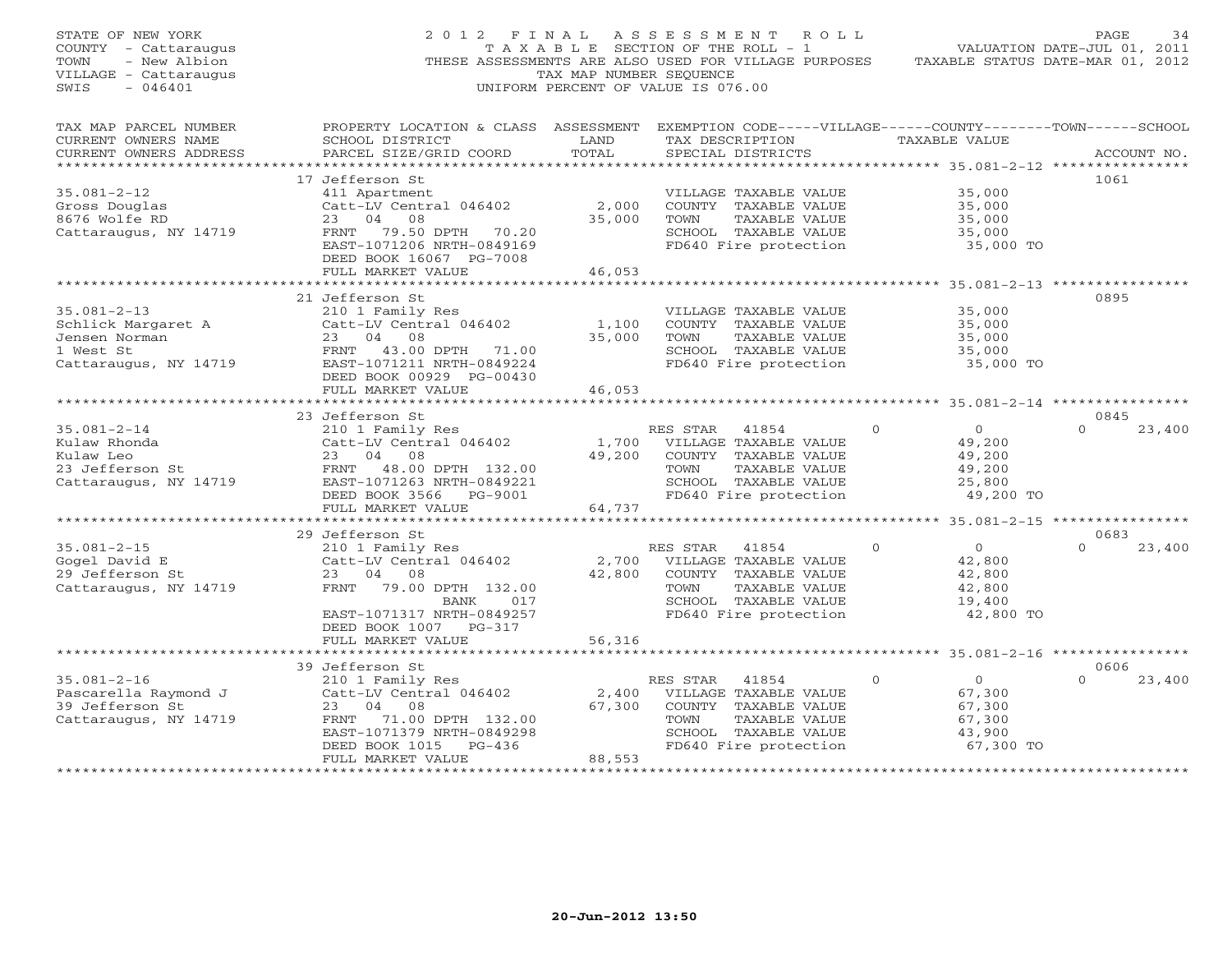| STATE OF NEW YORK<br>COUNTY - Cattaraugus<br>- New Albion<br>TOWN<br>VILLAGE - Cattaraugus<br>SWIS<br>$-046401$ | 2012 FINAL                                                                                                                                                                      | TAX MAP NUMBER SEQUENCE   | ASSESSMENT ROLL<br>TAXABLE SECTION OF THE ROLL - 1<br>THESE ASSESSMENTS ARE ALSO USED FOR VILLAGE PURPOSES<br>UNIFORM PERCENT OF VALUE IS 076.00   |                                                                                 | PAGE<br>34<br>VALUATION DATE-JUL 01, 2011<br>TAXABLE STATUS DATE-MAR 01, 2012 |
|-----------------------------------------------------------------------------------------------------------------|---------------------------------------------------------------------------------------------------------------------------------------------------------------------------------|---------------------------|----------------------------------------------------------------------------------------------------------------------------------------------------|---------------------------------------------------------------------------------|-------------------------------------------------------------------------------|
| TAX MAP PARCEL NUMBER<br>CURRENT OWNERS NAME<br>CURRENT OWNERS ADDRESS                                          | PROPERTY LOCATION & CLASS ASSESSMENT EXEMPTION CODE-----VILLAGE------COUNTY-------TOWN------SCHOOL<br>SCHOOL DISTRICT<br>PARCEL SIZE/GRID COORD                                 | LAND<br>TOTAL             | TAX DESCRIPTION TAXABLE VALUE<br>SPECIAL DISTRICTS                                                                                                 |                                                                                 | ACCOUNT NO.                                                                   |
| $35.081 - 2 - 12$<br>Gross Douglas<br>8676 Wolfe RD<br>Cattaraugus, NY 14719                                    | 17 Jefferson St<br>411 Apartment<br>Catt-LV Central 046402<br>23 04<br>08<br>FRNT 79.50 DPTH 70.20<br>EAST-1071206 NRTH-0849169<br>DEED BOOK 16067 PG-7008<br>FULL MARKET VALUE | 2,000<br>35,000<br>46,053 | VILLAGE TAXABLE VALUE<br>COUNTY TAXABLE VALUE<br>TOWN<br>TAXABLE VALUE<br>SCHOOL TAXABLE VALUE<br>FD640 Fire protection                            | 35,000<br>35,000<br>35,000<br>35,000<br>35,000 TO                               | 1061                                                                          |
|                                                                                                                 | ***************************                                                                                                                                                     |                           |                                                                                                                                                    |                                                                                 |                                                                               |
| $35.081 - 2 - 13$<br>Schlick Margaret A<br>Jensen Norman<br>1 West St<br>Cattaraugus, NY 14719                  | 21 Jefferson St<br>210 1 Family Res<br>Catt-LV Central 046402<br>23 04 08<br>FRNT 43.00 DPTH 71.00<br>EAST-1071211 NRTH-0849224                                                 | 1,100<br>35,000           | VILLAGE TAXABLE VALUE<br>COUNTY TAXABLE VALUE<br>TOWN<br>TAXABLE VALUE<br>SCHOOL TAXABLE VALUE<br>FD640 Fire protection                            | 35,000<br>35,000<br>35,000<br>35,000<br>35,000 TO                               | 0895                                                                          |
|                                                                                                                 | DEED BOOK 00929 PG-00430<br>FULL MARKET VALUE                                                                                                                                   | 46,053                    |                                                                                                                                                    |                                                                                 |                                                                               |
|                                                                                                                 |                                                                                                                                                                                 |                           |                                                                                                                                                    |                                                                                 |                                                                               |
|                                                                                                                 | 23 Jefferson St                                                                                                                                                                 |                           |                                                                                                                                                    |                                                                                 | 0845                                                                          |
| $35.081 - 2 - 14$<br>Kulaw Rhonda<br>-3 Jefferson St<br>Cattaraugus, NY 14719                                   | 210 1 Family Res<br>Catt-LV Central 046402<br>23 04 08<br>FRNT 48.00 DPTH 132.00<br>EAST-1071263 NRTH-0849221<br>DEED BOOK 3566 PG-9001                                         | 49,200                    | RES STAR 41854<br>1,700 VILLAGE TAXABLE VALUE<br>COUNTY TAXABLE VALUE<br>TOWN<br>TAXABLE VALUE<br>SCHOOL TAXABLE VALUE<br>FD640 Fire protection    | $\Omega$<br>$\overline{0}$<br>49,200<br>49,200<br>49,200<br>25,800<br>49,200 TO | $\Omega$<br>23,400                                                            |
|                                                                                                                 | FULL MARKET VALUE                                                                                                                                                               | 64,737                    |                                                                                                                                                    |                                                                                 |                                                                               |
|                                                                                                                 | 29 Jefferson St                                                                                                                                                                 |                           |                                                                                                                                                    |                                                                                 | 0683                                                                          |
| $35.081 - 2 - 15$<br>Gogel David E<br>29 Jefferson St<br>Cattaraugus, NY 14719                                  | 210 1 Family Res<br>Catt-LV Central 046402<br>23 04 08<br>FRNT 79.00 DPTH 132.00<br>BANK 017<br>EAST-1071317 NRTH-0849257<br>DEED BOOK 1007 PG-317                              | 2,700<br>42,800           | RES STAR<br>41854<br>VILLAGE TAXABLE VALUE<br>COUNTY TAXABLE VALUE<br>TAXABLE VALUE<br>TOWN<br>SCHOOL TAXABLE VALUE<br>FD640 Fire protection       | $\Omega$<br>$\overline{0}$<br>42,800<br>42,800<br>42,800<br>19,400<br>42,800 TO | $\Omega$<br>23,400                                                            |
|                                                                                                                 | FULL MARKET VALUE                                                                                                                                                               | 56,316                    |                                                                                                                                                    |                                                                                 |                                                                               |
|                                                                                                                 |                                                                                                                                                                                 |                           |                                                                                                                                                    |                                                                                 |                                                                               |
| $35.081 - 2 - 16$<br>Pascarella Raymond J<br>39 Jefferson St<br>Cattaraugus, NY 14719                           | 39 Jefferson St<br>210 1 Family Res<br>Catt-LV Central 046402<br>23 04 08<br>FRNT 71.00 DPTH 132.00<br>EAST-1071379 NRTH-0849298<br>PG-436<br>DEED BOOK 1015                    | 67,300                    | RES STAR<br>41854<br>2,400 VILLAGE TAXABLE VALUE<br>COUNTY TAXABLE VALUE<br>TOWN<br>TAXABLE VALUE<br>SCHOOL TAXABLE VALUE<br>FD640 Fire protection | $\circ$<br>$\overline{O}$<br>67,300<br>67,300<br>67,300<br>43,900<br>67,300 TO  | 0606<br>$\Omega$<br>23,400                                                    |
|                                                                                                                 | FULL MARKET VALUE                                                                                                                                                               | 88,553                    |                                                                                                                                                    |                                                                                 |                                                                               |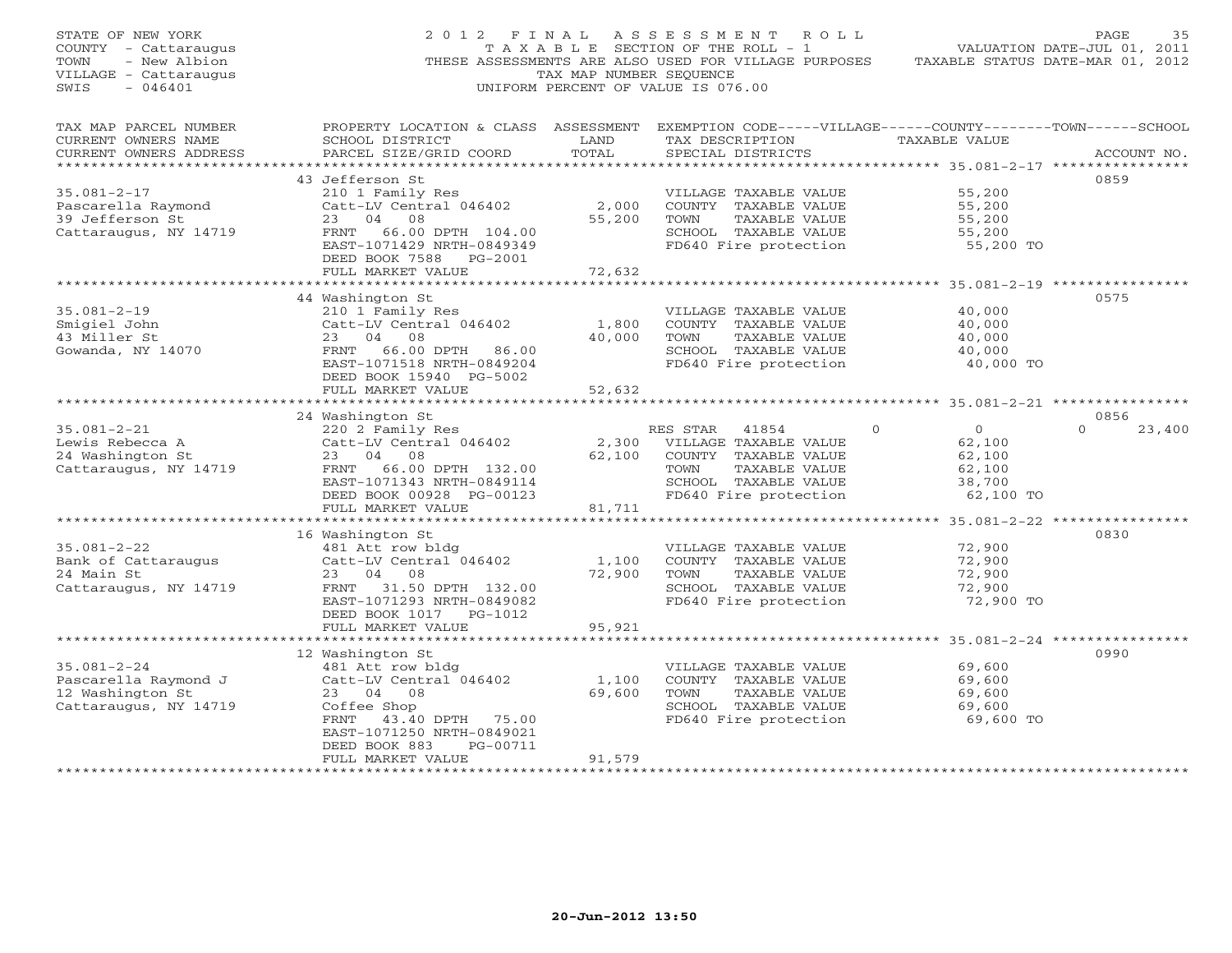| STATE OF NEW YORK<br>COUNTY - Cattaraugus<br>- New Albion<br>TOWN<br>VILLAGE - Cattaraugus<br>$-046401$<br>SWIS | 2012 FINAL                                                                                                                                                                         | TAX MAP NUMBER SEQUENCE   | ASSESSMENT<br>R O L L<br>T A X A B L E SECTION OF THE ROLL - 1<br>THESE ASSESSMENTS ARE ALSO USED FOR VILLAGE PURPOSES<br>UNIFORM PERCENT OF VALUE IS 076.00 |                                                                                 | PAGE<br>35<br>VALUATION DATE-JUL 01, 2011<br>TAXABLE STATUS DATE-MAR 01, 2012 |
|-----------------------------------------------------------------------------------------------------------------|------------------------------------------------------------------------------------------------------------------------------------------------------------------------------------|---------------------------|--------------------------------------------------------------------------------------------------------------------------------------------------------------|---------------------------------------------------------------------------------|-------------------------------------------------------------------------------|
| TAX MAP PARCEL NUMBER<br>CURRENT OWNERS NAME<br>CURRENT OWNERS ADDRESS<br>************************              | PROPERTY LOCATION & CLASS ASSESSMENT EXEMPTION CODE-----VILLAGE------COUNTY-------TOWN------SCHOOL<br>SCHOOL DISTRICT<br>PARCEL SIZE/GRID COORD                                    | LAND<br>TOTAL             | TAX DESCRIPTION<br>SPECIAL DISTRICTS                                                                                                                         | TAXABLE VALUE                                                                   | ACCOUNT NO.                                                                   |
| $35.081 - 2 - 17$<br>Pascarella Raymond<br>39 Jefferson St<br>Cattaraugus, NY 14719                             | 43 Jefferson St<br>210 1 Family Res<br>Catt-LV Central 046402<br>23 04<br>08<br>FRNT 66.00 DPTH 104.00<br>EAST-1071429 NRTH-0849349<br>DEED BOOK 7588 PG-2001<br>FULL MARKET VALUE | 2,000<br>55,200<br>72,632 | VILLAGE TAXABLE VALUE<br>COUNTY TAXABLE VALUE<br>TOWN<br>TAXABLE VALUE<br>SCHOOL TAXABLE VALUE<br>FD640 Fire protection                                      | 55,200<br>55,200<br>55,200<br>55,200<br>55,200 TO                               | 0859                                                                          |
|                                                                                                                 | ***************************                                                                                                                                                        | ************              | *********************************** 35.081-2-19 *****************                                                                                            |                                                                                 |                                                                               |
| $35.081 - 2 - 19$<br>Smigiel John<br>43 Miller St<br>Gowanda, NY 14070                                          | 44 Washington St<br>210 1 Family Res<br>Catt-LV Central 046402<br>23 04 08<br>FRNT 66.00 DPTH 86.00<br>EAST-1071518 NRTH-0849204<br>DEED BOOK 15940 PG-5002                        | 1,800<br>40,000           | VILLAGE TAXABLE VALUE<br>COUNTY TAXABLE VALUE<br>TAXABLE VALUE<br>TOWN<br>SCHOOL TAXABLE VALUE<br>FD640 Fire protection                                      | 40,000<br>40,000<br>40,000<br>40,000<br>40,000 TO                               | 0575                                                                          |
|                                                                                                                 | FULL MARKET VALUE                                                                                                                                                                  | 52,632                    |                                                                                                                                                              |                                                                                 |                                                                               |
|                                                                                                                 | 24 Washington St                                                                                                                                                                   |                           |                                                                                                                                                              |                                                                                 | 0856                                                                          |
| $35.081 - 2 - 21$<br>Lewis Rebecca A<br>24 Washington St<br>Cattaraugus, NY 14719                               | 220 2 Family Res<br>Catt-LV Central 046402<br>23<br>04<br>08<br>FRNT 66.00 DPTH 132.00<br>EAST-1071343 NRTH-0849114<br>DEED BOOK 00928 PG-00123<br>FULL MARKET VALUE               | 2,300<br>62,100<br>81,711 | RES STAR<br>41854<br>VILLAGE TAXABLE VALUE<br>COUNTY TAXABLE VALUE<br>TOWN<br>TAXABLE VALUE<br>SCHOOL TAXABLE VALUE<br>FD640 Fire protection                 | $\overline{0}$<br>$\Omega$<br>62,100<br>62,100<br>62,100<br>38,700<br>62,100 TO | $\Omega$<br>23,400                                                            |
|                                                                                                                 | *********************                                                                                                                                                              |                           |                                                                                                                                                              |                                                                                 |                                                                               |
| $35.081 - 2 - 22$<br>Bank of Cattaraugus<br>24 Main St<br>Cattaraugus, NY 14719                                 | 16 Washington St<br>481 Att row bldg<br>Catt-LV Central 046402<br>23 04 08<br>FRNT 31.50 DPTH 132.00<br>EAST-1071293 NRTH-0849082<br>DEED BOOK 1017 PG-1012<br>FULL MARKET VALUE   | 1,100<br>72,900<br>95,921 | VILLAGE TAXABLE VALUE<br>COUNTY TAXABLE VALUE<br>TOWN<br>TAXABLE VALUE<br>SCHOOL TAXABLE VALUE<br>FD640 Fire protection                                      | 72,900<br>72,900<br>72,900<br>72,900<br>72,900 TO                               | 0830                                                                          |
|                                                                                                                 | **************************                                                                                                                                                         |                           |                                                                                                                                                              |                                                                                 |                                                                               |
| $35.081 - 2 - 24$<br>Pascarella Raymond J<br>12 Washington St<br>Cattaraugus, NY 14719                          | 12 Washington St<br>481 Att row bldg<br>Catt-LV Central 046402<br>23 04<br>08<br>Coffee Shop<br>FRNT<br>43.40 DPTH 75.00<br>EAST-1071250 NRTH-0849021<br>DEED BOOK 883<br>PG-00711 | 1,100<br>69,600           | VILLAGE TAXABLE VALUE<br>COUNTY TAXABLE VALUE<br>TOWN<br>TAXABLE VALUE<br>SCHOOL TAXABLE VALUE<br>FD640 Fire protection                                      | 69,600<br>69,600<br>69,600<br>69,600<br>69,600 TO                               | 0990                                                                          |
|                                                                                                                 | FULL MARKET VALUE                                                                                                                                                                  | 91,579                    |                                                                                                                                                              |                                                                                 |                                                                               |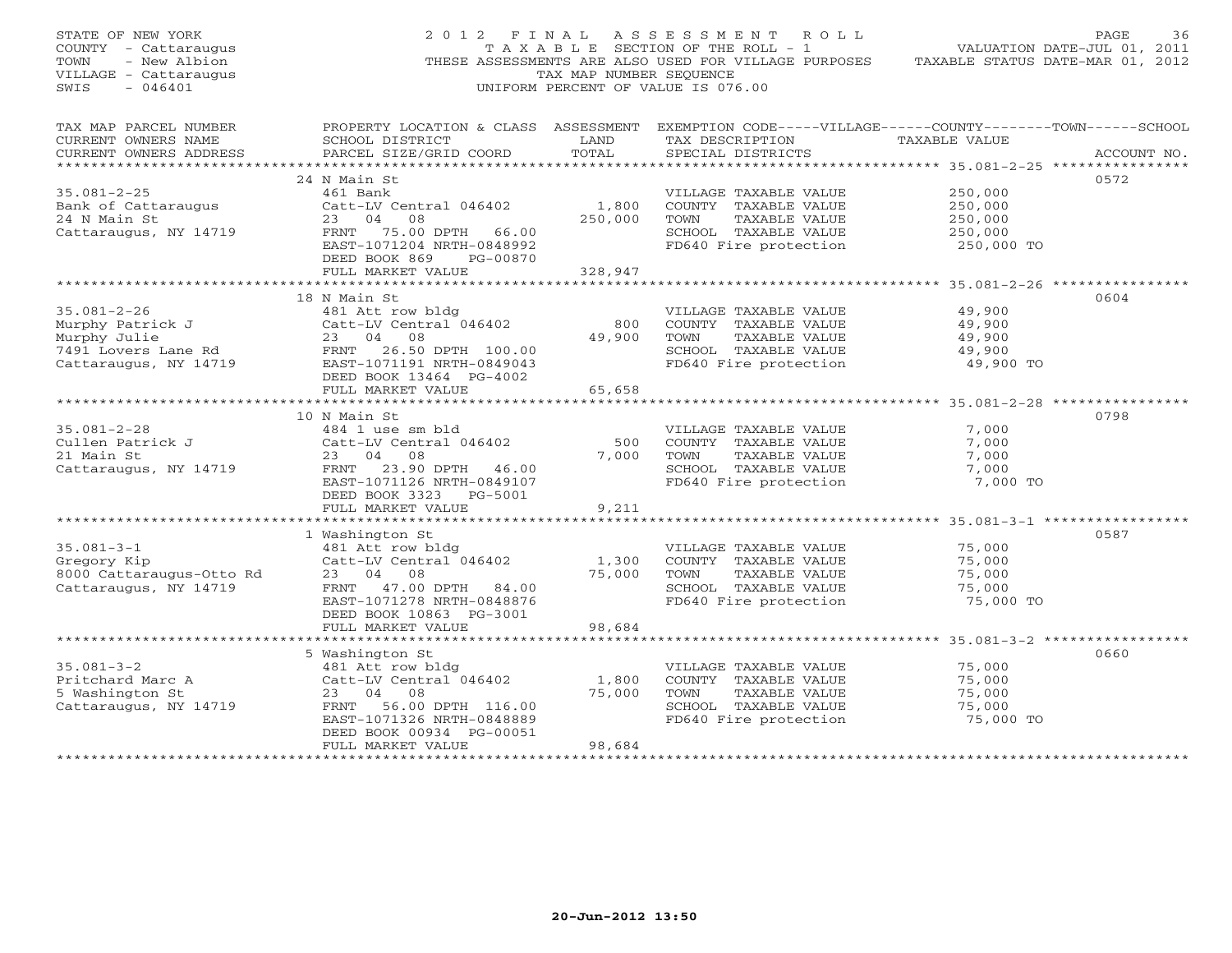| STATE OF NEW YORK<br>COUNTY - Cattaraugus<br>TOWN<br>- New Albion<br>VILLAGE - Cattaraugus<br>$-046401$<br>SWIS     |                                                              | TAX MAP NUMBER SEOUENCE | 2012 FINAL ASSESSMENT ROLL<br>T A X A B L E SECTION OF THE ROLL - 1<br>THESE ASSESSMENTS ARE ALSO USED FOR VILLAGE PURPOSES TAXABLE STATUS DATE-MAR 01, 2012<br>UNIFORM PERCENT OF VALUE IS 076.00 | VALUATION DATE-JUL 01, 2011 | PAGE<br>36  |
|---------------------------------------------------------------------------------------------------------------------|--------------------------------------------------------------|-------------------------|----------------------------------------------------------------------------------------------------------------------------------------------------------------------------------------------------|-----------------------------|-------------|
| TAX MAP PARCEL NUMBER<br>CURRENT OWNERS NAME<br>CURRENT OWNERS ADDRESS                                              | SCHOOL DISTRICT<br>PARCEL SIZE/GRID COORD                    | LAND<br>TOTAL           | PROPERTY LOCATION & CLASS ASSESSMENT EXEMPTION CODE-----VILLAGE------COUNTY-------TOWN------SCHOOL<br>TAX DESCRIPTION TAXABLE VALUE<br>SPECIAL DISTRICTS                                           |                             | ACCOUNT NO. |
|                                                                                                                     |                                                              |                         |                                                                                                                                                                                                    |                             |             |
| $35.081 - 2 - 25$                                                                                                   | 24 N Main St<br>461 Bank                                     |                         | VILLAGE TAXABLE VALUE                                                                                                                                                                              | 250,000                     | 0572        |
| Bank of Cattaraugus                                                                                                 | Catt-LV Central 046402                                       | 1,800                   | COUNTY TAXABLE VALUE                                                                                                                                                                               | 250,000                     |             |
| 24 N Main St                                                                                                        | 23 04 08                                                     | 250,000                 | TAXABLE VALUE<br>TOWN                                                                                                                                                                              | 250,000                     |             |
| Cattaraugus, NY 14719 FRNT 75.00 DPTH 66.00                                                                         |                                                              |                         | SCHOOL TAXABLE VALUE                                                                                                                                                                               | 250,000                     |             |
|                                                                                                                     | EAST-1071204 NRTH-0848992<br>DEED BOOK 869 PG-00870          |                         | FD640 Fire protection                                                                                                                                                                              | 250,000 TO                  |             |
|                                                                                                                     | FULL MARKET VALUE                                            | 328,947                 |                                                                                                                                                                                                    |                             |             |
|                                                                                                                     | 18 N Main St                                                 |                         |                                                                                                                                                                                                    |                             | 0604        |
| $35.081 - 2 - 26$                                                                                                   | 481 Att row bldg                                             |                         | VILLAGE TAXABLE VALUE                                                                                                                                                                              | 49,900                      |             |
|                                                                                                                     |                                                              | 800                     | COUNTY TAXABLE VALUE                                                                                                                                                                               | 49,900                      |             |
|                                                                                                                     |                                                              | 49,900                  | TAXABLE VALUE<br>TOWN                                                                                                                                                                              | 49,900                      |             |
|                                                                                                                     |                                                              |                         | SCHOOL TAXABLE VALUE                                                                                                                                                                               | 49,900                      |             |
| Murphy Patrick J<br>Murphy Julie 23 04 08<br>7491 Lovers Lane Rd<br>Cattaraugus, NY 14719 EAST-1071191 NRTH-0849043 |                                                              |                         | FD640 Fire protection                                                                                                                                                                              | $49,900$ TO                 |             |
|                                                                                                                     | DEED BOOK 13464 PG-4002                                      |                         |                                                                                                                                                                                                    |                             |             |
|                                                                                                                     | FULL MARKET VALUE                                            | 65,658                  |                                                                                                                                                                                                    |                             |             |
|                                                                                                                     |                                                              |                         |                                                                                                                                                                                                    |                             | 0798        |
| $35.081 - 2 - 28$                                                                                                   | 10 N Main St<br>484 1 use sm bld                             |                         |                                                                                                                                                                                                    | 7,000                       |             |
| $35.081 - 2.22$<br>Cullen Patrick J                                                                                 | Catt-LV Central 046402                                       | 500                     | VILLAGE TAXABLE VALUE<br>COUNTY TAXABLE VALUE                                                                                                                                                      | 7,000                       |             |
|                                                                                                                     | 23 04 08                                                     | 7,000                   | TAXABLE VALUE<br>TOWN                                                                                                                                                                              | 7,000                       |             |
| Cattaraugus, NY 14719                                                                                               | FRNT 23.90 DPTH 46.00                                        |                         | SCHOOL TAXABLE VALUE                                                                                                                                                                               | 7,000                       |             |
|                                                                                                                     | EAST-1071126 NRTH-0849107                                    |                         | FD640 Fire protection                                                                                                                                                                              | 7,000 TO                    |             |
|                                                                                                                     | DEED BOOK 3323 PG-5001                                       |                         |                                                                                                                                                                                                    |                             |             |
|                                                                                                                     | FULL MARKET VALUE                                            | 9,211                   |                                                                                                                                                                                                    |                             |             |
|                                                                                                                     |                                                              |                         |                                                                                                                                                                                                    |                             |             |
|                                                                                                                     | 1 Washington St                                              |                         |                                                                                                                                                                                                    |                             | 0587        |
| $35.081 - 3 - 1$                                                                                                    | 481 Att row bldg                                             |                         | VILLAGE TAXABLE VALUE                                                                                                                                                                              | 75,000                      |             |
|                                                                                                                     | Catt-LV Central 046402                                       | 1,300                   | COUNTY TAXABLE VALUE                                                                                                                                                                               | 75,000                      |             |
|                                                                                                                     | 23 04 08                                                     |                         | 75,000 TOWN<br>TAXABLE VALUE                                                                                                                                                                       | 75,000                      |             |
| Gregory Kip<br>8000 Cattaraugus-Otto Rd<br>Cattaraugus, NY 14719                                                    | FRNT 47.00 DPTH 84.00<br>EAST-1071278 NRTH-0848876           |                         | SCHOOL TAXABLE VALUE<br>FD640 Fire protection                                                                                                                                                      | 75,000<br>75,000 TO         |             |
|                                                                                                                     | DEED BOOK 10863 PG-3001                                      |                         |                                                                                                                                                                                                    |                             |             |
|                                                                                                                     | FULL MARKET VALUE                                            | 98,684                  |                                                                                                                                                                                                    |                             |             |
|                                                                                                                     |                                                              |                         |                                                                                                                                                                                                    |                             |             |
|                                                                                                                     |                                                              |                         |                                                                                                                                                                                                    |                             | 0660        |
| $35.081 - 3 - 2$                                                                                                    | Assumington St.<br>481 Att row bldg<br>Catt-LV Central<br>23 |                         | VILLAGE TAXABLE VALUE                                                                                                                                                                              | 75,000                      |             |
| Pritchard Marc A                                                                                                    | Catt-LV Central 046402                                       | 1,800                   | COUNTY TAXABLE VALUE                                                                                                                                                                               | 75,000                      |             |
| 5 Washington St                                                                                                     |                                                              | 75,000                  | TOWN<br>TAXABLE VALUE                                                                                                                                                                              | 75,000                      |             |
| Cattaraugus, NY 14719                                                                                               | FRNT 56.00 DPTH 116.00                                       |                         | SCHOOL TAXABLE VALUE                                                                                                                                                                               | 75,000                      |             |
|                                                                                                                     | EAST-1071326 NRTH-0848889                                    |                         | FD640 Fire protection                                                                                                                                                                              | 75,000 TO                   |             |
|                                                                                                                     | DEED BOOK 00934 PG-00051                                     |                         |                                                                                                                                                                                                    |                             |             |
|                                                                                                                     | FULL MARKET VALUE                                            | 98,684                  |                                                                                                                                                                                                    |                             |             |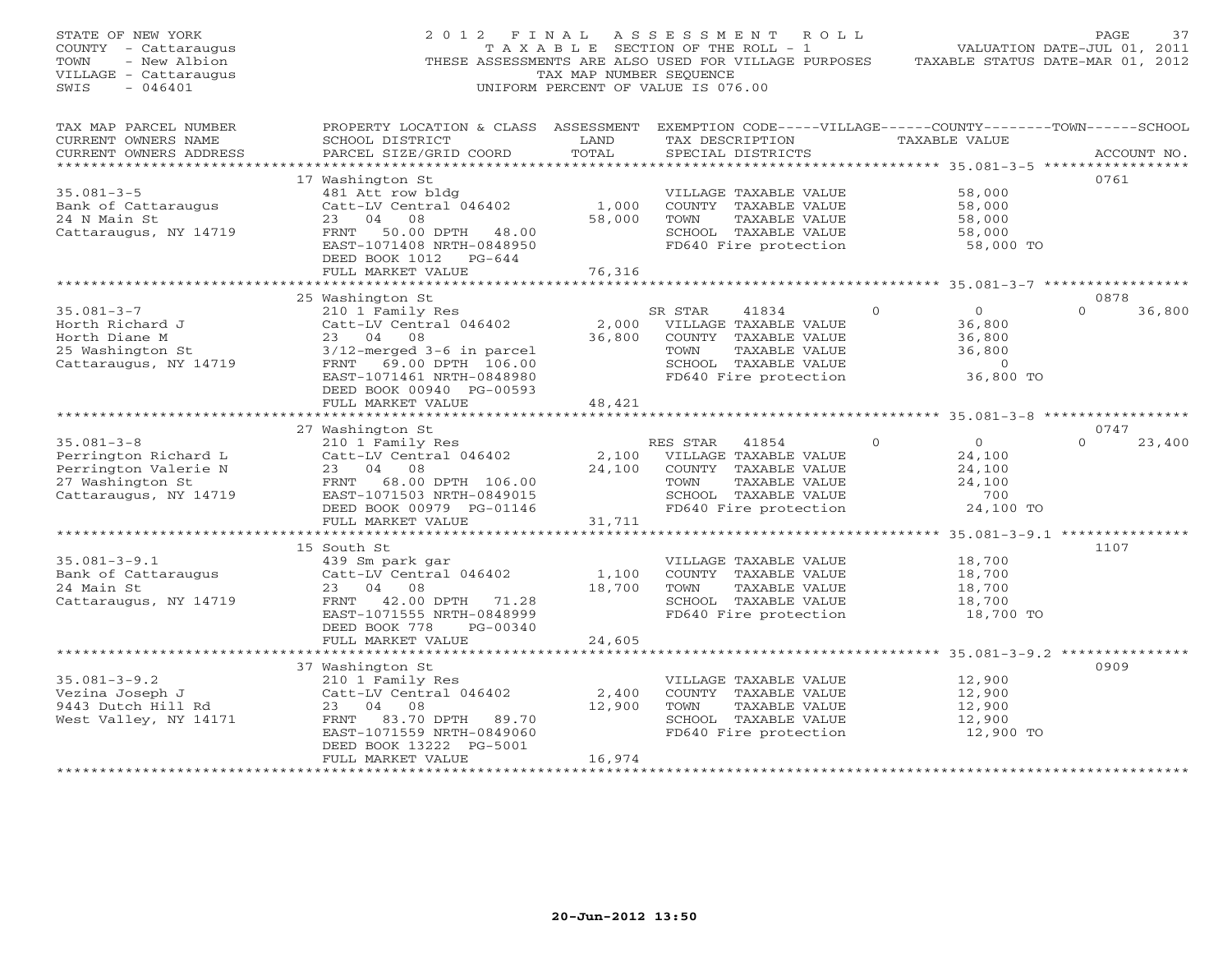| STATE OF NEW YORK<br>COUNTY - Cattaraugus<br>TOWN<br>- New Albion<br>VILLAGE - Cattaraugus<br>$-046401$<br>SWIS |                                                                                                                                                                                                 | TAX MAP NUMBER SEOUENCE             | 2012 FINAL ASSESSMENT ROLL<br>T A X A B L E SECTION OF THE ROLL - 1<br>THESE ASSESSMENTS ARE ALSO USED FOR VILLAGE PURPOSES<br>UNIFORM PERCENT OF VALUE IS 076.00 |                                                                                         | PAGE<br>37<br>VALUATION DATE-JUL 01, 2011<br>TAXABLE STATUS DATE-MAR 01, 2012 |
|-----------------------------------------------------------------------------------------------------------------|-------------------------------------------------------------------------------------------------------------------------------------------------------------------------------------------------|-------------------------------------|-------------------------------------------------------------------------------------------------------------------------------------------------------------------|-----------------------------------------------------------------------------------------|-------------------------------------------------------------------------------|
| TAX MAP PARCEL NUMBER<br>CURRENT OWNERS NAME<br>CURRENT OWNERS ADDRESS<br>************************              | PROPERTY LOCATION & CLASS ASSESSMENT EXEMPTION CODE-----VILLAGE------COUNTY-------TOWN------SCHOOL<br>SCHOOL DISTRICT<br>PARCEL SIZE/GRID COORD                                                 | LAND<br>TOTAL                       | TAX DESCRIPTION<br>SPECIAL DISTRICTS                                                                                                                              | TAXABLE VALUE                                                                           | ACCOUNT NO.                                                                   |
| $35.081 - 3 - 5$<br>Bank of Cattaraugus<br>24 N Main St<br>Cattaraugus, NY 14719                                | 17 Washington St<br>481 Att row bldg<br>Catt-LV Central 046402<br>23 04<br>08<br>FRNT 50.00 DPTH 48.00<br>EAST-1071408 NRTH-0848950<br>DEED BOOK 1012 PG-644<br>FULL MARKET VALUE               | 1,000<br>58,000<br>76,316           | VILLAGE TAXABLE VALUE<br>COUNTY TAXABLE VALUE<br>TOWN<br>TAXABLE VALUE<br>SCHOOL TAXABLE VALUE<br>FD640 Fire protection                                           | 58,000<br>58,000<br>58,000<br>58,000<br>58,000 TO                                       | 0761                                                                          |
|                                                                                                                 |                                                                                                                                                                                                 |                                     |                                                                                                                                                                   |                                                                                         |                                                                               |
| $35.081 - 3 - 7$<br>Horth Richard J<br>Horth Diane M<br>25 Washington St<br>Cattaraugus, NY 14719               | 25 Washington St<br>210 1 Family Res<br>Catt-LV Central 046402<br>23 04 08<br>$3/12$ -merged $3-6$ in parcel<br>FRNT 69.00 DPTH 106.00<br>EAST-1071461 NRTH-0848980<br>DEED BOOK 00940 PG-00593 | 36,800                              | SR STAR<br>41834<br>2,000 VILLAGE TAXABLE VALUE<br>COUNTY TAXABLE VALUE<br>TOWN<br>TAXABLE VALUE<br>SCHOOL TAXABLE VALUE<br>FD640 Fire protection                 | $\overline{O}$<br>$\Omega$<br>36,800<br>36,800<br>36,800<br>$\overline{0}$<br>36,800 TO | 0878<br>$\Omega$<br>36,800                                                    |
|                                                                                                                 | FULL MARKET VALUE                                                                                                                                                                               | 48,421<br>* * * * * * * * * * * * * |                                                                                                                                                                   | *********** 35.081-3-8 **************                                                   |                                                                               |
|                                                                                                                 | 27 Washington St                                                                                                                                                                                |                                     |                                                                                                                                                                   |                                                                                         | 0747                                                                          |
| $35.081 - 3 - 8$<br>Perrington Richard L<br>Perrington Valerie N<br>27 Washington St<br>Cattaraugus, NY 14719   | 210 1 Family Res<br>Catt-LV Central 046402<br>23<br>04 08<br>FRNT 68.00 DPTH 106.00<br>EAST-1071503 NRTH-0849015<br>DEED BOOK 00979 PG-01146                                                    | 2,100<br>24,100                     | RES STAR<br>41854<br>VILLAGE TAXABLE VALUE<br>COUNTY TAXABLE VALUE<br>TAXABLE VALUE<br>TOWN<br>SCHOOL TAXABLE VALUE<br>FD640 Fire protection                      | $\overline{0}$<br>$\Omega$<br>24,100<br>24,100<br>24,100<br>700<br>24,100 TO            | $\Omega$<br>23,400                                                            |
|                                                                                                                 | FULL MARKET VALUE                                                                                                                                                                               | 31,711                              |                                                                                                                                                                   |                                                                                         |                                                                               |
| $35.081 - 3 - 9.1$<br>Bank of Cattaraugus<br>24 Main St<br>Cattaraugus, NY 14719                                | 15 South St<br>439 Sm park gar<br>Catt-LV Central 046402<br>23 04 08<br>FRNT 42.00 DPTH 71.28<br>EAST-1071555 NRTH-0848999<br>DEED BOOK 778<br>PG-00340                                         | 1,100<br>18,700                     | VILLAGE TAXABLE VALUE<br>COUNTY TAXABLE VALUE<br>TOWN<br>TAXABLE VALUE<br>SCHOOL TAXABLE VALUE<br>FD640 Fire protection                                           | 18,700<br>18,700<br>18,700<br>18,700<br>18,700 TO                                       | 1107                                                                          |
|                                                                                                                 | FULL MARKET VALUE                                                                                                                                                                               | 24,605                              |                                                                                                                                                                   |                                                                                         |                                                                               |
| $35.081 - 3 - 9.2$                                                                                              | 37 Washington St<br>210 1 Family Res                                                                                                                                                            |                                     | VILLAGE TAXABLE VALUE                                                                                                                                             | 12,900                                                                                  | 0909                                                                          |
| Vezina Joseph J<br>9443 Dutch Hill Rd<br>West Valley, NY 14171                                                  | Catt-LV Central 046402<br>23 04<br>08<br>FRNT 83.70 DPTH<br>89.70<br>EAST-1071559 NRTH-0849060<br>DEED BOOK 13222 PG-5001<br>FULL MARKET VALUE                                                  | 2,400<br>12,900<br>16,974           | COUNTY TAXABLE VALUE<br>TOWN<br>TAXABLE VALUE<br>SCHOOL TAXABLE VALUE<br>FD640 Fire protection                                                                    | 12,900<br>12,900<br>12,900<br>12,900 TO                                                 |                                                                               |
|                                                                                                                 |                                                                                                                                                                                                 | *****************                   |                                                                                                                                                                   |                                                                                         |                                                                               |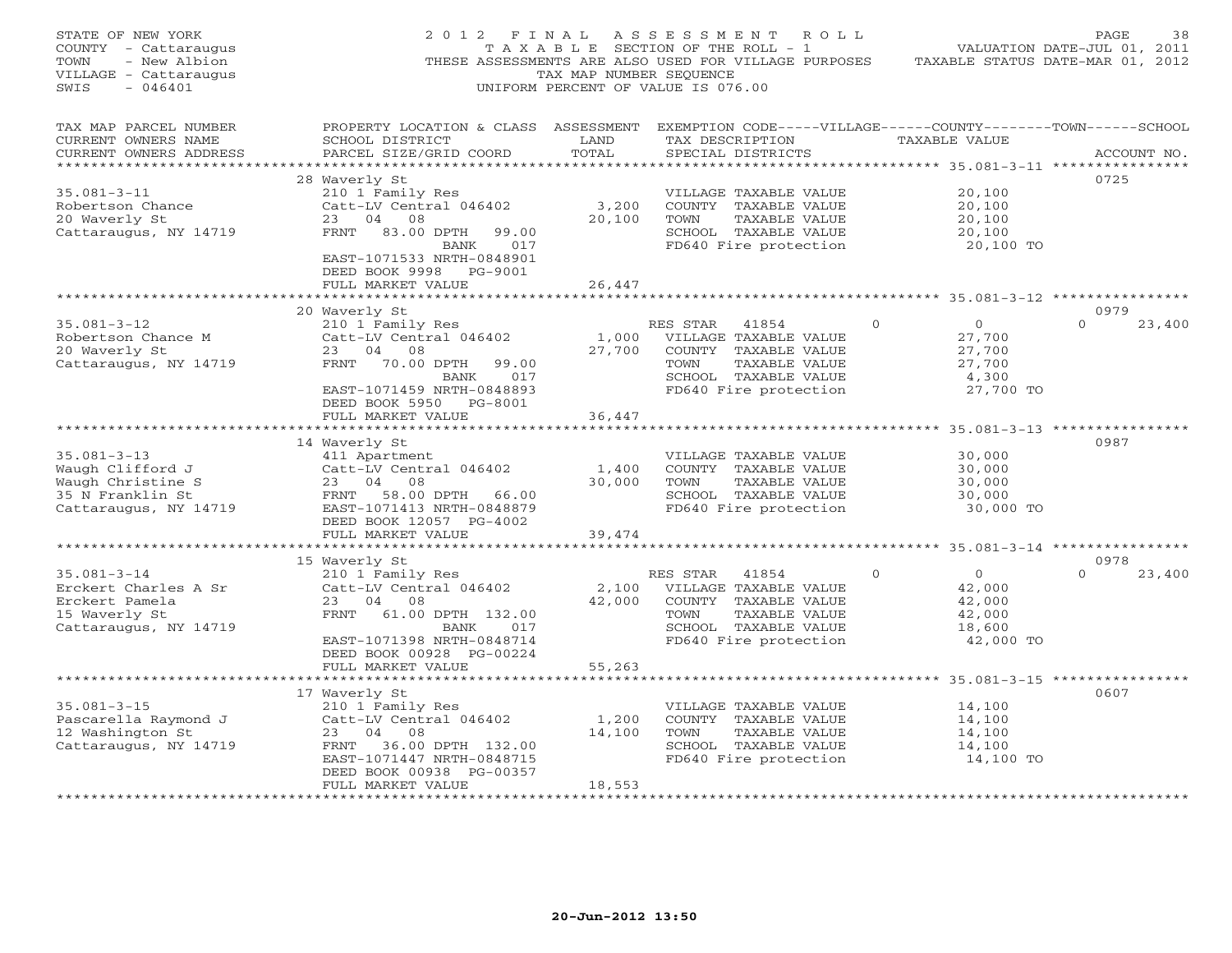| STATE OF NEW YORK<br>COUNTY - Cattaraugus<br>TOWN<br>- New Albion<br>VILLAGE - Cattaraugus<br>SWIS<br>$-046401$ | 2012 FINAL                                                                                                                                      | TAX MAP NUMBER SEQUENCE | ASSESSMENT ROLL<br>TAXABLE SECTION OF THE ROLL - 1<br>THESE ASSESSMENTS ARE ALSO USED FOR VILLAGE PURPOSES<br>UNIFORM PERCENT OF VALUE IS 076.00 |          | TAXABLE STATUS DATE-MAR 01, 2012       | PAGE<br>38<br>VALUATION DATE-JUL 01, 2011 |
|-----------------------------------------------------------------------------------------------------------------|-------------------------------------------------------------------------------------------------------------------------------------------------|-------------------------|--------------------------------------------------------------------------------------------------------------------------------------------------|----------|----------------------------------------|-------------------------------------------|
| TAX MAP PARCEL NUMBER<br>CURRENT OWNERS NAME<br>CURRENT OWNERS ADDRESS<br>***********************               | PROPERTY LOCATION & CLASS ASSESSMENT EXEMPTION CODE-----VILLAGE------COUNTY-------TOWN------SCHOOL<br>SCHOOL DISTRICT<br>PARCEL SIZE/GRID COORD | LAND<br>TOTAL           | TAX DESCRIPTION<br>SPECIAL DISTRICTS                                                                                                             |          | TAXABLE VALUE                          | ACCOUNT NO.                               |
|                                                                                                                 | 28 Waverly St                                                                                                                                   |                         |                                                                                                                                                  |          |                                        | 0725                                      |
| $35.081 - 3 - 11$                                                                                               | 210 1 Family Res                                                                                                                                |                         | VILLAGE TAXABLE VALUE                                                                                                                            |          | 20,100                                 |                                           |
| Robertson Chance                                                                                                | Catt-LV Central 046402                                                                                                                          | 3,200                   | COUNTY TAXABLE VALUE                                                                                                                             |          | 20,100                                 |                                           |
| 20 Waverly St                                                                                                   | 23 04 08                                                                                                                                        | 20,100                  | TOWN<br>TAXABLE VALUE                                                                                                                            |          | 20,100                                 |                                           |
| Cattaraugus, NY 14719                                                                                           | FRNT 83.00 DPTH<br>99.00                                                                                                                        |                         | SCHOOL TAXABLE VALUE                                                                                                                             |          | 20,100                                 |                                           |
|                                                                                                                 | 017<br>BANK<br>EAST-1071533 NRTH-0848901<br>DEED BOOK 9998 PG-9001<br>FULL MARKET VALUE                                                         | 26,447                  | FD640 Fire protection                                                                                                                            |          | 20,100 TO                              |                                           |
|                                                                                                                 | ************************                                                                                                                        |                         |                                                                                                                                                  |          |                                        |                                           |
|                                                                                                                 | 20 Waverly St                                                                                                                                   |                         |                                                                                                                                                  |          |                                        | 0979                                      |
| $35.081 - 3 - 12$                                                                                               | 210 1 Family Res                                                                                                                                |                         | RES STAR<br>41854                                                                                                                                | $\Omega$ | $\overline{0}$                         | 23,400<br>$\Omega$                        |
| Robertson Chance M                                                                                              | Catt-LV Central 046402                                                                                                                          | 1,000                   | VILLAGE TAXABLE VALUE                                                                                                                            |          | 27,700                                 |                                           |
| 20 Waverly St                                                                                                   | 23 04 08<br>FRNT 70.00 DPTH<br>99.00                                                                                                            | 27,700                  | COUNTY TAXABLE VALUE<br>TOWN                                                                                                                     |          | 27,700                                 |                                           |
| Cattaraugus, NY 14719                                                                                           | 017<br>BANK                                                                                                                                     |                         | TAXABLE VALUE<br>SCHOOL TAXABLE VALUE                                                                                                            |          | 27,700<br>4,300                        |                                           |
|                                                                                                                 | EAST-1071459 NRTH-0848893                                                                                                                       |                         | FD640 Fire protection                                                                                                                            |          | 27,700 TO                              |                                           |
|                                                                                                                 | DEED BOOK 5950 PG-8001                                                                                                                          |                         |                                                                                                                                                  |          |                                        |                                           |
|                                                                                                                 | FULL MARKET VALUE                                                                                                                               | 36,447                  |                                                                                                                                                  |          |                                        |                                           |
|                                                                                                                 |                                                                                                                                                 |                         |                                                                                                                                                  |          |                                        |                                           |
|                                                                                                                 | 14 Waverly St                                                                                                                                   |                         |                                                                                                                                                  |          |                                        | 0987                                      |
| $35.081 - 3 - 13$<br>Waugh Clifford J                                                                           | 411 Apartment                                                                                                                                   |                         | VILLAGE TAXABLE VALUE                                                                                                                            |          | 30,000<br>30,000                       |                                           |
| Waugh Christine S                                                                                               | Catt-LV Central 046402<br>23 04 08                                                                                                              | 1,400<br>30,000         | COUNTY TAXABLE VALUE<br>TOWN<br>TAXABLE VALUE                                                                                                    |          | 30,000                                 |                                           |
| 35 N Franklin St                                                                                                | FRNT<br>58.00 DPTH 66.00                                                                                                                        |                         | SCHOOL TAXABLE VALUE                                                                                                                             |          | 30,000                                 |                                           |
| Cattaraugus, NY 14719                                                                                           | EAST-1071413 NRTH-0848879                                                                                                                       |                         | FD640 Fire protection                                                                                                                            |          | 30,000 TO                              |                                           |
|                                                                                                                 | DEED BOOK 12057 PG-4002                                                                                                                         |                         |                                                                                                                                                  |          |                                        |                                           |
|                                                                                                                 | FULL MARKET VALUE                                                                                                                               | 39,474                  |                                                                                                                                                  |          |                                        |                                           |
|                                                                                                                 |                                                                                                                                                 |                         |                                                                                                                                                  |          | ********** 35.081-3-14 *************** |                                           |
| $35.081 - 3 - 14$                                                                                               | 15 Waverly St<br>210 1 Family Res                                                                                                               |                         | RES STAR<br>41854                                                                                                                                | $\Omega$ | $\overline{0}$                         | 0978<br>$\Omega$<br>23,400                |
| Erckert Charles A Sr                                                                                            | Catt-LV Central 046402                                                                                                                          | 2,100                   | VILLAGE TAXABLE VALUE                                                                                                                            |          | 42,000                                 |                                           |
| Erckert Pamela                                                                                                  | 23 04 08                                                                                                                                        | 42,000                  | COUNTY TAXABLE VALUE                                                                                                                             |          | 42,000                                 |                                           |
| 15 Waverly St                                                                                                   | FRNT<br>61.00 DPTH 132.00                                                                                                                       |                         | TOWN<br>TAXABLE VALUE                                                                                                                            |          | 42,000                                 |                                           |
| Cattaraugus, NY 14719                                                                                           | BANK<br>017                                                                                                                                     |                         | SCHOOL TAXABLE VALUE                                                                                                                             |          | 18,600                                 |                                           |
|                                                                                                                 | EAST-1071398 NRTH-0848714                                                                                                                       |                         | FD640 Fire protection                                                                                                                            |          | 42,000 TO                              |                                           |
|                                                                                                                 | DEED BOOK 00928 PG-00224                                                                                                                        |                         |                                                                                                                                                  |          |                                        |                                           |
|                                                                                                                 | FULL MARKET VALUE<br>*********************                                                                                                      | 55,263                  |                                                                                                                                                  |          |                                        |                                           |
|                                                                                                                 | 17 Waverly St                                                                                                                                   |                         |                                                                                                                                                  |          |                                        | 0607                                      |
| $35.081 - 3 - 15$                                                                                               | 210 1 Family Res                                                                                                                                |                         | VILLAGE TAXABLE VALUE                                                                                                                            |          | 14,100                                 |                                           |
| Pascarella Raymond J                                                                                            | Catt-LV Central 046402                                                                                                                          | 1,200                   | COUNTY TAXABLE VALUE                                                                                                                             |          | 14,100                                 |                                           |
| 12 Washington St                                                                                                | 23 04 08                                                                                                                                        | 14,100                  | TOWN<br>TAXABLE VALUE                                                                                                                            |          | 14,100                                 |                                           |
| Cattaraugus, NY 14719                                                                                           | FRNT 36.00 DPTH 132.00                                                                                                                          |                         | SCHOOL TAXABLE VALUE                                                                                                                             |          | 14,100                                 |                                           |
|                                                                                                                 | EAST-1071447 NRTH-0848715                                                                                                                       |                         | FD640 Fire protection                                                                                                                            |          | 14,100 TO                              |                                           |
|                                                                                                                 | DEED BOOK 00938 PG-00357<br>FULL MARKET VALUE                                                                                                   | 18,553                  |                                                                                                                                                  |          |                                        |                                           |
|                                                                                                                 |                                                                                                                                                 | <b>++++++++++++</b>     |                                                                                                                                                  |          |                                        |                                           |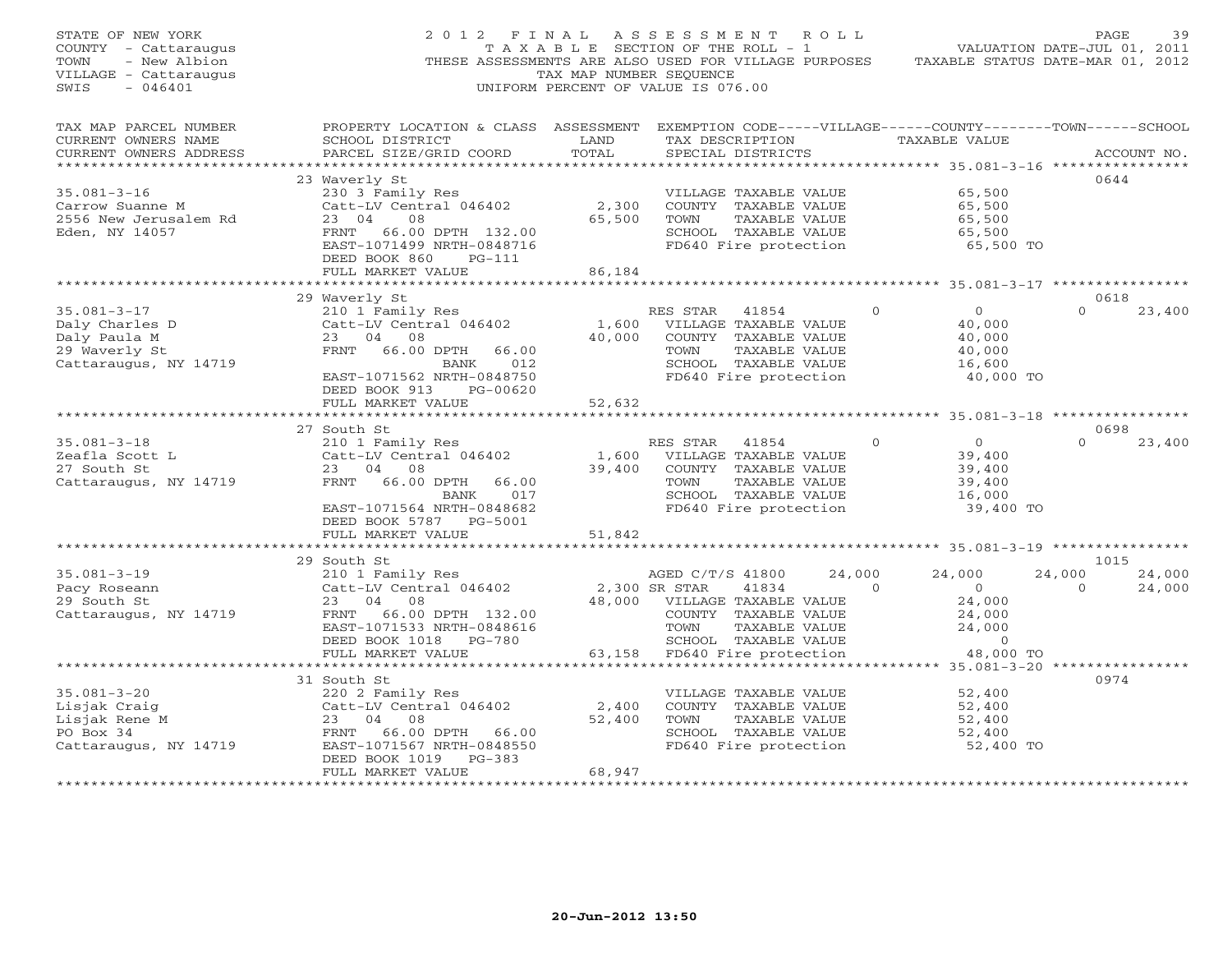| STATE OF NEW YORK<br>COUNTY - Cattaraugus<br>TOWN<br>- New Albion<br>VILLAGE - Cattaraugus<br>SWIS<br>$-046401$ | 2012 FINAL<br>THESE ASSESSMENTS ARE ALSO USED FOR VILLAGE PURPOSES                                                                                                            | T A X A B L E SECTION OF THE ROLL - 1<br>TAX MAP NUMBER SEOUENCE<br>UNIFORM PERCENT OF VALUE IS 076.00 | ASSESSMENT ROLL                           |                                                                                                                          |        |              | VALUATION DATE-JUL 01, 2011<br>TAXABLE STATUS DATE-MAR 01, 2012        |                    | PAGE        | 39               |
|-----------------------------------------------------------------------------------------------------------------|-------------------------------------------------------------------------------------------------------------------------------------------------------------------------------|--------------------------------------------------------------------------------------------------------|-------------------------------------------|--------------------------------------------------------------------------------------------------------------------------|--------|--------------|------------------------------------------------------------------------|--------------------|-------------|------------------|
| TAX MAP PARCEL NUMBER<br>CURRENT OWNERS NAME<br>CURRENT OWNERS ADDRESS<br>***********************               | PROPERTY LOCATION & CLASS ASSESSMENT EXEMPTION CODE-----VILLAGE------COUNTY-------TOWN------SCHOOL<br>SCHOOL DISTRICT<br>PARCEL SIZE/GRID COORD                               | LAND<br>TOTAL                                                                                          |                                           | TAX DESCRIPTION<br>SPECIAL DISTRICTS                                                                                     |        |              | TAXABLE VALUE                                                          |                    | ACCOUNT NO. |                  |
|                                                                                                                 | 23 Waverly St                                                                                                                                                                 |                                                                                                        |                                           |                                                                                                                          |        |              |                                                                        |                    | 0644        |                  |
| $35.081 - 3 - 16$<br>Carrow Suanne M<br>2556 New Jerusalem Rd<br>Eden, NY 14057                                 | 230 3 Family Res<br>Catt-LV Central 046402<br>23 04<br>08<br>FRNT 66.00 DPTH 132.00<br>EAST-1071499 NRTH-0848716<br>DEED BOOK 860<br>$PG-111$                                 | 2,300<br>65,500                                                                                        | TOWN                                      | VILLAGE TAXABLE VALUE<br>COUNTY TAXABLE VALUE<br>TAXABLE VALUE<br>SCHOOL TAXABLE VALUE<br>FD640 Fire protection          |        |              | 65,500<br>65,500<br>65,500<br>65,500<br>65,500 TO                      |                    |             |                  |
|                                                                                                                 | FULL MARKET VALUE                                                                                                                                                             | 86,184                                                                                                 |                                           |                                                                                                                          |        |              |                                                                        |                    |             |                  |
|                                                                                                                 |                                                                                                                                                                               |                                                                                                        |                                           |                                                                                                                          |        |              | ********** 35.081-3-17 ************                                    |                    |             |                  |
| $35.081 - 3 - 17$<br>Daly Charles D<br>Daly Paula M<br>29 Waverly St<br>Cattaraugus, NY 14719                   | 29 Waverly St<br>210 1 Family Res<br>Catt-LV Central 046402<br>23 04 08<br>FRNT 66.00 DPTH<br>66.00<br>BANK<br>012<br>EAST-1071562 NRTH-0848750<br>DEED BOOK 913<br>PG-00620  | 1,600<br>40,000                                                                                        | RES STAR<br>TOWN                          | 41854<br>VILLAGE TAXABLE VALUE<br>COUNTY TAXABLE VALUE<br>TAXABLE VALUE<br>SCHOOL TAXABLE VALUE<br>FD640 Fire protection |        | $\mathbf{0}$ | $\circ$<br>40,000<br>40,000<br>40,000<br>16,600<br>40,000 TO           | $\Omega$           | 0618        | 23,400           |
|                                                                                                                 | FULL MARKET VALUE                                                                                                                                                             | 52,632                                                                                                 |                                           |                                                                                                                          |        |              |                                                                        |                    |             |                  |
|                                                                                                                 | ***************************                                                                                                                                                   |                                                                                                        |                                           |                                                                                                                          |        |              |                                                                        |                    |             |                  |
| $35.081 - 3 - 18$<br>Zeafla Scott L<br>27 South St<br>Cattaraugus, NY 14719                                     | 27 South St<br>210 1 Family Res<br>Catt-LV Central 046402<br>23 04<br>08<br>66.00 DPTH<br>FRNT<br>66.00<br>017<br>BANK<br>EAST-1071564 NRTH-0848682<br>DEED BOOK 5787 PG-5001 | 1,600<br>39,400                                                                                        | RES STAR<br>TOWN                          | 41854<br>VILLAGE TAXABLE VALUE<br>COUNTY TAXABLE VALUE<br>TAXABLE VALUE<br>SCHOOL TAXABLE VALUE<br>FD640 Fire protection |        | $\Omega$     | $\Omega$<br>39,400<br>39,400<br>39,400<br>16,000<br>39,400 TO          | $\Omega$           | 0698        | 23,400           |
|                                                                                                                 | FULL MARKET VALUE                                                                                                                                                             | 51,842                                                                                                 |                                           |                                                                                                                          |        |              |                                                                        |                    |             |                  |
|                                                                                                                 | ******************                                                                                                                                                            | ************                                                                                           |                                           |                                                                                                                          |        |              | ************************ 35.081-3-19 ****************                  |                    | 1015        |                  |
| $35.081 - 3 - 19$<br>Pacy Roseann<br>29 South St<br>Cattaraugus, NY 14719                                       | 29 South St<br>210 1 Family Res<br>Catt-LV Central 046402<br>23<br>04<br>08<br>FRNT 66.00 DPTH 132.00<br>EAST-1071533 NRTH-0848616<br>DEED BOOK 1018 PG-780                   | 48,000                                                                                                 | AGED C/T/S 41800<br>2,300 SR STAR<br>TOWN | 41834<br>VILLAGE TAXABLE VALUE<br>COUNTY TAXABLE VALUE<br>TAXABLE VALUE<br>SCHOOL TAXABLE VALUE                          | 24,000 | $\Omega$     | 24,000<br>$\overline{O}$<br>24,000<br>24,000<br>24,000<br>$\mathbf{0}$ | 24,000<br>$\Omega$ |             | 24,000<br>24,000 |
|                                                                                                                 | FULL MARKET VALUE                                                                                                                                                             | 63,158                                                                                                 |                                           | FD640 Fire protection                                                                                                    |        |              | 48,000 TO                                                              |                    |             |                  |
|                                                                                                                 | **********************                                                                                                                                                        |                                                                                                        |                                           |                                                                                                                          |        |              |                                                                        |                    |             |                  |
| $35.081 - 3 - 20$<br>Lisjak Craig<br>Lisjak Rene M<br>PO Box 34<br>Cattaraugus, NY 14719                        | 31 South St<br>220 2 Family Res<br>Catt-LV Central 046402<br>23 04<br>08<br>66.00 DPTH<br>FRNT<br>66.00<br>EAST-1071567 NRTH-0848550                                          | 2,400<br>52,400                                                                                        | TOWN                                      | VILLAGE TAXABLE VALUE<br>COUNTY TAXABLE VALUE<br>TAXABLE VALUE<br>SCHOOL TAXABLE VALUE<br>FD640 Fire protection          |        |              | 52,400<br>52,400<br>52,400<br>52,400<br>52,400 TO                      |                    | 0974        |                  |
|                                                                                                                 | DEED BOOK 1019<br>$PG-383$<br>FULL MARKET VALUE                                                                                                                               | 68,947                                                                                                 |                                           |                                                                                                                          |        |              |                                                                        |                    |             |                  |
|                                                                                                                 |                                                                                                                                                                               |                                                                                                        |                                           |                                                                                                                          |        |              |                                                                        |                    |             |                  |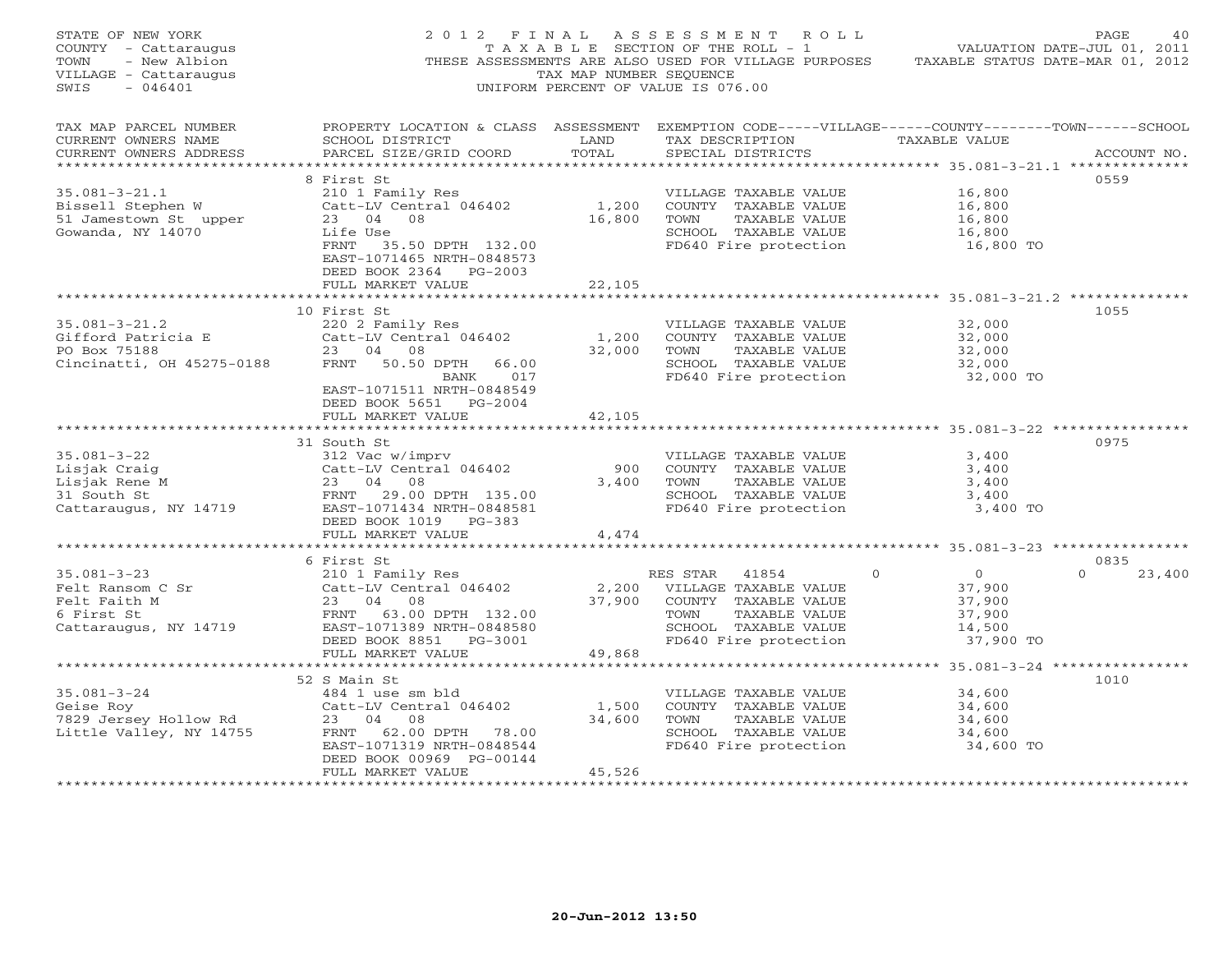| STATE OF NEW YORK<br>COUNTY - Cattaraugus<br>- New Albion<br>TOWN<br>VILLAGE - Cattaraugus<br>$-046401$<br>SWIS                                                                        | 2012 FINAL                                                                                                                                                                    | TAX MAP NUMBER SEQUENCE   | A S S E S S M E N T R O L L<br>TAXABLE SECTION OF THE ROLL - 1<br>THESE ASSESSMENTS ARE ALSO USED FOR VILLAGE PURPOSES<br>UNIFORM PERCENT OF VALUE IS 076.00 | VALUATION DATE-JUL 01, 2011<br>TAXABLE STATUS DATE-MAR 01, 2012                 | PAGE.<br>40                |
|----------------------------------------------------------------------------------------------------------------------------------------------------------------------------------------|-------------------------------------------------------------------------------------------------------------------------------------------------------------------------------|---------------------------|--------------------------------------------------------------------------------------------------------------------------------------------------------------|---------------------------------------------------------------------------------|----------------------------|
| TAX MAP PARCEL NUMBER<br>CURRENT OWNERS NAME<br>CURRENT OWNERS ADDRESS<br>******************                                                                                           | PROPERTY LOCATION & CLASS ASSESSMENT EXEMPTION CODE-----VILLAGE------COUNTY-------TOWN------SCHOOL<br>SCHOOL DISTRICT<br>PARCEL SIZE/GRID COORD                               | LAND<br>TOTAL             | TAX DESCRIPTION TAXABLE VALUE<br>SPECIAL DISTRICTS                                                                                                           | ****************** 35.081-3-21.1 **************                                 | ACCOUNT NO.                |
| $35.081 - 3 - 21.1$<br>Bissell Stephen W<br>51 Jamestown St upper<br>Gowanda, NY 14070                                                                                                 | 8 First St<br>210 1 Family Res<br>Catt-LV Central 046402<br>23 04 08<br>Life Use<br>FRNT 35.50 DPTH 132.00<br>EAST-1071465 NRTH-0848573<br>DEED BOOK 2364 PG-2003             | 1,200<br>16,800           | VILLAGE TAXABLE VALUE<br>COUNTY TAXABLE VALUE<br>TAXABLE VALUE<br>TOWN<br>SCHOOL TAXABLE VALUE<br>FD640 Fire protection                                      | 16,800<br>16,800<br>16,800<br>16,800<br>16,800 TO                               | 0559                       |
|                                                                                                                                                                                        | FULL MARKET VALUE                                                                                                                                                             | 22,105                    |                                                                                                                                                              |                                                                                 |                            |
| $35.081 - 3 - 21.2$<br>Gifford Patricia E<br>PO Box 75188<br>Cincinatti, OH 45275-0188                                                                                                 | 10 First St<br>220 2 Family Res<br>Catt-LV Central 046402<br>23 04 08<br>FRNT 50.50 DPTH<br>66.00<br>BANK 017<br>EAST-1071511 NRTH-0848549<br>DEED BOOK 5651 PG-2004          | 1,200<br>32,000           | VILLAGE TAXABLE VALUE<br>COUNTY TAXABLE VALUE<br>TOWN<br>TAXABLE VALUE<br>SCHOOL TAXABLE VALUE<br>FD640 Fire protection                                      | 32,000<br>32,000<br>32,000<br>32,000<br>32,000 TO                               | 1055                       |
|                                                                                                                                                                                        | FULL MARKET VALUE                                                                                                                                                             | 42,105                    |                                                                                                                                                              |                                                                                 |                            |
| $35.081 - 3 - 22$<br>Lisjak Craig<br>Lisjak Rene M<br>31 South St<br>Cattaraugus, NY 14719<br>23 04 08<br>FRNT 29.00 DPTH 135.00<br>Cattaraugus, NY 14719<br>28ST-1071434 NRTH-0848581 | 31 South St<br>312 Vac w/imprv<br>Catt-LV Central 046402<br>23 04 08<br>DEED BOOK 1019 PG-383<br>FULL MARKET VALUE                                                            | 900<br>3,400              | VILLAGE TAXABLE VALUE<br>COUNTY TAXABLE VALUE<br>TOWN<br>TAXABLE VALUE<br>SCHOOL TAXABLE VALUE<br>FD640 Fire protection                                      | 3,400<br>3,400<br>3,400<br>3,400<br>3,400 TO                                    | 0975                       |
|                                                                                                                                                                                        |                                                                                                                                                                               | 4,474                     |                                                                                                                                                              |                                                                                 |                            |
| $35.081 - 3 - 23$<br>Felt Ransom C Sr<br>Felt Faith M<br>6 First St<br>Cattaraugus, NY 14719                                                                                           | 6 First St<br>210 1 Family Res<br>Catt-LV Central 046402<br>23 04 08<br>FRNT 63.00 DPTH 132.00<br>EAST-1071389 NRTH-0848580<br>DEED BOOK 8851 PG-3001                         | 37,900                    | RES STAR<br>41854<br>2,200 VILLAGE TAXABLE VALUE<br>COUNTY TAXABLE VALUE<br>TOWN<br>TAXABLE VALUE<br>SCHOOL TAXABLE VALUE<br>FD640 Fire protection           | $\Omega$<br>$\overline{0}$<br>37,900<br>37,900<br>37,900<br>14,500<br>37,900 TO | 0835<br>$\Omega$<br>23,400 |
|                                                                                                                                                                                        | FULL MARKET VALUE                                                                                                                                                             | 49,868                    |                                                                                                                                                              |                                                                                 |                            |
| $35.081 - 3 - 24$<br>Geise Roy<br>Geise Roy<br>7829 Jersey Hollow Rd<br>Little Vallev, NY 14755<br>Little Valley, NY 14755                                                             | 52 S Main St<br>484 1 use sm bld<br>Catt-LV Central 046402<br>23 04 08<br>FRNT 62.00 DPTH 78.00<br>EAST-1071319 NRTH-0848544<br>DEED BOOK 00969 PG-00144<br>FULL MARKET VALUE | 1,500<br>34,600<br>45,526 | VILLAGE TAXABLE VALUE<br>COUNTY TAXABLE VALUE<br>TOWN<br>TAXABLE VALUE<br>SCHOOL TAXABLE VALUE<br>FD640 Fire protection                                      | 34,600<br>34,600<br>34,600<br>34,600<br>34,600 TO                               | 1010                       |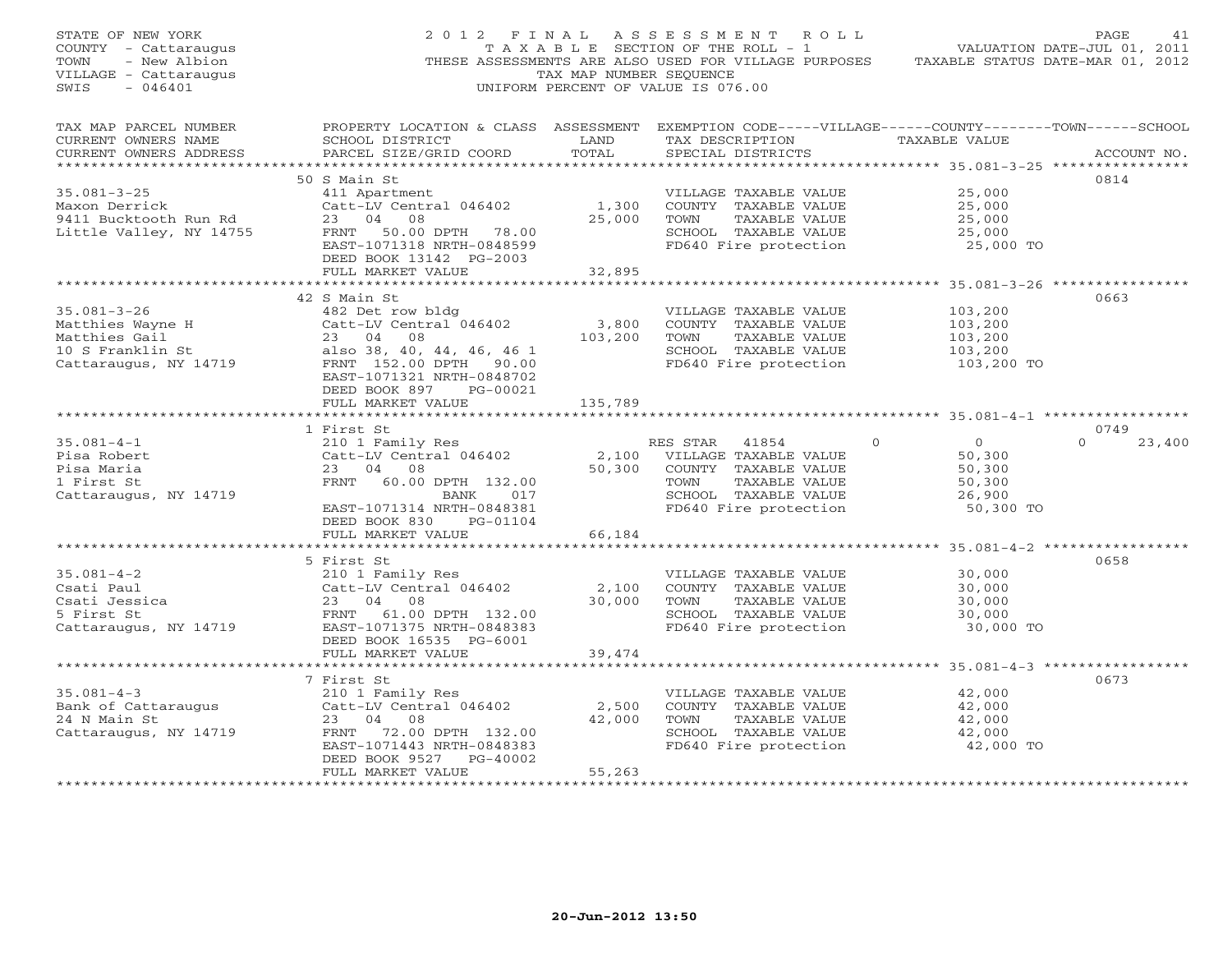| STATE OF NEW YORK<br>COUNTY - Cattaraugus<br>TOWN<br>- New Albion<br>VILLAGE - Cattaraugus<br>$-046401$<br>SWIS | 2012 FINAL                                                                                                                                                                           | TAX MAP NUMBER SEOUENCE | A S S E S S M E N T R O L L<br>TAXABLE SECTION OF THE ROLL - 1<br>THESE ASSESSMENTS ARE ALSO USED FOR VILLAGE PURPOSES<br>UNIFORM PERCENT OF VALUE IS 076.00 | TAXABLE STATUS DATE-MAR 01, 2012                       | PAGE<br>41<br>VALUATION DATE-JUL 01, 2011 |
|-----------------------------------------------------------------------------------------------------------------|--------------------------------------------------------------------------------------------------------------------------------------------------------------------------------------|-------------------------|--------------------------------------------------------------------------------------------------------------------------------------------------------------|--------------------------------------------------------|-------------------------------------------|
| TAX MAP PARCEL NUMBER<br>CURRENT OWNERS NAME<br>CURRENT OWNERS ADDRESS                                          | PROPERTY LOCATION & CLASS ASSESSMENT EXEMPTION CODE-----VILLAGE------COUNTY-------TOWN------SCHOOL<br>SCHOOL DISTRICT<br>PARCEL SIZE/GRID COORD                                      | LAND<br>TOTAL           | TAX DESCRIPTION TAXABLE VALUE<br>SPECIAL DISTRICTS                                                                                                           |                                                        | ACCOUNT NO.                               |
| $35.081 - 3 - 25$<br>Maxon Derrick<br>9411 Bucktooth Run Rd<br>Little Valley, NY 14755                          | 50 S Main St<br>411 Apartment<br>Catt-LV Central 046402<br>23 04 08<br>FRNT 50.00 DPTH 78.00<br>EAST-1071318 NRTH-0848599<br>DEED BOOK 13142 PG-2003                                 | 1,300<br>25,000         | VILLAGE TAXABLE VALUE<br>COUNTY TAXABLE VALUE<br>TOWN<br>TAXABLE VALUE<br>SCHOOL TAXABLE VALUE<br>FD640 Fire protection                                      | 25,000<br>25,000<br>25,000<br>25,000<br>25,000 TO      | 0814                                      |
|                                                                                                                 | FULL MARKET VALUE                                                                                                                                                                    | 32,895                  |                                                                                                                                                              |                                                        |                                           |
| $35.081 - 3 - 26$<br>Matthies Wayne H<br>Matthies Gail<br>10 S Franklin St<br>Cattaraugus, NY 14719             | 42 S Main St<br>482 Det row bldg<br>Catt-LV Central 046402<br>23 04 08<br>also 38, 40, 44, 46, 46 1<br>FRNT 152.00 DPTH 90.00<br>EAST-1071321 NRTH-0848702<br>DEED BOOK 897 PG-00021 | 3,800<br>103,200        | VILLAGE TAXABLE VALUE<br>COUNTY TAXABLE VALUE<br>TOWN<br>TAXABLE VALUE<br>SCHOOL TAXABLE VALUE<br>FD640 Fire protection                                      | 103,200<br>103,200<br>103,200<br>103,200<br>103,200 TO | 0663                                      |
|                                                                                                                 | FULL MARKET VALUE                                                                                                                                                                    | 135,789                 |                                                                                                                                                              |                                                        |                                           |
| $35.081 - 4 - 1$<br>Pisa Robert                                                                                 | 1 First St<br>210 1 Family Res<br>Catt-LV Central 046402                                                                                                                             |                         | RES STAR<br>41854<br>2,100 VILLAGE TAXABLE VALUE                                                                                                             | $\Omega$<br>$\Omega$<br>50,300                         | 0749<br>$\Omega$<br>23,400                |
| Pisa Maria<br>1 First St<br>Cattaraugus, NY 14719                                                               | 23 04 08<br>FRNT 60.00 DPTH 132.00<br>017<br>BANK<br>EAST-1071314 NRTH-0848381<br>DEED BOOK 830 PG-01104                                                                             | 50,300                  | COUNTY TAXABLE VALUE<br>TOWN<br>TAXABLE VALUE<br>SCHOOL TAXABLE VALUE<br>FD640 Fire protection                                                               | 50,300<br>50,300<br>26,900<br>50,300 TO                |                                           |
|                                                                                                                 | FULL MARKET VALUE                                                                                                                                                                    | 66,184                  |                                                                                                                                                              |                                                        |                                           |
| $35.081 - 4 - 2$<br>Csati Paul<br>Csati Jessica<br>5 First St<br>Cattaraugus, NY 14719                          | 5 First St<br>210 1 Family Res<br>Catt-LV Central 046402<br>23 04 08<br>FRNT 61.00 DPTH 132.00<br>EAST-1071375 NRTH-0848383                                                          | 2,100<br>30,000         | VILLAGE TAXABLE VALUE<br>COUNTY TAXABLE VALUE<br>TAXABLE VALUE<br>TOWN<br>SCHOOL TAXABLE VALUE<br>FD640 Fire protection                                      | 30,000<br>30,000<br>30,000<br>30,000<br>30,000 TO      | 0658                                      |
|                                                                                                                 | DEED BOOK 16535 PG-6001<br>FULL MARKET VALUE                                                                                                                                         | 39,474                  |                                                                                                                                                              |                                                        |                                           |
|                                                                                                                 | 7 First St                                                                                                                                                                           |                         |                                                                                                                                                              | ************************* 35.081-4-3 ***************** | 0673                                      |
| $35.081 - 4 - 3$<br>Bank of Cattaraugus<br>24 N Main St<br>Cattaraugus, NY 14719                                | 210 1 Family Res<br>Catt-LV Central 046402<br>23 04 08<br>FRNT 72.00 DPTH 132.00                                                                                                     | 2,500<br>42,000         | VILLAGE TAXABLE VALUE<br>COUNTY TAXABLE VALUE<br>TOWN<br>TAXABLE VALUE<br>SCHOOL TAXABLE VALUE                                                               | 42,000<br>42,000<br>42,000<br>42,000                   |                                           |
| *************************                                                                                       | EAST-1071443 NRTH-0848383<br>DEED BOOK 9527<br>PG-40002<br>FULL MARKET VALUE                                                                                                         | 55,263                  | FD640 Fire protection                                                                                                                                        | 42,000 TO                                              |                                           |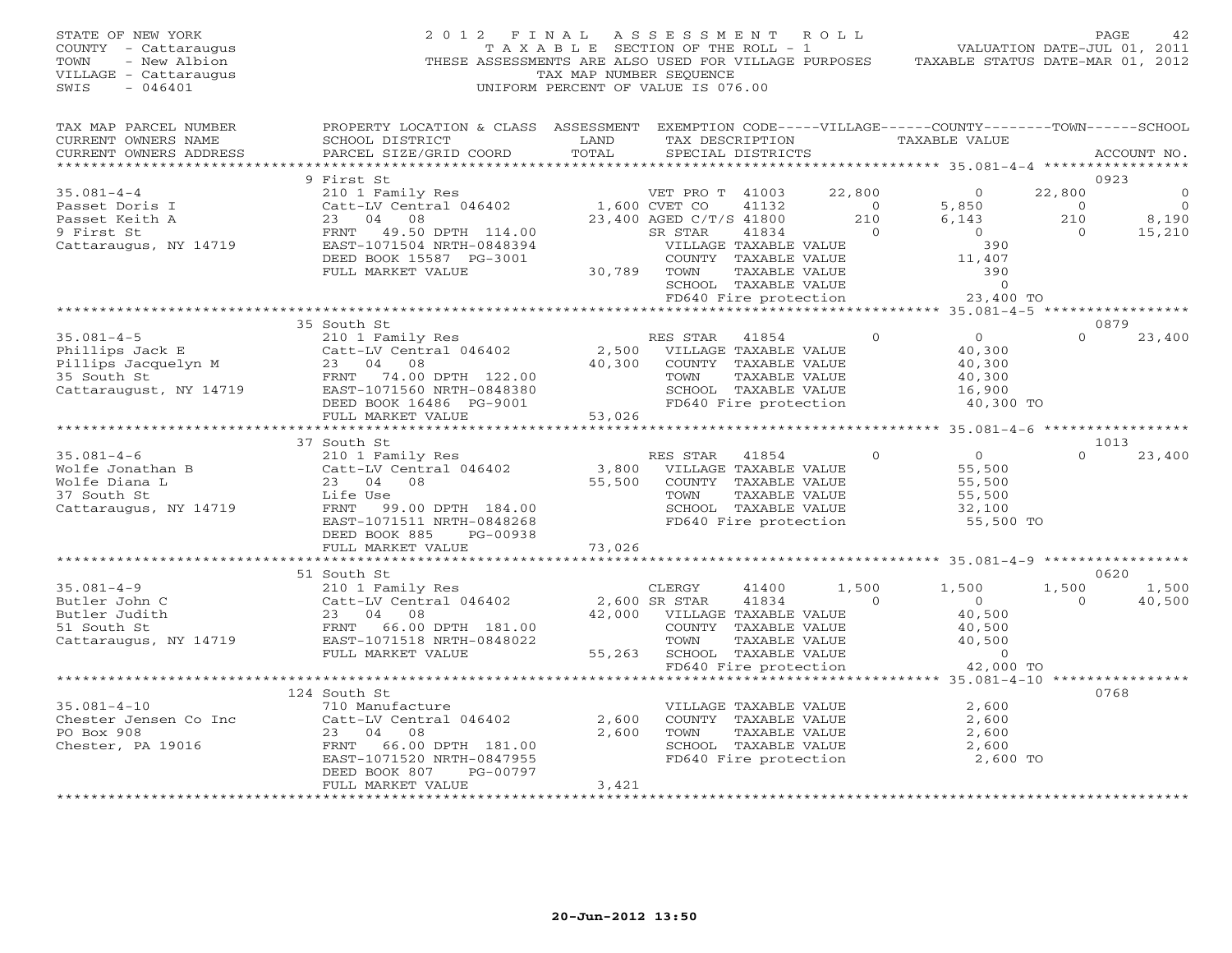STATE OF NEW YORK 2 0 1 2 F I N A L A S S E S S M E N T R O L L PAGE 42 COUNTY - Cattaraugus T A X A B L E SECTION OF THE ROLL - 1 VALUATION DATE-JUL 01, 2011 TOWN - New Albion THESE ASSESSMENTS ARE ALSO USED FOR VILLAGE PURPOSES TAXABLE STATUS DATE-MAR 01, 2012 VILLAGE - Cattaraugus TAX MAP NUMBER SEQUENCE SWIS - 046401 UNIFORM PERCENT OF VALUE IS 076.00 TAX MAP PARCEL NUMBER PROPERTY LOCATION & CLASS ASSESSMENT EXEMPTION CODE-----VILLAGE------COUNTY--------TOWN------SCHOOL<br>CURRENT OWNERS NAME SCHOOL DISTRICT LAND TAX DE \*\*\*\*\*\*\*\*\*\*\*\*\*\*\*\*\*\*\*\*\*\*\*\*\*\*\*\*\*\*\*\*\*\*\*\*\*\*\*\*\*\*\*\*\*\*\*\*\*\*\*\*\*\*\*\*\*\*\*\*\*\*\*\*\*\*\*\*\*\*\*\*\*\*\*\*\*\*\*\*\*\*\*\*\*\*\*\*\*\*\*\*\*\*\*\*\*\*\*\*\*\*\* 35.081-4-4 \*\*\*\*\*\*\*\*\*\*\*\*\*\*\*\*\* 9 First St 0923 35.081-4-4 210 1 Family Res VET PRO T 41003 22,800 0 22,800 0 Passet Doris I Catt-LV Central 046402 1,600 CVET CO 41132 0 5,850 0 0 Passet Keith A 23 04 08 23,400 AGED C/T/S 41800 210 6,143 210 8,190 9 First St FRNT 49.50 DPTH 114.00 SR STAR 41834 0 0 0 15,210 Cattaraugus, NY 14719 EAST-1071504 NRTH-0848394 VILLAGE TAXABLE VALUE 390 DEED BOOK 15587 PG-3001 COUNTY TAXABLE VALUE 11,407 FULL MARKET VALUE 30,789 TOWN TAXABLE VALUE 390<br>SCHOOL TAXABLE VALUE 0<br>FD640 Fire protection 23,400 TO<br>35 South St 35 South St 35 South St RES STAR 41854 0 0 10 23,400 0 23,400<br>210 1 Family Res RES STAR 41854 0 35 210 1 21 Phillips Jack E Catt-LV Central 046402 2,500 VILLAGE TAXABLE VALUE 40,300 Pillips Jacquelyn M 23 04 08 40,300 COUNTY TAXABLE VALUE 40,300 35 South St FRNT 74.00 DPTH 122.00 TOWN TAXABLE VALUE 40,300 Cattaraugust, NY 14719 EAST-1071560 NRTH-0848380 SCHOOL TAXABLE VALUE 16,900 DEED BOOK 16486 PG-9001 FD640 Fire protection 40,300 TO FULL MARKET VALUE 53,026 \*\*\*\*\*\*\*\*\*\*\*\*\*\*\*\*\*\*\*\*\*\*\*\*\*\*\*\*\*\*\*\*\*\*\*\*\*\*\*\*\*\*\*\*\*\*\*\*\*\*\*\*\*\*\*\*\*\*\*\*\*\*\*\*\*\*\*\*\*\*\*\*\*\*\*\*\*\*\*\*\*\*\*\*\*\*\*\*\*\*\*\*\*\*\*\*\*\*\*\*\*\*\* 35.081-4-6 \*\*\*\*\*\*\*\*\*\*\*\*\*\*\*\*\* 37 South St 1013 35.081-4-6 210 1 Family Res RES STAR 41854 0 0 0 23,400 Wolfe Jonathan B Catt-LV Central 046402 3,800 VILLAGE TAXABLE VALUE 55,500 Wolfe Diana L 23 04 08 55,500 COUNTY TAXABLE VALUE 55,500 37 South St Life Use TOWN TAXABLE VALUE 55,500 Cattaraugus, NY 14719 FRNT 99.00 DPTH 184.00 SCHOOL TAXABLE VALUE 32,100 EAST-1071511 NRTH-0848268 FD640 Fire protection 55,500 TO<br>DEED BOOK 885 PG-00938 73,026<br>FULL MARKET VALUE 73,026 \*\*\*\*\*\*\*\*\*\*\*\*\*\*\*\*\*\*\*\*\*\*\*\*\*\*\*\*\*\*\*\*\*\*\*\*\*\*\*\*\*\*\*\*\*\*\*\*\*\*\*\*\*\*\*\*\*\*\*\*\*\*\*\*\*\*\*\*\*\*\*\*\*\*\*\*\*\*\*\*\*\*\*\*\*\*\*\*\*\*\*\*\*\*\*\*\*\*\*\*\*\*\* 35.081-4-9 \*\*\*\*\*\*\*\*\*\*\*\*\*\*\*\*\* 51 South St 0620 35.081-4-9 210 1 Family Res CLERGY 41400 1,500 1,500 1,500 1,500 Butler John C Catt-LV Central 046402 2,600 SR STAR 41834 0 0 0 40,500 Butler Judith 23 04 08 42,000 VILLAGE TAXABLE VALUE 40,500 51 South St FRNT 66.00 DPTH 181.00 COUNTY TAXABLE VALUE 40,500 Cattaraugus, NY 14719 EAST-1071518 NRTH-0848022 TOWN TAXABLE VALUE 40,500 FULL MARKET VALUE 55,263 SCHOOL TAXABLE VALUE 0 FD640 Fire protection 42,000 TO \*\*\*\*\*\*\*\*\*\*\*\*\*\*\*\*\*\*\*\*\*\*\*\*\*\*\*\*\*\*\*\*\*\*\*\*\*\*\*\*\*\*\*\*\*\*\*\*\*\*\*\*\*\*\*\*\*\*\*\*\*\*\*\*\*\*\*\*\*\*\*\*\*\*\*\*\*\*\*\*\*\*\*\*\*\*\*\*\*\*\*\*\*\*\*\*\*\*\*\*\*\*\* 35.081-4-10 \*\*\*\*\*\*\*\*\*\*\*\*\*\*\*\* 124 South St 0768 35.081-4-10 710 Manufacture VILLAGE TAXABLE VALUE 2,600 Chester Jensen Co Inc Catt-LV Central 046402 2,600 COUNTY TAXABLE VALUE 2,600 PO Box 908 23 04 08 2,600 TOWN TAXABLE VALUE 2,600 Chester, PA 19016 FRNT 66.00 DPTH 181.00 SCHOOL TAXABLE VALUE 2,600 EAST-1071520 NRTH-0847955 FD640 Fire protection 2,600 TO<br>DEED BOOK 807 PG-00797<br>FULL MARKET VALUE 3,421 FULL MARKET VALUE 3,421 FULL MARKET VALUE FULL MARKET VALUE FULL ARENT VALUE FULL ARE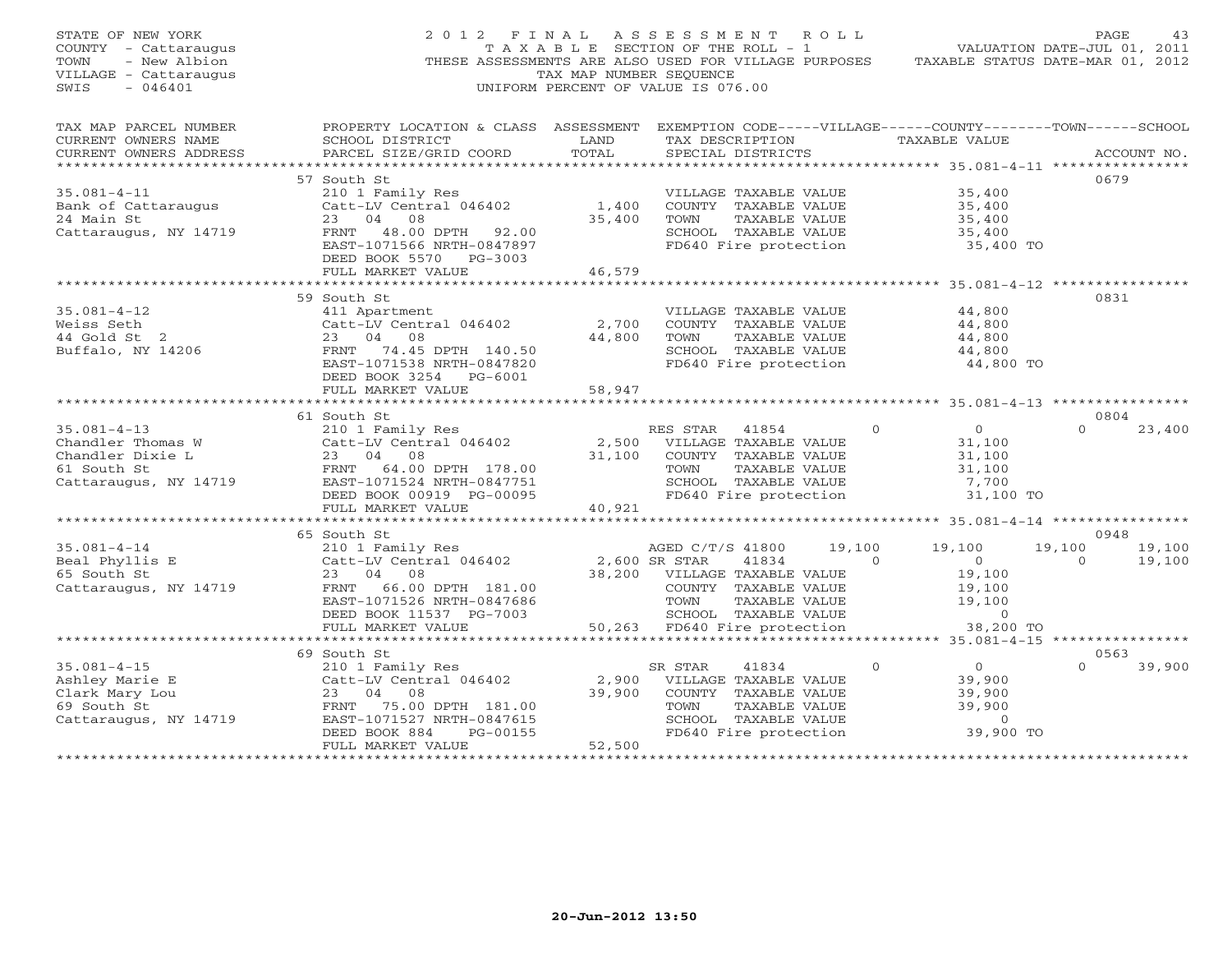| STATE OF NEW YORK<br>COUNTY - Cattaraugus<br>- New Albion<br>TOWN<br>VILLAGE - Cattaraugus<br>$-046401$<br>SWIS                                                   | 2012 FINAL ASSESSMENT ROLL<br>THESE ASSESSMENTS ARE ALSO USED FOR VILLAGE PURPOSES TAXABLE STATUS DATE-MAR 01, 2012 | TAX MAP NUMBER SEQUENCE<br>UNIFORM PERCENT OF VALUE IS 076.00                                                                   |                  | T A X A B L E SECTION OF THE ROLL - 1              |                | VALUATION DATE-JUL 01, 2011     | PAGE           | 43          |
|-------------------------------------------------------------------------------------------------------------------------------------------------------------------|---------------------------------------------------------------------------------------------------------------------|---------------------------------------------------------------------------------------------------------------------------------|------------------|----------------------------------------------------|----------------|---------------------------------|----------------|-------------|
| TAX MAP PARCEL NUMBER                                                                                                                                             | PROPERTY LOCATION & CLASS ASSESSMENT EXEMPTION CODE-----VILLAGE------COUNTY-------TOWN------SCHOOL                  |                                                                                                                                 |                  |                                                    |                |                                 |                |             |
| CURRENT OWNERS NAME<br>CURRENT OWNERS ADDRESS                                                                                                                     | SCHOOL DISTRICT<br>PARCEL SIZE/GRID COORD                                                                           | <b>EXAMPLE SERVICE SERVICE SERVICE SERVICE SERVICE SERVICE SERVICE SERVICE SERVICE SERVICE SERVICE SERVICE SERVICE</b><br>TOTAL |                  | TAX DESCRIPTION TAXABLE VALUE<br>SPECIAL DISTRICTS |                |                                 |                | ACCOUNT NO. |
|                                                                                                                                                                   |                                                                                                                     |                                                                                                                                 |                  |                                                    |                |                                 |                |             |
|                                                                                                                                                                   | 57 South St                                                                                                         |                                                                                                                                 |                  |                                                    |                |                                 | 0679           |             |
| $35.081 - 4 - 11$                                                                                                                                                 | 210 1 Family Res                                                                                                    |                                                                                                                                 |                  | VILLAGE TAXABLE VALUE                              |                | 35,400                          |                |             |
| Bank of Cattaraugus                                                                                                                                               | Catt-LV Central 046402                                                                                              | 1,400                                                                                                                           |                  | COUNTY TAXABLE VALUE                               |                | 35,400                          |                |             |
| 24 Main St                                                                                                                                                        | 23 04 08                                                                                                            | 35,400                                                                                                                          | TOWN             | TAXABLE VALUE                                      |                | 35,400                          |                |             |
| Cattaraugus, NY 14719                                                                                                                                             | FRNT 48.00 DPTH 92.00                                                                                               |                                                                                                                                 |                  | SCHOOL TAXABLE VALUE                               |                | 35,400<br>35,400 TO             |                |             |
|                                                                                                                                                                   | EAST-1071566 NRTH-0847897<br>DEED BOOK 5570 PG-3003                                                                 |                                                                                                                                 |                  | FD640 Fire protection                              |                |                                 |                |             |
|                                                                                                                                                                   | FULL MARKET VALUE                                                                                                   | 46,579                                                                                                                          |                  |                                                    |                |                                 |                |             |
|                                                                                                                                                                   |                                                                                                                     |                                                                                                                                 |                  |                                                    |                |                                 |                |             |
|                                                                                                                                                                   | 59 South St                                                                                                         |                                                                                                                                 |                  |                                                    |                |                                 | 0831           |             |
| $35.081 - 4 - 12$                                                                                                                                                 | 411 Apartment                                                                                                       |                                                                                                                                 |                  | VILLAGE TAXABLE VALUE                              |                | 44,800                          |                |             |
| Weiss Seth                                                                                                                                                        | Catt-LV Central 046402                                                                                              | 2,700                                                                                                                           |                  | COUNTY TAXABLE VALUE                               |                | 44,800                          |                |             |
| 44 Gold St 2                                                                                                                                                      | 23 04 08                                                                                                            | 44,800                                                                                                                          | TOWN             | TAXABLE VALUE                                      |                | 44,800                          |                |             |
| Buffalo, NY 14206                                                                                                                                                 | FRNT 74.45 DPTH 140.50                                                                                              |                                                                                                                                 |                  | SCHOOL TAXABLE VALUE                               |                | 44,800                          |                |             |
|                                                                                                                                                                   | EAST-1071538 NRTH-0847820                                                                                           |                                                                                                                                 |                  | FD640 Fire protection                              |                | 44,800 TO                       |                |             |
|                                                                                                                                                                   | DEED BOOK 3254 PG-6001<br>FULL MARKET VALUE                                                                         | 58,947                                                                                                                          |                  |                                                    |                |                                 |                |             |
|                                                                                                                                                                   |                                                                                                                     |                                                                                                                                 |                  |                                                    |                |                                 |                |             |
|                                                                                                                                                                   | 61 South St                                                                                                         |                                                                                                                                 |                  |                                                    |                |                                 | 0804           |             |
| $35.081 - 4 - 13$                                                                                                                                                 | 210 1 Family Res<br>Catt-LV Central 046402                                                                          |                                                                                                                                 | RES STAR         | 41854                                              | $\circ$        | 0                               | $\Omega$       | 23,400      |
| Chandler Thomas W and Mark 210 1 Family Res<br>Chandler Dixie L 23 04 08<br>61 South St ERNT 64.00 DPTH 178.00<br>Cattaraugus, NY 14719 EAST-1071524 NRTH-0847751 |                                                                                                                     |                                                                                                                                 |                  | 2,500 VILLAGE TAXABLE VALUE                        |                | 31,100                          |                |             |
|                                                                                                                                                                   |                                                                                                                     |                                                                                                                                 |                  | 31,100 COUNTY TAXABLE VALUE                        |                | 31,100                          |                |             |
|                                                                                                                                                                   |                                                                                                                     |                                                                                                                                 | TOWN             | TAXABLE VALUE                                      |                | 31,100                          |                |             |
|                                                                                                                                                                   |                                                                                                                     |                                                                                                                                 |                  | SCHOOL TAXABLE VALUE                               |                | 7,700                           |                |             |
|                                                                                                                                                                   | DEED BOOK 00919 PG-00095                                                                                            |                                                                                                                                 |                  | FD640 Fire protection                              |                | 31,100 TO                       |                |             |
|                                                                                                                                                                   | FULL MARKET VALUE                                                                                                   | 40,921                                                                                                                          |                  |                                                    |                |                                 |                |             |
|                                                                                                                                                                   |                                                                                                                     |                                                                                                                                 |                  |                                                    |                |                                 |                |             |
| $35.081 - 4 - 14$                                                                                                                                                 | 65 South St                                                                                                         |                                                                                                                                 | AGED C/T/S 41800 |                                                    | 19,100         | 19,100                          | 0948<br>19,100 | 19,100      |
|                                                                                                                                                                   | 210 1 Family Res<br>Catt-LV Central 046402                                                                          | 2,600 SR STAR                                                                                                                   |                  | 41834                                              | $\overline{0}$ | $\sim$ 0                        | $\Omega$       | 19,100      |
| Beal Phyllis E<br>65 South St                                                                                                                                     | 23 04 08                                                                                                            |                                                                                                                                 |                  | 38,200 VILLAGE TAXABLE VALUE                       |                | 19,100                          |                |             |
| Cattaraugus, NY 14719                                                                                                                                             | FRNT 66.00 DPTH 181.00                                                                                              |                                                                                                                                 |                  | COUNTY TAXABLE VALUE                               |                |                                 |                |             |
|                                                                                                                                                                   | EAST-1071526 NRTH-0847686                                                                                           |                                                                                                                                 | TOWN             | TAXABLE VALUE                                      |                | 19,100<br>19,100                |                |             |
|                                                                                                                                                                   | DEED BOOK 11537 PG-7003                                                                                             |                                                                                                                                 |                  | SCHOOL TAXABLE VALUE                               |                | $\overline{O}$                  |                |             |
|                                                                                                                                                                   | FULL MARKET VALUE                                                                                                   |                                                                                                                                 |                  | 50,263 FD640 Fire protection                       |                | 38,200 TO                       |                |             |
|                                                                                                                                                                   |                                                                                                                     |                                                                                                                                 |                  |                                                    |                |                                 |                |             |
|                                                                                                                                                                   | 69 South St                                                                                                         |                                                                                                                                 |                  |                                                    |                |                                 | 0563           |             |
| $35.081 - 4 - 15$                                                                                                                                                 | 210 1 Family Res<br>Catt-LV Central 046402                                                                          |                                                                                                                                 | SR STAR          | 41834                                              | $\Omega$       | $\overline{0}$                  | $\Omega$       | 39,900      |
| Ashley Marie E                                                                                                                                                    |                                                                                                                     | 2,900                                                                                                                           |                  | VILLAGE TAXABLE VALUE                              |                | 39,900                          |                |             |
| Clark Mary Lou<br>69 South St                                                                                                                                     | 23 04 08<br>FRNT 75.00 DPTH 181.00                                                                                  | 39,900                                                                                                                          | TOWN             | COUNTY TAXABLE VALUE<br>TAXABLE VALUE              |                | 39,900<br>39,900                |                |             |
| Cattaraugus, NY 14719                                                                                                                                             | EAST-1071527 NRTH-0847615                                                                                           |                                                                                                                                 |                  | SCHOOL TAXABLE VALUE                               |                | $\overline{0}$                  |                |             |
|                                                                                                                                                                   | DEED BOOK 884<br>PG-00155                                                                                           |                                                                                                                                 |                  | FD640 Fire protection                              |                | 39,900 TO                       |                |             |
|                                                                                                                                                                   | FULL MARKET VALUE                                                                                                   | 52,500                                                                                                                          |                  |                                                    |                |                                 |                |             |
|                                                                                                                                                                   |                                                                                                                     |                                                                                                                                 |                  |                                                    |                | ******************************* |                |             |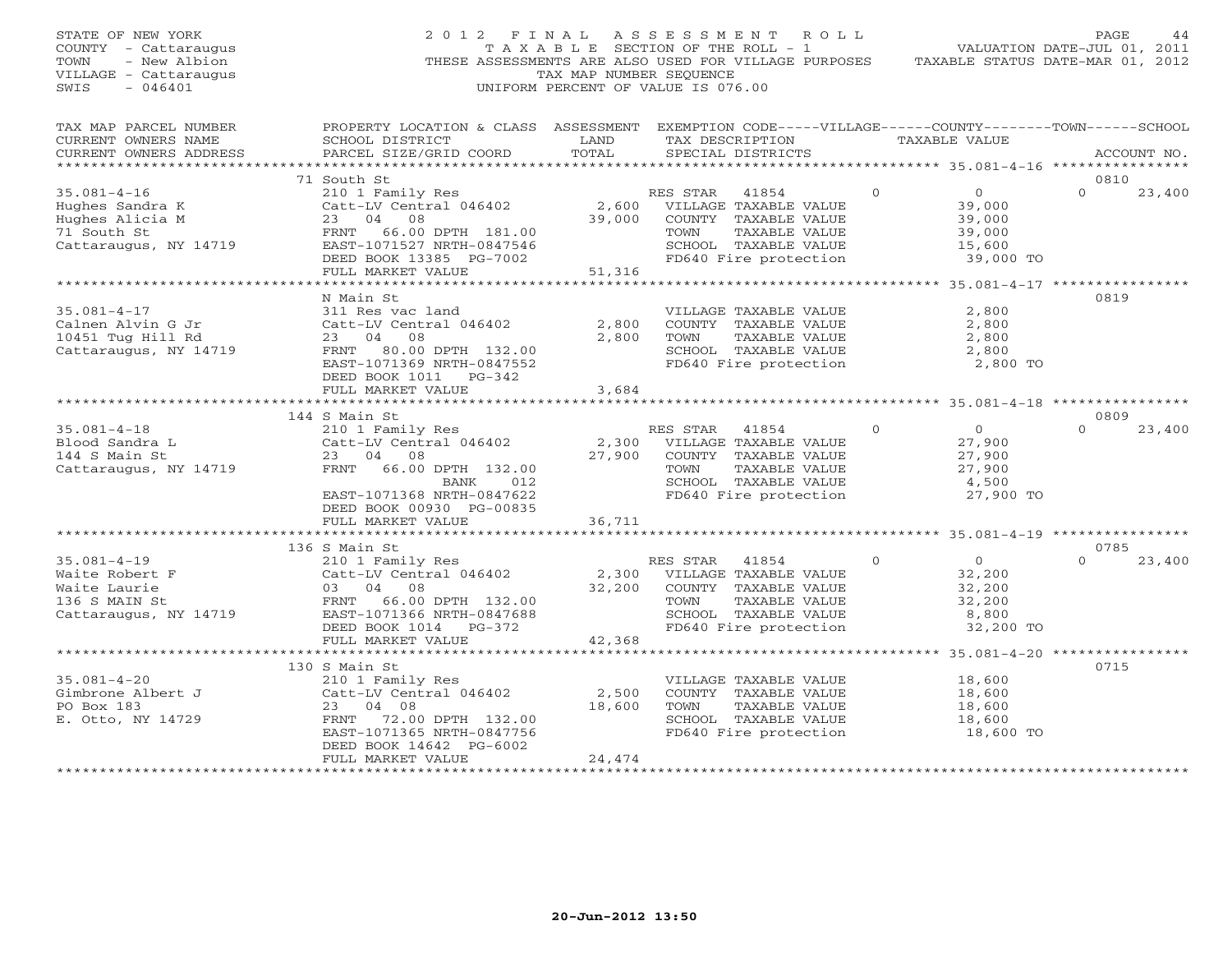| STATE OF NEW YORK<br>COUNTY - Cattaraugus<br>TOWN<br>- New Albion<br>VILLAGE - Cattaraugus<br>SWIS<br>$-046401$ |                                                                                                                                                                                                    | TAX MAP NUMBER SEQUENCE         | 2012 FINAL ASSESSMENT ROLL<br>T A X A B L E SECTION OF THE ROLL - 1<br>THESE ASSESSMENTS ARE ALSO USED FOR VILLAGE PURPOSES TAXABLE STATUS DATE-MAR 01, 2012<br>UNIFORM PERCENT OF VALUE IS 076.00 |          |                            | PAGE<br>44<br>VALUATION DATE-JUL 01, 2011                     |
|-----------------------------------------------------------------------------------------------------------------|----------------------------------------------------------------------------------------------------------------------------------------------------------------------------------------------------|---------------------------------|----------------------------------------------------------------------------------------------------------------------------------------------------------------------------------------------------|----------|----------------------------|---------------------------------------------------------------|
| TAX MAP PARCEL NUMBER<br>CURRENT OWNERS NAME<br>CURRENT OWNERS ADDRESS<br>***********************               | PROPERTY LOCATION & CLASS ASSESSMENT EXEMPTION CODE-----VILLAGE------COUNTY-------TOWN------SCHOOL<br>SCHOOL DISTRICT<br><b>Example 12 TEAMPLE 12 TEAMPLE 12 TEAMPLE</b><br>PARCEL SIZE/GRID COORD | TOTAL                           | TAX DESCRIPTION TAXABLE VALUE<br>SPECIAL DISTRICTS                                                                                                                                                 |          |                            | ACCOUNT NO.                                                   |
|                                                                                                                 | 71 South St                                                                                                                                                                                        |                                 |                                                                                                                                                                                                    |          |                            | 0810                                                          |
| $35.081 - 4 - 16$                                                                                               | 210 1 Family Res                                                                                                                                                                                   |                                 | RES STAR 41854                                                                                                                                                                                     | $\Omega$ | $\overline{O}$             | $\Omega$<br>23,400                                            |
| Hughes Sandra K<br>Hughes Alicia M<br>71 South St                                                               | Catt-LV Central 046402<br>23 04 08<br>FRNT 66.00 DPTH 181.00                                                                                                                                       |                                 | 2,600 VILLAGE TAXABLE VALUE<br>39,000 COUNTY TAXABLE VALUE<br>TAXABLE VALUE<br>TOWN                                                                                                                |          | 39,000<br>39,000<br>39,000 |                                                               |
| Cattaraugus, NY 14719                                                                                           | EAST-1071527 NRTH-0847546<br>DEED BOOK 13385 PG-7002<br>FULL MARKET VALUE                                                                                                                          | 51,316                          | SCHOOL TAXABLE VALUE<br>FD640 Fire protection                                                                                                                                                      |          | 15,600<br>39,000 TO        |                                                               |
|                                                                                                                 |                                                                                                                                                                                                    |                                 |                                                                                                                                                                                                    |          |                            |                                                               |
|                                                                                                                 | N Main St                                                                                                                                                                                          |                                 |                                                                                                                                                                                                    |          |                            | 0819                                                          |
| $35.081 - 4 - 17$<br>Calnen Alvin G Jr<br>10451 Tug Hill Rd                                                     | 311 Res vac land<br>Catt-LV Central 046402                                                                                                                                                         | 2,800                           | VILLAGE TAXABLE VALUE<br>COUNTY TAXABLE VALUE                                                                                                                                                      |          | 2,800<br>2,800             |                                                               |
| 10451 Tug Hill Rd<br>Cattaraugus, NY 14719                                                                      | 23 04 08<br>FRNT 80.00 DPTH 132.00<br>EAST-1071369 NRTH-0847552<br>DEED BOOK 1011 PG-342                                                                                                           | 2,800                           | TAXABLE VALUE<br>TOWN<br>SCHOOL TAXABLE VALUE<br>FD640 Fire protection                                                                                                                             |          | 2,800<br>2,800<br>2,800 TO |                                                               |
|                                                                                                                 | FULL MARKET VALUE                                                                                                                                                                                  | 3,684                           |                                                                                                                                                                                                    |          |                            |                                                               |
|                                                                                                                 |                                                                                                                                                                                                    |                                 |                                                                                                                                                                                                    |          |                            |                                                               |
|                                                                                                                 | 144 S Main St                                                                                                                                                                                      |                                 |                                                                                                                                                                                                    |          |                            | 0809                                                          |
| $35.081 - 4 - 18$<br>Blood Sandra L                                                                             | 210 1 Family Res<br>Catt-LV Central 046402                                                                                                                                                         |                                 | RES STAR 41854<br>2,300 VILLAGE TAXABLE VALUE                                                                                                                                                      | $\Omega$ | $\overline{0}$<br>27,900   | 23,400<br>$\Omega$                                            |
| 144 S Main St                                                                                                   | 23 04 08                                                                                                                                                                                           |                                 | 27,900 COUNTY TAXABLE VALUE                                                                                                                                                                        |          | 27,900                     |                                                               |
| Cattaraugus, NY 14719                                                                                           | FRNT 66.00 DPTH 132.00                                                                                                                                                                             |                                 | TOWN<br>TAXABLE VALUE                                                                                                                                                                              |          | 27,900                     |                                                               |
|                                                                                                                 | BANK 012                                                                                                                                                                                           |                                 |                                                                                                                                                                                                    |          | 4,500                      |                                                               |
|                                                                                                                 | EAST-1071368 NRTH-0847622<br>DEED BOOK 00930 PG-00835                                                                                                                                              |                                 | SCHOOL TAXABLE VALUE<br>FD640 Fire protection                                                                                                                                                      |          | 27,900 TO                  |                                                               |
|                                                                                                                 | FULL MARKET VALUE                                                                                                                                                                                  | 36,711<br>********************* |                                                                                                                                                                                                    |          |                            | ********************************95.081-4-19 ***************** |
| $35.081 - 4 - 19$                                                                                               | 136 S Main St<br>210 1 Family Res                                                                                                                                                                  |                                 | RES STAR 41854                                                                                                                                                                                     | $\circ$  | $\overline{0}$             | 0785<br>23,400<br>$\cap$                                      |
| Waite Robert F                                                                                                  | Catt-LV Central 046402                                                                                                                                                                             |                                 | 2,300 VILLAGE TAXABLE VALUE                                                                                                                                                                        |          | 32,200                     |                                                               |
| Waite Laurie                                                                                                    | 03 04 08                                                                                                                                                                                           | 32,200                          | COUNTY TAXABLE VALUE                                                                                                                                                                               |          | 32,200                     |                                                               |
| 136 S MAIN St                                                                                                   | FRNT 66.00 DPTH 132.00                                                                                                                                                                             |                                 | TAXABLE VALUE<br>TOWN                                                                                                                                                                              |          | 32,200                     |                                                               |
| Cattaraugus, NY 14719                                                                                           | EAST-1071366 NRTH-0847688                                                                                                                                                                          |                                 | SCHOOL TAXABLE VALUE                                                                                                                                                                               |          | 8,800                      |                                                               |
|                                                                                                                 | DEED BOOK 1014    PG-372                                                                                                                                                                           |                                 | FD640 Fire protection                                                                                                                                                                              |          | 32,200 TO                  |                                                               |
|                                                                                                                 | FULL MARKET VALUE                                                                                                                                                                                  | 42,368                          |                                                                                                                                                                                                    |          |                            |                                                               |
|                                                                                                                 | *********************************                                                                                                                                                                  |                                 |                                                                                                                                                                                                    |          |                            |                                                               |
| $35.081 - 4 - 20$                                                                                               | 130 S Main St                                                                                                                                                                                      |                                 |                                                                                                                                                                                                    |          |                            | 0715                                                          |
|                                                                                                                 | 210 1 Family Res<br>Catt-LV Central 046402                                                                                                                                                         | 2,500                           | VILLAGE TAXABLE VALUE<br>COUNTY TAXABLE VALUE                                                                                                                                                      |          | 18,600<br>18,600           |                                                               |
| Gimbrone Albert J<br>PO Box 183<br>PO Box 183                                                                   | 23 04 08                                                                                                                                                                                           | 18,600                          | TOWN<br>TAXABLE VALUE                                                                                                                                                                              |          | 18,600                     |                                                               |
| E. Otto, NY 14729                                                                                               | FRNT 72.00 DPTH 132.00                                                                                                                                                                             |                                 | SCHOOL TAXABLE VALUE                                                                                                                                                                               |          | 18,600                     |                                                               |
|                                                                                                                 | EAST-1071365 NRTH-0847756<br>DEED BOOK 14642 PG-6002                                                                                                                                               |                                 | FD640 Fire protection                                                                                                                                                                              |          | 18,600 TO                  |                                                               |
|                                                                                                                 | FULL MARKET VALUE                                                                                                                                                                                  | 24,474                          |                                                                                                                                                                                                    |          |                            |                                                               |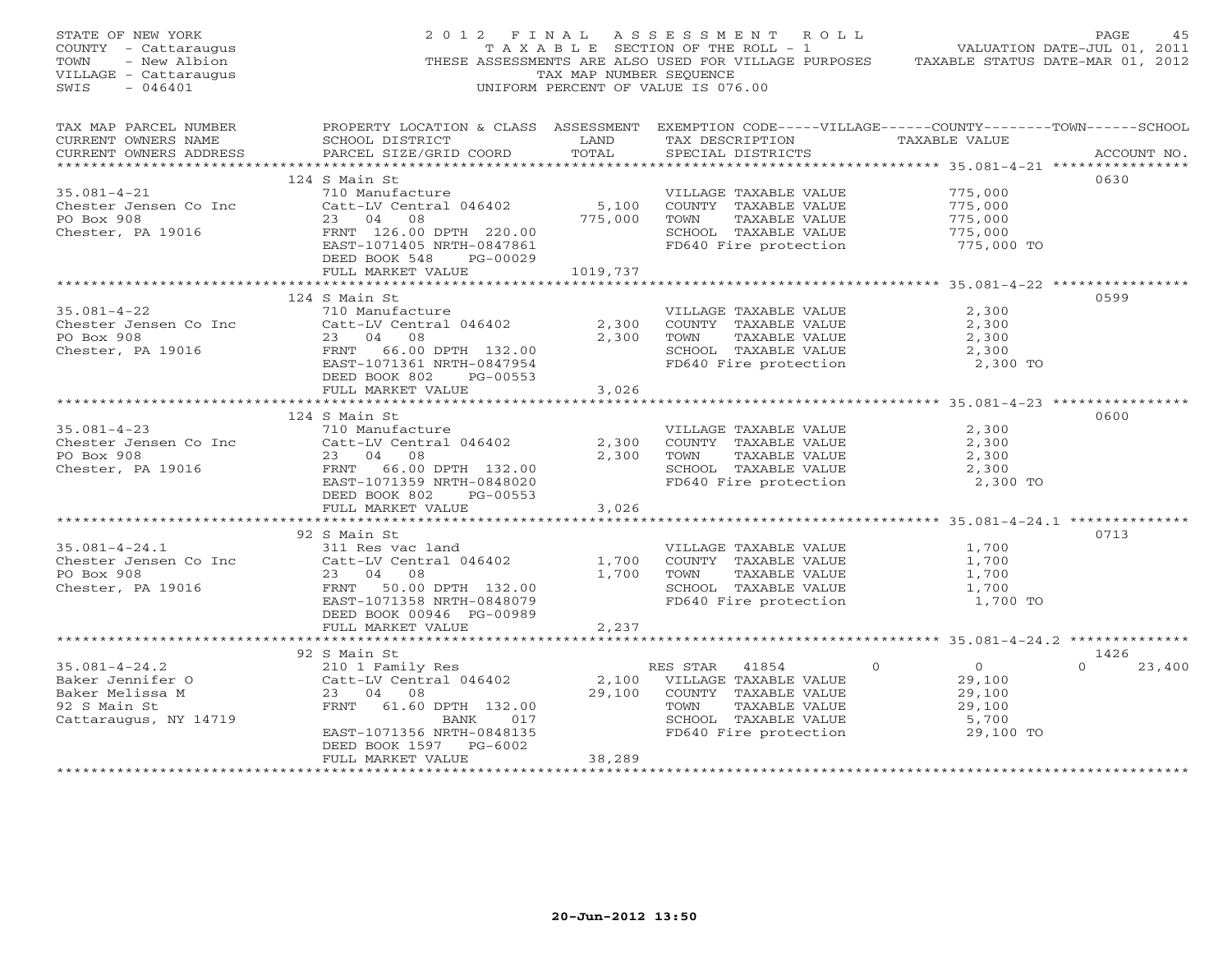| STATE OF NEW YORK<br>COUNTY - Cattaraugus<br>TOWN<br>- New Albion<br>VILLAGE - Cattaraugus<br>$-046401$<br>SWIS |                                                                                                                                                                                                                      | TAX MAP NUMBER SEOUENCE | 2012 FINAL ASSESSMENT ROLL<br>ر - سومة - سوم - سوم - سوم - سوم - سوم - سوم - سوم - سوم - سوم - سوم - سوم - سوم - سوم - سوم - سوم - سوم - سوم<br>" TAXABLE SECTION OF THE ROLL - 1<br>THESE ASSESSMENTS ARE ALSO USED FOR VILLAGE PURPOSES TAXABLE STATUS DATE-MAR 01, 2012<br>UNIFORM PERCENT OF VALUE IS 076.00 |                                                                                   | PAGE<br>45                 |
|-----------------------------------------------------------------------------------------------------------------|----------------------------------------------------------------------------------------------------------------------------------------------------------------------------------------------------------------------|-------------------------|------------------------------------------------------------------------------------------------------------------------------------------------------------------------------------------------------------------------------------------------------------------------------------------------------------------|-----------------------------------------------------------------------------------|----------------------------|
| TAX MAP PARCEL NUMBER<br>CURRENT OWNERS NAME<br>CURRENT OWNERS ADDRESS                                          | PROPERTY LOCATION & CLASS ASSESSMENT EXEMPTION CODE-----VILLAGE------COUNTY-------TOWN------SCHOOL<br>SCHOOL DISTRICT LAND<br>PARCEL SIZE/GRID COORD                                                                 | TOTAL                   | TAX DESCRIPTION TAXABLE VALUE<br>SPECIAL DISTRICTS                                                                                                                                                                                                                                                               |                                                                                   | ACCOUNT NO.                |
| $35.081 - 4 - 21$<br>Chester Jensen Co Inc<br>PO Box 908<br>Chester, PA 19016                                   | 124 S Main St<br>710 Manufacture<br>710 Manufacture<br>Catt-LV Central 046402 5,100<br>23 04 08<br>FRNT 126.00 DPTH 220.00<br>EAST-1071405 NRTH-0847861<br>DEED BOOK 548 PG-00029<br>FULL MARKET VALUE               | 775,000<br>1019,737     | VILLAGE TAXABLE VALUE<br>COUNTY TAXABLE VALUE<br>TOWN TAXABLE VALUE<br>SCHOOL TAXABLE VALUE<br>FD640 Fire protection 775,000 TO                                                                                                                                                                                  | 775,000<br>775, ∪<br>775, 000<br>775, 000<br>775,000                              | 0630                       |
|                                                                                                                 |                                                                                                                                                                                                                      |                         |                                                                                                                                                                                                                                                                                                                  |                                                                                   |                            |
| $35.081 - 4 - 22$<br>Chester Jensen Co Inc<br>PO Box 908<br>Chester, PA 19016                                   | 124 S Main St<br>710 Manufacture<br>Catt-LV Central 046402<br>23 04 08<br>FRNT 66.00 DPTH 132.00<br>EAST-1071361 NRTH-0847954                                                                                        | 2,300<br>2,300          | VILLAGE TAXABLE VALUE<br>COUNTY TAXABLE VALUE<br>TOWN      TAXABLE VALUE<br>SCHOOL TAXABLE VALUE<br>FD640 Fire protection                                                                                                                                                                                        | 2,300<br>2,300<br>2,300<br>2,300<br>2,300 TO                                      | 0599                       |
|                                                                                                                 | DEED BOOK 802 PG-00553<br>FULL MARKET VALUE                                                                                                                                                                          | 3,026                   |                                                                                                                                                                                                                                                                                                                  |                                                                                   |                            |
|                                                                                                                 |                                                                                                                                                                                                                      |                         |                                                                                                                                                                                                                                                                                                                  |                                                                                   |                            |
| $35.081 - 4 - 23$<br>Chester Jensen Co Inc<br>PO Box 908<br>Chester, PA 19016                                   | 124 S Main St<br>710 Manufacture<br>$Cat-LV$ Central 046402<br>23 04 08<br>FRNT 66.00 DPTH 132.00<br>EAST-1071359 NRTH-0848020<br>DEED BOOK 802 PG-00553                                                             | 2,300<br>2,300          | VILLAGE TAXABLE VALUE<br>.<br>COUNTY TAXABLE VALUE<br>TOWN      TAXABLE VALUE<br>SCHOOL TAXABLE VALUE<br>FD640 Fire protection                                                                                                                                                                                   | 2,300<br>2,300<br>$\frac{2}{2}$ , 300<br>$\frac{2}{2}$ , 300<br>2,300<br>2,300 TO | 0600                       |
|                                                                                                                 | FULL MARKET VALUE                                                                                                                                                                                                    | 3,026                   |                                                                                                                                                                                                                                                                                                                  |                                                                                   |                            |
| $35.081 - 4 - 24.1$<br>Chester Jensen Co Inc<br>PO Box 908<br>Chester, PA 19016                                 | 92 S Main St<br>S Main st<br>311 Res vac land<br>Catt-LV Central 046402<br>23 04 08<br>FRNT 50.00 DPTH 132.00<br>EAST-1071358 NRTH-0848079<br>DEED BOOK 00946 PG-00989<br>FULL MARKET VALUE                          | 1,700<br>1,700<br>2,237 | VILLAGE TAXABLE VALUE<br>COUNTY TAXABLE VALUE<br>TOWN<br>TAXABLE VALUE<br>SCHOOL TAXABLE VALUE<br>FD640 Fire protection                                                                                                                                                                                          | 1,700<br>1,700<br>1,700<br>1,700<br>1,700 TO                                      | 0713                       |
|                                                                                                                 |                                                                                                                                                                                                                      |                         |                                                                                                                                                                                                                                                                                                                  |                                                                                   |                            |
| $35.081 - 4 - 24.2$<br>Baker Jennifer O<br>Baker Melissa M<br>92 S Main St<br>Cattaraugus, NY 14719             | 92 S Main St<br>210 1 Family Res<br>Catt-LV Central 046402 2,100 VILLAGE TAXABLE VALUE<br>23 04 08<br>FRNT 61.60 DPTH 132.00<br>BANK 017<br>EAST-1071356 NRTH-0848135<br>DEED BOOK 1597 PG-6002<br>FULL MARKET VALUE | 29,100<br>38,289        | COUNTY TAXABLE VALUE<br>TOWN      TAXABLE VALUE<br>SCHOOL   TAXABLE VALUE<br>FD640 Fire protection                                                                                                                                                                                                               | $\overline{0}$<br>29,100<br>29,100<br>29,100<br>5,700<br>29,100 TO                | 1426<br>23,400<br>$\Omega$ |
|                                                                                                                 |                                                                                                                                                                                                                      |                         |                                                                                                                                                                                                                                                                                                                  |                                                                                   |                            |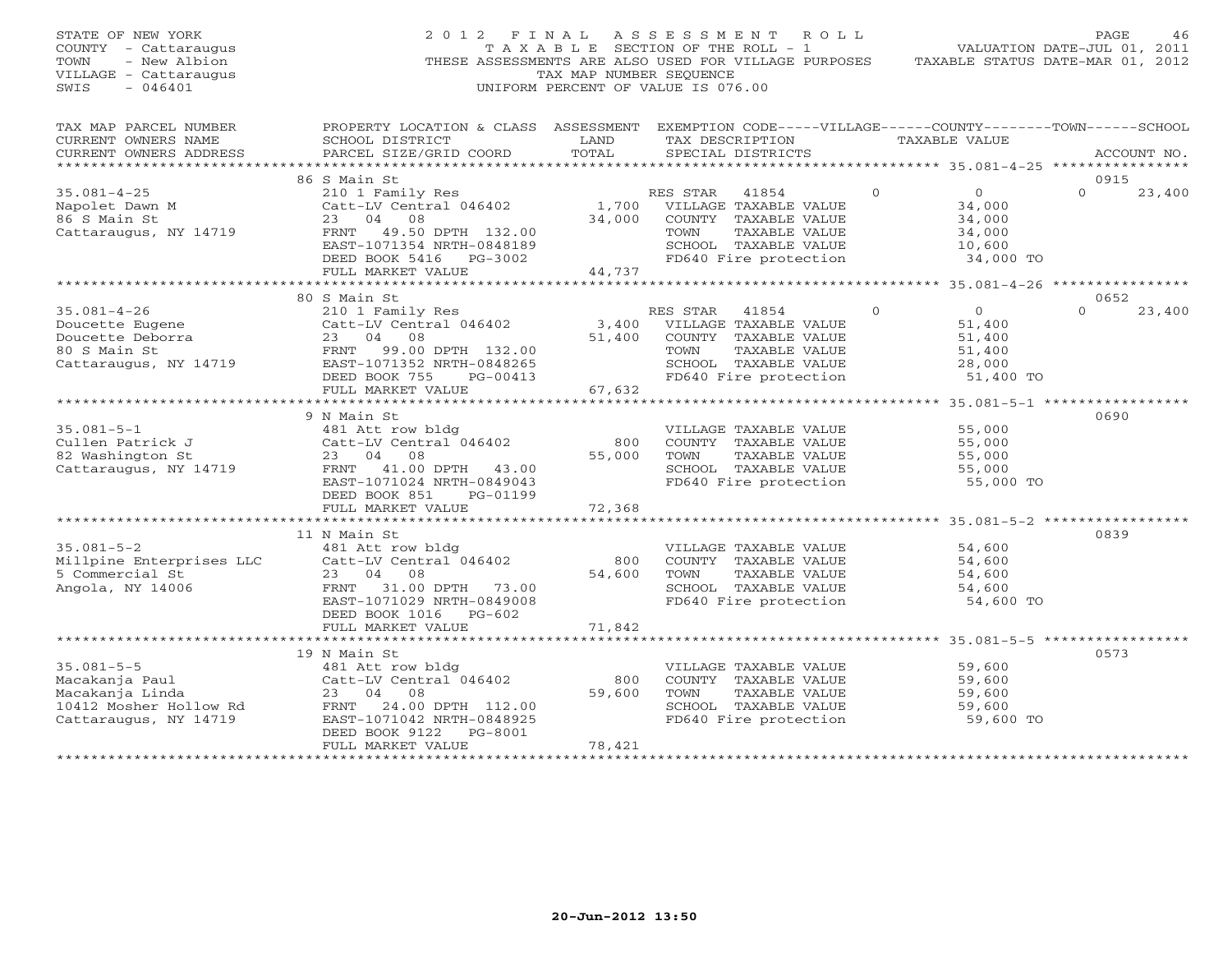| STATE OF NEW YORK<br>COUNTY - Cattaraugus<br>TOWN<br>- New Albion<br>VILLAGE - Cattaraugus<br>$-046401$<br>SWIS |                                                                                                                                                 | TAX MAP NUMBER SEOUENCE | 2012 FINAL ASSESSMENT ROLL<br>T A X A B L E SECTION OF THE ROLL - 1<br>THESE ASSESSMENTS ARE ALSO USED FOR VILLAGE PURPOSES<br>UNIFORM PERCENT OF VALUE IS 076.00 |                            | PAGE<br>46<br>VALUATION DATE-JUL 01, 2011<br>TAXABLE STATUS DATE-MAR 01, 2012 |
|-----------------------------------------------------------------------------------------------------------------|-------------------------------------------------------------------------------------------------------------------------------------------------|-------------------------|-------------------------------------------------------------------------------------------------------------------------------------------------------------------|----------------------------|-------------------------------------------------------------------------------|
| TAX MAP PARCEL NUMBER<br>CURRENT OWNERS NAME<br>CURRENT OWNERS ADDRESS                                          | PROPERTY LOCATION & CLASS ASSESSMENT EXEMPTION CODE-----VILLAGE------COUNTY-------TOWN------SCHOOL<br>SCHOOL DISTRICT<br>PARCEL SIZE/GRID COORD | LAND<br>TOTAL           | TAX DESCRIPTION<br>SPECIAL DISTRICTS                                                                                                                              | TAXABLE VALUE              | ACCOUNT NO.                                                                   |
|                                                                                                                 |                                                                                                                                                 |                         |                                                                                                                                                                   |                            |                                                                               |
|                                                                                                                 | 86 S Main St                                                                                                                                    |                         |                                                                                                                                                                   |                            | 0915                                                                          |
| $35.081 - 4 - 25$                                                                                               | 210 1 Family Res<br>Catt-LV Central 046402                                                                                                      |                         | RES STAR 41854                                                                                                                                                    | $\Omega$<br>$\overline{0}$ | $\Omega$<br>23,400                                                            |
| Napolet Dawn M                                                                                                  |                                                                                                                                                 |                         | 1,700 VILLAGE TAXABLE VALUE                                                                                                                                       | 34,000                     |                                                                               |
| 86 S Main St                                                                                                    | 23 04 08                                                                                                                                        |                         | 34,000 COUNTY TAXABLE VALUE                                                                                                                                       | 34,000                     |                                                                               |
| Cattaraugus, NY 14719                                                                                           | FRNT 49.50 DPTH 132.00                                                                                                                          |                         | TOWN<br>TAXABLE VALUE                                                                                                                                             | 34,000                     |                                                                               |
|                                                                                                                 | EAST-1071354 NRTH-0848189                                                                                                                       |                         | SCHOOL TAXABLE VALUE                                                                                                                                              | 10,600                     |                                                                               |
|                                                                                                                 | DEED BOOK 5416 PG-3002                                                                                                                          |                         | FD640 Fire protection                                                                                                                                             | 34,000 TO                  |                                                                               |
|                                                                                                                 | FULL MARKET VALUE                                                                                                                               | 44,737                  |                                                                                                                                                                   |                            |                                                                               |
|                                                                                                                 |                                                                                                                                                 |                         |                                                                                                                                                                   |                            |                                                                               |
|                                                                                                                 | 80 S Main St                                                                                                                                    |                         |                                                                                                                                                                   |                            | 0652                                                                          |
| $35.081 - 4 - 26$                                                                                               | 210 1 Family Res<br>Catt-LV Central 046402                                                                                                      |                         | RES STAR 41854                                                                                                                                                    | $\overline{O}$<br>$\Omega$ | $\Omega$<br>23,400                                                            |
| Doucette Eugene                                                                                                 |                                                                                                                                                 |                         | 3,400 VILLAGE TAXABLE VALUE                                                                                                                                       | 51,400                     |                                                                               |
| Doucette Deborra<br>80 S Main St                                                                                |                                                                                                                                                 |                         | 51,400 COUNTY TAXABLE VALUE<br>TOWN<br>TAXABLE VALUE                                                                                                              | 51,400<br>51,400           |                                                                               |
| Cattaraugus, NY 14719                                                                                           | Catt-LV Central 046402<br>23 04 08<br>FRNT 99.00 DPTH 132.00<br>EAST-1071352 NRTH-0848265                                                       |                         | SCHOOL TAXABLE VALUE                                                                                                                                              | 28,000                     |                                                                               |
|                                                                                                                 | DEED BOOK 755 PG-00413                                                                                                                          |                         | FD640 Fire protection                                                                                                                                             | 51,400 TO                  |                                                                               |
|                                                                                                                 | FULL MARKET VALUE                                                                                                                               | 67,632                  |                                                                                                                                                                   |                            |                                                                               |
|                                                                                                                 |                                                                                                                                                 |                         |                                                                                                                                                                   |                            |                                                                               |
|                                                                                                                 | 9 N Main St                                                                                                                                     |                         |                                                                                                                                                                   |                            | 0690                                                                          |
| $35.081 - 5 - 1$                                                                                                | 481 Att row bldg                                                                                                                                |                         | VILLAGE TAXABLE VALUE                                                                                                                                             | 55,000                     |                                                                               |
| Cullen Patrick J                                                                                                | Catt-LV Central 046402                                                                                                                          | 800                     | COUNTY TAXABLE VALUE                                                                                                                                              | 55,000                     |                                                                               |
| 82 Washington St                                                                                                | 23 04 08                                                                                                                                        | 55,000                  | TOWN<br>TAXABLE VALUE                                                                                                                                             | 55,000                     |                                                                               |
| Cattaraugus, NY 14719                                                                                           | FRNT 41.00 DPTH 43.00                                                                                                                           |                         | SCHOOL TAXABLE VALUE                                                                                                                                              | 55,000                     |                                                                               |
|                                                                                                                 | EAST-1071024 NRTH-0849043                                                                                                                       |                         | FD640 Fire protection                                                                                                                                             | 55,000 TO                  |                                                                               |
|                                                                                                                 | DEED BOOK 851<br>PG-01199                                                                                                                       |                         |                                                                                                                                                                   |                            |                                                                               |
|                                                                                                                 | FULL MARKET VALUE                                                                                                                               | 72,368                  |                                                                                                                                                                   |                            |                                                                               |
|                                                                                                                 |                                                                                                                                                 |                         |                                                                                                                                                                   |                            |                                                                               |
|                                                                                                                 | 11 N Main St                                                                                                                                    |                         |                                                                                                                                                                   |                            | 0839                                                                          |
| $35.081 - 5 - 2$                                                                                                | 481 Att row bldg                                                                                                                                |                         | VILLAGE TAXABLE VALUE                                                                                                                                             | 54,600                     |                                                                               |
| Millpine Enterprises LLC                                                                                        | Catt-LV Central 046402                                                                                                                          | 800                     | COUNTY TAXABLE VALUE                                                                                                                                              | 54,600                     |                                                                               |
| 5 Commercial St                                                                                                 | 23 04 08                                                                                                                                        | 54,600                  | TOWN<br>TAXABLE VALUE                                                                                                                                             | 54,600                     |                                                                               |
| Angola, NY 14006                                                                                                | FRNT 31.00 DPTH 73.00                                                                                                                           |                         | SCHOOL TAXABLE VALUE                                                                                                                                              | 54,600                     |                                                                               |
|                                                                                                                 | EAST-1071029 NRTH-0849008                                                                                                                       |                         | FD640 Fire protection                                                                                                                                             | 54,600 TO                  |                                                                               |
|                                                                                                                 | DEED BOOK 1016 PG-602<br>FULL MARKET VALUE                                                                                                      | 71,842                  |                                                                                                                                                                   |                            |                                                                               |
|                                                                                                                 |                                                                                                                                                 |                         |                                                                                                                                                                   |                            |                                                                               |
|                                                                                                                 | 19 N Main St                                                                                                                                    |                         |                                                                                                                                                                   |                            | 0573                                                                          |
| $35.081 - 5 - 5$                                                                                                | 481 Att row bldg                                                                                                                                |                         | VILLAGE TAXABLE VALUE                                                                                                                                             | 59,600                     |                                                                               |
| Macakanja Paul                                                                                                  | Catt-LV Central 046402                                                                                                                          | 800                     | COUNTY TAXABLE VALUE                                                                                                                                              | 59,600                     |                                                                               |
| Macakanja Linda                                                                                                 | 23 04 08                                                                                                                                        | 59,600                  | TOWN<br>TAXABLE VALUE                                                                                                                                             | 59,600                     |                                                                               |
| 10412 Mosher Hollow Rd                                                                                          | FRNT 24.00 DPTH 112.00                                                                                                                          |                         | SCHOOL TAXABLE VALUE                                                                                                                                              | 59,600                     |                                                                               |
| Cattaraugus, NY 14719                                                                                           | EAST-1071042 NRTH-0848925                                                                                                                       |                         | FD640 Fire protection                                                                                                                                             | 59,600 TO                  |                                                                               |
|                                                                                                                 | DEED BOOK 9122<br>PG-8001                                                                                                                       |                         |                                                                                                                                                                   |                            |                                                                               |
|                                                                                                                 | FULL MARKET VALUE                                                                                                                               | 78,421                  |                                                                                                                                                                   |                            |                                                                               |
|                                                                                                                 |                                                                                                                                                 |                         |                                                                                                                                                                   |                            |                                                                               |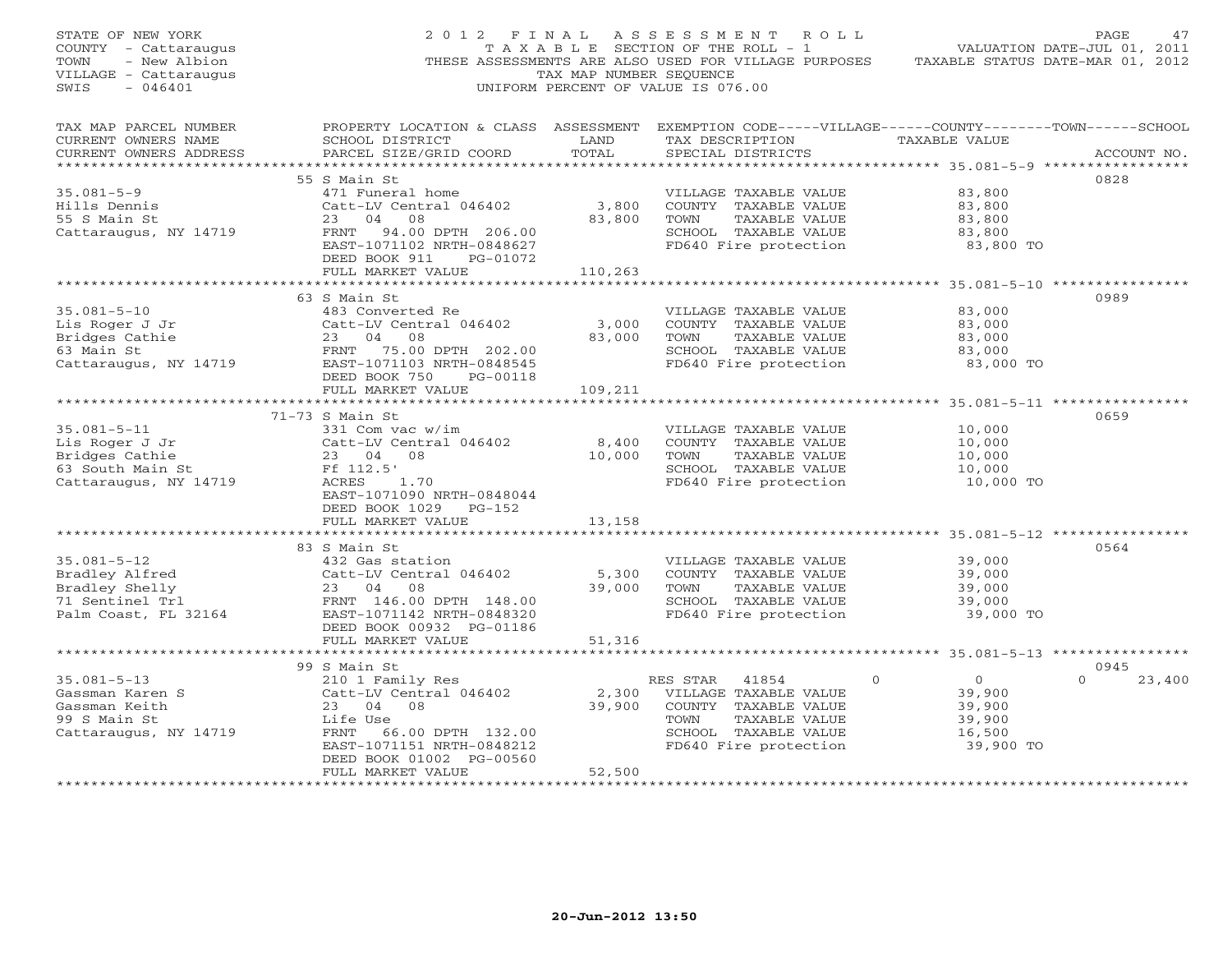| STATE OF NEW YORK<br>COUNTY - Cattaraugus<br>- New Albion<br>TOWN<br>VILLAGE - Cattaraugus<br>$-046401$<br>SWIS                                        | 2012 FINAL                                                                                                                                                                                 | TAX MAP NUMBER SEQUENCE    | ASSESSMENT ROLL<br>THESE ASSESSMENTS ARE ALSO USED FOR VILLAGE PURPOSES TAXABLE STATUS DATE-MAR 01, 2012<br>UNIFORM PERCENT OF VALUE IS 076.00           |                                                                     | PAGE.<br>47                |
|--------------------------------------------------------------------------------------------------------------------------------------------------------|--------------------------------------------------------------------------------------------------------------------------------------------------------------------------------------------|----------------------------|----------------------------------------------------------------------------------------------------------------------------------------------------------|---------------------------------------------------------------------|----------------------------|
| TAX MAP PARCEL NUMBER<br>CURRENT OWNERS NAME<br>CURRENT OWNERS ADDRESS<br>***********************                                                      | SCHOOL DISTRICT<br><b>Example 12</b> LAND<br>PARCEL SIZE/GRID COORD                                                                                                                        | TOTAL                      | PROPERTY LOCATION & CLASS ASSESSMENT EXEMPTION CODE-----VILLAGE------COUNTY-------TOWN------SCHOOL<br>TAX DESCRIPTION TAXABLE VALUE<br>SPECIAL DISTRICTS | ******************* 35.081-5-9 ******************                   | ACCOUNT NO.                |
| $35.081 - 5 - 9$<br>Hills Dennis<br>55 S Main St<br>Cattaraugus, NY 14719                                                                              | 55 S Main St<br>471 Funeral home<br>Catt-LV Central 046402<br>23 04 08<br>FRNT 94.00 DPTH 206.00<br>EAST-1071102 NRTH-0848627<br>DEED BOOK 911 PG-01072                                    | 3,800<br>83,800            | VILLAGE TAXABLE VALUE<br>COUNTY TAXABLE VALUE<br>TAXABLE VALUE<br>TOWN<br>SCHOOL TAXABLE VALUE<br>FD640 Fire protection                                  | 83,800<br>83,800<br>83,800<br>83,800<br>83,800 TO                   | 0828                       |
| $35.081 - 5 - 10$<br>Lis Roger J Jr<br>Bridges Cathie 23 04 08<br>63 Main St ERNT 75.00 DPTH 202.00<br>Cattaraugus, NY 14719 EAST-1071103 NRTH-0848545 | FULL MARKET VALUE<br>63 S Main St<br>483 Converted Re<br>Catt-LV Central 046402<br>23 04 08<br>DEED BOOK 750 PG-00118                                                                      | 110,263<br>3,000<br>83,000 | VILLAGE TAXABLE VALUE<br>COUNTY TAXABLE VALUE<br>TOWN<br>TAXABLE VALUE<br>SCHOOL TAXABLE VALUE<br>FD640 Fire protection                                  | 83,000<br>83,000<br>83,000<br>83,000<br>83,000 TO                   | 0989                       |
| $35.081 - 5 - 11$<br>Lis Roger J Jr<br>Bridges Cathie<br>63 South Main St<br>Cattaraugus, NY 14719                                                     | FULL MARKET VALUE<br>71-73 S Main St<br>331 Com vac w/im<br>Catt-LV Central 046402 8,400<br>23 04 08 10,000<br>Ff 112.5'<br>ACRES<br>1.70                                                  | 109,211                    | VILLAGE TAXABLE VALUE<br>COUNTY TAXABLE VALUE<br>TOWN<br>TAXABLE VALUE<br>SCHOOL TAXABLE VALUE<br>FD640 Fire protection                                  | 10,000<br>10,000<br>10,000<br>10,000<br>10,000 TO                   | 0659                       |
|                                                                                                                                                        | EAST-1071090 NRTH-0848044<br>DEED BOOK 1029 PG-152<br>FULL MARKET VALUE<br>**************************<br>83 S Main St                                                                      | 13,158                     |                                                                                                                                                          |                                                                     | 0564                       |
| $35.081 - 5 - 12$<br>Bradley Alfred<br>Bradley Shelly<br>71 Sentinel Trl<br>Palm Coast, FL 32164                                                       | 432 Gas station<br>Catt-LV Central 046402<br>23 04 08<br>FRNT 146.00 DPTH 148.00<br>EAST-1071142 NRTH-0848320<br>DEED BOOK 00932 PG-01186                                                  | 5,300<br>39,000            | VILLAGE TAXABLE VALUE<br>COUNTY TAXABLE VALUE<br>TAXABLE VALUE<br>TOWN<br>SCHOOL TAXABLE VALUE<br>FD640 Fire protection                                  | 39,000<br>39,000<br>39,000<br>39,000<br>39,000 TO                   |                            |
|                                                                                                                                                        | FULL MARKET VALUE                                                                                                                                                                          | 51,316                     |                                                                                                                                                          |                                                                     |                            |
| $35.081 - 5 - 13$<br>Gassman Karen S<br>Gassman Keith<br>99 S Main St<br>Cattaraugus, NY 14719                                                         | 99 S Main St<br>210 1 Family Res<br>Catt-LV Central 046402<br>23 04 08<br>Life Use<br>FRNT 66.00 DPTH 132.00<br>EAST-1071151 NRTH-0848212<br>DEED BOOK 01002 PG-00560<br>FULL MARKET VALUE | 2,300<br>39,900<br>52,500  | RES STAR<br>41854<br>$\circ$<br>VILLAGE TAXABLE VALUE<br>COUNTY TAXABLE VALUE<br>TOWN<br>TAXABLE VALUE<br>SCHOOL TAXABLE VALUE<br>FD640 Fire protection  | $\overline{0}$<br>39,900<br>39,900<br>39,900<br>16,500<br>39,900 TO | 0945<br>23,400<br>$\Omega$ |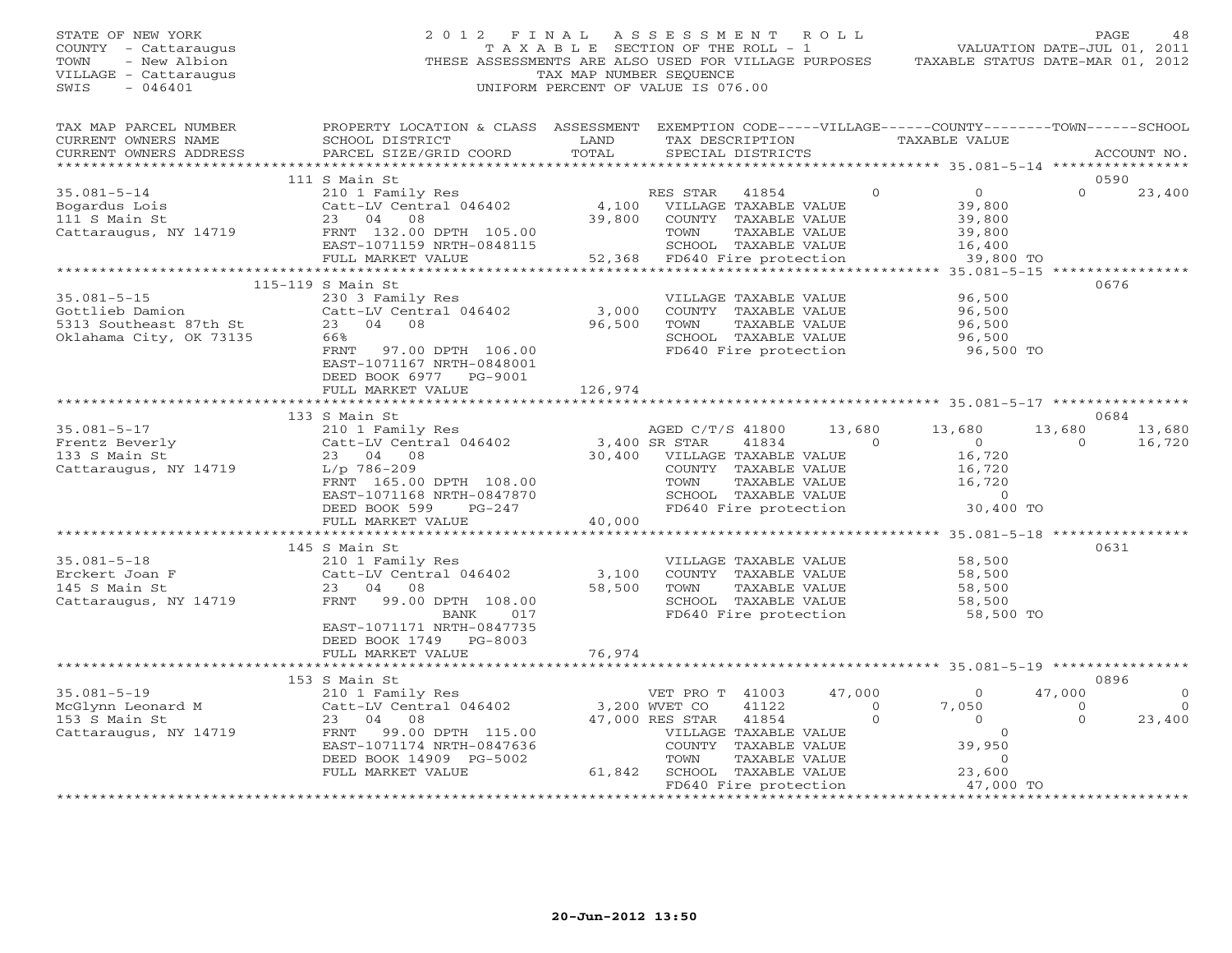STATE OF NEW YORK 2 0 1 2 F I N A L A S S E S S M E N T R O L L PAGE 48 COUNTY - Cattaraugus T A X A B L E SECTION OF THE ROLL - 1 VALUATION DATE-JUL 01, 2011 TOWN - New Albion THESE ASSESSMENTS ARE ALSO USED FOR VILLAGE PURPOSES TAXABLE STATUS DATE-MAR 01, 2012 VILLAGE - Cattaraugus TAX MAP NUMBER SEQUENCE SWIS - 046401 UNIFORM PERCENT OF VALUE IS 076.00 TAX MAP PARCEL NUMBER PROPERTY LOCATION & CLASS ASSESSMENT EXEMPTION CODE-----VILLAGE------COUNTY--------TOWN------SCHOOL<br>CURRENT OWNERS NAME SCHOOL DISTRICT LAND TAX DE \*\*\*\*\*\*\*\*\*\*\*\*\*\*\*\*\*\*\*\*\*\*\*\*\*\*\*\*\*\*\*\*\*\*\*\*\*\*\*\*\*\*\*\*\*\*\*\*\*\*\*\*\*\*\*\*\*\*\*\*\*\*\*\*\*\*\*\*\*\*\*\*\*\*\*\*\*\*\*\*\*\*\*\*\*\*\*\*\*\*\*\*\*\*\*\*\*\*\*\*\*\*\* 35.081-5-14 \*\*\*\*\*\*\*\*\*\*\*\*\*\*\*\* 111 S Main St 0590 35.081-5-14 210 1 Family Res RES STAR 41854 0 0 0 23,400 Bogardus Lois Catt-LV Central 046402 4,100 VILLAGE TAXABLE VALUE 39,800 111 S Main St 23 04 08 39,800 COUNTY TAXABLE VALUE 39,800 Cattaraugus, NY 14719 FRNT 132.00 DPTH 105.00 TOWN TAXABLE VALUE 39,800 EAST-1071159 NRTH-0848115 SCHOOL TAXABLE VALUE 16,400 FULL MARKET VALUE 52,368 FD640 Fire protection 39,800 TO \*\*\*\*\*\*\*\*\*\*\*\*\*\*\*\*\*\*\*\*\*\*\*\*\*\*\*\*\*\*\*\*\*\*\*\*\*\*\*\*\*\*\*\*\*\*\*\*\*\*\*\*\*\*\*\*\*\*\*\*\*\*\*\*\*\*\*\*\*\*\*\*\*\*\*\*\*\*\*\*\*\*\*\*\*\*\*\*\*\*\*\*\*\*\*\*\*\*\*\*\*\*\* 35.081-5-15 \*\*\*\*\*\*\*\*\*\*\*\*\*\*\*\* 115-119 S Main St 067635.081-5-15 230 3 Family Res VILLAGE TAXABLE VALUE 96,500 Gottlieb Damion Catt-LV Central 046402 3,000 COUNTY TAXABLE VALUE 96,500 5313 Southeast 87th St 23 04 08 96,500 TOWN TAXABLE VALUE 96,500 Oklahama City, OK 73135 66% SCHOOL TAXABLE VALUE 96,500 FRNT 97.00 DPTH 106.00 FD640 Fire protection 96,500 TO EAST-1071167 NRTH-0848001 DEED BOOK 6977 PG-9001 FULL MARKET VALUE 126,974 \*\*\*\*\*\*\*\*\*\*\*\*\*\*\*\*\*\*\*\*\*\*\*\*\*\*\*\*\*\*\*\*\*\*\*\*\*\*\*\*\*\*\*\*\*\*\*\*\*\*\*\*\*\*\*\*\*\*\*\*\*\*\*\*\*\*\*\*\*\*\*\*\*\*\*\*\*\*\*\*\*\*\*\*\*\*\*\*\*\*\*\*\*\*\*\*\*\*\*\*\*\*\* 35.081-5-17 \*\*\*\*\*\*\*\*\*\*\*\*\*\*\*\* 133 S Main St 0684 35.081-5-17 210 1 Family Res AGED C/T/S 41800 13,680 13,680 13,680 13,680 Frentz Beverly Catt-LV Central 046402 3,400 SR STAR 41834 0 0 0 16,720 133 S Main St 23 04 08 30,400 VILLAGE TAXABLE VALUE 16,720 Cattaraugus, NY 14719 L/p 786-209 COUNTY TAXABLE VALUE 16,720 FRNT 165.00 DPTH 108.00 TOWN TAXABLE VALUE 16,720 EAST-1071168 NRTH-0847870 SCHOOL TAXABLE VALUE 0 DEED BOOK 599 PG-247 FD640 Fire protection 30,400 TO FULL MARKET VALUE 40,000 \*\*\*\*\*\*\*\*\*\*\*\*\*\*\*\*\*\*\*\*\*\*\*\*\*\*\*\*\*\*\*\*\*\*\*\*\*\*\*\*\*\*\*\*\*\*\*\*\*\*\*\*\*\*\*\*\*\*\*\*\*\*\*\*\*\*\*\*\*\*\*\*\*\*\*\*\*\*\*\*\*\*\*\*\*\*\*\*\*\*\*\*\*\*\*\*\*\*\*\*\*\*\* 35.081-5-18 \*\*\*\*\*\*\*\*\*\*\*\*\*\*\*\* 145 S Main St 063135.081-5-18 210 1 Family Res VILLAGE TAXABLE VALUE 58,500 Erckert Joan F Catt-LV Central 046402 3,100 COUNTY TAXABLE VALUE 58,500 145 S Main St 23 04 08 58,500 TOWN TAXABLE VALUE 58,500 Cattaraugus, NY 14719 FRNT 99.00 DPTH 108.00 SCHOOL TAXABLE VALUE 58,500 BANK 017 FD640 Fire protection 58,500 TO EAST-1071171 NRTH-0847735 DEED BOOK 1749 PG-8003 FULL MARKET VALUE 76,974 \*\*\*\*\*\*\*\*\*\*\*\*\*\*\*\*\*\*\*\*\*\*\*\*\*\*\*\*\*\*\*\*\*\*\*\*\*\*\*\*\*\*\*\*\*\*\*\*\*\*\*\*\*\*\*\*\*\*\*\*\*\*\*\*\*\*\*\*\*\*\*\*\*\*\*\*\*\*\*\*\*\*\*\*\*\*\*\*\*\*\*\*\*\*\*\*\*\*\*\*\*\*\* 35.081-5-19 \*\*\*\*\*\*\*\*\*\*\*\*\*\*\*\* 153 S Main St 0896 35.081-5-19 210 1 Family Res VET PRO T 41003 47,000 0 47,000 0 McGlynn Leonard M Catt-LV Central 046402 3,200 WVET CO 41122 0 7,050 0 0 153 S Main St 23 04 08 47,000 RES STAR 41854 0 0 0 23,400 Cattaraugus, NY 14719 FRNT 99.00 DPTH 115.00 VILLAGE TAXABLE VALUE 0 EAST-1071174 NRTH-0847636 COUNTY TAXABLE VALUE 39,950 DEED BOOK 14909 PG-5002 TOWN TAXABLE VALUE 0 FULL MARKET VALUE 61,842 SCHOOL TAXABLE VALUE 23,600 FD640 Fire protection 47,000 TO \*\*\*\*\*\*\*\*\*\*\*\*\*\*\*\*\*\*\*\*\*\*\*\*\*\*\*\*\*\*\*\*\*\*\*\*\*\*\*\*\*\*\*\*\*\*\*\*\*\*\*\*\*\*\*\*\*\*\*\*\*\*\*\*\*\*\*\*\*\*\*\*\*\*\*\*\*\*\*\*\*\*\*\*\*\*\*\*\*\*\*\*\*\*\*\*\*\*\*\*\*\*\*\*\*\*\*\*\*\*\*\*\*\*\*\*\*\*\*\*\*\*\*\*\*\*\*\*\*\*\*\*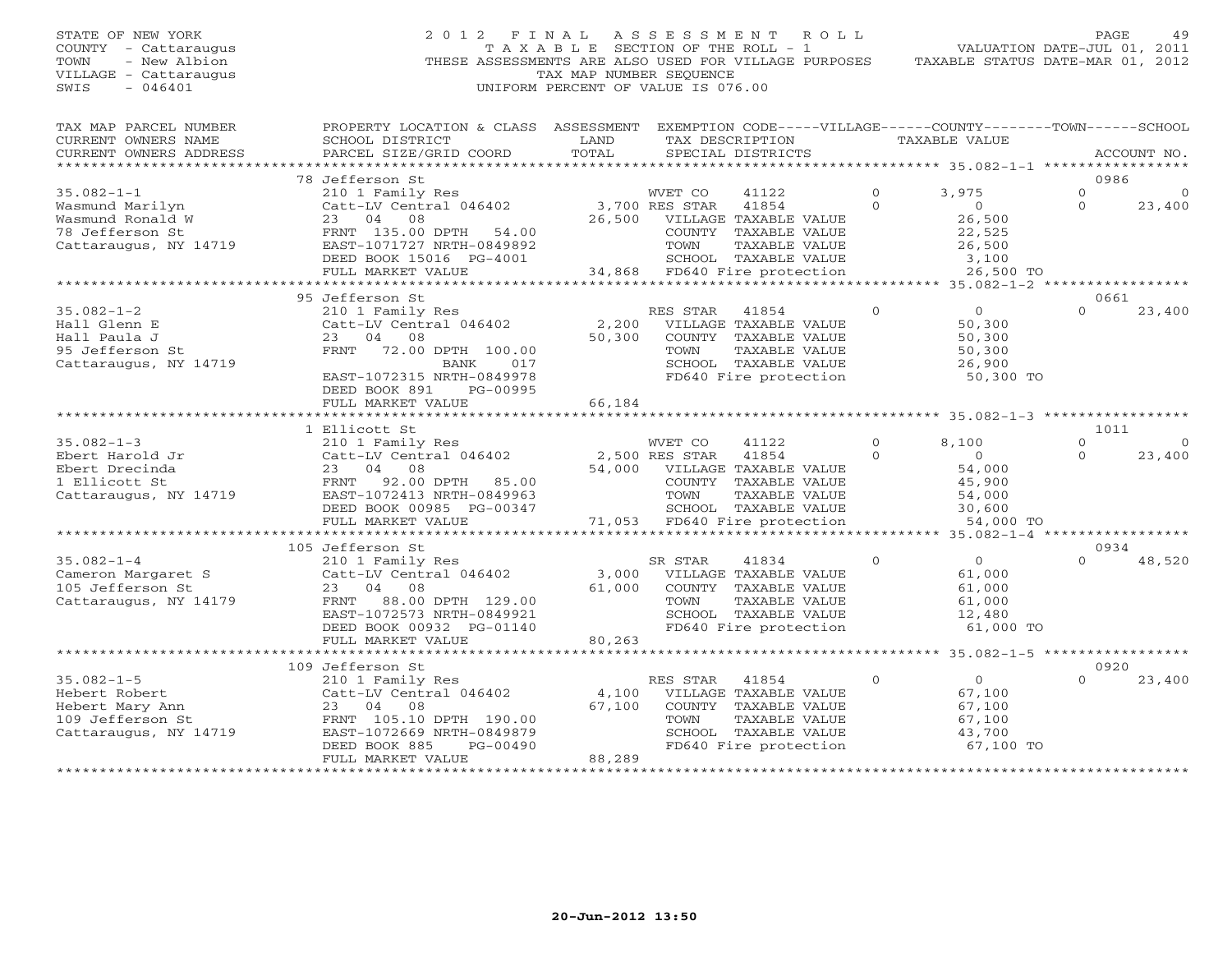## STATE OF NEW YORK 2 0 1 2 F I N A L A S S E S S M E N T R O L L PAGE 49 COUNTY - Cattaraugus T A X A B L E SECTION OF THE ROLL - 1 VALUATION DATE-JUL 01, 2011 TOWN - New Albion THESE ASSESSMENTS ARE ALSO USED FOR VILLAGE PURPOSES TAXABLE STATUS DATE-MAR 01, 2012 VILLAGE - Cattaraugus TAX MAP NUMBER SEQUENCE SWIS - 046401 UNIFORM PERCENT OF VALUE IS 076.00

| TAX MAP PARCEL NUMBER<br>CURRENT OWNERS NAME<br>CURRENT OWNERS ADDRESS                            | PROPERTY LOCATION & CLASS ASSESSMENT<br>SCHOOL DISTRICT<br>PARCEL SIZE/GRID COORD                                                                                       | LAND<br>TOTAL             | EXEMPTION CODE-----VILLAGE------COUNTY-------TOWN------SCHOOL<br>TAX DESCRIPTION<br>SPECIAL DISTRICTS<br>****************************           |                     | TAXABLE VALUE                                                 |                             | ACCOUNT NO.       |
|---------------------------------------------------------------------------------------------------|-------------------------------------------------------------------------------------------------------------------------------------------------------------------------|---------------------------|-------------------------------------------------------------------------------------------------------------------------------------------------|---------------------|---------------------------------------------------------------|-----------------------------|-------------------|
|                                                                                                   |                                                                                                                                                                         |                           |                                                                                                                                                 |                     | ****************** 35.082-1-1 **                              |                             |                   |
| $35.082 - 1 - 1$<br>Wasmund Marilyn                                                               | 78 Jefferson St<br>210 1 Family Res<br>Catt-LV Central 046402                                                                                                           |                           | WVET CO<br>41122<br>3,700 RES STAR<br>41854                                                                                                     | $\circ$<br>$\Omega$ | 3,975<br>$\Omega$                                             | 0986<br>$\circ$<br>$\Omega$ | $\circ$<br>23,400 |
| Wasmund Ronald W<br>78 Jefferson St<br>Cattaraugus, NY 14719                                      | 23<br>04<br>08<br>FRNT 135.00 DPTH<br>54.00<br>EAST-1071727 NRTH-0849892<br>DEED BOOK 15016 PG-4001                                                                     | 26,500                    | VILLAGE TAXABLE VALUE<br>COUNTY<br>TAXABLE VALUE<br>TOWN<br>TAXABLE VALUE<br>SCHOOL TAXABLE VALUE                                               |                     | 26,500<br>22,525<br>26,500<br>3,100                           |                             |                   |
|                                                                                                   | FULL MARKET VALUE                                                                                                                                                       | 34,868                    | FD640 Fire protection                                                                                                                           |                     | 26,500 TO                                                     |                             |                   |
|                                                                                                   | 95 Jefferson St                                                                                                                                                         |                           |                                                                                                                                                 |                     | $35.082 - 1 - 2$                                              | 0661                        |                   |
| $35.082 - 1 - 2$<br>Hall Glenn E                                                                  | 210 1 Family Res<br>Catt-LV Central 046402                                                                                                                              | 2,200                     | RES STAR<br>41854<br>VILLAGE TAXABLE VALUE                                                                                                      | $\circ$             | $\circ$<br>50,300                                             | $\Omega$                    | 23,400            |
| Hall Paula J<br>95 Jefferson St<br>Cattaraugus, NY 14719                                          | 04<br>23<br>08<br>72.00 DPTH 100.00<br>FRNT<br>017<br>BANK<br>EAST-1072315 NRTH-0849978<br>DEED BOOK 891<br>PG-00995                                                    | 50,300                    | COUNTY TAXABLE VALUE<br>TOWN<br>TAXABLE VALUE<br>SCHOOL TAXABLE VALUE<br>FD640 Fire protection                                                  |                     | 50,300<br>50,300<br>26,900<br>50,300 TO                       |                             |                   |
|                                                                                                   | FULL MARKET VALUE                                                                                                                                                       | 66,184                    |                                                                                                                                                 |                     |                                                               |                             |                   |
|                                                                                                   | ************************                                                                                                                                                |                           |                                                                                                                                                 |                     |                                                               |                             |                   |
| $35.082 - 1 - 3$                                                                                  | 1 Ellicott St                                                                                                                                                           |                           | WVET CO<br>41122                                                                                                                                | 0                   | 8,100                                                         | 1011<br>$\mathbf 0$         | $\Omega$          |
| Ebert Harold Jr<br>Ebert Drecinda                                                                 | 210 1 Family Res<br>Catt-LV Central 046402<br>23<br>04<br>08                                                                                                            | 54,000                    | 2,500 RES STAR<br>41854<br>VILLAGE TAXABLE VALUE                                                                                                | $\Omega$            | $\Omega$<br>54,000                                            | $\Omega$                    | 23,400            |
| 1 Ellicott St<br>Cattaraugus, NY 14719                                                            | 92.00 DPTH<br>FRNT<br>85.00<br>EAST-1072413 NRTH-0849963<br>DEED BOOK 00985 PG-00347                                                                                    |                           | COUNTY TAXABLE VALUE<br>TOWN<br>TAXABLE VALUE<br>SCHOOL TAXABLE VALUE                                                                           |                     | 45,900<br>54,000<br>30,600                                    |                             |                   |
|                                                                                                   | FULL MARKET VALUE                                                                                                                                                       | 71,053                    | FD640 Fire protection                                                                                                                           |                     | 54,000 TO<br>$35.082 - 1 - 4$                                 |                             |                   |
|                                                                                                   | 105 Jefferson St                                                                                                                                                        |                           |                                                                                                                                                 |                     |                                                               | 0934                        |                   |
| $35.082 - 1 - 4$<br>Cameron Margaret S<br>105 Jefferson St<br>Cattaraugus, NY 14179               | 210 1 Family Res<br>Catt-LV Central 046402<br>23<br>04<br>08<br>88.00 DPTH 129.00<br>FRNT<br>EAST-1072573 NRTH-0849921<br>DEED BOOK 00932 PG-01140<br>FULL MARKET VALUE | 3,000<br>61,000<br>80,263 | SR STAR<br>41834<br>VILLAGE TAXABLE VALUE<br>COUNTY TAXABLE VALUE<br>TOWN<br>TAXABLE VALUE<br>SCHOOL TAXABLE VALUE<br>FD640 Fire protection     | $\Omega$            | $\Omega$<br>61,000<br>61,000<br>61,000<br>12,480<br>61,000 TO | $\cap$                      | 48,520            |
|                                                                                                   |                                                                                                                                                                         | ********                  |                                                                                                                                                 |                     | $35.082 - 1 - 5$                                              | ************                |                   |
|                                                                                                   | 109 Jefferson St                                                                                                                                                        |                           |                                                                                                                                                 |                     |                                                               | 0920                        |                   |
| $35.082 - 1 - 5$<br>Hebert Robert<br>Hebert Mary Ann<br>109 Jefferson St<br>Cattaraugus, NY 14719 | 210 1 Family Res<br>Catt-LV Central 046402<br>04<br>23<br>08<br>FRNT 105.10 DPTH 190.00<br>EAST-1072669 NRTH-0849879<br>DEED BOOK 885<br>PG-00490<br>FULL MARKET VALUE  | 4,100<br>67,100<br>88,289 | RES STAR<br>41854<br>VILLAGE TAXABLE VALUE<br>COUNTY<br>TAXABLE VALUE<br>TOWN<br>TAXABLE VALUE<br>SCHOOL TAXABLE VALUE<br>FD640 Fire protection | $\circ$             | $\circ$<br>67,100<br>67,100<br>67,100<br>43,700<br>67,100 TO  | $\Omega$                    | 23,400            |
|                                                                                                   |                                                                                                                                                                         | ******************        |                                                                                                                                                 |                     |                                                               |                             |                   |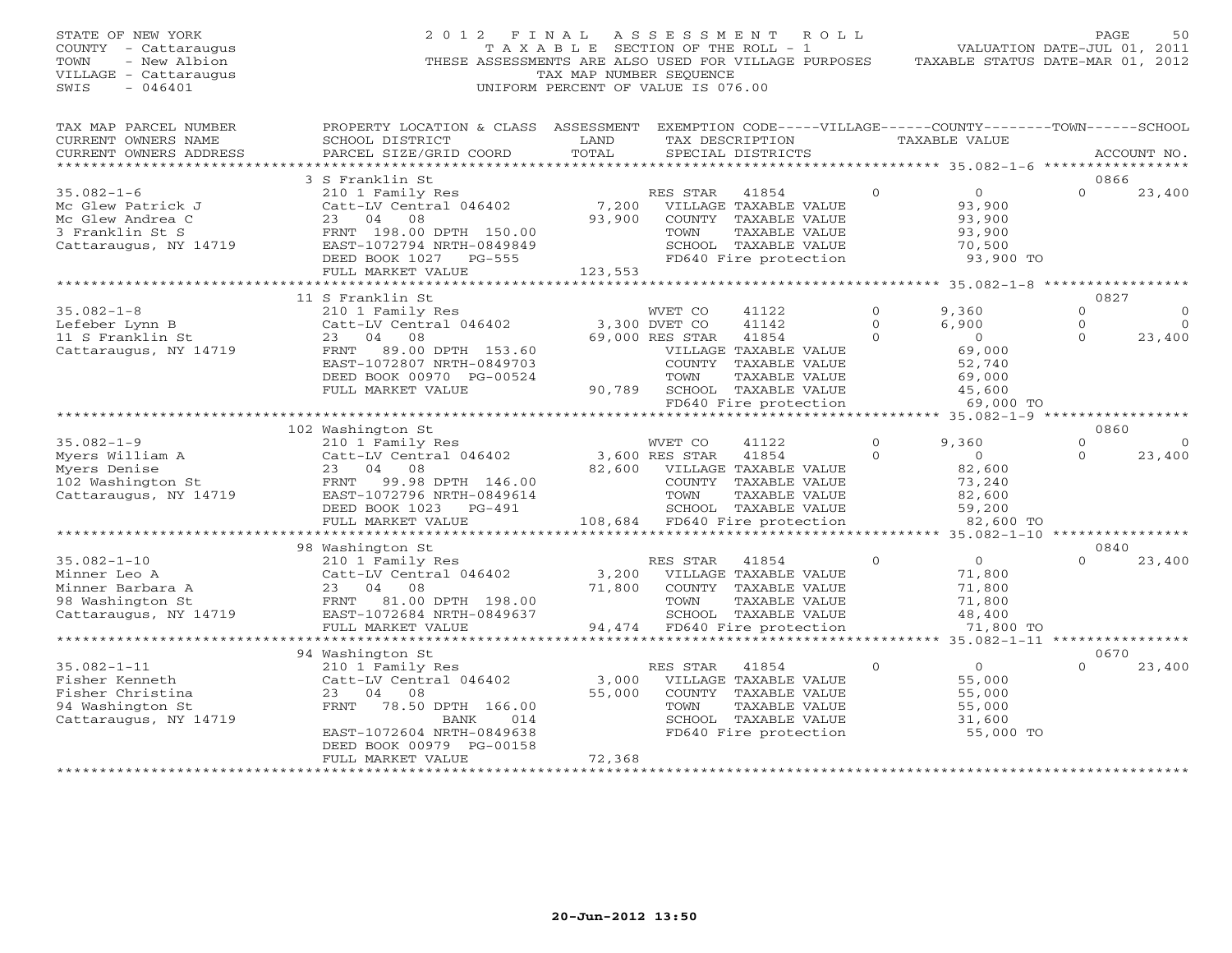| STATE OF NEW YORK<br>COUNTY - Cattaraugus<br>TOWN<br>- New Albion<br>VILLAGE - Cattaraugus<br>SWIS<br>$-046401$ | 2 0 1 2                                                                                                                                         | FINAL<br>TAX MAP NUMBER SEQUENCE | ASSESSMENT<br>T A X A B L E SECTION OF THE ROLL - 1<br>THESE ASSESSMENTS ARE ALSO USED FOR VILLAGE PURPOSES<br>UNIFORM PERCENT OF VALUE IS 076.00 | ROLL                     | VALUATION DATE-JUL 01, 2011<br>TAXABLE STATUS DATE-MAR 01, 2012 | PAGE                 | 50                     |
|-----------------------------------------------------------------------------------------------------------------|-------------------------------------------------------------------------------------------------------------------------------------------------|----------------------------------|---------------------------------------------------------------------------------------------------------------------------------------------------|--------------------------|-----------------------------------------------------------------|----------------------|------------------------|
| TAX MAP PARCEL NUMBER<br>CURRENT OWNERS NAME<br>CURRENT OWNERS ADDRESS                                          | PROPERTY LOCATION & CLASS ASSESSMENT EXEMPTION CODE-----VILLAGE------COUNTY-------TOWN------SCHOOL<br>SCHOOL DISTRICT<br>PARCEL SIZE/GRID COORD | LAND<br>TOTAL                    | TAX DESCRIPTION<br>SPECIAL DISTRICTS                                                                                                              |                          | TAXABLE VALUE                                                   |                      | ACCOUNT NO.            |
| ***********************                                                                                         |                                                                                                                                                 |                                  |                                                                                                                                                   |                          |                                                                 |                      |                        |
|                                                                                                                 | 3 S Franklin St                                                                                                                                 |                                  |                                                                                                                                                   |                          |                                                                 | 0866                 |                        |
| $35.082 - 1 - 6$                                                                                                | 210 1 Family Res                                                                                                                                |                                  | RES STAR<br>41854                                                                                                                                 | $\mathbf{0}$             | $\overline{0}$                                                  | $\Omega$             | 23,400                 |
| Mc Glew Patrick J<br>Mc Glew Andrea C                                                                           | Catt-LV Central 046402<br>23<br>04<br>08                                                                                                        | 7,200<br>93,900                  | VILLAGE TAXABLE VALUE<br>COUNTY TAXABLE VALUE                                                                                                     |                          | 93,900<br>93,900                                                |                      |                        |
| 3 Franklin St S                                                                                                 | FRNT 198.00 DPTH 150.00                                                                                                                         |                                  | TOWN<br>TAXABLE VALUE                                                                                                                             |                          | 93,900                                                          |                      |                        |
| Cattaraugus, NY 14719                                                                                           | EAST-1072794 NRTH-0849849                                                                                                                       |                                  | SCHOOL TAXABLE VALUE                                                                                                                              |                          | 70,500                                                          |                      |                        |
|                                                                                                                 | DEED BOOK 1027 PG-555                                                                                                                           |                                  | FD640 Fire protection                                                                                                                             |                          | 93,900 TO                                                       |                      |                        |
|                                                                                                                 | FULL MARKET VALUE                                                                                                                               | 123,553                          |                                                                                                                                                   |                          |                                                                 |                      |                        |
|                                                                                                                 | ***************************                                                                                                                     |                                  |                                                                                                                                                   |                          |                                                                 |                      |                        |
|                                                                                                                 | 11 S Franklin St                                                                                                                                |                                  |                                                                                                                                                   |                          |                                                                 | 0827                 |                        |
| $35.082 - 1 - 8$                                                                                                | 210 1 Family Res                                                                                                                                |                                  | 41122<br>WVET CO                                                                                                                                  | $\Omega$                 | 9,360                                                           | $\circ$              | O                      |
| Lefeber Lynn B<br>11 S Franklin St                                                                              | Catt-LV Central 046402<br>23<br>04<br>08                                                                                                        |                                  | 3,300 DVET CO<br>41142<br>41854<br>69,000 RES STAR                                                                                                | $\Omega$<br>$\Omega$     | 6,900<br>$\overline{0}$                                         | $\Omega$<br>$\Omega$ | $\Omega$<br>23,400     |
| Cattaraugus, NY 14719                                                                                           | 89.00 DPTH 153.60<br>FRNT                                                                                                                       |                                  | VILLAGE TAXABLE VALUE                                                                                                                             |                          | 69,000                                                          |                      |                        |
|                                                                                                                 | EAST-1072807 NRTH-0849703                                                                                                                       |                                  | COUNTY TAXABLE VALUE                                                                                                                              |                          | 52,740                                                          |                      |                        |
|                                                                                                                 | DEED BOOK 00970 PG-00524                                                                                                                        |                                  | TOWN<br>TAXABLE VALUE                                                                                                                             |                          | 69,000                                                          |                      |                        |
|                                                                                                                 | FULL MARKET VALUE                                                                                                                               | 90,789                           | SCHOOL TAXABLE VALUE                                                                                                                              |                          | 45,600                                                          |                      |                        |
|                                                                                                                 |                                                                                                                                                 |                                  | FD640 Fire protection                                                                                                                             |                          | 69,000 TO                                                       |                      |                        |
|                                                                                                                 |                                                                                                                                                 |                                  |                                                                                                                                                   |                          |                                                                 |                      |                        |
|                                                                                                                 | 102 Washington St                                                                                                                               |                                  |                                                                                                                                                   |                          |                                                                 | 0860<br>$\Omega$     |                        |
| $35.082 - 1 - 9$<br>Myers William A                                                                             | 210 1 Family Res<br>Catt-LV Central 046402                                                                                                      |                                  | WVET CO<br>41122<br>3,600 RES STAR<br>41854                                                                                                       | $\mathbf{0}$<br>$\Omega$ | 9,360<br>$\circ$                                                | $\Omega$             | $\mathbf{0}$<br>23,400 |
| Myers Denise                                                                                                    | 04<br>23<br>08                                                                                                                                  | 82,600                           | VILLAGE TAXABLE VALUE                                                                                                                             |                          | 82,600                                                          |                      |                        |
| 102 Washington St                                                                                               | FRNT<br>99.98 DPTH 146.00                                                                                                                       |                                  | COUNTY TAXABLE VALUE                                                                                                                              |                          | 73,240                                                          |                      |                        |
| Cattaraugus, NY 14719                                                                                           | EAST-1072796 NRTH-0849614                                                                                                                       |                                  | TOWN<br>TAXABLE VALUE                                                                                                                             |                          | 82,600                                                          |                      |                        |
|                                                                                                                 | DEED BOOK 1023 PG-491                                                                                                                           |                                  | SCHOOL TAXABLE VALUE                                                                                                                              |                          | 59,200                                                          |                      |                        |
|                                                                                                                 | FULL MARKET VALUE                                                                                                                               |                                  | 108,684 FD640 Fire protection                                                                                                                     |                          | 82,600 TO                                                       |                      |                        |
|                                                                                                                 | ******************************                                                                                                                  |                                  | **************************************                                                                                                            |                          | ******* 35.082-1-10 ****************                            |                      |                        |
|                                                                                                                 | 98 Washington St                                                                                                                                |                                  |                                                                                                                                                   |                          |                                                                 | 0840                 |                        |
| $35.082 - 1 - 10$<br>Minner Leo A                                                                               | 210 1 Family Res<br>Catt-LV Central 046402                                                                                                      | 3,200                            | RES STAR<br>41854<br>VILLAGE TAXABLE VALUE                                                                                                        | $\Omega$                 | $\overline{0}$<br>71,800                                        |                      | 23,400                 |
| Minner Barbara A                                                                                                | 23<br>04<br>08                                                                                                                                  | 71,800                           | COUNTY TAXABLE VALUE                                                                                                                              |                          | 71,800                                                          |                      |                        |
| 98 Washington St                                                                                                | FRNT 81.00 DPTH 198.00                                                                                                                          |                                  | TOWN<br>TAXABLE VALUE                                                                                                                             |                          | 71,800                                                          |                      |                        |
| Cattaraugus, NY 14719                                                                                           | EAST-1072684 NRTH-0849637                                                                                                                       |                                  | SCHOOL TAXABLE VALUE                                                                                                                              |                          | 48,400                                                          |                      |                        |
|                                                                                                                 | FULL MARKET VALUE                                                                                                                               |                                  | 94,474 FD640 Fire protection                                                                                                                      |                          | 71,800 TO                                                       |                      |                        |
|                                                                                                                 | *************************                                                                                                                       |                                  | ************************************                                                                                                              |                          | $35.082 - 1 - 11$ *****************                             |                      |                        |
|                                                                                                                 | 94 Washington St                                                                                                                                |                                  |                                                                                                                                                   |                          |                                                                 | 0670                 |                        |
| $35.082 - 1 - 11$                                                                                               | 210 1 Family Res                                                                                                                                |                                  | RES STAR<br>41854                                                                                                                                 | $\mathbf 0$              | $\circ$                                                         | $\Omega$             | 23,400                 |
| Fisher Kenneth                                                                                                  | Catt-LV Central 046402                                                                                                                          | 3,000                            | VILLAGE TAXABLE VALUE                                                                                                                             |                          | 55,000                                                          |                      |                        |
| Fisher Christina<br>94 Washington St                                                                            | 04<br>23<br>08<br>78.50 DPTH 166.00<br>FRNT                                                                                                     | 55,000                           | COUNTY TAXABLE VALUE<br>TOWN<br>TAXABLE VALUE                                                                                                     |                          | 55,000<br>55,000                                                |                      |                        |
| Cattaraugus, NY 14719                                                                                           | BANK<br>014                                                                                                                                     |                                  | SCHOOL TAXABLE VALUE                                                                                                                              |                          | 31,600                                                          |                      |                        |
|                                                                                                                 | EAST-1072604 NRTH-0849638                                                                                                                       |                                  | FD640 Fire protection                                                                                                                             |                          | 55,000 TO                                                       |                      |                        |
|                                                                                                                 | DEED BOOK 00979 PG-00158                                                                                                                        |                                  |                                                                                                                                                   |                          |                                                                 |                      |                        |
|                                                                                                                 | FULL MARKET VALUE                                                                                                                               | 72,368                           |                                                                                                                                                   |                          |                                                                 |                      |                        |
|                                                                                                                 |                                                                                                                                                 | + + + + + + + + + + + +          |                                                                                                                                                   |                          |                                                                 |                      |                        |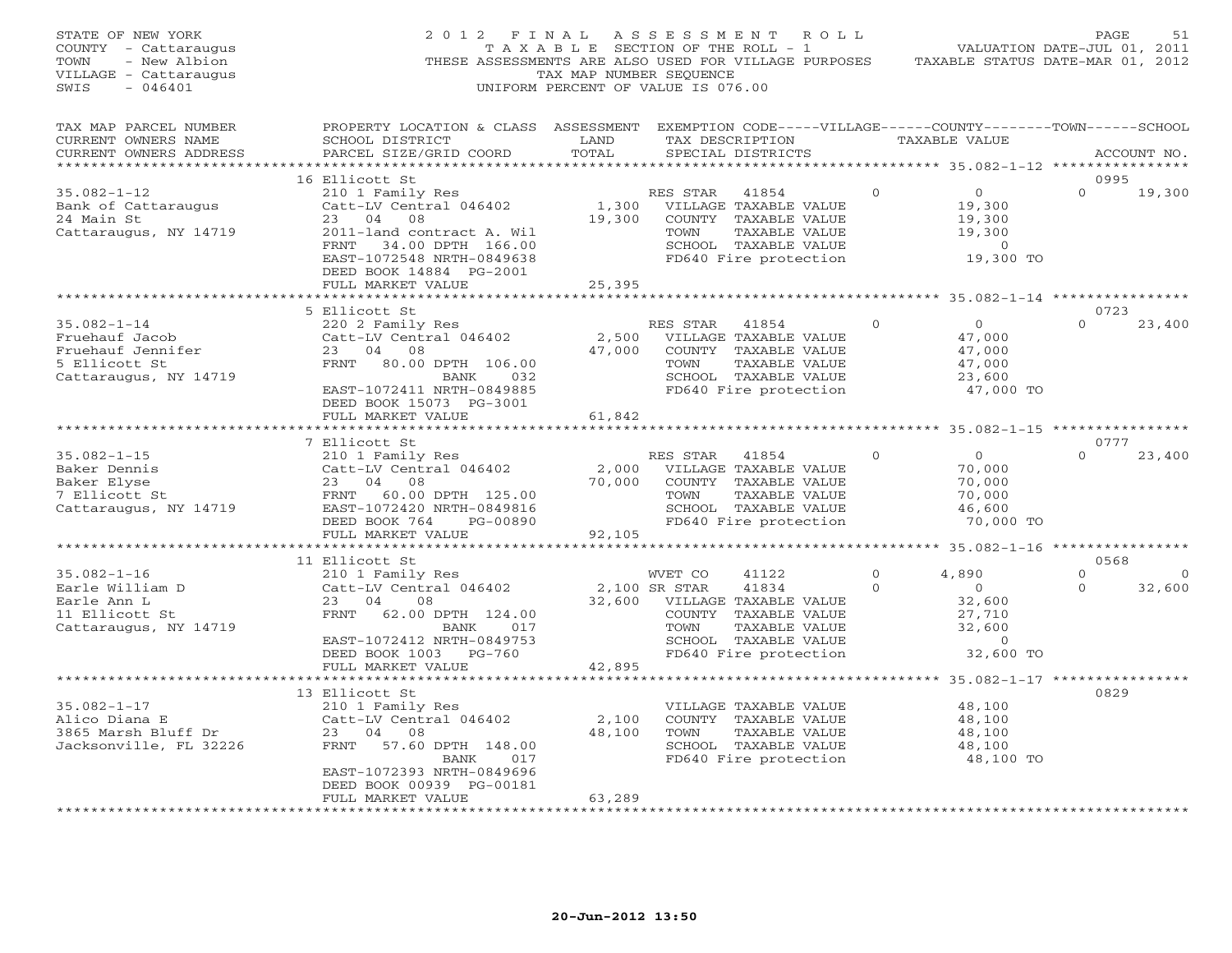| STATE OF NEW YORK<br>COUNTY - Cattaraugus<br>TOWN<br>- New Albion<br>VILLAGE - Cattaraugus<br>SWIS<br>$-046401$ | 2012 FINAL ASSESSMENT ROLL<br>THESE ASSESSMENTS ARE ALSO USED FOR VILLAGE PURPOSES TAXABLE STATUS DATE-MAR 01, 2012                                                                                                                                                                  | TAX MAP NUMBER SEQUENCE<br>UNIFORM PERCENT OF VALUE IS 076.00 |                        |                                                                                                                              |                |                                                                                                                                                              | PAGE             | 51                |
|-----------------------------------------------------------------------------------------------------------------|--------------------------------------------------------------------------------------------------------------------------------------------------------------------------------------------------------------------------------------------------------------------------------------|---------------------------------------------------------------|------------------------|------------------------------------------------------------------------------------------------------------------------------|----------------|--------------------------------------------------------------------------------------------------------------------------------------------------------------|------------------|-------------------|
| TAX MAP PARCEL NUMBER<br>CURRENT OWNERS NAME<br>CURRENT OWNERS ADDRESS                                          | PROPERTY LOCATION & CLASS ASSESSMENT EXEMPTION CODE-----VILLAGE------COUNTY-------TOWN------SCHOOL<br>SCHOOL DISTRICT<br>PARCEL SIZE/GRID COORD                                                                                                                                      | LAND<br>TOTAL                                                 |                        | TAX DESCRIPTION TAXABLE VALUE<br>SPECIAL DISTRICTS                                                                           |                |                                                                                                                                                              |                  | ACCOUNT NO.       |
|                                                                                                                 | 16 Ellicott St                                                                                                                                                                                                                                                                       |                                                               |                        |                                                                                                                              |                |                                                                                                                                                              | 0995             |                   |
| $35.082 - 1 - 12$<br>Bank of Cattaraugus<br>24 Main St<br>Cattaraugus, NY 14719                                 | 210 1 Family Res<br>Catt-LV Central 046402 1,300 VILLAGE TAXABLE VALUE<br>23 04 08 19,300 COUNTY TAXABLE VALUE<br>2011-land contract A. Wil TOWN TAXABLE VALUE<br>FRNT 34.00 DPTH 166.00 SCHOOL TAXABLE VALUE<br>EAST-1072548 NRTH-0849638 FD640 Fire protection                     |                                                               |                        |                                                                                                                              | $\overline{0}$ | $\overline{0}$<br>$\begin{smallmatrix}&&0\19,300\end{smallmatrix}$<br>19,300<br>19,300<br>$\begin{smallmatrix}&&0\0&19\,,\,300&\mathrm{TO}\end{smallmatrix}$ | $\Omega$         | 19,300            |
|                                                                                                                 | DEED BOOK 14884 PG-2001                                                                                                                                                                                                                                                              |                                                               |                        |                                                                                                                              |                |                                                                                                                                                              |                  |                   |
|                                                                                                                 | FULL MARKET VALUE                                                                                                                                                                                                                                                                    | 25,395                                                        |                        |                                                                                                                              |                | ********************* 35.082-1-14 *****************                                                                                                          |                  |                   |
|                                                                                                                 | 5 Ellicott St                                                                                                                                                                                                                                                                        |                                                               |                        |                                                                                                                              |                |                                                                                                                                                              | 0723             |                   |
| $35.082 - 1 - 14$<br>Fruehauf Jacob<br>Fruehauf Jennifer<br>5 Ellicott St<br>Cattaraugus, NY 14719              | 220 2 Family Res<br>Catt-LV Central 046402<br>23 04 08<br>23 04 08<br>FRNT 80.00 DPTH 106.00<br>BANK 032<br>EAST-1072411 NRTH-0849885<br>DEED BOOK 15073 PG-3001<br>FULL MARKET VALUE                                                                                                | 61,842                                                        | RES STAR 41854<br>TOWN | 2,500 VILLAGE TAXABLE VALUE<br>47,000 COUNTY TAXABLE VALUE<br>TAXABLE VALUE<br>SCHOOL TAXABLE VALUE<br>FD640 Fire protection | $\overline{0}$ | $\overline{0}$<br>47,000<br>47,000<br>47,000<br>23,600<br>47,000 TO                                                                                          |                  | $0 \t 23,400$     |
|                                                                                                                 | **********************                                                                                                                                                                                                                                                               |                                                               |                        |                                                                                                                              |                |                                                                                                                                                              |                  |                   |
|                                                                                                                 |                                                                                                                                                                                                                                                                                      |                                                               |                        | SCHOOL TAXABLE VALUE<br>FD640 Fire protection                                                                                | $\Omega$       | $\overline{0}$<br>70,000<br>70,000<br>70,000<br>46,600<br>70,000 TO                                                                                          | 0777<br>$\Omega$ | 23,400            |
|                                                                                                                 |                                                                                                                                                                                                                                                                                      |                                                               |                        |                                                                                                                              |                |                                                                                                                                                              |                  |                   |
|                                                                                                                 | 11 Ellicott St                                                                                                                                                                                                                                                                       |                                                               |                        |                                                                                                                              |                | 4,890                                                                                                                                                        | 0568<br>$\circ$  |                   |
| $35.082 - 1 - 16$<br>Earle William D<br>Earle Ann L<br>11 Ellicott St<br>Cattaraugus, NY 14719                  | EIIICOURT COMMET CO 41122 0<br>Catt-LV Central 046402 2,100 SR STAR 41834 0<br>23 04 08 32,600 VILLAGE TAXABLE VALUE<br>FRNT 62.00 DPTH 124.00 COUNTY TAXABLE VALUE<br>2010 BANK 017<br>2010 DAME TOMOTE?<br>EAST-1072412 NRTH-0849753<br>DEED BOOK 1003 PG-760<br>FULL MARKET VALUE | 42,895                                                        |                        | SCHOOL TAXABLE VALUE<br>FD640 Fire protection                                                                                |                | $\overline{0}$<br>22,600<br>27,710<br>32<br>$\sim$ 0<br>32,600 TO                                                                                            | $\Omega$         | $\circ$<br>32,600 |
|                                                                                                                 |                                                                                                                                                                                                                                                                                      |                                                               |                        |                                                                                                                              |                |                                                                                                                                                              |                  |                   |
| $35.082 - 1 - 17$<br>33.002-1-1,<br>Alico Diana E<br>3865 Marsh Bluff Dr<br>Jacksonville, FL 32226              | 13 Ellicott St<br>210 1 Family Res<br>Catt-LV Central 046402<br>23 04 08<br>FRNT 57.60 DPTH 148.00<br>BANK<br>017                                                                                                                                                                    | 2,100<br>48,100                                               | TOWN                   | VILLAGE TAXABLE VALUE<br>COUNTY TAXABLE VALUE<br>TAXABLE VALUE<br>SCHOOL TAXABLE VALUE<br>FD640 Fire protection              |                | 48,100<br>48,100<br>48,100<br>48,100<br>48,100 TO                                                                                                            | 0829             |                   |
| ***********************                                                                                         | EAST-1072393 NRTH-0849696<br>DEED BOOK 00939 PG-00181<br>FULL MARKET VALUE<br>******************                                                                                                                                                                                     | 63,289<br>* * * * * * * * * * *                               |                        |                                                                                                                              |                |                                                                                                                                                              |                  |                   |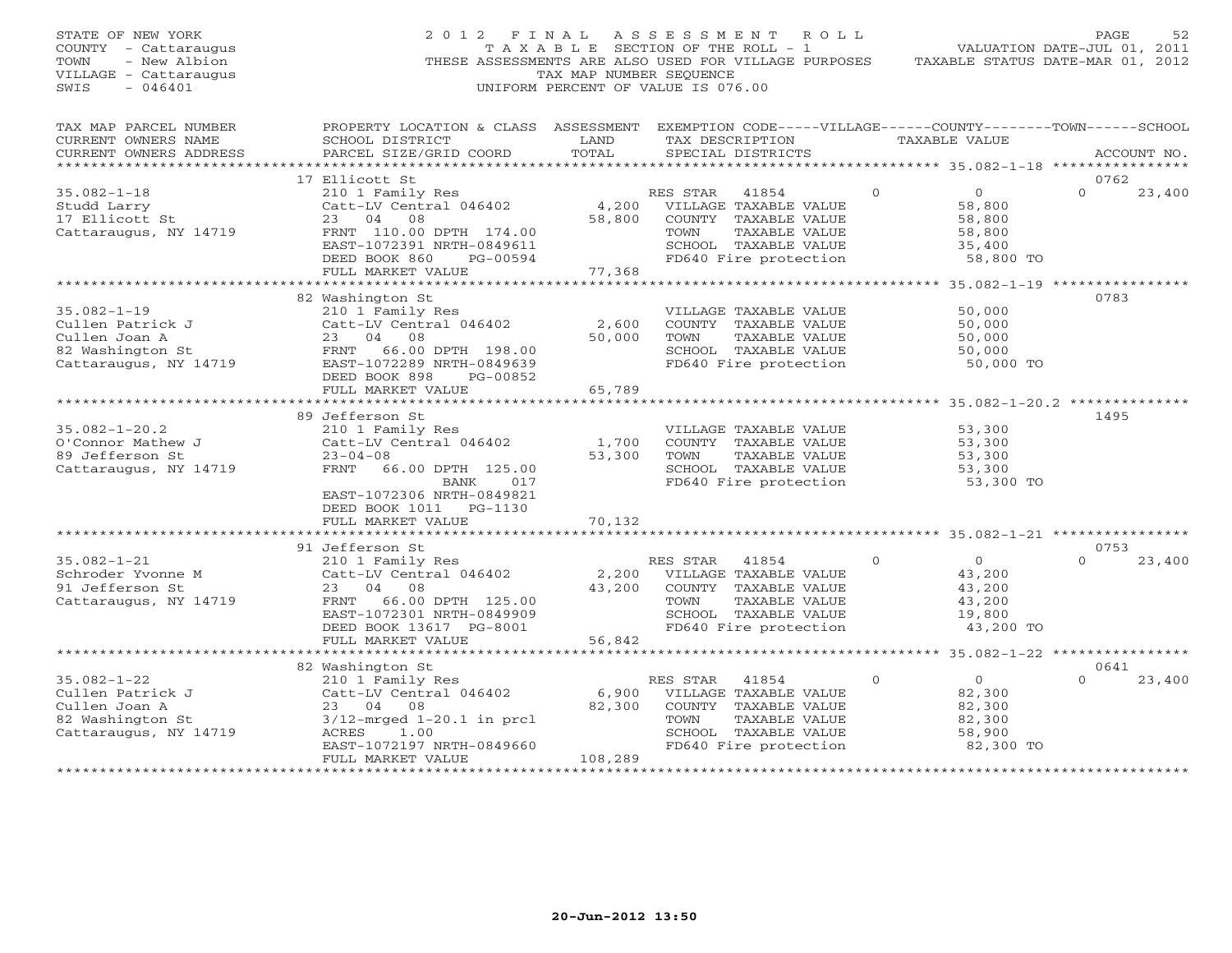| STATE OF NEW YORK<br>COUNTY - Cattaraugus<br>- New Albion<br>TOWN<br>VILLAGE - Cattaraugus<br>SWIS<br>$-046401$ | 2012 FINAL                                                                                                                                      | TAX MAP NUMBER SEQUENCE | ASSESSMENT ROLL<br>T A X A B L E SECTION OF THE ROLL - 1<br>THESE ASSESSMENTS ARE ALSO USED FOR VILLAGE PURPOSES<br>UNIFORM PERCENT OF VALUE IS 076.00 |                                                        | PAGE<br>52<br>VALUATION DATE-JUL 01, 2011<br>TAXABLE STATUS DATE-MAR 01, 2012 |
|-----------------------------------------------------------------------------------------------------------------|-------------------------------------------------------------------------------------------------------------------------------------------------|-------------------------|--------------------------------------------------------------------------------------------------------------------------------------------------------|--------------------------------------------------------|-------------------------------------------------------------------------------|
| TAX MAP PARCEL NUMBER<br>CURRENT OWNERS NAME<br>CURRENT OWNERS ADDRESS                                          | PROPERTY LOCATION & CLASS ASSESSMENT EXEMPTION CODE-----VILLAGE------COUNTY-------TOWN------SCHOOL<br>SCHOOL DISTRICT<br>PARCEL SIZE/GRID COORD | LAND<br>TOTAL           | TAX DESCRIPTION<br>SPECIAL DISTRICTS                                                                                                                   | TAXABLE VALUE                                          | ACCOUNT NO.                                                                   |
| **********************                                                                                          |                                                                                                                                                 |                         |                                                                                                                                                        |                                                        |                                                                               |
|                                                                                                                 | 17 Ellicott St                                                                                                                                  |                         |                                                                                                                                                        | $\Omega$<br>$\overline{0}$                             | 0762<br>$\Omega$                                                              |
| $35.082 - 1 - 18$<br>Studd Larry                                                                                | 210 1 Family Res<br>Catt-LV Central 046402                                                                                                      | 4,200                   | RES STAR<br>41854<br>VILLAGE TAXABLE VALUE                                                                                                             | 58,800                                                 | 23,400                                                                        |
| 17 Ellicott St                                                                                                  | 23<br>04<br>08                                                                                                                                  | 58,800                  | COUNTY TAXABLE VALUE                                                                                                                                   | 58,800                                                 |                                                                               |
| Cattaraugus, NY 14719                                                                                           | FRNT 110.00 DPTH 174.00                                                                                                                         |                         | TOWN<br>TAXABLE VALUE                                                                                                                                  | 58,800                                                 |                                                                               |
|                                                                                                                 | EAST-1072391 NRTH-0849611                                                                                                                       |                         | SCHOOL TAXABLE VALUE                                                                                                                                   | 35,400                                                 |                                                                               |
|                                                                                                                 | DEED BOOK 860<br>PG-00594                                                                                                                       |                         | FD640 Fire protection                                                                                                                                  | 58,800 TO                                              |                                                                               |
|                                                                                                                 | FULL MARKET VALUE                                                                                                                               | 77,368                  |                                                                                                                                                        |                                                        |                                                                               |
|                                                                                                                 | ************************                                                                                                                        |                         |                                                                                                                                                        |                                                        |                                                                               |
|                                                                                                                 | 82 Washington St                                                                                                                                |                         |                                                                                                                                                        |                                                        | 0783                                                                          |
| $35.082 - 1 - 19$<br>Cullen Patrick J                                                                           | 210 1 Family Res<br>Catt-LV Central 046402                                                                                                      | 2,600                   | VILLAGE TAXABLE VALUE<br>COUNTY TAXABLE VALUE                                                                                                          | 50,000<br>50,000                                       |                                                                               |
| Cullen Joan A                                                                                                   | 23 04<br>08                                                                                                                                     | 50,000                  | TOWN<br>TAXABLE VALUE                                                                                                                                  | 50,000                                                 |                                                                               |
| 82 Washington St                                                                                                | FRNT 66.00 DPTH 198.00                                                                                                                          |                         | SCHOOL TAXABLE VALUE                                                                                                                                   | 50,000                                                 |                                                                               |
| Cattaraugus, NY 14719                                                                                           | EAST-1072289 NRTH-0849639                                                                                                                       |                         | FD640 Fire protection                                                                                                                                  | 50,000 TO                                              |                                                                               |
|                                                                                                                 | DEED BOOK 898<br>PG-00852                                                                                                                       |                         |                                                                                                                                                        |                                                        |                                                                               |
|                                                                                                                 | FULL MARKET VALUE                                                                                                                               | 65,789                  |                                                                                                                                                        |                                                        |                                                                               |
|                                                                                                                 |                                                                                                                                                 |                         |                                                                                                                                                        |                                                        |                                                                               |
|                                                                                                                 | 89 Jefferson St                                                                                                                                 |                         |                                                                                                                                                        |                                                        | 1495                                                                          |
| $35.082 - 1 - 20.2$                                                                                             | 210 1 Family Res                                                                                                                                |                         | VILLAGE TAXABLE VALUE                                                                                                                                  | 53,300                                                 |                                                                               |
| O'Connor Mathew J<br>89 Jefferson St                                                                            | Catt-LV Central 046402<br>$23 - 04 - 08$                                                                                                        | 1,700<br>53,300         | COUNTY TAXABLE VALUE<br>TOWN<br>TAXABLE VALUE                                                                                                          | 53,300<br>53,300                                       |                                                                               |
| Cattaraugus, NY 14719                                                                                           | FRNT 66.00 DPTH 125.00                                                                                                                          |                         | SCHOOL TAXABLE VALUE                                                                                                                                   | 53,300                                                 |                                                                               |
|                                                                                                                 | 017<br>BANK                                                                                                                                     |                         | FD640 Fire protection                                                                                                                                  | 53,300 TO                                              |                                                                               |
|                                                                                                                 | EAST-1072306 NRTH-0849821                                                                                                                       |                         |                                                                                                                                                        |                                                        |                                                                               |
|                                                                                                                 | DEED BOOK 1011 PG-1130                                                                                                                          |                         |                                                                                                                                                        |                                                        |                                                                               |
|                                                                                                                 | FULL MARKET VALUE<br>******************                                                                                                         | 70,132                  |                                                                                                                                                        |                                                        |                                                                               |
|                                                                                                                 |                                                                                                                                                 | ***********             |                                                                                                                                                        | ************************ 35.082-1-21 ***************** |                                                                               |
| $35.082 - 1 - 21$                                                                                               | 91 Jefferson St                                                                                                                                 |                         |                                                                                                                                                        | $\circ$                                                | 0753<br>$\Omega$                                                              |
| Schroder Yvonne M                                                                                               | 210 1 Family Res<br>Catt-LV Central 046402                                                                                                      | 2,200                   | RES STAR<br>41854<br>VILLAGE TAXABLE VALUE                                                                                                             | $\circ$<br>43,200                                      | 23,400                                                                        |
| 91 Jefferson St                                                                                                 | 04<br>23<br>08                                                                                                                                  | 43,200                  | COUNTY TAXABLE VALUE                                                                                                                                   | 43,200                                                 |                                                                               |
| Cattaraugus, NY 14719                                                                                           | 66.00 DPTH 125.00<br>FRNT                                                                                                                       |                         | TAXABLE VALUE<br>TOWN                                                                                                                                  | 43,200                                                 |                                                                               |
|                                                                                                                 | EAST-1072301 NRTH-0849909                                                                                                                       |                         | SCHOOL TAXABLE VALUE                                                                                                                                   | 19,800                                                 |                                                                               |
|                                                                                                                 | DEED BOOK 13617 PG-8001                                                                                                                         |                         | FD640 Fire protection                                                                                                                                  | 43,200 TO                                              |                                                                               |
|                                                                                                                 | FULL MARKET VALUE                                                                                                                               | 56,842                  |                                                                                                                                                        |                                                        |                                                                               |
|                                                                                                                 |                                                                                                                                                 |                         |                                                                                                                                                        |                                                        |                                                                               |
|                                                                                                                 | 82 Washington St                                                                                                                                |                         |                                                                                                                                                        |                                                        | 0641                                                                          |
| $35.082 - 1 - 22$                                                                                               | 210 1 Family Res                                                                                                                                |                         | RES STAR<br>41854                                                                                                                                      | $\circ$<br>$\Omega$                                    | $\Omega$<br>23,400                                                            |
| Cullen Patrick J<br>Cullen Joan A                                                                               | Catt-LV Central 046402<br>23 04 08                                                                                                              | 6,900<br>82,300         | VILLAGE TAXABLE VALUE<br>COUNTY TAXABLE VALUE                                                                                                          | 82,300<br>82,300                                       |                                                                               |
| 82 Washington St                                                                                                | $3/12$ -mrged $1-20.1$ in prcl                                                                                                                  |                         | TAXABLE VALUE<br>TOWN                                                                                                                                  | 82,300                                                 |                                                                               |
| Cattaraugus, NY 14719                                                                                           | ACRES<br>1.00                                                                                                                                   |                         | SCHOOL TAXABLE VALUE                                                                                                                                   | 58,900                                                 |                                                                               |
|                                                                                                                 | EAST-1072197 NRTH-0849660                                                                                                                       |                         | FD640 Fire protection                                                                                                                                  | 82,300 TO                                              |                                                                               |
|                                                                                                                 | FULL MARKET VALUE                                                                                                                               | 108,289                 |                                                                                                                                                        |                                                        |                                                                               |
|                                                                                                                 |                                                                                                                                                 | .                       |                                                                                                                                                        |                                                        |                                                                               |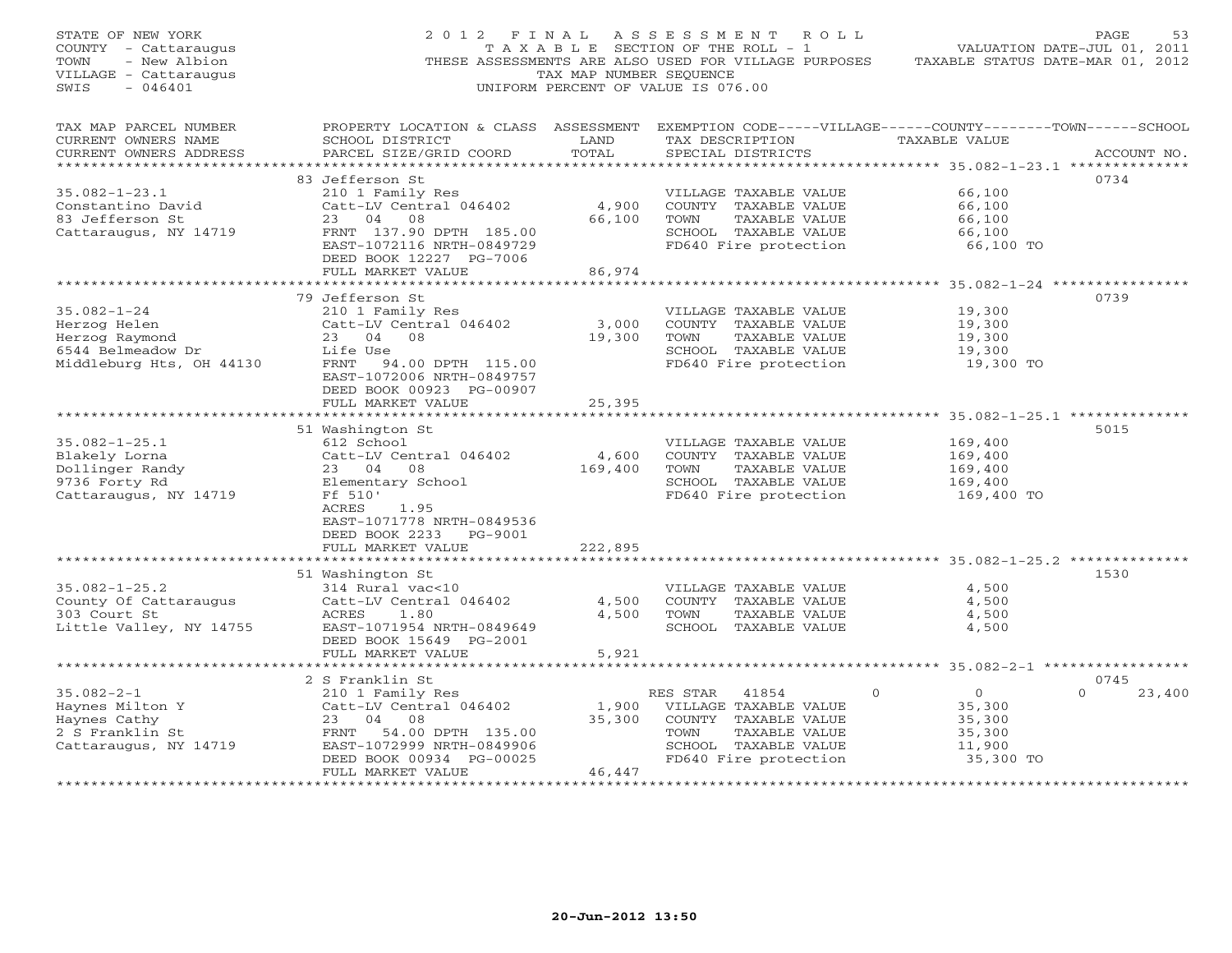| STATE OF NEW YORK<br>COUNTY - Cattaraugus<br>TOWN<br>- New Albion<br>VILLAGE - Cattaraugus<br>$-046401$<br>SWIS |                                                                                                                                                                                                                                | TAX MAP NUMBER SEQUENCE                        | 2012 FINAL ASSESSMENT ROLL<br>T A X A B L E SECTION OF THE ROLL - 1<br>THESE ASSESSMENTS ARE ALSO USED FOR VILLAGE PURPOSES<br>UNIFORM PERCENT OF VALUE IS 076.00 |                                                                                                                                                                  | PAGE<br>53<br>VALUATION DATE-JUL 01, 2011<br>TAXABLE STATUS DATE-MAR 01, 2012 |
|-----------------------------------------------------------------------------------------------------------------|--------------------------------------------------------------------------------------------------------------------------------------------------------------------------------------------------------------------------------|------------------------------------------------|-------------------------------------------------------------------------------------------------------------------------------------------------------------------|------------------------------------------------------------------------------------------------------------------------------------------------------------------|-------------------------------------------------------------------------------|
| TAX MAP PARCEL NUMBER<br>CURRENT OWNERS NAME<br>CURRENT OWNERS ADDRESS<br>******************                    | PROPERTY LOCATION & CLASS ASSESSMENT EXEMPTION CODE-----VILLAGE------COUNTY-------TOWN------SCHOOL<br>SCHOOL DISTRICT<br>PARCEL SIZE/GRID COORD                                                                                | LAND<br>TOTAL                                  | TAX DESCRIPTION<br>SPECIAL DISTRICTS                                                                                                                              | TAXABLE VALUE<br>*********** 35.082-1-23.1 ***************                                                                                                       | ACCOUNT NO.                                                                   |
| $35.082 - 1 - 23.1$<br>Constantino David<br>83 Jefferson St<br>Cattaraugus, NY 14719                            | 83 Jefferson St<br>210 1 Family Res<br>Catt-LV Central 046402<br>23 04 08<br>FRNT 137.90 DPTH 185.00<br>EAST-1072116 NRTH-0849729<br>DEED BOOK 12227 PG-7006<br>FULL MARKET VALUE                                              | 4,900<br>66,100<br>86,974                      | VILLAGE TAXABLE VALUE<br>COUNTY TAXABLE VALUE<br>TAXABLE VALUE<br>TOWN<br>SCHOOL TAXABLE VALUE<br>FD640 Fire protection                                           | 66,100<br>66,100<br>66,100<br>66,100<br>66,100 TO                                                                                                                | 0734                                                                          |
| $35.082 - 1 - 24$<br>Herzog Helen<br>Herzog Raymond<br>6544 Belmeadow Dr<br>Middleburg Hts, OH 44130            | 79 Jefferson St<br>210 1 Family Res<br>Catt-LV Central 046402<br>23 04 08<br>Life Use<br>FRNT 94.00 DPTH 115.00<br>EAST-1072006 NRTH-0849757<br>DEED BOOK 00923 PG-00907<br>FULL MARKET VALUE                                  | 3,000<br>19,300<br>25,395                      | VILLAGE TAXABLE VALUE<br>COUNTY TAXABLE VALUE<br>TAXABLE VALUE<br>TOWN<br>SCHOOL TAXABLE VALUE<br>FD640 Fire protection                                           | 19,300<br>19,300<br>19,300<br>19,300<br>19,300 TO                                                                                                                | 0739                                                                          |
| $35.082 - 1 - 25.1$<br>Blakely Lorna<br>Dollinger Randy<br>9736 Forty Rd<br>Cattaraugus, NY 14719               | *************************<br>51 Washington St<br>612 School<br>Catt-LV Central 046402<br>23 04 08<br>Elementary School<br>Ff 510'<br>ACRES<br>1.95<br>EAST-1071778 NRTH-0849536<br>DEED BOOK 2233 PG-9001<br>FULL MARKET VALUE | 4,600<br>169,400<br>222,895                    | VILLAGE TAXABLE VALUE<br>COUNTY TAXABLE VALUE<br>TOWN<br>TAXABLE VALUE<br>SCHOOL TAXABLE VALUE<br>FD640 Fire protection                                           | 169,400<br>169,400<br>169,400<br>169,400<br>169,400 TO                                                                                                           | 5015                                                                          |
| $35.082 - 1 - 25.2$<br>County Of Cattaraugus<br>303 Court St<br>Little Valley, NY 14755                         | 51 Washington St<br>314 Rural vac<10<br>Catt-LV Central 046402<br>ACRES<br>1.80<br>EAST-1071954 NRTH-0849649<br>DEED BOOK 15649 PG-2001<br>FULL MARKET VALUE                                                                   | 4,500<br>4,500<br>5,921                        | VILLAGE TAXABLE VALUE<br>COUNTY TAXABLE VALUE<br>TOWN<br>TAXABLE VALUE<br>SCHOOL TAXABLE VALUE                                                                    | 4,500<br>4,500<br>4,500<br>4,500                                                                                                                                 | 1530                                                                          |
| $35.082 - 2 - 1$<br>Haynes Milton Y<br>Haynes Cathy<br>2 S Franklin St<br>Cattaraugus, NY 14719                 | 2 S Franklin St<br>210 1 Family Res<br>Catt-LV Central 046402<br>23 04 08<br>FRNT 54.00 DPTH 135.00<br>EAST-1072999 NRTH-0849906<br>DEED BOOK 00934 PG-00025<br>FULL MARKET VALUE<br>************************                  | 1,900<br>35,300<br>46,447<br>***************** | RES STAR<br>41854<br>VILLAGE TAXABLE VALUE<br>COUNTY TAXABLE VALUE<br>TOWN<br>TAXABLE VALUE<br>SCHOOL TAXABLE VALUE<br>FD640 Fire protection                      | *********** 35.082-2-1 *****************<br>$\Omega$<br>$\overline{O}$<br>35,300<br>35,300<br>35,300<br>11,900<br>35,300 TO<br>********************************* | 0745<br>$\Omega$<br>23,400                                                    |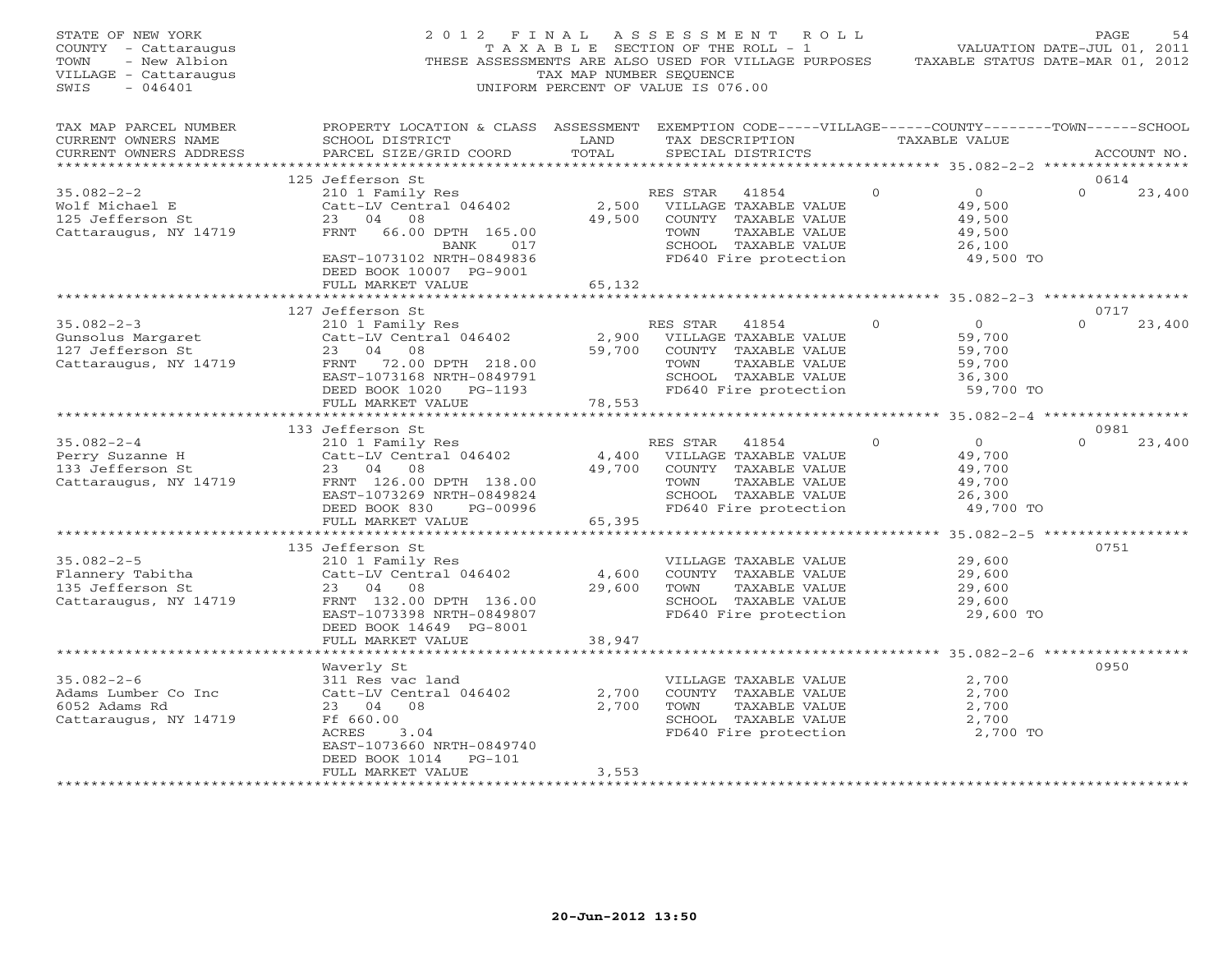| STATE OF NEW YORK<br>COUNTY - Cattaraugus<br>TOWN<br>- New Albion<br>VILLAGE - Cattaraugus<br>SWIS<br>$-046401$ |                                                                                                                                                                  | TAX MAP NUMBER SEQUENCE     | 2012 FINAL ASSESSMENT ROLL<br>TAXABLE SECTION OF THE ROLL - 1<br>THESE ASSESSMENTS ARE ALSO USED FOR VILLAGE PURPOSES<br>UNIFORM PERCENT OF VALUE IS 076.00 |               | VALUATION DATE-JUL 01, 2011<br>TAXABLE STATUS DATE-MAR 01, 2012                 | PAGE<br>54  |
|-----------------------------------------------------------------------------------------------------------------|------------------------------------------------------------------------------------------------------------------------------------------------------------------|-----------------------------|-------------------------------------------------------------------------------------------------------------------------------------------------------------|---------------|---------------------------------------------------------------------------------|-------------|
| TAX MAP PARCEL NUMBER<br>CURRENT OWNERS NAME<br>CURRENT OWNERS ADDRESS<br>**********************                | PROPERTY LOCATION & CLASS ASSESSMENT EXEMPTION CODE-----VILLAGE------COUNTY-------TOWN------SCHOOL<br>SCHOOL DISTRICT<br>PARCEL SIZE/GRID COORD                  | LAND<br>TOTAL               | TAX DESCRIPTION<br>SPECIAL DISTRICTS                                                                                                                        | TAXABLE VALUE | ******************** 35.082-2-2 *****************                               | ACCOUNT NO. |
|                                                                                                                 | 125 Jefferson St                                                                                                                                                 |                             |                                                                                                                                                             |               |                                                                                 | 0614        |
| $35.082 - 2 - 2$<br>Wolf Michael E<br>125 Jefferson St<br>Cattaraugus, NY 14719                                 | 210 1 Family Res<br>Catt-LV Central 046402<br>23 04 08<br>FRNT 66.00 DPTH 165.00<br>BANK 017<br>EAST-1073102 NRTH-0849836<br>DEED BOOK 10007 PG-9001             | 49,500                      | RES STAR 41854<br>2,500 VILLAGE TAXABLE VALUE<br>COUNTY TAXABLE VALUE<br>TOWN<br>TAXABLE VALUE<br>SCHOOL TAXABLE VALUE<br>FD640 Fire protection             | $\Omega$      | $\overline{0}$<br>$\Omega$<br>49,500<br>49,500<br>49,500<br>26,100<br>49,500 TO | 23,400      |
|                                                                                                                 | FULL MARKET VALUE                                                                                                                                                | 65,132                      |                                                                                                                                                             |               |                                                                                 |             |
|                                                                                                                 |                                                                                                                                                                  |                             |                                                                                                                                                             |               |                                                                                 |             |
|                                                                                                                 | 127 Jefferson St                                                                                                                                                 |                             |                                                                                                                                                             |               |                                                                                 | 0717        |
| $35.082 - 2 - 3$<br>Gunsolus Margaret<br>127 Jefferson St<br>Cattaraugus, NY 14719                              | 210 1 Family Res<br>Catt-LV Central 046402<br>23 04 08<br>FRNT 72.00 DPTH 218.00<br>EAST-1073168 NRTH-0849791<br>DEED BOOK 1020 PG-1193<br>FULL MARKET VALUE     | 2,900<br>59,700<br>78,553   | RES STAR 41854<br>VILLAGE TAXABLE VALUE<br>COUNTY TAXABLE VALUE<br>TOWN<br>TAXABLE VALUE<br>SCHOOL TAXABLE VALUE<br>FD640 Fire protection                   | $\Omega$      | $\overline{O}$<br>$\Omega$<br>59,700<br>59,700<br>59,700<br>36,300<br>59,700 TO | 23,400      |
|                                                                                                                 |                                                                                                                                                                  |                             |                                                                                                                                                             |               |                                                                                 |             |
|                                                                                                                 | 133 Jefferson St                                                                                                                                                 |                             |                                                                                                                                                             |               |                                                                                 | 0981        |
| $35.082 - 2 - 4$<br>Perry Suzanne H<br>133 Jefferson St<br>Cattaraugus, NY 14719                                | 210 1 Family Res<br>Catt-LV Central 046402<br>23 04 08<br>FRNT 126.00 DPTH 138.00<br>EAST-1073269 NRTH-0849824<br>DEED BOOK 830<br>PG-00996<br>FULL MARKET VALUE | 4,400<br>49,700<br>65,395   | RES STAR<br>41854<br>VILLAGE TAXABLE VALUE<br>COUNTY TAXABLE VALUE<br>TAXABLE VALUE<br>TOWN<br>SCHOOL TAXABLE VALUE<br>FD640 Fire protection                | $\Omega$      | $\overline{0}$<br>$\Omega$<br>49,700<br>49,700<br>49,700<br>26,300<br>49,700 TO | 23,400      |
|                                                                                                                 | **********************                                                                                                                                           |                             |                                                                                                                                                             |               | ************ 35.082-2-5 *****************                                       |             |
| $35.082 - 2 - 5$<br>Flannery Tabitha<br>135 Jefferson St<br>Cattaraugus, NY 14719                               | 135 Jefferson St<br>210 1 Family Res<br>Catt-LV Central 046402<br>23 04 08<br>FRNT 132.00 DPTH 136.00<br>EAST-1073398 NRTH-0849807<br>DEED BOOK 14649 PG-8001    | 4,600<br>29,600             | VILLAGE TAXABLE VALUE<br>COUNTY TAXABLE VALUE<br>TOWN<br>TAXABLE VALUE<br>SCHOOL TAXABLE VALUE<br>FD640 Fire protection                                     |               | 29,600<br>29,600<br>29,600<br>29,600<br>29,600 TO                               | 0751        |
|                                                                                                                 | FULL MARKET VALUE                                                                                                                                                | 38,947                      |                                                                                                                                                             |               |                                                                                 |             |
|                                                                                                                 |                                                                                                                                                                  |                             |                                                                                                                                                             |               |                                                                                 |             |
| $35.082 - 2 - 6$<br>Adams Lumber Co Inc<br>6052 Adams Rd<br>Cattaraugus, NY 14719                               | Waverly St<br>311 Res vac land<br>Catt-LV Central 046402<br>23 04 08<br>Ff 660.00<br>ACRES<br>3.04<br>EAST-1073660 NRTH-0849740<br>DEED BOOK 1014<br>$PG-101$    | 2,700<br>2,700              | VILLAGE TAXABLE VALUE<br>COUNTY TAXABLE VALUE<br>TOWN<br>TAXABLE VALUE<br>SCHOOL TAXABLE VALUE<br>FD640 Fire protection                                     |               | 2,700<br>2,700<br>2,700<br>2,700<br>2,700 TO                                    | 0950        |
| **********************                                                                                          | FULL MARKET VALUE<br>********************                                                                                                                        | 3,553<br>****************** |                                                                                                                                                             |               |                                                                                 |             |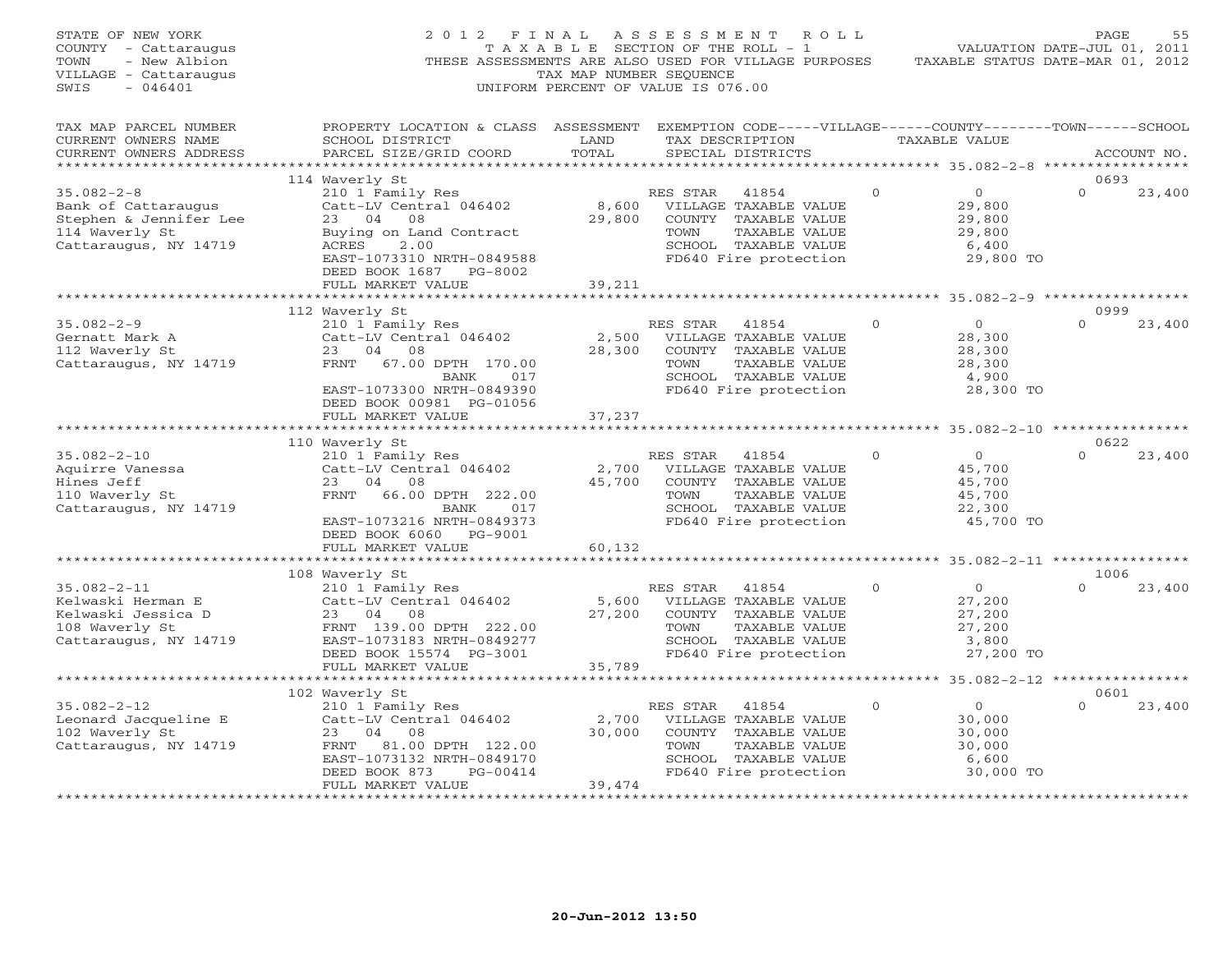| STATE OF NEW YORK<br>COUNTY - Cattaraugus<br>TOWN<br>- New Albion<br>VILLAGE - Cattaraugus<br>SWIS<br>$-046401$ | 2012 FINAL                                                                                                                                                                           | TAX MAP NUMBER SEQUENCE   | ASSESSMENT<br>T A X A B L E SECTION OF THE ROLL - 1<br>THESE ASSESSMENTS ARE ALSO USED FOR VILLAGE PURPOSES<br>UNIFORM PERCENT OF VALUE IS 076.00 | R O L L      |                                                                    | PAGE<br>55<br>VALUATION DATE-JUL 01, 2011<br>TAXABLE STATUS DATE-MAR 01, 2012 |
|-----------------------------------------------------------------------------------------------------------------|--------------------------------------------------------------------------------------------------------------------------------------------------------------------------------------|---------------------------|---------------------------------------------------------------------------------------------------------------------------------------------------|--------------|--------------------------------------------------------------------|-------------------------------------------------------------------------------|
| TAX MAP PARCEL NUMBER<br>CURRENT OWNERS NAME<br>CURRENT OWNERS ADDRESS<br>***********************               | PROPERTY LOCATION & CLASS ASSESSMENT EXEMPTION CODE-----VILLAGE------COUNTY-------TOWN------SCHOOL<br>SCHOOL DISTRICT<br>PARCEL SIZE/GRID COORD                                      | LAND<br>TOTAL             | TAX DESCRIPTION<br>SPECIAL DISTRICTS                                                                                                              |              | TAXABLE VALUE                                                      | ACCOUNT NO.                                                                   |
|                                                                                                                 | 114 Waverly St                                                                                                                                                                       |                           |                                                                                                                                                   |              |                                                                    | 0693                                                                          |
| $35.082 - 2 - 8$<br>Bank of Cattaraugus<br>Stephen & Jennifer Lee<br>114 Waverly St<br>Cattaraugus, NY 14719    | 210 1 Family Res<br>Catt-LV Central 046402<br>23 04 08<br>Buying on Land Contract<br>ACRES<br>2.00<br>EAST-1073310 NRTH-0849588                                                      | 8,600<br>29,800           | RES STAR<br>41854<br>VILLAGE TAXABLE VALUE<br>COUNTY TAXABLE VALUE<br>TOWN<br>TAXABLE VALUE<br>SCHOOL TAXABLE VALUE<br>FD640 Fire protection      | $\Omega$     | $\circ$<br>29,800<br>29,800<br>29,800<br>6,400<br>29,800 TO        | $\Omega$<br>23,400                                                            |
|                                                                                                                 | DEED BOOK 1687 PG-8002<br>FULL MARKET VALUE                                                                                                                                          | 39,211                    |                                                                                                                                                   |              |                                                                    |                                                                               |
|                                                                                                                 |                                                                                                                                                                                      |                           |                                                                                                                                                   |              |                                                                    |                                                                               |
|                                                                                                                 | 112 Waverly St                                                                                                                                                                       |                           |                                                                                                                                                   |              |                                                                    | 0999                                                                          |
| $35.082 - 2 - 9$<br>Gernatt Mark A<br>112 Waverly St<br>Cattaraugus, NY 14719                                   | 210 1 Family Res<br>Catt-LV Central 046402<br>23<br>04<br>08<br>67.00 DPTH 170.00<br>FRNT<br>017                                                                                     | 2,500<br>28,300           | RES STAR<br>41854<br>VILLAGE TAXABLE VALUE<br>COUNTY TAXABLE VALUE<br>TOWN<br>TAXABLE VALUE<br>SCHOOL TAXABLE VALUE                               | $\mathbf{0}$ | $\Omega$<br>28,300<br>28,300<br>28,300<br>4,900                    | $\Omega$<br>23,400                                                            |
|                                                                                                                 | BANK<br>EAST-1073300 NRTH-0849390<br>DEED BOOK 00981 PG-01056<br>FULL MARKET VALUE                                                                                                   | 37,237                    | FD640 Fire protection                                                                                                                             |              | 28,300 TO                                                          |                                                                               |
|                                                                                                                 |                                                                                                                                                                                      |                           |                                                                                                                                                   |              |                                                                    |                                                                               |
| $35.082 - 2 - 10$                                                                                               | 110 Waverly St                                                                                                                                                                       |                           |                                                                                                                                                   | $\Omega$     | $\circ$                                                            | 0622<br>$\Omega$                                                              |
| Aquirre Vanessa<br>Hines Jeff<br>110 Waverly St<br>Cattaraugus, NY 14719                                        | 210 1 Family Res<br>Catt-LV Central 046402<br>23 04 08<br>FRNT<br>66.00 DPTH 222.00<br>BANK<br>017<br>EAST-1073216 NRTH-0849373<br>DEED BOOK 6060 PG-9001                            | 2,700<br>45,700           | RES STAR<br>41854<br>VILLAGE TAXABLE VALUE<br>COUNTY TAXABLE VALUE<br>TOWN<br>TAXABLE VALUE<br>SCHOOL TAXABLE VALUE<br>FD640 Fire protection      |              | 45,700<br>45,700<br>45,700<br>22,300<br>45,700 TO                  | 23,400                                                                        |
|                                                                                                                 | FULL MARKET VALUE                                                                                                                                                                    | 60,132                    |                                                                                                                                                   |              |                                                                    |                                                                               |
|                                                                                                                 | ********************                                                                                                                                                                 |                           |                                                                                                                                                   |              |                                                                    |                                                                               |
| $35.082 - 2 - 11$<br>Kelwaski Herman E<br>Kelwaski Jessica D<br>108 Waverly St<br>Cattaraugus, NY 14719         | 108 Waverly St<br>210 1 Family Res<br>Catt-LV Central 046402<br>23 04<br>08<br>FRNT 139.00 DPTH 222.00<br>EAST-1073183 NRTH-0849277<br>DEED BOOK 15574 PG-3001                       | 5,600<br>27,200           | 41854<br>RES STAR<br>VILLAGE TAXABLE VALUE<br>COUNTY TAXABLE VALUE<br>TAXABLE VALUE<br>TOWN<br>SCHOOL TAXABLE VALUE<br>FD640 Fire protection      | $\Omega$     | $\circ$<br>27,200<br>27,200<br>27,200<br>3,800<br>27,200 TO        | 1006<br>$\cap$<br>23,400                                                      |
|                                                                                                                 | FULL MARKET VALUE                                                                                                                                                                    | 35,789                    |                                                                                                                                                   |              |                                                                    |                                                                               |
|                                                                                                                 |                                                                                                                                                                                      | ***********               |                                                                                                                                                   |              |                                                                    | ********* 35.082-2-12 **************                                          |
| $35.082 - 2 - 12$<br>Leonard Jacqueline E<br>102 Waverly St<br>Cattaraugus, NY 14719                            | 102 Waverly St<br>210 1 Family Res<br>Catt-LV Central 046402<br>04 08<br>23<br>FRNT 81.00 DPTH 122.00<br>EAST-1073132 NRTH-0849170<br>DEED BOOK 873<br>PG-00414<br>FULL MARKET VALUE | 2,700<br>30,000<br>39,474 | RES STAR<br>41854<br>VILLAGE TAXABLE VALUE<br>COUNTY TAXABLE VALUE<br>TOWN<br>TAXABLE VALUE<br>SCHOOL TAXABLE VALUE<br>FD640 Fire protection      | $\Omega$     | $\overline{0}$<br>30,000<br>30,000<br>30,000<br>6,600<br>30,000 TO | 0601<br>$\Omega$<br>23,400                                                    |
|                                                                                                                 |                                                                                                                                                                                      |                           |                                                                                                                                                   |              |                                                                    |                                                                               |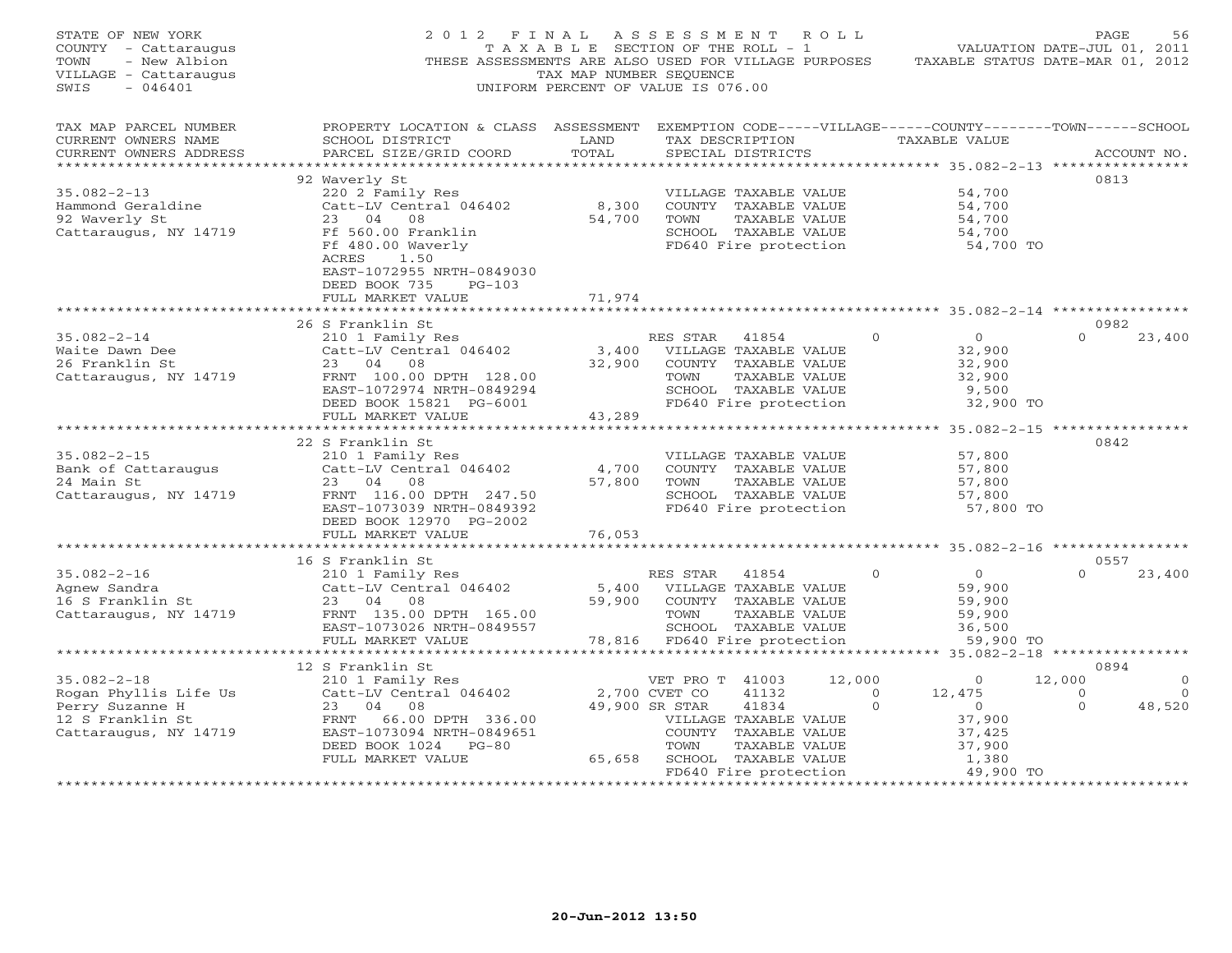| STATE OF NEW YORK<br>COUNTY - Cattaraugus<br>- New Albion<br>TOWN<br>VILLAGE - Cattaraugus<br>$-046401$<br>SWIS | F I N A L<br>2 0 1 2<br>THESE ASSESSMENTS ARE ALSO USED FOR VILLAGE PURPOSES TAXABLE STATUS DATE-MAR 01, 2012                                                                      | T A X A B L E SECTION OF THE ROLL - 1<br>TAX MAP NUMBER SEQUENCE<br>UNIFORM PERCENT OF VALUE IS 076.00 | ASSESSMENT ROLL                                       |                                                                                                                 |                    |          |                                                                                   | PAGE<br>VALUATION DATE-JUL 01, 2011                  | 56                                         |
|-----------------------------------------------------------------------------------------------------------------|------------------------------------------------------------------------------------------------------------------------------------------------------------------------------------|--------------------------------------------------------------------------------------------------------|-------------------------------------------------------|-----------------------------------------------------------------------------------------------------------------|--------------------|----------|-----------------------------------------------------------------------------------|------------------------------------------------------|--------------------------------------------|
| TAX MAP PARCEL NUMBER<br>CURRENT OWNERS NAME<br>CURRENT OWNERS ADDRESS                                          | PROPERTY LOCATION & CLASS ASSESSMENT EXEMPTION CODE-----VILLAGE------COUNTY-------TOWN------SCHOOL<br>SCHOOL DISTRICT<br>PARCEL SIZE/GRID COORD                                    | LAND<br>TOTAL                                                                                          |                                                       | TAX DESCRIPTION TAXABLE VALUE<br>SPECIAL DISTRICTS                                                              |                    |          |                                                                                   | ******************* 35.082-2-13 ****************     | ACCOUNT NO.                                |
| $35.082 - 2 - 13$<br>Hammond Geraldine<br>02 Waverly St<br>Cattaraugus, NY 14719                                | 92 Waverly St<br>220 2 Family Res<br>Catt-LV Central 046402<br>23 04 08<br>Ff 560.00 Franklin<br>Ff 480.00 Waverly<br>1.50<br>ACRES<br>EAST-1072955 NRTH-0849030                   | 8,300<br>54,700                                                                                        | TOWN                                                  | VILLAGE TAXABLE VALUE<br>COUNTY TAXABLE VALUE<br>TAXABLE VALUE<br>SCHOOL TAXABLE VALUE<br>FD640 Fire protection |                    |          | 54,700<br>54,700<br>54,700<br>54,700<br>54,700 TO                                 | 0813                                                 |                                            |
|                                                                                                                 | DEED BOOK 735 PG-103<br>FULL MARKET VALUE                                                                                                                                          | 71,974                                                                                                 |                                                       |                                                                                                                 |                    |          |                                                                                   |                                                      |                                            |
| $35.082 - 2 - 14$<br>Waite Dawn Dee<br>26 Franklin St<br>Cattaraugus, NY 14719                                  | 26 S Franklin St<br>210 1 Family Res<br>Catt-LV Central 046402<br>23 04 08<br>FRNT 100.00 DPTH 128.00<br>EAST-1072974 NRTH-0849294<br>DEED BOOK 15821 PG-6001<br>FULL MARKET VALUE | 3,400 VILLAGE TAXABLE VALUE<br>43,289                                                                  | RES STAR 41854<br>32,900 COUNTY TAXABLE VALUE<br>TOWN | TAXABLE VALUE<br>SCHOOL TAXABLE VALUE<br>FD640 Fire protection                                                  |                    | $\Omega$ | $\Omega$<br>32,900<br>32,900<br>32,900<br>9,500<br>32,900 TO                      | 0982<br>$\Omega$                                     | 23,400                                     |
|                                                                                                                 |                                                                                                                                                                                    |                                                                                                        |                                                       |                                                                                                                 |                    |          |                                                                                   |                                                      |                                            |
| $35.082 - 2 - 15$<br>Bank of Cattaraugus<br>24 Main St<br>Cattaraugus, NY 14719                                 | 22 S Franklin St<br>210 1 Family Res<br>Catt-LV Central 046402<br>23 04 08<br>FRNT 116.00 DPTH 247.50<br>EAST-1073039 NRTH-0849392<br>DEED BOOK 12970 PG-2002<br>FULL MARKET VALUE | 4,700<br>57,800<br>76,053                                                                              | TOWN                                                  | VILLAGE TAXABLE VALUE<br>COUNTY TAXABLE VALUE<br>TAXABLE VALUE<br>SCHOOL TAXABLE VALUE<br>FD640 Fire protection |                    |          | 57,800<br>57,800<br>57,800<br>57,800<br>57,800 TO                                 | 0842                                                 |                                            |
|                                                                                                                 | ************************                                                                                                                                                           | ******************                                                                                     |                                                       |                                                                                                                 |                    |          |                                                                                   | ********************** 35.082-2-16 ***************** |                                            |
| $35.082 - 2 - 16$<br>Agnew Sandra<br>$16 S$ Franklin St<br>Cattaraugus, NY 14719                                | 16 S Franklin St<br>210 1 Family Res<br>Catt-LV Central 046402<br>23 04 08<br>FRNT 135.00 DPTH 165.00<br>EAST-1073026 NRTH-0849557<br>FULL MARKET VALUE                            | 5,400 VILLAGE TAXABLE VALUE<br>59,900                                                                  | RES STAR<br>TOWN<br>78,816 FD640 Fire protection      | 41854<br>COUNTY TAXABLE VALUE<br>TAXABLE VALUE<br>SCHOOL TAXABLE VALUE                                          |                    | $\Omega$ | $\overline{0}$<br>59,900<br>59,900<br>59,900<br>36,500<br>59,900 TO               | 0557<br>$\Omega$                                     | 23,400                                     |
|                                                                                                                 | *****************************                                                                                                                                                      |                                                                                                        |                                                       |                                                                                                                 |                    |          |                                                                                   |                                                      |                                            |
|                                                                                                                 | 12 S Franklin St                                                                                                                                                                   |                                                                                                        |                                                       |                                                                                                                 |                    |          |                                                                                   | 0894                                                 |                                            |
| $35.082 - 2 - 18$<br>Rogan Phyllis Life Us<br>Perry Suzanne H<br>12 S Franklin St<br>Cattaraugus, NY 14719      | 3 Frankiin 55<br>210 1 Family Res<br>Catt-LV Central 046402<br>Catt-LV Cenc.<br>23 04 08<br>FRNT 66.00 DPTH 336.00<br>EAST-1073094 NRTH-0849651<br>DPED BOOK 1024 PG-80            | 2,700 CVET CO<br>65,658                                                                                | VET PRO T 41003<br>49,900 SR STAR<br>TOWN             | 41132<br>41834<br>VILLAGE TAXABLE VALUE<br>COUNTY TAXABLE VALUE<br>TAXABLE VALUE<br>SCHOOL TAXABLE VALUE        | 12,000<br>$\sim$ 0 | $\Omega$ | $\overline{0}$<br>12,475<br>$\overline{0}$<br>37,900<br>37,425<br>37,900<br>1,380 | 12,000<br>$\overline{0}$<br>$\Omega$                 | $\overline{0}$<br>$\overline{0}$<br>48,520 |
|                                                                                                                 |                                                                                                                                                                                    |                                                                                                        |                                                       | FD640 Fire protection                                                                                           |                    |          | $49,900$ TO                                                                       |                                                      |                                            |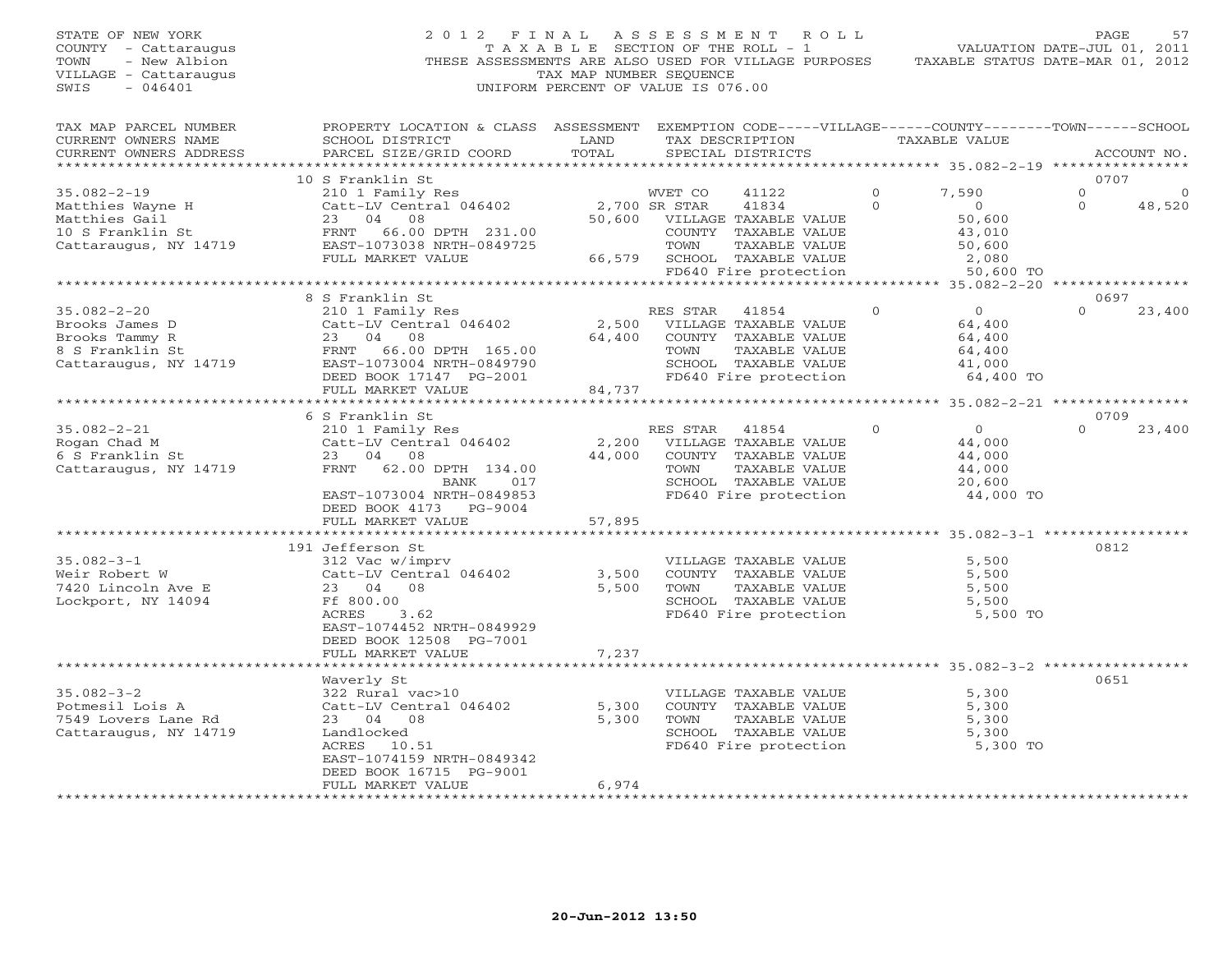STATE OF NEW YORK 2 0 1 2 F I N A L A S S E S S M E N T R O L L PAGE 57 COUNTY - Cattaraugus T A X A B L E SECTION OF THE ROLL - 1 VALUATION DATE-JUL 01, 2011 TOWN - New Albion THESE ASSESSMENTS ARE ALSO USED FOR VILLAGE PURPOSES TAXABLE STATUS DATE-MAR 01, 2012 VILLAGE - Cattaraugus TAX MAP NUMBER SEQUENCE<br>SWIS - 046401 SWIS - 046401 UNIFORM PERCENT OF VALUE IS 076.00 TAX MAP PARCEL NUMBER PROPERTY LOCATION & CLASS ASSESSMENT EXEMPTION CODE-----VILLAGE------COUNTY--------TOWN------SCHOOL

| CURRENT OWNERS NAME    | SCHOOL DISTRICT                                 | LAND        | TAX DESCRIPTION              |          | TAXABLE VALUE                             |          |             |
|------------------------|-------------------------------------------------|-------------|------------------------------|----------|-------------------------------------------|----------|-------------|
| CURRENT OWNERS ADDRESS | PARCEL SIZE/GRID COORD                          | TOTAL       | SPECIAL DISTRICTS            |          |                                           |          | ACCOUNT NO. |
| <b>+++++++++++</b>     | **********************                          | *********** |                              |          | *********** 35.082-2-19 ***************** |          |             |
|                        | 10 S Franklin St                                |             |                              |          |                                           | 0707     |             |
| $35.082 - 2 - 19$      | 210 1 Family Res                                |             | WVET CO<br>41122             | $\Omega$ | 7,590                                     | $\Omega$ | $\Omega$    |
| Matthies Wayne H       | Catt-LV Central 046402                          |             | 2,700 SR STAR<br>41834       | $\Omega$ | $\Omega$                                  | $\Omega$ | 48,520      |
| Matthies Gail          | 23 04 08                                        | 50,600      | VILLAGE TAXABLE VALUE        |          | 50,600                                    |          |             |
| 10 S Franklin St       | 66.00 DPTH 231.00                               |             | COUNTY TAXABLE VALUE         |          | 43,010                                    |          |             |
|                        | FRNT                                            |             |                              |          |                                           |          |             |
| Cattaraugus, NY 14719  | EAST-1073038 NRTH-0849725                       |             | TOWN<br>TAXABLE VALUE        |          | 50,600                                    |          |             |
|                        | FULL MARKET VALUE                               | 66,579      | SCHOOL TAXABLE VALUE         |          | 2,080                                     |          |             |
|                        |                                                 |             | FD640 Fire protection        |          | 50,600 TO                                 |          |             |
|                        |                                                 |             |                              |          |                                           |          |             |
|                        | 8 S Franklin St                                 |             |                              |          |                                           | 0697     |             |
| $35.082 - 2 - 20$      | 210 1 Family Res                                |             | RES STAR<br>41854            | $\Omega$ | $\circ$                                   | $\Omega$ | 23,400      |
| Brooks James D         | Catt-LV Central 046402                          | 2,500       | VILLAGE TAXABLE VALUE        |          | 64,400                                    |          |             |
| Brooks Tammy R         | 23 04 08                                        | 64,400      | COUNTY TAXABLE VALUE         |          | 64,400                                    |          |             |
| 8 S Franklin St        | FRNT 66.00 DPTH 165.00                          |             | TAXABLE VALUE<br>TOWN        |          | 64,400                                    |          |             |
| Cattaraugus, NY 14719  | EAST-1073004 NRTH-0849790                       |             | SCHOOL TAXABLE VALUE         |          | 41,000                                    |          |             |
|                        |                                                 |             |                              |          |                                           |          |             |
|                        | DEED BOOK 17147 PG-2001                         |             | FD640 Fire protection        |          | 64,400 TO                                 |          |             |
|                        | FULL MARKET VALUE                               | 84,737      |                              |          |                                           |          |             |
|                        |                                                 |             |                              |          |                                           |          |             |
|                        | 6 S Franklin St                                 |             |                              |          |                                           | 0709     |             |
| $35.082 - 2 - 21$      | 210 1 Family Res                                |             | RES STAR 41854               | $\Omega$ | $\circ$                                   | $\Omega$ | 23,400      |
| Rogan Chad M           | Catt-LV Central 046402                          | 2,200       | VILLAGE TAXABLE VALUE        |          | 44,000                                    |          |             |
| 6 S Franklin St        | 23 04 08                                        | 44,000      | COUNTY TAXABLE VALUE         |          | 44,000                                    |          |             |
| Cattaraugus, NY 14719  | FRNT<br>62.00 DPTH 134.00                       |             | TOWN<br>TAXABLE VALUE        |          | 44,000                                    |          |             |
|                        | BANK<br>017                                     |             | SCHOOL TAXABLE VALUE         |          | 20,600                                    |          |             |
|                        | EAST-1073004 NRTH-0849853                       |             | FD640 Fire protection        |          | 44,000 TO                                 |          |             |
|                        |                                                 |             |                              |          |                                           |          |             |
|                        | DEED BOOK 4173 PG-9004                          |             |                              |          |                                           |          |             |
|                        | FULL MARKET VALUE<br>************************** | 57,895      |                              |          |                                           |          |             |
|                        |                                                 |             |                              |          |                                           |          |             |
|                        | 191 Jefferson St                                |             |                              |          |                                           | 0812     |             |
| $35.082 - 3 - 1$       | 312 Vac w/imprv                                 |             | VILLAGE TAXABLE VALUE        |          | 5,500                                     |          |             |
| Weir Robert W          | Catt-LV Central 046402                          | 3,500       | COUNTY TAXABLE VALUE         |          | 5,500                                     |          |             |
| 7420 Lincoln Ave E     | 23 04 08                                        | 5,500       | <b>TOWN</b><br>TAXABLE VALUE |          | 5,500                                     |          |             |
| Lockport, NY 14094     | Ff 800.00                                       |             | SCHOOL TAXABLE VALUE         |          | 5,500                                     |          |             |
|                        | 3.62<br>ACRES                                   |             | FD640 Fire protection        |          | 5,500 TO                                  |          |             |
|                        | EAST-1074452 NRTH-0849929                       |             |                              |          |                                           |          |             |
|                        | DEED BOOK 12508 PG-7001                         |             |                              |          |                                           |          |             |
|                        | FULL MARKET VALUE                               | 7,237       |                              |          |                                           |          |             |
|                        | *******************************                 |             |                              |          |                                           |          |             |
|                        |                                                 |             |                              |          |                                           |          |             |
|                        | Waverly St                                      |             |                              |          |                                           | 0651     |             |
| $35.082 - 3 - 2$       | 322 Rural vac>10                                |             | VILLAGE TAXABLE VALUE        |          | 5,300                                     |          |             |
| Potmesil Lois A        | Catt-LV Central 046402                          | 5,300       | COUNTY TAXABLE VALUE         |          | 5,300                                     |          |             |
| 7549 Lovers Lane Rd    | 23 04 08                                        | 5,300       | TOWN<br>TAXABLE VALUE        |          | 5,300                                     |          |             |
| Cattaraugus, NY 14719  | Landlocked                                      |             | SCHOOL TAXABLE VALUE         |          | 5,300                                     |          |             |
|                        | 10.51<br>ACRES                                  |             | FD640 Fire protection        |          | 5,300 TO                                  |          |             |
|                        | EAST-1074159 NRTH-0849342                       |             |                              |          |                                           |          |             |
|                        | DEED BOOK 16715 PG-9001                         |             |                              |          |                                           |          |             |
|                        | FULL MARKET VALUE                               | 6,974       |                              |          |                                           |          |             |
|                        |                                                 |             |                              |          |                                           |          |             |
|                        |                                                 |             |                              |          |                                           |          |             |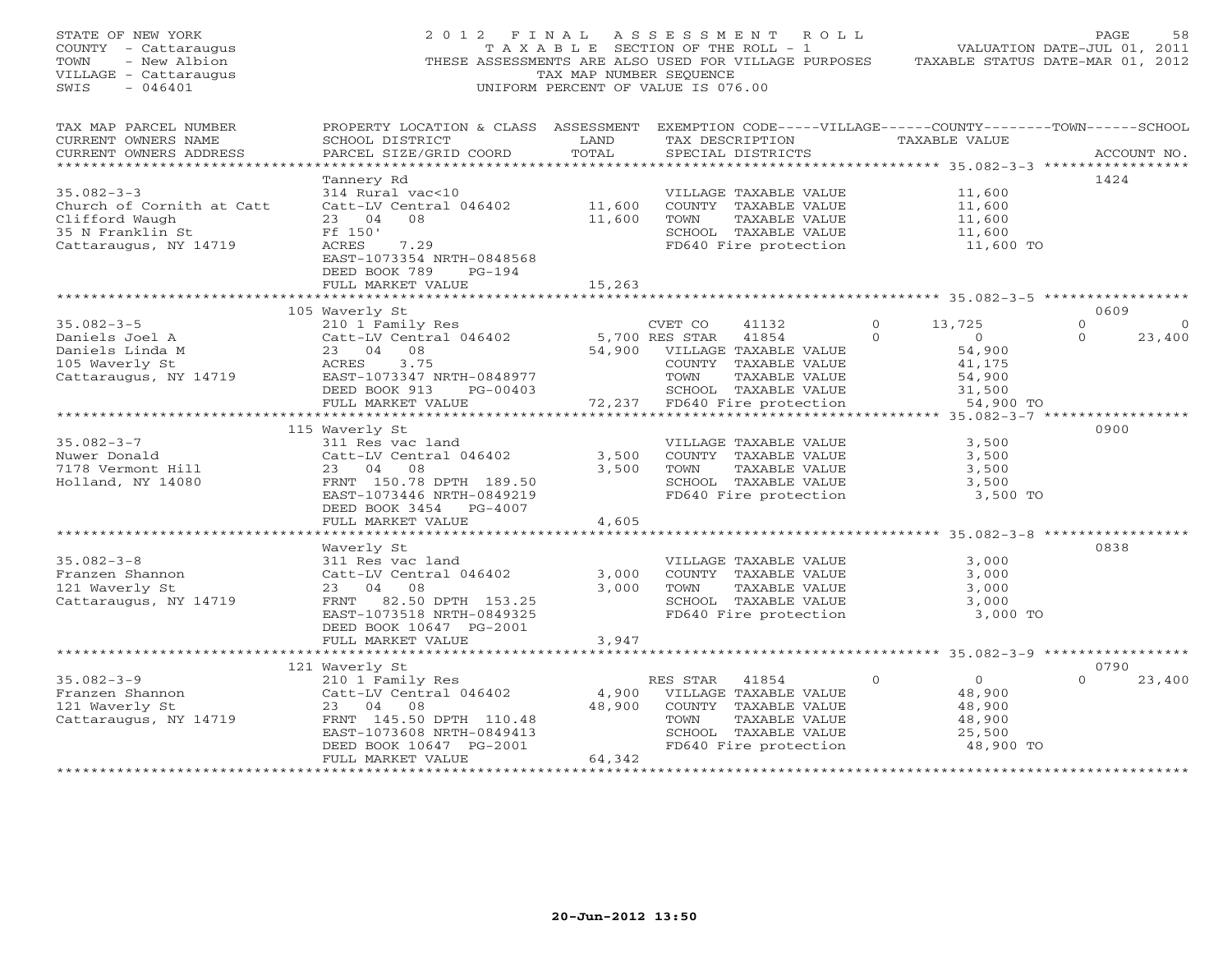| STATE OF NEW YORK<br>COUNTY - Cattaraugus<br>- New Albion<br>TOWN<br>VILLAGE - Cattaraugus<br>$-046401$<br>SWIS | 2012 FINAL<br>THESE ASSESSMENTS ARE ALSO USED FOR VILLAGE PURPOSES                                                    | TAXABLE SECTION OF THE ROLL - 1<br>TAX MAP NUMBER SEQUENCE<br>UNIFORM PERCENT OF VALUE IS 076.00 | A S S E S S M E N T | R O L L                               |          | VALUATION DATE-JUL 01, 2011<br>TAXABLE STATUS DATE-MAR 01, 2012 | PAGE            | 58          |
|-----------------------------------------------------------------------------------------------------------------|-----------------------------------------------------------------------------------------------------------------------|--------------------------------------------------------------------------------------------------|---------------------|---------------------------------------|----------|-----------------------------------------------------------------|-----------------|-------------|
| TAX MAP PARCEL NUMBER<br>CURRENT OWNERS NAME                                                                    | PROPERTY LOCATION & CLASS ASSESSMENT EXEMPTION CODE-----VILLAGE------COUNTY-------TOWN------SCHOOL<br>SCHOOL DISTRICT | LAND                                                                                             |                     | TAX DESCRIPTION                       |          | TAXABLE VALUE                                                   |                 |             |
| CURRENT OWNERS ADDRESS                                                                                          | PARCEL SIZE/GRID COORD                                                                                                | TOTAL                                                                                            |                     | SPECIAL DISTRICTS                     |          |                                                                 |                 | ACCOUNT NO. |
| ******************************                                                                                  |                                                                                                                       |                                                                                                  |                     |                                       |          |                                                                 |                 |             |
|                                                                                                                 | Tannery Rd                                                                                                            |                                                                                                  |                     |                                       |          |                                                                 | 1424            |             |
| $35.082 - 3 - 3$                                                                                                | 314 Rural vac<10                                                                                                      |                                                                                                  |                     | VILLAGE TAXABLE VALUE                 |          | 11,600                                                          |                 |             |
| Church of Cornith at Catt<br>Clifford Waugh                                                                     | Catt-LV Central 046402<br>23 04<br>08                                                                                 | 11,600<br>11,600                                                                                 |                     | COUNTY TAXABLE VALUE                  |          | 11,600<br>11,600                                                |                 |             |
| 35 N Franklin St                                                                                                | Ff 150'                                                                                                               |                                                                                                  | TOWN                | TAXABLE VALUE<br>SCHOOL TAXABLE VALUE |          | 11,600                                                          |                 |             |
| Cattaraugus, NY 14719                                                                                           | 7.29<br>ACRES                                                                                                         |                                                                                                  |                     | FD640 Fire protection                 |          | 11,600 TO                                                       |                 |             |
|                                                                                                                 | EAST-1073354 NRTH-0848568                                                                                             |                                                                                                  |                     |                                       |          |                                                                 |                 |             |
|                                                                                                                 | DEED BOOK 789<br>$PG-194$                                                                                             |                                                                                                  |                     |                                       |          |                                                                 |                 |             |
|                                                                                                                 | FULL MARKET VALUE                                                                                                     | 15,263                                                                                           |                     |                                       |          |                                                                 |                 |             |
|                                                                                                                 |                                                                                                                       |                                                                                                  |                     |                                       |          |                                                                 |                 |             |
| $35.082 - 3 - 5$                                                                                                | 105 Waverly St<br>210 1 Family Res                                                                                    |                                                                                                  | CVET CO             | 41132                                 | $\circ$  | 13,725                                                          | 0609<br>$\circ$ | $\mathbf 0$ |
| Daniels Joel A                                                                                                  | Catt-LV Central 046402                                                                                                |                                                                                                  | 5,700 RES STAR      | 41854                                 | $\Omega$ | $\bigcirc$                                                      | $\Omega$        | 23,400      |
| Daniels Linda M                                                                                                 | 23 04 08                                                                                                              | 54,900                                                                                           |                     | VILLAGE TAXABLE VALUE                 |          | 54,900                                                          |                 |             |
| 105 Waverly St                                                                                                  | 3.75<br>ACRES                                                                                                         |                                                                                                  |                     | COUNTY TAXABLE VALUE                  |          | 41,175                                                          |                 |             |
| Cattaraugus, NY 14719                                                                                           | EAST-1073347 NRTH-0848977                                                                                             |                                                                                                  | TOWN                | TAXABLE VALUE                         |          | 54,900                                                          |                 |             |
|                                                                                                                 | DEED BOOK 913<br>PG-00403                                                                                             |                                                                                                  |                     | SCHOOL TAXABLE VALUE                  |          | 31,500                                                          |                 |             |
|                                                                                                                 | FULL MARKET VALUE                                                                                                     | 72,237                                                                                           |                     | FD640 Fire protection                 |          | 54,900 TO                                                       |                 |             |
|                                                                                                                 |                                                                                                                       |                                                                                                  |                     |                                       |          |                                                                 | 0900            |             |
| $35.082 - 3 - 7$                                                                                                | 115 Waverly St<br>311 Res vac land                                                                                    |                                                                                                  |                     | VILLAGE TAXABLE VALUE                 |          | 3,500                                                           |                 |             |
| Nuwer Donald                                                                                                    | Catt-LV Central 046402                                                                                                | 3,500                                                                                            |                     | COUNTY TAXABLE VALUE                  |          | 3,500                                                           |                 |             |
| 7178 Vermont Hill                                                                                               | 23 04<br>08                                                                                                           | 3,500                                                                                            | TOWN                | TAXABLE VALUE                         |          | 3,500                                                           |                 |             |
| Holland, NY 14080                                                                                               | FRNT 150.78 DPTH 189.50                                                                                               |                                                                                                  |                     | SCHOOL TAXABLE VALUE                  |          | 3,500                                                           |                 |             |
|                                                                                                                 | EAST-1073446 NRTH-0849219                                                                                             |                                                                                                  |                     | FD640 Fire protection                 |          | 3,500 TO                                                        |                 |             |
|                                                                                                                 | DEED BOOK 3454 PG-4007                                                                                                |                                                                                                  |                     |                                       |          |                                                                 |                 |             |
|                                                                                                                 | FULL MARKET VALUE                                                                                                     | 4,605<br>*******                                                                                 |                     |                                       |          | *********** 35.082-3-8 ************                             |                 |             |
|                                                                                                                 | Waverly St                                                                                                            |                                                                                                  |                     |                                       |          |                                                                 | 0838            |             |
| $35.082 - 3 - 8$                                                                                                | 311 Res vac land                                                                                                      |                                                                                                  |                     | VILLAGE TAXABLE VALUE                 |          | 3,000                                                           |                 |             |
| Franzen Shannon                                                                                                 | Catt-LV Central 046402                                                                                                | 3,000                                                                                            |                     | COUNTY TAXABLE VALUE                  |          | 3,000                                                           |                 |             |
| 121 Waverly St                                                                                                  | 04 08<br>23                                                                                                           | 3,000                                                                                            | TOWN                | TAXABLE VALUE                         |          | 3,000                                                           |                 |             |
| Cattaraugus, NY 14719                                                                                           | FRNT 82.50 DPTH 153.25                                                                                                |                                                                                                  |                     | SCHOOL TAXABLE VALUE                  |          | 3,000                                                           |                 |             |
|                                                                                                                 | EAST-1073518 NRTH-0849325                                                                                             |                                                                                                  |                     | FD640 Fire protection                 |          | 3,000 TO                                                        |                 |             |
|                                                                                                                 | DEED BOOK 10647 PG-2001<br>FULL MARKET VALUE                                                                          |                                                                                                  |                     |                                       |          |                                                                 |                 |             |
|                                                                                                                 |                                                                                                                       | 3,947                                                                                            |                     |                                       |          |                                                                 |                 |             |
|                                                                                                                 | 121 Waverly St                                                                                                        |                                                                                                  |                     |                                       |          |                                                                 | 0790            |             |
| $35.082 - 3 - 9$                                                                                                | 210 1 Family Res                                                                                                      |                                                                                                  | RES STAR            | 41854                                 | $\Omega$ | $\overline{0}$                                                  | $\Omega$        | 23,400      |
| Franzen Shannon                                                                                                 | Catt-LV Central 046402                                                                                                | 4,900                                                                                            |                     | VILLAGE TAXABLE VALUE                 |          | 48,900                                                          |                 |             |
| 121 Waverly St                                                                                                  | 23<br>04<br>08                                                                                                        | 48,900                                                                                           |                     | COUNTY TAXABLE VALUE                  |          | 48,900                                                          |                 |             |
| Cattaraugus, NY 14719                                                                                           | FRNT 145.50 DPTH 110.48                                                                                               |                                                                                                  | TOWN                | TAXABLE VALUE                         |          | 48,900                                                          |                 |             |
|                                                                                                                 | EAST-1073608 NRTH-0849413                                                                                             |                                                                                                  |                     | SCHOOL TAXABLE VALUE                  |          | 25,500                                                          |                 |             |
|                                                                                                                 | DEED BOOK 10647 PG-2001<br>FULL MARKET VALUE                                                                          | 64,342                                                                                           |                     | FD640 Fire protection                 |          | 48,900 TO                                                       |                 |             |
|                                                                                                                 |                                                                                                                       | *******************                                                                              |                     |                                       |          |                                                                 |                 |             |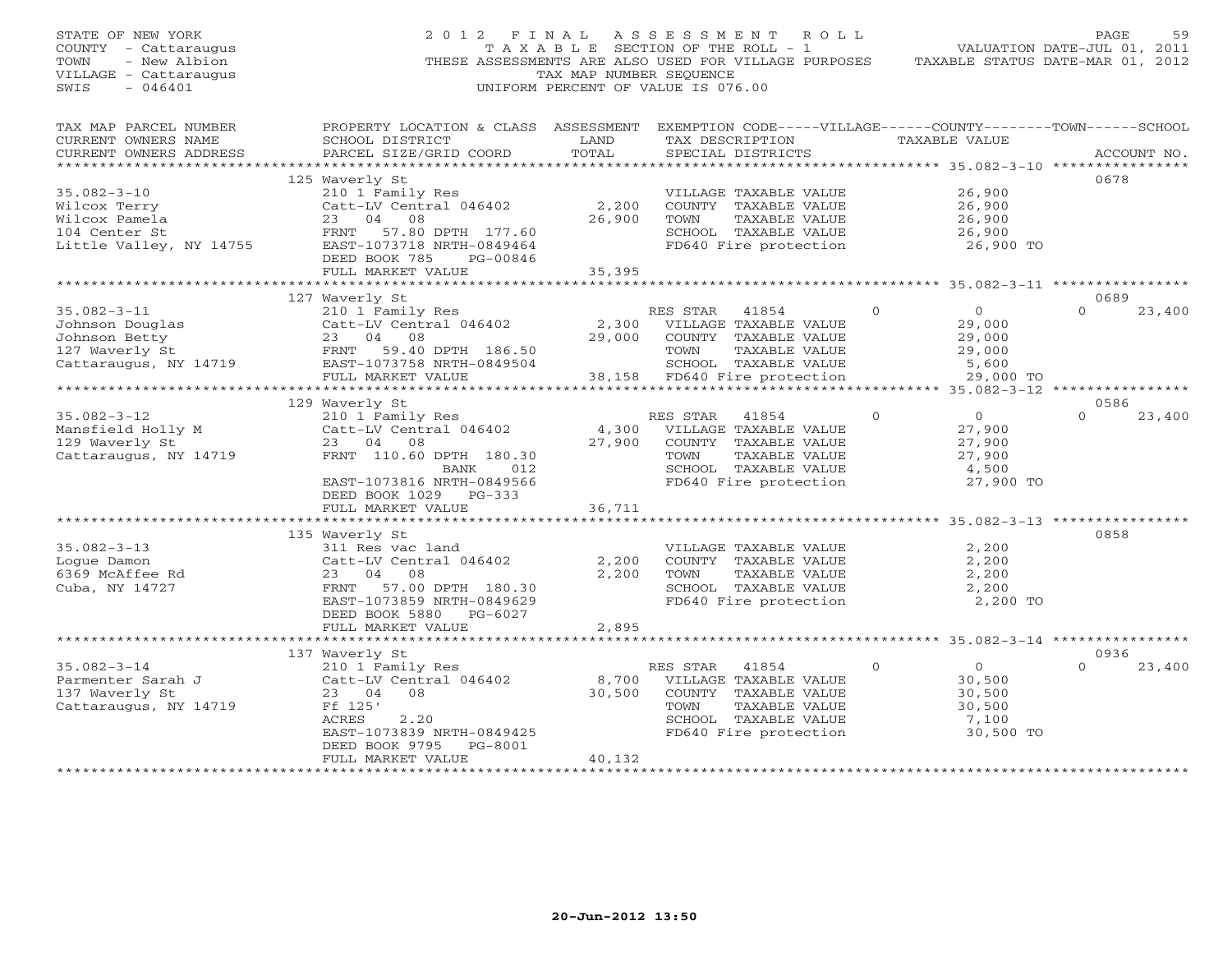| STATE OF NEW YORK<br>COUNTY - Cattaraugus<br>TOWN<br>- New Albion<br>VILLAGE - Cattaraugus<br>$-046401$<br>SWIS | 2012 FINAL                                                                                                                                                                          | TAX MAP NUMBER SEQUENCE   | ASSESSMENT ROLL<br>TAXABLE SECTION OF THE ROLL - 1<br>THESE ASSESSMENTS ARE ALSO USED FOR VILLAGE PURPOSES<br>UNIFORM PERCENT OF VALUE IS 076.00 |          |                                                                       | PAGE<br>59<br>VALUATION DATE-JUL 01, 2011<br>TAXABLE STATUS DATE-MAR 01, 2012 |
|-----------------------------------------------------------------------------------------------------------------|-------------------------------------------------------------------------------------------------------------------------------------------------------------------------------------|---------------------------|--------------------------------------------------------------------------------------------------------------------------------------------------|----------|-----------------------------------------------------------------------|-------------------------------------------------------------------------------|
| TAX MAP PARCEL NUMBER<br>CURRENT OWNERS NAME<br>CURRENT OWNERS ADDRESS<br>***********************               | PROPERTY LOCATION & CLASS ASSESSMENT EXEMPTION CODE-----VILLAGE------COUNTY-------TOWN------SCHOOL<br>SCHOOL DISTRICT<br>PARCEL SIZE/GRID COORD                                     | LAND<br>TOTAL             | TAX DESCRIPTION TAXABLE VALUE<br>SPECIAL DISTRICTS                                                                                               |          |                                                                       | ACCOUNT NO.                                                                   |
| $35.082 - 3 - 10$<br>Wilcox Terry<br>Wilcox Pamela<br>104 Center St<br>Little Valley, NY 14755                  | 125 Waverly St<br>210 1 Family Res<br>Catt-LV Central 046402<br>23 04 08<br>FRNT 57.80 DPTH 177.60<br>EAST-1073718 NRTH-0849464<br>DEED BOOK 785<br>PG-00846<br>FULL MARKET VALUE   | 2,200<br>26,900<br>35,395 | VILLAGE TAXABLE VALUE<br>COUNTY TAXABLE VALUE<br>TOWN<br>TAXABLE VALUE<br>SCHOOL TAXABLE VALUE<br>FD640 Fire protection                          |          | 26,900<br>26,900<br>26,900<br>26,900<br>26,900 TO                     | 0678                                                                          |
|                                                                                                                 |                                                                                                                                                                                     |                           |                                                                                                                                                  |          |                                                                       |                                                                               |
| $35.082 - 3 - 11$<br>Johnson Douglas<br>Johnson Betty<br>127 Waverly St<br>Cattaraugus, NY 14719                | 127 Waverly St<br>210 1 Family Res<br>Catt-LV Central 046402<br>23 04 08<br>FRNT 59.40 DPTH 186.50<br>EAST-1073758 NRTH-0849504                                                     | 2,300<br>29,000           | RES STAR 41854<br>VILLAGE TAXABLE VALUE<br>COUNTY TAXABLE VALUE<br>TOWN<br>TAXABLE VALUE<br>SCHOOL TAXABLE VALUE                                 | $\Omega$ | $\overline{0}$<br>29,000<br>29,000<br>29,000<br>5,600                 | 0689<br>$\Omega$<br>23,400                                                    |
|                                                                                                                 | FULL MARKET VALUE                                                                                                                                                                   |                           | 38,158 FD640 Fire protection                                                                                                                     |          | 29,000 TO                                                             |                                                                               |
|                                                                                                                 | 129 Waverly St                                                                                                                                                                      |                           |                                                                                                                                                  |          |                                                                       | 0586                                                                          |
| $35.082 - 3 - 12$<br>Mansfield Holly M<br>129 Wayerly St<br>129 Waverly St<br>Cattaraugus, NY 14719             | 210 1 Family Res<br>Catt-LV Central 046402<br>23 04 08<br>FRNT 110.60 DPTH 180.30<br>BANK<br>012<br>EAST-1073816 NRTH-0849566<br>DEED BOOK 1029 PG-333                              | 4,300<br>27,900           | RES STAR<br>41854<br>VILLAGE TAXABLE VALUE<br>COUNTY TAXABLE VALUE<br>TOWN<br>TAXABLE VALUE<br>SCHOOL TAXABLE VALUE<br>FD640 Fire protection     | $\circ$  | $\overline{0}$<br>27,900<br>27,900<br>27,900<br>4,500<br>27,900 TO    | 23,400<br>$\Omega$                                                            |
|                                                                                                                 | FULL MARKET VALUE                                                                                                                                                                   | 36,711                    |                                                                                                                                                  |          |                                                                       |                                                                               |
| $35.082 - 3 - 13$<br>Loque Damon<br>6369 McAffee Rd<br>Cuba, NY 14727                                           | 135 Waverly St<br>311 Res vac land<br>Catt-LV Central 046402<br>23 04 08<br>FRNT<br>57.00 DPTH 180.30<br>EAST-1073859 NRTH-0849629<br>DEED BOOK 5880 PG-6027                        | 2,200<br>2,200            | VILLAGE TAXABLE VALUE<br>COUNTY TAXABLE VALUE<br>TAXABLE VALUE<br>TOWN<br>SCHOOL TAXABLE VALUE<br>FD640 Fire protection                          |          | 2,200<br>2,200<br>2,200<br>2,200<br>2,200 TO                          | ****************** 35.082-3-13 ************<br>0858                           |
|                                                                                                                 | FULL MARKET VALUE                                                                                                                                                                   | 2,895                     |                                                                                                                                                  |          |                                                                       |                                                                               |
|                                                                                                                 |                                                                                                                                                                                     |                           |                                                                                                                                                  |          |                                                                       |                                                                               |
| $35.082 - 3 - 14$<br>Parmenter Sarah J<br>137 Waverly St<br>Cattaraugus, NY 14719                               | 137 Waverly St<br>210 1 Family Res<br>Catt-LV Central 046402<br>23 04 08<br>Ff 125'<br>ACRES<br>2.20<br>EAST-1073839 NRTH-0849425<br>PG-8001<br>DEED BOOK 9795<br>FULL MARKET VALUE | 8,700<br>30,500<br>40,132 | RES STAR<br>41854<br>VILLAGE TAXABLE VALUE<br>COUNTY TAXABLE VALUE<br>TOWN<br>TAXABLE VALUE<br>SCHOOL TAXABLE VALUE<br>FD640 Fire protection     | $\circ$  | $0 \qquad \qquad$<br>30,500<br>30,500<br>30,500<br>7,100<br>30,500 TO | 0936<br>$\Omega$<br>23,400                                                    |
|                                                                                                                 |                                                                                                                                                                                     |                           |                                                                                                                                                  |          |                                                                       |                                                                               |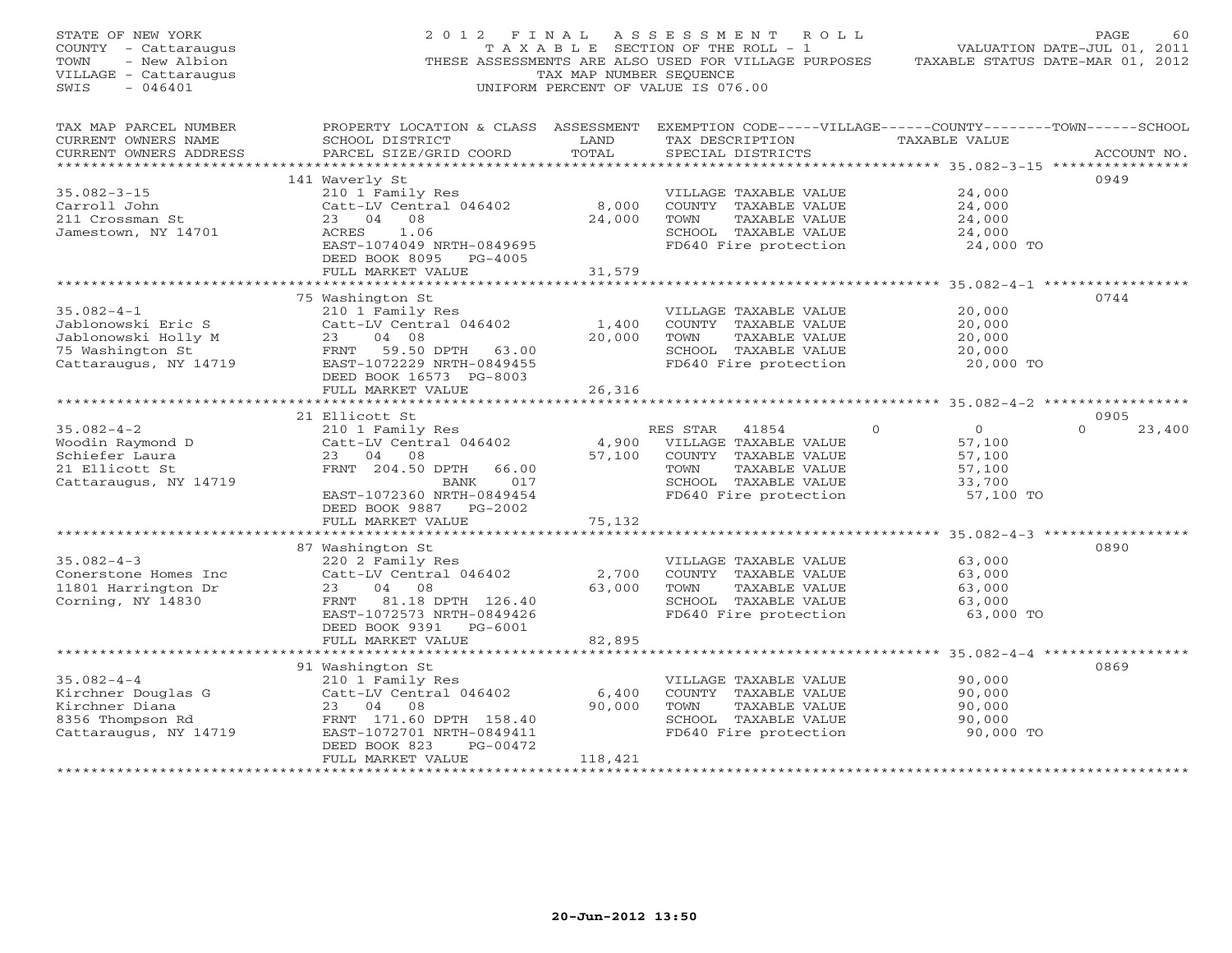| STATE OF NEW YORK<br>COUNTY - Cattaraugus<br>- New Albion<br>TOWN<br>VILLAGE - Cattaraugus<br>$-046401$<br>SWIS |                                                                                                                                                                          | TAX MAP NUMBER SEOUENCE   | 2012 FINAL ASSESSMENT ROLL<br>T A X A B L E SECTION OF THE ROLL - 1<br>THESE ASSESSMENTS ARE ALSO USED FOR VILLAGE PURPOSES<br>UNIFORM PERCENT OF VALUE IS 076.00 |                                                                                 | PAGE<br>60<br>VALUATION DATE-JUL 01, 2011<br>TAXABLE STATUS DATE-MAR 01, 2012 |
|-----------------------------------------------------------------------------------------------------------------|--------------------------------------------------------------------------------------------------------------------------------------------------------------------------|---------------------------|-------------------------------------------------------------------------------------------------------------------------------------------------------------------|---------------------------------------------------------------------------------|-------------------------------------------------------------------------------|
| TAX MAP PARCEL NUMBER<br>CURRENT OWNERS NAME<br>CURRENT OWNERS ADDRESS                                          | PROPERTY LOCATION & CLASS ASSESSMENT EXEMPTION CODE-----VILLAGE------COUNTY-------TOWN------SCHOOL<br>SCHOOL DISTRICT<br>PARCEL SIZE/GRID COORD                          | LAND<br>TOTAL             | TAX DESCRIPTION<br>SPECIAL DISTRICTS                                                                                                                              | TAXABLE VALUE                                                                   | ACCOUNT NO.                                                                   |
| $35.082 - 3 - 15$<br>Carroll John<br>211 Crossman St<br>Jamestown, NY 14701                                     | 141 Waverly St<br>210 1 Family Res<br>Catt-LV Central 046402<br>23 04<br>08<br>1.06<br>ACRES<br>EAST-1074049 NRTH-0849695<br>DEED BOOK 8095 PG-4005<br>FULL MARKET VALUE | 8,000<br>24,000<br>31,579 | VILLAGE TAXABLE VALUE<br>COUNTY TAXABLE VALUE<br>TOWN<br>TAXABLE VALUE<br>SCHOOL TAXABLE VALUE<br>FD640 Fire protection                                           | 24,000<br>24,000<br>24,000<br>24,000<br>24,000 TO                               | 0949                                                                          |
|                                                                                                                 |                                                                                                                                                                          |                           |                                                                                                                                                                   |                                                                                 |                                                                               |
| $35.082 - 4 - 1$<br>Jablonowski Eric S<br>Jablonowski Holly M<br>75 Washington St<br>Cattaraugus, NY 14719      | 75 Washington St<br>210 1 Family Res<br>Catt-LV Central 046402<br>23<br>04 08<br>FRNT 59.50 DPTH 63.00<br>EAST-1072229 NRTH-0849455                                      | 1,400<br>20,000           | VILLAGE TAXABLE VALUE<br>COUNTY TAXABLE VALUE<br>TOWN<br>TAXABLE VALUE<br>SCHOOL TAXABLE VALUE<br>FD640 Fire protection                                           | 20,000<br>20,000<br>20,000<br>20,000<br>20,000 TO                               | 0744                                                                          |
|                                                                                                                 | DEED BOOK 16573 PG-8003<br>FULL MARKET VALUE                                                                                                                             | 26,316                    |                                                                                                                                                                   |                                                                                 |                                                                               |
|                                                                                                                 |                                                                                                                                                                          |                           |                                                                                                                                                                   |                                                                                 |                                                                               |
| $35.082 - 4 - 2$<br>Woodin Raymond D<br>Schiefer Laura<br>21 Ellicott St<br>Cattaraugus, NY 14719               | 21 Ellicott St<br>210 1 Family Res<br>Catt-LV Central 046402<br>23 04 08<br>FRNT 204.50 DPTH<br>66.00<br>017<br>BANK<br>EAST-1072360 NRTH-0849454                        | 4,900<br>57,100           | RES STAR 41854<br>VILLAGE TAXABLE VALUE<br>COUNTY TAXABLE VALUE<br>TOWN<br>TAXABLE VALUE<br>SCHOOL TAXABLE VALUE<br>FD640 Fire protection                         | $\overline{0}$<br>$\Omega$<br>57,100<br>57,100<br>57,100<br>33,700<br>57,100 TO | 0905<br>$\Omega$<br>23,400                                                    |
|                                                                                                                 | DEED BOOK 9887 PG-2002<br>FULL MARKET VALUE                                                                                                                              | 75,132                    |                                                                                                                                                                   |                                                                                 |                                                                               |
|                                                                                                                 | 87 Washington St                                                                                                                                                         |                           |                                                                                                                                                                   |                                                                                 | 0890                                                                          |
| $35.082 - 4 - 3$<br>Conerstone Homes Inc<br>11801 Harrington Dr<br>Corning, NY 14830                            | 220 2 Family Res<br>Catt-LV Central 046402<br>23<br>04 08<br>FRNT 81.18 DPTH 126.40<br>EAST-1072573 NRTH-0849426<br>DEED BOOK 9391 PG-6001                               | 2,700<br>63,000           | VILLAGE TAXABLE VALUE<br>COUNTY TAXABLE VALUE<br>TOWN<br>TAXABLE VALUE<br>SCHOOL TAXABLE VALUE<br>FD640 Fire protection                                           | 63,000<br>63,000<br>63,000<br>63,000<br>63,000 TO                               |                                                                               |
|                                                                                                                 | FULL MARKET VALUE                                                                                                                                                        | 82,895                    |                                                                                                                                                                   |                                                                                 |                                                                               |
|                                                                                                                 |                                                                                                                                                                          |                           |                                                                                                                                                                   |                                                                                 |                                                                               |
| $35.082 - 4 - 4$<br>Kirchner Douglas G<br>Kirchner Diana<br>8356 Thompson Rd<br>Cattaraugus, NY 14719           | 91 Washington St<br>210 1 Family Res<br>Catt-LV Central 046402<br>23 04<br>08<br>FRNT 171.60 DPTH 158.40<br>EAST-1072701 NRTH-0849411<br>DEED BOOK 823<br>PG-00472       | 6,400<br>90,000           | VILLAGE TAXABLE VALUE<br>COUNTY TAXABLE VALUE<br>TOWN<br>TAXABLE VALUE<br>SCHOOL TAXABLE VALUE<br>FD640 Fire protection                                           | 90,000<br>90,000<br>90,000<br>90,000<br>90,000 TO                               | 0869                                                                          |
| *******************                                                                                             | FULL MARKET VALUE                                                                                                                                                        | 118,421                   |                                                                                                                                                                   |                                                                                 |                                                                               |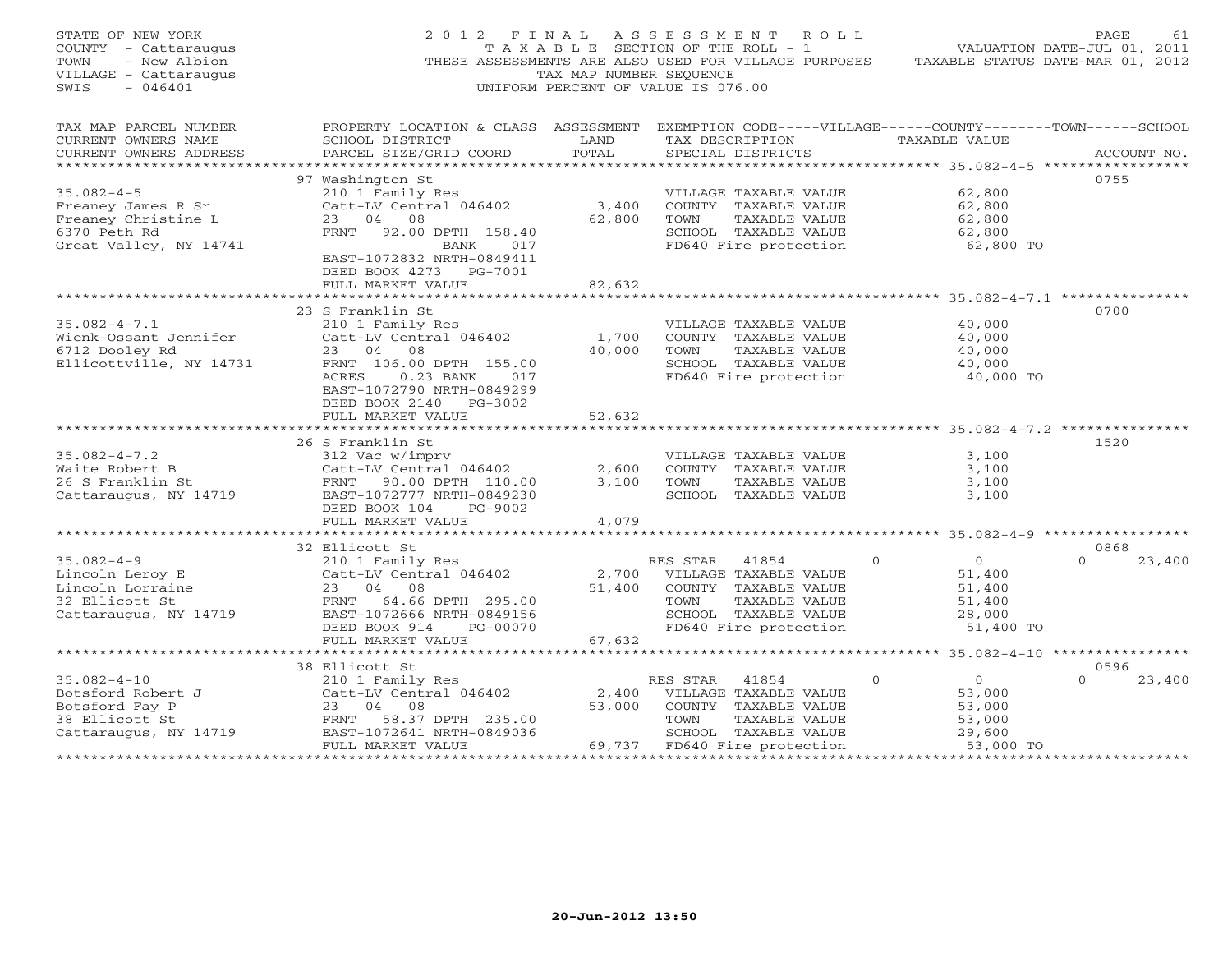| STATE OF NEW YORK<br>COUNTY - Cattaraugus<br>TOWN<br>- New Albion<br>VILLAGE - Cattaraugus<br>SWIS<br>$-046401$ | 2 0 1 2<br>F I N A L                                                                                                                                                                                                   | TAX MAP NUMBER SEOUENCE   | A S S E S S M E N T<br>ROLL<br>T A X A B L E SECTION OF THE ROLL - 1<br>THESE ASSESSMENTS ARE ALSO USED FOR VILLAGE PURPOSES<br>UNIFORM PERCENT OF VALUE IS 076.00 |                                                                                                        | PAGE<br>61<br>VALUATION DATE-JUL 01, 2011<br>TAXABLE STATUS DATE-MAR 01, 2012 |
|-----------------------------------------------------------------------------------------------------------------|------------------------------------------------------------------------------------------------------------------------------------------------------------------------------------------------------------------------|---------------------------|--------------------------------------------------------------------------------------------------------------------------------------------------------------------|--------------------------------------------------------------------------------------------------------|-------------------------------------------------------------------------------|
| TAX MAP PARCEL NUMBER<br>CURRENT OWNERS NAME<br>CURRENT OWNERS ADDRESS<br>**********************                | PROPERTY LOCATION & CLASS ASSESSMENT EXEMPTION CODE-----VILLAGE------COUNTY-------TOWN------SCHOOL<br>SCHOOL DISTRICT<br>PARCEL SIZE/GRID COORD                                                                        | LAND<br>TOTAL             | TAX DESCRIPTION<br>SPECIAL DISTRICTS                                                                                                                               | TAXABLE VALUE                                                                                          | ACCOUNT NO.                                                                   |
| $35.082 - 4 - 5$<br>Freaney James R Sr<br>Freaney Christine L<br>6370 Peth Rd<br>Great Valley, NY 14741         | 97 Washington St<br>210 1 Family Res<br>Catt-LV Central 046402<br>23<br>04<br>08<br>92.00 DPTH 158.40<br>FRNT<br>BANK<br>017<br>EAST-1072832 NRTH-0849411<br>DEED BOOK 4273 PG-7001                                    | 3,400<br>62,800           | VILLAGE TAXABLE VALUE<br>COUNTY TAXABLE VALUE<br>TOWN<br>TAXABLE VALUE<br>SCHOOL TAXABLE VALUE<br>FD640 Fire protection                                            | 62,800<br>62,800<br>62,800<br>62,800<br>62,800 TO                                                      | 0755                                                                          |
|                                                                                                                 | FULL MARKET VALUE                                                                                                                                                                                                      | 82,632                    |                                                                                                                                                                    |                                                                                                        |                                                                               |
| $35.082 - 4 - 7.1$<br>Wienk-Ossant Jennifer<br>6712 Dooley Rd<br>Ellicottville, NY 14731                        | 23 S Franklin St<br>210 1 Family Res<br>Catt-LV Central 046402<br>23<br>04<br>08<br>FRNT 106.00 DPTH 155.00<br>ACRES<br>$0.23$ BANK<br>017<br>EAST-1072790 NRTH-0849299<br>DEED BOOK 2140 PG-3002<br>FULL MARKET VALUE | 1,700<br>40,000<br>52,632 | VILLAGE TAXABLE VALUE<br>COUNTY TAXABLE VALUE<br>TOWN<br>TAXABLE VALUE<br>SCHOOL TAXABLE VALUE<br>FD640 Fire protection                                            | 40,000<br>40,000<br>40,000<br>40,000<br>40,000 TO                                                      | 0700                                                                          |
|                                                                                                                 | ************************                                                                                                                                                                                               | *************             |                                                                                                                                                                    |                                                                                                        |                                                                               |
| $35.082 - 4 - 7.2$<br>Waite Robert B<br>26 S Franklin St<br>Cattaraugus, NY 14719                               | 26 S Franklin St<br>312 Vac w/imprv<br>Catt-LV Central 046402<br>FRNT 90.00 DPTH 110.00<br>EAST-1072777 NRTH-0849230<br>DEED BOOK 104<br>PG-9002                                                                       | 2,600<br>3,100            | VILLAGE TAXABLE VALUE<br>COUNTY TAXABLE VALUE<br>TOWN<br>TAXABLE VALUE<br>SCHOOL TAXABLE VALUE                                                                     | 3,100<br>3,100<br>3,100<br>3,100                                                                       | 1520                                                                          |
|                                                                                                                 | FULL MARKET VALUE<br>* * * * * * * * * * * * * * * * * * *                                                                                                                                                             | 4,079                     |                                                                                                                                                                    | ****************** 35.082-4-9 ******************                                                       |                                                                               |
|                                                                                                                 | 32 Ellicott St                                                                                                                                                                                                         |                           |                                                                                                                                                                    |                                                                                                        | 0868                                                                          |
| $35.082 - 4 - 9$<br>Lincoln Leroy E<br>Lincoln Lorraine<br>32 Ellicott St<br>Cattaraugus, NY 14719              | 210 1 Family Res<br>Catt-LV Central 046402<br>23<br>04<br>08<br>FRNT 64.66 DPTH 295.00<br>EAST-1072666 NRTH-0849156<br>DEED BOOK 914<br>PG-00070                                                                       | 2,700<br>51,400           | RES STAR<br>41854<br>VILLAGE TAXABLE VALUE<br>COUNTY TAXABLE VALUE<br>TOWN<br>TAXABLE VALUE<br>SCHOOL TAXABLE VALUE<br>FD640 Fire protection                       | $\overline{0}$<br>$\Omega$<br>51,400<br>51,400<br>51,400<br>28,000<br>51,400 TO                        | $\Omega$<br>23,400                                                            |
|                                                                                                                 | FULL MARKET VALUE<br>*************************                                                                                                                                                                         | 67,632                    |                                                                                                                                                                    |                                                                                                        |                                                                               |
|                                                                                                                 | 38 Ellicott St                                                                                                                                                                                                         |                           |                                                                                                                                                                    |                                                                                                        | 0596                                                                          |
| $35.082 - 4 - 10$<br>Botsford Robert J<br>Botsford Fay P<br>38 Ellicott St<br>Cattaraugus, NY 14719             | 210 1 Family Res<br>Catt-LV Central 046402<br>23<br>04<br>08<br>58.37 DPTH 235.00<br>FRNT<br>EAST-1072641 NRTH-0849036<br>FULL MARKET VALUE<br>****************************                                            | 2,400<br>53,000<br>69,737 | RES STAR<br>41854<br>VILLAGE TAXABLE VALUE<br>COUNTY TAXABLE VALUE<br>TOWN<br>TAXABLE VALUE<br>SCHOOL TAXABLE VALUE<br>FD640 Fire protection                       | $\overline{0}$<br>$\Omega$<br>53,000<br>53,000<br>53,000<br>29,600<br>53,000 TO<br>******************* | $\Omega$<br>23,400<br>****************                                        |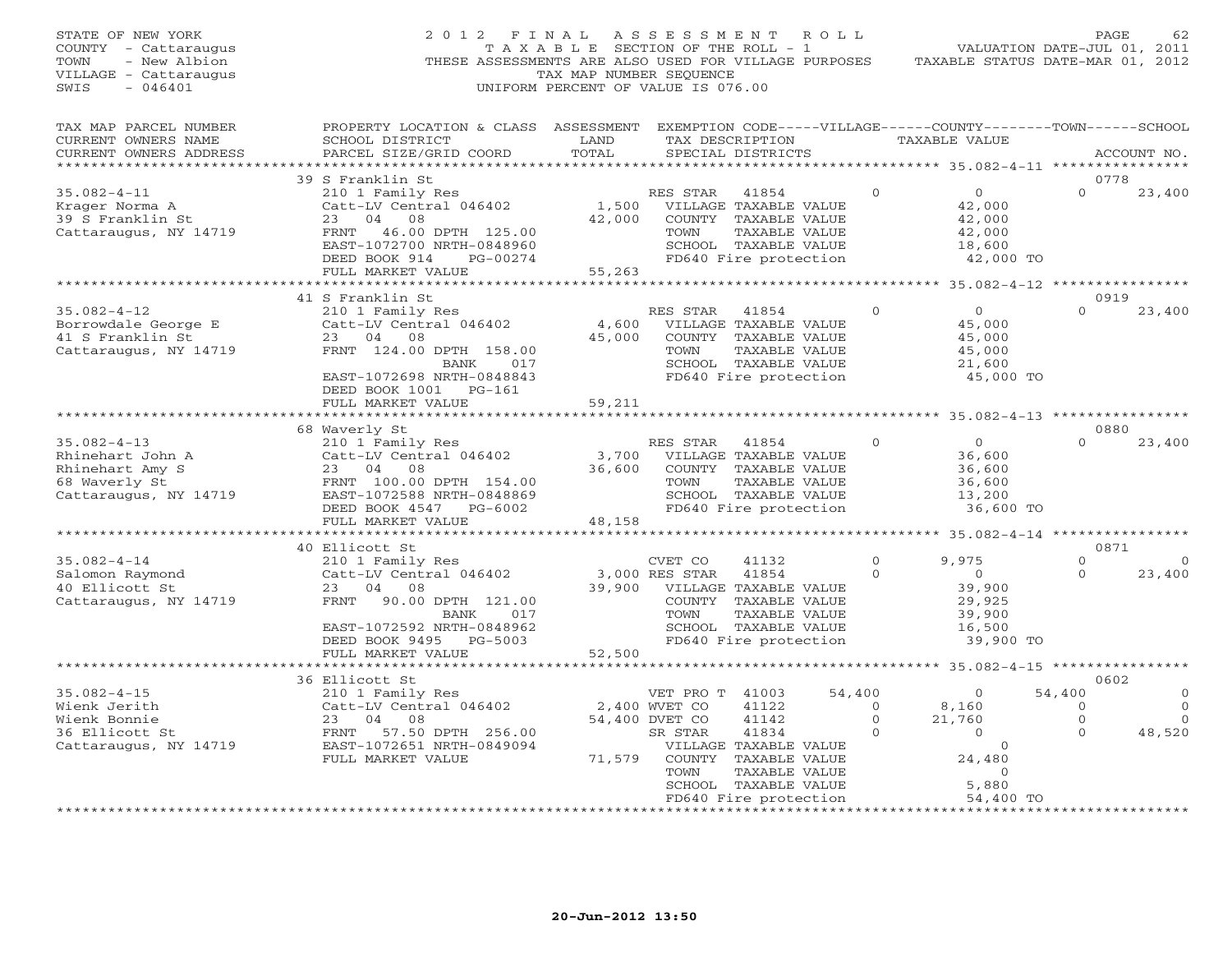| STATE OF NEW YORK<br>COUNTY - Cattaraugus<br>- New Albion<br>TOWN<br>VILLAGE - Cattaraugus<br>$-046401$<br>SWIS | 2 0 1 2<br>THESE ASSESSMENTS ARE ALSO USED FOR VILLAGE PURPOSES                                                                                                                                | FINAL<br>T A X A B L E SECTION OF THE ROLL - 1<br>TAX MAP NUMBER SEQUENCE<br>UNIFORM PERCENT OF VALUE IS 076.00 | ASSESSMENT                                                            |                                                                                                                                   | ROLL                                    | TAXABLE STATUS DATE-MAR 01, 2012                                                | PAGE<br>VALUATION DATE-JUL 01, 2011 | 62                               |
|-----------------------------------------------------------------------------------------------------------------|------------------------------------------------------------------------------------------------------------------------------------------------------------------------------------------------|-----------------------------------------------------------------------------------------------------------------|-----------------------------------------------------------------------|-----------------------------------------------------------------------------------------------------------------------------------|-----------------------------------------|---------------------------------------------------------------------------------|-------------------------------------|----------------------------------|
| TAX MAP PARCEL NUMBER<br>CURRENT OWNERS NAME<br>CURRENT OWNERS ADDRESS                                          | PROPERTY LOCATION & CLASS ASSESSMENT EXEMPTION CODE-----VILLAGE------COUNTY-------TOWN------SCHOOL<br>SCHOOL DISTRICT<br>PARCEL SIZE/GRID COORD                                                | LAND<br>TOTAL                                                                                                   |                                                                       | TAX DESCRIPTION<br>SPECIAL DISTRICTS                                                                                              |                                         | <b>TAXABLE VALUE</b>                                                            |                                     | ACCOUNT NO.                      |
| *************************                                                                                       | 39 S Franklin St                                                                                                                                                                               |                                                                                                                 |                                                                       |                                                                                                                                   |                                         |                                                                                 | 0778                                |                                  |
| $35.082 - 4 - 11$<br>Krager Norma A<br>39 S Franklin St<br>Cattaraugus, NY 14719                                | 210 1 Family Res<br>Catt-LV Central 046402<br>23<br>04<br>08<br>FRNT 46.00 DPTH 125.00<br>EAST-1072700 NRTH-0848960<br>DEED BOOK 914<br>PG-00274<br>FULL MARKET VALUE                          | 1,500<br>42,000<br>55,263                                                                                       | RES STAR<br>TOWN                                                      | 41854<br>VILLAGE TAXABLE VALUE<br>COUNTY TAXABLE VALUE<br>TAXABLE VALUE<br>SCHOOL TAXABLE VALUE<br>FD640 Fire protection          | $\circ$                                 | $\overline{O}$<br>42,000<br>42,000<br>42,000<br>18,600<br>42,000 TO             |                                     | 23,400                           |
|                                                                                                                 |                                                                                                                                                                                                |                                                                                                                 |                                                                       |                                                                                                                                   |                                         | ********* 35.082-4-12 ****************                                          |                                     |                                  |
| $35.082 - 4 - 12$<br>Borrowdale George E<br>41 S Franklin St<br>Cattaraugus, NY 14719                           | 41 S Franklin St<br>210 1 Family Res<br>Catt-LV Central 046402<br>23 04<br>08<br>FRNT 124.00 DPTH 158.00<br><b>BANK</b><br>017<br>EAST-1072698 NRTH-0848843<br>DEED BOOK 1001 PG-161           | 4,600<br>45,000                                                                                                 | RES STAR<br>TOWN                                                      | 41854<br>VILLAGE TAXABLE VALUE<br>COUNTY TAXABLE VALUE<br>TAXABLE VALUE<br>SCHOOL TAXABLE VALUE<br>FD640 Fire protection          | $\mathbf{0}$                            | $\circ$<br>45,000<br>45,000<br>45,000<br>21,600<br>45,000 TO                    | 0919<br>$\Omega$                    | 23,400                           |
|                                                                                                                 | FULL MARKET VALUE                                                                                                                                                                              | 59,211<br>********                                                                                              |                                                                       |                                                                                                                                   |                                         | ******** 35.082-4-13 ***********                                                |                                     |                                  |
| $35.082 - 4 - 13$<br>Rhinehart John A<br>Rhinehart Amy S<br>68 Waverly St<br>Cattaraugus, NY 14719              | 68 Waverly St<br>210 1 Family Res<br>Catt-LV Central 046402<br>23<br>04<br>08<br>FRNT 100.00 DPTH 154.00<br>EAST-1072588 NRTH-0848869<br>DEED BOOK 4547<br>PG-6002<br>FULL MARKET VALUE        | 3,700<br>36,600<br>48,158                                                                                       | RES STAR<br>TOWN                                                      | 41854<br>VILLAGE TAXABLE VALUE<br>COUNTY TAXABLE VALUE<br>TAXABLE VALUE<br>SCHOOL TAXABLE VALUE<br>FD640 Fire protection          | $\Omega$                                | $\circ$<br>36,600<br>36,600<br>36,600<br>13,200<br>36,600 TO                    | 0880<br>$\Omega$                    | 23,400                           |
|                                                                                                                 | 40 Ellicott St                                                                                                                                                                                 |                                                                                                                 |                                                                       |                                                                                                                                   |                                         |                                                                                 | 0871                                |                                  |
| $35.082 - 4 - 14$<br>Salomon Raymond<br>40 Ellicott St<br>Cattaraugus, NY 14719                                 | 210 1 Family Res<br>Catt-LV Central 046402<br>23<br>04<br>08<br>FRNT<br>90.00 DPTH 121.00<br><b>BANK</b><br>017<br>EAST-1072592 NRTH-0848962<br>DEED BOOK 9495<br>PG-5003<br>FULL MARKET VALUE | 39,900<br>52,500                                                                                                | CVET CO<br>3,000 RES STAR<br>TOWN                                     | 41132<br>41854<br>VILLAGE TAXABLE VALUE<br>COUNTY TAXABLE VALUE<br>TAXABLE VALUE<br>SCHOOL TAXABLE VALUE<br>FD640 Fire protection | $\Omega$<br>$\mathbf{0}$                | 9,975<br>$\overline{O}$<br>39,900<br>29,925<br>39,900<br>16,500<br>39,900 TO    | $\Omega$<br>$\Omega$                | $\Omega$<br>23,400               |
|                                                                                                                 | ***********************                                                                                                                                                                        |                                                                                                                 |                                                                       |                                                                                                                                   |                                         |                                                                                 |                                     |                                  |
| $35.082 - 4 - 15$                                                                                               | 36 Ellicott St                                                                                                                                                                                 |                                                                                                                 |                                                                       |                                                                                                                                   | 54,400                                  |                                                                                 | 0602<br>54,400                      |                                  |
| Wienk Jerith<br>Wienk Bonnie<br>36 Ellicott St<br>Cattaraugus, NY 14719                                         | 210 1 Family Res<br>Catt-LV Central 046402<br>23<br>04<br>08<br>FRNT 57.50 DPTH 256.00<br>EAST-1072651 NRTH-0849094<br>FULL MARKET VALUE                                                       | 71,579                                                                                                          | VET PRO T 41003<br>2,400 WVET CO<br>54,400 DVET CO<br>SR STAR<br>TOWN | 41122<br>41142<br>41834<br>VILLAGE TAXABLE VALUE<br>COUNTY TAXABLE VALUE<br>TAXABLE VALUE<br>SCHOOL TAXABLE VALUE                 | $\circ$<br>$\mathbf{0}$<br>$\mathbf{0}$ | $\circ$<br>8,160<br>21,760<br>$\circ$<br>$\circ$<br>24,480<br>$\Omega$<br>5,880 | $\circ$<br>$\mathbf{0}$<br>$\Omega$ | $\mathbf{0}$<br>$\cap$<br>48,520 |
|                                                                                                                 |                                                                                                                                                                                                |                                                                                                                 |                                                                       | FD640 Fire protection<br>***********************                                                                                  |                                         | 54,400 TO<br>* * * * * * * * * * * * * * * * * *                                |                                     |                                  |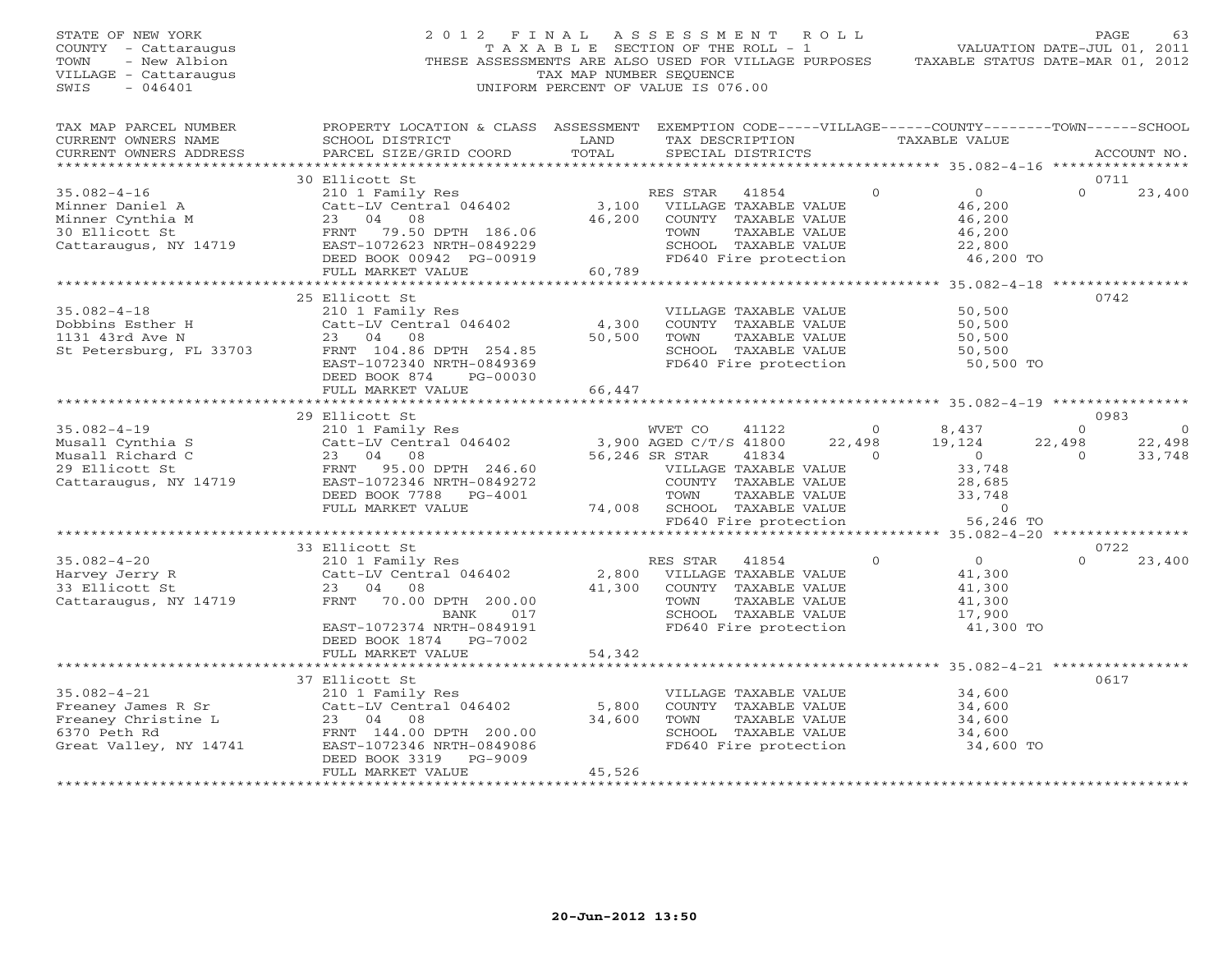| STATE OF NEW YORK<br>COUNTY - Cattaraugus<br>TOWN<br>- New Albion<br>VILLAGE - Cattaraugus<br>SWIS<br>$-046401$        | 2012 FINAL                                                                                                                                                                                                                                                                                                                                                                                                                      | TAX MAP NUMBER SEOUENCE | A S S E S S M E N T R O L L<br>T A X A B L E SECTION OF THE ROLL - 1<br>THESE ASSESSMENTS ARE ALSO USED FOR VILLAGE PURPOSES<br>UNIFORM PERCENT OF VALUE IS 076.00                                                                                                 | TAXABLE STATUS DATE-MAR 01, 2012                                                                           | PAGE<br>63<br>VALUATION DATE-JUL 01, 2011                          |
|------------------------------------------------------------------------------------------------------------------------|---------------------------------------------------------------------------------------------------------------------------------------------------------------------------------------------------------------------------------------------------------------------------------------------------------------------------------------------------------------------------------------------------------------------------------|-------------------------|--------------------------------------------------------------------------------------------------------------------------------------------------------------------------------------------------------------------------------------------------------------------|------------------------------------------------------------------------------------------------------------|--------------------------------------------------------------------|
| TAX MAP PARCEL NUMBER<br>CURRENT OWNERS NAME<br>CURRENT OWNERS ADDRESS                                                 | PROPERTY LOCATION & CLASS ASSESSMENT EXEMPTION CODE-----VILLAGE------COUNTY-------TOWN------SCHOOL<br>SCHOOL DISTRICT<br>PARCEL SIZE/GRID COORD                                                                                                                                                                                                                                                                                 | LAND<br>TOTAL           | TAX DESCRIPTION TAXABLE VALUE<br>SPECIAL DISTRICTS                                                                                                                                                                                                                 |                                                                                                            | ACCOUNT NO.                                                        |
|                                                                                                                        |                                                                                                                                                                                                                                                                                                                                                                                                                                 |                         |                                                                                                                                                                                                                                                                    |                                                                                                            |                                                                    |
| $35.082 - 4 - 16$                                                                                                      | 30 Ellicott St                                                                                                                                                                                                                                                                                                                                                                                                                  |                         |                                                                                                                                                                                                                                                                    | $\Omega$<br>$\overline{0}$                                                                                 | 0711<br>23,400<br>$\Omega$                                         |
| Minner Daniel A<br>Minner Daniel A<br>Minner Cynthia M<br>30 Ellicott St<br>30 Ellicott St<br>Cattaraugus, NY 14719    | $\begin{tabular}{lllllllllll} \textbf{210} & \textbf{Family Res} & \textbf{RES STAR} & \textbf{41854} \\ \textbf{Catt-LV Central 046402} & \textbf{3,100} & \textbf{VILLAGE TAXABLE VALUE} \\ \textbf{23} & \textbf{04} & \textbf{08} & \textbf{46,200} & \textbf{COUNTY TAXABLE VALUE} \end{tabular}$<br>Catt-LV Central 046402<br>23 04 08<br>FRNT 79.50 DPTH 186.06<br>EAST-1072623 NRTH-0849229<br>DEED BOOK 00942 PG-00919 | 46,200                  | COUNTY TAXABLE VALUE<br>TAXABLE VALUE<br>TOWN<br>SCHOOL TAXABLE VALUE<br>FD640 Fire protection                                                                                                                                                                     | 46,200<br>46,200<br>46,200<br>22,800<br>46,200 TO                                                          |                                                                    |
|                                                                                                                        | FULL MARKET VALUE                                                                                                                                                                                                                                                                                                                                                                                                               | 60,789                  |                                                                                                                                                                                                                                                                    |                                                                                                            |                                                                    |
|                                                                                                                        |                                                                                                                                                                                                                                                                                                                                                                                                                                 |                         |                                                                                                                                                                                                                                                                    |                                                                                                            |                                                                    |
| $35.082 - 4 - 18$<br>Dobbins Esther H<br>1131 43rd Ave N<br>St Petersburg, FL 33703                                    | 25 Ellicott St<br>210 1 Family Res<br>Catt-LV Central 046402<br>23 04 08<br>FRNT 104.86 DPTH 254.85<br>EAST-1072340 NRTH-0849369<br>DEED BOOK 874 PG-00030                                                                                                                                                                                                                                                                      | 4,300<br>50,500         | VILLAGE TAXABLE VALUE<br>COUNTY TAXABLE VALUE<br>TOWN<br>TAXABLE VALUE<br>SCHOOL TAXABLE VALUE<br>FD640 Fire protection                                                                                                                                            | 50,500<br>50,500<br>50,500<br>50,500<br>50,500 TO                                                          | 0742                                                               |
|                                                                                                                        | FULL MARKET VALUE                                                                                                                                                                                                                                                                                                                                                                                                               | 66,447<br>************  |                                                                                                                                                                                                                                                                    |                                                                                                            |                                                                    |
|                                                                                                                        | 29 Ellicott St                                                                                                                                                                                                                                                                                                                                                                                                                  |                         |                                                                                                                                                                                                                                                                    | ************************ 35.082-4-19 **************                                                        | 0983                                                               |
| $35.082 - 4 - 19$<br>Musall Cynthia S<br>Musall Richard C<br>29 Ellicott St<br>29 Ellicott St<br>Cattaraugus, NY 14719 | 210 1 Family Res<br>Catt-LV Central 046402<br>23 04 08<br>FRNT 95.00 DPTH 246.60<br>EAST-1072346 NRTH-0849272<br>DEED BOOK 7788 PG-4001<br>FULL MARKET VALUE                                                                                                                                                                                                                                                                    |                         | WVET CO<br>41122<br>سیاسی بہت<br>3,900 AGED C/T/S 41800<br>56.246 SP CERT<br>22,498<br>$\overline{0}$<br>56,246 SR STAR<br>41834<br>VILLAGE TAXABLE VALUE<br>COUNTY TAXABLE VALUE<br>TAXABLE VALUE<br>TOWN<br>74,008 SCHOOL TAXABLE VALUE<br>FD640 Fire protection | 8,437<br>$\overline{0}$<br>19,124<br>$\overline{0}$<br>33,748<br>28,685<br>33,748<br>$\Omega$<br>56,246 TO | $\circ$<br>$\circ$<br>22,498<br>22,498<br>$\overline{0}$<br>33,748 |
|                                                                                                                        |                                                                                                                                                                                                                                                                                                                                                                                                                                 |                         |                                                                                                                                                                                                                                                                    |                                                                                                            |                                                                    |
|                                                                                                                        | 33 Ellicott St                                                                                                                                                                                                                                                                                                                                                                                                                  |                         |                                                                                                                                                                                                                                                                    |                                                                                                            | 0722                                                               |
| $35.082 - 4 - 20$<br>Harvey Jerry R<br>33 Ellicott St<br>Cattaraugus, NY 14719                                         | EIIICOLL SL<br>210 1 Family Res<br>Catt-LV Central 046402<br>23 04 08<br>FRNT 70.00 DPTH 200.00<br>017<br>BANK<br>EAST-1072374 NRTH-0849191<br>DEED BOOK 1874    PG-7002                                                                                                                                                                                                                                                        |                         | RES STAR 41854<br>2,800 VILLAGE TAXABLE VALUE<br>41,300 COUNTY TAXABLE VALUE<br>TOWN<br>TAXABLE VALUE<br>SCHOOL TAXABLE VALUE<br>FD640 Fire protection                                                                                                             | $\overline{O}$<br>$\Omega$<br>41,300<br>41,300<br>41,300<br>17,900<br>41,300 TO                            | $\Omega$<br>23,400                                                 |
|                                                                                                                        | FULL MARKET VALUE                                                                                                                                                                                                                                                                                                                                                                                                               | 54,342                  |                                                                                                                                                                                                                                                                    |                                                                                                            |                                                                    |
| $35.082 - 4 - 21$<br>Freaney James R Sr                                                                                | *****************************<br>37 Ellicott St<br>210 1 Family Res<br>Catt-LV Central 046402                                                                                                                                                                                                                                                                                                                                   | 5,800                   | VILLAGE TAXABLE VALUE<br>COUNTY TAXABLE VALUE                                                                                                                                                                                                                      | 34,600<br>34,600                                                                                           | 0617                                                               |
| Freaney Christine L<br>6370 Peth Rd<br>Great Valley, NY 14741                                                          | 23 04 08<br>FRNT 144.00 DPTH 200.00<br>EAST-1072346 NRTH-0849086<br>DEED BOOK 3319 PG-9009                                                                                                                                                                                                                                                                                                                                      | 34,600                  | TOWN<br>TAXABLE VALUE<br>SCHOOL TAXABLE VALUE<br>FD640 Fire protection                                                                                                                                                                                             | 34,600<br>34,600<br>34,600 TO                                                                              |                                                                    |
| **********************                                                                                                 | FULL MARKET VALUE                                                                                                                                                                                                                                                                                                                                                                                                               | 45,526                  |                                                                                                                                                                                                                                                                    |                                                                                                            |                                                                    |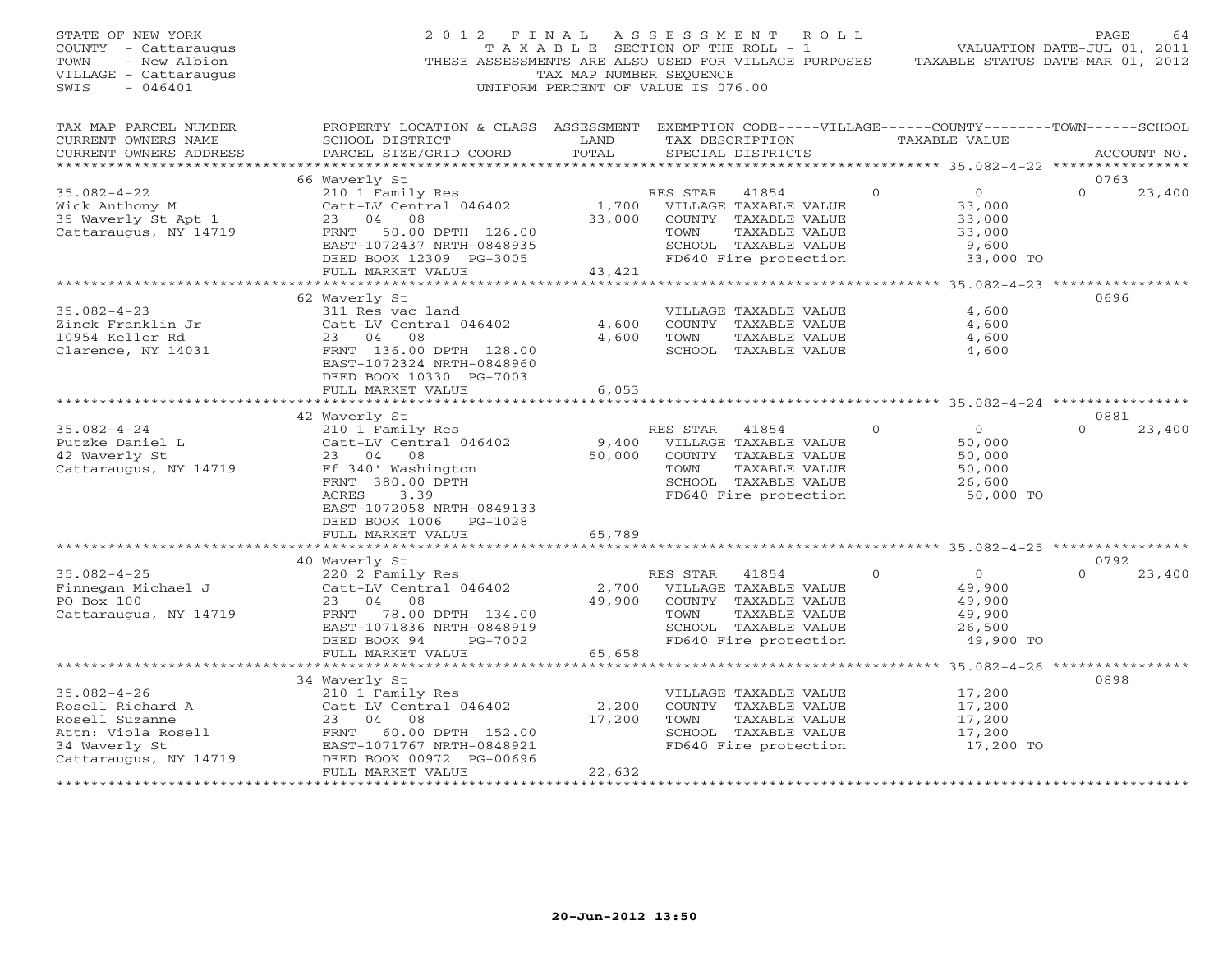| STATE OF NEW YORK<br>COUNTY - Cattaraugus<br>TOWN<br>- New Albion<br>VILLAGE - Cattaraugus<br>SWIS<br>$-046401$         | 2012 FINAL                                                                                                                                                                         | TAX MAP NUMBER SEQUENCE                      | ASSESSMENT ROLL<br>T A X A B L E SECTION OF THE ROLL - 1<br>THESE ASSESSMENTS ARE ALSO USED FOR VILLAGE PURPOSES<br>UNIFORM PERCENT OF VALUE IS 076.00 |                                                                                          | PAGE<br>64<br>VALUATION DATE-JUL 01, 2011<br>TAXABLE STATUS DATE-MAR 01, 2012 |
|-------------------------------------------------------------------------------------------------------------------------|------------------------------------------------------------------------------------------------------------------------------------------------------------------------------------|----------------------------------------------|--------------------------------------------------------------------------------------------------------------------------------------------------------|------------------------------------------------------------------------------------------|-------------------------------------------------------------------------------|
| TAX MAP PARCEL NUMBER<br>CURRENT OWNERS NAME<br>CURRENT OWNERS ADDRESS                                                  | PROPERTY LOCATION & CLASS ASSESSMENT EXEMPTION CODE-----VILLAGE------COUNTY-------TOWN------SCHOOL<br>SCHOOL DISTRICT<br>PARCEL SIZE/GRID COORD                                    | LAND<br>TOTAL                                | TAX DESCRIPTION<br>SPECIAL DISTRICTS                                                                                                                   | TAXABLE VALUE                                                                            | ACCOUNT NO.                                                                   |
|                                                                                                                         |                                                                                                                                                                                    |                                              |                                                                                                                                                        |                                                                                          |                                                                               |
| $35.082 - 4 - 22$                                                                                                       | 66 Waverly St<br>210 1 Family Res                                                                                                                                                  |                                              | RES STAR<br>41854                                                                                                                                      | $\overline{0}$<br>$\Omega$                                                               | 0763<br>23,400<br>$\Omega$                                                    |
| Wick Anthony M<br>35 Waverly St Apt 1<br>Cattaraugus, NY 14719                                                          | Catt-LV Central 046402<br>23<br>04 08<br>FRNT<br>50.00 DPTH 126.00<br>EAST-1072437 NRTH-0848935<br>DEED BOOK 12309 PG-3005                                                         | 1,700<br>33,000                              | VILLAGE TAXABLE VALUE<br>COUNTY TAXABLE VALUE<br>TOWN<br>TAXABLE VALUE<br>SCHOOL TAXABLE VALUE<br>FD640 Fire protection                                | 33,000<br>33,000<br>33,000<br>9,600<br>33,000 TO                                         |                                                                               |
|                                                                                                                         | FULL MARKET VALUE                                                                                                                                                                  | 43,421                                       |                                                                                                                                                        |                                                                                          |                                                                               |
| $35.082 - 4 - 23$<br>Zinck Franklin Jr<br>10954 Keller Rd<br>Clarence, NY 14031                                         | 62 Waverly St<br>311 Res vac land<br>Catt-LV Central 046402<br>23 04<br>08<br>FRNT 136.00 DPTH 128.00<br>EAST-1072324 NRTH-0848960<br>DEED BOOK 10330 PG-7003<br>FULL MARKET VALUE | 4,600<br>4,600<br>6,053<br>* * * * * * * * * | VILLAGE TAXABLE VALUE<br>COUNTY TAXABLE VALUE<br>TAXABLE VALUE<br>TOWN<br>SCHOOL TAXABLE VALUE                                                         | 4,600<br>4,600<br>4,600<br>4,600<br>********************** 35.082-4-24 ***************** | 0696                                                                          |
|                                                                                                                         | 42 Waverly St                                                                                                                                                                      |                                              |                                                                                                                                                        |                                                                                          | 0881                                                                          |
| $35.082 - 4 - 24$<br>Putzke Daniel L<br>42 Waverly St<br>Cattaraugus, NY 14719                                          | 210 1 Family Res<br>Catt-LV Central 046402<br>23 04<br>08<br>Ff 340' Washington<br>FRNT 380.00 DPTH<br>ACRES<br>3.39<br>EAST-1072058 NRTH-0849133<br>DEED BOOK 1006 PG-1028        | 9,400<br>50,000                              | RES STAR<br>41854<br>VILLAGE TAXABLE VALUE<br>COUNTY TAXABLE VALUE<br>TOWN<br>TAXABLE VALUE<br>SCHOOL TAXABLE VALUE<br>FD640 Fire protection           | $\circ$<br>$\Omega$<br>50,000<br>50,000<br>50,000<br>26,600<br>50,000 TO                 | $\Omega$<br>23,400                                                            |
|                                                                                                                         | FULL MARKET VALUE<br>**************************                                                                                                                                    | 65,789                                       |                                                                                                                                                        |                                                                                          |                                                                               |
| $35.082 - 4 - 25$<br>Finnegan Michael J<br>PO Box 100<br>Cattaraugus, NY 14719                                          | 40 Waverly St<br>220 2 Family Res<br>Catt-LV Central 046402<br>23<br>04<br>08<br>FRNT 78.00 DPTH 134.00<br>EAST-1071836 NRTH-0848919<br>DEED BOOK 94<br>PG-7002                    | 2,700<br>49,900                              | RES STAR<br>41854<br>VILLAGE TAXABLE VALUE<br>COUNTY TAXABLE VALUE<br>TOWN<br>TAXABLE VALUE<br>SCHOOL TAXABLE VALUE<br>FD640 Fire protection           | $\overline{0}$<br>$\Omega$<br>49,900<br>49,900<br>49,900<br>26,500<br>49,900 TO          | 0792<br>$\Omega$<br>23,400                                                    |
|                                                                                                                         | FULL MARKET VALUE                                                                                                                                                                  | 65,658                                       |                                                                                                                                                        |                                                                                          |                                                                               |
|                                                                                                                         |                                                                                                                                                                                    |                                              |                                                                                                                                                        |                                                                                          |                                                                               |
| $35.082 - 4 - 26$<br>Rosell Richard A<br>Rosell Suzanne<br>Attn: Viola Rosell<br>34 Waverly St<br>Cattaraugus, NY 14719 | 34 Waverly St<br>210 1 Family Res<br>Catt-LV Central 046402<br>23<br>08<br>04<br>60.00 DPTH 152.00<br>FRNT<br>EAST-1071767 NRTH-0848921<br>DEED BOOK 00972 PG-00696                | 2,200<br>17,200                              | VILLAGE TAXABLE VALUE<br>COUNTY TAXABLE VALUE<br>TAXABLE VALUE<br>TOWN<br>SCHOOL TAXABLE VALUE<br>FD640 Fire protection                                | 17,200<br>17,200<br>17,200<br>17,200<br>17,200 TO                                        | 0898                                                                          |
|                                                                                                                         | FULL MARKET VALUE<br>************************                                                                                                                                      | 22,632<br>***********                        |                                                                                                                                                        |                                                                                          |                                                                               |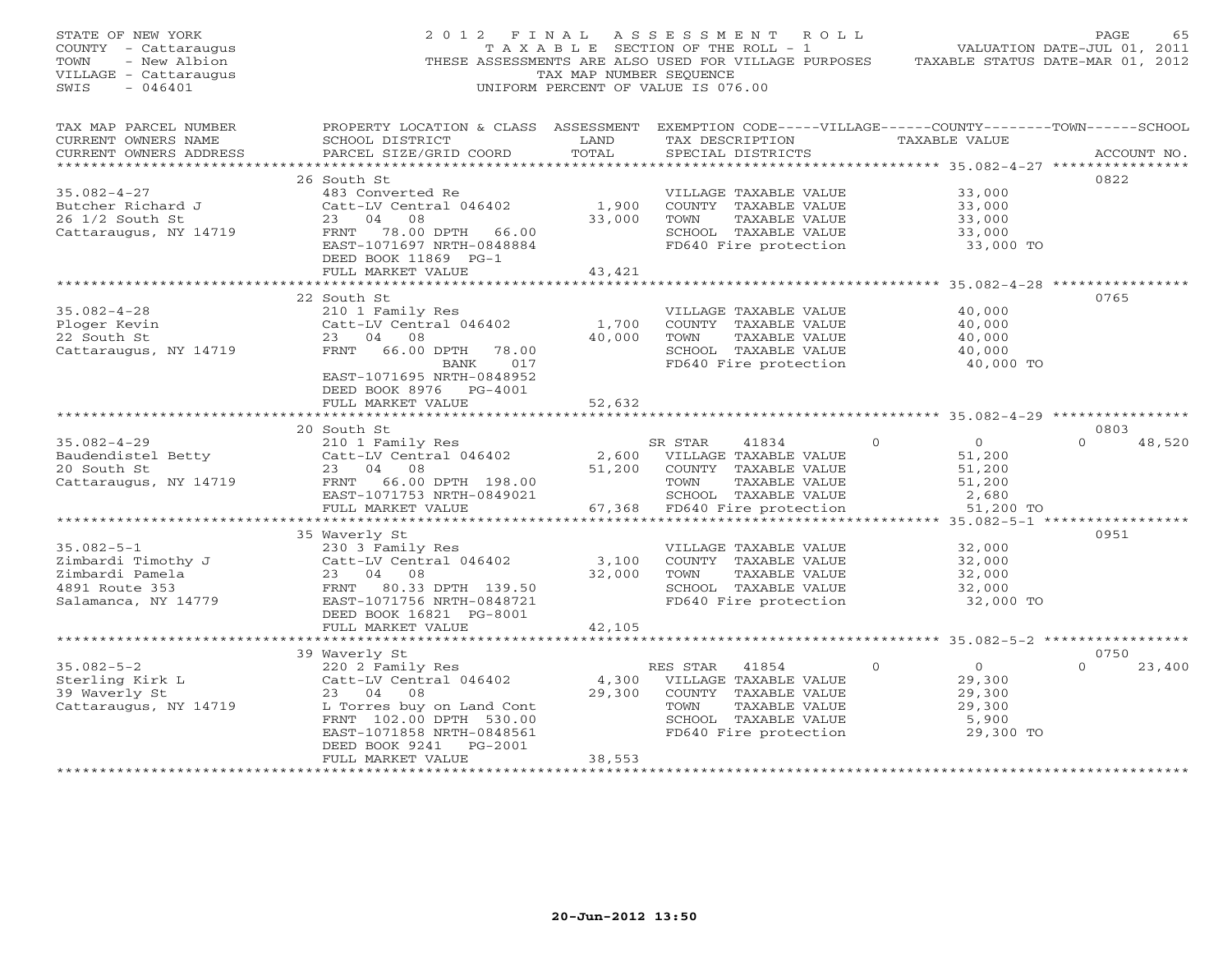| STATE OF NEW YORK<br>COUNTY - Cattaraugus<br>TOWN<br>- New Albion<br>VILLAGE - Cattaraugus<br>$-046401$<br>SWIS | 2012 FINAL                                                                                                                                                                                                                | TAX MAP NUMBER SEQUENCE   | ASSESSMENT ROLL<br>T A X A B L E SECTION OF THE ROLL - 1<br>THESE ASSESSMENTS ARE ALSO USED FOR VILLAGE PURPOSES<br>UNIFORM PERCENT OF VALUE IS 076.00   |                                                                                | PAGE<br>65<br>VALUATION DATE-JUL 01, 2011<br>TAXABLE STATUS DATE-MAR 01, 2012 |
|-----------------------------------------------------------------------------------------------------------------|---------------------------------------------------------------------------------------------------------------------------------------------------------------------------------------------------------------------------|---------------------------|----------------------------------------------------------------------------------------------------------------------------------------------------------|--------------------------------------------------------------------------------|-------------------------------------------------------------------------------|
| TAX MAP PARCEL NUMBER<br>CURRENT OWNERS NAME<br>CURRENT OWNERS ADDRESS<br>************************              | PROPERTY LOCATION & CLASS ASSESSMENT EXEMPTION CODE-----VILLAGE------COUNTY-------TOWN------SCHOOL<br>SCHOOL DISTRICT<br>PARCEL SIZE/GRID COORD                                                                           | LAND<br>TOTAL             | TAX DESCRIPTION TAXABLE VALUE<br>SPECIAL DISTRICTS                                                                                                       |                                                                                | ACCOUNT NO.                                                                   |
| $35.082 - 4 - 27$<br>Butcher Richard J<br>26 1/2 South St<br>26 1/2 South St<br>Cattaraugus, NY 14719           | 26 South St<br>483 Converted Re<br>Catt-LV Central 046402<br>23 04 08<br>FRNT 78.00 DPTH 66.00<br>EAST-1071697 NRTH-0848884<br>DEED BOOK 11869 PG-1<br>FULL MARKET VALUE                                                  | 1,900<br>33,000<br>43,421 | VILLAGE TAXABLE VALUE<br>COUNTY TAXABLE VALUE<br>TOWN TAXABLE VALUE<br>SCHOOL TAXABLE VALUE<br>FD640 Fire protection                                     | 33,000<br>33,000<br>33,000<br>33,000<br>33,000 TO                              | 0822                                                                          |
|                                                                                                                 | *******************************                                                                                                                                                                                           | *************             |                                                                                                                                                          |                                                                                |                                                                               |
| $35.082 - 4 - 28$<br>Ploger Kevin<br>22 South St<br>Cattaraugus, NY 14719                                       | 22 South St<br>210 1 Family Res<br>Catt-LV Central 046402<br>23 04 08<br>FRNT 66.00 DPTH 78.00<br>017<br>BANK                                                                                                             | 1,700<br>40,000           | VILLAGE TAXABLE VALUE<br>COUNTY TAXABLE VALUE<br>TAXABLE VALUE<br>TOWN<br>SCHOOL TAXABLE VALUE<br>FD640 Fire protection                                  | 40,000<br>40,000<br>40,000<br>40,000<br>40,000 TO                              | 0765                                                                          |
|                                                                                                                 | EAST-1071695 NRTH-0848952<br>DEED BOOK 8976 PG-4001<br>FULL MARKET VALUE                                                                                                                                                  | 52,632<br>**********      |                                                                                                                                                          | ********************* 35.082-4-29 *****************                            |                                                                               |
|                                                                                                                 | 20 South St                                                                                                                                                                                                               |                           |                                                                                                                                                          |                                                                                | 0803                                                                          |
| $35.082 - 4 - 29$<br>Baudendistel Betty<br>20 South St<br>Cattaraugus, NY 14719                                 | 210 1 Family Res<br>Catt-LV Central 046402<br>23 04 08<br>FRNT 66.00 DPTH 198.00<br>EAST-1071753 NRTH-0849021<br>FULL MARKET VALUE                                                                                        | 51,200                    | SR STAR<br>41834<br>2,600 VILLAGE TAXABLE VALUE<br>COUNTY TAXABLE VALUE<br>TOWN<br>TAXABLE VALUE<br>SCHOOL TAXABLE VALUE<br>67,368 FD640 Fire protection | $\Omega$<br>$\overline{O}$<br>51,200<br>51,200<br>51,200<br>2,680<br>51,200 TO | $\Omega$<br>48,520                                                            |
|                                                                                                                 |                                                                                                                                                                                                                           |                           |                                                                                                                                                          |                                                                                |                                                                               |
| $35.082 - 5 - 1$<br>Zimbardi Timothy J<br>Zimbardi Pamela<br>4891 Route 353<br>Salamanca, NY 14779              | 35 Waverly St<br>230 3 Family Res<br>Catt-LV Central 046402<br>23 04 08<br>FRNT 80.33 DPTH 139.50<br>EAST-1071756 NRTH-0848721<br>DEED BOOK 16821 PG-8001<br>FULL MARKET VALUE                                            | 3,100<br>32,000<br>42,105 | VILLAGE TAXABLE VALUE<br>COUNTY TAXABLE VALUE<br>TOWN<br>TAXABLE VALUE<br>SCHOOL TAXABLE VALUE<br>FD640 Fire protection                                  | 32,000<br>32,000<br>32,000<br>32,000<br>32,000 TO                              | 0951                                                                          |
|                                                                                                                 | *****************************                                                                                                                                                                                             | *********************     |                                                                                                                                                          | ********************** 35.082-5-2 *****************                            |                                                                               |
| $35.082 - 5 - 2$<br>Sterling Kirk L<br>39 Waverly St<br>Cattaraugus, NY 14719                                   | 39 Waverly St<br>nuveriy be<br>220 2 Family Res<br>Catt-LV Central 046402<br>23 04 08<br>L Torres buy on Land Cont<br>FRNT 102.00 DPTH 530.00<br>EAST-1071858 NRTH-0848561<br>DEED BOOK 9241 PG-2001<br>FULL MARKET VALUE | 4,300<br>29,300<br>38,553 | RES STAR<br>41854<br>VILLAGE TAXABLE VALUE<br>COUNTY TAXABLE VALUE<br>TAXABLE VALUE<br>TOWN<br>SCHOOL TAXABLE VALUE<br>FD640 Fire protection             | $\circ$<br>$\overline{0}$<br>29,300<br>29,300<br>29,300<br>5,900<br>29,300 TO  | 0750<br>23,400<br>$\Omega$                                                    |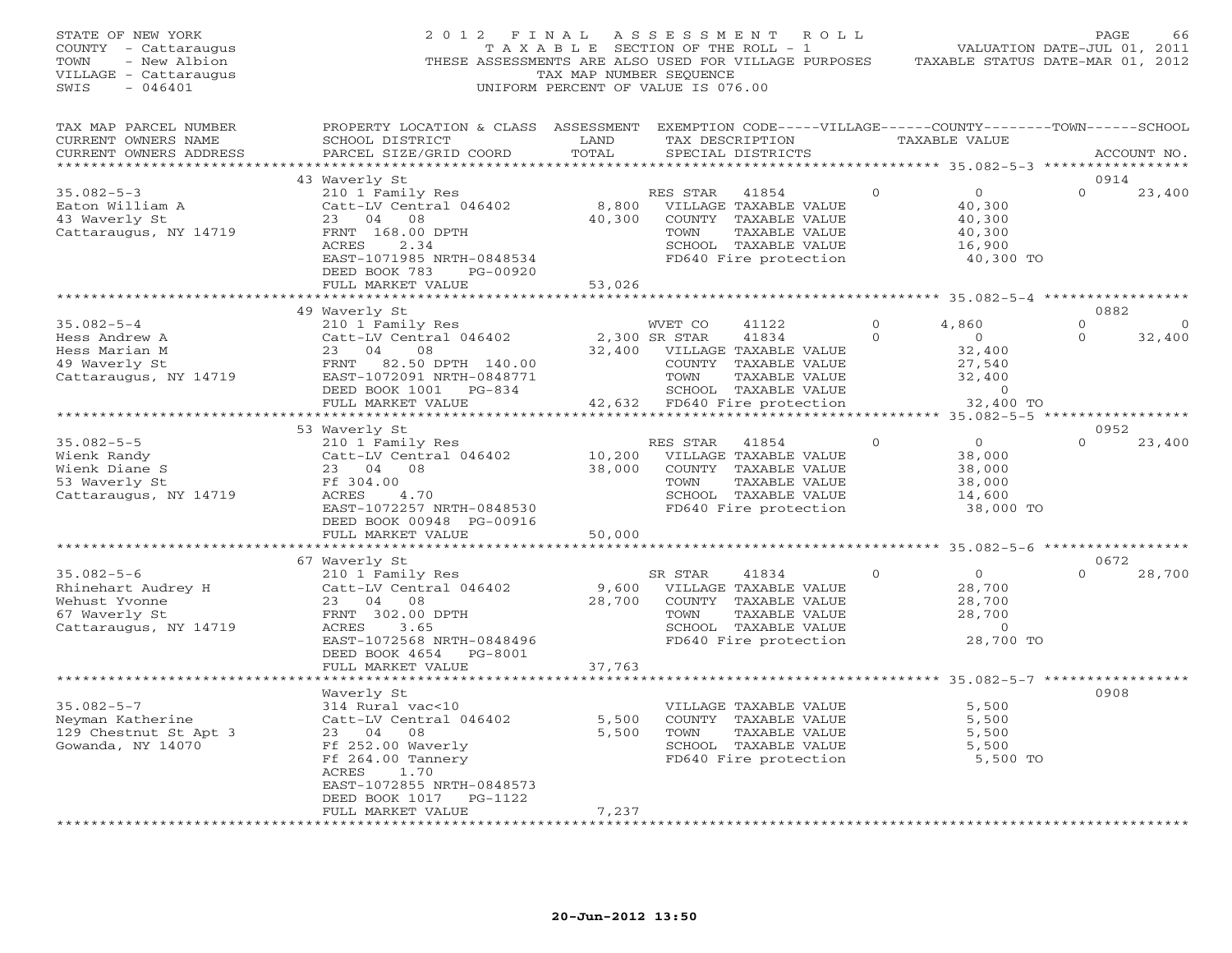| STATE OF NEW YORK<br>COUNTY - Cattaraugus<br>TOWN<br>- New Albion<br>VILLAGE - Cattaraugus<br>$-046401$<br>SWIS | 2012 FINAL<br>THESE ASSESSMENTS ARE ALSO USED FOR VILLAGE PURPOSES                                                                                                    | T A X A B L E SECTION OF THE ROLL - 1<br>TAX MAP NUMBER SEQUENCE<br>UNIFORM PERCENT OF VALUE IS 076.00 | ASSESSMENT                   |                                                                                                                          | ROLL                 | TAXABLE STATUS DATE-MAR 01, 2012                                                | PAGE<br>VALUATION DATE-JUL 01, 2011 | 66                |
|-----------------------------------------------------------------------------------------------------------------|-----------------------------------------------------------------------------------------------------------------------------------------------------------------------|--------------------------------------------------------------------------------------------------------|------------------------------|--------------------------------------------------------------------------------------------------------------------------|----------------------|---------------------------------------------------------------------------------|-------------------------------------|-------------------|
| TAX MAP PARCEL NUMBER<br>CURRENT OWNERS NAME<br>CURRENT OWNERS ADDRESS<br>***********************               | PROPERTY LOCATION & CLASS ASSESSMENT<br>SCHOOL DISTRICT<br>PARCEL SIZE/GRID COORD                                                                                     | LAND<br>TOTAL                                                                                          |                              | SPECIAL DISTRICTS                                                                                                        | TAX DESCRIPTION      | EXEMPTION CODE-----VILLAGE------COUNTY--------TOWN------SCHOOL<br>TAXABLE VALUE |                                     | ACCOUNT NO.       |
|                                                                                                                 | 43 Waverly St                                                                                                                                                         |                                                                                                        |                              |                                                                                                                          |                      |                                                                                 | 0914                                |                   |
| $35.082 - 5 - 3$<br>Eaton William A<br>43 Waverly St<br>Cattaraugus, NY 14719                                   | 210 1 Family Res<br>Catt-LV Central 046402<br>23 04 08<br>FRNT 168.00 DPTH<br>ACRES<br>2.34<br>EAST-1071985 NRTH-0848534<br>DEED BOOK 783<br>PG-00920                 | 8,800<br>40,300                                                                                        | RES STAR<br>TOWN             | 41854<br>VILLAGE TAXABLE VALUE<br>COUNTY TAXABLE VALUE<br>TAXABLE VALUE<br>SCHOOL TAXABLE VALUE<br>FD640 Fire protection | $\Omega$             | $\circ$<br>40,300<br>40,300<br>40,300<br>16,900<br>40,300 TO                    | $\Omega$                            | 23,400            |
|                                                                                                                 | FULL MARKET VALUE                                                                                                                                                     | 53,026                                                                                                 |                              |                                                                                                                          |                      |                                                                                 |                                     |                   |
|                                                                                                                 | 49 Waverly St                                                                                                                                                         |                                                                                                        |                              |                                                                                                                          |                      | ***** 35.082-5-4 ***********                                                    | 0882                                |                   |
| $35.082 - 5 - 4$<br>Hess Andrew A<br>Hess Marian M                                                              | 210 1 Family Res<br>Catt-LV Central 046402<br>23 04<br>08                                                                                                             | 32,400                                                                                                 | WVET CO<br>2,300 SR STAR     | 41122<br>41834<br>VILLAGE TAXABLE VALUE                                                                                  | $\Omega$<br>$\Omega$ | 4,860<br>$\overline{O}$<br>32,400                                               | $\mathsf{O}$<br>$\Omega$            | $\circ$<br>32,400 |
| 49 Waverly St<br>Cattaraugus, NY 14719                                                                          | FRNT<br>82.50 DPTH 140.00<br>EAST-1072091 NRTH-0848771<br>DEED BOOK 1001 PG-834                                                                                       |                                                                                                        | TOWN                         | COUNTY TAXABLE VALUE<br>TAXABLE VALUE<br>SCHOOL TAXABLE VALUE                                                            |                      | 27,540<br>32,400<br>$\circ$                                                     |                                     |                   |
|                                                                                                                 | FULL MARKET VALUE                                                                                                                                                     |                                                                                                        | 42,632 FD640 Fire protection |                                                                                                                          |                      | 32,400 TO<br>****** 35.082-5-5 ***                                              |                                     |                   |
|                                                                                                                 | 53 Waverly St                                                                                                                                                         |                                                                                                        |                              |                                                                                                                          |                      |                                                                                 | 0952                                |                   |
| $35.082 - 5 - 5$<br>Wienk Randy<br>Wienk Diane S<br>53 Waverly St<br>Cattaraugus, NY 14719                      | 210 1 Family Res<br>Catt-LV Central 046402<br>23 04<br>08<br>Ff 304.00<br>4.70<br>ACRES<br>EAST-1072257 NRTH-0848530<br>DEED BOOK 00948 PG-00916<br>FULL MARKET VALUE | 10,200<br>38,000<br>50,000                                                                             | RES STAR<br>TOWN             | 41854<br>VILLAGE TAXABLE VALUE<br>COUNTY TAXABLE VALUE<br>TAXABLE VALUE<br>SCHOOL TAXABLE VALUE<br>FD640 Fire protection | 0                    | $\overline{0}$<br>38,000<br>38,000<br>38,000<br>14,600<br>38,000 TO             | $\Omega$                            | 23,400            |
|                                                                                                                 | *************************                                                                                                                                             |                                                                                                        |                              |                                                                                                                          |                      |                                                                                 |                                     |                   |
|                                                                                                                 | 67 Waverly St                                                                                                                                                         |                                                                                                        |                              |                                                                                                                          |                      |                                                                                 | 0672                                |                   |
| $35.082 - 5 - 6$<br>Rhinehart Audrey H<br>Wehust Yvonne<br>67 Waverly St<br>Cattaraugus, NY 14719               | 210 1 Family Res<br>Catt-LV Central 046402<br>23 04<br>08<br>FRNT 302.00 DPTH<br>ACRES<br>3.65<br>EAST-1072568 NRTH-0848496<br>DEED BOOK 4654 PG-8001                 | 9,600<br>28,700                                                                                        | SR STAR<br>TOWN              | 41834<br>VILLAGE TAXABLE VALUE<br>COUNTY TAXABLE VALUE<br>TAXABLE VALUE<br>SCHOOL TAXABLE VALUE<br>FD640 Fire protection | $\mathbf{0}$         | $\overline{0}$<br>28,700<br>28,700<br>28,700<br>$\overline{0}$<br>28,700 TO     | $\Omega$                            | 28,700            |
|                                                                                                                 | FULL MARKET VALUE                                                                                                                                                     | 37,763                                                                                                 |                              |                                                                                                                          |                      |                                                                                 |                                     |                   |
|                                                                                                                 | Waverly St                                                                                                                                                            | ********                                                                                               |                              |                                                                                                                          |                      | ******************** 35.082-5-7 ***************                                 | 0908                                |                   |
| $35.082 - 5 - 7$<br>Neyman Katherine<br>129 Chestnut St Apt 3<br>Gowanda, NY 14070                              | 314 Rural vac<10<br>Catt-LV Central 046402<br>23 04<br>08<br>Ff 252.00 Waverly<br>Ff 264.00 Tannery<br>ACRES<br>1.70<br>EAST-1072855 NRTH-0848573                     | 5,500<br>5,500                                                                                         | TOWN                         | VILLAGE TAXABLE VALUE<br>COUNTY TAXABLE VALUE<br>TAXABLE VALUE<br>SCHOOL TAXABLE VALUE<br>FD640 Fire protection          |                      | 5,500<br>5,500<br>5,500<br>5,500<br>5,500 TO                                    |                                     |                   |
|                                                                                                                 | DEED BOOK 1017 PG-1122<br>FULL MARKET VALUE<br>****************                                                                                                       | 7,237                                                                                                  |                              |                                                                                                                          |                      |                                                                                 |                                     |                   |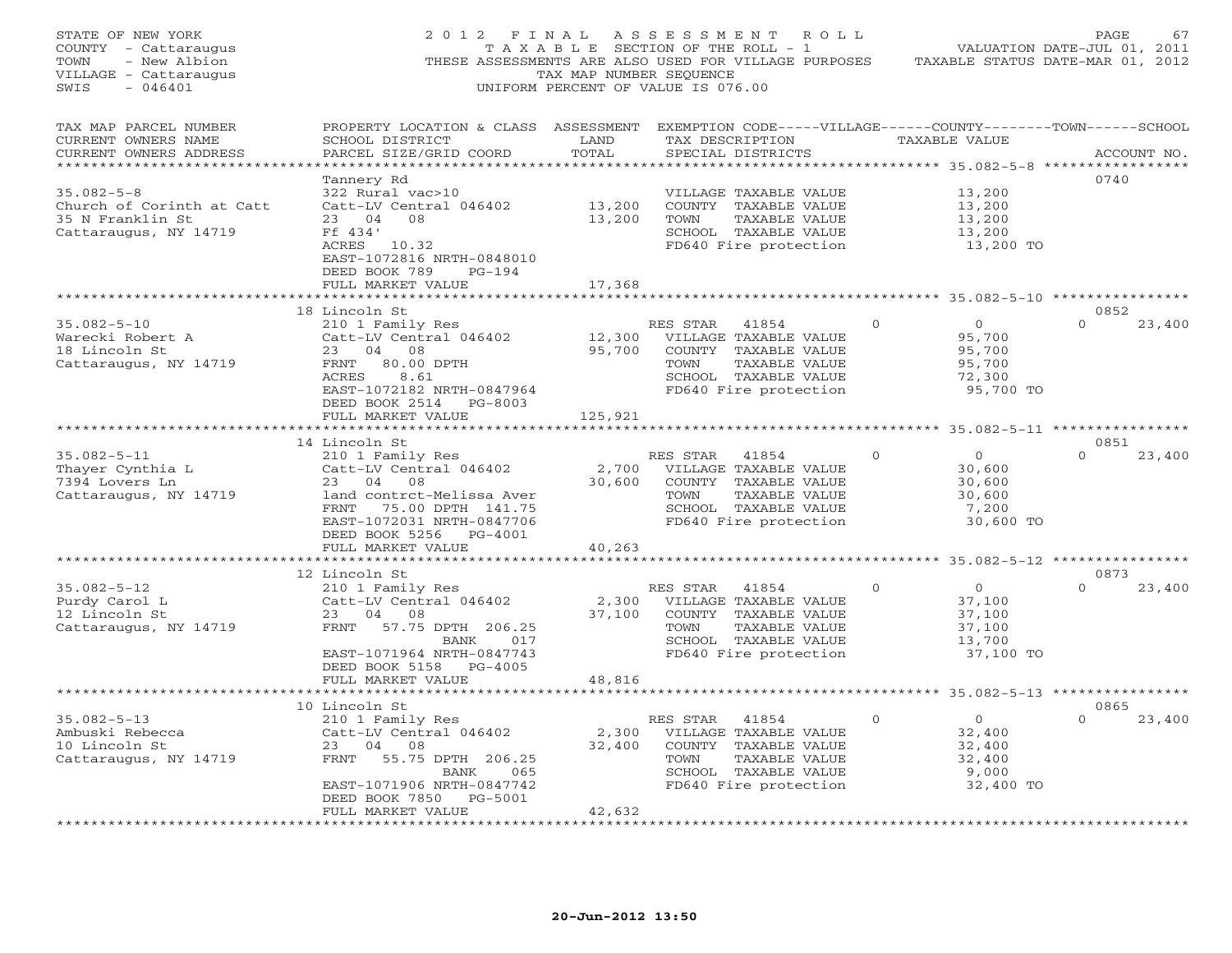| STATE OF NEW YORK<br>COUNTY - Cattaraugus<br>TOWN<br>- New Albion<br>VILLAGE - Cattaraugus<br>SWIS<br>$-046401$ | 2012 FINAL                                                                                                                                                                     | TAX MAP NUMBER SEQUENCE    | A S S E S S M E N T<br>R O L L<br>T A X A B L E SECTION OF THE ROLL - 1<br>THESE ASSESSMENTS ARE ALSO USED FOR VILLAGE PURPOSES<br>UNIFORM PERCENT OF VALUE IS 076.00 |               |                                                                     | PAGE<br>67<br>VALUATION DATE-JUL 01, 2011<br>TAXABLE STATUS DATE-MAR 01, 2012 |
|-----------------------------------------------------------------------------------------------------------------|--------------------------------------------------------------------------------------------------------------------------------------------------------------------------------|----------------------------|-----------------------------------------------------------------------------------------------------------------------------------------------------------------------|---------------|---------------------------------------------------------------------|-------------------------------------------------------------------------------|
| TAX MAP PARCEL NUMBER<br>CURRENT OWNERS NAME<br>CURRENT OWNERS ADDRESS<br>***********************               | PROPERTY LOCATION & CLASS ASSESSMENT EXEMPTION CODE-----VILLAGE------COUNTY-------TOWN------SCHOOL<br>SCHOOL DISTRICT<br>PARCEL SIZE/GRID COORD                                | LAND<br>TOTAL              | TAX DESCRIPTION<br>SPECIAL DISTRICTS                                                                                                                                  | TAXABLE VALUE |                                                                     | ACCOUNT NO.                                                                   |
| $35.082 - 5 - 8$<br>Church of Corinth at Catt<br>35 N Franklin St<br>Cattaraugus, NY 14719                      | Tannery Rd<br>322 Rural vac>10<br>Catt-LV Central 046402<br>23 04<br>08<br>Ff 434'<br>ACRES 10.32<br>EAST-1072816 NRTH-0848010<br>DEED BOOK 789<br>PG-194<br>FULL MARKET VALUE | 13,200<br>13,200<br>17,368 | VILLAGE TAXABLE VALUE<br>COUNTY TAXABLE VALUE<br>TOWN<br>TAXABLE VALUE<br>SCHOOL TAXABLE VALUE<br>FD640 Fire protection                                               |               | 13,200<br>13,200<br>13,200<br>13,200<br>13,200 TO                   | 0740                                                                          |
|                                                                                                                 |                                                                                                                                                                                |                            |                                                                                                                                                                       |               |                                                                     |                                                                               |
| $35.082 - 5 - 10$<br>Warecki Robert A<br>18 Lincoln St<br>Cattaraugus, NY 14719                                 | 18 Lincoln St<br>210 1 Family Res<br>Catt-LV Central 046402<br>23 04 08<br>FRNT 80.00 DPTH<br>ACRES<br>8.61<br>EAST-1072182 NRTH-0847964                                       | 12,300<br>95,700           | RES STAR<br>41854<br>VILLAGE TAXABLE VALUE<br>COUNTY TAXABLE VALUE<br>TAXABLE VALUE<br>TOWN<br>SCHOOL TAXABLE VALUE<br>FD640 Fire protection                          | $\circ$       | $\overline{O}$<br>95,700<br>95,700<br>95,700<br>72,300<br>95,700 TO | 0852<br>$\Omega$<br>23,400                                                    |
|                                                                                                                 | DEED BOOK 2514 PG-8003<br>FULL MARKET VALUE                                                                                                                                    | 125,921                    |                                                                                                                                                                       |               |                                                                     |                                                                               |
|                                                                                                                 |                                                                                                                                                                                |                            |                                                                                                                                                                       |               |                                                                     |                                                                               |
| $35.082 - 5 - 11$<br>Thayer Cynthia L<br>7394 Lovers Ln<br>Cattaraugus, NY 14719                                | 14 Lincoln St<br>210 1 Family Res<br>Catt-LV Central 046402<br>23 04<br>08<br>land contrct-Melissa Aver<br>FRNT 75.00 DPTH 141.75                                              | 2,700<br>30,600            | RES STAR<br>41854<br>VILLAGE TAXABLE VALUE<br>COUNTY TAXABLE VALUE<br>TOWN<br>TAXABLE VALUE<br>SCHOOL TAXABLE VALUE                                                   | $\Omega$      | $\circ$<br>30,600<br>30,600<br>30,600<br>7,200                      | 0851<br>$\Omega$<br>23,400                                                    |
|                                                                                                                 | EAST-1072031 NRTH-0847706<br>DEED BOOK 5256 PG-4001<br>FULL MARKET VALUE<br>**********************                                                                             | 40,263                     | FD640 Fire protection                                                                                                                                                 |               | 30,600 TO                                                           |                                                                               |
| $35.082 - 5 - 12$<br>Purdy Carol L<br>12 Lincoln St<br>Cattaraugus, NY 14719                                    | 12 Lincoln St<br>210 1 Family Res<br>Catt-LV Central 046402<br>23 04 08<br>FRNT 57.75 DPTH 206.25<br>BANK<br>017<br>EAST-1071964 NRTH-0847743<br>DEED BOOK 5158 PG-4005        | 2,300<br>37,100            | RES STAR 41854<br>VILLAGE TAXABLE VALUE<br>COUNTY TAXABLE VALUE<br>TOWN<br>TAXABLE VALUE<br>SCHOOL TAXABLE VALUE<br>FD640 Fire protection                             | $\Omega$      | $\overline{0}$<br>37,100<br>37,100<br>37,100<br>13,700<br>37,100 TO | 0873<br>$\Omega$<br>23,400                                                    |
|                                                                                                                 | FULL MARKET VALUE                                                                                                                                                              | 48,816                     |                                                                                                                                                                       |               |                                                                     |                                                                               |
|                                                                                                                 | 10 Lincoln St                                                                                                                                                                  |                            |                                                                                                                                                                       |               |                                                                     | 0865                                                                          |
| $35.082 - 5 - 13$<br>Ambuski Rebecca<br>10 Lincoln St<br>Cattaraugus, NY 14719                                  | 210 1 Family Res<br>Catt-LV Central 046402<br>23<br>04 08<br>FRNT<br>55.75 DPTH 206.25<br>BANK<br>065<br>EAST-1071906 NRTH-0847742<br>DEED BOOK 7850 PG-5001                   | 2,300<br>32,400            | 41854<br>RES STAR<br>VILLAGE TAXABLE VALUE<br>COUNTY TAXABLE VALUE<br>TOWN<br>TAXABLE VALUE<br>SCHOOL TAXABLE VALUE<br>FD640 Fire protection                          | $\Omega$      | $\overline{0}$<br>32,400<br>32,400<br>32,400<br>9,000<br>32,400 TO  | $\Omega$<br>23,400                                                            |
|                                                                                                                 | FULL MARKET VALUE<br>.                                                                                                                                                         | 42,632<br>.                |                                                                                                                                                                       |               |                                                                     |                                                                               |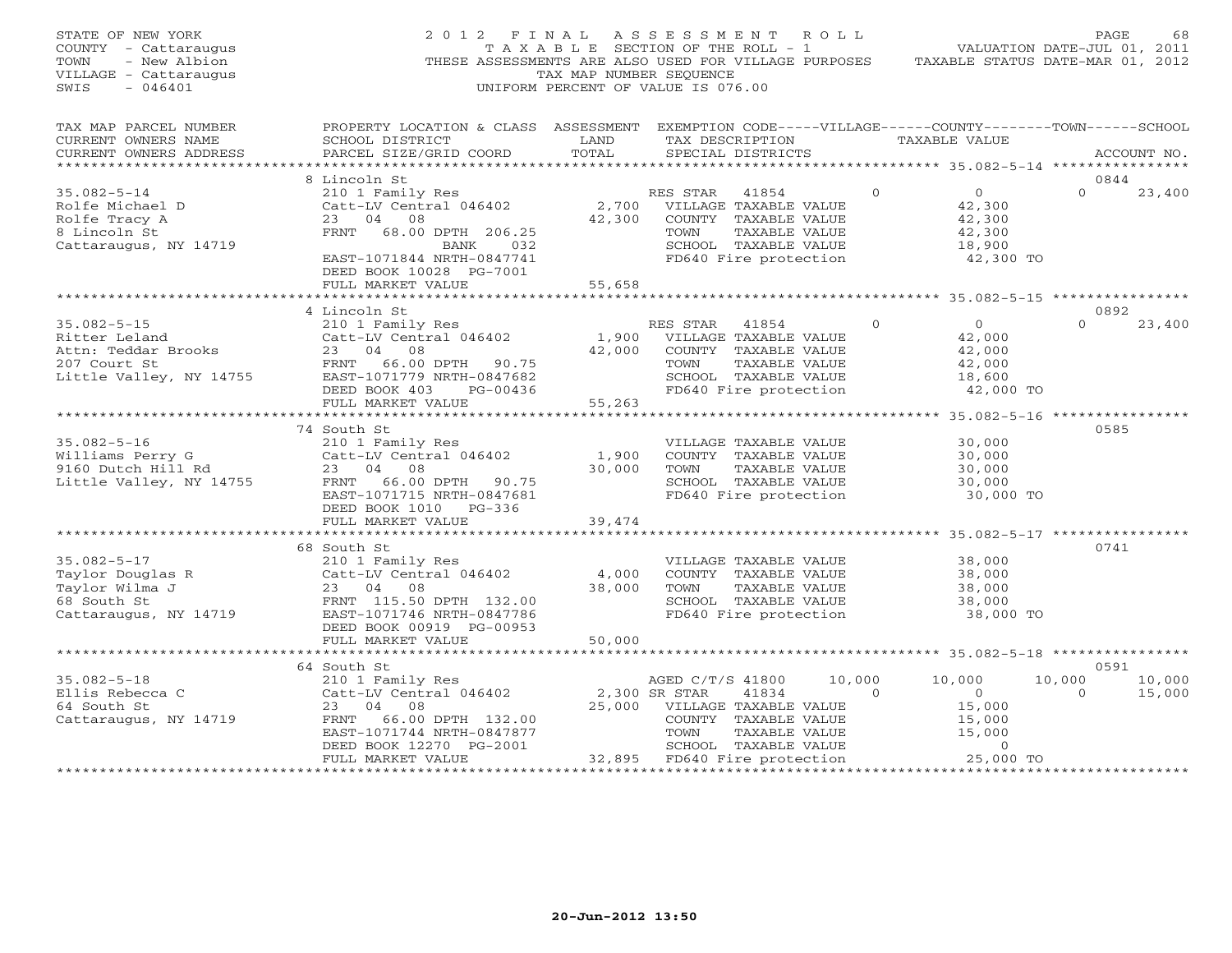| STATE OF NEW YORK<br>COUNTY - Cattaraugus<br>- New Albion<br>TOWN<br>VILLAGE - Cattaraugus<br>$-046401$<br>SWIS | 2012 FINAL<br>THESE ASSESSMENTS ARE ALSO USED FOR VILLAGE PURPOSES                                                                                                         | TAXABLE SECTION OF THE ROLL - 1<br>TAX MAP NUMBER SEQUENCE<br>UNIFORM PERCENT OF VALUE IS 076.00 |                                           | ASSESSMENT ROLL                                                                                                                       |                    | VALUATION DATE-JUL 01, 2011<br>TAXABLE STATUS DATE-MAR 01, 2012          | PAGE               | 68                       |
|-----------------------------------------------------------------------------------------------------------------|----------------------------------------------------------------------------------------------------------------------------------------------------------------------------|--------------------------------------------------------------------------------------------------|-------------------------------------------|---------------------------------------------------------------------------------------------------------------------------------------|--------------------|--------------------------------------------------------------------------|--------------------|--------------------------|
| TAX MAP PARCEL NUMBER<br>CURRENT OWNERS NAME<br>CURRENT OWNERS ADDRESS                                          | PROPERTY LOCATION & CLASS ASSESSMENT EXEMPTION CODE-----VILLAGE------COUNTY-------TOWN------SCHOOL<br>SCHOOL DISTRICT<br>PARCEL SIZE/GRID COORD                            | LAND<br>TOTAL                                                                                    |                                           | TAX DESCRIPTION<br>SPECIAL DISTRICTS                                                                                                  |                    | TAXABLE VALUE                                                            |                    | ACCOUNT NO.              |
| *******************                                                                                             |                                                                                                                                                                            |                                                                                                  |                                           |                                                                                                                                       |                    |                                                                          |                    |                          |
| $35.082 - 5 - 14$<br>Rolfe Michael D<br>Rolfe Tracy A<br>8 Lincoln St<br>Cattaraugus, NY 14719                  | 8 Lincoln St<br>210 1 Family Res<br>Catt-LV Central 046402<br>23 04 08<br>FRNT<br>68.00 DPTH 206.25<br>BANK<br>032<br>EAST-1071844 NRTH-0847741<br>DEED BOOK 10028 PG-7001 |                                                                                                  | RES STAR<br>TOWN                          | 41854<br>2,700 VILLAGE TAXABLE VALUE<br>42,300 COUNTY TAXABLE VALUE<br>TAXABLE VALUE<br>SCHOOL TAXABLE VALUE<br>FD640 Fire protection | $\Omega$           | $\overline{0}$<br>42,300<br>42,300<br>42,300<br>18,900<br>42,300 TO      | 0844<br>$\Omega$   | 23,400                   |
|                                                                                                                 | FULL MARKET VALUE<br>*******************************                                                                                                                       | 55,658                                                                                           |                                           |                                                                                                                                       |                    |                                                                          |                    |                          |
|                                                                                                                 | 4 Lincoln St                                                                                                                                                               |                                                                                                  |                                           |                                                                                                                                       |                    |                                                                          | 0892               |                          |
| $35.082 - 5 - 15$<br>Ritter Leland<br>Attn: Teddar Brooks<br>207 Court St<br>Little Valley, NY 14755            | 210 1 Family Res<br>Catt-LV Central 046402<br>23 04 08<br>FRNT 66.00 DPTH 90.75<br>EAST-1071779 NRTH-0847682<br>DEED BOOK 403<br>PG-00436<br>FULL MARKET VALUE             | 1,900<br>42,000<br>55,263                                                                        | RES STAR<br>TOWN                          | 41854<br>VILLAGE TAXABLE VALUE<br>COUNTY TAXABLE VALUE<br>TAXABLE VALUE<br>SCHOOL TAXABLE VALUE<br>FD640 Fire protection              | $\mathbf{0}$       | $\overline{0}$<br>42,000<br>42,000<br>42,000<br>18,600<br>42,000 TO      | $\Omega$           | 23,400                   |
|                                                                                                                 |                                                                                                                                                                            |                                                                                                  |                                           |                                                                                                                                       |                    |                                                                          |                    |                          |
| $35.082 - 5 - 16$<br>Williams Perry G<br>9160 Dutch Hill Rd<br>Little Valley, NY 14755                          | 74 South St<br>210 1 Family Res<br>Catt-LV Central 046402<br>23 04 08<br>FRNT 66.00 DPTH 90.75<br>EAST-1071715 NRTH-0847681<br>DEED BOOK 1010 PG-336                       | 1,900<br>30,000                                                                                  | TOWN                                      | VILLAGE TAXABLE VALUE<br>COUNTY TAXABLE VALUE<br>TAXABLE VALUE<br>SCHOOL TAXABLE VALUE<br>FD640 Fire protection                       |                    | 30,000<br>30,000<br>30,000<br>30,000<br>30,000 TO                        | 0585               |                          |
|                                                                                                                 | FULL MARKET VALUE                                                                                                                                                          | 39,474<br>* * * * * * * * * *                                                                    |                                           |                                                                                                                                       |                    | ********** 35.082-5-17 **********                                        |                    |                          |
| $35.082 - 5 - 17$<br>Taylor Douglas R<br>Taylor Wilma J<br>68 South St<br>Cattaraugus, NY 14719                 | 68 South St<br>210 1 Family Res<br>Catt-LV Central 046402<br>23 04 08<br>FRNT 115.50 DPTH 132.00<br>EAST-1071746 NRTH-0847786<br>DEED BOOK 00919 PG-00953                  | 4,000<br>38,000                                                                                  | TOWN                                      | VILLAGE TAXABLE VALUE<br>COUNTY TAXABLE VALUE<br>TAXABLE VALUE<br>SCHOOL TAXABLE VALUE<br>FD640 Fire protection                       |                    | 38,000<br>38,000<br>38,000<br>38,000<br>38,000 TO                        | 0741               |                          |
|                                                                                                                 | FULL MARKET VALUE                                                                                                                                                          | 50,000                                                                                           |                                           |                                                                                                                                       |                    |                                                                          |                    |                          |
|                                                                                                                 | **************************                                                                                                                                                 |                                                                                                  |                                           |                                                                                                                                       |                    |                                                                          |                    |                          |
| $35.082 - 5 - 18$<br>Ellis Rebecca C<br>64 South St<br>Cattaraugus, NY 14719                                    | 64 South St<br>210 1 Family Res<br>Catt-LV Central 046402<br>23<br>04 08<br>FRNT<br>66.00 DPTH 132.00<br>EAST-1071744 NRTH-0847877<br>DEED BOOK 12270 PG-2001              | 25,000                                                                                           | AGED C/T/S 41800<br>2,300 SR STAR<br>TOWN | 41834<br>VILLAGE TAXABLE VALUE<br>COUNTY TAXABLE VALUE<br>TAXABLE VALUE<br>SCHOOL TAXABLE VALUE                                       | 10,000<br>$\Omega$ | 10,000<br>$\overline{O}$<br>15,000<br>15,000<br>15,000<br>$\overline{0}$ | 10,000<br>$\Omega$ | 0591<br>10,000<br>15,000 |
|                                                                                                                 | FULL MARKET VALUE                                                                                                                                                          |                                                                                                  |                                           | 32,895 FD640 Fire protection                                                                                                          |                    | 25,000 TO                                                                |                    |                          |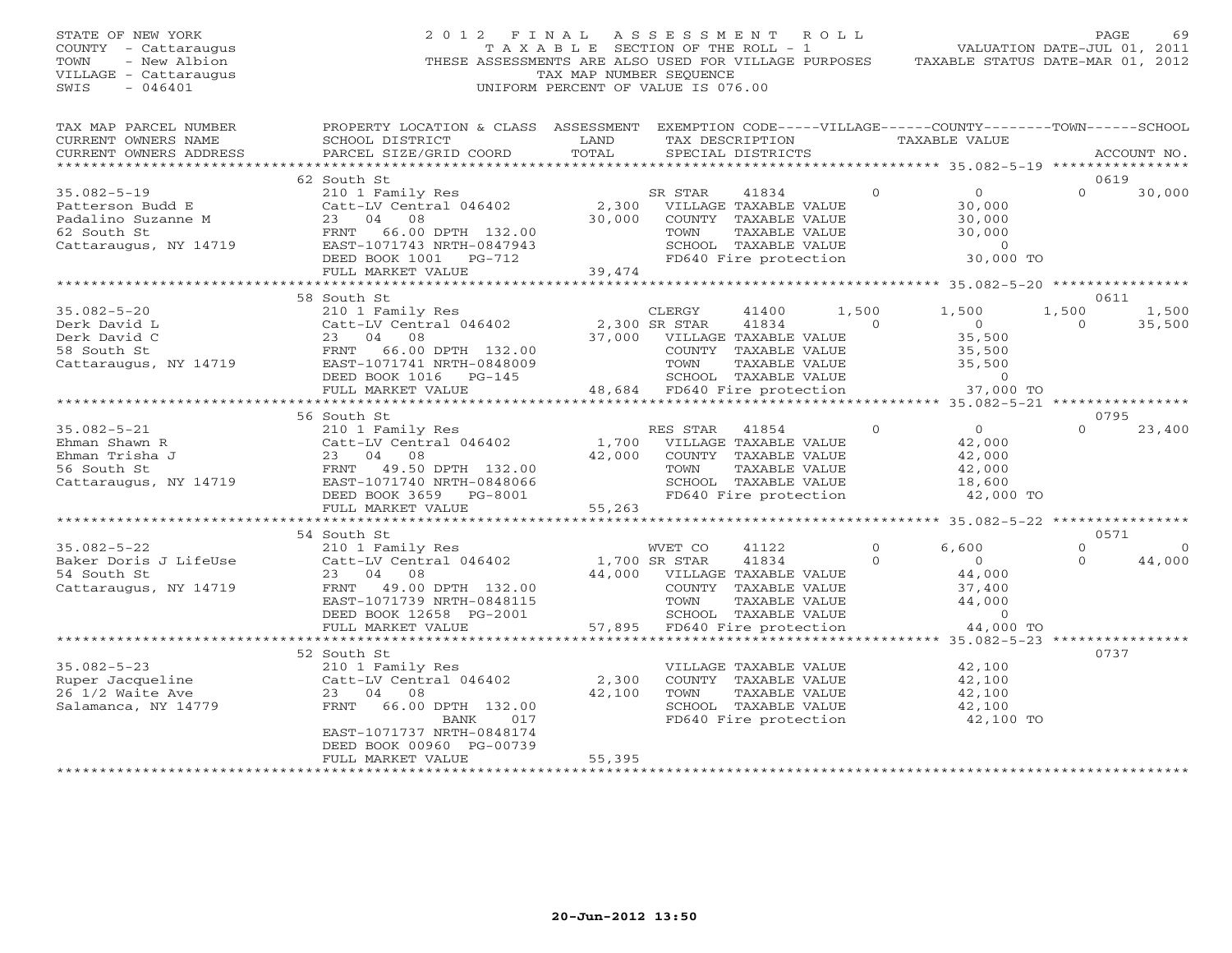| PROPERTY LOCATION & CLASS ASSESSMENT EXEMPTION CODE-----VILLAGE------COUNTY-------TOWN------SCHOOL<br>TAX MAP PARCEL NUMBER<br>CURRENT OWNERS NAME<br>SCHOOL DISTRICT<br>LAND<br>TAXABLE VALUE<br>TAX DESCRIPTION<br>TOTAL<br>CURRENT OWNERS ADDRESS<br>PARCEL SIZE/GRID COORD<br>SPECIAL DISTRICTS<br>ACCOUNT NO.<br>***********************<br>62 South St<br>0619<br>$35.082 - 5 - 19$<br>$\circ$<br>$\overline{O}$<br>$\Omega$<br>30,000<br>210 1 Family Res<br>SR STAR<br>41834<br>Catt-LV Central 046402<br>2,300<br>VILLAGE TAXABLE VALUE<br>30,000<br>Patterson Budd E<br>Padalino Suzanne M<br>23 04 08<br>30,000<br>COUNTY TAXABLE VALUE<br>30,000<br>62 South St<br>66.00 DPTH 132.00<br>30,000<br>FRNT<br>TOWN<br>TAXABLE VALUE<br>Cattaraugus, NY 14719<br>EAST-1071743 NRTH-0847943<br>SCHOOL TAXABLE VALUE<br>$\Omega$<br>DEED BOOK 1001 PG-712<br>FD640 Fire protection<br>30,000 TO<br>39,474<br>FULL MARKET VALUE<br>0611<br>58 South St<br>1,500<br>1,500<br>1,500<br>$35.082 - 5 - 20$<br>210 1 Family Res<br>CLERGY<br>41400<br>1,500<br>Catt-LV Central 046402<br>2,300 SR STAR<br>41834<br>$\Omega$<br>$\overline{0}$<br>$\Omega$<br>35,500<br>Derk David L<br>23<br>04<br>37,000<br>35,500<br>Derk David C<br>08<br>VILLAGE TAXABLE VALUE<br>66.00 DPTH 132.00<br>58 South St<br>FRNT<br>COUNTY TAXABLE VALUE<br>35,500<br>Cattaraugus, NY 14719<br>EAST-1071741 NRTH-0848009<br>TOWN<br>35,500<br>TAXABLE VALUE<br>SCHOOL TAXABLE VALUE<br>DEED BOOK 1016 PG-145<br>$\overline{0}$<br>48,684 FD640 Fire protection<br>37,000 TO<br>FULL MARKET VALUE<br>0795<br>56 South St<br>$\Omega$<br>$35.082 - 5 - 21$<br>RES STAR<br>$\circ$<br>$\overline{0}$<br>23,400<br>210 1 Family Res<br>41854<br>1,700<br>Ehman Shawn R<br>Catt-LV Central 046402<br>VILLAGE TAXABLE VALUE<br>42,000<br>Ehman Trisha J<br>23<br>04<br>08<br>42,000<br>COUNTY TAXABLE VALUE<br>42,000<br>56 South St<br>FRNT<br>49.50 DPTH 132.00<br>TOWN<br>TAXABLE VALUE<br>42,000<br>Cattaraugus, NY 14719<br>EAST-1071740 NRTH-0848066<br>SCHOOL TAXABLE VALUE<br>18,600<br>DEED BOOK 3659 PG-8001<br>FD640 Fire protection<br>42,000 TO<br>55,263<br>FULL MARKET VALUE<br>0571<br>54 South St<br>$\overline{0}$<br>$35.082 - 5 - 22$<br>WVET CO<br>$\circ$<br>6,600<br>210 1 Family Res<br>41122<br>$\Omega$<br>44,000<br>Baker Doris J LifeUse<br>Catt-LV Central 046402<br>1,700 SR STAR<br>41834<br>$\overline{0}$<br>$\Omega$<br>54 South St<br>23<br>04<br>08<br>44,000<br>VILLAGE TAXABLE VALUE<br>44,000<br>FRNT<br>49.00 DPTH 132.00<br>COUNTY TAXABLE VALUE<br>37,400<br>Cattaraugus, NY 14719<br>44,000<br>EAST-1071739 NRTH-0848115<br>TOWN<br>TAXABLE VALUE<br>SCHOOL TAXABLE VALUE<br>$\overline{0}$<br>DEED BOOK 12658 PG-2001<br>FULL MARKET VALUE<br>57,895<br>FD640 Fire protection<br>44,000 TO<br>**************************<br>0737<br>52 South St<br>$35.082 - 5 - 23$<br>210 1 Family Res<br>VILLAGE TAXABLE VALUE<br>42,100<br>2,300<br>Ruper Jacqueline<br>Catt-LV Central 046402<br>COUNTY TAXABLE VALUE<br>42,100<br>42,100<br>26 1/2 Waite Ave<br>23<br>04<br>08<br>TOWN<br>42,100<br>TAXABLE VALUE<br>66.00 DPTH 132.00<br>SCHOOL TAXABLE VALUE<br>Salamanca, NY 14779<br>FRNT<br>42,100<br>FD640 Fire protection<br>42,100 TO<br>BANK<br>017<br>EAST-1071737 NRTH-0848174<br>DEED BOOK 00960 PG-00739<br>FULL MARKET VALUE<br>55,395<br>***********************<br>***********************<br>*************** | STATE OF NEW YORK<br>COUNTY - Cattaraugus<br>- New Albion<br>TOWN<br>VILLAGE - Cattaraugus<br>SWIS<br>$-046401$ | 2 0 1 2<br>THESE ASSESSMENTS ARE ALSO USED FOR VILLAGE PURPOSES | FINAL<br>T A X A B L E SECTION OF THE ROLL - 1<br>TAX MAP NUMBER SEQUENCE<br>UNIFORM PERCENT OF VALUE IS 076.00 | ASSESSMENT | R O L L | TAXABLE STATUS DATE-MAR 01, 2012 | PAGE<br>69<br>VALUATION DATE-JUL 01, 2011 |
|----------------------------------------------------------------------------------------------------------------------------------------------------------------------------------------------------------------------------------------------------------------------------------------------------------------------------------------------------------------------------------------------------------------------------------------------------------------------------------------------------------------------------------------------------------------------------------------------------------------------------------------------------------------------------------------------------------------------------------------------------------------------------------------------------------------------------------------------------------------------------------------------------------------------------------------------------------------------------------------------------------------------------------------------------------------------------------------------------------------------------------------------------------------------------------------------------------------------------------------------------------------------------------------------------------------------------------------------------------------------------------------------------------------------------------------------------------------------------------------------------------------------------------------------------------------------------------------------------------------------------------------------------------------------------------------------------------------------------------------------------------------------------------------------------------------------------------------------------------------------------------------------------------------------------------------------------------------------------------------------------------------------------------------------------------------------------------------------------------------------------------------------------------------------------------------------------------------------------------------------------------------------------------------------------------------------------------------------------------------------------------------------------------------------------------------------------------------------------------------------------------------------------------------------------------------------------------------------------------------------------------------------------------------------------------------------------------------------------------------------------------------------------------------------------------------------------------------------------------------------------------------------------------------------------------------------------------------------------------------------------------------------------------------------------------------------------------------------------------------------------------------------------------------------------------------------------------------------------------------------------------------------------------------------------------------------------------------------------------------------------------------------------------------------------------------|-----------------------------------------------------------------------------------------------------------------|-----------------------------------------------------------------|-----------------------------------------------------------------------------------------------------------------|------------|---------|----------------------------------|-------------------------------------------|
|                                                                                                                                                                                                                                                                                                                                                                                                                                                                                                                                                                                                                                                                                                                                                                                                                                                                                                                                                                                                                                                                                                                                                                                                                                                                                                                                                                                                                                                                                                                                                                                                                                                                                                                                                                                                                                                                                                                                                                                                                                                                                                                                                                                                                                                                                                                                                                                                                                                                                                                                                                                                                                                                                                                                                                                                                                                                                                                                                                                                                                                                                                                                                                                                                                                                                                                                                                                                                                        |                                                                                                                 |                                                                 |                                                                                                                 |            |         |                                  |                                           |
|                                                                                                                                                                                                                                                                                                                                                                                                                                                                                                                                                                                                                                                                                                                                                                                                                                                                                                                                                                                                                                                                                                                                                                                                                                                                                                                                                                                                                                                                                                                                                                                                                                                                                                                                                                                                                                                                                                                                                                                                                                                                                                                                                                                                                                                                                                                                                                                                                                                                                                                                                                                                                                                                                                                                                                                                                                                                                                                                                                                                                                                                                                                                                                                                                                                                                                                                                                                                                                        |                                                                                                                 |                                                                 |                                                                                                                 |            |         |                                  |                                           |
|                                                                                                                                                                                                                                                                                                                                                                                                                                                                                                                                                                                                                                                                                                                                                                                                                                                                                                                                                                                                                                                                                                                                                                                                                                                                                                                                                                                                                                                                                                                                                                                                                                                                                                                                                                                                                                                                                                                                                                                                                                                                                                                                                                                                                                                                                                                                                                                                                                                                                                                                                                                                                                                                                                                                                                                                                                                                                                                                                                                                                                                                                                                                                                                                                                                                                                                                                                                                                                        |                                                                                                                 |                                                                 |                                                                                                                 |            |         |                                  |                                           |
|                                                                                                                                                                                                                                                                                                                                                                                                                                                                                                                                                                                                                                                                                                                                                                                                                                                                                                                                                                                                                                                                                                                                                                                                                                                                                                                                                                                                                                                                                                                                                                                                                                                                                                                                                                                                                                                                                                                                                                                                                                                                                                                                                                                                                                                                                                                                                                                                                                                                                                                                                                                                                                                                                                                                                                                                                                                                                                                                                                                                                                                                                                                                                                                                                                                                                                                                                                                                                                        |                                                                                                                 |                                                                 |                                                                                                                 |            |         |                                  |                                           |
|                                                                                                                                                                                                                                                                                                                                                                                                                                                                                                                                                                                                                                                                                                                                                                                                                                                                                                                                                                                                                                                                                                                                                                                                                                                                                                                                                                                                                                                                                                                                                                                                                                                                                                                                                                                                                                                                                                                                                                                                                                                                                                                                                                                                                                                                                                                                                                                                                                                                                                                                                                                                                                                                                                                                                                                                                                                                                                                                                                                                                                                                                                                                                                                                                                                                                                                                                                                                                                        |                                                                                                                 |                                                                 |                                                                                                                 |            |         |                                  |                                           |
|                                                                                                                                                                                                                                                                                                                                                                                                                                                                                                                                                                                                                                                                                                                                                                                                                                                                                                                                                                                                                                                                                                                                                                                                                                                                                                                                                                                                                                                                                                                                                                                                                                                                                                                                                                                                                                                                                                                                                                                                                                                                                                                                                                                                                                                                                                                                                                                                                                                                                                                                                                                                                                                                                                                                                                                                                                                                                                                                                                                                                                                                                                                                                                                                                                                                                                                                                                                                                                        |                                                                                                                 |                                                                 |                                                                                                                 |            |         |                                  |                                           |
|                                                                                                                                                                                                                                                                                                                                                                                                                                                                                                                                                                                                                                                                                                                                                                                                                                                                                                                                                                                                                                                                                                                                                                                                                                                                                                                                                                                                                                                                                                                                                                                                                                                                                                                                                                                                                                                                                                                                                                                                                                                                                                                                                                                                                                                                                                                                                                                                                                                                                                                                                                                                                                                                                                                                                                                                                                                                                                                                                                                                                                                                                                                                                                                                                                                                                                                                                                                                                                        |                                                                                                                 |                                                                 |                                                                                                                 |            |         |                                  |                                           |
|                                                                                                                                                                                                                                                                                                                                                                                                                                                                                                                                                                                                                                                                                                                                                                                                                                                                                                                                                                                                                                                                                                                                                                                                                                                                                                                                                                                                                                                                                                                                                                                                                                                                                                                                                                                                                                                                                                                                                                                                                                                                                                                                                                                                                                                                                                                                                                                                                                                                                                                                                                                                                                                                                                                                                                                                                                                                                                                                                                                                                                                                                                                                                                                                                                                                                                                                                                                                                                        |                                                                                                                 |                                                                 |                                                                                                                 |            |         |                                  |                                           |
|                                                                                                                                                                                                                                                                                                                                                                                                                                                                                                                                                                                                                                                                                                                                                                                                                                                                                                                                                                                                                                                                                                                                                                                                                                                                                                                                                                                                                                                                                                                                                                                                                                                                                                                                                                                                                                                                                                                                                                                                                                                                                                                                                                                                                                                                                                                                                                                                                                                                                                                                                                                                                                                                                                                                                                                                                                                                                                                                                                                                                                                                                                                                                                                                                                                                                                                                                                                                                                        |                                                                                                                 |                                                                 |                                                                                                                 |            |         |                                  |                                           |
|                                                                                                                                                                                                                                                                                                                                                                                                                                                                                                                                                                                                                                                                                                                                                                                                                                                                                                                                                                                                                                                                                                                                                                                                                                                                                                                                                                                                                                                                                                                                                                                                                                                                                                                                                                                                                                                                                                                                                                                                                                                                                                                                                                                                                                                                                                                                                                                                                                                                                                                                                                                                                                                                                                                                                                                                                                                                                                                                                                                                                                                                                                                                                                                                                                                                                                                                                                                                                                        |                                                                                                                 |                                                                 |                                                                                                                 |            |         |                                  |                                           |
|                                                                                                                                                                                                                                                                                                                                                                                                                                                                                                                                                                                                                                                                                                                                                                                                                                                                                                                                                                                                                                                                                                                                                                                                                                                                                                                                                                                                                                                                                                                                                                                                                                                                                                                                                                                                                                                                                                                                                                                                                                                                                                                                                                                                                                                                                                                                                                                                                                                                                                                                                                                                                                                                                                                                                                                                                                                                                                                                                                                                                                                                                                                                                                                                                                                                                                                                                                                                                                        |                                                                                                                 |                                                                 |                                                                                                                 |            |         |                                  |                                           |
|                                                                                                                                                                                                                                                                                                                                                                                                                                                                                                                                                                                                                                                                                                                                                                                                                                                                                                                                                                                                                                                                                                                                                                                                                                                                                                                                                                                                                                                                                                                                                                                                                                                                                                                                                                                                                                                                                                                                                                                                                                                                                                                                                                                                                                                                                                                                                                                                                                                                                                                                                                                                                                                                                                                                                                                                                                                                                                                                                                                                                                                                                                                                                                                                                                                                                                                                                                                                                                        |                                                                                                                 |                                                                 |                                                                                                                 |            |         |                                  |                                           |
|                                                                                                                                                                                                                                                                                                                                                                                                                                                                                                                                                                                                                                                                                                                                                                                                                                                                                                                                                                                                                                                                                                                                                                                                                                                                                                                                                                                                                                                                                                                                                                                                                                                                                                                                                                                                                                                                                                                                                                                                                                                                                                                                                                                                                                                                                                                                                                                                                                                                                                                                                                                                                                                                                                                                                                                                                                                                                                                                                                                                                                                                                                                                                                                                                                                                                                                                                                                                                                        |                                                                                                                 |                                                                 |                                                                                                                 |            |         |                                  |                                           |
|                                                                                                                                                                                                                                                                                                                                                                                                                                                                                                                                                                                                                                                                                                                                                                                                                                                                                                                                                                                                                                                                                                                                                                                                                                                                                                                                                                                                                                                                                                                                                                                                                                                                                                                                                                                                                                                                                                                                                                                                                                                                                                                                                                                                                                                                                                                                                                                                                                                                                                                                                                                                                                                                                                                                                                                                                                                                                                                                                                                                                                                                                                                                                                                                                                                                                                                                                                                                                                        |                                                                                                                 |                                                                 |                                                                                                                 |            |         |                                  |                                           |
|                                                                                                                                                                                                                                                                                                                                                                                                                                                                                                                                                                                                                                                                                                                                                                                                                                                                                                                                                                                                                                                                                                                                                                                                                                                                                                                                                                                                                                                                                                                                                                                                                                                                                                                                                                                                                                                                                                                                                                                                                                                                                                                                                                                                                                                                                                                                                                                                                                                                                                                                                                                                                                                                                                                                                                                                                                                                                                                                                                                                                                                                                                                                                                                                                                                                                                                                                                                                                                        |                                                                                                                 |                                                                 |                                                                                                                 |            |         |                                  |                                           |
|                                                                                                                                                                                                                                                                                                                                                                                                                                                                                                                                                                                                                                                                                                                                                                                                                                                                                                                                                                                                                                                                                                                                                                                                                                                                                                                                                                                                                                                                                                                                                                                                                                                                                                                                                                                                                                                                                                                                                                                                                                                                                                                                                                                                                                                                                                                                                                                                                                                                                                                                                                                                                                                                                                                                                                                                                                                                                                                                                                                                                                                                                                                                                                                                                                                                                                                                                                                                                                        |                                                                                                                 |                                                                 |                                                                                                                 |            |         |                                  |                                           |
|                                                                                                                                                                                                                                                                                                                                                                                                                                                                                                                                                                                                                                                                                                                                                                                                                                                                                                                                                                                                                                                                                                                                                                                                                                                                                                                                                                                                                                                                                                                                                                                                                                                                                                                                                                                                                                                                                                                                                                                                                                                                                                                                                                                                                                                                                                                                                                                                                                                                                                                                                                                                                                                                                                                                                                                                                                                                                                                                                                                                                                                                                                                                                                                                                                                                                                                                                                                                                                        |                                                                                                                 |                                                                 |                                                                                                                 |            |         |                                  |                                           |
|                                                                                                                                                                                                                                                                                                                                                                                                                                                                                                                                                                                                                                                                                                                                                                                                                                                                                                                                                                                                                                                                                                                                                                                                                                                                                                                                                                                                                                                                                                                                                                                                                                                                                                                                                                                                                                                                                                                                                                                                                                                                                                                                                                                                                                                                                                                                                                                                                                                                                                                                                                                                                                                                                                                                                                                                                                                                                                                                                                                                                                                                                                                                                                                                                                                                                                                                                                                                                                        |                                                                                                                 |                                                                 |                                                                                                                 |            |         |                                  |                                           |
|                                                                                                                                                                                                                                                                                                                                                                                                                                                                                                                                                                                                                                                                                                                                                                                                                                                                                                                                                                                                                                                                                                                                                                                                                                                                                                                                                                                                                                                                                                                                                                                                                                                                                                                                                                                                                                                                                                                                                                                                                                                                                                                                                                                                                                                                                                                                                                                                                                                                                                                                                                                                                                                                                                                                                                                                                                                                                                                                                                                                                                                                                                                                                                                                                                                                                                                                                                                                                                        |                                                                                                                 |                                                                 |                                                                                                                 |            |         |                                  |                                           |
|                                                                                                                                                                                                                                                                                                                                                                                                                                                                                                                                                                                                                                                                                                                                                                                                                                                                                                                                                                                                                                                                                                                                                                                                                                                                                                                                                                                                                                                                                                                                                                                                                                                                                                                                                                                                                                                                                                                                                                                                                                                                                                                                                                                                                                                                                                                                                                                                                                                                                                                                                                                                                                                                                                                                                                                                                                                                                                                                                                                                                                                                                                                                                                                                                                                                                                                                                                                                                                        |                                                                                                                 |                                                                 |                                                                                                                 |            |         |                                  |                                           |
|                                                                                                                                                                                                                                                                                                                                                                                                                                                                                                                                                                                                                                                                                                                                                                                                                                                                                                                                                                                                                                                                                                                                                                                                                                                                                                                                                                                                                                                                                                                                                                                                                                                                                                                                                                                                                                                                                                                                                                                                                                                                                                                                                                                                                                                                                                                                                                                                                                                                                                                                                                                                                                                                                                                                                                                                                                                                                                                                                                                                                                                                                                                                                                                                                                                                                                                                                                                                                                        |                                                                                                                 |                                                                 |                                                                                                                 |            |         |                                  |                                           |
|                                                                                                                                                                                                                                                                                                                                                                                                                                                                                                                                                                                                                                                                                                                                                                                                                                                                                                                                                                                                                                                                                                                                                                                                                                                                                                                                                                                                                                                                                                                                                                                                                                                                                                                                                                                                                                                                                                                                                                                                                                                                                                                                                                                                                                                                                                                                                                                                                                                                                                                                                                                                                                                                                                                                                                                                                                                                                                                                                                                                                                                                                                                                                                                                                                                                                                                                                                                                                                        |                                                                                                                 |                                                                 |                                                                                                                 |            |         |                                  |                                           |
|                                                                                                                                                                                                                                                                                                                                                                                                                                                                                                                                                                                                                                                                                                                                                                                                                                                                                                                                                                                                                                                                                                                                                                                                                                                                                                                                                                                                                                                                                                                                                                                                                                                                                                                                                                                                                                                                                                                                                                                                                                                                                                                                                                                                                                                                                                                                                                                                                                                                                                                                                                                                                                                                                                                                                                                                                                                                                                                                                                                                                                                                                                                                                                                                                                                                                                                                                                                                                                        |                                                                                                                 |                                                                 |                                                                                                                 |            |         |                                  |                                           |
|                                                                                                                                                                                                                                                                                                                                                                                                                                                                                                                                                                                                                                                                                                                                                                                                                                                                                                                                                                                                                                                                                                                                                                                                                                                                                                                                                                                                                                                                                                                                                                                                                                                                                                                                                                                                                                                                                                                                                                                                                                                                                                                                                                                                                                                                                                                                                                                                                                                                                                                                                                                                                                                                                                                                                                                                                                                                                                                                                                                                                                                                                                                                                                                                                                                                                                                                                                                                                                        |                                                                                                                 |                                                                 |                                                                                                                 |            |         |                                  |                                           |
|                                                                                                                                                                                                                                                                                                                                                                                                                                                                                                                                                                                                                                                                                                                                                                                                                                                                                                                                                                                                                                                                                                                                                                                                                                                                                                                                                                                                                                                                                                                                                                                                                                                                                                                                                                                                                                                                                                                                                                                                                                                                                                                                                                                                                                                                                                                                                                                                                                                                                                                                                                                                                                                                                                                                                                                                                                                                                                                                                                                                                                                                                                                                                                                                                                                                                                                                                                                                                                        |                                                                                                                 |                                                                 |                                                                                                                 |            |         |                                  |                                           |
|                                                                                                                                                                                                                                                                                                                                                                                                                                                                                                                                                                                                                                                                                                                                                                                                                                                                                                                                                                                                                                                                                                                                                                                                                                                                                                                                                                                                                                                                                                                                                                                                                                                                                                                                                                                                                                                                                                                                                                                                                                                                                                                                                                                                                                                                                                                                                                                                                                                                                                                                                                                                                                                                                                                                                                                                                                                                                                                                                                                                                                                                                                                                                                                                                                                                                                                                                                                                                                        |                                                                                                                 |                                                                 |                                                                                                                 |            |         |                                  |                                           |
|                                                                                                                                                                                                                                                                                                                                                                                                                                                                                                                                                                                                                                                                                                                                                                                                                                                                                                                                                                                                                                                                                                                                                                                                                                                                                                                                                                                                                                                                                                                                                                                                                                                                                                                                                                                                                                                                                                                                                                                                                                                                                                                                                                                                                                                                                                                                                                                                                                                                                                                                                                                                                                                                                                                                                                                                                                                                                                                                                                                                                                                                                                                                                                                                                                                                                                                                                                                                                                        |                                                                                                                 |                                                                 |                                                                                                                 |            |         |                                  |                                           |
|                                                                                                                                                                                                                                                                                                                                                                                                                                                                                                                                                                                                                                                                                                                                                                                                                                                                                                                                                                                                                                                                                                                                                                                                                                                                                                                                                                                                                                                                                                                                                                                                                                                                                                                                                                                                                                                                                                                                                                                                                                                                                                                                                                                                                                                                                                                                                                                                                                                                                                                                                                                                                                                                                                                                                                                                                                                                                                                                                                                                                                                                                                                                                                                                                                                                                                                                                                                                                                        |                                                                                                                 |                                                                 |                                                                                                                 |            |         |                                  |                                           |
|                                                                                                                                                                                                                                                                                                                                                                                                                                                                                                                                                                                                                                                                                                                                                                                                                                                                                                                                                                                                                                                                                                                                                                                                                                                                                                                                                                                                                                                                                                                                                                                                                                                                                                                                                                                                                                                                                                                                                                                                                                                                                                                                                                                                                                                                                                                                                                                                                                                                                                                                                                                                                                                                                                                                                                                                                                                                                                                                                                                                                                                                                                                                                                                                                                                                                                                                                                                                                                        |                                                                                                                 |                                                                 |                                                                                                                 |            |         |                                  |                                           |
|                                                                                                                                                                                                                                                                                                                                                                                                                                                                                                                                                                                                                                                                                                                                                                                                                                                                                                                                                                                                                                                                                                                                                                                                                                                                                                                                                                                                                                                                                                                                                                                                                                                                                                                                                                                                                                                                                                                                                                                                                                                                                                                                                                                                                                                                                                                                                                                                                                                                                                                                                                                                                                                                                                                                                                                                                                                                                                                                                                                                                                                                                                                                                                                                                                                                                                                                                                                                                                        |                                                                                                                 |                                                                 |                                                                                                                 |            |         |                                  |                                           |
|                                                                                                                                                                                                                                                                                                                                                                                                                                                                                                                                                                                                                                                                                                                                                                                                                                                                                                                                                                                                                                                                                                                                                                                                                                                                                                                                                                                                                                                                                                                                                                                                                                                                                                                                                                                                                                                                                                                                                                                                                                                                                                                                                                                                                                                                                                                                                                                                                                                                                                                                                                                                                                                                                                                                                                                                                                                                                                                                                                                                                                                                                                                                                                                                                                                                                                                                                                                                                                        |                                                                                                                 |                                                                 |                                                                                                                 |            |         |                                  |                                           |
|                                                                                                                                                                                                                                                                                                                                                                                                                                                                                                                                                                                                                                                                                                                                                                                                                                                                                                                                                                                                                                                                                                                                                                                                                                                                                                                                                                                                                                                                                                                                                                                                                                                                                                                                                                                                                                                                                                                                                                                                                                                                                                                                                                                                                                                                                                                                                                                                                                                                                                                                                                                                                                                                                                                                                                                                                                                                                                                                                                                                                                                                                                                                                                                                                                                                                                                                                                                                                                        |                                                                                                                 |                                                                 |                                                                                                                 |            |         |                                  |                                           |
|                                                                                                                                                                                                                                                                                                                                                                                                                                                                                                                                                                                                                                                                                                                                                                                                                                                                                                                                                                                                                                                                                                                                                                                                                                                                                                                                                                                                                                                                                                                                                                                                                                                                                                                                                                                                                                                                                                                                                                                                                                                                                                                                                                                                                                                                                                                                                                                                                                                                                                                                                                                                                                                                                                                                                                                                                                                                                                                                                                                                                                                                                                                                                                                                                                                                                                                                                                                                                                        |                                                                                                                 |                                                                 |                                                                                                                 |            |         |                                  |                                           |
|                                                                                                                                                                                                                                                                                                                                                                                                                                                                                                                                                                                                                                                                                                                                                                                                                                                                                                                                                                                                                                                                                                                                                                                                                                                                                                                                                                                                                                                                                                                                                                                                                                                                                                                                                                                                                                                                                                                                                                                                                                                                                                                                                                                                                                                                                                                                                                                                                                                                                                                                                                                                                                                                                                                                                                                                                                                                                                                                                                                                                                                                                                                                                                                                                                                                                                                                                                                                                                        |                                                                                                                 |                                                                 |                                                                                                                 |            |         |                                  |                                           |
|                                                                                                                                                                                                                                                                                                                                                                                                                                                                                                                                                                                                                                                                                                                                                                                                                                                                                                                                                                                                                                                                                                                                                                                                                                                                                                                                                                                                                                                                                                                                                                                                                                                                                                                                                                                                                                                                                                                                                                                                                                                                                                                                                                                                                                                                                                                                                                                                                                                                                                                                                                                                                                                                                                                                                                                                                                                                                                                                                                                                                                                                                                                                                                                                                                                                                                                                                                                                                                        |                                                                                                                 |                                                                 |                                                                                                                 |            |         |                                  |                                           |
|                                                                                                                                                                                                                                                                                                                                                                                                                                                                                                                                                                                                                                                                                                                                                                                                                                                                                                                                                                                                                                                                                                                                                                                                                                                                                                                                                                                                                                                                                                                                                                                                                                                                                                                                                                                                                                                                                                                                                                                                                                                                                                                                                                                                                                                                                                                                                                                                                                                                                                                                                                                                                                                                                                                                                                                                                                                                                                                                                                                                                                                                                                                                                                                                                                                                                                                                                                                                                                        |                                                                                                                 |                                                                 |                                                                                                                 |            |         |                                  |                                           |
|                                                                                                                                                                                                                                                                                                                                                                                                                                                                                                                                                                                                                                                                                                                                                                                                                                                                                                                                                                                                                                                                                                                                                                                                                                                                                                                                                                                                                                                                                                                                                                                                                                                                                                                                                                                                                                                                                                                                                                                                                                                                                                                                                                                                                                                                                                                                                                                                                                                                                                                                                                                                                                                                                                                                                                                                                                                                                                                                                                                                                                                                                                                                                                                                                                                                                                                                                                                                                                        |                                                                                                                 |                                                                 |                                                                                                                 |            |         |                                  |                                           |
|                                                                                                                                                                                                                                                                                                                                                                                                                                                                                                                                                                                                                                                                                                                                                                                                                                                                                                                                                                                                                                                                                                                                                                                                                                                                                                                                                                                                                                                                                                                                                                                                                                                                                                                                                                                                                                                                                                                                                                                                                                                                                                                                                                                                                                                                                                                                                                                                                                                                                                                                                                                                                                                                                                                                                                                                                                                                                                                                                                                                                                                                                                                                                                                                                                                                                                                                                                                                                                        |                                                                                                                 |                                                                 |                                                                                                                 |            |         |                                  |                                           |
|                                                                                                                                                                                                                                                                                                                                                                                                                                                                                                                                                                                                                                                                                                                                                                                                                                                                                                                                                                                                                                                                                                                                                                                                                                                                                                                                                                                                                                                                                                                                                                                                                                                                                                                                                                                                                                                                                                                                                                                                                                                                                                                                                                                                                                                                                                                                                                                                                                                                                                                                                                                                                                                                                                                                                                                                                                                                                                                                                                                                                                                                                                                                                                                                                                                                                                                                                                                                                                        |                                                                                                                 |                                                                 |                                                                                                                 |            |         |                                  |                                           |
|                                                                                                                                                                                                                                                                                                                                                                                                                                                                                                                                                                                                                                                                                                                                                                                                                                                                                                                                                                                                                                                                                                                                                                                                                                                                                                                                                                                                                                                                                                                                                                                                                                                                                                                                                                                                                                                                                                                                                                                                                                                                                                                                                                                                                                                                                                                                                                                                                                                                                                                                                                                                                                                                                                                                                                                                                                                                                                                                                                                                                                                                                                                                                                                                                                                                                                                                                                                                                                        |                                                                                                                 |                                                                 |                                                                                                                 |            |         |                                  |                                           |
|                                                                                                                                                                                                                                                                                                                                                                                                                                                                                                                                                                                                                                                                                                                                                                                                                                                                                                                                                                                                                                                                                                                                                                                                                                                                                                                                                                                                                                                                                                                                                                                                                                                                                                                                                                                                                                                                                                                                                                                                                                                                                                                                                                                                                                                                                                                                                                                                                                                                                                                                                                                                                                                                                                                                                                                                                                                                                                                                                                                                                                                                                                                                                                                                                                                                                                                                                                                                                                        |                                                                                                                 |                                                                 |                                                                                                                 |            |         |                                  |                                           |
|                                                                                                                                                                                                                                                                                                                                                                                                                                                                                                                                                                                                                                                                                                                                                                                                                                                                                                                                                                                                                                                                                                                                                                                                                                                                                                                                                                                                                                                                                                                                                                                                                                                                                                                                                                                                                                                                                                                                                                                                                                                                                                                                                                                                                                                                                                                                                                                                                                                                                                                                                                                                                                                                                                                                                                                                                                                                                                                                                                                                                                                                                                                                                                                                                                                                                                                                                                                                                                        |                                                                                                                 |                                                                 |                                                                                                                 |            |         |                                  |                                           |
|                                                                                                                                                                                                                                                                                                                                                                                                                                                                                                                                                                                                                                                                                                                                                                                                                                                                                                                                                                                                                                                                                                                                                                                                                                                                                                                                                                                                                                                                                                                                                                                                                                                                                                                                                                                                                                                                                                                                                                                                                                                                                                                                                                                                                                                                                                                                                                                                                                                                                                                                                                                                                                                                                                                                                                                                                                                                                                                                                                                                                                                                                                                                                                                                                                                                                                                                                                                                                                        |                                                                                                                 |                                                                 |                                                                                                                 |            |         |                                  |                                           |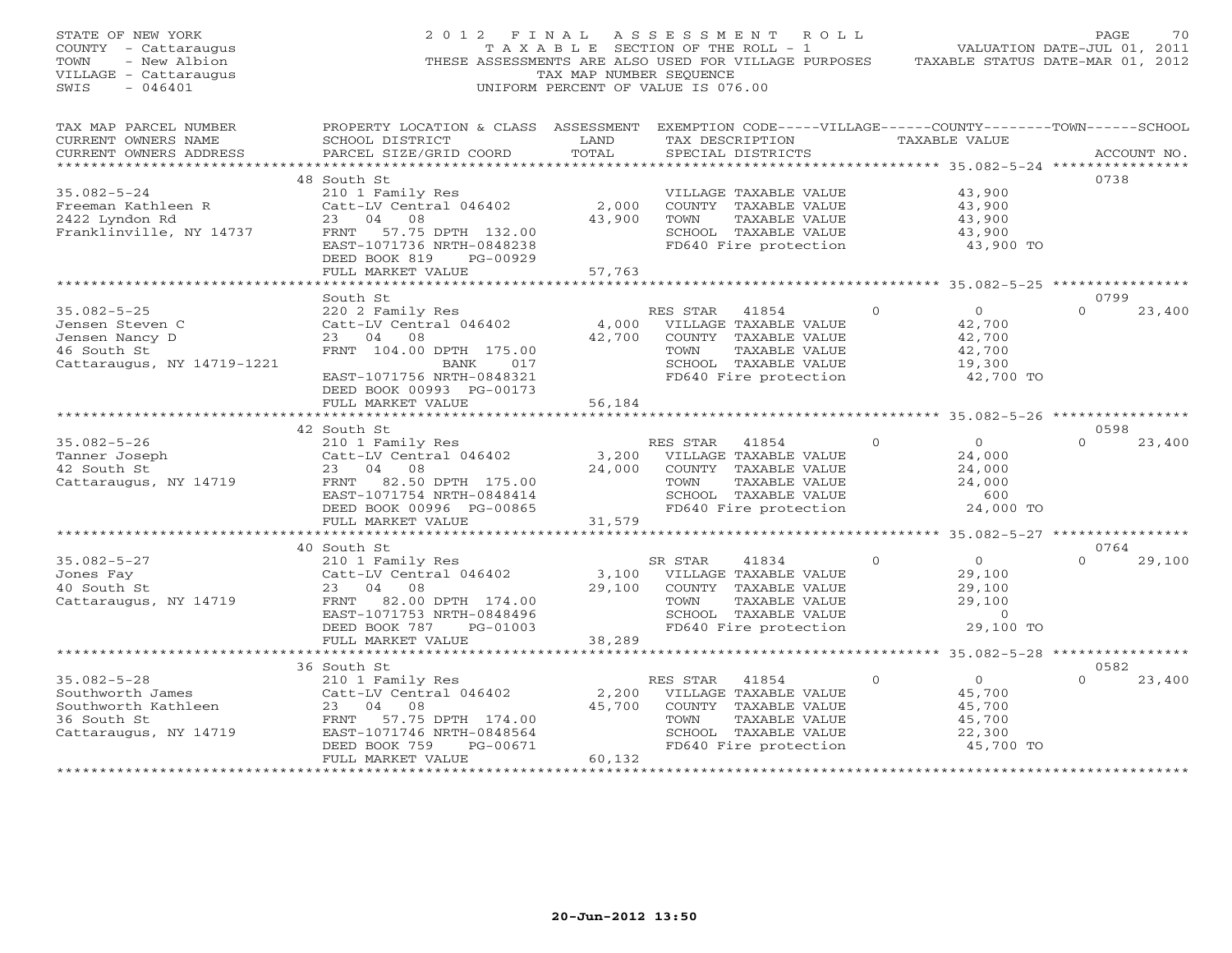| STATE OF NEW YORK<br>COUNTY - Cattaraugus<br>- New Albion<br>TOWN<br>VILLAGE - Cattaraugus<br>SWIS<br>$-046401$ | 2012 FINAL                                                                                                                                                                           | TAX MAP NUMBER SEQUENCE       | ASSESSMENT ROLL<br>T A X A B L E SECTION OF THE ROLL - 1<br>THESE ASSESSMENTS ARE ALSO USED FOR VILLAGE PURPOSES<br>UNIFORM PERCENT OF VALUE IS 076.00                   |               | TAXABLE STATUS DATE-MAR 01, 2012                                     | PAGE<br>VALUATION DATE-JUL 01, 2011 | 70     |
|-----------------------------------------------------------------------------------------------------------------|--------------------------------------------------------------------------------------------------------------------------------------------------------------------------------------|-------------------------------|--------------------------------------------------------------------------------------------------------------------------------------------------------------------------|---------------|----------------------------------------------------------------------|-------------------------------------|--------|
| TAX MAP PARCEL NUMBER<br>CURRENT OWNERS NAME<br>CURRENT OWNERS ADDRESS<br>*********************                 | PROPERTY LOCATION & CLASS ASSESSMENT<br>SCHOOL DISTRICT<br>PARCEL SIZE/GRID COORD                                                                                                    | LAND<br>TOTAL                 | EXEMPTION CODE-----VILLAGE------COUNTY--------TOWN------SCHOOL<br>TAX DESCRIPTION<br>SPECIAL DISTRICTS<br>********************************* 35.082-5-24 **************** | TAXABLE VALUE |                                                                      | ACCOUNT NO.                         |        |
| $35.082 - 5 - 24$<br>Freeman Kathleen R<br>2422 Lyndon Rd<br>Franklinville, NY 14737                            | 48 South St<br>210 1 Family Res<br>Catt-LV Central 046402<br>23<br>04<br>08<br>FRNT 57.75 DPTH 132.00<br>EAST-1071736 NRTH-0848238<br>DEED BOOK 819<br>PG-00929<br>FULL MARKET VALUE | 2,000<br>43,900<br>57,763     | VILLAGE TAXABLE VALUE<br>COUNTY TAXABLE VALUE<br>TOWN<br>TAXABLE VALUE<br>SCHOOL TAXABLE VALUE<br>FD640 Fire protection                                                  |               | 43,900<br>43,900<br>43,900<br>43,900<br>43,900 TO                    | 0738                                |        |
|                                                                                                                 |                                                                                                                                                                                      |                               | **************************************55.082-5-25 ***************                                                                                                        |               |                                                                      |                                     |        |
| $35.082 - 5 - 25$<br>Jensen Steven C<br>Jensen Nancy D<br>46 South St<br>Cattaraugus, NY 14719-1221             | South St<br>220 2 Family Res<br>Catt-LV Central 046402<br>23 04<br>08<br>FRNT 104.00 DPTH 175.00<br>017<br>BANK                                                                      | 4,000<br>42,700               | RES STAR<br>41854<br>VILLAGE TAXABLE VALUE<br>COUNTY TAXABLE VALUE<br>TOWN<br>TAXABLE VALUE<br>SCHOOL TAXABLE VALUE                                                      | $\circ$       | $\overline{0}$<br>42,700<br>42,700<br>42,700<br>19,300               | 0799<br>$\Omega$                    | 23,400 |
|                                                                                                                 | EAST-1071756 NRTH-0848321<br>DEED BOOK 00993 PG-00173<br>FULL MARKET VALUE                                                                                                           | 56,184<br>* * * * * * * * * * | FD640 Fire protection                                                                                                                                                    |               | 42,700 TO<br>*********** 35.082-5-26 *****************               |                                     |        |
| $35.082 - 5 - 26$<br>Tanner Joseph<br>42 South St<br>Cattaraugus, NY 14719                                      | 42 South St<br>210 1 Family Res<br>Catt-LV Central 046402<br>23 04 08<br>FRNT 82.50 DPTH 175.00<br>EAST-1071754 NRTH-0848414<br>DEED BOOK 00996 PG-00865                             | 3,200<br>24,000               | RES STAR<br>41854<br>VILLAGE TAXABLE VALUE<br>COUNTY TAXABLE VALUE<br>TAXABLE VALUE<br>TOWN<br>SCHOOL TAXABLE VALUE<br>FD640 Fire protection                             | $\Omega$      | $\circ$<br>24,000<br>24,000<br>24,000<br>600<br>24,000 TO            | 0598<br>$\Omega$                    | 23,400 |
|                                                                                                                 | FULL MARKET VALUE                                                                                                                                                                    | 31,579<br>***********         |                                                                                                                                                                          |               | *************** 35.082-5-27 *****************                        |                                     |        |
| $35.082 - 5 - 27$<br>Jones Fay<br>40 South St<br>Cattaraugus, NY 14719                                          | 40 South St<br>210 1 Family Res<br>Catt-LV Central 046402<br>04<br>23<br>08<br>FRNT 82.00 DPTH 174.00<br>EAST-1071753 NRTH-0848496<br>DEED BOOK 787<br>PG-01003                      | 3,100<br>29,100               | SR STAR<br>41834<br>VILLAGE TAXABLE VALUE<br>COUNTY TAXABLE VALUE<br>TAXABLE VALUE<br>TOWN<br>SCHOOL TAXABLE VALUE<br>FD640 Fire protection                              | $\circ$       | $\circ$<br>29,100<br>29,100<br>29,100<br>$\overline{0}$<br>29,100 TO | 0764<br>$\Omega$                    | 29,100 |
|                                                                                                                 | FULL MARKET VALUE<br>************************                                                                                                                                        | 38,289                        | ***********************                                                                                                                                                  |               | ******************** 35.082-5-28 *****************                   |                                     |        |
| $35.082 - 5 - 28$<br>Southworth James<br>Southworth Kathleen<br>36 South St<br>Cattaraugus, NY 14719            | 36 South St<br>210 1 Family Res<br>Catt-LV Central 046402<br>23 04<br>08<br>FRNT 57.75 DPTH 174.00<br>EAST-1071746 NRTH-0848564<br>DEED BOOK 759<br>PG-00671<br>FULL MARKET VALUE    | 2,200<br>45,700<br>60,132     | RES STAR<br>41854<br>VILLAGE TAXABLE VALUE<br>COUNTY TAXABLE VALUE<br>TAXABLE VALUE<br>TOWN<br>SCHOOL TAXABLE VALUE<br>FD640 Fire protection                             | $\Omega$      | $\circ$<br>45,700<br>45,700<br>45,700<br>22,300<br>45,700 TO         | 0582<br>$\Omega$                    | 23,400 |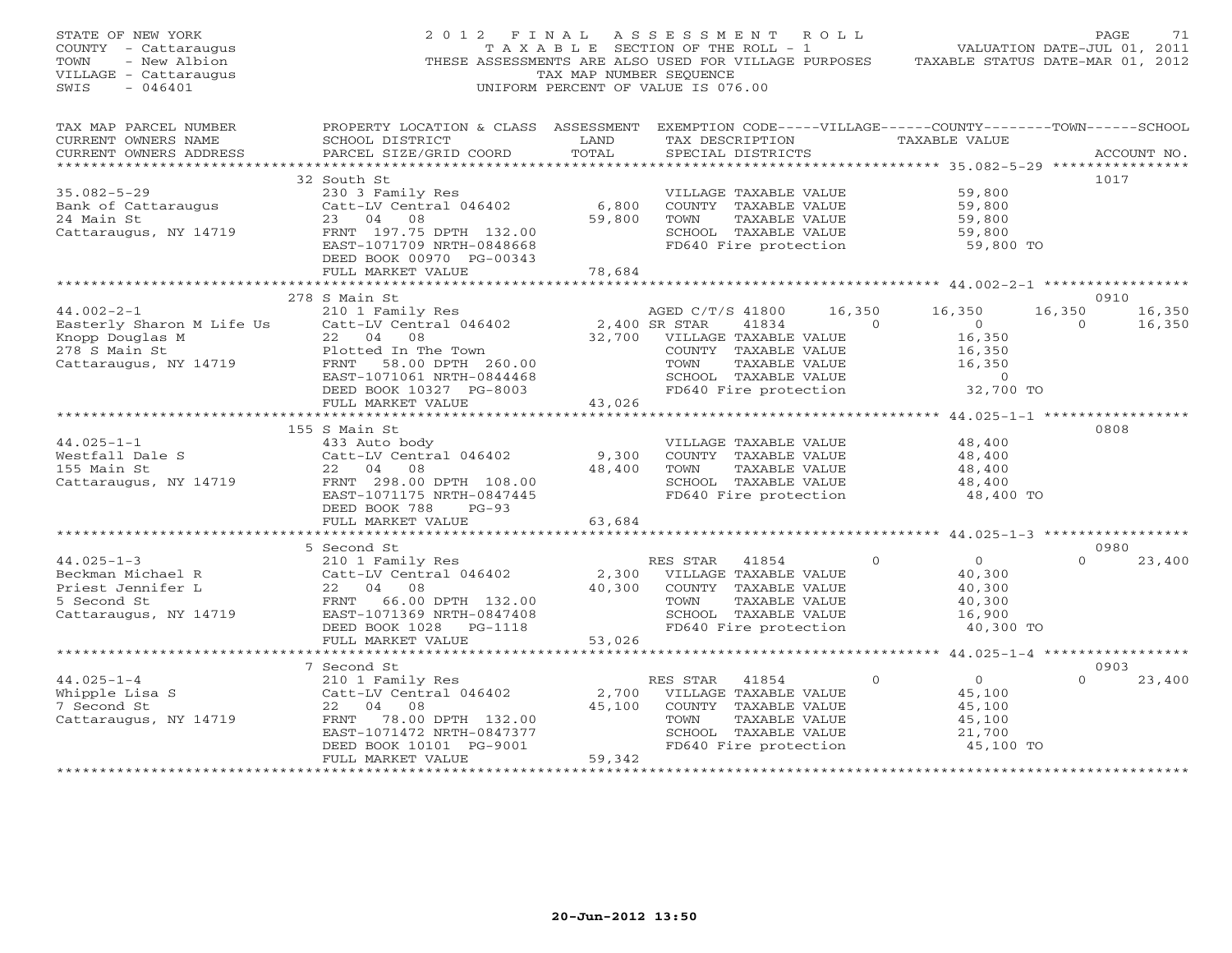| STATE OF NEW YORK<br>COUNTY - Cattaraugus<br>TOWN<br>- New Albion<br>VILLAGE - Cattaraugus<br>$-046401$<br>SWIS | 2012 FINAL<br>THESE ASSESSMENTS ARE ALSO USED FOR VILLAGE PURPOSES                                                                                                                | TAXABLE SECTION OF THE ROLL - 1<br>TAX MAP NUMBER SEOUENCE<br>UNIFORM PERCENT OF VALUE IS 076.00 | A S S E S S M E N T A O L L                     |                                                                                                                 |                          | VALUATION DATE-JUL 01, 2011<br>TAXABLE STATUS DATE-MAR 01, 2012     |                   | PAGE<br>71               |
|-----------------------------------------------------------------------------------------------------------------|-----------------------------------------------------------------------------------------------------------------------------------------------------------------------------------|--------------------------------------------------------------------------------------------------|-------------------------------------------------|-----------------------------------------------------------------------------------------------------------------|--------------------------|---------------------------------------------------------------------|-------------------|--------------------------|
| TAX MAP PARCEL NUMBER<br>CURRENT OWNERS NAME<br>CURRENT OWNERS ADDRESS                                          | PROPERTY LOCATION & CLASS ASSESSMENT EXEMPTION CODE-----VILLAGE------COUNTY-------TOWN------SCHOOL<br>SCHOOL DISTRICT<br>PARCEL SIZE/GRID COORD                                   | LAND<br>TOTAL                                                                                    |                                                 | SPECIAL DISTRICTS                                                                                               |                          | TAX DESCRIPTION TAXABLE VALUE                                       |                   | ACCOUNT NO.              |
| $35.082 - 5 - 29$<br>Bank of Cattaraugus<br>24 Main St<br>Cattaraugus, NY 14719                                 | 32 South St<br>230 3 Family Res<br>Catt-LV Central 046402<br>23 04<br>08<br>FRNT 197.75 DPTH 132.00<br>EAST-1071709 NRTH-0848668<br>DEED BOOK 00970 PG-00343<br>FULL MARKET VALUE | 6,800<br>59,800<br>78,684                                                                        | TOWN                                            | VILLAGE TAXABLE VALUE<br>COUNTY TAXABLE VALUE<br>TAXABLE VALUE<br>SCHOOL TAXABLE VALUE<br>FD640 Fire protection |                          | 59,800<br>59,800<br>59,800<br>59,800<br>59,800 TO                   |                   | 1017                     |
|                                                                                                                 |                                                                                                                                                                                   |                                                                                                  |                                                 |                                                                                                                 |                          |                                                                     |                   |                          |
| $44.002 - 2 - 1$<br>Easterly Sharon M Life Us                                                                   | 278 S Main St<br>210 1 Family Res<br>Catt-LV Central 046402                                                                                                                       |                                                                                                  | AGED C/T/S 41800<br>2,400 SR STAR               | 41834                                                                                                           | 16,350<br>$\overline{0}$ | 16,350<br>$\overline{0}$                                            | 16,350<br>$\circ$ | 0910<br>16,350<br>16,350 |
| Knopp Douglas M<br>278 S Main St<br>Cattaraugus, NY 14719                                                       | 22 04<br>08<br>Plotted In The Town<br>FRNT 58.00 DPTH 260.00<br>EAST-1071061 NRTH-0844468<br>DEED BOOK 10327 PG-8003<br>FULL MARKET VALUE                                         | 43,026                                                                                           | 32,700 VILLAGE TAXABLE VALUE<br>TOWN            | COUNTY TAXABLE VALUE<br>TAXABLE VALUE<br>SCHOOL TAXABLE VALUE<br>FD640 Fire protection                          |                          | 16,350<br>16,350<br>16,350<br>$\overline{0}$<br>32,700 TO           |                   |                          |
|                                                                                                                 |                                                                                                                                                                                   | ***********                                                                                      |                                                 |                                                                                                                 |                          | ******************** 44.025-1-1 ***************                     |                   |                          |
| $44.025 - 1 - 1$<br>Westfall Dale S<br>155 Main St<br>Cattaraugus, NY 14719                                     | 155 S Main St<br>433 Auto body<br>Catt-LV Central 046402<br>22 04<br>08<br>FRNT 298.00 DPTH 108.00<br>EAST-1071175 NRTH-0847445<br>DEED BOOK 788<br>$PG-93$                       | 9,300<br>48,400                                                                                  | TOWN                                            | VILLAGE TAXABLE VALUE<br>COUNTY TAXABLE VALUE<br>TAXABLE VALUE<br>SCHOOL TAXABLE VALUE<br>FD640 Fire protection |                          | 48,400<br>48,400<br>48,400<br>48,400<br>48,400 TO                   |                   | 0808                     |
|                                                                                                                 | FULL MARKET VALUE                                                                                                                                                                 | 63,684                                                                                           |                                                 |                                                                                                                 |                          |                                                                     |                   |                          |
| $44.025 - 1 - 3$                                                                                                | 5 Second St<br>210 1 Family Res                                                                                                                                                   | * * * * * * * * * * * * *                                                                        | RES STAR                                        | 41854                                                                                                           | $\Omega$                 | $\overline{0}$                                                      | $\Omega$          | 0980<br>23,400           |
| Beckman Michael R<br>Priest Jennifer L<br>5 Second St<br>Cattaraugus, NY 14719                                  | Catt-LV Central 046402<br>22 04 08<br>FRNT 66.00 DPTH 132.00<br>EAST-1071369 NRTH-0847408<br>DEED BOOK 1028 PG-1118                                                               | 2,300<br>40,300                                                                                  | TOWN                                            | VILLAGE TAXABLE VALUE<br>COUNTY TAXABLE VALUE<br>TAXABLE VALUE<br>SCHOOL TAXABLE VALUE<br>FD640 Fire protection |                          | 40,300<br>40,300<br>40,300<br>16,900<br>40,300 TO                   |                   |                          |
| *********************                                                                                           | FULL MARKET VALUE<br>************************                                                                                                                                     | 53,026<br>*************************                                                              |                                                 |                                                                                                                 |                          | ******************** 44.025-1-4 ******************                  |                   |                          |
| $44.025 - 1 - 4$<br>Whipple Lisa S<br>7 Second St<br>Cattaraugus, NY 14719                                      | 7 Second St<br>210 1 Family Res<br>Catt-LV Central 046402<br>22 04 08<br>FRNT 78.00 DPTH 132.00<br>EAST-1071472 NRTH-0847377<br>DEED BOOK 10101 PG-9001                           | 45,100                                                                                           | RES STAR<br>2,700 VILLAGE TAXABLE VALUE<br>TOWN | 41854<br>COUNTY TAXABLE VALUE<br>TAXABLE VALUE<br>SCHOOL TAXABLE VALUE<br>FD640 Fire protection                 | $\Omega$                 | $\overline{0}$<br>45,100<br>45,100<br>45,100<br>21,700<br>45,100 TO | $\Omega$          | 0903<br>23,400           |
|                                                                                                                 | FULL MARKET VALUE                                                                                                                                                                 | 59,342<br>+ + + + + + + + + + + + + + + + + + +                                                  |                                                 |                                                                                                                 |                          |                                                                     |                   |                          |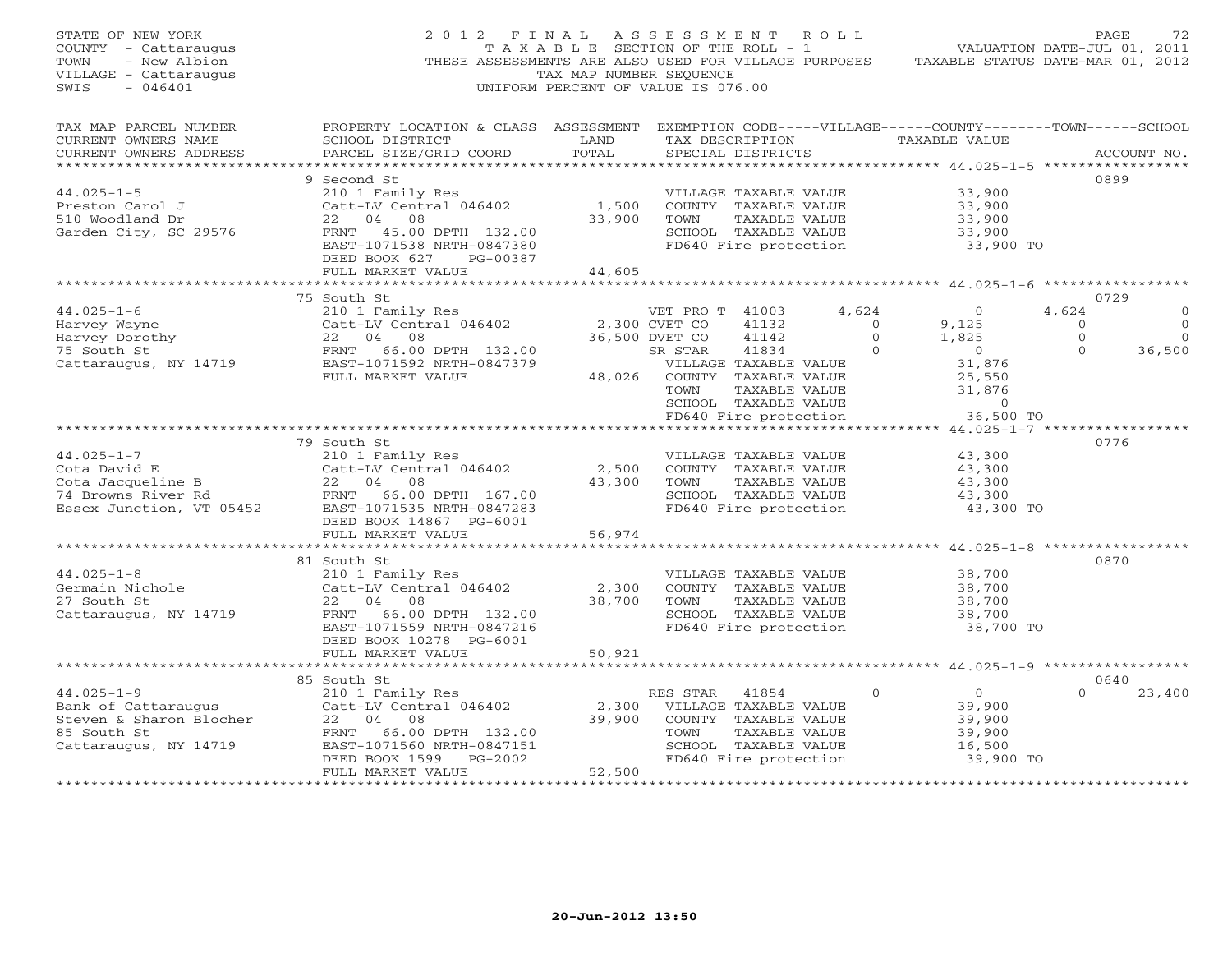| STATE OF NEW YORK<br>COUNTY - Cattaraugus<br>- New Albion<br>TOWN<br>VILLAGE - Cattaraugus<br>$-046401$<br>SWIS                     | 2012 FINAL<br>THESE ASSESSMENTS ARE ALSO USED FOR VILLAGE PURPOSES                                                                                                                    | TAXABLE SECTION OF THE ROLL - 1<br>TAX MAP NUMBER SEOUENCE<br>UNIFORM PERCENT OF VALUE IS 076.00 | ASSESSMENT ROLL                                                       |                                                                                                                          |                                                     | VALUATION DATE-JUL 01, 2011<br>TAXABLE STATUS DATE-MAR 01, 2012                        |                                           | 72<br>PAGE                                               |
|-------------------------------------------------------------------------------------------------------------------------------------|---------------------------------------------------------------------------------------------------------------------------------------------------------------------------------------|--------------------------------------------------------------------------------------------------|-----------------------------------------------------------------------|--------------------------------------------------------------------------------------------------------------------------|-----------------------------------------------------|----------------------------------------------------------------------------------------|-------------------------------------------|----------------------------------------------------------|
| TAX MAP PARCEL NUMBER<br>CURRENT OWNERS NAME<br>CURRENT OWNERS ADDRESS<br>******************                                        | PROPERTY LOCATION & CLASS ASSESSMENT EXEMPTION CODE-----VILLAGE------COUNTY-------TOWN------SCHOOL<br>SCHOOL DISTRICT<br>PARCEL SIZE/GRID COORD                                       | LAND<br>TOTAL                                                                                    |                                                                       | SPECIAL DISTRICTS                                                                                                        |                                                     | TAX DESCRIPTION TAXABLE VALUE<br>************ 44.025-1-5 ******************            |                                           | ACCOUNT NO.                                              |
| $44.025 - 1 - 5$<br>Preston Carol J<br>510 Woodland Dr<br>Garden City, SC 29576                                                     | 9 Second St<br>210 1 Family Res<br>Catt-LV Central 046402<br>22 04 08<br>FRNT 45.00 DPTH 132.00<br>EAST-1071538 NRTH-0847380<br>DEED BOOK 627<br>PG-00387<br>FULL MARKET VALUE        | 1,500<br>33,900<br>44,605                                                                        | TOWN                                                                  | VILLAGE TAXABLE VALUE<br>COUNTY TAXABLE VALUE<br>TAXABLE VALUE<br>SCHOOL TAXABLE VALUE<br>FD640 Fire protection          |                                                     | 33,900<br>33,900<br>33,900<br>33,900<br>33,900 TO                                      |                                           | 0899                                                     |
|                                                                                                                                     |                                                                                                                                                                                       |                                                                                                  |                                                                       |                                                                                                                          |                                                     |                                                                                        |                                           |                                                          |
| $44.025 - 1 - 6$<br>Harvey Wayne<br>Harvey Dorothy<br>75 South St<br>Cattaraugus, NY 14719                                          | 75 South St<br>210 1 Family Res<br>Catt-LV Central 046402<br>22 04 08<br>22<br>FRNT<br>EAST<br>FUL<br>22 04 08<br>66.00 DPTH 132.00<br>EAST-1071592 NRTH-0847379<br>FULL MARKET VALUE | 48,026                                                                                           | VET PRO T 41003<br>2,300 CVET CO<br>36,500 DVET CO<br>SR STAR<br>TOWN | 41132<br>41142<br>41834<br>VILLAGE TAXABLE VALUE<br>COUNTY TAXABLE VALUE<br>TAXABLE VALUE<br>SCHOOL TAXABLE VALUE        | 4,624<br>$\overline{0}$<br>$\Omega$<br>$\mathbf{0}$ | $\Omega$<br>9,125<br>1,825<br>$\overline{0}$<br>31,876<br>25,550<br>31,876<br>$\Omega$ | 4,624<br>$\Omega$<br>$\Omega$<br>$\Omega$ | 0729<br>$\Omega$<br>$\overline{0}$<br>$\Omega$<br>36,500 |
|                                                                                                                                     |                                                                                                                                                                                       |                                                                                                  |                                                                       | FD640 Fire protection                                                                                                    |                                                     | 36,500 TO                                                                              |                                           |                                                          |
| $44.025 - 1 - 7$<br>Cota David E<br>4 Browns River Rd<br>Essex Junction, VT 05452                                                   | 79 South St<br>210 1 Family Res<br>Catt-LV Central 046402<br>22 04 08<br>FRNT 66.00 DPTH 167.00<br>EAST-1071535 NRTH-0847283<br>DEED BOOK 14867 PG-6001                               | 2,500<br>43,300                                                                                  | TOWN                                                                  | VILLAGE TAXABLE VALUE<br>COUNTY TAXABLE VALUE<br>TAXABLE VALUE<br>SCHOOL TAXABLE VALUE<br>FD640 Fire protection          |                                                     | 43,300<br>43,300<br>43,300<br>43,300<br>43,300 TO                                      |                                           | 0776                                                     |
|                                                                                                                                     | FULL MARKET VALUE                                                                                                                                                                     | 56,974                                                                                           |                                                                       |                                                                                                                          |                                                     |                                                                                        |                                           |                                                          |
| $44.025 - 1 - 8$<br>Germain Nichole<br>27 South St<br>Cattaraugus, NY 14719                                                         | 81 South St<br>210 1 Family Res<br>Catt-LV Central 046402<br>22 04 08<br>FRNT<br>66.00 DPTH 132.00<br>EAST-1071559 NRTH-0847216<br>DEED BOOK 10278 PG-6001                            | 2,300<br>38,700                                                                                  | TOWN                                                                  | VILLAGE TAXABLE VALUE<br>COUNTY TAXABLE VALUE<br>TAXABLE VALUE<br>SCHOOL TAXABLE VALUE<br>FD640 Fire protection          |                                                     | 38,700<br>38,700<br>38,700<br>38,700<br>38,700 TO                                      |                                           | 0870                                                     |
|                                                                                                                                     | FULL MARKET VALUE                                                                                                                                                                     | 50,921                                                                                           |                                                                       |                                                                                                                          |                                                     |                                                                                        |                                           |                                                          |
| *********************<br>$44.025 - 1 - 9$<br>Bank of Cattaraugus<br>Steven & Sharon Blocher<br>85 South St<br>Cattaraugus, NY 14719 | 85 South St<br>210 1 Family Res<br>Catt-LV Central 046402<br>22 04 08<br>FRNT<br>66.00 DPTH 132.00<br>EAST-1071560 NRTH-0847151<br>DEED BOOK 1599<br>PG-2002                          | 2,300<br>39,900                                                                                  | RES STAR<br>TOWN                                                      | 41854<br>VILLAGE TAXABLE VALUE<br>COUNTY TAXABLE VALUE<br>TAXABLE VALUE<br>SCHOOL TAXABLE VALUE<br>FD640 Fire protection | $\Omega$                                            | $\overline{0}$<br>39,900<br>39,900<br>39,900<br>16,500<br>39,900 TO                    | $\Omega$                                  | 0640<br>23,400                                           |
| ********************                                                                                                                | FULL MARKET VALUE<br>************************                                                                                                                                         | 52,500<br>**************                                                                         |                                                                       |                                                                                                                          |                                                     |                                                                                        |                                           |                                                          |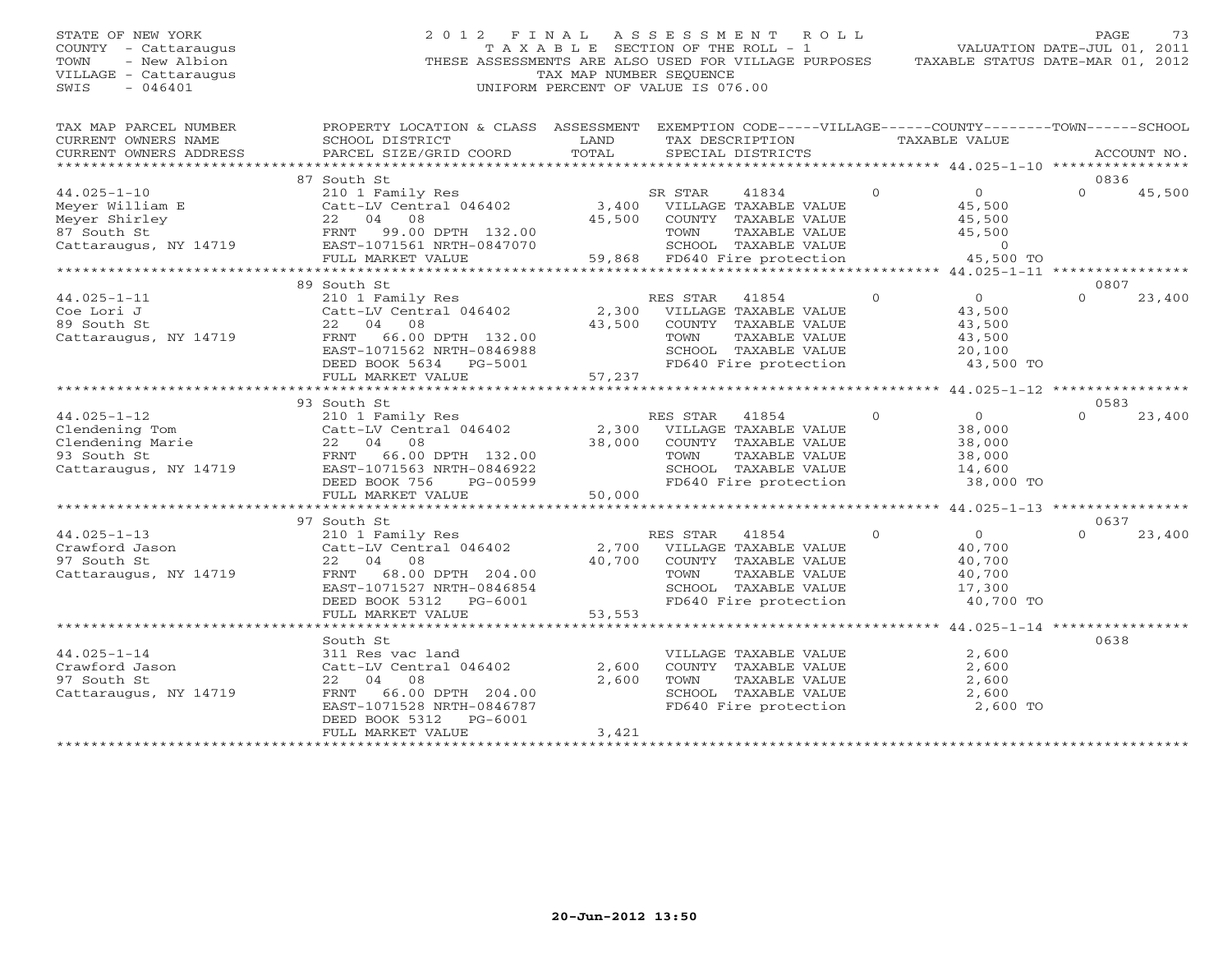# STATE OF NEW YORK 2 0 1 2 F I N A L A S S E S S M E N T R O L L PAGE 73 COUNTY - Cattaraugus T A X A B L E SECTION OF THE ROLL - 1 VALUATION DATE-JUL 01, 2011 TOWN - New Albion THESE ASSESSMENTS ARE ALSO USED FOR VILLAGE PURPOSES TAXABLE STATUS DATE-MAR 01, 2012 VILLAGE - Cattaraugus TAX MAP NUMBER SEQUENCE SWIS - 046401 UNIFORM PERCENT OF VALUE IS 076.00

| TAX MAP PARCEL NUMBER<br>CURRENT OWNERS NAME<br>CURRENT OWNERS ADDRESS | PROPERTY LOCATION & CLASS ASSESSMENT<br>SCHOOL DISTRICT<br>PARCEL SIZE/GRID COORD                                                     | LAND<br>TOTAL                       | EXEMPTION CODE-----VILLAGE------COUNTY-------TOWN------SCHOOL<br>TAX DESCRIPTION<br>SPECIAL DISTRICTS | TAXABLE VALUE |                     | ACCOUNT NO.                                       |
|------------------------------------------------------------------------|---------------------------------------------------------------------------------------------------------------------------------------|-------------------------------------|-------------------------------------------------------------------------------------------------------|---------------|---------------------|---------------------------------------------------|
|                                                                        |                                                                                                                                       |                                     |                                                                                                       |               |                     |                                                   |
| $44.025 - 1 - 10$                                                      | 87 South St                                                                                                                           |                                     |                                                                                                       | $\circ$       | $\overline{O}$      | 0836<br>$\Omega$<br>45,500                        |
|                                                                        | 210 1 Family Res<br>Catt-LV Central 046402 3,400 VILLAGE TAXABLE VALUE                                                                |                                     |                                                                                                       |               |                     |                                                   |
| Meyer William E                                                        |                                                                                                                                       | 45,500                              |                                                                                                       |               | 45,500              |                                                   |
| Meyer Shirley                                                          |                                                                                                                                       |                                     | COUNTY TAXABLE VALUE                                                                                  |               | 45,500              |                                                   |
| 87 South St                                                            | 87 South St                             FRNT     99.00 DPTH   132.00<br>Cattaraugus, NY 14719               EAST-1071561 NRTH-0847070 |                                     | TOWN<br>TAXABLE VALUE<br>SCHOOL TAXABLE VALUE                                                         |               | 45,500<br>$\circ$   |                                                   |
|                                                                        | Call-1,<br>22 04 08<br>FRNT 99.00 DPTH 132.00<br>--^---1071561 NRTH-0847070<br>FULL MARKET VALUE                                      |                                     | 59,868 FD640 Fire protection                                                                          |               | 45,500 TO           |                                                   |
|                                                                        |                                                                                                                                       |                                     | **************************** 44.025-1-11 ****************                                             |               |                     |                                                   |
|                                                                        | 89 South St                                                                                                                           |                                     |                                                                                                       |               |                     | 0807                                              |
| $44.025 - 1 - 11$                                                      | 210 1 Family Res                                                                                                                      |                                     | RES STAR<br>41854                                                                                     | $\Omega$      | $\Omega$            | $\Omega$<br>23,400                                |
| Coe Lori J                                                             | Catt-LV Central 046402                                                                                                                | 2,300                               |                                                                                                       |               | 43,500              |                                                   |
| 89 South St                                                            | 22 04<br>08                                                                                                                           | 43,500                              | VILLAGE TAXABLE VALUE                                                                                 |               |                     |                                                   |
| Cattaraugus, NY 14719                                                  | FRNT<br>66.00 DPTH 132.00                                                                                                             |                                     | COUNTY TAXABLE VALUE<br>TOWN<br>TAXABLE VALUE                                                         |               | 43,500<br>43,500    |                                                   |
|                                                                        | EAST-1071562 NRTH-0846988                                                                                                             |                                     | SCHOOL TAXABLE VALUE                                                                                  |               |                     |                                                   |
|                                                                        |                                                                                                                                       |                                     |                                                                                                       |               | 20,100<br>43,500 TO |                                                   |
|                                                                        | DEED BOOK 5634 PG-5001                                                                                                                |                                     | FD640 Fire protection                                                                                 |               |                     |                                                   |
|                                                                        | FULL MARKET VALUE<br>*************************                                                                                        | 57,237                              |                                                                                                       |               |                     |                                                   |
|                                                                        |                                                                                                                                       |                                     |                                                                                                       |               |                     | 0583                                              |
| $44.025 - 1 - 12$                                                      | 93 South St                                                                                                                           |                                     | RES STAR<br>41854                                                                                     | $\Omega$      | $\overline{0}$      | 23,400<br>$\Omega$                                |
|                                                                        | 210 1 Family Res<br>Catt-LV Central 046402 2,300                                                                                      |                                     |                                                                                                       |               |                     |                                                   |
| Clendening Tom<br>Clendening Marie                                     | 08                                                                                                                                    | 38,000                              | VILLAGE TAXABLE VALUE                                                                                 |               | 38,000<br>38,000    |                                                   |
|                                                                        | 22 04<br>66.00 DPTH 132.00                                                                                                            |                                     | COUNTY TAXABLE VALUE                                                                                  |               |                     |                                                   |
| 93 South St                                                            | FRNT                                                                                                                                  |                                     | TOWN<br>TAXABLE VALUE                                                                                 |               | 38,000              |                                                   |
| Cattaraugus, NY 14719                                                  | EAST-1071563 NRTH-0846922                                                                                                             |                                     | SCHOOL TAXABLE VALUE                                                                                  |               | 14,600              |                                                   |
|                                                                        | DEED BOOK 756<br>PG-00599                                                                                                             |                                     | FD640 Fire protection                                                                                 |               | 38,000 TO           |                                                   |
|                                                                        | FULL MARKET VALUE<br>****************                                                                                                 | 50,000<br>************************* |                                                                                                       |               |                     | ******************* 44.025-1-13 ***************** |
|                                                                        |                                                                                                                                       |                                     |                                                                                                       |               |                     |                                                   |
|                                                                        | 97 South St                                                                                                                           |                                     |                                                                                                       |               |                     | 0637                                              |
| $44.025 - 1 - 13$                                                      | 210 1 Family Res                                                                                                                      |                                     | RES STAR<br>41854                                                                                     | $\mathbf{0}$  | $\overline{0}$      | $\Omega$<br>23,400                                |
| Crawford Jason                                                         | Catt-LV Central 046402 2,700 VILLAGE TAXABLE VALUE                                                                                    |                                     |                                                                                                       |               | 40,700              |                                                   |
| 97 South St                                                            | 22 04<br>08                                                                                                                           | 40,700                              | COUNTY TAXABLE VALUE                                                                                  |               | 40,700              |                                                   |
| Cattaraugus, NY 14719                                                  | 68.00 DPTH 204.00<br>FRNT                                                                                                             |                                     | TOWN<br>TAXABLE VALUE                                                                                 |               | 40,700              |                                                   |
|                                                                        | EAST-1071527 NRTH-0846854                                                                                                             |                                     | SCHOOL TAXABLE VALUE                                                                                  |               | 17,300              |                                                   |
|                                                                        | DEED BOOK 5312<br>PG-6001                                                                                                             |                                     | FD640 Fire protection                                                                                 |               | 40,700 TO           |                                                   |
|                                                                        | FULL MARKET VALUE                                                                                                                     | 53,553                              |                                                                                                       |               |                     |                                                   |
|                                                                        |                                                                                                                                       |                                     |                                                                                                       |               |                     |                                                   |
|                                                                        | South St                                                                                                                              |                                     |                                                                                                       |               |                     | 0638                                              |
| $44.025 - 1 - 14$                                                      | 311 Res vac land                                                                                                                      |                                     | VILLAGE TAXABLE VALUE                                                                                 |               | 2,600               |                                                   |
| Crawford Jason                                                         | Catt-LV Central 046402                                                                                                                | 2,600                               | COUNTY TAXABLE VALUE                                                                                  |               | 2,600               |                                                   |
| 97 South St                                                            | 08<br>22 04                                                                                                                           | 2,600                               | TOWN<br>TAXABLE VALUE                                                                                 | 2,600         | 2,600               |                                                   |
| Cattaraugus, NY 14719                                                  | 66.00 DPTH 204.00<br>FRNT                                                                                                             |                                     | SCHOOL TAXABLE VALUE                                                                                  |               |                     |                                                   |
|                                                                        | EAST-1071528 NRTH-0846787                                                                                                             |                                     | FD640 Fire protection                                                                                 |               | 2,600 TO            |                                                   |
|                                                                        | DEED BOOK 5312<br>PG-6001                                                                                                             | 3,421                               |                                                                                                       |               |                     |                                                   |
|                                                                        | FULL MARKET VALUE                                                                                                                     |                                     |                                                                                                       |               |                     |                                                   |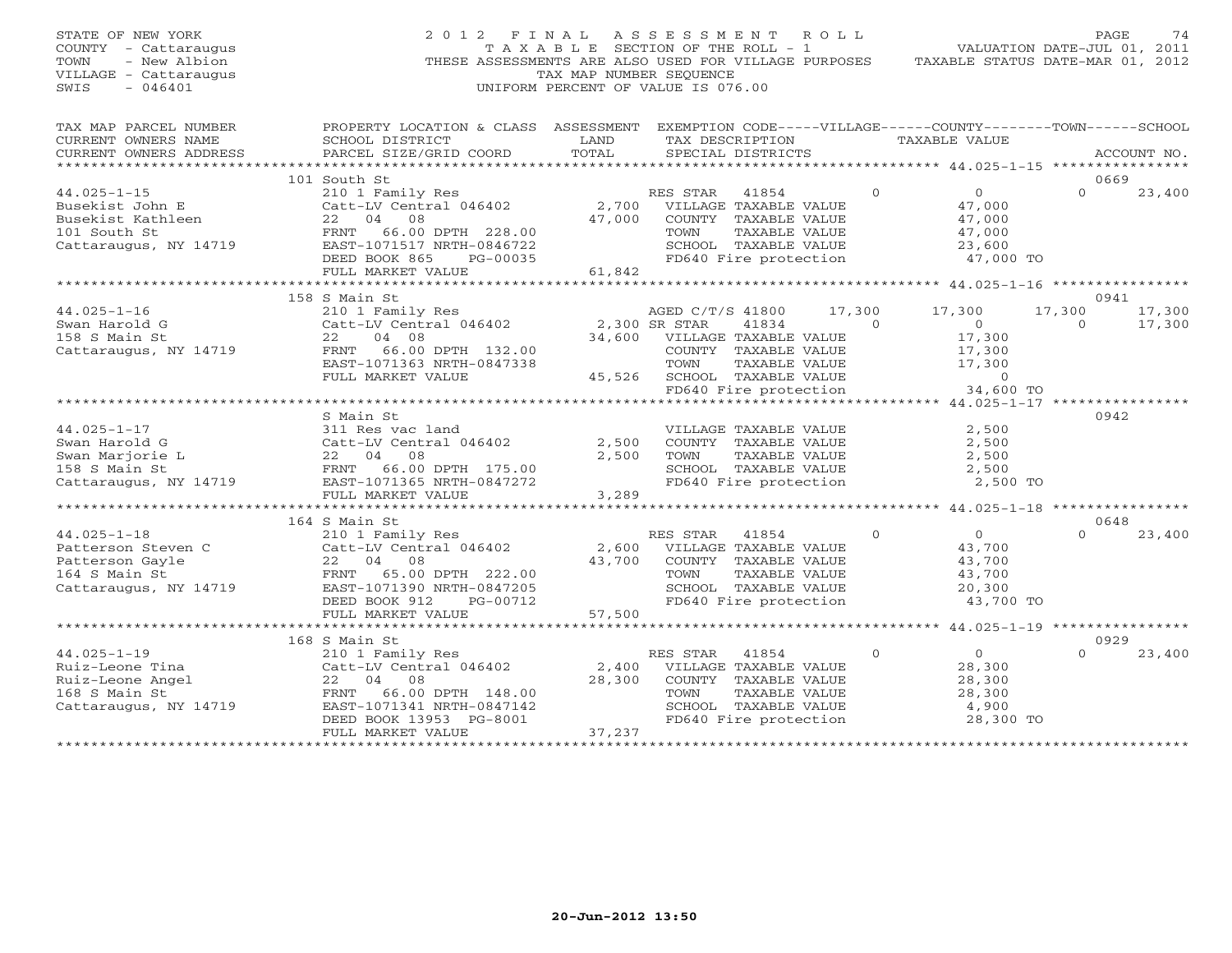| STATE OF NEW YORK<br>COUNTY - Cattaraugus<br>- New Albion<br>TOWN<br>VILLAGE - Cattaraugus<br>$-046401$<br>SWIS                                                                                           | 2012 FINAL ASSESSMENT ROLL<br>THESE ASSESSMENTS ARE ALSO USED FOR VILLAGE PURPOSES | T A X A B L E SECTION OF THE ROLL - 1<br>TAX MAP NUMBER SEQUENCE<br>UNIFORM PERCENT OF VALUE IS 076.00 |                                               |                                               |              | VALUATION DATE-JUL 01, 2011<br>TAXABLE STATUS DATE-MAR 01, 2012 | PAGE             | 74          |
|-----------------------------------------------------------------------------------------------------------------------------------------------------------------------------------------------------------|------------------------------------------------------------------------------------|--------------------------------------------------------------------------------------------------------|-----------------------------------------------|-----------------------------------------------|--------------|-----------------------------------------------------------------|------------------|-------------|
| TAX MAP PARCEL NUMBER THE PROPERTY LOCATION & CLASS ASSESSMENT EXEMPTION CODE-----VILLAGE------COUNTY-------TOWN------SCHOOL<br>CURRENT OWNERS NAME                                                       | SCHOOL DISTRICT                                                                    | LAND                                                                                                   |                                               |                                               |              | TAX DESCRIPTION TAXABLE VALUE                                   |                  |             |
| CURRENT OWNERS ADDRESS                                                                                                                                                                                    | PARCEL SIZE/GRID COORD                                                             | TOTAL                                                                                                  |                                               | SPECIAL DISTRICTS                             |              |                                                                 |                  | ACCOUNT NO. |
| *********************                                                                                                                                                                                     |                                                                                    |                                                                                                        |                                               |                                               |              |                                                                 |                  |             |
|                                                                                                                                                                                                           | 101 South St                                                                       |                                                                                                        |                                               |                                               | $\Omega$     | $\overline{0}$                                                  | 0669<br>$\Omega$ |             |
| $44.025 - 1 - 15$                                                                                                                                                                                         | 210 1 Family Res                                                                   |                                                                                                        | RES STAR 41854<br>2,700 VILLAGE TAXABLE VALUE |                                               |              | 47,000                                                          |                  | 23,400      |
| Busekist John E<br>Busekist Kathleen<br>101 South St                                                                                                                                                      | Catt-LV Central 046402<br>22 04 08                                                 |                                                                                                        | 47,000 COUNTY TAXABLE VALUE                   |                                               |              | 47,000                                                          |                  |             |
|                                                                                                                                                                                                           | FRNT 66.00 DPTH 228.00                                                             |                                                                                                        | TOWN                                          | TAXABLE VALUE                                 |              | 47,000                                                          |                  |             |
| 101 South St<br>Cattaraugus, NY 14719                                                                                                                                                                     | EAST-1071517 NRTH-0846722                                                          |                                                                                                        |                                               | SCHOOL TAXABLE VALUE                          |              | 23,600                                                          |                  |             |
|                                                                                                                                                                                                           | DEED BOOK 865<br>PG-00035                                                          |                                                                                                        | FD640 Fire protection                         |                                               |              | 47,000 TO                                                       |                  |             |
|                                                                                                                                                                                                           | FULL MARKET VALUE                                                                  | 61,842                                                                                                 |                                               |                                               |              |                                                                 |                  |             |
|                                                                                                                                                                                                           |                                                                                    |                                                                                                        |                                               |                                               |              |                                                                 |                  |             |
|                                                                                                                                                                                                           | 158 S Main St                                                                      |                                                                                                        |                                               |                                               |              |                                                                 | 0941             |             |
| $44.025 - 1 - 16$                                                                                                                                                                                         | 210 1 Family Res                                                                   |                                                                                                        | AGED C/T/S 41800                              |                                               | 17,300       | 17,300                                                          | 17,300           | 17,300      |
| Swan Harold G                                                                                                                                                                                             | Catt-LV Central 046402                                                             | 2,300 SR STAR                                                                                          |                                               | 41834                                         | $\Omega$     | $\overline{0}$                                                  | $\Omega$         | 17,300      |
| 158 S Main St                                                                                                                                                                                             | 04 08<br>22                                                                        | 34,600                                                                                                 | VILLAGE TAXABLE VALUE                         |                                               |              | 17,300                                                          |                  |             |
| Cattaraugus, NY 14719                                                                                                                                                                                     | FRNT 66.00 DPTH 132.00                                                             |                                                                                                        |                                               | COUNTY TAXABLE VALUE                          |              | 17,300                                                          |                  |             |
|                                                                                                                                                                                                           | EAST-1071363 NRTH-0847338                                                          |                                                                                                        | TOWN                                          | TAXABLE VALUE                                 |              | 17,300                                                          |                  |             |
|                                                                                                                                                                                                           | FULL MARKET VALUE                                                                  |                                                                                                        | 45,526 SCHOOL TAXABLE VALUE                   |                                               |              | $\overline{0}$                                                  |                  |             |
|                                                                                                                                                                                                           |                                                                                    |                                                                                                        |                                               | FD640 Fire protection                         |              | 34,600 TO                                                       |                  |             |
|                                                                                                                                                                                                           |                                                                                    |                                                                                                        |                                               |                                               |              |                                                                 |                  |             |
| $44.025 - 1 - 17$                                                                                                                                                                                         | S Main St                                                                          |                                                                                                        |                                               |                                               |              |                                                                 | 0942             |             |
|                                                                                                                                                                                                           | 311 Res vac land<br>Catt-LV Central 046402                                         | 2,500                                                                                                  |                                               | VILLAGE TAXABLE VALUE<br>COUNTY TAXABLE VALUE |              | 2,500<br>2,500                                                  |                  |             |
|                                                                                                                                                                                                           |                                                                                    | 2,500                                                                                                  | TOWN                                          | TAXABLE VALUE                                 |              | 2,500                                                           |                  |             |
|                                                                                                                                                                                                           |                                                                                    |                                                                                                        |                                               | SCHOOL TAXABLE VALUE                          |              | 2,500                                                           |                  |             |
|                                                                                                                                                                                                           |                                                                                    |                                                                                                        |                                               | FD640 Fire protection                         |              | 2,500 TO                                                        |                  |             |
|                                                                                                                                                                                                           | FULL MARKET VALUE                                                                  | 3,289                                                                                                  |                                               |                                               |              |                                                                 |                  |             |
|                                                                                                                                                                                                           | *************************                                                          |                                                                                                        |                                               |                                               |              | ********************** 44.025-1-18 ****************             |                  |             |
|                                                                                                                                                                                                           | 164 S Main St                                                                      |                                                                                                        |                                               |                                               |              |                                                                 | 0648             |             |
| $44.025 - 1 - 18$                                                                                                                                                                                         | 210 1 Family Res                                                                   |                                                                                                        | RES STAR                                      | 41854                                         | $\Omega$     | $\overline{O}$                                                  | $\Omega$         | 23,400      |
| Patterson Steven C<br>Patterson Gayle<br>164 S Main St<br>Cattaraugus, NY 14719<br>22 04 08<br>22 00 DPTH 222.00<br>22 04 08<br>22 01 08<br>22 04 08<br>22 01<br>222.00<br>22 04 08<br>22 04 08<br>223.00 | Catt-LV Central 046402                                                             |                                                                                                        | 2,600 VILLAGE TAXABLE VALUE                   |                                               |              | 43,700                                                          |                  |             |
|                                                                                                                                                                                                           |                                                                                    | 43,700                                                                                                 |                                               | COUNTY TAXABLE VALUE                          |              | 43,700                                                          |                  |             |
|                                                                                                                                                                                                           |                                                                                    |                                                                                                        | TOWN                                          | TAXABLE VALUE                                 |              | 43,700                                                          |                  |             |
|                                                                                                                                                                                                           |                                                                                    |                                                                                                        |                                               | SCHOOL TAXABLE VALUE                          |              | 20,300                                                          |                  |             |
|                                                                                                                                                                                                           | DEED BOOK 912<br>PG-00712                                                          |                                                                                                        |                                               | FD640 Fire protection                         |              | 43,700 TO                                                       |                  |             |
|                                                                                                                                                                                                           | FULL MARKET VALUE<br>**************************                                    | 57,500                                                                                                 |                                               |                                               |              |                                                                 |                  |             |
|                                                                                                                                                                                                           |                                                                                    | ***********************************                                                                    |                                               |                                               |              | *********** 44.025-1-19 *****************                       |                  |             |
|                                                                                                                                                                                                           | 168 S Main St                                                                      |                                                                                                        |                                               |                                               |              |                                                                 | 0929<br>$\Omega$ |             |
| $44.025 - 1 - 19$                                                                                                                                                                                         | 210 1 Family Res<br>Catt-LV Central 046402                                         | 2,400                                                                                                  | RES STAR                                      | 41854<br>VILLAGE TAXABLE VALUE                | $\mathbf{0}$ | $\overline{0}$<br>28,300                                        |                  | 23,400      |
| 44.025-1-19<br>Ruiz-Leone Tina<br>Ruiz-Leone Angel<br>168 S Main St                                                                                                                                       | 22 04 08                                                                           | 28,300                                                                                                 |                                               | COUNTY TAXABLE VALUE                          |              | 28,300                                                          |                  |             |
|                                                                                                                                                                                                           | FRNT 66.00 DPTH 148.00                                                             |                                                                                                        | TOWN                                          | TAXABLE VALUE                                 |              | 28,300                                                          |                  |             |
| Cattaraugus, NY 14719                                                                                                                                                                                     | EAST-1071341 NRTH-0847142                                                          |                                                                                                        |                                               | SCHOOL TAXABLE VALUE                          |              | 4,900                                                           |                  |             |
|                                                                                                                                                                                                           | DEED BOOK 13953 PG-8001                                                            |                                                                                                        |                                               | FD640 Fire protection                         |              | 28,300 TO                                                       |                  |             |
|                                                                                                                                                                                                           | FULL MARKET VALUE                                                                  | 37,237                                                                                                 |                                               |                                               |              |                                                                 |                  |             |
| **********************                                                                                                                                                                                    | **************************                                                         | * * * * * * * * * * * * * * * * * * *                                                                  |                                               |                                               |              |                                                                 |                  |             |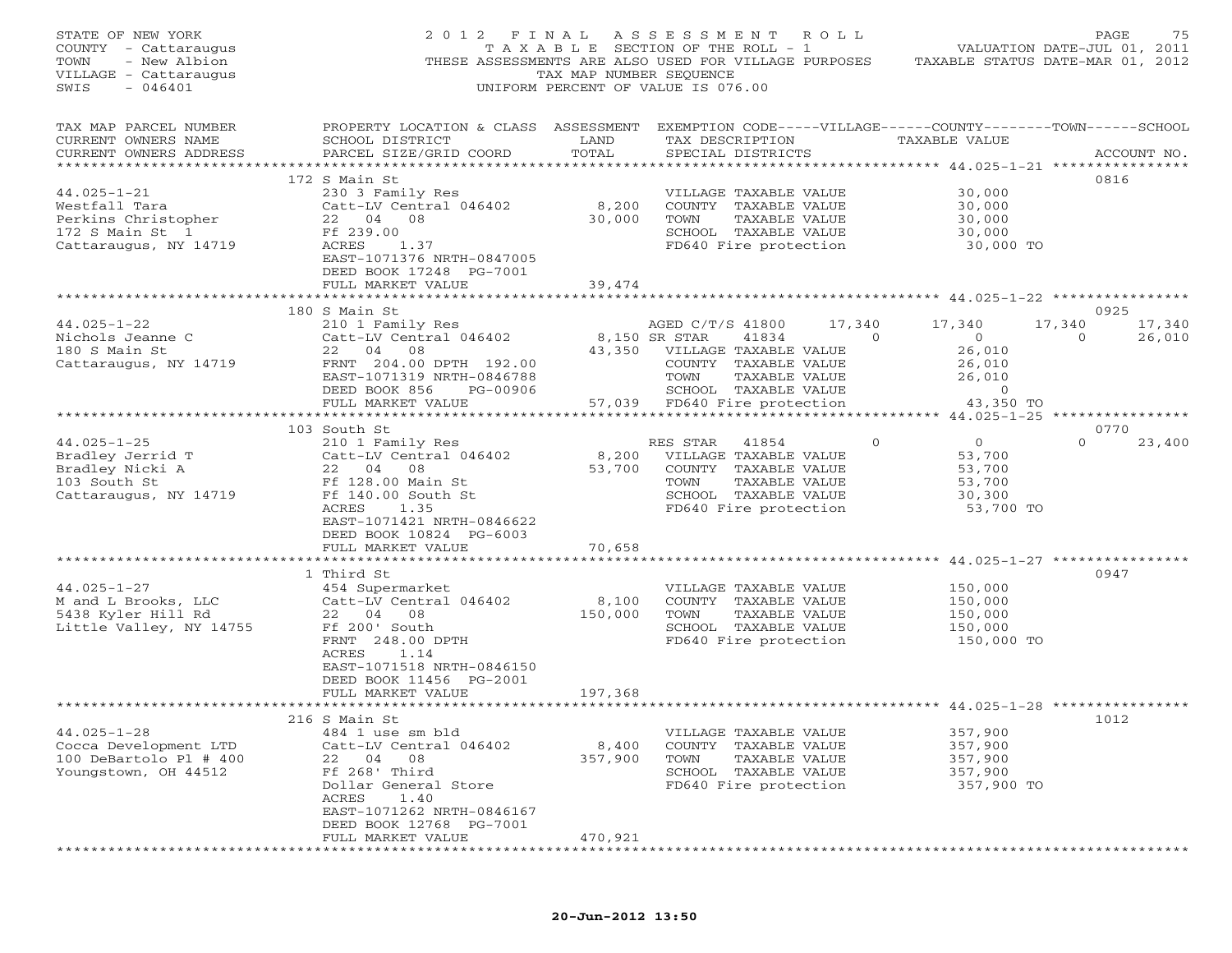| STATE OF NEW YORK<br>COUNTY - Cattaraugus<br>TOWN<br>- New Albion<br>VILLAGE - Cattaraugus<br>SWIS<br>$-046401$ |                                                                                                                                                                                                                      | TAX MAP NUMBER SEQUENCE     | 2012 FINAL ASSESSMENT ROLL<br>T A X A B L E SECTION OF THE ROLL - 1<br>THESE ASSESSMENTS ARE ALSO USED FOR VILLAGE PURPOSES<br>UNIFORM PERCENT OF VALUE IS 076.00 |                      | VALUATION DATE-JUL 01, 2011<br>TAXABLE STATUS DATE-MAR 01, 2012                | PAGE                      | 75               |
|-----------------------------------------------------------------------------------------------------------------|----------------------------------------------------------------------------------------------------------------------------------------------------------------------------------------------------------------------|-----------------------------|-------------------------------------------------------------------------------------------------------------------------------------------------------------------|----------------------|--------------------------------------------------------------------------------|---------------------------|------------------|
| TAX MAP PARCEL NUMBER<br>CURRENT OWNERS NAME<br>CURRENT OWNERS ADDRESS                                          | PROPERTY LOCATION & CLASS ASSESSMENT EXEMPTION CODE-----VILLAGE------COUNTY-------TOWN------SCHOOL<br>SCHOOL DISTRICT<br>PARCEL SIZE/GRID COORD                                                                      | LAND<br>TOTAL               | TAX DESCRIPTION<br>SPECIAL DISTRICTS                                                                                                                              |                      | TAXABLE VALUE                                                                  |                           | ACCOUNT NO.      |
| $44.025 - 1 - 21$<br>Westfall Tara<br>Perkins Christopher<br>$172$ S Main St $1$<br>Cattaraugus, NY 14719       | 172 S Main St<br>230 3 Family Res<br>Catt-LV Central 046402<br>22 04 08<br>Ff 239.00<br>ACRES<br>1.37<br>EAST-1071376 NRTH-0847005<br>DEED BOOK 17248 PG-7001<br>FULL MARKET VALUE                                   | 8,200<br>30,000<br>39,474   | VILLAGE TAXABLE VALUE<br>COUNTY TAXABLE VALUE<br>TOWN<br>TAXABLE VALUE<br>SCHOOL TAXABLE VALUE<br>FD640 Fire protection                                           |                      | 30,000<br>30,000<br>30,000<br>30,000<br>30,000 TO                              | 0816                      |                  |
|                                                                                                                 |                                                                                                                                                                                                                      |                             |                                                                                                                                                                   |                      |                                                                                |                           |                  |
| $44.025 - 1 - 22$<br>Nichols Jeanne C<br>180 S Main St<br>Cattaraugus, NY 14719                                 | 180 S Main St<br>S main St<br>210 1 Family Res<br>Catt-LV Central 046402<br>22 04 08<br>FRNT 204.00 DPTH 192.00<br>EAST-1071319 NRTH-0846788<br>DEED BOOK 856<br>PG-00906<br>FULL MARKET VALUE                       | 8,150 SR STAR<br>57,039     | AGED C/T/S 41800<br>41834<br>43,350 VILLAGE TAXABLE VALUE<br>COUNTY TAXABLE VALUE<br>TOWN<br>TAXABLE VALUE<br>SCHOOL TAXABLE VALUE<br>FD640 Fire protection       | 17,340<br>$\bigcirc$ | 17,340<br>$\circ$<br>26,010<br>26,010<br>26,010<br>$\overline{0}$<br>43,350 TO | 0925<br>17,340<br>$\circ$ | 17,340<br>26,010 |
|                                                                                                                 | *********************************                                                                                                                                                                                    |                             | **********************************                                                                                                                                |                      | *************** 44.025-1-25 *****************                                  |                           |                  |
| $44.025 - 1 - 25$<br>Bradley Jerrid T<br>Bradley Nicki A<br>103 South St<br>Cattaraugus, NY 14719               | 103 South St<br>210 1 Family Res<br>Catt-LV Central 046402<br>22 04<br>08<br>Ff 128.00 Main St<br>Ff 140.00 South St<br>1.35<br>ACRES<br>EAST-1071421 NRTH-0846622<br>DEED BOOK 10824 PG-6003<br>FULL MARKET VALUE   | 8,200<br>53,700<br>70,658   | RES STAR<br>41854<br>VILLAGE TAXABLE VALUE<br>COUNTY TAXABLE VALUE<br>TAXABLE VALUE<br>TOWN<br>SCHOOL TAXABLE VALUE<br>FD640 Fire protection                      | $\Omega$             | 0<br>53,700<br>53,700<br>53,700<br>30,300<br>53,700 TO                         | 0770<br>$\Omega$          | 23,400           |
|                                                                                                                 |                                                                                                                                                                                                                      |                             |                                                                                                                                                                   |                      |                                                                                |                           |                  |
| $44.025 - 1 - 27$<br>M and L Brooks, LLC<br>5438 Kyler Hill Rd<br>Little Valley, NY 14755                       | 1 Third St<br>454 Supermarket<br>Catt-LV Central 046402<br>22 04 08<br>Ff 200' South<br>FRNT 248.00 DPTH<br>1.14<br>ACRES<br>EAST-1071518 NRTH-0846150<br>DEED BOOK 11456 PG-2001                                    | 8,100<br>150,000<br>197,368 | VILLAGE TAXABLE VALUE<br>COUNTY TAXABLE VALUE<br>TOWN<br>TAXABLE VALUE<br>SCHOOL TAXABLE VALUE<br>FD640 Fire protection                                           |                      | 150,000<br>150,000<br>150,000<br>150,000<br>150,000 TO                         | 0947                      |                  |
|                                                                                                                 | FULL MARKET VALUE                                                                                                                                                                                                    |                             |                                                                                                                                                                   |                      |                                                                                |                           |                  |
| $44.025 - 1 - 28$<br>Cocca Development LTD<br>100 DeBartolo P1 # 400<br>Youngstown, OH 44512                    | 216 S Main St<br>484 1 use sm bld<br>Catt-LV Central 046402<br>22<br>04<br>08<br>Ff 268' Third<br>Dollar General Store<br>ACRES<br>1.40<br>EAST-1071262 NRTH-0846167<br>DEED BOOK 12768 PG-7001<br>FULL MARKET VALUE | 8,400<br>357,900<br>470,921 | VILLAGE TAXABLE VALUE<br>COUNTY TAXABLE VALUE<br>TOWN<br>TAXABLE VALUE<br>SCHOOL TAXABLE VALUE<br>FD640 Fire protection                                           |                      | 357,900<br>357,900<br>357,900<br>357,900<br>357,900 TO                         | 1012                      |                  |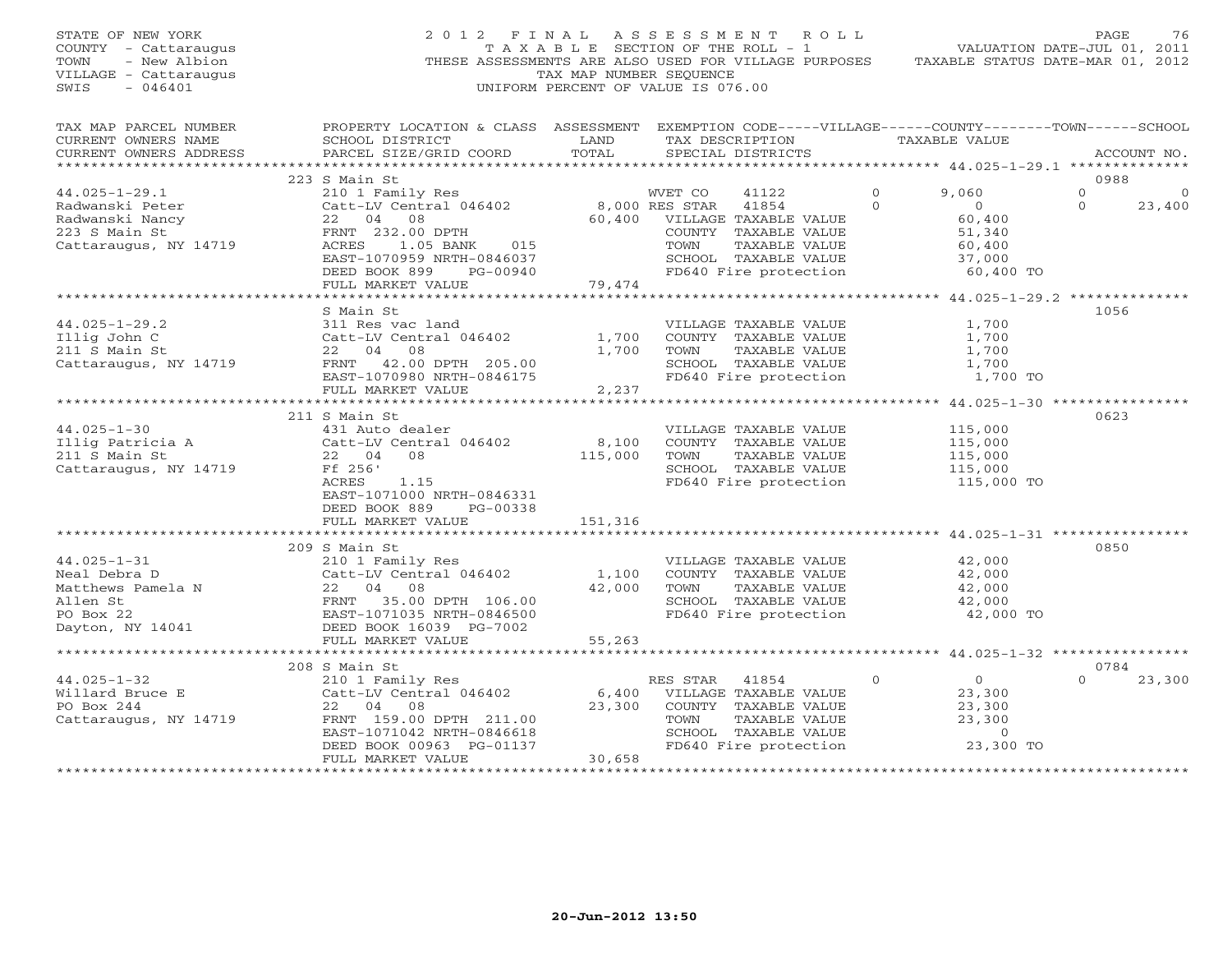| STATE OF NEW YORK<br>COUNTY - Cattaraugus<br>- New Albion<br>TOWN<br>VILLAGE - Cattaraugus<br>$-046401$<br>SWIS |                                                                                                                                                                 | TAX MAP NUMBER SEQUENCE | 2012 FINAL ASSESSMENT ROLL<br>TAXABLE SECTION OF THE ROLL - 1<br>THESE ASSESSMENTS ARE ALSO USED FOR VILLAGE PURPOSES<br>UNIFORM PERCENT OF VALUE IS 076.00 |                                               |                                                                             | PAGE<br>76<br>VALUATION DATE-JUL 01, 2011<br>TAXABLE STATUS DATE-MAR 01, 2012 |
|-----------------------------------------------------------------------------------------------------------------|-----------------------------------------------------------------------------------------------------------------------------------------------------------------|-------------------------|-------------------------------------------------------------------------------------------------------------------------------------------------------------|-----------------------------------------------|-----------------------------------------------------------------------------|-------------------------------------------------------------------------------|
| TAX MAP PARCEL NUMBER<br>CURRENT OWNERS NAME<br>CURRENT OWNERS ADDRESS<br>***********************               | PROPERTY LOCATION & CLASS ASSESSMENT EXEMPTION CODE-----VILLAGE------COUNTY-------TOWN------SCHOOL<br>SCHOOL DISTRICT<br>PARCEL SIZE/GRID COORD                 | LAND<br>TOTAL           | TAX DESCRIPTION<br>SPECIAL DISTRICTS                                                                                                                        |                                               | TAXABLE VALUE                                                               | ACCOUNT NO.<br>********************* 44.025-1-29.1 **************             |
|                                                                                                                 | 223 S Main St                                                                                                                                                   |                         |                                                                                                                                                             |                                               |                                                                             | 0988                                                                          |
| $44.025 - 1 - 29.1$<br>Radwanski Peter<br>Radwanski Nancy                                                       | 210 1 Family Res<br>Catt-LV Central 046402<br>22 04 08                                                                                                          |                         | WVET CO<br>41122<br>8,000 RES STAR<br>41854<br>60,400 VILLAGE TAXABLE VALUE                                                                                 | $\circ$<br>$\Omega$                           | 9,060<br>$\overline{O}$<br>60,400                                           | $\mathbf{0}$<br>$\circ$<br>$\Omega$<br>23,400                                 |
| 223 S Main St<br>Cattaraugus, NY 14719                                                                          | FRNT 232.00 DPTH<br>ACRES<br>1.05 BANK<br>015<br>EAST-1070959 NRTH-0846037<br>DEED BOOK 899<br>PG-00940                                                         |                         | COUNTY TAXABLE VALUE<br>TAXABLE VALUE<br>TOWN<br>SCHOOL TAXABLE VALUE<br>FD640 Fire protection                                                              |                                               | 51,340<br>60,400<br>37,000<br>60,400 TO                                     |                                                                               |
|                                                                                                                 | FULL MARKET VALUE                                                                                                                                               | 79,474                  |                                                                                                                                                             |                                               |                                                                             |                                                                               |
|                                                                                                                 | S Main St                                                                                                                                                       |                         |                                                                                                                                                             |                                               |                                                                             | 1056                                                                          |
| $44.025 - 1 - 29.2$<br>Illig John C<br>211 S Main St<br>Cattaraugus, NY 14719                                   | 311 Res vac land<br>Catt-LV Central 046402<br>22 04 08<br>FRNT 42.00 DPTH 205.00                                                                                | 1,700<br>1,700          | VILLAGE TAXABLE VALUE<br>COUNTY TAXABLE VALUE<br>TAXABLE VALUE<br>TOWN<br>SCHOOL TAXABLE VALUE                                                              |                                               | 1,700<br>1,700<br>1,700<br>1,700                                            |                                                                               |
|                                                                                                                 | EAST-1070980 NRTH-0846175<br>FULL MARKET VALUE                                                                                                                  | 2,237                   | FD640 Fire protection                                                                                                                                       |                                               | 1,700 TO                                                                    |                                                                               |
|                                                                                                                 |                                                                                                                                                                 |                         |                                                                                                                                                             |                                               |                                                                             |                                                                               |
| $44.025 - 1 - 30$<br>Illig Patricia A<br>211 S Main St<br>Cattaraugus, NY 14719                                 | 211 S Main St<br>431 Auto dealer<br>Catt-LV Central 046402<br>22 04<br>08<br>Ff 256'<br>ACRES<br>1.15<br>EAST-1071000 NRTH-0846331<br>DEED BOOK 889<br>PG-00338 | 8,100<br>115,000        | VILLAGE TAXABLE VALUE<br>COUNTY TAXABLE VALUE<br>TAXABLE VALUE<br>TOWN<br>SCHOOL TAXABLE VALUE<br>FD640 Fire protection                                     |                                               | 115,000<br>115,000<br>115,000<br>115,000<br>115,000 TO                      | 0623                                                                          |
|                                                                                                                 | FULL MARKET VALUE                                                                                                                                               | 151,316                 |                                                                                                                                                             |                                               |                                                                             |                                                                               |
|                                                                                                                 | 209 S Main St                                                                                                                                                   | **********              |                                                                                                                                                             | ********************** 44.025-1-31 ********** |                                                                             | 0850                                                                          |
| $44.025 - 1 - 31$<br>Neal Debra D<br>Matthews Pamela N<br>Allen St<br>PO Box 22<br>Dayton, NY 14041             | 210 1 Family Res<br>Catt-LV Central 046402<br>22<br>04 08<br>FRNT 35.00 DPTH 106.00<br>EAST-1071035 NRTH-0846500<br>DEED BOOK 16039 PG-7002                     | 1,100<br>42,000         | VILLAGE TAXABLE VALUE<br>COUNTY TAXABLE VALUE<br>TAXABLE VALUE<br>TOWN<br>SCHOOL TAXABLE VALUE<br>FD640 Fire protection                                     |                                               | 42,000<br>42,000<br>42,000<br>42,000<br>42,000 TO                           |                                                                               |
|                                                                                                                 | FULL MARKET VALUE                                                                                                                                               | 55,263                  |                                                                                                                                                             |                                               |                                                                             |                                                                               |
|                                                                                                                 | 208 S Main St                                                                                                                                                   |                         |                                                                                                                                                             |                                               |                                                                             | 0784                                                                          |
| $44.025 - 1 - 32$<br>Willard Bruce E<br>PO Box 244<br>Cattaraugus, NY 14719                                     | 210 1 Family Res<br>Catt-LV Central 046402<br>22 04<br>08<br>FRNT 159.00 DPTH 211.00<br>EAST-1071042 NRTH-0846618<br>DEED BOOK 00963 PG-01137                   | 6,400<br>23,300         | RES STAR 41854<br>VILLAGE TAXABLE VALUE<br>COUNTY TAXABLE VALUE<br>TOWN<br>TAXABLE VALUE<br>SCHOOL TAXABLE VALUE<br>FD640 Fire protection                   | $\Omega$                                      | $\overline{0}$<br>23,300<br>23,300<br>23,300<br>$\overline{0}$<br>23,300 TO | 23,300<br>$\Omega$                                                            |
|                                                                                                                 | FULL MARKET VALUE                                                                                                                                               | 30,658                  |                                                                                                                                                             |                                               |                                                                             |                                                                               |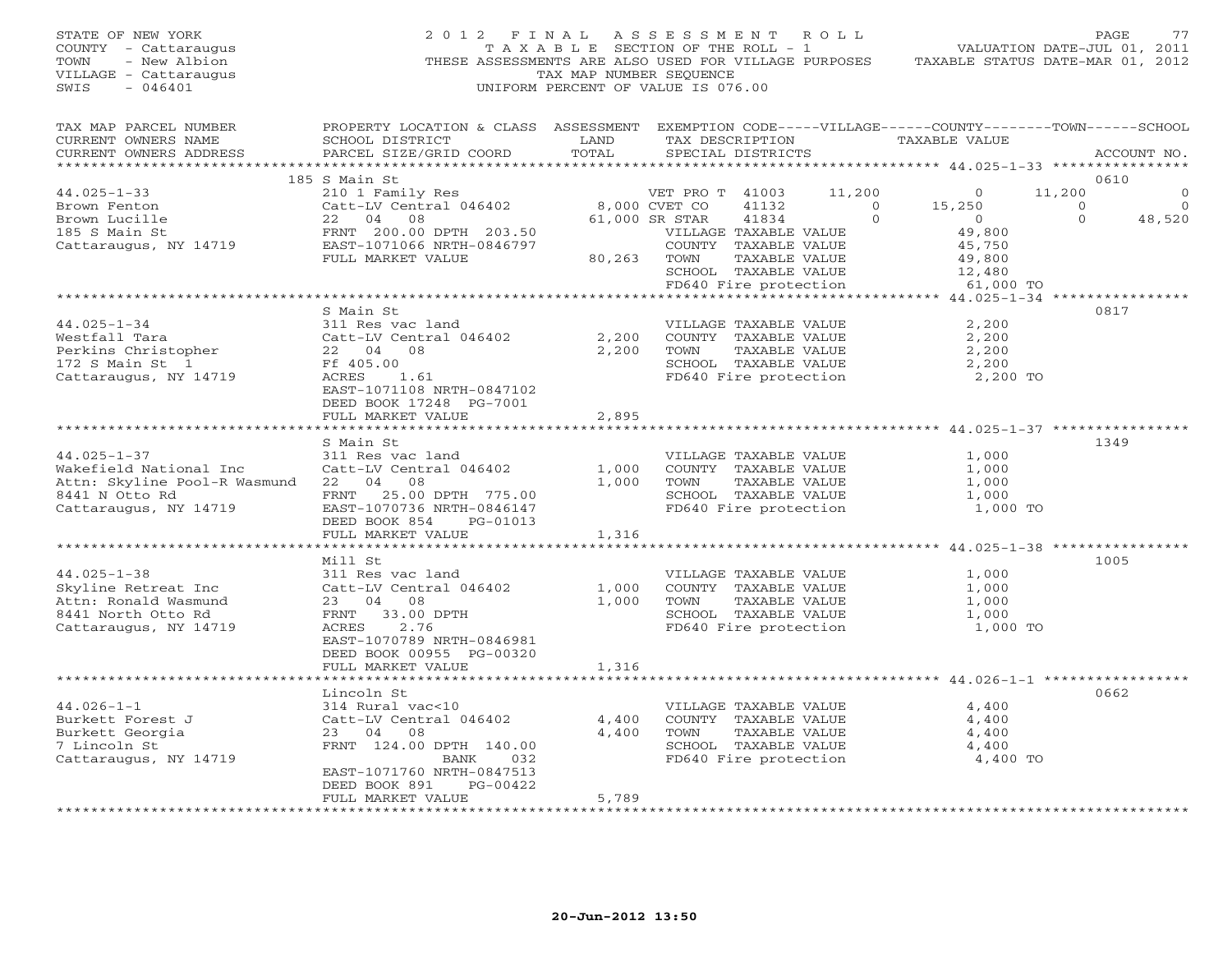STATE OF NEW YORK 2 0 1 2 F I N A L A S S E S S M E N T R O L L PAGE 77 COUNTY - Cattaraugus T A X A B L E SECTION OF THE ROLL - 1 VALUATION DATE-JUL 01, 2011 TOWN - New Albion THESE ASSESSMENTS ARE ALSO USED FOR VILLAGE PURPOSES TAXABLE STATUS DATE-MAR 01, 2012 VILLAGE - Cattaraugus TAX MAP NUMBER SEQUENCE SWIS - 046401 UNIFORM PERCENT OF VALUE IS 076.00 TAX MAP PARCEL NUMBER PROPERTY LOCATION & CLASS ASSESSMENT EXEMPTION CODE-----VILLAGE------COUNTY--------TOWN------SCHOOL<br>CURRENT OWNERS NAME SCHOOL DISTRICT LAND TAX DE \*\*\*\*\*\*\*\*\*\*\*\*\*\*\*\*\*\*\*\*\*\*\*\*\*\*\*\*\*\*\*\*\*\*\*\*\*\*\*\*\*\*\*\*\*\*\*\*\*\*\*\*\*\*\*\*\*\*\*\*\*\*\*\*\*\*\*\*\*\*\*\*\*\*\*\*\*\*\*\*\*\*\*\*\*\*\*\*\*\*\*\*\*\*\*\*\*\*\*\*\*\*\* 44.025-1-33 \*\*\*\*\*\*\*\*\*\*\*\*\*\*\*\* 185 S Main St 0610 44.025-1-33 210 1 Family Res VET PRO T 41003 11,200 0 11,200 0 Brown Fenton Catt-LV Central 046402 8,000 CVET CO 41132 0 15,250 0 0 Brown Lucille 22 04 08 61,000 SR STAR 41834 0 0 0 48,520 185 S Main St FRNT 200.00 DPTH 203.50 VILLAGE TAXABLE VALUE 49,800 Cattaraugus, NY 14719 EAST-1071066 NRTH-0846797 COUNTY TAXABLE VALUE 45,750 FULL MARKET VALUE 80,263 TOWN TAXABLE VALUE 49,800 SCHOOL TAXABLE VALUE 12,480 FD640 Fire protection 61,000 TO \*\*\*\*\*\*\*\*\*\*\*\*\*\*\*\*\*\*\*\*\*\*\*\*\*\*\*\*\*\*\*\*\*\*\*\*\*\*\*\*\*\*\*\*\*\*\*\*\*\*\*\*\*\*\*\*\*\*\*\*\*\*\*\*\*\*\*\*\*\*\*\*\*\*\*\*\*\*\*\*\*\*\*\*\*\*\*\*\*\*\*\*\*\*\*\*\*\*\*\*\*\*\* 44.025-1-34 \*\*\*\*\*\*\*\*\*\*\*\*\*\*\*\* S Main St 081744.025-1-34 311 Res vac land VILLAGE TAXABLE VALUE 2,200 Westfall Tara Catt-LV Central 046402 2,200 COUNTY TAXABLE VALUE 2,200 Perkins Christopher 22 04 08 2,200 TOWN TAXABLE VALUE 2,200 172 S Main St 1 Ff 405.00 SCHOOL TAXABLE VALUE 2,200 Cattaraugus, NY 14719 ACRES 1.61 FD640 Fire protection 2,200 TO EAST-1071108 NRTH-0847102 DEED BOOK 17248 PG-7001 FULL MARKET VALUE 2,895 \*\*\*\*\*\*\*\*\*\*\*\*\*\*\*\*\*\*\*\*\*\*\*\*\*\*\*\*\*\*\*\*\*\*\*\*\*\*\*\*\*\*\*\*\*\*\*\*\*\*\*\*\*\*\*\*\*\*\*\*\*\*\*\*\*\*\*\*\*\*\*\*\*\*\*\*\*\*\*\*\*\*\*\*\*\*\*\*\*\*\*\*\*\*\*\*\*\*\*\*\*\*\* 44.025-1-37 \*\*\*\*\*\*\*\*\*\*\*\*\*\*\*\* S Main St 134944.025-1-37 311 Res vac land VILLAGE TAXABLE VALUE 1,000 Wakefield National Inc Catt-LV Central 046402 1,000 COUNTY TAXABLE VALUE 1,000 Attn: Skyline Pool-R Wasmund 22 04 08 1,000 TOWN TAXABLE VALUE 1,000 8441 N Otto Rd FRNT 25.00 DPTH 775.00 SCHOOL TAXABLE VALUE 1,000 Cattaraugus, NY 14719 EAST-1070736 NRTH-0846147 FD640 Fire protection 1,000 TO DEED BOOK 854 PG-01013 FULL MARKET VALUE 1,316 \*\*\*\*\*\*\*\*\*\*\*\*\*\*\*\*\*\*\*\*\*\*\*\*\*\*\*\*\*\*\*\*\*\*\*\*\*\*\*\*\*\*\*\*\*\*\*\*\*\*\*\*\*\*\*\*\*\*\*\*\*\*\*\*\*\*\*\*\*\*\*\*\*\*\*\*\*\*\*\*\*\*\*\*\*\*\*\*\*\*\*\*\*\*\*\*\*\*\*\*\*\*\* 44.025-1-38 \*\*\*\*\*\*\*\*\*\*\*\*\*\*\*\* Mill St 100544.025-1-38 311 Res vac land VILLAGE TAXABLE VALUE 1,000 Skyline Retreat Inc Catt-LV Central 046402 1,000 COUNTY TAXABLE VALUE 1,000 Attn: Ronald Wasmund 23 04 08 1,000 TOWN TAXABLE VALUE 1,000 8441 North Otto Rd FRNT 33.00 DPTH SCHOOL TAXABLE VALUE 1,000 Cattaraugus, NY 14719 ACRES 2.76 FD640 Fire protection 1,000 TO EAST-1070789 NRTH-0846981 DEED BOOK 00955 PG-00320 FULL MARKET VALUE 1,316 \*\*\*\*\*\*\*\*\*\*\*\*\*\*\*\*\*\*\*\*\*\*\*\*\*\*\*\*\*\*\*\*\*\*\*\*\*\*\*\*\*\*\*\*\*\*\*\*\*\*\*\*\*\*\*\*\*\*\*\*\*\*\*\*\*\*\*\*\*\*\*\*\*\*\*\*\*\*\*\*\*\*\*\*\*\*\*\*\*\*\*\*\*\*\*\*\*\*\*\*\*\*\* 44.026-1-1 \*\*\*\*\*\*\*\*\*\*\*\*\*\*\*\*\* Lincoln St 066244.026-1-1 314 Rural vac<10 VILLAGE TAXABLE VALUE 4,400 Burkett Forest J Catt-LV Central 046402 4,400 COUNTY TAXABLE VALUE 4,400 Burkett Georgia 23 04 08 4,400 TOWN TAXABLE VALUE 4,400 7 Lincoln St FRNT 124.00 DPTH 140.00 SCHOOL TAXABLE VALUE 4,400 Cattaraugus, NY 14719 BANK 032 FD640 Fire protection 4,400 TO EAST-1071760 NRTH-0847513 DEED BOOK 891 PG-00422 FULL MARKET VALUE 5,789 \*\*\*\*\*\*\*\*\*\*\*\*\*\*\*\*\*\*\*\*\*\*\*\*\*\*\*\*\*\*\*\*\*\*\*\*\*\*\*\*\*\*\*\*\*\*\*\*\*\*\*\*\*\*\*\*\*\*\*\*\*\*\*\*\*\*\*\*\*\*\*\*\*\*\*\*\*\*\*\*\*\*\*\*\*\*\*\*\*\*\*\*\*\*\*\*\*\*\*\*\*\*\*\*\*\*\*\*\*\*\*\*\*\*\*\*\*\*\*\*\*\*\*\*\*\*\*\*\*\*\*\*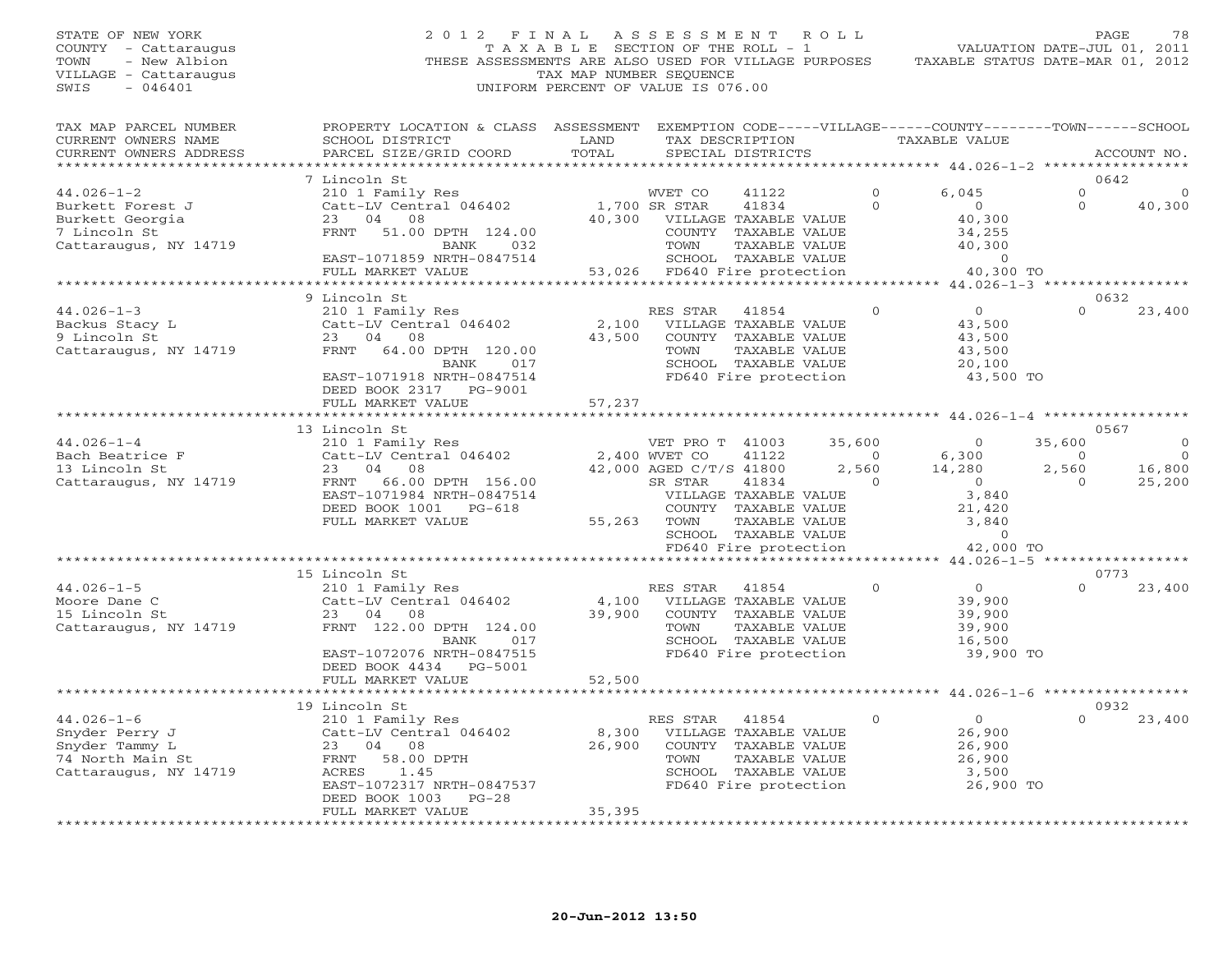STATE OF NEW YORK 2 0 1 2 F I N A L A S S E S S M E N T R O L L PAGE 78 COUNTY - Cattaraugus T A X A B L E SECTION OF THE ROLL - 1 VALUATION DATE-JUL 01, 2011 TOWN - New Albion THESE ASSESSMENTS ARE ALSO USED FOR VILLAGE PURPOSES TAXABLE STATUS DATE-MAR 01, 2012 VILLAGE - Cattaraugus TAX MAP NUMBER SEQUENCE SWIS - 046401 UNIFORM PERCENT OF VALUE IS 076.00 TAX MAP PARCEL NUMBER PROPERTY LOCATION & CLASS ASSESSMENT EXEMPTION CODE-----VILLAGE------COUNTY--------TOWN------SCHOOL<br>CURRENT OWNERS NAME SCHOOL DISTRICT LAND TAX DE \*\*\*\*\*\*\*\*\*\*\*\*\*\*\*\*\*\*\*\*\*\*\*\*\*\*\*\*\*\*\*\*\*\*\*\*\*\*\*\*\*\*\*\*\*\*\*\*\*\*\*\*\*\*\*\*\*\*\*\*\*\*\*\*\*\*\*\*\*\*\*\*\*\*\*\*\*\*\*\*\*\*\*\*\*\*\*\*\*\*\*\*\*\*\*\*\*\*\*\*\*\*\* 44.026-1-2 \*\*\*\*\*\*\*\*\*\*\*\*\*\*\*\*\* 7 Lincoln St 0642 44.026-1-2 210 1 Family Res WVET CO 41122 0 6,045 0 0 Burkett Forest J Catt-LV Central 046402 1,700 SR STAR 41834 0 0 0 40,300 Burkett Georgia 23 04 08 40,300 VILLAGE TAXABLE VALUE 40,300 7 Lincoln St FRNT 51.00 DPTH 124.00 COUNTY TAXABLE VALUE 34,255 Cattaraugus, NY 14719 BANK 032 TOWN TAXABLE VALUE 40,300 EAST-1071859 NRTH-0847514 SCHOOL TAXABLE VALUE 0 FULL MARKET VALUE 53,026 FD640 Fire protection 40,300 TO \*\*\*\*\*\*\*\*\*\*\*\*\*\*\*\*\*\*\*\*\*\*\*\*\*\*\*\*\*\*\*\*\*\*\*\*\*\*\*\*\*\*\*\*\*\*\*\*\*\*\*\*\*\*\*\*\*\*\*\*\*\*\*\*\*\*\*\*\*\*\*\*\*\*\*\*\*\*\*\*\*\*\*\*\*\*\*\*\*\*\*\*\*\*\*\*\*\*\*\*\*\*\* 44.026-1-3 \*\*\*\*\*\*\*\*\*\*\*\*\*\*\*\*\* 9 Lincoln St 0632 44.026-1-3 210 1 Family Res RES STAR 41854 0 0 0 23,400 Backus Stacy L Catt-LV Central 046402 2,100 VILLAGE TAXABLE VALUE 43,500 9 Lincoln St 23 04 08 43,500 COUNTY TAXABLE VALUE 43,500 Cattaraugus, NY 14719 FRNT 64.00 DPTH 120.00 TOWN TAXABLE VALUE 43,500 BANK 017 SCHOOL TAXABLE VALUE 20,100 EAST-1071918 NRTH-0847514 FD640 Fire protection 43,500 TO DEED BOOK 2317 PG-9001 FULL MARKET VALUE 57,237 \*\*\*\*\*\*\*\*\*\*\*\*\*\*\*\*\*\*\*\*\*\*\*\*\*\*\*\*\*\*\*\*\*\*\*\*\*\*\*\*\*\*\*\*\*\*\*\*\*\*\*\*\*\*\*\*\*\*\*\*\*\*\*\*\*\*\*\*\*\*\*\*\*\*\*\*\*\*\*\*\*\*\*\*\*\*\*\*\*\*\*\*\*\*\*\*\*\*\*\*\*\*\* 44.026-1-4 \*\*\*\*\*\*\*\*\*\*\*\*\*\*\*\*\* 13 Lincoln St 0567 44.026-1-4 210 1 Family Res VET PRO T 41003 35,600 0 35,600 0 Bach Beatrice F Catt-LV Central 046402 2,400 WVET CO 41122 0 6,300 0 0 13 Lincoln St 23 04 08 42,000 AGED C/T/S 41800 2,560 14,280 2,560 16,800 Cattaraugus, NY 14719 FRNT 66.00 DPTH 156.00 SR STAR 41834 0 0 0 25,200 EAST-1071984 NRTH-0847514 VILLAGE TAXABLE VALUE 3,840 DEED BOOK 1001 PG-618 COUNTY TAXABLE VALUE 21,420 FULL MARKET VALUE 55,263 TOWN TAXABLE VALUE 3,840<br>SCHOOL TAXABLE VALUE 0<br>FD640 Fire protection 42,000 TO 42,000 TO FORELL FORELL FORELLYALUE 9 80 FORELL 2000 FO 15 Lincoln St 0773 44.026-1-5 210 1 Family Res RES STAR 41854 0 0 0 23,400 Moore Dane C Catt-LV Central 046402 4,100 VILLAGE TAXABLE VALUE 39,900 15 Lincoln St 23 04 08 39,900 COUNTY TAXABLE VALUE 39,900 Cattaraugus, NY 14719 FRNT 122.00 DPTH 124.00 TOWN TAXABLE VALUE 39,900 BANK 017 SCHOOL TAXABLE VALUE 16,500 EAST-1072076 NRTH-0847515 FD640 Fire protection 39,900 TO DEED BOOK 4434 PG-5001 FULL MARKET VALUE 52,500 \*\*\*\*\*\*\*\*\*\*\*\*\*\*\*\*\*\*\*\*\*\*\*\*\*\*\*\*\*\*\*\*\*\*\*\*\*\*\*\*\*\*\*\*\*\*\*\*\*\*\*\*\*\*\*\*\*\*\*\*\*\*\*\*\*\*\*\*\*\*\*\*\*\*\*\*\*\*\*\*\*\*\*\*\*\*\*\*\*\*\*\*\*\*\*\*\*\*\*\*\*\*\* 44.026-1-6 \*\*\*\*\*\*\*\*\*\*\*\*\*\*\*\*\* 19 Lincoln St 0932 44.026-1-6 210 1 Family Res RES STAR 41854 0 0 0 23,400 Snyder Perry J Catt-LV Central 046402 8,300 VILLAGE TAXABLE VALUE 26,900 Snyder Tammy L 23 04 08 26,900 COUNTY TAXABLE VALUE 26,900 74 North Main St FRNT 58.00 DPTH TOWN TAXABLE VALUE 26,900 Cattaraugus, NY 14719 ACRES 1.45 SCHOOL TAXABLE VALUE 3,500 EAST-1072317 NRTH-0847537 FD640 Fire protection 26,900 TO<br>DEED BOOK 1003 PG-28 FULL MARKET VALUE 35,395 FULL MARKET VALUE 35,395 FULL MARKET VALUE 25,995 FULL MARKET VALUE 25,395 FULL MARKET VALUE 25,395 FULL MARKET VALUE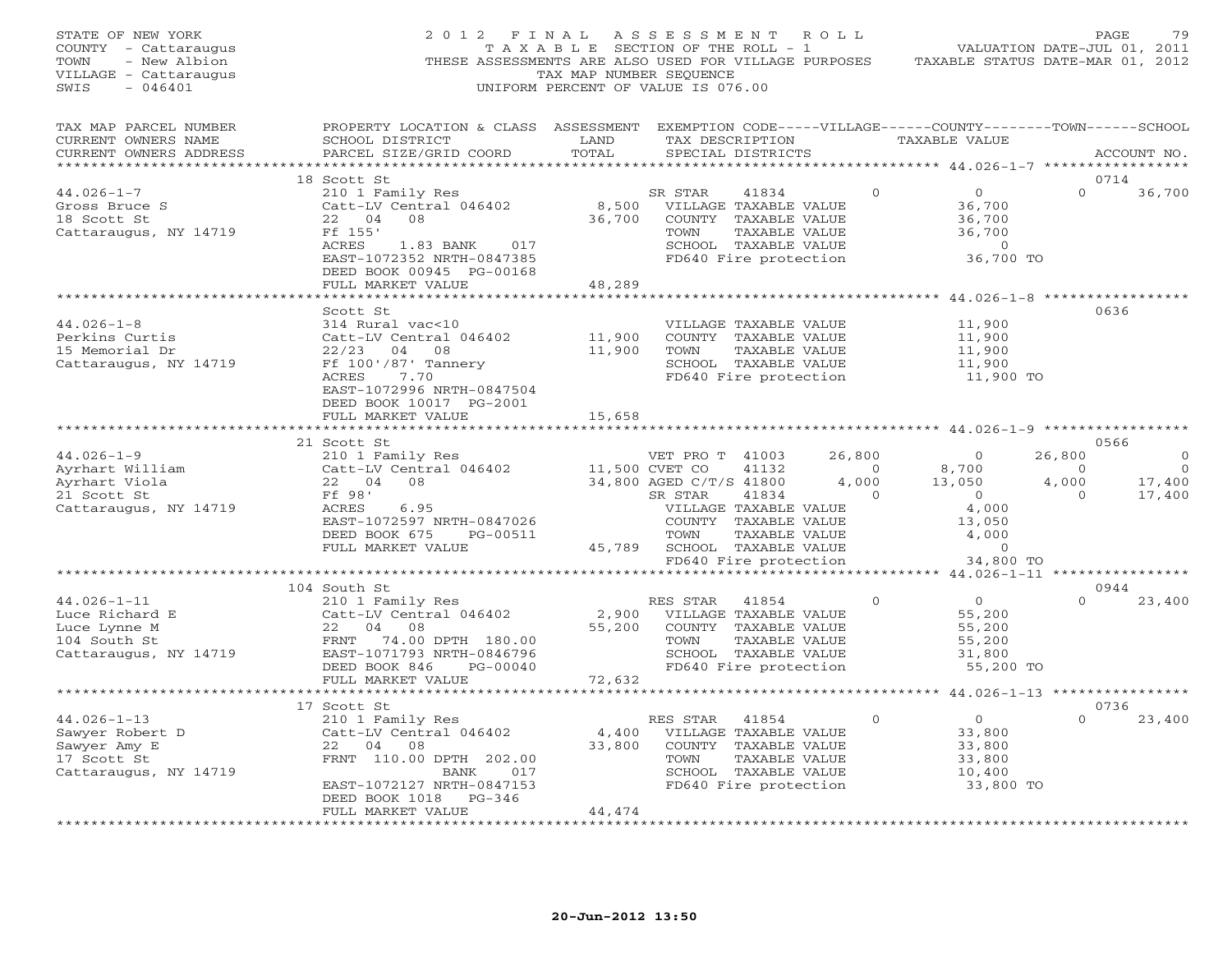| STATE OF NEW YORK<br>COUNTY - Cattaraugus<br>- New Albion<br>TOWN<br>VILLAGE - Cattaraugus<br>$-046401$<br>SWIS | 2012 FINAL<br>THESE ASSESSMENTS ARE ALSO USED FOR VILLAGE PURPOSES                                                                                      | TAX MAP NUMBER SEQUENCE | A S S E S S M E N T<br>T A X A B L E SECTION OF THE ROLL - 1<br>UNIFORM PERCENT OF VALUE IS 076.00                |                        | R O L L        |          | TAXABLE STATUS DATE-MAR 01, 2012                                            | PAGE<br>VALUATION DATE-JUL 01, 2011 | 79             |
|-----------------------------------------------------------------------------------------------------------------|---------------------------------------------------------------------------------------------------------------------------------------------------------|-------------------------|-------------------------------------------------------------------------------------------------------------------|------------------------|----------------|----------|-----------------------------------------------------------------------------|-------------------------------------|----------------|
| TAX MAP PARCEL NUMBER<br>CURRENT OWNERS NAME<br>CURRENT OWNERS ADDRESS<br>***********************               | PROPERTY LOCATION & CLASS ASSESSMENT EXEMPTION CODE-----VILLAGE------COUNTY-------TOWN------SCHOOL<br>SCHOOL DISTRICT<br>PARCEL SIZE/GRID COORD         | LAND<br>TOTAL           | TAX DESCRIPTION<br>SPECIAL DISTRICTS                                                                              |                        |                |          | TAXABLE VALUE                                                               |                                     | ACCOUNT NO.    |
|                                                                                                                 | 18 Scott St                                                                                                                                             |                         |                                                                                                                   |                        |                |          |                                                                             | 0714                                |                |
| $44.026 - 1 - 7$<br>Gross Bruce S<br>18 Scott St<br>Cattaraugus, NY 14719                                       | 210 1 Family Res<br>Catt-LV Central 046402<br>22 04<br>08<br>Ff 155'<br>1.83 BANK 017<br>ACRES<br>EAST-1072352 NRTH-0847385<br>DEED BOOK 00945 PG-00168 | 8,500<br>36,700         | SR STAR<br>VILLAGE TAXABLE VALUE<br>COUNTY TAXABLE VALUE<br>TOWN<br>SCHOOL TAXABLE VALUE<br>FD640 Fire protection | 41834<br>TAXABLE VALUE |                | $\Omega$ | $\overline{0}$<br>36,700<br>36,700<br>36,700<br>$\overline{0}$<br>36,700 TO | $\Omega$                            | 36,700         |
|                                                                                                                 | FULL MARKET VALUE                                                                                                                                       | 48,289                  |                                                                                                                   |                        |                |          |                                                                             |                                     |                |
|                                                                                                                 |                                                                                                                                                         |                         |                                                                                                                   |                        |                |          | ********* 44.026-1-8 ***************                                        |                                     |                |
| $44.026 - 1 - 8$<br>Perkins Curtis<br>15 Memorial Dr<br>Cattaraugus, NY 14719                                   | Scott St<br>314 Rural vac<10<br>Catt-LV Central 046402<br>$22/23$ 04 08<br>Ff 100'/87' Tannery<br>ACRES<br>7.70<br>EAST-1072996 NRTH-0847504            | 11,900<br>11,900        | VILLAGE TAXABLE VALUE<br>COUNTY TAXABLE VALUE<br>TOWN<br>SCHOOL TAXABLE VALUE<br>FD640 Fire protection            | TAXABLE VALUE          |                |          | 11,900<br>11,900<br>11,900<br>11,900<br>11,900 TO                           | 0636                                |                |
|                                                                                                                 | DEED BOOK 10017 PG-2001<br>FULL MARKET VALUE                                                                                                            | 15,658                  |                                                                                                                   |                        |                |          |                                                                             |                                     |                |
|                                                                                                                 |                                                                                                                                                         |                         |                                                                                                                   |                        |                |          |                                                                             |                                     |                |
|                                                                                                                 | 21 Scott St                                                                                                                                             |                         |                                                                                                                   |                        |                |          |                                                                             | 0566                                |                |
| $44.026 - 1 - 9$                                                                                                | 210 1 Family Res                                                                                                                                        |                         | VET PRO T 41003                                                                                                   |                        | 26,800         |          | $\bigcirc$                                                                  | 26,800                              | $\Omega$       |
| Ayrhart William                                                                                                 | Catt-LV Central 046402                                                                                                                                  | 11,500 CVET CO          |                                                                                                                   | 41132                  | $\overline{0}$ |          | 8,700                                                                       | $\Omega$                            | $\overline{0}$ |
| Ayrhart Viola                                                                                                   | 22 04 08                                                                                                                                                |                         | 34,800 AGED C/T/S 41800                                                                                           |                        | $4,000$        |          | 13,050                                                                      | 4,000                               | 17,400         |
| 21 Scott St                                                                                                     | Ff 98'                                                                                                                                                  |                         | SR STAR                                                                                                           | 41834                  | $\overline{0}$ |          | $\bigcirc$                                                                  | $\Omega$                            | 17,400         |
| Cattaraugus, NY 14719                                                                                           | 6.95<br>ACRES<br>EAST-1072597 NRTH-0847026<br>DEED BOOK 675<br>PG-00511                                                                                 |                         | VILLAGE TAXABLE VALUE<br>COUNTY TAXABLE VALUE<br>TOWN                                                             | TAXABLE VALUE          |                |          | 4,000<br>13,050<br>4,000                                                    |                                     |                |
|                                                                                                                 | FULL MARKET VALUE                                                                                                                                       | 45,789                  | SCHOOL TAXABLE VALUE                                                                                              |                        |                |          | $\overline{0}$                                                              |                                     |                |
|                                                                                                                 |                                                                                                                                                         |                         | FD640 Fire protection                                                                                             |                        |                |          | 34,800 TO                                                                   |                                     |                |
|                                                                                                                 | 104 South St                                                                                                                                            |                         |                                                                                                                   |                        |                |          |                                                                             | 0944                                |                |
| $44.026 - 1 - 11$                                                                                               | 210 1 Family Res                                                                                                                                        |                         | RES STAR                                                                                                          | 41854                  |                | $\Omega$ | $\overline{0}$                                                              | $\Omega$                            | 23,400         |
| Luce Richard E<br>Luce Lynne M<br>104 South St<br>Cattaraugus, NY 14719                                         | Catt-LV Central 046402<br>22 04 08<br>FRNT 74.00 DPTH 180.00<br>EAST-1071793 NRTH-0846796<br>DEED BOOK 846<br>PG-00040                                  | 2,900<br>55,200         | VILLAGE TAXABLE VALUE<br>COUNTY TAXABLE VALUE<br>TOWN<br>SCHOOL TAXABLE VALUE<br>FD640 Fire protection            | TAXABLE VALUE          |                |          | 55,200<br>55,200<br>55,200<br>31,800<br>55,200 TO                           |                                     |                |
|                                                                                                                 | FULL MARKET VALUE                                                                                                                                       | 72,632                  |                                                                                                                   |                        |                |          |                                                                             |                                     |                |
|                                                                                                                 | 17 Scott St                                                                                                                                             |                         |                                                                                                                   |                        |                |          |                                                                             | 0736                                |                |
| $44.026 - 1 - 13$                                                                                               | 210 1 Family Res                                                                                                                                        |                         | RES STAR                                                                                                          | 41854                  |                | $\Omega$ | $\overline{0}$                                                              | $\Omega$                            | 23,400         |
| Sawyer Robert D                                                                                                 | Catt-LV Central 046402                                                                                                                                  | 4,400                   | VILLAGE TAXABLE VALUE                                                                                             |                        |                |          | 33,800                                                                      |                                     |                |
| Sawyer Amy E                                                                                                    | 22 04<br>08                                                                                                                                             | 33,800                  | COUNTY TAXABLE VALUE                                                                                              |                        |                |          | 33,800                                                                      |                                     |                |
| 17 Scott St                                                                                                     | FRNT 110.00 DPTH 202.00                                                                                                                                 |                         | TOWN                                                                                                              | TAXABLE VALUE          |                |          | 33,800                                                                      |                                     |                |
| Cattaraugus, NY 14719                                                                                           | BANK<br>017<br>EAST-1072127 NRTH-0847153<br>DEED BOOK 1018 PG-346                                                                                       |                         | SCHOOL TAXABLE VALUE<br>FD640 Fire protection                                                                     |                        |                |          | 10,400<br>33,800 TO                                                         |                                     |                |
|                                                                                                                 | FULL MARKET VALUE<br>.                                                                                                                                  | 44,474                  |                                                                                                                   |                        |                |          |                                                                             |                                     |                |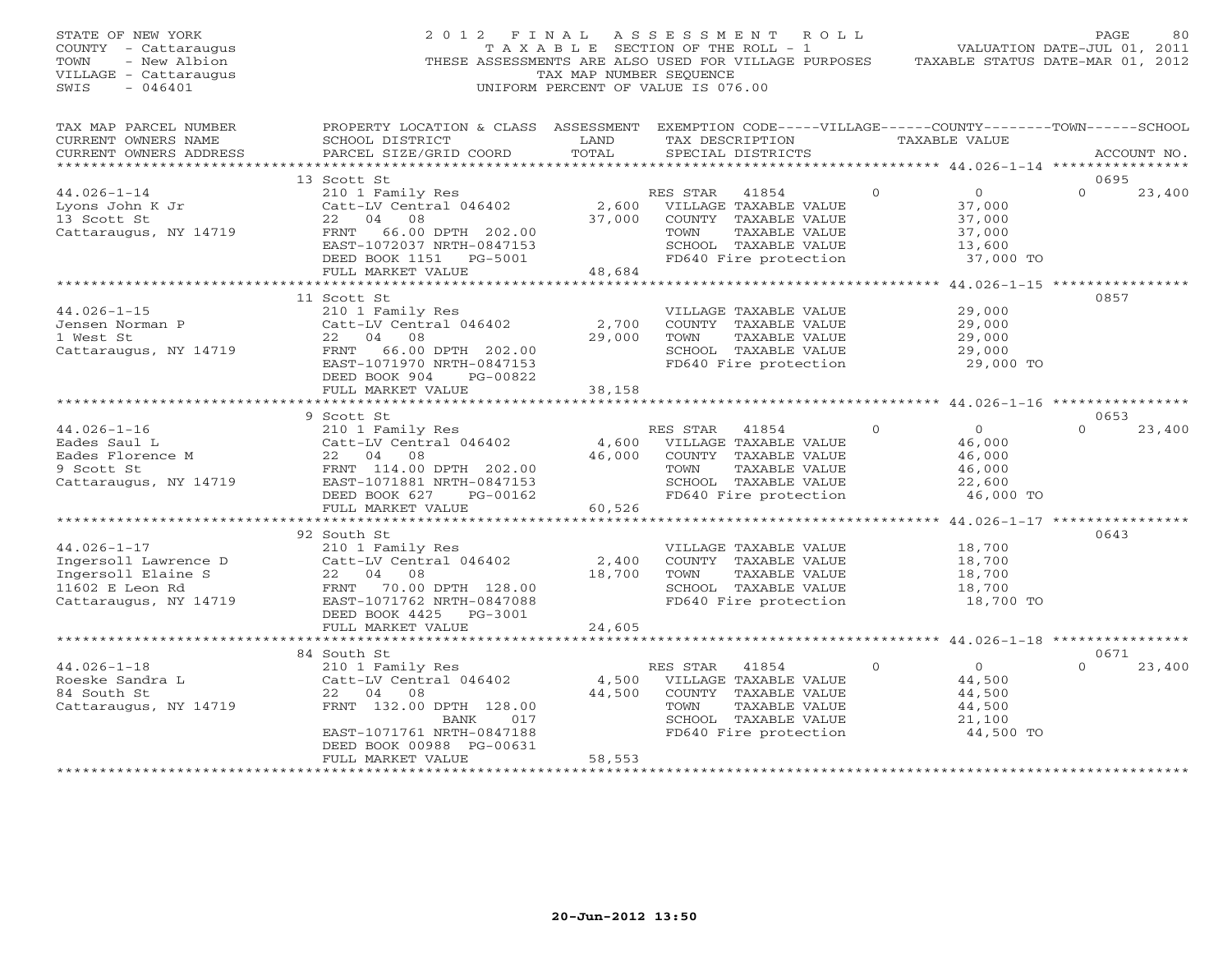| STATE OF NEW YORK<br>COUNTY - Cattaraugus<br>- New Albion<br>TOWN<br>VILLAGE - Cattaraugus<br>SWIS<br>$-046401$ | 2012 FINAL                                                                                                                                      | TAX MAP NUMBER SEOUENCE           | A S S E S S M E N T A O L L<br>TAXABLE SECTION OF THE ROLL - 1<br>THESE ASSESSMENTS ARE ALSO USED FOR VILLAGE PURPOSES<br>UNIFORM PERCENT OF VALUE IS 076.00 |                                                 | PAGE<br>80<br>VALUATION DATE-JUL 01, 2011<br>TAXABLE STATUS DATE-MAR 01, 2012 |
|-----------------------------------------------------------------------------------------------------------------|-------------------------------------------------------------------------------------------------------------------------------------------------|-----------------------------------|--------------------------------------------------------------------------------------------------------------------------------------------------------------|-------------------------------------------------|-------------------------------------------------------------------------------|
| TAX MAP PARCEL NUMBER<br>CURRENT OWNERS NAME<br>CURRENT OWNERS ADDRESS                                          | PROPERTY LOCATION & CLASS ASSESSMENT EXEMPTION CODE-----VILLAGE------COUNTY-------TOWN------SCHOOL<br>SCHOOL DISTRICT<br>PARCEL SIZE/GRID COORD | LAND<br>TOTAL                     | TAX DESCRIPTION<br>SPECIAL DISTRICTS                                                                                                                         | TAXABLE VALUE                                   | ACCOUNT NO.                                                                   |
|                                                                                                                 | *****************************<br>13 Scott St                                                                                                    |                                   |                                                                                                                                                              | ***************** 44.026-1-14 ***************** | 0695                                                                          |
| $44.026 - 1 - 14$<br>Lyons John K Jr<br>13 Scott St                                                             | 210 1 Family Res<br>Catt-LV Central 046402<br>22<br>04<br>08                                                                                    | 2,600<br>37,000                   | RES STAR<br>41854<br>VILLAGE TAXABLE VALUE<br>COUNTY TAXABLE VALUE                                                                                           | $\Omega$<br>$\Omega$<br>37,000<br>37,000        | $\cap$<br>23,400                                                              |
| Cattaraugus, NY 14719                                                                                           | FRNT 66.00 DPTH 202.00<br>EAST-1072037 NRTH-0847153<br>DEED BOOK 1151 PG-5001                                                                   |                                   | TOWN<br>TAXABLE VALUE<br>SCHOOL TAXABLE VALUE<br>FD640 Fire protection                                                                                       | 37,000<br>13,600<br>37,000 TO                   |                                                                               |
|                                                                                                                 | FULL MARKET VALUE                                                                                                                               | 48,684                            |                                                                                                                                                              |                                                 |                                                                               |
|                                                                                                                 |                                                                                                                                                 |                                   |                                                                                                                                                              |                                                 | 0857                                                                          |
| $44.026 - 1 - 15$<br>Jensen Norman P                                                                            | 11 Scott St<br>210 1 Family Res<br>Catt-LV Central 046402                                                                                       | 2,700                             | VILLAGE TAXABLE VALUE<br>COUNTY TAXABLE VALUE                                                                                                                | 29,000<br>29,000                                |                                                                               |
| 1 West St<br>Cattaraugus, NY 14719                                                                              | 08<br>22 04<br>FRNT 66.00 DPTH 202.00<br>EAST-1071970 NRTH-0847153<br>DEED BOOK 904<br>PG-00822                                                 | 29,000                            | TAXABLE VALUE<br>TOWN<br>SCHOOL TAXABLE VALUE<br>FD640 Fire protection                                                                                       | 29,000<br>29,000<br>29,000 TO                   |                                                                               |
|                                                                                                                 | FULL MARKET VALUE<br>***********************                                                                                                    | 38,158                            |                                                                                                                                                              |                                                 |                                                                               |
|                                                                                                                 | 9 Scott St                                                                                                                                      |                                   |                                                                                                                                                              |                                                 | 0653                                                                          |
| $44.026 - 1 - 16$                                                                                               | 210 1 Family Res                                                                                                                                |                                   | 41854<br>RES STAR                                                                                                                                            | $\circ$<br>$\overline{0}$                       | $\Omega$<br>23,400                                                            |
| Eades Saul L                                                                                                    | Catt-LV Central 046402                                                                                                                          | 4,600                             | VILLAGE TAXABLE VALUE                                                                                                                                        | 46,000                                          |                                                                               |
| Eades Florence M                                                                                                | 22 04<br>08                                                                                                                                     | 46,000                            | COUNTY TAXABLE VALUE                                                                                                                                         | 46,000                                          |                                                                               |
| 9 Scott St                                                                                                      | FRNT 114.00 DPTH 202.00                                                                                                                         |                                   | TOWN<br>TAXABLE VALUE                                                                                                                                        | 46,000                                          |                                                                               |
| Cattaraugus, NY 14719                                                                                           | EAST-1071881 NRTH-0847153<br>DEED BOOK 627<br>PG-00162<br>FULL MARKET VALUE                                                                     | 60,526                            | SCHOOL TAXABLE VALUE<br>FD640 Fire protection                                                                                                                | 22,600<br>46,000 TO                             |                                                                               |
|                                                                                                                 | *******************************                                                                                                                 |                                   |                                                                                                                                                              |                                                 |                                                                               |
|                                                                                                                 | 92 South St                                                                                                                                     |                                   |                                                                                                                                                              |                                                 | 0643                                                                          |
| $44.026 - 1 - 17$                                                                                               | 210 1 Family Res                                                                                                                                |                                   | VILLAGE TAXABLE VALUE                                                                                                                                        | 18,700                                          |                                                                               |
| Ingersoll Lawrence D<br>Ingersoll Elaine S                                                                      | Catt-LV Central 046402<br>22 04 08                                                                                                              | 2,400<br>18,700                   | COUNTY TAXABLE VALUE<br>TOWN<br>TAXABLE VALUE                                                                                                                | 18,700<br>18,700                                |                                                                               |
| 11602 E Leon Rd                                                                                                 | 70.00 DPTH 128.00<br>FRNT                                                                                                                       |                                   | SCHOOL TAXABLE VALUE                                                                                                                                         | 18,700                                          |                                                                               |
| Cattaraugus, NY 14719                                                                                           | EAST-1071762 NRTH-0847088<br>DEED BOOK 4425<br>PG-3001<br>FULL MARKET VALUE                                                                     | 24,605                            | FD640 Fire protection                                                                                                                                        | 18,700 TO                                       |                                                                               |
|                                                                                                                 | ***********************                                                                                                                         |                                   |                                                                                                                                                              |                                                 | ********* 44.026-1-18 *****************                                       |
|                                                                                                                 | 84 South St                                                                                                                                     |                                   |                                                                                                                                                              |                                                 | 0671                                                                          |
| $44.026 - 1 - 18$                                                                                               | 210 1 Family Res                                                                                                                                |                                   | RES STAR<br>41854                                                                                                                                            | $\mathbf{0}$<br>$\overline{0}$                  | $\Omega$<br>23,400                                                            |
| Roeske Sandra L                                                                                                 | Catt-LV Central 046402                                                                                                                          | 4,500                             | VILLAGE TAXABLE VALUE                                                                                                                                        | 44,500                                          |                                                                               |
| 84 South St                                                                                                     | 22 04 08                                                                                                                                        | 44,500                            | COUNTY TAXABLE VALUE                                                                                                                                         | 44,500                                          |                                                                               |
| Cattaraugus, NY 14719                                                                                           | FRNT 132.00 DPTH 128.00<br>BANK<br>017                                                                                                          |                                   | TOWN<br>TAXABLE VALUE<br>SCHOOL TAXABLE VALUE                                                                                                                | 44,500<br>21,100                                |                                                                               |
|                                                                                                                 | EAST-1071761 NRTH-0847188<br>DEED BOOK 00988 PG-00631                                                                                           |                                   | FD640 Fire protection                                                                                                                                        | 44,500 TO                                       |                                                                               |
|                                                                                                                 | FULL MARKET VALUE                                                                                                                               | 58,553<br>+ + + + + + + + + + + + |                                                                                                                                                              |                                                 |                                                                               |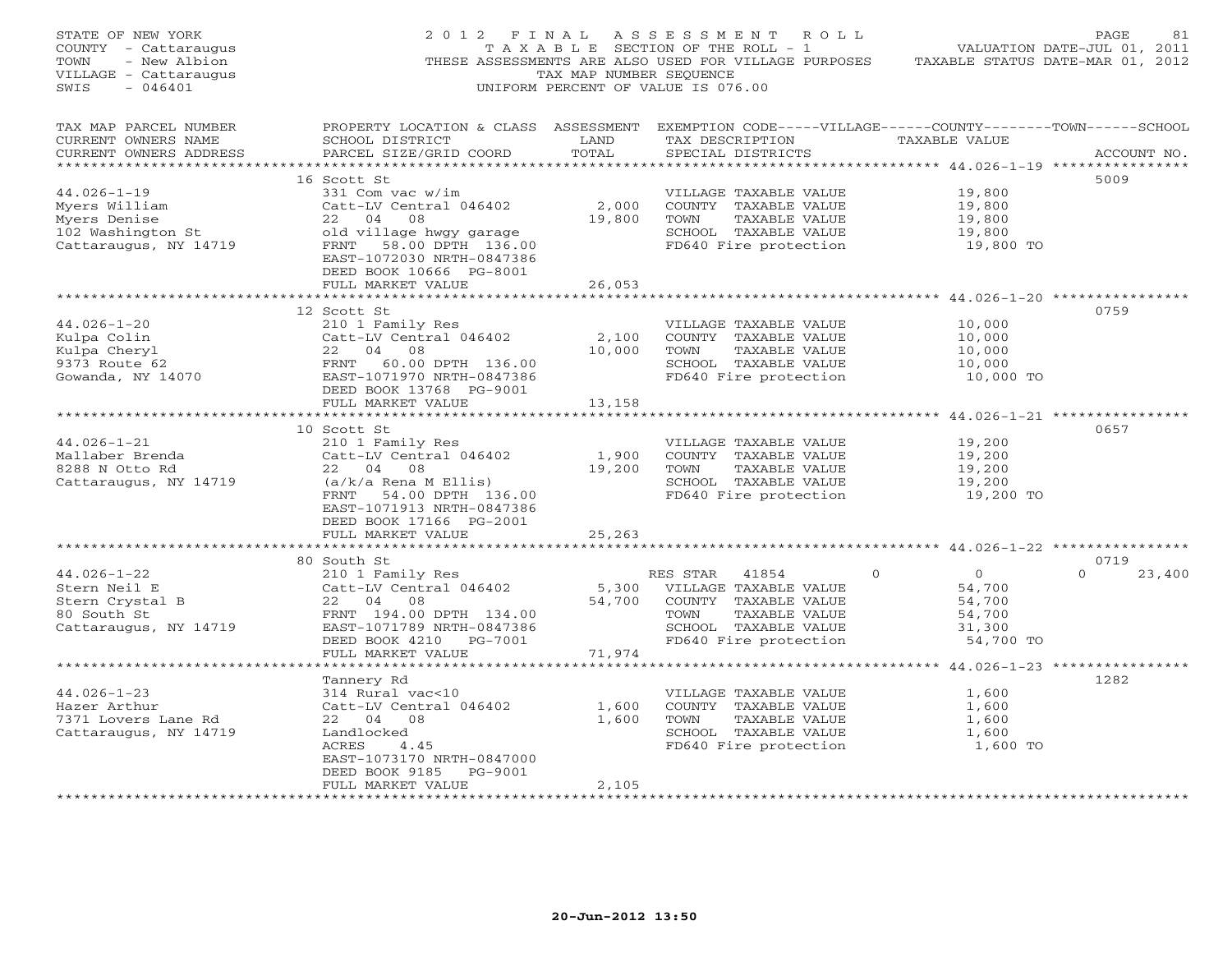| TAX MAP PARCEL NUMBER<br>PROPERTY LOCATION & CLASS ASSESSMENT EXEMPTION CODE-----VILLAGE------COUNTY-------TOWN------SCHOOL<br>TAX DESCRIPTION TAXABLE VALUE<br>CURRENT OWNERS NAME<br>SCHOOL DISTRICT<br>LAND<br>PARCEL SIZE/GRID COORD<br>TOTAL<br>SPECIAL DISTRICTS<br>CURRENT OWNERS ADDRESS<br>ACCOUNT NO.<br>5009<br>16 Scott St<br>$44.026 - 1 - 19$<br>331 Com vac w/im<br>19,800<br>VILLAGE TAXABLE VALUE<br>Catt-LV Central 046402<br>2,000<br>Myers William<br>COUNTY TAXABLE VALUE<br>19,800<br>22 04 08<br>Myers Denise<br>19,800<br>TOWN<br>TAXABLE VALUE<br>19,800<br>102 Washington St<br>19,800<br>old village hwgy garage<br>SCHOOL TAXABLE VALUE<br>Cattaraugus, NY 14719<br>FRNT 58.00 DPTH 136.00<br>FD640 Fire protection<br>19,800 TO<br>EAST-1072030 NRTH-0847386<br>DEED BOOK 10666 PG-8001<br>FULL MARKET VALUE<br>26,053<br>0759<br>12 Scott St<br>$44.026 - 1 - 20$<br>210 1 Family Res<br>10,000<br>VILLAGE TAXABLE VALUE<br>Example 2011<br>Example 2011<br>Example 2020<br>22 04 08<br>9373 Route 62<br>9373 Route 62<br>FRNT 60.00 DPTH 136.00<br>EAST-1071970 NRTH-0847386<br>EAST-1071970 NRTH-0847386<br>2,100<br>COUNTY TAXABLE VALUE<br>10,000<br>10,000<br>TAXABLE VALUE<br>10,000<br>TOWN<br>SCHOOL TAXABLE VALUE<br>10,000<br>FD640 Fire protection<br>10,000 TO<br>DEED BOOK 13768 PG-9001<br>FULL MARKET VALUE<br>13,158<br>0657<br>10 Scott St<br>210 1 Family Res<br>$44.026 - 1 - 21$<br>19,200<br>VILLAGE TAXABLE VALUE<br>Catt-LV Central 046402<br>1,900<br>Mallaber Brenda<br>COUNTY TAXABLE VALUE<br>19,200<br>8288 N Otto Rd<br>22 04 08<br>19,200<br>TOWN<br>TAXABLE VALUE<br>19,200<br>(a/k/a Rena M Ellis)<br>Cattaraugus, NY 14719<br>SCHOOL TAXABLE VALUE<br>19,200<br>FRNT 54.00 DPTH 136.00<br>FD640 Fire protection<br>19,200 TO<br>EAST-1071913 NRTH-0847386<br>DEED BOOK 17166 PG-2001<br>FULL MARKET VALUE<br>25,263<br>80 South St<br>0719<br>210 1 Family Res<br>Catt-LV Central 046402<br>$44.026 - 1 - 22$<br>$\overline{0}$<br>$\Omega$<br>23,400<br>RES STAR<br>41854<br>$\Omega$<br>5,300 VILLAGE TAXABLE VALUE<br>Stern Neil E<br>54,700<br>Stern Crystal B<br>22 04 08<br>54,700 COUNTY TAXABLE VALUE<br>54,700<br>80 South St<br>FRNT 194.00 DPTH 134.00<br>54,700<br>TOWN<br>TAXABLE VALUE<br>Cattaraugus, NY 14719<br>EAST-1071789 NRTH-0847386<br>SCHOOL TAXABLE VALUE<br>31,300<br>DEED BOOK 4210 PG-7001<br>FD640 Fire protection<br>54,700 TO<br>71,974<br>FULL MARKET VALUE<br>1282<br>Tannery Rd<br>314 Rural vac<10<br>$44.026 - 1 - 23$<br>VILLAGE TAXABLE VALUE<br>1,600<br>Hazer Arthur<br>Catt-LV Central 046402<br>1,600<br>COUNTY TAXABLE VALUE<br>1,600<br>7371 Lovers Lane Rd<br>22 04 08<br>1,600<br>TOWN<br>TAXABLE VALUE<br>1,600<br>Cattaraugus, NY 14719<br>SCHOOL TAXABLE VALUE<br>Landlocked<br>1,600<br>1,600 TO<br>ACRES<br>4.45<br>FD640 Fire protection<br>EAST-1073170 NRTH-0847000<br>DEED BOOK 9185 PG-9001<br>2,105<br>FULL MARKET VALUE<br>*************************<br>****************** | STATE OF NEW YORK<br>COUNTY - Cattaraugus<br>- New Albion<br>TOWN<br>VILLAGE - Cattaraugus<br>$-046401$<br>SWIS | 2012 FINAL | TAX MAP NUMBER SEQUENCE | ASSESSMENT ROLL<br>TAXABLE SECTION OF THE ROLL - 1<br>THESE ASSESSMENTS ARE ALSO USED FOR VILLAGE PURPOSES<br>UNIFORM PERCENT OF VALUE IS 076.00 | TAXABLE STATUS DATE-MAR 01, 2012 | PAGE<br>81<br>VALUATION DATE-JUL 01, 2011 |
|-----------------------------------------------------------------------------------------------------------------------------------------------------------------------------------------------------------------------------------------------------------------------------------------------------------------------------------------------------------------------------------------------------------------------------------------------------------------------------------------------------------------------------------------------------------------------------------------------------------------------------------------------------------------------------------------------------------------------------------------------------------------------------------------------------------------------------------------------------------------------------------------------------------------------------------------------------------------------------------------------------------------------------------------------------------------------------------------------------------------------------------------------------------------------------------------------------------------------------------------------------------------------------------------------------------------------------------------------------------------------------------------------------------------------------------------------------------------------------------------------------------------------------------------------------------------------------------------------------------------------------------------------------------------------------------------------------------------------------------------------------------------------------------------------------------------------------------------------------------------------------------------------------------------------------------------------------------------------------------------------------------------------------------------------------------------------------------------------------------------------------------------------------------------------------------------------------------------------------------------------------------------------------------------------------------------------------------------------------------------------------------------------------------------------------------------------------------------------------------------------------------------------------------------------------------------------------------------------------------------------------------------------------------------------------------------------------------------------------------------------------------------------------------------------------------------------------------------------------------------------------------------------------------------------------------------------------------------------------------------------------|-----------------------------------------------------------------------------------------------------------------|------------|-------------------------|--------------------------------------------------------------------------------------------------------------------------------------------------|----------------------------------|-------------------------------------------|
|                                                                                                                                                                                                                                                                                                                                                                                                                                                                                                                                                                                                                                                                                                                                                                                                                                                                                                                                                                                                                                                                                                                                                                                                                                                                                                                                                                                                                                                                                                                                                                                                                                                                                                                                                                                                                                                                                                                                                                                                                                                                                                                                                                                                                                                                                                                                                                                                                                                                                                                                                                                                                                                                                                                                                                                                                                                                                                                                                                                                     |                                                                                                                 |            |                         |                                                                                                                                                  |                                  |                                           |
|                                                                                                                                                                                                                                                                                                                                                                                                                                                                                                                                                                                                                                                                                                                                                                                                                                                                                                                                                                                                                                                                                                                                                                                                                                                                                                                                                                                                                                                                                                                                                                                                                                                                                                                                                                                                                                                                                                                                                                                                                                                                                                                                                                                                                                                                                                                                                                                                                                                                                                                                                                                                                                                                                                                                                                                                                                                                                                                                                                                                     |                                                                                                                 |            |                         |                                                                                                                                                  |                                  |                                           |
|                                                                                                                                                                                                                                                                                                                                                                                                                                                                                                                                                                                                                                                                                                                                                                                                                                                                                                                                                                                                                                                                                                                                                                                                                                                                                                                                                                                                                                                                                                                                                                                                                                                                                                                                                                                                                                                                                                                                                                                                                                                                                                                                                                                                                                                                                                                                                                                                                                                                                                                                                                                                                                                                                                                                                                                                                                                                                                                                                                                                     |                                                                                                                 |            |                         |                                                                                                                                                  |                                  |                                           |
|                                                                                                                                                                                                                                                                                                                                                                                                                                                                                                                                                                                                                                                                                                                                                                                                                                                                                                                                                                                                                                                                                                                                                                                                                                                                                                                                                                                                                                                                                                                                                                                                                                                                                                                                                                                                                                                                                                                                                                                                                                                                                                                                                                                                                                                                                                                                                                                                                                                                                                                                                                                                                                                                                                                                                                                                                                                                                                                                                                                                     |                                                                                                                 |            |                         |                                                                                                                                                  |                                  |                                           |
|                                                                                                                                                                                                                                                                                                                                                                                                                                                                                                                                                                                                                                                                                                                                                                                                                                                                                                                                                                                                                                                                                                                                                                                                                                                                                                                                                                                                                                                                                                                                                                                                                                                                                                                                                                                                                                                                                                                                                                                                                                                                                                                                                                                                                                                                                                                                                                                                                                                                                                                                                                                                                                                                                                                                                                                                                                                                                                                                                                                                     |                                                                                                                 |            |                         |                                                                                                                                                  |                                  |                                           |
|                                                                                                                                                                                                                                                                                                                                                                                                                                                                                                                                                                                                                                                                                                                                                                                                                                                                                                                                                                                                                                                                                                                                                                                                                                                                                                                                                                                                                                                                                                                                                                                                                                                                                                                                                                                                                                                                                                                                                                                                                                                                                                                                                                                                                                                                                                                                                                                                                                                                                                                                                                                                                                                                                                                                                                                                                                                                                                                                                                                                     |                                                                                                                 |            |                         |                                                                                                                                                  |                                  |                                           |
|                                                                                                                                                                                                                                                                                                                                                                                                                                                                                                                                                                                                                                                                                                                                                                                                                                                                                                                                                                                                                                                                                                                                                                                                                                                                                                                                                                                                                                                                                                                                                                                                                                                                                                                                                                                                                                                                                                                                                                                                                                                                                                                                                                                                                                                                                                                                                                                                                                                                                                                                                                                                                                                                                                                                                                                                                                                                                                                                                                                                     |                                                                                                                 |            |                         |                                                                                                                                                  |                                  |                                           |
|                                                                                                                                                                                                                                                                                                                                                                                                                                                                                                                                                                                                                                                                                                                                                                                                                                                                                                                                                                                                                                                                                                                                                                                                                                                                                                                                                                                                                                                                                                                                                                                                                                                                                                                                                                                                                                                                                                                                                                                                                                                                                                                                                                                                                                                                                                                                                                                                                                                                                                                                                                                                                                                                                                                                                                                                                                                                                                                                                                                                     |                                                                                                                 |            |                         |                                                                                                                                                  |                                  |                                           |
|                                                                                                                                                                                                                                                                                                                                                                                                                                                                                                                                                                                                                                                                                                                                                                                                                                                                                                                                                                                                                                                                                                                                                                                                                                                                                                                                                                                                                                                                                                                                                                                                                                                                                                                                                                                                                                                                                                                                                                                                                                                                                                                                                                                                                                                                                                                                                                                                                                                                                                                                                                                                                                                                                                                                                                                                                                                                                                                                                                                                     |                                                                                                                 |            |                         |                                                                                                                                                  |                                  |                                           |
|                                                                                                                                                                                                                                                                                                                                                                                                                                                                                                                                                                                                                                                                                                                                                                                                                                                                                                                                                                                                                                                                                                                                                                                                                                                                                                                                                                                                                                                                                                                                                                                                                                                                                                                                                                                                                                                                                                                                                                                                                                                                                                                                                                                                                                                                                                                                                                                                                                                                                                                                                                                                                                                                                                                                                                                                                                                                                                                                                                                                     |                                                                                                                 |            |                         |                                                                                                                                                  |                                  |                                           |
|                                                                                                                                                                                                                                                                                                                                                                                                                                                                                                                                                                                                                                                                                                                                                                                                                                                                                                                                                                                                                                                                                                                                                                                                                                                                                                                                                                                                                                                                                                                                                                                                                                                                                                                                                                                                                                                                                                                                                                                                                                                                                                                                                                                                                                                                                                                                                                                                                                                                                                                                                                                                                                                                                                                                                                                                                                                                                                                                                                                                     |                                                                                                                 |            |                         |                                                                                                                                                  |                                  |                                           |
|                                                                                                                                                                                                                                                                                                                                                                                                                                                                                                                                                                                                                                                                                                                                                                                                                                                                                                                                                                                                                                                                                                                                                                                                                                                                                                                                                                                                                                                                                                                                                                                                                                                                                                                                                                                                                                                                                                                                                                                                                                                                                                                                                                                                                                                                                                                                                                                                                                                                                                                                                                                                                                                                                                                                                                                                                                                                                                                                                                                                     |                                                                                                                 |            |                         |                                                                                                                                                  |                                  |                                           |
|                                                                                                                                                                                                                                                                                                                                                                                                                                                                                                                                                                                                                                                                                                                                                                                                                                                                                                                                                                                                                                                                                                                                                                                                                                                                                                                                                                                                                                                                                                                                                                                                                                                                                                                                                                                                                                                                                                                                                                                                                                                                                                                                                                                                                                                                                                                                                                                                                                                                                                                                                                                                                                                                                                                                                                                                                                                                                                                                                                                                     |                                                                                                                 |            |                         |                                                                                                                                                  |                                  |                                           |
|                                                                                                                                                                                                                                                                                                                                                                                                                                                                                                                                                                                                                                                                                                                                                                                                                                                                                                                                                                                                                                                                                                                                                                                                                                                                                                                                                                                                                                                                                                                                                                                                                                                                                                                                                                                                                                                                                                                                                                                                                                                                                                                                                                                                                                                                                                                                                                                                                                                                                                                                                                                                                                                                                                                                                                                                                                                                                                                                                                                                     |                                                                                                                 |            |                         |                                                                                                                                                  |                                  |                                           |
|                                                                                                                                                                                                                                                                                                                                                                                                                                                                                                                                                                                                                                                                                                                                                                                                                                                                                                                                                                                                                                                                                                                                                                                                                                                                                                                                                                                                                                                                                                                                                                                                                                                                                                                                                                                                                                                                                                                                                                                                                                                                                                                                                                                                                                                                                                                                                                                                                                                                                                                                                                                                                                                                                                                                                                                                                                                                                                                                                                                                     |                                                                                                                 |            |                         |                                                                                                                                                  |                                  |                                           |
|                                                                                                                                                                                                                                                                                                                                                                                                                                                                                                                                                                                                                                                                                                                                                                                                                                                                                                                                                                                                                                                                                                                                                                                                                                                                                                                                                                                                                                                                                                                                                                                                                                                                                                                                                                                                                                                                                                                                                                                                                                                                                                                                                                                                                                                                                                                                                                                                                                                                                                                                                                                                                                                                                                                                                                                                                                                                                                                                                                                                     |                                                                                                                 |            |                         |                                                                                                                                                  |                                  |                                           |
|                                                                                                                                                                                                                                                                                                                                                                                                                                                                                                                                                                                                                                                                                                                                                                                                                                                                                                                                                                                                                                                                                                                                                                                                                                                                                                                                                                                                                                                                                                                                                                                                                                                                                                                                                                                                                                                                                                                                                                                                                                                                                                                                                                                                                                                                                                                                                                                                                                                                                                                                                                                                                                                                                                                                                                                                                                                                                                                                                                                                     |                                                                                                                 |            |                         |                                                                                                                                                  |                                  |                                           |
|                                                                                                                                                                                                                                                                                                                                                                                                                                                                                                                                                                                                                                                                                                                                                                                                                                                                                                                                                                                                                                                                                                                                                                                                                                                                                                                                                                                                                                                                                                                                                                                                                                                                                                                                                                                                                                                                                                                                                                                                                                                                                                                                                                                                                                                                                                                                                                                                                                                                                                                                                                                                                                                                                                                                                                                                                                                                                                                                                                                                     |                                                                                                                 |            |                         |                                                                                                                                                  |                                  |                                           |
|                                                                                                                                                                                                                                                                                                                                                                                                                                                                                                                                                                                                                                                                                                                                                                                                                                                                                                                                                                                                                                                                                                                                                                                                                                                                                                                                                                                                                                                                                                                                                                                                                                                                                                                                                                                                                                                                                                                                                                                                                                                                                                                                                                                                                                                                                                                                                                                                                                                                                                                                                                                                                                                                                                                                                                                                                                                                                                                                                                                                     |                                                                                                                 |            |                         |                                                                                                                                                  |                                  |                                           |
|                                                                                                                                                                                                                                                                                                                                                                                                                                                                                                                                                                                                                                                                                                                                                                                                                                                                                                                                                                                                                                                                                                                                                                                                                                                                                                                                                                                                                                                                                                                                                                                                                                                                                                                                                                                                                                                                                                                                                                                                                                                                                                                                                                                                                                                                                                                                                                                                                                                                                                                                                                                                                                                                                                                                                                                                                                                                                                                                                                                                     |                                                                                                                 |            |                         |                                                                                                                                                  |                                  |                                           |
|                                                                                                                                                                                                                                                                                                                                                                                                                                                                                                                                                                                                                                                                                                                                                                                                                                                                                                                                                                                                                                                                                                                                                                                                                                                                                                                                                                                                                                                                                                                                                                                                                                                                                                                                                                                                                                                                                                                                                                                                                                                                                                                                                                                                                                                                                                                                                                                                                                                                                                                                                                                                                                                                                                                                                                                                                                                                                                                                                                                                     |                                                                                                                 |            |                         |                                                                                                                                                  |                                  |                                           |
|                                                                                                                                                                                                                                                                                                                                                                                                                                                                                                                                                                                                                                                                                                                                                                                                                                                                                                                                                                                                                                                                                                                                                                                                                                                                                                                                                                                                                                                                                                                                                                                                                                                                                                                                                                                                                                                                                                                                                                                                                                                                                                                                                                                                                                                                                                                                                                                                                                                                                                                                                                                                                                                                                                                                                                                                                                                                                                                                                                                                     |                                                                                                                 |            |                         |                                                                                                                                                  |                                  |                                           |
|                                                                                                                                                                                                                                                                                                                                                                                                                                                                                                                                                                                                                                                                                                                                                                                                                                                                                                                                                                                                                                                                                                                                                                                                                                                                                                                                                                                                                                                                                                                                                                                                                                                                                                                                                                                                                                                                                                                                                                                                                                                                                                                                                                                                                                                                                                                                                                                                                                                                                                                                                                                                                                                                                                                                                                                                                                                                                                                                                                                                     |                                                                                                                 |            |                         |                                                                                                                                                  |                                  |                                           |
|                                                                                                                                                                                                                                                                                                                                                                                                                                                                                                                                                                                                                                                                                                                                                                                                                                                                                                                                                                                                                                                                                                                                                                                                                                                                                                                                                                                                                                                                                                                                                                                                                                                                                                                                                                                                                                                                                                                                                                                                                                                                                                                                                                                                                                                                                                                                                                                                                                                                                                                                                                                                                                                                                                                                                                                                                                                                                                                                                                                                     |                                                                                                                 |            |                         |                                                                                                                                                  |                                  |                                           |
|                                                                                                                                                                                                                                                                                                                                                                                                                                                                                                                                                                                                                                                                                                                                                                                                                                                                                                                                                                                                                                                                                                                                                                                                                                                                                                                                                                                                                                                                                                                                                                                                                                                                                                                                                                                                                                                                                                                                                                                                                                                                                                                                                                                                                                                                                                                                                                                                                                                                                                                                                                                                                                                                                                                                                                                                                                                                                                                                                                                                     |                                                                                                                 |            |                         |                                                                                                                                                  |                                  |                                           |
|                                                                                                                                                                                                                                                                                                                                                                                                                                                                                                                                                                                                                                                                                                                                                                                                                                                                                                                                                                                                                                                                                                                                                                                                                                                                                                                                                                                                                                                                                                                                                                                                                                                                                                                                                                                                                                                                                                                                                                                                                                                                                                                                                                                                                                                                                                                                                                                                                                                                                                                                                                                                                                                                                                                                                                                                                                                                                                                                                                                                     |                                                                                                                 |            |                         |                                                                                                                                                  |                                  |                                           |
|                                                                                                                                                                                                                                                                                                                                                                                                                                                                                                                                                                                                                                                                                                                                                                                                                                                                                                                                                                                                                                                                                                                                                                                                                                                                                                                                                                                                                                                                                                                                                                                                                                                                                                                                                                                                                                                                                                                                                                                                                                                                                                                                                                                                                                                                                                                                                                                                                                                                                                                                                                                                                                                                                                                                                                                                                                                                                                                                                                                                     |                                                                                                                 |            |                         |                                                                                                                                                  |                                  |                                           |
|                                                                                                                                                                                                                                                                                                                                                                                                                                                                                                                                                                                                                                                                                                                                                                                                                                                                                                                                                                                                                                                                                                                                                                                                                                                                                                                                                                                                                                                                                                                                                                                                                                                                                                                                                                                                                                                                                                                                                                                                                                                                                                                                                                                                                                                                                                                                                                                                                                                                                                                                                                                                                                                                                                                                                                                                                                                                                                                                                                                                     |                                                                                                                 |            |                         |                                                                                                                                                  |                                  |                                           |
|                                                                                                                                                                                                                                                                                                                                                                                                                                                                                                                                                                                                                                                                                                                                                                                                                                                                                                                                                                                                                                                                                                                                                                                                                                                                                                                                                                                                                                                                                                                                                                                                                                                                                                                                                                                                                                                                                                                                                                                                                                                                                                                                                                                                                                                                                                                                                                                                                                                                                                                                                                                                                                                                                                                                                                                                                                                                                                                                                                                                     |                                                                                                                 |            |                         |                                                                                                                                                  |                                  |                                           |
|                                                                                                                                                                                                                                                                                                                                                                                                                                                                                                                                                                                                                                                                                                                                                                                                                                                                                                                                                                                                                                                                                                                                                                                                                                                                                                                                                                                                                                                                                                                                                                                                                                                                                                                                                                                                                                                                                                                                                                                                                                                                                                                                                                                                                                                                                                                                                                                                                                                                                                                                                                                                                                                                                                                                                                                                                                                                                                                                                                                                     |                                                                                                                 |            |                         |                                                                                                                                                  |                                  |                                           |
|                                                                                                                                                                                                                                                                                                                                                                                                                                                                                                                                                                                                                                                                                                                                                                                                                                                                                                                                                                                                                                                                                                                                                                                                                                                                                                                                                                                                                                                                                                                                                                                                                                                                                                                                                                                                                                                                                                                                                                                                                                                                                                                                                                                                                                                                                                                                                                                                                                                                                                                                                                                                                                                                                                                                                                                                                                                                                                                                                                                                     |                                                                                                                 |            |                         |                                                                                                                                                  |                                  |                                           |
|                                                                                                                                                                                                                                                                                                                                                                                                                                                                                                                                                                                                                                                                                                                                                                                                                                                                                                                                                                                                                                                                                                                                                                                                                                                                                                                                                                                                                                                                                                                                                                                                                                                                                                                                                                                                                                                                                                                                                                                                                                                                                                                                                                                                                                                                                                                                                                                                                                                                                                                                                                                                                                                                                                                                                                                                                                                                                                                                                                                                     |                                                                                                                 |            |                         |                                                                                                                                                  |                                  |                                           |
|                                                                                                                                                                                                                                                                                                                                                                                                                                                                                                                                                                                                                                                                                                                                                                                                                                                                                                                                                                                                                                                                                                                                                                                                                                                                                                                                                                                                                                                                                                                                                                                                                                                                                                                                                                                                                                                                                                                                                                                                                                                                                                                                                                                                                                                                                                                                                                                                                                                                                                                                                                                                                                                                                                                                                                                                                                                                                                                                                                                                     |                                                                                                                 |            |                         |                                                                                                                                                  |                                  |                                           |
|                                                                                                                                                                                                                                                                                                                                                                                                                                                                                                                                                                                                                                                                                                                                                                                                                                                                                                                                                                                                                                                                                                                                                                                                                                                                                                                                                                                                                                                                                                                                                                                                                                                                                                                                                                                                                                                                                                                                                                                                                                                                                                                                                                                                                                                                                                                                                                                                                                                                                                                                                                                                                                                                                                                                                                                                                                                                                                                                                                                                     |                                                                                                                 |            |                         |                                                                                                                                                  |                                  |                                           |
|                                                                                                                                                                                                                                                                                                                                                                                                                                                                                                                                                                                                                                                                                                                                                                                                                                                                                                                                                                                                                                                                                                                                                                                                                                                                                                                                                                                                                                                                                                                                                                                                                                                                                                                                                                                                                                                                                                                                                                                                                                                                                                                                                                                                                                                                                                                                                                                                                                                                                                                                                                                                                                                                                                                                                                                                                                                                                                                                                                                                     |                                                                                                                 |            |                         |                                                                                                                                                  |                                  |                                           |
|                                                                                                                                                                                                                                                                                                                                                                                                                                                                                                                                                                                                                                                                                                                                                                                                                                                                                                                                                                                                                                                                                                                                                                                                                                                                                                                                                                                                                                                                                                                                                                                                                                                                                                                                                                                                                                                                                                                                                                                                                                                                                                                                                                                                                                                                                                                                                                                                                                                                                                                                                                                                                                                                                                                                                                                                                                                                                                                                                                                                     |                                                                                                                 |            |                         |                                                                                                                                                  |                                  |                                           |
|                                                                                                                                                                                                                                                                                                                                                                                                                                                                                                                                                                                                                                                                                                                                                                                                                                                                                                                                                                                                                                                                                                                                                                                                                                                                                                                                                                                                                                                                                                                                                                                                                                                                                                                                                                                                                                                                                                                                                                                                                                                                                                                                                                                                                                                                                                                                                                                                                                                                                                                                                                                                                                                                                                                                                                                                                                                                                                                                                                                                     |                                                                                                                 |            |                         |                                                                                                                                                  |                                  |                                           |
|                                                                                                                                                                                                                                                                                                                                                                                                                                                                                                                                                                                                                                                                                                                                                                                                                                                                                                                                                                                                                                                                                                                                                                                                                                                                                                                                                                                                                                                                                                                                                                                                                                                                                                                                                                                                                                                                                                                                                                                                                                                                                                                                                                                                                                                                                                                                                                                                                                                                                                                                                                                                                                                                                                                                                                                                                                                                                                                                                                                                     |                                                                                                                 |            |                         |                                                                                                                                                  |                                  |                                           |
|                                                                                                                                                                                                                                                                                                                                                                                                                                                                                                                                                                                                                                                                                                                                                                                                                                                                                                                                                                                                                                                                                                                                                                                                                                                                                                                                                                                                                                                                                                                                                                                                                                                                                                                                                                                                                                                                                                                                                                                                                                                                                                                                                                                                                                                                                                                                                                                                                                                                                                                                                                                                                                                                                                                                                                                                                                                                                                                                                                                                     |                                                                                                                 |            |                         |                                                                                                                                                  |                                  |                                           |
|                                                                                                                                                                                                                                                                                                                                                                                                                                                                                                                                                                                                                                                                                                                                                                                                                                                                                                                                                                                                                                                                                                                                                                                                                                                                                                                                                                                                                                                                                                                                                                                                                                                                                                                                                                                                                                                                                                                                                                                                                                                                                                                                                                                                                                                                                                                                                                                                                                                                                                                                                                                                                                                                                                                                                                                                                                                                                                                                                                                                     |                                                                                                                 |            |                         |                                                                                                                                                  |                                  |                                           |
|                                                                                                                                                                                                                                                                                                                                                                                                                                                                                                                                                                                                                                                                                                                                                                                                                                                                                                                                                                                                                                                                                                                                                                                                                                                                                                                                                                                                                                                                                                                                                                                                                                                                                                                                                                                                                                                                                                                                                                                                                                                                                                                                                                                                                                                                                                                                                                                                                                                                                                                                                                                                                                                                                                                                                                                                                                                                                                                                                                                                     |                                                                                                                 |            |                         |                                                                                                                                                  |                                  |                                           |
|                                                                                                                                                                                                                                                                                                                                                                                                                                                                                                                                                                                                                                                                                                                                                                                                                                                                                                                                                                                                                                                                                                                                                                                                                                                                                                                                                                                                                                                                                                                                                                                                                                                                                                                                                                                                                                                                                                                                                                                                                                                                                                                                                                                                                                                                                                                                                                                                                                                                                                                                                                                                                                                                                                                                                                                                                                                                                                                                                                                                     |                                                                                                                 |            |                         |                                                                                                                                                  |                                  |                                           |
|                                                                                                                                                                                                                                                                                                                                                                                                                                                                                                                                                                                                                                                                                                                                                                                                                                                                                                                                                                                                                                                                                                                                                                                                                                                                                                                                                                                                                                                                                                                                                                                                                                                                                                                                                                                                                                                                                                                                                                                                                                                                                                                                                                                                                                                                                                                                                                                                                                                                                                                                                                                                                                                                                                                                                                                                                                                                                                                                                                                                     |                                                                                                                 |            |                         |                                                                                                                                                  |                                  |                                           |
|                                                                                                                                                                                                                                                                                                                                                                                                                                                                                                                                                                                                                                                                                                                                                                                                                                                                                                                                                                                                                                                                                                                                                                                                                                                                                                                                                                                                                                                                                                                                                                                                                                                                                                                                                                                                                                                                                                                                                                                                                                                                                                                                                                                                                                                                                                                                                                                                                                                                                                                                                                                                                                                                                                                                                                                                                                                                                                                                                                                                     |                                                                                                                 |            |                         |                                                                                                                                                  |                                  |                                           |
|                                                                                                                                                                                                                                                                                                                                                                                                                                                                                                                                                                                                                                                                                                                                                                                                                                                                                                                                                                                                                                                                                                                                                                                                                                                                                                                                                                                                                                                                                                                                                                                                                                                                                                                                                                                                                                                                                                                                                                                                                                                                                                                                                                                                                                                                                                                                                                                                                                                                                                                                                                                                                                                                                                                                                                                                                                                                                                                                                                                                     | *************************                                                                                       |            |                         |                                                                                                                                                  |                                  |                                           |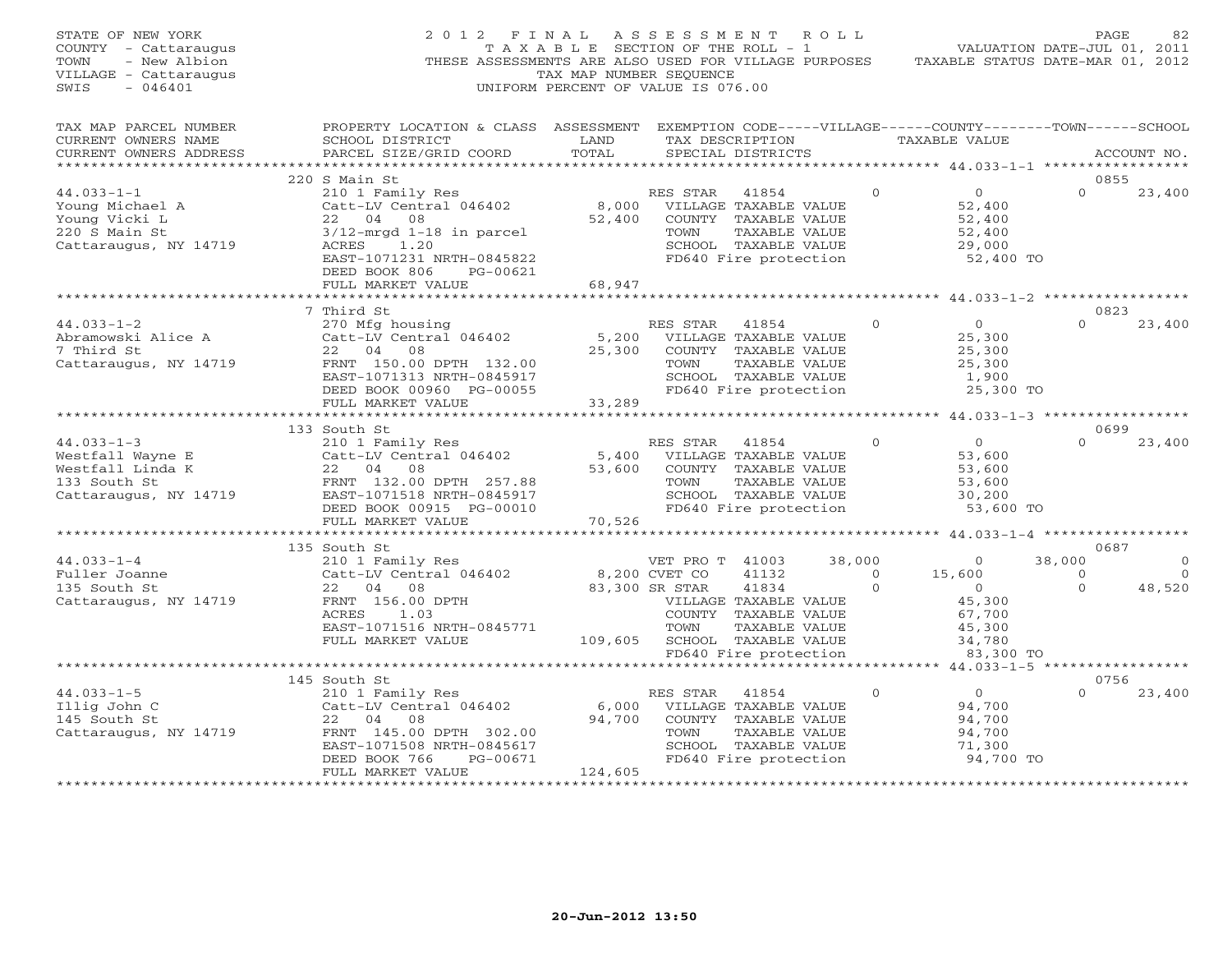| STATE OF NEW YORK<br>COUNTY - Cattaraugus<br>- New Albion<br>TOWN<br>VILLAGE - Cattaraugus<br>$-046401$<br>SWIS | 2012 FINAL ASSESSMENT ROLL<br>THESE ASSESSMENTS ARE ALSO USED FOR VILLAGE PURPOSES TAXABLE STATUS DATE-MAR 01, 2012        | TAX MAP NUMBER SEOUENCE<br>UNIFORM PERCENT OF VALUE IS 076.00 |                |                                                                                           |          | Z FINAL ASSESSMENT ROLL<br>TAXABLE SECTION OF THE ROLL - 1 VALUATION DATE-JUL 01, 2011 | PAGE           | 82             |
|-----------------------------------------------------------------------------------------------------------------|----------------------------------------------------------------------------------------------------------------------------|---------------------------------------------------------------|----------------|-------------------------------------------------------------------------------------------|----------|----------------------------------------------------------------------------------------|----------------|----------------|
| TAX MAP PARCEL NUMBER<br>CURRENT OWNERS NAME                                                                    | PROPERTY LOCATION & CLASS ASSESSMENT EXEMPTION CODE-----VILLAGE------COUNTY-------TOWN------SCHOOL<br>SCHOOL DISTRICT LAND |                                                               |                |                                                                                           |          | TAX DESCRIPTION TAXABLE VALUE                                                          |                |                |
| CURRENT OWNERS ADDRESS<br>**********************                                                                | PARCEL SIZE/GRID COORD                                                                                                     | TOTAL                                                         |                | SPECIAL DISTRICTS                                                                         |          |                                                                                        |                | ACCOUNT NO.    |
|                                                                                                                 | 220 S Main St                                                                                                              |                                                               |                |                                                                                           |          |                                                                                        | 0855           |                |
| $44.033 - 1 - 1$                                                                                                |                                                                                                                            |                                                               |                | RES STAR 41854                                                                            | $\Omega$ | $\overline{0}$                                                                         | $\Omega$       | 23,400         |
| Toung Michael A<br>Young Vicki L<br>220 S Main St                                                               | 210 1 Family Res<br>Catt-LV Central 046402<br>22 04 08                                                                     |                                                               |                | 8,000 VILLAGE TAXABLE VALUE<br>52,400 COUNTY TAXABLE VALUE                                |          | 52,400                                                                                 |                |                |
|                                                                                                                 |                                                                                                                            |                                                               |                |                                                                                           |          | 52,400                                                                                 |                |                |
| 220 S Main St                                                                                                   | $3/12$ -mrgd 1-18 in parcel                                                                                                |                                                               | TOWN           | TAXABLE VALUE                                                                             |          | 52,400                                                                                 |                |                |
| Cattaraugus, NY 14719                                                                                           | ACRES 1.20                                                                                                                 |                                                               |                |                                                                                           |          | 29,000                                                                                 |                |                |
|                                                                                                                 | EAST-1071231 NRTH-0845822                                                                                                  |                                                               |                | SCHOOL TAXABLE VALUE<br>FD640 Fire protection                                             |          | 52,400 TO                                                                              |                |                |
|                                                                                                                 | DEED BOOK 806<br>PG-00621                                                                                                  |                                                               |                |                                                                                           |          |                                                                                        |                |                |
|                                                                                                                 | FULL MARKET VALUE                                                                                                          | 68,947                                                        |                |                                                                                           |          |                                                                                        |                |                |
|                                                                                                                 |                                                                                                                            |                                                               |                |                                                                                           |          |                                                                                        |                |                |
|                                                                                                                 | 7 Third St                                                                                                                 |                                                               |                |                                                                                           |          |                                                                                        | 0823           |                |
| $44.033 - 1 - 2$                                                                                                | 270 Mfg housing<br>Catt-LV Central 046402<br>22 04 08                                                                      |                                                               | RES STAR 41854 |                                                                                           | $\Omega$ | $\overline{0}$                                                                         | $\Omega$       | 23,400         |
| Abramowski Alice A                                                                                              |                                                                                                                            |                                                               |                | 5,200 VILLAGE TAXABLE VALUE                                                               |          | 25,300                                                                                 |                |                |
| 7 Third St                                                                                                      | 22 04                                                                                                                      |                                                               |                | 25,300 COUNTY TAXABLE VALUE                                                               |          | 25,300                                                                                 |                |                |
| Cattaraugus, NY 14719                                                                                           | FRNT 150.00 DPTH 132.00                                                                                                    |                                                               | TOWN           | TAXABLE VALUE                                                                             |          | 25,300                                                                                 |                |                |
|                                                                                                                 | EAST-1071313 NRTH-0845917                                                                                                  |                                                               |                |                                                                                           |          | 1,900<br>25,300 TO                                                                     |                |                |
|                                                                                                                 | DEED BOOK 00960 PG-00055<br>FULL MARKET VALUE                                                                              |                                                               |                | TAXABLE VALUE<br>SCHOOL TAXABLE VALUE<br>FD640 Fire protection<br>33,289                  |          |                                                                                        |                |                |
|                                                                                                                 |                                                                                                                            | ***********************                                       |                |                                                                                           |          | *************** 44.033-1-3 ******************                                          |                |                |
|                                                                                                                 |                                                                                                                            |                                                               |                |                                                                                           |          |                                                                                        | 0699           |                |
|                                                                                                                 |                                                                                                                            |                                                               |                | RES STAR 41854                                                                            | $\Omega$ | $\overline{O}$                                                                         | $\Omega$       | 23,400         |
|                                                                                                                 |                                                                                                                            |                                                               |                |                                                                                           |          | 53,600                                                                                 |                |                |
|                                                                                                                 |                                                                                                                            |                                                               |                |                                                                                           |          | 53,600                                                                                 |                |                |
|                                                                                                                 |                                                                                                                            |                                                               |                |                                                                                           |          | 53,600                                                                                 |                |                |
|                                                                                                                 |                                                                                                                            |                                                               |                |                                                                                           |          | 30,200                                                                                 |                |                |
|                                                                                                                 |                                                                                                                            |                                                               |                |                                                                                           |          | 53,600 TO                                                                              |                |                |
|                                                                                                                 |                                                                                                                            |                                                               |                |                                                                                           |          |                                                                                        |                |                |
|                                                                                                                 |                                                                                                                            |                                                               |                |                                                                                           |          |                                                                                        |                |                |
|                                                                                                                 | 135 South St                                                                                                               |                                                               |                |                                                                                           |          |                                                                                        | 0687           |                |
| $44.033 - 1 - 4$                                                                                                | 210 1 Family Res<br>Catt-LV Central 046402                                                                                 |                                                               |                | VET PRO T 41003                                                                           | 38,000   | $\overline{0}$                                                                         | 38,000         | $\overline{0}$ |
| Fuller Joanne<br>135 South St                                                                                   |                                                                                                                            | 8,200 CVET CO<br>83,300 SR STAR<br>VILLAC<br>COUNTY           |                | $41132$ 0<br>$41834$ 0                                                                    |          | 15,600                                                                                 | $\overline{0}$ | $\overline{0}$ |
| 135 South St                                                                                                    | 22 04 08                                                                                                                   |                                                               |                | 41834                                                                                     | $\Omega$ | $\overline{0}$                                                                         | $\Omega$       | 48,520         |
| Cattaraugus, NY 14719                                                                                           | FRNT 156.00 DPTH<br>ACRES<br>1.03                                                                                          |                                                               |                | VILLAGE TAXABLE VALUE<br>COUNTY TAXABLE VALUE                                             |          | 45,300<br>67,700                                                                       |                |                |
|                                                                                                                 | EAST-1071516 NRTH-0845771                                                                                                  |                                                               | TOWN           | TAXABLE VALUE                                                                             |          | 45,300                                                                                 |                |                |
|                                                                                                                 | FULL MARKET VALUE                                                                                                          | 109,605 SCHOOL TAXABLE VALUE                                  |                |                                                                                           |          | 34,780                                                                                 |                |                |
|                                                                                                                 |                                                                                                                            |                                                               |                | FD640 Fire protection                                                                     |          | 83,300 TO                                                                              |                |                |
|                                                                                                                 | ******************                                                                                                         |                                                               |                |                                                                                           |          |                                                                                        |                |                |
|                                                                                                                 | 145 South St                                                                                                               |                                                               |                |                                                                                           |          |                                                                                        | 0756           |                |
| $44.033 - 1 - 5$                                                                                                | 210 1 Family Res                                                                                                           |                                                               | RES STAR       | 41854                                                                                     | $\Omega$ | $\overline{O}$                                                                         | $\Omega$       | 23,400         |
| Illig John C                                                                                                    |                                                                                                                            |                                                               |                |                                                                                           |          | 94,700                                                                                 |                |                |
| 145 South St                                                                                                    | Catt-LV Central 046402<br>22 04 08<br>FRNT 145.00 DPTH 302.00                                                              |                                                               |                | 6,000 VILLAGE TAXABLE VALUE<br>94,700 COUNTY TAXABLE VALUE<br>94,700 COUNTY TAXABLE VALUE |          | 94,700                                                                                 |                |                |
| Cattaraugus, NY 14719                                                                                           |                                                                                                                            |                                                               | TOWN           | TAXABLE VALUE                                                                             |          | 94,700                                                                                 |                |                |
|                                                                                                                 | EAST-1071508 NRTH-0845617                                                                                                  |                                                               |                | SCHOOL TAXABLE VALUE                                                                      |          | 71,300                                                                                 |                |                |
|                                                                                                                 | PG-00671<br>DEED BOOK 766                                                                                                  |                                                               |                | FD640 Fire protection                                                                     |          | 94,700 TO                                                                              |                |                |
|                                                                                                                 | FULL MARKET VALUE                                                                                                          | 124,605                                                       |                |                                                                                           |          |                                                                                        |                |                |
| ************************                                                                                        |                                                                                                                            |                                                               |                |                                                                                           |          |                                                                                        |                |                |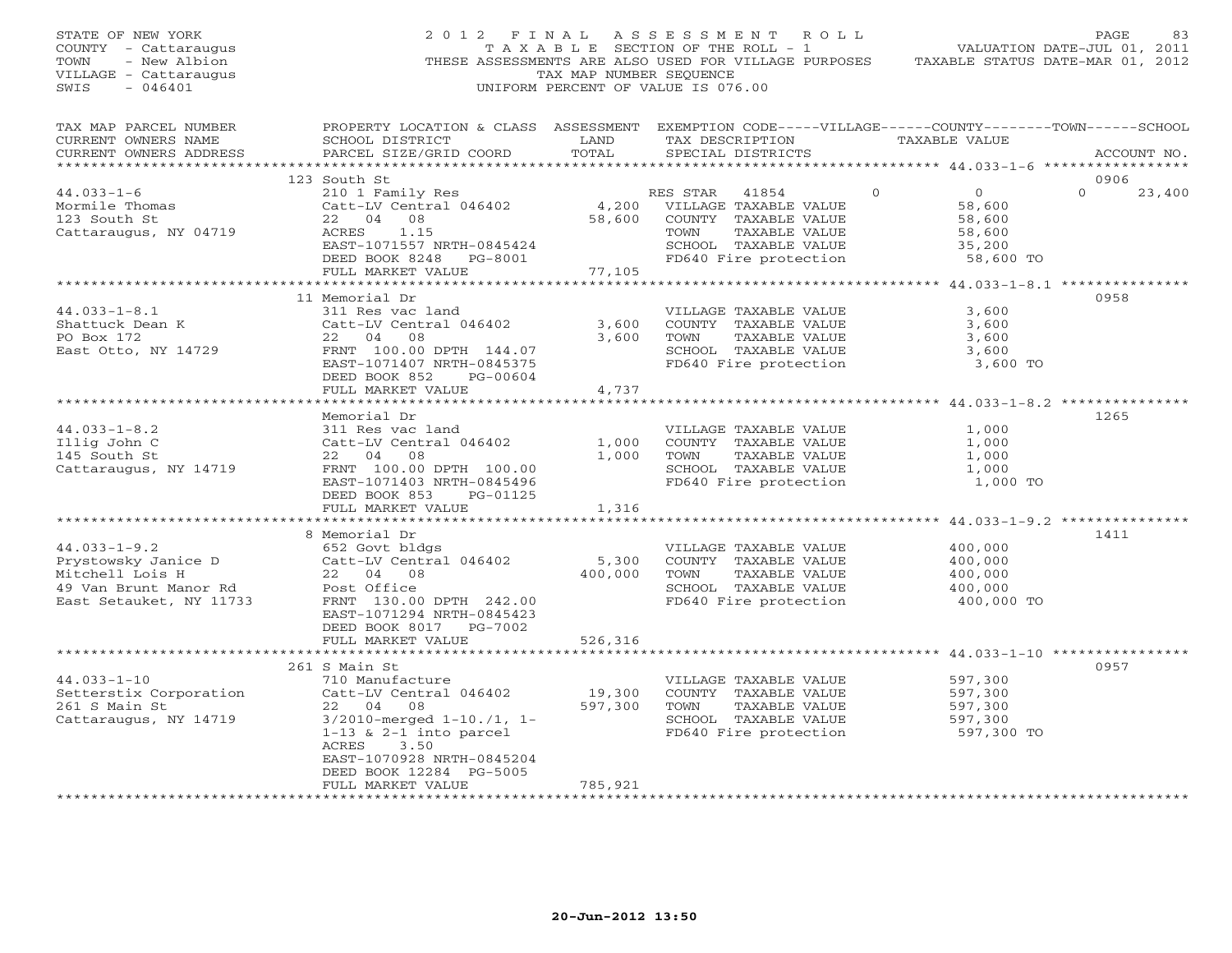| TAX MAP NUMBER SEQUENCE<br>VILLAGE - Cattaraugus<br>$-046401$<br>UNIFORM PERCENT OF VALUE IS 076.00<br>SWIS                                                                                                                                                                                                                                                                                                                                                                                                                                                                            |        |
|----------------------------------------------------------------------------------------------------------------------------------------------------------------------------------------------------------------------------------------------------------------------------------------------------------------------------------------------------------------------------------------------------------------------------------------------------------------------------------------------------------------------------------------------------------------------------------------|--------|
| PROPERTY LOCATION & CLASS ASSESSMENT EXEMPTION CODE-----VILLAGE------COUNTY-------TOWN------SCHOOL<br>TAX MAP PARCEL NUMBER<br>TAX DESCRIPTION<br>LAND<br>TAXABLE VALUE<br>CURRENT OWNERS NAME<br>SCHOOL DISTRICT<br>TOTAL<br>PARCEL SIZE/GRID COORD<br>SPECIAL DISTRICTS<br>CURRENT OWNERS ADDRESS<br>ACCOUNT NO.                                                                                                                                                                                                                                                                     |        |
| 0906<br>123 South St                                                                                                                                                                                                                                                                                                                                                                                                                                                                                                                                                                   |        |
| $44.033 - 1 - 6$<br>210 1 Family Res<br>RI<br>4,200<br>$\Omega$<br>$\overline{0}$<br>$\Omega$<br>RES STAR<br>41854<br>Catt-LV Central 046402<br>Mormile Thomas<br>VILLAGE TAXABLE VALUE<br>58,600<br>22 04 08<br>123 South St<br>58,600<br>COUNTY TAXABLE VALUE<br>58,600<br>TAXABLE VALUE<br>Cattaraugus, NY 04719<br>ACRES<br>1.15<br>TOWN<br>58,600<br>EAST-1071557 NRTH-0845424<br>SCHOOL TAXABLE VALUE<br>35,200<br>FD640 Fire protection<br>DEED BOOK 8248 PG-8001<br>58,600 TO<br>77,105<br>FULL MARKET VALUE                                                                   | 23,400 |
| ************************************* 44.033-1-8.1 ****************<br>**********                                                                                                                                                                                                                                                                                                                                                                                                                                                                                                      |        |
| 11 Memorial Dr<br>0958<br>$44.033 - 1 - 8.1$<br>311 Res vac land<br>VILLAGE TAXABLE VALUE<br>3,600<br>3,600<br>Shattuck Dean K<br>Catt-LV Central 046402<br>COUNTY TAXABLE VALUE<br>3,600<br>22 04 08<br>PO Box 172<br>3,600<br>TOWN<br>TAXABLE VALUE<br>3,600<br>East Otto, NY 14729<br>FRNT 100.00 DPTH 144.07<br>SCHOOL TAXABLE VALUE<br>3,600<br>FD640 Fire protection<br>EAST-1071407 NRTH-0845375<br>3,600 TO<br>DEED BOOK 852<br>PG-00604                                                                                                                                       |        |
| FULL MARKET VALUE<br>4,737                                                                                                                                                                                                                                                                                                                                                                                                                                                                                                                                                             |        |
| *********************************<br>* * * * * * * * * * * *<br>***************** 44.033-1-8.2 **************                                                                                                                                                                                                                                                                                                                                                                                                                                                                          |        |
| 1265<br>Memorial Dr<br>$44.033 - 1 - 8.2$<br>311 Res vac land<br>VILLAGE TAXABLE VALUE<br>1,000<br>Illig John C<br>Catt-LV Central 046402<br>COUNTY TAXABLE VALUE<br>1,000<br>1,000<br>22 04 08<br>1,000<br>1,000<br>145 South St<br>TOWN<br>TAXABLE VALUE<br>SCHOOL TAXABLE VALUE<br>Cattaraugus, NY 14719<br>FRNT 100.00 DPTH 100.00<br>1,000<br>FD640 Fire protection<br>EAST-1071403 NRTH-0845496<br>1,000 TO<br>DEED BOOK 853 PG-01125<br>FULL MARKET VALUE<br>1,316                                                                                                              |        |
|                                                                                                                                                                                                                                                                                                                                                                                                                                                                                                                                                                                        |        |
| 8 Memorial Dr<br>1411<br>652 Govt bldgs<br>$44.033 - 1 - 9.2$<br>VILLAGE TAXABLE VALUE<br>400,000<br>Prystowsky Janice D<br>Catt-LV Central 046402<br>5,300<br>COUNTY TAXABLE VALUE<br>400,000<br>Mitchell Lois H<br>22 04 08<br>400,000<br>TAXABLE VALUE<br>400,000<br>TOWN<br>49 Van Brunt Manor Rd<br>Post Office<br>SCHOOL TAXABLE VALUE<br>400,000<br>East Setauket, NY 11733<br>FRNT 130.00 DPTH 242.00<br>FD640 Fire protection<br>400,000 TO<br>EAST-1071294 NRTH-0845423<br>DEED BOOK 8017 PG-7002                                                                            |        |
| FULL MARKET VALUE<br>526,316                                                                                                                                                                                                                                                                                                                                                                                                                                                                                                                                                           |        |
| 0957<br>261 S Main St                                                                                                                                                                                                                                                                                                                                                                                                                                                                                                                                                                  |        |
| 710 Manufacture<br>$44.033 - 1 - 10$<br>597,300<br>VILLAGE TAXABLE VALUE<br>19,300<br>Catt-LV Central 046402<br>Setterstix Corporation<br>COUNTY TAXABLE VALUE<br>597,300<br>261 S Main St<br>22 04 08<br>597,300 TOWN<br>TAXABLE VALUE<br>597,300<br>Cattaraugus, NY 14719<br>$3/2010$ -merged $1-10$ ./1, $1-$<br>SCHOOL TAXABLE VALUE<br>597,300<br>FD640 Fire protection<br>$1-13$ & $2-1$ into parcel<br>597,300 TO<br>ACRES<br>3.50<br>EAST-1070928 NRTH-0845204<br>DEED BOOK 12284 PG-5005<br>785,921<br>FULL MARKET VALUE<br>++++++++++++++++++++++++++<br><b>++++++++++++</b> |        |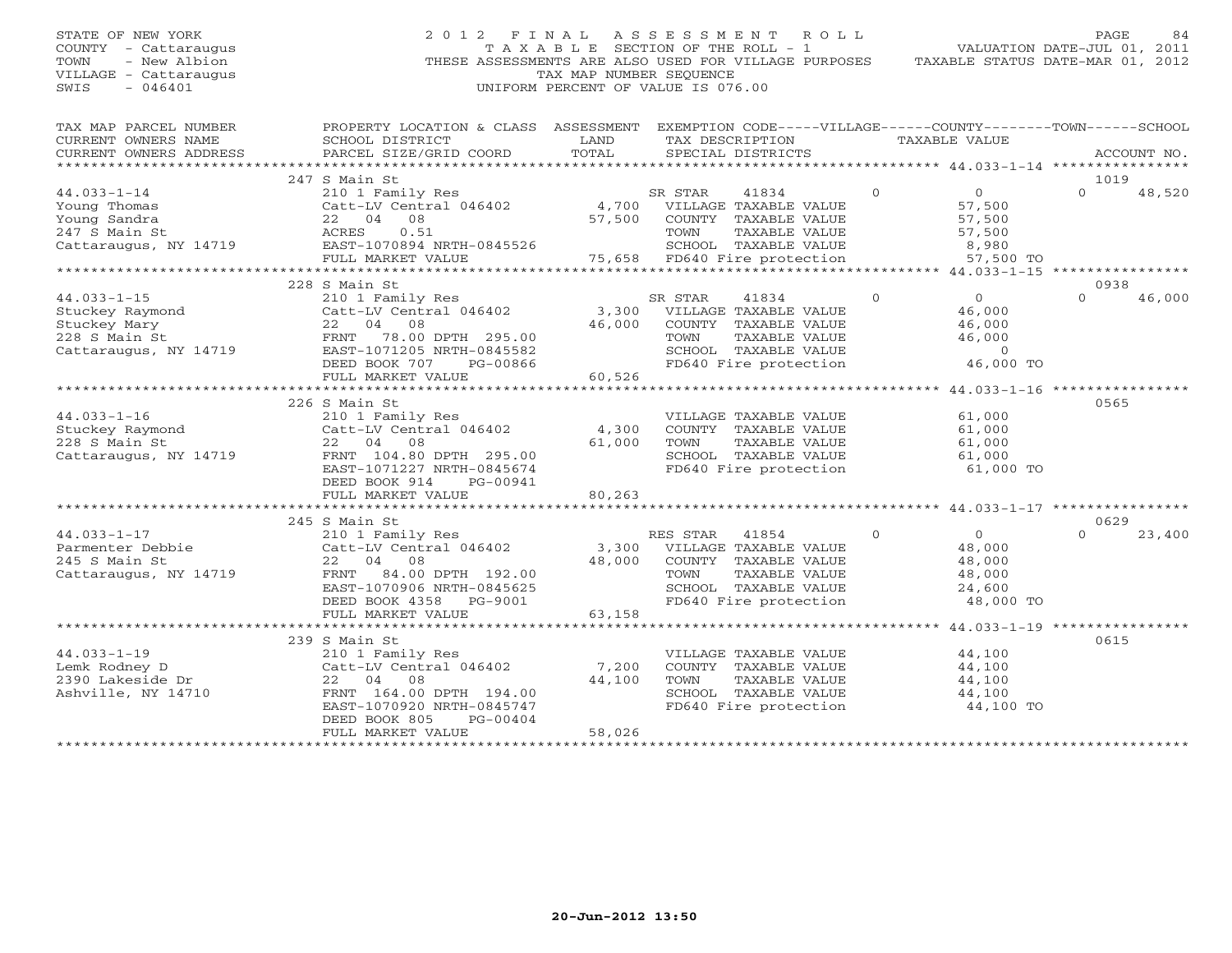# STATE OF NEW YORK 2 0 1 2 F I N A L A S S E S S M E N T R O L L PAGE 84 COUNTY - Cattaraugus T A X A B L E SECTION OF THE ROLL - 1 VALUATION DATE-JUL 01, 2011 TOWN - New Albion THESE ASSESSMENTS ARE ALSO USED FOR VILLAGE PURPOSES TAXABLE STATUS DATE-MAR 01, 2012 VILLAGE - Cattaraugus TAX MAP NUMBER SEQUENCE SWIS - 046401 UNIFORM PERCENT OF VALUE IS 076.00

| TOTAL<br>SPECIAL DISTRICTS<br>CURRENT OWNERS ADDRESS<br>PARCEL SIZE/GRID COORD<br>ACCOUNT NO.<br>247 S Main St<br>1019<br>$\overline{0}$<br>$\overline{0}$<br>$\Omega$<br>$44.033 - 1 - 14$<br>210 1 Family Res<br>SR STAR<br>41834<br>48,520<br>$Cat$ -LV Central 046402 4,700<br>Young Thomas<br>VILLAGE TAXABLE VALUE<br>57,500<br>57,500<br>Young Sandra<br>22 04 08<br>COUNTY TAXABLE VALUE<br>57,500<br>ACRES<br>0.51<br>57,500<br>247 S Main St<br>TOWN<br>TAXABLE VALUE<br>Cattaraugus, NY 14719<br>SCHOOL TAXABLE VALUE<br>EAST-1070894 NRTH-0845526<br>8,980<br>75,658 FD640 Fire protection<br>FULL MARKET VALUE<br>57,500 TO<br>228 S Main St<br>0938<br>$\Omega$<br>46,000<br>$44.033 - 1 - 15$<br>41834<br>$\Omega$<br>$\Omega$<br>210 1 Family Res<br>SR STAR<br>Stuckey Raymond<br>3,300 VILLAGE TAXABLE VALUE<br>Catt-LV Central 046402<br>46,000<br>46,000<br>Stuckey Mary<br>22 04<br>08<br>COUNTY TAXABLE VALUE<br>46,000<br>$-14719$<br>228 S Main St<br>FRNT<br>78.00 DPTH 295.00<br>TOWN<br>46,000<br>TAXABLE VALUE<br>EAST-1071205 NRTH-0845582<br>SCHOOL TAXABLE VALUE<br>$\overline{0}$<br>Cattaraugus, NY 14719<br>46,000 TO<br>DEED BOOK 707<br>FD640 Fire protection<br>PG-00866<br>60,526<br>FULL MARKET VALUE<br>226 S Main St<br>0565<br>$44.033 - 1 - 16$<br>61,000<br>210 1 Family Res<br>VILLAGE TAXABLE VALUE<br>4,300<br>Stuckey Raymond<br>Catt-LV Central 046402<br>COUNTY TAXABLE VALUE<br>61,000<br>228 S Main St<br>22 04 08<br>61,000<br>TOWN<br>TAXABLE VALUE<br>61,000<br>SCHOOL TAXABLE VALUE<br>Cattaraugus, NY 14719<br>FRNT 104.80 DPTH 295.00<br>61,000<br>FD640 Fire protection<br>EAST-1071227 NRTH-0845674<br>61,000 TO<br>DEED BOOK 914<br>PG-00941<br>80,263<br>FULL MARKET VALUE<br>245 S Main St<br>0629<br>$44.033 - 1 - 17$<br>$\Omega$<br>23,400<br>210 1 Family Res<br>RES STAR<br>41854<br>$\overline{0}$<br>$\Omega$<br>Catt-LV Central 046402<br>3,300<br>VILLAGE TAXABLE VALUE<br>48,000<br>Parmenter Debbie<br>22 04<br>48,000<br>245 S Main St<br>08<br>COUNTY TAXABLE VALUE<br>48,000<br>84.00 DPTH 192.00<br>Cattaraugus, NY 14719<br>FRNT<br>TOWN<br>TAXABLE VALUE<br>48,000<br>EAST-1070906 NRTH-0845625<br>SCHOOL TAXABLE VALUE<br>24,600<br>FD640 Fire protection<br>DEED BOOK 4358 PG-9001<br>48,000 TO<br>63,158 |
|---------------------------------------------------------------------------------------------------------------------------------------------------------------------------------------------------------------------------------------------------------------------------------------------------------------------------------------------------------------------------------------------------------------------------------------------------------------------------------------------------------------------------------------------------------------------------------------------------------------------------------------------------------------------------------------------------------------------------------------------------------------------------------------------------------------------------------------------------------------------------------------------------------------------------------------------------------------------------------------------------------------------------------------------------------------------------------------------------------------------------------------------------------------------------------------------------------------------------------------------------------------------------------------------------------------------------------------------------------------------------------------------------------------------------------------------------------------------------------------------------------------------------------------------------------------------------------------------------------------------------------------------------------------------------------------------------------------------------------------------------------------------------------------------------------------------------------------------------------------------------------------------------------------------------------------------------------------------------------------------------------------------------------------------------------------------------------------------------------------------------------------------------------------------------------------------------------------------------------------------------------------------------------------------|
|                                                                                                                                                                                                                                                                                                                                                                                                                                                                                                                                                                                                                                                                                                                                                                                                                                                                                                                                                                                                                                                                                                                                                                                                                                                                                                                                                                                                                                                                                                                                                                                                                                                                                                                                                                                                                                                                                                                                                                                                                                                                                                                                                                                                                                                                                             |
|                                                                                                                                                                                                                                                                                                                                                                                                                                                                                                                                                                                                                                                                                                                                                                                                                                                                                                                                                                                                                                                                                                                                                                                                                                                                                                                                                                                                                                                                                                                                                                                                                                                                                                                                                                                                                                                                                                                                                                                                                                                                                                                                                                                                                                                                                             |
|                                                                                                                                                                                                                                                                                                                                                                                                                                                                                                                                                                                                                                                                                                                                                                                                                                                                                                                                                                                                                                                                                                                                                                                                                                                                                                                                                                                                                                                                                                                                                                                                                                                                                                                                                                                                                                                                                                                                                                                                                                                                                                                                                                                                                                                                                             |
|                                                                                                                                                                                                                                                                                                                                                                                                                                                                                                                                                                                                                                                                                                                                                                                                                                                                                                                                                                                                                                                                                                                                                                                                                                                                                                                                                                                                                                                                                                                                                                                                                                                                                                                                                                                                                                                                                                                                                                                                                                                                                                                                                                                                                                                                                             |
|                                                                                                                                                                                                                                                                                                                                                                                                                                                                                                                                                                                                                                                                                                                                                                                                                                                                                                                                                                                                                                                                                                                                                                                                                                                                                                                                                                                                                                                                                                                                                                                                                                                                                                                                                                                                                                                                                                                                                                                                                                                                                                                                                                                                                                                                                             |
|                                                                                                                                                                                                                                                                                                                                                                                                                                                                                                                                                                                                                                                                                                                                                                                                                                                                                                                                                                                                                                                                                                                                                                                                                                                                                                                                                                                                                                                                                                                                                                                                                                                                                                                                                                                                                                                                                                                                                                                                                                                                                                                                                                                                                                                                                             |
|                                                                                                                                                                                                                                                                                                                                                                                                                                                                                                                                                                                                                                                                                                                                                                                                                                                                                                                                                                                                                                                                                                                                                                                                                                                                                                                                                                                                                                                                                                                                                                                                                                                                                                                                                                                                                                                                                                                                                                                                                                                                                                                                                                                                                                                                                             |
|                                                                                                                                                                                                                                                                                                                                                                                                                                                                                                                                                                                                                                                                                                                                                                                                                                                                                                                                                                                                                                                                                                                                                                                                                                                                                                                                                                                                                                                                                                                                                                                                                                                                                                                                                                                                                                                                                                                                                                                                                                                                                                                                                                                                                                                                                             |
|                                                                                                                                                                                                                                                                                                                                                                                                                                                                                                                                                                                                                                                                                                                                                                                                                                                                                                                                                                                                                                                                                                                                                                                                                                                                                                                                                                                                                                                                                                                                                                                                                                                                                                                                                                                                                                                                                                                                                                                                                                                                                                                                                                                                                                                                                             |
|                                                                                                                                                                                                                                                                                                                                                                                                                                                                                                                                                                                                                                                                                                                                                                                                                                                                                                                                                                                                                                                                                                                                                                                                                                                                                                                                                                                                                                                                                                                                                                                                                                                                                                                                                                                                                                                                                                                                                                                                                                                                                                                                                                                                                                                                                             |
|                                                                                                                                                                                                                                                                                                                                                                                                                                                                                                                                                                                                                                                                                                                                                                                                                                                                                                                                                                                                                                                                                                                                                                                                                                                                                                                                                                                                                                                                                                                                                                                                                                                                                                                                                                                                                                                                                                                                                                                                                                                                                                                                                                                                                                                                                             |
|                                                                                                                                                                                                                                                                                                                                                                                                                                                                                                                                                                                                                                                                                                                                                                                                                                                                                                                                                                                                                                                                                                                                                                                                                                                                                                                                                                                                                                                                                                                                                                                                                                                                                                                                                                                                                                                                                                                                                                                                                                                                                                                                                                                                                                                                                             |
|                                                                                                                                                                                                                                                                                                                                                                                                                                                                                                                                                                                                                                                                                                                                                                                                                                                                                                                                                                                                                                                                                                                                                                                                                                                                                                                                                                                                                                                                                                                                                                                                                                                                                                                                                                                                                                                                                                                                                                                                                                                                                                                                                                                                                                                                                             |
|                                                                                                                                                                                                                                                                                                                                                                                                                                                                                                                                                                                                                                                                                                                                                                                                                                                                                                                                                                                                                                                                                                                                                                                                                                                                                                                                                                                                                                                                                                                                                                                                                                                                                                                                                                                                                                                                                                                                                                                                                                                                                                                                                                                                                                                                                             |
|                                                                                                                                                                                                                                                                                                                                                                                                                                                                                                                                                                                                                                                                                                                                                                                                                                                                                                                                                                                                                                                                                                                                                                                                                                                                                                                                                                                                                                                                                                                                                                                                                                                                                                                                                                                                                                                                                                                                                                                                                                                                                                                                                                                                                                                                                             |
|                                                                                                                                                                                                                                                                                                                                                                                                                                                                                                                                                                                                                                                                                                                                                                                                                                                                                                                                                                                                                                                                                                                                                                                                                                                                                                                                                                                                                                                                                                                                                                                                                                                                                                                                                                                                                                                                                                                                                                                                                                                                                                                                                                                                                                                                                             |
|                                                                                                                                                                                                                                                                                                                                                                                                                                                                                                                                                                                                                                                                                                                                                                                                                                                                                                                                                                                                                                                                                                                                                                                                                                                                                                                                                                                                                                                                                                                                                                                                                                                                                                                                                                                                                                                                                                                                                                                                                                                                                                                                                                                                                                                                                             |
|                                                                                                                                                                                                                                                                                                                                                                                                                                                                                                                                                                                                                                                                                                                                                                                                                                                                                                                                                                                                                                                                                                                                                                                                                                                                                                                                                                                                                                                                                                                                                                                                                                                                                                                                                                                                                                                                                                                                                                                                                                                                                                                                                                                                                                                                                             |
|                                                                                                                                                                                                                                                                                                                                                                                                                                                                                                                                                                                                                                                                                                                                                                                                                                                                                                                                                                                                                                                                                                                                                                                                                                                                                                                                                                                                                                                                                                                                                                                                                                                                                                                                                                                                                                                                                                                                                                                                                                                                                                                                                                                                                                                                                             |
|                                                                                                                                                                                                                                                                                                                                                                                                                                                                                                                                                                                                                                                                                                                                                                                                                                                                                                                                                                                                                                                                                                                                                                                                                                                                                                                                                                                                                                                                                                                                                                                                                                                                                                                                                                                                                                                                                                                                                                                                                                                                                                                                                                                                                                                                                             |
|                                                                                                                                                                                                                                                                                                                                                                                                                                                                                                                                                                                                                                                                                                                                                                                                                                                                                                                                                                                                                                                                                                                                                                                                                                                                                                                                                                                                                                                                                                                                                                                                                                                                                                                                                                                                                                                                                                                                                                                                                                                                                                                                                                                                                                                                                             |
|                                                                                                                                                                                                                                                                                                                                                                                                                                                                                                                                                                                                                                                                                                                                                                                                                                                                                                                                                                                                                                                                                                                                                                                                                                                                                                                                                                                                                                                                                                                                                                                                                                                                                                                                                                                                                                                                                                                                                                                                                                                                                                                                                                                                                                                                                             |
|                                                                                                                                                                                                                                                                                                                                                                                                                                                                                                                                                                                                                                                                                                                                                                                                                                                                                                                                                                                                                                                                                                                                                                                                                                                                                                                                                                                                                                                                                                                                                                                                                                                                                                                                                                                                                                                                                                                                                                                                                                                                                                                                                                                                                                                                                             |
|                                                                                                                                                                                                                                                                                                                                                                                                                                                                                                                                                                                                                                                                                                                                                                                                                                                                                                                                                                                                                                                                                                                                                                                                                                                                                                                                                                                                                                                                                                                                                                                                                                                                                                                                                                                                                                                                                                                                                                                                                                                                                                                                                                                                                                                                                             |
|                                                                                                                                                                                                                                                                                                                                                                                                                                                                                                                                                                                                                                                                                                                                                                                                                                                                                                                                                                                                                                                                                                                                                                                                                                                                                                                                                                                                                                                                                                                                                                                                                                                                                                                                                                                                                                                                                                                                                                                                                                                                                                                                                                                                                                                                                             |
|                                                                                                                                                                                                                                                                                                                                                                                                                                                                                                                                                                                                                                                                                                                                                                                                                                                                                                                                                                                                                                                                                                                                                                                                                                                                                                                                                                                                                                                                                                                                                                                                                                                                                                                                                                                                                                                                                                                                                                                                                                                                                                                                                                                                                                                                                             |
|                                                                                                                                                                                                                                                                                                                                                                                                                                                                                                                                                                                                                                                                                                                                                                                                                                                                                                                                                                                                                                                                                                                                                                                                                                                                                                                                                                                                                                                                                                                                                                                                                                                                                                                                                                                                                                                                                                                                                                                                                                                                                                                                                                                                                                                                                             |
|                                                                                                                                                                                                                                                                                                                                                                                                                                                                                                                                                                                                                                                                                                                                                                                                                                                                                                                                                                                                                                                                                                                                                                                                                                                                                                                                                                                                                                                                                                                                                                                                                                                                                                                                                                                                                                                                                                                                                                                                                                                                                                                                                                                                                                                                                             |
|                                                                                                                                                                                                                                                                                                                                                                                                                                                                                                                                                                                                                                                                                                                                                                                                                                                                                                                                                                                                                                                                                                                                                                                                                                                                                                                                                                                                                                                                                                                                                                                                                                                                                                                                                                                                                                                                                                                                                                                                                                                                                                                                                                                                                                                                                             |
|                                                                                                                                                                                                                                                                                                                                                                                                                                                                                                                                                                                                                                                                                                                                                                                                                                                                                                                                                                                                                                                                                                                                                                                                                                                                                                                                                                                                                                                                                                                                                                                                                                                                                                                                                                                                                                                                                                                                                                                                                                                                                                                                                                                                                                                                                             |
|                                                                                                                                                                                                                                                                                                                                                                                                                                                                                                                                                                                                                                                                                                                                                                                                                                                                                                                                                                                                                                                                                                                                                                                                                                                                                                                                                                                                                                                                                                                                                                                                                                                                                                                                                                                                                                                                                                                                                                                                                                                                                                                                                                                                                                                                                             |
|                                                                                                                                                                                                                                                                                                                                                                                                                                                                                                                                                                                                                                                                                                                                                                                                                                                                                                                                                                                                                                                                                                                                                                                                                                                                                                                                                                                                                                                                                                                                                                                                                                                                                                                                                                                                                                                                                                                                                                                                                                                                                                                                                                                                                                                                                             |
|                                                                                                                                                                                                                                                                                                                                                                                                                                                                                                                                                                                                                                                                                                                                                                                                                                                                                                                                                                                                                                                                                                                                                                                                                                                                                                                                                                                                                                                                                                                                                                                                                                                                                                                                                                                                                                                                                                                                                                                                                                                                                                                                                                                                                                                                                             |
|                                                                                                                                                                                                                                                                                                                                                                                                                                                                                                                                                                                                                                                                                                                                                                                                                                                                                                                                                                                                                                                                                                                                                                                                                                                                                                                                                                                                                                                                                                                                                                                                                                                                                                                                                                                                                                                                                                                                                                                                                                                                                                                                                                                                                                                                                             |
| FULL MARKET VALUE                                                                                                                                                                                                                                                                                                                                                                                                                                                                                                                                                                                                                                                                                                                                                                                                                                                                                                                                                                                                                                                                                                                                                                                                                                                                                                                                                                                                                                                                                                                                                                                                                                                                                                                                                                                                                                                                                                                                                                                                                                                                                                                                                                                                                                                                           |
| *********************** 44.033-1-19 *****************                                                                                                                                                                                                                                                                                                                                                                                                                                                                                                                                                                                                                                                                                                                                                                                                                                                                                                                                                                                                                                                                                                                                                                                                                                                                                                                                                                                                                                                                                                                                                                                                                                                                                                                                                                                                                                                                                                                                                                                                                                                                                                                                                                                                                                       |
| 239 S Main St<br>0615                                                                                                                                                                                                                                                                                                                                                                                                                                                                                                                                                                                                                                                                                                                                                                                                                                                                                                                                                                                                                                                                                                                                                                                                                                                                                                                                                                                                                                                                                                                                                                                                                                                                                                                                                                                                                                                                                                                                                                                                                                                                                                                                                                                                                                                                       |
| $44.033 - 1 - 19$<br>210 1 Family Res<br>44,100<br>VILLAGE TAXABLE VALUE                                                                                                                                                                                                                                                                                                                                                                                                                                                                                                                                                                                                                                                                                                                                                                                                                                                                                                                                                                                                                                                                                                                                                                                                                                                                                                                                                                                                                                                                                                                                                                                                                                                                                                                                                                                                                                                                                                                                                                                                                                                                                                                                                                                                                    |
| 7,200<br>Catt-LV Central 046402<br>COUNTY TAXABLE VALUE<br>Lemk Rodney D<br>44,100                                                                                                                                                                                                                                                                                                                                                                                                                                                                                                                                                                                                                                                                                                                                                                                                                                                                                                                                                                                                                                                                                                                                                                                                                                                                                                                                                                                                                                                                                                                                                                                                                                                                                                                                                                                                                                                                                                                                                                                                                                                                                                                                                                                                          |
| 22 04 08<br>44,100<br>2390 Lakeside Dr<br>TOWN<br>TAXABLE VALUE<br>44,100                                                                                                                                                                                                                                                                                                                                                                                                                                                                                                                                                                                                                                                                                                                                                                                                                                                                                                                                                                                                                                                                                                                                                                                                                                                                                                                                                                                                                                                                                                                                                                                                                                                                                                                                                                                                                                                                                                                                                                                                                                                                                                                                                                                                                   |
| Ashville, NY 14710<br>FRNT 164.00 DPTH 194.00<br>SCHOOL TAXABLE VALUE<br>44,100                                                                                                                                                                                                                                                                                                                                                                                                                                                                                                                                                                                                                                                                                                                                                                                                                                                                                                                                                                                                                                                                                                                                                                                                                                                                                                                                                                                                                                                                                                                                                                                                                                                                                                                                                                                                                                                                                                                                                                                                                                                                                                                                                                                                             |
| EAST-1070920 NRTH-0845747<br>FD640 Fire protection<br>44,100 TO                                                                                                                                                                                                                                                                                                                                                                                                                                                                                                                                                                                                                                                                                                                                                                                                                                                                                                                                                                                                                                                                                                                                                                                                                                                                                                                                                                                                                                                                                                                                                                                                                                                                                                                                                                                                                                                                                                                                                                                                                                                                                                                                                                                                                             |
| DEED BOOK 805<br>PG-00404                                                                                                                                                                                                                                                                                                                                                                                                                                                                                                                                                                                                                                                                                                                                                                                                                                                                                                                                                                                                                                                                                                                                                                                                                                                                                                                                                                                                                                                                                                                                                                                                                                                                                                                                                                                                                                                                                                                                                                                                                                                                                                                                                                                                                                                                   |
| 58,026<br>FULL MARKET VALUE                                                                                                                                                                                                                                                                                                                                                                                                                                                                                                                                                                                                                                                                                                                                                                                                                                                                                                                                                                                                                                                                                                                                                                                                                                                                                                                                                                                                                                                                                                                                                                                                                                                                                                                                                                                                                                                                                                                                                                                                                                                                                                                                                                                                                                                                 |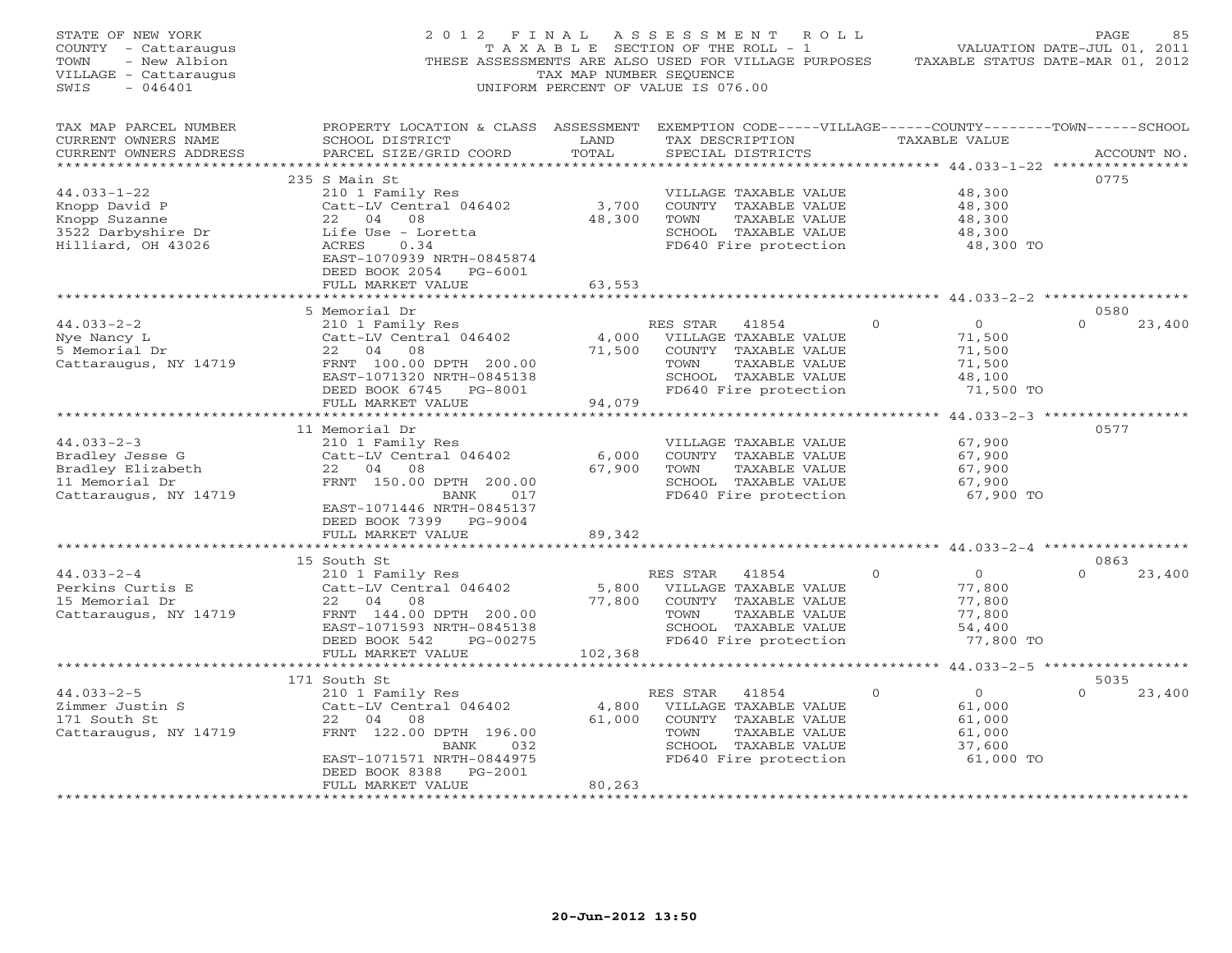| STATE OF NEW YORK<br>COUNTY - Cattaraugus<br>- New Albion<br>TOWN<br>VILLAGE - Cattaraugus<br>$-046401$<br>SWIS | 2012 FINAL                                                                                                                                      | TAX MAP NUMBER SEOUENCE | A S S E S S M E N T R O L L<br>TAXABLE SECTION OF THE ROLL - 1<br>THESE ASSESSMENTS ARE ALSO USED FOR VILLAGE PURPOSES TAXABLE STATUS DATE-MAR 01, 2012<br>UNIFORM PERCENT OF VALUE IS 076.00 |              |                                                | PAGE<br>85<br>VALUATION DATE-JUL 01, 2011 |
|-----------------------------------------------------------------------------------------------------------------|-------------------------------------------------------------------------------------------------------------------------------------------------|-------------------------|-----------------------------------------------------------------------------------------------------------------------------------------------------------------------------------------------|--------------|------------------------------------------------|-------------------------------------------|
| TAX MAP PARCEL NUMBER<br>CURRENT OWNERS NAME<br>CURRENT OWNERS ADDRESS                                          | PROPERTY LOCATION & CLASS ASSESSMENT EXEMPTION CODE-----VILLAGE------COUNTY-------TOWN------SCHOOL<br>SCHOOL DISTRICT<br>PARCEL SIZE/GRID COORD | LAND<br>TOTAL           | TAX DESCRIPTION TAXABLE VALUE<br>SPECIAL DISTRICTS                                                                                                                                            |              |                                                | ACCOUNT NO.                               |
|                                                                                                                 | 235 S Main St                                                                                                                                   |                         |                                                                                                                                                                                               |              |                                                | 0775                                      |
| $44.033 - 1 - 22$                                                                                               | 210 1 Family Res                                                                                                                                |                         | VILLAGE TAXABLE VALUE                                                                                                                                                                         |              | 48,300                                         |                                           |
| Knopp David P                                                                                                   | Catt-LV Central 046402                                                                                                                          | 3,700                   | COUNTY TAXABLE VALUE                                                                                                                                                                          |              | 48,300                                         |                                           |
| Knopp Suzanne                                                                                                   | 22 04 08                                                                                                                                        | 48,300                  | TOWN<br>TAXABLE VALUE                                                                                                                                                                         |              | 48,300                                         |                                           |
| 3522 Darbyshire Dr                                                                                              | Life Use - Loretta                                                                                                                              |                         | SCHOOL TAXABLE VALUE                                                                                                                                                                          |              | 48,300                                         |                                           |
| Hilliard, OH 43026                                                                                              | ACRES<br>0.34                                                                                                                                   |                         | FD640 Fire protection                                                                                                                                                                         |              | 48,300 TO                                      |                                           |
|                                                                                                                 | EAST-1070939 NRTH-0845874                                                                                                                       |                         |                                                                                                                                                                                               |              |                                                |                                           |
|                                                                                                                 | DEED BOOK 2054 PG-6001                                                                                                                          |                         |                                                                                                                                                                                               |              |                                                |                                           |
|                                                                                                                 | FULL MARKET VALUE                                                                                                                               | 63,553                  |                                                                                                                                                                                               |              |                                                |                                           |
|                                                                                                                 | ***********************                                                                                                                         |                         |                                                                                                                                                                                               |              | ********************** 44.033-2-2 ************ |                                           |
|                                                                                                                 | 5 Memorial Dr                                                                                                                                   |                         |                                                                                                                                                                                               |              |                                                | 0580                                      |
| $44.033 - 2 - 2$                                                                                                | 210 1 Family Res                                                                                                                                |                         | RES STAR<br>41854                                                                                                                                                                             | $\circ$      | $\overline{0}$                                 | $\Omega$<br>23,400                        |
| Nye Nancy L                                                                                                     | Catt-LV Central 046402                                                                                                                          | 4,000                   | VILLAGE TAXABLE VALUE                                                                                                                                                                         |              | 71,500                                         |                                           |
| 5 Memorial Dr                                                                                                   | 22 04 08                                                                                                                                        | 71,500                  | COUNTY TAXABLE VALUE                                                                                                                                                                          |              | 71,500                                         |                                           |
| Cattaraugus, NY 14719                                                                                           | FRNT 100.00 DPTH 200.00                                                                                                                         |                         | TOWN<br>TAXABLE VALUE                                                                                                                                                                         |              | 71,500                                         |                                           |
|                                                                                                                 | EAST-1071320 NRTH-0845138                                                                                                                       |                         | SCHOOL TAXABLE VALUE                                                                                                                                                                          |              | 48,100                                         |                                           |
|                                                                                                                 | DEED BOOK 6745 PG-8001                                                                                                                          |                         | FD640 Fire protection                                                                                                                                                                         |              | 71,500 TO                                      |                                           |
|                                                                                                                 | FULL MARKET VALUE                                                                                                                               | 94,079                  |                                                                                                                                                                                               |              |                                                |                                           |
|                                                                                                                 |                                                                                                                                                 |                         |                                                                                                                                                                                               |              |                                                |                                           |
|                                                                                                                 | 11 Memorial Dr                                                                                                                                  |                         |                                                                                                                                                                                               |              |                                                | 0577                                      |
| $44.033 - 2 - 3$                                                                                                | 210 1 Family Res                                                                                                                                |                         | VILLAGE TAXABLE VALUE                                                                                                                                                                         |              | 67,900                                         |                                           |
| Bradley Jesse G                                                                                                 | Catt-LV Central 046402                                                                                                                          | 6,000                   | COUNTY TAXABLE VALUE                                                                                                                                                                          |              | 67,900                                         |                                           |
| Bradley Elizabeth                                                                                               | 22 04 08                                                                                                                                        | 67,900                  | TOWN<br>TAXABLE VALUE                                                                                                                                                                         |              | 67,900                                         |                                           |
| 11 Memorial Dr                                                                                                  | FRNT 150.00 DPTH 200.00                                                                                                                         |                         | SCHOOL TAXABLE VALUE                                                                                                                                                                          |              | 67,900                                         |                                           |
| Cattaraugus, NY 14719                                                                                           | BANK<br>017                                                                                                                                     |                         | FD640 Fire protection                                                                                                                                                                         |              | 67,900 TO                                      |                                           |
|                                                                                                                 | EAST-1071446 NRTH-0845137                                                                                                                       |                         |                                                                                                                                                                                               |              |                                                |                                           |
|                                                                                                                 | DEED BOOK 7399 PG-9004                                                                                                                          |                         |                                                                                                                                                                                               |              |                                                |                                           |
|                                                                                                                 | FULL MARKET VALUE                                                                                                                               | 89,342                  |                                                                                                                                                                                               |              |                                                |                                           |
|                                                                                                                 | ***********************                                                                                                                         |                         | ************************************** 44.033-2-4 ************                                                                                                                                |              |                                                |                                           |
|                                                                                                                 | 15 South St                                                                                                                                     |                         |                                                                                                                                                                                               |              |                                                | 0863                                      |
| $44.033 - 2 - 4$                                                                                                | 210 1 Family Res                                                                                                                                |                         | RES STAR<br>41854                                                                                                                                                                             | $\mathbf{0}$ | $\overline{0}$                                 | $\Omega$<br>23,400                        |
| Perkins Curtis E                                                                                                | Catt-LV Central 046402                                                                                                                          | 5,800                   | VILLAGE TAXABLE VALUE                                                                                                                                                                         |              | 77,800                                         |                                           |
| 15 Memorial Dr                                                                                                  | 22 04 08                                                                                                                                        | 77,800                  | COUNTY TAXABLE VALUE                                                                                                                                                                          |              | 77,800                                         |                                           |
| Cattaraugus, NY 14719                                                                                           | FRNT 144.00 DPTH 200.00                                                                                                                         |                         | TOWN<br>TAXABLE VALUE                                                                                                                                                                         |              | 77,800                                         |                                           |
|                                                                                                                 | EAST-1071593 NRTH-0845138                                                                                                                       |                         | SCHOOL TAXABLE VALUE                                                                                                                                                                          |              | 54,400                                         |                                           |
|                                                                                                                 | DEED BOOK 542<br>PG-00275                                                                                                                       |                         | FD640 Fire protection                                                                                                                                                                         |              | 77,800 TO                                      |                                           |
|                                                                                                                 | FULL MARKET VALUE                                                                                                                               | 102,368                 |                                                                                                                                                                                               |              |                                                |                                           |
|                                                                                                                 |                                                                                                                                                 |                         |                                                                                                                                                                                               |              |                                                |                                           |
|                                                                                                                 | 171 South St                                                                                                                                    |                         |                                                                                                                                                                                               |              |                                                | 5035                                      |
| $44.033 - 2 - 5$                                                                                                | 210 1 Family Res                                                                                                                                |                         | RES STAR 41854                                                                                                                                                                                | $\Omega$     | $\overline{0}$                                 | $\Omega$<br>23,400                        |
| Zimmer Justin S                                                                                                 | Catt-LV Central 046402                                                                                                                          | 4,800                   | VILLAGE TAXABLE VALUE                                                                                                                                                                         |              | 61,000                                         |                                           |
| 171 South St                                                                                                    | 22 04 08                                                                                                                                        | 61,000                  | COUNTY TAXABLE VALUE                                                                                                                                                                          |              | 61,000                                         |                                           |
| Cattaraugus, NY 14719                                                                                           | FRNT 122.00 DPTH 196.00                                                                                                                         |                         | TAXABLE VALUE<br>TOWN                                                                                                                                                                         |              | 61,000                                         |                                           |
|                                                                                                                 | BANK<br>032                                                                                                                                     |                         | SCHOOL TAXABLE VALUE                                                                                                                                                                          |              | 37,600                                         |                                           |
|                                                                                                                 | EAST-1071571 NRTH-0844975                                                                                                                       |                         | FD640 Fire protection                                                                                                                                                                         |              | 61,000 TO                                      |                                           |
|                                                                                                                 | DEED BOOK 8388 PG-2001                                                                                                                          |                         |                                                                                                                                                                                               |              |                                                |                                           |
|                                                                                                                 | FULL MARKET VALUE                                                                                                                               | 80,263                  |                                                                                                                                                                                               |              |                                                |                                           |
|                                                                                                                 | ********************                                                                                                                            | ************            |                                                                                                                                                                                               |              |                                                |                                           |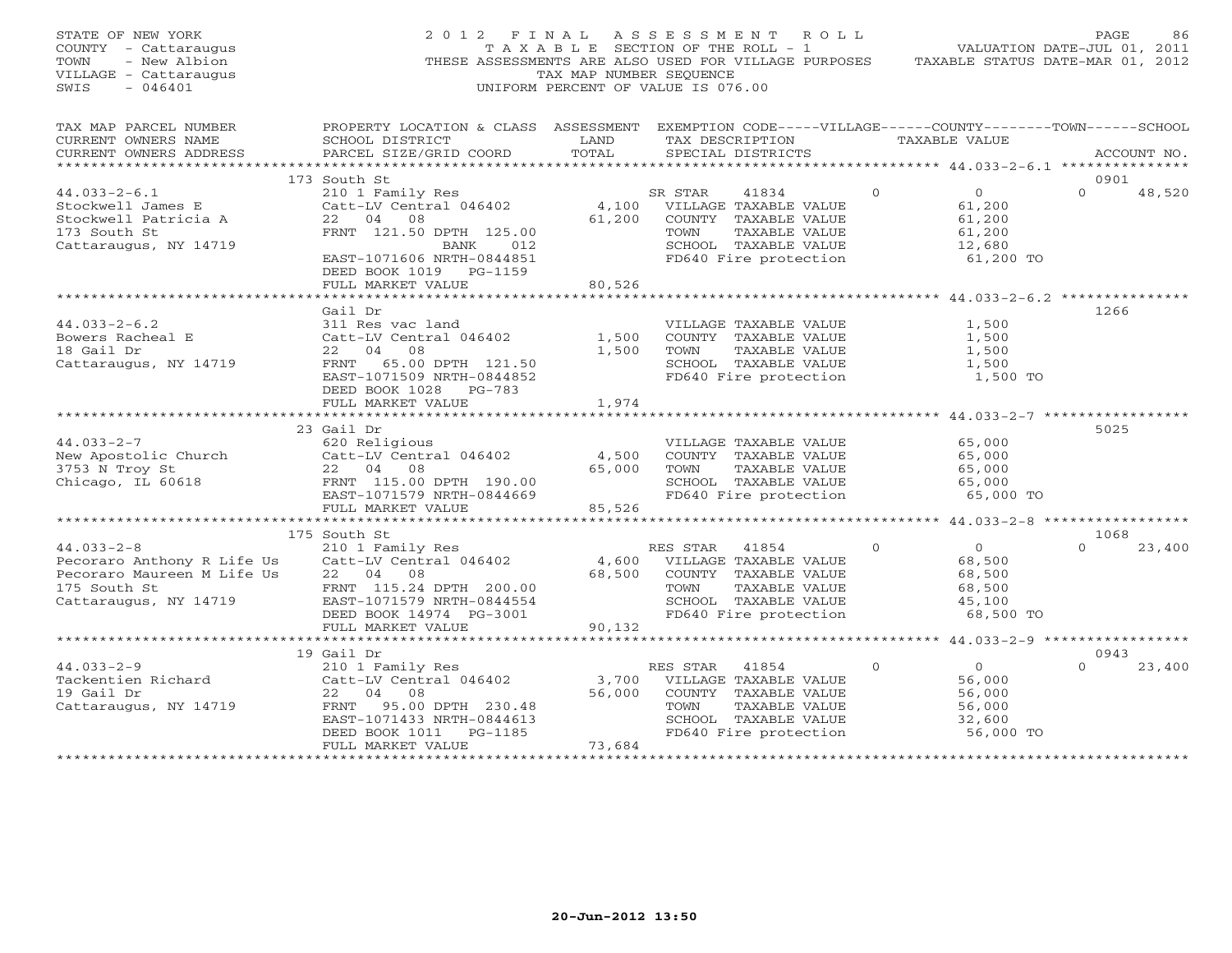| STATE OF NEW YORK<br>COUNTY - Cattaraugus<br>- New Albion<br>TOWN<br>VILLAGE - Cattaraugus<br>$-046401$<br>SWIS |                                                                                                                                                 |                | 2012 FINAL ASSESSMENT ROLL<br>T A X A B L E SECTION OF THE ROLL - 1<br>THESE ASSESSMENTS ARE ALSO USED FOR VILLAGE PURPOSES TAXABLE STATUS DATE-MAR 01, 2012<br>TAX MAP NUMBER SEQUENCE<br>UNIFORM PERCENT OF VALUE IS 076.00 |          | VALUATION DATE-JUL 01, 2011                        | PAGE             | 86          |
|-----------------------------------------------------------------------------------------------------------------|-------------------------------------------------------------------------------------------------------------------------------------------------|----------------|-------------------------------------------------------------------------------------------------------------------------------------------------------------------------------------------------------------------------------|----------|----------------------------------------------------|------------------|-------------|
| TAX MAP PARCEL NUMBER<br>CURRENT OWNERS NAME<br>CURRENT OWNERS ADDRESS                                          | PROPERTY LOCATION & CLASS ASSESSMENT EXEMPTION CODE-----VILLAGE------COUNTY-------TOWN------SCHOOL<br>SCHOOL DISTRICT<br>PARCEL SIZE/GRID COORD | LAND<br>TOTAL  | TAX DESCRIPTION TAXABLE VALUE<br>SPECIAL DISTRICTS                                                                                                                                                                            |          |                                                    |                  | ACCOUNT NO. |
|                                                                                                                 |                                                                                                                                                 |                |                                                                                                                                                                                                                               |          |                                                    |                  |             |
|                                                                                                                 | 173 South St                                                                                                                                    |                |                                                                                                                                                                                                                               |          |                                                    | 0901             |             |
| $44.033 - 2 - 6.1$<br>Stockwell James E<br>Stockwell Patricia A                                                 | 210 1 Family Res<br>Catt-LV Central 046402<br>22 04 08                                                                                          |                | SR STAR<br>41834<br>$4,100$ VILLAGE TAXABLE VALUE<br>61,200 COUNTY TAXABLE VALUE                                                                                                                                              | $\Omega$ | $\overline{0}$<br>61,200<br>61,200                 | $\Omega$         | 48,520      |
| 173 South St<br>Cattaraugus, NY 14719                                                                           | FRNT 121.50 DPTH 125.00<br>BANK 012<br>EAST-1071606 NRTH-0844851                                                                                |                | TAXABLE VALUE<br>TOWN<br>SCHOOL TAXABLE VALUE<br>FD640 Fire protection                                                                                                                                                        |          | 61,200<br>12,680<br>61,200 TO                      |                  |             |
|                                                                                                                 | DEED BOOK 1019 PG-1159                                                                                                                          |                |                                                                                                                                                                                                                               |          |                                                    |                  |             |
|                                                                                                                 | FULL MARKET VALUE                                                                                                                               | 80,526         |                                                                                                                                                                                                                               |          |                                                    |                  |             |
|                                                                                                                 |                                                                                                                                                 |                |                                                                                                                                                                                                                               |          |                                                    |                  |             |
|                                                                                                                 | Gail Dr                                                                                                                                         |                |                                                                                                                                                                                                                               |          |                                                    | 1266             |             |
| $44.033 - 2 - 6.2$                                                                                              | 311 Res vac land                                                                                                                                |                | VILLAGE TAXABLE VALUE                                                                                                                                                                                                         |          | 1,500                                              |                  |             |
| Bowers Racheal E<br>18 Gail Dr                                                                                  | Catt-LV Central 046402<br>22 04 08                                                                                                              | 1,500<br>1,500 | COUNTY TAXABLE VALUE<br>TAXABLE VALUE<br>TOWN                                                                                                                                                                                 |          | 1,500<br>1,500                                     |                  |             |
| Cattaraugus, NY 14719                                                                                           | FRNT 65.00 DPTH 121.50                                                                                                                          |                | SCHOOL TAXABLE VALUE                                                                                                                                                                                                          |          | 1,500                                              |                  |             |
|                                                                                                                 | EAST-1071509 NRTH-0844852                                                                                                                       |                | FD640 Fire protection                                                                                                                                                                                                         |          | 1,500 TO                                           |                  |             |
|                                                                                                                 | DEED BOOK 1028 PG-783                                                                                                                           |                |                                                                                                                                                                                                                               |          |                                                    |                  |             |
|                                                                                                                 | FULL MARKET VALUE                                                                                                                               | 1,974          |                                                                                                                                                                                                                               |          |                                                    |                  |             |
|                                                                                                                 |                                                                                                                                                 |                |                                                                                                                                                                                                                               |          |                                                    |                  |             |
|                                                                                                                 | 23 Gail Dr                                                                                                                                      |                |                                                                                                                                                                                                                               |          |                                                    | 5025             |             |
| $44.033 - 2 - 7$                                                                                                | 620 Religious                                                                                                                                   |                | VILLAGE TAXABLE VALUE                                                                                                                                                                                                         |          | 65,000                                             |                  |             |
| New Apostolic Church<br>3753 N Troy St<br>Chicago, IL 60618                                                     | Catt-LV Central 046402                                                                                                                          | 4,500          | COUNTY TAXABLE VALUE                                                                                                                                                                                                          |          | 65,000                                             |                  |             |
|                                                                                                                 | 22 04 08                                                                                                                                        | 65,000         | TAXABLE VALUE<br>TOWN                                                                                                                                                                                                         |          | 65,000                                             |                  |             |
|                                                                                                                 | FRNT 115.00 DPTH 190.00                                                                                                                         |                | SCHOOL TAXABLE VALUE                                                                                                                                                                                                          |          | 65,000                                             |                  |             |
|                                                                                                                 | EAST-1071579 NRTH-0844669                                                                                                                       |                | FD640 Fire protection                                                                                                                                                                                                         |          | 65,000 TO                                          |                  |             |
|                                                                                                                 | FULL MARKET VALUE                                                                                                                               | 85,526         |                                                                                                                                                                                                                               |          |                                                    |                  |             |
|                                                                                                                 |                                                                                                                                                 |                |                                                                                                                                                                                                                               |          | ******************** 44.033-2-8 ****************** |                  |             |
|                                                                                                                 | 175 South St                                                                                                                                    |                |                                                                                                                                                                                                                               |          |                                                    | 1068             |             |
| $44.033 - 2 - 8$                                                                                                | 210 1 Family Res<br>Catt-LV Central 046402                                                                                                      |                | RES STAR 41854                                                                                                                                                                                                                | $\Omega$ | $\overline{0}$                                     | $\Omega$         | 23,400      |
| Pecoraro Anthony R Life Us Catt-LV Central<br>Pecoraro Maureen M Life Us 22 04 08<br>175 South St               |                                                                                                                                                 | 4,600          | VILLAGE TAXABLE VALUE                                                                                                                                                                                                         |          | 68,500                                             |                  |             |
|                                                                                                                 |                                                                                                                                                 |                | 68,500 COUNTY TAXABLE VALUE                                                                                                                                                                                                   |          | 68,500                                             |                  |             |
| 175 South St                                                                                                    | FRNT 115.24 DPTH 200.00                                                                                                                         |                | TAXABLE VALUE<br>TOWN                                                                                                                                                                                                         |          | 68,500                                             |                  |             |
| Cattaraugus, NY 14719                                                                                           | EAST-1071579 NRTH-0844554                                                                                                                       |                | SCHOOL TAXABLE VALUE                                                                                                                                                                                                          |          | 45,100                                             |                  |             |
|                                                                                                                 | DEED BOOK 14974 PG-3001                                                                                                                         |                | FD640 Fire protection                                                                                                                                                                                                         |          | 68,500 TO                                          |                  |             |
|                                                                                                                 | FULL MARKET VALUE                                                                                                                               | 90,132         |                                                                                                                                                                                                                               |          |                                                    |                  |             |
|                                                                                                                 |                                                                                                                                                 |                |                                                                                                                                                                                                                               |          |                                                    |                  |             |
| $44.033 - 2 - 9$                                                                                                | 19 Gail Dr                                                                                                                                      |                | RES STAR<br>41854                                                                                                                                                                                                             | $\Omega$ | $\overline{0}$                                     | 0943<br>$\Omega$ | 23,400      |
|                                                                                                                 | 210 1 Family Res<br>Catt-LV Central 046402                                                                                                      | 3,700          | VILLAGE TAXABLE VALUE                                                                                                                                                                                                         |          | 56,000                                             |                  |             |
| Tackentien Richard<br>10 Coil Dr<br>19 Gail Dr                                                                  | 22 04 08                                                                                                                                        | 56,000         | COUNTY TAXABLE VALUE                                                                                                                                                                                                          |          | 56,000                                             |                  |             |
| Cattaraugus, NY 14719                                                                                           | FRNT 95.00 DPTH 230.48                                                                                                                          |                | TAXABLE VALUE<br>TOWN                                                                                                                                                                                                         |          | 56,000                                             |                  |             |
|                                                                                                                 | EAST-1071433 NRTH-0844613                                                                                                                       |                | SCHOOL TAXABLE VALUE                                                                                                                                                                                                          |          | 32,600                                             |                  |             |
|                                                                                                                 | DEED BOOK 1011    PG-1185                                                                                                                       |                | FD640 Fire protection                                                                                                                                                                                                         |          | 56,000 TO                                          |                  |             |
|                                                                                                                 | FULL MARKET VALUE                                                                                                                               | 73,684         |                                                                                                                                                                                                                               |          |                                                    |                  |             |
|                                                                                                                 |                                                                                                                                                 |                |                                                                                                                                                                                                                               |          |                                                    |                  |             |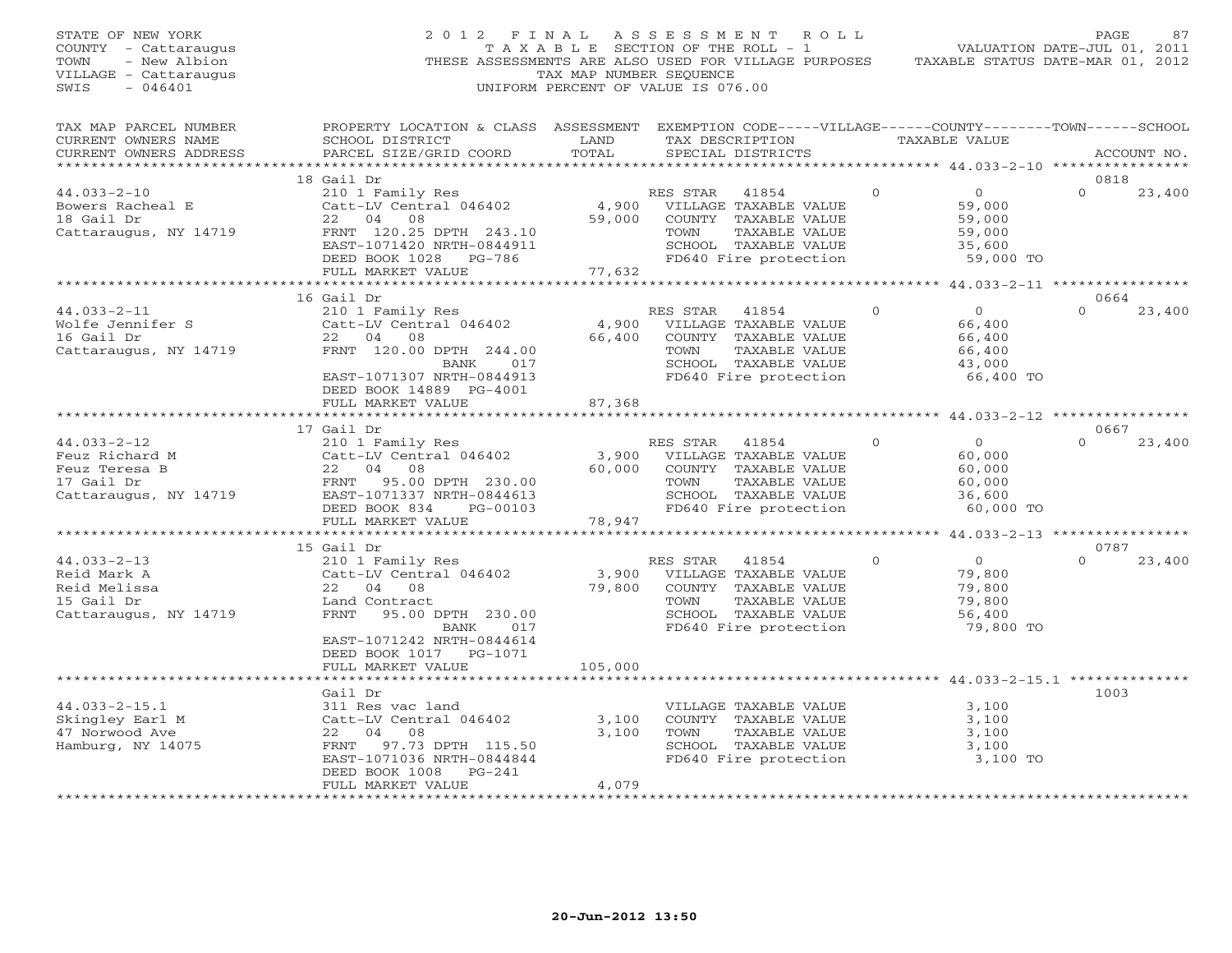| STATE OF NEW YORK<br>COUNTY - Cattaraugus<br>- New Albion<br>TOWN<br>VILLAGE - Cattaraugus<br>SWIS<br>$-046401$ | 2012 FINAL                                                                                                                                                            | TAX MAP NUMBER SEQUENCE   | A S S E S S M E N T<br>R O L L<br>T A X A B L E SECTION OF THE ROLL - 1<br>THESE ASSESSMENTS ARE ALSO USED FOR VILLAGE PURPOSES<br>UNIFORM PERCENT OF VALUE IS 076.00 |          | VALUATION DATE-JUL 01, 2011<br>TAXABLE STATUS DATE-MAR 01, 2012     | PAGE             | 87          |
|-----------------------------------------------------------------------------------------------------------------|-----------------------------------------------------------------------------------------------------------------------------------------------------------------------|---------------------------|-----------------------------------------------------------------------------------------------------------------------------------------------------------------------|----------|---------------------------------------------------------------------|------------------|-------------|
| TAX MAP PARCEL NUMBER<br>CURRENT OWNERS NAME<br>CURRENT OWNERS ADDRESS                                          | PROPERTY LOCATION & CLASS ASSESSMENT<br>SCHOOL DISTRICT<br>PARCEL SIZE/GRID COORD                                                                                     | LAND<br>TOTAL             | EXEMPTION CODE-----VILLAGE------COUNTY--------TOWN------SCHOOL<br>TAX DESCRIPTION<br>SPECIAL DISTRICTS                                                                |          | TAXABLE VALUE                                                       |                  | ACCOUNT NO. |
| ***********************                                                                                         |                                                                                                                                                                       |                           |                                                                                                                                                                       |          |                                                                     |                  |             |
| $44.033 - 2 - 10$<br>Bowers Racheal E<br>18 Gail Dr<br>Cattaraugus, NY 14719                                    | 18 Gail Dr<br>210 1 Family Res<br>Catt-LV Central 046402<br>22<br>04<br>08<br>FRNT 120.25 DPTH 243.10<br>EAST-1071420 NRTH-0844911<br>DEED BOOK 1028 PG-786           | 4,900<br>59,000           | RES STAR<br>41854<br>VILLAGE TAXABLE VALUE<br>COUNTY TAXABLE VALUE<br>TOWN<br>TAXABLE VALUE<br>SCHOOL TAXABLE VALUE<br>FD640 Fire protection                          | $\Omega$ | $\overline{0}$<br>59,000<br>59,000<br>59,000<br>35,600<br>59,000 TO | 0818<br>$\Omega$ | 23,400      |
|                                                                                                                 | FULL MARKET VALUE<br>*******************                                                                                                                              | 77,632<br>************    |                                                                                                                                                                       |          | ******************** 44.033-2-11 *****************                  |                  |             |
| $44.033 - 2 - 11$<br>Wolfe Jennifer S<br>16 Gail Dr                                                             | 16 Gail Dr<br>210 1 Family Res<br>Catt-LV Central 046402<br>22 04<br>08                                                                                               | 4,900<br>66,400           | RES STAR<br>41854<br>VILLAGE TAXABLE VALUE<br>COUNTY TAXABLE VALUE                                                                                                    | $\Omega$ | $\Omega$<br>66,400<br>66,400                                        | 0664<br>$\Omega$ | 23,400      |
| Cattaraugus, NY 14719                                                                                           | FRNT 120.00 DPTH 244.00<br>BANK<br>017<br>EAST-1071307 NRTH-0844913<br>DEED BOOK 14889 PG-4001                                                                        |                           | TOWN<br>TAXABLE VALUE<br>SCHOOL TAXABLE VALUE<br>FD640 Fire protection                                                                                                |          | 66,400<br>43,000<br>66,400 TO                                       |                  |             |
|                                                                                                                 | FULL MARKET VALUE<br>*******************                                                                                                                              | 87,368                    | ***********************                                                                                                                                               |          | ********************* 44.033-2-12 *****************                 |                  |             |
|                                                                                                                 | 17 Gail Dr                                                                                                                                                            |                           |                                                                                                                                                                       |          |                                                                     | 0667             |             |
| $44.033 - 2 - 12$<br>Feuz Richard M<br>Feuz Teresa B<br>17 Gail Dr<br>Cattaraugus, NY 14719                     | 210 1 Family Res<br>Catt-LV Central 046402<br>22<br>04 08<br>95.00 DPTH 230.00<br>FRNT<br>EAST-1071337 NRTH-0844613<br>DEED BOOK 834<br>PG-00103<br>FULL MARKET VALUE | 3,900<br>60,000<br>78,947 | RES STAR<br>41854<br>VILLAGE TAXABLE VALUE<br>COUNTY TAXABLE VALUE<br>TOWN<br>TAXABLE VALUE<br>SCHOOL TAXABLE VALUE<br>FD640 Fire protection                          | $\Omega$ | $\overline{0}$<br>60,000<br>60,000<br>60,000<br>36,600<br>60,000 TO | $\Omega$         | 23,400      |
|                                                                                                                 | ***********************                                                                                                                                               | * * * * * * * * * * * *   |                                                                                                                                                                       |          | ********** 44.033-2-13 *****************                            |                  |             |
|                                                                                                                 | 15 Gail Dr                                                                                                                                                            |                           |                                                                                                                                                                       |          |                                                                     | 0787             |             |
| $44.033 - 2 - 13$<br>Reid Mark A<br>Reid Melissa<br>15 Gail Dr<br>Cattaraugus, NY 14719                         | 210 1 Family Res<br>Catt-LV Central 046402<br>22 04 08<br>Land Contract<br><b>FRNT</b><br>95.00 DPTH 230.00<br>017<br>BANK<br>EAST-1071242 NRTH-0844614               | 3,900<br>79,800           | RES STAR<br>41854<br>VILLAGE TAXABLE VALUE<br>COUNTY TAXABLE VALUE<br>TAXABLE VALUE<br>TOWN<br>SCHOOL TAXABLE VALUE<br>FD640 Fire protection                          | $\Omega$ | $\overline{0}$<br>79,800<br>79,800<br>79,800<br>56,400<br>79,800 TO | $\Omega$         | 23,400      |
|                                                                                                                 | DEED BOOK 1017 PG-1071<br>FULL MARKET VALUE                                                                                                                           | 105,000                   |                                                                                                                                                                       |          |                                                                     |                  |             |
|                                                                                                                 | ******************                                                                                                                                                    |                           |                                                                                                                                                                       |          | ***************** 44.033-2-15.1 *************                       |                  |             |
| $44.033 - 2 - 15.1$<br>Skingley Earl M<br>47 Norwood Ave<br>Hamburg, NY 14075                                   | Gail Dr<br>311 Res vac land<br>Catt-LV Central 046402<br>22<br>04<br>08<br>FRNT<br>97.73 DPTH 115.50<br>EAST-1071036 NRTH-0844844<br>DEED BOOK 1008<br>$PG-241$       | 3,100<br>3,100            | VILLAGE TAXABLE VALUE<br>COUNTY TAXABLE VALUE<br>TOWN<br>TAXABLE VALUE<br>SCHOOL TAXABLE VALUE<br>FD640 Fire protection                                               |          | 3,100<br>3,100<br>3,100<br>3,100<br>3,100 TO                        | 1003             |             |
|                                                                                                                 | FULL MARKET VALUE                                                                                                                                                     | 4,079                     |                                                                                                                                                                       |          |                                                                     |                  |             |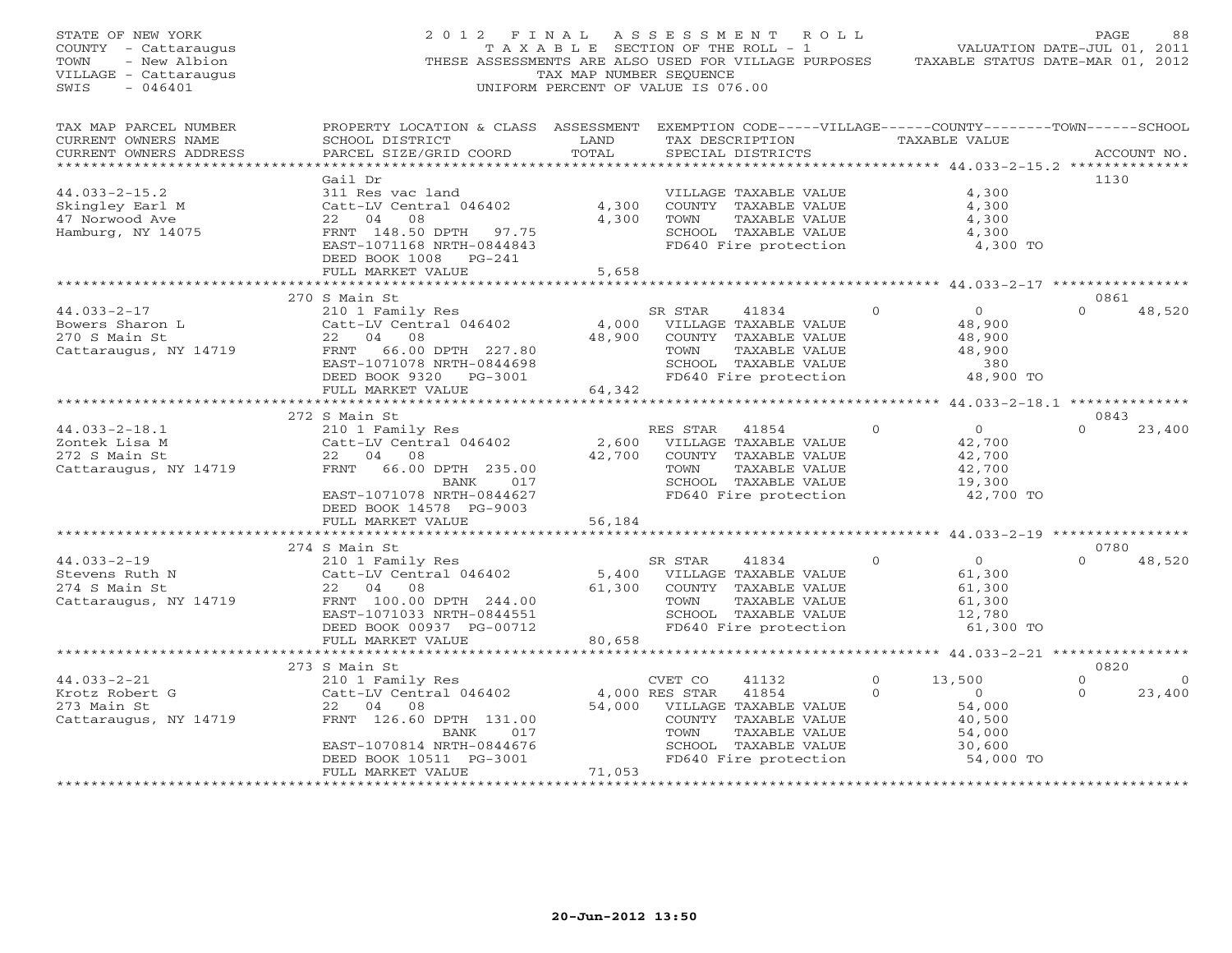| STATE OF NEW YORK<br>COUNTY - Cattaraugus<br>- New Albion<br>TOWN<br>VILLAGE - Cattaraugus<br>$-046401$<br>SWIS | 2012 FINAL                                                                                                                                                                       | TAX MAP NUMBER SEQUENCE   | ASSESSMENT ROLL<br>TAXABLE SECTION OF THE ROLL - 1<br>THESE ASSESSMENTS ARE ALSO USED FOR VILLAGE PURPOSES TAXABLE STATUS DATE-MAR 01, 2012<br>UNIFORM PERCENT OF VALUE IS 076.00 |                      | VALUATION DATE-JUL 01, 2011                                                   | PAGE                 | 88                 |
|-----------------------------------------------------------------------------------------------------------------|----------------------------------------------------------------------------------------------------------------------------------------------------------------------------------|---------------------------|-----------------------------------------------------------------------------------------------------------------------------------------------------------------------------------|----------------------|-------------------------------------------------------------------------------|----------------------|--------------------|
| TAX MAP PARCEL NUMBER<br>CURRENT OWNERS NAME<br>CURRENT OWNERS ADDRESS                                          | PROPERTY LOCATION & CLASS ASSESSMENT EXEMPTION CODE-----VILLAGE------COUNTY-------TOWN------SCHOOL<br>SCHOOL DISTRICT<br>PARCEL SIZE/GRID COORD<br>***************************** | LAND<br>TOTAL             | TAX DESCRIPTION<br>SPECIAL DISTRICTS                                                                                                                                              |                      | TAXABLE VALUE<br>*********** 44.033-2-15.2 ***************                    |                      | ACCOUNT NO.        |
| $44.033 - 2 - 15.2$<br>Skingley Earl M<br>47 Norwood Ave<br>Hamburg, NY 14075                                   | Gail Dr<br>311 Res vac land<br>Catt-LV Central 046402<br>22 04<br>08<br>FRNT 148.50 DPTH 97.75<br>EAST-1071168 NRTH-0844843<br>DEED BOOK 1008 PG-241<br>FULL MARKET VALUE        | 4,300<br>4,300<br>5,658   | VILLAGE TAXABLE VALUE<br>COUNTY TAXABLE VALUE<br>TAXABLE VALUE<br>TOWN<br>SCHOOL TAXABLE VALUE<br>FD640 Fire protection                                                           |                      | 4,300<br>4,300<br>4,300<br>4,300<br>4,300 TO                                  | 1130                 |                    |
|                                                                                                                 |                                                                                                                                                                                  |                           |                                                                                                                                                                                   |                      |                                                                               |                      |                    |
| $44.033 - 2 - 17$<br>Bowers Sharon L<br>270 S Main St<br>Cattaraugus, NY 14719                                  | 270 S Main St<br>210 1 Family Res<br>Catt-LV Central 046402<br>22 04 08<br>FRNT 66.00 DPTH 227.80<br>EAST-1071078 NRTH-0844698<br>DEED BOOK 9320 PG-3001                         | 4,000<br>48,900           | SR STAR<br>41834<br>VILLAGE TAXABLE VALUE<br>COUNTY TAXABLE VALUE<br>TAXABLE VALUE<br>TOWN<br>SCHOOL TAXABLE VALUE<br>FD640 Fire protection                                       | $\Omega$             | $\overline{0}$<br>48,900<br>48,900<br>48,900<br>380<br>48,900 TO              | 0861<br>$\Omega$     | 48,520             |
|                                                                                                                 | FULL MARKET VALUE                                                                                                                                                                | 64,342                    |                                                                                                                                                                                   |                      |                                                                               |                      |                    |
|                                                                                                                 | ***********************                                                                                                                                                          | *******************       |                                                                                                                                                                                   |                      | ******************** 44.033-2-18.1 **************                             | 0843                 |                    |
| $44.033 - 2 - 18.1$<br>Zontek Lisa M<br>272 S Main St<br>Cattaraugus, NY 14719                                  | 272 S Main St<br>210 1 Family Res<br>Catt-LV Central 046402<br>22 04 08<br>FRNT 66.00 DPTH 235.00<br>017<br>BANK<br>EAST-1071078 NRTH-0844627<br>DEED BOOK 14578 PG-9003         | 2,600<br>42,700           | RES STAR<br>41854<br>VILLAGE TAXABLE VALUE<br>COUNTY TAXABLE VALUE<br>TOWN<br>TAXABLE VALUE<br>SCHOOL TAXABLE VALUE<br>FD640 Fire protection                                      | $\mathbf{0}$         | $\overline{0}$<br>42,700<br>42,700<br>42,700<br>19,300<br>42,700 TO           | $\Omega$             | 23,400             |
|                                                                                                                 | FULL MARKET VALUE                                                                                                                                                                | 56,184                    |                                                                                                                                                                                   |                      |                                                                               |                      |                    |
|                                                                                                                 | * * * * * * * * * * * * * * * * * * * *                                                                                                                                          |                           | *********************************** 44.033-2-19 *****************                                                                                                                 |                      |                                                                               | 0780                 |                    |
| $44.033 - 2 - 19$<br>Stevens Ruth N<br>274 S Main St<br>Cattaraugus, NY 14719                                   | 274 S Main St<br>210 1 Family Res<br>Catt-LV Central 046402<br>22 04<br>08<br>FRNT 100.00 DPTH 244.00<br>EAST-1071033 NRTH-0844551<br>DEED BOOK 00937 PG-00712                   | 5,400<br>61,300           | SR STAR<br>41834<br>VILLAGE TAXABLE VALUE<br>COUNTY TAXABLE VALUE<br>TOWN<br>TAXABLE VALUE<br>SCHOOL TAXABLE VALUE<br>FD640 Fire protection                                       | $\Omega$             | $\Omega$<br>61,300<br>61,300<br>61,300<br>12,780<br>61,300 TO                 | $\Omega$             | 48,520             |
|                                                                                                                 | FULL MARKET VALUE<br>***********************                                                                                                                                     | 80,658                    |                                                                                                                                                                                   |                      |                                                                               |                      |                    |
|                                                                                                                 | 273 S Main St                                                                                                                                                                    |                           |                                                                                                                                                                                   |                      |                                                                               | 0820                 |                    |
| $44.033 - 2 - 21$<br>Krotz Robert G<br>273 Main St<br>Cattaraugus, NY 14719                                     | 210 1 Family Res<br>Catt-LV Central 046402<br>22 04 08<br>FRNT 126.60 DPTH 131.00<br>BANK<br>017<br>EAST-1070814 NRTH-0844676<br>DEED BOOK 10511 PG-3001<br>FULL MARKET VALUE    | 54,000<br>71,053          | CVET CO<br>41132<br>4,000 RES STAR<br>41854<br>VILLAGE TAXABLE VALUE<br>COUNTY TAXABLE VALUE<br>TOWN<br>TAXABLE VALUE<br>SCHOOL TAXABLE VALUE<br>FD640 Fire protection            | $\Omega$<br>$\Omega$ | 13,500<br>$\overline{O}$<br>54,000<br>40,500<br>54,000<br>30,600<br>54,000 TO | $\Omega$<br>$\Omega$ | $\Omega$<br>23,400 |
| ***********************                                                                                         | * * * * * * * * * * * * * * * * * * *                                                                                                                                            | * * * * * * * * * * * * * |                                                                                                                                                                                   |                      |                                                                               |                      |                    |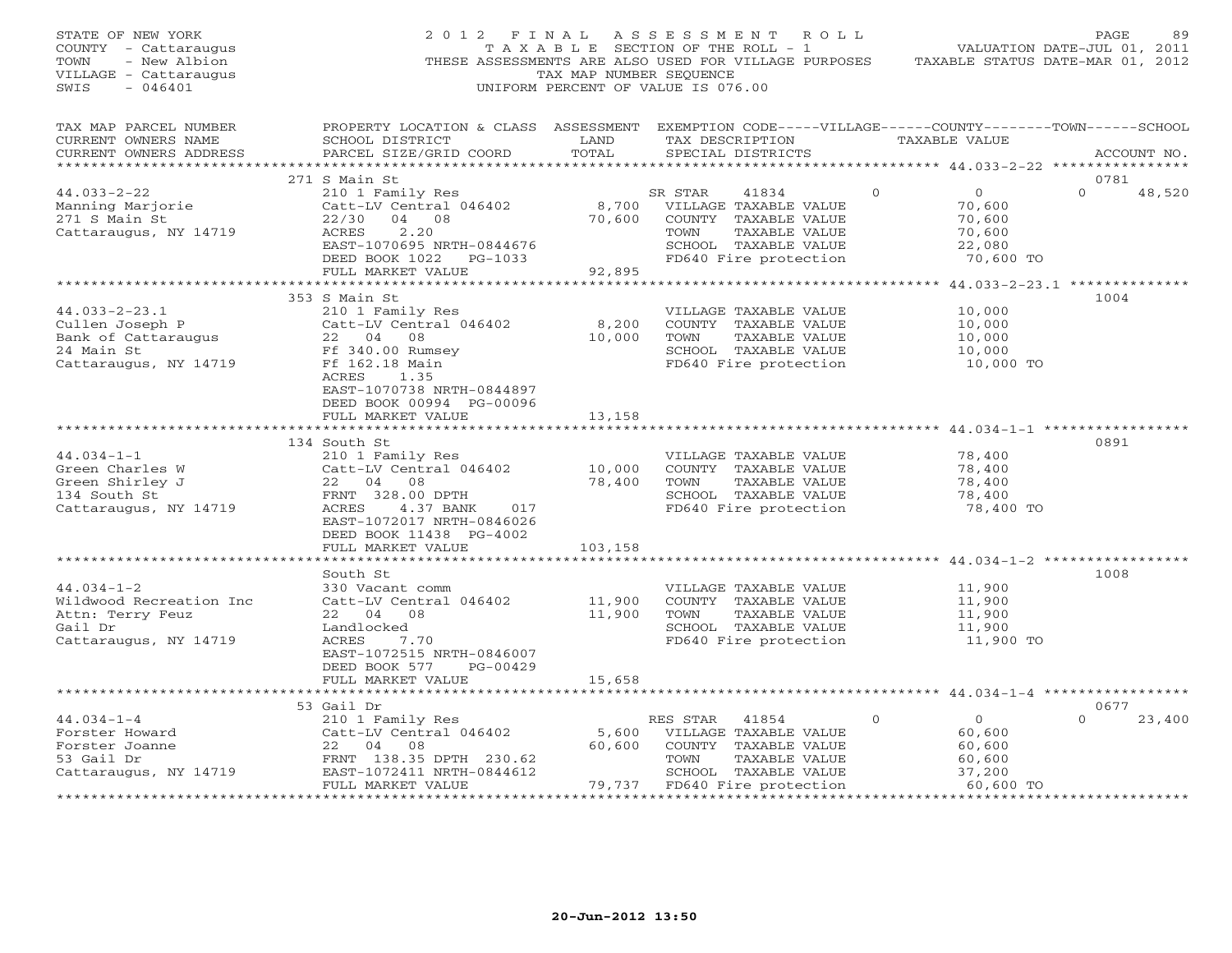| STATE OF NEW YORK<br>COUNTY - Cattaraugus<br>TOWN<br>- New Albion<br>VILLAGE - Cattaraugus<br>SWIS<br>$-046401$ | 2012 FINAL                                                                                                                                      | TAX MAP NUMBER SEOUENCE | ASSESSMENT ROLL<br>TAXABLE SECTION OF THE ROLL - 1<br>THESE ASSESSMENTS ARE ALSO USED FOR VILLAGE PURPOSES<br>UNIFORM PERCENT OF VALUE IS 076.00 |                                            | PAGE<br>89<br>VALUATION DATE-JUL 01, 2011<br>TAXABLE STATUS DATE-MAR 01, 2012 |
|-----------------------------------------------------------------------------------------------------------------|-------------------------------------------------------------------------------------------------------------------------------------------------|-------------------------|--------------------------------------------------------------------------------------------------------------------------------------------------|--------------------------------------------|-------------------------------------------------------------------------------|
| TAX MAP PARCEL NUMBER<br>CURRENT OWNERS NAME<br>CURRENT OWNERS ADDRESS                                          | PROPERTY LOCATION & CLASS ASSESSMENT EXEMPTION CODE-----VILLAGE------COUNTY-------TOWN------SCHOOL<br>SCHOOL DISTRICT<br>PARCEL SIZE/GRID COORD | LAND<br>TOTAL           | TAX DESCRIPTION<br>SPECIAL DISTRICTS                                                                                                             | TAXABLE VALUE                              | ACCOUNT NO.                                                                   |
|                                                                                                                 | 271 S Main St                                                                                                                                   |                         |                                                                                                                                                  |                                            | 0781                                                                          |
| $44.033 - 2 - 22$                                                                                               | 210 1 Family Res                                                                                                                                |                         | SR STAR<br>41834                                                                                                                                 | $\Omega$<br>$\overline{0}$                 | $\Omega$<br>48,520                                                            |
| Manning Marjorie                                                                                                | Catt-LV Central 046402                                                                                                                          | 8,700                   | VILLAGE TAXABLE VALUE                                                                                                                            | 70,600                                     |                                                                               |
| 271 S Main St                                                                                                   | 04 08<br>22/30                                                                                                                                  | 70,600                  | COUNTY TAXABLE VALUE                                                                                                                             | 70,600                                     |                                                                               |
| Cattaraugus, NY 14719                                                                                           | ACRES<br>2.20                                                                                                                                   |                         | TOWN<br>TAXABLE VALUE                                                                                                                            | 70,600                                     |                                                                               |
|                                                                                                                 | EAST-1070695 NRTH-0844676                                                                                                                       |                         | SCHOOL TAXABLE VALUE                                                                                                                             | 22,080                                     |                                                                               |
|                                                                                                                 | DEED BOOK 1022 PG-1033                                                                                                                          |                         | FD640 Fire protection                                                                                                                            | 70,600 TO                                  |                                                                               |
|                                                                                                                 | FULL MARKET VALUE                                                                                                                               | 92,895                  |                                                                                                                                                  |                                            |                                                                               |
|                                                                                                                 |                                                                                                                                                 |                         |                                                                                                                                                  |                                            |                                                                               |
|                                                                                                                 | 353 S Main St                                                                                                                                   |                         |                                                                                                                                                  |                                            | 1004                                                                          |
| $44.033 - 2 - 23.1$                                                                                             | 210 1 Family Res                                                                                                                                |                         | VILLAGE TAXABLE VALUE                                                                                                                            | 10,000                                     |                                                                               |
| Cullen Joseph P                                                                                                 | Catt-LV Central 046402                                                                                                                          | 8,200                   | COUNTY TAXABLE VALUE                                                                                                                             | 10,000                                     |                                                                               |
| Bank of Cattaraugus                                                                                             | 22 04 08                                                                                                                                        | 10,000                  | TOWN<br>TAXABLE VALUE                                                                                                                            | 10,000                                     |                                                                               |
| 24 Main St                                                                                                      | Ff 340.00 Rumsey<br>Ff 162.18 Main                                                                                                              |                         | SCHOOL TAXABLE VALUE<br>FD640 Fire protection                                                                                                    | 10,000<br>10,000 TO                        |                                                                               |
| Cattaraugus, NY 14719                                                                                           | ACRES<br>1.35                                                                                                                                   |                         |                                                                                                                                                  |                                            |                                                                               |
|                                                                                                                 | EAST-1070738 NRTH-0844897                                                                                                                       |                         |                                                                                                                                                  |                                            |                                                                               |
|                                                                                                                 | DEED BOOK 00994 PG-00096                                                                                                                        |                         |                                                                                                                                                  |                                            |                                                                               |
|                                                                                                                 | FULL MARKET VALUE                                                                                                                               | 13,158                  |                                                                                                                                                  |                                            |                                                                               |
|                                                                                                                 |                                                                                                                                                 |                         |                                                                                                                                                  | ***************** 44.034-1-1 ************* |                                                                               |
|                                                                                                                 | 134 South St                                                                                                                                    |                         |                                                                                                                                                  |                                            | 0891                                                                          |
| $44.034 - 1 - 1$                                                                                                | 210 1 Family Res                                                                                                                                |                         | VILLAGE TAXABLE VALUE                                                                                                                            | 78,400                                     |                                                                               |
| Green Charles W                                                                                                 | Catt-LV Central 046402                                                                                                                          | 10,000                  | COUNTY TAXABLE VALUE                                                                                                                             | 78,400                                     |                                                                               |
| Green Shirley J                                                                                                 | 22 04<br>08                                                                                                                                     | 78,400                  | TOWN<br>TAXABLE VALUE                                                                                                                            | 78,400                                     |                                                                               |
| 134 South St                                                                                                    | FRNT 328.00 DPTH                                                                                                                                |                         | SCHOOL TAXABLE VALUE                                                                                                                             | 78,400                                     |                                                                               |
| Cattaraugus, NY 14719                                                                                           | ACRES<br>4.37 BANK<br>017                                                                                                                       |                         | FD640 Fire protection                                                                                                                            | 78,400 TO                                  |                                                                               |
|                                                                                                                 | EAST-1072017 NRTH-0846026                                                                                                                       |                         |                                                                                                                                                  |                                            |                                                                               |
|                                                                                                                 | DEED BOOK 11438 PG-4002                                                                                                                         |                         |                                                                                                                                                  |                                            |                                                                               |
|                                                                                                                 | FULL MARKET VALUE                                                                                                                               | 103,158                 |                                                                                                                                                  |                                            |                                                                               |
|                                                                                                                 | *******************                                                                                                                             |                         |                                                                                                                                                  |                                            |                                                                               |
|                                                                                                                 | South St                                                                                                                                        |                         |                                                                                                                                                  |                                            | 1008                                                                          |
| $44.034 - 1 - 2$                                                                                                | 330 Vacant comm                                                                                                                                 |                         | VILLAGE TAXABLE VALUE                                                                                                                            | 11,900                                     |                                                                               |
| Wildwood Recreation Inc                                                                                         | Catt-LV Central 046402                                                                                                                          | 11,900                  | COUNTY TAXABLE VALUE                                                                                                                             | 11,900                                     |                                                                               |
| Attn: Terry Feuz                                                                                                | 22 04 08                                                                                                                                        | 11,900                  | TOWN<br>TAXABLE VALUE                                                                                                                            | 11,900                                     |                                                                               |
| Gail Dr                                                                                                         | Landlocked                                                                                                                                      |                         | SCHOOL TAXABLE VALUE                                                                                                                             | 11,900                                     |                                                                               |
| Cattaraugus, NY 14719                                                                                           | ACRES<br>7.70                                                                                                                                   |                         | FD640 Fire protection                                                                                                                            | 11,900 TO                                  |                                                                               |
|                                                                                                                 | EAST-1072515 NRTH-0846007<br>DEED BOOK 577<br>PG-00429                                                                                          |                         |                                                                                                                                                  |                                            |                                                                               |
|                                                                                                                 | FULL MARKET VALUE                                                                                                                               | 15,658                  |                                                                                                                                                  |                                            |                                                                               |
|                                                                                                                 |                                                                                                                                                 |                         |                                                                                                                                                  |                                            |                                                                               |
|                                                                                                                 | 53 Gail Dr                                                                                                                                      |                         |                                                                                                                                                  |                                            | 0677                                                                          |
| $44.034 - 1 - 4$                                                                                                | 210 1 Family Res                                                                                                                                |                         | RES STAR<br>41854                                                                                                                                | $\mathbf{0}$<br>$\overline{0}$             | $\Omega$<br>23,400                                                            |
| Forster Howard                                                                                                  | Catt-LV Central 046402                                                                                                                          | 5,600                   | VILLAGE TAXABLE VALUE                                                                                                                            | 60,600                                     |                                                                               |
| Forster Joanne                                                                                                  | 22 04 08                                                                                                                                        | 60,600                  | COUNTY TAXABLE VALUE                                                                                                                             | 60,600                                     |                                                                               |
| 53 Gail Dr                                                                                                      | FRNT 138.35 DPTH 230.62                                                                                                                         |                         | TOWN<br>TAXABLE VALUE                                                                                                                            | 60,600                                     |                                                                               |
| Cattaraugus, NY 14719                                                                                           | EAST-1072411 NRTH-0844612                                                                                                                       |                         | SCHOOL TAXABLE VALUE                                                                                                                             | 37,200                                     |                                                                               |
|                                                                                                                 | FULL MARKET VALUE                                                                                                                               | 79,737                  | FD640 Fire protection                                                                                                                            | 60,600 TO                                  |                                                                               |
| <b>++++++++++</b>                                                                                               |                                                                                                                                                 |                         |                                                                                                                                                  |                                            |                                                                               |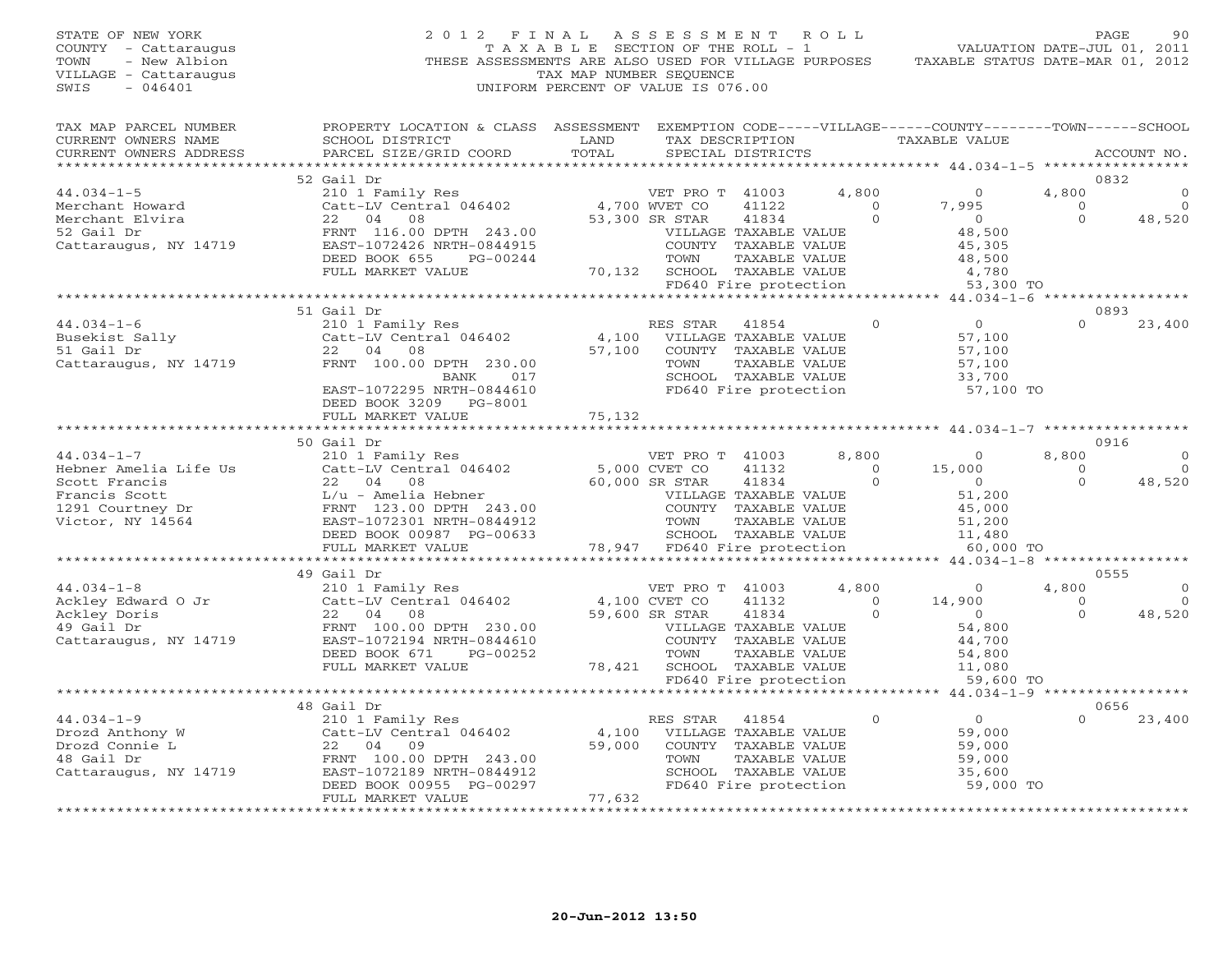| STATE OF NEW YORK<br>COUNTY - Cattaraugus<br>- New Albion<br>TOWN<br>VILLAGE - Cattaraugus<br>SWIS<br>$-046401$ | 2 0 1 2<br>THESE ASSESSMENTS ARE ALSO USED FOR VILLAGE PURPOSES                                                                                 | FINAL<br>T A X A B L E SECTION OF THE ROLL - 1<br>TAX MAP NUMBER SEQUENCE<br>UNIFORM PERCENT OF VALUE IS 076.00 | A S S E S S M E N T              |                                               | R O L L        | TAXABLE STATUS DATE-MAR 01, 2012                    | VALUATION DATE-JUL 01, 2011 | PAGE<br>90     |
|-----------------------------------------------------------------------------------------------------------------|-------------------------------------------------------------------------------------------------------------------------------------------------|-----------------------------------------------------------------------------------------------------------------|----------------------------------|-----------------------------------------------|----------------|-----------------------------------------------------|-----------------------------|----------------|
| TAX MAP PARCEL NUMBER<br>CURRENT OWNERS NAME<br>CURRENT OWNERS ADDRESS                                          | PROPERTY LOCATION & CLASS ASSESSMENT EXEMPTION CODE-----VILLAGE------COUNTY-------TOWN------SCHOOL<br>SCHOOL DISTRICT<br>PARCEL SIZE/GRID COORD | LAND<br>TOTAL                                                                                                   |                                  | TAX DESCRIPTION<br>SPECIAL DISTRICTS          |                | TAXABLE VALUE                                       |                             | ACCOUNT NO.    |
| ******************                                                                                              |                                                                                                                                                 | * * * * * * * * * * * *                                                                                         |                                  |                                               |                | *********** 44.034-1-5 ******************           |                             |                |
|                                                                                                                 | 52 Gail Dr                                                                                                                                      |                                                                                                                 |                                  |                                               |                |                                                     |                             | 0832           |
| $44.034 - 1 - 5$                                                                                                | 210 1 Family Res                                                                                                                                |                                                                                                                 | VET PRO T 41003                  |                                               | 4,800          | $\overline{0}$                                      | 4,800                       |                |
| Merchant Howard                                                                                                 | Catt-LV Central 046402                                                                                                                          |                                                                                                                 | 4,700 WVET CO                    | 41122                                         | $\overline{0}$ | 7,995                                               | $\overline{O}$              | 0              |
| Merchant Elvira<br>52 Gail Dr                                                                                   | 22 04<br>08<br>FRNT 116.00 DPTH 243.00                                                                                                          |                                                                                                                 | 53,300 SR STAR                   | 41834<br>VILLAGE TAXABLE VALUE                | $\circ$        | $\overline{0}$<br>48,500                            | $\Omega$                    | 48,520         |
| Cattaraugus, NY 14719                                                                                           | EAST-1072426 NRTH-0844915                                                                                                                       |                                                                                                                 |                                  | COUNTY TAXABLE VALUE                          |                | 45,305                                              |                             |                |
|                                                                                                                 | DEED BOOK 655<br>PG-00244                                                                                                                       |                                                                                                                 | TOWN                             | TAXABLE VALUE                                 |                | 48,500                                              |                             |                |
|                                                                                                                 | FULL MARKET VALUE                                                                                                                               |                                                                                                                 | 70,132 SCHOOL TAXABLE VALUE      |                                               |                | 4,780                                               |                             |                |
|                                                                                                                 |                                                                                                                                                 |                                                                                                                 |                                  | FD640 Fire protection                         |                | 53,300 TO                                           |                             |                |
|                                                                                                                 |                                                                                                                                                 |                                                                                                                 |                                  |                                               |                | *************** 44.034-1-6 ******************       |                             |                |
| $44.034 - 1 - 6$                                                                                                | 51 Gail Dr<br>210 1 Family Res                                                                                                                  |                                                                                                                 | RES STAR                         | 41854                                         | $\circ$        | $\overline{O}$                                      | $\Omega$                    | 0893<br>23,400 |
| Busekist Sally                                                                                                  | Catt-LV Central 046402                                                                                                                          | 4,100                                                                                                           |                                  | VILLAGE TAXABLE VALUE                         |                | 57,100                                              |                             |                |
| 51 Gail Dr                                                                                                      | 22 04 08                                                                                                                                        | 57,100                                                                                                          |                                  | COUNTY TAXABLE VALUE                          |                | 57,100                                              |                             |                |
| Cattaraugus, NY 14719                                                                                           | FRNT 100.00 DPTH 230.00                                                                                                                         |                                                                                                                 | TOWN                             | TAXABLE VALUE                                 |                | 57,100                                              |                             |                |
|                                                                                                                 | BANK<br>017                                                                                                                                     |                                                                                                                 |                                  | SCHOOL TAXABLE VALUE                          |                | 33,700                                              |                             |                |
|                                                                                                                 | EAST-1072295 NRTH-0844610                                                                                                                       |                                                                                                                 | FD640 Fire protection            |                                               |                | 57,100 TO                                           |                             |                |
|                                                                                                                 | DEED BOOK 3209 PG-8001<br>FULL MARKET VALUE                                                                                                     | 75,132                                                                                                          |                                  |                                               |                |                                                     |                             |                |
|                                                                                                                 | *********************                                                                                                                           |                                                                                                                 |                                  |                                               |                |                                                     |                             |                |
|                                                                                                                 | 50 Gail Dr                                                                                                                                      |                                                                                                                 |                                  |                                               |                |                                                     |                             | 0916           |
| $44.034 - 1 - 7$                                                                                                | 210 1 Family Res                                                                                                                                |                                                                                                                 | VET PRO T 41003                  |                                               | 8,800          | $\overline{0}$                                      | 8,800                       |                |
| Hebner Amelia Life Us                                                                                           | Catt-LV Central 046402                                                                                                                          |                                                                                                                 | 5,000 CVET CO                    | 41132                                         | $\Omega$       | 15,000                                              | $\Omega$                    |                |
| Scott Francis                                                                                                   | 22 04<br>08                                                                                                                                     |                                                                                                                 | 60,000 SR STAR                   | 41834                                         | $\circ$        | $\overline{O}$                                      | $\Omega$                    | 48,520         |
| Francis Scott<br>1291 Courtney Dr                                                                               | L/u - Amelia Hebner<br>FRNT 123.00 DPTH 243.00                                                                                                  |                                                                                                                 |                                  | VILLAGE TAXABLE VALUE<br>COUNTY TAXABLE VALUE |                | 51,200<br>45,000                                    |                             |                |
| Victor, NY 14564                                                                                                | EAST-1072301 NRTH-0844912                                                                                                                       |                                                                                                                 | TOWN                             | TAXABLE VALUE                                 |                | 51,200                                              |                             |                |
|                                                                                                                 | DEED BOOK 00987 PG-00633                                                                                                                        |                                                                                                                 |                                  | SCHOOL TAXABLE VALUE                          |                | 11,480                                              |                             |                |
|                                                                                                                 | FULL MARKET VALUE                                                                                                                               |                                                                                                                 | 78,947 FD640 Fire protection     |                                               |                | 60,000 TO                                           |                             |                |
|                                                                                                                 |                                                                                                                                                 |                                                                                                                 |                                  |                                               |                |                                                     |                             |                |
| $44.034 - 1 - 8$                                                                                                | 49 Gail Dr<br>210 1 Family Res                                                                                                                  |                                                                                                                 |                                  |                                               | 4,800          | $\Omega$                                            | 4,800                       | 0555           |
| Ackley Edward O Jr                                                                                              | Catt-LV Central 046402                                                                                                                          |                                                                                                                 | VET PRO T 41003<br>4,100 CVET CO | 41132                                         | $\circ$        | 14,900                                              | $\Omega$                    | $\mathbf 0$    |
| Ackley Doris                                                                                                    | 22 04<br>08                                                                                                                                     |                                                                                                                 | 59,600 SR STAR                   | 41834                                         | $\Omega$       | $\overline{0}$                                      | $\Omega$                    | 48,520         |
| 49 Gail Dr                                                                                                      | FRNT 100.00 DPTH 230.00                                                                                                                         |                                                                                                                 |                                  | VILLAGE TAXABLE VALUE                         |                | 54,800                                              |                             |                |
| Cattaraugus, NY 14719                                                                                           | EAST-1072194 NRTH-0844610                                                                                                                       |                                                                                                                 |                                  | COUNTY TAXABLE VALUE                          |                | 44,700                                              |                             |                |
|                                                                                                                 | DEED BOOK 671<br>PG-00252                                                                                                                       |                                                                                                                 | TOWN                             | TAXABLE VALUE                                 |                | 54,800                                              |                             |                |
|                                                                                                                 | FULL MARKET VALUE                                                                                                                               | 78,421                                                                                                          |                                  | SCHOOL TAXABLE VALUE                          |                | 11,080                                              |                             |                |
|                                                                                                                 | *************************                                                                                                                       |                                                                                                                 |                                  | FD640 Fire protection                         |                | 59,600 TO<br>******** 44.034-1-9 ****************** |                             |                |
|                                                                                                                 | 48 Gail Dr                                                                                                                                      |                                                                                                                 |                                  |                                               |                |                                                     |                             | 0656           |
| $44.034 - 1 - 9$                                                                                                | 210 1 Family Res                                                                                                                                |                                                                                                                 | RES STAR                         | 41854                                         | $\Omega$       | $\overline{0}$                                      | $\Omega$                    | 23,400         |
| Drozd Anthony W                                                                                                 | Catt-LV Central 046402                                                                                                                          | 4,100                                                                                                           |                                  | VILLAGE TAXABLE VALUE                         |                | 59,000                                              |                             |                |
| Drozd Connie L                                                                                                  | 22<br>04<br>09                                                                                                                                  | 59,000                                                                                                          |                                  | COUNTY TAXABLE VALUE                          |                | 59,000                                              |                             |                |
| 48 Gail Dr                                                                                                      | FRNT 100.00 DPTH 243.00                                                                                                                         |                                                                                                                 | TOWN                             | TAXABLE VALUE                                 |                | 59,000                                              |                             |                |
| Cattaraugus, NY 14719                                                                                           | EAST-1072189 NRTH-0844912<br>DEED BOOK 00955 PG-00297                                                                                           |                                                                                                                 |                                  | SCHOOL TAXABLE VALUE<br>FD640 Fire protection |                | 35,600<br>59,000 TO                                 |                             |                |
|                                                                                                                 | FULL MARKET VALUE                                                                                                                               | 77,632                                                                                                          |                                  |                                               |                |                                                     |                             |                |
|                                                                                                                 |                                                                                                                                                 | *******************                                                                                             |                                  |                                               |                |                                                     |                             |                |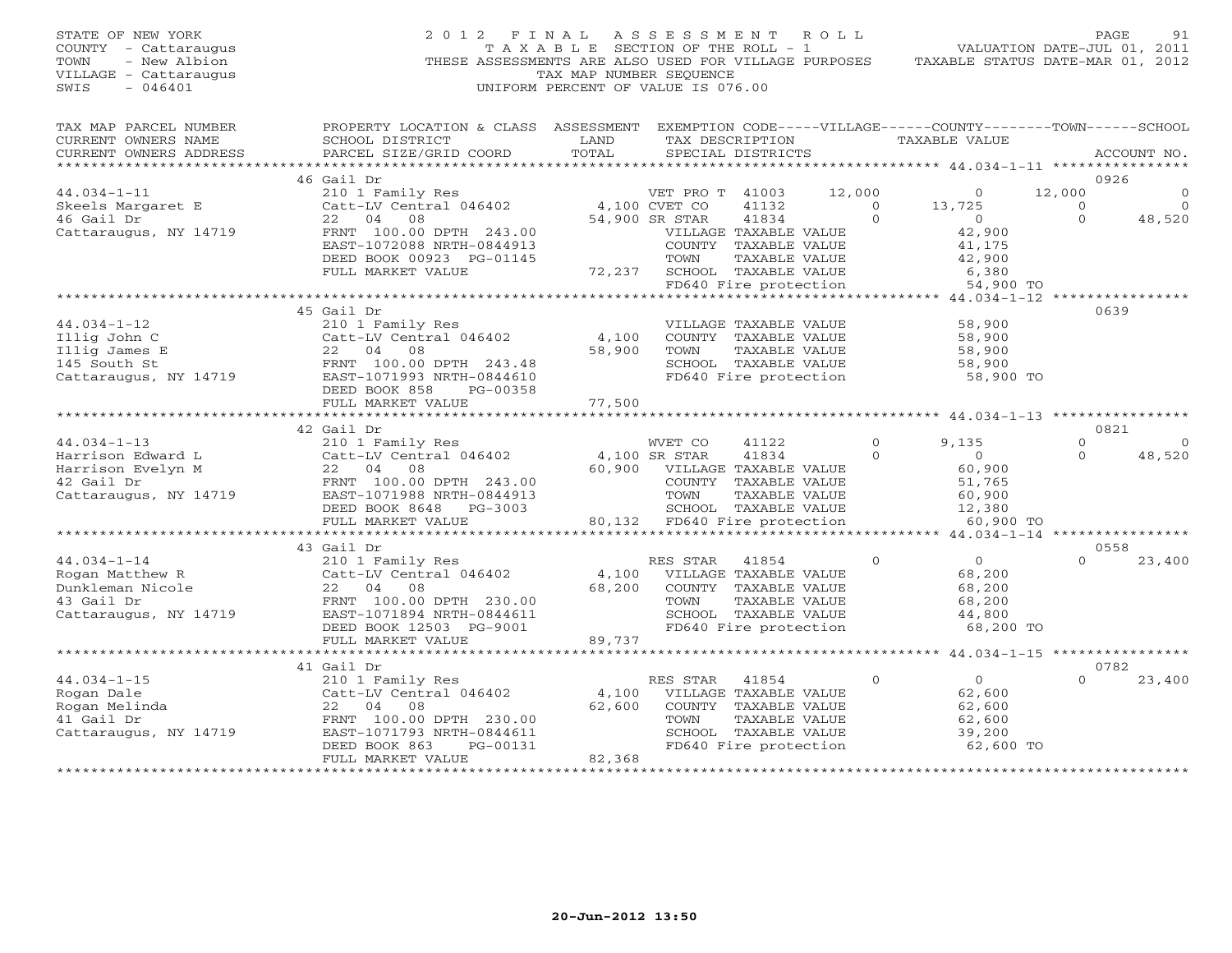| STATE OF NEW YORK<br>COUNTY - Cattaraugus<br>- New Albion<br>TOWN<br>VILLAGE - Cattaraugus<br>$-046401$<br>SWIS | 2012 FINAL<br>THESE ASSESSMENTS ARE ALSO USED FOR VILLAGE PURPOSES                | TAXABLE SECTION OF THE ROLL - 1<br>TAX MAP NUMBER SEQUENCE<br>UNIFORM PERCENT OF VALUE IS 076.00 | A S S E S S M E N T              |                                               | ROLL               | VALUATION DATE-JUL 01, 2011<br>TAXABLE STATUS DATE-MAR 01, 2012                 | PAGE               | 91                      |
|-----------------------------------------------------------------------------------------------------------------|-----------------------------------------------------------------------------------|--------------------------------------------------------------------------------------------------|----------------------------------|-----------------------------------------------|--------------------|---------------------------------------------------------------------------------|--------------------|-------------------------|
| TAX MAP PARCEL NUMBER<br>CURRENT OWNERS NAME<br>CURRENT OWNERS ADDRESS                                          | PROPERTY LOCATION & CLASS ASSESSMENT<br>SCHOOL DISTRICT<br>PARCEL SIZE/GRID COORD | LAND<br>TOTAL                                                                                    |                                  | TAX DESCRIPTION<br>SPECIAL DISTRICTS          |                    | EXEMPTION CODE-----VILLAGE------COUNTY--------TOWN------SCHOOL<br>TAXABLE VALUE |                    | ACCOUNT NO.             |
|                                                                                                                 |                                                                                   |                                                                                                  |                                  |                                               |                    |                                                                                 |                    |                         |
|                                                                                                                 | 46 Gail Dr                                                                        |                                                                                                  |                                  |                                               |                    |                                                                                 | 0926               |                         |
| $44.034 - 1 - 11$<br>Skeels Margaret E                                                                          | 210 1 Family Res<br>Catt-LV Central 046402                                        |                                                                                                  | VET PRO T 41003<br>4,100 CVET CO | 41132                                         | 12,000<br>$\Omega$ | $\circ$<br>13,725                                                               | 12,000<br>$\Omega$ | $\mathbf 0$<br>$\Omega$ |
| 46 Gail Dr                                                                                                      | 22<br>04<br>08                                                                    |                                                                                                  | 54,900 SR STAR                   | 41834                                         | $\circ$            | $\overline{0}$                                                                  | $\Omega$           | 48,520                  |
| Cattaraugus, NY 14719                                                                                           | FRNT 100.00 DPTH 243.00                                                           |                                                                                                  |                                  | VILLAGE TAXABLE VALUE                         |                    | 42,900                                                                          |                    |                         |
|                                                                                                                 | EAST-1072088 NRTH-0844913                                                         |                                                                                                  |                                  | COUNTY TAXABLE VALUE                          |                    | 41,175                                                                          |                    |                         |
|                                                                                                                 | DEED BOOK 00923 PG-01145                                                          |                                                                                                  | TOWN                             | TAXABLE VALUE                                 |                    | 42,900                                                                          |                    |                         |
|                                                                                                                 | FULL MARKET VALUE                                                                 | 72,237                                                                                           |                                  | SCHOOL TAXABLE VALUE                          |                    | 6,380                                                                           |                    |                         |
|                                                                                                                 |                                                                                   |                                                                                                  |                                  | FD640 Fire protection                         |                    | 54,900 TO                                                                       |                    |                         |
| ***********************                                                                                         |                                                                                   |                                                                                                  |                                  |                                               |                    | ************************************** 44.034-1-12 ****                         |                    |                         |
|                                                                                                                 | 45 Gail Dr                                                                        |                                                                                                  |                                  |                                               |                    |                                                                                 | 0639               |                         |
| $44.034 - 1 - 12$                                                                                               | 210 1 Family Res                                                                  | 4,100                                                                                            |                                  | VILLAGE TAXABLE VALUE                         |                    | 58,900                                                                          |                    |                         |
| Illig John C<br>Illig James E                                                                                   | Catt-LV Central 046402<br>22<br>04<br>08                                          | 58,900                                                                                           | TOWN                             | COUNTY TAXABLE VALUE<br>TAXABLE VALUE         |                    | 58,900<br>58,900                                                                |                    |                         |
| 145 South St                                                                                                    | FRNT 100.00 DPTH 243.48                                                           |                                                                                                  |                                  | SCHOOL TAXABLE VALUE                          |                    | 58,900                                                                          |                    |                         |
| Cattaraugus, NY 14719                                                                                           | EAST-1071993 NRTH-0844610                                                         |                                                                                                  |                                  | FD640 Fire protection                         |                    | 58,900 TO                                                                       |                    |                         |
|                                                                                                                 | DEED BOOK 858<br>PG-00358                                                         |                                                                                                  |                                  |                                               |                    |                                                                                 |                    |                         |
|                                                                                                                 | FULL MARKET VALUE<br>***************************<br>42 Gail Dr                    | 77,500                                                                                           |                                  |                                               |                    |                                                                                 | 0821               |                         |
| $44.034 - 1 - 13$                                                                                               | 210 1 Family Res                                                                  |                                                                                                  | WVET CO                          | 41122                                         | $\mathbf{0}$       | 9,135                                                                           | $\Omega$           | $\circ$                 |
| Harrison Edward L                                                                                               | Catt-LV Central 046402                                                            |                                                                                                  | 4,100 SR STAR                    | 41834                                         | $\Omega$           | $\overline{0}$                                                                  | $\Omega$           | 48,520                  |
| Harrison Evelyn M                                                                                               | 04<br>22<br>08                                                                    | 60,900                                                                                           |                                  | VILLAGE TAXABLE VALUE                         |                    | 60,900                                                                          |                    |                         |
| 42 Gail Dr                                                                                                      | FRNT 100.00 DPTH 243.00                                                           |                                                                                                  |                                  | COUNTY TAXABLE VALUE                          |                    | 51,765                                                                          |                    |                         |
| Cattaraugus, NY 14719                                                                                           | EAST-1071988 NRTH-0844913                                                         |                                                                                                  | TOWN                             | TAXABLE VALUE                                 |                    | 60,900                                                                          |                    |                         |
|                                                                                                                 | DEED BOOK 8648<br>PG-3003                                                         |                                                                                                  |                                  | SCHOOL TAXABLE VALUE                          |                    | 12,380                                                                          |                    |                         |
|                                                                                                                 | FULL MARKET VALUE                                                                 | 80,132                                                                                           |                                  | FD640 Fire protection                         |                    | 60,900 TO                                                                       |                    |                         |
|                                                                                                                 | 43 Gail Dr                                                                        |                                                                                                  |                                  |                                               |                    |                                                                                 | 0558               |                         |
| $44.034 - 1 - 14$                                                                                               | 210 1 Family Res                                                                  |                                                                                                  | RES STAR                         | 41854                                         | $\Omega$           | $\circ$                                                                         |                    | 23,400                  |
| Rogan Matthew R                                                                                                 | Catt-LV Central 046402                                                            | 4,100                                                                                            |                                  | VILLAGE TAXABLE VALUE                         |                    | 68,200                                                                          |                    |                         |
| Dunkleman Nicole                                                                                                | 22 04<br>08                                                                       | 68,200                                                                                           |                                  | COUNTY TAXABLE VALUE                          |                    | 68,200                                                                          |                    |                         |
| 43 Gail Dr                                                                                                      | FRNT 100.00 DPTH 230.00                                                           |                                                                                                  | TOWN                             | TAXABLE VALUE                                 |                    | 68,200                                                                          |                    |                         |
| Cattaraugus, NY 14719                                                                                           | EAST-1071894 NRTH-0844611                                                         |                                                                                                  |                                  | SCHOOL TAXABLE VALUE                          |                    | 44,800                                                                          |                    |                         |
|                                                                                                                 | DEED BOOK 12503 PG-9001                                                           |                                                                                                  |                                  | FD640 Fire protection                         |                    | 68,200 TO                                                                       |                    |                         |
|                                                                                                                 | FULL MARKET VALUE                                                                 | 89,737                                                                                           |                                  |                                               |                    |                                                                                 |                    |                         |
|                                                                                                                 | ************************                                                          | ***********************                                                                          |                                  |                                               |                    | $************$ 44.034-1-15 *****************                                    |                    |                         |
|                                                                                                                 | 41 Gail Dr                                                                        |                                                                                                  |                                  |                                               |                    |                                                                                 | 0782               |                         |
| $44.034 - 1 - 15$                                                                                               | 210 1 Family Res                                                                  |                                                                                                  | RES STAR                         | 41854                                         | $\Omega$           | $\overline{0}$                                                                  | $\Omega$           | 23,400                  |
| Rogan Dale                                                                                                      | Catt-LV Central 046402                                                            | 4,100                                                                                            |                                  | VILLAGE TAXABLE VALUE                         |                    | 62,600                                                                          |                    |                         |
| Rogan Melinda                                                                                                   | 22 04<br>08                                                                       | 62,600                                                                                           |                                  | COUNTY TAXABLE VALUE                          |                    | 62,600                                                                          |                    |                         |
| 41 Gail Dr                                                                                                      | FRNT 100.00 DPTH 230.00<br>EAST-1071793 NRTH-0844611                              |                                                                                                  | TOWN                             | TAXABLE VALUE                                 |                    | 62,600                                                                          |                    |                         |
| Cattaraugus, NY 14719                                                                                           | DEED BOOK 863<br>PG-00131                                                         |                                                                                                  |                                  | SCHOOL TAXABLE VALUE<br>FD640 Fire protection |                    | 39,200<br>62,600 TO                                                             |                    |                         |
|                                                                                                                 | FULL MARKET VALUE                                                                 | 82,368                                                                                           |                                  |                                               |                    |                                                                                 |                    |                         |
|                                                                                                                 |                                                                                   |                                                                                                  |                                  |                                               |                    |                                                                                 |                    |                         |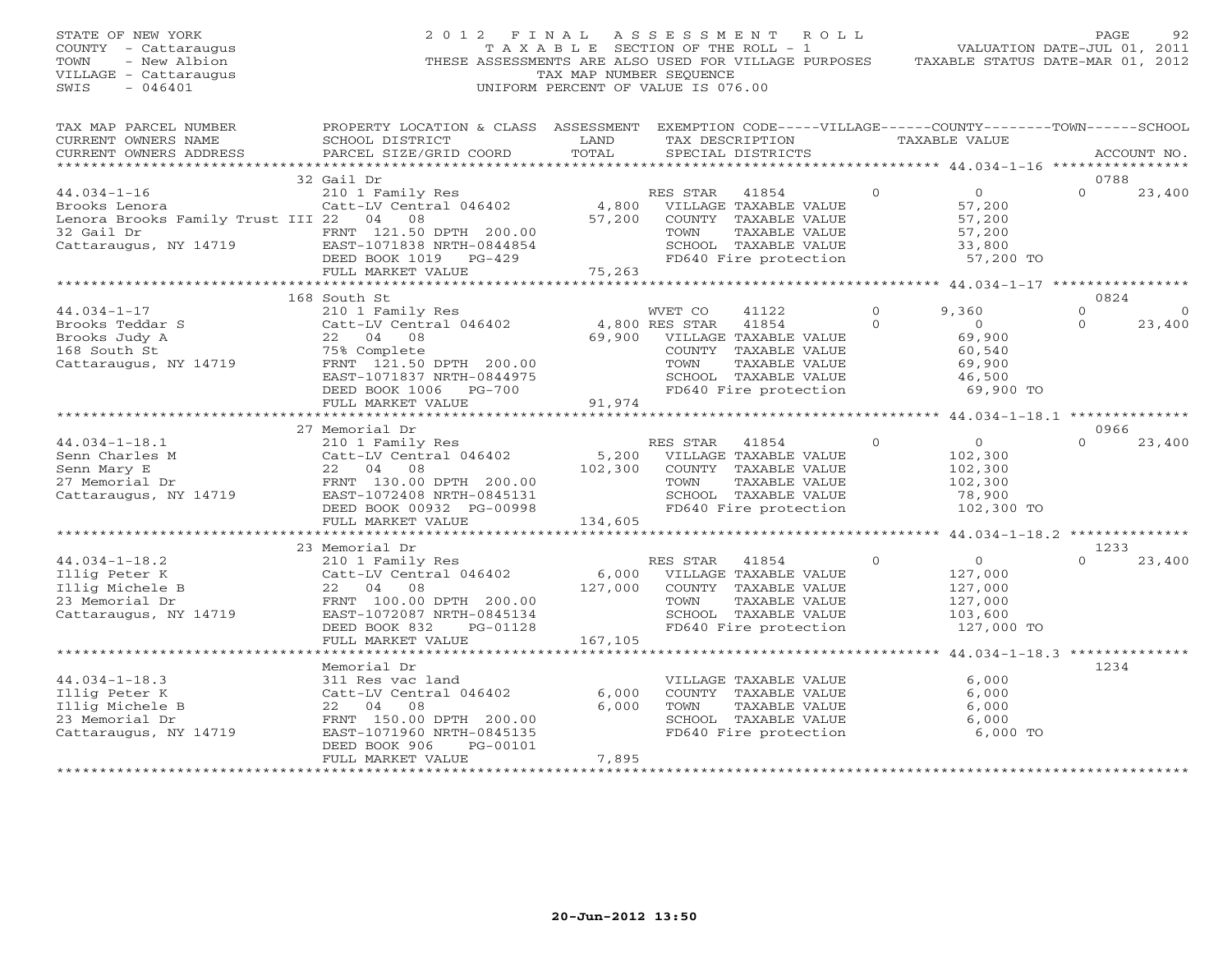| STATE OF NEW YORK<br>COUNTY - Cattaraugus<br>- New Albion<br>TOWN<br>VILLAGE - Cattaraugus<br>$-046401$<br>SWIS                                                                                               |                                                                                                                                                  | TAX MAP NUMBER SEQUENCE               | 2012 FINAL ASSESSMENT ROLL<br>T A X A B L E SECTION OF THE ROLL - 1<br>THESE ASSESSMENTS ARE ALSO USED FOR VILLAGE PURPOSES<br>UNIFORM PERCENT OF VALUE IS 076.00 |                           | VALUATION DATE-JUL 01, 2011<br>TAXABLE STATUS DATE-MAR 01, 2012          | PAGE                        | 92                |
|---------------------------------------------------------------------------------------------------------------------------------------------------------------------------------------------------------------|--------------------------------------------------------------------------------------------------------------------------------------------------|---------------------------------------|-------------------------------------------------------------------------------------------------------------------------------------------------------------------|---------------------------|--------------------------------------------------------------------------|-----------------------------|-------------------|
| TAX MAP PARCEL NUMBER<br>CURRENT OWNERS NAME<br>CURRENT OWNERS ADDRESS<br>***********************                                                                                                             | PROPERTY LOCATION & CLASS ASSESSMENT EXEMPTION CODE-----VILLAGE------COUNTY--------TOWN------SCHOOL<br>SCHOOL DISTRICT<br>PARCEL SIZE/GRID COORD | LAND<br>TOTAL                         | TAX DESCRIPTION<br>SPECIAL DISTRICTS                                                                                                                              |                           | TAXABLE VALUE<br>************************44.034-1-16 ******************  | ACCOUNT NO.                 |                   |
|                                                                                                                                                                                                               | 32 Gail Dr                                                                                                                                       |                                       |                                                                                                                                                                   |                           |                                                                          | 0788                        |                   |
| $44.034 - 1 - 16$<br>Brooks Lenora<br>Lenora Brooks Family Trust III 22 04 08<br>32 Gail Dr                                                                                                                   | 210 1 Family Res<br>Catt-LV Central 046402<br>FRNT 121.50 DPTH 200.00<br>DEED BOOK 1019    PG-429<br>FULL MARKET VALUE                           | 4,800<br>57,200<br>75,263             | RES STAR 41854<br>VILLAGE TAXABLE VALUE<br>COUNTY TAXABLE VALUE<br>TOWN<br>SCHOOL TAXABLE VALUE<br>FD640 Fire protection                                          | $\Omega$<br>TAXABLE VALUE | $\overline{0}$<br>57,200<br>57,200<br>57,200<br>33,800<br>57,200 TO      | $\Omega$                    | 23,400            |
|                                                                                                                                                                                                               |                                                                                                                                                  |                                       |                                                                                                                                                                   |                           |                                                                          |                             |                   |
| $44.034 - 1 - 17$                                                                                                                                                                                             | 168 South St<br>210 1 Family Res                                                                                                                 |                                       | WVET CO<br>41122<br>4,800 RES STAR<br>41854                                                                                                                       | $\Omega$<br>$\Omega$      | 9,360<br>$\bigcirc$                                                      | 0824<br>$\circ$<br>$\Omega$ | $\circ$<br>23,400 |
| Brooks Teddar S<br>Brooks Judy A 22 04 08<br>168 South St 75% Complete<br>Cattaraugus, NY 14719 FRNT 121.50 DPTH 200.00                                                                                       | EAST-1071837 NRTH-0844975<br>DEED BOOK 1006 PG-700<br>FULL MARKET VALUE                                                                          | 69,900<br>91,974                      | VILLAGE TAXABLE VALUE<br>COUNTY TAXABLE VALUE<br>TOWN<br>SCHOOL TAXABLE VALUE<br>FD640 Fire protection                                                            | TAXABLE VALUE             | 69,900<br>60,540<br>69,900<br>46,500<br>69,900 TO                        |                             |                   |
|                                                                                                                                                                                                               | *************************                                                                                                                        | * * * * * * * * * * * * * * * * * * * |                                                                                                                                                                   |                           | ************** 44.034-1-18.1 ***************                             |                             |                   |
| $44.034 - 1 - 18.1$<br>44.034-1-18.1<br>Senn Charles M (210 1 Family Res)<br>Senn Charles M (22 04 08<br>27 Memorial Dr (22 04 08 FRNT 130.00 DPTH 200.00<br>Cattaraugus, NY 14719 (285T-1072408 NRTH-0845131 | 27 Memorial Dr<br>210 1 Family Res<br>DEED BOOK 00932 PG-00998<br>FULL MARKET VALUE                                                              | 5,200<br>102,300<br>134,605           | RES STAR<br>41854<br>VILLAGE TAXABLE VALUE<br>COUNTY TAXABLE VALUE<br>TOWN<br>SCHOOL TAXABLE VALUE<br>FD640 Fire protection                                       | $\circ$<br>TAXABLE VALUE  | $\overline{0}$<br>102,300<br>102,300<br>102,300<br>78,900<br>102,300 TO  | 0966<br>$\Omega$            | 23,400            |
|                                                                                                                                                                                                               | *****************************                                                                                                                    | **********************                |                                                                                                                                                                   |                           | ******************** 44.034-1-18.2 **************                        |                             |                   |
| $44.034 - 1 - 18.2$                                                                                                                                                                                           | 23 Memorial Dr<br>210 1 Family Res<br>DEED BOOK 832<br>PG-01128                                                                                  | 6,000<br>127,000                      | RES STAR<br>41854<br>VILLAGE TAXABLE VALUE<br>COUNTY TAXABLE VALUE<br>TOWN<br>SCHOOL TAXABLE VALUE<br>FD640 Fire protection                                       | $\circ$<br>TAXABLE VALUE  | $\overline{0}$<br>127,000<br>127,000<br>127,000<br>103,600<br>127,000 TO | 1233<br>$\Omega$            | 23,400            |
|                                                                                                                                                                                                               | FULL MARKET VALUE                                                                                                                                | 167,105                               |                                                                                                                                                                   |                           |                                                                          |                             |                   |
|                                                                                                                                                                                                               | Memorial Dr                                                                                                                                      |                                       |                                                                                                                                                                   |                           |                                                                          | 1234                        |                   |
| $44.034 - 1 - 18.3$<br>Illig Peter K<br>Illig Michele B<br>23 Memorial Dr<br>Cattaraugus, NY 14719                                                                                                            | 311 Res vac land<br>Catt-LV Central 046402<br>22 04 08<br>FRNT 150.00 DPTH 200.00<br>EAST-1071960 NRTH-0845135<br>DEED BOOK 906<br>PG-00101      | 6,000<br>6,000                        | VILLAGE TAXABLE VALUE<br>COUNTY TAXABLE VALUE<br>TOWN<br>SCHOOL TAXABLE VALUE<br>FD640 Fire protection                                                            | TAXABLE VALUE             | 6.000<br>6,000<br>6,000<br>6,000<br>6,000 TO                             |                             |                   |
|                                                                                                                                                                                                               | FULL MARKET VALUE                                                                                                                                | 7,895                                 |                                                                                                                                                                   |                           |                                                                          |                             |                   |

\*\*\*\*\*\*\*\*\*\*\*\*\*\*\*\*\*\*\*\*\*\*\*\*\*\*\*\*\*\*\*\*\*\*\*\*\*\*\*\*\*\*\*\*\*\*\*\*\*\*\*\*\*\*\*\*\*\*\*\*\*\*\*\*\*\*\*\*\*\*\*\*\*\*\*\*\*\*\*\*\*\*\*\*\*\*\*\*\*\*\*\*\*\*\*\*\*\*\*\*\*\*\*\*\*\*\*\*\*\*\*\*\*\*\*\*\*\*\*\*\*\*\*\*\*\*\*\*\*\*\*\*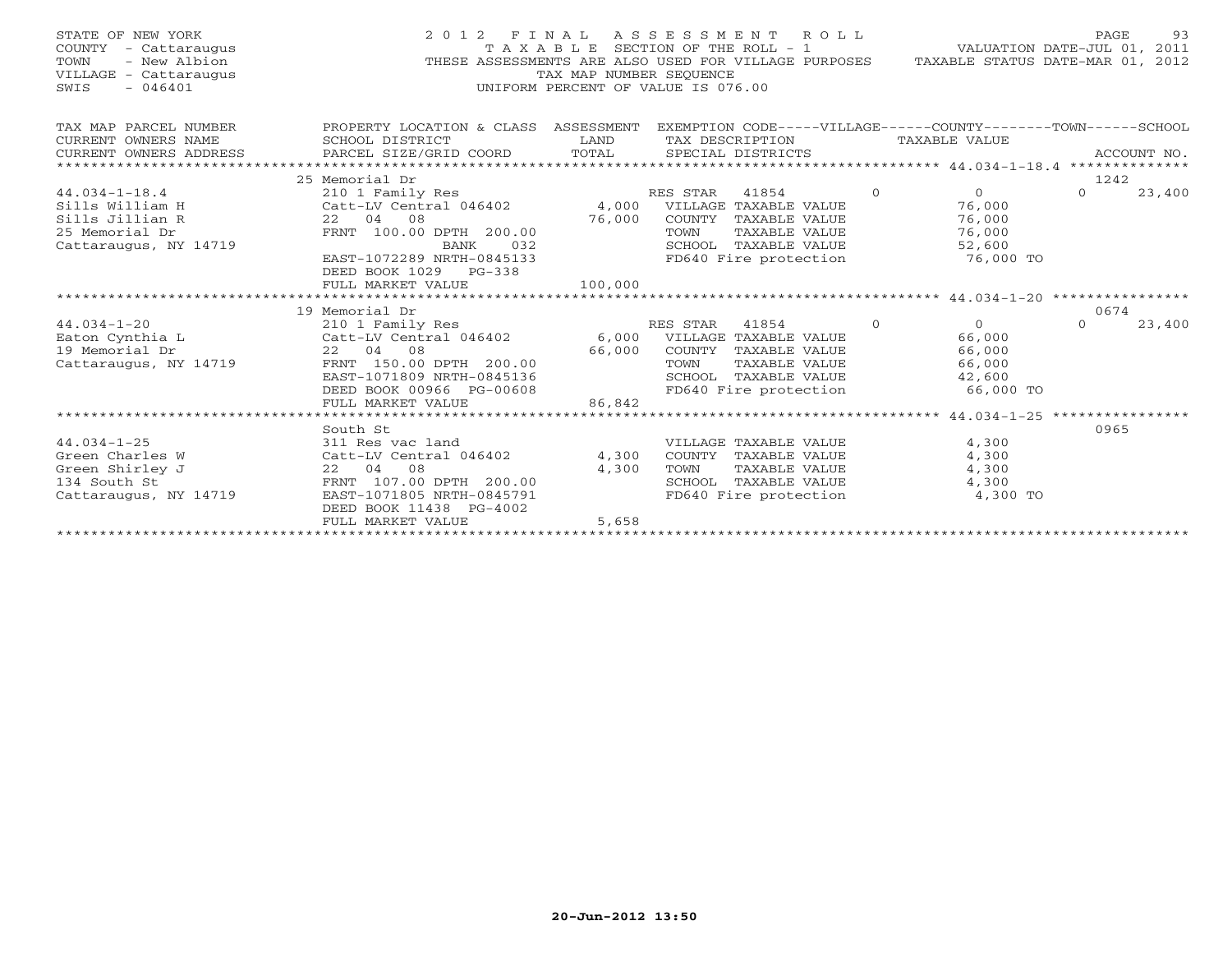| STATE OF NEW YORK<br>COUNTY - Cattaraugus<br>TOWN<br>- New Albion<br>VILLAGE - Cattaraugus<br>$-046401$<br>SWIS |                                                         | T A X A B L E SECTION OF THE ROLL - 1<br>TAX MAP NUMBER SEQUENCE<br>UNIFORM PERCENT OF VALUE IS 076.00 |          | 2012 FINAL ASSESSMENT ROLL<br>THESE ASSESSMENTS ARE ALSO USED FOR VILLAGE PURPOSES |          | VALUATION DATE-JUL 01, 2011<br>TAXABLE STATUS DATE-MAR 01, 2012 | PAGE     | 93          |
|-----------------------------------------------------------------------------------------------------------------|---------------------------------------------------------|--------------------------------------------------------------------------------------------------------|----------|------------------------------------------------------------------------------------|----------|-----------------------------------------------------------------|----------|-------------|
| TAX MAP PARCEL NUMBER<br>CURRENT OWNERS NAME                                                                    | PROPERTY LOCATION & CLASS ASSESSMENT<br>SCHOOL DISTRICT | LAND                                                                                                   |          | EXEMPTION CODE-----VILLAGE------COUNTY-------TOWN------SCHOOL<br>TAX DESCRIPTION   |          | TAXABLE VALUE                                                   |          |             |
| CURRENT OWNERS ADDRESS<br>*************************                                                             | PARCEL SIZE/GRID COORD                                  | TOTAL                                                                                                  |          | SPECIAL DISTRICTS                                                                  |          |                                                                 |          | ACCOUNT NO. |
|                                                                                                                 | 25 Memorial Dr                                          |                                                                                                        |          |                                                                                    |          |                                                                 | 1242     |             |
| $44.034 - 1 - 18.4$                                                                                             | 210 1 Family Res                                        |                                                                                                        | RES STAR | 41854                                                                              | $\Omega$ | $\overline{0}$                                                  | $\Omega$ | 23,400      |
| Sills William H                                                                                                 | Catt-LV Central 046402                                  | 4,000                                                                                                  |          | VILLAGE TAXABLE VALUE                                                              |          | 76,000                                                          |          |             |
| Sills Jillian R                                                                                                 | 22 04 08                                                | 76,000                                                                                                 |          | COUNTY TAXABLE VALUE                                                               |          | 76,000                                                          |          |             |
| 25 Memorial Dr                                                                                                  | FRNT 100.00 DPTH 200.00                                 |                                                                                                        | TOWN     | TAXABLE VALUE                                                                      |          | 76,000                                                          |          |             |
| Cattaraugus, NY 14719                                                                                           | BANK<br>032                                             |                                                                                                        |          | SCHOOL TAXABLE VALUE                                                               |          | 52,600                                                          |          |             |
|                                                                                                                 | EAST-1072289 NRTH-0845133                               |                                                                                                        |          | FD640 Fire protection                                                              |          | 76,000 TO                                                       |          |             |
|                                                                                                                 | DEED BOOK 1029 PG-338<br>FULL MARKET VALUE              | 100,000                                                                                                |          |                                                                                    |          |                                                                 |          |             |
|                                                                                                                 |                                                         |                                                                                                        |          |                                                                                    |          |                                                                 |          |             |
|                                                                                                                 | 19 Memorial Dr                                          |                                                                                                        |          |                                                                                    |          |                                                                 | 0674     |             |
| $44.034 - 1 - 20$                                                                                               | 210 1 Family Res                                        |                                                                                                        | RES STAR | 41854                                                                              | $\Omega$ | $\Omega$                                                        | $\Omega$ | 23,400      |
| Eaton Cynthia L                                                                                                 | Catt-LV Central 046402                                  |                                                                                                        |          | 6,000 VILLAGE TAXABLE VALUE                                                        |          | 66,000                                                          |          |             |
| 19 Memorial Dr                                                                                                  | 22 04 08                                                | 66,000                                                                                                 |          | COUNTY TAXABLE VALUE                                                               |          | 66,000                                                          |          |             |
| Cattaraugus, NY 14719                                                                                           | FRNT 150.00 DPTH 200.00                                 |                                                                                                        | TOWN     | TAXABLE VALUE                                                                      |          | 66,000                                                          |          |             |
|                                                                                                                 | EAST-1071809 NRTH-0845136                               |                                                                                                        |          | SCHOOL TAXABLE VALUE                                                               |          | 42,600                                                          |          |             |
|                                                                                                                 | DEED BOOK 00966 PG-00608                                |                                                                                                        |          | FD640 Fire protection                                                              |          | 66,000 TO                                                       |          |             |
|                                                                                                                 | FULL MARKET VALUE                                       | 86,842                                                                                                 |          |                                                                                    |          |                                                                 |          |             |
|                                                                                                                 |                                                         |                                                                                                        |          |                                                                                    |          |                                                                 |          |             |
|                                                                                                                 | South St                                                |                                                                                                        |          |                                                                                    |          |                                                                 | 0965     |             |
| $44.034 - 1 - 25$                                                                                               | 311 Res vac land                                        |                                                                                                        |          | VILLAGE TAXABLE VALUE                                                              |          | 4,300                                                           |          |             |
| Green Charles W<br>Green Shirley J                                                                              | Catt-LV Central 046402<br>08                            | 4,300<br>4,300                                                                                         | TOWN     | COUNTY TAXABLE VALUE<br>TAXABLE VALUE                                              |          | 4,300                                                           |          |             |
| 134 South St                                                                                                    | 22 04<br>FRNT 107.00 DPTH 200.00                        |                                                                                                        |          | SCHOOL TAXABLE VALUE                                                               |          | 4,300<br>4,300                                                  |          |             |
| Cattaraugus, NY 14719                                                                                           | EAST-1071805 NRTH-0845791                               |                                                                                                        |          | FD640 Fire protection                                                              |          | 4,300 TO                                                        |          |             |
|                                                                                                                 | DEED BOOK 11438 PG-4002                                 |                                                                                                        |          |                                                                                    |          |                                                                 |          |             |
|                                                                                                                 | FULL MARKET VALUE                                       | 5,658                                                                                                  |          |                                                                                    |          |                                                                 |          |             |
|                                                                                                                 |                                                         |                                                                                                        |          |                                                                                    |          |                                                                 |          |             |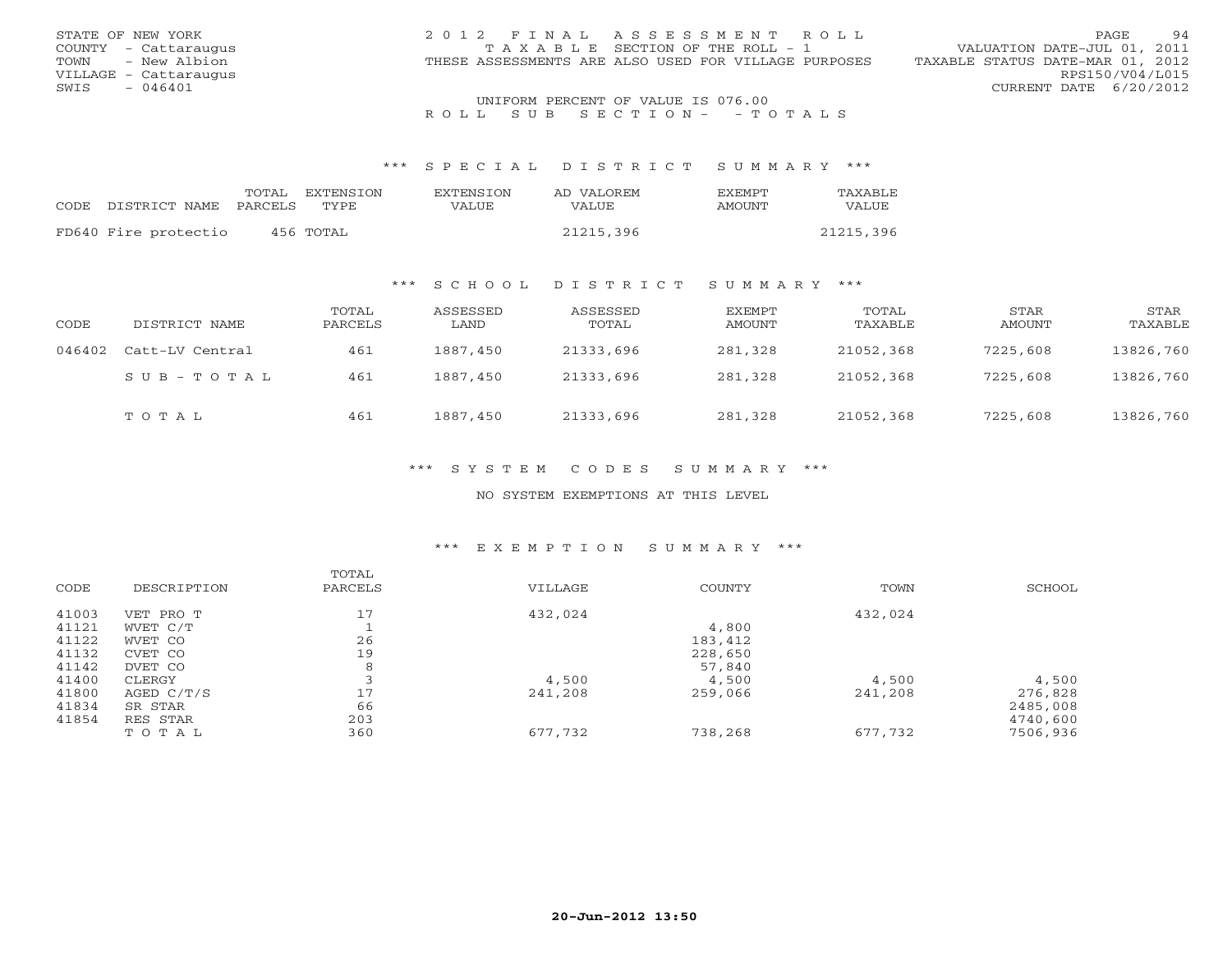| STATE OF NEW YORK     | 2012 FINAL ASSESSMENT ROLL                           | 94<br>PAGE                       |
|-----------------------|------------------------------------------------------|----------------------------------|
| COUNTY - Cattaraugus  | T A X A B L E SECTION OF THE ROLL - 1                | VALUATION DATE-JUL 01, 2011      |
| TOWN - New Albion     | THESE ASSESSMENTS ARE ALSO USED FOR VILLAGE PURPOSES | TAXABLE STATUS DATE-MAR 01, 2012 |
| VILLAGE - Cattaraugus |                                                      | RPS150/V04/L015                  |
| - 046401<br>SWIS      |                                                      | CURRENT DATE 6/20/2012           |
|                       | UNIFORM PERCENT OF VALUE IS 076.00                   |                                  |

#### \*\*\* S P E C I A L D I S T R I C T S U M M A R Y \*\*\*

|                      | TOTAL   | EXTENSTON | <b>EXTENSION</b> | AD VALOREM   | <b>FXFMPT</b> | TAXABLE   |
|----------------------|---------|-----------|------------------|--------------|---------------|-----------|
| CODE DISTRICT NAME   | PARCELS | TYPE      | <b>VALUE</b>     | <b>VALUE</b> | AMOUNT        | VALUE     |
|                      |         |           |                  |              |               |           |
| FD640 Fire protectio |         | 456 TOTAL |                  | 21215,396    |               | 21215,396 |

### \*\*\* S C H O O L D I S T R I C T S U M M A R Y \*\*\*

| CODE   | DISTRICT NAME       | TOTAL<br>PARCELS | ASSESSED<br>LAND | ASSESSED<br>TOTAL | EXEMPT<br>AMOUNT | TOTAL<br>TAXABLE | STAR<br>AMOUNT | STAR<br>TAXABLE |
|--------|---------------------|------------------|------------------|-------------------|------------------|------------------|----------------|-----------------|
| 046402 | Catt-LV Central     | 461              | 1887,450         | 21333,696         | 281,328          | 21052,368        | 7225,608       | 13826,760       |
|        | $S$ U B - T O T A L | 461              | 1887,450         | 21333,696         | 281,328          | 21052,368        | 7225,608       | 13826,760       |
|        | TOTAL               | 461              | 1887,450         | 21333,696         | 281,328          | 21052,368        | 7225,608       | 13826,760       |

### \*\*\* S Y S T E M C O D E S S U M M A R Y \*\*\*

#### NO SYSTEM EXEMPTIONS AT THIS LEVEL

#### \*\*\* E X E M P T I O N S U M M A R Y \*\*\*

|       |             | TOTAL   |         |         |         |          |
|-------|-------------|---------|---------|---------|---------|----------|
| CODE  | DESCRIPTION | PARCELS | VILLAGE | COUNTY  | TOWN    | SCHOOL   |
| 41003 | VET PRO T   | 17      | 432,024 |         | 432,024 |          |
| 41121 | WVET C/T    |         |         | 4,800   |         |          |
| 41122 | WVET CO     | 26      |         | 183,412 |         |          |
| 41132 | CVET CO     | 19      |         | 228,650 |         |          |
| 41142 | DVET CO     | 8       |         | 57,840  |         |          |
| 41400 | CLERGY      |         | 4,500   | 4,500   | 4,500   | 4,500    |
| 41800 | AGED C/T/S  | 17      | 241,208 | 259,066 | 241,208 | 276,828  |
| 41834 | SR STAR     | 66      |         |         |         | 2485,008 |
| 41854 | RES STAR    | 203     |         |         |         | 4740,600 |
|       | TOTAL       | 360     | 677,732 | 738,268 | 677,732 | 7506,936 |
|       |             |         |         |         |         |          |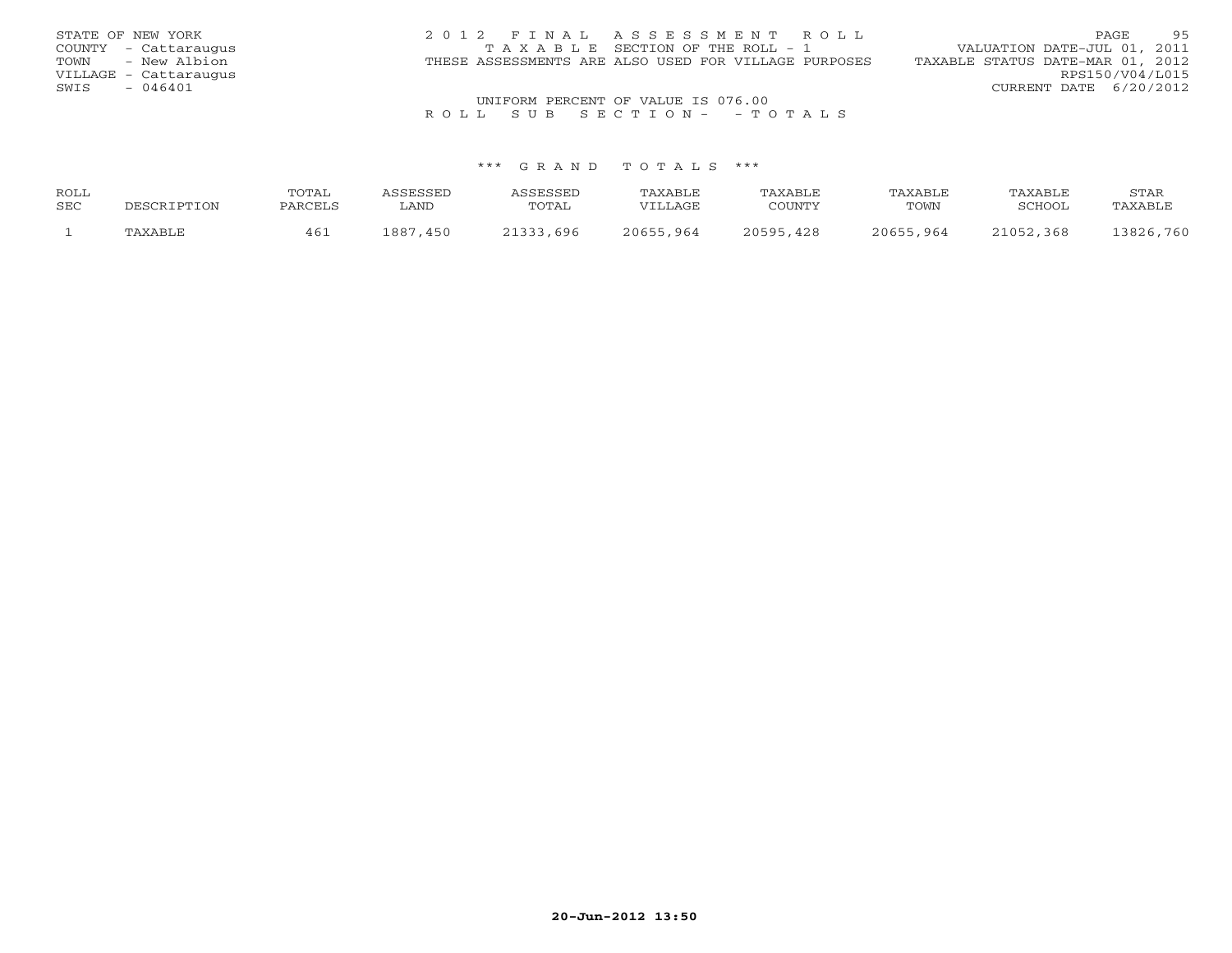| STATE OF NEW YORK     | 2012 FINAL ASSESSMENT ROLL                           | 95<br>PAGE.                      |
|-----------------------|------------------------------------------------------|----------------------------------|
| COUNTY - Cattaraugus  | TAXABLE SECTION OF THE ROLL - 1                      | VALUATION DATE-JUL 01, 2011      |
| - New Albion<br>TOWN  | THESE ASSESSMENTS ARE ALSO USED FOR VILLAGE PURPOSES | TAXABLE STATUS DATE-MAR 01, 2012 |
| VILLAGE - Cattaraugus |                                                      | RPS150/V04/L015                  |
| $-046401$<br>SWIS     |                                                      | CURRENT DATE 6/20/2012           |
|                       | UNIFORM PERCENT OF VALUE IS 076.00                   |                                  |

| ROLL |             | TOTAI   | <b>ACCECCET</b> | <b>ACCECCEL</b> | TAXABLE   | TAXABLE       | TAXABLE   | TAXABLE       | STAR      |
|------|-------------|---------|-----------------|-----------------|-----------|---------------|-----------|---------------|-----------|
| SEC  | DESCRIPTION | PARCELS | ∟AND            | TOTAL           | VILLAGE   | COUNTY        | TOWN      | <b>RCHOOL</b> | TAXABLE   |
|      | TAXABLE     | 46⊥     | ⊥887<br>450     | 21333,696       | 20655,964 | 20595,<br>428 | 20655,964 | 21052,368     | 13826,760 |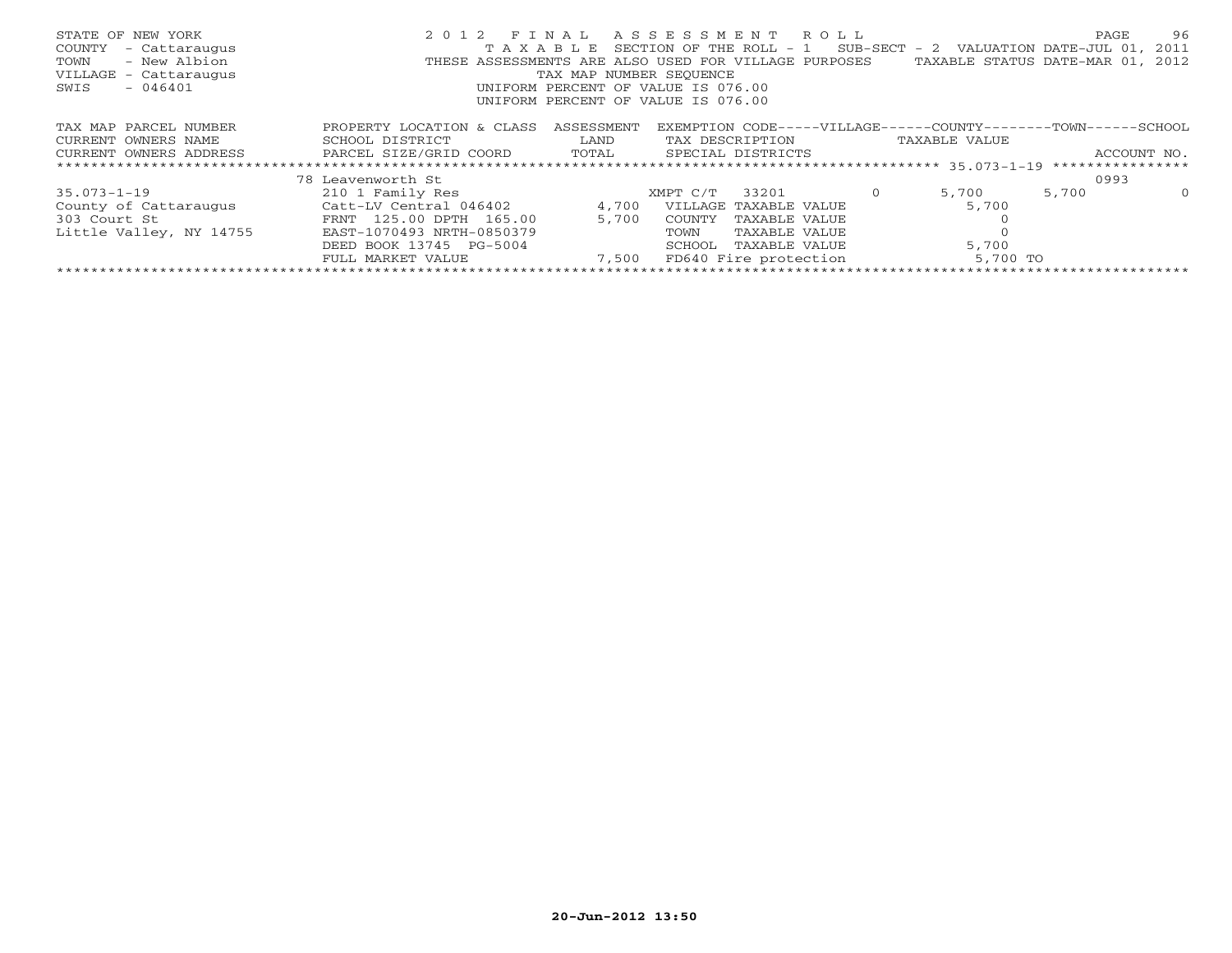| STATE OF NEW YORK<br>COUNTY<br>- Cattaraugus<br>- New Albion<br>TOWN<br>VILLAGE - Cattaraugus<br>$-046401$<br>SWIS | 2 0 1 2<br>T A X A B I, E | FINAL<br>TAX MAP NUMBER SEQUENCE | ASSESSMENT ROLL<br>SECTION OF THE ROLL - $1$ SUB-SECT - 2 VALUATION DATE-JUL 01, 2011<br>THESE ASSESSMENTS ARE ALSO USED FOR VILLAGE PURPOSES<br>UNIFORM PERCENT OF VALUE IS 076.00<br>UNIFORM PERCENT OF VALUE IS 076.00 | TAXABLE STATUS DATE-MAR 01, 2012 | PAGE             | 96       |
|--------------------------------------------------------------------------------------------------------------------|---------------------------|----------------------------------|---------------------------------------------------------------------------------------------------------------------------------------------------------------------------------------------------------------------------|----------------------------------|------------------|----------|
| TAX MAP PARCEL NUMBER                                                                                              | PROPERTY LOCATION & CLASS | ASSESSMENT                       | EXEMPTION CODE-----VILLAGE------COUNTY--------TOWN-----                                                                                                                                                                   |                                  | $-$ SCHOOL       |          |
| CURRENT OWNERS NAME                                                                                                | SCHOOL DISTRICT           | LAND                             | TAX DESCRIPTION                                                                                                                                                                                                           | TAXABLE VALUE                    |                  |          |
| CURRENT OWNERS ADDRESS                                                                                             | PARCEL SIZE/GRID COORD    | TOTAL                            | SPECIAL DISTRICTS                                                                                                                                                                                                         |                                  | ACCOUNT NO.      |          |
|                                                                                                                    |                           |                                  |                                                                                                                                                                                                                           |                                  | **************** |          |
|                                                                                                                    | 78 Leavenworth St         |                                  |                                                                                                                                                                                                                           |                                  | 0993             |          |
| $35.073 - 1 - 19$                                                                                                  | 210 1 Family Res          |                                  | 33201<br>XMPT C/T                                                                                                                                                                                                         | 5,700                            | 5,700            | $\Omega$ |
| County of Cattaraugus                                                                                              | Catt-LV Central 046402    | 4,700                            | VILLAGE TAXABLE VALUE                                                                                                                                                                                                     | 5,700                            |                  |          |
| 303 Court St                                                                                                       | FRNT 125.00 DPTH 165.00   | 5,700                            | COUNTY<br>TAXABLE VALUE                                                                                                                                                                                                   |                                  |                  |          |
| Little Valley, NY 14755                                                                                            | EAST-1070493 NRTH-0850379 |                                  | TOWN<br>TAXABLE VALUE                                                                                                                                                                                                     |                                  |                  |          |
|                                                                                                                    | DEED BOOK 13745 PG-5004   |                                  | TAXABLE VALUE<br>SCHOOL                                                                                                                                                                                                   | 5,700                            |                  |          |
|                                                                                                                    | FULL MARKET VALUE         | 7,500                            | FD640 Fire protection                                                                                                                                                                                                     | 5,700 TO                         |                  |          |
|                                                                                                                    |                           |                                  |                                                                                                                                                                                                                           |                                  |                  |          |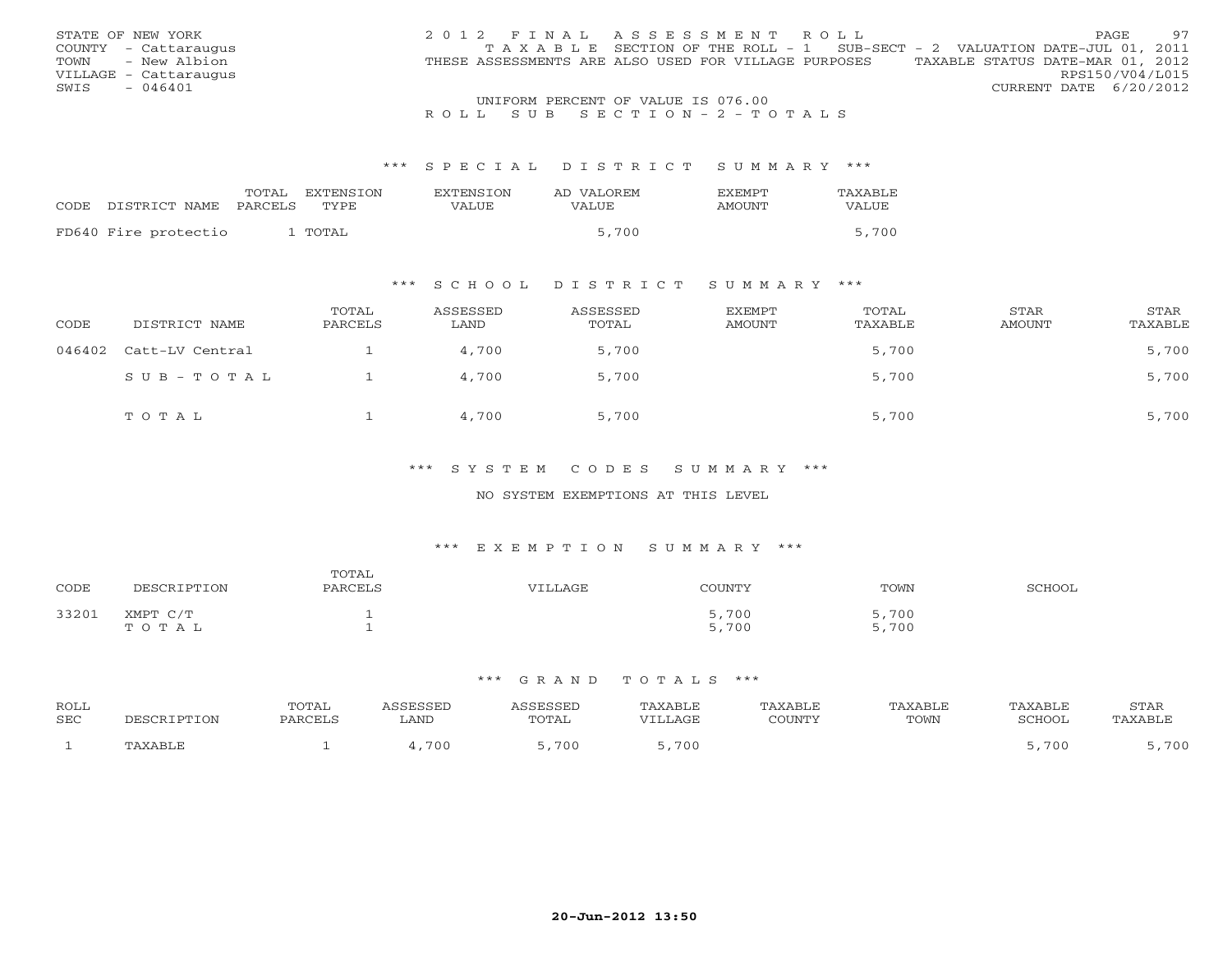|      | STATE OF NEW YORK     | 2012 FINAL ASSESSMENT ROLL                                                     |  |                                  |                        | PAGE. | 97 |
|------|-----------------------|--------------------------------------------------------------------------------|--|----------------------------------|------------------------|-------|----|
|      | COUNTY - Cattaraugus  | T A X A B L E SECTION OF THE ROLL - 1 SUB-SECT - 2 VALUATION DATE-JUL 01, 2011 |  |                                  |                        |       |    |
| TOWN | - New Albion          | THESE ASSESSMENTS ARE ALSO USED FOR VILLAGE PURPOSES                           |  | TAXABLE STATUS DATE-MAR 01, 2012 |                        |       |    |
|      | VILLAGE - Cattaraugus |                                                                                |  |                                  | RPS150/V04/L015        |       |    |
| SWIS | - 046401              |                                                                                |  |                                  | CURRENT DATE 6/20/2012 |       |    |
|      |                       | UNIFORM PERCENT OF VALUE IS 076.00                                             |  |                                  |                        |       |    |

#### \*\*\* S P E C I A L D I S T R I C T S U M M A R Y \*\*\*

| CODE DISTRICT NAME<br>PARCELS<br>TYPE.<br>VALUE<br>VALUE<br>AMOUNT |  | TOTAL | EXTENSTON | <b>EXTENSION</b> | AD VALOREM | <b>FXFMPT</b> | TAXABLE      |
|--------------------------------------------------------------------|--|-------|-----------|------------------|------------|---------------|--------------|
|                                                                    |  |       |           |                  |            |               | <b>VALUE</b> |
| FD640 Fire protectio<br>` TOTAL                                    |  |       |           |                  | 5,700      |               | 5,700        |

### \*\*\* S C H O O L D I S T R I C T S U M M A R Y \*\*\*

| CODE   | DISTRICT NAME   | TOTAL<br>PARCELS | ASSESSED<br>LAND | ASSESSED<br>TOTAL | EXEMPT<br>AMOUNT | TOTAL<br>TAXABLE | STAR<br>AMOUNT | STAR<br>TAXABLE |
|--------|-----------------|------------------|------------------|-------------------|------------------|------------------|----------------|-----------------|
| 046402 | Catt-LV Central |                  | 4,700            | 5,700             |                  | 5,700            |                | 5,700           |
|        | SUB-TOTAL       |                  | 4,700            | 5,700             |                  | 5,700            |                | 5,700           |
|        | TOTAL           |                  | 4,700            | 5,700             |                  | 5,700            |                | 5,700           |

### \*\*\* S Y S T E M C O D E S S U M M A R Y \*\*\*

#### NO SYSTEM EXEMPTIONS AT THIS LEVEL

#### \*\*\* E X E M P T I O N S U M M A R Y \*\*\*

| CODE  | <b>TPTTON</b><br>DE:  | TOTAL<br>PARCELS | VILLAGE | COUNTY        | TOWN          | <b>SCHOOL</b> |
|-------|-----------------------|------------------|---------|---------------|---------------|---------------|
| 33201 | XMPT C/T<br>' O T A L |                  |         | ,700<br>5,700 | ,700<br>5,700 |               |

| ROLL<br>SEC |         | POTAL<br><b>PARCEL</b> | ASSESSED<br>LAND | SSESSED<br>TOTAL | TAXABLE<br>VTLLAGE | <b><i>XABLE</i></b><br>$\gamma$ $\cap$ the true $\gamma$<br>- ATOU | <b>TAXABLE</b><br>TOWN | TAXABLE<br>SCHOOL | <b>STAR</b><br><b>AXABLF</b> |
|-------------|---------|------------------------|------------------|------------------|--------------------|--------------------------------------------------------------------|------------------------|-------------------|------------------------------|
|             | 'AXABLF |                        | 700              | ,700             | 700                |                                                                    |                        | -700              | ,700                         |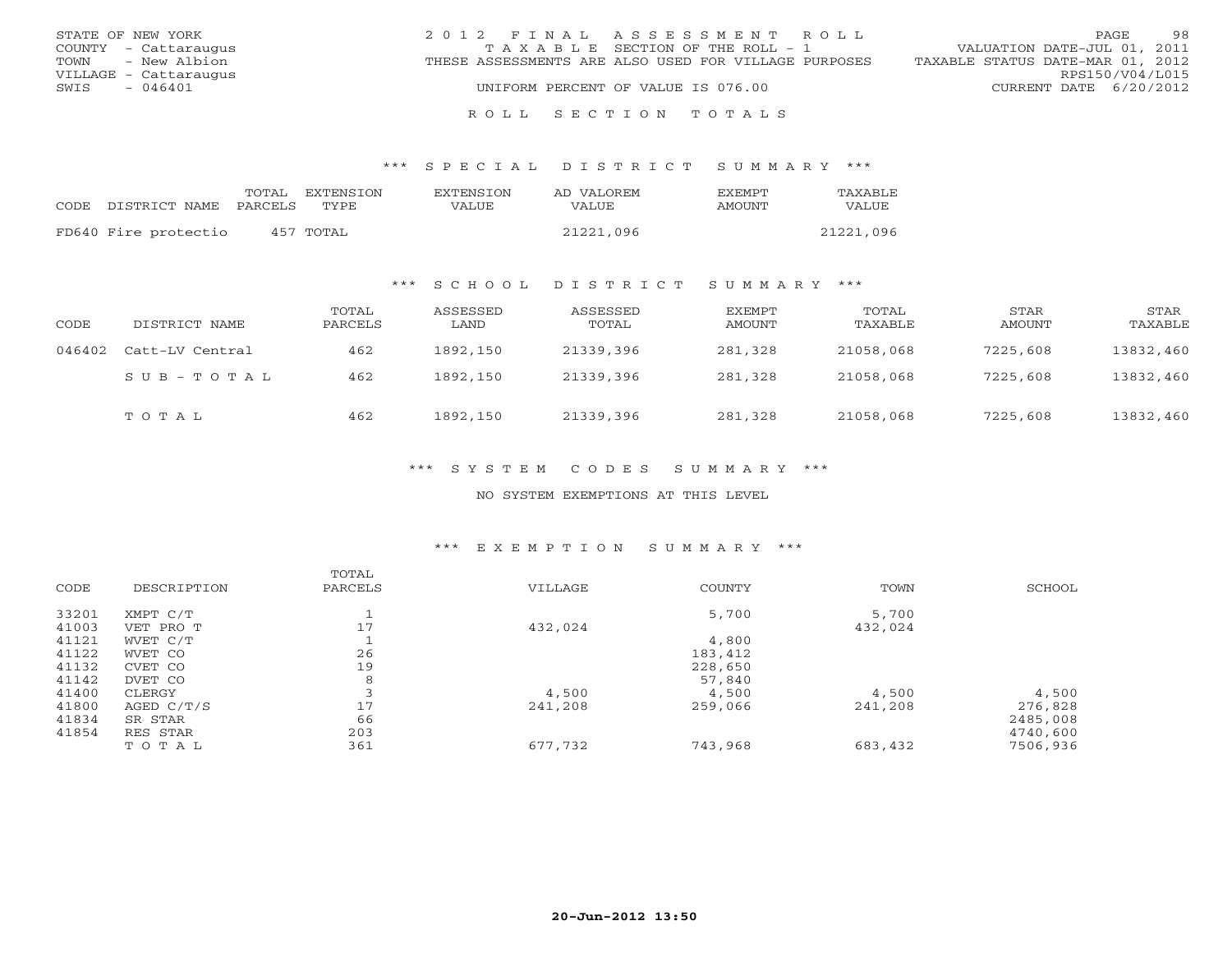| STATE OF NEW YORK     | 2012 FINAL ASSESSMENT ROLL                           | 98<br><b>PAGE</b>                |
|-----------------------|------------------------------------------------------|----------------------------------|
| COUNTY - Cattaraugus  | T A X A B L E SECTION OF THE ROLL - 1                | VALUATION DATE-JUL 01, 2011      |
| TOWN - New Albion     | THESE ASSESSMENTS ARE ALSO USED FOR VILLAGE PURPOSES | TAXABLE STATUS DATE-MAR 01, 2012 |
| VILLAGE - Cattaraugus |                                                      | RPS150/V04/L015                  |
| $-046401$<br>SWIS     | UNIFORM PERCENT OF VALUE IS 076.00                   | CURRENT DATE 6/20/2012           |
|                       |                                                      |                                  |

#### R O L L S E C T I O N T O T A L S

#### \*\*\* S P E C I A L D I S T R I C T S U M M A R Y \*\*\*

|      |                      | TOTAL   | EXTENSTON | <b>EXTENSION</b> | AD VALOREM   | <b>EXEMPT</b> | TAXABLE   |
|------|----------------------|---------|-----------|------------------|--------------|---------------|-----------|
| CODE | DISTRICT NAME        | PARCELS | TYPE.     | VALUE            | <b>VALUE</b> | <b>AMOUNT</b> | VALUE     |
|      |                      |         |           |                  |              |               |           |
|      | FD640 Fire protectio |         | 457 TOTAL |                  | 21221,096    |               | 21221,096 |

### \*\*\* S C H O O L D I S T R I C T S U M M A R Y \*\*\*

| CODE   | DISTRICT NAME   | TOTAL<br>PARCELS | ASSESSED<br>LAND | ASSESSED<br>TOTAL | EXEMPT<br>AMOUNT | TOTAL<br>TAXABLE | STAR<br>AMOUNT | STAR<br>TAXABLE |
|--------|-----------------|------------------|------------------|-------------------|------------------|------------------|----------------|-----------------|
| 046402 | Catt-LV Central | 462              | 1892,150         | 21339,396         | 281,328          | 21058,068        | 7225,608       | 13832,460       |
|        | SUB-TOTAL       | 462              | 1892,150         | 21339,396         | 281,328          | 21058,068        | 7225,608       | 13832,460       |
|        | TOTAL           | 462              | 1892,150         | 21339,396         | 281,328          | 21058,068        | 7225,608       | 13832,460       |

### \*\*\* S Y S T E M C O D E S S U M M A R Y \*\*\*

#### NO SYSTEM EXEMPTIONS AT THIS LEVEL

#### \*\*\* E X E M P T I O N S U M M A R Y \*\*\*

| CODE  | DESCRIPTION  | TOTAL<br>PARCELS | VILLAGE | COUNTY  | TOWN    | SCHOOL   |
|-------|--------------|------------------|---------|---------|---------|----------|
| 33201 | XMPT C/T     |                  |         | 5,700   | 5,700   |          |
| 41003 | VET PRO T    | 17               | 432,024 |         | 432,024 |          |
| 41121 | WVET C/T     |                  |         | 4,800   |         |          |
| 41122 | WVET CO      | 26               |         | 183,412 |         |          |
| 41132 | CVET CO      | 19               |         | 228,650 |         |          |
| 41142 | DVET CO      | 8                |         | 57,840  |         |          |
| 41400 | CLERGY       |                  | 4,500   | 4,500   | 4,500   | 4,500    |
| 41800 | AGED $C/T/S$ | 17               | 241,208 | 259,066 | 241,208 | 276,828  |
| 41834 | SR STAR      | 66               |         |         |         | 2485,008 |
| 41854 | RES STAR     | 203              |         |         |         | 4740,600 |
|       | TOTAL        | 361              | 677,732 | 743,968 | 683,432 | 7506,936 |
|       |              |                  |         |         |         |          |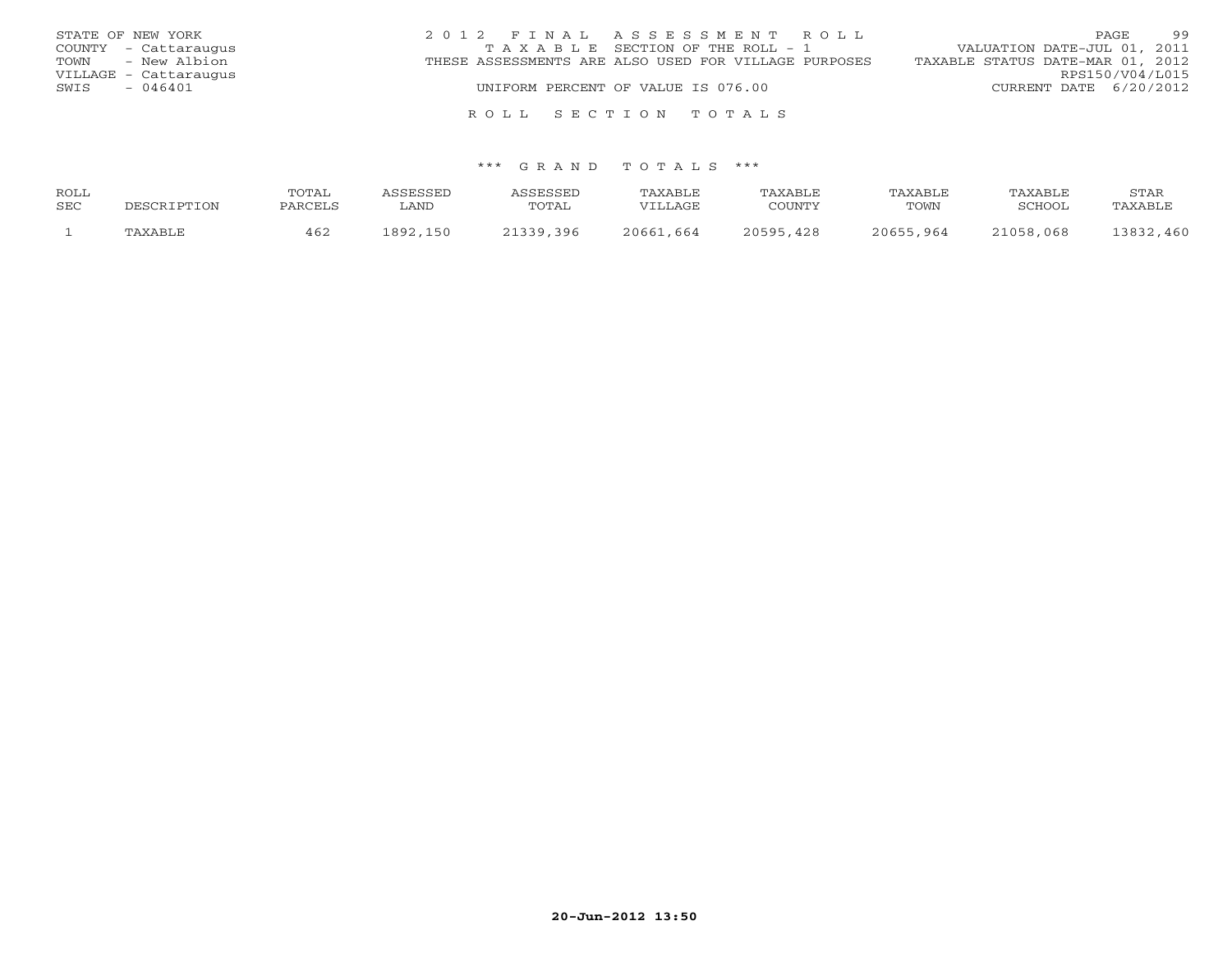| STATE OF NEW YORK     | 2012 FINAL ASSESSMENT ROLL                           | 99<br>PAGE.                      |
|-----------------------|------------------------------------------------------|----------------------------------|
| COUNTY - Cattaraugus  | TAXABLE SECTION OF THE ROLL - 1                      | VALUATION DATE-JUL 01, 2011      |
| TOWN - New Albion     | THESE ASSESSMENTS ARE ALSO USED FOR VILLAGE PURPOSES | TAXABLE STATUS DATE-MAR 01, 2012 |
| VILLAGE - Cattaraugus |                                                      | RPS150/V04/L015                  |
| SWIS<br>- 046401      | UNIFORM PERCENT OF VALUE IS 076.00                   | CURRENT DATE 6/20/2012           |
|                       |                                                      |                                  |

#### \*\*\* G R A N D T O T A L S \*\*\*

R O L L S E C T I O N T O T A L S

| ROLL |             | TOTAL   | ASSESSED   | <b>ASSESSED</b> | TAXABLE   | TAXABLE       | TAXABLE   | TAXABLE   | STAR      |
|------|-------------|---------|------------|-----------------|-----------|---------------|-----------|-----------|-----------|
| SEC  | DESCRIPTION | PARCELS | <b>AND</b> | TOTAL           | VILLAGE   | COUNTY        | TOWN      | SCHOOL    | TAXABLE   |
|      | TAXABLE     | 462     | 1892,150   | 21339,396       | 20661,664 | 20595<br>.428 | 20655,964 | 21058,068 | 13832,460 |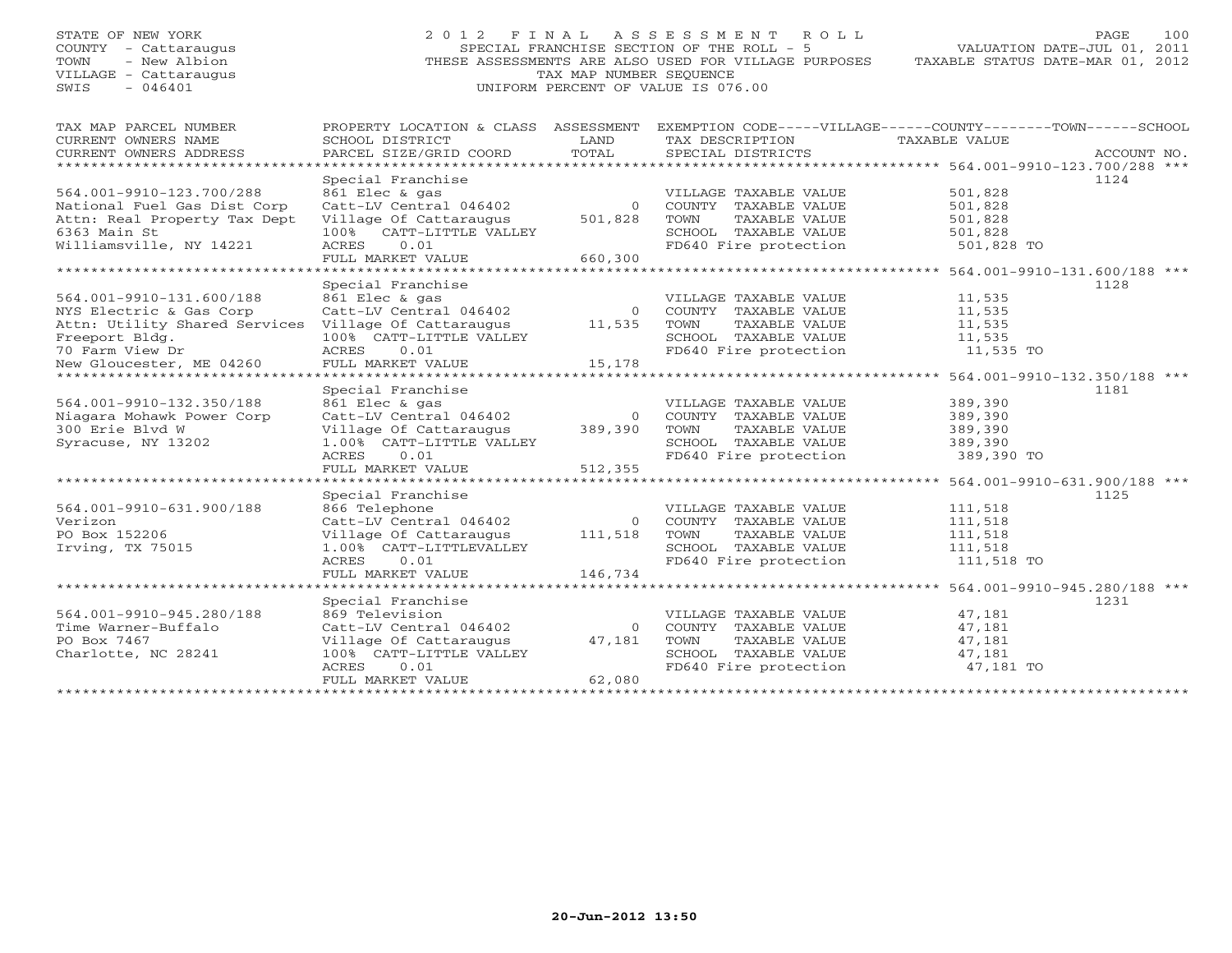# STATE OF NEW YORK 2 0 1 2 F I N A L A S S E S S M E N T R O L L PAGE 100 COUNTY - Cattaraugus SPECIAL FRANCHISE SECTION OF THE ROLL - 5 VALUATION DATE-JUL 01, 2011 TOWN - New Albion THESE ASSESSMENTS ARE ALSO USED FOR VILLAGE PURPOSES TAXABLE STATUS DATE-MAR 01, 2012 VILLAGE - Cattaraugus TAX MAP NUMBER SEQUENCE SWIS - 046401 UNIFORM PERCENT OF VALUE IS 076.00

| ----------<br>----- | ----------- | ------ | -------<br>$\sim$ $\sim$ $\prime$ | - - - - - |
|---------------------|-------------|--------|-----------------------------------|-----------|
|                     |             |        |                                   |           |
|                     |             |        |                                   |           |
|                     |             |        |                                   |           |
|                     |             |        |                                   |           |
|                     |             |        |                                   |           |
|                     |             |        |                                   |           |
|                     |             |        |                                   |           |

| TAX MAP PARCEL NUMBER                                | PROPERTY LOCATION & CLASS ASSESSMENT EXEMPTION CODE-----VILLAGE------COUNTY-------TOWN------SCHOOL |                |                                               |                                                  |             |
|------------------------------------------------------|----------------------------------------------------------------------------------------------------|----------------|-----------------------------------------------|--------------------------------------------------|-------------|
| CURRENT OWNERS NAME<br>CURRENT OWNERS ADDRESS        | SCHOOL DISTRICT<br>PARCEL SIZE/GRID COORD                                                          | LAND<br>TOTAL  | TAX DESCRIPTION<br>SPECIAL DISTRICTS          | TAXABLE VALUE                                    | ACCOUNT NO. |
|                                                      |                                                                                                    |                |                                               |                                                  |             |
|                                                      | Special Franchise                                                                                  |                |                                               |                                                  | 1124        |
| 564.001-9910-123.700/288                             | 861 Elec & gas                                                                                     |                | VILLAGE TAXABLE VALUE                         | 501,828                                          |             |
| National Fuel Gas Dist Corp                          | Catt-LV Central 046402                                                                             | $\Omega$       | COUNTY TAXABLE VALUE                          | 501,828                                          |             |
| Attn: Real Property Tax Dept                         | Village Of Cattaraugus                                                                             | 501,828        | TOWN<br>TAXABLE VALUE                         | 501,828                                          |             |
| 6363 Main St                                         | 100% CATT-LITTLE VALLEY                                                                            |                | SCHOOL TAXABLE VALUE                          | 501,828                                          |             |
| Williamsville, NY 14221                              | ACRES<br>0.01                                                                                      |                | FD640 Fire protection                         | 501,828 TO                                       |             |
|                                                      | FULL MARKET VALUE                                                                                  | 660,300        |                                               |                                                  |             |
|                                                      |                                                                                                    |                |                                               |                                                  |             |
|                                                      | Special Franchise                                                                                  |                |                                               |                                                  | 1128        |
| 564.001-9910-131.600/188                             | 861 Elec & gas                                                                                     |                | VILLAGE TAXABLE VALUE                         | 11,535                                           |             |
| NYS Electric & Gas Corp                              | Catt-LV Central 046402                                                                             | $\Omega$       | COUNTY TAXABLE VALUE                          | 11,535                                           |             |
| Attn: Utility Shared Services Village Of Cattaraugus |                                                                                                    | 11,535         | TOWN<br>TAXABLE VALUE                         | 11,535                                           |             |
| Freeport Bldg.                                       | 100% CATT-LITTLE VALLEY                                                                            |                | SCHOOL TAXABLE VALUE                          | 11,535                                           |             |
| 70 Farm View Dr                                      | ACRES 0.01                                                                                         |                | FD640 Fire protection                         | 11,535 TO                                        |             |
| New Gloucester, ME 04260                             | FULL MARKET VALUE                                                                                  | 15,178         |                                               |                                                  |             |
|                                                      |                                                                                                    |                |                                               |                                                  |             |
|                                                      | Special Franchise                                                                                  |                |                                               |                                                  | 1181        |
| 564.001-9910-132.350/188                             | 861 Elec & gas                                                                                     |                | VILLAGE TAXABLE VALUE                         | 389,390                                          |             |
| Niagara Mohawk Power Corp                            | Catt-LV Central 046402                                                                             | $\Omega$       | COUNTY TAXABLE VALUE                          | 389,390                                          |             |
| 300 Erie Blvd W                                      | Village Of Cattaraugus                                                                             | 389,390        | TOWN<br>TAXABLE VALUE                         | 389,390                                          |             |
| Syracuse, NY 13202                                   | 1.00% CATT-LITTLE VALLEY                                                                           |                | SCHOOL TAXABLE VALUE                          | 389,390                                          |             |
|                                                      | ACRES 0.01                                                                                         |                | FD640 Fire protection                         | 389,390 TO                                       |             |
|                                                      | FULL MARKET VALUE                                                                                  | 512,355        |                                               |                                                  |             |
|                                                      |                                                                                                    |                |                                               |                                                  |             |
| 564.001-9910-631.900/188                             | Special Franchise                                                                                  |                |                                               | 111,518                                          | 1125        |
| Verizon                                              | 866 Telephone<br>Catt-LV Central 046402                                                            | $\bigcirc$     | VILLAGE TAXABLE VALUE                         |                                                  |             |
| PO Box 152206                                        |                                                                                                    |                | COUNTY TAXABLE VALUE<br>TOWN<br>TAXABLE VALUE | 111,518                                          |             |
| Irving, TX 75015                                     | Village Of Cattaraugus<br>1.00% CATT-LITTLEVALLEY                                                  | 111,518        | SCHOOL TAXABLE VALUE                          | 111,518<br>111,518                               |             |
|                                                      | 0.01<br>ACRES                                                                                      |                | FD640 Fire protection                         | 111,518 TO                                       |             |
|                                                      | FULL MARKET VALUE                                                                                  | 146,734        |                                               |                                                  |             |
|                                                      |                                                                                                    |                |                                               | ******************* 564.001-9910-945.280/188 *** |             |
|                                                      | Special Franchise                                                                                  |                |                                               |                                                  | 1231        |
| 564.001-9910-945.280/188                             | 869 Television                                                                                     |                | VILLAGE TAXABLE VALUE                         | 47,181                                           |             |
| Time Warner-Buffalo                                  | Catt-LV Central 046402                                                                             | $\overline{0}$ | COUNTY TAXABLE VALUE                          | 47,181                                           |             |
| PO Box 7467                                          | Village Of Cattaraugus                                                                             | 47,181         | TOWN<br>TAXABLE VALUE                         | 47,181                                           |             |
| Charlotte, NC 28241                                  | 100% CATT-LITTLE VALLEY                                                                            |                | SCHOOL TAXABLE VALUE                          | 47,181                                           |             |
|                                                      | 0.01<br>ACRES                                                                                      |                | FD640 Fire protection                         | 47,181 TO                                        |             |
|                                                      | FULL MARKET VALUE                                                                                  | 62,080         |                                               |                                                  |             |
|                                                      | ************************************                                                               |                |                                               |                                                  |             |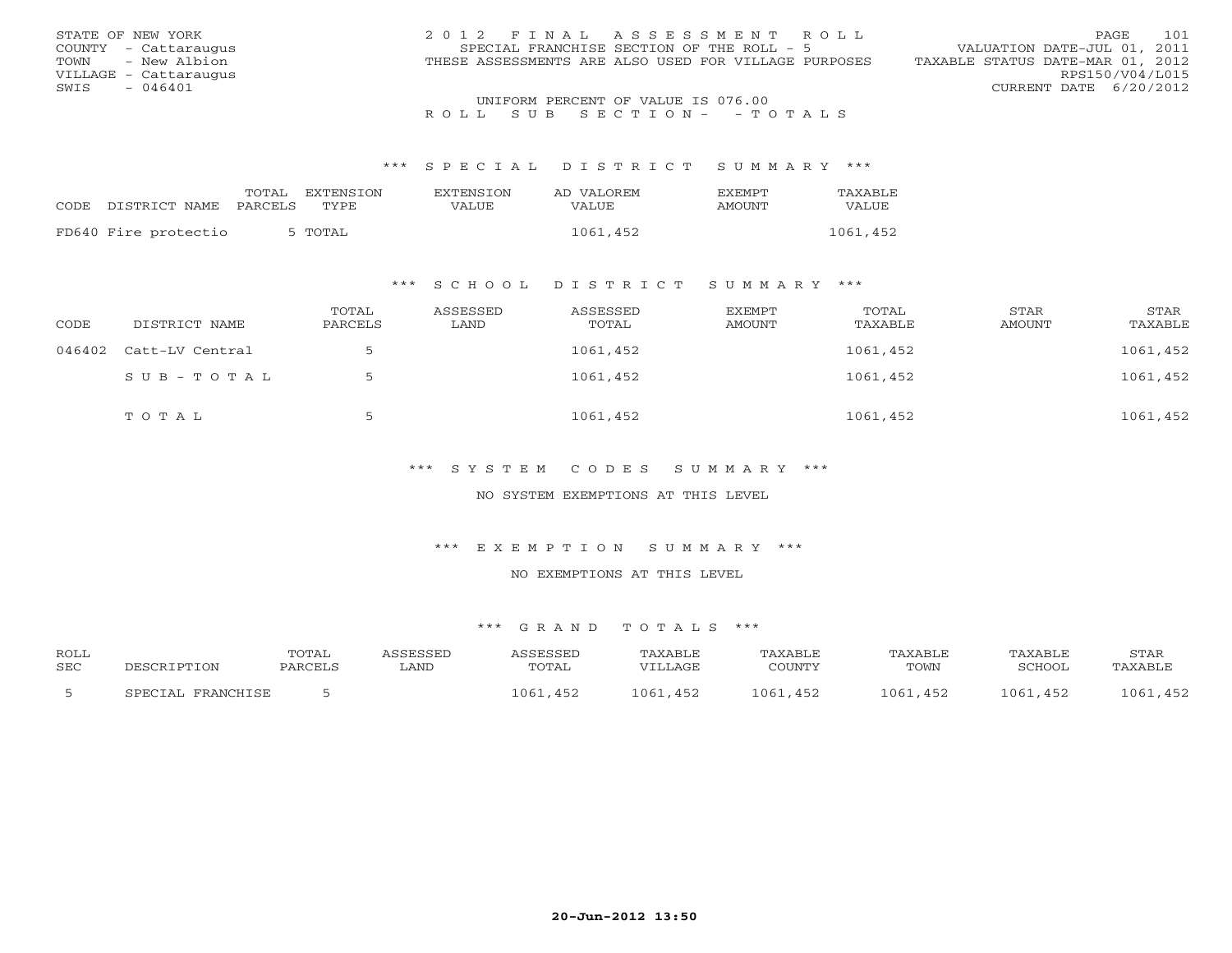| STATE OF NEW YORK     | 2012 FINAL ASSESSMENT ROLL                           | 101<br><b>PAGE</b>               |
|-----------------------|------------------------------------------------------|----------------------------------|
| COUNTY - Cattaraugus  | SPECIAL FRANCHISE SECTION OF THE ROLL - 5            | VALUATION DATE-JUL 01, 2011      |
| TOWN - New Albion     | THESE ASSESSMENTS ARE ALSO USED FOR VILLAGE PURPOSES | TAXABLE STATUS DATE-MAR 01, 2012 |
| VILLAGE - Cattaraugus |                                                      | RPS150/V04/L015                  |
| - 046401<br>SWIS      |                                                      | CURRENT DATE 6/20/2012           |
|                       | UNIFORM PERCENT OF VALUE IS 076.00                   |                                  |

#### \*\*\* S P E C I A L D I S T R I C T S U M M A R Y \*\*\*

|                      | TOTAL   | <b>EXTENSION</b> | <b>EXTENSION</b> | AD VALOREM | <b>EXEMPT</b> | TAXABLE  |
|----------------------|---------|------------------|------------------|------------|---------------|----------|
| CODE DISTRICT NAME   | PARCELS | TYPE.            | VALUE            | VALUE      | AMOUNT        | VALUE    |
|                      |         |                  |                  |            |               |          |
| FD640 Fire protectio |         | 5 TOTAL          |                  | 1061,452   |               | 1061,452 |

### \*\*\* S C H O O L D I S T R I C T S U M M A R Y \*\*\*

| CODE | DISTRICT NAME          | TOTAL<br>PARCELS | ASSESSED<br>LAND | ASSESSED<br>TOTAL | EXEMPT<br>AMOUNT | TOTAL<br>TAXABLE | STAR<br>AMOUNT | STAR<br>TAXABLE |
|------|------------------------|------------------|------------------|-------------------|------------------|------------------|----------------|-----------------|
|      | 046402 Catt-LV Central | ь.               |                  | 1061,452          |                  | 1061,452         |                | 1061,452        |
|      | SUB-TOTAL              | $\overline{z}$   |                  | 1061,452          |                  | 1061,452         |                | 1061,452        |
|      | TOTAL                  | כ                |                  | 1061,452          |                  | 1061,452         |                | 1061,452        |

### \*\*\* S Y S T E M C O D E S S U M M A R Y \*\*\*

#### NO SYSTEM EXEMPTIONS AT THIS LEVEL

#### \*\*\* E X E M P T I O N S U M M A R Y \*\*\*

#### NO EXEMPTIONS AT THIS LEVEL

| <b>ROLL</b> |                   | <b>TOTAL</b> | <i><b>\SSESSED</b></i> | ASSESSED     | TAXABLE     | TAXABLE       | TAXABLE  | TAXABLE       | STAR          |
|-------------|-------------------|--------------|------------------------|--------------|-------------|---------------|----------|---------------|---------------|
| <b>SEC</b>  | DESCRIPTION       | PARCELS      | LAND                   | TOTAL        | VTLLAGE     | COUNTY        | TOWN     | SCHOOL        | TAXABLE       |
|             | SPECIAL FRANCHISE |              |                        | , 061<br>452 | 1061<br>452 | 1061<br>. 452 | 1061,452 | 1061<br>, 452 | , 452<br>LO61 |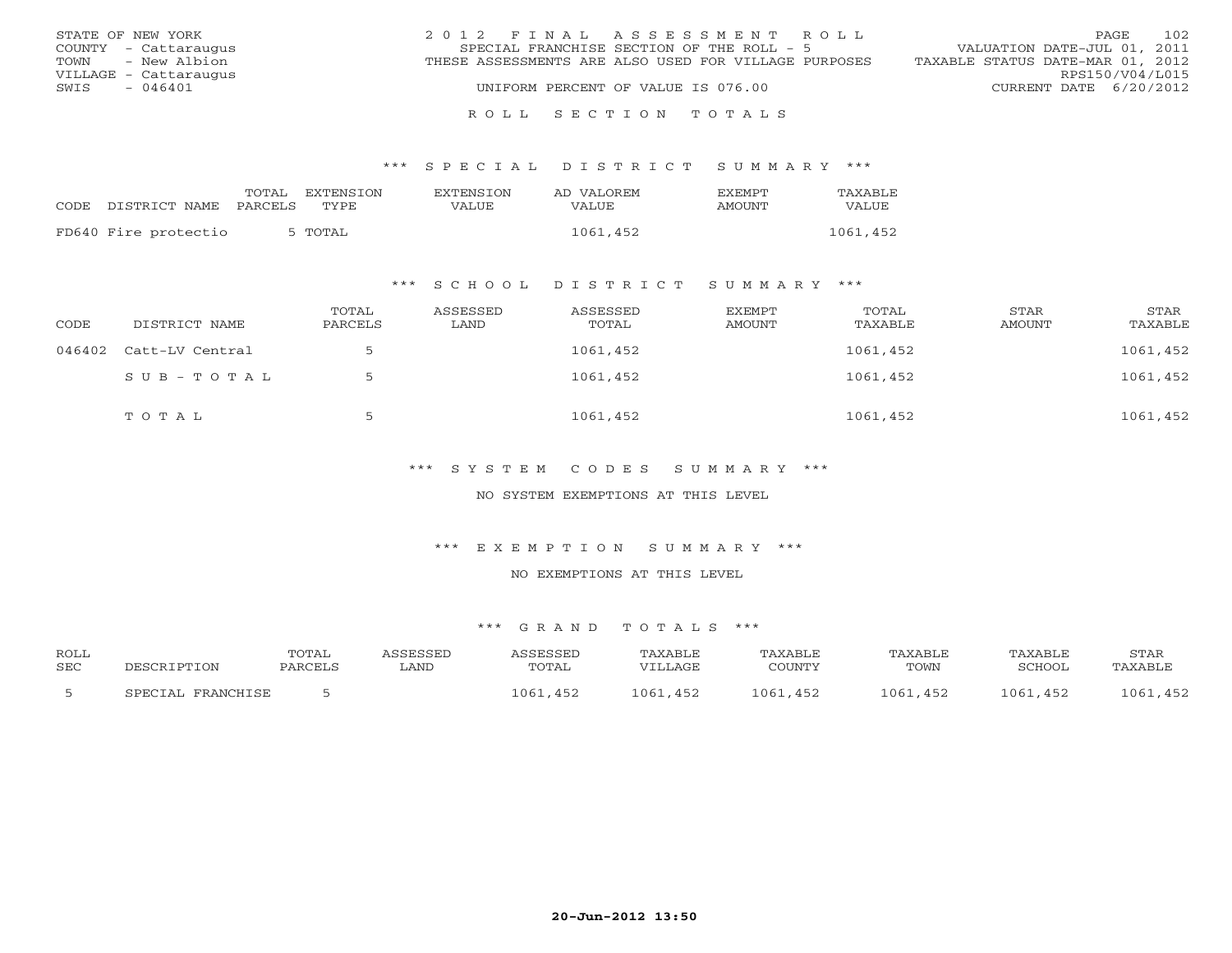| STATE OF NEW YORK     | 2012 FINAL ASSESSMENT ROLL                           | 102<br>PAGE.                     |
|-----------------------|------------------------------------------------------|----------------------------------|
| COUNTY - Cattaraugus  | SPECIAL FRANCHISE SECTION OF THE ROLL - 5            | VALUATION DATE-JUL 01, 2011      |
| TOWN - New Albion     | THESE ASSESSMENTS ARE ALSO USED FOR VILLAGE PURPOSES | TAXABLE STATUS DATE-MAR 01, 2012 |
| VILLAGE - Cattaraugus |                                                      | RPS150/V04/L015                  |
| $-046401$<br>SWIS     | UNIFORM PERCENT OF VALUE IS 076.00                   | CURRENT DATE 6/20/2012           |
|                       |                                                      |                                  |

#### R O L L S E C T I O N T O T A L S

#### \*\*\* S P E C I A L D I S T R I C T S U M M A R Y \*\*\*

|                      | TOTAL   | <b>EXTENSION</b> | <b>EXTENSION</b> | AD VALOREM | <b>FXFMPT</b> | TAXABLE      |
|----------------------|---------|------------------|------------------|------------|---------------|--------------|
| CODE DISTRICT NAME   | PARCELS | TYPE.            | VALUE            | VALUE      | AMOUNT        | <b>VALUE</b> |
|                      |         |                  |                  |            |               |              |
| FD640 Fire protectio |         | 5 TOTAL          |                  | 1061,452   |               | 1061,452     |

### \*\*\* S C H O O L D I S T R I C T S U M M A R Y \*\*\*

| CODE | DISTRICT NAME          | TOTAL<br>PARCELS | ASSESSED<br>LAND | ASSESSED<br>TOTAL | EXEMPT<br>AMOUNT | TOTAL<br>TAXABLE | STAR<br>AMOUNT | STAR<br>TAXABLE |
|------|------------------------|------------------|------------------|-------------------|------------------|------------------|----------------|-----------------|
|      | 046402 Catt-LV Central |                  |                  | 1061,452          |                  | 1061,452         |                | 1061,452        |
|      | SUB-TOTAL              |                  |                  | 1061,452          |                  | 1061,452         |                | 1061,452        |
|      | TOTAL                  |                  |                  | 1061,452          |                  | 1061,452         |                | 1061,452        |

### \*\*\* S Y S T E M C O D E S S U M M A R Y \*\*\*

#### NO SYSTEM EXEMPTIONS AT THIS LEVEL

#### \*\*\* E X E M P T I O N S U M M A R Y \*\*\*

#### NO EXEMPTIONS AT THIS LEVEL

| <b>ROLL</b> |                   | TOTAL   | <i><b>\SSESSED</b></i> | ASSESSED     | TAXABLE       | TAXABLE     | <b>TAXABLE</b> | TAXABLE  | STAF          |
|-------------|-------------------|---------|------------------------|--------------|---------------|-------------|----------------|----------|---------------|
| <b>SEC</b>  | DESCRIPTION       | PARCELS | LAND                   | <b>TOTAL</b> | VILLAGE       | COUNTY      | TOWN           | SCHOOL   | TAXABLE       |
|             | SPECIAL FRANCHISE |         |                        | ,452<br>1061 | .452<br>1061, | 1061<br>452 | 1061.<br>.452  | 1061,452 | .,452<br>1061 |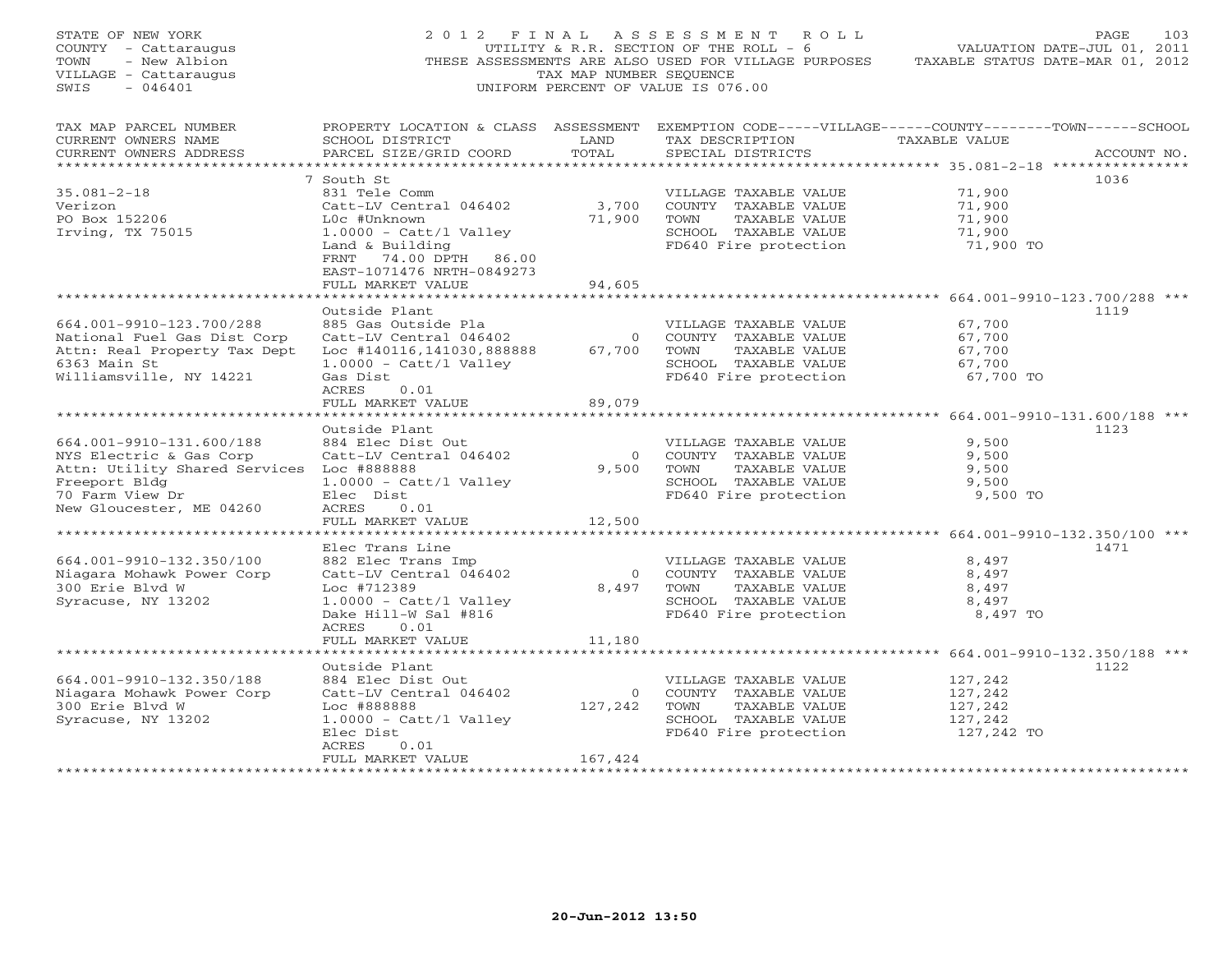| STATE OF NEW YORK<br>COUNTY - Cattaraugus<br>TOWN<br>- New Albion<br>VILLAGE - Cattaraugus<br>$-046401$<br>SWIS                                                  |                                                                                                                                                                                                                 | TAX MAP NUMBER SEQUENCE              | 2012 FINAL ASSESSMENT<br>R O L L<br>UTILITY & R.R. SECTION OF THE ROLL - 6<br>THESE ASSESSMENTS ARE ALSO USED FOR VILLAGE PURPOSES<br>UNIFORM PERCENT OF VALUE IS 076.00 | TAXABLE STATUS DATE-MAR 01, 2012                                 | PAGE<br>103<br>VALUATION DATE-JUL 01, 2011 |
|------------------------------------------------------------------------------------------------------------------------------------------------------------------|-----------------------------------------------------------------------------------------------------------------------------------------------------------------------------------------------------------------|--------------------------------------|--------------------------------------------------------------------------------------------------------------------------------------------------------------------------|------------------------------------------------------------------|--------------------------------------------|
| TAX MAP PARCEL NUMBER<br>CURRENT OWNERS NAME<br>CURRENT OWNERS ADDRESS<br>***********************                                                                | SCHOOL DISTRICT<br>PARCEL SIZE/GRID COORD                                                                                                                                                                       | LAND<br>TOTAL                        | PROPERTY LOCATION & CLASS ASSESSMENT EXEMPTION CODE-----VILLAGE------COUNTY-------TOWN------SCHOOL<br>TAX DESCRIPTION<br>SPECIAL DISTRICTS                               | TAXABLE VALUE<br>***************** 35.081-2-18 ***************** | ACCOUNT NO.                                |
| $35.081 - 2 - 18$<br>Verizon<br>PO Box 152206<br>Irving, TX 75015                                                                                                | 7 South St<br>831 Tele Comm<br>Catt-LV Central 046402<br>L0c #Unknown<br>$1.0000 - \text{Cat} / 1 \text{ Valley}$<br>Land & Building<br>FRNT 74.00 DPTH 86.00<br>EAST-1071476 NRTH-0849273<br>FULL MARKET VALUE | 3,700<br>71,900<br>94,605            | VILLAGE TAXABLE VALUE<br>COUNTY TAXABLE VALUE<br>TOWN<br>TAXABLE VALUE<br>SCHOOL TAXABLE VALUE<br>FD640 Fire protection                                                  | 71,900<br>71,900<br>71,900<br>71,900<br>71,900 TO                | 1036                                       |
|                                                                                                                                                                  |                                                                                                                                                                                                                 |                                      |                                                                                                                                                                          |                                                                  |                                            |
| 664.001-9910-123.700/288<br>National Fuel Gas Dist Corp<br>Attn: Real Property Tax Dept<br>6363 Main St<br>Williamsville, NY 14221                               | Outside Plant<br>885 Gas Outside Pla<br>Catt-LV Central 046402<br>Loc #140116,141030,888888<br>$1.0000 - \text{Cat} / 1$ Valley<br>Gas Dist<br>ACRES<br>0.01<br>FULL MARKET VALUE                               | $\overline{0}$<br>67,700<br>89,079   | VILLAGE TAXABLE VALUE<br>COUNTY TAXABLE VALUE<br>TOWN<br>TAXABLE VALUE<br>SCHOOL TAXABLE VALUE<br>FD640 Fire protection                                                  | 67,700<br>67,700<br>67,700<br>67,700<br>67,700 TO                | 1119                                       |
|                                                                                                                                                                  |                                                                                                                                                                                                                 |                                      |                                                                                                                                                                          |                                                                  |                                            |
| 664.001-9910-131.600/188<br>NYS Electric & Gas Corp<br>Attn: Utility Shared Services Loc #888888<br>Freeport Bldg<br>70 Farm View Dr<br>New Gloucester, ME 04260 | Outside Plant<br>884 Elec Dist Out<br>Catt-LV Central 046402<br>$1.0000 - \text{Cat} / 1$ Valley<br>Elec Dist<br>ACRES<br>0.01<br>FULL MARKET VALUE                                                             | $\overline{0}$<br>9,500              | VILLAGE TAXABLE VALUE<br>COUNTY TAXABLE VALUE<br>TOWN<br>TAXABLE VALUE<br>SCHOOL TAXABLE VALUE<br>FD640 Fire protection                                                  | 9,500<br>9,500<br>9,500<br>9,500<br>9,500 TO                     | 1123                                       |
|                                                                                                                                                                  |                                                                                                                                                                                                                 | 12,500<br>*********                  |                                                                                                                                                                          | ************** 664.001-9910-132.350/100 ***                      |                                            |
| 664.001-9910-132.350/100<br>Niagara Mohawk Power Corp<br>300 Erie Blyd W<br>Syracuse, NY 13202                                                                   | Elec Trans Line<br>882 Elec Trans Imp<br>Catt-LV Central 046402<br>Loc #712389<br>$1.0000 - \text{Cat} / 1 \text{ Valley}$<br>Dake Hill-W Sal #816<br>ACRES<br>0.01                                             | $\overline{0}$<br>8,497              | VILLAGE TAXABLE VALUE<br>COUNTY TAXABLE VALUE<br>TOWN<br>TAXABLE VALUE<br>SCHOOL TAXABLE VALUE<br>FD640 Fire protection                                                  | 8,497<br>8,497<br>8,497<br>8,497<br>8,497 TO                     | 1471                                       |
|                                                                                                                                                                  | FULL MARKET VALUE                                                                                                                                                                                               | 11,180                               |                                                                                                                                                                          |                                                                  |                                            |
| *****************************<br>664.001-9910-132.350/188                                                                                                        | Outside Plant<br>884 Elec Dist Out                                                                                                                                                                              |                                      | VILLAGE TAXABLE VALUE                                                                                                                                                    | 127,242                                                          | 1122                                       |
| Niagara Mohawk Power Corp<br>300 Erie Blvd W<br>Syracuse, NY 13202                                                                                               | Catt-LV Central 046402<br>Loc #888888<br>$1.0000 - \text{Cat} / 1 \text{ Valley}$<br>Elec Dist<br>ACRES<br>0.01<br>FULL MARKET VALUE                                                                            | $\overline{0}$<br>127,242<br>167,424 | COUNTY TAXABLE VALUE<br>TOWN<br>TAXABLE VALUE<br>SCHOOL TAXABLE VALUE<br>FD640 Fire protection                                                                           | 127,242<br>127,242<br>127,242<br>127,242 TO                      |                                            |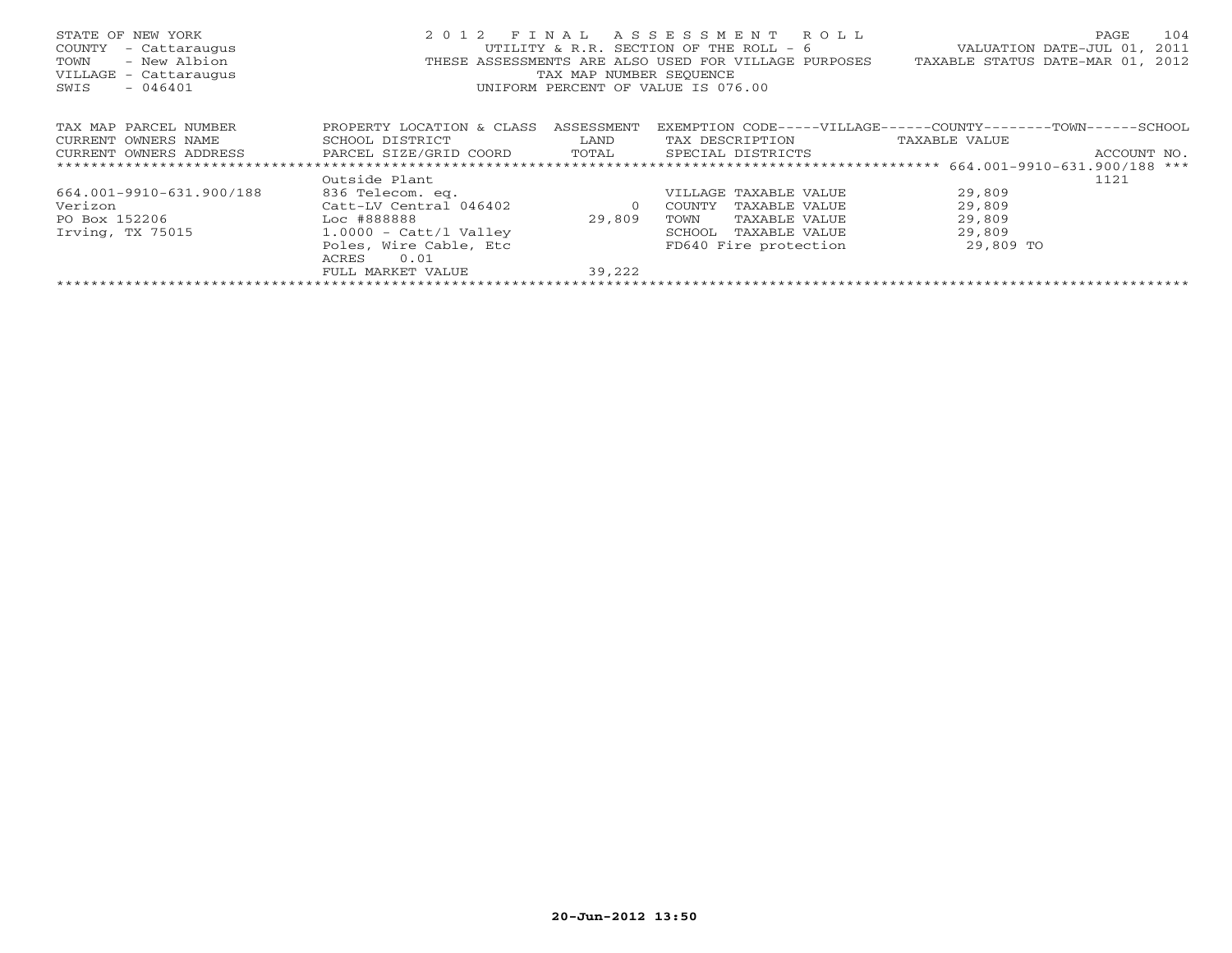| STATE OF NEW YORK<br>COUNTY<br>- Cattaraugus<br>- New Albion<br>TOWN<br>VILLAGE - Cattaraugus<br>$-046401$<br>SWIS | 2 0 1 2                   | TAX MAP NUMBER SEQUENCE | FINAL ASSESSMENT ROLL<br>UTILITY & R.R. SECTION OF THE ROLL - 6<br>THESE ASSESSMENTS ARE ALSO USED FOR VILLAGE PURPOSES<br>UNIFORM PERCENT OF VALUE IS 076.00 | 104<br>PAGE<br>2011<br>VALUATION DATE-JUL 01,<br>TAXABLE STATUS DATE-MAR 01, 2012 |
|--------------------------------------------------------------------------------------------------------------------|---------------------------|-------------------------|---------------------------------------------------------------------------------------------------------------------------------------------------------------|-----------------------------------------------------------------------------------|
| TAX MAP PARCEL NUMBER                                                                                              | PROPERTY LOCATION & CLASS | ASSESSMENT              |                                                                                                                                                               | EXEMPTION CODE-----VILLAGE------COUNTY--------TOWN------SCHOOL                    |
| CURRENT OWNERS NAME                                                                                                | SCHOOL DISTRICT           | LAND                    | TAX DESCRIPTION                                                                                                                                               | TAXABLE VALUE                                                                     |
| CURRENT OWNERS ADDRESS                                                                                             | PARCEL SIZE/GRID COORD    | TOTAL                   | SPECIAL DISTRICTS                                                                                                                                             | ACCOUNT NO.                                                                       |
|                                                                                                                    |                           |                         |                                                                                                                                                               |                                                                                   |
|                                                                                                                    | Outside Plant             |                         |                                                                                                                                                               | 1121                                                                              |
| 664.001-9910-631.900/188                                                                                           | 836 Telecom. eq.          |                         | VILLAGE TAXABLE VALUE                                                                                                                                         | 29,809                                                                            |
| Verizon                                                                                                            | Catt-LV Central 046402    | $\circ$                 | COUNTY<br>TAXABLE VALUE                                                                                                                                       | 29,809                                                                            |
| Example 10 Loc #888888<br>PO Box 152206                                                                            |                           | 29,809                  | TOWN<br>TAXABLE VALUE                                                                                                                                         | 29,809                                                                            |
| Irving, TX 75015                                                                                                   | $1.0000$ - Catt/l Valley  |                         | SCHOOL<br>TAXABLE VALUE                                                                                                                                       | 29,809                                                                            |
|                                                                                                                    | Poles, Wire Cable, Etc    |                         | FD640 Fire protection                                                                                                                                         | 29,809 TO                                                                         |
|                                                                                                                    | 0.01<br>ACRES             |                         |                                                                                                                                                               |                                                                                   |
|                                                                                                                    | FULL MARKET VALUE         | 39,222                  |                                                                                                                                                               |                                                                                   |
|                                                                                                                    |                           |                         |                                                                                                                                                               |                                                                                   |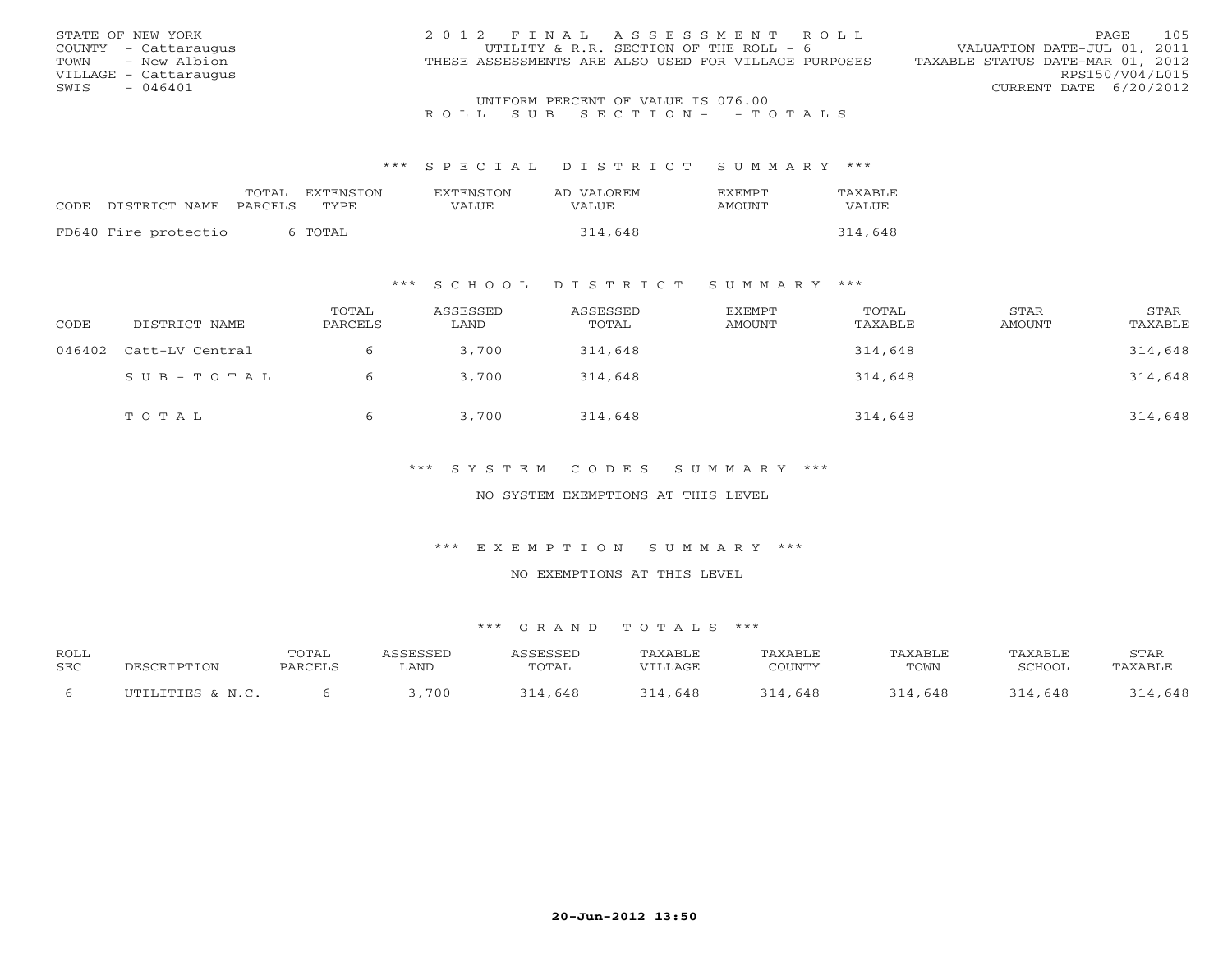| STATE OF NEW YORK     | 2012 FINAL ASSESSMENT ROLL                           | 105<br><b>PAGE</b>               |
|-----------------------|------------------------------------------------------|----------------------------------|
| COUNTY - Cattaraugus  | UTILITY & R.R. SECTION OF THE ROLL - 6               | VALUATION DATE-JUL 01, 2011      |
| TOWN - New Albion     | THESE ASSESSMENTS ARE ALSO USED FOR VILLAGE PURPOSES | TAXABLE STATUS DATE-MAR 01, 2012 |
| VILLAGE - Cattaraugus |                                                      | RPS150/V04/L015                  |
| $-046401$<br>SWIS     |                                                      | CURRENT DATE 6/20/2012           |
|                       | UNIFORM PERCENT OF VALUE IS 076.00                   |                                  |

#### \*\*\* S P E C I A L D I S T R I C T S U M M A R Y \*\*\*

|                      | TOTAL   | EXTENSION | <b>EXTENSION</b> | AD VALOREM | <b>FXFMPT</b> | TAXABLE |
|----------------------|---------|-----------|------------------|------------|---------------|---------|
| CODE DISTRICT NAME   | PARCELS | TYPE.     | VALUE            | VALUE.     | AMOUNT        | VALUE   |
|                      |         |           |                  |            |               |         |
| FD640 Fire protectio |         | TOTAL C   |                  | 314,648    |               | 314,648 |

### \*\*\* S C H O O L D I S T R I C T S U M M A R Y \*\*\*

| CODE   | DISTRICT NAME   | TOTAL<br>PARCELS | ASSESSED<br>LAND | ASSESSED<br>TOTAL | EXEMPT<br>AMOUNT | TOTAL<br>TAXABLE | STAR<br>AMOUNT | STAR<br>TAXABLE |
|--------|-----------------|------------------|------------------|-------------------|------------------|------------------|----------------|-----------------|
| 046402 | Catt-LV Central |                  | 3,700            | 314,648           |                  | 314,648          |                | 314,648         |
|        | SUB-TOTAL       | 6                | 3,700            | 314,648           |                  | 314,648          |                | 314,648         |
|        | TOTAL           |                  | 3,700            | 314,648           |                  | 314,648          |                | 314,648         |

### \*\*\* S Y S T E M C O D E S S U M M A R Y \*\*\*

#### NO SYSTEM EXEMPTIONS AT THIS LEVEL

#### \*\*\* E X E M P T I O N S U M M A R Y \*\*\*

#### NO EXEMPTIONS AT THIS LEVEL

| <b>ROLL</b> |                  | TOTAL   | <i><b>\SSESSED</b></i> | ASSESSED | TAXABLE | TAXABLE | TAXABLE | TAXABLE | STAR    |
|-------------|------------------|---------|------------------------|----------|---------|---------|---------|---------|---------|
| <b>SEC</b>  | DESCRIPTION      | PARCELS | . AND                  | TOTAL    | VILLAGE | COUNTY  | TOWN    | SCHOOL  | TAXABLE |
|             | UTILITIES & N.C. |         | ,700                   | 314,648  | 314,648 | 314,648 | 314,648 | 314,648 | 314,648 |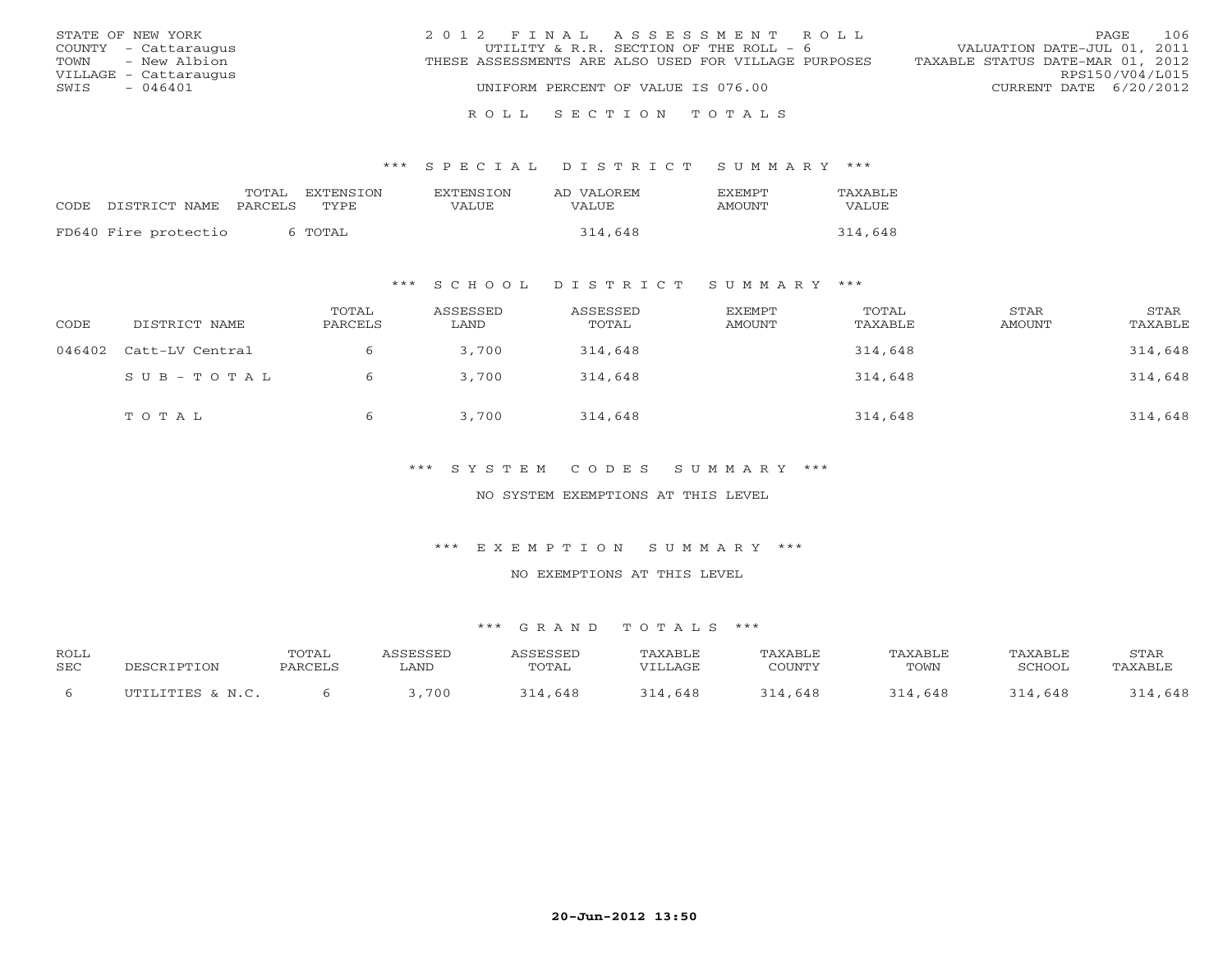| STATE OF NEW YORK     | 2012 FINAL ASSESSMENT ROLL                           | 106<br>PAGE                      |
|-----------------------|------------------------------------------------------|----------------------------------|
| COUNTY - Cattaraugus  | UTILITY & R.R. SECTION OF THE ROLL - 6               | VALUATION DATE-JUL 01, 2011      |
| TOWN - New Albion     | THESE ASSESSMENTS ARE ALSO USED FOR VILLAGE PURPOSES | TAXABLE STATUS DATE-MAR 01, 2012 |
| VILLAGE - Cattaraugus |                                                      | RPS150/V04/L015                  |
| - 046401<br>SWIS      | UNIFORM PERCENT OF VALUE IS 076.00                   | CURRENT DATE 6/20/2012           |
|                       |                                                      |                                  |

#### R O L L S E C T I O N T O T A L S

#### \*\*\* S P E C I A L D I S T R I C T S U M M A R Y \*\*\*

| CODE DISTRICT NAME   | TOTAL<br>PARCELS | EXTENSION<br>TYPE. | <b>EXTENSION</b><br>VALUE | AD VALOREM<br>VALUE | <b>FXFMPT</b><br>AMOUNT | TAXABLE<br>VALUE |
|----------------------|------------------|--------------------|---------------------------|---------------------|-------------------------|------------------|
| FD640 Fire protectio |                  | 6 TOTAL            |                           | 314,648             |                         | 314,648          |

### \*\*\* S C H O O L D I S T R I C T S U M M A R Y \*\*\*

| CODE   | DISTRICT NAME   | TOTAL<br>PARCELS | ASSESSED<br>LAND | ASSESSED<br>TOTAL | EXEMPT<br>AMOUNT | TOTAL<br>TAXABLE | STAR<br>AMOUNT | STAR<br>TAXABLE |
|--------|-----------------|------------------|------------------|-------------------|------------------|------------------|----------------|-----------------|
| 046402 | Catt-LV Central |                  | 3,700            | 314,648           |                  | 314,648          |                | 314,648         |
|        | SUB-TOTAL       | 6                | 3,700            | 314,648           |                  | 314,648          |                | 314,648         |
|        | TOTAL           | 6                | 3,700            | 314,648           |                  | 314,648          |                | 314,648         |

### \*\*\* S Y S T E M C O D E S S U M M A R Y \*\*\*

#### NO SYSTEM EXEMPTIONS AT THIS LEVEL

#### \*\*\* E X E M P T I O N S U M M A R Y \*\*\*

#### NO EXEMPTIONS AT THIS LEVEL

| <b>ROLL</b> | DESCRIPTION      | TOTAL   | <i><b>\SSESSED</b></i> | ASSESSED | TAXABLE | TAXABLE | TAXABLE | TAXABLE | STAR    |
|-------------|------------------|---------|------------------------|----------|---------|---------|---------|---------|---------|
| <b>SEC</b>  |                  | PARCELS | . AND                  | TOTAL    | VILLAGE | COUNTY  | TOWN    | SCHOOL  | TAXABLE |
|             | UTILITIES & N.C. |         | ,700                   | 314,648  | 314,648 | 314,648 | 314,648 | 314,648 | 314,648 |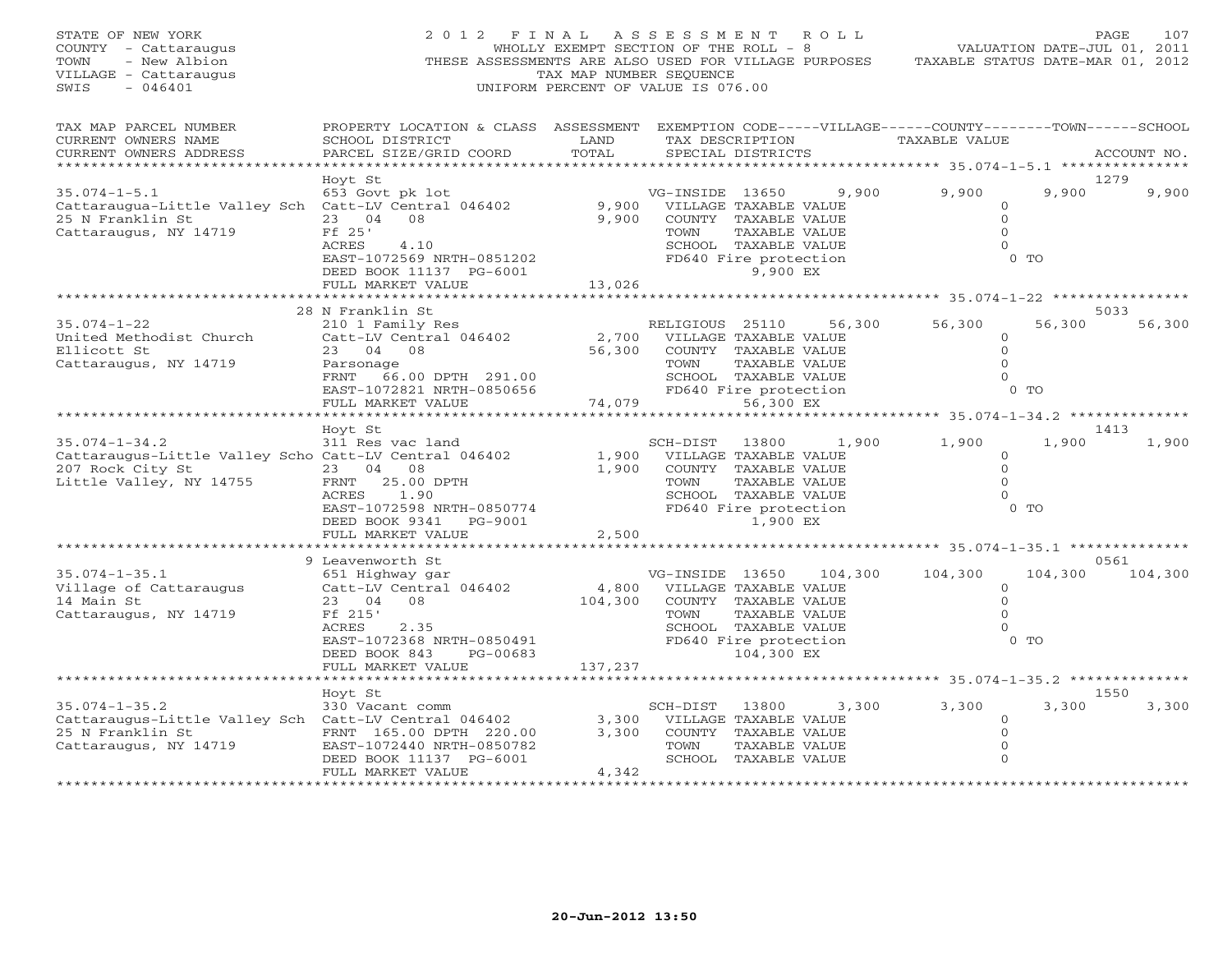| STATE OF NEW YORK<br>COUNTY - Cattaraugus<br>- New Albion<br>TOWN<br>VILLAGE - Cattaraugus<br>SWIS<br>$-046401$             | 2012 FINAL<br>THESE ASSESSMENTS ARE ALSO USED FOR VILLAGE PURPOSES                                                                                                     | WHOLLY EXEMPT SECTION OF THE ROLL - 8<br>TAX MAP NUMBER SEQUENCE<br>UNIFORM PERCENT OF VALUE IS 076.00 | A S S E S S M E N T                              |                                                                                                                                      | R O L L | TAXABLE STATUS DATE-MAR 01, 2012                        | VALUATION DATE-JUL 01, 2011 | PAGE            | 107   |
|-----------------------------------------------------------------------------------------------------------------------------|------------------------------------------------------------------------------------------------------------------------------------------------------------------------|--------------------------------------------------------------------------------------------------------|--------------------------------------------------|--------------------------------------------------------------------------------------------------------------------------------------|---------|---------------------------------------------------------|-----------------------------|-----------------|-------|
| TAX MAP PARCEL NUMBER<br>CURRENT OWNERS NAME<br>CURRENT OWNERS ADDRESS                                                      | PROPERTY LOCATION & CLASS ASSESSMENT EXEMPTION CODE-----VILLAGE------COUNTY-------TOWN------SCHOOL<br>SCHOOL DISTRICT<br>PARCEL SIZE/GRID COORD                        | LAND<br>TOTAL                                                                                          |                                                  | TAX DESCRIPTION<br>SPECIAL DISTRICTS                                                                                                 |         | TAXABLE VALUE                                           |                             | ACCOUNT NO.     |       |
| $35.074 - 1 - 5.1$<br>Cattaraugua-Little Valley Sch Catt-LV Central 046402<br>25 N Franklin St<br>Cattaraugus, NY 14719     | Hoyt St<br>653 Govt pk lot<br>23 04<br>08<br>Ff 25'<br>ACRES<br>4.10<br>EAST-1072569 NRTH-0851202                                                                      | 9,900<br>9,900                                                                                         | VG-INSIDE 13650<br>VILLAGE TAXABLE VALUE<br>TOWN | COUNTY TAXABLE VALUE<br>TAXABLE VALUE<br>SCHOOL TAXABLE VALUE<br>FD640 Fire protection                                               | 9,900   | 9,900<br>$\circ$<br>$\mathbf 0$<br>$\Omega$<br>$\Omega$ | 9,900<br>0 <sub>0</sub>     | 1279            | 9,900 |
|                                                                                                                             | DEED BOOK 11137 PG-6001<br>FULL MARKET VALUE<br>*******************                                                                                                    | 13,026<br>* * * * * * * * * * * *                                                                      |                                                  | 9,900 EX                                                                                                                             |         | ********* 35.074-1-22 **************                    |                             |                 |       |
| $35.074 - 1 - 22$<br>United Methodist Church<br>Ellicott St<br>Cattaraugus, NY 14719                                        | 28 N Franklin St<br>210 1 Family Res<br>Catt-LV Central 046402<br>23 04<br>08<br>Parsonage<br>FRNT 66.00 DPTH 291.00<br>EAST-1072821 NRTH-0850656<br>FULL MARKET VALUE | 2,700<br>56,300<br>74,079                                                                              | RELIGIOUS 25110<br>TOWN                          | VILLAGE TAXABLE VALUE<br>COUNTY TAXABLE VALUE<br>TAXABLE VALUE<br>SCHOOL TAXABLE VALUE<br>FD640 Fire protection<br>56,300 EX         | 56,300  | 56,300<br>0<br>$\Omega$<br>$\Omega$<br>$\circ$          | 56,300<br>$0$ TO            | 5033<br>56,300  |       |
|                                                                                                                             | ******************<br>Hoyt St                                                                                                                                          |                                                                                                        |                                                  |                                                                                                                                      |         |                                                         |                             | 1413            |       |
| $35.074 - 1 - 34.2$<br>Cattaraugus-Little Valley Scho Catt-LV Central 046402<br>207 Rock City St<br>Little Valley, NY 14755 | 311 Res vac land<br>23 04 08<br>25.00 DPTH<br>FRNT<br>ACRES<br>1.90<br>EAST-1072598 NRTH-0850774<br>DEED BOOK 9341<br>PG-9001                                          | 1,900<br>1,900                                                                                         | SCH-DIST<br>TOWN                                 | 13800<br>VILLAGE TAXABLE VALUE<br>COUNTY TAXABLE VALUE<br>TAXABLE VALUE<br>SCHOOL TAXABLE VALUE<br>FD640 Fire protection<br>1,900 EX | 1,900   | 1,900<br>$\circ$<br>$\Omega$<br>$\Omega$<br>$\Omega$    | 1,900<br>$0$ TO             |                 | 1,900 |
|                                                                                                                             | FULL MARKET VALUE<br>*********************                                                                                                                             | 2,500                                                                                                  |                                                  |                                                                                                                                      |         |                                                         |                             |                 |       |
| $35.074 - 1 - 35.1$<br>Village of Cattaraugus<br>14 Main St<br>Cattaraugus, NY 14719                                        | 9 Leavenworth St<br>651 Highway gar<br>Catt-LV Central 046402<br>23 04<br>08<br>Ff 215'<br>ACRES<br>2.35<br>EAST-1072368 NRTH-0850491                                  | 4,800<br>104,300                                                                                       | VG-INSIDE 13650<br>TOWN                          | VILLAGE TAXABLE VALUE<br>COUNTY TAXABLE VALUE<br>TAXABLE VALUE<br>SCHOOL TAXABLE VALUE<br>FD640 Fire protection                      | 104,300 | 104,300<br>$\circ$<br>$\Omega$<br>$\Omega$<br>$\Omega$  | 104,300<br>$0$ TO           | 0561<br>104,300 |       |
|                                                                                                                             | DEED BOOK 843<br>PG-00683<br>FULL MARKET VALUE                                                                                                                         | 137,237                                                                                                |                                                  | 104,300 EX                                                                                                                           |         | ******************** 35.074-1-35.2 **************       |                             |                 |       |
|                                                                                                                             | Hoyt St                                                                                                                                                                |                                                                                                        |                                                  |                                                                                                                                      |         |                                                         | 3,300                       | 1550            |       |
| $35.074 - 1 - 35.2$<br>Cattaraugus-Little Valley Sch Catt-LV Central 046402<br>25 N Franklin St<br>Cattaraugus, NY 14719    | 330 Vacant comm<br>FRNT 165.00 DPTH 220.00<br>EAST-1072440 NRTH-0850782<br>DEED BOOK 11137 PG-6001<br>FULL MARKET VALUE                                                | 3,300<br>3,300<br>4,342                                                                                | SCH-DIST<br>TOWN                                 | 13800<br>VILLAGE TAXABLE VALUE<br>COUNTY TAXABLE VALUE<br>TAXABLE VALUE<br>SCHOOL TAXABLE VALUE                                      | 3,300   | 3,300<br>$\Omega$<br>$\Omega$<br>$\Omega$<br>$\Omega$   |                             |                 | 3,300 |
| ******************                                                                                                          | *******************                                                                                                                                                    |                                                                                                        |                                                  |                                                                                                                                      |         |                                                         |                             |                 |       |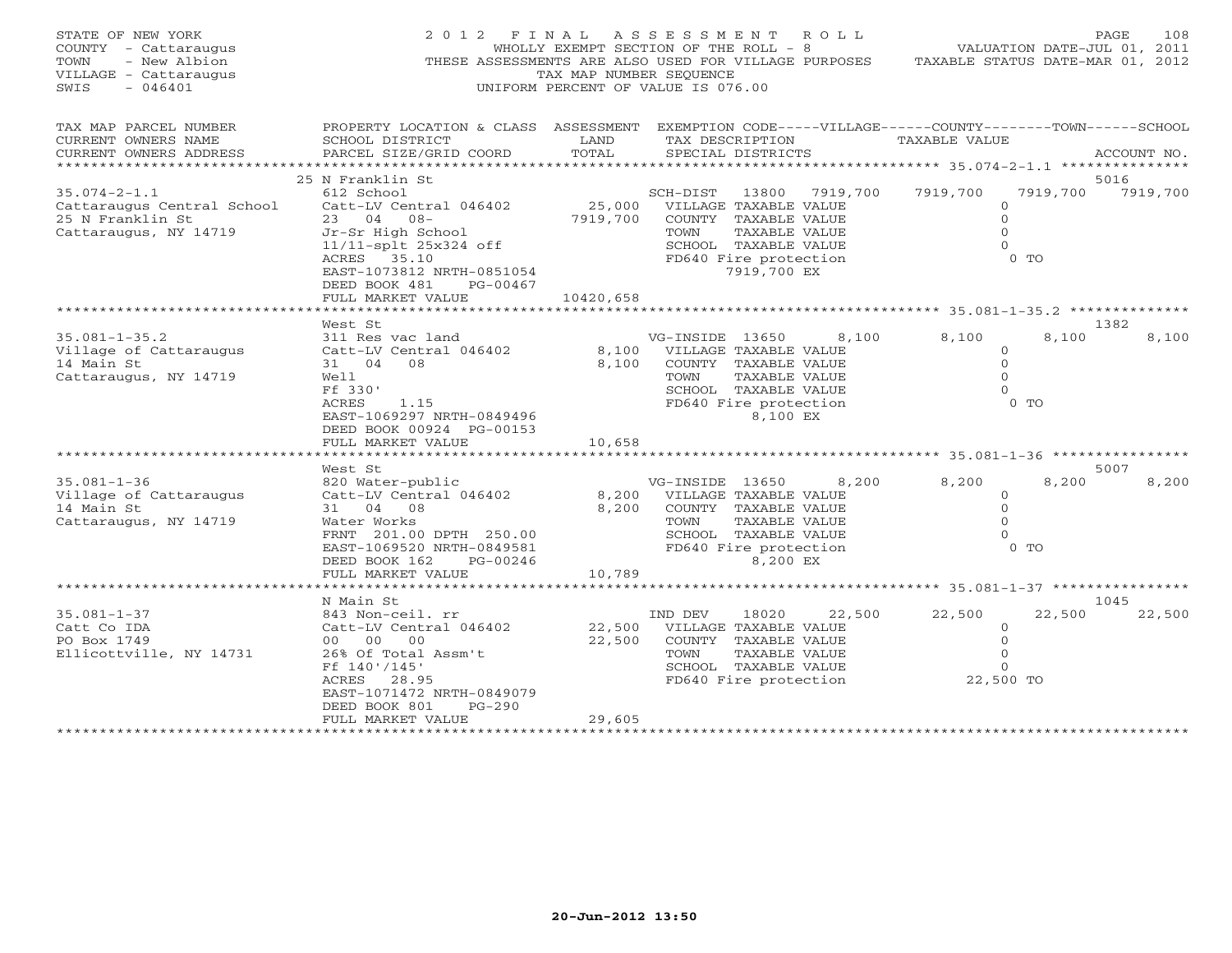| STATE OF NEW YORK<br>COUNTY - Cattaraugus<br>TOWN<br>- New Albion<br>VILLAGE - Cattaraugus<br>SWIS<br>$-046401$                                                            | 2 0 1 2<br>F I N A L                                                                                                                                                                                                                                            | A S S E S S M E N T A O L L<br>WHOLLY EXEMPT SECTION OF THE ROLL - 8<br>THESE ASSESSMENTS ARE ALSO USED FOR VILLAGE PURPOSES<br>TAX MAP NUMBER SEQUENCE<br>UNIFORM PERCENT OF VALUE IS 076.00 |                                                                                                                                                                                                                                                                             | 108<br>PAGE<br>VALUATION DATE-JUL 01, 2011<br>TAXABLE STATUS DATE-MAR 01, 2012                            |                                          |
|----------------------------------------------------------------------------------------------------------------------------------------------------------------------------|-----------------------------------------------------------------------------------------------------------------------------------------------------------------------------------------------------------------------------------------------------------------|-----------------------------------------------------------------------------------------------------------------------------------------------------------------------------------------------|-----------------------------------------------------------------------------------------------------------------------------------------------------------------------------------------------------------------------------------------------------------------------------|-----------------------------------------------------------------------------------------------------------|------------------------------------------|
| TAX MAP PARCEL NUMBER<br>CURRENT OWNERS NAME<br>CURRENT OWNERS ADDRESS<br>*********************                                                                            | PROPERTY LOCATION & CLASS ASSESSMENT EXEMPTION CODE-----VILLAGE------COUNTY-------TOWN------SCHOOL<br>SCHOOL DISTRICT<br>PARCEL SIZE/GRID COORD                                                                                                                 | LAND<br>TOTAL                                                                                                                                                                                 | TAX DESCRIPTION<br>SPECIAL DISTRICTS                                                                                                                                                                                                                                        | TAXABLE VALUE                                                                                             | ACCOUNT NO.                              |
|                                                                                                                                                                            | 25 N Franklin St                                                                                                                                                                                                                                                |                                                                                                                                                                                               |                                                                                                                                                                                                                                                                             |                                                                                                           | 5016                                     |
| $35.074 - 2 - 1.1$                                                                                                                                                         | 612 School                                                                                                                                                                                                                                                      |                                                                                                                                                                                               | SCH-DIST<br>13800 7919,700                                                                                                                                                                                                                                                  | 7919,700                                                                                                  | 7919,700<br>7919,700                     |
| Cattaraugus Central School<br>25 N Franklin St<br>Cattaraugus, NY 14719                                                                                                    | Catt-LV Central 046402<br>$230408-$<br>Jr-Sr High School<br>11/11-splt 25x324 off<br>ACRES 35.10<br>EAST-1073812 NRTH-0851054<br>DEED BOOK 481<br>PG-00467<br>FULL MARKET VALUE                                                                                 | 7919,700<br>10420,658                                                                                                                                                                         | 25,000 VILLAGE TAXABLE VALUE<br>COUNTY TAXABLE VALUE<br>TOWN<br>TAXABLE VALUE<br>SCHOOL TAXABLE VALUE<br>FD640 Fire protection<br>7919,700 EX                                                                                                                               | $\circ$<br>$\mathbf{O}$<br>$\Omega$<br>$\Omega$<br>$0$ TO                                                 |                                          |
|                                                                                                                                                                            |                                                                                                                                                                                                                                                                 |                                                                                                                                                                                               |                                                                                                                                                                                                                                                                             |                                                                                                           |                                          |
|                                                                                                                                                                            | West St                                                                                                                                                                                                                                                         |                                                                                                                                                                                               |                                                                                                                                                                                                                                                                             |                                                                                                           | 1382                                     |
| $35.081 - 1 - 35.2$<br>Village of Cattaraugus<br>14 Main St<br>Cattaraugus, NY 14719<br>$35.081 - 1 - 36$<br>Village of Cattaraugus<br>14 Main St<br>Cattaraugus, NY 14719 | 311 Res vac land<br>Catt-LV Central 046402<br>31 04<br>08<br>Well<br>Ff 330'<br>ACRES<br>1.15<br>EAST-1069297 NRTH-0849496<br>DEED BOOK 00924 PG-00153<br>FULL MARKET VALUE<br>West St<br>820 Water-public<br>Catt-LV Central 046402<br>31 04 08<br>Water Works | 8,100<br>8,100<br>10,658<br>8,200                                                                                                                                                             | VG-INSIDE 13650<br>8,100<br>VILLAGE TAXABLE VALUE<br>COUNTY TAXABLE VALUE<br>TAXABLE VALUE<br>TOWN<br>SCHOOL TAXABLE VALUE<br>FD640 Fire protection<br>8,100 EX<br>8,200<br>VG-INSIDE 13650<br>8,200 VILLAGE TAXABLE VALUE<br>COUNTY TAXABLE VALUE<br>TAXABLE VALUE<br>TOWN | 8,100<br>$\Omega$<br>$\circ$<br>$\Omega$<br>$\Omega$<br>$0$ TO<br>8,200<br>$\circ$<br>$\circ$<br>$\Omega$ | 8,100<br>8,100<br>5007<br>8,200<br>8,200 |
|                                                                                                                                                                            | FRNT 201.00 DPTH 250.00<br>EAST-1069520 NRTH-0849581<br>DEED BOOK 162<br>PG-00246<br>FULL MARKET VALUE                                                                                                                                                          | 10,789                                                                                                                                                                                        | SCHOOL TAXABLE VALUE<br>FD640 Fire protection<br>8,200 EX                                                                                                                                                                                                                   | $\Omega$<br>$0$ TO                                                                                        |                                          |
|                                                                                                                                                                            |                                                                                                                                                                                                                                                                 |                                                                                                                                                                                               |                                                                                                                                                                                                                                                                             |                                                                                                           |                                          |
|                                                                                                                                                                            | N Main St                                                                                                                                                                                                                                                       |                                                                                                                                                                                               |                                                                                                                                                                                                                                                                             |                                                                                                           | 1045                                     |
| $35.081 - 1 - 37$<br>Catt Co IDA<br>PO Box 1749<br>Ellicottville, NY 14731                                                                                                 | 843 Non-ceil. rr<br>Catt-LV Central 046402<br>00 00<br>00<br>26% Of Total Assm't<br>Ff 140'/145'<br>ACRES 28.95<br>EAST-1071472 NRTH-0849079                                                                                                                    | 22,500<br>22,500                                                                                                                                                                              | IND DEV<br>22,500<br>18020<br>VILLAGE TAXABLE VALUE<br>COUNTY TAXABLE VALUE<br>TAXABLE VALUE<br>TOWN<br>SCHOOL TAXABLE VALUE<br>FD640 Fire protection                                                                                                                       | 22,500<br>$\overline{O}$<br>$\mathbf 0$<br>$\Omega$<br>$\Omega$<br>лица и 22,500 то                       | 22,500<br>22,500                         |
| *************************                                                                                                                                                  | $PG-290$<br>DEED BOOK 801<br>FULL MARKET VALUE                                                                                                                                                                                                                  | 29,605                                                                                                                                                                                        |                                                                                                                                                                                                                                                                             |                                                                                                           |                                          |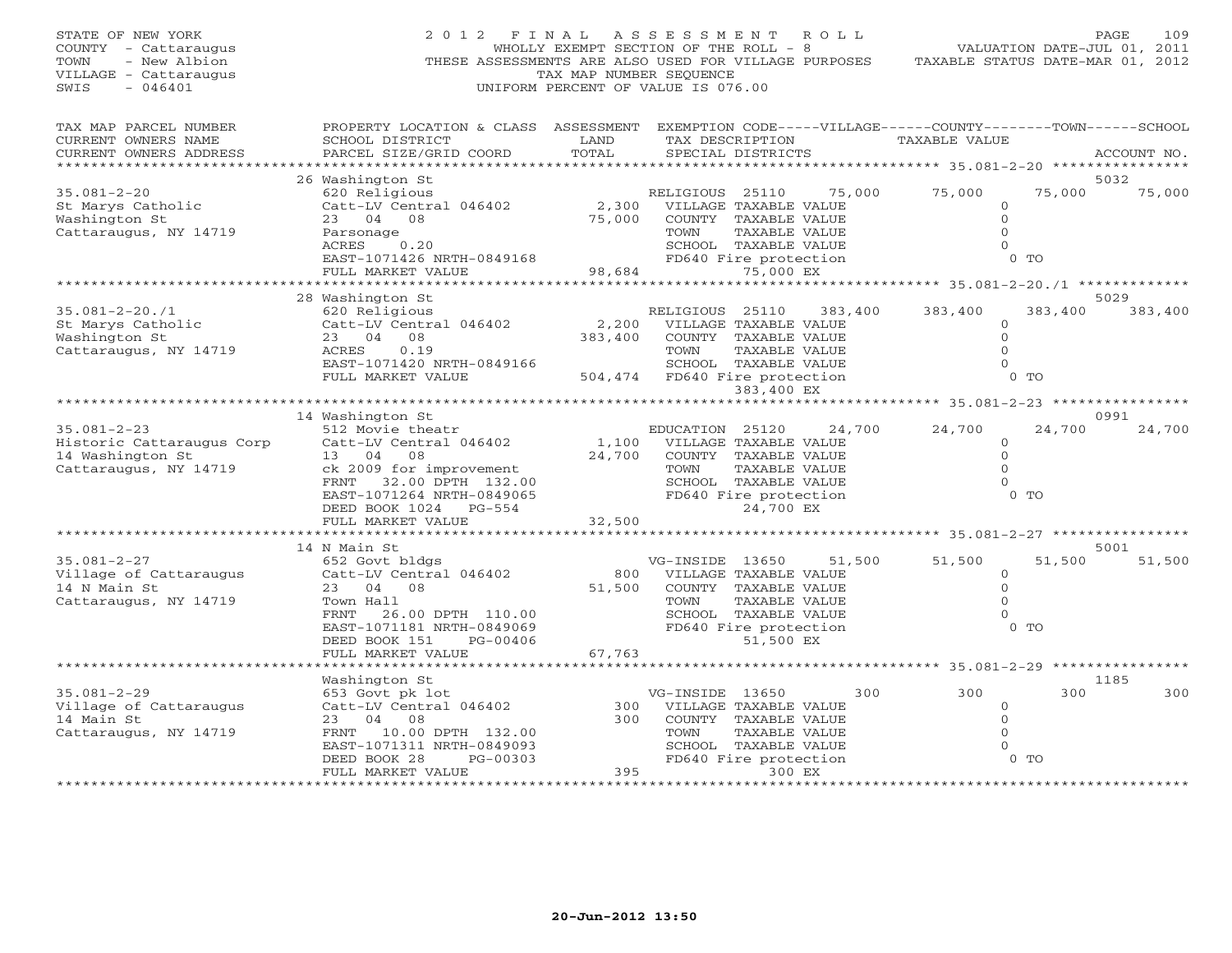| STATE OF NEW YORK<br>COUNTY - Cattaraugus<br>TOWN<br>- New Albion<br>VILLAGE - Cattaraugus<br>SWIS<br>$-046401$                                                                                                                                       | 2012 FINAL ASSESSMENT<br>THESE ASSESSMENTS ARE ALSO USED FOR VILLAGE PURPOSES TAXABLE STATUS DATE-MAR 01, 2012                                                                                                                                                                          | WHOLLY EXEMPT SECTION OF THE ROLL - 8<br>TAX MAP NUMBER SEQUENCE<br>UNIFORM PERCENT OF VALUE IS 076.00 |                                                                                                              |                                                                                        | R O L L | VALUATION DATE-JUL 01, 2011                                                 |                   | PAGE<br>109     |
|-------------------------------------------------------------------------------------------------------------------------------------------------------------------------------------------------------------------------------------------------------|-----------------------------------------------------------------------------------------------------------------------------------------------------------------------------------------------------------------------------------------------------------------------------------------|--------------------------------------------------------------------------------------------------------|--------------------------------------------------------------------------------------------------------------|----------------------------------------------------------------------------------------|---------|-----------------------------------------------------------------------------|-------------------|-----------------|
| TAX MAP PARCEL NUMBER<br>CURRENT OWNERS NAME<br>CURRENT OWNERS ADDRESS<br>***********************                                                                                                                                                     | PROPERTY LOCATION & CLASS ASSESSMENT EXEMPTION CODE-----VILLAGE------COUNTY-------TOWN------SCHOOL<br>SCHOOL DISTRICT<br>PARCEL SIZE/GRID COORD                                                                                                                                         | LAND<br>TOTAL                                                                                          |                                                                                                              | SPECIAL DISTRICTS                                                                      |         | TAX DESCRIPTION TAXABLE VALUE                                               |                   | ACCOUNT NO.     |
| $35.081 - 2 - 20$<br>st<br>St Marys Catholic<br>Machington St<br>Washington St<br>Cattaraugus, NY 14719                                                                                                                                               | 26 Washington St<br>620 Religious<br>620 Religious<br>Catt-LV Central 046402<br>2,300 VILLAGE TAXABLE VALUE<br>23 04 08<br>75,000 COUNTY TAXABLE VALUE<br>Parsonage TOWN TAXABLE VALUE<br>RCRES 0.20<br>EAST-1071426 NRTH-0849168<br>FULL MARKET VALUE<br>FULL MARKET VALUE<br>FULL MAR |                                                                                                        |                                                                                                              |                                                                                        |         | RELIGIOUS 25110 75,000 75,000<br>$\circ$<br>$\circ$<br>$\Omega$<br>$\Omega$ | 75,000<br>$0$ TO  | 5032<br>75,000  |
|                                                                                                                                                                                                                                                       |                                                                                                                                                                                                                                                                                         |                                                                                                        |                                                                                                              |                                                                                        |         |                                                                             |                   |                 |
| $35.081 - 2 - 20.71$<br>St Marys Catholic<br>Washington St<br>Cattaraugus, NY 14719                                                                                                                                                                   | 28 Washington St<br>R<br>620 Religious<br>Catt-LV Central 046402 2,200<br>23 04 08<br>ACRES<br>0.19<br>EAST-1071420 NRTH-0849166<br>FULL MARKET VALUE                                                                                                                                   | 383,400<br>504,474 FD640 Fire protection                                                               | RELIGIOUS 25110 383,400<br>TOWN                                                                              | VILLAGE TAXABLE VALUE<br>COUNTY TAXABLE VALUE<br>TAXABLE VALUE<br>SCHOOL TAXABLE VALUE |         | 383,400<br>$\circ$<br>$\Omega$<br>$\Omega$<br>$\Omega$                      | 383,400<br>$0$ TO | 5029<br>383,400 |
|                                                                                                                                                                                                                                                       |                                                                                                                                                                                                                                                                                         |                                                                                                        |                                                                                                              | 383,400 EX                                                                             |         |                                                                             |                   |                 |
|                                                                                                                                                                                                                                                       | 14 Washington St                                                                                                                                                                                                                                                                        |                                                                                                        |                                                                                                              |                                                                                        |         |                                                                             |                   | 0991            |
| $35.081 - 2 - 23$<br>EDUCATION 25120 24,<br>Historic Cattaraugus Corp Catt-LV Central 046402 1,100 VILLAGE TAXABLE VALUE<br>14 Washington St 13 04 08 24,700 COUNTY TAXABLE VALUE<br>Cattaraugus, NY 14719 ck 2009 for improvement TOWN TAXABLE VALUE | 512 Movie theatr<br>ck 2009 for improvement<br>FRNT 32.00 DPTH 132.00 SCHOOL TAXABLE VALUE<br>EAST-1071264 NRTH-0849065 FD640 Fire protection<br>DEED BOOK 1024 PG-554 24,700 EX<br>DEED BOOK 1024 PG-554                                                                               |                                                                                                        | EDUCATION 25120                                                                                              | 24,700 EX                                                                              | 24,700  | 24,700<br>$\circ$<br>$\circ$<br>$\circ$<br>$\circ$                          | 24,700<br>$0$ TO  | 24,700          |
|                                                                                                                                                                                                                                                       | FULL MARKET VALUE                                                                                                                                                                                                                                                                       | 32,500                                                                                                 |                                                                                                              |                                                                                        |         |                                                                             |                   |                 |
|                                                                                                                                                                                                                                                       | 14 N Main St                                                                                                                                                                                                                                                                            |                                                                                                        |                                                                                                              |                                                                                        |         |                                                                             |                   | 5001            |
| $35.081 - 2 - 27$<br>Village of Cattaraugus<br>14 N Main St<br>Cattaraugus, NY 14719                                                                                                                                                                  | 652 Govt bldgs<br>Catt-LV Central 046402<br>23 04 08<br>Town Hall<br>FRNT 26.00 DPTH 110.00<br>EAST-1071181 NRTH-0849069<br>DEED BOOK 151<br>PG-00406                                                                                                                                   |                                                                                                        | VG-INSIDE 13650<br>800 VILLAGE TAXABLE VALUE<br>51,500 COUNTY TAXABLE VALUE<br>TOWN<br>FD640 Fire protection | TAXABLE VALUE<br>SCHOOL TAXABLE VALUE<br>51,500 EX                                     | 51,500  | 51,500<br>$\overline{0}$<br>$\Omega$<br>$\circ$<br>$\circ$                  | 51,500<br>$0$ TO  | 51,500          |
|                                                                                                                                                                                                                                                       | FULL MARKET VALUE                                                                                                                                                                                                                                                                       | 67,763                                                                                                 |                                                                                                              |                                                                                        |         |                                                                             |                   |                 |
|                                                                                                                                                                                                                                                       |                                                                                                                                                                                                                                                                                         | ************************                                                                               |                                                                                                              |                                                                                        |         | ********************* 35.081-2-29 ****************                          |                   |                 |
| $35.081 - 2 - 29$<br>Village of Cattaraugus<br>14 Main St<br>Cattaraugus, NY 14719                                                                                                                                                                    | Washington St<br>653 Govt pk lot<br>Catt-LV Central 046402<br>23 04 08<br>FRNT 10.00 DPTH 132.00<br>EAST-1071311 NRTH-0849093<br>PG-00303<br>DEED BOOK 28                                                                                                                               |                                                                                                        | VG-INSIDE 13650<br>300 VILLAGE TAXABLE VALUE<br>300 COUNTY TAXABLE VALUE<br>TOWN<br>FD640 Fire protection    | TAXABLE VALUE<br>SCHOOL TAXABLE VALUE                                                  | 300     | 300<br>$\circ$<br>$\circ$<br>$\Omega$<br>$\Omega$                           | 300<br>$0$ TO     | 1185<br>300     |
| ***********************                                                                                                                                                                                                                               | FULL MARKET VALUE                                                                                                                                                                                                                                                                       | 395                                                                                                    |                                                                                                              | 300 EX                                                                                 |         |                                                                             |                   |                 |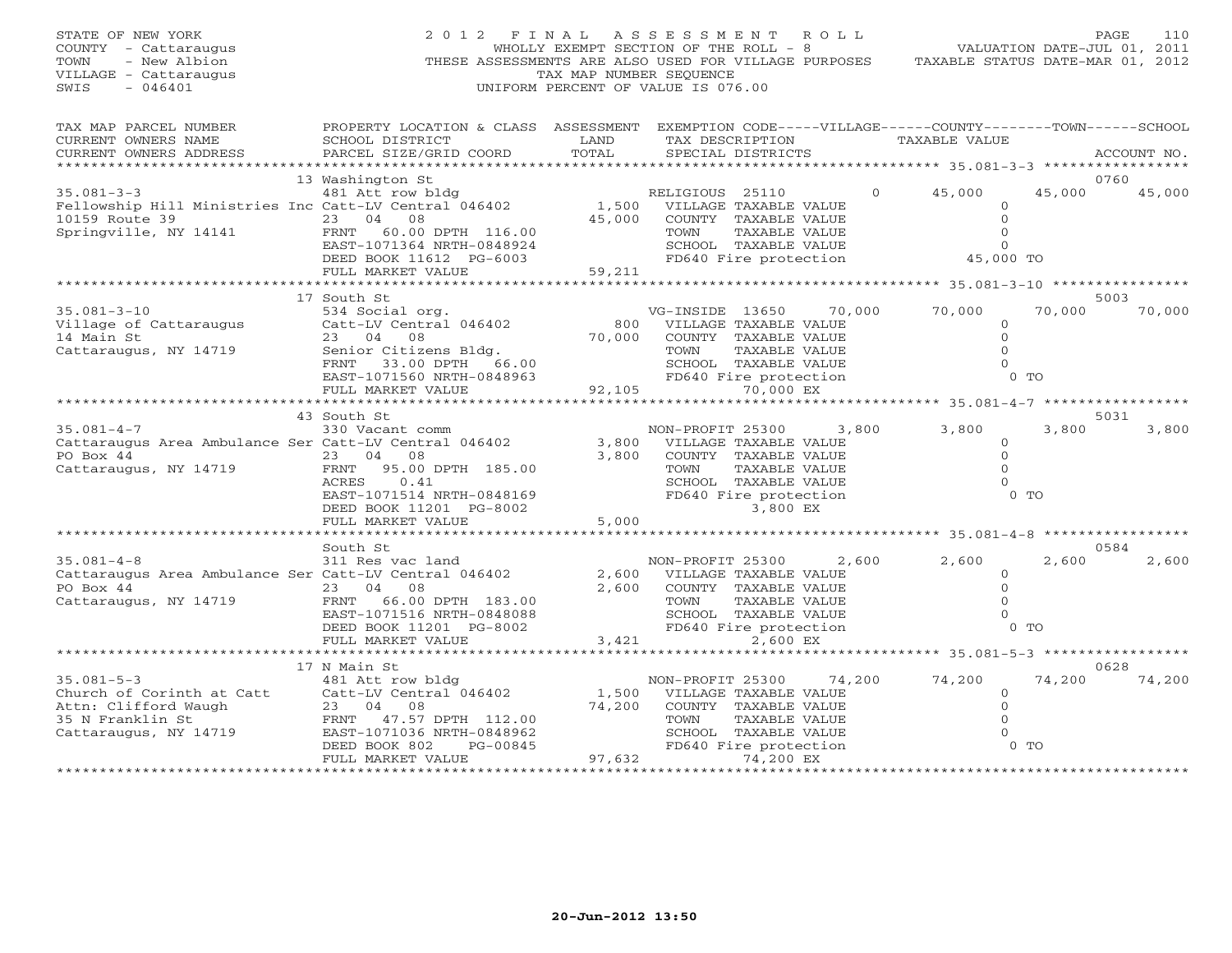| STATE OF NEW YORK<br>COUNTY - Cattaraugus<br>TOWN<br>- New Albion<br>VILLAGE - Cattaraugus<br>SWIS<br>$-046401$      |                                                                                                                                                                                 | TAX MAP NUMBER SEQUENCE | 2012 FINAL ASSESSMENT ROLL<br>WHOLLY EXEMPT SECTION OF THE ROLL - 8<br>THESE ASSESSMENTS ARE ALSO USED FOR VILLAGE PURPOSES<br>UNIFORM PERCENT OF VALUE IS 076.00 | VALUATION DATE-JUL 01, 2011<br>TAXABLE STATUS DATE-MAR 01, 2012 |                                                                                   | 110<br>PAGE    |
|----------------------------------------------------------------------------------------------------------------------|---------------------------------------------------------------------------------------------------------------------------------------------------------------------------------|-------------------------|-------------------------------------------------------------------------------------------------------------------------------------------------------------------|-----------------------------------------------------------------|-----------------------------------------------------------------------------------|----------------|
| TAX MAP PARCEL NUMBER<br>CURRENT OWNERS NAME<br>CURRENT OWNERS ADDRESS<br>********************                       | PROPERTY LOCATION & CLASS ASSESSMENT EXEMPTION CODE-----VILLAGE------COUNTY-------TOWN------SCHOOL<br>SCHOOL DISTRICT<br>PARCEL SIZE/GRID COORD                                 | LAND<br>TOTAL           | TAX DESCRIPTION<br>SPECIAL DISTRICTS                                                                                                                              | TAXABLE VALUE                                                   |                                                                                   | ACCOUNT NO.    |
| $35.081 - 3 - 3$<br>Fellowship Hill Ministries Inc Catt-LV Central 046402<br>10159 Route 39<br>Springville, NY 14141 | 13 Washington St<br>481 Att row bldg<br>23 04 08<br>FRNT 60.00 DPTH 116.00<br>EAST-1071364 NRTH-0848924<br>DEED BOOK 11612 PG-6003<br>FULL MARKET VALUE                         | 45,000<br>59,211        | RELIGIOUS 25110<br>1,500 VILLAGE TAXABLE VALUE<br>COUNTY TAXABLE VALUE<br>TAXABLE VALUE<br>TOWN<br>SCHOOL TAXABLE VALUE<br>FD640 Fire protection                  | 45,000<br>$\Omega$                                              | 45,000<br>$\overline{O}$<br>$\mathbf{0}$<br>$\Omega$<br>$\mathbf{0}$<br>45,000 TO | 0760<br>45,000 |
|                                                                                                                      |                                                                                                                                                                                 |                         |                                                                                                                                                                   |                                                                 |                                                                                   |                |
| $35.081 - 3 - 10$<br>Village of Cattaraugus<br>14 Main St<br>Cattaraugus, NY 14719                                   | 17 South St<br>534 Social org.<br>Catt-LV Central 046402<br>23 04 08<br>Senior Citizens Bldg.<br>FRNT 33.00 DPTH 66.00                                                          | 800<br>70,000           | VG-INSIDE 13650<br>VILLAGE TAXABLE VALUE<br>COUNTY TAXABLE VALUE<br>TOWN<br>TAXABLE VALUE<br>SCHOOL TAXABLE VALUE                                                 | 70,000<br>70,000                                                | 70,000<br>$\circ$<br>$\Omega$<br>$\Omega$<br>$\mathbf{0}$                         | 5003<br>70,000 |
|                                                                                                                      | EAST-1071560 NRTH-0848963<br>FULL MARKET VALUE<br>***************************                                                                                                   |                         | FD640 Fire protection<br>92,105<br>70,000 EX                                                                                                                      |                                                                 | $0$ TO                                                                            |                |
| $35.081 - 4 - 7$<br>Cattaraugus Area Ambulance Ser Catt-LV Central 046402<br>PO Box 44<br>Cattaraugus, NY 14719      | 43 South St<br>330 Vacant comm<br>23 04 08<br>95.00 DPTH 185.00<br>FRNT<br>ACRES<br>0.41<br>EAST-1071514 NRTH-0848169<br>DEED BOOK 11201 PG-8002<br>FULL MARKET VALUE           | 3,800<br>3,800<br>5,000 | NON-PROFIT 25300<br>VILLAGE TAXABLE VALUE<br>COUNTY TAXABLE VALUE<br>TOWN<br>TAXABLE VALUE<br>SCHOOL TAXABLE VALUE<br>FD640 Fire protection<br>3,800 EX           | 3,800<br>3,800                                                  | 3,800<br>$\circ$<br>$\circ$<br>$\Omega$<br>$\Omega$<br>$0$ TO                     | 5031<br>3,800  |
|                                                                                                                      |                                                                                                                                                                                 |                         | ********************                                                                                                                                              | ****************** 35.081-4-8 ******************                |                                                                                   |                |
| $35.081 - 4 - 8$<br>Cattaraugus Area Ambulance Ser Catt-LV Central 046402<br>PO Box 44<br>Cattaraugus, NY 14719      | South St<br>311 Res vac land<br>23 04 08<br>FRNT 66.00 DPTH 183.00<br>EAST-1071516 NRTH-0848088<br>DEED BOOK 11201 PG-8002                                                      | 2,600<br>2,600          | NON-PROFIT 25300 2,600<br>VILLAGE TAXABLE VALUE<br>COUNTY TAXABLE VALUE<br>TOWN<br>TAXABLE VALUE<br>SCHOOL TAXABLE VALUE<br>FD640 Fire protection                 | 2,600                                                           | 2,600<br>$\circ$<br>$\Omega$<br>$\Omega$<br>$\mathbf{0}$<br>$0$ TO                | 0584<br>2,600  |
|                                                                                                                      | FULL MARKET VALUE<br>**************************                                                                                                                                 | 3,421                   | 2,600 EX                                                                                                                                                          |                                                                 |                                                                                   |                |
| $35.081 - 5 - 3$<br>Church of Corinth at Catt<br>Attn: Clifford Waugh<br>35 N Franklin St<br>Cattaraugus, NY 14719   | 17 N Main St<br>481 Att row bldg<br>Catt-LV Central 046402<br>23 04 08<br>FRNT 47.57 DPTH 112.00<br>EAST-1071036 NRTH-0848962<br>DEED BOOK 802<br>PG-00845<br>FULL MARKET VALUE | 74,200<br>97,632        | NON-PROFIT 25300<br>1,500 VILLAGE TAXABLE VALUE<br>COUNTY TAXABLE VALUE<br>TOWN<br>TAXABLE VALUE<br>SCHOOL TAXABLE VALUE<br>FD640 Fire protection<br>74,200 EX    | 74,200<br>74,200                                                | 74,200<br>$\circ$<br>$\mathbf{0}$<br>$\mathbf{0}$<br>$\Omega$<br>$0$ TO           | 0628<br>74,200 |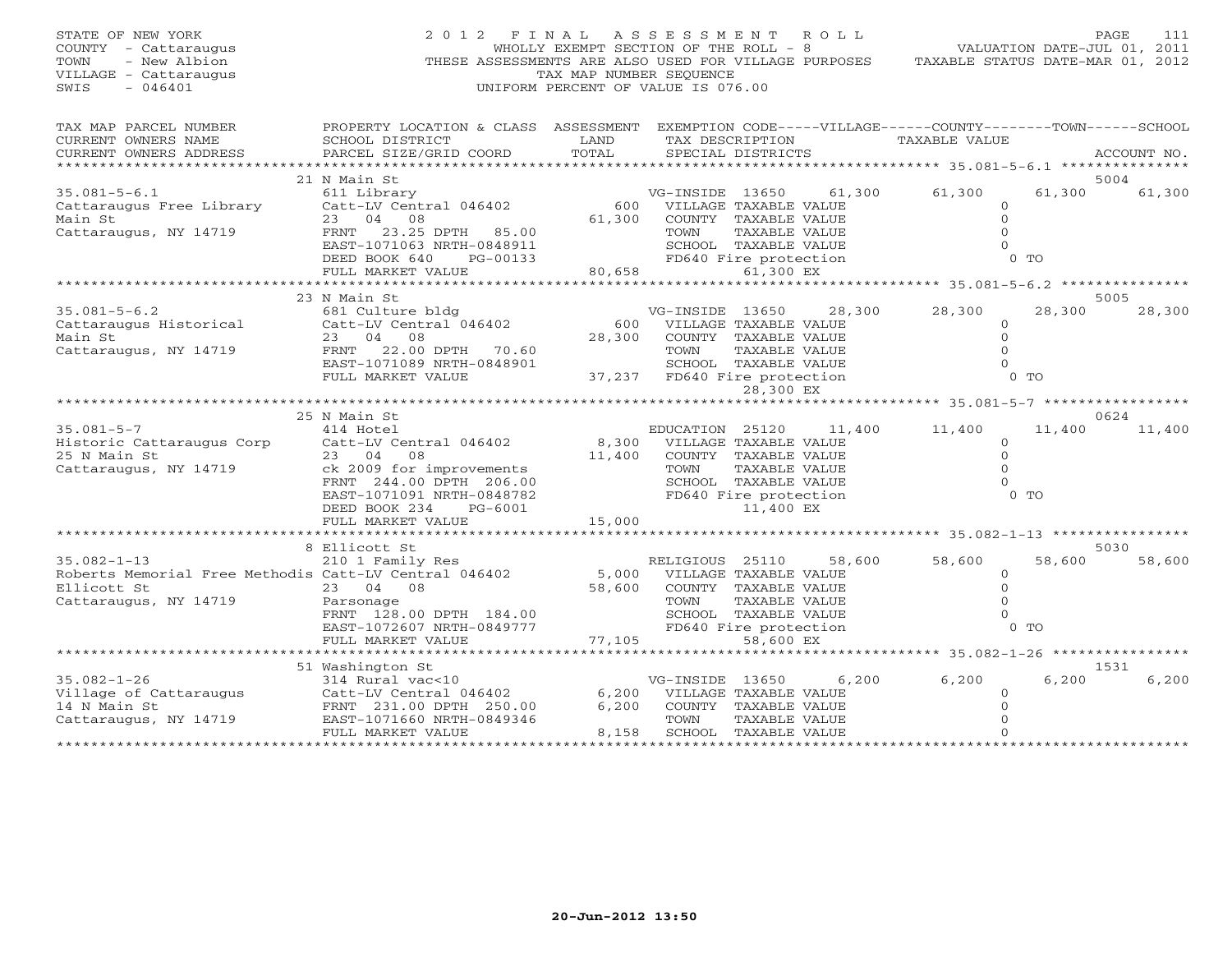| STATE OF NEW YORK<br>COUNTY - Cattaraugus<br>- New Albion<br>TOWN<br>VILLAGE - Cattaraugus<br>$-046401$<br>SWIS                                              | 2012 FINAL ASSESSMENT ROLL<br>THESE ASSESSMENTS ARE ALSO USED FOR VILLAGE PURPOSES                                                                             | WHOLLY EXEMPT SECTION OF THE ROLL - 8<br>TAX MAP NUMBER SEOUENCE<br>UNIFORM PERCENT OF VALUE IS 076.00 |                                                                  |                                               |        | VALUATION DATE-JUL 01, 2011<br>TAXABLE STATUS DATE-MAR 01, 2012 |        | PAGE<br>111    |
|--------------------------------------------------------------------------------------------------------------------------------------------------------------|----------------------------------------------------------------------------------------------------------------------------------------------------------------|--------------------------------------------------------------------------------------------------------|------------------------------------------------------------------|-----------------------------------------------|--------|-----------------------------------------------------------------|--------|----------------|
| TAX MAP PARCEL NUMBER<br>CURRENT OWNERS NAME<br>CURRENT OWNERS ADDRESS                                                                                       | PROPERTY LOCATION & CLASS ASSESSMENT EXEMPTION CODE-----VILLAGE------COUNTY-------TOWN------SCHOOL<br><b>LAND</b><br>SCHOOL DISTRICT<br>PARCEL SIZE/GRID COORD | TOTAL                                                                                                  |                                                                  | TAX DESCRIPTION<br>SPECIAL DISTRICTS          |        | TAXABLE VALUE                                                   |        | ACCOUNT NO.    |
|                                                                                                                                                              |                                                                                                                                                                |                                                                                                        |                                                                  |                                               |        |                                                                 |        |                |
| $35.081 - 5 - 6.1$                                                                                                                                           | 21 N Main St<br>611 Library                                                                                                                                    |                                                                                                        | VG-INSIDE 13650                                                  |                                               | 61,300 | 61,300                                                          | 61,300 | 5004<br>61,300 |
| Cattaraugus Free Library<br>Main St<br>Cattaraugus, NY 14719                                                                                                 | Catt-LV Central 046402<br>23 04 08<br>FRNT 23.25 DPTH 85.00<br>EAST-1071063 NRTH-0848911                                                                       |                                                                                                        | 600 VILLAGE TAXABLE VALUE<br>61,300 COUNTY TAXABLE VALUE<br>TOWN | TAXABLE VALUE                                 |        | $\Omega$<br>$\mathbf{0}$<br>$\Omega$<br>$\Omega$                |        |                |
|                                                                                                                                                              | DEED BOOK 640<br>PG-00133<br>FULL MARKET VALUE                                                                                                                 | SCHOOL TAXABLE VALUE<br>FD640 Fire protection<br>80,658                                                |                                                                  |                                               |        |                                                                 | $0$ TO |                |
|                                                                                                                                                              |                                                                                                                                                                |                                                                                                        |                                                                  |                                               |        |                                                                 |        |                |
|                                                                                                                                                              | 23 N Main St                                                                                                                                                   |                                                                                                        |                                                                  |                                               |        |                                                                 |        | 5005           |
| $35.081 - 5 - 6.2$<br>Cattaraugus Historical                                                                                                                 | 681 Culture bldg<br>Catt-LV Central 046402                                                                                                                     | 600                                                                                                    | VG-INSIDE 13650                                                  | VILLAGE TAXABLE VALUE                         | 28,300 | 28,300<br>$\circ$                                               | 28,300 | 28,300         |
| Main St                                                                                                                                                      | 23 04 08                                                                                                                                                       | 28,300                                                                                                 |                                                                  | COUNTY TAXABLE VALUE                          |        | $\Omega$                                                        |        |                |
| Cattaraugus, NY 14719                                                                                                                                        | FRNT 22.00 DPTH 70.60                                                                                                                                          |                                                                                                        | TOWN                                                             | TAXABLE VALUE                                 |        | $\Omega$                                                        |        |                |
|                                                                                                                                                              | EAST-1071089 NRTH-0848901<br>FULL MARKET VALUE                                                                                                                 |                                                                                                        | 37,237 FD640 Fire protection                                     | SCHOOL TAXABLE VALUE                          |        | $\Omega$                                                        | $0$ TO |                |
|                                                                                                                                                              |                                                                                                                                                                |                                                                                                        |                                                                  | 28,300 EX                                     |        |                                                                 |        |                |
|                                                                                                                                                              | 25 N Main St                                                                                                                                                   |                                                                                                        |                                                                  |                                               |        |                                                                 |        | 0624           |
| $35.081 - 5 - 7$                                                                                                                                             | 414 Hotel                                                                                                                                                      |                                                                                                        | EDUCATION 25120                                                  |                                               | 11,400 | 11,400                                                          | 11,400 | 11,400         |
| Historic Cattaraugus Corp                                                                                                                                    | Catt-LV Central 046402                                                                                                                                         | 8,300                                                                                                  |                                                                  | VILLAGE TAXABLE VALUE                         |        | $\mathbf{0}$                                                    |        |                |
| 25 N Main St                                                                                                                                                 | 23 04<br>08                                                                                                                                                    | 11,400                                                                                                 |                                                                  | COUNTY TAXABLE VALUE                          |        | $\Omega$                                                        |        |                |
| Cattaraugus, NY 14719                                                                                                                                        | ck 2009 for improvements                                                                                                                                       |                                                                                                        | TOWN                                                             | TAXABLE VALUE                                 |        | $\Omega$                                                        |        |                |
|                                                                                                                                                              | FRNT 244.00 DPTH 206.00                                                                                                                                        |                                                                                                        |                                                                  | SCHOOL TAXABLE VALUE                          |        | $\Omega$                                                        |        |                |
|                                                                                                                                                              | EAST-1071091 NRTH-0848782<br>DEED BOOK 234<br>PG-6001                                                                                                          |                                                                                                        |                                                                  | FD640 Fire protection<br>11,400 EX            |        |                                                                 | $0$ TO |                |
|                                                                                                                                                              | FULL MARKET VALUE                                                                                                                                              | 15,000                                                                                                 |                                                                  |                                               |        |                                                                 |        |                |
|                                                                                                                                                              |                                                                                                                                                                |                                                                                                        |                                                                  |                                               |        |                                                                 |        |                |
|                                                                                                                                                              | 8 Ellicott St                                                                                                                                                  |                                                                                                        |                                                                  |                                               |        |                                                                 |        | 5030           |
| $35.082 - 1 - 13$                                                                                                                                            | 210 1 Family Res                                                                                                                                               |                                                                                                        | RELIGIOUS 25110                                                  |                                               | 58,600 | 58,600                                                          | 58,600 | 58,600         |
| Roberts Memorial Free Methodis Catt-LV Central 046402                                                                                                        |                                                                                                                                                                | 5,000                                                                                                  | VILLAGE TAXABLE VALUE                                            |                                               |        | $\circ$                                                         |        |                |
| Ellicott St                                                                                                                                                  | 23 04 08                                                                                                                                                       | 58,600                                                                                                 |                                                                  | COUNTY TAXABLE VALUE                          |        | $\Omega$                                                        |        |                |
| Cattaraugus, NY 14719                                                                                                                                        | Parsonage                                                                                                                                                      |                                                                                                        | TOWN                                                             | TAXABLE VALUE                                 |        | $\Omega$                                                        |        |                |
|                                                                                                                                                              | FRNT 128.00 DPTH 184.00<br>EAST-1072607 NRTH-0849777                                                                                                           |                                                                                                        |                                                                  | SCHOOL TAXABLE VALUE<br>FD640 Fire protection |        | $\Omega$                                                        | $0$ TO |                |
|                                                                                                                                                              | FULL MARKET VALUE                                                                                                                                              | 77,105                                                                                                 |                                                                  | 58,600 EX                                     |        |                                                                 |        |                |
|                                                                                                                                                              | ************************                                                                                                                                       | ************                                                                                           |                                                                  |                                               |        | ********* 35.082-1-26 ****************                          |        |                |
|                                                                                                                                                              | 51 Washington St                                                                                                                                               |                                                                                                        |                                                                  |                                               |        |                                                                 |        | 1531           |
| $35.082 - 1 - 26$                                                                                                                                            | 314 Rural vac<10                                                                                                                                               |                                                                                                        | VG-INSIDE 13650                                                  |                                               | 6,200  | 6,200                                                           | 6,200  | 6,200          |
|                                                                                                                                                              |                                                                                                                                                                |                                                                                                        | 6,200 VILLAGE TAXABLE VALUE                                      |                                               |        | $\mathbf{0}$                                                    |        |                |
|                                                                                                                                                              |                                                                                                                                                                | 6,200                                                                                                  |                                                                  | COUNTY TAXABLE VALUE                          |        | $\Omega$                                                        |        |                |
| 314 Rufal Vac<10<br>Village of Cattaraugus Catt-LV Central 046402<br>14 N Main St FRNT 231.00 DPTH 250.00<br>Cattaraugus, NY 14719 EAST-1071660 NRTH-0849346 |                                                                                                                                                                |                                                                                                        | TOWN                                                             | TAXABLE VALUE                                 |        |                                                                 |        |                |
|                                                                                                                                                              | FULL MARKET VALUE                                                                                                                                              | 8,158                                                                                                  |                                                                  | SCHOOL TAXABLE VALUE                          |        |                                                                 |        |                |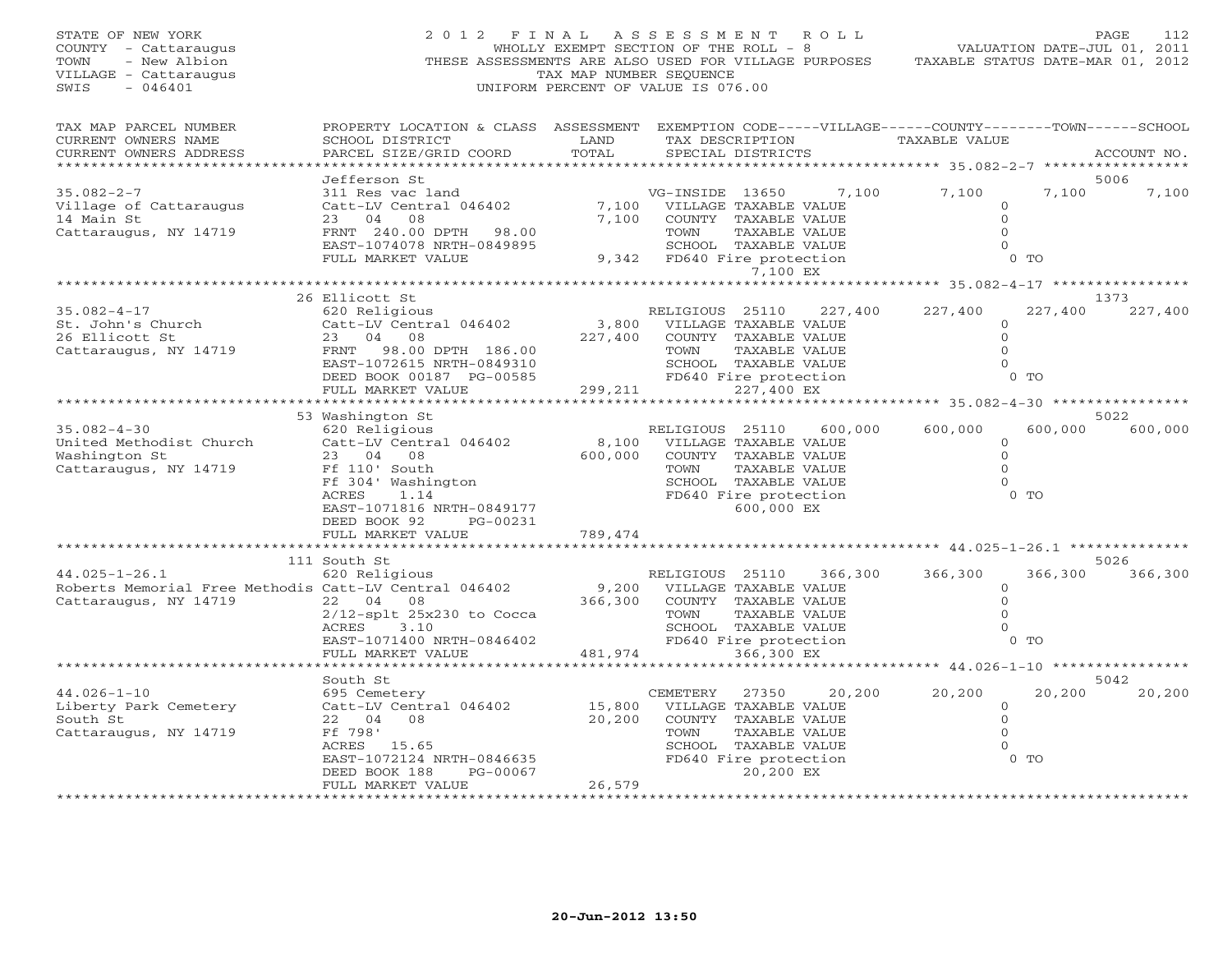| STATE OF NEW YORK<br>COUNTY - Cattaraugus<br>TOWN<br>- New Albion<br>VILLAGE - Cattaraugus<br>SWIS<br>$-046401$ | THESE ASSESSMENTS ARE ALSO USED FOR VILLAGE PURPOSES                                                                                            | TAX MAP NUMBER SEQUENCE | 2012 FINAL ASSESSMENT ROLL<br>WHOLLY EXEMPT SECTION OF THE ROLL - 8<br>UNIFORM PERCENT OF VALUE IS 076.00 |                                                               | VALUATION DATE-JUL 01, 2011<br>TAXABLE STATUS DATE-MAR 01, 2012 |         | PAGE<br>112 |
|-----------------------------------------------------------------------------------------------------------------|-------------------------------------------------------------------------------------------------------------------------------------------------|-------------------------|-----------------------------------------------------------------------------------------------------------|---------------------------------------------------------------|-----------------------------------------------------------------|---------|-------------|
| TAX MAP PARCEL NUMBER<br>CURRENT OWNERS NAME<br>CURRENT OWNERS ADDRESS                                          | PROPERTY LOCATION & CLASS ASSESSMENT EXEMPTION CODE-----VILLAGE------COUNTY-------TOWN------SCHOOL<br>SCHOOL DISTRICT<br>PARCEL SIZE/GRID COORD | LAND<br>TOTAL           | SPECIAL DISTRICTS                                                                                         | TAX DESCRIPTION TAXABLE VALUE                                 |                                                                 |         | ACCOUNT NO. |
|                                                                                                                 | Jefferson St                                                                                                                                    |                         |                                                                                                           |                                                               |                                                                 |         | 5006        |
| $35.082 - 2 - 7$                                                                                                | 311 Res vac land                                                                                                                                |                         | VG-INSIDE 13650                                                                                           |                                                               | 7,100 7,100                                                     | 7,100   | 7,100       |
| Village of Cattaraugus                                                                                          | Catt-LV Central 046402<br>23 04 08<br>23 04 08                                                                                                  |                         | 7,100 VILLAGE TAXABLE VALUE                                                                               |                                                               | $\circ$                                                         |         |             |
| 14 Main St<br>Cattaraugus, NY 14719                                                                             | FRNT 240.00 DPTH 98.00                                                                                                                          | 7,100                   | COUNTY TAXABLE VALUE<br>TOWN                                                                              | TAXABLE VALUE                                                 | $\Omega$<br>$\Omega$                                            |         |             |
|                                                                                                                 | EAST-1074078 NRTH-0849895                                                                                                                       |                         | SCHOOL TAXABLE VALUE                                                                                      |                                                               | $\Omega$                                                        |         |             |
|                                                                                                                 | FULL MARKET VALUE                                                                                                                               |                         | 9,342 FD640 Fire protection                                                                               | 7,100 EX                                                      |                                                                 | $0$ TO  |             |
|                                                                                                                 |                                                                                                                                                 |                         |                                                                                                           |                                                               |                                                                 |         |             |
|                                                                                                                 | 26 Ellicott St                                                                                                                                  |                         |                                                                                                           |                                                               |                                                                 |         | 1373        |
| 35.082-4-17                                                                                                     | 620 Religious                                                                                                                                   |                         | RELIGIOUS 25110                                                                                           | 227,400                                                       | 227,400                                                         | 227,400 | 227,400     |
| St. John's Church<br>26 Ellicott St                                                                             | Catt-LV Central 046402<br>23 04 08                                                                                                              | 3,800<br>227,400        | VILLAGE TAXABLE VALUE<br>COUNTY TAXABLE VALUE                                                             |                                                               | $\circ$<br>$\Omega$                                             |         |             |
| Cattaraugus, NY 14719                                                                                           | FRNT 98.00 DPTH 186.00                                                                                                                          |                         | TOWN                                                                                                      | TAXABLE VALUE                                                 | $\Omega$                                                        |         |             |
|                                                                                                                 | EAST-1072615 NRTH-0849310                                                                                                                       |                         |                                                                                                           |                                                               | $\Omega$                                                        |         |             |
|                                                                                                                 | DEED BOOK 00187 PG-00585                                                                                                                        |                         | TOWIN<br>SCHOOL TAXABLE VALUE<br>FD640 Fire protection<br>227.400 EX                                      |                                                               |                                                                 | $0$ TO  |             |
|                                                                                                                 | FULL MARKET VALUE<br>**************************                                                                                                 |                         |                                                                                                           |                                                               |                                                                 |         |             |
|                                                                                                                 | 53 Washington St                                                                                                                                |                         |                                                                                                           |                                                               |                                                                 |         | 5022        |
| $35.082 - 4 - 30$                                                                                               | 620 Religious                                                                                                                                   |                         | RELIGIOUS 25110                                                                                           | 600,000                                                       | 600,000                                                         | 600,000 | 600,000     |
| United Methodist Church                                                                                         | Catt-LV Central 046402                                                                                                                          |                         | 8,100 VILLAGE TAXABLE VALUE                                                                               |                                                               | $\circ$                                                         |         |             |
| Washington St                                                                                                   | 23 04 08                                                                                                                                        |                         | 600,000 COUNTY TAXABLE VALUE                                                                              |                                                               | $\Omega$                                                        |         |             |
| Cattaraugus, NY 14719                                                                                           | Ff 110' South                                                                                                                                   |                         | <b>TOWN</b>                                                                                               | TAXABLE VALUE                                                 | $\Omega$<br>$\Omega$                                            |         |             |
|                                                                                                                 | Ff 304' Washington<br>ACRES<br>1.14                                                                                                             |                         | SCHOOL TAXABLE VALUE<br>FD640 Fire protection                                                             |                                                               |                                                                 | $0$ TO  |             |
|                                                                                                                 | EAST-1071816 NRTH-0849177                                                                                                                       |                         |                                                                                                           | 600,000 EX                                                    |                                                                 |         |             |
|                                                                                                                 | DEED BOOK 92<br>PG-00231                                                                                                                        |                         |                                                                                                           |                                                               |                                                                 |         |             |
|                                                                                                                 | FULL MARKET VALUE                                                                                                                               | 789,474                 |                                                                                                           |                                                               |                                                                 |         |             |
|                                                                                                                 | 111 South St                                                                                                                                    |                         |                                                                                                           | ********************************* 44.025-1-26.1 ************* |                                                                 |         | 5026        |
| $44.025 - 1 - 26.1$                                                                                             | 620 Religious                                                                                                                                   |                         | RELIGIOUS 25110                                                                                           | 366,300                                                       | 366,300                                                         | 366,300 | 366,300     |
| Roberts Memorial Free Methodis Catt-LV Central 046402                                                           |                                                                                                                                                 | 9,200                   | VILLAGE TAXABLE VALUE                                                                                     |                                                               | $\circ$                                                         |         |             |
| Cattaraugus, NY 14719                                                                                           | 22 04 08                                                                                                                                        | 366,300                 | COUNTY TAXABLE VALUE                                                                                      |                                                               | $\overline{0}$                                                  |         |             |
|                                                                                                                 | $2/12$ -splt $25x230$ to Cocca                                                                                                                  |                         | TOWN                                                                                                      | TAXABLE VALUE                                                 | $\Omega$                                                        |         |             |
|                                                                                                                 | ACRES<br>3.10<br>EAST-1071400 NRTH-0846402                                                                                                      |                         | SCHOOL TAXABLE VALUE<br>FD640 Fire protection                                                             |                                                               | $\mathbf{0}$                                                    | $0$ TO  |             |
|                                                                                                                 | FULL MARKET VALUE                                                                                                                               |                         | 481,974                                                                                                   | 366,300 EX                                                    |                                                                 |         |             |
|                                                                                                                 | * * * * * * * * * *                                                                                                                             |                         |                                                                                                           |                                                               |                                                                 |         |             |
|                                                                                                                 | South St                                                                                                                                        |                         |                                                                                                           |                                                               |                                                                 |         | 5042        |
| $44.026 - 1 - 10$                                                                                               | 695 Cemetery                                                                                                                                    |                         | CEMETERY                                                                                                  | 27350<br>20,200                                               | 20,200                                                          | 20,200  | 20,200      |
| Liberty Park Cemetery<br>South St                                                                               | Catt-LV Central 046402<br>22 04 08                                                                                                              | 15,800<br>20,200        | VILLAGE TAXABLE VALUE<br>COUNTY TAXABLE VALUE                                                             |                                                               | $\circ$<br>$\overline{0}$                                       |         |             |
| Cattaraugus, NY 14719                                                                                           | Ff 798'                                                                                                                                         |                         | TOWN                                                                                                      | TAXABLE VALUE                                                 | $\Omega$                                                        |         |             |
|                                                                                                                 | ACRES 15.65                                                                                                                                     |                         | SCHOOL TAXABLE VALUE                                                                                      |                                                               | $\circ$                                                         |         |             |
|                                                                                                                 | EAST-1072124 NRTH-0846635                                                                                                                       |                         | FD640 Fire protection                                                                                     |                                                               |                                                                 | $0$ TO  |             |
|                                                                                                                 | PG-00067<br>DEED BOOK 188<br>FULL MARKET VALUE                                                                                                  | 26,579                  |                                                                                                           | 20,200 EX                                                     |                                                                 |         |             |
|                                                                                                                 |                                                                                                                                                 | <b>+++++++++++</b>      |                                                                                                           |                                                               |                                                                 |         |             |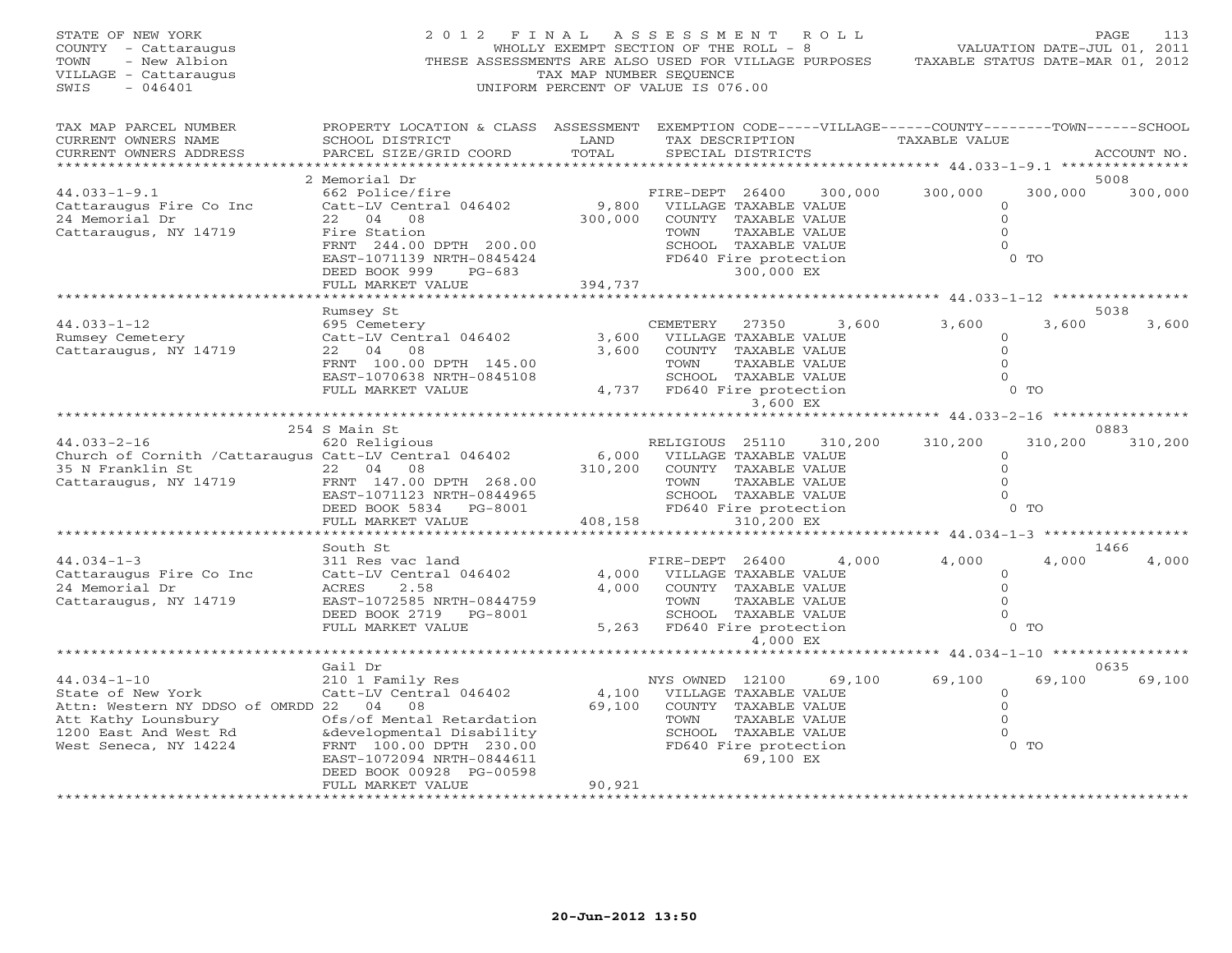| STATE OF NEW YORK<br>COUNTY - Cattaraugus<br>TOWN<br>- New Albion<br>VILLAGE - Cattaraugus<br>SWIS<br>$-046401$                                            | 2012 FINAL ASSESSMENT<br>THESE ASSESSMENTS ARE ALSO USED FOR VILLAGE PURPOSES                                                                                                            | WHOLLY EXEMPT SECTION OF THE ROLL - 8<br>TAX MAP NUMBER SEQUENCE<br>UNIFORM PERCENT OF VALUE IS 076.00 |                                                                                                                                 |                            | R O L L | VALUATION DATE-JUL 01, 2011<br>TAXABLE STATUS DATE-MAR 01, 2012 |                                                               | PAGE<br>113   |
|------------------------------------------------------------------------------------------------------------------------------------------------------------|------------------------------------------------------------------------------------------------------------------------------------------------------------------------------------------|--------------------------------------------------------------------------------------------------------|---------------------------------------------------------------------------------------------------------------------------------|----------------------------|---------|-----------------------------------------------------------------|---------------------------------------------------------------|---------------|
| TAX MAP PARCEL NUMBER<br>CURRENT OWNERS NAME<br>CURRENT OWNERS ADDRESS                                                                                     | PROPERTY LOCATION & CLASS ASSESSMENT EXEMPTION CODE-----VILLAGE------COUNTY-------TOWN------SCHOOL<br>SCHOOL DISTRICT<br>PARCEL SIZE/GRID COORD                                          | LAND<br>TOTAL                                                                                          | TAX DESCRIPTION<br>SPECIAL DISTRICTS                                                                                            |                            |         | TAXABLE VALUE                                                   |                                                               | ACCOUNT NO.   |
|                                                                                                                                                            | 2 Memorial Dr                                                                                                                                                                            |                                                                                                        |                                                                                                                                 |                            |         |                                                                 |                                                               | 5008          |
| $44.033 - 1 - 9.1$<br>Cattaraugus Fire Co Inc<br>24 Memorial Dr<br>Cattaraugus, NY 14719                                                                   | 662 Police/fire<br>Catt-LV Central 046402<br>22 04 08<br>Fire Station<br>FRNT 244.00 DPTH 200.00                                                                                         | 9,800<br>300,000                                                                                       | FIRE-DEPT 26400<br>VILLAGE TAXABLE VALUE<br>COUNTY TAXABLE VALUE<br>TOWN<br>SCHOOL TAXABLE VALUE                                | TAXABLE VALUE              | 300,000 | 300,000                                                         | 300,000<br>$\mathbf{0}$<br>$\circ$<br>$\circ$<br>$\Omega$     | 300,000       |
|                                                                                                                                                            | EAST-1071139 NRTH-0845424<br>DEED BOOK 999<br>PG-683<br>FULL MARKET VALUE                                                                                                                | 394,737                                                                                                | FD640 Fire protection                                                                                                           | 300,000 EX                 |         |                                                                 | $0$ TO                                                        |               |
|                                                                                                                                                            |                                                                                                                                                                                          |                                                                                                        |                                                                                                                                 |                            |         |                                                                 |                                                               |               |
| $44.033 - 1 - 12$<br>Rumsey Cemetery                                                                                                                       | Rumsey St<br>695 Cemetery<br>Catt-LV Central 046402                                                                                                                                      | 3,600                                                                                                  | CEMETERY<br>VILLAGE TAXABLE VALUE                                                                                               | 27350                      | 3,600   | 3,600                                                           | 3,600<br>$\circ$                                              | 5038<br>3,600 |
| Cattaraugus, NY 14719                                                                                                                                      | 22 04 08<br>FRNT 100.00 DPTH 145.00<br>EAST-1070638 NRTH-0845108<br>FULL MARKET VALUE                                                                                                    | 3,600                                                                                                  | COUNTY TAXABLE VALUE<br>TOWN<br>SCHOOL TAXABLE VALUE<br>4,737 FD640 Fire protection                                             | TAXABLE VALUE              |         |                                                                 | $\Omega$<br>$\Omega$<br>$\circ$<br>$0$ TO                     |               |
|                                                                                                                                                            |                                                                                                                                                                                          |                                                                                                        |                                                                                                                                 | 3,600 EX                   |         |                                                                 |                                                               |               |
|                                                                                                                                                            |                                                                                                                                                                                          |                                                                                                        |                                                                                                                                 |                            |         |                                                                 |                                                               |               |
| $44.033 - 2 - 16$                                                                                                                                          | 254 S Main St<br>620 Religious                                                                                                                                                           |                                                                                                        |                                                                                                                                 |                            |         |                                                                 | 310,200                                                       | 0883          |
| Church of Cornith / Cattaraugus Catt-LV Central 046402                                                                                                     |                                                                                                                                                                                          | 6,000                                                                                                  | RELIGIOUS 25110<br>VILLAGE TAXABLE VALUE                                                                                        |                            | 310,200 | 310,200                                                         | $\circ$                                                       | 310,200       |
| 35 N Franklin St                                                                                                                                           | 22 04 08                                                                                                                                                                                 | 310,200                                                                                                | COUNTY TAXABLE VALUE                                                                                                            |                            |         |                                                                 | $\circ$                                                       |               |
| Cattaraugus, NY 14719                                                                                                                                      | FRNT 147.00 DPTH 268.00                                                                                                                                                                  |                                                                                                        | TOWN                                                                                                                            | TAXABLE VALUE              |         |                                                                 | $\Omega$                                                      |               |
|                                                                                                                                                            | EAST-1071123 NRTH-0844965                                                                                                                                                                |                                                                                                        | SCHOOL TAXABLE VALUE                                                                                                            |                            |         |                                                                 | $\Omega$                                                      |               |
|                                                                                                                                                            | DEED BOOK 5834 PG-8001<br>FULL MARKET VALUE                                                                                                                                              |                                                                                                        | FD640 Fire protection<br>408,158                                                                                                | 310,200 EX                 |         |                                                                 | $0$ TO                                                        |               |
|                                                                                                                                                            | *********************                                                                                                                                                                    |                                                                                                        |                                                                                                                                 |                            |         |                                                                 |                                                               |               |
|                                                                                                                                                            | South St                                                                                                                                                                                 |                                                                                                        |                                                                                                                                 |                            |         |                                                                 |                                                               | 1466          |
| $44.034 - 1 - 3$<br>Cattaraugus Fire Co Inc<br>24 Memorial Dr<br>Cattaraugus, NY 14719                                                                     | 311 Res vac land<br>Catt-LV Central 046402<br>ACRES<br>2.58<br>EAST-1072585 NRTH-0844759<br>DEED BOOK 2719 PG-8001                                                                       | 4,000<br>4,000                                                                                         | FIRE-DEPT 26400<br>VILLAGE TAXABLE VALUE<br>COUNTY TAXABLE VALUE<br>TOWN<br>SCHOOL TAXABLE VALUE                                | TAXABLE VALUE              | 4,000   | 4,000                                                           | 4,000<br>$\circ$<br>$\circ$<br>$\Omega$<br>$\circ$            | 4,000         |
|                                                                                                                                                            | FULL MARKET VALUE                                                                                                                                                                        |                                                                                                        | 5,263 FD640 Fire protection                                                                                                     | 4,000 EX                   |         |                                                                 | $0$ TO                                                        |               |
|                                                                                                                                                            |                                                                                                                                                                                          |                                                                                                        |                                                                                                                                 |                            |         |                                                                 |                                                               |               |
|                                                                                                                                                            | Gail Dr                                                                                                                                                                                  |                                                                                                        |                                                                                                                                 |                            |         |                                                                 |                                                               | 0635          |
| $44.034 - 1 - 10$<br>State of New York<br>Attn: Western NY DDSO of OMRDD 22 04 08<br>Att Kathy Lounsbury<br>1200 East And West Rd<br>West Seneca, NY 14224 | 210 1 Family Res<br>Catt-LV Central 046402<br>Ofs/of Mental Retardation<br>&developmental Disability<br>FRNT 100.00 DPTH 230.00<br>EAST-1072094 NRTH-0844611<br>DEED BOOK 00928 PG-00598 | 69,100                                                                                                 | NYS OWNED 12100<br>4,100 VILLAGE TAXABLE VALUE<br>COUNTY TAXABLE VALUE<br>TOWN<br>SCHOOL TAXABLE VALUE<br>FD640 Fire protection | TAXABLE VALUE<br>69,100 EX | 69,100  | 69,100                                                          | 69,100<br>$\circ$<br>$\circ$<br>$\circ$<br>$\Omega$<br>$0$ TO | 69,100        |
|                                                                                                                                                            | FULL MARKET VALUE                                                                                                                                                                        | 90,921                                                                                                 |                                                                                                                                 |                            |         |                                                                 |                                                               |               |
|                                                                                                                                                            | *******************                                                                                                                                                                      | ************                                                                                           |                                                                                                                                 |                            |         |                                                                 |                                                               |               |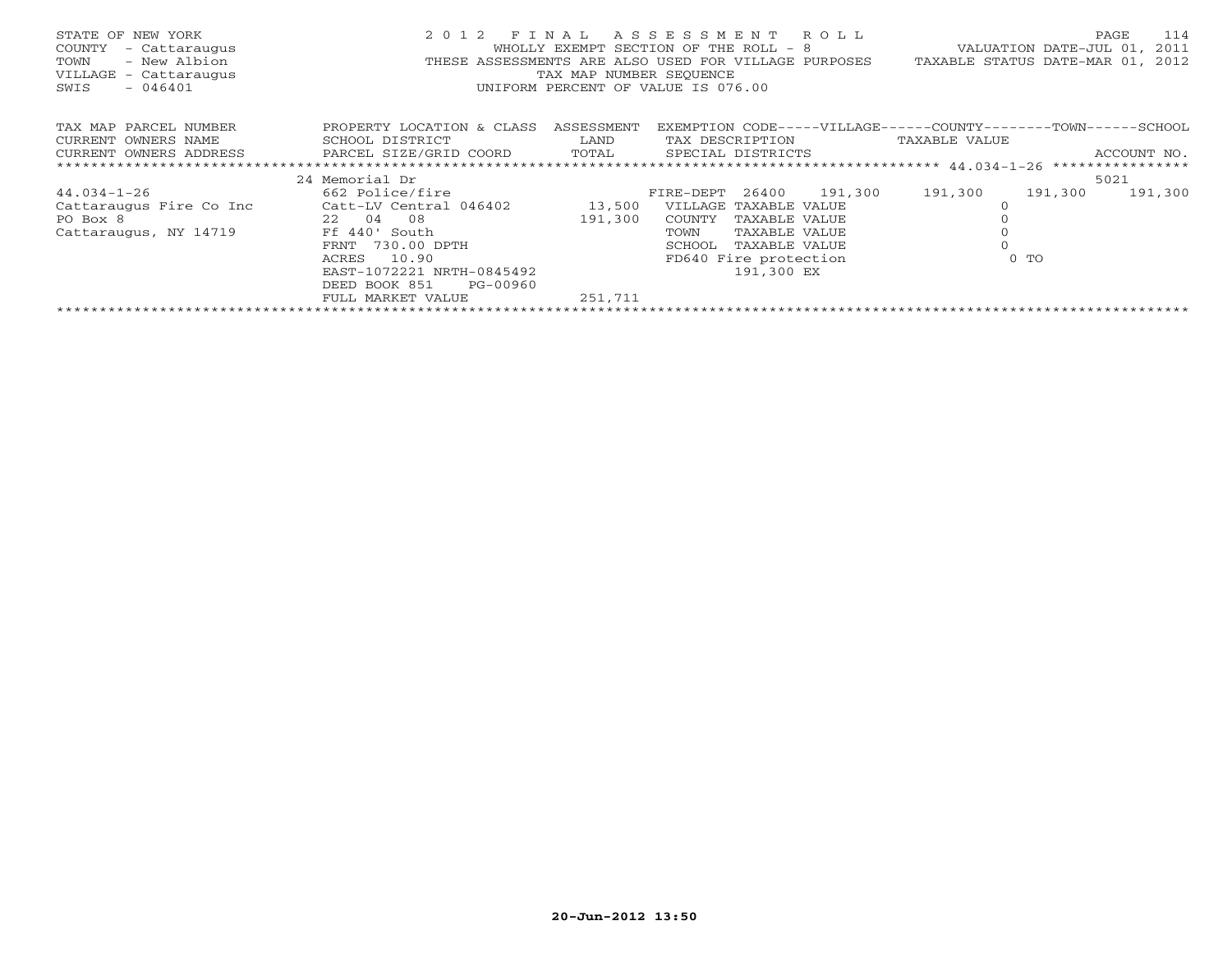| STATE OF NEW YORK<br>- Cattaraugus<br>COUNTY<br>- New Albion<br>TOWN<br>VILLAGE - Cattaraugus<br>$-046401$<br>SWIS | 2012 FINAL ASSESSMENT ROLL<br>THESE ASSESSMENTS ARE ALSO USED FOR VILLAGE PURPOSES | WHOLLY EXEMPT SECTION OF THE ROLL - 8<br>TAX MAP NUMBER SEQUENCE<br>UNIFORM PERCENT OF VALUE IS 076.00 |                       |                       |         | TAXABLE STATUS DATE-MAR 01,                                    | VALUATION DATE-JUL 01, | 114<br>PAGE<br>2011<br>2012 |
|--------------------------------------------------------------------------------------------------------------------|------------------------------------------------------------------------------------|--------------------------------------------------------------------------------------------------------|-----------------------|-----------------------|---------|----------------------------------------------------------------|------------------------|-----------------------------|
| TAX MAP PARCEL NUMBER                                                                                              | PROPERTY LOCATION & CLASS ASSESSMENT                                               |                                                                                                        |                       |                       |         | EXEMPTION CODE-----VILLAGE------COUNTY--------TOWN------SCHOOL |                        |                             |
| CURRENT OWNERS NAME                                                                                                | SCHOOL DISTRICT                                                                    | LAND                                                                                                   | TAX DESCRIPTION       |                       |         | TAXABLE VALUE                                                  |                        |                             |
| CURRENT OWNERS ADDRESS                                                                                             | PARCEL SIZE/GRID COORD TOTAL                                                       |                                                                                                        | SPECIAL DISTRICTS     |                       |         |                                                                |                        | ACCOUNT NO.                 |
|                                                                                                                    |                                                                                    |                                                                                                        |                       |                       |         |                                                                |                        |                             |
|                                                                                                                    | 24 Memorial Dr                                                                     |                                                                                                        |                       |                       |         |                                                                |                        | 5021                        |
| $44.034 - 1 - 26$                                                                                                  | 662 Police/fire                                                                    |                                                                                                        | FIRE-DEPT 26400       |                       | 191,300 | 191,300                                                        | 191,300                | 191,300                     |
| Cattaraugus Fire Co Inc                                                                                            | Catt-LV Central 046402                                                             | 13,500                                                                                                 | VILLAGE TAXABLE VALUE |                       |         |                                                                |                        |                             |
| PO Box 8                                                                                                           | 22 04 08                                                                           | 191,300                                                                                                | COUNTY                | TAXABLE VALUE         |         |                                                                |                        |                             |
| Cattaraugus, NY 14719                                                                                              | Ff 440' South                                                                      |                                                                                                        | TOWN                  | TAXABLE VALUE         |         |                                                                |                        |                             |
|                                                                                                                    | 730.00 DPTH<br>FRNT                                                                |                                                                                                        | SCHOOL                | TAXABLE VALUE         |         |                                                                |                        |                             |
|                                                                                                                    | 10.90<br>ACRES                                                                     |                                                                                                        |                       | FD640 Fire protection |         |                                                                | $0$ TO                 |                             |
|                                                                                                                    | EAST-1072221 NRTH-0845492                                                          |                                                                                                        |                       | 191,300 EX            |         |                                                                |                        |                             |
|                                                                                                                    | DEED BOOK 851<br>PG-00960                                                          |                                                                                                        |                       |                       |         |                                                                |                        |                             |
|                                                                                                                    | FULL MARKET VALUE                                                                  | 251,711                                                                                                |                       |                       |         |                                                                |                        |                             |
|                                                                                                                    |                                                                                    |                                                                                                        |                       |                       |         |                                                                |                        |                             |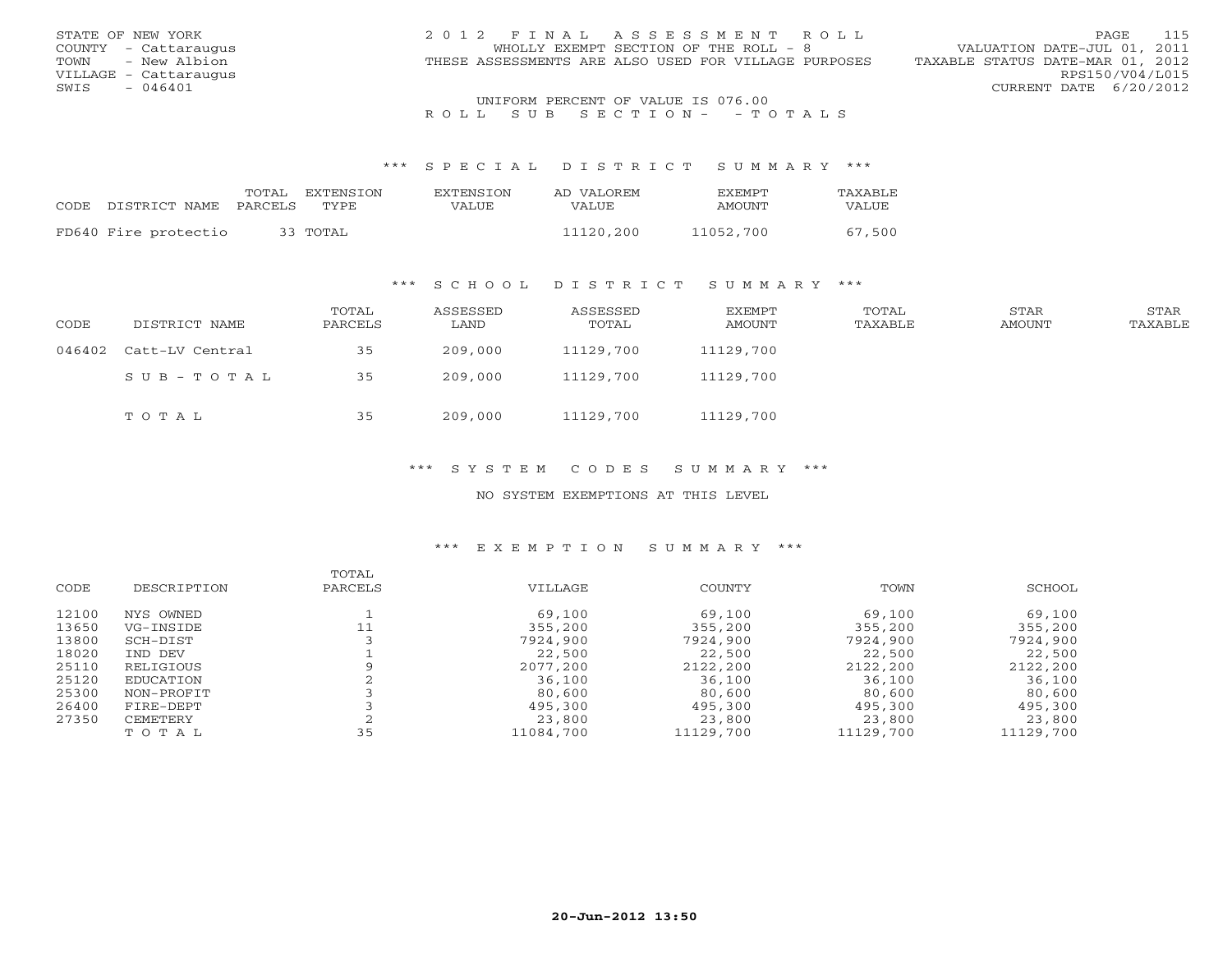| STATE OF NEW YORK     | 2012 FINAL ASSESSMENT ROLL                           | 115<br>PAGE                      |
|-----------------------|------------------------------------------------------|----------------------------------|
| COUNTY - Cattaraugus  | WHOLLY EXEMPT SECTION OF THE ROLL - 8                | VALUATION DATE-JUL 01, 2011      |
| TOWN - New Albion     | THESE ASSESSMENTS ARE ALSO USED FOR VILLAGE PURPOSES | TAXABLE STATUS DATE-MAR 01, 2012 |
| VILLAGE - Cattaraugus |                                                      | RPS150/V04/L015                  |
| - 046401<br>SWIS      |                                                      | CURRENT DATE 6/20/2012           |
|                       | UNIFORM PERCENT OF VALUE IS 076.00                   |                                  |

### R O L L S U B S E C T I O N - - T O T A L S

#### \*\*\* S P E C I A L D I S T R I C T S U M M A R Y \*\*\*

| CODE DISTRICT NAME   | TOTAL<br>PARCELS | EXTENSTON<br>TYPE. | <b>EXTENSION</b><br>VALUE | AD VALOREM<br>VALUE | <b>EXEMPT</b><br>AMOUNT | <b>TAXABLE</b><br>VALUE |
|----------------------|------------------|--------------------|---------------------------|---------------------|-------------------------|-------------------------|
|                      |                  |                    |                           |                     |                         |                         |
| FD640 Fire protectio |                  | 33 TOTAL           |                           | 11120,200           | 11052,700               | 67,500                  |

### \*\*\* S C H O O L D I S T R I C T S U M M A R Y \*\*\*

| CODE | DISTRICT NAME          | TOTAL<br>PARCELS | ASSESSED<br>LAND | ASSESSED<br>TOTAL | EXEMPT<br>AMOUNT | TOTAL<br>TAXABLE | STAR<br>AMOUNT | <b>STAR</b><br>TAXABLE |
|------|------------------------|------------------|------------------|-------------------|------------------|------------------|----------------|------------------------|
|      | 046402 Catt-LV Central | 35               | 209,000          | 11129,700         | 11129,700        |                  |                |                        |
|      | SUB-TOTAL              | 35               | 209,000          | 11129,700         | 11129,700        |                  |                |                        |
|      | TOTAL                  | 35               | 209,000          | 11129,700         | 11129,700        |                  |                |                        |

### \*\*\* S Y S T E M C O D E S S U M M A R Y \*\*\*

#### NO SYSTEM EXEMPTIONS AT THIS LEVEL

#### \*\*\* E X E M P T I O N S U M M A R Y \*\*\*

|       |             | TOTAL   |           |           |           |           |
|-------|-------------|---------|-----------|-----------|-----------|-----------|
| CODE  | DESCRIPTION | PARCELS | VILLAGE   | COUNTY    | TOWN      | SCHOOL    |
| 12100 | NYS OWNED   |         | 69,100    | 69,100    | 69,100    | 69,100    |
| 13650 | VG-INSIDE   | 11      | 355,200   | 355,200   | 355,200   | 355,200   |
| 13800 | SCH-DIST    |         | 7924,900  | 7924,900  | 7924,900  | 7924,900  |
| 18020 | TND DEV     |         | 22,500    | 22,500    | 22,500    | 22,500    |
| 25110 | RELIGIOUS   |         | 2077,200  | 2122,200  | 2122,200  | 2122,200  |
| 25120 | EDUCATION   |         | 36,100    | 36,100    | 36,100    | 36,100    |
| 25300 | NON-PROFIT  |         | 80,600    | 80,600    | 80,600    | 80,600    |
| 26400 | FIRE-DEPT   |         | 495,300   | 495,300   | 495,300   | 495,300   |
| 27350 | CEMETERY    |         | 23,800    | 23,800    | 23,800    | 23,800    |
|       | TOTAL       | 35      | 11084,700 | 11129,700 | 11129,700 | 11129,700 |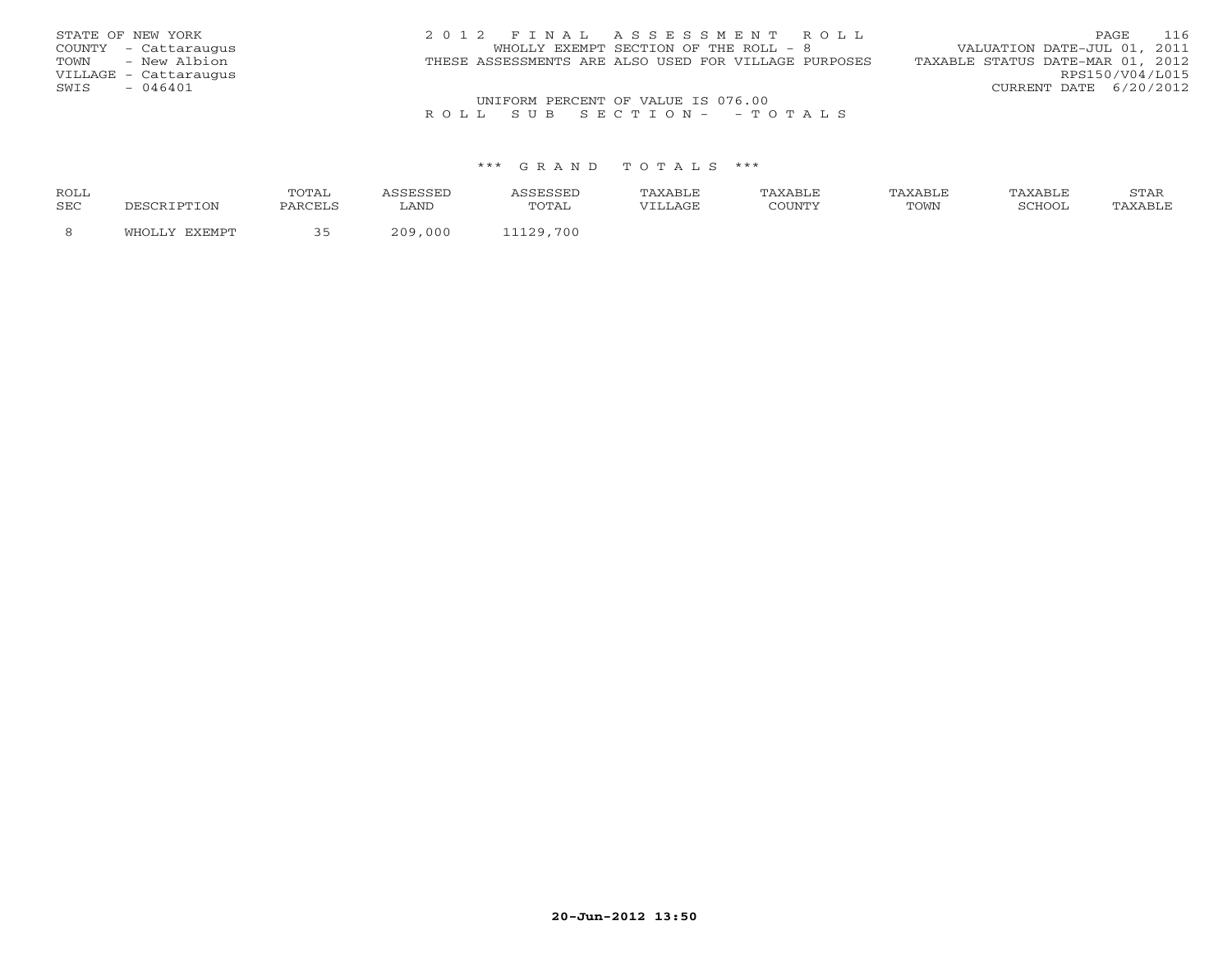| STATE OF NEW YORK     | 2012 FINAL ASSESSMENT ROLL                           | 116<br>PAGE                      |
|-----------------------|------------------------------------------------------|----------------------------------|
| COUNTY - Cattaraugus  | WHOLLY EXEMPT SECTION OF THE ROLL - 8                | VALUATION DATE-JUL 01, 2011      |
| - New Albion<br>TOWN  | THESE ASSESSMENTS ARE ALSO USED FOR VILLAGE PURPOSES | TAXABLE STATUS DATE-MAR 01, 2012 |
| VILLAGE - Cattaraugus |                                                      | RPS150/V04/L015                  |
| $-046401$<br>SWIS     |                                                      | CURRENT DATE 6/20/2012           |
|                       | UNIFORM PERCENT OF VALUE IS 076.00                   |                                  |

### R O L L S U B S E C T I O N - - T O T A L S

#### \*\*\* G R A N D T O T A L S \*\*\*

| <b>ROLL</b> |          | 'O'L'AL        |             | .                   | <b>\XABLE</b> | XABLE   |      |        | STAR<br>~~~~ |
|-------------|----------|----------------|-------------|---------------------|---------------|---------|------|--------|--------------|
| <b>SEC</b>  |          | <b>DARCELS</b> | LAND        | ጥ∩ጥ∆ 1<br>- - - - - | VIIJAGE       | CCTINTM | TOWN | SCHOOL |              |
|             | יחמ⊿הם∨פ |                | 000<br>ם הכ | 700<br>ຳລດ          |               |         |      |        |              |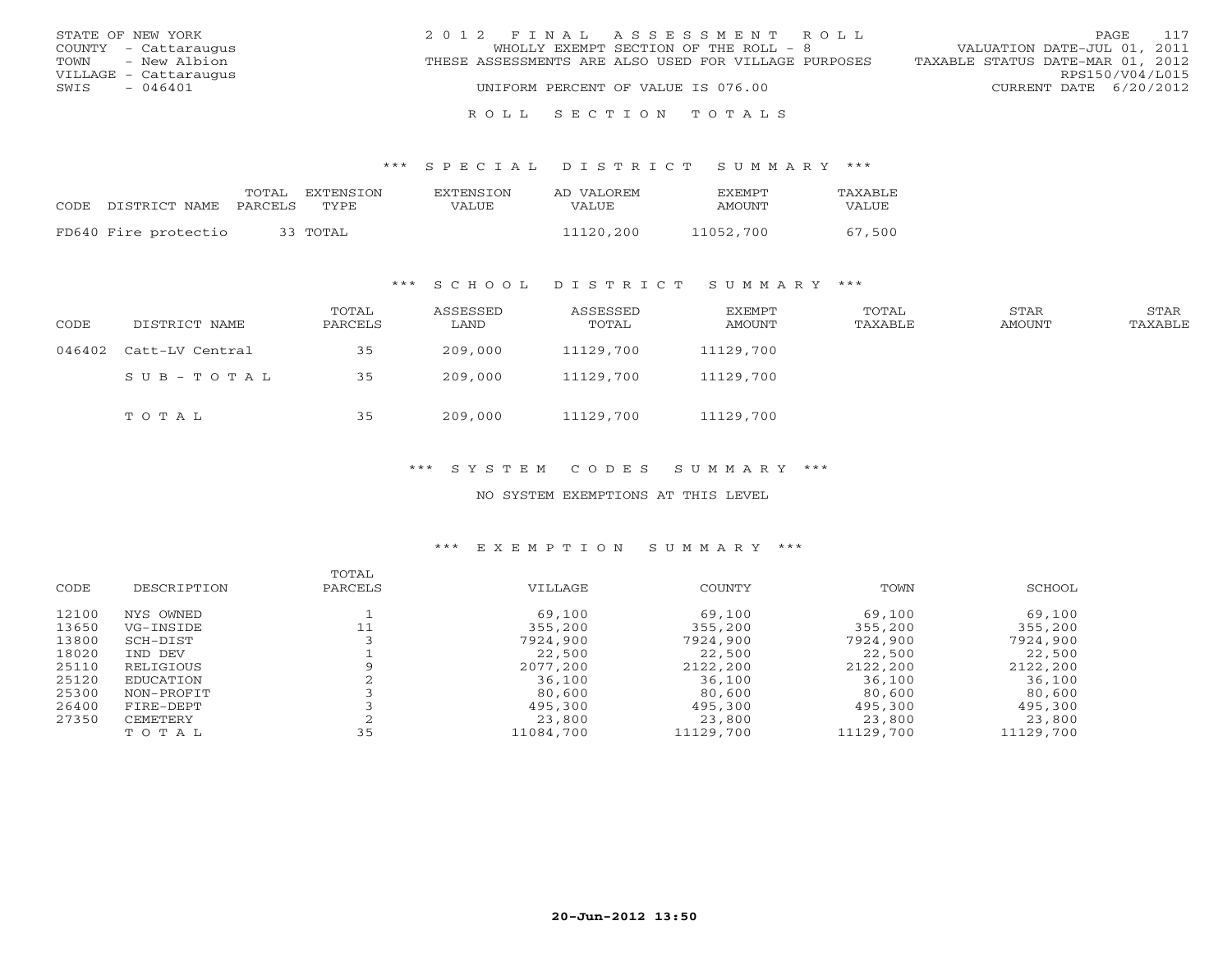| STATE OF NEW YORK     | 2012 FINAL ASSESSMENT ROLL                           | 117<br>PAGE                      |
|-----------------------|------------------------------------------------------|----------------------------------|
| COUNTY - Cattaraugus  | WHOLLY EXEMPT SECTION OF THE ROLL - 8                | VALUATION DATE-JUL 01, 2011      |
| TOWN - New Albion     | THESE ASSESSMENTS ARE ALSO USED FOR VILLAGE PURPOSES | TAXABLE STATUS DATE-MAR 01, 2012 |
| VILLAGE - Cattaraugus |                                                      | RPS150/V04/L015                  |
| $-046401$<br>SWIS     | UNIFORM PERCENT OF VALUE IS 076.00                   | CURRENT DATE 6/20/2012           |
|                       |                                                      |                                  |

#### R O L L S E C T I O N T O T A L S

#### \*\*\* S P E C I A L D I S T R I C T S U M M A R Y \*\*\*

|      |                       | TOTAL | EXTENSTON | <b>EXTENSION</b> | AD VALOREM | <b>EXEMPT</b> | <b>TAXABLE</b> |
|------|-----------------------|-------|-----------|------------------|------------|---------------|----------------|
| CODE | DISTRICT NAME PARCELS |       | TYPE.     | VALUE            | VALUE      | AMOUNT        | VALUE          |
|      | FD640 Fire protectio  |       | 33 TOTAL  |                  | 11120,200  | 11052,700     | 67,500         |

### \*\*\* S C H O O L D I S T R I C T S U M M A R Y \*\*\*

| CODE | DISTRICT NAME          | TOTAL<br>PARCELS | ASSESSED<br>LAND | ASSESSED<br>TOTAL | EXEMPT<br>AMOUNT | TOTAL<br>TAXABLE | STAR<br>AMOUNT | STAR<br>TAXABLE |
|------|------------------------|------------------|------------------|-------------------|------------------|------------------|----------------|-----------------|
|      | 046402 Catt-LV Central | 35               | 209,000          | 11129,700         | 11129,700        |                  |                |                 |
|      | SUB-TOTAL              | 35               | 209,000          | 11129,700         | 11129,700        |                  |                |                 |
|      | TOTAL                  | 35               | 209,000          | 11129,700         | 11129,700        |                  |                |                 |

### \*\*\* S Y S T E M C O D E S S U M M A R Y \*\*\*

#### NO SYSTEM EXEMPTIONS AT THIS LEVEL

#### \*\*\* E X E M P T I O N S U M M A R Y \*\*\*

|       |             | TOTAL   |           |           |           |           |
|-------|-------------|---------|-----------|-----------|-----------|-----------|
| CODE  | DESCRIPTION | PARCELS | VILLAGE   | COUNTY    | TOWN      | SCHOOL    |
| 12100 | NYS OWNED   |         | 69,100    | 69,100    | 69,100    | 69,100    |
| 13650 | VG-INSIDE   | 11      | 355,200   | 355,200   | 355,200   | 355,200   |
| 13800 | SCH-DIST    |         | 7924,900  | 7924,900  | 7924,900  | 7924,900  |
| 18020 | TND DEV     |         | 22,500    | 22,500    | 22,500    | 22,500    |
| 25110 | RELIGIOUS   |         | 2077,200  | 2122,200  | 2122,200  | 2122,200  |
| 25120 | EDUCATION   |         | 36,100    | 36,100    | 36,100    | 36,100    |
| 25300 | NON-PROFIT  |         | 80,600    | 80,600    | 80,600    | 80,600    |
| 26400 | FIRE-DEPT   |         | 495,300   | 495,300   | 495,300   | 495,300   |
| 27350 | CEMETERY    |         | 23,800    | 23,800    | 23,800    | 23,800    |
|       | TOTAL       | 35      | 11084,700 | 11129,700 | 11129,700 | 11129,700 |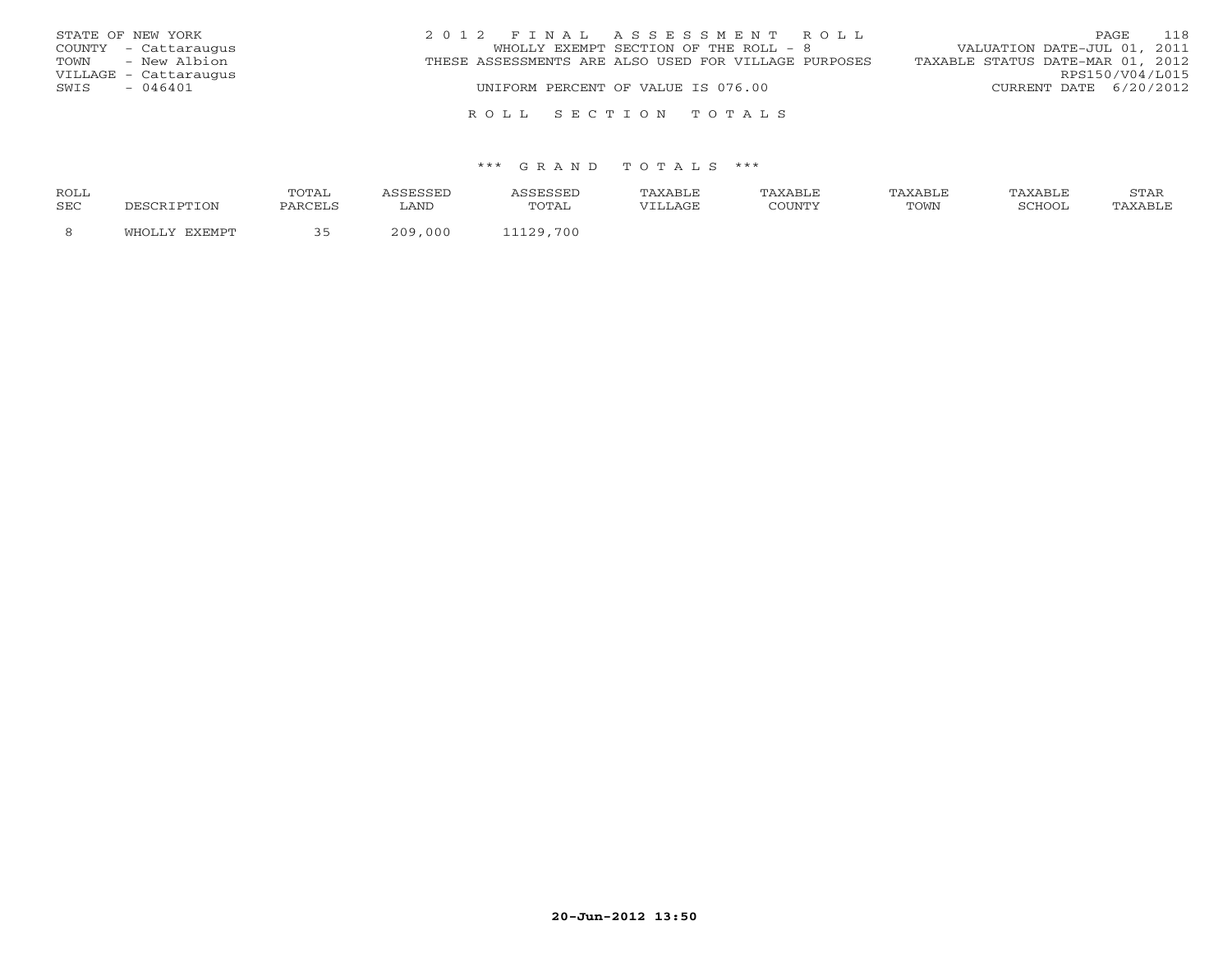| STATE OF NEW YORK     | 2012 FINAL ASSESSMENT ROLL                           | 118<br>PAGE                      |
|-----------------------|------------------------------------------------------|----------------------------------|
| COUNTY - Cattaraugus  | WHOLLY EXEMPT SECTION OF THE ROLL - 8                | VALUATION DATE-JUL 01, 2011      |
| TOWN - New Albion     | THESE ASSESSMENTS ARE ALSO USED FOR VILLAGE PURPOSES | TAXABLE STATUS DATE-MAR 01, 2012 |
| VILLAGE - Cattaraugus |                                                      | RPS150/V04/L015                  |
| - 046401<br>SWIS      | UNIFORM PERCENT OF VALUE IS 076.00                   | CURRENT DATE 6/20/2012           |
|                       |                                                      |                                  |

#### \*\*\* G R A N D T O T A L S \*\*\*

R O L L S E C T I O N T O T A L S

| ROLL |       | TOTAI   |           |                | TAXABLE | TAXABLE | TAXABLE | TAXABLE | $cm\pi$<br>بمدعدت |
|------|-------|---------|-----------|----------------|---------|---------|---------|---------|-------------------|
| SEC  | 'TON  | PARCELS | LAND      | TOTAL          | VILLAGE | COUNTY  | TOWN    | SCHOOI  |                   |
|      | ™H∩T… |         | 000<br>ററ | .700<br>11120. |         |         |         |         |                   |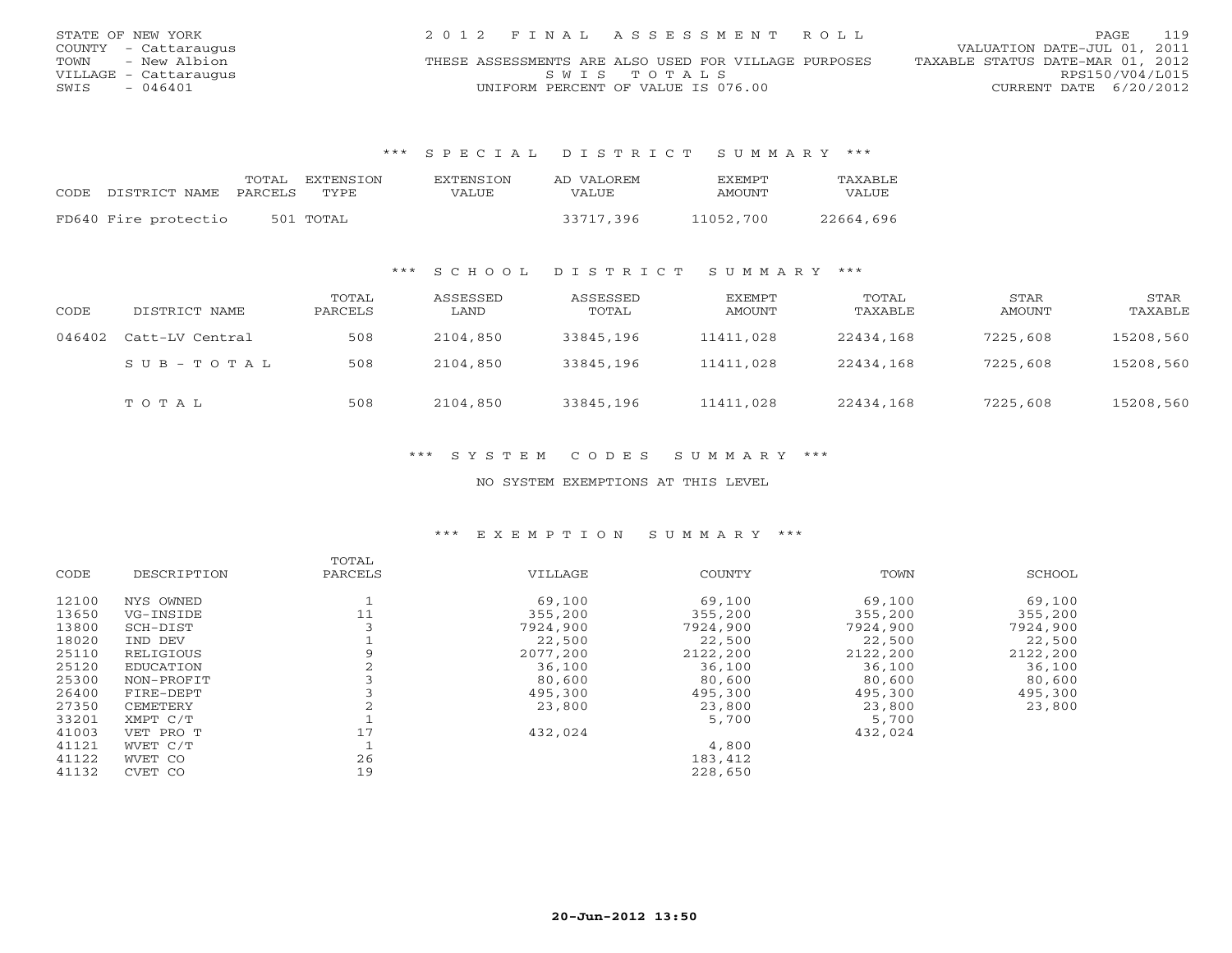| STATE OF NEW YORK     | 2012 FINAL ASSESSMENT ROLL                           | 119<br>PAGE                      |
|-----------------------|------------------------------------------------------|----------------------------------|
| COUNTY - Cattaraugus  |                                                      | VALUATION DATE-JUL 01, 2011      |
| TOWN<br>- New Albion  | THESE ASSESSMENTS ARE ALSO USED FOR VILLAGE PURPOSES | TAXABLE STATUS DATE-MAR 01, 2012 |
| VILLAGE – Cattaraugus | SWIS TOTALS                                          | RPS150/V04/L015                  |
| - 046401<br>SWIS      | UNIFORM PERCENT OF VALUE IS 076.00                   | CURRENT DATE 6/20/2012           |

\*\*\* S P E C I A L D I S T R I C T S U M M A R Y \*\*\*

| CODE. | DISTRICT NAME        | TOTAL<br>PARCELS | EXTENSTON<br>TYPE | EXTENSTON<br>VALUE | AD VALOREM<br>VALUE | <b>FXFMPT</b><br>AMOUNT | <b>TAXABLE</b><br>VALUE |
|-------|----------------------|------------------|-------------------|--------------------|---------------------|-------------------------|-------------------------|
|       | FD640 Fire protectio |                  | 501 TOTAL         |                    | 33717,396           | 11052,700               | 22664,696               |

### \*\*\* S C H O O L D I S T R I C T S U M M A R Y \*\*\*

| CODE   | DISTRICT NAME   | TOTAL<br>PARCELS | ASSESSED<br>LAND | ASSESSED<br>TOTAL | EXEMPT<br>AMOUNT | TOTAL<br>TAXABLE | STAR<br>AMOUNT | STAR<br>TAXABLE |
|--------|-----------------|------------------|------------------|-------------------|------------------|------------------|----------------|-----------------|
| 046402 | Catt-LV Central | 508              | 2104,850         | 33845,196         | 11411,028        | 22434,168        | 7225,608       | 15208,560       |
|        | $SUB - TO T AL$ | 508              | 2104,850         | 33845,196         | 11411,028        | 22434,168        | 7225,608       | 15208,560       |
|        | TOTAL           | 508              | 2104,850         | 33845,196         | 11411,028        | 22434,168        | 7225,608       | 15208,560       |

\*\*\* S Y S T E M C O D E S S U M M A R Y \*\*\*

NO SYSTEM EXEMPTIONS AT THIS LEVEL

#### \*\*\* E X E M P T I O N S U M M A R Y \*\*\*

|       |             | TOTAL   |          |          |          |          |
|-------|-------------|---------|----------|----------|----------|----------|
| CODE  | DESCRIPTION | PARCELS | VILLAGE  | COUNTY   | TOWN     | SCHOOL   |
| 12100 | NYS OWNED   |         | 69,100   | 69,100   | 69,100   | 69,100   |
| 13650 | VG-INSIDE   | 11      | 355,200  | 355,200  | 355,200  | 355,200  |
| 13800 | SCH-DIST    |         | 7924,900 | 7924,900 | 7924,900 | 7924,900 |
| 18020 | IND DEV     |         | 22,500   | 22,500   | 22,500   | 22,500   |
| 25110 | RELIGIOUS   |         | 2077,200 | 2122,200 | 2122,200 | 2122,200 |
| 25120 | EDUCATION   |         | 36,100   | 36,100   | 36,100   | 36,100   |
| 25300 | NON-PROFIT  |         | 80,600   | 80,600   | 80,600   | 80,600   |
| 26400 | FIRE-DEPT   |         | 495,300  | 495,300  | 495,300  | 495,300  |
| 27350 | CEMETERY    |         | 23,800   | 23,800   | 23,800   | 23,800   |
| 33201 | XMPT C/T    |         |          | 5,700    | 5,700    |          |
| 41003 | VET PRO T   | 17      | 432,024  |          | 432,024  |          |
| 41121 | WVET C/T    |         |          | 4,800    |          |          |
| 41122 | WVET CO     | 26      |          | 183,412  |          |          |
| 41132 | CVET CO     | 19      |          | 228,650  |          |          |
|       |             |         |          |          |          |          |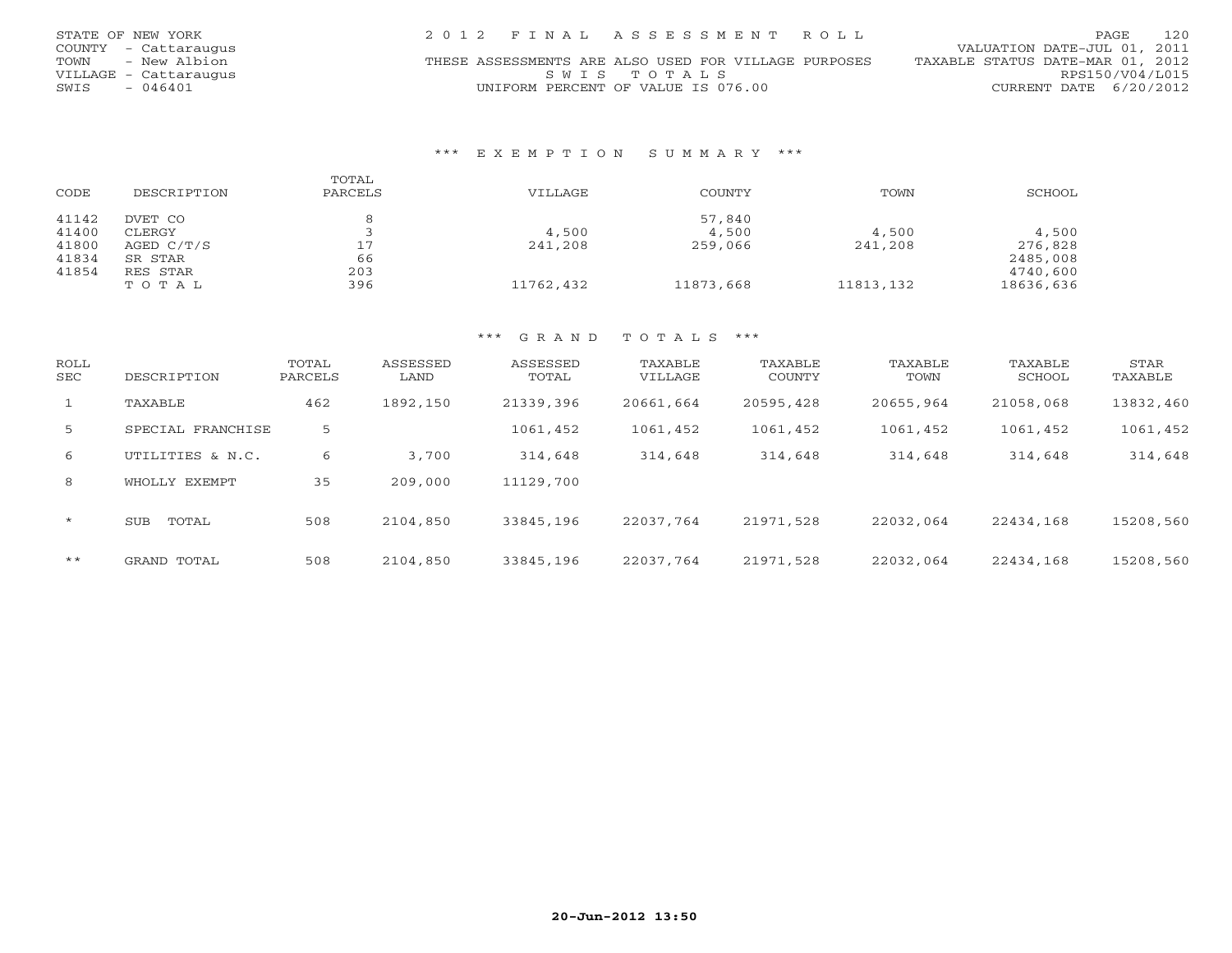| STATE OF NEW YORK     | 2012 FINAL ASSESSMENT ROLL                           | 120<br>PAGE                      |
|-----------------------|------------------------------------------------------|----------------------------------|
| COUNTY - Cattaraugus  |                                                      | VALUATION DATE-JUL 01, 2011      |
| TOWN<br>- New Albion  | THESE ASSESSMENTS ARE ALSO USED FOR VILLAGE PURPOSES | TAXABLE STATUS DATE-MAR 01, 2012 |
| VILLAGE - Cattaraugus | SWTS TOTALS                                          | RPS150/V04/L015                  |
| - 046401<br>SWIS      | UNIFORM PERCENT OF VALUE IS 076.00                   | CURRENT DATE 6/20/2012           |

### \*\*\* E X E M P T I O N S U M M A R Y \*\*\*

| CODE  | DESCRIPTION  | TOTAL<br>PARCELS | VILLAGE   | COUNTY    | TOWN      | SCHOOL    |
|-------|--------------|------------------|-----------|-----------|-----------|-----------|
| 41142 | DVET CO      |                  |           | 57,840    |           |           |
| 41400 | CLERGY       |                  | 4,500     | 4,500     | 4,500     | 4,500     |
| 41800 | AGED $C/T/S$ | 17               | 241,208   | 259,066   | 241,208   | 276,828   |
| 41834 | SR STAR      | 66               |           |           |           | 2485,008  |
| 41854 | RES STAR     | 203              |           |           |           | 4740,600  |
|       | TOTAL        | 396              | 11762,432 | 11873,668 | 11813,132 | 18636,636 |

#### \*\*\* G R A N D T O T A L S \*\*\*

| ROLL<br>SEC  | DESCRIPTION         | TOTAL<br>PARCELS | ASSESSED<br>LAND | ASSESSED<br>TOTAL | TAXABLE<br>VILLAGE | TAXABLE<br>COUNTY | TAXABLE<br>TOWN | TAXABLE<br>SCHOOL | STAR<br>TAXABLE |
|--------------|---------------------|------------------|------------------|-------------------|--------------------|-------------------|-----------------|-------------------|-----------------|
| $\mathbf{1}$ | TAXABLE             | 462              | 1892,150         | 21339,396         | 20661,664          | 20595,428         | 20655,964       | 21058,068         | 13832,460       |
| 5            | SPECIAL FRANCHISE   | 5                |                  | 1061,452          | 1061,452           | 1061,452          | 1061,452        | 1061,452          | 1061,452        |
| 6            | UTILITIES & N.C.    | 6                | 3,700            | 314,648           | 314,648            | 314,648           | 314,648         | 314,648           | 314,648         |
| 8            | WHOLLY EXEMPT       | 35               | 209,000          | 11129,700         |                    |                   |                 |                   |                 |
| $\star$      | <b>SUB</b><br>TOTAL | 508              | 2104,850         | 33845,196         | 22037.764          | 21971,528         | 22032,064       | 22434,168         | 15208,560       |
| $***$        | GRAND TOTAL         | 508              | 2104,850         | 33845,196         | 22037.764          | 21971,528         | 22032,064       | 22434,168         | 15208,560       |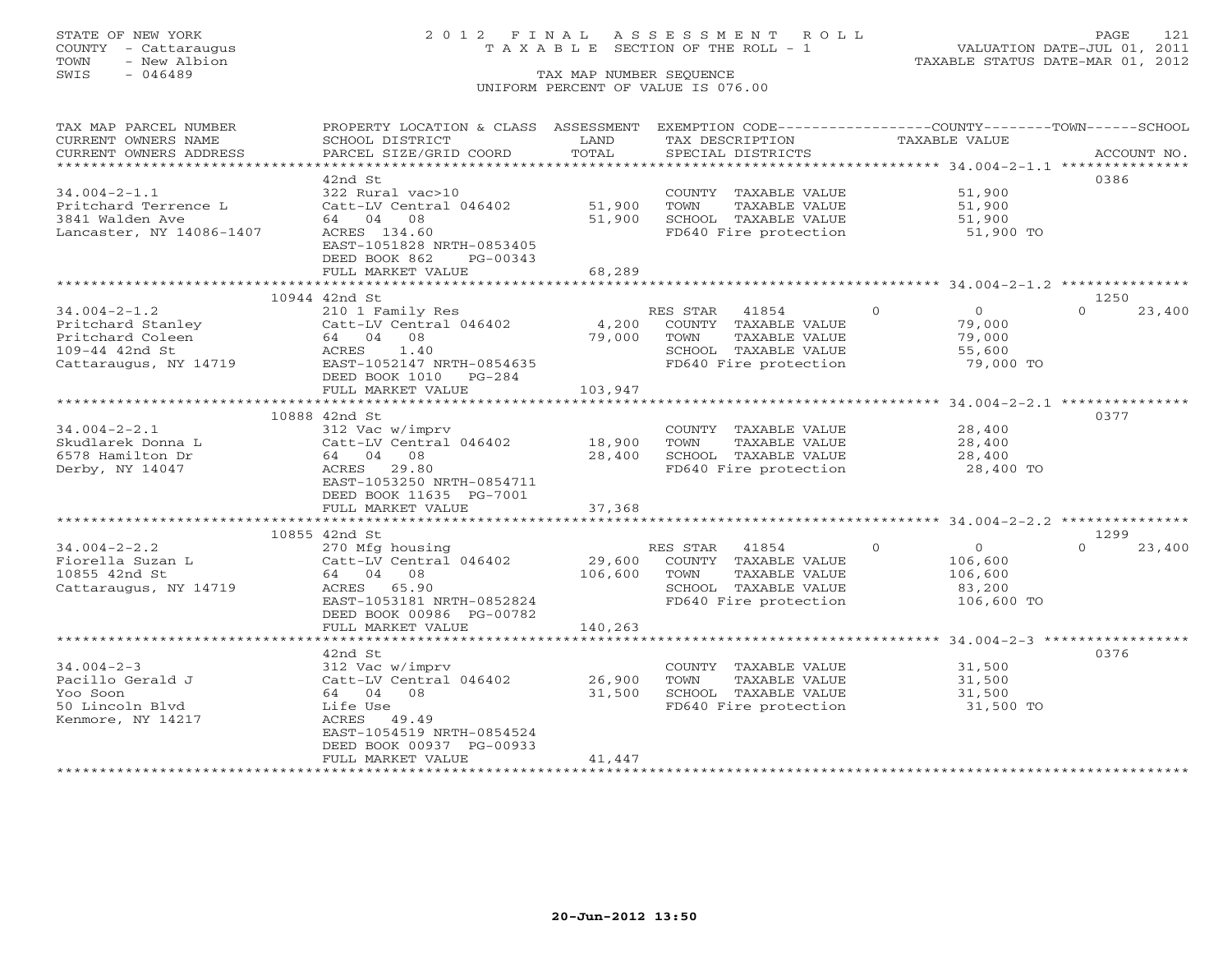# STATE OF NEW YORK 2 0 1 2 F I N A L A S S E S S M E N T R O L L PAGE 121 COUNTY - Cattaraugus T A X A B L E SECTION OF THE ROLL - 1 VALUATION DATE-JUL 01, 2011

| TAX MAP PARCEL NUMBER                                                                                                                                                                                                                                                                                                                                                                                                                                                                                                  | PROPERTY LOCATION & CLASS ASSESSMENT EXEMPTION CODE----------------COUNTY-------TOWN------SCHOOL |                  |                                               |                      |                    |
|------------------------------------------------------------------------------------------------------------------------------------------------------------------------------------------------------------------------------------------------------------------------------------------------------------------------------------------------------------------------------------------------------------------------------------------------------------------------------------------------------------------------|--------------------------------------------------------------------------------------------------|------------------|-----------------------------------------------|----------------------|--------------------|
| CURRENT OWNERS NAME                                                                                                                                                                                                                                                                                                                                                                                                                                                                                                    | SCHOOL DISTRICT                                                                                  | LAND             | TAX DESCRIPTION                               | TAXABLE VALUE        |                    |
| $\begin{minipage}{.45\textwidth} \begin{minipage}{.45\textwidth} \begin{minipage}{.45\textwidth} \begin{minipage}{.45\textwidth} \begin{minipage}{.45\textwidth} \begin{minipage}{.45\textwidth} \begin{minipage}{.45\textwidth} \begin{minipage}{.45\textwidth} \begin{minipage}{.45\textwidth} \begin{minipage}{.45\textwidth} \begin{minipage}{.45\textwidth} \begin{minipage}{.45\textwidth} \begin{minipage}{.45\textwidth} \begin{minipage}{.45\textwidth} \begin{minipage}{.45\textwidth} \begin{minipage}{.45$ |                                                                                                  |                  |                                               |                      |                    |
|                                                                                                                                                                                                                                                                                                                                                                                                                                                                                                                        | 42nd St                                                                                          |                  |                                               |                      | 0386               |
| $34.004 - 2 - 1.1$                                                                                                                                                                                                                                                                                                                                                                                                                                                                                                     | 322 Rural vac>10                                                                                 |                  | COUNTY TAXABLE VALUE 51,900                   |                      |                    |
| Pritchard Terrence L                                                                                                                                                                                                                                                                                                                                                                                                                                                                                                   | Catt-LV Central 046402                                                                           | 51,900           | TOWN<br>TAXABLE VALUE                         | 51,900               |                    |
| 3841 Walden Ave                                                                                                                                                                                                                                                                                                                                                                                                                                                                                                        | 64 04 08                                                                                         | 51,900           | SCHOOL TAXABLE VALUE                          | 51,900               |                    |
| Lancaster, NY 14086-1407                                                                                                                                                                                                                                                                                                                                                                                                                                                                                               | ACRES 134.60                                                                                     |                  | FD640 Fire protection                         | 51,900 TO            |                    |
|                                                                                                                                                                                                                                                                                                                                                                                                                                                                                                                        | EAST-1051828 NRTH-0853405                                                                        |                  |                                               |                      |                    |
|                                                                                                                                                                                                                                                                                                                                                                                                                                                                                                                        | DEED BOOK 862<br>PG-00343                                                                        |                  |                                               |                      |                    |
|                                                                                                                                                                                                                                                                                                                                                                                                                                                                                                                        | FULL MARKET VALUE                                                                                | 68,289           |                                               |                      |                    |
|                                                                                                                                                                                                                                                                                                                                                                                                                                                                                                                        |                                                                                                  |                  |                                               |                      |                    |
|                                                                                                                                                                                                                                                                                                                                                                                                                                                                                                                        | 10944 42nd St                                                                                    |                  |                                               |                      | 1250               |
| $34.004 - 2 - 1.2$                                                                                                                                                                                                                                                                                                                                                                                                                                                                                                     | 210 1 Family Res                                                                                 |                  | RES STAR 41854                                | $\Omega$<br>$\Omega$ | $\cap$<br>23,400   |
| Pritchard Stanley                                                                                                                                                                                                                                                                                                                                                                                                                                                                                                      | Catt-LV Central 046402                                                                           | 4,200            | COUNTY TAXABLE VALUE                          | 79,000               |                    |
| Pritchard Coleen                                                                                                                                                                                                                                                                                                                                                                                                                                                                                                       | 64 04 08                                                                                         | 79,000           | TOWN<br>TAXABLE VALUE                         | 79,000               |                    |
| 109-44 42nd St                                                                                                                                                                                                                                                                                                                                                                                                                                                                                                         | ACRES 1.40                                                                                       |                  | SCHOOL TAXABLE VALUE                          | 55,600               |                    |
| Cattaraugus, NY 14719                                                                                                                                                                                                                                                                                                                                                                                                                                                                                                  | EAST-1052147 NRTH-0854635                                                                        |                  | FD640 Fire protection                         | 79,000 TO            |                    |
|                                                                                                                                                                                                                                                                                                                                                                                                                                                                                                                        | DEED BOOK 1010 PG-284                                                                            |                  |                                               |                      |                    |
|                                                                                                                                                                                                                                                                                                                                                                                                                                                                                                                        | FULL MARKET VALUE                                                                                | 103,947          |                                               |                      |                    |
|                                                                                                                                                                                                                                                                                                                                                                                                                                                                                                                        |                                                                                                  |                  |                                               |                      |                    |
|                                                                                                                                                                                                                                                                                                                                                                                                                                                                                                                        | 10888 42nd St                                                                                    |                  |                                               |                      | 0377               |
| $34.004 - 2 - 2.1$<br>Skudlarek Donna L                                                                                                                                                                                                                                                                                                                                                                                                                                                                                | 312 Vac w/imprv                                                                                  |                  | COUNTY TAXABLE VALUE<br>TAXABLE VALUE         | 28,400               |                    |
| 6578 Hamilton Dr                                                                                                                                                                                                                                                                                                                                                                                                                                                                                                       | Catt-LV Centr<br>64      04       08<br>Catt-LV Central 046402                                   | 18,900<br>28,400 | TOWN<br>SCHOOL TAXABLE VALUE                  | 28,400<br>28,400     |                    |
| Derby, NY 14047                                                                                                                                                                                                                                                                                                                                                                                                                                                                                                        | ACRES 29.80                                                                                      |                  | FD640 Fire protection                         | 28,400 TO            |                    |
|                                                                                                                                                                                                                                                                                                                                                                                                                                                                                                                        | EAST-1053250 NRTH-0854711                                                                        |                  |                                               |                      |                    |
|                                                                                                                                                                                                                                                                                                                                                                                                                                                                                                                        | DEED BOOK 11635 PG-7001                                                                          |                  |                                               |                      |                    |
|                                                                                                                                                                                                                                                                                                                                                                                                                                                                                                                        | FULL MARKET VALUE                                                                                | 37,368           |                                               |                      |                    |
|                                                                                                                                                                                                                                                                                                                                                                                                                                                                                                                        |                                                                                                  |                  |                                               |                      |                    |
|                                                                                                                                                                                                                                                                                                                                                                                                                                                                                                                        | 10855 42nd St                                                                                    |                  |                                               |                      | 1299               |
| $34.004 - 2 - 2.2$                                                                                                                                                                                                                                                                                                                                                                                                                                                                                                     | 270 Mfg housing                                                                                  |                  | $\overline{0}$<br>RES STAR 41854              | $\overline{0}$       | 23,400<br>$\Omega$ |
| Fiorella Suzan L                                                                                                                                                                                                                                                                                                                                                                                                                                                                                                       | Catt-LV Central 046402                                                                           |                  | 29,600 COUNTY TAXABLE VALUE                   | 106,600              |                    |
| 10855 42nd St                                                                                                                                                                                                                                                                                                                                                                                                                                                                                                          | 64 04 08                                                                                         |                  | 106,600 TOWN<br>TAXABLE VALUE                 | 106,600              |                    |
| Cattaraugus, NY 14719                                                                                                                                                                                                                                                                                                                                                                                                                                                                                                  | ACRES 65.90                                                                                      |                  | SCHOOL TAXABLE VALUE                          | 83,200               |                    |
|                                                                                                                                                                                                                                                                                                                                                                                                                                                                                                                        | EAST-1053181 NRTH-0852824                                                                        |                  | FD640 Fire protection                         | 106,600 TO           |                    |
|                                                                                                                                                                                                                                                                                                                                                                                                                                                                                                                        | DEED BOOK 00986 PG-00782                                                                         |                  |                                               |                      |                    |
|                                                                                                                                                                                                                                                                                                                                                                                                                                                                                                                        | FULL MARKET VALUE                                                                                | 140,263          |                                               |                      |                    |
|                                                                                                                                                                                                                                                                                                                                                                                                                                                                                                                        |                                                                                                  |                  |                                               |                      |                    |
|                                                                                                                                                                                                                                                                                                                                                                                                                                                                                                                        | 42nd St                                                                                          |                  |                                               |                      | 0376               |
| $34.004 - 2 - 3$                                                                                                                                                                                                                                                                                                                                                                                                                                                                                                       | 312 Vac w/imprv                                                                                  |                  | COUNTY TAXABLE VALUE 31,500                   |                      |                    |
| Pacillo Gerald J<br>Yoo Soon                                                                                                                                                                                                                                                                                                                                                                                                                                                                                           | Catt-LV Central 046402<br>64 04 08                                                               | 26,900<br>31,500 | TOWN<br>TAXABLE VALUE<br>SCHOOL TAXABLE VALUE | 31,500<br>31,500     |                    |
| 50 Lincoln Blvd                                                                                                                                                                                                                                                                                                                                                                                                                                                                                                        | Life Use                                                                                         |                  | FD640 Fire protection                         | 31,500 TO            |                    |
| Kenmore, NY 14217                                                                                                                                                                                                                                                                                                                                                                                                                                                                                                      | ACRES 49.49                                                                                      |                  |                                               |                      |                    |
|                                                                                                                                                                                                                                                                                                                                                                                                                                                                                                                        | EAST-1054519 NRTH-0854524                                                                        |                  |                                               |                      |                    |
|                                                                                                                                                                                                                                                                                                                                                                                                                                                                                                                        | DEED BOOK 00937 PG-00933                                                                         |                  |                                               |                      |                    |
|                                                                                                                                                                                                                                                                                                                                                                                                                                                                                                                        | FULL MARKET VALUE                                                                                | 41,447           |                                               |                      |                    |
|                                                                                                                                                                                                                                                                                                                                                                                                                                                                                                                        |                                                                                                  |                  |                                               |                      |                    |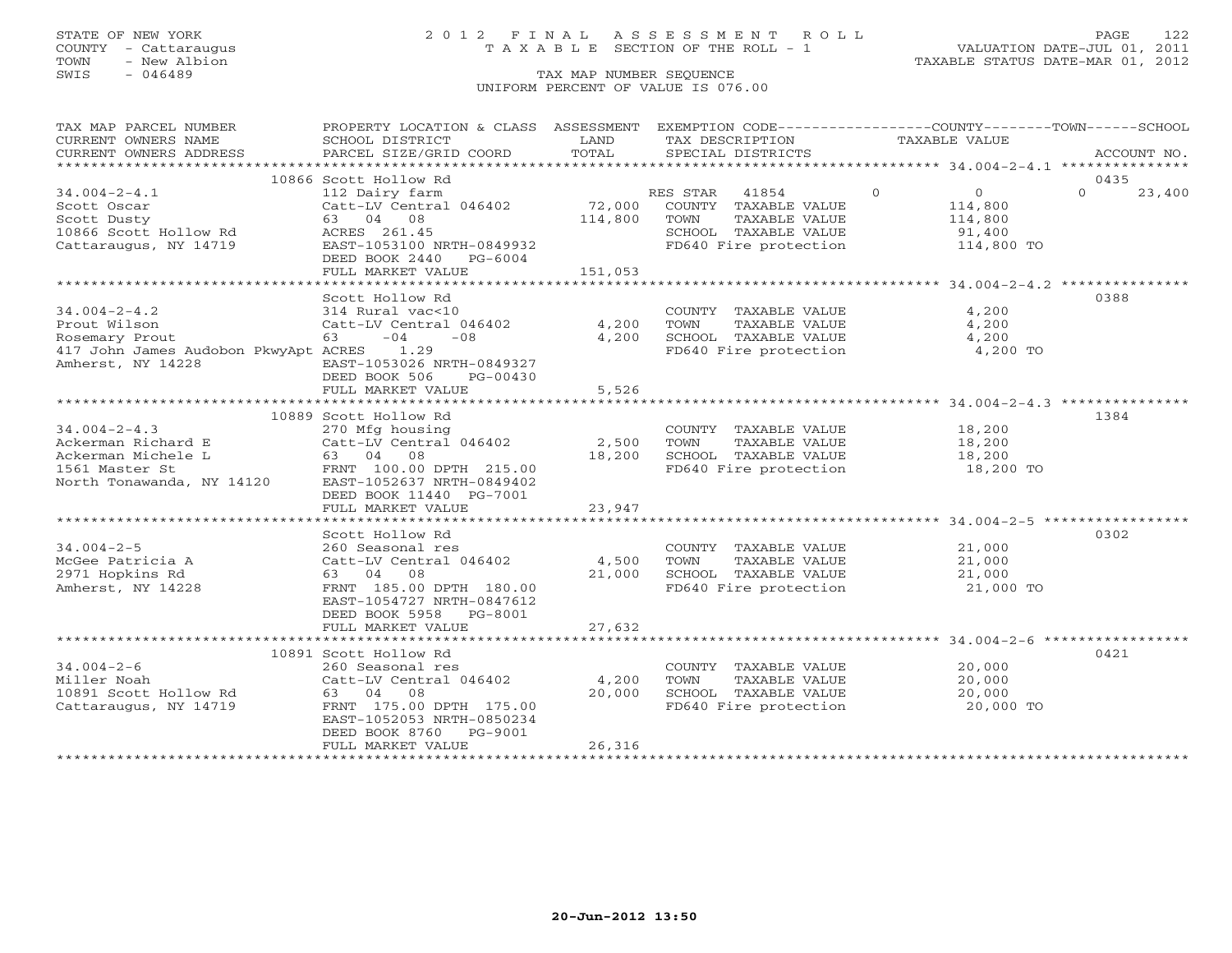### STATE OF NEW YORK 2 0 1 2 F I N A L A S S E S S M E N T R O L L PAGE 122 COUNTY - Cattaraugus T A X A B L E SECTION OF THE ROLL - 1 VALUATION DATE-JUL 01, 2011

| TAX MAP PARCEL NUMBER                                                                                                                                                                                                                           | PROPERTY LOCATION & CLASS ASSESSMENT EXEMPTION CODE----------------COUNTY-------TOWN------SCHOOL |                     |                                                                           |                                                    |                    |
|-------------------------------------------------------------------------------------------------------------------------------------------------------------------------------------------------------------------------------------------------|--------------------------------------------------------------------------------------------------|---------------------|---------------------------------------------------------------------------|----------------------------------------------------|--------------------|
| CURRENT OWNERS NAME                                                                                                                                                                                                                             | SCHOOL DISTRICT                                                                                  | LAND                | TAX DESCRIPTION                                                           | TAXABLE VALUE                                      |                    |
| CURRENT OWNERS ADDRESS                                                                                                                                                                                                                          | PARCEL SIZE/GRID COORD                                                                           | TOTAL               | SPECIAL DISTRICTS                                                         |                                                    | ACCOUNT NO.        |
|                                                                                                                                                                                                                                                 |                                                                                                  |                     |                                                                           |                                                    |                    |
|                                                                                                                                                                                                                                                 | 10866 Scott Hollow Rd                                                                            |                     |                                                                           |                                                    | 0435               |
| $34.004 - 2 - 4.1$                                                                                                                                                                                                                              | 112 Dairy farm                                                                                   |                     | RES STAR 41854 0                                                          | $\overline{0}$                                     | $\Omega$<br>23,400 |
| Scott Oscar                                                                                                                                                                                                                                     | Catt-LV Central 046402                                                                           |                     | 72,000 COUNTY TAXABLE VALUE 114,800<br>114,800 TOWN TAXABLE VALUE 114,800 |                                                    |                    |
| Scott Dusty                                                                                                                                                                                                                                     | 63 04 08                                                                                         |                     |                                                                           |                                                    |                    |
| 10866 Scott Hollow Rd<br>Cattaraugus, NY 14719 BAST-1053100 M                                                                                                                                                                                   |                                                                                                  |                     | SCHOOL TAXABLE VALUE<br>FD640 Fire protection                             | 91,400<br>114,800 TO                               |                    |
|                                                                                                                                                                                                                                                 | EAST-1053100 NRTH-0849932                                                                        |                     |                                                                           |                                                    |                    |
|                                                                                                                                                                                                                                                 | DEED BOOK 2440 PG-6004                                                                           |                     |                                                                           |                                                    |                    |
|                                                                                                                                                                                                                                                 | FULL MARKET VALUE                                                                                | 151,053             |                                                                           |                                                    |                    |
|                                                                                                                                                                                                                                                 |                                                                                                  |                     |                                                                           | ******************** 34.004-2-4.2 **************** |                    |
|                                                                                                                                                                                                                                                 | Scott Hollow Rd                                                                                  |                     |                                                                           |                                                    | 0388               |
| $34.004 - 2 - 4.2$                                                                                                                                                                                                                              | 314 Rural vac<10                                                                                 | COUNT<br>4,200 TOWN | COUNTY TAXABLE VALUE 4,200                                                |                                                    |                    |
| Prout Wilson                                                                                                                                                                                                                                    | Catt-LV Central 046402                                                                           |                     | 4,200 TOWN TAXABLE VALUE<br>4,200 SCHOOL TAXABLE VALUE                    | 4,200                                              |                    |
| Rosemary Prout                                                                                                                                                                                                                                  | $-04 -08$                                                                                        |                     |                                                                           | 4,200                                              |                    |
| 417 John James Audobon PkwyApt ACRES 1.29                                                                                                                                                                                                       |                                                                                                  |                     | FD640 Fire protection                                                     | 4,200 TO                                           |                    |
| Amherst, NY 14228                                                                                                                                                                                                                               | EAST-1053026 NRTH-0849327                                                                        |                     |                                                                           |                                                    |                    |
|                                                                                                                                                                                                                                                 | DEED BOOK 506<br>PG-00430                                                                        |                     |                                                                           |                                                    |                    |
|                                                                                                                                                                                                                                                 | FULL MARKET VALUE                                                                                | 5,526               |                                                                           |                                                    |                    |
|                                                                                                                                                                                                                                                 |                                                                                                  |                     |                                                                           |                                                    |                    |
|                                                                                                                                                                                                                                                 | 10889 Scott Hollow Rd                                                                            |                     |                                                                           |                                                    | 1384               |
|                                                                                                                                                                                                                                                 |                                                                                                  |                     | COUNTY TAXABLE VALUE 18,200<br>TOWN TAXABLE VALUE 18,200                  |                                                    |                    |
|                                                                                                                                                                                                                                                 |                                                                                                  |                     |                                                                           |                                                    |                    |
|                                                                                                                                                                                                                                                 |                                                                                                  |                     | 18,200 SCHOOL TAXABLE VALUE 18,200<br>FD640 Fire protection 18,200 TO     |                                                    |                    |
| 34.004-2-4.3<br>Ackerman Richard E<br>Ackerman Michele L<br>Ackerman Michele L<br>Solution of the Catt-LV Central 046402<br>COUNTY TAXABLE VALUE<br>COUNTY TAXABLE VALUE<br>COUNTY TAXABLE VALUE<br>COUNTY TAXABLE VALUE<br>COUNTY TAXABLE VALU |                                                                                                  |                     |                                                                           |                                                    |                    |
|                                                                                                                                                                                                                                                 | DEED BOOK 11440 PG-7001                                                                          |                     |                                                                           |                                                    |                    |
|                                                                                                                                                                                                                                                 | FULL MARKET VALUE                                                                                | 23,947              |                                                                           |                                                    |                    |
|                                                                                                                                                                                                                                                 |                                                                                                  |                     |                                                                           |                                                    |                    |
|                                                                                                                                                                                                                                                 | Scott Hollow Rd                                                                                  |                     |                                                                           |                                                    | 0302               |
|                                                                                                                                                                                                                                                 |                                                                                                  |                     |                                                                           |                                                    |                    |
| 34.004-2-5 260 Seasonal res COUNT<br>McGee Patricia A Catt-LV Central 046402 4,500 TOWN                                                                                                                                                         |                                                                                                  |                     | COUNTY TAXABLE VALUE 21,000<br>TOWN TAXABLE VALUE 21,000                  |                                                    |                    |
| 2971 Hopkins Rd                                                                                                                                                                                                                                 | 63 04 08                                                                                         | 21,000              |                                                                           |                                                    |                    |
| Amherst, NY 14228                                                                                                                                                                                                                               | FRNT 185.00 DPTH 180.00                                                                          |                     | SCHOOL TAXABLE VALUE<br>FD640 Fire protection                             | 21,000<br>21,000 TO                                |                    |
|                                                                                                                                                                                                                                                 | EAST-1054727 NRTH-0847612                                                                        |                     |                                                                           |                                                    |                    |
|                                                                                                                                                                                                                                                 | DEED BOOK 5958 PG-8001                                                                           |                     |                                                                           |                                                    |                    |
|                                                                                                                                                                                                                                                 | FULL MARKET VALUE                                                                                | 27,632              |                                                                           |                                                    |                    |
|                                                                                                                                                                                                                                                 |                                                                                                  |                     |                                                                           |                                                    |                    |
|                                                                                                                                                                                                                                                 | 10891 Scott Hollow Rd                                                                            |                     |                                                                           |                                                    | 0421               |
| $34.004 - 2 - 6$                                                                                                                                                                                                                                | 260 Seasonal res                                                                                 |                     | COUNTY TAXABLE VALUE 20,000                                               |                                                    |                    |
| Miller Noah                                                                                                                                                                                                                                     | Catt-LV Central 046402 4,200                                                                     |                     | TOWN                                                                      | TAXABLE VALUE 20,000                               |                    |
|                                                                                                                                                                                                                                                 | 63 04 08                                                                                         | 20,000              |                                                                           |                                                    |                    |
| 10891 Scott Hollow Rd<br>Cattaraugus, NY 14719                                                                                                                                                                                                  | FRNT 175.00 DPTH 175.00                                                                          |                     | SCHOOL TAXABLE VALUE<br>FD640 Fire protection                             | 20,000<br>20,000 TO                                |                    |
|                                                                                                                                                                                                                                                 | EAST-1052053 NRTH-0850234                                                                        |                     |                                                                           |                                                    |                    |
|                                                                                                                                                                                                                                                 | DEED BOOK 8760 PG-9001                                                                           |                     |                                                                           |                                                    |                    |
|                                                                                                                                                                                                                                                 | FULL MARKET VALUE                                                                                | 26,316              |                                                                           |                                                    |                    |
|                                                                                                                                                                                                                                                 |                                                                                                  |                     |                                                                           |                                                    |                    |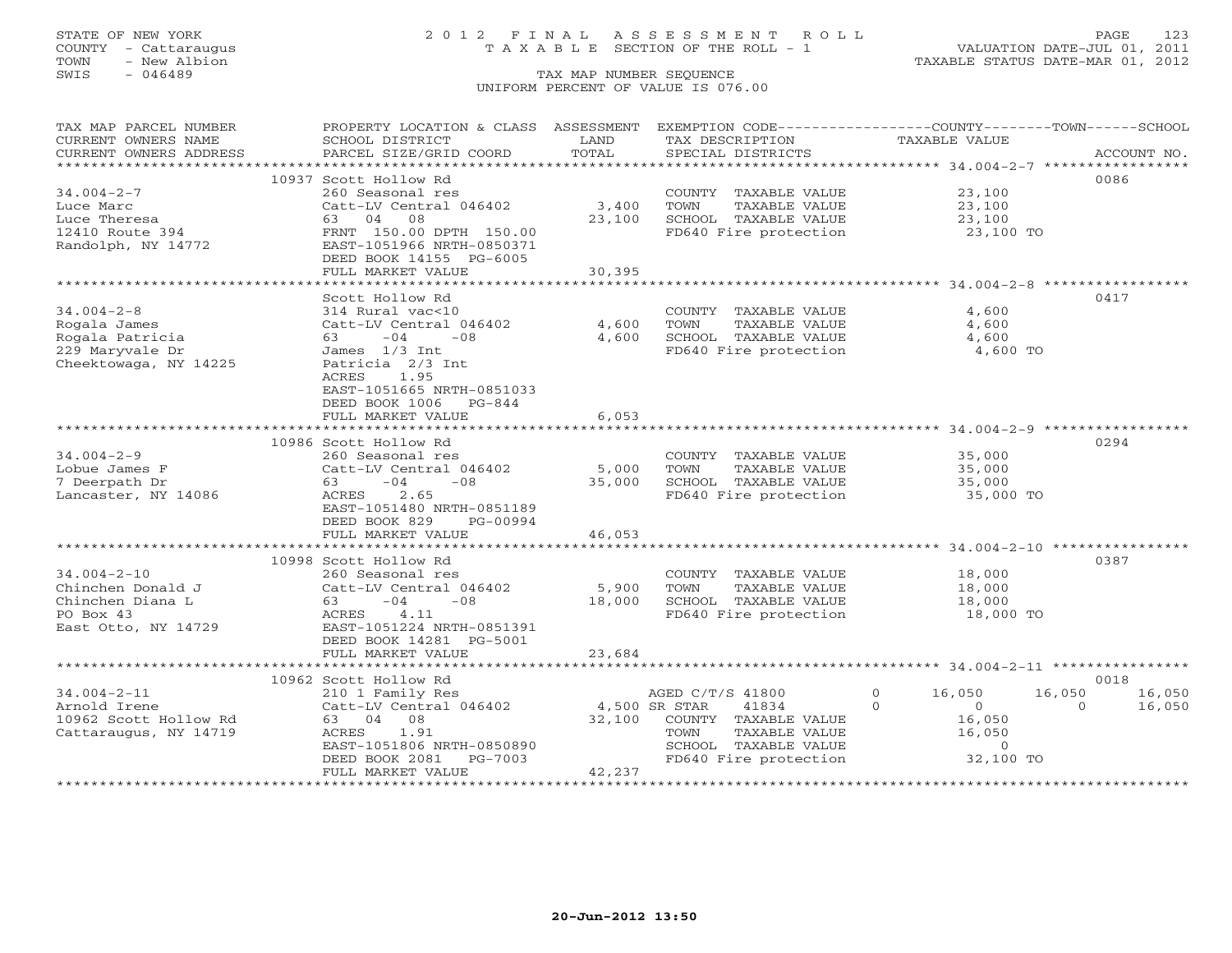## STATE OF NEW YORK 2 0 1 2 F I N A L A S S E S S M E N T R O L L PAGE 123 COUNTY - Cattaraugus T A X A B L E SECTION OF THE ROLL - 1 VALUATION DATE-JUL 01, 2011

| TAX MAP PARCEL NUMBER  | PROPERTY LOCATION & CLASS ASSESSMENT |        | EXEMPTION CODE-----------------COUNTY-------TOWN------SCHOOL |                     |                    |
|------------------------|--------------------------------------|--------|--------------------------------------------------------------|---------------------|--------------------|
| CURRENT OWNERS NAME    | SCHOOL DISTRICT                      | LAND   | TAX DESCRIPTION                                              | TAXABLE VALUE       |                    |
| CURRENT OWNERS ADDRESS | PARCEL SIZE/GRID COORD               | TOTAL  | SPECIAL DISTRICTS                                            |                     | ACCOUNT NO.        |
| ********************   | ****************************         |        |                                                              |                     |                    |
|                        | 10937 Scott Hollow Rd                |        |                                                              |                     | 0086               |
| $34.004 - 2 - 7$       | 260 Seasonal res                     |        | COUNTY TAXABLE VALUE                                         | 23,100              |                    |
| Luce Marc              | Catt-LV Central 046402               | 3,400  | TOWN<br>TAXABLE VALUE                                        | 23,100              |                    |
| Luce Theresa           | 63 04<br>08                          | 23,100 | SCHOOL TAXABLE VALUE                                         | 23,100              |                    |
| 12410 Route 394        | FRNT 150.00 DPTH 150.00              |        | FD640 Fire protection                                        | 23,100 TO           |                    |
| Randolph, NY 14772     | EAST-1051966 NRTH-0850371            |        |                                                              |                     |                    |
|                        | DEED BOOK 14155 PG-6005              |        |                                                              |                     |                    |
|                        | FULL MARKET VALUE                    | 30,395 |                                                              |                     |                    |
|                        |                                      |        |                                                              |                     |                    |
|                        | Scott Hollow Rd                      |        |                                                              |                     | 0417               |
| $34.004 - 2 - 8$       | 314 Rural vac<10                     |        | COUNTY TAXABLE VALUE                                         | 4,600               |                    |
| Rogala James           | Catt-LV Central 046402               | 4,600  | TAXABLE VALUE<br>TOWN                                        | 4,600               |                    |
| Rogala Patricia        | $-04$<br>63 —<br>$-08$               | 4,600  | SCHOOL TAXABLE VALUE                                         | 4,600               |                    |
| 229 Maryvale Dr        | James 1/3 Int                        |        | FD640 Fire protection                                        | 4,600 TO            |                    |
| Cheektowaga, NY 14225  | Patricia 2/3 Int                     |        |                                                              |                     |                    |
|                        | 1.95<br>ACRES                        |        |                                                              |                     |                    |
|                        | EAST-1051665 NRTH-0851033            |        |                                                              |                     |                    |
|                        | DEED BOOK 1006<br>$PG-844$           |        |                                                              |                     |                    |
|                        | FULL MARKET VALUE                    | 6,053  |                                                              |                     |                    |
|                        |                                      |        |                                                              |                     |                    |
|                        | 10986 Scott Hollow Rd                |        |                                                              |                     | 0294               |
| $34.004 - 2 - 9$       | 260 Seasonal res                     |        | COUNTY TAXABLE VALUE                                         | 35,000              |                    |
| Lobue James F          | Catt-LV Central 046402               | 5,000  | TAXABLE VALUE<br>TOWN                                        | 35,000              |                    |
| 7 Deerpath Dr          | $-04$<br>$-08$<br>63                 | 35,000 | SCHOOL TAXABLE VALUE                                         | 35,000              |                    |
| Lancaster, NY 14086    | 2.65<br>ACRES                        |        | FD640 Fire protection                                        | 35,000 TO           |                    |
|                        | EAST-1051480 NRTH-0851189            |        |                                                              |                     |                    |
|                        | DEED BOOK 829<br>PG-00994            |        |                                                              |                     |                    |
|                        | FULL MARKET VALUE                    | 46,053 |                                                              |                     |                    |
|                        |                                      |        |                                                              |                     |                    |
|                        | 10998 Scott Hollow Rd                |        |                                                              |                     | 0387               |
| $34.004 - 2 - 10$      | 260 Seasonal res                     |        | COUNTY TAXABLE VALUE                                         | 18,000              |                    |
| Chinchen Donald J      | Catt-LV Central 046402               | 5,900  | TAXABLE VALUE<br>TOWN                                        | 18,000              |                    |
| Chinchen Diana L       | $-04$<br>$-08$<br>63 — 10            | 18,000 | SCHOOL TAXABLE VALUE                                         | 18,000              |                    |
| PO Box 43              | 4.11<br>ACRES                        |        | FD640 Fire protection                                        | 18,000 TO           |                    |
| East Otto, NY 14729    | EAST-1051224 NRTH-0851391            |        |                                                              |                     |                    |
|                        | DEED BOOK 14281 PG-5001              |        |                                                              |                     |                    |
|                        | FULL MARKET VALUE                    | 23,684 |                                                              |                     |                    |
|                        |                                      |        |                                                              |                     |                    |
|                        | 10962 Scott Hollow Rd                |        |                                                              |                     | 0018               |
| $34.004 - 2 - 11$      | 210 1 Family Res                     |        | AGED C/T/S 41800                                             | $\Omega$<br>16,050  | 16,050<br>16,050   |
| Arnold Irene           | Catt-LV Central 046402               |        | 4,500 SR STAR<br>41834                                       | $\Omega$<br>$\circ$ | 16,050<br>$\Omega$ |
| 10962 Scott Hollow Rd  | 63 04 08                             | 32,100 | COUNTY TAXABLE VALUE                                         | 16,050              |                    |
| Cattaraugus, NY 14719  | ACRES<br>1.91                        |        | TAXABLE VALUE<br>TOWN                                        | 16,050              |                    |
|                        | EAST-1051806 NRTH-0850890            |        | SCHOOL TAXABLE VALUE                                         | $\overline{0}$      |                    |
|                        | DEED BOOK 2081<br>PG-7003            |        | FD640 Fire protection                                        | 32,100 TO           |                    |
|                        | FULL MARKET VALUE                    | 42,237 |                                                              |                     |                    |
|                        |                                      |        |                                                              |                     |                    |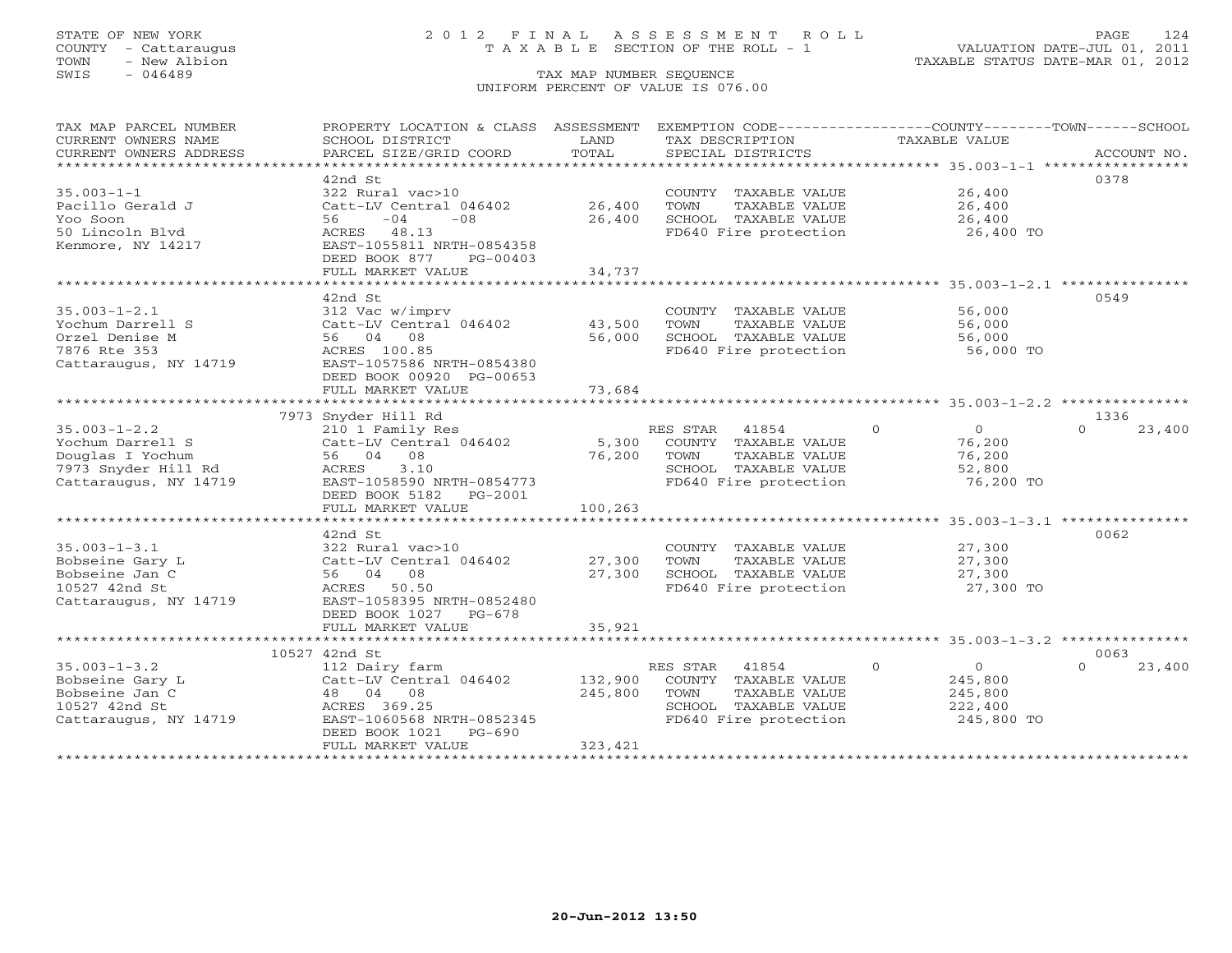## STATE OF NEW YORK 2 0 1 2 F I N A L A S S E S S M E N T R O L L PAGE 124 COUNTY - Cattaraugus T A X A B L E SECTION OF THE ROLL - 1 VALUATION DATE-JUL 01, 2011

| TAX MAP PARCEL NUMBER  | PROPERTY LOCATION & CLASS ASSESSMENT EXEMPTION CODE----------------COUNTY-------TOWN------SCHOOL |         |                            |                            |                    |
|------------------------|--------------------------------------------------------------------------------------------------|---------|----------------------------|----------------------------|--------------------|
| CURRENT OWNERS NAME    | SCHOOL DISTRICT                                                                                  | LAND    | TAX DESCRIPTION            | TAXABLE VALUE              |                    |
| CURRENT OWNERS ADDRESS | PARCEL SIZE/GRID COORD                                                                           | TOTAL   | SPECIAL DISTRICTS          |                            | ACCOUNT NO.        |
|                        |                                                                                                  |         |                            |                            |                    |
|                        | 42nd St                                                                                          |         |                            |                            | 0378               |
| $35.003 - 1 - 1$       | 322 Rural vac>10                                                                                 |         | COUNTY TAXABLE VALUE       | 26,400                     |                    |
| Pacillo Gerald J       | Catt-LV Central 046402                                                                           | 26,400  | TOWN<br>TAXABLE VALUE      | 26,400                     |                    |
| Yoo Soon               | $-04$<br>$-08$<br>56                                                                             | 26,400  | SCHOOL TAXABLE VALUE       | 26,400                     |                    |
| 50 Lincoln Blvd        | ACRES 48.13                                                                                      |         | FD640 Fire protection      | 26,400 TO                  |                    |
| Kenmore, NY 14217      | EAST-1055811 NRTH-0854358                                                                        |         |                            |                            |                    |
|                        | DEED BOOK 877<br>PG-00403                                                                        |         |                            |                            |                    |
|                        | FULL MARKET VALUE                                                                                | 34,737  |                            |                            |                    |
|                        |                                                                                                  |         |                            |                            |                    |
|                        | 42nd St                                                                                          |         |                            |                            | 0549               |
| $35.003 - 1 - 2.1$     | 312 Vac w/imprv                                                                                  |         | COUNTY TAXABLE VALUE       | 56,000                     |                    |
| Yochum Darrell S       | Catt-LV Central 046402                                                                           | 43,500  | TOWN<br>TAXABLE VALUE      | 56,000                     |                    |
| Orzel Denise M         | 56 04 08                                                                                         | 56,000  | SCHOOL TAXABLE VALUE       | 56,000                     |                    |
| 7876 Rte 353           | ACRES 100.85                                                                                     |         | FD640 Fire protection      | 56,000 TO                  |                    |
| Cattaraugus, NY 14719  | EAST-1057586 NRTH-0854380                                                                        |         |                            |                            |                    |
|                        | DEED BOOK 00920 PG-00653                                                                         |         |                            |                            |                    |
|                        | FULL MARKET VALUE                                                                                | 73,684  |                            |                            |                    |
|                        |                                                                                                  |         |                            |                            |                    |
|                        | 7973 Snyder Hill Rd                                                                              |         |                            |                            | 1336               |
|                        |                                                                                                  |         |                            | $\Omega$                   | $\Omega$           |
| $35.003 - 1 - 2.2$     | 210 1 Family Res                                                                                 |         | RES STAR 41854             | $\overline{0}$             | 23,400             |
| Yochum Darrell S       | Catt-LV Central 046402                                                                           |         | 5,300 COUNTY TAXABLE VALUE | 76,200                     |                    |
| Douglas I Yochum       | 56 04 08                                                                                         | 76,200  | TOWN<br>TAXABLE VALUE      | 76,200                     |                    |
| 7973 Snyder Hill Rd    | ACRES 3.10                                                                                       |         | SCHOOL TAXABLE VALUE       | 52,800                     |                    |
| Cattaraugus, NY 14719  | EAST-1058590 NRTH-0854773                                                                        |         | FD640 Fire protection      | 76,200 TO                  |                    |
|                        | DEED BOOK 5182    PG-2001                                                                        |         |                            |                            |                    |
|                        | FULL MARKET VALUE                                                                                | 100,263 |                            |                            |                    |
|                        |                                                                                                  |         |                            |                            |                    |
|                        | 42nd St                                                                                          |         |                            |                            | 0062               |
| $35.003 - 1 - 3.1$     | 322 Rural vac>10                                                                                 |         | COUNTY TAXABLE VALUE       | 27,300                     |                    |
| Bobseine Gary L        | Catt-LV Central 046402 27,300                                                                    |         | TOWN<br>TAXABLE VALUE      | 27,300                     |                    |
| Bobseine Jan C         | 56 04 08                                                                                         | 27,300  | SCHOOL TAXABLE VALUE       | 27,300                     |                    |
| 10527 42nd St          | ACRES 50.50                                                                                      |         | FD640 Fire protection      | 27,300 TO                  |                    |
| Cattaraugus, NY 14719  | EAST-1058395 NRTH-0852480                                                                        |         |                            |                            |                    |
|                        | DEED BOOK 1027 PG-678                                                                            |         |                            |                            |                    |
|                        | FULL MARKET VALUE                                                                                | 35,921  |                            |                            |                    |
|                        |                                                                                                  |         |                            |                            |                    |
|                        | 10527 42nd St                                                                                    |         |                            |                            | 0063               |
| $35.003 - 1 - 3.2$     | 112 Dairy farm                                                                                   |         | RES STAR 41854             | $\Omega$<br>$\overline{O}$ | $\Omega$<br>23,400 |
| Bobseine Gary L        | Catt-LV Central 046402                                                                           | 132,900 | COUNTY TAXABLE VALUE       | 245,800                    |                    |
| Bobseine Jan C         | 48 04 08                                                                                         | 245,800 | TAXABLE VALUE<br>TOWN      | 245,800                    |                    |
| 10527 42nd St          | ACRES 369.25                                                                                     |         | SCHOOL TAXABLE VALUE       | 222,400                    |                    |
| Cattaraugus, NY 14719  | EAST-1060568 NRTH-0852345                                                                        |         | FD640 Fire protection      | 245,800 TO                 |                    |
|                        | DEED BOOK 1021 PG-690                                                                            |         |                            |                            |                    |
|                        | FULL MARKET VALUE                                                                                | 323,421 |                            |                            |                    |
|                        |                                                                                                  |         |                            |                            |                    |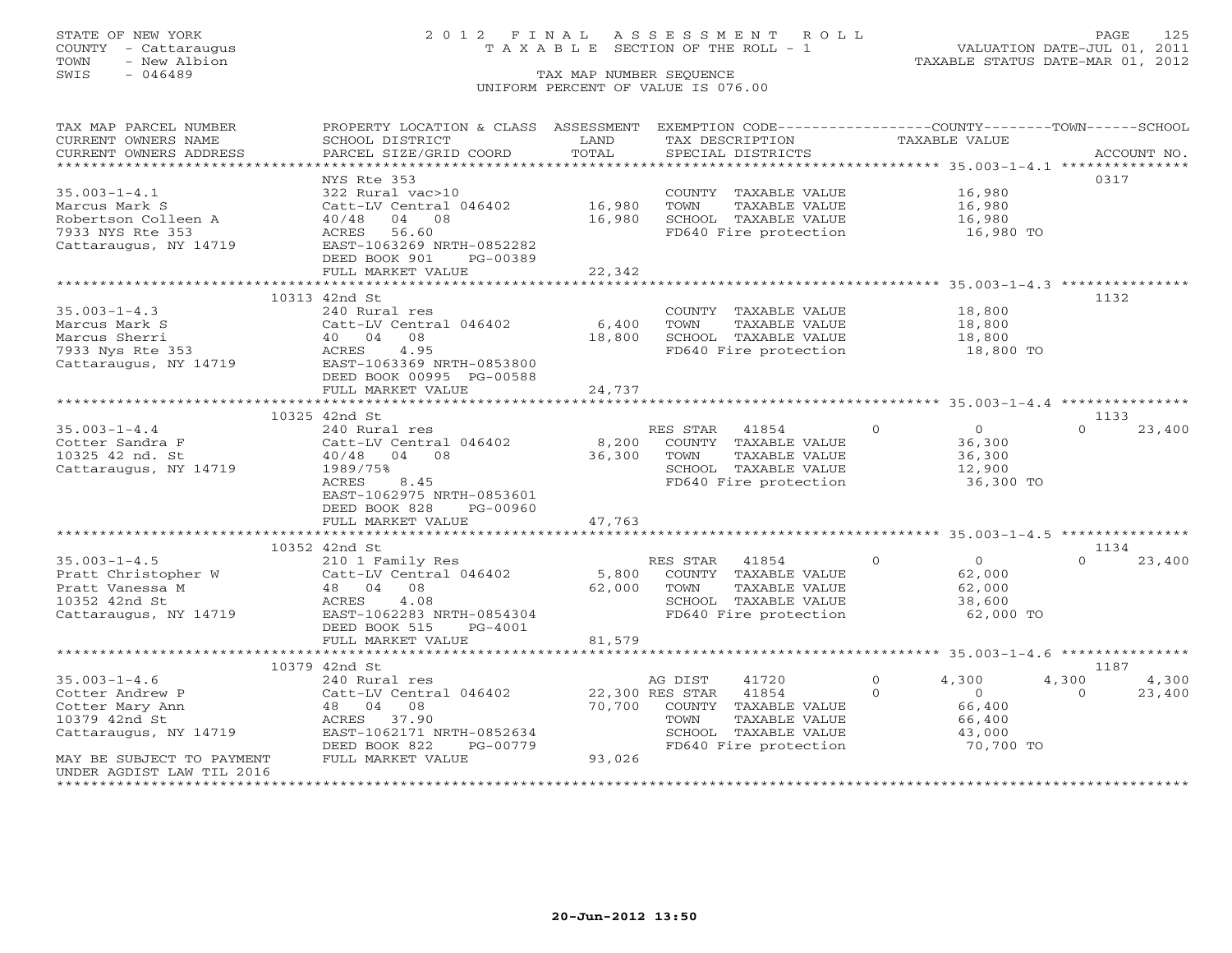## STATE OF NEW YORK 2 0 1 2 F I N A L A S S E S S M E N T R O L L PAGE 125 COUNTY - Cattaraugus T A X A B L E SECTION OF THE ROLL - 1 VALUATION DATE-JUL 01, 2011

| TAX MAP PARCEL NUMBER                         | PROPERTY LOCATION & CLASS ASSESSMENT      |               | EXEMPTION CODE-----------------COUNTY-------TOWN------SCHOOL |                            |                    |
|-----------------------------------------------|-------------------------------------------|---------------|--------------------------------------------------------------|----------------------------|--------------------|
| CURRENT OWNERS NAME<br>CURRENT OWNERS ADDRESS | SCHOOL DISTRICT<br>PARCEL SIZE/GRID COORD | LAND<br>TOTAL | TAX DESCRIPTION<br>SPECIAL DISTRICTS                         | TAXABLE VALUE              | ACCOUNT NO.        |
| *************************                     |                                           |               |                                                              |                            |                    |
|                                               | NYS Rte 353                               |               |                                                              |                            | 0317               |
| $35.003 - 1 - 4.1$                            | 322 Rural vac>10                          |               | COUNTY TAXABLE VALUE                                         | 16,980                     |                    |
| Marcus Mark S                                 | Catt-LV Central 046402                    | 16,980        | TOWN<br>TAXABLE VALUE                                        | 16,980                     |                    |
| Robertson Colleen A                           | 04 08<br>40/48                            | 16,980        | SCHOOL TAXABLE VALUE                                         | 16,980                     |                    |
| 7933 NYS Rte 353                              | ACRES<br>56.60                            |               | FD640 Fire protection                                        | 16,980 TO                  |                    |
| Cattaraugus, NY 14719                         | EAST-1063269 NRTH-0852282                 |               |                                                              |                            |                    |
|                                               | DEED BOOK 901<br>PG-00389                 |               |                                                              |                            |                    |
|                                               | FULL MARKET VALUE                         | 22,342        |                                                              |                            |                    |
|                                               |                                           |               |                                                              |                            |                    |
|                                               | 10313 42nd St                             |               |                                                              |                            | 1132               |
| $35.003 - 1 - 4.3$                            | 240 Rural res                             |               | COUNTY TAXABLE VALUE                                         | 18,800                     |                    |
| Marcus Mark S                                 | Catt-LV Central 046402                    | 6,400         | TAXABLE VALUE<br>TOWN                                        | 18,800                     |                    |
| Marcus Sherri                                 | 40 04<br>08                               | 18,800        | SCHOOL TAXABLE VALUE                                         | 18,800                     |                    |
| 7933 Nys Rte 353                              | 4.95<br>ACRES                             |               | FD640 Fire protection                                        | 18,800 TO                  |                    |
| Cattaraugus, NY 14719                         | EAST-1063369 NRTH-0853800                 |               |                                                              |                            |                    |
|                                               | DEED BOOK 00995 PG-00588                  |               |                                                              |                            |                    |
|                                               | FULL MARKET VALUE                         | 24,737        |                                                              |                            |                    |
|                                               |                                           |               |                                                              |                            |                    |
|                                               | 10325 42nd St                             |               |                                                              |                            | 1133               |
| $35.003 - 1 - 4.4$                            | 240 Rural res                             |               | RES STAR<br>41854                                            | $\circ$<br>$\overline{0}$  | $\Omega$<br>23,400 |
| Cotter Sandra F                               | Catt-LV Central 046402                    | 8,200         | COUNTY TAXABLE VALUE                                         | 36,300                     |                    |
| 10325 42 nd. St                               | 40/48 04 08                               | 36,300        | TOWN<br>TAXABLE VALUE                                        | 36,300                     |                    |
| Cattaraugus, NY 14719                         | 1989/75%                                  |               | SCHOOL TAXABLE VALUE                                         | 12,900                     |                    |
|                                               | ACRES<br>8.45                             |               | FD640 Fire protection                                        | 36,300 TO                  |                    |
|                                               | EAST-1062975 NRTH-0853601                 |               |                                                              |                            |                    |
|                                               | DEED BOOK 828<br>PG-00960                 |               |                                                              |                            |                    |
|                                               | FULL MARKET VALUE                         | 47,763        |                                                              |                            |                    |
|                                               | *************************                 |               |                                                              |                            |                    |
|                                               | 10352 42nd St                             |               |                                                              |                            | 1134               |
| $35.003 - 1 - 4.5$                            | 210 1 Family Res                          |               | RES STAR<br>41854                                            | $\circ$<br>$\overline{0}$  | $\Omega$<br>23,400 |
| Pratt Christopher W                           | Catt-LV Central 046402                    | 5,800         | COUNTY TAXABLE VALUE                                         | 62,000                     |                    |
| Pratt Vanessa M                               | 48 04<br>08                               | 62,000        | TOWN<br>TAXABLE VALUE                                        | 62,000                     |                    |
| 10352 42nd St                                 | 4.08<br>ACRES                             |               | SCHOOL TAXABLE VALUE                                         | 38,600                     |                    |
| Cattaraugus, NY 14719                         | EAST-1062283 NRTH-0854304                 |               | FD640 Fire protection                                        | 62,000 TO                  |                    |
|                                               | DEED BOOK 515<br>$PG-4001$                |               |                                                              |                            |                    |
|                                               | FULL MARKET VALUE                         | 81,579        |                                                              |                            |                    |
|                                               | *************************                 |               |                                                              |                            |                    |
|                                               | 10379 42nd St                             |               |                                                              |                            | 1187               |
| $35.003 - 1 - 4.6$                            | 240 Rural res                             |               | AG DIST<br>41720                                             | $\circ$<br>4,300           | 4,300<br>4,300     |
| Cotter Andrew P                               | Catt-LV Central 046402                    |               | 41854<br>22,300 RES STAR                                     | $\Omega$<br>$\overline{0}$ | 23,400<br>$\Omega$ |
| Cotter Mary Ann                               | 08<br>48 04                               | 70,700        | COUNTY TAXABLE VALUE                                         | 66,400                     |                    |
| 10379 42nd St                                 | ACRES 37.90                               |               | TOWN<br>TAXABLE VALUE                                        | 66,400                     |                    |
| Cattaraugus, NY 14719                         | EAST-1062171 NRTH-0852634                 |               | SCHOOL TAXABLE VALUE                                         | 43,000                     |                    |
|                                               | DEED BOOK 822<br>PG-00779                 |               | FD640 Fire protection                                        | 70,700 TO                  |                    |
| MAY BE SUBJECT TO PAYMENT                     | FULL MARKET VALUE                         | 93,026        |                                                              |                            |                    |
| UNDER AGDIST LAW TIL 2016                     |                                           |               |                                                              |                            |                    |
| *****************************                 |                                           |               |                                                              |                            |                    |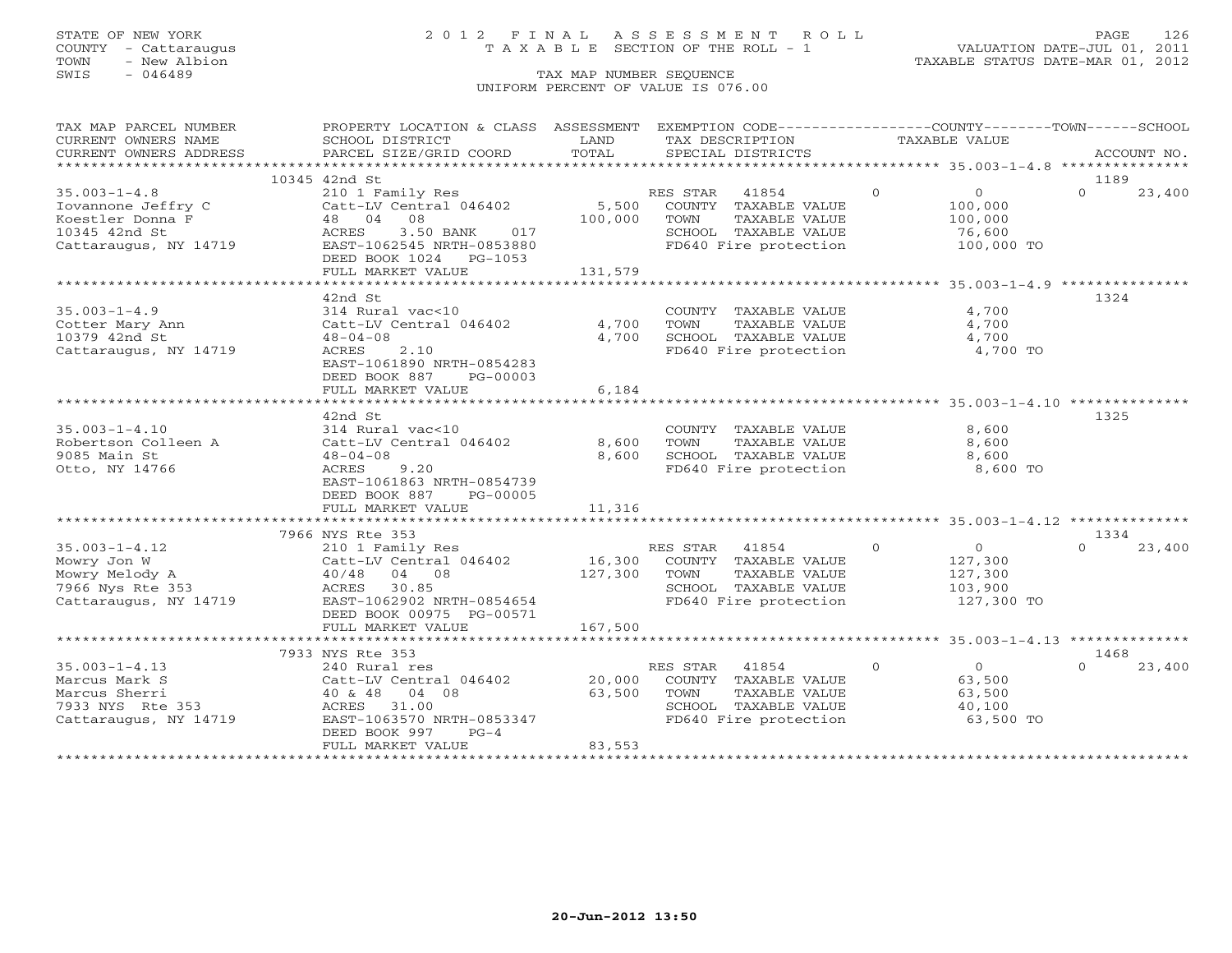### STATE OF NEW YORK 2 0 1 2 F I N A L A S S E S S M E N T R O L L PAGE 126 COUNTY - Cattaraugus T A X A B L E SECTION OF THE ROLL - 1 VALUATION DATE-JUL 01, 2011

| CURRENT OWNERS NAME<br>SCHOOL DISTRICT<br>TAXABLE VALUE<br>LAND<br>TAX DESCRIPTION<br>TOTAL<br>CURRENT OWNERS ADDRESS<br>PARCEL SIZE/GRID COORD<br>SPECIAL DISTRICTS<br>ACCOUNT NO.<br>10345 42nd St<br>1189<br>$35.003 - 1 - 4.8$<br>$\Omega$<br>$\Omega$<br>210 1 Family Res<br>RES STAR<br>41854<br>0<br>23,400<br>5,500<br>Iovannone Jeffry C<br>Catt-LV Central 046402<br>COUNTY TAXABLE VALUE<br>100,000<br>Koestler Donna F<br>48 04<br>08<br>100,000<br>TAXABLE VALUE<br>TOWN<br>100,000<br>10345 42nd St<br>SCHOOL TAXABLE VALUE<br>ACRES<br>3.50 BANK 017<br>76,600<br>FD640 Fire protection<br>Cattaraugus, NY 14719<br>100,000 TO<br>EAST-1062545 NRTH-0853880<br>DEED BOOK 1024 PG-1053<br>131,579<br>FULL MARKET VALUE<br>42nd St<br>1324<br>$35.003 - 1 - 4.9$<br>4,700<br>314 Rural vac<10<br>COUNTY TAXABLE VALUE<br>4,700<br>4,700<br>Cotter Mary Ann<br>Catt-LV Central 046402<br>TOWN<br>TAXABLE VALUE<br>10379 42nd St<br>4,700<br>SCHOOL TAXABLE VALUE<br>4,700<br>$48 - 04 - 08$<br>2.10<br>FD640 Fire protection<br>4,700 TO<br>Cattaraugus, NY 14719<br>ACRES<br>EAST-1061890 NRTH-0854283<br>DEED BOOK 887<br>PG-00003<br>FULL MARKET VALUE<br>6,184<br>1325<br>42nd St<br>$35.003 - 1 - 4.10$<br>8,600<br>314 Rural vac<10<br>COUNTY TAXABLE VALUE<br>Robertson Colleen A<br>Catt-LV Central 046402<br>8,600<br>8,600<br>TOWN<br>TAXABLE VALUE<br>9085 Main St<br>8,600<br>SCHOOL TAXABLE VALUE<br>8,600<br>$48 - 04 - 08$<br>Otto, NY 14766<br>ACRES<br>9.20<br>FD640 Fire protection<br>8,600 TO<br>EAST-1061863 NRTH-0854739<br>DEED BOOK 887<br>PG-00005<br>FULL MARKET VALUE<br>11,316<br>7966 NYS Rte 353<br>1334<br>$\overline{0}$<br>$35.003 - 1 - 4.12$<br>RES STAR 41854<br>$\overline{0}$<br>$\Omega$<br>23,400<br>210 1 Family Res<br>16,300<br>Catt-LV Central 046402<br>COUNTY TAXABLE VALUE<br>127,300<br>Mowry Jon W<br>127,300<br>TAXABLE VALUE<br>Mowry Melody A<br>40/48 04 08<br>TOWN<br>127,300<br>SCHOOL TAXABLE VALUE<br>7966 Nys Rte 353<br>ACRES 30.85<br>103,900<br>FD640 Fire protection<br>Cattaraugus, NY 14719<br>EAST-1062902 NRTH-0854654<br>127,300 TO<br>DEED BOOK 00975 PG-00571<br>FULL MARKET VALUE<br>167,500<br>7933 NYS Rte 353<br>1468<br>$\overline{0}$<br>$35.003 - 1 - 4.13$<br>$\Omega$<br>$\cap$<br>23,400<br>240 Rural res<br>RES STAR 41854<br>20,000<br>Marcus Mark S<br>Catt-LV Central 046402<br>COUNTY TAXABLE VALUE<br>63,500<br>Marcus Sherri<br>40 & 48 04 08<br>63,500<br>TOWN<br>TAXABLE VALUE<br>63,500<br>SCHOOL TAXABLE VALUE<br>7933 NYS Rte 353<br>ACRES 31.00<br>40,100<br>Cattaraugus, NY 14719<br>EAST-1063570 NRTH-0853347<br>FD640 Fire protection<br>63,500 TO<br>DEED BOOK 997<br>$PG-4$<br>83,553<br>FULL MARKET VALUE | TAX MAP PARCEL NUMBER | PROPERTY LOCATION & CLASS ASSESSMENT |  | EXEMPTION CODE-----------------COUNTY-------TOWN------SCHOOL |  |
|-------------------------------------------------------------------------------------------------------------------------------------------------------------------------------------------------------------------------------------------------------------------------------------------------------------------------------------------------------------------------------------------------------------------------------------------------------------------------------------------------------------------------------------------------------------------------------------------------------------------------------------------------------------------------------------------------------------------------------------------------------------------------------------------------------------------------------------------------------------------------------------------------------------------------------------------------------------------------------------------------------------------------------------------------------------------------------------------------------------------------------------------------------------------------------------------------------------------------------------------------------------------------------------------------------------------------------------------------------------------------------------------------------------------------------------------------------------------------------------------------------------------------------------------------------------------------------------------------------------------------------------------------------------------------------------------------------------------------------------------------------------------------------------------------------------------------------------------------------------------------------------------------------------------------------------------------------------------------------------------------------------------------------------------------------------------------------------------------------------------------------------------------------------------------------------------------------------------------------------------------------------------------------------------------------------------------------------------------------------------------------------------------------------------------------------------------------------------------------------------------------------------------------------------------------------------------------------------------------------------------------------------------------------------------------------------------------------------------|-----------------------|--------------------------------------|--|--------------------------------------------------------------|--|
|                                                                                                                                                                                                                                                                                                                                                                                                                                                                                                                                                                                                                                                                                                                                                                                                                                                                                                                                                                                                                                                                                                                                                                                                                                                                                                                                                                                                                                                                                                                                                                                                                                                                                                                                                                                                                                                                                                                                                                                                                                                                                                                                                                                                                                                                                                                                                                                                                                                                                                                                                                                                                                                                                                                         |                       |                                      |  |                                                              |  |
|                                                                                                                                                                                                                                                                                                                                                                                                                                                                                                                                                                                                                                                                                                                                                                                                                                                                                                                                                                                                                                                                                                                                                                                                                                                                                                                                                                                                                                                                                                                                                                                                                                                                                                                                                                                                                                                                                                                                                                                                                                                                                                                                                                                                                                                                                                                                                                                                                                                                                                                                                                                                                                                                                                                         |                       |                                      |  |                                                              |  |
|                                                                                                                                                                                                                                                                                                                                                                                                                                                                                                                                                                                                                                                                                                                                                                                                                                                                                                                                                                                                                                                                                                                                                                                                                                                                                                                                                                                                                                                                                                                                                                                                                                                                                                                                                                                                                                                                                                                                                                                                                                                                                                                                                                                                                                                                                                                                                                                                                                                                                                                                                                                                                                                                                                                         |                       |                                      |  |                                                              |  |
|                                                                                                                                                                                                                                                                                                                                                                                                                                                                                                                                                                                                                                                                                                                                                                                                                                                                                                                                                                                                                                                                                                                                                                                                                                                                                                                                                                                                                                                                                                                                                                                                                                                                                                                                                                                                                                                                                                                                                                                                                                                                                                                                                                                                                                                                                                                                                                                                                                                                                                                                                                                                                                                                                                                         |                       |                                      |  |                                                              |  |
|                                                                                                                                                                                                                                                                                                                                                                                                                                                                                                                                                                                                                                                                                                                                                                                                                                                                                                                                                                                                                                                                                                                                                                                                                                                                                                                                                                                                                                                                                                                                                                                                                                                                                                                                                                                                                                                                                                                                                                                                                                                                                                                                                                                                                                                                                                                                                                                                                                                                                                                                                                                                                                                                                                                         |                       |                                      |  |                                                              |  |
|                                                                                                                                                                                                                                                                                                                                                                                                                                                                                                                                                                                                                                                                                                                                                                                                                                                                                                                                                                                                                                                                                                                                                                                                                                                                                                                                                                                                                                                                                                                                                                                                                                                                                                                                                                                                                                                                                                                                                                                                                                                                                                                                                                                                                                                                                                                                                                                                                                                                                                                                                                                                                                                                                                                         |                       |                                      |  |                                                              |  |
|                                                                                                                                                                                                                                                                                                                                                                                                                                                                                                                                                                                                                                                                                                                                                                                                                                                                                                                                                                                                                                                                                                                                                                                                                                                                                                                                                                                                                                                                                                                                                                                                                                                                                                                                                                                                                                                                                                                                                                                                                                                                                                                                                                                                                                                                                                                                                                                                                                                                                                                                                                                                                                                                                                                         |                       |                                      |  |                                                              |  |
|                                                                                                                                                                                                                                                                                                                                                                                                                                                                                                                                                                                                                                                                                                                                                                                                                                                                                                                                                                                                                                                                                                                                                                                                                                                                                                                                                                                                                                                                                                                                                                                                                                                                                                                                                                                                                                                                                                                                                                                                                                                                                                                                                                                                                                                                                                                                                                                                                                                                                                                                                                                                                                                                                                                         |                       |                                      |  |                                                              |  |
|                                                                                                                                                                                                                                                                                                                                                                                                                                                                                                                                                                                                                                                                                                                                                                                                                                                                                                                                                                                                                                                                                                                                                                                                                                                                                                                                                                                                                                                                                                                                                                                                                                                                                                                                                                                                                                                                                                                                                                                                                                                                                                                                                                                                                                                                                                                                                                                                                                                                                                                                                                                                                                                                                                                         |                       |                                      |  |                                                              |  |
|                                                                                                                                                                                                                                                                                                                                                                                                                                                                                                                                                                                                                                                                                                                                                                                                                                                                                                                                                                                                                                                                                                                                                                                                                                                                                                                                                                                                                                                                                                                                                                                                                                                                                                                                                                                                                                                                                                                                                                                                                                                                                                                                                                                                                                                                                                                                                                                                                                                                                                                                                                                                                                                                                                                         |                       |                                      |  |                                                              |  |
|                                                                                                                                                                                                                                                                                                                                                                                                                                                                                                                                                                                                                                                                                                                                                                                                                                                                                                                                                                                                                                                                                                                                                                                                                                                                                                                                                                                                                                                                                                                                                                                                                                                                                                                                                                                                                                                                                                                                                                                                                                                                                                                                                                                                                                                                                                                                                                                                                                                                                                                                                                                                                                                                                                                         |                       |                                      |  |                                                              |  |
|                                                                                                                                                                                                                                                                                                                                                                                                                                                                                                                                                                                                                                                                                                                                                                                                                                                                                                                                                                                                                                                                                                                                                                                                                                                                                                                                                                                                                                                                                                                                                                                                                                                                                                                                                                                                                                                                                                                                                                                                                                                                                                                                                                                                                                                                                                                                                                                                                                                                                                                                                                                                                                                                                                                         |                       |                                      |  |                                                              |  |
|                                                                                                                                                                                                                                                                                                                                                                                                                                                                                                                                                                                                                                                                                                                                                                                                                                                                                                                                                                                                                                                                                                                                                                                                                                                                                                                                                                                                                                                                                                                                                                                                                                                                                                                                                                                                                                                                                                                                                                                                                                                                                                                                                                                                                                                                                                                                                                                                                                                                                                                                                                                                                                                                                                                         |                       |                                      |  |                                                              |  |
|                                                                                                                                                                                                                                                                                                                                                                                                                                                                                                                                                                                                                                                                                                                                                                                                                                                                                                                                                                                                                                                                                                                                                                                                                                                                                                                                                                                                                                                                                                                                                                                                                                                                                                                                                                                                                                                                                                                                                                                                                                                                                                                                                                                                                                                                                                                                                                                                                                                                                                                                                                                                                                                                                                                         |                       |                                      |  |                                                              |  |
|                                                                                                                                                                                                                                                                                                                                                                                                                                                                                                                                                                                                                                                                                                                                                                                                                                                                                                                                                                                                                                                                                                                                                                                                                                                                                                                                                                                                                                                                                                                                                                                                                                                                                                                                                                                                                                                                                                                                                                                                                                                                                                                                                                                                                                                                                                                                                                                                                                                                                                                                                                                                                                                                                                                         |                       |                                      |  |                                                              |  |
|                                                                                                                                                                                                                                                                                                                                                                                                                                                                                                                                                                                                                                                                                                                                                                                                                                                                                                                                                                                                                                                                                                                                                                                                                                                                                                                                                                                                                                                                                                                                                                                                                                                                                                                                                                                                                                                                                                                                                                                                                                                                                                                                                                                                                                                                                                                                                                                                                                                                                                                                                                                                                                                                                                                         |                       |                                      |  |                                                              |  |
|                                                                                                                                                                                                                                                                                                                                                                                                                                                                                                                                                                                                                                                                                                                                                                                                                                                                                                                                                                                                                                                                                                                                                                                                                                                                                                                                                                                                                                                                                                                                                                                                                                                                                                                                                                                                                                                                                                                                                                                                                                                                                                                                                                                                                                                                                                                                                                                                                                                                                                                                                                                                                                                                                                                         |                       |                                      |  |                                                              |  |
|                                                                                                                                                                                                                                                                                                                                                                                                                                                                                                                                                                                                                                                                                                                                                                                                                                                                                                                                                                                                                                                                                                                                                                                                                                                                                                                                                                                                                                                                                                                                                                                                                                                                                                                                                                                                                                                                                                                                                                                                                                                                                                                                                                                                                                                                                                                                                                                                                                                                                                                                                                                                                                                                                                                         |                       |                                      |  |                                                              |  |
|                                                                                                                                                                                                                                                                                                                                                                                                                                                                                                                                                                                                                                                                                                                                                                                                                                                                                                                                                                                                                                                                                                                                                                                                                                                                                                                                                                                                                                                                                                                                                                                                                                                                                                                                                                                                                                                                                                                                                                                                                                                                                                                                                                                                                                                                                                                                                                                                                                                                                                                                                                                                                                                                                                                         |                       |                                      |  |                                                              |  |
|                                                                                                                                                                                                                                                                                                                                                                                                                                                                                                                                                                                                                                                                                                                                                                                                                                                                                                                                                                                                                                                                                                                                                                                                                                                                                                                                                                                                                                                                                                                                                                                                                                                                                                                                                                                                                                                                                                                                                                                                                                                                                                                                                                                                                                                                                                                                                                                                                                                                                                                                                                                                                                                                                                                         |                       |                                      |  |                                                              |  |
|                                                                                                                                                                                                                                                                                                                                                                                                                                                                                                                                                                                                                                                                                                                                                                                                                                                                                                                                                                                                                                                                                                                                                                                                                                                                                                                                                                                                                                                                                                                                                                                                                                                                                                                                                                                                                                                                                                                                                                                                                                                                                                                                                                                                                                                                                                                                                                                                                                                                                                                                                                                                                                                                                                                         |                       |                                      |  |                                                              |  |
|                                                                                                                                                                                                                                                                                                                                                                                                                                                                                                                                                                                                                                                                                                                                                                                                                                                                                                                                                                                                                                                                                                                                                                                                                                                                                                                                                                                                                                                                                                                                                                                                                                                                                                                                                                                                                                                                                                                                                                                                                                                                                                                                                                                                                                                                                                                                                                                                                                                                                                                                                                                                                                                                                                                         |                       |                                      |  |                                                              |  |
|                                                                                                                                                                                                                                                                                                                                                                                                                                                                                                                                                                                                                                                                                                                                                                                                                                                                                                                                                                                                                                                                                                                                                                                                                                                                                                                                                                                                                                                                                                                                                                                                                                                                                                                                                                                                                                                                                                                                                                                                                                                                                                                                                                                                                                                                                                                                                                                                                                                                                                                                                                                                                                                                                                                         |                       |                                      |  |                                                              |  |
|                                                                                                                                                                                                                                                                                                                                                                                                                                                                                                                                                                                                                                                                                                                                                                                                                                                                                                                                                                                                                                                                                                                                                                                                                                                                                                                                                                                                                                                                                                                                                                                                                                                                                                                                                                                                                                                                                                                                                                                                                                                                                                                                                                                                                                                                                                                                                                                                                                                                                                                                                                                                                                                                                                                         |                       |                                      |  |                                                              |  |
|                                                                                                                                                                                                                                                                                                                                                                                                                                                                                                                                                                                                                                                                                                                                                                                                                                                                                                                                                                                                                                                                                                                                                                                                                                                                                                                                                                                                                                                                                                                                                                                                                                                                                                                                                                                                                                                                                                                                                                                                                                                                                                                                                                                                                                                                                                                                                                                                                                                                                                                                                                                                                                                                                                                         |                       |                                      |  |                                                              |  |
|                                                                                                                                                                                                                                                                                                                                                                                                                                                                                                                                                                                                                                                                                                                                                                                                                                                                                                                                                                                                                                                                                                                                                                                                                                                                                                                                                                                                                                                                                                                                                                                                                                                                                                                                                                                                                                                                                                                                                                                                                                                                                                                                                                                                                                                                                                                                                                                                                                                                                                                                                                                                                                                                                                                         |                       |                                      |  |                                                              |  |
|                                                                                                                                                                                                                                                                                                                                                                                                                                                                                                                                                                                                                                                                                                                                                                                                                                                                                                                                                                                                                                                                                                                                                                                                                                                                                                                                                                                                                                                                                                                                                                                                                                                                                                                                                                                                                                                                                                                                                                                                                                                                                                                                                                                                                                                                                                                                                                                                                                                                                                                                                                                                                                                                                                                         |                       |                                      |  |                                                              |  |
|                                                                                                                                                                                                                                                                                                                                                                                                                                                                                                                                                                                                                                                                                                                                                                                                                                                                                                                                                                                                                                                                                                                                                                                                                                                                                                                                                                                                                                                                                                                                                                                                                                                                                                                                                                                                                                                                                                                                                                                                                                                                                                                                                                                                                                                                                                                                                                                                                                                                                                                                                                                                                                                                                                                         |                       |                                      |  |                                                              |  |
|                                                                                                                                                                                                                                                                                                                                                                                                                                                                                                                                                                                                                                                                                                                                                                                                                                                                                                                                                                                                                                                                                                                                                                                                                                                                                                                                                                                                                                                                                                                                                                                                                                                                                                                                                                                                                                                                                                                                                                                                                                                                                                                                                                                                                                                                                                                                                                                                                                                                                                                                                                                                                                                                                                                         |                       |                                      |  |                                                              |  |
|                                                                                                                                                                                                                                                                                                                                                                                                                                                                                                                                                                                                                                                                                                                                                                                                                                                                                                                                                                                                                                                                                                                                                                                                                                                                                                                                                                                                                                                                                                                                                                                                                                                                                                                                                                                                                                                                                                                                                                                                                                                                                                                                                                                                                                                                                                                                                                                                                                                                                                                                                                                                                                                                                                                         |                       |                                      |  |                                                              |  |
|                                                                                                                                                                                                                                                                                                                                                                                                                                                                                                                                                                                                                                                                                                                                                                                                                                                                                                                                                                                                                                                                                                                                                                                                                                                                                                                                                                                                                                                                                                                                                                                                                                                                                                                                                                                                                                                                                                                                                                                                                                                                                                                                                                                                                                                                                                                                                                                                                                                                                                                                                                                                                                                                                                                         |                       |                                      |  |                                                              |  |
|                                                                                                                                                                                                                                                                                                                                                                                                                                                                                                                                                                                                                                                                                                                                                                                                                                                                                                                                                                                                                                                                                                                                                                                                                                                                                                                                                                                                                                                                                                                                                                                                                                                                                                                                                                                                                                                                                                                                                                                                                                                                                                                                                                                                                                                                                                                                                                                                                                                                                                                                                                                                                                                                                                                         |                       |                                      |  |                                                              |  |
|                                                                                                                                                                                                                                                                                                                                                                                                                                                                                                                                                                                                                                                                                                                                                                                                                                                                                                                                                                                                                                                                                                                                                                                                                                                                                                                                                                                                                                                                                                                                                                                                                                                                                                                                                                                                                                                                                                                                                                                                                                                                                                                                                                                                                                                                                                                                                                                                                                                                                                                                                                                                                                                                                                                         |                       |                                      |  |                                                              |  |
|                                                                                                                                                                                                                                                                                                                                                                                                                                                                                                                                                                                                                                                                                                                                                                                                                                                                                                                                                                                                                                                                                                                                                                                                                                                                                                                                                                                                                                                                                                                                                                                                                                                                                                                                                                                                                                                                                                                                                                                                                                                                                                                                                                                                                                                                                                                                                                                                                                                                                                                                                                                                                                                                                                                         |                       |                                      |  |                                                              |  |
|                                                                                                                                                                                                                                                                                                                                                                                                                                                                                                                                                                                                                                                                                                                                                                                                                                                                                                                                                                                                                                                                                                                                                                                                                                                                                                                                                                                                                                                                                                                                                                                                                                                                                                                                                                                                                                                                                                                                                                                                                                                                                                                                                                                                                                                                                                                                                                                                                                                                                                                                                                                                                                                                                                                         |                       |                                      |  |                                                              |  |
|                                                                                                                                                                                                                                                                                                                                                                                                                                                                                                                                                                                                                                                                                                                                                                                                                                                                                                                                                                                                                                                                                                                                                                                                                                                                                                                                                                                                                                                                                                                                                                                                                                                                                                                                                                                                                                                                                                                                                                                                                                                                                                                                                                                                                                                                                                                                                                                                                                                                                                                                                                                                                                                                                                                         |                       |                                      |  |                                                              |  |
|                                                                                                                                                                                                                                                                                                                                                                                                                                                                                                                                                                                                                                                                                                                                                                                                                                                                                                                                                                                                                                                                                                                                                                                                                                                                                                                                                                                                                                                                                                                                                                                                                                                                                                                                                                                                                                                                                                                                                                                                                                                                                                                                                                                                                                                                                                                                                                                                                                                                                                                                                                                                                                                                                                                         |                       |                                      |  |                                                              |  |
|                                                                                                                                                                                                                                                                                                                                                                                                                                                                                                                                                                                                                                                                                                                                                                                                                                                                                                                                                                                                                                                                                                                                                                                                                                                                                                                                                                                                                                                                                                                                                                                                                                                                                                                                                                                                                                                                                                                                                                                                                                                                                                                                                                                                                                                                                                                                                                                                                                                                                                                                                                                                                                                                                                                         |                       |                                      |  |                                                              |  |
|                                                                                                                                                                                                                                                                                                                                                                                                                                                                                                                                                                                                                                                                                                                                                                                                                                                                                                                                                                                                                                                                                                                                                                                                                                                                                                                                                                                                                                                                                                                                                                                                                                                                                                                                                                                                                                                                                                                                                                                                                                                                                                                                                                                                                                                                                                                                                                                                                                                                                                                                                                                                                                                                                                                         |                       |                                      |  |                                                              |  |
|                                                                                                                                                                                                                                                                                                                                                                                                                                                                                                                                                                                                                                                                                                                                                                                                                                                                                                                                                                                                                                                                                                                                                                                                                                                                                                                                                                                                                                                                                                                                                                                                                                                                                                                                                                                                                                                                                                                                                                                                                                                                                                                                                                                                                                                                                                                                                                                                                                                                                                                                                                                                                                                                                                                         |                       |                                      |  |                                                              |  |
|                                                                                                                                                                                                                                                                                                                                                                                                                                                                                                                                                                                                                                                                                                                                                                                                                                                                                                                                                                                                                                                                                                                                                                                                                                                                                                                                                                                                                                                                                                                                                                                                                                                                                                                                                                                                                                                                                                                                                                                                                                                                                                                                                                                                                                                                                                                                                                                                                                                                                                                                                                                                                                                                                                                         |                       |                                      |  |                                                              |  |
|                                                                                                                                                                                                                                                                                                                                                                                                                                                                                                                                                                                                                                                                                                                                                                                                                                                                                                                                                                                                                                                                                                                                                                                                                                                                                                                                                                                                                                                                                                                                                                                                                                                                                                                                                                                                                                                                                                                                                                                                                                                                                                                                                                                                                                                                                                                                                                                                                                                                                                                                                                                                                                                                                                                         |                       |                                      |  |                                                              |  |
|                                                                                                                                                                                                                                                                                                                                                                                                                                                                                                                                                                                                                                                                                                                                                                                                                                                                                                                                                                                                                                                                                                                                                                                                                                                                                                                                                                                                                                                                                                                                                                                                                                                                                                                                                                                                                                                                                                                                                                                                                                                                                                                                                                                                                                                                                                                                                                                                                                                                                                                                                                                                                                                                                                                         |                       |                                      |  |                                                              |  |
|                                                                                                                                                                                                                                                                                                                                                                                                                                                                                                                                                                                                                                                                                                                                                                                                                                                                                                                                                                                                                                                                                                                                                                                                                                                                                                                                                                                                                                                                                                                                                                                                                                                                                                                                                                                                                                                                                                                                                                                                                                                                                                                                                                                                                                                                                                                                                                                                                                                                                                                                                                                                                                                                                                                         |                       |                                      |  |                                                              |  |
|                                                                                                                                                                                                                                                                                                                                                                                                                                                                                                                                                                                                                                                                                                                                                                                                                                                                                                                                                                                                                                                                                                                                                                                                                                                                                                                                                                                                                                                                                                                                                                                                                                                                                                                                                                                                                                                                                                                                                                                                                                                                                                                                                                                                                                                                                                                                                                                                                                                                                                                                                                                                                                                                                                                         |                       |                                      |  |                                                              |  |
|                                                                                                                                                                                                                                                                                                                                                                                                                                                                                                                                                                                                                                                                                                                                                                                                                                                                                                                                                                                                                                                                                                                                                                                                                                                                                                                                                                                                                                                                                                                                                                                                                                                                                                                                                                                                                                                                                                                                                                                                                                                                                                                                                                                                                                                                                                                                                                                                                                                                                                                                                                                                                                                                                                                         |                       |                                      |  |                                                              |  |
|                                                                                                                                                                                                                                                                                                                                                                                                                                                                                                                                                                                                                                                                                                                                                                                                                                                                                                                                                                                                                                                                                                                                                                                                                                                                                                                                                                                                                                                                                                                                                                                                                                                                                                                                                                                                                                                                                                                                                                                                                                                                                                                                                                                                                                                                                                                                                                                                                                                                                                                                                                                                                                                                                                                         |                       |                                      |  |                                                              |  |
|                                                                                                                                                                                                                                                                                                                                                                                                                                                                                                                                                                                                                                                                                                                                                                                                                                                                                                                                                                                                                                                                                                                                                                                                                                                                                                                                                                                                                                                                                                                                                                                                                                                                                                                                                                                                                                                                                                                                                                                                                                                                                                                                                                                                                                                                                                                                                                                                                                                                                                                                                                                                                                                                                                                         |                       |                                      |  |                                                              |  |
|                                                                                                                                                                                                                                                                                                                                                                                                                                                                                                                                                                                                                                                                                                                                                                                                                                                                                                                                                                                                                                                                                                                                                                                                                                                                                                                                                                                                                                                                                                                                                                                                                                                                                                                                                                                                                                                                                                                                                                                                                                                                                                                                                                                                                                                                                                                                                                                                                                                                                                                                                                                                                                                                                                                         |                       |                                      |  |                                                              |  |
|                                                                                                                                                                                                                                                                                                                                                                                                                                                                                                                                                                                                                                                                                                                                                                                                                                                                                                                                                                                                                                                                                                                                                                                                                                                                                                                                                                                                                                                                                                                                                                                                                                                                                                                                                                                                                                                                                                                                                                                                                                                                                                                                                                                                                                                                                                                                                                                                                                                                                                                                                                                                                                                                                                                         |                       |                                      |  |                                                              |  |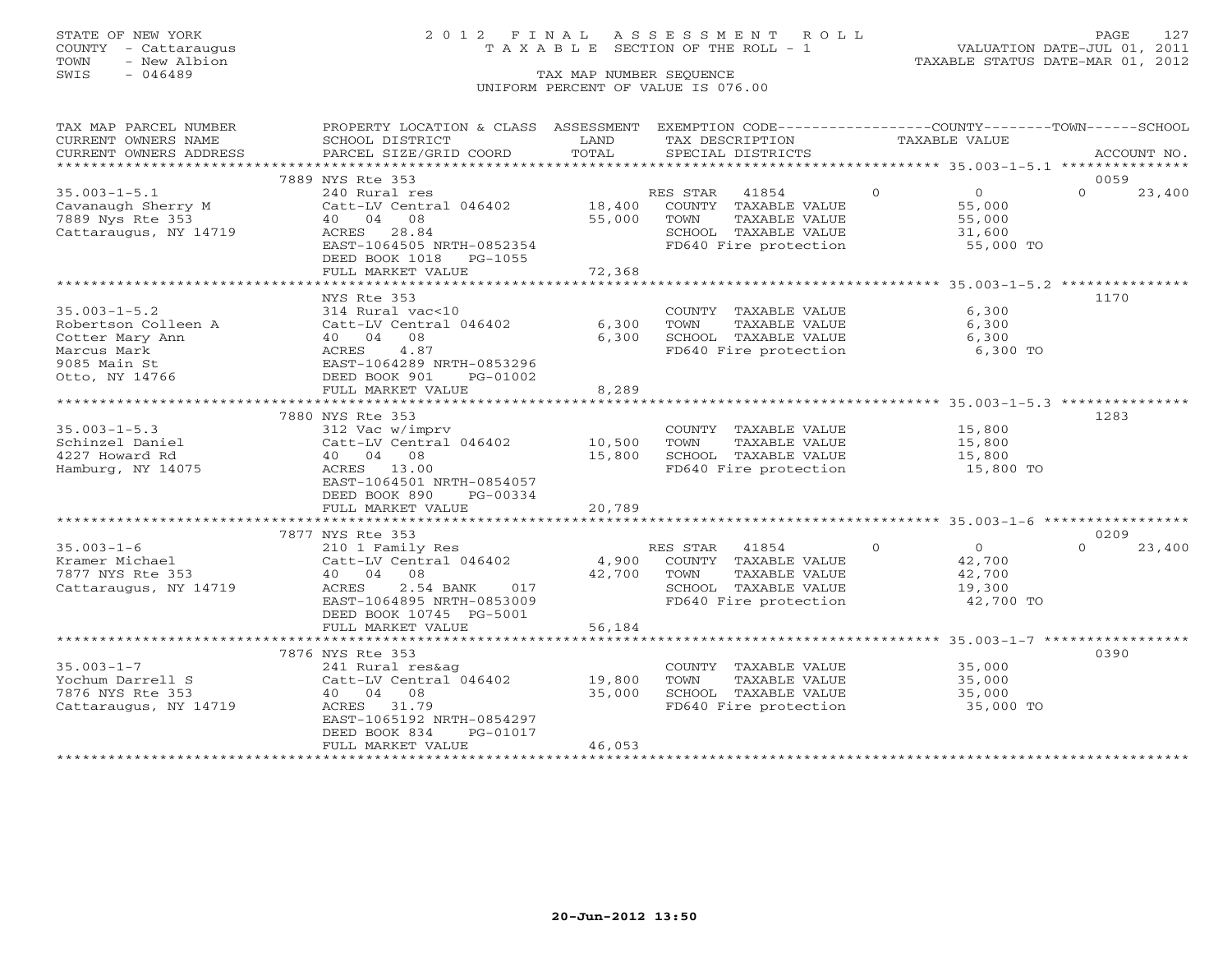### STATE OF NEW YORK 2 0 1 2 F I N A L A S S E S S M E N T R O L L PAGE 127 COUNTY - Cattaraugus T A X A B L E SECTION OF THE ROLL - 1 VALUATION DATE-JUL 01, 2011

| SCHOOL DISTRICT<br>TOTAL<br>CURRENT OWNERS ADDRESS<br>PARCEL SIZE/GRID COORD<br>SPECIAL DISTRICTS<br>ACCOUNT NO.<br>7889 NYS Rte 353<br>0059<br>$\Omega$<br>$35.003 - 1 - 5.1$<br>RES STAR 41854<br>$\Omega$<br>$\Omega$<br>23,400<br>240 Rural res<br>Catt-LV Central 046402<br>18,400<br>Cavanaugh Sherry M<br>COUNTY TAXABLE VALUE<br>55,000<br>7889 Nys Rte 353<br>40 04 08<br>55,000<br>TOWN<br>TAXABLE VALUE<br>55,000<br>Cattaraugus, NY 14719<br>ACRES<br>28.84<br>SCHOOL TAXABLE VALUE<br>31,600<br>EAST-1064505 NRTH-0852354<br>FD640 Fire protection<br>55,000 TO<br>DEED BOOK 1018<br>PG-1055<br>72,368<br>FULL MARKET VALUE<br>1170<br>NYS Rte 353<br>$35.003 - 1 - 5.2$<br>6,300<br>314 Rural vac<10<br>COUNTY TAXABLE VALUE<br>6,300<br>Robertson Colleen A<br>Catt-LV Central 046402<br>TOWN<br>TAXABLE VALUE<br>6,300<br>08<br>SCHOOL TAXABLE VALUE<br>Cotter Mary Ann<br>40 04<br>6,300<br>6,300<br>4.87<br>FD640 Fire protection<br>Marcus Mark<br>ACRES<br>6,300 TO<br>9085 Main St<br>EAST-1064289 NRTH-0853296<br>Otto, NY 14766<br>DEED BOOK 901<br>PG-01002<br>8,289<br>FULL MARKET VALUE<br>7880 NYS Rte 353<br>1283<br>$35.003 - 1 - 5.3$<br>312 Vac w/imprv<br>COUNTY TAXABLE VALUE<br>15,800<br>Schinzel Daniel<br>Catt-LV Central 046402<br>10,500<br>TOWN<br>TAXABLE VALUE<br>15,800 |
|--------------------------------------------------------------------------------------------------------------------------------------------------------------------------------------------------------------------------------------------------------------------------------------------------------------------------------------------------------------------------------------------------------------------------------------------------------------------------------------------------------------------------------------------------------------------------------------------------------------------------------------------------------------------------------------------------------------------------------------------------------------------------------------------------------------------------------------------------------------------------------------------------------------------------------------------------------------------------------------------------------------------------------------------------------------------------------------------------------------------------------------------------------------------------------------------------------------------------------------------------------------------------------------------------------------------|
|                                                                                                                                                                                                                                                                                                                                                                                                                                                                                                                                                                                                                                                                                                                                                                                                                                                                                                                                                                                                                                                                                                                                                                                                                                                                                                                    |
|                                                                                                                                                                                                                                                                                                                                                                                                                                                                                                                                                                                                                                                                                                                                                                                                                                                                                                                                                                                                                                                                                                                                                                                                                                                                                                                    |
|                                                                                                                                                                                                                                                                                                                                                                                                                                                                                                                                                                                                                                                                                                                                                                                                                                                                                                                                                                                                                                                                                                                                                                                                                                                                                                                    |
|                                                                                                                                                                                                                                                                                                                                                                                                                                                                                                                                                                                                                                                                                                                                                                                                                                                                                                                                                                                                                                                                                                                                                                                                                                                                                                                    |
|                                                                                                                                                                                                                                                                                                                                                                                                                                                                                                                                                                                                                                                                                                                                                                                                                                                                                                                                                                                                                                                                                                                                                                                                                                                                                                                    |
|                                                                                                                                                                                                                                                                                                                                                                                                                                                                                                                                                                                                                                                                                                                                                                                                                                                                                                                                                                                                                                                                                                                                                                                                                                                                                                                    |
|                                                                                                                                                                                                                                                                                                                                                                                                                                                                                                                                                                                                                                                                                                                                                                                                                                                                                                                                                                                                                                                                                                                                                                                                                                                                                                                    |
|                                                                                                                                                                                                                                                                                                                                                                                                                                                                                                                                                                                                                                                                                                                                                                                                                                                                                                                                                                                                                                                                                                                                                                                                                                                                                                                    |
|                                                                                                                                                                                                                                                                                                                                                                                                                                                                                                                                                                                                                                                                                                                                                                                                                                                                                                                                                                                                                                                                                                                                                                                                                                                                                                                    |
|                                                                                                                                                                                                                                                                                                                                                                                                                                                                                                                                                                                                                                                                                                                                                                                                                                                                                                                                                                                                                                                                                                                                                                                                                                                                                                                    |
|                                                                                                                                                                                                                                                                                                                                                                                                                                                                                                                                                                                                                                                                                                                                                                                                                                                                                                                                                                                                                                                                                                                                                                                                                                                                                                                    |
|                                                                                                                                                                                                                                                                                                                                                                                                                                                                                                                                                                                                                                                                                                                                                                                                                                                                                                                                                                                                                                                                                                                                                                                                                                                                                                                    |
|                                                                                                                                                                                                                                                                                                                                                                                                                                                                                                                                                                                                                                                                                                                                                                                                                                                                                                                                                                                                                                                                                                                                                                                                                                                                                                                    |
|                                                                                                                                                                                                                                                                                                                                                                                                                                                                                                                                                                                                                                                                                                                                                                                                                                                                                                                                                                                                                                                                                                                                                                                                                                                                                                                    |
|                                                                                                                                                                                                                                                                                                                                                                                                                                                                                                                                                                                                                                                                                                                                                                                                                                                                                                                                                                                                                                                                                                                                                                                                                                                                                                                    |
|                                                                                                                                                                                                                                                                                                                                                                                                                                                                                                                                                                                                                                                                                                                                                                                                                                                                                                                                                                                                                                                                                                                                                                                                                                                                                                                    |
|                                                                                                                                                                                                                                                                                                                                                                                                                                                                                                                                                                                                                                                                                                                                                                                                                                                                                                                                                                                                                                                                                                                                                                                                                                                                                                                    |
|                                                                                                                                                                                                                                                                                                                                                                                                                                                                                                                                                                                                                                                                                                                                                                                                                                                                                                                                                                                                                                                                                                                                                                                                                                                                                                                    |
|                                                                                                                                                                                                                                                                                                                                                                                                                                                                                                                                                                                                                                                                                                                                                                                                                                                                                                                                                                                                                                                                                                                                                                                                                                                                                                                    |
|                                                                                                                                                                                                                                                                                                                                                                                                                                                                                                                                                                                                                                                                                                                                                                                                                                                                                                                                                                                                                                                                                                                                                                                                                                                                                                                    |
|                                                                                                                                                                                                                                                                                                                                                                                                                                                                                                                                                                                                                                                                                                                                                                                                                                                                                                                                                                                                                                                                                                                                                                                                                                                                                                                    |
|                                                                                                                                                                                                                                                                                                                                                                                                                                                                                                                                                                                                                                                                                                                                                                                                                                                                                                                                                                                                                                                                                                                                                                                                                                                                                                                    |
| 15,800<br>SCHOOL TAXABLE VALUE<br>4227 Howard Rd<br>40 04 08<br>15,800                                                                                                                                                                                                                                                                                                                                                                                                                                                                                                                                                                                                                                                                                                                                                                                                                                                                                                                                                                                                                                                                                                                                                                                                                                             |
| Hamburg, NY 14075<br>ACRES 13.00<br>FD640 Fire protection<br>15,800 TO                                                                                                                                                                                                                                                                                                                                                                                                                                                                                                                                                                                                                                                                                                                                                                                                                                                                                                                                                                                                                                                                                                                                                                                                                                             |
| EAST-1064501 NRTH-0854057                                                                                                                                                                                                                                                                                                                                                                                                                                                                                                                                                                                                                                                                                                                                                                                                                                                                                                                                                                                                                                                                                                                                                                                                                                                                                          |
| DEED BOOK 890<br>PG-00334                                                                                                                                                                                                                                                                                                                                                                                                                                                                                                                                                                                                                                                                                                                                                                                                                                                                                                                                                                                                                                                                                                                                                                                                                                                                                          |
| 20,789<br>FULL MARKET VALUE                                                                                                                                                                                                                                                                                                                                                                                                                                                                                                                                                                                                                                                                                                                                                                                                                                                                                                                                                                                                                                                                                                                                                                                                                                                                                        |
|                                                                                                                                                                                                                                                                                                                                                                                                                                                                                                                                                                                                                                                                                                                                                                                                                                                                                                                                                                                                                                                                                                                                                                                                                                                                                                                    |
| 7877 NYS Rte 353<br>0209                                                                                                                                                                                                                                                                                                                                                                                                                                                                                                                                                                                                                                                                                                                                                                                                                                                                                                                                                                                                                                                                                                                                                                                                                                                                                           |
| $35.003 - 1 - 6$<br>$\Omega$<br>$\Omega$<br>210 1 Family Res<br>RES STAR 41854<br>$\Omega$<br>23,400                                                                                                                                                                                                                                                                                                                                                                                                                                                                                                                                                                                                                                                                                                                                                                                                                                                                                                                                                                                                                                                                                                                                                                                                               |
| 4,900<br>Kramer Michael<br>Catt-LV Central 046402<br>COUNTY TAXABLE VALUE<br>42,700                                                                                                                                                                                                                                                                                                                                                                                                                                                                                                                                                                                                                                                                                                                                                                                                                                                                                                                                                                                                                                                                                                                                                                                                                                |
| 40 04 08<br>42,700<br>7877 NYS Rte 353<br>TOWN<br>TAXABLE VALUE<br>42,700                                                                                                                                                                                                                                                                                                                                                                                                                                                                                                                                                                                                                                                                                                                                                                                                                                                                                                                                                                                                                                                                                                                                                                                                                                          |
| 2.54 BANK<br>Cattaraugus, NY 14719<br>ACRES<br>017<br>SCHOOL TAXABLE VALUE<br>19,300                                                                                                                                                                                                                                                                                                                                                                                                                                                                                                                                                                                                                                                                                                                                                                                                                                                                                                                                                                                                                                                                                                                                                                                                                               |
| FD640 Fire protection<br>EAST-1064895 NRTH-0853009<br>42,700 TO                                                                                                                                                                                                                                                                                                                                                                                                                                                                                                                                                                                                                                                                                                                                                                                                                                                                                                                                                                                                                                                                                                                                                                                                                                                    |
| DEED BOOK 10745 PG-5001                                                                                                                                                                                                                                                                                                                                                                                                                                                                                                                                                                                                                                                                                                                                                                                                                                                                                                                                                                                                                                                                                                                                                                                                                                                                                            |
| 56,184<br>FULL MARKET VALUE                                                                                                                                                                                                                                                                                                                                                                                                                                                                                                                                                                                                                                                                                                                                                                                                                                                                                                                                                                                                                                                                                                                                                                                                                                                                                        |
|                                                                                                                                                                                                                                                                                                                                                                                                                                                                                                                                                                                                                                                                                                                                                                                                                                                                                                                                                                                                                                                                                                                                                                                                                                                                                                                    |
| 7876 NYS Rte 353<br>0390                                                                                                                                                                                                                                                                                                                                                                                                                                                                                                                                                                                                                                                                                                                                                                                                                                                                                                                                                                                                                                                                                                                                                                                                                                                                                           |
| $35.003 - 1 - 7$<br>241 Rural res&ag<br>COUNTY TAXABLE VALUE<br>35,000                                                                                                                                                                                                                                                                                                                                                                                                                                                                                                                                                                                                                                                                                                                                                                                                                                                                                                                                                                                                                                                                                                                                                                                                                                             |
| Yochum Darrell S<br>Catt-LV Central 046402<br>19,800<br>TOWN<br>TAXABLE VALUE<br>35,000                                                                                                                                                                                                                                                                                                                                                                                                                                                                                                                                                                                                                                                                                                                                                                                                                                                                                                                                                                                                                                                                                                                                                                                                                            |
| 40 04 08<br>7876 NYS Rte 353<br>35,000<br>SCHOOL TAXABLE VALUE<br>35,000                                                                                                                                                                                                                                                                                                                                                                                                                                                                                                                                                                                                                                                                                                                                                                                                                                                                                                                                                                                                                                                                                                                                                                                                                                           |
| FD640 Fire protection<br>35,000 TO<br>Cattaraugus, NY 14719<br>ACRES 31.79                                                                                                                                                                                                                                                                                                                                                                                                                                                                                                                                                                                                                                                                                                                                                                                                                                                                                                                                                                                                                                                                                                                                                                                                                                         |
| EAST-1065192 NRTH-0854297                                                                                                                                                                                                                                                                                                                                                                                                                                                                                                                                                                                                                                                                                                                                                                                                                                                                                                                                                                                                                                                                                                                                                                                                                                                                                          |
| DEED BOOK 834<br>PG-01017                                                                                                                                                                                                                                                                                                                                                                                                                                                                                                                                                                                                                                                                                                                                                                                                                                                                                                                                                                                                                                                                                                                                                                                                                                                                                          |
| 46,053<br>FULL MARKET VALUE                                                                                                                                                                                                                                                                                                                                                                                                                                                                                                                                                                                                                                                                                                                                                                                                                                                                                                                                                                                                                                                                                                                                                                                                                                                                                        |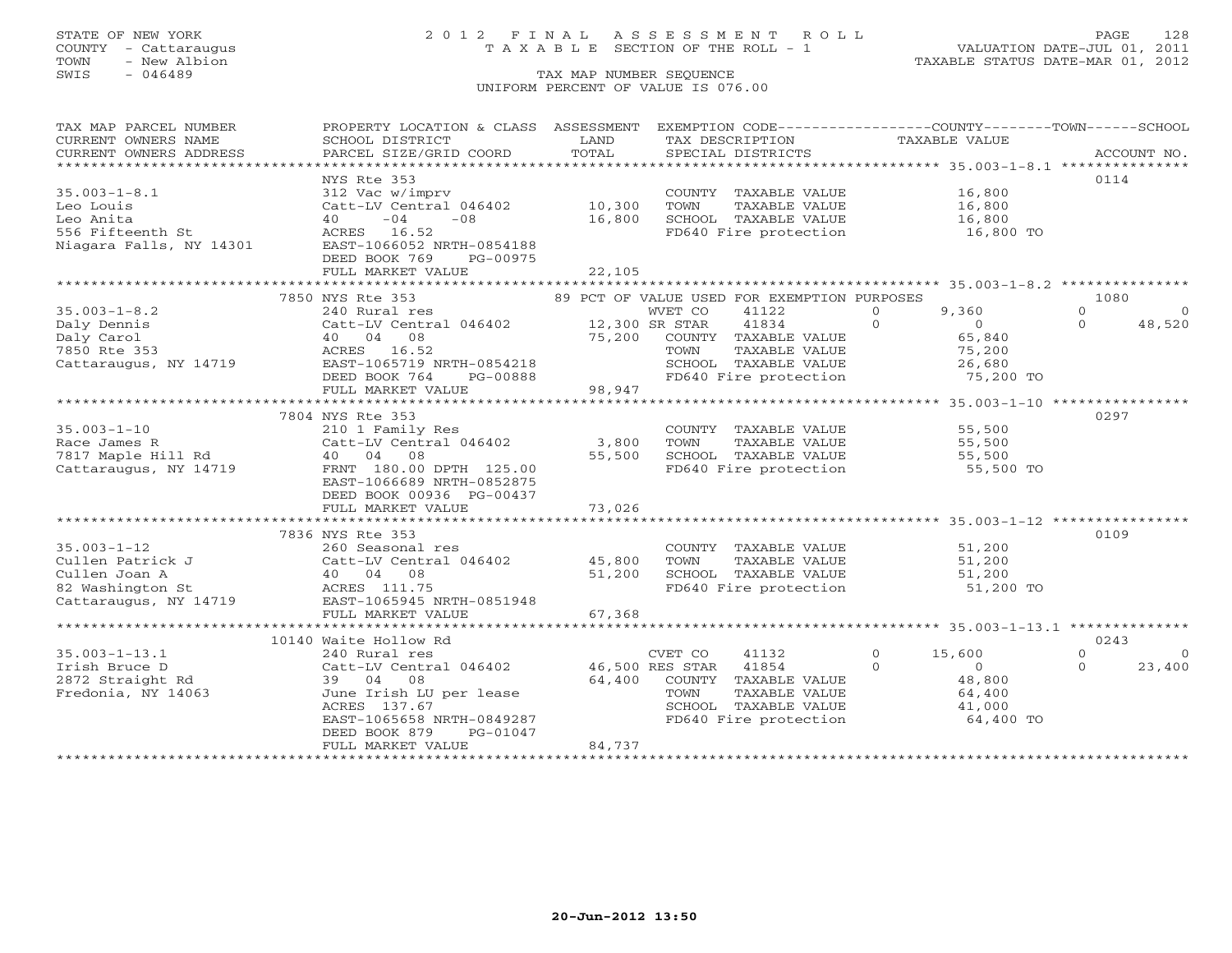## STATE OF NEW YORK 2 0 1 2 F I N A L A S S E S S M E N T R O L L PAGE 128 COUNTY - Cattaraugus T A X A B L E SECTION OF THE ROLL - 1 VALUATION DATE-JUL 01, 2011

| TAX MAP PARCEL NUMBER   | PROPERTY LOCATION & CLASS ASSESSMENT                                                                                                                                                                                                                                                                                                                                                                                                                                                                                   |        | EXEMPTION CODE----------------COUNTY-------TOWN------SCHOOL |                            |                      |
|-------------------------|------------------------------------------------------------------------------------------------------------------------------------------------------------------------------------------------------------------------------------------------------------------------------------------------------------------------------------------------------------------------------------------------------------------------------------------------------------------------------------------------------------------------|--------|-------------------------------------------------------------|----------------------------|----------------------|
| CURRENT OWNERS NAME     | SCHOOL DISTRICT                                                                                                                                                                                                                                                                                                                                                                                                                                                                                                        | LAND   | TAX DESCRIPTION                                             | TAXABLE VALUE              |                      |
|                         |                                                                                                                                                                                                                                                                                                                                                                                                                                                                                                                        | TOTAL  |                                                             |                            |                      |
|                         | $\begin{minipage}{.45\textwidth} \begin{minipage}{.45\textwidth} \begin{minipage}{.45\textwidth} \begin{minipage}{.45\textwidth} \begin{minipage}{.45\textwidth} \begin{minipage}{.45\textwidth} \begin{minipage}{.45\textwidth} \begin{minipage}{.45\textwidth} \begin{minipage}{.45\textwidth} \begin{minipage}{.45\textwidth} \begin{minipage}{.45\textwidth} \begin{minipage}{.45\textwidth} \begin{minipage}{.45\textwidth} \begin{minipage}{.45\textwidth} \begin{minipage}{.45\textwidth} \begin{minipage}{.45$ |        |                                                             |                            |                      |
|                         | NYS Rte 353                                                                                                                                                                                                                                                                                                                                                                                                                                                                                                            |        |                                                             |                            | 0114                 |
| $35.003 - 1 - 8.1$      | 312 Vac w/imprv                                                                                                                                                                                                                                                                                                                                                                                                                                                                                                        |        | COUNTY TAXABLE VALUE 16,800                                 |                            |                      |
| Leo Louis               | Catt-LV Central 046402                                                                                                                                                                                                                                                                                                                                                                                                                                                                                                 | 10,300 | TOWN<br>TAXABLE VALUE                                       |                            |                      |
| Leo Anita               | $-04$<br>40<br>$-0.8$                                                                                                                                                                                                                                                                                                                                                                                                                                                                                                  | 16,800 | SCHOOL TAXABLE VALUE                                        | 16,800<br>16,800           |                      |
| 556 Fifteenth St        | ACRES 16.52                                                                                                                                                                                                                                                                                                                                                                                                                                                                                                            |        | FD640 Fire protection 16,800 TO                             |                            |                      |
| Niagara Falls, NY 14301 | EAST-1066052 NRTH-0854188                                                                                                                                                                                                                                                                                                                                                                                                                                                                                              |        |                                                             |                            |                      |
|                         | DEED BOOK 769<br>PG-00975                                                                                                                                                                                                                                                                                                                                                                                                                                                                                              |        |                                                             |                            |                      |
|                         | FULL MARKET VALUE                                                                                                                                                                                                                                                                                                                                                                                                                                                                                                      | 22,105 |                                                             |                            |                      |
|                         |                                                                                                                                                                                                                                                                                                                                                                                                                                                                                                                        |        |                                                             |                            |                      |
|                         | 7850 NYS Rte 353                                                                                                                                                                                                                                                                                                                                                                                                                                                                                                       |        | 89 PCT OF VALUE USED FOR EXEMPTION PURPOSES                 |                            | 1080                 |
| $35.003 - 1 - 8.2$      |                                                                                                                                                                                                                                                                                                                                                                                                                                                                                                                        |        | 41122                                                       | 9,360<br>$\Omega$          | $\Omega$<br>$\Omega$ |
| Daly Dennis             |                                                                                                                                                                                                                                                                                                                                                                                                                                                                                                                        |        | 41834                                                       | $\Omega$<br>$\overline{0}$ | $\Omega$<br>48,520   |
| Daly Carol              | 40 04 08                                                                                                                                                                                                                                                                                                                                                                                                                                                                                                               |        | 75,200 COUNTY TAXABLE VALUE                                 | 65,840                     |                      |
|                         |                                                                                                                                                                                                                                                                                                                                                                                                                                                                                                                        |        | TAXABLE VALUE<br>TOWN                                       | 75,200                     |                      |
|                         |                                                                                                                                                                                                                                                                                                                                                                                                                                                                                                                        |        | SCHOOL TAXABLE VALUE                                        | 26,680                     |                      |
|                         |                                                                                                                                                                                                                                                                                                                                                                                                                                                                                                                        |        |                                                             |                            |                      |
|                         | DEED BOOK 764<br>PG-00888                                                                                                                                                                                                                                                                                                                                                                                                                                                                                              | 98,947 | FD640 Fire protection                                       | 75,200 TO                  |                      |
|                         | FULL MARKET VALUE                                                                                                                                                                                                                                                                                                                                                                                                                                                                                                      |        |                                                             |                            |                      |
|                         |                                                                                                                                                                                                                                                                                                                                                                                                                                                                                                                        |        |                                                             |                            |                      |
|                         | 7804 NYS Rte 353                                                                                                                                                                                                                                                                                                                                                                                                                                                                                                       |        |                                                             |                            | 0297                 |
| $35.003 - 1 - 10$       | 210 1 Family Res                                                                                                                                                                                                                                                                                                                                                                                                                                                                                                       |        | COUNTY TAXABLE VALUE                                        | 55,500                     |                      |
| Race James R            | Catt-LV Central 046402                                                                                                                                                                                                                                                                                                                                                                                                                                                                                                 | 3,800  | TOWN<br>TAXABLE VALUE                                       | 55,500                     |                      |
| 7817 Maple Hill Rd      | 40 04 08                                                                                                                                                                                                                                                                                                                                                                                                                                                                                                               | 55,500 | SCHOOL TAXABLE VALUE                                        | 55,500                     |                      |
| Cattaraugus, NY 14719   | FRNT 180.00 DPTH 125.00                                                                                                                                                                                                                                                                                                                                                                                                                                                                                                |        | FD640 Fire protection                                       | 55,500 TO                  |                      |
|                         | EAST-1066689 NRTH-0852875                                                                                                                                                                                                                                                                                                                                                                                                                                                                                              |        |                                                             |                            |                      |
|                         | DEED BOOK 00936 PG-00437                                                                                                                                                                                                                                                                                                                                                                                                                                                                                               |        |                                                             |                            |                      |
|                         | FULL MARKET VALUE                                                                                                                                                                                                                                                                                                                                                                                                                                                                                                      | 73,026 |                                                             |                            |                      |
|                         |                                                                                                                                                                                                                                                                                                                                                                                                                                                                                                                        |        |                                                             |                            |                      |
|                         | 7836 NYS Rte 353                                                                                                                                                                                                                                                                                                                                                                                                                                                                                                       |        |                                                             |                            | 0109                 |
| $35.003 - 1 - 12$       | 260 Seasonal res                                                                                                                                                                                                                                                                                                                                                                                                                                                                                                       |        | COUNTY TAXABLE VALUE                                        | 51,200                     |                      |
|                         |                                                                                                                                                                                                                                                                                                                                                                                                                                                                                                                        |        | TAXABLE VALUE<br>TOWN                                       | 51,200                     |                      |
|                         |                                                                                                                                                                                                                                                                                                                                                                                                                                                                                                                        |        | SCHOOL TAXABLE VALUE<br>FD640 Fire protection               | 51,200                     |                      |
|                         | 35.003-1-12<br>Cullen Patrick J<br>Cullen Joan A (att-LV Central 046402 45,800<br>Cullen Joan A (40 04 08 51,200<br>82 Washington St ACRES 111.75<br>Cattaraugus, NY 14719 EAST-1065945 NRTH-0851948                                                                                                                                                                                                                                                                                                                   |        |                                                             | 51,200 TO                  |                      |
|                         |                                                                                                                                                                                                                                                                                                                                                                                                                                                                                                                        |        |                                                             |                            |                      |
|                         | FULL MARKET VALUE                                                                                                                                                                                                                                                                                                                                                                                                                                                                                                      | 67,368 |                                                             |                            |                      |
|                         |                                                                                                                                                                                                                                                                                                                                                                                                                                                                                                                        |        |                                                             |                            |                      |
|                         | 10140 Waite Hollow Rd                                                                                                                                                                                                                                                                                                                                                                                                                                                                                                  |        |                                                             |                            | 0243                 |
| $35.003 - 1 - 13.1$     | 240 Rural res                                                                                                                                                                                                                                                                                                                                                                                                                                                                                                          |        | 41132<br>CVET CO                                            | $\overline{0}$<br>15,600   | $\Omega$<br>$\circ$  |
| Irish Bruce D           | Catt-LV Central 046402                                                                                                                                                                                                                                                                                                                                                                                                                                                                                                 |        | 46,500 RES STAR 41854                                       | $\Omega$<br>$\overline{0}$ | 23,400<br>$\Omega$   |
| 2872 Straight Rd        | 39 04 08                                                                                                                                                                                                                                                                                                                                                                                                                                                                                                               | 64,400 | COUNTY TAXABLE VALUE                                        | 48,800                     |                      |
| Fredonia, NY 14063      | June Irish LU per lease                                                                                                                                                                                                                                                                                                                                                                                                                                                                                                |        | TOWN<br>TAXABLE VALUE                                       | 64,400                     |                      |
|                         | ACRES 137.67                                                                                                                                                                                                                                                                                                                                                                                                                                                                                                           |        | SCHOOL TAXABLE VALUE                                        | 41,000                     |                      |
|                         | EAST-1065658 NRTH-0849287                                                                                                                                                                                                                                                                                                                                                                                                                                                                                              |        | FD640 Fire protection                                       | 64,400 TO                  |                      |
|                         | DEED BOOK 879<br>PG-01047                                                                                                                                                                                                                                                                                                                                                                                                                                                                                              |        |                                                             |                            |                      |
|                         | FULL MARKET VALUE                                                                                                                                                                                                                                                                                                                                                                                                                                                                                                      | 84,737 |                                                             |                            |                      |
|                         |                                                                                                                                                                                                                                                                                                                                                                                                                                                                                                                        |        |                                                             |                            |                      |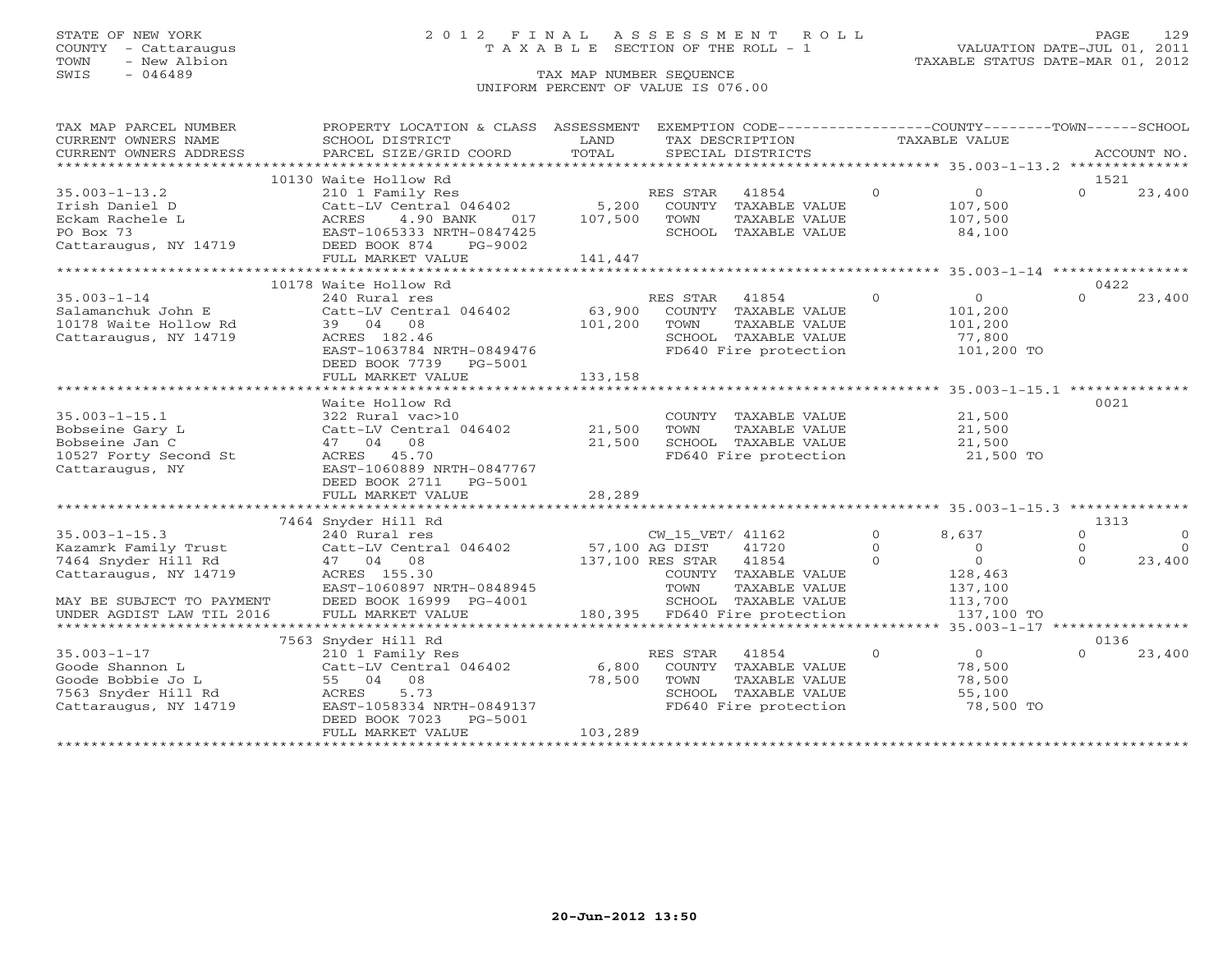### STATE OF NEW YORK 2 0 1 2 F I N A L A S S E S S M E N T R O L L PAGE 129 COUNTY - Cattaraugus T A X A B L E SECTION OF THE ROLL - 1 VALUATION DATE-JUL 01, 2011

| TAX MAP PARCEL NUMBER<br>CURRENT OWNERS NAME                                                                                                          | PROPERTY LOCATION & CLASS ASSESSMENT EXEMPTION CODE---------------COUNTY-------TOWN------SCHOOL<br>SCHOOL DISTRICT                                                             | LAND                        | TAX DESCRIPTION                                                                                                                                               | TAXABLE VALUE                                                                                                                |                                                                |
|-------------------------------------------------------------------------------------------------------------------------------------------------------|--------------------------------------------------------------------------------------------------------------------------------------------------------------------------------|-----------------------------|---------------------------------------------------------------------------------------------------------------------------------------------------------------|------------------------------------------------------------------------------------------------------------------------------|----------------------------------------------------------------|
| CURRENT OWNERS ADDRESS                                                                                                                                | PARCEL SIZE/GRID COORD                                                                                                                                                         | TOTAL                       | SPECIAL DISTRICTS                                                                                                                                             |                                                                                                                              | ACCOUNT NO.                                                    |
|                                                                                                                                                       |                                                                                                                                                                                |                             |                                                                                                                                                               |                                                                                                                              |                                                                |
| $35.003 - 1 - 13.2$<br>Irish Daniel D<br>Eckam Rachele L<br>PO Box 73<br>Cattaraugus, NY 14719                                                        | 10130 Waite Hollow Rd<br>210 1 Family Res<br>Catt-LV Central 046402<br>ACRES<br>4.90 BANK<br>017<br>EAST-1065333 NRTH-0847425<br>DEED BOOK 874<br>PG-9002<br>FULL MARKET VALUE | 5,200<br>107,500<br>141,447 | 41854<br>RES STAR<br>COUNTY<br>TAXABLE VALUE<br>TOWN<br>TAXABLE VALUE<br>SCHOOL TAXABLE VALUE                                                                 | $\Omega$<br>$\overline{0}$<br>107,500<br>107,500<br>84,100                                                                   | 1521<br>$\Omega$<br>23,400                                     |
|                                                                                                                                                       |                                                                                                                                                                                |                             |                                                                                                                                                               |                                                                                                                              |                                                                |
|                                                                                                                                                       | 10178 Waite Hollow Rd                                                                                                                                                          |                             |                                                                                                                                                               |                                                                                                                              | 0422                                                           |
| $35.003 - 1 - 14$<br>Salamanchuk John E<br>10178 Waite Hollow Rd<br>Cattaraugus, NY 14719                                                             | 240 Rural res<br>Catt-LV Central 046402<br>39 04 08<br>ACRES 182.46<br>EAST-1063784 NRTH-0849476<br>DEED BOOK 7739 PG-5001                                                     | 63,900<br>101,200           | RES STAR<br>41854<br>COUNTY TAXABLE VALUE<br>TOWN<br>TAXABLE VALUE<br>SCHOOL TAXABLE VALUE<br>FD640 Fire protection                                           | $\Omega$<br>$\circ$<br>101,200<br>101,200<br>77,800<br>101,200 TO                                                            | 23,400<br>$\Omega$                                             |
|                                                                                                                                                       | FULL MARKET VALUE                                                                                                                                                              | 133,158                     |                                                                                                                                                               |                                                                                                                              |                                                                |
| $35.003 - 1 - 15.1$<br>Bobseine Gary L<br>Bobseine Jan C<br>10527 Forty Second St<br>Cattaraugus, NY                                                  | Waite Hollow Rd<br>322 Rural vac>10<br>Catt-LV Central 046402<br>47 04 08<br>ACRES 45.70<br>EAST-1060889 NRTH-0847767<br>DEED BOOK 2711<br>PG-5001<br>FULL MARKET VALUE        | 21,500<br>21,500<br>28,289  | COUNTY TAXABLE VALUE<br>TAXABLE VALUE<br>TOWN<br>SCHOOL TAXABLE VALUE<br>FD640 Fire protection                                                                | 21,500<br>21,500<br>21,500<br>21,500 TO                                                                                      | 0021                                                           |
|                                                                                                                                                       | 7464 Snyder Hill Rd                                                                                                                                                            |                             |                                                                                                                                                               |                                                                                                                              | 1313                                                           |
| $35.003 - 1 - 15.3$<br>Kazamrk Family Trust<br>7464 Snyder Hill Rd<br>Cattaraugus, NY 14719<br>MAY BE SUBJECT TO PAYMENT<br>UNDER AGDIST LAW TIL 2016 | 240 Rural res<br>Catt-LV Central 046402<br>47 04 08<br>ACRES 155.30<br>EAST-1060897 NRTH-0848945<br>DEED BOOK 16999 PG-4001<br>FULL MARKET VALUE                               | 57,100 AG DIST              | CW_15_VET/ 41162<br>41720<br>137,100 RES STAR 41854<br>COUNTY TAXABLE VALUE<br>TOWN<br>TAXABLE VALUE<br>SCHOOL TAXABLE VALUE<br>180,395 FD640 Fire protection | $\Omega$<br>8,637<br>$\Omega$<br>$\overline{0}$<br>$\overline{0}$<br>$\Omega$<br>128,463<br>137,100<br>113,700<br>137,100 TO | $\Omega$<br>$\circ$<br>$\Omega$<br>$\circ$<br>$\cap$<br>23,400 |
|                                                                                                                                                       |                                                                                                                                                                                |                             |                                                                                                                                                               |                                                                                                                              | ******** 35.003-1-17 *****************                         |
| $35.003 - 1 - 17$<br>Goode Shannon L<br>Goode Bobbie Jo L<br>7563 Snyder Hill Rd<br>Cattaraugus, NY 14719                                             | 7563 Snyder Hill Rd<br>210 1 Family Res<br>Catt-LV Central 046402<br>55 04 08<br>5.73<br>ACRES<br>EAST-1058334 NRTH-0849137<br>DEED BOOK 7023<br>PG-5001<br>FULL MARKET VALUE  | 6,800<br>78,500<br>103,289  | RES STAR<br>41854<br>COUNTY TAXABLE VALUE<br>TOWN<br>TAXABLE VALUE<br>SCHOOL TAXABLE VALUE<br>FD640 Fire protection                                           | $\overline{0}$<br>$\Omega$<br>78,500<br>78,500<br>55,100<br>78,500 TO                                                        | 0136<br>$\Omega$<br>23,400                                     |
|                                                                                                                                                       |                                                                                                                                                                                |                             |                                                                                                                                                               |                                                                                                                              |                                                                |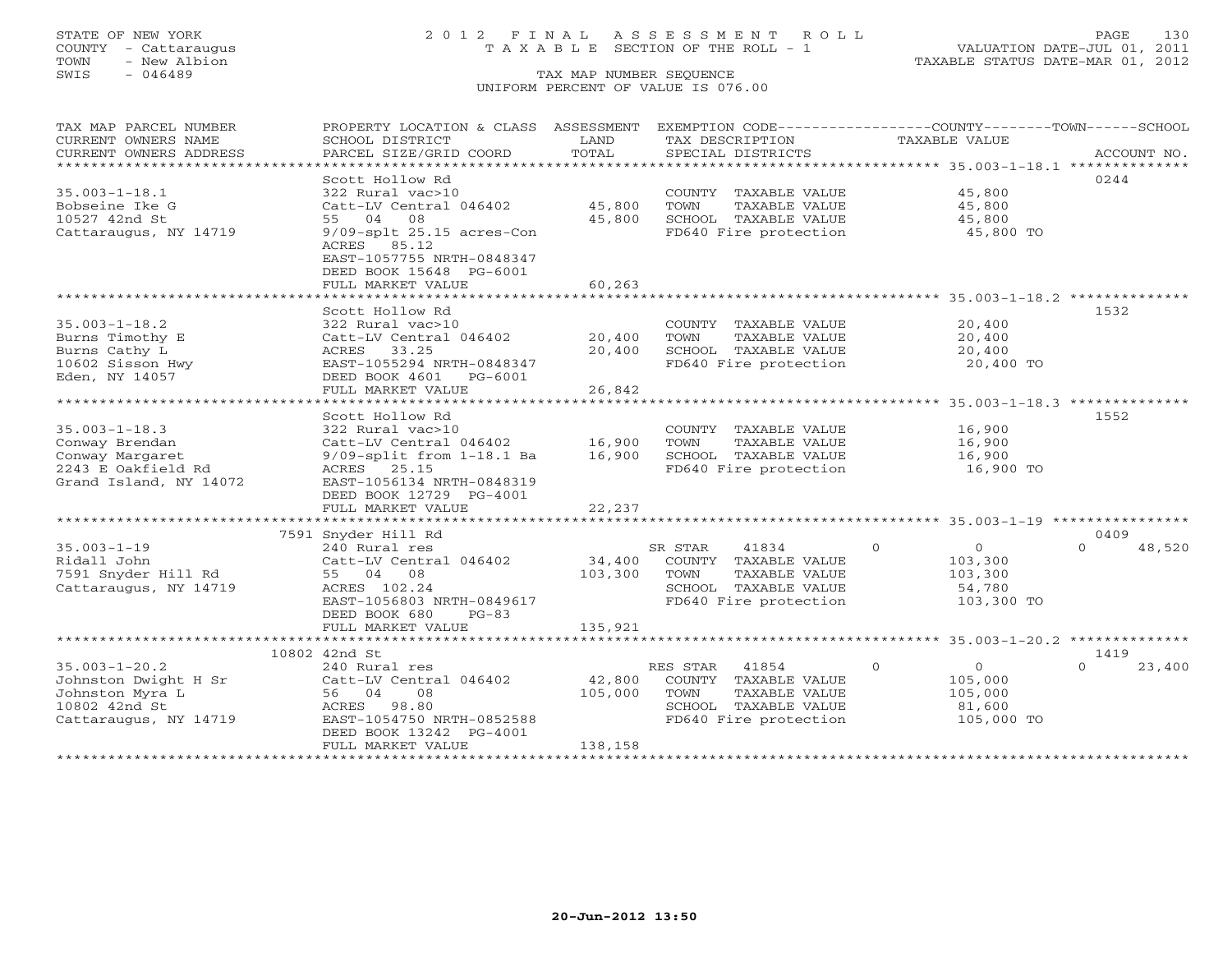TOWN - New Albion TAXABLE STATUS DATE-MAR 01, 2012 TOWN - New Albion<br>
SWIS - 046489 TAX MAP NUMBER SEQUENCE

## STATE OF NEW YORK 2 0 1 2 F I N A L A S S E S S M E N T R O L L PAGE 130 COUNTY - Cattaraugus T A X A B L E SECTION OF THE ROLL - 1 VALUATION DATE-JUL 01, 2011

UNIFORM PERCENT OF VALUE IS 076.00

| TAX MAP PARCEL NUMBER   | PROPERTY LOCATION & CLASS ASSESSMENT                 |             | EXEMPTION CODE-----------------COUNTY-------TOWN------SCHOOL |                                                              |                    |
|-------------------------|------------------------------------------------------|-------------|--------------------------------------------------------------|--------------------------------------------------------------|--------------------|
| CURRENT OWNERS NAME     | SCHOOL DISTRICT                                      | LAND        | TAX DESCRIPTION                                              | <b>TAXABLE VALUE</b>                                         |                    |
| CURRENT OWNERS ADDRESS  | PARCEL SIZE/GRID COORD                               | TOTAL       | SPECIAL DISTRICTS                                            |                                                              | ACCOUNT NO.        |
| *********************** |                                                      |             |                                                              |                                                              |                    |
|                         | Scott Hollow Rd                                      |             |                                                              |                                                              | 0244               |
| $35.003 - 1 - 18.1$     | 322 Rural vac>10                                     |             | COUNTY TAXABLE VALUE                                         | 45,800                                                       |                    |
| Bobseine Ike G          | Catt-LV Central 046402                               | 45,800      | TOWN<br>TAXABLE VALUE                                        | 45,800                                                       |                    |
| 10527 42nd St           | 55 04 08                                             | 45,800      | SCHOOL TAXABLE VALUE                                         | 45,800                                                       |                    |
| Cattaraugus, NY 14719   | $9/09$ -splt 25.15 acres-Con<br>ACRES 85.12          |             | FD640 Fire protection                                        | 45,800 TO                                                    |                    |
|                         | EAST-1057755 NRTH-0848347<br>DEED BOOK 15648 PG-6001 |             |                                                              |                                                              |                    |
|                         | FULL MARKET VALUE                                    | 60,263      |                                                              |                                                              |                    |
|                         |                                                      |             |                                                              |                                                              |                    |
|                         | Scott Hollow Rd                                      |             |                                                              |                                                              | 1532               |
| $35.003 - 1 - 18.2$     | 322 Rural vac>10                                     |             | COUNTY TAXABLE VALUE                                         | 20,400                                                       |                    |
| Burns Timothy E         | Catt-LV Central 046402                               | 20,400      | TAXABLE VALUE<br>TOWN                                        | 20,400                                                       |                    |
| Burns Cathy L           | ACRES 33.25                                          | 20,400      | SCHOOL TAXABLE VALUE                                         | 20,400                                                       |                    |
| 10602 Sisson Hwy        | EAST-1055294 NRTH-0848347                            |             | FD640 Fire protection                                        | 20,400 TO                                                    |                    |
| Eden, NY 14057          | DEED BOOK 4601<br>PG-6001                            |             |                                                              |                                                              |                    |
|                         | FULL MARKET VALUE                                    | 26,842      |                                                              |                                                              |                    |
|                         | ***********************                              | *********** |                                                              | ****************************** 35.003-1-18.3 *************** |                    |
|                         | Scott Hollow Rd                                      |             |                                                              |                                                              | 1552               |
| $35.003 - 1 - 18.3$     | 322 Rural vac>10                                     |             | COUNTY TAXABLE VALUE                                         | 16,900                                                       |                    |
| Conway Brendan          | Catt-LV Central 046402                               | 16,900      | TOWN<br>TAXABLE VALUE                                        | 16,900                                                       |                    |
| Conway Margaret         | $9/09$ -split from $1-18.1$ Ba                       | 16,900      | SCHOOL TAXABLE VALUE                                         | 16,900                                                       |                    |
| 2243 E Oakfield Rd      | ACRES 25.15                                          |             | FD640 Fire protection                                        | 16,900 TO                                                    |                    |
| Grand Island, NY 14072  | EAST-1056134 NRTH-0848319                            |             |                                                              |                                                              |                    |
|                         | DEED BOOK 12729 PG-4001                              |             |                                                              |                                                              |                    |
|                         | FULL MARKET VALUE                                    | 22,237      |                                                              |                                                              |                    |
|                         |                                                      |             |                                                              |                                                              |                    |
|                         | 7591 Snyder Hill Rd                                  |             |                                                              |                                                              | 0409               |
| $35.003 - 1 - 19$       | 240 Rural res                                        |             | 41834<br>SR STAR                                             | $\circ$<br>$\overline{O}$                                    | 48,520<br>$\Omega$ |
| Ridall John             | Catt-LV Central 046402                               | 34,400      | COUNTY TAXABLE VALUE                                         | 103,300                                                      |                    |
| 7591 Snyder Hill Rd     | 55 04 08                                             | 103,300     | TAXABLE VALUE<br>TOWN                                        | 103,300                                                      |                    |
| Cattaraugus, NY 14719   | ACRES 102.24                                         |             | SCHOOL TAXABLE VALUE                                         | 54,780                                                       |                    |
|                         | EAST-1056803 NRTH-0849617                            |             | FD640 Fire protection                                        | 103,300 TO                                                   |                    |
|                         | DEED BOOK 680<br>$PG-83$                             |             |                                                              |                                                              |                    |
|                         | FULL MARKET VALUE                                    | 135,921     |                                                              |                                                              |                    |
|                         |                                                      |             |                                                              |                                                              |                    |
|                         | 10802 42nd St                                        |             |                                                              |                                                              | 1419               |
| $35.003 - 1 - 20.2$     | 240 Rural res                                        |             | RES STAR<br>41854                                            | $\overline{0}$<br>$\circ$                                    | $\Omega$<br>23,400 |
| Johnston Dwight H Sr    | Catt-LV Central 046402                               | 42,800      | COUNTY TAXABLE VALUE                                         | 105,000                                                      |                    |
| Johnston Myra L         | 56 04<br>08                                          | 105,000     | TOWN<br>TAXABLE VALUE                                        | 105,000                                                      |                    |
| 10802 42nd St           | ACRES 98.80                                          |             | SCHOOL TAXABLE VALUE                                         | 81,600                                                       |                    |
| Cattaraugus, NY 14719   | EAST-1054750 NRTH-0852588                            |             | FD640 Fire protection                                        | 105,000 TO                                                   |                    |
|                         | DEED BOOK 13242 PG-4001                              |             |                                                              |                                                              |                    |
|                         | FULL MARKET VALUE                                    | 138,158     |                                                              |                                                              |                    |
|                         |                                                      |             |                                                              |                                                              |                    |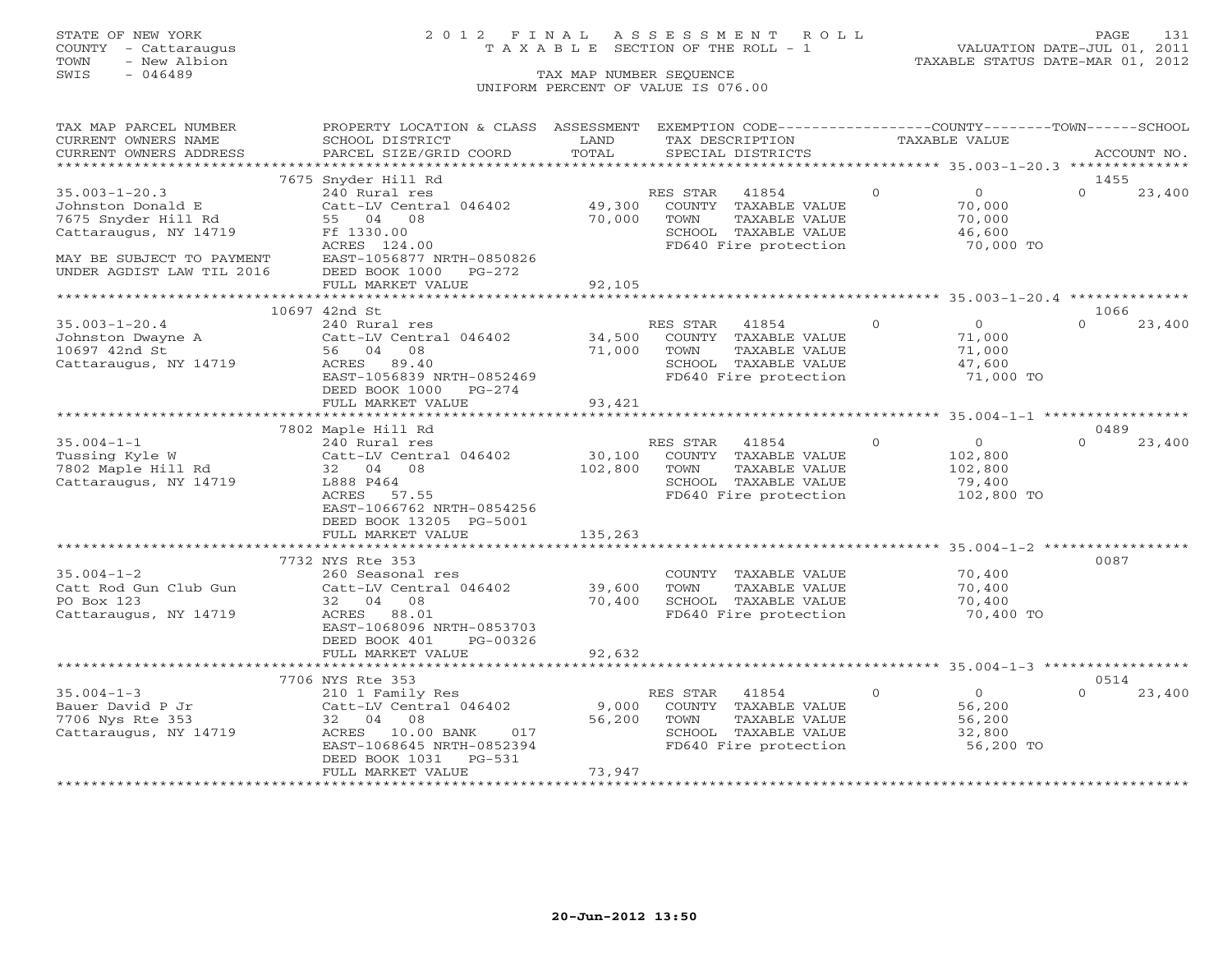## STATE OF NEW YORK 2 0 1 2 F I N A L A S S E S S M E N T R O L L PAGE 131 COUNTY - Cattaraugus T A X A B L E SECTION OF THE ROLL - 1 VALUATION DATE-JUL 01, 2011

| TAX MAP PARCEL NUMBER                             | PROPERTY LOCATION & CLASS ASSESSMENT                    |               | EXEMPTION CODE-----------------COUNTY-------TOWN------SCHOOL |                |                                                    |          |             |
|---------------------------------------------------|---------------------------------------------------------|---------------|--------------------------------------------------------------|----------------|----------------------------------------------------|----------|-------------|
| CURRENT OWNERS NAME                               | SCHOOL DISTRICT                                         | LAND          | TAX DESCRIPTION                                              |                | <b>TAXABLE VALUE</b>                               |          |             |
| CURRENT OWNERS ADDRESS<br>*********************** | PARCEL SIZE/GRID COORD<br>***************************** | TOTAL         | SPECIAL DISTRICTS                                            |                |                                                    |          | ACCOUNT NO. |
|                                                   |                                                         |               |                                                              |                |                                                    |          |             |
|                                                   | 7675 Snyder Hill Rd                                     |               |                                                              |                |                                                    | 1455     |             |
| $35.003 - 1 - 20.3$                               | 240 Rural res                                           |               | RES STAR<br>41854                                            | $\circ$        | $\overline{0}$                                     | $\Omega$ | 23,400      |
| Johnston Donald E                                 | Catt-LV Central 046402                                  | 49,300        | COUNTY TAXABLE VALUE                                         |                | 70,000                                             |          |             |
| 7675 Snyder Hill Rd                               | 55 04 08                                                | 70,000        | TAXABLE VALUE<br>TOWN                                        |                | 70,000                                             |          |             |
| Cattaraugus, NY 14719                             | Ff 1330.00                                              |               | SCHOOL TAXABLE VALUE                                         |                | 46,600                                             |          |             |
|                                                   | ACRES 124.00                                            |               | FD640 Fire protection                                        |                | 70,000 TO                                          |          |             |
| MAY BE SUBJECT TO PAYMENT                         | EAST-1056877 NRTH-0850826                               |               |                                                              |                |                                                    |          |             |
| UNDER AGDIST LAW TIL 2016                         | DEED BOOK 1000 PG-272<br>FULL MARKET VALUE              | 92,105        |                                                              |                |                                                    |          |             |
|                                                   |                                                         |               |                                                              |                |                                                    |          |             |
|                                                   | 10697 42nd St                                           |               |                                                              |                |                                                    | 1066     |             |
| $35.003 - 1 - 20.4$                               | 240 Rural res                                           |               | RES STAR<br>41854                                            | $\overline{0}$ | $\overline{0}$                                     | $\Omega$ | 23,400      |
| Johnston Dwayne A                                 | Catt-LV Central 046402                                  | 34,500        | COUNTY TAXABLE VALUE                                         |                | 71,000                                             |          |             |
| 10697 42nd St                                     | 56 04 08                                                | 71,000        | TAXABLE VALUE<br>TOWN                                        |                | 71,000                                             |          |             |
| Cattaraugus, NY 14719                             | ACRES<br>89.40                                          |               | SCHOOL TAXABLE VALUE                                         |                | 47,600                                             |          |             |
|                                                   | EAST-1056839 NRTH-0852469                               |               | FD640 Fire protection                                        |                | 71,000 TO                                          |          |             |
|                                                   | DEED BOOK 1000<br>PG-274                                |               |                                                              |                |                                                    |          |             |
|                                                   | FULL MARKET VALUE                                       | 93,421        |                                                              |                |                                                    |          |             |
|                                                   | *************************                               | ************* |                                                              |                |                                                    |          |             |
|                                                   | 7802 Maple Hill Rd                                      |               |                                                              |                |                                                    | 0489     |             |
| $35.004 - 1 - 1$                                  | 240 Rural res                                           |               | RES STAR<br>41854                                            | $\overline{0}$ | $\overline{O}$                                     | $\Omega$ | 23,400      |
| Tussing Kyle W                                    | Catt-LV Central 046402                                  | 30,100        | COUNTY TAXABLE VALUE                                         |                | 102,800                                            |          |             |
| 7802 Maple Hill Rd                                | 32 04 08                                                | 102,800       | TOWN<br>TAXABLE VALUE                                        |                | 102,800                                            |          |             |
| Cattaraugus, NY 14719                             | L888 P464                                               |               | SCHOOL TAXABLE VALUE                                         |                | 79,400                                             |          |             |
|                                                   | ACRES 57.55                                             |               | FD640 Fire protection                                        |                | 102,800 TO                                         |          |             |
|                                                   | EAST-1066762 NRTH-0854256                               |               |                                                              |                |                                                    |          |             |
|                                                   | DEED BOOK 13205 PG-5001                                 |               |                                                              |                |                                                    |          |             |
|                                                   | FULL MARKET VALUE                                       | 135,263       |                                                              |                |                                                    |          |             |
|                                                   |                                                         |               |                                                              |                |                                                    |          |             |
|                                                   | 7732 NYS Rte 353                                        |               |                                                              |                |                                                    | 0087     |             |
| $35.004 - 1 - 2$                                  | 260 Seasonal res                                        |               | COUNTY TAXABLE VALUE                                         |                | 70,400                                             |          |             |
| Catt Rod Gun Club Gun                             | Catt-LV Central 046402                                  | 39,600        | TAXABLE VALUE<br>TOWN                                        |                | 70,400                                             |          |             |
| PO Box 123                                        | 32 04 08                                                | 70,400        | SCHOOL TAXABLE VALUE                                         |                | 70,400                                             |          |             |
| Cattaraugus, NY 14719                             | 88.01<br>ACRES                                          |               | FD640 Fire protection                                        |                | 70,400 TO                                          |          |             |
|                                                   | EAST-1068096 NRTH-0853703                               |               |                                                              |                |                                                    |          |             |
|                                                   | DEED BOOK 401<br>PG-00326                               |               |                                                              |                |                                                    |          |             |
|                                                   | FULL MARKET VALUE                                       | 92,632        |                                                              |                |                                                    |          |             |
|                                                   | ************************                                |               |                                                              |                | ********************* 35.004-1-3 ***************** |          |             |
|                                                   | 7706 NYS Rte 353                                        |               |                                                              |                |                                                    | 0514     |             |
| $35.004 - 1 - 3$                                  | 210 1 Family Res                                        |               | RES STAR<br>41854                                            | $\overline{0}$ | $\overline{0}$                                     | $\Omega$ | 23,400      |
| Bauer David P Jr                                  | Catt-LV Central 046402                                  | 9,000         | COUNTY TAXABLE VALUE                                         |                | 56,200                                             |          |             |
| 7706 Nys Rte 353                                  | 32 04 08                                                | 56,200        | TOWN<br>TAXABLE VALUE                                        |                | 56,200                                             |          |             |
| Cattaraugus, NY 14719                             | ACRES 10.00 BANK<br>017                                 |               | SCHOOL TAXABLE VALUE                                         |                | 32,800                                             |          |             |
|                                                   | EAST-1068645 NRTH-0852394                               |               | FD640 Fire protection                                        |                | 56,200 TO                                          |          |             |
|                                                   | DEED BOOK 1031 PG-531                                   |               |                                                              |                |                                                    |          |             |
|                                                   | FULL MARKET VALUE                                       | 73,947        |                                                              |                |                                                    |          |             |
|                                                   |                                                         |               |                                                              |                |                                                    |          |             |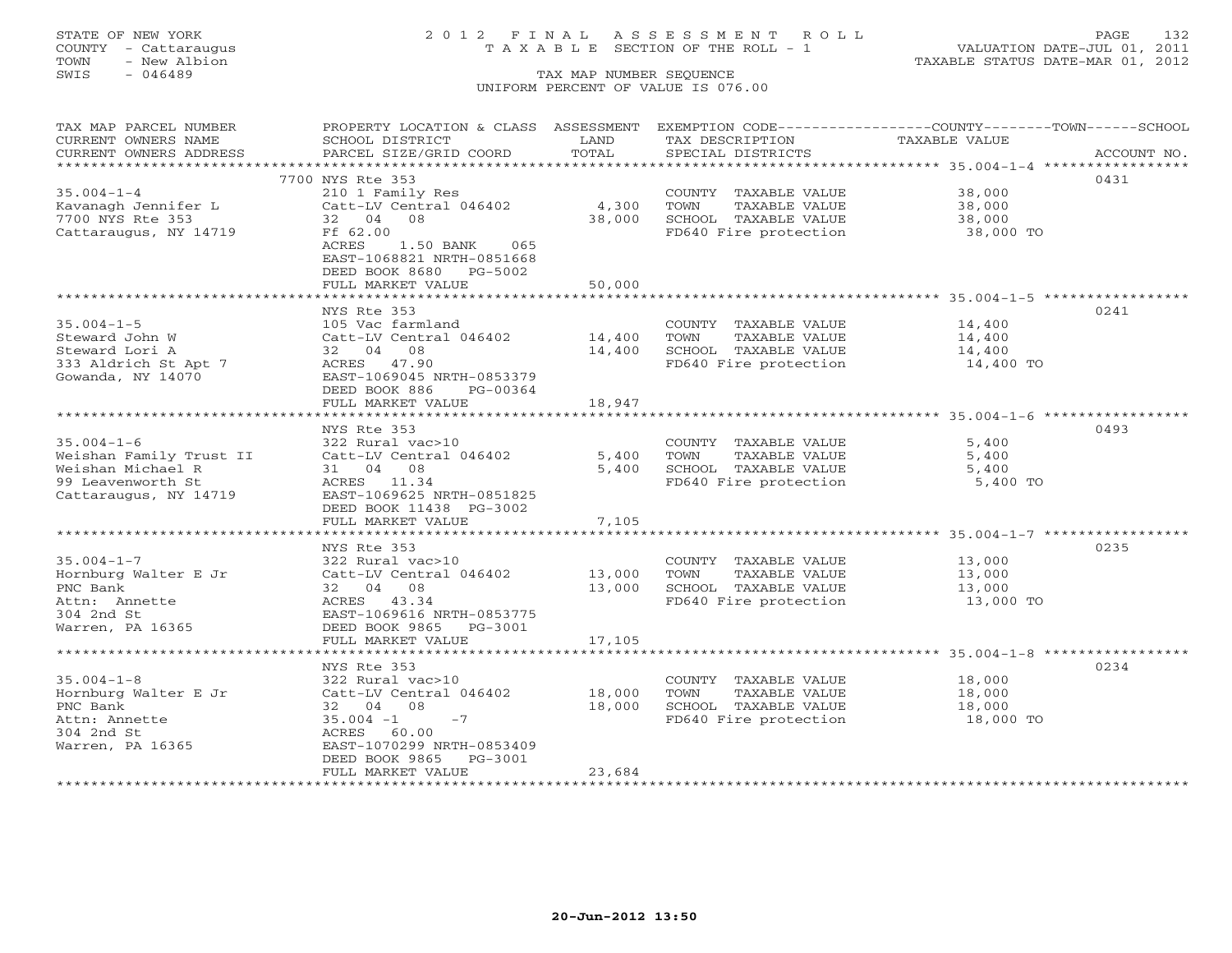# STATE OF NEW YORK 2 0 1 2 F I N A L A S S E S S M E N T R O L L PAGE 132 COUNTY - Cattaraugus T A X A B L E SECTION OF THE ROLL - 1 VALUATION DATE-JUL 01, 2011

| TAX MAP PARCEL NUMBER   | PROPERTY LOCATION & CLASS ASSESSMENT EXEMPTION CODE---------------COUNTY-------TOWN-----SCHOOL |        |                                                                |               |             |
|-------------------------|------------------------------------------------------------------------------------------------|--------|----------------------------------------------------------------|---------------|-------------|
| CURRENT OWNERS NAME     | SCHOOL DISTRICT                                                                                | LAND   | TAX DESCRIPTION                                                | TAXABLE VALUE |             |
| CURRENT OWNERS ADDRESS  | PARCEL SIZE/GRID COORD                                                                         | TOTAL  | SPECIAL DISTRICTS                                              |               | ACCOUNT NO. |
|                         |                                                                                                |        |                                                                |               |             |
|                         | 7700 NYS Rte 353                                                                               |        |                                                                |               | 0431        |
| $35.004 - 1 - 4$        | 210 1 Family Res                                                                               |        | COUNTY TAXABLE VALUE                                           | 38,000        |             |
| Kavanagh Jennifer L     | Catt-LV Central 046402                                                                         | 4,300  | TOWN<br>TAXABLE VALUE                                          | 38,000        |             |
| 7700 NYS Rte 353        | 32 04 08                                                                                       | 38,000 |                                                                | 38,000        |             |
| Cattaraugus, NY 14719   | Ff 62.00                                                                                       |        | SCHOOL TAXABLE VALUE<br>FD640 Fire protection                  | $38,000$ TO   |             |
|                         | ACRES<br>1.50 BANK 065                                                                         |        |                                                                |               |             |
|                         | EAST-1068821 NRTH-0851668                                                                      |        |                                                                |               |             |
|                         | DEED BOOK 8680 PG-5002                                                                         |        |                                                                |               |             |
|                         | FULL MARKET VALUE                                                                              | 50,000 |                                                                |               |             |
|                         |                                                                                                |        |                                                                |               |             |
|                         | NYS Rte 353                                                                                    |        |                                                                |               | 0241        |
| $35.004 - 1 - 5$        | 105 Vac farmland                                                                               |        | COUNTY TAXABLE VALUE                                           | 14,400        |             |
| Steward John W          | Catt-LV Central 046402 14,400                                                                  |        | TOWN<br>TAXABLE VALUE                                          | 14,400        |             |
| Steward Lori A          | 32 04 08                                                                                       | 14,400 |                                                                |               |             |
| 333 Aldrich St Apt 7    | ACRES 47.90                                                                                    |        | SCHOOL TAXABLE VALUE 14,400<br>FD640 Fire protection 14,400 TO |               |             |
| Gowanda, NY 14070       | EAST-1069045 NRTH-0853379                                                                      |        |                                                                |               |             |
|                         | DEED BOOK 886<br>PG-00364                                                                      |        |                                                                |               |             |
|                         | FULL MARKET VALUE                                                                              | 18,947 |                                                                |               |             |
|                         |                                                                                                |        |                                                                |               |             |
|                         | NYS Rte 353                                                                                    |        |                                                                |               | 0493        |
| $35.004 - 1 - 6$        | 322 Rural vac>10                                                                               |        | COUNTY TAXABLE VALUE                                           | 5,400         |             |
| Weishan Family Trust II | Catt-LV Central 046402                                                                         | 5,400  | TOWN<br>TAXABLE VALUE                                          | 5,400         |             |
| Weishan Michael R       | 31 04 08                                                                                       | 5,400  | SCHOOL TAXABLE VALUE                                           | 5,400         |             |
| 99 Leavenworth St       | ACRES 11.34                                                                                    |        | FD640 Fire protection                                          | 5,400 TO      |             |
| Cattaraugus, NY 14719   | EAST-1069625 NRTH-0851825                                                                      |        |                                                                |               |             |
|                         | DEED BOOK 11438 PG-3002                                                                        |        |                                                                |               |             |
|                         | FULL MARKET VALUE                                                                              | 7,105  |                                                                |               |             |
|                         |                                                                                                |        |                                                                |               |             |
|                         | NYS Rte 353                                                                                    |        |                                                                |               | 0235        |
| $35.004 - 1 - 7$        | 322 Rural vac>10                                                                               |        | COUNTY TAXABLE VALUE 13,000                                    |               |             |
| Hornburg Walter E Jr    | Catt-LV Central 046402                                                                         | 13,000 |                                                                | 13,000        |             |
| PNC Bank                | 32 04 08                                                                                       | 13,000 | TOWN      TAXABLE VALUE<br>SCHOOL   TAXABLE VALUE              | 13,000        |             |
| Attn: Annette           | ACRES 43.34                                                                                    |        | FD640 Fire protection                                          | 13,000 TO     |             |
| 304 2nd St              | EAST-1069616 NRTH-0853775                                                                      |        |                                                                |               |             |
| Warren, PA 16365        | DEED BOOK 9865 PG-3001                                                                         |        |                                                                |               |             |
|                         | FULL MARKET VALUE                                                                              | 17,105 |                                                                |               |             |
|                         |                                                                                                |        |                                                                |               |             |
|                         | NYS Rte 353                                                                                    |        |                                                                |               | 0234        |
| $35.004 - 1 - 8$        | 322 Rural vac>10                                                                               |        | COUNTY TAXABLE VALUE                                           | 18,000        |             |
| Hornburg Walter E Jr    | Catt-LV Central 046402 18,000                                                                  |        | TOWN<br>TAXABLE VALUE                                          | 18,000        |             |
| PNC Bank                | 32 04 08                                                                                       | 18,000 |                                                                |               |             |
| Attn: Annette           | $35.004 -1 -7$                                                                                 |        |                                                                |               |             |
| 304 2nd St              | ACRES 60.00                                                                                    |        |                                                                |               |             |
| Warren, PA 16365        | EAST-1070299 NRTH-0853409                                                                      |        |                                                                |               |             |
|                         | DEED BOOK 9865 PG-3001                                                                         |        |                                                                |               |             |
|                         | FULL MARKET VALUE                                                                              | 23,684 |                                                                |               |             |
|                         |                                                                                                |        |                                                                |               |             |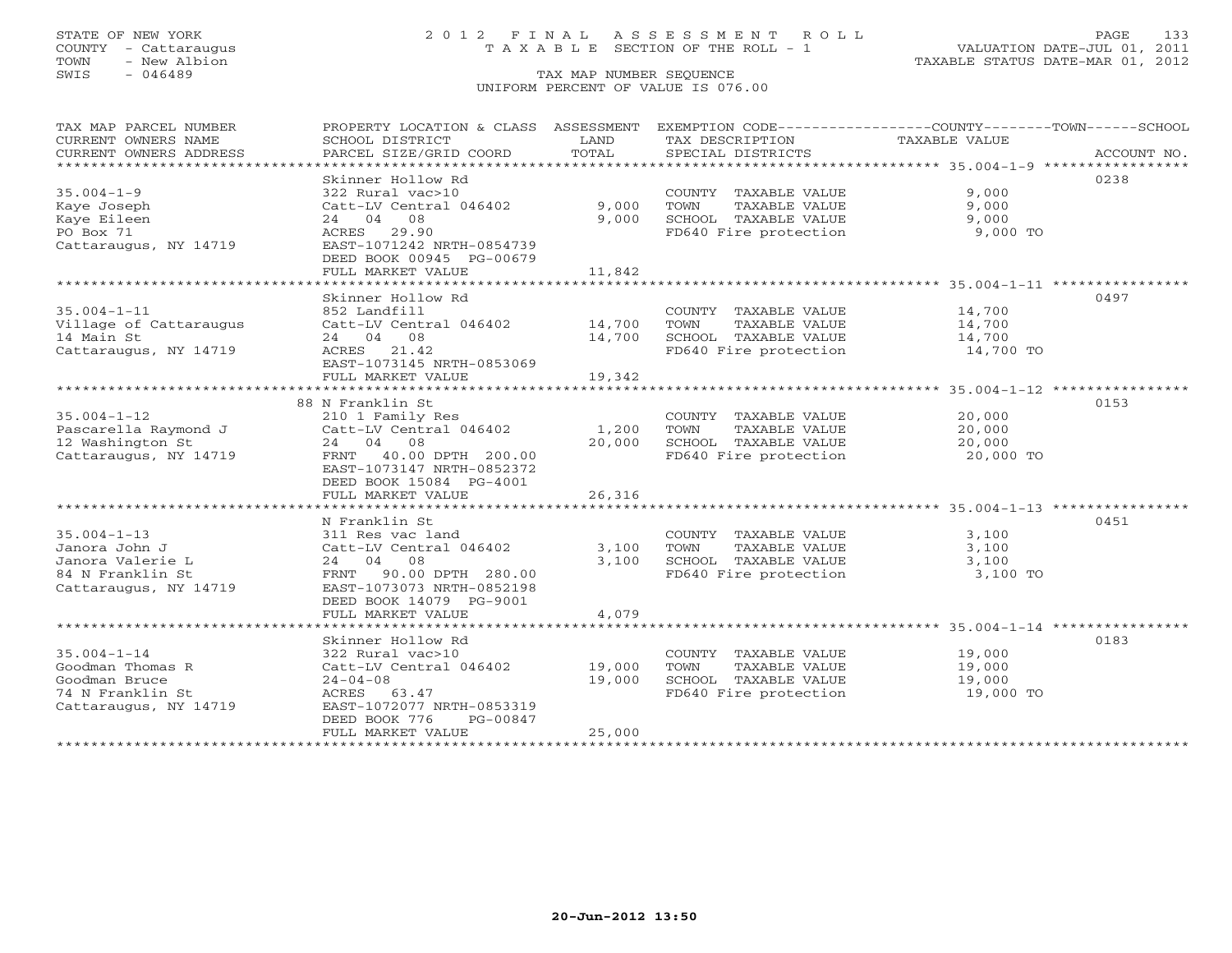## STATE OF NEW YORK 2 0 1 2 F I N A L A S S E S S M E N T R O L L PAGE 133 COUNTY - Cattaraugus T A X A B L E SECTION OF THE ROLL - 1 VALUATION DATE-JUL 01, 2011

| TAX MAP PARCEL NUMBER<br>CURRENT OWNERS NAME | PROPERTY LOCATION & CLASS ASSESSMENT<br>SCHOOL DISTRICT        | LAND   | EXEMPTION CODE-----------------COUNTY-------TOWN------SCHOOL<br>TAX DESCRIPTION | <b>TAXABLE VALUE</b>                                        |             |
|----------------------------------------------|----------------------------------------------------------------|--------|---------------------------------------------------------------------------------|-------------------------------------------------------------|-------------|
| CURRENT OWNERS ADDRESS                       | PARCEL SIZE/GRID COORD                                         | TOTAL  | SPECIAL DISTRICTS                                                               |                                                             | ACCOUNT NO. |
| *******************                          |                                                                |        |                                                                                 |                                                             |             |
| $35.004 - 1 - 9$                             | Skinner Hollow Rd<br>322 Rural vac>10                          |        | COUNTY TAXABLE VALUE                                                            | 9,000                                                       | 0238        |
| Kaye Joseph                                  | Catt-LV Central 046402                                         | 9,000  | <b>TOWN</b><br>TAXABLE VALUE                                                    | 9,000                                                       |             |
| Kaye Eileen<br>PO Box 71                     | 24 04 08<br>29.90                                              | 9,000  | SCHOOL TAXABLE VALUE<br>FD640 Fire protection                                   | 9,000<br>9,000 TO                                           |             |
| Cattaraugus, NY 14719                        | ACRES<br>EAST-1071242 NRTH-0854739<br>DEED BOOK 00945 PG-00679 |        |                                                                                 |                                                             |             |
|                                              | FULL MARKET VALUE                                              | 11,842 |                                                                                 |                                                             |             |
|                                              | **************************                                     |        |                                                                                 |                                                             |             |
|                                              | Skinner Hollow Rd                                              |        |                                                                                 |                                                             | 0497        |
| $35.004 - 1 - 11$                            | 852 Landfill                                                   |        | COUNTY TAXABLE VALUE                                                            | 14,700                                                      |             |
| Village of Cattaraugus                       | Catt-LV Central 046402                                         | 14,700 | TOWN<br>TAXABLE VALUE                                                           | 14,700                                                      |             |
| 14 Main St                                   | 24 04 08                                                       | 14,700 | SCHOOL TAXABLE VALUE                                                            | 14,700                                                      |             |
| Cattaraugus, NY 14719                        | ACRES 21.42                                                    |        | FD640 Fire protection                                                           | 14,700 TO                                                   |             |
|                                              | EAST-1073145 NRTH-0853069                                      |        |                                                                                 |                                                             |             |
|                                              | FULL MARKET VALUE                                              | 19,342 |                                                                                 |                                                             |             |
|                                              | ****************************                                   |        |                                                                                 | ***************************** 35.004-1-12 ***************** |             |
|                                              | 88 N Franklin St                                               |        |                                                                                 |                                                             | 0153        |
| $35.004 - 1 - 12$                            | 210 1 Family Res                                               |        | COUNTY TAXABLE VALUE                                                            | 20,000                                                      |             |
| Pascarella Raymond J                         | Catt-LV Central 046402                                         | 1,200  | TOWN<br>TAXABLE VALUE                                                           | 20,000                                                      |             |
| 12 Washington St                             | 24 04 08                                                       | 20,000 | SCHOOL TAXABLE VALUE                                                            | 20,000                                                      |             |
| Cattaraugus, NY 14719                        | 40.00 DPTH 200.00<br>FRNT                                      |        | FD640 Fire protection                                                           | 20,000 TO                                                   |             |
|                                              | EAST-1073147 NRTH-0852372                                      |        |                                                                                 |                                                             |             |
|                                              | DEED BOOK 15084 PG-4001                                        |        |                                                                                 |                                                             |             |
|                                              | FULL MARKET VALUE                                              | 26,316 |                                                                                 |                                                             |             |
|                                              |                                                                |        |                                                                                 |                                                             |             |
|                                              | N Franklin St                                                  |        |                                                                                 |                                                             | 0451        |
| $35.004 - 1 - 13$                            | 311 Res vac land                                               |        | COUNTY TAXABLE VALUE                                                            | 3,100                                                       |             |
| Janora John J                                | Catt-LV Central 046402                                         | 3,100  | TOWN<br>TAXABLE VALUE                                                           | 3,100                                                       |             |
| Janora Valerie L                             | 24 04 08                                                       | 3,100  | SCHOOL TAXABLE VALUE                                                            | 3,100                                                       |             |
| 84 N Franklin St<br>Cattaraugus, NY 14719    | 90.00 DPTH 280.00<br>FRNT<br>EAST-1073073 NRTH-0852198         |        | FD640 Fire protection                                                           | 3,100 TO                                                    |             |
|                                              | DEED BOOK 14079 PG-9001                                        |        |                                                                                 |                                                             |             |
|                                              | FULL MARKET VALUE                                              | 4,079  |                                                                                 |                                                             |             |
|                                              |                                                                |        |                                                                                 |                                                             |             |
|                                              | Skinner Hollow Rd                                              |        |                                                                                 |                                                             | 0183        |
| $35.004 - 1 - 14$                            | 322 Rural vac>10                                               |        | COUNTY TAXABLE VALUE                                                            | 19,000                                                      |             |
| Goodman Thomas R                             | Catt-LV Central 046402                                         | 19,000 | TOWN<br>TAXABLE VALUE                                                           | 19,000                                                      |             |
| Goodman Bruce                                | $24 - 04 - 08$                                                 | 19,000 | SCHOOL TAXABLE VALUE                                                            | 19,000                                                      |             |
| 74 N Franklin St                             | ACRES<br>63.47                                                 |        | FD640 Fire protection                                                           | 19,000 TO                                                   |             |
| Cattaraugus, NY 14719                        | EAST-1072077 NRTH-0853319                                      |        |                                                                                 |                                                             |             |
|                                              | DEED BOOK 776<br>PG-00847                                      |        |                                                                                 |                                                             |             |
|                                              | FULL MARKET VALUE                                              | 25,000 |                                                                                 |                                                             |             |
| ******************                           | *******************                                            |        |                                                                                 |                                                             |             |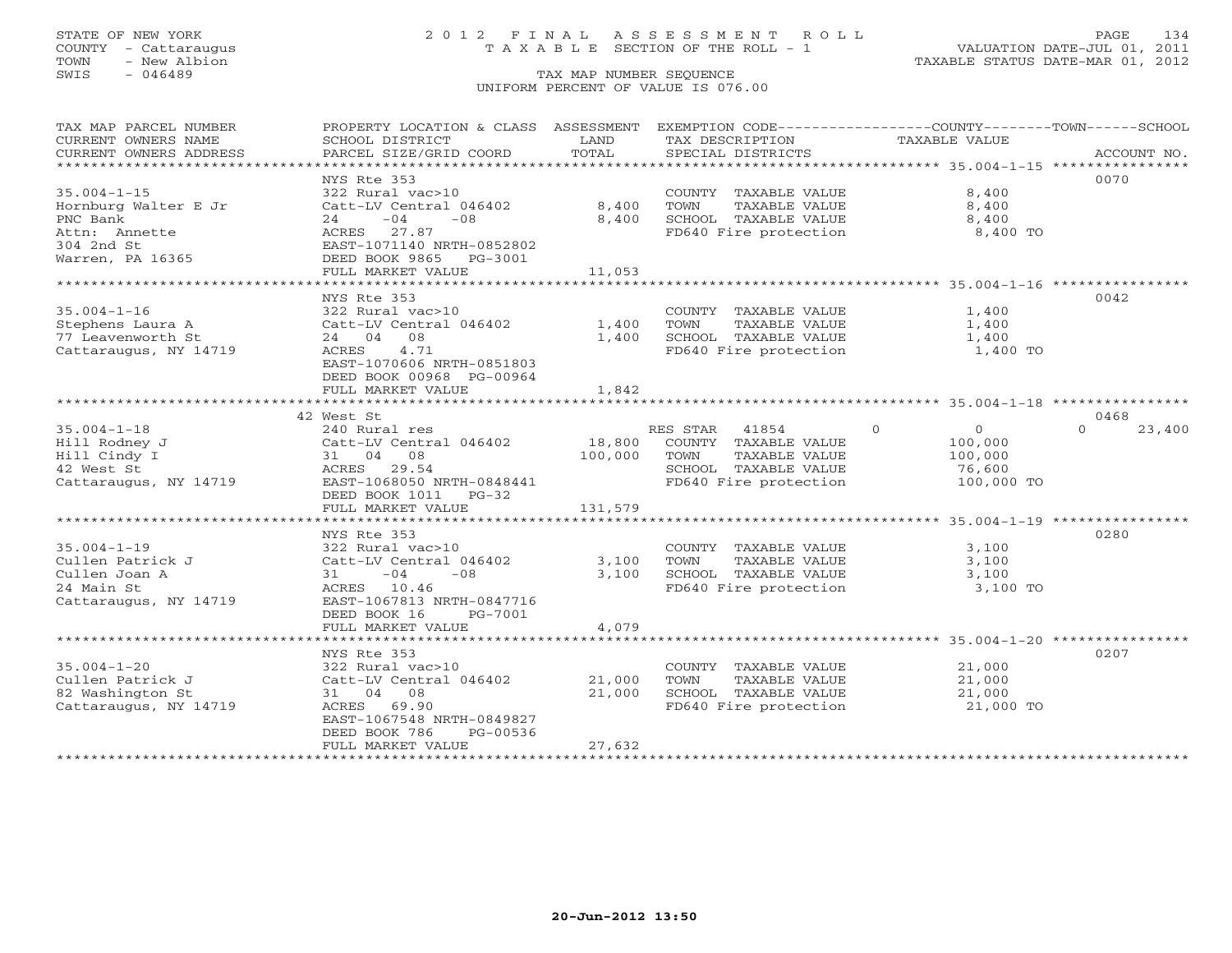## STATE OF NEW YORK 2 0 1 2 F I N A L A S S E S S M E N T R O L L PAGE 134 COUNTY - Cattaraugus T A X A B L E SECTION OF THE ROLL - 1 VALUATION DATE-JUL 01, 2011

| TAX MAP PARCEL NUMBER<br>CURRENT OWNERS NAME<br>CURRENT OWNERS ADDRESS                        | PROPERTY LOCATION & CLASS ASSESSMENT<br>SCHOOL DISTRICT<br>PARCEL SIZE/GRID COORD                                                               | LAND<br>TOTAL     | EXEMPTION CODE-----------------COUNTY-------TOWN------SCHOOL<br>TAX DESCRIPTION<br>SPECIAL DISTRICTS             | TAXABLE VALUE                                                            | ACCOUNT NO.        |
|-----------------------------------------------------------------------------------------------|-------------------------------------------------------------------------------------------------------------------------------------------------|-------------------|------------------------------------------------------------------------------------------------------------------|--------------------------------------------------------------------------|--------------------|
| $35.004 - 1 - 15$<br>Hornburg Walter E Jr<br>PNC Bank<br>Attn: Annette                        | NYS Rte 353<br>322 Rural vac>10<br>Catt-LV Central 046402<br>$24 -04$<br>$-08$<br>ACRES 27.87                                                   | 8,400<br>8,400    | COUNTY TAXABLE VALUE<br>TOWN<br>TAXABLE VALUE<br>SCHOOL TAXABLE VALUE<br>FD640 Fire protection                   | 8,400<br>8,400<br>8,400<br>8,400 TO                                      | 0070               |
| 304 2nd St<br>Warren, PA 16365                                                                | EAST-1071140 NRTH-0852802<br>DEED BOOK 9865 PG-3001<br>FULL MARKET VALUE                                                                        | 11,053            |                                                                                                                  |                                                                          |                    |
| $35.004 - 1 - 16$<br>Stephens Laura A<br>77 Leavenworth St<br>Cattaraugus, NY 14719           | NYS Rte 353<br>322 Rural vac>10<br>Catt-LV Central 046402<br>24 04 08<br>4.71<br>ACRES<br>EAST-1070606 NRTH-0851803<br>DEED BOOK 00968 PG-00964 | 1,400<br>1,400    | COUNTY TAXABLE VALUE<br>TOWN<br>TAXABLE VALUE<br>SCHOOL TAXABLE VALUE<br>FD640 Fire protection                   | 1,400<br>1,400<br>1,400<br>1,400 TO                                      | 0042               |
|                                                                                               | FULL MARKET VALUE                                                                                                                               | 1,842             |                                                                                                                  |                                                                          |                    |
|                                                                                               | 42 West St                                                                                                                                      |                   |                                                                                                                  |                                                                          | 0468               |
| $35.004 - 1 - 18$<br>Hill Rodney J<br>Hill Cindy I<br>42 West St<br>Cattaraugus, NY 14719     | 240 Rural res<br>Catt-LV Central 046402<br>31 04 08<br>ACRES 29.54<br>EAST-1068050 NRTH-0848441<br>DEED BOOK 1011 PG-32                         | 18,800<br>100,000 | RES STAR 41854<br>COUNTY TAXABLE VALUE<br>TAXABLE VALUE<br>TOWN<br>SCHOOL TAXABLE VALUE<br>FD640 Fire protection | $\Omega$<br>$\overline{0}$<br>100,000<br>100,000<br>76,600<br>100,000 TO | $\Omega$<br>23,400 |
|                                                                                               | FULL MARKET VALUE                                                                                                                               | 131,579           |                                                                                                                  |                                                                          |                    |
|                                                                                               | NYS Rte 353                                                                                                                                     |                   |                                                                                                                  |                                                                          | 0280               |
| $35.004 - 1 - 19$<br>Cullen Patrick J<br>Cullen Joan A<br>24 Main St<br>Cattaraugus, NY 14719 | 322 Rural vac>10<br>Catt-LV Central 046402<br>$-08$<br>$31 -04$<br>ACRES 10.46<br>EAST-1067813 NRTH-0847716<br>DEED BOOK 16<br>PG-7001          | 3,100<br>3,100    | COUNTY TAXABLE VALUE<br>TOWN<br>TAXABLE VALUE<br>SCHOOL TAXABLE VALUE<br>FD640 Fire protection                   | 3,100<br>3,100<br>3,100<br>3,100 TO                                      |                    |
|                                                                                               | FULL MARKET VALUE                                                                                                                               | 4,079             |                                                                                                                  |                                                                          |                    |
| $35.004 - 1 - 20$<br>Cullen Patrick J<br>82 Washington St<br>Cattaraugus, NY 14719            | NYS Rte 353<br>322 Rural vac>10<br>Catt-LV Central 046402<br>31 04 08<br>ACRES 69.90<br>EAST-1067548 NRTH-0849827<br>DEED BOOK 786<br>PG-00536  | 21,000<br>21,000  | COUNTY TAXABLE VALUE<br>TOWN<br>TAXABLE VALUE<br>SCHOOL TAXABLE VALUE<br>FD640 Fire protection                   | 21,000<br>21,000<br>21,000<br>21,000 TO                                  | 0207               |
|                                                                                               | FULL MARKET VALUE                                                                                                                               | 27,632            |                                                                                                                  |                                                                          |                    |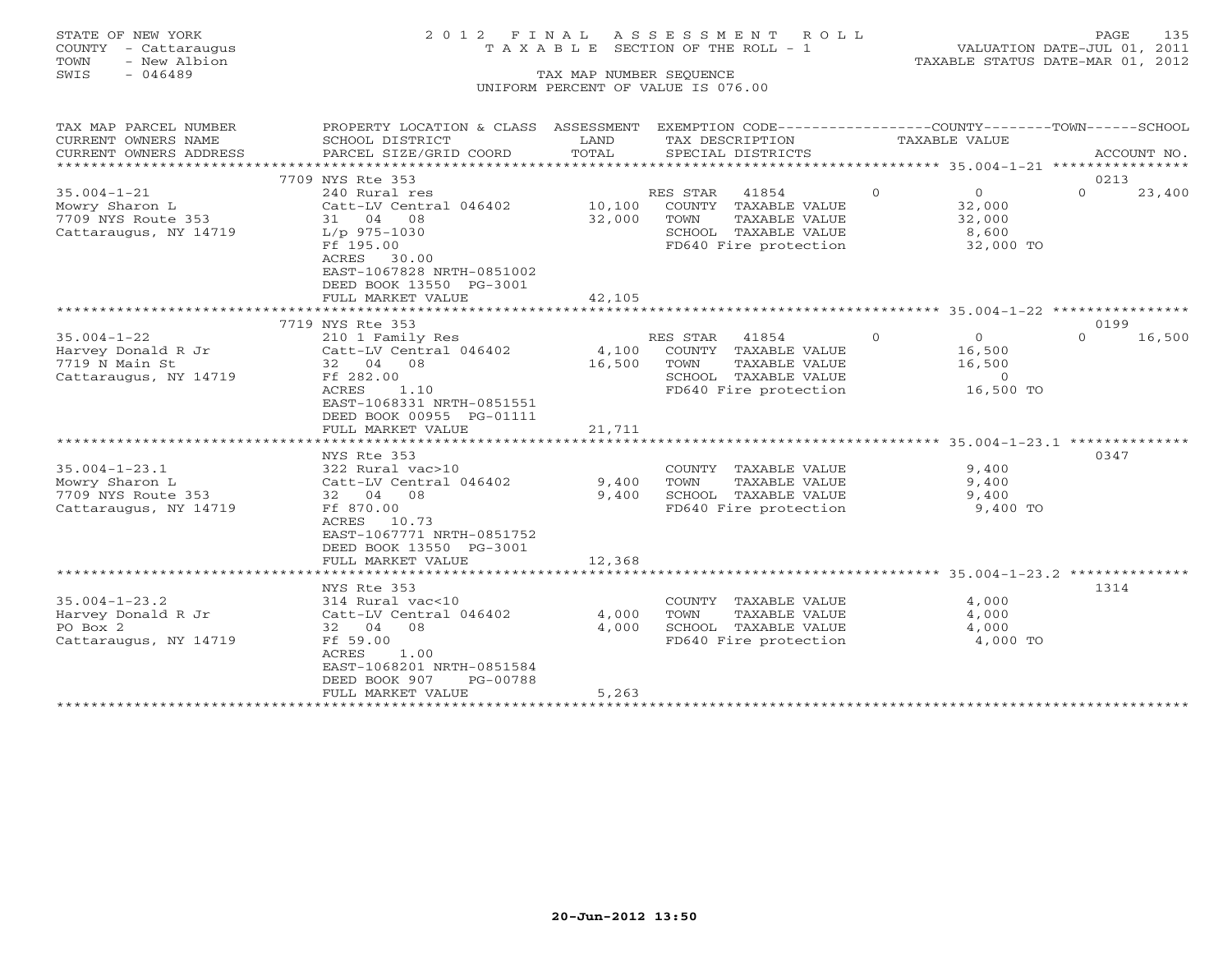# STATE OF NEW YORK 2 0 1 2 F I N A L A S S E S S M E N T R O L L PAGE 135 COUNTY - Cattaraugus T A X A B L E SECTION OF THE ROLL - 1 VALUATION DATE-JUL 01, 2011

TOWN - New Albion TAXABLE STATUS DATE-MAR 01, 2012

| SCHOOL DISTRICT<br>LAND<br>TAX DESCRIPTION<br>TAXABLE VALUE<br>TOTAL<br>CURRENT OWNERS ADDRESS<br>PARCEL SIZE/GRID COORD<br>SPECIAL DISTRICTS<br>ACCOUNT NO.<br>7709 NYS Rte 353<br>0213<br>$\overline{0}$<br>$35.004 - 1 - 21$<br>RES STAR<br>41854<br>$\overline{0}$<br>$\Omega$<br>240 Rural res<br>23,400<br>10,100<br>COUNTY TAXABLE VALUE<br>Mowry Sharon L<br>Catt-LV Central 046402<br>32,000<br>7709 NYS Route 353<br>32,000<br>TAXABLE VALUE<br>31 04 08<br>TOWN<br>32,000<br>SCHOOL TAXABLE VALUE<br>Cattaraugus, NY 14719<br>L/p 975-1030<br>8,600<br>Ff 195.00<br>32,000 TO<br>FD640 Fire protection<br>ACRES<br>30.00<br>EAST-1067828 NRTH-0851002<br>DEED BOOK 13550 PG-3001<br>FULL MARKET VALUE<br>42,105<br>7719 NYS Rte 353<br>0199<br>41854<br>$\Omega$<br>$\Omega$<br>16,500<br>210 1 Family Res<br>RES STAR<br>$\circ$<br>4,100<br>Harvey Donald R Jr<br>Catt-LV Central 046402<br>COUNTY TAXABLE VALUE<br>16,500<br>32 04 08<br>16,500<br>TOWN<br>TAXABLE VALUE<br>16,500<br>Ff 282.00<br>SCHOOL TAXABLE VALUE<br>$\circ$<br>1.10<br>16,500 TO<br>ACRES<br>FD640 Fire protection<br>EAST-1068331 NRTH-0851551<br>DEED BOOK 00955 PG-01111<br>FULL MARKET VALUE<br>21,711<br>NYS Rte 353<br>0347<br>$35.004 - 1 - 23.1$<br>322 Rural vac>10<br>9,400<br>COUNTY TAXABLE VALUE<br>Mowry Sharon L<br>Catt-LV Central 046402<br>TOWN<br>9,400<br>9,400<br>TAXABLE VALUE<br>7709 NYS Route 353<br>32 04 08<br>9,400<br>SCHOOL TAXABLE VALUE<br>9,400<br>Cattaraugus, NY 14719<br>Ff 870.00<br>FD640 Fire protection<br>9,400 TO<br>ACRES<br>10.73<br>EAST-1067771 NRTH-0851752<br>DEED BOOK 13550 PG-3001<br>FULL MARKET VALUE<br>12,368<br>*******************************<br>1314<br>NYS Rte 353<br>COUNTY TAXABLE VALUE<br>4,000<br>314 Rural vac<10<br>4,000<br>TAXABLE VALUE<br>4,000<br>Catt-LV Central 046402<br>TOWN<br>SCHOOL TAXABLE VALUE<br>32 04<br>08<br>4,000<br>4,000<br>Ff 59.00<br>FD640 Fire protection<br>4,000 TO<br>ACRES<br>1.00<br>EAST-1068201 NRTH-0851584<br>DEED BOOK 907<br>PG-00788<br>5,263<br>FULL MARKET VALUE | TAX MAP PARCEL NUMBER | PROPERTY LOCATION & CLASS ASSESSMENT | EXEMPTION CODE-----------------COUNTY-------TOWN------SCHOOL |  |
|------------------------------------------------------------------------------------------------------------------------------------------------------------------------------------------------------------------------------------------------------------------------------------------------------------------------------------------------------------------------------------------------------------------------------------------------------------------------------------------------------------------------------------------------------------------------------------------------------------------------------------------------------------------------------------------------------------------------------------------------------------------------------------------------------------------------------------------------------------------------------------------------------------------------------------------------------------------------------------------------------------------------------------------------------------------------------------------------------------------------------------------------------------------------------------------------------------------------------------------------------------------------------------------------------------------------------------------------------------------------------------------------------------------------------------------------------------------------------------------------------------------------------------------------------------------------------------------------------------------------------------------------------------------------------------------------------------------------------------------------------------------------------------------------------------------------------------------------------------------------------------------------------------------------------------------------------------------------------------------------------------------------------------------------------------------|-----------------------|--------------------------------------|--------------------------------------------------------------|--|
|                                                                                                                                                                                                                                                                                                                                                                                                                                                                                                                                                                                                                                                                                                                                                                                                                                                                                                                                                                                                                                                                                                                                                                                                                                                                                                                                                                                                                                                                                                                                                                                                                                                                                                                                                                                                                                                                                                                                                                                                                                                                  | CURRENT OWNERS NAME   |                                      |                                                              |  |
|                                                                                                                                                                                                                                                                                                                                                                                                                                                                                                                                                                                                                                                                                                                                                                                                                                                                                                                                                                                                                                                                                                                                                                                                                                                                                                                                                                                                                                                                                                                                                                                                                                                                                                                                                                                                                                                                                                                                                                                                                                                                  |                       |                                      |                                                              |  |
|                                                                                                                                                                                                                                                                                                                                                                                                                                                                                                                                                                                                                                                                                                                                                                                                                                                                                                                                                                                                                                                                                                                                                                                                                                                                                                                                                                                                                                                                                                                                                                                                                                                                                                                                                                                                                                                                                                                                                                                                                                                                  |                       |                                      |                                                              |  |
|                                                                                                                                                                                                                                                                                                                                                                                                                                                                                                                                                                                                                                                                                                                                                                                                                                                                                                                                                                                                                                                                                                                                                                                                                                                                                                                                                                                                                                                                                                                                                                                                                                                                                                                                                                                                                                                                                                                                                                                                                                                                  |                       |                                      |                                                              |  |
|                                                                                                                                                                                                                                                                                                                                                                                                                                                                                                                                                                                                                                                                                                                                                                                                                                                                                                                                                                                                                                                                                                                                                                                                                                                                                                                                                                                                                                                                                                                                                                                                                                                                                                                                                                                                                                                                                                                                                                                                                                                                  |                       |                                      |                                                              |  |
|                                                                                                                                                                                                                                                                                                                                                                                                                                                                                                                                                                                                                                                                                                                                                                                                                                                                                                                                                                                                                                                                                                                                                                                                                                                                                                                                                                                                                                                                                                                                                                                                                                                                                                                                                                                                                                                                                                                                                                                                                                                                  |                       |                                      |                                                              |  |
|                                                                                                                                                                                                                                                                                                                                                                                                                                                                                                                                                                                                                                                                                                                                                                                                                                                                                                                                                                                                                                                                                                                                                                                                                                                                                                                                                                                                                                                                                                                                                                                                                                                                                                                                                                                                                                                                                                                                                                                                                                                                  |                       |                                      |                                                              |  |
|                                                                                                                                                                                                                                                                                                                                                                                                                                                                                                                                                                                                                                                                                                                                                                                                                                                                                                                                                                                                                                                                                                                                                                                                                                                                                                                                                                                                                                                                                                                                                                                                                                                                                                                                                                                                                                                                                                                                                                                                                                                                  |                       |                                      |                                                              |  |
|                                                                                                                                                                                                                                                                                                                                                                                                                                                                                                                                                                                                                                                                                                                                                                                                                                                                                                                                                                                                                                                                                                                                                                                                                                                                                                                                                                                                                                                                                                                                                                                                                                                                                                                                                                                                                                                                                                                                                                                                                                                                  |                       |                                      |                                                              |  |
|                                                                                                                                                                                                                                                                                                                                                                                                                                                                                                                                                                                                                                                                                                                                                                                                                                                                                                                                                                                                                                                                                                                                                                                                                                                                                                                                                                                                                                                                                                                                                                                                                                                                                                                                                                                                                                                                                                                                                                                                                                                                  |                       |                                      |                                                              |  |
|                                                                                                                                                                                                                                                                                                                                                                                                                                                                                                                                                                                                                                                                                                                                                                                                                                                                                                                                                                                                                                                                                                                                                                                                                                                                                                                                                                                                                                                                                                                                                                                                                                                                                                                                                                                                                                                                                                                                                                                                                                                                  |                       |                                      |                                                              |  |
|                                                                                                                                                                                                                                                                                                                                                                                                                                                                                                                                                                                                                                                                                                                                                                                                                                                                                                                                                                                                                                                                                                                                                                                                                                                                                                                                                                                                                                                                                                                                                                                                                                                                                                                                                                                                                                                                                                                                                                                                                                                                  |                       |                                      |                                                              |  |
|                                                                                                                                                                                                                                                                                                                                                                                                                                                                                                                                                                                                                                                                                                                                                                                                                                                                                                                                                                                                                                                                                                                                                                                                                                                                                                                                                                                                                                                                                                                                                                                                                                                                                                                                                                                                                                                                                                                                                                                                                                                                  |                       |                                      |                                                              |  |
|                                                                                                                                                                                                                                                                                                                                                                                                                                                                                                                                                                                                                                                                                                                                                                                                                                                                                                                                                                                                                                                                                                                                                                                                                                                                                                                                                                                                                                                                                                                                                                                                                                                                                                                                                                                                                                                                                                                                                                                                                                                                  |                       |                                      |                                                              |  |
|                                                                                                                                                                                                                                                                                                                                                                                                                                                                                                                                                                                                                                                                                                                                                                                                                                                                                                                                                                                                                                                                                                                                                                                                                                                                                                                                                                                                                                                                                                                                                                                                                                                                                                                                                                                                                                                                                                                                                                                                                                                                  | $35.004 - 1 - 22$     |                                      |                                                              |  |
|                                                                                                                                                                                                                                                                                                                                                                                                                                                                                                                                                                                                                                                                                                                                                                                                                                                                                                                                                                                                                                                                                                                                                                                                                                                                                                                                                                                                                                                                                                                                                                                                                                                                                                                                                                                                                                                                                                                                                                                                                                                                  |                       |                                      |                                                              |  |
|                                                                                                                                                                                                                                                                                                                                                                                                                                                                                                                                                                                                                                                                                                                                                                                                                                                                                                                                                                                                                                                                                                                                                                                                                                                                                                                                                                                                                                                                                                                                                                                                                                                                                                                                                                                                                                                                                                                                                                                                                                                                  | 7719 N Main St        |                                      |                                                              |  |
|                                                                                                                                                                                                                                                                                                                                                                                                                                                                                                                                                                                                                                                                                                                                                                                                                                                                                                                                                                                                                                                                                                                                                                                                                                                                                                                                                                                                                                                                                                                                                                                                                                                                                                                                                                                                                                                                                                                                                                                                                                                                  | Cattaraugus, NY 14719 |                                      |                                                              |  |
|                                                                                                                                                                                                                                                                                                                                                                                                                                                                                                                                                                                                                                                                                                                                                                                                                                                                                                                                                                                                                                                                                                                                                                                                                                                                                                                                                                                                                                                                                                                                                                                                                                                                                                                                                                                                                                                                                                                                                                                                                                                                  |                       |                                      |                                                              |  |
|                                                                                                                                                                                                                                                                                                                                                                                                                                                                                                                                                                                                                                                                                                                                                                                                                                                                                                                                                                                                                                                                                                                                                                                                                                                                                                                                                                                                                                                                                                                                                                                                                                                                                                                                                                                                                                                                                                                                                                                                                                                                  |                       |                                      |                                                              |  |
|                                                                                                                                                                                                                                                                                                                                                                                                                                                                                                                                                                                                                                                                                                                                                                                                                                                                                                                                                                                                                                                                                                                                                                                                                                                                                                                                                                                                                                                                                                                                                                                                                                                                                                                                                                                                                                                                                                                                                                                                                                                                  |                       |                                      |                                                              |  |
|                                                                                                                                                                                                                                                                                                                                                                                                                                                                                                                                                                                                                                                                                                                                                                                                                                                                                                                                                                                                                                                                                                                                                                                                                                                                                                                                                                                                                                                                                                                                                                                                                                                                                                                                                                                                                                                                                                                                                                                                                                                                  |                       |                                      |                                                              |  |
|                                                                                                                                                                                                                                                                                                                                                                                                                                                                                                                                                                                                                                                                                                                                                                                                                                                                                                                                                                                                                                                                                                                                                                                                                                                                                                                                                                                                                                                                                                                                                                                                                                                                                                                                                                                                                                                                                                                                                                                                                                                                  |                       |                                      |                                                              |  |
|                                                                                                                                                                                                                                                                                                                                                                                                                                                                                                                                                                                                                                                                                                                                                                                                                                                                                                                                                                                                                                                                                                                                                                                                                                                                                                                                                                                                                                                                                                                                                                                                                                                                                                                                                                                                                                                                                                                                                                                                                                                                  |                       |                                      |                                                              |  |
|                                                                                                                                                                                                                                                                                                                                                                                                                                                                                                                                                                                                                                                                                                                                                                                                                                                                                                                                                                                                                                                                                                                                                                                                                                                                                                                                                                                                                                                                                                                                                                                                                                                                                                                                                                                                                                                                                                                                                                                                                                                                  |                       |                                      |                                                              |  |
|                                                                                                                                                                                                                                                                                                                                                                                                                                                                                                                                                                                                                                                                                                                                                                                                                                                                                                                                                                                                                                                                                                                                                                                                                                                                                                                                                                                                                                                                                                                                                                                                                                                                                                                                                                                                                                                                                                                                                                                                                                                                  |                       |                                      |                                                              |  |
|                                                                                                                                                                                                                                                                                                                                                                                                                                                                                                                                                                                                                                                                                                                                                                                                                                                                                                                                                                                                                                                                                                                                                                                                                                                                                                                                                                                                                                                                                                                                                                                                                                                                                                                                                                                                                                                                                                                                                                                                                                                                  |                       |                                      |                                                              |  |
|                                                                                                                                                                                                                                                                                                                                                                                                                                                                                                                                                                                                                                                                                                                                                                                                                                                                                                                                                                                                                                                                                                                                                                                                                                                                                                                                                                                                                                                                                                                                                                                                                                                                                                                                                                                                                                                                                                                                                                                                                                                                  |                       |                                      |                                                              |  |
|                                                                                                                                                                                                                                                                                                                                                                                                                                                                                                                                                                                                                                                                                                                                                                                                                                                                                                                                                                                                                                                                                                                                                                                                                                                                                                                                                                                                                                                                                                                                                                                                                                                                                                                                                                                                                                                                                                                                                                                                                                                                  |                       |                                      |                                                              |  |
|                                                                                                                                                                                                                                                                                                                                                                                                                                                                                                                                                                                                                                                                                                                                                                                                                                                                                                                                                                                                                                                                                                                                                                                                                                                                                                                                                                                                                                                                                                                                                                                                                                                                                                                                                                                                                                                                                                                                                                                                                                                                  |                       |                                      |                                                              |  |
|                                                                                                                                                                                                                                                                                                                                                                                                                                                                                                                                                                                                                                                                                                                                                                                                                                                                                                                                                                                                                                                                                                                                                                                                                                                                                                                                                                                                                                                                                                                                                                                                                                                                                                                                                                                                                                                                                                                                                                                                                                                                  |                       |                                      |                                                              |  |
|                                                                                                                                                                                                                                                                                                                                                                                                                                                                                                                                                                                                                                                                                                                                                                                                                                                                                                                                                                                                                                                                                                                                                                                                                                                                                                                                                                                                                                                                                                                                                                                                                                                                                                                                                                                                                                                                                                                                                                                                                                                                  |                       |                                      |                                                              |  |
|                                                                                                                                                                                                                                                                                                                                                                                                                                                                                                                                                                                                                                                                                                                                                                                                                                                                                                                                                                                                                                                                                                                                                                                                                                                                                                                                                                                                                                                                                                                                                                                                                                                                                                                                                                                                                                                                                                                                                                                                                                                                  |                       |                                      |                                                              |  |
|                                                                                                                                                                                                                                                                                                                                                                                                                                                                                                                                                                                                                                                                                                                                                                                                                                                                                                                                                                                                                                                                                                                                                                                                                                                                                                                                                                                                                                                                                                                                                                                                                                                                                                                                                                                                                                                                                                                                                                                                                                                                  | $35.004 - 1 - 23.2$   |                                      |                                                              |  |
|                                                                                                                                                                                                                                                                                                                                                                                                                                                                                                                                                                                                                                                                                                                                                                                                                                                                                                                                                                                                                                                                                                                                                                                                                                                                                                                                                                                                                                                                                                                                                                                                                                                                                                                                                                                                                                                                                                                                                                                                                                                                  | Harvey Donald R Jr    |                                      |                                                              |  |
|                                                                                                                                                                                                                                                                                                                                                                                                                                                                                                                                                                                                                                                                                                                                                                                                                                                                                                                                                                                                                                                                                                                                                                                                                                                                                                                                                                                                                                                                                                                                                                                                                                                                                                                                                                                                                                                                                                                                                                                                                                                                  | PO Box 2              |                                      |                                                              |  |
|                                                                                                                                                                                                                                                                                                                                                                                                                                                                                                                                                                                                                                                                                                                                                                                                                                                                                                                                                                                                                                                                                                                                                                                                                                                                                                                                                                                                                                                                                                                                                                                                                                                                                                                                                                                                                                                                                                                                                                                                                                                                  | Cattaraugus, NY 14719 |                                      |                                                              |  |
|                                                                                                                                                                                                                                                                                                                                                                                                                                                                                                                                                                                                                                                                                                                                                                                                                                                                                                                                                                                                                                                                                                                                                                                                                                                                                                                                                                                                                                                                                                                                                                                                                                                                                                                                                                                                                                                                                                                                                                                                                                                                  |                       |                                      |                                                              |  |
|                                                                                                                                                                                                                                                                                                                                                                                                                                                                                                                                                                                                                                                                                                                                                                                                                                                                                                                                                                                                                                                                                                                                                                                                                                                                                                                                                                                                                                                                                                                                                                                                                                                                                                                                                                                                                                                                                                                                                                                                                                                                  |                       |                                      |                                                              |  |
|                                                                                                                                                                                                                                                                                                                                                                                                                                                                                                                                                                                                                                                                                                                                                                                                                                                                                                                                                                                                                                                                                                                                                                                                                                                                                                                                                                                                                                                                                                                                                                                                                                                                                                                                                                                                                                                                                                                                                                                                                                                                  |                       |                                      |                                                              |  |
|                                                                                                                                                                                                                                                                                                                                                                                                                                                                                                                                                                                                                                                                                                                                                                                                                                                                                                                                                                                                                                                                                                                                                                                                                                                                                                                                                                                                                                                                                                                                                                                                                                                                                                                                                                                                                                                                                                                                                                                                                                                                  |                       |                                      |                                                              |  |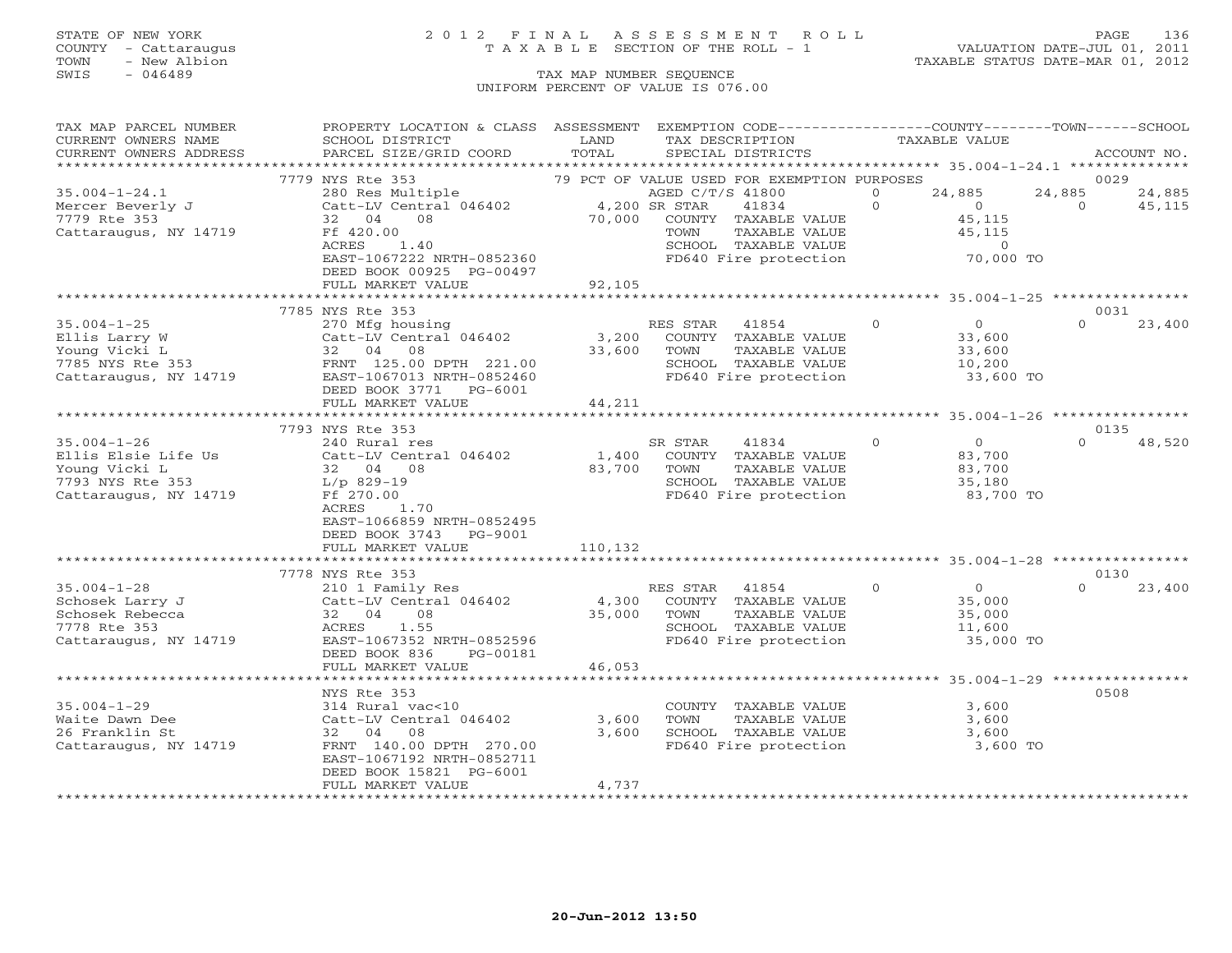### STATE OF NEW YORK 2 0 1 2 F I N A L A S S E S S M E N T R O L L PAGE 136 COUNTY - Cattaraugus T A X A B L E SECTION OF THE ROLL - 1 VALUATION DATE-JUL 01, 2011

| CURRENT OWNERS NAME<br>SCHOOL DISTRICT<br>LAND<br>TAX DESCRIPTION<br>TAXABLE VALUE<br>TOTAL<br>CURRENT OWNERS ADDRESS<br>PARCEL SIZE/GRID COORD<br>SPECIAL DISTRICTS<br>ACCOUNT NO.<br>7779 NYS Rte 353<br>0029<br>79 PCT OF VALUE USED FOR EXEMPTION PURPOSES<br>24,885<br>$35.004 - 1 - 24.1$<br>280 Res Multiple<br>AGED C/T/S 41800<br>$\mathbf{0}$<br>24,885<br>24,885<br>Catt-LV Central 046402 4,200 SR STAR<br>$\Omega$<br>Mercer Beverly J<br>41834<br>$\overline{0}$<br>$\Omega$<br>45,115<br>32 04<br>70,000<br>7779 Rte 353<br>08<br>COUNTY TAXABLE VALUE<br>45,115<br>Ff 420.00<br>TAXABLE VALUE<br>45,115<br>Cattaraugus, NY 14719<br>TOWN<br>ACRES<br>1.40<br>SCHOOL TAXABLE VALUE<br>$\circ$<br>FD640 Fire protection<br>EAST-1067222 NRTH-0852360<br>70,000 TO<br>DEED BOOK 00925 PG-00497<br>92,105<br>FULL MARKET VALUE<br>7785 NYS Rte 353<br>0031<br>270 Mfg housing<br>$\overline{0}$<br>23,400<br>$35.004 - 1 - 25$<br>RES STAR<br>41854<br>$\overline{0}$<br>$\Omega$<br>Catt-LV Central 046402<br>3,200 COUNTY TAXABLE VALUE<br>Ellis Larry W<br>33,600<br>-∪ung Vicki L<br>7785 NYS Rte 353<br>Cattaraugus<br>33,600<br>TAXABLE VALUE<br>32 04 08<br>33,600<br>TOWN<br>FRNT 125.00 DPTH 221.00<br>SCHOOL TAXABLE VALUE<br>10,200<br>FD640 Fire protection<br>Cattaraugus, NY 14719<br>EAST-1067013 NRTH-0852460<br>33,600 TO<br>DEED BOOK 3771 PG-6001<br>FULL MARKET VALUE<br>44,211<br>****************************<br>7793 NYS Rte 353<br>0135<br>$\overline{0}$<br>$35.004 - 1 - 26$<br>240 Rural res<br>SR STAR<br>41834<br>$\Omega$<br>$\Omega$<br>48,520<br>1,400<br>Ellis Elsie Life Us<br>Catt-LV Central 046402<br>COUNTY TAXABLE VALUE<br>83,700<br>32 04 08<br>83,700<br>TAXABLE VALUE<br>83,700<br>Young Vicki L<br>TOWN<br>SCHOOL TAXABLE VALUE<br>7793 NYS Rte 353<br>L/p 829-19<br>35,180<br>Ff 270.00<br>FD640 Fire protection<br>Cattaraugus, NY 14719<br>83,700 TO<br>ACRES<br>1.70<br>EAST-1066859 NRTH-0852495<br>DEED BOOK 3743 PG-9001<br>FULL MARKET VALUE<br>110,132<br>7778 NYS Rte 353<br>0130<br>$35.004 - 1 - 28$<br>RES STAR 41854<br>$\Omega$<br>$\overline{0}$<br>$\Omega$<br>23,400<br>210 1 Family Res<br>Catt-LV Central 046402<br>4,300<br>COUNTY TAXABLE VALUE<br>Schosek Larry J<br>35,000<br>Schosek Rebecca<br>32 04<br>08<br>35,000<br>TOWN<br>TAXABLE VALUE<br>35,000<br>1.55<br>7778 Rte 353<br>ACRES<br>SCHOOL TAXABLE VALUE<br>11,600<br>EAST-1067352 NRTH-0852596<br>FD640 Fire protection<br>35,000 TO<br>Cattaraugus, NY 14719<br>DEED BOOK 836<br>PG-00181<br>46,053<br>FULL MARKET VALUE<br>0508<br>NYS Rte 353<br>$35.004 - 1 - 29$<br>314 Rural vac<10<br>COUNTY TAXABLE VALUE<br>3,600<br>Catt-LV Central 046402<br>3,600<br>Waite Dawn Dee<br>TOWN<br>TAXABLE VALUE<br>3,600<br>26 Franklin St<br>3,600<br>SCHOOL TAXABLE VALUE<br>3,600<br>32 04 08<br>3,600 TO<br>Cattaraugus, NY 14719<br>FRNT 140.00 DPTH 270.00<br>FD640 Fire protection<br>EAST-1067192 NRTH-0852711<br>DEED BOOK 15821 PG-6001<br>4,737<br>FULL MARKET VALUE<br>******************** | TAX MAP PARCEL NUMBER | PROPERTY LOCATION & CLASS ASSESSMENT | EXEMPTION CODE----------------COUNTY-------TOWN------SCHOOL |  |  |
|---------------------------------------------------------------------------------------------------------------------------------------------------------------------------------------------------------------------------------------------------------------------------------------------------------------------------------------------------------------------------------------------------------------------------------------------------------------------------------------------------------------------------------------------------------------------------------------------------------------------------------------------------------------------------------------------------------------------------------------------------------------------------------------------------------------------------------------------------------------------------------------------------------------------------------------------------------------------------------------------------------------------------------------------------------------------------------------------------------------------------------------------------------------------------------------------------------------------------------------------------------------------------------------------------------------------------------------------------------------------------------------------------------------------------------------------------------------------------------------------------------------------------------------------------------------------------------------------------------------------------------------------------------------------------------------------------------------------------------------------------------------------------------------------------------------------------------------------------------------------------------------------------------------------------------------------------------------------------------------------------------------------------------------------------------------------------------------------------------------------------------------------------------------------------------------------------------------------------------------------------------------------------------------------------------------------------------------------------------------------------------------------------------------------------------------------------------------------------------------------------------------------------------------------------------------------------------------------------------------------------------------------------------------------------------------------------------------------------------------------------------------------------------------------------------------------------------------------------------------------------------------------------------------------------------------------------------------------------------------------------------------------------------------------|-----------------------|--------------------------------------|-------------------------------------------------------------|--|--|
|                                                                                                                                                                                                                                                                                                                                                                                                                                                                                                                                                                                                                                                                                                                                                                                                                                                                                                                                                                                                                                                                                                                                                                                                                                                                                                                                                                                                                                                                                                                                                                                                                                                                                                                                                                                                                                                                                                                                                                                                                                                                                                                                                                                                                                                                                                                                                                                                                                                                                                                                                                                                                                                                                                                                                                                                                                                                                                                                                                                                                                             |                       |                                      |                                                             |  |  |
|                                                                                                                                                                                                                                                                                                                                                                                                                                                                                                                                                                                                                                                                                                                                                                                                                                                                                                                                                                                                                                                                                                                                                                                                                                                                                                                                                                                                                                                                                                                                                                                                                                                                                                                                                                                                                                                                                                                                                                                                                                                                                                                                                                                                                                                                                                                                                                                                                                                                                                                                                                                                                                                                                                                                                                                                                                                                                                                                                                                                                                             |                       |                                      |                                                             |  |  |
|                                                                                                                                                                                                                                                                                                                                                                                                                                                                                                                                                                                                                                                                                                                                                                                                                                                                                                                                                                                                                                                                                                                                                                                                                                                                                                                                                                                                                                                                                                                                                                                                                                                                                                                                                                                                                                                                                                                                                                                                                                                                                                                                                                                                                                                                                                                                                                                                                                                                                                                                                                                                                                                                                                                                                                                                                                                                                                                                                                                                                                             |                       |                                      |                                                             |  |  |
|                                                                                                                                                                                                                                                                                                                                                                                                                                                                                                                                                                                                                                                                                                                                                                                                                                                                                                                                                                                                                                                                                                                                                                                                                                                                                                                                                                                                                                                                                                                                                                                                                                                                                                                                                                                                                                                                                                                                                                                                                                                                                                                                                                                                                                                                                                                                                                                                                                                                                                                                                                                                                                                                                                                                                                                                                                                                                                                                                                                                                                             |                       |                                      |                                                             |  |  |
|                                                                                                                                                                                                                                                                                                                                                                                                                                                                                                                                                                                                                                                                                                                                                                                                                                                                                                                                                                                                                                                                                                                                                                                                                                                                                                                                                                                                                                                                                                                                                                                                                                                                                                                                                                                                                                                                                                                                                                                                                                                                                                                                                                                                                                                                                                                                                                                                                                                                                                                                                                                                                                                                                                                                                                                                                                                                                                                                                                                                                                             |                       |                                      |                                                             |  |  |
|                                                                                                                                                                                                                                                                                                                                                                                                                                                                                                                                                                                                                                                                                                                                                                                                                                                                                                                                                                                                                                                                                                                                                                                                                                                                                                                                                                                                                                                                                                                                                                                                                                                                                                                                                                                                                                                                                                                                                                                                                                                                                                                                                                                                                                                                                                                                                                                                                                                                                                                                                                                                                                                                                                                                                                                                                                                                                                                                                                                                                                             |                       |                                      |                                                             |  |  |
|                                                                                                                                                                                                                                                                                                                                                                                                                                                                                                                                                                                                                                                                                                                                                                                                                                                                                                                                                                                                                                                                                                                                                                                                                                                                                                                                                                                                                                                                                                                                                                                                                                                                                                                                                                                                                                                                                                                                                                                                                                                                                                                                                                                                                                                                                                                                                                                                                                                                                                                                                                                                                                                                                                                                                                                                                                                                                                                                                                                                                                             |                       |                                      |                                                             |  |  |
|                                                                                                                                                                                                                                                                                                                                                                                                                                                                                                                                                                                                                                                                                                                                                                                                                                                                                                                                                                                                                                                                                                                                                                                                                                                                                                                                                                                                                                                                                                                                                                                                                                                                                                                                                                                                                                                                                                                                                                                                                                                                                                                                                                                                                                                                                                                                                                                                                                                                                                                                                                                                                                                                                                                                                                                                                                                                                                                                                                                                                                             |                       |                                      |                                                             |  |  |
|                                                                                                                                                                                                                                                                                                                                                                                                                                                                                                                                                                                                                                                                                                                                                                                                                                                                                                                                                                                                                                                                                                                                                                                                                                                                                                                                                                                                                                                                                                                                                                                                                                                                                                                                                                                                                                                                                                                                                                                                                                                                                                                                                                                                                                                                                                                                                                                                                                                                                                                                                                                                                                                                                                                                                                                                                                                                                                                                                                                                                                             |                       |                                      |                                                             |  |  |
|                                                                                                                                                                                                                                                                                                                                                                                                                                                                                                                                                                                                                                                                                                                                                                                                                                                                                                                                                                                                                                                                                                                                                                                                                                                                                                                                                                                                                                                                                                                                                                                                                                                                                                                                                                                                                                                                                                                                                                                                                                                                                                                                                                                                                                                                                                                                                                                                                                                                                                                                                                                                                                                                                                                                                                                                                                                                                                                                                                                                                                             |                       |                                      |                                                             |  |  |
|                                                                                                                                                                                                                                                                                                                                                                                                                                                                                                                                                                                                                                                                                                                                                                                                                                                                                                                                                                                                                                                                                                                                                                                                                                                                                                                                                                                                                                                                                                                                                                                                                                                                                                                                                                                                                                                                                                                                                                                                                                                                                                                                                                                                                                                                                                                                                                                                                                                                                                                                                                                                                                                                                                                                                                                                                                                                                                                                                                                                                                             |                       |                                      |                                                             |  |  |
|                                                                                                                                                                                                                                                                                                                                                                                                                                                                                                                                                                                                                                                                                                                                                                                                                                                                                                                                                                                                                                                                                                                                                                                                                                                                                                                                                                                                                                                                                                                                                                                                                                                                                                                                                                                                                                                                                                                                                                                                                                                                                                                                                                                                                                                                                                                                                                                                                                                                                                                                                                                                                                                                                                                                                                                                                                                                                                                                                                                                                                             |                       |                                      |                                                             |  |  |
|                                                                                                                                                                                                                                                                                                                                                                                                                                                                                                                                                                                                                                                                                                                                                                                                                                                                                                                                                                                                                                                                                                                                                                                                                                                                                                                                                                                                                                                                                                                                                                                                                                                                                                                                                                                                                                                                                                                                                                                                                                                                                                                                                                                                                                                                                                                                                                                                                                                                                                                                                                                                                                                                                                                                                                                                                                                                                                                                                                                                                                             |                       |                                      |                                                             |  |  |
|                                                                                                                                                                                                                                                                                                                                                                                                                                                                                                                                                                                                                                                                                                                                                                                                                                                                                                                                                                                                                                                                                                                                                                                                                                                                                                                                                                                                                                                                                                                                                                                                                                                                                                                                                                                                                                                                                                                                                                                                                                                                                                                                                                                                                                                                                                                                                                                                                                                                                                                                                                                                                                                                                                                                                                                                                                                                                                                                                                                                                                             |                       |                                      |                                                             |  |  |
|                                                                                                                                                                                                                                                                                                                                                                                                                                                                                                                                                                                                                                                                                                                                                                                                                                                                                                                                                                                                                                                                                                                                                                                                                                                                                                                                                                                                                                                                                                                                                                                                                                                                                                                                                                                                                                                                                                                                                                                                                                                                                                                                                                                                                                                                                                                                                                                                                                                                                                                                                                                                                                                                                                                                                                                                                                                                                                                                                                                                                                             |                       |                                      |                                                             |  |  |
|                                                                                                                                                                                                                                                                                                                                                                                                                                                                                                                                                                                                                                                                                                                                                                                                                                                                                                                                                                                                                                                                                                                                                                                                                                                                                                                                                                                                                                                                                                                                                                                                                                                                                                                                                                                                                                                                                                                                                                                                                                                                                                                                                                                                                                                                                                                                                                                                                                                                                                                                                                                                                                                                                                                                                                                                                                                                                                                                                                                                                                             |                       |                                      |                                                             |  |  |
|                                                                                                                                                                                                                                                                                                                                                                                                                                                                                                                                                                                                                                                                                                                                                                                                                                                                                                                                                                                                                                                                                                                                                                                                                                                                                                                                                                                                                                                                                                                                                                                                                                                                                                                                                                                                                                                                                                                                                                                                                                                                                                                                                                                                                                                                                                                                                                                                                                                                                                                                                                                                                                                                                                                                                                                                                                                                                                                                                                                                                                             |                       |                                      |                                                             |  |  |
|                                                                                                                                                                                                                                                                                                                                                                                                                                                                                                                                                                                                                                                                                                                                                                                                                                                                                                                                                                                                                                                                                                                                                                                                                                                                                                                                                                                                                                                                                                                                                                                                                                                                                                                                                                                                                                                                                                                                                                                                                                                                                                                                                                                                                                                                                                                                                                                                                                                                                                                                                                                                                                                                                                                                                                                                                                                                                                                                                                                                                                             |                       |                                      |                                                             |  |  |
|                                                                                                                                                                                                                                                                                                                                                                                                                                                                                                                                                                                                                                                                                                                                                                                                                                                                                                                                                                                                                                                                                                                                                                                                                                                                                                                                                                                                                                                                                                                                                                                                                                                                                                                                                                                                                                                                                                                                                                                                                                                                                                                                                                                                                                                                                                                                                                                                                                                                                                                                                                                                                                                                                                                                                                                                                                                                                                                                                                                                                                             |                       |                                      |                                                             |  |  |
|                                                                                                                                                                                                                                                                                                                                                                                                                                                                                                                                                                                                                                                                                                                                                                                                                                                                                                                                                                                                                                                                                                                                                                                                                                                                                                                                                                                                                                                                                                                                                                                                                                                                                                                                                                                                                                                                                                                                                                                                                                                                                                                                                                                                                                                                                                                                                                                                                                                                                                                                                                                                                                                                                                                                                                                                                                                                                                                                                                                                                                             |                       |                                      |                                                             |  |  |
|                                                                                                                                                                                                                                                                                                                                                                                                                                                                                                                                                                                                                                                                                                                                                                                                                                                                                                                                                                                                                                                                                                                                                                                                                                                                                                                                                                                                                                                                                                                                                                                                                                                                                                                                                                                                                                                                                                                                                                                                                                                                                                                                                                                                                                                                                                                                                                                                                                                                                                                                                                                                                                                                                                                                                                                                                                                                                                                                                                                                                                             |                       |                                      |                                                             |  |  |
|                                                                                                                                                                                                                                                                                                                                                                                                                                                                                                                                                                                                                                                                                                                                                                                                                                                                                                                                                                                                                                                                                                                                                                                                                                                                                                                                                                                                                                                                                                                                                                                                                                                                                                                                                                                                                                                                                                                                                                                                                                                                                                                                                                                                                                                                                                                                                                                                                                                                                                                                                                                                                                                                                                                                                                                                                                                                                                                                                                                                                                             |                       |                                      |                                                             |  |  |
|                                                                                                                                                                                                                                                                                                                                                                                                                                                                                                                                                                                                                                                                                                                                                                                                                                                                                                                                                                                                                                                                                                                                                                                                                                                                                                                                                                                                                                                                                                                                                                                                                                                                                                                                                                                                                                                                                                                                                                                                                                                                                                                                                                                                                                                                                                                                                                                                                                                                                                                                                                                                                                                                                                                                                                                                                                                                                                                                                                                                                                             |                       |                                      |                                                             |  |  |
|                                                                                                                                                                                                                                                                                                                                                                                                                                                                                                                                                                                                                                                                                                                                                                                                                                                                                                                                                                                                                                                                                                                                                                                                                                                                                                                                                                                                                                                                                                                                                                                                                                                                                                                                                                                                                                                                                                                                                                                                                                                                                                                                                                                                                                                                                                                                                                                                                                                                                                                                                                                                                                                                                                                                                                                                                                                                                                                                                                                                                                             |                       |                                      |                                                             |  |  |
|                                                                                                                                                                                                                                                                                                                                                                                                                                                                                                                                                                                                                                                                                                                                                                                                                                                                                                                                                                                                                                                                                                                                                                                                                                                                                                                                                                                                                                                                                                                                                                                                                                                                                                                                                                                                                                                                                                                                                                                                                                                                                                                                                                                                                                                                                                                                                                                                                                                                                                                                                                                                                                                                                                                                                                                                                                                                                                                                                                                                                                             |                       |                                      |                                                             |  |  |
|                                                                                                                                                                                                                                                                                                                                                                                                                                                                                                                                                                                                                                                                                                                                                                                                                                                                                                                                                                                                                                                                                                                                                                                                                                                                                                                                                                                                                                                                                                                                                                                                                                                                                                                                                                                                                                                                                                                                                                                                                                                                                                                                                                                                                                                                                                                                                                                                                                                                                                                                                                                                                                                                                                                                                                                                                                                                                                                                                                                                                                             |                       |                                      |                                                             |  |  |
|                                                                                                                                                                                                                                                                                                                                                                                                                                                                                                                                                                                                                                                                                                                                                                                                                                                                                                                                                                                                                                                                                                                                                                                                                                                                                                                                                                                                                                                                                                                                                                                                                                                                                                                                                                                                                                                                                                                                                                                                                                                                                                                                                                                                                                                                                                                                                                                                                                                                                                                                                                                                                                                                                                                                                                                                                                                                                                                                                                                                                                             |                       |                                      |                                                             |  |  |
|                                                                                                                                                                                                                                                                                                                                                                                                                                                                                                                                                                                                                                                                                                                                                                                                                                                                                                                                                                                                                                                                                                                                                                                                                                                                                                                                                                                                                                                                                                                                                                                                                                                                                                                                                                                                                                                                                                                                                                                                                                                                                                                                                                                                                                                                                                                                                                                                                                                                                                                                                                                                                                                                                                                                                                                                                                                                                                                                                                                                                                             |                       |                                      |                                                             |  |  |
|                                                                                                                                                                                                                                                                                                                                                                                                                                                                                                                                                                                                                                                                                                                                                                                                                                                                                                                                                                                                                                                                                                                                                                                                                                                                                                                                                                                                                                                                                                                                                                                                                                                                                                                                                                                                                                                                                                                                                                                                                                                                                                                                                                                                                                                                                                                                                                                                                                                                                                                                                                                                                                                                                                                                                                                                                                                                                                                                                                                                                                             |                       |                                      |                                                             |  |  |
|                                                                                                                                                                                                                                                                                                                                                                                                                                                                                                                                                                                                                                                                                                                                                                                                                                                                                                                                                                                                                                                                                                                                                                                                                                                                                                                                                                                                                                                                                                                                                                                                                                                                                                                                                                                                                                                                                                                                                                                                                                                                                                                                                                                                                                                                                                                                                                                                                                                                                                                                                                                                                                                                                                                                                                                                                                                                                                                                                                                                                                             |                       |                                      |                                                             |  |  |
|                                                                                                                                                                                                                                                                                                                                                                                                                                                                                                                                                                                                                                                                                                                                                                                                                                                                                                                                                                                                                                                                                                                                                                                                                                                                                                                                                                                                                                                                                                                                                                                                                                                                                                                                                                                                                                                                                                                                                                                                                                                                                                                                                                                                                                                                                                                                                                                                                                                                                                                                                                                                                                                                                                                                                                                                                                                                                                                                                                                                                                             |                       |                                      |                                                             |  |  |
|                                                                                                                                                                                                                                                                                                                                                                                                                                                                                                                                                                                                                                                                                                                                                                                                                                                                                                                                                                                                                                                                                                                                                                                                                                                                                                                                                                                                                                                                                                                                                                                                                                                                                                                                                                                                                                                                                                                                                                                                                                                                                                                                                                                                                                                                                                                                                                                                                                                                                                                                                                                                                                                                                                                                                                                                                                                                                                                                                                                                                                             |                       |                                      |                                                             |  |  |
|                                                                                                                                                                                                                                                                                                                                                                                                                                                                                                                                                                                                                                                                                                                                                                                                                                                                                                                                                                                                                                                                                                                                                                                                                                                                                                                                                                                                                                                                                                                                                                                                                                                                                                                                                                                                                                                                                                                                                                                                                                                                                                                                                                                                                                                                                                                                                                                                                                                                                                                                                                                                                                                                                                                                                                                                                                                                                                                                                                                                                                             |                       |                                      |                                                             |  |  |
|                                                                                                                                                                                                                                                                                                                                                                                                                                                                                                                                                                                                                                                                                                                                                                                                                                                                                                                                                                                                                                                                                                                                                                                                                                                                                                                                                                                                                                                                                                                                                                                                                                                                                                                                                                                                                                                                                                                                                                                                                                                                                                                                                                                                                                                                                                                                                                                                                                                                                                                                                                                                                                                                                                                                                                                                                                                                                                                                                                                                                                             |                       |                                      |                                                             |  |  |
|                                                                                                                                                                                                                                                                                                                                                                                                                                                                                                                                                                                                                                                                                                                                                                                                                                                                                                                                                                                                                                                                                                                                                                                                                                                                                                                                                                                                                                                                                                                                                                                                                                                                                                                                                                                                                                                                                                                                                                                                                                                                                                                                                                                                                                                                                                                                                                                                                                                                                                                                                                                                                                                                                                                                                                                                                                                                                                                                                                                                                                             |                       |                                      |                                                             |  |  |
|                                                                                                                                                                                                                                                                                                                                                                                                                                                                                                                                                                                                                                                                                                                                                                                                                                                                                                                                                                                                                                                                                                                                                                                                                                                                                                                                                                                                                                                                                                                                                                                                                                                                                                                                                                                                                                                                                                                                                                                                                                                                                                                                                                                                                                                                                                                                                                                                                                                                                                                                                                                                                                                                                                                                                                                                                                                                                                                                                                                                                                             |                       |                                      |                                                             |  |  |
|                                                                                                                                                                                                                                                                                                                                                                                                                                                                                                                                                                                                                                                                                                                                                                                                                                                                                                                                                                                                                                                                                                                                                                                                                                                                                                                                                                                                                                                                                                                                                                                                                                                                                                                                                                                                                                                                                                                                                                                                                                                                                                                                                                                                                                                                                                                                                                                                                                                                                                                                                                                                                                                                                                                                                                                                                                                                                                                                                                                                                                             |                       |                                      |                                                             |  |  |
|                                                                                                                                                                                                                                                                                                                                                                                                                                                                                                                                                                                                                                                                                                                                                                                                                                                                                                                                                                                                                                                                                                                                                                                                                                                                                                                                                                                                                                                                                                                                                                                                                                                                                                                                                                                                                                                                                                                                                                                                                                                                                                                                                                                                                                                                                                                                                                                                                                                                                                                                                                                                                                                                                                                                                                                                                                                                                                                                                                                                                                             |                       |                                      |                                                             |  |  |
|                                                                                                                                                                                                                                                                                                                                                                                                                                                                                                                                                                                                                                                                                                                                                                                                                                                                                                                                                                                                                                                                                                                                                                                                                                                                                                                                                                                                                                                                                                                                                                                                                                                                                                                                                                                                                                                                                                                                                                                                                                                                                                                                                                                                                                                                                                                                                                                                                                                                                                                                                                                                                                                                                                                                                                                                                                                                                                                                                                                                                                             |                       |                                      |                                                             |  |  |
|                                                                                                                                                                                                                                                                                                                                                                                                                                                                                                                                                                                                                                                                                                                                                                                                                                                                                                                                                                                                                                                                                                                                                                                                                                                                                                                                                                                                                                                                                                                                                                                                                                                                                                                                                                                                                                                                                                                                                                                                                                                                                                                                                                                                                                                                                                                                                                                                                                                                                                                                                                                                                                                                                                                                                                                                                                                                                                                                                                                                                                             |                       |                                      |                                                             |  |  |
|                                                                                                                                                                                                                                                                                                                                                                                                                                                                                                                                                                                                                                                                                                                                                                                                                                                                                                                                                                                                                                                                                                                                                                                                                                                                                                                                                                                                                                                                                                                                                                                                                                                                                                                                                                                                                                                                                                                                                                                                                                                                                                                                                                                                                                                                                                                                                                                                                                                                                                                                                                                                                                                                                                                                                                                                                                                                                                                                                                                                                                             |                       |                                      |                                                             |  |  |
|                                                                                                                                                                                                                                                                                                                                                                                                                                                                                                                                                                                                                                                                                                                                                                                                                                                                                                                                                                                                                                                                                                                                                                                                                                                                                                                                                                                                                                                                                                                                                                                                                                                                                                                                                                                                                                                                                                                                                                                                                                                                                                                                                                                                                                                                                                                                                                                                                                                                                                                                                                                                                                                                                                                                                                                                                                                                                                                                                                                                                                             |                       |                                      |                                                             |  |  |
|                                                                                                                                                                                                                                                                                                                                                                                                                                                                                                                                                                                                                                                                                                                                                                                                                                                                                                                                                                                                                                                                                                                                                                                                                                                                                                                                                                                                                                                                                                                                                                                                                                                                                                                                                                                                                                                                                                                                                                                                                                                                                                                                                                                                                                                                                                                                                                                                                                                                                                                                                                                                                                                                                                                                                                                                                                                                                                                                                                                                                                             |                       |                                      |                                                             |  |  |
|                                                                                                                                                                                                                                                                                                                                                                                                                                                                                                                                                                                                                                                                                                                                                                                                                                                                                                                                                                                                                                                                                                                                                                                                                                                                                                                                                                                                                                                                                                                                                                                                                                                                                                                                                                                                                                                                                                                                                                                                                                                                                                                                                                                                                                                                                                                                                                                                                                                                                                                                                                                                                                                                                                                                                                                                                                                                                                                                                                                                                                             |                       |                                      |                                                             |  |  |
|                                                                                                                                                                                                                                                                                                                                                                                                                                                                                                                                                                                                                                                                                                                                                                                                                                                                                                                                                                                                                                                                                                                                                                                                                                                                                                                                                                                                                                                                                                                                                                                                                                                                                                                                                                                                                                                                                                                                                                                                                                                                                                                                                                                                                                                                                                                                                                                                                                                                                                                                                                                                                                                                                                                                                                                                                                                                                                                                                                                                                                             |                       |                                      |                                                             |  |  |
|                                                                                                                                                                                                                                                                                                                                                                                                                                                                                                                                                                                                                                                                                                                                                                                                                                                                                                                                                                                                                                                                                                                                                                                                                                                                                                                                                                                                                                                                                                                                                                                                                                                                                                                                                                                                                                                                                                                                                                                                                                                                                                                                                                                                                                                                                                                                                                                                                                                                                                                                                                                                                                                                                                                                                                                                                                                                                                                                                                                                                                             |                       |                                      |                                                             |  |  |
|                                                                                                                                                                                                                                                                                                                                                                                                                                                                                                                                                                                                                                                                                                                                                                                                                                                                                                                                                                                                                                                                                                                                                                                                                                                                                                                                                                                                                                                                                                                                                                                                                                                                                                                                                                                                                                                                                                                                                                                                                                                                                                                                                                                                                                                                                                                                                                                                                                                                                                                                                                                                                                                                                                                                                                                                                                                                                                                                                                                                                                             |                       |                                      |                                                             |  |  |
|                                                                                                                                                                                                                                                                                                                                                                                                                                                                                                                                                                                                                                                                                                                                                                                                                                                                                                                                                                                                                                                                                                                                                                                                                                                                                                                                                                                                                                                                                                                                                                                                                                                                                                                                                                                                                                                                                                                                                                                                                                                                                                                                                                                                                                                                                                                                                                                                                                                                                                                                                                                                                                                                                                                                                                                                                                                                                                                                                                                                                                             |                       |                                      |                                                             |  |  |
|                                                                                                                                                                                                                                                                                                                                                                                                                                                                                                                                                                                                                                                                                                                                                                                                                                                                                                                                                                                                                                                                                                                                                                                                                                                                                                                                                                                                                                                                                                                                                                                                                                                                                                                                                                                                                                                                                                                                                                                                                                                                                                                                                                                                                                                                                                                                                                                                                                                                                                                                                                                                                                                                                                                                                                                                                                                                                                                                                                                                                                             |                       |                                      |                                                             |  |  |
|                                                                                                                                                                                                                                                                                                                                                                                                                                                                                                                                                                                                                                                                                                                                                                                                                                                                                                                                                                                                                                                                                                                                                                                                                                                                                                                                                                                                                                                                                                                                                                                                                                                                                                                                                                                                                                                                                                                                                                                                                                                                                                                                                                                                                                                                                                                                                                                                                                                                                                                                                                                                                                                                                                                                                                                                                                                                                                                                                                                                                                             |                       |                                      |                                                             |  |  |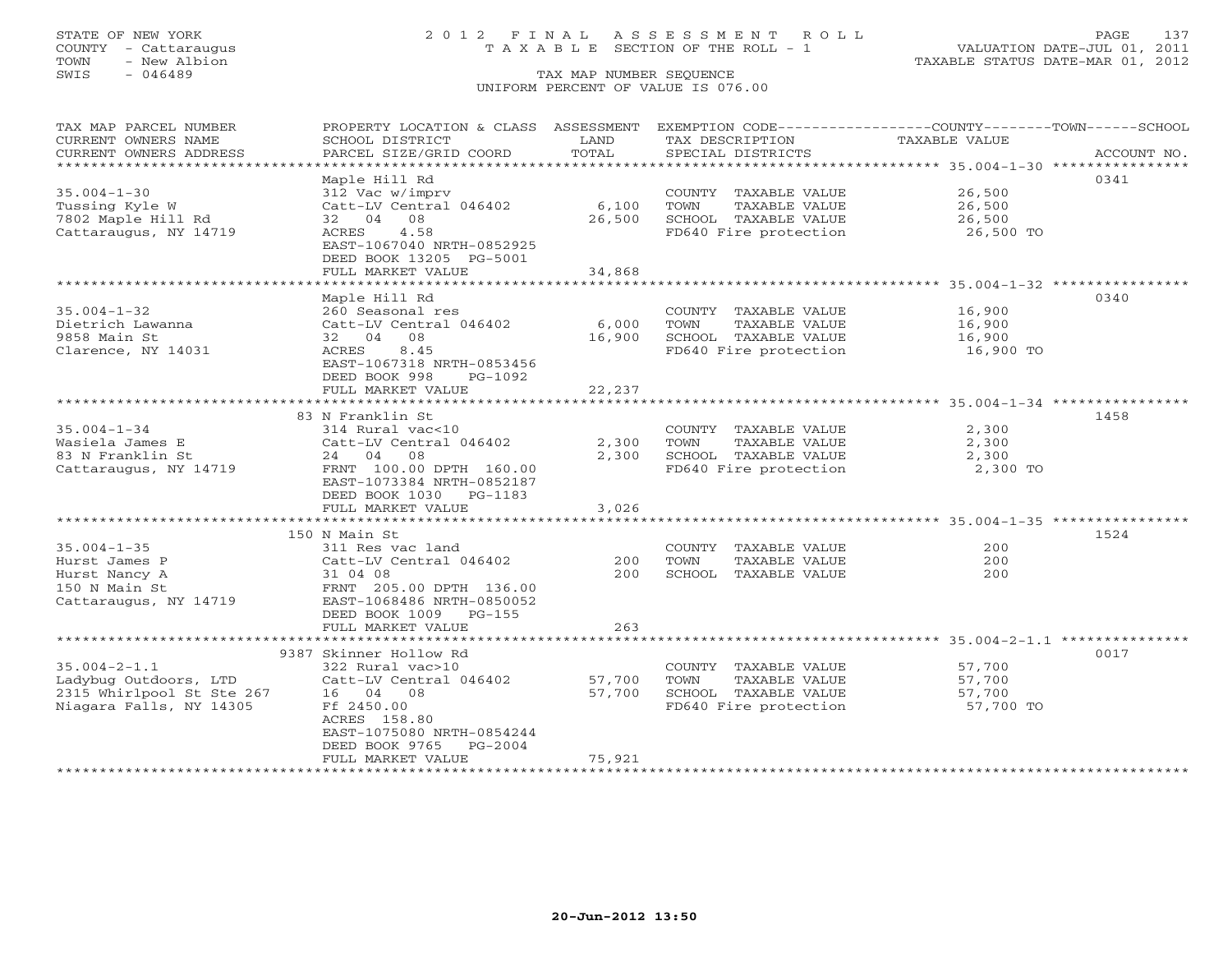## STATE OF NEW YORK 2 0 1 2 F I N A L A S S E S S M E N T R O L L PAGE 137 COUNTY - Cattaraugus T A X A B L E SECTION OF THE ROLL - 1 VALUATION DATE-JUL 01, 2011

| TAX MAP PARCEL NUMBER<br>CURRENT OWNERS NAME<br>CURRENT OWNERS ADDRESS | PROPERTY LOCATION & CLASS ASSESSMENT<br>SCHOOL DISTRICT<br>PARCEL SIZE/GRID COORD | LAND<br>TOTAL | EXEMPTION CODE----------------COUNTY-------TOWN------SCHOOL<br>TAX DESCRIPTION<br>SPECIAL DISTRICTS | TAXABLE VALUE | ACCOUNT NO. |
|------------------------------------------------------------------------|-----------------------------------------------------------------------------------|---------------|-----------------------------------------------------------------------------------------------------|---------------|-------------|
| *********************                                                  |                                                                                   |               |                                                                                                     |               |             |
|                                                                        | Maple Hill Rd                                                                     |               |                                                                                                     |               | 0341        |
| $35.004 - 1 - 30$                                                      | 312 Vac w/imprv                                                                   |               | COUNTY TAXABLE VALUE                                                                                | 26,500        |             |
| Tussing Kyle W                                                         | Catt-LV Central 046402                                                            | 6,100         | TOWN<br>TAXABLE VALUE                                                                               | 26,500        |             |
| 7802 Maple Hill Rd                                                     | 08<br>32 04                                                                       | 26,500        | SCHOOL TAXABLE VALUE                                                                                | 26,500        |             |
| Cattaraugus, NY 14719                                                  | 4.58<br>ACRES<br>EAST-1067040 NRTH-0852925                                        |               | FD640 Fire protection                                                                               | 26,500 TO     |             |
|                                                                        | DEED BOOK 13205 PG-5001                                                           |               |                                                                                                     |               |             |
|                                                                        | FULL MARKET VALUE                                                                 | 34,868        |                                                                                                     |               |             |
|                                                                        |                                                                                   |               |                                                                                                     |               |             |
|                                                                        | Maple Hill Rd                                                                     |               |                                                                                                     |               | 0340        |
| $35.004 - 1 - 32$                                                      | 260 Seasonal res                                                                  |               | COUNTY TAXABLE VALUE                                                                                | 16,900        |             |
| Dietrich Lawanna<br>9858 Main St                                       | Catt-LV Central 046402<br>32 04 08                                                | 6,000         | TOWN<br>TAXABLE VALUE                                                                               | 16,900        |             |
|                                                                        | 8.45<br>ACRES                                                                     | 16,900        | SCHOOL TAXABLE VALUE                                                                                | 16,900        |             |
| Clarence, NY 14031                                                     | EAST-1067318 NRTH-0853456                                                         |               | FD640 Fire protection                                                                               | 16,900 TO     |             |
|                                                                        | DEED BOOK 998<br>PG-1092                                                          |               |                                                                                                     |               |             |
|                                                                        | FULL MARKET VALUE                                                                 | 22,237        |                                                                                                     |               |             |
|                                                                        |                                                                                   |               |                                                                                                     |               |             |
|                                                                        | 83 N Franklin St                                                                  |               |                                                                                                     |               | 1458        |
| $35.004 - 1 - 34$                                                      | 314 Rural vac<10                                                                  |               | COUNTY TAXABLE VALUE                                                                                | 2,300         |             |
| Wasiela James E                                                        | Catt-LV Central 046402                                                            | 2,300         | TAXABLE VALUE<br>TOWN                                                                               | 2,300         |             |
| 83 N Franklin St                                                       | 08<br>24 04                                                                       | 2,300         | SCHOOL TAXABLE VALUE                                                                                | 2,300         |             |
| Cattaraugus, NY 14719                                                  | FRNT 100.00 DPTH 160.00                                                           |               | FD640 Fire protection                                                                               | 2,300 TO      |             |
|                                                                        | EAST-1073384 NRTH-0852187                                                         |               |                                                                                                     |               |             |
|                                                                        | DEED BOOK 1030 PG-1183<br>FULL MARKET VALUE                                       | 3,026         |                                                                                                     |               |             |
|                                                                        |                                                                                   |               |                                                                                                     |               |             |
|                                                                        | 150 N Main St                                                                     |               |                                                                                                     |               | 1524        |
| $35.004 - 1 - 35$                                                      | 311 Res vac land                                                                  |               | COUNTY TAXABLE VALUE                                                                                | 200           |             |
| Hurst James P                                                          | Catt-LV Central 046402                                                            | 200           | TAXABLE VALUE<br>TOWN                                                                               | 200           |             |
| Hurst Nancy A                                                          | 31 04 08                                                                          | 200           | SCHOOL TAXABLE VALUE                                                                                | 200           |             |
| 150 N Main St                                                          | FRNT 205.00 DPTH 136.00                                                           |               |                                                                                                     |               |             |
| Cattaraugus, NY 14719                                                  | EAST-1068486 NRTH-0850052                                                         |               |                                                                                                     |               |             |
|                                                                        | DEED BOOK 1009<br>$PG-155$                                                        |               |                                                                                                     |               |             |
|                                                                        | FULL MARKET VALUE                                                                 | 263           |                                                                                                     |               |             |
|                                                                        |                                                                                   |               |                                                                                                     |               |             |
| $35.004 - 2 - 1.1$                                                     | 9387 Skinner Hollow Rd<br>322 Rural vac>10                                        |               | COUNTY TAXABLE VALUE                                                                                | 57,700        | 0017        |
| Ladybug Outdoors, LTD                                                  | Catt-LV Central 046402                                                            | 57,700        | TOWN<br>TAXABLE VALUE                                                                               | 57,700        |             |
| 2315 Whirlpool St Ste 267                                              | 16 04 08                                                                          | 57,700        | SCHOOL TAXABLE VALUE                                                                                | 57,700        |             |
| Niagara Falls, NY 14305                                                | Ff 2450.00                                                                        |               | FD640 Fire protection                                                                               | 57,700 TO     |             |
|                                                                        | ACRES 158.80                                                                      |               |                                                                                                     |               |             |
|                                                                        | EAST-1075080 NRTH-0854244                                                         |               |                                                                                                     |               |             |
|                                                                        | DEED BOOK 9765<br>$PG-2004$                                                       |               |                                                                                                     |               |             |
|                                                                        | FULL MARKET VALUE                                                                 | 75,921        |                                                                                                     |               |             |
|                                                                        |                                                                                   |               |                                                                                                     |               |             |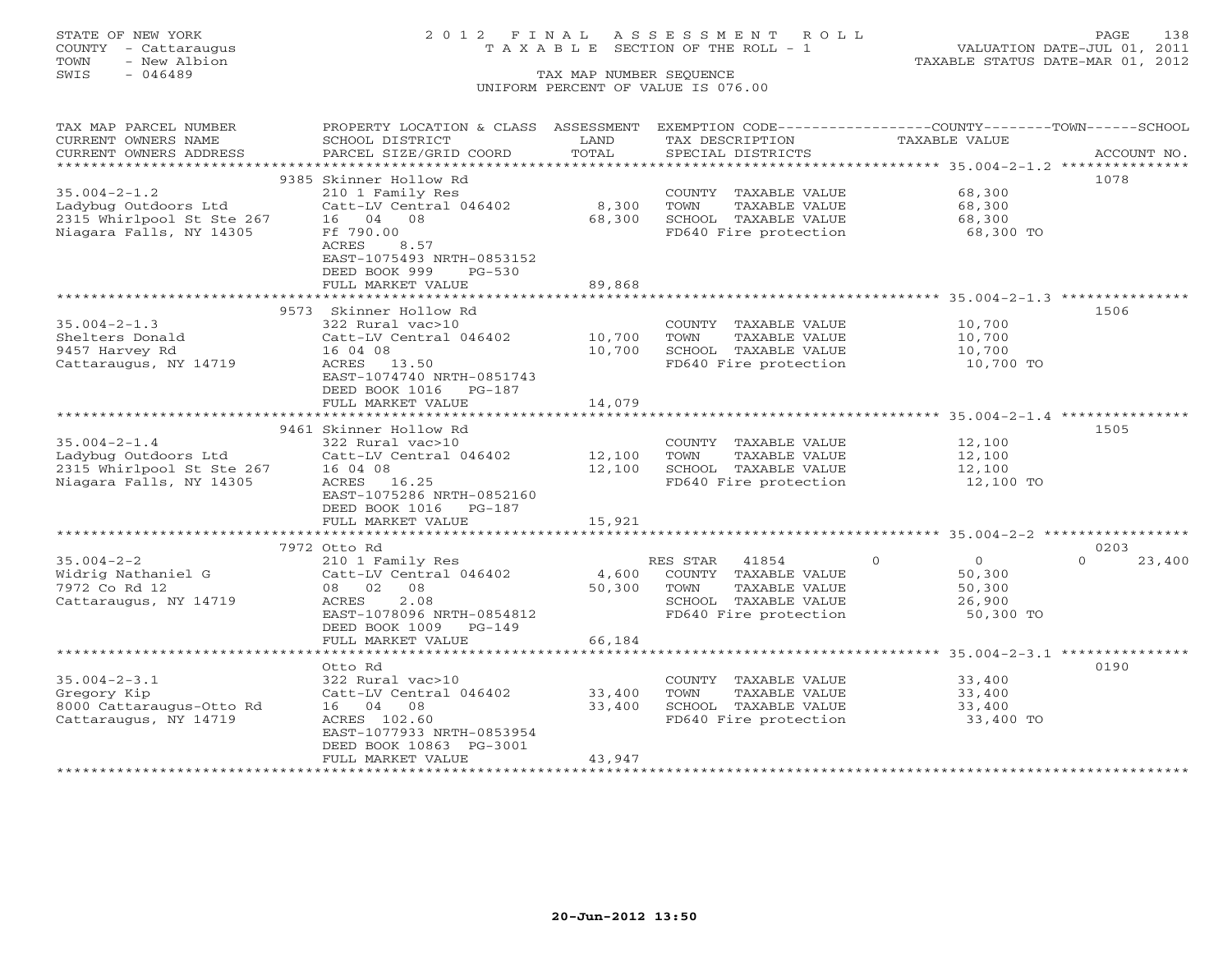# STATE OF NEW YORK 2 0 1 2 F I N A L A S S E S S M E N T R O L L PAGE 138 COUNTY - Cattaraugus T A X A B L E SECTION OF THE ROLL - 1 VALUATION DATE-JUL 01, 2011

| TAX MAP PARCEL NUMBER                             | PROPERTY LOCATION & CLASS ASSESSMENT |        | EXEMPTION CODE-----------------COUNTY-------TOWN------SCHOOL |                            |             |
|---------------------------------------------------|--------------------------------------|--------|--------------------------------------------------------------|----------------------------|-------------|
| CURRENT OWNERS NAME                               | SCHOOL DISTRICT                      | LAND   | TAX DESCRIPTION                                              | TAXABLE VALUE              |             |
| CURRENT OWNERS ADDRESS                            | PARCEL SIZE/GRID COORD               | TOTAL  | SPECIAL DISTRICTS                                            |                            | ACCOUNT NO. |
|                                                   |                                      |        |                                                              |                            |             |
|                                                   | 9385 Skinner Hollow Rd               |        |                                                              |                            | 1078        |
| $35.004 - 2 - 1.2$                                | 210 1 Family Res                     |        | COUNTY TAXABLE VALUE                                         | 68,300                     |             |
| Ladybug Outdoors Ltd                              | Catt-LV Central 046402               | 8,300  | TAXABLE VALUE<br>TOWN                                        | 68,300                     |             |
|                                                   | 16 04 08                             |        |                                                              |                            |             |
| 2315 Whirlpool St Ste 267                         |                                      | 68,300 | SCHOOL TAXABLE VALUE                                         | 68,300                     |             |
| Niagara Falls, NY 14305                           | Ff 790.00                            |        | FD640 Fire protection                                        | 68,300 TO                  |             |
|                                                   | ACRES<br>8.57                        |        |                                                              |                            |             |
|                                                   | EAST-1075493 NRTH-0853152            |        |                                                              |                            |             |
|                                                   | DEED BOOK 999<br>$PG-530$            |        |                                                              |                            |             |
|                                                   | FULL MARKET VALUE                    | 89,868 |                                                              |                            |             |
|                                                   |                                      |        |                                                              |                            |             |
|                                                   | 9573 Skinner Hollow Rd               |        |                                                              |                            | 1506        |
| $35.004 - 2 - 1.3$                                | 322 Rural vac>10                     |        | COUNTY TAXABLE VALUE                                         | 10,700                     |             |
| Shelters Donald                                   | Catt-LV Central 046402               | 10,700 | TOWN<br>TAXABLE VALUE                                        | 10,700                     |             |
| 9457 Harvey Rd                                    | 16 04 08                             | 10,700 | SCHOOL TAXABLE VALUE                                         | 10,700                     |             |
| Cattaraugus, NY 14719                             | ACRES 13.50                          |        | FD640 Fire protection                                        | 10,700 TO                  |             |
|                                                   |                                      |        |                                                              |                            |             |
|                                                   | EAST-1074740 NRTH-0851743            |        |                                                              |                            |             |
|                                                   | DEED BOOK 1016 PG-187                |        |                                                              |                            |             |
|                                                   | FULL MARKET VALUE                    | 14,079 |                                                              |                            |             |
|                                                   |                                      |        |                                                              |                            |             |
|                                                   | 9461 Skinner Hollow Rd               |        |                                                              |                            | 1505        |
| $35.004 - 2 - 1.4$                                | 322 Rural vac>10                     |        | COUNTY TAXABLE VALUE                                         | 12,100                     |             |
|                                                   | Catt-LV Central 046402               | 12,100 | TOWN<br>TAXABLE VALUE                                        | 12,100                     |             |
| Ladybug Outdoors Ltd<br>2315 Whirlpool St Ste 267 | 16 04 08                             | 12,100 | SCHOOL TAXABLE VALUE                                         | 12,100                     |             |
| Niagara Falls, NY 14305                           | ACRES 16.25                          |        | FD640 Fire protection                                        | 12,100 TO                  |             |
|                                                   | EAST-1075286 NRTH-0852160            |        |                                                              |                            |             |
|                                                   | DEED BOOK 1016 PG-187                |        |                                                              |                            |             |
|                                                   | FULL MARKET VALUE                    | 15,921 |                                                              |                            |             |
|                                                   |                                      |        |                                                              |                            |             |
|                                                   | 7972 Otto Rd                         |        |                                                              |                            | 0203        |
|                                                   |                                      |        |                                                              | $\Omega$<br>$\overline{O}$ | $\Omega$    |
| $35.004 - 2 - 2$                                  | 210 1 Family Res                     |        | 41854<br>RES STAR                                            |                            | 23,400      |
| Widrig Nathaniel G                                | Catt-LV Central 046402               |        | 4,600 COUNTY TAXABLE VALUE                                   | 50,300                     |             |
| 7972 Co Rd 12                                     | 08 02 08                             | 50,300 | TAXABLE VALUE<br>TOWN                                        | 50,300                     |             |
| Cattaraugus, NY 14719                             | 2.08<br>ACRES                        |        | SCHOOL TAXABLE VALUE                                         | 26,900                     |             |
|                                                   | EAST-1078096 NRTH-0854812            |        | FD640 Fire protection                                        | 50,300 TO                  |             |
|                                                   | DEED BOOK 1009 PG-149                |        |                                                              |                            |             |
|                                                   | FULL MARKET VALUE                    | 66,184 |                                                              |                            |             |
|                                                   |                                      |        |                                                              |                            |             |
|                                                   | Otto Rd                              |        |                                                              |                            | 0190        |
| $35.004 - 2 - 3.1$                                | 322 Rural vac>10                     |        | COUNTY TAXABLE VALUE                                         | 33,400                     |             |
| Gregory Kip                                       | Catt-LV Central 046402               | 33,400 | TOWN<br>TAXABLE VALUE                                        | 33,400                     |             |
| 8000 Cattaraugus-Otto Rd                          | 16 04 08                             | 33,400 | SCHOOL TAXABLE VALUE                                         | 33,400                     |             |
| Cattaraugus, NY 14719                             | ACRES 102.60                         |        | FD640 Fire protection                                        | 33,400 TO                  |             |
|                                                   | EAST-1077933 NRTH-0853954            |        |                                                              |                            |             |
|                                                   |                                      |        |                                                              |                            |             |
|                                                   | DEED BOOK 10863 PG-3001              |        |                                                              |                            |             |
|                                                   | FULL MARKET VALUE                    | 43,947 |                                                              |                            |             |
| ************************                          |                                      |        |                                                              |                            |             |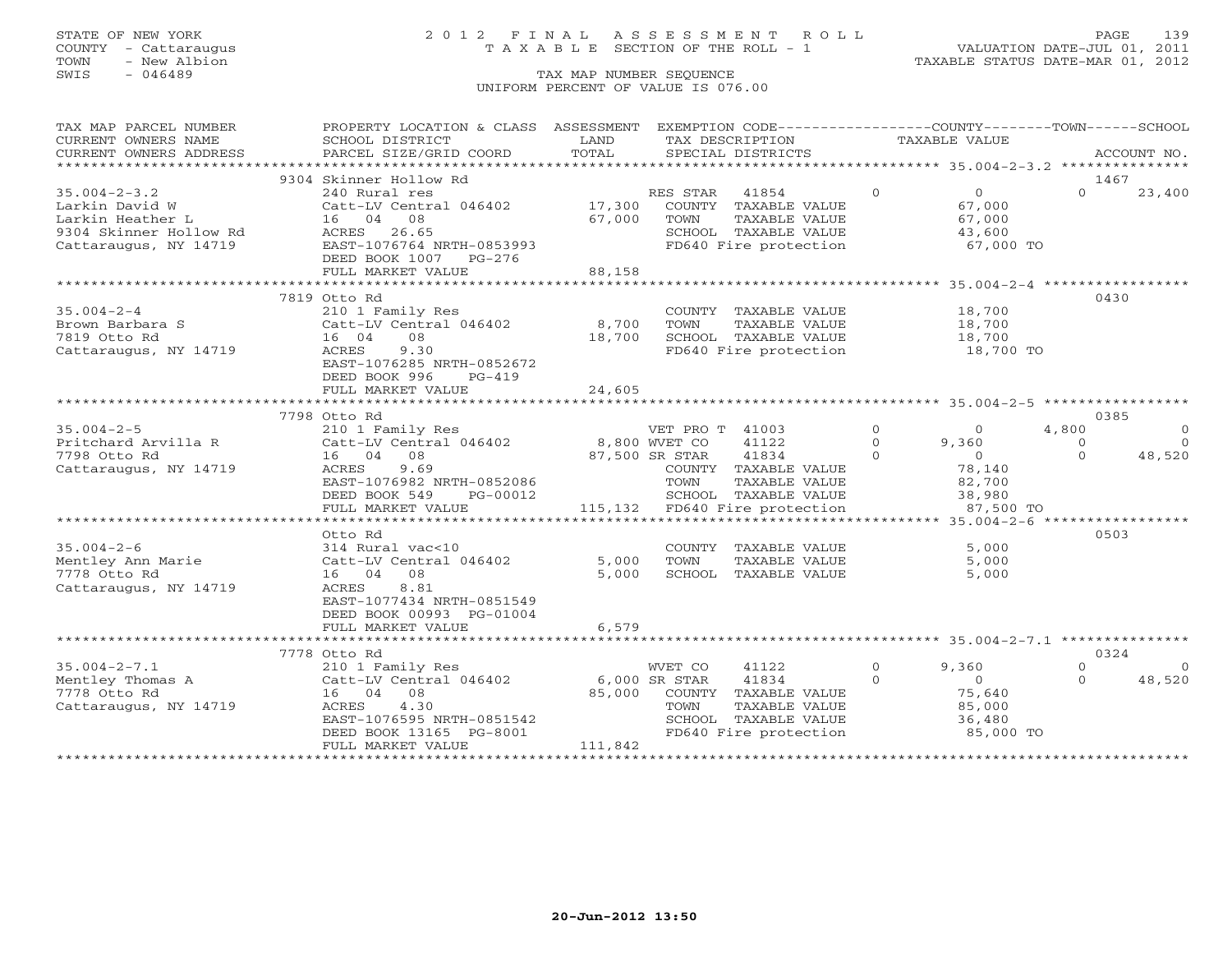COUNTY - Cattaraugus T A X A B L E SECTION OF THE ROLL - 1<br>TOWN - New Albion - 1<br>SWIS - 046489 TAX MAP NUMBER SEQUENCE

# STATE OF NEW YORK 2 0 1 2 F I N A L A S S E S S M E N T R O L L PAGE 139

VALUATION DATE-JUL 01, 2011 TAXABLE STATUS DATE-MAR 01, 2012

### TAX MAP NUMBER SEQUENCE UNIFORM PERCENT OF VALUE IS 076.00

| TAX MAP PARCEL NUMBER                                                                  | PROPERTY LOCATION & CLASS ASSESSMENT EXEMPTION CODE----------------COUNTY-------TOWN------SCHOOL |                |                                               |               |                     |                            |
|----------------------------------------------------------------------------------------|--------------------------------------------------------------------------------------------------|----------------|-----------------------------------------------|---------------|---------------------|----------------------------|
| CURRENT OWNERS NAME                                                                    | SCHOOL DISTRICT                                                                                  | LAND           | TAX DESCRIPTION                               | TAXABLE VALUE |                     |                            |
|                                                                                        |                                                                                                  |                |                                               |               |                     |                            |
|                                                                                        |                                                                                                  |                |                                               |               |                     |                            |
|                                                                                        | 9304 Skinner Hollow Rd                                                                           |                |                                               |               |                     | 1467                       |
| $35.004 - 2 - 3.2$                                                                     | 240 Rural res                                                                                    |                | RES STAR 41854                                | $\Omega$      | $\overline{0}$      | $\Omega$<br>23,400         |
| Larkin David W                                                                         | Catt-LV Central 046402                                                                           |                | 17,300 COUNTY TAXABLE VALUE                   |               | 67,000              |                            |
| Larkin Heather L                                                                       | 16 04 08                                                                                         | 67,000         | TAXABLE VALUE<br>TOWN                         |               | 67,000              |                            |
| 9304 Skinner Hollow Rd<br>Cattaraugus, NY 14719                                        | ACRES 26.65                                                                                      |                |                                               |               | 43,600              |                            |
| Cattaraugus, NY 14719                                                                  | EAST-1076764 NRTH-0853993                                                                        |                | SCHOOL TAXABLE VALUE<br>FD640 Fire protection |               | $67,000$ TO         |                            |
|                                                                                        | DEED BOOK 1007 PG-276                                                                            |                |                                               |               |                     |                            |
|                                                                                        | FULL MARKET VALUE                                                                                | 88,158         |                                               |               |                     |                            |
|                                                                                        |                                                                                                  |                |                                               |               |                     |                            |
|                                                                                        | 7819 Otto Rd                                                                                     |                |                                               |               |                     | 0430                       |
| $35.004 - 2 - 4$                                                                       | 210 1 Family Res                                                                                 |                | COUNTY TAXABLE VALUE                          |               | 18,700              |                            |
| Brown Barbara S                                                                        | Catt-LV Central 046402                                                                           | 8,700          | TOWN<br>TAXABLE VALUE                         |               | 18,700              |                            |
| 7819 Otto Rd                                                                           | 16 04<br>08                                                                                      | 18,700         | SCHOOL TAXABLE VALUE                          |               |                     |                            |
|                                                                                        | 9.30                                                                                             |                | FD640 Fire protection                         |               | 18,700<br>18,700 TO |                            |
| Cattaraugus, NY 14719                                                                  | ACRES                                                                                            |                |                                               |               |                     |                            |
|                                                                                        | EAST-1076285 NRTH-0852672                                                                        |                |                                               |               |                     |                            |
|                                                                                        | DEED BOOK 996<br>PG-419                                                                          |                |                                               |               |                     |                            |
|                                                                                        | FULL MARKET VALUE                                                                                | 24,605         |                                               |               |                     |                            |
|                                                                                        |                                                                                                  |                |                                               |               |                     |                            |
|                                                                                        | 7798 Otto Rd                                                                                     |                |                                               |               |                     | 0385                       |
| $35.004 - 2 - 5$                                                                       | 210 1 Family Res<br>210 1 raminy Res<br>Catt-LV Central 046402 8,800 WVET CO 41122               |                | VET PRO T 41003                               | $\circ$       | 4,800<br>$\Omega$   | $\circ$                    |
| Pritchard Arvilla R                                                                    |                                                                                                  |                |                                               | $\Omega$      | 9,360               | $\Omega$<br>$\Omega$       |
| 7798 Otto Rd                                                                           | 16 04 08                                                                                         | 87,500 SR STAR | 41834                                         | $\Omega$      | 78,140              | $\Omega$<br>48,520         |
| Cattaraugus, NY 14719                                                                  | ACRES<br>9.69                                                                                    |                | COUNTY TAXABLE VALUE                          |               |                     |                            |
|                                                                                        | EAST-1076982 NRTH-0852086                                                                        |                | TOWN<br>TAXABLE VALUE                         |               | 82,700<br>38,980    |                            |
|                                                                                        | DEED BOOK 549 PG-00012                                                                           |                | SCHOOL TAXABLE VALUE                          |               |                     |                            |
|                                                                                        | FULL MARKET VALUE                                                                                |                | 115,132 FD640 Fire protection                 |               | 87,500 TO           |                            |
|                                                                                        |                                                                                                  |                |                                               |               |                     |                            |
|                                                                                        | Otto Rd                                                                                          |                |                                               |               |                     | 0503                       |
| $35.004 - 2 - 6$                                                                       | 314 Rural vac<10                                                                                 |                | COUNTY TAXABLE VALUE                          |               | 5,000               |                            |
| Mentley Ann Marie                                                                      | Catt-LV Central 046402                                                                           | 5,000          | TAXABLE VALUE<br>TOWN                         |               | 5,000               |                            |
| 7778 Otto Rd                                                                           | 16 04 08                                                                                         | 5,000          | SCHOOL TAXABLE VALUE                          |               | 5,000               |                            |
| Cattaraugus, NY 14719                                                                  | 8.81<br>ACRES                                                                                    |                |                                               |               |                     |                            |
|                                                                                        | EAST-1077434 NRTH-0851549                                                                        |                |                                               |               |                     |                            |
|                                                                                        | DEED BOOK 00993 PG-01004                                                                         |                |                                               |               |                     |                            |
|                                                                                        | FULL MARKET VALUE                                                                                | 6,579          |                                               |               |                     |                            |
|                                                                                        |                                                                                                  |                |                                               |               |                     |                            |
|                                                                                        | 7778 Otto Rd                                                                                     |                |                                               |               |                     | 0324                       |
| $35.004 - 2 - 7.1$                                                                     | 210 1 Family Res                                                                                 |                | WVET CO<br>41122                              | $\Omega$      | 9,360               | $\Omega$<br>$\overline{0}$ |
| Mentley Thomas A $\frac{210 + 1 \text{ rad} + 10}{16}$ net att-1046402<br>7778 Otto Rd |                                                                                                  | 6,000 SR STAR  | 41834                                         | $\Omega$      | $\overline{0}$      | $\Omega$<br>48,520         |
| 7778 Otto Rd                                                                           | 16 04 08                                                                                         |                | 85,000 COUNTY TAXABLE VALUE                   |               | 75,640              |                            |
| Cattaraugus, NY 14719                                                                  | 4.30<br>ACRES                                                                                    |                | TAXABLE VALUE<br>TOWN                         |               | 85,000              |                            |
|                                                                                        | EAST-1076595 NRTH-0851542                                                                        |                | SCHOOL TAXABLE VALUE                          |               | 36,480              |                            |
|                                                                                        | DEED BOOK 13165 PG-8001                                                                          |                | SCHOOL TAXABLE VALUE<br>FD640 Fire protection |               | $85,000$ TO         |                            |
|                                                                                        | FULL MARKET VALUE                                                                                | 111,842        |                                               |               |                     |                            |
|                                                                                        |                                                                                                  |                |                                               |               |                     |                            |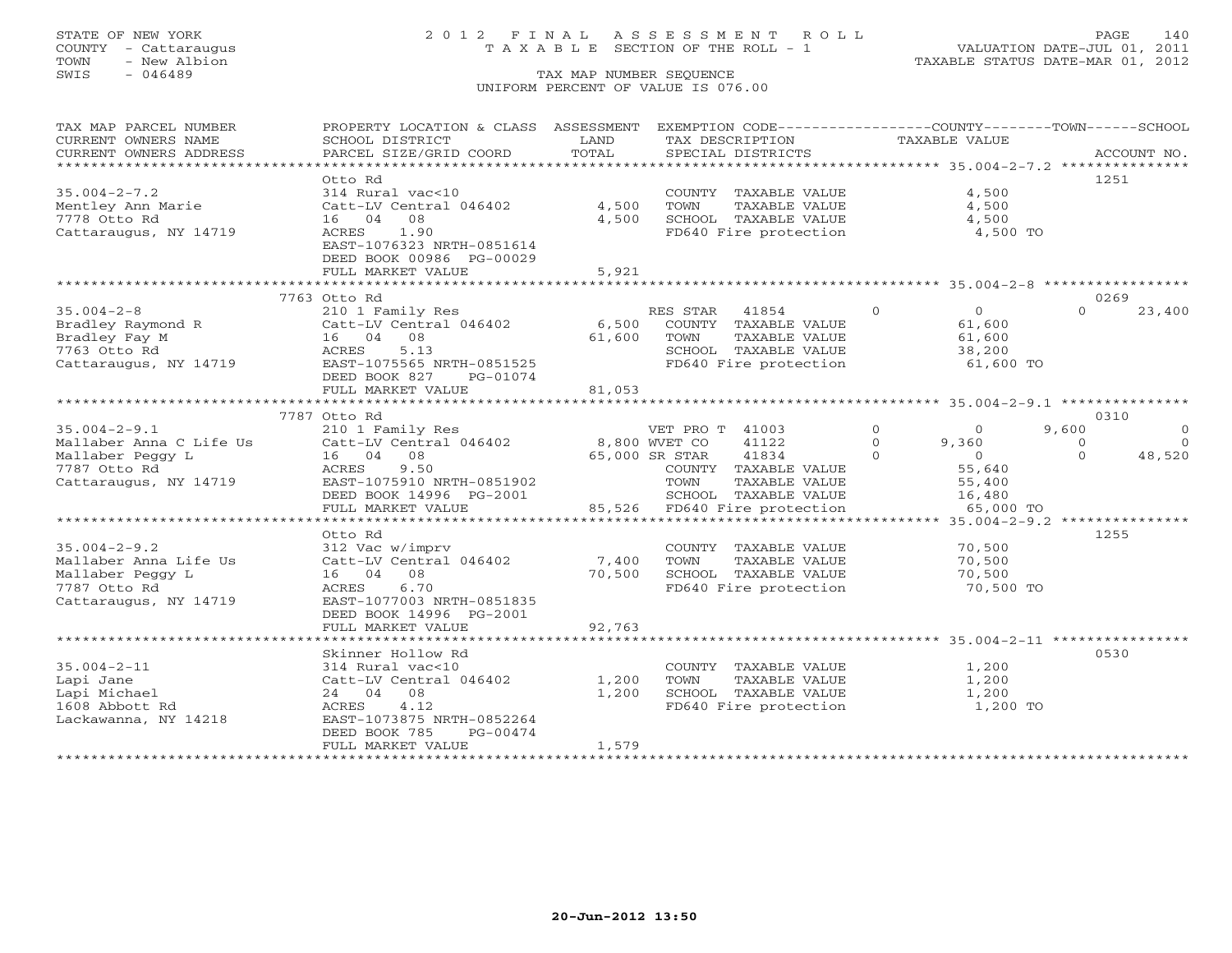# STATE OF NEW YORK 2 0 1 2 F I N A L A S S E S S M E N T R O L L PAGE 140 COUNTY - Cattaraugus T A X A B L E SECTION OF THE ROLL - 1 VALUATION DATE-JUL 01, 2011

| TAX MAP PARCEL NUMBER                       | PROPERTY LOCATION & CLASS ASSESSMENT |                | EXEMPTION CODE----------------COUNTY-------TOWN------SCHOOL |                                     |                                |
|---------------------------------------------|--------------------------------------|----------------|-------------------------------------------------------------|-------------------------------------|--------------------------------|
| CURRENT OWNERS NAME                         | SCHOOL DISTRICT                      | LAND           | TAX DESCRIPTION                                             | TAXABLE VALUE                       |                                |
| CURRENT OWNERS ADDRESS                      | PARCEL SIZE/GRID COORD               | TOTAL          | SPECIAL DISTRICTS                                           |                                     | ACCOUNT NO.                    |
|                                             | Otto Rd                              |                |                                                             |                                     | 1251                           |
| $35.004 - 2 - 7.2$                          | 314 Rural vac<10                     |                | COUNTY TAXABLE VALUE                                        | 4,500                               |                                |
| Mentley Ann Marie                           | Catt-LV Central 046402               | 4,500          | TOWN<br>TAXABLE VALUE                                       | 4,500                               |                                |
| 7778 Otto Rd                                | 16 04 08                             | 4,500          | SCHOOL TAXABLE VALUE                                        | 4,500                               |                                |
| Cattaraugus, NY 14719                       | 1.90<br>ACRES                        |                | FD640 Fire protection                                       | 4,500 TO                            |                                |
|                                             | EAST-1076323 NRTH-0851614            |                |                                                             |                                     |                                |
|                                             | DEED BOOK 00986 PG-00029             |                |                                                             |                                     |                                |
|                                             | FULL MARKET VALUE                    | 5,921          |                                                             |                                     |                                |
|                                             |                                      |                |                                                             |                                     |                                |
|                                             | 7763 Otto Rd                         |                |                                                             |                                     | 0269                           |
| $35.004 - 2 - 8$                            | 210 1 Family Res                     |                | RES STAR 41854                                              | $\Omega$<br>$\overline{0}$          | 23,400<br>$\Omega$             |
| Bradley Raymond R                           | Catt-LV Central 046402               | 6,500          | COUNTY TAXABLE VALUE                                        | 61,600                              |                                |
| Bradley Fay M                               | 16 04 08                             | 61,600         | TOWN<br>TAXABLE VALUE                                       | 61,600                              |                                |
| 7763 Otto Rd                                | 5.13<br>ACRES                        |                | SCHOOL TAXABLE VALUE                                        | 38,200                              |                                |
| Cattaraugus, NY 14719                       | EAST-1075565 NRTH-0851525            |                | FD640 Fire protection                                       | 61,600 TO                           |                                |
|                                             | DEED BOOK 827<br>PG-01074            |                |                                                             |                                     |                                |
|                                             | FULL MARKET VALUE                    | 81,053         |                                                             |                                     |                                |
|                                             |                                      |                |                                                             |                                     |                                |
|                                             | 7787 Otto Rd                         |                |                                                             |                                     | 0310                           |
| $35.004 - 2 - 9.1$                          | 210 1 Family Res                     |                | VET PRO T 41003<br>8,800 WVET CO                            | $\circ$<br>$\Omega$<br>$\Omega$     | 9,600<br>$\circ$<br>$\bigcirc$ |
| Mallaber Anna C Life Us<br>Mallaber Peggy L | Catt-LV Central 046402<br>16 04 08   |                | 41122<br>65,000 SR STAR<br>41834                            | 9,360<br>$\overline{0}$<br>$\Omega$ | $\Omega$<br>$\cap$<br>48,520   |
| 7787 Otto Rd                                | 9.50<br>ACRES                        |                | COUNTY TAXABLE VALUE                                        | 55,640                              |                                |
| Cattaraugus, NY 14719                       | EAST-1075910 NRTH-0851902            |                | TOWN<br>TAXABLE VALUE                                       | 55,400                              |                                |
|                                             | DEED BOOK 14996 PG-2001              |                | SCHOOL TAXABLE VALUE                                        | 16,480                              |                                |
|                                             | FULL MARKET VALUE                    |                | 85,526 FD640 Fire protection                                | 65,000 TO                           |                                |
|                                             |                                      |                |                                                             |                                     |                                |
|                                             | Otto Rd                              |                |                                                             |                                     | 1255                           |
| $35.004 - 2 - 9.2$                          | 312 Vac w/imprv                      |                | COUNTY TAXABLE VALUE                                        | 70,500                              |                                |
| Mallaber Anna Life Us                       | Catt-LV Central 046402               | 7,400          | TOWN<br>TAXABLE VALUE                                       | 70,500                              |                                |
| Mallaber Peggy L                            | 16 04 08                             | 70,500         | SCHOOL TAXABLE VALUE                                        | 70,500                              |                                |
| 7787 Otto Rd                                | ACRES<br>6.70                        |                | FD640 Fire protection                                       | 70,500 TO                           |                                |
| Cattaraugus, NY 14719                       | EAST-1077003 NRTH-0851835            |                |                                                             |                                     |                                |
|                                             | DEED BOOK 14996 PG-2001              |                |                                                             |                                     |                                |
|                                             | FULL MARKET VALUE                    | 92,763         |                                                             |                                     |                                |
|                                             |                                      |                |                                                             |                                     |                                |
|                                             | Skinner Hollow Rd                    |                |                                                             |                                     | 0530                           |
| $35.004 - 2 - 11$                           | 314 Rural vac<10                     |                | COUNTY TAXABLE VALUE                                        | 1,200                               |                                |
| Lapi Jane<br>Lapi Michael                   | Catt-LV Central 046402<br>24 04 08   | 1,200<br>1,200 | <b>TOWN</b><br>TAXABLE VALUE<br>SCHOOL TAXABLE VALUE        | 1,200<br>1,200                      |                                |
| 1608 Abbott Rd                              | 4.12<br>ACRES                        |                | FD640 Fire protection                                       | 1,200 TO                            |                                |
| Lackawanna, NY 14218                        | EAST-1073875 NRTH-0852264            |                |                                                             |                                     |                                |
|                                             | DEED BOOK 785<br>PG-00474            |                |                                                             |                                     |                                |
|                                             | FULL MARKET VALUE                    | 1,579          |                                                             |                                     |                                |
|                                             |                                      |                |                                                             |                                     |                                |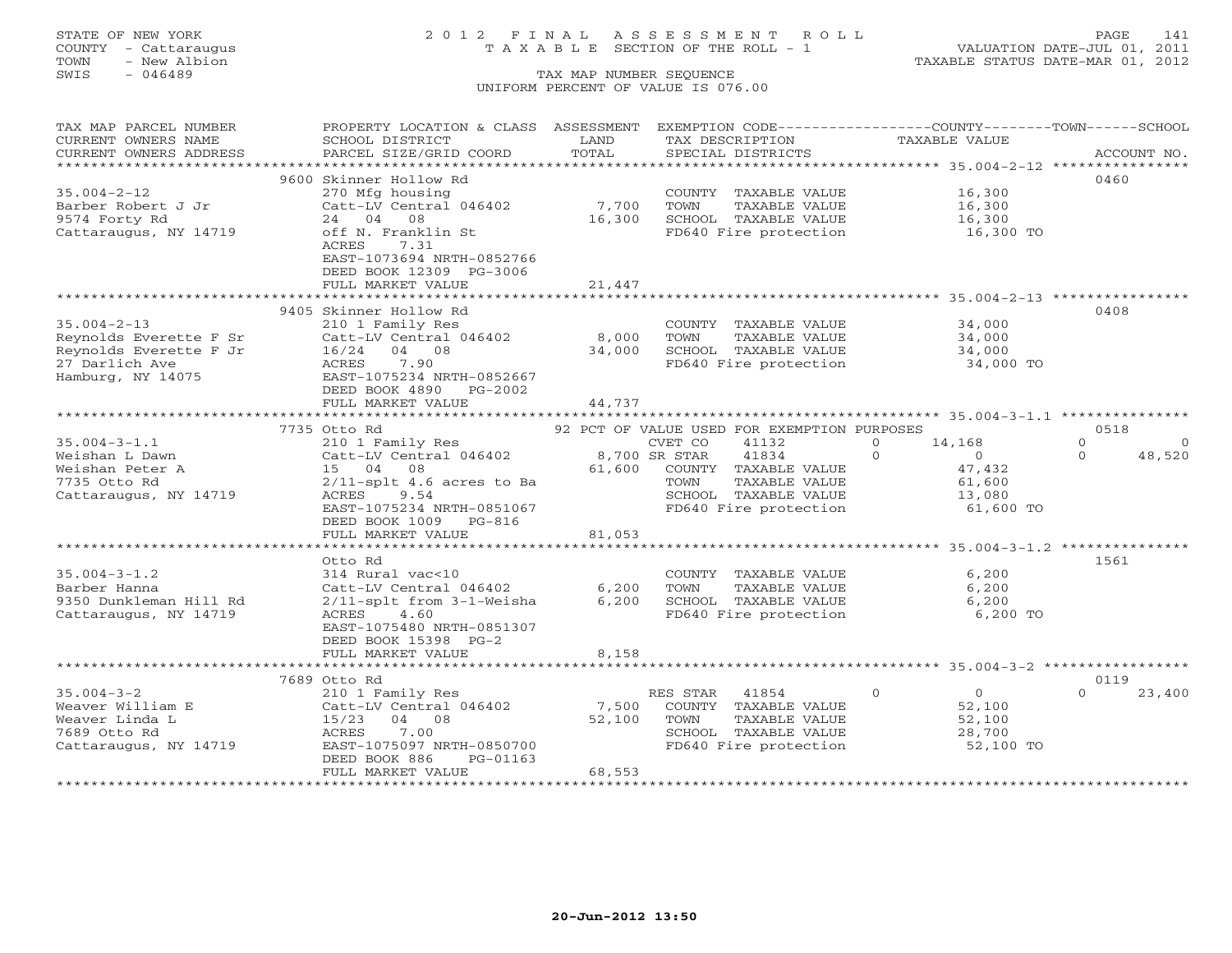# STATE OF NEW YORK 2 0 1 2 F I N A L A S S E S S M E N T R O L L PAGE 141 COUNTY - Cattaraugus T A X A B L E SECTION OF THE ROLL - 1 VALUATION DATE-JUL 01, 2011

| TAX MAP PARCEL NUMBER  | PROPERTY LOCATION & CLASS ASSESSMENT           |             | EXEMPTION CODE-----------------COUNTY-------TOWN------SCHOOL |                                                                 |                     |
|------------------------|------------------------------------------------|-------------|--------------------------------------------------------------|-----------------------------------------------------------------|---------------------|
| CURRENT OWNERS NAME    | SCHOOL DISTRICT                                | LAND        | TAX DESCRIPTION                                              | TAXABLE VALUE                                                   |                     |
| CURRENT OWNERS ADDRESS | PARCEL SIZE/GRID COORD                         | TOTAL       | SPECIAL DISTRICTS                                            |                                                                 | ACCOUNT NO.         |
|                        |                                                |             |                                                              |                                                                 |                     |
|                        | 9600 Skinner Hollow Rd                         |             |                                                              |                                                                 | 0460                |
| $35.004 - 2 - 12$      | 270 Mfg housing                                |             | COUNTY TAXABLE VALUE                                         | 16,300                                                          |                     |
| Barber Robert J Jr     | Catt-LV Central 046402                         | 7,700       | TOWN<br>TAXABLE VALUE                                        | 16,300                                                          |                     |
| 9574 Forty Rd          | 24 04<br>08<br>off N. Franklin St              | 16,300      | SCHOOL TAXABLE VALUE<br>FD640 Fire protection                | 16,300<br>16,300 TO                                             |                     |
| Cattaraugus, NY 14719  | 7.31<br>ACRES                                  |             |                                                              |                                                                 |                     |
|                        | EAST-1073694 NRTH-0852766                      |             |                                                              |                                                                 |                     |
|                        | DEED BOOK 12309 PG-3006                        |             |                                                              |                                                                 |                     |
|                        | FULL MARKET VALUE                              | 21,447      |                                                              |                                                                 |                     |
|                        |                                                |             |                                                              |                                                                 |                     |
|                        | 9405 Skinner Hollow Rd                         |             |                                                              |                                                                 | 0408                |
| $35.004 - 2 - 13$      | 210 1 Family Res                               |             | COUNTY TAXABLE VALUE                                         | 34,000                                                          |                     |
| Reynolds Everette F Sr | Catt-LV Central 046402                         | 8,000       | TAXABLE VALUE<br>TOWN                                        | 34,000                                                          |                     |
| Reynolds Everette F Jr | 16/24 04 08                                    | 34,000      | SCHOOL TAXABLE VALUE                                         | 34,000                                                          |                     |
| 27 Darlich Ave         | ACRES<br>7.90                                  |             | FD640 Fire protection                                        | 34,000 TO                                                       |                     |
| Hamburg, NY 14075      | EAST-1075234 NRTH-0852667                      |             |                                                              |                                                                 |                     |
|                        | DEED BOOK 4890 PG-2002                         |             |                                                              |                                                                 |                     |
|                        | FULL MARKET VALUE<br>************************* | 44,737      |                                                              |                                                                 |                     |
|                        | 7735 Otto Rd                                   |             | 92 PCT OF VALUE USED FOR EXEMPTION PURPOSES                  |                                                                 | 0518                |
| $35.004 - 3 - 1.1$     | 210 1 Family Res                               |             | CVET CO<br>41132                                             | $\Omega$<br>14,168                                              | $\circ$<br>$\Omega$ |
| Weishan L Dawn         | Catt-LV Central 046402                         |             | 8,700 SR STAR<br>41834                                       | $\Omega$<br>$\overline{0}$                                      | $\Omega$<br>48,520  |
| Weishan Peter A        | 15 04 08                                       | 61,600      | COUNTY TAXABLE VALUE                                         | 47,432                                                          |                     |
| 7735 Otto Rd           | $2/11$ -splt 4.6 acres to Ba                   |             | TOWN<br>TAXABLE VALUE                                        | 61,600                                                          |                     |
| Cattaraugus, NY 14719  | ACRES<br>9.54                                  |             | SCHOOL TAXABLE VALUE                                         | 13,080                                                          |                     |
|                        | EAST-1075234 NRTH-0851067                      |             | FD640 Fire protection                                        | 61,600 TO                                                       |                     |
|                        | DEED BOOK 1009 PG-816                          |             |                                                              |                                                                 |                     |
|                        | FULL MARKET VALUE                              | 81,053      |                                                              |                                                                 |                     |
|                        |                                                |             |                                                              |                                                                 |                     |
|                        | Otto Rd                                        |             |                                                              |                                                                 | 1561                |
| $35.004 - 3 - 1.2$     | 314 Rural vac<10                               |             | COUNTY TAXABLE VALUE                                         | 6,200                                                           |                     |
| Barber Hanna           | Catt-LV Central 046402                         | 6,200       | TOWN<br>TAXABLE VALUE                                        | 6,200                                                           |                     |
| 9350 Dunkleman Hill Rd | 2/11-splt from 3-1-Weisha                      | 6,200       | SCHOOL TAXABLE VALUE                                         | 6,200                                                           |                     |
| Cattaraugus, NY 14719  | 4.60<br>ACRES<br>EAST-1075480 NRTH-0851307     |             | FD640 Fire protection                                        | 6,200 TO                                                        |                     |
|                        | DEED BOOK 15398 PG-2                           |             |                                                              |                                                                 |                     |
|                        | FULL MARKET VALUE                              | 8,158       |                                                              |                                                                 |                     |
|                        | **************************                     | *********** |                                                              | ********************************** 35.004-3-2 ***************** |                     |
|                        | 7689 Otto Rd                                   |             |                                                              |                                                                 | 0119                |
| $35.004 - 3 - 2$       | 210 1 Family Res                               |             | 41854<br>RES STAR                                            | $\circ$<br>$\overline{0}$                                       | $\Omega$<br>23,400  |
| Weaver William E       | Catt-LV Central 046402                         | 7,500       | COUNTY TAXABLE VALUE                                         | 52,100                                                          |                     |
| Weaver Linda L         | 15/23<br>04 08                                 | 52,100      | TAXABLE VALUE<br>TOWN                                        | 52,100                                                          |                     |
| 7689 Otto Rd           | ACRES<br>7.00                                  |             | SCHOOL TAXABLE VALUE                                         | 28,700                                                          |                     |
| Cattaraugus, NY 14719  | EAST-1075097 NRTH-0850700                      |             | FD640 Fire protection                                        | 52,100 TO                                                       |                     |
|                        | DEED BOOK 886<br>PG-01163                      |             |                                                              |                                                                 |                     |
|                        | FULL MARKET VALUE                              | 68,553      |                                                              |                                                                 |                     |
|                        |                                                |             |                                                              |                                                                 |                     |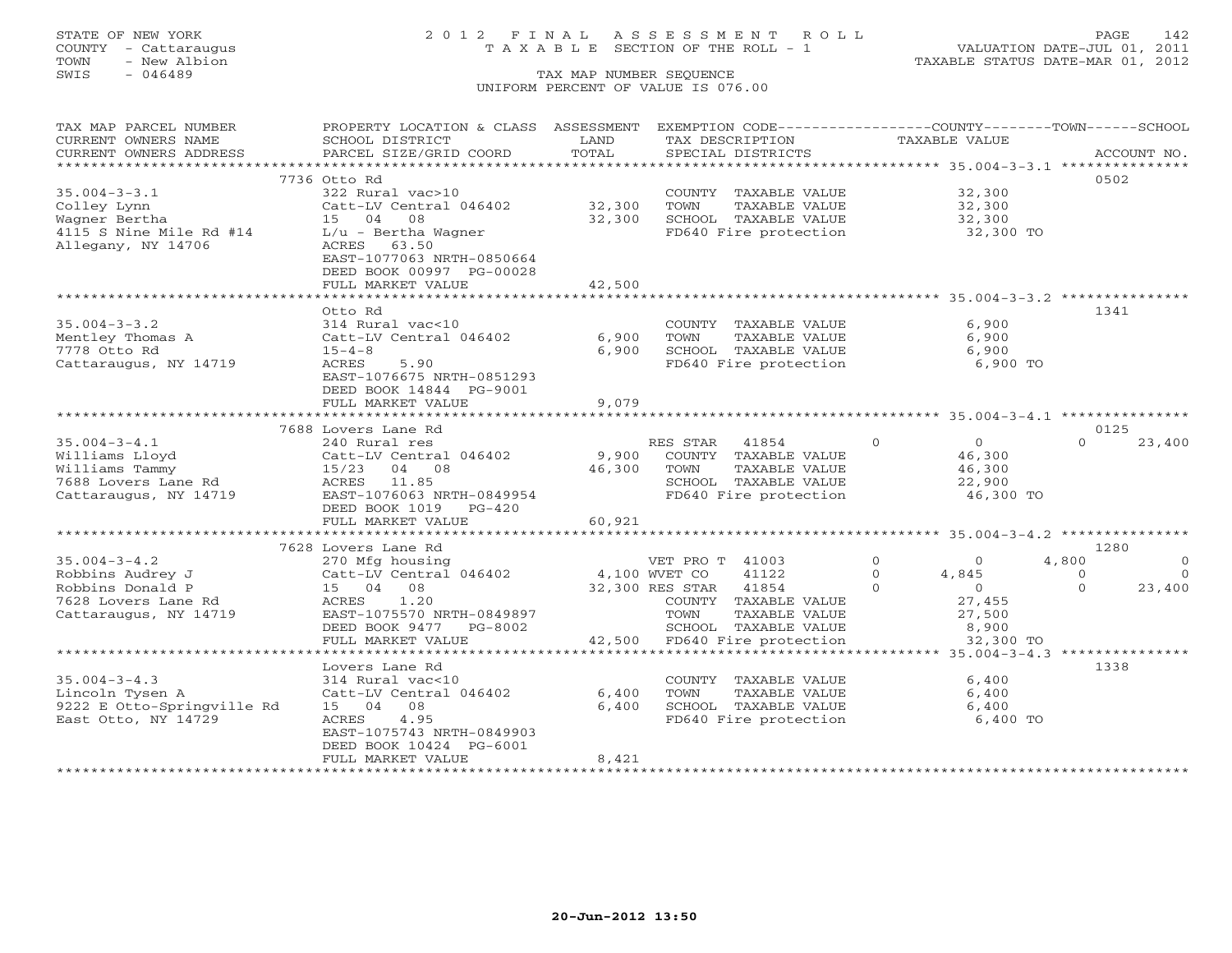## STATE OF NEW YORK 2 0 1 2 F I N A L A S S E S S M E N T R O L L PAGE 142 COUNTY - Cattaraugus T A X A B L E SECTION OF THE ROLL - 1 VALUATION DATE-JUL 01, 2011

| TAX MAP PARCEL NUMBER                                                                                                                                                                                                                                                                                                          | PROPERTY LOCATION & CLASS ASSESSMENT EXEMPTION CODE---------------COUNTY-------TOWN------SCHOOL |             |                                                                                                                                                |                        |                         |
|--------------------------------------------------------------------------------------------------------------------------------------------------------------------------------------------------------------------------------------------------------------------------------------------------------------------------------|-------------------------------------------------------------------------------------------------|-------------|------------------------------------------------------------------------------------------------------------------------------------------------|------------------------|-------------------------|
| CURRENT OWNERS NAME                                                                                                                                                                                                                                                                                                            | SCHOOL DISTRICT                                                                                 | LAND        | TAX DESCRIPTION                                                                                                                                | TAXABLE VALUE          |                         |
| - CURRENT OWNERS ADDRESS - PARCEL SIZE/GRID COORD - TOTAL - SPECIAL DISTRICTS - ACCOUNT NO.<br>- ARCOUNT NO - ARCEL SIZE/GRID COORD - TOTAL - SPECIAL DISTRICTS - ARCOUNT NO - ARCOUNT NO - ARCOUNT NO - ARCOUNT NO - ARCOUNT NO                                                                                               |                                                                                                 |             |                                                                                                                                                |                        |                         |
|                                                                                                                                                                                                                                                                                                                                |                                                                                                 |             |                                                                                                                                                |                        |                         |
|                                                                                                                                                                                                                                                                                                                                | 7736 Otto Rd                                                                                    |             |                                                                                                                                                |                        | 0502                    |
|                                                                                                                                                                                                                                                                                                                                |                                                                                                 |             | COUNTY TAXABLE VALUE                                                                                                                           | 32,300                 |                         |
|                                                                                                                                                                                                                                                                                                                                | Catt-LV Central 046402                                                                          | 32,300 TOWN | TAXABLE VALUE                                                                                                                                  | 32,300                 |                         |
|                                                                                                                                                                                                                                                                                                                                |                                                                                                 | 32,300      |                                                                                                                                                |                        |                         |
|                                                                                                                                                                                                                                                                                                                                |                                                                                                 |             | SCHOOL TAXABLE VALUE 32,300<br>FD640 Fire protection 32,300 TO                                                                                 |                        |                         |
| 35.004-3-3.1<br>Colley Lynn<br>Wagner Bertha<br>4115 S Nine Mile Rd #14<br>$\begin{array}{ccc} 322 \text{ Rural vac}>10 \\ 15 & 04 & 08 \\ 4115 & 5 \text{ Nine Mile Rd} \end{array}$<br>$\begin{array}{ccc} 322 \text{ Rural vac}>10 \\ 15 & 04 & 08 \\ 1/\text{u} & -\text{Bertha Wagner} \end{array}$<br>Allegany, NY 14706 | ACRES 63.50                                                                                     |             |                                                                                                                                                |                        |                         |
|                                                                                                                                                                                                                                                                                                                                | EAST-1077063 NRTH-0850664                                                                       |             |                                                                                                                                                |                        |                         |
|                                                                                                                                                                                                                                                                                                                                | DEED BOOK 00997 PG-00028                                                                        |             |                                                                                                                                                |                        |                         |
|                                                                                                                                                                                                                                                                                                                                |                                                                                                 |             |                                                                                                                                                |                        |                         |
|                                                                                                                                                                                                                                                                                                                                | FULL MARKET VALUE                                                                               | 42,500      |                                                                                                                                                |                        |                         |
|                                                                                                                                                                                                                                                                                                                                |                                                                                                 |             |                                                                                                                                                |                        |                         |
|                                                                                                                                                                                                                                                                                                                                | Otto Rd                                                                                         |             |                                                                                                                                                |                        | 1341                    |
| $35.004 - 3 - 3.2$                                                                                                                                                                                                                                                                                                             | 314 Rural vac<10                                                                                |             | COUNTY TAXABLE VALUE                                                                                                                           | 6,900                  |                         |
| Mentley Thomas A                                                                                                                                                                                                                                                                                                               | Catt-LV Central 046402                                                                          | 6,900       | TOWN<br>TAXABLE VALUE                                                                                                                          | 6,900                  |                         |
| 7778 Otto Rd                                                                                                                                                                                                                                                                                                                   | $15 - 4 - 8$                                                                                    | 6,900       | SCHOOL TAXABLE VALUE                                                                                                                           | 6,900                  |                         |
| Cattaraugus, NY 14719                                                                                                                                                                                                                                                                                                          | ACRES<br>5.90                                                                                   |             | FD640 Fire protection                                                                                                                          | 6,900 TO               |                         |
|                                                                                                                                                                                                                                                                                                                                | EAST-1076675 NRTH-0851293                                                                       |             |                                                                                                                                                |                        |                         |
|                                                                                                                                                                                                                                                                                                                                | DEED BOOK 14844 PG-9001                                                                         |             |                                                                                                                                                |                        |                         |
|                                                                                                                                                                                                                                                                                                                                | FULL MARKET VALUE                                                                               | 9,079       |                                                                                                                                                |                        |                         |
|                                                                                                                                                                                                                                                                                                                                |                                                                                                 |             |                                                                                                                                                |                        |                         |
|                                                                                                                                                                                                                                                                                                                                | 7688 Lovers Lane Rd                                                                             |             |                                                                                                                                                |                        | 0125                    |
| $35.004 - 3 - 4.1$                                                                                                                                                                                                                                                                                                             | 240 Rural res                                                                                   |             | $\begin{tabular}{lllllllll} \bf{RES} \; \rm{STAR} & 41854 & 0 & 0 \\ \hline \rm{COUNTY} & \rm{TAXABLE} \; \rm{VALUE} & & 46,300 \end{tabular}$ |                        | $\Omega$<br>23,400      |
| Villiams Lloyd Catt-LV Central 046402 9,900 COUNTY TAXABLE VALUE<br>Williams Tammy 15/23 04 08 46,300 TOWN TAXABLE VALUE<br>7688 Lovers Lane Rd ACRES 11.85 SCHOOL TAXABLE VALUE                                                                                                                                               |                                                                                                 |             |                                                                                                                                                |                        |                         |
|                                                                                                                                                                                                                                                                                                                                |                                                                                                 |             |                                                                                                                                                |                        |                         |
|                                                                                                                                                                                                                                                                                                                                |                                                                                                 |             |                                                                                                                                                |                        |                         |
| Cattaraugus, NY 14719                                                                                                                                                                                                                                                                                                          | EAST-1076063 NRTH-0849954                                                                       |             | FD640 Fire protection                                                                                                                          | 46,300 TO              |                         |
|                                                                                                                                                                                                                                                                                                                                | DEED BOOK 1019 PG-420                                                                           |             |                                                                                                                                                |                        |                         |
|                                                                                                                                                                                                                                                                                                                                | FULL MARKET VALUE                                                                               | 60,921      |                                                                                                                                                |                        |                         |
|                                                                                                                                                                                                                                                                                                                                |                                                                                                 |             |                                                                                                                                                |                        |                         |
|                                                                                                                                                                                                                                                                                                                                | 7628 Lovers Lane Rd                                                                             |             |                                                                                                                                                |                        | 1280                    |
| $35.004 - 3 - 4.2$                                                                                                                                                                                                                                                                                                             |                                                                                                 |             |                                                                                                                                                |                        | 4,800<br>$\overline{0}$ |
| Robbins Audrey J                                                                                                                                                                                                                                                                                                               | 270 Mfg housing<br>Catt-LV Central 046402 4,100 WVET CO                                         |             | VET PRO T 41003 0 0 0<br>WVET CO 41122 0 4,845                                                                                                 |                        | $\bigcirc$<br>$\Omega$  |
|                                                                                                                                                                                                                                                                                                                                | $Cat-LV$ Centr<br>15 04 08                                                                      |             | 32,300 RES STAR 41854                                                                                                                          | $\Omega$               | $\Omega$<br>23,400      |
| Robbins Donald P                                                                                                                                                                                                                                                                                                               |                                                                                                 |             |                                                                                                                                                | $4,845$<br>0<br>27,455 |                         |
| 7628 Lovers Lane Rd                                                                                                                                                                                                                                                                                                            | ACRES 1.20                                                                                      |             | COUNTY TAXABLE VALUE                                                                                                                           |                        |                         |
| Cattaraugus, NY 14719                                                                                                                                                                                                                                                                                                          | EAST-1075570 NRTH-0849897                                                                       |             | TAXABLE VALUE<br>TOWN                                                                                                                          | 27,500                 |                         |
|                                                                                                                                                                                                                                                                                                                                | DEED BOOK 9477 PG-8002                                                                          |             | SCHOOL TAXABLE VALUE                                                                                                                           | 8,900                  |                         |
|                                                                                                                                                                                                                                                                                                                                | FULL MARKET VALUE                                                                               |             | 42,500 FD640 Fire protection                                                                                                                   | 32,300 TO              |                         |
|                                                                                                                                                                                                                                                                                                                                |                                                                                                 |             |                                                                                                                                                |                        |                         |
|                                                                                                                                                                                                                                                                                                                                | Lovers Lane Rd                                                                                  |             |                                                                                                                                                |                        | 1338                    |
| $35.004 - 3 - 4.3$                                                                                                                                                                                                                                                                                                             | 314 Rural vac<10                                                                                |             | COUNTY TAXABLE VALUE                                                                                                                           | 6,400                  |                         |
| Lincoln Tysen A                                                                                                                                                                                                                                                                                                                | Catt-LV Central 046402                                                                          | 6,400       | TAXABLE VALUE<br>TOWN                                                                                                                          | 6,400                  |                         |
| 9222 E Otto-Springville Rd                                                                                                                                                                                                                                                                                                     | 15 04 08                                                                                        | 6,400       | SCHOOL TAXABLE VALUE<br>FD640 Fire protection                                                                                                  | 6,400                  |                         |
| East Otto, NY 14729                                                                                                                                                                                                                                                                                                            | 4.95<br>ACRES                                                                                   |             |                                                                                                                                                | 6,400 TO               |                         |
|                                                                                                                                                                                                                                                                                                                                | EAST-1075743 NRTH-0849903                                                                       |             |                                                                                                                                                |                        |                         |
|                                                                                                                                                                                                                                                                                                                                | DEED BOOK 10424 PG-6001                                                                         |             |                                                                                                                                                |                        |                         |
|                                                                                                                                                                                                                                                                                                                                | FULL MARKET VALUE                                                                               | 8,421       |                                                                                                                                                |                        |                         |
|                                                                                                                                                                                                                                                                                                                                |                                                                                                 |             |                                                                                                                                                |                        |                         |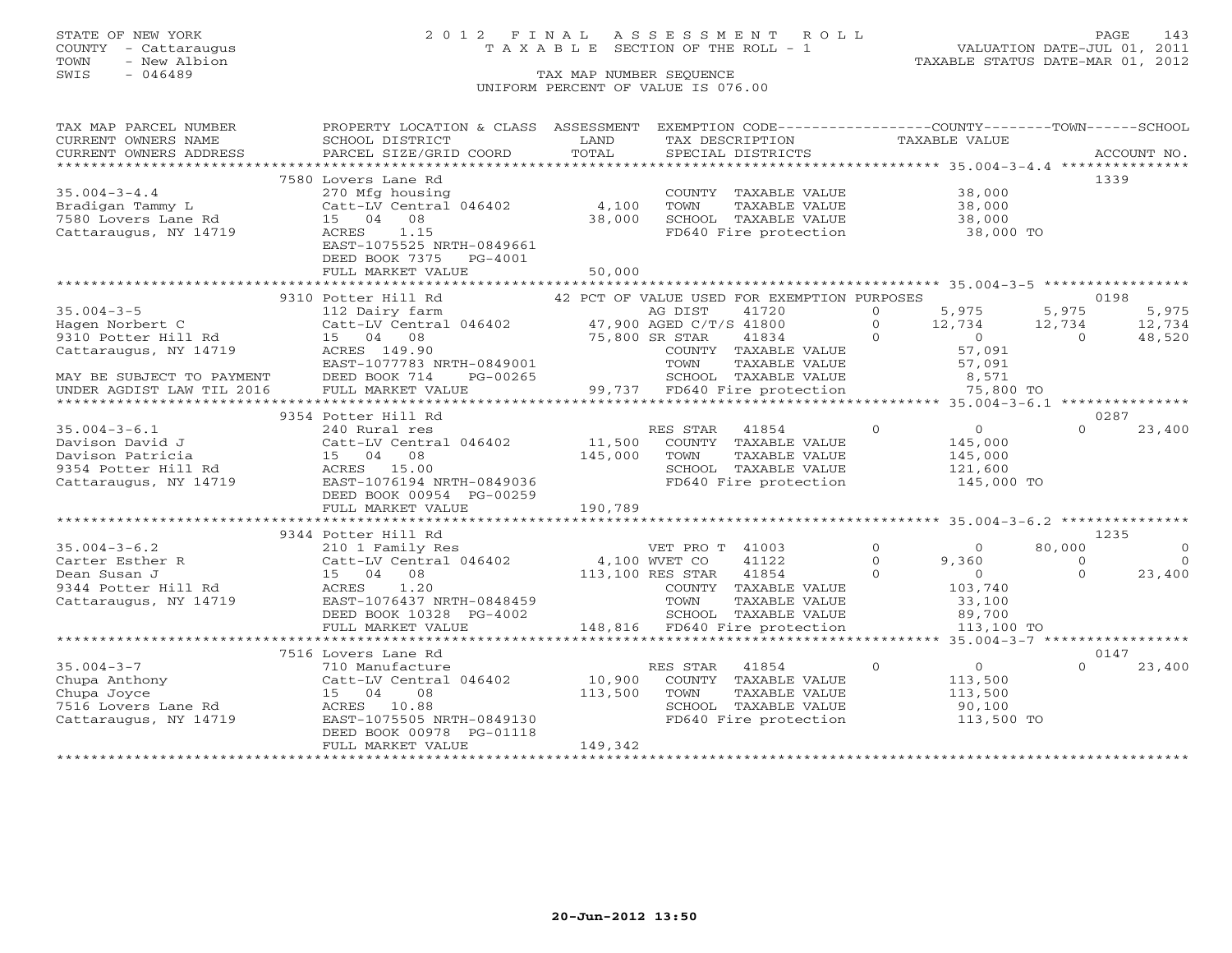### STATE OF NEW YORK 2 0 1 2 F I N A L A S S E S S M E N T R O L L PAGE 143 COUNTY - Cattaraugus T A X A B L E SECTION OF THE ROLL - 1 VALUATION DATE-JUL 01, 2011

| TAX MAP PARCEL NUMBER                                  | PROPERTY LOCATION & CLASS ASSESSMENT                                                                                                          |                  | EXEMPTION CODE----------------COUNTY-------TOWN------SCHOOL       |                                  |          |             |
|--------------------------------------------------------|-----------------------------------------------------------------------------------------------------------------------------------------------|------------------|-------------------------------------------------------------------|----------------------------------|----------|-------------|
| CURRENT OWNERS NAME                                    | SCHOOL DISTRICT                                                                                                                               | LAND             | TAX DESCRIPTION                                                   | TAXABLE VALUE                    |          |             |
| CURRENT OWNERS ADDRESS                                 | PARCEL SIZE/GRID COORD                                                                                                                        | TOTAL            | SPECIAL DISTRICTS                                                 |                                  |          | ACCOUNT NO. |
|                                                        |                                                                                                                                               |                  |                                                                   |                                  |          |             |
|                                                        | 7580 Lovers Lane Rd                                                                                                                           |                  |                                                                   |                                  |          | 1339        |
| $35.004 - 3 - 4.4$                                     | 270 Mfg housing                                                                                                                               |                  | COUNTY TAXABLE VALUE                                              | 38,000                           |          |             |
| Bradigan Tammy L                                       | Catt-LV Central 046402                                                                                                                        | 4,100            | TOWN<br>TAXABLE VALUE                                             | 38,000                           |          |             |
| $7580$ Lovers Lane Rd                                  | 15 04 08                                                                                                                                      | 38,000           | SCHOOL TAXABLE VALUE                                              | 38,000<br>38,000                 |          |             |
| Cattaraugus, NY 14719                                  | 1.15<br>ACRES                                                                                                                                 |                  | FD640 Fire protection                                             | 38,000 TO                        |          |             |
|                                                        | EAST-1075525 NRTH-0849661                                                                                                                     |                  |                                                                   |                                  |          |             |
|                                                        | DEED BOOK 7375<br>PG-4001                                                                                                                     |                  |                                                                   |                                  |          |             |
|                                                        | FULL MARKET VALUE                                                                                                                             | 50,000           |                                                                   |                                  |          |             |
|                                                        | ***************************                                                                                                                   |                  |                                                                   |                                  |          |             |
|                                                        | 9310 Potter Hill Rd                                                                                                                           |                  | 42 PCT OF VALUE USED FOR EXEMPTION PURPOSES                       |                                  | 0198     |             |
| $35.004 - 3 - 5$                                       |                                                                                                                                               |                  | 41720                                                             | 5,975<br>$\Omega$                | 5,975    | 5,975       |
| Hagen Norbert C                                        | 112 Dairy farm $\begin{array}{cc}\n\text{AG DIST} & 41720 \\ \text{Cat-LV Central} & 046402 & 47,900 \text{ AGED C/T/S} & 41800\n\end{array}$ |                  |                                                                   | $\Omega$<br>12,734               | 12,734   | 12,734      |
| 9310 Potter Hill Rd                                    | 15 04 08                                                                                                                                      | 75,800 SR STAR   | 41834                                                             | $\Omega$<br>$\sim$ 0             | $\Omega$ | 48,520      |
| Cattaraugus, NY 14719                                  | ACRES 149.90                                                                                                                                  |                  | COUNTY TAXABLE VALUE                                              | 57,091                           |          |             |
|                                                        | EAST-1077783 NRTH-0849001                                                                                                                     |                  | TAXABLE VALUE<br>TOWN                                             | 57,091                           |          |             |
|                                                        | DEED BOOK 714<br>PG-00265                                                                                                                     |                  |                                                                   |                                  |          |             |
| MAY BE SUBJECT TO PAYMENT<br>UNDER AGDIST LAW TIL 2016 | FULL MARKET VALUE                                                                                                                             |                  | SCHOOL TAXABLE VALUE 8,571<br>99,737 FD640 Fire protection 75,800 | 75,800 TO                        |          |             |
|                                                        |                                                                                                                                               |                  |                                                                   |                                  |          |             |
|                                                        | 9354 Potter Hill Rd                                                                                                                           |                  |                                                                   |                                  |          | 0287        |
| $35.004 - 3 - 6.1$                                     | 240 Rural res                                                                                                                                 |                  | RES STAR<br>41854                                                 | $\overline{0}$<br>$\overline{O}$ | $\cap$   | 23,400      |
| Davison David J                                        | Catt-LV Central 046402                                                                                                                        | 11,500           | COUNTY TAXABLE VALUE                                              | 145,000                          |          |             |
| Davison Patricia                                       | 15 04 08                                                                                                                                      | 145,000          | TAXABLE VALUE<br>TOWN                                             | 145,000                          |          |             |
| 9354 Potter Hill Rd                                    | ACRES 15.00                                                                                                                                   |                  | SCHOOL TAXABLE VALUE                                              | 121,600                          |          |             |
| Cattaraugus, NY 14719                                  | EAST-1076194 NRTH-0849036                                                                                                                     |                  | FD640 Fire protection                                             | 145,000 TO                       |          |             |
|                                                        | DEED BOOK 00954 PG-00259                                                                                                                      |                  |                                                                   |                                  |          |             |
|                                                        | FULL MARKET VALUE                                                                                                                             | 190,789          |                                                                   |                                  |          |             |
|                                                        |                                                                                                                                               |                  |                                                                   |                                  |          |             |
|                                                        | 9344 Potter Hill Rd                                                                                                                           |                  |                                                                   |                                  |          | 1235        |
| $35.004 - 3 - 6.2$                                     | 210 1 Family Res                                                                                                                              |                  | VET PRO T 41003                                                   | $\overline{0}$<br>$\Omega$       | 80,000   | $\Omega$    |
| Carter Esther R                                        | Catt-LV Central 046402                                                                                                                        | 4,100 WVET CO    | 41122                                                             | $\circ$<br>9,360                 | $\Omega$ | $\Omega$    |
| Dean Susan J                                           | 15 04 08                                                                                                                                      | 113,100 RES STAR | 41854                                                             | $\overline{0}$<br>$\Omega$       | $\Omega$ | 23,400      |
| 9344 Potter Hill Rd                                    | ACRES 1.20                                                                                                                                    |                  | COUNTY TAXABLE VALUE                                              | 103,740                          |          |             |
| Cattaraugus, NY 14719                                  | EAST-1076437 NRTH-0848459                                                                                                                     |                  | TOWN<br>TAXABLE VALUE                                             | 33,100                           |          |             |
|                                                        | DEED BOOK 10328 PG-4002                                                                                                                       |                  | SCHOOL TAXABLE VALUE                                              | 89,700                           |          |             |
|                                                        | FULL MARKET VALUE                                                                                                                             |                  | 148,816 FD640 Fire protection                                     | 113,100 TO                       |          |             |
|                                                        |                                                                                                                                               |                  |                                                                   |                                  |          |             |
|                                                        | 7516 Lovers Lane Rd                                                                                                                           |                  |                                                                   |                                  |          | 0147        |
| $35.004 - 3 - 7$                                       | 710 Manufacture                                                                                                                               |                  | RES STAR<br>41854                                                 | $\circ$<br>$\overline{O}$        | $\cap$   | 23,400      |
| Chupa Anthony                                          | Catt-LV Central 046402                                                                                                                        | 10,900           | COUNTY TAXABLE VALUE                                              | 113,500                          |          |             |
| Chupa Joyce                                            | 08<br>15 04                                                                                                                                   | 113,500          | TAXABLE VALUE<br>TOWN                                             | 113,500                          |          |             |
| 7516 Lovers Lane Rd                                    | ACRES 10.88                                                                                                                                   |                  | SCHOOL TAXABLE VALUE                                              | 90,100                           |          |             |
| Cattaraugus, NY 14719                                  | EAST-1075505 NRTH-0849130                                                                                                                     |                  | FD640 Fire protection                                             | 113,500 TO                       |          |             |
|                                                        | DEED BOOK 00978 PG-01118                                                                                                                      |                  |                                                                   |                                  |          |             |
|                                                        | FULL MARKET VALUE                                                                                                                             | 149,342          |                                                                   |                                  |          |             |
|                                                        |                                                                                                                                               |                  |                                                                   |                                  |          |             |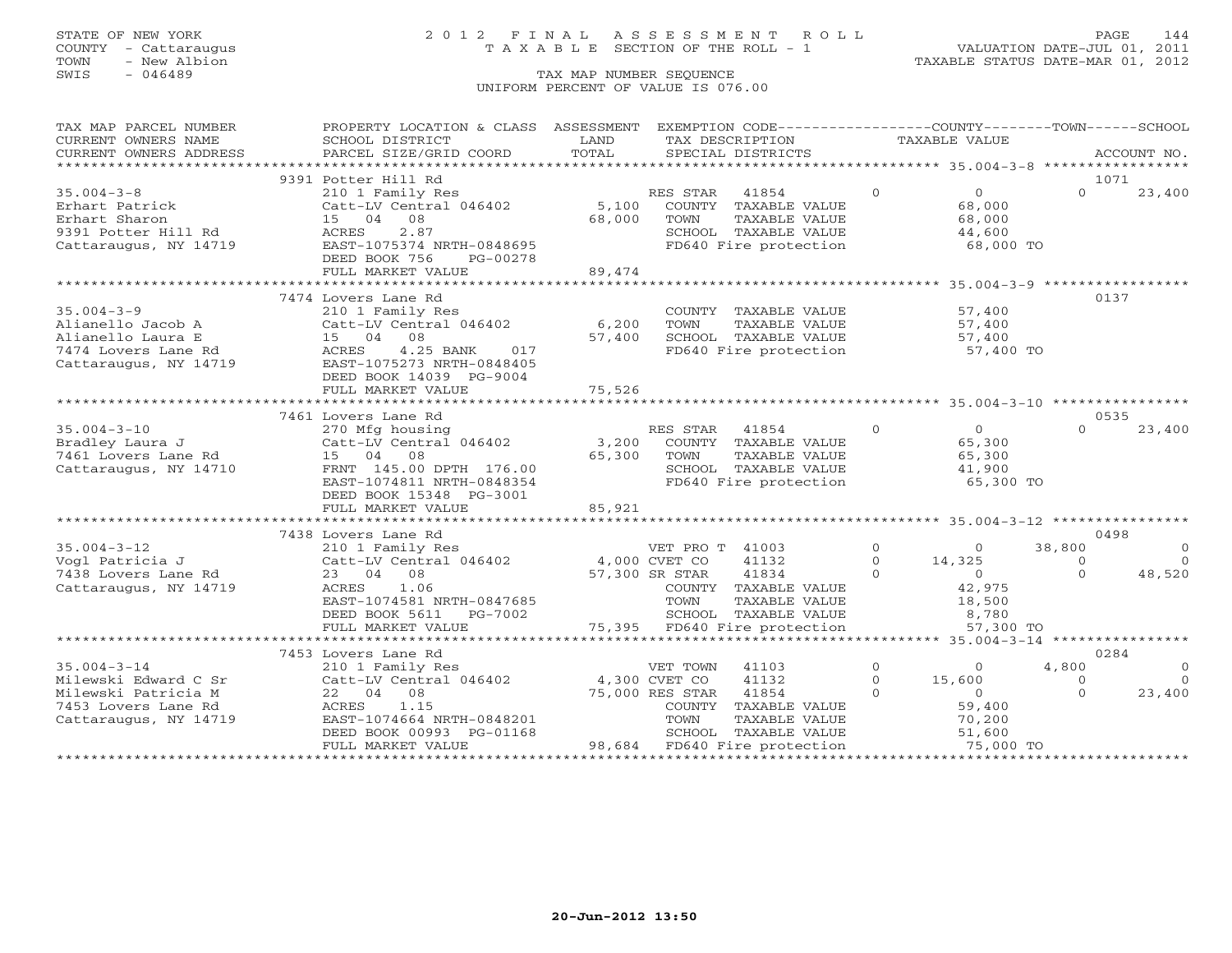# STATE OF NEW YORK 2 0 1 2 F I N A L A S S E S S M E N T R O L L PAGE 144 COUNTY - Cattaraugus T A X A B L E SECTION OF THE ROLL - 1 VALUATION DATE-JUL 01, 2011

TOWN - New Albion TAXABLE STATUS DATE-MAR 01, 2012

| TAX MAP PARCEL NUMBER                                                                                                                                                                                                                                                                                                                                                                                                                                        | PROPERTY LOCATION & CLASS ASSESSMENT EXEMPTION CODE----------------COUNTY-------TOWN------SCHOOL                                                                                                                                                     |        |                                                                                                                            |  |                                            |          |                |
|--------------------------------------------------------------------------------------------------------------------------------------------------------------------------------------------------------------------------------------------------------------------------------------------------------------------------------------------------------------------------------------------------------------------------------------------------------------|------------------------------------------------------------------------------------------------------------------------------------------------------------------------------------------------------------------------------------------------------|--------|----------------------------------------------------------------------------------------------------------------------------|--|--------------------------------------------|----------|----------------|
|                                                                                                                                                                                                                                                                                                                                                                                                                                                              |                                                                                                                                                                                                                                                      |        |                                                                                                                            |  |                                            |          |                |
| CURRENT OWNERS ADDRESS                                                                                                                                                                                                                                                                                                                                                                                                                                       |                                                                                                                                                                                                                                                      |        |                                                                                                                            |  |                                            |          |                |
| $\begin{tabular}{lllllll} \multicolumn{2}{l}{{\small\sc{CURRENT}}}& $\text{MME}$& $\text{SCHOOL} & $\text{DISTRICT}$& $\text{LAND}$& $\text{TAX} & $\text{DESCRIFTION}$& $\text{TAXABLE} & $\text{VALUE}$\\[0.2em] {\small\sc{CURERNT}}& $\text{WWERS} & $\text{ADDRESS}$& $\text{PARGEL} & $\text{STZE/GRID} & $\text{COORD}$& $\text{TOTAL}$& $\text{SPECIAL} & $\text{DISTRICTS}$& $\text{TAXABLE} & $\text{VALUE}$\\[0.2em] $\text{AUCOUNT} & $\text{NO$ |                                                                                                                                                                                                                                                      |        |                                                                                                                            |  |                                            |          |                |
|                                                                                                                                                                                                                                                                                                                                                                                                                                                              | 9391 Potter Hill Rd                                                                                                                                                                                                                                  |        |                                                                                                                            |  |                                            |          | 1071           |
| $35.004 - 3 - 8$                                                                                                                                                                                                                                                                                                                                                                                                                                             | Potter HIII Ku<br>210 1 Family Res<br>Catt-LV Central 046402 5,100 COUNTY TAXABLE VALUE<br>68,000 TOWN TAXABLE VALUE                                                                                                                                 |        |                                                                                                                            |  | $\overline{0}$                             | $\Omega$ | 23,400         |
| 35.00% J.<br>Erhart Patrick<br>Climan                                                                                                                                                                                                                                                                                                                                                                                                                        |                                                                                                                                                                                                                                                      |        |                                                                                                                            |  | 68,000                                     |          |                |
|                                                                                                                                                                                                                                                                                                                                                                                                                                                              |                                                                                                                                                                                                                                                      |        |                                                                                                                            |  | 68,000                                     |          |                |
|                                                                                                                                                                                                                                                                                                                                                                                                                                                              |                                                                                                                                                                                                                                                      |        |                                                                                                                            |  |                                            |          |                |
| Erhart Patrick (Catt-LV Central 046402<br>Erhart Sharon 15 04 08<br>9391 Potter Hill Rd (ACRES 2.87<br>Cattaraugus, NY 14719 EAST-1075374 NRTH-0848695                                                                                                                                                                                                                                                                                                       |                                                                                                                                                                                                                                                      |        | --<br>SCHOOL TAXABLE VALUE<br>FD640 Fire protection                                                                        |  | 44,600<br>68,000 TO                        |          |                |
|                                                                                                                                                                                                                                                                                                                                                                                                                                                              | DEED BOOK 756<br>PG-00278                                                                                                                                                                                                                            |        |                                                                                                                            |  |                                            |          |                |
|                                                                                                                                                                                                                                                                                                                                                                                                                                                              | FULL MARKET VALUE                                                                                                                                                                                                                                    | 89,474 |                                                                                                                            |  |                                            |          |                |
|                                                                                                                                                                                                                                                                                                                                                                                                                                                              |                                                                                                                                                                                                                                                      |        |                                                                                                                            |  |                                            |          |                |
|                                                                                                                                                                                                                                                                                                                                                                                                                                                              | 7474 Lovers Lane Rd                                                                                                                                                                                                                                  |        |                                                                                                                            |  |                                            |          | 0137           |
| 35.004-3-9<br>Alianello Jacob A<br>Alianello Laura E<br>210 1 Family Res<br>COUNTY<br>Catt-LV Central 046402<br>57,400 SCHOOL<br>7474 Lovers Lane Rd<br>Cattaraugus, NY 14719<br>Cattaraugus, NY 14719<br>EAST-1075273 NRTH-0848405<br>RDES<br>210 1 F                                                                                                                                                                                                       |                                                                                                                                                                                                                                                      |        | COUNTY TAXABLE VALUE 57,400<br>TOWN TAXABLE VALUE 57,400<br>SCHOOL TAXABLE VALUE 57,400<br>FD640 Fire protection 57,400 TO |  |                                            |          |                |
|                                                                                                                                                                                                                                                                                                                                                                                                                                                              |                                                                                                                                                                                                                                                      |        |                                                                                                                            |  |                                            |          |                |
|                                                                                                                                                                                                                                                                                                                                                                                                                                                              |                                                                                                                                                                                                                                                      |        |                                                                                                                            |  |                                            |          |                |
|                                                                                                                                                                                                                                                                                                                                                                                                                                                              |                                                                                                                                                                                                                                                      |        |                                                                                                                            |  |                                            |          |                |
|                                                                                                                                                                                                                                                                                                                                                                                                                                                              |                                                                                                                                                                                                                                                      |        |                                                                                                                            |  |                                            |          |                |
|                                                                                                                                                                                                                                                                                                                                                                                                                                                              | DEED BOOK 14039 PG-9004                                                                                                                                                                                                                              |        |                                                                                                                            |  |                                            |          |                |
|                                                                                                                                                                                                                                                                                                                                                                                                                                                              | FULL MARKET VALUE                                                                                                                                                                                                                                    | 75,526 |                                                                                                                            |  |                                            |          |                |
|                                                                                                                                                                                                                                                                                                                                                                                                                                                              |                                                                                                                                                                                                                                                      |        |                                                                                                                            |  |                                            |          |                |
|                                                                                                                                                                                                                                                                                                                                                                                                                                                              | 7461 Lovers Lane Rd                                                                                                                                                                                                                                  |        |                                                                                                                            |  |                                            |          | 0535           |
| 35.004-3-10<br>$35.004-3-10$<br>$35.004-3-10$<br>$35.004-3-10$<br>$35.004-3-10$<br>$35.004-3-10$<br>$35.004-3-10$<br>$35.004-3-10$<br>$35.004-3-10$<br>$35.004-3-10$<br>$35.004-3-10$<br>$35.004-3-10$<br>$35.004-3-10$<br>$35.004-3-10$<br>$35.004-3-10$                                                                                                                                                                                                    |                                                                                                                                                                                                                                                      |        |                                                                                                                            |  | $\begin{array}{c} 0 \\ 65,300 \end{array}$ | $\Omega$ | 23,400         |
|                                                                                                                                                                                                                                                                                                                                                                                                                                                              |                                                                                                                                                                                                                                                      |        |                                                                                                                            |  |                                            |          |                |
|                                                                                                                                                                                                                                                                                                                                                                                                                                                              |                                                                                                                                                                                                                                                      |        |                                                                                                                            |  |                                            |          |                |
|                                                                                                                                                                                                                                                                                                                                                                                                                                                              |                                                                                                                                                                                                                                                      |        | TAXABLE VALUE 65,300<br>TAXABLE VALUE 41,900                                                                               |  |                                            |          |                |
|                                                                                                                                                                                                                                                                                                                                                                                                                                                              |                                                                                                                                                                                                                                                      |        | SCHOOL TAXABLE VALUE $41,900$<br>FD640 Fire protection 65,300 TO                                                           |  |                                            |          |                |
|                                                                                                                                                                                                                                                                                                                                                                                                                                                              | DEED BOOK 15348 PG-3001                                                                                                                                                                                                                              |        |                                                                                                                            |  |                                            |          |                |
|                                                                                                                                                                                                                                                                                                                                                                                                                                                              | FULL MARKET VALUE                                                                                                                                                                                                                                    | 85,921 |                                                                                                                            |  |                                            |          |                |
|                                                                                                                                                                                                                                                                                                                                                                                                                                                              |                                                                                                                                                                                                                                                      |        |                                                                                                                            |  |                                            |          |                |
|                                                                                                                                                                                                                                                                                                                                                                                                                                                              | 7438 Lovers Lane Rd                                                                                                                                                                                                                                  |        |                                                                                                                            |  |                                            |          | 0498           |
|                                                                                                                                                                                                                                                                                                                                                                                                                                                              |                                                                                                                                                                                                                                                      |        | VET PRO T 41003 0<br>CVET CO 41132 0 14,325<br>SR STAR 41834 0 0<br>COUNTY TAXABLE VALUE 42,975                            |  |                                            | 38,800   | $\overline{0}$ |
|                                                                                                                                                                                                                                                                                                                                                                                                                                                              |                                                                                                                                                                                                                                                      |        |                                                                                                                            |  |                                            | $\Omega$ | $\bigcirc$     |
|                                                                                                                                                                                                                                                                                                                                                                                                                                                              |                                                                                                                                                                                                                                                      |        |                                                                                                                            |  |                                            | $\Omega$ | 48,520         |
|                                                                                                                                                                                                                                                                                                                                                                                                                                                              |                                                                                                                                                                                                                                                      |        |                                                                                                                            |  |                                            |          |                |
|                                                                                                                                                                                                                                                                                                                                                                                                                                                              |                                                                                                                                                                                                                                                      |        | TAXABLE VALUE                                                                                                              |  |                                            |          |                |
|                                                                                                                                                                                                                                                                                                                                                                                                                                                              |                                                                                                                                                                                                                                                      |        |                                                                                                                            |  | $\frac{18,500}{8,780}$                     |          |                |
|                                                                                                                                                                                                                                                                                                                                                                                                                                                              | EAST-1074581 NRTH-0847685 TOWN TAXABLE VALUE<br>DEED BOOK 5611 PG-7002 SCHOOL TAXABLE VALUE<br>FULL MARKET VALUE 75,395 FD640 Fire protection                                                                                                        |        |                                                                                                                            |  | 57,300 TO                                  |          |                |
|                                                                                                                                                                                                                                                                                                                                                                                                                                                              |                                                                                                                                                                                                                                                      |        |                                                                                                                            |  |                                            |          |                |
|                                                                                                                                                                                                                                                                                                                                                                                                                                                              | 7453 Lovers Lane Rd                                                                                                                                                                                                                                  |        |                                                                                                                            |  |                                            |          | 0284           |
| $35.004 - 3 - 14$                                                                                                                                                                                                                                                                                                                                                                                                                                            | 210 1 Family Res                                                                                                                                                                                                                                     |        | VET TOWN 41103 0 0<br>CVET CO 41132 0 15,600                                                                               |  |                                            | 4,800    | $\circ$        |
| Milewski Edward C Sr                                                                                                                                                                                                                                                                                                                                                                                                                                         | Catt-LV Central 046402 4,300 CVET CO                                                                                                                                                                                                                 |        |                                                                                                                            |  |                                            | $\Omega$ | $\bigcirc$     |
| Milewski Patricia M                                                                                                                                                                                                                                                                                                                                                                                                                                          | $\begin{tabular}{lllllllll} 22 & 04 & 08 & & & & 75,000 \,\, \text{RES} \,\, \text{STAR} & 41854 \\ ACRES & 1.15 & & & & & 75,000 \,\, \text{RES} \,\, \text{STAR} & 41854 \\ EAST-1074664 \,\, \text{NRTH}-0848201 & & & & & 7000 \\ \end{tabular}$ |        |                                                                                                                            |  |                                            | $\Omega$ | 23,400         |
| 22 (<br>ACRES<br>7453 Lovers Lane Rd                                                                                                                                                                                                                                                                                                                                                                                                                         |                                                                                                                                                                                                                                                      |        |                                                                                                                            |  |                                            |          |                |
| Cattaraugus, NY 14719                                                                                                                                                                                                                                                                                                                                                                                                                                        |                                                                                                                                                                                                                                                      |        |                                                                                                                            |  |                                            |          |                |
|                                                                                                                                                                                                                                                                                                                                                                                                                                                              |                                                                                                                                                                                                                                                      |        |                                                                                                                            |  |                                            |          |                |
|                                                                                                                                                                                                                                                                                                                                                                                                                                                              |                                                                                                                                                                                                                                                      |        |                                                                                                                            |  |                                            |          |                |
| RES STAR 41854 0<br>COUNTY TAXABLE VALUE 59,400<br>TOWN TAXABLE VALUE 70,200<br>SCHOOL TAXABLE VALUE 51,600<br>FUB640 First protection<br>FLAG0 FAXABLE VALUE 51,600<br>FUB640 First protection<br>FLAG0 TO                                                                                                                                                                                                                                                  |                                                                                                                                                                                                                                                      |        |                                                                                                                            |  |                                            |          |                |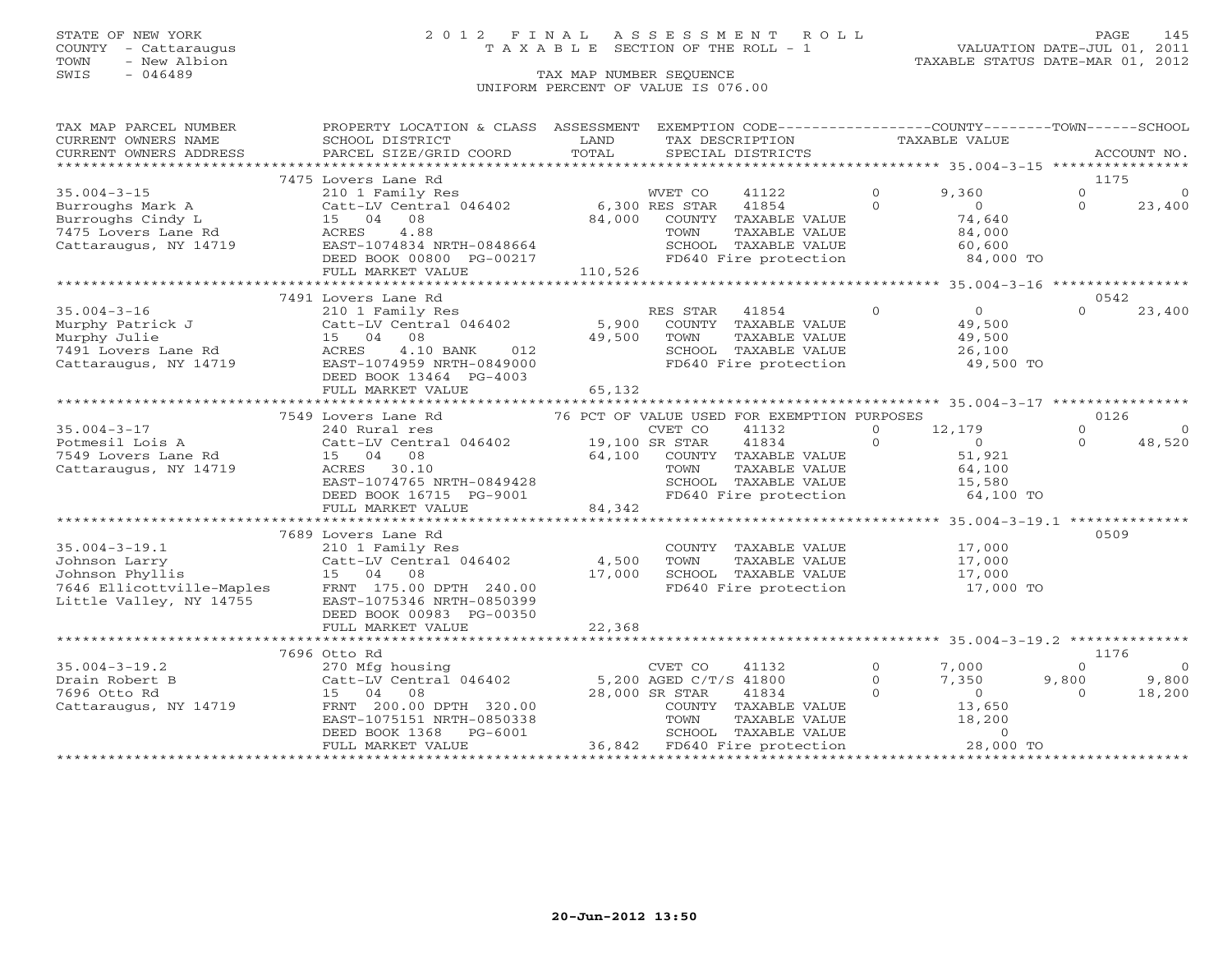# STATE OF NEW YORK 2 0 1 2 F I N A L A S S E S S M E N T R O L L PAGE 145 COUNTY - Cattaraugus T A X A B L E SECTION OF THE ROLL - 1 VALUATION DATE-JUL 01, 2011

| TAX MAP PARCEL NUMBER                                 | PROPERTY LOCATION & CLASS ASSESSMENT EXEMPTION CODE----------------COUNTY-------TOWN------SCHOOL                                                                                                                                                                                                                                                                                                                                                                                                                       |                        |                                                                                                                                                                      |                |                                        |          |                                |
|-------------------------------------------------------|------------------------------------------------------------------------------------------------------------------------------------------------------------------------------------------------------------------------------------------------------------------------------------------------------------------------------------------------------------------------------------------------------------------------------------------------------------------------------------------------------------------------|------------------------|----------------------------------------------------------------------------------------------------------------------------------------------------------------------|----------------|----------------------------------------|----------|--------------------------------|
| CURRENT OWNERS NAME                                   | SCHOOL DISTRICT                                                                                                                                                                                                                                                                                                                                                                                                                                                                                                        | <b>Example 12</b> LAND | TAX DESCRIPTION TAXABLE VALUE                                                                                                                                        |                |                                        |          |                                |
| CURRENT OWNERS ADDRESS                                | $\begin{minipage}{.45\textwidth} \begin{minipage}{.45\textwidth} \begin{minipage}{.45\textwidth} \begin{minipage}{.45\textwidth} \begin{minipage}{.45\textwidth} \begin{minipage}{.45\textwidth} \begin{minipage}{.45\textwidth} \begin{minipage}{.45\textwidth} \begin{minipage}{.45\textwidth} \begin{minipage}{.45\textwidth} \begin{minipage}{.45\textwidth} \begin{minipage}{.45\textwidth} \begin{minipage}{.45\textwidth} \begin{minipage}{.45\textwidth} \begin{minipage}{.45\textwidth} \begin{minipage}{.45$ |                        |                                                                                                                                                                      |                |                                        |          |                                |
|                                                       |                                                                                                                                                                                                                                                                                                                                                                                                                                                                                                                        |                        |                                                                                                                                                                      |                |                                        |          |                                |
|                                                       | 7475 Lovers Lane Rd<br>Examples and the MVET CONSULTION of the MVET CONSULTIONS Mark A control of the MVET CONSULTION of the MVET CON<br>Surroughs Cindy L and the MVET CONSULTION of the MVET CONSULTION of the MVET CONSULTION of the MVET CONSULTION                                                                                                                                                                                                                                                                |                        |                                                                                                                                                                      |                |                                        | 1175     |                                |
|                                                       |                                                                                                                                                                                                                                                                                                                                                                                                                                                                                                                        |                        |                                                                                                                                                                      | $\overline{0}$ | 9,360                                  | $\Omega$ | $\Omega$                       |
|                                                       |                                                                                                                                                                                                                                                                                                                                                                                                                                                                                                                        |                        |                                                                                                                                                                      |                | $\begin{array}{c}0\\74,640\end{array}$ | $\Omega$ | 23,400                         |
|                                                       |                                                                                                                                                                                                                                                                                                                                                                                                                                                                                                                        |                        |                                                                                                                                                                      |                |                                        |          |                                |
|                                                       |                                                                                                                                                                                                                                                                                                                                                                                                                                                                                                                        |                        |                                                                                                                                                                      |                |                                        |          |                                |
|                                                       |                                                                                                                                                                                                                                                                                                                                                                                                                                                                                                                        |                        |                                                                                                                                                                      |                |                                        |          |                                |
|                                                       | DEED BOOK 00800 PG-00217<br>FULL MARKET VALUE 110,526                                                                                                                                                                                                                                                                                                                                                                                                                                                                  |                        | TOWN TAXABLE VALUE 84,000<br>SCHOOL TAXABLE VALUE 60,600<br>FD640 Fire protection 84,000 TO                                                                          |                |                                        |          |                                |
|                                                       |                                                                                                                                                                                                                                                                                                                                                                                                                                                                                                                        |                        |                                                                                                                                                                      |                |                                        |          |                                |
|                                                       |                                                                                                                                                                                                                                                                                                                                                                                                                                                                                                                        |                        |                                                                                                                                                                      |                |                                        |          |                                |
|                                                       | 7491 Lovers Lane Rd                                                                                                                                                                                                                                                                                                                                                                                                                                                                                                    |                        |                                                                                                                                                                      |                |                                        | 0542     |                                |
|                                                       |                                                                                                                                                                                                                                                                                                                                                                                                                                                                                                                        |                        |                                                                                                                                                                      |                |                                        | $\Omega$ | 23,400                         |
|                                                       |                                                                                                                                                                                                                                                                                                                                                                                                                                                                                                                        |                        |                                                                                                                                                                      |                |                                        |          |                                |
|                                                       |                                                                                                                                                                                                                                                                                                                                                                                                                                                                                                                        |                        |                                                                                                                                                                      |                |                                        |          |                                |
|                                                       |                                                                                                                                                                                                                                                                                                                                                                                                                                                                                                                        |                        |                                                                                                                                                                      |                |                                        |          |                                |
|                                                       |                                                                                                                                                                                                                                                                                                                                                                                                                                                                                                                        |                        | SCHOOL TAXABLE VALUE $26,100$<br>FD640 Fire protection $49,500$ TO                                                                                                   |                |                                        |          |                                |
|                                                       | DEED BOOK 13464 PG-4003                                                                                                                                                                                                                                                                                                                                                                                                                                                                                                |                        |                                                                                                                                                                      |                |                                        |          |                                |
|                                                       | FULL MARKET VALUE                                                                                                                                                                                                                                                                                                                                                                                                                                                                                                      | 65,132                 |                                                                                                                                                                      |                |                                        |          |                                |
|                                                       |                                                                                                                                                                                                                                                                                                                                                                                                                                                                                                                        |                        |                                                                                                                                                                      |                |                                        |          |                                |
|                                                       | 7549 Lovers Lane Rd                                                                                                                                                                                                                                                                                                                                                                                                                                                                                                    |                        | 76 PCT OF VALUE USED FOR EXEMPTION PURPOSES                                                                                                                          |                |                                        | 0126     |                                |
| 35.004-3-17<br>Potmesil Lois A<br>7549 Lovers Lane Rd |                                                                                                                                                                                                                                                                                                                                                                                                                                                                                                                        |                        | 41132                                                                                                                                                                |                | $0 \t 12, 179$                         | $\Omega$ | $\Omega$                       |
|                                                       |                                                                                                                                                                                                                                                                                                                                                                                                                                                                                                                        |                        | 41834                                                                                                                                                                | $\overline{0}$ | $\overline{0}$                         | $\Omega$ | 48,520                         |
|                                                       | 15 04 08                                                                                                                                                                                                                                                                                                                                                                                                                                                                                                               |                        | $64,100$ COUNTY TAXABLE VALUE $51,921$<br>TOWN TAXABLE VALUE $64,100$                                                                                                |                |                                        |          |                                |
| Cattaraugus, NY 14719                                 |                                                                                                                                                                                                                                                                                                                                                                                                                                                                                                                        |                        |                                                                                                                                                                      |                |                                        |          |                                |
|                                                       |                                                                                                                                                                                                                                                                                                                                                                                                                                                                                                                        |                        |                                                                                                                                                                      |                |                                        |          |                                |
|                                                       |                                                                                                                                                                                                                                                                                                                                                                                                                                                                                                                        |                        |                                                                                                                                                                      |                | 64,100 TO                              |          |                                |
|                                                       | ACRES 30.10 TOWN TAXABLE VALUE 64,100<br>EAST-1074765 NRTH-0849428 SCHOOL TAXABLE VALUE 15,580<br>DEED BOOK 16715 PG-9001 84,342<br>FD640 Fire protection 64,100<br>64,100                                                                                                                                                                                                                                                                                                                                             |                        |                                                                                                                                                                      |                |                                        |          |                                |
|                                                       |                                                                                                                                                                                                                                                                                                                                                                                                                                                                                                                        |                        |                                                                                                                                                                      |                |                                        |          |                                |
|                                                       | 7689 Lovers Lane Rd                                                                                                                                                                                                                                                                                                                                                                                                                                                                                                    |                        |                                                                                                                                                                      |                |                                        | 0509     |                                |
|                                                       |                                                                                                                                                                                                                                                                                                                                                                                                                                                                                                                        |                        | COUNTY TAXABLE VALUE 17,000<br>TOWN TAXABLE VALUE 17,000                                                                                                             |                |                                        |          |                                |
|                                                       |                                                                                                                                                                                                                                                                                                                                                                                                                                                                                                                        |                        |                                                                                                                                                                      |                |                                        |          |                                |
|                                                       |                                                                                                                                                                                                                                                                                                                                                                                                                                                                                                                        |                        |                                                                                                                                                                      |                |                                        |          |                                |
|                                                       |                                                                                                                                                                                                                                                                                                                                                                                                                                                                                                                        |                        | SCHOOL TAXABLE VALUE $17,000$<br>FD640 Fire protection $17,000$ TO                                                                                                   |                |                                        |          |                                |
|                                                       | 35.004-3-19.1<br>Johnson Larry<br>Johnson Phyllis<br>15 04 08<br>17,000<br>Little Valley, NY 14755<br>EAST-1075346 NRTH-0850399<br>DEED POOK 0833 DC 00350                                                                                                                                                                                                                                                                                                                                                             |                        |                                                                                                                                                                      |                |                                        |          |                                |
|                                                       | DEED BOOK 00983 PG-00350                                                                                                                                                                                                                                                                                                                                                                                                                                                                                               |                        |                                                                                                                                                                      |                |                                        |          |                                |
|                                                       |                                                                                                                                                                                                                                                                                                                                                                                                                                                                                                                        |                        |                                                                                                                                                                      |                |                                        |          |                                |
|                                                       |                                                                                                                                                                                                                                                                                                                                                                                                                                                                                                                        |                        |                                                                                                                                                                      |                |                                        |          |                                |
|                                                       | 7696 Otto Rd                                                                                                                                                                                                                                                                                                                                                                                                                                                                                                           |                        |                                                                                                                                                                      |                |                                        | 1176     |                                |
|                                                       |                                                                                                                                                                                                                                                                                                                                                                                                                                                                                                                        |                        |                                                                                                                                                                      | 41132 0        | 7,000                                  | $\Omega$ | $\overline{0}$                 |
|                                                       |                                                                                                                                                                                                                                                                                                                                                                                                                                                                                                                        |                        |                                                                                                                                                                      |                |                                        |          | $9,800$<br>0 $9,800$<br>18,200 |
|                                                       |                                                                                                                                                                                                                                                                                                                                                                                                                                                                                                                        |                        |                                                                                                                                                                      |                |                                        |          |                                |
|                                                       |                                                                                                                                                                                                                                                                                                                                                                                                                                                                                                                        |                        |                                                                                                                                                                      |                |                                        |          |                                |
|                                                       |                                                                                                                                                                                                                                                                                                                                                                                                                                                                                                                        |                        |                                                                                                                                                                      |                |                                        |          |                                |
|                                                       |                                                                                                                                                                                                                                                                                                                                                                                                                                                                                                                        |                        | GED C/T/S 41800 0 7,350<br>R STAR 41834 0 0<br>COUNTY TAXABLE VALUE 13,650<br>TOWN TAXABLE VALUE 18,200<br>SCHOOL TAXABLE VALUE 18,200<br>FD640 Fire PROCOLLE 200000 |                |                                        |          |                                |
|                                                       | 35.004-3-19.2<br>Drain Robert B<br>The Catter of the Catter of the Catter of the Catter of the Catter of the Catter<br>T696 Otto Rd<br>Cattaraugus, NY 14719<br>TRNT 200.00 DPTH 320.00<br>EAST-1075151 NRTH-0850338<br>TOWN TAXABLE VALUE<br>                                                                                                                                                                                                                                                                         |                        |                                                                                                                                                                      |                | 28,000 TO                              |          |                                |
|                                                       |                                                                                                                                                                                                                                                                                                                                                                                                                                                                                                                        |                        |                                                                                                                                                                      |                |                                        |          |                                |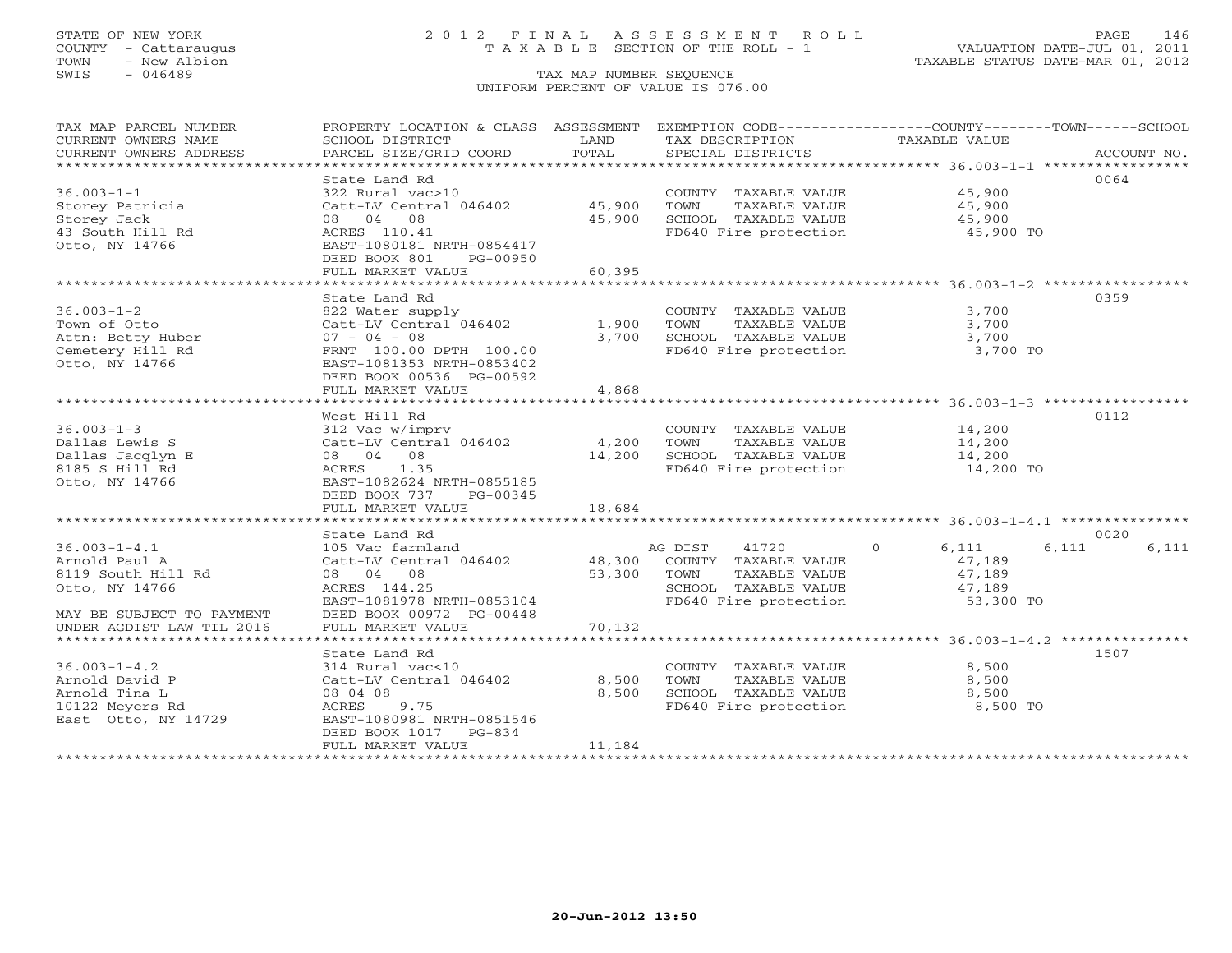COUNTY - Cattaraugus T A X A B L E SECTION OF THE ROLL - 1<br>TOWN - New Albion<br>SWIS - 046489 TAX MAP NUMBER SEQUENCE

# STATE OF NEW YORK 2 0 1 2 F I N A L A S S E S S M E N T R O L L PAGE 146

VALUATION DATE-JUL 01, 2011 TAXABLE STATUS DATE-MAR 01, 2012

#### TAX MAP NUMBER SEQUENCE UNIFORM PERCENT OF VALUE IS 076.00

| TAX MAP PARCEL NUMBER<br>CURRENT OWNERS NAME | PROPERTY LOCATION & CLASS ASSESSMENT<br>SCHOOL DISTRICT | LAND         | TAX DESCRIPTION                               | EXEMPTION CODE-----------------COUNTY-------TOWN------SCHOOL<br>TAXABLE VALUE |                |
|----------------------------------------------|---------------------------------------------------------|--------------|-----------------------------------------------|-------------------------------------------------------------------------------|----------------|
| CURRENT OWNERS ADDRESS                       | PARCEL SIZE/GRID COORD                                  | TOTAL        | SPECIAL DISTRICTS                             |                                                                               | ACCOUNT NO.    |
|                                              | State Land Rd                                           |              |                                               |                                                                               | 0064           |
| $36.003 - 1 - 1$                             | 322 Rural vac>10                                        |              | COUNTY TAXABLE VALUE                          | 45,900                                                                        |                |
| Storey Patricia                              | Catt-LV Central 046402                                  | 45,900       | TOWN<br>TAXABLE VALUE                         | 45,900                                                                        |                |
| Storey Jack                                  | 08 04 08                                                | 45,900       | SCHOOL TAXABLE VALUE                          | 45,900                                                                        |                |
| 43 South Hill Rd                             | ACRES 110.41                                            |              | FD640 Fire protection                         | 45,900 TO                                                                     |                |
| Otto, NY 14766                               | EAST-1080181 NRTH-0854417                               |              |                                               |                                                                               |                |
|                                              | DEED BOOK 801<br>PG-00950                               |              |                                               |                                                                               |                |
|                                              | FULL MARKET VALUE                                       | 60,395       |                                               |                                                                               |                |
|                                              |                                                         |              |                                               |                                                                               |                |
|                                              | State Land Rd                                           |              |                                               |                                                                               | 0359           |
| $36.003 - 1 - 2$                             | 822 Water supply                                        |              | COUNTY TAXABLE VALUE                          | 3,700                                                                         |                |
| Town of Otto                                 | Catt-LV Central 046402                                  | 1,900        | TOWN<br>TAXABLE VALUE<br>SCHOOL TAXABLE VALUE | 3,700                                                                         |                |
| Attn: Betty Huber<br>Cemetery Hill Rd        | $07 - 04 - 08$<br>FRNT 100.00 DPTH 100.00               | 3,700        | FD640 Fire protection                         | 3,700<br>3,700 TO                                                             |                |
| Otto, NY 14766                               | EAST-1081353 NRTH-0853402                               |              |                                               |                                                                               |                |
|                                              | DEED BOOK 00536 PG-00592                                |              |                                               |                                                                               |                |
|                                              | FULL MARKET VALUE                                       | 4,868        |                                               |                                                                               |                |
|                                              | ************************                                | ************ |                                               | ************************************ 36.003-1-3 *****************             |                |
|                                              | West Hill Rd                                            |              |                                               |                                                                               | 0112           |
| $36.003 - 1 - 3$                             | 312 Vac w/imprv                                         |              | COUNTY TAXABLE VALUE                          | 14,200                                                                        |                |
| Dallas Lewis S                               | Catt-LV Central 046402                                  | 4,200        | TOWN<br>TAXABLE VALUE                         | 14,200                                                                        |                |
| Dallas Jacqlyn E                             | 08 04 08                                                | 14,200       | SCHOOL TAXABLE VALUE                          | 14,200                                                                        |                |
| 8185 S Hill Rd                               | ACRES 1.35                                              |              | FD640 Fire protection                         | 14,200 TO                                                                     |                |
| Otto, NY 14766                               | EAST-1082624 NRTH-0855185                               |              |                                               |                                                                               |                |
|                                              | DEED BOOK 737<br>PG-00345                               |              |                                               |                                                                               |                |
|                                              | FULL MARKET VALUE                                       | 18,684       |                                               |                                                                               |                |
|                                              | State Land Rd                                           |              |                                               |                                                                               | 0020           |
| $36.003 - 1 - 4.1$                           | 105 Vac farmland                                        |              | AG DIST<br>41720                              | $\Omega$<br>6,111                                                             | 6,111<br>6,111 |
| Arnold Paul A                                | Catt-LV Central 046402                                  | 48,300       | COUNTY TAXABLE VALUE                          | 47,189                                                                        |                |
| 8119 South Hill Rd                           | 08 04 08                                                | 53,300       | TOWN<br>TAXABLE VALUE                         | 47,189                                                                        |                |
| Otto, NY 14766                               | ACRES 144.25                                            |              | SCHOOL TAXABLE VALUE                          | 47,189                                                                        |                |
|                                              | EAST-1081978 NRTH-0853104                               |              | FD640 Fire protection                         | 53,300 TO                                                                     |                |
| MAY BE SUBJECT TO PAYMENT                    | DEED BOOK 00972 PG-00448                                |              |                                               |                                                                               |                |
| UNDER AGDIST LAW TIL 2016                    | FULL MARKET VALUE                                       | 70,132       |                                               |                                                                               |                |
|                                              |                                                         |              |                                               |                                                                               |                |
|                                              | State Land Rd                                           |              |                                               |                                                                               | 1507           |
| $36.003 - 1 - 4.2$<br>Arnold David P         | 314 Rural vac<10<br>Catt-LV Central 046402              | 8,500        | COUNTY TAXABLE VALUE<br>TOWN<br>TAXABLE VALUE | 8,500<br>8,500                                                                |                |
| Arnold Tina L                                | 08 04 08                                                | 8,500        | SCHOOL TAXABLE VALUE                          | 8,500                                                                         |                |
| 10122 Meyers Rd                              | ACRES<br>9.75                                           |              | FD640 Fire protection                         | 8,500 TO                                                                      |                |
| East Otto, NY 14729                          | EAST-1080981 NRTH-0851546                               |              |                                               |                                                                               |                |
|                                              | DEED BOOK 1017 PG-834                                   |              |                                               |                                                                               |                |
|                                              | FULL MARKET VALUE                                       | 11,184       |                                               |                                                                               |                |
|                                              |                                                         |              |                                               |                                                                               |                |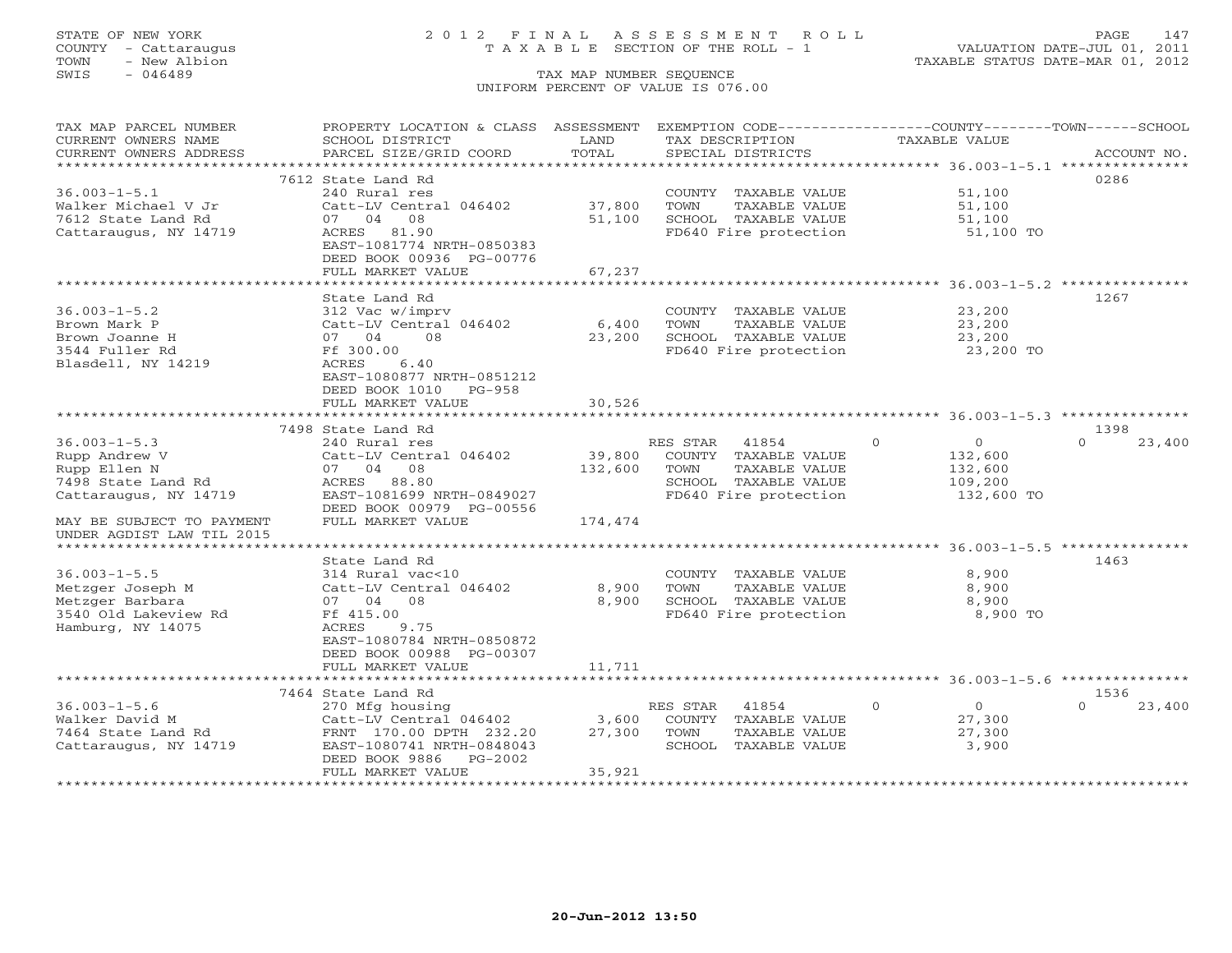# STATE OF NEW YORK 2 0 1 2 F I N A L A S S E S S M E N T R O L L PAGE 147 COUNTY - Cattaraugus T A X A B L E SECTION OF THE ROLL - 1 VALUATION DATE-JUL 01, 2011

| TAX MAP PARCEL NUMBER     | PROPERTY LOCATION & CLASS ASSESSMENT                  |         | EXEMPTION CODE-----------------COUNTY-------TOWN------SCHOOL |                            |                    |
|---------------------------|-------------------------------------------------------|---------|--------------------------------------------------------------|----------------------------|--------------------|
| CURRENT OWNERS NAME       | SCHOOL DISTRICT                                       | LAND    | TAX DESCRIPTION                                              | <b>TAXABLE VALUE</b>       |                    |
| CURRENT OWNERS ADDRESS    | PARCEL SIZE/GRID COORD                                | TOTAL   | SPECIAL DISTRICTS                                            |                            | ACCOUNT NO.        |
| **********************    |                                                       |         |                                                              |                            |                    |
|                           | 7612 State Land Rd                                    |         |                                                              |                            | 0286               |
| $36.003 - 1 - 5.1$        | 240 Rural res                                         |         | COUNTY TAXABLE VALUE                                         | 51,100                     |                    |
| Walker Michael V Jr       | Catt-LV Central 046402                                | 37,800  | TOWN<br>TAXABLE VALUE                                        | 51,100                     |                    |
| 7612 State Land Rd        | 07 04 08                                              | 51,100  | SCHOOL TAXABLE VALUE                                         | 51,100                     |                    |
| Cattaraugus, NY 14719     | ACRES 81.90                                           |         | FD640 Fire protection                                        | 51,100 TO                  |                    |
|                           | EAST-1081774 NRTH-0850383                             |         |                                                              |                            |                    |
|                           | DEED BOOK 00936 PG-00776                              |         |                                                              |                            |                    |
|                           | FULL MARKET VALUE<br>******************************** | 67,237  |                                                              |                            |                    |
|                           | State Land Rd                                         |         |                                                              |                            | 1267               |
| $36.003 - 1 - 5.2$        | 312 Vac w/imprv                                       |         | COUNTY TAXABLE VALUE                                         | 23,200                     |                    |
| Brown Mark P              | Catt-LV Central 046402                                | $6,400$ | TAXABLE VALUE<br>TOWN                                        | 23,200                     |                    |
| Brown Joanne H            | 07 04<br>08                                           | 23,200  | SCHOOL TAXABLE VALUE                                         | 23,200                     |                    |
| 3544 Fuller Rd            | Ff 300.00                                             |         | FD640 Fire protection                                        | 23,200 TO                  |                    |
| Blasdell, NY 14219        | 6.40<br>ACRES                                         |         |                                                              |                            |                    |
|                           | EAST-1080877 NRTH-0851212                             |         |                                                              |                            |                    |
|                           | DEED BOOK 1010<br>$PG-958$                            |         |                                                              |                            |                    |
|                           | FULL MARKET VALUE                                     | 30,526  |                                                              |                            |                    |
|                           |                                                       |         |                                                              |                            |                    |
|                           | 7498 State Land Rd                                    |         |                                                              |                            | 1398               |
| $36.003 - 1 - 5.3$        | 240 Rural res                                         |         | 41854<br>RES STAR                                            | $\Omega$<br>$\overline{0}$ | 23,400<br>$\Omega$ |
| Rupp Andrew V             | Catt-LV Central 046402                                | 39,800  | COUNTY TAXABLE VALUE                                         | 132,600                    |                    |
| Rupp Ellen N              | 07 04 08                                              | 132,600 | TOWN<br>TAXABLE VALUE                                        | 132,600                    |                    |
| 7498 State Land Rd        | ACRES 88.80                                           |         | SCHOOL TAXABLE VALUE                                         | 109,200                    |                    |
| Cattaraugus, NY 14719     | EAST-1081699 NRTH-0849027                             |         | FD640 Fire protection                                        | 132,600 TO                 |                    |
|                           | DEED BOOK 00979 PG-00556                              |         |                                                              |                            |                    |
| MAY BE SUBJECT TO PAYMENT | FULL MARKET VALUE                                     | 174,474 |                                                              |                            |                    |
| UNDER AGDIST LAW TIL 2015 |                                                       |         |                                                              |                            |                    |
|                           |                                                       |         |                                                              |                            |                    |
|                           | State Land Rd                                         |         |                                                              |                            | 1463               |
| $36.003 - 1 - 5.5$        | 314 Rural vac<10                                      |         | COUNTY TAXABLE VALUE                                         | 8,900                      |                    |
| Metzger Joseph M          | Catt-LV Central 046402                                | 8,900   | TAXABLE VALUE<br>TOWN                                        | 8,900                      |                    |
| Metzger Barbara           | 07 04 08                                              | 8,900   | SCHOOL TAXABLE VALUE                                         | 8,900                      |                    |
| 3540 Old Lakeview Rd      | Ff 415.00                                             |         | FD640 Fire protection                                        | 8,900 TO                   |                    |
| Hamburg, NY 14075         | ACRES<br>9.75                                         |         |                                                              |                            |                    |
|                           | EAST-1080784 NRTH-0850872                             |         |                                                              |                            |                    |
|                           | DEED BOOK 00988 PG-00307                              |         |                                                              |                            |                    |
|                           | FULL MARKET VALUE                                     | 11,711  |                                                              |                            |                    |
|                           |                                                       |         |                                                              |                            |                    |
|                           | 7464 State Land Rd                                    |         |                                                              |                            | 1536               |
| $36.003 - 1 - 5.6$        | 270 Mfg housing                                       |         | RES STAR<br>41854                                            | $\Omega$<br>$\overline{0}$ | $\Omega$<br>23,400 |
| Walker David M            | Catt-LV Central 046402                                | 3,600   | COUNTY<br>TAXABLE VALUE                                      | 27,300                     |                    |
| 7464 State Land Rd        | FRNT 170.00 DPTH 232.20                               | 27,300  | TOWN<br>TAXABLE VALUE                                        | 27,300                     |                    |
| Cattaraugus, NY 14719     | EAST-1080741 NRTH-0848043                             |         | SCHOOL TAXABLE VALUE                                         | 3,900                      |                    |
|                           | DEED BOOK 9886<br>$PG-2002$                           |         |                                                              |                            |                    |
| *********************     | FULL MARKET VALUE                                     | 35,921  |                                                              |                            |                    |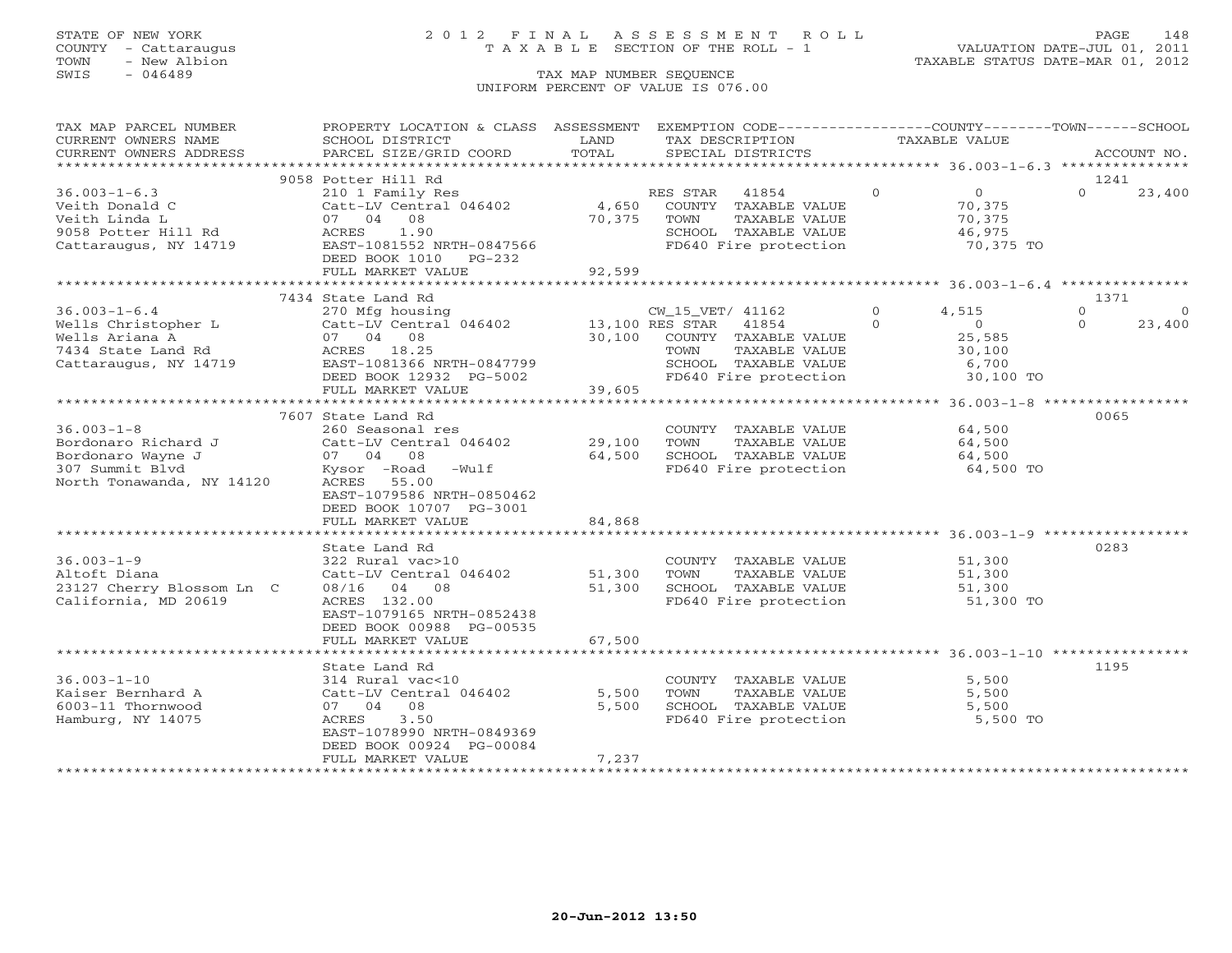# STATE OF NEW YORK 2 0 1 2 F I N A L A S S E S S M E N T R O L L PAGE 148 COUNTY - Cattaraugus T A X A B L E SECTION OF THE ROLL - 1 VALUATION DATE-JUL 01, 2011

| TAX MAP PARCEL NUMBER     | PROPERTY LOCATION & CLASS ASSESSMENT                                  |        | EXEMPTION CODE-----------------COUNTY-------TOWN------SCHOOL  |         |                                                          |          |                |
|---------------------------|-----------------------------------------------------------------------|--------|---------------------------------------------------------------|---------|----------------------------------------------------------|----------|----------------|
| CURRENT OWNERS NAME       | SCHOOL DISTRICT                                                       | LAND   | TAX DESCRIPTION                                               |         | TAXABLE VALUE                                            |          |                |
| CURRENT OWNERS ADDRESS    | PARCEL SIZE/GRID COORD                                                | TOTAL  | SPECIAL DISTRICTS                                             |         |                                                          |          | ACCOUNT NO.    |
|                           |                                                                       |        |                                                               |         |                                                          |          |                |
|                           | 9058 Potter Hill Rd                                                   |        |                                                               |         |                                                          | 1241     |                |
| $36.003 - 1 - 6.3$        |                                                                       |        |                                                               | $\circ$ | $\overline{0}$                                           | $\Omega$ | 23,400         |
| Veith Donald C            | 210 1 Family Res<br>Catt-LV Central 046402 4,650 COUNTY TAXABLE VALUE |        |                                                               |         | 70,375                                                   |          |                |
| Veith Linda L             |                                                                       | 70,375 | TOWN<br>TAXABLE VALUE                                         |         |                                                          |          |                |
| 9058 Potter Hill Rd       | 210 1 Family F<br>Catt-LV Centra<br>07 04 08<br>ACRES 1.90            |        | SCHOOL TAXABLE VALUE                                          |         | 70,375<br>46,975                                         |          |                |
|                           | Cattaraugus, NY 14719 EAST-1081552 NRTH-0847566                       |        | FD640 Fire protection 70,375 TO                               |         |                                                          |          |                |
|                           | DEED BOOK 1010 PG-232                                                 |        |                                                               |         |                                                          |          |                |
|                           | FULL MARKET VALUE                                                     | 92,599 |                                                               |         |                                                          |          |                |
|                           |                                                                       |        |                                                               |         |                                                          |          |                |
|                           | 7434 State Land Rd                                                    |        |                                                               |         |                                                          | 1371     |                |
|                           |                                                                       |        |                                                               |         | 4,515                                                    | $\Omega$ | $\overline{0}$ |
|                           |                                                                       |        |                                                               |         | $\begin{array}{c}\n\bullet \\ 0 \\ \circ \\ \end{array}$ | $\Omega$ | 23,400         |
|                           |                                                                       |        |                                                               |         |                                                          |          |                |
|                           |                                                                       |        |                                                               |         |                                                          |          |                |
|                           |                                                                       |        | TAXABLE VALUE                                                 |         | 30,100<br>6,700                                          |          |                |
|                           |                                                                       |        | SCHOOL TAXABLE VALUE 6,700<br>FD640 Fire protection 30,100 TO |         |                                                          |          |                |
|                           | DEED BOOK 12932 PG-5002<br>FULL MARKET VALUE 39,605                   |        |                                                               |         |                                                          |          |                |
|                           |                                                                       |        |                                                               |         |                                                          |          |                |
|                           |                                                                       |        |                                                               |         |                                                          |          |                |
|                           | 7607 State Land Rd                                                    |        |                                                               |         |                                                          | 0065     |                |
| $36.003 - 1 - 8$          | 260 Seasonal res                                                      |        | COUNTY TAXABLE VALUE                                          |         | 64,500                                                   |          |                |
|                           | Catt-LV Central 046402                                                | 29,100 | TAXABLE VALUE<br>TOWN                                         |         | 64,500                                                   |          |                |
|                           |                                                                       | 64,500 | SCHOOL TAXABLE VALUE                                          |         | 64,500                                                   |          |                |
|                           | Kysor -Road -Wulf                                                     |        | FD640 Fire protection                                         |         | 64,500 TO                                                |          |                |
|                           | ACRES 55.00                                                           |        |                                                               |         |                                                          |          |                |
|                           | EAST-1079586 NRTH-0850462                                             |        |                                                               |         |                                                          |          |                |
|                           | DEED BOOK 10707 PG-3001                                               |        |                                                               |         |                                                          |          |                |
|                           | FULL MARKET VALUE                                                     | 84,868 |                                                               |         |                                                          |          |                |
|                           |                                                                       |        |                                                               |         |                                                          |          |                |
|                           | State Land Rd                                                         |        |                                                               |         |                                                          | 0283     |                |
| $36.003 - 1 - 9$          | 322 Rural vac>10                                                      |        | COUNTY TAXABLE VALUE 51,300                                   |         |                                                          |          |                |
| Altoft Diana              | Catt-LV Central 046402 51,300 TOWN                                    |        | TAXABLE VALUE                                                 |         | 51,300                                                   |          |                |
| 23127 Cherry Blossom Ln C | 08/16 04 08                                                           | 51,300 | SCHOOL TAXABLE VALUE                                          |         | 51,300                                                   |          |                |
| California, MD 20619      | ACRES 132.00                                                          |        | FD640 Fire protection                                         |         | 51,300 TO                                                |          |                |
|                           | EAST-1079165 NRTH-0852438                                             |        |                                                               |         |                                                          |          |                |
|                           | DEED BOOK 00988 PG-00535                                              |        |                                                               |         |                                                          |          |                |
|                           | FULL MARKET VALUE                                                     | 67,500 |                                                               |         |                                                          |          |                |
|                           |                                                                       |        |                                                               |         |                                                          |          |                |
|                           | State Land Rd                                                         |        |                                                               |         |                                                          | 1195     |                |
| $36.003 - 1 - 10$         |                                                                       |        |                                                               |         |                                                          |          |                |
|                           | 314 Rural vac<10<br>Catt-LV Central 046402                            |        | COUNTY TAXABLE VALUE<br>TOWN      TAXABLE VALUE               |         | 5,500                                                    |          |                |
| Kaiser Bernhard A         |                                                                       | 5,500  |                                                               |         | 5,500                                                    |          |                |
| 6003-11 Thornwood         | 07 04 08                                                              | 5,500  | SCHOOL TAXABLE VALUE<br>FD640 Fire protection                 |         | 5,500                                                    |          |                |
| Hamburg, NY 14075         | 3.50<br>ACRES                                                         |        |                                                               |         | 5,500 TO                                                 |          |                |
|                           | EAST-1078990 NRTH-0849369                                             |        |                                                               |         |                                                          |          |                |
|                           | DEED BOOK 00924 PG-00084                                              |        |                                                               |         |                                                          |          |                |
|                           | FULL MARKET VALUE                                                     | 7,237  |                                                               |         |                                                          |          |                |
|                           |                                                                       |        |                                                               |         |                                                          |          |                |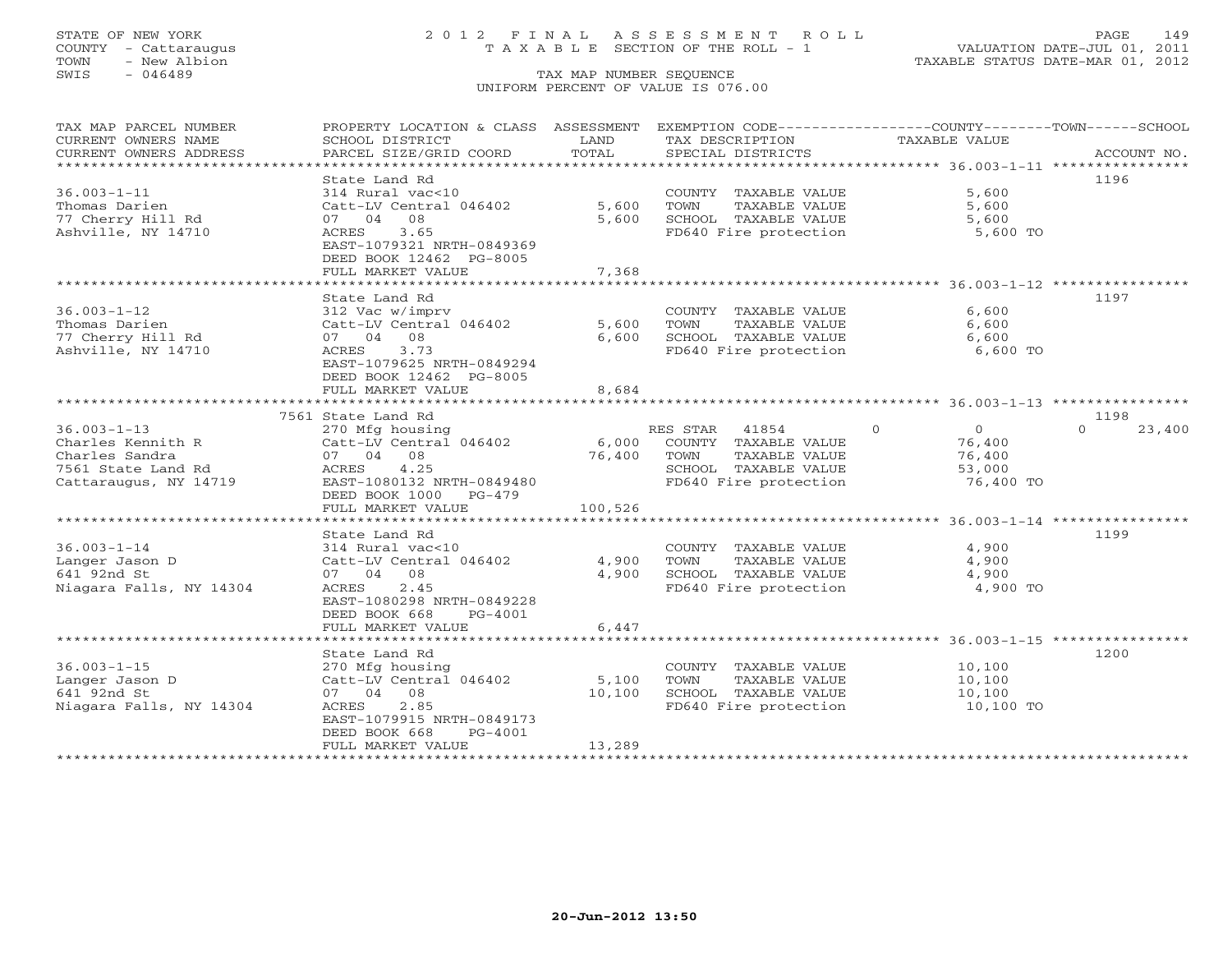# STATE OF NEW YORK 2 0 1 2 F I N A L A S S E S S M E N T R O L L PAGE 149 COUNTY - Cattaraugus T A X A B L E SECTION OF THE ROLL - 1 VALUATION DATE-JUL 01, 2011

| CURRENT OWNERS NAME<br>SCHOOL DISTRICT<br>LAND<br>TAX DESCRIPTION<br>TAXABLE VALUE<br>TOTAL<br>CURRENT OWNERS ADDRESS<br>PARCEL SIZE/GRID COORD<br>SPECIAL DISTRICTS<br>ACCOUNT NO.<br>State Land Rd<br>1196<br>$36.003 - 1 - 11$<br>5,600<br>314 Rural vac<10<br>COUNTY TAXABLE VALUE<br>Thomas Darien<br>Catt-LV Central 046402<br>5,600<br>TOWN<br>TAXABLE VALUE<br>5,600<br>77 Cherry Hill Rd<br>07 04 08<br>5,600<br>SCHOOL TAXABLE VALUE<br>5,600<br>Ashville, NY 14710<br>3.65<br>FD640 Fire protection<br>5,600 TO<br>ACRES<br>EAST-1079321 NRTH-0849369<br>DEED BOOK 12462 PG-8005<br>FULL MARKET VALUE<br>7,368<br>*************************<br>1197<br>State Land Rd<br>6,600<br>$36.003 - 1 - 12$<br>COUNTY TAXABLE VALUE<br>312 Vac w/imprv<br>Thomas Darien<br>Catt-LV Central 046402<br>5,600<br>TAXABLE VALUE<br>6,600<br>TOWN |
|------------------------------------------------------------------------------------------------------------------------------------------------------------------------------------------------------------------------------------------------------------------------------------------------------------------------------------------------------------------------------------------------------------------------------------------------------------------------------------------------------------------------------------------------------------------------------------------------------------------------------------------------------------------------------------------------------------------------------------------------------------------------------------------------------------------------------------------------|
|                                                                                                                                                                                                                                                                                                                                                                                                                                                                                                                                                                                                                                                                                                                                                                                                                                                |
|                                                                                                                                                                                                                                                                                                                                                                                                                                                                                                                                                                                                                                                                                                                                                                                                                                                |
|                                                                                                                                                                                                                                                                                                                                                                                                                                                                                                                                                                                                                                                                                                                                                                                                                                                |
|                                                                                                                                                                                                                                                                                                                                                                                                                                                                                                                                                                                                                                                                                                                                                                                                                                                |
|                                                                                                                                                                                                                                                                                                                                                                                                                                                                                                                                                                                                                                                                                                                                                                                                                                                |
|                                                                                                                                                                                                                                                                                                                                                                                                                                                                                                                                                                                                                                                                                                                                                                                                                                                |
|                                                                                                                                                                                                                                                                                                                                                                                                                                                                                                                                                                                                                                                                                                                                                                                                                                                |
|                                                                                                                                                                                                                                                                                                                                                                                                                                                                                                                                                                                                                                                                                                                                                                                                                                                |
|                                                                                                                                                                                                                                                                                                                                                                                                                                                                                                                                                                                                                                                                                                                                                                                                                                                |
|                                                                                                                                                                                                                                                                                                                                                                                                                                                                                                                                                                                                                                                                                                                                                                                                                                                |
|                                                                                                                                                                                                                                                                                                                                                                                                                                                                                                                                                                                                                                                                                                                                                                                                                                                |
|                                                                                                                                                                                                                                                                                                                                                                                                                                                                                                                                                                                                                                                                                                                                                                                                                                                |
|                                                                                                                                                                                                                                                                                                                                                                                                                                                                                                                                                                                                                                                                                                                                                                                                                                                |
|                                                                                                                                                                                                                                                                                                                                                                                                                                                                                                                                                                                                                                                                                                                                                                                                                                                |
|                                                                                                                                                                                                                                                                                                                                                                                                                                                                                                                                                                                                                                                                                                                                                                                                                                                |
| 77 Cherry Hill Rd<br>07 04 08<br>SCHOOL TAXABLE VALUE<br>6,600<br>6,600                                                                                                                                                                                                                                                                                                                                                                                                                                                                                                                                                                                                                                                                                                                                                                        |
| Ashville, NY 14710<br>3.73<br>FD640 Fire protection<br>6,600 TO<br>ACRES                                                                                                                                                                                                                                                                                                                                                                                                                                                                                                                                                                                                                                                                                                                                                                       |
| EAST-1079625 NRTH-0849294                                                                                                                                                                                                                                                                                                                                                                                                                                                                                                                                                                                                                                                                                                                                                                                                                      |
| DEED BOOK 12462 PG-8005                                                                                                                                                                                                                                                                                                                                                                                                                                                                                                                                                                                                                                                                                                                                                                                                                        |
| FULL MARKET VALUE<br>8,684                                                                                                                                                                                                                                                                                                                                                                                                                                                                                                                                                                                                                                                                                                                                                                                                                     |
|                                                                                                                                                                                                                                                                                                                                                                                                                                                                                                                                                                                                                                                                                                                                                                                                                                                |
| 1198<br>7561 State Land Rd                                                                                                                                                                                                                                                                                                                                                                                                                                                                                                                                                                                                                                                                                                                                                                                                                     |
| $36.003 - 1 - 13$<br>$\circ$<br>$\overline{0}$<br>270 Mfg housing<br>RES STAR<br>41854<br>$\Omega$<br>23,400                                                                                                                                                                                                                                                                                                                                                                                                                                                                                                                                                                                                                                                                                                                                   |
| Charles Kennith R<br>Catt-LV Central 046402<br>6,000<br>COUNTY TAXABLE VALUE<br>76,400                                                                                                                                                                                                                                                                                                                                                                                                                                                                                                                                                                                                                                                                                                                                                         |
| Charles Sandra<br>07 04 08<br>76,400<br>TAXABLE VALUE<br>TOWN<br>76,400                                                                                                                                                                                                                                                                                                                                                                                                                                                                                                                                                                                                                                                                                                                                                                        |
| 7561 State Land Rd<br>ACRES 4.25<br>SCHOOL TAXABLE VALUE<br>53,000                                                                                                                                                                                                                                                                                                                                                                                                                                                                                                                                                                                                                                                                                                                                                                             |
| EAST-1080132 NRTH-0849480<br>FD640 Fire protection<br>76,400 TO<br>Cattaraugus, NY 14719                                                                                                                                                                                                                                                                                                                                                                                                                                                                                                                                                                                                                                                                                                                                                       |
| DEED BOOK 1000 PG-479                                                                                                                                                                                                                                                                                                                                                                                                                                                                                                                                                                                                                                                                                                                                                                                                                          |
| FULL MARKET VALUE<br>100,526                                                                                                                                                                                                                                                                                                                                                                                                                                                                                                                                                                                                                                                                                                                                                                                                                   |
|                                                                                                                                                                                                                                                                                                                                                                                                                                                                                                                                                                                                                                                                                                                                                                                                                                                |
| 1199<br>State Land Rd                                                                                                                                                                                                                                                                                                                                                                                                                                                                                                                                                                                                                                                                                                                                                                                                                          |
| $36.003 - 1 - 14$<br>4,900<br>314 Rural vac<10<br>COUNTY TAXABLE VALUE                                                                                                                                                                                                                                                                                                                                                                                                                                                                                                                                                                                                                                                                                                                                                                         |
| 4,900<br>TOWN<br>TAXABLE VALUE<br>4,900<br>Langer Jason D<br>Catt-LV Central 046402                                                                                                                                                                                                                                                                                                                                                                                                                                                                                                                                                                                                                                                                                                                                                            |
| 641 92nd St<br>4,900<br>4,900<br>07 04 08<br>SCHOOL TAXABLE VALUE                                                                                                                                                                                                                                                                                                                                                                                                                                                                                                                                                                                                                                                                                                                                                                              |
| 2.45<br>FD640 Fire protection<br>4,900 TO<br>Niagara Falls, NY 14304<br>ACRES                                                                                                                                                                                                                                                                                                                                                                                                                                                                                                                                                                                                                                                                                                                                                                  |
| EAST-1080298 NRTH-0849228                                                                                                                                                                                                                                                                                                                                                                                                                                                                                                                                                                                                                                                                                                                                                                                                                      |
| DEED BOOK 668<br>PG-4001                                                                                                                                                                                                                                                                                                                                                                                                                                                                                                                                                                                                                                                                                                                                                                                                                       |
| 6,447<br>FULL MARKET VALUE                                                                                                                                                                                                                                                                                                                                                                                                                                                                                                                                                                                                                                                                                                                                                                                                                     |
|                                                                                                                                                                                                                                                                                                                                                                                                                                                                                                                                                                                                                                                                                                                                                                                                                                                |
| 1200<br>State Land Rd                                                                                                                                                                                                                                                                                                                                                                                                                                                                                                                                                                                                                                                                                                                                                                                                                          |
| $36.003 - 1 - 15$<br>270 Mfg housing<br>COUNTY TAXABLE VALUE<br>10,100                                                                                                                                                                                                                                                                                                                                                                                                                                                                                                                                                                                                                                                                                                                                                                         |
| Langer Jason D<br>Catt-LV Central 046402<br>5,100<br>TOWN<br>TAXABLE VALUE<br>10,100                                                                                                                                                                                                                                                                                                                                                                                                                                                                                                                                                                                                                                                                                                                                                           |
| 07 04 08<br>641 92nd St<br>10,100<br>SCHOOL TAXABLE VALUE<br>10,100                                                                                                                                                                                                                                                                                                                                                                                                                                                                                                                                                                                                                                                                                                                                                                            |
| Niagara Falls, NY 14304<br>ACRES<br>2.85<br>FD640 Fire protection<br>10,100 TO                                                                                                                                                                                                                                                                                                                                                                                                                                                                                                                                                                                                                                                                                                                                                                 |
| EAST-1079915 NRTH-0849173                                                                                                                                                                                                                                                                                                                                                                                                                                                                                                                                                                                                                                                                                                                                                                                                                      |
| DEED BOOK 668<br>PG-4001                                                                                                                                                                                                                                                                                                                                                                                                                                                                                                                                                                                                                                                                                                                                                                                                                       |
| 13,289<br>FULL MARKET VALUE                                                                                                                                                                                                                                                                                                                                                                                                                                                                                                                                                                                                                                                                                                                                                                                                                    |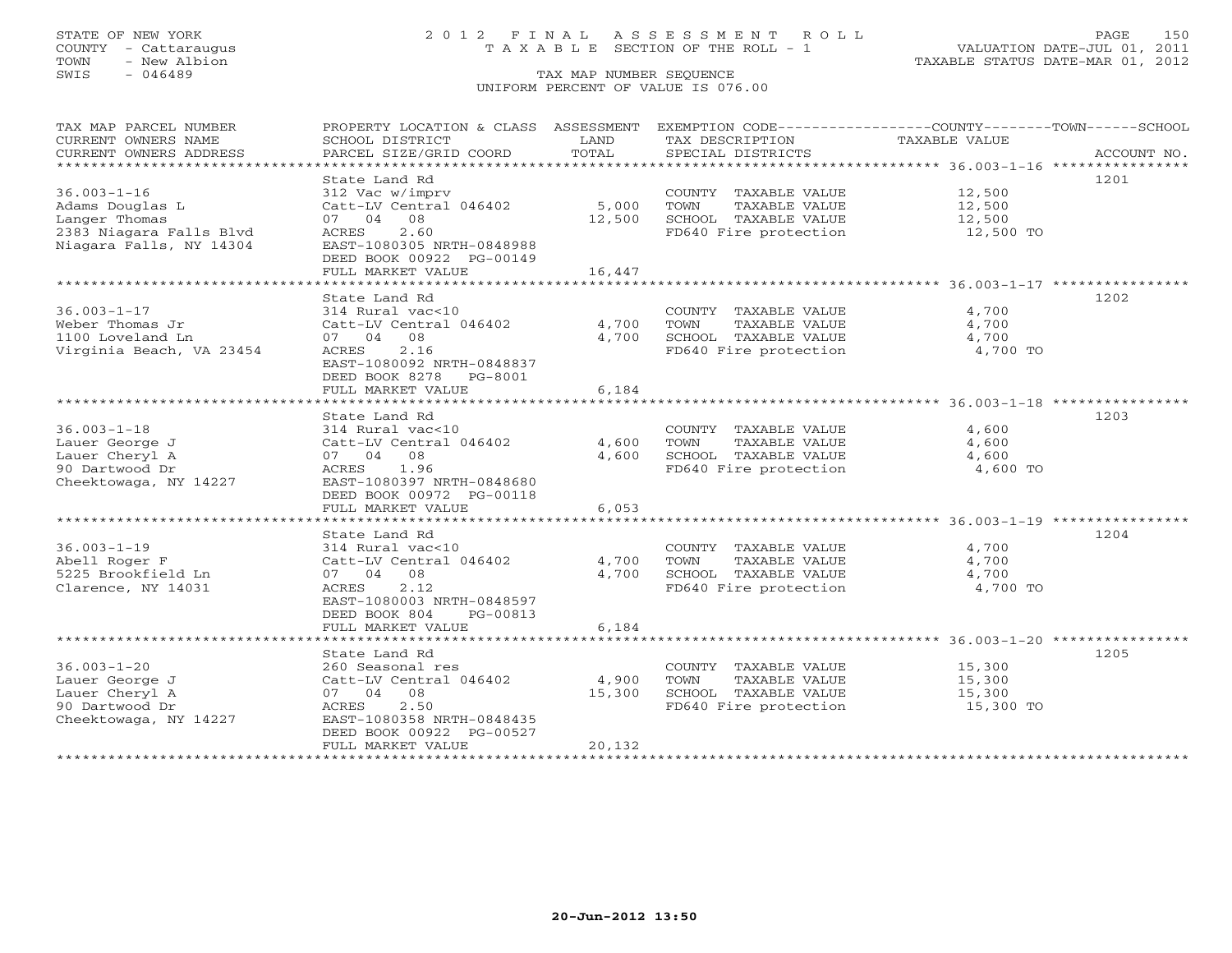TOWN - New Albion TAXABLE STATUS DATE-MAR 01, 2012 TOWN - New Albion<br>
SWIS - 046489 TAX MAP NUMBER SEQUENCE

# STATE OF NEW YORK 2 0 1 2 F I N A L A S S E S S M E N T R O L L PAGE 150 COUNTY - Cattaraugus T A X A B L E SECTION OF THE ROLL - 1 VALUATION DATE-JUL 01, 2011

# UNIFORM PERCENT OF VALUE IS 076.00

| TAX MAP PARCEL NUMBER                         | PROPERTY LOCATION & CLASS ASSESSMENT                |               | EXEMPTION CODE-----------------COUNTY-------TOWN------SCHOOL        |                                                 |             |
|-----------------------------------------------|-----------------------------------------------------|---------------|---------------------------------------------------------------------|-------------------------------------------------|-------------|
| CURRENT OWNERS NAME<br>CURRENT OWNERS ADDRESS | SCHOOL DISTRICT<br>PARCEL SIZE/GRID COORD           | LAND<br>TOTAL | TAX DESCRIPTION<br>SPECIAL DISTRICTS                                | TAXABLE VALUE                                   | ACCOUNT NO. |
| ************************                      |                                                     |               |                                                                     |                                                 |             |
| $36.003 - 1 - 16$                             | State Land Rd<br>312 Vac w/imprv                    |               | COUNTY TAXABLE VALUE                                                | 12,500                                          | 1201        |
| Adams Douglas L                               | Catt-LV Central 046402                              | 5,000         | TOWN<br>TAXABLE VALUE                                               | 12,500                                          |             |
| Langer Thomas                                 | 07 04<br>08                                         | 12,500        | SCHOOL TAXABLE VALUE                                                | 12,500                                          |             |
| 2383 Niagara Falls Blvd                       | ACRES<br>2.60                                       |               | FD640 Fire protection                                               | 12,500 TO                                       |             |
| Niagara Falls, NY 14304                       | EAST-1080305 NRTH-0848988                           |               |                                                                     |                                                 |             |
|                                               | DEED BOOK 00922 PG-00149                            |               |                                                                     |                                                 |             |
|                                               | FULL MARKET VALUE                                   | 16,447        |                                                                     |                                                 |             |
|                                               |                                                     |               | ************************************* 36.003-1-17 ***************** |                                                 |             |
|                                               | State Land Rd                                       |               |                                                                     |                                                 | 1202        |
| $36.003 - 1 - 17$                             | 314 Rural vac<10                                    |               | COUNTY TAXABLE VALUE                                                | 4,700                                           |             |
| Weber Thomas Jr                               | Catt-LV Central 046402                              | 4,700         | TOWN<br>TAXABLE VALUE                                               | 4,700                                           |             |
| 1100 Loveland Ln                              | 08<br>07 04                                         | 4,700         | SCHOOL TAXABLE VALUE                                                | 4,700                                           |             |
| Virginia Beach, VA 23454                      | ACRES<br>2.16                                       |               | FD640 Fire protection                                               | 4,700 TO                                        |             |
|                                               | EAST-1080092 NRTH-0848837                           |               |                                                                     |                                                 |             |
|                                               | DEED BOOK 8278<br>PG-8001                           |               |                                                                     |                                                 |             |
|                                               | FULL MARKET VALUE                                   | 6,184         |                                                                     |                                                 |             |
|                                               |                                                     |               |                                                                     | *********************** 36.003-1-18 *********** | 1203        |
| $36.003 - 1 - 18$                             | State Land Rd<br>314 Rural vac<10                   |               | COUNTY TAXABLE VALUE                                                | 4,600                                           |             |
| Lauer George J                                | Catt-LV Central 046402                              | 4,600         | TOWN<br>TAXABLE VALUE                                               | 4,600                                           |             |
| Lauer Cheryl A                                | 07 04<br>08                                         | 4,600         | SCHOOL TAXABLE VALUE                                                | 4,600                                           |             |
| 90 Dartwood Dr                                | ACRES<br>1.96                                       |               | FD640 Fire protection                                               | 4,600 TO                                        |             |
| Cheektowaga, NY 14227                         | EAST-1080397 NRTH-0848680                           |               |                                                                     |                                                 |             |
|                                               | DEED BOOK 00972 PG-00118                            |               |                                                                     |                                                 |             |
|                                               | FULL MARKET VALUE                                   | 6,053         |                                                                     |                                                 |             |
|                                               |                                                     |               |                                                                     |                                                 |             |
|                                               | State Land Rd                                       |               |                                                                     |                                                 | 1204        |
| $36.003 - 1 - 19$                             | 314 Rural vac<10                                    |               | COUNTY TAXABLE VALUE                                                | 4,700                                           |             |
| Abell Roger F                                 | Catt-LV Central 046402                              | 4,700         | TOWN<br>TAXABLE VALUE                                               | 4,700                                           |             |
| 5225 Brookfield Ln                            | 07 04<br>08                                         | 4,700         | SCHOOL TAXABLE VALUE                                                | 4,700                                           |             |
| Clarence, NY 14031                            | 2.12<br>ACRES                                       |               | FD640 Fire protection                                               | 4,700 TO                                        |             |
|                                               | EAST-1080003 NRTH-0848597                           |               |                                                                     |                                                 |             |
|                                               | DEED BOOK 804<br>PG-00813                           |               |                                                                     |                                                 |             |
|                                               | FULL MARKET VALUE<br>****************************** | 6,184         |                                                                     |                                                 |             |
|                                               | State Land Rd                                       |               |                                                                     |                                                 | 1205        |
| $36.003 - 1 - 20$                             | 260 Seasonal res                                    |               | COUNTY TAXABLE VALUE                                                | 15,300                                          |             |
| Lauer George J                                | Catt-LV Central 046402                              | 4,900         | TOWN<br>TAXABLE VALUE                                               | 15,300                                          |             |
| Lauer Cheryl A                                | 07 04 08                                            | 15,300        | SCHOOL TAXABLE VALUE                                                | 15,300                                          |             |
| 90 Dartwood Dr                                | 2.50<br>ACRES                                       |               | FD640 Fire protection                                               | 15,300 TO                                       |             |
| Cheektowaga, NY 14227                         | EAST-1080358 NRTH-0848435                           |               |                                                                     |                                                 |             |
|                                               | DEED BOOK 00922 PG-00527                            |               |                                                                     |                                                 |             |
|                                               | FULL MARKET VALUE                                   | 20,132        |                                                                     |                                                 |             |
|                                               |                                                     |               |                                                                     |                                                 |             |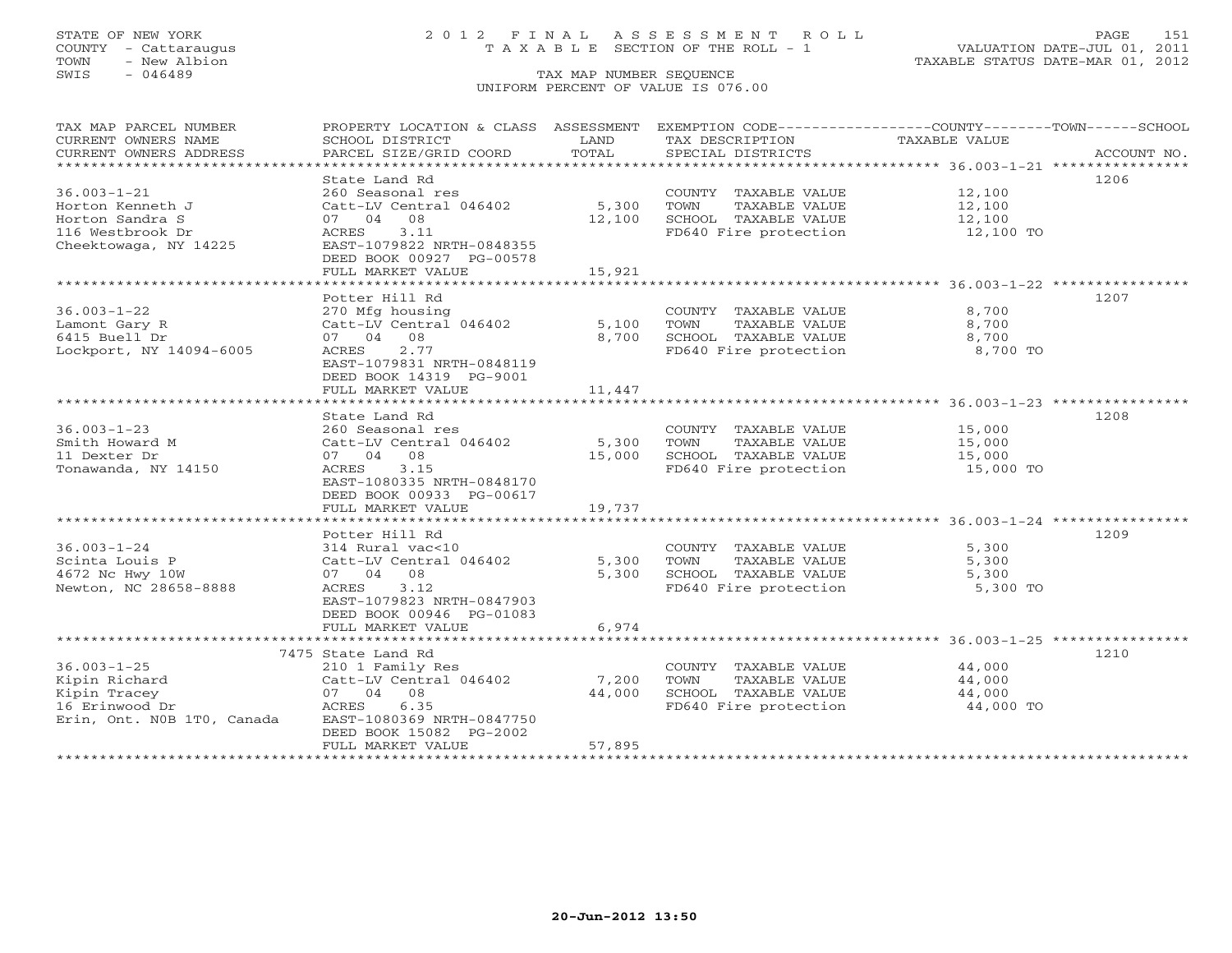# STATE OF NEW YORK 2 0 1 2 F I N A L A S S E S S M E N T R O L L PAGE 151 COUNTY - Cattaraugus T A X A B L E SECTION OF THE ROLL - 1 VALUATION DATE-JUL 01, 2011

| TAX MAP PARCEL NUMBER      | PROPERTY LOCATION & CLASS ASSESSMENT EXEMPTION CODE---------------COUNTY-------TOWN-----SCHOOL |        |                       |               |             |
|----------------------------|------------------------------------------------------------------------------------------------|--------|-----------------------|---------------|-------------|
| CURRENT OWNERS NAME        | SCHOOL DISTRICT                                                                                | LAND   | TAX DESCRIPTION       | TAXABLE VALUE |             |
| CURRENT OWNERS ADDRESS     | PARCEL SIZE/GRID COORD                                                                         | TOTAL  | SPECIAL DISTRICTS     |               | ACCOUNT NO. |
|                            |                                                                                                |        |                       |               |             |
|                            | State Land Rd                                                                                  |        |                       |               | 1206        |
| $36.003 - 1 - 21$          | 260 Seasonal res                                                                               |        | COUNTY TAXABLE VALUE  | 12,100        |             |
| Horton Kenneth J           | Catt-LV Central 046402                                                                         | 5,300  | TOWN<br>TAXABLE VALUE | 12,100        |             |
| Horton Sandra S            | 07 04 08                                                                                       | 12,100 | SCHOOL TAXABLE VALUE  | 12,100        |             |
| 116 Westbrook Dr           | 3.11<br>ACRES                                                                                  |        | FD640 Fire protection | 12,100 TO     |             |
| Cheektowaga, NY 14225      | EAST-1079822 NRTH-0848355                                                                      |        |                       |               |             |
|                            | DEED BOOK 00927 PG-00578                                                                       |        |                       |               |             |
|                            | FULL MARKET VALUE                                                                              | 15,921 |                       |               |             |
|                            |                                                                                                |        |                       |               |             |
|                            | Potter Hill Rd                                                                                 |        |                       |               | 1207        |
| $36.003 - 1 - 22$          | 270 Mfg housing                                                                                |        | COUNTY TAXABLE VALUE  | 8,700         |             |
| Lamont Gary R              | Catt-LV Central 046402                                                                         | 5,100  | TOWN<br>TAXABLE VALUE | 8,700         |             |
| 6415 Buell Dr              | 07 04 08                                                                                       | 8,700  | SCHOOL TAXABLE VALUE  | 8,700         |             |
| Lockport, NY 14094-6005    | 2.77<br>ACRES                                                                                  |        | FD640 Fire protection | 8,700 TO      |             |
|                            | EAST-1079831 NRTH-0848119                                                                      |        |                       |               |             |
|                            | DEED BOOK 14319 PG-9001                                                                        |        |                       |               |             |
|                            | FULL MARKET VALUE                                                                              | 11,447 |                       |               |             |
|                            |                                                                                                |        |                       |               |             |
|                            | State Land Rd                                                                                  |        |                       |               | 1208        |
| $36.003 - 1 - 23$          | 260 Seasonal res                                                                               |        | COUNTY TAXABLE VALUE  | 15,000        |             |
| Smith Howard M             | Catt-LV Central 046402                                                                         | 5,300  | TOWN<br>TAXABLE VALUE | 15,000        |             |
| 11 Dexter Dr               | 07 04 08                                                                                       | 15,000 | SCHOOL TAXABLE VALUE  | 15,000        |             |
| Tonawanda, NY 14150        | ACRES<br>3.15                                                                                  |        | FD640 Fire protection | 15,000 TO     |             |
|                            | EAST-1080335 NRTH-0848170                                                                      |        |                       |               |             |
|                            | DEED BOOK 00933 PG-00617                                                                       |        |                       |               |             |
|                            | FULL MARKET VALUE                                                                              | 19,737 |                       |               |             |
|                            |                                                                                                |        |                       |               |             |
|                            | Potter Hill Rd                                                                                 |        |                       |               | 1209        |
| $36.003 - 1 - 24$          | 314 Rural vac<10                                                                               |        | COUNTY TAXABLE VALUE  | 5,300         |             |
| Scinta Louis P             | Catt-LV Central 046402                                                                         | 5,300  | TOWN<br>TAXABLE VALUE | 5,300         |             |
| 4672 Nc Hwy 10W            | 07 04 08                                                                                       | 5,300  | SCHOOL TAXABLE VALUE  | 5,300         |             |
| Newton, NC 28658-8888      | 3.12<br>ACRES                                                                                  |        | FD640 Fire protection | 5,300 TO      |             |
|                            | EAST-1079823 NRTH-0847903                                                                      |        |                       |               |             |
|                            | DEED BOOK 00946 PG-01083                                                                       |        |                       |               |             |
|                            | FULL MARKET VALUE                                                                              | 6,974  |                       |               |             |
|                            |                                                                                                |        |                       |               |             |
|                            | 7475 State Land Rd                                                                             |        |                       |               | 1210        |
| $36.003 - 1 - 25$          | 210 1 Family Res                                                                               |        | COUNTY TAXABLE VALUE  | 44,000        |             |
| Kipin Richard              | Catt-LV Central 046402                                                                         | 7,200  | TAXABLE VALUE<br>TOWN | 44,000        |             |
| Kipin Tracey               | 07 04 08                                                                                       | 44,000 | SCHOOL TAXABLE VALUE  | 44,000        |             |
| 16 Erinwood Dr             | ACRES<br>6.35                                                                                  |        | FD640 Fire protection | 44,000 TO     |             |
| Erin, Ont. NOB 1TO, Canada | EAST-1080369 NRTH-0847750                                                                      |        |                       |               |             |
|                            | DEED BOOK 15082 PG-2002                                                                        |        |                       |               |             |
|                            | FULL MARKET VALUE                                                                              | 57,895 |                       |               |             |
|                            |                                                                                                |        |                       |               |             |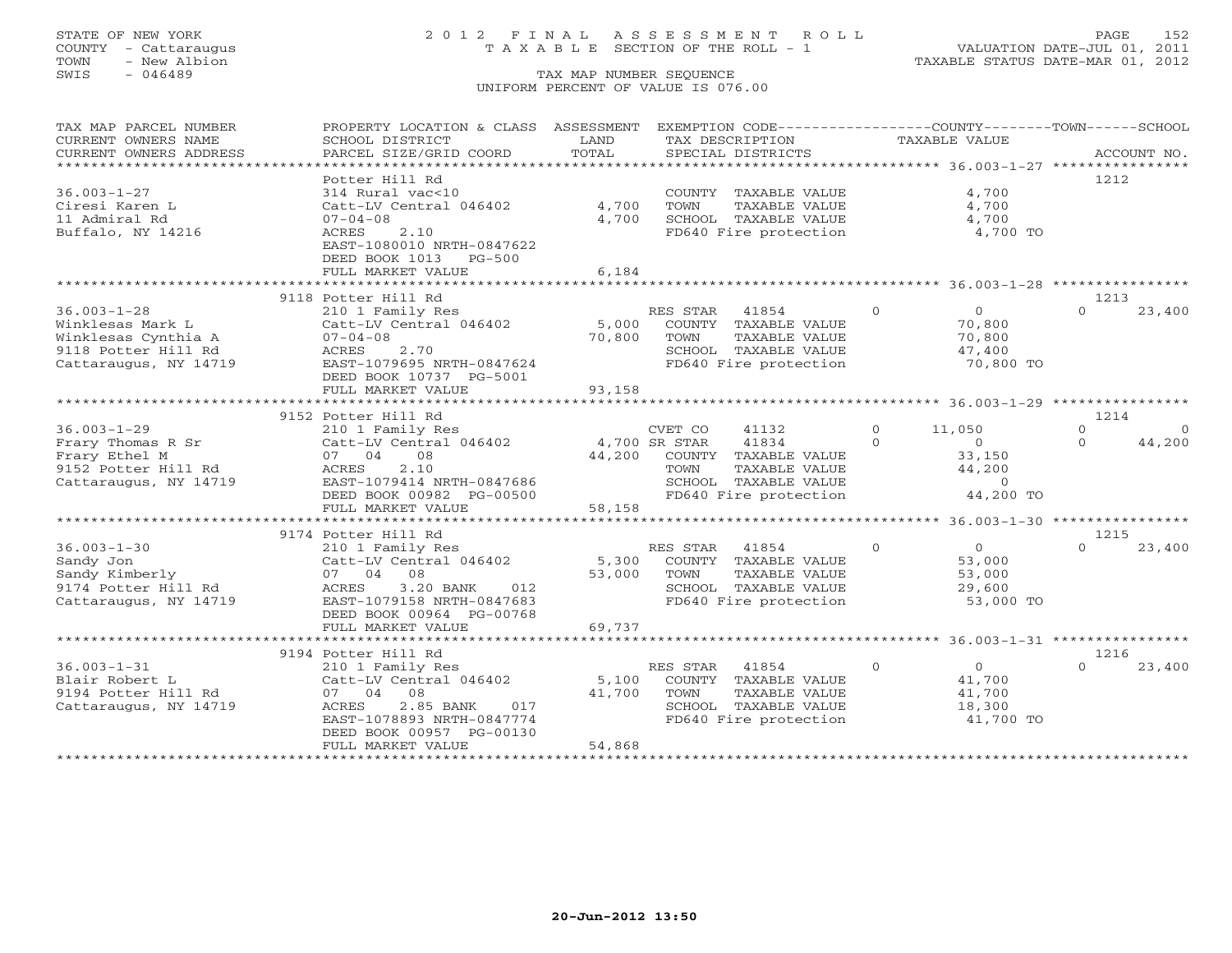# STATE OF NEW YORK 2 0 1 2 F I N A L A S S E S S M E N T R O L L PAGE 152 COUNTY - Cattaraugus T A X A B L E SECTION OF THE ROLL - 1 VALUATION DATE-JUL 01, 2011

| TAX MAP PARCEL NUMBER<br>CURRENT OWNERS NAME                                                                 | PROPERTY LOCATION & CLASS ASSESSMENT<br>SCHOOL DISTRICT                                                                                                                           | LAND                      | EXEMPTION CODE-----------------COUNTY-------TOWN------SCHOOL<br>TAX DESCRIPTION                                                              | TAXABLE VALUE                                                                               |                                                    |
|--------------------------------------------------------------------------------------------------------------|-----------------------------------------------------------------------------------------------------------------------------------------------------------------------------------|---------------------------|----------------------------------------------------------------------------------------------------------------------------------------------|---------------------------------------------------------------------------------------------|----------------------------------------------------|
| CURRENT OWNERS ADDRESS<br>************************                                                           | PARCEL SIZE/GRID COORD                                                                                                                                                            | TOTAL                     | SPECIAL DISTRICTS                                                                                                                            |                                                                                             | ACCOUNT NO.                                        |
| $36.003 - 1 - 27$<br>Ciresi Karen L<br>11 Admiral Rd<br>Buffalo, NY 14216                                    | Potter Hill Rd<br>314 Rural vac<10<br>Catt-LV Central 046402<br>$07 - 04 - 08$<br>ACRES<br>2.10<br>EAST-1080010 NRTH-0847622<br>DEED BOOK 1013<br>$PG-500$<br>FULL MARKET VALUE   | 4,700<br>4,700<br>6,184   | COUNTY TAXABLE VALUE<br>TOWN<br>TAXABLE VALUE<br>SCHOOL TAXABLE VALUE<br>FD640 Fire protection                                               | 4,700<br>4,700<br>4,700<br>4,700 TO                                                         | 1212                                               |
|                                                                                                              |                                                                                                                                                                                   |                           |                                                                                                                                              |                                                                                             |                                                    |
| $36.003 - 1 - 28$<br>Winklesas Mark L<br>Winklesas Cynthia A<br>9118 Potter Hill Rd<br>Cattaraugus, NY 14719 | 9118 Potter Hill Rd<br>210 1 Family Res<br>Catt-LV Central 046402<br>$07 - 04 - 08$<br>ACRES<br>2.70<br>EAST-1079695 NRTH-0847624<br>DEED BOOK 10737 PG-5001<br>FULL MARKET VALUE | 5,000<br>70,800<br>93,158 | RES STAR<br>41854<br>COUNTY TAXABLE VALUE<br>TAXABLE VALUE<br>TOWN<br>SCHOOL TAXABLE VALUE<br>FD640 Fire protection                          | $\Omega$<br>$\overline{0}$<br>70,800<br>70,800<br>47,400<br>70,800 TO                       | 1213<br>23,400<br>$\Omega$                         |
|                                                                                                              | ************************                                                                                                                                                          |                           |                                                                                                                                              |                                                                                             |                                                    |
| $36.003 - 1 - 29$<br>Frary Thomas R Sr<br>Frary Ethel M<br>9152 Potter Hill Rd<br>Cattaraugus, NY 14719      | 9152 Potter Hill Rd<br>210 1 Family Res<br>Catt-LV Central 046402<br>07 04<br>08<br>2.10<br>ACRES<br>EAST-1079414 NRTH-0847686<br>DEED BOOK 00982 PG-00500                        | 44,200                    | CVET CO<br>41132<br>4,700 SR STAR<br>41834<br>COUNTY TAXABLE VALUE<br>TOWN<br>TAXABLE VALUE<br>SCHOOL TAXABLE VALUE<br>FD640 Fire protection | $\circ$<br>11,050<br>$\Omega$<br>$\circ$<br>33,150<br>44,200<br>$\overline{0}$<br>44,200 TO | 1214<br>$\Omega$<br>$\Omega$<br>44,200<br>$\Omega$ |
|                                                                                                              | FULL MARKET VALUE                                                                                                                                                                 | 58,158                    |                                                                                                                                              |                                                                                             |                                                    |
|                                                                                                              | 9174 Potter Hill Rd                                                                                                                                                               |                           |                                                                                                                                              |                                                                                             | 1215                                               |
| $36.003 - 1 - 30$<br>Sandy Jon<br>Sandy Kimberly<br>9174 Potter Hill Rd<br>Cattaraugus, NY 14719             | 210 1 Family Res<br>Catt-LV Central 046402<br>07 04<br>08<br>3.20 BANK<br>012<br>ACRES<br>EAST-1079158 NRTH-0847683<br>DEED BOOK 00964 PG-00768                                   | 5,300<br>53,000           | RES STAR<br>41854<br>COUNTY TAXABLE VALUE<br>TOWN<br>TAXABLE VALUE<br>SCHOOL TAXABLE VALUE<br>FD640 Fire protection                          | $\Omega$<br>$\Omega$<br>53,000<br>53,000<br>29,600<br>53,000 TO                             | 23,400                                             |
|                                                                                                              | FULL MARKET VALUE                                                                                                                                                                 | 69,737                    |                                                                                                                                              |                                                                                             |                                                    |
|                                                                                                              | *******************************<br>9194 Potter Hill Rd                                                                                                                            |                           |                                                                                                                                              |                                                                                             | 1216                                               |
| $36.003 - 1 - 31$<br>Blair Robert L<br>9194 Potter Hill Rd<br>Cattaraugus, NY 14719                          | 210 1 Family Res<br>Catt-LV Central 046402<br>08<br>07 04<br>2.85 BANK<br>ACRES<br>017<br>EAST-1078893 NRTH-0847774<br>DEED BOOK 00957 PG-00130<br>FULL MARKET VALUE              | 5,100<br>41,700<br>54,868 | RES STAR<br>41854<br>COUNTY TAXABLE VALUE<br>TOWN<br>TAXABLE VALUE<br>SCHOOL TAXABLE VALUE<br>FD640 Fire protection                          | $\Omega$<br>$\Omega$<br>41,700<br>41,700<br>18,300<br>41,700 TO                             | 23,400<br>$\cap$                                   |
|                                                                                                              |                                                                                                                                                                                   |                           |                                                                                                                                              |                                                                                             |                                                    |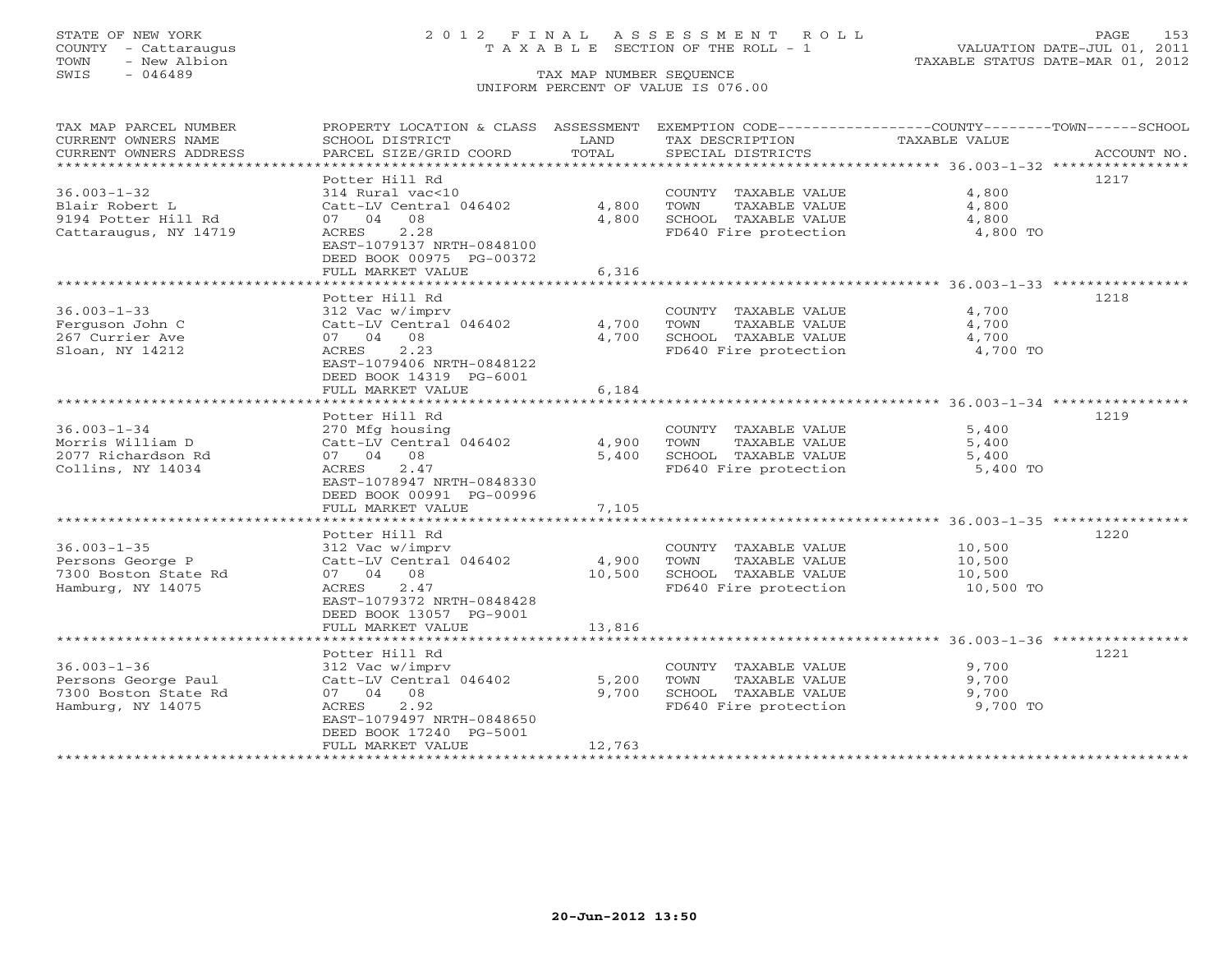# STATE OF NEW YORK 2 0 1 2 F I N A L A S S E S S M E N T R O L L PAGE 153 COUNTY - Cattaraugus T A X A B L E SECTION OF THE ROLL - 1 VALUATION DATE-JUL 01, 2011

| TAX MAP PARCEL NUMBER  | PROPERTY LOCATION & CLASS ASSESSMENT EXEMPTION CODE---------------COUNTY-------TOWN-----SCHOOL |        |                                               |                      |             |
|------------------------|------------------------------------------------------------------------------------------------|--------|-----------------------------------------------|----------------------|-------------|
| CURRENT OWNERS NAME    | SCHOOL DISTRICT                                                                                | LAND   | TAX DESCRIPTION                               | <b>TAXABLE VALUE</b> |             |
| CURRENT OWNERS ADDRESS | PARCEL SIZE/GRID COORD                                                                         | TOTAL  | SPECIAL DISTRICTS                             |                      | ACCOUNT NO. |
|                        |                                                                                                |        |                                               |                      |             |
|                        | Potter Hill Rd                                                                                 |        |                                               |                      | 1217        |
| $36.003 - 1 - 32$      | 314 Rural vac<10                                                                               |        | COUNTY TAXABLE VALUE                          | 4,800                |             |
| Blair Robert L         | Catt-LV Central 046402                                                                         | 4,800  | TOWN<br>TAXABLE VALUE                         | 4,800                |             |
| 9194 Potter Hill Rd    | 07 04 08                                                                                       | 4,800  | SCHOOL TAXABLE VALUE                          | 4,800                |             |
| Cattaraugus, NY 14719  | 2.28<br>ACRES                                                                                  |        | FD640 Fire protection                         | 4,800 TO             |             |
|                        | EAST-1079137 NRTH-0848100                                                                      |        |                                               |                      |             |
|                        | DEED BOOK 00975 PG-00372                                                                       |        |                                               |                      |             |
|                        | FULL MARKET VALUE                                                                              | 6,316  |                                               |                      |             |
|                        |                                                                                                |        |                                               |                      |             |
|                        | Potter Hill Rd                                                                                 |        |                                               |                      | 1218        |
| $36.003 - 1 - 33$      | 312 Vac w/imprv                                                                                |        | COUNTY TAXABLE VALUE                          | 4,700                |             |
| Ferguson John C        | Catt-LV Central 046402                                                                         | 4,700  | TOWN<br>TAXABLE VALUE                         | 4,700                |             |
| 267 Currier Ave        | 07 04 08                                                                                       | 4,700  | SCHOOL TAXABLE VALUE                          | 4,700                |             |
| Sloan, NY 14212        | 2.23<br>ACRES                                                                                  |        | FD640 Fire protection                         | 4,700 TO             |             |
|                        | EAST-1079406 NRTH-0848122                                                                      |        |                                               |                      |             |
|                        | DEED BOOK 14319 PG-6001                                                                        |        |                                               |                      |             |
|                        | FULL MARKET VALUE                                                                              | 6,184  |                                               |                      |             |
|                        | Potter Hill Rd                                                                                 |        |                                               |                      | 1219        |
| $36.003 - 1 - 34$      |                                                                                                |        |                                               | 5,400                |             |
| Morris William D       | 270 Mfg housing<br>Catt-LV Central 046402                                                      |        | COUNTY TAXABLE VALUE<br>TOWN<br>TAXABLE VALUE | 5,400                |             |
| 2077 Richardson Rd     |                                                                                                | 4,900  | SCHOOL TAXABLE VALUE                          |                      |             |
| Collins, NY 14034      | 07 04 08<br>2.47<br>ACRES                                                                      | 5,400  | FD640 Fire protection                         | 5,400<br>5,400 TO    |             |
|                        | EAST-1078947 NRTH-0848330                                                                      |        |                                               |                      |             |
|                        | DEED BOOK 00991 PG-00996                                                                       |        |                                               |                      |             |
|                        | FULL MARKET VALUE                                                                              | 7,105  |                                               |                      |             |
|                        |                                                                                                |        |                                               |                      |             |
|                        | Potter Hill Rd                                                                                 |        |                                               |                      | 1220        |
| $36.003 - 1 - 35$      | 312 Vac w/imprv                                                                                |        | COUNTY TAXABLE VALUE                          | 10,500               |             |
| Persons George P       | Catt-LV Central 046402                                                                         | 4,900  | TOWN<br>TAXABLE VALUE                         | 10,500               |             |
| 7300 Boston State Rd   | 07 04 08                                                                                       | 10,500 | SCHOOL TAXABLE VALUE                          | 10,500               |             |
| Hamburg, NY 14075      | 2.47<br>ACRES                                                                                  |        | FD640 Fire protection                         | 10,500 TO            |             |
|                        | EAST-1079372 NRTH-0848428                                                                      |        |                                               |                      |             |
|                        | DEED BOOK 13057 PG-9001                                                                        |        |                                               |                      |             |
|                        | FULL MARKET VALUE                                                                              | 13,816 |                                               |                      |             |
|                        |                                                                                                |        |                                               |                      |             |
|                        | Potter Hill Rd                                                                                 |        |                                               |                      | 1221        |
| $36.003 - 1 - 36$      | 312 Vac w/imprv                                                                                |        | COUNTY TAXABLE VALUE                          | 9,700                |             |
| Persons George Paul    | Catt-LV Central 046402                                                                         | 5,200  | TAXABLE VALUE<br>TOWN                         | 9,700                |             |
| 7300 Boston State Rd   | 07 04 08                                                                                       | 9,700  | SCHOOL TAXABLE VALUE                          | 9,700                |             |
| Hamburg, NY 14075      | 2.92<br>ACRES                                                                                  |        | FD640 Fire protection                         | 9,700 TO             |             |
|                        | EAST-1079497 NRTH-0848650                                                                      |        |                                               |                      |             |
|                        | DEED BOOK 17240 PG-5001                                                                        |        |                                               |                      |             |
|                        | FULL MARKET VALUE                                                                              | 12,763 |                                               |                      |             |
|                        |                                                                                                |        |                                               |                      |             |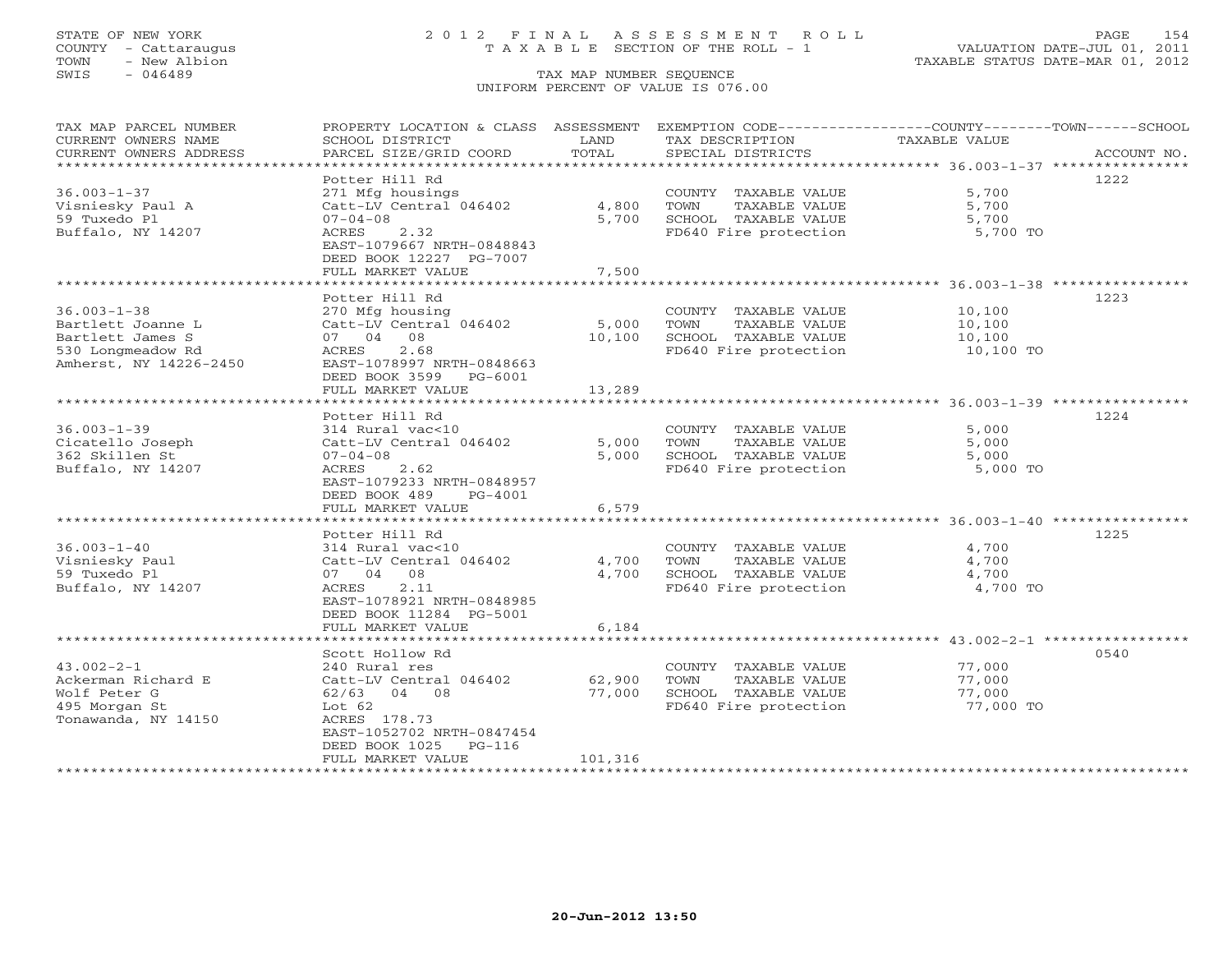# STATE OF NEW YORK 2 0 1 2 F I N A L A S S E S S M E N T R O L L PAGE 154 COUNTY - Cattaraugus T A X A B L E SECTION OF THE ROLL - 1 VALUATION DATE-JUL 01, 2011

| TAX MAP PARCEL NUMBER  | PROPERTY LOCATION & CLASS ASSESSMENT        |         | EXEMPTION CODE-----------------COUNTY-------TOWN------SCHOOL |               |             |
|------------------------|---------------------------------------------|---------|--------------------------------------------------------------|---------------|-------------|
| CURRENT OWNERS NAME    | SCHOOL DISTRICT                             | LAND    | TAX DESCRIPTION                                              | TAXABLE VALUE |             |
| CURRENT OWNERS ADDRESS | PARCEL SIZE/GRID COORD                      | TOTAL   | SPECIAL DISTRICTS                                            |               | ACCOUNT NO. |
|                        |                                             |         |                                                              |               |             |
|                        | Potter Hill Rd                              |         |                                                              |               | 1222        |
| $36.003 - 1 - 37$      | 271 Mfg housings                            |         | COUNTY TAXABLE VALUE                                         | 5,700         |             |
| Visniesky Paul A       | Catt-LV Central 046402                      | 4,800   | TOWN<br>TAXABLE VALUE                                        | 5,700         |             |
| 59 Tuxedo Pl           | $07 - 04 - 08$                              | 5,700   | SCHOOL TAXABLE VALUE                                         | 5,700         |             |
| Buffalo, NY 14207      | ACRES 2.32                                  |         | FD640 Fire protection                                        | 5,700 TO      |             |
|                        | EAST-1079667 NRTH-0848843                   |         |                                                              |               |             |
|                        | DEED BOOK 12227 PG-7007                     |         |                                                              |               |             |
|                        | FULL MARKET VALUE                           | 7,500   |                                                              |               |             |
|                        |                                             |         |                                                              |               |             |
|                        | Potter Hill Rd                              |         |                                                              |               | 1223        |
| $36.003 - 1 - 38$      | 270 Mfg housing                             |         | COUNTY TAXABLE VALUE                                         | 10,100        |             |
| Bartlett Joanne L      | Catt-LV Central 046402<br>07 04 08          | 5,000   | TOWN<br>TAXABLE VALUE                                        | 10,100        |             |
| Bartlett James S       | 2.68                                        | 10,100  | SCHOOL TAXABLE VALUE                                         | 10,100        |             |
| 530 Longmeadow Rd      | ACRES                                       |         | FD640 Fire protection                                        | 10,100 TO     |             |
| Amherst, NY 14226-2450 | EAST-1078997 NRTH-0848663                   |         |                                                              |               |             |
|                        | DEED BOOK 3599 PG-6001<br>FULL MARKET VALUE | 13,289  |                                                              |               |             |
|                        |                                             |         |                                                              |               |             |
|                        | Potter Hill Rd                              |         |                                                              |               | 1224        |
| $36.003 - 1 - 39$      | 314 Rural vac<10                            |         | COUNTY TAXABLE VALUE                                         | 5,000         |             |
| Cicatello Joseph       | Catt-LV Central 046402                      | 5,000   | TOWN<br>TAXABLE VALUE                                        | 5,000         |             |
| 362 Skillen St         | $07 - 04 - 08$                              | 5,000   | SCHOOL TAXABLE VALUE                                         | 5,000         |             |
| Buffalo, NY 14207      | ACRES<br>2.62                               |         | FD640 Fire protection                                        | 5,000 TO      |             |
|                        | EAST-1079233 NRTH-0848957                   |         |                                                              |               |             |
|                        | DEED BOOK 489<br>PG-4001                    |         |                                                              |               |             |
|                        | FULL MARKET VALUE                           | 6,579   |                                                              |               |             |
|                        |                                             |         |                                                              |               |             |
|                        | Potter Hill Rd                              |         |                                                              |               | 1225        |
| $36.003 - 1 - 40$      | 314 Rural vac<10                            |         | COUNTY TAXABLE VALUE                                         | 4,700         |             |
| Visniesky Paul         | Catt-LV Central 046402                      | 4,700   | TAXABLE VALUE<br>TOWN                                        | 4,700         |             |
| 59 Tuxedo Pl           | 07 04 08                                    | 4,700   | SCHOOL TAXABLE VALUE                                         | 4,700         |             |
| Buffalo, NY 14207      | 2.11<br>ACRES                               |         | FD640 Fire protection                                        | 4,700 TO      |             |
|                        | EAST-1078921 NRTH-0848985                   |         |                                                              |               |             |
|                        | DEED BOOK 11284 PG-5001                     |         |                                                              |               |             |
|                        | FULL MARKET VALUE                           | 6,184   |                                                              |               |             |
|                        |                                             |         |                                                              |               |             |
|                        | Scott Hollow Rd                             |         |                                                              |               | 0540        |
| $43.002 - 2 - 1$       | 240 Rural res                               |         | COUNTY TAXABLE VALUE                                         | 77,000        |             |
| Ackerman Richard E     | Catt-LV Central 046402                      | 62,900  | TAXABLE VALUE<br>TOWN                                        | 77,000        |             |
| Wolf Peter G           | 62/63 04 08                                 | 77,000  | SCHOOL TAXABLE VALUE                                         | 77,000        |             |
| 495 Morgan St          | Lot $62$                                    |         | FD640 Fire protection                                        | 77,000 TO     |             |
| Tonawanda, NY 14150    | ACRES 178.73                                |         |                                                              |               |             |
|                        | EAST-1052702 NRTH-0847454                   |         |                                                              |               |             |
|                        | DEED BOOK 1025 PG-116                       |         |                                                              |               |             |
|                        | FULL MARKET VALUE                           | 101,316 |                                                              |               |             |
| *******************    |                                             |         |                                                              |               |             |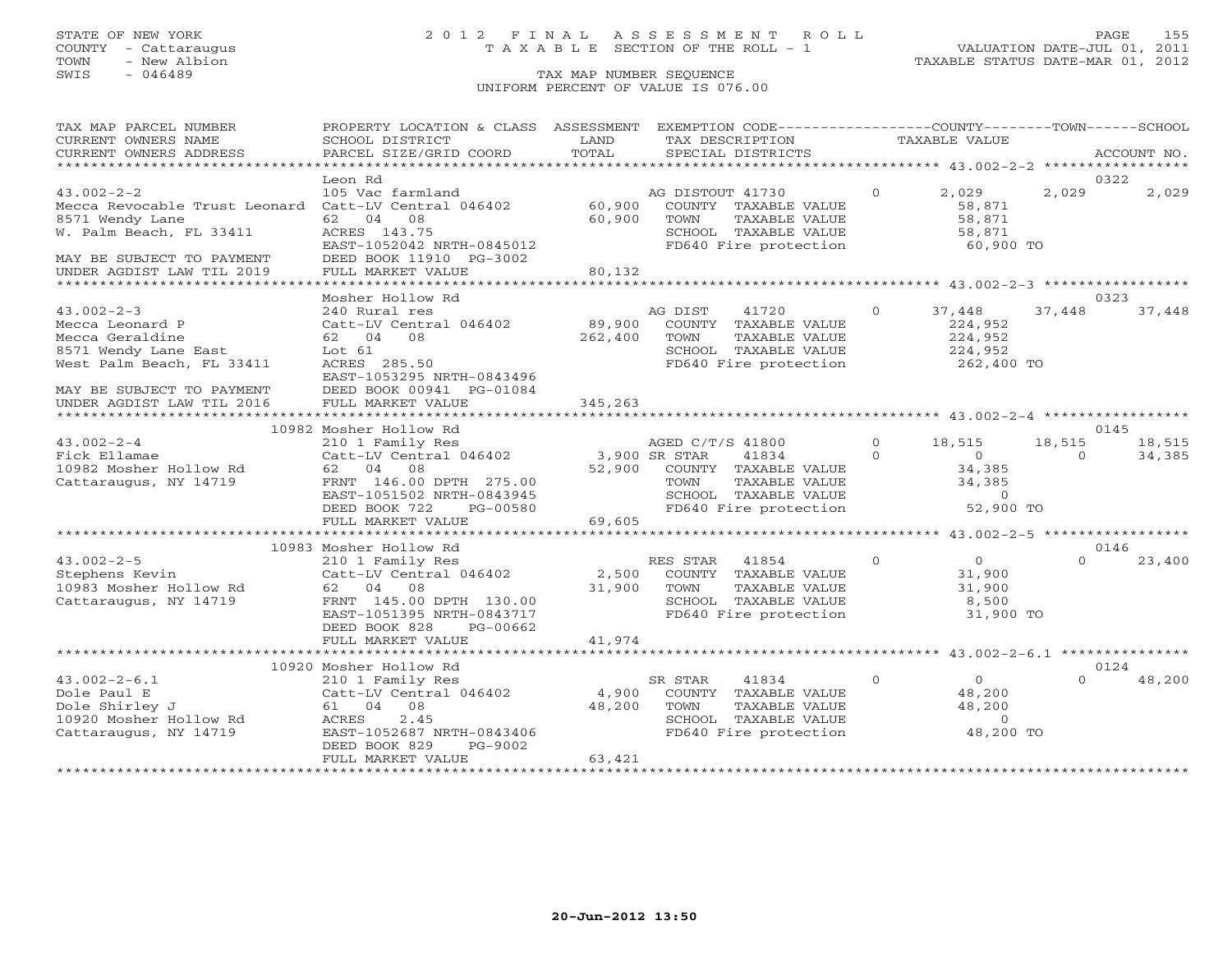# STATE OF NEW YORK 2 0 1 2 F I N A L A S S E S S M E N T R O L L PAGE 155 COUNTY - Cattaraugus T A X A B L E SECTION OF THE ROLL - 1 VALUATION DATE-JUL 01, 2011

TOWN - New Albion TAXABLE STATUS DATE-MAR 01, 2012

| TAX MAP PARCEL NUMBER                                                                          | PROPERTY LOCATION & CLASS ASSESSMENT EXEMPTION CODE---------------COUNTY-------TOWN------SCHOOL                                                                                                                                                                   |         |                                                                                                                                                                               |                |                                            |          |        |
|------------------------------------------------------------------------------------------------|-------------------------------------------------------------------------------------------------------------------------------------------------------------------------------------------------------------------------------------------------------------------|---------|-------------------------------------------------------------------------------------------------------------------------------------------------------------------------------|----------------|--------------------------------------------|----------|--------|
| CURRENT OWNERS NAME                                                                            | SCHOOL DISTRICT                                                                                                                                                                                                                                                   | LAND    | TAX DESCRIPTION                                                                                                                                                               |                | TAXABLE VALUE                              |          |        |
| CURRENT OWNERS ADDRESS                                                                         |                                                                                                                                                                                                                                                                   |         |                                                                                                                                                                               |                |                                            |          |        |
| *****************************                                                                  |                                                                                                                                                                                                                                                                   |         |                                                                                                                                                                               |                |                                            |          |        |
|                                                                                                | Leon Rd                                                                                                                                                                                                                                                           |         |                                                                                                                                                                               |                |                                            |          | 0322   |
| 43.002-2-2<br>Mecca Revocable Trust Leonard Catt-LV Central 046402 60,900 COUNTY TAXABLE VALUE |                                                                                                                                                                                                                                                                   |         |                                                                                                                                                                               | $\overline{0}$ | 2,029                                      | 2,029    | 2,029  |
|                                                                                                |                                                                                                                                                                                                                                                                   |         |                                                                                                                                                                               |                | 58,871                                     |          |        |
| 8571 Wendy Lane                                                                                | 62 04 08                                                                                                                                                                                                                                                          | 60,900  | TOWN<br>TAXABLE VALUE                                                                                                                                                         |                | 58,871<br>58,871                           |          |        |
| W. Palm Beach, FL 33411                                                                        | ACRES 143.75                                                                                                                                                                                                                                                      |         | SCHOOL TAXABLE VALUE                                                                                                                                                          |                |                                            |          |        |
|                                                                                                | EAST-1052042 NRTH-0845012                                                                                                                                                                                                                                         |         | FD640 Fire protection 60,900 TO                                                                                                                                               |                |                                            |          |        |
| MAY BE SUBJECT TO PAYMENT                                                                      | DEED BOOK 11910 PG-3002                                                                                                                                                                                                                                           |         |                                                                                                                                                                               |                |                                            |          |        |
| UNDER AGDIST LAW TIL 2019                                                                      | FULL MARKET VALUE                                                                                                                                                                                                                                                 | 80,132  |                                                                                                                                                                               |                |                                            |          |        |
|                                                                                                |                                                                                                                                                                                                                                                                   |         |                                                                                                                                                                               |                |                                            |          |        |
|                                                                                                | Mosher Hollow Rd                                                                                                                                                                                                                                                  |         |                                                                                                                                                                               |                |                                            |          | 0323   |
| $43.002 - 2 - 3$                                                                               | 240 Rural res                                                                                                                                                                                                                                                     |         | AG DIST 41720                                                                                                                                                                 | $\overline{0}$ | 37,448                                     | 37,448   | 37,448 |
| Mecca Leonard P                                                                                | Catt-LV Central 046402 89,900                                                                                                                                                                                                                                     |         | COUNTY TAXABLE VALUE                                                                                                                                                          |                | 224,952                                    |          |        |
| Mecca Geraldine                                                                                | 62 04 08                                                                                                                                                                                                                                                          | 262,400 | TOWN<br>TAXABLE VALUE                                                                                                                                                         |                | 224,952                                    |          |        |
| 8571 Wendy Lane East                                                                           | Lot 61                                                                                                                                                                                                                                                            |         | SCHOOL TAXABLE VALUE                                                                                                                                                          |                | 224,952                                    |          |        |
| West Palm Beach, FL 33411                                                                      | ACRES 285.50                                                                                                                                                                                                                                                      |         | FD640 Fire protection                                                                                                                                                         |                | 262,400 TO                                 |          |        |
|                                                                                                | EAST-1053295 NRTH-0843496                                                                                                                                                                                                                                         |         |                                                                                                                                                                               |                |                                            |          |        |
| MAY BE SUBJECT TO PAYMENT                                                                      | DEED BOOK 00941 PG-01084                                                                                                                                                                                                                                          |         |                                                                                                                                                                               |                |                                            |          |        |
| UNDER AGDIST LAW TIL 2016                                                                      | FULL MARKET VALUE                                                                                                                                                                                                                                                 | 345,263 |                                                                                                                                                                               |                |                                            |          |        |
|                                                                                                |                                                                                                                                                                                                                                                                   |         |                                                                                                                                                                               |                |                                            |          |        |
|                                                                                                | 10982 Mosher Hollow Rd                                                                                                                                                                                                                                            |         |                                                                                                                                                                               |                |                                            |          | 0145   |
| $43.002 - 2 - 4$                                                                               |                                                                                                                                                                                                                                                                   |         | AGED C/T/S 41800                                                                                                                                                              |                | $0 \t 18,515$                              | 18,515   | 18,515 |
| $\mathbf{e}$<br>Fick Ellamae                                                                   |                                                                                                                                                                                                                                                                   |         | 41834                                                                                                                                                                         | $\Omega$       | $\overline{0}$                             | $\Omega$ | 34,385 |
|                                                                                                | 62 04 08                                                                                                                                                                                                                                                          |         |                                                                                                                                                                               |                |                                            |          |        |
| 10982 Mosher Hollow Rd<br>Cattaraugus, NY 14719                                                | FRNT 146.00 DPTH 275.00                                                                                                                                                                                                                                           |         | 34,385<br>DPTH 275.00 52,900 COUNTY TAXABLE VALUE<br>DPTH 275.00 TOWN TAXABLE VALUE 34,385<br>NRTH-0843945 SCHOOL TAXABLE VALUE 0<br>PG-00580 FD640 Fire protection 52,900 TO |                |                                            |          |        |
|                                                                                                | EAST-1051502 NRTH-0843945                                                                                                                                                                                                                                         |         |                                                                                                                                                                               |                |                                            |          |        |
|                                                                                                | DEED BOOK 722                                                                                                                                                                                                                                                     |         |                                                                                                                                                                               |                |                                            |          |        |
|                                                                                                | FULL MARKET VALUE                                                                                                                                                                                                                                                 | 69,605  |                                                                                                                                                                               |                |                                            |          |        |
|                                                                                                |                                                                                                                                                                                                                                                                   |         |                                                                                                                                                                               |                |                                            |          |        |
|                                                                                                | 10983 Mosher Hollow Rd<br>Mosher Hollow Rd<br>210 1 Family Res<br>210 1 Family Res<br>Catt-LV Central 046402<br>62 04 08 31,900 TOWN TAXABLE VALUE<br>31,900 TOWN TAXABLE VALUE<br>SCHOOL TAXABLE VALUE<br>21,900 TOWN TAXABLE VALUE<br>21,900 TOWN TAXABLE VALUE |         |                                                                                                                                                                               |                |                                            |          | 0146   |
| $43.002 - 2 - 5$                                                                               |                                                                                                                                                                                                                                                                   |         |                                                                                                                                                                               |                | $\overline{0}$                             | $\Omega$ | 23,400 |
|                                                                                                |                                                                                                                                                                                                                                                                   |         |                                                                                                                                                                               |                | 31,900<br>31,900                           |          |        |
| 43.002-2-5<br>Stephens Kevin<br>10983 Mosher Hollow Rd                                         |                                                                                                                                                                                                                                                                   |         |                                                                                                                                                                               |                |                                            |          |        |
| Cattaraugus, NY 14719                                                                          |                                                                                                                                                                                                                                                                   |         | SCHOOL TAXABLE VALUE<br>FD640 Fire protection                                                                                                                                 |                | 8,500                                      |          |        |
|                                                                                                | EAST-1051395 NRTH-0843717                                                                                                                                                                                                                                         |         |                                                                                                                                                                               |                | 31,900 TO                                  |          |        |
|                                                                                                | DEED BOOK 828<br>PG-00662                                                                                                                                                                                                                                         |         |                                                                                                                                                                               |                |                                            |          |        |
|                                                                                                | FULL MARKET VALUE                                                                                                                                                                                                                                                 | 41,974  |                                                                                                                                                                               |                |                                            |          |        |
|                                                                                                |                                                                                                                                                                                                                                                                   |         |                                                                                                                                                                               |                |                                            |          |        |
|                                                                                                | 10920 Mosher Hollow Rd                                                                                                                                                                                                                                            |         |                                                                                                                                                                               |                |                                            |          | 0124   |
| $43.002 - 2 - 6.1$                                                                             | 210 1 Family Res 5F<br>Catt-LV Central 046402 4,900                                                                                                                                                                                                               |         | SR STAR<br>41834                                                                                                                                                              | $\circ$        | $\begin{array}{c} 0 \\ 48,200 \end{array}$ | $\Omega$ | 48,200 |
|                                                                                                |                                                                                                                                                                                                                                                                   |         | COUNTY TAXABLE VALUE                                                                                                                                                          |                |                                            |          |        |
|                                                                                                | 61 04 08                                                                                                                                                                                                                                                          | 48,200  |                                                                                                                                                                               |                | 48,200                                     |          |        |
| 43.002-2-6.1<br>Dole Paul E<br>Dole Shirley J<br>10920 Mosher Hollow Rd                        | 2.45<br>ACRES                                                                                                                                                                                                                                                     |         | TOWN      TAXABLE VALUE<br>SCHOOL   TAXABLE VALUE                                                                                                                             |                | $\overline{0}$                             |          |        |
| Cattaraugus, NY 14719                                                                          | EAST-1052687 NRTH-0843406                                                                                                                                                                                                                                         |         | FD640 Fire protection 48,200 TO                                                                                                                                               |                |                                            |          |        |
|                                                                                                | DEED BOOK 829<br>PG-9002                                                                                                                                                                                                                                          |         |                                                                                                                                                                               |                |                                            |          |        |
|                                                                                                | FULL MARKET VALUE                                                                                                                                                                                                                                                 | 63,421  |                                                                                                                                                                               |                |                                            |          |        |
|                                                                                                |                                                                                                                                                                                                                                                                   |         |                                                                                                                                                                               |                |                                            |          |        |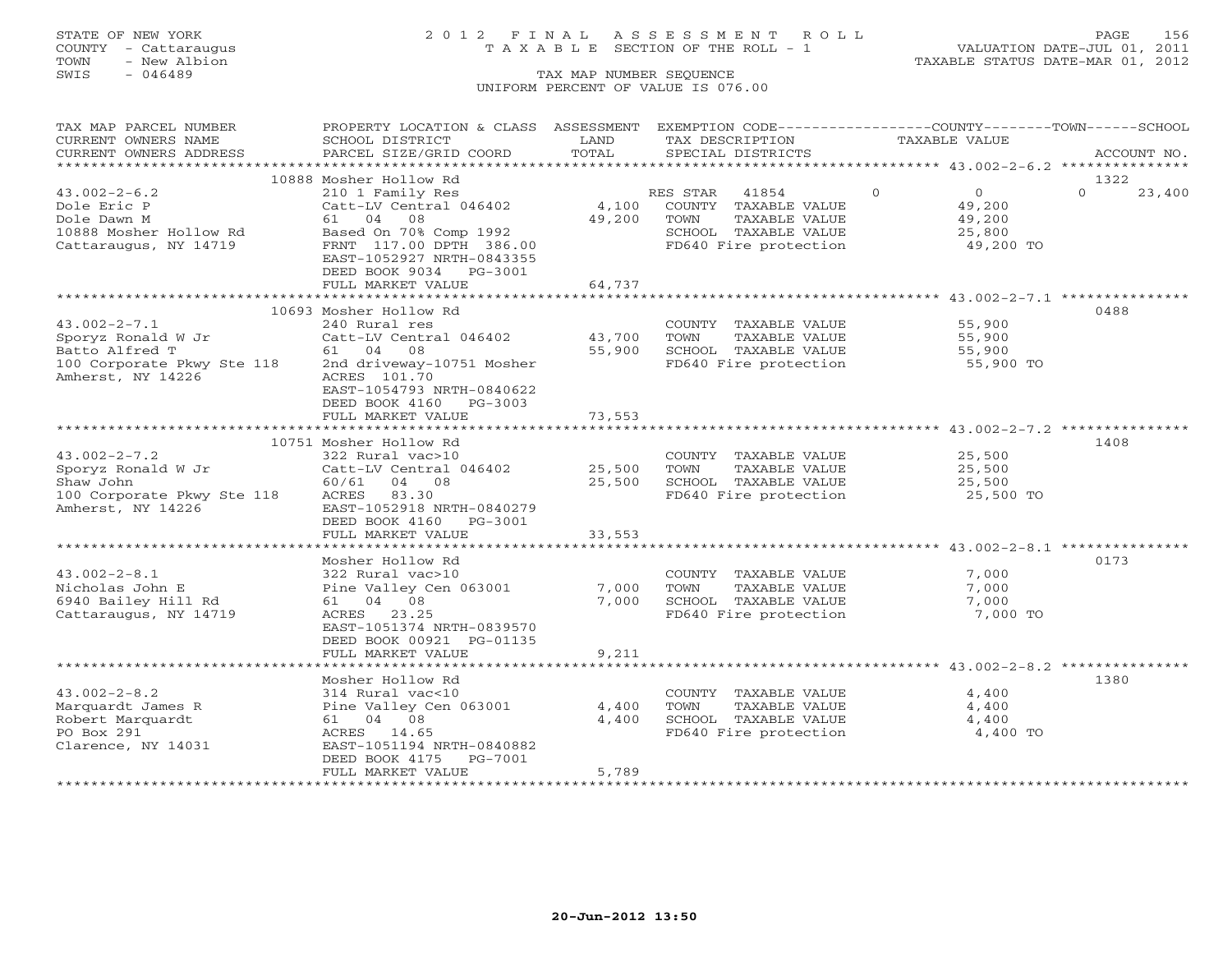# STATE OF NEW YORK 2 0 1 2 F I N A L A S S E S S M E N T R O L L PAGE 156 COUNTY - Cattaraugus T A X A B L E SECTION OF THE ROLL - 1 VALUATION DATE-JUL 01, 2011

| TAX MAP PARCEL NUMBER<br>CURRENT OWNERS NAME                                                                  | PROPERTY LOCATION & CLASS ASSESSMENT<br>SCHOOL DISTRICT                                                                       | LAND             | TAX DESCRIPTION                                                                                | EXEMPTION CODE-----------------COUNTY-------TOWN------SCHOOL<br><b>TAXABLE VALUE</b> |                    |
|---------------------------------------------------------------------------------------------------------------|-------------------------------------------------------------------------------------------------------------------------------|------------------|------------------------------------------------------------------------------------------------|--------------------------------------------------------------------------------------|--------------------|
| CURRENT OWNERS ADDRESS                                                                                        | PARCEL SIZE/GRID COORD                                                                                                        | TOTAL            | SPECIAL DISTRICTS                                                                              |                                                                                      | ACCOUNT NO.        |
| *********************                                                                                         |                                                                                                                               |                  |                                                                                                |                                                                                      |                    |
|                                                                                                               | 10888 Mosher Hollow Rd                                                                                                        |                  |                                                                                                |                                                                                      | 1322               |
| $43.002 - 2 - 6.2$<br>Dole Eric P<br>Dole Dawn M<br>10888 Mosher Hollow Rd                                    | 210 1 Family Res<br>Catt-LV Central 046402<br>61 04 08<br>Based On 70% Comp 1992                                              | 4,100<br>49,200  | RES STAR<br>41854<br>COUNTY TAXABLE VALUE<br>TOWN<br>TAXABLE VALUE<br>SCHOOL TAXABLE VALUE     | $\Omega$<br>$\circ$<br>49,200<br>49,200<br>25,800                                    | $\Omega$<br>23,400 |
| Cattaraugus, NY 14719                                                                                         | FRNT 117.00 DPTH 386.00<br>EAST-1052927 NRTH-0843355<br>DEED BOOK 9034 PG-3001<br>FULL MARKET VALUE                           | 64,737           | FD640 Fire protection                                                                          | 49,200 TO                                                                            |                    |
|                                                                                                               |                                                                                                                               |                  |                                                                                                |                                                                                      |                    |
|                                                                                                               | 10693 Mosher Hollow Rd                                                                                                        |                  |                                                                                                |                                                                                      | 0488               |
| $43.002 - 2 - 7.1$<br>Sporyz Ronald W Jr<br>Batto Alfred T<br>100 Corporate Pkwy Ste 118<br>Amherst, NY 14226 | 240 Rural res<br>Catt-LV Central 046402<br>61 04 08<br>2nd driveway-10751 Mosher<br>ACRES 101.70<br>EAST-1054793 NRTH-0840622 | 43,700<br>55,900 | COUNTY TAXABLE VALUE<br>TOWN<br>TAXABLE VALUE<br>SCHOOL TAXABLE VALUE<br>FD640 Fire protection | 55,900<br>55,900<br>55,900<br>55,900 TO                                              |                    |
|                                                                                                               | DEED BOOK 4160<br>PG-3003<br>FULL MARKET VALUE                                                                                | 73,553           |                                                                                                |                                                                                      |                    |
|                                                                                                               |                                                                                                                               |                  |                                                                                                |                                                                                      |                    |
| $43.002 - 2 - 7.2$                                                                                            | 10751 Mosher Hollow Rd<br>322 Rural vac>10                                                                                    |                  | COUNTY TAXABLE VALUE                                                                           | 25,500                                                                               | 1408               |
| Sporyz Ronald W Jr                                                                                            | Catt-LV Central 046402                                                                                                        | 25,500           | TOWN<br>TAXABLE VALUE                                                                          | 25,500                                                                               |                    |
| Shaw John                                                                                                     | 60/61 04 08                                                                                                                   | 25,500           | SCHOOL TAXABLE VALUE                                                                           | 25,500                                                                               |                    |
| 100 Corporate Pkwy Ste 118                                                                                    | ACRES 83.30                                                                                                                   |                  | FD640 Fire protection                                                                          | 25,500 TO                                                                            |                    |
| Amherst, NY 14226                                                                                             | EAST-1052918 NRTH-0840279<br>DEED BOOK 4160<br>PG-3001<br>FULL MARKET VALUE                                                   |                  |                                                                                                |                                                                                      |                    |
|                                                                                                               |                                                                                                                               | 33,553           |                                                                                                |                                                                                      |                    |
|                                                                                                               | Mosher Hollow Rd                                                                                                              |                  |                                                                                                |                                                                                      | 0173               |
| $43.002 - 2 - 8.1$<br>Nicholas John E<br>6940 Bailey Hill Rd<br>Cattaraugus, NY 14719                         | 322 Rural vac>10<br>Pine Valley Cen 063001<br>61 04 08<br>23.25<br>ACRES<br>EAST-1051374 NRTH-0839570                         | 7,000<br>7,000   | COUNTY TAXABLE VALUE<br>TAXABLE VALUE<br>TOWN<br>SCHOOL TAXABLE VALUE<br>FD640 Fire protection | 7,000<br>7,000<br>7,000<br>7,000 TO                                                  |                    |
|                                                                                                               | DEED BOOK 00921 PG-01135<br>FULL MARKET VALUE                                                                                 | 9,211            |                                                                                                |                                                                                      |                    |
|                                                                                                               | **********************                                                                                                        |                  |                                                                                                | ********************* 43.002-2-8.2 ***************                                   |                    |
|                                                                                                               | Mosher Hollow Rd                                                                                                              |                  |                                                                                                |                                                                                      | 1380               |
| $43.002 - 2 - 8.2$                                                                                            | 314 Rural vac<10                                                                                                              |                  | COUNTY TAXABLE VALUE                                                                           | 4,400                                                                                |                    |
| Marquardt James R                                                                                             | Pine Valley Cen 063001                                                                                                        | 4,400            | TAXABLE VALUE<br>TOWN                                                                          | 4,400                                                                                |                    |
| Robert Marquardt                                                                                              | 61 04 08                                                                                                                      | 4,400            | SCHOOL TAXABLE VALUE                                                                           | 4,400                                                                                |                    |
| PO Box 291<br>Clarence, NY 14031                                                                              | ACRES 14.65<br>EAST-1051194 NRTH-0840882<br>DEED BOOK 4175<br>PG-7001<br>FULL MARKET VALUE                                    | 5,789            | FD640 Fire protection                                                                          | 4,400 TO                                                                             |                    |
|                                                                                                               |                                                                                                                               | ***********      |                                                                                                |                                                                                      |                    |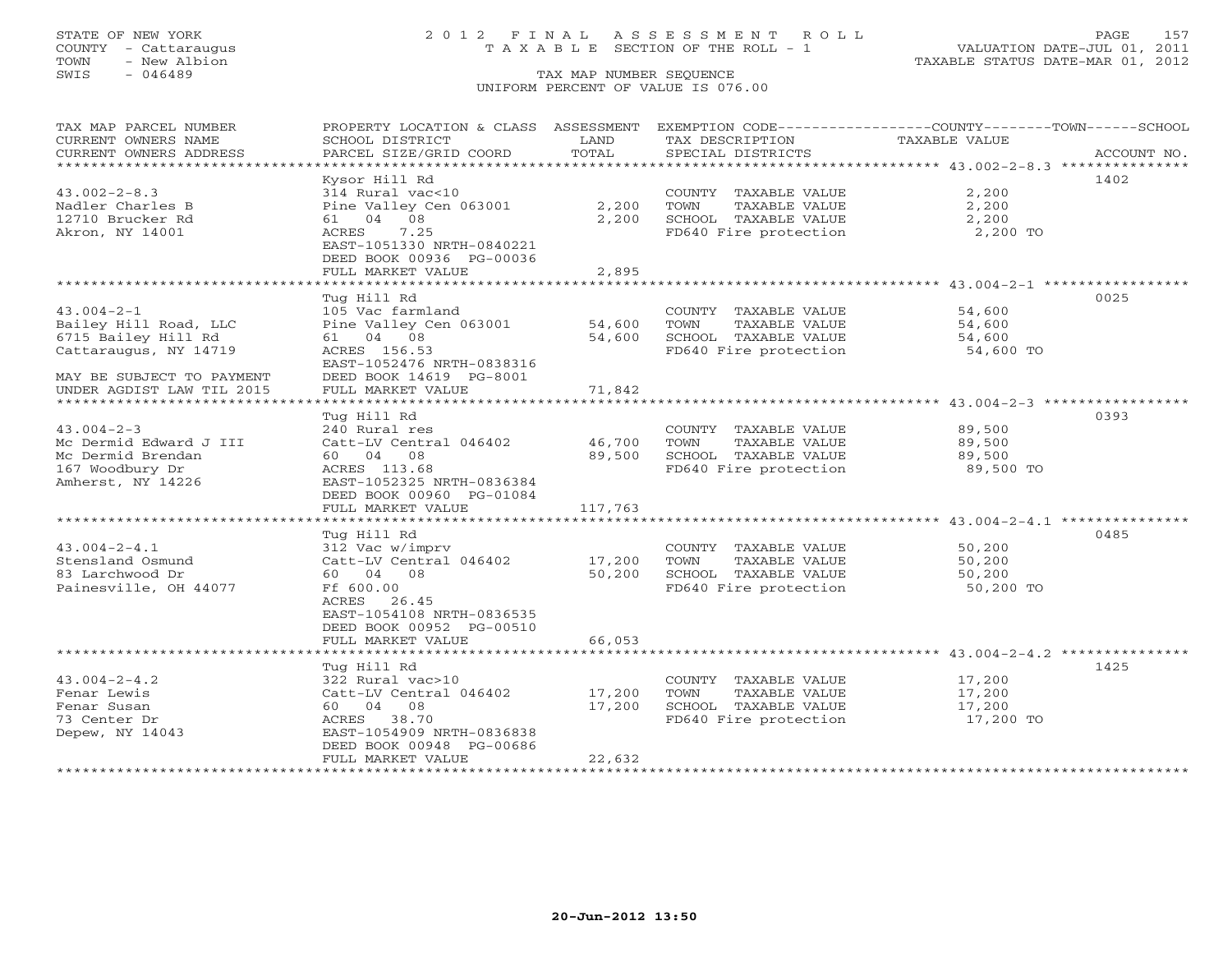# STATE OF NEW YORK 2 0 1 2 F I N A L A S S E S S M E N T R O L L PAGE 157 COUNTY - Cattaraugus T A X A B L E SECTION OF THE ROLL - 1 VALUATION DATE-JUL 01, 2011

| TAX MAP PARCEL NUMBER     | PROPERTY LOCATION & CLASS ASSESSMENT |         | EXEMPTION CODE-----------------COUNTY-------TOWN------SCHOOL |                      |             |
|---------------------------|--------------------------------------|---------|--------------------------------------------------------------|----------------------|-------------|
| CURRENT OWNERS NAME       | SCHOOL DISTRICT                      | LAND    | TAX DESCRIPTION                                              | <b>TAXABLE VALUE</b> |             |
| CURRENT OWNERS ADDRESS    | PARCEL SIZE/GRID COORD               | TOTAL   | SPECIAL DISTRICTS                                            |                      | ACCOUNT NO. |
|                           |                                      |         |                                                              |                      |             |
|                           | Kysor Hill Rd                        |         |                                                              |                      | 1402        |
| $43.002 - 2 - 8.3$        | 314 Rural vac<10                     |         | COUNTY TAXABLE VALUE                                         | 2,200                |             |
| Nadler Charles B          | Pine Valley Cen 063001               | 2,200   | TOWN<br>TAXABLE VALUE                                        | 2,200                |             |
| 12710 Brucker Rd          | 61 04 08                             | 2,200   | SCHOOL TAXABLE VALUE                                         | 2,200                |             |
| Akron, NY 14001           | 7.25<br>ACRES                        |         | FD640 Fire protection                                        | 2,200 TO             |             |
|                           | EAST-1051330 NRTH-0840221            |         |                                                              |                      |             |
|                           | DEED BOOK 00936 PG-00036             |         |                                                              |                      |             |
|                           | FULL MARKET VALUE                    | 2,895   |                                                              |                      |             |
|                           |                                      |         |                                                              |                      |             |
|                           | Tug Hill Rd                          |         |                                                              |                      | 0025        |
| $43.004 - 2 - 1$          | 105 Vac farmland                     |         | COUNTY TAXABLE VALUE                                         | 54,600               |             |
| Bailey Hill Road, LLC     | Pine Valley Cen 063001               | 54,600  | TOWN<br>TAXABLE VALUE                                        | 54,600               |             |
| 6715 Bailey Hill Rd       | 61 04 08                             | 54,600  | SCHOOL TAXABLE VALUE                                         | 54,600               |             |
| Cattaraugus, NY 14719     | ACRES 156.53                         |         | FD640 Fire protection                                        | 54,600 TO            |             |
|                           | EAST-1052476 NRTH-0838316            |         |                                                              |                      |             |
| MAY BE SUBJECT TO PAYMENT | DEED BOOK 14619 PG-8001              |         |                                                              |                      |             |
| UNDER AGDIST LAW TIL 2015 | FULL MARKET VALUE                    | 71,842  |                                                              |                      |             |
|                           | Tug Hill Rd                          |         |                                                              |                      | 0393        |
| $43.004 - 2 - 3$          | 240 Rural res                        |         | COUNTY TAXABLE VALUE                                         | 89,500               |             |
| Mc Dermid Edward J III    | Catt-LV Central 046402               | 46,700  | TAXABLE VALUE<br>TOWN                                        | 89,500               |             |
| Mc Dermid Brendan         | 60 04 08                             | 89,500  | SCHOOL TAXABLE VALUE                                         | 89,500               |             |
| 167 Woodbury Dr           | ACRES 113.68                         |         | FD640 Fire protection                                        | 89,500 TO            |             |
| Amherst, NY 14226         | EAST-1052325 NRTH-0836384            |         |                                                              |                      |             |
|                           | DEED BOOK 00960 PG-01084             |         |                                                              |                      |             |
|                           | FULL MARKET VALUE                    | 117,763 |                                                              |                      |             |
|                           |                                      |         |                                                              |                      |             |
|                           | Tug Hill Rd                          |         |                                                              |                      | 0485        |
| $43.004 - 2 - 4.1$        | 312 Vac w/imprv                      |         | COUNTY TAXABLE VALUE                                         | 50,200               |             |
| Stensland Osmund          | Catt-LV Central 046402               | 17,200  | TAXABLE VALUE<br>TOWN                                        | 50,200               |             |
| 83 Larchwood Dr           | 60 04 08                             | 50,200  | SCHOOL TAXABLE VALUE                                         | 50,200               |             |
| Painesville, OH 44077     | Ff 600.00                            |         | FD640 Fire protection                                        | 50,200 TO            |             |
|                           | ACRES 26.45                          |         |                                                              |                      |             |
|                           | EAST-1054108 NRTH-0836535            |         |                                                              |                      |             |
|                           | DEED BOOK 00952 PG-00510             |         |                                                              |                      |             |
|                           | FULL MARKET VALUE                    | 66,053  |                                                              |                      |             |
|                           |                                      |         |                                                              |                      |             |
|                           | Tug Hill Rd                          |         |                                                              |                      | 1425        |
| $43.004 - 2 - 4.2$        | 322 Rural vac>10                     |         | COUNTY TAXABLE VALUE                                         | 17,200               |             |
| Fenar Lewis               | Catt-LV Central 046402               | 17,200  | TOWN<br>TAXABLE VALUE                                        | 17,200               |             |
| Fenar Susan               | 60 04 08                             | 17,200  | SCHOOL TAXABLE VALUE                                         | 17,200               |             |
| 73 Center Dr              | ACRES 38.70                          |         | FD640 Fire protection                                        | 17,200 TO            |             |
| Depew, NY 14043           | EAST-1054909 NRTH-0836838            |         |                                                              |                      |             |
|                           | DEED BOOK 00948 PG-00686             |         |                                                              |                      |             |
|                           | FULL MARKET VALUE                    | 22,632  |                                                              |                      |             |
|                           |                                      |         |                                                              |                      |             |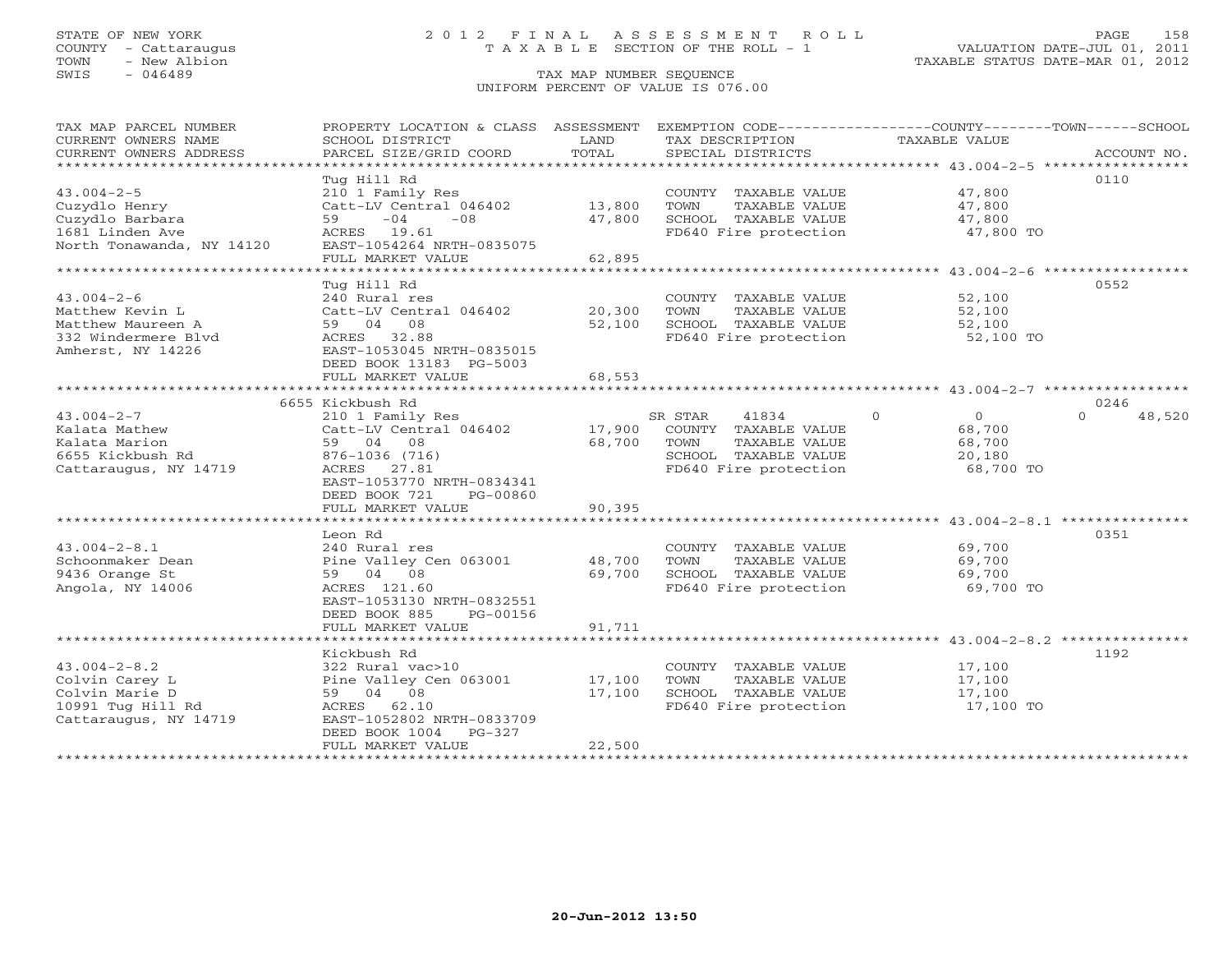# STATE OF NEW YORK 2 0 1 2 F I N A L A S S E S S M E N T R O L L PAGE 158 COUNTY - Cattaraugus T A X A B L E SECTION OF THE ROLL - 1 VALUATION DATE-JUL 01, 2011

| TAX MAP PARCEL NUMBER                         | PROPERTY LOCATION & CLASS ASSESSMENT        |               |                                      | EXEMPTION CODE-----------------COUNTY-------TOWN------SCHOOL |                    |
|-----------------------------------------------|---------------------------------------------|---------------|--------------------------------------|--------------------------------------------------------------|--------------------|
| CURRENT OWNERS NAME<br>CURRENT OWNERS ADDRESS | SCHOOL DISTRICT<br>PARCEL SIZE/GRID COORD   | LAND<br>TOTAL | TAX DESCRIPTION<br>SPECIAL DISTRICTS | <b>TAXABLE VALUE</b>                                         | ACCOUNT NO.        |
| ******************************                |                                             |               |                                      |                                                              |                    |
|                                               | Tug Hill Rd                                 |               |                                      |                                                              | 0110               |
| $43.004 - 2 - 5$                              | 210 1 Family Res                            |               | COUNTY TAXABLE VALUE                 | 47,800                                                       |                    |
| Cuzydlo Henry                                 | Catt-LV Central 046402                      | 13,800        | TOWN<br>TAXABLE VALUE                | 47,800                                                       |                    |
| Cuzydlo Barbara                               | $-04$<br>$-08$<br>59                        | 47,800        | SCHOOL TAXABLE VALUE                 | 47,800                                                       |                    |
| 1681 Linden Ave                               | ACRES 19.61                                 |               | FD640 Fire protection                | 47,800 TO                                                    |                    |
| North Tonawanda, NY 14120                     | EAST-1054264 NRTH-0835075                   |               |                                      |                                                              |                    |
| ************************                      | FULL MARKET VALUE                           | 62,895        |                                      |                                                              |                    |
|                                               | Tug Hill Rd                                 |               |                                      |                                                              | 0552               |
| $43.004 - 2 - 6$                              | 240 Rural res                               |               | COUNTY TAXABLE VALUE                 | 52,100                                                       |                    |
| Matthew Kevin L                               | Catt-LV Central 046402                      | 20,300        | TOWN<br>TAXABLE VALUE                | 52,100                                                       |                    |
| Matthew Maureen A                             | 59 04 08                                    | 52,100        | SCHOOL TAXABLE VALUE                 | 52,100                                                       |                    |
| 332 Windermere Blvd                           | ACRES 32.88                                 |               | FD640 Fire protection                | 52,100 TO                                                    |                    |
| Amherst, NY 14226                             | EAST-1053045 NRTH-0835015                   |               |                                      |                                                              |                    |
|                                               | DEED BOOK 13183 PG-5003                     |               |                                      |                                                              |                    |
|                                               | FULL MARKET VALUE                           | 68,553        |                                      |                                                              |                    |
|                                               |                                             |               |                                      |                                                              |                    |
|                                               | 6655 Kickbush Rd                            |               |                                      |                                                              | 0246               |
| $43.004 - 2 - 7$                              | 210 1 Family Res                            |               | 41834<br>SR STAR                     | $\Omega$<br>$\Omega$                                         | $\Omega$<br>48,520 |
| Kalata Mathew                                 | Catt-LV Central 046402                      | 17,900        | COUNTY TAXABLE VALUE                 | 68,700                                                       |                    |
| Kalata Marion                                 | 59 04 08                                    | 68,700        | TOWN<br>TAXABLE VALUE                | 68,700                                                       |                    |
| 6655 Kickbush Rd                              | 876-1036 (716)                              |               | SCHOOL TAXABLE VALUE                 | 20,180                                                       |                    |
| Cattaraugus, NY 14719                         | ACRES<br>27.81<br>EAST-1053770 NRTH-0834341 |               | FD640 Fire protection                | 68,700 TO                                                    |                    |
|                                               | DEED BOOK 721<br>PG-00860                   |               |                                      |                                                              |                    |
|                                               | FULL MARKET VALUE                           | 90,395        |                                      |                                                              |                    |
|                                               |                                             |               |                                      |                                                              |                    |
|                                               | Leon Rd                                     |               |                                      |                                                              | 0351               |
| $43.004 - 2 - 8.1$                            | 240 Rural res                               |               | COUNTY TAXABLE VALUE                 | 69,700                                                       |                    |
| Schoonmaker Dean                              | Pine Valley Cen 063001                      | 48,700        | TOWN<br>TAXABLE VALUE                | 69,700                                                       |                    |
| 9436 Orange St                                | 59 04 08                                    | 69,700        | SCHOOL TAXABLE VALUE                 | 69,700                                                       |                    |
| Angola, NY 14006                              | ACRES 121.60                                |               | FD640 Fire protection                | 69,700 TO                                                    |                    |
|                                               | EAST-1053130 NRTH-0832551                   |               |                                      |                                                              |                    |
|                                               | DEED BOOK 885<br>PG-00156                   |               |                                      |                                                              |                    |
|                                               | FULL MARKET VALUE                           | 91,711        |                                      |                                                              |                    |
|                                               |                                             |               |                                      |                                                              |                    |
| $43.004 - 2 - 8.2$                            | Kickbush Rd<br>322 Rural vac>10             |               | COUNTY TAXABLE VALUE                 | 17,100                                                       | 1192               |
| Colvin Carey L                                | Pine Valley Cen 063001                      | 17,100        | TOWN<br>TAXABLE VALUE                | 17,100                                                       |                    |
| Colvin Marie D                                | 59 04 08                                    | 17,100        | SCHOOL TAXABLE VALUE                 | 17,100                                                       |                    |
| 10991 Tug Hill Rd                             | ACRES 62.10                                 |               | FD640 Fire protection                | 17,100 TO                                                    |                    |
| Cattaraugus, NY 14719                         | EAST-1052802 NRTH-0833709                   |               |                                      |                                                              |                    |
|                                               | $PG-327$<br>DEED BOOK 1004                  |               |                                      |                                                              |                    |
|                                               | FULL MARKET VALUE                           | 22,500        |                                      |                                                              |                    |
| ********************                          |                                             |               |                                      |                                                              |                    |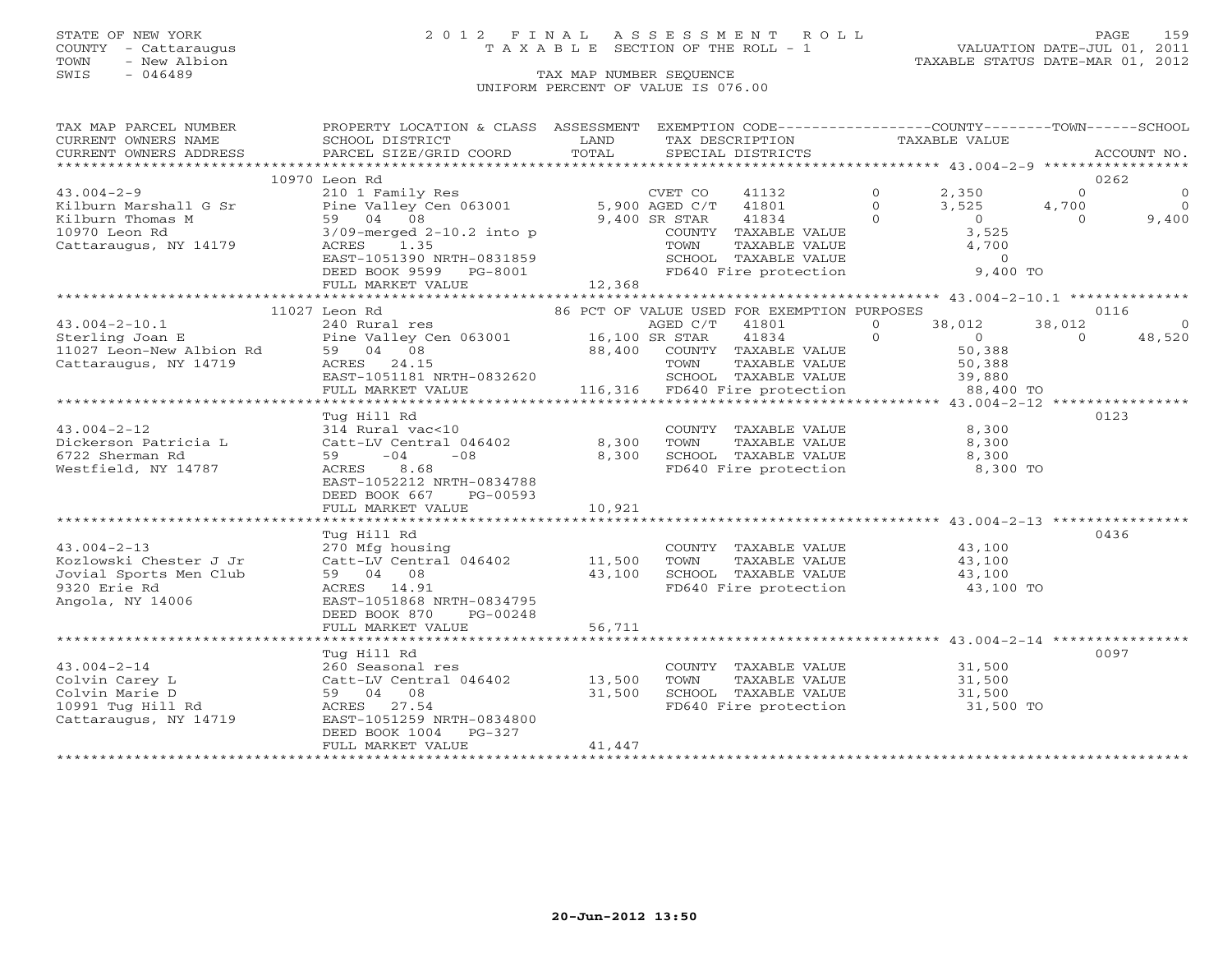# STATE OF NEW YORK 2 0 1 2 F I N A L A S S E S S M E N T R O L L PAGE 159 COUNTY - Cattaraugus T A X A B L E SECTION OF THE ROLL - 1 VALUATION DATE-JUL 01, 2011

TOWN - New Albion TAXABLE STATUS DATE-MAR 01, 2012

| TAX MAP PARCEL NUMBER                                                                                                                                                                                                                                      | PROPERTY LOCATION & CLASS ASSESSMENT EXEMPTION CODE----------------COUNTY-------TOWN------SCHOOL                                                                   |                      |                               |                                                                                                                        |          |          |                |
|------------------------------------------------------------------------------------------------------------------------------------------------------------------------------------------------------------------------------------------------------------|--------------------------------------------------------------------------------------------------------------------------------------------------------------------|----------------------|-------------------------------|------------------------------------------------------------------------------------------------------------------------|----------|----------|----------------|
| CURRENT OWNERS NAME                                                                                                                                                                                                                                        | SCHOOL DISTRICT                                                                                                                                                    | <b>EXAMPLE STATE</b> | TAX DESCRIPTION TAXABLE VALUE |                                                                                                                        |          |          |                |
| CURRENT OWNERS ADDRESS                                                                                                                                                                                                                                     | PARCEL SIZE/GRID COORD                                                                                                                                             | TOTAL                |                               | SPECIAL DISTRICTS                                                                                                      |          |          | ACCOUNT NO.    |
|                                                                                                                                                                                                                                                            |                                                                                                                                                                    |                      |                               |                                                                                                                        |          |          |                |
|                                                                                                                                                                                                                                                            | 10970 Leon Rd                                                                                                                                                      |                      |                               |                                                                                                                        |          |          | 0262           |
| $43.004 - 2 - 9$                                                                                                                                                                                                                                           | 210 1 Family Res                                                                                                                                                   |                      |                               | CVET CO 41132 0 2,350                                                                                                  |          | $\Omega$ | $\overline{0}$ |
|                                                                                                                                                                                                                                                            |                                                                                                                                                                    |                      |                               |                                                                                                                        |          |          | $\overline{0}$ |
|                                                                                                                                                                                                                                                            |                                                                                                                                                                    |                      |                               |                                                                                                                        |          | $\Omega$ | 9,400          |
| Xilburn Marshall G Sr<br>Xilburn Thomas M<br>Xilburn Thomas M<br>Sp 04 08<br>3/09-merged 2-10.2 into p<br>Cattaraugus, NY 14179<br>Cattaraugus, NY 14179<br>ACRES 1.35<br>Cattaraugus, NY 14179<br>ACRES 1.35<br>Cattaraugus, NY 14179<br>ACRES 1.35       |                                                                                                                                                                    |                      |                               | COUNTY TAXABLE VALUE 3,525<br>TOWN TAXABLE VALUE 3,525<br>SCHOOL TAXABLE VALUE 4,700<br>FD640 Fire protection 9,400 TO |          |          |                |
|                                                                                                                                                                                                                                                            |                                                                                                                                                                    |                      |                               |                                                                                                                        |          |          |                |
|                                                                                                                                                                                                                                                            | EAST-1051390 NRTH-0831859<br>DEED BOOK 9599 PG-8001                                                                                                                |                      |                               |                                                                                                                        |          |          |                |
|                                                                                                                                                                                                                                                            |                                                                                                                                                                    |                      |                               |                                                                                                                        |          |          |                |
|                                                                                                                                                                                                                                                            |                                                                                                                                                                    |                      |                               |                                                                                                                        |          |          |                |
|                                                                                                                                                                                                                                                            |                                                                                                                                                                    |                      |                               |                                                                                                                        |          |          |                |
|                                                                                                                                                                                                                                                            | 11027 Leon Rd                                                                                                                                                      |                      |                               | 86 PCT OF VALUE USED FOR EXEMPTION PURPOSES                                                                            |          |          | 0116           |
| $43.004 - 2 - 10.1$<br>43.004-2-10.1 240 Rural res<br>Sterling Joan E Pine Valley Cen 063001 16,100 SR STAR 41801 0 38,012<br>11027 Leon-New Albion Rd 59 04 08 88,400 COUNTY TAXABLE VALUE 50,388<br>Cattaraugus, NY 14719 ACRES 24.15 TOWN TAXABLE VALUE |                                                                                                                                                                    |                      |                               | AGED C/T 41801 0 38,012                                                                                                |          | 38,012   | $\sim$ 0       |
|                                                                                                                                                                                                                                                            |                                                                                                                                                                    |                      |                               |                                                                                                                        |          | $\Omega$ | 48,520         |
|                                                                                                                                                                                                                                                            |                                                                                                                                                                    |                      |                               |                                                                                                                        |          |          |                |
|                                                                                                                                                                                                                                                            |                                                                                                                                                                    |                      |                               |                                                                                                                        |          |          |                |
|                                                                                                                                                                                                                                                            |                                                                                                                                                                    |                      |                               |                                                                                                                        |          |          |                |
|                                                                                                                                                                                                                                                            | ACRES 24.15 70WN TAXABLE VALUE 50,388<br>EAST-1051181 NRTH-0832620 50,388 SCHOOL TAXABLE VALUE 39,880<br>FULL MARKET VALUE 116,316 FD640 Fire protection 38,400 TO |                      |                               |                                                                                                                        |          |          |                |
|                                                                                                                                                                                                                                                            |                                                                                                                                                                    |                      |                               |                                                                                                                        |          |          |                |
|                                                                                                                                                                                                                                                            | Tug Hill Rd                                                                                                                                                        |                      |                               |                                                                                                                        |          |          | 0123           |
|                                                                                                                                                                                                                                                            |                                                                                                                                                                    |                      |                               |                                                                                                                        |          |          |                |
|                                                                                                                                                                                                                                                            |                                                                                                                                                                    |                      |                               |                                                                                                                        |          |          |                |
|                                                                                                                                                                                                                                                            |                                                                                                                                                                    |                      |                               |                                                                                                                        |          |          |                |
| Westfield, NY 14787                                                                                                                                                                                                                                        | ACRES 8.68                                                                                                                                                         |                      |                               | FD640 Fire protection                                                                                                  | 8,300 TO |          |                |
|                                                                                                                                                                                                                                                            | EAST-1052212 NRTH-0834788                                                                                                                                          |                      |                               |                                                                                                                        |          |          |                |
|                                                                                                                                                                                                                                                            | DEED BOOK 667 PG-00593                                                                                                                                             |                      |                               |                                                                                                                        |          |          |                |
|                                                                                                                                                                                                                                                            | FULL MARKET VALUE                                                                                                                                                  | 10,921               |                               |                                                                                                                        |          |          |                |
|                                                                                                                                                                                                                                                            |                                                                                                                                                                    |                      |                               |                                                                                                                        |          |          |                |
|                                                                                                                                                                                                                                                            | Tug Hill Rd                                                                                                                                                        |                      |                               |                                                                                                                        |          |          | 0436           |
| $43.004 - 2 - 13$                                                                                                                                                                                                                                          |                                                                                                                                                                    |                      |                               |                                                                                                                        |          |          |                |
| Kozlowski Chester J Jr                                                                                                                                                                                                                                     | 270 Mfg housing                COUNTY TAXABLE VALUE         43,100<br>Catt-LV Central 046402     11,500  TOWN  TAXABLE VALUE        43,100                         |                      |                               |                                                                                                                        |          |          |                |
| Jovial Sports Men Club                                                                                                                                                                                                                                     | 59 04 08                                                                                                                                                           |                      |                               |                                                                                                                        |          |          |                |
| 9320 Erie Rd                                                                                                                                                                                                                                               | ACRES 14.91                                                                                                                                                        |                      |                               | 43,100 SCHOOL TAXABLE VALUE 43,100<br>FD640 Fire protection 43,100 TO                                                  |          |          |                |
| Angola, NY 14006                                                                                                                                                                                                                                           | EAST-1051868 NRTH-0834795                                                                                                                                          |                      |                               |                                                                                                                        |          |          |                |
|                                                                                                                                                                                                                                                            | DEED BOOK 870 PG-00248                                                                                                                                             |                      |                               |                                                                                                                        |          |          |                |
|                                                                                                                                                                                                                                                            | FULL MARKET VALUE                                                                                                                                                  | 56,711               |                               |                                                                                                                        |          |          |                |
|                                                                                                                                                                                                                                                            |                                                                                                                                                                    |                      |                               |                                                                                                                        |          |          |                |
|                                                                                                                                                                                                                                                            | Tug Hill Rd                                                                                                                                                        |                      |                               |                                                                                                                        |          |          | 0097           |
| $43.004 - 2 - 14$                                                                                                                                                                                                                                          | 260 Seasonal res<br>Catt-LV Central 046402     13,500<br>59   04   08          31,500                                                                              |                      |                               | COUNTY TAXABLE VALUE 31,500                                                                                            |          |          |                |
| Colvin Carey L                                                                                                                                                                                                                                             |                                                                                                                                                                    |                      | TOWN                          | TAXABLE VALUE 31,500                                                                                                   |          |          |                |
|                                                                                                                                                                                                                                                            |                                                                                                                                                                    | 31,500               |                               | SCHOOL TAXABLE VALUE 31,500<br>FD640 Fire protection 31,500 TO                                                         |          |          |                |
|                                                                                                                                                                                                                                                            |                                                                                                                                                                    |                      |                               |                                                                                                                        |          |          |                |
|                                                                                                                                                                                                                                                            | EAST-1051259 NRTH-0834800                                                                                                                                          |                      |                               |                                                                                                                        |          |          |                |
|                                                                                                                                                                                                                                                            | DEED BOOK 1004 PG-327                                                                                                                                              |                      |                               |                                                                                                                        |          |          |                |
|                                                                                                                                                                                                                                                            | FULL MARKET VALUE                                                                                                                                                  | 41,447               |                               |                                                                                                                        |          |          |                |
|                                                                                                                                                                                                                                                            |                                                                                                                                                                    |                      |                               |                                                                                                                        |          |          |                |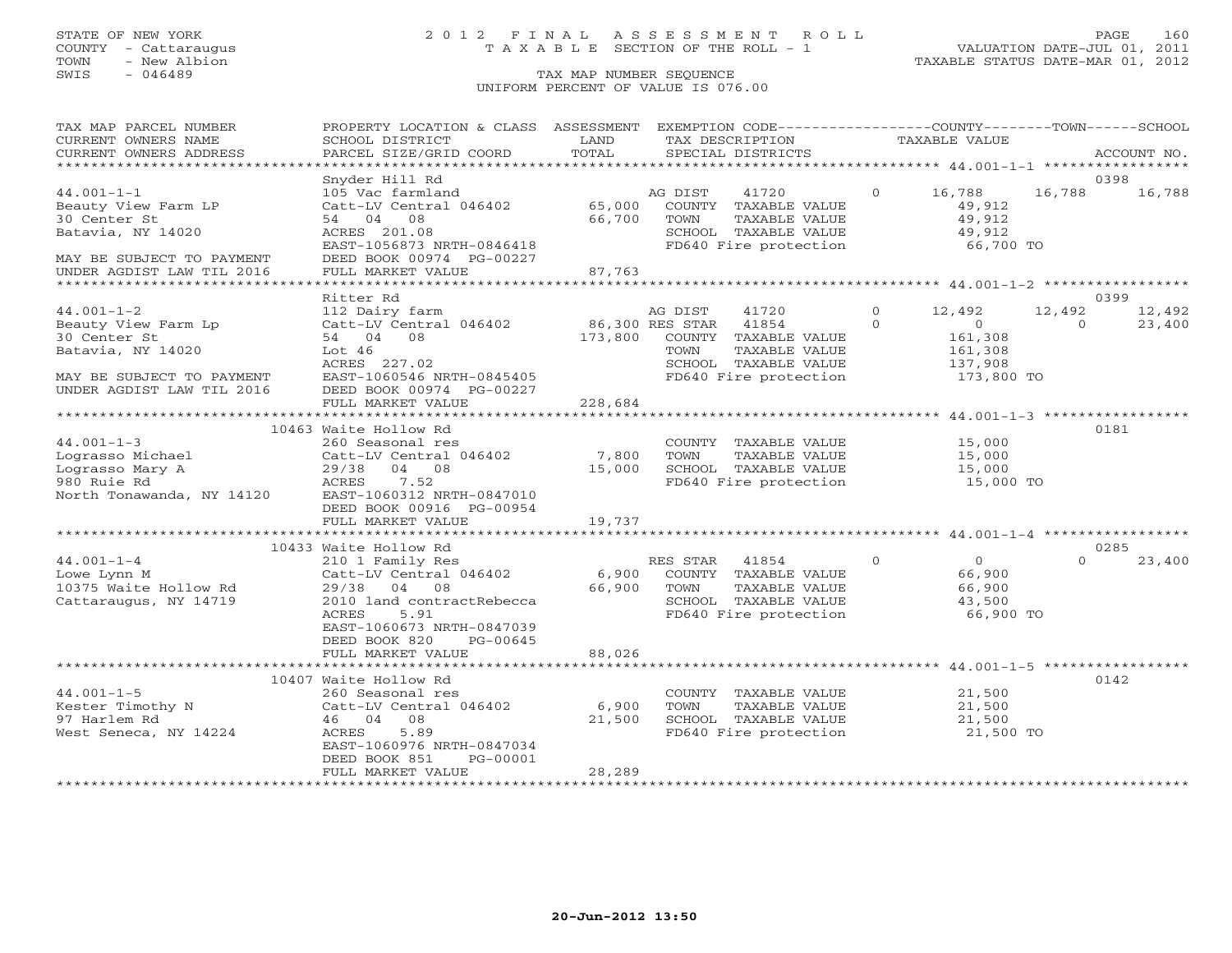# STATE OF NEW YORK 2 0 1 2 F I N A L A S S E S S M E N T R O L L PAGE 160 COUNTY - Cattaraugus T A X A B L E SECTION OF THE ROLL - 1 VALUATION DATE-JUL 01, 2011

| TAX MAP PARCEL NUMBER<br>CURRENT OWNERS NAME    | PROPERTY LOCATION & CLASS ASSESSMENT EXEMPTION CODE----------------COUNTY-------TOWN------SCHOOL<br>SCHOOL DISTRICT | LAND                  |                | TAX DESCRIPTION                                                 |                | TAXABLE VALUE       |                |               |
|-------------------------------------------------|---------------------------------------------------------------------------------------------------------------------|-----------------------|----------------|-----------------------------------------------------------------|----------------|---------------------|----------------|---------------|
| CURRENT OWNERS ADDRESS<br>********************* | PARCEL SIZE/GRID COORD                                                                                              | TOTAL                 |                | SPECIAL DISTRICTS                                               |                |                     |                | ACCOUNT NO.   |
|                                                 |                                                                                                                     |                       |                |                                                                 |                |                     |                |               |
|                                                 | Snyder Hill Rd                                                                                                      |                       |                |                                                                 |                |                     |                | 0398          |
| $44.001 - 1 - 1$                                | 105 Vac farmland                                                                                                    |                       | AG DIST        | 41720                                                           | $\overline{0}$ | 16,788              |                | 16,788 16,788 |
| Beauty View Farm LP                             | Catt-LV Central 046402                                                                                              |                       |                | 65,000 COUNTY TAXABLE VALUE                                     |                | 49,912              |                |               |
| 30 Center St                                    | 54 04 08                                                                                                            | 66,700                | TOWN           | TAXABLE VALUE                                                   |                | 49,912              |                |               |
| Batavia, NY 14020                               | ACRES 201.08                                                                                                        |                       |                | SCHOOL TAXABLE VALUE                                            |                | 49,912              |                |               |
|                                                 | EAST-1056873 NRTH-0846418                                                                                           |                       |                | FD640 Fire protection                                           |                | 66,700 TO           |                |               |
| MAY BE SUBJECT TO PAYMENT                       | DEED BOOK 00974 PG-00227                                                                                            |                       |                |                                                                 |                |                     |                |               |
| UNDER AGDIST LAW TIL 2016                       | FULL MARKET VALUE                                                                                                   | 87,763                |                |                                                                 |                |                     |                |               |
|                                                 |                                                                                                                     |                       |                |                                                                 |                |                     |                |               |
|                                                 | Ritter Rd                                                                                                           |                       |                |                                                                 |                |                     |                | 0399          |
| $44.001 - 1 - 2$                                | 112 Dairy farm                                                                                                      |                       | AG DIST        | 41720                                                           | $\Omega$       | 12,492              | 12,492         | 12,492        |
| Beauty View Farm Lp                             | Catt-LV Central 046402                                                                                              | 86,300 RES STAR 41854 |                |                                                                 | $\Omega$       | $\overline{0}$      | $\overline{0}$ | 23,400        |
| 30 Center St                                    | 54 04 08                                                                                                            |                       |                | 173,800 COUNTY TAXABLE VALUE                                    |                | 161,308             |                |               |
| Batavia, NY 14020                               | Lot $46$                                                                                                            |                       | TOWN           | TAXABLE VALUE                                                   |                | 161,308             |                |               |
|                                                 | ACRES 227.02                                                                                                        |                       |                | SCHOOL TAXABLE VALUE 137,908                                    |                |                     |                |               |
| MAY BE SUBJECT TO PAYMENT                       | EAST-1060546 NRTH-0845405                                                                                           |                       |                | FD640 Fire protection                                           |                | 173,800 TO          |                |               |
| UNDER AGDIST LAW TIL 2016                       | DEED BOOK 00974 PG-00227                                                                                            |                       |                |                                                                 |                |                     |                |               |
|                                                 | FULL MARKET VALUE                                                                                                   | 228,684               |                |                                                                 |                |                     |                |               |
|                                                 |                                                                                                                     |                       |                |                                                                 |                |                     |                |               |
|                                                 | 10463 Waite Hollow Rd                                                                                               |                       |                |                                                                 |                |                     |                | 0181          |
| $44.001 - 1 - 3$                                | 260 Seasonal res                                                                                                    |                       |                | COUNTY TAXABLE VALUE 15,000<br>TOWN TAXABLE VALUE 15,000        |                |                     |                |               |
| Lograsso Michael                                | Catt-LV Central 046402                                                                                              | 7,800                 |                |                                                                 |                |                     |                |               |
| Lograsso Mary A                                 | 29/38 04 08                                                                                                         | 15,000                |                | SCHOOL TAXABLE VALUE<br>FD640 Fire protection                   |                | 15,000<br>15,000 TO |                |               |
| 980 Ruie Rd                                     | ACRES 7.52                                                                                                          |                       |                |                                                                 |                |                     |                |               |
| North Tonawanda, NY 14120                       | EAST-1060312 NRTH-0847010                                                                                           |                       |                |                                                                 |                |                     |                |               |
|                                                 | DEED BOOK 00916 PG-00954                                                                                            |                       |                |                                                                 |                |                     |                |               |
|                                                 | FULL MARKET VALUE                                                                                                   | 19,737                |                |                                                                 |                |                     |                |               |
|                                                 |                                                                                                                     |                       |                |                                                                 |                |                     |                |               |
|                                                 | 10433 Waite Hollow Rd                                                                                               |                       |                |                                                                 | $\Omega$       |                     | $\Omega$       | 0285          |
| $44.001 - 1 - 4$                                | 210 1 Family Res                                                                                                    |                       | RES STAR 41854 |                                                                 |                | $\overline{0}$      |                | 23,400        |
| Lowe Lynn M                                     | Catt-LV Central 046402                                                                                              |                       |                | 6,900 COUNTY TAXABLE VALUE                                      |                | 66,900              |                |               |
| 10375 Waite Hollow Rd                           | 29/38 04 08                                                                                                         | 66,900 TOWN           |                | TAXABLE VALUE                                                   |                | 66,900              |                |               |
| Cattaraugus, NY 14719                           | 2010 land contractRebecca                                                                                           |                       |                | SCHOOL TAXABLE VALUE 43,500<br>FD640 Fire protection 66,900 TO  |                |                     |                |               |
|                                                 | ACRES<br>5.91                                                                                                       |                       |                |                                                                 |                |                     |                |               |
|                                                 | EAST-1060673 NRTH-0847039                                                                                           |                       |                |                                                                 |                |                     |                |               |
|                                                 | DEED BOOK 820<br>PG-00645                                                                                           |                       |                |                                                                 |                |                     |                |               |
|                                                 | FULL MARKET VALUE<br>***************************                                                                    | 88,026                |                | ********************************** 44.001-1-5 ***************** |                |                     |                |               |
|                                                 | 10407 Waite Hollow Rd                                                                                               |                       |                |                                                                 |                |                     |                | 0142          |
| $44.001 - 1 - 5$                                | 260 Seasonal res                                                                                                    |                       |                | COUNTY TAXABLE VALUE                                            |                | 21,500              |                |               |
| Kester Timothy N                                | Catt-LV Central 046402                                                                                              | 6,900                 | TOWN           | TAXABLE VALUE                                                   |                | 21,500              |                |               |
| 97 Harlem Rd                                    | 46 04 08                                                                                                            | 21,500                |                |                                                                 |                |                     |                |               |
| West Seneca, NY 14224                           | ACRES<br>5.89                                                                                                       |                       |                | SCHOOL TAXABLE VALUE<br>FD640 Fire protection                   |                | 21,500<br>21,500 TO |                |               |
|                                                 | EAST-1060976 NRTH-0847034                                                                                           |                       |                |                                                                 |                |                     |                |               |
|                                                 | DEED BOOK 851<br>PG-00001                                                                                           |                       |                |                                                                 |                |                     |                |               |
|                                                 | FULL MARKET VALUE                                                                                                   | 28,289                |                |                                                                 |                |                     |                |               |
|                                                 |                                                                                                                     |                       |                |                                                                 |                |                     |                |               |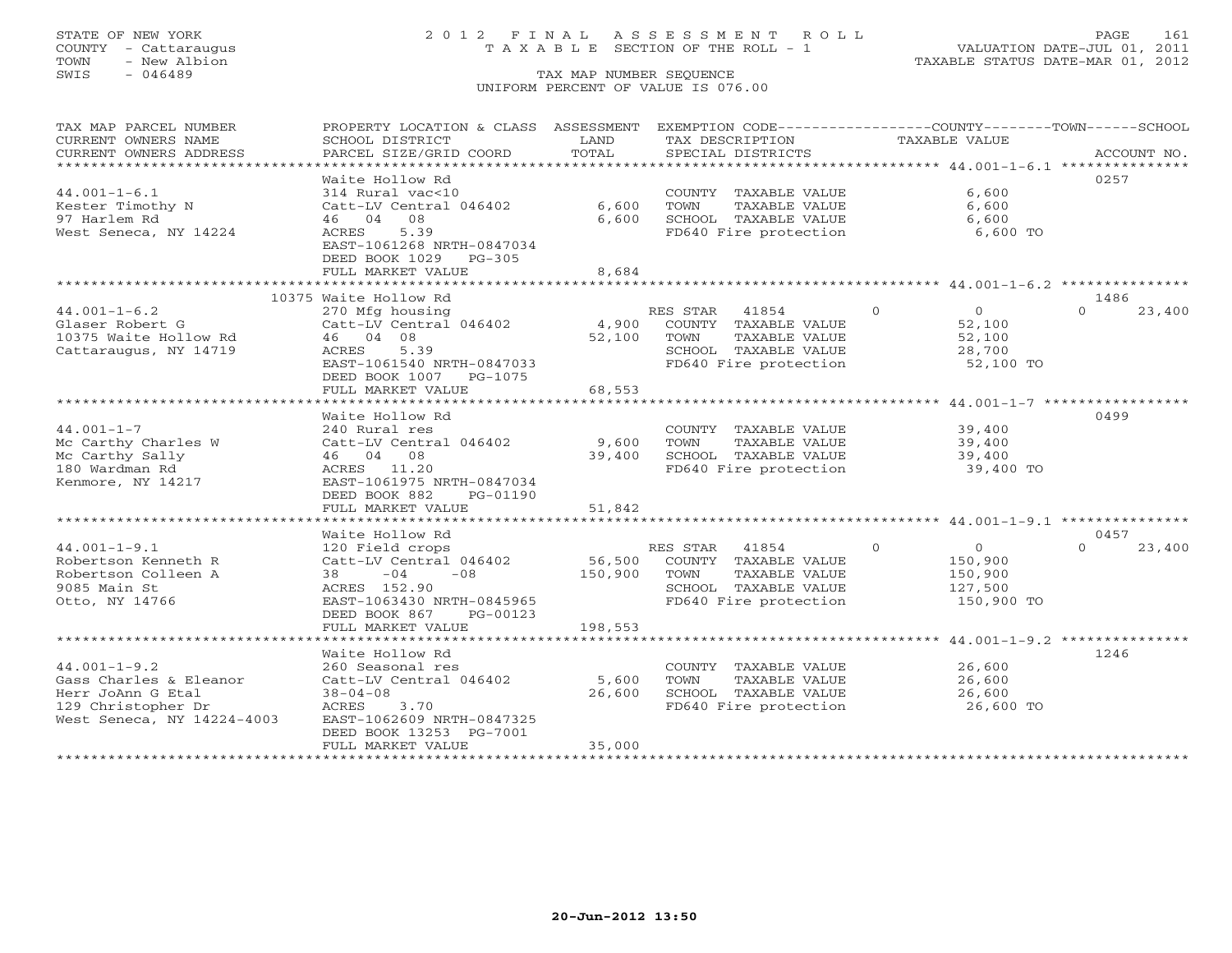# STATE OF NEW YORK 2 0 1 2 F I N A L A S S E S S M E N T R O L L PAGE 161 COUNTY - Cattaraugus T A X A B L E SECTION OF THE ROLL - 1 VALUATION DATE-JUL 01, 2011

| TAX MAP PARCEL NUMBER<br>CURRENT OWNERS NAME<br>CURRENT OWNERS ADDRESS                                                | PROPERTY LOCATION & CLASS ASSESSMENT EXEMPTION CODE----------------COUNTY-------TOWN------SCHOOL<br>SCHOOL DISTRICT<br>PARCEL SIZE/GRID COORD                  | LAND<br>TOTAL             | TAX DESCRIPTION<br>SPECIAL DISTRICTS                                                                                | <b>TAXABLE VALUE</b>                                                        | ACCOUNT NO.        |
|-----------------------------------------------------------------------------------------------------------------------|----------------------------------------------------------------------------------------------------------------------------------------------------------------|---------------------------|---------------------------------------------------------------------------------------------------------------------|-----------------------------------------------------------------------------|--------------------|
|                                                                                                                       | Waite Hollow Rd                                                                                                                                                |                           |                                                                                                                     |                                                                             | 0257               |
| $44.001 - 1 - 6.1$<br>Kester Timothy N<br>97 Harlem Rd<br>West Seneca, NY 14224                                       | 314 Rural vac<10<br>Catt-LV Central 046402<br>46 04 08<br>5.39<br>ACRES<br>EAST-1061268 NRTH-0847034                                                           | 6,600<br>6,600            | COUNTY TAXABLE VALUE<br>TOWN<br>TAXABLE VALUE<br>SCHOOL TAXABLE VALUE<br>FD640 Fire protection                      | 6,600<br>6,600<br>6,600<br>6,600 TO                                         |                    |
|                                                                                                                       | DEED BOOK 1029<br>$PG-305$<br>FULL MARKET VALUE                                                                                                                | 8,684                     |                                                                                                                     |                                                                             |                    |
|                                                                                                                       | 10375 Waite Hollow Rd                                                                                                                                          |                           |                                                                                                                     |                                                                             | 1486               |
| $44.001 - 1 - 6.2$<br>Glaser Robert G<br>10375 Waite Hollow Rd<br>Cattaraugus, NY 14719                               | 270 Mfg housing<br>Catt-LV Central 046402<br>46 04 08<br>ACRES<br>5.39<br>EAST-1061540 NRTH-0847033<br>DEED BOOK 1007<br>PG-1075<br>FULL MARKET VALUE          | 4,900<br>52,100<br>68,553 | RES STAR 41854<br>COUNTY TAXABLE VALUE<br>TOWN<br>TAXABLE VALUE<br>SCHOOL TAXABLE VALUE<br>FD640 Fire protection    | $\overline{0}$<br>$\overline{O}$<br>52,100<br>52,100<br>28,700<br>52,100 TO | $\Omega$<br>23,400 |
|                                                                                                                       | ************************<br>Waite Hollow Rd                                                                                                                    | ***********               |                                                                                                                     | ********************* 44.001-1-7 ******************                         | 0499               |
| $44.001 - 1 - 7$<br>Mc Carthy Charles W<br>Mc Carthy Sally<br>180 Wardman Rd<br>Kenmore, NY 14217                     | 240 Rural res<br>Catt-LV Central 046402<br>46 04 08<br>ACRES 11.20<br>EAST-1061975 NRTH-0847034<br>DEED BOOK 882<br>PG-01190                                   | 9,600<br>39,400           | COUNTY TAXABLE VALUE<br>TOWN<br>TAXABLE VALUE<br>SCHOOL TAXABLE VALUE<br>FD640 Fire protection                      | 39,400<br>39,400<br>39,400<br>39,400 TO                                     |                    |
|                                                                                                                       | FULL MARKET VALUE                                                                                                                                              | 51,842                    |                                                                                                                     |                                                                             |                    |
|                                                                                                                       |                                                                                                                                                                |                           |                                                                                                                     |                                                                             | 0457               |
| $44.001 - 1 - 9.1$<br>Robertson Kenneth R<br>Robertson Colleen A<br>9085 Main St<br>Otto, NY 14766                    | Waite Hollow Rd<br>120 Field crops<br>Catt-LV Central 046402<br>38<br>$-04$<br>$-08$<br>ACRES 152.90<br>EAST-1063430 NRTH-0845965<br>DEED BOOK 867<br>PG-00123 | 56,500<br>150,900         | RES STAR<br>41854<br>COUNTY TAXABLE VALUE<br>TAXABLE VALUE<br>TOWN<br>SCHOOL TAXABLE VALUE<br>FD640 Fire protection | $\Omega$<br>$\overline{O}$<br>150,900<br>150,900<br>127,500<br>150,900 TO   | 23,400<br>$\Omega$ |
|                                                                                                                       | FULL MARKET VALUE                                                                                                                                              | 198,553                   |                                                                                                                     |                                                                             |                    |
|                                                                                                                       | Waite Hollow Rd                                                                                                                                                |                           |                                                                                                                     |                                                                             | 1246               |
| $44.001 - 1 - 9.2$<br>Gass Charles & Eleanor<br>Herr JoAnn G Etal<br>129 Christopher Dr<br>West Seneca, NY 14224-4003 | 260 Seasonal res<br>Catt-LV Central 046402<br>$38 - 04 - 08$<br>ACRES<br>3.70<br>EAST-1062609 NRTH-0847325<br>DEED BOOK 13253 PG-7001                          | 5,600<br>26,600           | COUNTY TAXABLE VALUE<br>TOWN<br>TAXABLE VALUE<br>SCHOOL TAXABLE VALUE<br>FD640 Fire protection                      | 26,600<br>26,600<br>26,600<br>26,600 TO                                     |                    |
|                                                                                                                       | FULL MARKET VALUE                                                                                                                                              | 35,000                    |                                                                                                                     |                                                                             |                    |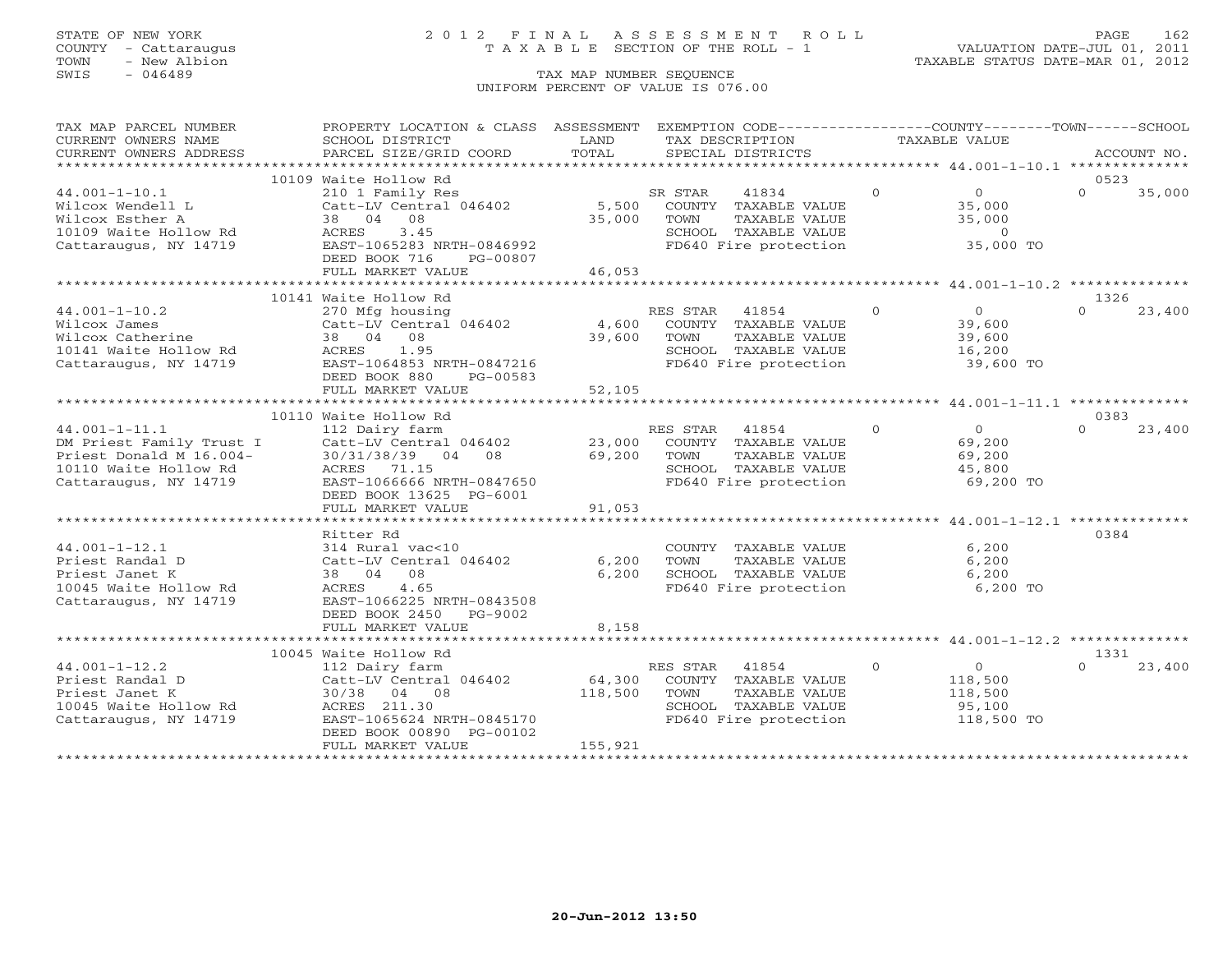# STATE OF NEW YORK 2 0 1 2 F I N A L A S S E S S M E N T R O L L PAGE 162 COUNTY - Cattaraugus T A X A B L E SECTION OF THE ROLL - 1 VALUATION DATE-JUL 01, 2011

| TAX MAP PARCEL NUMBER                                                                                                                                                                                                                  | PROPERTY LOCATION & CLASS ASSESSMENT EXEMPTION CODE----------------COUNTY-------TOWN------SCHOOL |         |                                                                |                                                         |                            |
|----------------------------------------------------------------------------------------------------------------------------------------------------------------------------------------------------------------------------------------|--------------------------------------------------------------------------------------------------|---------|----------------------------------------------------------------|---------------------------------------------------------|----------------------------|
| CURRENT OWNERS NAME                                                                                                                                                                                                                    | SCHOOL DISTRICT                                                                                  | LAND    | TAX DESCRIPTION                                                | TAXABLE VALUE                                           |                            |
| CURRENT OWNERS ADDRESS                                                                                                                                                                                                                 | PARCEL SIZE/GRID COORD                                                                           | TOTAL   | SPECIAL DISTRICTS                                              |                                                         | ACCOUNT NO.                |
|                                                                                                                                                                                                                                        |                                                                                                  |         |                                                                |                                                         |                            |
|                                                                                                                                                                                                                                        | 10109 Waite Hollow Rd                                                                            |         | 41834                                                          | $\Omega$<br>$\overline{0}$                              | 0523<br>$\Omega$<br>35,000 |
| $44.001 - 1 - 10.1$<br>Wilcox Wendell L                                                                                                                                                                                                | 210 1 Family Res<br>Catt-LV Central 046402                                                       |         | SR STAR<br>5,500 COUNTY TAXABLE VALUE                          |                                                         |                            |
| Wilcox Esther A                                                                                                                                                                                                                        | 38 04 08                                                                                         | 35,000  | TAXABLE VALUE<br>TAXABLE VALUE<br>TOWN                         | 35,000<br>35,000                                        |                            |
|                                                                                                                                                                                                                                        | <b>ACRES</b><br>3.45                                                                             |         |                                                                |                                                         |                            |
| 10109 Waite Hollow Rd<br>Cattaraugus, NY 14719                                                                                                                                                                                         | EAST-1065283 NRTH-0846992                                                                        |         | SCHOOL TAXABLE VALUE<br>FD640 Fire protection                  | $0$<br>35,000 TO                                        |                            |
|                                                                                                                                                                                                                                        | DEED BOOK 716<br>PG-00807                                                                        |         |                                                                |                                                         |                            |
|                                                                                                                                                                                                                                        | FULL MARKET VALUE                                                                                | 46,053  |                                                                |                                                         |                            |
|                                                                                                                                                                                                                                        | **************************                                                                       |         |                                                                | **************************44.001-1-10.2 *************** |                            |
|                                                                                                                                                                                                                                        | 10141 Waite Hollow Rd                                                                            |         |                                                                |                                                         | 1326                       |
| $44.001 - 1 - 10.2$                                                                                                                                                                                                                    | 270 Mfg housing                                                                                  |         | RES STAR<br>41854                                              | $\Omega$<br>0<br>39,600<br>39,600                       | $\Omega$<br>23,400         |
| Wilcox James<br>Wilcox Catherine                                                                                                                                                                                                       | Catt-LV Central 046402 4,600 COUNTY TAXABLE VALUE                                                |         |                                                                |                                                         |                            |
|                                                                                                                                                                                                                                        | 38 04 08                                                                                         | 39,600  | TAXABLE VALUE<br>TOWN                                          |                                                         |                            |
| 10141 Waite Hollow Rd               ACRES    1.95<br>Cattaraugus, NY 14719               EAST-1064853 NRTH-0847216                                                                                                                     |                                                                                                  |         | SCHOOL TAXABLE VALUE<br>FD640 Fire protection                  | 16,200                                                  |                            |
|                                                                                                                                                                                                                                        |                                                                                                  |         |                                                                | $39,600$ TO                                             |                            |
|                                                                                                                                                                                                                                        | DEED BOOK 880<br>PG-00583                                                                        |         |                                                                |                                                         |                            |
|                                                                                                                                                                                                                                        | FULL MARKET VALUE                                                                                | 52,105  |                                                                |                                                         |                            |
|                                                                                                                                                                                                                                        |                                                                                                  |         |                                                                |                                                         | 0383                       |
|                                                                                                                                                                                                                                        | 10110 Waite Hollow Rd                                                                            |         |                                                                | $rac{0}{60}$<br>$\overline{0}$                          | $\Omega$<br>23,400         |
|                                                                                                                                                                                                                                        |                                                                                                  |         |                                                                |                                                         |                            |
|                                                                                                                                                                                                                                        |                                                                                                  |         | TAXABLE VALUE                                                  |                                                         |                            |
|                                                                                                                                                                                                                                        |                                                                                                  |         |                                                                | 69,200<br>45,800                                        |                            |
| 112 Dairy farm<br>DM Priest Family Trust I Catt-LV Central 046402 23,000 COUNTY TAXABLE VALUE<br>Priest Donald M 16.004- 30/31/38/39 04 08 69,200 TOWN TAXABLE VALUE<br>10110 Waite Hollow Rd ACRES 71.15<br>Cattaraugus, NY 14719 EAS |                                                                                                  |         | SCHOOL TAXABLE VALUE 45,800<br>FD640 Fire protection 69,200 TO |                                                         |                            |
|                                                                                                                                                                                                                                        | DEED BOOK 13625 PG-6001                                                                          |         |                                                                |                                                         |                            |
|                                                                                                                                                                                                                                        | FULL MARKET VALUE                                                                                | 91,053  |                                                                |                                                         |                            |
|                                                                                                                                                                                                                                        |                                                                                                  |         |                                                                |                                                         |                            |
|                                                                                                                                                                                                                                        | Ritter Rd                                                                                        |         |                                                                |                                                         | 0384                       |
| $44.001 - 1 - 12.1$                                                                                                                                                                                                                    | 314 Rural vac<10                                                                                 |         | COUNTY TAXABLE VALUE<br>TOWN     TAXABLE VALUE                 | 6,200                                                   |                            |
| Priest Randal D                                                                                                                                                                                                                        | Catt-LV Central 046402                                                                           | 6,200   |                                                                | 6,200                                                   |                            |
| Priest Janet K                                                                                                                                                                                                                         | 38 04 08                                                                                         | 6,200   | SCHOOL TAXABLE VALUE                                           | 6,200                                                   |                            |
| 10045 Waite Hollow Rd                                                                                                                                                                                                                  | ACRES 4.65                                                                                       |         | FD640 Fire protection                                          | 6,200 TO                                                |                            |
| Cattaraugus, NY 14719                                                                                                                                                                                                                  | EAST-1066225 NRTH-0843508                                                                        |         |                                                                |                                                         |                            |
|                                                                                                                                                                                                                                        | DEED BOOK 2450 PG-9002                                                                           |         |                                                                |                                                         |                            |
|                                                                                                                                                                                                                                        | FULL MARKET VALUE                                                                                | 8,158   |                                                                |                                                         |                            |
|                                                                                                                                                                                                                                        | 10045 Waite Hollow Rd                                                                            |         |                                                                |                                                         | 1331                       |
| $44.001 - 1 - 12.2$                                                                                                                                                                                                                    | 112 Dairy farm                                                                                   |         | RES STAR 41854                                                 | $\Omega$<br>$\overline{O}$                              | $\cap$<br>23,400           |
| Priest Randal D                                                                                                                                                                                                                        |                                                                                                  | 64,300  | COUNTY TAXABLE VALUE                                           | 118,500                                                 |                            |
| Priest Janet K                                                                                                                                                                                                                         | Catt-LV Central $046402$<br>30/38 04 08                                                          | 118,500 | TOWN<br>TAXABLE VALUE                                          | 118,500                                                 |                            |
| 10045 Waite Hollow Rd                                                                                                                                                                                                                  | ACRES 211.30                                                                                     |         | SCHOOL TAXABLE VALUE                                           | 95,100                                                  |                            |
| Cattaraugus, NY 14719                                                                                                                                                                                                                  | EAST-1065624 NRTH-0845170                                                                        |         | FD640 Fire protection                                          | 118,500 TO                                              |                            |
|                                                                                                                                                                                                                                        | DEED BOOK 00890 PG-00102                                                                         |         |                                                                |                                                         |                            |
|                                                                                                                                                                                                                                        | FULL MARKET VALUE                                                                                | 155,921 |                                                                |                                                         |                            |
|                                                                                                                                                                                                                                        |                                                                                                  |         |                                                                |                                                         |                            |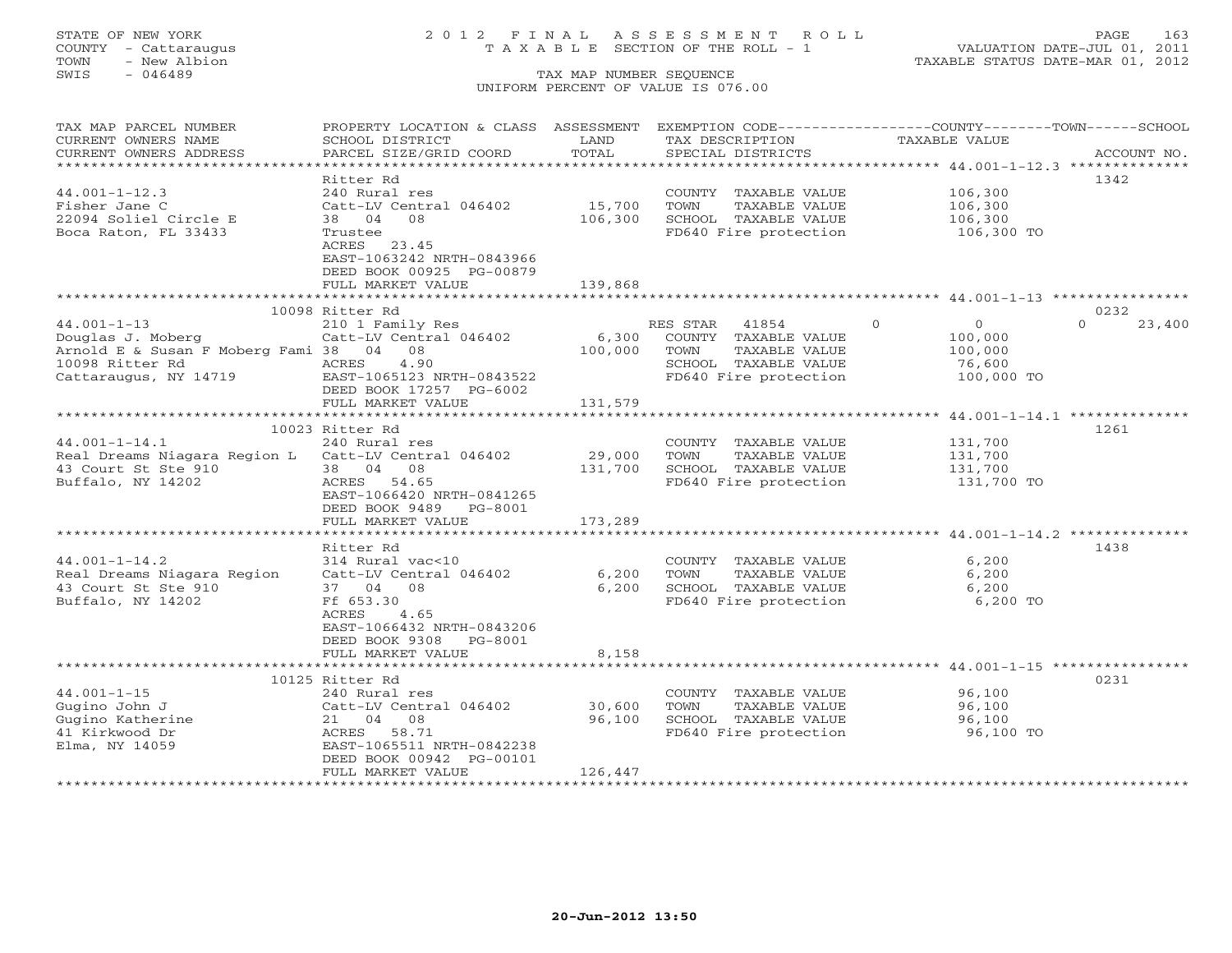# STATE OF NEW YORK 2 0 1 2 F I N A L A S S E S S M E N T R O L L PAGE 163 COUNTY - Cattaraugus T A X A B L E SECTION OF THE ROLL - 1 VALUATION DATE-JUL 01, 2011

| TAX MAP PARCEL NUMBER                               | PROPERTY LOCATION & CLASS ASSESSMENT EXEMPTION CODE----------------COUNTY-------TOWN------SCHOOL |         |                 |                       |          |               |                    |
|-----------------------------------------------------|--------------------------------------------------------------------------------------------------|---------|-----------------|-----------------------|----------|---------------|--------------------|
| CURRENT OWNERS NAME                                 | SCHOOL DISTRICT                                                                                  | LAND    | TAX DESCRIPTION |                       |          | TAXABLE VALUE |                    |
| CURRENT OWNERS ADDRESS                              | PARCEL SIZE/GRID COORD                                                                           | TOTAL   |                 | SPECIAL DISTRICTS     |          |               | ACCOUNT NO.        |
|                                                     |                                                                                                  |         |                 |                       |          |               |                    |
|                                                     | Ritter Rd                                                                                        |         |                 |                       |          |               | 1342               |
| $44.001 - 1 - 12.3$                                 | 240 Rural res                                                                                    |         |                 | COUNTY TAXABLE VALUE  |          | 106,300       |                    |
| Fisher Jane C                                       | Catt-LV Central 046402                                                                           | 15,700  | TOWN            | TAXABLE VALUE         |          | 106,300       |                    |
| 22094 Soliel Circle E                               | 08<br>38 04                                                                                      | 106,300 |                 | SCHOOL TAXABLE VALUE  |          | 106,300       |                    |
| Boca Raton, FL 33433                                | Trustee                                                                                          |         |                 | FD640 Fire protection |          | 106,300 TO    |                    |
|                                                     | ACRES 23.45                                                                                      |         |                 |                       |          |               |                    |
|                                                     | EAST-1063242 NRTH-0843966                                                                        |         |                 |                       |          |               |                    |
|                                                     | DEED BOOK 00925 PG-00879                                                                         | 139,868 |                 |                       |          |               |                    |
|                                                     | FULL MARKET VALUE                                                                                |         |                 |                       |          |               |                    |
|                                                     | 10098 Ritter Rd                                                                                  |         |                 |                       |          |               | 0232               |
| $44.001 - 1 - 13$                                   | 210 1 Family Res                                                                                 |         | RES STAR        | 41854                 | $\Omega$ | $\Omega$      | $\Omega$<br>23,400 |
| Douglas J. Moberg                                   | Catt-LV Central 046402                                                                           | 6,300   |                 | COUNTY TAXABLE VALUE  |          | 100,000       |                    |
| Arnold E & Susan F Moberg Fami 38 04 08             |                                                                                                  | 100,000 | TOWN            | TAXABLE VALUE         |          | 100,000       |                    |
| 10098 Ritter Rd                                     | ACRES<br>4.90                                                                                    |         |                 | SCHOOL TAXABLE VALUE  |          | 76,600        |                    |
| Cattaraugus, NY 14719                               | EAST-1065123 NRTH-0843522                                                                        |         |                 | FD640 Fire protection |          | 100,000 TO    |                    |
|                                                     | DEED BOOK 17257 PG-6002                                                                          |         |                 |                       |          |               |                    |
|                                                     | FULL MARKET VALUE                                                                                | 131,579 |                 |                       |          |               |                    |
|                                                     |                                                                                                  |         |                 |                       |          |               |                    |
|                                                     | 10023 Ritter Rd                                                                                  |         |                 |                       |          |               | 1261               |
| $44.001 - 1 - 14.1$                                 | 240 Rural res                                                                                    |         |                 | COUNTY TAXABLE VALUE  |          | 131,700       |                    |
| Real Dreams Niagara Region L Catt-LV Central 046402 |                                                                                                  | 29,000  | TOWN            | TAXABLE VALUE         |          | 131,700       |                    |
| 43 Court St Ste 910                                 | 38 04 08                                                                                         | 131,700 |                 | SCHOOL TAXABLE VALUE  |          | 131,700       |                    |
| Buffalo, NY 14202                                   | ACRES 54.65                                                                                      |         |                 | FD640 Fire protection |          | 131,700 TO    |                    |
|                                                     | EAST-1066420 NRTH-0841265                                                                        |         |                 |                       |          |               |                    |
|                                                     | DEED BOOK 9489 PG-8001                                                                           |         |                 |                       |          |               |                    |
|                                                     | FULL MARKET VALUE                                                                                | 173,289 |                 |                       |          |               |                    |
|                                                     |                                                                                                  |         |                 |                       |          |               |                    |
|                                                     | Ritter Rd                                                                                        |         |                 |                       |          |               | 1438               |
| $44.001 - 1 - 14.2$                                 | 314 Rural vac<10                                                                                 |         |                 | COUNTY TAXABLE VALUE  |          | 6,200         |                    |
| Real Dreams Niagara Region                          | Catt-LV Central 046402                                                                           | 6,200   | TOWN            | TAXABLE VALUE         |          | 6,200         |                    |
| 43 Court St Ste 910                                 | 37 04 08                                                                                         | 6,200   |                 | SCHOOL TAXABLE VALUE  |          | 6,200         |                    |
| Buffalo, NY 14202                                   | Ff 653.30                                                                                        |         |                 | FD640 Fire protection |          | 6,200 TO      |                    |
|                                                     | ACRES<br>4.65                                                                                    |         |                 |                       |          |               |                    |
|                                                     | EAST-1066432 NRTH-0843206                                                                        |         |                 |                       |          |               |                    |
|                                                     | DEED BOOK 9308<br>PG-8001                                                                        |         |                 |                       |          |               |                    |
|                                                     | FULL MARKET VALUE                                                                                | 8,158   |                 |                       |          |               |                    |
|                                                     |                                                                                                  |         |                 |                       |          |               |                    |
|                                                     | 10125 Ritter Rd                                                                                  |         |                 |                       |          |               | 0231               |
| $44.001 - 1 - 15$                                   | 240 Rural res                                                                                    |         |                 | COUNTY TAXABLE VALUE  |          | 96,100        |                    |
| Gugino John J                                       | Catt-LV Central 046402                                                                           | 30,600  | TOWN            | TAXABLE VALUE         |          | 96,100        |                    |
| Gugino Katherine                                    | 21 04 08                                                                                         | 96,100  |                 | SCHOOL TAXABLE VALUE  |          | 96,100        |                    |
| 41 Kirkwood Dr                                      | ACRES 58.71                                                                                      |         |                 | FD640 Fire protection |          | 96,100 TO     |                    |
| Elma, NY 14059                                      | EAST-1065511 NRTH-0842238                                                                        |         |                 |                       |          |               |                    |
|                                                     | DEED BOOK 00942 PG-00101                                                                         |         |                 |                       |          |               |                    |
|                                                     | FULL MARKET VALUE                                                                                | 126,447 |                 |                       |          |               |                    |
|                                                     |                                                                                                  |         |                 |                       |          |               |                    |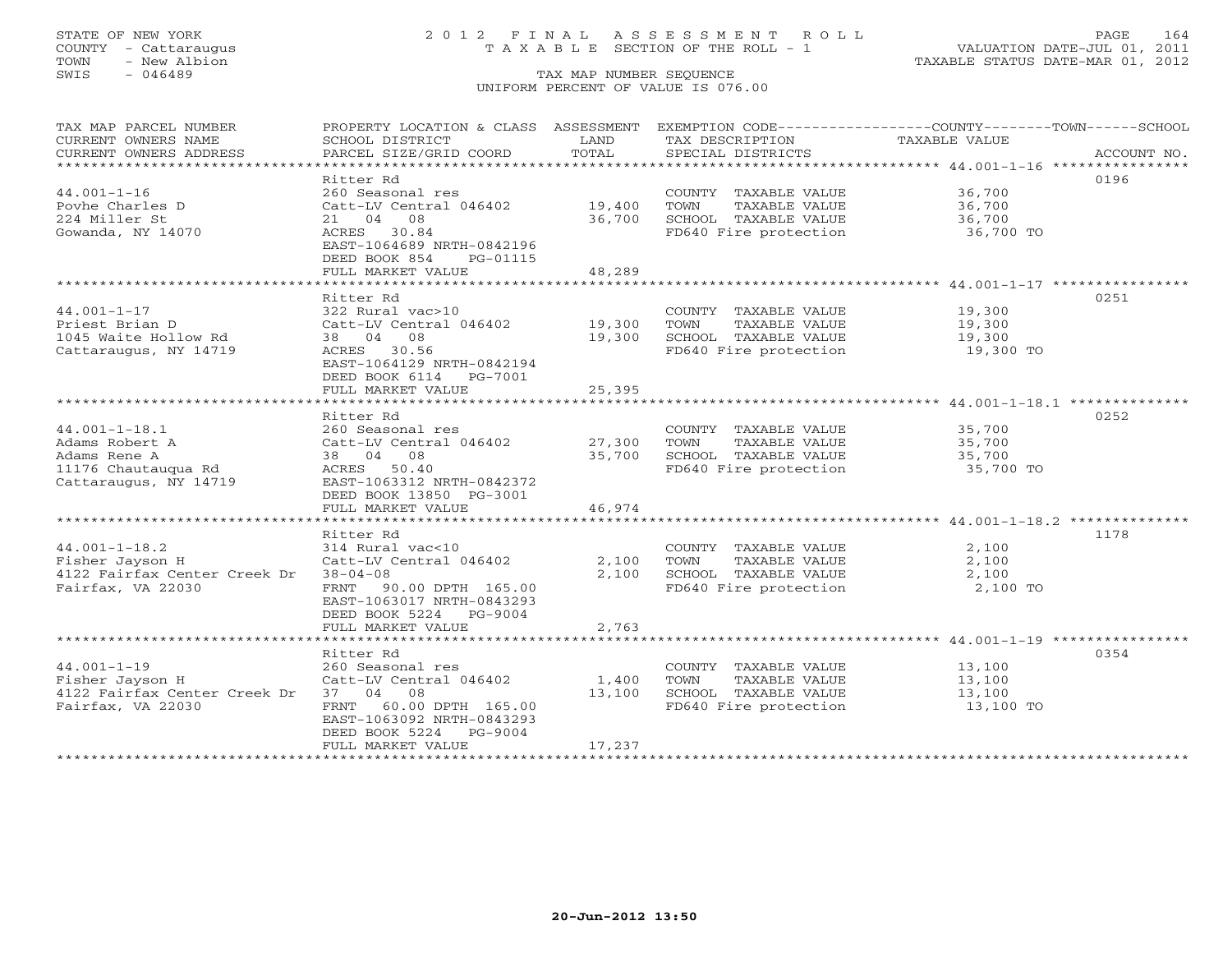# STATE OF NEW YORK 2 0 1 2 F I N A L A S S E S S M E N T R O L L PAGE 164 COUNTY - Cattaraugus T A X A B L E SECTION OF THE ROLL - 1 VALUATION DATE-JUL 01, 2011

TOWN - New Albion TAXABLE STATUS DATE-MAR 01, 2012

| TAX MAP PARCEL NUMBER        | PROPERTY LOCATION & CLASS ASSESSMENT |              | EXEMPTION CODE----------------COUNTY-------TOWN------SCHOOL |               |             |
|------------------------------|--------------------------------------|--------------|-------------------------------------------------------------|---------------|-------------|
| CURRENT OWNERS NAME          | SCHOOL DISTRICT                      | LAND         | TAX DESCRIPTION                                             | TAXABLE VALUE |             |
| CURRENT OWNERS ADDRESS       | PARCEL SIZE/GRID COORD               | TOTAL        | SPECIAL DISTRICTS                                           |               | ACCOUNT NO. |
|                              |                                      |              |                                                             |               |             |
|                              | Ritter Rd                            |              |                                                             |               | 0196        |
| $44.001 - 1 - 16$            | 260 Seasonal res                     |              | COUNTY TAXABLE VALUE                                        | 36,700        |             |
| Povhe Charles D              | Catt-LV Central 046402               | 19,400       | TOWN<br>TAXABLE VALUE                                       | 36,700        |             |
| 224 Miller St                | 21 04 08                             | 36,700       | SCHOOL TAXABLE VALUE                                        | 36,700        |             |
| Gowanda, NY 14070            | ACRES 30.84                          |              | FD640 Fire protection 36,700 TO                             |               |             |
|                              | EAST-1064689 NRTH-0842196            |              |                                                             |               |             |
|                              | DEED BOOK 854<br>PG-01115            |              |                                                             |               |             |
|                              | FULL MARKET VALUE                    | 48,289       |                                                             |               |             |
|                              |                                      | ************ |                                                             |               |             |
|                              | Ritter Rd                            |              |                                                             |               | 0251        |
| $44.001 - 1 - 17$            | 322 Rural vac>10                     |              | COUNTY TAXABLE VALUE 19,300                                 |               |             |
| Priest Brian D               | Catt-LV Central 046402               | 19,300       | TAXABLE VALUE<br>TOWN                                       | 19,300        |             |
| 1045 Waite Hollow Rd         | 38 04 08                             | 19,300       | SCHOOL TAXABLE VALUE                                        | 19,300        |             |
| Cattaraugus, NY 14719        | ACRES 30.56                          |              | FD640 Fire protection                                       | 19,300 TO     |             |
|                              | EAST-1064129 NRTH-0842194            |              |                                                             |               |             |
|                              | DEED BOOK 6114 PG-7001               |              |                                                             |               |             |
|                              | FULL MARKET VALUE                    | 25,395       |                                                             |               |             |
|                              |                                      |              |                                                             |               |             |
|                              | Ritter Rd                            |              |                                                             |               | 0252        |
| $44.001 - 1 - 18.1$          | 260 Seasonal res                     |              | COUNTY TAXABLE VALUE                                        | 35,700        |             |
| Adams Robert A               | Catt-LV Central 046402               | 27,300       | TOWN<br>TAXABLE VALUE                                       | 35,700        |             |
| Adams Rene A                 | 38 04 08                             | 35,700       | SCHOOL TAXABLE VALUE                                        | 35,700        |             |
| 11176 Chautauqua Rd          | ACRES 50.40                          |              | FD640 Fire protection                                       | 35,700 TO     |             |
| Cattaraugus, NY 14719        | EAST-1063312 NRTH-0842372            |              |                                                             |               |             |
|                              | DEED BOOK 13850 PG-3001              |              |                                                             |               |             |
|                              | FULL MARKET VALUE                    | 46,974       |                                                             |               |             |
|                              |                                      |              |                                                             |               |             |
|                              | Ritter Rd                            |              |                                                             |               | 1178        |
| $44.001 - 1 - 18.2$          | 314 Rural vac<10                     |              | COUNTY TAXABLE VALUE                                        | 2,100         |             |
| Fisher Jayson H              | Catt-LV Central 046402               | 2,100        | TAXABLE VALUE<br>TOWN                                       | 2,100         |             |
| 4122 Fairfax Center Creek Dr | $38 - 04 - 08$                       | 2,100        | SCHOOL TAXABLE VALUE                                        | 2,100         |             |
| Fairfax, VA 22030            | FRNT 90.00 DPTH 165.00               |              | FD640 Fire protection                                       | 2,100 TO      |             |
|                              | EAST-1063017 NRTH-0843293            |              |                                                             |               |             |
|                              | DEED BOOK 5224 PG-9004               |              |                                                             |               |             |
|                              | FULL MARKET VALUE                    | 2,763        |                                                             |               |             |
|                              |                                      |              |                                                             |               |             |
|                              | Ritter Rd                            |              |                                                             |               | 0354        |
| $44.001 - 1 - 19$            | 260 Seasonal res                     |              | COUNTY TAXABLE VALUE                                        | 13,100        |             |
| Fisher Jayson H              | Catt-LV Central 046402               | 1,400        | TAXABLE VALUE<br>TOWN                                       | 13,100        |             |
| 4122 Fairfax Center Creek Dr | 37 04 08                             | 13,100       | SCHOOL TAXABLE VALUE<br>FD640 Fire protection               | 13,100        |             |
| Fairfax, VA 22030            | 60.00 DPTH 165.00<br>FRNT            |              |                                                             | 13,100 TO     |             |
|                              | EAST-1063092 NRTH-0843293            |              |                                                             |               |             |
|                              | DEED BOOK 5224 PG-9004               |              |                                                             |               |             |
|                              | FULL MARKET VALUE                    | 17,237       |                                                             |               |             |
|                              |                                      |              |                                                             |               |             |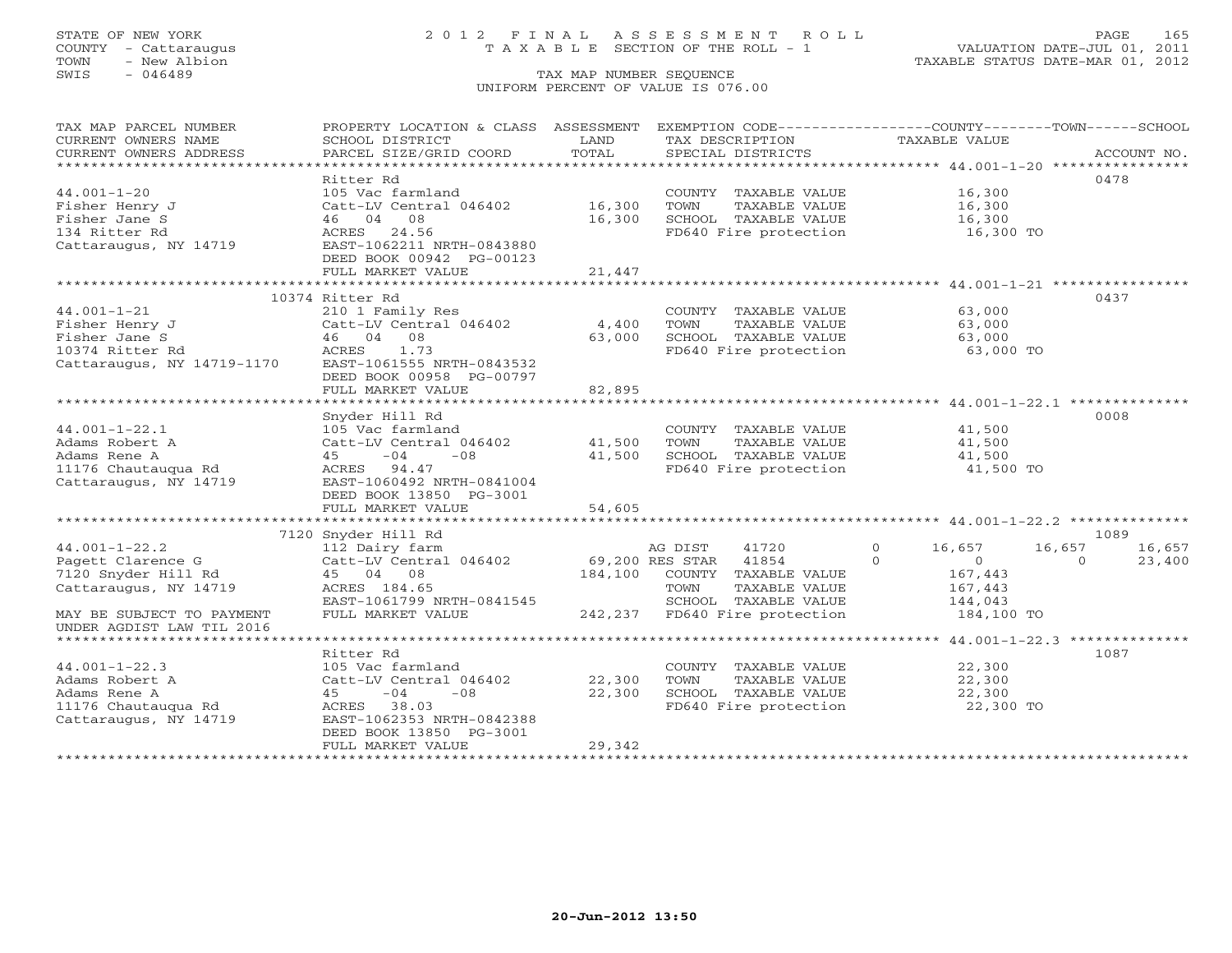COUNTY - Cattaraugus T A X A B L E SECTION OF THE ROLL - 1<br>TOWN - New Albion - 1<br>SWIS - 046489 TAX MAP NUMBER SEQUENCE

# STATE OF NEW YORK 2 0 1 2 F I N A L A S S E S S M E N T R O L L PAGE 165

VALUATION DATE-JUL 01, 2011 TAXABLE STATUS DATE-MAR 01, 2012

#### TAX MAP NUMBER SEQUENCE UNIFORM PERCENT OF VALUE IS 076.00

| TAX MAP PARCEL NUMBER                                  | PROPERTY LOCATION & CLASS ASSESSMENT           |               | EXEMPTION CODE-----------------COUNTY-------TOWN------SCHOOL |                      |                    |
|--------------------------------------------------------|------------------------------------------------|---------------|--------------------------------------------------------------|----------------------|--------------------|
| CURRENT OWNERS NAME<br>CURRENT OWNERS ADDRESS          | SCHOOL DISTRICT<br>PARCEL SIZE/GRID COORD      | LAND<br>TOTAL | TAX DESCRIPTION<br>SPECIAL DISTRICTS                         | TAXABLE VALUE        | ACCOUNT NO.        |
|                                                        |                                                |               |                                                              |                      |                    |
|                                                        | Ritter Rd                                      |               |                                                              |                      | 0478               |
| $44.001 - 1 - 20$                                      | 105 Vac farmland                               |               | COUNTY TAXABLE VALUE                                         | 16,300               |                    |
| Fisher Henry J                                         | Catt-LV Central 046402                         | 16,300        | TOWN<br>TAXABLE VALUE                                        | 16,300               |                    |
| Fisher Jane S                                          | 46 04 08                                       | 16,300        | SCHOOL TAXABLE VALUE                                         | 16,300               |                    |
| 134 Ritter Rd                                          | ACRES<br>24.56                                 |               | FD640 Fire protection                                        | 16,300 TO            |                    |
| Cattaraugus, NY 14719                                  | EAST-1062211 NRTH-0843880                      |               |                                                              |                      |                    |
|                                                        | DEED BOOK 00942 PG-00123                       |               |                                                              |                      |                    |
|                                                        | FULL MARKET VALUE                              | 21,447        |                                                              |                      |                    |
|                                                        |                                                |               |                                                              |                      |                    |
|                                                        | 10374 Ritter Rd                                |               |                                                              |                      | 0437               |
| $44.001 - 1 - 21$                                      | 210 1 Family Res                               |               | COUNTY TAXABLE VALUE                                         | 63,000               |                    |
| Fisher Henry J<br>Fisher Jane S                        | Catt-LV Central 046402                         | 4,400         | TOWN<br>TAXABLE VALUE                                        | 63,000               |                    |
| 10374 Ritter Rd                                        | 46 04 08<br>ACRES<br>1.73                      | 63,000        | SCHOOL TAXABLE VALUE                                         | 63,000               |                    |
| Cattaraugus, NY 14719-1170                             | EAST-1061555 NRTH-0843532                      |               | FD640 Fire protection                                        | 63,000 TO            |                    |
|                                                        | DEED BOOK 00958 PG-00797                       |               |                                                              |                      |                    |
|                                                        | FULL MARKET VALUE                              | 82,895        |                                                              |                      |                    |
|                                                        |                                                |               |                                                              |                      |                    |
|                                                        | Snyder Hill Rd                                 |               |                                                              |                      | 0008               |
| $44.001 - 1 - 22.1$                                    | 105 Vac farmland                               |               | COUNTY TAXABLE VALUE                                         | 41,500               |                    |
| Adams Robert A                                         | Catt-LV Central 046402                         | 41,500        | TAXABLE VALUE<br>TOWN                                        | 41,500               |                    |
| Adams Rene A                                           | 45<br>$-04$<br>$-0.8$                          | 41,500        | SCHOOL TAXABLE VALUE                                         | 41,500               |                    |
| 11176 Chautaugua Rd                                    | ACRES 94.47                                    |               | FD640 Fire protection                                        | 41,500 TO            |                    |
| Cattaraugus, NY 14719                                  | EAST-1060492 NRTH-0841004                      |               |                                                              |                      |                    |
|                                                        | DEED BOOK 13850 PG-3001                        |               |                                                              |                      |                    |
|                                                        | FULL MARKET VALUE                              | 54,605        |                                                              |                      |                    |
|                                                        |                                                |               |                                                              |                      |                    |
|                                                        | 7120 Snyder Hill Rd                            |               |                                                              |                      | 1089               |
| $44.001 - 1 - 22.2$                                    | 112 Dairy farm                                 |               | AG DIST<br>41720                                             | $\Omega$<br>16,657   | 16,657<br>16,657   |
| Pagett Clarence G                                      | Catt-LV Central 046402                         |               | 69,200 RES STAR 41854                                        | $\Omega$<br>$\Omega$ | $\Omega$<br>23,400 |
| 7120 Snyder Hill Rd                                    | 45 04 08                                       | 184,100       | COUNTY TAXABLE VALUE                                         | 167,443              |                    |
| Cattaraugus, NY 14719                                  | ACRES 184.65                                   |               | TOWN<br>TAXABLE VALUE                                        | 167,443              |                    |
|                                                        | EAST-1061799 NRTH-0841545<br>FULL MARKET VALUE |               | SCHOOL TAXABLE VALUE<br>242,237 FD640 Fire protection        | 144,043              |                    |
| MAY BE SUBJECT TO PAYMENT<br>UNDER AGDIST LAW TIL 2016 |                                                |               |                                                              | 184,100 TO           |                    |
|                                                        |                                                |               |                                                              |                      |                    |
|                                                        | Ritter Rd                                      |               |                                                              |                      | 1087               |
| $44.001 - 1 - 22.3$                                    | 105 Vac farmland                               |               | COUNTY TAXABLE VALUE                                         | 22,300               |                    |
| Adams Robert A                                         | Catt-LV Central 046402                         | 22,300        | TOWN<br>TAXABLE VALUE                                        | 22,300               |                    |
| Adams Rene A                                           | $-04$<br>$-08$<br>45                           | 22,300        | SCHOOL TAXABLE VALUE                                         | 22,300               |                    |
| 11176 Chautauqua Rd                                    | ACRES 38.03                                    |               | FD640 Fire protection                                        | 22,300 TO            |                    |
| Cattaraugus, NY 14719                                  | EAST-1062353 NRTH-0842388                      |               |                                                              |                      |                    |
|                                                        | DEED BOOK 13850 PG-3001                        |               |                                                              |                      |                    |
|                                                        | FULL MARKET VALUE                              | 29,342        |                                                              |                      |                    |
|                                                        |                                                |               |                                                              |                      |                    |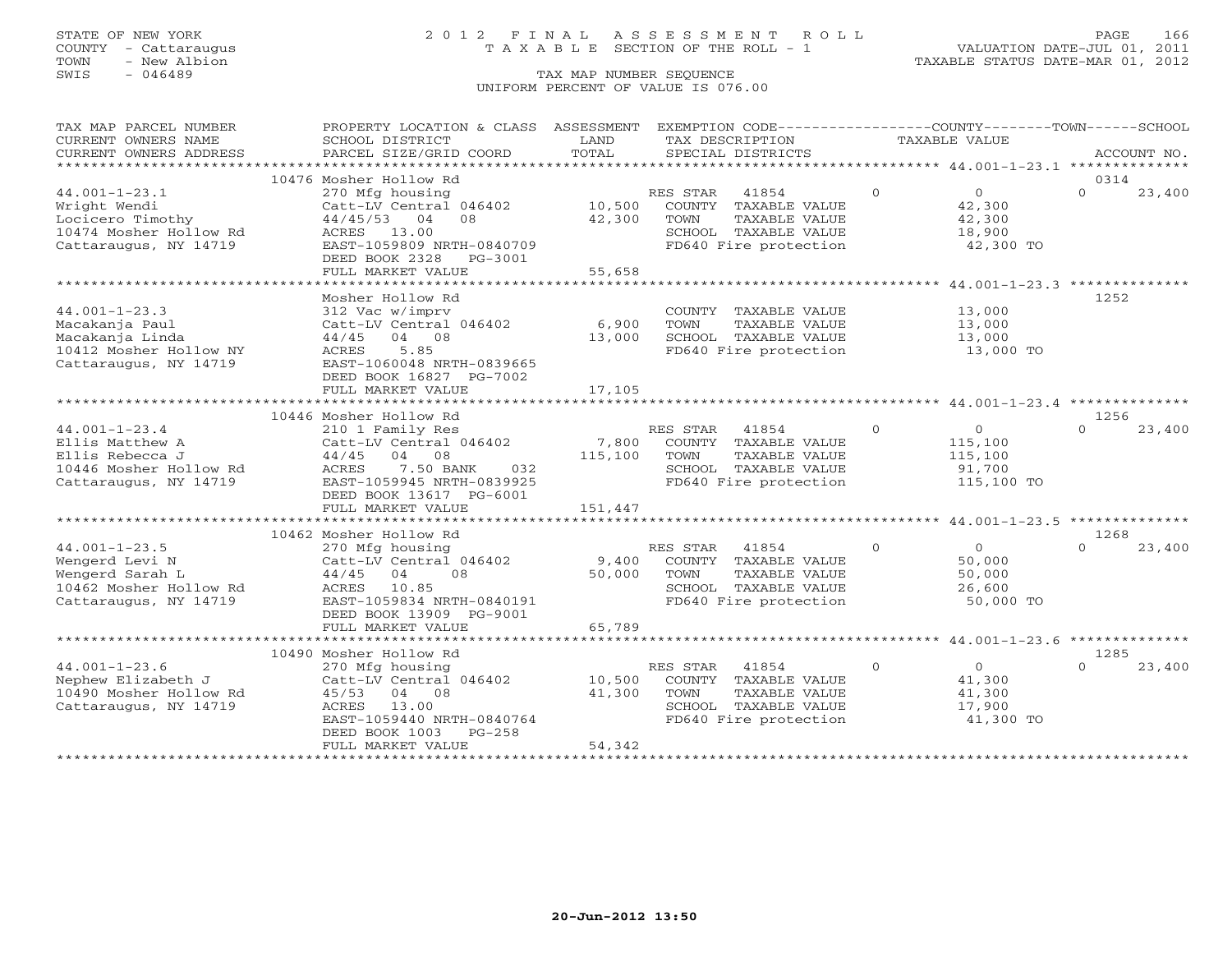# STATE OF NEW YORK 2 0 1 2 F I N A L A S S E S S M E N T R O L L PAGE 166 COUNTY - Cattaraugus T A X A B L E SECTION OF THE ROLL - 1 VALUATION DATE-JUL 01, 2011

| TAX MAP PARCEL NUMBER  | PROPERTY LOCATION & CLASS ASSESSMENT |                     |                                                                       |               | EXEMPTION CODE----------------COUNTY-------TOWN------SCHOOL       |
|------------------------|--------------------------------------|---------------------|-----------------------------------------------------------------------|---------------|-------------------------------------------------------------------|
| CURRENT OWNERS NAME    | SCHOOL DISTRICT                      | LAND                | TAX DESCRIPTION                                                       | TAXABLE VALUE |                                                                   |
| CURRENT OWNERS ADDRESS | PARCEL SIZE/GRID COORD               | TOTAL               | SPECIAL DISTRICTS                                                     |               | ACCOUNT NO.                                                       |
|                        |                                      |                     |                                                                       |               |                                                                   |
|                        | 10476 Mosher Hollow Rd               |                     |                                                                       |               | 0314                                                              |
| $44.001 - 1 - 23.1$    | 270 Mfg housing                      |                     | RES STAR<br>41854                                                     | $\Omega$      | $\overline{0}$<br>$\Omega$<br>23,400                              |
| Wright Wendi           | Catt-LV Central 046402               |                     | 10,500 COUNTY TAXABLE VALUE                                           |               | 42,300                                                            |
| Locicero Timothy       | 44/45/53<br>08<br>04                 | 42,300              | TAXABLE VALUE<br>TOWN                                                 |               | 42,300                                                            |
| 10474 Mosher Hollow Rd | ACRES 13.00                          |                     | SCHOOL TAXABLE VALUE<br>SCHOOL TAXABLE VALUE<br>FD640 Fire protection |               | 18,900                                                            |
| Cattaraugus, NY 14719  | EAST-1059809 NRTH-0840709            |                     |                                                                       |               | 42,300 TO                                                         |
|                        | DEED BOOK 2328<br>PG-3001            |                     |                                                                       |               |                                                                   |
|                        | FULL MARKET VALUE                    | 55,658              |                                                                       |               |                                                                   |
|                        |                                      | ******************* |                                                                       |               | *********************************** 44.001-1-23.3 *************** |
|                        | Mosher Hollow Rd                     |                     |                                                                       |               | 1252                                                              |
| $44.001 - 1 - 23.3$    | 312 Vac w/imprv                      |                     | COUNTY TAXABLE VALUE                                                  | 13,000        |                                                                   |
| Macakanja Paul         | Catt-LV Central 046402               | 6,900               | TAXABLE VALUE<br>TOWN                                                 |               | 13,000                                                            |
| Macakanja Linda        | 04 08<br>44/45                       | 13,000              | SCHOOL TAXABLE VALUE                                                  | 13,000        |                                                                   |
| 10412 Mosher Hollow NY | 5.85<br>ACRES                        |                     | FD640 Fire protection                                                 |               | 13,000 TO                                                         |
| Cattaraugus, NY 14719  | EAST-1060048 NRTH-0839665            |                     |                                                                       |               |                                                                   |
|                        | DEED BOOK 16827 PG-7002              |                     |                                                                       |               |                                                                   |
|                        | FULL MARKET VALUE                    | 17,105              |                                                                       |               |                                                                   |
|                        |                                      |                     |                                                                       |               |                                                                   |
|                        | 10446 Mosher Hollow Rd               |                     |                                                                       |               | 1256                                                              |
| $44.001 - 1 - 23.4$    | 210 1 Family Res                     |                     | RES STAR<br>41854                                                     | $\circ$       | $\overline{0}$<br>$\Omega$<br>23,400                              |
| Ellis Matthew A        | Catt-LV Central 046402               | 7,800               | COUNTY TAXABLE VALUE                                                  | 115,100       |                                                                   |
| Ellis Rebecca J        | 44/45<br>04 08                       | 115,100             | TOWN<br>TAXABLE VALUE                                                 | 115,100       |                                                                   |
| 10446 Mosher Hollow Rd | 7.50 BANK<br>ACRES<br>032            |                     | SCHOOL TAXABLE VALUE                                                  | 91,700        |                                                                   |
| Cattaraugus, NY 14719  | EAST-1059945 NRTH-0839925            |                     | FD640 Fire protection                                                 |               | 115,100 TO                                                        |
|                        | DEED BOOK 13617 PG-6001              |                     |                                                                       |               |                                                                   |
|                        | FULL MARKET VALUE                    | 151,447             |                                                                       |               |                                                                   |
|                        |                                      |                     |                                                                       |               |                                                                   |
|                        | 10462 Mosher Hollow Rd               |                     |                                                                       |               | 1268                                                              |
| $44.001 - 1 - 23.5$    | 270 Mfg housing                      |                     | 41854<br>RES STAR                                                     | $\circ$       | $\overline{0}$<br>23,400<br>$\Omega$                              |
| Wengerd Levi N         | Catt-LV Central 046402               | 9,400               | COUNTY TAXABLE VALUE                                                  |               | 50,000                                                            |
| Wengerd Sarah L        | $44/45$ 04<br>08                     | 50,000              | TAXABLE VALUE<br>TOWN                                                 |               | 50,000                                                            |
| 10462 Mosher Hollow Rd | ACRES 10.85                          |                     | SCHOOL TAXABLE VALUE                                                  |               | 26,600                                                            |
| Cattaraugus, NY 14719  | EAST-1059834 NRTH-0840191            |                     | FD640 Fire protection                                                 |               | 50,000 TO                                                         |
|                        | DEED BOOK 13909 PG-9001              |                     |                                                                       |               |                                                                   |
|                        | FULL MARKET VALUE                    | 65,789              |                                                                       |               |                                                                   |
|                        |                                      |                     |                                                                       |               |                                                                   |
|                        | 10490 Mosher Hollow Rd               |                     |                                                                       |               | 1285                                                              |
| $44.001 - 1 - 23.6$    | 270 Mfg housing                      |                     | RES STAR<br>41854                                                     | $\Omega$      | $\overline{0}$<br>$\cap$<br>23,400                                |
| Nephew Elizabeth J     | Catt-LV Central 046402               | 10,500              | COUNTY TAXABLE VALUE                                                  |               | 41,300                                                            |
| 10490 Mosher Hollow Rd | 45/53 04 08                          | 41,300              | TAXABLE VALUE<br>TOWN                                                 |               | 41,300                                                            |
| Cattaraugus, NY 14719  | 13.00<br>ACRES                       |                     | SCHOOL TAXABLE VALUE                                                  |               | 17,900                                                            |
|                        | EAST-1059440 NRTH-0840764            |                     | FD640 Fire protection                                                 |               | 41,300 TO                                                         |
|                        | $PG-258$<br>DEED BOOK 1003           | 54,342              |                                                                       |               |                                                                   |
|                        | FULL MARKET VALUE                    |                     |                                                                       |               |                                                                   |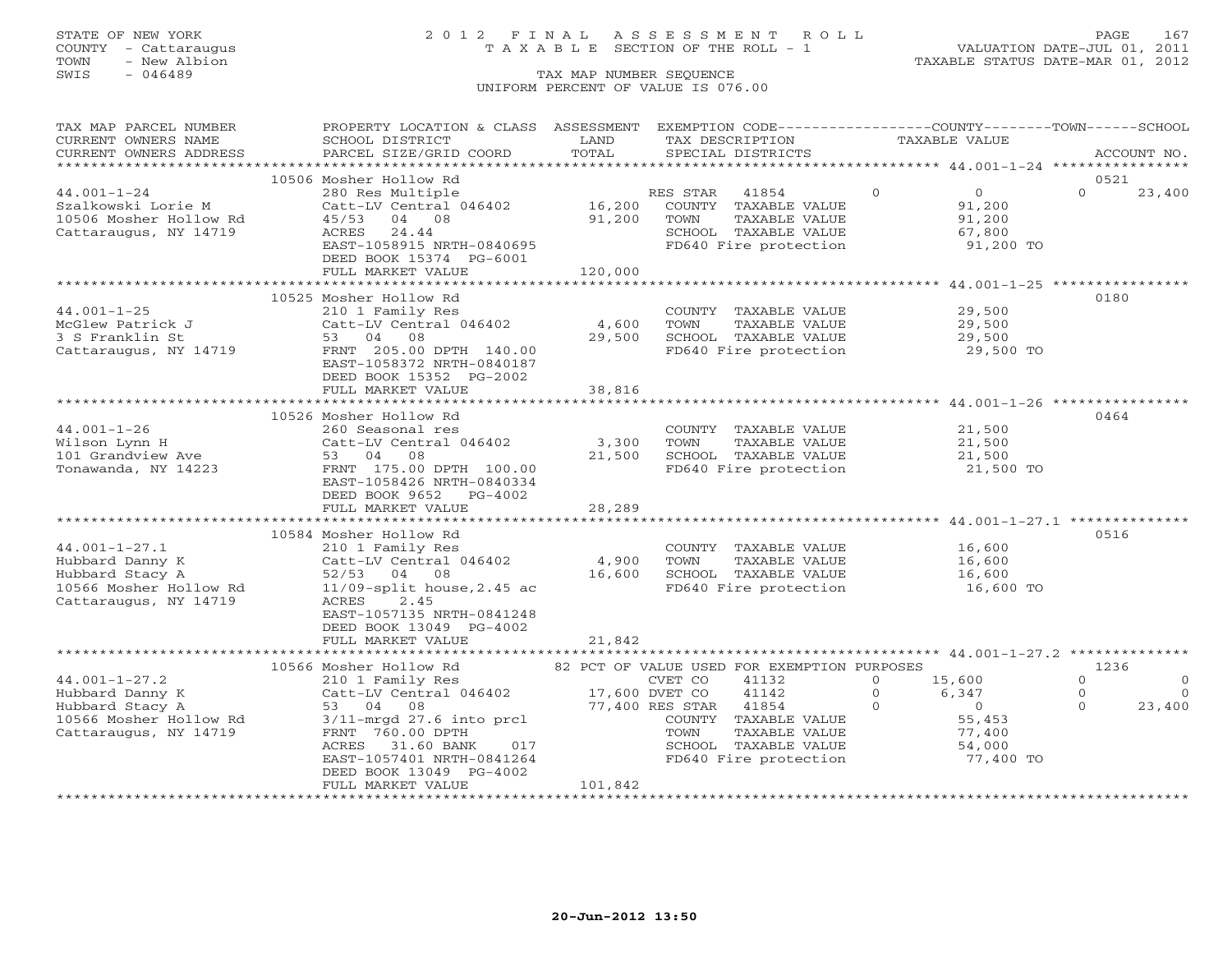# STATE OF NEW YORK 2 0 1 2 F I N A L A S S E S S M E N T R O L L PAGE 167 COUNTY - Cattaraugus T A X A B L E SECTION OF THE ROLL - 1 VALUATION DATE-JUL 01, 2011

| TAX MAP PARCEL NUMBER  | PROPERTY LOCATION & CLASS ASSESSMENT                      |                           | EXEMPTION CODE----------------COUNTY-------TOWN------SCHOOL |               |                                |          |             |
|------------------------|-----------------------------------------------------------|---------------------------|-------------------------------------------------------------|---------------|--------------------------------|----------|-------------|
| CURRENT OWNERS NAME    | SCHOOL DISTRICT                                           | LAND                      | TAX DESCRIPTION                                             | TAXABLE VALUE |                                |          |             |
| CURRENT OWNERS ADDRESS | PARCEL SIZE/GRID COORD                                    | TOTAL                     | SPECIAL DISTRICTS                                           |               |                                |          | ACCOUNT NO. |
|                        |                                                           |                           |                                                             |               |                                |          |             |
|                        | 10506 Mosher Hollow Rd                                    |                           |                                                             |               |                                | 0521     |             |
| $44.001 - 1 - 24$      | 280 Res Multiple                                          |                           | RES STAR<br>41854                                           | $\circ$       | $\overline{0}$                 | $\Omega$ | 23,400      |
| Szalkowski Lorie M     | Catt-LV Central 046402                                    | 16,200                    | COUNTY TAXABLE VALUE                                        |               | 91,200                         |          |             |
| 10506 Mosher Hollow Rd | 45/53<br>04 08                                            | 91,200                    | TAXABLE VALUE<br>TOWN                                       |               | 91,200                         |          |             |
| Cattaraugus, NY 14719  | ACRES<br>24.44                                            |                           | SCHOOL TAXABLE VALUE                                        |               | 67,800                         |          |             |
|                        | EAST-1058915 NRTH-0840695                                 |                           | FD640 Fire protection                                       |               | 91,200 TO                      |          |             |
|                        | DEED BOOK 15374 PG-6001                                   |                           |                                                             |               |                                |          |             |
|                        | FULL MARKET VALUE                                         | 120,000                   |                                                             |               |                                |          |             |
|                        |                                                           |                           |                                                             |               |                                |          |             |
|                        | 10525 Mosher Hollow Rd                                    |                           |                                                             |               |                                | 0180     |             |
| $44.001 - 1 - 25$      | 210 1 Family Res                                          |                           | COUNTY TAXABLE VALUE                                        |               | 29,500                         |          |             |
| McGlew Patrick J       | Catt-LV Central 046402                                    | 4,600                     | TOWN<br>TAXABLE VALUE                                       |               | 29,500                         |          |             |
| 3 S Franklin St        | 53 04 08                                                  | 29,500                    | SCHOOL TAXABLE VALUE                                        |               | 29,500                         |          |             |
|                        | Cattaraugus, NY 14719 FRNT 205.00 DPTH 140.00             |                           | FD640 Fire protection                                       |               | 29,500 TO<br>29,500 TO         |          |             |
|                        | EAST-1058372 NRTH-0840187                                 |                           |                                                             |               |                                |          |             |
|                        | DEED BOOK 15352 PG-2002                                   |                           |                                                             |               |                                |          |             |
|                        | FULL MARKET VALUE                                         | 38,816                    |                                                             |               |                                |          |             |
|                        |                                                           | * * * * * * * * * * * * * | ****************************44.001-1-26 ******************  |               |                                |          |             |
|                        | 10526 Mosher Hollow Rd                                    |                           |                                                             |               |                                | 0464     |             |
| $44.001 - 1 - 26$      | 260 Seasonal res                                          |                           |                                                             |               |                                |          |             |
|                        | Catt-LV Central 046402                                    | 3,300                     | COUNTY TAXABLE VALUE                                        |               | 21,500<br>21,500               |          |             |
| Wilson Lynn H          | 53 04 08                                                  |                           | TOWN<br>TAXABLE VALUE                                       |               |                                |          |             |
| 101 Grandview Ave      |                                                           | 21,500                    | SCHOOL TAXABLE VALUE<br>FD640 Fire protection               |               | 21,500<br>21,500 TO            |          |             |
| Tonawanda, NY 14223    | FRNT 175.00 DPTH 100.00                                   |                           |                                                             |               |                                |          |             |
|                        | EAST-1058426 NRTH-0840334                                 |                           |                                                             |               |                                |          |             |
|                        | DEED BOOK 9652 PG-4002                                    |                           |                                                             |               |                                |          |             |
|                        | FULL MARKET VALUE                                         | 28,289                    |                                                             |               |                                |          |             |
|                        |                                                           |                           |                                                             |               |                                |          |             |
|                        | 10584 Mosher Hollow Rd                                    |                           |                                                             |               |                                | 0516     |             |
| $44.001 - 1 - 27.1$    | 210 1 Family Res                                          |                           | COUNTY TAXABLE VALUE                                        |               | 16,600<br>$16,000$<br>$16,600$ |          |             |
| Hubbard Danny K        | Catt-LV Central 046402                                    | 4,900                     | TAXABLE VALUE<br>TOWN                                       |               |                                |          |             |
| Hubbard Stacy A        | 52/53 04 08                                               | 16,600                    | SCHOOL TAXABLE VALUE                                        |               | $16,600$<br>$16,600$           |          |             |
| 10566 Mosher Hollow Rd | $11/09$ -split house, $2.45$ ac                           |                           | FD640 Fire protection                                       |               | 16,600 TO                      |          |             |
| Cattaraugus, NY 14719  | 2.45<br>ACRES                                             |                           |                                                             |               |                                |          |             |
|                        | EAST-1057135 NRTH-0841248                                 |                           |                                                             |               |                                |          |             |
|                        | DEED BOOK 13049 PG-4002                                   |                           |                                                             |               |                                |          |             |
|                        | FULL MARKET VALUE                                         | 21,842                    |                                                             |               |                                |          |             |
|                        |                                                           |                           |                                                             |               |                                |          |             |
|                        | 10566 Mosher Hollow Rd                                    |                           | 82 PCT OF VALUE USED FOR EXEMPTION PURPOSES                 |               |                                | 1236     |             |
| $44.001 - 1 - 27.2$    | 210 1 Family Res                                          |                           | 41132                                                       | $\Omega$      | 15,600                         | $\Omega$ | $\circ$     |
| Hubbard Danny K        | 210 1 Family Res<br>Catt-LV Central 046402 17,600 DVET CO |                           | 41142<br>$\begin{matrix}0\\0\\0\end{matrix}$                |               | 6,347                          | $\circ$  | $\Omega$    |
| Hubbard Stacy A        | 53 04 08                                                  |                           | 77,400 RES STAR 41854                                       |               | $\overline{0}$                 | $\Omega$ | 23,400      |
| 10566 Mosher Hollow Rd | $3/11$ -mrgd 27.6 into prcl                               |                           | COUNTY TAXABLE VALUE                                        |               | 55,453                         |          |             |
| Cattaraugus, NY 14719  | FRNT 760.00 DPTH                                          |                           | TAXABLE VALUE<br>TOWN                                       |               | 77,400                         |          |             |
|                        | ACRES<br>31.60 BANK<br>017                                |                           |                                                             |               | 54,000                         |          |             |
|                        | EAST-1057401 NRTH-0841264                                 |                           | SCHOOL TAXABLE VALUE<br>FD640 Fire protection               |               | 77,400 TO                      |          |             |
|                        | DEED BOOK 13049 PG-4002                                   |                           |                                                             |               |                                |          |             |
|                        | FULL MARKET VALUE                                         | 101,842                   |                                                             |               |                                |          |             |
|                        |                                                           |                           |                                                             |               |                                |          |             |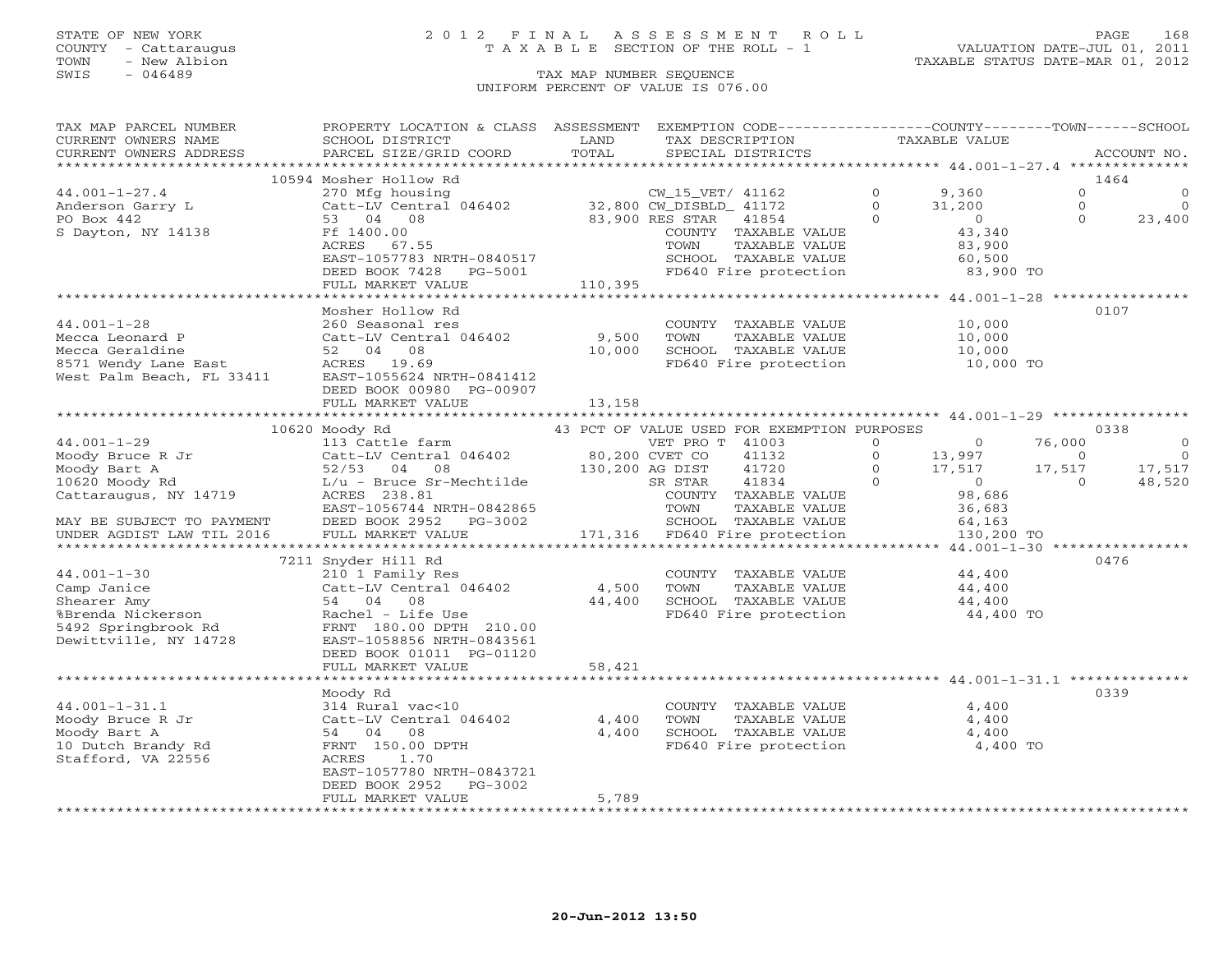# STATE OF NEW YORK 2 0 1 2 F I N A L A S S E S S M E N T R O L L PAGE 168 COUNTY - Cattaraugus T A X A B L E SECTION OF THE ROLL - 1 VALUATION DATE-JUL 01, 2011

TOWN - New Albion TAXABLE STATUS DATE-MAR 01, 2012

| TAX MAP PARCEL NUMBER<br>CURRENT OWNERS NAME                                                                                                                                                                                                                                                                                                                                          | PROPERTY LOCATION & CLASS ASSESSMENT<br>SCHOOL DISTRICT                                                                     | LAND                | EXEMPTION CODE-----------------COUNTY-------TOWN------SCHOOL<br>TAX DESCRIPTION | TAXABLE VALUE  |                                          |          |                |
|---------------------------------------------------------------------------------------------------------------------------------------------------------------------------------------------------------------------------------------------------------------------------------------------------------------------------------------------------------------------------------------|-----------------------------------------------------------------------------------------------------------------------------|---------------------|---------------------------------------------------------------------------------|----------------|------------------------------------------|----------|----------------|
| CURRENT OWNERS ADDRESS                                                                                                                                                                                                                                                                                                                                                                | PARCEL SIZE/GRID COORD                                                                                                      | TOTAL               | SPECIAL DISTRICTS                                                               |                |                                          |          | ACCOUNT NO.    |
|                                                                                                                                                                                                                                                                                                                                                                                       |                                                                                                                             |                     |                                                                                 |                |                                          |          |                |
|                                                                                                                                                                                                                                                                                                                                                                                       | 10594 Mosher Hollow Rd                                                                                                      |                     |                                                                                 |                |                                          | 1464     |                |
| $44.001 - 1 - 27.4$                                                                                                                                                                                                                                                                                                                                                                   | 270 Mfg housing                                                                                                             |                     | CW_15_VET/ 41162                                                                | $\Omega$       | 9,360                                    | $\Omega$ | $\Omega$       |
| Anderson Garry L                                                                                                                                                                                                                                                                                                                                                                      | Catt-LV Central 046402 32,800 CW_DISBLD_ 41172 0                                                                            |                     |                                                                                 |                | 31,200                                   | $\Omega$ | $\Omega$       |
| PO Box 442                                                                                                                                                                                                                                                                                                                                                                            | 53 04 08                                                                                                                    |                     | 83,900 RES STAR 41854                                                           | $\circ$        | $\overline{0}$                           | $\Omega$ | 23,400         |
| S Dayton, NY 14138                                                                                                                                                                                                                                                                                                                                                                    | Ff 1400.00                                                                                                                  |                     | COUNTY TAXABLE VALUE                                                            |                |                                          |          |                |
|                                                                                                                                                                                                                                                                                                                                                                                       | ACRES 67.55                                                                                                                 |                     | TOWN<br>TAXABLE VALUE                                                           |                | 43,340<br>83,900                         |          |                |
|                                                                                                                                                                                                                                                                                                                                                                                       |                                                                                                                             |                     |                                                                                 |                |                                          |          |                |
|                                                                                                                                                                                                                                                                                                                                                                                       | EAST-1057783 NRTH-0840517 SCHOOL TAXABLE VALUE<br>DEED BOOK 7428 PG-5001 FD640 Fire protection                              |                     |                                                                                 |                | 60,500<br>83,900 TO                      |          |                |
|                                                                                                                                                                                                                                                                                                                                                                                       | FULL MARKET VALUE                                                                                                           | 110,395             |                                                                                 |                |                                          |          |                |
|                                                                                                                                                                                                                                                                                                                                                                                       |                                                                                                                             |                     |                                                                                 |                | *********** 44.001-1-28 **************** |          |                |
|                                                                                                                                                                                                                                                                                                                                                                                       | Mosher Hollow Rd                                                                                                            |                     |                                                                                 |                |                                          | 0107     |                |
| $44.001 - 1 - 28$                                                                                                                                                                                                                                                                                                                                                                     | 260 Seasonal res                                                                                                            |                     | COUNTY TAXABLE VALUE                                                            |                |                                          |          |                |
| Mecca Leonard P                                                                                                                                                                                                                                                                                                                                                                       | 200 Seasonal res<br>Catt-LV Central 046402 9,500                                                                            |                     | TOWN<br>TAXABLE VALUE                                                           |                | 10,000<br>10,000                         |          |                |
| Mecca Geraldine                                                                                                                                                                                                                                                                                                                                                                       | 52 04 08                                                                                                                    | 10,000              |                                                                                 |                |                                          |          |                |
| 8571 Wendy Lane East                                                                                                                                                                                                                                                                                                                                                                  | ACRES 19.69                                                                                                                 |                     | SCHOOL TAXABLE VALUE 10,000<br>FD640 Fire protection 10,000 TO                  |                |                                          |          |                |
| West Palm Beach, FL 33411                                                                                                                                                                                                                                                                                                                                                             | EAST-1055624 NRTH-0841412                                                                                                   |                     |                                                                                 |                |                                          |          |                |
|                                                                                                                                                                                                                                                                                                                                                                                       | DEED BOOK 00980 PG-00907                                                                                                    |                     |                                                                                 |                |                                          |          |                |
|                                                                                                                                                                                                                                                                                                                                                                                       | FULL MARKET VALUE                                                                                                           | 13,158              |                                                                                 |                |                                          |          |                |
|                                                                                                                                                                                                                                                                                                                                                                                       |                                                                                                                             |                     |                                                                                 |                |                                          |          |                |
|                                                                                                                                                                                                                                                                                                                                                                                       | 10620 Moody Rd                                                                                                              |                     | 43 PCT OF VALUE USED FOR EXEMPTION PURPOSES                                     |                |                                          | 0338     |                |
| $44.001 - 1 - 29$                                                                                                                                                                                                                                                                                                                                                                     | 113 Cattle farm                                                                                                             |                     | VET PRO T 41003                                                                 | $\Omega$       | $\circ$                                  | 76,000   | $\circ$        |
|                                                                                                                                                                                                                                                                                                                                                                                       |                                                                                                                             |                     | 41132                                                                           | $\Omega$       |                                          | $\sim$ 0 | $\overline{0}$ |
| $\begin{array}{lllllllllllllllllllllll} \text{44.001--1-29} & & & & \text{113 Calculate } \text{I} \text{atm} \ \text{Moddy Bruce R Jr} & & & \text{Catt-LV Central} & 046402 & & 80,200 \text{ CVET CO} \ \text{Mody Bart A} & & & 52/53 & 04 & 08 & & 130,200 \text{ AS TSTR} \ \text{10620 Moody Rd} & & & & \text{130--8ruce Sr-Mechtilde} & & & & \text{130--9ruce} \end{array}$ |                                                                                                                             |                     | 41720                                                                           | $\overline{0}$ | 13,997<br>17,517                         | 17,517   | 17,517         |
|                                                                                                                                                                                                                                                                                                                                                                                       |                                                                                                                             |                     | 41834                                                                           | $\Omega$       | $\overline{0}$                           | $\Omega$ | 48,520         |
| Cattaraugus, NY 14719                                                                                                                                                                                                                                                                                                                                                                 | ACRES 238.81                                                                                                                |                     | COUNTY TAXABLE VALUE                                                            |                | 98,686                                   |          |                |
|                                                                                                                                                                                                                                                                                                                                                                                       | EAST-1056744 NRTH-0842865                                                                                                   |                     |                                                                                 |                |                                          |          |                |
| MAY BE SUBJECT TO PAYMENT                                                                                                                                                                                                                                                                                                                                                             | EAST-1056744 NRTH-0842865<br>DEED BOOK 2952 PG-3002 SCHOOL TAXABLE VALUE<br>FULL MARKET VALUE 171,316 FD640 Fire protection |                     | TOWN      TAXABLE VALUE<br>SCHOOL   TAXABLE VALUE                               |                | 36,683<br>64,163                         |          |                |
| UNDER AGDIST LAW TIL 2016                                                                                                                                                                                                                                                                                                                                                             |                                                                                                                             |                     |                                                                                 |                | 130,200 TO                               |          |                |
|                                                                                                                                                                                                                                                                                                                                                                                       |                                                                                                                             |                     |                                                                                 |                |                                          |          |                |
|                                                                                                                                                                                                                                                                                                                                                                                       | 7211 Snyder Hill Rd                                                                                                         |                     |                                                                                 |                |                                          | 0476     |                |
| $44.001 - 1 - 30$                                                                                                                                                                                                                                                                                                                                                                     | 210 1 Family Res                                                                                                            |                     | COUNTY TAXABLE VALUE                                                            |                | 44,400                                   |          |                |
| Camp Janice                                                                                                                                                                                                                                                                                                                                                                           | Catt-LV Central 046402                                                                                                      | 4,500               | TAXABLE VALUE<br>TOWN                                                           |                | 44,400                                   |          |                |
| Shearer Amy                                                                                                                                                                                                                                                                                                                                                                           | 54 04 08                                                                                                                    | 44,400              |                                                                                 |                |                                          |          |                |
| %Brenda Nickerson                                                                                                                                                                                                                                                                                                                                                                     | Rachel - Life Use                                                                                                           |                     | SCHOOL TAXABLE VALUE<br>FD640 Fire protection                                   |                | 44,400<br>44,400 TO                      |          |                |
| 5492 Springbrook Rd                                                                                                                                                                                                                                                                                                                                                                   | FRNT 180.00 DPTH 210.00                                                                                                     |                     |                                                                                 |                |                                          |          |                |
| Dewittville, NY 14728                                                                                                                                                                                                                                                                                                                                                                 | EAST-1058856 NRTH-0843561                                                                                                   |                     |                                                                                 |                |                                          |          |                |
|                                                                                                                                                                                                                                                                                                                                                                                       | DEED BOOK 01011 PG-01120                                                                                                    |                     |                                                                                 |                |                                          |          |                |
|                                                                                                                                                                                                                                                                                                                                                                                       | FULL MARKET VALUE                                                                                                           | 58,421              |                                                                                 |                |                                          |          |                |
|                                                                                                                                                                                                                                                                                                                                                                                       |                                                                                                                             |                     |                                                                                 |                |                                          |          |                |
|                                                                                                                                                                                                                                                                                                                                                                                       | Moody Rd                                                                                                                    |                     |                                                                                 |                |                                          | 0339     |                |
| $44.001 - 1 - 31.1$                                                                                                                                                                                                                                                                                                                                                                   | 314 Rural vac<10                                                                                                            |                     | COUNTY TAXABLE VALUE                                                            |                | 4,400                                    |          |                |
| Moody Bruce R Jr                                                                                                                                                                                                                                                                                                                                                                      | Catt-LV Central 046402                                                                                                      | 4,400               | TAXABLE VALUE<br>TOWN                                                           |                | 4,400                                    |          |                |
| Moody Bart A                                                                                                                                                                                                                                                                                                                                                                          | 54 04<br>08                                                                                                                 | 4,400               | SCHOOL TAXABLE VALUE                                                            |                | 4,400                                    |          |                |
| 10 Dutch Brandy Rd                                                                                                                                                                                                                                                                                                                                                                    | FRNT 150.00 DPTH                                                                                                            |                     | FD640 Fire protection                                                           |                | 4,400 TO                                 |          |                |
| Stafford, VA 22556                                                                                                                                                                                                                                                                                                                                                                    | ACRES<br>1.70                                                                                                               |                     |                                                                                 |                |                                          |          |                |
|                                                                                                                                                                                                                                                                                                                                                                                       | EAST-1057780 NRTH-0843721                                                                                                   |                     |                                                                                 |                |                                          |          |                |
|                                                                                                                                                                                                                                                                                                                                                                                       | DEED BOOK 2952<br>PG-3002                                                                                                   |                     |                                                                                 |                |                                          |          |                |
|                                                                                                                                                                                                                                                                                                                                                                                       | FULL MARKET VALUE                                                                                                           | 5,789               |                                                                                 |                |                                          |          |                |
|                                                                                                                                                                                                                                                                                                                                                                                       |                                                                                                                             | ******************* |                                                                                 |                |                                          |          |                |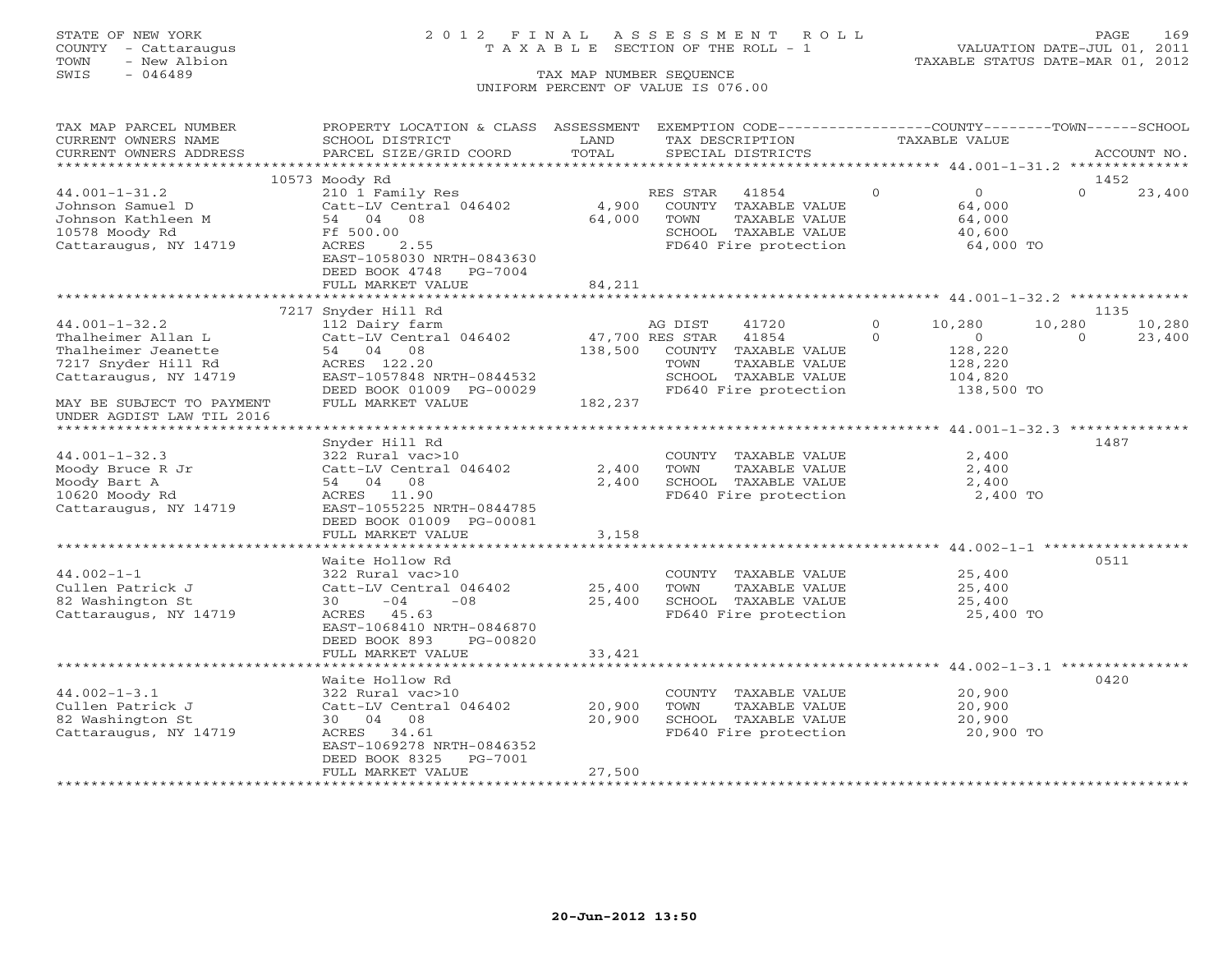# STATE OF NEW YORK 2 0 1 2 F I N A L A S S E S S M E N T R O L L PAGE 169 COUNTY - Cattaraugus T A X A B L E SECTION OF THE ROLL - 1 VALUATION DATE-JUL 01, 2011

TOWN - New Albion TAXABLE STATUS DATE-MAR 01, 2012

| TAX MAP PARCEL NUMBER                                  | PROPERTY LOCATION & CLASS ASSESSMENT                  |                 | EXEMPTION CODE-----------------COUNTY-------TOWN------SCHOOL |                       |                    |
|--------------------------------------------------------|-------------------------------------------------------|-----------------|--------------------------------------------------------------|-----------------------|--------------------|
| CURRENT OWNERS NAME                                    | SCHOOL DISTRICT                                       | LAND            | TAX DESCRIPTION                                              | TAXABLE VALUE         |                    |
| CURRENT OWNERS ADDRESS                                 | PARCEL SIZE/GRID COORD                                | TOTAL           | SPECIAL DISTRICTS                                            |                       | ACCOUNT NO.        |
|                                                        |                                                       |                 |                                                              |                       |                    |
|                                                        | 10573 Moody Rd                                        |                 |                                                              |                       | 1452               |
| $44.001 - 1 - 31.2$                                    | 210 1 Family Res                                      |                 | 41854<br>RES STAR                                            | $\Omega$<br>$\Omega$  | $\Omega$<br>23,400 |
| Johnson Samuel D                                       | Catt-LV Central 046402                                | 4,900           | COUNTY TAXABLE VALUE                                         | 64,000                |                    |
| Johnson Kathleen M                                     | 54 04 08                                              | 64,000          | TOWN<br>TAXABLE VALUE                                        | 64,000                |                    |
| 10578 Moody Rd                                         | Ff 500.00                                             |                 | SCHOOL TAXABLE VALUE                                         | 40,600                |                    |
| Cattaraugus, NY 14719                                  | ACRES<br>2.55                                         |                 | FD640 Fire protection                                        | 64,000 TO             |                    |
|                                                        | EAST-1058030 NRTH-0843630                             |                 |                                                              |                       |                    |
|                                                        | DEED BOOK 4748 PG-7004                                |                 |                                                              |                       |                    |
|                                                        | FULL MARKET VALUE                                     | 84,211          |                                                              |                       |                    |
|                                                        |                                                       |                 |                                                              |                       |                    |
|                                                        | 7217 Snyder Hill Rd                                   |                 |                                                              |                       | 1135               |
| $44.001 - 1 - 32.2$                                    | 112 Dairy farm                                        |                 | AG DIST<br>41720                                             | $\circ$<br>10,280     | 10,280<br>10,280   |
| Thalheimer Allan L                                     | Catt-LV Central 046402                                | 47,700 RES STAR | 41854                                                        | $\Omega$<br>0         | $\Omega$<br>23,400 |
| Thalheimer Jeanette                                    | 54 04 08                                              |                 | 138,500 COUNTY TAXABLE VALUE                                 | 128,220               |                    |
| 7217 Snyder Hill Rd                                    | ACRES 122.20                                          |                 | TOWN<br>TAXABLE VALUE                                        | 128,220               |                    |
| Cattaraugus, NY 14719                                  | EAST-1057848 NRTH-0844532<br>DEED BOOK 01009 PG-00029 |                 | SCHOOL TAXABLE VALUE<br>FD640 Fire protection                | 104,820<br>138,500 TO |                    |
|                                                        | FULL MARKET VALUE                                     | 182,237         |                                                              |                       |                    |
| MAY BE SUBJECT TO PAYMENT<br>UNDER AGDIST LAW TIL 2016 |                                                       |                 |                                                              |                       |                    |
|                                                        |                                                       |                 |                                                              |                       |                    |
|                                                        | Snyder Hill Rd                                        |                 |                                                              |                       | 1487               |
| $44.001 - 1 - 32.3$                                    | 322 Rural vac>10                                      |                 | COUNTY TAXABLE VALUE                                         | 2,400                 |                    |
| Moody Bruce R Jr                                       | Catt-LV Central 046402                                | 2,400           | TOWN<br>TAXABLE VALUE                                        | 2,400                 |                    |
| Moody Bart A                                           | 54 04 08                                              | 2,400           | SCHOOL TAXABLE VALUE                                         | 2,400                 |                    |
| 10620 Moody Rd                                         | ACRES 11.90                                           |                 | FD640 Fire protection                                        | 2,400 TO              |                    |
| Cattaraugus, NY 14719                                  | EAST-1055225 NRTH-0844785                             |                 |                                                              |                       |                    |
|                                                        | DEED BOOK 01009 PG-00081                              |                 |                                                              |                       |                    |
|                                                        | FULL MARKET VALUE                                     | 3,158           |                                                              |                       |                    |
|                                                        |                                                       |                 |                                                              |                       |                    |
|                                                        | Waite Hollow Rd                                       |                 |                                                              |                       | 0511               |
| $44.002 - 1 - 1$                                       | 322 Rural vac>10                                      |                 | COUNTY TAXABLE VALUE                                         | 25,400                |                    |
| Cullen Patrick J                                       | Catt-LV Central 046402                                | 25,400          | TAXABLE VALUE<br>TOWN                                        | 25,400                |                    |
| 82 Washington St                                       | $30 -04$<br>$-08$                                     | 25,400          | SCHOOL TAXABLE VALUE                                         | 25,400                |                    |
| Cattaraugus, NY 14719                                  | ACRES 45.63                                           |                 | FD640 Fire protection                                        | 25,400 TO             |                    |
|                                                        | EAST-1068410 NRTH-0846870                             |                 |                                                              |                       |                    |
|                                                        | DEED BOOK 893<br>PG-00820                             |                 |                                                              |                       |                    |
|                                                        | FULL MARKET VALUE                                     | 33,421          |                                                              |                       |                    |
|                                                        |                                                       |                 |                                                              |                       |                    |
|                                                        | Waite Hollow Rd                                       |                 |                                                              |                       | 0420               |
| $44.002 - 1 - 3.1$                                     | 322 Rural vac>10                                      |                 | COUNTY TAXABLE VALUE                                         | 20,900                |                    |
| Cullen Patrick J                                       | Catt-LV Central 046402                                | 20,900          | TOWN<br>TAXABLE VALUE                                        | 20,900                |                    |
| 82 Washington St                                       | 30 04 08                                              | 20,900          | SCHOOL TAXABLE VALUE                                         | 20,900                |                    |
| Cattaraugus, NY 14719                                  | ACRES 34.61                                           |                 | FD640 Fire protection                                        | 20,900 TO             |                    |
|                                                        | EAST-1069278 NRTH-0846352                             |                 |                                                              |                       |                    |
|                                                        | DEED BOOK 8325<br>PG-7001                             |                 |                                                              |                       |                    |
|                                                        | FULL MARKET VALUE                                     | 27,500          |                                                              |                       |                    |
|                                                        |                                                       |                 |                                                              |                       |                    |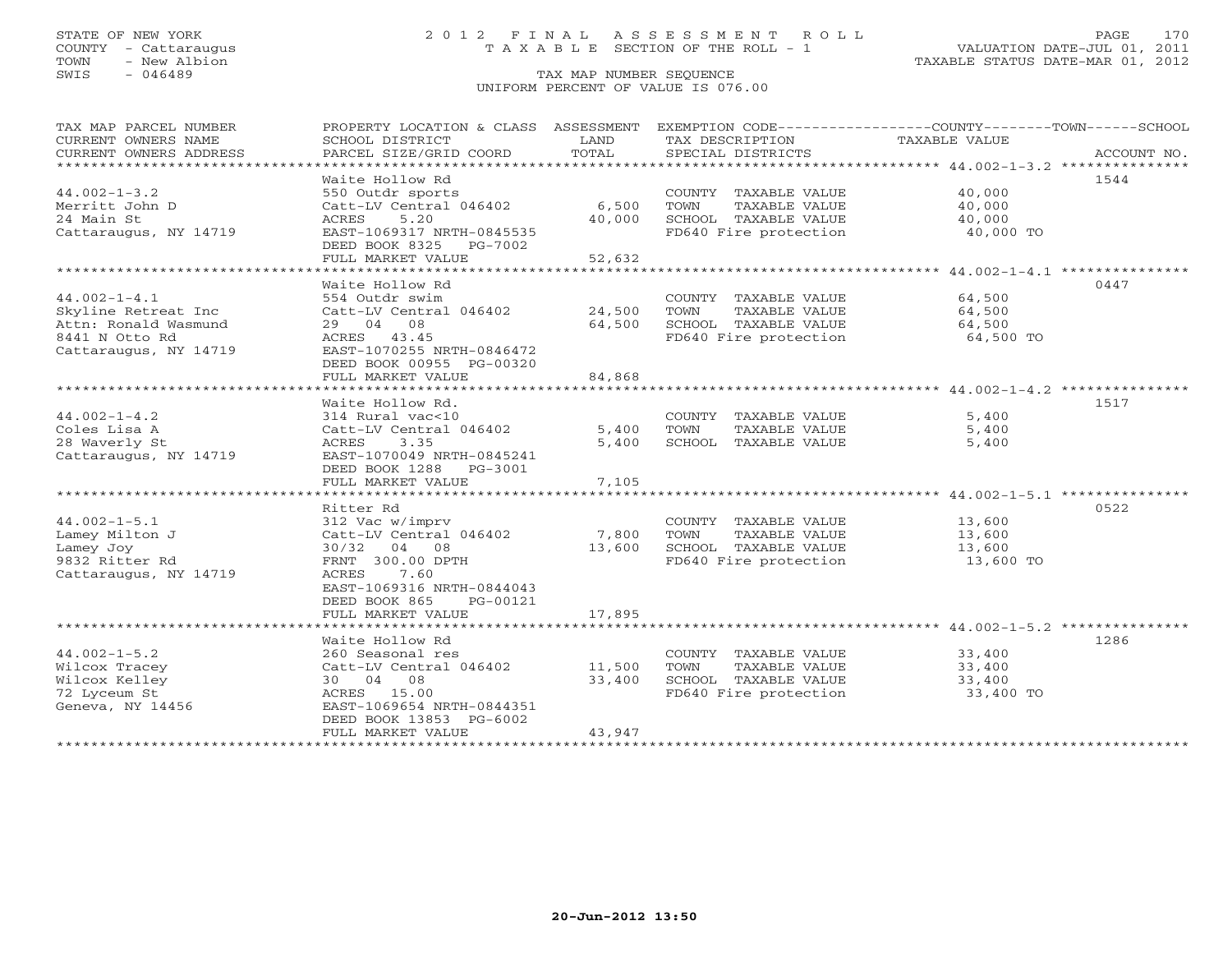# STATE OF NEW YORK 2 0 1 2 F I N A L A S S E S S M E N T R O L L PAGE 170 COUNTY - Cattaraugus T A X A B L E SECTION OF THE ROLL - 1 VALUATION DATE-JUL 01, 2011

| *************************<br>Waite Hollow Rd<br>1544<br>$44.002 - 1 - 3.2$<br>550 Outdr sports<br>COUNTY TAXABLE VALUE<br>40,000<br>Merritt John D<br>Catt-LV Central 046402<br>6,500<br>TOWN<br>TAXABLE VALUE<br>40,000<br>24 Main St<br>40,000<br>ACRES<br>5.20<br>SCHOOL TAXABLE VALUE<br>40,000<br>EAST-1069317 NRTH-0845535<br>FD640 Fire protection<br>40,000 TO<br>DEED BOOK 8325<br>PG-7002<br>FULL MARKET VALUE<br>52,632<br>Waite Hollow Rd<br>0447<br>$44.002 - 1 - 4.1$<br>554 Outdr swim<br>64,500<br>COUNTY TAXABLE VALUE<br>Skyline Retreat Inc<br>24,500<br>TOWN<br>TAXABLE VALUE<br>64,500<br>Catt-LV Central 046402<br>64,500<br>Attn: Ronald Wasmund<br>29 04 08<br>SCHOOL TAXABLE VALUE<br>64,500<br>8441 N Otto Rd<br>FD640 Fire protection<br>ACRES 43.45<br>64,500 TO<br>Cattaraugus, NY 14719<br>EAST-1070255 NRTH-0846472<br>DEED BOOK 00955 PG-00320<br>84,868<br>FULL MARKET VALUE<br>Waite Hollow Rd.<br>1517<br>$44.002 - 1 - 4.2$<br>314 Rural vac<10<br>5,400<br>COUNTY TAXABLE VALUE<br>Coles Lisa A<br>Catt-LV Central 046402<br>5,400<br>TOWN<br>TAXABLE VALUE<br>5,400<br>28 Waverly St<br>3.35<br>ACRES<br>5,400<br>SCHOOL TAXABLE VALUE<br>5,400<br>Cattaraugus, NY 14719<br>EAST-1070049 NRTH-0845241<br>DEED BOOK 1288<br>PG-3001<br>FULL MARKET VALUE<br>7,105<br>0522<br>Ritter Rd<br>$44.002 - 1 - 5.1$<br>312 Vac w/imprv<br>13,600<br>COUNTY TAXABLE VALUE<br>Lamey Milton J<br>Catt-LV Central 046402<br>7,800<br>TOWN<br>TAXABLE VALUE<br>13,600<br>SCHOOL TAXABLE VALUE<br>Lamey Joy<br>30/32<br>04 08<br>13,600<br>13,600<br>9832 Ritter Rd<br>FRNT 300.00 DPTH<br>FD640 Fire protection<br>13,600 TO<br>ACRES<br>7.60<br>Cattaraugus, NY 14719<br>EAST-1069316 NRTH-0844043<br>DEED BOOK 865<br>PG-00121<br>17,895<br>FULL MARKET VALUE<br>1286<br>Waite Hollow Rd<br>$44.002 - 1 - 5.2$<br>260 Seasonal res<br>33,400<br>COUNTY TAXABLE VALUE<br>Catt-LV Central 046402<br>11,500<br>TOWN<br>TAXABLE VALUE<br>33,400<br>30 04 08<br>33,400<br>SCHOOL TAXABLE VALUE<br>33,400<br>ACRES 15.00<br>FD640 Fire protection<br>33,400 TO<br>EAST-1069654 NRTH-0844351<br>Geneva, NY 14456<br>DEED BOOK 13853 PG-6002<br>FULL MARKET VALUE<br>43,947 | TAX MAP PARCEL NUMBER<br>CURRENT OWNERS NAME<br>CURRENT OWNERS ADDRESS | PROPERTY LOCATION & CLASS ASSESSMENT<br>SCHOOL DISTRICT<br>PARCEL SIZE/GRID COORD | LAND<br>TOTAL | TAX DESCRIPTION<br>SPECIAL DISTRICTS | EXEMPTION CODE-----------------COUNTY-------TOWN------SCHOOL<br>TAXABLE VALUE<br>ACCOUNT NO. |
|------------------------------------------------------------------------------------------------------------------------------------------------------------------------------------------------------------------------------------------------------------------------------------------------------------------------------------------------------------------------------------------------------------------------------------------------------------------------------------------------------------------------------------------------------------------------------------------------------------------------------------------------------------------------------------------------------------------------------------------------------------------------------------------------------------------------------------------------------------------------------------------------------------------------------------------------------------------------------------------------------------------------------------------------------------------------------------------------------------------------------------------------------------------------------------------------------------------------------------------------------------------------------------------------------------------------------------------------------------------------------------------------------------------------------------------------------------------------------------------------------------------------------------------------------------------------------------------------------------------------------------------------------------------------------------------------------------------------------------------------------------------------------------------------------------------------------------------------------------------------------------------------------------------------------------------------------------------------------------------------------------------------------------------------------------------------------------------------------------------------------------------------------------------------------------------------|------------------------------------------------------------------------|-----------------------------------------------------------------------------------|---------------|--------------------------------------|----------------------------------------------------------------------------------------------|
|                                                                                                                                                                                                                                                                                                                                                                                                                                                                                                                                                                                                                                                                                                                                                                                                                                                                                                                                                                                                                                                                                                                                                                                                                                                                                                                                                                                                                                                                                                                                                                                                                                                                                                                                                                                                                                                                                                                                                                                                                                                                                                                                                                                                |                                                                        |                                                                                   |               |                                      |                                                                                              |
|                                                                                                                                                                                                                                                                                                                                                                                                                                                                                                                                                                                                                                                                                                                                                                                                                                                                                                                                                                                                                                                                                                                                                                                                                                                                                                                                                                                                                                                                                                                                                                                                                                                                                                                                                                                                                                                                                                                                                                                                                                                                                                                                                                                                |                                                                        |                                                                                   |               |                                      |                                                                                              |
|                                                                                                                                                                                                                                                                                                                                                                                                                                                                                                                                                                                                                                                                                                                                                                                                                                                                                                                                                                                                                                                                                                                                                                                                                                                                                                                                                                                                                                                                                                                                                                                                                                                                                                                                                                                                                                                                                                                                                                                                                                                                                                                                                                                                |                                                                        |                                                                                   |               |                                      |                                                                                              |
|                                                                                                                                                                                                                                                                                                                                                                                                                                                                                                                                                                                                                                                                                                                                                                                                                                                                                                                                                                                                                                                                                                                                                                                                                                                                                                                                                                                                                                                                                                                                                                                                                                                                                                                                                                                                                                                                                                                                                                                                                                                                                                                                                                                                |                                                                        |                                                                                   |               |                                      |                                                                                              |
|                                                                                                                                                                                                                                                                                                                                                                                                                                                                                                                                                                                                                                                                                                                                                                                                                                                                                                                                                                                                                                                                                                                                                                                                                                                                                                                                                                                                                                                                                                                                                                                                                                                                                                                                                                                                                                                                                                                                                                                                                                                                                                                                                                                                |                                                                        |                                                                                   |               |                                      |                                                                                              |
|                                                                                                                                                                                                                                                                                                                                                                                                                                                                                                                                                                                                                                                                                                                                                                                                                                                                                                                                                                                                                                                                                                                                                                                                                                                                                                                                                                                                                                                                                                                                                                                                                                                                                                                                                                                                                                                                                                                                                                                                                                                                                                                                                                                                | Cattaraugus, NY 14719                                                  |                                                                                   |               |                                      |                                                                                              |
|                                                                                                                                                                                                                                                                                                                                                                                                                                                                                                                                                                                                                                                                                                                                                                                                                                                                                                                                                                                                                                                                                                                                                                                                                                                                                                                                                                                                                                                                                                                                                                                                                                                                                                                                                                                                                                                                                                                                                                                                                                                                                                                                                                                                |                                                                        |                                                                                   |               |                                      |                                                                                              |
|                                                                                                                                                                                                                                                                                                                                                                                                                                                                                                                                                                                                                                                                                                                                                                                                                                                                                                                                                                                                                                                                                                                                                                                                                                                                                                                                                                                                                                                                                                                                                                                                                                                                                                                                                                                                                                                                                                                                                                                                                                                                                                                                                                                                |                                                                        |                                                                                   |               |                                      |                                                                                              |
|                                                                                                                                                                                                                                                                                                                                                                                                                                                                                                                                                                                                                                                                                                                                                                                                                                                                                                                                                                                                                                                                                                                                                                                                                                                                                                                                                                                                                                                                                                                                                                                                                                                                                                                                                                                                                                                                                                                                                                                                                                                                                                                                                                                                |                                                                        |                                                                                   |               |                                      |                                                                                              |
|                                                                                                                                                                                                                                                                                                                                                                                                                                                                                                                                                                                                                                                                                                                                                                                                                                                                                                                                                                                                                                                                                                                                                                                                                                                                                                                                                                                                                                                                                                                                                                                                                                                                                                                                                                                                                                                                                                                                                                                                                                                                                                                                                                                                |                                                                        |                                                                                   |               |                                      |                                                                                              |
|                                                                                                                                                                                                                                                                                                                                                                                                                                                                                                                                                                                                                                                                                                                                                                                                                                                                                                                                                                                                                                                                                                                                                                                                                                                                                                                                                                                                                                                                                                                                                                                                                                                                                                                                                                                                                                                                                                                                                                                                                                                                                                                                                                                                |                                                                        |                                                                                   |               |                                      |                                                                                              |
|                                                                                                                                                                                                                                                                                                                                                                                                                                                                                                                                                                                                                                                                                                                                                                                                                                                                                                                                                                                                                                                                                                                                                                                                                                                                                                                                                                                                                                                                                                                                                                                                                                                                                                                                                                                                                                                                                                                                                                                                                                                                                                                                                                                                |                                                                        |                                                                                   |               |                                      |                                                                                              |
|                                                                                                                                                                                                                                                                                                                                                                                                                                                                                                                                                                                                                                                                                                                                                                                                                                                                                                                                                                                                                                                                                                                                                                                                                                                                                                                                                                                                                                                                                                                                                                                                                                                                                                                                                                                                                                                                                                                                                                                                                                                                                                                                                                                                |                                                                        |                                                                                   |               |                                      |                                                                                              |
|                                                                                                                                                                                                                                                                                                                                                                                                                                                                                                                                                                                                                                                                                                                                                                                                                                                                                                                                                                                                                                                                                                                                                                                                                                                                                                                                                                                                                                                                                                                                                                                                                                                                                                                                                                                                                                                                                                                                                                                                                                                                                                                                                                                                |                                                                        |                                                                                   |               |                                      |                                                                                              |
|                                                                                                                                                                                                                                                                                                                                                                                                                                                                                                                                                                                                                                                                                                                                                                                                                                                                                                                                                                                                                                                                                                                                                                                                                                                                                                                                                                                                                                                                                                                                                                                                                                                                                                                                                                                                                                                                                                                                                                                                                                                                                                                                                                                                |                                                                        |                                                                                   |               |                                      |                                                                                              |
|                                                                                                                                                                                                                                                                                                                                                                                                                                                                                                                                                                                                                                                                                                                                                                                                                                                                                                                                                                                                                                                                                                                                                                                                                                                                                                                                                                                                                                                                                                                                                                                                                                                                                                                                                                                                                                                                                                                                                                                                                                                                                                                                                                                                |                                                                        |                                                                                   |               |                                      |                                                                                              |
|                                                                                                                                                                                                                                                                                                                                                                                                                                                                                                                                                                                                                                                                                                                                                                                                                                                                                                                                                                                                                                                                                                                                                                                                                                                                                                                                                                                                                                                                                                                                                                                                                                                                                                                                                                                                                                                                                                                                                                                                                                                                                                                                                                                                |                                                                        |                                                                                   |               |                                      |                                                                                              |
|                                                                                                                                                                                                                                                                                                                                                                                                                                                                                                                                                                                                                                                                                                                                                                                                                                                                                                                                                                                                                                                                                                                                                                                                                                                                                                                                                                                                                                                                                                                                                                                                                                                                                                                                                                                                                                                                                                                                                                                                                                                                                                                                                                                                |                                                                        |                                                                                   |               |                                      |                                                                                              |
|                                                                                                                                                                                                                                                                                                                                                                                                                                                                                                                                                                                                                                                                                                                                                                                                                                                                                                                                                                                                                                                                                                                                                                                                                                                                                                                                                                                                                                                                                                                                                                                                                                                                                                                                                                                                                                                                                                                                                                                                                                                                                                                                                                                                |                                                                        |                                                                                   |               |                                      |                                                                                              |
|                                                                                                                                                                                                                                                                                                                                                                                                                                                                                                                                                                                                                                                                                                                                                                                                                                                                                                                                                                                                                                                                                                                                                                                                                                                                                                                                                                                                                                                                                                                                                                                                                                                                                                                                                                                                                                                                                                                                                                                                                                                                                                                                                                                                |                                                                        |                                                                                   |               |                                      |                                                                                              |
|                                                                                                                                                                                                                                                                                                                                                                                                                                                                                                                                                                                                                                                                                                                                                                                                                                                                                                                                                                                                                                                                                                                                                                                                                                                                                                                                                                                                                                                                                                                                                                                                                                                                                                                                                                                                                                                                                                                                                                                                                                                                                                                                                                                                |                                                                        |                                                                                   |               |                                      |                                                                                              |
|                                                                                                                                                                                                                                                                                                                                                                                                                                                                                                                                                                                                                                                                                                                                                                                                                                                                                                                                                                                                                                                                                                                                                                                                                                                                                                                                                                                                                                                                                                                                                                                                                                                                                                                                                                                                                                                                                                                                                                                                                                                                                                                                                                                                |                                                                        |                                                                                   |               |                                      |                                                                                              |
|                                                                                                                                                                                                                                                                                                                                                                                                                                                                                                                                                                                                                                                                                                                                                                                                                                                                                                                                                                                                                                                                                                                                                                                                                                                                                                                                                                                                                                                                                                                                                                                                                                                                                                                                                                                                                                                                                                                                                                                                                                                                                                                                                                                                |                                                                        |                                                                                   |               |                                      |                                                                                              |
|                                                                                                                                                                                                                                                                                                                                                                                                                                                                                                                                                                                                                                                                                                                                                                                                                                                                                                                                                                                                                                                                                                                                                                                                                                                                                                                                                                                                                                                                                                                                                                                                                                                                                                                                                                                                                                                                                                                                                                                                                                                                                                                                                                                                |                                                                        |                                                                                   |               |                                      |                                                                                              |
|                                                                                                                                                                                                                                                                                                                                                                                                                                                                                                                                                                                                                                                                                                                                                                                                                                                                                                                                                                                                                                                                                                                                                                                                                                                                                                                                                                                                                                                                                                                                                                                                                                                                                                                                                                                                                                                                                                                                                                                                                                                                                                                                                                                                |                                                                        |                                                                                   |               |                                      |                                                                                              |
|                                                                                                                                                                                                                                                                                                                                                                                                                                                                                                                                                                                                                                                                                                                                                                                                                                                                                                                                                                                                                                                                                                                                                                                                                                                                                                                                                                                                                                                                                                                                                                                                                                                                                                                                                                                                                                                                                                                                                                                                                                                                                                                                                                                                |                                                                        |                                                                                   |               |                                      |                                                                                              |
|                                                                                                                                                                                                                                                                                                                                                                                                                                                                                                                                                                                                                                                                                                                                                                                                                                                                                                                                                                                                                                                                                                                                                                                                                                                                                                                                                                                                                                                                                                                                                                                                                                                                                                                                                                                                                                                                                                                                                                                                                                                                                                                                                                                                |                                                                        |                                                                                   |               |                                      |                                                                                              |
|                                                                                                                                                                                                                                                                                                                                                                                                                                                                                                                                                                                                                                                                                                                                                                                                                                                                                                                                                                                                                                                                                                                                                                                                                                                                                                                                                                                                                                                                                                                                                                                                                                                                                                                                                                                                                                                                                                                                                                                                                                                                                                                                                                                                |                                                                        |                                                                                   |               |                                      |                                                                                              |
|                                                                                                                                                                                                                                                                                                                                                                                                                                                                                                                                                                                                                                                                                                                                                                                                                                                                                                                                                                                                                                                                                                                                                                                                                                                                                                                                                                                                                                                                                                                                                                                                                                                                                                                                                                                                                                                                                                                                                                                                                                                                                                                                                                                                |                                                                        |                                                                                   |               |                                      |                                                                                              |
|                                                                                                                                                                                                                                                                                                                                                                                                                                                                                                                                                                                                                                                                                                                                                                                                                                                                                                                                                                                                                                                                                                                                                                                                                                                                                                                                                                                                                                                                                                                                                                                                                                                                                                                                                                                                                                                                                                                                                                                                                                                                                                                                                                                                |                                                                        |                                                                                   |               |                                      |                                                                                              |
|                                                                                                                                                                                                                                                                                                                                                                                                                                                                                                                                                                                                                                                                                                                                                                                                                                                                                                                                                                                                                                                                                                                                                                                                                                                                                                                                                                                                                                                                                                                                                                                                                                                                                                                                                                                                                                                                                                                                                                                                                                                                                                                                                                                                |                                                                        |                                                                                   |               |                                      |                                                                                              |
|                                                                                                                                                                                                                                                                                                                                                                                                                                                                                                                                                                                                                                                                                                                                                                                                                                                                                                                                                                                                                                                                                                                                                                                                                                                                                                                                                                                                                                                                                                                                                                                                                                                                                                                                                                                                                                                                                                                                                                                                                                                                                                                                                                                                |                                                                        |                                                                                   |               |                                      |                                                                                              |
|                                                                                                                                                                                                                                                                                                                                                                                                                                                                                                                                                                                                                                                                                                                                                                                                                                                                                                                                                                                                                                                                                                                                                                                                                                                                                                                                                                                                                                                                                                                                                                                                                                                                                                                                                                                                                                                                                                                                                                                                                                                                                                                                                                                                |                                                                        |                                                                                   |               |                                      |                                                                                              |
|                                                                                                                                                                                                                                                                                                                                                                                                                                                                                                                                                                                                                                                                                                                                                                                                                                                                                                                                                                                                                                                                                                                                                                                                                                                                                                                                                                                                                                                                                                                                                                                                                                                                                                                                                                                                                                                                                                                                                                                                                                                                                                                                                                                                |                                                                        |                                                                                   |               |                                      |                                                                                              |
|                                                                                                                                                                                                                                                                                                                                                                                                                                                                                                                                                                                                                                                                                                                                                                                                                                                                                                                                                                                                                                                                                                                                                                                                                                                                                                                                                                                                                                                                                                                                                                                                                                                                                                                                                                                                                                                                                                                                                                                                                                                                                                                                                                                                |                                                                        |                                                                                   |               |                                      |                                                                                              |
|                                                                                                                                                                                                                                                                                                                                                                                                                                                                                                                                                                                                                                                                                                                                                                                                                                                                                                                                                                                                                                                                                                                                                                                                                                                                                                                                                                                                                                                                                                                                                                                                                                                                                                                                                                                                                                                                                                                                                                                                                                                                                                                                                                                                |                                                                        |                                                                                   |               |                                      |                                                                                              |
|                                                                                                                                                                                                                                                                                                                                                                                                                                                                                                                                                                                                                                                                                                                                                                                                                                                                                                                                                                                                                                                                                                                                                                                                                                                                                                                                                                                                                                                                                                                                                                                                                                                                                                                                                                                                                                                                                                                                                                                                                                                                                                                                                                                                | Wilcox Tracey                                                          |                                                                                   |               |                                      |                                                                                              |
|                                                                                                                                                                                                                                                                                                                                                                                                                                                                                                                                                                                                                                                                                                                                                                                                                                                                                                                                                                                                                                                                                                                                                                                                                                                                                                                                                                                                                                                                                                                                                                                                                                                                                                                                                                                                                                                                                                                                                                                                                                                                                                                                                                                                | Wilcox Kelley                                                          |                                                                                   |               |                                      |                                                                                              |
|                                                                                                                                                                                                                                                                                                                                                                                                                                                                                                                                                                                                                                                                                                                                                                                                                                                                                                                                                                                                                                                                                                                                                                                                                                                                                                                                                                                                                                                                                                                                                                                                                                                                                                                                                                                                                                                                                                                                                                                                                                                                                                                                                                                                | 72 Lyceum St                                                           |                                                                                   |               |                                      |                                                                                              |
|                                                                                                                                                                                                                                                                                                                                                                                                                                                                                                                                                                                                                                                                                                                                                                                                                                                                                                                                                                                                                                                                                                                                                                                                                                                                                                                                                                                                                                                                                                                                                                                                                                                                                                                                                                                                                                                                                                                                                                                                                                                                                                                                                                                                |                                                                        |                                                                                   |               |                                      |                                                                                              |
|                                                                                                                                                                                                                                                                                                                                                                                                                                                                                                                                                                                                                                                                                                                                                                                                                                                                                                                                                                                                                                                                                                                                                                                                                                                                                                                                                                                                                                                                                                                                                                                                                                                                                                                                                                                                                                                                                                                                                                                                                                                                                                                                                                                                |                                                                        |                                                                                   |               |                                      |                                                                                              |
|                                                                                                                                                                                                                                                                                                                                                                                                                                                                                                                                                                                                                                                                                                                                                                                                                                                                                                                                                                                                                                                                                                                                                                                                                                                                                                                                                                                                                                                                                                                                                                                                                                                                                                                                                                                                                                                                                                                                                                                                                                                                                                                                                                                                |                                                                        |                                                                                   |               |                                      |                                                                                              |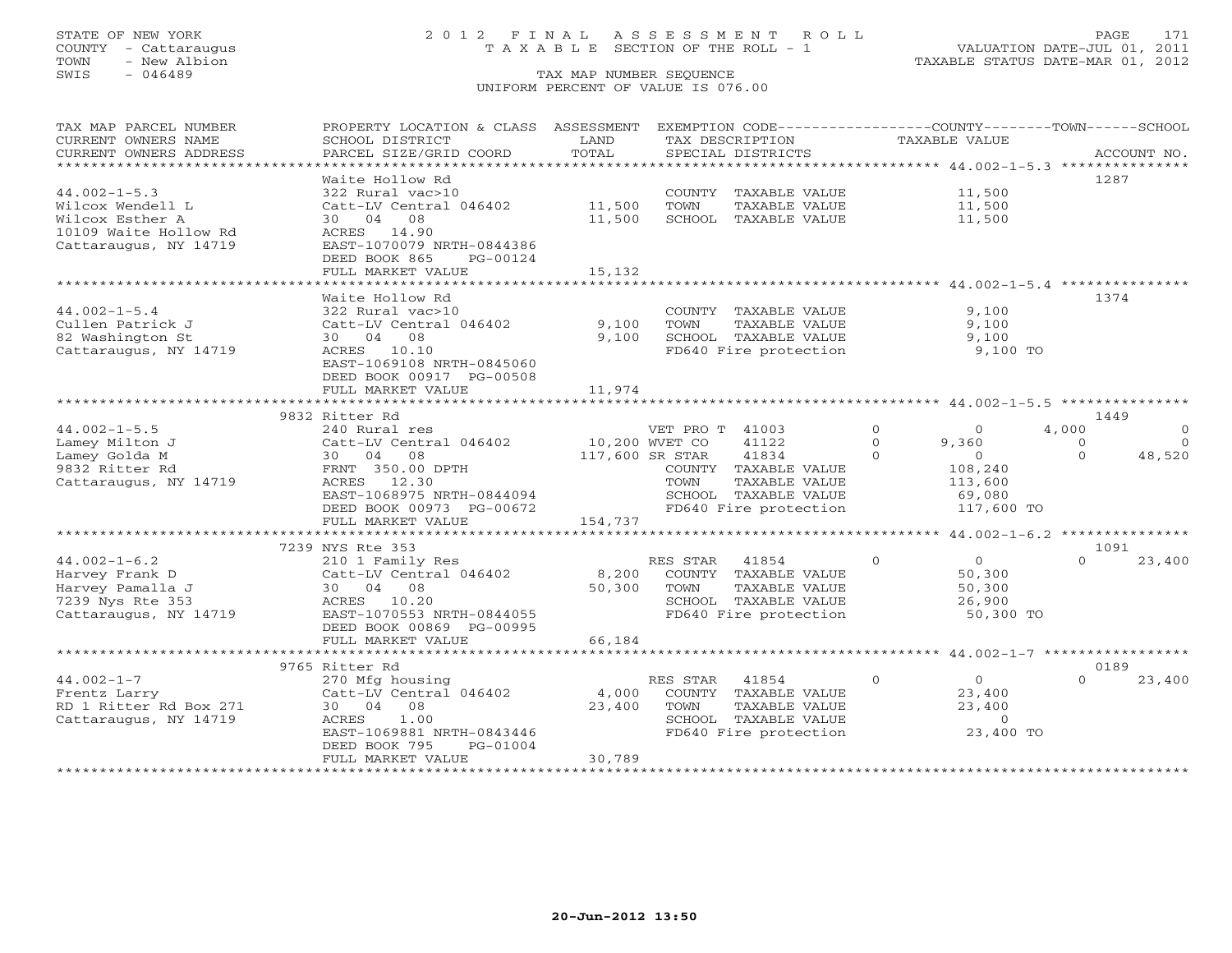# STATE OF NEW YORK 2 0 1 2 F I N A L A S S E S S M E N T R O L L PAGE 171 COUNTY - Cattaraugus T A X A B L E SECTION OF THE ROLL - 1 VALUATION DATE-JUL 01, 2011

| TAX MAP PARCEL NUMBER                         | PROPERTY LOCATION & CLASS ASSESSMENT                   |                      |                 | EXEMPTION CODE-----------------COUNTY-------TOWN------SCHOOL |          |                                           |          |             |
|-----------------------------------------------|--------------------------------------------------------|----------------------|-----------------|--------------------------------------------------------------|----------|-------------------------------------------|----------|-------------|
| CURRENT OWNERS NAME<br>CURRENT OWNERS ADDRESS | SCHOOL DISTRICT                                        | LAND<br>TOTAL        | TAX DESCRIPTION | SPECIAL DISTRICTS                                            |          | <b>TAXABLE VALUE</b>                      |          | ACCOUNT NO. |
| **********************                        | PARCEL SIZE/GRID COORD                                 |                      |                 |                                                              |          |                                           |          |             |
|                                               | Waite Hollow Rd                                        |                      |                 |                                                              |          |                                           |          | 1287        |
| $44.002 - 1 - 5.3$                            | 322 Rural vac>10                                       |                      |                 | COUNTY TAXABLE VALUE                                         |          | 11,500                                    |          |             |
| Wilcox Wendell L                              | Catt-LV Central 046402                                 | 11,500               | TOWN            | TAXABLE VALUE                                                |          | 11,500                                    |          |             |
| Wilcox Esther A                               | 08<br>30 04                                            | 11,500               |                 | SCHOOL TAXABLE VALUE                                         |          | 11,500                                    |          |             |
| 10109 Waite Hollow Rd                         | ACRES 14.90                                            |                      |                 |                                                              |          |                                           |          |             |
| Cattaraugus, NY 14719                         | EAST-1070079 NRTH-0844386                              |                      |                 |                                                              |          |                                           |          |             |
|                                               | DEED BOOK 865<br>PG-00124                              |                      |                 |                                                              |          |                                           |          |             |
|                                               | FULL MARKET VALUE                                      | 15,132               |                 |                                                              |          |                                           |          |             |
|                                               | *******************                                    | ************         |                 |                                                              |          |                                           |          |             |
|                                               | Waite Hollow Rd                                        |                      |                 |                                                              |          |                                           |          | 1374        |
| $44.002 - 1 - 5.4$                            | 322 Rural vac>10                                       |                      |                 | COUNTY TAXABLE VALUE                                         |          | 9,100                                     |          |             |
| Cullen Patrick J                              | Catt-LV Central 046402                                 | 9,100                | TOWN            | TAXABLE VALUE                                                |          | 9,100                                     |          |             |
| 82 Washington St                              | 30 04<br>08                                            | 9.100                |                 | SCHOOL TAXABLE VALUE                                         |          | 9,100                                     |          |             |
| Cattaraugus, NY 14719                         | ACRES 10.10                                            |                      |                 | FD640 Fire protection                                        |          | 9,100 TO                                  |          |             |
|                                               | EAST-1069108 NRTH-0845060                              |                      |                 |                                                              |          |                                           |          |             |
|                                               | DEED BOOK 00917 PG-00508                               |                      |                 |                                                              |          |                                           |          |             |
|                                               | FULL MARKET VALUE                                      | 11,974               |                 |                                                              |          |                                           |          |             |
|                                               |                                                        |                      |                 |                                                              |          |                                           |          |             |
|                                               | 9832 Ritter Rd                                         |                      |                 |                                                              |          |                                           |          | 1449        |
| $44.002 - 1 - 5.5$                            | 240 Rural res                                          |                      | VET PRO T 41003 |                                                              | $\circ$  | $\circ$                                   | 4,000    | $\circ$     |
| Lamey Milton J                                | Catt-LV Central 046402                                 | 10,200 WVET CO       |                 | 41122                                                        | $\Omega$ | 9,360                                     | $\circ$  | $\Omega$    |
| Lamey Golda M                                 | 08<br>30 04                                            | 117,600 SR STAR      |                 | 41834                                                        | $\Omega$ | $\overline{0}$                            | $\Omega$ | 48,520      |
| 9832 Ritter Rd                                | FRNT 350.00 DPTH                                       |                      |                 | COUNTY TAXABLE VALUE                                         |          | 108,240                                   |          |             |
| Cattaraugus, NY 14719                         | ACRES 12.30                                            |                      | TOWN            | TAXABLE VALUE                                                |          | 113,600                                   |          |             |
|                                               | EAST-1068975 NRTH-0844094                              |                      |                 | SCHOOL TAXABLE VALUE                                         |          | 69,080                                    |          |             |
|                                               | DEED BOOK 00973 PG-00672                               |                      |                 | FD640 Fire protection                                        |          | 117,600 TO                                |          |             |
|                                               | FULL MARKET VALUE                                      | 154,737              |                 |                                                              |          |                                           |          |             |
|                                               |                                                        |                      |                 |                                                              |          | ********** $44.002 - 1 - 6.2$ *********** |          |             |
|                                               | 7239 NYS Rte 353                                       |                      |                 |                                                              |          |                                           |          | 1091        |
| $44.002 - 1 - 6.2$                            | 210 1 Family Res                                       |                      | RES STAR        | 41854                                                        | $\circ$  | $\overline{0}$                            | $\Omega$ | 23,400      |
| Harvey Frank D                                | Catt-LV Central 046402                                 | 8,200                |                 | COUNTY TAXABLE VALUE                                         |          | 50,300                                    |          |             |
| Harvey Pamalla J                              | 30 04 08                                               | 50,300               | TOWN            | TAXABLE VALUE                                                |          | 50,300                                    |          |             |
| 7239 Nys Rte 353                              | ACRES 10.20                                            |                      |                 | SCHOOL TAXABLE VALUE                                         |          | 26,900                                    |          |             |
| Cattaraugus, NY 14719                         | EAST-1070553 NRTH-0844055                              |                      |                 | FD640 Fire protection                                        |          | 50,300 TO                                 |          |             |
|                                               | DEED BOOK 00869 PG-00995                               |                      |                 |                                                              |          |                                           |          |             |
|                                               | FULL MARKET VALUE                                      | 66,184<br>********** |                 |                                                              |          |                                           |          |             |
|                                               |                                                        |                      |                 |                                                              |          | ******** 44.002-1-7 *************         |          |             |
|                                               | 9765 Ritter Rd                                         |                      |                 |                                                              |          |                                           |          | 0189        |
| $44.002 - 1 - 7$                              | 270 Mfg housing                                        |                      | RES STAR        | 41854                                                        | $\circ$  | $\overline{0}$                            | $\Omega$ | 23,400      |
| Frentz Larry                                  | Catt-LV Central 046402                                 | 4,000                |                 | COUNTY TAXABLE VALUE                                         |          | 23,400                                    |          |             |
| RD 1 Ritter Rd Box 271                        | 30 04<br>08                                            | 23,400               | TOWN            | TAXABLE VALUE                                                |          | 23,400<br>$\overline{0}$                  |          |             |
| Cattaraugus, NY 14719                         | 1.00<br>ACRES                                          |                      |                 | SCHOOL TAXABLE VALUE                                         |          |                                           |          |             |
|                                               | EAST-1069881 NRTH-0843446<br>DEED BOOK 795<br>PG-01004 |                      |                 | FD640 Fire protection                                        |          | 23,400 TO                                 |          |             |
|                                               | FULL MARKET VALUE                                      | 30,789               |                 |                                                              |          |                                           |          |             |
|                                               |                                                        |                      |                 |                                                              |          |                                           |          |             |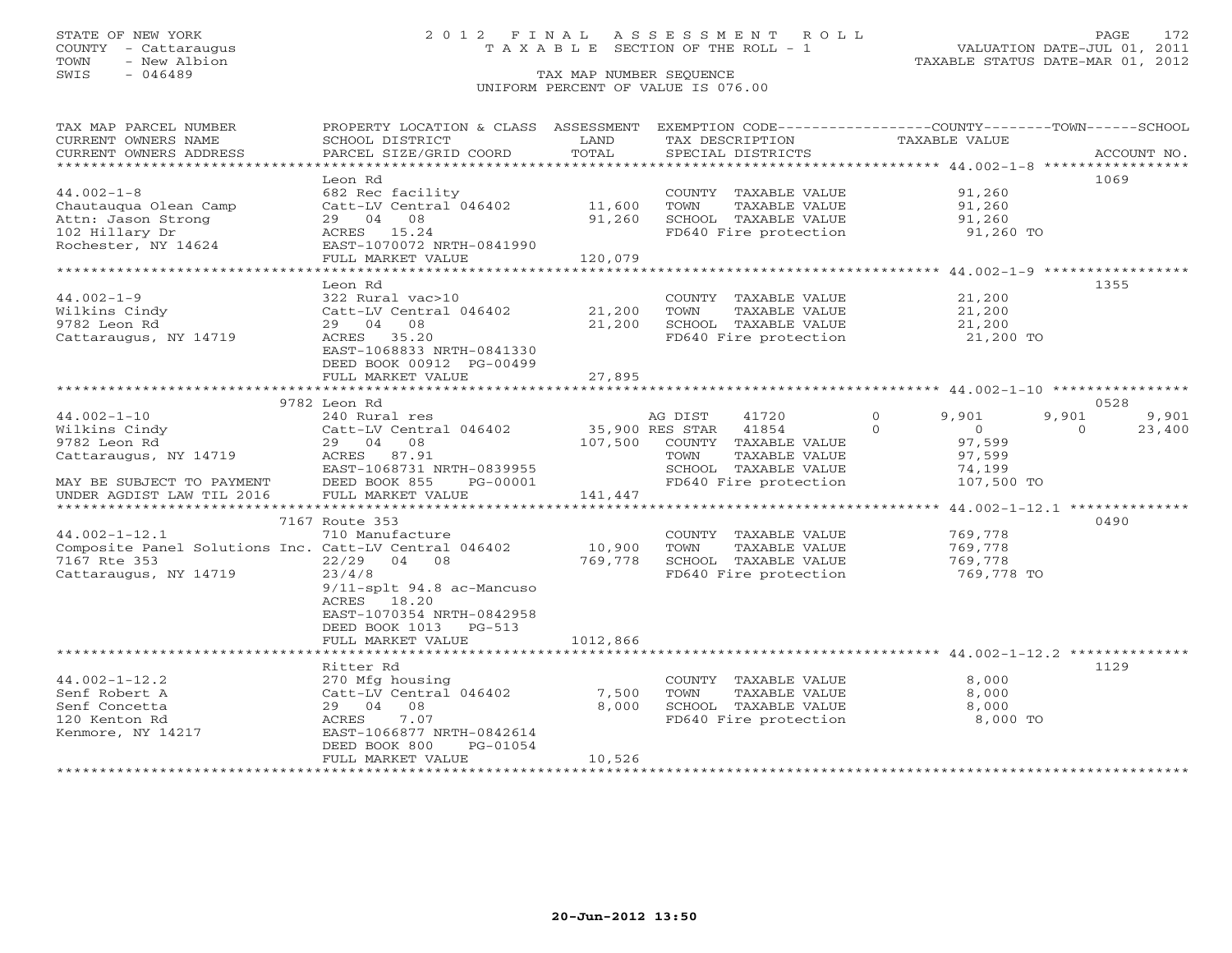# STATE OF NEW YORK 2 0 1 2 F I N A L A S S E S S M E N T R O L L PAGE 172 COUNTY - Cattaraugus T A X A B L E SECTION OF THE ROLL - 1 VALUATION DATE-JUL 01, 2011

TOWN - New Albion TAXABLE STATUS DATE-MAR 01, 2012

| TAX MAP PARCEL NUMBER                                 | PROPERTY LOCATION & CLASS ASSESSMENT |                 |         | EXEMPTION CODE-----------------COUNTY-------TOWN------SCHOOL   |               |                |          |             |
|-------------------------------------------------------|--------------------------------------|-----------------|---------|----------------------------------------------------------------|---------------|----------------|----------|-------------|
| CURRENT OWNERS NAME                                   | SCHOOL DISTRICT                      | LAND            |         | TAX DESCRIPTION                                                | TAXABLE VALUE |                |          |             |
| CURRENT OWNERS ADDRESS                                | PARCEL SIZE/GRID COORD               | TOTAL           |         | SPECIAL DISTRICTS                                              |               |                |          | ACCOUNT NO. |
| **********************                                |                                      |                 |         |                                                                |               |                |          |             |
|                                                       | Leon Rd                              |                 |         |                                                                |               |                |          | 1069        |
| $44.002 - 1 - 8$                                      | 682 Rec facility                     |                 |         | COUNTY TAXABLE VALUE                                           |               | 91,260         |          |             |
| Chautauqua Olean Camp                                 | Catt-LV Central 046402               | 11,600          | TOWN    | TAXABLE VALUE                                                  |               | 91,260         |          |             |
| Attn: Jason Strong                                    | 29 04 08                             | 91,260          |         | SCHOOL TAXABLE VALUE                                           |               | 91,260         |          |             |
| 102 Hillary Dr                                        | ACRES 15.24                          |                 |         | FD640 Fire protection                                          |               | 91,260 TO      |          |             |
| Rochester, NY 14624                                   | EAST-1070072 NRTH-0841990            |                 |         |                                                                |               |                |          |             |
|                                                       | FULL MARKET VALUE                    | 120,079         |         |                                                                |               |                |          |             |
|                                                       | *****************************        | *************   |         | ********************************* 44.002-1-9 ***************** |               |                |          |             |
|                                                       | Leon Rd                              |                 |         |                                                                |               |                |          | 1355        |
| $44.002 - 1 - 9$                                      | 322 Rural vac>10                     |                 |         | COUNTY TAXABLE VALUE                                           |               | 21,200         |          |             |
| Wilkins Cindy                                         | Catt-LV Central 046402               | 21,200          | TOWN    | TAXABLE VALUE                                                  |               | 21,200         |          |             |
| 9782 Leon Rd                                          | 29 04 08                             | 21,200          |         | SCHOOL TAXABLE VALUE                                           |               | 21,200         |          |             |
| Cattaraugus, NY 14719                                 | ACRES 35.20                          |                 |         | FD640 Fire protection                                          |               | 21,200 TO      |          |             |
|                                                       | EAST-1068833 NRTH-0841330            |                 |         |                                                                |               |                |          |             |
|                                                       | DEED BOOK 00912 PG-00499             |                 |         |                                                                |               |                |          |             |
|                                                       | FULL MARKET VALUE                    | 27,895          |         |                                                                |               |                |          |             |
|                                                       |                                      |                 |         |                                                                |               |                |          |             |
|                                                       | 9782 Leon Rd                         |                 |         |                                                                |               |                |          | 0528        |
| $44.002 - 1 - 10$                                     | 240 Rural res                        |                 | AG DIST | 41720                                                          | $\Omega$      | 9,901          | 9,901    | 9,901       |
| Wilkins Cindy                                         | Catt-LV Central 046402               | 35,900 RES STAR |         | 41854                                                          | $\Omega$      | $\overline{0}$ | $\Omega$ | 23,400      |
| 9782 Leon Rd                                          | 29 04 08                             | 107,500         |         | COUNTY TAXABLE VALUE                                           |               | 97,599         |          |             |
| Cattaraugus, NY 14719                                 | ACRES 87.91                          |                 | TOWN    | TAXABLE VALUE                                                  |               | 97,599         |          |             |
|                                                       | EAST-1068731 NRTH-0839955            |                 |         | SCHOOL TAXABLE VALUE                                           |               | 74,199         |          |             |
| MAY BE SUBJECT TO PAYMENT                             | DEED BOOK 855<br>PG-00001            |                 |         | FD640 Fire protection                                          |               | 107,500 TO     |          |             |
|                                                       | FULL MARKET VALUE                    |                 |         |                                                                |               |                |          |             |
| UNDER AGDIST LAW TIL 2016                             |                                      | 141,447         |         | ************************ 44.002-1-12.1 ***************         |               |                |          |             |
|                                                       |                                      |                 |         |                                                                |               |                |          | 0490        |
|                                                       | 7167 Route 353                       |                 |         |                                                                |               |                |          |             |
| $44.002 - 1 - 12.1$                                   | 710 Manufacture                      |                 |         | COUNTY TAXABLE VALUE                                           |               | 769,778        |          |             |
| Composite Panel Solutions Inc. Catt-LV Central 046402 |                                      | 10,900          | TOWN    | TAXABLE VALUE                                                  |               | 769,778        |          |             |
| 7167 Rte 353                                          | 22/29 04 08                          | 769,778         |         | SCHOOL TAXABLE VALUE                                           |               | 769,778        |          |             |
| Cattaraugus, NY 14719                                 | 23/4/8                               |                 |         | FD640 Fire protection                                          |               | 769,778 TO     |          |             |
|                                                       | 9/11-splt 94.8 ac-Mancuso            |                 |         |                                                                |               |                |          |             |
|                                                       | ACRES 18.20                          |                 |         |                                                                |               |                |          |             |
|                                                       | EAST-1070354 NRTH-0842958            |                 |         |                                                                |               |                |          |             |
|                                                       | DEED BOOK 1013 PG-513                |                 |         |                                                                |               |                |          |             |
|                                                       | FULL MARKET VALUE                    | 1012,866        |         |                                                                |               |                |          |             |
|                                                       |                                      |                 |         |                                                                |               |                |          |             |
|                                                       | Ritter Rd                            |                 |         |                                                                |               |                |          | 1129        |
| $44.002 - 1 - 12.2$                                   | 270 Mfg housing                      |                 |         | COUNTY TAXABLE VALUE                                           |               | 8,000          |          |             |
| Senf Robert A                                         | Catt-LV Central 046402               | 7,500           | TOWN    | TAXABLE VALUE                                                  |               | 8,000          |          |             |
| Senf Concetta                                         | 29 04 08                             | 8,000           |         | SCHOOL TAXABLE VALUE                                           |               | 8,000          |          |             |
| 120 Kenton Rd                                         | 7.07<br>ACRES                        |                 |         | FD640 Fire protection                                          |               | 8,000 TO       |          |             |
| Kenmore, NY 14217                                     | EAST-1066877 NRTH-0842614            |                 |         |                                                                |               |                |          |             |
|                                                       | PG-01054<br>DEED BOOK 800            |                 |         |                                                                |               |                |          |             |
|                                                       | FULL MARKET VALUE                    | 10,526          |         |                                                                |               |                |          |             |
|                                                       |                                      |                 |         |                                                                |               |                |          |             |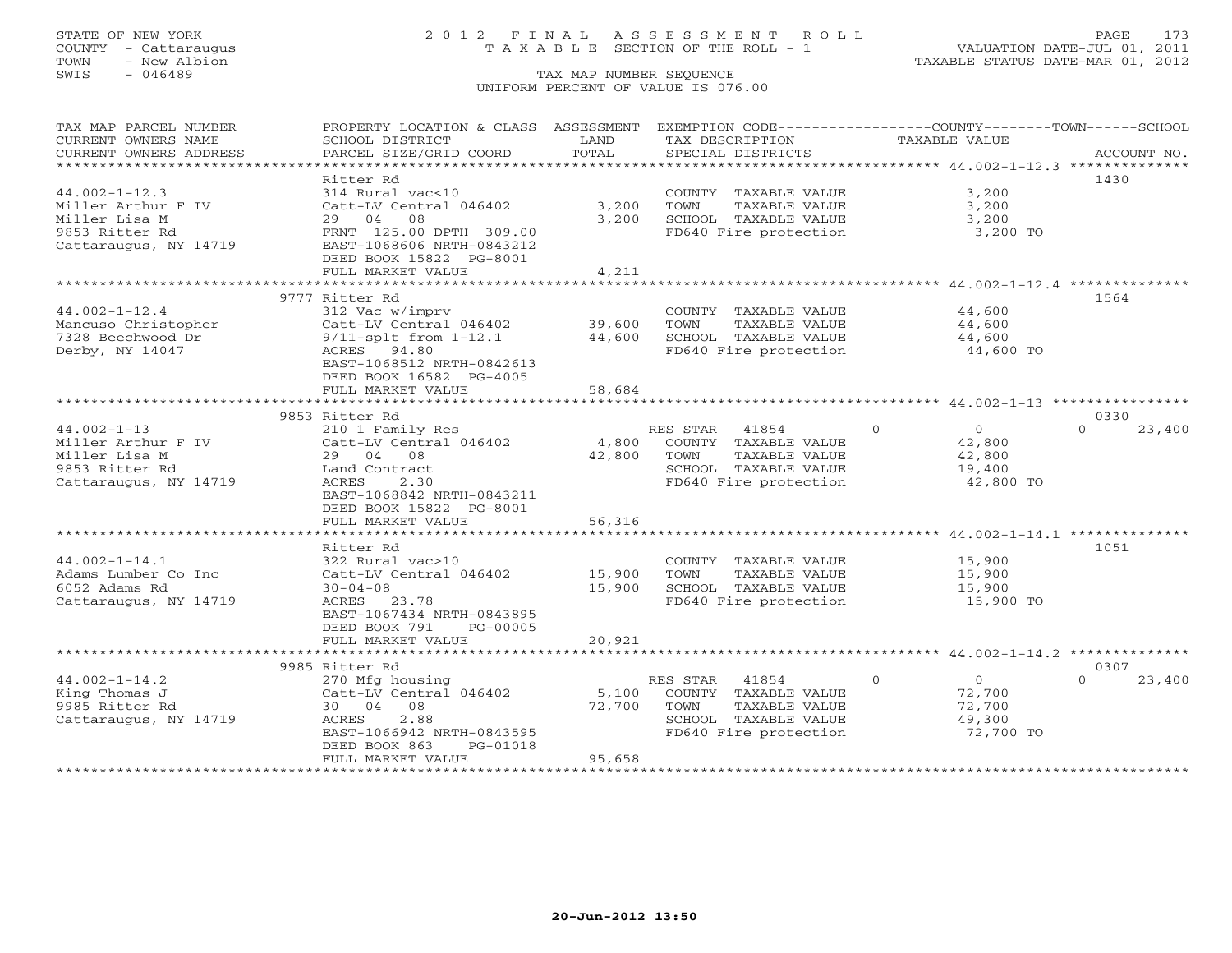# STATE OF NEW YORK 2 0 1 2 F I N A L A S S E S S M E N T R O L L PAGE 173 COUNTY - Cattaraugus T A X A B L E SECTION OF THE ROLL - 1 VALUATION DATE-JUL 01, 2011

| TAX MAP PARCEL NUMBER<br>CURRENT OWNERS NAME<br>CURRENT OWNERS ADDRESS | PROPERTY LOCATION & CLASS ASSESSMENT<br>SCHOOL DISTRICT<br>PARCEL SIZE/GRID COORD | LAND<br>TOTAL    | EXEMPTION CODE-----------------COUNTY-------TOWN------SCHOOL<br>TAX DESCRIPTION | <b>TAXABLE VALUE</b>      | ACCOUNT NO.        |
|------------------------------------------------------------------------|-----------------------------------------------------------------------------------|------------------|---------------------------------------------------------------------------------|---------------------------|--------------------|
|                                                                        |                                                                                   |                  | SPECIAL DISTRICTS                                                               |                           |                    |
|                                                                        | Ritter Rd                                                                         |                  |                                                                                 |                           | 1430               |
| $44.002 - 1 - 12.3$<br>Miller Arthur F IV<br>Miller Lisa M             | 314 Rural vac<10<br>Catt-LV Central 046402<br>29 04<br>08                         | 3,200<br>3,200   | COUNTY TAXABLE VALUE<br>TOWN<br>TAXABLE VALUE<br>SCHOOL TAXABLE VALUE           | 3,200<br>3,200<br>3,200   |                    |
| 9853 Ritter Rd<br>Cattaraugus, NY 14719                                | FRNT 125.00 DPTH 309.00<br>EAST-1068606 NRTH-0843212<br>DEED BOOK 15822 PG-8001   |                  | FD640 Fire protection                                                           | 3,200 TO                  |                    |
|                                                                        | FULL MARKET VALUE                                                                 | 4,211            |                                                                                 |                           |                    |
|                                                                        |                                                                                   |                  |                                                                                 |                           |                    |
|                                                                        | 9777 Ritter Rd                                                                    |                  |                                                                                 |                           | 1564               |
| $44.002 - 1 - 12.4$                                                    | 312 Vac w/imprv                                                                   |                  | COUNTY TAXABLE VALUE                                                            | 44,600                    |                    |
| Mancuso Christopher<br>7328 Beechwood Dr                               | Catt-LV Central 046402<br>$9/11$ -splt from $1-12.1$                              | 39,600<br>44,600 | TOWN<br>TAXABLE VALUE<br>SCHOOL TAXABLE VALUE                                   | 44,600<br>44,600          |                    |
|                                                                        | ACRES 94.80                                                                       |                  |                                                                                 | 44,600 TO                 |                    |
| Derby, NY 14047                                                        | EAST-1068512 NRTH-0842613<br>DEED BOOK 16582 PG-4005                              |                  | FD640 Fire protection                                                           |                           |                    |
|                                                                        | FULL MARKET VALUE                                                                 | 58,684           |                                                                                 |                           |                    |
|                                                                        | 9853 Ritter Rd                                                                    |                  |                                                                                 |                           | 0330               |
| $44.002 - 1 - 13$                                                      | 210 1 Family Res                                                                  |                  | RES STAR<br>41854                                                               | $\Omega$<br>$\Omega$      | $\Omega$<br>23,400 |
| Miller Arthur F IV                                                     | Catt-LV Central 046402                                                            | 4,800            | COUNTY TAXABLE VALUE                                                            | 42,800                    |                    |
| Miller Lisa M                                                          | 29 04<br>08                                                                       | 42,800           | TOWN<br>TAXABLE VALUE                                                           | 42,800                    |                    |
| 9853 Ritter Rd                                                         | Land Contract                                                                     |                  | SCHOOL TAXABLE VALUE                                                            | 19,400                    |                    |
| Cattaraugus, NY 14719                                                  | 2.30<br>ACRES                                                                     |                  | FD640 Fire protection                                                           | 42,800 TO                 |                    |
|                                                                        | EAST-1068842 NRTH-0843211                                                         |                  |                                                                                 |                           |                    |
|                                                                        | DEED BOOK 15822 PG-8001                                                           |                  |                                                                                 |                           |                    |
|                                                                        | FULL MARKET VALUE<br>*******************************                              | 56,316           |                                                                                 |                           |                    |
|                                                                        | Ritter Rd                                                                         |                  |                                                                                 |                           | 1051               |
| $44.002 - 1 - 14.1$                                                    | 322 Rural vac>10                                                                  |                  | COUNTY TAXABLE VALUE                                                            | 15,900                    |                    |
| Adams Lumber Co Inc                                                    | Catt-LV Central 046402                                                            | 15,900           | TAXABLE VALUE<br>TOWN                                                           | 15,900                    |                    |
| 6052 Adams Rd                                                          | $30 - 04 - 08$                                                                    | 15,900           | SCHOOL TAXABLE VALUE                                                            | 15,900                    |                    |
| Cattaraugus, NY 14719                                                  | ACRES 23.78                                                                       |                  | FD640 Fire protection                                                           | 15,900 TO                 |                    |
|                                                                        | EAST-1067434 NRTH-0843895                                                         |                  |                                                                                 |                           |                    |
|                                                                        | DEED BOOK 791<br>PG-00005<br>FULL MARKET VALUE                                    | 20,921           |                                                                                 |                           |                    |
|                                                                        |                                                                                   |                  |                                                                                 |                           |                    |
|                                                                        | 9985 Ritter Rd                                                                    |                  |                                                                                 |                           | 0307               |
| $44.002 - 1 - 14.2$                                                    | 270 Mfg housing                                                                   |                  | RES STAR<br>41854                                                               | $\circ$<br>$\overline{0}$ | $\Omega$<br>23,400 |
| King Thomas J                                                          | Catt-LV Central 046402                                                            | 5,100            | COUNTY TAXABLE VALUE                                                            | 72,700                    |                    |
| 9985 Ritter Rd                                                         | 30 04 08                                                                          | 72,700           | TAXABLE VALUE<br>TOWN                                                           | 72,700                    |                    |
| Cattaraugus, NY 14719                                                  | 2.88<br>ACRES                                                                     |                  | SCHOOL TAXABLE VALUE                                                            | 49,300                    |                    |
|                                                                        | EAST-1066942 NRTH-0843595                                                         |                  | FD640 Fire protection                                                           | 72,700 TO                 |                    |
|                                                                        | DEED BOOK 863<br>PG-01018                                                         |                  |                                                                                 |                           |                    |
|                                                                        | FULL MARKET VALUE                                                                 | 95,658           |                                                                                 |                           |                    |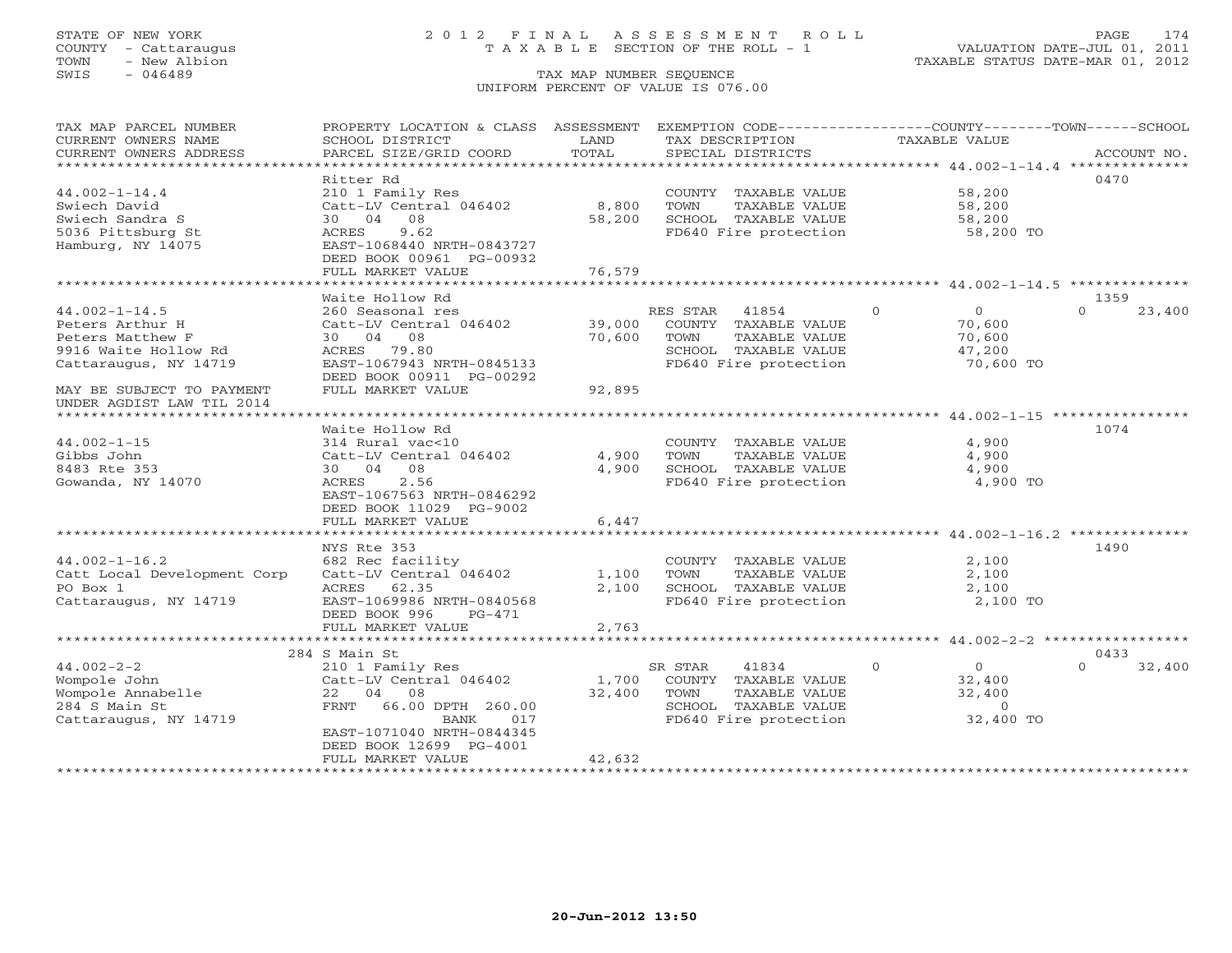# STATE OF NEW YORK 2 0 1 2 F I N A L A S S E S S M E N T R O L L PAGE 174 COUNTY - Cattaraugus T A X A B L E SECTION OF THE ROLL - 1 VALUATION DATE-JUL 01, 2011

| TAX MAP PARCEL NUMBER              | PROPERTY LOCATION & CLASS ASSESSMENT                  |                      |                |                                       |                     | EXEMPTION CODE-----------------COUNTY-------TOWN------SCHOOL |  |
|------------------------------------|-------------------------------------------------------|----------------------|----------------|---------------------------------------|---------------------|--------------------------------------------------------------|--|
| CURRENT OWNERS NAME                | SCHOOL DISTRICT                                       | LAND                 |                | TAX DESCRIPTION                       | TAXABLE VALUE       |                                                              |  |
| CURRENT OWNERS ADDRESS             | PARCEL SIZE/GRID COORD                                | TOTAL                |                | SPECIAL DISTRICTS                     |                     | ACCOUNT NO.                                                  |  |
| ********************               |                                                       |                      |                |                                       |                     |                                                              |  |
|                                    | Ritter Rd                                             |                      |                |                                       |                     | 0470                                                         |  |
| $44.002 - 1 - 14.4$                | 210 1 Family Res                                      |                      |                | COUNTY TAXABLE VALUE                  | 58,200              |                                                              |  |
| Swiech David                       | Catt-LV Central 046402                                | 8,800                | TOWN           | TAXABLE VALUE                         | 58,200              |                                                              |  |
| Swiech Sandra S                    | 08<br>30 04                                           | 58,200               |                | SCHOOL TAXABLE VALUE                  | 58,200              |                                                              |  |
| 5036 Pittsburg St                  | 9.62<br>ACRES                                         |                      |                | FD640 Fire protection                 |                     | 58,200 TO                                                    |  |
| Hamburg, NY 14075                  | EAST-1068440 NRTH-0843727<br>DEED BOOK 00961 PG-00932 |                      |                |                                       |                     |                                                              |  |
|                                    | FULL MARKET VALUE                                     | 76,579               |                |                                       |                     |                                                              |  |
|                                    | **********************                                |                      |                |                                       |                     |                                                              |  |
|                                    | Waite Hollow Rd                                       |                      |                |                                       |                     | 1359                                                         |  |
| $44.002 - 1 - 14.5$                | 260 Seasonal res                                      |                      | RES STAR 41854 |                                       | $\circ$<br>$\Omega$ | $\Omega$<br>23,400                                           |  |
| Peters Arthur H                    | Catt-LV Central 046402                                | 39,000               |                | COUNTY TAXABLE VALUE                  | 70,600              |                                                              |  |
| Peters Matthew F                   | 30 04 08                                              | 70,600               | TOWN           | TAXABLE VALUE                         | 70,600              |                                                              |  |
| 9916 Waite Hollow Rd               | ACRES 79.80                                           |                      |                | SCHOOL TAXABLE VALUE                  | 47,200              |                                                              |  |
| Cattaraugus, NY 14719              | EAST-1067943 NRTH-0845133                             |                      |                | FD640 Fire protection                 |                     | 70,600 TO                                                    |  |
|                                    | DEED BOOK 00911 PG-00292                              |                      |                |                                       |                     |                                                              |  |
| MAY BE SUBJECT TO PAYMENT          | FULL MARKET VALUE                                     | 92,895               |                |                                       |                     |                                                              |  |
| UNDER AGDIST LAW TIL 2014          |                                                       |                      |                |                                       |                     |                                                              |  |
|                                    |                                                       |                      |                |                                       |                     |                                                              |  |
|                                    | Waite Hollow Rd                                       |                      |                |                                       |                     | 1074                                                         |  |
| $44.002 - 1 - 15$                  | 314 Rural vac<10                                      |                      |                | COUNTY TAXABLE VALUE                  | 4,900               |                                                              |  |
| Gibbs John                         | Catt-LV Central 046402                                | 4,900                | TOWN           | TAXABLE VALUE                         | 4,900               |                                                              |  |
| 8483 Rte 353                       | 30 04 08                                              | 4,900                |                | SCHOOL TAXABLE VALUE                  | 4,900               |                                                              |  |
| Gowanda, NY 14070                  | 2.56<br>ACRES                                         |                      |                | FD640 Fire protection                 |                     | 4,900 TO                                                     |  |
|                                    | EAST-1067563 NRTH-0846292                             |                      |                |                                       |                     |                                                              |  |
|                                    | DEED BOOK 11029 PG-9002                               |                      |                |                                       |                     |                                                              |  |
|                                    | FULL MARKET VALUE                                     | 6,447                |                |                                       |                     |                                                              |  |
|                                    | ******************************                        | ******************** |                |                                       |                     | ********************* 44.002-1-16.2 **************           |  |
|                                    | NYS Rte 353                                           |                      |                |                                       |                     | 1490                                                         |  |
| $44.002 - 1 - 16.2$                | 682 Rec facility                                      |                      |                | COUNTY TAXABLE VALUE                  | 2,100               |                                                              |  |
| Catt Local Development Corp        | Catt-LV Central 046402                                | 1,100                | TOWN           | TAXABLE VALUE                         | 2,100               |                                                              |  |
| PO Box 1                           | 62.35<br>ACRES                                        | 2,100                |                | SCHOOL TAXABLE VALUE                  | 2,100               |                                                              |  |
| Cattaraugus, NY 14719              | EAST-1069986 NRTH-0840568                             |                      |                | FD640 Fire protection                 |                     | 2,100 TO                                                     |  |
|                                    | DEED BOOK 996<br>$PG-471$                             |                      |                |                                       |                     |                                                              |  |
|                                    | FULL MARKET VALUE                                     | 2,763                |                |                                       |                     |                                                              |  |
|                                    |                                                       |                      |                |                                       |                     |                                                              |  |
|                                    | 284 S Main St                                         |                      |                |                                       | $\Omega$            | 0433<br>32,400<br>$\Omega$                                   |  |
| $44.002 - 2 - 2$                   | 210 1 Family Res                                      |                      | SR STAR        | 41834                                 | $\overline{0}$      |                                                              |  |
| Wompole John                       | Catt-LV Central 046402                                | 1,700                | TOWN           | COUNTY TAXABLE VALUE                  | 32,400              |                                                              |  |
| Wompole Annabelle<br>284 S Main St | 22<br>04<br>08<br>FRNT<br>66.00 DPTH 260.00           | 32,400               |                | TAXABLE VALUE<br>SCHOOL TAXABLE VALUE | 32,400              | $\overline{0}$                                               |  |
| Cattaraugus, NY 14719              | BANK<br>017                                           |                      |                | FD640 Fire protection                 |                     | 32,400 TO                                                    |  |
|                                    | EAST-1071040 NRTH-0844345                             |                      |                |                                       |                     |                                                              |  |
|                                    | DEED BOOK 12699 PG-4001                               |                      |                |                                       |                     |                                                              |  |
|                                    | FULL MARKET VALUE                                     | 42,632               |                |                                       |                     |                                                              |  |
|                                    |                                                       |                      |                |                                       |                     |                                                              |  |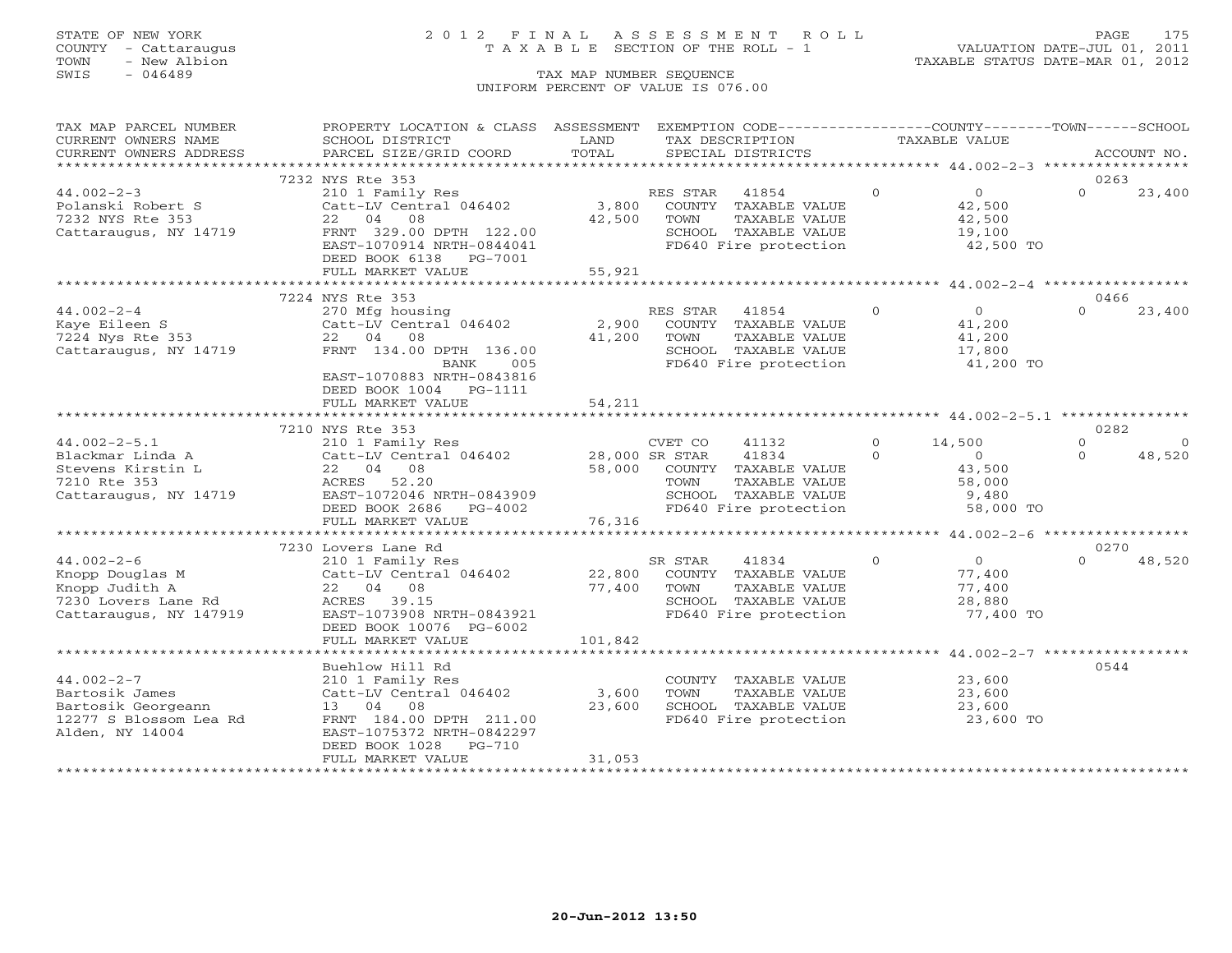# STATE OF NEW YORK 2 0 1 2 F I N A L A S S E S S M E N T R O L L PAGE 175 COUNTY - Cattaraugus T A X A B L E SECTION OF THE ROLL - 1 VALUATION DATE-JUL 01, 2011

| TAX MAP PARCEL NUMBER                        | PROPERTY LOCATION & CLASS ASSESSMENT |         |                   | EXEMPTION CODE-----------------COUNTY-------TOWN------SCHOOL |          |                |          |             |
|----------------------------------------------|--------------------------------------|---------|-------------------|--------------------------------------------------------------|----------|----------------|----------|-------------|
| CURRENT OWNERS NAME                          | SCHOOL DISTRICT                      | LAND    | TAX DESCRIPTION   |                                                              |          | TAXABLE VALUE  |          |             |
| CURRENT OWNERS ADDRESS                       | PARCEL SIZE/GRID COORD               | TOTAL   | SPECIAL DISTRICTS |                                                              |          |                |          | ACCOUNT NO. |
| **********************                       |                                      |         |                   |                                                              |          |                |          |             |
|                                              | 7232 NYS Rte 353                     |         |                   |                                                              |          |                | 0263     |             |
| $44.002 - 2 - 3$                             | 210 1 Family Res                     |         | RES STAR          | 41854                                                        | $\Omega$ | $\overline{0}$ | $\Omega$ | 23,400      |
| Polanski Robert S                            | Catt-LV Central 046402               | 3,800   |                   | COUNTY TAXABLE VALUE                                         |          | 42,500         |          |             |
| 7232 NYS Rte 353                             | 22 04 08                             | 42,500  | TOWN              | TAXABLE VALUE                                                |          | 42,500         |          |             |
| Cattaraugus, NY 14719                        | FRNT 329.00 DPTH 122.00              |         |                   | SCHOOL TAXABLE VALUE                                         |          | 19,100         |          |             |
|                                              | EAST-1070914 NRTH-0844041            |         |                   | FD640 Fire protection                                        |          | 42,500 TO      |          |             |
|                                              | DEED BOOK 6138 PG-7001               |         |                   |                                                              |          |                |          |             |
|                                              | FULL MARKET VALUE                    | 55,921  |                   |                                                              |          |                |          |             |
|                                              |                                      |         |                   |                                                              |          |                |          |             |
|                                              | 7224 NYS Rte 353                     |         |                   |                                                              |          |                | 0466     |             |
| $44.002 - 2 - 4$                             | 270 Mfg housing                      |         | RES STAR          | 41854                                                        | $\Omega$ | $\Omega$       | $\Omega$ | 23,400      |
| Kaye Eileen S                                | Catt-LV Central 046402               | 2,900   |                   | COUNTY TAXABLE VALUE                                         |          | 41,200         |          |             |
| 7224 Nys Rte 353                             | 22 04 08                             | 41,200  | TOWN              | TAXABLE VALUE                                                |          | 41,200         |          |             |
| Cattaraugus, NY 14719                        | FRNT 134.00 DPTH 136.00              |         |                   | SCHOOL TAXABLE VALUE                                         |          | 17,800         |          |             |
|                                              | BANK<br>005                          |         |                   | FD640 Fire protection                                        |          | 41,200 TO      |          |             |
|                                              | EAST-1070883 NRTH-0843816            |         |                   |                                                              |          |                |          |             |
|                                              | DEED BOOK 1004 PG-1111               |         |                   |                                                              |          |                |          |             |
|                                              | FULL MARKET VALUE                    | 54,211  |                   |                                                              |          |                |          |             |
|                                              |                                      |         |                   |                                                              |          |                |          |             |
|                                              | 7210 NYS Rte 353                     |         |                   |                                                              |          |                | 0282     |             |
| $44.002 - 2 - 5.1$                           | 210 1 Family Res                     |         | CVET CO           | 41132                                                        | $\circ$  | 14,500         | $\Omega$ | $\Omega$    |
| Blackmar Linda A                             | Catt-LV Central 046402               |         | 28,000 SR STAR    | 41834                                                        | $\Omega$ | $\Omega$       | $\Omega$ | 48,520      |
| Stevens Kirstin L                            | 22 04 08                             | 58,000  |                   | COUNTY TAXABLE VALUE                                         |          | 43,500         |          |             |
| 7210 Rte 353                                 | 52.20<br>ACRES                       |         | TOWN              | TAXABLE VALUE                                                |          | 58,000         |          |             |
| Cattaraugus, NY 14719                        | EAST-1072046 NRTH-0843909            |         |                   | SCHOOL TAXABLE VALUE                                         |          | 9,480          |          |             |
|                                              | DEED BOOK 2686<br>PG-4002            |         |                   | FD640 Fire protection                                        |          | 58,000 TO      |          |             |
|                                              | FULL MARKET VALUE                    | 76,316  |                   |                                                              |          |                |          |             |
|                                              |                                      |         |                   |                                                              |          |                |          |             |
|                                              | 7230 Lovers Lane Rd                  |         |                   |                                                              |          |                | 0270     |             |
| $44.002 - 2 - 6$                             | 210 1 Family Res                     |         | SR STAR           | 41834                                                        | $\circ$  | $\overline{0}$ | $\Omega$ | 48,520      |
| Knopp Douglas M                              | Catt-LV Central 046402               |         |                   | 22,800 COUNTY TAXABLE VALUE                                  |          | 77,400         |          |             |
| Knopp Judith A                               | 22 04 08                             | 77,400  | TOWN              | TAXABLE VALUE                                                |          | 77,400         |          |             |
| 7230 Lovers Lane Rd                          | ACRES 39.15                          |         |                   | SCHOOL TAXABLE VALUE                                         |          | 28,880         |          |             |
| Cattaraugus, NY 147919                       | EAST-1073908 NRTH-0843921            |         |                   | FD640 Fire protection                                        |          | 77,400 TO      |          |             |
|                                              | DEED BOOK 10076 PG-6002              |         |                   |                                                              |          |                |          |             |
|                                              | FULL MARKET VALUE                    | 101,842 |                   |                                                              |          |                |          |             |
|                                              |                                      |         |                   |                                                              |          |                |          |             |
|                                              | Buehlow Hill Rd                      |         |                   |                                                              |          |                | 0544     |             |
| $44.002 - 2 - 7$                             | 210 1 Family Res                     |         |                   | COUNTY TAXABLE VALUE                                         |          | 23,600         |          |             |
| Bartosik James                               | Catt-LV Central 046402               | 3,600   | TOWN              | TAXABLE VALUE                                                |          | 23,600         |          |             |
|                                              |                                      | 23,600  |                   | SCHOOL TAXABLE VALUE                                         |          | 23,600         |          |             |
| Bartosik Georgeann<br>12277 S Blossom Lea Rd | 13 04 08<br>FRNT 184.00 DPTH 211.00  |         |                   | FD640 Fire protection                                        |          | 23,600 TO      |          |             |
| Alden, NY 14004                              | EAST-1075372 NRTH-0842297            |         |                   |                                                              |          |                |          |             |
|                                              | PG-710<br>DEED BOOK 1028             |         |                   |                                                              |          |                |          |             |
|                                              |                                      | 31,053  |                   |                                                              |          |                |          |             |
|                                              | FULL MARKET VALUE                    |         |                   |                                                              |          |                |          |             |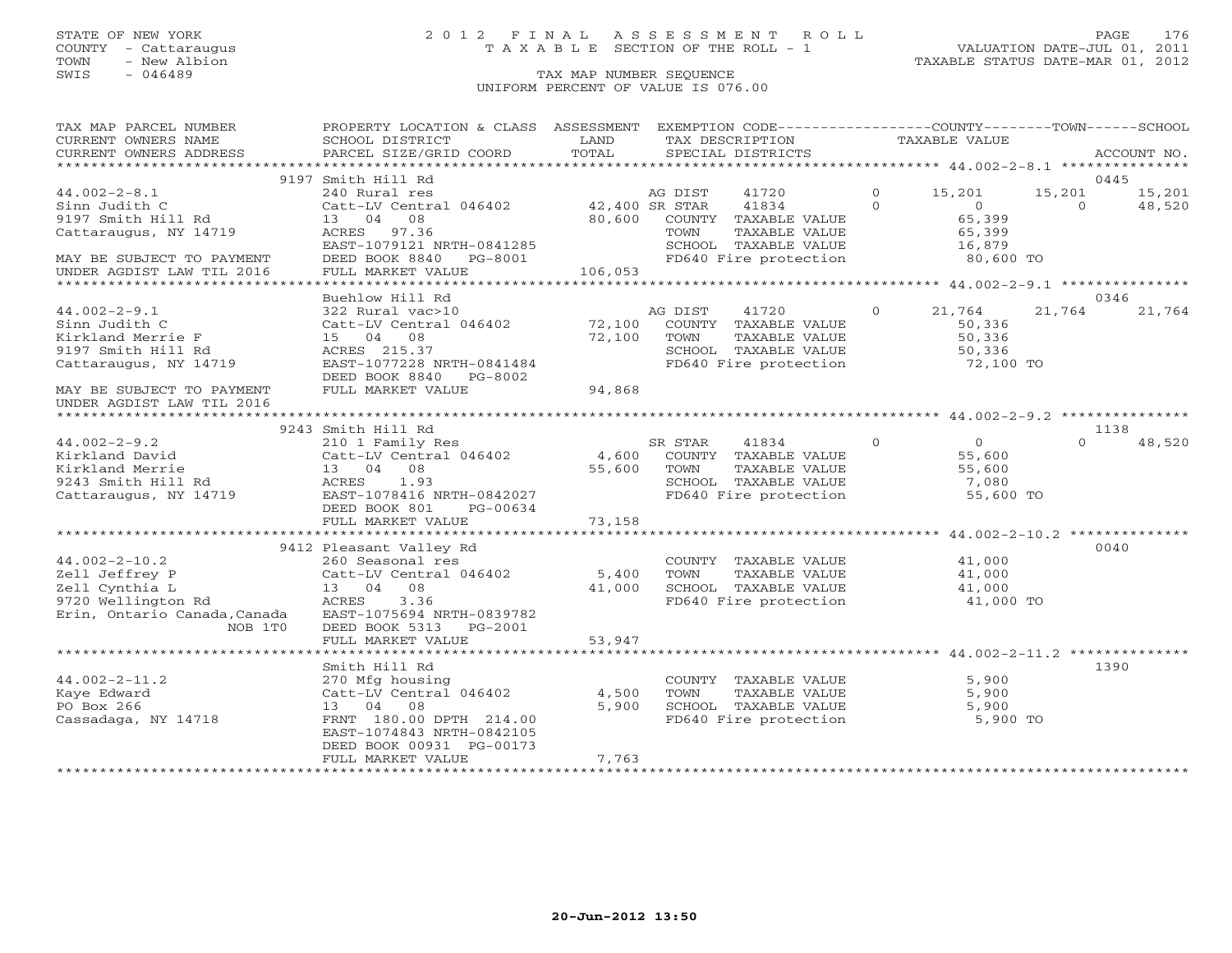# STATE OF NEW YORK 2 0 1 2 F I N A L A S S E S S M E N T R O L L PAGE 176 COUNTY - Cattaraugus T A X A B L E SECTION OF THE ROLL - 1 VALUATION DATE-JUL 01, 2011

TOWN - New Albion TAXABLE STATUS DATE-MAR 01, 2012

| TAX MAP PARCEL NUMBER                                                                                                                                                                                                                                                                                                                                                                                                                                                                                 | PROPERTY LOCATION & CLASS ASSESSMENT EXEMPTION CODE---------------COUNTY-------TOWN------SCHOOL |             |                                                                                                                |                                                                   |               |               |          |        |
|-------------------------------------------------------------------------------------------------------------------------------------------------------------------------------------------------------------------------------------------------------------------------------------------------------------------------------------------------------------------------------------------------------------------------------------------------------------------------------------------------------|-------------------------------------------------------------------------------------------------|-------------|----------------------------------------------------------------------------------------------------------------|-------------------------------------------------------------------|---------------|---------------|----------|--------|
| $\begin{tabular}{lllllll} \multicolumn{2}{l}{{\small\sc{CURERNT}}}& $\text{MME}$ & $\text{SCHOOL} & $\text{DISTRICT}$ & $\text{LAND}$ & $\text{TAX} & $\text{DESCRIPTION}$ & $\text{TAXABLE} & $\text{VALUE}$ \\ & $\text{CURERNT} & $\text{ADDRES} & $\text{ADDRES} & $\text{PACCOUNT} & $\text{NO}\,.\\ & $\text{VARENT} & $\text{ADDRES} & $\text{ADDRES} & $\text{PACCOUNT} & $\text{NO}\,.\\ & $\text{*}\text{*}\text{*}\text{*}\text{*}\text{*}\text{*}\text{*}\text{*}\text{*}\text{*}\text{*$ |                                                                                                 |             |                                                                                                                |                                                                   | TAXABLE VALUE |               |          |        |
|                                                                                                                                                                                                                                                                                                                                                                                                                                                                                                       |                                                                                                 |             |                                                                                                                |                                                                   |               |               |          |        |
|                                                                                                                                                                                                                                                                                                                                                                                                                                                                                                       |                                                                                                 |             |                                                                                                                |                                                                   |               |               |          |        |
|                                                                                                                                                                                                                                                                                                                                                                                                                                                                                                       | 9197 Smith Hill Rd                                                                              |             |                                                                                                                |                                                                   |               |               |          | 0445   |
| $44.002 - 2 - 8.1$                                                                                                                                                                                                                                                                                                                                                                                                                                                                                    |                                                                                                 |             |                                                                                                                | $41720$ 0 $15,201$ 15,201 $15,201$ 15,201<br>$41834$ 0 0 0 48,520 |               |               |          |        |
| Sinn Judith C<br>9197 Smith Hill Rd<br>NV 14719                                                                                                                                                                                                                                                                                                                                                                                                                                                       |                                                                                                 |             | 42,400 SR STAR 41834 (1994)<br>80,600 COUNTY TAXABLE VALUE (65,399)                                            |                                                                   |               |               |          |        |
|                                                                                                                                                                                                                                                                                                                                                                                                                                                                                                       | 13 04 08                                                                                        |             |                                                                                                                |                                                                   |               |               |          |        |
|                                                                                                                                                                                                                                                                                                                                                                                                                                                                                                       |                                                                                                 |             |                                                                                                                |                                                                   |               |               |          |        |
|                                                                                                                                                                                                                                                                                                                                                                                                                                                                                                       |                                                                                                 |             |                                                                                                                |                                                                   |               |               |          |        |
| MAY BE SUBJECT TO PAYMENT                                                                                                                                                                                                                                                                                                                                                                                                                                                                             | ACRES 97.36<br>EAST-1079121 NRTH-0841285<br>DEED BOOK 8840 - PG-8001<br>FULL MARZER - 111 - 122 |             | TOWN TAXABLE VALUE<br>SCHOOL TAXABLE VALUE 16,879<br>- The Technology 16,800 TO<br>FD640 Fire protection       |                                                                   |               |               |          |        |
| UNDER AGDIST LAW TIL 2016                                                                                                                                                                                                                                                                                                                                                                                                                                                                             | FULL MARKET VALUE                                                                               | 106,053     |                                                                                                                |                                                                   |               |               |          |        |
|                                                                                                                                                                                                                                                                                                                                                                                                                                                                                                       |                                                                                                 |             |                                                                                                                |                                                                   |               |               |          |        |
|                                                                                                                                                                                                                                                                                                                                                                                                                                                                                                       | Buehlow Hill Rd                                                                                 |             |                                                                                                                |                                                                   |               |               |          | 0346   |
| $44.002 - 2 - 9.1$                                                                                                                                                                                                                                                                                                                                                                                                                                                                                    | 322 Rural vac>10                                                                                |             | AG DIST 41720                                                                                                  |                                                                   |               | $0 \t 21,764$ | 21,764   | 21,764 |
| Sinn Judith C                                                                                                                                                                                                                                                                                                                                                                                                                                                                                         | Catt-LV Central 046402 72,100 COUNTY TAXABLE VALUE                                              |             |                                                                                                                |                                                                   | 50,336        |               |          |        |
| Kirkland Merrie F                                                                                                                                                                                                                                                                                                                                                                                                                                                                                     | 15 04 08                                                                                        | 72,100 TOWN | COUNTY TAXABLE VILLE<br>TOWN TAXABLE VALUE 50,336<br>SCHOOL TAXABLE VALUE 50,336<br>- The protection 72,100 TO |                                                                   |               |               |          |        |
| 9197 Smith Hill Rd                                                                                                                                                                                                                                                                                                                                                                                                                                                                                    |                                                                                                 |             |                                                                                                                |                                                                   |               |               |          |        |
| Cattaraugus, NY 14719                                                                                                                                                                                                                                                                                                                                                                                                                                                                                 | ACRES 215.37<br>EAST-1077228 NRTH-0841484                                                       |             | FD640 Fire protection                                                                                          |                                                                   |               |               |          |        |
|                                                                                                                                                                                                                                                                                                                                                                                                                                                                                                       | DEED BOOK 8840 PG-8002                                                                          |             |                                                                                                                |                                                                   |               |               |          |        |
|                                                                                                                                                                                                                                                                                                                                                                                                                                                                                                       |                                                                                                 | 94,868      |                                                                                                                |                                                                   |               |               |          |        |
| MAY BE SUBJECT TO PAYMENT                                                                                                                                                                                                                                                                                                                                                                                                                                                                             | FULL MARKET VALUE                                                                               |             |                                                                                                                |                                                                   |               |               |          |        |
| UNDER AGDIST LAW TIL 2016                                                                                                                                                                                                                                                                                                                                                                                                                                                                             |                                                                                                 |             |                                                                                                                |                                                                   |               |               |          |        |
|                                                                                                                                                                                                                                                                                                                                                                                                                                                                                                       |                                                                                                 |             |                                                                                                                |                                                                   |               |               |          |        |
|                                                                                                                                                                                                                                                                                                                                                                                                                                                                                                       |                                                                                                 |             |                                                                                                                |                                                                   |               |               |          | 1138   |
|                                                                                                                                                                                                                                                                                                                                                                                                                                                                                                       |                                                                                                 |             |                                                                                                                |                                                                   |               |               | $\Omega$ | 48,520 |
|                                                                                                                                                                                                                                                                                                                                                                                                                                                                                                       |                                                                                                 |             |                                                                                                                |                                                                   |               |               |          |        |
|                                                                                                                                                                                                                                                                                                                                                                                                                                                                                                       |                                                                                                 |             |                                                                                                                |                                                                   |               |               |          |        |
|                                                                                                                                                                                                                                                                                                                                                                                                                                                                                                       |                                                                                                 |             |                                                                                                                |                                                                   |               |               |          |        |
|                                                                                                                                                                                                                                                                                                                                                                                                                                                                                                       |                                                                                                 |             |                                                                                                                |                                                                   |               | 55,600 TO     |          |        |
|                                                                                                                                                                                                                                                                                                                                                                                                                                                                                                       |                                                                                                 |             |                                                                                                                |                                                                   |               |               |          |        |
|                                                                                                                                                                                                                                                                                                                                                                                                                                                                                                       |                                                                                                 |             |                                                                                                                |                                                                   |               |               |          |        |
|                                                                                                                                                                                                                                                                                                                                                                                                                                                                                                       |                                                                                                 |             |                                                                                                                |                                                                   |               |               |          |        |
|                                                                                                                                                                                                                                                                                                                                                                                                                                                                                                       | 9412 Pleasant Valley Rd                                                                         |             |                                                                                                                |                                                                   |               |               |          | 0040   |
| $44.002 - 2 - 10.2$                                                                                                                                                                                                                                                                                                                                                                                                                                                                                   |                                                                                                 |             |                                                                                                                |                                                                   |               |               |          |        |
|                                                                                                                                                                                                                                                                                                                                                                                                                                                                                                       |                                                                                                 |             |                                                                                                                |                                                                   |               |               |          |        |
|                                                                                                                                                                                                                                                                                                                                                                                                                                                                                                       |                                                                                                 |             |                                                                                                                |                                                                   |               |               |          |        |
|                                                                                                                                                                                                                                                                                                                                                                                                                                                                                                       |                                                                                                 |             |                                                                                                                |                                                                   |               |               |          |        |
| Erin, Ontario Canada, Canada                                                                                                                                                                                                                                                                                                                                                                                                                                                                          | EAST-1075694 NRTH-0839782                                                                       |             |                                                                                                                |                                                                   |               |               |          |        |
| NOB 1T0                                                                                                                                                                                                                                                                                                                                                                                                                                                                                               | DEED BOOK 5313 PG-2001                                                                          |             |                                                                                                                |                                                                   |               |               |          |        |
|                                                                                                                                                                                                                                                                                                                                                                                                                                                                                                       | FULL MARKET VALUE                                                                               | 53,947      |                                                                                                                |                                                                   |               |               |          |        |
|                                                                                                                                                                                                                                                                                                                                                                                                                                                                                                       |                                                                                                 |             |                                                                                                                |                                                                   |               |               |          |        |
|                                                                                                                                                                                                                                                                                                                                                                                                                                                                                                       | Smith Hill Rd                                                                                   |             |                                                                                                                |                                                                   |               |               |          | 1390   |
| $44.002 - 2 - 11.2$                                                                                                                                                                                                                                                                                                                                                                                                                                                                                   |                                                                                                 |             |                                                                                                                |                                                                   |               | 5,900         |          |        |
| Kaye Edward                                                                                                                                                                                                                                                                                                                                                                                                                                                                                           | 270 Mfg housing<br>Catt-LV Central 046402 4,500                                                 |             | COUNTY TAXABLE VALUE<br>TOWN      TAXABLE VALUE                                                                |                                                                   |               | 5,900         |          |        |
| PO Box 266                                                                                                                                                                                                                                                                                                                                                                                                                                                                                            | 13 04 08                                                                                        | 5,900       |                                                                                                                |                                                                   |               |               |          |        |
| Cassadaga, NY 14718                                                                                                                                                                                                                                                                                                                                                                                                                                                                                   | FRNT 180.00 DPTH 214.00                                                                         |             | SCHOOL TAXABLE VALUE 5,900<br>FD640 Fire protection 5,900 TO                                                   |                                                                   |               |               |          |        |
|                                                                                                                                                                                                                                                                                                                                                                                                                                                                                                       | EAST-1074843 NRTH-0842105                                                                       |             |                                                                                                                |                                                                   |               |               |          |        |
|                                                                                                                                                                                                                                                                                                                                                                                                                                                                                                       | DEED BOOK 00931 PG-00173                                                                        |             |                                                                                                                |                                                                   |               |               |          |        |
|                                                                                                                                                                                                                                                                                                                                                                                                                                                                                                       | FULL MARKET VALUE                                                                               | 7,763       |                                                                                                                |                                                                   |               |               |          |        |
|                                                                                                                                                                                                                                                                                                                                                                                                                                                                                                       |                                                                                                 |             |                                                                                                                |                                                                   |               |               |          |        |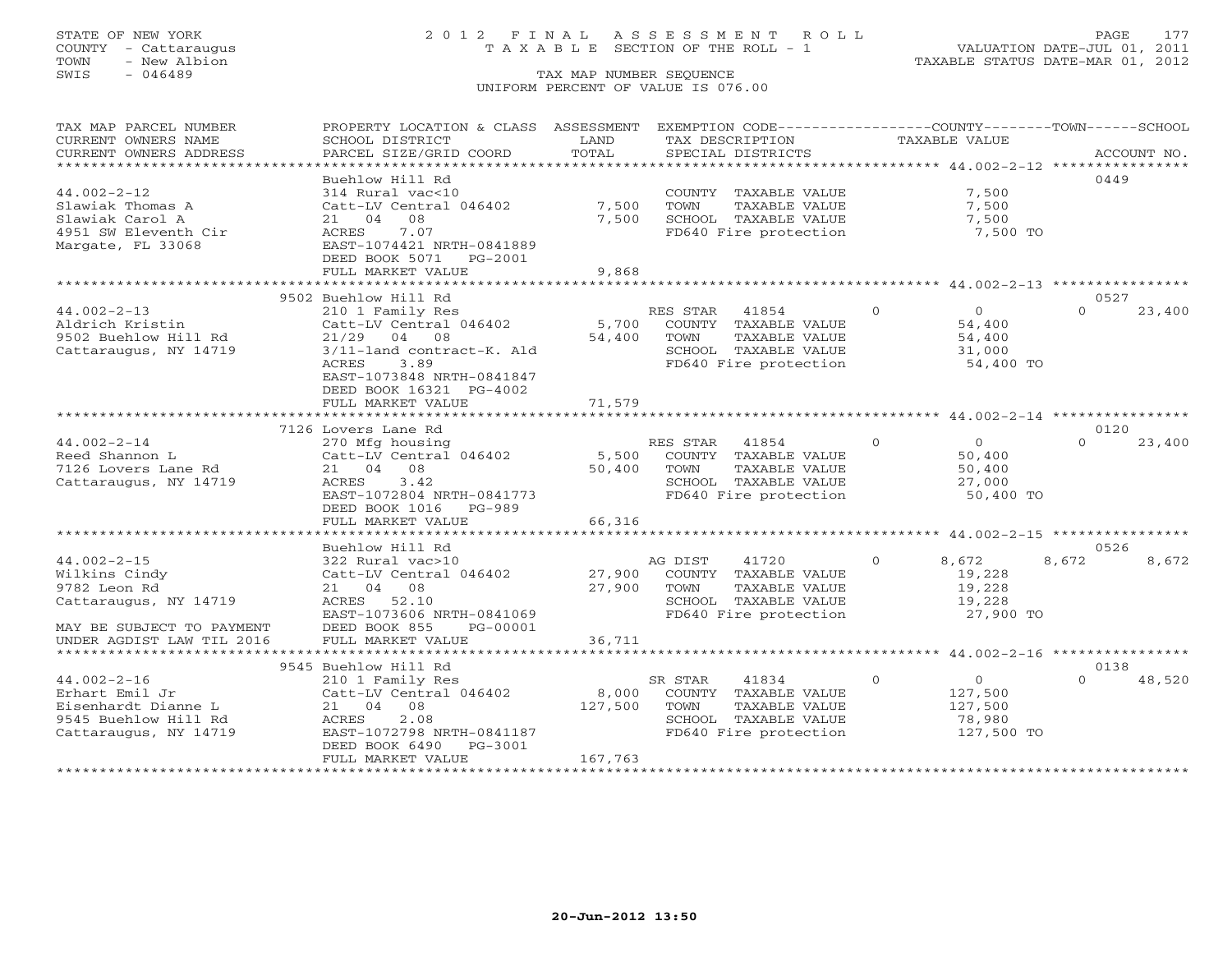# STATE OF NEW YORK 2 0 1 2 F I N A L A S S E S S M E N T R O L L PAGE 177 COUNTY - Cattaraugus T A X A B L E SECTION OF THE ROLL - 1 VALUATION DATE-JUL 01, 2011

| CURRENT OWNERS NAME<br>SCHOOL DISTRICT<br>LAND<br>TAX DESCRIPTION<br><b>TAXABLE VALUE</b><br>TOTAL<br>CURRENT OWNERS ADDRESS<br>PARCEL SIZE/GRID COORD<br>SPECIAL DISTRICTS<br>ACCOUNT NO.<br>******************************<br>0449<br>Buehlow Hill Rd<br>$44.002 - 2 - 12$<br>COUNTY TAXABLE VALUE<br>7,500<br>314 Rural vac<10<br>7,500<br>TOWN<br>Slawiak Thomas A<br>Catt-LV Central 046402<br>TAXABLE VALUE<br>7,500<br>Slawiak Carol A<br>08<br>7,500<br>SCHOOL TAXABLE VALUE<br>7,500<br>21 04<br>4951 SW Eleventh Cir<br>7.07<br>FD640 Fire protection<br>7,500 TO<br>ACRES<br>EAST-1074421 NRTH-0841889<br>Margate, FL 33068<br>DEED BOOK 5071 PG-2001<br>FULL MARKET VALUE<br>9,868<br>9502 Buehlow Hill Rd<br>0527<br>$44.002 - 2 - 13$<br>$\Omega$<br>$\overline{0}$<br>$\Omega$<br>23,400<br>210 1 Family Res<br>RES STAR 41854<br>Catt-LV Central 046402<br>5,700<br>COUNTY TAXABLE VALUE<br>54,400<br>Aldrich Kristin<br>TAXABLE VALUE<br>9502 Buehlow Hill Rd<br>$21/29$ 04 08<br>54,400<br>TOWN<br>54,400<br>Cattaraugus, NY 14719<br>3/11-land contract-K. Ald<br>SCHOOL TAXABLE VALUE<br>31,000<br>ACRES<br>3.89<br>FD640 Fire protection<br>54,400 TO<br>EAST-1073848 NRTH-0841847<br>DEED BOOK 16321 PG-4002<br>71,579<br>FULL MARKET VALUE<br>0120<br>7126 Lovers Lane Rd<br>$\Omega$<br>$44.002 - 2 - 14$<br>RES STAR 41854<br>$\overline{0}$<br>$\Omega$<br>270 Mfg housing<br>23,400<br>Catt-LV Central 046402<br>Reed Shannon L<br>5,500<br>COUNTY TAXABLE VALUE<br>50,400<br>50,400<br>7126 Lovers Lane Rd<br>21 04 08<br>TOWN<br>TAXABLE VALUE<br>50,400<br>ACRES<br>3.42<br>SCHOOL TAXABLE VALUE<br>Cattaraugus, NY 14719<br>27,000<br>FD640 Fire protection<br>EAST-1072804 NRTH-0841773<br>50,400 TO<br>DEED BOOK 1016 PG-989<br>66,316<br>FULL MARKET VALUE<br>0526<br>Buehlow Hill Rd<br>$44.002 - 2 - 15$<br>322 Rural vac>10<br>AG DIST<br>41720<br>$\circ$<br>8,672<br>8,672<br>8,672<br>Catt-LV Central 046402<br>27,900<br>Wilkins Cindy<br>COUNTY TAXABLE VALUE<br>19,228<br>9782 Leon Rd<br>21 04 08<br>27,900<br>19,228<br>TOWN<br>TAXABLE VALUE<br>Cattaraugus, NY 14719<br>ACRES 52.10<br>SCHOOL TAXABLE VALUE<br>19,228<br>EAST-1073606 NRTH-0841069<br>FD640 Fire protection<br>27,900 TO<br>MAY BE SUBJECT TO PAYMENT<br>DEED BOOK 855<br>PG-00001<br>FULL MARKET VALUE<br>36,711<br>UNDER AGDIST LAW TIL 2016<br>********************** 44.002-2-16 *****************<br>************************<br><br>************<br>0138<br>9545 Buehlow Hill Rd<br>$44.002 - 2 - 16$<br>210 1 Family Res<br>SR STAR<br>41834<br>$\Omega$<br>$\overline{0}$<br>48,520<br>$\Omega$<br>Erhart Emil Jr<br>Catt-LV Central 046402<br>8,000<br>COUNTY TAXABLE VALUE<br>127,500<br>Eisenhardt Dianne L<br>21 04 08<br>127,500<br>TAXABLE VALUE<br>127,500<br>TOWN<br>9545 Buehlow Hill Rd<br>ACRES<br>2.08<br>SCHOOL TAXABLE VALUE<br>78,980<br>EAST-1072798 NRTH-0841187<br>FD640 Fire protection<br>127,500 TO<br>Cattaraugus, NY 14719<br>DEED BOOK 6490<br>PG-3001<br>FULL MARKET VALUE<br>167,763 | TAX MAP PARCEL NUMBER | PROPERTY LOCATION & CLASS ASSESSMENT | EXEMPTION CODE-----------------COUNTY-------TOWN------SCHOOL |  |  |
|---------------------------------------------------------------------------------------------------------------------------------------------------------------------------------------------------------------------------------------------------------------------------------------------------------------------------------------------------------------------------------------------------------------------------------------------------------------------------------------------------------------------------------------------------------------------------------------------------------------------------------------------------------------------------------------------------------------------------------------------------------------------------------------------------------------------------------------------------------------------------------------------------------------------------------------------------------------------------------------------------------------------------------------------------------------------------------------------------------------------------------------------------------------------------------------------------------------------------------------------------------------------------------------------------------------------------------------------------------------------------------------------------------------------------------------------------------------------------------------------------------------------------------------------------------------------------------------------------------------------------------------------------------------------------------------------------------------------------------------------------------------------------------------------------------------------------------------------------------------------------------------------------------------------------------------------------------------------------------------------------------------------------------------------------------------------------------------------------------------------------------------------------------------------------------------------------------------------------------------------------------------------------------------------------------------------------------------------------------------------------------------------------------------------------------------------------------------------------------------------------------------------------------------------------------------------------------------------------------------------------------------------------------------------------------------------------------------------------------------------------------------------------------------------------------------------------------------------------------------------------------------------------------------------------------------------------------------------------------------------------------------------------------------|-----------------------|--------------------------------------|--------------------------------------------------------------|--|--|
|                                                                                                                                                                                                                                                                                                                                                                                                                                                                                                                                                                                                                                                                                                                                                                                                                                                                                                                                                                                                                                                                                                                                                                                                                                                                                                                                                                                                                                                                                                                                                                                                                                                                                                                                                                                                                                                                                                                                                                                                                                                                                                                                                                                                                                                                                                                                                                                                                                                                                                                                                                                                                                                                                                                                                                                                                                                                                                                                                                                                                                       |                       |                                      |                                                              |  |  |
|                                                                                                                                                                                                                                                                                                                                                                                                                                                                                                                                                                                                                                                                                                                                                                                                                                                                                                                                                                                                                                                                                                                                                                                                                                                                                                                                                                                                                                                                                                                                                                                                                                                                                                                                                                                                                                                                                                                                                                                                                                                                                                                                                                                                                                                                                                                                                                                                                                                                                                                                                                                                                                                                                                                                                                                                                                                                                                                                                                                                                                       |                       |                                      |                                                              |  |  |
|                                                                                                                                                                                                                                                                                                                                                                                                                                                                                                                                                                                                                                                                                                                                                                                                                                                                                                                                                                                                                                                                                                                                                                                                                                                                                                                                                                                                                                                                                                                                                                                                                                                                                                                                                                                                                                                                                                                                                                                                                                                                                                                                                                                                                                                                                                                                                                                                                                                                                                                                                                                                                                                                                                                                                                                                                                                                                                                                                                                                                                       |                       |                                      |                                                              |  |  |
|                                                                                                                                                                                                                                                                                                                                                                                                                                                                                                                                                                                                                                                                                                                                                                                                                                                                                                                                                                                                                                                                                                                                                                                                                                                                                                                                                                                                                                                                                                                                                                                                                                                                                                                                                                                                                                                                                                                                                                                                                                                                                                                                                                                                                                                                                                                                                                                                                                                                                                                                                                                                                                                                                                                                                                                                                                                                                                                                                                                                                                       |                       |                                      |                                                              |  |  |
|                                                                                                                                                                                                                                                                                                                                                                                                                                                                                                                                                                                                                                                                                                                                                                                                                                                                                                                                                                                                                                                                                                                                                                                                                                                                                                                                                                                                                                                                                                                                                                                                                                                                                                                                                                                                                                                                                                                                                                                                                                                                                                                                                                                                                                                                                                                                                                                                                                                                                                                                                                                                                                                                                                                                                                                                                                                                                                                                                                                                                                       |                       |                                      |                                                              |  |  |
|                                                                                                                                                                                                                                                                                                                                                                                                                                                                                                                                                                                                                                                                                                                                                                                                                                                                                                                                                                                                                                                                                                                                                                                                                                                                                                                                                                                                                                                                                                                                                                                                                                                                                                                                                                                                                                                                                                                                                                                                                                                                                                                                                                                                                                                                                                                                                                                                                                                                                                                                                                                                                                                                                                                                                                                                                                                                                                                                                                                                                                       |                       |                                      |                                                              |  |  |
|                                                                                                                                                                                                                                                                                                                                                                                                                                                                                                                                                                                                                                                                                                                                                                                                                                                                                                                                                                                                                                                                                                                                                                                                                                                                                                                                                                                                                                                                                                                                                                                                                                                                                                                                                                                                                                                                                                                                                                                                                                                                                                                                                                                                                                                                                                                                                                                                                                                                                                                                                                                                                                                                                                                                                                                                                                                                                                                                                                                                                                       |                       |                                      |                                                              |  |  |
|                                                                                                                                                                                                                                                                                                                                                                                                                                                                                                                                                                                                                                                                                                                                                                                                                                                                                                                                                                                                                                                                                                                                                                                                                                                                                                                                                                                                                                                                                                                                                                                                                                                                                                                                                                                                                                                                                                                                                                                                                                                                                                                                                                                                                                                                                                                                                                                                                                                                                                                                                                                                                                                                                                                                                                                                                                                                                                                                                                                                                                       |                       |                                      |                                                              |  |  |
|                                                                                                                                                                                                                                                                                                                                                                                                                                                                                                                                                                                                                                                                                                                                                                                                                                                                                                                                                                                                                                                                                                                                                                                                                                                                                                                                                                                                                                                                                                                                                                                                                                                                                                                                                                                                                                                                                                                                                                                                                                                                                                                                                                                                                                                                                                                                                                                                                                                                                                                                                                                                                                                                                                                                                                                                                                                                                                                                                                                                                                       |                       |                                      |                                                              |  |  |
|                                                                                                                                                                                                                                                                                                                                                                                                                                                                                                                                                                                                                                                                                                                                                                                                                                                                                                                                                                                                                                                                                                                                                                                                                                                                                                                                                                                                                                                                                                                                                                                                                                                                                                                                                                                                                                                                                                                                                                                                                                                                                                                                                                                                                                                                                                                                                                                                                                                                                                                                                                                                                                                                                                                                                                                                                                                                                                                                                                                                                                       |                       |                                      |                                                              |  |  |
|                                                                                                                                                                                                                                                                                                                                                                                                                                                                                                                                                                                                                                                                                                                                                                                                                                                                                                                                                                                                                                                                                                                                                                                                                                                                                                                                                                                                                                                                                                                                                                                                                                                                                                                                                                                                                                                                                                                                                                                                                                                                                                                                                                                                                                                                                                                                                                                                                                                                                                                                                                                                                                                                                                                                                                                                                                                                                                                                                                                                                                       |                       |                                      |                                                              |  |  |
|                                                                                                                                                                                                                                                                                                                                                                                                                                                                                                                                                                                                                                                                                                                                                                                                                                                                                                                                                                                                                                                                                                                                                                                                                                                                                                                                                                                                                                                                                                                                                                                                                                                                                                                                                                                                                                                                                                                                                                                                                                                                                                                                                                                                                                                                                                                                                                                                                                                                                                                                                                                                                                                                                                                                                                                                                                                                                                                                                                                                                                       |                       |                                      |                                                              |  |  |
|                                                                                                                                                                                                                                                                                                                                                                                                                                                                                                                                                                                                                                                                                                                                                                                                                                                                                                                                                                                                                                                                                                                                                                                                                                                                                                                                                                                                                                                                                                                                                                                                                                                                                                                                                                                                                                                                                                                                                                                                                                                                                                                                                                                                                                                                                                                                                                                                                                                                                                                                                                                                                                                                                                                                                                                                                                                                                                                                                                                                                                       |                       |                                      |                                                              |  |  |
|                                                                                                                                                                                                                                                                                                                                                                                                                                                                                                                                                                                                                                                                                                                                                                                                                                                                                                                                                                                                                                                                                                                                                                                                                                                                                                                                                                                                                                                                                                                                                                                                                                                                                                                                                                                                                                                                                                                                                                                                                                                                                                                                                                                                                                                                                                                                                                                                                                                                                                                                                                                                                                                                                                                                                                                                                                                                                                                                                                                                                                       |                       |                                      |                                                              |  |  |
|                                                                                                                                                                                                                                                                                                                                                                                                                                                                                                                                                                                                                                                                                                                                                                                                                                                                                                                                                                                                                                                                                                                                                                                                                                                                                                                                                                                                                                                                                                                                                                                                                                                                                                                                                                                                                                                                                                                                                                                                                                                                                                                                                                                                                                                                                                                                                                                                                                                                                                                                                                                                                                                                                                                                                                                                                                                                                                                                                                                                                                       |                       |                                      |                                                              |  |  |
|                                                                                                                                                                                                                                                                                                                                                                                                                                                                                                                                                                                                                                                                                                                                                                                                                                                                                                                                                                                                                                                                                                                                                                                                                                                                                                                                                                                                                                                                                                                                                                                                                                                                                                                                                                                                                                                                                                                                                                                                                                                                                                                                                                                                                                                                                                                                                                                                                                                                                                                                                                                                                                                                                                                                                                                                                                                                                                                                                                                                                                       |                       |                                      |                                                              |  |  |
|                                                                                                                                                                                                                                                                                                                                                                                                                                                                                                                                                                                                                                                                                                                                                                                                                                                                                                                                                                                                                                                                                                                                                                                                                                                                                                                                                                                                                                                                                                                                                                                                                                                                                                                                                                                                                                                                                                                                                                                                                                                                                                                                                                                                                                                                                                                                                                                                                                                                                                                                                                                                                                                                                                                                                                                                                                                                                                                                                                                                                                       |                       |                                      |                                                              |  |  |
|                                                                                                                                                                                                                                                                                                                                                                                                                                                                                                                                                                                                                                                                                                                                                                                                                                                                                                                                                                                                                                                                                                                                                                                                                                                                                                                                                                                                                                                                                                                                                                                                                                                                                                                                                                                                                                                                                                                                                                                                                                                                                                                                                                                                                                                                                                                                                                                                                                                                                                                                                                                                                                                                                                                                                                                                                                                                                                                                                                                                                                       |                       |                                      |                                                              |  |  |
|                                                                                                                                                                                                                                                                                                                                                                                                                                                                                                                                                                                                                                                                                                                                                                                                                                                                                                                                                                                                                                                                                                                                                                                                                                                                                                                                                                                                                                                                                                                                                                                                                                                                                                                                                                                                                                                                                                                                                                                                                                                                                                                                                                                                                                                                                                                                                                                                                                                                                                                                                                                                                                                                                                                                                                                                                                                                                                                                                                                                                                       |                       |                                      |                                                              |  |  |
|                                                                                                                                                                                                                                                                                                                                                                                                                                                                                                                                                                                                                                                                                                                                                                                                                                                                                                                                                                                                                                                                                                                                                                                                                                                                                                                                                                                                                                                                                                                                                                                                                                                                                                                                                                                                                                                                                                                                                                                                                                                                                                                                                                                                                                                                                                                                                                                                                                                                                                                                                                                                                                                                                                                                                                                                                                                                                                                                                                                                                                       |                       |                                      |                                                              |  |  |
|                                                                                                                                                                                                                                                                                                                                                                                                                                                                                                                                                                                                                                                                                                                                                                                                                                                                                                                                                                                                                                                                                                                                                                                                                                                                                                                                                                                                                                                                                                                                                                                                                                                                                                                                                                                                                                                                                                                                                                                                                                                                                                                                                                                                                                                                                                                                                                                                                                                                                                                                                                                                                                                                                                                                                                                                                                                                                                                                                                                                                                       |                       |                                      |                                                              |  |  |
|                                                                                                                                                                                                                                                                                                                                                                                                                                                                                                                                                                                                                                                                                                                                                                                                                                                                                                                                                                                                                                                                                                                                                                                                                                                                                                                                                                                                                                                                                                                                                                                                                                                                                                                                                                                                                                                                                                                                                                                                                                                                                                                                                                                                                                                                                                                                                                                                                                                                                                                                                                                                                                                                                                                                                                                                                                                                                                                                                                                                                                       |                       |                                      |                                                              |  |  |
|                                                                                                                                                                                                                                                                                                                                                                                                                                                                                                                                                                                                                                                                                                                                                                                                                                                                                                                                                                                                                                                                                                                                                                                                                                                                                                                                                                                                                                                                                                                                                                                                                                                                                                                                                                                                                                                                                                                                                                                                                                                                                                                                                                                                                                                                                                                                                                                                                                                                                                                                                                                                                                                                                                                                                                                                                                                                                                                                                                                                                                       |                       |                                      |                                                              |  |  |
|                                                                                                                                                                                                                                                                                                                                                                                                                                                                                                                                                                                                                                                                                                                                                                                                                                                                                                                                                                                                                                                                                                                                                                                                                                                                                                                                                                                                                                                                                                                                                                                                                                                                                                                                                                                                                                                                                                                                                                                                                                                                                                                                                                                                                                                                                                                                                                                                                                                                                                                                                                                                                                                                                                                                                                                                                                                                                                                                                                                                                                       |                       |                                      |                                                              |  |  |
|                                                                                                                                                                                                                                                                                                                                                                                                                                                                                                                                                                                                                                                                                                                                                                                                                                                                                                                                                                                                                                                                                                                                                                                                                                                                                                                                                                                                                                                                                                                                                                                                                                                                                                                                                                                                                                                                                                                                                                                                                                                                                                                                                                                                                                                                                                                                                                                                                                                                                                                                                                                                                                                                                                                                                                                                                                                                                                                                                                                                                                       |                       |                                      |                                                              |  |  |
|                                                                                                                                                                                                                                                                                                                                                                                                                                                                                                                                                                                                                                                                                                                                                                                                                                                                                                                                                                                                                                                                                                                                                                                                                                                                                                                                                                                                                                                                                                                                                                                                                                                                                                                                                                                                                                                                                                                                                                                                                                                                                                                                                                                                                                                                                                                                                                                                                                                                                                                                                                                                                                                                                                                                                                                                                                                                                                                                                                                                                                       |                       |                                      |                                                              |  |  |
|                                                                                                                                                                                                                                                                                                                                                                                                                                                                                                                                                                                                                                                                                                                                                                                                                                                                                                                                                                                                                                                                                                                                                                                                                                                                                                                                                                                                                                                                                                                                                                                                                                                                                                                                                                                                                                                                                                                                                                                                                                                                                                                                                                                                                                                                                                                                                                                                                                                                                                                                                                                                                                                                                                                                                                                                                                                                                                                                                                                                                                       |                       |                                      |                                                              |  |  |
|                                                                                                                                                                                                                                                                                                                                                                                                                                                                                                                                                                                                                                                                                                                                                                                                                                                                                                                                                                                                                                                                                                                                                                                                                                                                                                                                                                                                                                                                                                                                                                                                                                                                                                                                                                                                                                                                                                                                                                                                                                                                                                                                                                                                                                                                                                                                                                                                                                                                                                                                                                                                                                                                                                                                                                                                                                                                                                                                                                                                                                       |                       |                                      |                                                              |  |  |
|                                                                                                                                                                                                                                                                                                                                                                                                                                                                                                                                                                                                                                                                                                                                                                                                                                                                                                                                                                                                                                                                                                                                                                                                                                                                                                                                                                                                                                                                                                                                                                                                                                                                                                                                                                                                                                                                                                                                                                                                                                                                                                                                                                                                                                                                                                                                                                                                                                                                                                                                                                                                                                                                                                                                                                                                                                                                                                                                                                                                                                       |                       |                                      |                                                              |  |  |
|                                                                                                                                                                                                                                                                                                                                                                                                                                                                                                                                                                                                                                                                                                                                                                                                                                                                                                                                                                                                                                                                                                                                                                                                                                                                                                                                                                                                                                                                                                                                                                                                                                                                                                                                                                                                                                                                                                                                                                                                                                                                                                                                                                                                                                                                                                                                                                                                                                                                                                                                                                                                                                                                                                                                                                                                                                                                                                                                                                                                                                       |                       |                                      |                                                              |  |  |
|                                                                                                                                                                                                                                                                                                                                                                                                                                                                                                                                                                                                                                                                                                                                                                                                                                                                                                                                                                                                                                                                                                                                                                                                                                                                                                                                                                                                                                                                                                                                                                                                                                                                                                                                                                                                                                                                                                                                                                                                                                                                                                                                                                                                                                                                                                                                                                                                                                                                                                                                                                                                                                                                                                                                                                                                                                                                                                                                                                                                                                       |                       |                                      |                                                              |  |  |
|                                                                                                                                                                                                                                                                                                                                                                                                                                                                                                                                                                                                                                                                                                                                                                                                                                                                                                                                                                                                                                                                                                                                                                                                                                                                                                                                                                                                                                                                                                                                                                                                                                                                                                                                                                                                                                                                                                                                                                                                                                                                                                                                                                                                                                                                                                                                                                                                                                                                                                                                                                                                                                                                                                                                                                                                                                                                                                                                                                                                                                       |                       |                                      |                                                              |  |  |
|                                                                                                                                                                                                                                                                                                                                                                                                                                                                                                                                                                                                                                                                                                                                                                                                                                                                                                                                                                                                                                                                                                                                                                                                                                                                                                                                                                                                                                                                                                                                                                                                                                                                                                                                                                                                                                                                                                                                                                                                                                                                                                                                                                                                                                                                                                                                                                                                                                                                                                                                                                                                                                                                                                                                                                                                                                                                                                                                                                                                                                       |                       |                                      |                                                              |  |  |
|                                                                                                                                                                                                                                                                                                                                                                                                                                                                                                                                                                                                                                                                                                                                                                                                                                                                                                                                                                                                                                                                                                                                                                                                                                                                                                                                                                                                                                                                                                                                                                                                                                                                                                                                                                                                                                                                                                                                                                                                                                                                                                                                                                                                                                                                                                                                                                                                                                                                                                                                                                                                                                                                                                                                                                                                                                                                                                                                                                                                                                       |                       |                                      |                                                              |  |  |
|                                                                                                                                                                                                                                                                                                                                                                                                                                                                                                                                                                                                                                                                                                                                                                                                                                                                                                                                                                                                                                                                                                                                                                                                                                                                                                                                                                                                                                                                                                                                                                                                                                                                                                                                                                                                                                                                                                                                                                                                                                                                                                                                                                                                                                                                                                                                                                                                                                                                                                                                                                                                                                                                                                                                                                                                                                                                                                                                                                                                                                       |                       |                                      |                                                              |  |  |
|                                                                                                                                                                                                                                                                                                                                                                                                                                                                                                                                                                                                                                                                                                                                                                                                                                                                                                                                                                                                                                                                                                                                                                                                                                                                                                                                                                                                                                                                                                                                                                                                                                                                                                                                                                                                                                                                                                                                                                                                                                                                                                                                                                                                                                                                                                                                                                                                                                                                                                                                                                                                                                                                                                                                                                                                                                                                                                                                                                                                                                       |                       |                                      |                                                              |  |  |
|                                                                                                                                                                                                                                                                                                                                                                                                                                                                                                                                                                                                                                                                                                                                                                                                                                                                                                                                                                                                                                                                                                                                                                                                                                                                                                                                                                                                                                                                                                                                                                                                                                                                                                                                                                                                                                                                                                                                                                                                                                                                                                                                                                                                                                                                                                                                                                                                                                                                                                                                                                                                                                                                                                                                                                                                                                                                                                                                                                                                                                       |                       |                                      |                                                              |  |  |
|                                                                                                                                                                                                                                                                                                                                                                                                                                                                                                                                                                                                                                                                                                                                                                                                                                                                                                                                                                                                                                                                                                                                                                                                                                                                                                                                                                                                                                                                                                                                                                                                                                                                                                                                                                                                                                                                                                                                                                                                                                                                                                                                                                                                                                                                                                                                                                                                                                                                                                                                                                                                                                                                                                                                                                                                                                                                                                                                                                                                                                       |                       |                                      |                                                              |  |  |
|                                                                                                                                                                                                                                                                                                                                                                                                                                                                                                                                                                                                                                                                                                                                                                                                                                                                                                                                                                                                                                                                                                                                                                                                                                                                                                                                                                                                                                                                                                                                                                                                                                                                                                                                                                                                                                                                                                                                                                                                                                                                                                                                                                                                                                                                                                                                                                                                                                                                                                                                                                                                                                                                                                                                                                                                                                                                                                                                                                                                                                       |                       |                                      |                                                              |  |  |
|                                                                                                                                                                                                                                                                                                                                                                                                                                                                                                                                                                                                                                                                                                                                                                                                                                                                                                                                                                                                                                                                                                                                                                                                                                                                                                                                                                                                                                                                                                                                                                                                                                                                                                                                                                                                                                                                                                                                                                                                                                                                                                                                                                                                                                                                                                                                                                                                                                                                                                                                                                                                                                                                                                                                                                                                                                                                                                                                                                                                                                       |                       |                                      |                                                              |  |  |
|                                                                                                                                                                                                                                                                                                                                                                                                                                                                                                                                                                                                                                                                                                                                                                                                                                                                                                                                                                                                                                                                                                                                                                                                                                                                                                                                                                                                                                                                                                                                                                                                                                                                                                                                                                                                                                                                                                                                                                                                                                                                                                                                                                                                                                                                                                                                                                                                                                                                                                                                                                                                                                                                                                                                                                                                                                                                                                                                                                                                                                       |                       |                                      |                                                              |  |  |
|                                                                                                                                                                                                                                                                                                                                                                                                                                                                                                                                                                                                                                                                                                                                                                                                                                                                                                                                                                                                                                                                                                                                                                                                                                                                                                                                                                                                                                                                                                                                                                                                                                                                                                                                                                                                                                                                                                                                                                                                                                                                                                                                                                                                                                                                                                                                                                                                                                                                                                                                                                                                                                                                                                                                                                                                                                                                                                                                                                                                                                       |                       |                                      |                                                              |  |  |
|                                                                                                                                                                                                                                                                                                                                                                                                                                                                                                                                                                                                                                                                                                                                                                                                                                                                                                                                                                                                                                                                                                                                                                                                                                                                                                                                                                                                                                                                                                                                                                                                                                                                                                                                                                                                                                                                                                                                                                                                                                                                                                                                                                                                                                                                                                                                                                                                                                                                                                                                                                                                                                                                                                                                                                                                                                                                                                                                                                                                                                       |                       |                                      |                                                              |  |  |
|                                                                                                                                                                                                                                                                                                                                                                                                                                                                                                                                                                                                                                                                                                                                                                                                                                                                                                                                                                                                                                                                                                                                                                                                                                                                                                                                                                                                                                                                                                                                                                                                                                                                                                                                                                                                                                                                                                                                                                                                                                                                                                                                                                                                                                                                                                                                                                                                                                                                                                                                                                                                                                                                                                                                                                                                                                                                                                                                                                                                                                       |                       |                                      |                                                              |  |  |
| **********************                                                                                                                                                                                                                                                                                                                                                                                                                                                                                                                                                                                                                                                                                                                                                                                                                                                                                                                                                                                                                                                                                                                                                                                                                                                                                                                                                                                                                                                                                                                                                                                                                                                                                                                                                                                                                                                                                                                                                                                                                                                                                                                                                                                                                                                                                                                                                                                                                                                                                                                                                                                                                                                                                                                                                                                                                                                                                                                                                                                                                |                       |                                      |                                                              |  |  |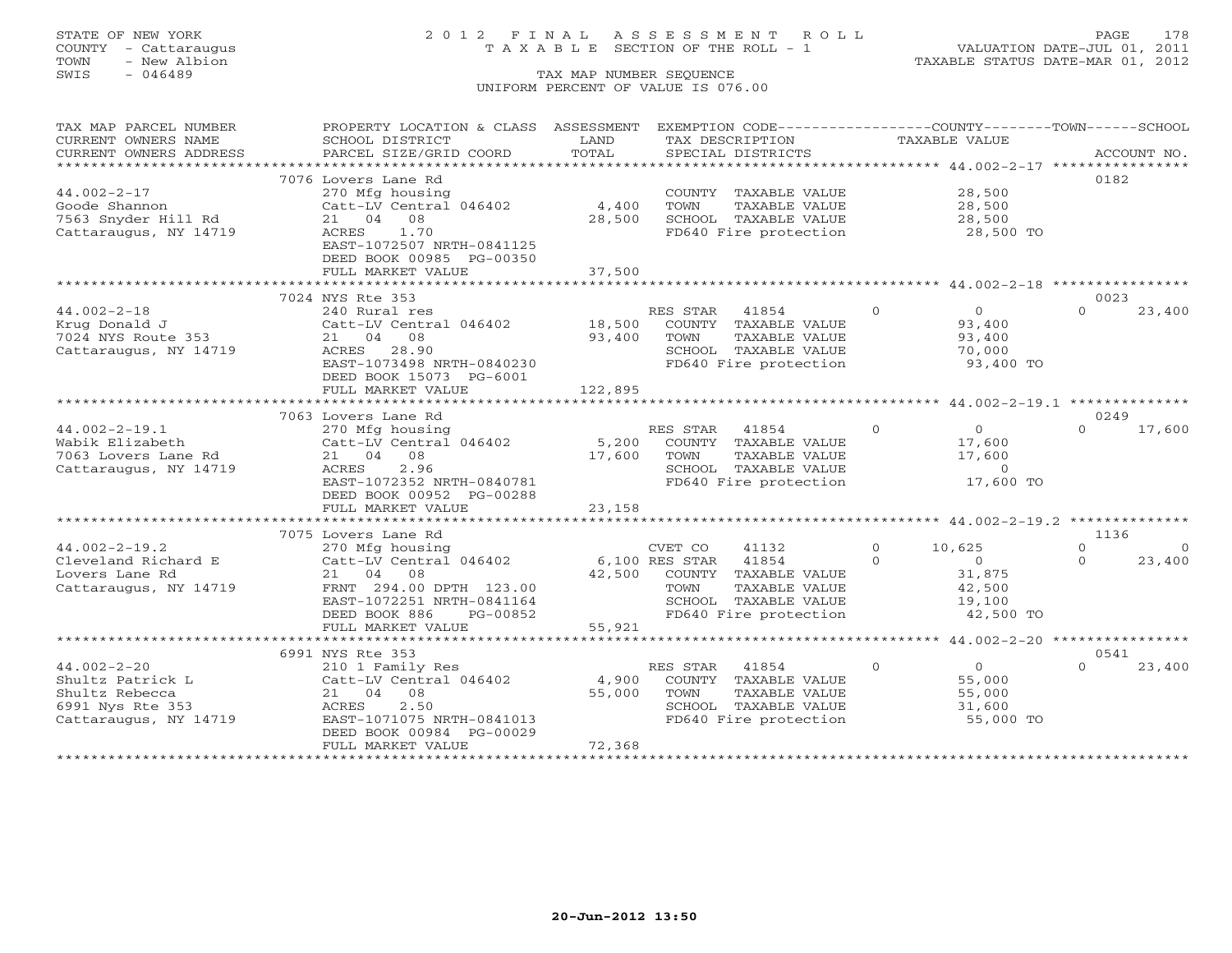# STATE OF NEW YORK 2 0 1 2 F I N A L A S S E S S M E N T R O L L PAGE 178 COUNTY - Cattaraugus T A X A B L E SECTION OF THE ROLL - 1 VALUATION DATE-JUL 01, 2011

| TAX MAP PARCEL NUMBER  | PROPERTY LOCATION & CLASS ASSESSMENT |                |          | EXEMPTION CODE-----------------COUNTY--------TOWN------SCHOOL |          |                       |          |             |
|------------------------|--------------------------------------|----------------|----------|---------------------------------------------------------------|----------|-----------------------|----------|-------------|
| CURRENT OWNERS NAME    | SCHOOL DISTRICT                      | LAND           |          | TAX DESCRIPTION                                               |          | TAXABLE VALUE         |          |             |
| CURRENT OWNERS ADDRESS | PARCEL SIZE/GRID COORD               | TOTAL          |          | SPECIAL DISTRICTS                                             |          |                       |          | ACCOUNT NO. |
|                        |                                      |                |          |                                                               |          |                       |          |             |
|                        | 7076 Lovers Lane Rd                  |                |          |                                                               |          |                       | 0182     |             |
| $44.002 - 2 - 17$      | 270 Mfg housing                      |                |          | COUNTY TAXABLE VALUE                                          |          | 28,500                |          |             |
| Goode Shannon          | Catt-LV Central 046402               | 4,400          | TOWN     | TAXABLE VALUE                                                 |          | 28,500                |          |             |
| 7563 Snyder Hill Rd    | 21 04 08                             | 28,500         |          | SCHOOL TAXABLE VALUE                                          |          | $\frac{20}{28}$ , 500 |          |             |
| Cattaraugus, NY 14719  | 1.70<br>ACRES                        |                |          | FD640 Fire protection                                         |          | 28,500 TO             |          |             |
|                        | EAST-1072507 NRTH-0841125            |                |          |                                                               |          |                       |          |             |
|                        | DEED BOOK 00985 PG-00350             |                |          |                                                               |          |                       |          |             |
|                        | FULL MARKET VALUE                    | 37,500         |          |                                                               |          |                       |          |             |
|                        |                                      |                |          |                                                               |          |                       |          |             |
|                        | 7024 NYS Rte 353                     |                |          |                                                               |          |                       | 0023     |             |
| $44.002 - 2 - 18$      | 240 Rural res                        |                | RES STAR | 41854                                                         | $\Omega$ | $\overline{0}$        | $\cap$   | 23,400      |
| Krug Donald J          | Catt-LV Central 046402 18,500        |                |          | COUNTY TAXABLE VALUE                                          |          | 93,400                |          |             |
| 7024 NYS Route 353     | 21 04 08                             | 93,400         | TOWN     | TAXABLE VALUE                                                 |          | 93,400                |          |             |
| Cattaraugus, NY 14719  | ACRES 28.90                          |                |          | SCHOOL TAXABLE VALUE                                          |          | 70,000                |          |             |
|                        | EAST-1073498 NRTH-0840230            |                |          | SCHOOL TAXABLE VALUE<br>FD640 Fire protection                 |          | 93,400 TO             |          |             |
|                        | DEED BOOK 15073 PG-6001              |                |          |                                                               |          |                       |          |             |
|                        | FULL MARKET VALUE                    | 122,895        |          |                                                               |          |                       |          |             |
|                        |                                      |                |          |                                                               |          |                       |          |             |
|                        | 7063 Lovers Lane Rd                  |                |          |                                                               |          |                       | 0249     |             |
| $44.002 - 2 - 19.1$    | 270 Mfg housing                      |                | RES STAR | 41854                                                         | $\Omega$ | $\overline{0}$        | $\cap$   | 17,600      |
| Wabik Elizabeth        | Catt-LV Central 046402               | 5,200          |          | COUNTY TAXABLE VALUE                                          |          | 17,600                |          |             |
| 7063 Lovers Lane Rd    | 21 04 08                             | 17,600         | TOWN     | TAXABLE VALUE                                                 |          | 17,600                |          |             |
| Cattaraugus, NY 14719  | 2.96<br>ACRES                        |                |          | SCHOOL TAXABLE VALUE                                          |          | $\overline{0}$        |          |             |
|                        | EAST-1072352 NRTH-0840781            |                |          | FD640 Fire protection                                         |          | 17,600 TO             |          |             |
|                        | DEED BOOK 00952 PG-00288             |                |          |                                                               |          |                       |          |             |
|                        | FULL MARKET VALUE                    | 23,158         |          |                                                               |          |                       |          |             |
|                        |                                      |                |          |                                                               |          |                       |          |             |
|                        | 7075 Lovers Lane Rd                  |                |          |                                                               |          |                       | 1136     |             |
| $44.002 - 2 - 19.2$    | 270 Mfg housing                      |                | CVET CO  | 41132                                                         | $\circ$  | 10,625                | $\circ$  | $\circ$     |
| Cleveland Richard E    | Catt-LV Central 046402               | 6,100 RES STAR |          | 41854                                                         | $\Omega$ | $\Omega$              | $\Omega$ | 23,400      |
| Lovers Lane Rd         | 21 04 08                             |                |          | 42,500 COUNTY TAXABLE VALUE                                   |          | 31,875                |          |             |
| Cattaraugus, NY 14719  | FRNT 294.00 DPTH 123.00              |                | TOWN     | TAXABLE VALUE                                                 |          | 42,500                |          |             |
|                        | EAST-1072251 NRTH-0841164            |                |          | SCHOOL TAXABLE VALUE                                          |          | 19,100                |          |             |
|                        | DEED BOOK 886<br>PG-00852            |                |          | FD640 Fire protection                                         |          | 42,500 TO             |          |             |
|                        | FULL MARKET VALUE                    | 55,921         |          |                                                               |          |                       |          |             |
|                        |                                      |                |          |                                                               |          |                       |          |             |
|                        | 6991 NYS Rte 353                     |                |          |                                                               |          |                       | 0541     |             |
| $44.002 - 2 - 20$      | 210 1 Family Res                     |                | RES STAR | 41854                                                         | $\circ$  | $\overline{O}$        | $\Omega$ | 23,400      |
| Shultz Patrick L       | Catt-LV Central 046402               | 4,900          |          | COUNTY TAXABLE VALUE                                          |          | 55,000                |          |             |
| Shultz Rebecca         | 21 04 08                             | 55,000         | TOWN     | TAXABLE VALUE                                                 |          | 55,000                |          |             |
| 6991 Nys Rte 353       | 2.50<br>ACRES                        |                |          | SCHOOL TAXABLE VALUE                                          |          | 31,600                |          |             |
| Cattaraugus, NY 14719  | EAST-1071075 NRTH-0841013            |                |          | FD640 Fire protection                                         |          | 55,000 TO             |          |             |
|                        | DEED BOOK 00984 PG-00029             |                |          |                                                               |          |                       |          |             |
|                        | FULL MARKET VALUE                    | 72,368         |          |                                                               |          |                       |          |             |
|                        |                                      |                |          |                                                               |          |                       |          |             |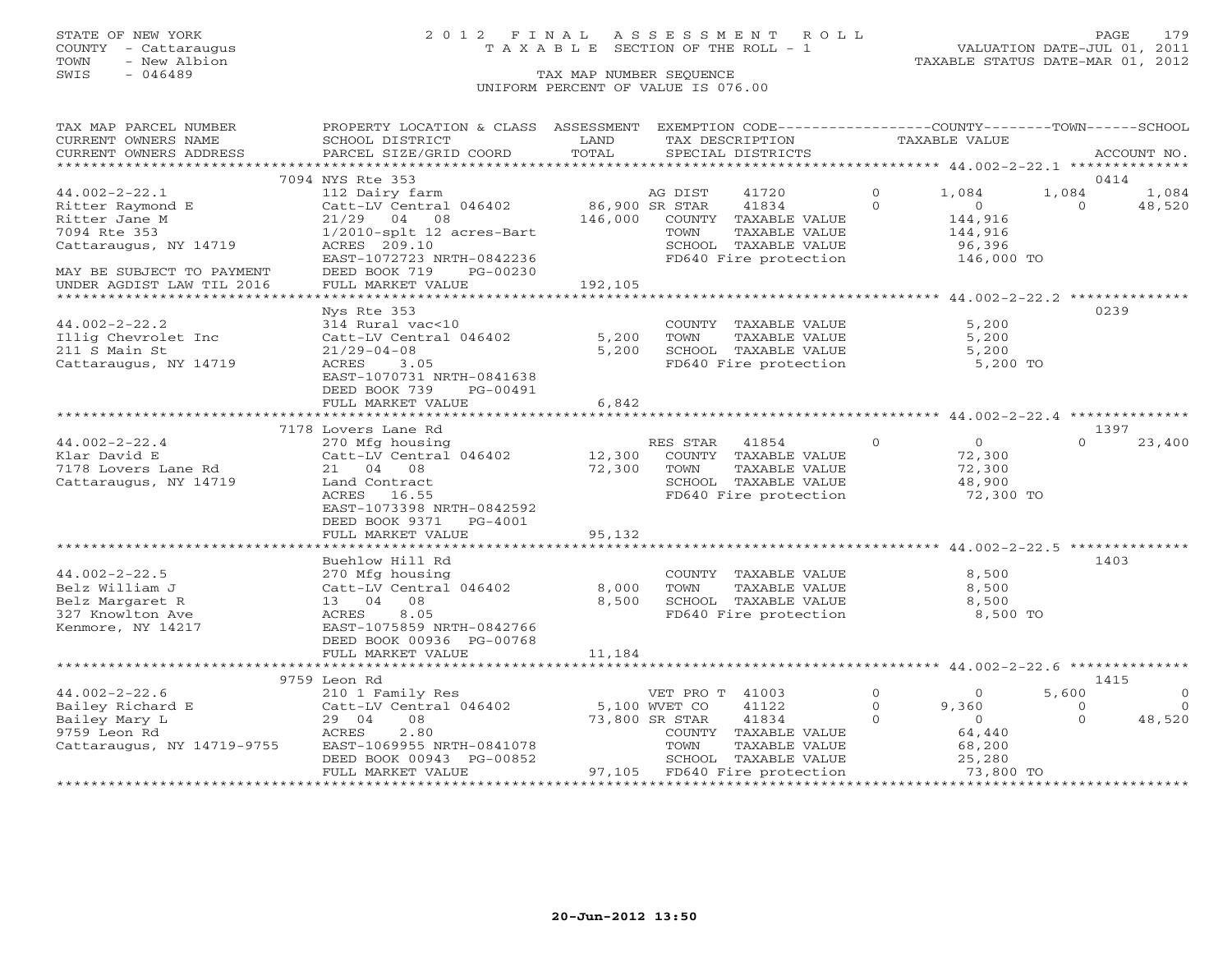TOWN - New Albion TAXABLE STATUS DATE-MAR 01, 2012 TOWN - New Albion<br>
SWIS - 046489 TAX MAP NUMBER SEQUENCE

# STATE OF NEW YORK 2 0 1 2 F I N A L A S S E S S M E N T R O L L PAGE 179 COUNTY - Cattaraugus T A X A B L E SECTION OF THE ROLL - 1 VALUATION DATE-JUL 01, 2011

# UNIFORM PERCENT OF VALUE IS 076.00

| TAX MAP PARCEL NUMBER                             | PROPERTY LOCATION & CLASS ASSESSMENT            |                |                 | EXEMPTION CODE----------------COUNTY-------TOWN------SCHOOL |              |                  |                   |             |
|---------------------------------------------------|-------------------------------------------------|----------------|-----------------|-------------------------------------------------------------|--------------|------------------|-------------------|-------------|
| CURRENT OWNERS NAME                               | SCHOOL DISTRICT                                 | LAND           |                 | TAX DESCRIPTION                                             |              | TAXABLE VALUE    |                   |             |
| CURRENT OWNERS ADDRESS<br>*********************** | PARCEL SIZE/GRID COORD                          | TOTAL          |                 | SPECIAL DISTRICTS                                           |              |                  |                   | ACCOUNT NO. |
|                                                   |                                                 |                |                 |                                                             |              |                  |                   |             |
| $44.002 - 2 - 22.1$                               | 7094 NYS Rte 353                                |                |                 |                                                             | $\Omega$     |                  | 0414              |             |
|                                                   | 112 Dairy farm                                  | 86,900 SR STAR | AG DIST         | 41720<br>41834                                              | $\Omega$     | 1,084<br>$\circ$ | 1,084<br>$\Omega$ | 1,084       |
| Ritter Raymond E<br>Ritter Jane M                 | Catt-LV Central 046402<br>$21/29$ 04 08         | 146,000        |                 | COUNTY TAXABLE VALUE                                        |              | 144,916          |                   | 48,520      |
| 7094 Rte 353                                      | 1/2010-splt 12 acres-Bart                       |                | TOWN            | TAXABLE VALUE                                               |              | 144,916          |                   |             |
| Cattaraugus, NY 14719                             | ACRES 209.10                                    |                |                 | SCHOOL TAXABLE VALUE                                        |              | 96,396           |                   |             |
|                                                   | EAST-1072723 NRTH-0842236                       |                |                 | FD640 Fire protection                                       |              | 146,000 TO       |                   |             |
| MAY BE SUBJECT TO PAYMENT                         | DEED BOOK 719<br>PG-00230                       |                |                 |                                                             |              |                  |                   |             |
| UNDER AGDIST LAW TIL 2016                         | FULL MARKET VALUE                               | 192,105        |                 |                                                             |              |                  |                   |             |
|                                                   |                                                 |                |                 |                                                             |              |                  |                   |             |
|                                                   | Nys Rte 353                                     |                |                 |                                                             |              |                  | 0239              |             |
| $44.002 - 2 - 22.2$                               | 314 Rural vac<10                                |                |                 | COUNTY TAXABLE VALUE                                        |              | 5,200            |                   |             |
| Illig Chevrolet Inc                               | Catt-LV Central 046402                          | 5,200          | TOWN            | TAXABLE VALUE                                               |              | 5,200            |                   |             |
| 211 S Main St                                     | $21/29 - 04 - 08$                               | 5,200          |                 | SCHOOL TAXABLE VALUE                                        |              | 5,200            |                   |             |
| Cattaraugus, NY 14719                             | ACRES<br>3.05                                   |                |                 | FD640 Fire protection                                       |              | 5,200 TO         |                   |             |
|                                                   | EAST-1070731 NRTH-0841638                       |                |                 |                                                             |              |                  |                   |             |
|                                                   | DEED BOOK 739<br>PG-00491                       |                |                 |                                                             |              |                  |                   |             |
|                                                   | FULL MARKET VALUE                               | 6,842          |                 |                                                             |              |                  |                   |             |
|                                                   |                                                 |                |                 |                                                             |              |                  |                   |             |
|                                                   | 7178 Lovers Lane Rd                             |                |                 |                                                             |              |                  | 1397              |             |
| $44.002 - 2 - 22.4$                               | 270 Mfg housing                                 |                | RES STAR        | 41854                                                       | $\Omega$     | $\overline{0}$   | $\Omega$          | 23,400      |
| Klar David E                                      | Catt-LV Central 046402                          | 12,300         |                 | COUNTY TAXABLE VALUE                                        |              | 72,300           |                   |             |
| 7178 Lovers Lane Rd                               | 21 04 08                                        | 72,300         | TOWN            | TAXABLE VALUE                                               |              | 72,300           |                   |             |
| Cattaraugus, NY 14719                             | Land Contract                                   |                |                 | SCHOOL TAXABLE VALUE                                        |              | 48,900           |                   |             |
|                                                   | ACRES 16.55                                     |                |                 | FD640 Fire protection                                       |              | 72,300 TO        |                   |             |
|                                                   | EAST-1073398 NRTH-0842592                       |                |                 |                                                             |              |                  |                   |             |
|                                                   | DEED BOOK 9371<br>PG-4001                       |                |                 |                                                             |              |                  |                   |             |
|                                                   | FULL MARKET VALUE                               | 95,132         |                 |                                                             |              |                  |                   |             |
|                                                   |                                                 |                |                 |                                                             |              |                  |                   |             |
|                                                   | Buehlow Hill Rd                                 |                |                 |                                                             |              |                  | 1403              |             |
| $44.002 - 2 - 22.5$                               | 270 Mfg housing                                 |                |                 | COUNTY TAXABLE VALUE                                        |              | 8,500            |                   |             |
| Belz William J                                    | Catt-LV Central 046402                          | 8,000          | TOWN            | TAXABLE VALUE                                               |              | 8,500            |                   |             |
| Belz Margaret R                                   | 13 04 08                                        | 8,500          |                 | SCHOOL TAXABLE VALUE                                        |              | 8,500            |                   |             |
| 327 Knowlton Ave                                  | 8.05<br>ACRES                                   |                |                 | FD640 Fire protection                                       |              | 8,500 TO         |                   |             |
| Kenmore, NY 14217                                 | EAST-1075859 NRTH-0842766                       |                |                 |                                                             |              |                  |                   |             |
|                                                   | DEED BOOK 00936 PG-00768                        |                |                 |                                                             |              |                  |                   |             |
|                                                   | FULL MARKET VALUE                               | 11,184         |                 |                                                             |              |                  |                   |             |
|                                                   | ****************************                    |                |                 |                                                             |              |                  |                   |             |
|                                                   | 9759 Leon Rd                                    |                |                 |                                                             |              |                  | 1415              |             |
| $44.002 - 2 - 22.6$                               | 210 1 Family Res                                |                | VET PRO T 41003 |                                                             | $\circ$      | $\circ$          | 5,600             | $\circ$     |
| Bailey Richard E                                  | Catt-LV Central 046402                          |                | 5,100 WVET CO   | 41122                                                       | $\mathbf{0}$ | 9,360            | $\circ$           | $\Omega$    |
| Bailey Mary L                                     | 08<br>29 04                                     |                | 73,800 SR STAR  | 41834                                                       | $\Omega$     | $\overline{0}$   | $\Omega$          | 48,520      |
| 9759 Leon Rd                                      | 2.80<br>ACRES                                   |                |                 | COUNTY TAXABLE VALUE                                        |              | 64,440           |                   |             |
| Cattaraugus, NY 14719-9755                        | EAST-1069955 NRTH-0841078                       |                | TOWN            | TAXABLE VALUE                                               |              | 68,200           |                   |             |
|                                                   | DEED BOOK 00943 PG-00852                        |                |                 | SCHOOL TAXABLE VALUE                                        |              | 25,280           |                   |             |
| ************************                          | FULL MARKET VALUE<br>************************** |                |                 | 97,105 FD640 Fire protection                                |              | 73,800 TO        |                   |             |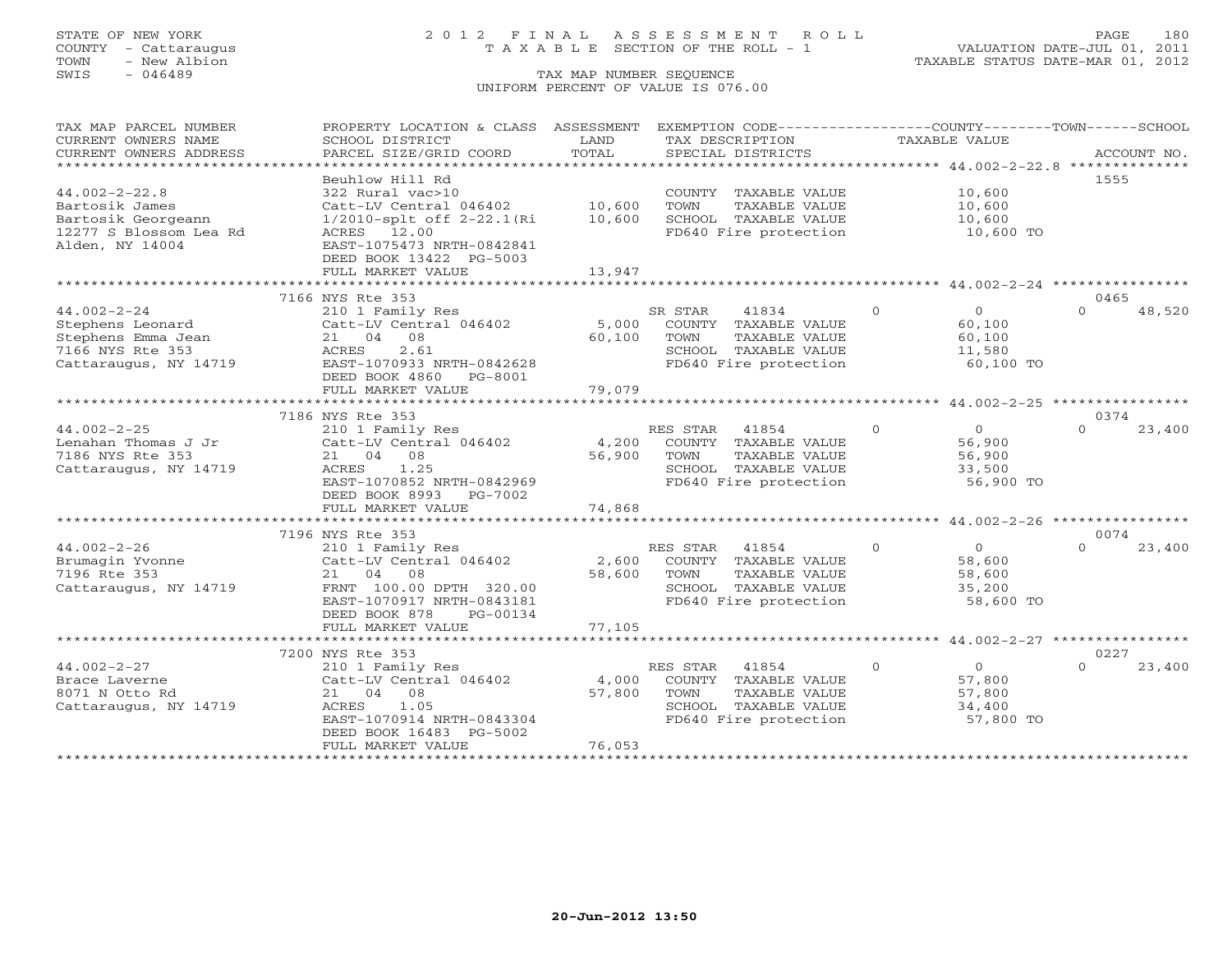# STATE OF NEW YORK 2 0 1 2 F I N A L A S S E S S M E N T R O L L PAGE 180 COUNTY - Cattaraugus T A X A B L E SECTION OF THE ROLL - 1 VALUATION DATE-JUL 01, 2011

| CURRENT OWNERS NAME<br>SCHOOL DISTRICT<br>LAND<br>TAX DESCRIPTION<br><b>TAXABLE VALUE</b><br>TOTAL<br>CURRENT OWNERS ADDRESS<br>PARCEL SIZE/GRID COORD<br>SPECIAL DISTRICTS<br>ACCOUNT NO.<br>*************************<br>Beuhlow Hill Rd<br>1555<br>$44.002 - 2 - 22.8$<br>322 Rural vac>10<br>COUNTY TAXABLE VALUE<br>10,600<br>10,600<br>Bartosik James<br>Catt-LV Central 046402<br>TOWN<br>TAXABLE VALUE<br>10,600<br>Bartosik Georgeann<br>1/2010-splt off 2-22.1(Ri<br>10,600<br>SCHOOL TAXABLE VALUE<br>10,600<br>12277 S Blossom Lea Rd<br>FD640 Fire protection<br>ACRES 12.00<br>10,600 TO<br>Alden, NY 14004<br>EAST-1075473 NRTH-0842841<br>DEED BOOK 13422 PG-5003<br>13,947<br>FULL MARKET VALUE<br>7166 NYS Rte 353<br>0465<br>$\Omega$<br>$44.002 - 2 - 24$<br>SR STAR<br>41834<br>$\overline{0}$<br>$\Omega$<br>48,520<br>210 1 Family Res |
|---------------------------------------------------------------------------------------------------------------------------------------------------------------------------------------------------------------------------------------------------------------------------------------------------------------------------------------------------------------------------------------------------------------------------------------------------------------------------------------------------------------------------------------------------------------------------------------------------------------------------------------------------------------------------------------------------------------------------------------------------------------------------------------------------------------------------------------------------------------|
|                                                                                                                                                                                                                                                                                                                                                                                                                                                                                                                                                                                                                                                                                                                                                                                                                                                               |
|                                                                                                                                                                                                                                                                                                                                                                                                                                                                                                                                                                                                                                                                                                                                                                                                                                                               |
|                                                                                                                                                                                                                                                                                                                                                                                                                                                                                                                                                                                                                                                                                                                                                                                                                                                               |
|                                                                                                                                                                                                                                                                                                                                                                                                                                                                                                                                                                                                                                                                                                                                                                                                                                                               |
|                                                                                                                                                                                                                                                                                                                                                                                                                                                                                                                                                                                                                                                                                                                                                                                                                                                               |
|                                                                                                                                                                                                                                                                                                                                                                                                                                                                                                                                                                                                                                                                                                                                                                                                                                                               |
|                                                                                                                                                                                                                                                                                                                                                                                                                                                                                                                                                                                                                                                                                                                                                                                                                                                               |
|                                                                                                                                                                                                                                                                                                                                                                                                                                                                                                                                                                                                                                                                                                                                                                                                                                                               |
|                                                                                                                                                                                                                                                                                                                                                                                                                                                                                                                                                                                                                                                                                                                                                                                                                                                               |
|                                                                                                                                                                                                                                                                                                                                                                                                                                                                                                                                                                                                                                                                                                                                                                                                                                                               |
|                                                                                                                                                                                                                                                                                                                                                                                                                                                                                                                                                                                                                                                                                                                                                                                                                                                               |
|                                                                                                                                                                                                                                                                                                                                                                                                                                                                                                                                                                                                                                                                                                                                                                                                                                                               |
|                                                                                                                                                                                                                                                                                                                                                                                                                                                                                                                                                                                                                                                                                                                                                                                                                                                               |
| Stephens Leonard<br>5,000<br>COUNTY TAXABLE VALUE<br>Catt-LV Central 046402<br>60,100                                                                                                                                                                                                                                                                                                                                                                                                                                                                                                                                                                                                                                                                                                                                                                         |
| Stephens Emma Jean<br>21 04 08<br>60,100<br>TAXABLE VALUE<br>TOWN<br>60,100                                                                                                                                                                                                                                                                                                                                                                                                                                                                                                                                                                                                                                                                                                                                                                                   |
| 7166 NYS Rte 353<br>ACRES<br>2.61<br>SCHOOL TAXABLE VALUE<br>11,580                                                                                                                                                                                                                                                                                                                                                                                                                                                                                                                                                                                                                                                                                                                                                                                           |
| Cattaraugus, NY 14719<br>EAST-1070933 NRTH-0842628<br>FD640 Fire protection<br>60,100 TO                                                                                                                                                                                                                                                                                                                                                                                                                                                                                                                                                                                                                                                                                                                                                                      |
| DEED BOOK 4860<br>PG-8001                                                                                                                                                                                                                                                                                                                                                                                                                                                                                                                                                                                                                                                                                                                                                                                                                                     |
| 79,079<br>FULL MARKET VALUE                                                                                                                                                                                                                                                                                                                                                                                                                                                                                                                                                                                                                                                                                                                                                                                                                                   |
| 7186 NYS Rte 353<br>0374                                                                                                                                                                                                                                                                                                                                                                                                                                                                                                                                                                                                                                                                                                                                                                                                                                      |
| $44.002 - 2 - 25$<br>RES STAR<br>41854<br>$\overline{0}$<br>$\circ$<br>23,400<br>$\Omega$                                                                                                                                                                                                                                                                                                                                                                                                                                                                                                                                                                                                                                                                                                                                                                     |
| 210 1 Family Res<br>Lenahan Thomas J Jr<br>Catt-LV Central 046402<br>4,200<br>COUNTY TAXABLE VALUE<br>56,900                                                                                                                                                                                                                                                                                                                                                                                                                                                                                                                                                                                                                                                                                                                                                  |
| 7186 NYS Rte 353<br>21 04 08<br>56,900<br>TOWN<br>TAXABLE VALUE<br>56,900                                                                                                                                                                                                                                                                                                                                                                                                                                                                                                                                                                                                                                                                                                                                                                                     |
| Cattaraugus, NY 14719<br>ACRES<br>1.25<br>SCHOOL TAXABLE VALUE<br>33,500                                                                                                                                                                                                                                                                                                                                                                                                                                                                                                                                                                                                                                                                                                                                                                                      |
| EAST-1070852 NRTH-0842969<br>FD640 Fire protection<br>56,900 TO                                                                                                                                                                                                                                                                                                                                                                                                                                                                                                                                                                                                                                                                                                                                                                                               |
| DEED BOOK 8993 PG-7002                                                                                                                                                                                                                                                                                                                                                                                                                                                                                                                                                                                                                                                                                                                                                                                                                                        |
| 74,868<br>FULL MARKET VALUE                                                                                                                                                                                                                                                                                                                                                                                                                                                                                                                                                                                                                                                                                                                                                                                                                                   |
|                                                                                                                                                                                                                                                                                                                                                                                                                                                                                                                                                                                                                                                                                                                                                                                                                                                               |
| 7196 NYS Rte 353<br>0074                                                                                                                                                                                                                                                                                                                                                                                                                                                                                                                                                                                                                                                                                                                                                                                                                                      |
| $44.002 - 2 - 26$<br>210 1 Family Res<br>RES STAR 41854<br>$\Omega$<br>$\circ$<br>$\Omega$<br>23,400                                                                                                                                                                                                                                                                                                                                                                                                                                                                                                                                                                                                                                                                                                                                                          |
| 2,600<br>Brumagin Yvonne<br>Catt-LV Central 046402<br>COUNTY TAXABLE VALUE<br>58,600                                                                                                                                                                                                                                                                                                                                                                                                                                                                                                                                                                                                                                                                                                                                                                          |
| 58,600<br>7196 Rte 353<br>21 04 08<br>TOWN<br>TAXABLE VALUE<br>58,600                                                                                                                                                                                                                                                                                                                                                                                                                                                                                                                                                                                                                                                                                                                                                                                         |
| FRNT 100.00 DPTH 320.00<br>SCHOOL TAXABLE VALUE<br>Cattaraugus, NY 14719<br>35,200                                                                                                                                                                                                                                                                                                                                                                                                                                                                                                                                                                                                                                                                                                                                                                            |
| FD640 Fire protection<br>EAST-1070917 NRTH-0843181<br>58,600 TO                                                                                                                                                                                                                                                                                                                                                                                                                                                                                                                                                                                                                                                                                                                                                                                               |
| DEED BOOK 878<br>PG-00134                                                                                                                                                                                                                                                                                                                                                                                                                                                                                                                                                                                                                                                                                                                                                                                                                                     |
| 77,105<br>FULL MARKET VALUE                                                                                                                                                                                                                                                                                                                                                                                                                                                                                                                                                                                                                                                                                                                                                                                                                                   |
|                                                                                                                                                                                                                                                                                                                                                                                                                                                                                                                                                                                                                                                                                                                                                                                                                                                               |
| 7200 NYS Rte 353<br>0227                                                                                                                                                                                                                                                                                                                                                                                                                                                                                                                                                                                                                                                                                                                                                                                                                                      |
| $44.002 - 2 - 27$<br>$\Omega$<br>$\Omega$<br>$\cap$<br>23,400<br>210 1 Family Res<br>RES STAR 41854                                                                                                                                                                                                                                                                                                                                                                                                                                                                                                                                                                                                                                                                                                                                                           |
| 4,000<br>COUNTY TAXABLE VALUE<br>Catt-LV Central 046402<br>57,800<br>Brace Laverne                                                                                                                                                                                                                                                                                                                                                                                                                                                                                                                                                                                                                                                                                                                                                                            |
| 21 04 08<br>57,800<br>8071 N Otto Rd<br>TOWN<br>TAXABLE VALUE<br>57,800                                                                                                                                                                                                                                                                                                                                                                                                                                                                                                                                                                                                                                                                                                                                                                                       |
| Cattaraugus, NY 14719<br>1.05<br>SCHOOL TAXABLE VALUE<br>34,400<br>ACRES                                                                                                                                                                                                                                                                                                                                                                                                                                                                                                                                                                                                                                                                                                                                                                                      |
| FD640 Fire protection<br>EAST-1070914 NRTH-0843304<br>57,800 TO                                                                                                                                                                                                                                                                                                                                                                                                                                                                                                                                                                                                                                                                                                                                                                                               |
| DEED BOOK 16483 PG-5002                                                                                                                                                                                                                                                                                                                                                                                                                                                                                                                                                                                                                                                                                                                                                                                                                                       |
| 76,053<br>FULL MARKET VALUE                                                                                                                                                                                                                                                                                                                                                                                                                                                                                                                                                                                                                                                                                                                                                                                                                                   |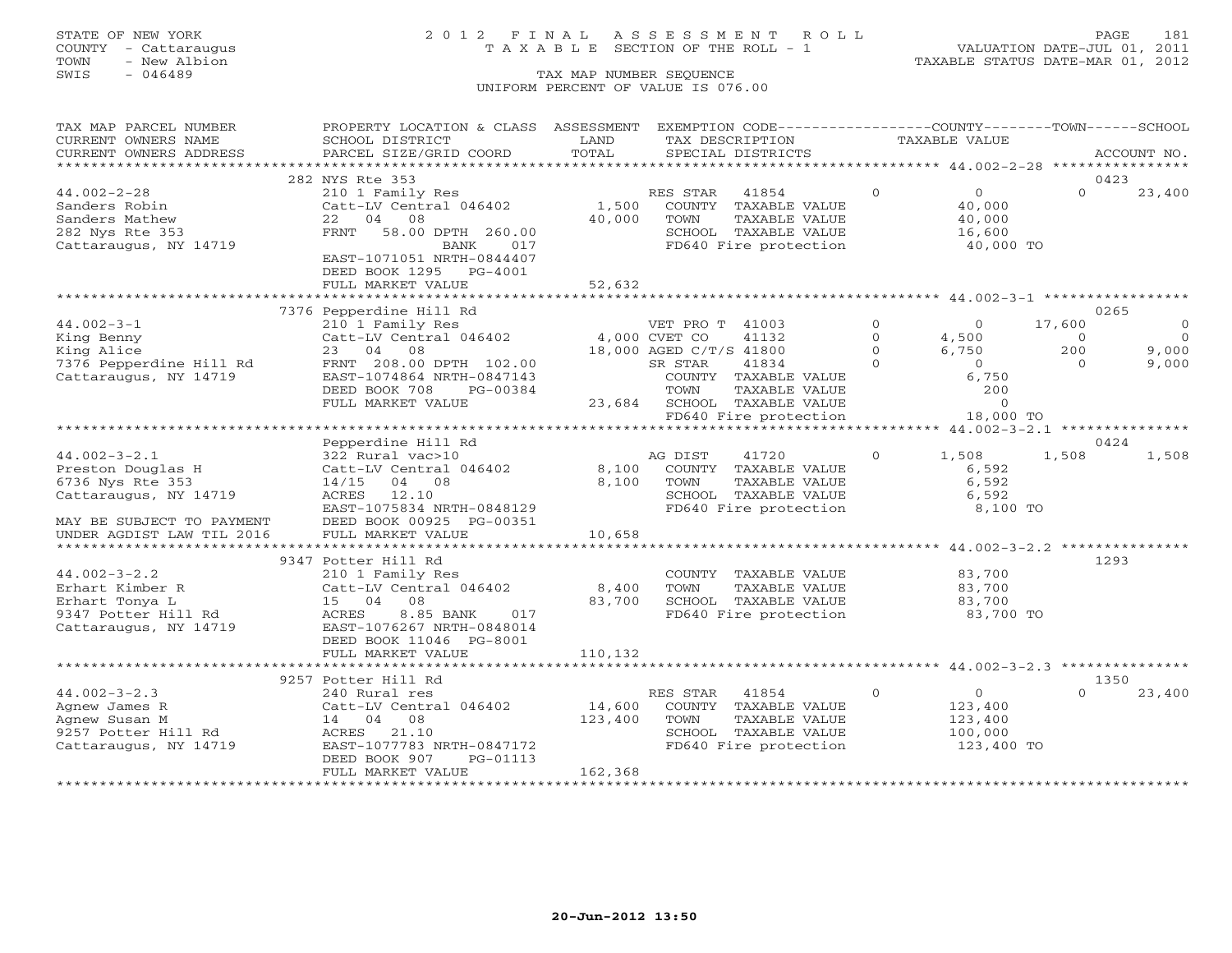### STATE OF NEW YORK 2 0 1 2 F I N A L A S S E S S M E N T R O L L PAGE 181 COUNTY - Cattaraugus T A X A B L E SECTION OF THE ROLL - 1 VALUATION DATE-JUL 01, 2011

| TAX MAP PARCEL NUMBER     | PROPERTY LOCATION & CLASS ASSESSMENT                 |                         |                         | EXEMPTION CODE-----------------COUNTY-------TOWN------SCHOOL |              |                      |          |                |
|---------------------------|------------------------------------------------------|-------------------------|-------------------------|--------------------------------------------------------------|--------------|----------------------|----------|----------------|
| CURRENT OWNERS NAME       | SCHOOL DISTRICT                                      | LAND                    | TAX DESCRIPTION         |                                                              |              | <b>TAXABLE VALUE</b> |          |                |
| CURRENT OWNERS ADDRESS    | PARCEL SIZE/GRID COORD                               | TOTAL                   |                         | SPECIAL DISTRICTS                                            |              |                      |          | ACCOUNT NO.    |
|                           |                                                      | *********************** |                         | *************************** 44.002-2-28 *****************    |              |                      |          |                |
|                           | 282 NYS Rte 353                                      |                         |                         |                                                              |              |                      |          | 0423           |
| $44.002 - 2 - 28$         | 210 1 Family Res                                     |                         | RES STAR                | 41854                                                        | $\circ$      | $\overline{0}$       | $\Omega$ | 23,400         |
| Sanders Robin             | Catt-LV Central 046402                               | 1,500                   |                         | COUNTY TAXABLE VALUE                                         |              | 40,000               |          |                |
| Sanders Mathew            | 04<br>08<br>22                                       | 40,000                  | TOWN                    | TAXABLE VALUE                                                |              | 40,000               |          |                |
| 282 Nys Rte 353           | <b>FRNT</b><br>58.00 DPTH 260.00                     |                         |                         | SCHOOL TAXABLE VALUE                                         |              | 16,600               |          |                |
| Cattaraugus, NY 14719     | 017<br>BANK                                          |                         |                         | FD640 Fire protection                                        |              | 40,000 TO            |          |                |
|                           | EAST-1071051 NRTH-0844407                            |                         |                         |                                                              |              |                      |          |                |
|                           | DEED BOOK 1295<br>PG-4001                            |                         |                         |                                                              |              |                      |          |                |
|                           | FULL MARKET VALUE                                    | 52,632                  |                         |                                                              |              |                      |          |                |
|                           | 7376 Pepperdine Hill Rd                              |                         |                         |                                                              |              |                      |          | 0265           |
| $44.002 - 3 - 1$          | 210 1 Family Res                                     |                         | VET PRO T 41003         |                                                              | $\mathbf{0}$ | $\overline{0}$       | 17,600   | $\overline{0}$ |
| King Benny                | Catt-LV Central 046402                               |                         | 4,000 CVET CO           | 41132                                                        | $\Omega$     | 4,500                | $\circ$  | $\overline{0}$ |
| King Alice                | 23 04 08                                             |                         | 18,000 AGED C/T/S 41800 |                                                              | $\Omega$     | 6,750                | 200      | 9,000          |
| 7376 Pepperdine Hill Rd   | FRNT 208.00 DPTH 102.00                              |                         | SR STAR                 | 41834                                                        | $\Omega$     | $\Omega$             | $\Omega$ | 9,000          |
| Cattaraugus, NY 14719     | EAST-1074864 NRTH-0847143                            |                         |                         | COUNTY TAXABLE VALUE                                         |              | 6,750                |          |                |
|                           | DEED BOOK 708<br>PG-00384                            |                         | TOWN                    | TAXABLE VALUE                                                |              | 200                  |          |                |
|                           | FULL MARKET VALUE                                    | 23,684                  |                         | SCHOOL TAXABLE VALUE                                         |              | $\circ$              |          |                |
|                           |                                                      |                         |                         | FD640 Fire protection                                        |              | 18,000 TO            |          |                |
|                           |                                                      |                         |                         |                                                              |              |                      |          |                |
|                           | Pepperdine Hill Rd                                   |                         |                         |                                                              |              |                      |          | 0424           |
| $44.002 - 3 - 2.1$        | 322 Rural vac>10                                     |                         | AG DIST                 | 41720                                                        | $\Omega$     | 1,508                | 1,508    | 1,508          |
| Preston Douglas H         | Catt-LV Central 046402                               | 8,100                   |                         | COUNTY TAXABLE VALUE                                         |              | 6,592                |          |                |
| 6736 Nys Rte 353          | 14/15<br>04 08                                       | 8,100                   | TOWN                    | TAXABLE VALUE                                                |              | 6,592                |          |                |
| Cattaraugus, NY 14719     | ACRES<br>12.10                                       |                         |                         | SCHOOL TAXABLE VALUE                                         |              | 6,592                |          |                |
|                           | EAST-1075834 NRTH-0848129                            |                         |                         | FD640 Fire protection                                        |              | 8,100 TO             |          |                |
| MAY BE SUBJECT TO PAYMENT | DEED BOOK 00925 PG-00351                             |                         |                         |                                                              |              |                      |          |                |
| UNDER AGDIST LAW TIL 2016 | FULL MARKET VALUE                                    | 10,658                  |                         |                                                              |              |                      |          |                |
|                           |                                                      |                         |                         |                                                              |              |                      |          |                |
|                           | 9347 Potter Hill Rd                                  |                         |                         |                                                              |              |                      |          | 1293           |
| $44.002 - 3 - 2.2$        | 210 1 Family Res                                     |                         |                         | COUNTY TAXABLE VALUE                                         |              | 83,700               |          |                |
| Erhart Kimber R           | Catt-LV Central 046402                               | 8,400                   | TOWN                    | TAXABLE VALUE                                                |              | 83,700               |          |                |
| Erhart Tonya L            | 15 04 08                                             | 83,700                  |                         | SCHOOL TAXABLE VALUE                                         |              | 83,700               |          |                |
| 9347 Potter Hill Rd       | 8.85 BANK<br>ACRES<br>017                            |                         |                         | FD640 Fire protection                                        |              | 83,700 TO            |          |                |
| Cattaraugus, NY 14719     | EAST-1076267 NRTH-0848014<br>DEED BOOK 11046 PG-8001 |                         |                         |                                                              |              |                      |          |                |
|                           | FULL MARKET VALUE                                    | 110,132                 |                         |                                                              |              |                      |          |                |
|                           |                                                      |                         |                         |                                                              |              |                      |          |                |
|                           | 9257 Potter Hill Rd                                  |                         |                         |                                                              |              |                      |          | 1350           |
| $44.002 - 3 - 2.3$        | 240 Rural res                                        |                         | RES STAR                | 41854                                                        | $\Omega$     | $\overline{0}$       | $\Omega$ | 23,400         |
| Agnew James R             | Catt-LV Central 046402                               | 14,600                  |                         | COUNTY TAXABLE VALUE                                         |              | 123,400              |          |                |
| Agnew Susan M             | 14 04<br>08                                          | 123,400                 | TOWN                    | TAXABLE VALUE                                                |              | 123,400              |          |                |
| 9257 Potter Hill Rd       | ACRES<br>21.10                                       |                         |                         | SCHOOL TAXABLE VALUE                                         |              | 100,000              |          |                |
| Cattaraugus, NY 14719     | EAST-1077783 NRTH-0847172                            |                         |                         | FD640 Fire protection                                        |              | 123,400 TO           |          |                |
|                           | DEED BOOK 907<br>PG-01113                            |                         |                         |                                                              |              |                      |          |                |
|                           | FULL MARKET VALUE                                    | 162,368                 |                         |                                                              |              |                      |          |                |
|                           |                                                      |                         |                         |                                                              |              |                      |          |                |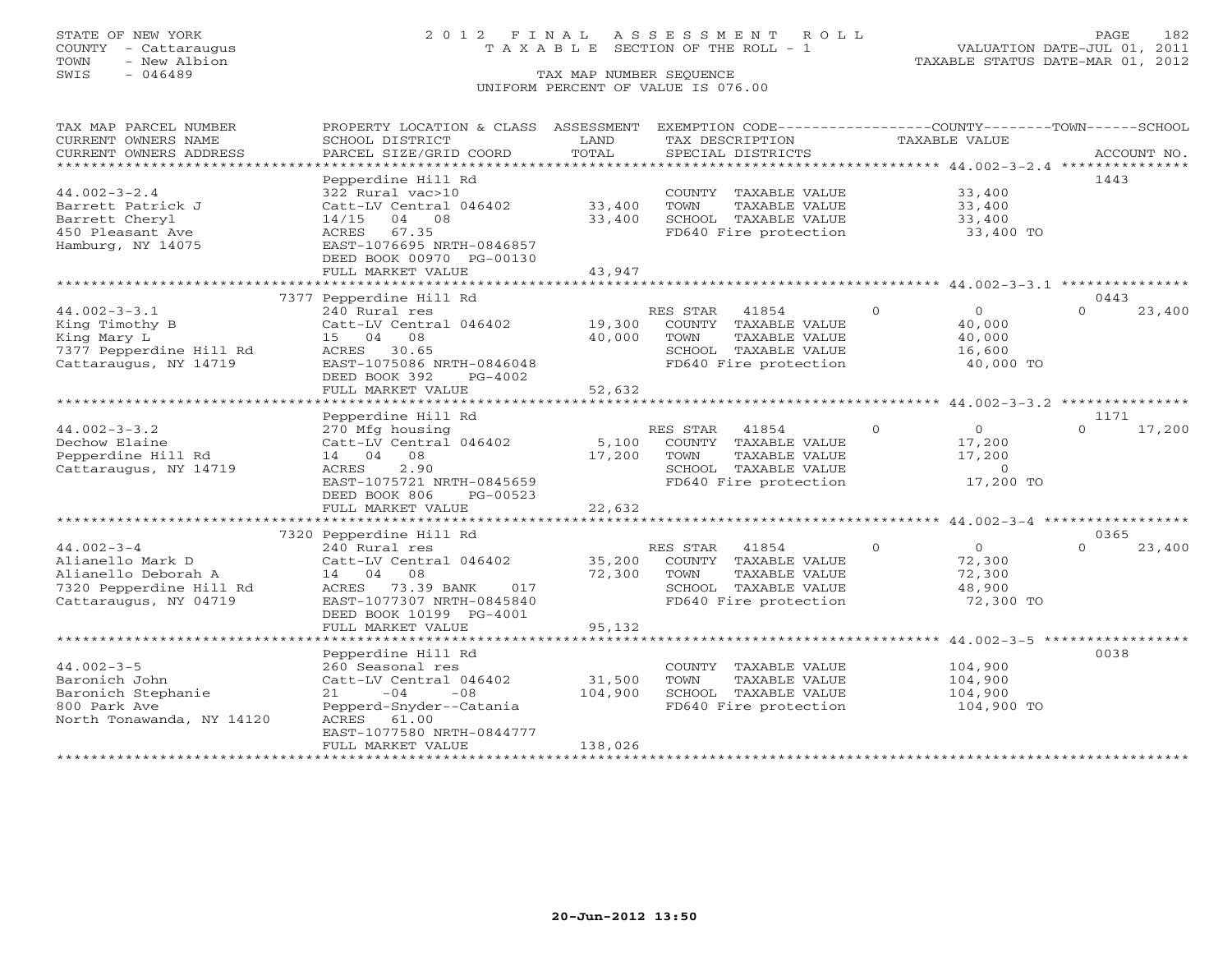### STATE OF NEW YORK 2 0 1 2 F I N A L A S S E S S M E N T R O L L PAGE 182 COUNTY - Cattaraugus T A X A B L E SECTION OF THE ROLL - 1 VALUATION DATE-JUL 01, 2011

| TAX MAP PARCEL NUMBER<br>CURRENT OWNERS NAME                                                                    | PROPERTY LOCATION & CLASS ASSESSMENT<br>SCHOOL DISTRICT                                                                                                              | LAND              | EXEMPTION CODE-----------------COUNTY--------TOWN------SCHOOL<br>TAX DESCRIPTION                                    | TAXABLE VALUE                                                    |                            |
|-----------------------------------------------------------------------------------------------------------------|----------------------------------------------------------------------------------------------------------------------------------------------------------------------|-------------------|---------------------------------------------------------------------------------------------------------------------|------------------------------------------------------------------|----------------------------|
| CURRENT OWNERS ADDRESS                                                                                          | PARCEL SIZE/GRID COORD                                                                                                                                               | TOTAL             | SPECIAL DISTRICTS                                                                                                   |                                                                  | ACCOUNT NO.                |
| ************************<br>$44.002 - 3 - 2.4$                                                                  | Pepperdine Hill Rd<br>322 Rural vac>10                                                                                                                               |                   | COUNTY TAXABLE VALUE                                                                                                | 33,400                                                           | 1443                       |
| Barrett Patrick J<br>Barrett Cheryl<br>450 Pleasant Ave<br>Hamburg, NY 14075                                    | Catt-LV Central 046402<br>$14/15$ 04 08<br>ACRES<br>67.35<br>EAST-1076695 NRTH-0846857<br>DEED BOOK 00970 PG-00130                                                   | 33,400<br>33,400  | TOWN<br>TAXABLE VALUE<br>SCHOOL TAXABLE VALUE<br>FD640 Fire protection                                              | 33,400<br>33,400<br>33,400 TO                                    |                            |
|                                                                                                                 | FULL MARKET VALUE                                                                                                                                                    | 43,947            |                                                                                                                     |                                                                  |                            |
|                                                                                                                 |                                                                                                                                                                      |                   |                                                                                                                     |                                                                  |                            |
| $44.002 - 3 - 3.1$<br>King Timothy B<br>King Mary L<br>7377 Pepperdine Hill Rd<br>Cattaraugus, NY 14719         | 7377 Pepperdine Hill Rd<br>240 Rural res<br>Catt-LV Central 046402<br>15 04<br>08<br>ACRES 30.65<br>EAST-1075086 NRTH-0846048                                        | 19,300<br>40,000  | RES STAR<br>41854<br>COUNTY TAXABLE VALUE<br>TOWN<br>TAXABLE VALUE<br>SCHOOL TAXABLE VALUE<br>FD640 Fire protection | $\Omega$<br>$\circ$<br>40,000<br>40,000<br>16,600<br>40,000 TO   | 0443<br>$\Omega$<br>23,400 |
|                                                                                                                 | DEED BOOK 392<br>$PG-4002$<br>FULL MARKET VALUE                                                                                                                      | 52,632            |                                                                                                                     |                                                                  |                            |
|                                                                                                                 | ***********************<br>Pepperdine Hill Rd                                                                                                                        | ************      |                                                                                                                     | ********************** 44.002-3-3.2 ***************              | 1171                       |
| $44.002 - 3 - 3.2$<br>Dechow Elaine<br>Pepperdine Hill Rd<br>Cattaraugus, NY 14719                              | 270 Mfg housing<br>Catt-LV Central 046402<br>08<br>14 04<br>ACRES<br>2.90<br>EAST-1075721 NRTH-0845659<br>DEED BOOK 806<br>PG-00523                                  | 5,100<br>17,200   | RES STAR<br>41854<br>COUNTY TAXABLE VALUE<br>TAXABLE VALUE<br>TOWN<br>SCHOOL TAXABLE VALUE<br>FD640 Fire protection | $\Omega$<br>$\circ$<br>17,200<br>17,200<br>$\Omega$<br>17,200 TO | 17,200<br>$\Omega$         |
|                                                                                                                 | FULL MARKET VALUE                                                                                                                                                    | 22,632            |                                                                                                                     |                                                                  |                            |
|                                                                                                                 | ********************************                                                                                                                                     |                   |                                                                                                                     |                                                                  |                            |
| $44.002 - 3 - 4$<br>Alianello Mark D<br>Alianello Deborah A<br>7320 Pepperdine Hill Rd<br>Cattaraugus, NY 04719 | 7320 Pepperdine Hill Rd<br>240 Rural res<br>Catt-LV Central 046402<br>14 04 08<br>ACRES<br>73.39 BANK<br>017<br>EAST-1077307 NRTH-0845840<br>DEED BOOK 10199 PG-4001 | 35,200<br>72,300  | RES STAR<br>41854<br>COUNTY TAXABLE VALUE<br>TOWN<br>TAXABLE VALUE<br>SCHOOL TAXABLE VALUE<br>FD640 Fire protection | $\Omega$<br>$\Omega$<br>72,300<br>72,300<br>48,900<br>72,300 TO  | 0365<br>$\Omega$<br>23,400 |
|                                                                                                                 | FULL MARKET VALUE                                                                                                                                                    | 95,132            |                                                                                                                     |                                                                  |                            |
|                                                                                                                 | Pepperdine Hill Rd                                                                                                                                                   |                   |                                                                                                                     |                                                                  | 0038                       |
| $44.002 - 3 - 5$<br>Baronich John<br>Baronich Stephanie<br>800 Park Ave<br>North Tonawanda, NY 14120            | 260 Seasonal res<br>Catt-LV Central 046402<br>$-08$<br>$-04$<br>21<br>Pepperd-Snyder--Catania<br>ACRES 61.00                                                         | 31,500<br>104,900 | COUNTY TAXABLE VALUE<br>TOWN<br>TAXABLE VALUE<br>SCHOOL TAXABLE VALUE<br>FD640 Fire protection                      | 104,900<br>104,900<br>104,900<br>104,900 TO                      |                            |
|                                                                                                                 | EAST-1077580 NRTH-0844777<br>FULL MARKET VALUE                                                                                                                       | 138,026           |                                                                                                                     |                                                                  |                            |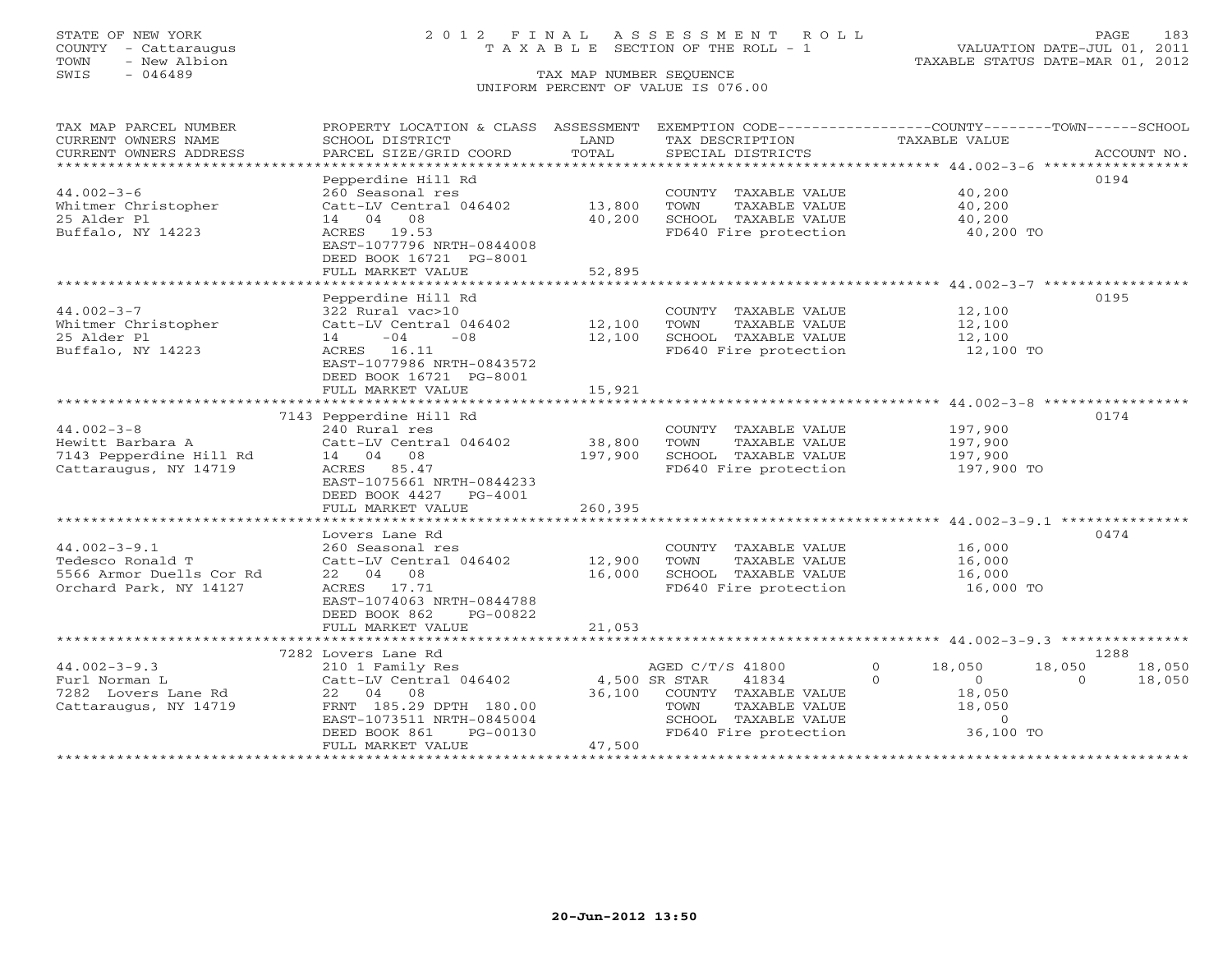COUNTY - Cattaraugus T A X A B L E SECTION OF THE ROLL - 1<br>TOWN - New Albion - 1<br>SWIS - 046489 TAX MAP NUMBER SEQUENCE

# STATE OF NEW YORK 2 0 1 2 F I N A L A S S E S S M E N T R O L L PAGE 183

VALUATION DATE-JUL 01, 2011 TAXABLE STATUS DATE-MAR 01, 2012

### TAX MAP NUMBER SEQUENCE UNIFORM PERCENT OF VALUE IS 076.00

| TAX MAP PARCEL NUMBER                         | PROPERTY LOCATION & CLASS ASSESSMENT EXEMPTION CODE---------------COUNTY-------TOWN------SCHOOL |                  |                                       |                                                                 |                    |
|-----------------------------------------------|-------------------------------------------------------------------------------------------------|------------------|---------------------------------------|-----------------------------------------------------------------|--------------------|
| CURRENT OWNERS NAME<br>CURRENT OWNERS ADDRESS | SCHOOL DISTRICT<br>PARCEL SIZE/GRID COORD                                                       | LAND<br>TOTAL    | TAX DESCRIPTION<br>SPECIAL DISTRICTS  | TAXABLE VALUE                                                   | ACCOUNT NO.        |
| ******************************                |                                                                                                 |                  |                                       |                                                                 |                    |
| $44.002 - 3 - 6$                              | Pepperdine Hill Rd<br>260 Seasonal res                                                          |                  | COUNTY TAXABLE VALUE                  | 40,200                                                          | 0194               |
| Whitmer Christopher                           | Catt-LV Central 046402                                                                          | 13,800           | TOWN<br>TAXABLE VALUE                 | 40,200                                                          |                    |
| 25 Alder Pl                                   | 14 04 08                                                                                        | 40,200           | SCHOOL TAXABLE VALUE                  | 40,200                                                          |                    |
| Buffalo, NY 14223                             | ACRES 19.53                                                                                     |                  | FD640 Fire protection                 | 40,200 TO                                                       |                    |
|                                               | EAST-1077796 NRTH-0844008                                                                       |                  |                                       |                                                                 |                    |
|                                               | DEED BOOK 16721 PG-8001                                                                         |                  |                                       |                                                                 |                    |
|                                               | FULL MARKET VALUE                                                                               | 52,895           |                                       |                                                                 |                    |
|                                               |                                                                                                 |                  |                                       |                                                                 |                    |
|                                               | Pepperdine Hill Rd                                                                              |                  |                                       |                                                                 | 0195               |
| $44.002 - 3 - 7$                              | 322 Rural vac>10                                                                                |                  | COUNTY TAXABLE VALUE<br>TOWN          | 12,100                                                          |                    |
| Whitmer Christopher<br>25 Alder Pl            | Catt-LV Central 046402<br>$14 -04$<br>$-0.8$                                                    | 12,100<br>12,100 | TAXABLE VALUE<br>SCHOOL TAXABLE VALUE | 12,100<br>12,100                                                |                    |
| Buffalo, NY 14223                             | ACRES 16.11                                                                                     |                  | FD640 Fire protection                 | 12,100 TO                                                       |                    |
|                                               | EAST-1077986 NRTH-0843572                                                                       |                  |                                       |                                                                 |                    |
|                                               | DEED BOOK 16721 PG-8001                                                                         |                  |                                       |                                                                 |                    |
|                                               | FULL MARKET VALUE                                                                               | 15,921           |                                       |                                                                 |                    |
|                                               |                                                                                                 | **************   |                                       | ***********************************44.002-3-8 ***************** |                    |
|                                               | 7143 Pepperdine Hill Rd                                                                         |                  |                                       |                                                                 | 0174               |
| $44.002 - 3 - 8$                              | 240 Rural res                                                                                   |                  | COUNTY TAXABLE VALUE                  | 197,900                                                         |                    |
| Hewitt Barbara A                              | Catt-LV Central 046402                                                                          | 38,800           | TOWN<br>TAXABLE VALUE                 | 197,900                                                         |                    |
| 7143 Pepperdine Hill Rd                       | 14 04 08<br>ACRES 85.47                                                                         | 197,900          | SCHOOL TAXABLE VALUE                  | 197,900                                                         |                    |
| Cattaraugus, NY 14719                         | EAST-1075661 NRTH-0844233                                                                       |                  | FD640 Fire protection                 | 197,900 TO                                                      |                    |
|                                               | DEED BOOK 4427 PG-4001                                                                          |                  |                                       |                                                                 |                    |
|                                               | FULL MARKET VALUE                                                                               | 260,395          |                                       |                                                                 |                    |
|                                               |                                                                                                 |                  |                                       |                                                                 |                    |
|                                               | Lovers Lane Rd                                                                                  |                  |                                       |                                                                 | 0474               |
| $44.002 - 3 - 9.1$                            | 260 Seasonal res                                                                                |                  | COUNTY TAXABLE VALUE                  | 16,000                                                          |                    |
| Tedesco Ronald T                              | Catt-LV Central 046402                                                                          | 12,900           | TOWN<br>TAXABLE VALUE                 | 16,000                                                          |                    |
| 5566 Armor Duells Cor Rd                      | 22 04 08                                                                                        | 16,000           | SCHOOL TAXABLE VALUE                  | 16,000                                                          |                    |
| Orchard Park, NY 14127                        | ACRES 17.71                                                                                     |                  | FD640 Fire protection                 | 16,000 TO                                                       |                    |
|                                               | EAST-1074063 NRTH-0844788<br>DEED BOOK 862<br>PG-00822                                          |                  |                                       |                                                                 |                    |
|                                               | FULL MARKET VALUE                                                                               | 21,053           |                                       |                                                                 |                    |
|                                               |                                                                                                 |                  |                                       |                                                                 |                    |
|                                               | 7282 Lovers Lane Rd                                                                             |                  |                                       |                                                                 | 1288               |
| $44.002 - 3 - 9.3$                            | 210 1 Family Res                                                                                |                  | AGED C/T/S 41800                      | $\Omega$<br>18,050                                              | 18,050<br>18,050   |
| Furl Norman L                                 | Catt-LV Central 046402                                                                          | 4,500 SR STAR    | 41834                                 | $\cap$<br>$\overline{0}$                                        | $\Omega$<br>18,050 |
| 7282 Lovers Lane Rd                           | 22 04 08                                                                                        | 36,100           | COUNTY TAXABLE VALUE                  | 18,050                                                          |                    |
| Cattaraugus, NY 14719                         | FRNT 185.29 DPTH 180.00                                                                         |                  | TOWN<br>TAXABLE VALUE                 | 18,050                                                          |                    |
|                                               | EAST-1073511 NRTH-0845004                                                                       |                  | SCHOOL TAXABLE VALUE                  | $\overline{0}$                                                  |                    |
|                                               | DEED BOOK 861<br>PG-00130                                                                       | 47,500           | FD640 Fire protection                 | 36,100 TO                                                       |                    |
|                                               | FULL MARKET VALUE                                                                               |                  |                                       |                                                                 |                    |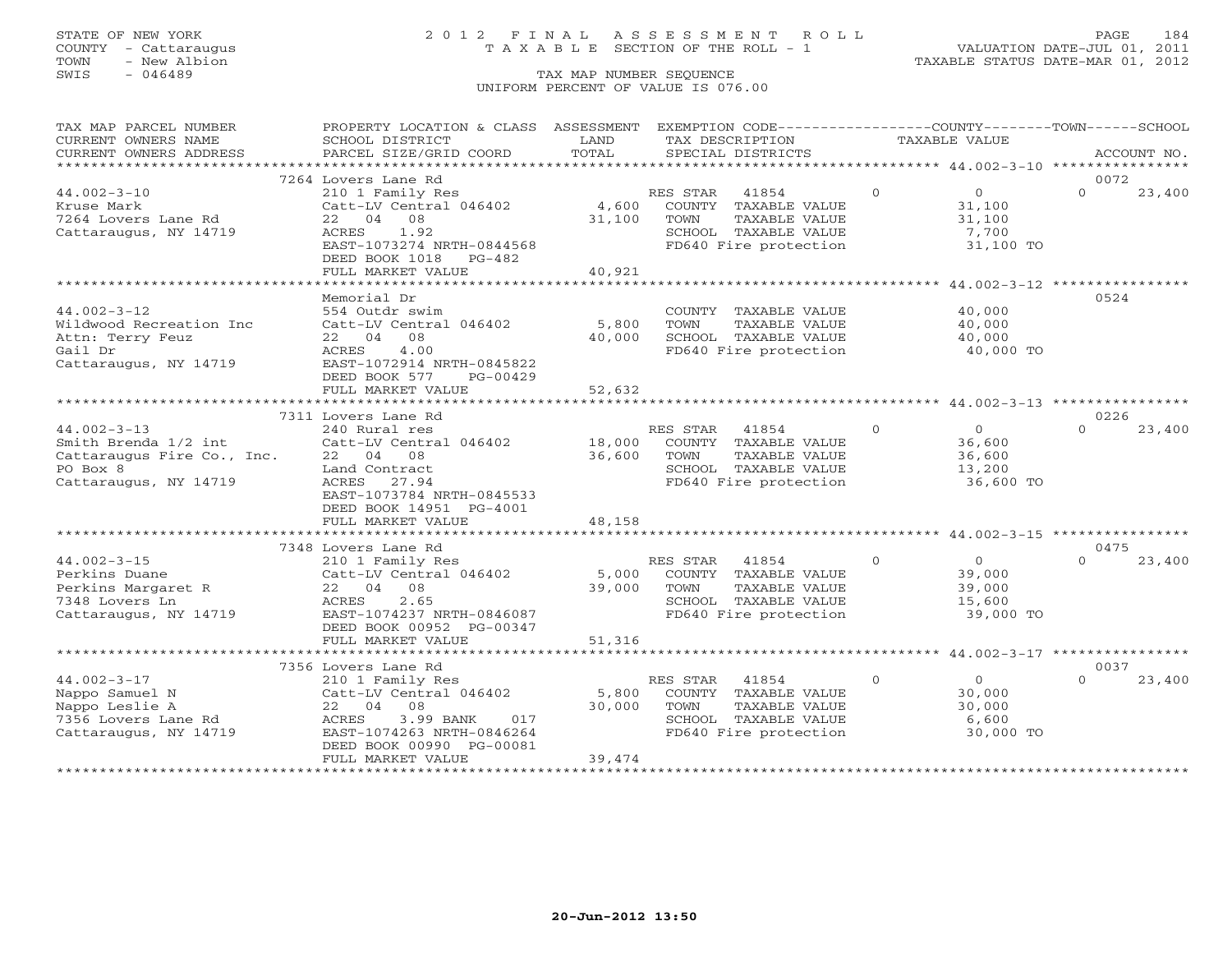### STATE OF NEW YORK 2 0 1 2 F I N A L A S S E S S M E N T R O L L PAGE 184 COUNTY - Cattaraugus T A X A B L E SECTION OF THE ROLL - 1 VALUATION DATE-JUL 01, 2011

| TAX MAP PARCEL NUMBER      | PROPERTY LOCATION & CLASS ASSESSMENT |        | EXEMPTION CODE-----------------COUNTY-------TOWN------SCHOOL |                |                |          |             |
|----------------------------|--------------------------------------|--------|--------------------------------------------------------------|----------------|----------------|----------|-------------|
| CURRENT OWNERS NAME        | SCHOOL DISTRICT                      | LAND   | TAX DESCRIPTION                                              | TAXABLE VALUE  |                |          |             |
| CURRENT OWNERS ADDRESS     | PARCEL SIZE/GRID COORD               | TOTAL  | SPECIAL DISTRICTS                                            |                |                |          | ACCOUNT NO. |
|                            |                                      |        |                                                              |                |                |          |             |
|                            | 7264 Lovers Lane Rd                  |        |                                                              |                |                | 0072     |             |
| $44.002 - 3 - 10$          | 210 1 Family Res                     |        | RES STAR<br>41854                                            | $\circ$        | $\overline{O}$ | $\Omega$ | 23,400      |
| Kruse Mark                 | Catt-LV Central 046402               | 4,600  | COUNTY TAXABLE VALUE                                         |                | 31,100         |          |             |
| 7264 Lovers Lane Rd        | 22 04<br>08                          | 31,100 | TOWN<br>TAXABLE VALUE                                        |                | 31,100         |          |             |
| Cattaraugus, NY 14719      | 1.92<br>ACRES                        |        | SCHOOL TAXABLE VALUE                                         |                | 7,700          |          |             |
|                            | EAST-1073274 NRTH-0844568            |        | FD640 Fire protection                                        |                | 31,100 TO      |          |             |
|                            | DEED BOOK 1018 PG-482                |        |                                                              |                |                |          |             |
|                            | FULL MARKET VALUE                    | 40,921 |                                                              |                |                |          |             |
|                            |                                      |        |                                                              |                |                |          |             |
|                            | Memorial Dr                          |        |                                                              |                |                | 0524     |             |
| $44.002 - 3 - 12$          | 554 Outdr swim                       |        | COUNTY TAXABLE VALUE                                         |                | 40,000         |          |             |
| Wildwood Recreation Inc    | Catt-LV Central 046402               | 5,800  | TOWN<br>TAXABLE VALUE                                        |                | 40,000         |          |             |
| Attn: Terry Feuz           | 08<br>22 04                          | 40,000 | SCHOOL TAXABLE VALUE                                         |                | 40,000         |          |             |
| Gail Dr                    | ACRES<br>4.00                        |        | FD640 Fire protection                                        |                | 40,000 TO      |          |             |
| Cattaraugus, NY 14719      | EAST-1072914 NRTH-0845822            |        |                                                              |                |                |          |             |
|                            | DEED BOOK 577<br>PG-00429            |        |                                                              |                |                |          |             |
|                            | FULL MARKET VALUE                    | 52,632 |                                                              |                |                |          |             |
|                            |                                      |        |                                                              |                |                |          |             |
|                            | 7311 Lovers Lane Rd                  |        |                                                              |                |                | 0226     |             |
| $44.002 - 3 - 13$          | 240 Rural res                        |        | RES STAR<br>41854                                            | $\Omega$       | $\Omega$       | $\Omega$ | 23,400      |
| Smith Brenda 1/2 int       | Catt-LV Central 046402               | 18,000 | COUNTY TAXABLE VALUE                                         |                | 36,600         |          |             |
| Cattaraugus Fire Co., Inc. | 22 04 08                             | 36,600 | TAXABLE VALUE<br>TOWN                                        |                | 36,600         |          |             |
| PO Box 8                   | Land Contract                        |        | SCHOOL TAXABLE VALUE                                         |                | 13,200         |          |             |
| Cattaraugus, NY 14719      | 27.94<br>ACRES                       |        | FD640 Fire protection                                        |                | 36,600 TO      |          |             |
|                            | EAST-1073784 NRTH-0845533            |        |                                                              |                |                |          |             |
|                            | DEED BOOK 14951 PG-4001              |        |                                                              |                |                |          |             |
|                            | FULL MARKET VALUE                    | 48,158 |                                                              |                |                |          |             |
|                            |                                      |        |                                                              |                |                |          |             |
|                            | 7348 Lovers Lane Rd                  |        |                                                              |                |                | 0475     |             |
| $44.002 - 3 - 15$          | 210 1 Family Res                     |        | RES STAR<br>41854                                            | $\overline{0}$ | $\overline{0}$ | $\Omega$ | 23,400      |
| Perkins Duane              | Catt-LV Central 046402               |        | 5,000 COUNTY TAXABLE VALUE                                   |                | 39,000         |          |             |
| Perkins Margaret R         | 22 04 08                             | 39,000 | TOWN<br>TAXABLE VALUE                                        |                | 39,000         |          |             |
| 7348 Lovers Ln             | 2.65<br>ACRES                        |        | SCHOOL TAXABLE VALUE                                         |                | 15,600         |          |             |
| Cattaraugus, NY 14719      | EAST-1074237 NRTH-0846087            |        | FD640 Fire protection                                        |                | 39,000 TO      |          |             |
|                            | DEED BOOK 00952 PG-00347             |        |                                                              |                |                |          |             |
|                            | FULL MARKET VALUE                    | 51,316 |                                                              |                |                |          |             |
|                            |                                      |        |                                                              |                |                |          |             |
|                            | 7356 Lovers Lane Rd                  |        |                                                              |                |                | 0037     |             |
| $44.002 - 3 - 17$          | 210 1 Family Res                     |        | RES STAR<br>41854                                            | $\circ$        | $\overline{0}$ | $\Omega$ | 23,400      |
| Nappo Samuel N             | Catt-LV Central 046402               | 5,800  | COUNTY TAXABLE VALUE                                         |                | 30,000         |          |             |
| Nappo Leslie A             | 22 04 08                             | 30,000 | TOWN<br>TAXABLE VALUE                                        |                | 30,000         |          |             |
| 7356 Lovers Lane Rd        | 3.99 BANK<br>ACRES<br>017            |        | SCHOOL TAXABLE VALUE                                         |                | 6,600          |          |             |
| Cattaraugus, NY 14719      | EAST-1074263 NRTH-0846264            |        | FD640 Fire protection                                        |                | 30,000 TO      |          |             |
|                            | DEED BOOK 00990 PG-00081             |        |                                                              |                |                |          |             |
|                            | FULL MARKET VALUE                    | 39,474 |                                                              |                |                |          |             |
|                            |                                      |        |                                                              |                |                |          |             |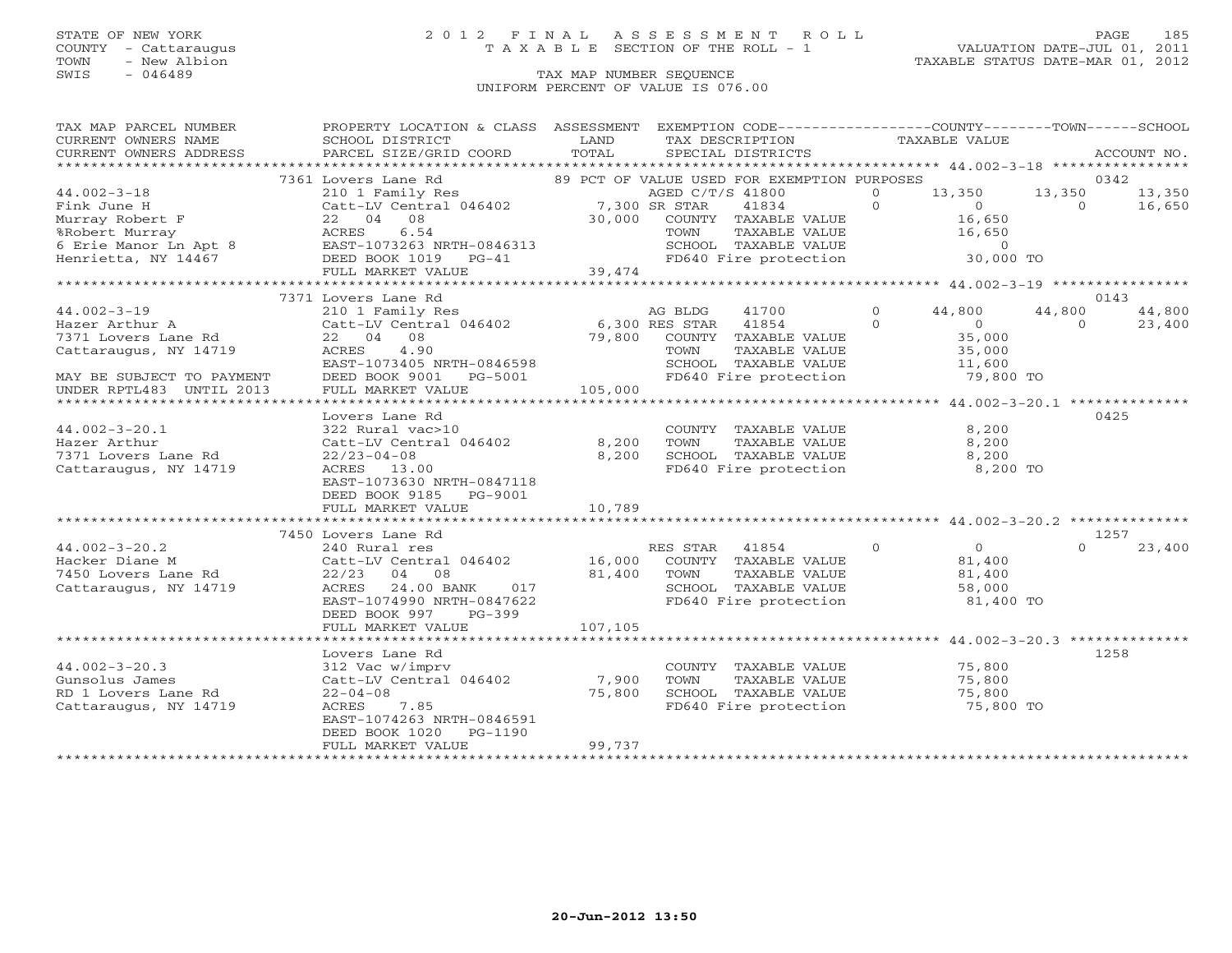### STATE OF NEW YORK 2 0 1 2 F I N A L A S S E S S M E N T R O L L PAGE 185 COUNTY - Cattaraugus T A X A B L E SECTION OF THE ROLL - 1 VALUATION DATE-JUL 01, 2011

| TAX MAP PARCEL NUMBER<br>CURRENT OWNERS NAME                                                                                                                                                                                                            | PROPERTY LOCATION & CLASS ASSESSMENT EXEMPTION CODE---------------COUNTY-------TOWN-----SCHOOL<br>SCHOOL DISTRICT                                | LAND    | TAX DESCRIPTION                                                                                 | TAXABLE VALUE                                    |                |        |
|---------------------------------------------------------------------------------------------------------------------------------------------------------------------------------------------------------------------------------------------------------|--------------------------------------------------------------------------------------------------------------------------------------------------|---------|-------------------------------------------------------------------------------------------------|--------------------------------------------------|----------------|--------|
|                                                                                                                                                                                                                                                         |                                                                                                                                                  |         |                                                                                                 |                                                  |                |        |
|                                                                                                                                                                                                                                                         | 7361 Lovers Lane Rd 210 1 Family Res 210 1 Family Res 210 1 Family Res 210 1 Family Res 210 1 Family Res 21.300 SR STAR 21.300 SR STAR           |         | 89 PCT OF VALUE USED FOR EXEMPTION PURPOSES                                                     |                                                  |                | 0342   |
| $44.002 - 3 - 18$                                                                                                                                                                                                                                       |                                                                                                                                                  |         | $\overline{0}$<br>AGED C/T/S 41800                                                              | 13,350 13,350 13,350                             |                |        |
|                                                                                                                                                                                                                                                         |                                                                                                                                                  |         | $\overline{0}$<br>41834                                                                         | $\sim$ 0                                         | $0 \t 16,650$  |        |
|                                                                                                                                                                                                                                                         |                                                                                                                                                  |         | $30,000$ COUNTY TAXABLE VALUE                                                                   | 16,650                                           |                |        |
|                                                                                                                                                                                                                                                         |                                                                                                                                                  |         | TAXABLE VALUE<br>TOWN                                                                           | 16,650                                           |                |        |
| Fink June H<br>Fink June H<br>Murray Robert F<br>8 (September 1984)<br>8 (September 1984)<br>8 (September 1984)<br>8 (September 1984)<br>8 (September 1984)<br>8 (September 1984)<br>8 (September 1984)<br>8 (September 1984)<br>8 (September 1984)<br> | EAST-1073263 NRTH-0846313                                                                                                                        |         | SCHOOL TAXABLE VALUE 0<br>FD640 Fire protection 30,000 TO                                       |                                                  |                |        |
|                                                                                                                                                                                                                                                         |                                                                                                                                                  |         |                                                                                                 |                                                  |                |        |
|                                                                                                                                                                                                                                                         | FULL MARKET VALUE                                                                                                                                | 39,474  |                                                                                                 |                                                  |                |        |
|                                                                                                                                                                                                                                                         |                                                                                                                                                  |         |                                                                                                 |                                                  |                |        |
|                                                                                                                                                                                                                                                         | 7371 Lovers Lane Rd                                                                                                                              |         |                                                                                                 |                                                  |                | 0143   |
| $44.002 - 3 - 19$                                                                                                                                                                                                                                       | 210 1 Family Res                                                                                                                                 |         | 41700 0 44,800<br>AG BLDG                                                                       |                                                  | 44,800         | 44,800 |
| Hazer Arthur A<br>7371 Lovers Lane Rd                                                                                                                                                                                                                   | 210 1 milly 100<br>Catt-LV Central 046402 6,300 RES STAR 41854 0<br>22 04 08 79,800 COUNTY TAXABLE VALUE<br>22 04 08 79,800 COUNTY TAXABLE VALUE |         |                                                                                                 | $\overline{0}$                                   | $\overline{0}$ | 23,400 |
|                                                                                                                                                                                                                                                         |                                                                                                                                                  |         |                                                                                                 | 35,000                                           |                |        |
| Cattaraugus, NY 14719                                                                                                                                                                                                                                   |                                                                                                                                                  |         | TAXABLE VALUE                                                                                   | 35,000<br>11,600                                 |                |        |
|                                                                                                                                                                                                                                                         | EAST-1073405 NRTH-0846598                                                                                                                        |         |                                                                                                 |                                                  |                |        |
| MAY BE SUBJECT TO PAYMENT<br>UNDER RPTL483 UNTIL 2013                                                                                                                                                                                                   | DEED BOOK 9001<br>PG-5001                                                                                                                        | 105,000 | SCHOOL TAXABLE VALUE 11,600<br>FD640 Fire protection 79,800 TO                                  |                                                  |                |        |
| UNDER RPTL483 UNTIL 2013                                                                                                                                                                                                                                | FULL MARKET VALUE                                                                                                                                |         |                                                                                                 |                                                  |                |        |
|                                                                                                                                                                                                                                                         |                                                                                                                                                  |         | *******************************                                                                 | ****************** 44.002-3-20.1 *************** |                |        |
|                                                                                                                                                                                                                                                         | Lovers Lane Rd                                                                                                                                   |         |                                                                                                 |                                                  |                | 0425   |
| $44.002 - 3 - 20.1$                                                                                                                                                                                                                                     | 322 Rural vac>10                                                                                                                                 |         | COUNTY TAXABLE VALUE 8,200                                                                      |                                                  |                |        |
| Hazer Arthur                                                                                                                                                                                                                                            | Catt-LV Central 046402                                                                                                                           | 8,200   |                                                                                                 |                                                  |                |        |
| 7371 Lovers Lane Rd                                                                                                                                                                                                                                     | $22/23 - 04 - 08$                                                                                                                                | 8,200   |                                                                                                 |                                                  |                |        |
| Cattaraugus, NY 14719                                                                                                                                                                                                                                   | ACRES 13.00                                                                                                                                      |         | FD640 Fire protection                                                                           | 8,200 TO                                         |                |        |
|                                                                                                                                                                                                                                                         | EAST-1073630 NRTH-0847118                                                                                                                        |         |                                                                                                 |                                                  |                |        |
|                                                                                                                                                                                                                                                         | DEED BOOK 9185<br>PG-9001                                                                                                                        |         |                                                                                                 |                                                  |                |        |
|                                                                                                                                                                                                                                                         | FULL MARKET VALUE                                                                                                                                | 10,789  |                                                                                                 |                                                  |                |        |
|                                                                                                                                                                                                                                                         |                                                                                                                                                  |         |                                                                                                 |                                                  |                |        |
| 44.002-3-20.2<br>Hacker Diane M<br>7450 Lovers Lane Rd<br>7450 Lovers Lane Rd<br>22/23 04 08<br>22/23 04 08<br>22/23 04 08<br>22/23 04 08<br>22/23 04 08<br>22/23 04 08<br>21,400 TOWN TAXABLE VALUE<br>22/23 04 08                                     | 7450 Lovers Lane Rd                                                                                                                              |         |                                                                                                 |                                                  |                | 1257   |
|                                                                                                                                                                                                                                                         |                                                                                                                                                  |         |                                                                                                 | $\begin{array}{c} 0 \\ 81,400 \end{array}$       |                | 23,400 |
|                                                                                                                                                                                                                                                         |                                                                                                                                                  |         |                                                                                                 |                                                  |                |        |
|                                                                                                                                                                                                                                                         |                                                                                                                                                  |         |                                                                                                 |                                                  |                |        |
| Cattaraugus, NY 14719                                                                                                                                                                                                                                   | 24.00 BANK 017<br>ACRES                                                                                                                          |         | TOWN TAXABLE VALUE $81,400$<br>SCHOOL TAXABLE VALUE 58,000<br>FD640 Fire protection $81,400$ TO |                                                  |                |        |
|                                                                                                                                                                                                                                                         | EAST-1074990 NRTH-0847622                                                                                                                        |         |                                                                                                 |                                                  |                |        |
|                                                                                                                                                                                                                                                         | DEED BOOK 997<br>PG-399                                                                                                                          |         |                                                                                                 |                                                  |                |        |
|                                                                                                                                                                                                                                                         | FULL MARKET VALUE                                                                                                                                | 107,105 |                                                                                                 |                                                  |                |        |
|                                                                                                                                                                                                                                                         |                                                                                                                                                  |         |                                                                                                 |                                                  |                | 1258   |
| $44.002 - 3 - 20.3$                                                                                                                                                                                                                                     | Lovers Lane Rd                                                                                                                                   |         |                                                                                                 | 75,800                                           |                |        |
| Gunsolus James                                                                                                                                                                                                                                          | 312 Vac w/imprv<br>312 vac w/impiv<br>Catt-LV Central 046402 7,900<br>75.800                                                                     |         | COUNTY TAXABLE VALUE<br>TAXABLE VALUE<br>TOWN                                                   | 75,800                                           |                |        |
| RD 1 Lovers Lane Rd                                                                                                                                                                                                                                     | $22 - 04 - 08$                                                                                                                                   | 75,800  |                                                                                                 | 75,800                                           |                |        |
| Cattaraugus, NY 14719                                                                                                                                                                                                                                   | ACRES<br>7.85                                                                                                                                    |         | SCHOOL TAXABLE VALUE<br>FD640 Fire protection                                                   | 75,800 TO                                        |                |        |
|                                                                                                                                                                                                                                                         | EAST-1074263 NRTH-0846591                                                                                                                        |         |                                                                                                 |                                                  |                |        |
|                                                                                                                                                                                                                                                         | DEED BOOK 1020<br>PG-1190                                                                                                                        |         |                                                                                                 |                                                  |                |        |
|                                                                                                                                                                                                                                                         | FULL MARKET VALUE                                                                                                                                | 99,737  |                                                                                                 |                                                  |                |        |
|                                                                                                                                                                                                                                                         |                                                                                                                                                  |         |                                                                                                 |                                                  |                |        |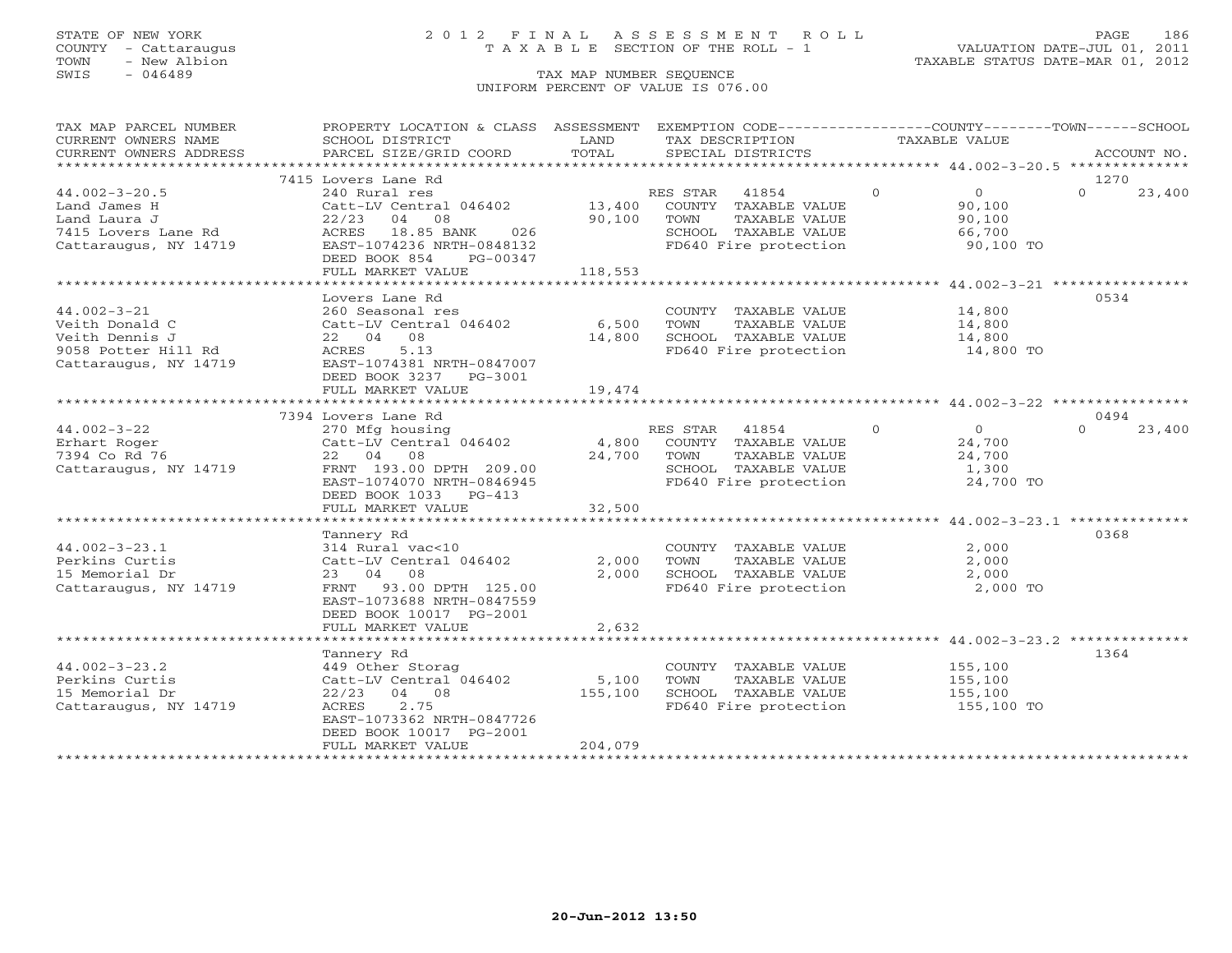### STATE OF NEW YORK 2 0 1 2 F I N A L A S S E S S M E N T R O L L PAGE 186 COUNTY - Cattaraugus T A X A B L E SECTION OF THE ROLL - 1 VALUATION DATE-JUL 01, 2011

TOWN - New Albion TAXABLE STATUS DATE-MAR 01, 2012

| TAX MAP PARCEL NUMBER                                                                                                                                                                                                                                                                                                                                                                                                       | PROPERTY LOCATION & CLASS ASSESSMENT EXEMPTION CODE---------------COUNTY-------TOWN------SCHOOL |         |                                                                                                                                |          |                    |
|-----------------------------------------------------------------------------------------------------------------------------------------------------------------------------------------------------------------------------------------------------------------------------------------------------------------------------------------------------------------------------------------------------------------------------|-------------------------------------------------------------------------------------------------|---------|--------------------------------------------------------------------------------------------------------------------------------|----------|--------------------|
|                                                                                                                                                                                                                                                                                                                                                                                                                             |                                                                                                 |         |                                                                                                                                |          |                    |
|                                                                                                                                                                                                                                                                                                                                                                                                                             |                                                                                                 |         |                                                                                                                                |          |                    |
|                                                                                                                                                                                                                                                                                                                                                                                                                             |                                                                                                 |         |                                                                                                                                |          |                    |
|                                                                                                                                                                                                                                                                                                                                                                                                                             | 7415 Lovers Lane Rd                                                                             |         |                                                                                                                                |          | 12.70              |
|                                                                                                                                                                                                                                                                                                                                                                                                                             |                                                                                                 |         |                                                                                                                                |          | $\Omega$<br>23,400 |
|                                                                                                                                                                                                                                                                                                                                                                                                                             |                                                                                                 |         |                                                                                                                                |          |                    |
|                                                                                                                                                                                                                                                                                                                                                                                                                             |                                                                                                 |         |                                                                                                                                |          |                    |
|                                                                                                                                                                                                                                                                                                                                                                                                                             |                                                                                                 |         |                                                                                                                                |          |                    |
| 44.002-3-20.5<br>240 External res and James H<br>240 RES STAR 41854 0<br>240 External 046402<br>22/23 04 08<br>22/23 04 08<br>22/23 04 08<br>22/23 04 08<br>22/23 04 08<br>22/23 04 08<br>22/23 04 08<br>22/23 04 08<br>22/23 04 08<br>22/23 04 08<br>22/2                                                                                                                                                                  |                                                                                                 |         | SCHOOL TAXABLE VALUE 66,700<br>FD640 Fire protection 90,100 TO                                                                 |          |                    |
|                                                                                                                                                                                                                                                                                                                                                                                                                             | DEED BOOK 854 PG-00347                                                                          |         |                                                                                                                                |          |                    |
|                                                                                                                                                                                                                                                                                                                                                                                                                             | FULL MARKET VALUE                                                                               | 118,553 |                                                                                                                                |          |                    |
|                                                                                                                                                                                                                                                                                                                                                                                                                             |                                                                                                 |         |                                                                                                                                |          |                    |
|                                                                                                                                                                                                                                                                                                                                                                                                                             | Lovers Lane Rd                                                                                  |         |                                                                                                                                |          | 0534               |
| $44.002 - 3 - 21$                                                                                                                                                                                                                                                                                                                                                                                                           |                                                                                                 |         | COUNTY TAXABLE VALUE 14,800                                                                                                    |          |                    |
|                                                                                                                                                                                                                                                                                                                                                                                                                             |                                                                                                 |         | TAXABLE VALUE                                                                                                                  | 14,800   |                    |
| Veith Donald C<br>Veith Donald C<br>Veith Dennis J<br>9058 Potter Hill Rd<br>22 04 08<br>9058 Potter Hill Rd<br>22 04 08<br>22 04 08<br>22 04 08<br>22 04 08<br>22 04 08<br>22 04 08<br>22 04 08<br>22 04 08                                                                                                                                                                                                                |                                                                                                 |         | 1 046402<br>14,800 SCHOOL TAXABLE VALUE 14,800 TO<br>FD640 Fire protection 14,800 TO                                           |          |                    |
|                                                                                                                                                                                                                                                                                                                                                                                                                             |                                                                                                 |         | FD640 Fire protection                                                                                                          |          |                    |
|                                                                                                                                                                                                                                                                                                                                                                                                                             |                                                                                                 |         |                                                                                                                                |          |                    |
|                                                                                                                                                                                                                                                                                                                                                                                                                             | DEED BOOK 3237 PG-3001                                                                          |         |                                                                                                                                |          |                    |
|                                                                                                                                                                                                                                                                                                                                                                                                                             | FULL MARKET VALUE                                                                               | 19,474  |                                                                                                                                |          |                    |
|                                                                                                                                                                                                                                                                                                                                                                                                                             |                                                                                                 |         |                                                                                                                                |          |                    |
|                                                                                                                                                                                                                                                                                                                                                                                                                             | 7394 Lovers Lane Rd                                                                             |         |                                                                                                                                |          | 0494               |
|                                                                                                                                                                                                                                                                                                                                                                                                                             |                                                                                                 |         |                                                                                                                                |          | $\Omega$<br>23,400 |
|                                                                                                                                                                                                                                                                                                                                                                                                                             |                                                                                                 |         |                                                                                                                                |          |                    |
|                                                                                                                                                                                                                                                                                                                                                                                                                             |                                                                                                 |         |                                                                                                                                |          |                    |
| $\begin{array}{lllllllllllllllllll} \text{44.002--3--22} & \text{270 Mg} & \text{housing} & \text{RES STAR} & 41854 & 0 & 0 \\ \text{Erhart Roger} & \text{Catt-LV central} & \text{Catt-LV central} & \text{046402} & 4,800 & \text{COUNTY} & \text{TAXABLE VALUE} & 24,700 \\ \text{7394 Co Rd 76} & 22 & 04 & 08 & 24,700 & \text{TOWN} & \text{TAXABLE VALUE} & 24,700 \\ \text{Cattaraugus, NY} & 14719 & \text{FRNT}$ |                                                                                                 |         |                                                                                                                                |          |                    |
|                                                                                                                                                                                                                                                                                                                                                                                                                             |                                                                                                 |         |                                                                                                                                |          |                    |
|                                                                                                                                                                                                                                                                                                                                                                                                                             | DEED BOOK 1033 PG-413                                                                           |         |                                                                                                                                |          |                    |
|                                                                                                                                                                                                                                                                                                                                                                                                                             | FULL MARKET VALUE                                                                               | 32,500  |                                                                                                                                |          |                    |
|                                                                                                                                                                                                                                                                                                                                                                                                                             |                                                                                                 |         |                                                                                                                                |          |                    |
|                                                                                                                                                                                                                                                                                                                                                                                                                             | Tannery Rd                                                                                      |         |                                                                                                                                |          | 0368               |
| $44.002 - 3 - 23.1$                                                                                                                                                                                                                                                                                                                                                                                                         |                                                                                                 |         |                                                                                                                                | 2,000    |                    |
| Perkins Curtis                                                                                                                                                                                                                                                                                                                                                                                                              | 314 Rural vac<10 (COUNT)<br>Catt-LV Central 046402 (2,000 TOWN                                  |         | COUNTY TAXABLE VALUE<br>TOWN TAXABLE VALUE                                                                                     | 2,000    |                    |
| 15 Memorial Dr                                                                                                                                                                                                                                                                                                                                                                                                              | 23 04 08                                                                                        | 2,000   |                                                                                                                                |          |                    |
| Cattaraugus, NY 14719                                                                                                                                                                                                                                                                                                                                                                                                       | FRNT 93.00 DPTH 125.00                                                                          |         |                                                                                                                                | 2,000 TO |                    |
|                                                                                                                                                                                                                                                                                                                                                                                                                             | EAST-1073688 NRTH-0847559                                                                       |         |                                                                                                                                |          |                    |
|                                                                                                                                                                                                                                                                                                                                                                                                                             | DEED BOOK 10017 PG-2001                                                                         |         |                                                                                                                                |          |                    |
|                                                                                                                                                                                                                                                                                                                                                                                                                             | FULL MARKET VALUE                                                                               | 2,632   |                                                                                                                                |          |                    |
|                                                                                                                                                                                                                                                                                                                                                                                                                             |                                                                                                 |         |                                                                                                                                |          |                    |
|                                                                                                                                                                                                                                                                                                                                                                                                                             |                                                                                                 |         |                                                                                                                                |          | 1364               |
| $44.002 - 3 - 23.2$                                                                                                                                                                                                                                                                                                                                                                                                         | Tannery Rd                                                                                      |         |                                                                                                                                |          |                    |
| Perkins Curtis                                                                                                                                                                                                                                                                                                                                                                                                              |                                                                                                 |         | COUNTY TAXABLE VALUE 155,100<br>TOWN TAXABLE VALUE 155,100<br>SCHOOL TAXABLE VALUE 155,100<br>FD640 Fire protection 155,100 TO |          |                    |
| 15 Memorial Dr                                                                                                                                                                                                                                                                                                                                                                                                              | $22/23$ 04 08                                                                                   |         |                                                                                                                                |          |                    |
| Cattaraugus, NY 14719                                                                                                                                                                                                                                                                                                                                                                                                       | 2.75<br>ACRES                                                                                   | 155,100 |                                                                                                                                |          |                    |
|                                                                                                                                                                                                                                                                                                                                                                                                                             | EAST-1073362 NRTH-0847726                                                                       |         |                                                                                                                                |          |                    |
|                                                                                                                                                                                                                                                                                                                                                                                                                             | DEED BOOK 10017 PG-2001                                                                         |         |                                                                                                                                |          |                    |
|                                                                                                                                                                                                                                                                                                                                                                                                                             | FULL MARKET VALUE                                                                               | 204,079 |                                                                                                                                |          |                    |
|                                                                                                                                                                                                                                                                                                                                                                                                                             |                                                                                                 |         |                                                                                                                                |          |                    |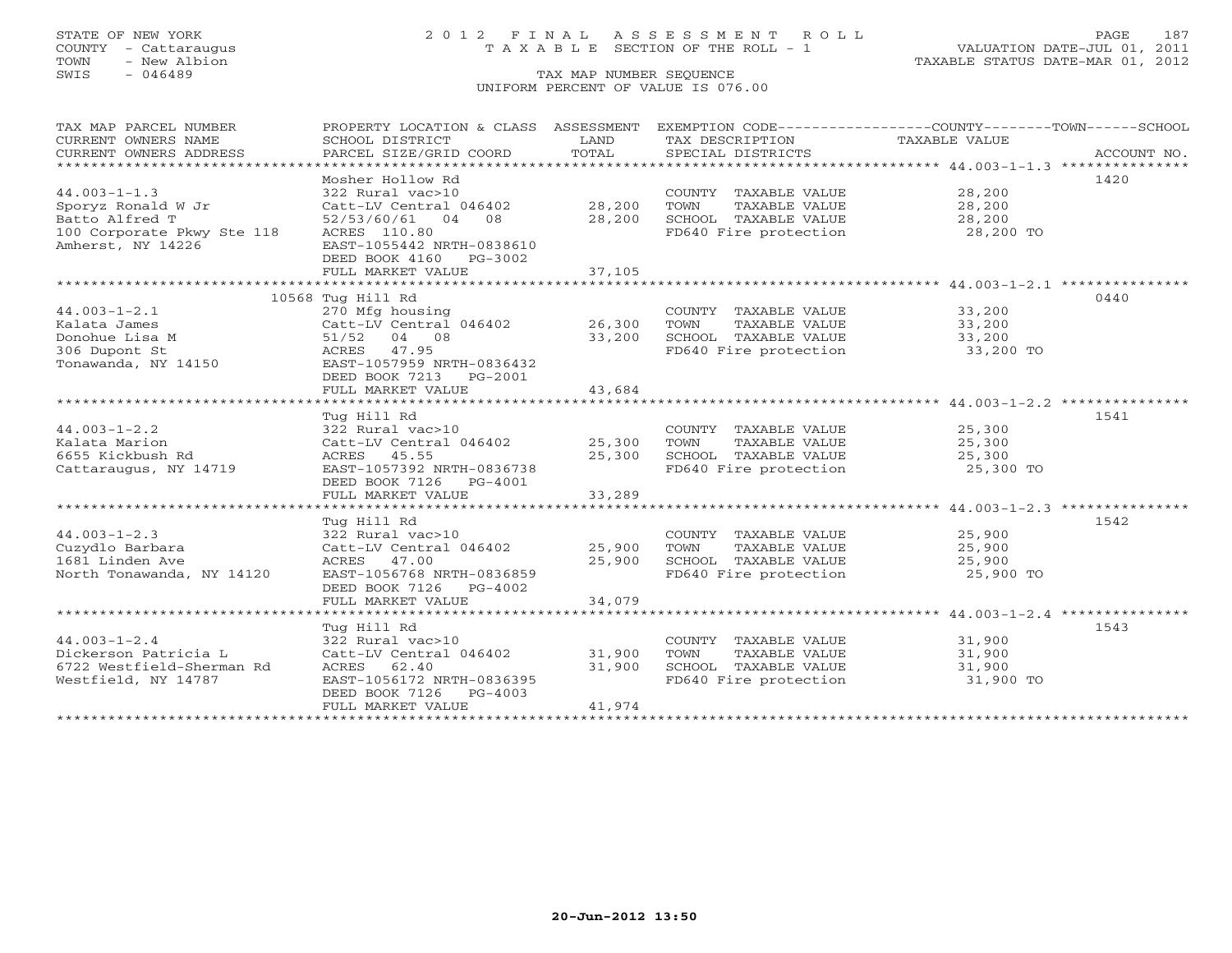### STATE OF NEW YORK 2 0 1 2 F I N A L A S S E S S M E N T R O L L PAGE 187 COUNTY - Cattaraugus T A X A B L E SECTION OF THE ROLL - 1 VALUATION DATE-JUL 01, 2011

| TAX MAP PARCEL NUMBER<br>CURRENT OWNERS NAME<br>CURRENT OWNERS ADDRESS | PROPERTY LOCATION & CLASS ASSESSMENT<br>SCHOOL DISTRICT<br>PARCEL SIZE/GRID COORD | LAND<br>TOTAL | TAX DESCRIPTION<br>SPECIAL DISTRICTS | EXEMPTION CODE-----------------COUNTY-------TOWN------SCHOOL<br>TAXABLE VALUE<br>ACCOUNT NO. |
|------------------------------------------------------------------------|-----------------------------------------------------------------------------------|---------------|--------------------------------------|----------------------------------------------------------------------------------------------|
|                                                                        |                                                                                   |               |                                      |                                                                                              |
|                                                                        | Mosher Hollow Rd                                                                  |               |                                      | 1420                                                                                         |
| $44.003 - 1 - 1.3$                                                     | 322 Rural vac>10                                                                  |               | COUNTY TAXABLE VALUE                 | 28,200                                                                                       |
| Sporyz Ronald W Jr                                                     | Catt-LV Central 046402                                                            | 28,200        | TOWN<br>TAXABLE VALUE                | 28,200                                                                                       |
| Batto Alfred T                                                         | 52/53/60/61 04 08                                                                 | 28,200        | SCHOOL TAXABLE VALUE                 | 28,200                                                                                       |
| 100 Corporate Pkwy Ste 118                                             | ACRES 110.80                                                                      |               | FD640 Fire protection                | 28,200 TO                                                                                    |
| Amherst, NY 14226                                                      | EAST-1055442 NRTH-0838610<br>DEED BOOK 4160 PG-3002                               |               |                                      |                                                                                              |
|                                                                        | FULL MARKET VALUE                                                                 | 37,105        |                                      |                                                                                              |
|                                                                        |                                                                                   |               |                                      |                                                                                              |
|                                                                        | 10568 Tug Hill Rd                                                                 |               |                                      | 0440                                                                                         |
| $44.003 - 1 - 2.1$                                                     | 270 Mfg housing                                                                   |               | COUNTY TAXABLE VALUE                 | 33,200                                                                                       |
| Kalata James                                                           | Catt-LV Central 046402                                                            | 26,300        | TOWN<br>TAXABLE VALUE                | 33,200                                                                                       |
| Donohue Lisa M                                                         | 51/52 04 08                                                                       | 33,200        | SCHOOL TAXABLE VALUE                 | 33,200                                                                                       |
| 306 Dupont St                                                          | ACRES 47.95                                                                       |               | FD640 Fire protection                | 33,200 TO                                                                                    |
| Tonawanda, NY 14150                                                    | EAST-1057959 NRTH-0836432                                                         |               |                                      |                                                                                              |
|                                                                        | DEED BOOK 7213 PG-2001                                                            |               |                                      |                                                                                              |
|                                                                        | FULL MARKET VALUE                                                                 | 43,684        |                                      |                                                                                              |
|                                                                        |                                                                                   |               |                                      |                                                                                              |
|                                                                        | Tug Hill Rd                                                                       |               |                                      | 1541                                                                                         |
| $44.003 - 1 - 2.2$                                                     | 322 Rural vac>10                                                                  |               | COUNTY TAXABLE VALUE                 | 25,300                                                                                       |
| Kalata Marion                                                          | Catt-LV Central 046402                                                            | 25,300        | TOWN<br>TAXABLE VALUE                | 25,300                                                                                       |
| 6655 Kickbush Rd                                                       | ACRES 45.55                                                                       | 25,300        | SCHOOL TAXABLE VALUE                 | 25,300                                                                                       |
| Cattaraugus, NY 14719                                                  | EAST-1057392 NRTH-0836738                                                         |               | FD640 Fire protection                | 25,300 TO                                                                                    |
|                                                                        | DEED BOOK 7126 PG-4001                                                            |               |                                      |                                                                                              |
|                                                                        | FULL MARKET VALUE                                                                 | 33,289        |                                      |                                                                                              |
|                                                                        |                                                                                   |               |                                      |                                                                                              |
|                                                                        | Tug Hill Rd                                                                       |               |                                      | 1542                                                                                         |
| $44.003 - 1 - 2.3$                                                     | 322 Rural vac>10                                                                  |               | COUNTY TAXABLE VALUE                 | 25,900                                                                                       |
| Cuzydlo Barbara                                                        | Catt-LV Central 046402                                                            | 25,900        | TOWN<br>TAXABLE VALUE                | 25,900                                                                                       |
| 1681 Linden Ave                                                        | ACRES 47.00                                                                       | 25,900        | SCHOOL TAXABLE VALUE                 | 25,900                                                                                       |
| North Tonawanda, NY 14120                                              | EAST-1056768 NRTH-0836859                                                         |               | FD640 Fire protection                | 25,900 TO                                                                                    |
|                                                                        | DEED BOOK 7126 PG-4002                                                            |               |                                      |                                                                                              |
|                                                                        | FULL MARKET VALUE                                                                 | 34,079        |                                      |                                                                                              |
|                                                                        |                                                                                   |               |                                      |                                                                                              |
|                                                                        | Tug Hill Rd                                                                       |               |                                      | 1543                                                                                         |
| $44.003 - 1 - 2.4$                                                     | 322 Rural vac>10                                                                  |               | COUNTY TAXABLE VALUE                 | 31,900                                                                                       |
| Dickerson Patricia L                                                   | Catt-LV Central 046402                                                            | 31,900        | TOWN<br>TAXABLE VALUE                | 31,900                                                                                       |
| 6722 Westfield-Sherman Rd                                              | ACRES 62.40                                                                       | 31,900        | SCHOOL TAXABLE VALUE                 | 31,900                                                                                       |
| Westfield, NY 14787                                                    | EAST-1056172 NRTH-0836395<br>DEED BOOK 7126<br>PG-4003                            |               | FD640 Fire protection                | 31,900 TO                                                                                    |
|                                                                        | FULL MARKET VALUE                                                                 | 41,974        |                                      |                                                                                              |
|                                                                        |                                                                                   |               |                                      |                                                                                              |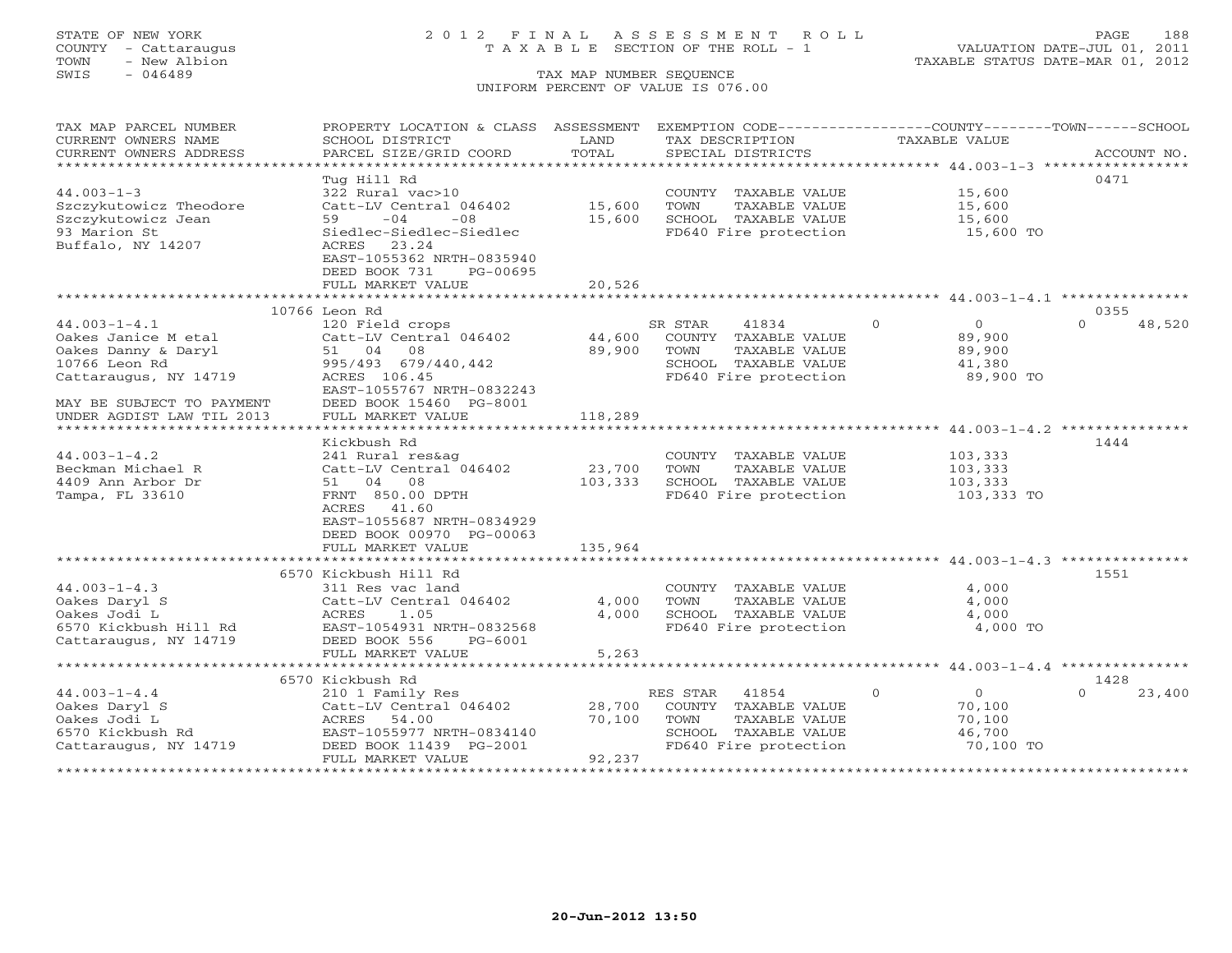## STATE OF NEW YORK 2 0 1 2 F I N A L A S S E S S M E N T R O L L PAGE 188 COUNTY - Cattaraugus T A X A B L E SECTION OF THE ROLL - 1 VALUATION DATE-JUL 01, 2011

TOWN - New Albion TAXABLE STATUS DATE-MAR 01, 2012

| TAX MAP PARCEL NUMBER     | PROPERTY LOCATION & CLASS ASSESSMENT       |         | EXEMPTION CODE-----------------COUNTY-------TOWN------SCHOOL |                      |                    |
|---------------------------|--------------------------------------------|---------|--------------------------------------------------------------|----------------------|--------------------|
| CURRENT OWNERS NAME       | SCHOOL DISTRICT                            | LAND    | TAX DESCRIPTION                                              | <b>TAXABLE VALUE</b> |                    |
| CURRENT OWNERS ADDRESS    | PARCEL SIZE/GRID COORD                     | TOTAL   | SPECIAL DISTRICTS                                            |                      | ACCOUNT NO.        |
| ********************      |                                            |         |                                                              |                      |                    |
|                           | Tug Hill Rd                                |         |                                                              |                      | 0471               |
| $44.003 - 1 - 3$          | 322 Rural vac>10                           |         | COUNTY TAXABLE VALUE                                         | 15,600               |                    |
| Szczykutowicz Theodore    | Catt-LV Central 046402                     | 15,600  | TOWN<br>TAXABLE VALUE                                        | 15,600               |                    |
| Szczykutowicz Jean        | $-04$<br>$-08$<br>59                       | 15,600  | SCHOOL TAXABLE VALUE                                         | 15,600               |                    |
| 93 Marion St              | Siedlec-Siedlec-Siedlec                    |         | FD640 Fire protection                                        | 15,600 TO            |                    |
| Buffalo, NY 14207         | 23.24<br>ACRES                             |         |                                                              |                      |                    |
|                           | EAST-1055362 NRTH-0835940                  |         |                                                              |                      |                    |
|                           | DEED BOOK 731<br>PG-00695                  |         |                                                              |                      |                    |
|                           | FULL MARKET VALUE                          | 20,526  |                                                              |                      |                    |
|                           |                                            |         |                                                              |                      |                    |
|                           | 10766 Leon Rd                              |         |                                                              |                      | 0355               |
| $44.003 - 1 - 4.1$        | 120 Field crops                            |         | SR STAR<br>41834                                             | $\Omega$<br>$\circ$  | $\Omega$<br>48,520 |
| Oakes Janice M etal       | Catt-LV Central 046402                     | 44,600  | COUNTY TAXABLE VALUE                                         | 89,900               |                    |
| Oakes Danny & Daryl       | 08<br>51 04                                | 89,900  | TOWN<br>TAXABLE VALUE                                        | 89,900               |                    |
| 10766 Leon Rd             | 995/493 679/440,442                        |         | SCHOOL TAXABLE VALUE                                         | 41,380               |                    |
| Cattaraugus, NY 14719     | ACRES 106.45                               |         | FD640 Fire protection                                        | 89,900 TO            |                    |
|                           | EAST-1055767 NRTH-0832243                  |         |                                                              |                      |                    |
| MAY BE SUBJECT TO PAYMENT | DEED BOOK 15460 PG-8001                    |         |                                                              |                      |                    |
| UNDER AGDIST LAW TIL 2013 | FULL MARKET VALUE                          | 118,289 |                                                              |                      |                    |
|                           |                                            |         |                                                              |                      |                    |
|                           | Kickbush Rd                                |         |                                                              |                      | 1444               |
| $44.003 - 1 - 4.2$        | 241 Rural res&ag                           |         | COUNTY TAXABLE VALUE                                         | 103,333              |                    |
| Beckman Michael R         | Catt-LV Central 046402                     | 23,700  | TOWN<br>TAXABLE VALUE                                        | 103,333              |                    |
| 4409 Ann Arbor Dr         | 51 04 08                                   | 103,333 | SCHOOL TAXABLE VALUE                                         | 103,333              |                    |
| Tampa, FL 33610           | FRNT 850.00 DPTH                           |         | FD640 Fire protection                                        | 103,333 TO           |                    |
|                           | ACRES<br>41.60                             |         |                                                              |                      |                    |
|                           | EAST-1055687 NRTH-0834929                  |         |                                                              |                      |                    |
|                           | DEED BOOK 00970 PG-00063                   |         |                                                              |                      |                    |
|                           | FULL MARKET VALUE                          | 135,964 |                                                              |                      |                    |
|                           |                                            |         |                                                              |                      |                    |
|                           | 6570 Kickbush Hill Rd                      |         |                                                              |                      | 1551               |
| $44.003 - 1 - 4.3$        | 311 Res vac land                           |         | COUNTY TAXABLE VALUE                                         | 4,000                |                    |
| Oakes Daryl S             | Catt-LV Central 046402                     | 4,000   | TOWN<br>TAXABLE VALUE                                        | 4,000                |                    |
| Oakes Jodi L              | 1.05<br>ACRES                              | 4,000   | SCHOOL TAXABLE VALUE                                         | 4,000                |                    |
| 6570 Kickbush Hill Rd     | EAST-1054931 NRTH-0832568                  |         | FD640 Fire protection                                        | 4,000 TO             |                    |
| Cattaraugus, NY 14719     | DEED BOOK 556<br>$PG-6001$                 |         |                                                              |                      |                    |
|                           | FULL MARKET VALUE                          | 5,263   |                                                              |                      |                    |
|                           | 6570 Kickbush Rd                           |         |                                                              |                      | 1428               |
| $44.003 - 1 - 4.4$        |                                            |         |                                                              | $\circ$<br>$\circ$   | $\cap$<br>23,400   |
| Oakes Daryl S             | 210 1 Family Res<br>Catt-LV Central 046402 | 28,700  | RES STAR<br>41854<br>COUNTY TAXABLE VALUE                    | 70,100               |                    |
| Oakes Jodi L              | ACRES<br>54.00                             | 70,100  | TOWN<br>TAXABLE VALUE                                        | 70,100               |                    |
| 6570 Kickbush Rd          | EAST-1055977 NRTH-0834140                  |         | SCHOOL TAXABLE VALUE                                         | 46,700               |                    |
| Cattaraugus, NY 14719     | DEED BOOK 11439 PG-2001                    |         | FD640 Fire protection                                        | 70,100 TO            |                    |
|                           | FULL MARKET VALUE                          | 92,237  |                                                              |                      |                    |
|                           |                                            |         |                                                              |                      | **************     |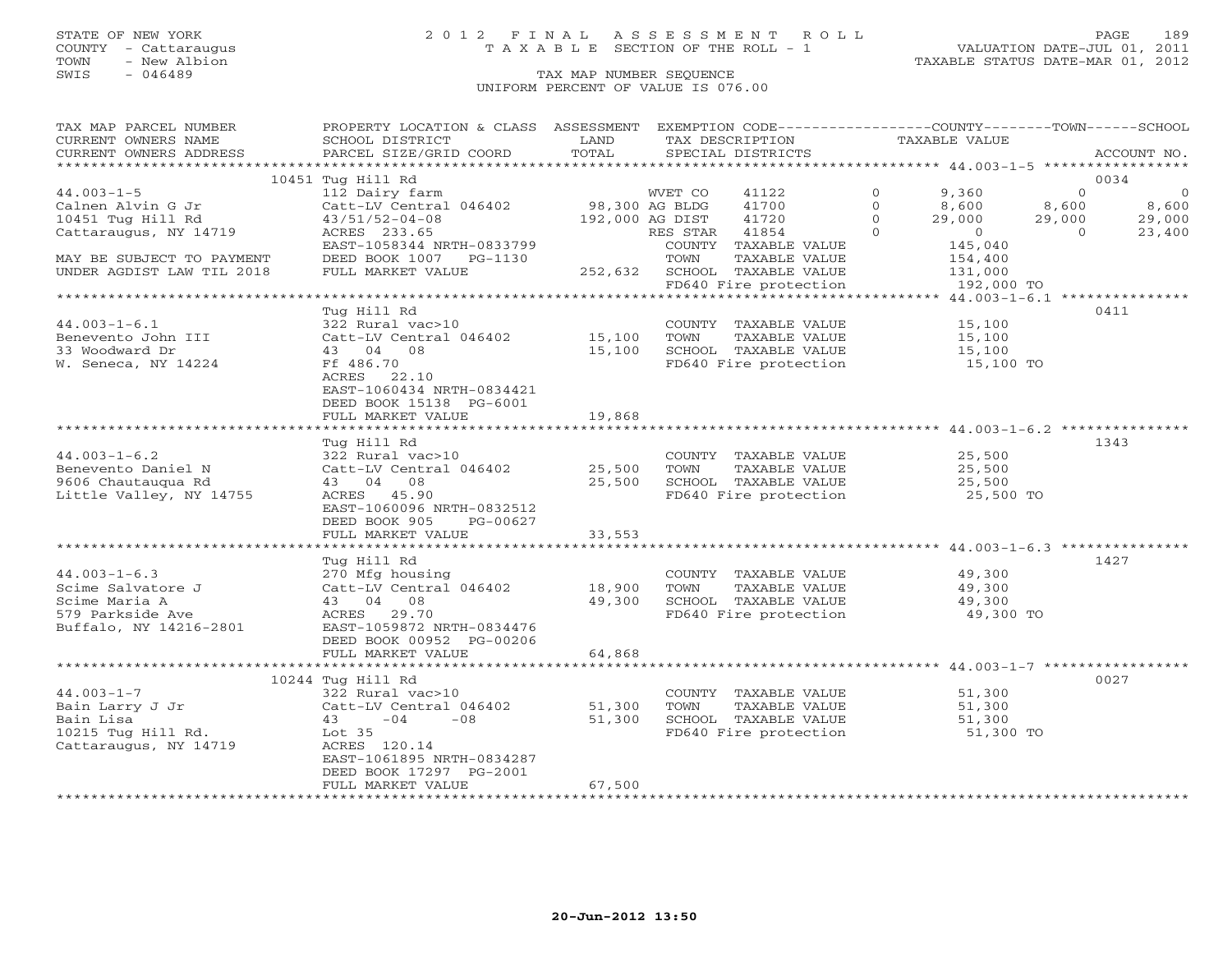### STATE OF NEW YORK 2 0 1 2 F I N A L A S S E S S M E N T R O L L PAGE 189 COUNTY - Cattaraugus T A X A B L E SECTION OF THE ROLL - 1 VALUATION DATE-JUL 01, 2011

TOWN - New Albion TAXABLE STATUS DATE-MAR 01, 2012

| TAX MAP PARCEL NUMBER                                                                                                                                                                              | PROPERTY LOCATION & CLASS ASSESSMENT EXEMPTION CODE----------------COUNTY-------TOWN------SCHOOL |        |                                                                                                                                    |                           |                                     |
|----------------------------------------------------------------------------------------------------------------------------------------------------------------------------------------------------|--------------------------------------------------------------------------------------------------|--------|------------------------------------------------------------------------------------------------------------------------------------|---------------------------|-------------------------------------|
| CURRENT OWNERS NAME                                                                                                                                                                                | SCHOOL DISTRICT                                                                                  | LAND   | TAX DESCRIPTION                                                                                                                    | TAXABLE VALUE             |                                     |
| CURRENT OWNERS ADDRESS                                                                                                                                                                             | PARCEL SIZE/GRID COORD                                                                           | TOTAL  | SPECIAL DISTRICTS                                                                                                                  |                           | ACCOUNT NO.                         |
|                                                                                                                                                                                                    |                                                                                                  |        |                                                                                                                                    |                           |                                     |
|                                                                                                                                                                                                    | 10451 Tug Hill Rd                                                                                |        |                                                                                                                                    |                           | 0034                                |
| $44.003 - 1 - 5$                                                                                                                                                                                   | 112 Dairy farm                                                                                   |        | WVET CO<br>41122                                                                                                                   | $\Omega$<br>9,360         | $\overline{0}$<br>$\overline{0}$    |
| Calnen Alvin G Jr                                                                                                                                                                                  | Catt-LV Central 046402 98,300 AG BLDG                                                            |        | 41700                                                                                                                              | $\Omega$<br>8,600         | 8,600                               |
| 10451 Tug Hill Rd                                                                                                                                                                                  | $43/51/52-04-08$                                                                                 |        | 192,000 AG DIST<br>41720                                                                                                           | $\Omega$<br>$29,000$<br>0 | 8,600<br>29,000<br>23,400<br>29,000 |
| Cattaraugus, NY 14719                                                                                                                                                                              | EAST-1058344 NRTH-0833799<br>DEED BOOK 1007                                                      |        | RES STAR 41854                                                                                                                     | $\Omega$                  | $\overline{0}$                      |
|                                                                                                                                                                                                    |                                                                                                  |        | COUNTY TAXABLE VALUE                                                                                                               | 145,040                   |                                     |
| MAY BE SUBJECT TO PAYMENT                                                                                                                                                                          | DEED BOOK 1007 PG-1130                                                                           |        | TOWN<br>TAXABLE VALUE<br>FOWN TAXABLE VALUE (1992,632 SCHOOL TAXABLE VALUE                                                         | 154,400<br>131,000        |                                     |
| UNDER AGDIST LAW TIL 2018                                                                                                                                                                          | FULL MARKET VALUE                                                                                |        |                                                                                                                                    |                           |                                     |
|                                                                                                                                                                                                    |                                                                                                  |        | FD640 Fire protection                                                                                                              | 192,000 TO                |                                     |
|                                                                                                                                                                                                    |                                                                                                  |        |                                                                                                                                    |                           |                                     |
|                                                                                                                                                                                                    | Tua Hill Rd                                                                                      |        |                                                                                                                                    |                           | 0411                                |
| $44.003 - 1 - 6.1$                                                                                                                                                                                 | 322 Rural vac>10                                                                                 |        | COUNTY TAXABLE VALUE 15,100                                                                                                        |                           |                                     |
| Benevento John III                                                                                                                                                                                 | Catt-LV Central 046402 15,100 TOWN                                                               |        | TAXABLE VALUE                                                                                                                      | 15,100                    |                                     |
| 33 Woodward Dr                                                                                                                                                                                     | 43 04 08                                                                                         |        | 15,100 SCHOOL TAXABLE VALUE                                                                                                        | 15,100<br>15,100 TO       |                                     |
| W. Seneca, NY 14224                                                                                                                                                                                | Ff 486.70                                                                                        |        | FD640 Fire protection                                                                                                              |                           |                                     |
|                                                                                                                                                                                                    | ACRES 22.10                                                                                      |        |                                                                                                                                    |                           |                                     |
|                                                                                                                                                                                                    | EAST-1060434 NRTH-0834421                                                                        |        |                                                                                                                                    |                           |                                     |
|                                                                                                                                                                                                    | DEED BOOK 15138 PG-6001<br>FULL MARKET VALUE                                                     | 19,868 |                                                                                                                                    |                           |                                     |
|                                                                                                                                                                                                    |                                                                                                  |        |                                                                                                                                    |                           |                                     |
|                                                                                                                                                                                                    | Tug Hill Rd                                                                                      |        |                                                                                                                                    |                           | 1343                                |
| $44.003 - 1 - 6.2$                                                                                                                                                                                 | 322 Rural vac>10                                                                                 |        |                                                                                                                                    |                           |                                     |
| Benevento Daniel N                                                                                                                                                                                 | Catt-LV Central 046402 25,500                                                                    |        |                                                                                                                                    |                           |                                     |
| 9606 Chautauqua Rd                                                                                                                                                                                 | 43 04 08                                                                                         | 25,500 |                                                                                                                                    |                           |                                     |
| Little Valley, NY 14755                                                                                                                                                                            | ACRES 45.90                                                                                      |        | COUNTY TAXABLE VALUE $25,500$<br>TOWN TAXABLE VALUE $25,500$<br>SCHOOL TAXABLE VALUE $25,500$<br>FD640 Fire protection $25,500$ TO |                           |                                     |
|                                                                                                                                                                                                    | EAST-1060096 NRTH-0832512                                                                        |        |                                                                                                                                    |                           |                                     |
|                                                                                                                                                                                                    | DEED BOOK 905<br>PG-00627                                                                        |        |                                                                                                                                    |                           |                                     |
|                                                                                                                                                                                                    | FULL MARKET VALUE                                                                                | 33,553 |                                                                                                                                    |                           |                                     |
|                                                                                                                                                                                                    |                                                                                                  |        |                                                                                                                                    |                           |                                     |
|                                                                                                                                                                                                    | Tug Hill Rd                                                                                      |        |                                                                                                                                    |                           | 1427                                |
| $44.003 - 1 - 6.3$                                                                                                                                                                                 | 270 Mfg housing                                                                                  |        |                                                                                                                                    |                           |                                     |
| Scime Salvatore J                                                                                                                                                                                  | Catt-LV Central 046402 18,900                                                                    |        | COUNTY TAXABLE VALUE<br>TOWN      TAXABLE VALUE                                                                                    | 49,300<br>49,300          |                                     |
| Scime Maria A                                                                                                                                                                                      | 43 04 08                                                                                         | 49,300 |                                                                                                                                    |                           |                                     |
| 579 Parkside Ave                                                                                                                                                                                   | ACRES 29.70                                                                                      |        | SCHOOL TAXABLE VALUE 49,300<br>FD640 Fire protection 49,300 TO                                                                     |                           |                                     |
| Buffalo, NY 14216-2801                                                                                                                                                                             | EAST-1059872 NRTH-0834476                                                                        |        |                                                                                                                                    |                           |                                     |
|                                                                                                                                                                                                    | DEED BOOK 00952 PG-00206                                                                         |        |                                                                                                                                    |                           |                                     |
|                                                                                                                                                                                                    | FULL MARKET VALUE                                                                                | 64,868 |                                                                                                                                    |                           |                                     |
|                                                                                                                                                                                                    |                                                                                                  |        |                                                                                                                                    |                           |                                     |
|                                                                                                                                                                                                    |                                                                                                  |        |                                                                                                                                    |                           | 0027                                |
|                                                                                                                                                                                                    |                                                                                                  |        | COUNTY TAXABLE VALUE                                                                                                               | 51,300<br>51,300          |                                     |
|                                                                                                                                                                                                    |                                                                                                  | 51,300 | TOWN<br>TAXABLE VALUE                                                                                                              |                           |                                     |
| Bain Larry J Jr<br>Bain Larry J Jr<br>Bain Lisa<br>10215 Tug Hill Rd.<br>Cattaraugus, NY 14719<br>Cattaraugus, NY 14719<br>Cattaraugus, NY 14719<br>Cattaraugus, NY 14719<br>Cattaraugus, NY 14719 |                                                                                                  | 51,300 | SCHOOL TAXABLE VALUE<br>FD640 Fire protection                                                                                      | 51,300<br>51,300 TO       |                                     |
|                                                                                                                                                                                                    |                                                                                                  |        |                                                                                                                                    |                           |                                     |
|                                                                                                                                                                                                    |                                                                                                  |        |                                                                                                                                    |                           |                                     |
|                                                                                                                                                                                                    |                                                                                                  |        |                                                                                                                                    |                           |                                     |
|                                                                                                                                                                                                    | DEED BOOK 17297 PG-2001                                                                          |        |                                                                                                                                    |                           |                                     |
|                                                                                                                                                                                                    | FULL MARKET VALUE                                                                                | 67,500 |                                                                                                                                    |                           |                                     |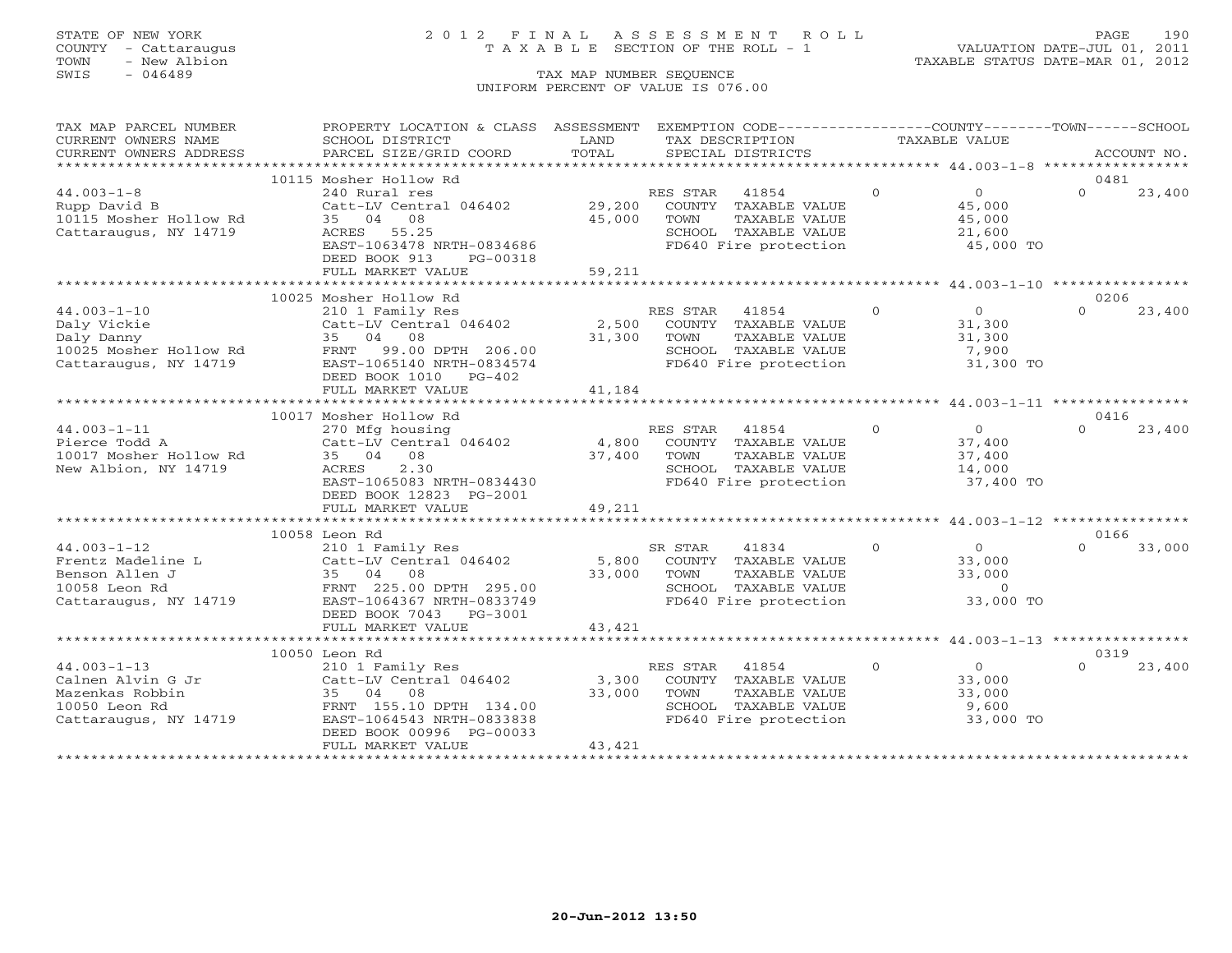## STATE OF NEW YORK 2 0 1 2 F I N A L A S S E S S M E N T R O L L PAGE 190 COUNTY - Cattaraugus T A X A B L E SECTION OF THE ROLL - 1 VALUATION DATE-JUL 01, 2011

| TAXABLE VALUE<br>CURRENT OWNERS NAME<br>SCHOOL DISTRICT<br>LAND<br>TAX DESCRIPTION<br>TOTAL<br>SPECIAL DISTRICTS<br>CURRENT OWNERS ADDRESS<br>PARCEL SIZE/GRID COORD<br>ACCOUNT NO.<br>10115 Mosher Hollow Rd<br>0481<br>$\Omega$<br>$44.003 - 1 - 8$<br>240 Rural res<br>RES STAR<br>41854<br>$\overline{0}$<br>$\Omega$<br>23,400<br>29,200<br>Catt-LV Central 046402<br>COUNTY TAXABLE VALUE<br>45,000<br>Rupp David B<br>10115 Mosher Hollow Rd<br>35 04<br>08<br>45,000<br>TAXABLE VALUE<br>45,000<br>TOWN<br>Cattaraugus, NY 14719<br>SCHOOL TAXABLE VALUE<br>ACRES<br>55.25<br>21,600<br>EAST-1063478 NRTH-0834686<br>FD640 Fire protection<br>45,000 TO<br>DEED BOOK 913<br>PG-00318<br>59,211<br>FULL MARKET VALUE<br>0206<br>10025 Mosher Hollow Rd<br>$\Omega$<br>$44.003 - 1 - 10$<br>$\overline{0}$<br>23,400<br>RES STAR<br>41854<br>$\cap$<br>210 1 Family Res<br>Catt-LV Central 046402<br>2,500<br>Daly Vickie<br>COUNTY TAXABLE VALUE<br>31,300<br>Daly Danny<br>35 04 08<br>31,300<br>TAXABLE VALUE<br>TOWN<br>31,300<br>SCHOOL TAXABLE VALUE<br>10025 Mosher Hollow Rd<br>FRNT 99.00 DPTH 206.00<br>7,900<br>SCHOOL TAXABLE VALUE<br>FD640 Fire protection<br>Cattaraugus, NY 14719<br>EAST-1065140 NRTH-0834574<br>31,300 TO<br>DEED BOOK 1010<br>PG-402<br>FULL MARKET VALUE<br>41,184<br>0416<br>10017 Mosher Hollow Rd<br>$44.003 - 1 - 11$<br>$\Omega$<br>270 Mfg housing<br>RES STAR<br>41854<br>$\overline{0}$<br>$\Omega$<br>23,400<br>Catt-LV Central 046402<br>4,800<br>Pierce Todd A<br>COUNTY TAXABLE VALUE<br>37,400 |
|-------------------------------------------------------------------------------------------------------------------------------------------------------------------------------------------------------------------------------------------------------------------------------------------------------------------------------------------------------------------------------------------------------------------------------------------------------------------------------------------------------------------------------------------------------------------------------------------------------------------------------------------------------------------------------------------------------------------------------------------------------------------------------------------------------------------------------------------------------------------------------------------------------------------------------------------------------------------------------------------------------------------------------------------------------------------------------------------------------------------------------------------------------------------------------------------------------------------------------------------------------------------------------------------------------------------------------------------------------------------------------------------------------------------------------------------------------------------------------------------------------------------------------------------------------|
|                                                                                                                                                                                                                                                                                                                                                                                                                                                                                                                                                                                                                                                                                                                                                                                                                                                                                                                                                                                                                                                                                                                                                                                                                                                                                                                                                                                                                                                                                                                                                       |
|                                                                                                                                                                                                                                                                                                                                                                                                                                                                                                                                                                                                                                                                                                                                                                                                                                                                                                                                                                                                                                                                                                                                                                                                                                                                                                                                                                                                                                                                                                                                                       |
|                                                                                                                                                                                                                                                                                                                                                                                                                                                                                                                                                                                                                                                                                                                                                                                                                                                                                                                                                                                                                                                                                                                                                                                                                                                                                                                                                                                                                                                                                                                                                       |
|                                                                                                                                                                                                                                                                                                                                                                                                                                                                                                                                                                                                                                                                                                                                                                                                                                                                                                                                                                                                                                                                                                                                                                                                                                                                                                                                                                                                                                                                                                                                                       |
|                                                                                                                                                                                                                                                                                                                                                                                                                                                                                                                                                                                                                                                                                                                                                                                                                                                                                                                                                                                                                                                                                                                                                                                                                                                                                                                                                                                                                                                                                                                                                       |
|                                                                                                                                                                                                                                                                                                                                                                                                                                                                                                                                                                                                                                                                                                                                                                                                                                                                                                                                                                                                                                                                                                                                                                                                                                                                                                                                                                                                                                                                                                                                                       |
|                                                                                                                                                                                                                                                                                                                                                                                                                                                                                                                                                                                                                                                                                                                                                                                                                                                                                                                                                                                                                                                                                                                                                                                                                                                                                                                                                                                                                                                                                                                                                       |
|                                                                                                                                                                                                                                                                                                                                                                                                                                                                                                                                                                                                                                                                                                                                                                                                                                                                                                                                                                                                                                                                                                                                                                                                                                                                                                                                                                                                                                                                                                                                                       |
|                                                                                                                                                                                                                                                                                                                                                                                                                                                                                                                                                                                                                                                                                                                                                                                                                                                                                                                                                                                                                                                                                                                                                                                                                                                                                                                                                                                                                                                                                                                                                       |
|                                                                                                                                                                                                                                                                                                                                                                                                                                                                                                                                                                                                                                                                                                                                                                                                                                                                                                                                                                                                                                                                                                                                                                                                                                                                                                                                                                                                                                                                                                                                                       |
|                                                                                                                                                                                                                                                                                                                                                                                                                                                                                                                                                                                                                                                                                                                                                                                                                                                                                                                                                                                                                                                                                                                                                                                                                                                                                                                                                                                                                                                                                                                                                       |
|                                                                                                                                                                                                                                                                                                                                                                                                                                                                                                                                                                                                                                                                                                                                                                                                                                                                                                                                                                                                                                                                                                                                                                                                                                                                                                                                                                                                                                                                                                                                                       |
|                                                                                                                                                                                                                                                                                                                                                                                                                                                                                                                                                                                                                                                                                                                                                                                                                                                                                                                                                                                                                                                                                                                                                                                                                                                                                                                                                                                                                                                                                                                                                       |
|                                                                                                                                                                                                                                                                                                                                                                                                                                                                                                                                                                                                                                                                                                                                                                                                                                                                                                                                                                                                                                                                                                                                                                                                                                                                                                                                                                                                                                                                                                                                                       |
|                                                                                                                                                                                                                                                                                                                                                                                                                                                                                                                                                                                                                                                                                                                                                                                                                                                                                                                                                                                                                                                                                                                                                                                                                                                                                                                                                                                                                                                                                                                                                       |
|                                                                                                                                                                                                                                                                                                                                                                                                                                                                                                                                                                                                                                                                                                                                                                                                                                                                                                                                                                                                                                                                                                                                                                                                                                                                                                                                                                                                                                                                                                                                                       |
|                                                                                                                                                                                                                                                                                                                                                                                                                                                                                                                                                                                                                                                                                                                                                                                                                                                                                                                                                                                                                                                                                                                                                                                                                                                                                                                                                                                                                                                                                                                                                       |
|                                                                                                                                                                                                                                                                                                                                                                                                                                                                                                                                                                                                                                                                                                                                                                                                                                                                                                                                                                                                                                                                                                                                                                                                                                                                                                                                                                                                                                                                                                                                                       |
|                                                                                                                                                                                                                                                                                                                                                                                                                                                                                                                                                                                                                                                                                                                                                                                                                                                                                                                                                                                                                                                                                                                                                                                                                                                                                                                                                                                                                                                                                                                                                       |
|                                                                                                                                                                                                                                                                                                                                                                                                                                                                                                                                                                                                                                                                                                                                                                                                                                                                                                                                                                                                                                                                                                                                                                                                                                                                                                                                                                                                                                                                                                                                                       |
|                                                                                                                                                                                                                                                                                                                                                                                                                                                                                                                                                                                                                                                                                                                                                                                                                                                                                                                                                                                                                                                                                                                                                                                                                                                                                                                                                                                                                                                                                                                                                       |
|                                                                                                                                                                                                                                                                                                                                                                                                                                                                                                                                                                                                                                                                                                                                                                                                                                                                                                                                                                                                                                                                                                                                                                                                                                                                                                                                                                                                                                                                                                                                                       |
|                                                                                                                                                                                                                                                                                                                                                                                                                                                                                                                                                                                                                                                                                                                                                                                                                                                                                                                                                                                                                                                                                                                                                                                                                                                                                                                                                                                                                                                                                                                                                       |
|                                                                                                                                                                                                                                                                                                                                                                                                                                                                                                                                                                                                                                                                                                                                                                                                                                                                                                                                                                                                                                                                                                                                                                                                                                                                                                                                                                                                                                                                                                                                                       |
| 37,400<br>TAXABLE VALUE<br>10017 Mosher Hollow Rd<br>35 04 08<br>TOWN<br>37,400                                                                                                                                                                                                                                                                                                                                                                                                                                                                                                                                                                                                                                                                                                                                                                                                                                                                                                                                                                                                                                                                                                                                                                                                                                                                                                                                                                                                                                                                       |
| New Albion, NY 14719<br>2.30<br>SCHOOL TAXABLE VALUE<br>ACRES<br>14,000                                                                                                                                                                                                                                                                                                                                                                                                                                                                                                                                                                                                                                                                                                                                                                                                                                                                                                                                                                                                                                                                                                                                                                                                                                                                                                                                                                                                                                                                               |
| FD640 Fire protection<br>EAST-1065083 NRTH-0834430<br>37,400 TO                                                                                                                                                                                                                                                                                                                                                                                                                                                                                                                                                                                                                                                                                                                                                                                                                                                                                                                                                                                                                                                                                                                                                                                                                                                                                                                                                                                                                                                                                       |
| DEED BOOK 12823 PG-2001                                                                                                                                                                                                                                                                                                                                                                                                                                                                                                                                                                                                                                                                                                                                                                                                                                                                                                                                                                                                                                                                                                                                                                                                                                                                                                                                                                                                                                                                                                                               |
| 49,211<br>FULL MARKET VALUE                                                                                                                                                                                                                                                                                                                                                                                                                                                                                                                                                                                                                                                                                                                                                                                                                                                                                                                                                                                                                                                                                                                                                                                                                                                                                                                                                                                                                                                                                                                           |
|                                                                                                                                                                                                                                                                                                                                                                                                                                                                                                                                                                                                                                                                                                                                                                                                                                                                                                                                                                                                                                                                                                                                                                                                                                                                                                                                                                                                                                                                                                                                                       |
| 0166<br>10058 Leon Rd                                                                                                                                                                                                                                                                                                                                                                                                                                                                                                                                                                                                                                                                                                                                                                                                                                                                                                                                                                                                                                                                                                                                                                                                                                                                                                                                                                                                                                                                                                                                 |
| $44.003 - 1 - 12$<br>41834<br>$\circ$<br>0<br>33,000<br>210 1 Family Res<br>SR STAR<br>$\Omega$                                                                                                                                                                                                                                                                                                                                                                                                                                                                                                                                                                                                                                                                                                                                                                                                                                                                                                                                                                                                                                                                                                                                                                                                                                                                                                                                                                                                                                                       |
| 5,800<br>Frentz Madeline L<br>Catt-LV Central 046402<br>COUNTY TAXABLE VALUE<br>33,000                                                                                                                                                                                                                                                                                                                                                                                                                                                                                                                                                                                                                                                                                                                                                                                                                                                                                                                                                                                                                                                                                                                                                                                                                                                                                                                                                                                                                                                                |
| 33,000<br>Benson Allen J<br>35 04 08<br>33,000<br>TOWN<br>TAXABLE VALUE                                                                                                                                                                                                                                                                                                                                                                                                                                                                                                                                                                                                                                                                                                                                                                                                                                                                                                                                                                                                                                                                                                                                                                                                                                                                                                                                                                                                                                                                               |
| FRNT 225.00 DPTH 295.00<br>10058 Leon Rd<br>SCHOOL TAXABLE VALUE<br>$\overline{0}$                                                                                                                                                                                                                                                                                                                                                                                                                                                                                                                                                                                                                                                                                                                                                                                                                                                                                                                                                                                                                                                                                                                                                                                                                                                                                                                                                                                                                                                                    |
| 33,000 TO<br>Cattaraugus, NY 14719<br>EAST-1064367 NRTH-0833749<br>FD640 Fire protection                                                                                                                                                                                                                                                                                                                                                                                                                                                                                                                                                                                                                                                                                                                                                                                                                                                                                                                                                                                                                                                                                                                                                                                                                                                                                                                                                                                                                                                              |
| DEED BOOK 7043<br>PG-3001                                                                                                                                                                                                                                                                                                                                                                                                                                                                                                                                                                                                                                                                                                                                                                                                                                                                                                                                                                                                                                                                                                                                                                                                                                                                                                                                                                                                                                                                                                                             |
| FULL MARKET VALUE<br>43,421                                                                                                                                                                                                                                                                                                                                                                                                                                                                                                                                                                                                                                                                                                                                                                                                                                                                                                                                                                                                                                                                                                                                                                                                                                                                                                                                                                                                                                                                                                                           |
|                                                                                                                                                                                                                                                                                                                                                                                                                                                                                                                                                                                                                                                                                                                                                                                                                                                                                                                                                                                                                                                                                                                                                                                                                                                                                                                                                                                                                                                                                                                                                       |
| 0319<br>10050 Leon Rd                                                                                                                                                                                                                                                                                                                                                                                                                                                                                                                                                                                                                                                                                                                                                                                                                                                                                                                                                                                                                                                                                                                                                                                                                                                                                                                                                                                                                                                                                                                                 |
| $\circ$<br>$44.003 - 1 - 13$<br>$\overline{0}$<br>$\Omega$<br>23,400<br>210 1 Family Res<br>RES STAR<br>41854                                                                                                                                                                                                                                                                                                                                                                                                                                                                                                                                                                                                                                                                                                                                                                                                                                                                                                                                                                                                                                                                                                                                                                                                                                                                                                                                                                                                                                         |
| Catt-LV Central 046402<br>Calnen Alvin G Jr<br>3,300<br>COUNTY TAXABLE VALUE<br>33,000                                                                                                                                                                                                                                                                                                                                                                                                                                                                                                                                                                                                                                                                                                                                                                                                                                                                                                                                                                                                                                                                                                                                                                                                                                                                                                                                                                                                                                                                |
| 35 04<br>08<br>33,000<br>TAXABLE VALUE<br>Mazenkas Robbin<br>TOWN<br>33,000                                                                                                                                                                                                                                                                                                                                                                                                                                                                                                                                                                                                                                                                                                                                                                                                                                                                                                                                                                                                                                                                                                                                                                                                                                                                                                                                                                                                                                                                           |
| $\frac{33}{9}$ , 600<br>10050 Leon Rd<br>FRNT 155.10 DPTH 134.00<br>SCHOOL TAXABLE VALUE                                                                                                                                                                                                                                                                                                                                                                                                                                                                                                                                                                                                                                                                                                                                                                                                                                                                                                                                                                                                                                                                                                                                                                                                                                                                                                                                                                                                                                                              |
| Cattaraugus, NY 14719<br>EAST-1064543 NRTH-0833838<br>FD640 Fire protection<br>33,000 TO                                                                                                                                                                                                                                                                                                                                                                                                                                                                                                                                                                                                                                                                                                                                                                                                                                                                                                                                                                                                                                                                                                                                                                                                                                                                                                                                                                                                                                                              |
| DEED BOOK 00996 PG-00033                                                                                                                                                                                                                                                                                                                                                                                                                                                                                                                                                                                                                                                                                                                                                                                                                                                                                                                                                                                                                                                                                                                                                                                                                                                                                                                                                                                                                                                                                                                              |
| FULL MARKET VALUE<br>43,421                                                                                                                                                                                                                                                                                                                                                                                                                                                                                                                                                                                                                                                                                                                                                                                                                                                                                                                                                                                                                                                                                                                                                                                                                                                                                                                                                                                                                                                                                                                           |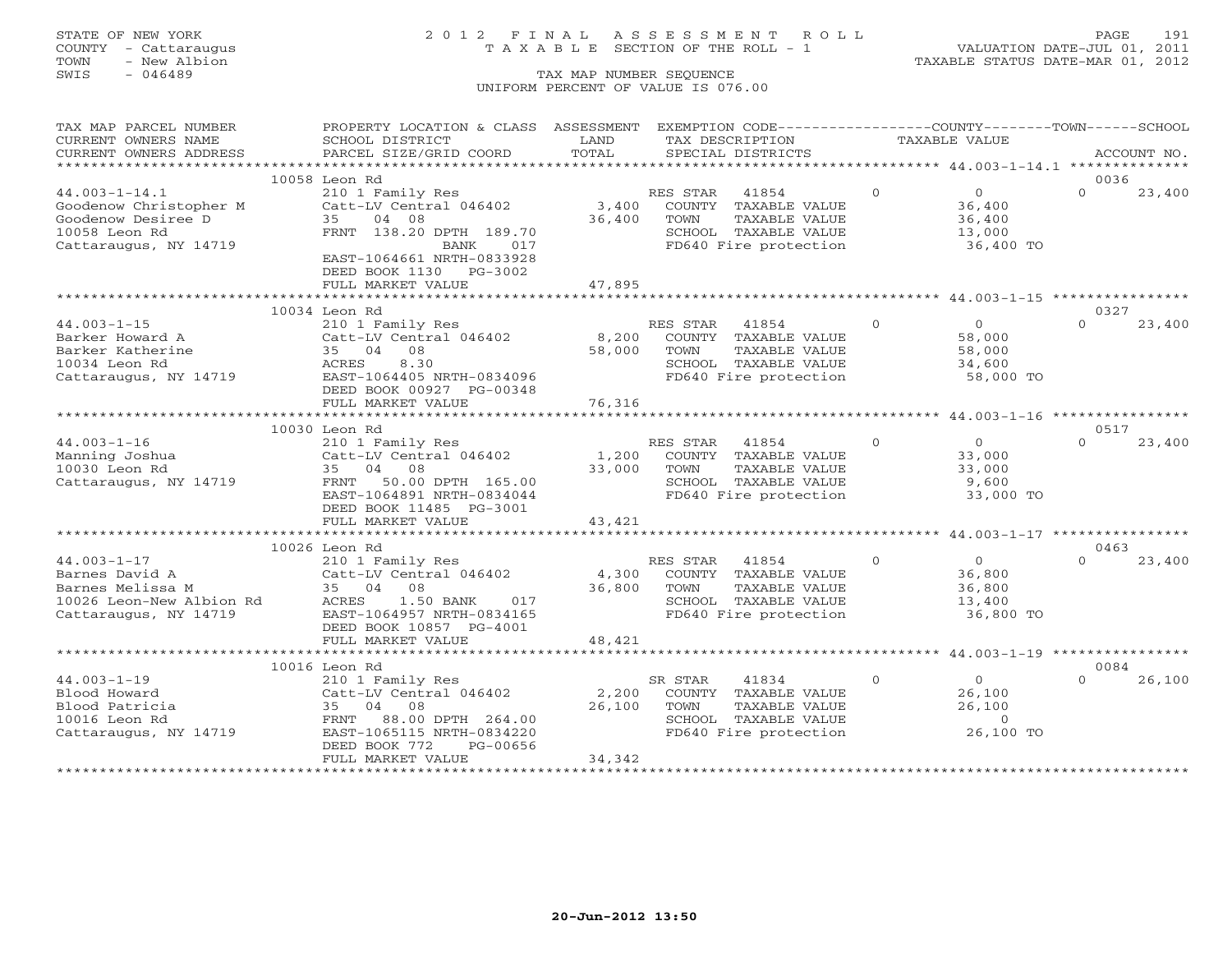### STATE OF NEW YORK 2 0 1 2 F I N A L A S S E S S M E N T R O L L PAGE 191 COUNTY - Cattaraugus T A X A B L E SECTION OF THE ROLL - 1 VALUATION DATE-JUL 01, 2011

| CURRENT OWNERS NAME<br>SCHOOL DISTRICT<br>LAND<br>TAX DESCRIPTION<br>TAXABLE VALUE<br>TOTAL<br>CURRENT OWNERS ADDRESS<br>PARCEL SIZE/GRID COORD<br>SPECIAL DISTRICTS<br>ACCOUNT NO.<br>10058 Leon Rd<br>0036<br>$44.003 - 1 - 14.1$<br>210 1 Family Res<br>$\circ$<br>$\overline{0}$<br>$\Omega$<br>RES STAR<br>41854<br>23,400<br>Catt-LV Central 046402<br>3,400<br>Goodenow Christopher M<br>COUNTY TAXABLE VALUE<br>36,400<br>Goodenow Desiree D<br>35<br>04 08<br>36,400<br>36,400<br>TOWN<br>TAXABLE VALUE<br>10058 Leon Rd<br>FRNT 138.20 DPTH 189.70<br>SCHOOL TAXABLE VALUE<br>13,000<br>Cattaraugus, NY 14719<br>FD640 Fire protection<br>017<br>36,400 TO<br>BANK<br>EAST-1064661 NRTH-0833928<br>DEED BOOK 1130 PG-3002<br>FULL MARKET VALUE<br>47,895<br>10034 Leon Rd<br>0327<br>$\Omega$<br>$\Omega$<br>$44.003 - 1 - 15$<br>210 1 Family Res<br>RES STAR<br>41854<br>$\Omega$<br>23,400<br>8,200<br>Catt-LV Central 046402<br>COUNTY TAXABLE VALUE<br>58,000<br>Barker Howard A<br>58,000<br>Barker Katherine<br>35 04 08<br>TOWN<br>TAXABLE VALUE<br>58,000<br>ACRES<br>8.30<br>10034 Leon Rd<br>SCHOOL TAXABLE VALUE<br>34,600<br>Cattaraugus, NY 14719<br>EAST-1064405 NRTH-0834096<br>FD640 Fire protection<br>58,000 TO<br>DEED BOOK 00927 PG-00348<br>76,316<br>FULL MARKET VALUE<br>10030 Leon Rd<br>0517<br>$\Omega$<br>$\Omega$<br>$\Omega$<br>$44.003 - 1 - 16$<br>210 1 Family Res<br>RES STAR<br>41854<br>23,400<br>Catt-LV Central 046402<br>1,200<br>COUNTY TAXABLE VALUE<br>Manning Joshua<br>33,000<br>33,000<br>10030 Leon Rd<br>35 04 08<br>TAXABLE VALUE<br>33,000<br>TOWN<br>Cattaraugus, NY 14719<br>FRNT<br>50.00 DPTH 165.00<br>SCHOOL TAXABLE VALUE<br>9,600<br>EAST-1064891 NRTH-0834044<br>FD640 Fire protection<br>33,000 TO<br>DEED BOOK 11485 PG-3001<br>43,421<br>FULL MARKET VALUE<br>10026 Leon Rd<br>0463<br>210 1 Family Res<br>$44.003 - 1 - 17$<br>RES STAR<br>$\circ$<br>$\overline{0}$<br>$\Omega$<br>23,400<br>41854<br>Catt-LV Central 046402<br>Barnes David A<br>4,300<br>COUNTY TAXABLE VALUE<br>36,800<br>36,800<br>Barnes Melissa M<br>35 04<br>08<br>TOWN<br>TAXABLE VALUE<br>36,800<br>10026 Leon-New Albion Rd<br>SCHOOL TAXABLE VALUE<br>ACRES<br>1.50 BANK<br>017<br>13,400<br>SCHOOL TAXABLE VALUE<br>FD640 Fire protection<br>EAST-1064957 NRTH-0834165<br>36,800 TO<br>Cattaraugus, NY 14719<br>DEED BOOK 10857 PG-4001<br>FULL MARKET VALUE<br>48,421<br>10016 Leon Rd<br>0084<br>$44.003 - 1 - 19$<br>210 1 Family Res<br>SR STAR<br>41834<br>$\Omega$<br>$\Omega$<br>$\Omega$<br>26,100<br>Catt-LV Central 046402<br>2,200<br>COUNTY TAXABLE VALUE<br>26,100<br>Blood Howard<br>26,100<br>Blood Patricia<br>35 04 08<br>TOWN<br>TAXABLE VALUE<br>26,100<br>88.00 DPTH 264.00<br>SCHOOL TAXABLE VALUE<br>10016 Leon Rd<br>FRNT<br>$\circ$<br>EAST-1065115 NRTH-0834220<br>FD640 Fire protection<br>26,100 TO<br>Cattaraugus, NY 14719<br>DEED BOOK 772<br>PG-00656 | TAX MAP PARCEL NUMBER | PROPERTY LOCATION & CLASS ASSESSMENT |  | EXEMPTION CODE-----------------COUNTY-------TOWN------SCHOOL |  |  |
|-------------------------------------------------------------------------------------------------------------------------------------------------------------------------------------------------------------------------------------------------------------------------------------------------------------------------------------------------------------------------------------------------------------------------------------------------------------------------------------------------------------------------------------------------------------------------------------------------------------------------------------------------------------------------------------------------------------------------------------------------------------------------------------------------------------------------------------------------------------------------------------------------------------------------------------------------------------------------------------------------------------------------------------------------------------------------------------------------------------------------------------------------------------------------------------------------------------------------------------------------------------------------------------------------------------------------------------------------------------------------------------------------------------------------------------------------------------------------------------------------------------------------------------------------------------------------------------------------------------------------------------------------------------------------------------------------------------------------------------------------------------------------------------------------------------------------------------------------------------------------------------------------------------------------------------------------------------------------------------------------------------------------------------------------------------------------------------------------------------------------------------------------------------------------------------------------------------------------------------------------------------------------------------------------------------------------------------------------------------------------------------------------------------------------------------------------------------------------------------------------------------------------------------------------------------------------------------------------------------------------------------------------------------------------------------------------------------------------------------------------------------------------------------------------------------------------------------------------------------------------------------------------------------------------------------------|-----------------------|--------------------------------------|--|--------------------------------------------------------------|--|--|
|                                                                                                                                                                                                                                                                                                                                                                                                                                                                                                                                                                                                                                                                                                                                                                                                                                                                                                                                                                                                                                                                                                                                                                                                                                                                                                                                                                                                                                                                                                                                                                                                                                                                                                                                                                                                                                                                                                                                                                                                                                                                                                                                                                                                                                                                                                                                                                                                                                                                                                                                                                                                                                                                                                                                                                                                                                                                                                                                           |                       |                                      |  |                                                              |  |  |
|                                                                                                                                                                                                                                                                                                                                                                                                                                                                                                                                                                                                                                                                                                                                                                                                                                                                                                                                                                                                                                                                                                                                                                                                                                                                                                                                                                                                                                                                                                                                                                                                                                                                                                                                                                                                                                                                                                                                                                                                                                                                                                                                                                                                                                                                                                                                                                                                                                                                                                                                                                                                                                                                                                                                                                                                                                                                                                                                           |                       |                                      |  |                                                              |  |  |
|                                                                                                                                                                                                                                                                                                                                                                                                                                                                                                                                                                                                                                                                                                                                                                                                                                                                                                                                                                                                                                                                                                                                                                                                                                                                                                                                                                                                                                                                                                                                                                                                                                                                                                                                                                                                                                                                                                                                                                                                                                                                                                                                                                                                                                                                                                                                                                                                                                                                                                                                                                                                                                                                                                                                                                                                                                                                                                                                           |                       |                                      |  |                                                              |  |  |
|                                                                                                                                                                                                                                                                                                                                                                                                                                                                                                                                                                                                                                                                                                                                                                                                                                                                                                                                                                                                                                                                                                                                                                                                                                                                                                                                                                                                                                                                                                                                                                                                                                                                                                                                                                                                                                                                                                                                                                                                                                                                                                                                                                                                                                                                                                                                                                                                                                                                                                                                                                                                                                                                                                                                                                                                                                                                                                                                           |                       |                                      |  |                                                              |  |  |
|                                                                                                                                                                                                                                                                                                                                                                                                                                                                                                                                                                                                                                                                                                                                                                                                                                                                                                                                                                                                                                                                                                                                                                                                                                                                                                                                                                                                                                                                                                                                                                                                                                                                                                                                                                                                                                                                                                                                                                                                                                                                                                                                                                                                                                                                                                                                                                                                                                                                                                                                                                                                                                                                                                                                                                                                                                                                                                                                           |                       |                                      |  |                                                              |  |  |
|                                                                                                                                                                                                                                                                                                                                                                                                                                                                                                                                                                                                                                                                                                                                                                                                                                                                                                                                                                                                                                                                                                                                                                                                                                                                                                                                                                                                                                                                                                                                                                                                                                                                                                                                                                                                                                                                                                                                                                                                                                                                                                                                                                                                                                                                                                                                                                                                                                                                                                                                                                                                                                                                                                                                                                                                                                                                                                                                           |                       |                                      |  |                                                              |  |  |
|                                                                                                                                                                                                                                                                                                                                                                                                                                                                                                                                                                                                                                                                                                                                                                                                                                                                                                                                                                                                                                                                                                                                                                                                                                                                                                                                                                                                                                                                                                                                                                                                                                                                                                                                                                                                                                                                                                                                                                                                                                                                                                                                                                                                                                                                                                                                                                                                                                                                                                                                                                                                                                                                                                                                                                                                                                                                                                                                           |                       |                                      |  |                                                              |  |  |
|                                                                                                                                                                                                                                                                                                                                                                                                                                                                                                                                                                                                                                                                                                                                                                                                                                                                                                                                                                                                                                                                                                                                                                                                                                                                                                                                                                                                                                                                                                                                                                                                                                                                                                                                                                                                                                                                                                                                                                                                                                                                                                                                                                                                                                                                                                                                                                                                                                                                                                                                                                                                                                                                                                                                                                                                                                                                                                                                           |                       |                                      |  |                                                              |  |  |
|                                                                                                                                                                                                                                                                                                                                                                                                                                                                                                                                                                                                                                                                                                                                                                                                                                                                                                                                                                                                                                                                                                                                                                                                                                                                                                                                                                                                                                                                                                                                                                                                                                                                                                                                                                                                                                                                                                                                                                                                                                                                                                                                                                                                                                                                                                                                                                                                                                                                                                                                                                                                                                                                                                                                                                                                                                                                                                                                           |                       |                                      |  |                                                              |  |  |
|                                                                                                                                                                                                                                                                                                                                                                                                                                                                                                                                                                                                                                                                                                                                                                                                                                                                                                                                                                                                                                                                                                                                                                                                                                                                                                                                                                                                                                                                                                                                                                                                                                                                                                                                                                                                                                                                                                                                                                                                                                                                                                                                                                                                                                                                                                                                                                                                                                                                                                                                                                                                                                                                                                                                                                                                                                                                                                                                           |                       |                                      |  |                                                              |  |  |
|                                                                                                                                                                                                                                                                                                                                                                                                                                                                                                                                                                                                                                                                                                                                                                                                                                                                                                                                                                                                                                                                                                                                                                                                                                                                                                                                                                                                                                                                                                                                                                                                                                                                                                                                                                                                                                                                                                                                                                                                                                                                                                                                                                                                                                                                                                                                                                                                                                                                                                                                                                                                                                                                                                                                                                                                                                                                                                                                           |                       |                                      |  |                                                              |  |  |
|                                                                                                                                                                                                                                                                                                                                                                                                                                                                                                                                                                                                                                                                                                                                                                                                                                                                                                                                                                                                                                                                                                                                                                                                                                                                                                                                                                                                                                                                                                                                                                                                                                                                                                                                                                                                                                                                                                                                                                                                                                                                                                                                                                                                                                                                                                                                                                                                                                                                                                                                                                                                                                                                                                                                                                                                                                                                                                                                           |                       |                                      |  |                                                              |  |  |
|                                                                                                                                                                                                                                                                                                                                                                                                                                                                                                                                                                                                                                                                                                                                                                                                                                                                                                                                                                                                                                                                                                                                                                                                                                                                                                                                                                                                                                                                                                                                                                                                                                                                                                                                                                                                                                                                                                                                                                                                                                                                                                                                                                                                                                                                                                                                                                                                                                                                                                                                                                                                                                                                                                                                                                                                                                                                                                                                           |                       |                                      |  |                                                              |  |  |
|                                                                                                                                                                                                                                                                                                                                                                                                                                                                                                                                                                                                                                                                                                                                                                                                                                                                                                                                                                                                                                                                                                                                                                                                                                                                                                                                                                                                                                                                                                                                                                                                                                                                                                                                                                                                                                                                                                                                                                                                                                                                                                                                                                                                                                                                                                                                                                                                                                                                                                                                                                                                                                                                                                                                                                                                                                                                                                                                           |                       |                                      |  |                                                              |  |  |
|                                                                                                                                                                                                                                                                                                                                                                                                                                                                                                                                                                                                                                                                                                                                                                                                                                                                                                                                                                                                                                                                                                                                                                                                                                                                                                                                                                                                                                                                                                                                                                                                                                                                                                                                                                                                                                                                                                                                                                                                                                                                                                                                                                                                                                                                                                                                                                                                                                                                                                                                                                                                                                                                                                                                                                                                                                                                                                                                           |                       |                                      |  |                                                              |  |  |
|                                                                                                                                                                                                                                                                                                                                                                                                                                                                                                                                                                                                                                                                                                                                                                                                                                                                                                                                                                                                                                                                                                                                                                                                                                                                                                                                                                                                                                                                                                                                                                                                                                                                                                                                                                                                                                                                                                                                                                                                                                                                                                                                                                                                                                                                                                                                                                                                                                                                                                                                                                                                                                                                                                                                                                                                                                                                                                                                           |                       |                                      |  |                                                              |  |  |
|                                                                                                                                                                                                                                                                                                                                                                                                                                                                                                                                                                                                                                                                                                                                                                                                                                                                                                                                                                                                                                                                                                                                                                                                                                                                                                                                                                                                                                                                                                                                                                                                                                                                                                                                                                                                                                                                                                                                                                                                                                                                                                                                                                                                                                                                                                                                                                                                                                                                                                                                                                                                                                                                                                                                                                                                                                                                                                                                           |                       |                                      |  |                                                              |  |  |
|                                                                                                                                                                                                                                                                                                                                                                                                                                                                                                                                                                                                                                                                                                                                                                                                                                                                                                                                                                                                                                                                                                                                                                                                                                                                                                                                                                                                                                                                                                                                                                                                                                                                                                                                                                                                                                                                                                                                                                                                                                                                                                                                                                                                                                                                                                                                                                                                                                                                                                                                                                                                                                                                                                                                                                                                                                                                                                                                           |                       |                                      |  |                                                              |  |  |
|                                                                                                                                                                                                                                                                                                                                                                                                                                                                                                                                                                                                                                                                                                                                                                                                                                                                                                                                                                                                                                                                                                                                                                                                                                                                                                                                                                                                                                                                                                                                                                                                                                                                                                                                                                                                                                                                                                                                                                                                                                                                                                                                                                                                                                                                                                                                                                                                                                                                                                                                                                                                                                                                                                                                                                                                                                                                                                                                           |                       |                                      |  |                                                              |  |  |
|                                                                                                                                                                                                                                                                                                                                                                                                                                                                                                                                                                                                                                                                                                                                                                                                                                                                                                                                                                                                                                                                                                                                                                                                                                                                                                                                                                                                                                                                                                                                                                                                                                                                                                                                                                                                                                                                                                                                                                                                                                                                                                                                                                                                                                                                                                                                                                                                                                                                                                                                                                                                                                                                                                                                                                                                                                                                                                                                           |                       |                                      |  |                                                              |  |  |
|                                                                                                                                                                                                                                                                                                                                                                                                                                                                                                                                                                                                                                                                                                                                                                                                                                                                                                                                                                                                                                                                                                                                                                                                                                                                                                                                                                                                                                                                                                                                                                                                                                                                                                                                                                                                                                                                                                                                                                                                                                                                                                                                                                                                                                                                                                                                                                                                                                                                                                                                                                                                                                                                                                                                                                                                                                                                                                                                           |                       |                                      |  |                                                              |  |  |
|                                                                                                                                                                                                                                                                                                                                                                                                                                                                                                                                                                                                                                                                                                                                                                                                                                                                                                                                                                                                                                                                                                                                                                                                                                                                                                                                                                                                                                                                                                                                                                                                                                                                                                                                                                                                                                                                                                                                                                                                                                                                                                                                                                                                                                                                                                                                                                                                                                                                                                                                                                                                                                                                                                                                                                                                                                                                                                                                           |                       |                                      |  |                                                              |  |  |
|                                                                                                                                                                                                                                                                                                                                                                                                                                                                                                                                                                                                                                                                                                                                                                                                                                                                                                                                                                                                                                                                                                                                                                                                                                                                                                                                                                                                                                                                                                                                                                                                                                                                                                                                                                                                                                                                                                                                                                                                                                                                                                                                                                                                                                                                                                                                                                                                                                                                                                                                                                                                                                                                                                                                                                                                                                                                                                                                           |                       |                                      |  |                                                              |  |  |
|                                                                                                                                                                                                                                                                                                                                                                                                                                                                                                                                                                                                                                                                                                                                                                                                                                                                                                                                                                                                                                                                                                                                                                                                                                                                                                                                                                                                                                                                                                                                                                                                                                                                                                                                                                                                                                                                                                                                                                                                                                                                                                                                                                                                                                                                                                                                                                                                                                                                                                                                                                                                                                                                                                                                                                                                                                                                                                                                           |                       |                                      |  |                                                              |  |  |
|                                                                                                                                                                                                                                                                                                                                                                                                                                                                                                                                                                                                                                                                                                                                                                                                                                                                                                                                                                                                                                                                                                                                                                                                                                                                                                                                                                                                                                                                                                                                                                                                                                                                                                                                                                                                                                                                                                                                                                                                                                                                                                                                                                                                                                                                                                                                                                                                                                                                                                                                                                                                                                                                                                                                                                                                                                                                                                                                           |                       |                                      |  |                                                              |  |  |
|                                                                                                                                                                                                                                                                                                                                                                                                                                                                                                                                                                                                                                                                                                                                                                                                                                                                                                                                                                                                                                                                                                                                                                                                                                                                                                                                                                                                                                                                                                                                                                                                                                                                                                                                                                                                                                                                                                                                                                                                                                                                                                                                                                                                                                                                                                                                                                                                                                                                                                                                                                                                                                                                                                                                                                                                                                                                                                                                           |                       |                                      |  |                                                              |  |  |
|                                                                                                                                                                                                                                                                                                                                                                                                                                                                                                                                                                                                                                                                                                                                                                                                                                                                                                                                                                                                                                                                                                                                                                                                                                                                                                                                                                                                                                                                                                                                                                                                                                                                                                                                                                                                                                                                                                                                                                                                                                                                                                                                                                                                                                                                                                                                                                                                                                                                                                                                                                                                                                                                                                                                                                                                                                                                                                                                           |                       |                                      |  |                                                              |  |  |
|                                                                                                                                                                                                                                                                                                                                                                                                                                                                                                                                                                                                                                                                                                                                                                                                                                                                                                                                                                                                                                                                                                                                                                                                                                                                                                                                                                                                                                                                                                                                                                                                                                                                                                                                                                                                                                                                                                                                                                                                                                                                                                                                                                                                                                                                                                                                                                                                                                                                                                                                                                                                                                                                                                                                                                                                                                                                                                                                           |                       |                                      |  |                                                              |  |  |
|                                                                                                                                                                                                                                                                                                                                                                                                                                                                                                                                                                                                                                                                                                                                                                                                                                                                                                                                                                                                                                                                                                                                                                                                                                                                                                                                                                                                                                                                                                                                                                                                                                                                                                                                                                                                                                                                                                                                                                                                                                                                                                                                                                                                                                                                                                                                                                                                                                                                                                                                                                                                                                                                                                                                                                                                                                                                                                                                           |                       |                                      |  |                                                              |  |  |
|                                                                                                                                                                                                                                                                                                                                                                                                                                                                                                                                                                                                                                                                                                                                                                                                                                                                                                                                                                                                                                                                                                                                                                                                                                                                                                                                                                                                                                                                                                                                                                                                                                                                                                                                                                                                                                                                                                                                                                                                                                                                                                                                                                                                                                                                                                                                                                                                                                                                                                                                                                                                                                                                                                                                                                                                                                                                                                                                           |                       |                                      |  |                                                              |  |  |
|                                                                                                                                                                                                                                                                                                                                                                                                                                                                                                                                                                                                                                                                                                                                                                                                                                                                                                                                                                                                                                                                                                                                                                                                                                                                                                                                                                                                                                                                                                                                                                                                                                                                                                                                                                                                                                                                                                                                                                                                                                                                                                                                                                                                                                                                                                                                                                                                                                                                                                                                                                                                                                                                                                                                                                                                                                                                                                                                           |                       |                                      |  |                                                              |  |  |
|                                                                                                                                                                                                                                                                                                                                                                                                                                                                                                                                                                                                                                                                                                                                                                                                                                                                                                                                                                                                                                                                                                                                                                                                                                                                                                                                                                                                                                                                                                                                                                                                                                                                                                                                                                                                                                                                                                                                                                                                                                                                                                                                                                                                                                                                                                                                                                                                                                                                                                                                                                                                                                                                                                                                                                                                                                                                                                                                           |                       |                                      |  |                                                              |  |  |
|                                                                                                                                                                                                                                                                                                                                                                                                                                                                                                                                                                                                                                                                                                                                                                                                                                                                                                                                                                                                                                                                                                                                                                                                                                                                                                                                                                                                                                                                                                                                                                                                                                                                                                                                                                                                                                                                                                                                                                                                                                                                                                                                                                                                                                                                                                                                                                                                                                                                                                                                                                                                                                                                                                                                                                                                                                                                                                                                           |                       |                                      |  |                                                              |  |  |
|                                                                                                                                                                                                                                                                                                                                                                                                                                                                                                                                                                                                                                                                                                                                                                                                                                                                                                                                                                                                                                                                                                                                                                                                                                                                                                                                                                                                                                                                                                                                                                                                                                                                                                                                                                                                                                                                                                                                                                                                                                                                                                                                                                                                                                                                                                                                                                                                                                                                                                                                                                                                                                                                                                                                                                                                                                                                                                                                           |                       |                                      |  |                                                              |  |  |
|                                                                                                                                                                                                                                                                                                                                                                                                                                                                                                                                                                                                                                                                                                                                                                                                                                                                                                                                                                                                                                                                                                                                                                                                                                                                                                                                                                                                                                                                                                                                                                                                                                                                                                                                                                                                                                                                                                                                                                                                                                                                                                                                                                                                                                                                                                                                                                                                                                                                                                                                                                                                                                                                                                                                                                                                                                                                                                                                           |                       |                                      |  |                                                              |  |  |
|                                                                                                                                                                                                                                                                                                                                                                                                                                                                                                                                                                                                                                                                                                                                                                                                                                                                                                                                                                                                                                                                                                                                                                                                                                                                                                                                                                                                                                                                                                                                                                                                                                                                                                                                                                                                                                                                                                                                                                                                                                                                                                                                                                                                                                                                                                                                                                                                                                                                                                                                                                                                                                                                                                                                                                                                                                                                                                                                           |                       |                                      |  |                                                              |  |  |
|                                                                                                                                                                                                                                                                                                                                                                                                                                                                                                                                                                                                                                                                                                                                                                                                                                                                                                                                                                                                                                                                                                                                                                                                                                                                                                                                                                                                                                                                                                                                                                                                                                                                                                                                                                                                                                                                                                                                                                                                                                                                                                                                                                                                                                                                                                                                                                                                                                                                                                                                                                                                                                                                                                                                                                                                                                                                                                                                           |                       |                                      |  |                                                              |  |  |
|                                                                                                                                                                                                                                                                                                                                                                                                                                                                                                                                                                                                                                                                                                                                                                                                                                                                                                                                                                                                                                                                                                                                                                                                                                                                                                                                                                                                                                                                                                                                                                                                                                                                                                                                                                                                                                                                                                                                                                                                                                                                                                                                                                                                                                                                                                                                                                                                                                                                                                                                                                                                                                                                                                                                                                                                                                                                                                                                           |                       |                                      |  |                                                              |  |  |
|                                                                                                                                                                                                                                                                                                                                                                                                                                                                                                                                                                                                                                                                                                                                                                                                                                                                                                                                                                                                                                                                                                                                                                                                                                                                                                                                                                                                                                                                                                                                                                                                                                                                                                                                                                                                                                                                                                                                                                                                                                                                                                                                                                                                                                                                                                                                                                                                                                                                                                                                                                                                                                                                                                                                                                                                                                                                                                                                           |                       |                                      |  |                                                              |  |  |
|                                                                                                                                                                                                                                                                                                                                                                                                                                                                                                                                                                                                                                                                                                                                                                                                                                                                                                                                                                                                                                                                                                                                                                                                                                                                                                                                                                                                                                                                                                                                                                                                                                                                                                                                                                                                                                                                                                                                                                                                                                                                                                                                                                                                                                                                                                                                                                                                                                                                                                                                                                                                                                                                                                                                                                                                                                                                                                                                           |                       |                                      |  |                                                              |  |  |
|                                                                                                                                                                                                                                                                                                                                                                                                                                                                                                                                                                                                                                                                                                                                                                                                                                                                                                                                                                                                                                                                                                                                                                                                                                                                                                                                                                                                                                                                                                                                                                                                                                                                                                                                                                                                                                                                                                                                                                                                                                                                                                                                                                                                                                                                                                                                                                                                                                                                                                                                                                                                                                                                                                                                                                                                                                                                                                                                           |                       |                                      |  |                                                              |  |  |
|                                                                                                                                                                                                                                                                                                                                                                                                                                                                                                                                                                                                                                                                                                                                                                                                                                                                                                                                                                                                                                                                                                                                                                                                                                                                                                                                                                                                                                                                                                                                                                                                                                                                                                                                                                                                                                                                                                                                                                                                                                                                                                                                                                                                                                                                                                                                                                                                                                                                                                                                                                                                                                                                                                                                                                                                                                                                                                                                           |                       |                                      |  |                                                              |  |  |
|                                                                                                                                                                                                                                                                                                                                                                                                                                                                                                                                                                                                                                                                                                                                                                                                                                                                                                                                                                                                                                                                                                                                                                                                                                                                                                                                                                                                                                                                                                                                                                                                                                                                                                                                                                                                                                                                                                                                                                                                                                                                                                                                                                                                                                                                                                                                                                                                                                                                                                                                                                                                                                                                                                                                                                                                                                                                                                                                           |                       |                                      |  |                                                              |  |  |
|                                                                                                                                                                                                                                                                                                                                                                                                                                                                                                                                                                                                                                                                                                                                                                                                                                                                                                                                                                                                                                                                                                                                                                                                                                                                                                                                                                                                                                                                                                                                                                                                                                                                                                                                                                                                                                                                                                                                                                                                                                                                                                                                                                                                                                                                                                                                                                                                                                                                                                                                                                                                                                                                                                                                                                                                                                                                                                                                           |                       |                                      |  |                                                              |  |  |
|                                                                                                                                                                                                                                                                                                                                                                                                                                                                                                                                                                                                                                                                                                                                                                                                                                                                                                                                                                                                                                                                                                                                                                                                                                                                                                                                                                                                                                                                                                                                                                                                                                                                                                                                                                                                                                                                                                                                                                                                                                                                                                                                                                                                                                                                                                                                                                                                                                                                                                                                                                                                                                                                                                                                                                                                                                                                                                                                           |                       |                                      |  |                                                              |  |  |
|                                                                                                                                                                                                                                                                                                                                                                                                                                                                                                                                                                                                                                                                                                                                                                                                                                                                                                                                                                                                                                                                                                                                                                                                                                                                                                                                                                                                                                                                                                                                                                                                                                                                                                                                                                                                                                                                                                                                                                                                                                                                                                                                                                                                                                                                                                                                                                                                                                                                                                                                                                                                                                                                                                                                                                                                                                                                                                                                           |                       |                                      |  |                                                              |  |  |
|                                                                                                                                                                                                                                                                                                                                                                                                                                                                                                                                                                                                                                                                                                                                                                                                                                                                                                                                                                                                                                                                                                                                                                                                                                                                                                                                                                                                                                                                                                                                                                                                                                                                                                                                                                                                                                                                                                                                                                                                                                                                                                                                                                                                                                                                                                                                                                                                                                                                                                                                                                                                                                                                                                                                                                                                                                                                                                                                           |                       |                                      |  |                                                              |  |  |
|                                                                                                                                                                                                                                                                                                                                                                                                                                                                                                                                                                                                                                                                                                                                                                                                                                                                                                                                                                                                                                                                                                                                                                                                                                                                                                                                                                                                                                                                                                                                                                                                                                                                                                                                                                                                                                                                                                                                                                                                                                                                                                                                                                                                                                                                                                                                                                                                                                                                                                                                                                                                                                                                                                                                                                                                                                                                                                                                           |                       |                                      |  |                                                              |  |  |
|                                                                                                                                                                                                                                                                                                                                                                                                                                                                                                                                                                                                                                                                                                                                                                                                                                                                                                                                                                                                                                                                                                                                                                                                                                                                                                                                                                                                                                                                                                                                                                                                                                                                                                                                                                                                                                                                                                                                                                                                                                                                                                                                                                                                                                                                                                                                                                                                                                                                                                                                                                                                                                                                                                                                                                                                                                                                                                                                           |                       |                                      |  |                                                              |  |  |
| 34,342<br>FULL MARKET VALUE                                                                                                                                                                                                                                                                                                                                                                                                                                                                                                                                                                                                                                                                                                                                                                                                                                                                                                                                                                                                                                                                                                                                                                                                                                                                                                                                                                                                                                                                                                                                                                                                                                                                                                                                                                                                                                                                                                                                                                                                                                                                                                                                                                                                                                                                                                                                                                                                                                                                                                                                                                                                                                                                                                                                                                                                                                                                                                               |                       |                                      |  |                                                              |  |  |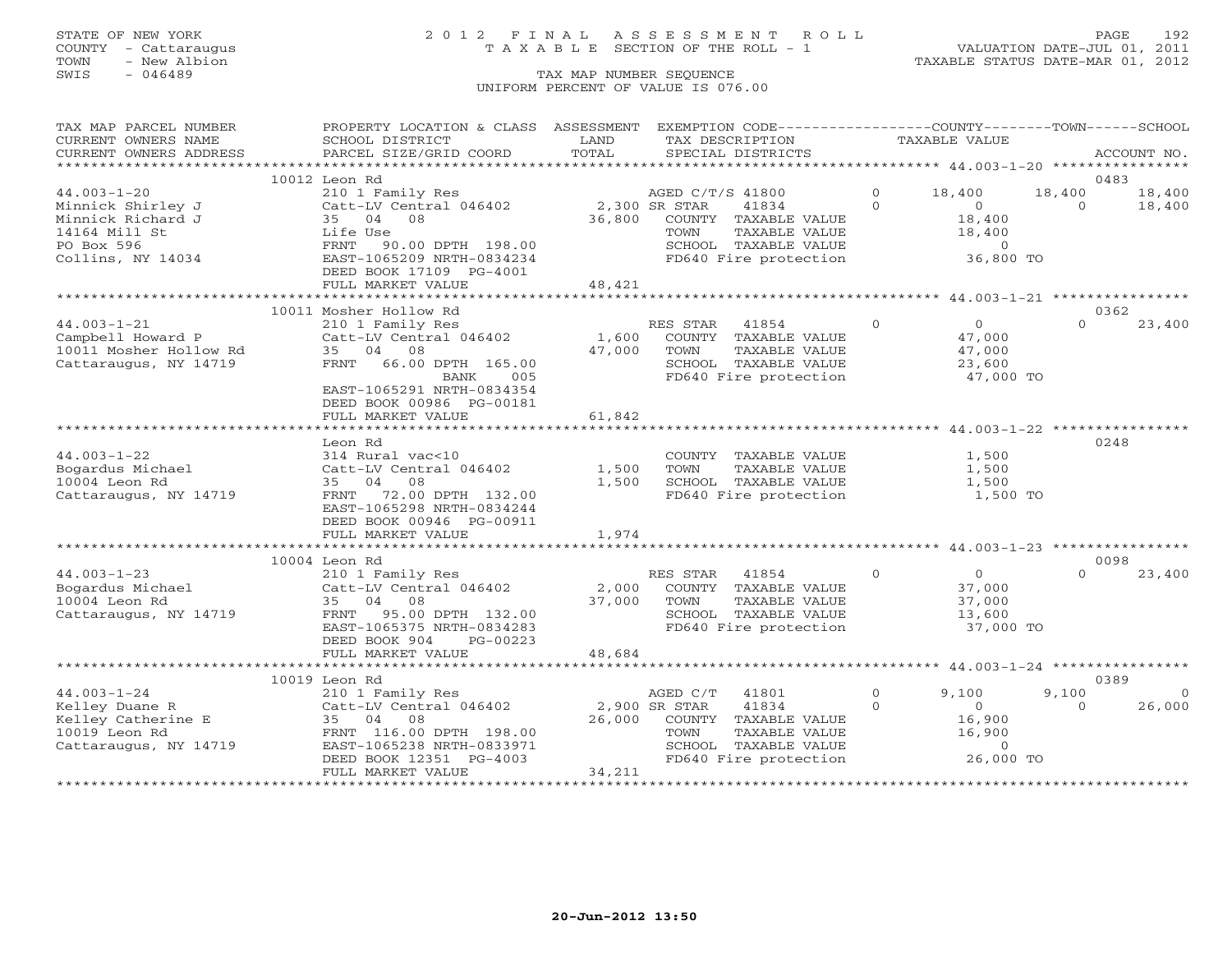### STATE OF NEW YORK 2 0 1 2 F I N A L A S S E S S M E N T R O L L PAGE 192 COUNTY - Cattaraugus T A X A B L E SECTION OF THE ROLL - 1 VALUATION DATE-JUL 01, 2011

| TAX MAP PARCEL NUMBER                                  | PROPERTY LOCATION & CLASS ASSESSMENT          |               |                  | EXEMPTION CODE-----------------COUNTY-------TOWN------SCHOOL              |                |                                               |                    |             |
|--------------------------------------------------------|-----------------------------------------------|---------------|------------------|---------------------------------------------------------------------------|----------------|-----------------------------------------------|--------------------|-------------|
| CURRENT OWNERS NAME                                    | SCHOOL DISTRICT                               | LAND          | TAX DESCRIPTION  |                                                                           | TAXABLE VALUE  |                                               |                    |             |
| CURRENT OWNERS ADDRESS                                 | PARCEL SIZE/GRID COORD                        | TOTAL         |                  | SPECIAL DISTRICTS                                                         |                |                                               |                    | ACCOUNT NO. |
|                                                        |                                               |               |                  |                                                                           |                |                                               |                    |             |
|                                                        | 10012 Leon Rd                                 |               |                  |                                                                           | $\circ$        |                                               |                    | 0483        |
| $44.003 - 1 - 20$                                      | 210 1 Family Res                              | 2,300 SR STAR | AGED C/T/S 41800 |                                                                           | $\Omega$       | 18,400<br>$\overline{O}$                      | 18,400<br>$\Omega$ | 18,400      |
| Minnick Shirley J<br>Minnick Richard J                 | Catt-LV Central 046402<br>35 04 08            | 36,800        |                  | 41834<br>COUNTY TAXABLE VALUE                                             |                |                                               |                    | 18,400      |
| 14164 Mill St                                          | Life Use                                      |               | TOWN             | TAXABLE VALUE                                                             |                | 18,400<br>18,400                              |                    |             |
| PO Box 596                                             | FRNT 90.00 DPTH 198.00                        |               |                  |                                                                           |                | $\bigcirc$                                    |                    |             |
| Collins, NY 14034                                      | EAST-1065209 NRTH-0834234                     |               |                  | SCHOOL TAXABLE VALUE<br>FD640 Fire protection                             |                | 36,800 TO                                     |                    |             |
|                                                        | DEED BOOK 17109 PG-4001                       |               |                  |                                                                           |                |                                               |                    |             |
|                                                        | FULL MARKET VALUE                             | 48,421        |                  |                                                                           |                |                                               |                    |             |
|                                                        |                                               |               |                  |                                                                           |                |                                               |                    |             |
|                                                        | 10011 Mosher Hollow Rd                        |               |                  |                                                                           |                |                                               |                    | 0362        |
| $44.003 - 1 - 21$                                      | 210 1 Family Res                              |               | RES STAR 41854   |                                                                           | $\overline{0}$ | 0                                             | $\Omega$           | 23,400      |
| Campbell Howard P Catt-LV Central 046402               |                                               | 1,600         |                  | COUNTY TAXABLE VALUE                                                      |                | 47,000                                        |                    |             |
| 10011 Mosher Hollow Rd                                 | 35 04 08                                      | 47,000        | TOWN             | TAXABLE VALUE                                                             |                | 47,000                                        |                    |             |
| Cattaraugus, NY 14719                                  | FRNT 66.00 DPTH 165.00                        |               |                  | SCHOOL TAXABLE VALUE                                                      |                | 23,600                                        |                    |             |
|                                                        | <b>BANK</b><br>005                            |               |                  | FD640 Fire protection                                                     |                | 47,000 TO                                     |                    |             |
|                                                        | EAST-1065291 NRTH-0834354                     |               |                  |                                                                           |                |                                               |                    |             |
|                                                        | DEED BOOK 00986 PG-00181                      |               |                  |                                                                           |                |                                               |                    |             |
|                                                        | FULL MARKET VALUE                             | 61,842        |                  |                                                                           |                |                                               |                    |             |
|                                                        | ************************                      |               |                  |                                                                           |                |                                               |                    |             |
|                                                        | Leon Rd                                       |               |                  |                                                                           |                |                                               |                    | 0248        |
| $44.003 - 1 - 22$                                      | 314 Rural vac<10                              |               |                  | COUNTY TAXABLE VALUE                                                      |                | 1,500                                         |                    |             |
| Bogardus Michael                                       | Catt-LV Central 046402                        | 1,500         | TOWN             | TAXABLE VALUE                                                             |                | 1,500                                         |                    |             |
| 10004 Leon Rd                                          | 35 04 08                                      | 1,500         |                  | SCHOOL TAXABLE VALUE                                                      |                | 1,500                                         |                    |             |
| Cattaraugus, NY 14719                                  | FRNT 72.00 DPTH 132.00                        |               |                  | FD640 Fire protection                                                     |                | 1,500 TO                                      |                    |             |
|                                                        | EAST-1065298 NRTH-0834244                     |               |                  |                                                                           |                |                                               |                    |             |
|                                                        | DEED BOOK 00946 PG-00911<br>FULL MARKET VALUE | 1,974         |                  |                                                                           |                |                                               |                    |             |
|                                                        |                                               |               |                  |                                                                           |                |                                               |                    |             |
|                                                        | 10004 Leon Rd                                 |               |                  |                                                                           |                |                                               |                    | 0098        |
| $44.003 - 1 - 23$                                      | 210 1 Family Res                              |               | RES STAR 41854   |                                                                           | $\Omega$       | $\Omega$                                      | $\cap$             | 23,400      |
| Bogardus Michael                                       | Catt-LV Central 046402                        | 2,000         |                  | COUNTY TAXABLE VALUE                                                      |                | 37,000                                        |                    |             |
| 10004 Leon Rd                                          | 35 04 08                                      |               | 37,000 TOWN      | TAXABLE VALUE                                                             |                | 37,000                                        |                    |             |
| Cattaraugus, NY 14719                                  | FRNT 95.00 DPTH 132.00                        |               |                  | SCHOOL TAXABLE VALUE                                                      |                | 13,600                                        |                    |             |
|                                                        | EAST-1065375 NRTH-0834283                     |               |                  | FD640 Fire protection                                                     |                | 37,000 TO                                     |                    |             |
|                                                        | DEED BOOK 904<br>PG-00223                     |               |                  |                                                                           |                |                                               |                    |             |
|                                                        | FULL MARKET VALUE                             | 48,684        |                  |                                                                           |                |                                               |                    |             |
|                                                        |                                               |               |                  |                                                                           |                |                                               |                    |             |
|                                                        | 10019 Leon Rd                                 |               |                  |                                                                           |                |                                               |                    | 0389        |
| $44.003 - 1 - 24$                                      | 210 1 Family Res                              |               | AGED C/T         | 41801                                                                     | $\Omega$       | 9,100                                         | 9,100              | $\Omega$    |
| Kelley Duane R<br>Kelley Duane R<br>Kelley Catherine E | Catt-LV Central 046402 2,900 SR STAR          |               |                  | 41834                                                                     | $\Omega$       | $\Omega$                                      | $\Omega$           | 26,000      |
|                                                        | 35 04<br>08                                   |               |                  | 26,000 COUNTY TAXABLE VALUE                                               |                | 16,900                                        |                    |             |
| 10019 Leon Rd                                          | FRNT 116.00 DPTH 198.00                       |               |                  |                                                                           |                | 16,900                                        |                    |             |
| Cattaraugus, NY 14719                                  | EAST-1065238 NRTH-0833971                     |               |                  | TOWN     TAXABLE VALUE<br>SCHOOL   TAXABLE VALUE<br>FD640 Fire protection |                | $\begin{array}{c} 0 \\ 26,000 \end{array}$ TO |                    |             |
|                                                        | DEED BOOK 12351 PG-4003                       |               |                  |                                                                           |                |                                               |                    |             |
|                                                        | FULL MARKET VALUE                             | 34,211        |                  |                                                                           |                |                                               |                    |             |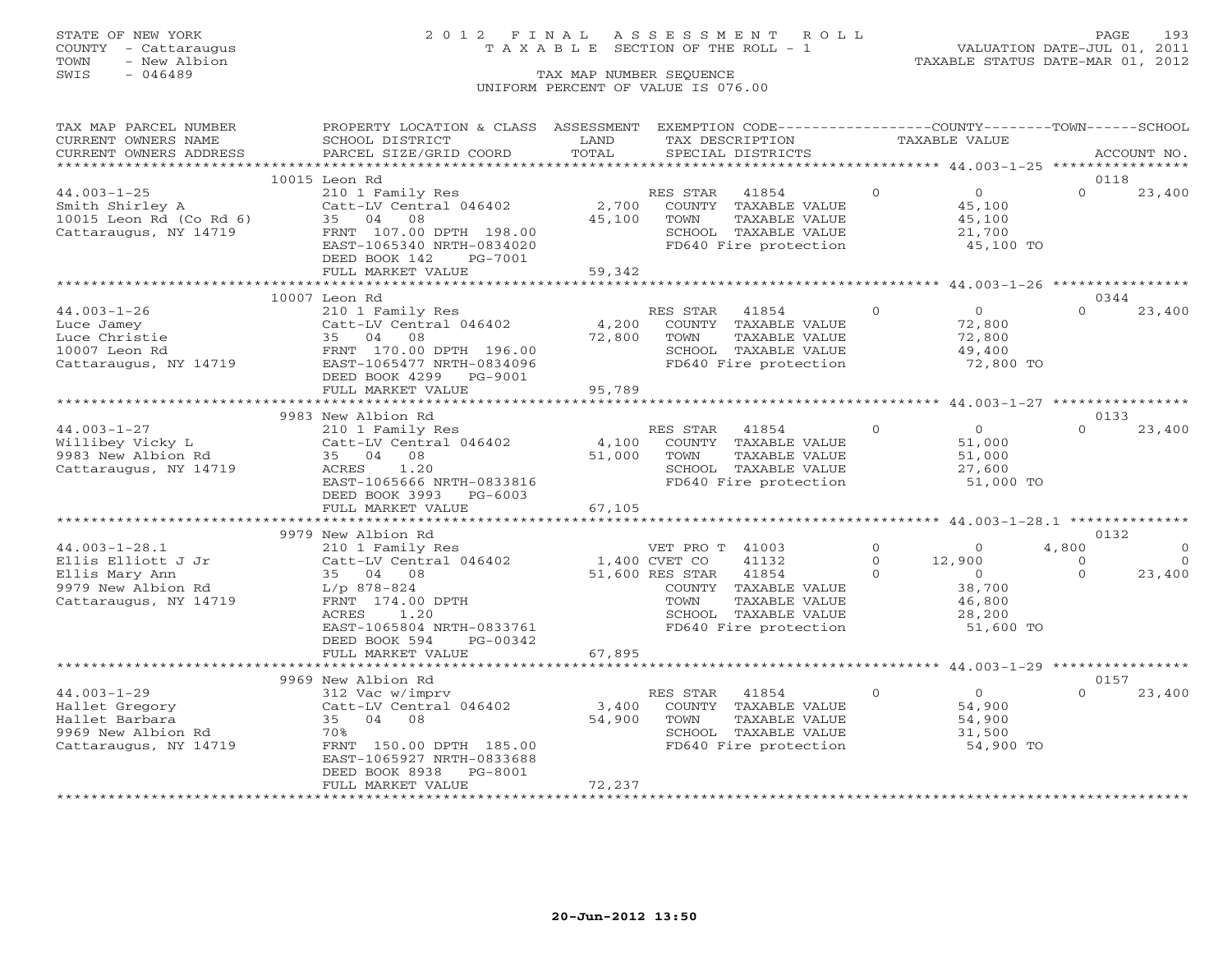## STATE OF NEW YORK 2 0 1 2 F I N A L A S S E S S M E N T R O L L PAGE 193 COUNTY - Cattaraugus T A X A B L E SECTION OF THE ROLL - 1 VALUATION DATE-JUL 01, 2011

TOWN - New Albion TAXABLE STATUS DATE-MAR 01, 2012

| TAX MAP PARCEL NUMBER   | PROPERTY LOCATION & CLASS ASSESSMENT           |                                  | EXEMPTION CODE----------------COUNTY-------TOWN------SCHOOL       |          |                |                  |             |
|-------------------------|------------------------------------------------|----------------------------------|-------------------------------------------------------------------|----------|----------------|------------------|-------------|
| CURRENT OWNERS NAME     | SCHOOL DISTRICT                                | LAND                             | TAX DESCRIPTION                                                   |          | TAXABLE VALUE  |                  |             |
| CURRENT OWNERS ADDRESS  | PARCEL SIZE/GRID COORD                         | TOTAL                            | SPECIAL DISTRICTS                                                 |          |                |                  | ACCOUNT NO. |
|                         |                                                |                                  |                                                                   |          |                | 0118             |             |
| $44.003 - 1 - 25$       | 10015 Leon Rd<br>210 1 Family Res              |                                  | RES STAR<br>41854                                                 | $\circ$  | $\overline{O}$ | $\Omega$         | 23,400      |
| Smith Shirley A         | Catt-LV Central 046402                         | 2,700                            | COUNTY TAXABLE VALUE                                              |          | 45,100         |                  |             |
| 10015 Leon Rd (Co Rd 6) | 35 04 08                                       | 45,100                           | TOWN<br>TAXABLE VALUE                                             |          | 45,100         |                  |             |
| Cattaraugus, NY 14719   | FRNT 107.00 DPTH 198.00                        |                                  | SCHOOL TAXABLE VALUE                                              |          | 21,700         |                  |             |
|                         | EAST-1065340 NRTH-0834020                      |                                  | FD640 Fire protection                                             |          | 45,100 TO      |                  |             |
|                         | DEED BOOK 142<br>PG-7001                       |                                  |                                                                   |          |                |                  |             |
|                         | FULL MARKET VALUE                              | 59,342                           |                                                                   |          |                |                  |             |
|                         |                                                |                                  |                                                                   |          |                |                  |             |
|                         | 10007 Leon Rd                                  |                                  |                                                                   |          |                | 0344             |             |
| $44.003 - 1 - 26$       | 210 1 Family Res                               |                                  | RES STAR<br>41854                                                 | $\circ$  | $\overline{0}$ | $\Omega$         | 23,400      |
| Luce Jamey              | Catt-LV Central 046402                         | 4,200                            | COUNTY TAXABLE VALUE                                              |          | 72,800         |                  |             |
| Luce Christie           | 35 04 08                                       | 72,800                           | TAXABLE VALUE<br>TOWN                                             |          | 72,800         |                  |             |
| 10007 Leon Rd           | FRNT 170.00 DPTH 196.00                        |                                  | SCHOOL TAXABLE VALUE                                              |          | 49,400         |                  |             |
| Cattaraugus, NY 14719   | EAST-1065477 NRTH-0834096                      |                                  | FD640 Fire protection                                             |          | 72,800 TO      |                  |             |
|                         | DEED BOOK 4299 PG-9001                         |                                  |                                                                   |          |                |                  |             |
|                         | FULL MARKET VALUE<br>************************* | 95,789<br>********************** |                                                                   |          |                |                  |             |
|                         |                                                |                                  | ************************ 44.003-1-27 *****************            |          |                | 0133             |             |
| $44.003 - 1 - 27$       | 9983 New Albion Rd                             |                                  | RES STAR                                                          | $\circ$  | $\overline{0}$ | $\Omega$         | 23,400      |
| Willibey Vicky L        | 210 1 Family Res<br>Catt-LV Central 046402     | 4,100                            | 41854<br>COUNTY TAXABLE VALUE                                     |          | 51,000         |                  |             |
| 9983 New Albion Rd      | 35 04 08                                       | 51,000                           | TOWN<br>TAXABLE VALUE                                             |          | 51,000         |                  |             |
| Cattaraugus, NY 14719   | ACRES<br>1.20                                  |                                  | SCHOOL TAXABLE VALUE                                              |          | 27,600         |                  |             |
|                         | EAST-1065666 NRTH-0833816                      |                                  | FD640 Fire protection                                             |          | 51,000 TO      |                  |             |
|                         | DEED BOOK 3993 PG-6003                         |                                  |                                                                   |          |                |                  |             |
|                         | FULL MARKET VALUE                              | 67,105                           |                                                                   |          |                |                  |             |
|                         |                                                |                                  | ************************************44.003-1-28.1 *************** |          |                |                  |             |
|                         | 9979 New Albion Rd                             |                                  |                                                                   |          |                | 0132             |             |
| $44.003 - 1 - 28.1$     | 210 1 Family Res                               |                                  | VET PRO T 41003                                                   | $\circ$  | $\overline{0}$ | 4,800            | $\Omega$    |
| Ellis Elliott J Jr      | Catt-LV Central 046402                         | 1,400 CVET CO                    | 41132                                                             | $\Omega$ | 12,900         | $\Omega$         | $\Omega$    |
| Ellis Mary Ann          | 35 04 08                                       |                                  | 51,600 RES STAR<br>41854                                          | $\Omega$ | $\overline{0}$ | $\Omega$         | 23,400      |
| 9979 New Albion Rd      | $L/p$ 878-824                                  |                                  | COUNTY TAXABLE VALUE                                              |          | 38,700         |                  |             |
| Cattaraugus, NY 14719   | FRNT 174.00 DPTH                               |                                  | TOWN<br>TAXABLE VALUE                                             |          | 46,800         |                  |             |
|                         | 1.20<br>ACRES                                  |                                  | SCHOOL TAXABLE VALUE                                              |          | 28,200         |                  |             |
|                         | EAST-1065804 NRTH-0833761                      |                                  | FD640 Fire protection                                             |          | 51,600 TO      |                  |             |
|                         | DEED BOOK 594<br>PG-00342                      |                                  |                                                                   |          |                |                  |             |
|                         | FULL MARKET VALUE                              | 67,895                           |                                                                   |          |                |                  |             |
|                         |                                                |                                  |                                                                   |          |                |                  |             |
| $44.003 - 1 - 29$       | 9969 New Albion Rd<br>312 Vac w/imprv          |                                  | RES STAR<br>41854                                                 | $\circ$  | $\overline{0}$ | 0157<br>$\Omega$ | 23,400      |
| Hallet Gregory          | Catt-LV Central 046402                         | 3,400                            | COUNTY TAXABLE VALUE                                              |          | 54,900         |                  |             |
| Hallet Barbara          | 35 04 08                                       | 54,900                           | TOWN<br>TAXABLE VALUE                                             |          | 54,900         |                  |             |
| 9969 New Albion Rd      | 70%                                            |                                  | SCHOOL TAXABLE VALUE                                              |          | 31,500         |                  |             |
| Cattaraugus, NY 14719   | FRNT 150.00 DPTH 185.00                        |                                  | FD640 Fire protection                                             |          | 54,900 TO      |                  |             |
|                         | EAST-1065927 NRTH-0833688                      |                                  |                                                                   |          |                |                  |             |
|                         | DEED BOOK 8938 PG-8001                         |                                  |                                                                   |          |                |                  |             |
|                         | FULL MARKET VALUE                              | 72,237                           |                                                                   |          |                |                  |             |
|                         |                                                |                                  |                                                                   |          |                |                  |             |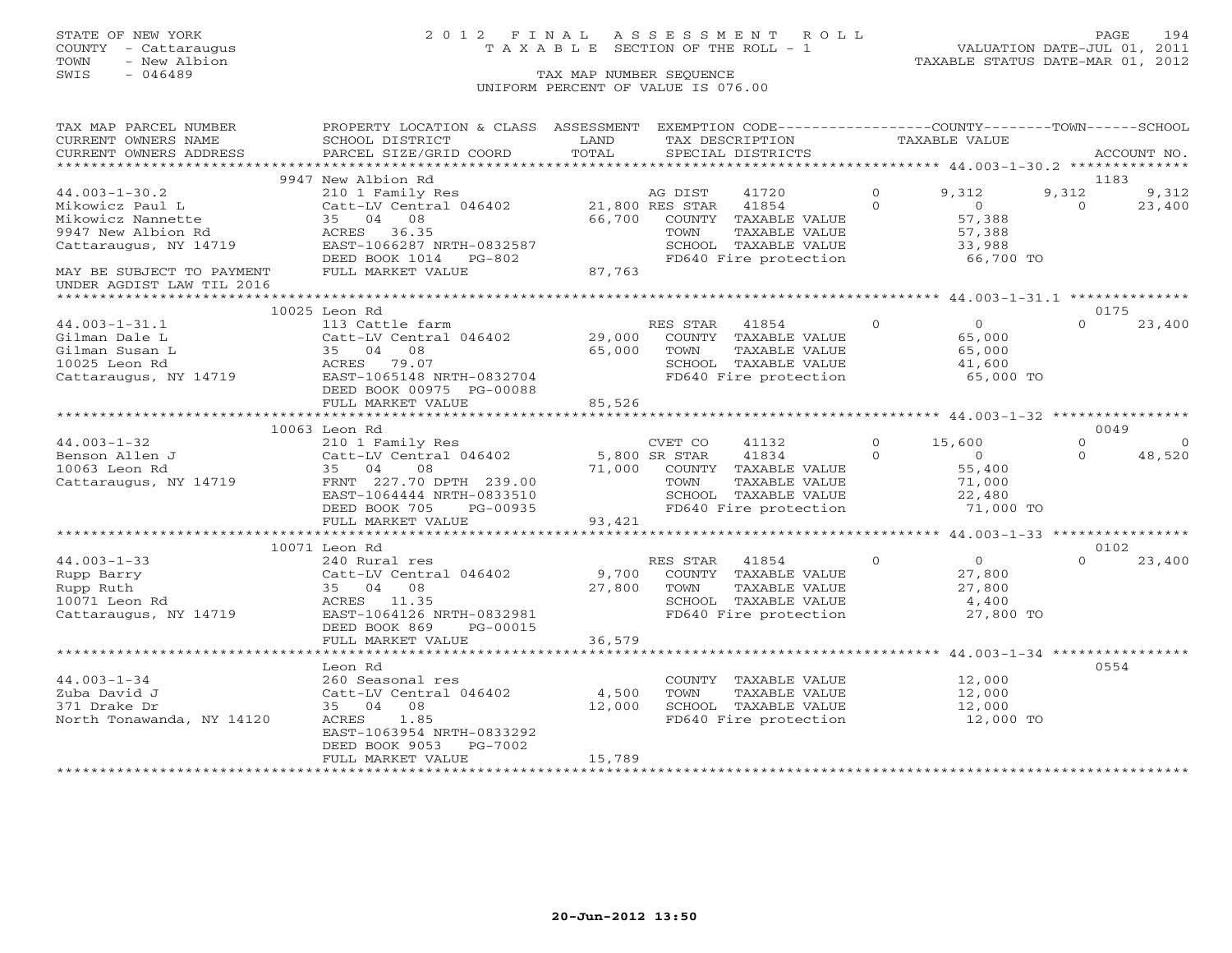## STATE OF NEW YORK 2 0 1 2 F I N A L A S S E S S M E N T R O L L PAGE 194 COUNTY - Cattaraugus T A X A B L E SECTION OF THE ROLL - 1 VALUATION DATE-JUL 01, 2011

| TAX MAP PARCEL NUMBER                           | PROPERTY LOCATION & CLASS ASSESSMENT                               |        |          | EXEMPTION CODE-----------------COUNTY-------TOWN------SCHOOL       |          |                |          |             |
|-------------------------------------------------|--------------------------------------------------------------------|--------|----------|--------------------------------------------------------------------|----------|----------------|----------|-------------|
| CURRENT OWNERS NAME                             | SCHOOL DISTRICT                                                    | LAND   |          | TAX DESCRIPTION                                                    |          | TAXABLE VALUE  |          |             |
| CURRENT OWNERS ADDRESS                          | PARCEL SIZE/GRID COORD                                             | TOTAL  |          | SPECIAL DISTRICTS                                                  |          |                |          | ACCOUNT NO. |
| ***********************                         |                                                                    |        |          |                                                                    |          |                |          |             |
|                                                 | 9947 New Albion Rd                                                 |        |          |                                                                    |          |                | 1183     |             |
| $44.003 - 1 - 30.2$                             | 210 1 Family Res AG DIST<br>Catt-LV Central 046402 21,800 RES STAR |        |          | 41720                                                              | $\circ$  | 9,312          | 9,312    | 9,312       |
| Mikowicz Paul L                                 |                                                                    |        |          | 41854                                                              | $\Omega$ | $\overline{0}$ | $\Omega$ | 23,400      |
| Mikowicz Nannette                               | 35 04 08                                                           | 66,700 | COUNTY   | TAXABLE VALUE                                                      |          | 57,388         |          |             |
| 9947 New Albion Rd                              | ACRES 36.35                                                        |        | TOWN     | TAXABLE VALUE                                                      |          | 57,388         |          |             |
| Cattaraugus, NY 14719                           | EAST-1066287 NRTH-0832587                                          |        |          | SCHOOL TAXABLE VALUE                                               |          | 33,988         |          |             |
|                                                 | DEED BOOK 1014 PG-802                                              |        |          | FD640 Fire protection                                              |          | 66,700 TO      |          |             |
| MAY BE SUBJECT TO PAYMENT                       | FULL MARKET VALUE                                                  | 87,763 |          |                                                                    |          |                |          |             |
| UNDER AGDIST LAW TIL 2016                       |                                                                    |        |          |                                                                    |          |                |          |             |
|                                                 |                                                                    |        |          |                                                                    |          |                |          |             |
|                                                 | 10025 Leon Rd                                                      |        |          |                                                                    |          |                | 0175     |             |
| $44.003 - 1 - 31.1$                             | 113 Cattle farm                                                    |        | RES STAR | 41854                                                              | $\Omega$ | $\overline{O}$ | $\Omega$ | 23,400      |
| Gilman Dale L                                   | Catt-LV Central 046402                                             | 29,000 |          | COUNTY TAXABLE VALUE                                               |          | 65,000         |          |             |
| Gilman Susan L                                  | 35 04 08                                                           | 65,000 | TOWN     | TAXABLE VALUE                                                      |          | 65,000         |          |             |
| 10025 Leon Rd                                   | ACRES 79.07                                                        |        |          |                                                                    |          | 41,600         |          |             |
| Cattaraugus, NY 14719 EAST-1065148 NRTH-0832704 |                                                                    |        |          | SCHOOL TAXABLE VALUE<br>FD640 Fire protection                      |          | 65,000 TO      |          |             |
|                                                 | DEED BOOK 00975 PG-00088                                           |        |          |                                                                    |          |                |          |             |
|                                                 | FULL MARKET VALUE                                                  | 85,526 |          |                                                                    |          |                |          |             |
|                                                 |                                                                    |        |          |                                                                    |          |                |          |             |
|                                                 | 10063 Leon Rd                                                      |        |          |                                                                    |          |                |          | 0049        |
| $44.003 - 1 - 32$                               | 210 1 Family Res                                                   |        | CVET CO  | 41132                                                              | $\Omega$ | 15,600         | $\Omega$ | $\Omega$    |
| Benson Allen J                                  | Catt-LV Central 046402 5,800 SR STAR                               |        |          | 41834                                                              | $\Omega$ | $\overline{0}$ | $\Omega$ | 48,520      |
| 10063 Leon Rd                                   | 35 04<br>08                                                        |        |          |                                                                    |          | 55,400         |          |             |
| Cattaraugus, NY 14719 FRNT 227.70 DPTH 239.00   |                                                                    |        |          | 71,000 COUNTY TAXABLE VALUE<br>TOWN TAXABLE VALUE<br>TAXABLE VALUE |          | 71,000         |          |             |
|                                                 | EAST-1064444 NRTH-0833510                                          |        |          | SCHOOL TAXABLE VALUE                                               |          | 22,480         |          |             |
|                                                 | DEED BOOK 705<br>PG-00935                                          |        |          | SCHOOL TAXABLE VALUE<br>FD640 Fire protection                      |          | 71,000 TO      |          |             |
|                                                 | FULL MARKET VALUE                                                  | 93,421 |          |                                                                    |          |                |          |             |
|                                                 |                                                                    |        |          |                                                                    |          |                |          |             |
|                                                 | 10071 Leon Rd                                                      |        |          |                                                                    |          |                |          | 0102        |
| $44.003 - 1 - 33$                               | 240 Rural res                                                      |        | RES STAR | 41854                                                              | $\Omega$ | $\overline{0}$ | $\Omega$ | 23,400      |
| Rupp Barry                                      | Catt-LV Central 046402                                             |        |          | 9,700 COUNTY TAXABLE VALUE                                         |          | 27,800         |          |             |
| Rupp Ruth                                       | 35 04 08                                                           | 27,800 | TOWN     | TAXABLE VALUE                                                      |          | 27,800         |          |             |
| 10071 Leon Rd                                   | ACRES 11.35                                                        |        |          |                                                                    |          | 4,400          |          |             |
| Cattaraugus, NY 14719                           | EAST-1064126 NRTH-0832981                                          |        |          | SCHOOL TAXABLE VALUE<br>FD640 Fire protection                      |          | 27,800 TO      |          |             |
|                                                 | DEED BOOK 869 PG-00015                                             |        |          |                                                                    |          |                |          |             |
|                                                 | FULL MARKET VALUE                                                  | 36,579 |          |                                                                    |          |                |          |             |
|                                                 |                                                                    |        |          |                                                                    |          |                |          |             |
|                                                 | Leon Rd                                                            |        |          |                                                                    |          |                | 0554     |             |
| $44.003 - 1 - 34$                               | 260 Seasonal res                                                   |        |          | COUNTY TAXABLE VALUE                                               |          | 12,000         |          |             |
| Zuba David J                                    | Catt-LV Central 046402 4,500                                       |        | TOWN     | TAXABLE VALUE                                                      |          | 12,000         |          |             |
| 371 Drake Dr                                    | 35 04 08                                                           | 12,000 |          | SCHOOL TAXABLE VALUE                                               |          | 12,000         |          |             |
| North Tonawanda, NY 14120                       | 1.85<br>ACRES                                                      |        |          | SCHOOL TAXABLE VALUE<br>FD640 Fire protection                      |          | 12,000 TO      |          |             |
|                                                 | EAST-1063954 NRTH-0833292                                          |        |          |                                                                    |          |                |          |             |
|                                                 | DEED BOOK 9053 PG-7002                                             |        |          |                                                                    |          |                |          |             |
|                                                 | FULL MARKET VALUE                                                  | 15,789 |          |                                                                    |          |                |          |             |
|                                                 |                                                                    |        |          |                                                                    |          |                |          |             |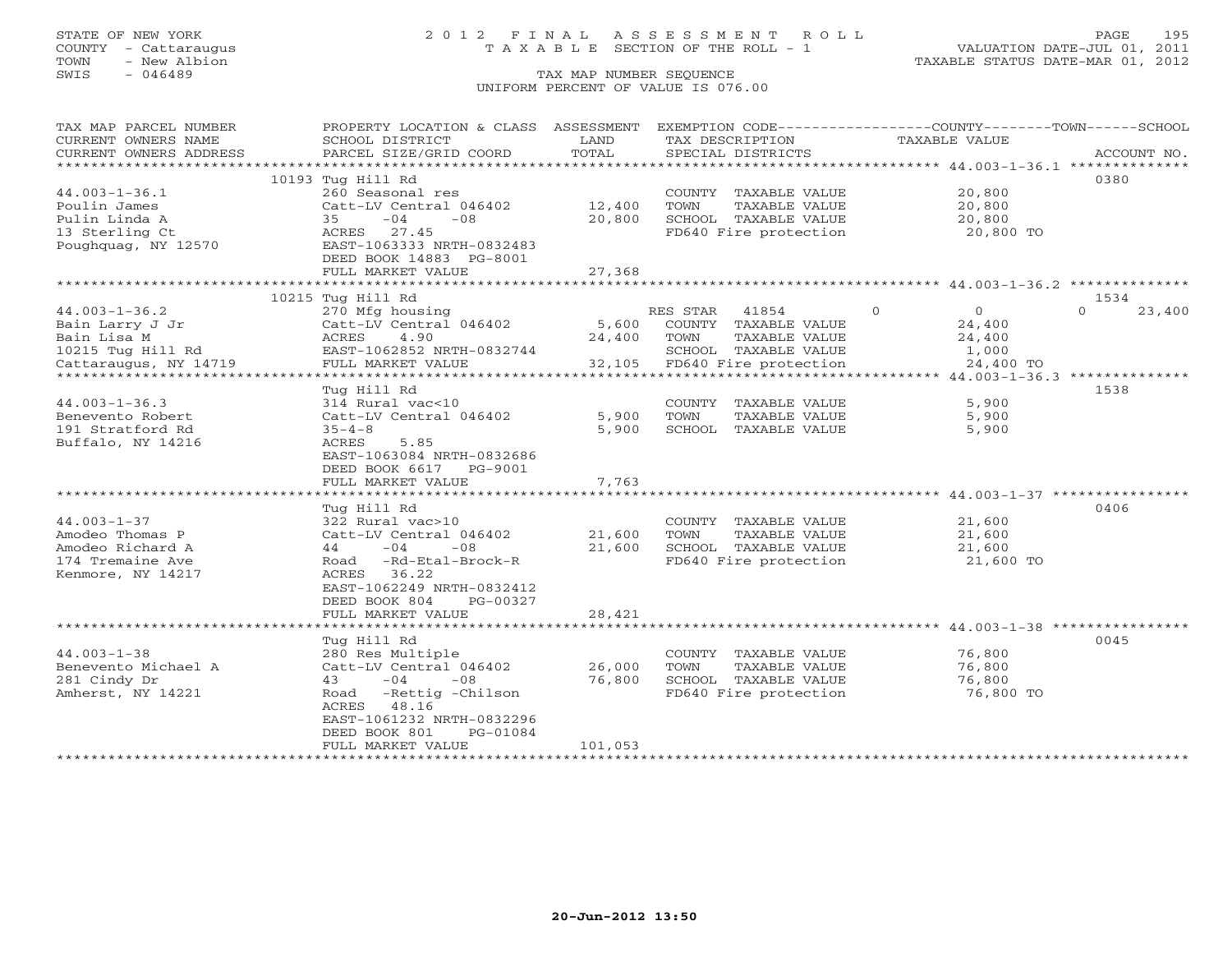## STATE OF NEW YORK 2 0 1 2 F I N A L A S S E S S M E N T R O L L PAGE 195 COUNTY - Cattaraugus T A X A B L E SECTION OF THE ROLL - 1 VALUATION DATE-JUL 01, 2011

TOWN - New Albion TAXABLE STATUS DATE-MAR 01, 2012

| TAX MAP PARCEL NUMBER  | PROPERTY LOCATION & CLASS ASSESSMENT |         |                                 | EXEMPTION CODE-----------------COUNTY-------TOWN------SCHOOL |                    |
|------------------------|--------------------------------------|---------|---------------------------------|--------------------------------------------------------------|--------------------|
| CURRENT OWNERS NAME    | SCHOOL DISTRICT                      | LAND    | TAX DESCRIPTION                 | <b>TAXABLE VALUE</b>                                         |                    |
| CURRENT OWNERS ADDRESS | PARCEL SIZE/GRID COORD               | TOTAL   | SPECIAL DISTRICTS               |                                                              | ACCOUNT NO.        |
|                        |                                      |         |                                 |                                                              |                    |
|                        | 10193 Tug Hill Rd                    |         |                                 |                                                              | 0380               |
| $44.003 - 1 - 36.1$    | 260 Seasonal res                     |         | COUNTY TAXABLE VALUE            | 20,800                                                       |                    |
| Poulin James           | Catt-LV Central 046402               | 12,400  | TOWN<br>TAXABLE VALUE           | 20,800                                                       |                    |
| Pulin Linda A          | $-04$<br>35<br>$-08$                 | 20,800  | SCHOOL TAXABLE VALUE            | 20,800                                                       |                    |
| 13 Sterling Ct         | ACRES 27.45                          |         | FD640 Fire protection           | 20,800 TO                                                    |                    |
| Poughquag, NY 12570    | EAST-1063333 NRTH-0832483            |         |                                 |                                                              |                    |
|                        | DEED BOOK 14883 PG-8001              |         |                                 |                                                              |                    |
|                        | FULL MARKET VALUE                    | 27,368  |                                 |                                                              |                    |
|                        |                                      |         |                                 |                                                              |                    |
|                        | 10215 Tug Hill Rd                    |         |                                 |                                                              | 1534               |
| $44.003 - 1 - 36.2$    | 270 Mfg housing                      |         | 41854<br>RES STAR               | $\Omega$<br>$\circ$                                          | 23,400<br>$\Omega$ |
| Bain Larry J Jr        | Catt-LV Central 046402               | 5,600   | COUNTY TAXABLE VALUE            | 24,400                                                       |                    |
| Bain Lisa M            | ACRES<br>4.90                        | 24,400  | TOWN<br>TAXABLE VALUE           | 24,400                                                       |                    |
| 10215 Tug Hill Rd      | EAST-1062852 NRTH-0832744            |         | SCHOOL TAXABLE VALUE            | 1,000                                                        |                    |
| Cattaraugus, NY 14719  | FULL MARKET VALUE                    | 32,105  | FD640 Fire protection           | 24,400 TO                                                    |                    |
|                        |                                      |         |                                 |                                                              |                    |
|                        | Tug Hill Rd                          |         |                                 |                                                              | 1538               |
| $44.003 - 1 - 36.3$    | 314 Rural vac<10                     |         | COUNTY TAXABLE VALUE            | 5,900                                                        |                    |
| Benevento Robert       | Catt-LV Central 046402               | 5,900   | TAXABLE VALUE<br>TOWN           | 5,900                                                        |                    |
| 191 Stratford Rd       | $35 - 4 - 8$                         | 5,900   | SCHOOL TAXABLE VALUE            | 5,900                                                        |                    |
| Buffalo, NY 14216      | ACRES<br>5.85                        |         |                                 |                                                              |                    |
|                        | EAST-1063084 NRTH-0832686            |         |                                 |                                                              |                    |
|                        | DEED BOOK 6617 PG-9001               |         |                                 |                                                              |                    |
|                        | FULL MARKET VALUE                    | 7,763   |                                 |                                                              |                    |
|                        |                                      |         |                                 |                                                              |                    |
|                        | Tug Hill Rd                          |         |                                 |                                                              | 0406               |
| $44.003 - 1 - 37$      | 322 Rural vac>10                     |         | COUNTY TAXABLE VALUE            | 21,600                                                       |                    |
| Amodeo Thomas P        | Catt-LV Central 046402               | 21,600  | TOWN<br>TAXABLE VALUE           | 21,600                                                       |                    |
| Amodeo Richard A       | $44 - 04$<br>$-08$                   | 21,600  | SCHOOL TAXABLE VALUE            | 21,600                                                       |                    |
| 174 Tremaine Ave       | Road -Rd-Etal-Brock-R                |         | FD640 Fire protection           | 21,600 TO                                                    |                    |
| Kenmore, NY 14217      | ACRES 36.22                          |         |                                 |                                                              |                    |
|                        | EAST-1062249 NRTH-0832412            |         |                                 |                                                              |                    |
|                        | DEED BOOK 804<br>PG-00327            |         |                                 |                                                              |                    |
|                        | FULL MARKET VALUE                    | 28,421  |                                 |                                                              |                    |
|                        |                                      |         |                                 |                                                              |                    |
|                        | Tug Hill Rd                          |         |                                 |                                                              | 0045               |
| $44.003 - 1 - 38$      | 280 Res Multiple                     |         | COUNTY TAXABLE VALUE            | 76,800                                                       |                    |
| Benevento Michael A    | Catt-LV Central 046402               | 26,000  | TOWN<br>TAXABLE VALUE           | 76,800                                                       |                    |
| 281 Cindy Dr           | 43<br>$-04$<br>$-08$                 | 76,800  | SCHOOL TAXABLE VALUE            | 76,800                                                       |                    |
| Amherst, NY 14221      | Road -Rettig -Chilson                |         | FD640 Fire protection           | 76,800 TO                                                    |                    |
|                        | ACRES 48.16                          |         |                                 |                                                              |                    |
|                        | EAST-1061232 NRTH-0832296            |         |                                 |                                                              |                    |
|                        | DEED BOOK 801<br>PG-01084            |         |                                 |                                                              |                    |
|                        | FULL MARKET VALUE                    | 101,053 |                                 |                                                              |                    |
|                        |                                      |         | ******************************* |                                                              |                    |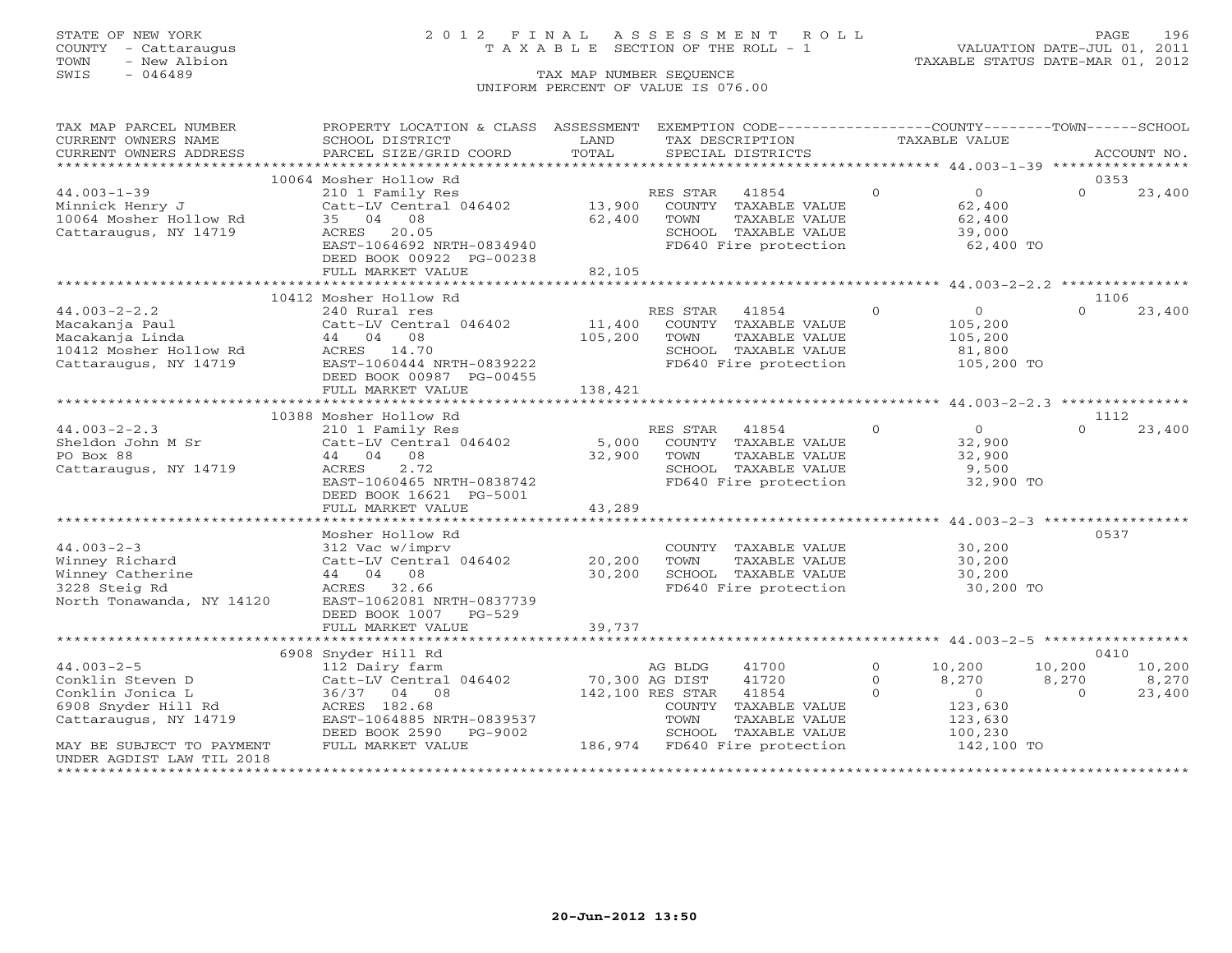## STATE OF NEW YORK 2 0 1 2 F I N A L A S S E S S M E N T R O L L PAGE 196 COUNTY - Cattaraugus T A X A B L E SECTION OF THE ROLL - 1 VALUATION DATE-JUL 01, 2011

| TAX MAP PARCEL NUMBER                     | PROPERTY LOCATION & CLASS ASSESSMENT         |                  |                  | EXEMPTION CODE-----------------COUNTY-------TOWN------SCHOOL |               |                  |          |             |
|-------------------------------------------|----------------------------------------------|------------------|------------------|--------------------------------------------------------------|---------------|------------------|----------|-------------|
| CURRENT OWNERS NAME                       | SCHOOL DISTRICT                              | LAND             |                  | TAX DESCRIPTION                                              | TAXABLE VALUE |                  |          |             |
| CURRENT OWNERS ADDRESS                    | PARCEL SIZE/GRID COORD                       | TOTAL            |                  | SPECIAL DISTRICTS                                            |               |                  |          | ACCOUNT NO. |
| ***********************                   |                                              |                  |                  |                                                              |               |                  |          |             |
|                                           | 10064 Mosher Hollow Rd                       |                  |                  |                                                              |               |                  | 0353     |             |
| $44.003 - 1 - 39$                         | 210 1 Family Res                             |                  | RES STAR         | 41854                                                        | $\Omega$      | $\overline{O}$   | $\Omega$ | 23,400      |
| Minnick Henry J<br>10064 Mosher Hollow Rd | Catt-LV Central 046402<br>35 04 08           | 13,900<br>62,400 | TOWN             | COUNTY TAXABLE VALUE<br>TAXABLE VALUE                        |               | 62,400<br>62,400 |          |             |
| Cattaraugus, NY 14719                     | ACRES 20.05                                  |                  |                  | SCHOOL TAXABLE VALUE                                         |               | 39,000           |          |             |
|                                           | EAST-1064692 NRTH-0834940                    |                  |                  | FD640 Fire protection                                        |               | 62,400 TO        |          |             |
|                                           | DEED BOOK 00922 PG-00238                     |                  |                  |                                                              |               |                  |          |             |
|                                           | FULL MARKET VALUE                            | 82,105           |                  |                                                              |               |                  |          |             |
|                                           |                                              |                  |                  |                                                              |               |                  |          |             |
|                                           | 10412 Mosher Hollow Rd                       |                  |                  |                                                              |               |                  | 1106     |             |
| $44.003 - 2 - 2.2$                        | 240 Rural res                                |                  | RES STAR         | 41854                                                        | $\Omega$      | $\overline{0}$   | $\cap$   | 23,400      |
| Macakanja Paul                            | Catt-LV Central 046402                       | 11,400           |                  | COUNTY TAXABLE VALUE                                         |               | 105,200          |          |             |
| Macakanja Linda                           | 44 04 08                                     | 105,200          | TOWN             | TAXABLE VALUE                                                |               | 105,200          |          |             |
| 10412 Mosher Hollow Rd                    | 14.70<br>ACRES                               |                  |                  | SCHOOL TAXABLE VALUE                                         |               | 81,800           |          |             |
| Cattaraugus, NY 14719                     | EAST-1060444 NRTH-0839222                    |                  |                  | FD640 Fire protection                                        |               | 105,200 TO       |          |             |
|                                           | DEED BOOK 00987 PG-00455                     |                  |                  |                                                              |               |                  |          |             |
|                                           | FULL MARKET VALUE                            | 138,421          |                  |                                                              |               |                  |          |             |
|                                           |                                              |                  |                  |                                                              |               |                  |          |             |
|                                           | 10388 Mosher Hollow Rd                       |                  |                  |                                                              |               |                  | 1112     |             |
| $44.003 - 2 - 2.3$                        | 210 1 Family Res                             |                  | RES STAR         | 41854                                                        | $\Omega$      | $\overline{0}$   | $\Omega$ | 23,400      |
| Sheldon John M Sr                         | Catt-LV Central 046402                       | 5,000            |                  | COUNTY TAXABLE VALUE                                         |               | 32,900           |          |             |
| PO Box 88                                 | 44 04 08                                     | 32,900           | TOWN             | TAXABLE VALUE                                                |               | 32,900           |          |             |
| Cattaraugus, NY 14719                     | 2.72<br>ACRES                                |                  |                  | SCHOOL TAXABLE VALUE                                         |               | 9,500            |          |             |
|                                           | EAST-1060465 NRTH-0838742                    |                  |                  | FD640 Fire protection                                        |               | 32,900 TO        |          |             |
|                                           | DEED BOOK 16621 PG-5001<br>FULL MARKET VALUE | 43,289           |                  |                                                              |               |                  |          |             |
|                                           |                                              |                  |                  |                                                              |               |                  |          |             |
|                                           | Mosher Hollow Rd                             |                  |                  |                                                              |               |                  | 0537     |             |
| $44.003 - 2 - 3$                          | 312 Vac w/imprv                              |                  |                  | COUNTY TAXABLE VALUE                                         |               | 30,200           |          |             |
| Winney Richard                            | Catt-LV Central 046402                       | 20,200           | TOWN             | TAXABLE VALUE                                                |               | 30,200           |          |             |
| Winney Catherine                          | 44 04 08                                     | 30,200           |                  | SCHOOL TAXABLE VALUE                                         |               | 30,200           |          |             |
| 3228 Steig Rd                             | ACRES 32.66                                  |                  |                  | FD640 Fire protection                                        |               | 30,200 TO        |          |             |
| North Tonawanda, NY 14120                 | EAST-1062081 NRTH-0837739                    |                  |                  |                                                              |               |                  |          |             |
|                                           | DEED BOOK 1007<br>$PG-529$                   |                  |                  |                                                              |               |                  |          |             |
|                                           | FULL MARKET VALUE                            | 39,737           |                  |                                                              |               |                  |          |             |
|                                           |                                              |                  |                  |                                                              |               |                  |          |             |
|                                           | 6908 Snyder Hill Rd                          |                  |                  |                                                              |               |                  | 0410     |             |
| $44.003 - 2 - 5$                          | 112 Dairy farm                               |                  | AG BLDG          | 41700                                                        | $\circ$       | 10,200           | 10,200   | 10,200      |
| Conklin Steven D                          | Catt-LV Central 046402                       | 70,300 AG DIST   |                  | 41720                                                        | $\Omega$      | 8,270            | 8,270    | 8,270       |
| Conklin Jonica L                          | 36/37 04 08                                  |                  | 142,100 RES STAR | 41854                                                        | $\Omega$      | $\overline{0}$   | $\Omega$ | 23,400      |
| 6908 Snyder Hill Rd                       | ACRES 182.68                                 |                  | COUNTY           | TAXABLE VALUE                                                |               | 123,630          |          |             |
| Cattaraugus, NY 14719                     | EAST-1064885 NRTH-0839537                    |                  | TOWN             | TAXABLE VALUE                                                |               | 123,630          |          |             |
|                                           | PG-9002<br>DEED BOOK 2590                    |                  |                  | SCHOOL TAXABLE VALUE                                         |               | 100,230          |          |             |
| MAY BE SUBJECT TO PAYMENT                 | FULL MARKET VALUE                            |                  |                  | 186,974 FD640 Fire protection                                |               | 142,100 TO       |          |             |
| UNDER AGDIST LAW TIL 2018                 |                                              |                  |                  |                                                              |               |                  |          |             |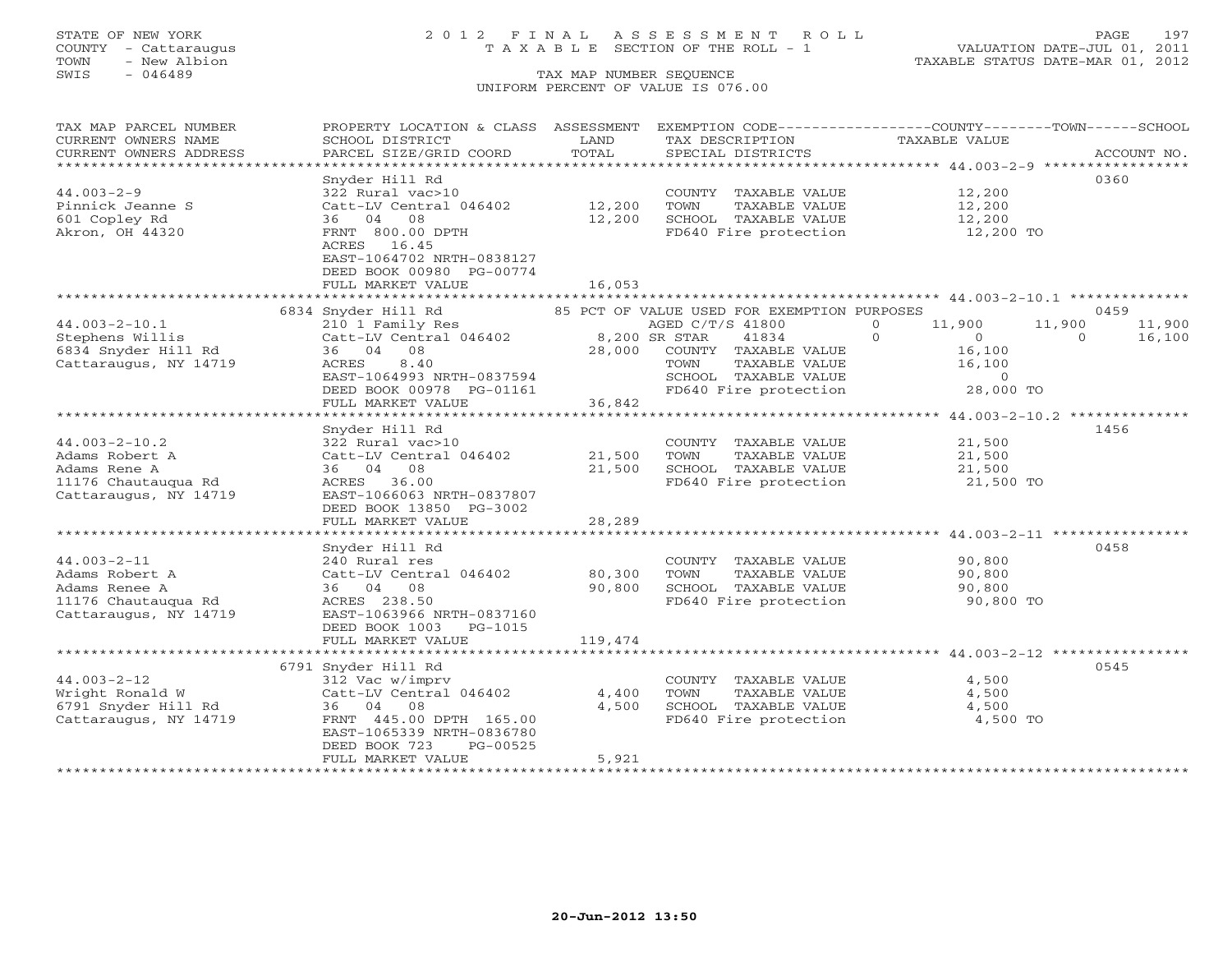## STATE OF NEW YORK 2 0 1 2 F I N A L A S S E S S M E N T R O L L PAGE 197 COUNTY - Cattaraugus T A X A B L E SECTION OF THE ROLL - 1 VALUATION DATE-JUL 01, 2011

| TAX MAP PARCEL NUMBER  | PROPERTY LOCATION & CLASS ASSESSMENT                  |         | EXEMPTION CODE-----------------COUNTY-------TOWN------SCHOOL        |                              |                  |
|------------------------|-------------------------------------------------------|---------|---------------------------------------------------------------------|------------------------------|------------------|
| CURRENT OWNERS NAME    | SCHOOL DISTRICT                                       | LAND    | TAX DESCRIPTION                                                     | TAXABLE VALUE                |                  |
| CURRENT OWNERS ADDRESS | PARCEL SIZE/GRID COORD                                | TOTAL   | SPECIAL DISTRICTS                                                   |                              | ACCOUNT NO.      |
| *********************  |                                                       |         |                                                                     |                              |                  |
|                        | Snyder Hill Rd                                        |         |                                                                     |                              | 0360             |
| $44.003 - 2 - 9$       | 322 Rural vac>10                                      |         | COUNTY TAXABLE VALUE                                                | 12,200                       |                  |
| Pinnick Jeanne S       | Catt-LV Central 046402                                | 12,200  | TOWN<br>TAXABLE VALUE                                               | 12,200                       |                  |
| 601 Copley Rd          | 36 04<br>08                                           | 12,200  | SCHOOL TAXABLE VALUE                                                | 12,200<br>12,200 TO          |                  |
| Akron, OH 44320        | FRNT 800.00 DPTH<br>ACRES 16.45                       |         | FD640 Fire protection                                               |                              |                  |
|                        | EAST-1064702 NRTH-0838127<br>DEED BOOK 00980 PG-00774 |         |                                                                     |                              |                  |
|                        | FULL MARKET VALUE                                     | 16,053  |                                                                     |                              |                  |
|                        |                                                       |         |                                                                     |                              |                  |
|                        | 6834 Snyder Hill Rd                                   |         | 85 PCT OF VALUE USED FOR EXEMPTION PURPOSES                         |                              | 0459             |
| $44.003 - 2 - 10.1$    | 210 1 Family Res                                      |         | AGED C/T/S 41800                                                    | $\Omega$<br>11,900           | 11,900<br>11,900 |
| Stephens Willis        | Catt-LV Central 046402 8,200 SR STAR                  |         | 41834                                                               | $\Omega$<br>$\overline{0}$ 0 | 16,100           |
| 6834 Snyder Hill Rd    | 36 04 08                                              | 28,000  | COUNTY TAXABLE VALUE                                                | 16,100                       |                  |
| Cattaraugus, NY 14719  | 8.40<br>ACRES                                         |         |                                                                     |                              |                  |
|                        | EAST-1064993 NRTH-0837594                             |         | TOWN TAXABLE VALUE<br>SCHOOL TAXABLE VALUE<br>FD640 Fire protection | 16,100<br>0<br>28,000 TO     |                  |
|                        | DEED BOOK 00978 PG-01161                              |         |                                                                     |                              |                  |
|                        | FULL MARKET VALUE                                     | 36,842  |                                                                     |                              |                  |
|                        |                                                       |         |                                                                     |                              |                  |
|                        | Snyder Hill Rd                                        |         |                                                                     |                              | 1456             |
| $44.003 - 2 - 10.2$    | 322 Rural vac>10                                      |         | COUNTY TAXABLE VALUE                                                | 21,500                       |                  |
| Adams Robert A         | Catt-LV Central 046402                                | 21,500  | TOWN<br>TAXABLE VALUE                                               | 21,500                       |                  |
| Adams Rene A           | 36 04 08                                              | 21,500  |                                                                     | 21,500                       |                  |
| 11176 Chautaugua Rd    | ACRES 36.00                                           |         | SCHOOL TAXABLE VALUE<br>FD640 Fire protection                       | 21,500 TO                    |                  |
|                        |                                                       |         |                                                                     |                              |                  |
| Cattaraugus, NY 14719  | EAST-1066063 NRTH-0837807                             |         |                                                                     |                              |                  |
|                        | DEED BOOK 13850 PG-3002                               |         |                                                                     |                              |                  |
|                        | FULL MARKET VALUE                                     | 28,289  |                                                                     |                              |                  |
|                        |                                                       |         |                                                                     |                              |                  |
|                        | Snyder Hill Rd                                        |         |                                                                     |                              | 0458             |
| $44.003 - 2 - 11$      | 240 Rural res                                         |         | COUNTY TAXABLE VALUE 90,800                                         |                              |                  |
| Adams Robert A         | Catt-LV Central 046402                                | 80,300  | TOWN<br>TAXABLE VALUE                                               | 90,800                       |                  |
| Adams Renee A          | 36 04 08                                              | 90,800  | SCHOOL TAXABLE VALUE                                                | 90,800                       |                  |
| 11176 Chautauqua Rd    | ACRES 238.50                                          |         | FD640 Fire protection                                               | 90,800 TO                    |                  |
| Cattaraugus, NY 14719  | EAST-1063966 NRTH-0837160                             |         |                                                                     |                              |                  |
|                        | DEED BOOK 1003 PG-1015                                |         |                                                                     |                              |                  |
|                        | FULL MARKET VALUE                                     | 119,474 |                                                                     |                              |                  |
|                        |                                                       |         |                                                                     |                              |                  |
|                        | 6791 Snyder Hill Rd                                   |         |                                                                     |                              | 0545             |
| $44.003 - 2 - 12$      | 312 Vac w/imprv                                       |         | COUNTY TAXABLE VALUE                                                | 4,500                        |                  |
| Wright Ronald W        | Catt-LV Central 046402                                | 4,400   | TOWN<br>TAXABLE VALUE                                               | 4,500                        |                  |
| 6791 Snyder Hill Rd    | 36 04 08                                              | 4,500   | SCHOOL TAXABLE VALUE<br>FD640 Fire protection                       | 4,500                        |                  |
| Cattaraugus, NY 14719  | FRNT 445.00 DPTH 165.00                               |         |                                                                     | 4,500 TO                     |                  |
|                        | EAST-1065339 NRTH-0836780                             |         |                                                                     |                              |                  |
|                        | DEED BOOK 723<br>PG-00525                             |         |                                                                     |                              |                  |
|                        | FULL MARKET VALUE                                     | 5,921   |                                                                     |                              |                  |
|                        |                                                       |         |                                                                     |                              |                  |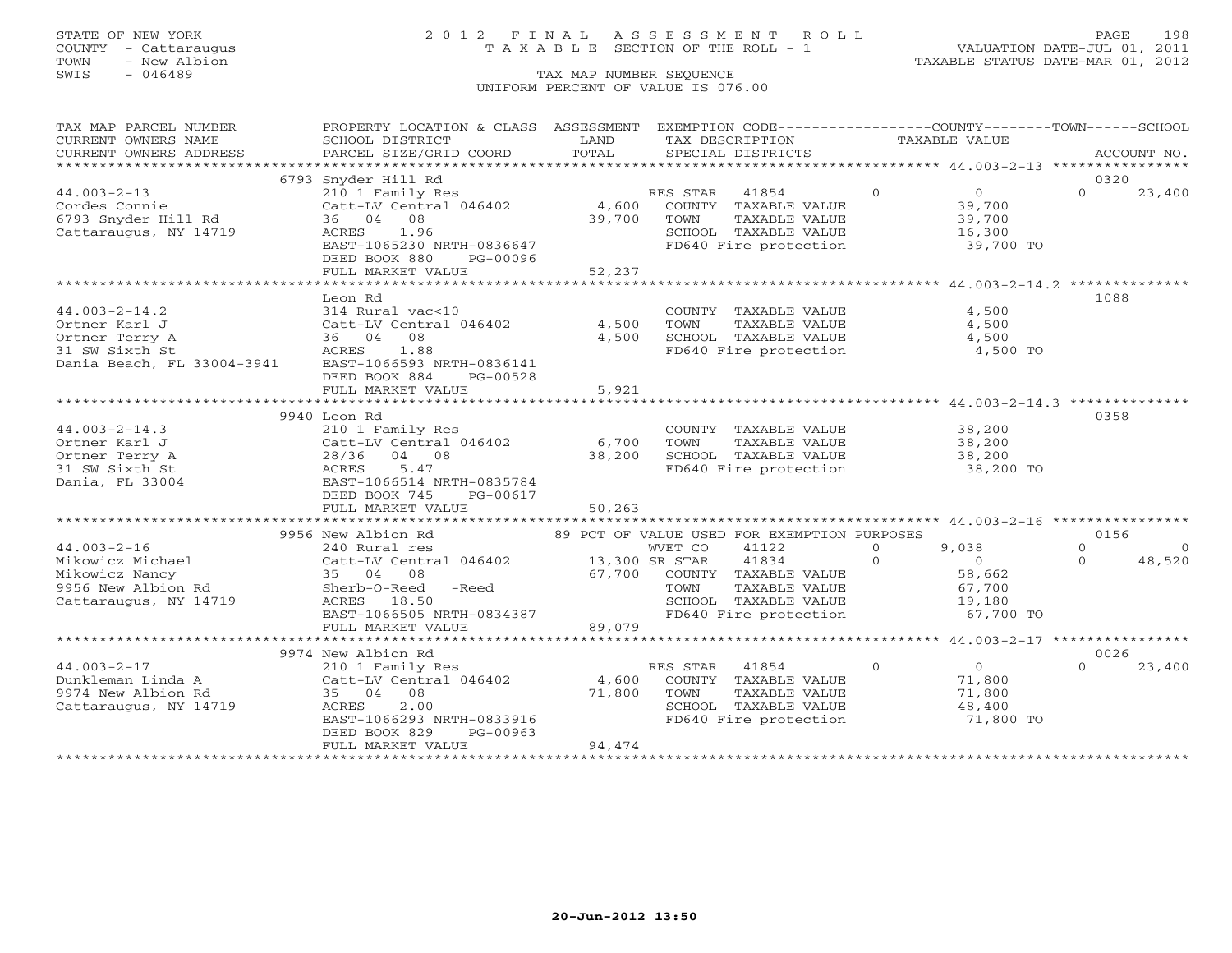### STATE OF NEW YORK 2 0 1 2 F I N A L A S S E S S M E N T R O L L PAGE 198 COUNTY - Cattaraugus T A X A B L E SECTION OF THE ROLL - 1 VALUATION DATE-JUL 01, 2011

TOWN - New Albion TAXABLE STATUS DATE-MAR 01, 2012

| TAX MAP PARCEL NUMBER                                                                                                                                                                                                                       | PROPERTY LOCATION & CLASS ASSESSMENT EXEMPTION CODE----------------COUNTY-------TOWN------SCHOOL     |              |               |                                                                                                                                |               |                                                    |          |                |
|---------------------------------------------------------------------------------------------------------------------------------------------------------------------------------------------------------------------------------------------|------------------------------------------------------------------------------------------------------|--------------|---------------|--------------------------------------------------------------------------------------------------------------------------------|---------------|----------------------------------------------------|----------|----------------|
| CURRENT OWNERS NAME                                                                                                                                                                                                                         | SCHOOL DISTRICT                                                                                      | LAND         |               | TAX DESCRIPTION                                                                                                                | TAXABLE VALUE |                                                    |          |                |
| CURRENT OWNERS ADDRESS                                                                                                                                                                                                                      | PARCEL SIZE/GRID COORD                                                                               | TOTAL        |               | SPECIAL DISTRICTS                                                                                                              |               |                                                    |          | ACCOUNT NO.    |
|                                                                                                                                                                                                                                             |                                                                                                      |              |               |                                                                                                                                |               |                                                    |          |                |
|                                                                                                                                                                                                                                             | 6793 Snyder Hill Rd                                                                                  |              |               |                                                                                                                                |               |                                                    | 0320     |                |
| $44.003 - 2 - 13$                                                                                                                                                                                                                           | 210 1 Family Res                                                                                     |              |               | RES STAR 41854 0                                                                                                               |               | $\overline{0}$                                     | $\Omega$ | 23,400         |
| cordes Connie<br>6793 Snyder Hill Rd                                                                                                                                                                                                        | Catt-LV Central 046402                                                                               |              |               | 4,600 COUNTY TAXABLE VALUE<br>39,700 TOWN TAXABLE VALUE                                                                        |               | 39,700<br>39,700                                   |          |                |
|                                                                                                                                                                                                                                             | 36 04 08                                                                                             | 39,700       |               |                                                                                                                                |               |                                                    |          |                |
| Cattaraugus, NY 14719                                                                                                                                                                                                                       | ACRES 1.96                                                                                           |              |               |                                                                                                                                |               | 16,300<br>39,700 TO                                |          |                |
|                                                                                                                                                                                                                                             | EAST-1065230 NRTH-0836647                                                                            |              |               | SCHOOL TAXABLE VALUE<br>FD640 Fire protection                                                                                  |               |                                                    |          |                |
|                                                                                                                                                                                                                                             | DEED BOOK 880<br>PG-00096                                                                            |              |               |                                                                                                                                |               |                                                    |          |                |
|                                                                                                                                                                                                                                             | FULL MARKET VALUE                                                                                    | 52,237       |               |                                                                                                                                |               |                                                    |          |                |
|                                                                                                                                                                                                                                             |                                                                                                      | ************ |               |                                                                                                                                |               | ********************* 44.003-2-14.2 ************** |          |                |
|                                                                                                                                                                                                                                             | Leon Rd                                                                                              |              |               |                                                                                                                                |               |                                                    | 1088     |                |
| $44.003 - 2 - 14.2$                                                                                                                                                                                                                         | 314 Rural vac<10                                                                                     |              |               | COUNTY TAXABLE VALUE                                                                                                           |               | 4,500                                              |          |                |
| Ortner Karl J                                                                                                                                                                                                                               | Catt-LV Central 046402<br>36 04 08                                                                   | 4,500        | TOWN          | TAXABLE VALUE                                                                                                                  |               | 4,500                                              |          |                |
| Ortner Terry A                                                                                                                                                                                                                              |                                                                                                      | 4,500        |               | SCHOOL TAXABLE VALUE                                                                                                           |               | 4,500                                              |          |                |
| 31 SW Sixth St                                                                                                                                                                                                                              | Catt-LV Centr<br>36 04 08<br>ACRES 1.88<br>1.88                                                      |              |               | FD640 Fire protection 4,500 TO                                                                                                 |               |                                                    |          |                |
| Dania Beach, FL 33004-3941 EAST-1066593 NRTH-0836141                                                                                                                                                                                        |                                                                                                      |              |               |                                                                                                                                |               |                                                    |          |                |
|                                                                                                                                                                                                                                             | DEED BOOK 884<br>PG-00528                                                                            |              |               |                                                                                                                                |               |                                                    |          |                |
|                                                                                                                                                                                                                                             | FULL MARKET VALUE                                                                                    | 5,921        |               |                                                                                                                                |               |                                                    |          |                |
|                                                                                                                                                                                                                                             |                                                                                                      |              |               |                                                                                                                                |               |                                                    |          |                |
|                                                                                                                                                                                                                                             | 9940 Leon Rd                                                                                         |              |               |                                                                                                                                |               |                                                    | 0358     |                |
| $44.003 - 2 - 14.3$                                                                                                                                                                                                                         | 210 1 Family Res<br>Catt-LV Central 046402                                                           |              |               | COUNTY TAXABLE VALUE 38,200                                                                                                    |               |                                                    |          |                |
| Ortner Karl J                                                                                                                                                                                                                               |                                                                                                      |              | 6,700 TOWN    | TAXABLE VALUE                                                                                                                  |               | 38,200                                             |          |                |
| Ortner Terry A                                                                                                                                                                                                                              |                                                                                                      | 38,200       |               |                                                                                                                                |               |                                                    |          |                |
| 31 SW Sixth St                                                                                                                                                                                                                              | 210 1 Family Res<br>Catt-LV Central 046402<br>28/36 04 08<br>ACRES 5.47<br>EAST-1066514 NRTH-0835784 |              |               | 10000 1000000 1000000<br>SCHOOL TAXABLE VALUE 38,200<br>FD640 Fire protection 38,200 TO                                        |               |                                                    |          |                |
| Dania, FL 33004                                                                                                                                                                                                                             |                                                                                                      |              |               |                                                                                                                                |               |                                                    |          |                |
|                                                                                                                                                                                                                                             | DEED BOOK 745<br>PG-00617                                                                            |              |               |                                                                                                                                |               |                                                    |          |                |
|                                                                                                                                                                                                                                             | FULL MARKET VALUE                                                                                    | 50,263       |               |                                                                                                                                |               |                                                    |          |                |
|                                                                                                                                                                                                                                             |                                                                                                      |              |               |                                                                                                                                |               |                                                    |          |                |
|                                                                                                                                                                                                                                             | 9956 New Albion Rd                                                                                   |              |               | 89 PCT OF VALUE USED FOR EXEMPTION PURPOSES                                                                                    |               |                                                    | 0156     |                |
|                                                                                                                                                                                                                                             |                                                                                                      |              | WVET CO 41122 |                                                                                                                                | $\Omega$      | 9,038                                              | $\Omega$ | $\overline{0}$ |
|                                                                                                                                                                                                                                             |                                                                                                      |              |               | $\overline{0}$<br>41834                                                                                                        |               | $\bigcap$                                          | $\Omega$ | 48,520         |
|                                                                                                                                                                                                                                             |                                                                                                      |              |               |                                                                                                                                |               |                                                    |          |                |
| 44.003-2-16 240 Rural res<br>Mikowicz Michael Catt-LV Central 046402 13,300 SR STAR<br>Mikowicz Nancy 35 04 08 67,700 COUNTY T<br>240 Rural res<br>Catt-LV Central 046402 13,300 SR STAR<br>25 13,300 SR STAR<br>25 14.50<br>267,700 COUNTY |                                                                                                      |              |               |                                                                                                                                |               |                                                    |          |                |
|                                                                                                                                                                                                                                             |                                                                                                      |              |               |                                                                                                                                |               |                                                    |          |                |
|                                                                                                                                                                                                                                             |                                                                                                      |              |               | 67,700 COUNTY TAXABLE VALUE 58,662<br>TOWN TAXABLE VALUE 67,700<br>SCHOOL TAXABLE VALUE 67,700<br>FD640 Fire protection 67,700 |               | 67,700 TO                                          |          |                |
|                                                                                                                                                                                                                                             |                                                                                                      |              |               |                                                                                                                                |               |                                                    |          |                |
|                                                                                                                                                                                                                                             |                                                                                                      |              |               |                                                                                                                                |               |                                                    |          |                |
|                                                                                                                                                                                                                                             | 9974 New Albion Rd                                                                                   |              |               |                                                                                                                                |               |                                                    | 0026     |                |
|                                                                                                                                                                                                                                             |                                                                                                      |              |               | RES STAR 41854                                                                                                                 | $\Omega$      | $\overline{0}$                                     | $\Omega$ | 23,400         |
|                                                                                                                                                                                                                                             |                                                                                                      |              |               | COUNTY TAXABLE VALUE                                                                                                           |               | 71,800                                             |          |                |
| 44.003-2-17<br>Dunkleman Linda A Catt-LV Central 046402 4,600<br>9974 New Albion Rd 35 04 08 71,800<br>Cattaraugus, NY 14719 ACRES 2.00                                                                                                     |                                                                                                      |              | TOWN          | TOWN      TAXABLE VALUE<br>SCHOOL   TAXABLE VALUE                                                                              |               | 71,800                                             |          |                |
|                                                                                                                                                                                                                                             |                                                                                                      |              |               |                                                                                                                                |               | 48,400                                             |          |                |
|                                                                                                                                                                                                                                             | EAST-1066293 NRTH-0833916                                                                            |              |               | FD640 Fire protection                                                                                                          |               | 71,800 TO                                          |          |                |
|                                                                                                                                                                                                                                             | DEED BOOK 829<br>PG-00963                                                                            |              |               |                                                                                                                                |               |                                                    |          |                |
|                                                                                                                                                                                                                                             | FULL MARKET VALUE                                                                                    | 94,474       |               |                                                                                                                                |               |                                                    |          |                |
|                                                                                                                                                                                                                                             |                                                                                                      |              |               |                                                                                                                                |               |                                                    |          |                |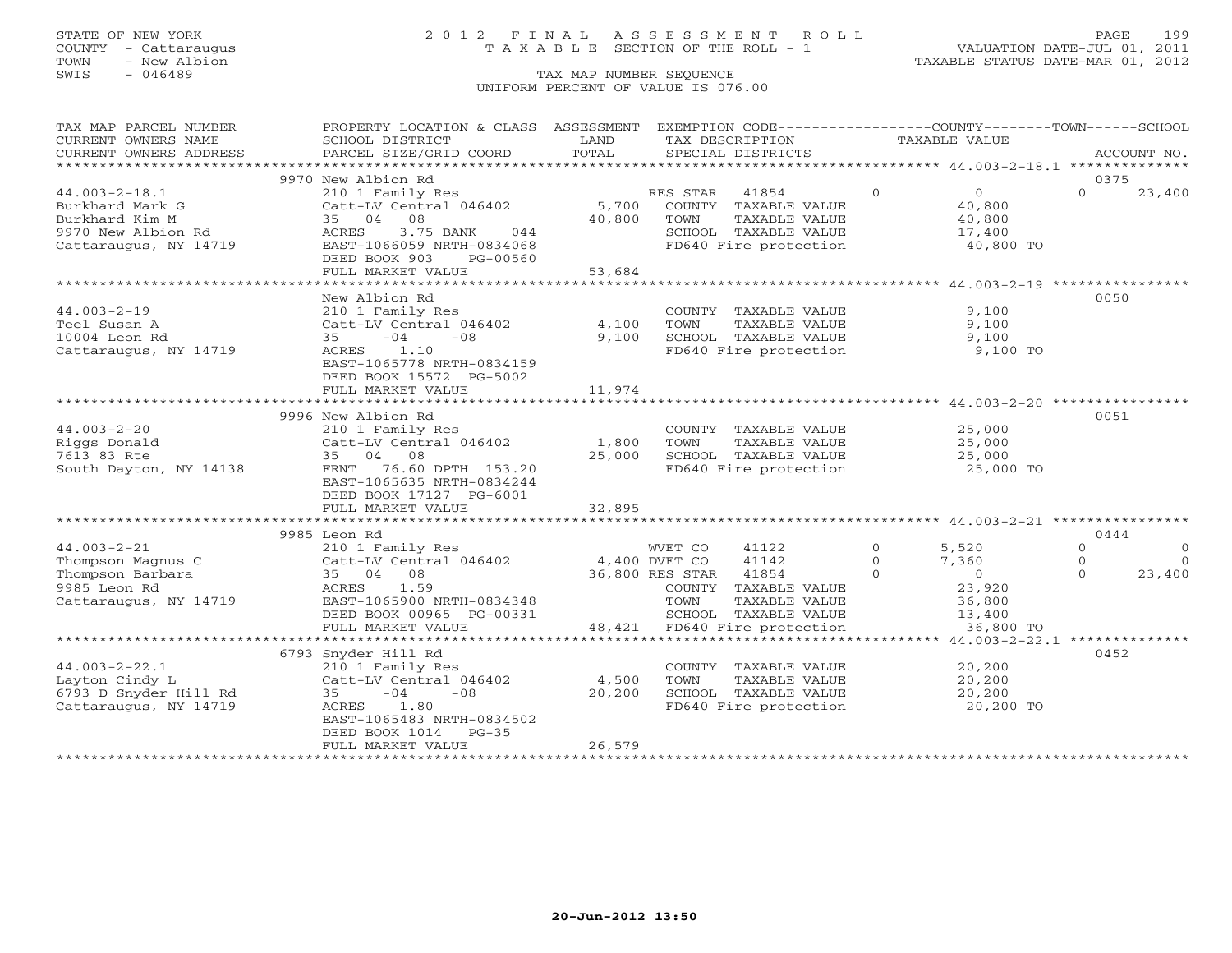### STATE OF NEW YORK 2 0 1 2 F I N A L A S S E S S M E N T R O L L PAGE 199 COUNTY - Cattaraugus T A X A B L E SECTION OF THE ROLL - 1 VALUATION DATE-JUL 01, 2011

| CURRENT OWNERS NAME<br>SCHOOL DISTRICT<br>LAND<br>TAX DESCRIPTION<br>TAXABLE VALUE<br>CURRENT OWNERS ADDRESS<br>***********************<br>9970 New Albion Rd<br>0375<br>$\Omega$<br>$\overline{0}$<br>$\Omega$<br>$44.003 - 2 - 18.1$<br>RES STAR 41854<br>23,400<br>210 1 Family Res<br>$Cat-LV$ Central 046402<br>5,700 COUNTY TAXABLE VALUE<br>Burkhard Mark G<br>40,800<br>40,800<br>TAXABLE VALUE<br>35 04 08<br>Burkhard Kim M<br>40,800<br>TOWN<br>SCHOOL TAXABLE VALUE<br>FD640 Fire protection<br>9970 New Albion Rd<br>Cattaraugus, NY 14719<br>ACRES<br>3.75 BANK 044<br>17,400<br>40,800 TO<br>EAST-1066059 NRTH-0834068<br>DEED BOOK 903<br>PG-00560<br>FULL MARKET VALUE<br>53,684<br>0050<br>New Albion Rd<br>9,100<br>$44.003 - 2 - 19$<br>210 1 Family Res<br>Catt-LV Central 046402<br>35 -04 -08<br>COUNTY TAXABLE VALUE<br>4,100<br>TOWN<br>TAXABLE VALUE<br>9,100<br>Teel Susan A<br>SCHOOL TAXABLE VALUE 9,100<br>9,100<br>10004 Leon Rd<br>ACRES 1.10<br>FD640 Fire protection<br>Cattaraugus, NY 14719<br>9,100 TO<br>EAST-1065778 NRTH-0834159<br>DEED BOOK 15572 PG-5002<br>FULL MARKET VALUE<br>11,974<br>9996 New Albion Rd<br>0051<br>$44.003 - 2 - 20$<br>25,000<br>25,000<br>COUNTY TAXABLE VALUE<br>Riggs Donald<br>TAXABLE VALUE<br>SCHOOL TAXABLE VALUE $25,000$<br>FD640 Fire protection $25,000$ TO<br>7613 83 Rte<br>35 04 08<br>25,000<br>33 04 06<br>FRNT 76.60 DPTH 153.20<br>South Dayton, NY 14138<br>EAST-1065635 NRTH-0834244<br>DEED BOOK 17127 PG-6001<br>32,895<br>FULL MARKET VALUE<br>0444<br>9985 Leon Rd<br>$\overline{O}$<br>41122<br>5,520<br>$\Omega$<br>$\circ$<br>44.003-2-21 $\begin{array}{lllllllll} \text{44.003-2-21} & \text{210 1 Family Res} & \text{WVL\_U} \\ \text{Thompson Magnus C} & \text{Catt-LV Central 046402} & \text{4,400 DVET CO} \\ \text{Thompson Barbara} & \text{35} & \text{04} & \text{08} & \text{36,800 RES STAR} \\ \text{9985 Leon Rd} & \text{ACRES} & \text{1.59} & \text{COUNTY T} \\ \text{TOWN} & \text{T} & \text{C} & \text{CMA} & \text{CMA} & \text{CMA} \\ \end$<br>41142<br>$7,360$<br>0<br>23,920<br>$\Omega$<br>$\Omega$<br>$\overline{0}$<br>36,800 RES STAR 41854<br>$\Omega$<br>23,400<br>$\Omega$<br>COUNTY TAXABLE VALUE<br>Cattaraugus, NY 14719<br>TOWN<br>TAXABLE VALUE<br>36,800<br>13,400<br>ENDI-1000900 NRTH-0834348<br>DEED BOOK 00965 PG-00331<br>FIILL MARKER WALLER<br>SCHOOL TAXABLE VALUE<br>48,421 FD640 Fire protection<br>FULL MARKET VALUE<br>36,800 TO<br>0452<br>COUNTY TAXABLE VALUE<br>20,200<br>Example 2.1<br>Layton Cindy L<br>Example 210 1 Family Res<br>6793 D Snyder Hill Rd<br>Cattaraugus, NY 14719<br>Cattaraugus, NY 14719<br>ACRES<br>TAXABLE VALUE 20,200<br>4,500<br>TOWN<br>20,200<br>SCHOOL TAXABLE VALUE 20,200<br>FD640 Fire protection 20,200 TO<br>DEED BOOK 1014<br>$PG-35$<br>26,579<br>FULL MARKET VALUE | TAX MAP PARCEL NUMBER | PROPERTY LOCATION & CLASS ASSESSMENT EXEMPTION CODE----------------COUNTY-------TOWN------SCHOOL |  |  |
|-----------------------------------------------------------------------------------------------------------------------------------------------------------------------------------------------------------------------------------------------------------------------------------------------------------------------------------------------------------------------------------------------------------------------------------------------------------------------------------------------------------------------------------------------------------------------------------------------------------------------------------------------------------------------------------------------------------------------------------------------------------------------------------------------------------------------------------------------------------------------------------------------------------------------------------------------------------------------------------------------------------------------------------------------------------------------------------------------------------------------------------------------------------------------------------------------------------------------------------------------------------------------------------------------------------------------------------------------------------------------------------------------------------------------------------------------------------------------------------------------------------------------------------------------------------------------------------------------------------------------------------------------------------------------------------------------------------------------------------------------------------------------------------------------------------------------------------------------------------------------------------------------------------------------------------------------------------------------------------------------------------------------------------------------------------------------------------------------------------------------------------------------------------------------------------------------------------------------------------------------------------------------------------------------------------------------------------------------------------------------------------------------------------------------------------------------------------------------------------------------------------------------------------------------------------------------------------------------------------------------------------------------------------------------------------------------------------------------------------------------------------------------------------------------------------------------------------------------------------------|-----------------------|--------------------------------------------------------------------------------------------------|--|--|
|                                                                                                                                                                                                                                                                                                                                                                                                                                                                                                                                                                                                                                                                                                                                                                                                                                                                                                                                                                                                                                                                                                                                                                                                                                                                                                                                                                                                                                                                                                                                                                                                                                                                                                                                                                                                                                                                                                                                                                                                                                                                                                                                                                                                                                                                                                                                                                                                                                                                                                                                                                                                                                                                                                                                                                                                                                                                 |                       |                                                                                                  |  |  |
|                                                                                                                                                                                                                                                                                                                                                                                                                                                                                                                                                                                                                                                                                                                                                                                                                                                                                                                                                                                                                                                                                                                                                                                                                                                                                                                                                                                                                                                                                                                                                                                                                                                                                                                                                                                                                                                                                                                                                                                                                                                                                                                                                                                                                                                                                                                                                                                                                                                                                                                                                                                                                                                                                                                                                                                                                                                                 |                       |                                                                                                  |  |  |
|                                                                                                                                                                                                                                                                                                                                                                                                                                                                                                                                                                                                                                                                                                                                                                                                                                                                                                                                                                                                                                                                                                                                                                                                                                                                                                                                                                                                                                                                                                                                                                                                                                                                                                                                                                                                                                                                                                                                                                                                                                                                                                                                                                                                                                                                                                                                                                                                                                                                                                                                                                                                                                                                                                                                                                                                                                                                 |                       |                                                                                                  |  |  |
|                                                                                                                                                                                                                                                                                                                                                                                                                                                                                                                                                                                                                                                                                                                                                                                                                                                                                                                                                                                                                                                                                                                                                                                                                                                                                                                                                                                                                                                                                                                                                                                                                                                                                                                                                                                                                                                                                                                                                                                                                                                                                                                                                                                                                                                                                                                                                                                                                                                                                                                                                                                                                                                                                                                                                                                                                                                                 |                       |                                                                                                  |  |  |
|                                                                                                                                                                                                                                                                                                                                                                                                                                                                                                                                                                                                                                                                                                                                                                                                                                                                                                                                                                                                                                                                                                                                                                                                                                                                                                                                                                                                                                                                                                                                                                                                                                                                                                                                                                                                                                                                                                                                                                                                                                                                                                                                                                                                                                                                                                                                                                                                                                                                                                                                                                                                                                                                                                                                                                                                                                                                 |                       |                                                                                                  |  |  |
|                                                                                                                                                                                                                                                                                                                                                                                                                                                                                                                                                                                                                                                                                                                                                                                                                                                                                                                                                                                                                                                                                                                                                                                                                                                                                                                                                                                                                                                                                                                                                                                                                                                                                                                                                                                                                                                                                                                                                                                                                                                                                                                                                                                                                                                                                                                                                                                                                                                                                                                                                                                                                                                                                                                                                                                                                                                                 |                       |                                                                                                  |  |  |
|                                                                                                                                                                                                                                                                                                                                                                                                                                                                                                                                                                                                                                                                                                                                                                                                                                                                                                                                                                                                                                                                                                                                                                                                                                                                                                                                                                                                                                                                                                                                                                                                                                                                                                                                                                                                                                                                                                                                                                                                                                                                                                                                                                                                                                                                                                                                                                                                                                                                                                                                                                                                                                                                                                                                                                                                                                                                 |                       |                                                                                                  |  |  |
|                                                                                                                                                                                                                                                                                                                                                                                                                                                                                                                                                                                                                                                                                                                                                                                                                                                                                                                                                                                                                                                                                                                                                                                                                                                                                                                                                                                                                                                                                                                                                                                                                                                                                                                                                                                                                                                                                                                                                                                                                                                                                                                                                                                                                                                                                                                                                                                                                                                                                                                                                                                                                                                                                                                                                                                                                                                                 |                       |                                                                                                  |  |  |
|                                                                                                                                                                                                                                                                                                                                                                                                                                                                                                                                                                                                                                                                                                                                                                                                                                                                                                                                                                                                                                                                                                                                                                                                                                                                                                                                                                                                                                                                                                                                                                                                                                                                                                                                                                                                                                                                                                                                                                                                                                                                                                                                                                                                                                                                                                                                                                                                                                                                                                                                                                                                                                                                                                                                                                                                                                                                 |                       |                                                                                                  |  |  |
|                                                                                                                                                                                                                                                                                                                                                                                                                                                                                                                                                                                                                                                                                                                                                                                                                                                                                                                                                                                                                                                                                                                                                                                                                                                                                                                                                                                                                                                                                                                                                                                                                                                                                                                                                                                                                                                                                                                                                                                                                                                                                                                                                                                                                                                                                                                                                                                                                                                                                                                                                                                                                                                                                                                                                                                                                                                                 |                       |                                                                                                  |  |  |
|                                                                                                                                                                                                                                                                                                                                                                                                                                                                                                                                                                                                                                                                                                                                                                                                                                                                                                                                                                                                                                                                                                                                                                                                                                                                                                                                                                                                                                                                                                                                                                                                                                                                                                                                                                                                                                                                                                                                                                                                                                                                                                                                                                                                                                                                                                                                                                                                                                                                                                                                                                                                                                                                                                                                                                                                                                                                 |                       |                                                                                                  |  |  |
|                                                                                                                                                                                                                                                                                                                                                                                                                                                                                                                                                                                                                                                                                                                                                                                                                                                                                                                                                                                                                                                                                                                                                                                                                                                                                                                                                                                                                                                                                                                                                                                                                                                                                                                                                                                                                                                                                                                                                                                                                                                                                                                                                                                                                                                                                                                                                                                                                                                                                                                                                                                                                                                                                                                                                                                                                                                                 |                       |                                                                                                  |  |  |
|                                                                                                                                                                                                                                                                                                                                                                                                                                                                                                                                                                                                                                                                                                                                                                                                                                                                                                                                                                                                                                                                                                                                                                                                                                                                                                                                                                                                                                                                                                                                                                                                                                                                                                                                                                                                                                                                                                                                                                                                                                                                                                                                                                                                                                                                                                                                                                                                                                                                                                                                                                                                                                                                                                                                                                                                                                                                 |                       |                                                                                                  |  |  |
|                                                                                                                                                                                                                                                                                                                                                                                                                                                                                                                                                                                                                                                                                                                                                                                                                                                                                                                                                                                                                                                                                                                                                                                                                                                                                                                                                                                                                                                                                                                                                                                                                                                                                                                                                                                                                                                                                                                                                                                                                                                                                                                                                                                                                                                                                                                                                                                                                                                                                                                                                                                                                                                                                                                                                                                                                                                                 |                       |                                                                                                  |  |  |
|                                                                                                                                                                                                                                                                                                                                                                                                                                                                                                                                                                                                                                                                                                                                                                                                                                                                                                                                                                                                                                                                                                                                                                                                                                                                                                                                                                                                                                                                                                                                                                                                                                                                                                                                                                                                                                                                                                                                                                                                                                                                                                                                                                                                                                                                                                                                                                                                                                                                                                                                                                                                                                                                                                                                                                                                                                                                 |                       |                                                                                                  |  |  |
|                                                                                                                                                                                                                                                                                                                                                                                                                                                                                                                                                                                                                                                                                                                                                                                                                                                                                                                                                                                                                                                                                                                                                                                                                                                                                                                                                                                                                                                                                                                                                                                                                                                                                                                                                                                                                                                                                                                                                                                                                                                                                                                                                                                                                                                                                                                                                                                                                                                                                                                                                                                                                                                                                                                                                                                                                                                                 |                       |                                                                                                  |  |  |
|                                                                                                                                                                                                                                                                                                                                                                                                                                                                                                                                                                                                                                                                                                                                                                                                                                                                                                                                                                                                                                                                                                                                                                                                                                                                                                                                                                                                                                                                                                                                                                                                                                                                                                                                                                                                                                                                                                                                                                                                                                                                                                                                                                                                                                                                                                                                                                                                                                                                                                                                                                                                                                                                                                                                                                                                                                                                 |                       |                                                                                                  |  |  |
|                                                                                                                                                                                                                                                                                                                                                                                                                                                                                                                                                                                                                                                                                                                                                                                                                                                                                                                                                                                                                                                                                                                                                                                                                                                                                                                                                                                                                                                                                                                                                                                                                                                                                                                                                                                                                                                                                                                                                                                                                                                                                                                                                                                                                                                                                                                                                                                                                                                                                                                                                                                                                                                                                                                                                                                                                                                                 |                       |                                                                                                  |  |  |
|                                                                                                                                                                                                                                                                                                                                                                                                                                                                                                                                                                                                                                                                                                                                                                                                                                                                                                                                                                                                                                                                                                                                                                                                                                                                                                                                                                                                                                                                                                                                                                                                                                                                                                                                                                                                                                                                                                                                                                                                                                                                                                                                                                                                                                                                                                                                                                                                                                                                                                                                                                                                                                                                                                                                                                                                                                                                 |                       |                                                                                                  |  |  |
|                                                                                                                                                                                                                                                                                                                                                                                                                                                                                                                                                                                                                                                                                                                                                                                                                                                                                                                                                                                                                                                                                                                                                                                                                                                                                                                                                                                                                                                                                                                                                                                                                                                                                                                                                                                                                                                                                                                                                                                                                                                                                                                                                                                                                                                                                                                                                                                                                                                                                                                                                                                                                                                                                                                                                                                                                                                                 |                       |                                                                                                  |  |  |
|                                                                                                                                                                                                                                                                                                                                                                                                                                                                                                                                                                                                                                                                                                                                                                                                                                                                                                                                                                                                                                                                                                                                                                                                                                                                                                                                                                                                                                                                                                                                                                                                                                                                                                                                                                                                                                                                                                                                                                                                                                                                                                                                                                                                                                                                                                                                                                                                                                                                                                                                                                                                                                                                                                                                                                                                                                                                 |                       |                                                                                                  |  |  |
|                                                                                                                                                                                                                                                                                                                                                                                                                                                                                                                                                                                                                                                                                                                                                                                                                                                                                                                                                                                                                                                                                                                                                                                                                                                                                                                                                                                                                                                                                                                                                                                                                                                                                                                                                                                                                                                                                                                                                                                                                                                                                                                                                                                                                                                                                                                                                                                                                                                                                                                                                                                                                                                                                                                                                                                                                                                                 |                       |                                                                                                  |  |  |
|                                                                                                                                                                                                                                                                                                                                                                                                                                                                                                                                                                                                                                                                                                                                                                                                                                                                                                                                                                                                                                                                                                                                                                                                                                                                                                                                                                                                                                                                                                                                                                                                                                                                                                                                                                                                                                                                                                                                                                                                                                                                                                                                                                                                                                                                                                                                                                                                                                                                                                                                                                                                                                                                                                                                                                                                                                                                 |                       |                                                                                                  |  |  |
|                                                                                                                                                                                                                                                                                                                                                                                                                                                                                                                                                                                                                                                                                                                                                                                                                                                                                                                                                                                                                                                                                                                                                                                                                                                                                                                                                                                                                                                                                                                                                                                                                                                                                                                                                                                                                                                                                                                                                                                                                                                                                                                                                                                                                                                                                                                                                                                                                                                                                                                                                                                                                                                                                                                                                                                                                                                                 |                       |                                                                                                  |  |  |
|                                                                                                                                                                                                                                                                                                                                                                                                                                                                                                                                                                                                                                                                                                                                                                                                                                                                                                                                                                                                                                                                                                                                                                                                                                                                                                                                                                                                                                                                                                                                                                                                                                                                                                                                                                                                                                                                                                                                                                                                                                                                                                                                                                                                                                                                                                                                                                                                                                                                                                                                                                                                                                                                                                                                                                                                                                                                 |                       |                                                                                                  |  |  |
|                                                                                                                                                                                                                                                                                                                                                                                                                                                                                                                                                                                                                                                                                                                                                                                                                                                                                                                                                                                                                                                                                                                                                                                                                                                                                                                                                                                                                                                                                                                                                                                                                                                                                                                                                                                                                                                                                                                                                                                                                                                                                                                                                                                                                                                                                                                                                                                                                                                                                                                                                                                                                                                                                                                                                                                                                                                                 |                       |                                                                                                  |  |  |
|                                                                                                                                                                                                                                                                                                                                                                                                                                                                                                                                                                                                                                                                                                                                                                                                                                                                                                                                                                                                                                                                                                                                                                                                                                                                                                                                                                                                                                                                                                                                                                                                                                                                                                                                                                                                                                                                                                                                                                                                                                                                                                                                                                                                                                                                                                                                                                                                                                                                                                                                                                                                                                                                                                                                                                                                                                                                 |                       |                                                                                                  |  |  |
|                                                                                                                                                                                                                                                                                                                                                                                                                                                                                                                                                                                                                                                                                                                                                                                                                                                                                                                                                                                                                                                                                                                                                                                                                                                                                                                                                                                                                                                                                                                                                                                                                                                                                                                                                                                                                                                                                                                                                                                                                                                                                                                                                                                                                                                                                                                                                                                                                                                                                                                                                                                                                                                                                                                                                                                                                                                                 |                       |                                                                                                  |  |  |
|                                                                                                                                                                                                                                                                                                                                                                                                                                                                                                                                                                                                                                                                                                                                                                                                                                                                                                                                                                                                                                                                                                                                                                                                                                                                                                                                                                                                                                                                                                                                                                                                                                                                                                                                                                                                                                                                                                                                                                                                                                                                                                                                                                                                                                                                                                                                                                                                                                                                                                                                                                                                                                                                                                                                                                                                                                                                 |                       |                                                                                                  |  |  |
|                                                                                                                                                                                                                                                                                                                                                                                                                                                                                                                                                                                                                                                                                                                                                                                                                                                                                                                                                                                                                                                                                                                                                                                                                                                                                                                                                                                                                                                                                                                                                                                                                                                                                                                                                                                                                                                                                                                                                                                                                                                                                                                                                                                                                                                                                                                                                                                                                                                                                                                                                                                                                                                                                                                                                                                                                                                                 |                       |                                                                                                  |  |  |
|                                                                                                                                                                                                                                                                                                                                                                                                                                                                                                                                                                                                                                                                                                                                                                                                                                                                                                                                                                                                                                                                                                                                                                                                                                                                                                                                                                                                                                                                                                                                                                                                                                                                                                                                                                                                                                                                                                                                                                                                                                                                                                                                                                                                                                                                                                                                                                                                                                                                                                                                                                                                                                                                                                                                                                                                                                                                 |                       |                                                                                                  |  |  |
|                                                                                                                                                                                                                                                                                                                                                                                                                                                                                                                                                                                                                                                                                                                                                                                                                                                                                                                                                                                                                                                                                                                                                                                                                                                                                                                                                                                                                                                                                                                                                                                                                                                                                                                                                                                                                                                                                                                                                                                                                                                                                                                                                                                                                                                                                                                                                                                                                                                                                                                                                                                                                                                                                                                                                                                                                                                                 |                       |                                                                                                  |  |  |
|                                                                                                                                                                                                                                                                                                                                                                                                                                                                                                                                                                                                                                                                                                                                                                                                                                                                                                                                                                                                                                                                                                                                                                                                                                                                                                                                                                                                                                                                                                                                                                                                                                                                                                                                                                                                                                                                                                                                                                                                                                                                                                                                                                                                                                                                                                                                                                                                                                                                                                                                                                                                                                                                                                                                                                                                                                                                 |                       |                                                                                                  |  |  |
|                                                                                                                                                                                                                                                                                                                                                                                                                                                                                                                                                                                                                                                                                                                                                                                                                                                                                                                                                                                                                                                                                                                                                                                                                                                                                                                                                                                                                                                                                                                                                                                                                                                                                                                                                                                                                                                                                                                                                                                                                                                                                                                                                                                                                                                                                                                                                                                                                                                                                                                                                                                                                                                                                                                                                                                                                                                                 |                       |                                                                                                  |  |  |
|                                                                                                                                                                                                                                                                                                                                                                                                                                                                                                                                                                                                                                                                                                                                                                                                                                                                                                                                                                                                                                                                                                                                                                                                                                                                                                                                                                                                                                                                                                                                                                                                                                                                                                                                                                                                                                                                                                                                                                                                                                                                                                                                                                                                                                                                                                                                                                                                                                                                                                                                                                                                                                                                                                                                                                                                                                                                 |                       |                                                                                                  |  |  |
|                                                                                                                                                                                                                                                                                                                                                                                                                                                                                                                                                                                                                                                                                                                                                                                                                                                                                                                                                                                                                                                                                                                                                                                                                                                                                                                                                                                                                                                                                                                                                                                                                                                                                                                                                                                                                                                                                                                                                                                                                                                                                                                                                                                                                                                                                                                                                                                                                                                                                                                                                                                                                                                                                                                                                                                                                                                                 |                       |                                                                                                  |  |  |
|                                                                                                                                                                                                                                                                                                                                                                                                                                                                                                                                                                                                                                                                                                                                                                                                                                                                                                                                                                                                                                                                                                                                                                                                                                                                                                                                                                                                                                                                                                                                                                                                                                                                                                                                                                                                                                                                                                                                                                                                                                                                                                                                                                                                                                                                                                                                                                                                                                                                                                                                                                                                                                                                                                                                                                                                                                                                 |                       |                                                                                                  |  |  |
|                                                                                                                                                                                                                                                                                                                                                                                                                                                                                                                                                                                                                                                                                                                                                                                                                                                                                                                                                                                                                                                                                                                                                                                                                                                                                                                                                                                                                                                                                                                                                                                                                                                                                                                                                                                                                                                                                                                                                                                                                                                                                                                                                                                                                                                                                                                                                                                                                                                                                                                                                                                                                                                                                                                                                                                                                                                                 |                       |                                                                                                  |  |  |
|                                                                                                                                                                                                                                                                                                                                                                                                                                                                                                                                                                                                                                                                                                                                                                                                                                                                                                                                                                                                                                                                                                                                                                                                                                                                                                                                                                                                                                                                                                                                                                                                                                                                                                                                                                                                                                                                                                                                                                                                                                                                                                                                                                                                                                                                                                                                                                                                                                                                                                                                                                                                                                                                                                                                                                                                                                                                 |                       |                                                                                                  |  |  |
|                                                                                                                                                                                                                                                                                                                                                                                                                                                                                                                                                                                                                                                                                                                                                                                                                                                                                                                                                                                                                                                                                                                                                                                                                                                                                                                                                                                                                                                                                                                                                                                                                                                                                                                                                                                                                                                                                                                                                                                                                                                                                                                                                                                                                                                                                                                                                                                                                                                                                                                                                                                                                                                                                                                                                                                                                                                                 |                       |                                                                                                  |  |  |
|                                                                                                                                                                                                                                                                                                                                                                                                                                                                                                                                                                                                                                                                                                                                                                                                                                                                                                                                                                                                                                                                                                                                                                                                                                                                                                                                                                                                                                                                                                                                                                                                                                                                                                                                                                                                                                                                                                                                                                                                                                                                                                                                                                                                                                                                                                                                                                                                                                                                                                                                                                                                                                                                                                                                                                                                                                                                 |                       |                                                                                                  |  |  |
|                                                                                                                                                                                                                                                                                                                                                                                                                                                                                                                                                                                                                                                                                                                                                                                                                                                                                                                                                                                                                                                                                                                                                                                                                                                                                                                                                                                                                                                                                                                                                                                                                                                                                                                                                                                                                                                                                                                                                                                                                                                                                                                                                                                                                                                                                                                                                                                                                                                                                                                                                                                                                                                                                                                                                                                                                                                                 |                       |                                                                                                  |  |  |
|                                                                                                                                                                                                                                                                                                                                                                                                                                                                                                                                                                                                                                                                                                                                                                                                                                                                                                                                                                                                                                                                                                                                                                                                                                                                                                                                                                                                                                                                                                                                                                                                                                                                                                                                                                                                                                                                                                                                                                                                                                                                                                                                                                                                                                                                                                                                                                                                                                                                                                                                                                                                                                                                                                                                                                                                                                                                 |                       |                                                                                                  |  |  |
|                                                                                                                                                                                                                                                                                                                                                                                                                                                                                                                                                                                                                                                                                                                                                                                                                                                                                                                                                                                                                                                                                                                                                                                                                                                                                                                                                                                                                                                                                                                                                                                                                                                                                                                                                                                                                                                                                                                                                                                                                                                                                                                                                                                                                                                                                                                                                                                                                                                                                                                                                                                                                                                                                                                                                                                                                                                                 |                       |                                                                                                  |  |  |
|                                                                                                                                                                                                                                                                                                                                                                                                                                                                                                                                                                                                                                                                                                                                                                                                                                                                                                                                                                                                                                                                                                                                                                                                                                                                                                                                                                                                                                                                                                                                                                                                                                                                                                                                                                                                                                                                                                                                                                                                                                                                                                                                                                                                                                                                                                                                                                                                                                                                                                                                                                                                                                                                                                                                                                                                                                                                 |                       |                                                                                                  |  |  |
|                                                                                                                                                                                                                                                                                                                                                                                                                                                                                                                                                                                                                                                                                                                                                                                                                                                                                                                                                                                                                                                                                                                                                                                                                                                                                                                                                                                                                                                                                                                                                                                                                                                                                                                                                                                                                                                                                                                                                                                                                                                                                                                                                                                                                                                                                                                                                                                                                                                                                                                                                                                                                                                                                                                                                                                                                                                                 |                       |                                                                                                  |  |  |
|                                                                                                                                                                                                                                                                                                                                                                                                                                                                                                                                                                                                                                                                                                                                                                                                                                                                                                                                                                                                                                                                                                                                                                                                                                                                                                                                                                                                                                                                                                                                                                                                                                                                                                                                                                                                                                                                                                                                                                                                                                                                                                                                                                                                                                                                                                                                                                                                                                                                                                                                                                                                                                                                                                                                                                                                                                                                 |                       |                                                                                                  |  |  |
|                                                                                                                                                                                                                                                                                                                                                                                                                                                                                                                                                                                                                                                                                                                                                                                                                                                                                                                                                                                                                                                                                                                                                                                                                                                                                                                                                                                                                                                                                                                                                                                                                                                                                                                                                                                                                                                                                                                                                                                                                                                                                                                                                                                                                                                                                                                                                                                                                                                                                                                                                                                                                                                                                                                                                                                                                                                                 |                       |                                                                                                  |  |  |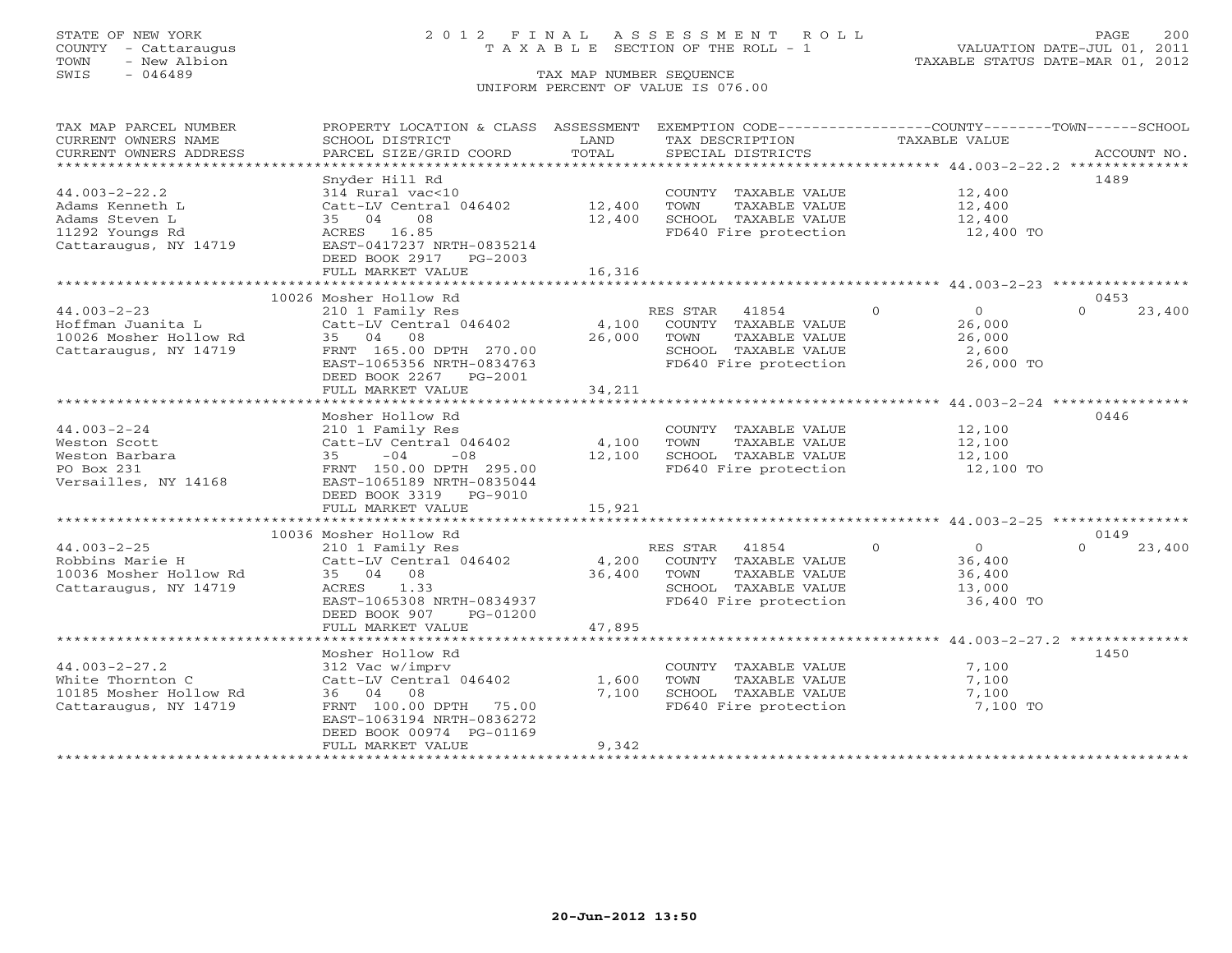## STATE OF NEW YORK 2 0 1 2 F I N A L A S S E S S M E N T R O L L PAGE 200 COUNTY - Cattaraugus T A X A B L E SECTION OF THE ROLL - 1 VALUATION DATE-JUL 01, 2011

| TAX MAP PARCEL NUMBER                                            | PROPERTY LOCATION & CLASS ASSESSMENT EXEMPTION CODE----------------COUNTY-------TOWN------SCHOOL |                        |                                               |                                  |                    |
|------------------------------------------------------------------|--------------------------------------------------------------------------------------------------|------------------------|-----------------------------------------------|----------------------------------|--------------------|
| CURRENT OWNERS NAME<br>CURRENT OWNERS ADDRESS                    | SCHOOL DISTRICT<br>PARCEL SIZE/GRID COORD                                                        | LAND<br>TOTAL          | TAX DESCRIPTION<br>SPECIAL DISTRICTS          | TAXABLE VALUE                    | ACCOUNT NO.        |
|                                                                  |                                                                                                  |                        |                                               |                                  |                    |
|                                                                  | Snyder Hill Rd                                                                                   |                        |                                               |                                  | 1489               |
| $44.003 - 2 - 22.2$                                              | 314 Rural vac<10                                                                                 |                        | COUNTY TAXABLE VALUE                          | 12,400                           |                    |
| Adams Kenneth L                                                  | Catt-LV Central 046402                                                                           | 12,400                 | TOWN<br>TAXABLE VALUE                         | 12,400                           |                    |
| Adams Steven L                                                   | 35 04<br>08                                                                                      | 12,400                 | SCHOOL TAXABLE VALUE                          | 12,400                           |                    |
| 11292 Youngs Rd                                                  | ACRES 16.85                                                                                      |                        | FD640 Fire protection                         | 12,400 TO                        |                    |
| Cattaraugus, NY 14719                                            | EAST-0417237 NRTH-0835214                                                                        |                        |                                               |                                  |                    |
|                                                                  | DEED BOOK 2917 PG-2003                                                                           |                        |                                               |                                  |                    |
|                                                                  | FULL MARKET VALUE                                                                                | 16,316                 |                                               |                                  |                    |
|                                                                  |                                                                                                  |                        |                                               |                                  |                    |
|                                                                  | 10026 Mosher Hollow Rd                                                                           |                        |                                               |                                  | 0453               |
| $44.003 - 2 - 23$                                                | 210 1 Family Res                                                                                 |                        | RES STAR 41854                                | $\overline{0}$<br>$\overline{0}$ | $\Omega$<br>23,400 |
| Hoffman Juanita L<br>noriman Juanıta L<br>10026 Mosher Hollow Rd | Catt-LV Central 046402                                                                           |                        | 4,100 COUNTY TAXABLE VALUE                    | 26,000                           |                    |
|                                                                  | 35 04 08                                                                                         | 26,000                 | TOWN<br>TAXABLE VALUE                         | 26,000                           |                    |
| Cattaraugus, NY 14719                                            | FRNT 165.00 DPTH 270.00                                                                          |                        | SCHOOL TAXABLE VALUE<br>FD640 Fire protection | 2,600                            |                    |
|                                                                  | EAST-1065356 NRTH-0834763                                                                        |                        |                                               | 26,000 TO                        |                    |
|                                                                  | DEED BOOK 2267 PG-2001                                                                           |                        |                                               |                                  |                    |
|                                                                  | FULL MARKET VALUE                                                                                | 34,211<br>************ |                                               |                                  |                    |
|                                                                  | Mosher Hollow Rd                                                                                 |                        |                                               |                                  | 0446               |
| $44.003 - 2 - 24$                                                | 210 1 Family Res                                                                                 |                        | COUNTY TAXABLE VALUE                          | 12,100                           |                    |
| Weston Scott                                                     | Catt-LV Central 046402                                                                           | 4,100                  | TOWN<br>TAXABLE VALUE                         | 12,100                           |                    |
| Weston Barbara                                                   | 35<br>$-04$<br>$-08$                                                                             | 12,100                 | SCHOOL TAXABLE VALUE                          | 12,100                           |                    |
| PO Box 231                                                       | FRNT 150.00 DPTH 295.00                                                                          |                        | FD640 Fire protection                         | 12,100 TO                        |                    |
| Versailles, NY 14168                                             | EAST-1065189 NRTH-0835044                                                                        |                        |                                               |                                  |                    |
|                                                                  | DEED BOOK 3319 PG-9010                                                                           |                        |                                               |                                  |                    |
|                                                                  | FULL MARKET VALUE                                                                                | 15,921                 |                                               |                                  |                    |
|                                                                  |                                                                                                  |                        |                                               |                                  |                    |
|                                                                  | 10036 Mosher Hollow Rd                                                                           |                        |                                               |                                  | 0149               |
| $44.003 - 2 - 25$                                                | 210 1 Family Res                                                                                 |                        | RES STAR<br>41854                             | $\overline{0}$<br>$\overline{0}$ | $\Omega$<br>23,400 |
| Robbins Marie H                                                  | Catt-LV Central 046402                                                                           | 4,200                  | COUNTY TAXABLE VALUE                          | 36,400                           |                    |
| 10036 Mosher Hollow Rd                                           | 35 04 08                                                                                         | 36,400                 | TAXABLE VALUE<br>TOWN                         | 36,400                           |                    |
| Cattaraugus, NY 14719                                            | ACRES 1.33                                                                                       |                        | SCHOOL TAXABLE VALUE                          | 13,000                           |                    |
|                                                                  | EAST-1065308 NRTH-0834937                                                                        |                        | FD640 Fire protection                         | 36,400 TO                        |                    |
|                                                                  | DEED BOOK 907<br>PG-01200                                                                        |                        |                                               |                                  |                    |
|                                                                  | FULL MARKET VALUE                                                                                | 47,895                 |                                               |                                  |                    |
|                                                                  |                                                                                                  |                        |                                               |                                  |                    |
| $44.003 - 2 - 27.2$                                              | Mosher Hollow Rd                                                                                 |                        |                                               | 7,100                            | 1450               |
| White Thornton C                                                 | 312 Vac w/imprv<br>Catt-LV Central 046402                                                        | 1,600                  | COUNTY TAXABLE VALUE<br>TAXABLE VALUE<br>TOWN | 7,100                            |                    |
| 10185 Mosher Hollow Rd                                           | 36 04 08                                                                                         | 7,100                  | SCHOOL TAXABLE VALUE                          | 7,100                            |                    |
| Cattaraugus, NY 14719                                            | FRNT 100.00 DPTH 75.00                                                                           |                        | FD640 Fire protection                         | 7,100 TO                         |                    |
|                                                                  | EAST-1063194 NRTH-0836272                                                                        |                        |                                               |                                  |                    |
|                                                                  | DEED BOOK 00974 PG-01169                                                                         |                        |                                               |                                  |                    |
|                                                                  | FULL MARKET VALUE                                                                                | 9,342                  |                                               |                                  |                    |
|                                                                  |                                                                                                  |                        |                                               |                                  |                    |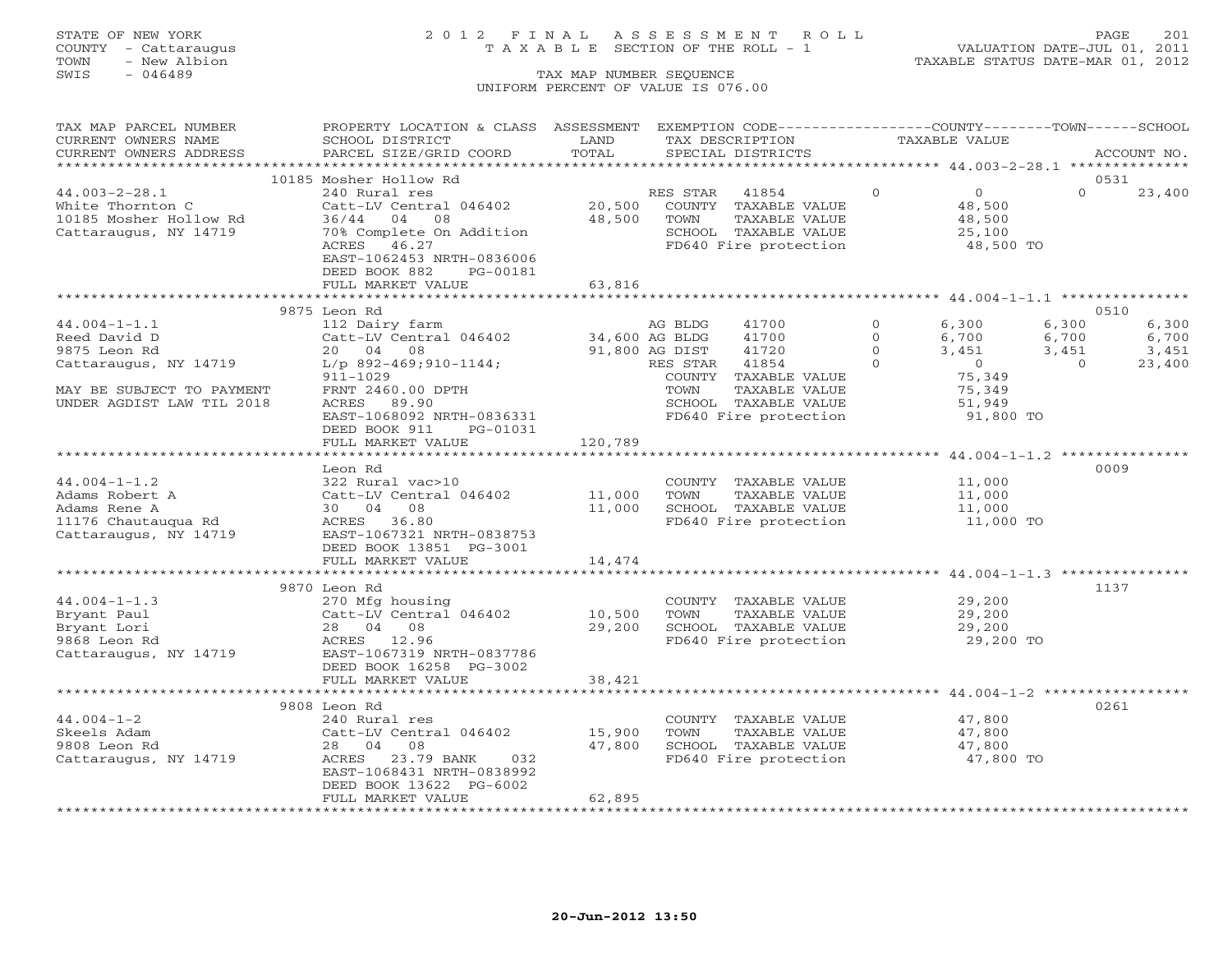## STATE OF NEW YORK 2 0 1 2 F I N A L A S S E S S M E N T R O L L PAGE 201 COUNTY - Cattaraugus T A X A B L E SECTION OF THE ROLL - 1 VALUATION DATE-JUL 01, 2011

TOWN - New Albion TAXABLE STATUS DATE-MAR 01, 2012

| TAX MAP PARCEL NUMBER<br>CURRENT OWNERS NAME                                                              | PROPERTY LOCATION & CLASS ASSESSMENT<br>SCHOOL DISTRICT | LAND           | EXEMPTION CODE-----------------COUNTY-------TOWN------SCHOOL<br>TAX DESCRIPTION | TAXABLE VALUE |                  |                          |
|-----------------------------------------------------------------------------------------------------------|---------------------------------------------------------|----------------|---------------------------------------------------------------------------------|---------------|------------------|--------------------------|
| CURRENT OWNERS ADDRESS                                                                                    | PARCEL SIZE/GRID COORD                                  | TOTAL          | SPECIAL DISTRICTS                                                               |               |                  | ACCOUNT NO.              |
|                                                                                                           | 10185 Mosher Hollow Rd                                  |                |                                                                                 |               |                  | 0531                     |
| $44.003 - 2 - 28.1$                                                                                       | 240 Rural res                                           |                | RES STAR 41854                                                                  | $\Omega$      | $\Omega$         | $\Omega$<br>23,400       |
| White Thornton C                                                                                          | Catt-LV Central 046402                                  | 20,500         | COUNTY TAXABLE VALUE                                                            |               | 48,500           |                          |
| 10185 Mosher Hollow Rd                                                                                    | 36/44 04 08                                             | 48,500         | TOWN<br>TAXABLE VALUE                                                           |               | 48,500           |                          |
| Cattaraugus, NY 14719                                                                                     | 70% Complete On Addition                                |                | SCHOOL TAXABLE VALUE                                                            |               | 25,100           |                          |
|                                                                                                           | 46.27<br>ACRES                                          |                | SCHOOL TAXABLE VALUE<br>FD640 Fire protection                                   |               |                  |                          |
|                                                                                                           | EAST-1062453 NRTH-0836006                               |                |                                                                                 |               | $48,500$ TO      |                          |
|                                                                                                           | DEED BOOK 882<br>PG-00181                               |                |                                                                                 |               |                  |                          |
|                                                                                                           | FULL MARKET VALUE                                       | 63,816         |                                                                                 |               |                  |                          |
|                                                                                                           |                                                         | ************** | ************************************ 44.004-1-1.1 ****************              |               |                  |                          |
|                                                                                                           | 9875 Leon Rd                                            |                |                                                                                 |               |                  | 0510                     |
| $44.004 - 1 - 1.1$                                                                                        | 112 Dairy farm                                          |                | AG BLDG<br>41700                                                                | $\Omega$      | 6,300            | 6,300<br>6,300           |
| Reed David D                                                                                              | Catt-LV Central 046402 34,600 AG BLDG                   |                | 41700                                                                           | $\circ$       | 6,700            | 6,700<br>6,700           |
| 9875 Leon Rd                                                                                              | 20 04 08                                                |                | 91,800 AG DIST<br>41720                                                         | $\Omega$      | 3,451            | 3,451<br>3,451           |
| Cattaraugus, NY 14719                                                                                     | L/p 892-469;910-1144;                                   |                | RES STAR<br>41854                                                               | $\Omega$      | $\overline{O}$   | $\overline{0}$<br>23,400 |
|                                                                                                           | 911-1029                                                |                | COUNTY TAXABLE VALUE                                                            |               | 75,349           |                          |
| MAY BE SUBJECT TO PAYMENT                                                                                 | FRNT 2460.00 DPTH                                       |                | TOWN<br>TAXABLE VALUE                                                           |               | 75,349           |                          |
| UNDER AGDIST LAW TIL 2018                                                                                 | ACRES 89.90                                             |                | SCHOOL TAXABLE VALUE                                                            |               | 51,949           |                          |
|                                                                                                           | EAST-1068092 NRTH-0836331                               |                | FD640 Fire protection                                                           |               | 91,800 TO        |                          |
|                                                                                                           | DEED BOOK 911<br>PG-01031                               |                |                                                                                 |               |                  |                          |
|                                                                                                           | FULL MARKET VALUE                                       | 120,789        |                                                                                 |               |                  |                          |
|                                                                                                           |                                                         |                | ***********************************44.004-1-1.2 ***************                 |               |                  |                          |
|                                                                                                           | Leon Rd                                                 |                |                                                                                 |               |                  | 0009                     |
| $44.004 - 1 - 1.2$                                                                                        | 322 Rural vac>10                                        |                | COUNTY TAXABLE VALUE                                                            |               | 11,000           |                          |
|                                                                                                           | Catt-LV Central 046402                                  | 11,000         | TAXABLE VALUE<br>TOWN                                                           |               | 11,000           |                          |
|                                                                                                           |                                                         | 11,000         | SCHOOL TAXABLE VALUE                                                            |               | 11,000           |                          |
| 44.004-1-1.2<br>Adams Robert A Catt-LV Centra<br>Adams Rene A 30 04 08<br>11176 Chautauqua Rd ACRES 36.80 |                                                         |                | FD640 Fire protection                                                           |               | 11,000 TO        |                          |
| Cattaraugus, NY 14719                                                                                     | EAST-1067321 NRTH-0838753                               |                |                                                                                 |               |                  |                          |
|                                                                                                           | DEED BOOK 13851 PG-3001                                 |                |                                                                                 |               |                  |                          |
|                                                                                                           | FULL MARKET VALUE                                       | 14,474         |                                                                                 |               |                  |                          |
|                                                                                                           |                                                         |                |                                                                                 |               |                  |                          |
|                                                                                                           | 9870 Leon Rd                                            |                |                                                                                 |               |                  | 1137                     |
| $44.004 - 1 - 1.3$                                                                                        | 270 Mfg housing                                         |                | COUNTY TAXABLE VALUE                                                            |               | 29,200           |                          |
| Bryant Paul                                                                                               | Catt-LV Central 046402 10,500                           |                | TAXABLE VALUE<br>TOWN                                                           |               | 29,200           |                          |
| Bryant Lori                                                                                               | 28 04 08                                                | 29,200         | SCHOOL TAXABLE VALUE                                                            |               | 29,200           |                          |
| 9868 Leon Rd                                                                                              | ACRES 12.96                                             |                | FD640 Fire protection                                                           |               | 29,200 TO        |                          |
| Cattaraugus, NY 14719                                                                                     | EAST-1067319 NRTH-0837786                               |                |                                                                                 |               |                  |                          |
|                                                                                                           | DEED BOOK 16258 PG-3002<br>FULL MARKET VALUE            |                |                                                                                 |               |                  |                          |
|                                                                                                           |                                                         | 38,421         |                                                                                 |               |                  |                          |
|                                                                                                           | 9808 Leon Rd                                            |                |                                                                                 |               |                  | 0261                     |
| $44.004 - 1 - 2$                                                                                          | 240 Rural res                                           |                | COUNTY TAXABLE VALUE                                                            |               | 47,800           |                          |
| Skeels Adam                                                                                               | Catt-LV Central 046402 15,900                           |                | TAXABLE VALUE<br>TOWN                                                           |               |                  |                          |
| 9808 Leon Rd                                                                                              | 28 04 08                                                | 47,800         | SCHOOL TAXABLE VALUE                                                            |               | 47,800<br>47,800 |                          |
| Cattaraugus, NY 14719                                                                                     | ACRES 23.79 BANK<br>032                                 |                | FD640 Fire protection                                                           |               | 47,800 TO        |                          |
|                                                                                                           | EAST-1068431 NRTH-0838992                               |                |                                                                                 |               |                  |                          |
|                                                                                                           | DEED BOOK 13622 PG-6002                                 |                |                                                                                 |               |                  |                          |
|                                                                                                           | FULL MARKET VALUE                                       | 62,895         |                                                                                 |               |                  |                          |
|                                                                                                           |                                                         |                |                                                                                 |               |                  |                          |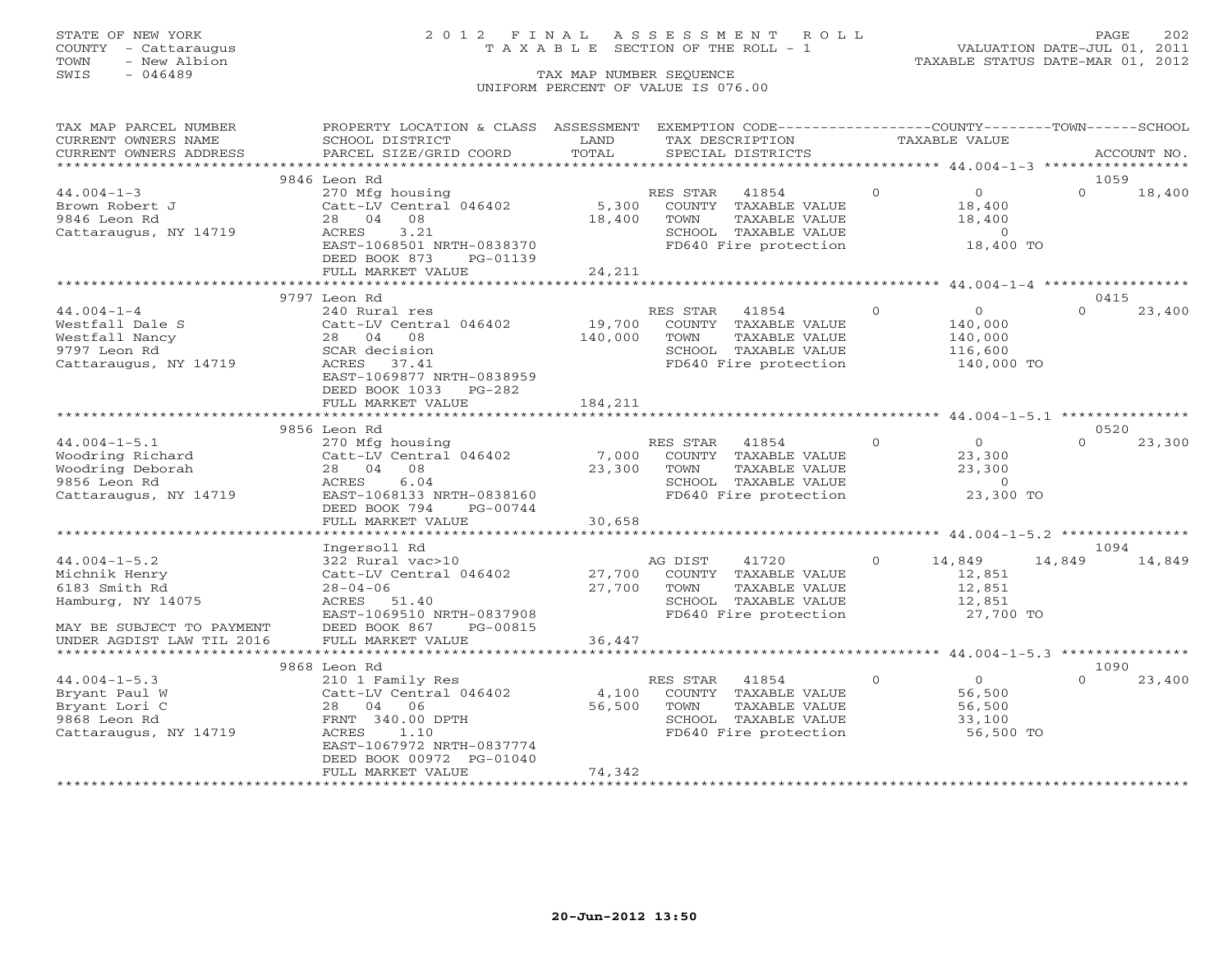## STATE OF NEW YORK 2 0 1 2 F I N A L A S S E S S M E N T R O L L PAGE 202 COUNTY - Cattaraugus T A X A B L E SECTION OF THE ROLL - 1 VALUATION DATE-JUL 01, 2011

TOWN - New Albion TAXABLE STATUS DATE-MAR 01, 2012

| TAX MAP PARCEL NUMBER     | PROPERTY LOCATION & CLASS ASSESSMENT      |               |                | EXEMPTION CODE-----------------COUNTY-------TOWN------SCHOOL |                |                                         |               |             |
|---------------------------|-------------------------------------------|---------------|----------------|--------------------------------------------------------------|----------------|-----------------------------------------|---------------|-------------|
| CURRENT OWNERS NAME       | SCHOOL DISTRICT                           | LAND          |                | TAX DESCRIPTION                                              | TAXABLE VALUE  |                                         |               |             |
| CURRENT OWNERS ADDRESS    | PARCEL SIZE/GRID COORD                    | TOTAL         |                | SPECIAL DISTRICTS                                            |                |                                         |               | ACCOUNT NO. |
|                           |                                           |               |                |                                                              |                |                                         |               |             |
|                           | 9846 Leon Rd                              |               |                |                                                              |                |                                         | 1059          |             |
| $44.004 - 1 - 3$          | 270 Mfg housing                           |               | RES STAR       | 41854                                                        | $\circ$        | $\overline{0}$                          | $\Omega$      | 18,400      |
| Brown Robert J            | Catt-LV Central 046402                    | 5,300         |                | COUNTY TAXABLE VALUE                                         |                | 18,400                                  |               |             |
| 9846 Leon Rd              | 28 04 08                                  | 18,400        | TOWN           | TAXABLE VALUE                                                |                | 18,400                                  |               |             |
| Cattaraugus, NY 14719     | ACRES<br>3.21                             |               |                | SCHOOL TAXABLE VALUE                                         |                | $\overline{0}$                          |               |             |
|                           | EAST-1068501 NRTH-0838370                 |               |                | FD640 Fire protection                                        |                | 18,400 TO                               |               |             |
|                           | DEED BOOK 873<br>PG-01139                 |               |                |                                                              |                |                                         |               |             |
|                           | FULL MARKET VALUE                         | 24,211        |                |                                                              |                |                                         |               |             |
|                           |                                           |               |                |                                                              |                |                                         |               |             |
|                           | 9797 Leon Rd                              |               |                |                                                              |                |                                         | 0415          |             |
| $44.004 - 1 - 4$          | 240 Rural res                             |               | RES STAR       | 41854                                                        | $\Omega$       | $\overline{0}$                          | $\Omega$      | 23,400      |
| Westfall Dale S           | Catt-LV Central 046402                    | 19,700        |                | COUNTY TAXABLE VALUE                                         |                | 140,000                                 |               |             |
| Westfall Nancy            | 28 04 08                                  | 140,000       | TOWN           | TAXABLE VALUE                                                |                | 140,000                                 |               |             |
| 9797 Leon Rd              | SCAR decision                             |               |                | SCHOOL TAXABLE VALUE                                         |                | 116,600                                 |               |             |
| Cattaraugus, NY 14719     | ACRES 37.41                               |               |                | FD640 Fire protection                                        |                | 140,000 TO                              |               |             |
|                           | EAST-1069877 NRTH-0838959                 |               |                |                                                              |                |                                         |               |             |
|                           | DEED BOOK 1033 PG-282                     |               |                |                                                              |                |                                         |               |             |
|                           | FULL MARKET VALUE                         | 184,211       |                |                                                              |                |                                         |               |             |
|                           | **************************                |               |                | ****************************44.004-1-5.1 ****************    |                |                                         |               |             |
|                           | 9856 Leon Rd                              |               |                |                                                              |                |                                         | 0520          |             |
| $44.004 - 1 - 5.1$        | 270 Mfg housing<br>Catt-LV Central 046402 |               | RES STAR       | $\overline{0}$<br>41854                                      |                | $\begin{array}{c} 0 \\ 2^2 \end{array}$ | $\Omega$      | 23,300      |
| Woodring Richard          |                                           |               |                | 7,000 COUNTY TAXABLE VALUE                                   |                |                                         |               |             |
| Woodring Deborah          | 28 04 08                                  | $23,300$ TOWN |                | TAXABLE VALUE                                                |                | 23,300                                  |               |             |
| 9856 Leon Rd              | 6.04<br>ACRES                             |               |                | SCHOOL TAXABLE VALUE 0<br>FD640 Fire protection 0 23,300 TO  |                |                                         |               |             |
| Cattaraugus, NY 14719     | EAST-1068133 NRTH-0838160                 |               |                |                                                              |                |                                         |               |             |
|                           | DEED BOOK 794 PG-00744                    |               |                |                                                              |                |                                         |               |             |
|                           | FULL MARKET VALUE                         | 30,658        |                |                                                              |                |                                         |               |             |
|                           |                                           |               |                |                                                              |                |                                         |               |             |
|                           | Ingersoll Rd                              |               |                |                                                              |                |                                         | 1094          |             |
| $44.004 - 1 - 5.2$        | 322 Rural vac>10                          |               | AG DIST        | 41720                                                        | $\overline{0}$ | 14,849                                  | 14,849 14,849 |             |
| Michnik Henry             | Catt-LV Central 046402                    |               |                | 27,700 COUNTY TAXABLE VALUE<br>TAXABLE VALUE                 |                | 12,851                                  |               |             |
| 6183 Smith Rd             | $28 - 04 - 06$                            | 27,700        | TOWN           |                                                              |                | 12,851                                  |               |             |
| Hamburg, NY 14075         | ACRES 51.40<br>EAST-1069510 NRTH-0837908  |               |                | SCHOOL TAXABLE VALUE<br>FD640 Fire protection                |                | 12,851<br>$27,700$ TO                   |               |             |
| MAY BE SUBJECT TO PAYMENT | DEED BOOK 867<br>PG-00815                 |               |                |                                                              |                |                                         |               |             |
| UNDER AGDIST LAW TIL 2016 | FULL MARKET VALUE                         | 36,447        |                |                                                              |                |                                         |               |             |
|                           |                                           |               |                |                                                              |                |                                         |               |             |
|                           | 9868 Leon Rd                              |               |                |                                                              |                |                                         | 1090          |             |
| $44.004 - 1 - 5.3$        | 210 1 Family Res                          |               | RES STAR 41854 |                                                              | $\Omega$       | $\Omega$                                | $\cap$        | 23,400      |
| Bryant Paul W             | Catt-LV Central 046402                    | 4,100         |                | COUNTY TAXABLE VALUE                                         |                | 56,500                                  |               |             |
| Bryant Lori C             | 28 04 06                                  | 56,500        | TOWN           | TAXABLE VALUE                                                |                | 56,500                                  |               |             |
| 9868 Leon Rd              | FRNT 340.00 DPTH                          |               |                | SCHOOL TAXABLE VALUE                                         |                | 33,100                                  |               |             |
| Cattaraugus, NY 14719     | ACRES<br>1.10                             |               |                | FD640 Fire protection                                        |                | 56,500 TO                               |               |             |
|                           | EAST-1067972 NRTH-0837774                 |               |                |                                                              |                |                                         |               |             |
|                           | DEED BOOK 00972 PG-01040                  |               |                |                                                              |                |                                         |               |             |
|                           | FULL MARKET VALUE                         | 74,342        |                |                                                              |                |                                         |               |             |
|                           |                                           |               |                |                                                              |                |                                         |               |             |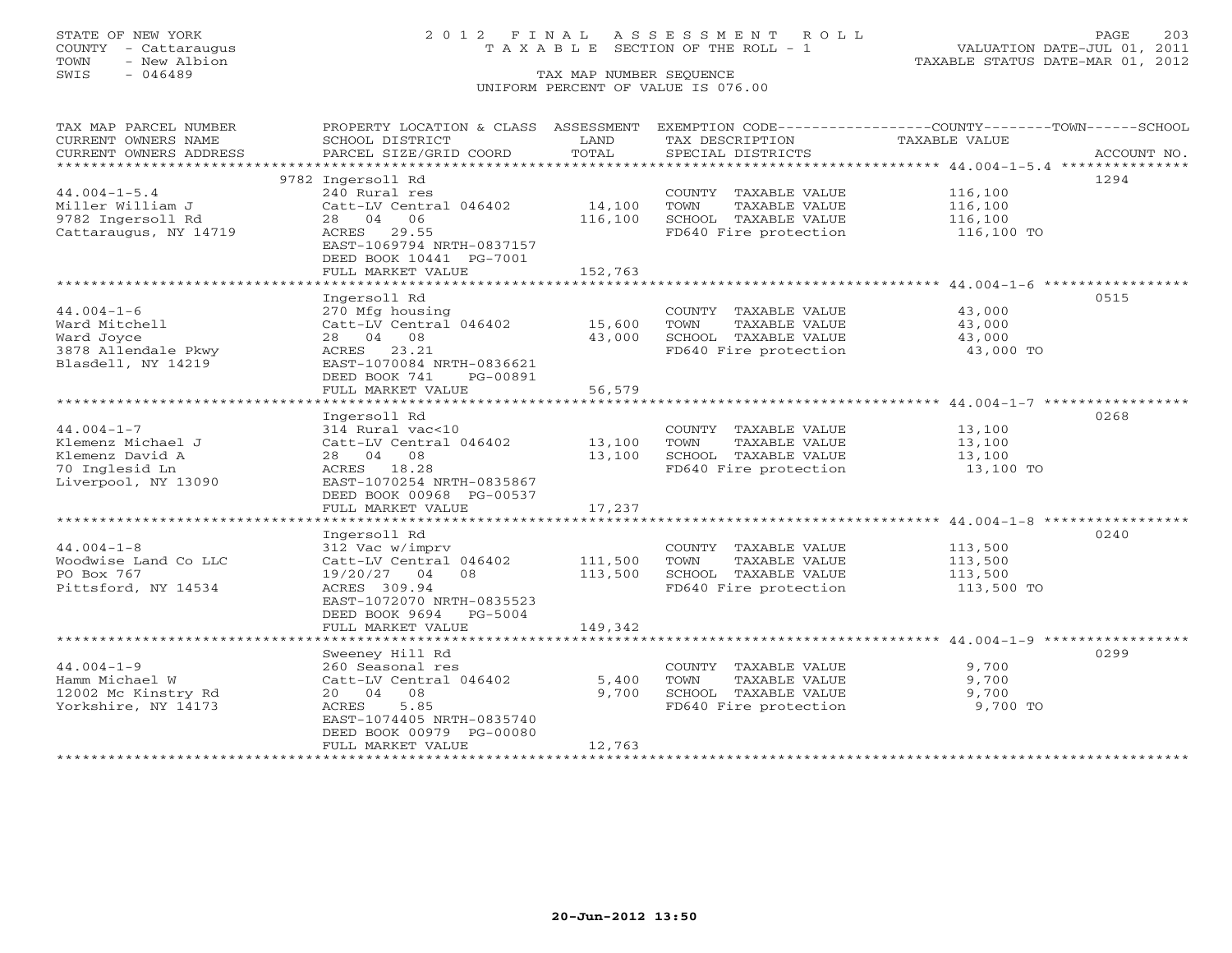## STATE OF NEW YORK 2 0 1 2 F I N A L A S S E S S M E N T R O L L PAGE 203 COUNTY - Cattaraugus T A X A B L E SECTION OF THE ROLL - 1 VALUATION DATE-JUL 01, 2011

TOWN - New Albion TAXABLE STATUS DATE-MAR 01, 2012

| TAX MAP PARCEL NUMBER  |                           |         |                       | PROPERTY LOCATION & CLASS ASSESSMENT EXEMPTION CODE----------------COUNTY-------TOWN------SCHOOL |             |
|------------------------|---------------------------|---------|-----------------------|--------------------------------------------------------------------------------------------------|-------------|
| CURRENT OWNERS NAME    | SCHOOL DISTRICT           | LAND    | TAX DESCRIPTION       | TAXABLE VALUE                                                                                    |             |
| CURRENT OWNERS ADDRESS | PARCEL SIZE/GRID COORD    | TOTAL   | SPECIAL DISTRICTS     |                                                                                                  | ACCOUNT NO. |
|                        |                           |         |                       |                                                                                                  |             |
|                        | 9782 Ingersoll Rd         |         |                       |                                                                                                  | 1294        |
| $44.004 - 1 - 5.4$     | 240 Rural res             |         | COUNTY TAXABLE VALUE  | 116,100                                                                                          |             |
| Miller William J       | Catt-LV Central 046402    | 14,100  | TOWN<br>TAXABLE VALUE | 116,100                                                                                          |             |
| 9782 Ingersoll Rd      | 28 04 06                  | 116,100 | SCHOOL TAXABLE VALUE  | 116,100                                                                                          |             |
| Cattaraugus, NY 14719  | ACRES 29.55               |         | FD640 Fire protection | 116,100 TO                                                                                       |             |
|                        | EAST-1069794 NRTH-0837157 |         |                       |                                                                                                  |             |
|                        | DEED BOOK 10441 PG-7001   |         |                       |                                                                                                  |             |
|                        | FULL MARKET VALUE         | 152,763 |                       |                                                                                                  |             |
|                        |                           |         |                       |                                                                                                  |             |
|                        | Ingersoll Rd              |         |                       |                                                                                                  | 0515        |
| $44.004 - 1 - 6$       | 270 Mfg housing           |         | COUNTY TAXABLE VALUE  | 43,000                                                                                           |             |
| Ward Mitchell          | Catt-LV Central 046402    | 15,600  | TAXABLE VALUE<br>TOWN | 43,000                                                                                           |             |
| Ward Joyce             | 28 04 08                  | 43,000  | SCHOOL TAXABLE VALUE  | 43,000                                                                                           |             |
| 3878 Allendale Pkwy    | ACRES 23.21               |         | FD640 Fire protection | 43,000 TO                                                                                        |             |
| Blasdell, NY 14219     | EAST-1070084 NRTH-0836621 |         |                       |                                                                                                  |             |
|                        | DEED BOOK 741<br>PG-00891 |         |                       |                                                                                                  |             |
|                        | FULL MARKET VALUE         | 56,579  |                       |                                                                                                  |             |
|                        |                           |         |                       |                                                                                                  |             |
|                        | Ingersoll Rd              |         |                       |                                                                                                  | 0268        |
| $44.004 - 1 - 7$       | 314 Rural vac<10          |         | COUNTY TAXABLE VALUE  | 13,100                                                                                           |             |
| Klemenz Michael J      | Catt-LV Central 046402    | 13,100  | TOWN<br>TAXABLE VALUE | 13,100                                                                                           |             |
| Klemenz David A        | 28 04 08                  | 13,100  | SCHOOL TAXABLE VALUE  | 13,100                                                                                           |             |
| 70 Inglesid Ln         | ACRES 18.28               |         | FD640 Fire protection | 13,100 TO                                                                                        |             |
| Liverpool, NY 13090    | EAST-1070254 NRTH-0835867 |         |                       |                                                                                                  |             |
|                        | DEED BOOK 00968 PG-00537  |         |                       |                                                                                                  |             |
|                        | FULL MARKET VALUE         | 17,237  |                       |                                                                                                  |             |
|                        |                           |         |                       |                                                                                                  |             |
|                        | Ingersoll Rd              |         |                       |                                                                                                  | 0240        |
| $44.004 - 1 - 8$       | 312 Vac w/imprv           |         | COUNTY TAXABLE VALUE  | 113,500                                                                                          |             |
| Woodwise Land Co LLC   | Catt-LV Central 046402    | 111,500 | TOWN<br>TAXABLE VALUE | 113,500                                                                                          |             |
| PO Box 767             | 19/20/27 04 08            | 113,500 | SCHOOL TAXABLE VALUE  | 113,500                                                                                          |             |
| Pittsford, NY 14534    | ACRES 309.94              |         | FD640 Fire protection | 113,500 TO                                                                                       |             |
|                        | EAST-1072070 NRTH-0835523 |         |                       |                                                                                                  |             |
|                        | DEED BOOK 9694 PG-5004    |         |                       |                                                                                                  |             |
|                        | FULL MARKET VALUE         | 149,342 |                       |                                                                                                  |             |
|                        |                           |         |                       |                                                                                                  |             |
|                        | Sweeney Hill Rd           |         |                       |                                                                                                  | 0299        |
| $44.004 - 1 - 9$       | 260 Seasonal res          |         | COUNTY TAXABLE VALUE  | 9,700                                                                                            |             |
| Hamm Michael W         | Catt-LV Central 046402    | 5,400   | TAXABLE VALUE<br>TOWN | 9,700                                                                                            |             |
| 12002 Mc Kinstry Rd    | 20 04 08                  | 9,700   | SCHOOL TAXABLE VALUE  | 9,700                                                                                            |             |
| Yorkshire, NY 14173    | 5.85<br>ACRES             |         | FD640 Fire protection | 9,700 TO                                                                                         |             |
|                        | EAST-1074405 NRTH-0835740 |         |                       |                                                                                                  |             |
|                        | DEED BOOK 00979 PG-00080  |         |                       |                                                                                                  |             |
|                        | FULL MARKET VALUE         | 12,763  |                       |                                                                                                  |             |
|                        |                           |         |                       |                                                                                                  |             |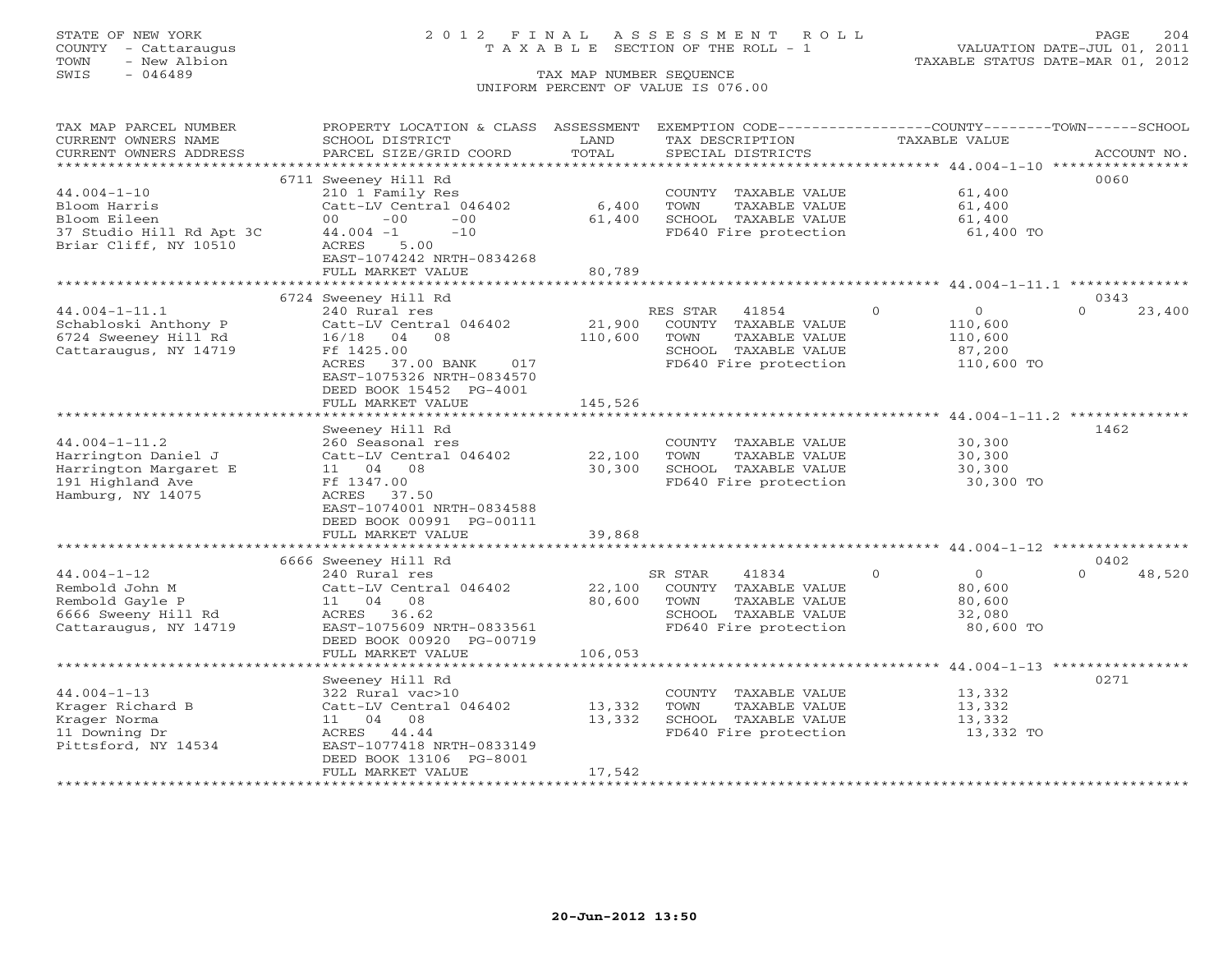## STATE OF NEW YORK 2 0 1 2 F I N A L A S S E S S M E N T R O L L PAGE 204 COUNTY - Cattaraugus T A X A B L E SECTION OF THE ROLL - 1 VALUATION DATE-JUL 01, 2011

| TAX MAP PARCEL NUMBER    | PROPERTY LOCATION & CLASS ASSESSMENT  |               | EXEMPTION CODE-----------------COUNTY-------TOWN------SCHOOL |                                           |                    |
|--------------------------|---------------------------------------|---------------|--------------------------------------------------------------|-------------------------------------------|--------------------|
| CURRENT OWNERS NAME      | SCHOOL DISTRICT                       | LAND          | TAX DESCRIPTION                                              | <b>TAXABLE VALUE</b>                      |                    |
| CURRENT OWNERS ADDRESS   | PARCEL SIZE/GRID COORD                | TOTAL         | SPECIAL DISTRICTS                                            |                                           | ACCOUNT NO.        |
| ********************     |                                       |               |                                                              |                                           |                    |
|                          | 6711 Sweeney Hill Rd                  |               |                                                              |                                           | 0060               |
| $44.004 - 1 - 10$        | 210 1 Family Res                      |               | COUNTY TAXABLE VALUE                                         | 61,400                                    |                    |
| Bloom Harris             | Catt-LV Central 046402                | 6,400         | TOWN<br>TAXABLE VALUE                                        | 61,400                                    |                    |
| Bloom Eileen             | $-00$<br>00 <sup>o</sup><br>$-00$     | 61,400        | SCHOOL TAXABLE VALUE                                         | 61,400                                    |                    |
| 37 Studio Hill Rd Apt 3C | $44.004 -1$<br>$-10$                  |               | FD640 Fire protection                                        | 61,400 TO                                 |                    |
| Briar Cliff, NY 10510    | ACRES<br>5.00                         |               |                                                              |                                           |                    |
|                          | EAST-1074242 NRTH-0834268             |               |                                                              |                                           |                    |
|                          | FULL MARKET VALUE                     | 80,789        |                                                              |                                           |                    |
|                          | 6724 Sweeney Hill Rd                  |               |                                                              |                                           | 0343               |
| $44.004 - 1 - 11.1$      | 240 Rural res                         |               | RES STAR<br>41854                                            | $\Omega$<br>$\overline{0}$                | $\Omega$<br>23,400 |
| Schabloski Anthony P     | Catt-LV Central 046402                | 21,900        | COUNTY TAXABLE VALUE                                         | 110,600                                   |                    |
| 6724 Sweeney Hill Rd     | 16/18 04<br>08                        | 110,600       | TOWN<br>TAXABLE VALUE                                        | 110,600                                   |                    |
| Cattaraugus, NY 14719    | Ff 1425.00                            |               | SCHOOL TAXABLE VALUE                                         | 87,200                                    |                    |
|                          | ACRES<br>37.00 BANK<br>017            |               | FD640 Fire protection                                        | 110,600 TO                                |                    |
|                          | EAST-1075326 NRTH-0834570             |               |                                                              |                                           |                    |
|                          | DEED BOOK 15452 PG-4001               |               |                                                              |                                           |                    |
|                          | FULL MARKET VALUE                     | 145,526       |                                                              |                                           |                    |
|                          | * * * * * * * * * * * * * * * * * * * | ************* |                                                              |                                           |                    |
|                          | Sweeney Hill Rd                       |               |                                                              |                                           | 1462               |
| $44.004 - 1 - 11.2$      | 260 Seasonal res                      |               | COUNTY TAXABLE VALUE                                         | 30,300                                    |                    |
| Harrington Daniel J      | Catt-LV Central 046402                | 22,100        | TOWN<br>TAXABLE VALUE                                        | 30,300                                    |                    |
| Harrington Margaret E    | 11 04 08                              | 30,300        | SCHOOL TAXABLE VALUE                                         | 30,300                                    |                    |
| 191 Highland Ave         | Ff 1347.00                            |               | FD640 Fire protection                                        | 30,300 TO                                 |                    |
| Hamburg, NY 14075        | ACRES 37.50                           |               |                                                              |                                           |                    |
|                          | EAST-1074001 NRTH-0834588             |               |                                                              |                                           |                    |
|                          | DEED BOOK 00991 PG-00111              |               |                                                              |                                           |                    |
|                          | FULL MARKET VALUE                     | 39,868        |                                                              |                                           |                    |
|                          | ****************************          |               |                                                              |                                           |                    |
|                          | 6666 Sweeney Hill Rd                  |               |                                                              |                                           | 0402               |
| $44.004 - 1 - 12$        | 240 Rural res                         |               | 41834<br>SR STAR                                             | $\Omega$<br>$\Omega$                      | $\Omega$<br>48,520 |
| Rembold John M           | Catt-LV Central 046402                | 22,100        | COUNTY TAXABLE VALUE                                         | 80,600                                    |                    |
| Rembold Gayle P          | 11 04 08                              | 80,600        | TOWN<br>TAXABLE VALUE                                        | 80,600                                    |                    |
| 6666 Sweeny Hill Rd      | ACRES 36.62                           |               | SCHOOL TAXABLE VALUE                                         | 32,080                                    |                    |
| Cattaraugus, NY 14719    | EAST-1075609 NRTH-0833561             |               | FD640 Fire protection                                        | 80,600 TO                                 |                    |
|                          | DEED BOOK 00920 PG-00719              |               |                                                              |                                           |                    |
|                          | FULL MARKET VALUE                     | 106,053       |                                                              |                                           |                    |
|                          | *********************                 | ***********   |                                                              | *********** 44.004-1-13 ***************** |                    |
|                          | Sweeney Hill Rd                       |               |                                                              |                                           | 0271               |
| $44.004 - 1 - 13$        | 322 Rural vac>10                      |               | COUNTY TAXABLE VALUE                                         | 13,332                                    |                    |
| Krager Richard B         | Catt-LV Central 046402                | 13,332        | TOWN<br>TAXABLE VALUE                                        | 13,332                                    |                    |
| Krager Norma             | 11 04 08                              | 13,332        | SCHOOL TAXABLE VALUE                                         | 13,332                                    |                    |
| 11 Downing Dr            | ACRES 44.44                           |               | FD640 Fire protection                                        | 13,332 TO                                 |                    |
| Pittsford, NY 14534      | EAST-1077418 NRTH-0833149             |               |                                                              |                                           |                    |
|                          | DEED BOOK 13106 PG-8001               |               |                                                              |                                           |                    |
|                          | FULL MARKET VALUE                     | 17,542        |                                                              |                                           |                    |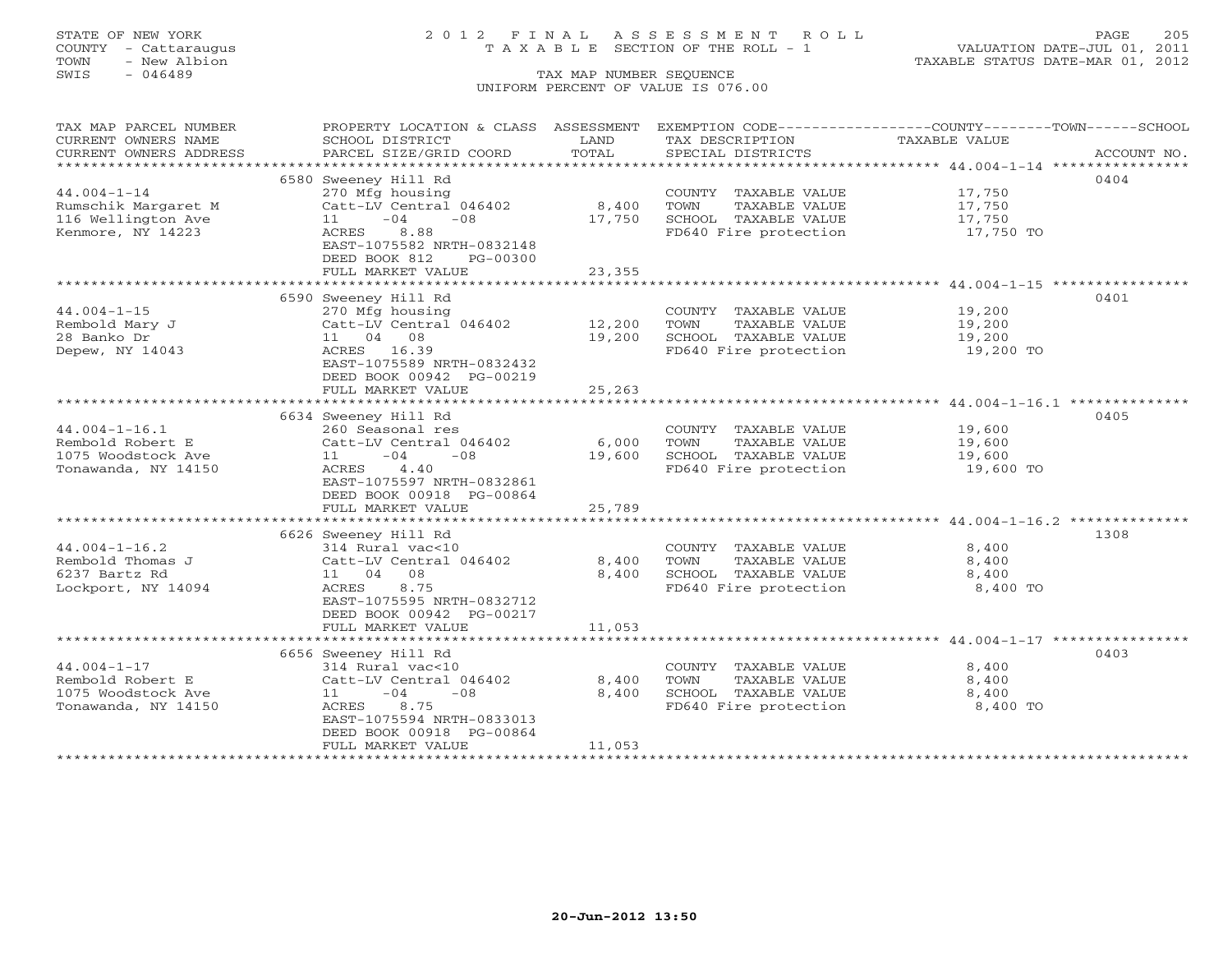## STATE OF NEW YORK 2 0 1 2 F I N A L A S S E S S M E N T R O L L PAGE 205 COUNTY - Cattaraugus T A X A B L E SECTION OF THE ROLL - 1 VALUATION DATE-JUL 01, 2011

TOWN - New Albion TAXABLE STATUS DATE-MAR 01, 2012

| TAX MAP PARCEL NUMBER  | PROPERTY LOCATION & CLASS ASSESSMENT |        | EXEMPTION CODE-----------------COUNTY--------TOWN------SCHOOL |               |             |
|------------------------|--------------------------------------|--------|---------------------------------------------------------------|---------------|-------------|
| CURRENT OWNERS NAME    | SCHOOL DISTRICT                      | LAND   | TAX DESCRIPTION                                               | TAXABLE VALUE |             |
| CURRENT OWNERS ADDRESS | PARCEL SIZE/GRID COORD               | TOTAL  | SPECIAL DISTRICTS                                             |               | ACCOUNT NO. |
|                        |                                      |        |                                                               |               |             |
|                        | 6580 Sweeney Hill Rd                 |        |                                                               |               | 0404        |
| $44.004 - 1 - 14$      | 270 Mfg housing                      |        | COUNTY TAXABLE VALUE 17,750                                   |               |             |
| Rumschik Margaret M    | Catt-LV Central 046402               | 8,400  | TOWN<br>TAXABLE VALUE                                         | 17,750        |             |
| 116 Wellington Ave     | $11 - 04$<br>$-0.8$                  | 17,750 | SCHOOL TAXABLE VALUE                                          | 17,750        |             |
| Kenmore, NY 14223      | ACRES<br>8.88                        |        | FD640 Fire protection 17,750 TO                               |               |             |
|                        | EAST-1075582 NRTH-0832148            |        |                                                               |               |             |
|                        | DEED BOOK 812<br>PG-00300            |        |                                                               |               |             |
|                        | FULL MARKET VALUE                    | 23,355 |                                                               |               |             |
|                        |                                      |        | ********************************** 44.004-1-15 ***********    |               |             |
|                        | 6590 Sweeney Hill Rd                 |        |                                                               |               | 0401        |
| $44.004 - 1 - 15$      | 270 Mfg housing                      |        | COUNTY TAXABLE VALUE                                          | 19,200        |             |
| Rembold Mary J         | Catt-LV Central 046402               | 12,200 | TOWN<br>TAXABLE VALUE                                         | 19,200        |             |
| 28 Banko Dr            | 11 04 08                             | 19,200 | SCHOOL TAXABLE VALUE                                          | 19,200        |             |
| Depew, NY 14043        | ACRES 16.39                          |        | FD640 Fire protection                                         | 19,200 TO     |             |
|                        | EAST-1075589 NRTH-0832432            |        |                                                               |               |             |
|                        | DEED BOOK 00942 PG-00219             |        |                                                               |               |             |
|                        | FULL MARKET VALUE                    | 25,263 |                                                               |               |             |
|                        |                                      |        |                                                               |               |             |
|                        | 6634 Sweeney Hill Rd                 |        |                                                               |               | 0405        |
| $44.004 - 1 - 16.1$    | 260 Seasonal res                     |        | COUNTY TAXABLE VALUE                                          | 19,600        |             |
| Rembold Robert E       | Catt-LV Central 046402               | 6,000  | TOWN<br>TAXABLE VALUE                                         | 19,600        |             |
| 1075 Woodstock Ave     | $-08$<br>11<br>$-04$                 | 19,600 | SCHOOL TAXABLE VALUE                                          | 19,600        |             |
| Tonawanda, NY 14150    | ACRES 4.40                           |        | FD640 Fire protection                                         | 19,600 TO     |             |
|                        | EAST-1075597 NRTH-0832861            |        |                                                               |               |             |
|                        | DEED BOOK 00918 PG-00864             |        |                                                               |               |             |
|                        | FULL MARKET VALUE                    | 25,789 |                                                               |               |             |
|                        |                                      |        |                                                               |               |             |
|                        | 6626 Sweeney Hill Rd                 |        |                                                               |               | 1308        |
| $44.004 - 1 - 16.2$    | 314 Rural vac<10                     |        | COUNTY TAXABLE VALUE                                          | 8,400         |             |
| Rembold Thomas J       | Catt-LV Central 046402               | 8,400  | TOWN<br>TAXABLE VALUE                                         | 8,400         |             |
| 6237 Bartz Rd          | 11 04 08                             | 8,400  | SCHOOL TAXABLE VALUE                                          | 8,400         |             |
| Lockport, NY 14094     | ACRES 8.75                           |        | FD640 Fire protection                                         | 8,400 TO      |             |
|                        | EAST-1075595 NRTH-0832712            |        |                                                               |               |             |
|                        | DEED BOOK 00942 PG-00217             |        |                                                               |               |             |
|                        | FULL MARKET VALUE                    | 11,053 |                                                               |               |             |
|                        |                                      |        |                                                               |               |             |
|                        | 6656 Sweeney Hill Rd                 |        |                                                               |               | 0403        |
| $44.004 - 1 - 17$      | 314 Rural vac<10                     |        | COUNTY TAXABLE VALUE                                          | 8,400         |             |
| Rembold Robert E       | Catt-LV Central 046402               | 8,400  | TAXABLE VALUE<br>TOWN                                         | 8,400         |             |
| 1075 Woodstock Ave     | $11 - 04$<br>$-08$                   | 8,400  | SCHOOL TAXABLE VALUE                                          | 8,400         |             |
| Tonawanda, NY 14150    | ACRES<br>8.75                        |        | FD640 Fire protection                                         | 8,400 TO      |             |
|                        | EAST-1075594 NRTH-0833013            |        |                                                               |               |             |
|                        | DEED BOOK 00918 PG-00864             |        |                                                               |               |             |
|                        | FULL MARKET VALUE                    | 11,053 |                                                               |               |             |
|                        |                                      |        |                                                               |               |             |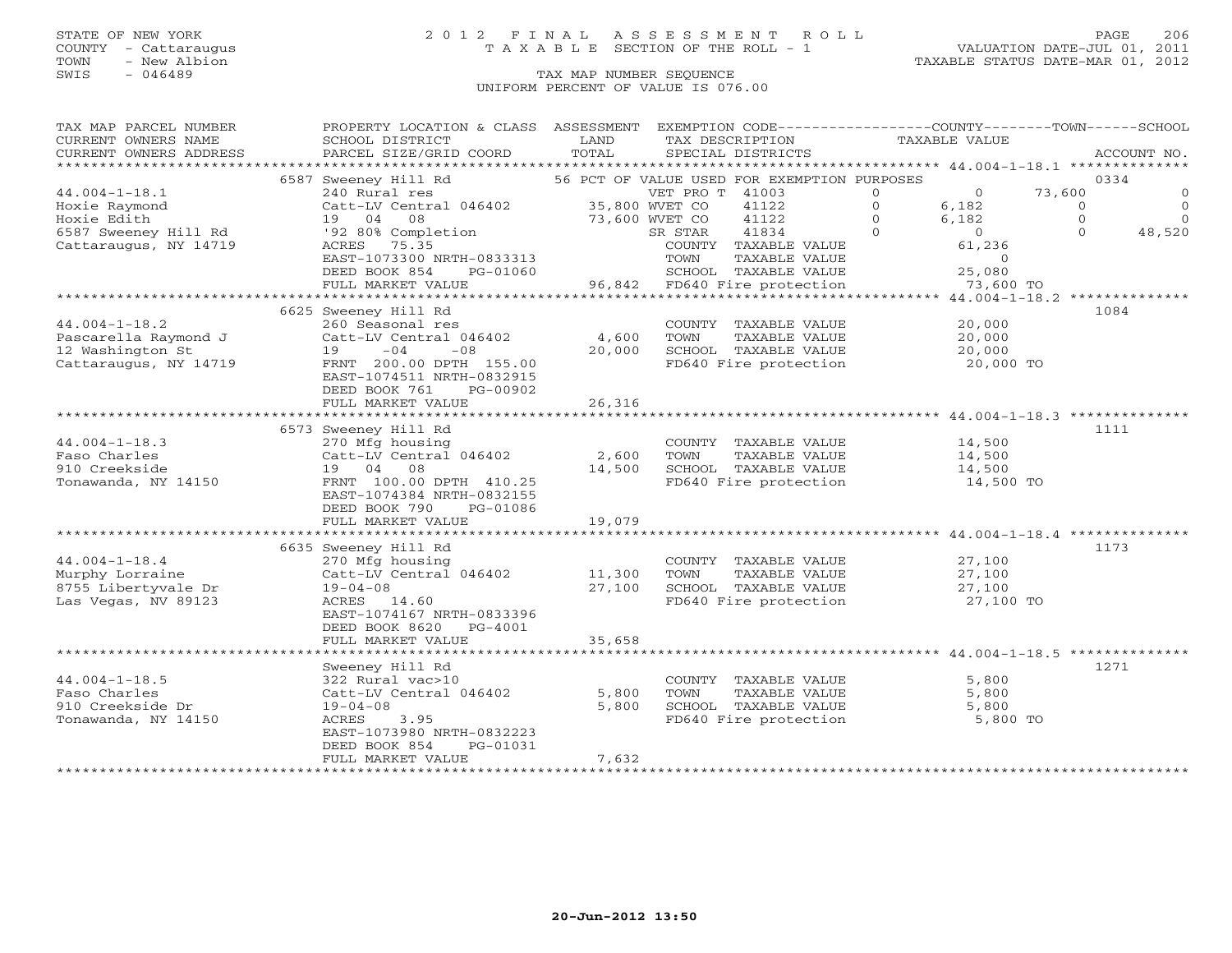### STATE OF NEW YORK 2 0 1 2 F I N A L A S S E S S M E N T R O L L PAGE 206 COUNTY - Cattaraugus T A X A B L E SECTION OF THE ROLL - 1 VALUATION DATE-JUL 01, 2011

| ACCOUNT NO.<br>56 PCT OF VALUE USED FOR EXEMPTION PURPOSES<br>0334<br>6587 Sweeney Hill Rd<br>$44.004 - 1 - 18.1$<br>73,600<br>240 Rural res<br>VET PRO T 41003<br>$\circ$<br>$\overline{0}$<br>$\circ$<br>35,800 WVET CO<br>Catt-LV Central 046402<br>$\Omega$<br>Hoxie Raymond<br>41122<br>$\Omega$<br>6,182<br>$\Omega$<br>Hoxie Edith<br>08<br>$\Omega$<br>$\Omega$<br>19 04<br>73,600 WVET CO<br>41122<br>$\Omega$<br>6,182<br>6587 Sweeney Hill Rd<br>'92 80% Completion<br>41834<br>$\Omega$<br>$\overline{0}$<br>$\Omega$<br>48,520<br>SR STAR<br>Cattaraugus, NY 14719<br>61,236<br>ACRES 75.35<br>COUNTY TAXABLE VALUE<br>EAST-1073300 NRTH-0833313<br>TOWN<br>TAXABLE VALUE<br>$\overline{0}$<br>DEED BOOK 854<br>25,080<br>PG-01060<br>SCHOOL TAXABLE VALUE<br>96,842 FD640 Fire protection<br>FULL MARKET VALUE<br>73,600 TO<br>************** 44.004-1-18.2 **************<br>6625 Sweeney Hill Rd<br>1084<br>$44.004 - 1 - 18.2$<br>260 Seasonal res<br>20,000<br>COUNTY TAXABLE VALUE<br>Pascarella Raymond J<br>4,600<br>TAXABLE VALUE<br>Catt-LV Central 046402<br>TOWN<br>20,000<br>12 Washington St<br>SCHOOL TAXABLE VALUE<br>$19 -04$<br>$-08$<br>20,000<br>20,000<br>Cattaraugus, NY 14719<br>FD640 Fire protection<br>FRNT 200.00 DPTH 155.00<br>20,000 TO<br>EAST-1074511 NRTH-0832915<br>DEED BOOK 761<br>PG-00902<br>FULL MARKET VALUE<br>26,316<br>1111<br>6573 Sweeney Hill Rd<br>$44.004 - 1 - 18.3$<br>270 Mfg housing<br>COUNTY TAXABLE VALUE<br>14,500<br>Catt-LV Central 046402<br>Faso Charles<br>TAXABLE VALUE<br>2,600<br>TOWN<br>14,500<br>910 Creekside<br>SCHOOL TAXABLE VALUE<br>19 04 08<br>14,500<br>14,500<br>FRNT 100.00 DPTH 410.25<br>FD640 Fire protection<br>14,500 TO<br>Tonawanda, NY 14150<br>EAST-1074384 NRTH-0832155<br>DEED BOOK 790<br>PG-01086<br>19,079<br>FULL MARKET VALUE<br>1173<br>6635 Sweeney Hill Rd<br>$44.004 - 1 - 18.4$<br>270 Mfg housing<br>COUNTY TAXABLE VALUE<br>27,100<br>Catt-LV Central 046402<br>11,300<br>Murphy Lorraine<br>TOWN<br>TAXABLE VALUE<br>27,100<br>8755 Libertyvale Dr<br>$19 - 04 - 08$<br>27,100<br>SCHOOL TAXABLE VALUE<br>27,100<br>Las Vegas, NV 89123<br>FD640 Fire protection<br>ACRES 14.60<br>27,100 TO<br>EAST-1074167 NRTH-0833396<br>DEED BOOK 8620 PG-4001<br>35,658<br>FULL MARKET VALUE<br>1271<br>Sweeney Hill Rd<br>5,800<br>$44.004 - 1 - 18.5$<br>322 Rural vac>10<br>COUNTY TAXABLE VALUE<br>Faso Charles<br>5,800<br>TAXABLE VALUE<br>Catt-LV Central 046402<br>TOWN<br>5,800<br>910 Creekside Dr<br>SCHOOL TAXABLE VALUE<br>$19 - 04 - 08$<br>5,800<br>5,800<br>FD640 Fire protection<br>5,800 TO<br>Tonawanda, NY 14150<br>ACRES<br>3.95<br>EAST-1073980 NRTH-0832223<br>DEED BOOK 854<br>PG-01031<br>FULL MARKET VALUE<br>7,632 | TAX MAP PARCEL NUMBER<br>CURRENT OWNERS NAME | PROPERTY LOCATION & CLASS ASSESSMENT EXEMPTION CODE---------------COUNTY-------TOWN------SCHOOL<br>SCHOOL DISTRICT | LAND  | TAX DESCRIPTION   | TAXABLE VALUE |  |
|-------------------------------------------------------------------------------------------------------------------------------------------------------------------------------------------------------------------------------------------------------------------------------------------------------------------------------------------------------------------------------------------------------------------------------------------------------------------------------------------------------------------------------------------------------------------------------------------------------------------------------------------------------------------------------------------------------------------------------------------------------------------------------------------------------------------------------------------------------------------------------------------------------------------------------------------------------------------------------------------------------------------------------------------------------------------------------------------------------------------------------------------------------------------------------------------------------------------------------------------------------------------------------------------------------------------------------------------------------------------------------------------------------------------------------------------------------------------------------------------------------------------------------------------------------------------------------------------------------------------------------------------------------------------------------------------------------------------------------------------------------------------------------------------------------------------------------------------------------------------------------------------------------------------------------------------------------------------------------------------------------------------------------------------------------------------------------------------------------------------------------------------------------------------------------------------------------------------------------------------------------------------------------------------------------------------------------------------------------------------------------------------------------------------------------------------------------------------------------------------------------------------------------------------------------------------------------------------------------------------------------------------------------------------------------------------------------------------------------------------------------|----------------------------------------------|--------------------------------------------------------------------------------------------------------------------|-------|-------------------|---------------|--|
|                                                                                                                                                                                                                                                                                                                                                                                                                                                                                                                                                                                                                                                                                                                                                                                                                                                                                                                                                                                                                                                                                                                                                                                                                                                                                                                                                                                                                                                                                                                                                                                                                                                                                                                                                                                                                                                                                                                                                                                                                                                                                                                                                                                                                                                                                                                                                                                                                                                                                                                                                                                                                                                                                                                                                       | CURRENT OWNERS ADDRESS                       | PARCEL SIZE/GRID COORD                                                                                             | TOTAL | SPECIAL DISTRICTS |               |  |
|                                                                                                                                                                                                                                                                                                                                                                                                                                                                                                                                                                                                                                                                                                                                                                                                                                                                                                                                                                                                                                                                                                                                                                                                                                                                                                                                                                                                                                                                                                                                                                                                                                                                                                                                                                                                                                                                                                                                                                                                                                                                                                                                                                                                                                                                                                                                                                                                                                                                                                                                                                                                                                                                                                                                                       |                                              |                                                                                                                    |       |                   |               |  |
|                                                                                                                                                                                                                                                                                                                                                                                                                                                                                                                                                                                                                                                                                                                                                                                                                                                                                                                                                                                                                                                                                                                                                                                                                                                                                                                                                                                                                                                                                                                                                                                                                                                                                                                                                                                                                                                                                                                                                                                                                                                                                                                                                                                                                                                                                                                                                                                                                                                                                                                                                                                                                                                                                                                                                       |                                              |                                                                                                                    |       |                   |               |  |
|                                                                                                                                                                                                                                                                                                                                                                                                                                                                                                                                                                                                                                                                                                                                                                                                                                                                                                                                                                                                                                                                                                                                                                                                                                                                                                                                                                                                                                                                                                                                                                                                                                                                                                                                                                                                                                                                                                                                                                                                                                                                                                                                                                                                                                                                                                                                                                                                                                                                                                                                                                                                                                                                                                                                                       |                                              |                                                                                                                    |       |                   |               |  |
|                                                                                                                                                                                                                                                                                                                                                                                                                                                                                                                                                                                                                                                                                                                                                                                                                                                                                                                                                                                                                                                                                                                                                                                                                                                                                                                                                                                                                                                                                                                                                                                                                                                                                                                                                                                                                                                                                                                                                                                                                                                                                                                                                                                                                                                                                                                                                                                                                                                                                                                                                                                                                                                                                                                                                       |                                              |                                                                                                                    |       |                   |               |  |
|                                                                                                                                                                                                                                                                                                                                                                                                                                                                                                                                                                                                                                                                                                                                                                                                                                                                                                                                                                                                                                                                                                                                                                                                                                                                                                                                                                                                                                                                                                                                                                                                                                                                                                                                                                                                                                                                                                                                                                                                                                                                                                                                                                                                                                                                                                                                                                                                                                                                                                                                                                                                                                                                                                                                                       |                                              |                                                                                                                    |       |                   |               |  |
|                                                                                                                                                                                                                                                                                                                                                                                                                                                                                                                                                                                                                                                                                                                                                                                                                                                                                                                                                                                                                                                                                                                                                                                                                                                                                                                                                                                                                                                                                                                                                                                                                                                                                                                                                                                                                                                                                                                                                                                                                                                                                                                                                                                                                                                                                                                                                                                                                                                                                                                                                                                                                                                                                                                                                       |                                              |                                                                                                                    |       |                   |               |  |
|                                                                                                                                                                                                                                                                                                                                                                                                                                                                                                                                                                                                                                                                                                                                                                                                                                                                                                                                                                                                                                                                                                                                                                                                                                                                                                                                                                                                                                                                                                                                                                                                                                                                                                                                                                                                                                                                                                                                                                                                                                                                                                                                                                                                                                                                                                                                                                                                                                                                                                                                                                                                                                                                                                                                                       |                                              |                                                                                                                    |       |                   |               |  |
|                                                                                                                                                                                                                                                                                                                                                                                                                                                                                                                                                                                                                                                                                                                                                                                                                                                                                                                                                                                                                                                                                                                                                                                                                                                                                                                                                                                                                                                                                                                                                                                                                                                                                                                                                                                                                                                                                                                                                                                                                                                                                                                                                                                                                                                                                                                                                                                                                                                                                                                                                                                                                                                                                                                                                       |                                              |                                                                                                                    |       |                   |               |  |
|                                                                                                                                                                                                                                                                                                                                                                                                                                                                                                                                                                                                                                                                                                                                                                                                                                                                                                                                                                                                                                                                                                                                                                                                                                                                                                                                                                                                                                                                                                                                                                                                                                                                                                                                                                                                                                                                                                                                                                                                                                                                                                                                                                                                                                                                                                                                                                                                                                                                                                                                                                                                                                                                                                                                                       |                                              |                                                                                                                    |       |                   |               |  |
|                                                                                                                                                                                                                                                                                                                                                                                                                                                                                                                                                                                                                                                                                                                                                                                                                                                                                                                                                                                                                                                                                                                                                                                                                                                                                                                                                                                                                                                                                                                                                                                                                                                                                                                                                                                                                                                                                                                                                                                                                                                                                                                                                                                                                                                                                                                                                                                                                                                                                                                                                                                                                                                                                                                                                       |                                              |                                                                                                                    |       |                   |               |  |
|                                                                                                                                                                                                                                                                                                                                                                                                                                                                                                                                                                                                                                                                                                                                                                                                                                                                                                                                                                                                                                                                                                                                                                                                                                                                                                                                                                                                                                                                                                                                                                                                                                                                                                                                                                                                                                                                                                                                                                                                                                                                                                                                                                                                                                                                                                                                                                                                                                                                                                                                                                                                                                                                                                                                                       |                                              |                                                                                                                    |       |                   |               |  |
|                                                                                                                                                                                                                                                                                                                                                                                                                                                                                                                                                                                                                                                                                                                                                                                                                                                                                                                                                                                                                                                                                                                                                                                                                                                                                                                                                                                                                                                                                                                                                                                                                                                                                                                                                                                                                                                                                                                                                                                                                                                                                                                                                                                                                                                                                                                                                                                                                                                                                                                                                                                                                                                                                                                                                       |                                              |                                                                                                                    |       |                   |               |  |
|                                                                                                                                                                                                                                                                                                                                                                                                                                                                                                                                                                                                                                                                                                                                                                                                                                                                                                                                                                                                                                                                                                                                                                                                                                                                                                                                                                                                                                                                                                                                                                                                                                                                                                                                                                                                                                                                                                                                                                                                                                                                                                                                                                                                                                                                                                                                                                                                                                                                                                                                                                                                                                                                                                                                                       |                                              |                                                                                                                    |       |                   |               |  |
|                                                                                                                                                                                                                                                                                                                                                                                                                                                                                                                                                                                                                                                                                                                                                                                                                                                                                                                                                                                                                                                                                                                                                                                                                                                                                                                                                                                                                                                                                                                                                                                                                                                                                                                                                                                                                                                                                                                                                                                                                                                                                                                                                                                                                                                                                                                                                                                                                                                                                                                                                                                                                                                                                                                                                       |                                              |                                                                                                                    |       |                   |               |  |
|                                                                                                                                                                                                                                                                                                                                                                                                                                                                                                                                                                                                                                                                                                                                                                                                                                                                                                                                                                                                                                                                                                                                                                                                                                                                                                                                                                                                                                                                                                                                                                                                                                                                                                                                                                                                                                                                                                                                                                                                                                                                                                                                                                                                                                                                                                                                                                                                                                                                                                                                                                                                                                                                                                                                                       |                                              |                                                                                                                    |       |                   |               |  |
|                                                                                                                                                                                                                                                                                                                                                                                                                                                                                                                                                                                                                                                                                                                                                                                                                                                                                                                                                                                                                                                                                                                                                                                                                                                                                                                                                                                                                                                                                                                                                                                                                                                                                                                                                                                                                                                                                                                                                                                                                                                                                                                                                                                                                                                                                                                                                                                                                                                                                                                                                                                                                                                                                                                                                       |                                              |                                                                                                                    |       |                   |               |  |
|                                                                                                                                                                                                                                                                                                                                                                                                                                                                                                                                                                                                                                                                                                                                                                                                                                                                                                                                                                                                                                                                                                                                                                                                                                                                                                                                                                                                                                                                                                                                                                                                                                                                                                                                                                                                                                                                                                                                                                                                                                                                                                                                                                                                                                                                                                                                                                                                                                                                                                                                                                                                                                                                                                                                                       |                                              |                                                                                                                    |       |                   |               |  |
|                                                                                                                                                                                                                                                                                                                                                                                                                                                                                                                                                                                                                                                                                                                                                                                                                                                                                                                                                                                                                                                                                                                                                                                                                                                                                                                                                                                                                                                                                                                                                                                                                                                                                                                                                                                                                                                                                                                                                                                                                                                                                                                                                                                                                                                                                                                                                                                                                                                                                                                                                                                                                                                                                                                                                       |                                              |                                                                                                                    |       |                   |               |  |
|                                                                                                                                                                                                                                                                                                                                                                                                                                                                                                                                                                                                                                                                                                                                                                                                                                                                                                                                                                                                                                                                                                                                                                                                                                                                                                                                                                                                                                                                                                                                                                                                                                                                                                                                                                                                                                                                                                                                                                                                                                                                                                                                                                                                                                                                                                                                                                                                                                                                                                                                                                                                                                                                                                                                                       |                                              |                                                                                                                    |       |                   |               |  |
|                                                                                                                                                                                                                                                                                                                                                                                                                                                                                                                                                                                                                                                                                                                                                                                                                                                                                                                                                                                                                                                                                                                                                                                                                                                                                                                                                                                                                                                                                                                                                                                                                                                                                                                                                                                                                                                                                                                                                                                                                                                                                                                                                                                                                                                                                                                                                                                                                                                                                                                                                                                                                                                                                                                                                       |                                              |                                                                                                                    |       |                   |               |  |
|                                                                                                                                                                                                                                                                                                                                                                                                                                                                                                                                                                                                                                                                                                                                                                                                                                                                                                                                                                                                                                                                                                                                                                                                                                                                                                                                                                                                                                                                                                                                                                                                                                                                                                                                                                                                                                                                                                                                                                                                                                                                                                                                                                                                                                                                                                                                                                                                                                                                                                                                                                                                                                                                                                                                                       |                                              |                                                                                                                    |       |                   |               |  |
|                                                                                                                                                                                                                                                                                                                                                                                                                                                                                                                                                                                                                                                                                                                                                                                                                                                                                                                                                                                                                                                                                                                                                                                                                                                                                                                                                                                                                                                                                                                                                                                                                                                                                                                                                                                                                                                                                                                                                                                                                                                                                                                                                                                                                                                                                                                                                                                                                                                                                                                                                                                                                                                                                                                                                       |                                              |                                                                                                                    |       |                   |               |  |
|                                                                                                                                                                                                                                                                                                                                                                                                                                                                                                                                                                                                                                                                                                                                                                                                                                                                                                                                                                                                                                                                                                                                                                                                                                                                                                                                                                                                                                                                                                                                                                                                                                                                                                                                                                                                                                                                                                                                                                                                                                                                                                                                                                                                                                                                                                                                                                                                                                                                                                                                                                                                                                                                                                                                                       |                                              |                                                                                                                    |       |                   |               |  |
|                                                                                                                                                                                                                                                                                                                                                                                                                                                                                                                                                                                                                                                                                                                                                                                                                                                                                                                                                                                                                                                                                                                                                                                                                                                                                                                                                                                                                                                                                                                                                                                                                                                                                                                                                                                                                                                                                                                                                                                                                                                                                                                                                                                                                                                                                                                                                                                                                                                                                                                                                                                                                                                                                                                                                       |                                              |                                                                                                                    |       |                   |               |  |
|                                                                                                                                                                                                                                                                                                                                                                                                                                                                                                                                                                                                                                                                                                                                                                                                                                                                                                                                                                                                                                                                                                                                                                                                                                                                                                                                                                                                                                                                                                                                                                                                                                                                                                                                                                                                                                                                                                                                                                                                                                                                                                                                                                                                                                                                                                                                                                                                                                                                                                                                                                                                                                                                                                                                                       |                                              |                                                                                                                    |       |                   |               |  |
|                                                                                                                                                                                                                                                                                                                                                                                                                                                                                                                                                                                                                                                                                                                                                                                                                                                                                                                                                                                                                                                                                                                                                                                                                                                                                                                                                                                                                                                                                                                                                                                                                                                                                                                                                                                                                                                                                                                                                                                                                                                                                                                                                                                                                                                                                                                                                                                                                                                                                                                                                                                                                                                                                                                                                       |                                              |                                                                                                                    |       |                   |               |  |
|                                                                                                                                                                                                                                                                                                                                                                                                                                                                                                                                                                                                                                                                                                                                                                                                                                                                                                                                                                                                                                                                                                                                                                                                                                                                                                                                                                                                                                                                                                                                                                                                                                                                                                                                                                                                                                                                                                                                                                                                                                                                                                                                                                                                                                                                                                                                                                                                                                                                                                                                                                                                                                                                                                                                                       |                                              |                                                                                                                    |       |                   |               |  |
|                                                                                                                                                                                                                                                                                                                                                                                                                                                                                                                                                                                                                                                                                                                                                                                                                                                                                                                                                                                                                                                                                                                                                                                                                                                                                                                                                                                                                                                                                                                                                                                                                                                                                                                                                                                                                                                                                                                                                                                                                                                                                                                                                                                                                                                                                                                                                                                                                                                                                                                                                                                                                                                                                                                                                       |                                              |                                                                                                                    |       |                   |               |  |
|                                                                                                                                                                                                                                                                                                                                                                                                                                                                                                                                                                                                                                                                                                                                                                                                                                                                                                                                                                                                                                                                                                                                                                                                                                                                                                                                                                                                                                                                                                                                                                                                                                                                                                                                                                                                                                                                                                                                                                                                                                                                                                                                                                                                                                                                                                                                                                                                                                                                                                                                                                                                                                                                                                                                                       |                                              |                                                                                                                    |       |                   |               |  |
|                                                                                                                                                                                                                                                                                                                                                                                                                                                                                                                                                                                                                                                                                                                                                                                                                                                                                                                                                                                                                                                                                                                                                                                                                                                                                                                                                                                                                                                                                                                                                                                                                                                                                                                                                                                                                                                                                                                                                                                                                                                                                                                                                                                                                                                                                                                                                                                                                                                                                                                                                                                                                                                                                                                                                       |                                              |                                                                                                                    |       |                   |               |  |
|                                                                                                                                                                                                                                                                                                                                                                                                                                                                                                                                                                                                                                                                                                                                                                                                                                                                                                                                                                                                                                                                                                                                                                                                                                                                                                                                                                                                                                                                                                                                                                                                                                                                                                                                                                                                                                                                                                                                                                                                                                                                                                                                                                                                                                                                                                                                                                                                                                                                                                                                                                                                                                                                                                                                                       |                                              |                                                                                                                    |       |                   |               |  |
|                                                                                                                                                                                                                                                                                                                                                                                                                                                                                                                                                                                                                                                                                                                                                                                                                                                                                                                                                                                                                                                                                                                                                                                                                                                                                                                                                                                                                                                                                                                                                                                                                                                                                                                                                                                                                                                                                                                                                                                                                                                                                                                                                                                                                                                                                                                                                                                                                                                                                                                                                                                                                                                                                                                                                       |                                              |                                                                                                                    |       |                   |               |  |
|                                                                                                                                                                                                                                                                                                                                                                                                                                                                                                                                                                                                                                                                                                                                                                                                                                                                                                                                                                                                                                                                                                                                                                                                                                                                                                                                                                                                                                                                                                                                                                                                                                                                                                                                                                                                                                                                                                                                                                                                                                                                                                                                                                                                                                                                                                                                                                                                                                                                                                                                                                                                                                                                                                                                                       |                                              |                                                                                                                    |       |                   |               |  |
|                                                                                                                                                                                                                                                                                                                                                                                                                                                                                                                                                                                                                                                                                                                                                                                                                                                                                                                                                                                                                                                                                                                                                                                                                                                                                                                                                                                                                                                                                                                                                                                                                                                                                                                                                                                                                                                                                                                                                                                                                                                                                                                                                                                                                                                                                                                                                                                                                                                                                                                                                                                                                                                                                                                                                       |                                              |                                                                                                                    |       |                   |               |  |
|                                                                                                                                                                                                                                                                                                                                                                                                                                                                                                                                                                                                                                                                                                                                                                                                                                                                                                                                                                                                                                                                                                                                                                                                                                                                                                                                                                                                                                                                                                                                                                                                                                                                                                                                                                                                                                                                                                                                                                                                                                                                                                                                                                                                                                                                                                                                                                                                                                                                                                                                                                                                                                                                                                                                                       |                                              |                                                                                                                    |       |                   |               |  |
|                                                                                                                                                                                                                                                                                                                                                                                                                                                                                                                                                                                                                                                                                                                                                                                                                                                                                                                                                                                                                                                                                                                                                                                                                                                                                                                                                                                                                                                                                                                                                                                                                                                                                                                                                                                                                                                                                                                                                                                                                                                                                                                                                                                                                                                                                                                                                                                                                                                                                                                                                                                                                                                                                                                                                       |                                              |                                                                                                                    |       |                   |               |  |
|                                                                                                                                                                                                                                                                                                                                                                                                                                                                                                                                                                                                                                                                                                                                                                                                                                                                                                                                                                                                                                                                                                                                                                                                                                                                                                                                                                                                                                                                                                                                                                                                                                                                                                                                                                                                                                                                                                                                                                                                                                                                                                                                                                                                                                                                                                                                                                                                                                                                                                                                                                                                                                                                                                                                                       |                                              |                                                                                                                    |       |                   |               |  |
|                                                                                                                                                                                                                                                                                                                                                                                                                                                                                                                                                                                                                                                                                                                                                                                                                                                                                                                                                                                                                                                                                                                                                                                                                                                                                                                                                                                                                                                                                                                                                                                                                                                                                                                                                                                                                                                                                                                                                                                                                                                                                                                                                                                                                                                                                                                                                                                                                                                                                                                                                                                                                                                                                                                                                       |                                              |                                                                                                                    |       |                   |               |  |
|                                                                                                                                                                                                                                                                                                                                                                                                                                                                                                                                                                                                                                                                                                                                                                                                                                                                                                                                                                                                                                                                                                                                                                                                                                                                                                                                                                                                                                                                                                                                                                                                                                                                                                                                                                                                                                                                                                                                                                                                                                                                                                                                                                                                                                                                                                                                                                                                                                                                                                                                                                                                                                                                                                                                                       |                                              |                                                                                                                    |       |                   |               |  |
|                                                                                                                                                                                                                                                                                                                                                                                                                                                                                                                                                                                                                                                                                                                                                                                                                                                                                                                                                                                                                                                                                                                                                                                                                                                                                                                                                                                                                                                                                                                                                                                                                                                                                                                                                                                                                                                                                                                                                                                                                                                                                                                                                                                                                                                                                                                                                                                                                                                                                                                                                                                                                                                                                                                                                       |                                              |                                                                                                                    |       |                   |               |  |
|                                                                                                                                                                                                                                                                                                                                                                                                                                                                                                                                                                                                                                                                                                                                                                                                                                                                                                                                                                                                                                                                                                                                                                                                                                                                                                                                                                                                                                                                                                                                                                                                                                                                                                                                                                                                                                                                                                                                                                                                                                                                                                                                                                                                                                                                                                                                                                                                                                                                                                                                                                                                                                                                                                                                                       |                                              |                                                                                                                    |       |                   |               |  |
|                                                                                                                                                                                                                                                                                                                                                                                                                                                                                                                                                                                                                                                                                                                                                                                                                                                                                                                                                                                                                                                                                                                                                                                                                                                                                                                                                                                                                                                                                                                                                                                                                                                                                                                                                                                                                                                                                                                                                                                                                                                                                                                                                                                                                                                                                                                                                                                                                                                                                                                                                                                                                                                                                                                                                       |                                              |                                                                                                                    |       |                   |               |  |
|                                                                                                                                                                                                                                                                                                                                                                                                                                                                                                                                                                                                                                                                                                                                                                                                                                                                                                                                                                                                                                                                                                                                                                                                                                                                                                                                                                                                                                                                                                                                                                                                                                                                                                                                                                                                                                                                                                                                                                                                                                                                                                                                                                                                                                                                                                                                                                                                                                                                                                                                                                                                                                                                                                                                                       |                                              |                                                                                                                    |       |                   |               |  |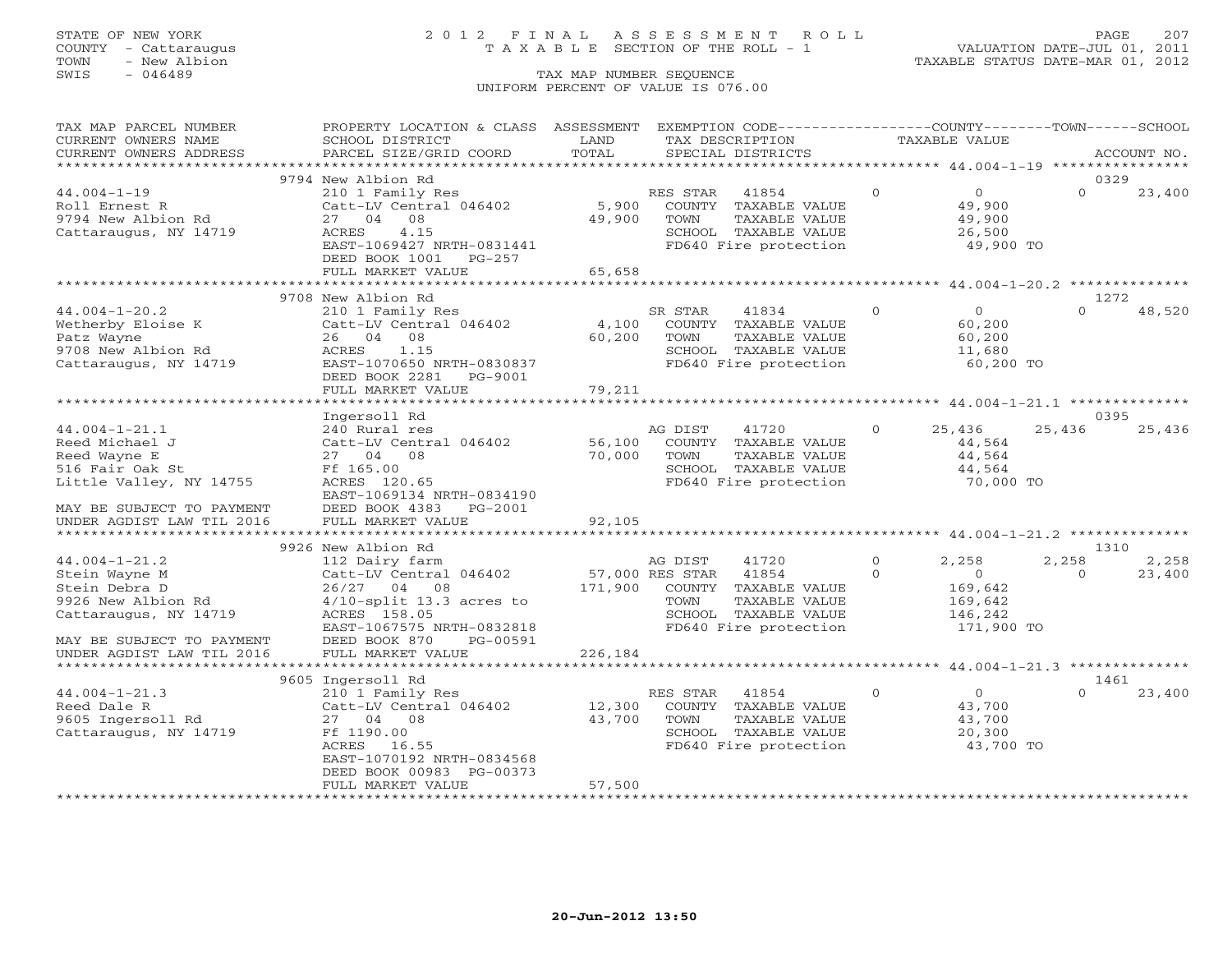## STATE OF NEW YORK 2 0 1 2 F I N A L A S S E S S M E N T R O L L PAGE 207 COUNTY - Cattaraugus T A X A B L E SECTION OF THE ROLL - 1 VALUATION DATE-JUL 01, 2011

| TAX MAP PARCEL NUMBER     | PROPERTY LOCATION & CLASS ASSESSMENT |                 | EXEMPTION CODE----------------COUNTY-------TOWN------SCHOOL         |               |                   |          |             |
|---------------------------|--------------------------------------|-----------------|---------------------------------------------------------------------|---------------|-------------------|----------|-------------|
| CURRENT OWNERS NAME       | SCHOOL DISTRICT                      | LAND            | TAX DESCRIPTION                                                     | TAXABLE VALUE |                   |          |             |
| CURRENT OWNERS ADDRESS    | PARCEL SIZE/GRID COORD               | TOTAL           | SPECIAL DISTRICTS                                                   |               |                   |          | ACCOUNT NO. |
|                           |                                      |                 |                                                                     |               |                   |          |             |
|                           | 9794 New Albion Rd                   |                 |                                                                     |               |                   | 0329     |             |
| $44.004 - 1 - 19$         | 210 1 Family Res                     |                 | RES STAR<br>41854                                                   | $\Omega$      | $0 \qquad \qquad$ | $\Omega$ | 23,400      |
| Roll Ernest R             | Catt-LV Central 046402               | 5,900           | COUNTY TAXABLE VALUE                                                |               | 49,900            |          |             |
| 9794 New Albion Rd        | 27 04 08                             | 49,900          | TAXABLE VALUE<br>TOWN                                               |               | 49,900            |          |             |
| Cattaraugus, NY 14719     | ACRES<br>4.15                        |                 | SCHOOL TAXABLE VALUE                                                |               | 26,500            |          |             |
|                           | EAST-1069427 NRTH-0831441            |                 | FD640 Fire protection                                               |               | 49,900 TO         |          |             |
|                           | DEED BOOK 1001 PG-257                |                 |                                                                     |               |                   |          |             |
|                           | FULL MARKET VALUE                    | 65,658          |                                                                     |               |                   |          |             |
|                           |                                      |                 |                                                                     |               |                   |          |             |
|                           | 9708 New Albion Rd                   |                 |                                                                     |               |                   | 1272     |             |
| $44.004 - 1 - 20.2$       | 210 1 Family Res                     |                 | SR STAR<br>41834                                                    | $\circ$       | $\overline{0}$    | $\Omega$ | 48,520      |
| Wetherby Eloise K         | Catt-LV Central 046402               | 4,100           | COUNTY TAXABLE VALUE                                                |               | 60,200            |          |             |
| Patz Wayne                | 26 04 08                             | 60,200          | TOWN<br>TAXABLE VALUE                                               |               | 60,200            |          |             |
| 9708 New Albion Rd        | 1.15<br>ACRES                        |                 | SCHOOL TAXABLE VALUE                                                |               | 11,680            |          |             |
| Cattaraugus, NY 14719     | EAST-1070650 NRTH-0830837            |                 | FD640 Fire protection                                               |               | 60,200 TO         |          |             |
|                           | DEED BOOK 2281 PG-9001               |                 |                                                                     |               |                   |          |             |
|                           | FULL MARKET VALUE                    | 79,211          |                                                                     |               |                   |          |             |
|                           | ************************             |                 |                                                                     |               |                   |          |             |
|                           | Ingersoll Rd                         |                 |                                                                     |               |                   | 0395     |             |
| $44.004 - 1 - 21.1$       | 240 Rural res                        |                 | AG DIST<br>41720                                                    | $\Omega$      | 25,436            | 25,436   | 25,436      |
| Reed Michael J            | Catt-LV Central 046402               | 56,100          | COUNTY TAXABLE VALUE                                                |               | 44,564            |          |             |
| Reed Wayne E              | 27 04 08                             | 70,000          | TOWN<br>TAXABLE VALUE                                               |               | 44,564            |          |             |
| 516 Fair Oak St           | Ff 165.00                            |                 | SCHOOL TAXABLE VALUE                                                |               | 44,564            |          |             |
| Little Valley, NY 14755   | ACRES 120.65                         |                 | FD640 Fire protection                                               |               | 70,000 TO         |          |             |
|                           | EAST-1069134 NRTH-0834190            |                 |                                                                     |               |                   |          |             |
| MAY BE SUBJECT TO PAYMENT | DEED BOOK 4383 PG-2001               |                 |                                                                     |               |                   |          |             |
| UNDER AGDIST LAW TIL 2016 | FULL MARKET VALUE                    | 92,105          |                                                                     |               |                   |          |             |
|                           |                                      |                 |                                                                     |               |                   |          |             |
|                           | 9926 New Albion Rd                   |                 |                                                                     |               |                   | 1310     |             |
| $44.004 - 1 - 21.2$       | 112 Dairy farm                       |                 | AG DIST<br>41720                                                    | $\Omega$      | 2,258             | 2,258    | 2,258       |
| Stein Wayne M             | Catt-LV Central 046402               | 57,000 RES STAR | 41854                                                               | $\Omega$      | $\overline{0}$    | $\Omega$ | 23,400      |
| Stein Debra D             | 26/27 04 08                          | 171,900         | COUNTY TAXABLE VALUE                                                |               | 169,642           |          |             |
| 9926 New Albion Rd        | $4/10$ -split 13.3 acres to          |                 | TAXABLE VALUE<br>TOWN                                               |               | 169,642           |          |             |
| Cattaraugus, NY 14719     | ACRES 158.05                         |                 | SCHOOL TAXABLE VALUE                                                |               | 146,242           |          |             |
|                           | EAST-1067575 NRTH-0832818            |                 | FD640 Fire protection                                               |               | 171,900 TO        |          |             |
| MAY BE SUBJECT TO PAYMENT | DEED BOOK 870<br>PG-00591            |                 |                                                                     |               |                   |          |             |
| UNDER AGDIST LAW TIL 2016 | FULL MARKET VALUE                    | 226,184         |                                                                     |               |                   |          |             |
|                           |                                      |                 | **************************************44.004-1-21.3 *************** |               |                   |          |             |
|                           | 9605 Ingersoll Rd                    |                 |                                                                     |               |                   | 1461     |             |
| $44.004 - 1 - 21.3$       | 210 1 Family Res                     |                 | 41854<br>RES STAR                                                   | $\circ$       | $\overline{O}$    | $\Omega$ | 23,400      |
| Reed Dale R               | Catt-LV Central 046402               | 12,300          | COUNTY TAXABLE VALUE                                                |               | 43,700            |          |             |
| 9605 Ingersoll Rd         | 27 04 08                             | 43,700          | TOWN<br>TAXABLE VALUE                                               |               | 43,700            |          |             |
| Cattaraugus, NY 14719     | Ff 1190.00                           |                 | SCHOOL TAXABLE VALUE                                                |               | 20,300            |          |             |
|                           | ACRES 16.55                          |                 | FD640 Fire protection                                               |               | 43,700 TO         |          |             |
|                           | EAST-1070192 NRTH-0834568            |                 |                                                                     |               |                   |          |             |
|                           | DEED BOOK 00983 PG-00373             |                 |                                                                     |               |                   |          |             |
|                           | FULL MARKET VALUE                    | 57,500          |                                                                     |               |                   |          |             |
|                           |                                      |                 |                                                                     |               |                   |          |             |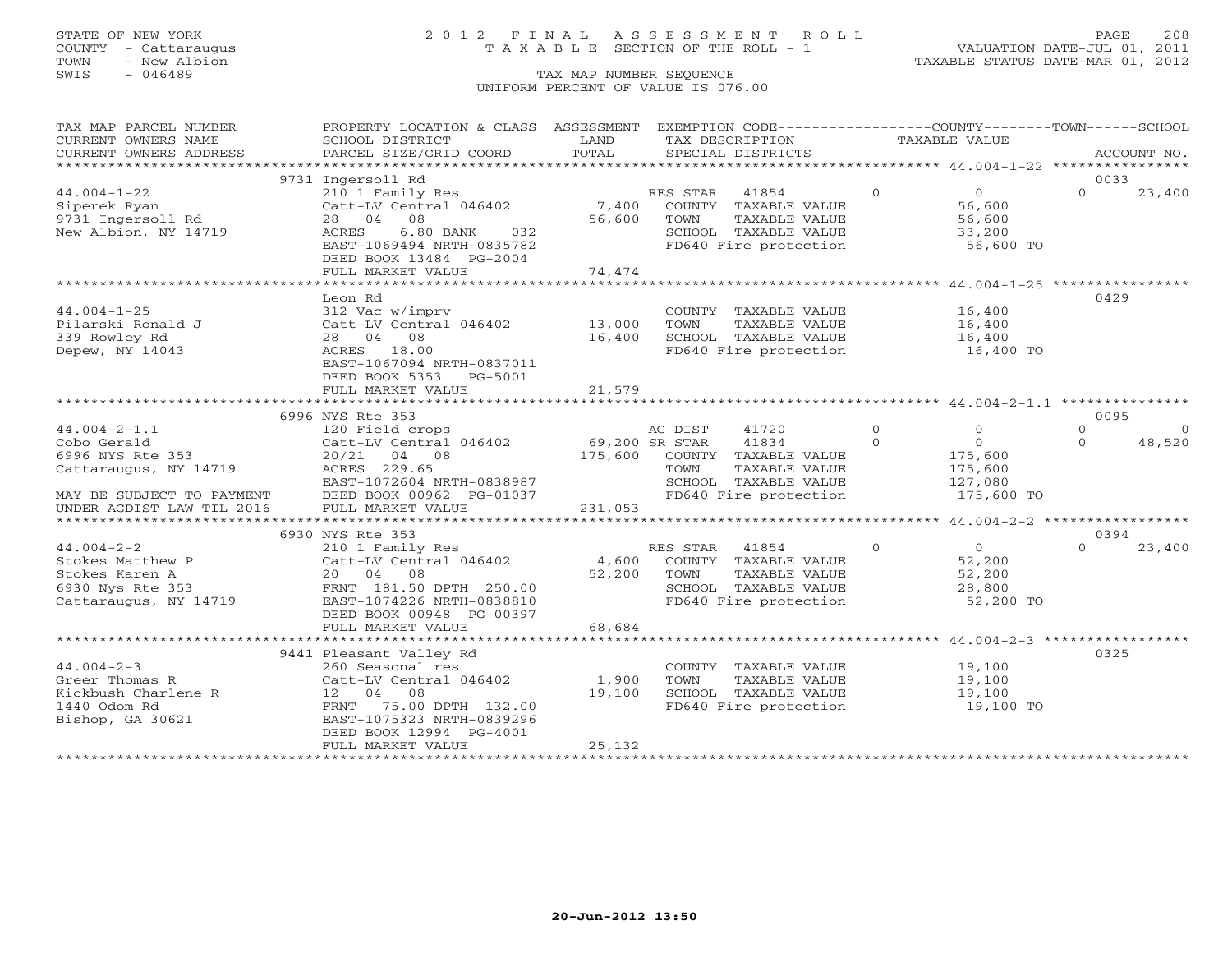COUNTY - Cattaraugus T A X A B L E SECTION OF THE ROLL - 1<br>TOWN - New Albion - 1<br>SWIS - 046489 TAX MAP NUMBER SEQUENCE

# STATE OF NEW YORK 2 0 1 2 F I N A L A S S E S S M E N T R O L L PAGE 208

VALUATION DATE-JUL 01, 2011 TAXABLE STATUS DATE-MAR 01, 2012

### TAX MAP NUMBER SEQUENCE UNIFORM PERCENT OF VALUE IS 076.00

| CURRENT OWNERS NAME<br>SCHOOL DISTRICT<br>LAND<br>TAX DESCRIPTION<br>TAXABLE VALUE<br>.CURRENT OWNERS ADDRESS PARCEL SIZE/GRID COORD TOTAL SPECIAL DISTRICTS ACCOUNT NO ACCOUNT NO ACCOUNT NO ARRENT<br>0033<br>9731 Ingersoll Rd<br>210 1 Family Res<br>$44.004 - 1 - 22$<br>$\Omega$<br>$\Omega$<br>RES STAR 41854<br>0<br>56,600<br>56,600<br>23,400<br>$\begin{array}{cccc}\n\text{Catt-LV} & \text{Central} & 046402 \\ \text{28} & 04 & 08 \\ \end{array}$ 7,400 COUNTY TAXABLE VALUE<br>Siperek Ryan<br>9731 Ingersoll Rd<br>TAXABLE VALUE<br>28 04 08<br>56,600 TOWN<br>New Albion, NY 14719<br>6.80 BANK 032<br>ACRES<br>SCHOOL TAXABLE VALUE 33,200<br>FD640 Fire protection 56,600 TO<br>EAST-1069494 NRTH-0835782<br>DEED BOOK 13484 PG-2004<br>74,474<br>FULL MARKET VALUE<br>0429<br>Leon Rd<br>$44.004 - 1 - 25$<br>COUNTY TAXABLE VALUE 16,400<br>312 Vac w/imprv<br>Catt-LV Central 046402 13,000<br>TOWN<br>TAXABLE VALUE<br>Pilarski Ronald J<br><sup>339 Rowley Rd</sup><br>16,400<br>TOWN TAXABLE VALUE<br>SCHOOL TAXABLE VALUE 16,400<br>FD640 Fire protection 16,400 TO<br>28 04 08<br>16,400<br>Depew, NY 14043<br>ACRES 18.00<br>EAST-1067094 NRTH-0837011<br>DEED BOOK 5353 PG-5001<br>21,579<br>FULL MARKET VALUE<br>0095<br>6996 NYS Rte 353<br>$\overline{0}$<br>AG DIST<br>41720<br>$\overline{O}$<br>$\overline{0}$<br>$\begin{tabular}{lllllllllllllll} \multicolumn{1}{c l}{$44.004-2-1.1$} & 0550~\text{N15} & \text{AG PIST} & \text{AG DIST} \\ \text{Cobo Gerald} & \text{Catt-LV Central 046402} & 69,200~\text{SR STAR} & \text{GDFIR} \\ \text{6996 NYS Rte 353} & 20/21 & 04 & 08 & 175,600 & \text{COUNTY} \\ \text{Cattaraugus, NY 14719} & \text{ACRES 229.65} & \text{TOWN} & \text{EAST-107260$<br>$\circ$<br>$\Omega$<br>$\overline{0}$<br>41834<br>$\Omega$<br>48,520<br>175,600 COUNTY TAXABLE VALUE 175,600<br>175,600 COUNTY TAXABLE VALUE 175,600<br>SCHOOL TAXABLE VALUE 127,080<br>FD640 Fire protection<br>175,600 TO<br>6930 NYS Rte 353<br>0394<br>$\overline{0}$<br>$\circ$<br>44.004-2-2<br>Stokes Matthew P<br>Stokes Karen A<br>6930 Nys Rte 353<br>Cattaraugus, NY 14719<br>Cattaraugus, NY 14719<br>Cattaraugus, NY 14719<br>Cattaraugus, NY 14719<br>Cattaraugus, NY 14719<br>Cattaraugus, NY 14719<br>Cattaraugus, NY 1471<br>$\Omega$<br>23,400<br>RES STAR 41854<br>52,200<br>COUNTY TAXABLE VALUE<br>52,200 TOWN<br>TOWN TAXABLE VALUE 52,200<br>SCHOOL TAXABLE VALUE 28,800<br>FD640 Fire protection 52,200 TO<br>DEED BOOK 00948 PG-00397<br>68,684<br>FULL MARKET VALUE<br>9441 Pleasant Valley Rd<br>0325<br>COUNTY TAXABLE VALUE 19,100<br>$44.004 - 2 - 3$<br>260 Seasonal res<br>Catt-LV Central 046402 1,900<br>TAXABLE VALUE 19,100<br>TOWN<br>Greer Thomas R<br>19,100<br>Kickbush Charlene R<br>1440 Odom Rd<br>12 04 08<br>SCHOOL TAXABLE VALUE 19,100<br>FD640 Fire protection 19,100 TO<br>FRNT 75.00 DPTH 132.00<br>Bishop, GA 30621<br>EAST-1075323 NRTH-0839296<br>DEED BOOK 12994 PG-4001<br>25,132<br>FULL MARKET VALUE | TAX MAP PARCEL NUMBER | PROPERTY LOCATION & CLASS ASSESSMENT EXEMPTION CODE----------------COUNTY-------TOWN------SCHOOL |  |  |  |
|----------------------------------------------------------------------------------------------------------------------------------------------------------------------------------------------------------------------------------------------------------------------------------------------------------------------------------------------------------------------------------------------------------------------------------------------------------------------------------------------------------------------------------------------------------------------------------------------------------------------------------------------------------------------------------------------------------------------------------------------------------------------------------------------------------------------------------------------------------------------------------------------------------------------------------------------------------------------------------------------------------------------------------------------------------------------------------------------------------------------------------------------------------------------------------------------------------------------------------------------------------------------------------------------------------------------------------------------------------------------------------------------------------------------------------------------------------------------------------------------------------------------------------------------------------------------------------------------------------------------------------------------------------------------------------------------------------------------------------------------------------------------------------------------------------------------------------------------------------------------------------------------------------------------------------------------------------------------------------------------------------------------------------------------------------------------------------------------------------------------------------------------------------------------------------------------------------------------------------------------------------------------------------------------------------------------------------------------------------------------------------------------------------------------------------------------------------------------------------------------------------------------------------------------------------------------------------------------------------------------------------------------------------------------------------------------------------------------------------------------------------------------------------------------------------------------------------------------------------------------------------------------------------------------------------------------------------------------------------------------------------------|-----------------------|--------------------------------------------------------------------------------------------------|--|--|--|
|                                                                                                                                                                                                                                                                                                                                                                                                                                                                                                                                                                                                                                                                                                                                                                                                                                                                                                                                                                                                                                                                                                                                                                                                                                                                                                                                                                                                                                                                                                                                                                                                                                                                                                                                                                                                                                                                                                                                                                                                                                                                                                                                                                                                                                                                                                                                                                                                                                                                                                                                                                                                                                                                                                                                                                                                                                                                                                                                                                                                                |                       |                                                                                                  |  |  |  |
|                                                                                                                                                                                                                                                                                                                                                                                                                                                                                                                                                                                                                                                                                                                                                                                                                                                                                                                                                                                                                                                                                                                                                                                                                                                                                                                                                                                                                                                                                                                                                                                                                                                                                                                                                                                                                                                                                                                                                                                                                                                                                                                                                                                                                                                                                                                                                                                                                                                                                                                                                                                                                                                                                                                                                                                                                                                                                                                                                                                                                |                       |                                                                                                  |  |  |  |
|                                                                                                                                                                                                                                                                                                                                                                                                                                                                                                                                                                                                                                                                                                                                                                                                                                                                                                                                                                                                                                                                                                                                                                                                                                                                                                                                                                                                                                                                                                                                                                                                                                                                                                                                                                                                                                                                                                                                                                                                                                                                                                                                                                                                                                                                                                                                                                                                                                                                                                                                                                                                                                                                                                                                                                                                                                                                                                                                                                                                                |                       |                                                                                                  |  |  |  |
|                                                                                                                                                                                                                                                                                                                                                                                                                                                                                                                                                                                                                                                                                                                                                                                                                                                                                                                                                                                                                                                                                                                                                                                                                                                                                                                                                                                                                                                                                                                                                                                                                                                                                                                                                                                                                                                                                                                                                                                                                                                                                                                                                                                                                                                                                                                                                                                                                                                                                                                                                                                                                                                                                                                                                                                                                                                                                                                                                                                                                |                       |                                                                                                  |  |  |  |
|                                                                                                                                                                                                                                                                                                                                                                                                                                                                                                                                                                                                                                                                                                                                                                                                                                                                                                                                                                                                                                                                                                                                                                                                                                                                                                                                                                                                                                                                                                                                                                                                                                                                                                                                                                                                                                                                                                                                                                                                                                                                                                                                                                                                                                                                                                                                                                                                                                                                                                                                                                                                                                                                                                                                                                                                                                                                                                                                                                                                                |                       |                                                                                                  |  |  |  |
|                                                                                                                                                                                                                                                                                                                                                                                                                                                                                                                                                                                                                                                                                                                                                                                                                                                                                                                                                                                                                                                                                                                                                                                                                                                                                                                                                                                                                                                                                                                                                                                                                                                                                                                                                                                                                                                                                                                                                                                                                                                                                                                                                                                                                                                                                                                                                                                                                                                                                                                                                                                                                                                                                                                                                                                                                                                                                                                                                                                                                |                       |                                                                                                  |  |  |  |
|                                                                                                                                                                                                                                                                                                                                                                                                                                                                                                                                                                                                                                                                                                                                                                                                                                                                                                                                                                                                                                                                                                                                                                                                                                                                                                                                                                                                                                                                                                                                                                                                                                                                                                                                                                                                                                                                                                                                                                                                                                                                                                                                                                                                                                                                                                                                                                                                                                                                                                                                                                                                                                                                                                                                                                                                                                                                                                                                                                                                                |                       |                                                                                                  |  |  |  |
|                                                                                                                                                                                                                                                                                                                                                                                                                                                                                                                                                                                                                                                                                                                                                                                                                                                                                                                                                                                                                                                                                                                                                                                                                                                                                                                                                                                                                                                                                                                                                                                                                                                                                                                                                                                                                                                                                                                                                                                                                                                                                                                                                                                                                                                                                                                                                                                                                                                                                                                                                                                                                                                                                                                                                                                                                                                                                                                                                                                                                |                       |                                                                                                  |  |  |  |
|                                                                                                                                                                                                                                                                                                                                                                                                                                                                                                                                                                                                                                                                                                                                                                                                                                                                                                                                                                                                                                                                                                                                                                                                                                                                                                                                                                                                                                                                                                                                                                                                                                                                                                                                                                                                                                                                                                                                                                                                                                                                                                                                                                                                                                                                                                                                                                                                                                                                                                                                                                                                                                                                                                                                                                                                                                                                                                                                                                                                                |                       |                                                                                                  |  |  |  |
|                                                                                                                                                                                                                                                                                                                                                                                                                                                                                                                                                                                                                                                                                                                                                                                                                                                                                                                                                                                                                                                                                                                                                                                                                                                                                                                                                                                                                                                                                                                                                                                                                                                                                                                                                                                                                                                                                                                                                                                                                                                                                                                                                                                                                                                                                                                                                                                                                                                                                                                                                                                                                                                                                                                                                                                                                                                                                                                                                                                                                |                       |                                                                                                  |  |  |  |
|                                                                                                                                                                                                                                                                                                                                                                                                                                                                                                                                                                                                                                                                                                                                                                                                                                                                                                                                                                                                                                                                                                                                                                                                                                                                                                                                                                                                                                                                                                                                                                                                                                                                                                                                                                                                                                                                                                                                                                                                                                                                                                                                                                                                                                                                                                                                                                                                                                                                                                                                                                                                                                                                                                                                                                                                                                                                                                                                                                                                                |                       |                                                                                                  |  |  |  |
|                                                                                                                                                                                                                                                                                                                                                                                                                                                                                                                                                                                                                                                                                                                                                                                                                                                                                                                                                                                                                                                                                                                                                                                                                                                                                                                                                                                                                                                                                                                                                                                                                                                                                                                                                                                                                                                                                                                                                                                                                                                                                                                                                                                                                                                                                                                                                                                                                                                                                                                                                                                                                                                                                                                                                                                                                                                                                                                                                                                                                |                       |                                                                                                  |  |  |  |
|                                                                                                                                                                                                                                                                                                                                                                                                                                                                                                                                                                                                                                                                                                                                                                                                                                                                                                                                                                                                                                                                                                                                                                                                                                                                                                                                                                                                                                                                                                                                                                                                                                                                                                                                                                                                                                                                                                                                                                                                                                                                                                                                                                                                                                                                                                                                                                                                                                                                                                                                                                                                                                                                                                                                                                                                                                                                                                                                                                                                                |                       |                                                                                                  |  |  |  |
|                                                                                                                                                                                                                                                                                                                                                                                                                                                                                                                                                                                                                                                                                                                                                                                                                                                                                                                                                                                                                                                                                                                                                                                                                                                                                                                                                                                                                                                                                                                                                                                                                                                                                                                                                                                                                                                                                                                                                                                                                                                                                                                                                                                                                                                                                                                                                                                                                                                                                                                                                                                                                                                                                                                                                                                                                                                                                                                                                                                                                |                       |                                                                                                  |  |  |  |
|                                                                                                                                                                                                                                                                                                                                                                                                                                                                                                                                                                                                                                                                                                                                                                                                                                                                                                                                                                                                                                                                                                                                                                                                                                                                                                                                                                                                                                                                                                                                                                                                                                                                                                                                                                                                                                                                                                                                                                                                                                                                                                                                                                                                                                                                                                                                                                                                                                                                                                                                                                                                                                                                                                                                                                                                                                                                                                                                                                                                                |                       |                                                                                                  |  |  |  |
|                                                                                                                                                                                                                                                                                                                                                                                                                                                                                                                                                                                                                                                                                                                                                                                                                                                                                                                                                                                                                                                                                                                                                                                                                                                                                                                                                                                                                                                                                                                                                                                                                                                                                                                                                                                                                                                                                                                                                                                                                                                                                                                                                                                                                                                                                                                                                                                                                                                                                                                                                                                                                                                                                                                                                                                                                                                                                                                                                                                                                |                       |                                                                                                  |  |  |  |
|                                                                                                                                                                                                                                                                                                                                                                                                                                                                                                                                                                                                                                                                                                                                                                                                                                                                                                                                                                                                                                                                                                                                                                                                                                                                                                                                                                                                                                                                                                                                                                                                                                                                                                                                                                                                                                                                                                                                                                                                                                                                                                                                                                                                                                                                                                                                                                                                                                                                                                                                                                                                                                                                                                                                                                                                                                                                                                                                                                                                                |                       |                                                                                                  |  |  |  |
|                                                                                                                                                                                                                                                                                                                                                                                                                                                                                                                                                                                                                                                                                                                                                                                                                                                                                                                                                                                                                                                                                                                                                                                                                                                                                                                                                                                                                                                                                                                                                                                                                                                                                                                                                                                                                                                                                                                                                                                                                                                                                                                                                                                                                                                                                                                                                                                                                                                                                                                                                                                                                                                                                                                                                                                                                                                                                                                                                                                                                |                       |                                                                                                  |  |  |  |
|                                                                                                                                                                                                                                                                                                                                                                                                                                                                                                                                                                                                                                                                                                                                                                                                                                                                                                                                                                                                                                                                                                                                                                                                                                                                                                                                                                                                                                                                                                                                                                                                                                                                                                                                                                                                                                                                                                                                                                                                                                                                                                                                                                                                                                                                                                                                                                                                                                                                                                                                                                                                                                                                                                                                                                                                                                                                                                                                                                                                                |                       |                                                                                                  |  |  |  |
|                                                                                                                                                                                                                                                                                                                                                                                                                                                                                                                                                                                                                                                                                                                                                                                                                                                                                                                                                                                                                                                                                                                                                                                                                                                                                                                                                                                                                                                                                                                                                                                                                                                                                                                                                                                                                                                                                                                                                                                                                                                                                                                                                                                                                                                                                                                                                                                                                                                                                                                                                                                                                                                                                                                                                                                                                                                                                                                                                                                                                |                       |                                                                                                  |  |  |  |
|                                                                                                                                                                                                                                                                                                                                                                                                                                                                                                                                                                                                                                                                                                                                                                                                                                                                                                                                                                                                                                                                                                                                                                                                                                                                                                                                                                                                                                                                                                                                                                                                                                                                                                                                                                                                                                                                                                                                                                                                                                                                                                                                                                                                                                                                                                                                                                                                                                                                                                                                                                                                                                                                                                                                                                                                                                                                                                                                                                                                                |                       |                                                                                                  |  |  |  |
|                                                                                                                                                                                                                                                                                                                                                                                                                                                                                                                                                                                                                                                                                                                                                                                                                                                                                                                                                                                                                                                                                                                                                                                                                                                                                                                                                                                                                                                                                                                                                                                                                                                                                                                                                                                                                                                                                                                                                                                                                                                                                                                                                                                                                                                                                                                                                                                                                                                                                                                                                                                                                                                                                                                                                                                                                                                                                                                                                                                                                |                       |                                                                                                  |  |  |  |
|                                                                                                                                                                                                                                                                                                                                                                                                                                                                                                                                                                                                                                                                                                                                                                                                                                                                                                                                                                                                                                                                                                                                                                                                                                                                                                                                                                                                                                                                                                                                                                                                                                                                                                                                                                                                                                                                                                                                                                                                                                                                                                                                                                                                                                                                                                                                                                                                                                                                                                                                                                                                                                                                                                                                                                                                                                                                                                                                                                                                                |                       |                                                                                                  |  |  |  |
|                                                                                                                                                                                                                                                                                                                                                                                                                                                                                                                                                                                                                                                                                                                                                                                                                                                                                                                                                                                                                                                                                                                                                                                                                                                                                                                                                                                                                                                                                                                                                                                                                                                                                                                                                                                                                                                                                                                                                                                                                                                                                                                                                                                                                                                                                                                                                                                                                                                                                                                                                                                                                                                                                                                                                                                                                                                                                                                                                                                                                |                       |                                                                                                  |  |  |  |
|                                                                                                                                                                                                                                                                                                                                                                                                                                                                                                                                                                                                                                                                                                                                                                                                                                                                                                                                                                                                                                                                                                                                                                                                                                                                                                                                                                                                                                                                                                                                                                                                                                                                                                                                                                                                                                                                                                                                                                                                                                                                                                                                                                                                                                                                                                                                                                                                                                                                                                                                                                                                                                                                                                                                                                                                                                                                                                                                                                                                                |                       |                                                                                                  |  |  |  |
|                                                                                                                                                                                                                                                                                                                                                                                                                                                                                                                                                                                                                                                                                                                                                                                                                                                                                                                                                                                                                                                                                                                                                                                                                                                                                                                                                                                                                                                                                                                                                                                                                                                                                                                                                                                                                                                                                                                                                                                                                                                                                                                                                                                                                                                                                                                                                                                                                                                                                                                                                                                                                                                                                                                                                                                                                                                                                                                                                                                                                |                       |                                                                                                  |  |  |  |
|                                                                                                                                                                                                                                                                                                                                                                                                                                                                                                                                                                                                                                                                                                                                                                                                                                                                                                                                                                                                                                                                                                                                                                                                                                                                                                                                                                                                                                                                                                                                                                                                                                                                                                                                                                                                                                                                                                                                                                                                                                                                                                                                                                                                                                                                                                                                                                                                                                                                                                                                                                                                                                                                                                                                                                                                                                                                                                                                                                                                                |                       |                                                                                                  |  |  |  |
|                                                                                                                                                                                                                                                                                                                                                                                                                                                                                                                                                                                                                                                                                                                                                                                                                                                                                                                                                                                                                                                                                                                                                                                                                                                                                                                                                                                                                                                                                                                                                                                                                                                                                                                                                                                                                                                                                                                                                                                                                                                                                                                                                                                                                                                                                                                                                                                                                                                                                                                                                                                                                                                                                                                                                                                                                                                                                                                                                                                                                |                       |                                                                                                  |  |  |  |
|                                                                                                                                                                                                                                                                                                                                                                                                                                                                                                                                                                                                                                                                                                                                                                                                                                                                                                                                                                                                                                                                                                                                                                                                                                                                                                                                                                                                                                                                                                                                                                                                                                                                                                                                                                                                                                                                                                                                                                                                                                                                                                                                                                                                                                                                                                                                                                                                                                                                                                                                                                                                                                                                                                                                                                                                                                                                                                                                                                                                                |                       |                                                                                                  |  |  |  |
|                                                                                                                                                                                                                                                                                                                                                                                                                                                                                                                                                                                                                                                                                                                                                                                                                                                                                                                                                                                                                                                                                                                                                                                                                                                                                                                                                                                                                                                                                                                                                                                                                                                                                                                                                                                                                                                                                                                                                                                                                                                                                                                                                                                                                                                                                                                                                                                                                                                                                                                                                                                                                                                                                                                                                                                                                                                                                                                                                                                                                |                       |                                                                                                  |  |  |  |
|                                                                                                                                                                                                                                                                                                                                                                                                                                                                                                                                                                                                                                                                                                                                                                                                                                                                                                                                                                                                                                                                                                                                                                                                                                                                                                                                                                                                                                                                                                                                                                                                                                                                                                                                                                                                                                                                                                                                                                                                                                                                                                                                                                                                                                                                                                                                                                                                                                                                                                                                                                                                                                                                                                                                                                                                                                                                                                                                                                                                                |                       |                                                                                                  |  |  |  |
|                                                                                                                                                                                                                                                                                                                                                                                                                                                                                                                                                                                                                                                                                                                                                                                                                                                                                                                                                                                                                                                                                                                                                                                                                                                                                                                                                                                                                                                                                                                                                                                                                                                                                                                                                                                                                                                                                                                                                                                                                                                                                                                                                                                                                                                                                                                                                                                                                                                                                                                                                                                                                                                                                                                                                                                                                                                                                                                                                                                                                |                       |                                                                                                  |  |  |  |
|                                                                                                                                                                                                                                                                                                                                                                                                                                                                                                                                                                                                                                                                                                                                                                                                                                                                                                                                                                                                                                                                                                                                                                                                                                                                                                                                                                                                                                                                                                                                                                                                                                                                                                                                                                                                                                                                                                                                                                                                                                                                                                                                                                                                                                                                                                                                                                                                                                                                                                                                                                                                                                                                                                                                                                                                                                                                                                                                                                                                                |                       |                                                                                                  |  |  |  |
|                                                                                                                                                                                                                                                                                                                                                                                                                                                                                                                                                                                                                                                                                                                                                                                                                                                                                                                                                                                                                                                                                                                                                                                                                                                                                                                                                                                                                                                                                                                                                                                                                                                                                                                                                                                                                                                                                                                                                                                                                                                                                                                                                                                                                                                                                                                                                                                                                                                                                                                                                                                                                                                                                                                                                                                                                                                                                                                                                                                                                |                       |                                                                                                  |  |  |  |
|                                                                                                                                                                                                                                                                                                                                                                                                                                                                                                                                                                                                                                                                                                                                                                                                                                                                                                                                                                                                                                                                                                                                                                                                                                                                                                                                                                                                                                                                                                                                                                                                                                                                                                                                                                                                                                                                                                                                                                                                                                                                                                                                                                                                                                                                                                                                                                                                                                                                                                                                                                                                                                                                                                                                                                                                                                                                                                                                                                                                                |                       |                                                                                                  |  |  |  |
|                                                                                                                                                                                                                                                                                                                                                                                                                                                                                                                                                                                                                                                                                                                                                                                                                                                                                                                                                                                                                                                                                                                                                                                                                                                                                                                                                                                                                                                                                                                                                                                                                                                                                                                                                                                                                                                                                                                                                                                                                                                                                                                                                                                                                                                                                                                                                                                                                                                                                                                                                                                                                                                                                                                                                                                                                                                                                                                                                                                                                |                       |                                                                                                  |  |  |  |
|                                                                                                                                                                                                                                                                                                                                                                                                                                                                                                                                                                                                                                                                                                                                                                                                                                                                                                                                                                                                                                                                                                                                                                                                                                                                                                                                                                                                                                                                                                                                                                                                                                                                                                                                                                                                                                                                                                                                                                                                                                                                                                                                                                                                                                                                                                                                                                                                                                                                                                                                                                                                                                                                                                                                                                                                                                                                                                                                                                                                                |                       |                                                                                                  |  |  |  |
|                                                                                                                                                                                                                                                                                                                                                                                                                                                                                                                                                                                                                                                                                                                                                                                                                                                                                                                                                                                                                                                                                                                                                                                                                                                                                                                                                                                                                                                                                                                                                                                                                                                                                                                                                                                                                                                                                                                                                                                                                                                                                                                                                                                                                                                                                                                                                                                                                                                                                                                                                                                                                                                                                                                                                                                                                                                                                                                                                                                                                |                       |                                                                                                  |  |  |  |
|                                                                                                                                                                                                                                                                                                                                                                                                                                                                                                                                                                                                                                                                                                                                                                                                                                                                                                                                                                                                                                                                                                                                                                                                                                                                                                                                                                                                                                                                                                                                                                                                                                                                                                                                                                                                                                                                                                                                                                                                                                                                                                                                                                                                                                                                                                                                                                                                                                                                                                                                                                                                                                                                                                                                                                                                                                                                                                                                                                                                                |                       |                                                                                                  |  |  |  |
|                                                                                                                                                                                                                                                                                                                                                                                                                                                                                                                                                                                                                                                                                                                                                                                                                                                                                                                                                                                                                                                                                                                                                                                                                                                                                                                                                                                                                                                                                                                                                                                                                                                                                                                                                                                                                                                                                                                                                                                                                                                                                                                                                                                                                                                                                                                                                                                                                                                                                                                                                                                                                                                                                                                                                                                                                                                                                                                                                                                                                |                       |                                                                                                  |  |  |  |
|                                                                                                                                                                                                                                                                                                                                                                                                                                                                                                                                                                                                                                                                                                                                                                                                                                                                                                                                                                                                                                                                                                                                                                                                                                                                                                                                                                                                                                                                                                                                                                                                                                                                                                                                                                                                                                                                                                                                                                                                                                                                                                                                                                                                                                                                                                                                                                                                                                                                                                                                                                                                                                                                                                                                                                                                                                                                                                                                                                                                                |                       |                                                                                                  |  |  |  |
|                                                                                                                                                                                                                                                                                                                                                                                                                                                                                                                                                                                                                                                                                                                                                                                                                                                                                                                                                                                                                                                                                                                                                                                                                                                                                                                                                                                                                                                                                                                                                                                                                                                                                                                                                                                                                                                                                                                                                                                                                                                                                                                                                                                                                                                                                                                                                                                                                                                                                                                                                                                                                                                                                                                                                                                                                                                                                                                                                                                                                |                       |                                                                                                  |  |  |  |
|                                                                                                                                                                                                                                                                                                                                                                                                                                                                                                                                                                                                                                                                                                                                                                                                                                                                                                                                                                                                                                                                                                                                                                                                                                                                                                                                                                                                                                                                                                                                                                                                                                                                                                                                                                                                                                                                                                                                                                                                                                                                                                                                                                                                                                                                                                                                                                                                                                                                                                                                                                                                                                                                                                                                                                                                                                                                                                                                                                                                                |                       |                                                                                                  |  |  |  |
|                                                                                                                                                                                                                                                                                                                                                                                                                                                                                                                                                                                                                                                                                                                                                                                                                                                                                                                                                                                                                                                                                                                                                                                                                                                                                                                                                                                                                                                                                                                                                                                                                                                                                                                                                                                                                                                                                                                                                                                                                                                                                                                                                                                                                                                                                                                                                                                                                                                                                                                                                                                                                                                                                                                                                                                                                                                                                                                                                                                                                |                       |                                                                                                  |  |  |  |
|                                                                                                                                                                                                                                                                                                                                                                                                                                                                                                                                                                                                                                                                                                                                                                                                                                                                                                                                                                                                                                                                                                                                                                                                                                                                                                                                                                                                                                                                                                                                                                                                                                                                                                                                                                                                                                                                                                                                                                                                                                                                                                                                                                                                                                                                                                                                                                                                                                                                                                                                                                                                                                                                                                                                                                                                                                                                                                                                                                                                                |                       |                                                                                                  |  |  |  |
|                                                                                                                                                                                                                                                                                                                                                                                                                                                                                                                                                                                                                                                                                                                                                                                                                                                                                                                                                                                                                                                                                                                                                                                                                                                                                                                                                                                                                                                                                                                                                                                                                                                                                                                                                                                                                                                                                                                                                                                                                                                                                                                                                                                                                                                                                                                                                                                                                                                                                                                                                                                                                                                                                                                                                                                                                                                                                                                                                                                                                |                       |                                                                                                  |  |  |  |
|                                                                                                                                                                                                                                                                                                                                                                                                                                                                                                                                                                                                                                                                                                                                                                                                                                                                                                                                                                                                                                                                                                                                                                                                                                                                                                                                                                                                                                                                                                                                                                                                                                                                                                                                                                                                                                                                                                                                                                                                                                                                                                                                                                                                                                                                                                                                                                                                                                                                                                                                                                                                                                                                                                                                                                                                                                                                                                                                                                                                                |                       |                                                                                                  |  |  |  |
|                                                                                                                                                                                                                                                                                                                                                                                                                                                                                                                                                                                                                                                                                                                                                                                                                                                                                                                                                                                                                                                                                                                                                                                                                                                                                                                                                                                                                                                                                                                                                                                                                                                                                                                                                                                                                                                                                                                                                                                                                                                                                                                                                                                                                                                                                                                                                                                                                                                                                                                                                                                                                                                                                                                                                                                                                                                                                                                                                                                                                |                       |                                                                                                  |  |  |  |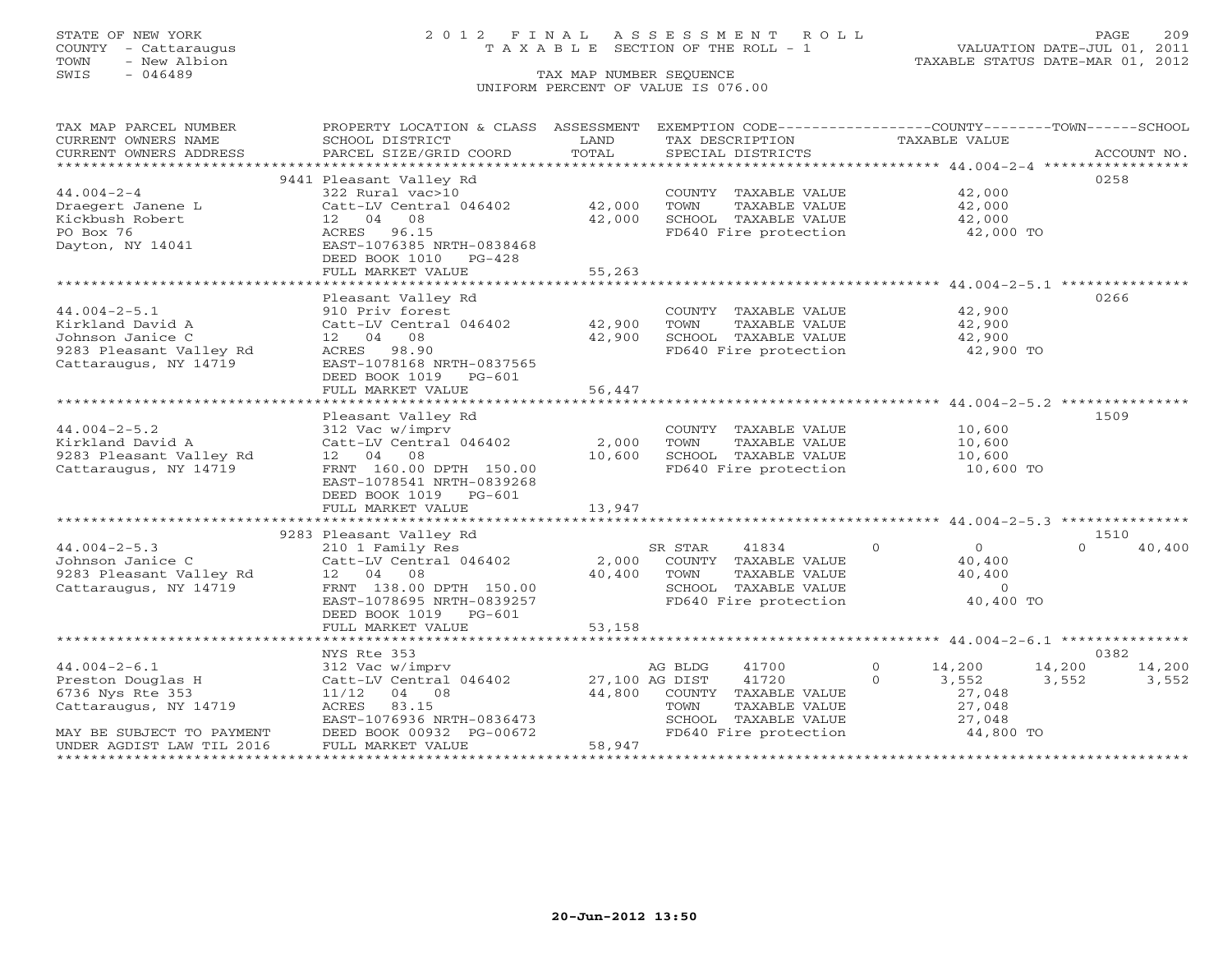COUNTY - Cattaraugus T A X A B L E SECTION OF THE ROLL - 1<br>TOWN - New Albion<br>SWIS - 046489 TAX MAP NUMBER SEQUENCE

# STATE OF NEW YORK 2012 FINAL ASSESSMENT ROLL PAGE 209

VALUATION DATE-JUL 01, 2011 TAXABLE STATUS DATE-MAR 01, 2012

### TAX MAP NUMBER SEQUENCE UNIFORM PERCENT OF VALUE IS 076.00

| TAX MAP PARCEL NUMBER                                  | PROPERTY LOCATION & CLASS ASSESSMENT          |        | EXEMPTION CODE-----------------COUNTY--------TOWN------SCHOOL |                           |                  |
|--------------------------------------------------------|-----------------------------------------------|--------|---------------------------------------------------------------|---------------------------|------------------|
| CURRENT OWNERS NAME                                    | SCHOOL DISTRICT                               | LAND   | TAX DESCRIPTION                                               | TAXABLE VALUE             |                  |
| CURRENT OWNERS ADDRESS                                 | PARCEL SIZE/GRID COORD                        | TOTAL  |                                                               |                           |                  |
|                                                        |                                               |        |                                                               |                           |                  |
|                                                        | 9441 Pleasant Valley Rd                       |        |                                                               |                           | 0258             |
| $44.004 - 2 - 4$                                       | 322 Rural vac>10                              |        | COUNTY TAXABLE VALUE                                          | 42,000                    |                  |
| Draegert Janene L                                      | Catt-LV Central 046402                        | 42,000 | TOWN<br>TAXABLE VALUE                                         | 42,000                    |                  |
| Kickbush Robert                                        | 12 04 08                                      | 42,000 | SCHOOL TAXABLE VALUE                                          | 42,000                    |                  |
| PO Box 76                                              | ACRES 96.15                                   |        | FD640 Fire protection                                         | 42,000 TO                 |                  |
| Dayton, NY 14041                                       | EAST-1076385 NRTH-0838468                     |        |                                                               |                           |                  |
|                                                        | DEED BOOK 1010 PG-428                         |        |                                                               |                           |                  |
|                                                        | FULL MARKET VALUE                             | 55,263 |                                                               |                           |                  |
|                                                        |                                               |        |                                                               |                           |                  |
|                                                        | Pleasant Valley Rd                            |        |                                                               |                           | 0266             |
| $44.004 - 2 - 5.1$                                     | 910 Priv forest                               |        | COUNTY TAXABLE VALUE                                          | 42,900                    |                  |
| Kirkland David A                                       | Catt-LV Central 046402 42,900                 |        | TOWN<br>TAXABLE VALUE                                         | 42,900                    |                  |
| Johnson Janice C                                       | 12 04 08                                      | 42,900 | SCHOOL TAXABLE VALUE                                          | 42,900                    |                  |
| 9283 Pleasant Valley Rd                                | ACRES 98.90                                   |        | FD640 Fire protection                                         | 42,900 TO                 |                  |
| Cattaraugus, NY 14719                                  | EAST-1078168 NRTH-0837565                     |        |                                                               |                           |                  |
|                                                        | DEED BOOK 1019 PG-601                         |        |                                                               |                           |                  |
|                                                        | FULL MARKET VALUE                             | 56,447 |                                                               |                           |                  |
|                                                        |                                               |        |                                                               |                           |                  |
|                                                        | Pleasant Valley Rd                            |        |                                                               |                           | 1509             |
| $44.004 - 2 - 5.2$                                     | 312 Vac w/imprv                               |        | COUNTY TAXABLE VALUE                                          | 10,600                    |                  |
| Kirkland David A                                       | Catt-LV Central 046402                        | 2,000  | TOWN<br>TAXABLE VALUE                                         | 10,600                    |                  |
| 9283 Pleasant Valley Rd                                | 12 04 08                                      | 10,600 | SCHOOL TAXABLE VALUE                                          | 10,600                    |                  |
| Cattaraugus, NY 14719                                  | FRNT 160.00 DPTH 150.00                       |        | FD640 Fire protection                                         | 10,600 TO                 |                  |
|                                                        | EAST-1078541 NRTH-0839268                     |        |                                                               |                           |                  |
|                                                        | DEED BOOK 1019 PG-601                         |        |                                                               |                           |                  |
|                                                        | FULL MARKET VALUE                             | 13,947 |                                                               |                           |                  |
|                                                        |                                               |        |                                                               |                           |                  |
|                                                        | 9283 Pleasant Valley Rd                       |        |                                                               |                           | 1510<br>$\Omega$ |
| $44.004 - 2 - 5.3$                                     | 210 1 Family Res                              |        | SR STAR<br>41834                                              | $\circ$<br>$\overline{0}$ | 40,400           |
| Johnson Janice C                                       | Catt-LV Central 046402                        | 2,000  | COUNTY TAXABLE VALUE                                          | 40,400                    |                  |
| 9283 Pleasant Valley Rd $12$ 04 08                     |                                               | 40,400 | TOWN<br>TAXABLE VALUE                                         | 40,400                    |                  |
| Cattaraugus, NY 14719                                  | FRNT 138.00 DPTH 150.00                       |        | SCHOOL TAXABLE VALUE<br>FD640 Fire protection                 | $\overline{0}$            |                  |
|                                                        | EAST-1078695 NRTH-0839257                     |        |                                                               | 40,400 TO                 |                  |
|                                                        | DEED BOOK 1019 PG-601                         |        |                                                               |                           |                  |
|                                                        | FULL MARKET VALUE                             | 53,158 |                                                               |                           |                  |
|                                                        |                                               |        |                                                               |                           |                  |
| $44.004 - 2 - 6.1$                                     | NYS Rte 353                                   |        |                                                               | $\Omega$                  | 0382             |
|                                                        | 312 Vac w/imprv                               |        | AG BLDG<br>41700                                              | 14,200                    | 14,200 14,200    |
| Preston Douglas H                                      | Catt-LV Central 046402                        | 44,800 | 27,100 AG DIST<br>41720                                       | $\Omega$<br>3,552         | 3,552<br>3,552   |
| 6736 Nys Rte 353                                       | $11/12$ 04 08                                 |        | COUNTY TAXABLE VALUE                                          | 27,048                    |                  |
| Cattaraugus, NY 14719                                  | ACRES<br>83.15                                |        | TOWN<br>TAXABLE VALUE                                         | 27,048                    |                  |
|                                                        | EAST-1076936 NRTH-0836473                     |        | SCHOOL TAXABLE VALUE<br>FD640 Fire protection                 | 27,048<br>44,800 TO       |                  |
| MAY BE SUBJECT TO PAYMENT<br>UNDER AGDIST LAW TIL 2016 | DEED BOOK 00932 PG-00672<br>FULL MARKET VALUE | 58,947 |                                                               |                           |                  |
|                                                        |                                               |        |                                                               |                           |                  |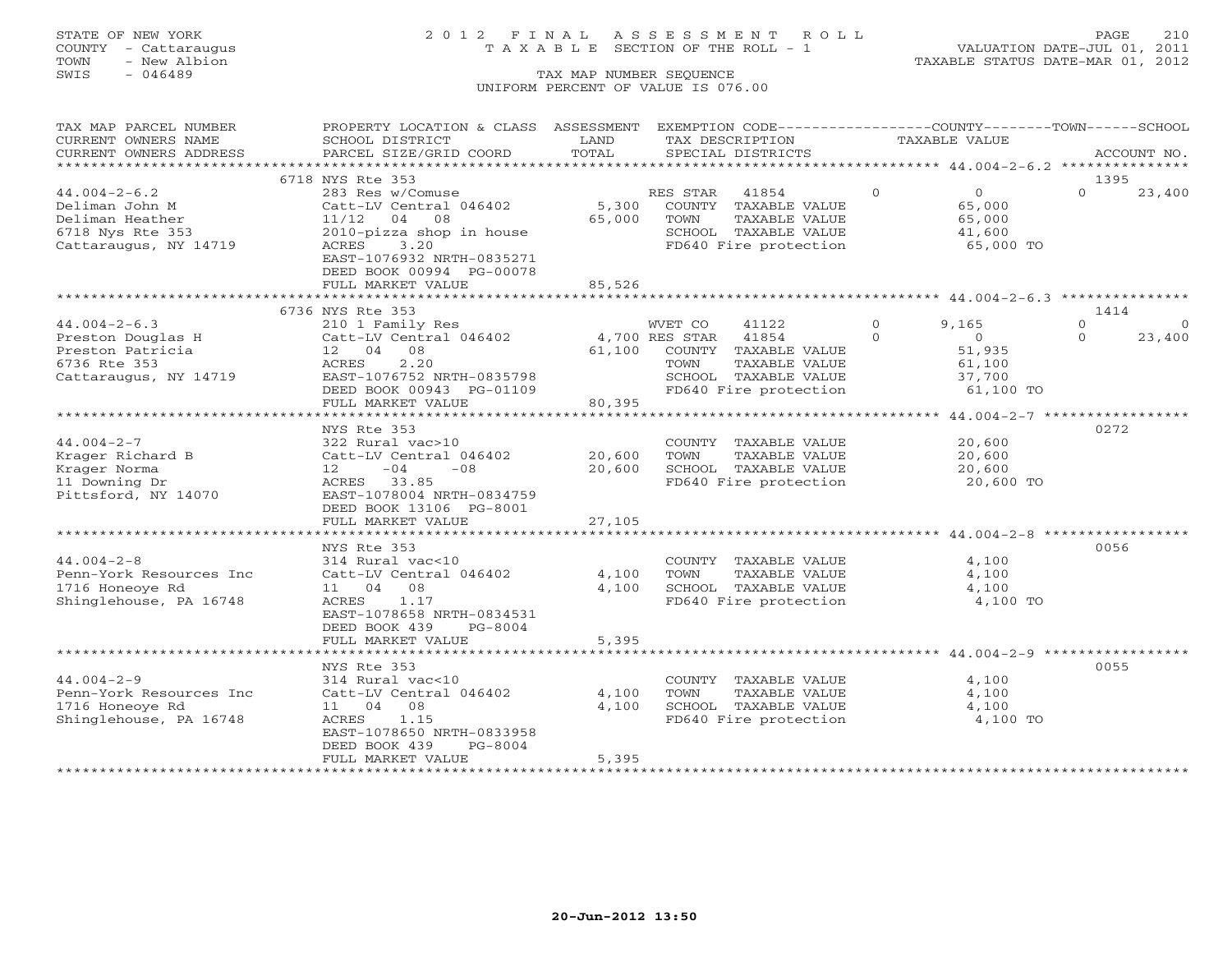### STATE OF NEW YORK 2 0 1 2 F I N A L A S S E S S M E N T R O L L PAGE 210 COUNTY - Cattaraugus T A X A B L E SECTION OF THE ROLL - 1 VALUATION DATE-JUL 01, 2011

| TAX MAP PARCEL NUMBER   | PROPERTY LOCATION & CLASS ASSESSMENT |                     |                | EXEMPTION CODE-----------------COUNTY-------TOWN------SCHOOL      |          |                |          |             |
|-------------------------|--------------------------------------|---------------------|----------------|-------------------------------------------------------------------|----------|----------------|----------|-------------|
| CURRENT OWNERS NAME     | SCHOOL DISTRICT                      | LAND                |                | TAX DESCRIPTION                                                   |          | TAXABLE VALUE  |          |             |
| CURRENT OWNERS ADDRESS  | PARCEL SIZE/GRID COORD               | TOTAL               |                | SPECIAL DISTRICTS                                                 |          |                |          | ACCOUNT NO. |
| ******************      | ***************************          |                     |                |                                                                   |          |                |          |             |
|                         | 6718 NYS Rte 353                     |                     |                |                                                                   |          |                |          | 1395        |
| $44.004 - 2 - 6.2$      | 283 Res w/Comuse                     |                     | RES STAR       | 41854                                                             | $\Omega$ | $\overline{0}$ | $\Omega$ | 23,400      |
| Deliman John M          | Catt-LV Central 046402               | 5,300               |                | COUNTY TAXABLE VALUE                                              |          | 65,000         |          |             |
| Deliman Heather         | 11/12<br>04<br>08                    | 65,000              | TOWN           | TAXABLE VALUE                                                     |          | 65,000         |          |             |
| 6718 Nys Rte 353        | 2010-pizza shop in house             |                     |                | SCHOOL TAXABLE VALUE                                              |          | 41,600         |          |             |
| Cattaraugus, NY 14719   | 3.20<br>ACRES                        |                     |                | FD640 Fire protection                                             |          | 65,000 TO      |          |             |
|                         | EAST-1076932 NRTH-0835271            |                     |                |                                                                   |          |                |          |             |
|                         | DEED BOOK 00994 PG-00078             |                     |                |                                                                   |          |                |          |             |
|                         | FULL MARKET VALUE                    | 85,526              |                |                                                                   |          |                |          |             |
|                         |                                      |                     |                | *********************************** 44.004-2-6.3 **************** |          |                |          |             |
|                         | 6736 NYS Rte 353                     |                     |                |                                                                   |          |                |          | 1414        |
| $44.004 - 2 - 6.3$      | 210 1 Family Res                     |                     | WVET CO        | 41122                                                             | $\Omega$ | 9,165          | $\Omega$ |             |
| Preston Douglas H       | Catt-LV Central 046402               |                     | 4,700 RES STAR | 41854                                                             | $\Omega$ | $\Omega$       | $\Omega$ | 23,400      |
| Preston Patricia        | 12 04 08                             | 61,100              |                | COUNTY TAXABLE VALUE                                              |          | 51,935         |          |             |
| 6736 Rte 353            | 2.20<br>ACRES                        |                     | TOWN           | TAXABLE VALUE                                                     |          | 61,100         |          |             |
| Cattaraugus, NY 14719   | EAST-1076752 NRTH-0835798            |                     |                | SCHOOL TAXABLE VALUE                                              |          | 37,700         |          |             |
|                         | DEED BOOK 00943 PG-01109             |                     |                | FD640 Fire protection                                             |          | 61,100 TO      |          |             |
|                         | FULL MARKET VALUE                    | 80,395              |                |                                                                   |          |                |          |             |
|                         |                                      |                     |                |                                                                   |          |                |          |             |
|                         | NYS Rte 353                          |                     |                |                                                                   |          |                |          | 0272        |
| $44.004 - 2 - 7$        | 322 Rural vac>10                     |                     |                | COUNTY TAXABLE VALUE                                              |          | 20,600         |          |             |
| Krager Richard B        | Catt-LV Central 046402               | 20,600              | TOWN           | TAXABLE VALUE                                                     |          | 20,600         |          |             |
| Krager Norma            | $-08$<br>12<br>$-04$                 | 20,600              |                | SCHOOL TAXABLE VALUE                                              |          | 20,600         |          |             |
| 11 Downing Dr           | ACRES 33.85                          |                     |                | FD640 Fire protection                                             |          | 20,600 TO      |          |             |
| Pittsford, NY 14070     | EAST-1078004 NRTH-0834759            |                     |                |                                                                   |          |                |          |             |
|                         | DEED BOOK 13106 PG-8001              |                     |                |                                                                   |          |                |          |             |
|                         | FULL MARKET VALUE                    | 27,105              |                |                                                                   |          |                |          |             |
|                         |                                      |                     |                |                                                                   |          |                |          |             |
|                         | NYS Rte 353                          |                     |                |                                                                   |          |                |          | 0056        |
| $44.004 - 2 - 8$        | 314 Rural vac<10                     |                     |                | COUNTY TAXABLE VALUE                                              |          | 4,100          |          |             |
| Penn-York Resources Inc | Catt-LV Central 046402               | 4,100               | TOWN           | TAXABLE VALUE                                                     |          | 4,100          |          |             |
| 1716 Honeove Rd         | 08<br>11 04                          | 4,100               |                | SCHOOL TAXABLE VALUE                                              |          | 4,100          |          |             |
| Shinglehouse, PA 16748  | 1.17<br>ACRES                        |                     |                | FD640 Fire protection                                             |          | 4,100 TO       |          |             |
|                         | EAST-1078658 NRTH-0834531            |                     |                |                                                                   |          |                |          |             |
|                         | DEED BOOK 439<br>PG-8004             |                     |                |                                                                   |          |                |          |             |
|                         | FULL MARKET VALUE                    | 5,395               |                |                                                                   |          |                |          |             |
|                         | *******************************      |                     |                |                                                                   |          |                |          |             |
|                         | NYS Rte 353                          |                     |                |                                                                   |          |                |          | 0055        |
| $44.004 - 2 - 9$        | 314 Rural vac<10                     |                     |                | COUNTY TAXABLE VALUE                                              |          | 4,100          |          |             |
| Penn-York Resources Inc | Catt-LV Central 046402               | 4,100               | TOWN           | TAXABLE VALUE                                                     |          | 4,100          |          |             |
| 1716 Honeoye Rd         | 11 04 08                             | 4,100               |                | SCHOOL TAXABLE VALUE                                              |          | 4,100          |          |             |
| Shinglehouse, PA 16748  | ACRES<br>1.15                        |                     |                | FD640 Fire protection                                             |          | 4,100 TO       |          |             |
|                         | EAST-1078650 NRTH-0833958            |                     |                |                                                                   |          |                |          |             |
|                         | DEED BOOK 439<br>$PG-8004$           |                     |                |                                                                   |          |                |          |             |
|                         | FULL MARKET VALUE                    | 5,395               |                |                                                                   |          |                |          |             |
|                         |                                      | ******************* |                |                                                                   |          |                |          |             |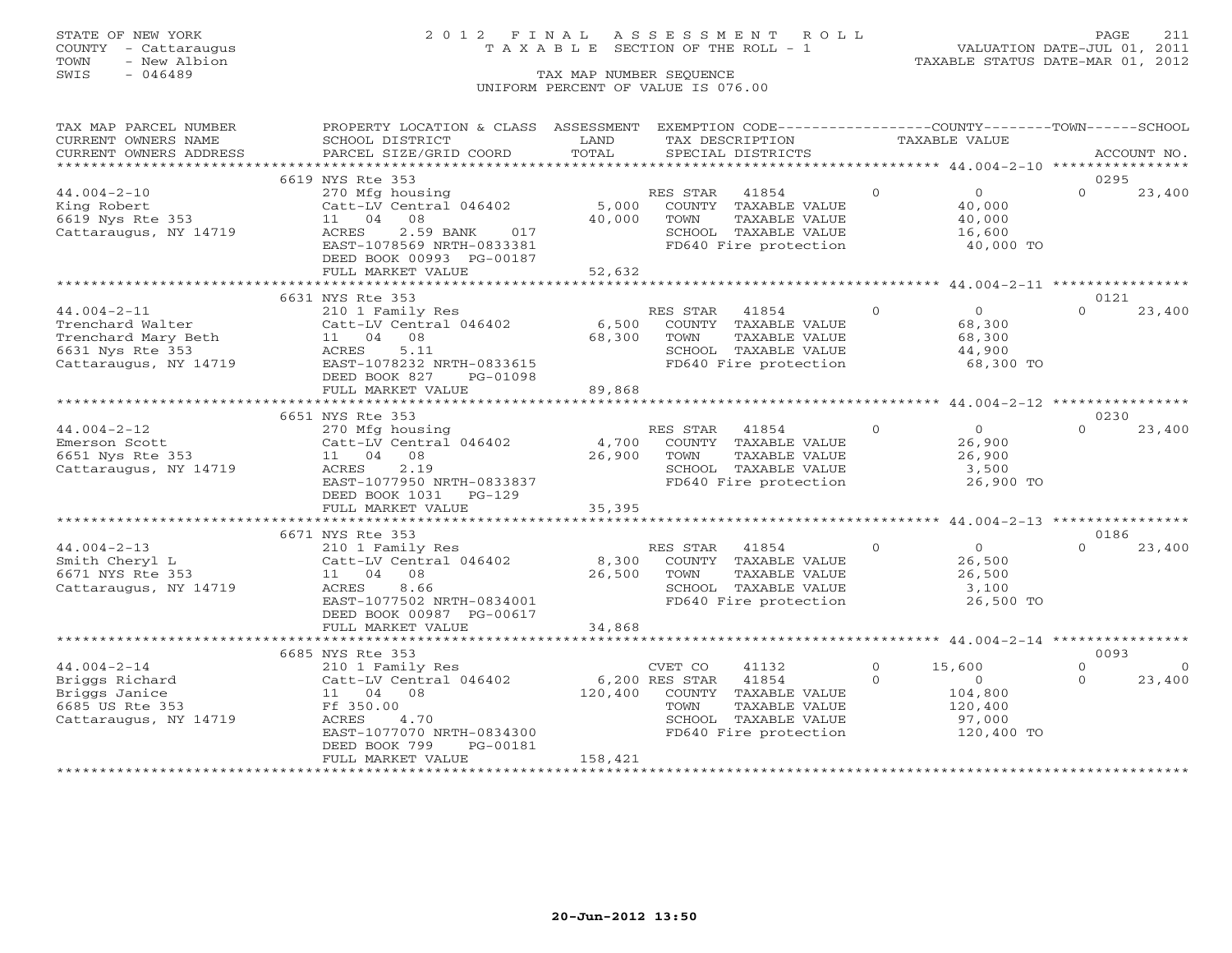## STATE OF NEW YORK 2 0 1 2 F I N A L A S S E S S M E N T R O L L PAGE 211 COUNTY - Cattaraugus T A X A B L E SECTION OF THE ROLL - 1 VALUATION DATE-JUL 01, 2011

| TAX MAP PARCEL NUMBER                   | PROPERTY LOCATION & CLASS ASSESSMENT              |                | EXEMPTION CODE-----------------COUNTY-------TOWN------SCHOOL |               |                   |          |                |
|-----------------------------------------|---------------------------------------------------|----------------|--------------------------------------------------------------|---------------|-------------------|----------|----------------|
| CURRENT OWNERS NAME                     | SCHOOL DISTRICT                                   | LAND           | TAX DESCRIPTION                                              | TAXABLE VALUE |                   |          |                |
| CURRENT OWNERS ADDRESS                  | PARCEL SIZE/GRID COORD                            | TOTAL          | SPECIAL DISTRICTS                                            |               |                   |          | ACCOUNT NO.    |
|                                         |                                                   |                |                                                              |               |                   |          |                |
|                                         | 6619 NYS Rte 353                                  |                |                                                              |               |                   | 0295     |                |
| $44.004 - 2 - 10$                       | 270 Mfg housing                                   |                | RES STAR<br>41854                                            | $\circ$       | $\overline{0}$    | $\Omega$ | 23,400         |
| King Robert                             | Catt-LV Central 046402                            | 5,000          | COUNTY TAXABLE VALUE                                         |               | 40,000            |          |                |
| 6619 Nys Rte 353                        | 11 04<br>08                                       | 40,000         | TOWN<br>TAXABLE VALUE                                        |               | 40,000            |          |                |
| Cattaraugus, NY 14719                   | ACRES<br>2.59 BANK<br>017                         |                | SCHOOL TAXABLE VALUE                                         |               | 16,600            |          |                |
|                                         | EAST-1078569 NRTH-0833381                         |                | FD640 Fire protection                                        |               | 40,000 TO         |          |                |
|                                         | DEED BOOK 00993 PG-00187                          |                |                                                              |               |                   |          |                |
|                                         | FULL MARKET VALUE<br>*************************    | 52,632         |                                                              |               |                   |          |                |
|                                         | 6631 NYS Rte 353                                  |                |                                                              |               |                   | 0121     |                |
| $44.004 - 2 - 11$                       | 210 1 Family Res                                  |                | RES STAR 41854                                               | $\Omega$      | $\overline{0}$    | $\cap$   | 23,400         |
|                                         |                                                   | 6,500          |                                                              |               |                   |          |                |
| Trenchard Walter<br>Trenchard Mary Beth | Catt-LV Central 046402<br>11 04<br>08             | 68,300         | COUNTY TAXABLE VALUE<br>TOWN<br>TAXABLE VALUE                |               | 68,300<br>68,300  |          |                |
| 6631 Nys Rte 353                        | ACRES<br>5.11                                     |                | SCHOOL TAXABLE VALUE                                         |               | 44,900            |          |                |
| Cattaraugus, NY 14719                   | EAST-1078232 NRTH-0833615                         |                | FD640 Fire protection                                        |               | 68,300 TO         |          |                |
|                                         | DEED BOOK 827<br>PG-01098                         |                |                                                              |               |                   |          |                |
|                                         | FULL MARKET VALUE                                 | 89,868         |                                                              |               |                   |          |                |
|                                         |                                                   |                |                                                              |               |                   |          |                |
|                                         | 6651 NYS Rte 353                                  |                |                                                              |               |                   | 0230     |                |
| $44.004 - 2 - 12$                       | 270 Mfg housing                                   |                | RES STAR<br>41854                                            | $\Omega$      | $\overline{0}$    | $\Omega$ | 23,400         |
| Emerson Scott                           | Catt-LV Central 046402                            | 4,700          | COUNTY TAXABLE VALUE                                         |               | 26,900            |          |                |
| 6651 Nys Rte 353                        | 08<br>11 04                                       | 26,900         | TAXABLE VALUE<br>TOWN                                        |               | 26,900            |          |                |
| Cattaraugus, NY 14719                   | ACRES<br>2.19                                     |                | SCHOOL TAXABLE VALUE                                         |               | 3,500             |          |                |
|                                         | EAST-1077950 NRTH-0833837                         |                | FD640 Fire protection                                        |               | 26,900 TO         |          |                |
|                                         | DEED BOOK 1031 PG-129                             |                |                                                              |               |                   |          |                |
|                                         | FULL MARKET VALUE                                 | 35,395         |                                                              |               |                   |          |                |
|                                         |                                                   |                |                                                              |               |                   |          |                |
|                                         | 6671 NYS Rte 353                                  |                |                                                              |               |                   | 0186     |                |
| $44.004 - 2 - 13$                       | 210 1 Family Res                                  |                | RES STAR<br>41854                                            | $\Omega$      | $\overline{0}$    | $\Omega$ | 23,400         |
| Smith Cheryl L                          | Catt-LV Central 046402 8,300 COUNTY TAXABLE VALUE |                |                                                              |               | 26,500            |          |                |
| 6671 NYS Rte 353                        | 11 04 08                                          | 26,500 TOWN    | TAXABLE VALUE                                                |               | 26,500            |          |                |
| Cattaraugus, NY 14719                   | 8.66<br>ACRES                                     |                | SCHOOL TAXABLE VALUE                                         |               | 3,100             |          |                |
|                                         | EAST-1077502 NRTH-0834001                         |                | FD640 Fire protection                                        |               | 26,500 TO         |          |                |
|                                         | DEED BOOK 00987 PG-00617                          |                |                                                              |               |                   |          |                |
|                                         | FULL MARKET VALUE                                 | 34,868         |                                                              |               |                   |          |                |
|                                         |                                                   |                |                                                              |               |                   |          |                |
|                                         | 6685 NYS Rte 353                                  |                |                                                              |               |                   | 0093     |                |
| $44.004 - 2 - 14$                       | 210 1 Family Res                                  |                | CVET CO<br>41132                                             | $\circ$       | 15,600            | $\Omega$ | $\overline{0}$ |
| Briggs Richard                          | Catt-LV Central 046402                            | 6,200 RES STAR | 41854                                                        | $\circ$       | $\overline{O}$    | $\Omega$ | 23,400         |
| Briggs Janice                           | 11 04 08                                          | 120,400        | COUNTY TAXABLE VALUE                                         |               | 104,800           |          |                |
| 6685 US Rte 353                         | Ff 350.00<br>ACRES<br>4.70                        |                | TOWN<br>TAXABLE VALUE<br>SCHOOL TAXABLE VALUE                |               | 120,400<br>97,000 |          |                |
| Cattaraugus, NY 14719                   | EAST-1077070 NRTH-0834300                         |                | FD640 Fire protection                                        |               | 120,400 TO        |          |                |
|                                         | DEED BOOK 799<br>PG-00181                         |                |                                                              |               |                   |          |                |
|                                         | FULL MARKET VALUE                                 | 158,421        |                                                              |               |                   |          |                |
|                                         |                                                   |                |                                                              |               |                   |          |                |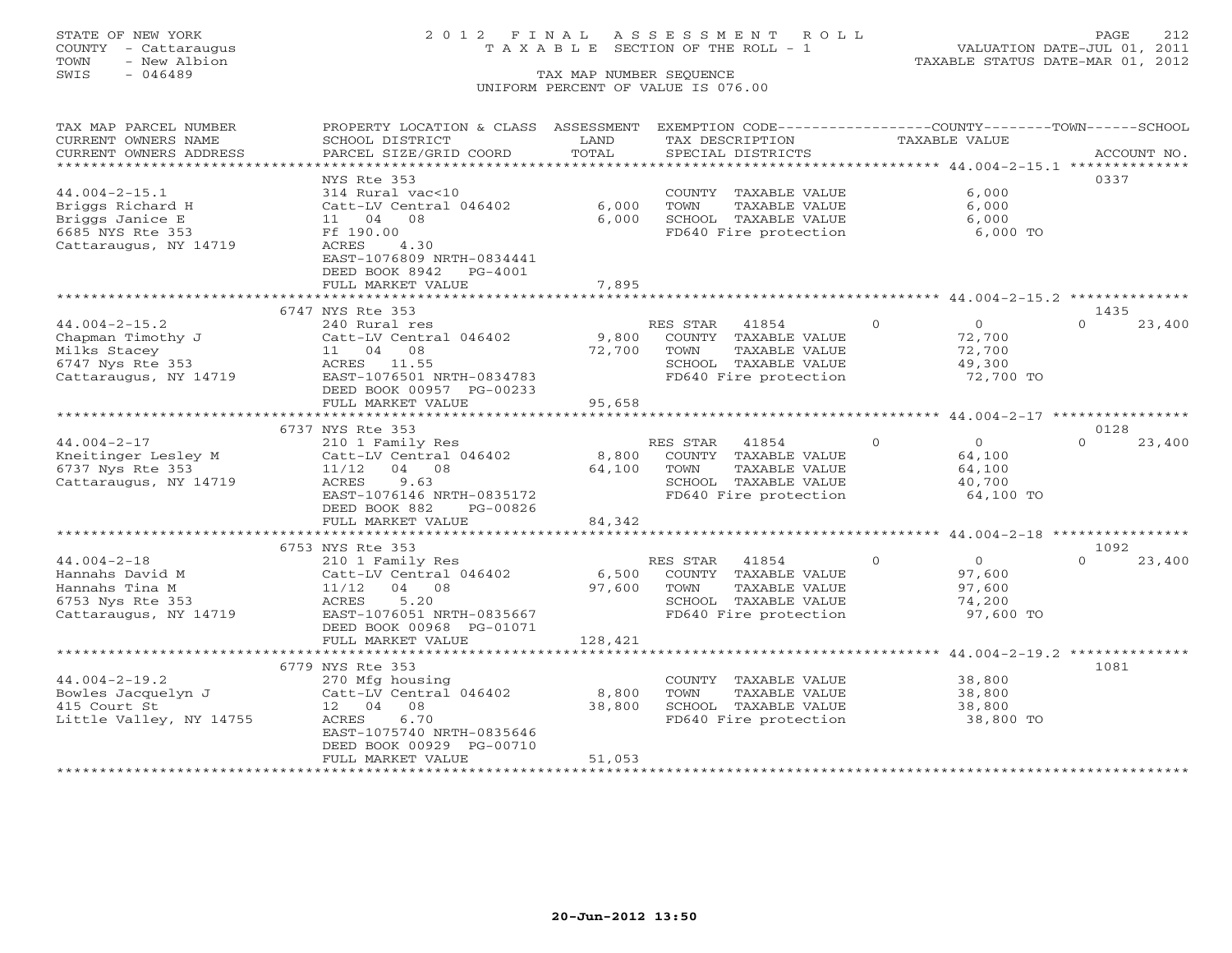## STATE OF NEW YORK 2 0 1 2 F I N A L A S S E S S M E N T R O L L PAGE 212 COUNTY - Cattaraugus T A X A B L E SECTION OF THE ROLL - 1 VALUATION DATE-JUL 01, 2011

| TAX MAP PARCEL NUMBER                         | PROPERTY LOCATION & CLASS ASSESSMENT          |               | EXEMPTION CODE-----------------COUNTY-------TOWN------SCHOOL |                            |                    |
|-----------------------------------------------|-----------------------------------------------|---------------|--------------------------------------------------------------|----------------------------|--------------------|
| CURRENT OWNERS NAME<br>CURRENT OWNERS ADDRESS | SCHOOL DISTRICT<br>PARCEL SIZE/GRID COORD     | LAND<br>TOTAL | TAX DESCRIPTION<br>SPECIAL DISTRICTS                         | TAXABLE VALUE              | ACCOUNT NO.        |
|                                               |                                               |               |                                                              |                            |                    |
| $44.004 - 2 - 15.1$                           | NYS Rte 353<br>314 Rural vac<10               |               | COUNTY TAXABLE VALUE                                         | 6,000                      | 0337               |
| Briggs Richard H                              | Catt-LV Central 046402                        | 6,000         | TOWN<br>TAXABLE VALUE                                        | 6,000                      |                    |
| Briggs Janice E                               | 11 04 08                                      | 6,000         | SCHOOL TAXABLE VALUE                                         | 6,000                      |                    |
| 6685 NYS Rte 353                              | Ff 190.00                                     |               | FD640 Fire protection                                        | 6,000 TO                   |                    |
| Cattaraugus, NY 14719                         | 4.30<br>ACRES                                 |               |                                                              |                            |                    |
|                                               | EAST-1076809 NRTH-0834441                     |               |                                                              |                            |                    |
|                                               | DEED BOOK 8942<br>PG-4001                     |               |                                                              |                            |                    |
|                                               | FULL MARKET VALUE                             | 7,895         |                                                              |                            |                    |
|                                               |                                               |               |                                                              |                            |                    |
|                                               | 6747 NYS Rte 353                              |               |                                                              |                            | 1435               |
| $44.004 - 2 - 15.2$                           | 240 Rural res                                 |               | RES STAR<br>41854                                            | $\Omega$<br>$\overline{O}$ | $\Omega$<br>23,400 |
| Chapman Timothy J                             | Catt-LV Central 046402                        | 9,800         | COUNTY TAXABLE VALUE                                         | 72,700                     |                    |
| Milks Stacey                                  | 11 04 08                                      | 72,700        | TAXABLE VALUE<br>TOWN                                        | 72,700                     |                    |
| 6747 Nys Rte 353                              | ACRES 11.55                                   |               | SCHOOL TAXABLE VALUE                                         | 49,300                     |                    |
| Cattaraugus, NY 14719                         | EAST-1076501 NRTH-0834783                     |               | FD640 Fire protection                                        | 72,700 TO                  |                    |
|                                               | DEED BOOK 00957 PG-00233<br>FULL MARKET VALUE | 95,658        |                                                              |                            |                    |
|                                               |                                               |               |                                                              |                            |                    |
|                                               | 6737 NYS Rte 353                              |               |                                                              |                            | 0128               |
| $44.004 - 2 - 17$                             | 210 1 Family Res                              |               | RES STAR<br>41854                                            | $\circ$<br>$\overline{O}$  | $\Omega$<br>23,400 |
| Kneitinger Lesley M                           | Catt-LV Central 046402                        | 8,800         | COUNTY TAXABLE VALUE                                         | 64,100                     |                    |
| 6737 Nys Rte 353                              | 11/12<br>04 08                                | 64,100        | TOWN<br>TAXABLE VALUE                                        | 64,100                     |                    |
| Cattaraugus, NY 14719                         | 9.63<br>ACRES                                 |               | SCHOOL TAXABLE VALUE                                         | 40,700                     |                    |
|                                               | EAST-1076146 NRTH-0835172                     |               | FD640 Fire protection                                        | 64,100 TO                  |                    |
|                                               | DEED BOOK 882<br>PG-00826                     |               |                                                              |                            |                    |
|                                               | FULL MARKET VALUE                             | 84,342        |                                                              |                            |                    |
|                                               | 6753 NYS Rte 353                              |               |                                                              |                            | 1092               |
| $44.004 - 2 - 18$                             | 210 1 Family Res                              |               | RES STAR<br>41854                                            | $\Omega$<br>$\overline{0}$ | $\Omega$<br>23,400 |
| Hannahs David M                               | Catt-LV Central 046402                        | 6,500         | COUNTY TAXABLE VALUE                                         | 97,600                     |                    |
| Hannahs Tina M                                | 11/12<br>04 08                                | 97,600        | TAXABLE VALUE<br>TOWN                                        | 97,600                     |                    |
| 6753 Nys Rte 353                              | 5.20<br>ACRES                                 |               | SCHOOL TAXABLE VALUE                                         | 74,200                     |                    |
| Cattaraugus, NY 14719                         | EAST-1076051 NRTH-0835667                     |               | FD640 Fire protection                                        | 97,600 TO                  |                    |
|                                               | DEED BOOK 00968 PG-01071                      |               |                                                              |                            |                    |
|                                               | FULL MARKET VALUE                             | 128,421       |                                                              |                            |                    |
|                                               |                                               |               |                                                              |                            |                    |
| $44.004 - 2 - 19.2$                           | 6779 NYS Rte 353                              |               | COUNTY TAXABLE VALUE                                         | 38,800                     | 1081               |
| Bowles Jacquelyn J                            | 270 Mfg housing<br>Catt-LV Central 046402     | 8,800         | TOWN<br>TAXABLE VALUE                                        | 38,800                     |                    |
| 415 Court St                                  | 08<br>12 04                                   | 38,800        | SCHOOL TAXABLE VALUE                                         | 38,800                     |                    |
| Little Valley, NY 14755                       | 6.70<br>ACRES                                 |               | FD640 Fire protection                                        | 38,800 TO                  |                    |
|                                               | EAST-1075740 NRTH-0835646                     |               |                                                              |                            |                    |
|                                               | DEED BOOK 00929 PG-00710                      |               |                                                              |                            |                    |
|                                               | FULL MARKET VALUE                             | 51,053        |                                                              |                            |                    |
|                                               | ********************                          |               |                                                              |                            |                    |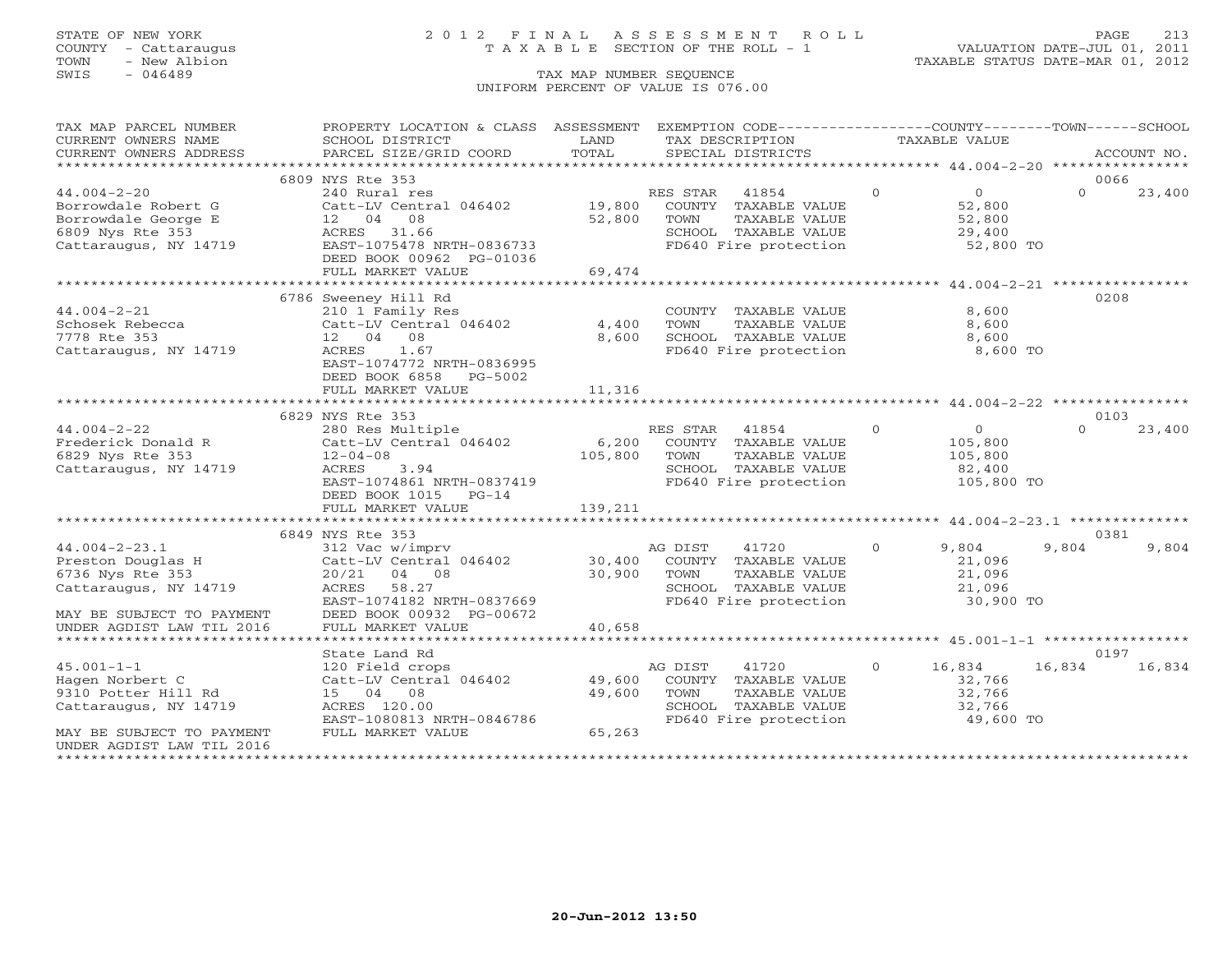COUNTY - Cattaraugus T A X A B L E SECTION OF THE ROLL - 1<br>TOWN - New Albion TOWN - New Albion 1980 Communication of the SEQUENCE COMMUNIC STATUS DATE-MAR 101, 2012<br>TAX MAP NUMBER SEQUENCE COMMUNIC STATUS DATE-MAR 01, 2012

# STATE OF NEW YORK 213

VALUATION DATE-JUL 01, 2011

### TAX MAP NUMBER SEQUENCE UNIFORM PERCENT OF VALUE IS 076.00

| TAX MAP PARCEL NUMBER     | PROPERTY LOCATION & CLASS ASSESSMENT EXEMPTION CODE----------------COUNTY-------TOWN------SCHOOL                                                                                                                                                                                                                                                                                                                          |               |                 |                                                                                             |                |                     |          |        |
|---------------------------|---------------------------------------------------------------------------------------------------------------------------------------------------------------------------------------------------------------------------------------------------------------------------------------------------------------------------------------------------------------------------------------------------------------------------|---------------|-----------------|---------------------------------------------------------------------------------------------|----------------|---------------------|----------|--------|
| CURRENT OWNERS NAME       | SCHOOL DISTRICT                                                                                                                                                                                                                                                                                                                                                                                                           | LAND          | TAX DESCRIPTION |                                                                                             | TAXABLE VALUE  |                     |          |        |
|                           | .CURRENT OWNERS ADDRESS PARCEL SIZE/GRID COORD TOTAL SPECIAL DISTRICTS ACCOUNT NO ACCOUNT NO ACCOUNT NO ARRENT                                                                                                                                                                                                                                                                                                            |               |                 |                                                                                             |                |                     |          |        |
|                           |                                                                                                                                                                                                                                                                                                                                                                                                                           |               |                 |                                                                                             |                |                     |          |        |
|                           | 6809 NYS Rte 353                                                                                                                                                                                                                                                                                                                                                                                                          |               |                 |                                                                                             |                |                     | 0066     |        |
| $44.004 - 2 - 20$         | 240 Rural res                                                                                                                                                                                                                                                                                                                                                                                                             |               | RES STAR        | 41854                                                                                       | $\Omega$       | $\overline{0}$      | $\Omega$ | 23,400 |
|                           | Catt-LV Central 046402 19,800 COUNTY TAXABLE VALUE                                                                                                                                                                                                                                                                                                                                                                        |               |                 |                                                                                             |                | 52,800              |          |        |
|                           |                                                                                                                                                                                                                                                                                                                                                                                                                           | 52,800        | TOWN            | TAXABLE VALUE                                                                               |                | 52,800              |          |        |
|                           |                                                                                                                                                                                                                                                                                                                                                                                                                           |               |                 |                                                                                             |                |                     |          |        |
|                           |                                                                                                                                                                                                                                                                                                                                                                                                                           |               |                 | SCHOOL TAXABLE VALUE<br>FD640 Fire protection                                               |                | 29,400<br>52,800 TO |          |        |
|                           | DEED BOOK 00962 PG-01036                                                                                                                                                                                                                                                                                                                                                                                                  |               |                 |                                                                                             |                |                     |          |        |
|                           | FULL MARKET VALUE                                                                                                                                                                                                                                                                                                                                                                                                         | 69,474        |                 |                                                                                             |                |                     |          |        |
|                           |                                                                                                                                                                                                                                                                                                                                                                                                                           |               |                 |                                                                                             |                |                     |          |        |
|                           | 6786 Sweeney Hill Rd                                                                                                                                                                                                                                                                                                                                                                                                      |               |                 |                                                                                             |                |                     | 0208     |        |
| $44.004 - 2 - 21$         | 210 1 Family Res                                                                                                                                                                                                                                                                                                                                                                                                          |               |                 | COUNTY TAXABLE VALUE                                                                        |                | 8,600               |          |        |
| Schosek Rebecca           | Catt-LV Central 046402                                                                                                                                                                                                                                                                                                                                                                                                    | 4,400         | TOWN            | TAXABLE VALUE                                                                               |                | 8,600               |          |        |
| 7778 Rte 353              | 12 04 08                                                                                                                                                                                                                                                                                                                                                                                                                  | 8,600         |                 | SCHOOL TAXABLE VALUE                                                                        |                | 8,600               |          |        |
| Cattaraugus, NY 14719     | ACRES 1.67                                                                                                                                                                                                                                                                                                                                                                                                                |               |                 | FD640 Fire protection                                                                       |                | 8,600 TO            |          |        |
|                           | EAST-1074772 NRTH-0836995                                                                                                                                                                                                                                                                                                                                                                                                 |               |                 |                                                                                             |                |                     |          |        |
|                           | DEED BOOK 6858 PG-5002                                                                                                                                                                                                                                                                                                                                                                                                    |               |                 |                                                                                             |                |                     |          |        |
|                           | FULL MARKET VALUE                                                                                                                                                                                                                                                                                                                                                                                                         | 11,316        |                 |                                                                                             |                |                     |          |        |
|                           |                                                                                                                                                                                                                                                                                                                                                                                                                           |               |                 |                                                                                             |                |                     |          |        |
|                           |                                                                                                                                                                                                                                                                                                                                                                                                                           |               |                 |                                                                                             |                |                     | 0103     |        |
|                           |                                                                                                                                                                                                                                                                                                                                                                                                                           |               |                 |                                                                                             | $\overline{0}$ | $\overline{O}$      | $\Omega$ | 23,400 |
|                           | $\begin{tabular}{lllllllllll} \multicolumn{3}{c}{\textbf{44.004--2--22}} & & & & \multicolumn{3}{c}{\textbf{54.004--2--22}} & & & \multicolumn{3}{c}{\textbf{55.00}} & & & \multicolumn{3}{c}{\textbf{56.20}} & & \multicolumn{3}{c}{\textbf{57.00}} & & & \multicolumn{3}{c}{\textbf{58.00}} & & \multicolumn{3}{c}{\textbf{59.00}} & & & \multicolumn{3}{c}{\textbf{50.00}} & & & \multicolumn{3}{c}{\textbf{50.00}} &$ |               |                 |                                                                                             |                | 105,800             |          |        |
|                           |                                                                                                                                                                                                                                                                                                                                                                                                                           |               |                 | TAXABLE VALUE 105,800                                                                       |                |                     |          |        |
|                           |                                                                                                                                                                                                                                                                                                                                                                                                                           |               |                 |                                                                                             |                |                     |          |        |
|                           | EAST-1074861 NRTH-0837419                                                                                                                                                                                                                                                                                                                                                                                                 |               |                 | SCHOOL TAXABLE VALUE 82,400<br>FD640 Fire protection 105,800 TO                             |                |                     |          |        |
|                           | DEED BOOK 1015 PG-14                                                                                                                                                                                                                                                                                                                                                                                                      |               |                 |                                                                                             |                |                     |          |        |
|                           | FULL MARKET VALUE                                                                                                                                                                                                                                                                                                                                                                                                         | 139,211       |                 |                                                                                             |                |                     |          |        |
|                           |                                                                                                                                                                                                                                                                                                                                                                                                                           |               |                 |                                                                                             |                |                     |          |        |
|                           |                                                                                                                                                                                                                                                                                                                                                                                                                           |               |                 |                                                                                             |                |                     | 0381     |        |
|                           | $\begin{array}{lllllllll} \texttt{44.004--23.1} & & & & & & \\ \texttt{312.Vac W/imprv} & & & & & & \\ \texttt{8756 Nys Rte 353} & & & & & \\ \texttt{9786 Nys Rte 353} & & & & & \\ \texttt{9786 Nys Rte 353} & & & & & \\ \texttt{9786 Nys Rte 353} & & & & & \\ \texttt{9786 Nys Rte 353} & & & & & \\ \texttt{9786 Nys Rte 353} & & & & & \\ \texttt{9786 Nys Rte 353} & & & & & \\ \texttt$                          |               |                 |                                                                                             | $\Omega$       | 9,804               | 9,804    | 9,804  |
|                           |                                                                                                                                                                                                                                                                                                                                                                                                                           |               |                 |                                                                                             |                | 21,096              |          |        |
|                           |                                                                                                                                                                                                                                                                                                                                                                                                                           |               |                 | TAXABLE VALUE                                                                               |                |                     |          |        |
| Cattaraugus, NY 14719     | ACRES 58.27                                                                                                                                                                                                                                                                                                                                                                                                               | $30,900$ TOWN |                 |                                                                                             |                | 21,096<br>21,096    |          |        |
|                           | EAST-1074182 NRTH-0837669                                                                                                                                                                                                                                                                                                                                                                                                 |               |                 | SCHOOL TAXABLE VALUE $21,096$<br>FD640 Fire protection $30,900$ TO                          |                |                     |          |        |
| MAY BE SUBJECT TO PAYMENT | DEED BOOK 00932 PG-00672                                                                                                                                                                                                                                                                                                                                                                                                  |               |                 |                                                                                             |                |                     |          |        |
| UNDER AGDIST LAW TIL 2016 | FULL MARKET VALUE                                                                                                                                                                                                                                                                                                                                                                                                         | 40,658        |                 |                                                                                             |                |                     |          |        |
|                           |                                                                                                                                                                                                                                                                                                                                                                                                                           |               |                 |                                                                                             |                |                     |          |        |
|                           | State Land Rd                                                                                                                                                                                                                                                                                                                                                                                                             |               |                 |                                                                                             |                |                     | 0197     |        |
| $45.001 - 1 - 1$          | 120 Field crops                                                                                                                                                                                                                                                                                                                                                                                                           |               | AG DIST         | 41720                                                                                       | $\overline{O}$ | 16,834              | 16,834   | 16,834 |
| Hagen Norbert C           | Catt-LV Central 046402 49,600                                                                                                                                                                                                                                                                                                                                                                                             |               |                 | COUNTY TAXABLE VALUE                                                                        |                | 32,766              |          |        |
| 9310 Potter Hill Rd       | 15 04 08                                                                                                                                                                                                                                                                                                                                                                                                                  | 49,600        |                 |                                                                                             |                |                     |          |        |
| Cattaraugus, NY 14719     | ACRES 120.00                                                                                                                                                                                                                                                                                                                                                                                                              |               |                 | TOWN TAXABLE VALUE 32,766<br>SCHOOL TAXABLE VALUE 32,766<br>FD640 Fire protection 49,600 TO |                |                     |          |        |
|                           | EAST-1080813 NRTH-0846786                                                                                                                                                                                                                                                                                                                                                                                                 |               |                 |                                                                                             |                |                     |          |        |
| MAY BE SUBJECT TO PAYMENT | FULL MARKET VALUE                                                                                                                                                                                                                                                                                                                                                                                                         | 65,263        |                 |                                                                                             |                |                     |          |        |
| UNDER AGDIST LAW TIL 2016 |                                                                                                                                                                                                                                                                                                                                                                                                                           |               |                 |                                                                                             |                |                     |          |        |
|                           |                                                                                                                                                                                                                                                                                                                                                                                                                           |               |                 |                                                                                             |                |                     |          |        |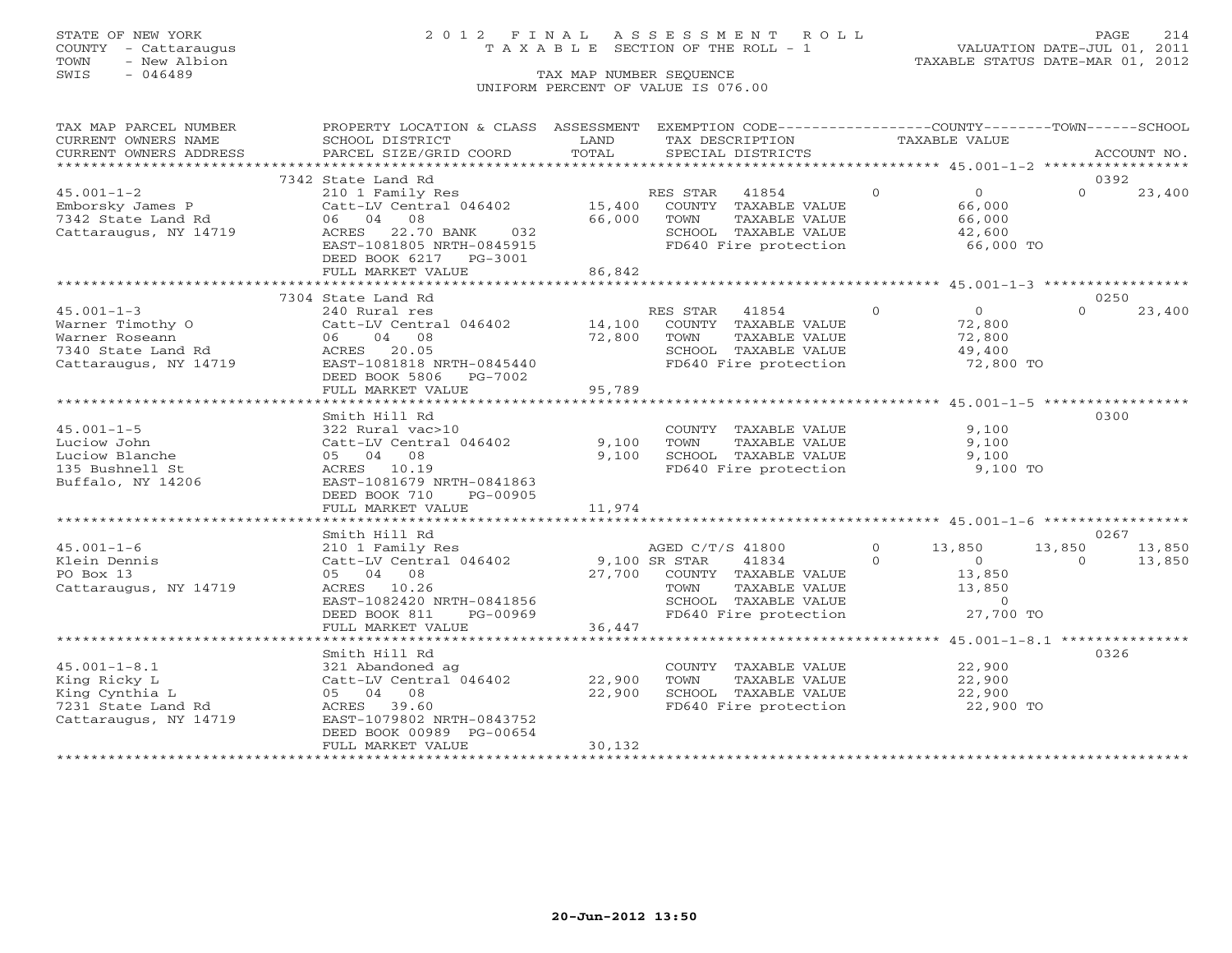## STATE OF NEW YORK 2 0 1 2 F I N A L A S S E S S M E N T R O L L PAGE 214 COUNTY - Cattaraugus T A X A B L E SECTION OF THE ROLL - 1 VALUATION DATE-JUL 01, 2011

| TAX MAP PARCEL NUMBER                                                             | PROPERTY LOCATION & CLASS ASSESSMENT                                  |                         |                | EXEMPTION CODE----------------COUNTY-------TOWN------SCHOOL                 |                                                          |                     |          |             |
|-----------------------------------------------------------------------------------|-----------------------------------------------------------------------|-------------------------|----------------|-----------------------------------------------------------------------------|----------------------------------------------------------|---------------------|----------|-------------|
| CURRENT OWNERS NAME                                                               | SCHOOL DISTRICT                                                       | LAND                    |                | TAX DESCRIPTION                                                             | TAXABLE VALUE                                            |                     |          |             |
| CURRENT OWNERS ADDRESS                                                            | PARCEL SIZE/GRID COORD                                                | TOTAL                   |                | SPECIAL DISTRICTS                                                           |                                                          |                     |          | ACCOUNT NO. |
|                                                                                   |                                                                       |                         |                |                                                                             |                                                          |                     |          |             |
|                                                                                   | 7342 State Land Rd                                                    |                         |                |                                                                             |                                                          |                     | 0392     |             |
| $45.001 - 1 - 2$                                                                  | 210 1 Family Res                                                      |                         | RES STAR 41854 |                                                                             | $\Omega$                                                 | $\overline{0}$      | $\Omega$ | 23,400      |
| Emborsky James P<br>7342 State Land Rd                                            | Catt-LV Central 046402                                                |                         |                | 15,400 COUNTY TAXABLE VALUE                                                 |                                                          | 66,000              |          |             |
|                                                                                   | 06 04 08                                                              | 66,000                  | TOWN           | TAXABLE VALUE                                                               |                                                          | 66,000              |          |             |
| Cattaraugus, NY 14719                                                             | ACRES 22.70 BANK<br>032                                               |                         |                | SCHOOL TAXABLE VALUE<br>FD640 Fire protection                               |                                                          | 42,600<br>66,000 TO |          |             |
|                                                                                   | EAST-1081805 NRTH-0845915                                             |                         |                |                                                                             |                                                          |                     |          |             |
|                                                                                   | DEED BOOK 6217 PG-3001                                                |                         |                |                                                                             |                                                          |                     |          |             |
|                                                                                   | FULL MARKET VALUE                                                     | 86,842<br>************* |                |                                                                             |                                                          |                     |          |             |
|                                                                                   |                                                                       |                         |                | *********************** 45.001-1-3 *****************                        |                                                          |                     |          |             |
|                                                                                   | 7304 State Land Rd                                                    |                         |                |                                                                             |                                                          |                     | 0250     |             |
| $45.001 - 1 - 3$                                                                  | 240 Rural res                                                         |                         | RES STAR       | 41854 0                                                                     |                                                          | $\overline{0}$      | $\cap$   | 23,400      |
| Warner Timothy O<br>Warner Roseann<br>7340 State Land Rd<br>Cattaraugus, NY 14719 | Catt-LV Central 046402 14,100                                         |                         |                | COUNTY TAXABLE VALUE                                                        |                                                          | 72,800<br>72,800    |          |             |
|                                                                                   | 06 04 08                                                              | 72,800                  | TOWN           | TAXABLE VALUE                                                               |                                                          |                     |          |             |
|                                                                                   | ACRES 20.05                                                           |                         |                | SCHOOL TAXABLE VALUE<br>FD640 Fire protection                               |                                                          | 49,400<br>72,800 TO |          |             |
|                                                                                   | EAST-1081818 NRTH-0845440                                             |                         |                |                                                                             |                                                          |                     |          |             |
|                                                                                   | DEED BOOK 5806 PG-7002<br>FULL MARKET VALUE                           | 95,789                  |                |                                                                             |                                                          |                     |          |             |
|                                                                                   | *******************************                                       | ********************    |                | ************************************ 45.001-1-5 ******************          |                                                          |                     |          |             |
|                                                                                   | Smith Hill Rd                                                         |                         |                |                                                                             |                                                          |                     | 0300     |             |
| $45.001 - 1 - 5$                                                                  | 322 Rural vac>10                                                      |                         |                | COUNTY TAXABLE VALUE                                                        |                                                          | 9,100               |          |             |
| Luciow John                                                                       | Catt-LV Central 046402                                                | 9,100                   | TOWN           | TAXABLE VALUE                                                               |                                                          | 9,100               |          |             |
| Luciow Blanche                                                                    | 05 04 08                                                              | 9,100                   |                | SCHOOL TAXABLE VALUE 9,100                                                  |                                                          |                     |          |             |
| 135 Bushnell St                                                                   | ACRES 10.19                                                           |                         |                | FD640 Fire protection                                                       |                                                          | 9,100 TO            |          |             |
| Buffalo, NY 14206                                                                 | EAST-1081679 NRTH-0841863                                             |                         |                |                                                                             |                                                          |                     |          |             |
|                                                                                   | DEED BOOK 710<br>PG-00905                                             |                         |                |                                                                             |                                                          |                     |          |             |
|                                                                                   | FULL MARKET VALUE                                                     | 11,974                  |                |                                                                             |                                                          |                     |          |             |
|                                                                                   |                                                                       |                         |                |                                                                             |                                                          |                     |          |             |
|                                                                                   | Smith Hill Rd                                                         |                         |                |                                                                             |                                                          |                     | 0267     |             |
| $45.001 - 1 - 6$                                                                  |                                                                       |                         |                | AGED C/T/S 41800                                                            | $\begin{array}{ccc} 0 & & 13,850 \\ 0 & & & \end{array}$ |                     | 13,850   | 13,850      |
| Klein Dennis                                                                      | 210 1 Family Res $AGED C/T/S$<br>Catt-LV Central 046402 9,100 SR STAR |                         |                | 41834                                                                       |                                                          |                     | $\Omega$ | 13,850      |
| PO Box 13                                                                         | 05 04 08                                                              |                         |                | 27,700 COUNTY TAXABLE VALUE<br>TAXABLE VALUL<br>TAXABLE VALUE<br>TINE VALUE |                                                          | 13,850              |          |             |
| Cattaraugus, NY 14719                                                             | ACRES 10.26                                                           |                         | TOWN           |                                                                             |                                                          | 13,850              |          |             |
|                                                                                   | EAST-1082420 NRTH-0841856                                             |                         |                | SCHOOL TAXABLE VALUE                                                        |                                                          | $\overline{0}$      |          |             |
|                                                                                   | DEED BOOK 811<br>PG-00969                                             |                         |                | FD640 Fire protection                                                       |                                                          | 27,700 TO           |          |             |
|                                                                                   | FULL MARKET VALUE                                                     | 36,447                  |                |                                                                             |                                                          |                     |          |             |
|                                                                                   |                                                                       |                         |                |                                                                             |                                                          |                     |          |             |
|                                                                                   | Smith Hill Rd                                                         |                         |                |                                                                             |                                                          |                     | 0326     |             |
| $45.001 - 1 - 8.1$                                                                | 321 Abandoned ag                                                      |                         |                | COUNTY TAXABLE VALUE                                                        |                                                          | 22,900              |          |             |
| King Ricky L                                                                      | $Cat-LV$ Central $046402$ 22,900                                      |                         | TOWN           | TAXABLE VALUE                                                               |                                                          | 22,900              |          |             |
| King Cynthia L                                                                    | 05 04 08                                                              | 22,900                  |                | SCHOOL TAXABLE VALUE<br>FD640 Fire protection                               |                                                          | 22,900<br>22,900 TO |          |             |
| 7231 State Land Rd                                                                | ACRES 39.60                                                           |                         |                |                                                                             |                                                          |                     |          |             |
| Cattaraugus, NY 14719                                                             | EAST-1079802 NRTH-0843752                                             |                         |                |                                                                             |                                                          |                     |          |             |
|                                                                                   | DEED BOOK 00989 PG-00654                                              |                         |                |                                                                             |                                                          |                     |          |             |
|                                                                                   | FULL MARKET VALUE                                                     | 30,132                  |                |                                                                             |                                                          |                     |          |             |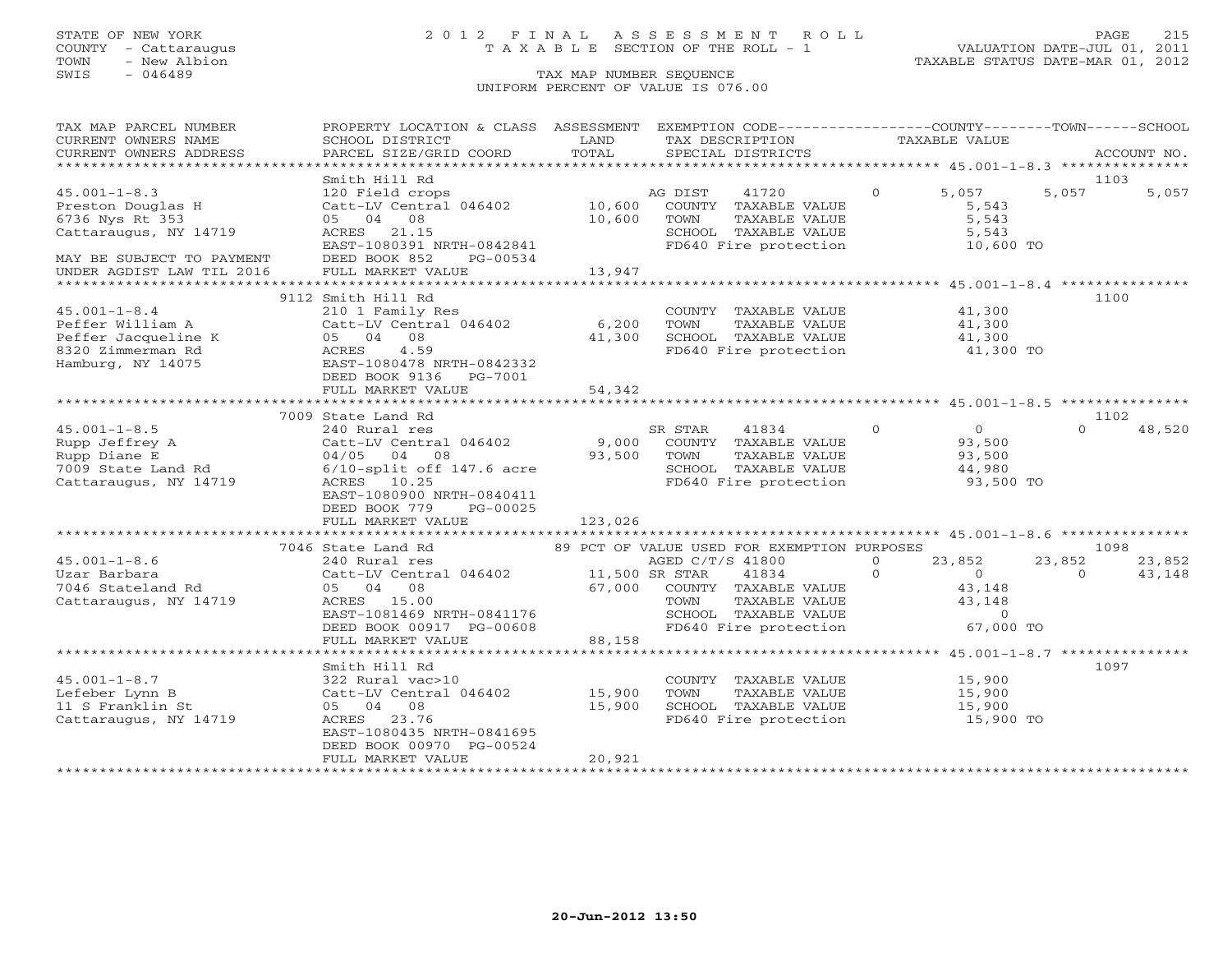### STATE OF NEW YORK 2 0 1 2 F I N A L A S S E S S M E N T R O L L PAGE 215 COUNTY - Cattaraugus T A X A B L E SECTION OF THE ROLL - 1 VALUATION DATE-JUL 01, 2011

TOWN - New Albion TAXABLE STATUS DATE-MAR 01, 2012

| TAX MAP PARCEL NUMBER          | PROPERTY LOCATION & CLASS ASSESSMENT EXEMPTION CODE---------------COUNTY-------TOWN------SCHOOL                                                                                                                                                                                                                                  |             |                                                                                                  |          |                                        |                    |             |
|--------------------------------|----------------------------------------------------------------------------------------------------------------------------------------------------------------------------------------------------------------------------------------------------------------------------------------------------------------------------------|-------------|--------------------------------------------------------------------------------------------------|----------|----------------------------------------|--------------------|-------------|
| CURRENT OWNERS NAME            | SCHOOL DISTRICT                                                                                                                                                                                                                                                                                                                  | LAND        | TAX DESCRIPTION                                                                                  |          | TAXABLE VALUE                          |                    |             |
| CURRENT OWNERS ADDRESS         |                                                                                                                                                                                                                                                                                                                                  |             |                                                                                                  |          |                                        |                    | ACCOUNT NO. |
| ****************************** | BOROUS DISIRICI COORD TOTAL SPECIAL DISTRICTS ACCOUNT NO.<br>FARCEL SIZE/GRID COORD TOTAL SPECIAL DISTRICTS AND MALL SERVICES TO A SERVER AND MOLET AND MULTIME AND SERVER TO                                                                                                                                                    |             |                                                                                                  |          |                                        |                    |             |
|                                | Smith Hill Rd                                                                                                                                                                                                                                                                                                                    |             |                                                                                                  |          |                                        | 1103               |             |
| $45.001 - 1 - 8.3$             |                                                                                                                                                                                                                                                                                                                                  |             |                                                                                                  | $\Omega$ | 5,057                                  | 5,057              | 5,057       |
| Preston Douglas H              | 120 Field crops<br>Catt-LV Central 046402 10,600 COUNTY TAXABLE VALUE                                                                                                                                                                                                                                                            |             |                                                                                                  |          | 5,543                                  |                    |             |
| 6736 Nys Rt 353                | 05 04 08                                                                                                                                                                                                                                                                                                                         | 10,600      | TOWN<br>TAXABLE VALUE                                                                            |          | 5,543                                  |                    |             |
| Cattaraugus, NY 14719          | ACRES 21.15                                                                                                                                                                                                                                                                                                                      |             | SCHOOL TAXABLE VALUE                                                                             |          | 5,543                                  |                    |             |
|                                | EAST-1080391 NRTH-0842841                                                                                                                                                                                                                                                                                                        |             | FD640 Fire protection 10,600 TO                                                                  |          |                                        |                    |             |
| MAY BE SUBJECT TO PAYMENT      | DEED BOOK 852 PG-00534                                                                                                                                                                                                                                                                                                           |             |                                                                                                  |          |                                        |                    |             |
| UNDER AGDIST LAW TIL 2016      | FULL MARKET VALUE                                                                                                                                                                                                                                                                                                                | 13,947      |                                                                                                  |          |                                        |                    |             |
|                                |                                                                                                                                                                                                                                                                                                                                  |             |                                                                                                  |          |                                        |                    |             |
|                                |                                                                                                                                                                                                                                                                                                                                  |             |                                                                                                  |          |                                        |                    |             |
|                                | 9112 Smith Hill Rd                                                                                                                                                                                                                                                                                                               |             |                                                                                                  |          |                                        | 1100               |             |
| $45.001 - 1 - 8.4$             | 210 1 Family Res<br>Catt-Lv<br>05 04 08<br>ACRES 4.59<br>EAST-1080478<br>PEED BOOK 91                                                                                                                                                                                                                                            |             | COUNTY TAXABLE VALUE                                                                             |          | 41,300                                 |                    |             |
| Peffer William A               | Catt-LV Central 046402 6,200                                                                                                                                                                                                                                                                                                     |             | TAXABLE VALUE<br>TOWN                                                                            |          | 41,300                                 |                    |             |
| Peffer Jacqueline K            |                                                                                                                                                                                                                                                                                                                                  | 41,300      | SCHOOL TAXABLE VALUE                                                                             |          | 41,300                                 |                    |             |
| 8320 Zimmerman Rd              |                                                                                                                                                                                                                                                                                                                                  |             | FD640 Fire protection 41,300 TO                                                                  |          |                                        |                    |             |
| Hamburg, NY 14075              | EAST-1080478 NRTH-0842332                                                                                                                                                                                                                                                                                                        |             |                                                                                                  |          |                                        |                    |             |
|                                | DEED BOOK 9136 PG-7001                                                                                                                                                                                                                                                                                                           |             |                                                                                                  |          |                                        |                    |             |
|                                |                                                                                                                                                                                                                                                                                                                                  |             |                                                                                                  |          |                                        |                    |             |
|                                |                                                                                                                                                                                                                                                                                                                                  |             |                                                                                                  |          |                                        |                    |             |
|                                | 7009 State Land Rd                                                                                                                                                                                                                                                                                                               |             |                                                                                                  |          |                                        | 1102               |             |
| $45.001 - 1 - 8.5$             | 240 Rural res                                                                                                                                                                                                                                                                                                                    |             | SR STAR<br>41834                                                                                 | $\Omega$ |                                        | $\Omega$           | 48,520      |
| Rupp Jeffrey A                 | Catt-LV Central 046402                                                                                                                                                                                                                                                                                                           |             | 9,000 COUNTY TAXABLE VALUE                                                                       |          | $\begin{array}{c} 0 \\ 93 \end{array}$ |                    |             |
| Rupp Diane E                   | 04/05 04 08                                                                                                                                                                                                                                                                                                                      | 93,500 TOWN | TAXABLE VALUE                                                                                    |          | 93,500                                 |                    |             |
| 7009 State Land Rd             | $6/10$ -split off 147.6 acre                                                                                                                                                                                                                                                                                                     |             |                                                                                                  |          | 44,980                                 |                    |             |
| Cattaraugus, NY 14719          | ACRES 10.25                                                                                                                                                                                                                                                                                                                      |             | SCHOOL TAXABLE VALUE<br>FD640 Fire protection                                                    |          | 93,500 TO                              |                    |             |
|                                | EAST-1080900 NRTH-0840411                                                                                                                                                                                                                                                                                                        |             |                                                                                                  |          |                                        |                    |             |
|                                | DEED BOOK 779<br>PG-00025                                                                                                                                                                                                                                                                                                        |             |                                                                                                  |          |                                        |                    |             |
|                                | FULL MARKET VALUE                                                                                                                                                                                                                                                                                                                | 123,026     |                                                                                                  |          |                                        |                    |             |
|                                |                                                                                                                                                                                                                                                                                                                                  |             |                                                                                                  |          |                                        |                    |             |
|                                |                                                                                                                                                                                                                                                                                                                                  |             | 89 PCT OF VALUE USED FOR EXEMPTION PURPOSES                                                      |          |                                        |                    | 1098        |
|                                | 7046 State Land Rd $11,500$ SR STAR and PURE 240 Rural res and $240$ Rural res age and $0$ Catt-LV Central 046402 $0$                                                                                                                                                                                                            |             |                                                                                                  |          |                                        |                    |             |
| $45.001 - 1 - 8.6$             |                                                                                                                                                                                                                                                                                                                                  |             | $\overline{0}$                                                                                   |          | 23,852                                 | 23,852<br>$\Omega$ | 23,852      |
| Uzar Barbara                   |                                                                                                                                                                                                                                                                                                                                  |             |                                                                                                  |          | $\overline{0}$<br>43,148               |                    | 43,148      |
| 7046 Stateland Rd              | 05 04 08                                                                                                                                                                                                                                                                                                                         |             | 67,000 COUNTY TAXABLE VALUE<br>TOWN TAXABLE VALUE<br>TAXABLE VALUL<br>TAXABLE VALUE<br>TIE VALUE |          |                                        |                    |             |
| Cattaraugus, NY 14719          | ACRES 15.00                                                                                                                                                                                                                                                                                                                      |             | TOWN                                                                                             |          | $43,148$<br>0                          |                    |             |
|                                |                                                                                                                                                                                                                                                                                                                                  |             | SCHOOL TAXABLE VALUE                                                                             |          |                                        |                    |             |
|                                | FAST-1081469 NRTH-0841176<br>DEED BOOK 00917 PG-00608<br>FULL MARKET VALUE 88,158                                                                                                                                                                                                                                                |             | FD640 Fire protection                                                                            |          | 67,000 TO                              |                    |             |
|                                |                                                                                                                                                                                                                                                                                                                                  |             |                                                                                                  |          |                                        |                    |             |
|                                |                                                                                                                                                                                                                                                                                                                                  |             |                                                                                                  |          |                                        |                    |             |
|                                | Smith Hill Rd                                                                                                                                                                                                                                                                                                                    |             |                                                                                                  |          |                                        | 1097               |             |
| $45.001 - 1 - 8.7$             | 322 Rural vac>10                                                                                                                                                                                                                                                                                                                 |             | COUNTY TAXABLE VALUE                                                                             |          | 15,900                                 |                    |             |
| Lefeber Lynn B                 | $\frac{522 \text{ natural}}{2}$ $\frac{1}{2}$ $\frac{1}{2}$ $\frac{1}{2}$ $\frac{1}{2}$ $\frac{1}{2}$ $\frac{1}{2}$ $\frac{1}{2}$ $\frac{1}{2}$ $\frac{1}{2}$ $\frac{1}{2}$ $\frac{1}{2}$ $\frac{1}{2}$ $\frac{1}{2}$ $\frac{1}{2}$ $\frac{1}{2}$ $\frac{1}{2}$ $\frac{1}{2}$ $\frac{1}{2}$ $\frac{1}{2}$ $\frac{1}{2}$ $\frac{$ |             | TAXABLE VALUE<br>TOWN                                                                            |          | 15,900                                 |                    |             |
| 11 S Franklin St               | 05 04 08                                                                                                                                                                                                                                                                                                                         | 15,900      | SCHOOL TAXABLE VALUE<br>FD640 Fire protection                                                    |          | 15,900<br>15,900 TO                    |                    |             |
| Cattaraugus, NY 14719          | ACRES 23.76                                                                                                                                                                                                                                                                                                                      |             |                                                                                                  |          |                                        |                    |             |
|                                | EAST-1080435 NRTH-0841695                                                                                                                                                                                                                                                                                                        |             |                                                                                                  |          |                                        |                    |             |
|                                | DEED BOOK 00970 PG-00524                                                                                                                                                                                                                                                                                                         |             |                                                                                                  |          |                                        |                    |             |
|                                | FULL MARKET VALUE                                                                                                                                                                                                                                                                                                                | 20,921      |                                                                                                  |          |                                        |                    |             |
|                                |                                                                                                                                                                                                                                                                                                                                  |             |                                                                                                  |          |                                        |                    |             |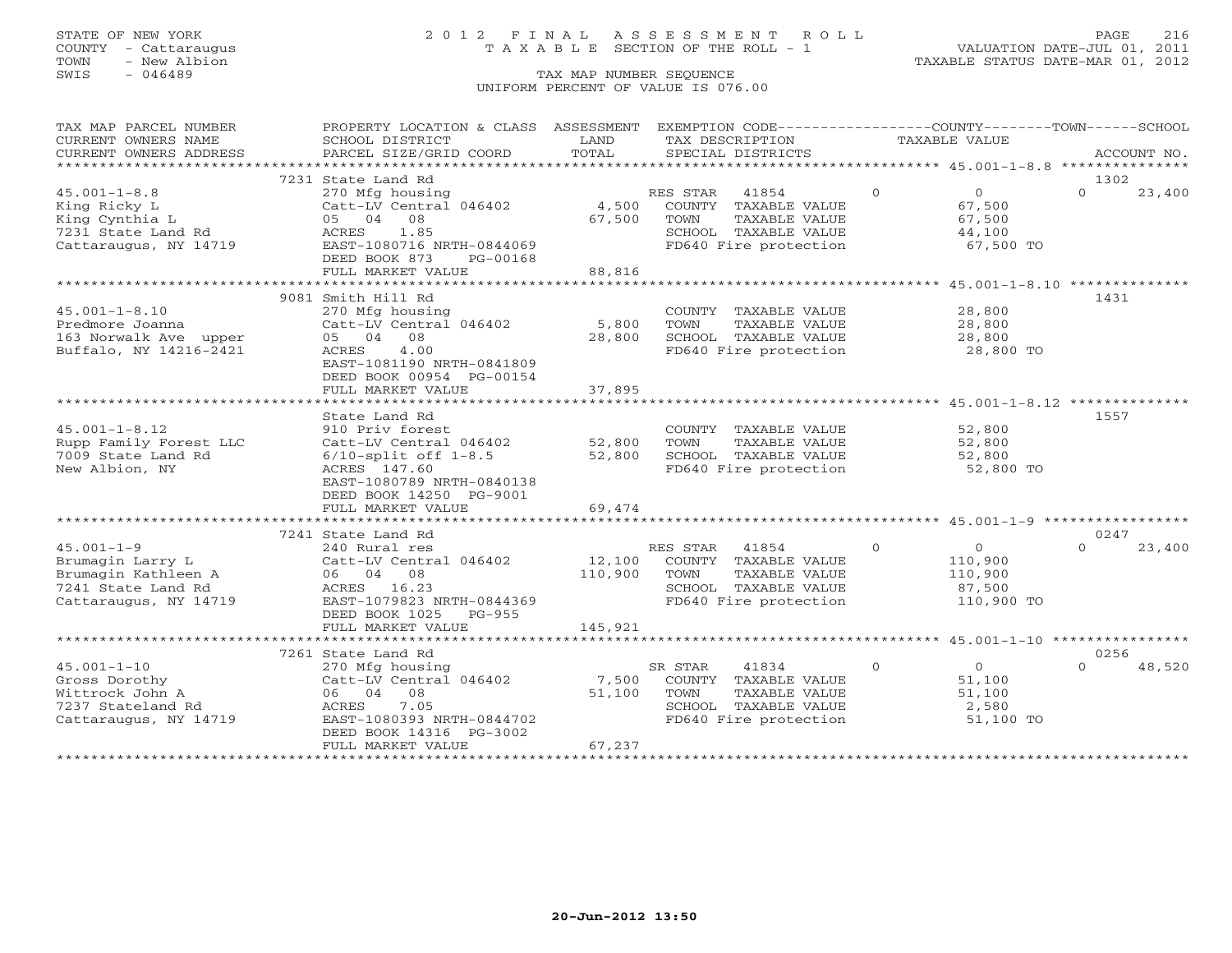### STATE OF NEW YORK 2 0 1 2 F I N A L A S S E S S M E N T R O L L PAGE 216 COUNTY - Cattaraugus T A X A B L E SECTION OF THE ROLL - 1 VALUATION DATE-JUL 01, 2011

TOWN - New Albion TAXABLE STATUS DATE-MAR 01, 2012

| TAX MAP PARCEL NUMBER  | PROPERTY LOCATION & CLASS ASSESSMENT EXEMPTION CODE----------------COUNTY-------TOWN------SCHOOL |                           |                                               |                                                  |                    |
|------------------------|--------------------------------------------------------------------------------------------------|---------------------------|-----------------------------------------------|--------------------------------------------------|--------------------|
| CURRENT OWNERS NAME    | SCHOOL DISTRICT                                                                                  | LAND                      | TAX DESCRIPTION                               | TAXABLE VALUE                                    |                    |
| CURRENT OWNERS ADDRESS | PARCEL SIZE/GRID COORD                                                                           | TOTAL                     | SPECIAL DISTRICTS                             |                                                  | ACCOUNT NO.        |
|                        |                                                                                                  |                           |                                               |                                                  |                    |
|                        | 7231 State Land Rd                                                                               |                           |                                               |                                                  | 1302               |
| $45.001 - 1 - 8.8$     | 270 Mfg housing                                                                                  |                           | RES STAR 41854                                | $\Omega$<br>$\overline{0}$                       | $\Omega$<br>23,400 |
| King Ricky L           | Catt-LV Central 046402                                                                           |                           | 4,500 COUNTY TAXABLE VALUE                    | 67,500                                           |                    |
| King Cynthia L         | 05 04 08                                                                                         | 67,500                    | TOWN<br>TAXABLE VALUE                         | 67,500                                           |                    |
| 7231 State Land Rd     | ACRES 1.85                                                                                       |                           | SCHOOL TAXABLE VALUE<br>FD640 Fire protection | 44,100                                           |                    |
| Cattaraugus, NY 14719  | EAST-1080716 NRTH-0844069                                                                        |                           |                                               | 67,500 TO                                        |                    |
|                        | DEED BOOK 873<br>PG-00168<br>FULL MARKET VALUE                                                   | 88,816                    |                                               |                                                  |                    |
|                        | *****************************                                                                    | * * * * * * * * * * * * * |                                               | ****************** 45.001-1-8.10 *************** |                    |
|                        | 9081 Smith Hill Rd                                                                               |                           |                                               |                                                  | 1431               |
| $45.001 - 1 - 8.10$    | 270 Mfg housing                                                                                  |                           | COUNTY TAXABLE VALUE                          | 28,800                                           |                    |
| Predmore Joanna        | Catt-LV Central 046402                                                                           | 5,800                     | TOWN<br>TAXABLE VALUE                         | 28,800                                           |                    |
| 163 Norwalk Ave upper  | 05 04 08                                                                                         | 28,800                    | SCHOOL TAXABLE VALUE                          | 28,800                                           |                    |
| Buffalo, NY 14216-2421 | 4.00<br>ACRES                                                                                    |                           | FD640 Fire protection                         | 28,800 TO                                        |                    |
|                        | EAST-1081190 NRTH-0841809                                                                        |                           |                                               |                                                  |                    |
|                        | DEED BOOK 00954 PG-00154                                                                         |                           |                                               |                                                  |                    |
|                        | FULL MARKET VALUE                                                                                | 37,895                    |                                               |                                                  |                    |
|                        |                                                                                                  |                           |                                               |                                                  |                    |
|                        | State Land Rd                                                                                    |                           |                                               |                                                  | 1557               |
| $45.001 - 1 - 8.12$    | 910 Priv forest                                                                                  |                           | COUNTY TAXABLE VALUE                          | 52,800                                           |                    |
| Rupp Family Forest LLC | Catt-LV Central 046402                                                                           | 52,800                    | TOWN<br>TAXABLE VALUE                         | 52,800                                           |                    |
| 7009 State Land Rd     | $6/10$ -split off $1-8.5$                                                                        | 52,800                    | SCHOOL TAXABLE VALUE                          | 52,800                                           |                    |
| New Albion, NY         | ACRES 147.60                                                                                     |                           | FD640 Fire protection                         | 52,800 TO                                        |                    |
|                        | EAST-1080789 NRTH-0840138                                                                        |                           |                                               |                                                  |                    |
|                        | DEED BOOK 14250 PG-9001                                                                          |                           |                                               |                                                  |                    |
|                        | FULL MARKET VALUE                                                                                | 69,474                    |                                               |                                                  |                    |
|                        |                                                                                                  |                           |                                               |                                                  |                    |
|                        | 7241 State Land Rd                                                                               |                           |                                               |                                                  | 0247               |
| $45.001 - 1 - 9$       | 240 Rural res                                                                                    |                           | RES STAR 41854                                | $\bigcirc$<br>$\overline{0}$                     | $\Omega$<br>23,400 |
| Brumagin Larry L       | Catt-LV Central 046402                                                                           | 12,100                    | COUNTY TAXABLE VALUE                          | 110,900                                          |                    |
| Brumagin Kathleen A    | 06 04 08                                                                                         | 110,900                   | TAXABLE VALUE<br>TOWN                         | 110,900                                          |                    |
| 7241 State Land Rd     | ACRES 16.23                                                                                      |                           | SCHOOL TAXABLE VALUE                          | 87,500                                           |                    |
| Cattaraugus, NY 14719  | EAST-1079823 NRTH-0844369                                                                        |                           | FD640 Fire protection 110,900 TO              |                                                  |                    |
|                        | DEED BOOK 1025<br>PG-955                                                                         |                           |                                               |                                                  |                    |
|                        | FULL MARKET VALUE                                                                                | 145,921                   |                                               |                                                  |                    |
|                        |                                                                                                  |                           |                                               |                                                  |                    |
|                        | 7261 State Land Rd                                                                               |                           |                                               |                                                  | 0256               |
| $45.001 - 1 - 10$      | 270 Mfg housing                                                                                  |                           | 41834<br>SR STAR                              | $\circ$<br>$\overline{0}$                        | 48,520             |
| Gross Dorothy          | Catt-LV Central 046402                                                                           | 7,500                     | COUNTY TAXABLE VALUE                          | 51,100                                           |                    |
| Wittrock John A        | 06 04 08                                                                                         | 51,100                    | TOWN<br>TAXABLE VALUE                         | 51,100                                           |                    |
| 7237 Stateland Rd      | ACRES 7.05                                                                                       |                           | SCHOOL TAXABLE VALUE                          | $\frac{3}{2}$ , 580                              |                    |
| Cattaraugus, NY 14719  | EAST-1080393 NRTH-0844702                                                                        |                           | FD640 Fire protection                         | 51,100 TO                                        |                    |
|                        | DEED BOOK 14316 PG-3002                                                                          |                           |                                               |                                                  |                    |
|                        | FULL MARKET VALUE                                                                                | 67,237                    |                                               |                                                  |                    |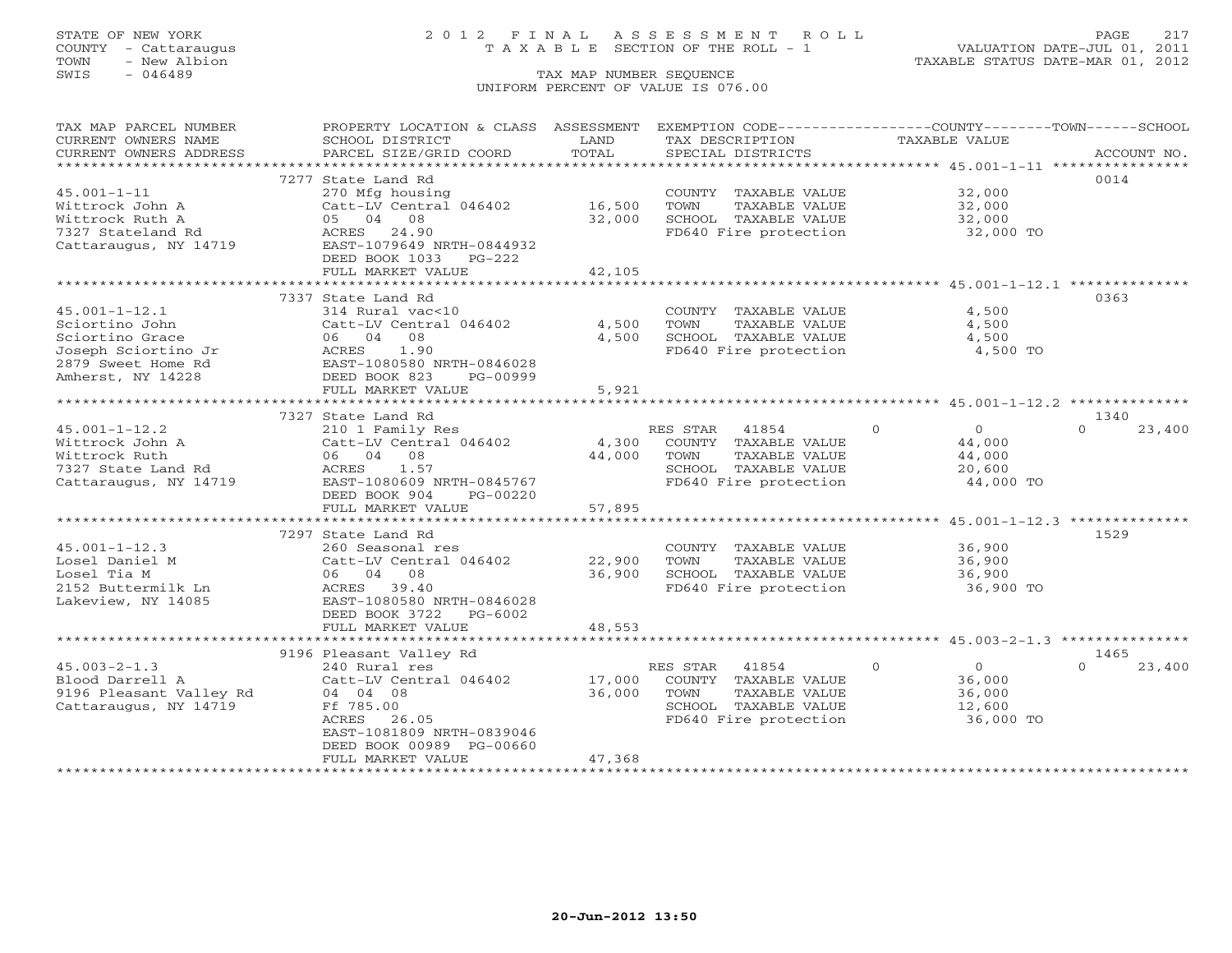## STATE OF NEW YORK 2 0 1 2 F I N A L A S S E S S M E N T R O L L PAGE 217 COUNTY - Cattaraugus T A X A B L E SECTION OF THE ROLL - 1 VALUATION DATE-JUL 01, 2011

| TAX MAP PARCEL NUMBER                                                                                                                                                                                                                                                                                                                                                                                                                                                                                                                            | PROPERTY LOCATION & CLASS ASSESSMENT EXEMPTION CODE---------------COUNTY-------TOWN------SCHOOL |        |                       |                            |                    |
|--------------------------------------------------------------------------------------------------------------------------------------------------------------------------------------------------------------------------------------------------------------------------------------------------------------------------------------------------------------------------------------------------------------------------------------------------------------------------------------------------------------------------------------------------|-------------------------------------------------------------------------------------------------|--------|-----------------------|----------------------------|--------------------|
| CURRENT OWNERS NAME                                                                                                                                                                                                                                                                                                                                                                                                                                                                                                                              | SCHOOL DISTRICT                                                                                 | LAND   | TAX DESCRIPTION       | <b>TAXABLE VALUE</b>       |                    |
| CURRENT OWNERS ADDRESS<br>$\begin{minipage}{.45\textwidth} \begin{minipage}{.45\textwidth} \begin{minipage}{.45\textwidth} \begin{minipage}{.45\textwidth} \begin{minipage}{.45\textwidth} \begin{minipage}{.45\textwidth} \begin{minipage}{.45\textwidth} \begin{minipage}{.45\textwidth} \begin{minipage}{.45\textwidth} \begin{minipage}{.45\textwidth} \begin{minipage}{.45\textwidth} \begin{minipage}{.45\textwidth} \begin{minipage}{.45\textwidth} \begin{minipage}{.45\textwidth} \begin{minipage}{.45\textwidth} \begin{minipage}{.45$ |                                                                                                 |        |                       |                            |                    |
|                                                                                                                                                                                                                                                                                                                                                                                                                                                                                                                                                  |                                                                                                 |        |                       |                            |                    |
|                                                                                                                                                                                                                                                                                                                                                                                                                                                                                                                                                  | 7277 State Land Rd                                                                              |        |                       |                            | 0014               |
| $45.001 - 1 - 11$                                                                                                                                                                                                                                                                                                                                                                                                                                                                                                                                | 270 Mfg housing                                                                                 |        | COUNTY TAXABLE VALUE  | 32,000                     |                    |
| Wittrock John A                                                                                                                                                                                                                                                                                                                                                                                                                                                                                                                                  | Catt-LV Central 046402 16,500                                                                   |        | TOWN<br>TAXABLE VALUE | 32,000                     |                    |
| Wittrock Ruth A                                                                                                                                                                                                                                                                                                                                                                                                                                                                                                                                  | 05 04 08                                                                                        | 32,000 | SCHOOL TAXABLE VALUE  | 32,000                     |                    |
| 7327 Stateland Rd                                                                                                                                                                                                                                                                                                                                                                                                                                                                                                                                | ACRES 24.90                                                                                     |        | FD640 Fire protection | 32,000 TO                  |                    |
| Cattaraugus, NY 14719                                                                                                                                                                                                                                                                                                                                                                                                                                                                                                                            | EAST-1079649 NRTH-0844932                                                                       |        |                       |                            |                    |
|                                                                                                                                                                                                                                                                                                                                                                                                                                                                                                                                                  | DEED BOOK 1033 PG-222                                                                           |        |                       |                            |                    |
|                                                                                                                                                                                                                                                                                                                                                                                                                                                                                                                                                  | FULL MARKET VALUE                                                                               | 42,105 |                       |                            |                    |
|                                                                                                                                                                                                                                                                                                                                                                                                                                                                                                                                                  |                                                                                                 |        |                       |                            |                    |
|                                                                                                                                                                                                                                                                                                                                                                                                                                                                                                                                                  | 7337 State Land Rd                                                                              |        |                       |                            | 0363               |
| $45.001 - 1 - 12.1$                                                                                                                                                                                                                                                                                                                                                                                                                                                                                                                              | 314 Rural vac<10                                                                                |        | COUNTY TAXABLE VALUE  | 4,500                      |                    |
| Sciortino John                                                                                                                                                                                                                                                                                                                                                                                                                                                                                                                                   | Catt-LV Central 046402                                                                          | 4,500  | TAXABLE VALUE<br>TOWN | 4,500                      |                    |
| Sciortino Grace                                                                                                                                                                                                                                                                                                                                                                                                                                                                                                                                  | 06 04 08                                                                                        | 4,500  | SCHOOL TAXABLE VALUE  | 4,500                      |                    |
| Joseph Sciortino Jr                                                                                                                                                                                                                                                                                                                                                                                                                                                                                                                              | 1.90<br>ACRES                                                                                   |        | FD640 Fire protection | 4,500 TO                   |                    |
| 2879 Sweet Home Rd                                                                                                                                                                                                                                                                                                                                                                                                                                                                                                                               | EAST-1080580 NRTH-0846028                                                                       |        |                       |                            |                    |
| Amherst, NY 14228                                                                                                                                                                                                                                                                                                                                                                                                                                                                                                                                | DEED BOOK 823<br>PG-00999                                                                       |        |                       |                            |                    |
|                                                                                                                                                                                                                                                                                                                                                                                                                                                                                                                                                  | FULL MARKET VALUE                                                                               | 5,921  |                       |                            |                    |
|                                                                                                                                                                                                                                                                                                                                                                                                                                                                                                                                                  |                                                                                                 |        |                       |                            |                    |
|                                                                                                                                                                                                                                                                                                                                                                                                                                                                                                                                                  | 7327 State Land Rd                                                                              |        |                       |                            | 1340               |
| $45.001 - 1 - 12.2$                                                                                                                                                                                                                                                                                                                                                                                                                                                                                                                              | 210 1 Family Res                                                                                |        | RES STAR<br>41854     | $\Omega$<br>$\Omega$       | $\Omega$<br>23,400 |
| Wittrock John A                                                                                                                                                                                                                                                                                                                                                                                                                                                                                                                                  | Catt-LV Central 046402                                                                          | 4,300  | COUNTY TAXABLE VALUE  | 44,000                     |                    |
| Wittrock Ruth                                                                                                                                                                                                                                                                                                                                                                                                                                                                                                                                    | 06 04 08                                                                                        | 44,000 | TOWN<br>TAXABLE VALUE | 44,000                     |                    |
| 7327 State Land Rd                                                                                                                                                                                                                                                                                                                                                                                                                                                                                                                               | ACRES<br>1.57                                                                                   |        | SCHOOL TAXABLE VALUE  | 20,600                     |                    |
| Cattaraugus, NY 14719                                                                                                                                                                                                                                                                                                                                                                                                                                                                                                                            | EAST-1080609 NRTH-0845767                                                                       |        | FD640 Fire protection | 44,000 TO                  |                    |
|                                                                                                                                                                                                                                                                                                                                                                                                                                                                                                                                                  | DEED BOOK 904<br>PG-00220                                                                       |        |                       |                            |                    |
|                                                                                                                                                                                                                                                                                                                                                                                                                                                                                                                                                  | FULL MARKET VALUE                                                                               | 57,895 |                       |                            |                    |
|                                                                                                                                                                                                                                                                                                                                                                                                                                                                                                                                                  |                                                                                                 |        |                       |                            |                    |
|                                                                                                                                                                                                                                                                                                                                                                                                                                                                                                                                                  | 7297 State Land Rd                                                                              |        |                       |                            | 1529               |
| $45.001 - 1 - 12.3$                                                                                                                                                                                                                                                                                                                                                                                                                                                                                                                              | 260 Seasonal res                                                                                |        | COUNTY TAXABLE VALUE  | 36,900                     |                    |
| Losel Daniel M                                                                                                                                                                                                                                                                                                                                                                                                                                                                                                                                   | Catt-LV Central 046402                                                                          | 22,900 | TOWN<br>TAXABLE VALUE | 36,900                     |                    |
| Losel Tia M                                                                                                                                                                                                                                                                                                                                                                                                                                                                                                                                      | 06 04 08                                                                                        | 36,900 | SCHOOL TAXABLE VALUE  | 36,900                     |                    |
| 2152 Buttermilk Ln                                                                                                                                                                                                                                                                                                                                                                                                                                                                                                                               | ACRES 39.40                                                                                     |        | FD640 Fire protection | 36,900 TO                  |                    |
| Lakeview, NY 14085                                                                                                                                                                                                                                                                                                                                                                                                                                                                                                                               | EAST-1080580 NRTH-0846028                                                                       |        |                       |                            |                    |
|                                                                                                                                                                                                                                                                                                                                                                                                                                                                                                                                                  | DEED BOOK 3722<br>PG-6002                                                                       |        |                       |                            |                    |
|                                                                                                                                                                                                                                                                                                                                                                                                                                                                                                                                                  | FULL MARKET VALUE                                                                               | 48,553 |                       |                            |                    |
|                                                                                                                                                                                                                                                                                                                                                                                                                                                                                                                                                  |                                                                                                 |        |                       |                            |                    |
|                                                                                                                                                                                                                                                                                                                                                                                                                                                                                                                                                  | 9196 Pleasant Valley Rd                                                                         |        |                       |                            | 1465               |
| $45.003 - 2 - 1.3$                                                                                                                                                                                                                                                                                                                                                                                                                                                                                                                               | 240 Rural res                                                                                   |        | RES STAR<br>41854     | $\Omega$<br>$\overline{0}$ | $\Omega$<br>23,400 |
| Blood Darrell A                                                                                                                                                                                                                                                                                                                                                                                                                                                                                                                                  | Catt-LV Central 046402                                                                          | 17,000 | COUNTY TAXABLE VALUE  | 36,000                     |                    |
| 9196 Pleasant Valley Rd 04 04 08                                                                                                                                                                                                                                                                                                                                                                                                                                                                                                                 |                                                                                                 | 36,000 | TOWN<br>TAXABLE VALUE | 36,000                     |                    |
| Cattaraugus, NY 14719                                                                                                                                                                                                                                                                                                                                                                                                                                                                                                                            | Ff 785.00                                                                                       |        | SCHOOL TAXABLE VALUE  | 12,600                     |                    |
|                                                                                                                                                                                                                                                                                                                                                                                                                                                                                                                                                  | ACRES<br>26.05                                                                                  |        | FD640 Fire protection | 36,000 TO                  |                    |
|                                                                                                                                                                                                                                                                                                                                                                                                                                                                                                                                                  | EAST-1081809 NRTH-0839046                                                                       |        |                       |                            |                    |
|                                                                                                                                                                                                                                                                                                                                                                                                                                                                                                                                                  | DEED BOOK 00989 PG-00660                                                                        |        |                       |                            |                    |
|                                                                                                                                                                                                                                                                                                                                                                                                                                                                                                                                                  | FULL MARKET VALUE                                                                               | 47,368 |                       |                            |                    |
|                                                                                                                                                                                                                                                                                                                                                                                                                                                                                                                                                  |                                                                                                 |        |                       |                            |                    |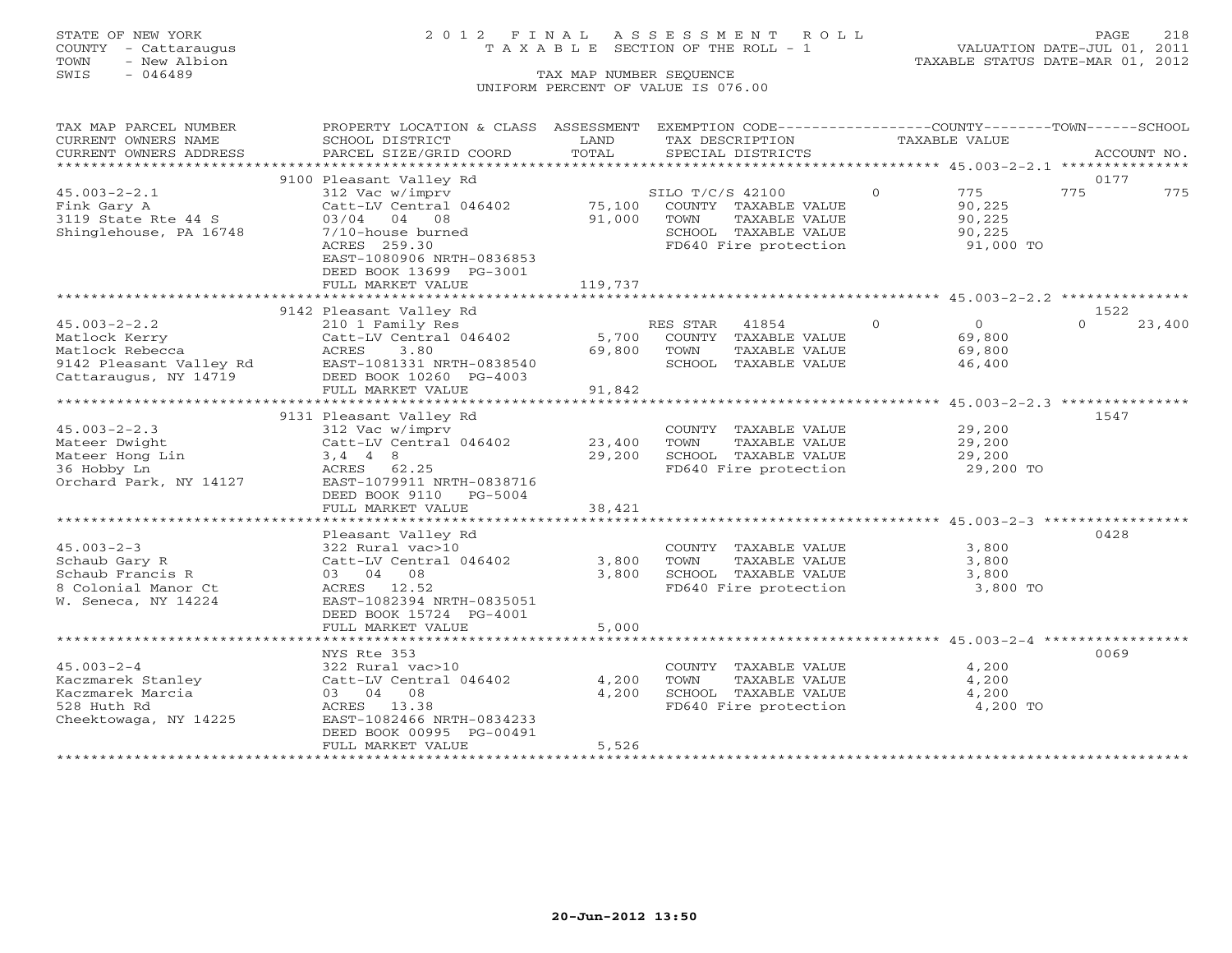## STATE OF NEW YORK 2 0 1 2 F I N A L A S S E S S M E N T R O L L PAGE 218 COUNTY - Cattaraugus T A X A B L E SECTION OF THE ROLL - 1 VALUATION DATE-JUL 01, 2011

| TAX MAP PARCEL NUMBER  | PROPERTY LOCATION & CLASS ASSESSMENT              |         |                  | EXEMPTION CODE----------------COUNTY-------TOWN------SCHOOL |               |                |        |             |
|------------------------|---------------------------------------------------|---------|------------------|-------------------------------------------------------------|---------------|----------------|--------|-------------|
| CURRENT OWNERS NAME    | SCHOOL DISTRICT                                   | LAND    | TAX DESCRIPTION  |                                                             | TAXABLE VALUE |                |        |             |
| CURRENT OWNERS ADDRESS | PARCEL SIZE/GRID COORD                            | TOTAL   |                  | SPECIAL DISTRICTS                                           |               |                |        | ACCOUNT NO. |
|                        |                                                   |         |                  |                                                             |               |                |        |             |
|                        | 9100 Pleasant Valley Rd                           |         |                  |                                                             |               |                | 0177   |             |
| $45.003 - 2 - 2.1$     | 312 Vac w/imprv                                   |         | SILO T/C/S 42100 |                                                             | $\Omega$      | 775            | 775    | 775         |
| Fink Gary A            | Catt-LV Central 046402                            | 75,100  |                  | COUNTY TAXABLE VALUE                                        |               | 90,225         |        |             |
| $3119$ State Rte 44 S  | 03/04 04 08                                       | 91,000  | TOWN             | TAXABLE VALUE                                               |               | 90,225         |        |             |
| Shinglehouse, PA 16748 | 7/10-house burned                                 |         |                  | SCHOOL TAXABLE VALUE                                        |               | 90,225         |        |             |
|                        | ACRES 259.30                                      |         |                  | FD640 Fire protection                                       |               | 91,000 TO      |        |             |
|                        | EAST-1080906 NRTH-0836853                         |         |                  |                                                             |               |                |        |             |
|                        | DEED BOOK 13699 PG-3001                           |         |                  |                                                             |               |                |        |             |
|                        | FULL MARKET VALUE                                 | 119,737 |                  |                                                             |               |                |        |             |
|                        |                                                   |         |                  |                                                             |               |                |        |             |
|                        | 9142 Pleasant Valley Rd                           |         |                  |                                                             |               |                | 1522   |             |
| $45.003 - 2 - 2.2$     | 210 1 Family Res                                  |         | RES STAR         | 41854                                                       | $\Omega$      | $\overline{0}$ | $\cap$ | 23,400      |
| Matlock Kerry          | Catt-LV Central 046402                            | 5,700   |                  | COUNTY TAXABLE VALUE                                        |               | 69,800         |        |             |
| Matlock Rebecca        | ACRES<br>3.80                                     | 69,800  | TOWN             | TAXABLE VALUE                                               |               | 69,800         |        |             |
|                        | 9142 Pleasant Valley Rd EAST-1081331 NRTH-0838540 |         |                  | SCHOOL TAXABLE VALUE                                        |               | 46,400         |        |             |
| Cattaraugus, NY 14719  | DEED BOOK 10260 PG-4003                           |         |                  |                                                             |               |                |        |             |
|                        | FULL MARKET VALUE                                 | 91,842  |                  |                                                             |               |                |        |             |
|                        |                                                   |         |                  |                                                             |               |                |        |             |
|                        | 9131 Pleasant Valley Rd                           |         |                  |                                                             |               |                | 1547   |             |
| $45.003 - 2 - 2.3$     | 312 Vac w/imprv                                   |         |                  | COUNTY TAXABLE VALUE                                        |               | 29,200         |        |             |
| Mateer Dwight          | Catt-LV Central 046402                            | 23,400  | TOWN             | TAXABLE VALUE                                               |               | 29,200         |        |             |
| Mateer Hong Lin        | $3, 4$ 4 8                                        | 29,200  |                  | SCHOOL TAXABLE VALUE                                        |               | 29,200         |        |             |
| 36 Hobby Ln            | ACRES 62.25                                       |         |                  | FD640 Fire protection                                       |               | 29,200 TO      |        |             |
| Orchard Park, NY 14127 | EAST-1079911 NRTH-0838716                         |         |                  |                                                             |               |                |        |             |
|                        | DEED BOOK 9110 PG-5004                            |         |                  |                                                             |               |                |        |             |
|                        | FULL MARKET VALUE                                 | 38,421  |                  |                                                             |               |                |        |             |
|                        |                                                   |         |                  |                                                             |               |                |        |             |
|                        | Pleasant Valley Rd                                |         |                  |                                                             |               |                | 0428   |             |
| $45.003 - 2 - 3$       | 322 Rural vac>10                                  |         |                  | COUNTY TAXABLE VALUE                                        |               | 3,800          |        |             |
| Schaub Gary R          | Catt-LV Central 046402                            | 3,800   | TOWN             | TAXABLE VALUE                                               |               | 3,800          |        |             |
| Schaub Francis R       | 03 04 08                                          | 3,800   |                  | SCHOOL TAXABLE VALUE                                        |               | 3,800          |        |             |
| 8 Colonial Manor Ct    | ACRES 12.52                                       |         |                  | FD640 Fire protection                                       |               | 3,800 TO       |        |             |
| W. Seneca, NY 14224    | EAST-1082394 NRTH-0835051                         |         |                  |                                                             |               |                |        |             |
|                        | DEED BOOK 15724 PG-4001                           |         |                  |                                                             |               |                |        |             |
|                        | FULL MARKET VALUE                                 | 5,000   |                  |                                                             |               |                |        |             |
|                        |                                                   |         |                  |                                                             |               |                |        |             |
|                        | NYS Rte 353                                       |         |                  |                                                             |               |                | 0069   |             |
| $45.003 - 2 - 4$       | 322 Rural vac>10                                  |         |                  | COUNTY TAXABLE VALUE                                        |               | 4,200          |        |             |
| Kaczmarek Stanley      | Catt-LV Central 046402                            | 4,200   | TOWN             | TAXABLE VALUE                                               |               | 4,200          |        |             |
| Kaczmarek Marcia       | 03 04 08                                          | 4,200   |                  | SCHOOL TAXABLE VALUE                                        |               | 4,200          |        |             |
| 528 Huth Rd            | ACRES 13.38                                       |         |                  | FD640 Fire protection                                       |               | 4,200 TO       |        |             |
| Cheektowaga, NY 14225  | EAST-1082466 NRTH-0834233                         |         |                  |                                                             |               |                |        |             |
|                        | DEED BOOK 00995 PG-00491                          |         |                  |                                                             |               |                |        |             |
|                        | FULL MARKET VALUE                                 | 5,526   |                  |                                                             |               |                |        |             |
|                        |                                                   |         |                  |                                                             |               |                |        |             |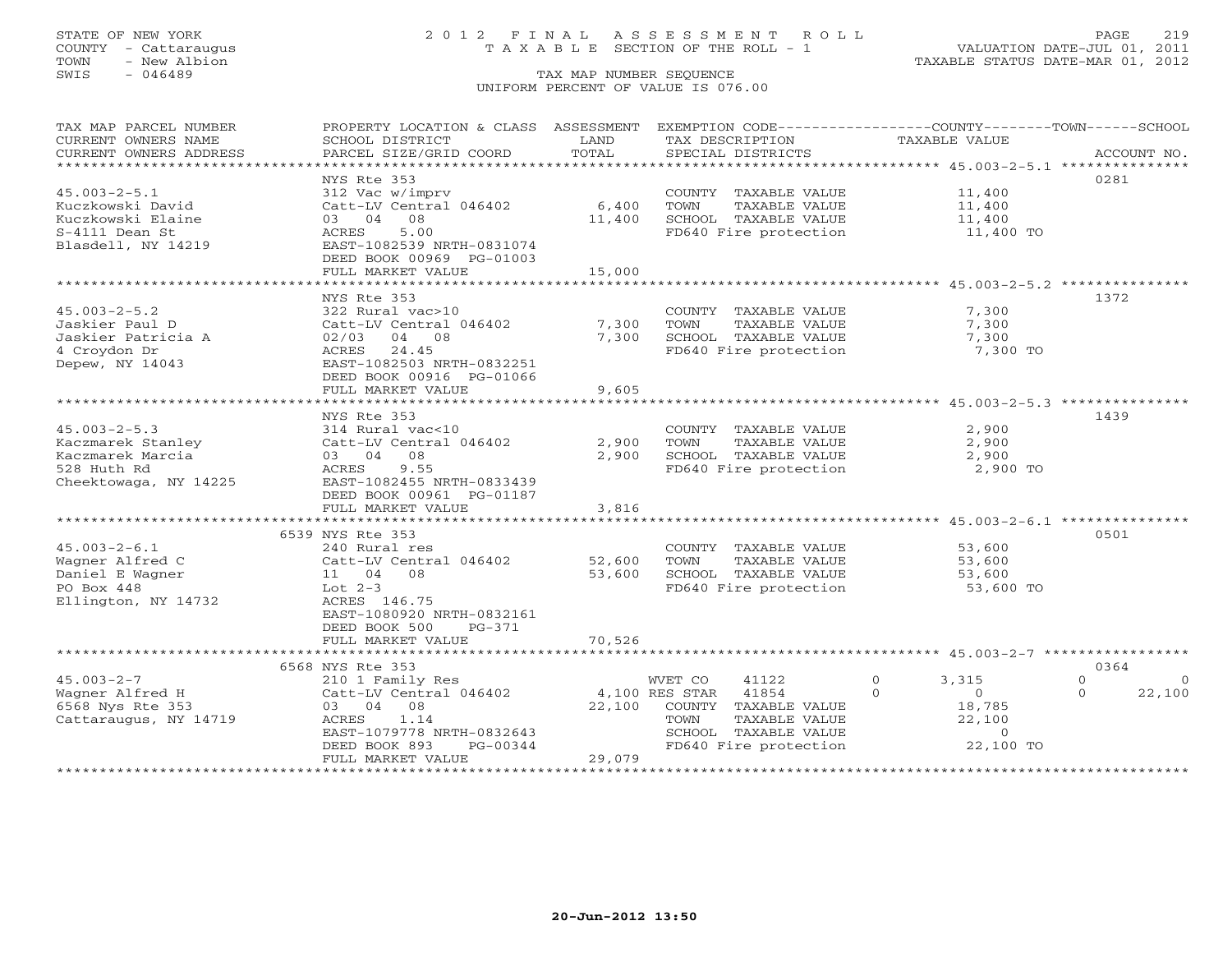### STATE OF NEW YORK 2 0 1 2 F I N A L A S S E S S M E N T R O L L PAGE 219 COUNTY - Cattaraugus T A X A B L E SECTION OF THE ROLL - 1 VALUATION DATE-JUL 01, 2011

TOWN - New Albion TAXABLE STATUS DATE-MAR 01, 2012

| TAX MAP PARCEL NUMBER  | PROPERTY LOCATION & CLASS ASSESSMENT |                           | EXEMPTION CODE-----------------COUNTY-------TOWN------SCHOOL |                                                               |                      |
|------------------------|--------------------------------------|---------------------------|--------------------------------------------------------------|---------------------------------------------------------------|----------------------|
| CURRENT OWNERS NAME    | SCHOOL DISTRICT                      | LAND                      | TAX DESCRIPTION                                              | <b>TAXABLE VALUE</b>                                          |                      |
| CURRENT OWNERS ADDRESS | PARCEL SIZE/GRID COORD               | TOTAL                     | SPECIAL DISTRICTS                                            |                                                               | ACCOUNT NO.          |
|                        |                                      |                           |                                                              |                                                               |                      |
|                        | NYS Rte 353                          |                           |                                                              |                                                               | 0281                 |
| $45.003 - 2 - 5.1$     | 312 Vac w/imprv                      |                           | COUNTY TAXABLE VALUE                                         | 11,400                                                        |                      |
| Kuczkowski David       | Catt-LV Central 046402               | 6,400                     | TOWN<br>TAXABLE VALUE                                        | 11,400                                                        |                      |
| Kuczkowski Elaine      | 08<br>03 04                          | 11,400                    | SCHOOL TAXABLE VALUE                                         | 11,400                                                        |                      |
| S-4111 Dean St         | 5.00<br>ACRES                        |                           | FD640 Fire protection                                        | 11,400 TO                                                     |                      |
| Blasdell, NY 14219     | EAST-1082539 NRTH-0831074            |                           |                                                              |                                                               |                      |
|                        | DEED BOOK 00969 PG-01003             |                           |                                                              |                                                               |                      |
|                        | FULL MARKET VALUE                    | 15,000                    |                                                              |                                                               |                      |
|                        |                                      |                           |                                                              |                                                               |                      |
|                        | NYS Rte 353                          |                           |                                                              |                                                               | 1372                 |
| $45.003 - 2 - 5.2$     | 322 Rural vac>10                     |                           | COUNTY TAXABLE VALUE                                         | 7,300                                                         |                      |
| Jaskier Paul D         | Catt-LV Central 046402               | 7,300                     | TOWN<br>TAXABLE VALUE                                        | 7,300                                                         |                      |
| Jaskier Patricia A     | 02/03<br>04 08                       | 7,300                     | SCHOOL TAXABLE VALUE                                         | 7,300                                                         |                      |
| 4 Croydon Dr           | 24.45<br>ACRES                       |                           | FD640 Fire protection                                        | 7,300 TO                                                      |                      |
| Depew, NY 14043        | EAST-1082503 NRTH-0832251            |                           |                                                              |                                                               |                      |
|                        | DEED BOOK 00916 PG-01066             |                           |                                                              |                                                               |                      |
|                        | FULL MARKET VALUE                    | 9,605                     |                                                              |                                                               |                      |
|                        |                                      |                           |                                                              |                                                               |                      |
|                        | NYS Rte 353                          |                           |                                                              |                                                               | 1439                 |
| $45.003 - 2 - 5.3$     | 314 Rural vac<10                     |                           | COUNTY TAXABLE VALUE                                         | 2,900                                                         |                      |
| Kaczmarek Stanley      | Catt-LV Central 046402               | 2,900                     | TOWN<br>TAXABLE VALUE                                        | 2,900                                                         |                      |
| Kaczmarek Marcia       | 03 04<br>08                          | 2,900                     | SCHOOL TAXABLE VALUE                                         | 2,900                                                         |                      |
| 528 Huth Rd            | ACRES<br>9.55                        |                           | FD640 Fire protection                                        | 2,900 TO                                                      |                      |
| Cheektowaga, NY 14225  | EAST-1082455 NRTH-0833439            |                           |                                                              |                                                               |                      |
|                        | DEED BOOK 00961 PG-01187             |                           |                                                              |                                                               |                      |
|                        | FULL MARKET VALUE                    | 3,816                     |                                                              |                                                               |                      |
|                        |                                      |                           |                                                              |                                                               |                      |
|                        | 6539 NYS Rte 353                     |                           |                                                              |                                                               | 0501                 |
| $45.003 - 2 - 6.1$     | 240 Rural res                        |                           | COUNTY TAXABLE VALUE                                         | 53,600                                                        |                      |
| Wagner Alfred C        | Catt-LV Central 046402               | 52,600                    | TOWN<br>TAXABLE VALUE                                        | 53,600                                                        |                      |
| Daniel E Wagner        | 11 04 08                             | 53,600                    | SCHOOL TAXABLE VALUE                                         | 53,600                                                        |                      |
| PO Box 448             | Lot $2-3$                            |                           | FD640 Fire protection                                        | 53,600 TO                                                     |                      |
| Ellington, NY 14732    | ACRES 146.75                         |                           |                                                              |                                                               |                      |
|                        | EAST-1080920 NRTH-0832161            |                           |                                                              |                                                               |                      |
|                        | DEED BOOK 500<br>PG-371              |                           |                                                              |                                                               |                      |
|                        | FULL MARKET VALUE                    | 70,526                    |                                                              |                                                               |                      |
|                        | **************************           | * * * * * * * * * * * * * |                                                              | ******************************** 45.003-2-7 ***************** |                      |
|                        | 6568 NYS Rte 353                     |                           |                                                              |                                                               | 0364                 |
| $45.003 - 2 - 7$       | 210 1 Family Res                     |                           | WVET CO<br>41122                                             | $\Omega$<br>3,315                                             | $\Omega$<br>$\Omega$ |
| Wagner Alfred H        | Catt-LV Central 046402               |                           | 4,100 RES STAR<br>41854                                      | $\Omega$<br>$\overline{0}$                                    | 22,100<br>$\Omega$   |
| 6568 Nys Rte 353       | 03 04 08                             | 22,100                    | COUNTY TAXABLE VALUE                                         | 18,785                                                        |                      |
| Cattaraugus, NY 14719  | ACRES<br>1.14                        |                           | TOWN<br>TAXABLE VALUE                                        | 22,100                                                        |                      |
|                        | EAST-1079778 NRTH-0832643            |                           | SCHOOL TAXABLE VALUE                                         | $\circ$                                                       |                      |
|                        | DEED BOOK 893<br>$PG-00344$          |                           | FD640 Fire protection                                        | 22,100 TO                                                     |                      |
|                        | FULL MARKET VALUE                    | 29,079                    |                                                              |                                                               |                      |
|                        |                                      |                           |                                                              | ******************************                                |                      |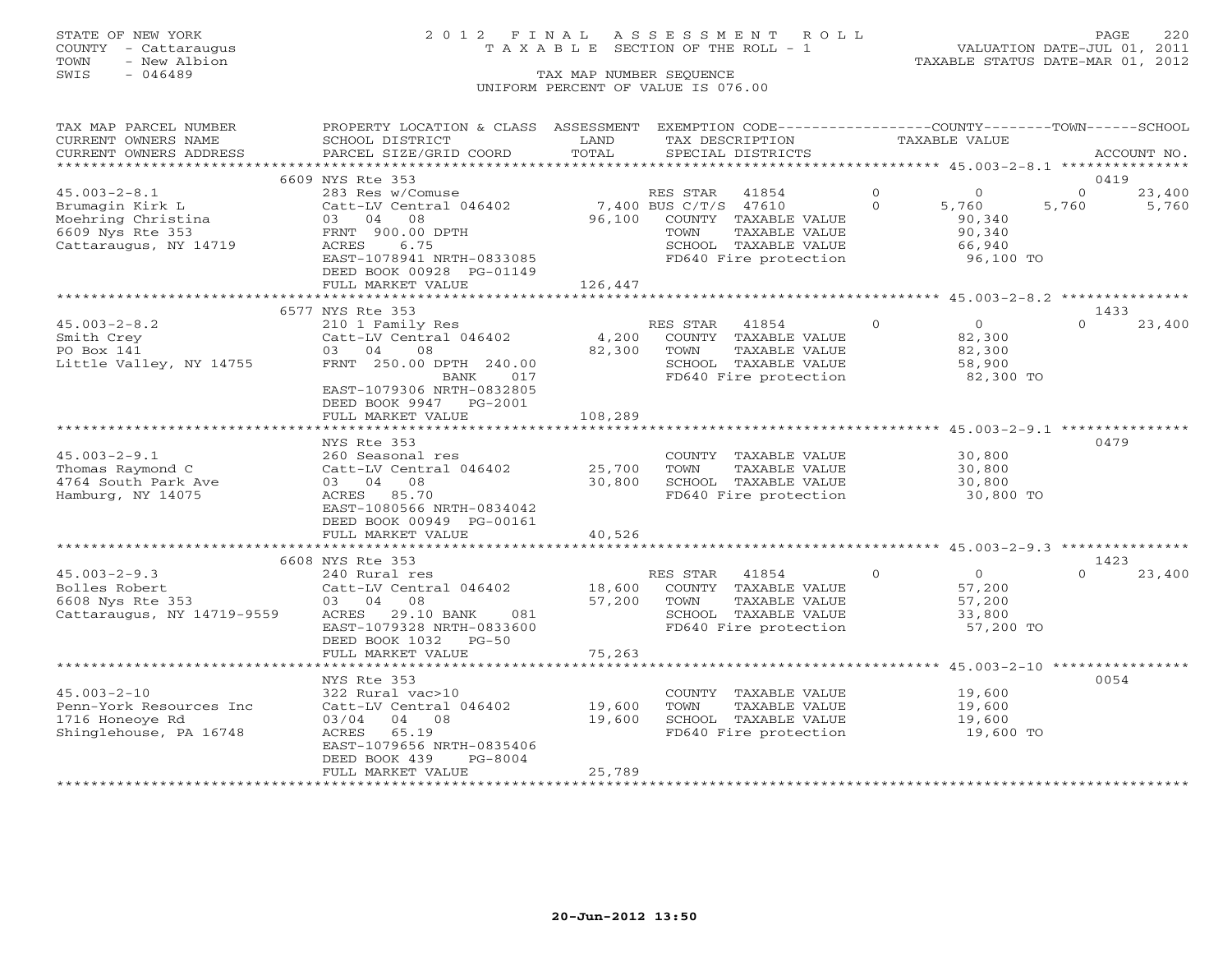## STATE OF NEW YORK 2 0 1 2 F I N A L A S S E S S M E N T R O L L PAGE 220 COUNTY - Cattaraugus T A X A B L E SECTION OF THE ROLL - 1 VALUATION DATE-JUL 01, 2011

| TAX MAP PARCEL NUMBER<br>CURRENT OWNERS NAME                              | PROPERTY LOCATION & CLASS ASSESSMENT EXEMPTION CODE---------------COUNTY-------TOWN------SCHOOL<br>SCHOOL DISTRICT               | LAND            | TAX DESCRIPTION                                                                                                     |                      | <b>TAXABLE VALUE</b>                                |                   |                 |
|---------------------------------------------------------------------------|----------------------------------------------------------------------------------------------------------------------------------|-----------------|---------------------------------------------------------------------------------------------------------------------|----------------------|-----------------------------------------------------|-------------------|-----------------|
| CURRENT OWNERS ADDRESS                                                    | PARCEL SIZE/GRID COORD                                                                                                           | TOTAL           | SPECIAL DISTRICTS                                                                                                   |                      |                                                     |                   | ACCOUNT NO.     |
|                                                                           | 6609 NYS Rte 353                                                                                                                 |                 |                                                                                                                     |                      |                                                     | 0419              |                 |
| $45.003 - 2 - 8.1$<br>Brumagin Kirk L<br>Moehring Christina               | 283 Res w/Comuse<br>Catt-LV Central 046402<br>03 04<br>08                                                                        | 96,100          | RES STAR<br>41854<br>7,400 BUS C/T/S 47610<br>COUNTY TAXABLE VALUE                                                  | $\Omega$<br>$\Omega$ | $\Omega$<br>5,760<br>90,340                         | $\Omega$<br>5,760 | 23,400<br>5,760 |
| 6609 Nys Rte 353<br>Cattaraugus, NY 14719                                 | FRNT 900.00 DPTH<br>ACRES<br>6.75<br>EAST-1078941 NRTH-0833085<br>DEED BOOK 00928 PG-01149                                       |                 | TAXABLE VALUE<br>TOWN<br>SCHOOL TAXABLE VALUE<br>FD640 Fire protection                                              |                      | 90,340<br>66,940<br>96,100 TO                       |                   |                 |
|                                                                           | FULL MARKET VALUE                                                                                                                | 126,447         |                                                                                                                     |                      |                                                     |                   |                 |
|                                                                           | 6577 NYS Rte 353                                                                                                                 |                 |                                                                                                                     |                      |                                                     | 1433              |                 |
| $45.003 - 2 - 8.2$<br>Smith Crey<br>PO Box 141<br>Little Valley, NY 14755 | 210 1 Family Res<br>Catt-LV Central 046402<br>03 04<br>08<br>FRNT 250.00 DPTH 240.00<br>BANK<br>017<br>EAST-1079306 NRTH-0832805 | 4,200<br>82,300 | RES STAR<br>41854<br>COUNTY TAXABLE VALUE<br>TAXABLE VALUE<br>TOWN<br>SCHOOL TAXABLE VALUE<br>FD640 Fire protection | $\Omega$             | $\Omega$<br>82,300<br>82,300<br>58,900<br>82,300 TO | $\Omega$          | 23,400          |
|                                                                           | PG-2001<br>DEED BOOK 9947<br>FULL MARKET VALUE                                                                                   | 108,289         |                                                                                                                     |                      |                                                     |                   |                 |
|                                                                           |                                                                                                                                  |                 |                                                                                                                     |                      |                                                     |                   |                 |
|                                                                           | NYS Rte 353                                                                                                                      |                 |                                                                                                                     |                      |                                                     | 0479              |                 |
| $45.003 - 2 - 9.1$                                                        | 260 Seasonal res                                                                                                                 |                 | COUNTY TAXABLE VALUE                                                                                                |                      | 30,800                                              |                   |                 |
| Thomas Raymond C                                                          | Catt-LV Central 046402                                                                                                           | 25,700          | TOWN<br>TAXABLE VALUE                                                                                               |                      | 30,800                                              |                   |                 |
| 4764 South Park Ave                                                       | 03 04 08                                                                                                                         | 30,800          | SCHOOL TAXABLE VALUE                                                                                                |                      | 30,800                                              |                   |                 |
| Hamburg, NY 14075                                                         | ACRES 85.70<br>EAST-1080566 NRTH-0834042<br>DEED BOOK 00949 PG-00161<br>FULL MARKET VALUE                                        | 40,526          | FD640 Fire protection                                                                                               |                      | 30,800 TO                                           |                   |                 |
|                                                                           |                                                                                                                                  |                 |                                                                                                                     |                      |                                                     |                   |                 |
|                                                                           | 6608 NYS Rte 353                                                                                                                 |                 |                                                                                                                     |                      |                                                     | 1423              |                 |
| $45.003 - 2 - 9.3$                                                        | 240 Rural res                                                                                                                    |                 | RES STAR<br>41854                                                                                                   | $\Omega$             | $\Omega$                                            | $\Omega$          | 23,400          |
| Bolles Robert                                                             | Catt-LV Central 046402                                                                                                           | 18,600          | COUNTY TAXABLE VALUE                                                                                                |                      | 57,200                                              |                   |                 |
| 6608 Nys Rte 353                                                          | 03 04 08<br>ACRES<br>081                                                                                                         | 57,200          | TOWN<br>TAXABLE VALUE<br>SCHOOL TAXABLE VALUE                                                                       |                      | 57,200                                              |                   |                 |
| Cattaraugus, NY 14719-9559                                                | 29.10 BANK<br>EAST-1079328 NRTH-0833600<br>DEED BOOK 1032<br>$PG-50$<br>FULL MARKET VALUE                                        | 75,263          | FD640 Fire protection                                                                                               |                      | 33,800<br>57,200 TO                                 |                   |                 |
|                                                                           |                                                                                                                                  |                 |                                                                                                                     |                      |                                                     |                   |                 |
|                                                                           | NYS Rte 353                                                                                                                      |                 |                                                                                                                     |                      |                                                     | 0054              |                 |
| $45.003 - 2 - 10$                                                         | 322 Rural vac>10                                                                                                                 |                 | COUNTY TAXABLE VALUE                                                                                                |                      | 19,600                                              |                   |                 |
| Penn-York Resources Inc                                                   | Catt-LV Central 046402                                                                                                           | 19,600          | TOWN<br>TAXABLE VALUE                                                                                               |                      | 19,600                                              |                   |                 |
| 1716 Honeoye Rd                                                           | 03/04 04 08                                                                                                                      | 19,600          | SCHOOL TAXABLE VALUE                                                                                                |                      | 19,600                                              |                   |                 |
| Shinglehouse, PA 16748                                                    | 65.19<br>ACRES<br>EAST-1079656 NRTH-0835406<br>DEED BOOK 439<br>$PG-8004$                                                        |                 | FD640 Fire protection                                                                                               |                      | 19,600 TO                                           |                   |                 |
|                                                                           | FULL MARKET VALUE                                                                                                                | 25,789          |                                                                                                                     |                      |                                                     |                   |                 |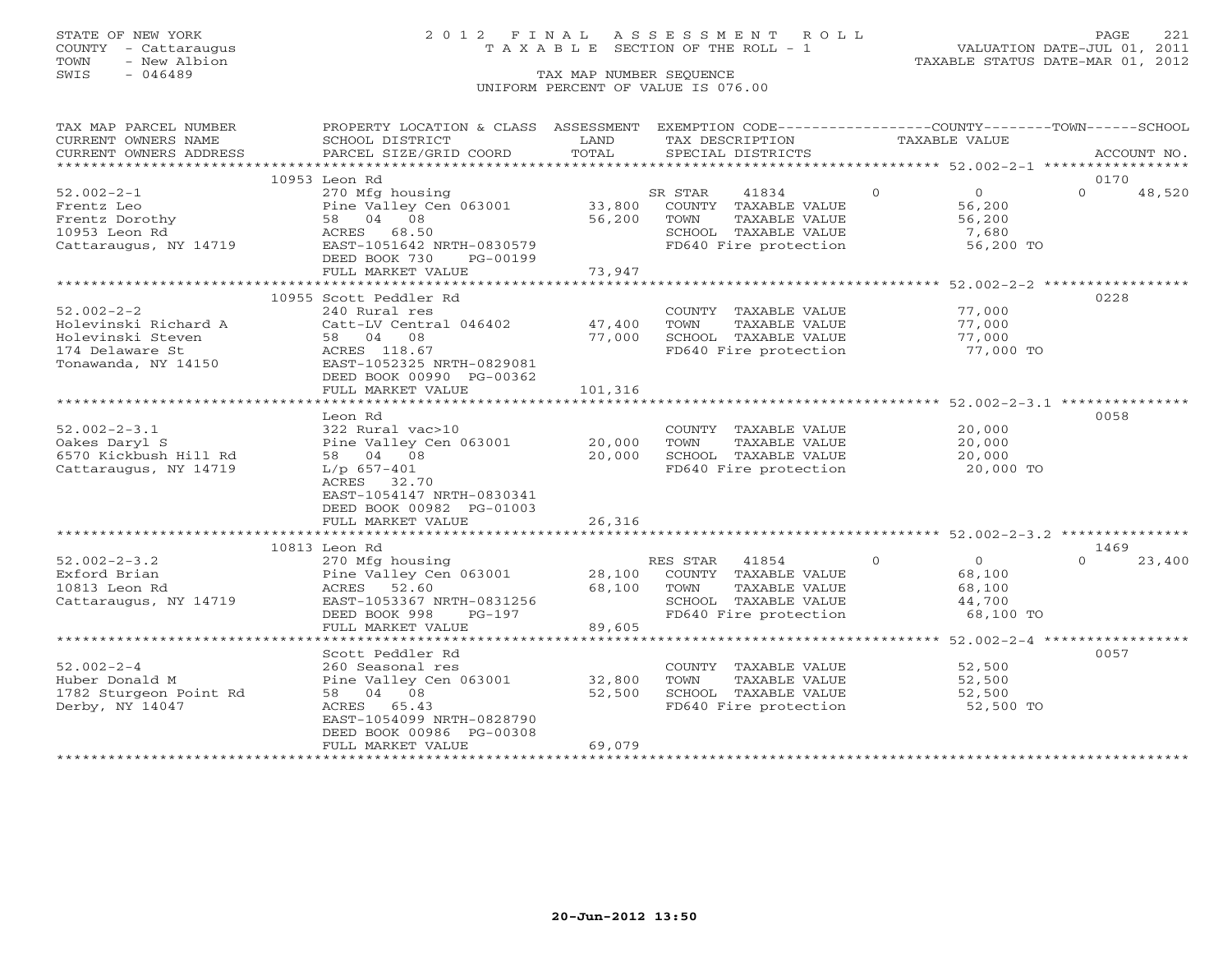## STATE OF NEW YORK 2 0 1 2 F I N A L A S S E S S M E N T R O L L PAGE 221 COUNTY - Cattaraugus T A X A B L E SECTION OF THE ROLL - 1 VALUATION DATE-JUL 01, 2011

| TAX MAP PARCEL NUMBER                         | PROPERTY LOCATION & CLASS ASSESSMENT                                                                       |         | EXEMPTION CODE-----------------COUNTY-------TOWN------SCHOOL |                            |                    |
|-----------------------------------------------|------------------------------------------------------------------------------------------------------------|---------|--------------------------------------------------------------|----------------------------|--------------------|
| CURRENT OWNERS NAME                           | SCHOOL DISTRICT                                                                                            | LAND    | TAX DESCRIPTION                                              | TAXABLE VALUE              |                    |
| CURRENT OWNERS ADDRESS                        | PARCEL SIZE/GRID COORD                                                                                     | TOTAL   | SPECIAL DISTRICTS                                            |                            | ACCOUNT NO.        |
| ***********************                       |                                                                                                            |         |                                                              |                            |                    |
|                                               | 10953 Leon Rd                                                                                              |         |                                                              |                            | 0170               |
| $52.002 - 2 - 1$                              | 270 Mfg housing                                                                                            |         | SR STAR<br>41834                                             | $\Omega$<br>$\overline{0}$ | $\Omega$<br>48,520 |
| Frentz Leo                                    | Pine Valley Cen 063001                                                                                     | 33,800  | COUNTY TAXABLE VALUE                                         | 56,200                     |                    |
| Frentz Dorothy                                | 58 04 08                                                                                                   | 56,200  | TOWN<br>TAXABLE VALUE                                        | 56,200                     |                    |
| 10953 Leon Rd                                 | ACRES 68.50                                                                                                |         |                                                              | 7,680                      |                    |
| Cattaraugus, NY 14719                         | EAST-1051642 NRTH-0830579                                                                                  |         | SCHOOL TAXABLE VALUE<br>FD640 Fire protection                | 56,200 TO                  |                    |
|                                               | DEED BOOK 730<br>PG-00199                                                                                  |         |                                                              |                            |                    |
|                                               | FULL MARKET VALUE                                                                                          | 73,947  |                                                              |                            |                    |
|                                               |                                                                                                            |         |                                                              |                            |                    |
|                                               | 10955 Scott Peddler Rd                                                                                     |         |                                                              |                            | 0228               |
| $52.002 - 2 - 2$                              | 240 Rural res                                                                                              |         |                                                              | 77,000                     |                    |
|                                               |                                                                                                            |         | COUNTY TAXABLE VALUE                                         |                            |                    |
| Holevinski Richard A                          | Catt-LV Central 046402 47,400                                                                              |         | TOWN<br>TAXABLE VALUE                                        | 77,000                     |                    |
| Holevinski Steven                             | 58 04 08                                                                                                   | 77,000  | SCHOOL TAXABLE VALUE                                         | 77,000                     |                    |
| 174 Delaware St                               | ACRES 118.67                                                                                               |         | FD640 Fire protection                                        | 77,000 TO                  |                    |
| Tonawanda, NY 14150 EAST-1052325 NRTH-0829081 |                                                                                                            |         |                                                              |                            |                    |
|                                               | DEED BOOK 00990 PG-00362                                                                                   |         |                                                              |                            |                    |
|                                               | FULL MARKET VALUE                                                                                          | 101,316 |                                                              |                            |                    |
|                                               |                                                                                                            |         |                                                              |                            |                    |
|                                               | Leon Rd                                                                                                    |         |                                                              |                            | 0058               |
| $52.002 - 2 - 3.1$                            | 322 Rural vac>10                                                                                           |         | COUNTY TAXABLE VALUE                                         | 20,000<br>20,000           |                    |
| Oakes Daryl S                                 | Pine Valley Cen 063001                                                                                     | 20,000  | TOWN<br>TAXABLE VALUE                                        |                            |                    |
| 6570 Kickbush Hill Rd                         | 58 04 08                                                                                                   | 20,000  | SCHOOL TAXABLE VALUE                                         | 20,000                     |                    |
| Cattaraugus, NY 14719                         | $L/p$ 657-401                                                                                              |         | FD640 Fire protection                                        | 20,000 TO                  |                    |
|                                               | ACRES 32.70                                                                                                |         |                                                              |                            |                    |
|                                               | EAST-1054147 NRTH-0830341                                                                                  |         |                                                              |                            |                    |
|                                               | DEED BOOK 00982 PG-01003                                                                                   |         |                                                              |                            |                    |
|                                               | FULL MARKET VALUE                                                                                          | 26,316  |                                                              |                            |                    |
|                                               |                                                                                                            |         |                                                              |                            |                    |
|                                               | 10813 Leon Rd                                                                                              |         |                                                              |                            | 1469               |
| $52.002 - 2 - 3.2$                            |                                                                                                            |         | RES STAR 41854                                               | $\Omega$<br>$\overline{0}$ | $\Omega$<br>23,400 |
| Exford Brian                                  |                                                                                                            |         | 28,100 COUNTY TAXABLE VALUE                                  | 68,100                     |                    |
| 10813 Leon Rd                                 |                                                                                                            | 68,100  | TAXABLE VALUE<br>TOWN                                        | 68,100                     |                    |
| Cattaraugus, NY 14719                         | 270 Mfg housing<br>Pine Valley Cen 063001<br>ACRES 52.60<br>התקות המכון המשור<br>EAST-1053367 NRTH-0831256 |         | SCHOOL TAXABLE VALUE                                         | 44,700                     |                    |
|                                               | DEED BOOK 998<br>PG-197                                                                                    |         | FD640 Fire protection                                        | 68,100 TO                  |                    |
|                                               | FULL MARKET VALUE                                                                                          | 89,605  |                                                              |                            |                    |
|                                               |                                                                                                            |         |                                                              |                            |                    |
|                                               | Scott Peddler Rd                                                                                           |         |                                                              |                            | 0057               |
| $52.002 - 2 - 4$                              | 260 Seasonal res                                                                                           |         | COUNTY TAXABLE VALUE                                         | 52,500                     |                    |
|                                               |                                                                                                            |         |                                                              |                            |                    |
| Huber Donald M                                | Pine Valley Cen 063001                                                                                     | 32,800  | TOWN<br>TAXABLE VALUE                                        | 52,500                     |                    |
| 1782 Sturgeon Point Rd                        | 58 04 08                                                                                                   | 52,500  | SCHOOL TAXABLE VALUE<br>FD640 Fire protection                | 52,500                     |                    |
| Derby, NY 14047                               | ACRES 65.43                                                                                                |         |                                                              | 52,500 TO                  |                    |
|                                               | EAST-1054099 NRTH-0828790                                                                                  |         |                                                              |                            |                    |
|                                               | DEED BOOK 00986 PG-00308                                                                                   |         |                                                              |                            |                    |
|                                               | FULL MARKET VALUE                                                                                          | 69,079  |                                                              |                            |                    |
|                                               |                                                                                                            |         |                                                              |                            |                    |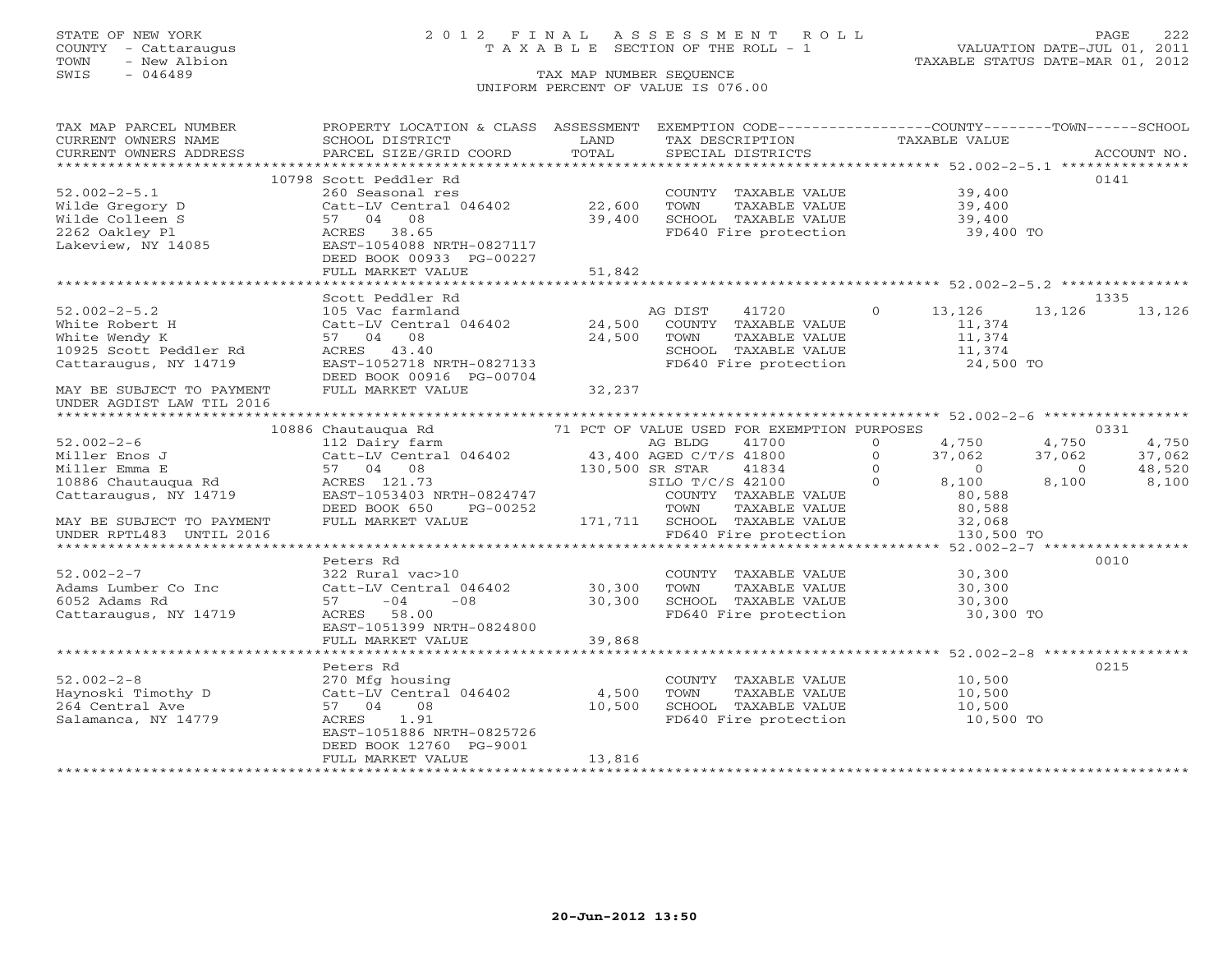### STATE OF NEW YORK 2 0 1 2 F I N A L A S S E S S M E N T R O L L PAGE 222 COUNTY - Cattaraugus T A X A B L E SECTION OF THE ROLL - 1 VALUATION DATE-JUL 01, 2011

| TAX MAP PARCEL NUMBER                | PROPERTY LOCATION & CLASS ASSESSMENT EXEMPTION CODE---------------COUNTY-------TOWN------SCHOOL |                 |                                               |                            |                          |
|--------------------------------------|-------------------------------------------------------------------------------------------------|-----------------|-----------------------------------------------|----------------------------|--------------------------|
| CURRENT OWNERS NAME                  | SCHOOL DISTRICT                                                                                 | LAND            | TAX DESCRIPTION                               | TAXABLE VALUE              |                          |
| CURRENT OWNERS ADDRESS               |                                                                                                 |                 |                                               |                            |                          |
|                                      |                                                                                                 |                 |                                               |                            |                          |
|                                      | 10798 Scott Peddler Rd                                                                          |                 |                                               |                            | 0141                     |
| $52.002 - 2 - 5.1$                   | 260 Seasonal res                                                                                |                 | COUNTY TAXABLE VALUE                          | 39,400                     |                          |
| Wilde Gregory D                      | Catt-LV Central 046402 22,600                                                                   |                 | TOWN<br>TAXABLE VALUE                         | 39,400                     |                          |
| Wilde Colleen S                      | 57 04 08                                                                                        | 39,400          | SCHOOL TAXABLE VALUE                          | 39,400                     |                          |
|                                      | ACRES 38.65                                                                                     |                 | FD640 Fire protection                         | 39,400 TO                  |                          |
| 2262 Oakley Pl<br>Lakeview, NY 14085 | EAST-1054088 NRTH-0827117                                                                       |                 |                                               |                            |                          |
|                                      | DEED BOOK 00933 PG-00227                                                                        |                 |                                               |                            |                          |
|                                      | FULL MARKET VALUE                                                                               | 51,842          |                                               |                            |                          |
|                                      |                                                                                                 |                 |                                               |                            |                          |
|                                      | Scott Peddler Rd                                                                                |                 |                                               |                            | 1335                     |
| $52.002 - 2 - 5.2$                   | 105 Vac farmland                                                                                |                 | AG DIST<br>41720                              | $\Omega$<br>13,126         | 13,126<br>13,126         |
| White Robert H                       | Catt-LV Central 046402                                                                          | 24,500          | COUNTY TAXABLE VALUE                          | 11,374                     |                          |
| White Wendy K                        | 57 04 08                                                                                        | 24,500          | TAXABLE VALUE<br>TOWN                         | 11,374                     |                          |
| 10925 Scott Peddler Rd               | ACRES 43.40                                                                                     |                 | SCHOOL TAXABLE VALUE                          | 11,374                     |                          |
| Cattaraugus, NY 14719                | EAST-1052718 NRTH-0827133                                                                       |                 | FD640 Fire protection                         | 24,500 TO                  |                          |
|                                      | DEED BOOK 00916 PG-00704                                                                        |                 |                                               |                            |                          |
| MAY BE SUBJECT TO PAYMENT            | FULL MARKET VALUE                                                                               | 32,237          |                                               |                            |                          |
| UNDER AGDIST LAW TIL 2016            |                                                                                                 |                 |                                               |                            |                          |
|                                      |                                                                                                 |                 |                                               |                            |                          |
|                                      | 10886 Chautauqua Rd                                                                             |                 | 71 PCT OF VALUE USED FOR EXEMPTION PURPOSES   |                            | 0331                     |
| $52.002 - 2 - 6$                     | 112 Dairy farm                                                                                  |                 | AG BLDG<br>41700                              | $\Omega$<br>4,750          | 4,750<br>4,750           |
| Miller Enos J                        | Catt-LV Central 046402 43,400 AGED C/T/S 41800                                                  |                 |                                               | $\Omega$<br>37,062         | 37,062<br>37,062         |
| Miller Emma E                        | 57 04 08                                                                                        | 130,500 SR STAR | 41834                                         | $\Omega$<br>$\overline{0}$ | 48,520<br>$\overline{0}$ |
| 10886 Chautauqua Rd                  | ACRES 121.73                                                                                    |                 | SILO T/C/S 42100                              | $\Omega$<br>8,100          | 8,100<br>8,100           |
| Cattaraugus, NY 14719                | EAST-1053403 NRTH-0824747                                                                       |                 | COUNTY TAXABLE VALUE                          | 80,588                     |                          |
|                                      | DEED BOOK 650<br>PG-00252                                                                       |                 | TOWN<br>TAXABLE VALUE                         | 80,588                     |                          |
| MAY BE SUBJECT TO PAYMENT            | FULL MARKET VALUE                                                                               |                 | 171,711 SCHOOL TAXABLE VALUE                  | 32,068                     |                          |
| UNDER RPTL483 UNTIL 2016             |                                                                                                 |                 | FD640 Fire protection                         | 130,500 TO                 |                          |
|                                      |                                                                                                 |                 |                                               |                            |                          |
|                                      | Peters Rd                                                                                       |                 |                                               |                            | 0010                     |
| $52.002 - 2 - 7$                     | 322 Rural vac>10                                                                                |                 | COUNTY TAXABLE VALUE                          | 30,300                     |                          |
| Adams Lumber Co Inc                  | Catt-LV Central 046402                                                                          | 30,300          | TAXABLE VALUE<br>TOWN                         | 30,300                     |                          |
| 6052 Adams Rd                        | $57 -04$<br>$-08$                                                                               | 30,300          | SCHOOL TAXABLE VALUE<br>FD640 Fire protection | 30,300                     |                          |
| Cattaraugus, NY 14719                | ACRES 58.00                                                                                     |                 |                                               | 30,300 TO                  |                          |
|                                      | EAST-1051399 NRTH-0824800                                                                       |                 |                                               |                            |                          |
|                                      | FULL MARKET VALUE                                                                               | 39,868          |                                               |                            |                          |
|                                      |                                                                                                 |                 |                                               |                            |                          |
|                                      | Peters Rd                                                                                       |                 |                                               |                            | 0215                     |
| $52.002 - 2 - 8$                     | 270 Mfg housing                                                                                 |                 | COUNTY TAXABLE VALUE                          | 10,500                     |                          |
| Haynoski Timothy D                   | 270 mig nousing<br>Catt-LV Central 046402 4,500                                                 |                 | TOWN<br>TAXABLE VALUE                         | 10,500                     |                          |
| 264 Central Ave                      | 08<br>57 04                                                                                     | 10,500          | SCHOOL TAXABLE VALUE                          | 10,500<br>10,500 TO        |                          |
| Salamanca, NY 14779                  | 1.91<br>ACRES                                                                                   |                 | FD640 Fire protection                         |                            |                          |
|                                      | EAST-1051886 NRTH-0825726                                                                       |                 |                                               |                            |                          |
|                                      | DEED BOOK 12760 PG-9001                                                                         |                 |                                               |                            |                          |
|                                      | FULL MARKET VALUE                                                                               | 13,816          |                                               |                            |                          |
|                                      |                                                                                                 |                 |                                               |                            |                          |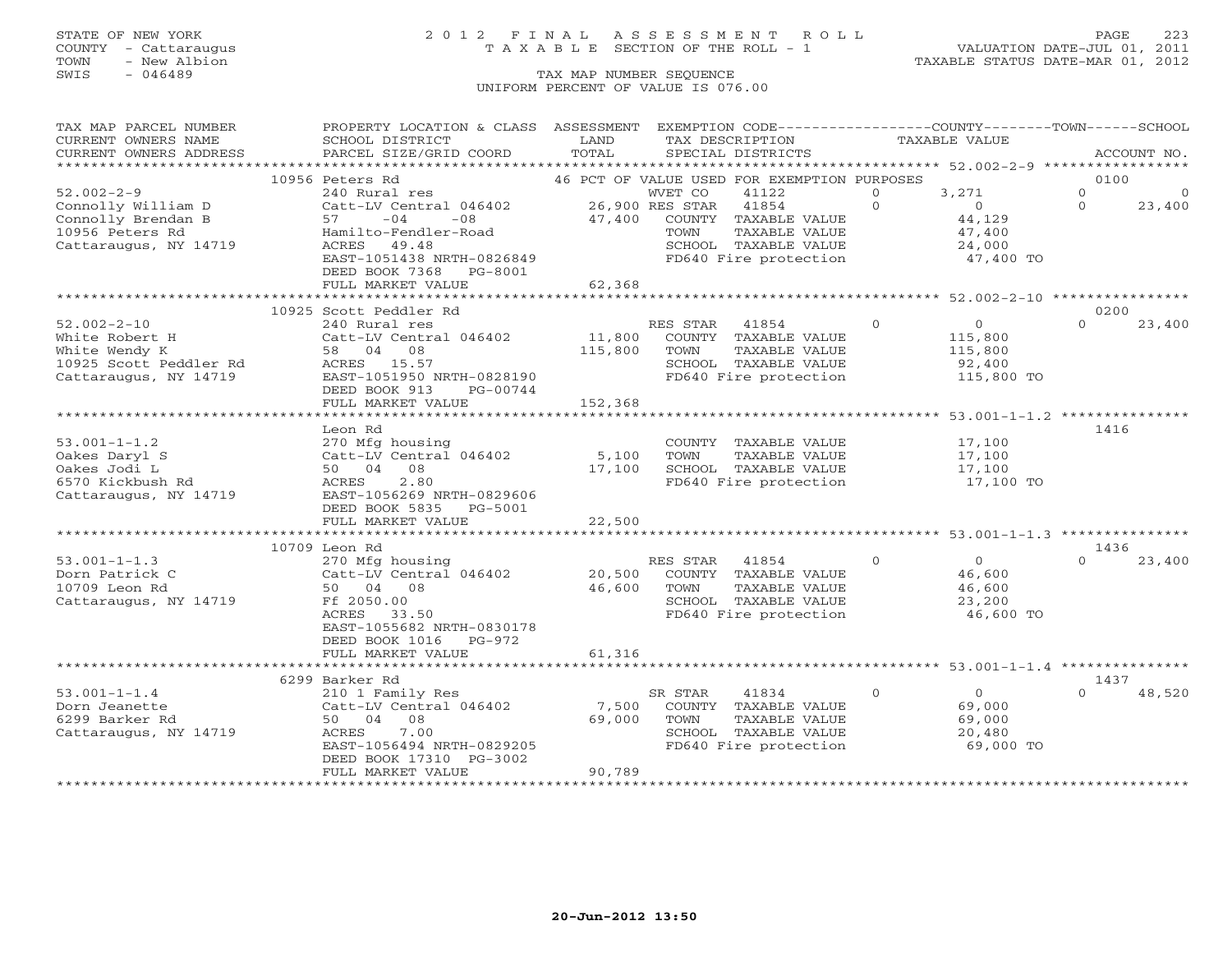### STATE OF NEW YORK 2 0 1 2 F I N A L A S S E S S M E N T R O L L PAGE 223 COUNTY - Cattaraugus T A X A B L E SECTION OF THE ROLL - 1 VALUATION DATE-JUL 01, 2011

| TAX MAP PARCEL NUMBER            | PROPERTY LOCATION & CLASS ASSESSMENT      |         |                                             |                                               |               | EXEMPTION CODE-----------------COUNTY-------TOWN------SCHOOL |          |             |
|----------------------------------|-------------------------------------------|---------|---------------------------------------------|-----------------------------------------------|---------------|--------------------------------------------------------------|----------|-------------|
| CURRENT OWNERS NAME              | SCHOOL DISTRICT                           | LAND    | TAX DESCRIPTION                             |                                               | TAXABLE VALUE |                                                              |          |             |
| CURRENT OWNERS ADDRESS           | PARCEL SIZE/GRID COORD                    | TOTAL   | SPECIAL DISTRICTS                           |                                               |               |                                                              |          | ACCOUNT NO. |
|                                  |                                           |         |                                             |                                               |               |                                                              |          |             |
|                                  | 10956 Peters Rd                           |         | 46 PCT OF VALUE USED FOR EXEMPTION PURPOSES |                                               |               |                                                              | 0100     |             |
| $52.002 - 2 - 9$                 | 240 Rural res                             |         | WVET CO                                     | 41122                                         | $\Omega$      | 3,271                                                        | $\circ$  | $\Omega$    |
| Connolly William D               | Catt-LV Central 046402                    |         | 26,900 RES STAR                             | 41854                                         | $\Omega$      | $\overline{0}$                                               | $\Omega$ | 23,400      |
| Connolly Brendan B               | 57<br>$-04$<br>$-08$                      | 47,400  |                                             | COUNTY TAXABLE VALUE                          |               | 44,129                                                       |          |             |
| 10956 Peters Rd                  | Hamilto-Fendler-Road                      |         | TOWN                                        | TAXABLE VALUE                                 |               | 47,400                                                       |          |             |
| Cattaraugus, NY 14719            | ACRES 49.48                               |         |                                             | SCHOOL TAXABLE VALUE                          |               | 24,000                                                       |          |             |
|                                  | EAST-1051438 NRTH-0826849                 |         |                                             | FD640 Fire protection                         |               | 47,400 TO                                                    |          |             |
|                                  | DEED BOOK 7368 PG-8001                    |         |                                             |                                               |               |                                                              |          |             |
|                                  | FULL MARKET VALUE                         | 62,368  |                                             |                                               |               |                                                              |          |             |
|                                  |                                           |         |                                             |                                               |               |                                                              |          |             |
|                                  | 10925 Scott Peddler Rd                    |         |                                             |                                               |               |                                                              | 0200     |             |
| $52.002 - 2 - 10$                | 240 Rural res                             |         | RES STAR                                    | 41854                                         | $\circ$       | $\overline{0}$                                               | $\Omega$ | 23,400      |
| White Robert H                   | Catt-LV Central 046402                    | 11,800  |                                             | COUNTY TAXABLE VALUE                          |               | 115,800                                                      |          |             |
| White Wendy K                    | 58 04 08                                  | 115,800 | TOWN                                        | TAXABLE VALUE                                 |               | 115,800                                                      |          |             |
| 10925 Scott Peddler Rd           | ACRES 15.57                               |         |                                             | SCHOOL TAXABLE VALUE                          |               | 92,400                                                       |          |             |
| Cattaraugus, NY 14719            | EAST-1051950 NRTH-0828190                 |         |                                             | FD640 Fire protection                         |               | 115,800 TO                                                   |          |             |
|                                  | DEED BOOK 913<br>PG-00744                 |         |                                             |                                               |               |                                                              |          |             |
|                                  | FULL MARKET VALUE                         | 152,368 |                                             |                                               |               |                                                              |          |             |
|                                  |                                           |         |                                             |                                               |               |                                                              |          |             |
|                                  | Leon Rd                                   |         |                                             |                                               |               |                                                              | 1416     |             |
| $53.001 - 1 - 1.2$               | 270 Mfg housing<br>Catt-LV Central 046402 | 5,100   |                                             | COUNTY TAXABLE VALUE                          |               | 17,100                                                       |          |             |
| Oakes Daryl S                    | 50 04 08                                  |         | TOWN                                        | TAXABLE VALUE                                 |               | 17,100                                                       |          |             |
| Oakes Jodi L<br>6570 Kickbush Rd | 2.80<br>ACRES                             | 17,100  |                                             | SCHOOL TAXABLE VALUE<br>FD640 Fire protection |               | 17,100<br>17,100 TO                                          |          |             |
|                                  | EAST-1056269 NRTH-0829606                 |         |                                             |                                               |               |                                                              |          |             |
| Cattaraugus, NY 14719            | DEED BOOK 5835 PG-5001                    |         |                                             |                                               |               |                                                              |          |             |
|                                  | FULL MARKET VALUE                         | 22,500  |                                             |                                               |               |                                                              |          |             |
|                                  |                                           |         |                                             |                                               |               |                                                              |          |             |
|                                  | 10709 Leon Rd                             |         |                                             |                                               |               |                                                              | 1436     |             |
| $53.001 - 1 - 1.3$               | 270 Mfg housing                           |         | RES STAR                                    | 41854                                         | $\Omega$      | $\Omega$                                                     | $\Omega$ | 23,400      |
| Dorn Patrick C                   | Catt-LV Central 046402                    | 20,500  |                                             | COUNTY TAXABLE VALUE                          |               | 46,600                                                       |          |             |
| 10709 Leon Rd                    | 50 04 08                                  | 46,600  | TOWN                                        | TAXABLE VALUE                                 |               | 46,600                                                       |          |             |
| Cattaraugus, NY 14719            | Ff 2050.00                                |         |                                             | SCHOOL TAXABLE VALUE                          |               | 23,200                                                       |          |             |
|                                  | ACRES<br>33.50                            |         |                                             | FD640 Fire protection                         |               | 46,600 TO                                                    |          |             |
|                                  | EAST-1055682 NRTH-0830178                 |         |                                             |                                               |               |                                                              |          |             |
|                                  | DEED BOOK 1016<br>PG-972                  |         |                                             |                                               |               |                                                              |          |             |
|                                  | FULL MARKET VALUE                         | 61,316  |                                             |                                               |               |                                                              |          |             |
|                                  | ********************************          |         |                                             |                                               |               |                                                              |          |             |
|                                  | 6299 Barker Rd                            |         |                                             |                                               |               |                                                              | 1437     |             |
| $53.001 - 1 - 1.4$               | 210 1 Family Res                          |         | SR STAR                                     | 41834                                         | $\Omega$      | $\overline{0}$                                               | $\Omega$ | 48,520      |
| Dorn Jeanette                    | Catt-LV Central 046402                    | 7,500   |                                             | COUNTY TAXABLE VALUE                          |               | 69,000                                                       |          |             |
| 6299 Barker Rd                   | 50 04 08                                  | 69,000  | TOWN                                        | TAXABLE VALUE                                 |               | 69,000                                                       |          |             |
| Cattaraugus, NY 14719            | 7.00<br>ACRES                             |         |                                             | SCHOOL TAXABLE VALUE                          |               | 20,480                                                       |          |             |
|                                  | EAST-1056494 NRTH-0829205                 |         |                                             | FD640 Fire protection                         |               | 69,000 TO                                                    |          |             |
|                                  | DEED BOOK 17310 PG-3002                   |         |                                             |                                               |               |                                                              |          |             |
|                                  | FULL MARKET VALUE                         | 90,789  |                                             |                                               |               |                                                              |          |             |
|                                  |                                           |         |                                             |                                               |               |                                                              |          |             |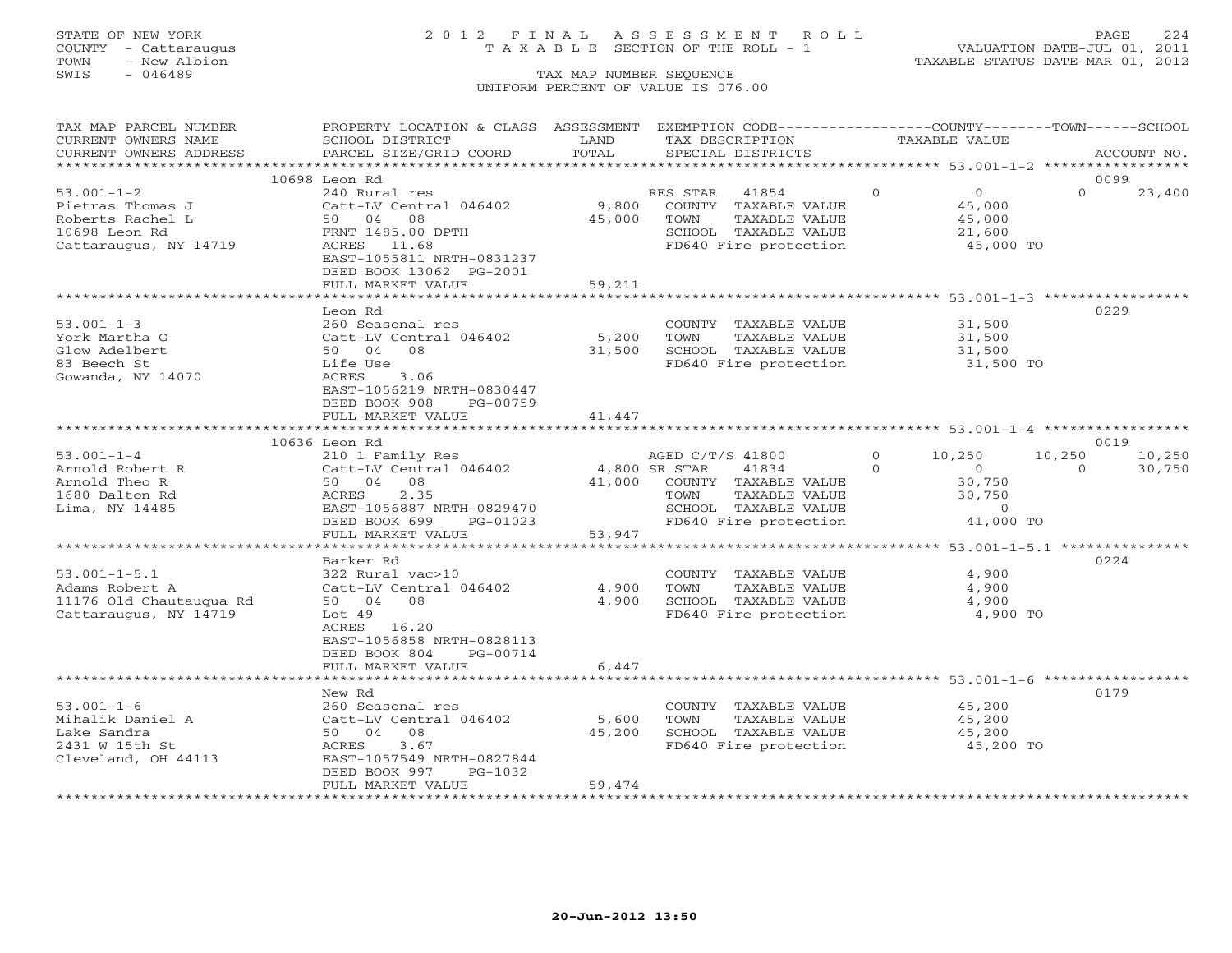## STATE OF NEW YORK 2 0 1 2 F I N A L A S S E S S M E N T R O L L PAGE 224 COUNTY - Cattaraugus T A X A B L E SECTION OF THE ROLL - 1 VALUATION DATE-JUL 01, 2011

| TAX MAP PARCEL NUMBER<br>CURRENT OWNERS NAME | PROPERTY LOCATION & CLASS ASSESSMENT EXEMPTION CODE----------------COUNTY-------TOWN------SCHOOL<br>SCHOOL DISTRICT | LAND   | TAX DESCRIPTION                                   |          | TAXABLE VALUE           |          |             |
|----------------------------------------------|---------------------------------------------------------------------------------------------------------------------|--------|---------------------------------------------------|----------|-------------------------|----------|-------------|
| CURRENT OWNERS ADDRESS                       | PARCEL SIZE/GRID COORD                                                                                              | TOTAL  | SPECIAL DISTRICTS                                 |          |                         |          | ACCOUNT NO. |
|                                              |                                                                                                                     |        |                                                   |          |                         |          |             |
|                                              | 10698 Leon Rd                                                                                                       |        |                                                   |          |                         | 0099     |             |
| $53.001 - 1 - 2$                             | 240 Rural res                                                                                                       |        | RES STAR 41854                                    | $\Omega$ | $\Omega$                | $\Omega$ | 23,400      |
| Pietras Thomas J                             | Catt-LV Central 046402 9,800                                                                                        |        | COUNTY TAXABLE VALUE                              |          | 45,000                  |          |             |
| Roberts Rachel L                             | 50 04 08                                                                                                            | 45,000 | TOWN<br>TAXABLE VALUE                             |          | 45,000                  |          |             |
| 10698 Leon Rd                                | FRNT 1485.00 DPTH                                                                                                   |        | SCHOOL TAXABLE VALUE                              |          | 21,600                  |          |             |
| Cattaraugus, NY 14719                        | ACRES 11.68<br>EAST-1055811 NRTH-0831237                                                                            |        | FD640 Fire protection                             |          | 45,000 TO               |          |             |
|                                              | DEED BOOK 13062 PG-2001                                                                                             |        |                                                   |          |                         |          |             |
|                                              | FULL MARKET VALUE                                                                                                   | 59,211 |                                                   |          |                         |          |             |
|                                              |                                                                                                                     |        |                                                   |          |                         |          |             |
|                                              | Leon Rd                                                                                                             |        |                                                   |          |                         | 0229     |             |
| $53.001 - 1 - 3$                             | 260 Seasonal res                                                                                                    |        | COUNTY TAXABLE VALUE 31,500                       |          |                         |          |             |
| York Martha G                                | Catt-LV Central 046402                                                                                              |        | 5,200 TOWN<br>TAXABLE VALUE                       |          | 31,500                  |          |             |
| Glow Adelbert                                | 50 04 08                                                                                                            |        | 31,500 SCHOOL TAXABLE VALUE                       |          | $31,500$<br>$31,500$ TO |          |             |
| 83 Beech St                                  | Life Use                                                                                                            |        | FD640 Fire protection                             |          |                         |          |             |
| Gowanda, NY 14070                            | ACRES<br>3.06                                                                                                       |        |                                                   |          |                         |          |             |
|                                              | EAST-1056219 NRTH-0830447                                                                                           |        |                                                   |          |                         |          |             |
|                                              | DEED BOOK 908<br>PG-00759                                                                                           |        |                                                   |          |                         |          |             |
|                                              | FULL MARKET VALUE                                                                                                   | 41,447 |                                                   |          |                         |          |             |
|                                              |                                                                                                                     |        |                                                   |          |                         |          |             |
|                                              | 10636 Leon Rd                                                                                                       |        |                                                   |          |                         | 0019     |             |
| $53.001 - 1 - 4$                             | 210 1 Family Res                                                                                                    |        | AGED C/T/S 41800                                  | $\Omega$ | 10,250                  | 10,250   | 10,250      |
| Arnold Robert R                              | Catt-LV Central 046402 4,800 SR STAR                                                                                |        | 41834                                             | $\Omega$ | $\overline{0}$          | $\Omega$ | 30,750      |
| Arnold Theo R                                | 50 04 08                                                                                                            |        | 41,000 COUNTY TAXABLE VALUE<br>TOWN TAXABLE VALUE |          | 30,750                  |          |             |
| 1680 Dalton Rd                               | 2.35<br>ACRES                                                                                                       |        |                                                   |          |                         |          |             |
| Lima, NY 14485                               | EAST-1056887 NRTH-0829470                                                                                           |        | SCHOOL TAXABLE VALUE                              |          | 30, 72, 0<br>41,000 TO  |          |             |
|                                              | PG-01023<br>DEED BOOK 699<br>FULL MARKET VALUE                                                                      |        | FD640 Fire protection                             |          |                         |          |             |
|                                              |                                                                                                                     | 53,947 |                                                   |          |                         |          |             |
|                                              | Barker Rd                                                                                                           |        |                                                   |          |                         | 0224     |             |
| $53.001 - 1 - 5.1$                           | 322 Rural vac>10                                                                                                    |        | COUNTY TAXABLE VALUE                              |          | 4,900                   |          |             |
| Adams Robert A                               | Catt-LV Central 046402                                                                                              | 4,900  | TOWN<br>TAXABLE VALUE                             |          | 4,900                   |          |             |
| 11176 Old Chautauqua Rd                      | 50 04 08                                                                                                            | 4,900  | SCHOOL TAXABLE VALUE                              |          | 4,900                   |          |             |
| Cattaraugus, NY 14719                        | Lot 49                                                                                                              |        | FD640 Fire protection                             |          | 4,900 TO                |          |             |
|                                              | ACRES 16.20                                                                                                         |        |                                                   |          |                         |          |             |
|                                              | EAST-1056858 NRTH-0828113                                                                                           |        |                                                   |          |                         |          |             |
|                                              | DEED BOOK 804 PG-00714                                                                                              |        |                                                   |          |                         |          |             |
|                                              | FULL MARKET VALUE                                                                                                   | 6,447  |                                                   |          |                         |          |             |
|                                              | ****************************                                                                                        |        |                                                   |          |                         |          |             |
|                                              | New Rd                                                                                                              |        |                                                   |          |                         | 0179     |             |
| $53.001 - 1 - 6$                             | 260 Seasonal res                                                                                                    |        | COUNTY TAXABLE VALUE                              |          | 45,200                  |          |             |
| Mihalik Daniel A                             | Catt-LV Central 046402                                                                                              | 5,600  | TOWN<br>TAXABLE VALUE                             |          | 45,200                  |          |             |
| Lake Sandra                                  | 50 04 08                                                                                                            | 45,200 | SCHOOL TAXABLE VALUE                              |          | 45,200<br>45,200        |          |             |
| 2431 W 15th St                               | ACRES<br>3.67                                                                                                       |        | FD640 Fire protection                             |          | 45,200 TO               |          |             |
| Cleveland, OH 44113                          | EAST-1057549 NRTH-0827844                                                                                           |        |                                                   |          |                         |          |             |
|                                              | DEED BOOK 997<br>PG-1032                                                                                            |        |                                                   |          |                         |          |             |
|                                              | FULL MARKET VALUE                                                                                                   | 59,474 |                                                   |          |                         |          |             |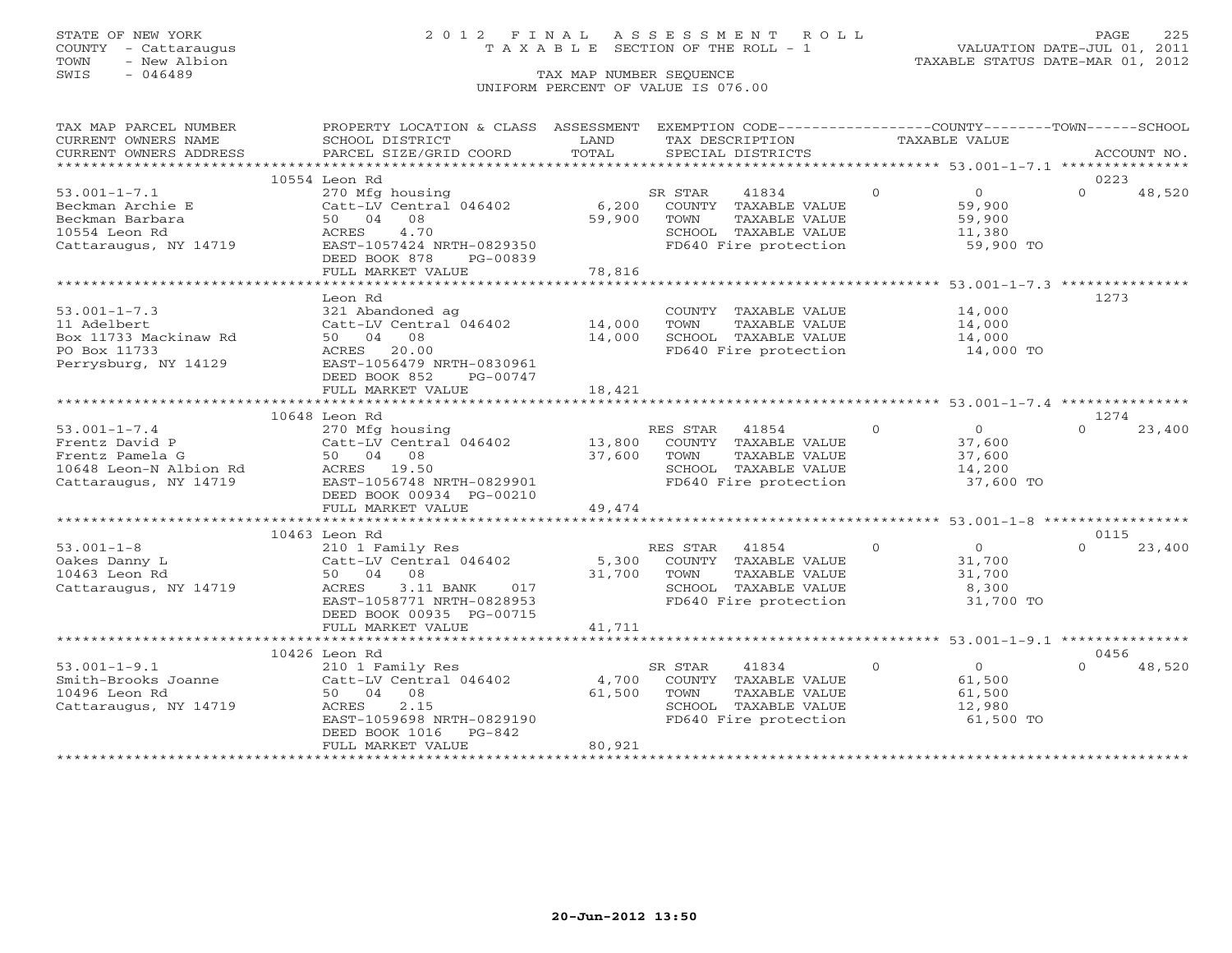## STATE OF NEW YORK 2 0 1 2 F I N A L A S S E S S M E N T R O L L PAGE 225 COUNTY - Cattaraugus T A X A B L E SECTION OF THE ROLL - 1 VALUATION DATE-JUL 01, 2011

| TAX MAP PARCEL NUMBER  | PROPERTY LOCATION & CLASS ASSESSMENT EXEMPTION CODE----------------COUNTY-------TOWN------SCHOOL |        |                                               |                                  |                    |
|------------------------|--------------------------------------------------------------------------------------------------|--------|-----------------------------------------------|----------------------------------|--------------------|
| CURRENT OWNERS NAME    | SCHOOL DISTRICT                                                                                  | LAND   | TAX DESCRIPTION                               | TAXABLE VALUE                    |                    |
| CURRENT OWNERS ADDRESS | PARCEL SIZE/GRID COORD                                                                           | TOTAL  | SPECIAL DISTRICTS                             |                                  | ACCOUNT NO.        |
|                        |                                                                                                  |        |                                               |                                  |                    |
|                        | 10554 Leon Rd                                                                                    |        |                                               |                                  | 0223               |
| $53.001 - 1 - 7.1$     | 270 Mfg housing                                                                                  |        | 41834<br>SR STAR                              | $\Omega$<br>$\overline{0}$       | $\Omega$<br>48,520 |
| Beckman Archie E       | Catt-LV Central 046402                                                                           |        | 6,200 COUNTY TAXABLE VALUE                    | 59,900                           |                    |
| Beckman Barbara        | 50 04 08                                                                                         | 59,900 | TAXABLE VALUE<br>TOWN                         | 59,900                           |                    |
| 10554 Leon Rd          | ACRES<br>4.70                                                                                    |        | SCHOOL TAXABLE VALUE<br>FD640 Fire protection | 11,380                           |                    |
| Cattaraugus, NY 14719  | EAST-1057424 NRTH-0829350                                                                        |        |                                               | 59,900 TO                        |                    |
|                        | DEED BOOK 878<br>PG-00839<br>FULL MARKET VALUE                                                   | 78,816 |                                               |                                  |                    |
|                        | *****************************                                                                    |        |                                               |                                  |                    |
|                        | Leon Rd                                                                                          |        |                                               |                                  | 1273               |
| $53.001 - 1 - 7.3$     | 321 Abandoned ag                                                                                 |        | COUNTY TAXABLE VALUE                          | 14,000                           |                    |
| 11 Adelbert            | $Catt-LV$ Central $046402$ 14,000                                                                |        | TOWN<br>TAXABLE VALUE                         | 14,000                           |                    |
| Box 11733 Mackinaw Rd  | 50 04 08                                                                                         | 14,000 | SCHOOL TAXABLE VALUE                          | 14,000                           |                    |
| PO Box 11733           | ACRES 20.00                                                                                      |        | FD640 Fire protection                         | 14,000 TO                        |                    |
| Perrysburg, NY 14129   | EAST-1056479 NRTH-0830961                                                                        |        |                                               |                                  |                    |
|                        | DEED BOOK 852<br>PG-00747                                                                        |        |                                               |                                  |                    |
|                        | FULL MARKET VALUE                                                                                | 18,421 |                                               |                                  |                    |
|                        |                                                                                                  |        |                                               |                                  |                    |
|                        | 10648 Leon Rd                                                                                    |        |                                               |                                  | 1274               |
| $53.001 - 1 - 7.4$     | 270 Mfg housing                                                                                  |        | RES STAR 41854                                | $\overline{0}$<br>$\overline{0}$ | $\Omega$<br>23,400 |
| Frentz David P         | 270 Highcasing<br>Catt-LV Central 046402<br>50 04 08                                             | 13,800 | COUNTY TAXABLE VALUE                          | 37,600                           |                    |
| Frentz Pamela G        | 50 04 08                                                                                         | 37,600 | TAXABLE VALUE<br>TOWN                         | 37,600                           |                    |
| 10648 Leon-N Albion Rd | ACRES 19.50                                                                                      |        | SCHOOL TAXABLE VALUE                          | 14,200                           |                    |
| Cattaraugus, NY 14719  | EAST-1056748 NRTH-0829901                                                                        |        | FD640 Fire protection                         | 37,600 TO                        |                    |
|                        | DEED BOOK 00934 PG-00210                                                                         |        |                                               |                                  |                    |
|                        | FULL MARKET VALUE                                                                                | 49,474 |                                               |                                  |                    |
|                        |                                                                                                  |        |                                               |                                  |                    |
|                        | 10463 Leon Rd                                                                                    |        |                                               |                                  | 0115               |
| $53.001 - 1 - 8$       | 210 1 Family Res                                                                                 |        | RES STAR 41854                                | $\Omega$<br>$\overline{0}$       | $\Omega$<br>23,400 |
| Oakes Danny L          | Catt-LV Central 046402                                                                           | 5,300  | COUNTY TAXABLE VALUE                          | 31,700                           |                    |
| 10463 Leon Rd          | 50 04 08                                                                                         | 31,700 | TOWN<br>TAXABLE VALUE                         | 31,700                           |                    |
| Cattaraugus, NY 14719  | 3.11 BANK<br>ACRES<br>017                                                                        |        | SCHOOL TAXABLE VALUE                          | 8,300                            |                    |
|                        | EAST-1058771 NRTH-0828953                                                                        |        | FD640 Fire protection                         | 31,700 TO                        |                    |
|                        | DEED BOOK 00935 PG-00715                                                                         |        |                                               |                                  |                    |
|                        | FULL MARKET VALUE                                                                                | 41,711 |                                               |                                  |                    |
|                        |                                                                                                  |        |                                               |                                  |                    |
|                        | 10426 Leon Rd                                                                                    |        |                                               |                                  | 0456               |
| $53.001 - 1 - 9.1$     | 210 1 Family Res                                                                                 |        | 41834<br>SR STAR                              | $\overline{0}$<br>$\Omega$       | 48,520<br>$\Omega$ |
| Smith-Brooks Joanne    | Catt-LV Central 046402                                                                           | 4,700  | COUNTY TAXABLE VALUE                          | 61,500                           |                    |
| 10496 Leon Rd          | 50 04 08                                                                                         | 61,500 | TOWN<br>TAXABLE VALUE                         | 61,500                           |                    |
| Cattaraugus, NY 14719  | ACRES<br>2.15                                                                                    |        | SCHOOL TAXABLE VALUE                          | 12,980                           |                    |
|                        | EAST-1059698 NRTH-0829190                                                                        |        | FD640 Fire protection                         | 61,500 TO                        |                    |
|                        | DEED BOOK 1016<br>PG-842                                                                         |        |                                               |                                  |                    |
|                        | FULL MARKET VALUE                                                                                | 80,921 |                                               |                                  |                    |
|                        |                                                                                                  |        |                                               |                                  |                    |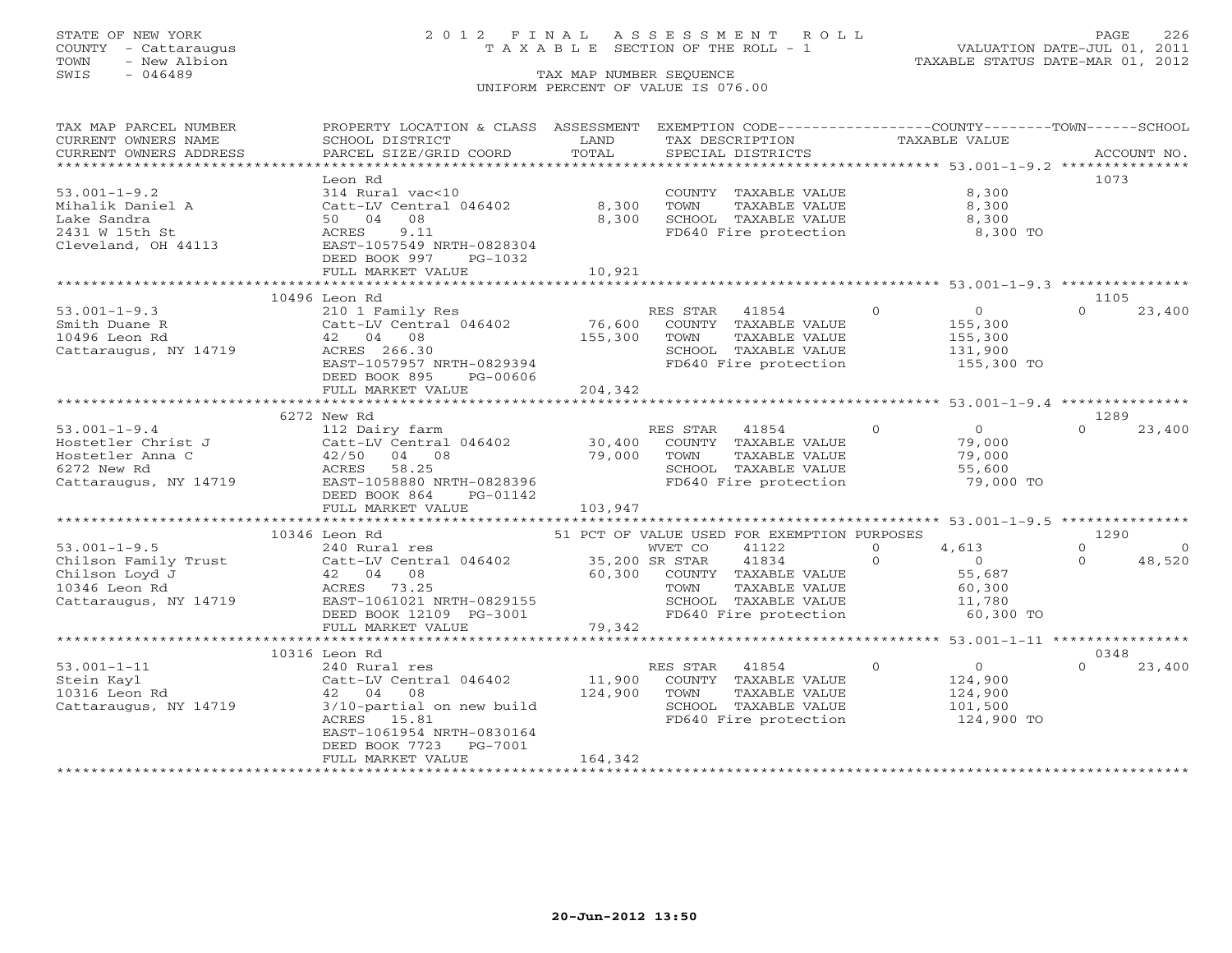## STATE OF NEW YORK 2 0 1 2 F I N A L A S S E S S M E N T R O L L PAGE 226 COUNTY - Cattaraugus T A X A B L E SECTION OF THE ROLL - 1 VALUATION DATE-JUL 01, 2011

| TAX MAP PARCEL NUMBER                                                                                                                                                                                                                                                                                                              | PROPERTY LOCATION & CLASS ASSESSMENT                      |                    | EXEMPTION CODE----------------COUNTY-------TOWN------SCHOOL |                |                     |          |             |
|------------------------------------------------------------------------------------------------------------------------------------------------------------------------------------------------------------------------------------------------------------------------------------------------------------------------------------|-----------------------------------------------------------|--------------------|-------------------------------------------------------------|----------------|---------------------|----------|-------------|
| CURRENT OWNERS NAME                                                                                                                                                                                                                                                                                                                | SCHOOL DISTRICT                                           | LAND               | TAX DESCRIPTION                                             | TAXABLE VALUE  |                     |          |             |
| CURRENT OWNERS ADDRESS                                                                                                                                                                                                                                                                                                             | PARCEL SIZE/GRID COORD                                    | TOTAL              | SPECIAL DISTRICTS                                           |                |                     |          | ACCOUNT NO. |
| ******************                                                                                                                                                                                                                                                                                                                 |                                                           |                    |                                                             |                |                     |          |             |
|                                                                                                                                                                                                                                                                                                                                    | Leon Rd                                                   |                    |                                                             |                |                     | 1073     |             |
| $53.001 - 1 - 9.2$                                                                                                                                                                                                                                                                                                                 | 314 Rural vac<10                                          |                    | COUNTY TAXABLE VALUE                                        |                | 8,300               |          |             |
| Mihalik Daniel A                                                                                                                                                                                                                                                                                                                   | Catt-LV Central 046402                                    | 8,300              | TOWN<br>TAXABLE VALUE                                       |                | 8,300               |          |             |
| Lake Sandra                                                                                                                                                                                                                                                                                                                        | 50 04<br>08                                               | 8,300              | SCHOOL TAXABLE VALUE                                        |                | 8,300               |          |             |
| 2431 W 15th St                                                                                                                                                                                                                                                                                                                     | 9.11<br>ACRES                                             |                    | FD640 Fire protection                                       |                | 8,300 TO            |          |             |
| Cleveland, OH 44113                                                                                                                                                                                                                                                                                                                | EAST-1057549 NRTH-0828304                                 |                    |                                                             |                |                     |          |             |
|                                                                                                                                                                                                                                                                                                                                    | DEED BOOK 997<br>PG-1032                                  |                    |                                                             |                |                     |          |             |
|                                                                                                                                                                                                                                                                                                                                    | FULL MARKET VALUE                                         | 10,921             |                                                             |                |                     |          |             |
|                                                                                                                                                                                                                                                                                                                                    |                                                           |                    |                                                             |                |                     |          |             |
|                                                                                                                                                                                                                                                                                                                                    | 10496 Leon Rd                                             |                    |                                                             |                |                     | 1105     |             |
| $53.001 - 1 - 9.3$                                                                                                                                                                                                                                                                                                                 | 210 1 Family Res                                          |                    | RES STAR 41854                                              | $\Omega$       | $\overline{0}$      | $\Omega$ | 23,400      |
| Smith Duane R                                                                                                                                                                                                                                                                                                                      | Catt-LV Central 046402                                    | 76,600             | COUNTY TAXABLE VALUE                                        |                | 155,300             |          |             |
| 10496 Leon Rd                                                                                                                                                                                                                                                                                                                      | 42 04 08                                                  | 155,300            | TOWN<br>TAXABLE VALUE                                       |                | 155,300             |          |             |
| Cattaraugus, NY 14719                                                                                                                                                                                                                                                                                                              | ACRES 266.30<br>AUKES 200.30<br>EAST-1057957 NRTH-0829394 |                    | SCHOOL TAXABLE VALUE                                        |                | 131,900             |          |             |
|                                                                                                                                                                                                                                                                                                                                    |                                                           |                    | FD640 Fire protection                                       |                | 155,300 TO          |          |             |
|                                                                                                                                                                                                                                                                                                                                    | DEED BOOK 895<br>PG-00606                                 |                    |                                                             |                |                     |          |             |
|                                                                                                                                                                                                                                                                                                                                    | FULL MARKET VALUE                                         | 204,342            |                                                             |                |                     |          |             |
|                                                                                                                                                                                                                                                                                                                                    |                                                           |                    |                                                             |                |                     |          |             |
| $53.001-1-9.4$<br>$\text{Hostetler Christ J} \atop \text{Instrain} \text{C}$<br>$42/50$ 04 08<br>$\text{ACRES}$ 58.25<br>$\text{C}$ $\text{C}$ $\text{C}$ $\text{C}$ $\text{C}$ $\text{C}$ $\text{C}$ $\text{C}$ $\text{C}$ $\text{C}$ $\text{C}$ $\text{C}$ $\text{C}$ $\text{C}$ $\text{C}$ $\text{C}$ $\text{C}$ $\text{C}$ $\$ |                                                           |                    |                                                             |                |                     | 1289     |             |
|                                                                                                                                                                                                                                                                                                                                    |                                                           |                    | RES STAR<br>41854                                           | $\Omega$       | 0<br>79,000         | $\Omega$ | 23,400      |
|                                                                                                                                                                                                                                                                                                                                    | Catt-LV Central 046402                                    | $30,400$<br>79,000 | COUNTY TAXABLE VALUE                                        |                | 79,000              |          |             |
|                                                                                                                                                                                                                                                                                                                                    |                                                           |                    | TAXABLE VALUE<br>TOWN                                       |                | 79,000              |          |             |
|                                                                                                                                                                                                                                                                                                                                    |                                                           |                    | SCHOOL TAXABLE VALUE<br>FD640 Fire protection               |                | 55,600              |          |             |
|                                                                                                                                                                                                                                                                                                                                    | EAST-1058880 NRTH-0828396                                 |                    |                                                             |                | 79,000 TO           |          |             |
|                                                                                                                                                                                                                                                                                                                                    | DEED BOOK 864<br>PG-01142                                 |                    |                                                             |                |                     |          |             |
|                                                                                                                                                                                                                                                                                                                                    | FULL MARKET VALUE                                         | 103,947            |                                                             |                |                     |          |             |
|                                                                                                                                                                                                                                                                                                                                    |                                                           |                    |                                                             |                |                     |          |             |
|                                                                                                                                                                                                                                                                                                                                    | 10346 Leon Rd<br>240 Rural res<br>240 Rural res           |                    | 51 PCT OF VALUE USED FOR EXEMPTION PURPOSES                 |                |                     | 1290     |             |
| $53.001 - 1 - 9.5$                                                                                                                                                                                                                                                                                                                 |                                                           |                    | WVET CO<br>41122                                            | $\Omega$       | 4,613               | $\Omega$ | $\Omega$    |
| Chilson Family Trust Catt-LV Central 046402 35,200 SR STAR                                                                                                                                                                                                                                                                         |                                                           |                    | 41834                                                       | $\Omega$       | $\overline{0}$      | $\Omega$ | 48,520      |
| Chilson Loyd J                                                                                                                                                                                                                                                                                                                     | 42 04 08                                                  |                    | 60,300 COUNTY TAXABLE VALUE                                 |                | 55,687              |          |             |
| 10346 Leon Rd                                                                                                                                                                                                                                                                                                                      | 73.25<br>ACRES                                            |                    | TAXABLE VALUE<br>TOWN<br>SCHOOL TAXABLE VALUE               |                | 60,300              |          |             |
| Cattaraugus, NY 14719                                                                                                                                                                                                                                                                                                              | EAST-1061021 NRTH-0829155                                 |                    |                                                             |                | 11,780<br>60,300 TO |          |             |
|                                                                                                                                                                                                                                                                                                                                    | DEED BOOK 12109 PG-3001                                   | 79,342             | FD640 Fire protection                                       |                |                     |          |             |
|                                                                                                                                                                                                                                                                                                                                    | FULL MARKET VALUE                                         |                    |                                                             |                |                     |          |             |
|                                                                                                                                                                                                                                                                                                                                    |                                                           |                    |                                                             |                |                     | 0348     |             |
| $53.001 - 1 - 11$                                                                                                                                                                                                                                                                                                                  | 10316 Leon Rd                                             |                    | RES STAR<br>41854                                           | $\overline{0}$ | $\overline{0}$      | $\Omega$ | 23,400      |
|                                                                                                                                                                                                                                                                                                                                    | 240 Rural res<br>Catt-LV Central 046402                   |                    | 11,900 COUNTY TAXABLE VALUE                                 |                |                     |          |             |
| Stein Kayl<br>10316 Leon Rd                                                                                                                                                                                                                                                                                                        | 42 04 08                                                  | 124,900            | TOWN<br>TAXABLE VALUE                                       |                | 124,900<br>124,900  |          |             |
| Cattaraugus, NY 14719                                                                                                                                                                                                                                                                                                              | 3/10-partial on new build                                 |                    | SCHOOL TAXABLE VALUE                                        |                | 101,500             |          |             |
|                                                                                                                                                                                                                                                                                                                                    | ACRES 15.81                                               |                    | FD640 Fire protection                                       |                | 124,900 TO          |          |             |
|                                                                                                                                                                                                                                                                                                                                    | EAST-1061954 NRTH-0830164                                 |                    |                                                             |                |                     |          |             |
|                                                                                                                                                                                                                                                                                                                                    | DEED BOOK 7723<br>PG-7001                                 |                    |                                                             |                |                     |          |             |
|                                                                                                                                                                                                                                                                                                                                    | FULL MARKET VALUE                                         | 164,342            |                                                             |                |                     |          |             |
|                                                                                                                                                                                                                                                                                                                                    |                                                           |                    |                                                             |                |                     |          |             |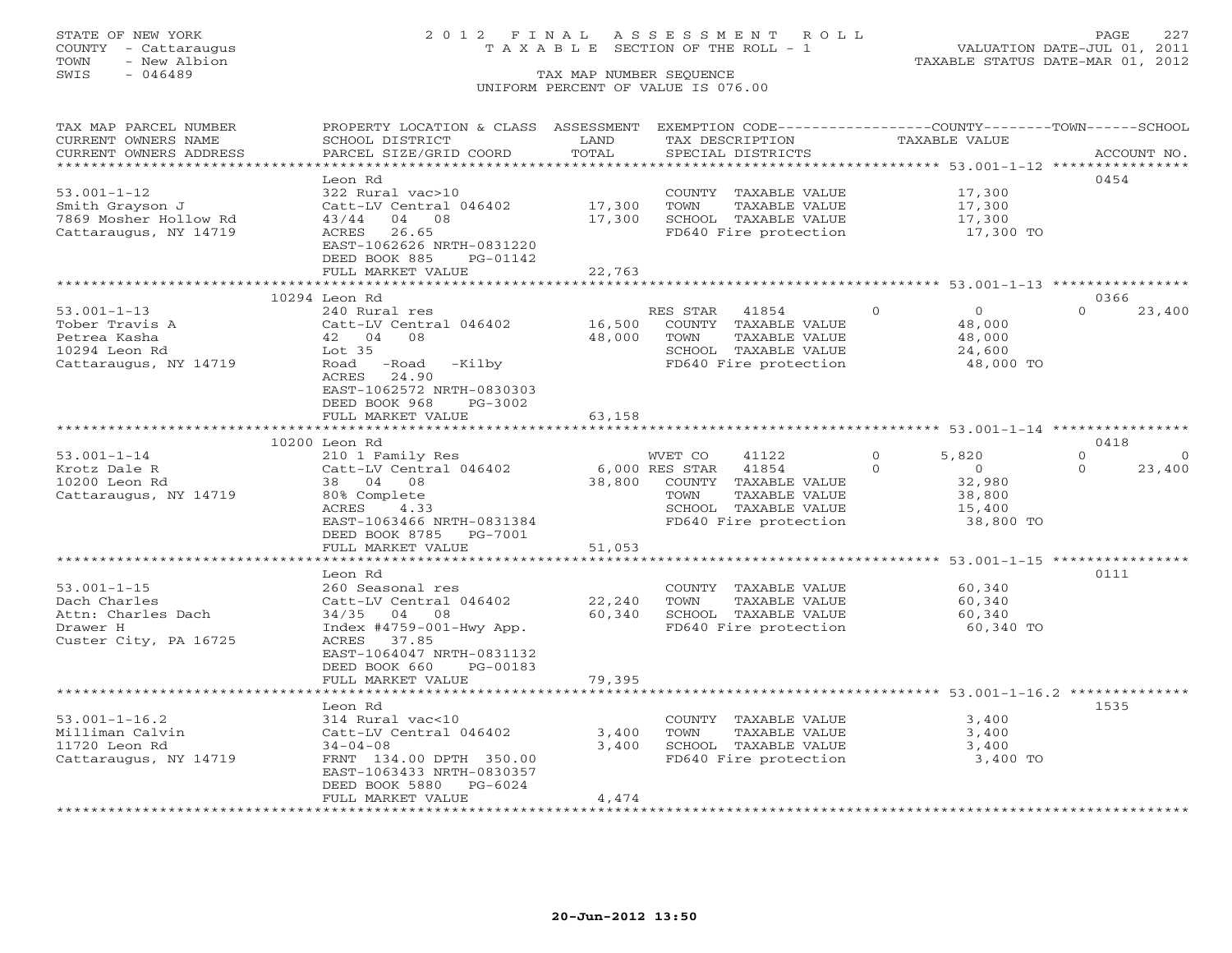### STATE OF NEW YORK 2 0 1 2 F I N A L A S S E S S M E N T R O L L PAGE 227 COUNTY - Cattaraugus T A X A B L E SECTION OF THE ROLL - 1 VALUATION DATE-JUL 01, 2011

| TAX MAP PARCEL NUMBER                          | PROPERTY LOCATION & CLASS ASSESSMENT        |                  | EXEMPTION CODE-----------------COUNTY-------TOWN------SCHOOL |                                                      |                                  |
|------------------------------------------------|---------------------------------------------|------------------|--------------------------------------------------------------|------------------------------------------------------|----------------------------------|
| CURRENT OWNERS NAME                            | SCHOOL DISTRICT                             | LAND             | TAX DESCRIPTION                                              | TAXABLE VALUE                                        |                                  |
| CURRENT OWNERS ADDRESS                         | PARCEL SIZE/GRID COORD                      | TOTAL            | SPECIAL DISTRICTS                                            |                                                      | ACCOUNT NO.                      |
| **********************                         | ************************                    |                  |                                                              |                                                      |                                  |
|                                                | Leon Rd                                     |                  |                                                              |                                                      | 0454                             |
| $53.001 - 1 - 12$                              | 322 Rural vac>10                            |                  | COUNTY TAXABLE VALUE                                         | 17,300                                               |                                  |
| Smith Grayson J                                | Catt-LV Central 046402<br>43/44<br>04<br>08 | 17,300<br>17,300 | TOWN<br>TAXABLE VALUE                                        | 17,300                                               |                                  |
| 7869 Mosher Hollow Rd<br>Cattaraugus, NY 14719 | ACRES<br>26.65                              |                  | SCHOOL TAXABLE VALUE<br>FD640 Fire protection                | 17,300<br>17,300 TO                                  |                                  |
|                                                | EAST-1062626 NRTH-0831220                   |                  |                                                              |                                                      |                                  |
|                                                | DEED BOOK 885<br>PG-01142                   |                  |                                                              |                                                      |                                  |
|                                                | FULL MARKET VALUE                           | 22,763           |                                                              |                                                      |                                  |
|                                                |                                             |                  |                                                              |                                                      |                                  |
|                                                | 10294 Leon Rd                               |                  |                                                              |                                                      | 0366                             |
| $53.001 - 1 - 13$                              | 240 Rural res                               |                  | RES STAR<br>41854                                            | $\overline{0}$<br>$\overline{0}$                     | $\Omega$<br>23,400               |
| Tober Travis A                                 | Catt-LV Central 046402                      | 16,500           | COUNTY TAXABLE VALUE                                         | 48,000                                               |                                  |
| Petrea Kasha                                   | 42 04<br>08                                 | 48,000           | TAXABLE VALUE<br>TOWN                                        | 48,000                                               |                                  |
| 10294 Leon Rd                                  | Lot <sub>35</sub>                           |                  | SCHOOL TAXABLE VALUE                                         | 24,600                                               |                                  |
| Cattaraugus, NY 14719                          | -Kilby<br>Road<br>-Road                     |                  | FD640 Fire protection                                        | 48,000 TO                                            |                                  |
|                                                | ACRES<br>24.90                              |                  |                                                              |                                                      |                                  |
|                                                | EAST-1062572 NRTH-0830303                   |                  |                                                              |                                                      |                                  |
|                                                | DEED BOOK 968<br>PG-3002                    |                  |                                                              |                                                      |                                  |
|                                                | FULL MARKET VALUE                           | 63,158           |                                                              |                                                      |                                  |
|                                                |                                             |                  |                                                              |                                                      |                                  |
|                                                | 10200 Leon Rd                               |                  |                                                              |                                                      | 0418                             |
| $53.001 - 1 - 14$                              | 210 1 Family Res                            |                  | WVET CO<br>41122                                             | $\Omega$<br>5,820<br>$\Omega$                        | $\Omega$<br>$\Omega$<br>$\Omega$ |
| Krotz Dale R<br>10200 Leon Rd                  | Catt-LV Central 046402<br>38 04 08          | 38,800           | 6,000 RES STAR<br>41854<br>COUNTY TAXABLE VALUE              | $\overline{0}$<br>32,980                             | 23,400                           |
| Cattaraugus, NY 14719                          | 80% Complete                                |                  | TAXABLE VALUE<br>TOWN                                        | 38,800                                               |                                  |
|                                                | ACRES<br>4.33                               |                  | SCHOOL TAXABLE VALUE                                         | 15,400                                               |                                  |
|                                                | EAST-1063466 NRTH-0831384                   |                  | FD640 Fire protection                                        | 38,800 TO                                            |                                  |
|                                                | DEED BOOK 8785 PG-7001                      |                  |                                                              |                                                      |                                  |
|                                                | FULL MARKET VALUE                           | 51,053           |                                                              |                                                      |                                  |
|                                                |                                             |                  |                                                              | *********************** 53.001-1-15 **************** |                                  |
|                                                | Leon Rd                                     |                  |                                                              |                                                      | 0111                             |
| $53.001 - 1 - 15$                              | 260 Seasonal res                            |                  | COUNTY TAXABLE VALUE                                         | 60,340                                               |                                  |
| Dach Charles                                   | Catt-LV Central 046402                      | 22,240           | TOWN<br>TAXABLE VALUE                                        | 60,340                                               |                                  |
| Attn: Charles Dach                             | 34/35 04 08                                 | 60,340           | SCHOOL TAXABLE VALUE                                         | 60,340                                               |                                  |
| Drawer H                                       | $Index$ #4759-001-Hwy App.                  |                  | FD640 Fire protection                                        | 60,340 TO                                            |                                  |
| Custer City, PA 16725                          | ACRES 37.85                                 |                  |                                                              |                                                      |                                  |
|                                                | EAST-1064047 NRTH-0831132                   |                  |                                                              |                                                      |                                  |
|                                                | DEED BOOK 660<br>PG-00183                   |                  |                                                              |                                                      |                                  |
|                                                | FULL MARKET VALUE                           | 79,395           |                                                              |                                                      |                                  |
|                                                |                                             |                  |                                                              |                                                      |                                  |
| $53.001 - 1 - 16.2$                            | Leon Rd<br>314 Rural vac<10                 |                  | COUNTY TAXABLE VALUE                                         | 3,400                                                | 1535                             |
| Milliman Calvin                                | Catt-LV Central 046402                      | 3,400            | TOWN<br>TAXABLE VALUE                                        | 3,400                                                |                                  |
| 11720 Leon Rd                                  | $34 - 04 - 08$                              | 3,400            | SCHOOL TAXABLE VALUE                                         | 3,400                                                |                                  |
| Cattaraugus, NY 14719                          | FRNT 134.00 DPTH 350.00                     |                  | FD640 Fire protection                                        | 3,400 TO                                             |                                  |
|                                                | EAST-1063433 NRTH-0830357                   |                  |                                                              |                                                      |                                  |
|                                                | DEED BOOK 5880 PG-6024                      |                  |                                                              |                                                      |                                  |
|                                                | FULL MARKET VALUE                           | 4,474            |                                                              |                                                      |                                  |
|                                                |                                             |                  |                                                              |                                                      |                                  |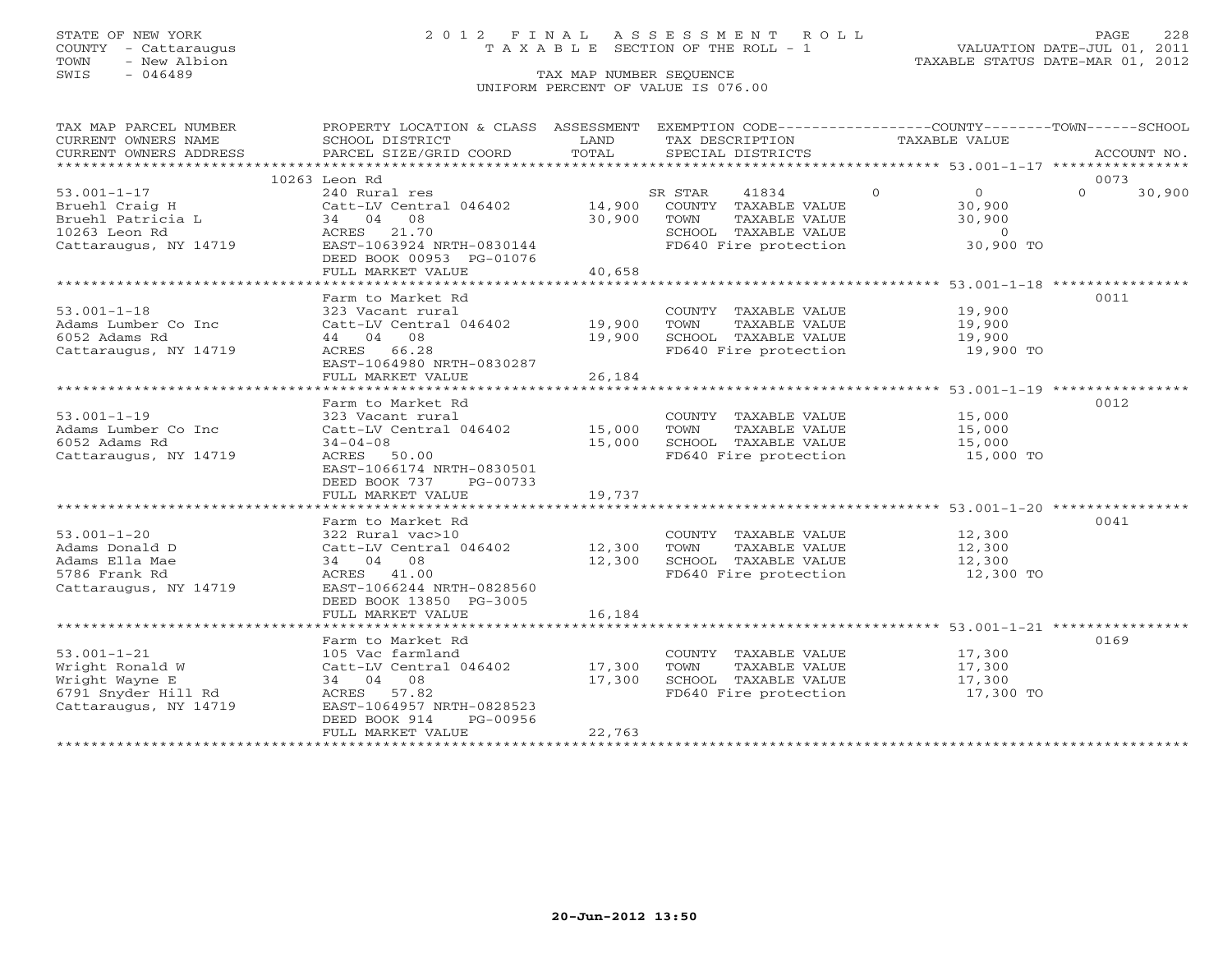### STATE OF NEW YORK 2 0 1 2 F I N A L A S S E S S M E N T R O L L PAGE 228 COUNTY - Cattaraugus T A X A B L E SECTION OF THE ROLL - 1 VALUATION DATE-JUL 01, 2011

| TAX MAP PARCEL NUMBER<br>CURRENT OWNERS NAME<br>CURRENT OWNERS ADDRESS                                 | PROPERTY LOCATION & CLASS ASSESSMENT EXEMPTION CODE----------------COUNTY-------TOWN------SCHOOL<br>SCHOOL DISTRICT<br>PARCEL SIZE/GRID COORD                                   | LAND<br>TOTAL                               | TAX DESCRIPTION<br>SPECIAL DISTRICTS                                                                               | TAXABLE VALUE                                                                                              | ACCOUNT NO.                |
|--------------------------------------------------------------------------------------------------------|---------------------------------------------------------------------------------------------------------------------------------------------------------------------------------|---------------------------------------------|--------------------------------------------------------------------------------------------------------------------|------------------------------------------------------------------------------------------------------------|----------------------------|
|                                                                                                        |                                                                                                                                                                                 |                                             |                                                                                                                    |                                                                                                            |                            |
| $53.001 - 1 - 17$<br>Bruehl Craig H<br>Bruehl Patricia L<br>10263 Leon Rd<br>Cattaraugus, NY 14719     | 10263 Leon Rd<br>240 Rural res<br>Catt-LV Central 046402<br>34 04 08<br>21.70<br>ACRES<br>EAST-1063924 NRTH-0830144<br>DEED BOOK 00953 PG-01076<br>FULL MARKET VALUE            | 14,900<br>30,900<br>40,658                  | 41834<br>SR STAR<br>COUNTY TAXABLE VALUE<br>TOWN<br>TAXABLE VALUE<br>SCHOOL TAXABLE VALUE<br>FD640 Fire protection | $\overline{0}$<br>$\overline{O}$<br>30,900<br>30,900<br>$\Omega$<br>30,900 TO                              | 0073<br>$\Omega$<br>30,900 |
| $53.001 - 1 - 18$<br>Adams Lumber Co Inc<br>6052 Adams Rd<br>Cattaraugus, NY 14719                     | Farm to Market Rd<br>323 Vacant rural<br>Catt-LV Central 046402<br>44 04 08<br>ACRES 66.28<br>EAST-1064980 NRTH-0830287<br>FULL MARKET VALUE                                    | 19,900<br>19,900<br>26,184<br>************* | COUNTY TAXABLE VALUE<br>TOWN<br>TAXABLE VALUE<br>SCHOOL TAXABLE VALUE<br>FD640 Fire protection                     | 19,900<br>19,900<br>19,900<br>19,900 TO<br>********************************* 53.001-1-19 ***************** | 0011                       |
| $53.001 - 1 - 19$<br>Adams Lumber Co Inc<br>6052 Adams Rd<br>Cattaraugus, NY 14719                     | Farm to Market Rd<br>323 Vacant rural<br>Catt-LV Central 046402<br>$34 - 04 - 08$<br>ACRES 50.00<br>EAST-1066174 NRTH-0830501<br>DEED BOOK 737<br>PG-00733<br>FULL MARKET VALUE | 15,000<br>15,000<br>19,737                  | COUNTY TAXABLE VALUE<br>TAXABLE VALUE<br>TOWN<br>SCHOOL TAXABLE VALUE<br>FD640 Fire protection                     | 15,000<br>15,000<br>15,000<br>15,000 TO                                                                    | 0012                       |
| $53.001 - 1 - 20$<br>Adams Donald D<br>Adams Ella Mae<br>5786 Frank Rd<br>Cattaraugus, NY 14719        | Farm to Market Rd<br>322 Rural vac>10<br>Catt-LV Central 046402<br>34 04 08<br>ACRES 41.00<br>EAST-1066244 NRTH-0828560<br>DEED BOOK 13850 PG-3005<br>FULL MARKET VALUE         | 12,300<br>12,300<br>16,184                  | COUNTY TAXABLE VALUE<br>TOWN<br>TAXABLE VALUE<br>SCHOOL TAXABLE VALUE<br>FD640 Fire protection                     | 12,300<br>12,300<br>12,300<br>12,300 TO                                                                    | 0041                       |
| $53.001 - 1 - 21$<br>Wright Ronald W<br>Wright Wayne E<br>6791 Snyder Hill Rd<br>Cattaraugus, NY 14719 | Farm to Market Rd<br>105 Vac farmland<br>Catt-LV Central 046402<br>34 04 08<br>ACRES 57.82<br>EAST-1064957 NRTH-0828523<br>DEED BOOK 914<br>PG-00956<br>FULL MARKET VALUE       | 17,300<br>17,300<br>22,763                  | COUNTY TAXABLE VALUE<br>TOWN<br>TAXABLE VALUE<br>SCHOOL TAXABLE VALUE<br>FD640 Fire protection                     | 17,300<br>17,300<br>17,300<br>17,300 TO                                                                    | 0169                       |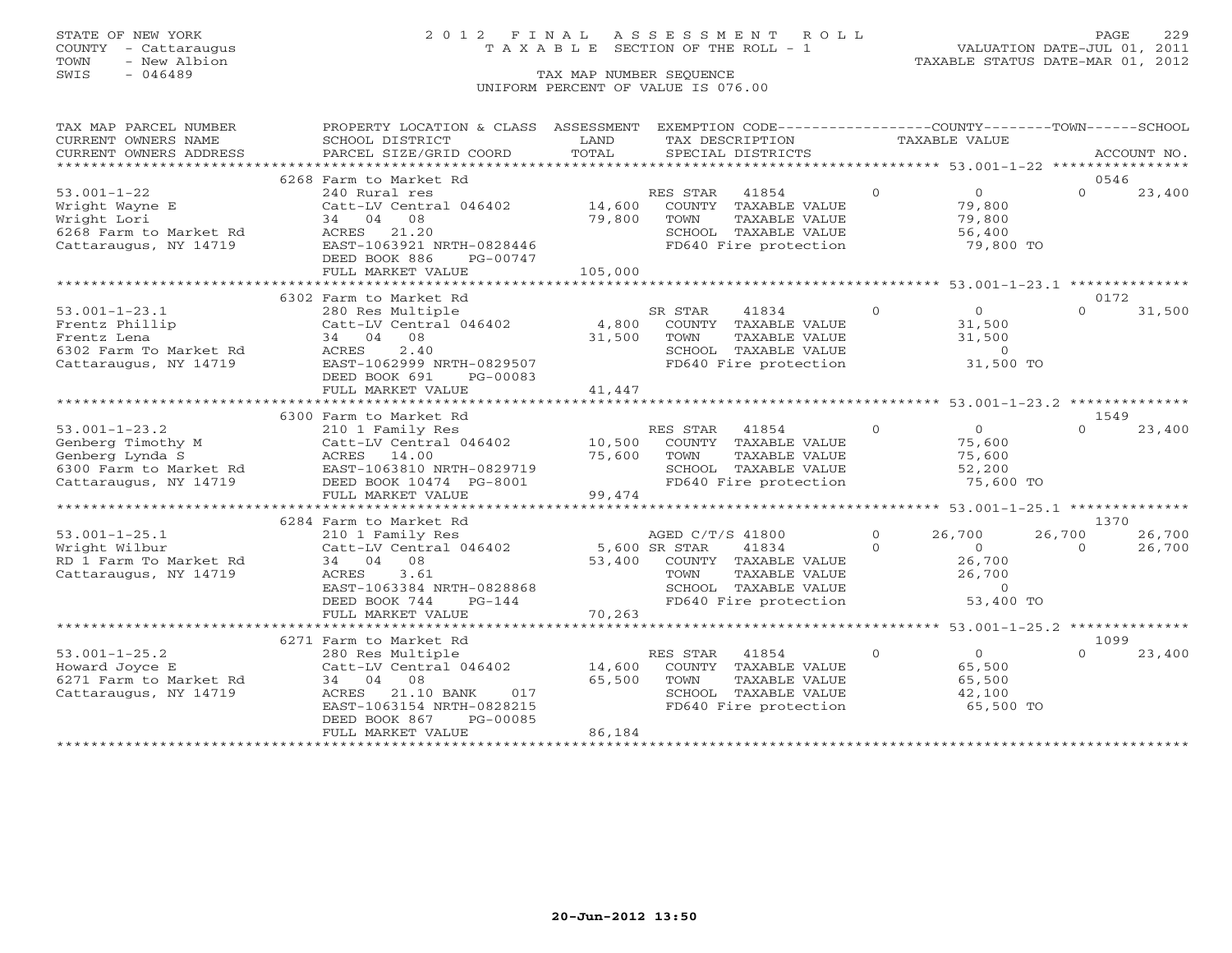### STATE OF NEW YORK 2 0 1 2 F I N A L A S S E S S M E N T R O L L PAGE 229 COUNTY - Cattaraugus T A X A B L E SECTION OF THE ROLL - 1 VALUATION DATE-JUL 01, 2011

TOWN - New Albion TAXABLE STATUS DATE-MAR 01, 2012

| TAX MAP PARCEL NUMBER<br>CURRENT OWNERS NAME                                                                   | PROPERTY LOCATION & CLASS ASSESSMENT EXEMPTION CODE----------------COUNTY-------TOWN------SCHOOL<br>SCHOOL DISTRICT                                                                                  | LAND                  | TAX DESCRIPTION                                                                                                                                     | TAXABLE VALUE        |                                                                   |                                  |                  |
|----------------------------------------------------------------------------------------------------------------|------------------------------------------------------------------------------------------------------------------------------------------------------------------------------------------------------|-----------------------|-----------------------------------------------------------------------------------------------------------------------------------------------------|----------------------|-------------------------------------------------------------------|----------------------------------|------------------|
| CURRENT OWNERS ADDRESS                                                                                         | PARCEL SIZE/GRID COORD                                                                                                                                                                               | TOTAL                 | SPECIAL DISTRICTS                                                                                                                                   |                      |                                                                   |                                  | ACCOUNT NO.      |
|                                                                                                                | 6268 Farm to Market Rd                                                                                                                                                                               |                       |                                                                                                                                                     |                      |                                                                   | 0546                             |                  |
| $53.001 - 1 - 22$<br>Wright Wayne E<br>Wright Lori<br>6268 Farm to Market Rd<br>Cattaraugus, NY 14719          | 240 Rural res<br>Catt-LV Central 046402 14,600<br>34 04<br>08<br>21.20<br>ACRES<br>EAST-1063921 NRTH-0828446<br>DEED BOOK 886<br>PG-00747<br>FULL MARKET VALUE                                       | 79,800<br>105,000     | RES STAR 41854<br>COUNTY TAXABLE VALUE<br>TOWN<br>TAXABLE VALUE<br>SCHOOL TAXABLE VALUE<br>FD640 Fire protection                                    | $\overline{0}$       | $\overline{0}$<br>79,800<br>79,800<br>56,400<br>79,800 TO         | $\Omega$                         | 23,400           |
|                                                                                                                | 6302 Farm to Market Rd                                                                                                                                                                               |                       |                                                                                                                                                     |                      |                                                                   | 0172                             |                  |
| $53.001 - 1 - 23.1$<br>Frentz Phillip<br>Frentz Lena<br>6302 Farm To Market Rd<br>Cattaraugus, NY 14719        | 280 Res Multiple<br>Catt-LV Central 046402 4,800 COUNTY TAXABLE VALUE<br>34 04 08<br>2.40<br>ACRES<br>EAST-1062999 NRTH-0829507<br>DEED BOOK 691<br>PG-00083<br>FULL MARKET VALUE                    | 31,500<br>41,447      | SR STAR<br>41834<br>TOWN<br>TOWN      TAXABLE VALUE<br>SCHOOL   TAXABLE VALUE<br>FD640 Fire protection                                              | $\overline{O}$       | $\overline{0}$<br>31,500<br>31,500<br>$\overline{0}$<br>31,500 TO | $\Omega$                         | 31,500           |
|                                                                                                                |                                                                                                                                                                                                      |                       |                                                                                                                                                     |                      |                                                                   |                                  |                  |
| $53.001 - 1 - 23.2$<br>Genberg Timothy M<br>Genberg Lynda S<br>6300 Farm to Market Rd<br>Cattaraugus, NY 14719 | 6300 Farm to Market Rd<br>210 1 Family Res<br>Catt-LV Central 046402<br>ACRES 14.00<br>EAST-1063810 NRTH-0829719<br>DEED BOOK 10474 PG-8001<br>FULL MARKET VALUE                                     | 75,600 TOWN<br>99,474 | RES STAR 41854<br>10,500 COUNTY TAXABLE VALUE<br>TAXABLE VALUE<br>TOWN TAXABLE VALUE<br>SCHOOL TAXABLE VALUE 32,200<br>All The protection 75,600 TO | $\Omega$             | $\overline{O}$<br>75,600<br>75,600                                | 1549<br>$\Omega$                 | 23,400           |
|                                                                                                                |                                                                                                                                                                                                      |                       |                                                                                                                                                     |                      |                                                                   |                                  |                  |
| $53.001 - 1 - 25.1$<br>Wright Wilbur<br>RD 1 Farm To Market Rd<br>Cattaraugus, NY 14719                        | 6284 Farm to Market Rd<br>210 1 Family Res<br>Catt-LV Central 046402 5,600 SR STAR<br>34 04 08<br>3.61<br>ACRES<br>EAST-1063384 NRTH-0828868<br>DEED BOOK 744<br>$PG-144$                            | 70,263                | AGED C/T/S 41800<br>41834<br>53,400 COUNTY TAXABLE VALUE<br>TAXABLE VALUE<br>TOWN<br>SCHOOL TAXABLE VALUE 0<br>FD640 Fire protection 53,400 TO      | $\Omega$<br>$\Omega$ | 26,700<br>$\overline{0}$<br>26,700<br>26,700                      | 1370<br>26,700<br>$\overline{0}$ | 26,700<br>26,700 |
|                                                                                                                | FULL MARKET VALUE                                                                                                                                                                                    |                       |                                                                                                                                                     |                      |                                                                   |                                  |                  |
| $53.001 - 1 - 25.2$<br>Howard Joyce E<br>6271 Farm to Market Rd<br>Cattaraugus, NY 14719                       | 6271 Farm to Market Rd<br>280 Res Multiple<br>Catt-LV Central 046402 14,600<br>34 04 08<br>ACRES<br>21.10 BANK<br>017<br>EAST-1063154 NRTH-0828215<br>DEED BOOK 867<br>PG-00085<br>FULL MARKET VALUE | 65,500<br>86,184      | RES STAR<br>41854<br>COUNTY TAXABLE VALUE<br>TOWN<br>TAXABLE VALUE<br>SCHOOL TAXABLE VALUE<br>FD640 Fire protection                                 | $\Omega$             | $\overline{0}$<br>65,500<br>65,500<br>42,100<br>65,500 TO         | 1099<br>$\Omega$                 | 23,400           |
|                                                                                                                |                                                                                                                                                                                                      |                       |                                                                                                                                                     |                      |                                                                   |                                  |                  |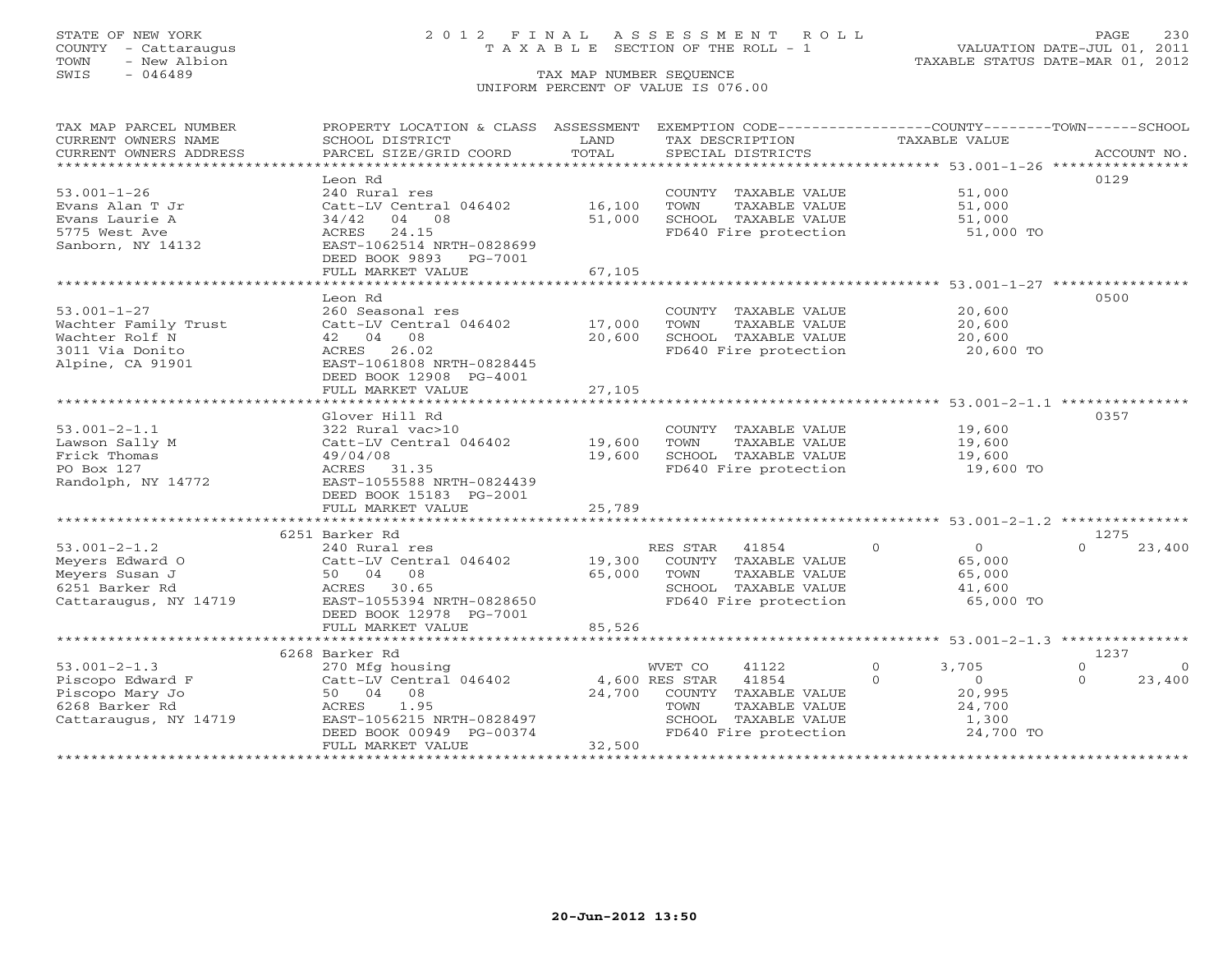COUNTY - Cattaraugus T A X A B L E SECTION OF THE ROLL - 1<br>TOWN - New Albion<br>SWIS - 046489 TAX MAP NUMBER SEQUENCE

# STATE OF NEW YORK 20012 FINAL ASSESSMENT ROLL PAGE 230

VALUATION DATE-JUL 01, 2011 TAXABLE STATUS DATE-MAR 01, 2012

### TAX MAP NUMBER SEQUENCE UNIFORM PERCENT OF VALUE IS 076.00

| TAX MAP PARCEL NUMBER  | PROPERTY LOCATION & CLASS ASSESSMENT |             | EXEMPTION CODE----------------COUNTY-------TOWN------SCHOOL |                                                         |                            |
|------------------------|--------------------------------------|-------------|-------------------------------------------------------------|---------------------------------------------------------|----------------------------|
| CURRENT OWNERS NAME    | SCHOOL DISTRICT                      | LAND        | TAX DESCRIPTION                                             | TAXABLE VALUE                                           |                            |
| CURRENT OWNERS ADDRESS | PARCEL SIZE/GRID COORD               | TOTAL       | SPECIAL DISTRICTS                                           |                                                         | ACCOUNT NO.                |
|                        |                                      |             |                                                             |                                                         |                            |
|                        | Leon Rd                              |             |                                                             |                                                         | 0129                       |
| $53.001 - 1 - 26$      | 240 Rural res                        |             | COUNTY TAXABLE VALUE                                        | 51,000                                                  |                            |
| Evans Alan T Jr        | Catt-LV Central 046402               | 16,100      | TOWN<br>TAXABLE VALUE                                       | 51,000                                                  |                            |
| Evans Laurie A         | 34/42<br>04 08                       | 51,000      | SCHOOL TAXABLE VALUE                                        | 51,000                                                  |                            |
| 5775 West Ave          | ACRES<br>24.15                       |             | FD640 Fire protection                                       | 51,000 TO                                               |                            |
| Sanborn, NY 14132      | EAST-1062514 NRTH-0828699            |             |                                                             |                                                         |                            |
|                        | DEED BOOK 9893<br>PG-7001            |             |                                                             |                                                         |                            |
|                        | FULL MARKET VALUE                    | 67,105      |                                                             |                                                         |                            |
|                        | *********************                | *********** |                                                             | ******************************* 53.001-1-27 *********** |                            |
|                        | Leon Rd                              |             |                                                             |                                                         | 0500                       |
| $53.001 - 1 - 27$      | 260 Seasonal res                     |             | COUNTY TAXABLE VALUE                                        | 20,600                                                  |                            |
| Wachter Family Trust   | Catt-LV Central 046402               | 17,000      | TOWN<br>TAXABLE VALUE                                       | 20,600                                                  |                            |
| Wachter Rolf N         | 42 04 08                             | 20,600      | SCHOOL TAXABLE VALUE                                        | 20,600                                                  |                            |
| 3011 Via Donito        | ACRES 26.02                          |             | FD640 Fire protection                                       | 20,600 TO                                               |                            |
| Alpine, CA 91901       | EAST-1061808 NRTH-0828445            |             |                                                             |                                                         |                            |
|                        | DEED BOOK 12908 PG-4001              |             |                                                             |                                                         |                            |
|                        | FULL MARKET VALUE                    | 27,105      |                                                             |                                                         |                            |
|                        |                                      |             |                                                             |                                                         |                            |
|                        | Glover Hill Rd                       |             |                                                             |                                                         | 0357                       |
| $53.001 - 2 - 1.1$     | 322 Rural vac>10                     |             | COUNTY TAXABLE VALUE                                        | 19,600                                                  |                            |
| Lawson Sally M         | Catt-LV Central 046402               | 19,600      | TOWN<br>TAXABLE VALUE                                       | 19,600                                                  |                            |
| Frick Thomas           | 49/04/08                             | 19,600      | SCHOOL TAXABLE VALUE                                        | 19,600                                                  |                            |
| PO Box 127             | ACRES 31.35                          |             | FD640 Fire protection                                       | 19,600 TO                                               |                            |
| Randolph, NY 14772     | EAST-1055588 NRTH-0824439            |             |                                                             |                                                         |                            |
|                        | DEED BOOK 15183 PG-2001              |             |                                                             |                                                         |                            |
|                        | FULL MARKET VALUE                    | 25,789      |                                                             |                                                         |                            |
|                        |                                      |             |                                                             |                                                         |                            |
|                        | 6251 Barker Rd                       |             |                                                             |                                                         | 1275                       |
| $53.001 - 2 - 1.2$     | 240 Rural res                        |             | RES STAR 41854                                              | $\overline{0}$<br>$\overline{0}$                        | $\Omega$<br>23,400         |
| Meyers Edward O        | Catt-LV Central 046402               | 19,300      | COUNTY TAXABLE VALUE                                        | 65,000                                                  |                            |
| Meyers Susan J         | 50 04 08                             | 65,000      | TOWN<br>TAXABLE VALUE                                       | 65,000                                                  |                            |
| 6251 Barker Rd         | ACRES 30.65                          |             | SCHOOL TAXABLE VALUE                                        | 41,600                                                  |                            |
| Cattaraugus, NY 14719  | EAST-1055394 NRTH-0828650            |             | FD640 Fire protection                                       | 65,000 TO                                               |                            |
|                        | DEED BOOK 12978 PG-7001              |             |                                                             |                                                         |                            |
|                        | FULL MARKET VALUE                    | 85,526      |                                                             |                                                         |                            |
|                        |                                      |             |                                                             |                                                         |                            |
|                        | 6268 Barker Rd                       |             |                                                             |                                                         | 1237                       |
| $53.001 - 2 - 1.3$     | 270 Mfg housing                      |             | WVET CO<br>41122                                            | $\Omega$<br>3,705                                       | $\Omega$<br>$\overline{0}$ |
| Piscopo Edward F       | Catt-LV Central 046402               |             | 4,600 RES STAR<br>41854                                     | $\Omega$<br>$\overline{0}$                              | 23,400<br>$\Omega$         |
| Piscopo Mary Jo        | 50 04 08                             | 24,700      | COUNTY TAXABLE VALUE                                        | 20,995                                                  |                            |
| 6268 Barker Rd         | ACRES<br>1.95                        |             | TOWN<br>TAXABLE VALUE                                       | 24,700                                                  |                            |
| Cattaraugus, NY 14719  | EAST-1056215 NRTH-0828497            |             | SCHOOL TAXABLE VALUE                                        | 1,300                                                   |                            |
|                        | DEED BOOK 00949 PG-00374             |             | FD640 Fire protection                                       | 24,700 TO                                               |                            |
|                        | FULL MARKET VALUE                    | 32,500      |                                                             |                                                         |                            |
|                        |                                      |             |                                                             |                                                         |                            |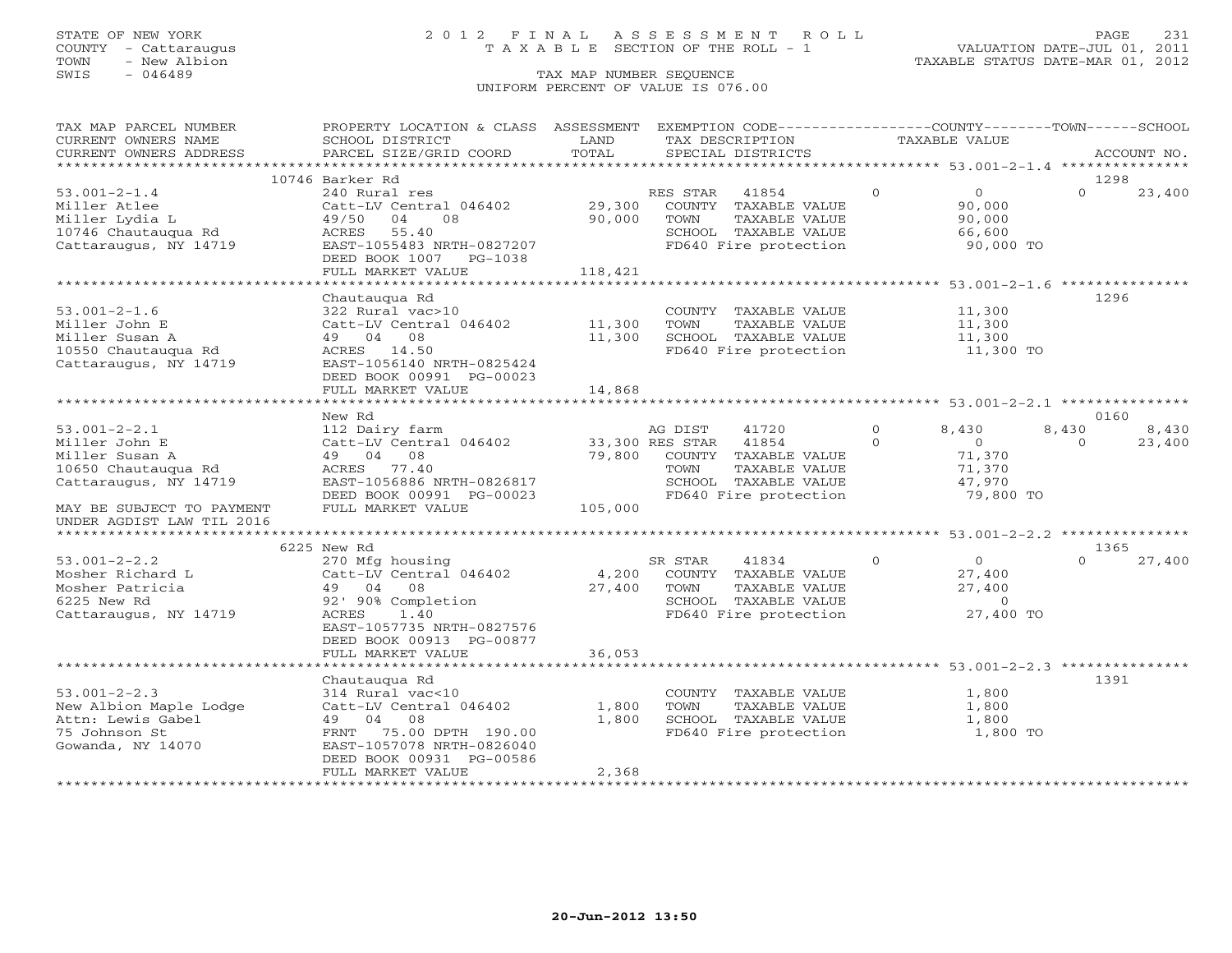### STATE OF NEW YORK 2 0 1 2 F I N A L A S S E S S M E N T R O L L PAGE 231 COUNTY - Cattaraugus T A X A B L E SECTION OF THE ROLL - 1 VALUATION DATE-JUL 01, 2011

TOWN - New Albion TAXABLE STATUS DATE-MAR 01, 2012

| TAX MAP PARCEL NUMBER                   | PROPERTY LOCATION & CLASS ASSESSMENT |                     | EXEMPTION CODE----------------COUNTY-------TOWN------SCHOOL |                |                      |          |             |
|-----------------------------------------|--------------------------------------|---------------------|-------------------------------------------------------------|----------------|----------------------|----------|-------------|
| CURRENT OWNERS NAME                     | SCHOOL DISTRICT                      | LAND                | TAX DESCRIPTION                                             |                | <b>TAXABLE VALUE</b> |          |             |
| CURRENT OWNERS ADDRESS                  | PARCEL SIZE/GRID COORD               | TOTAL               | SPECIAL DISTRICTS                                           |                |                      |          | ACCOUNT NO. |
| * * * * * * * * * * * * * * * * * * * * |                                      |                     |                                                             |                |                      |          |             |
|                                         | 10746 Barker Rd                      |                     |                                                             |                |                      | 1298     |             |
| $53.001 - 2 - 1.4$                      | 240 Rural res                        |                     | RES STAR<br>41854                                           | $\circ$        | $\overline{0}$       | $\Omega$ | 23,400      |
| Miller Atlee                            | Catt-LV Central 046402               | 29,300              | COUNTY TAXABLE VALUE                                        |                | 90,000               |          |             |
| Miller Lydia L                          | 04<br>49/50<br>08                    | 90,000              | TOWN<br>TAXABLE VALUE                                       |                | 90,000               |          |             |
| 10746 Chautaugua Rd                     | 55.40<br>ACRES                       |                     | SCHOOL TAXABLE VALUE                                        |                | 66,600               |          |             |
| Cattaraugus, NY 14719                   | EAST-1055483 NRTH-0827207            |                     | FD640 Fire protection                                       |                | 90,000 TO            |          |             |
|                                         | DEED BOOK 1007 PG-1038               |                     |                                                             |                |                      |          |             |
|                                         | FULL MARKET VALUE                    | 118,421             |                                                             |                |                      |          |             |
|                                         |                                      |                     |                                                             |                |                      |          |             |
|                                         | Chautauqua Rd                        |                     |                                                             |                |                      | 1296     |             |
| $53.001 - 2 - 1.6$                      | 322 Rural vac>10                     |                     | COUNTY TAXABLE VALUE                                        |                | 11,300               |          |             |
| Miller John E                           | Catt-LV Central 046402               | 11,300              | TOWN<br>TAXABLE VALUE                                       |                | 11,300               |          |             |
| Miller Susan A                          | 49 04 08                             | 11,300              | SCHOOL TAXABLE VALUE                                        |                | 11,300               |          |             |
| 10550 Chautaugua Rd                     | ACRES 14.50                          |                     | FD640 Fire protection                                       |                | 11,300 TO            |          |             |
| Cattaraugus, NY 14719                   | EAST-1056140 NRTH-0825424            |                     |                                                             |                |                      |          |             |
|                                         | DEED BOOK 00991 PG-00023             | 14,868              |                                                             |                |                      |          |             |
|                                         | FULL MARKET VALUE                    |                     |                                                             |                |                      |          |             |
|                                         | New Rd                               |                     |                                                             |                |                      | 0160     |             |
| $53.001 - 2 - 2.1$                      | 112 Dairy farm                       |                     | AG DIST<br>41720                                            | $\overline{0}$ | 8,430                | 8,430    | 8,430       |
| Miller John E                           | Catt-LV Central 046402               |                     | 33,300 RES STAR<br>41854                                    | $\Omega$       | $\bigcirc$           | $\Omega$ | 23,400      |
| Miller Susan A                          | 49 04 08                             | 79,800              | COUNTY TAXABLE VALUE                                        |                | 71,370               |          |             |
| 10650 Chautaugua Rd                     | ACRES 77.40                          |                     | TOWN<br>TAXABLE VALUE                                       |                | 71,370               |          |             |
| Cattaraugus, NY 14719                   | EAST-1056886 NRTH-0826817            |                     | SCHOOL TAXABLE VALUE                                        |                | 47,970               |          |             |
|                                         | DEED BOOK 00991 PG-00023             |                     | FD640 Fire protection                                       |                | 79,800 TO            |          |             |
| MAY BE SUBJECT TO PAYMENT               | FULL MARKET VALUE                    | 105,000             |                                                             |                |                      |          |             |
| UNDER AGDIST LAW TIL 2016               |                                      |                     |                                                             |                |                      |          |             |
|                                         |                                      |                     |                                                             |                |                      |          |             |
|                                         | 6225 New Rd                          |                     |                                                             |                |                      | 1365     |             |
| $53.001 - 2 - 2.2$                      | 270 Mfg housing                      |                     | SR STAR<br>41834                                            | $\Omega$       | $\Omega$             | $\Omega$ | 27,400      |
| Mosher Richard L                        | Catt-LV Central 046402               | 4,200               | COUNTY TAXABLE VALUE                                        |                | 27,400               |          |             |
| Mosher Patricia                         | 49 04<br>08                          | 27,400              | TOWN<br>TAXABLE VALUE                                       |                | 27,400               |          |             |
| 6225 New Rd                             | 92' 90% Completion                   |                     | SCHOOL TAXABLE VALUE                                        |                | $\overline{0}$       |          |             |
| Cattaraugus, NY 14719                   | 1.40<br>ACRES                        |                     | FD640 Fire protection                                       |                | 27,400 TO            |          |             |
|                                         | EAST-1057735 NRTH-0827576            |                     |                                                             |                |                      |          |             |
|                                         | DEED BOOK 00913 PG-00877             |                     |                                                             |                |                      |          |             |
|                                         | FULL MARKET VALUE                    | 36,053              |                                                             |                |                      |          |             |
|                                         | ***********************              |                     | *********************** 53.001-2-2.3 ***************        |                |                      |          |             |
|                                         | Chautaugua Rd                        |                     |                                                             |                |                      | 1391     |             |
| $53.001 - 2 - 2.3$                      | 314 Rural vac<10                     |                     | COUNTY TAXABLE VALUE                                        |                | 1,800                |          |             |
| New Albion Maple Lodge                  | Catt-LV Central 046402               | 1,800               | TOWN<br>TAXABLE VALUE                                       |                | 1,800                |          |             |
| Attn: Lewis Gabel                       | 04<br>08<br>49                       | 1,800               | SCHOOL TAXABLE VALUE                                        |                | 1,800                |          |             |
| 75 Johnson St                           | FRNT<br>75.00 DPTH 190.00            |                     | FD640 Fire protection                                       |                | 1,800 TO             |          |             |
| Gowanda, NY 14070                       | EAST-1057078 NRTH-0826040            |                     |                                                             |                |                      |          |             |
|                                         | DEED BOOK 00931 PG-00586             |                     |                                                             |                |                      |          |             |
|                                         | FULL MARKET VALUE                    | 2,368               |                                                             |                |                      |          |             |
|                                         |                                      | ******************* |                                                             |                |                      |          |             |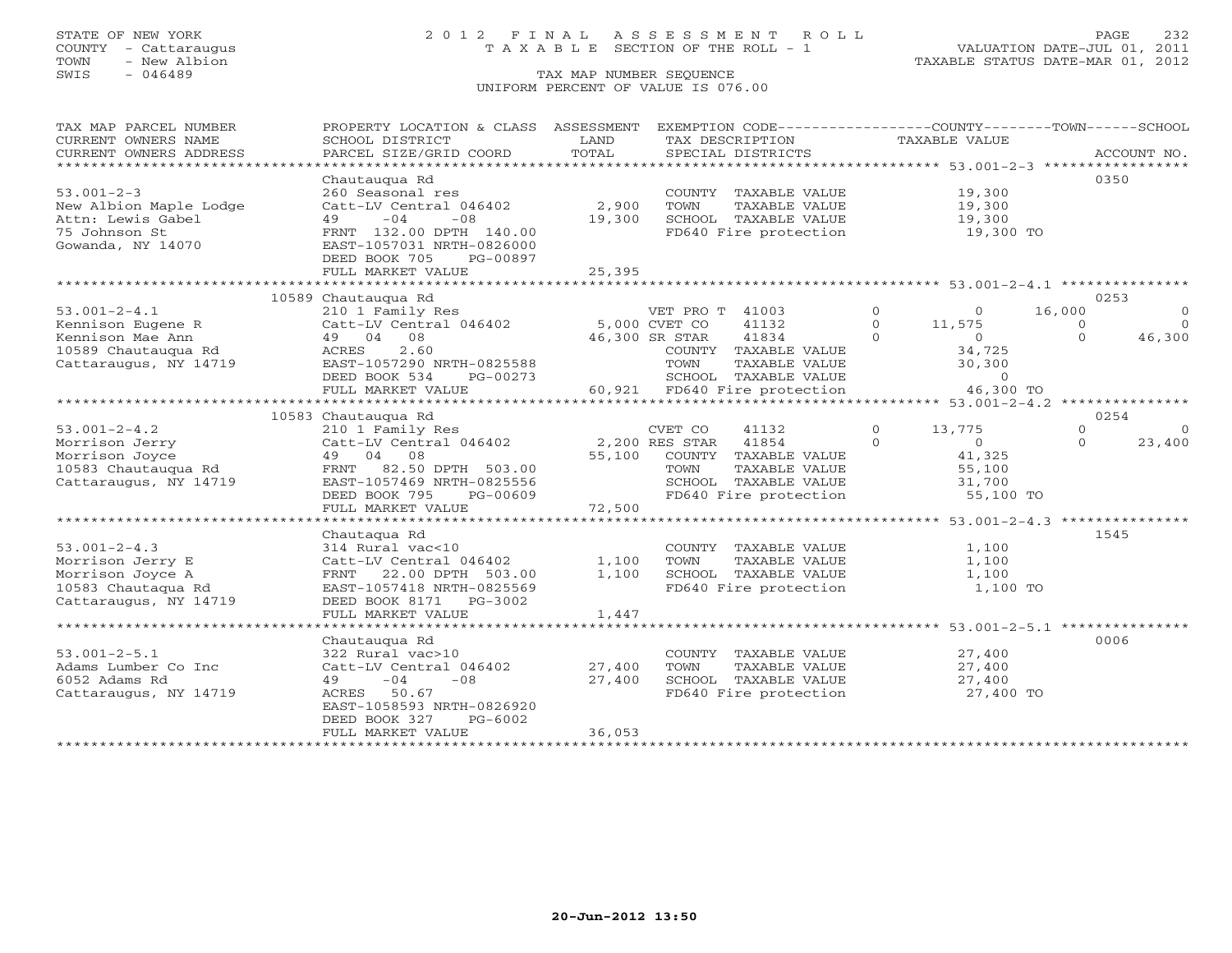## STATE OF NEW YORK 2 0 1 2 F I N A L A S S E S S M E N T R O L L PAGE 232 COUNTY - Cattaraugus T A X A B L E SECTION OF THE ROLL - 1 VALUATION DATE-JUL 01, 2011

| TAX MAP PARCEL NUMBER<br>CURRENT OWNERS NAME<br>CURRENT OWNERS ADDRESS                                                             | PROPERTY LOCATION & CLASS ASSESSMENT<br>SCHOOL DISTRICT<br>PARCEL SIZE/GRID COORD                                                                                                             | LAND<br>TOTAL              | EXEMPTION CODE-----------------COUNTY-------TOWN------SCHOOL<br>TAX DESCRIPTION<br>SPECIAL DISTRICTS                                          | <b>TAXABLE VALUE</b>                                                                                                 | ACCOUNT NO.                                                              |  |  |
|------------------------------------------------------------------------------------------------------------------------------------|-----------------------------------------------------------------------------------------------------------------------------------------------------------------------------------------------|----------------------------|-----------------------------------------------------------------------------------------------------------------------------------------------|----------------------------------------------------------------------------------------------------------------------|--------------------------------------------------------------------------|--|--|
| *************************<br>$53.001 - 2 - 3$<br>New Albion Maple Lodge<br>Attn: Lewis Gabel<br>75 Johnson St<br>Gowanda, NY 14070 | Chautaugua Rd<br>260 Seasonal res<br>Catt-LV Central 046402<br>$-04$<br>$-08$<br>49<br>FRNT 132.00 DPTH 140.00<br>EAST-1057031 NRTH-0826000<br>DEED BOOK 705<br>PG-00897<br>FULL MARKET VALUE | 2,900<br>19,300<br>25,395  | COUNTY TAXABLE VALUE<br>TOWN<br>TAXABLE VALUE<br>SCHOOL TAXABLE VALUE<br>FD640 Fire protection                                                | 19,300<br>19,300<br>19,300<br>19,300 TO                                                                              | 0350                                                                     |  |  |
|                                                                                                                                    |                                                                                                                                                                                               |                            |                                                                                                                                               |                                                                                                                      |                                                                          |  |  |
| $53.001 - 2 - 4.1$<br>Kennison Eugene R<br>Kennison Mae Ann<br>10589 Chautauqua Rd<br>Cattaraugus, NY 14719                        | 10589 Chautauqua Rd<br>210 1 Family Res<br>Catt-LV Central 046402 5,000 CVET CO<br>49 04 08<br>2.60<br>ACRES<br>EAST-1057290 NRTH-0825588<br>DEED BOOK 534<br>PG-00273<br>FULL MARKET VALUE   | 46,300 SR STAR             | VET PRO T 41003<br>41132<br>41834<br>COUNTY TAXABLE VALUE<br>TOWN<br>TAXABLE VALUE<br>SCHOOL TAXABLE VALUE<br>60,921 FD640 Fire protection    | $\Omega$<br>$\Omega$<br>$\Omega$<br>11,575<br>$\Omega$<br>$\overline{0}$<br>34,725<br>30,300<br>$\circ$<br>46,300 TO | 0253<br>16,000<br>$\Omega$<br>$\Omega$<br>$\Omega$<br>46,300<br>$\Omega$ |  |  |
|                                                                                                                                    | 0254<br>10583 Chautaugua Rd                                                                                                                                                                   |                            |                                                                                                                                               |                                                                                                                      |                                                                          |  |  |
| $53.001 - 2 - 4.2$<br>Morrison Jerry<br>Morrison Joyce<br>10583 Chautaugua Rd<br>Cattaraugus, NY 14719                             | 210 1 Family Res<br>Catt-LV Central 046402<br>49 04 08<br>FRNT 82.50 DPTH 503.00<br>EAST-1057469 NRTH-0825556<br>DEED BOOK 795<br>PG-00609<br>FULL MARKET VALUE                               | 55,100<br>72,500           | CVET CO<br>41132<br>41854<br>2,200 RES STAR<br>COUNTY TAXABLE VALUE<br>TOWN<br>TAXABLE VALUE<br>SCHOOL TAXABLE VALUE<br>FD640 Fire protection | $\circ$<br>13,775<br>$\Omega$<br>$\Omega$<br>41,325<br>55,100<br>31,700<br>55,100 TO                                 | $\Omega$<br>$\Omega$<br>$\Omega$<br>23,400                               |  |  |
|                                                                                                                                    |                                                                                                                                                                                               |                            |                                                                                                                                               |                                                                                                                      |                                                                          |  |  |
| $53.001 - 2 - 4.3$<br>Morrison Jerry E<br>Morrison Joyce A<br>10583 Chautaqua Rd<br>Cattaraugus, NY 14719                          | Chautaqua Rd<br>314 Rural vac<10<br>Catt-LV Central 046402<br>22.00 DPTH 503.00<br>FRNT<br>EAST-1057418 NRTH-0825569<br>DEED BOOK 8171 PG-3002                                                | 1,100<br>1,100             | COUNTY TAXABLE VALUE<br>TOWN<br>TAXABLE VALUE<br>SCHOOL TAXABLE VALUE<br>FD640 Fire protection                                                | 1,100<br>1,100<br>1,100<br>1,100 TO                                                                                  | 1545                                                                     |  |  |
|                                                                                                                                    | FULL MARKET VALUE                                                                                                                                                                             | 1,447                      |                                                                                                                                               |                                                                                                                      |                                                                          |  |  |
| $53.001 - 2 - 5.1$<br>Adams Lumber Co Inc<br>6052 Adams Rd<br>Cattaraugus, NY 14719                                                | Chautaugua Rd<br>322 Rural vac>10<br>Catt-LV Central 046402<br>$-04$<br>$-08$<br>49<br>ACRES<br>50.67<br>EAST-1058593 NRTH-0826920<br>DEED BOOK 327<br>PG-6002<br>FULL MARKET VALUE           | 27,400<br>27,400<br>36,053 | COUNTY TAXABLE VALUE<br>TOWN<br>TAXABLE VALUE<br>SCHOOL TAXABLE VALUE<br>FD640 Fire protection                                                | ************************************53.001-2-5.1 ****************<br>27,400<br>27,400<br>27,400<br>27,400 TO         | 0006                                                                     |  |  |
|                                                                                                                                    |                                                                                                                                                                                               |                            |                                                                                                                                               |                                                                                                                      |                                                                          |  |  |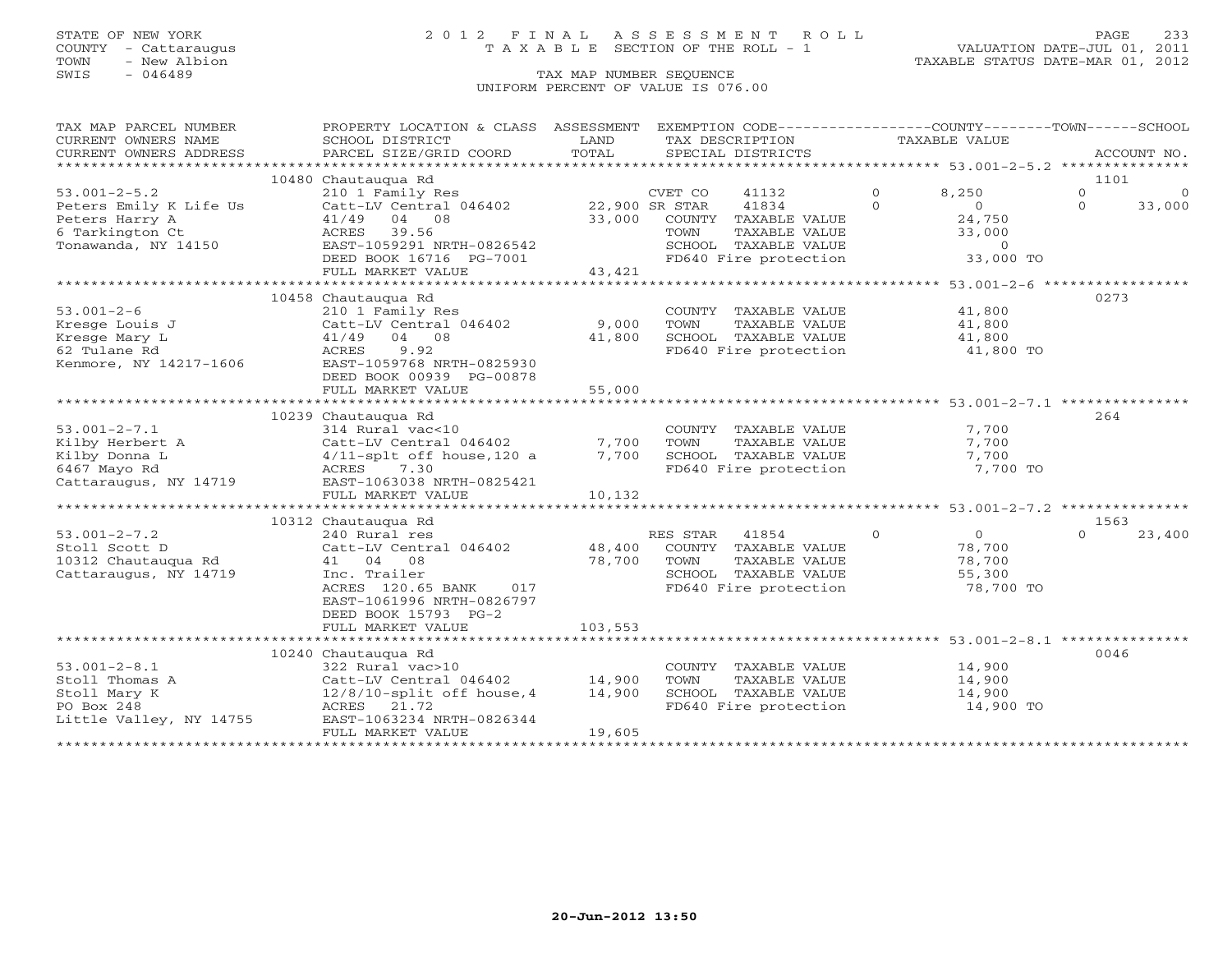### STATE OF NEW YORK 2 0 1 2 F I N A L A S S E S S M E N T R O L L PAGE 233 COUNTY - Cattaraugus T A X A B L E SECTION OF THE ROLL - 1 VALUATION DATE-JUL 01, 2011

### SWIS - 046489 CHE SEQUENCE UNIFORM PERCENT OF VALUE IS 076.00

| TAX MAP PARCEL NUMBER                         | PROPERTY LOCATION & CLASS ASSESSMENT        |               | EXEMPTION CODE-----------------COUNTY-------TOWN------SCHOOL |                            |          |             |
|-----------------------------------------------|---------------------------------------------|---------------|--------------------------------------------------------------|----------------------------|----------|-------------|
| CURRENT OWNERS NAME<br>CURRENT OWNERS ADDRESS | SCHOOL DISTRICT<br>PARCEL SIZE/GRID COORD   | LAND<br>TOTAL | TAX DESCRIPTION<br>SPECIAL DISTRICTS                         | TAXABLE VALUE              |          | ACCOUNT NO. |
|                                               |                                             |               |                                                              |                            |          |             |
|                                               | 10480 Chautauqua Rd                         |               |                                                              |                            | 1101     |             |
| $53.001 - 2 - 5.2$                            | 210 1 Family Res                            |               | CVET CO<br>41132                                             | $\Omega$<br>8,250          | $\circ$  | $\Omega$    |
| Peters Emily K Life Us                        | Catt-LV Central 046402                      |               | 22,900 SR STAR<br>41834                                      | $\Omega$<br>$\overline{O}$ | $\Omega$ | 33,000      |
| Peters Harry A<br>6 Tarkington Ct             | 41/49 04 08                                 | 33,000        | COUNTY TAXABLE VALUE                                         | 24,750                     |          |             |
| Tonawanda, NY 14150                           | ACRES<br>39.56<br>EAST-1059291 NRTH-0826542 |               | TOWN<br>TAXABLE VALUE<br>SCHOOL TAXABLE VALUE                | 33,000<br>$\overline{0}$   |          |             |
|                                               | DEED BOOK 16716 PG-7001                     |               | FD640 Fire protection                                        | 33,000 TO                  |          |             |
|                                               | FULL MARKET VALUE                           | 43,421        |                                                              |                            |          |             |
|                                               |                                             |               |                                                              |                            |          |             |
|                                               | 10458 Chautaugua Rd                         |               |                                                              |                            | 0273     |             |
| $53.001 - 2 - 6$                              | 210 1 Family Res                            |               | COUNTY TAXABLE VALUE                                         | 41,800                     |          |             |
| Kresge Louis J                                | Catt-LV Central 046402                      | 9,000         | TOWN<br>TAXABLE VALUE                                        | 41,800                     |          |             |
| Kresge Mary L                                 | 41/49 04 08                                 | 41,800        | SCHOOL TAXABLE VALUE                                         | 41,800                     |          |             |
| 62 Tulane Rd                                  | 9.92<br>ACRES<br>EAST-1059768 NRTH-0825930  |               | FD640 Fire protection                                        | 41,800 TO                  |          |             |
| Kenmore, NY 14217-1606                        | DEED BOOK 00939 PG-00878                    |               |                                                              |                            |          |             |
|                                               | FULL MARKET VALUE                           | 55,000        |                                                              |                            |          |             |
|                                               |                                             |               |                                                              |                            |          |             |
|                                               | 10239 Chautaugua Rd                         |               |                                                              |                            | 264      |             |
| $53.001 - 2 - 7.1$                            | 314 Rural vac<10                            |               | COUNTY TAXABLE VALUE                                         | 7,700                      |          |             |
| Kilby Herbert A                               | Catt-LV Central 046402                      | 7,700         | TAXABLE VALUE<br>TOWN                                        | 7,700                      |          |             |
| Kilby Donna L                                 | $4/11$ -splt off house, 120 a               | 7,700         | SCHOOL TAXABLE VALUE                                         | 7,700                      |          |             |
| 6467 Mayo Rd                                  | 7.30<br>ACRES                               |               | FD640 Fire protection                                        | 7,700 TO                   |          |             |
| Cattaraugus, NY 14719                         | EAST-1063038 NRTH-0825421                   |               |                                                              |                            |          |             |
|                                               | FULL MARKET VALUE                           | 10,132        |                                                              |                            |          |             |
|                                               |                                             |               |                                                              |                            |          |             |
|                                               | 10312 Chautaugua Rd                         |               |                                                              |                            | 1563     |             |
| $53.001 - 2 - 7.2$                            | 240 Rural res                               |               | RES STAR<br>41854                                            | $\circ$<br>$\overline{0}$  | $\Omega$ | 23,400      |
| Stoll Scott D                                 | Catt-LV Central 046402                      | 48,400        | COUNTY TAXABLE VALUE                                         | 78,700                     |          |             |
| 10312 Chautauqua Rd                           | 41 04 08<br>Inc. Trailer                    | 78,700        | TOWN<br>TAXABLE VALUE<br>SCHOOL TAXABLE VALUE                | 78,700                     |          |             |
| Cattaraugus, NY 14719                         | ACRES 120.65 BANK<br>017                    |               | FD640 Fire protection                                        | 55,300<br>78,700 TO        |          |             |
|                                               | EAST-1061996 NRTH-0826797                   |               |                                                              |                            |          |             |
|                                               | DEED BOOK 15793 PG-2                        |               |                                                              |                            |          |             |
|                                               | FULL MARKET VALUE                           | 103,553       |                                                              |                            |          |             |
|                                               |                                             |               |                                                              |                            |          |             |
|                                               | 10240 Chautauqua Rd                         |               |                                                              |                            | 0046     |             |
| $53.001 - 2 - 8.1$                            | 322 Rural vac>10                            |               | COUNTY TAXABLE VALUE                                         | 14,900                     |          |             |
| Stoll Thomas A                                | Catt-LV Central 046402                      | 14,900        | TAXABLE VALUE<br>TOWN                                        | 14,900                     |          |             |
| Stoll Mary K                                  | $12/8/10$ -split off house, 4               | 14,900        | SCHOOL TAXABLE VALUE                                         | 14,900                     |          |             |
| PO Box 248                                    | ACRES 21.72                                 |               | FD640 Fire protection                                        | 14,900 TO                  |          |             |
| Little Valley, NY 14755                       | EAST-1063234 NRTH-0826344                   |               |                                                              |                            |          |             |
|                                               | FULL MARKET VALUE                           | 19,605        |                                                              |                            |          |             |
|                                               |                                             |               |                                                              |                            |          |             |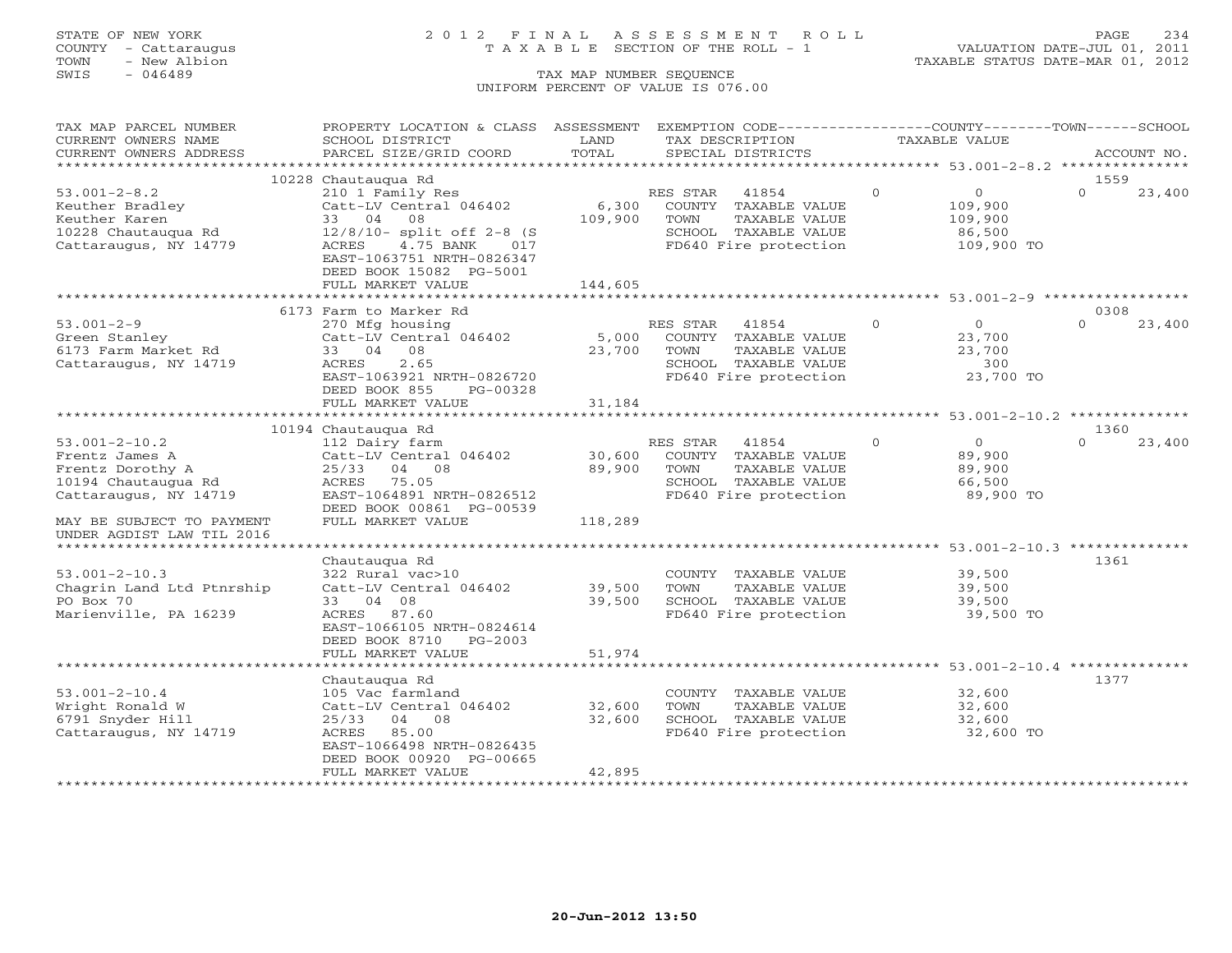### STATE OF NEW YORK 2 0 1 2 F I N A L A S S E S S M E N T R O L L PAGE 234 COUNTY - Cattaraugus T A X A B L E SECTION OF THE ROLL - 1 VALUATION DATE-JUL 01, 2011

| TAX MAP PARCEL NUMBER                  | PROPERTY LOCATION & CLASS ASSESSMENT EXEMPTION CODE---------------COUNTY-------TOWN------SCHOOL |                         |                |                                       |          |                  |          |             |
|----------------------------------------|-------------------------------------------------------------------------------------------------|-------------------------|----------------|---------------------------------------|----------|------------------|----------|-------------|
| CURRENT OWNERS NAME                    | SCHOOL DISTRICT                                                                                 | LAND                    |                | TAX DESCRIPTION                       |          | TAXABLE VALUE    |          |             |
| CURRENT OWNERS ADDRESS                 | PARCEL SIZE/GRID COORD                                                                          | TOTAL                   |                | SPECIAL DISTRICTS                     |          |                  |          | ACCOUNT NO. |
|                                        |                                                                                                 |                         |                |                                       |          |                  |          |             |
|                                        | 10228 Chautaugua Rd                                                                             |                         |                |                                       |          |                  | 1559     |             |
| $53.001 - 2 - 8.2$                     | 210 1 Family Res                                                                                |                         | RES STAR       | 41854                                 | $\Omega$ | $\overline{0}$   | $\Omega$ | 23,400      |
| Keuther Bradley                        | Catt-LV Central 046402                                                                          | 6,300                   |                | COUNTY TAXABLE VALUE                  |          | 109,900          |          |             |
| Keuther Karen                          | 33 04 08                                                                                        | 109,900                 | TOWN           | TAXABLE VALUE                         |          | 109,900          |          |             |
| 10228 Chautaugua Rd                    | 12/8/10- split off 2-8 (S                                                                       |                         |                | SCHOOL TAXABLE VALUE                  |          | 86,500           |          |             |
| Cattaraugus, NY 14779                  | ACRES<br>4.75 BANK 017                                                                          |                         |                | FD640 Fire protection                 |          | 109,900 TO       |          |             |
|                                        | EAST-1063751 NRTH-0826347                                                                       |                         |                |                                       |          |                  |          |             |
|                                        | DEED BOOK 15082 PG-5001                                                                         |                         |                |                                       |          |                  |          |             |
|                                        | FULL MARKET VALUE                                                                               | 144,605                 |                |                                       |          |                  |          |             |
|                                        | 6173 Farm to Marker Rd                                                                          |                         |                |                                       |          |                  | 0308     |             |
| $53.001 - 2 - 9$                       | 270 Mfg housing                                                                                 |                         | RES STAR 41854 |                                       | $\Omega$ | $\overline{0}$   | $\Omega$ | 23,400      |
| Green Stanley                          | Catt-LV Central 046402                                                                          | 5,000                   |                | COUNTY TAXABLE VALUE                  |          | 23,700           |          |             |
| 6173 Farm Market Rd                    | 33 04<br>08                                                                                     | 23,700                  | TOWN           | TAXABLE VALUE                         |          | 23,700           |          |             |
| Cattaraugus, NY 14719                  | 2.65<br>ACRES                                                                                   |                         |                | SCHOOL TAXABLE VALUE                  |          | 300              |          |             |
|                                        | EAST-1063921 NRTH-0826720                                                                       |                         |                | FD640 Fire protection                 |          | 23,700 TO        |          |             |
|                                        | DEED BOOK 855<br>PG-00328                                                                       |                         |                |                                       |          |                  |          |             |
|                                        | FULL MARKET VALUE                                                                               | 31,184                  |                |                                       |          |                  |          |             |
|                                        |                                                                                                 |                         |                |                                       |          |                  |          |             |
|                                        | 10194 Chautauqua Rd                                                                             |                         |                |                                       |          |                  | 1360     |             |
| $53.001 - 2 - 10.2$                    | 112 Dairy farm                                                                                  |                         | RES STAR       | 41854                                 | $\Omega$ | $\Omega$         | $\cap$   | 23,400      |
| Frentz James A                         | Catt-LV Central 046402                                                                          | 30,600                  |                | COUNTY TAXABLE VALUE                  |          | 89,900           |          |             |
| Frentz Dorothy A                       | $25/33$ 04 08                                                                                   | 89,900                  | TOWN           | TAXABLE VALUE                         |          | 89,900           |          |             |
| 10194 Chautaugua Rd                    | ACRES 75.05                                                                                     |                         |                | SCHOOL TAXABLE VALUE                  |          | 66,500           |          |             |
| Cattaraugus, NY 14719                  | EAST-1064891 NRTH-0826512                                                                       |                         |                | FD640 Fire protection                 |          | 89,900 TO        |          |             |
|                                        | DEED BOOK 00861 PG-00539                                                                        |                         |                |                                       |          |                  |          |             |
| MAY BE SUBJECT TO PAYMENT              | FULL MARKET VALUE                                                                               | 118,289                 |                |                                       |          |                  |          |             |
| UNDER AGDIST LAW TIL 2016              |                                                                                                 |                         |                |                                       |          |                  |          |             |
| ******************************         |                                                                                                 |                         |                |                                       |          |                  |          |             |
|                                        | Chautaugua Rd                                                                                   |                         |                |                                       |          |                  | 1361     |             |
| $53.001 - 2 - 10.3$                    | 322 Rural vac>10                                                                                |                         |                | COUNTY TAXABLE VALUE                  |          | 39,500           |          |             |
| Chagrin Land Ltd Ptnrship              | Catt-LV Central 046402                                                                          | 39,500                  | TOWN           | TAXABLE VALUE                         |          | 39,500           |          |             |
| PO Box 70                              | 33 04 08                                                                                        | 39,500                  |                | SCHOOL TAXABLE VALUE                  |          | 39,500           |          |             |
| Marienville, PA 16239                  | ACRES 87.60                                                                                     |                         |                | FD640 Fire protection                 |          | 39,500 TO        |          |             |
|                                        | EAST-1066105 NRTH-0824614                                                                       |                         |                |                                       |          |                  |          |             |
|                                        | DEED BOOK 8710<br>PG-2003                                                                       |                         |                |                                       |          |                  |          |             |
|                                        | FULL MARKET VALUE<br>***********************                                                    | 51,974<br>************* |                |                                       |          |                  |          |             |
|                                        |                                                                                                 |                         |                |                                       |          |                  | 1377     |             |
|                                        | Chautauqua Rd                                                                                   |                         |                |                                       |          |                  |          |             |
| $53.001 - 2 - 10.4$<br>Wright Ronald W | 105 Vac farmland<br>Catt-LV Central 046402                                                      | 32,600                  | TOWN           | COUNTY TAXABLE VALUE<br>TAXABLE VALUE |          | 32,600<br>32,600 |          |             |
| 6791 Snyder Hill                       | 25/33<br>04 08                                                                                  | 32,600                  |                |                                       |          | 32,600           |          |             |
| Cattaraugus, NY 14719                  | ACRES<br>85.00                                                                                  |                         |                |                                       |          | 32,600 TO        |          |             |
|                                        | EAST-1066498 NRTH-0826435                                                                       |                         |                | FD640 Fire protection                 |          |                  |          |             |
|                                        | DEED BOOK 00920 PG-00665                                                                        |                         |                |                                       |          |                  |          |             |
|                                        | FULL MARKET VALUE                                                                               | 42,895                  |                |                                       |          |                  |          |             |
|                                        |                                                                                                 |                         |                |                                       |          |                  |          |             |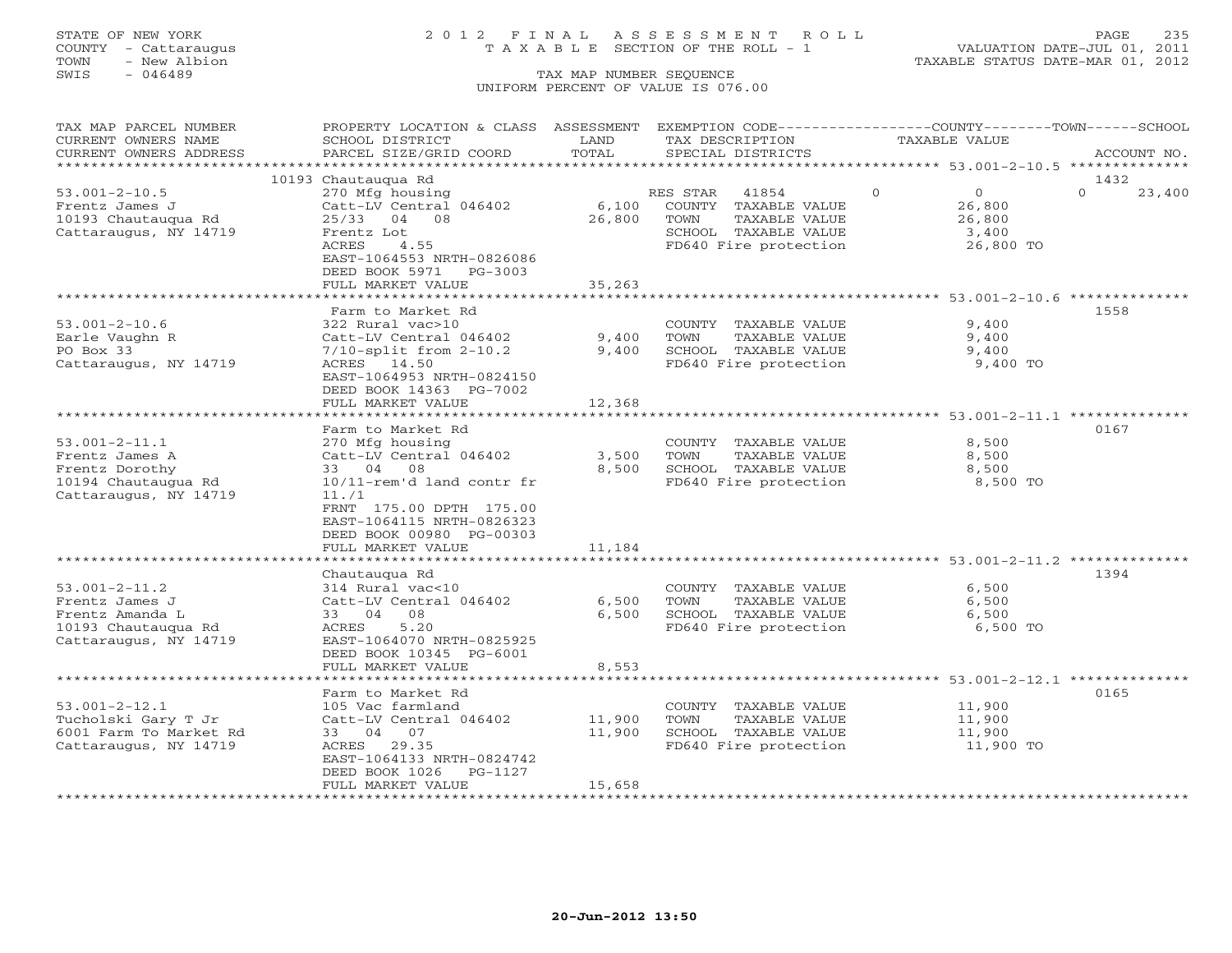## STATE OF NEW YORK 2 0 1 2 F I N A L A S S E S S M E N T R O L L PAGE 235 COUNTY - Cattaraugus T A X A B L E SECTION OF THE ROLL - 1 VALUATION DATE-JUL 01, 2011

TOWN - New Albion TAXABLE STATUS DATE-MAR 01, 2012

| TAX MAP PARCEL NUMBER     | PROPERTY LOCATION & CLASS ASSESSMENT EXEMPTION CODE----------------COUNTY-------TOWN------SCHOOL |        |                                                               |          |               |          |             |
|---------------------------|--------------------------------------------------------------------------------------------------|--------|---------------------------------------------------------------|----------|---------------|----------|-------------|
| CURRENT OWNERS NAME       | SCHOOL DISTRICT                                                                                  | LAND   | TAX DESCRIPTION                                               |          | TAXABLE VALUE |          |             |
| CURRENT OWNERS ADDRESS    | PARCEL SIZE/GRID COORD                                                                           | TOTAL  | SPECIAL DISTRICTS                                             |          |               |          | ACCOUNT NO. |
| ***********************   |                                                                                                  |        |                                                               |          |               |          |             |
|                           | 10193 Chautauqua Rd                                                                              |        |                                                               |          |               | 1432     |             |
| $53.001 - 2 - 10.5$       | 270 Mfg housing                                                                                  |        | RES STAR<br>41854                                             | $\Omega$ | $\Omega$      | $\Omega$ | 23,400      |
| Frentz James J            | Catt-LV Central 046402                                                                           | 6,100  | COUNTY TAXABLE VALUE                                          |          | 26,800        |          |             |
| 10193 Chautauqua Rd       | 25/33 04 08                                                                                      | 26,800 | TOWN<br>TAXABLE VALUE                                         |          | 26,800        |          |             |
| Cattaraugus, NY 14719     | Frentz Lot                                                                                       |        | SCHOOL TAXABLE VALUE                                          |          | 3,400         |          |             |
|                           | ACRES<br>4.55                                                                                    |        | FD640 Fire protection                                         |          | 26,800 TO     |          |             |
|                           | EAST-1064553 NRTH-0826086                                                                        |        |                                                               |          |               |          |             |
|                           | DEED BOOK 5971 PG-3003                                                                           |        |                                                               |          |               |          |             |
|                           | FULL MARKET VALUE                                                                                | 35,263 |                                                               |          |               |          |             |
|                           | ***********************                                                                          |        | ************************* 53.001-2-10.6 **************        |          |               |          |             |
|                           | Farm to Market Rd                                                                                |        |                                                               |          |               | 1558     |             |
| $53.001 - 2 - 10.6$       | 322 Rural vac>10                                                                                 |        | COUNTY TAXABLE VALUE                                          |          | 9,400         |          |             |
| Earle Vaughn R            | Catt-LV Central 046402                                                                           | 9,400  | TOWN<br>TAXABLE VALUE                                         |          | 9,400         |          |             |
| PO Box 33                 | $7/10$ -split from $2-10.2$                                                                      | 9,400  | SCHOOL TAXABLE VALUE                                          |          | 9,400         |          |             |
| Cattaraugus, NY 14719     | ACRES 14.50                                                                                      |        | FD640 Fire protection                                         |          | 9,400 TO      |          |             |
|                           | EAST-1064953 NRTH-0824150                                                                        |        |                                                               |          |               |          |             |
|                           | DEED BOOK 14363 PG-7002                                                                          |        |                                                               |          |               |          |             |
|                           | FULL MARKET VALUE                                                                                | 12,368 |                                                               |          |               |          |             |
|                           |                                                                                                  |        |                                                               |          |               |          |             |
|                           | Farm to Market Rd                                                                                |        |                                                               |          |               | 0167     |             |
| $53.001 - 2 - 11.1$       | 270 Mfg housing                                                                                  |        | COUNTY TAXABLE VALUE                                          |          | 8,500         |          |             |
| Frentz James A            | Catt-LV Central 046402                                                                           | 3,500  | TOWN<br>TAXABLE VALUE                                         |          | 8,500         |          |             |
| Frentz Dorothy            | 33 04 08                                                                                         | 8,500  | SCHOOL TAXABLE VALUE                                          |          | 8,500         |          |             |
| 10194 Chautauqua Rd       | 10/11-rem'd land contr fr                                                                        |        | FD640 Fire protection                                         |          | 8,500 TO      |          |             |
| Cattaraugus, NY 14719     | 11.71                                                                                            |        |                                                               |          |               |          |             |
|                           | FRNT 175.00 DPTH 175.00                                                                          |        |                                                               |          |               |          |             |
|                           | EAST-1064115 NRTH-0826323                                                                        |        |                                                               |          |               |          |             |
|                           | DEED BOOK 00980 PG-00303                                                                         |        |                                                               |          |               |          |             |
|                           | FULL MARKET VALUE                                                                                | 11,184 |                                                               |          |               |          |             |
|                           |                                                                                                  |        |                                                               |          |               |          |             |
|                           | Chautaugua Rd                                                                                    |        |                                                               |          |               | 1394     |             |
| $53.001 - 2 - 11.2$       | 314 Rural vac<10                                                                                 |        | COUNTY TAXABLE VALUE                                          |          | 6,500         |          |             |
| Frentz James J            | Catt-LV Central 046402                                                                           | 6,500  | TOWN<br>TAXABLE VALUE                                         |          | 6,500         |          |             |
| Frentz Amanda L           | 33 04 08                                                                                         | 6,500  | SCHOOL TAXABLE VALUE                                          |          | 6,500         |          |             |
| 10193 Chautauqua Rd       | ACRES<br>5.20                                                                                    |        | FD640 Fire protection                                         |          | 6,500 TO      |          |             |
| Cattaraugus, NY 14719     | EAST-1064070 NRTH-0825925                                                                        |        |                                                               |          |               |          |             |
|                           | DEED BOOK 10345 PG-6001                                                                          |        |                                                               |          |               |          |             |
|                           | FULL MARKET VALUE                                                                                | 8,553  |                                                               |          |               |          |             |
|                           | ***********************                                                                          |        | ******************************** 53.001-2-12.1 ************** |          |               |          |             |
|                           | Farm to Market Rd                                                                                |        |                                                               |          |               | 0165     |             |
| $53.001 - 2 - 12.1$       | 105 Vac farmland                                                                                 |        | COUNTY TAXABLE VALUE                                          |          | 11,900        |          |             |
| Tucholski Gary T Jr       | Catt-LV Central 046402                                                                           | 11,900 | TOWN<br>TAXABLE VALUE                                         |          | 11,900        |          |             |
| 6001 Farm To Market Rd    | 33 04 07                                                                                         | 11,900 | SCHOOL TAXABLE VALUE                                          |          | 11,900        |          |             |
| Cattaraugus, NY 14719     | ACRES 29.35                                                                                      |        | FD640 Fire protection                                         |          | 11,900 TO     |          |             |
|                           | EAST-1064133 NRTH-0824742                                                                        |        |                                                               |          |               |          |             |
|                           | DEED BOOK 1026<br>PG-1127                                                                        |        |                                                               |          |               |          |             |
|                           | FULL MARKET VALUE                                                                                | 15,658 |                                                               |          |               |          |             |
| ************************* |                                                                                                  |        |                                                               |          |               |          |             |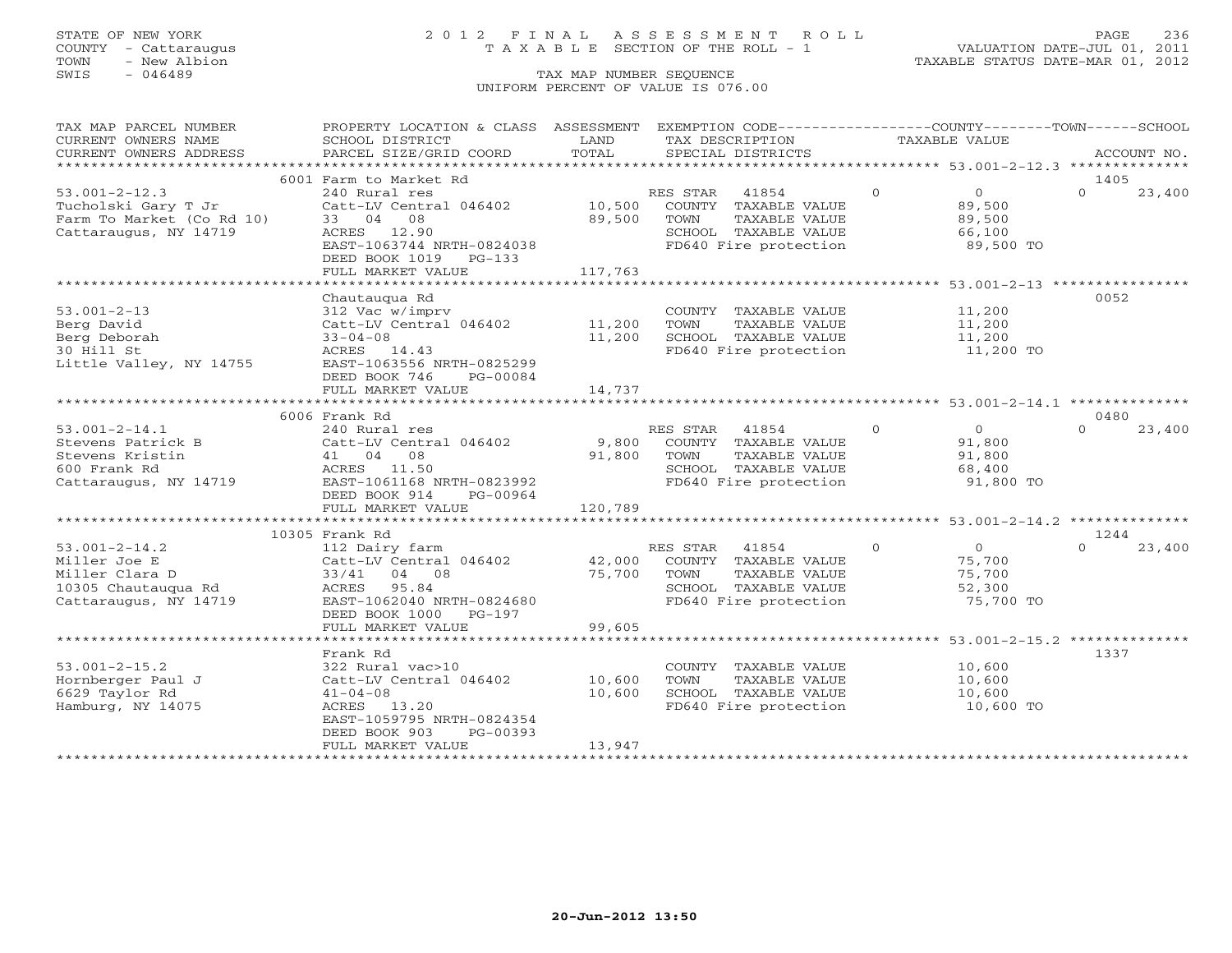## STATE OF NEW YORK 2 0 1 2 F I N A L A S S E S S M E N T R O L L PAGE 236 COUNTY - Cattaraugus T A X A B L E SECTION OF THE ROLL - 1 VALUATION DATE-JUL 01, 2011

| TAX MAP PARCEL NUMBER                             | PROPERTY LOCATION & CLASS ASSESSMENT EXEMPTION CODE---------------COUNTY-------TOWN------SCHOOL                                                                                                      |             |                                                                     |                |                  |          |             |
|---------------------------------------------------|------------------------------------------------------------------------------------------------------------------------------------------------------------------------------------------------------|-------------|---------------------------------------------------------------------|----------------|------------------|----------|-------------|
| CURRENT OWNERS NAME                               | SCHOOL DISTRICT                                                                                                                                                                                      | LAND        | TAX DESCRIPTION                                                     | TAXABLE VALUE  |                  |          |             |
| CURRENT OWNERS ADDRESS                            | PARCEL SIZE/GRID COORD                                                                                                                                                                               | TOTAL       | SPECIAL DISTRICTS                                                   |                |                  |          | ACCOUNT NO. |
|                                                   |                                                                                                                                                                                                      |             |                                                                     |                |                  |          |             |
|                                                   | 6001 Farm to Market Rd                                                                                                                                                                               |             |                                                                     |                |                  | 1405     |             |
| $53.001 - 2 - 12.3$                               | 240 Rural res                                                                                                                                                                                        |             | RES STAR 41854                                                      | $\Omega$       | $\overline{0}$   | $\Omega$ | 23,400      |
| Tucholski Gary T Jr<br>Farm To Market (Co Rd 10)  | Catt-LV Central 046402 10,500 COUNTY TAXABLE VALUE                                                                                                                                                   |             |                                                                     |                | 89,500           |          |             |
|                                                   | 33 04 08                                                                                                                                                                                             | 89,500 TOWN | TAXABLE VALUE                                                       |                | 89,500           |          |             |
| Cattaraugus, NY 14719                             | ACRES 12.90                                                                                                                                                                                          |             |                                                                     |                | 66,100           |          |             |
|                                                   | EAST-1063744 NRTH-0824038                                                                                                                                                                            |             | -<br>SCHOOL TAXABLE VALUE<br>FD640 Fire protection                  |                | $89,500$ TO      |          |             |
|                                                   | DEED BOOK 1019 PG-133                                                                                                                                                                                |             |                                                                     |                |                  |          |             |
|                                                   | FULL MARKET VALUE                                                                                                                                                                                    | 117,763     |                                                                     |                |                  |          |             |
|                                                   |                                                                                                                                                                                                      |             |                                                                     |                |                  |          |             |
|                                                   | Chautauqua Rd                                                                                                                                                                                        |             |                                                                     |                |                  | 0052     |             |
| $53.001 - 2 - 13$                                 | $\begin{tabular}{lllllllllllll} 312\text{ Vac } \text{w/imprv} & \text{COUNTY} & \text{TAXABLE VALUE} \\ \text{Catt-LV Central } 046402 & 11,200 & \text{TOWN} & \text{TAXABLE VALUE} \end{tabular}$ |             | COUNTY TAXABLE VALUE 11,200                                         |                |                  |          |             |
| Berg David                                        |                                                                                                                                                                                                      |             |                                                                     |                | 11,200           |          |             |
| Berg Deborah                                      | $33 - 04 - 08$<br>ACRES 14.43                                                                                                                                                                        |             | 11,200 SCHOOL TAXABLE VALUE 11,200                                  |                |                  |          |             |
| 30 Hill St                                        |                                                                                                                                                                                                      |             | FD640 Fire protection                                               |                | 11,200 TO        |          |             |
| Little Valley, NY 14755 EAST-1063556 NRTH-0825299 |                                                                                                                                                                                                      |             |                                                                     |                |                  |          |             |
|                                                   | DEED BOOK 746 PG-00084                                                                                                                                                                               |             |                                                                     |                |                  |          |             |
|                                                   | FULL MARKET VALUE                                                                                                                                                                                    | 14,737      |                                                                     |                |                  |          |             |
|                                                   |                                                                                                                                                                                                      |             |                                                                     |                |                  |          |             |
|                                                   | 6006 Frank Rd                                                                                                                                                                                        |             |                                                                     |                |                  | 0480     |             |
| $53.001 - 2 - 14.1$                               | 240 Rural res                                                                                                                                                                                        |             | RES STAR 41854                                                      | $\overline{O}$ | $\overline{O}$   | $\Omega$ | 23,400      |
|                                                   |                                                                                                                                                                                                      |             |                                                                     |                | 91,800           |          |             |
|                                                   |                                                                                                                                                                                                      |             | TAXABLE VALUE                                                       |                |                  |          |             |
|                                                   |                                                                                                                                                                                                      |             |                                                                     |                | 91,800<br>68,400 |          |             |
| Cattaraugus, NY 14719 EAST-1061168 NRTH-0823992   |                                                                                                                                                                                                      |             | SCHOOL TAXABLE VALUE 68,400<br>FD640 Fire protection 91,800 TO      |                |                  |          |             |
|                                                   | DEED BOOK 914 PG-00964                                                                                                                                                                               |             |                                                                     |                |                  |          |             |
|                                                   | FULL MARKET VALUE                                                                                                                                                                                    | 120,789     |                                                                     |                |                  |          |             |
|                                                   |                                                                                                                                                                                                      |             |                                                                     |                |                  |          |             |
|                                                   | 10305 Frank Rd                                                                                                                                                                                       |             |                                                                     |                |                  | 1244     |             |
| 53.001-2-14.2<br>Miller Joe E                     | 112 Dairy farm<br>Catt-LV Central 046402<br>33/41 04 08 33/40<br>ACRES 95.84 55.84<br>275,700 TOWN TAXABLE VALUE<br>SCHOOL TAXABLE VALUE                                                             |             |                                                                     |                | $\overline{0}$   | $\Omega$ | 23,400      |
|                                                   |                                                                                                                                                                                                      |             |                                                                     |                | 75,700           |          |             |
| Miller Clara D                                    |                                                                                                                                                                                                      |             |                                                                     |                | 75,700           |          |             |
|                                                   |                                                                                                                                                                                                      |             |                                                                     |                | 52,300           |          |             |
|                                                   |                                                                                                                                                                                                      |             | TOWN TAXABLE VALUE<br>SCHOOL TAXABLE VALUE<br>FD640 Fire protection |                | 75,700 TO        |          |             |
|                                                   | DEED BOOK 1000 PG-197                                                                                                                                                                                |             |                                                                     |                |                  |          |             |
|                                                   | FULL MARKET VALUE                                                                                                                                                                                    | 99,605      |                                                                     |                |                  |          |             |
|                                                   |                                                                                                                                                                                                      |             |                                                                     |                |                  |          |             |
|                                                   | Frank Rd                                                                                                                                                                                             |             |                                                                     |                |                  | 1337     |             |
| $53.001 - 2 - 15.2$                               | 322 Rural vac>10                                                                                                                                                                                     |             | COUNTY TAXABLE VALUE 10,600                                         |                |                  |          |             |
| Hornberger Paul J                                 | Catt-LV Central 046402 10,600                                                                                                                                                                        |             | TAXABLE VALUE 10,600<br>TOWN                                        |                |                  |          |             |
| 6629 Taylor Rd                                    | $41 - 04 - 08$                                                                                                                                                                                       | 10,600      |                                                                     |                | 10,600           |          |             |
| Hamburg, NY 14075                                 | ACRES 13.20                                                                                                                                                                                          |             | SCHOOL TAXABLE VALUE<br>FD640 Fire protection                       |                | 10,600 TO        |          |             |
|                                                   | EAST-1059795 NRTH-0824354                                                                                                                                                                            |             |                                                                     |                |                  |          |             |
|                                                   | DEED BOOK 903<br>PG-00393                                                                                                                                                                            |             |                                                                     |                |                  |          |             |
|                                                   | FULL MARKET VALUE                                                                                                                                                                                    | 13,947      |                                                                     |                |                  |          |             |
|                                                   |                                                                                                                                                                                                      |             |                                                                     |                |                  |          |             |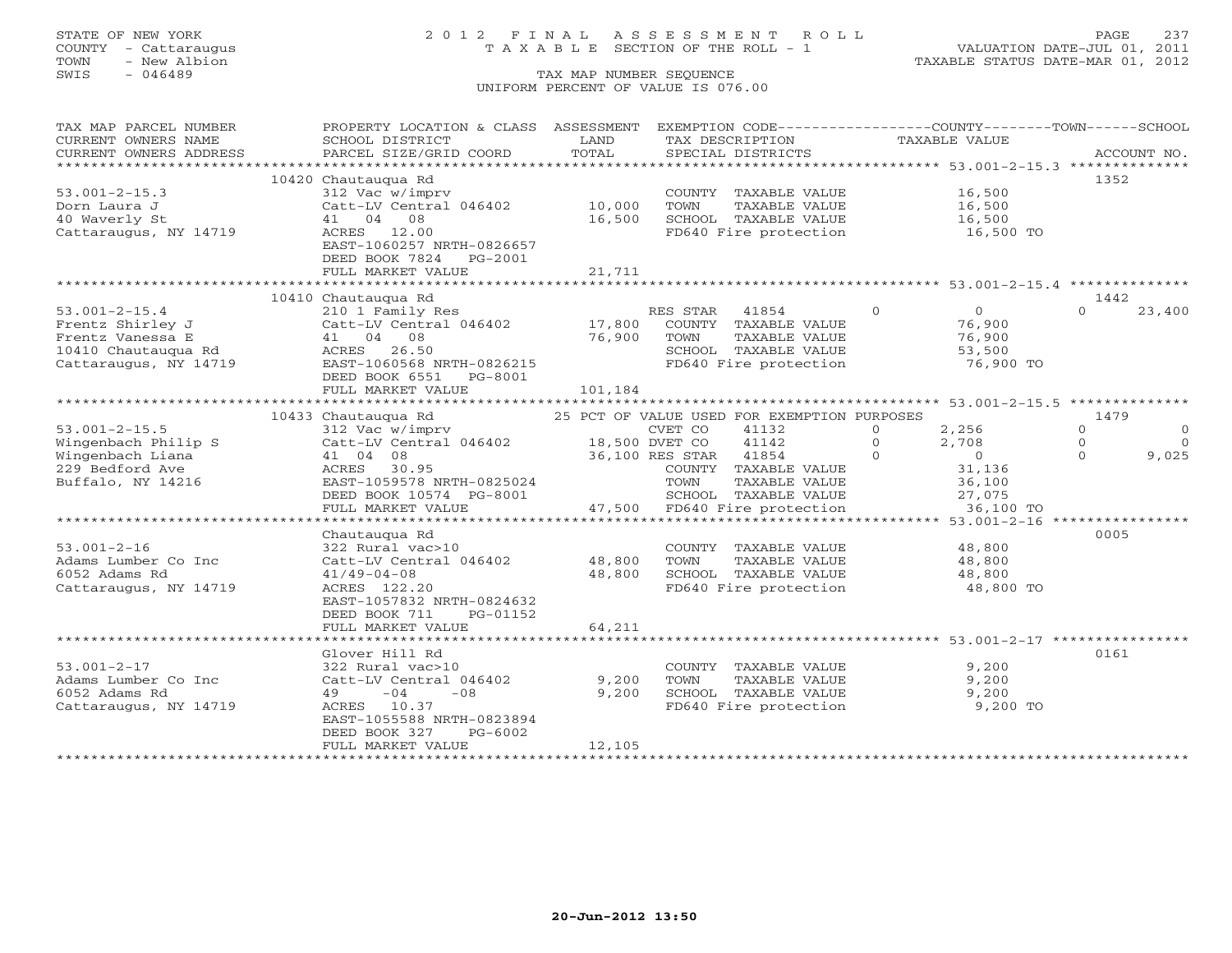## STATE OF NEW YORK 2 0 1 2 F I N A L A S S E S S M E N T R O L L PAGE 237 COUNTY - Cattaraugus T A X A B L E SECTION OF THE ROLL - 1 VALUATION DATE-JUL 01, 2011

| TAX MAP PARCEL NUMBER  | PROPERTY LOCATION & CLASS ASSESSMENT                                                    |         | EXEMPTION CODE----------------COUNTY-------TOWN------SCHOOL |                            |                                  |
|------------------------|-----------------------------------------------------------------------------------------|---------|-------------------------------------------------------------|----------------------------|----------------------------------|
| CURRENT OWNERS NAME    | SCHOOL DISTRICT                                                                         | LAND    | TAX DESCRIPTION                                             | TAXABLE VALUE              |                                  |
| CURRENT OWNERS ADDRESS | PARCEL SIZE/GRID COORD                                                                  | TOTAL   | SPECIAL DISTRICTS                                           |                            | ACCOUNT NO.                      |
|                        |                                                                                         |         |                                                             |                            |                                  |
|                        | 10420 Chautaugua Rd                                                                     |         |                                                             |                            | 1352                             |
| $53.001 - 2 - 15.3$    | 312 Vac w/imprv                                                                         |         | COUNTY TAXABLE VALUE 16,500                                 |                            |                                  |
| Dorn Laura J           | Catt-LV Central 046402                                                                  | 10,000  | TOWN<br>TAXABLE VALUE                                       | 16,500<br>16,500           |                                  |
| 40 Waverly St          | 41 04 08                                                                                | 16,500  | SCHOOL TAXABLE VALUE                                        |                            |                                  |
| Cattaraugus, NY 14719  | ACRES 12.00                                                                             |         | FD640 Fire protection 16,500 TO                             |                            |                                  |
|                        | EAST-1060257 NRTH-0826657                                                               |         |                                                             |                            |                                  |
|                        | DEED BOOK 7824 PG-2001                                                                  |         |                                                             |                            |                                  |
|                        | FULL MARKET VALUE                                                                       | 21,711  |                                                             |                            |                                  |
|                        |                                                                                         |         |                                                             |                            |                                  |
|                        | 10410 Chautauqua Rd                                                                     |         |                                                             |                            | 1442                             |
| $53.001 - 2 - 15.4$    | 210 1 Family Res RES STAR 41854 0<br>Catt-LV Central 046402 17,800 COUNTY TAXABLE VALUE |         | $\overline{0}$                                              | $\overline{0}$             | 23,400<br>$\Omega$               |
| Frentz Shirley J       |                                                                                         |         |                                                             | 76,900                     |                                  |
|                        |                                                                                         | 76,900  | TAXABLE VALUE<br>TOWN                                       | 76,900                     |                                  |
|                        |                                                                                         |         | SCHOOL TAXABLE VALUE<br>FD640 Fire protection               | 53,500                     |                                  |
|                        |                                                                                         |         |                                                             | 76,900 TO                  |                                  |
|                        | DEED BOOK 6551 PG-8001                                                                  |         |                                                             |                            |                                  |
|                        | FULL MARKET VALUE                                                                       | 101,184 |                                                             |                            |                                  |
|                        |                                                                                         |         |                                                             |                            |                                  |
|                        | 10433 Chautauqua Rd <sup>25</sup> PCT OF VALUE USED FOR EXEMPTION PURPOSES              |         |                                                             |                            | 1479                             |
| $53.001 - 2 - 15.5$    | 312 Vac w/imprv CVET CO<br>Catt-LV Central 046402 18,500 DVET CO                        |         | 41132                                                       | 2,256<br>$\circ$           | $\circ$<br>$\circ$               |
| Wingenbach Philip S    |                                                                                         |         | 41142                                                       | $\bigcirc$<br>$2,708$<br>0 | $\Omega$<br>$\bigcirc$<br>$\cap$ |
| Wingenbach Liana       | 41 04 08                                                                                |         | 36,100 RES STAR 41854<br>COUNTY TAXABLE                     | $\Omega$                   | 9,025                            |
| 229 Bedford Ave        | ACRES 30.95                                                                             |         | COUNTY TAXABLE VALUE                                        | 31,136                     |                                  |
| Buffalo, NY 14216      | EAST-1059578 NRTH-0825024<br>DEED BOOK 10574 PG-8001<br>EAST-1059578 NRTH-0825024       |         | TAXABLE VALUE<br>TOWN                                       | 36,100<br>27,075           |                                  |
|                        |                                                                                         |         | 001 SCHOOL TAXABLE VALUE<br>47,500 FD640 Fire protection    |                            |                                  |
|                        | FULL MARKET VALUE                                                                       |         |                                                             | 36,100 TO                  |                                  |
|                        |                                                                                         |         |                                                             |                            |                                  |
|                        | Chautaugua Rd                                                                           |         |                                                             |                            | 0005                             |
| $53.001 - 2 - 16$      | 322 Rural vac>10<br>Catt-LV Central 046402 48,800                                       |         | COUNTY TAXABLE VALUE<br>TAXABLE VALUE                       | 48,800                     |                                  |
| Adams Lumber Co Inc    |                                                                                         |         | TOWN                                                        | 48,800                     |                                  |
| 6052 Adams Rd          | $41/49 - 04 - 08$                                                                       | 48,800  | SCHOOL TAXABLE VALUE<br>FD640 Fire protection               | 48,800<br>48,800 TO        |                                  |
| Cattaraugus, NY 14719  | ACRES 122.20<br>EAST-1057832 NRTH-0824632                                               |         |                                                             |                            |                                  |
|                        | DEED BOOK 711                                                                           |         |                                                             |                            |                                  |
|                        | PG-01152<br>FULL MARKET VALUE                                                           | 64,211  |                                                             |                            |                                  |
|                        |                                                                                         |         |                                                             |                            |                                  |
|                        |                                                                                         |         |                                                             |                            |                                  |
| $53.001 - 2 - 17$      | Glover Hill Rd<br>322 Rural vac>10                                                      |         |                                                             | 9,200                      | 0161                             |
| Adams Lumber Co Inc    | Catt-LV Central 046402                                                                  | 9,200   | COUNTY TAXABLE VALUE<br>TOWN                                | 9,200                      |                                  |
| 6052 Adams Rd          | $-08$<br>$49 -04$                                                                       | 9,200   | TAXABLE VALUE                                               | 9,200                      |                                  |
| Cattaraugus, NY 14719  | ACRES 10.37                                                                             |         | SCHOOL TAXABLE VALUE<br>FD640 Fire protection               | 9,200 TO                   |                                  |
|                        | EAST-1055588 NRTH-0823894                                                               |         |                                                             |                            |                                  |
|                        | DEED BOOK 327<br>PG-6002                                                                |         |                                                             |                            |                                  |
|                        | FULL MARKET VALUE                                                                       | 12,105  |                                                             |                            |                                  |
|                        |                                                                                         |         |                                                             |                            |                                  |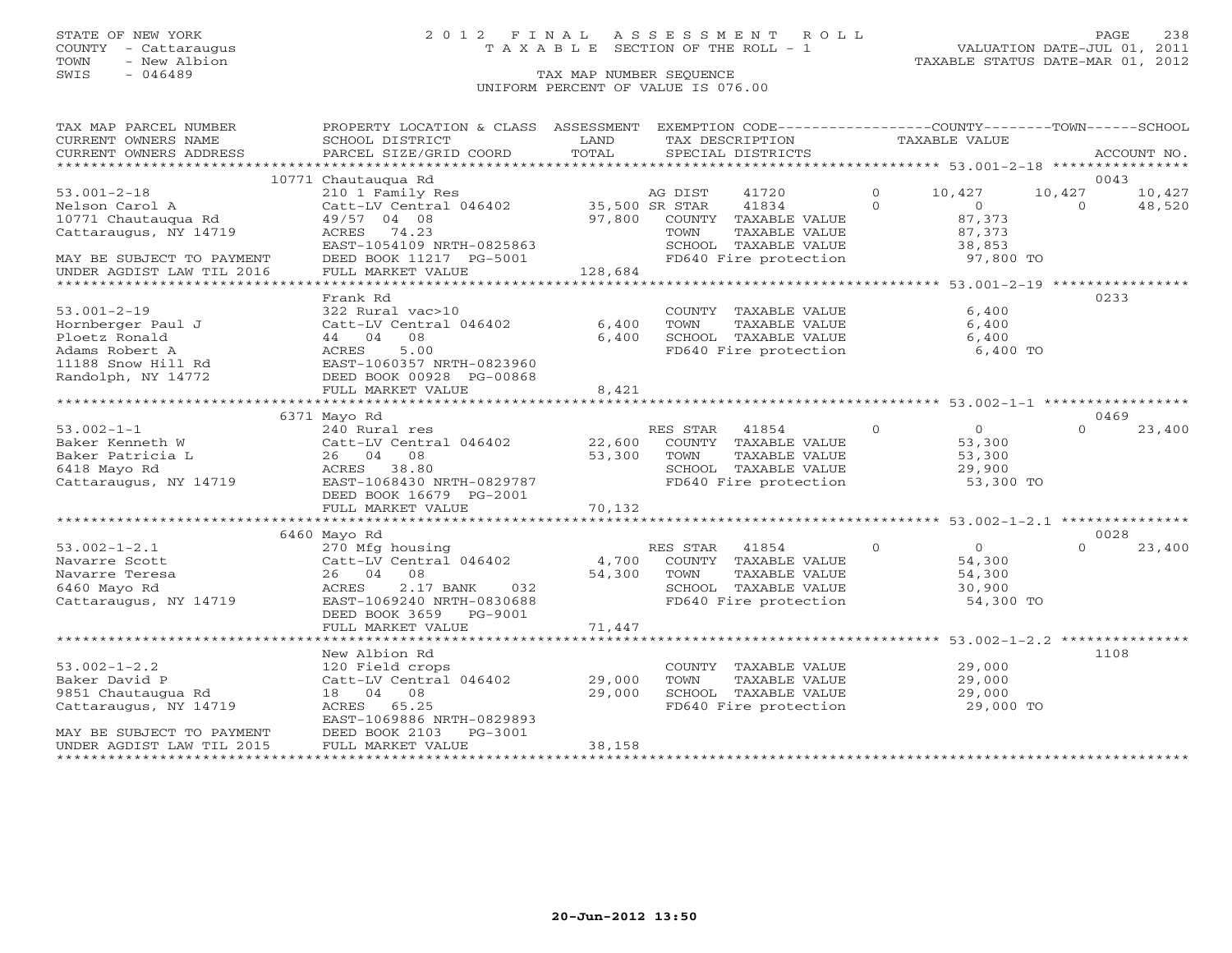## STATE OF NEW YORK 2 0 1 2 F I N A L A S S E S S M E N T R O L L PAGE 238 COUNTY - Cattaraugus T A X A B L E SECTION OF THE ROLL - 1 VALUATION DATE-JUL 01, 2011

| TAX MAP PARCEL NUMBER     | PROPERTY LOCATION & CLASS ASSESSMENT |                |                 | EXEMPTION CODE----------------COUNTY-------TOWN------SCHOOL |          |                |          |             |
|---------------------------|--------------------------------------|----------------|-----------------|-------------------------------------------------------------|----------|----------------|----------|-------------|
| CURRENT OWNERS NAME       | SCHOOL DISTRICT                      | LAND           | TAX DESCRIPTION |                                                             |          | TAXABLE VALUE  |          |             |
| CURRENT OWNERS ADDRESS    | PARCEL SIZE/GRID COORD               | TOTAL          |                 | SPECIAL DISTRICTS                                           |          |                |          | ACCOUNT NO. |
|                           |                                      |                |                 |                                                             |          |                |          |             |
|                           | 10771 Chautauqua Rd                  |                |                 |                                                             |          |                |          | 0043        |
| $53.001 - 2 - 18$         | 210 1 Family Res                     |                | AG DIST         | 41720                                                       | $\circ$  | 10,427         | 10,427   | 10,427      |
| Nelson Carol A            | Catt-LV Central 046402               | 35,500 SR STAR |                 | 41834                                                       | $\Omega$ | $\overline{0}$ | $\Omega$ | 48,520      |
| 10771 Chautauqua Rd       | 49/57 04 08                          |                |                 | 97,800 COUNTY TAXABLE VALUE                                 |          | 87,373         |          |             |
| Cattaraugus, NY 14719     | ACRES 74.23                          |                | TOWN            | TAXABLE VALUE                                               |          | 87,373         |          |             |
|                           | EAST-1054109 NRTH-0825863            |                |                 | SCHOOL TAXABLE VALUE                                        |          | 38,853         |          |             |
| MAY BE SUBJECT TO PAYMENT | DEED BOOK 11217 PG-5001              | 128,684        |                 | FD640 Fire protection                                       |          | 97,800 TO      |          |             |
| UNDER AGDIST LAW TIL 2016 | FULL MARKET VALUE                    |                |                 |                                                             |          |                |          |             |
|                           |                                      |                |                 |                                                             |          |                |          |             |
|                           | Frank Rd                             |                |                 |                                                             |          |                |          | 0233        |
| $53.001 - 2 - 19$         | 322 Rural vac>10                     |                |                 | COUNTY TAXABLE VALUE                                        |          | 6,400          |          |             |
| Hornberger Paul J         | Catt-LV Central 046402               | 6,400          | TOWN            | TAXABLE VALUE                                               |          | 6,400          |          |             |
| Ploetz Ronald             | 44 04<br>08                          | 6,400          |                 | SCHOOL TAXABLE VALUE                                        |          | 6,400          |          |             |
| Adams Robert A            | ACRES<br>5.00                        |                |                 | FD640 Fire protection                                       |          | 6,400 TO       |          |             |
| 11188 Snow Hill Rd        | EAST-1060357 NRTH-0823960            |                |                 |                                                             |          |                |          |             |
| Randolph, NY 14772        | DEED BOOK 00928 PG-00868             |                |                 |                                                             |          |                |          |             |
|                           | FULL MARKET VALUE                    | 8,421          |                 |                                                             |          |                |          |             |
|                           |                                      |                |                 |                                                             |          |                |          |             |
|                           | 6371 Mayo Rd                         |                |                 |                                                             |          |                |          | 0469        |
| $53.002 - 1 - 1$          | 240 Rural res                        |                | RES STAR        | 41854                                                       | $\Omega$ | $\overline{0}$ | $\Omega$ | 23,400      |
| Baker Kenneth W           | Catt-LV Central 046402               | 22,600         |                 | COUNTY TAXABLE VALUE                                        |          | 53,300         |          |             |
| Baker Patricia L          | 26 04 08                             | 53,300         | TOWN            | TAXABLE VALUE                                               |          | 53,300         |          |             |
| 6418 Mayo Rd              | ACRES 38.80                          |                |                 |                                                             |          | 29,900         |          |             |
| Cattaraugus, NY 14719     | EAST-1068430 NRTH-0829787            |                |                 | SCHOOL TAXABLE VALUE<br>FD640 Fire protection               |          | 53,300 TO      |          |             |
|                           | DEED BOOK 16679 PG-2001              |                |                 |                                                             |          |                |          |             |
|                           | FULL MARKET VALUE                    | 70,132         |                 |                                                             |          |                |          |             |
|                           |                                      |                |                 |                                                             |          |                |          |             |
|                           | 6460 Mayo Rd                         |                |                 |                                                             |          |                |          | 0028        |
| $53.002 - 1 - 2.1$        | 270 Mfg housing                      |                | RES STAR        | 41854                                                       | $\circ$  | $\overline{0}$ | $\Omega$ | 23,400      |
| Navarre Scott             | Catt-LV Central 046402               | 4,700          |                 | COUNTY TAXABLE VALUE                                        |          | 54,300         |          |             |
| Navarre Teresa            | 26 04 08                             | 54,300         | TOWN            | TAXABLE VALUE                                               |          | 54,300         |          |             |
| 6460 Mayo Rd              | 2.17 BANK<br>ACRES<br>032            |                |                 | SCHOOL TAXABLE VALUE                                        |          | 30,900         |          |             |
| Cattaraugus, NY 14719     | EAST-1069240 NRTH-0830688            |                |                 | FD640 Fire protection                                       |          | 54,300 TO      |          |             |
|                           | DEED BOOK 3659 PG-9001               |                |                 |                                                             |          |                |          |             |
|                           | FULL MARKET VALUE                    | 71,447         |                 |                                                             |          |                |          |             |
|                           |                                      |                |                 |                                                             |          |                |          |             |
|                           | New Albion Rd                        |                |                 |                                                             |          |                |          | 1108        |
| $53.002 - 1 - 2.2$        | 120 Field crops                      |                |                 | COUNTY TAXABLE VALUE                                        |          | 29,000         |          |             |
| Baker David P             | Catt-LV Central 046402               | 29,000         | TOWN            | TAXABLE VALUE                                               |          | 29,000         |          |             |
| 9851 Chautauqua Rd        | 18 04 08                             | 29,000         |                 |                                                             |          | 29,000         |          |             |
| Cattaraugus, NY 14719     | ACRES 65.25                          |                |                 | SCHOOL TAXABLE VALUE<br>FD640 Fire protection               |          | 29,000 TO      |          |             |
|                           | EAST-1069886 NRTH-0829893            |                |                 |                                                             |          |                |          |             |
| MAY BE SUBJECT TO PAYMENT | DEED BOOK 2103<br>PG-3001            |                |                 |                                                             |          |                |          |             |
| UNDER AGDIST LAW TIL 2015 | FULL MARKET VALUE                    | 38,158         |                 |                                                             |          |                |          |             |
|                           |                                      |                |                 |                                                             |          |                |          |             |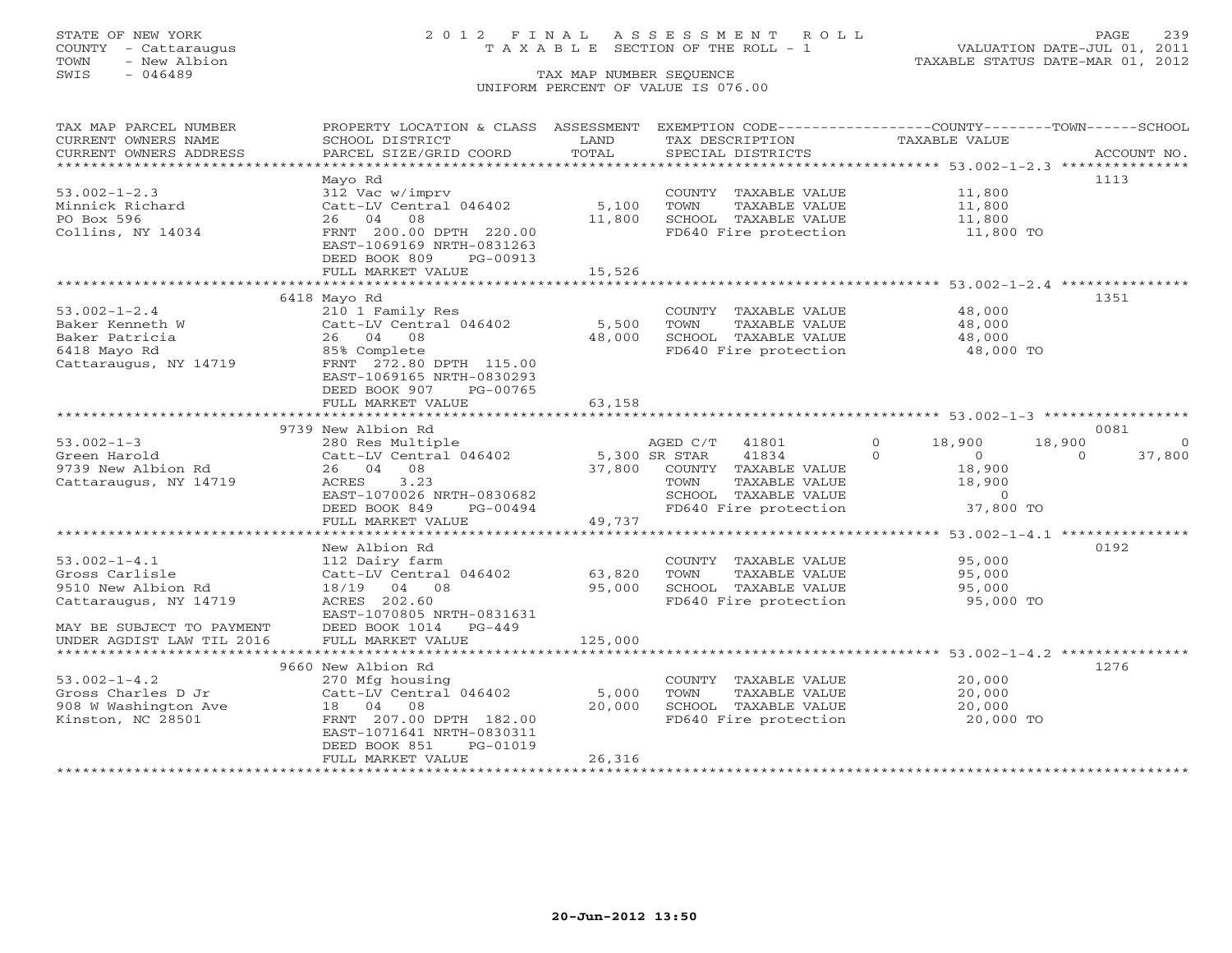## STATE OF NEW YORK 2 0 1 2 F I N A L A S S E S S M E N T R O L L PAGE 239 COUNTY - Cattaraugus T A X A B L E SECTION OF THE ROLL - 1 VALUATION DATE-JUL 01, 2011

| TAX MAP PARCEL NUMBER     | PROPERTY LOCATION & CLASS ASSESSMENT                 |         | EXEMPTION CODE-----------------COUNTY-------TOWN------SCHOOL |                             |                    |
|---------------------------|------------------------------------------------------|---------|--------------------------------------------------------------|-----------------------------|--------------------|
| CURRENT OWNERS NAME       | SCHOOL DISTRICT                                      | LAND    | TAX DESCRIPTION                                              | <b>TAXABLE VALUE</b>        |                    |
| CURRENT OWNERS ADDRESS    | PARCEL SIZE/GRID COORD                               | TOTAL   | SPECIAL DISTRICTS                                            |                             | ACCOUNT NO.        |
| **********************    |                                                      |         |                                                              |                             |                    |
|                           | Mayo Rd                                              |         |                                                              |                             | 1113               |
| $53.002 - 1 - 2.3$        | 312 Vac w/imprv                                      |         | COUNTY TAXABLE VALUE                                         | 11,800                      |                    |
| Minnick Richard           | Catt-LV Central 046402                               | 5,100   | TAXABLE VALUE<br>TOWN                                        | 11,800                      |                    |
| PO Box 596                | 26 04<br>08                                          | 11,800  | SCHOOL TAXABLE VALUE                                         | 11,800                      |                    |
| Collins, NY 14034         | FRNT 200.00 DPTH 220.00<br>EAST-1069169 NRTH-0831263 |         | FD640 Fire protection                                        | 11,800 TO                   |                    |
|                           | DEED BOOK 809<br>PG-00913                            |         |                                                              |                             |                    |
|                           | FULL MARKET VALUE                                    | 15,526  |                                                              |                             |                    |
|                           |                                                      |         |                                                              |                             |                    |
|                           | 6418 Mayo Rd                                         |         |                                                              |                             | 1351               |
| $53.002 - 1 - 2.4$        | 210 1 Family Res                                     |         | COUNTY TAXABLE VALUE                                         | 48,000                      |                    |
| Baker Kenneth W           | Catt-LV Central 046402                               | 5,500   | TOWN<br>TAXABLE VALUE                                        | 48,000                      |                    |
| Baker Patricia            | 26 04 08                                             | 48,000  | SCHOOL TAXABLE VALUE                                         | 48,000                      |                    |
| 6418 Mayo Rd              | 85% Complete                                         |         | FD640 Fire protection                                        | 48,000 TO                   |                    |
| Cattaraugus, NY 14719     | FRNT 272.80 DPTH 115.00                              |         |                                                              |                             |                    |
|                           | EAST-1069165 NRTH-0830293                            |         |                                                              |                             |                    |
|                           | DEED BOOK 907<br>PG-00765                            |         |                                                              |                             |                    |
|                           | FULL MARKET VALUE                                    | 63,158  |                                                              |                             |                    |
|                           |                                                      |         |                                                              |                             |                    |
|                           | 9739 New Albion Rd                                   |         |                                                              |                             | 0081               |
| $53.002 - 1 - 3$          | 280 Res Multiple                                     |         | AGED C/T 41801                                               | $\Omega$<br>18,900          | 18,900<br>$\Omega$ |
| Green Harold              | Catt-LV Central 046402 5,300 SR STAR                 |         | 41834                                                        | $\Omega$<br>$\sim$ 0 $\sim$ | 37,800<br>$\Omega$ |
| 9739 New Albion Rd        | 26 04 08                                             |         | 37,800 COUNTY TAXABLE VALUE                                  | 18,900                      |                    |
| Cattaraugus, NY 14719     | 3.23<br>ACRES                                        |         | TOWN<br>TAXABLE VALUE                                        | 18,900                      |                    |
|                           | EAST-1070026 NRTH-0830682                            |         | SCHOOL TAXABLE VALUE                                         | $\overline{0}$              |                    |
|                           | DEED BOOK 849<br>PG-00494                            |         | FD640 Fire protection                                        | 37,800 TO                   |                    |
|                           | FULL MARKET VALUE                                    | 49,737  |                                                              |                             |                    |
|                           |                                                      |         |                                                              |                             |                    |
|                           | New Albion Rd                                        |         |                                                              |                             | 0192               |
| $53.002 - 1 - 4.1$        | 112 Dairy farm                                       |         | COUNTY TAXABLE VALUE                                         | 95,000                      |                    |
| Gross Carlisle            | Catt-LV Central 046402                               | 63,820  | TAXABLE VALUE<br>TOWN                                        | 95,000                      |                    |
| 9510 New Albion Rd        | 18/19 04 08                                          | 95,000  | SCHOOL TAXABLE VALUE                                         | 95,000                      |                    |
| Cattaraugus, NY 14719     | ACRES 202.60                                         |         | FD640 Fire protection                                        | 95,000 TO                   |                    |
|                           | EAST-1070805 NRTH-0831631                            |         |                                                              |                             |                    |
| MAY BE SUBJECT TO PAYMENT | DEED BOOK 1014 PG-449                                |         |                                                              |                             |                    |
| UNDER AGDIST LAW TIL 2016 | FULL MARKET VALUE                                    | 125,000 |                                                              |                             |                    |
|                           |                                                      |         |                                                              |                             |                    |
|                           | 9660 New Albion Rd                                   |         |                                                              |                             | 1276               |
| $53.002 - 1 - 4.2$        | 270 Mfg housing                                      |         | COUNTY TAXABLE VALUE                                         | 20,000                      |                    |
| Gross Charles D Jr        | Catt-LV Central 046402                               | 5,000   | TOWN<br>TAXABLE VALUE                                        | 20,000                      |                    |
| 908 W Washington Ave      | 18  04  08                                           | 20,000  | SCHOOL TAXABLE VALUE                                         | 20,000                      |                    |
| Kinston, NC 28501         | FRNT 207.00 DPTH 182.00                              |         | FD640 Fire protection                                        | 20,000 TO                   |                    |
|                           | EAST-1071641 NRTH-0830311                            |         |                                                              |                             |                    |
|                           | PG-01019                                             |         |                                                              |                             |                    |
|                           | DEED BOOK 851                                        |         |                                                              |                             |                    |
|                           | FULL MARKET VALUE                                    | 26,316  |                                                              |                             |                    |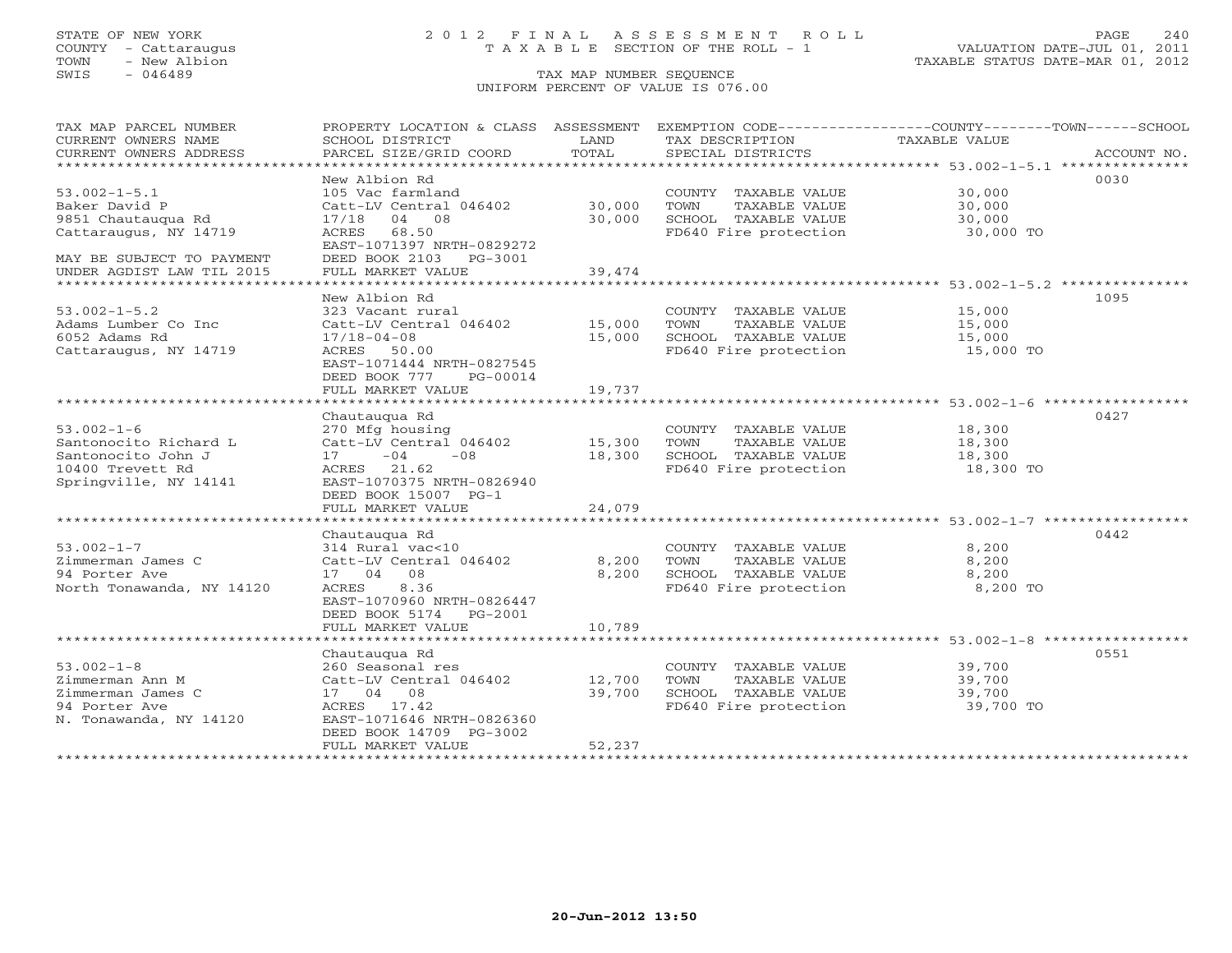## STATE OF NEW YORK 2 0 1 2 F I N A L A S S E S S M E N T R O L L PAGE 240 COUNTY - Cattaraugus T A X A B L E SECTION OF THE ROLL - 1 VALUATION DATE-JUL 01, 2011

TOWN - New Albion TAXABLE STATUS DATE-MAR 01, 2012

| TAX MAP PARCEL NUMBER                                  | PROPERTY LOCATION & CLASS ASSESSMENT        |                |                                      | EXEMPTION CODE-----------------COUNTY-------TOWN------SCHOOL |
|--------------------------------------------------------|---------------------------------------------|----------------|--------------------------------------|--------------------------------------------------------------|
| CURRENT OWNERS NAME<br>CURRENT OWNERS ADDRESS          | SCHOOL DISTRICT<br>PARCEL SIZE/GRID COORD   | LAND<br>TOTAL  | TAX DESCRIPTION<br>SPECIAL DISTRICTS | TAXABLE VALUE<br>ACCOUNT NO.                                 |
| *****************************                          |                                             |                |                                      |                                                              |
|                                                        | New Albion Rd                               |                |                                      | 0030                                                         |
| $53.002 - 1 - 5.1$                                     | 105 Vac farmland                            |                | COUNTY TAXABLE VALUE                 | 30,000                                                       |
| Baker David P                                          | Catt-LV Central 046402                      | 30,000         | TOWN<br>TAXABLE VALUE                | 30,000                                                       |
| 9851 Chautaugua Rd                                     | 04. 08<br>17/18                             | 30,000         | SCHOOL TAXABLE VALUE                 | 30,000                                                       |
| Cattaraugus, NY 14719                                  | ACRES<br>68.50<br>EAST-1071397 NRTH-0829272 |                | FD640 Fire protection                | 30,000 TO                                                    |
| MAY BE SUBJECT TO PAYMENT<br>UNDER AGDIST LAW TIL 2015 | DEED BOOK 2103 PG-3001<br>FULL MARKET VALUE | 39,474         |                                      |                                                              |
| ******************************                         |                                             |                |                                      |                                                              |
|                                                        | New Albion Rd                               |                |                                      | 1095                                                         |
| $53.002 - 1 - 5.2$                                     | 323 Vacant rural                            |                | COUNTY TAXABLE VALUE                 | 15,000                                                       |
| Adams Lumber Co Inc                                    | Catt-LV Central 046402                      | 15,000         | TOWN<br>TAXABLE VALUE                | 15,000                                                       |
| 6052 Adams Rd                                          | $17/18 - 04 - 08$                           | 15,000         | SCHOOL TAXABLE VALUE                 | 15,000                                                       |
| Cattaraugus, NY 14719                                  | ACRES 50.00                                 |                | FD640 Fire protection                | 15,000 TO                                                    |
|                                                        | EAST-1071444 NRTH-0827545                   |                |                                      |                                                              |
|                                                        | DEED BOOK 777<br>PG-00014                   |                |                                      |                                                              |
|                                                        | FULL MARKET VALUE                           | 19,737         |                                      |                                                              |
|                                                        | ********************                        | ************** |                                      | ********************************** 53.002-1-6 *************  |
|                                                        | Chautaugua Rd                               |                |                                      | 0427                                                         |
| $53.002 - 1 - 6$                                       | 270 Mfg housing                             |                | COUNTY TAXABLE VALUE                 | 18,300                                                       |
| Santonocito Richard L                                  | Catt-LV Central 046402                      | 15,300         | TOWN<br>TAXABLE VALUE                | 18,300                                                       |
| Santonocito John J                                     | 17<br>$-04$<br>$-0.8$                       | 18,300         | SCHOOL TAXABLE VALUE                 | 18,300                                                       |
| 10400 Trevett Rd                                       | 21.62<br>ACRES                              |                | FD640 Fire protection                | 18,300 TO                                                    |
| Springville, NY 14141                                  | EAST-1070375 NRTH-0826940                   |                |                                      |                                                              |
|                                                        | DEED BOOK 15007 PG-1                        |                |                                      |                                                              |
|                                                        | FULL MARKET VALUE                           | 24,079         |                                      |                                                              |
|                                                        | Chautaugua Rd                               |                |                                      | 0442                                                         |
| $53.002 - 1 - 7$                                       | 314 Rural vac<10                            |                | COUNTY TAXABLE VALUE                 | 8,200                                                        |
| Zimmerman James C                                      | Catt-LV Central 046402                      | 8,200          | TOWN<br>TAXABLE VALUE                | 8,200                                                        |
| 94 Porter Ave                                          | 17 04 08                                    | 8,200          | SCHOOL TAXABLE VALUE                 | 8,200                                                        |
| North Tonawanda, NY 14120                              | ACRES<br>8.36                               |                | FD640 Fire protection                | 8,200 TO                                                     |
|                                                        | EAST-1070960 NRTH-0826447                   |                |                                      |                                                              |
|                                                        | DEED BOOK 5174 PG-2001                      |                |                                      |                                                              |
|                                                        | FULL MARKET VALUE                           | 10,789         |                                      |                                                              |
|                                                        |                                             |                |                                      |                                                              |
|                                                        | Chautaugua Rd                               |                |                                      | 0551                                                         |
| $53.002 - 1 - 8$                                       | 260 Seasonal res                            |                | COUNTY TAXABLE VALUE                 | 39,700                                                       |
| Zimmerman Ann M                                        | Catt-LV Central 046402                      | 12,700         | TAXABLE VALUE<br>TOWN                | 39,700                                                       |
| Zimmerman James C                                      | 17 04 08                                    | 39,700         | SCHOOL TAXABLE VALUE                 | 39,700                                                       |
| 94 Porter Ave                                          | ACRES 17.42                                 |                | FD640 Fire protection                | 39,700 TO                                                    |
| N. Tonawanda, NY 14120                                 | EAST-1071646 NRTH-0826360                   |                |                                      |                                                              |
|                                                        | DEED BOOK 14709 PG-3002                     |                |                                      |                                                              |
|                                                        | FULL MARKET VALUE                           | 52,237         |                                      |                                                              |
| *******************                                    |                                             |                |                                      |                                                              |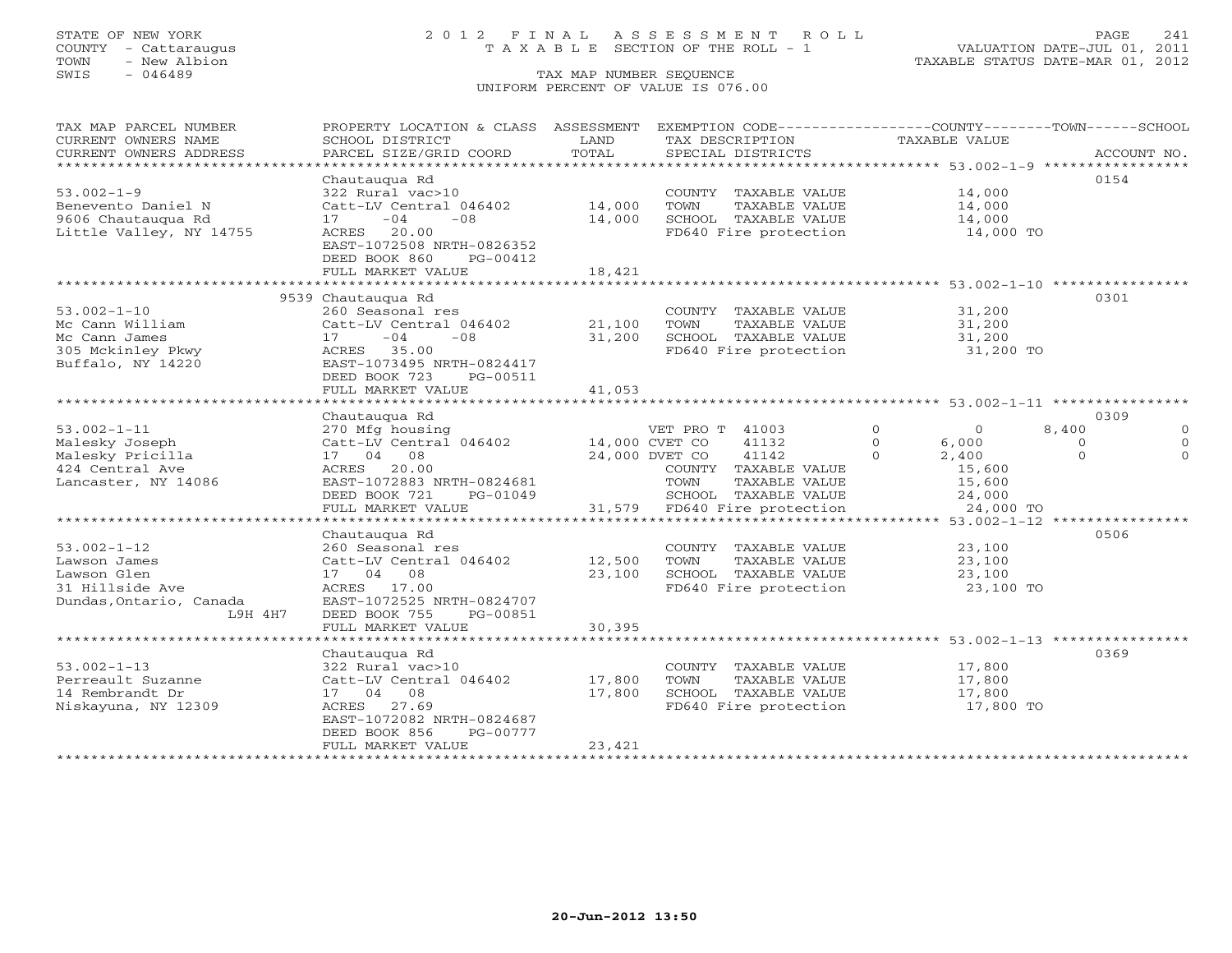## STATE OF NEW YORK 2 0 1 2 F I N A L A S S E S S M E N T R O L L PAGE 241 COUNTY - Cattaraugus T A X A B L E SECTION OF THE ROLL - 1 VALUATION DATE-JUL 01, 2011

| TAX MAP PARCEL NUMBER<br>CURRENT OWNERS NAME<br>CURRENT OWNERS ADDRESS<br>************************* | PROPERTY LOCATION & CLASS ASSESSMENT<br>SCHOOL DISTRICT<br>PARCEL SIZE/GRID COORD | LAND<br>TOTAL  | EXEMPTION CODE-----------------COUNTY-------TOWN------SCHOOL<br>TAX DESCRIPTION<br>SPECIAL DISTRICTS | TAXABLE VALUE       | ACCOUNT NO.          |
|-----------------------------------------------------------------------------------------------------|-----------------------------------------------------------------------------------|----------------|------------------------------------------------------------------------------------------------------|---------------------|----------------------|
|                                                                                                     | Chautaugua Rd                                                                     |                |                                                                                                      |                     | 0154                 |
| $53.002 - 1 - 9$                                                                                    | 322 Rural vac>10                                                                  |                | COUNTY TAXABLE VALUE                                                                                 | 14,000              |                      |
| Benevento Daniel N                                                                                  | Catt-LV Central 046402                                                            | 14,000         | TOWN<br>TAXABLE VALUE                                                                                | 14,000              |                      |
| 9606 Chautauqua Rd                                                                                  | $-04$<br>$-08$<br>17                                                              | 14,000         | SCHOOL TAXABLE VALUE                                                                                 | 14,000              |                      |
|                                                                                                     |                                                                                   |                |                                                                                                      |                     |                      |
| Little Valley, NY 14755                                                                             | 20.00<br>ACRES                                                                    |                | FD640 Fire protection                                                                                | 14,000 TO           |                      |
|                                                                                                     | EAST-1072508 NRTH-0826352                                                         |                |                                                                                                      |                     |                      |
|                                                                                                     | DEED BOOK 860<br>PG-00412                                                         |                |                                                                                                      |                     |                      |
|                                                                                                     | FULL MARKET VALUE                                                                 | 18,421         |                                                                                                      |                     |                      |
|                                                                                                     |                                                                                   |                |                                                                                                      |                     |                      |
|                                                                                                     | 9539 Chautaugua Rd                                                                |                |                                                                                                      |                     | 0301                 |
| $53.002 - 1 - 10$                                                                                   | 260 Seasonal res                                                                  |                | COUNTY TAXABLE VALUE                                                                                 | 31,200              |                      |
| Mc Cann William                                                                                     | Catt-LV Central 046402                                                            | 21,100         | TOWN<br>TAXABLE VALUE                                                                                | 31,200              |                      |
| Mc Cann James                                                                                       | 17<br>$-04$<br>$-0.8$                                                             | 31,200         | SCHOOL TAXABLE VALUE                                                                                 | 31,200              |                      |
| 305 Mckinley Pkwy                                                                                   | ACRES 35.00                                                                       |                | FD640 Fire protection                                                                                | 31,200 TO           |                      |
| Buffalo, NY 14220                                                                                   | EAST-1073495 NRTH-0824417                                                         |                |                                                                                                      |                     |                      |
|                                                                                                     | DEED BOOK 723<br>PG-00511                                                         |                |                                                                                                      |                     |                      |
|                                                                                                     | FULL MARKET VALUE                                                                 | 41,053         |                                                                                                      |                     |                      |
|                                                                                                     |                                                                                   |                |                                                                                                      |                     |                      |
|                                                                                                     | Chautauqua Rd                                                                     |                |                                                                                                      |                     | 0309                 |
| $53.002 - 1 - 11$                                                                                   | 270 Mfg housing                                                                   |                | VET PRO T 41003                                                                                      | $\circ$<br>$\Omega$ | 8,400<br>$\Omega$    |
| Malesky Joseph                                                                                      | Catt-LV Central 046402                                                            | 14,000 CVET CO | 41132                                                                                                | $\Omega$<br>6,000   | $\Omega$<br>$\Omega$ |
| Malesky Pricilla                                                                                    | 17 04 08                                                                          |                | 24,000 DVET CO<br>41142                                                                              | 2,400<br>$\Omega$   | $\Omega$<br>$\Omega$ |
| 424 Central Ave                                                                                     | ACRES 20.00                                                                       |                | COUNTY TAXABLE VALUE                                                                                 | 15,600              |                      |
| Lancaster, NY 14086                                                                                 | EAST-1072883 NRTH-0824681                                                         |                | TAXABLE VALUE<br>TOWN                                                                                | 15,600              |                      |
|                                                                                                     | DEED BOOK 721<br>PG-01049                                                         |                | SCHOOL TAXABLE VALUE                                                                                 | 24,000              |                      |
|                                                                                                     | FULL MARKET VALUE                                                                 |                | 31,579 FD640 Fire protection                                                                         | 24,000 TO           |                      |
|                                                                                                     |                                                                                   |                |                                                                                                      |                     |                      |
|                                                                                                     | Chautaugua Rd                                                                     |                |                                                                                                      |                     | 0506                 |
| $53.002 - 1 - 12$                                                                                   | 260 Seasonal res                                                                  |                | COUNTY TAXABLE VALUE                                                                                 | 23,100              |                      |
| Lawson James                                                                                        | Catt-LV Central 046402                                                            | 12,500         | TAXABLE VALUE<br>TOWN                                                                                | 23,100              |                      |
| Lawson Glen                                                                                         | 17 04 08                                                                          | 23,100         | SCHOOL TAXABLE VALUE                                                                                 | 23,100              |                      |
| 31 Hillside Ave                                                                                     | ACRES 17.00                                                                       |                | FD640 Fire protection                                                                                | 23,100 TO           |                      |
| Dundas, Ontario, Canada                                                                             | EAST-1072525 NRTH-0824707                                                         |                |                                                                                                      |                     |                      |
| L9H 4H7                                                                                             | DEED BOOK 755<br>PG-00851                                                         |                |                                                                                                      |                     |                      |
|                                                                                                     | FULL MARKET VALUE                                                                 | 30,395         |                                                                                                      |                     |                      |
|                                                                                                     |                                                                                   |                |                                                                                                      |                     |                      |
|                                                                                                     | Chautauqua Rd                                                                     |                |                                                                                                      |                     | 0369                 |
| $53.002 - 1 - 13$                                                                                   | 322 Rural vac>10                                                                  |                | COUNTY TAXABLE VALUE                                                                                 | 17,800              |                      |
| Perreault Suzanne                                                                                   | Catt-LV Central 046402                                                            | 17,800         | TOWN<br>TAXABLE VALUE                                                                                | 17,800              |                      |
| 14 Rembrandt Dr                                                                                     | 17 04 08                                                                          | 17,800         | SCHOOL TAXABLE VALUE                                                                                 | 17,800              |                      |
| Niskayuna, NY 12309                                                                                 | 27.69<br>ACRES                                                                    |                | FD640 Fire protection                                                                                | 17,800 TO           |                      |
|                                                                                                     | EAST-1072082 NRTH-0824687                                                         |                |                                                                                                      |                     |                      |
|                                                                                                     | DEED BOOK 856<br>PG-00777                                                         |                |                                                                                                      |                     |                      |
|                                                                                                     | FULL MARKET VALUE                                                                 | 23,421         |                                                                                                      |                     |                      |
|                                                                                                     |                                                                                   |                |                                                                                                      |                     |                      |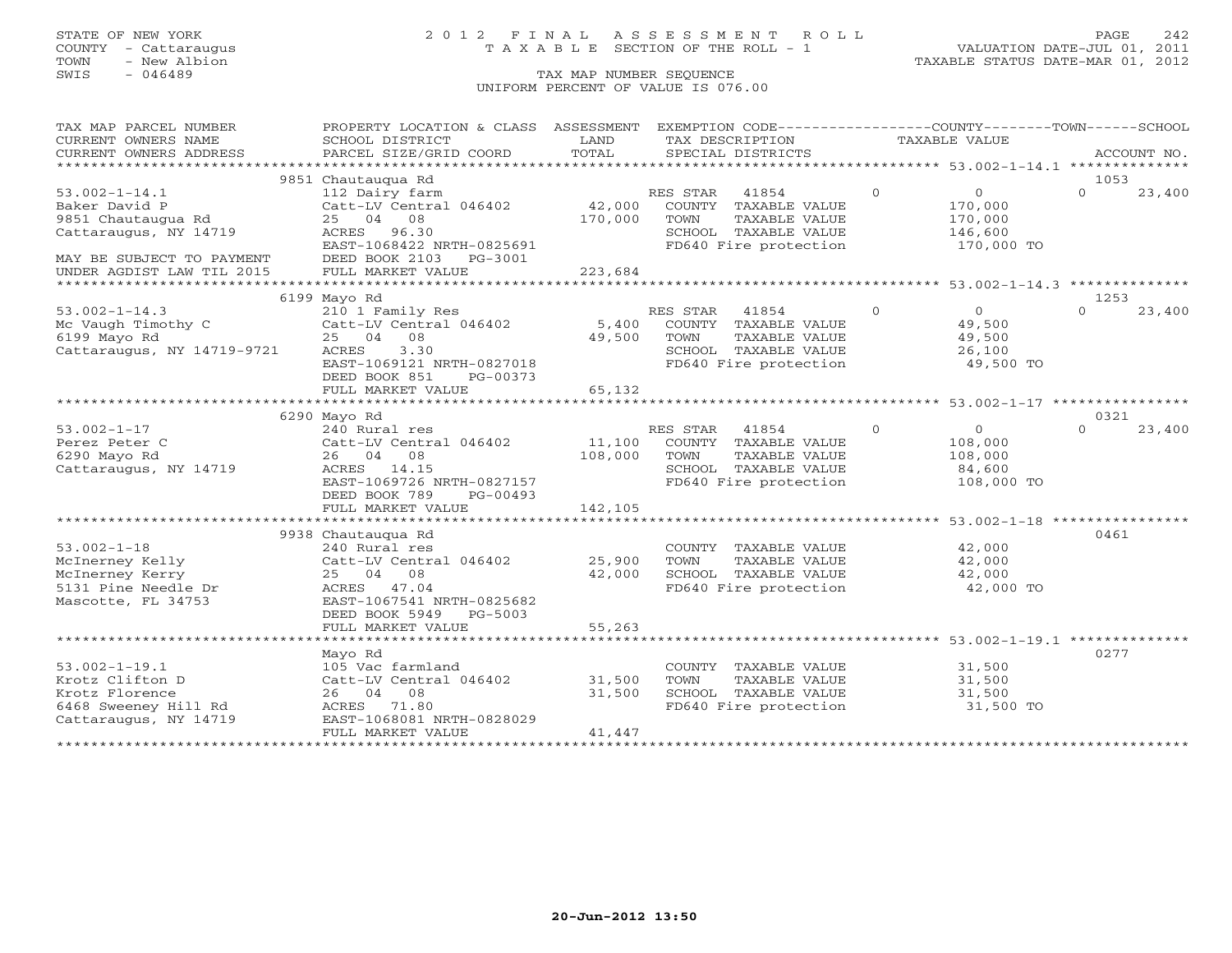### STATE OF NEW YORK 2 0 1 2 F I N A L A S S E S S M E N T R O L L PAGE 242 COUNTY - Cattaraugus T A X A B L E SECTION OF THE ROLL - 1 VALUATION DATE-JUL 01, 2011

### SWIS - 046489 CHE SEQUENCE UNIFORM PERCENT OF VALUE IS 076.00

| TAX MAP PARCEL NUMBER                                             | PROPERTY LOCATION & CLASS ASSESSMENT           |         | EXEMPTION CODE-----------------COUNTY-------TOWN------SCHOOL      |               |                |                  |             |
|-------------------------------------------------------------------|------------------------------------------------|---------|-------------------------------------------------------------------|---------------|----------------|------------------|-------------|
| CURRENT OWNERS NAME                                               | SCHOOL DISTRICT                                | LAND    | TAX DESCRIPTION                                                   | TAXABLE VALUE |                |                  |             |
| CURRENT OWNERS ADDRESS                                            | PARCEL SIZE/GRID COORD                         | TOTAL   | SPECIAL DISTRICTS                                                 |               |                |                  | ACCOUNT NO. |
|                                                                   |                                                |         |                                                                   |               |                |                  |             |
|                                                                   | 9851 Chautauqua Rd                             |         |                                                                   |               |                | 1053             |             |
| $53.002 - 1 - 14.1$                                               | 112 Dairy farm                                 |         | RES STAR<br>41854                                                 | $\circ$       | $\overline{0}$ | $\Omega$         | 23,400      |
| Baker David P                                                     | Catt-LV Central 046402                         | 42,000  | COUNTY<br>TAXABLE VALUE                                           |               | 170,000        |                  |             |
| 9851 Chautauqua Rd                                                | 25 04 08                                       | 170,000 | TOWN<br>TAXABLE VALUE                                             |               | 170,000        |                  |             |
| Cattaraugus, NY 14719                                             | 96.30<br>ACRES                                 |         | SCHOOL TAXABLE VALUE                                              |               | 146,600        |                  |             |
|                                                                   | EAST-1068422 NRTH-0825691                      |         | FD640 Fire protection                                             |               | 170,000 TO     |                  |             |
| MAY BE SUBJECT TO PAYMENT                                         | DEED BOOK 2103<br>PG-3001                      |         |                                                                   |               |                |                  |             |
| UNDER AGDIST LAW TIL 2015<br>************************************ | FULL MARKET VALUE                              | 223,684 |                                                                   |               |                |                  |             |
|                                                                   |                                                |         |                                                                   |               |                |                  |             |
|                                                                   | 6199 Mayo Rd                                   |         |                                                                   | $\Omega$      |                | 1253<br>$\Omega$ |             |
| $53.002 - 1 - 14.3$                                               | 210 1 Family Res                               |         | RES STAR<br>41854                                                 |               | $\overline{0}$ |                  | 23,400      |
| Mc Vaugh Timothy C                                                | Catt-LV Central 046402                         | 5,400   | COUNTY TAXABLE VALUE                                              |               | 49,500         |                  |             |
| 6199 Mayo Rd                                                      | 25 04 08                                       | 49,500  | TOWN<br>TAXABLE VALUE                                             |               | 49,500         |                  |             |
| Cattaraugus, NY 14719-9721                                        | ACRES<br>3.30                                  |         | SCHOOL TAXABLE VALUE<br>FD640 Fire protection                     |               | 26,100         |                  |             |
|                                                                   | EAST-1069121 NRTH-0827018                      |         |                                                                   |               | 49,500 TO      |                  |             |
|                                                                   | DEED BOOK 851<br>PG-00373<br>FULL MARKET VALUE | 65,132  |                                                                   |               |                |                  |             |
|                                                                   |                                                |         |                                                                   |               |                |                  |             |
|                                                                   | 6290 Mayo Rd                                   |         |                                                                   |               |                | 0321             |             |
| $53.002 - 1 - 17$                                                 | 240 Rural res                                  |         | RES STAR<br>41854                                                 | $\circ$       | $\overline{0}$ | $\Omega$         | 23,400      |
| Perez Peter C                                                     | Catt-LV Central 046402                         | 11,100  | COUNTY TAXABLE VALUE                                              |               | 108,000        |                  |             |
| 6290 Mayo Rd                                                      | 26 04 08                                       | 108,000 | TOWN<br>TAXABLE VALUE                                             |               | 108,000        |                  |             |
| Cattaraugus, NY 14719                                             | ACRES<br>14.15                                 |         | SCHOOL TAXABLE VALUE                                              |               | 84,600         |                  |             |
|                                                                   | EAST-1069726 NRTH-0827157                      |         | FD640 Fire protection                                             |               | 108,000 TO     |                  |             |
|                                                                   | DEED BOOK 789<br>PG-00493                      |         |                                                                   |               |                |                  |             |
|                                                                   | FULL MARKET VALUE                              | 142,105 |                                                                   |               |                |                  |             |
|                                                                   |                                                |         |                                                                   |               |                |                  |             |
|                                                                   | 9938 Chautauqua Rd                             |         |                                                                   |               |                | 0461             |             |
| $53.002 - 1 - 18$                                                 | 240 Rural res                                  |         | COUNTY TAXABLE VALUE                                              |               | 42,000         |                  |             |
| McInerney Kelly                                                   | Catt-LV Central 046402                         | 25,900  | TOWN<br>TAXABLE VALUE                                             |               | 42,000         |                  |             |
| McInerney Kerry                                                   | 25 04 08                                       | 42,000  | SCHOOL TAXABLE VALUE                                              |               | 42,000         |                  |             |
| 5131 Pine Needle Dr                                               | 47.04<br>ACRES                                 |         | FD640 Fire protection                                             |               | 42,000 TO      |                  |             |
| Mascotte, FL 34753                                                | EAST-1067541 NRTH-0825682                      |         |                                                                   |               |                |                  |             |
|                                                                   | DEED BOOK 5949 PG-5003                         |         |                                                                   |               |                |                  |             |
|                                                                   | FULL MARKET VALUE                              | 55,263  |                                                                   |               |                |                  |             |
|                                                                   | *****************************                  |         | *********************************** 53.002-1-19.1 *************** |               |                |                  |             |
|                                                                   | Mayo Rd                                        |         |                                                                   |               |                | 0277             |             |
| $53.002 - 1 - 19.1$                                               | 105 Vac farmland                               |         | COUNTY TAXABLE VALUE                                              |               | 31,500         |                  |             |
| Krotz Clifton D                                                   | Catt-LV Central 046402                         | 31,500  | TOWN<br>TAXABLE VALUE                                             |               | 31,500         |                  |             |
| Krotz Florence                                                    | 26 04<br>08                                    | 31,500  | SCHOOL TAXABLE VALUE                                              |               | 31,500         |                  |             |
| 6468 Sweeney Hill Rd                                              | ACRES<br>71.80                                 |         | FD640 Fire protection                                             |               | 31,500 TO      |                  |             |
| Cattaraugus, NY 14719                                             | EAST-1068081 NRTH-0828029                      |         |                                                                   |               |                |                  |             |
| * * * * * * * * * * * * * * * * * * *                             | FULL MARKET VALUE                              | 41,447  |                                                                   |               |                |                  |             |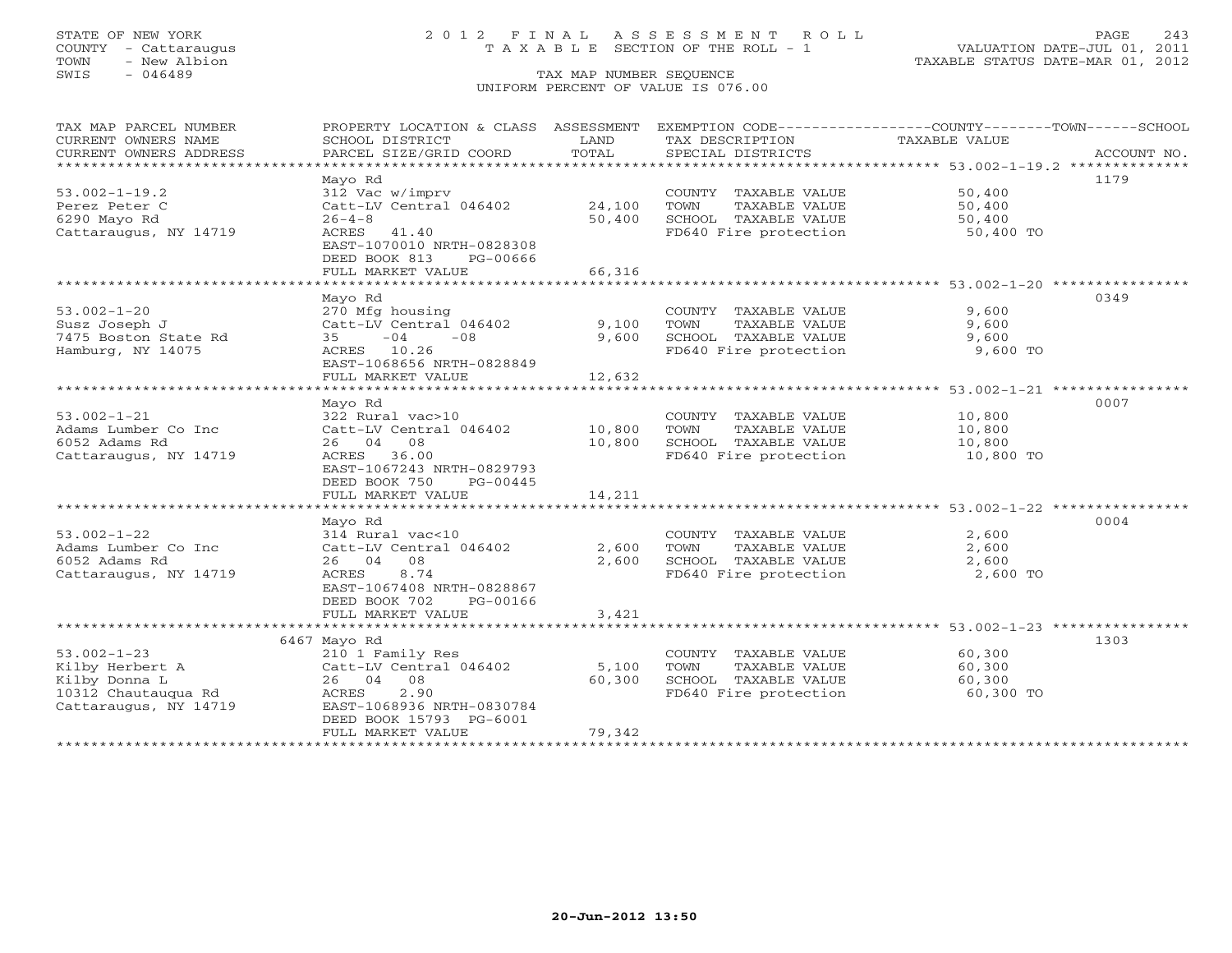## STATE OF NEW YORK 2 0 1 2 F I N A L A S S E S S M E N T R O L L PAGE 243 COUNTY - Cattaraugus T A X A B L E SECTION OF THE ROLL - 1 VALUATION DATE-JUL 01, 2011

| TAX MAP PARCEL NUMBER<br>CURRENT OWNERS NAME<br>CURRENT OWNERS ADDRESS                                | PROPERTY LOCATION & CLASS ASSESSMENT<br>SCHOOL DISTRICT<br>PARCEL SIZE/GRID COORD                                                               | LAND<br>TOTAL            | TAX DESCRIPTION<br>SPECIAL DISTRICTS                                                                  | EXEMPTION CODE-----------------COUNTY-------TOWN------SCHOOL<br>TAXABLE VALUE<br>ACCOUNT NO. |
|-------------------------------------------------------------------------------------------------------|-------------------------------------------------------------------------------------------------------------------------------------------------|--------------------------|-------------------------------------------------------------------------------------------------------|----------------------------------------------------------------------------------------------|
| ***********************                                                                               |                                                                                                                                                 |                          |                                                                                                       |                                                                                              |
| $53.002 - 1 - 19.2$<br>Perez Peter C                                                                  | Mayo Rd<br>312 Vac w/imprv<br>Catt-LV Central 046402                                                                                            | 24,100                   | COUNTY TAXABLE VALUE<br>TOWN<br>TAXABLE VALUE                                                         | 1179<br>50,400<br>50,400                                                                     |
| 6290 Mayo Rd<br>Cattaraugus, NY 14719                                                                 | $26 - 4 - 8$<br>ACRES<br>41.40<br>EAST-1070010 NRTH-0828308<br>DEED BOOK 813<br>PG-00666                                                        | 50,400                   | SCHOOL TAXABLE VALUE<br>FD640 Fire protection                                                         | 50,400<br>50,400 TO                                                                          |
|                                                                                                       | FULL MARKET VALUE                                                                                                                               | 66,316                   |                                                                                                       |                                                                                              |
|                                                                                                       | Mayo Rd                                                                                                                                         |                          |                                                                                                       | 0349                                                                                         |
| $53.002 - 1 - 20$<br>Susz Joseph J<br>7475 Boston State Rd<br>Hamburg, NY 14075                       | 270 Mfg housing<br>Catt-LV Central 046402<br>$-08$<br>$-04$<br>35<br>ACRES 10.26<br>EAST-1068656 NRTH-0828849<br>FULL MARKET VALUE              | 9,100<br>9,600<br>12,632 | COUNTY TAXABLE VALUE<br>TAXABLE VALUE<br>TOWN<br>SCHOOL TAXABLE VALUE<br>FD640 Fire protection        | 9,600<br>9,600<br>9,600<br>9,600 TO                                                          |
|                                                                                                       |                                                                                                                                                 |                          |                                                                                                       |                                                                                              |
|                                                                                                       | Mayo Rd                                                                                                                                         |                          |                                                                                                       | 0007                                                                                         |
| $53.002 - 1 - 21$<br>Adams Lumber Co Inc<br>6052 Adams Rd<br>Cattaraugus, NY 14719                    | 322 Rural vac>10<br>Catt-LV Central 046402<br>26 04<br>08<br>ACRES<br>36.00<br>EAST-1067243 NRTH-0829793<br>DEED BOOK 750<br>PG-00445           | 10,800<br>10,800         | COUNTY TAXABLE VALUE<br><b>TOWN</b><br>TAXABLE VALUE<br>SCHOOL TAXABLE VALUE<br>FD640 Fire protection | 10,800<br>10,800<br>10,800<br>10,800 TO                                                      |
|                                                                                                       | FULL MARKET VALUE                                                                                                                               | 14,211                   |                                                                                                       |                                                                                              |
|                                                                                                       |                                                                                                                                                 |                          |                                                                                                       |                                                                                              |
| $53.002 - 1 - 22$<br>Adams Lumber Co Inc<br>6052 Adams Rd<br>Cattaraugus, NY 14719                    | Mayo Rd<br>314 Rural vac<10<br>Catt-LV Central 046402<br>26 04<br>08<br>8.74<br>ACRES<br>EAST-1067408 NRTH-0828867<br>DEED BOOK 702<br>PG-00166 | 2,600<br>2,600           | COUNTY TAXABLE VALUE<br>TOWN<br>TAXABLE VALUE<br>SCHOOL TAXABLE VALUE<br>FD640 Fire protection        | 0004<br>2,600<br>2,600<br>2,600<br>2,600 TO                                                  |
|                                                                                                       | FULL MARKET VALUE<br>*******************************                                                                                            | 3,421                    |                                                                                                       |                                                                                              |
|                                                                                                       | 6467 Mayo Rd                                                                                                                                    |                          |                                                                                                       | 1303                                                                                         |
| $53.002 - 1 - 23$<br>Kilby Herbert A<br>Kilby Donna L<br>10312 Chautauqua Rd<br>Cattaraugus, NY 14719 | 210 1 Family Res<br>Catt-LV Central 046402<br>26 04<br>08<br>2.90<br>ACRES<br>EAST-1068936 NRTH-0830784<br>DEED BOOK 15793 PG-6001              | 5,100<br>60,300          | COUNTY TAXABLE VALUE<br>TOWN<br>TAXABLE VALUE<br>SCHOOL TAXABLE VALUE<br>FD640 Fire protection        | 60,300<br>60,300<br>60,300<br>60,300 TO                                                      |
| ********************                                                                                  | FULL MARKET VALUE<br>****************************                                                                                               | 79,342                   |                                                                                                       |                                                                                              |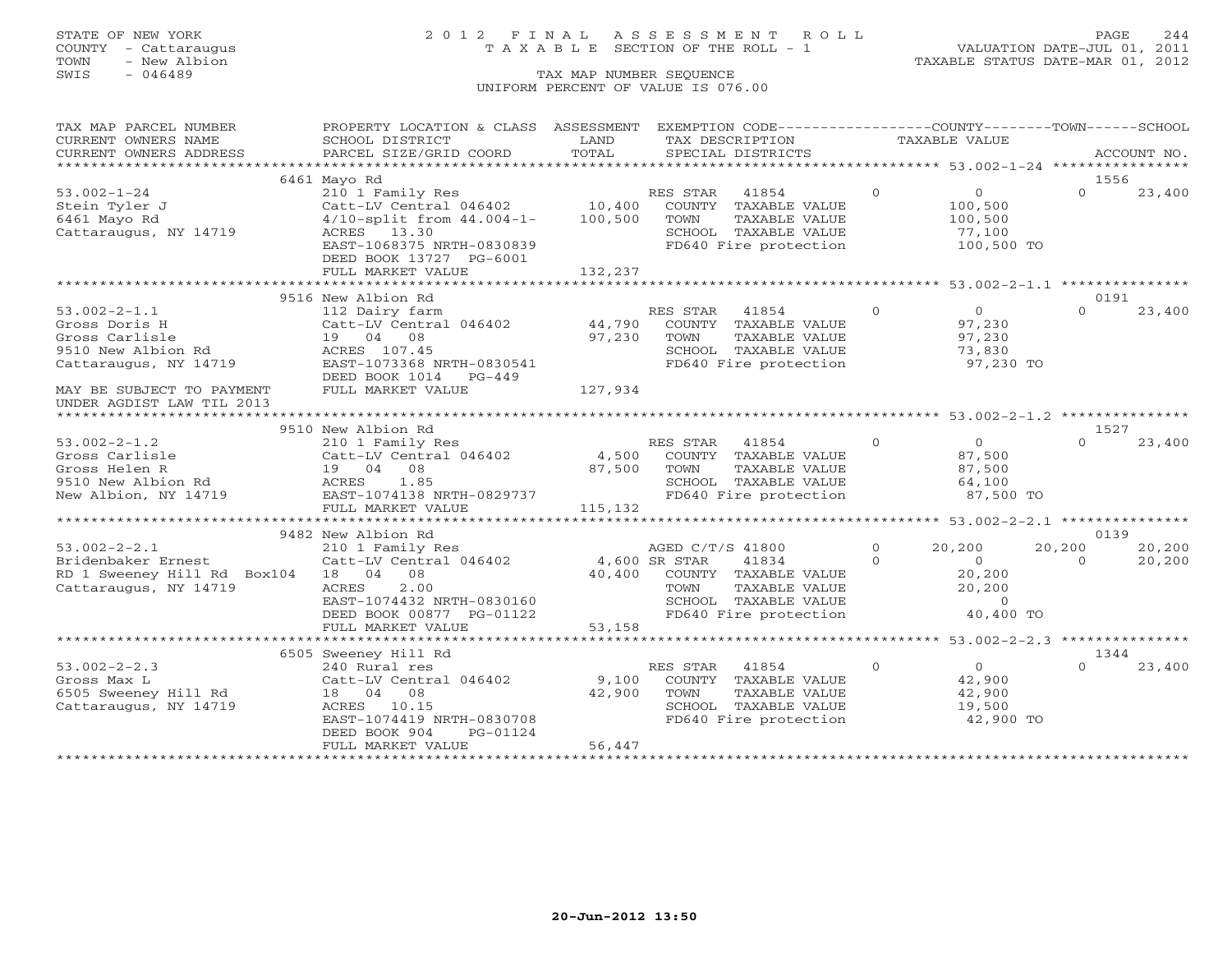## STATE OF NEW YORK 2 0 1 2 F I N A L A S S E S S M E N T R O L L PAGE 244 COUNTY - Cattaraugus T A X A B L E SECTION OF THE ROLL - 1 VALUATION DATE-JUL 01, 2011

TOWN - New Albion TAXABLE STATUS DATE-MAR 01, 2012

| CURRENT OWNERS NAME<br>SCHOOL DISTRICT<br>LAND<br>TAX DESCRIPTION<br>TAXABLE VALUE<br>1556<br>6461 Mayo Rd<br>$\Omega$<br>$\overline{0}$<br>$\Omega$<br>$53.002 - 1 - 24$<br>210 1 Family Res<br>RES STAR<br>41854<br>23,400<br>$\begin{array}{cccc} \texttt{Catt-LV} & \texttt{Central} & 046402 & 10,400 & \texttt{COUNTY} & \texttt{TXABLE} & \texttt{VALUE} \\ 4/10 - \texttt{split} & \texttt{from} & 44.004 - 1 - & 100,500 & \texttt{TOWN} & \texttt{TXABLE} & \texttt{VALUE} \end{array}$<br>Stein Tyler J<br>100,500<br>6461 Mayo Rd<br>TAXABLE VALUE<br>100,500<br>Cattaraugus, NY 14719<br>ACRES 13.30<br>77,100<br>SCHOOL TAXABLE VALUE<br>FD640 Fire protection<br>EAST-1068375 NRTH-0830839<br>100,500 TO<br>DEED BOOK 13727 PG-6001<br>132,237<br>FULL MARKET VALUE<br>0191<br>9516 New Albion Rd<br>$\begin{matrix}0\\97\end{matrix}$<br>RES STAR<br>$\Omega$<br>$53.002 - 2 - 1.1$<br>41854<br>$\Omega$<br>23,400<br>112 Dairy farm<br>Catt-LV Central 046402 44,790<br>COUNTY TAXABLE VALUE<br>Gross Doris H<br>97,230<br>97,230<br>Gross Carlisle<br>19 04 08<br>TOWN<br>TAXABLE VALUE<br>ACRES 107.45<br>SCHOOL TAXABLE VALUE<br>FD640 Fire protection<br>9510 New Albion Rd<br>73,830<br>97,230 TO<br>Cattaraugus, NY 14719<br>EAST-1073368 NRTH-0830541<br>DEED BOOK 1014 PG-449<br>127,934<br>FULL MARKET VALUE<br>MAY BE SUBJECT TO PAYMENT<br>UNDER AGDIST LAW TIL 2013<br>9510 New Albion Rd<br>1527<br>$\overline{O}$<br>$53.002 - 2 - 1.2$<br>$\Omega$<br>$\Omega$<br>23,400<br>210 1 Family Res<br>RES STAR 41854<br>Catt-LV Central 046402 4,500 COUNTY TAXABLE VALUE<br>87,500<br>Gross Carlisle<br>Gross Helen R<br>19 04 08<br>87,500<br>87,500<br>TOWN<br>TAXABLE VALUE<br>9510 New Albion Rd<br>SCHOOL TAXABLE VALUE<br>64,100<br>ACRES 1.85<br>EAST-1074138 NRTH-0829737<br>FD640 Fire protection<br>87,500 TO<br>New Albion, NY 14719<br>115, 132<br>FULL MARKET VALUE<br>9482 New Albion Rd<br>0139<br>$\circ$<br>$53.002 - 2 - 2.1$<br>AGED C/T/S 41800<br>20,200<br>20,200<br>20,200<br>210 1 Family Res<br>210 1 Family Res<br>Catt-LV Central 046402 4,600 SR STAR<br>10 100 COUNTY<br>41834<br>$\Omega$<br>$\Omega$<br>20,200<br>Bridenbaker Ernest<br>RD 1 Sweeney Hill Rd Box104 18 04 08<br>40,400 COUNTY TAXABLE VALUE<br>$\begin{array}{c}0\\20,200\\20\end{array}$<br>Cattaraugus, NY 14719<br>ACRES<br>2.00<br>TOWN TAXABLE VALUE<br>SCHOOL TAXABLE VALUE<br>FD640 Fire protection<br>EAST-1074432 NRTH-0830160<br>DEED BOOK 00877 PG-01122<br>$\overline{0}$<br>40,400 TO<br>53,158<br>FULL MARKET VALUE<br>6505 Sweeney Hill Rd<br>1344<br>$\overline{0}$<br>$53.002 - 2 - 2.3$<br>$\Omega$<br>$\cap$<br>RES STAR 41854<br>23,400<br>240 Rural res<br>9,100<br>Catt-LV Central 046402<br>COUNTY TAXABLE VALUE<br>42,900<br>Gross Max L<br>6505 Sweeney Hill Rd<br>18  04  08<br>42,900<br>TOWN<br>TAXABLE VALUE<br>42,900<br>SCHOOL TAXABLE VALUE<br>19,500<br>Cattaraugus, NY 14719<br>ACRES 10.15<br>FD640 Fire protection<br>EAST-1074419 NRTH-0830708<br>42,900 TO<br>DEED BOOK 904<br>PG-01124<br>56,447<br>FULL MARKET VALUE | TAX MAP PARCEL NUMBER | PROPERTY LOCATION & CLASS ASSESSMENT EXEMPTION CODE----------------COUNTY-------TOWN------SCHOOL |  |  |  |
|----------------------------------------------------------------------------------------------------------------------------------------------------------------------------------------------------------------------------------------------------------------------------------------------------------------------------------------------------------------------------------------------------------------------------------------------------------------------------------------------------------------------------------------------------------------------------------------------------------------------------------------------------------------------------------------------------------------------------------------------------------------------------------------------------------------------------------------------------------------------------------------------------------------------------------------------------------------------------------------------------------------------------------------------------------------------------------------------------------------------------------------------------------------------------------------------------------------------------------------------------------------------------------------------------------------------------------------------------------------------------------------------------------------------------------------------------------------------------------------------------------------------------------------------------------------------------------------------------------------------------------------------------------------------------------------------------------------------------------------------------------------------------------------------------------------------------------------------------------------------------------------------------------------------------------------------------------------------------------------------------------------------------------------------------------------------------------------------------------------------------------------------------------------------------------------------------------------------------------------------------------------------------------------------------------------------------------------------------------------------------------------------------------------------------------------------------------------------------------------------------------------------------------------------------------------------------------------------------------------------------------------------------------------------------------------------------------------------------------------------------------------------------------------------------------------------------------------------------------------------------------------------------------------------------------------------------------------------------------------------------------------------------------------------------------------------------------------|-----------------------|--------------------------------------------------------------------------------------------------|--|--|--|
|                                                                                                                                                                                                                                                                                                                                                                                                                                                                                                                                                                                                                                                                                                                                                                                                                                                                                                                                                                                                                                                                                                                                                                                                                                                                                                                                                                                                                                                                                                                                                                                                                                                                                                                                                                                                                                                                                                                                                                                                                                                                                                                                                                                                                                                                                                                                                                                                                                                                                                                                                                                                                                                                                                                                                                                                                                                                                                                                                                                                                                                                                        |                       |                                                                                                  |  |  |  |
|                                                                                                                                                                                                                                                                                                                                                                                                                                                                                                                                                                                                                                                                                                                                                                                                                                                                                                                                                                                                                                                                                                                                                                                                                                                                                                                                                                                                                                                                                                                                                                                                                                                                                                                                                                                                                                                                                                                                                                                                                                                                                                                                                                                                                                                                                                                                                                                                                                                                                                                                                                                                                                                                                                                                                                                                                                                                                                                                                                                                                                                                                        |                       |                                                                                                  |  |  |  |
|                                                                                                                                                                                                                                                                                                                                                                                                                                                                                                                                                                                                                                                                                                                                                                                                                                                                                                                                                                                                                                                                                                                                                                                                                                                                                                                                                                                                                                                                                                                                                                                                                                                                                                                                                                                                                                                                                                                                                                                                                                                                                                                                                                                                                                                                                                                                                                                                                                                                                                                                                                                                                                                                                                                                                                                                                                                                                                                                                                                                                                                                                        |                       |                                                                                                  |  |  |  |
|                                                                                                                                                                                                                                                                                                                                                                                                                                                                                                                                                                                                                                                                                                                                                                                                                                                                                                                                                                                                                                                                                                                                                                                                                                                                                                                                                                                                                                                                                                                                                                                                                                                                                                                                                                                                                                                                                                                                                                                                                                                                                                                                                                                                                                                                                                                                                                                                                                                                                                                                                                                                                                                                                                                                                                                                                                                                                                                                                                                                                                                                                        |                       |                                                                                                  |  |  |  |
|                                                                                                                                                                                                                                                                                                                                                                                                                                                                                                                                                                                                                                                                                                                                                                                                                                                                                                                                                                                                                                                                                                                                                                                                                                                                                                                                                                                                                                                                                                                                                                                                                                                                                                                                                                                                                                                                                                                                                                                                                                                                                                                                                                                                                                                                                                                                                                                                                                                                                                                                                                                                                                                                                                                                                                                                                                                                                                                                                                                                                                                                                        |                       |                                                                                                  |  |  |  |
|                                                                                                                                                                                                                                                                                                                                                                                                                                                                                                                                                                                                                                                                                                                                                                                                                                                                                                                                                                                                                                                                                                                                                                                                                                                                                                                                                                                                                                                                                                                                                                                                                                                                                                                                                                                                                                                                                                                                                                                                                                                                                                                                                                                                                                                                                                                                                                                                                                                                                                                                                                                                                                                                                                                                                                                                                                                                                                                                                                                                                                                                                        |                       |                                                                                                  |  |  |  |
|                                                                                                                                                                                                                                                                                                                                                                                                                                                                                                                                                                                                                                                                                                                                                                                                                                                                                                                                                                                                                                                                                                                                                                                                                                                                                                                                                                                                                                                                                                                                                                                                                                                                                                                                                                                                                                                                                                                                                                                                                                                                                                                                                                                                                                                                                                                                                                                                                                                                                                                                                                                                                                                                                                                                                                                                                                                                                                                                                                                                                                                                                        |                       |                                                                                                  |  |  |  |
|                                                                                                                                                                                                                                                                                                                                                                                                                                                                                                                                                                                                                                                                                                                                                                                                                                                                                                                                                                                                                                                                                                                                                                                                                                                                                                                                                                                                                                                                                                                                                                                                                                                                                                                                                                                                                                                                                                                                                                                                                                                                                                                                                                                                                                                                                                                                                                                                                                                                                                                                                                                                                                                                                                                                                                                                                                                                                                                                                                                                                                                                                        |                       |                                                                                                  |  |  |  |
|                                                                                                                                                                                                                                                                                                                                                                                                                                                                                                                                                                                                                                                                                                                                                                                                                                                                                                                                                                                                                                                                                                                                                                                                                                                                                                                                                                                                                                                                                                                                                                                                                                                                                                                                                                                                                                                                                                                                                                                                                                                                                                                                                                                                                                                                                                                                                                                                                                                                                                                                                                                                                                                                                                                                                                                                                                                                                                                                                                                                                                                                                        |                       |                                                                                                  |  |  |  |
|                                                                                                                                                                                                                                                                                                                                                                                                                                                                                                                                                                                                                                                                                                                                                                                                                                                                                                                                                                                                                                                                                                                                                                                                                                                                                                                                                                                                                                                                                                                                                                                                                                                                                                                                                                                                                                                                                                                                                                                                                                                                                                                                                                                                                                                                                                                                                                                                                                                                                                                                                                                                                                                                                                                                                                                                                                                                                                                                                                                                                                                                                        |                       |                                                                                                  |  |  |  |
|                                                                                                                                                                                                                                                                                                                                                                                                                                                                                                                                                                                                                                                                                                                                                                                                                                                                                                                                                                                                                                                                                                                                                                                                                                                                                                                                                                                                                                                                                                                                                                                                                                                                                                                                                                                                                                                                                                                                                                                                                                                                                                                                                                                                                                                                                                                                                                                                                                                                                                                                                                                                                                                                                                                                                                                                                                                                                                                                                                                                                                                                                        |                       |                                                                                                  |  |  |  |
|                                                                                                                                                                                                                                                                                                                                                                                                                                                                                                                                                                                                                                                                                                                                                                                                                                                                                                                                                                                                                                                                                                                                                                                                                                                                                                                                                                                                                                                                                                                                                                                                                                                                                                                                                                                                                                                                                                                                                                                                                                                                                                                                                                                                                                                                                                                                                                                                                                                                                                                                                                                                                                                                                                                                                                                                                                                                                                                                                                                                                                                                                        |                       |                                                                                                  |  |  |  |
|                                                                                                                                                                                                                                                                                                                                                                                                                                                                                                                                                                                                                                                                                                                                                                                                                                                                                                                                                                                                                                                                                                                                                                                                                                                                                                                                                                                                                                                                                                                                                                                                                                                                                                                                                                                                                                                                                                                                                                                                                                                                                                                                                                                                                                                                                                                                                                                                                                                                                                                                                                                                                                                                                                                                                                                                                                                                                                                                                                                                                                                                                        |                       |                                                                                                  |  |  |  |
|                                                                                                                                                                                                                                                                                                                                                                                                                                                                                                                                                                                                                                                                                                                                                                                                                                                                                                                                                                                                                                                                                                                                                                                                                                                                                                                                                                                                                                                                                                                                                                                                                                                                                                                                                                                                                                                                                                                                                                                                                                                                                                                                                                                                                                                                                                                                                                                                                                                                                                                                                                                                                                                                                                                                                                                                                                                                                                                                                                                                                                                                                        |                       |                                                                                                  |  |  |  |
|                                                                                                                                                                                                                                                                                                                                                                                                                                                                                                                                                                                                                                                                                                                                                                                                                                                                                                                                                                                                                                                                                                                                                                                                                                                                                                                                                                                                                                                                                                                                                                                                                                                                                                                                                                                                                                                                                                                                                                                                                                                                                                                                                                                                                                                                                                                                                                                                                                                                                                                                                                                                                                                                                                                                                                                                                                                                                                                                                                                                                                                                                        |                       |                                                                                                  |  |  |  |
|                                                                                                                                                                                                                                                                                                                                                                                                                                                                                                                                                                                                                                                                                                                                                                                                                                                                                                                                                                                                                                                                                                                                                                                                                                                                                                                                                                                                                                                                                                                                                                                                                                                                                                                                                                                                                                                                                                                                                                                                                                                                                                                                                                                                                                                                                                                                                                                                                                                                                                                                                                                                                                                                                                                                                                                                                                                                                                                                                                                                                                                                                        |                       |                                                                                                  |  |  |  |
|                                                                                                                                                                                                                                                                                                                                                                                                                                                                                                                                                                                                                                                                                                                                                                                                                                                                                                                                                                                                                                                                                                                                                                                                                                                                                                                                                                                                                                                                                                                                                                                                                                                                                                                                                                                                                                                                                                                                                                                                                                                                                                                                                                                                                                                                                                                                                                                                                                                                                                                                                                                                                                                                                                                                                                                                                                                                                                                                                                                                                                                                                        |                       |                                                                                                  |  |  |  |
|                                                                                                                                                                                                                                                                                                                                                                                                                                                                                                                                                                                                                                                                                                                                                                                                                                                                                                                                                                                                                                                                                                                                                                                                                                                                                                                                                                                                                                                                                                                                                                                                                                                                                                                                                                                                                                                                                                                                                                                                                                                                                                                                                                                                                                                                                                                                                                                                                                                                                                                                                                                                                                                                                                                                                                                                                                                                                                                                                                                                                                                                                        |                       |                                                                                                  |  |  |  |
|                                                                                                                                                                                                                                                                                                                                                                                                                                                                                                                                                                                                                                                                                                                                                                                                                                                                                                                                                                                                                                                                                                                                                                                                                                                                                                                                                                                                                                                                                                                                                                                                                                                                                                                                                                                                                                                                                                                                                                                                                                                                                                                                                                                                                                                                                                                                                                                                                                                                                                                                                                                                                                                                                                                                                                                                                                                                                                                                                                                                                                                                                        |                       |                                                                                                  |  |  |  |
|                                                                                                                                                                                                                                                                                                                                                                                                                                                                                                                                                                                                                                                                                                                                                                                                                                                                                                                                                                                                                                                                                                                                                                                                                                                                                                                                                                                                                                                                                                                                                                                                                                                                                                                                                                                                                                                                                                                                                                                                                                                                                                                                                                                                                                                                                                                                                                                                                                                                                                                                                                                                                                                                                                                                                                                                                                                                                                                                                                                                                                                                                        |                       |                                                                                                  |  |  |  |
|                                                                                                                                                                                                                                                                                                                                                                                                                                                                                                                                                                                                                                                                                                                                                                                                                                                                                                                                                                                                                                                                                                                                                                                                                                                                                                                                                                                                                                                                                                                                                                                                                                                                                                                                                                                                                                                                                                                                                                                                                                                                                                                                                                                                                                                                                                                                                                                                                                                                                                                                                                                                                                                                                                                                                                                                                                                                                                                                                                                                                                                                                        |                       |                                                                                                  |  |  |  |
|                                                                                                                                                                                                                                                                                                                                                                                                                                                                                                                                                                                                                                                                                                                                                                                                                                                                                                                                                                                                                                                                                                                                                                                                                                                                                                                                                                                                                                                                                                                                                                                                                                                                                                                                                                                                                                                                                                                                                                                                                                                                                                                                                                                                                                                                                                                                                                                                                                                                                                                                                                                                                                                                                                                                                                                                                                                                                                                                                                                                                                                                                        |                       |                                                                                                  |  |  |  |
|                                                                                                                                                                                                                                                                                                                                                                                                                                                                                                                                                                                                                                                                                                                                                                                                                                                                                                                                                                                                                                                                                                                                                                                                                                                                                                                                                                                                                                                                                                                                                                                                                                                                                                                                                                                                                                                                                                                                                                                                                                                                                                                                                                                                                                                                                                                                                                                                                                                                                                                                                                                                                                                                                                                                                                                                                                                                                                                                                                                                                                                                                        |                       |                                                                                                  |  |  |  |
|                                                                                                                                                                                                                                                                                                                                                                                                                                                                                                                                                                                                                                                                                                                                                                                                                                                                                                                                                                                                                                                                                                                                                                                                                                                                                                                                                                                                                                                                                                                                                                                                                                                                                                                                                                                                                                                                                                                                                                                                                                                                                                                                                                                                                                                                                                                                                                                                                                                                                                                                                                                                                                                                                                                                                                                                                                                                                                                                                                                                                                                                                        |                       |                                                                                                  |  |  |  |
|                                                                                                                                                                                                                                                                                                                                                                                                                                                                                                                                                                                                                                                                                                                                                                                                                                                                                                                                                                                                                                                                                                                                                                                                                                                                                                                                                                                                                                                                                                                                                                                                                                                                                                                                                                                                                                                                                                                                                                                                                                                                                                                                                                                                                                                                                                                                                                                                                                                                                                                                                                                                                                                                                                                                                                                                                                                                                                                                                                                                                                                                                        |                       |                                                                                                  |  |  |  |
|                                                                                                                                                                                                                                                                                                                                                                                                                                                                                                                                                                                                                                                                                                                                                                                                                                                                                                                                                                                                                                                                                                                                                                                                                                                                                                                                                                                                                                                                                                                                                                                                                                                                                                                                                                                                                                                                                                                                                                                                                                                                                                                                                                                                                                                                                                                                                                                                                                                                                                                                                                                                                                                                                                                                                                                                                                                                                                                                                                                                                                                                                        |                       |                                                                                                  |  |  |  |
|                                                                                                                                                                                                                                                                                                                                                                                                                                                                                                                                                                                                                                                                                                                                                                                                                                                                                                                                                                                                                                                                                                                                                                                                                                                                                                                                                                                                                                                                                                                                                                                                                                                                                                                                                                                                                                                                                                                                                                                                                                                                                                                                                                                                                                                                                                                                                                                                                                                                                                                                                                                                                                                                                                                                                                                                                                                                                                                                                                                                                                                                                        |                       |                                                                                                  |  |  |  |
|                                                                                                                                                                                                                                                                                                                                                                                                                                                                                                                                                                                                                                                                                                                                                                                                                                                                                                                                                                                                                                                                                                                                                                                                                                                                                                                                                                                                                                                                                                                                                                                                                                                                                                                                                                                                                                                                                                                                                                                                                                                                                                                                                                                                                                                                                                                                                                                                                                                                                                                                                                                                                                                                                                                                                                                                                                                                                                                                                                                                                                                                                        |                       |                                                                                                  |  |  |  |
|                                                                                                                                                                                                                                                                                                                                                                                                                                                                                                                                                                                                                                                                                                                                                                                                                                                                                                                                                                                                                                                                                                                                                                                                                                                                                                                                                                                                                                                                                                                                                                                                                                                                                                                                                                                                                                                                                                                                                                                                                                                                                                                                                                                                                                                                                                                                                                                                                                                                                                                                                                                                                                                                                                                                                                                                                                                                                                                                                                                                                                                                                        |                       |                                                                                                  |  |  |  |
|                                                                                                                                                                                                                                                                                                                                                                                                                                                                                                                                                                                                                                                                                                                                                                                                                                                                                                                                                                                                                                                                                                                                                                                                                                                                                                                                                                                                                                                                                                                                                                                                                                                                                                                                                                                                                                                                                                                                                                                                                                                                                                                                                                                                                                                                                                                                                                                                                                                                                                                                                                                                                                                                                                                                                                                                                                                                                                                                                                                                                                                                                        |                       |                                                                                                  |  |  |  |
|                                                                                                                                                                                                                                                                                                                                                                                                                                                                                                                                                                                                                                                                                                                                                                                                                                                                                                                                                                                                                                                                                                                                                                                                                                                                                                                                                                                                                                                                                                                                                                                                                                                                                                                                                                                                                                                                                                                                                                                                                                                                                                                                                                                                                                                                                                                                                                                                                                                                                                                                                                                                                                                                                                                                                                                                                                                                                                                                                                                                                                                                                        |                       |                                                                                                  |  |  |  |
|                                                                                                                                                                                                                                                                                                                                                                                                                                                                                                                                                                                                                                                                                                                                                                                                                                                                                                                                                                                                                                                                                                                                                                                                                                                                                                                                                                                                                                                                                                                                                                                                                                                                                                                                                                                                                                                                                                                                                                                                                                                                                                                                                                                                                                                                                                                                                                                                                                                                                                                                                                                                                                                                                                                                                                                                                                                                                                                                                                                                                                                                                        |                       |                                                                                                  |  |  |  |
|                                                                                                                                                                                                                                                                                                                                                                                                                                                                                                                                                                                                                                                                                                                                                                                                                                                                                                                                                                                                                                                                                                                                                                                                                                                                                                                                                                                                                                                                                                                                                                                                                                                                                                                                                                                                                                                                                                                                                                                                                                                                                                                                                                                                                                                                                                                                                                                                                                                                                                                                                                                                                                                                                                                                                                                                                                                                                                                                                                                                                                                                                        |                       |                                                                                                  |  |  |  |
|                                                                                                                                                                                                                                                                                                                                                                                                                                                                                                                                                                                                                                                                                                                                                                                                                                                                                                                                                                                                                                                                                                                                                                                                                                                                                                                                                                                                                                                                                                                                                                                                                                                                                                                                                                                                                                                                                                                                                                                                                                                                                                                                                                                                                                                                                                                                                                                                                                                                                                                                                                                                                                                                                                                                                                                                                                                                                                                                                                                                                                                                                        |                       |                                                                                                  |  |  |  |
|                                                                                                                                                                                                                                                                                                                                                                                                                                                                                                                                                                                                                                                                                                                                                                                                                                                                                                                                                                                                                                                                                                                                                                                                                                                                                                                                                                                                                                                                                                                                                                                                                                                                                                                                                                                                                                                                                                                                                                                                                                                                                                                                                                                                                                                                                                                                                                                                                                                                                                                                                                                                                                                                                                                                                                                                                                                                                                                                                                                                                                                                                        |                       |                                                                                                  |  |  |  |
|                                                                                                                                                                                                                                                                                                                                                                                                                                                                                                                                                                                                                                                                                                                                                                                                                                                                                                                                                                                                                                                                                                                                                                                                                                                                                                                                                                                                                                                                                                                                                                                                                                                                                                                                                                                                                                                                                                                                                                                                                                                                                                                                                                                                                                                                                                                                                                                                                                                                                                                                                                                                                                                                                                                                                                                                                                                                                                                                                                                                                                                                                        |                       |                                                                                                  |  |  |  |
|                                                                                                                                                                                                                                                                                                                                                                                                                                                                                                                                                                                                                                                                                                                                                                                                                                                                                                                                                                                                                                                                                                                                                                                                                                                                                                                                                                                                                                                                                                                                                                                                                                                                                                                                                                                                                                                                                                                                                                                                                                                                                                                                                                                                                                                                                                                                                                                                                                                                                                                                                                                                                                                                                                                                                                                                                                                                                                                                                                                                                                                                                        |                       |                                                                                                  |  |  |  |
|                                                                                                                                                                                                                                                                                                                                                                                                                                                                                                                                                                                                                                                                                                                                                                                                                                                                                                                                                                                                                                                                                                                                                                                                                                                                                                                                                                                                                                                                                                                                                                                                                                                                                                                                                                                                                                                                                                                                                                                                                                                                                                                                                                                                                                                                                                                                                                                                                                                                                                                                                                                                                                                                                                                                                                                                                                                                                                                                                                                                                                                                                        |                       |                                                                                                  |  |  |  |
|                                                                                                                                                                                                                                                                                                                                                                                                                                                                                                                                                                                                                                                                                                                                                                                                                                                                                                                                                                                                                                                                                                                                                                                                                                                                                                                                                                                                                                                                                                                                                                                                                                                                                                                                                                                                                                                                                                                                                                                                                                                                                                                                                                                                                                                                                                                                                                                                                                                                                                                                                                                                                                                                                                                                                                                                                                                                                                                                                                                                                                                                                        |                       |                                                                                                  |  |  |  |
|                                                                                                                                                                                                                                                                                                                                                                                                                                                                                                                                                                                                                                                                                                                                                                                                                                                                                                                                                                                                                                                                                                                                                                                                                                                                                                                                                                                                                                                                                                                                                                                                                                                                                                                                                                                                                                                                                                                                                                                                                                                                                                                                                                                                                                                                                                                                                                                                                                                                                                                                                                                                                                                                                                                                                                                                                                                                                                                                                                                                                                                                                        |                       |                                                                                                  |  |  |  |
|                                                                                                                                                                                                                                                                                                                                                                                                                                                                                                                                                                                                                                                                                                                                                                                                                                                                                                                                                                                                                                                                                                                                                                                                                                                                                                                                                                                                                                                                                                                                                                                                                                                                                                                                                                                                                                                                                                                                                                                                                                                                                                                                                                                                                                                                                                                                                                                                                                                                                                                                                                                                                                                                                                                                                                                                                                                                                                                                                                                                                                                                                        |                       |                                                                                                  |  |  |  |
|                                                                                                                                                                                                                                                                                                                                                                                                                                                                                                                                                                                                                                                                                                                                                                                                                                                                                                                                                                                                                                                                                                                                                                                                                                                                                                                                                                                                                                                                                                                                                                                                                                                                                                                                                                                                                                                                                                                                                                                                                                                                                                                                                                                                                                                                                                                                                                                                                                                                                                                                                                                                                                                                                                                                                                                                                                                                                                                                                                                                                                                                                        |                       |                                                                                                  |  |  |  |
|                                                                                                                                                                                                                                                                                                                                                                                                                                                                                                                                                                                                                                                                                                                                                                                                                                                                                                                                                                                                                                                                                                                                                                                                                                                                                                                                                                                                                                                                                                                                                                                                                                                                                                                                                                                                                                                                                                                                                                                                                                                                                                                                                                                                                                                                                                                                                                                                                                                                                                                                                                                                                                                                                                                                                                                                                                                                                                                                                                                                                                                                                        |                       |                                                                                                  |  |  |  |
|                                                                                                                                                                                                                                                                                                                                                                                                                                                                                                                                                                                                                                                                                                                                                                                                                                                                                                                                                                                                                                                                                                                                                                                                                                                                                                                                                                                                                                                                                                                                                                                                                                                                                                                                                                                                                                                                                                                                                                                                                                                                                                                                                                                                                                                                                                                                                                                                                                                                                                                                                                                                                                                                                                                                                                                                                                                                                                                                                                                                                                                                                        |                       |                                                                                                  |  |  |  |
|                                                                                                                                                                                                                                                                                                                                                                                                                                                                                                                                                                                                                                                                                                                                                                                                                                                                                                                                                                                                                                                                                                                                                                                                                                                                                                                                                                                                                                                                                                                                                                                                                                                                                                                                                                                                                                                                                                                                                                                                                                                                                                                                                                                                                                                                                                                                                                                                                                                                                                                                                                                                                                                                                                                                                                                                                                                                                                                                                                                                                                                                                        |                       |                                                                                                  |  |  |  |
|                                                                                                                                                                                                                                                                                                                                                                                                                                                                                                                                                                                                                                                                                                                                                                                                                                                                                                                                                                                                                                                                                                                                                                                                                                                                                                                                                                                                                                                                                                                                                                                                                                                                                                                                                                                                                                                                                                                                                                                                                                                                                                                                                                                                                                                                                                                                                                                                                                                                                                                                                                                                                                                                                                                                                                                                                                                                                                                                                                                                                                                                                        |                       |                                                                                                  |  |  |  |
|                                                                                                                                                                                                                                                                                                                                                                                                                                                                                                                                                                                                                                                                                                                                                                                                                                                                                                                                                                                                                                                                                                                                                                                                                                                                                                                                                                                                                                                                                                                                                                                                                                                                                                                                                                                                                                                                                                                                                                                                                                                                                                                                                                                                                                                                                                                                                                                                                                                                                                                                                                                                                                                                                                                                                                                                                                                                                                                                                                                                                                                                                        |                       |                                                                                                  |  |  |  |
|                                                                                                                                                                                                                                                                                                                                                                                                                                                                                                                                                                                                                                                                                                                                                                                                                                                                                                                                                                                                                                                                                                                                                                                                                                                                                                                                                                                                                                                                                                                                                                                                                                                                                                                                                                                                                                                                                                                                                                                                                                                                                                                                                                                                                                                                                                                                                                                                                                                                                                                                                                                                                                                                                                                                                                                                                                                                                                                                                                                                                                                                                        |                       |                                                                                                  |  |  |  |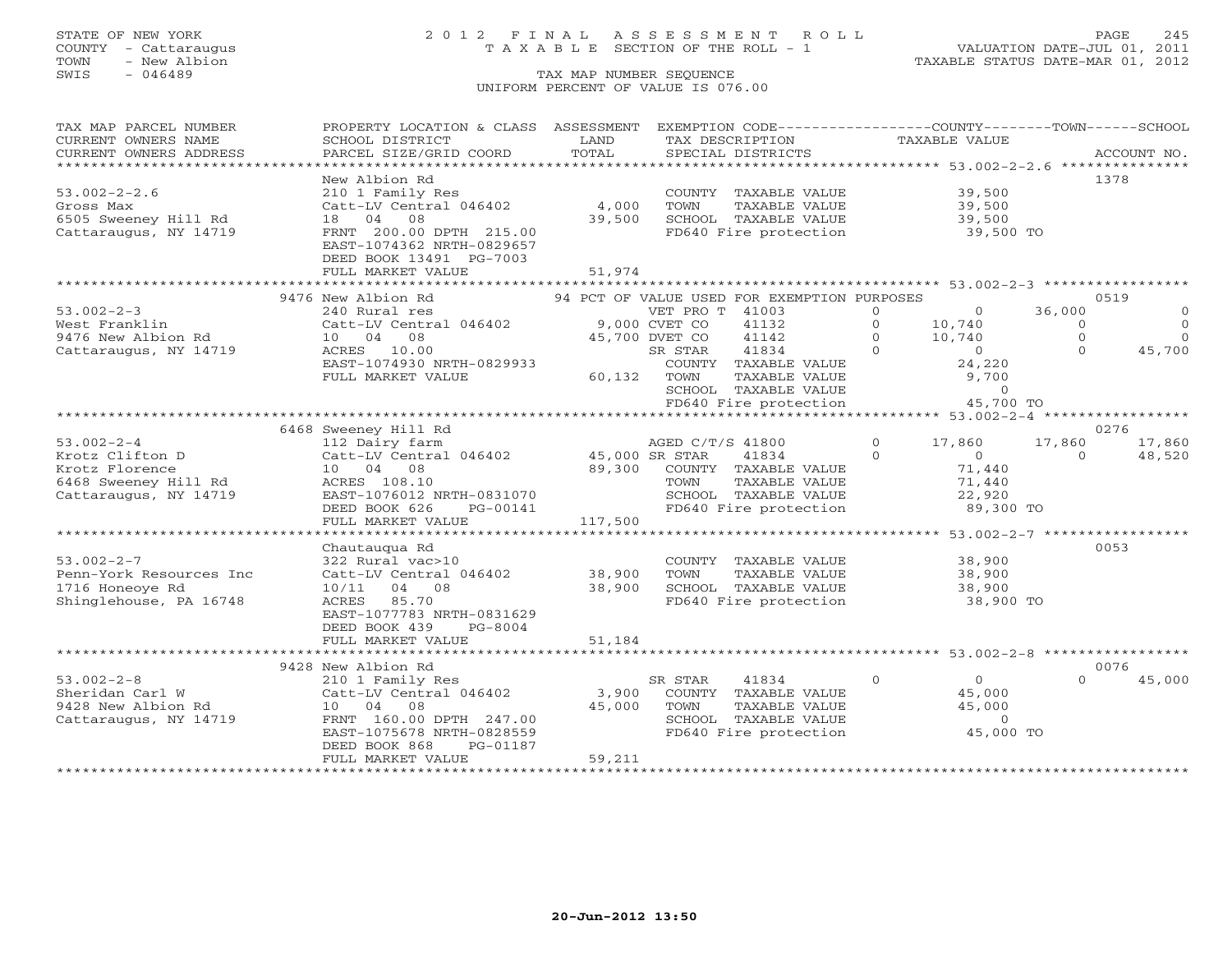### STATE OF NEW YORK 2 0 1 2 F I N A L A S S E S S M E N T R O L L PAGE 245 COUNTY - Cattaraugus T A X A B L E SECTION OF THE ROLL - 1 VALUATION DATE-JUL 01, 2011

| TAX MAP PARCEL NUMBER                                                  | PROPERTY LOCATION & CLASS ASSESSMENT EXEMPTION CODE----------------COUNTY-------TOWN------SCHOOL |               |                                                                                                                        |                                     |                                             |
|------------------------------------------------------------------------|--------------------------------------------------------------------------------------------------|---------------|------------------------------------------------------------------------------------------------------------------------|-------------------------------------|---------------------------------------------|
| CURRENT OWNERS NAME                                                    | SCHOOL DISTRICT                                                                                  | LAND          | TAX DESCRIPTION                                                                                                        | <b>TAXABLE VALUE</b>                |                                             |
| CURRENT OWNERS ADDRESS                                                 | PARCEL SIZE/GRID COORD                                                                           | TOTAL         | SPECIAL DISTRICTS                                                                                                      |                                     | ACCOUNT NO.                                 |
|                                                                        |                                                                                                  |               |                                                                                                                        |                                     | 1378                                        |
| $53.002 - 2 - 2.6$                                                     | New Albion Rd<br>210 1 Family Res                                                                |               | COUNTY TAXABLE VALUE 39,500                                                                                            |                                     |                                             |
| Gross Max                                                              | Catt-LV Central 046402                                                                           | 4,000         | TOWN<br>TAXABLE VALUE                                                                                                  | 39,500                              |                                             |
| 6505 Sweeney Hill Rd                                                   | 18  04  08                                                                                       | 39,500        | SCHOOL TAXABLE VALUE                                                                                                   | 39,500                              |                                             |
| Cattaraugus, NY 14719                                                  | FRNT 200.00 DPTH 215.00                                                                          |               | FD640 Fire protection                                                                                                  | 39,500 TO                           |                                             |
|                                                                        | EAST-1074362 NRTH-0829657                                                                        |               |                                                                                                                        |                                     |                                             |
|                                                                        | DEED BOOK 13491 PG-7003                                                                          |               |                                                                                                                        |                                     |                                             |
|                                                                        | FULL MARKET VALUE                                                                                | 51,974        |                                                                                                                        |                                     |                                             |
|                                                                        |                                                                                                  |               |                                                                                                                        |                                     |                                             |
|                                                                        | 9476 New Albion Rd                                                                               |               | 94 PCT OF VALUE USED FOR EXEMPTION PURPOSES                                                                            |                                     | 0519                                        |
| $53.002 - 2 - 3$                                                       | 240 Rural res                                                                                    |               | VET PRO T 41003                                                                                                        | $\Omega$<br>$\circ$                 | 36,000<br>$\circ$                           |
| West Franklin                                                          | Catt-LV Central 046402                                                                           | 9,000 CVET CO | 41132                                                                                                                  | 10,740<br>10,740<br>$\Omega$        | $\Omega$<br>$\Omega$<br>$\circ$<br>$\Omega$ |
| 9476 New Albion Rd<br>Cattaraugus, NY 14719                            | 10 04 08<br>ACRES 10.00                                                                          |               | 45,700 DVET CO<br>41142<br>$\overline{0}$<br>41834<br>SR STAR                                                          | 10,740<br>$\circ$<br>$\overline{0}$ | $\Omega$<br>45,700                          |
|                                                                        | EAST-1074930 NRTH-0829933                                                                        |               |                                                                                                                        |                                     |                                             |
|                                                                        | FULL MARKET VALUE                                                                                | 60,132 TOWN   | COUNTY TAXABLE VALUE $24,220$<br>TOWN TAXABLE VALUE 9,700<br>SCHOOL TAXABLE VALUE 0<br>FD640 Fire protection 45,700 TO |                                     |                                             |
|                                                                        |                                                                                                  |               |                                                                                                                        |                                     |                                             |
|                                                                        |                                                                                                  |               |                                                                                                                        |                                     |                                             |
|                                                                        |                                                                                                  |               |                                                                                                                        |                                     |                                             |
|                                                                        | 6468 Sweeney Hill Rd                                                                             |               |                                                                                                                        |                                     | 0276                                        |
| $53.002 - 2 - 4$                                                       | 112 Dairy farm                                                                                   |               | AGED C/T/S 41800                                                                                                       | $\overline{0}$<br>17,860            | 17,860<br>17,860                            |
| Krotz Clifton D                                                        | Catt-LV Central 046402 45,000 SR STAR                                                            |               | 41834                                                                                                                  | $\Omega$<br>$\overline{0}$          | $\Omega$<br>48,520                          |
| Krotz Florence 10 04 08<br>6468 Sweeney Hill Rd           ACRES 108.10 |                                                                                                  |               | 89,300 COUNTY TAXABLE VALUE<br>TOWN TAXABLE VALUE                                                                      | 71,440                              |                                             |
|                                                                        |                                                                                                  |               |                                                                                                                        | 71,440                              |                                             |
| Cattaraugus, NY 14719                                                  | EAST-1076012 NRTH-0831070<br>DEED BOOK 626<br>PG-00141                                           |               | SCHOOL TAXABLE VALUE<br>FD640 Fire protection                                                                          | 22,920<br>89,300 TO                 |                                             |
|                                                                        | FULL MARKET VALUE                                                                                | 117,500       |                                                                                                                        |                                     |                                             |
|                                                                        |                                                                                                  |               |                                                                                                                        |                                     |                                             |
|                                                                        | Chautaugua Rd                                                                                    |               |                                                                                                                        |                                     | 0053                                        |
| $53.002 - 2 - 7$                                                       | 322 Rural vac>10                                                                                 |               | COUNTY TAXABLE VALUE 38,900                                                                                            |                                     |                                             |
| Penn-York Resources Inc                                                | Catt-LV Central 046402                                                                           | 38,900        | TOWN      TAXABLE VALUE<br>SCHOOL   TAXABLE VALUE                                                                      | 38,900                              |                                             |
| 1716 Honeoye Rd                                                        | 10/11 04 08                                                                                      | 38,900        |                                                                                                                        | 38,900<br>38,900                    |                                             |
| Shinglehouse, PA 16748                                                 | ACRES 85.70                                                                                      |               | FD640 Fire protection                                                                                                  | 38,900 TO                           |                                             |
|                                                                        | EAST-1077783 NRTH-0831629                                                                        |               |                                                                                                                        |                                     |                                             |
|                                                                        | DEED BOOK 439<br>PG-8004                                                                         |               |                                                                                                                        |                                     |                                             |
|                                                                        | FULL MARKET VALUE                                                                                | 51,184        |                                                                                                                        |                                     |                                             |
|                                                                        | 9428 New Albion Rd                                                                               |               |                                                                                                                        |                                     | 0076                                        |
| $53.002 - 2 - 8$                                                       | 210 1 Family Res                                                                                 |               | SR STAR<br>41834                                                                                                       | $\circ$<br>$\Omega$                 | $\Omega$<br>45,000                          |
| Sheridan Carl W                                                        | Catt-LV Central 046402                                                                           | 3,900         | COUNTY TAXABLE VALUE                                                                                                   | 45,000                              |                                             |
|                                                                        | 10 04 08                                                                                         | 45,000        | TAXABLE VALUE<br>TOWN                                                                                                  | 45,000                              |                                             |
| 9428 New Albion Rd<br>Cattaraugus, NY 14719                            | FRNT 160.00 DPTH 247.00                                                                          |               | SCHOOL TAXABLE VALUE                                                                                                   | $\overline{0}$                      |                                             |
|                                                                        | EAST-1075678 NRTH-0828559                                                                        |               | FD640 Fire protection                                                                                                  | 45,000 TO                           |                                             |
|                                                                        | DEED BOOK 868<br>PG-01187                                                                        |               |                                                                                                                        |                                     |                                             |
|                                                                        | FULL MARKET VALUE                                                                                | 59,211        |                                                                                                                        |                                     |                                             |
|                                                                        |                                                                                                  |               |                                                                                                                        |                                     |                                             |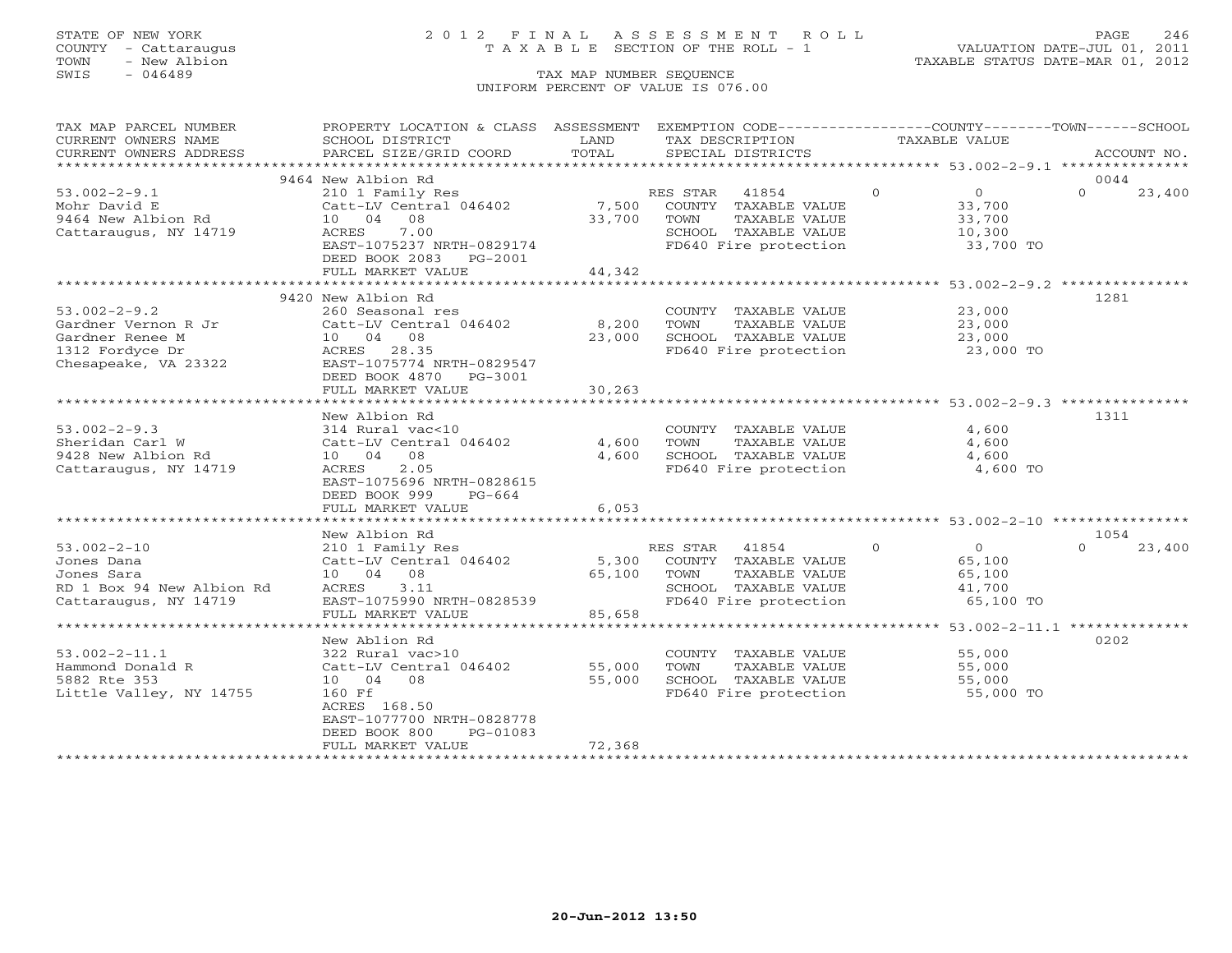## STATE OF NEW YORK 2 0 1 2 F I N A L A S S E S S M E N T R O L L PAGE 246 COUNTY - Cattaraugus T A X A B L E SECTION OF THE ROLL - 1 VALUATION DATE-JUL 01, 2011

| TAX MAP PARCEL NUMBER     | PROPERTY LOCATION & CLASS ASSESSMENT EXEMPTION CODE----------------COUNTY-------TOWN------SCHOOL |                     |                                               |                            |                                                               |
|---------------------------|--------------------------------------------------------------------------------------------------|---------------------|-----------------------------------------------|----------------------------|---------------------------------------------------------------|
| CURRENT OWNERS NAME       | SCHOOL DISTRICT                                                                                  | LAND                | TAX DESCRIPTION                               | TAXABLE VALUE              |                                                               |
| CURRENT OWNERS ADDRESS    | PARCEL SIZE/GRID COORD                                                                           | TOTAL               | SPECIAL DISTRICTS                             |                            | ACCOUNT NO.                                                   |
|                           |                                                                                                  |                     |                                               |                            |                                                               |
|                           | 9464 New Albion Rd                                                                               |                     |                                               |                            | 0044                                                          |
| $53.002 - 2 - 9.1$        | 210 1 Family Res                                                                                 |                     | RES STAR 41854                                | $\Omega$<br>$\overline{0}$ | $\Omega$<br>23,400                                            |
| Mohr David E              | Catt-LV Central 046402                                                                           |                     | 7,500 COUNTY TAXABLE VALUE                    | 33,700<br>33,700           |                                                               |
| $9464$ New Albion Rd      | 10 04 08                                                                                         | 33,700              | TOWN<br>TAXABLE VALUE                         | 33,700                     |                                                               |
| Cattaraugus, NY 14719     | 7.00<br>ACRES                                                                                    |                     | SCHOOL TAXABLE VALUE<br>FD640 Fire protection |                            |                                                               |
|                           | EAST-1075237 NRTH-0829174                                                                        |                     |                                               | $10,300$ TO 33,700 TO      |                                                               |
|                           | DEED BOOK 2083 PG-2001                                                                           |                     |                                               |                            |                                                               |
|                           | FULL MARKET VALUE                                                                                | 44,342              |                                               |                            |                                                               |
|                           |                                                                                                  |                     |                                               |                            |                                                               |
|                           | 9420 New Albion Rd                                                                               |                     |                                               |                            | 1281                                                          |
| $53.002 - 2 - 9.2$        | 260 Seasonal res                                                                                 |                     | COUNTY TAXABLE VALUE 23,000                   |                            |                                                               |
| Gardner Vernon R Jr       | Catt-LV Central 046402                                                                           | 8,200               | TOWN<br>TAXABLE VALUE                         | 23,000                     |                                                               |
| Gardner Renee M           | 10 04 08                                                                                         | 23,000              | SCHOOL TAXABLE VALUE                          | $\frac{23}{1000}$          |                                                               |
| 1312 Fordyce Dr           | ACRES 28.35                                                                                      |                     | FD640 Fire protection 23,000 TO               |                            |                                                               |
| Chesapeake, VA 23322      | EAST-1075774 NRTH-0829547                                                                        |                     |                                               |                            |                                                               |
|                           | DEED BOOK 4870 PG-3001                                                                           |                     |                                               |                            |                                                               |
|                           | FULL MARKET VALUE                                                                                | 30,263              |                                               |                            |                                                               |
|                           |                                                                                                  |                     |                                               |                            |                                                               |
|                           | New Albion Rd                                                                                    |                     |                                               |                            | 1311                                                          |
| $53.002 - 2 - 9.3$        | 314 Rural vac<10                                                                                 |                     | COUNTY TAXABLE VALUE                          | 4,600                      |                                                               |
| Sheridan Carl W           | Catt-LV Central 046402                                                                           | 4,600               | TOWN<br>TAXABLE VALUE                         |                            | 4,600                                                         |
| 9428 New Albion Rd        | 10 04 08                                                                                         | 4,600               | SCHOOL TAXABLE VALUE                          | 4,600                      |                                                               |
| Cattaraugus, NY 14719     | ACRES<br>2.05                                                                                    |                     | FD640 Fire protection                         |                            | 4,600 TO                                                      |
|                           | EAST-1075696 NRTH-0828615                                                                        |                     |                                               |                            |                                                               |
|                           | DEED BOOK 999<br>PG-664                                                                          |                     |                                               |                            |                                                               |
|                           | FULL MARKET VALUE                                                                                | 6,053               |                                               |                            |                                                               |
|                           |                                                                                                  |                     |                                               |                            |                                                               |
|                           | New Albion Rd                                                                                    |                     |                                               |                            | 1054                                                          |
| $53.002 - 2 - 10$         | 210 1 Family Res                                                                                 |                     | RES STAR 41854                                | $\circ$                    | $\overline{O}$<br>$\Omega$<br>23,400                          |
| Jones Dana                | Catt-LV Central 046402                                                                           | 5,300               | COUNTY TAXABLE VALUE                          | 65,100                     |                                                               |
| Jones Sara                | 10 04 08                                                                                         | 65,100              | TAXABLE VALUE<br>TOWN                         | 65,100                     |                                                               |
| RD 1 Box 94 New Albion Rd | ACRES 3.11                                                                                       |                     | SCHOOL TAXABLE VALUE                          | 41,700                     |                                                               |
| Cattaraugus, NY 14719     | EAST-1075990 NRTH-0828539                                                                        |                     | FD640 Fire protection                         |                            | 65,100 TO                                                     |
|                           | FULL MARKET VALUE                                                                                | 85,658              |                                               |                            |                                                               |
|                           |                                                                                                  | <b>++++++++++++</b> |                                               |                            | ******************************** 53.002-2-11.1 ************** |
|                           | New Ablion Rd                                                                                    |                     |                                               |                            | 0202                                                          |
| $53.002 - 2 - 11.1$       | 322 Rural vac>10                                                                                 |                     | COUNTY TAXABLE VALUE 55,000                   |                            |                                                               |
| Hammond Donald R          | Catt-LV Central 046402                                                                           | 55,000              | TOWN<br>TAXABLE VALUE                         | 55,000                     |                                                               |
| 5882 Rte 353              | 10 04 08                                                                                         | 55,000              | SCHOOL TAXABLE VALUE                          | 55,000                     |                                                               |
| Little Valley, NY 14755   | 160 Ff                                                                                           |                     | FD640 Fire protection                         |                            | 55,000 TO                                                     |
|                           | ACRES 168.50                                                                                     |                     |                                               |                            |                                                               |
|                           | EAST-1077700 NRTH-0828778                                                                        |                     |                                               |                            |                                                               |
|                           | DEED BOOK 800<br>PG-01083                                                                        |                     |                                               |                            |                                                               |
|                           | FULL MARKET VALUE                                                                                | 72,368              |                                               |                            |                                                               |
|                           |                                                                                                  |                     |                                               |                            |                                                               |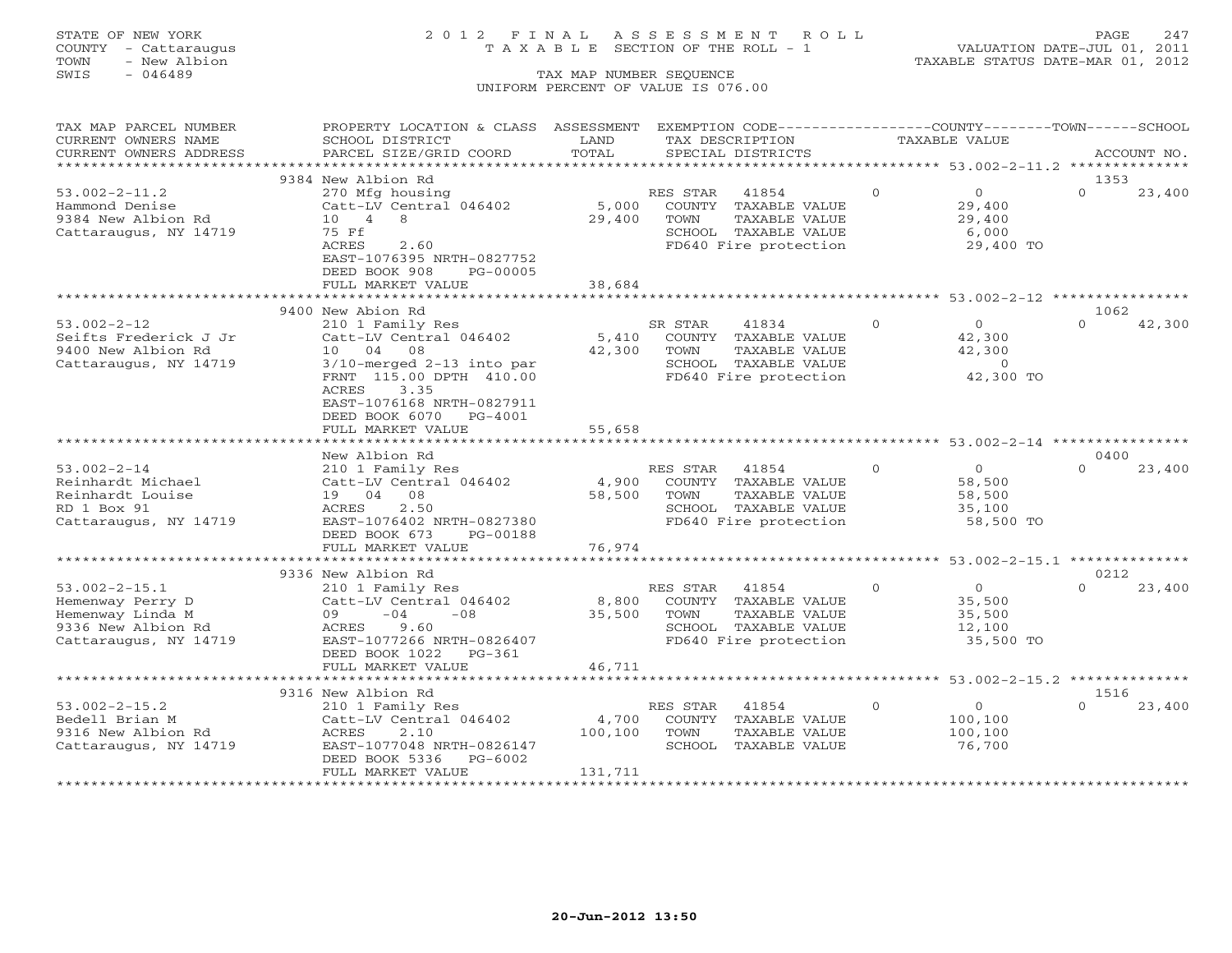## STATE OF NEW YORK 2 0 1 2 F I N A L A S S E S S M E N T R O L L PAGE 247 COUNTY - Cattaraugus T A X A B L E SECTION OF THE ROLL - 1 VALUATION DATE-JUL 01, 2011

TOWN - New Albion TAXABLE STATUS DATE-MAR 01, 2012

| TAX MAP PARCEL NUMBER           | PROPERTY LOCATION & CLASS ASSESSMENT             |                          |          | EXEMPTION CODE----------------COUNTY-------TOWN------SCHOOL       |          |                  |                  |             |
|---------------------------------|--------------------------------------------------|--------------------------|----------|-------------------------------------------------------------------|----------|------------------|------------------|-------------|
| CURRENT OWNERS NAME             | SCHOOL DISTRICT                                  | LAND                     |          | TAX DESCRIPTION                                                   |          | TAXABLE VALUE    |                  |             |
| CURRENT OWNERS ADDRESS          | PARCEL SIZE/GRID COORD                           | TOTAL                    |          | SPECIAL DISTRICTS                                                 |          |                  |                  | ACCOUNT NO. |
|                                 |                                                  |                          |          |                                                                   |          |                  |                  |             |
|                                 | 9384 New Albion Rd                               |                          |          |                                                                   |          |                  | 1353             |             |
| $53.002 - 2 - 11.2$             | 270 Mfg housing                                  |                          | RES STAR | 41854                                                             | $\circ$  | $\overline{0}$   | $\Omega$         | 23,400      |
| Hammond Denise                  | Catt-LV Central 046402                           | 5,000                    |          | COUNTY TAXABLE VALUE                                              |          | 29,400           |                  |             |
| 9384 New Albion Rd              | $10 \quad 4$<br>- 8                              | 29,400                   | TOWN     | TAXABLE VALUE                                                     |          | 29,400           |                  |             |
| Cattaraugus, NY 14719           | 75 Ff                                            |                          |          | SCHOOL TAXABLE VALUE                                              |          | 6,000            |                  |             |
|                                 | ACRES<br>2.60                                    |                          |          | FD640 Fire protection                                             |          | 29,400 TO        |                  |             |
|                                 | EAST-1076395 NRTH-0827752                        |                          |          |                                                                   |          |                  |                  |             |
|                                 | DEED BOOK 908<br>PG-00005                        |                          |          |                                                                   |          |                  |                  |             |
|                                 | FULL MARKET VALUE                                | 38,684                   |          |                                                                   |          |                  |                  |             |
|                                 |                                                  |                          |          |                                                                   |          |                  |                  |             |
|                                 | 9400 New Abion Rd                                |                          |          |                                                                   |          |                  | 1062             |             |
| $53.002 - 2 - 12$               | 210 1 Family Res                                 |                          | SR STAR  | 41834                                                             | $\Omega$ | $\Omega$         | $\Omega$         | 42,300      |
| Seifts Frederick J Jr           | Catt-LV Central 046402                           | 5,410                    |          | COUNTY TAXABLE VALUE                                              |          | 42,300           |                  |             |
| 9400 New Albion Rd              | 10 04 08                                         | 42,300                   | TOWN     | TAXABLE VALUE                                                     |          | 42,300           |                  |             |
| Cattaraugus, NY 14719           | $3/10$ -merged 2-13 into par                     |                          |          | SCHOOL TAXABLE VALUE                                              |          | $\overline{0}$   |                  |             |
|                                 | FRNT 115.00 DPTH 410.00                          |                          |          | FD640 Fire protection                                             |          | 42,300 TO        |                  |             |
|                                 | 3.35<br>ACRES                                    |                          |          |                                                                   |          |                  |                  |             |
|                                 | EAST-1076168 NRTH-0827911                        |                          |          |                                                                   |          |                  |                  |             |
|                                 | DEED BOOK 6070 PG-4001                           |                          |          |                                                                   |          |                  |                  |             |
|                                 | FULL MARKET VALUE<br>*************************** | 55,658<br>************** |          | *********************************** 53.002-2-14 ***************** |          |                  |                  |             |
|                                 |                                                  |                          |          |                                                                   |          |                  |                  |             |
|                                 | New Albion Rd                                    |                          |          |                                                                   | $\Omega$ |                  | 0400<br>$\Omega$ |             |
| $53.002 - 2 - 14$               | 210 1 Family Res                                 |                          | RES STAR | 41854                                                             |          | $\overline{0}$   |                  | 23,400      |
| Reinhardt Michael               | Catt-LV Central 046402                           | 4,900                    |          | COUNTY TAXABLE VALUE                                              |          | 58,500           |                  |             |
| Reinhardt Louise<br>RD 1 Box 91 | 19 04 08<br>2.50<br>ACRES                        | 58,500                   | TOWN     | TAXABLE VALUE<br>SCHOOL TAXABLE VALUE                             |          | 58,500<br>35,100 |                  |             |
| Cattaraugus, NY 14719           | EAST-1076402 NRTH-0827380                        |                          |          | FD640 Fire protection                                             |          | 58,500 TO        |                  |             |
|                                 | DEED BOOK 673<br>PG-00188                        |                          |          |                                                                   |          |                  |                  |             |
|                                 | FULL MARKET VALUE                                | 76,974                   |          |                                                                   |          |                  |                  |             |
|                                 |                                                  |                          |          |                                                                   |          |                  |                  |             |
|                                 | 9336 New Albion Rd                               |                          |          |                                                                   |          |                  | 0212             |             |
| $53.002 - 2 - 15.1$             | 210 1 Family Res                                 |                          | RES STAR | 41854                                                             | $\circ$  | $\overline{0}$   | $\Omega$         | 23,400      |
| Hemenway Perry D                | Catt-LV Central 046402                           | 8,800                    |          | COUNTY TAXABLE VALUE                                              |          | 35,500           |                  |             |
| Hemenway Linda M                | $-04$<br>$-0.8$<br>09                            | 35,500                   | TOWN     | TAXABLE VALUE                                                     |          | 35,500           |                  |             |
| 9336 New Albion Rd              | ACRES<br>9.60                                    |                          |          | SCHOOL TAXABLE VALUE                                              |          | 12,100           |                  |             |
| Cattaraugus, NY 14719           | EAST-1077266 NRTH-0826407                        |                          |          | FD640 Fire protection                                             |          | 35,500 TO        |                  |             |
|                                 | DEED BOOK 1022<br>PG-361                         |                          |          |                                                                   |          |                  |                  |             |
|                                 | FULL MARKET VALUE                                | 46,711                   |          |                                                                   |          |                  |                  |             |
|                                 |                                                  |                          |          |                                                                   |          |                  |                  |             |
|                                 | 9316 New Albion Rd                               |                          |          |                                                                   |          |                  | 1516             |             |
| $53.002 - 2 - 15.2$             | 210 1 Family Res                                 |                          | RES STAR | 41854                                                             | $\Omega$ | $\overline{0}$   | $\cap$           | 23,400      |
| Bedell Brian M                  | Catt-LV Central 046402                           | 4,700                    | COUNTY   | TAXABLE VALUE                                                     |          | 100,100          |                  |             |
| 9316 New Albion Rd              | ACRES<br>2.10                                    | 100,100                  | TOWN     | TAXABLE VALUE                                                     |          | 100,100          |                  |             |
| Cattaraugus, NY 14719           | EAST-1077048 NRTH-0826147                        |                          |          | SCHOOL TAXABLE VALUE                                              |          | 76,700           |                  |             |
|                                 | DEED BOOK 5336<br>PG-6002                        |                          |          |                                                                   |          |                  |                  |             |
|                                 | FULL MARKET VALUE                                | 131,711                  |          |                                                                   |          |                  |                  |             |
|                                 |                                                  |                          |          |                                                                   |          |                  |                  |             |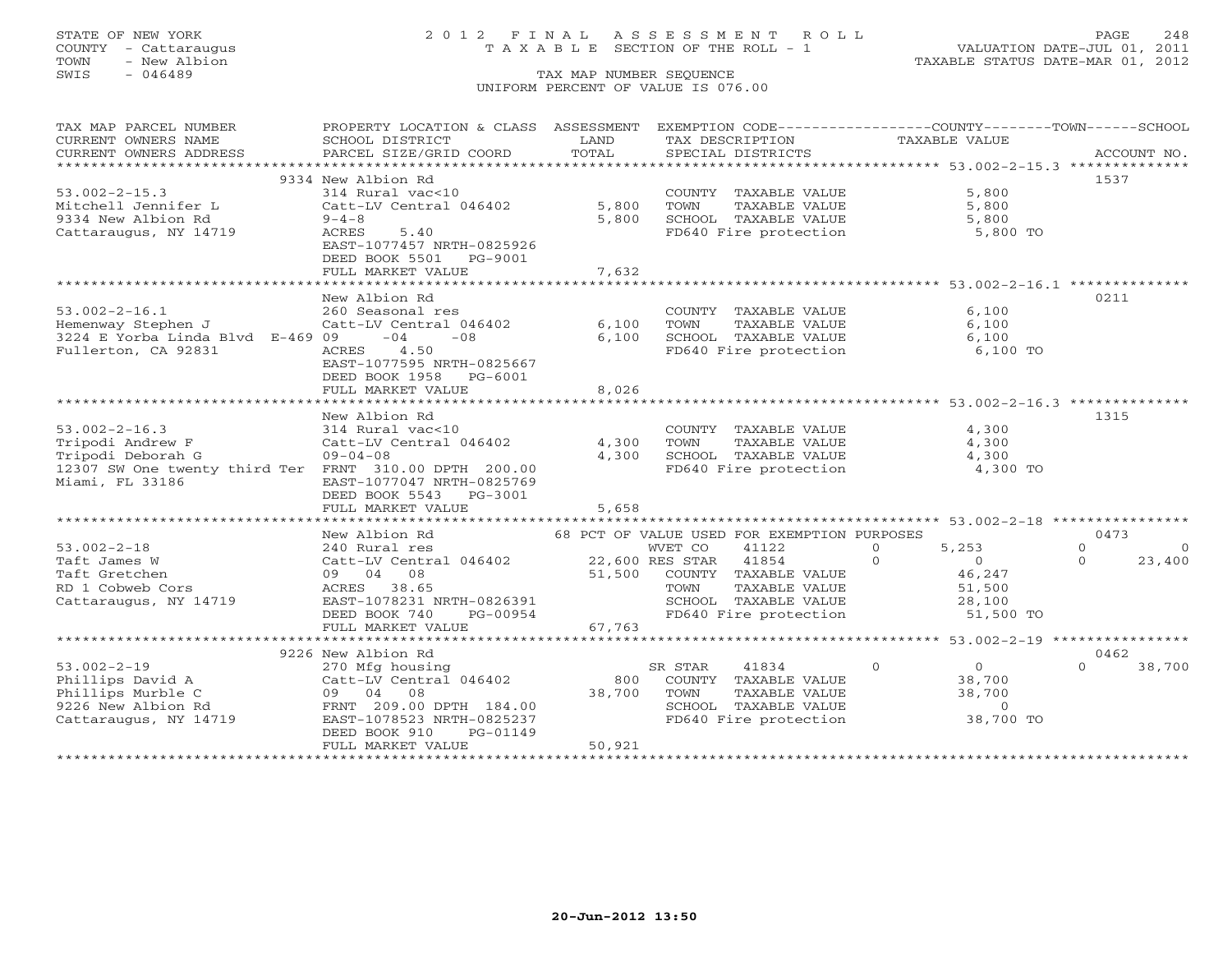COUNTY - Cattaraugus T A X A B L E SECTION OF THE ROLL - 1<br>TOWN - New Albion<br>SWIS - 046489 TAX MAP NUMBER SEQUENCE

# STATE OF NEW YORK 2 0 1 2 F I N A L A S S E S S M E N T R O L L PAGE 248

VALUATION DATE-JUL 01, 2011 TAXABLE STATUS DATE-MAR 01, 2012

### TAX MAP NUMBER SEQUENCE UNIFORM PERCENT OF VALUE IS 076.00

| TAX MAP PARCEL NUMBER                                 | PROPERTY LOCATION & CLASS ASSESSMENT EXEMPTION CODE----------------COUNTY-------TOWN------SCHOOL |         |                                             |                            |                            |
|-------------------------------------------------------|--------------------------------------------------------------------------------------------------|---------|---------------------------------------------|----------------------------|----------------------------|
| CURRENT OWNERS NAME                                   | SCHOOL DISTRICT                                                                                  | LAND    | TAX DESCRIPTION                             | TAXABLE VALUE              |                            |
| CURRENT OWNERS ADDRESS                                | PARCEL SIZE/GRID COORD                                                                           | TOTAL   | SPECIAL DISTRICTS                           |                            | ACCOUNT NO.                |
|                                                       |                                                                                                  |         |                                             |                            |                            |
|                                                       | 9334 New Albion Rd                                                                               |         |                                             |                            | 1537                       |
| $53.002 - 2 - 15.3$                                   | 314 Rural vac<10                                                                                 |         | COUNTY TAXABLE VALUE                        | 5,800                      |                            |
| Mitchell Jennifer L                                   | Catt-LV Central 046402                                                                           | 5,800   | TOWN<br>TAXABLE VALUE                       | 5,800                      |                            |
| 9334 New Albion Rd                                    | $9 - 4 - 8$                                                                                      | 5,800   | SCHOOL TAXABLE VALUE                        | 5,800                      |                            |
| Cattaraugus, NY 14719                                 | 5.40<br>ACRES                                                                                    |         | FD640 Fire protection 5,800 TO              |                            |                            |
|                                                       | EAST-1077457 NRTH-0825926                                                                        |         |                                             |                            |                            |
|                                                       | DEED BOOK 5501<br>PG-9001                                                                        |         |                                             |                            |                            |
|                                                       | FULL MARKET VALUE                                                                                | 7,632   |                                             |                            |                            |
|                                                       | New Albion Rd                                                                                    |         |                                             |                            | 0211                       |
| $53.002 - 2 - 16.1$                                   | 260 Seasonal res                                                                                 |         | COUNTY TAXABLE VALUE                        | 6,100                      |                            |
| Hemenway Stephen J                                    | Catt-LV Central 046402                                                                           | 6,100   | TOWN<br>TAXABLE VALUE                       | 6,100                      |                            |
| 3224 E Yorba Linda Blvd E-469 09                      | $-04$<br>$-08$                                                                                   | 6,100   | SCHOOL TAXABLE VALUE                        | 6,100                      |                            |
| Fullerton, CA 92831                                   | 4.50<br>ACRES                                                                                    |         | FD640 Fire protection                       | 6,100 TO                   |                            |
|                                                       | EAST-1077595 NRTH-0825667                                                                        |         |                                             |                            |                            |
|                                                       | DEED BOOK 1958<br>PG-6001                                                                        |         |                                             |                            |                            |
|                                                       | FULL MARKET VALUE                                                                                | 8,026   |                                             |                            |                            |
|                                                       |                                                                                                  |         |                                             |                            |                            |
|                                                       | New Albion Rd                                                                                    |         |                                             |                            | 1315                       |
| $53.002 - 2 - 16.3$                                   | 314 Rural vac<10                                                                                 |         | COUNTY TAXABLE VALUE                        | 4,300                      |                            |
| Tripodi Andrew F                                      | Catt-LV Central 046402                                                                           | 4,300   | TOWN<br>TAXABLE VALUE                       | 4,300                      |                            |
| Tripodi Deborah G                                     | $09 - 04 - 08$                                                                                   | 4,300   | SCHOOL TAXABLE VALUE                        | 4,300                      |                            |
| 12307 SW One twenty third Ter FRNT 310.00 DPTH 200.00 |                                                                                                  |         | FD640 Fire protection                       | 4,300 TO                   |                            |
| Miami, FL 33186                                       | EAST-1077047 NRTH-0825769                                                                        |         |                                             |                            |                            |
|                                                       | DEED BOOK 5543 PG-3001                                                                           |         |                                             |                            |                            |
|                                                       | FULL MARKET VALUE                                                                                | 5,658   |                                             |                            |                            |
|                                                       |                                                                                                  |         |                                             |                            |                            |
|                                                       | New Albion Rd                                                                                    |         | 68 PCT OF VALUE USED FOR EXEMPTION PURPOSES |                            | 0473                       |
| $53.002 - 2 - 18$                                     | 240 Rural res                                                                                    |         | WVET CO<br>41122                            | 5,253<br>$\circ$           | $\Omega$<br>$\overline{0}$ |
| Taft James W                                          | Catt-LV Central 046402 22,600 RES STAR 41854                                                     |         |                                             | $\Omega$<br>$\overline{0}$ | $\Omega$<br>23,400         |
| Taft Gretchen                                         | 09 04 08                                                                                         | 51,500  | COUNTY TAXABLE VALUE                        | 46,247                     |                            |
| RD 1 Cobweb Cors                                      | ACRES 38.65                                                                                      |         | TAXABLE VALUE<br>TOWN                       | 51,500                     |                            |
| Cattaraugus, NY 14719                                 | EAST-1078231 NRTH-0826391<br>EAST-1078231 NRTH-0826391                                           |         | SCHOOL TAXABLE VALUE                        | 28,100                     |                            |
|                                                       | DEED BOOK 740<br>PG-00954                                                                        |         | FD640 Fire protection                       | 51,500 TO                  |                            |
|                                                       | FULL MARKET VALUE                                                                                | 67, 763 |                                             |                            |                            |
|                                                       |                                                                                                  |         |                                             |                            |                            |
|                                                       | 9226 New Albion Rd                                                                               |         |                                             |                            | 0462                       |
| $53.002 - 2 - 19$                                     | 270 Mfg housing                                                                                  |         | 41834<br>SR STAR                            | $\overline{0}$<br>$\Omega$ | $\Omega$<br>38,700         |
| Phillips David A                                      | Catt-LV Central 046402                                                                           | 800     | COUNTY TAXABLE VALUE                        | 38,700                     |                            |
| Phillips Murble C                                     | 09 04 08                                                                                         | 38,700  | TAXABLE VALUE<br>TOWN                       | 38,700                     |                            |
| 9226 New Albion Rd                                    | FRNT 209.00 DPTH 184.00                                                                          |         | SCHOOL TAXABLE VALUE                        | $\overline{0}$             |                            |
| Cattaraugus, NY 14719                                 | EAST-1078523 NRTH-0825237                                                                        |         | FD640 Fire protection                       | 38,700 TO                  |                            |
|                                                       | DEED BOOK 910<br>PG-01149<br>FULL MARKET VALUE                                                   | 50,921  |                                             |                            |                            |
|                                                       |                                                                                                  |         |                                             |                            |                            |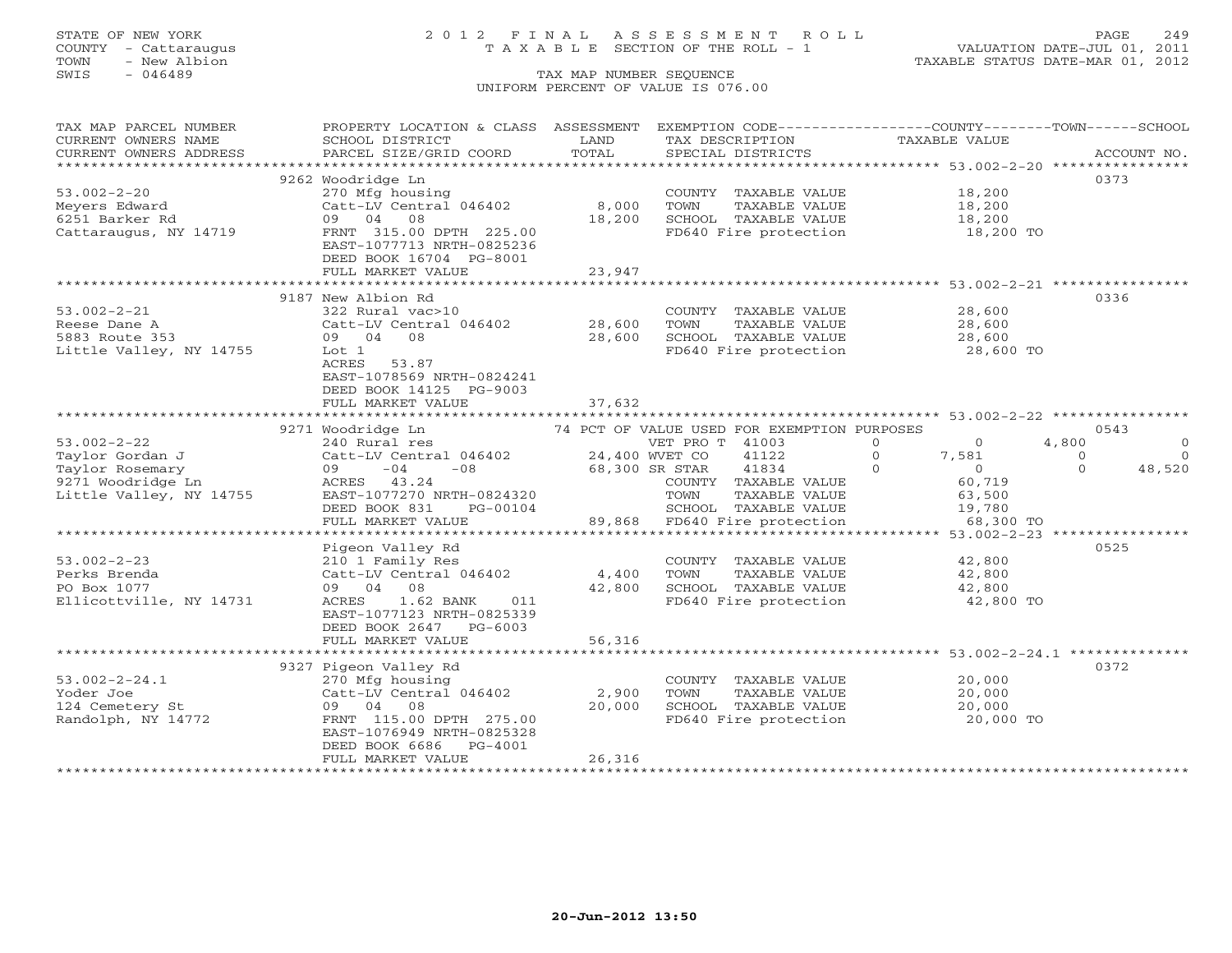## STATE OF NEW YORK 2 0 1 2 F I N A L A S S E S S M E N T R O L L PAGE 249 COUNTY - Cattaraugus T A X A B L E SECTION OF THE ROLL - 1 VALUATION DATE-JUL 01, 2011

| TAX MAP PARCEL NUMBER                                              | PROPERTY LOCATION & CLASS ASSESSMENT        |        | EXEMPTION CODE-----------------COUNTY-------TOWN------SCHOOL                      |                                                                |                            |
|--------------------------------------------------------------------|---------------------------------------------|--------|-----------------------------------------------------------------------------------|----------------------------------------------------------------|----------------------------|
| CURRENT OWNERS NAME                                                | SCHOOL DISTRICT                             | LAND   | TAX DESCRIPTION                                                                   | TAXABLE VALUE                                                  |                            |
| CURRENT OWNERS ADDRESS                                             | PARCEL SIZE/GRID COORD                      | TOTAL  | SPECIAL DISTRICTS                                                                 |                                                                | ACCOUNT NO.                |
|                                                                    |                                             |        |                                                                                   |                                                                |                            |
|                                                                    | 9262 Woodridge Ln                           |        |                                                                                   |                                                                | 0373                       |
| $53.002 - 2 - 20$                                                  | 270 Mfg housing                             |        | COUNTY TAXABLE VALUE                                                              | 18,200                                                         |                            |
| Meyers Edward                                                      | Catt-LV Central 046402                      | 8,000  | TOWN<br>TAXABLE VALUE                                                             | 18,200                                                         |                            |
| 6251 Barker Rd                                                     | 09 04 08                                    | 18,200 | SCHOOL TAXABLE VALUE                                                              |                                                                |                            |
| Cattaraugus, NY 14719                                              | FRNT 315.00 DPTH 225.00                     |        | FD640 Fire protection                                                             | 18,200<br>18,200 TO                                            |                            |
|                                                                    | EAST-1077713 NRTH-0825236                   |        |                                                                                   |                                                                |                            |
|                                                                    | DEED BOOK 16704 PG-8001                     |        |                                                                                   |                                                                |                            |
|                                                                    | FULL MARKET VALUE                           | 23,947 |                                                                                   |                                                                |                            |
|                                                                    |                                             |        |                                                                                   |                                                                |                            |
|                                                                    |                                             |        |                                                                                   |                                                                |                            |
|                                                                    | 9187 New Albion Rd                          |        |                                                                                   |                                                                | 0336                       |
| $53.002 - 2 - 21$                                                  | 322 Rural vac>10                            |        | COUNTY TAXABLE VALUE                                                              | 28,600                                                         |                            |
| Reese Dane A                                                       | Catt-LV Central 046402 28,600               |        | TOWN                                                                              | TAXABLE VALUE 28,600                                           |                            |
| 5883 Route 353                                                     | 09 04 08                                    | 28,600 |                                                                                   | SCHOOL TAXABLE VALUE 28,600<br>FD640 Fire protection 28,600 TO |                            |
| Little Valley, NY 14755                                            | Lot 1                                       |        |                                                                                   |                                                                |                            |
|                                                                    | ACRES 53.87                                 |        |                                                                                   |                                                                |                            |
|                                                                    | EAST-1078569 NRTH-0824241                   |        |                                                                                   |                                                                |                            |
|                                                                    | DEED BOOK 14125 PG-9003                     |        |                                                                                   |                                                                |                            |
|                                                                    | FULL MARKET VALUE                           | 37,632 |                                                                                   |                                                                |                            |
|                                                                    |                                             |        |                                                                                   |                                                                |                            |
|                                                                    | 9271 Woodridge Ln                           |        |                                                                                   |                                                                | 0543                       |
| $53.002 - 2 - 22$                                                  | 240 Rural res                               |        | 74 PCT OF VALUE USED FOR EXEMPTION PURPOSES<br>VET PRO T 41003<br>VET PRO T 41003 | $\circ$<br>$\sim$ 0                                            | $\circ$<br>4,800           |
|                                                                    | Catt-LV Central 046402 24,400 WVET CO 41122 |        |                                                                                   | $\Omega$<br>7,581                                              | $\overline{a}$<br>$\Omega$ |
| Journal<br>Taylor Gordan J<br>Taylor Rosemary<br>9271 Woodridge Ln | $09 -04 -08$                                |        | 68,300 SR STAR 41834                                                              | $\Omega$<br>$\overline{0}$                                     | 48,520<br>$\Omega$         |
|                                                                    | ACRES 43.24                                 |        | COUNTY TAXABLE VALUE                                                              | 60,719                                                         |                            |
| Little Valley, NY 14755                                            | EAST-1077270 NRTH-0824320                   |        | TAXABLE VALUE<br>TOWN                                                             | 63,500                                                         |                            |
|                                                                    | DEED BOOK 831<br>PG-00104                   |        | SCHOOL TAXABLE VALUE                                                              | 19,780                                                         |                            |
|                                                                    | FULL MARKET VALUE                           |        | 89,868 FD640 Fire protection                                                      | 68,300 TO                                                      |                            |
|                                                                    |                                             |        |                                                                                   |                                                                |                            |
|                                                                    |                                             |        |                                                                                   |                                                                |                            |
|                                                                    | Pigeon Valley Rd                            |        |                                                                                   |                                                                | 0525                       |
| $53.002 - 2 - 23$                                                  | 210 1 Family Res                            |        | COUNTY TAXABLE VALUE 42,800                                                       |                                                                |                            |
| Perks Brenda                                                       | Catt-LV Central 046402                      |        | 4,400 TOWN<br>TOWN      TAXABLE VALUE<br>SCHOOL   TAXABLE VALUE                   | 42,800                                                         |                            |
| PO Box 1077                                                        | 09 04 08                                    | 42,800 |                                                                                   | 42,800                                                         |                            |
| Ellicottville, NY 14731                                            | 1.62 BANK 011<br>ACRES                      |        | FD640 Fire protection                                                             | 42,800 TO                                                      |                            |
|                                                                    | EAST-1077123 NRTH-0825339                   |        |                                                                                   |                                                                |                            |
|                                                                    | DEED BOOK 2647 PG-6003                      |        |                                                                                   |                                                                |                            |
|                                                                    | FULL MARKET VALUE                           | 56,316 |                                                                                   |                                                                |                            |
|                                                                    |                                             |        |                                                                                   |                                                                |                            |
|                                                                    | 9327 Pigeon Valley Rd                       |        |                                                                                   |                                                                | 0372                       |
| $53.002 - 2 - 24.1$                                                | 270 Mfg housing                             |        | COUNTY TAXABLE VALUE<br>TOWN      TAXABLE VALUE                                   | 20,000<br>20,000                                               |                            |
| Yoder Joe                                                          | $Cat-LV$ Central $046402$ 2,900             |        |                                                                                   |                                                                |                            |
| 124 Cemetery St<br>Randolph, NY 14772                              | 09 04 08                                    | 20,000 |                                                                                   |                                                                |                            |
|                                                                    | FRNT 115.00 DPTH 275.00                     |        | SCHOOL TAXABLE VALUE<br>FD640 Fire protection                                     | 20,000<br>20,000 TO                                            |                            |
|                                                                    | EAST-1076949 NRTH-0825328                   |        |                                                                                   |                                                                |                            |
|                                                                    | DEED BOOK 6686<br>PG-4001                   |        |                                                                                   |                                                                |                            |
|                                                                    | FULL MARKET VALUE                           | 26,316 |                                                                                   |                                                                |                            |
|                                                                    |                                             |        |                                                                                   |                                                                |                            |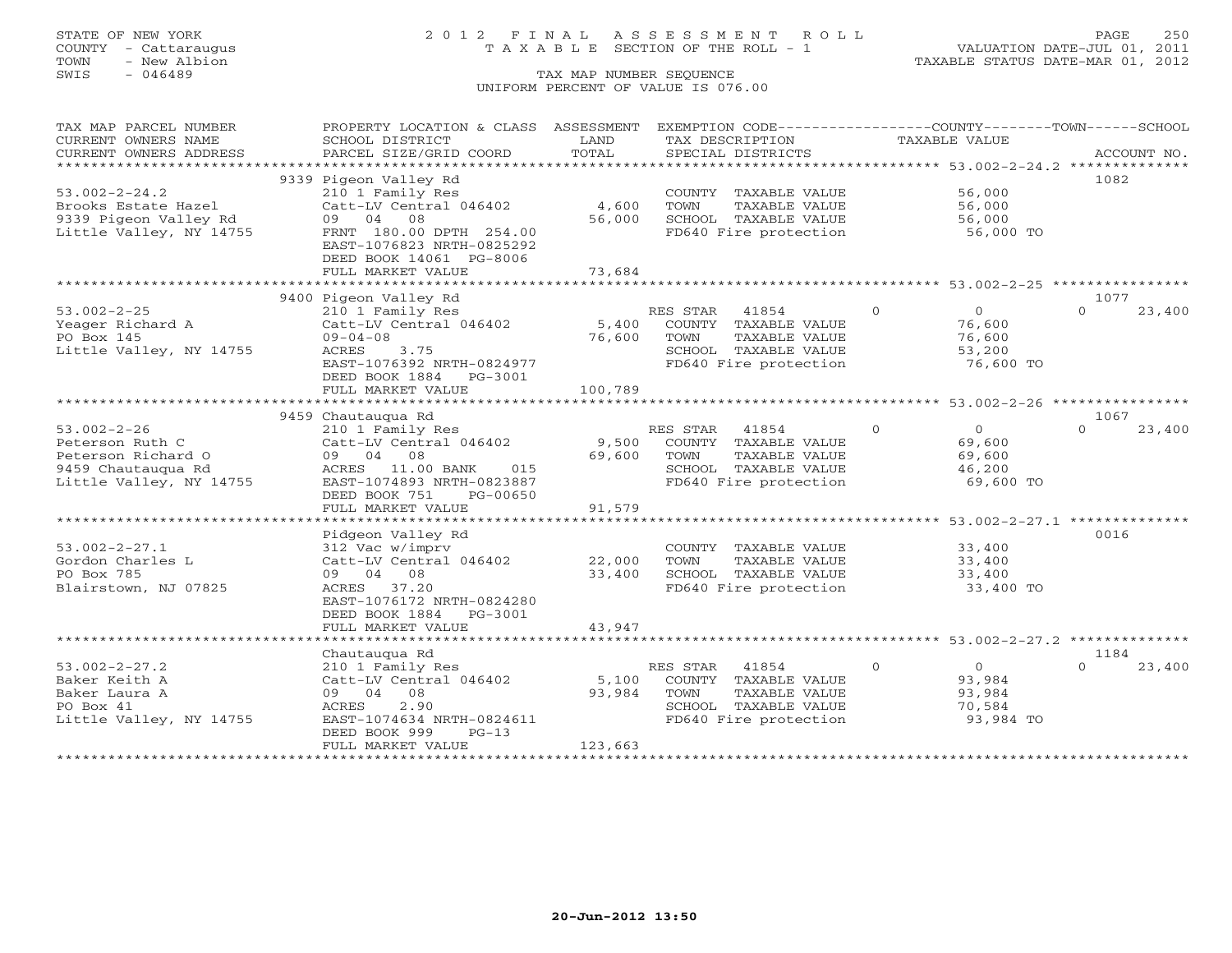## STATE OF NEW YORK 2 0 1 2 F I N A L A S S E S S M E N T R O L L PAGE 250 COUNTY - Cattaraugus T A X A B L E SECTION OF THE ROLL - 1 VALUATION DATE-JUL 01, 2011

| TAX MAP PARCEL NUMBER   | PROPERTY LOCATION & CLASS ASSESSMENT                 |         | EXEMPTION CODE----------------COUNTY-------TOWN------SCHOOL |                            |                    |
|-------------------------|------------------------------------------------------|---------|-------------------------------------------------------------|----------------------------|--------------------|
| CURRENT OWNERS NAME     | SCHOOL DISTRICT                                      | LAND    | TAX DESCRIPTION                                             | TAXABLE VALUE              |                    |
| CURRENT OWNERS ADDRESS  | PARCEL SIZE/GRID COORD                               | TOTAL   | SPECIAL DISTRICTS                                           |                            | ACCOUNT NO.        |
|                         |                                                      |         |                                                             |                            |                    |
|                         | 9339 Pigeon Valley Rd                                |         |                                                             |                            | 1082               |
| $53.002 - 2 - 24.2$     | 210 1 Family Res                                     |         | COUNTY TAXABLE VALUE                                        | 56,000                     |                    |
| Brooks Estate Hazel     | Catt-LV Central 046402                               | 4,600   | TOWN<br>TAXABLE VALUE                                       | 56,000                     |                    |
| 9339 Pigeon Valley Rd   | 09 04 08                                             | 56,000  | SCHOOL TAXABLE VALUE                                        | 56,000                     |                    |
| Little Valley, NY 14755 | FRNT 180.00 DPTH 254.00<br>EAST-1076823 NRTH-0825292 |         | FD640 Fire protection                                       | 56,000 TO                  |                    |
|                         | DEED BOOK 14061 PG-8006                              |         |                                                             |                            |                    |
|                         | FULL MARKET VALUE                                    | 73,684  |                                                             |                            |                    |
|                         |                                                      |         |                                                             |                            |                    |
|                         | 9400 Pigeon Valley Rd                                |         |                                                             |                            | 1077               |
| $53.002 - 2 - 25$       | 210 1 Family Res                                     |         | RES STAR 41854                                              | $\Omega$<br>$\overline{0}$ | 23,400<br>$\Omega$ |
| Yeager Richard A        | Catt-LV Central 046402                               |         | 5,400 COUNTY TAXABLE VALUE                                  | 76,600                     |                    |
| PO Box 145              | $09 - 04 - 08$                                       | 76,600  | TOWN<br>TAXABLE VALUE                                       | 76,600                     |                    |
| Little Valley, NY 14755 | ACRES 3.75                                           |         | SCHOOL TAXABLE VALUE                                        | 53,200                     |                    |
|                         | EAST-1076392 NRTH-0824977                            |         | FD640 Fire protection                                       | 76,600 TO                  |                    |
|                         | DEED BOOK 1884 PG-3001                               |         |                                                             |                            |                    |
|                         | FULL MARKET VALUE                                    | 100,789 |                                                             |                            |                    |
|                         |                                                      |         |                                                             |                            |                    |
|                         | 9459 Chautaugua Rd                                   |         |                                                             |                            | 1067               |
| $53.002 - 2 - 26$       | 210 1 Family Res                                     |         | RES STAR 41854                                              | $\Omega$<br>$\Omega$       | $\Omega$<br>23,400 |
| Peterson Ruth C         | Catt-LV Central 046402                               |         | 9,500 COUNTY TAXABLE VALUE                                  | 69,600                     |                    |
| Peterson Richard O      | 09 04 08                                             | 69,600  | TOWN<br>TAXABLE VALUE                                       | 69,600                     |                    |
| 9459 Chautaugua Rd      | ACRES 11.00 BANK 015                                 |         | SCHOOL TAXABLE VALUE                                        | 46,200                     |                    |
| Little Valley, NY 14755 | EAST-1074893 NRTH-0823887                            |         | FD640 Fire protection                                       | 69,600 TO                  |                    |
|                         | DEED BOOK 751<br>PG-00650                            |         |                                                             |                            |                    |
|                         | FULL MARKET VALUE                                    | 91,579  |                                                             |                            |                    |
|                         |                                                      |         |                                                             |                            |                    |
|                         | Pidgeon Valley Rd                                    |         |                                                             |                            | 0016               |
| $53.002 - 2 - 27.1$     | 312 Vac w/imprv                                      |         | COUNTY TAXABLE VALUE                                        | 33,400                     |                    |
| Gordon Charles L        | Catt-LV Central 046402                               | 22,000  | <b>TOWN</b><br>TAXABLE VALUE                                | 33,400                     |                    |
| PO Box 785              | 09 04 08                                             | 33,400  | SCHOOL TAXABLE VALUE                                        | 33,400                     |                    |
| Blairstown, NJ 07825    | ACRES 37.20                                          |         | FD640 Fire protection                                       | 33,400 TO                  |                    |
|                         | EAST-1076172 NRTH-0824280                            |         |                                                             |                            |                    |
|                         | DEED BOOK 1884 PG-3001                               |         |                                                             |                            |                    |
|                         | FULL MARKET VALUE                                    | 43,947  |                                                             |                            |                    |
|                         |                                                      |         |                                                             |                            |                    |
|                         | Chautauqua Rd                                        |         |                                                             |                            | 1184               |
| $53.002 - 2 - 27.2$     | 210 1 Family Res                                     |         | RES STAR 41854                                              | $\Omega$<br>$\Omega$       | $\Omega$<br>23,400 |
| Baker Keith A           | Catt-LV Central 046402                               | 5,100   | COUNTY TAXABLE VALUE                                        | 93,984                     |                    |
| Baker Laura A           | 09 04 08                                             | 93,984  | TOWN<br>TAXABLE VALUE                                       | 93,984                     |                    |
| PO Box 41               | 2.90<br>ACRES                                        |         | SCHOOL TAXABLE VALUE                                        | 70,584                     |                    |
| Little Valley, NY 14755 | EAST-1074634 NRTH-0824611                            |         | FD640 Fire protection                                       | 93,984 TO                  |                    |
|                         | DEED BOOK 999<br>$PG-13$                             |         |                                                             |                            |                    |
|                         | FULL MARKET VALUE                                    | 123,663 |                                                             |                            |                    |
|                         |                                                      |         |                                                             |                            |                    |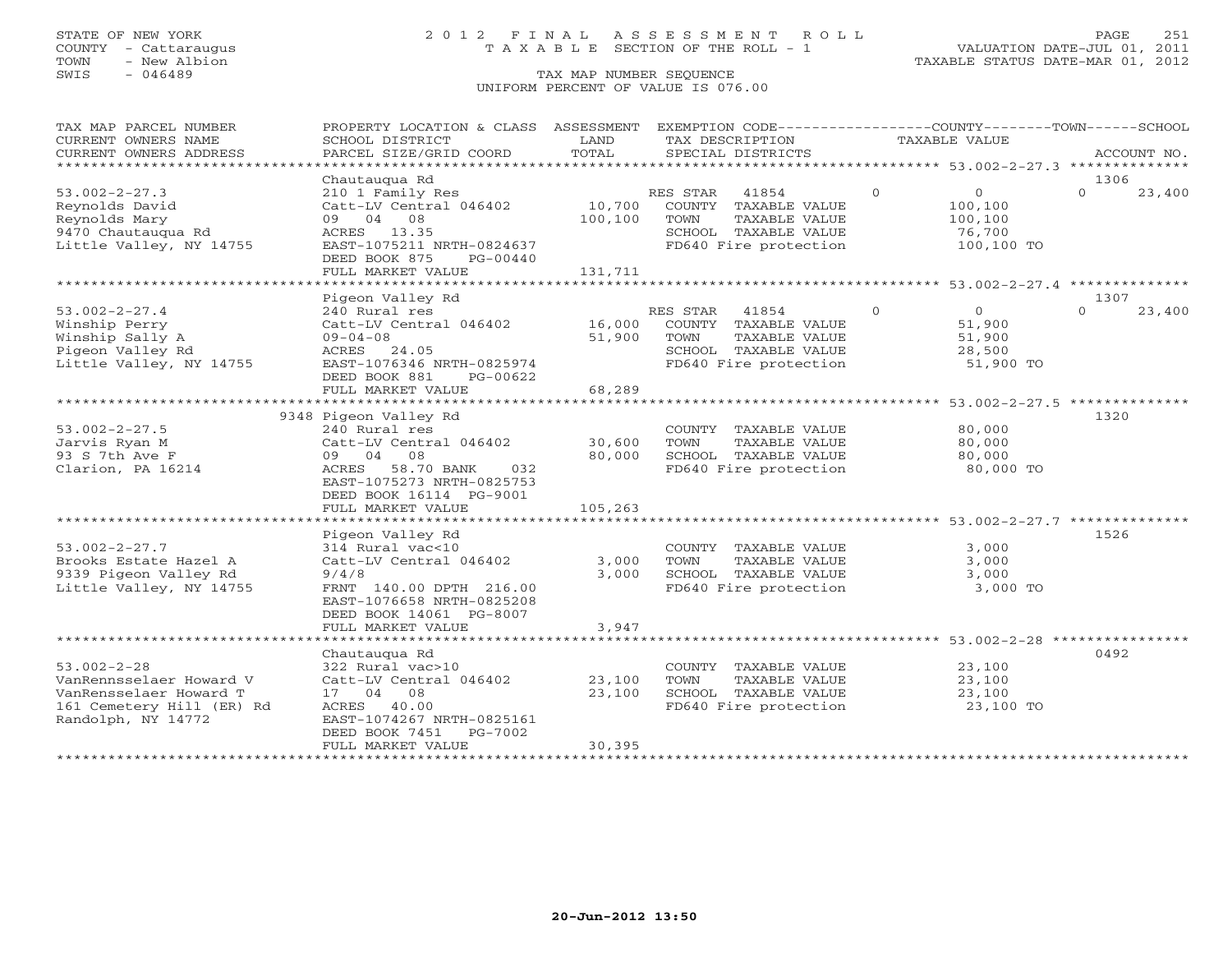## STATE OF NEW YORK 2 0 1 2 F I N A L A S S E S S M E N T R O L L PAGE 251 COUNTY - Cattaraugus T A X A B L E SECTION OF THE ROLL - 1 VALUATION DATE-JUL 01, 2011

TOWN - New Albion TAXABLE STATUS DATE-MAR 01, 2012

| TAX MAP PARCEL NUMBER            | PROPERTY LOCATION & CLASS ASSESSMENT       |                          | EXEMPTION CODE-----------------COUNTY-------TOWN------SCHOOL |               |                                                       |                  |             |
|----------------------------------|--------------------------------------------|--------------------------|--------------------------------------------------------------|---------------|-------------------------------------------------------|------------------|-------------|
| CURRENT OWNERS NAME              | SCHOOL DISTRICT                            | LAND                     | TAX DESCRIPTION                                              | TAXABLE VALUE |                                                       |                  |             |
| CURRENT OWNERS ADDRESS           | PARCEL SIZE/GRID COORD                     | TOTAL                    | SPECIAL DISTRICTS                                            |               |                                                       |                  | ACCOUNT NO. |
| ******************************   |                                            |                          |                                                              |               |                                                       |                  |             |
|                                  | Chautaugua Rd                              |                          |                                                              |               |                                                       | 1306             |             |
| $53.002 - 2 - 27.3$              | 210 1 Family Res                           |                          | RES STAR<br>41854                                            | $\Omega$      | $\overline{0}$                                        | $\Omega$         | 23,400      |
| Reynolds David                   | Catt-LV Central 046402                     | 10,700                   | COUNTY TAXABLE VALUE                                         |               | 100,100                                               |                  |             |
| Reynolds Mary                    | 09 04 08                                   | 100,100                  | TOWN<br>TAXABLE VALUE                                        |               | 100,100                                               |                  |             |
| 9470 Chautauqua Rd               | ACRES 13.35                                |                          | SCHOOL TAXABLE VALUE                                         |               | 76,700                                                |                  |             |
| Little Valley, NY 14755          | EAST-1075211 NRTH-0824637                  |                          | FD640 Fire protection                                        |               | 100,100 TO                                            |                  |             |
|                                  | DEED BOOK 875<br>PG-00440                  |                          |                                                              |               |                                                       |                  |             |
|                                  | FULL MARKET VALUE<br>********************* | 131,711<br>************* |                                                              |               | *********************** 53.002-2-27.4 *************** |                  |             |
|                                  |                                            |                          |                                                              |               |                                                       |                  |             |
|                                  | Pigeon Valley Rd                           |                          |                                                              | $\Omega$      |                                                       | 1307<br>$\Omega$ |             |
| $53.002 - 2 - 27.4$              | 240 Rural res                              |                          | RES STAR<br>41854<br>COUNTY TAXABLE VALUE                    |               | $\overline{0}$                                        |                  | 23,400      |
| Winship Perry<br>Winship Sally A | Catt-LV Central 046402<br>$09 - 04 - 08$   | 16,000<br>51,900         | TAXABLE VALUE<br>TOWN                                        |               | 51,900                                                |                  |             |
| Pigeon Valley Rd                 | ACRES 24.05                                |                          | SCHOOL TAXABLE VALUE                                         |               | 51,900<br>28,500                                      |                  |             |
| Little Valley, NY 14755          | EAST-1076346 NRTH-0825974                  |                          | FD640 Fire protection                                        |               | 51,900 TO                                             |                  |             |
|                                  | DEED BOOK 881<br>PG-00622                  |                          |                                                              |               |                                                       |                  |             |
|                                  | FULL MARKET VALUE                          | 68,289                   |                                                              |               |                                                       |                  |             |
|                                  |                                            |                          |                                                              |               |                                                       |                  |             |
|                                  | 9348 Pigeon Valley Rd                      |                          |                                                              |               |                                                       | 1320             |             |
| $53.002 - 2 - 27.5$              | 240 Rural res                              |                          | COUNTY TAXABLE VALUE                                         |               | 80,000                                                |                  |             |
| Jarvis Ryan M                    | Catt-LV Central 046402                     | 30,600                   | TOWN<br>TAXABLE VALUE                                        |               | 80,000                                                |                  |             |
| 93 S 7th Ave F                   | 09 04 08                                   | 80,000                   | SCHOOL TAXABLE VALUE                                         |               | 80,000                                                |                  |             |
| Clarion, PA 16214                | ACRES 58.70 BANK<br>032                    |                          | FD640 Fire protection                                        |               | 80,000 TO                                             |                  |             |
|                                  | EAST-1075273 NRTH-0825753                  |                          |                                                              |               |                                                       |                  |             |
|                                  | DEED BOOK 16114 PG-9001                    |                          |                                                              |               |                                                       |                  |             |
|                                  | FULL MARKET VALUE                          | 105,263                  |                                                              |               |                                                       |                  |             |
|                                  |                                            |                          |                                                              |               |                                                       |                  |             |
|                                  | Pigeon Valley Rd                           |                          |                                                              |               |                                                       | 1526             |             |
| $53.002 - 2 - 27.7$              | 314 Rural vac<10                           |                          | COUNTY TAXABLE VALUE                                         |               | 3,000                                                 |                  |             |
| Brooks Estate Hazel A            | Catt-LV Central 046402                     | 3,000                    | TOWN<br>TAXABLE VALUE                                        |               | 3,000                                                 |                  |             |
| 9339 Pigeon Valley Rd            | 9/4/8                                      | 3,000                    | SCHOOL TAXABLE VALUE                                         |               | 3,000                                                 |                  |             |
| Little Valley, NY 14755          | FRNT 140.00 DPTH 216.00                    |                          | FD640 Fire protection                                        |               | 3,000 TO                                              |                  |             |
|                                  | EAST-1076658 NRTH-0825208                  |                          |                                                              |               |                                                       |                  |             |
|                                  | DEED BOOK 14061 PG-8007                    |                          |                                                              |               |                                                       |                  |             |
|                                  | FULL MARKET VALUE                          | 3,947                    |                                                              |               |                                                       |                  |             |
|                                  |                                            |                          |                                                              |               |                                                       |                  |             |
|                                  | Chautaugua Rd                              |                          |                                                              |               |                                                       | 0492             |             |
| $53.002 - 2 - 28$                | 322 Rural vac>10                           |                          | COUNTY TAXABLE VALUE                                         |               | 23,100                                                |                  |             |
| VanRennsselaer Howard V          | Catt-LV Central 046402                     | 23,100                   | TOWN<br>TAXABLE VALUE                                        |               | 23,100                                                |                  |             |
| VanRensselaer Howard T           | 17 04 08                                   | 23,100                   | SCHOOL TAXABLE VALUE                                         |               | 23,100                                                |                  |             |
| 161 Cemetery Hill (ER) Rd        | ACRES 40.00                                |                          | FD640 Fire protection                                        |               | 23,100 TO                                             |                  |             |
| Randolph, NY 14772               | EAST-1074267 NRTH-0825161                  |                          |                                                              |               |                                                       |                  |             |
|                                  | DEED BOOK 7451<br>PG-7002                  |                          |                                                              |               |                                                       |                  |             |
|                                  | FULL MARKET VALUE                          | 30,395                   |                                                              |               |                                                       |                  |             |
|                                  |                                            |                          |                                                              |               |                                                       |                  |             |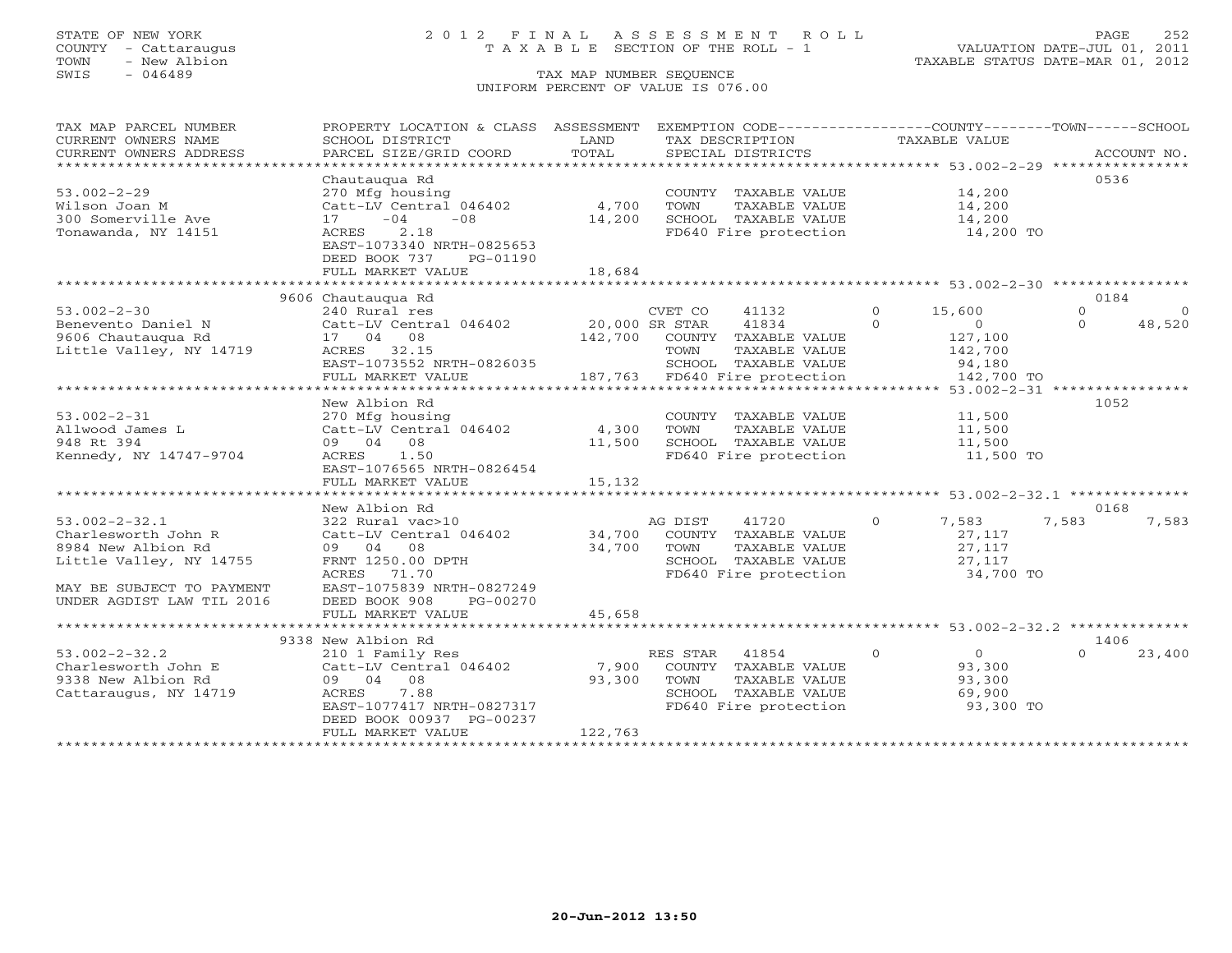## STATE OF NEW YORK 2 0 1 2 F I N A L A S S E S S M E N T R O L L PAGE 252 COUNTY - Cattaraugus T A X A B L E SECTION OF THE ROLL - 1 VALUATION DATE-JUL 01, 2011

| TAX MAP PARCEL NUMBER<br>CURRENT OWNERS NAME<br>CURRENT OWNERS ADDRESS                                                                                | PROPERTY LOCATION & CLASS ASSESSMENT<br>SCHOOL DISTRICT<br>PARCEL SIZE/GRID COORD                                                                                     | LAND<br>TOTAL              | EXEMPTION CODE----------------COUNTY-------TOWN------SCHOOL<br>TAX DESCRIPTION<br>SPECIAL DISTRICTS                 | TAXABLE VALUE                                                                     | ACCOUNT NO.                                       |
|-------------------------------------------------------------------------------------------------------------------------------------------------------|-----------------------------------------------------------------------------------------------------------------------------------------------------------------------|----------------------------|---------------------------------------------------------------------------------------------------------------------|-----------------------------------------------------------------------------------|---------------------------------------------------|
| **************************<br>$53.002 - 2 - 29$                                                                                                       | Chautaugua Rd<br>270 Mfg housing                                                                                                                                      |                            |                                                                                                                     | 14,200                                                                            | 0536                                              |
| Wilson Joan M<br>300 Somerville Ave<br>Tonawanda, NY 14151                                                                                            | Catt-LV Central 046402<br>$-08$<br>$17 - 04$<br>ACRES<br>2.18<br>EAST-1073340 NRTH-0825653<br>DEED BOOK 737<br>PG-01190                                               | 4,700<br>14,200            | COUNTY TAXABLE VALUE<br>TOWN<br>TAXABLE VALUE<br>SCHOOL TAXABLE VALUE<br>FD640 Fire protection                      | 14,200<br>14,200<br>14,200 TO                                                     |                                                   |
|                                                                                                                                                       | FULL MARKET VALUE                                                                                                                                                     | 18,684                     |                                                                                                                     |                                                                                   |                                                   |
|                                                                                                                                                       |                                                                                                                                                                       |                            |                                                                                                                     |                                                                                   |                                                   |
| $53.002 - 2 - 30$<br>Benevento Daniel N<br>9606 Chautauqua Rd                                                                                         | 9606 Chautaugua Rd<br>240 Rural res<br>Catt-LV Central 046402 20,000 SR STAR<br>17 04 08                                                                              |                            | CVET CO<br>41132<br>41834<br>142,700 COUNTY TAXABLE VALUE                                                           | $\circ$<br>15,600<br>$\Omega$<br>$\Omega$<br>127,100                              | 0184<br>$\circ$<br>$\Omega$<br>48,520<br>$\Omega$ |
| Little Valley, NY 14719                                                                                                                               | ACRES 32.15<br>EAST-1073552 NRTH-0826035<br>FULL MARKET VALUE                                                                                                         |                            | TOWN<br>TAXABLE VALUE<br>SCHOOL TAXABLE VALUE<br>187,763 FD640 Fire protection                                      | 142,700<br>94,180<br>142,700 TO                                                   |                                                   |
|                                                                                                                                                       | New Albion Rd                                                                                                                                                         |                            |                                                                                                                     |                                                                                   | 1052                                              |
| $53.002 - 2 - 31$<br>Allwood James L<br>948 Rt 394<br>Kennedy, NY 14747-9704                                                                          | 270 Mfg housing<br>Catt-LV Central 046402<br>09 04 08<br>ACRES 1.50<br>EAST-1076565 NRTH-0826454<br>FULL MARKET VALUE                                                 | 4,300<br>11,500<br>15,132  | COUNTY TAXABLE VALUE<br>TAXABLE VALUE<br>TOWN<br>SCHOOL TAXABLE VALUE<br>FD640 Fire protection                      | 11,500<br>11,500<br>11,500<br>11,500 TO                                           |                                                   |
|                                                                                                                                                       |                                                                                                                                                                       |                            |                                                                                                                     |                                                                                   |                                                   |
| $53.002 - 2 - 32.1$<br>Charlesworth John R<br>8984 New Albion Rd<br>Little Valley, NY 14755<br>MAY BE SUBJECT TO PAYMENT<br>UNDER AGDIST LAW TIL 2016 | New Albion Rd<br>322 Rural vac>10<br>Catt-LV Central 046402<br>09 04 08<br>FRNT 1250.00 DPTH<br>ACRES 71.70<br>EAST-1075839 NRTH-0827249<br>DEED BOOK 908<br>PG-00270 | 34,700<br>34,700           | AG DIST<br>41720<br>COUNTY TAXABLE VALUE<br>TAXABLE VALUE<br>TOWN<br>SCHOOL TAXABLE VALUE                           | $\circ$<br>7,583<br>27,117<br>27,117<br>27,117<br>FD640 Fire protection 34,700 TO | 0168<br>7,583<br>7,583                            |
|                                                                                                                                                       | FULL MARKET VALUE                                                                                                                                                     | 45,658                     |                                                                                                                     |                                                                                   |                                                   |
|                                                                                                                                                       | 9338 New Albion Rd                                                                                                                                                    |                            |                                                                                                                     |                                                                                   | 1406                                              |
| $53.002 - 2 - 32.2$<br>Charlesworth John E<br>9338 New Albion Rd<br>Cattaraugus, NY 14719                                                             | 210 1 Family Res<br>Catt-LV Central 046402<br>09 04 08<br>7.88<br>ACRES<br>EAST-1077417 NRTH-0827317<br>DEED BOOK 00937 PG-00237<br>FULL MARKET VALUE                 | 7,900<br>93,300<br>122,763 | RES STAR<br>41854<br>COUNTY TAXABLE VALUE<br>TOWN<br>TAXABLE VALUE<br>SCHOOL TAXABLE VALUE<br>FD640 Fire protection | $\circ$<br>$\overline{0}$<br>93,300<br>93,300<br>69,900<br>93,300 TO              | $\Omega$<br>23,400                                |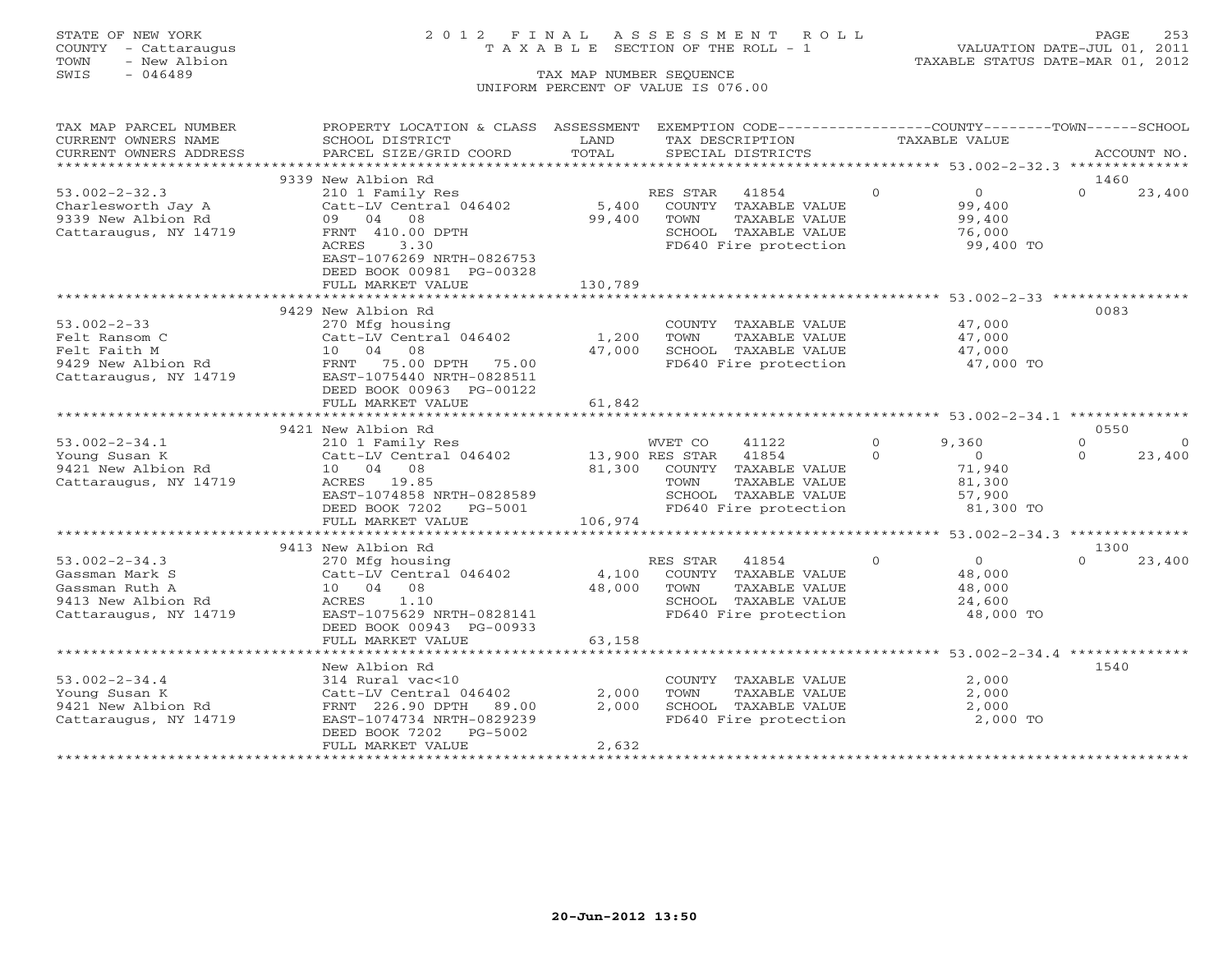# STATE OF NEW YORK 2 0 1 2 F I N A L A S S E S S M E N T R O L L PAGE 253 COUNTY - Cattaraugus T A X A B L E SECTION OF THE ROLL - 1 VALUATION DATE-JUL 01, 2011

| TAX MAP PARCEL NUMBER  | PROPERTY LOCATION & CLASS ASSESSMENT EXEMPTION CODE---------------COUNTY-------TOWN------SCHOOL |         |                                               |          |                |          |                |
|------------------------|-------------------------------------------------------------------------------------------------|---------|-----------------------------------------------|----------|----------------|----------|----------------|
| CURRENT OWNERS NAME    | SCHOOL DISTRICT                                                                                 | LAND    | TAX DESCRIPTION                               |          | TAXABLE VALUE  |          |                |
| CURRENT OWNERS ADDRESS | PARCEL SIZE/GRID COORD                                                                          | TOTAL   | SPECIAL DISTRICTS                             |          |                |          | ACCOUNT NO.    |
|                        |                                                                                                 |         |                                               |          |                |          |                |
|                        | 9339 New Albion Rd                                                                              |         |                                               |          |                | 1460     |                |
| $53.002 - 2 - 32.3$    | 210 1 Family Res                                                                                |         | RES STAR 41854                                | $\Omega$ | $\overline{0}$ | $\Omega$ | 23,400         |
| Charlesworth Jay A     | Catt-LV Central 046402                                                                          | 5,400   | COUNTY TAXABLE VALUE                          |          | 99,400         |          |                |
| 9339 New Albion Rd     | 09 04 08                                                                                        | 99,400  | TOWN<br>TAXABLE VALUE                         |          | 99,400         |          |                |
| Cattaraugus, NY 14719  | FRNT 410.00 DPTH                                                                                |         | SCHOOL TAXABLE VALUE                          |          | 76,000         |          |                |
|                        | ACRES<br>3.30                                                                                   |         | FD640 Fire protection                         |          | 99,400 TO      |          |                |
|                        | EAST-1076269 NRTH-0826753                                                                       |         |                                               |          |                |          |                |
|                        | DEED BOOK 00981 PG-00328                                                                        |         |                                               |          |                |          |                |
|                        | FULL MARKET VALUE                                                                               | 130,789 |                                               |          |                |          |                |
|                        |                                                                                                 |         |                                               |          |                |          |                |
|                        | 9429 New Albion Rd                                                                              |         |                                               |          |                | 0083     |                |
| $53.002 - 2 - 33$      | 270 Mfg housing                                                                                 |         | COUNTY TAXABLE VALUE                          |          | 47,000         |          |                |
| Felt Ransom C          | Catt-LV Central 046402                                                                          | 1,200   | TOWN<br>TAXABLE VALUE                         |          | 47,000         |          |                |
| Felt Faith M           | 10 04 08                                                                                        | 47,000  | SCHOOL TAXABLE VALUE                          |          | 47,000         |          |                |
| 9429 New Albion Rd     | 75.00 DPTH 75.00<br>FRNT                                                                        |         | SCHOOL TAXABLE VALUE<br>FD640 Fire protection |          | $47,000$ TO    |          |                |
| Cattaraugus, NY 14719  | EAST-1075440 NRTH-0828511                                                                       |         |                                               |          |                |          |                |
|                        | DEED BOOK 00963 PG-00122                                                                        |         |                                               |          |                |          |                |
|                        | FULL MARKET VALUE                                                                               | 61,842  |                                               |          |                |          |                |
|                        |                                                                                                 |         |                                               |          |                |          |                |
|                        | 9421 New Albion Rd                                                                              |         |                                               |          |                | 0550     |                |
| $53.002 - 2 - 34.1$    | 210 1 Family Res                                                                                |         | WVET CO<br>41122                              | $\Omega$ | 9,360          | $\Omega$ | $\overline{0}$ |
| Young Susan K          | Catt-LV Central 046402 13,900 RES STAR 41854                                                    |         |                                               | $\Omega$ | $\overline{0}$ | $\Omega$ | 23,400         |
| 9421 New Albion Rd     | 10 04 08                                                                                        | 81,300  | COUNTY TAXABLE VALUE                          |          | 71,940         |          |                |
| Cattaraugus, NY 14719  | ACRES 19.85                                                                                     |         | TOWN<br>TAXABLE VALUE                         |          | 81,300         |          |                |
|                        | EAST-1074858 NRTH-0828589                                                                       |         | SCHOOL TAXABLE VALUE                          |          | 57,900         |          |                |
|                        | DEED BOOK 7202 PG-5001                                                                          |         | FD640 Fire protection                         |          | 81,300 TO      |          |                |
|                        | FULL MARKET VALUE                                                                               | 106,974 |                                               |          |                |          |                |
|                        |                                                                                                 |         |                                               |          |                |          |                |
|                        | 9413 New Albion Rd                                                                              |         |                                               |          |                | 1300     |                |
| $53.002 - 2 - 34.3$    | 270 Mfg housing                                                                                 |         | RES STAR 41854                                | $\Omega$ | $\overline{0}$ | $\Omega$ | 23,400         |
| Gassman Mark S         | Catt-LV Central 046402                                                                          | 4,100   | COUNTY TAXABLE VALUE                          |          | 48,000         |          |                |
| Gassman Ruth A         | 10 04 08                                                                                        | 48,000  | TOWN<br>TAXABLE VALUE                         |          | 48,000         |          |                |
| 9413 New Albion Rd     | ACRES<br>1.10                                                                                   |         | SCHOOL TAXABLE VALUE                          |          | 24,600         |          |                |
| Cattaraugus, NY 14719  | EAST-1075629 NRTH-0828141                                                                       |         | FD640 Fire protection                         |          | 48,000 TO      |          |                |
|                        | DEED BOOK 00943 PG-00933                                                                        |         |                                               |          |                |          |                |
|                        | FULL MARKET VALUE                                                                               | 63,158  |                                               |          |                |          |                |
|                        |                                                                                                 |         |                                               |          |                |          |                |
|                        | New Albion Rd                                                                                   |         |                                               |          |                | 1540     |                |
| $53.002 - 2 - 34.4$    | 314 Rural vac<10                                                                                |         | COUNTY TAXABLE VALUE                          |          | 2,000          |          |                |
| Young Susan K          | Catt-LV Central 046402                                                                          | 2,000   | TAXABLE VALUE<br>TOWN                         |          | 2,000          |          |                |
| 9421 New Albion Rd     | FRNT 226.90 DPTH<br>89.00                                                                       | 2,000   | SCHOOL TAXABLE VALUE                          |          | 2,000          |          |                |
| Cattaraugus, NY 14719  | EAST-1074734 NRTH-0829239                                                                       |         | FD640 Fire protection                         |          | 2,000 TO       |          |                |
|                        | DEED BOOK 7202<br>PG-5002                                                                       |         |                                               |          |                |          |                |
|                        | FULL MARKET VALUE                                                                               | 2,632   |                                               |          |                |          |                |
|                        |                                                                                                 |         |                                               |          |                |          |                |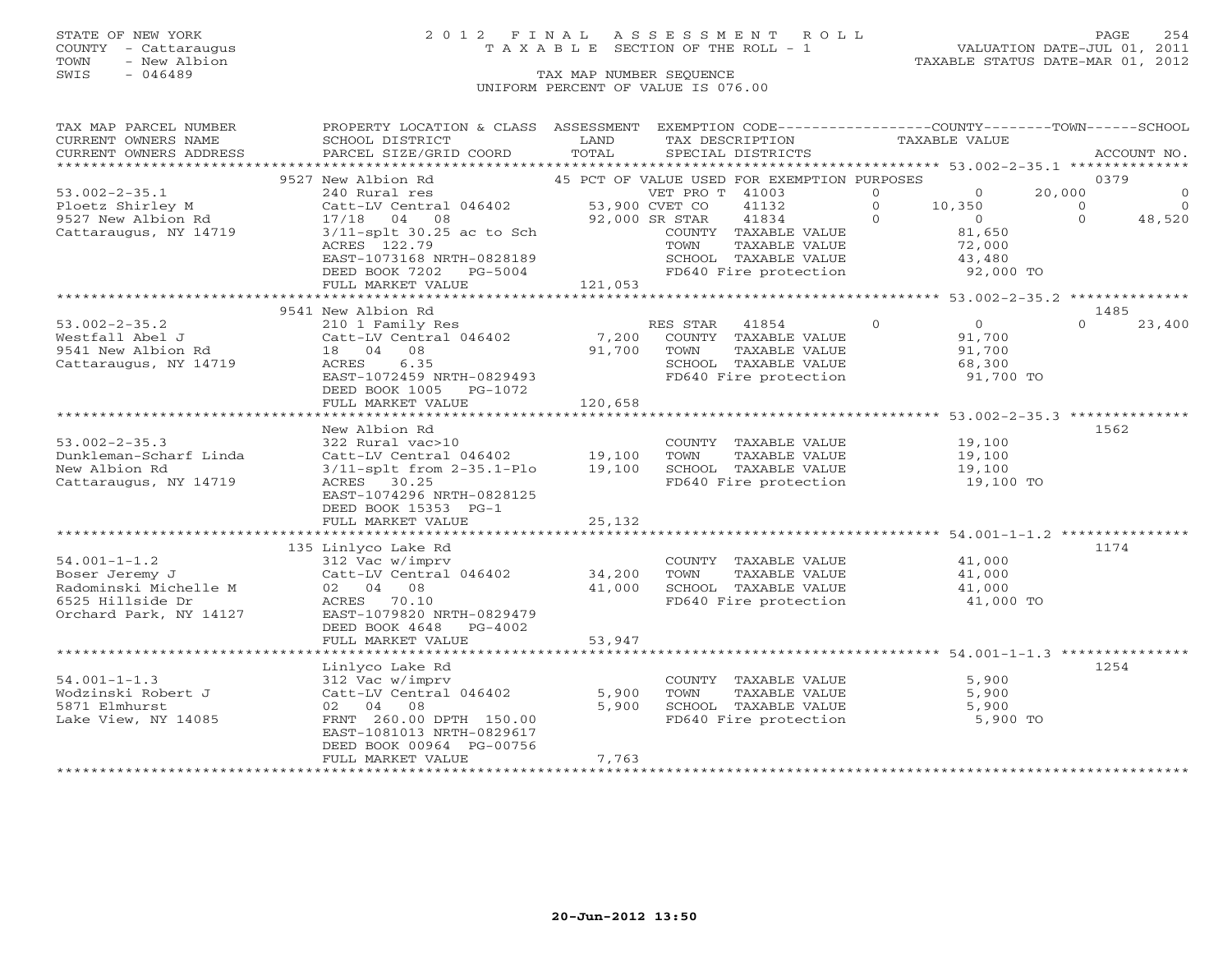## STATE OF NEW YORK 2 0 1 2 F I N A L A S S E S S M E N T R O L L PAGE 254 COUNTY - Cattaraugus T A X A B L E SECTION OF THE ROLL - 1 VALUATION DATE-JUL 01, 2011

TOWN - New Albion TAXABLE STATUS DATE-MAR 01, 2012

| TAX MAP PARCEL NUMBER          | PROPERTY LOCATION & CLASS ASSESSMENT            |                | EXEMPTION CODE-----------------COUNTY-------TOWN------SCHOOL   |                |                   |                |                |
|--------------------------------|-------------------------------------------------|----------------|----------------------------------------------------------------|----------------|-------------------|----------------|----------------|
| CURRENT OWNERS NAME            | SCHOOL DISTRICT                                 | LAND           | TAX DESCRIPTION                                                |                | TAXABLE VALUE     |                |                |
| CURRENT OWNERS ADDRESS         | PARCEL SIZE/GRID COORD                          | TOTAL          | SPECIAL DISTRICTS                                              |                |                   |                | ACCOUNT NO.    |
|                                |                                                 |                |                                                                |                |                   |                |                |
|                                | 9527 New Albion Rd                              |                | 45 PCT OF VALUE USED FOR EXEMPTION PURPOSES                    |                |                   | 0379           |                |
| $53.002 - 2 - 35.1$            | 240 Rural res                                   |                | VET PRO T 41003                                                | $\circ$        | $\overline{0}$    | 20,000         | $\Omega$       |
| Ploetz Shirley M               |                                                 |                | 41132                                                          | $\overline{0}$ | 10,350            | $\overline{0}$ | $\overline{0}$ |
| 9527 New Albion Rd             | 17/18 04 08                                     | 92,000 SR STAR | 41834                                                          | $\Omega$       | $0$<br>$81$ $650$ | $\Omega$       | 48,520         |
| Cattaraugus, NY 14719          | $3/11$ -splt $30.25$ ac to Sch                  |                | COUNTY TAXABLE VALUE                                           |                | 81,650            |                |                |
|                                | ACRES 122.79                                    |                | TOWN<br>TAXABLE VALUE                                          |                |                   |                |                |
|                                | EAST-1073168 NRTH-0828189                       |                | SCHOOL TAXABLE VALUE 43,480<br>FD640 Fire protection 92,000 TO |                | 72,000<br>43,480  |                |                |
|                                | DEED BOOK 7202 PG-5004                          |                |                                                                |                |                   |                |                |
|                                |                                                 |                |                                                                |                |                   |                |                |
|                                |                                                 |                |                                                                |                |                   |                |                |
|                                | 9541 New Albion Rd                              |                |                                                                |                |                   | 1485           |                |
| $53.002 - 2 - 35.2$            | 210 1 Family Res                                |                | RES STAR 41854                                                 | $\Omega$       | $\overline{0}$    | $\Omega$       | 23,400         |
| Westfall Abel J                | Catt-LV Central $046402$ 7,200                  |                | COUNTY TAXABLE VALUE                                           |                | 91,700            |                |                |
| 9541 New Albion Rd             | 18 04 08                                        | 91,700         | TOWN<br>TAXABLE VALUE                                          |                | 91,700            |                |                |
| Cattaraugus, NY 14719          | ACRES 6.35                                      |                | SCHOOL TAXABLE VALUE                                           |                | 68,300            |                |                |
|                                | EAST-1072459 NRTH-0829493                       |                | FD640 Fire protection                                          |                | 91,700 TO         |                |                |
|                                | DEED BOOK 1005 PG-1072                          |                |                                                                |                |                   |                |                |
|                                | FULL MARKET VALUE                               | 120,658        |                                                                |                |                   |                |                |
|                                |                                                 |                |                                                                |                |                   |                |                |
|                                | New Albion Rd                                   |                |                                                                |                |                   | 1562           |                |
| $53.002 - 2 - 35.3$            | 322 Rural vac>10                                |                | COUNTY TAXABLE VALUE                                           |                | 19,100            |                |                |
| Dunkleman-Scharf Linda         | Catt-LV Central 046402 19,100                   |                | TAXABLE VALUE<br>TOWN                                          |                | 19,100            |                |                |
| New Albion Rd                  |                                                 |                |                                                                |                |                   |                |                |
| Cattaraugus, NY 14719          | 3/11-splt from 2-35.1-Plo 19,100<br>ACRES 30.25 |                | SCHOOL TAXABLE VALUE 19,100<br>FD640 Fire protection 19,100 TO |                |                   |                |                |
|                                |                                                 |                |                                                                |                |                   |                |                |
|                                | EAST-1074296 NRTH-0828125                       |                |                                                                |                |                   |                |                |
|                                | DEED BOOK 15353 PG-1                            |                |                                                                |                |                   |                |                |
|                                | FULL MARKET VALUE                               | 25,132         |                                                                |                |                   |                |                |
|                                |                                                 |                |                                                                |                |                   |                |                |
|                                | 135 Linlyco Lake Rd                             |                |                                                                |                |                   | 1174           |                |
| $54.001 - 1 - 1.2$             | 312 Vac w/imprv                                 |                | COUNTY TAXABLE VALUE 41,000                                    |                |                   |                |                |
| Boser Jeremy J                 | Catt-LV Central 046402                          | 34,200         | TOWN<br>TAXABLE VALUE                                          |                | 41,000            |                |                |
| Radominski Michelle M 02 04 08 |                                                 | 41,000         | SCHOOL TAXABLE VALUE                                           |                | 41,000            |                |                |
| 6525 Hillside Dr               | ACRES 70.10                                     |                | FD640 Fire protection                                          |                | 41,000 TO         |                |                |
| Orchard Park, NY 14127         | EAST-1079820 NRTH-0829479                       |                |                                                                |                |                   |                |                |
|                                | DEED BOOK 4648 PG-4002                          |                |                                                                |                |                   |                |                |
|                                | FULL MARKET VALUE                               | 53,947         |                                                                |                |                   |                |                |
|                                |                                                 |                |                                                                |                |                   |                |                |
|                                | Linlyco Lake Rd                                 |                |                                                                |                |                   | 1254           |                |
| $54.001 - 1 - 1.3$             | 312 Vac w/imprv                                 |                | COUNTY TAXABLE VALUE                                           |                | 5,900             |                |                |
| Wodzinski Robert J             | Catt-LV Central 046402                          | 5,900          | TAXABLE VALUE<br>TOWN                                          |                | 5,900             |                |                |
| 5871 Elmhurst                  | 02 04 08                                        | 5,900          | SCHOOL TAXABLE VALUE<br>FD640 Fire protection                  |                | 5,900             |                |                |
| Lake View, NY 14085            | FRNT 260.00 DPTH 150.00                         |                |                                                                |                | 5,900 TO          |                |                |
|                                | EAST-1081013 NRTH-0829617                       |                |                                                                |                |                   |                |                |
|                                | DEED BOOK 00964 PG-00756                        |                |                                                                |                |                   |                |                |
|                                | FULL MARKET VALUE                               | 7,763          |                                                                |                |                   |                |                |
|                                |                                                 |                |                                                                |                |                   |                |                |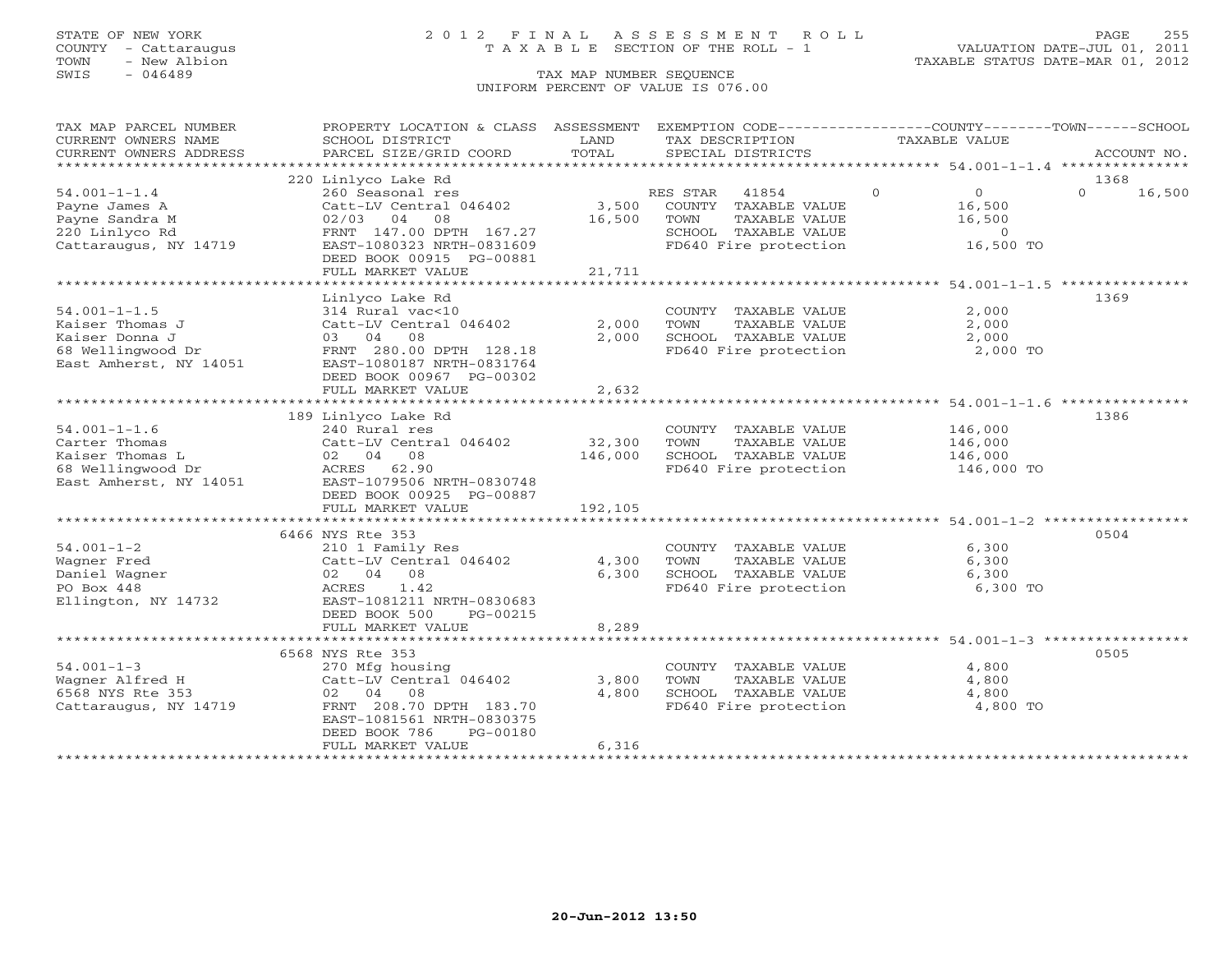## STATE OF NEW YORK 2 0 1 2 F I N A L A S S E S S M E N T R O L L PAGE 255 COUNTY - Cattaraugus T A X A B L E SECTION OF THE ROLL - 1 VALUATION DATE-JUL 01, 2011

| TAX MAP PARCEL NUMBER                       | PROPERTY LOCATION & CLASS ASSESSMENT                                                                                                          |              |                                               | EXEMPTION CODE----------------COUNTY-------TOWN------SCHOOL |                    |
|---------------------------------------------|-----------------------------------------------------------------------------------------------------------------------------------------------|--------------|-----------------------------------------------|-------------------------------------------------------------|--------------------|
| CURRENT OWNERS NAME                         | SCHOOL DISTRICT                                                                                                                               | LAND         | TAX DESCRIPTION                               | TAXABLE VALUE                                               |                    |
| CURRENT OWNERS ADDRESS                      | PARCEL SIZE/GRID COORD                                                                                                                        | TOTAL        | SPECIAL DISTRICTS                             |                                                             | ACCOUNT NO.        |
|                                             |                                                                                                                                               |              |                                               |                                                             |                    |
|                                             | 220 Linlyco Lake Rd                                                                                                                           |              |                                               |                                                             | 1368               |
| $54.001 - 1 - 1.4$                          | 260 Seasonal res                                                                                                                              |              | RES STAR 41854                                | $\Omega$<br>$\overline{0}$                                  | $\Omega$<br>16,500 |
| Payne James A                               | Catt-LV Central 046402                                                                                                                        | 3,500        | COUNTY TAXABLE VALUE                          | 16,500                                                      |                    |
| Payne Sandra M                              | $02/03$ 04 08                                                                                                                                 | 16,500       | TOWN<br>TAXABLE VALUE                         | 16,500                                                      |                    |
| 220 Linlyco Rd                              | FRNT 147.00 DPTH 167.27                                                                                                                       |              | SCHOOL TAXABLE VALUE<br>FD640 Fire protection | $\overline{0}$                                              |                    |
| Cattaraugus, NY 14719                       | EAST-1080323 NRTH-0831609                                                                                                                     |              |                                               | 16,500 TO                                                   |                    |
|                                             | DEED BOOK 00915 PG-00881                                                                                                                      |              |                                               |                                                             |                    |
|                                             | FULL MARKET VALUE                                                                                                                             | 21,711       |                                               |                                                             |                    |
|                                             | **************************                                                                                                                    | ************ |                                               | ******************* 54.001-1-1.5 ***************            |                    |
|                                             | Linlyco Lake Rd                                                                                                                               |              |                                               |                                                             | 1369               |
| $54.001 - 1 - 1.5$                          | 314 Rural vac<10                                                                                                                              |              | COUNTY TAXABLE VALUE                          | 2,000                                                       |                    |
| Kaiser Thomas J                             | Catt-LV Central 046402                                                                                                                        | 2,000        | TOWN<br>TAXABLE VALUE                         | 2,000                                                       |                    |
| Kaiser Donna J                              | 03 04 08                                                                                                                                      | 2,000        | SCHOOL TAXABLE VALUE                          | 2,000                                                       |                    |
| 68 Wellingwood Dr<br>East Amherst, NY 14051 | FRNT 280.00 DPTH 128.18                                                                                                                       |              | FD640 Fire protection                         | 2,000 TO                                                    |                    |
|                                             | EAST-1080187 NRTH-0831764                                                                                                                     |              |                                               |                                                             |                    |
|                                             | DEED BOOK 00967 PG-00302                                                                                                                      |              |                                               |                                                             |                    |
|                                             | FULL MARKET VALUE                                                                                                                             | 2,632        |                                               |                                                             |                    |
|                                             |                                                                                                                                               |              |                                               |                                                             |                    |
|                                             | 189 Linlyco Lake Rd                                                                                                                           |              |                                               |                                                             | 1386               |
| $54.001 - 1 - 1.6$                          | 240 Rural res                                                                                                                                 |              | COUNTY TAXABLE VALUE                          | 146,000                                                     |                    |
| Carter Thomas                               | Catt-LV Central 046402                                                                                                                        | 32,300       | TOWN<br>TAXABLE VALUE                         | 146,000                                                     |                    |
| Kaiser Thomas L                             |                                                                                                                                               | 146,000      | SCHOOL TAXABLE VALUE                          | 146,000                                                     |                    |
|                                             | 02  04  08<br>ACRES  62.90<br>68 Wellingwood Dr                 ACRES     62.90<br>East Amherst, NY 14051           EAST-1079506 NRTH-0830748 |              | FD640 Fire protection                         | 146,000 TO                                                  |                    |
|                                             |                                                                                                                                               |              |                                               |                                                             |                    |
|                                             | DEED BOOK 00925 PG-00887                                                                                                                      |              |                                               |                                                             |                    |
|                                             | FULL MARKET VALUE                                                                                                                             | 192,105      |                                               |                                                             |                    |
|                                             |                                                                                                                                               |              |                                               |                                                             |                    |
|                                             | 6466 NYS Rte 353                                                                                                                              |              |                                               |                                                             | 0504               |
| $54.001 - 1 - 2$                            | 210 1 Family Res                                                                                                                              |              | COUNTY TAXABLE VALUE                          | 6,300                                                       |                    |
| Wagner Fred                                 | Catt-LV Central 046402                                                                                                                        | 4,300        | TOWN<br>TAXABLE VALUE                         | 6,300                                                       |                    |
| Daniel Wagner                               | 02 04 08                                                                                                                                      | 6,300        | SCHOOL TAXABLE VALUE                          | 6,300                                                       |                    |
| PO Box 448                                  | 1.42<br>ACRES                                                                                                                                 |              | FD640 Fire protection                         | 6,300 TO                                                    |                    |
| Ellington, NY 14732                         | EAST-1081211 NRTH-0830683                                                                                                                     |              |                                               |                                                             |                    |
|                                             | DEED BOOK 500<br>PG-00215                                                                                                                     |              |                                               |                                                             |                    |
|                                             | FULL MARKET VALUE                                                                                                                             | 8,289        |                                               |                                                             |                    |
|                                             |                                                                                                                                               |              |                                               |                                                             |                    |
|                                             | 6568 NYS Rte 353                                                                                                                              |              |                                               |                                                             | 0505               |
| $54.001 - 1 - 3$                            | 270 Mfg housing                                                                                                                               |              | COUNTY TAXABLE VALUE                          | 4,800                                                       |                    |
| Wagner Alfred H                             | Catt-LV Central 046402                                                                                                                        | 3,800        | TOWN<br>TAXABLE VALUE                         | 4,800                                                       |                    |
| 6568 NYS Rte 353                            | 02 04 08                                                                                                                                      | 4,800        | SCHOOL TAXABLE VALUE<br>FD640 Fire protection | 4,800                                                       |                    |
| Cattaraugus, NY 14719                       | FRNT 208.70 DPTH 183.70                                                                                                                       |              |                                               | 4,800 TO                                                    |                    |
|                                             | EAST-1081561 NRTH-0830375                                                                                                                     |              |                                               |                                                             |                    |
|                                             | DEED BOOK 786<br>PG-00180                                                                                                                     |              |                                               |                                                             |                    |
|                                             | FULL MARKET VALUE                                                                                                                             | 6,316        |                                               |                                                             |                    |
|                                             |                                                                                                                                               |              |                                               |                                                             |                    |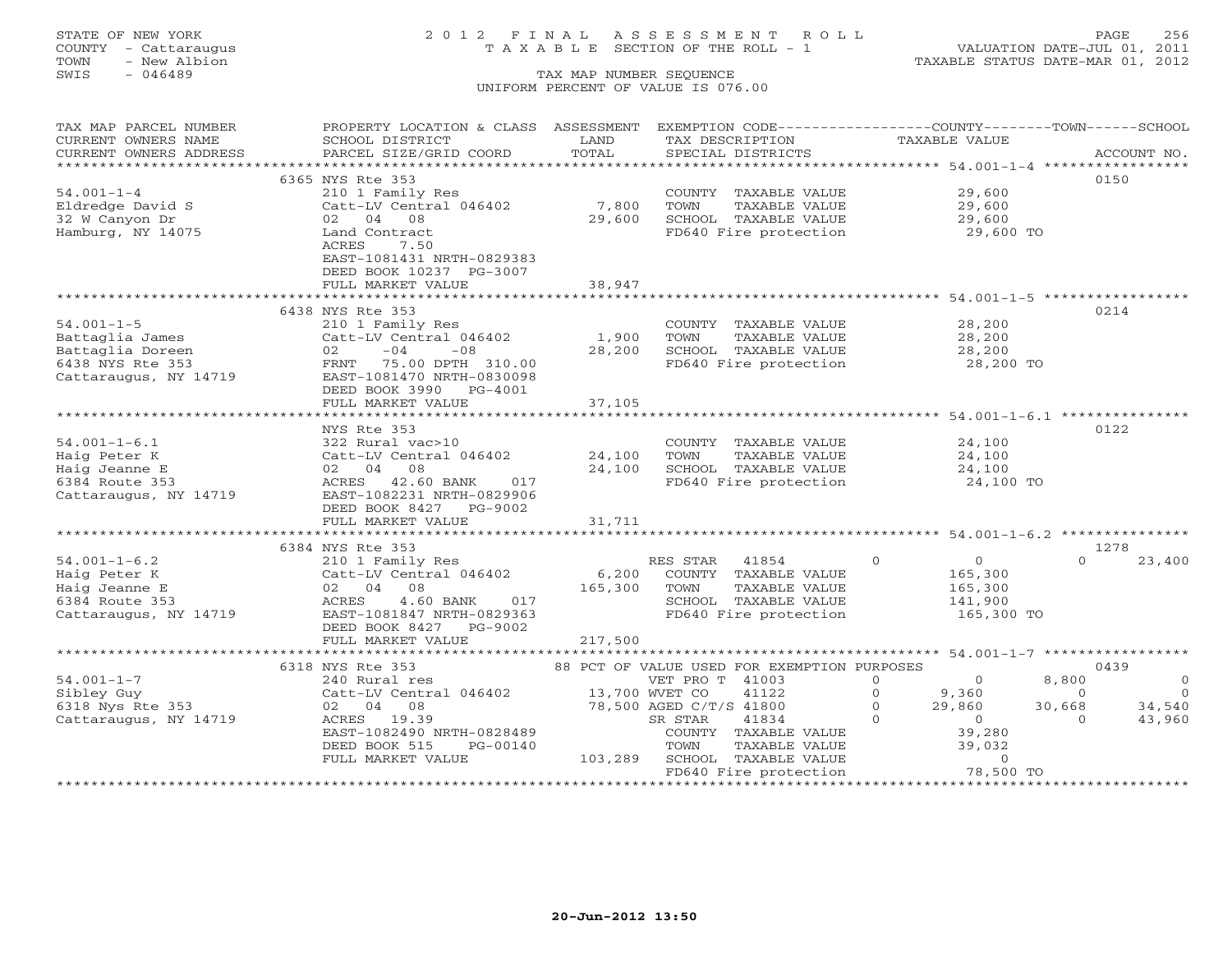# STATE OF NEW YORK 2 0 1 2 F I N A L A S S E S S M E N T R O L L PAGE 256 COUNTY - Cattaraugus T A X A B L E SECTION OF THE ROLL - 1 VALUATION DATE-JUL 01, 2011

| TAX MAP PARCEL NUMBER                 | PROPERTY LOCATION & CLASS ASSESSMENT |              | EXEMPTION CODE-----------------COUNTY-------TOWN------SCHOOL      |                            |                        |
|---------------------------------------|--------------------------------------|--------------|-------------------------------------------------------------------|----------------------------|------------------------|
| CURRENT OWNERS NAME                   | SCHOOL DISTRICT                      | LAND         | TAX DESCRIPTION                                                   | TAXABLE VALUE              |                        |
| CURRENT OWNERS ADDRESS                | PARCEL SIZE/GRID COORD               | TOTAL        | SPECIAL DISTRICTS                                                 |                            | ACCOUNT NO.            |
| * * * * * * * * * * * * * * * * * * * |                                      |              |                                                                   |                            |                        |
|                                       | 6365 NYS Rte 353                     |              |                                                                   |                            | 0150                   |
| $54.001 - 1 - 4$                      | 210 1 Family Res                     |              | COUNTY TAXABLE VALUE                                              | 29,600                     |                        |
| Eldredge David S                      | Catt-LV Central 046402               | 7,800        | TOWN<br>TAXABLE VALUE                                             | 29,600                     |                        |
| 32 W Canyon Dr                        | 02 04 08                             | 29,600       | SCHOOL TAXABLE VALUE                                              | 29,600                     |                        |
| Hamburg, NY 14075                     | Land Contract                        |              | FD640 Fire protection                                             | 29,600 TO                  |                        |
|                                       | ACRES<br>7.50                        |              |                                                                   |                            |                        |
|                                       | EAST-1081431 NRTH-0829383            |              |                                                                   |                            |                        |
|                                       | DEED BOOK 10237 PG-3007              |              |                                                                   |                            |                        |
|                                       | FULL MARKET VALUE                    | 38,947       |                                                                   |                            |                        |
|                                       | 6438 NYS Rte 353                     |              |                                                                   |                            | 0214                   |
| $54.001 - 1 - 5$                      | 210 1 Family Res                     |              | COUNTY TAXABLE VALUE                                              | 28,200                     |                        |
| Battaglia James                       | Catt-LV Central 046402               | 1,900        | TAXABLE VALUE<br>TOWN                                             | 28,200                     |                        |
| Battaglia Doreen                      | $-04$<br>$-08$<br>02                 | 28,200       | SCHOOL TAXABLE VALUE                                              | 28,200                     |                        |
| 6438 NYS Rte 353                      | 75.00 DPTH 310.00<br>FRNT            |              | FD640 Fire protection                                             | 28,200 TO                  |                        |
| Cattaraugus, NY 14719                 | EAST-1081470 NRTH-0830098            |              |                                                                   |                            |                        |
|                                       | DEED BOOK 3990<br>PG-4001            |              |                                                                   |                            |                        |
|                                       | FULL MARKET VALUE                    | 37,105       |                                                                   |                            |                        |
|                                       | ************************             | ************ | ***********************************54.001-1-6.1 ***************** |                            |                        |
|                                       | NYS Rte 353                          |              |                                                                   |                            | 0122                   |
| $54.001 - 1 - 6.1$                    | 322 Rural vac>10                     |              | COUNTY TAXABLE VALUE                                              | 24,100                     |                        |
| Haig Peter K                          | Catt-LV Central 046402               | 24,100       | TOWN<br>TAXABLE VALUE                                             | 24,100                     |                        |
| Haig Jeanne E                         | 02 04 08                             | 24,100       | SCHOOL TAXABLE VALUE                                              | 24,100                     |                        |
| 6384 Route 353                        | ACRES 42.60 BANK<br>017              |              | FD640 Fire protection                                             | 24,100 TO                  |                        |
| Cattaraugus, NY 14719                 | EAST-1082231 NRTH-0829906            |              |                                                                   |                            |                        |
|                                       | DEED BOOK 8427 PG-9002               |              |                                                                   |                            |                        |
|                                       | FULL MARKET VALUE                    | 31,711       |                                                                   |                            |                        |
|                                       |                                      |              |                                                                   |                            |                        |
|                                       | 6384 NYS Rte 353                     |              |                                                                   |                            | 1278                   |
| $54.001 - 1 - 6.2$                    | 210 1 Family Res                     |              | RES STAR<br>41854                                                 | $\Omega$<br>$\overline{O}$ | $\cap$<br>23,400       |
| Haig Peter K                          | Catt-LV Central 046402               | 6,200        | COUNTY TAXABLE VALUE                                              | 165,300                    |                        |
| Haig Jeanne E                         | 02 04<br>08                          | 165,300      | TOWN<br>TAXABLE VALUE                                             | 165,300                    |                        |
| 6384 Route 353                        | ACRES<br>4.60 BANK<br>017            |              | SCHOOL TAXABLE VALUE                                              | 141,900                    |                        |
| Cattaraugus, NY 14719                 | EAST-1081847 NRTH-0829363            |              | FD640 Fire protection                                             | 165,300 TO                 |                        |
|                                       | DEED BOOK 8427<br>PG-9002            |              |                                                                   |                            |                        |
|                                       | FULL MARKET VALUE                    | 217,500      |                                                                   |                            |                        |
|                                       | 6318 NYS Rte 353                     |              | 88 PCT OF VALUE USED FOR EXEMPTION PURPOSES                       |                            | 0439                   |
| $54.001 - 1 - 7$                      | 240 Rural res                        |              | VET PRO T 41003                                                   | $\Omega$<br>$\Omega$       | 8,800<br>$\circ$       |
| Sibley Guy                            | Catt-LV Central 046402               |              | 41122<br>13,700 WVET CO                                           | $\Omega$<br>9,360          | $\bigcirc$<br>$\Omega$ |
| 6318 Nys Rte 353                      | 02 04 08                             |              | 78,500 AGED C/T/S 41800                                           | 29,860<br>$\Omega$         | 34,540<br>30,668       |
| Cattaraugus, NY 14719                 | ACRES 19.39                          |              | SR STAR<br>41834                                                  | $\Omega$<br>$\circ$        | 43,960<br>$\Omega$     |
|                                       | EAST-1082490 NRTH-0828489            |              | COUNTY TAXABLE VALUE                                              | 39,280                     |                        |
|                                       | DEED BOOK 515<br>PG-00140            |              | TOWN<br>TAXABLE VALUE                                             | 39,032                     |                        |
|                                       | FULL MARKET VALUE                    | 103,289      | SCHOOL TAXABLE VALUE                                              | $\Omega$                   |                        |
|                                       |                                      |              | FD640 Fire protection                                             | 78,500 TO                  |                        |
|                                       | *********************************    |              |                                                                   |                            |                        |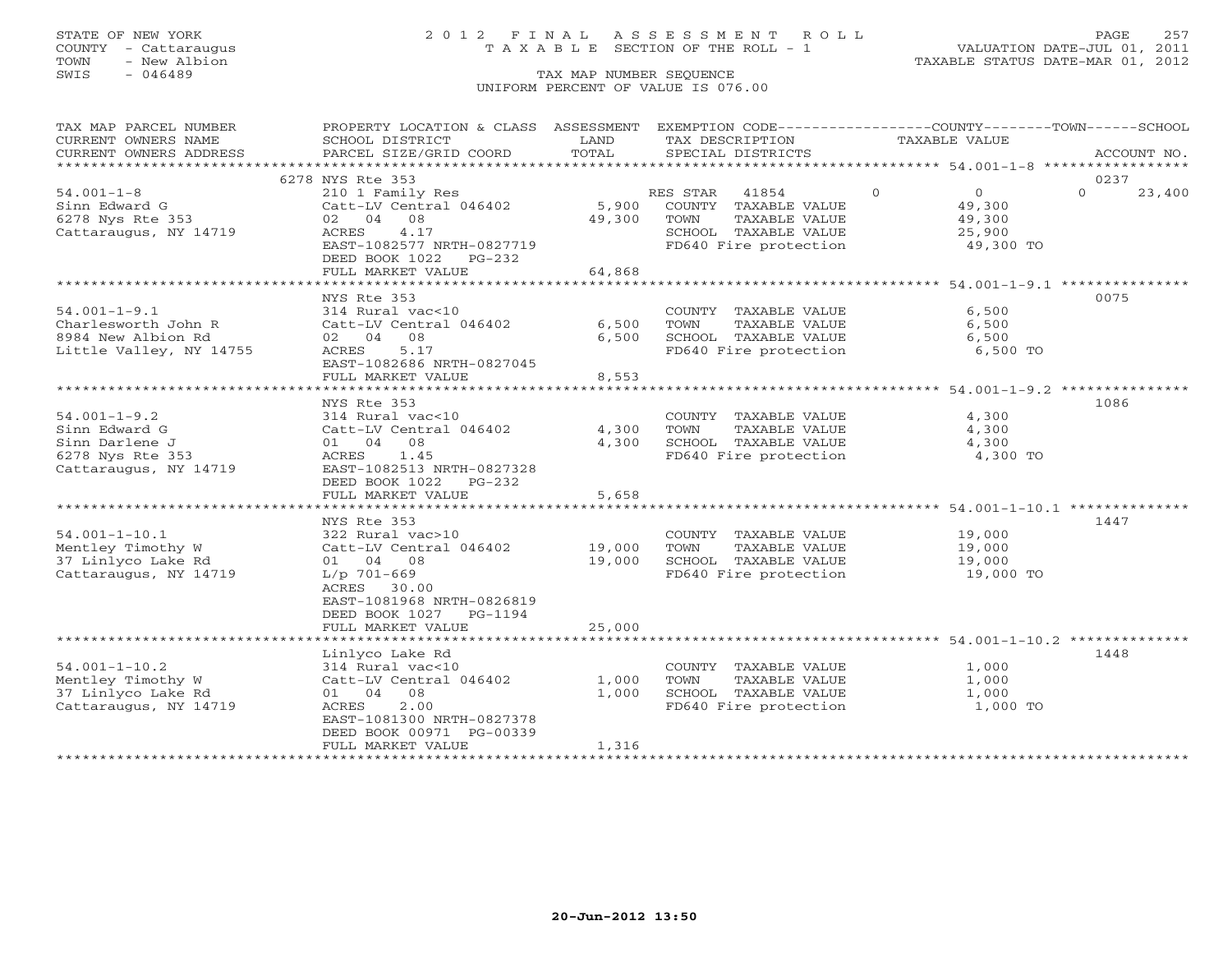## STATE OF NEW YORK 2 0 1 2 F I N A L A S S E S S M E N T R O L L PAGE 257 COUNTY - Cattaraugus T A X A B L E SECTION OF THE ROLL - 1 VALUATION DATE-JUL 01, 2011

TOWN - New Albion TAXABLE STATUS DATE-MAR 01, 2012

| TAX MAP PARCEL NUMBER   | PROPERTY LOCATION & CLASS ASSESSMENT EXEMPTION CODE---------------COUNTY-------TOWN------SCHOOL |             |                                               |                            |                    |
|-------------------------|-------------------------------------------------------------------------------------------------|-------------|-----------------------------------------------|----------------------------|--------------------|
| CURRENT OWNERS NAME     | SCHOOL DISTRICT                                                                                 | LAND        | TAX DESCRIPTION                               | TAXABLE VALUE              |                    |
| CURRENT OWNERS ADDRESS  | PARCEL SIZE/GRID COORD                                                                          | TOTAL       | SPECIAL DISTRICTS                             |                            | ACCOUNT NO.        |
|                         |                                                                                                 |             |                                               |                            |                    |
|                         | 6278 NYS Rte 353                                                                                |             |                                               |                            | 0237               |
| $54.001 - 1 - 8$        | 210 1 Family Res                                                                                |             | RES STAR 41854                                | $\Omega$<br>$\overline{0}$ | $\Omega$<br>23,400 |
| Sinn Edward G           | Catt-LV Central 046402                                                                          |             | 5,900 COUNTY TAXABLE VALUE                    | 49,300                     |                    |
| 6278 Nys Rte 353        | 02 04 08                                                                                        | 49,300 TOWN | TAXABLE VALUE                                 | 49,300                     |                    |
| Cattaraugus, NY 14719   | ACRES<br>4.17                                                                                   |             | SCHOOL TAXABLE VALUE<br>FD640 Fire protection | 25,900                     |                    |
|                         | EAST-1082577 NRTH-0827719                                                                       |             |                                               | 49,300 TO                  |                    |
|                         | DEED BOOK 1022 PG-232                                                                           |             |                                               |                            |                    |
|                         | FULL MARKET VALUE                                                                               | 64,868      |                                               |                            |                    |
|                         |                                                                                                 |             |                                               |                            |                    |
|                         | NYS Rte 353                                                                                     |             |                                               |                            | 0075               |
| $54.001 - 1 - 9.1$      | 314 Rural vac<10                                                                                |             | COUNTY TAXABLE VALUE                          | 6,500                      |                    |
| Charlesworth John R     | Catt-LV Central 046402                                                                          | 6,500       | TOWN<br>TAXABLE VALUE                         | 6,500                      |                    |
| 8984 New Albion Rd      | 02 04 08                                                                                        | 6,500       | SCHOOL TAXABLE VALUE                          | 6,500                      |                    |
| Little Valley, NY 14755 | 5.17<br>ACRES                                                                                   |             | FD640 Fire protection                         | 6,500 TO                   |                    |
|                         | EAST-1082686 NRTH-0827045                                                                       |             |                                               |                            |                    |
|                         | FULL MARKET VALUE                                                                               | 8,553       |                                               |                            |                    |
|                         |                                                                                                 |             |                                               |                            |                    |
| $54.001 - 1 - 9.2$      | NYS Rte 353<br>314 Rural vac<10                                                                 |             | COUNTY TAXABLE VALUE                          | 4,300                      | 1086               |
| Sinn Edward G           | Catt-LV Central 046402                                                                          | 4,300       | TOWN TAXABLE VALUE                            | 4,300                      |                    |
| Sinn Darlene J          | 01 04 08                                                                                        | 4,300       | SCHOOL TAXABLE VALUE                          | 4,300                      |                    |
| 6278 Nys Rte 353        | ACRES 1.45                                                                                      |             | FD640 Fire protection                         | 4,300 TO                   |                    |
| Cattaraugus, NY 14719   | EAST-1082513 NRTH-0827328                                                                       |             |                                               |                            |                    |
|                         | DEED BOOK 1022<br>PG-232                                                                        |             |                                               |                            |                    |
|                         | FULL MARKET VALUE                                                                               | 5,658       |                                               |                            |                    |
|                         |                                                                                                 |             |                                               |                            |                    |
|                         | NYS Rte 353                                                                                     |             |                                               |                            | 1447               |
| $54.001 - 1 - 10.1$     | 322 Rural vac>10                                                                                |             | COUNTY TAXABLE VALUE 19,000                   |                            |                    |
| Mentley Timothy W       | Catt-LV Central 046402                                                                          |             | 19,000 TOWN TAXABLE VALUE                     | 19,000                     |                    |
| 37 Linlyco Lake Rd      | 01 04 08                                                                                        | 19,000      | SCHOOL TAXABLE VALUE                          | 19,000                     |                    |
| Cattaraugus, NY 14719   | $L/p$ 701-669                                                                                   |             | FD640 Fire protection                         | 19,000 TO                  |                    |
|                         | ACRES 30.00                                                                                     |             |                                               |                            |                    |
|                         | EAST-1081968 NRTH-0826819                                                                       |             |                                               |                            |                    |
|                         | DEED BOOK 1027 PG-1194                                                                          |             |                                               |                            |                    |
|                         | FULL MARKET VALUE                                                                               | 25,000      |                                               |                            |                    |
|                         |                                                                                                 |             |                                               |                            |                    |
|                         | Linlyco Lake Rd                                                                                 |             |                                               |                            | 1448               |
| $54.001 - 1 - 10.2$     | 314 Rural vac<10                                                                                |             | COUNTY TAXABLE VALUE                          | 1,000                      |                    |
| Mentley Timothy W       | Catt-LV Central 046402                                                                          | 1,000       | TAXABLE VALUE<br>TOWN                         | 1,000                      |                    |
| 37 Linlyco Lake Rd      | 01 04 08                                                                                        | 1,000       | SCHOOL TAXABLE VALUE<br>FD640 Fire protection | 1,000                      |                    |
| Cattaraugus, NY 14719   | 2.00<br>ACRES                                                                                   |             |                                               | 1,000 TO                   |                    |
|                         | EAST-1081300 NRTH-0827378                                                                       |             |                                               |                            |                    |
|                         | DEED BOOK 00971 PG-00339                                                                        |             |                                               |                            |                    |
|                         | FULL MARKET VALUE                                                                               | 1,316       |                                               |                            |                    |
|                         |                                                                                                 |             |                                               |                            |                    |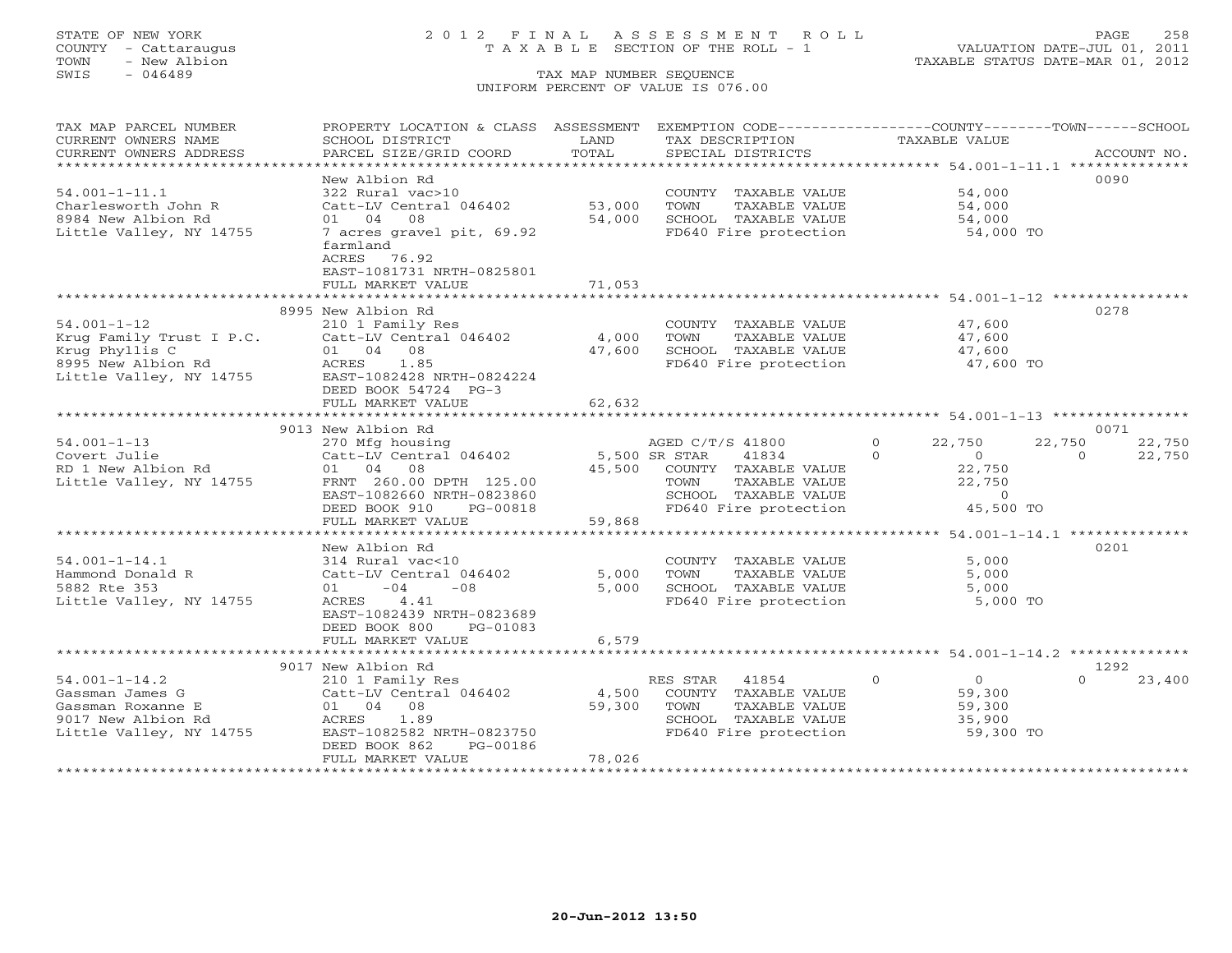# STATE OF NEW YORK 2 0 1 2 F I N A L A S S E S S M E N T R O L L PAGE 258 COUNTY - Cattaraugus T A X A B L E SECTION OF THE ROLL - 1 VALUATION DATE-JUL 01, 2011

| TAX MAP PARCEL NUMBER    | PROPERTY LOCATION & CLASS ASSESSMENT EXEMPTION CODE---------------COUNTY-------TOWN-----SCHOOL |        |                                                               |                                  |                    |
|--------------------------|------------------------------------------------------------------------------------------------|--------|---------------------------------------------------------------|----------------------------------|--------------------|
| CURRENT OWNERS NAME      | SCHOOL DISTRICT                                                                                | LAND   | TAX DESCRIPTION                                               | TAXABLE VALUE                    |                    |
| CURRENT OWNERS ADDRESS   | PARCEL SIZE/GRID COORD                                                                         | TOTAL  | SPECIAL DISTRICTS                                             |                                  | ACCOUNT NO.        |
|                          |                                                                                                |        |                                                               |                                  |                    |
|                          | New Albion Rd                                                                                  |        |                                                               |                                  | 0090               |
| $54.001 - 1 - 11.1$      | 322 Rural vac>10                                                                               |        | COUNTY TAXABLE VALUE                                          | 54,000                           |                    |
| Charlesworth John R      | Catt-LV Central 046402                                                                         | 53,000 | TOWN<br>TAXABLE VALUE                                         | 54,000                           |                    |
| 8984 New Albion Rd       | 01 04 08                                                                                       | 54,000 | SCHOOL TAXABLE VALUE                                          | 54,000                           |                    |
| Little Valley, NY 14755  | 7 acres gravel pit, 69.92                                                                      |        | FD640 Fire protection                                         | 54,000 TO                        |                    |
|                          | farmland                                                                                       |        |                                                               |                                  |                    |
|                          | ACRES 76.92                                                                                    |        |                                                               |                                  |                    |
|                          | EAST-1081731 NRTH-0825801                                                                      |        |                                                               |                                  |                    |
|                          | FULL MARKET VALUE                                                                              | 71,053 |                                                               |                                  |                    |
|                          |                                                                                                |        |                                                               |                                  |                    |
|                          | 8995 New Albion Rd                                                                             |        |                                                               |                                  | 0278               |
| $54.001 - 1 - 12$        | 210 1 Family Res                                                                               |        | COUNTY TAXABLE VALUE                                          | 47,600                           |                    |
| Krug Family Trust I P.C. | Catt-LV Central 046402                                                                         | 4,000  | TAXABLE VALUE<br>TOWN                                         | 47,600                           |                    |
| Krug Phyllis C           | 01 04 08                                                                                       | 47,600 | SCHOOL TAXABLE VALUE                                          | 47,600                           |                    |
| 8995 New Albion Rd       | ACRES 1.85                                                                                     |        | FD640 Fire protection                                         | 47,600 TO                        |                    |
| Little Valley, NY 14755  | EAST-1082428 NRTH-0824224                                                                      |        |                                                               |                                  |                    |
|                          | DEED BOOK 54724 PG-3                                                                           |        |                                                               |                                  |                    |
|                          | FULL MARKET VALUE                                                                              | 62,632 |                                                               |                                  |                    |
|                          |                                                                                                |        |                                                               |                                  |                    |
|                          | 9013 New Albion Rd                                                                             |        |                                                               |                                  | 0071               |
| $54.001 - 1 - 13$        | 270 Mfg housing                                                                                |        | AGED C/T/S 41800                                              | $\circ$<br>22,750                | 22,750<br>22,750   |
| Covert Julie             | Catt-LV Central 046402 5,500 SR STAR                                                           |        | 41834                                                         | $\overline{0}$<br>$\Omega$       | $\Omega$<br>22,750 |
| RD 1 New Albion Rd       | 01 04 08                                                                                       | 45,500 | COUNTY TAXABLE VALUE                                          | 22,750                           |                    |
| Little Valley, NY 14755  | FRNT 260.00 DPTH 125.00                                                                        |        | TAXABLE VALUE<br>TOWN                                         | 22,750                           |                    |
|                          | EAST-1082660 NRTH-0823860                                                                      |        | SCHOOL TAXABLE VALUE                                          | $\Omega$                         |                    |
|                          | DEED BOOK 910<br>PG-00818                                                                      |        | SCHOOL TAXABLE VALUE<br>FD640 Fire protection                 | 45,500 TO                        |                    |
|                          | FULL MARKET VALUE                                                                              | 59,868 |                                                               |                                  |                    |
|                          |                                                                                                |        | ******************************** 54.001-1-14.1 ************** |                                  |                    |
|                          | New Albion Rd                                                                                  |        |                                                               |                                  | 0201               |
| $54.001 - 1 - 14.1$      | 314 Rural vac<10                                                                               |        | COUNTY TAXABLE VALUE                                          | 5,000                            |                    |
| Hammond Donald R         | Catt-LV Central 046402                                                                         | 5,000  | TOWN<br>TAXABLE VALUE                                         | 5,000                            |                    |
| 5882 Rte 353             | $01 - 04$<br>$-08$                                                                             | 5,000  | SCHOOL TAXABLE VALUE                                          | 5,000                            |                    |
| Little Valley, NY 14755  | ACRES 4.41                                                                                     |        | FD640 Fire protection                                         | 5,000 TO                         |                    |
|                          | EAST-1082439 NRTH-0823689                                                                      |        |                                                               |                                  |                    |
|                          | DEED BOOK 800<br>PG-01083                                                                      |        |                                                               |                                  |                    |
|                          | FULL MARKET VALUE                                                                              | 6,579  |                                                               |                                  |                    |
|                          |                                                                                                |        |                                                               |                                  |                    |
|                          | 9017 New Albion Rd                                                                             |        |                                                               |                                  | 1292               |
| $54.001 - 1 - 14.2$      | 210 1 Family Res                                                                               |        | RES STAR<br>41854                                             | $\overline{0}$<br>$\overline{0}$ | $\Omega$<br>23,400 |
| Gassman James G          | Catt-LV Central 046402                                                                         | 4,500  | COUNTY TAXABLE VALUE                                          | 59,300                           |                    |
| Gassman Roxanne E        | 01 04 08                                                                                       | 59,300 | TOWN<br>TAXABLE VALUE                                         | 59,300                           |                    |
| 9017 New Albion Rd       | ACRES 1.89                                                                                     |        | SCHOOL TAXABLE VALUE                                          | 35,900                           |                    |
| Little Valley, NY 14755  | EAST-1082582 NRTH-0823750                                                                      |        | FD640 Fire protection                                         | 59,300 TO                        |                    |
|                          | DEED BOOK 862<br>PG-00186                                                                      |        |                                                               |                                  |                    |
|                          | FULL MARKET VALUE                                                                              | 78,026 |                                                               |                                  |                    |
| ***********************  |                                                                                                |        |                                                               |                                  |                    |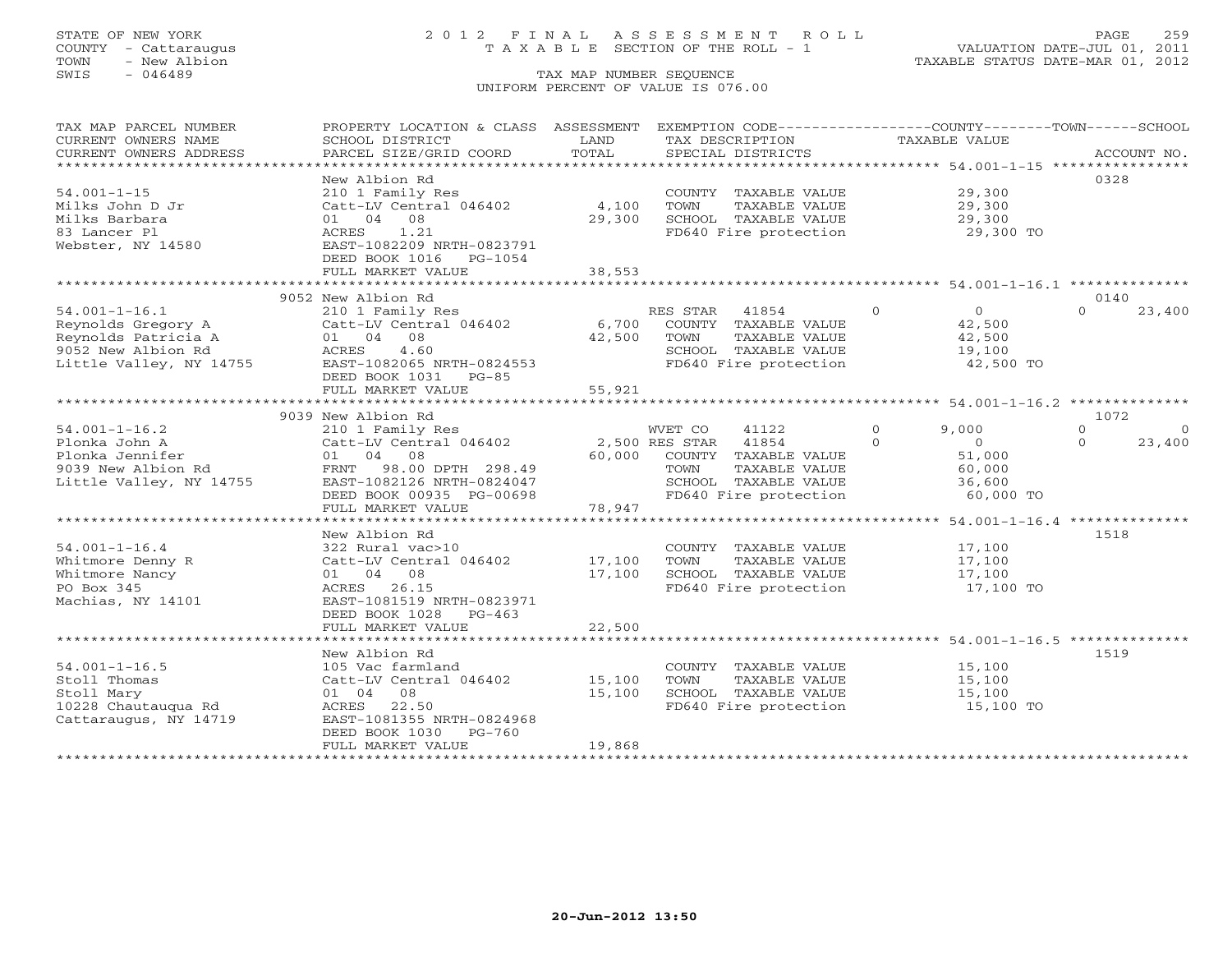## STATE OF NEW YORK 2 0 1 2 F I N A L A S S E S S M E N T R O L L PAGE 259 COUNTY - Cattaraugus T A X A B L E SECTION OF THE ROLL - 1 VALUATION DATE-JUL 01, 2011

| TAX MAP PARCEL NUMBER<br>CURRENT OWNERS NAME       | PROPERTY LOCATION & CLASS ASSESSMENT<br>SCHOOL DISTRICT | LAND<br>TOTAL           | EXEMPTION CODE----------------COUNTY-------TOWN------SCHOOL<br>TAX DESCRIPTION | TAXABLE VALUE                                         |                      |
|----------------------------------------------------|---------------------------------------------------------|-------------------------|--------------------------------------------------------------------------------|-------------------------------------------------------|----------------------|
| CURRENT OWNERS ADDRESS<br>************************ | PARCEL SIZE/GRID COORD                                  |                         | SPECIAL DISTRICTS                                                              |                                                       | ACCOUNT NO.          |
|                                                    | New Albion Rd                                           |                         |                                                                                |                                                       | 0328                 |
| $54.001 - 1 - 15$                                  | 210 1 Family Res                                        |                         | COUNTY TAXABLE VALUE                                                           | 29,300                                                |                      |
| Milks John D Jr                                    | Catt-LV Central 046402                                  | 4,100                   | TOWN<br>TAXABLE VALUE                                                          | 29,300                                                |                      |
| Milks Barbara                                      | 01 04<br>08                                             | 29,300                  | SCHOOL TAXABLE VALUE                                                           | 29,300                                                |                      |
| 83 Lancer Pl<br>Webster, NY 14580                  | ACRES<br>1.21<br>EAST-1082209 NRTH-0823791              |                         | FD640 Fire protection                                                          | 29,300 TO                                             |                      |
|                                                    | DEED BOOK 1016<br>PG-1054                               |                         |                                                                                |                                                       |                      |
|                                                    | FULL MARKET VALUE                                       | 38,553                  |                                                                                |                                                       |                      |
|                                                    |                                                         |                         |                                                                                |                                                       |                      |
|                                                    | 9052 New Albion Rd                                      |                         |                                                                                |                                                       | 0140                 |
| $54.001 - 1 - 16.1$                                | 210 1 Family Res                                        |                         | RES STAR<br>41854                                                              | $\Omega$<br>$\overline{0}$                            | 23,400<br>$\Omega$   |
| Reynolds Gregory A                                 | Catt-LV Central 046402                                  | 6,700                   | COUNTY TAXABLE VALUE                                                           | 42,500                                                |                      |
| Reynolds Patricia A                                | 01 04<br>08                                             | 42,500                  | TOWN<br>TAXABLE VALUE                                                          | 42,500                                                |                      |
| 9052 New Albion Rd                                 | ACRES<br>4.60                                           |                         | SCHOOL TAXABLE VALUE                                                           | 19,100                                                |                      |
| Little Valley, NY 14755                            | EAST-1082065 NRTH-0824553                               |                         | FD640 Fire protection                                                          | 42,500 TO                                             |                      |
|                                                    | DEED BOOK 1031<br>PG-85                                 |                         |                                                                                |                                                       |                      |
|                                                    | FULL MARKET VALUE<br>*************************          | 55,921<br>************* |                                                                                | ********************** 54.001-1-16.2 **************   |                      |
|                                                    | 9039 New Albion Rd                                      |                         |                                                                                |                                                       | 1072                 |
| $54.001 - 1 - 16.2$                                | 210 1 Family Res                                        |                         | WVET CO<br>41122                                                               | 9,000<br>$\Omega$                                     | $\Omega$<br>$\Omega$ |
| Plonka John A                                      | Catt-LV Central 046402                                  |                         | 2,500 RES STAR<br>41854                                                        | $\Omega$<br>$\Omega$                                  | $\Omega$<br>23,400   |
| Plonka Jennifer                                    | 08<br>01 04                                             | 60,000                  | COUNTY TAXABLE VALUE                                                           | 51,000                                                |                      |
| 9039 New Albion Rd                                 | FRNT 98.00 DPTH 298.49                                  |                         | TAXABLE VALUE<br>TOWN                                                          | 60,000                                                |                      |
| Little Valley, NY 14755                            | EAST-1082126 NRTH-0824047                               |                         | SCHOOL TAXABLE VALUE                                                           | 36,600                                                |                      |
|                                                    | DEED BOOK 00935 PG-00698                                |                         | FD640 Fire protection                                                          | 60,000 TO                                             |                      |
|                                                    | FULL MARKET VALUE                                       | 78,947                  |                                                                                |                                                       |                      |
|                                                    | **********************                                  |                         | *********************                                                          | $**********************54.001-1-16.4****************$ |                      |
|                                                    | New Albion Rd                                           |                         |                                                                                |                                                       | 1518                 |
| $54.001 - 1 - 16.4$                                | 322 Rural vac>10                                        |                         | COUNTY TAXABLE VALUE                                                           | 17,100                                                |                      |
| Whitmore Denny R<br>Whitmore Nancy                 | Catt-LV Central 046402<br>01 04 08                      | 17,100<br>17,100        | TOWN<br>TAXABLE VALUE<br>SCHOOL TAXABLE VALUE                                  | 17,100<br>17,100                                      |                      |
| PO Box 345                                         | ACRES 26.15                                             |                         | FD640 Fire protection                                                          | 17,100 TO                                             |                      |
| Machias, NY 14101                                  | EAST-1081519 NRTH-0823971                               |                         |                                                                                |                                                       |                      |
|                                                    | DEED BOOK 1028<br>$PG-463$                              |                         |                                                                                |                                                       |                      |
|                                                    | FULL MARKET VALUE                                       | 22,500                  |                                                                                |                                                       |                      |
|                                                    |                                                         |                         |                                                                                |                                                       |                      |
|                                                    | New Albion Rd                                           |                         |                                                                                |                                                       | 1519                 |
| $54.001 - 1 - 16.5$                                | 105 Vac farmland                                        |                         | COUNTY TAXABLE VALUE                                                           | 15,100                                                |                      |
| Stoll Thomas                                       | Catt-LV Central 046402                                  | 15,100                  | TAXABLE VALUE<br>TOWN                                                          | 15,100                                                |                      |
| Stoll Mary                                         | 08<br>01 04                                             | 15,100                  | SCHOOL TAXABLE VALUE                                                           | 15,100                                                |                      |
| 10228 Chautaugua Rd                                | 22.50<br>ACRES                                          |                         | FD640 Fire protection                                                          | 15,100 TO                                             |                      |
| Cattaraugus, NY 14719                              | EAST-1081355 NRTH-0824968<br>DEED BOOK 1030<br>$PG-760$ |                         |                                                                                |                                                       |                      |
|                                                    | FULL MARKET VALUE                                       | 19,868                  |                                                                                |                                                       |                      |
| **********************                             |                                                         |                         |                                                                                |                                                       |                      |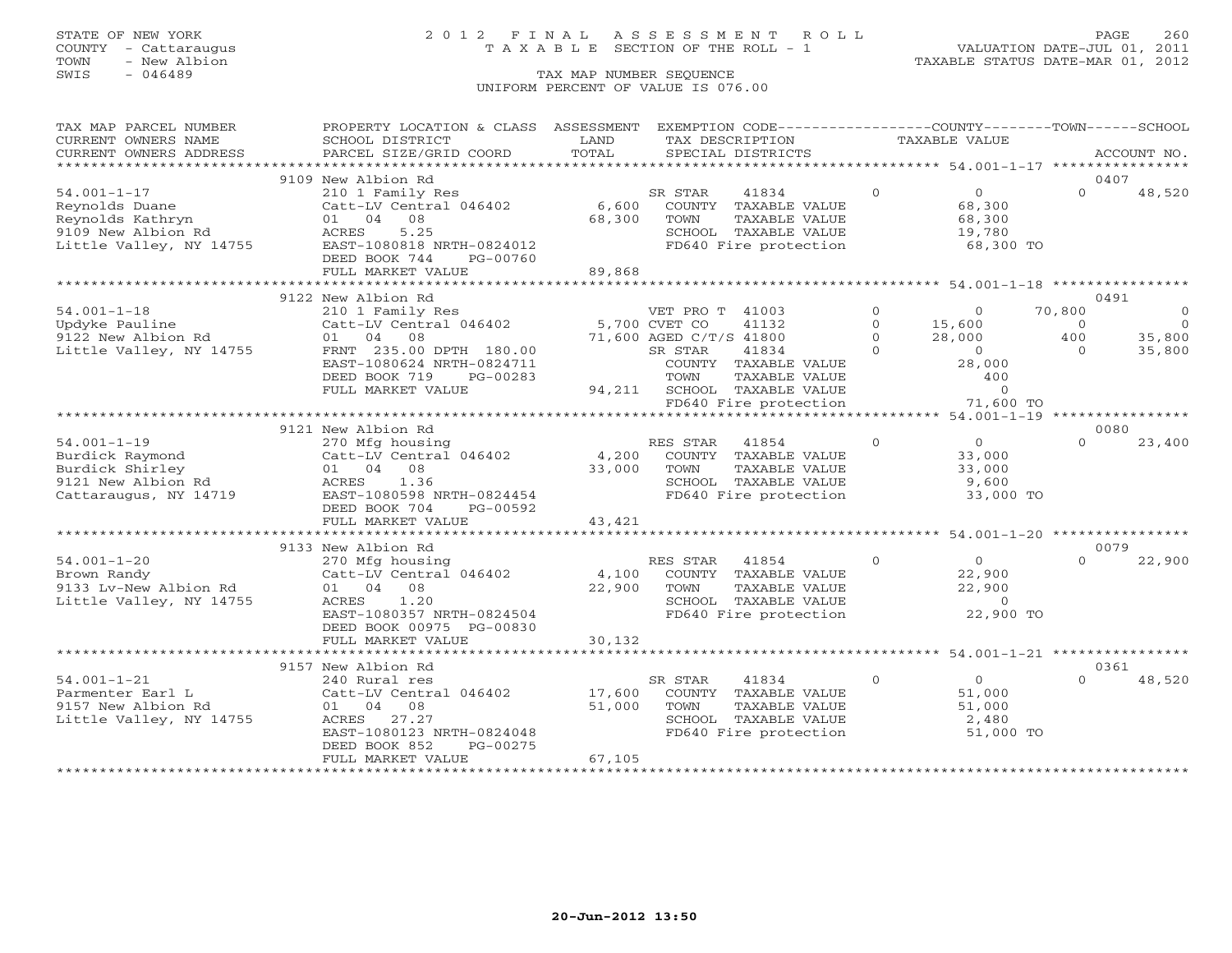## STATE OF NEW YORK 2 0 1 2 F I N A L A S S E S S M E N T R O L L PAGE 260 COUNTY - Cattaraugus T A X A B L E SECTION OF THE ROLL - 1 VALUATION DATE-JUL 01, 2011

| TAX MAP PARCEL NUMBER   | PROPERTY LOCATION & CLASS ASSESSMENT |             | EXEMPTION CODE----------------COUNTY-------TOWN------SCHOOL |          |                |           |             |
|-------------------------|--------------------------------------|-------------|-------------------------------------------------------------|----------|----------------|-----------|-------------|
| CURRENT OWNERS NAME     | SCHOOL DISTRICT                      | LAND        | TAX DESCRIPTION                                             |          | TAXABLE VALUE  |           |             |
| CURRENT OWNERS ADDRESS  | PARCEL SIZE/GRID COORD               | TOTAL       | SPECIAL DISTRICTS                                           |          |                |           | ACCOUNT NO. |
| *********************** | ****************************         |             |                                                             |          |                |           |             |
|                         | 9109 New Albion Rd                   |             |                                                             |          |                |           | 0407        |
| $54.001 - 1 - 17$       | 210 1 Family Res                     |             | SR STAR<br>41834                                            | $\Omega$ | 0              | $\Omega$  | 48,520      |
| Reynolds Duane          | Catt-LV Central 046402               | 6,600       | COUNTY TAXABLE VALUE                                        |          | 68,300         |           |             |
| Reynolds Kathryn        | 01 04 08                             | 68,300      | TAXABLE VALUE<br>TOWN                                       |          | 68,300         |           |             |
| 9109 New Albion Rd      | 5.25<br>ACRES                        |             | SCHOOL TAXABLE VALUE                                        |          | 19,780         |           |             |
| Little Valley, NY 14755 | EAST-1080818 NRTH-0824012            |             | FD640 Fire protection                                       |          | 68,300 TO      |           |             |
|                         | DEED BOOK 744<br>PG-00760            |             |                                                             |          |                |           |             |
|                         | FULL MARKET VALUE                    | 89,868      |                                                             |          |                |           |             |
|                         |                                      |             |                                                             |          |                |           |             |
|                         | 9122 New Albion Rd                   |             |                                                             |          |                |           | 0491        |
| $54.001 - 1 - 18$       | 210 1 Family Res                     |             | VET PRO T 41003                                             | $\Omega$ | $\Omega$       | 70,800    | $\circ$     |
| Updyke Pauline          | Catt-LV Central 046402 5,700 CVET CO |             | 41132                                                       | $\Omega$ | 15,600         | $\bigcap$ | $\Omega$    |
| 9122 New Albion Rd      | 01 04 08                             |             | 71,600 AGED C/T/S 41800                                     | $\Omega$ | 28,000         | 400       | 35,800      |
| Little Valley, NY 14755 | FRNT 235.00 DPTH 180.00              |             | 41834<br>SR STAR                                            | $\Omega$ | $\overline{0}$ | $\Omega$  | 35,800      |
|                         | EAST-1080624 NRTH-0824711            |             | COUNTY TAXABLE VALUE                                        |          | 28,000         |           |             |
|                         | DEED BOOK 719<br>PG-00283            |             | TOWN<br>TAXABLE VALUE                                       |          | 400            |           |             |
|                         | FULL MARKET VALUE                    |             | 94,211 SCHOOL TAXABLE VALUE                                 |          | $\Omega$       |           |             |
|                         |                                      |             | FD640 Fire protection                                       |          | 71,600 TO      |           |             |
|                         |                                      |             |                                                             |          |                |           |             |
|                         | 9121 New Albion Rd                   |             |                                                             |          |                |           | 0080        |
| $54.001 - 1 - 19$       | 270 Mfg housing                      |             | RES STAR<br>41854                                           | $\circ$  | $\overline{O}$ | $\Omega$  | 23,400      |
| Burdick Raymond         | Catt-LV Central 046402 4,200         |             | COUNTY TAXABLE VALUE                                        |          | 33,000         |           |             |
| Burdick Shirley         | 01 04 08                             | 33,000 TOWN | TAXABLE VALUE                                               |          | 33,000         |           |             |
| 9121 New Albion Rd      | 1.36<br>ACRES                        |             | SCHOOL TAXABLE VALUE                                        |          | 9,600          |           |             |
| Cattaraugus, NY 14719   | EAST-1080598 NRTH-0824454            |             | FD640 Fire protection                                       |          | 33,000 TO      |           |             |
|                         | DEED BOOK 704<br>PG-00592            |             |                                                             |          |                |           |             |
|                         | FULL MARKET VALUE                    | 43,421      |                                                             |          |                |           |             |
|                         |                                      |             |                                                             |          |                |           |             |
|                         |                                      |             |                                                             |          |                |           | 0079        |
|                         | 9133 New Albion Rd                   |             |                                                             |          |                |           |             |
| $54.001 - 1 - 20$       | 270 Mfg housing                      |             | 41854<br>RES STAR                                           | $\circ$  | $\sim$ 0       | $\Omega$  | 22,900      |
| Brown Randy             | Catt-LV Central 046402               | 4,100       | COUNTY TAXABLE VALUE                                        |          | 22,900         |           |             |
| 9133 Lv-New Albion Rd   | 01 04 08                             | 22,900      | TAXABLE VALUE<br>TOWN                                       |          | 22,900         |           |             |
| Little Valley, NY 14755 | 1.20<br>ACRES                        |             | SCHOOL TAXABLE VALUE                                        |          | $\overline{0}$ |           |             |
|                         | EAST-1080357 NRTH-0824504            |             | FD640 Fire protection                                       |          | 22,900 TO      |           |             |
|                         | DEED BOOK 00975 PG-00830             |             |                                                             |          |                |           |             |
|                         | FULL MARKET VALUE                    | 30,132      |                                                             |          |                |           |             |
|                         |                                      |             |                                                             |          |                |           |             |
|                         | 9157 New Albion Rd                   |             |                                                             |          |                |           | 0361        |
| $54.001 - 1 - 21$       | 240 Rural res                        |             | SR STAR<br>41834                                            | $\Omega$ | $\Omega$       | $\Omega$  | 48,520      |
| Parmenter Earl L        | Catt-LV Central 046402               | 17,600      | COUNTY TAXABLE VALUE                                        |          | 51,000         |           |             |
| 9157 New Albion Rd      | 01 04 08                             | 51,000      | TAXABLE VALUE<br>TOWN                                       |          | 51,000         |           |             |
| Little Valley, NY 14755 | 27.27<br>ACRES                       |             | SCHOOL TAXABLE VALUE                                        |          | 2,480          |           |             |
|                         | EAST-1080123 NRTH-0824048            |             | FD640 Fire protection                                       |          | 51,000 TO      |           |             |
|                         | PG-00275<br>DEED BOOK 852            |             |                                                             |          |                |           |             |
|                         | FULL MARKET VALUE                    | 67,105      |                                                             |          |                |           |             |
|                         |                                      |             |                                                             |          |                |           |             |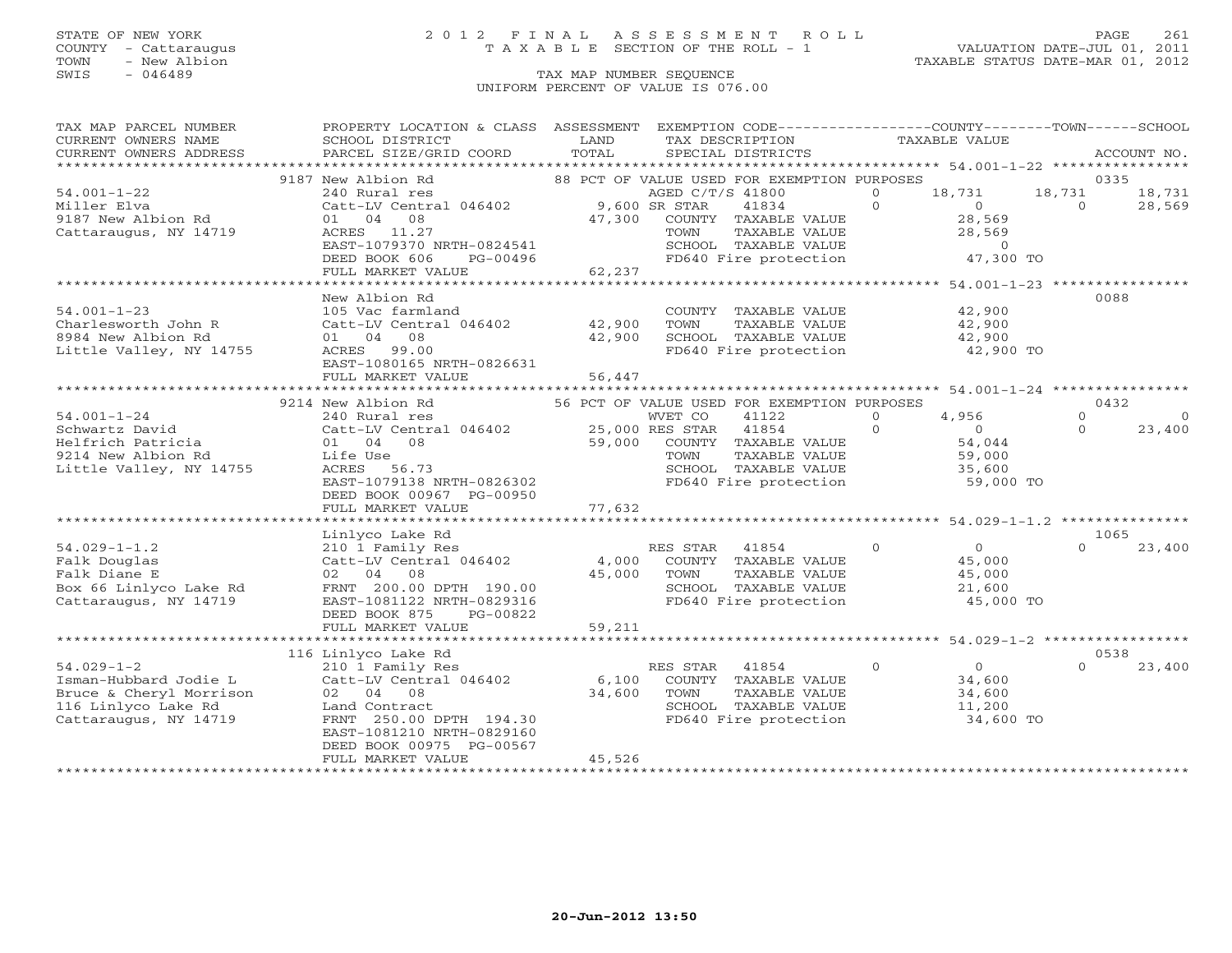## STATE OF NEW YORK 2 0 1 2 F I N A L A S S E S S M E N T R O L L PAGE 261 COUNTY - Cattaraugus T A X A B L E SECTION OF THE ROLL - 1 VALUATION DATE-JUL 01, 2011

| TAX MAP PARCEL NUMBER   | PROPERTY LOCATION & CLASS ASSESSMENT EXEMPTION CODE----------------COUNTY-------TOWN------SCHOOL                                                                                                                                                                                                                                                                                                                                                                                                                                       |        |                                                                                                                                                                                    |               |        |                |                |
|-------------------------|----------------------------------------------------------------------------------------------------------------------------------------------------------------------------------------------------------------------------------------------------------------------------------------------------------------------------------------------------------------------------------------------------------------------------------------------------------------------------------------------------------------------------------------|--------|------------------------------------------------------------------------------------------------------------------------------------------------------------------------------------|---------------|--------|----------------|----------------|
| CURRENT OWNERS NAME     | SCHOOL DISTRICT                                                                                                                                                                                                                                                                                                                                                                                                                                                                                                                        | LAND   | TAX DESCRIPTION                                                                                                                                                                    | TAXABLE VALUE |        |                |                |
| CURRENT OWNERS ADDRESS  | PARCEL SIZE/GRID COORD TOTAL                                                                                                                                                                                                                                                                                                                                                                                                                                                                                                           |        | SPECIAL DISTRICTS                                                                                                                                                                  |               |        |                | ACCOUNT NO.    |
|                         |                                                                                                                                                                                                                                                                                                                                                                                                                                                                                                                                        |        |                                                                                                                                                                                    |               |        |                |                |
|                         | 9187 New Albion Rd                                                                                                                                                                                                                                                                                                                                                                                                                                                                                                                     |        | 88 PCT OF VALUE USED FOR EXEMPTION PURPOSES                                                                                                                                        |               |        | 0335           |                |
| $54.001 - 1 - 22$       |                                                                                                                                                                                                                                                                                                                                                                                                                                                                                                                                        |        | AGED C/T/S 41800 0 18,731 18,731 18,731                                                                                                                                            |               |        |                |                |
| Miller Elva             |                                                                                                                                                                                                                                                                                                                                                                                                                                                                                                                                        |        |                                                                                                                                                                                    |               |        | $\overline{0}$ | 28,569         |
| 9187 New Albion Rd      |                                                                                                                                                                                                                                                                                                                                                                                                                                                                                                                                        |        |                                                                                                                                                                                    |               |        |                |                |
| Cattaraugus, NY 14719   | $\begin{tabular}{lcccc} 240~\text{Rural}~\text{res} & & & & & \text{AGED C/T/S 41800} & 0 & 18,731 \\ \text{Catt-LV Central 046402} & 9,600~\text{SR STAR} & 41834 & 0 & 0 \\ 01 & 04 & 08 & 47,300 & \text{COUNTY} & \text{TAXABLE VALUE} & 28,569 \\ \text{ACRES} & 11.27 & & & & \text{TOWN} & \text{TAXABLE VALUE} & 28,569 \end{tabular}$<br>ACRES 11.27 TOWN TAXABLE VALUE 28,569<br>EAST-1079370 NRTH-0824541 SCHOOL TAXABLE VALUE 28,569<br>DEED BOOK 606 PG-00496 FD640 Fire protection 47,300 TO<br>FULL MARKET VALUE 62,237 |        |                                                                                                                                                                                    |               |        |                |                |
|                         |                                                                                                                                                                                                                                                                                                                                                                                                                                                                                                                                        |        |                                                                                                                                                                                    |               |        |                |                |
|                         |                                                                                                                                                                                                                                                                                                                                                                                                                                                                                                                                        |        |                                                                                                                                                                                    |               |        |                |                |
|                         |                                                                                                                                                                                                                                                                                                                                                                                                                                                                                                                                        |        |                                                                                                                                                                                    |               |        |                |                |
|                         |                                                                                                                                                                                                                                                                                                                                                                                                                                                                                                                                        |        |                                                                                                                                                                                    |               |        |                |                |
|                         | New Albion Rd                                                                                                                                                                                                                                                                                                                                                                                                                                                                                                                          |        |                                                                                                                                                                                    |               |        | 0088           |                |
| $54.001 - 1 - 23$       | 105 Vac farmland                                                                                                                                                                                                                                                                                                                                                                                                                                                                                                                       |        | COUNTY TAXABLE VALUE                                                                                                                                                               |               | 42,900 |                |                |
|                         | 34.001-1-23<br>Charlesworth John R Catt-LV Central 046402 42,900<br>8984 New Albion Rd Catt-LV Central 046402 42,900<br>Little Valley, NY 14755 ACRES 99.00                                                                                                                                                                                                                                                                                                                                                                            |        | TAXABLE VALUE<br>TAXABLE VALUE 42,900<br>TAXABLE VALUE 42,900                                                                                                                      |               |        |                |                |
|                         |                                                                                                                                                                                                                                                                                                                                                                                                                                                                                                                                        |        | TOWN                                                                                                                                                                               |               |        |                |                |
|                         |                                                                                                                                                                                                                                                                                                                                                                                                                                                                                                                                        |        | SCHOOL TAXABLE VALUE 42,900<br>FD640 Fire protection 42,900 TO                                                                                                                     |               |        |                |                |
|                         |                                                                                                                                                                                                                                                                                                                                                                                                                                                                                                                                        |        |                                                                                                                                                                                    |               |        |                |                |
|                         | EAST-1080165 NRTH-0826631                                                                                                                                                                                                                                                                                                                                                                                                                                                                                                              |        |                                                                                                                                                                                    |               |        |                |                |
|                         | FULL MARKET VALUE                                                                                                                                                                                                                                                                                                                                                                                                                                                                                                                      | 56,447 |                                                                                                                                                                                    |               |        |                |                |
|                         |                                                                                                                                                                                                                                                                                                                                                                                                                                                                                                                                        |        |                                                                                                                                                                                    |               |        |                |                |
|                         | 9214 New Albion Rd                                                                                                                                                                                                                                                                                                                                                                                                                                                                                                                     |        | 56 PCT OF VALUE USED FOR EXEMPTION PURPOSES                                                                                                                                        |               |        | 0432           |                |
|                         |                                                                                                                                                                                                                                                                                                                                                                                                                                                                                                                                        |        |                                                                                                                                                                                    |               |        | $\Omega$       | $\overline{O}$ |
|                         |                                                                                                                                                                                                                                                                                                                                                                                                                                                                                                                                        |        |                                                                                                                                                                                    |               |        | $\Omega$       | 23,400         |
|                         | 94.001-1-24<br>Schwartz David<br>MET CO 41122<br>Helfrich Patricia (1046402)<br>25,000 RES STAR 41854<br>2714 New Albion Rd Life Use (1086)<br>11414 Vallow NV 14755<br>1414 Vallow NV 14755<br>1414 Vallow NV 14755                                                                                                                                                                                                                                                                                                                   |        |                                                                                                                                                                                    |               |        |                |                |
|                         |                                                                                                                                                                                                                                                                                                                                                                                                                                                                                                                                        |        |                                                                                                                                                                                    |               |        |                |                |
| Little Valley, NY 14755 | ACRES 56.73                                                                                                                                                                                                                                                                                                                                                                                                                                                                                                                            |        | WET CO 41122 0 4,956<br>25,000 RES STAR 41854 0 0<br>59,000 COUNTY TAXABLE VALUE 59,000 SCHOOL TAXABLE VALUE 59,000 SCHOOL TAXABLE VALUE 35,600<br>FD640 Fire protection 59,000 TO |               |        |                |                |
|                         | EAST-1079138 NRTH-0826302                                                                                                                                                                                                                                                                                                                                                                                                                                                                                                              |        |                                                                                                                                                                                    |               |        |                |                |
|                         | DEED BOOK 00967 PG-00950                                                                                                                                                                                                                                                                                                                                                                                                                                                                                                               |        |                                                                                                                                                                                    |               |        |                |                |
|                         | FULL MARKET VALUE 77,632                                                                                                                                                                                                                                                                                                                                                                                                                                                                                                               |        |                                                                                                                                                                                    |               |        |                |                |
|                         |                                                                                                                                                                                                                                                                                                                                                                                                                                                                                                                                        |        |                                                                                                                                                                                    |               |        |                |                |
|                         |                                                                                                                                                                                                                                                                                                                                                                                                                                                                                                                                        |        |                                                                                                                                                                                    |               |        | 1065           |                |
|                         | 1.029-1-1.2<br>Falk Douglas<br>Falk Douglas<br>Falk Diane E<br>External 046402<br>External 046402<br>EXTAR 41854<br>Cattacher Cattack Cattack Cattack Cattack Cattack Cattack Cattack Cattack Cattack Cattack Cattack Cattack Cattack Cattac                                                                                                                                                                                                                                                                                           |        |                                                                                                                                                                                    |               |        |                | $0 \t 23,400$  |
|                         |                                                                                                                                                                                                                                                                                                                                                                                                                                                                                                                                        |        |                                                                                                                                                                                    |               |        |                |                |
|                         |                                                                                                                                                                                                                                                                                                                                                                                                                                                                                                                                        |        |                                                                                                                                                                                    |               |        |                |                |
|                         |                                                                                                                                                                                                                                                                                                                                                                                                                                                                                                                                        |        |                                                                                                                                                                                    |               |        |                |                |
|                         |                                                                                                                                                                                                                                                                                                                                                                                                                                                                                                                                        |        | FD640 Fire protection 45,000 TO                                                                                                                                                    |               |        |                |                |
|                         | DEED BOOK 875<br>PG-00822                                                                                                                                                                                                                                                                                                                                                                                                                                                                                                              |        |                                                                                                                                                                                    |               |        |                |                |
|                         | FULL MARKET VALUE                                                                                                                                                                                                                                                                                                                                                                                                                                                                                                                      | 59,211 |                                                                                                                                                                                    |               |        |                |                |
|                         |                                                                                                                                                                                                                                                                                                                                                                                                                                                                                                                                        |        |                                                                                                                                                                                    |               |        |                |                |
|                         | 116 Linlyco Lake Rd                                                                                                                                                                                                                                                                                                                                                                                                                                                                                                                    |        |                                                                                                                                                                                    |               |        | 0538           |                |
| $54.029 - 1 - 2$        | 210 1 Family Res<br>Catt-LV Central 046402 6,100 COUNTY TAXABLE VALUE 34,600<br>02 04 08 34,600 TOWN TAXABLE VALUE 34,600<br>Land Contract SCHOOL SCHOOL TAXABLE VALUE                                                                                                                                                                                                                                                                                                                                                                 |        |                                                                                                                                                                                    |               |        | $\Omega$       | 23,400         |
|                         |                                                                                                                                                                                                                                                                                                                                                                                                                                                                                                                                        |        |                                                                                                                                                                                    |               |        |                |                |
|                         | Figure - Inches Teman-Hubbard Jodie L<br>Bruce & Cheryl Morrison and Catt-LV Central 046402 6,<br>116 Linlyco Lake Rd Land Contract Cattaraugus, NY 14719 FRNT 250.00 DPTH 194.30                                                                                                                                                                                                                                                                                                                                                      |        |                                                                                                                                                                                    |               |        |                |                |
|                         |                                                                                                                                                                                                                                                                                                                                                                                                                                                                                                                                        |        |                                                                                                                                                                                    |               |        |                |                |
|                         |                                                                                                                                                                                                                                                                                                                                                                                                                                                                                                                                        |        | SCHOOL TAXABLE VALUE 11,200<br>FD640 Fire protection 34,600 TO                                                                                                                     |               |        |                |                |
|                         |                                                                                                                                                                                                                                                                                                                                                                                                                                                                                                                                        |        |                                                                                                                                                                                    |               |        |                |                |
|                         | EAST-1081210 NRTH-0829160                                                                                                                                                                                                                                                                                                                                                                                                                                                                                                              |        |                                                                                                                                                                                    |               |        |                |                |
|                         | DEED BOOK 00975 PG-00567                                                                                                                                                                                                                                                                                                                                                                                                                                                                                                               |        |                                                                                                                                                                                    |               |        |                |                |
|                         | FULL MARKET VALUE                                                                                                                                                                                                                                                                                                                                                                                                                                                                                                                      | 45,526 |                                                                                                                                                                                    |               |        |                |                |
|                         |                                                                                                                                                                                                                                                                                                                                                                                                                                                                                                                                        |        |                                                                                                                                                                                    |               |        |                |                |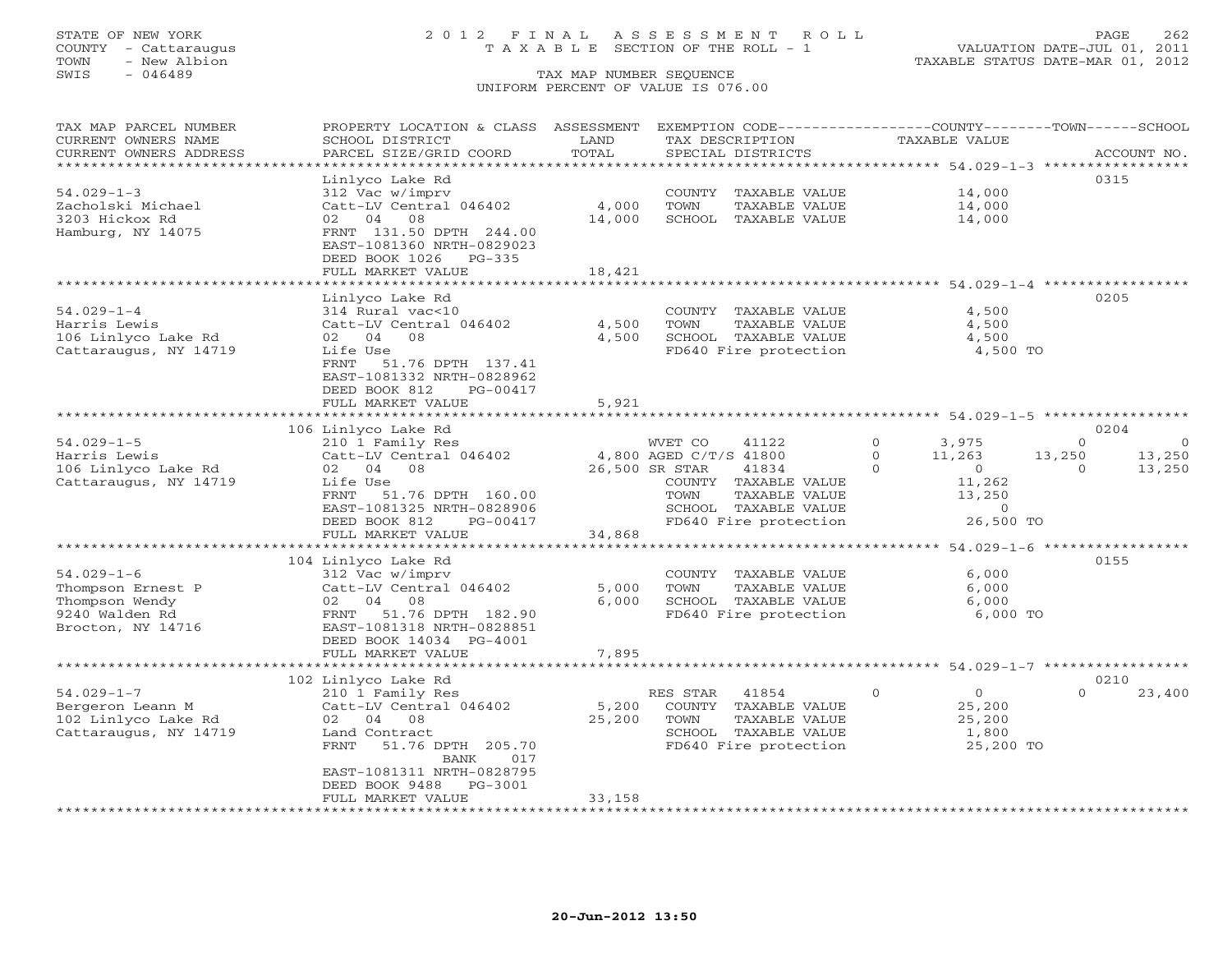## STATE OF NEW YORK 2 0 1 2 F I N A L A S S E S S M E N T R O L L PAGE 262 COUNTY - Cattaraugus T A X A B L E SECTION OF THE ROLL - 1 VALUATION DATE-JUL 01, 2011

TOWN - New Albion TAXABLE STATUS DATE-MAR 01, 2012

| TAX MAP PARCEL NUMBER<br>CURRENT OWNERS NAME<br>CURRENT OWNERS ADDRESS | PROPERTY LOCATION & CLASS ASSESSMENT<br>SCHOOL DISTRICT<br>PARCEL SIZE/GRID COORD | LAND<br>TOTAL | EXEMPTION CODE-----------------COUNTY-------TOWN------SCHOOL<br>TAX DESCRIPTION<br>SPECIAL DISTRICTS | TAXABLE VALUE                  | ACCOUNT NO.                             |
|------------------------------------------------------------------------|-----------------------------------------------------------------------------------|---------------|------------------------------------------------------------------------------------------------------|--------------------------------|-----------------------------------------|
| *********************                                                  |                                                                                   |               |                                                                                                      |                                |                                         |
|                                                                        | Linlyco Lake Rd                                                                   |               |                                                                                                      |                                | 0315                                    |
| $54.029 - 1 - 3$                                                       | 312 Vac w/imprv                                                                   |               | COUNTY<br>TAXABLE VALUE                                                                              | 14,000                         |                                         |
| Zacholski Michael                                                      | Catt-LV Central 046402                                                            | 4,000         | TAXABLE VALUE<br>TOWN                                                                                | 14,000                         |                                         |
| 3203 Hickox Rd                                                         | 02 04<br>08                                                                       | 14,000        | SCHOOL<br>TAXABLE VALUE                                                                              | 14,000                         |                                         |
| Hamburg, NY 14075                                                      | FRNT 131.50 DPTH 244.00                                                           |               |                                                                                                      |                                |                                         |
|                                                                        | EAST-1081360 NRTH-0829023                                                         |               |                                                                                                      |                                |                                         |
|                                                                        | DEED BOOK 1026<br>PG-335                                                          |               |                                                                                                      |                                |                                         |
|                                                                        | FULL MARKET VALUE                                                                 | 18,421        |                                                                                                      |                                |                                         |
|                                                                        |                                                                                   |               |                                                                                                      |                                |                                         |
|                                                                        | Linlyco Lake Rd                                                                   |               |                                                                                                      |                                | 0205                                    |
| $54.029 - 1 - 4$                                                       | 314 Rural vac<10                                                                  |               | COUNTY TAXABLE VALUE                                                                                 | 4,500                          |                                         |
| Harris Lewis                                                           | Catt-LV Central 046402                                                            | 4,500         | TOWN<br>TAXABLE VALUE                                                                                | 4,500                          |                                         |
| 106 Linlyco Lake Rd                                                    | 02 04<br>- 08                                                                     | 4,500         | SCHOOL TAXABLE VALUE                                                                                 | 4,500                          |                                         |
| Cattaraugus, NY 14719                                                  | Life Use                                                                          |               | FD640 Fire protection                                                                                | 4,500 TO                       |                                         |
|                                                                        | FRNT<br>51.76 DPTH 137.41                                                         |               |                                                                                                      |                                |                                         |
|                                                                        | EAST-1081332 NRTH-0828962                                                         |               |                                                                                                      |                                |                                         |
|                                                                        | DEED BOOK 812<br>PG-00417                                                         |               |                                                                                                      |                                |                                         |
|                                                                        | FULL MARKET VALUE                                                                 | 5,921         |                                                                                                      |                                |                                         |
|                                                                        | 106 Linlyco Lake Rd                                                               |               |                                                                                                      |                                | 0204                                    |
| $54.029 - 1 - 5$                                                       | 210 1 Family Res                                                                  |               | 41122<br>WVET CO                                                                                     | $\Omega$<br>3,975              | $\Omega$<br>$\Omega$                    |
| Harris Lewis                                                           | Catt-LV Central 046402                                                            |               | 4,800 AGED C/T/S 41800                                                                               | $\Omega$<br>11,263             | 13,250<br>13,250                        |
| 106 Linlyco Lake Rd                                                    | 02 04 08                                                                          |               | 26,500 SR STAR<br>41834                                                                              | $\Omega$<br>$\overline{0}$     | 13,250<br>$\Omega$                      |
| Cattaraugus, NY 14719                                                  | Life Use                                                                          |               | COUNTY TAXABLE VALUE                                                                                 | 11,262                         |                                         |
|                                                                        | FRNT<br>51.76 DPTH 160.00                                                         |               | TAXABLE VALUE<br>TOWN                                                                                | 13,250                         |                                         |
|                                                                        | EAST-1081325 NRTH-0828906                                                         |               | SCHOOL TAXABLE VALUE                                                                                 | $\circ$                        |                                         |
|                                                                        | DEED BOOK 812<br>PG-00417                                                         |               | FD640 Fire protection                                                                                | 26,500 TO                      |                                         |
|                                                                        | FULL MARKET VALUE                                                                 | 34,868        |                                                                                                      |                                |                                         |
|                                                                        |                                                                                   |               |                                                                                                      |                                | ********* 54.029-1-6 ****************** |
|                                                                        | 104 Linlyco Lake Rd                                                               |               |                                                                                                      |                                | 0155                                    |
| $54.029 - 1 - 6$                                                       | 312 Vac w/imprv                                                                   |               | COUNTY TAXABLE VALUE                                                                                 | 6,000                          |                                         |
| Thompson Ernest P                                                      | Catt-LV Central 046402                                                            | 5,000         | TAXABLE VALUE<br>TOWN                                                                                | 6,000                          |                                         |
| Thompson Wendy                                                         | 02 04 08                                                                          | 6,000         | SCHOOL TAXABLE VALUE                                                                                 | 6,000                          |                                         |
| 9240 Walden Rd                                                         | 51.76 DPTH 182.90<br>FRNT                                                         |               | FD640 Fire protection                                                                                | 6,000 TO                       |                                         |
| Brocton, NY 14716                                                      | EAST-1081318 NRTH-0828851                                                         |               |                                                                                                      |                                |                                         |
|                                                                        | DEED BOOK 14034 PG-4001                                                           |               |                                                                                                      |                                |                                         |
|                                                                        | FULL MARKET VALUE                                                                 | 7,895         |                                                                                                      |                                |                                         |
|                                                                        |                                                                                   |               |                                                                                                      |                                | 0210                                    |
| $54.029 - 1 - 7$                                                       | 102 Linlyco Lake Rd<br>210 1 Family Res                                           |               | RES STAR<br>41854                                                                                    | $\mathbf{0}$<br>$\overline{0}$ | $\Omega$<br>23,400                      |
| Bergeron Leann M                                                       | Catt-LV Central 046402                                                            | 5,200         | COUNTY<br>TAXABLE VALUE                                                                              | 25,200                         |                                         |
| 102 Linlyco Lake Rd                                                    | 02 04 08                                                                          | 25,200        | TOWN<br>TAXABLE VALUE                                                                                | 25,200                         |                                         |
| Cattaraugus, NY 14719                                                  | Land Contract                                                                     |               | SCHOOL TAXABLE VALUE                                                                                 | 1,800                          |                                         |
|                                                                        | FRNT<br>51.76 DPTH 205.70                                                         |               | FD640 Fire protection                                                                                | 25,200 TO                      |                                         |
|                                                                        | <b>BANK</b><br>017                                                                |               |                                                                                                      |                                |                                         |
|                                                                        | EAST-1081311 NRTH-0828795                                                         |               |                                                                                                      |                                |                                         |
|                                                                        | PG-3001<br>DEED BOOK 9488                                                         |               |                                                                                                      |                                |                                         |
|                                                                        | FULL MARKET VALUE                                                                 | 33,158        |                                                                                                      |                                |                                         |
| **********************                                                 |                                                                                   |               |                                                                                                      |                                |                                         |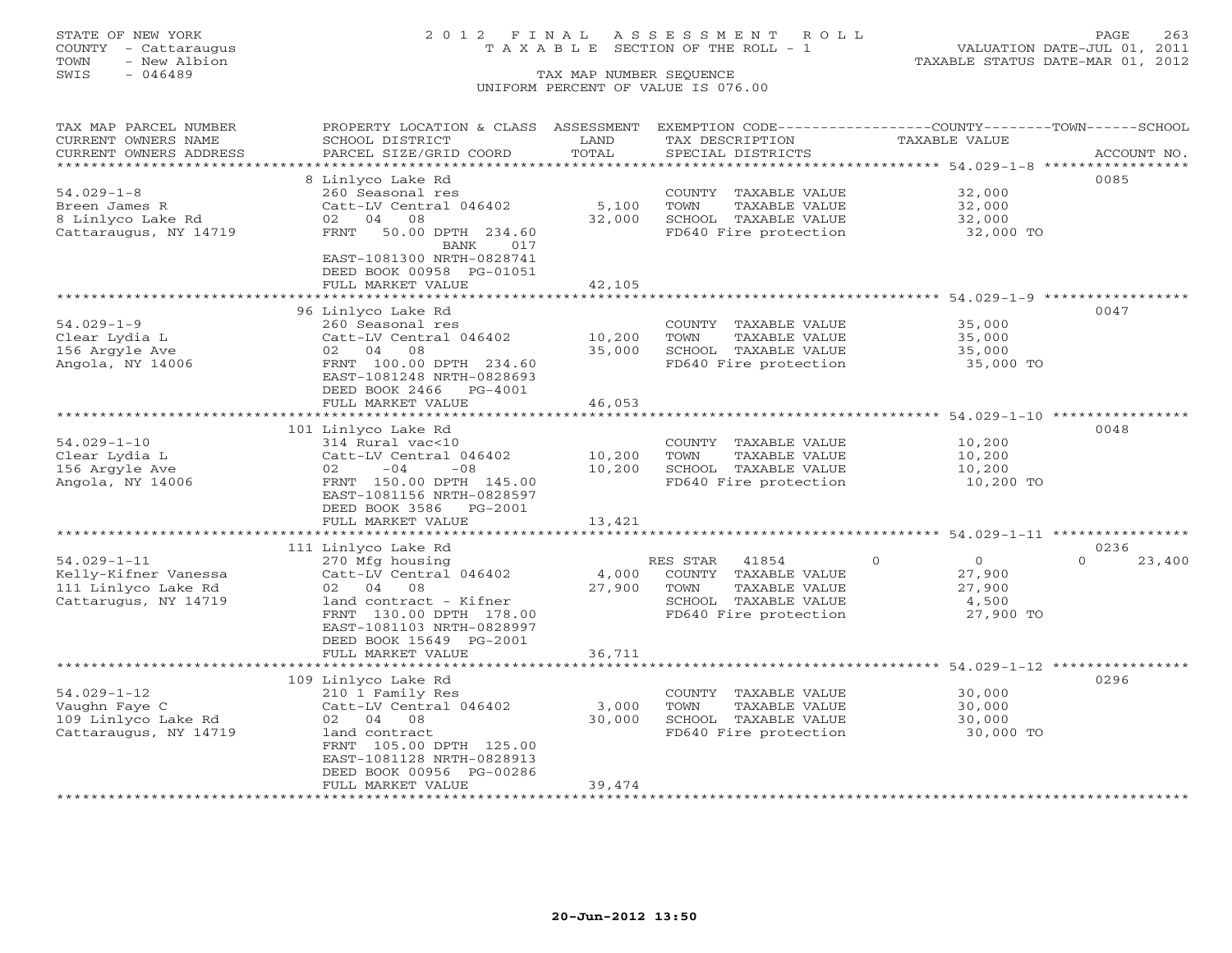## STATE OF NEW YORK 2 0 1 2 F I N A L A S S E S S M E N T R O L L PAGE 263 COUNTY - Cattaraugus T A X A B L E SECTION OF THE ROLL - 1 VALUATION DATE-JUL 01, 2011

| TAX MAP PARCEL NUMBER                         | PROPERTY LOCATION & CLASS ASSESSMENT                   |                         | EXEMPTION CODE-----------------COUNTY-------TOWN------SCHOOL |                                                         |                          |
|-----------------------------------------------|--------------------------------------------------------|-------------------------|--------------------------------------------------------------|---------------------------------------------------------|--------------------------|
| CURRENT OWNERS NAME<br>CURRENT OWNERS ADDRESS | SCHOOL DISTRICT<br>PARCEL SIZE/GRID COORD              | LAND<br>TOTAL           | TAX DESCRIPTION<br>SPECIAL DISTRICTS                         | <b>TAXABLE VALUE</b>                                    | ACCOUNT NO.              |
| *******************                           |                                                        |                         |                                                              |                                                         |                          |
|                                               | 8 Linlyco Lake Rd                                      |                         |                                                              |                                                         | 0085                     |
| $54.029 - 1 - 8$                              | 260 Seasonal res                                       |                         | COUNTY TAXABLE VALUE                                         | 32,000                                                  |                          |
| Breen James R                                 | Catt-LV Central 046402                                 | 5,100                   | TOWN<br>TAXABLE VALUE                                        | 32,000                                                  |                          |
| 8 Linlyco Lake Rd<br>Cattaraugus, NY 14719    | 02 04 08<br>50.00 DPTH 234.60<br>FRNT                  | 32,000                  | SCHOOL TAXABLE VALUE<br>FD640 Fire protection                | 32,000<br>32,000 TO                                     |                          |
|                                               | 017<br>BANK                                            |                         |                                                              |                                                         |                          |
|                                               | EAST-1081300 NRTH-0828741                              |                         |                                                              |                                                         |                          |
|                                               | DEED BOOK 00958 PG-01051                               |                         |                                                              |                                                         |                          |
|                                               | FULL MARKET VALUE                                      | 42,105                  |                                                              |                                                         |                          |
|                                               |                                                        |                         |                                                              |                                                         |                          |
| $54.029 - 1 - 9$                              | 96 Linlyco Lake Rd<br>260 Seasonal res                 |                         | COUNTY TAXABLE VALUE                                         | 35,000                                                  | 0047                     |
| Clear Lydia L                                 | Catt-LV Central 046402                                 | 10,200                  | TOWN<br>TAXABLE VALUE                                        | 35,000                                                  |                          |
| 156 Arqyle Ave                                | 02 04 08                                               | 35,000                  | SCHOOL TAXABLE VALUE                                         | 35,000                                                  |                          |
| Angola, NY 14006                              | FRNT 100.00 DPTH 234.60                                |                         | FD640 Fire protection                                        | 35,000 TO                                               |                          |
|                                               | EAST-1081248 NRTH-0828693                              |                         |                                                              |                                                         |                          |
|                                               | DEED BOOK 2466<br>PG-4001                              |                         |                                                              |                                                         |                          |
|                                               | FULL MARKET VALUE                                      | 46,053                  |                                                              | ******************************* 54.029-1-10 *********** |                          |
|                                               | 101 Linlyco Lake Rd                                    |                         |                                                              |                                                         | 0048                     |
| $54.029 - 1 - 10$                             | 314 Rural vac<10                                       |                         | COUNTY TAXABLE VALUE                                         | 10,200                                                  |                          |
| Clear Lydia L                                 | Catt-LV Central 046402                                 | 10,200                  | TOWN<br>TAXABLE VALUE                                        | 10,200                                                  |                          |
| 156 Argyle Ave                                | $-04$<br>$-08$<br>02                                   | 10,200                  | SCHOOL TAXABLE VALUE                                         | 10,200                                                  |                          |
| Angola, NY 14006                              | FRNT 150.00 DPTH 145.00                                |                         | FD640 Fire protection                                        | 10,200 TO                                               |                          |
|                                               | EAST-1081156 NRTH-0828597<br>DEED BOOK 3586<br>PG-2001 |                         |                                                              |                                                         |                          |
|                                               | FULL MARKET VALUE                                      | 13,421                  |                                                              |                                                         |                          |
|                                               |                                                        |                         |                                                              | ********* 54.029-1-11 *********                         |                          |
|                                               | 111 Linlyco Lake Rd                                    |                         |                                                              |                                                         | 0236                     |
| $54.029 - 1 - 11$                             | 270 Mfg housing                                        |                         | 41854<br>RES STAR                                            | $\circ$<br>$\overline{0}$                               | 23,400<br>$\Omega$       |
| Kelly-Kifner Vanessa                          | Catt-LV Central 046402                                 | 4,000                   | COUNTY TAXABLE VALUE                                         | 27,900                                                  |                          |
| 111 Linlyco Lake Rd<br>Cattarugus, NY 14719   | 02 04 08<br>land contract - Kifner                     | 27,900                  | TAXABLE VALUE<br>TOWN<br>SCHOOL TAXABLE VALUE                | 27,900<br>4,500                                         |                          |
|                                               | FRNT 130.00 DPTH 178.00                                |                         | FD640 Fire protection                                        | 27,900 TO                                               |                          |
|                                               | EAST-1081103 NRTH-0828997                              |                         |                                                              |                                                         |                          |
|                                               | DEED BOOK 15649 PG-2001                                |                         |                                                              |                                                         |                          |
|                                               | FULL MARKET VALUE<br>************************          | 36,711<br>************* |                                                              |                                                         |                          |
|                                               |                                                        |                         |                                                              | ************************ 54.029-1-12                    | ****************<br>0296 |
| $54.029 - 1 - 12$                             | 109 Linlyco Lake Rd<br>210 1 Family Res                |                         | COUNTY TAXABLE VALUE                                         | 30,000                                                  |                          |
| Vaughn Faye C                                 | Catt-LV Central 046402                                 | 3,000                   | TAXABLE VALUE<br>TOWN                                        | 30,000                                                  |                          |
| 109 Linlyco Lake Rd                           | 02 04 08                                               | 30,000                  | SCHOOL TAXABLE VALUE                                         | 30,000                                                  |                          |
| Cattaraugus, NY 14719                         | land contract                                          |                         | FD640 Fire protection                                        | 30,000 TO                                               |                          |
|                                               | FRNT 105.00 DPTH 125.00                                |                         |                                                              |                                                         |                          |
|                                               | EAST-1081128 NRTH-0828913                              |                         |                                                              |                                                         |                          |
|                                               | DEED BOOK 00956 PG-00286<br>FULL MARKET VALUE          | 39,474                  |                                                              |                                                         |                          |
|                                               |                                                        |                         |                                                              |                                                         |                          |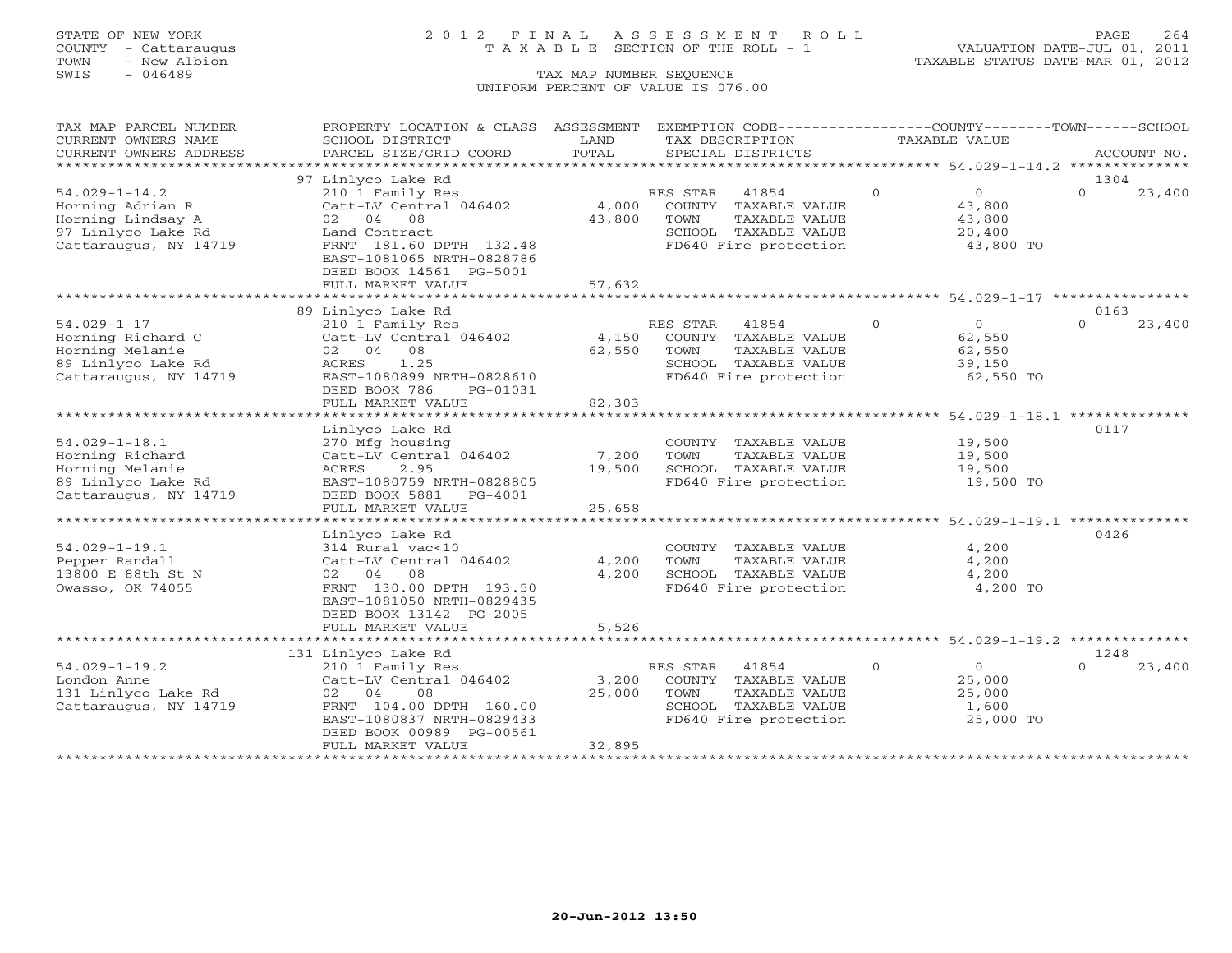## STATE OF NEW YORK 2 0 1 2 F I N A L A S S E S S M E N T R O L L PAGE 264 COUNTY - Cattaraugus T A X A B L E SECTION OF THE ROLL - 1 VALUATION DATE-JUL 01, 2011

TOWN - New Albion TAXABLE STATUS DATE-MAR 01, 2012

| TAX MAP PARCEL NUMBER      | PROPERTY LOCATION & CLASS ASSESSMENT EXEMPTION CODE----------------COUNTY-------TOWN------SCHOOL |        |                       |                |                |          |             |
|----------------------------|--------------------------------------------------------------------------------------------------|--------|-----------------------|----------------|----------------|----------|-------------|
| CURRENT OWNERS NAME        | SCHOOL DISTRICT                                                                                  | LAND   | TAX DESCRIPTION       |                | TAXABLE VALUE  |          |             |
| CURRENT OWNERS ADDRESS     | PARCEL SIZE/GRID COORD                                                                           | TOTAL  | SPECIAL DISTRICTS     |                |                |          | ACCOUNT NO. |
| ************************** |                                                                                                  |        |                       |                |                |          |             |
|                            | 97 Linlyco Lake Rd                                                                               |        |                       |                |                | 1304     |             |
| $54.029 - 1 - 14.2$        | 210 1 Family Res                                                                                 |        | RES STAR<br>41854     | $\overline{0}$ | $\overline{0}$ | $\Omega$ | 23,400      |
| Horning Adrian R           | Catt-LV Central 046402                                                                           | 4,000  | COUNTY TAXABLE VALUE  |                | 43,800         |          |             |
| Horning Lindsay A          | 02 04 08                                                                                         | 43,800 | TOWN<br>TAXABLE VALUE |                | 43,800         |          |             |
| 97 Linlyco Lake Rd         | Land Contract                                                                                    |        | SCHOOL TAXABLE VALUE  |                | 20,400         |          |             |
| Cattaraugus, NY 14719      | FRNT 181.60 DPTH 132.48                                                                          |        | FD640 Fire protection |                | 43,800 TO      |          |             |
|                            | EAST-1081065 NRTH-0828786<br>DEED BOOK 14561 PG-5001                                             |        |                       |                |                |          |             |
|                            |                                                                                                  |        |                       |                |                |          |             |
|                            | FULL MARKET VALUE                                                                                | 57,632 |                       |                |                |          |             |
|                            | 89 Linlyco Lake Rd                                                                               |        |                       |                |                | 0163     |             |
| $54.029 - 1 - 17$          | 210 1 Family Res                                                                                 |        | RES STAR 41854        | $\Omega$       | $\Omega$       | $\cap$   | 23,400      |
| Horning Richard C          | Catt-LV Central 046402                                                                           | 4,150  | COUNTY TAXABLE VALUE  |                | 62,550         |          |             |
| Horning Melanie            | 02 04 08                                                                                         | 62,550 | TOWN<br>TAXABLE VALUE |                | 62,550         |          |             |
| 89 Linlyco Lake Rd         | 1.25<br>ACRES                                                                                    |        | SCHOOL TAXABLE VALUE  |                | 39,150         |          |             |
| Cattaraugus, NY 14719      | EAST-1080899 NRTH-0828610                                                                        |        | FD640 Fire protection |                | 62,550 TO      |          |             |
|                            | DEED BOOK 786<br>PG-01031                                                                        |        |                       |                |                |          |             |
|                            | FULL MARKET VALUE                                                                                | 82,303 |                       |                |                |          |             |
|                            |                                                                                                  |        |                       |                |                |          |             |
|                            | Linlyco Lake Rd                                                                                  |        |                       |                |                | 0117     |             |
| $54.029 - 1 - 18.1$        | 270 Mfg housing                                                                                  |        | COUNTY TAXABLE VALUE  |                | 19,500         |          |             |
| Horning Richard            | Catt-LV Central 046402                                                                           | 7,200  | TOWN<br>TAXABLE VALUE |                | 19,500         |          |             |
| Horning Melanie            | ACRES<br>2.95                                                                                    | 19,500 | SCHOOL TAXABLE VALUE  |                | 19,500         |          |             |
| 89 Linlyco Lake Rd         | EAST-1080759 NRTH-0828805                                                                        |        | FD640 Fire protection |                | 19,500 TO      |          |             |
| Cattaraugus, NY 14719      | DEED BOOK 5881 PG-4001                                                                           |        |                       |                |                |          |             |
|                            | FULL MARKET VALUE                                                                                | 25,658 |                       |                |                |          |             |
|                            |                                                                                                  |        |                       |                |                |          |             |
|                            | Linlyco Lake Rd                                                                                  |        |                       |                |                | 0426     |             |
| $54.029 - 1 - 19.1$        | 314 Rural vac<10                                                                                 |        | COUNTY TAXABLE VALUE  |                | 4,200          |          |             |
| Pepper Randall             | Catt-LV Central 046402                                                                           | 4,200  | TOWN<br>TAXABLE VALUE |                | 4,200          |          |             |
| 13800 E 88th St N          | 02 04 08                                                                                         | 4,200  | SCHOOL TAXABLE VALUE  |                | 4,200          |          |             |
| Owasso, OK 74055           | FRNT 130.00 DPTH 193.50                                                                          |        | FD640 Fire protection |                | 4,200 TO       |          |             |
|                            | EAST-1081050 NRTH-0829435                                                                        |        |                       |                |                |          |             |
|                            | DEED BOOK 13142 PG-2005                                                                          |        |                       |                |                |          |             |
|                            | FULL MARKET VALUE                                                                                | 5,526  |                       |                |                |          |             |
|                            |                                                                                                  |        |                       |                |                | 1248     |             |
| $54.029 - 1 - 19.2$        | 131 Linlyco Lake Rd<br>210 1 Family Res                                                          |        | RES STAR 41854        | $\Omega$       | $\overline{O}$ | $\Omega$ | 23,400      |
| London Anne                | Catt-LV Central 046402                                                                           | 3,200  | COUNTY TAXABLE VALUE  |                | 25,000         |          |             |
| 131 Linlyco Lake Rd        | 02 04<br>08                                                                                      | 25,000 | TOWN<br>TAXABLE VALUE |                | 25,000         |          |             |
| Cattaraugus, NY 14719      | FRNT 104.00 DPTH 160.00                                                                          |        | SCHOOL TAXABLE VALUE  |                | 1,600          |          |             |
|                            | EAST-1080837 NRTH-0829433                                                                        |        | FD640 Fire protection |                | 25,000 TO      |          |             |
|                            | DEED BOOK 00989 PG-00561                                                                         |        |                       |                |                |          |             |
|                            | FULL MARKET VALUE                                                                                | 32,895 |                       |                |                |          |             |
|                            |                                                                                                  |        |                       |                |                |          |             |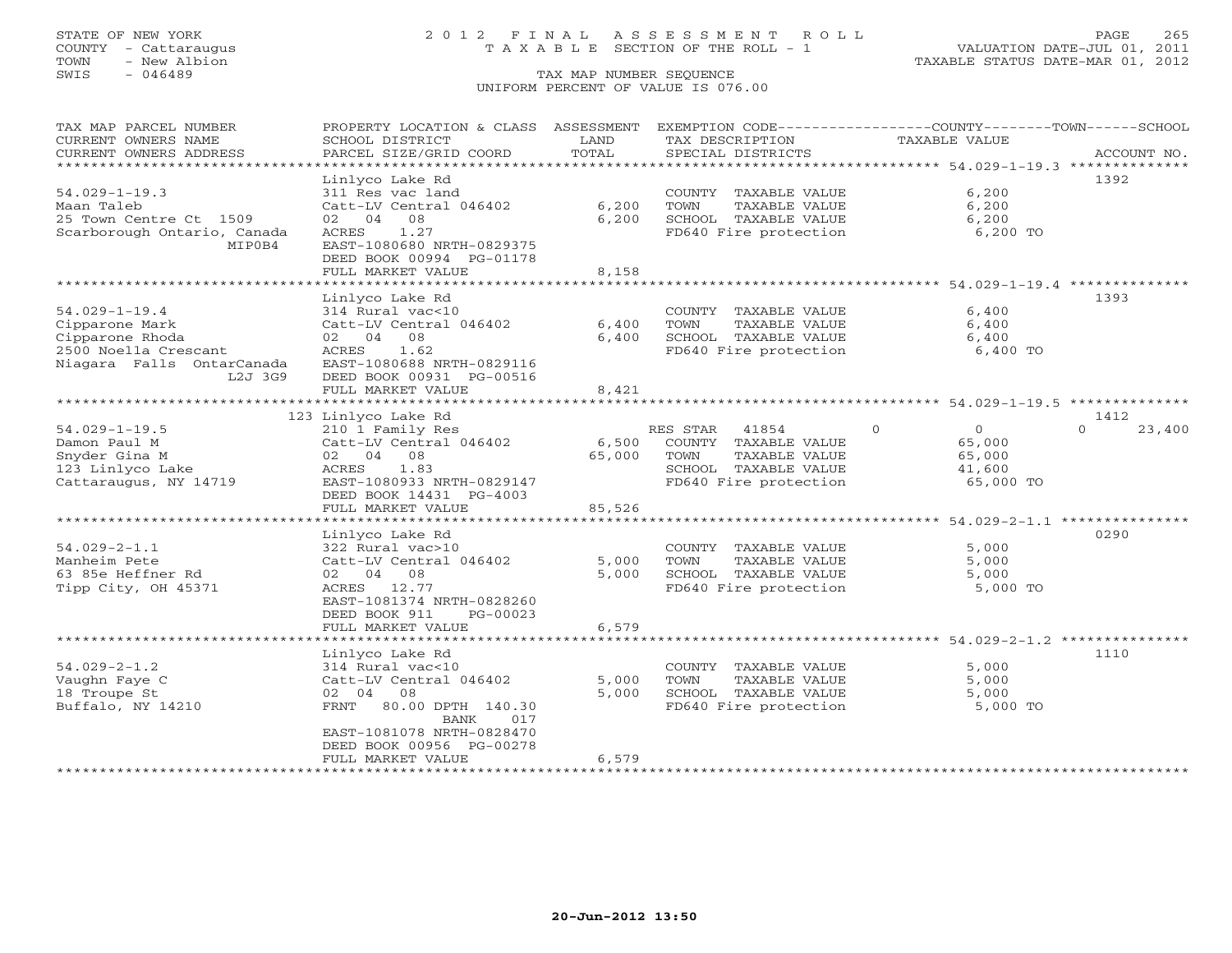## STATE OF NEW YORK 2 0 1 2 F I N A L A S S E S S M E N T R O L L PAGE 265 COUNTY - Cattaraugus T A X A B L E SECTION OF THE ROLL - 1 VALUATION DATE-JUL 01, 2011

| TAX MAP PARCEL NUMBER       | PROPERTY LOCATION & CLASS ASSESSMENT            |        |                                               | EXEMPTION CODE-----------------COUNTY-------TOWN------SCHOOL |                    |
|-----------------------------|-------------------------------------------------|--------|-----------------------------------------------|--------------------------------------------------------------|--------------------|
| CURRENT OWNERS NAME         | SCHOOL DISTRICT                                 | LAND   | TAX DESCRIPTION                               | TAXABLE VALUE                                                |                    |
| CURRENT OWNERS ADDRESS      | PARCEL SIZE/GRID COORD                          | TOTAL  | SPECIAL DISTRICTS                             |                                                              | ACCOUNT NO.        |
| **********************      |                                                 |        |                                               |                                                              |                    |
|                             | Linlyco Lake Rd                                 |        |                                               |                                                              | 1392               |
| $54.029 - 1 - 19.3$         | 311 Res vac land                                |        | COUNTY TAXABLE VALUE                          | 6,200                                                        |                    |
| Maan Taleb                  | Catt-LV Central 046402                          | 6,200  | TOWN<br>TAXABLE VALUE                         | 6,200                                                        |                    |
| 25 Town Centre Ct 1509      | 08<br>02<br>04                                  | 6,200  | SCHOOL TAXABLE VALUE                          | 6,200                                                        |                    |
| Scarborough Ontario, Canada | 1.27<br>ACRES                                   |        | FD640 Fire protection                         | 6,200 TO                                                     |                    |
| MIP0B4                      | EAST-1080680 NRTH-0829375                       |        |                                               |                                                              |                    |
|                             | DEED BOOK 00994 PG-01178                        |        |                                               |                                                              |                    |
|                             | FULL MARKET VALUE                               | 8,158  |                                               |                                                              |                    |
|                             |                                                 |        |                                               |                                                              |                    |
|                             | Linlyco Lake Rd                                 |        |                                               |                                                              | 1393               |
| $54.029 - 1 - 19.4$         | 314 Rural vac<10                                |        | COUNTY TAXABLE VALUE                          | 6,400                                                        |                    |
| Cipparone Mark              | Catt-LV Central 046402                          | 6,400  | TAXABLE VALUE<br>TOWN                         | 6,400                                                        |                    |
| Cipparone Rhoda             | 02 04 08                                        | 6,400  | SCHOOL TAXABLE VALUE                          | 6,400                                                        |                    |
| 2500 Noella Crescant        | 1.62<br>ACRES                                   |        | FD640 Fire protection                         | 6,400 TO                                                     |                    |
| Niagara Falls OntarCanada   | EAST-1080688 NRTH-0829116                       |        |                                               |                                                              |                    |
| L2J 3G9                     | DEED BOOK 00931 PG-00516                        |        |                                               |                                                              |                    |
|                             | FULL MARKET VALUE                               | 8,421  |                                               |                                                              |                    |
|                             |                                                 |        |                                               |                                                              |                    |
|                             | 123 Linlyco Lake Rd                             |        |                                               |                                                              | 1412               |
| $54.029 - 1 - 19.5$         | 210 1 Family Res                                |        | RES STAR<br>41854                             | $\Omega$<br>$\Omega$                                         | $\Omega$<br>23,400 |
| Damon Paul M                | Catt-LV Central 046402                          | 6,500  | COUNTY TAXABLE VALUE                          | 65,000                                                       |                    |
| Snyder Gina M               | 08<br>02 04                                     | 65,000 | TOWN<br>TAXABLE VALUE                         | 65,000                                                       |                    |
| 123 Linlyco Lake            | 1.83<br>ACRES                                   |        | SCHOOL TAXABLE VALUE                          | 41,600                                                       |                    |
| Cattaraugus, NY 14719       | EAST-1080933 NRTH-0829147                       |        | FD640 Fire protection                         | 65,000 TO                                                    |                    |
|                             | DEED BOOK 14431 PG-4003                         |        |                                               |                                                              |                    |
|                             | FULL MARKET VALUE                               | 85,526 |                                               |                                                              |                    |
|                             |                                                 |        |                                               |                                                              |                    |
|                             | Linlyco Lake Rd                                 |        |                                               |                                                              | 0290               |
| $54.029 - 2 - 1.1$          | 322 Rural vac>10                                |        | COUNTY TAXABLE VALUE                          | 5,000                                                        |                    |
| Manheim Pete                | Catt-LV Central 046402                          | 5,000  | TOWN<br>TAXABLE VALUE                         | 5,000                                                        |                    |
| 63 85e Heffner Rd           | 02 04 08                                        | 5,000  | SCHOOL TAXABLE VALUE                          | 5,000                                                        |                    |
| Tipp City, OH 45371         | ACRES 12.77                                     |        | FD640 Fire protection                         | 5,000 TO                                                     |                    |
|                             | EAST-1081374 NRTH-0828260                       |        |                                               |                                                              |                    |
|                             | DEED BOOK 911<br>PG-00023                       |        |                                               |                                                              |                    |
|                             | FULL MARKET VALUE                               | 6,579  |                                               | ******************************* 54.029-2-1.2 *************** |                    |
|                             |                                                 |        |                                               |                                                              | 1110               |
| $54.029 - 2 - 1.2$          | Linlyco Lake Rd                                 |        |                                               | 5,000                                                        |                    |
| Vaughn Faye C               | 314 Rural vac<10<br>Catt-LV Central 046402      | 5,000  | COUNTY TAXABLE VALUE<br>TOWN<br>TAXABLE VALUE | 5,000                                                        |                    |
| 18 Troupe St                | 08<br>02 04                                     | 5,000  | SCHOOL TAXABLE VALUE                          | 5,000                                                        |                    |
|                             |                                                 |        |                                               | 5,000 TO                                                     |                    |
| Buffalo, NY 14210           | 80.00 DPTH 140.30<br>FRNT<br><b>BANK</b><br>017 |        | FD640 Fire protection                         |                                                              |                    |
|                             | EAST-1081078 NRTH-0828470                       |        |                                               |                                                              |                    |
|                             | DEED BOOK 00956 PG-00278                        |        |                                               |                                                              |                    |
|                             | FULL MARKET VALUE                               | 6,579  |                                               |                                                              |                    |
|                             | *********************                           |        |                                               |                                                              |                    |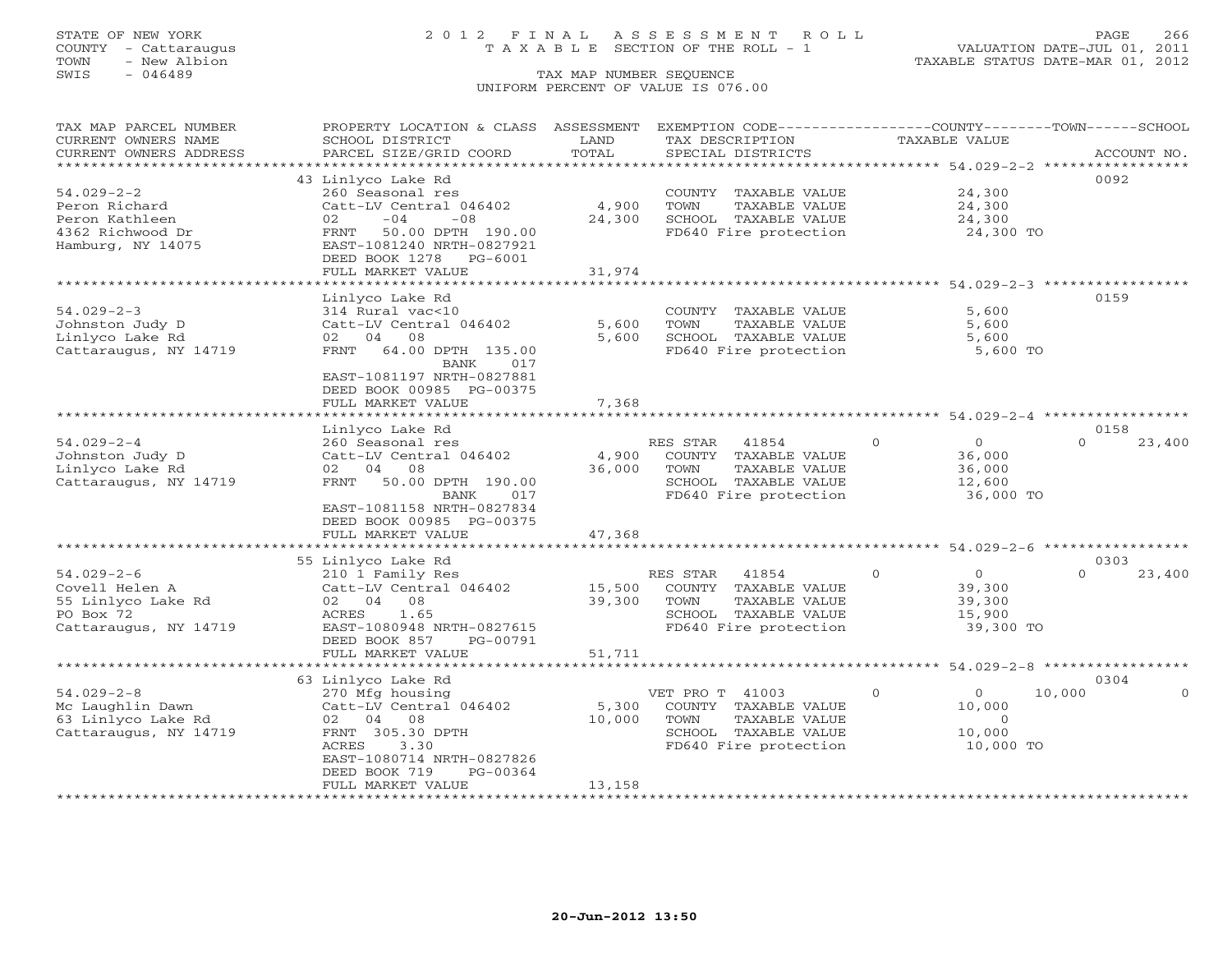## STATE OF NEW YORK 2 0 1 2 F I N A L A S S E S S M E N T R O L L PAGE 266 COUNTY - Cattaraugus T A X A B L E SECTION OF THE ROLL - 1 VALUATION DATE-JUL 01, 2011

TOWN - New Albion TAXABLE STATUS DATE-MAR 01, 2012

| TOTAL<br>CURRENT OWNERS ADDRESS<br>PARCEL SIZE/GRID COORD<br>SPECIAL DISTRICTS<br>ACCOUNT NO.<br>********************<br>0092<br>43 Linlyco Lake Rd<br>$54.029 - 2 - 2$<br>24,300<br>260 Seasonal res<br>COUNTY TAXABLE VALUE<br>TAXABLE VALUE<br>Peron Richard<br>Catt-LV Central 046402<br>4,900<br>TOWN<br>24,300<br>$-04$<br>$-08$<br>24,300<br>SCHOOL TAXABLE VALUE<br>Peron Kathleen<br>02<br>24,300<br>24,300 TO<br>4362 Richwood Dr<br>50.00 DPTH 190.00<br>FD640 Fire protection<br>FRNT<br>Hamburg, NY 14075<br>EAST-1081240 NRTH-0827921<br>DEED BOOK 1278 PG-6001<br>FULL MARKET VALUE<br>31,974<br>******************************* 54.029-2-3 *****************<br>*************************<br>************<br>0159<br>Linlyco Lake Rd<br>314 Rural vac<10<br>COUNTY TAXABLE VALUE<br>5,600<br>Catt-LV Central 046402<br>5,600<br>TOWN<br>TAXABLE VALUE<br>5,600<br>02 04 08<br>5,600<br>SCHOOL TAXABLE VALUE<br>5,600<br>FRNT 64.00 DPTH 135.00<br>FD640 Fire protection<br>5,600 TO<br><b>BANK</b><br>017<br>EAST-1081197 NRTH-0827881<br>DEED BOOK 00985 PG-00375<br>FULL MARKET VALUE<br>7,368<br>Linlyco Lake Rd<br>0158<br>$54.029 - 2 - 4$<br>$\Omega$<br>$\circ$<br>23,400<br>260 Seasonal res<br>RES STAR<br>41854<br>$\Omega$<br>Johnston Judy D<br>Catt-LV Central 046402<br>4,900<br>COUNTY TAXABLE VALUE<br>36,000<br>TAXABLE VALUE<br>Linlyco Lake Rd<br>02 04 08<br>36,000<br>TOWN<br>36,000<br>50.00 DPTH 190.00<br>SCHOOL TAXABLE VALUE<br>Cattaraugus, NY 14719<br>FRNT<br>12,600<br>FD640 Fire protection<br>36,000 TO<br>BANK<br>017<br>EAST-1081158 NRTH-0827834<br>DEED BOOK 00985 PG-00375<br>FULL MARKET VALUE<br>47,368<br>0303<br>55 Linlyco Lake Rd<br>$54.029 - 2 - 6$<br>$\overline{0}$<br>210 1 Family Res<br>RES STAR<br>41854<br>$\circ$<br>$\Omega$<br>23,400<br>Covell Helen A<br>Catt-LV Central 046402<br>15,500<br>COUNTY TAXABLE VALUE<br>39,300<br>02 04 08<br>39,300<br>TAXABLE VALUE<br>55 Linlyco Lake Rd<br>TOWN<br>39,300<br>PO Box 72<br>1.65<br>SCHOOL TAXABLE VALUE<br>15,900<br>ACRES<br>FD640 Fire protection<br>EAST-1080948 NRTH-0827615<br>39,300 TO<br>DEED BOOK 857<br>PG-00791<br>FULL MARKET VALUE<br>51,711<br>*****************<br>0304<br>63 Linlyco Lake Rd<br>10,000<br>$\Omega$ | TAX MAP PARCEL NUMBER | PROPERTY LOCATION & CLASS ASSESSMENT |      | EXEMPTION CODE-----------------COUNTY-------TOWN------SCHOOL |                      |  |
|-------------------------------------------------------------------------------------------------------------------------------------------------------------------------------------------------------------------------------------------------------------------------------------------------------------------------------------------------------------------------------------------------------------------------------------------------------------------------------------------------------------------------------------------------------------------------------------------------------------------------------------------------------------------------------------------------------------------------------------------------------------------------------------------------------------------------------------------------------------------------------------------------------------------------------------------------------------------------------------------------------------------------------------------------------------------------------------------------------------------------------------------------------------------------------------------------------------------------------------------------------------------------------------------------------------------------------------------------------------------------------------------------------------------------------------------------------------------------------------------------------------------------------------------------------------------------------------------------------------------------------------------------------------------------------------------------------------------------------------------------------------------------------------------------------------------------------------------------------------------------------------------------------------------------------------------------------------------------------------------------------------------------------------------------------------------------------------------------------------------------------------------------------------------------------------------------------------------------------------------------------------|-----------------------|--------------------------------------|------|--------------------------------------------------------------|----------------------|--|
|                                                                                                                                                                                                                                                                                                                                                                                                                                                                                                                                                                                                                                                                                                                                                                                                                                                                                                                                                                                                                                                                                                                                                                                                                                                                                                                                                                                                                                                                                                                                                                                                                                                                                                                                                                                                                                                                                                                                                                                                                                                                                                                                                                                                                                                             | CURRENT OWNERS NAME   | SCHOOL DISTRICT                      | LAND | TAX DESCRIPTION                                              | <b>TAXABLE VALUE</b> |  |
|                                                                                                                                                                                                                                                                                                                                                                                                                                                                                                                                                                                                                                                                                                                                                                                                                                                                                                                                                                                                                                                                                                                                                                                                                                                                                                                                                                                                                                                                                                                                                                                                                                                                                                                                                                                                                                                                                                                                                                                                                                                                                                                                                                                                                                                             |                       |                                      |      |                                                              |                      |  |
|                                                                                                                                                                                                                                                                                                                                                                                                                                                                                                                                                                                                                                                                                                                                                                                                                                                                                                                                                                                                                                                                                                                                                                                                                                                                                                                                                                                                                                                                                                                                                                                                                                                                                                                                                                                                                                                                                                                                                                                                                                                                                                                                                                                                                                                             |                       |                                      |      |                                                              |                      |  |
|                                                                                                                                                                                                                                                                                                                                                                                                                                                                                                                                                                                                                                                                                                                                                                                                                                                                                                                                                                                                                                                                                                                                                                                                                                                                                                                                                                                                                                                                                                                                                                                                                                                                                                                                                                                                                                                                                                                                                                                                                                                                                                                                                                                                                                                             |                       |                                      |      |                                                              |                      |  |
|                                                                                                                                                                                                                                                                                                                                                                                                                                                                                                                                                                                                                                                                                                                                                                                                                                                                                                                                                                                                                                                                                                                                                                                                                                                                                                                                                                                                                                                                                                                                                                                                                                                                                                                                                                                                                                                                                                                                                                                                                                                                                                                                                                                                                                                             |                       |                                      |      |                                                              |                      |  |
|                                                                                                                                                                                                                                                                                                                                                                                                                                                                                                                                                                                                                                                                                                                                                                                                                                                                                                                                                                                                                                                                                                                                                                                                                                                                                                                                                                                                                                                                                                                                                                                                                                                                                                                                                                                                                                                                                                                                                                                                                                                                                                                                                                                                                                                             |                       |                                      |      |                                                              |                      |  |
|                                                                                                                                                                                                                                                                                                                                                                                                                                                                                                                                                                                                                                                                                                                                                                                                                                                                                                                                                                                                                                                                                                                                                                                                                                                                                                                                                                                                                                                                                                                                                                                                                                                                                                                                                                                                                                                                                                                                                                                                                                                                                                                                                                                                                                                             |                       |                                      |      |                                                              |                      |  |
|                                                                                                                                                                                                                                                                                                                                                                                                                                                                                                                                                                                                                                                                                                                                                                                                                                                                                                                                                                                                                                                                                                                                                                                                                                                                                                                                                                                                                                                                                                                                                                                                                                                                                                                                                                                                                                                                                                                                                                                                                                                                                                                                                                                                                                                             |                       |                                      |      |                                                              |                      |  |
|                                                                                                                                                                                                                                                                                                                                                                                                                                                                                                                                                                                                                                                                                                                                                                                                                                                                                                                                                                                                                                                                                                                                                                                                                                                                                                                                                                                                                                                                                                                                                                                                                                                                                                                                                                                                                                                                                                                                                                                                                                                                                                                                                                                                                                                             |                       |                                      |      |                                                              |                      |  |
|                                                                                                                                                                                                                                                                                                                                                                                                                                                                                                                                                                                                                                                                                                                                                                                                                                                                                                                                                                                                                                                                                                                                                                                                                                                                                                                                                                                                                                                                                                                                                                                                                                                                                                                                                                                                                                                                                                                                                                                                                                                                                                                                                                                                                                                             |                       |                                      |      |                                                              |                      |  |
|                                                                                                                                                                                                                                                                                                                                                                                                                                                                                                                                                                                                                                                                                                                                                                                                                                                                                                                                                                                                                                                                                                                                                                                                                                                                                                                                                                                                                                                                                                                                                                                                                                                                                                                                                                                                                                                                                                                                                                                                                                                                                                                                                                                                                                                             |                       |                                      |      |                                                              |                      |  |
|                                                                                                                                                                                                                                                                                                                                                                                                                                                                                                                                                                                                                                                                                                                                                                                                                                                                                                                                                                                                                                                                                                                                                                                                                                                                                                                                                                                                                                                                                                                                                                                                                                                                                                                                                                                                                                                                                                                                                                                                                                                                                                                                                                                                                                                             |                       |                                      |      |                                                              |                      |  |
|                                                                                                                                                                                                                                                                                                                                                                                                                                                                                                                                                                                                                                                                                                                                                                                                                                                                                                                                                                                                                                                                                                                                                                                                                                                                                                                                                                                                                                                                                                                                                                                                                                                                                                                                                                                                                                                                                                                                                                                                                                                                                                                                                                                                                                                             | $54.029 - 2 - 3$      |                                      |      |                                                              |                      |  |
|                                                                                                                                                                                                                                                                                                                                                                                                                                                                                                                                                                                                                                                                                                                                                                                                                                                                                                                                                                                                                                                                                                                                                                                                                                                                                                                                                                                                                                                                                                                                                                                                                                                                                                                                                                                                                                                                                                                                                                                                                                                                                                                                                                                                                                                             | Johnston Judy D       |                                      |      |                                                              |                      |  |
|                                                                                                                                                                                                                                                                                                                                                                                                                                                                                                                                                                                                                                                                                                                                                                                                                                                                                                                                                                                                                                                                                                                                                                                                                                                                                                                                                                                                                                                                                                                                                                                                                                                                                                                                                                                                                                                                                                                                                                                                                                                                                                                                                                                                                                                             | Linlyco Lake Rd       |                                      |      |                                                              |                      |  |
|                                                                                                                                                                                                                                                                                                                                                                                                                                                                                                                                                                                                                                                                                                                                                                                                                                                                                                                                                                                                                                                                                                                                                                                                                                                                                                                                                                                                                                                                                                                                                                                                                                                                                                                                                                                                                                                                                                                                                                                                                                                                                                                                                                                                                                                             | Cattaraugus, NY 14719 |                                      |      |                                                              |                      |  |
|                                                                                                                                                                                                                                                                                                                                                                                                                                                                                                                                                                                                                                                                                                                                                                                                                                                                                                                                                                                                                                                                                                                                                                                                                                                                                                                                                                                                                                                                                                                                                                                                                                                                                                                                                                                                                                                                                                                                                                                                                                                                                                                                                                                                                                                             |                       |                                      |      |                                                              |                      |  |
|                                                                                                                                                                                                                                                                                                                                                                                                                                                                                                                                                                                                                                                                                                                                                                                                                                                                                                                                                                                                                                                                                                                                                                                                                                                                                                                                                                                                                                                                                                                                                                                                                                                                                                                                                                                                                                                                                                                                                                                                                                                                                                                                                                                                                                                             |                       |                                      |      |                                                              |                      |  |
|                                                                                                                                                                                                                                                                                                                                                                                                                                                                                                                                                                                                                                                                                                                                                                                                                                                                                                                                                                                                                                                                                                                                                                                                                                                                                                                                                                                                                                                                                                                                                                                                                                                                                                                                                                                                                                                                                                                                                                                                                                                                                                                                                                                                                                                             |                       |                                      |      |                                                              |                      |  |
|                                                                                                                                                                                                                                                                                                                                                                                                                                                                                                                                                                                                                                                                                                                                                                                                                                                                                                                                                                                                                                                                                                                                                                                                                                                                                                                                                                                                                                                                                                                                                                                                                                                                                                                                                                                                                                                                                                                                                                                                                                                                                                                                                                                                                                                             |                       |                                      |      |                                                              |                      |  |
|                                                                                                                                                                                                                                                                                                                                                                                                                                                                                                                                                                                                                                                                                                                                                                                                                                                                                                                                                                                                                                                                                                                                                                                                                                                                                                                                                                                                                                                                                                                                                                                                                                                                                                                                                                                                                                                                                                                                                                                                                                                                                                                                                                                                                                                             |                       |                                      |      |                                                              |                      |  |
|                                                                                                                                                                                                                                                                                                                                                                                                                                                                                                                                                                                                                                                                                                                                                                                                                                                                                                                                                                                                                                                                                                                                                                                                                                                                                                                                                                                                                                                                                                                                                                                                                                                                                                                                                                                                                                                                                                                                                                                                                                                                                                                                                                                                                                                             |                       |                                      |      |                                                              |                      |  |
|                                                                                                                                                                                                                                                                                                                                                                                                                                                                                                                                                                                                                                                                                                                                                                                                                                                                                                                                                                                                                                                                                                                                                                                                                                                                                                                                                                                                                                                                                                                                                                                                                                                                                                                                                                                                                                                                                                                                                                                                                                                                                                                                                                                                                                                             |                       |                                      |      |                                                              |                      |  |
|                                                                                                                                                                                                                                                                                                                                                                                                                                                                                                                                                                                                                                                                                                                                                                                                                                                                                                                                                                                                                                                                                                                                                                                                                                                                                                                                                                                                                                                                                                                                                                                                                                                                                                                                                                                                                                                                                                                                                                                                                                                                                                                                                                                                                                                             |                       |                                      |      |                                                              |                      |  |
|                                                                                                                                                                                                                                                                                                                                                                                                                                                                                                                                                                                                                                                                                                                                                                                                                                                                                                                                                                                                                                                                                                                                                                                                                                                                                                                                                                                                                                                                                                                                                                                                                                                                                                                                                                                                                                                                                                                                                                                                                                                                                                                                                                                                                                                             |                       |                                      |      |                                                              |                      |  |
|                                                                                                                                                                                                                                                                                                                                                                                                                                                                                                                                                                                                                                                                                                                                                                                                                                                                                                                                                                                                                                                                                                                                                                                                                                                                                                                                                                                                                                                                                                                                                                                                                                                                                                                                                                                                                                                                                                                                                                                                                                                                                                                                                                                                                                                             |                       |                                      |      |                                                              |                      |  |
|                                                                                                                                                                                                                                                                                                                                                                                                                                                                                                                                                                                                                                                                                                                                                                                                                                                                                                                                                                                                                                                                                                                                                                                                                                                                                                                                                                                                                                                                                                                                                                                                                                                                                                                                                                                                                                                                                                                                                                                                                                                                                                                                                                                                                                                             |                       |                                      |      |                                                              |                      |  |
|                                                                                                                                                                                                                                                                                                                                                                                                                                                                                                                                                                                                                                                                                                                                                                                                                                                                                                                                                                                                                                                                                                                                                                                                                                                                                                                                                                                                                                                                                                                                                                                                                                                                                                                                                                                                                                                                                                                                                                                                                                                                                                                                                                                                                                                             |                       |                                      |      |                                                              |                      |  |
|                                                                                                                                                                                                                                                                                                                                                                                                                                                                                                                                                                                                                                                                                                                                                                                                                                                                                                                                                                                                                                                                                                                                                                                                                                                                                                                                                                                                                                                                                                                                                                                                                                                                                                                                                                                                                                                                                                                                                                                                                                                                                                                                                                                                                                                             |                       |                                      |      |                                                              |                      |  |
|                                                                                                                                                                                                                                                                                                                                                                                                                                                                                                                                                                                                                                                                                                                                                                                                                                                                                                                                                                                                                                                                                                                                                                                                                                                                                                                                                                                                                                                                                                                                                                                                                                                                                                                                                                                                                                                                                                                                                                                                                                                                                                                                                                                                                                                             |                       |                                      |      |                                                              |                      |  |
|                                                                                                                                                                                                                                                                                                                                                                                                                                                                                                                                                                                                                                                                                                                                                                                                                                                                                                                                                                                                                                                                                                                                                                                                                                                                                                                                                                                                                                                                                                                                                                                                                                                                                                                                                                                                                                                                                                                                                                                                                                                                                                                                                                                                                                                             |                       |                                      |      |                                                              |                      |  |
|                                                                                                                                                                                                                                                                                                                                                                                                                                                                                                                                                                                                                                                                                                                                                                                                                                                                                                                                                                                                                                                                                                                                                                                                                                                                                                                                                                                                                                                                                                                                                                                                                                                                                                                                                                                                                                                                                                                                                                                                                                                                                                                                                                                                                                                             |                       |                                      |      |                                                              |                      |  |
|                                                                                                                                                                                                                                                                                                                                                                                                                                                                                                                                                                                                                                                                                                                                                                                                                                                                                                                                                                                                                                                                                                                                                                                                                                                                                                                                                                                                                                                                                                                                                                                                                                                                                                                                                                                                                                                                                                                                                                                                                                                                                                                                                                                                                                                             |                       |                                      |      |                                                              |                      |  |
|                                                                                                                                                                                                                                                                                                                                                                                                                                                                                                                                                                                                                                                                                                                                                                                                                                                                                                                                                                                                                                                                                                                                                                                                                                                                                                                                                                                                                                                                                                                                                                                                                                                                                                                                                                                                                                                                                                                                                                                                                                                                                                                                                                                                                                                             |                       |                                      |      |                                                              |                      |  |
|                                                                                                                                                                                                                                                                                                                                                                                                                                                                                                                                                                                                                                                                                                                                                                                                                                                                                                                                                                                                                                                                                                                                                                                                                                                                                                                                                                                                                                                                                                                                                                                                                                                                                                                                                                                                                                                                                                                                                                                                                                                                                                                                                                                                                                                             |                       |                                      |      |                                                              |                      |  |
|                                                                                                                                                                                                                                                                                                                                                                                                                                                                                                                                                                                                                                                                                                                                                                                                                                                                                                                                                                                                                                                                                                                                                                                                                                                                                                                                                                                                                                                                                                                                                                                                                                                                                                                                                                                                                                                                                                                                                                                                                                                                                                                                                                                                                                                             | Cattaraugus, NY 14719 |                                      |      |                                                              |                      |  |
|                                                                                                                                                                                                                                                                                                                                                                                                                                                                                                                                                                                                                                                                                                                                                                                                                                                                                                                                                                                                                                                                                                                                                                                                                                                                                                                                                                                                                                                                                                                                                                                                                                                                                                                                                                                                                                                                                                                                                                                                                                                                                                                                                                                                                                                             |                       |                                      |      |                                                              |                      |  |
|                                                                                                                                                                                                                                                                                                                                                                                                                                                                                                                                                                                                                                                                                                                                                                                                                                                                                                                                                                                                                                                                                                                                                                                                                                                                                                                                                                                                                                                                                                                                                                                                                                                                                                                                                                                                                                                                                                                                                                                                                                                                                                                                                                                                                                                             |                       |                                      |      |                                                              |                      |  |
|                                                                                                                                                                                                                                                                                                                                                                                                                                                                                                                                                                                                                                                                                                                                                                                                                                                                                                                                                                                                                                                                                                                                                                                                                                                                                                                                                                                                                                                                                                                                                                                                                                                                                                                                                                                                                                                                                                                                                                                                                                                                                                                                                                                                                                                             |                       |                                      |      |                                                              |                      |  |
|                                                                                                                                                                                                                                                                                                                                                                                                                                                                                                                                                                                                                                                                                                                                                                                                                                                                                                                                                                                                                                                                                                                                                                                                                                                                                                                                                                                                                                                                                                                                                                                                                                                                                                                                                                                                                                                                                                                                                                                                                                                                                                                                                                                                                                                             |                       |                                      |      |                                                              |                      |  |
|                                                                                                                                                                                                                                                                                                                                                                                                                                                                                                                                                                                                                                                                                                                                                                                                                                                                                                                                                                                                                                                                                                                                                                                                                                                                                                                                                                                                                                                                                                                                                                                                                                                                                                                                                                                                                                                                                                                                                                                                                                                                                                                                                                                                                                                             | $54.029 - 2 - 8$      | 270 Mfg housing                      |      | VET PRO T 41003                                              | $\Omega$<br>$\Omega$ |  |
| 10,000<br>Catt-LV Central 046402<br>5,300<br>COUNTY TAXABLE VALUE                                                                                                                                                                                                                                                                                                                                                                                                                                                                                                                                                                                                                                                                                                                                                                                                                                                                                                                                                                                                                                                                                                                                                                                                                                                                                                                                                                                                                                                                                                                                                                                                                                                                                                                                                                                                                                                                                                                                                                                                                                                                                                                                                                                           | Mc Laughlin Dawn      |                                      |      |                                                              |                      |  |
| 02 04 08<br>10,000<br>TAXABLE VALUE<br>TOWN<br>$\Omega$                                                                                                                                                                                                                                                                                                                                                                                                                                                                                                                                                                                                                                                                                                                                                                                                                                                                                                                                                                                                                                                                                                                                                                                                                                                                                                                                                                                                                                                                                                                                                                                                                                                                                                                                                                                                                                                                                                                                                                                                                                                                                                                                                                                                     | 63 Linlyco Lake Rd    |                                      |      |                                                              |                      |  |
|                                                                                                                                                                                                                                                                                                                                                                                                                                                                                                                                                                                                                                                                                                                                                                                                                                                                                                                                                                                                                                                                                                                                                                                                                                                                                                                                                                                                                                                                                                                                                                                                                                                                                                                                                                                                                                                                                                                                                                                                                                                                                                                                                                                                                                                             | Cattaraugus, NY 14719 |                                      |      |                                                              |                      |  |
|                                                                                                                                                                                                                                                                                                                                                                                                                                                                                                                                                                                                                                                                                                                                                                                                                                                                                                                                                                                                                                                                                                                                                                                                                                                                                                                                                                                                                                                                                                                                                                                                                                                                                                                                                                                                                                                                                                                                                                                                                                                                                                                                                                                                                                                             |                       |                                      |      |                                                              |                      |  |
| ACRES<br>3.30<br>FD640 Fire protection<br>10,000 TO                                                                                                                                                                                                                                                                                                                                                                                                                                                                                                                                                                                                                                                                                                                                                                                                                                                                                                                                                                                                                                                                                                                                                                                                                                                                                                                                                                                                                                                                                                                                                                                                                                                                                                                                                                                                                                                                                                                                                                                                                                                                                                                                                                                                         |                       |                                      |      |                                                              |                      |  |
| EAST-1080714 NRTH-0827826                                                                                                                                                                                                                                                                                                                                                                                                                                                                                                                                                                                                                                                                                                                                                                                                                                                                                                                                                                                                                                                                                                                                                                                                                                                                                                                                                                                                                                                                                                                                                                                                                                                                                                                                                                                                                                                                                                                                                                                                                                                                                                                                                                                                                                   |                       |                                      |      |                                                              |                      |  |
| DEED BOOK 719<br>PG-00364                                                                                                                                                                                                                                                                                                                                                                                                                                                                                                                                                                                                                                                                                                                                                                                                                                                                                                                                                                                                                                                                                                                                                                                                                                                                                                                                                                                                                                                                                                                                                                                                                                                                                                                                                                                                                                                                                                                                                                                                                                                                                                                                                                                                                                   |                       |                                      |      |                                                              |                      |  |
|                                                                                                                                                                                                                                                                                                                                                                                                                                                                                                                                                                                                                                                                                                                                                                                                                                                                                                                                                                                                                                                                                                                                                                                                                                                                                                                                                                                                                                                                                                                                                                                                                                                                                                                                                                                                                                                                                                                                                                                                                                                                                                                                                                                                                                                             |                       | FRNT 305.30 DPTH                     |      | SCHOOL TAXABLE VALUE                                         | 10,000               |  |
|                                                                                                                                                                                                                                                                                                                                                                                                                                                                                                                                                                                                                                                                                                                                                                                                                                                                                                                                                                                                                                                                                                                                                                                                                                                                                                                                                                                                                                                                                                                                                                                                                                                                                                                                                                                                                                                                                                                                                                                                                                                                                                                                                                                                                                                             |                       |                                      |      |                                                              |                      |  |
|                                                                                                                                                                                                                                                                                                                                                                                                                                                                                                                                                                                                                                                                                                                                                                                                                                                                                                                                                                                                                                                                                                                                                                                                                                                                                                                                                                                                                                                                                                                                                                                                                                                                                                                                                                                                                                                                                                                                                                                                                                                                                                                                                                                                                                                             |                       |                                      |      |                                                              |                      |  |
|                                                                                                                                                                                                                                                                                                                                                                                                                                                                                                                                                                                                                                                                                                                                                                                                                                                                                                                                                                                                                                                                                                                                                                                                                                                                                                                                                                                                                                                                                                                                                                                                                                                                                                                                                                                                                                                                                                                                                                                                                                                                                                                                                                                                                                                             |                       |                                      |      |                                                              |                      |  |
| 13,158<br>FULL MARKET VALUE                                                                                                                                                                                                                                                                                                                                                                                                                                                                                                                                                                                                                                                                                                                                                                                                                                                                                                                                                                                                                                                                                                                                                                                                                                                                                                                                                                                                                                                                                                                                                                                                                                                                                                                                                                                                                                                                                                                                                                                                                                                                                                                                                                                                                                 |                       |                                      |      |                                                              |                      |  |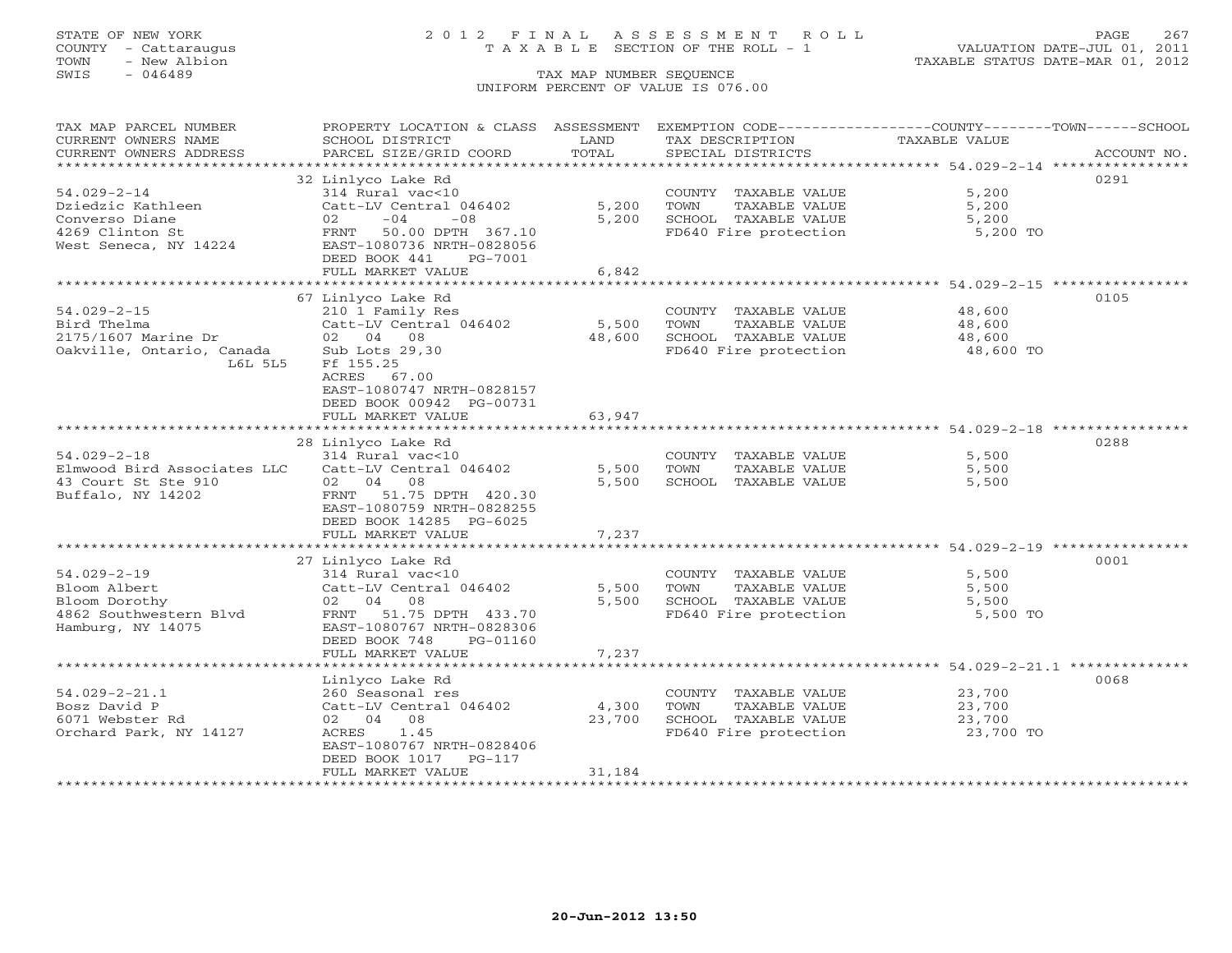## STATE OF NEW YORK 2 0 1 2 F I N A L A S S E S S M E N T R O L L PAGE 267 COUNTY - Cattaraugus T A X A B L E SECTION OF THE ROLL - 1 VALUATION DATE-JUL 01, 2011

| TAX MAP PARCEL NUMBER<br>CURRENT OWNERS NAME<br>CURRENT OWNERS ADDRESS                          | PROPERTY LOCATION & CLASS ASSESSMENT<br>SCHOOL DISTRICT<br>PARCEL SIZE/GRID COORD                                                 | LAND<br>TOTAL                | EXEMPTION CODE-----------------COUNTY-------TOWN------SCHOOL<br>TAX DESCRIPTION<br>SPECIAL DISTRICTS | TAXABLE VALUE                                | ACCOUNT NO. |
|-------------------------------------------------------------------------------------------------|-----------------------------------------------------------------------------------------------------------------------------------|------------------------------|------------------------------------------------------------------------------------------------------|----------------------------------------------|-------------|
| *********************                                                                           |                                                                                                                                   |                              |                                                                                                      |                                              |             |
| $54.029 - 2 - 14$<br>Dziedzic Kathleen                                                          | 32 Linlyco Lake Rd<br>314 Rural vac<10<br>Catt-LV Central 046402                                                                  | 5,200                        | COUNTY TAXABLE VALUE<br>TOWN<br>TAXABLE VALUE                                                        | 5,200<br>5,200                               | 0291        |
| Converso Diane<br>4269 Clinton St<br>West Seneca, NY 14224                                      | 02<br>$-04$<br>$-08$<br>FRNT<br>50.00 DPTH 367.10<br>EAST-1080736 NRTH-0828056<br>DEED BOOK 441<br>PG-7001                        | 5,200                        | SCHOOL TAXABLE VALUE<br>FD640 Fire protection                                                        | 5,200<br>5,200 TO                            |             |
|                                                                                                 | FULL MARKET VALUE<br>************************                                                                                     | 6,842<br>******************* | ******************************** 54.029-2-15 ***********                                             |                                              |             |
|                                                                                                 | 67 Linlyco Lake Rd                                                                                                                |                              |                                                                                                      |                                              | 0105        |
| $54.029 - 2 - 15$<br>Bird Thelma<br>2175/1607 Marine Dr<br>Oakville, Ontario, Canada<br>L6L 5L5 | 210 1 Family Res<br>Catt-LV Central 046402<br>02 04 08<br>Sub Lots 29,30<br>Ff 155.25<br>ACRES 67.00<br>EAST-1080747 NRTH-0828157 | 5,500<br>48,600              | COUNTY TAXABLE VALUE<br>TOWN<br>TAXABLE VALUE<br>SCHOOL TAXABLE VALUE<br>FD640 Fire protection       | 48,600<br>48,600<br>48,600<br>48,600 TO      |             |
|                                                                                                 | DEED BOOK 00942 PG-00731<br>FULL MARKET VALUE                                                                                     | 63,947                       |                                                                                                      |                                              |             |
|                                                                                                 | **********************                                                                                                            | ****************             |                                                                                                      | ******************** 54.029-2-18 *********** |             |
|                                                                                                 | 28 Linlyco Lake Rd                                                                                                                |                              |                                                                                                      |                                              | 0288        |
| $54.029 - 2 - 18$                                                                               | $314$ Rural vac<10                                                                                                                |                              | COUNTY TAXABLE VALUE                                                                                 | 5,500                                        |             |
| Elmwood Bird Associates LLC                                                                     | Catt-LV Central 046402                                                                                                            | 5,500                        | TOWN<br>TAXABLE VALUE                                                                                | 5,500                                        |             |
| 43 Court St Ste 910                                                                             | 02 04<br>08                                                                                                                       | 5,500                        | SCHOOL TAXABLE VALUE                                                                                 | 5,500                                        |             |
| Buffalo, NY 14202                                                                               | FRNT 51.75 DPTH 420.30<br>EAST-1080759 NRTH-0828255<br>DEED BOOK 14285 PG-6025<br>FULL MARKET VALUE                               | 7,237                        |                                                                                                      |                                              |             |
|                                                                                                 | ************************                                                                                                          |                              |                                                                                                      |                                              |             |
|                                                                                                 | 27 Linlyco Lake Rd                                                                                                                |                              |                                                                                                      |                                              | 0001        |
| $54.029 - 2 - 19$                                                                               | 314 Rural vac<10                                                                                                                  |                              | COUNTY TAXABLE VALUE                                                                                 | 5,500                                        |             |
| Bloom Albert                                                                                    | Catt-LV Central 046402                                                                                                            | 5,500                        | TOWN<br>TAXABLE VALUE                                                                                | 5,500                                        |             |
| Bloom Dorothy                                                                                   | 02 04 08                                                                                                                          | 5,500                        | SCHOOL TAXABLE VALUE                                                                                 | 5,500                                        |             |
| 4862 Southwestern Blvd<br>Hamburg, NY 14075                                                     | FRNT 51.75 DPTH 433.70<br>EAST-1080767 NRTH-0828306<br>DEED BOOK 748<br>PG-01160<br>FULL MARKET VALUE                             | 7,237                        | FD640 Fire protection                                                                                | 5,500 TO                                     |             |
|                                                                                                 | **********************                                                                                                            | **************               | ************************************ 54.029-2-21.1 ***************                                   |                                              |             |
|                                                                                                 | Linlyco Lake Rd                                                                                                                   |                              |                                                                                                      |                                              | 0068        |
| $54.029 - 2 - 21.1$                                                                             | 260 Seasonal res                                                                                                                  |                              | COUNTY TAXABLE VALUE                                                                                 | 23,700                                       |             |
| Bosz David P                                                                                    | Catt-LV Central 046402                                                                                                            | 4,300                        | TOWN<br>TAXABLE VALUE                                                                                | 23,700                                       |             |
| 6071 Webster Rd                                                                                 | 02 04 08                                                                                                                          | 23,700                       | SCHOOL TAXABLE VALUE                                                                                 | 23,700                                       |             |
| Orchard Park, NY 14127                                                                          | ACRES<br>1.45<br>EAST-1080767 NRTH-0828406<br>DEED BOOK 1017<br>$PG-117$<br>FULL MARKET VALUE                                     | 31,184                       | FD640 Fire protection                                                                                | 23,700 TO                                    |             |
|                                                                                                 | ********************                                                                                                              |                              |                                                                                                      |                                              |             |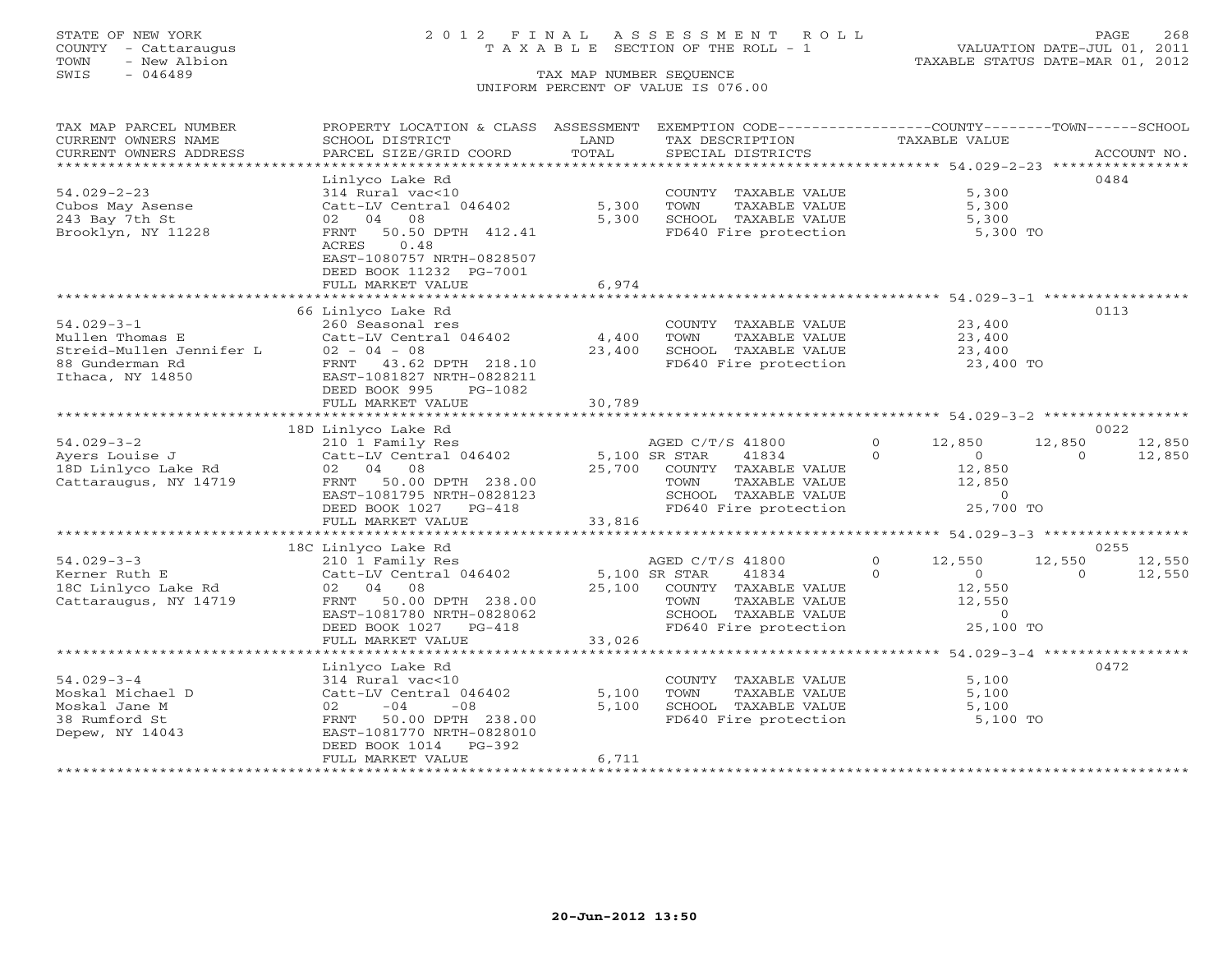## STATE OF NEW YORK 2 0 1 2 F I N A L A S S E S S M E N T R O L L PAGE 268 COUNTY - Cattaraugus T A X A B L E SECTION OF THE ROLL - 1 VALUATION DATE-JUL 01, 2011

| TAX MAP PARCEL NUMBER<br>CURRENT OWNERS NAME | PROPERTY LOCATION & CLASS ASSESSMENT<br>SCHOOL DISTRICT | LAND          | EXEMPTION CODE-----------------COUNTY-------TOWN------SCHOOL<br>TAX DESCRIPTION | TAXABLE VALUE              |                    |
|----------------------------------------------|---------------------------------------------------------|---------------|---------------------------------------------------------------------------------|----------------------------|--------------------|
| CURRENT OWNERS ADDRESS                       | PARCEL SIZE/GRID COORD                                  | TOTAL         | SPECIAL DISTRICTS                                                               |                            | ACCOUNT NO.        |
|                                              |                                                         |               |                                                                                 |                            |                    |
|                                              | Linlyco Lake Rd                                         |               |                                                                                 |                            | 0484               |
| $54.029 - 2 - 23$                            | 314 Rural vac<10                                        |               | COUNTY TAXABLE VALUE                                                            | 5,300                      |                    |
| Cubos May Asense                             | Catt-LV Central 046402                                  | 5,300         | TOWN<br>TAXABLE VALUE                                                           | 5,300                      |                    |
| 243 Bay 7th St                               | 02 04 08                                                | 5,300         | SCHOOL TAXABLE VALUE                                                            | 5,300                      |                    |
| Brooklyn, NY 11228                           | 50.50 DPTH 412.41<br>FRNT                               |               | FD640 Fire protection                                                           | 5,300 TO                   |                    |
|                                              | 0.48<br>ACRES                                           |               |                                                                                 |                            |                    |
|                                              | EAST-1080757 NRTH-0828507                               |               |                                                                                 |                            |                    |
|                                              | DEED BOOK 11232 PG-7001                                 |               |                                                                                 |                            |                    |
|                                              | FULL MARKET VALUE                                       | 6,974         |                                                                                 |                            |                    |
|                                              |                                                         |               |                                                                                 |                            |                    |
|                                              | 66 Linlyco Lake Rd                                      |               |                                                                                 |                            | 0113               |
| $54.029 - 3 - 1$                             | 260 Seasonal res                                        |               | COUNTY TAXABLE VALUE                                                            | 23,400                     |                    |
| Mullen Thomas E                              | Catt-LV Central 046402                                  | 4,400         | TOWN<br>TAXABLE VALUE                                                           | 23,400                     |                    |
| Streid-Mullen Jennifer L                     | $02 - 04 - 08$                                          | 23,400        | SCHOOL TAXABLE VALUE                                                            | 23,400                     |                    |
| 88 Gunderman Rd                              | FRNT 43.62 DPTH 218.10                                  |               | FD640 Fire protection                                                           | 23,400 TO                  |                    |
| Ithaca, NY 14850                             | EAST-1081827 NRTH-0828211                               |               |                                                                                 |                            |                    |
|                                              | DEED BOOK 995<br>PG-1082                                |               |                                                                                 |                            |                    |
|                                              | FULL MARKET VALUE                                       | 30,789        |                                                                                 |                            |                    |
|                                              |                                                         |               |                                                                                 |                            |                    |
|                                              | 18D Linlyco Lake Rd                                     |               |                                                                                 |                            | 0022               |
| $54.029 - 3 - 2$                             | 210 1 Family Res                                        |               | AGED C/T/S 41800                                                                | $\mathbf{O}$<br>12,850     | 12,850<br>12,850   |
| Ayers Louise J                               | Catt-LV Central 046402 5,100 SR STAR                    |               | 41834                                                                           | $\Omega$<br>$\Omega$       | $\Omega$<br>12,850 |
| 18D Linlyco Lake Rd                          | 02 04 08                                                |               | 25,700 COUNTY TAXABLE VALUE                                                     | 12,850                     |                    |
| Cattaraugus, NY 14719                        | FRNT 50.00 DPTH 238.00                                  |               | TAXABLE VALUE<br>TOWN                                                           | 12,850                     |                    |
|                                              | EAST-1081795 NRTH-0828123                               |               | SCHOOL TAXABLE VALUE                                                            | $\circ$                    |                    |
|                                              | DEED BOOK 1027 PG-418                                   |               | FD640 Fire protection                                                           | 25,700 TO                  |                    |
|                                              | FULL MARKET VALUE                                       | 33,816        |                                                                                 |                            |                    |
|                                              |                                                         |               |                                                                                 |                            |                    |
|                                              | 18C Linlyco Lake Rd                                     |               |                                                                                 |                            | 0255               |
| $54.029 - 3 - 3$                             | 210 1 Family Res                                        |               | AGED C/T/S 41800                                                                | $\Omega$<br>12,550         | 12,550<br>12,550   |
| Kerner Ruth E                                | Catt-LV Central 046402                                  | 5,100 SR STAR | 41834                                                                           | $\Omega$<br>$\overline{0}$ | 12,550<br>$\Omega$ |
| 18C Linlyco Lake Rd                          | 02 04 08                                                |               | 25,100 COUNTY TAXABLE VALUE                                                     | 12,550                     |                    |
| Cattaraugus, NY 14719                        | FRNT 50.00 DPTH 238.00                                  |               | TAXABLE VALUE<br>TOWN                                                           | 12,550                     |                    |
|                                              | EAST-1081780 NRTH-0828062                               |               | SCHOOL TAXABLE VALUE                                                            | $\sim$ 0                   |                    |
|                                              | DEED BOOK 1027 PG-418                                   |               | FD640 Fire protection                                                           | 25,100 TO                  |                    |
|                                              | FULL MARKET VALUE                                       | 33,026        |                                                                                 |                            |                    |
|                                              |                                                         |               |                                                                                 |                            |                    |
|                                              | Linlyco Lake Rd                                         |               |                                                                                 |                            | 0472               |
| $54.029 - 3 - 4$                             | 314 Rural vac<10                                        |               | COUNTY TAXABLE VALUE                                                            | 5,100                      |                    |
| Moskal Michael D                             | Catt-LV Central 046402                                  | 5,100         | TAXABLE VALUE<br>TOWN                                                           | 5,100                      |                    |
| Moskal Jane M                                | $-08$<br>02<br>$-04$                                    | 5,100         | SCHOOL TAXABLE VALUE                                                            | 5,100                      |                    |
| 38 Rumford St                                | FRNT 50.00 DPTH 238.00                                  |               | FD640 Fire protection                                                           | 5,100 TO                   |                    |
| Depew, NY 14043                              | EAST-1081770 NRTH-0828010                               |               |                                                                                 |                            |                    |
|                                              | DEED BOOK 1014 PG-392                                   |               |                                                                                 |                            |                    |
|                                              | FULL MARKET VALUE                                       | 6,711         |                                                                                 |                            |                    |
|                                              |                                                         |               |                                                                                 |                            |                    |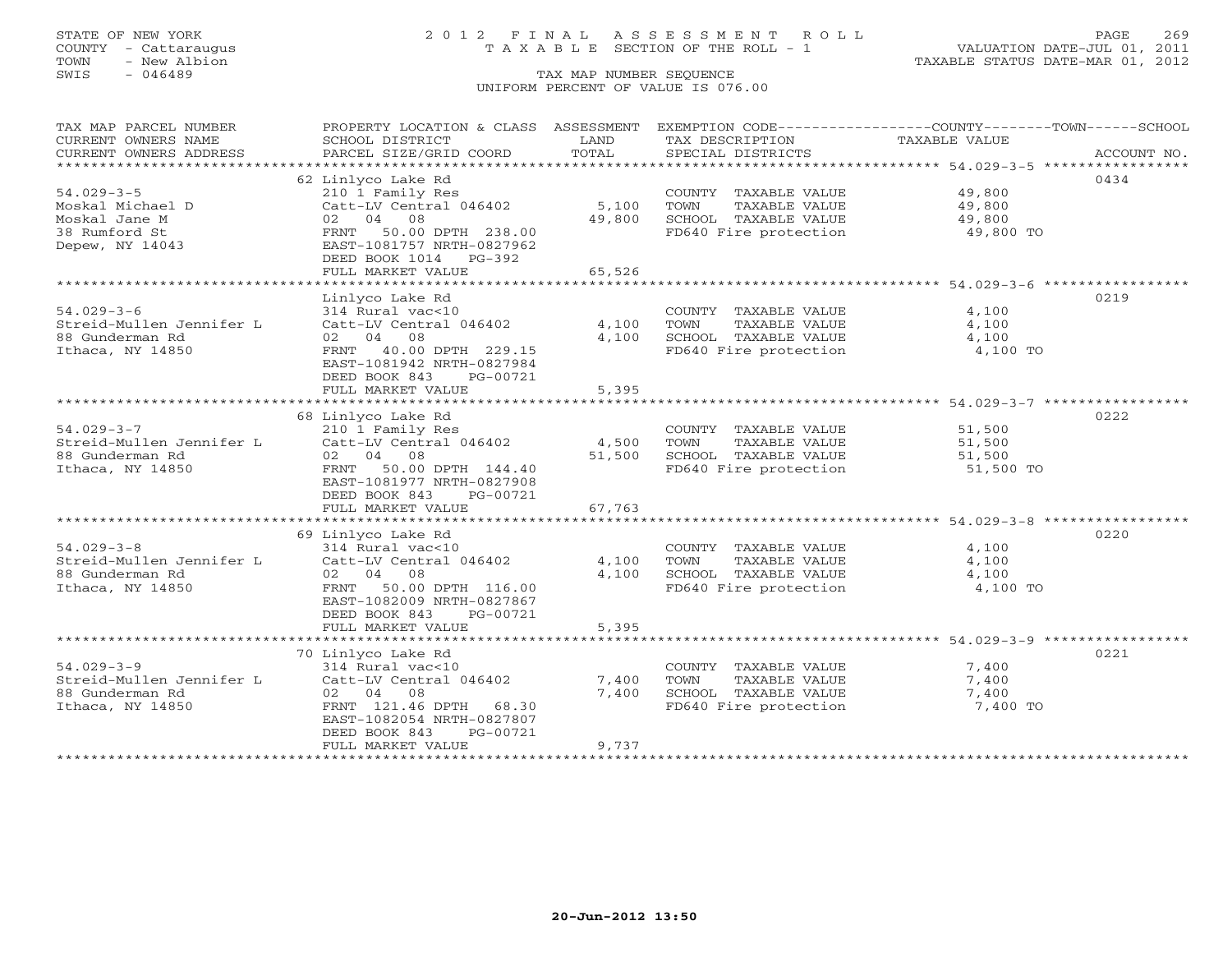## STATE OF NEW YORK 2 0 1 2 F I N A L A S S E S S M E N T R O L L PAGE 269 COUNTY - Cattaraugus T A X A B L E SECTION OF THE ROLL - 1 VALUATION DATE-JUL 01, 2011

| TAX MAP PARCEL NUMBER                       | PROPERTY LOCATION & CLASS ASSESSMENT                |                | EXEMPTION CODE-----------------COUNTY-------TOWN------SCHOOL    |                     |             |
|---------------------------------------------|-----------------------------------------------------|----------------|-----------------------------------------------------------------|---------------------|-------------|
| CURRENT OWNERS NAME                         | SCHOOL DISTRICT                                     | LAND           | TAX DESCRIPTION                                                 | TAXABLE VALUE       |             |
| CURRENT OWNERS ADDRESS                      | PARCEL SIZE/GRID COORD                              | TOTAL          | SPECIAL DISTRICTS                                               |                     | ACCOUNT NO. |
| ***************************                 |                                                     |                |                                                                 |                     |             |
|                                             | 62 Linlyco Lake Rd                                  |                |                                                                 |                     | 0434        |
| $54.029 - 3 - 5$                            | 210 1 Family Res                                    |                | COUNTY TAXABLE VALUE                                            | 49,800              |             |
| Moskal Michael D                            | Catt-LV Central 046402                              | 5,100          | TOWN<br>TAXABLE VALUE                                           | 49,800              |             |
| Moskal Jane M                               | 02 04 08                                            | 49,800         | SCHOOL TAXABLE VALUE                                            | $\frac{4}{3}$ , 800 |             |
| 38 Rumford St                               | 50.00 DPTH 238.00<br>FRNT                           |                | FD640 Fire protection 49,800 TO                                 |                     |             |
| Depew, NY 14043                             | EAST-1081757 NRTH-0827962                           |                |                                                                 |                     |             |
|                                             | DEED BOOK 1014 PG-392                               |                |                                                                 |                     |             |
|                                             | FULL MARKET VALUE                                   | 65,526         |                                                                 |                     |             |
|                                             |                                                     |                |                                                                 |                     |             |
|                                             | Linlyco Lake Rd                                     |                |                                                                 |                     | 0219        |
| $54.029 - 3 - 6$                            | 314 Rural vac<10                                    |                | COUNTY TAXABLE VALUE                                            | 4,100               |             |
| Streid-Mullen Jennifer L<br>88 Gunderman Rd | Catt-LV Central 046402<br>02 04 08                  | 4,100          | TOWN<br>TAXABLE VALUE                                           | 4,100               |             |
| Ithaca, NY 14850                            |                                                     | 4,100          | SCHOOL TAXABLE VALUE<br>FD640 Fire protection                   | 4,100               |             |
|                                             | FRNT 40.00 DPTH 229.15<br>EAST-1081942 NRTH-0827984 |                |                                                                 | 4,100 TO            |             |
|                                             | DEED BOOK 843<br>PG-00721                           |                |                                                                 |                     |             |
|                                             | FULL MARKET VALUE                                   | 5,395          |                                                                 |                     |             |
|                                             |                                                     | ************** | ********************************* 54.029-3-7 ****************** |                     |             |
|                                             | 68 Linlyco Lake Rd                                  |                |                                                                 |                     | 0222        |
| $54.029 - 3 - 7$                            | 210 1 Family Res                                    |                | COUNTY TAXABLE VALUE                                            | 51,500              |             |
| Streid-Mullen Jennifer L                    | Catt-LV Central 046402                              | 4,500          | TOWN<br>TAXABLE VALUE                                           | 51,500              |             |
| 88 Gunderman Rd                             | 02 04 08                                            | 51,500         | SCHOOL TAXABLE VALUE                                            | 51,500              |             |
| Ithaca, NY 14850                            | FRNT 50.00 DPTH 144.40                              |                | FD640 Fire protection                                           | 51,500 TO           |             |
|                                             | EAST-1081977 NRTH-0827908                           |                |                                                                 |                     |             |
|                                             | DEED BOOK 843<br>PG-00721                           |                |                                                                 |                     |             |
|                                             | FULL MARKET VALUE                                   | 67,763         |                                                                 |                     |             |
|                                             |                                                     |                |                                                                 |                     |             |
|                                             | 69 Linlyco Lake Rd                                  |                |                                                                 |                     | 0220        |
| $54.029 - 3 - 8$                            | 314 Rural vac<10                                    |                | COUNTY TAXABLE VALUE                                            | 4,100               |             |
|                                             |                                                     | 4,100          | TOWN<br>TAXABLE VALUE                                           | 4,100               |             |
| 88 Gunderman Rd                             | 02 04 08                                            | 4,100          | SCHOOL TAXABLE VALUE                                            | 4,100               |             |
| Ithaca, NY 14850                            | FRNT 50.00 DPTH 116.00                              |                | FD640 Fire protection                                           | 4,100 TO            |             |
|                                             | EAST-1082009 NRTH-0827867                           |                |                                                                 |                     |             |
|                                             | DEED BOOK 843<br>PG-00721                           |                |                                                                 |                     |             |
|                                             | FULL MARKET VALUE                                   | 5,395          |                                                                 |                     |             |
|                                             |                                                     |                |                                                                 |                     |             |
|                                             | 70 Linlyco Lake Rd                                  |                |                                                                 |                     | 0221        |
| $54.029 - 3 - 9$                            | 314 Rural vac<10                                    |                | COUNTY TAXABLE VALUE                                            | 7,400               |             |
|                                             | Streid-Mullen Jennifer L Catt-LV Central 046402     | 7,400          | TOWN<br>TAXABLE VALUE                                           | 7,400               |             |
| 88 Gunderman Rd                             | 02 04 08                                            | 7,400          | SCHOOL TAXABLE VALUE                                            | 7,400               |             |
| Ithaca, NY 14850                            | FRNT 121.46 DPTH 68.30                              |                | FD640 Fire protection                                           | 7,400 TO            |             |
|                                             | EAST-1082054 NRTH-0827807                           |                |                                                                 |                     |             |
|                                             | DEED BOOK 843<br>PG-00721                           |                |                                                                 |                     |             |
|                                             | FULL MARKET VALUE                                   | 9,737          |                                                                 |                     |             |
|                                             |                                                     |                |                                                                 |                     |             |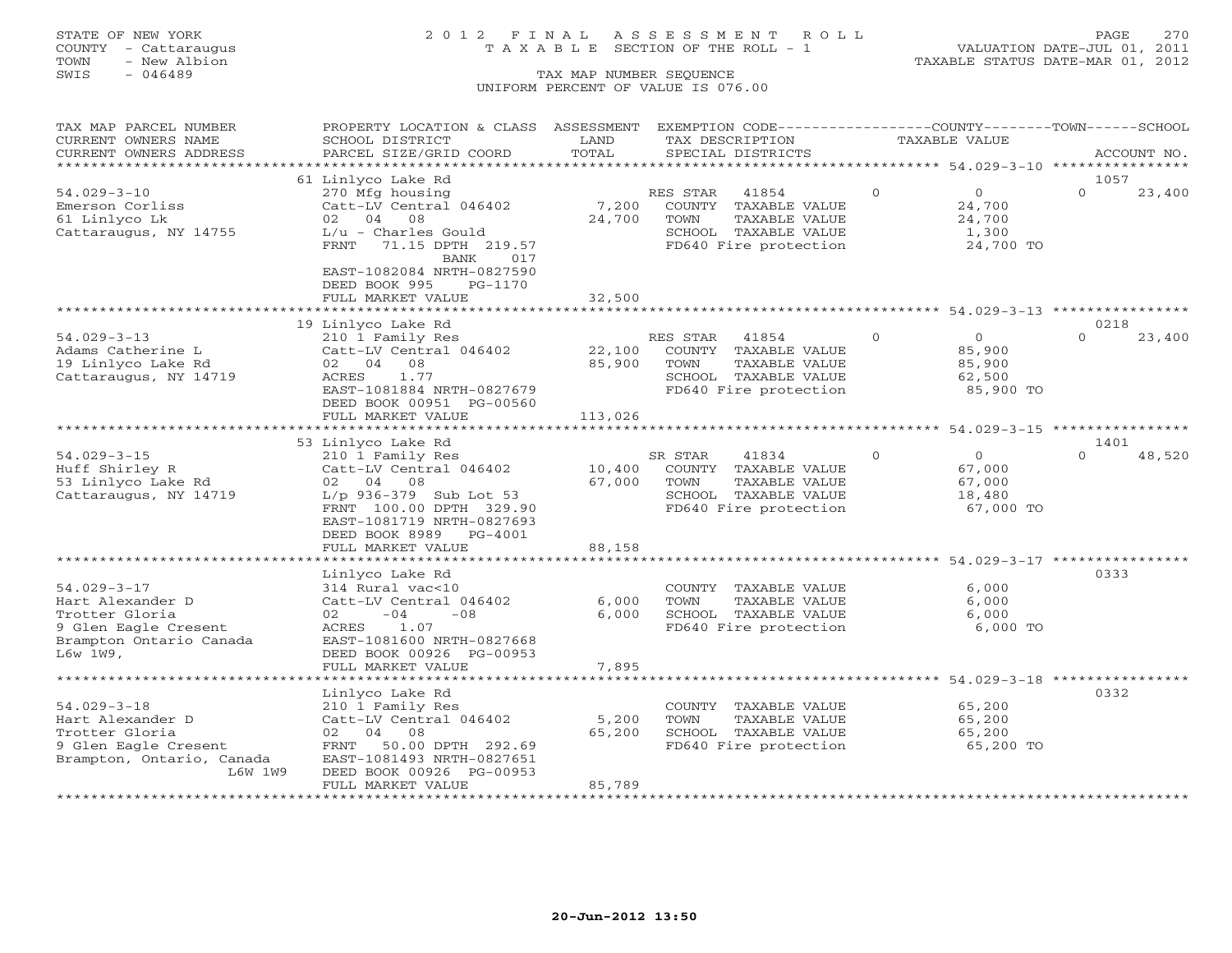TOWN - New Albion TAXABLE STATUS DATE-MAR 01, 2012 TOWN - New Albion<br>
SWIS - 046489 TAX MAP NUMBER SEQUENCE

## STATE OF NEW YORK 2 0 1 2 F I N A L A S S E S S M E N T R O L L PAGE 270 COUNTY - Cattaraugus T A X A B L E SECTION OF THE ROLL - 1 VALUATION DATE-JUL 01, 2011

# UNIFORM PERCENT OF VALUE IS 076.00

| TAX MAP PARCEL NUMBER<br>CURRENT OWNERS NAME                                                                            | PROPERTY LOCATION & CLASS ASSESSMENT<br>SCHOOL DISTRICT                                                                                                                                     | LAND<br>TOTAL               | EXEMPTION CODE-----------------COUNTY-------TOWN------SCHOOL<br>TAX DESCRIPTION<br>SPECIAL DISTRICTS                |          | TAXABLE VALUE                                             |                  | ACCOUNT NO. |
|-------------------------------------------------------------------------------------------------------------------------|---------------------------------------------------------------------------------------------------------------------------------------------------------------------------------------------|-----------------------------|---------------------------------------------------------------------------------------------------------------------|----------|-----------------------------------------------------------|------------------|-------------|
| CURRENT OWNERS ADDRESS<br>* * * * * * * * * * * * * * * * * * * *                                                       | PARCEL SIZE/GRID COORD<br>**************************                                                                                                                                        |                             |                                                                                                                     |          |                                                           |                  |             |
|                                                                                                                         | 61 Linlyco Lake Rd                                                                                                                                                                          |                             |                                                                                                                     |          |                                                           | 1057             |             |
| $54.029 - 3 - 10$<br>Emerson Corliss<br>61 Linlyco Lk<br>Cattaraugus, NY 14755                                          | 270 Mfg housing<br>Catt-LV Central 046402<br>02 04 08<br>$L/u$ - Charles Gould<br>FRNT<br>71.15 DPTH 219.57<br><b>BANK</b><br>017<br>EAST-1082084 NRTH-0827590                              | 7,200<br>24,700             | RES STAR<br>41854<br>COUNTY TAXABLE VALUE<br>TOWN<br>TAXABLE VALUE<br>SCHOOL TAXABLE VALUE<br>FD640 Fire protection | $\Omega$ | $\circ$<br>24,700<br>24,700<br>1,300<br>24,700 TO         | $\Omega$         | 23,400      |
|                                                                                                                         | DEED BOOK 995<br>PG-1170<br>FULL MARKET VALUE                                                                                                                                               | 32,500                      |                                                                                                                     |          |                                                           |                  |             |
|                                                                                                                         |                                                                                                                                                                                             |                             |                                                                                                                     |          |                                                           |                  |             |
|                                                                                                                         | 19 Linlyco Lake Rd                                                                                                                                                                          |                             |                                                                                                                     |          |                                                           | 0218             |             |
| $54.029 - 3 - 13$<br>Adams Catherine L<br>19 Linlyco Lake Rd<br>Cattaraugus, NY 14719                                   | 210 1 Family Res<br>Catt-LV Central 046402<br>02 04<br>08<br>ACRES<br>1.77<br>EAST-1081884 NRTH-0827679<br>DEED BOOK 00951 PG-00560<br>FULL MARKET VALUE                                    | 22,100<br>85,900<br>113,026 | RES STAR<br>41854<br>COUNTY TAXABLE VALUE<br>TOWN<br>TAXABLE VALUE<br>SCHOOL TAXABLE VALUE<br>FD640 Fire protection | $\Omega$ | $\overline{0}$<br>85,900<br>85,900<br>62,500<br>85,900 TO | $\Omega$         | 23,400      |
|                                                                                                                         | ***********************                                                                                                                                                                     |                             |                                                                                                                     |          |                                                           |                  |             |
| $54.029 - 3 - 15$<br>Huff Shirley R<br>53 Linlyco Lake Rd<br>Cattaraugus, NY 14719                                      | 53 Linlyco Lake Rd<br>210 1 Family Res<br>Catt-LV Central 046402<br>02 04 08<br>L/p 936-379 Sub Lot 53<br>FRNT 100.00 DPTH 329.90<br>EAST-1081719 NRTH-0827693<br>DEED BOOK 8989<br>PG-4001 | 10,400<br>67,000            | SR STAR<br>41834<br>COUNTY TAXABLE VALUE<br>TOWN<br>TAXABLE VALUE<br>SCHOOL TAXABLE VALUE<br>FD640 Fire protection  | $\Omega$ | $\overline{0}$<br>67,000<br>67,000<br>18,480<br>67,000 TO | 1401<br>$\Omega$ | 48,520      |
|                                                                                                                         | FULL MARKET VALUE                                                                                                                                                                           | 88,158                      |                                                                                                                     |          |                                                           |                  |             |
| $54.029 - 3 - 17$<br>Hart Alexander D<br>Trotter Gloria<br>9 Glen Eagle Cresent<br>Brampton Ontario Canada<br>L6w 1W9,  | Linlyco Lake Rd<br>314 Rural vac<10<br>Catt-LV Central 046402<br>$-04$<br>$-08$<br>02<br>ACRES<br>1.07<br>EAST-1081600 NRTH-0827668<br>DEED BOOK 00926 PG-00953<br>FULL MARKET VALUE        | 6,000<br>6,000<br>7,895     | COUNTY TAXABLE VALUE<br>TOWN<br>TAXABLE VALUE<br>SCHOOL TAXABLE VALUE<br>FD640 Fire protection                      |          | 6,000<br>6,000<br>6,000<br>6,000 TO                       | 0333             |             |
|                                                                                                                         |                                                                                                                                                                                             |                             |                                                                                                                     |          | **** 54.029-3-18 ***********                              |                  |             |
| $54.029 - 3 - 18$<br>Hart Alexander D<br>Trotter Gloria<br>9 Glen Eagle Cresent<br>Brampton, Ontario, Canada<br>L6W 1W9 | Linlyco Lake Rd<br>210 1 Family Res<br>Catt-LV Central 046402<br>08<br>02<br>04<br>FRNT<br>50.00 DPTH 292.69<br>EAST-1081493 NRTH-0827651<br>DEED BOOK 00926 PG-00953                       | 5,200<br>65,200             | COUNTY TAXABLE VALUE<br>TOWN<br>TAXABLE VALUE<br>SCHOOL TAXABLE VALUE<br>FD640 Fire protection                      |          | 65,200<br>65,200<br>65,200<br>65,200 TO                   | 0332             |             |
|                                                                                                                         | FULL MARKET VALUE<br>**********************                                                                                                                                                 | 85,789<br>**************    |                                                                                                                     |          |                                                           |                  |             |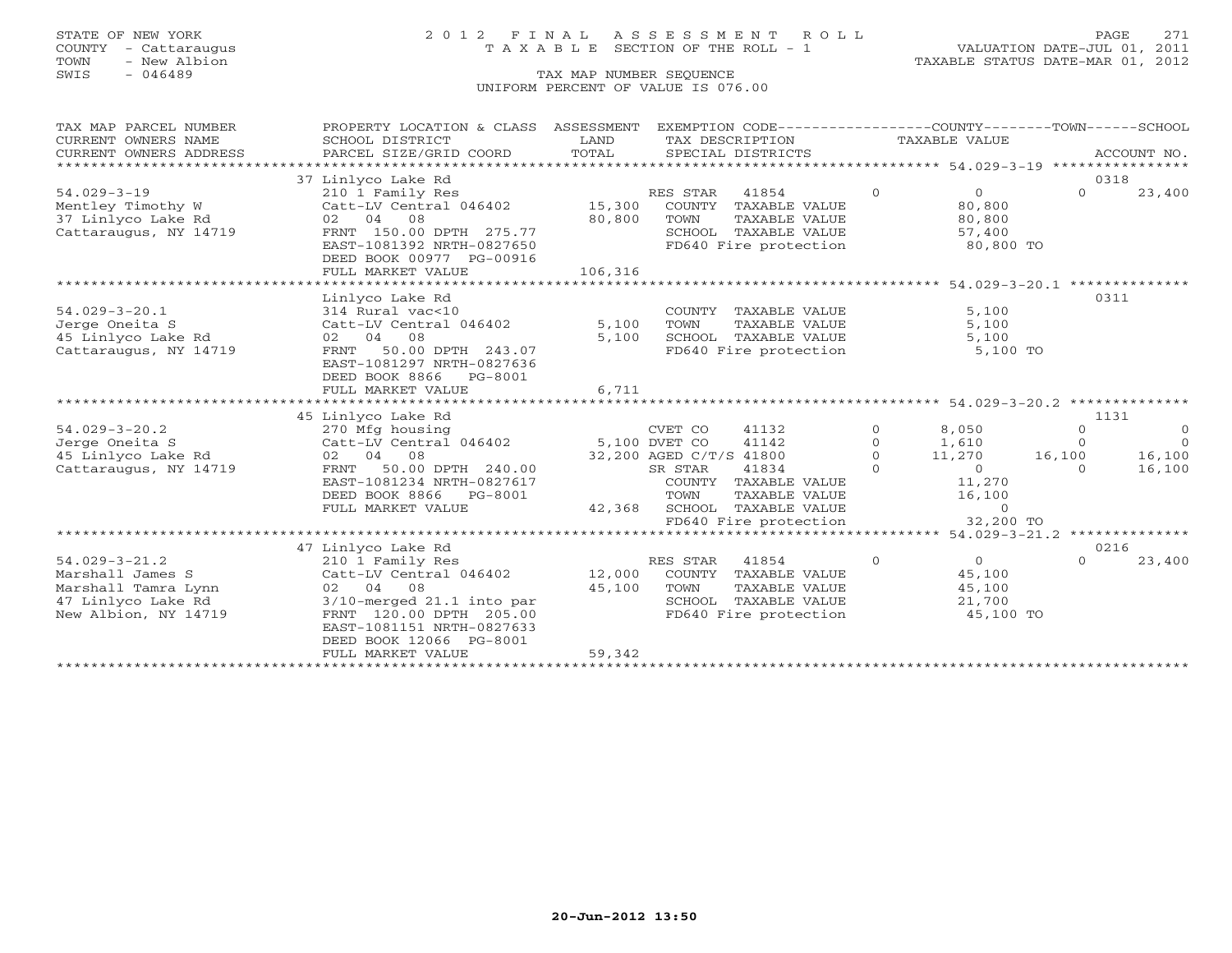## STATE OF NEW YORK 2 0 1 2 F I N A L A S S E S S M E N T R O L L PAGE 271 COUNTY - Cattaraugus T A X A B L E SECTION OF THE ROLL - 1 VALUATION DATE-JUL 01, 2011

| TAX MAP PARCEL NUMBER                | PROPERTY LOCATION & CLASS ASSESSMENT                 |         |                         | EXEMPTION CODE-----------------COUNTY-------TOWN------SCHOOL |          |                |          |             |
|--------------------------------------|------------------------------------------------------|---------|-------------------------|--------------------------------------------------------------|----------|----------------|----------|-------------|
| CURRENT OWNERS NAME                  | SCHOOL DISTRICT                                      | LAND    |                         | TAX DESCRIPTION                                              |          | TAXABLE VALUE  |          |             |
| CURRENT OWNERS ADDRESS               | PARCEL SIZE/GRID COORD                               | TOTAL   |                         | SPECIAL DISTRICTS                                            |          |                |          | ACCOUNT NO. |
|                                      |                                                      |         |                         |                                                              |          |                |          |             |
|                                      | 37 Linlyco Lake Rd                                   |         |                         |                                                              |          |                | 0318     |             |
| $54.029 - 3 - 19$                    | 210 1 Family Res                                     |         | RES STAR                | 41854                                                        | $\circ$  | $\overline{0}$ | $\circ$  | 23,400      |
| Mentley Timothy W                    | Catt-LV Central 046402                               | 15,300  |                         | COUNTY TAXABLE VALUE                                         |          | 80,800         |          |             |
| 37 Linlyco Lake Rd                   | 02 04 08                                             | 80,800  | TOWN                    | TAXABLE VALUE                                                |          | 80,800         |          |             |
| Cattaraugus, NY 14719                | FRNT 150.00 DPTH 275.77                              |         |                         | SCHOOL TAXABLE VALUE                                         |          | 57,400         |          |             |
|                                      | EAST-1081392 NRTH-0827650                            |         |                         | FD640 Fire protection                                        |          | 80,800 TO      |          |             |
|                                      | DEED BOOK 00977 PG-00916                             |         |                         |                                                              |          |                |          |             |
|                                      | FULL MARKET VALUE                                    | 106,316 |                         |                                                              |          |                |          |             |
|                                      |                                                      |         |                         |                                                              |          |                |          |             |
| $54.029 - 3 - 20.1$                  | Linlyco Lake Rd<br>314 Rural vac<10                  |         |                         | COUNTY TAXABLE VALUE                                         |          | 5,100          | 0311     |             |
|                                      | Catt-LV Central 046402                               | 5,100   |                         | TAXABLE VALUE                                                |          | 5,100          |          |             |
| Jerge Oneita S<br>45 Linlyco Lake Rd | 02 04 08                                             | 5,100   | TOWN                    | SCHOOL TAXABLE VALUE                                         |          | 5,100          |          |             |
| Cattaraugus, NY 14719                | 50.00 DPTH 243.07<br>FRNT                            |         |                         | FD640 Fire protection                                        |          | 5,100 TO       |          |             |
|                                      | EAST-1081297 NRTH-0827636                            |         |                         |                                                              |          |                |          |             |
|                                      | DEED BOOK 8866<br>PG-8001                            |         |                         |                                                              |          |                |          |             |
|                                      | FULL MARKET VALUE                                    | 6,711   |                         |                                                              |          |                |          |             |
|                                      |                                                      |         |                         |                                                              |          |                |          |             |
|                                      | 45 Linlyco Lake Rd                                   |         |                         |                                                              |          |                | 1131     |             |
| $54.029 - 3 - 20.2$                  | 270 Mfg housing                                      |         | CVET CO                 | 41132                                                        | $\Omega$ | 8,050          | $\Omega$ | $\circ$     |
| Jerge Oneita S                       | Catt-LV Central 046402                               |         | 5,100 DVET CO           | 41142                                                        | $\Omega$ | 1,610          | $\Omega$ | $\Omega$    |
| 45 Linlyco Lake Rd                   | 02 04 08                                             |         | 32,200 AGED C/T/S 41800 |                                                              | $\circ$  | 11,270         | 16,100   | 16,100      |
| Cattaraugus, NY 14719                | FRNT 50.00 DPTH 240.00                               |         | SR STAR                 | 41834                                                        | $\Omega$ | $\Omega$       | $\Omega$ | 16,100      |
|                                      | EAST-1081234 NRTH-0827617                            |         |                         | COUNTY TAXABLE VALUE                                         |          | 11,270         |          |             |
|                                      | DEED BOOK 8866 PG-8001                               |         | TOWN                    | TAXABLE VALUE                                                |          | 16,100         |          |             |
|                                      | FULL MARKET VALUE                                    | 42,368  |                         | SCHOOL TAXABLE VALUE                                         |          | $\overline{0}$ |          |             |
|                                      |                                                      |         |                         | FD640 Fire protection                                        |          | 32,200 TO      |          |             |
|                                      |                                                      |         |                         |                                                              |          |                |          |             |
|                                      | 47 Linlyco Lake Rd                                   |         |                         |                                                              |          |                | 0216     |             |
| $54.029 - 3 - 21.2$                  | 210 1 Family Res                                     |         | RES STAR                | 41854                                                        | $\Omega$ | $\overline{0}$ | $\cap$   | 23,400      |
| Marshall James S                     | Catt-LV Central 046402                               | 12,000  |                         | COUNTY TAXABLE VALUE                                         |          | 45,100         |          |             |
| Marshall Tamra Lynn                  | 02 04 08                                             | 45,100  | TOWN                    | TAXABLE VALUE                                                |          | 45,100         |          |             |
| 47 Linlyco Lake Rd                   | $3/10$ -merged $21.1$ into par                       |         |                         | SCHOOL TAXABLE VALUE                                         |          | 21,700         |          |             |
| New Albion, NY 14719                 | FRNT 120.00 DPTH 205.00<br>EAST-1081151 NRTH-0827633 |         |                         | FD640 Fire protection                                        |          | 45,100 TO      |          |             |
|                                      | DEED BOOK 12066 PG-8001                              |         |                         |                                                              |          |                |          |             |
|                                      | FULL MARKET VALUE                                    | 59,342  |                         |                                                              |          |                |          |             |
|                                      |                                                      |         |                         |                                                              |          |                |          |             |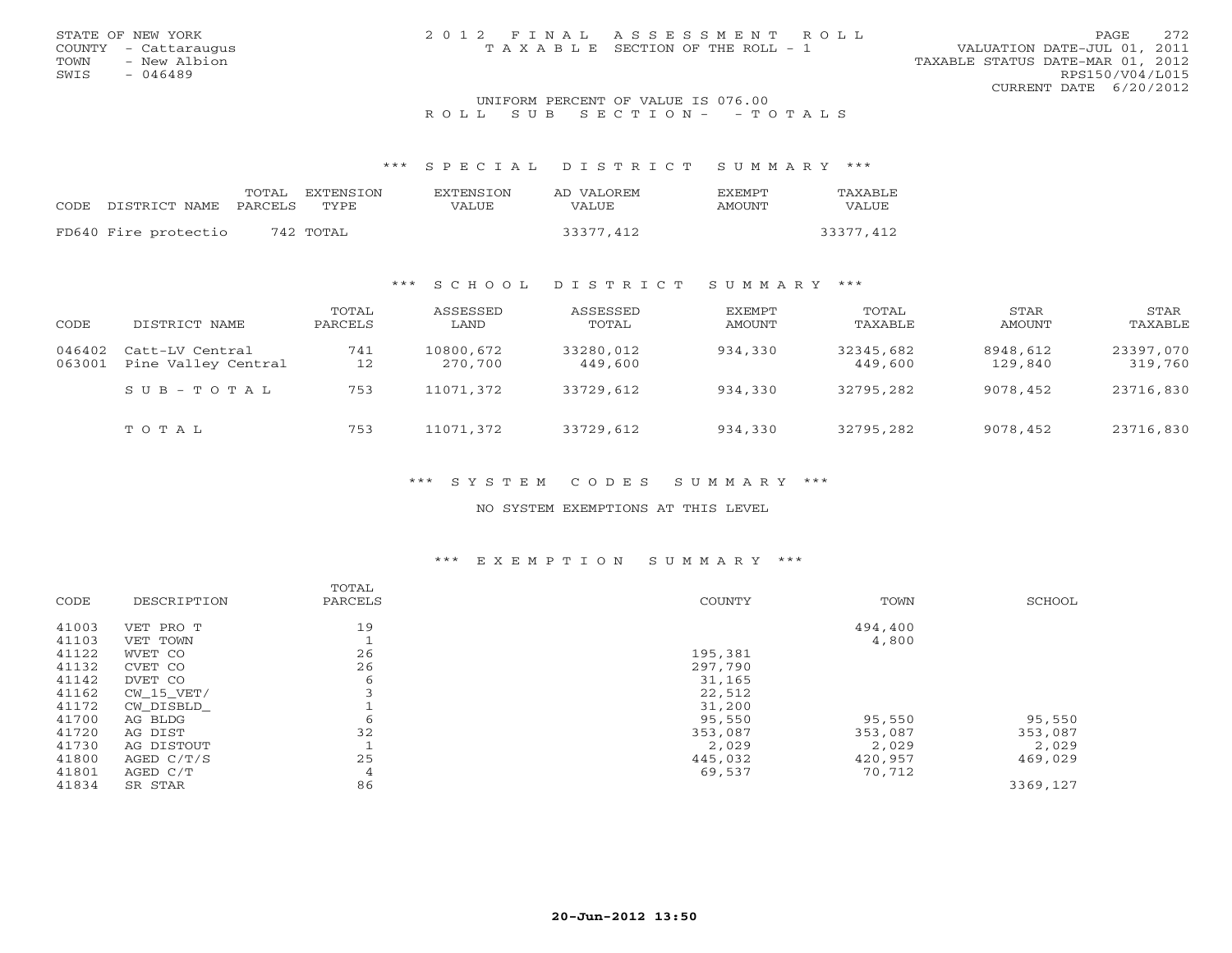### UNIFORM PERCENT OF VALUE IS 076.00 R O L L S U B S E C T I O N - - T O T A L S

\*\*\* S P E C I A L D I S T R I C T S U M M A R Y \*\*\*

|      |                      | TOTAL   | <b>EXTENSION</b> | <b>EXTENSION</b> | AD VALOREM | <b>FXFMPT</b> | <b>TAXABLE</b> |
|------|----------------------|---------|------------------|------------------|------------|---------------|----------------|
| CODE | DISTRICT NAME        | PARCELS | TYPE.            | VALUE            | VALUE.     | AMOUNT        | VALUE          |
|      | FD640 Fire protectio |         | 742 TOTAL        |                  | 33377,412  |               | 33377,412      |

## \*\*\* S C H O O L D I S T R I C T S U M M A R Y \*\*\*

| CODE             | DISTRICT NAME                          | TOTAL<br>PARCELS | ASSESSED<br>LAND     | ASSESSED<br>TOTAL    | EXEMPT<br>AMOUNT | TOTAL<br>TAXABLE     | STAR<br>AMOUNT      | STAR<br>TAXABLE      |
|------------------|----------------------------------------|------------------|----------------------|----------------------|------------------|----------------------|---------------------|----------------------|
| 046402<br>063001 | Catt-LV Central<br>Pine Valley Central | 741<br>12        | 10800,672<br>270,700 | 33280,012<br>449,600 | 934,330          | 32345,682<br>449,600 | 8948,612<br>129,840 | 23397,070<br>319,760 |
|                  | SUB-TOTAL                              | 753              | 11071,372            | 33729,612            | 934,330          | 32795,282            | 9078,452            | 23716,830            |
|                  | TOTAL                                  | 753              | 11071,372            | 33729,612            | 934,330          | 32795,282            | 9078,452            | 23716,830            |

\*\*\* S Y S T E M C O D E S S U M M A R Y \*\*\*

NO SYSTEM EXEMPTIONS AT THIS LEVEL

## \*\*\* E X E M P T I O N S U M M A R Y \*\*\*

| CODE  | DESCRIPTION | TOTAL<br>PARCELS | COUNTY  | TOWN    | SCHOOL   |
|-------|-------------|------------------|---------|---------|----------|
|       |             |                  |         |         |          |
| 41003 | VET PRO T   | 19               |         | 494,400 |          |
| 41103 | VET TOWN    |                  |         | 4,800   |          |
| 41122 | WVET CO     | 26               | 195,381 |         |          |
| 41132 | CVET CO     | 26               | 297,790 |         |          |
| 41142 | DVET CO     | 6                | 31,165  |         |          |
| 41162 | CW 15 VET/  | 3                | 22,512  |         |          |
| 41172 | CW DISBLD   |                  | 31,200  |         |          |
| 41700 | AG BLDG     | 6                | 95,550  | 95,550  | 95,550   |
| 41720 | AG DIST     | 32               | 353,087 | 353,087 | 353,087  |
| 41730 | AG DISTOUT  |                  | 2,029   | 2,029   | 2,029    |
| 41800 | AGED C/T/S  | 25               | 445,032 | 420,957 | 469,029  |
| 41801 | AGED C/T    | 4                | 69,537  | 70,712  |          |
| 41834 | SR STAR     | 86               |         |         | 3369,127 |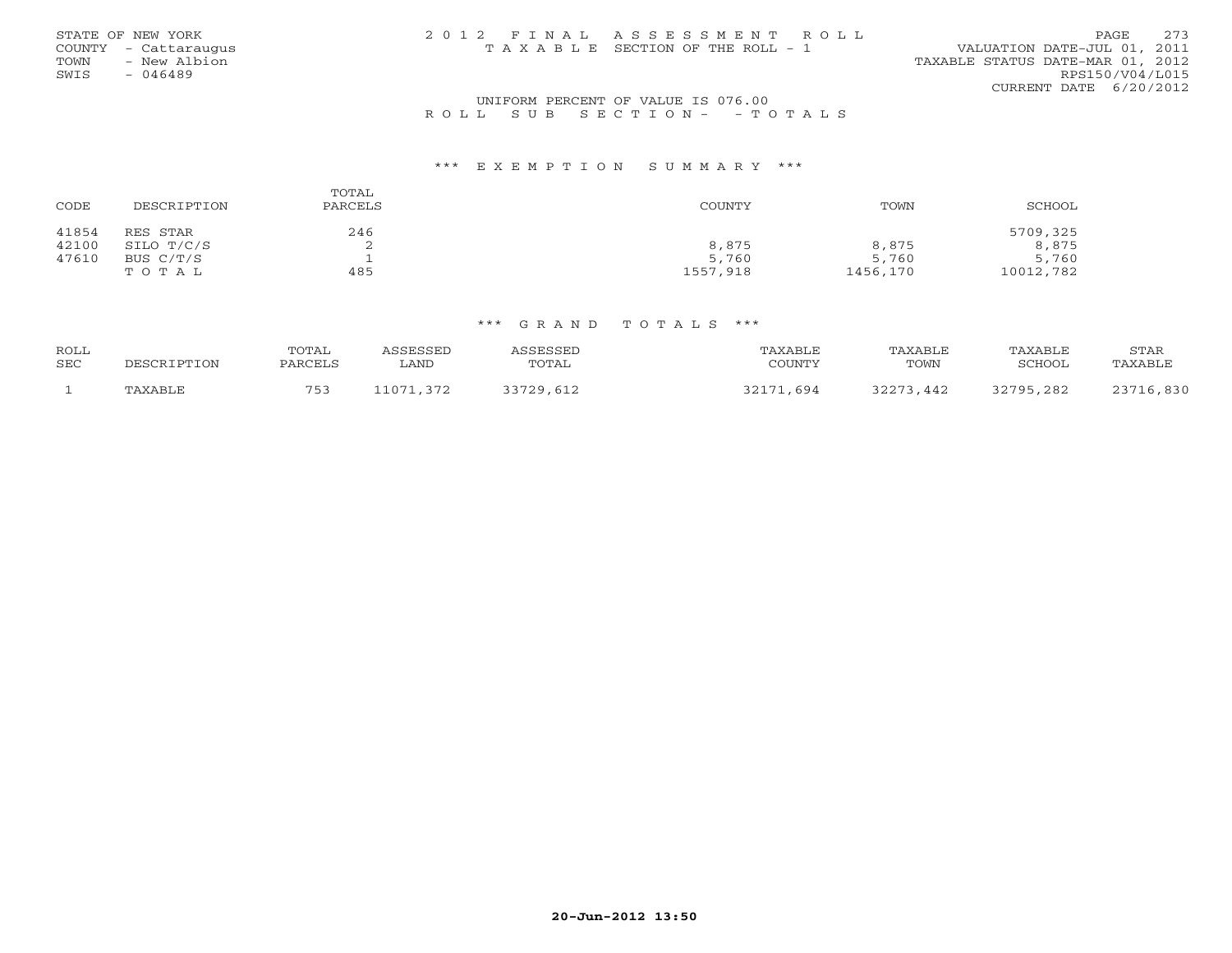|      | STATE OF NEW YORK    | 2012 FINAL ASSESSMENT ROLL            |                                  | PAGE.                  | 273 |
|------|----------------------|---------------------------------------|----------------------------------|------------------------|-----|
|      | COUNTY - Cattaraugus | T A X A B L E SECTION OF THE ROLL - 1 | VALUATION DATE-JUL 01, 2011      |                        |     |
| TOWN | - New Albion         |                                       | TAXABLE STATUS DATE-MAR 01, 2012 |                        |     |
| SWIS | - 046489             |                                       |                                  | RPS150/V04/L015        |     |
|      |                      |                                       |                                  | CURRENT DATE 6/20/2012 |     |
|      |                      |                                       |                                  |                        |     |

## UNIFORM PERCENT OF VALUE IS 076.00R O L L S U B S E C T I O N - - T O T A L S

#### \*\*\* E X E M P T I O N S U M M A R Y \*\*\*

| CODE  | DESCRIPTION | TOTAL<br>PARCELS | COUNTY   | TOWN     | SCHOOL    |
|-------|-------------|------------------|----------|----------|-----------|
| 41854 | RES STAR    | 246              |          |          | 5709,325  |
| 42100 | SILO T/C/S  | ▵                | 8,875    | 8,875    | 8,875     |
| 47610 | BUS C/T/S   |                  | 5,760    | 5,760    | 5,760     |
|       | TOTAL       | 485              | 1557,918 | 1456,170 | 10012,782 |

| ROLL       |             | TOTAL   | <i><b>ISSESSED</b></i> | ASSESSED  | TAXABLE   | TAXABLE   | TAXABLE   | <b>STAR</b> |
|------------|-------------|---------|------------------------|-----------|-----------|-----------|-----------|-------------|
| <b>SEC</b> | DESCRIPTION | PARCELS | . AND                  | TOTAL     | COUNTY    | TOWN      | SCHOOL    | TAXABLE     |
|            | TAXABLE     | 753     | 11071,372              | 33729,612 | 32171,694 | 32273,442 | 32795,282 | 23716,830   |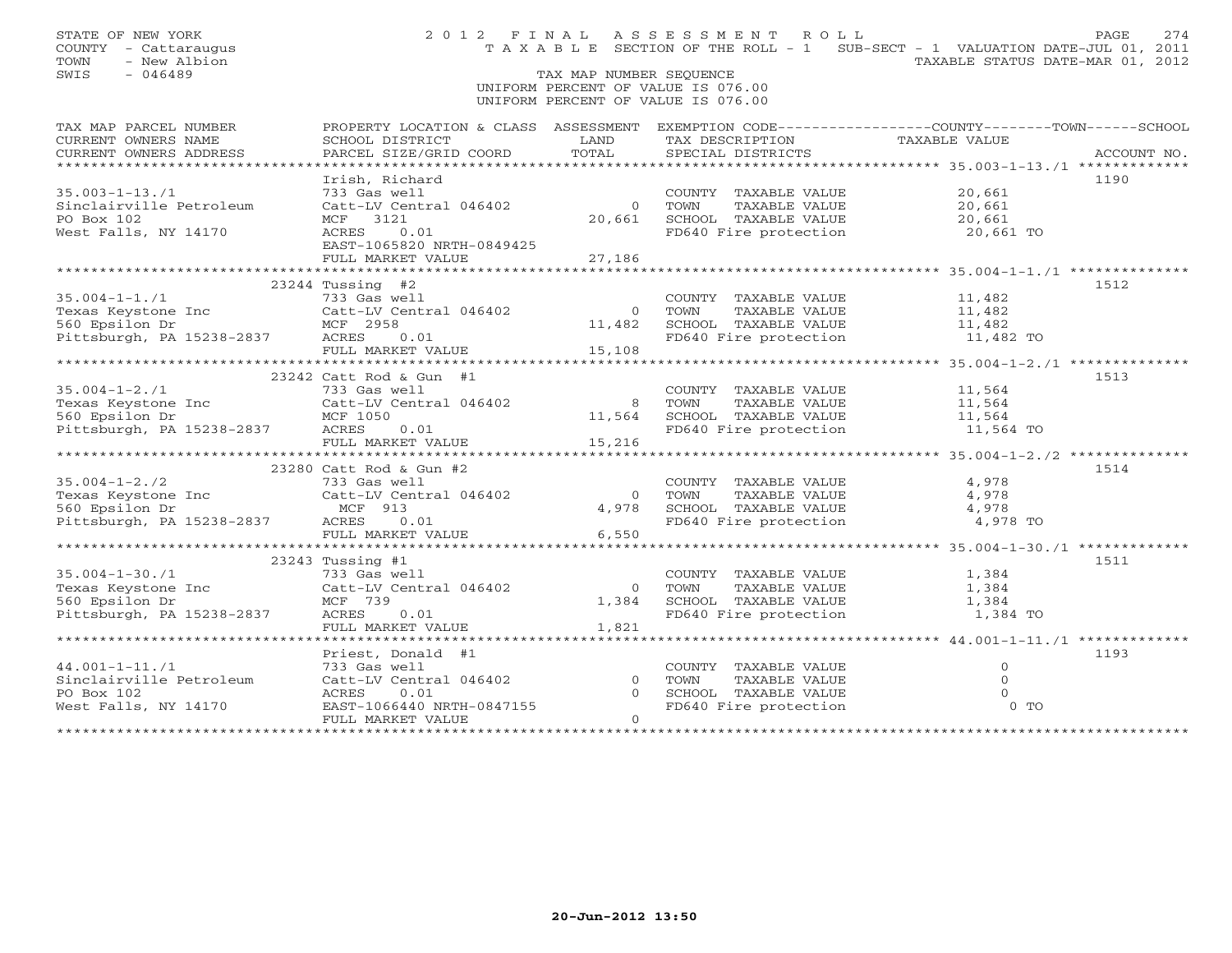## TAX MAP NUMBER SEQUENCE UNIFORM PERCENT OF VALUE IS 076.00UNIFORM PERCENT OF VALUE IS 076.00

| TAX MAP PARCEL NUMBER                                                                                                                                                                                                                                                                                                                                                                                          | PROPERTY LOCATION & CLASS ASSESSMENT |                | EXEMPTION CODE-----------------COUNTY-------TOWN------SCHOOL   |                      |             |
|----------------------------------------------------------------------------------------------------------------------------------------------------------------------------------------------------------------------------------------------------------------------------------------------------------------------------------------------------------------------------------------------------------------|--------------------------------------|----------------|----------------------------------------------------------------|----------------------|-------------|
| CURRENT OWNERS NAME                                                                                                                                                                                                                                                                                                                                                                                            | SCHOOL DISTRICT                      | LAND           | TAX DESCRIPTION                                                | TAXABLE VALUE        |             |
| CURRENT OWNERS ADDRESS                                                                                                                                                                                                                                                                                                                                                                                         | PARCEL SIZE/GRID COORD               | TOTAL          | SPECIAL DISTRICTS                                              |                      | ACCOUNT NO. |
|                                                                                                                                                                                                                                                                                                                                                                                                                |                                      |                |                                                                |                      |             |
|                                                                                                                                                                                                                                                                                                                                                                                                                | Irish, Richard                       |                |                                                                |                      | 1190        |
| $35.003 - 1 - 13.71$                                                                                                                                                                                                                                                                                                                                                                                           | 733 Gas well                         |                | COUNTY TAXABLE VALUE                                           | 20,661               |             |
| Sinclairville Petroleum                                                                                                                                                                                                                                                                                                                                                                                        | Catt-LV Central 046402               | $\overline{0}$ | TOWN<br>TAXABLE VALUE                                          | 20,661               |             |
| PO Box 102                                                                                                                                                                                                                                                                                                                                                                                                     | MCF 3121                             | 20,661         | SCHOOL TAXABLE VALUE 20,661                                    |                      |             |
| West Falls, NY 14170                                                                                                                                                                                                                                                                                                                                                                                           | ACRES 0.01                           |                | FD640 Fire protection                                          | 20,661 TO            |             |
|                                                                                                                                                                                                                                                                                                                                                                                                                | EAST-1065820 NRTH-0849425            |                |                                                                |                      |             |
|                                                                                                                                                                                                                                                                                                                                                                                                                | FULL MARKET VALUE                    | 27,186         |                                                                |                      |             |
|                                                                                                                                                                                                                                                                                                                                                                                                                |                                      |                |                                                                |                      |             |
|                                                                                                                                                                                                                                                                                                                                                                                                                | $23244$ Tussing #2                   |                |                                                                |                      | 1512        |
| $35.004 - 1 - 1.71$                                                                                                                                                                                                                                                                                                                                                                                            | 733 Gas well                         |                | COUNTY TAXABLE VALUE                                           | 11,482               |             |
| Texas Keystone Inc Catt-LV Central 046402                                                                                                                                                                                                                                                                                                                                                                      |                                      | $\Omega$       | TOWN                                                           | TAXABLE VALUE 11,482 |             |
|                                                                                                                                                                                                                                                                                                                                                                                                                |                                      | 11,482         |                                                                |                      |             |
| 560 Epsilon Dr MCF 2958<br>Pittsburgh, PA 15238-2837 ACRES 0.01                                                                                                                                                                                                                                                                                                                                                |                                      |                | SCHOOL TAXABLE VALUE 11,482<br>FD640 Fire protection 11,482 TO |                      |             |
|                                                                                                                                                                                                                                                                                                                                                                                                                | FULL MARKET VALUE                    | 15, 108        |                                                                |                      |             |
|                                                                                                                                                                                                                                                                                                                                                                                                                |                                      |                |                                                                |                      |             |
|                                                                                                                                                                                                                                                                                                                                                                                                                | 23242 Catt Rod & Gun #1              |                |                                                                |                      | 1513        |
| $35.004 - 1 - 2.71$                                                                                                                                                                                                                                                                                                                                                                                            | 733 Gas well                         |                | COUNTY TAXABLE VALUE                                           |                      |             |
|                                                                                                                                                                                                                                                                                                                                                                                                                |                                      | 8 TOWN         | TAXABLE VALUE                                                  | 11,564<br>11,564     |             |
|                                                                                                                                                                                                                                                                                                                                                                                                                |                                      | 11,564         | SCHOOL TAXABLE VALUE 11,564                                    |                      |             |
| Pexas Keystone Inc<br>Sexas Keystone Inc<br>S60 Epsilon Dr<br>Pittsburgh, PA 15238-2837<br>RERES 0.01                                                                                                                                                                                                                                                                                                          |                                      |                | FD640 Fire protection                                          | 11,564 TO            |             |
|                                                                                                                                                                                                                                                                                                                                                                                                                | FULL MARKET VALUE 15,216             |                |                                                                |                      |             |
|                                                                                                                                                                                                                                                                                                                                                                                                                |                                      |                |                                                                |                      |             |
|                                                                                                                                                                                                                                                                                                                                                                                                                | 23280 Catt Rod & Gun #2              |                |                                                                |                      | 1514        |
| $35.004 - 1 - 2.72$                                                                                                                                                                                                                                                                                                                                                                                            | 733 Gas well                         |                | COUNTY TAXABLE VALUE                                           | 4,978                |             |
|                                                                                                                                                                                                                                                                                                                                                                                                                | Catt-LV Central 046402               | $\Omega$       | TOWN<br>TAXABLE VALUE                                          | 4,978                |             |
| $35.004 - 1 - 2.7$<br>Texas Keystone Inc                                                                                                                                                                                                                                                                                                                                                                       | MCF 913                              | 4,978          | SCHOOL TAXABLE VALUE 4,978                                     |                      |             |
| Pittsburgh, PA 15238-2837                                                                                                                                                                                                                                                                                                                                                                                      | ACRES<br>0.01                        |                | FD640 Fire protection 4,978 TO                                 |                      |             |
|                                                                                                                                                                                                                                                                                                                                                                                                                | FULL MARKET VALUE                    | 6,550          |                                                                |                      |             |
|                                                                                                                                                                                                                                                                                                                                                                                                                |                                      |                |                                                                |                      |             |
|                                                                                                                                                                                                                                                                                                                                                                                                                | 23243 Tussing #1                     |                |                                                                |                      | 1511        |
|                                                                                                                                                                                                                                                                                                                                                                                                                |                                      |                | COUNTY TAXABLE VALUE                                           | 1,384                |             |
|                                                                                                                                                                                                                                                                                                                                                                                                                |                                      | $\Omega$       | TOWN                                                           | TAXABLE VALUE 1,384  |             |
| $733 \text{ Gas well}$<br>Texas Keystone Inc<br>$560 \text{ Epsilon Dr}$<br>$560 \text{ Fpsilon Dr}$<br>$560 \text{ Fpsilon Dr}$<br>$560 \text{ Fpsilon Dr}$<br>$560 \text{ Fpsilon Pr}$<br>$560 \text{ Fpsilon Pr}$<br>$560 \text{ Fpsilon Pr}$<br>$560 \text{ Fpsilon Pr}$<br>$560 \text{ Fpsilon Pr}$<br>$560 \text{ Fpsilon Pr}$<br>$560 \text{ Fpsilon Pr}$<br>$560 \text{ Fpsilon Pr}$<br>$560 \text{ F$ |                                      | 1,384          | SCHOOL TAXABLE VALUE                                           | 1,384                |             |
| Pittsburgh, PA 15238-2837 ACRES                                                                                                                                                                                                                                                                                                                                                                                | 0.01                                 |                | FD640 Fire protection                                          | 1,384 TO             |             |
|                                                                                                                                                                                                                                                                                                                                                                                                                | FULL MARKET VALUE                    | 1,821          |                                                                |                      |             |
|                                                                                                                                                                                                                                                                                                                                                                                                                |                                      |                |                                                                |                      |             |
|                                                                                                                                                                                                                                                                                                                                                                                                                | Priest, Donald #1                    |                |                                                                |                      | 1193        |
| $44.001 - 1 - 11.71$                                                                                                                                                                                                                                                                                                                                                                                           | 733 Gas well                         |                | COUNTY TAXABLE VALUE                                           | $\circ$              |             |
| Sinclairville Petroleum                                                                                                                                                                                                                                                                                                                                                                                        | Catt-LV Central 046402               | $\Omega$       | TOWN<br>TAXABLE VALUE                                          | $\Omega$             |             |
| PO Box 102                                                                                                                                                                                                                                                                                                                                                                                                     | 0.01<br>ACRES                        | $\Omega$       | SCHOOL TAXABLE VALUE                                           |                      |             |
| West Falls, NY 14170                                                                                                                                                                                                                                                                                                                                                                                           | EAST-1066440 NRTH-0847155            |                | FD640 Fire protection                                          | $0$ TO               |             |
|                                                                                                                                                                                                                                                                                                                                                                                                                | FULL MARKET VALUE                    | $\Omega$       |                                                                |                      |             |
|                                                                                                                                                                                                                                                                                                                                                                                                                |                                      |                |                                                                |                      |             |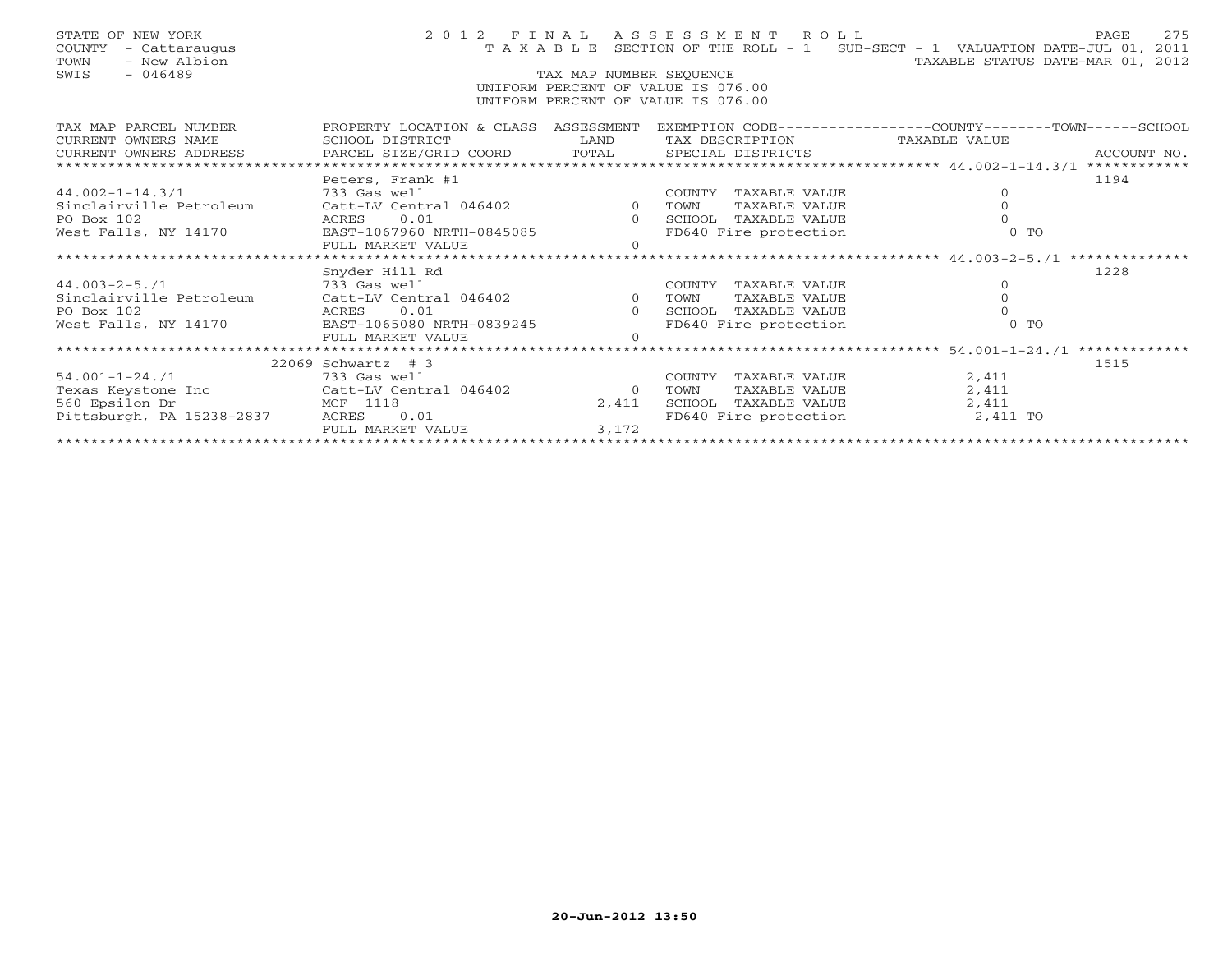| STATE OF NEW YORK<br>COUNTY - Cattaraugus<br>- New Albion<br>TOWN<br>$-046489$<br>SWIS                                                               |                                                                                   | TAX MAP NUMBER SEOUENCE | 2012 FINAL ASSESSMENT ROLL         | 275<br>PAGE<br>T A X A B L E SECTION OF THE ROLL - 1 SUB-SECT - 1 VALUATION DATE-JUL 01, 2011<br>TAXABLE STATUS DATE-MAR 01, 2012 |  |  |  |  |  |  |
|------------------------------------------------------------------------------------------------------------------------------------------------------|-----------------------------------------------------------------------------------|-------------------------|------------------------------------|-----------------------------------------------------------------------------------------------------------------------------------|--|--|--|--|--|--|
|                                                                                                                                                      |                                                                                   |                         | UNIFORM PERCENT OF VALUE IS 076.00 |                                                                                                                                   |  |  |  |  |  |  |
|                                                                                                                                                      |                                                                                   |                         | UNIFORM PERCENT OF VALUE IS 076.00 |                                                                                                                                   |  |  |  |  |  |  |
|                                                                                                                                                      |                                                                                   |                         |                                    |                                                                                                                                   |  |  |  |  |  |  |
| TAX MAP PARCEL NUMBER                                                                                                                                |                                                                                   |                         |                                    | PROPERTY LOCATION & CLASS ASSESSMENT EXEMPTION CODE---------------COUNTY-------TOWN-----SCHOOL                                    |  |  |  |  |  |  |
| CURRENT OWNERS NAME                                                                                                                                  | SCHOOL DISTRICT<br><b>Example 19 The LAND</b>                                     |                         | TAX DESCRIPTION TAXABLE VALUE      |                                                                                                                                   |  |  |  |  |  |  |
|                                                                                                                                                      |                                                                                   |                         |                                    |                                                                                                                                   |  |  |  |  |  |  |
|                                                                                                                                                      |                                                                                   |                         |                                    |                                                                                                                                   |  |  |  |  |  |  |
|                                                                                                                                                      | Peters, Frank #1                                                                  |                         |                                    | 1194                                                                                                                              |  |  |  |  |  |  |
| $44.002 - 1 - 14.3/1$                                                                                                                                | - 100017 - 100011<br>233 Gas well 1046402 0 TOWN<br>Catt-LV Central 046402 0 TOWN |                         | COUNTY TAXABLE VALUE               | $\overline{0}$                                                                                                                    |  |  |  |  |  |  |
| Sinclairville Petroleum                                                                                                                              |                                                                                   |                         | TAXABLE VALUE                      | $\Omega$                                                                                                                          |  |  |  |  |  |  |
|                                                                                                                                                      |                                                                                   |                         |                                    |                                                                                                                                   |  |  |  |  |  |  |
|                                                                                                                                                      |                                                                                   |                         |                                    | $0$ TO                                                                                                                            |  |  |  |  |  |  |
|                                                                                                                                                      | FULL MARKET VALUE                                                                 | $\cap$                  |                                    |                                                                                                                                   |  |  |  |  |  |  |
|                                                                                                                                                      | Snyder Hill Rd                                                                    |                         |                                    | 1228                                                                                                                              |  |  |  |  |  |  |
|                                                                                                                                                      |                                                                                   |                         |                                    | $\circ$                                                                                                                           |  |  |  |  |  |  |
|                                                                                                                                                      |                                                                                   |                         |                                    | $\mathbf 0$                                                                                                                       |  |  |  |  |  |  |
| 44.003-2-5./1<br>33 Gas well<br>Sinclairville Petroleum (Catt-LV Central 046402 0 TOWN TAXABLE VALUE<br>20 Box 102 ACRES 0.01 0 SCHOOL TAXABLE VALUE |                                                                                   |                         |                                    | $\Omega$                                                                                                                          |  |  |  |  |  |  |
| West Falls, NY 14170 EAST-1065080 NRTH-0839245                                                                                                       |                                                                                   |                         | FD640 Fire protection              | $0$ TO                                                                                                                            |  |  |  |  |  |  |
|                                                                                                                                                      | FULL MARKET VALUE                                                                 | $\Omega$                |                                    |                                                                                                                                   |  |  |  |  |  |  |
|                                                                                                                                                      |                                                                                   |                         |                                    |                                                                                                                                   |  |  |  |  |  |  |
|                                                                                                                                                      | $22069$ Schwartz # 3                                                              |                         |                                    | 1515                                                                                                                              |  |  |  |  |  |  |
| $54.001 - 1 - 24$ ./1                                                                                                                                | 733 Gas well                                                                      |                         | COUNTY TAXABLE VALUE               | 2,411                                                                                                                             |  |  |  |  |  |  |
| Texas Keystone Inc Catt-LV Central 046402 0                                                                                                          |                                                                                   |                         | TOWN<br>TAXABLE VALUE              | 2,411                                                                                                                             |  |  |  |  |  |  |
| 560 Epsilon Dr                                                                                                                                       | MCF 1118                                                                          | 2,411                   | SCHOOL TAXABLE VALUE               | 2,411                                                                                                                             |  |  |  |  |  |  |
| Pittsburgh, PA 15238-2837                                                                                                                            | 0.01<br>ACRES                                                                     |                         |                                    | FD640 Fire protection 2,411 TO                                                                                                    |  |  |  |  |  |  |
|                                                                                                                                                      | FULL MARKET VALUE                                                                 | 3,172                   |                                    |                                                                                                                                   |  |  |  |  |  |  |
|                                                                                                                                                      |                                                                                   |                         |                                    |                                                                                                                                   |  |  |  |  |  |  |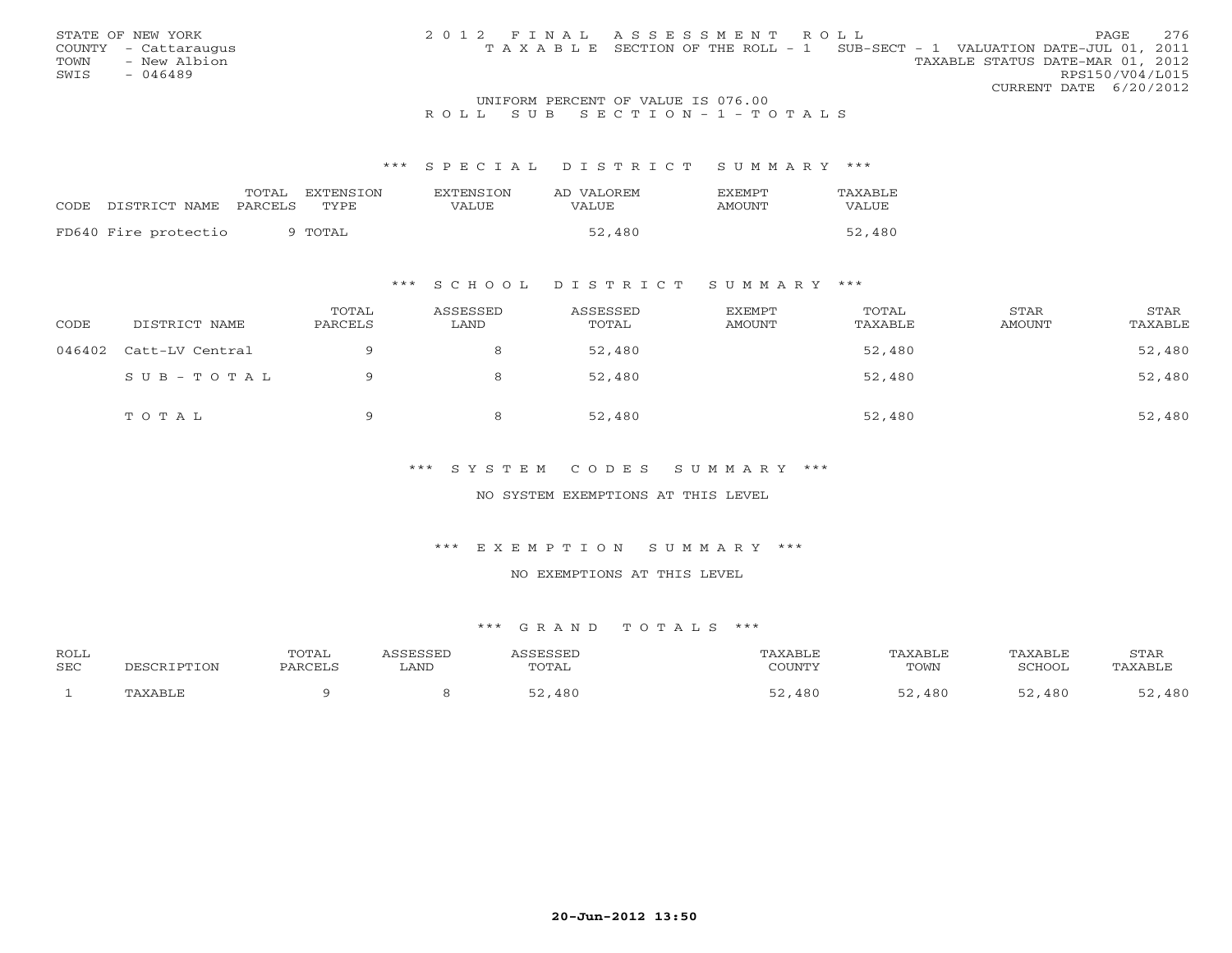| STATE OF NEW YORK    | 2012 FINAL ASSESSMENT ROLL |                                                                                | 276<br>PAGE                      |
|----------------------|----------------------------|--------------------------------------------------------------------------------|----------------------------------|
| COUNTY - Cattaraugus |                            | T A X A B L E SECTION OF THE ROLL - 1 SUB-SECT - 1 VALUATION DATE-JUL 01, 2011 |                                  |
| TOWN<br>- New Albion |                            |                                                                                | TAXABLE STATUS DATE-MAR 01, 2012 |
| SWIS<br>- 046489     |                            |                                                                                | RPS150/V04/L015                  |
|                      |                            |                                                                                | CURRENT DATE 6/20/2012           |

## UNIFORM PERCENT OF VALUE IS 076.00R O L L S U B S E C T I O N - 1 - T O T A L S

### \*\*\* S P E C I A L D I S T R I C T S U M M A R Y \*\*\*

|                      | TOTAL<br>EXTENSTON      | <b>EXTENSION</b> | AD VALOREM | <b>FXFMPT</b> | TAXABLE |
|----------------------|-------------------------|------------------|------------|---------------|---------|
| CODE DISTRICT NAME   | TYPE.<br><b>PARCELS</b> | <b>VALUE</b>     | VALUE      | AMOUNT        | VALUE   |
| FD640 Fire protectio | 9 TOTAL                 |                  | 52,480     |               | 52,480  |

## \*\*\* S C H O O L D I S T R I C T S U M M A R Y \*\*\*

| CODE   | DISTRICT NAME   | TOTAL<br>PARCELS | ASSESSED<br>LAND | ASSESSED<br>TOTAL | EXEMPT<br><b>AMOUNT</b> | TOTAL<br>TAXABLE | STAR<br>AMOUNT | STAR<br>TAXABLE |
|--------|-----------------|------------------|------------------|-------------------|-------------------------|------------------|----------------|-----------------|
| 046402 | Catt-LV Central |                  |                  | 52,480            |                         | 52,480           |                | 52,480          |
|        | SUB-TOTAL       |                  |                  | 52,480            |                         | 52,480           |                | 52,480          |
|        | TOTAL           | $\circ$          |                  | 52,480            |                         | 52,480           |                | 52,480          |

## \*\*\* S Y S T E M C O D E S S U M M A R Y \*\*\*

## NO SYSTEM EXEMPTIONS AT THIS LEVEL

## \*\*\* E X E M P T I O N S U M M A R Y \*\*\*

#### NO EXEMPTIONS AT THIS LEVEL

| ROLL<br><b>SEC</b> | DESCRIPTION | TOTAL<br><b>PARCELS</b> | <b>GGESSED</b><br>LAND | <i><b>SSESSEL</b></i><br>TOTAL | 'AXABLE<br>COUNTY | TAXABLE<br>TOWN | TAXABLE<br>SCHOOL | STAR<br>TAXABLE |
|--------------------|-------------|-------------------------|------------------------|--------------------------------|-------------------|-----------------|-------------------|-----------------|
|                    | 'AXABLE     |                         |                        | ,480<br><u>-</u> າ             | 480               | 480             | 480               | ,480            |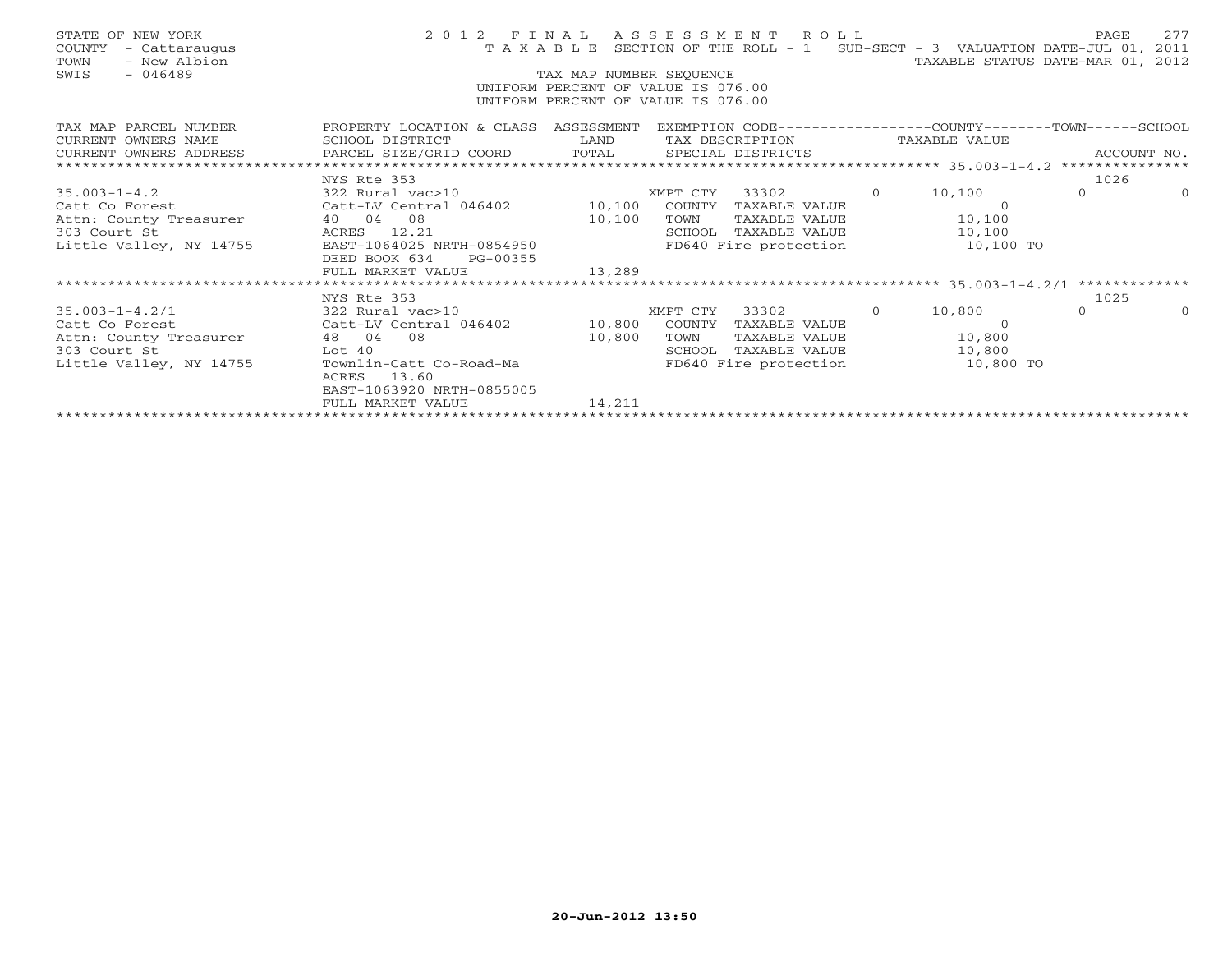| STATE OF NEW YORK<br>COUNTY - Cattaraugus<br>- New Albion<br>TOWN<br>SWIS - 046489                                                                                                                                                                                                                                                                                                                      |                                                                                                | TAX MAP NUMBER SEOUENCE | 2012 FINAL ASSESSMENT ROLL<br>TAXABLE SECTION OF THE ROLL - 1 SUB-SECT - 3 VALUATION DATE-JUL 01, 2011<br>UNIFORM PERCENT OF VALUE IS 076.00<br>UNIFORM PERCENT OF VALUE IS 076.00 | TAXABLE STATUS DATE-MAR 01, 2012 | PAGE     | 277      |
|---------------------------------------------------------------------------------------------------------------------------------------------------------------------------------------------------------------------------------------------------------------------------------------------------------------------------------------------------------------------------------------------------------|------------------------------------------------------------------------------------------------|-------------------------|------------------------------------------------------------------------------------------------------------------------------------------------------------------------------------|----------------------------------|----------|----------|
| TAX MAP PARCEL NUMBER<br>TAX MAF FARCEL IVOIDERS SOME<br>CURRENT OWNERS NAME BARCEL SIZE/GRID COORD TOTAL SPECIAL DISTRICTS ACCOUNT NO.<br>CURRENT OWNERS ADDRESS PARCEL SIZE/GRID COORD TOTAL SPECIAL DISTRICTS ACCOUNT MOTAL SERGIAL SOMERS AND SAME TOTAL                                                                                                                                            | PROPERTY LOCATION & CLASS ASSESSMENT EXEMPTION CODE---------------COUNTY-------TOWN-----SCHOOL |                         |                                                                                                                                                                                    |                                  |          |          |
|                                                                                                                                                                                                                                                                                                                                                                                                         |                                                                                                |                         |                                                                                                                                                                                    |                                  |          |          |
| 35.003-1-4.2<br>Catt Co Forest 2322 Rural vac>10<br>Catt-LV Central 046402<br>Attn: County Treasurer 40 04 08<br>303 Court St 2.21<br>Little Valley, NY 14755 EAST-1064025 NRTH-0854950 FD640 Fire protection 10,100 TO<br>2011<br>2011<br>CHO                                                                                                                                                          | DEED BOOK 634 PG-00355                                                                         |                         |                                                                                                                                                                                    |                                  | $\Omega$ | $\Omega$ |
|                                                                                                                                                                                                                                                                                                                                                                                                         | FULL MARKET VALUE                                                                              | 13,289                  |                                                                                                                                                                                    |                                  |          |          |
|                                                                                                                                                                                                                                                                                                                                                                                                         | NYS Rte 353                                                                                    |                         |                                                                                                                                                                                    |                                  | 1025     |          |
| 35.003-1-4.2/1<br>Catt Co Forest 210 322 Rural vac>10 XMPT CTY 33302 0 10,800<br>Catt Co Forest Catt-LV Central 046402 10,800 COUNTY TAXABLE VALUE 0<br>Attn: County Treasurer 48 04 08 10,800 TOWN TAXABLE VALUE 10,800<br>303 Court<br>nce county fitting the control of the contract of the contract of the contract of the contract of the contr<br>Little Valley, NY 14755 Townlin-Catt Co-Road-Ma | ACRES 13.60<br>EAST-1063920 NRTH-0855005                                                       |                         | FD640 Fire protection 10,800 TO                                                                                                                                                    |                                  | $\Omega$ |          |
|                                                                                                                                                                                                                                                                                                                                                                                                         | FULL MARKET VALUE                                                                              | 14,211                  |                                                                                                                                                                                    |                                  |          |          |
|                                                                                                                                                                                                                                                                                                                                                                                                         |                                                                                                |                         |                                                                                                                                                                                    |                                  |          |          |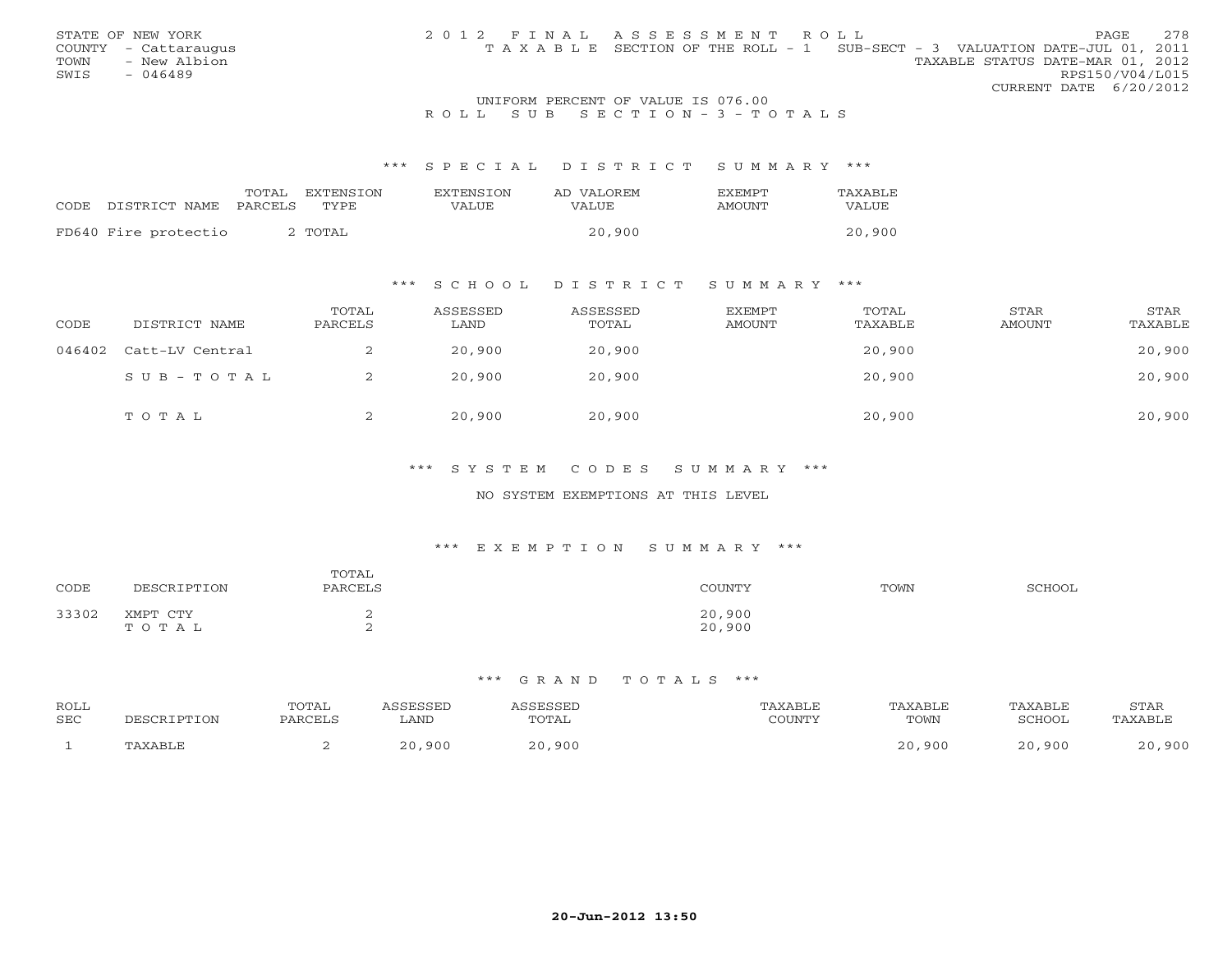|                      | 2012 FINAL ASSESSMENT ROLL |                                                                                |                                  | 2.78 |
|----------------------|----------------------------|--------------------------------------------------------------------------------|----------------------------------|------|
| STATE OF NEW YORK    |                            |                                                                                | PAGE                             |      |
| COUNTY - Cattaraugus |                            | T A X A B L E SECTION OF THE ROLL - 1 SUB-SECT - 3 VALUATION DATE-JUL 01, 2011 |                                  |      |
| TOWN<br>- New Albion |                            |                                                                                | TAXABLE STATUS DATE-MAR 01, 2012 |      |
| SWIS<br>- 046489     |                            |                                                                                | RPS150/V04/L015                  |      |
|                      |                            |                                                                                | CURRENT DATE 6/20/2012           |      |

## UNIFORM PERCENT OF VALUE IS 076.00R O L L S U B S E C T I O N - 3 - T O T A L S

#### \*\*\* S P E C I A L D I S T R I C T S U M M A R Y \*\*\*

|       |                      | TOTAL   | EXTENSTON          | <b>EXTENSION</b> | AD VALOREM | EXEMPT | TAXABLE |
|-------|----------------------|---------|--------------------|------------------|------------|--------|---------|
| CODE. | DISTRICT NAME        | PARCELS | <b>TYPE</b>        | VALUE            | VALUE      | AMOUNT | VALUE   |
|       | FD640 Fire protectio |         | <sup>,</sup> TOTAL |                  | 20,900     |        | 20,900  |

## \*\*\* S C H O O L D I S T R I C T S U M M A R Y \*\*\*

| CODE   | DISTRICT NAME   | TOTAL<br>PARCELS | ASSESSED<br>LAND | ASSESSED<br>TOTAL | EXEMPT<br>AMOUNT | TOTAL<br>TAXABLE | STAR<br>AMOUNT | STAR<br>TAXABLE |
|--------|-----------------|------------------|------------------|-------------------|------------------|------------------|----------------|-----------------|
| 046402 | Catt-LV Central | ╱.               | 20,900           | 20,900            |                  | 20,900           |                | 20,900          |
|        | SUB-TOTAL       | ▵                | 20,900           | 20,900            |                  | 20,900           |                | 20,900          |
|        | TOTAL           | ∠                | 20,900           | 20,900            |                  | 20,900           |                | 20,900          |

## \*\*\* S Y S T E M C O D E S S U M M A R Y \*\*\*

## NO SYSTEM EXEMPTIONS AT THIS LEVEL

#### \*\*\* E X E M P T I O N S U M M A R Y \*\*\*

| CODE  | DESCRIPTION       | TOTAL<br>PARCELS | COUNTY           | TOWN | SCHOOL |
|-------|-------------------|------------------|------------------|------|--------|
| 33302 | XMPT CTY<br>TOTAL | -<br>$\sim$      | 20,900<br>20,900 |      |        |

| <b>ROLL</b><br>SEC | DESCRIPTION | TOTAL<br>PARCELS | <b>LAND</b>           | <b>ASSESSED</b><br>TOTAL | AXABLE<br>COUNTY | TAXABLE<br>TOWN | TAXABLE<br>SCHOOL     | STAR<br>TAXABLE |
|--------------------|-------------|------------------|-----------------------|--------------------------|------------------|-----------------|-----------------------|-----------------|
|                    | TAXABLE     |                  | .900<br>$\cap$ $\cap$ | 20,900                   |                  | 20,900          | ,900<br>$\cap$ $\cap$ | ,900<br>20      |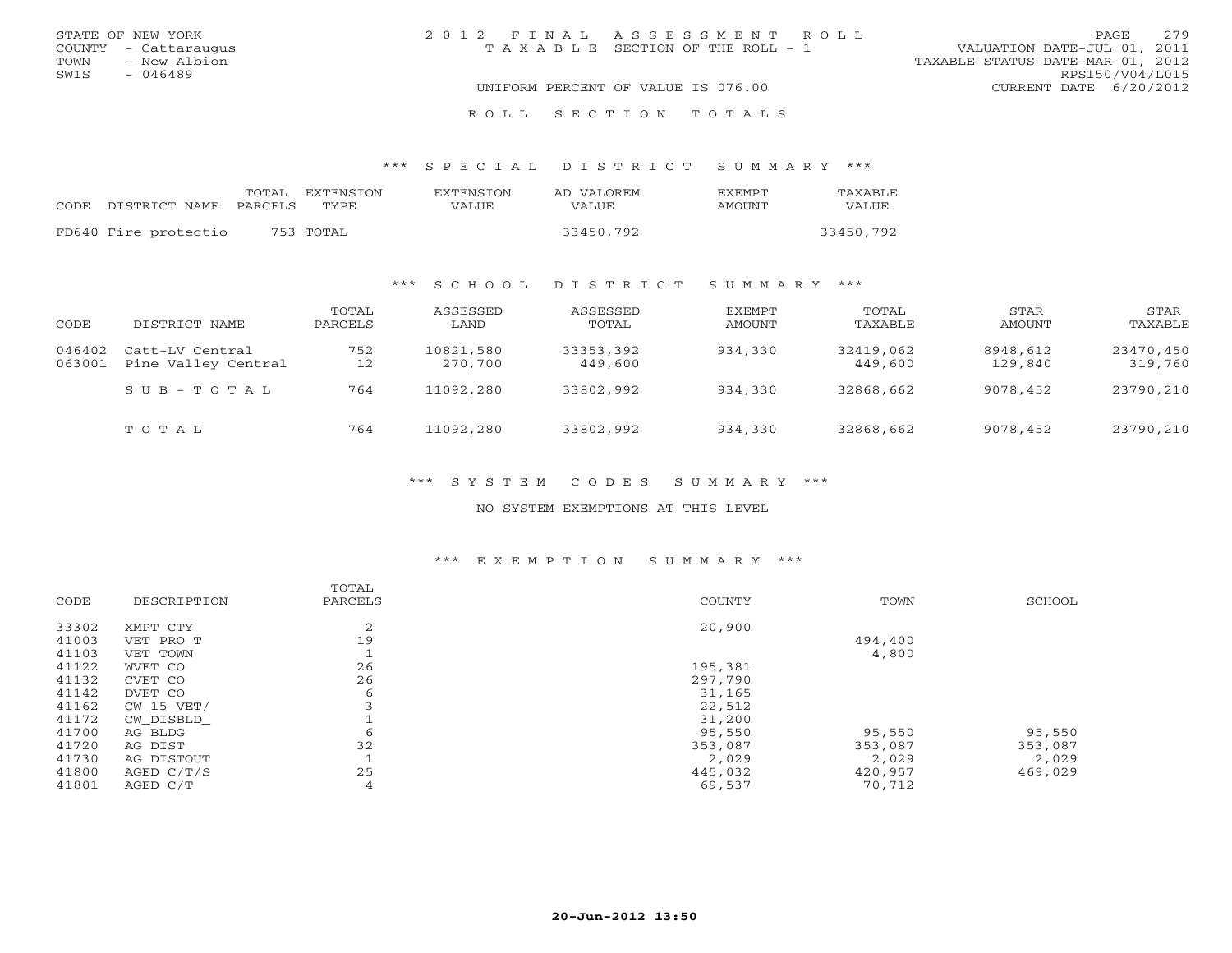| STATE OF NEW YORK    | 2012 FINAL ASSESSMENT ROLL         | 2.79<br>PAGE.                    |
|----------------------|------------------------------------|----------------------------------|
| COUNTY - Cattaraugus | TAXABLE SECTION OF THE ROLL - 1    | VALUATION DATE-JUL 01, 2011      |
| TOWN<br>- New Albion |                                    | TAXABLE STATUS DATE-MAR 01, 2012 |
| SWIS<br>- 046489     |                                    | RPS150/V04/L015                  |
|                      | UNIFORM PERCENT OF VALUE IS 076.00 | CURRENT DATE 6/20/2012           |
|                      | ROLL SECTION TOTALS                |                                  |

\*\*\* S P E C I A L D I S T R I C T S U M M A R Y \*\*\*

| CODE DISTRICT NAME PARCELS TYPE | TOTAL EXTENSION | EXTENSTON<br>VALUE | AD VALOREM<br>VALUE | <b>FXFMPT</b><br>AMOUNT | <b>TAXABLE</b><br>VALUE |
|---------------------------------|-----------------|--------------------|---------------------|-------------------------|-------------------------|
| FD640 Fire protectio            | 753 TOTAL       |                    | 33450,792           |                         | 33450,792               |

## \*\*\* S C H O O L D I S T R I C T S U M M A R Y \*\*\*

| CODE             | DISTRICT NAME                          | TOTAL<br>PARCELS | ASSESSED<br>LAND     | ASSESSED<br>TOTAL    | EXEMPT<br>AMOUNT | TOTAL<br>TAXABLE     | STAR<br>AMOUNT      | STAR<br>TAXABLE      |
|------------------|----------------------------------------|------------------|----------------------|----------------------|------------------|----------------------|---------------------|----------------------|
| 046402<br>063001 | Catt-LV Central<br>Pine Valley Central | 752<br>12        | 10821,580<br>270,700 | 33353,392<br>449,600 | 934,330          | 32419,062<br>449,600 | 8948,612<br>129,840 | 23470,450<br>319,760 |
|                  | $S \cup B - T \cup T A L$              | 764              | 11092,280            | 33802,992            | 934,330          | 32868,662            | 9078,452            | 23790,210            |
|                  | TOTAL                                  | 764              | 11092,280            | 33802,992            | 934,330          | 32868,662            | 9078,452            | 23790,210            |

\*\*\* S Y S T E M C O D E S S U M M A R Y \*\*\*

NO SYSTEM EXEMPTIONS AT THIS LEVEL

## \*\*\* E X E M P T I O N S U M M A R Y \*\*\*

|       |                | TOTAL   |         |         |         |
|-------|----------------|---------|---------|---------|---------|
| CODE  | DESCRIPTION    | PARCELS | COUNTY  | TOWN    | SCHOOL  |
| 33302 | XMPT CTY       | 2       | 20,900  |         |         |
| 41003 | VET PRO T      | 19      |         | 494,400 |         |
| 41103 | VET TOWN       |         |         | 4,800   |         |
| 41122 | WVET CO        | 26      | 195,381 |         |         |
| 41132 | CVET CO        | 26      | 297,790 |         |         |
| 41142 | DVET CO        | 6       | 31,165  |         |         |
| 41162 | $CW$ 15 $VET/$ |         | 22,512  |         |         |
| 41172 | CW DISBLD      |         | 31,200  |         |         |
| 41700 | AG BLDG        | 6       | 95,550  | 95,550  | 95,550  |
| 41720 | AG DIST        | 32      | 353,087 | 353,087 | 353,087 |
| 41730 | AG DISTOUT     |         | 2,029   | 2,029   | 2,029   |
| 41800 | AGED $C/T/S$   | 25      | 445,032 | 420,957 | 469,029 |
| 41801 | AGED C/T       | 4       | 69,537  | 70,712  |         |
|       |                |         |         |         |         |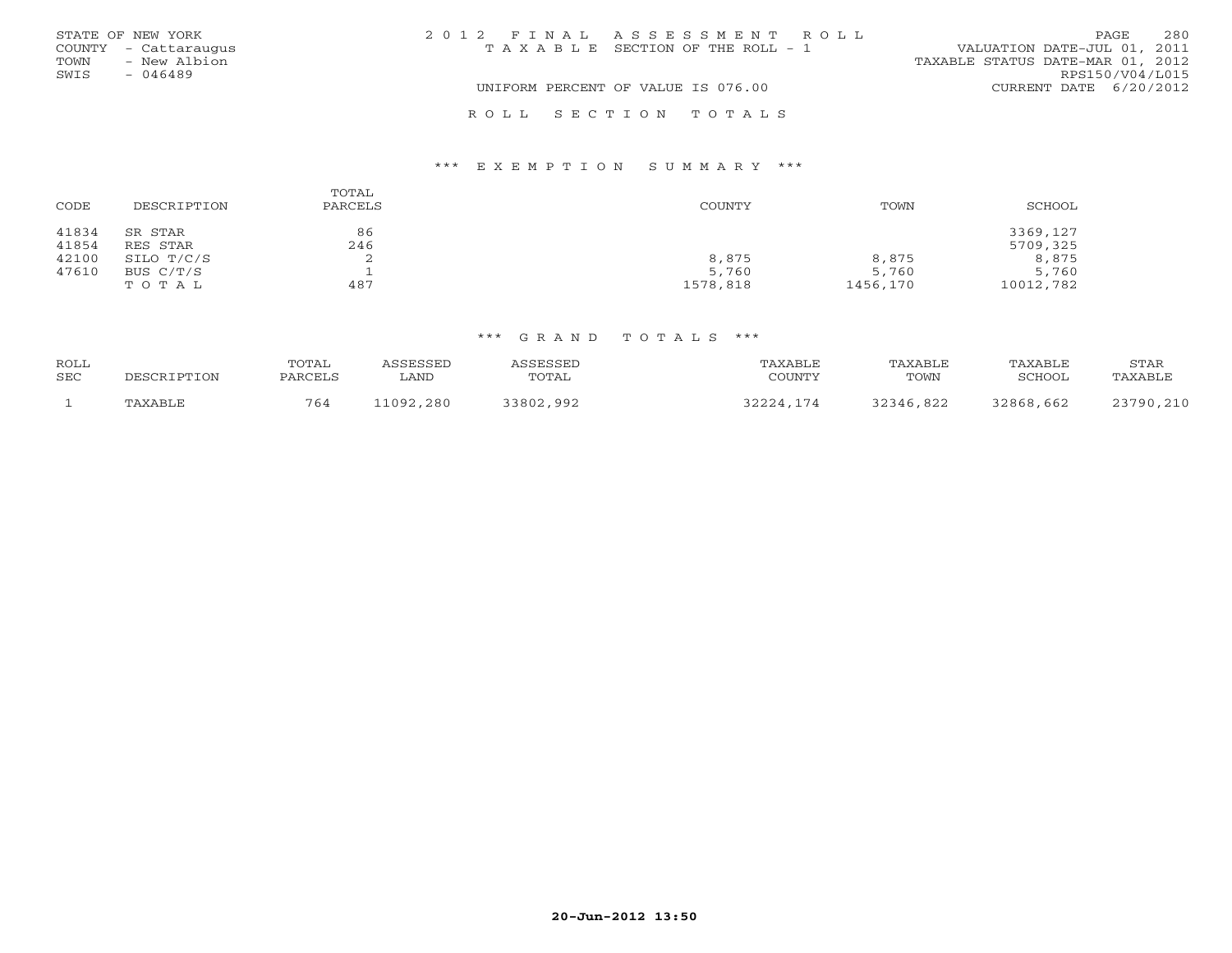|      | STATE OF NEW YORK    | 2012 FINAL ASSESSMENT ROLL                                           | PAGE                     | 280             |
|------|----------------------|----------------------------------------------------------------------|--------------------------|-----------------|
|      | COUNTY - Cattaraugus | VALUATION DATE-JUL 01, 2011<br>T A X A B L E SECTION OF THE ROLL - 1 |                          |                 |
| TOWN | - New Albion         | TAXABLE STATUS DATE-MAR 01, 2012                                     |                          |                 |
| SWIS | - 046489             |                                                                      |                          | RPS150/V04/L015 |
|      |                      | UNIFORM PERCENT OF VALUE IS 076.00                                   | CURRENT DATE $6/20/2012$ |                 |
|      |                      | ROLL SECTION TOTALS                                                  |                          |                 |

## \*\*\* E X E M P T I O N S U M M A R Y \*\*\*

| CODE           | DESCRIPTION         | TOTAL<br>PARCELS | COUNTY   | TOWN     | SCHOOL               |
|----------------|---------------------|------------------|----------|----------|----------------------|
| 41834<br>41854 | SR STAR<br>RES STAR | 86<br>246        |          |          | 3369,127<br>5709,325 |
| 42100          | SILO T/C/S          | ╭                | 8,875    | 8,875    | 8,875                |
| 47610          | BUS C/T/S           |                  | 5,760    | 5,760    | 5,760                |
|                | TOTAL               | 487              | 1578,818 | 1456,170 | 10012,782            |

| ROLL |             | TOTAL   | <i><b>\SSESSED</b></i> | ASSESSED  | TAXABLE   | TAXABLE   | TAXABLE   | STAR      |
|------|-------------|---------|------------------------|-----------|-----------|-----------|-----------|-----------|
| SEC  | DESCRIPTION | PARCELS | LAND                   | TOTAL     | COUNTY    | TOWN      | SCHOOL    | TAXABLE   |
|      | TAXABLE     | 764     | 11092,280              | 33802,992 | 32224,174 | 32346,822 | 32868,662 | 23790,210 |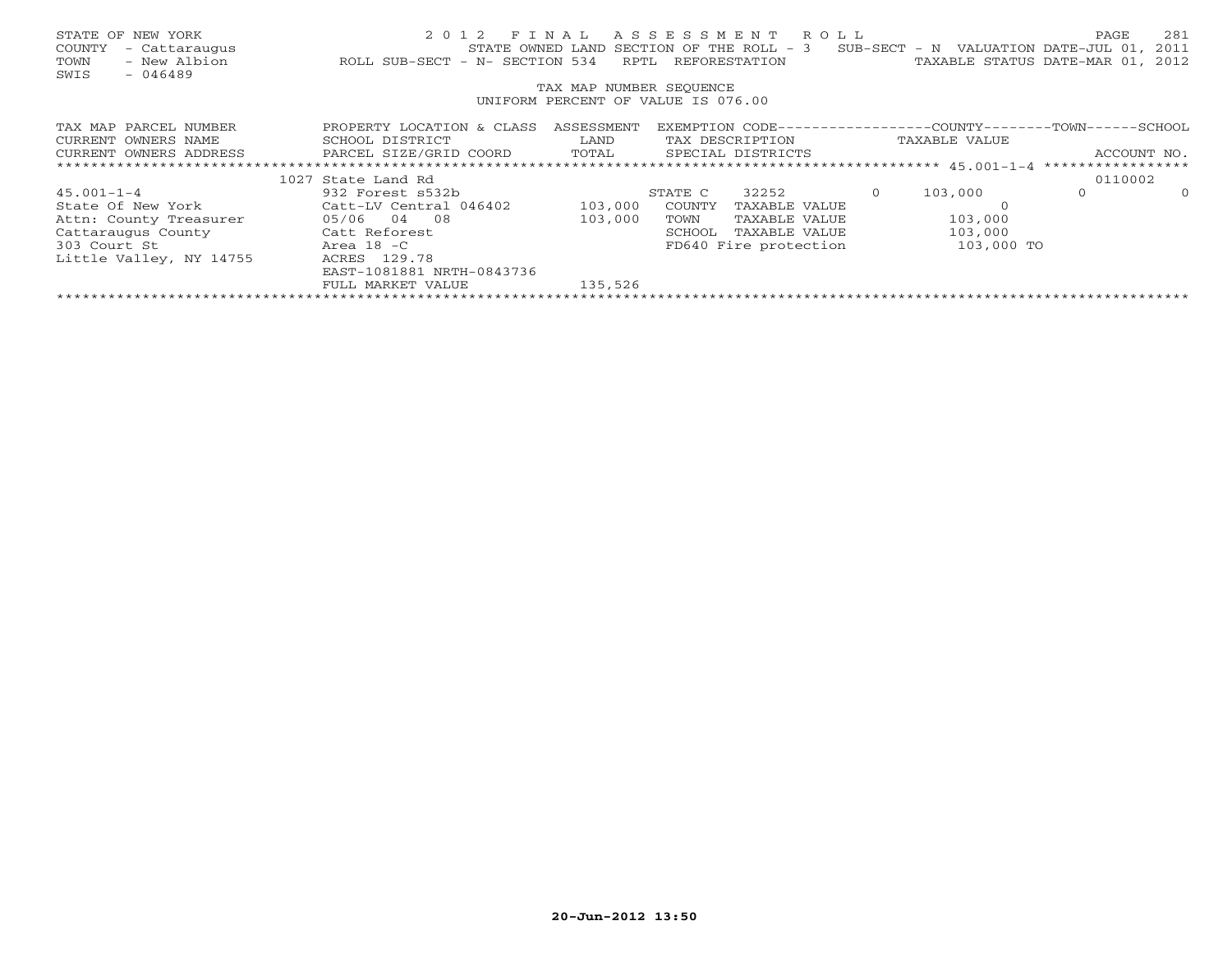| STATE OF NEW YORK<br>COUNTY<br>- Cattaraugus<br>- New Albion<br>TOWN<br>SWIS<br>$-046489$ | 2 0 1 2<br>ROLL SUB-SECT - N- SECTION 534 | RPTL                    | FINAL ASSESSMENT ROLL<br>STATE OWNED LAND SECTION OF THE ROLL - 3<br>REFORESTATION |          | SUB-SECT - N VALUATION DATE-JUL 01,<br>TAXABLE STATUS DATE-MAR 01, | PAGE    | 281<br>2011<br>2012 |  |  |
|-------------------------------------------------------------------------------------------|-------------------------------------------|-------------------------|------------------------------------------------------------------------------------|----------|--------------------------------------------------------------------|---------|---------------------|--|--|
|                                                                                           |                                           | TAX MAP NUMBER SEQUENCE |                                                                                    |          |                                                                    |         |                     |  |  |
| UNIFORM PERCENT OF VALUE IS 076.00                                                        |                                           |                         |                                                                                    |          |                                                                    |         |                     |  |  |
| TAX MAP PARCEL NUMBER                                                                     | PROPERTY LOCATION & CLASS                 | ASSESSMENT              | EXEMPTION CODE-----------------COUNTY-------TOWN------SCHOOL                       |          |                                                                    |         |                     |  |  |
| CURRENT OWNERS NAME                                                                       | SCHOOL DISTRICT                           | LAND                    | TAX DESCRIPTION                                                                    |          | TAXABLE VALUE                                                      |         |                     |  |  |
| CURRENT OWNERS ADDRESS                                                                    | PARCEL SIZE/GRID COORD                    | TOTAL                   | SPECIAL DISTRICTS                                                                  |          |                                                                    |         | ACCOUNT NO.         |  |  |
|                                                                                           |                                           |                         |                                                                                    |          |                                                                    |         |                     |  |  |
|                                                                                           | 1027 State Land Rd                        |                         |                                                                                    |          |                                                                    | 0110002 |                     |  |  |
| $45.001 - 1 - 4$                                                                          | 932 Forest s532b                          |                         | 32252<br>STATE C                                                                   | $\Omega$ | 103,000                                                            | $\circ$ | $\Omega$            |  |  |
| State Of New York                                                                         | Catt-LV Central 046402                    | 103,000                 | COUNTY<br>TAXABLE VALUE                                                            |          |                                                                    |         |                     |  |  |
| Attn: County Treasurer                                                                    | $05/06$ 04 08                             | 103,000                 | TOWN<br>TAXABLE VALUE                                                              |          | 103,000                                                            |         |                     |  |  |
| Cattaraugus County                                                                        | Catt Reforest                             |                         | SCHOOL<br>TAXABLE VALUE                                                            |          | 103,000                                                            |         |                     |  |  |
| 303 Court St                                                                              | Area 18 - C                               |                         | FD640 Fire protection                                                              |          | 103,000 TO                                                         |         |                     |  |  |
| Little Valley, NY 14755                                                                   | ACRES 129.78                              |                         |                                                                                    |          |                                                                    |         |                     |  |  |
|                                                                                           | EAST-1081881 NRTH-0843736                 |                         |                                                                                    |          |                                                                    |         |                     |  |  |
|                                                                                           | FULL MARKET VALUE                         | 135,526                 |                                                                                    |          |                                                                    |         |                     |  |  |
|                                                                                           |                                           |                         |                                                                                    |          |                                                                    |         |                     |  |  |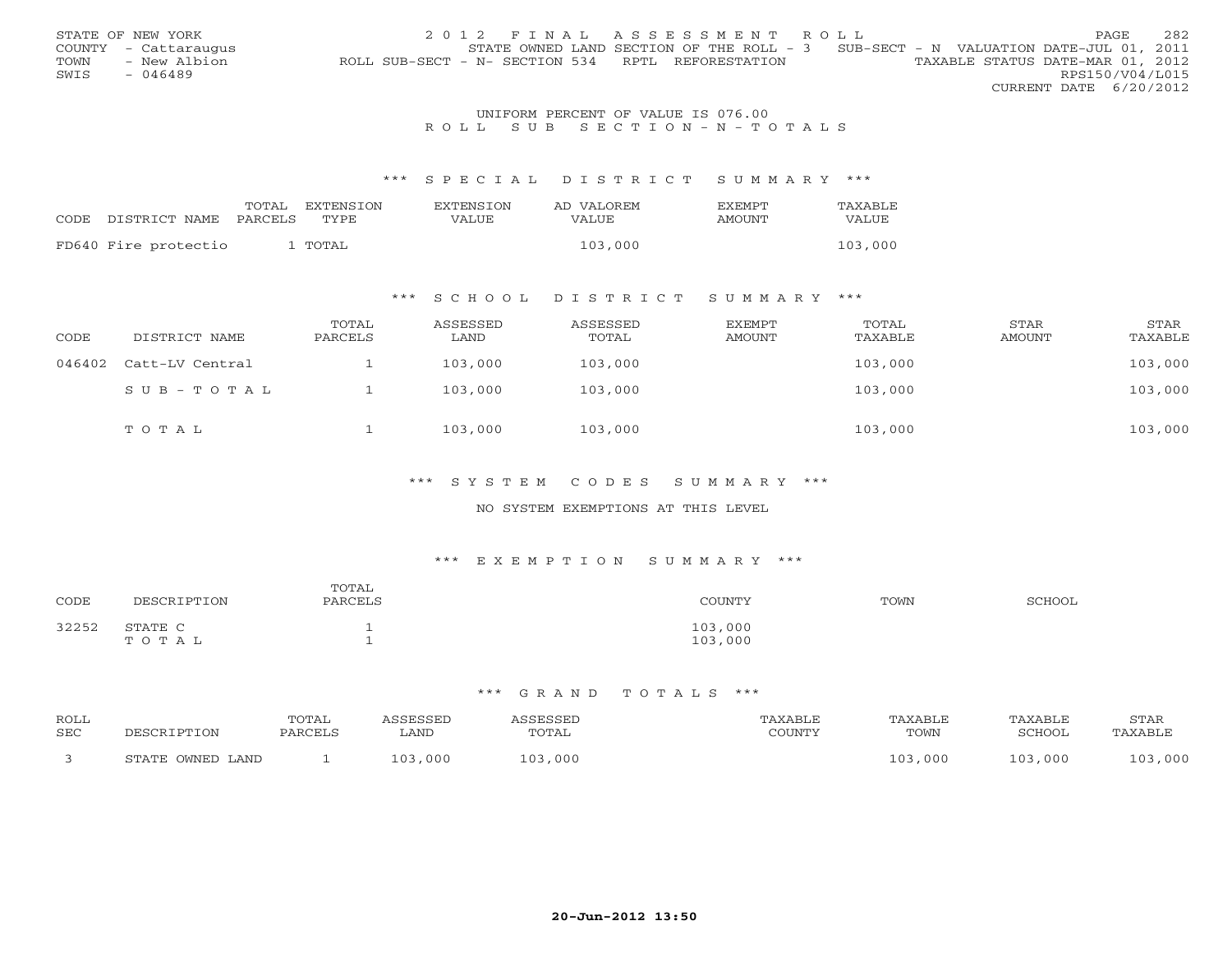|      | STATE OF NEW YORK    | 2012 FINAL ASSESSMENT ROLL                                                            | PAGE                   | 282 |
|------|----------------------|---------------------------------------------------------------------------------------|------------------------|-----|
|      | COUNTY - Cattaraugus | STATE OWNED LAND SECTION OF THE ROLL - 3 SUB-SECT - N VALUATION DATE-JUL 01, 2011     |                        |     |
| TOWN | - New Albion         | TAXABLE STATUS DATE-MAR 01, 2012<br>ROLL SUB-SECT - N- SECTION 534 RPTL REFORESTATION |                        |     |
| SWIS | - 046489             |                                                                                       | RPS150/V04/L015        |     |
|      |                      |                                                                                       | CURRENT DATE 6/20/2012 |     |
|      |                      |                                                                                       |                        |     |

## UNIFORM PERCENT OF VALUE IS 076.00R O L L S U B S E C T I O N - N - T O T A L S

### \*\*\* S P E C I A L D I S T R I C T S U M M A R Y \*\*\*

| CODE DISTRICT NAME   | TOTAL<br>PARCELS | <b>FXTENSTON</b><br>TYPE. | <b>EXTENSION</b><br>VALUE | AD VALOREM<br><b>VALUE</b> | <b>EXEMPT</b><br>AMOUNT | TAXABLE<br>VALUE |
|----------------------|------------------|---------------------------|---------------------------|----------------------------|-------------------------|------------------|
| FD640 Fire protectio |                  | ' TOTAL                   |                           | 103,000                    |                         | 103,000          |

#### \*\*\* S C H O O L D I S T R I C T S U M M A R Y \*\*\*

| CODE   | DISTRICT NAME   | TOTAL<br>PARCELS | ASSESSED<br>LAND | ASSESSED<br>TOTAL | EXEMPT<br>AMOUNT | TOTAL<br>TAXABLE | STAR<br><b>AMOUNT</b> | STAR<br>TAXABLE |
|--------|-----------------|------------------|------------------|-------------------|------------------|------------------|-----------------------|-----------------|
| 046402 | Catt-LV Central |                  | 103,000          | 103,000           |                  | 103,000          |                       | 103,000         |
|        | SUB-TOTAL       |                  | 103,000          | 103,000           |                  | 103,000          |                       | 103,000         |
|        | TOTAL           |                  | 103,000          | 103,000           |                  | 103,000          |                       | 103,000         |

### \*\*\* S Y S T E M C O D E S S U M M A R Y \*\*\*

### NO SYSTEM EXEMPTIONS AT THIS LEVEL

## \*\*\* E X E M P T I O N S U M M A R Y \*\*\*

| CODE  | DESCRIPTION      | TOTAL<br>PARCELS | TOUNTY             | TOWN | <b>SCHOOL</b> |
|-------|------------------|------------------|--------------------|------|---------------|
| 32252 | STATE C<br>TOTAL | <b>.</b><br>-    | 103,000<br>103,000 |      |               |

| <b>ROLL</b> |                  | <b>COTAL</b> |         | CCRCCRT       |               | "AXABLE | TAXABI J | STAR           |
|-------------|------------------|--------------|---------|---------------|---------------|---------|----------|----------------|
| SEC         | DESCRIPTION      | PARCELS      | ∟AND    | TOTAL         | <b>COUNTY</b> | TOWN    | SCHOOI   | <b>TAXARLF</b> |
|             | STATE OWNED LAND |              | 103,000 | 1 0 3<br>,000 |               | LO3,000 | 103,000  | 000<br>102     |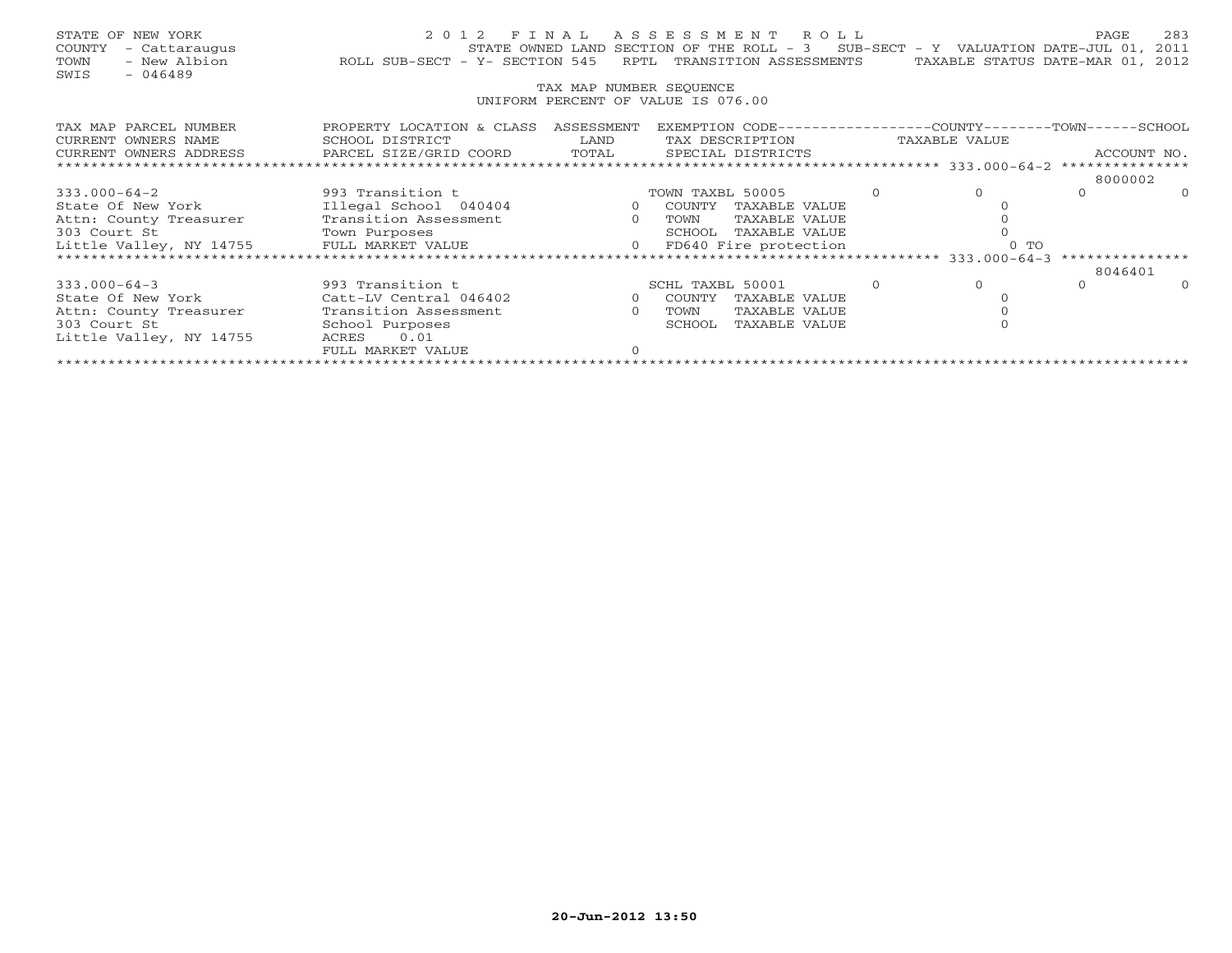| STATE OF NEW YORK<br>- Cattaraugus<br>COUNTY<br>- New Albion<br>TOWN<br>SWIS<br>$-046489$ | ROLL SUB-SECT - Y- SECTION 545 |                         | 2012 FINAL ASSESSMENT ROLL<br>STATE OWNED LAND SECTION OF THE ROLL $-3$ SUB-SECT - Y VALUATION DATE-JUL 01, 2011<br>RPTL TRANSITION ASSESSMENTS |  | TAXABLE STATUS DATE-MAR 01, 2012  | PAGE        | 283     |  |  |
|-------------------------------------------------------------------------------------------|--------------------------------|-------------------------|-------------------------------------------------------------------------------------------------------------------------------------------------|--|-----------------------------------|-------------|---------|--|--|
|                                                                                           |                                | TAX MAP NUMBER SEOUENCE |                                                                                                                                                 |  |                                   |             |         |  |  |
| UNIFORM PERCENT OF VALUE IS 076.00                                                        |                                |                         |                                                                                                                                                 |  |                                   |             |         |  |  |
| TAX MAP PARCEL NUMBER                                                                     | PROPERTY LOCATION & CLASS      | ASSESSMENT              | EXEMPTION CODE--                                                                                                                                |  | ---------------COUNTY-------TOWN- |             | -SCHOOL |  |  |
| CURRENT OWNERS NAME                                                                       | SCHOOL DISTRICT                | LAND                    | TAX DESCRIPTION                                                                                                                                 |  | TAXABLE VALUE                     |             |         |  |  |
| CURRENT OWNERS ADDRESS                                                                    | PARCEL SIZE/GRID COORD         | TOTAL                   | SPECIAL DISTRICTS                                                                                                                               |  |                                   | ACCOUNT NO. |         |  |  |
|                                                                                           |                                |                         |                                                                                                                                                 |  |                                   |             |         |  |  |
|                                                                                           |                                |                         |                                                                                                                                                 |  |                                   | 8000002     |         |  |  |
| 333.000-64-2                                                                              | 993 Transition t               |                         | TOWN TAXBL 50005                                                                                                                                |  |                                   |             |         |  |  |

\*\*\*\*\*\*\*\*\*\*\*\*\*\*\*\*\*\*\*\*\*\*\*\*\*\*\*\*\*\*\*\*\*\*\*\*\*\*\*\*\*\*\*\*\*\*\*\*\*\*\*\*\*\*\*\*\*\*\*\*\*\*\*\*\*\*\*\*\*\*\*\*\*\*\*\*\*\*\*\*\*\*\*\*\*\*\*\*\*\*\*\*\*\*\*\*\*\*\*\*\*\*\* 333.000-64-3 \*\*\*\*\*\*\*\*\*\*\*\*\*\*\* 8046401

333.000-64-3 993 Transition t SCHL TAXBL 50001 0 0 0 0

\*\*\*\*\*\*\*\*\*\*\*\*\*\*\*\*\*\*\*\*\*\*\*\*\*\*\*\*\*\*\*\*\*\*\*\*\*\*\*\*\*\*\*\*\*\*\*\*\*\*\*\*\*\*\*\*\*\*\*\*\*\*\*\*\*\*\*\*\*\*\*\*\*\*\*\*\*\*\*\*\*\*\*\*\*\*\*\*\*\*\*\*\*\*\*\*\*\*\*\*\*\*\*\*\*\*\*\*\*\*\*\*\*\*\*\*\*\*\*\*\*\*\*\*\*\*\*\*\*\*\*\*

0 TOWN TAXABLE VALUE 0 0<br>SCHOOL TAXABLE VALUE 0 0

8046401

 $\mathbf{0}$ 

State Of New York Illegal School 040404 0 COUNTY TAXABLE VALUE 0

State Of New York Catt-LV Central 046402 0 COUNTY TAXABLE VALUE 0

Attn: County Treasurer Transition Assessment 0 TOWN TAXABLE VALUE 0

Little Valley, NY 14755 FULL MARKET VALUE 0 FD640 Fire protection 0 TO

303 Court St School Purposes SCHOOL TAXABLE VALUE

FULL MARKET VALUE 0

Little Valley, NY 14755 ACRES 0.01

303 Court St Town Purposes SCHOOL TAXABLE VALUE 0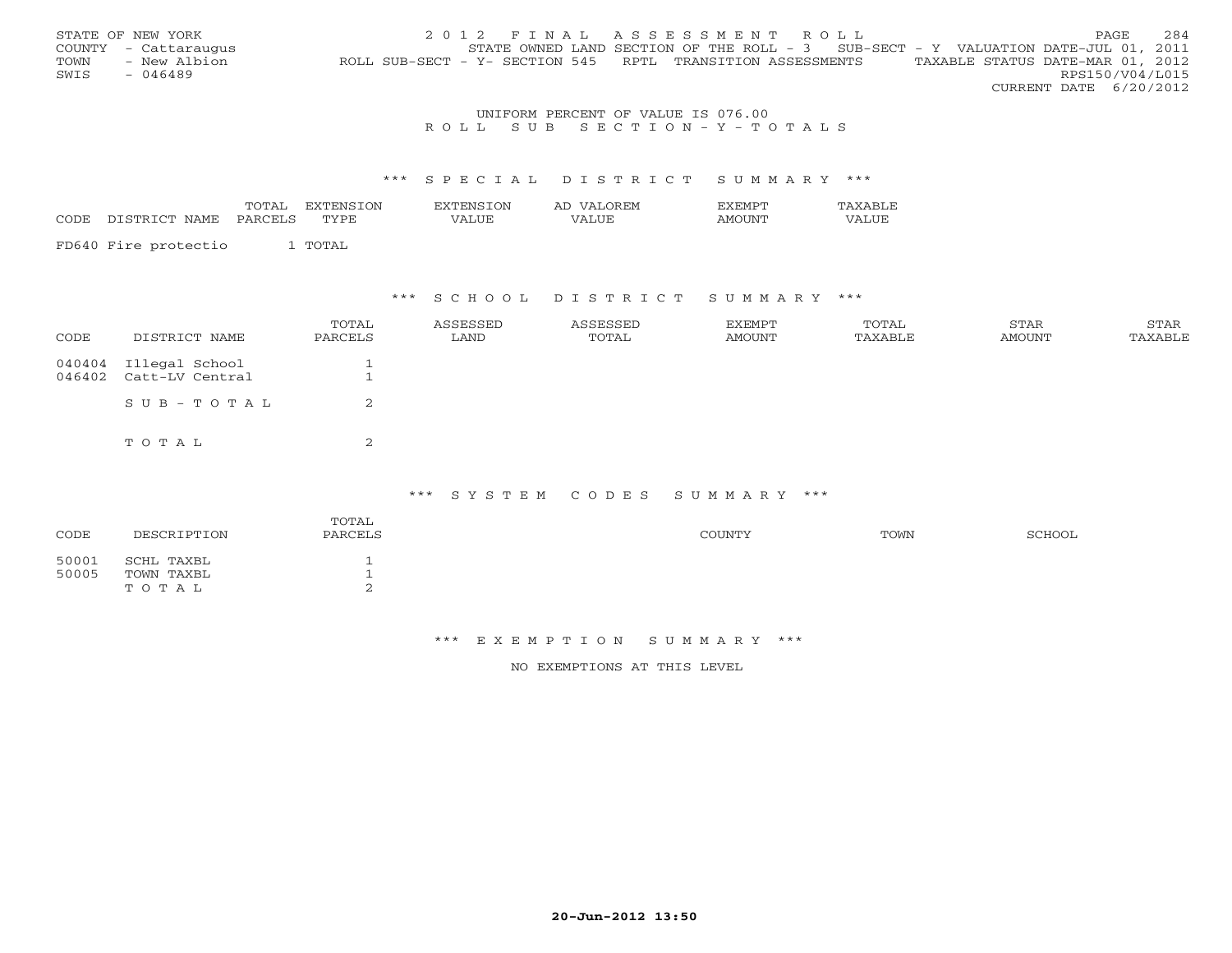|      | STATE OF NEW YORK    | 2012 FINAL ASSESSMENT ROLL                                                                     | PAGE                   | 284 |
|------|----------------------|------------------------------------------------------------------------------------------------|------------------------|-----|
|      | COUNTY - Cattaraugus | STATE OWNED LAND SECTION OF THE ROLL - 3 SUB-SECT - Y VALUATION DATE-JUL 01, 2011              |                        |     |
| TOWN | - New Albion         | TAXABLE STATUS DATE-MAR 01, 2012<br>ROLL SUB-SECT - Y- SECTION 545 RPTL TRANSITION ASSESSMENTS |                        |     |
| SWIS | $-046489$            |                                                                                                | RPS150/V04/L015        |     |
|      |                      |                                                                                                | CURRENT DATE 6/20/2012 |     |

### UNIFORM PERCENT OF VALUE IS 076.00 R O L L S U B S E C T I O N - Y - T O T A L S

## \*\*\* S P E C I A L D I S T R I C T S U M M A R Y \*\*\*

| CODE | DISTRICT NAME        | TOTAL<br>PARCELS | EXTENSTON<br>TVPE | <b>EXTENSION</b><br>VALUE | AD VALOREM<br>VALUE | <b>FXEMPT</b><br>AMOUNT | <b>TAXABLF</b><br>VALUE |
|------|----------------------|------------------|-------------------|---------------------------|---------------------|-------------------------|-------------------------|
|      | FD640 Fire protectio |                  | TOTAL             |                           |                     |                         |                         |

#### \*\*\* S C H O O L D I S T R I C T S U M M A R Y \*\*\*

| CODE             | DISTRICT NAME                     | TOTAL<br>PARCELS | ASSESSED<br>LAND | ASSESSED<br>TOTAL | EXEMPT<br>AMOUNT | TOTAL<br>TAXABLE | STAR<br>AMOUNT | STAR<br>TAXABLE |
|------------------|-----------------------------------|------------------|------------------|-------------------|------------------|------------------|----------------|-----------------|
| 040404<br>046402 | Illegal School<br>Catt-LV Central |                  |                  |                   |                  |                  |                |                 |
|                  | SUB-TOTAL                         |                  |                  |                   |                  |                  |                |                 |
|                  | TOTAL                             | ⌒<br>$\epsilon$  |                  |                   |                  |                  |                |                 |

### \*\*\* S Y S T E M C O D E S S U M M A R Y \*\*\*

| CODE           | DESCRIPTION                       | TOTAL<br>PARCELS | COUNTY | TOWN | SCHOOL |
|----------------|-----------------------------------|------------------|--------|------|--------|
| 50001<br>50005 | SCHL TAXBL<br>TOWN TAXBL<br>TOTAL | ∠                |        |      |        |
|                |                                   |                  |        |      |        |

#### \*\*\* E X E M P T I O N S U M M A R Y \*\*\*

NO EXEMPTIONS AT THIS LEVEL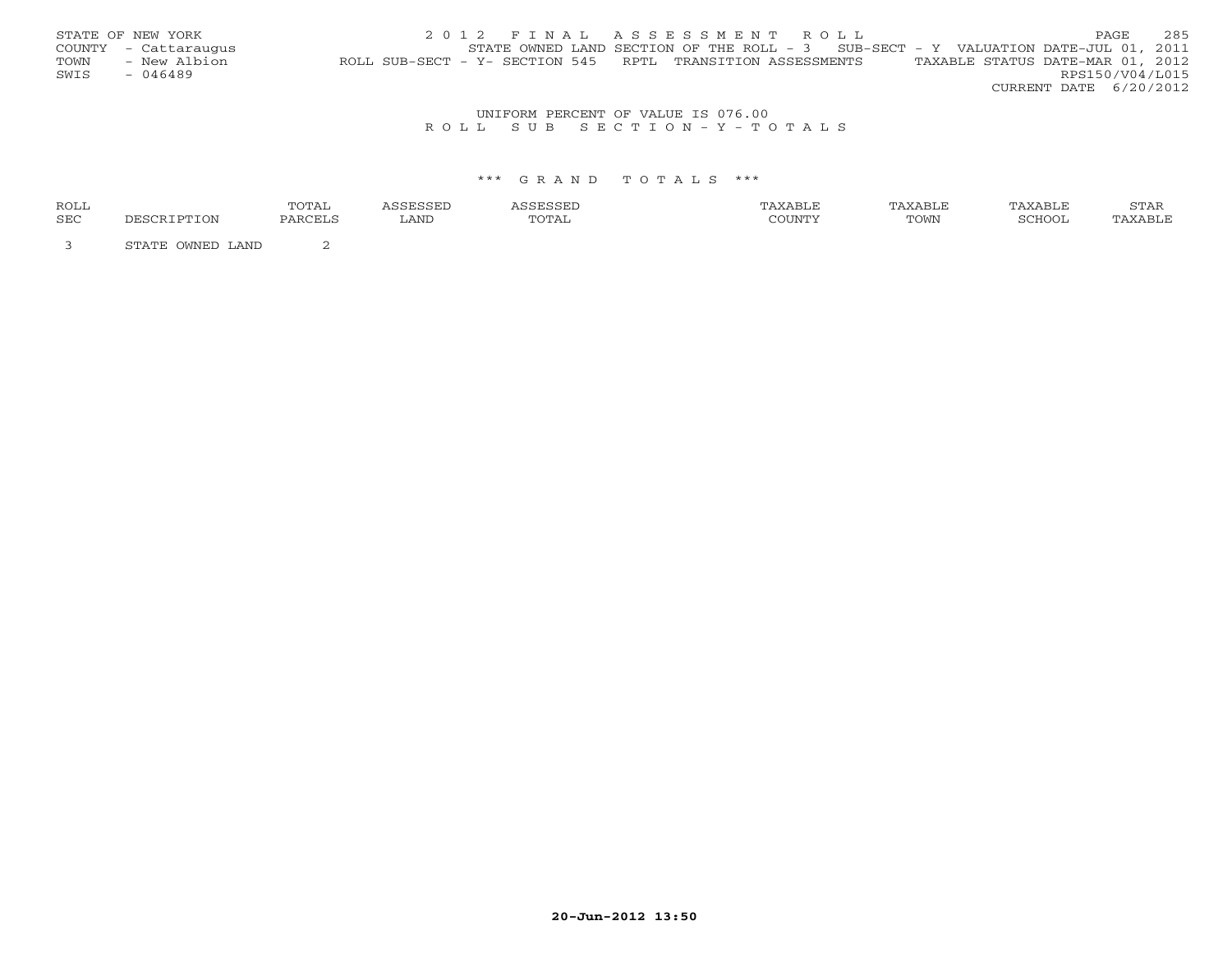|      | STATE OF NEW YORK    | 2012 FINAL ASSESSMENT ROLL                                                                     | PAGE.                  | 285 |
|------|----------------------|------------------------------------------------------------------------------------------------|------------------------|-----|
|      | COUNTY - Cattaraugus | STATE OWNED LAND SECTION OF THE ROLL - $3$ SUB-SECT - Y VALUATION DATE-JUL 01, 2011            |                        |     |
| TOWN | - New Albion         | TAXABLE STATUS DATE-MAR 01, 2012<br>ROLL SUB-SECT - Y- SECTION 545 RPTL TRANSITION ASSESSMENTS |                        |     |
| SWIS | $-046489$            |                                                                                                | RPS150/V04/L015        |     |
|      |                      |                                                                                                | CURRENT DATE 6/20/2012 |     |

## UNIFORM PERCENT OF VALUE IS 076.00R O L L S U B S E C T I O N - Y - T O T A L S

| <b>ROLL</b> |                  | TOTAI<br><u> UIII</u> |      |       | TAXABLE | TAXABLE | TAXABLE | STAR    |
|-------------|------------------|-----------------------|------|-------|---------|---------|---------|---------|
| SEC         | TON.             | PARCELS               | LAND | TOTAL | COUNTY  | TOWN    | SCHOOI  | TAXABLE |
|             | STATE OWNED LAND |                       |      |       |         |         |         |         |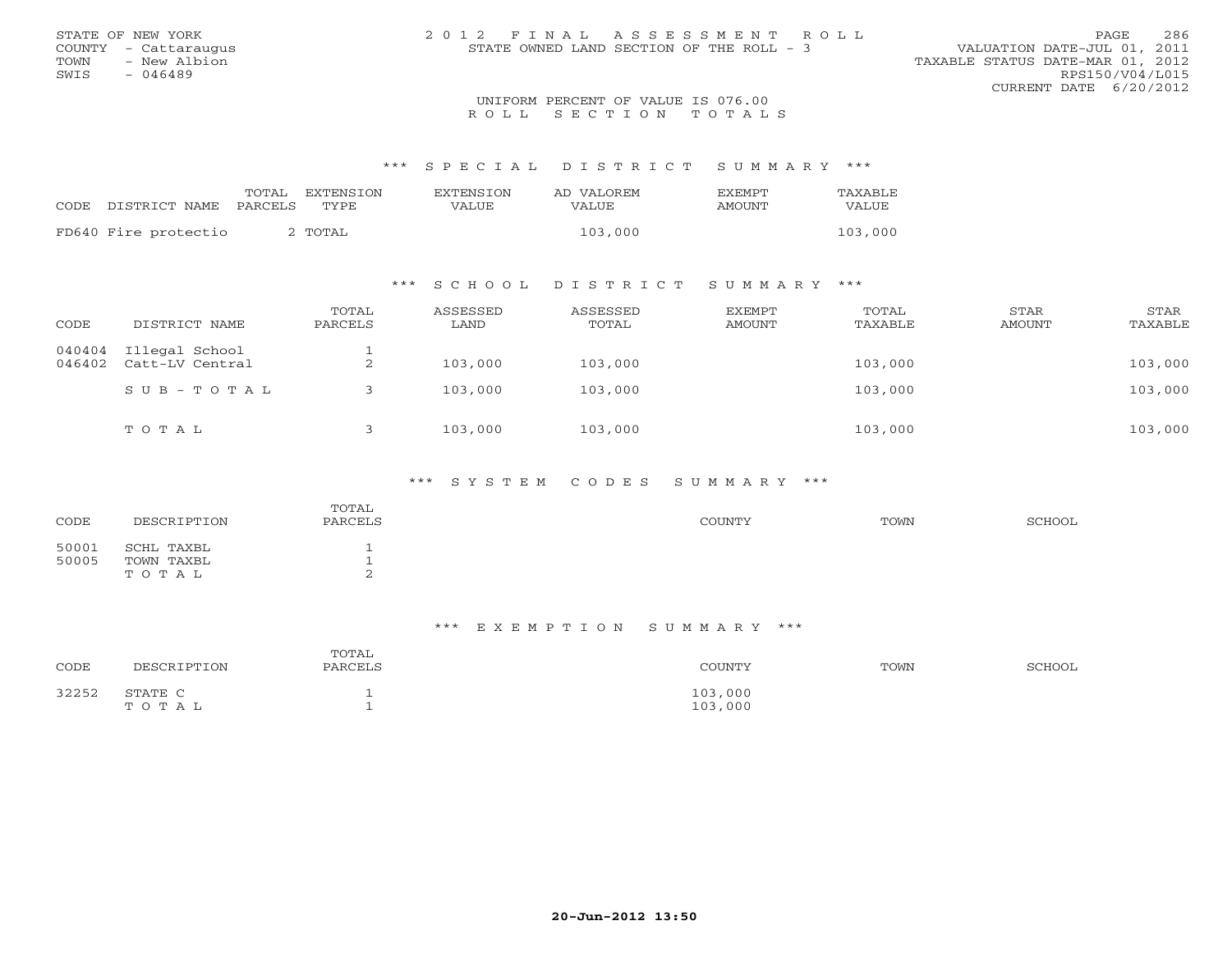| STATE OF NEW YORK    | 2012 FINAL ASSESSMENT ROLL               | 286<br>PAGE                      |
|----------------------|------------------------------------------|----------------------------------|
| COUNTY - Cattaraugus | STATE OWNED LAND SECTION OF THE ROLL - 3 | VALUATION DATE-JUL 01, 2011      |
| TOWN<br>- New Albion |                                          | TAXABLE STATUS DATE-MAR 01, 2012 |
| SWIS<br>- 046489     |                                          | RPS150/V04/L015                  |
|                      |                                          | CURRENT DATE 6/20/2012           |
|                      | IBITEODM DEDCEME OF USILE IS 076 00      |                                  |

# UNIFORM PERCENT OF VALUE IS 076.00<br>R O L L S E C T I O N T O T A L S

\*\*\* S P E C I A L D I S T R I C T S U M M A R Y \*\*\*

| CODE DISTRICT NAME PARCELS | TOTAL | EXTENSTON<br>TYPE | <b>EXTENSION</b><br>VALUE | AD VALOREM<br><b>VALUE</b> | <b>FXFMPT</b><br>AMOUNT | TAXABLE<br>VALUE |
|----------------------------|-------|-------------------|---------------------------|----------------------------|-------------------------|------------------|
| FD640 Fire protectio       |       | 2 TOTAL           |                           | 103,000                    |                         | 103,000          |

## \*\*\* S C H O O L D I S T R I C T S U M M A R Y \*\*\*

| CODE             | DISTRICT NAME                     | TOTAL<br>PARCELS | ASSESSED<br>LAND | ASSESSED<br>TOTAL | EXEMPT<br>AMOUNT | TOTAL<br>TAXABLE | STAR<br>AMOUNT | STAR<br>TAXABLE |
|------------------|-----------------------------------|------------------|------------------|-------------------|------------------|------------------|----------------|-----------------|
| 040404<br>046402 | Illegal School<br>Catt-LV Central | $\sim$<br>∠      | 103,000          | 103,000           |                  | 103,000          |                | 103,000         |
|                  | $SUB - TO T AL$                   |                  | 103,000          | 103,000           |                  | 103,000          |                | 103,000         |
|                  | TOTAL                             |                  | 103,000          | 103,000           |                  | 103,000          |                | 103,000         |

### \*\*\* S Y S T E M C O D E S S U M M A R Y \*\*\*

| CODE           | DESCRIPTION                       | TOTAL<br>PARCELS | COUNTY | TOWN | SCHOOL |
|----------------|-----------------------------------|------------------|--------|------|--------|
| 50001<br>50005 | SCHL TAXBL<br>TOWN TAXBL<br>TOTAL | ∼                |        |      |        |

#### \*\*\* E X E M P T I O N S U M M A R Y \*\*\*

| CODE  | DESCRIPTION      | TOTAL<br>PARCELS | COUNTY             | TOWN | SCHOOL |
|-------|------------------|------------------|--------------------|------|--------|
| 32252 | STATE C<br>TOTAL |                  | 103,000<br>103,000 |      |        |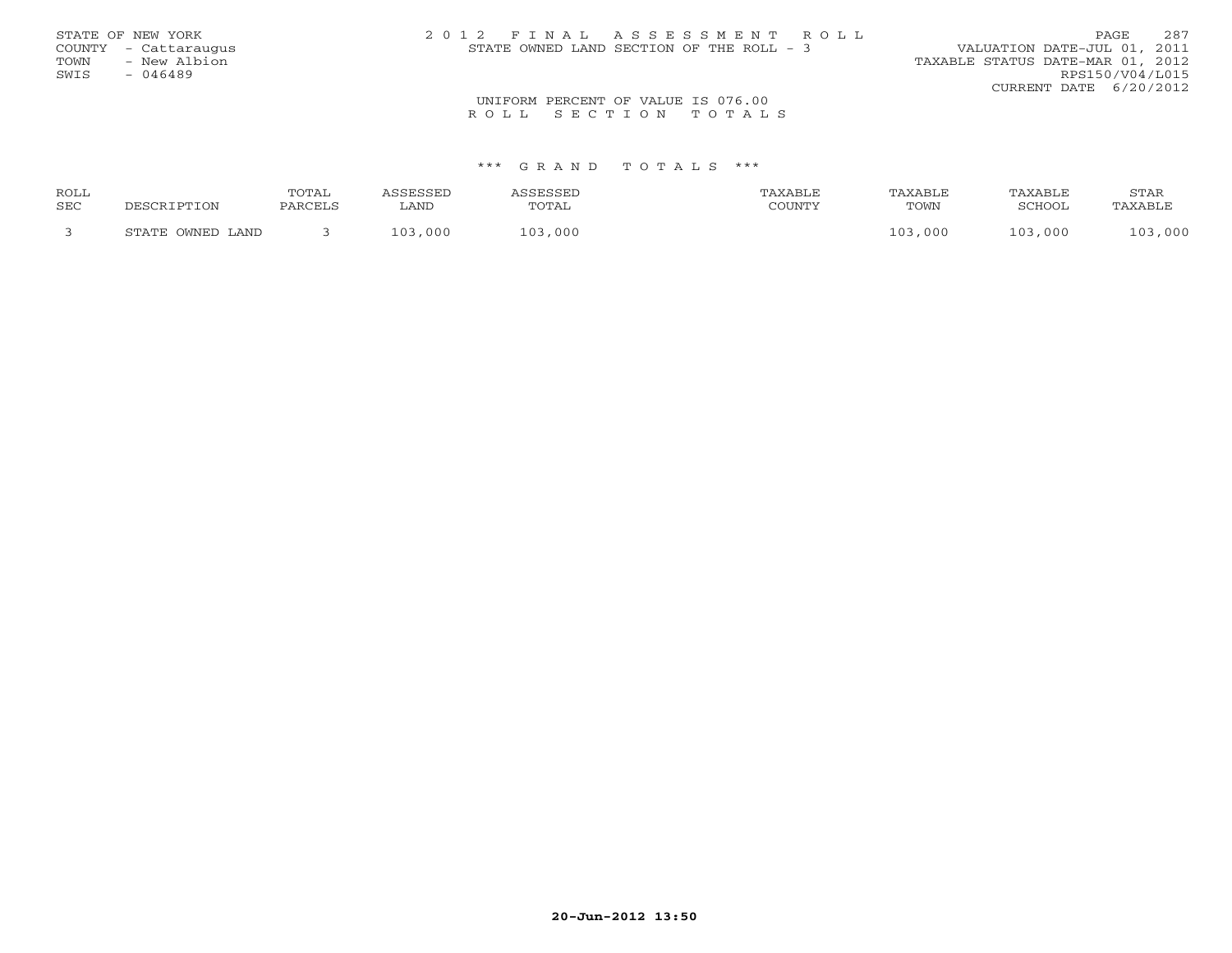| STATE OF NEW YORK<br>COUNTY - Cattaraugus<br>TOWN<br>- New Albion<br>SWIS<br>- 046489 | 2012 FINAL ASSESSMENT ROLL<br>STATE OWNED LAND SECTION OF THE ROLL - 3 | 287<br>PAGE<br>VALUATION DATE-JUL 01, 2011<br>TAXABLE STATUS DATE-MAR 01, 2012<br>RPS150/V04/L015 |
|---------------------------------------------------------------------------------------|------------------------------------------------------------------------|---------------------------------------------------------------------------------------------------|
|                                                                                       |                                                                        | CURRENT DATE $6/20/2012$                                                                          |
|                                                                                       | UNIFORM PERCENT OF VALUE IS 076.00                                     |                                                                                                   |
|                                                                                       | ROLL SECTION TOTALS                                                    |                                                                                                   |

| <b>ROLL</b> |                  | <b>TOTAL</b> | <b>GERSSED</b> | <b>CCFCCFI</b> |        | TAXABLE | TAXABLE       | STAR               |
|-------------|------------------|--------------|----------------|----------------|--------|---------|---------------|--------------------|
| <b>SEC</b>  | ־סים הר          | PARCELL      | LAND           | TOTAL          | COUNTY | TOWN    | <b>RCHOOL</b> | TAXABLI            |
|             | STATE OWNED LAND |              | ,000<br>1 0 3  | 103<br>,000    |        | 103,000 | 103,000       | $\sqrt{2}$<br>,000 |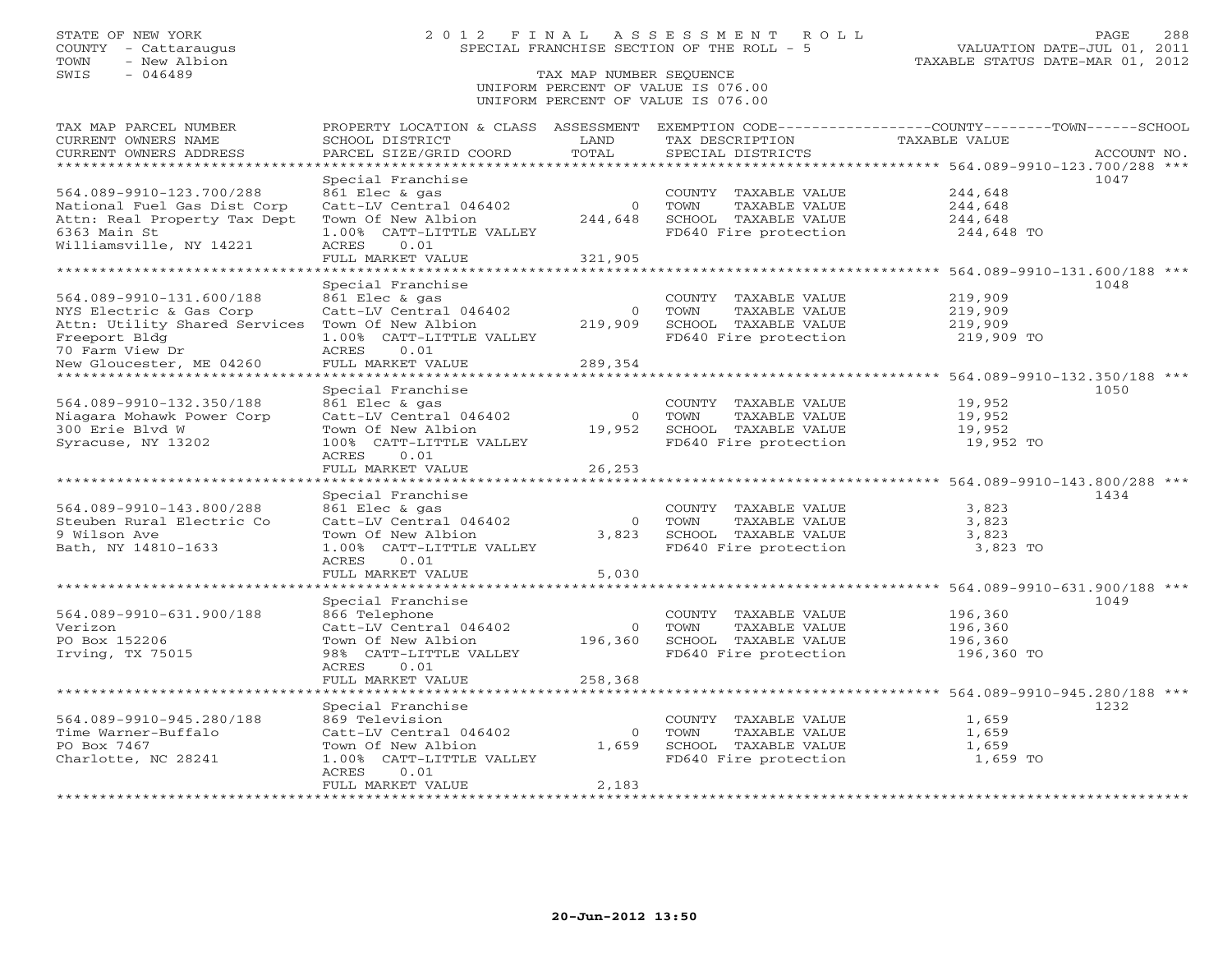# STATE OF NEW YORK 2 0 1 2 F I N A L A S S E S S M E N T R O L L PAGE 288 COUNTY - Cattaraugus SPECIAL FRANCHISE SECTION OF THE ROLL - 5 VALUATION DATE-JUL 01, 2011

## SWIS - 046489 TAX MAP NUMBER SEQUENCE UNIFORM PERCENT OF VALUE IS 076.00UNIFORM PERCENT OF VALUE IS 076.00

| TAX MAP PARCEL NUMBER<br>CURRENT OWNERS NAME<br>CURRENT OWNERS ADDRESS  | PROPERTY LOCATION & CLASS ASSESSMENT<br>SCHOOL DISTRICT<br>PARCEL SIZE/GRID COORD | LAND<br>TOTAL          | TAX DESCRIPTION<br>SPECIAL DISTRICTS          | EXEMPTION CODE-----------------COUNTY-------TOWN------SCHOOL<br>TAXABLE VALUE<br>ACCOUNT NO. |
|-------------------------------------------------------------------------|-----------------------------------------------------------------------------------|------------------------|-----------------------------------------------|----------------------------------------------------------------------------------------------|
| *********************                                                   | * * * * * * * * * * * * * *                                                       |                        |                                               |                                                                                              |
| 564.089-9910-123.700/288<br>National Fuel Gas Dist Corp                 | Special Franchise<br>861 Elec & gas<br>Catt-LV Central 046402                     | $\Omega$               | COUNTY TAXABLE VALUE<br>TOWN<br>TAXABLE VALUE | 1047<br>244,648<br>244,648                                                                   |
| Attn: Real Property Tax Dept<br>6363 Main St<br>Williamsville, NY 14221 | Town Of New Albion<br>1.00% CATT-LITTLE VALLEY<br>0.01<br>ACRES                   | 244,648                | SCHOOL TAXABLE VALUE<br>FD640 Fire protection | 244,648<br>244,648 TO                                                                        |
|                                                                         | FULL MARKET VALUE                                                                 | 321,905                |                                               |                                                                                              |
|                                                                         | * * * * * * * * * * * * * * * * * *                                               |                        |                                               | ******************** 564.089-9910-131.600/188 ***                                            |
|                                                                         | Special Franchise                                                                 |                        |                                               | 1048                                                                                         |
| 564.089-9910-131.600/188                                                | 861 Elec & gas                                                                    |                        | COUNTY TAXABLE VALUE                          | 219,909                                                                                      |
| NYS Electric & Gas Corp<br>Attn: Utility Shared Services                | Catt-LV Central 046402<br>Town Of New Albion                                      | $\mathbf 0$<br>219,909 | TOWN<br>TAXABLE VALUE<br>SCHOOL TAXABLE VALUE | 219,909<br>219,909                                                                           |
| Freeport Bldg                                                           | 1.00% CATT-LITTLE VALLEY                                                          |                        | FD640 Fire protection                         | 219,909 TO                                                                                   |
| 70 Farm View Dr                                                         | ACRES<br>0.01                                                                     |                        |                                               |                                                                                              |
| New Gloucester, ME 04260                                                | FULL MARKET VALUE                                                                 | 289,354                |                                               |                                                                                              |
|                                                                         | **********************************<br>Special Franchise                           |                        |                                               | ******************************* 564.089-9910-132.350/188 ***<br>1050                         |
| 564.089-9910-132.350/188                                                | 861 Elec & gas                                                                    |                        | COUNTY TAXABLE VALUE                          | 19,952                                                                                       |
| Niagara Mohawk Power Corp                                               | Catt-LV Central 046402                                                            | $\circ$                | TOWN<br>TAXABLE VALUE                         | 19,952                                                                                       |
| 300 Erie Blvd W                                                         | Town Of New Albion                                                                | 19,952                 | SCHOOL TAXABLE VALUE                          | 19,952                                                                                       |
| Syracuse, NY 13202                                                      | 100% CATT-LITTLE VALLEY<br>ACRES<br>0.01                                          |                        | FD640 Fire protection                         | 19,952 TO                                                                                    |
|                                                                         | FULL MARKET VALUE                                                                 | 26,253                 |                                               |                                                                                              |
|                                                                         | * * * * * * * * * * * * * * * * * *                                               |                        |                                               | ************************* 564.089-9910-143.800/288 ***                                       |
|                                                                         | Special Franchise                                                                 |                        |                                               | 1434                                                                                         |
| 564.089-9910-143.800/288                                                | 861 Elec & gas                                                                    |                        | COUNTY TAXABLE VALUE                          | 3,823                                                                                        |
| Steuben Rural Electric Co                                               | Catt-LV Central 046402                                                            | $\Omega$               | TOWN<br>TAXABLE VALUE                         | 3,823                                                                                        |
| 9 Wilson Ave                                                            | Town Of New Albion                                                                | 3,823                  | SCHOOL TAXABLE VALUE                          | 3,823                                                                                        |
| Bath, NY 14810-1633                                                     | 1.00% CATT-LITTLE VALLEY<br>0.01<br>ACRES                                         |                        | FD640 Fire protection                         | 3,823 TO                                                                                     |
|                                                                         | FULL MARKET VALUE                                                                 | 5,030                  |                                               |                                                                                              |
|                                                                         |                                                                                   |                        | ************************                      | 564.089-9910-631.900/188 ***                                                                 |
|                                                                         | Special Franchise                                                                 |                        |                                               | 1049                                                                                         |
| 564.089-9910-631.900/188                                                | 866 Telephone                                                                     |                        | COUNTY TAXABLE VALUE                          | 196,360                                                                                      |
| Verizon                                                                 | Catt-LV Central 046402                                                            | $\Omega$               | TOWN<br>TAXABLE VALUE                         | 196,360                                                                                      |
| PO Box 152206                                                           | Town Of New Albion                                                                | 196,360                | SCHOOL TAXABLE VALUE                          | 196,360                                                                                      |
| Irving, TX 75015                                                        | 98% CATT-LITTLE VALLEY<br>ACRES<br>0.01                                           |                        | FD640 Fire protection                         | 196,360 TO                                                                                   |
|                                                                         | FULL MARKET VALUE                                                                 | 258,368                |                                               |                                                                                              |
|                                                                         | * * * * * * * * * * * * * * * * * *                                               |                        |                                               | ******************** 564.089-9910-945.280/188 ***                                            |
|                                                                         | Special Franchise                                                                 |                        |                                               | 1232                                                                                         |
| 564.089-9910-945.280/188                                                | 869 Television                                                                    |                        | COUNTY TAXABLE VALUE                          | 1,659                                                                                        |
| Time Warner-Buffalo                                                     | Catt-LV Central 046402                                                            | $\Omega$               | <b>TOWN</b><br>TAXABLE VALUE                  | 1,659                                                                                        |
| PO Box 7467                                                             | Town Of New Albion                                                                | 1,659                  | SCHOOL TAXABLE VALUE                          | 1,659                                                                                        |
| Charlotte, NC 28241                                                     | 1.00% CATT-LITTLE VALLEY<br>ACRES<br>0.01                                         |                        | FD640 Fire protection                         | 1,659 TO                                                                                     |
|                                                                         | FULL MARKET VALUE                                                                 | 2,183                  |                                               |                                                                                              |
|                                                                         |                                                                                   |                        |                                               |                                                                                              |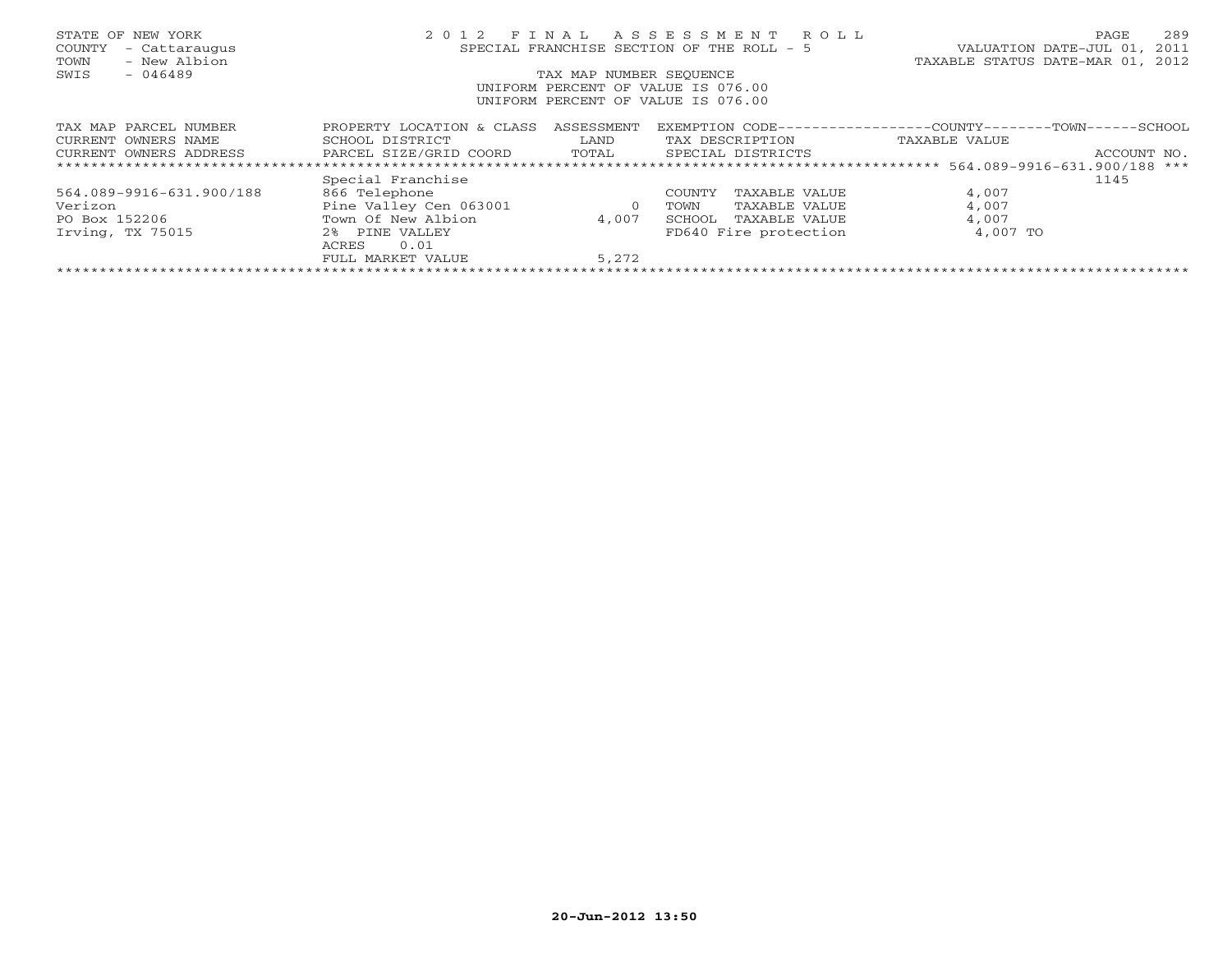| STATE OF NEW YORK<br>COUNTY<br>- Cattaraugus<br>- New Albion<br>TOWN | 2 0 1 2                                                       | FINAL      | ASSESSMENT ROLL<br>SPECIAL FRANCHISE SECTION OF THE ROLL - 5 | 2.89<br>PAGE<br>VALUATION DATE-JUL 01, 2011<br>TAXABLE STATUS DATE-MAR 01, 2012 |  |  |
|----------------------------------------------------------------------|---------------------------------------------------------------|------------|--------------------------------------------------------------|---------------------------------------------------------------------------------|--|--|
| SWIS<br>$-046489$                                                    | TAX MAP NUMBER SEOUENCE<br>UNIFORM PERCENT OF VALUE IS 076.00 |            |                                                              |                                                                                 |  |  |
|                                                                      |                                                               |            | UNIFORM PERCENT OF VALUE IS 076.00                           |                                                                                 |  |  |
| TAX MAP PARCEL NUMBER                                                | PROPERTY LOCATION & CLASS                                     | ASSESSMENT | EXEMPTION CODE---                                            | ----------COUNTY-------TOWN-----<br>-SCHOOL                                     |  |  |
| CURRENT OWNERS NAME                                                  | SCHOOL DISTRICT                                               | LAND       | TAX DESCRIPTION                                              | TAXABLE VALUE                                                                   |  |  |
| CURRENT OWNERS ADDRESS                                               | PARCEL SIZE/GRID COORD                                        | TOTAL      | SPECIAL DISTRICTS                                            | ACCOUNT NO.                                                                     |  |  |
|                                                                      |                                                               |            |                                                              |                                                                                 |  |  |
|                                                                      | Special Franchise                                             |            |                                                              | 1145                                                                            |  |  |
| 564.089-9916-631.900/188                                             | 866 Telephone                                                 |            | TAXABLE VALUE<br>COUNTY                                      | 4,007                                                                           |  |  |
| Verizon                                                              | Pine Valley Cen 063001                                        | $\circ$    | TAXABLE VALUE<br>TOWN                                        | 4,007                                                                           |  |  |
| PO Box 152206                                                        | Town Of New Albion                                            | 4,007      | SCHOOL<br>TAXABLE VALUE                                      | 4,007                                                                           |  |  |
| Irving, TX 75015                                                     | $2\,$ $\,$<br>PINE VALLEY<br>0.01<br>ACRES                    |            | FD640 Fire protection                                        | 4,007 TO                                                                        |  |  |
|                                                                      | FULL MARKET VALUE                                             | 5,272      |                                                              |                                                                                 |  |  |
|                                                                      |                                                               |            |                                                              |                                                                                 |  |  |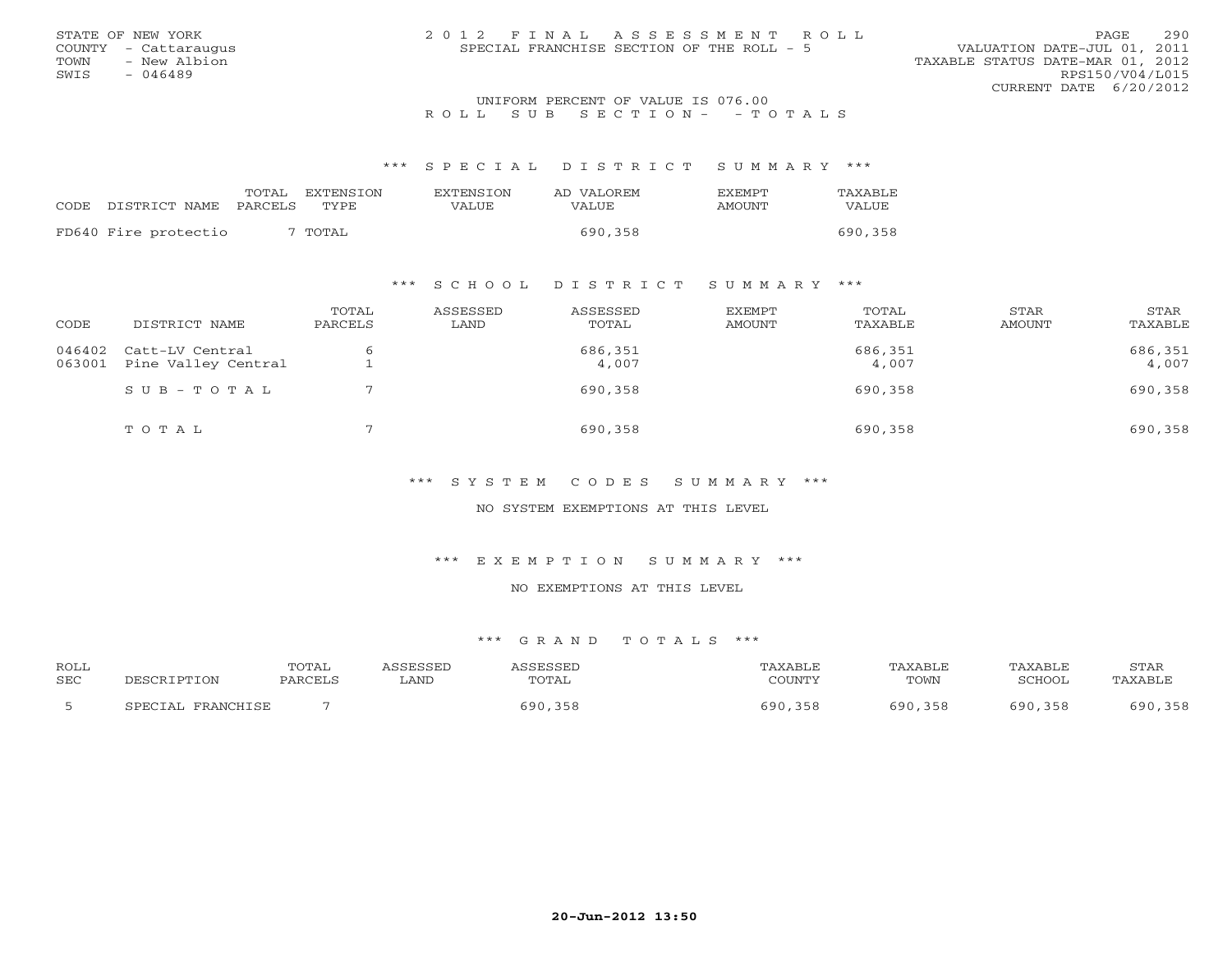| STATE OF NEW YORK    |  | 2012 FINAL ASSESSMENT ROLL                |                                  | PAGE.           | 290 |
|----------------------|--|-------------------------------------------|----------------------------------|-----------------|-----|
| COUNTY - Cattaraugus |  | SPECIAL FRANCHISE SECTION OF THE ROLL - 5 | VALUATION DATE-JUL 01, 2011      |                 |     |
| TOWN<br>- New Albion |  |                                           | TAXABLE STATUS DATE-MAR 01, 2012 |                 |     |
| SWIS<br>- 046489     |  |                                           |                                  | RPS150/V04/L015 |     |
|                      |  |                                           | CURRENT DATE $6/20/2012$         |                 |     |
|                      |  | INIFORM PERCENT OF VALUE IS 076 00        |                                  |                 |     |

# UNIFORM PERCENT OF VALUE IS 076.00<br>R O L L S U B S E C T I O N - - T O T A L S

### \*\*\* S P E C I A L D I S T R I C T S U M M A R Y \*\*\*

|       |                       | TOTAL | EXTENSTON | <b>EXTENSION</b> | AD VALOREM | <b>FXFMPT</b> | TAXABLE |
|-------|-----------------------|-------|-----------|------------------|------------|---------------|---------|
| CODE. | DISTRICT NAME PARCELS |       | TYPE.     | VALUE            | VALUE.     | AMOUNT        | VALUE   |
|       | FD640 Fire protectio  |       | 7 TOTAL   |                  | 690,358    |               | 690,358 |

## \*\*\* S C H O O L D I S T R I C T S U M M A R Y \*\*\*

| CODE   | DISTRICT NAME                                 | TOTAL<br>PARCELS | ASSESSED<br>LAND | ASSESSED<br>TOTAL | EXEMPT<br>AMOUNT | TOTAL<br>TAXABLE | STAR<br>AMOUNT | STAR<br>TAXABLE  |
|--------|-----------------------------------------------|------------------|------------------|-------------------|------------------|------------------|----------------|------------------|
| 063001 | 046402 Catt-LV Central<br>Pine Valley Central |                  |                  | 686,351<br>4,007  |                  | 686,351<br>4,007 |                | 686,351<br>4,007 |
|        | $S \cup B - T \cup T A L$                     |                  |                  | 690,358           |                  | 690,358          |                | 690,358          |
|        | TOTAL                                         |                  |                  | 690,358           |                  | 690,358          |                | 690,358          |

\*\*\* S Y S T E M C O D E S S U M M A R Y \*\*\*

NO SYSTEM EXEMPTIONS AT THIS LEVEL

\*\*\* E X E M P T I O N S U M M A R Y \*\*\*

NO EXEMPTIONS AT THIS LEVEL

| <b>ROLL</b> |                             | TOTAL   |      |       | "AXABLE    | TAXABLE    | TAXABLE     | STAR        |
|-------------|-----------------------------|---------|------|-------|------------|------------|-------------|-------------|
| SEC         | דחת דם משפח<br>TON          | PARCELS | ∟AND | TOTAL | COUNTY     | TOWN       | SCHOOL      | 'AXABL)     |
|             | FRANCHICF<br><b>SPECTAL</b> |         |      | 690.  | 358<br>600 | 690<br>358 | 690.<br>358 | 358<br>690. |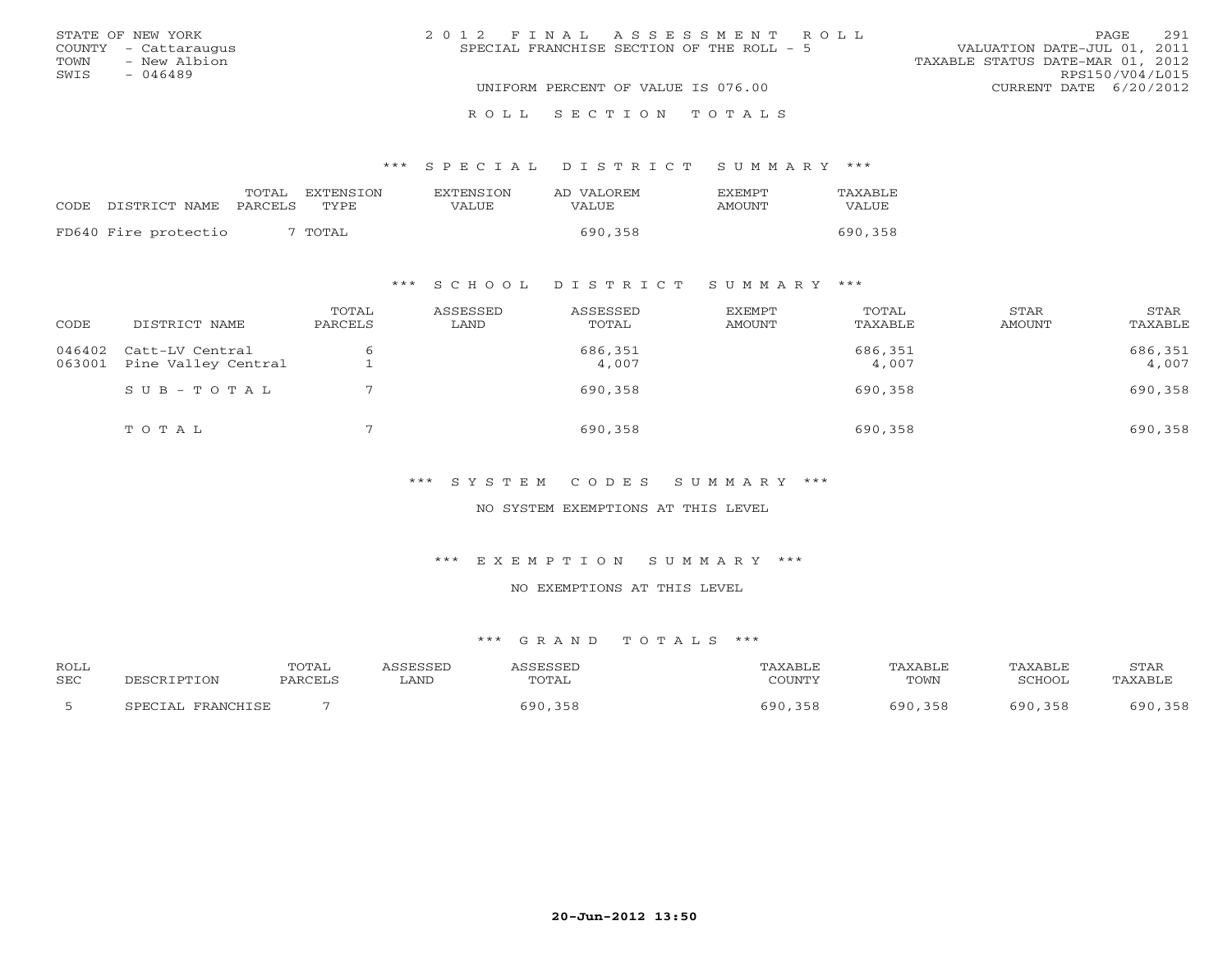| STATE OF NEW YORK    | 2012 FINAL ASSESSMENT ROLL                | 291<br>PAGE                      |
|----------------------|-------------------------------------------|----------------------------------|
| COUNTY - Cattaraugus | SPECIAL FRANCHISE SECTION OF THE ROLL - 5 | VALUATION DATE-JUL 01, 2011      |
| TOWN<br>- New Albion |                                           | TAXABLE STATUS DATE-MAR 01, 2012 |
| SWIS<br>- 046489     |                                           | RPS150/V04/L015                  |
|                      | UNIFORM PERCENT OF VALUE IS 076.00        | CURRENT DATE 6/20/2012           |
|                      | ROLL SECTION TOTALS                       |                                  |

|                      | TOTAL   | <b>EXTENSION</b> | <b>EXTENSION</b> | AD VALOREM | <b>FXFMPT</b> | TAXABLE |
|----------------------|---------|------------------|------------------|------------|---------------|---------|
| CODE DISTRICT NAME   | PARCELS | TYPE             | VALUE            | VALUE      | <b>AMOUNT</b> | VALUE   |
| FD640 Fire protectio |         | TOTAL            |                  | 690,358    |               | 690,358 |
|                      |         |                  |                  |            |               |         |

## \*\*\* S C H O O L D I S T R I C T S U M M A R Y \*\*\*

| CODE             | DISTRICT NAME                          | TOTAL<br>PARCELS | ASSESSED<br>LAND | ASSESSED<br>TOTAL | EXEMPT<br>AMOUNT | TOTAL<br>TAXABLE | STAR<br>AMOUNT | STAR<br>TAXABLE  |
|------------------|----------------------------------------|------------------|------------------|-------------------|------------------|------------------|----------------|------------------|
| 046402<br>063001 | Catt-LV Central<br>Pine Valley Central |                  |                  | 686,351<br>4,007  |                  | 686,351<br>4,007 |                | 686,351<br>4,007 |
|                  | $SUB - TO T AL$                        |                  |                  | 690,358           |                  | 690,358          |                | 690,358          |
|                  | TOTAL                                  |                  |                  | 690,358           |                  | 690,358          |                | 690,358          |

\*\*\* S Y S T E M C O D E S S U M M A R Y \*\*\*

NO SYSTEM EXEMPTIONS AT THIS LEVEL

\*\*\* E X E M P T I O N S U M M A R Y \*\*\*

NO EXEMPTIONS AT THIS LEVEL

| <b>ROLL</b> |                                    | TOTAL   | CCFCCFD |       | AXABLF | "AXABL <sub>L</sub> | PAXABLE      | STAR          |
|-------------|------------------------------------|---------|---------|-------|--------|---------------------|--------------|---------------|
| <b>SEC</b>  | PTION-                             | PARCEL. | ∟AND    | TOTAL | COUNTY | TOWN                | SCHOOI       | AXABL'        |
|             | <b>FDAMCHTCL</b><br><b>CDECTA1</b> |         |         | 690   | an a   | 500<br>358          | E Q N<br>358 | 690.<br>, 358 |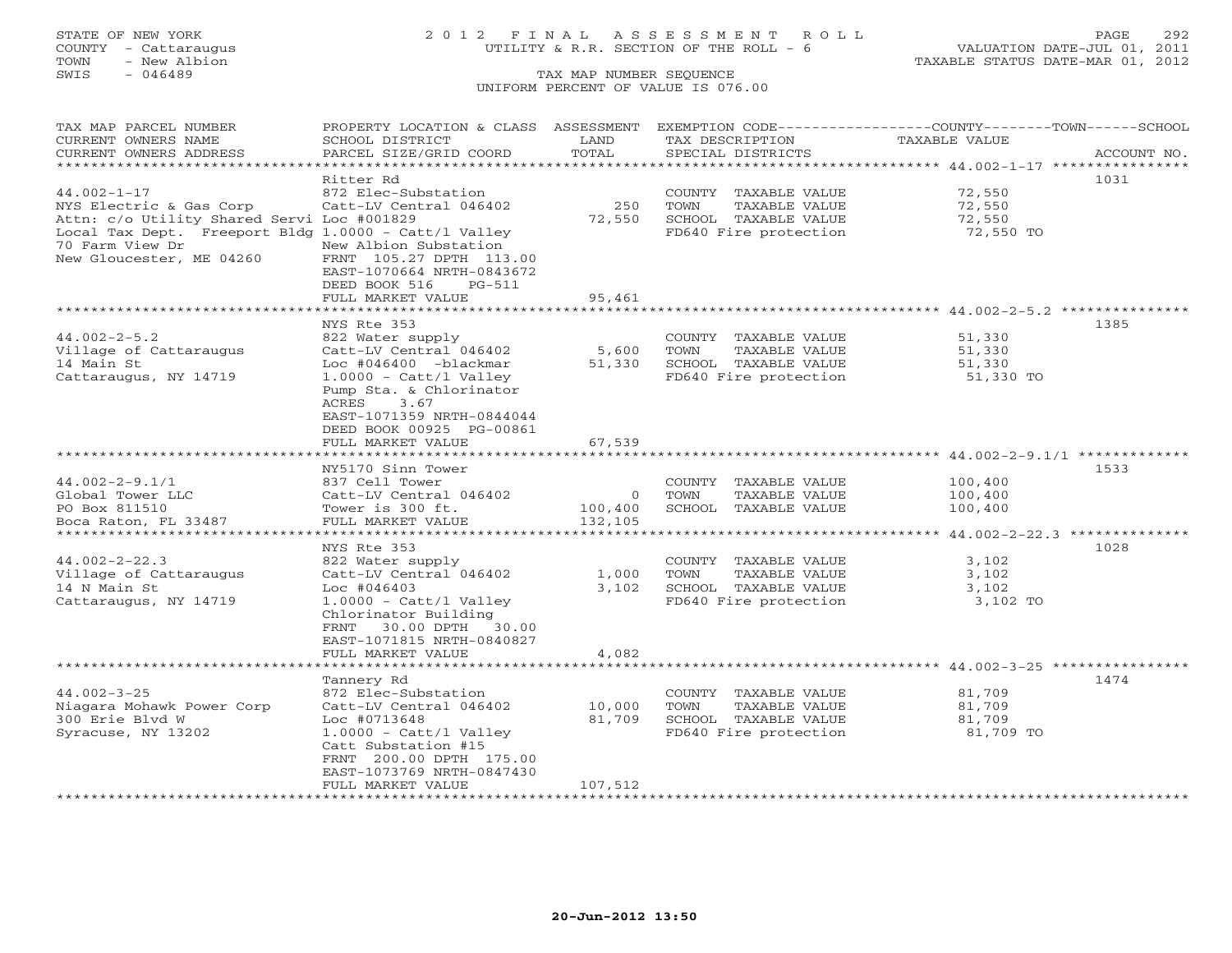# STATE OF NEW YORK 2 0 1 2 F I N A L A S S E S S M E N T R O L L PAGE 292 COUNTY - Cattaraugus UTILITY & R.R. SECTION OF THE ROLL - 6 VALUATION DATE-JUL 01, 2011

| TAX MAP PARCEL NUMBER                                                 | PROPERTY LOCATION & CLASS ASSESSMENT          |               | EXEMPTION CODE-----------------COUNTY-------TOWN------SCHOOL |                                                                   |             |
|-----------------------------------------------------------------------|-----------------------------------------------|---------------|--------------------------------------------------------------|-------------------------------------------------------------------|-------------|
| CURRENT OWNERS NAME                                                   | SCHOOL DISTRICT                               | LAND          | TAX DESCRIPTION                                              | TAXABLE VALUE                                                     |             |
| CURRENT OWNERS ADDRESS                                                | PARCEL SIZE/GRID COORD                        | TOTAL         | SPECIAL DISTRICTS                                            |                                                                   | ACCOUNT NO. |
| ******************************                                        |                                               |               |                                                              |                                                                   |             |
|                                                                       | Ritter Rd                                     |               |                                                              |                                                                   | 1031        |
| $44.002 - 1 - 17$                                                     | 872 Elec-Substation                           |               | COUNTY TAXABLE VALUE                                         | 72,550                                                            |             |
| NYS Electric & Gas Corp<br>Attn: c/o Utility Shared Servi Loc #001829 | Catt-LV Central 046402                        | 250           | TOWN<br>TAXABLE VALUE                                        | 72,550                                                            |             |
| Local Tax Dept. Freeport Bldg 1.0000 - Catt/l Valley                  |                                               | 72,550        | SCHOOL TAXABLE VALUE<br>FD640 Fire protection                | 72,550<br>72,550 TO                                               |             |
| 70 Farm View Dr                                                       | New Albion Substation                         |               |                                                              |                                                                   |             |
| New Gloucester, ME 04260                                              | FRNT 105.27 DPTH 113.00                       |               |                                                              |                                                                   |             |
|                                                                       | EAST-1070664 NRTH-0843672                     |               |                                                              |                                                                   |             |
|                                                                       | DEED BOOK 516<br>$PG-511$                     |               |                                                              |                                                                   |             |
|                                                                       | FULL MARKET VALUE                             | 95,461        |                                                              |                                                                   |             |
|                                                                       |                                               |               |                                                              |                                                                   |             |
|                                                                       | NYS Rte 353                                   |               |                                                              |                                                                   | 1385        |
| $44.002 - 2 - 5.2$                                                    | 822 Water supply                              |               | COUNTY TAXABLE VALUE                                         | 51,330                                                            |             |
| Village of Cattaraugus                                                | Catt-LV Central 046402                        | 5,600         | TOWN<br>TAXABLE VALUE                                        | 51,330                                                            |             |
| 14 Main St                                                            | Loc #046400 -blackmar                         | 51,330        | SCHOOL TAXABLE VALUE                                         | 51,330                                                            |             |
| Cattaraugus, NY 14719                                                 | $1.0000 - \text{Cat} / 1$ Valley              |               | FD640 Fire protection                                        | 51,330 TO                                                         |             |
|                                                                       | Pump Sta. & Chlorinator                       |               |                                                              |                                                                   |             |
|                                                                       | ACRES<br>3.67                                 |               |                                                              |                                                                   |             |
|                                                                       | EAST-1071359 NRTH-0844044                     |               |                                                              |                                                                   |             |
|                                                                       | DEED BOOK 00925 PG-00861                      | 67,539        |                                                              |                                                                   |             |
|                                                                       | FULL MARKET VALUE<br>************************ | ************* |                                                              | ******************************* 44.002-2-9.1/1 *************      |             |
|                                                                       | NY5170 Sinn Tower                             |               |                                                              |                                                                   | 1533        |
| $44.002 - 2 - 9.1/1$                                                  | 837 Cell Tower                                |               | COUNTY TAXABLE VALUE                                         | 100,400                                                           |             |
| Global Tower LLC                                                      | Catt-LV Central 046402                        | $\circ$       | TOWN<br>TAXABLE VALUE                                        | 100,400                                                           |             |
| PO Box 811510                                                         | Tower is 300 ft.                              | 100,400       | SCHOOL TAXABLE VALUE                                         | 100,400                                                           |             |
| Boca Raton, FL 33487                                                  | FULL MARKET VALUE                             | 132,105       |                                                              |                                                                   |             |
|                                                                       |                                               |               |                                                              | *************************************44.002-2-22.3 ************** |             |
|                                                                       | NYS Rte 353                                   |               |                                                              |                                                                   | 1028        |
| $44.002 - 2 - 22.3$                                                   | 822 Water supply                              |               | COUNTY TAXABLE VALUE                                         | 3,102                                                             |             |
| Village of Cattaraugus                                                | Catt-LV Central 046402                        | 1,000         | TOWN<br>TAXABLE VALUE                                        | 3,102                                                             |             |
| 14 N Main St                                                          | $Loc$ #046403                                 | 3,102         | SCHOOL TAXABLE VALUE                                         | 3,102                                                             |             |
| Cattaraugus, NY 14719                                                 | $1.0000 - \text{Cat}/1 \text{ Valley}$        |               | FD640 Fire protection                                        | 3,102 TO                                                          |             |
|                                                                       | Chlorinator Building                          |               |                                                              |                                                                   |             |
|                                                                       | FRNT 30.00 DPTH 30.00                         |               |                                                              |                                                                   |             |
|                                                                       | EAST-1071815 NRTH-0840827                     |               |                                                              |                                                                   |             |
|                                                                       | FULL MARKET VALUE                             | 4,082         |                                                              | *********************************** 44.002-3-25 ***************** |             |
|                                                                       | Tannery Rd                                    |               |                                                              |                                                                   | 1474        |
| $44.002 - 3 - 25$                                                     | 872 Elec-Substation                           |               | COUNTY TAXABLE VALUE                                         | 81,709                                                            |             |
| Niagara Mohawk Power Corp                                             | Catt-LV Central 046402                        | 10,000        | TAXABLE VALUE<br>TOWN                                        | 81,709                                                            |             |
| 300 Erie Blyd W                                                       | Loc #0713648                                  | 81,709        | SCHOOL TAXABLE VALUE                                         | 81,709                                                            |             |
| Syracuse, NY 13202                                                    | $1.0000 - \text{Cat} / 1$ Valley              |               | FD640 Fire protection                                        | 81,709 TO                                                         |             |
|                                                                       | Catt Substation #15                           |               |                                                              |                                                                   |             |
|                                                                       | FRNT 200.00 DPTH 175.00                       |               |                                                              |                                                                   |             |
|                                                                       | EAST-1073769 NRTH-0847430                     |               |                                                              |                                                                   |             |
|                                                                       | FULL MARKET VALUE                             | 107,512       |                                                              |                                                                   |             |
|                                                                       |                                               |               |                                                              |                                                                   |             |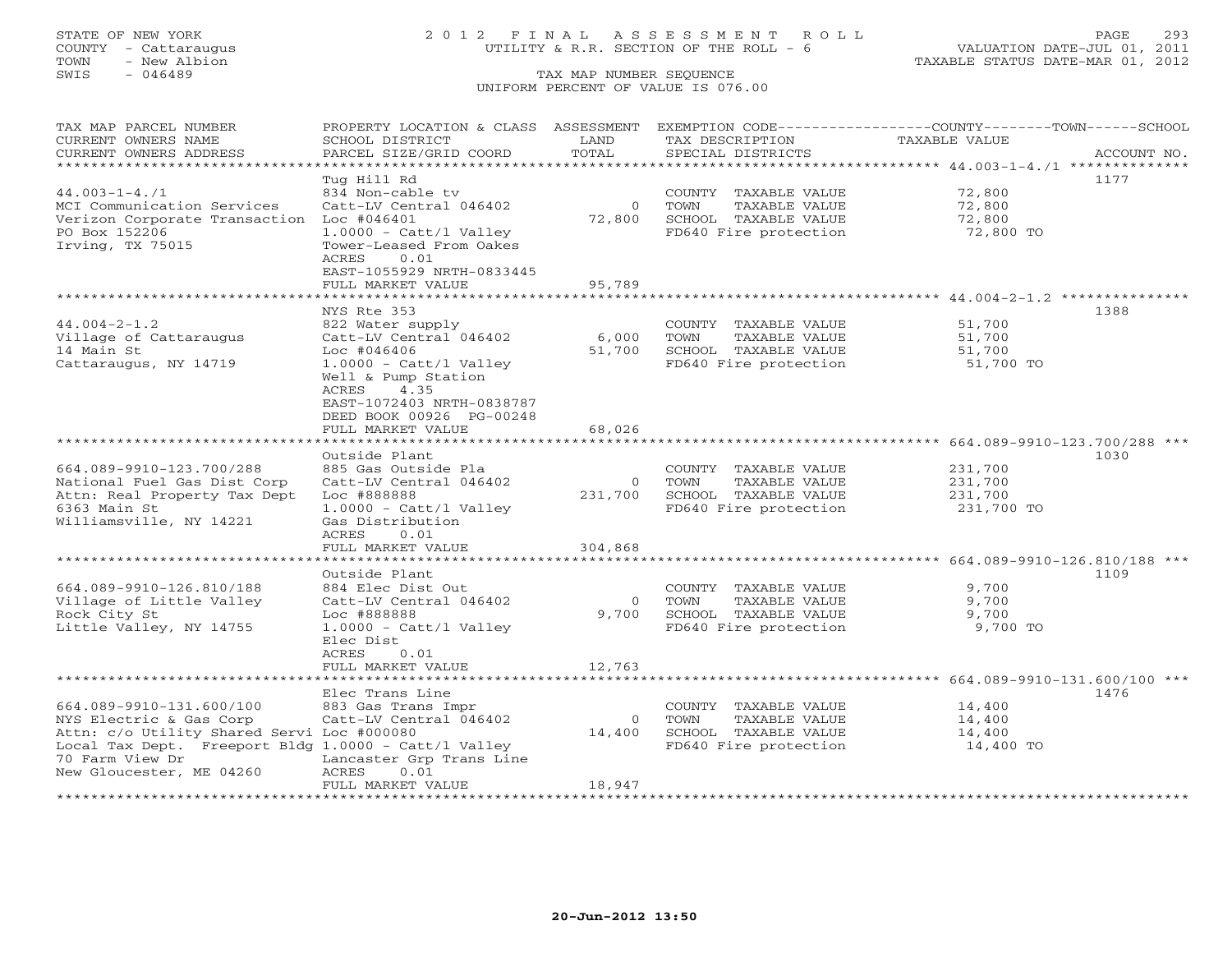TOWN - New Albion TAXABLE STATUS DATE-MAR 01, 2012 TOWN - New Albion<br>
SWIS - 046489 TAX MAP NUMBER SEQUENCE

# STATE OF NEW YORK 2 0 1 2 F I N A L A S S E S S M E N T R O L L PAGE 293 COUNTY - Cattaraugus UTILITY & R.R. SECTION OF THE ROLL - 6 VALUATION DATE-JUL 01, 2011

# UNIFORM PERCENT OF VALUE IS 076.00

| TAX MAP PARCEL NUMBER                                                |                                              |          |                                               | PROPERTY LOCATION & CLASS ASSESSMENT EXEMPTION CODE----------------COUNTY-------TOWN------SCHOOL |
|----------------------------------------------------------------------|----------------------------------------------|----------|-----------------------------------------------|--------------------------------------------------------------------------------------------------|
| CURRENT OWNERS NAME                                                  | SCHOOL DISTRICT                              | LAND     | TAX DESCRIPTION                               | TAXABLE VALUE                                                                                    |
| CURRENT OWNERS ADDRESS<br>***********************                    | PARCEL SIZE/GRID COORD                       | TOTAL    | SPECIAL DISTRICTS                             | ACCOUNT NO.                                                                                      |
|                                                                      |                                              |          |                                               | 1177                                                                                             |
| $44.003 - 1 - 4.71$                                                  | Tug Hill Rd<br>834 Non-cable tv              |          | COUNTY TAXABLE VALUE                          | 72,800                                                                                           |
| MCI Communication Services                                           | Catt-LV Central 046402                       | $\Omega$ | TAXABLE VALUE<br>TOWN                         | 72,800                                                                                           |
| Verizon Corporate Transaction                                        | $Loc$ #046401                                | 72,800   | SCHOOL TAXABLE VALUE                          | 72,800                                                                                           |
| PO Box 152206                                                        | $1.0000 - \text{Cat}/1 \text{ Valley}$       |          | FD640 Fire protection                         | 72,800 TO                                                                                        |
| Irving, TX 75015                                                     | Tower-Leased From Oakes                      |          |                                               |                                                                                                  |
|                                                                      | ACRES<br>0.01                                |          |                                               |                                                                                                  |
|                                                                      | EAST-1055929 NRTH-0833445                    |          |                                               |                                                                                                  |
|                                                                      | FULL MARKET VALUE                            | 95,789   |                                               |                                                                                                  |
|                                                                      | *************************                    |          |                                               |                                                                                                  |
|                                                                      | NYS Rte 353                                  |          |                                               | 1388                                                                                             |
| $44.004 - 2 - 1.2$                                                   | 822 Water supply                             |          | COUNTY TAXABLE VALUE                          | 51,700                                                                                           |
| Village of Cattaraugus                                               | Catt-LV Central 046402                       | 6,000    | TOWN<br>TAXABLE VALUE                         | 51,700                                                                                           |
| 14 Main St                                                           | $Loc$ #046406                                | 51,700   | SCHOOL TAXABLE VALUE                          | 51,700                                                                                           |
| Cattaraugus, NY 14719                                                | $1.0000 - \text{Cat} / 1$ Valley             |          | FD640 Fire protection                         | 51,700 TO                                                                                        |
|                                                                      | Well & Pump Station                          |          |                                               |                                                                                                  |
|                                                                      | ACRES<br>4.35                                |          |                                               |                                                                                                  |
|                                                                      | EAST-1072403 NRTH-0838787                    |          |                                               |                                                                                                  |
|                                                                      | DEED BOOK 00926 PG-00248                     |          |                                               |                                                                                                  |
|                                                                      | FULL MARKET VALUE                            | 68,026   |                                               |                                                                                                  |
|                                                                      | Outside Plant                                |          |                                               | 1030                                                                                             |
| 664.089-9910-123.700/288                                             | 885 Gas Outside Pla                          |          | COUNTY TAXABLE VALUE                          | 231,700                                                                                          |
| National Fuel Gas Dist Corp                                          | Catt-LV Central 046402                       | $\circ$  | TOWN<br>TAXABLE VALUE                         | 231,700                                                                                          |
| Attn: Real Property Tax Dept                                         | Loc #888888                                  | 231,700  | SCHOOL TAXABLE VALUE                          | 231,700                                                                                          |
| 6363 Main St                                                         | $1.0000 - \text{Cat}/1 \text{ Valley}$       |          | FD640 Fire protection                         | 231,700 TO                                                                                       |
| Williamsville, NY 14221                                              | Gas Distribution                             |          |                                               |                                                                                                  |
|                                                                      | ACRES<br>0.01                                |          |                                               |                                                                                                  |
|                                                                      | FULL MARKET VALUE                            | 304,868  |                                               |                                                                                                  |
| ************************                                             |                                              |          |                                               |                                                                                                  |
|                                                                      | Outside Plant                                |          |                                               | 1109                                                                                             |
| 664.089-9910-126.810/188                                             | 884 Elec Dist Out                            |          | COUNTY TAXABLE VALUE                          | 9,700                                                                                            |
| Village of Little Valley                                             | Catt-LV Central 046402                       | $\circ$  | TAXABLE VALUE<br>TOWN                         | 9,700                                                                                            |
| Rock City St                                                         | Loc #888888                                  | 9,700    | SCHOOL TAXABLE VALUE                          | 9,700                                                                                            |
| Little Valley, NY 14755                                              | $1.0000 - \text{Cat}/1 \text{ Valley}$       |          | FD640 Fire protection                         | 9,700 TO                                                                                         |
|                                                                      | Elec Dist                                    |          |                                               |                                                                                                  |
|                                                                      | ACRES<br>0.01                                |          |                                               |                                                                                                  |
|                                                                      | FULL MARKET VALUE                            | 12,763   |                                               |                                                                                                  |
|                                                                      |                                              |          |                                               | *********************** 664.089-9910-131.600/100 ***                                             |
|                                                                      | Elec Trans Line                              |          |                                               | 1476                                                                                             |
| 664.089-9910-131.600/100<br>NYS Electric & Gas Corp                  | 883 Gas Trans Impr<br>Catt-LV Central 046402 | $\Omega$ | COUNTY TAXABLE VALUE<br>TOWN<br>TAXABLE VALUE | 14,400<br>14,400                                                                                 |
| Attn: c/o Utility Shared Servi Loc #000080                           |                                              | 14,400   | SCHOOL TAXABLE VALUE                          | 14,400                                                                                           |
| Local Tax Dept. Freeport Bldg $1.0000 - \text{Cat}/1 \text{ Valley}$ |                                              |          | FD640 Fire protection                         | 14,400 TO                                                                                        |
| 70 Farm View Dr                                                      | Lancaster Grp Trans Line                     |          |                                               |                                                                                                  |
| New Gloucester, ME 04260                                             | 0.01<br>ACRES                                |          |                                               |                                                                                                  |
|                                                                      | FULL MARKET VALUE                            | 18,947   |                                               |                                                                                                  |
| ******************                                                   |                                              |          |                                               |                                                                                                  |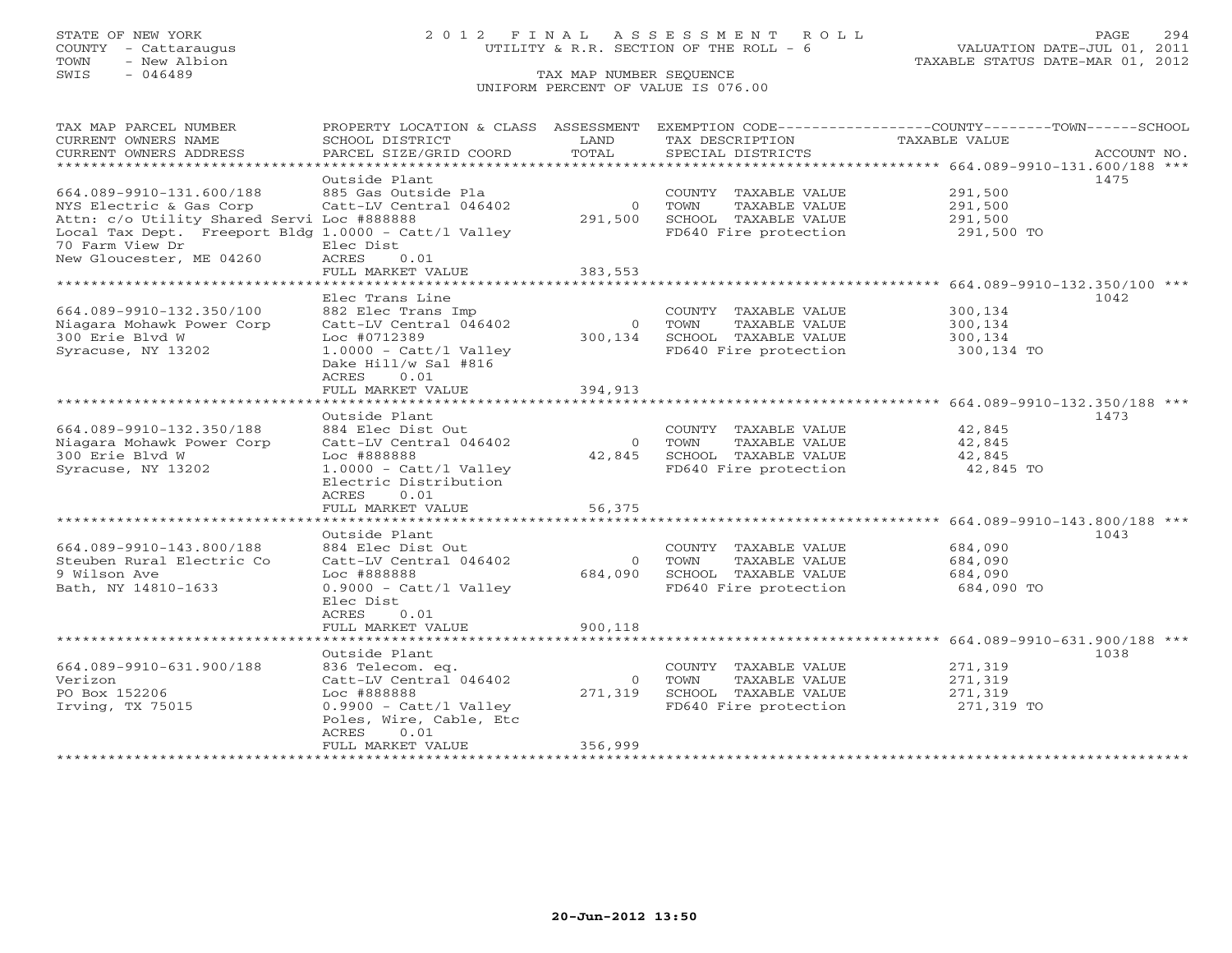## STATE OF NEW YORK 2 0 1 2 F I N A L A S S E S S M E N T R O L L PAGE 294 COUNTY - Cattaraugus UTILITY & R.R. SECTION OF THE ROLL - 6 VALUATION DATE-JUL 01, 2011

| TAX MAP PARCEL NUMBER                                | PROPERTY LOCATION & CLASS ASSESSMENT  |                       |                       | EXEMPTION CODE-----------------COUNTY-------TOWN------SCHOOL |             |
|------------------------------------------------------|---------------------------------------|-----------------------|-----------------------|--------------------------------------------------------------|-------------|
| CURRENT OWNERS NAME                                  | SCHOOL DISTRICT                       | LAND                  | TAX DESCRIPTION       | TAXABLE VALUE                                                |             |
| CURRENT OWNERS ADDRESS                               | PARCEL SIZE/GRID COORD                | TOTAL                 | SPECIAL DISTRICTS     |                                                              | ACCOUNT NO. |
| ************************                             |                                       |                       |                       |                                                              |             |
|                                                      | Outside Plant                         |                       |                       |                                                              | 1475        |
| 664.089-9910-131.600/188                             | 885 Gas Outside Pla                   |                       | COUNTY TAXABLE VALUE  | 291,500                                                      |             |
| NYS Electric & Gas Corp                              | Catt-LV Central 046402                | $\overline{0}$        | TOWN<br>TAXABLE VALUE | 291,500                                                      |             |
| Attn: c/o Utility Shared Servi Loc #888888           |                                       | 291,500               | SCHOOL TAXABLE VALUE  | 291,500                                                      |             |
| Local Tax Dept. Freeport Bldg 1.0000 - Catt/l Valley |                                       |                       | FD640 Fire protection | 291,500 TO                                                   |             |
| 70 Farm View Dr                                      | Elec Dist                             |                       |                       |                                                              |             |
| New Gloucester, ME 04260                             | 0.01<br>ACRES                         |                       |                       |                                                              |             |
|                                                      | FULL MARKET VALUE                     | 383,553               |                       |                                                              |             |
|                                                      | * * * * * * * * * * * * * * * * * * * | * * * * * * * * * * * |                       | *********************** 664.089-9910-132.350/100 ***         |             |
|                                                      | Elec Trans Line                       |                       |                       |                                                              | 1042        |
| 664.089-9910-132.350/100                             | 882 Elec Trans Imp                    |                       | COUNTY TAXABLE VALUE  | 300,134                                                      |             |
| Niagara Mohawk Power Corp                            | Catt-LV Central 046402                | $\circ$               | TOWN<br>TAXABLE VALUE | 300,134                                                      |             |
| 300 Erie Blyd W                                      | Loc #0712389                          | 300,134               | SCHOOL TAXABLE VALUE  | 300,134                                                      |             |
| Syracuse, NY 13202                                   | $1.0000 - \text{Cat} / 1$ Valley      |                       | FD640 Fire protection | 300,134 TO                                                   |             |
|                                                      | Dake Hill/w Sal #816                  |                       |                       |                                                              |             |
|                                                      | 0.01<br>ACRES                         |                       |                       |                                                              |             |
|                                                      | FULL MARKET VALUE                     | 394,913               |                       |                                                              |             |
|                                                      | ***********************               |                       |                       |                                                              |             |
|                                                      | Outside Plant                         |                       |                       |                                                              | 1473        |
| 664.089-9910-132.350/188                             | 884 Elec Dist Out                     |                       |                       | 42,845                                                       |             |
|                                                      |                                       | $\Omega$              | COUNTY TAXABLE VALUE  |                                                              |             |
| Niagara Mohawk Power Corp                            | Catt-LV Central 046402                | 42,845                | TOWN<br>TAXABLE VALUE | 42,845                                                       |             |
| 300 Erie Blvd W                                      | Loc #888888                           |                       | SCHOOL TAXABLE VALUE  | 42,845                                                       |             |
| Syracuse, NY 13202                                   | $1.0000 - \text{Cat} / 1$ Valley      |                       | FD640 Fire protection | 42,845 TO                                                    |             |
|                                                      | Electric Distribution                 |                       |                       |                                                              |             |
|                                                      | ACRES<br>0.01                         |                       |                       |                                                              |             |
|                                                      | FULL MARKET VALUE                     | 56,375                |                       |                                                              |             |
|                                                      |                                       |                       |                       |                                                              |             |
|                                                      | Outside Plant                         |                       |                       |                                                              | 1043        |
| 664.089-9910-143.800/188                             | 884 Elec Dist Out                     |                       | COUNTY TAXABLE VALUE  | 684,090                                                      |             |
| Steuben Rural Electric Co                            | Catt-LV Central 046402                | $\Omega$              | TAXABLE VALUE<br>TOWN | 684,090                                                      |             |
| 9 Wilson Ave                                         | Loc #888888                           | 684,090               | SCHOOL TAXABLE VALUE  | 684,090                                                      |             |
| Bath, NY 14810-1633                                  | $0.9000 - \text{Cat} / 1$ Valley      |                       | FD640 Fire protection | 684,090 TO                                                   |             |
|                                                      | Elec Dist                             |                       |                       |                                                              |             |
|                                                      | ACRES<br>0.01                         |                       |                       |                                                              |             |
|                                                      | FULL MARKET VALUE                     | 900,118               |                       |                                                              |             |
|                                                      |                                       |                       |                       |                                                              |             |
|                                                      | Outside Plant                         |                       |                       |                                                              | 1038        |
| 664.089-9910-631.900/188                             | 836 Telecom. eq.                      |                       | COUNTY TAXABLE VALUE  | 271,319                                                      |             |
| Verizon                                              | Catt-LV Central 046402                | $\Omega$              | TOWN<br>TAXABLE VALUE | 271,319                                                      |             |
| PO Box 152206                                        | Loc #888888                           | 271,319               | SCHOOL TAXABLE VALUE  | 271,319                                                      |             |
| Irving, TX 75015                                     | $0.9900 - \text{Cat} / 1$ Valley      |                       | FD640 Fire protection | 271,319 TO                                                   |             |
|                                                      | Poles, Wire, Cable, Etc               |                       |                       |                                                              |             |
|                                                      | ACRES<br>0.01                         |                       |                       |                                                              |             |
|                                                      | FULL MARKET VALUE                     | 356,999               |                       |                                                              |             |
|                                                      |                                       |                       |                       |                                                              |             |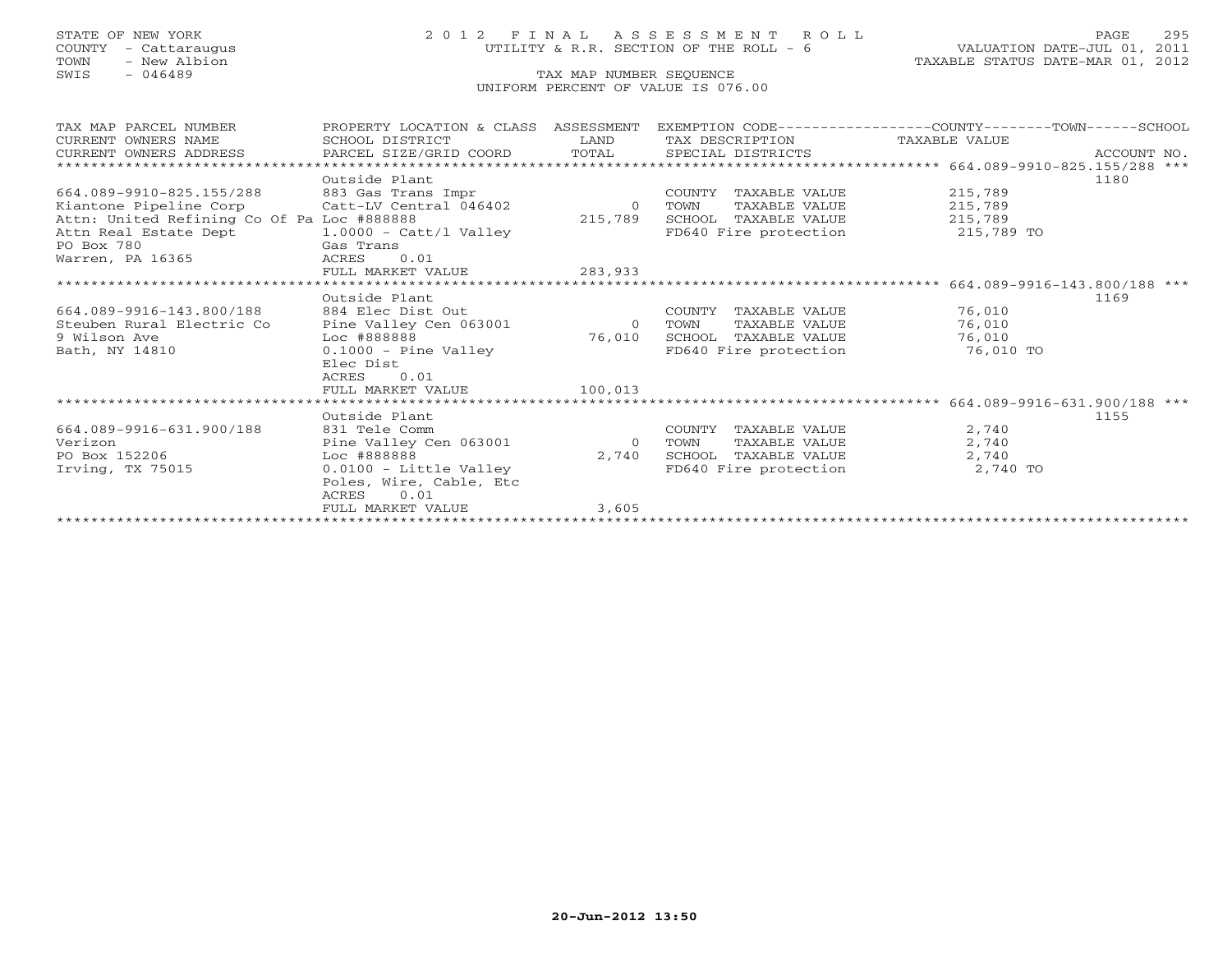# STATE OF NEW YORK 2 0 1 2 F I N A L A S S E S S M E N T R O L L PAGE 295 COUNTY - Cattaraugus UTILITY & R.R. SECTION OF THE ROLL - 6 VALUATION DATE-JUL 01, 2011

TOWN - New Albion TAXABLE STATUS DATE-MAR 01, 2012

| TAX MAP PARCEL NUMBER                                                                            | PROPERTY LOCATION & CLASS ASSESSMENT |                          |                               | EXEMPTION CODE-----------------COUNTY-------TOWN-----SCHOOL |      |
|--------------------------------------------------------------------------------------------------|--------------------------------------|--------------------------|-------------------------------|-------------------------------------------------------------|------|
| CURRENT OWNERS NAME                                                                              | SCHOOL DISTRICT                      | <b>EXAMPLE TO A LAND</b> | TAX DESCRIPTION TAXABLE VALUE |                                                             |      |
| .CURRENT OWNERS ADDRESS PARCEL SIZE/GRID COORD TOTAL SPECIAL DISTRICTS (289-9910-825.155/288 *** |                                      |                          |                               |                                                             |      |
|                                                                                                  |                                      |                          |                               |                                                             |      |
|                                                                                                  | Outside Plant                        |                          |                               |                                                             | 1180 |
| 664.089-9910-825.155/288                                                                         | 883 Gas Trans Impr                   |                          | COUNTY TAXABLE VALUE          | 215,789                                                     |      |
| Kiantone Pipeline Corp             Catt-LV Central 046402                                        |                                      | $\overline{0}$           | TAXABLE VALUE<br>TOWN         | 215,789                                                     |      |
| Attn: United Refining Co Of Pa Loc #888888                                                       |                                      | 215,789                  | SCHOOL TAXABLE VALUE          | 215,789                                                     |      |
| Attn Real Estate Dept 1.0000 - Catt/l Valley                                                     |                                      |                          | FD640 Fire protection         | 215,789 TO                                                  |      |
| PO Box 780                                                                                       | Gas Trans                            |                          |                               |                                                             |      |
| Warren, PA 16365                                                                                 | 0.01<br>ACRES                        |                          |                               |                                                             |      |
|                                                                                                  | FULL MARKET VALUE                    | 283,933                  |                               |                                                             |      |
|                                                                                                  |                                      |                          |                               |                                                             |      |
|                                                                                                  | Outside Plant                        |                          |                               |                                                             | 1169 |
| 664.089-9916-143.800/188 884 Elec Dist Out                                                       |                                      |                          | COUNTY TAXABLE VALUE          | 76,010                                                      |      |
| Steuben Rural Electric Co                                                                        | Pine Valley Cen 063001               | $\overline{0}$           | TAXABLE VALUE<br>TOWN         | 76,010                                                      |      |
| 9 Wilson Ave                                                                                     | Loc #888888                          | 76,010                   | SCHOOL TAXABLE VALUE          | 76,010                                                      |      |
| Bath, NY 14810                                                                                   | $0.1000 -$ Pine Valley               |                          | FD640 Fire protection         | 76,010 TO                                                   |      |
|                                                                                                  | Elec Dist                            |                          |                               |                                                             |      |
|                                                                                                  | 0.01<br>ACRES                        |                          |                               |                                                             |      |
|                                                                                                  | FULL MARKET VALUE                    | 100,013                  |                               |                                                             |      |
|                                                                                                  |                                      |                          |                               |                                                             |      |
|                                                                                                  | Outside Plant                        |                          |                               |                                                             | 1155 |
| 664.089-9916-631.900/188                                                                         | 831 Tele Comm                        |                          | COUNTY TAXABLE VALUE          | 2,740                                                       |      |
| Verizon                                                                                          | Pine Valley Cen 063001               | $\overline{0}$           | TAXABLE VALUE<br>TOWN         | 2,740                                                       |      |
| PO Box 152206                                                                                    | Loc #888888                          | 2,740                    | SCHOOL TAXABLE VALUE          | 2,740                                                       |      |
| Irving, TX 75015                                                                                 | $0.0100 -$ Little Valley             |                          | FD640 Fire protection         | 2,740 TO                                                    |      |
|                                                                                                  | Poles, Wire, Cable, Etc              |                          |                               |                                                             |      |
|                                                                                                  | 0.01<br>ACRES                        |                          |                               |                                                             |      |
|                                                                                                  | FULL MARKET VALUE                    | 3,605                    |                               |                                                             |      |
|                                                                                                  |                                      |                          |                               |                                                             |      |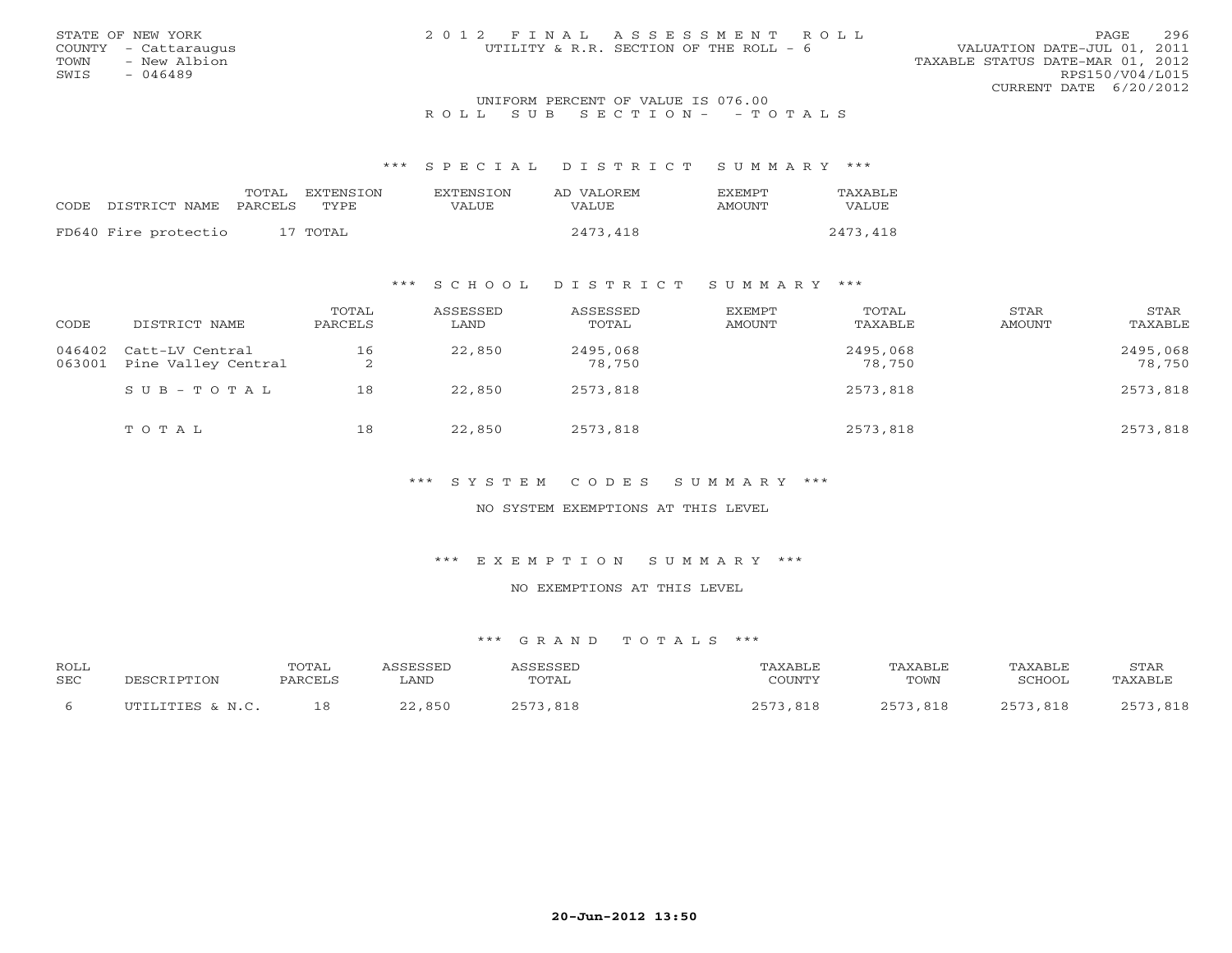| STATE OF NEW YORK    | 2012 FINAL ASSESSMENT ROLL             | PAGE                             | 296             |
|----------------------|----------------------------------------|----------------------------------|-----------------|
|                      |                                        |                                  |                 |
| COUNTY - Cattaraugus | UTILITY & R.R. SECTION OF THE ROLL - 6 | VALUATION DATE-JUL 01, 2011      |                 |
| TOWN<br>- New Albion |                                        | TAXABLE STATUS DATE-MAR 01, 2012 |                 |
| SWTS<br>- 046489     |                                        |                                  | RPS150/V04/L015 |
|                      |                                        | CURRENT DATE 6/20/2012           |                 |
|                      | INITEOPM DEPOENT OF UNITE TO 076 00    |                                  |                 |

# UNIFORM PERCENT OF VALUE IS 076.00<br>R O L L S U B S E C T I O N - - T O T A L S

\*\*\* S P E C I A L D I S T R I C T S U M M A R Y \*\*\*

|      |                      | TOTAL   | EXTENSTON | <b>EXTENSION</b> | AD VALOREM | <b>EXEMPT</b> | TAXABLE  |
|------|----------------------|---------|-----------|------------------|------------|---------------|----------|
| CODE | DISTRICT NAME        | PARCELS | TYPE      | VALUE            | VALUE      | AMOUNT        | VALUE    |
|      | FD640 Fire protectio |         | 17 TOTAL  |                  | 2473,418   |               | 2473,418 |

### \*\*\* S C H O O L D I S T R I C T S U M M A R Y \*\*\*

| CODE             | DISTRICT NAME                          | TOTAL<br>PARCELS | ASSESSED<br>LAND | ASSESSED<br>TOTAL  | <b>EXEMPT</b><br>AMOUNT | TOTAL<br>TAXABLE   | STAR<br>AMOUNT | STAR<br>TAXABLE    |
|------------------|----------------------------------------|------------------|------------------|--------------------|-------------------------|--------------------|----------------|--------------------|
| 046402<br>063001 | Catt-LV Central<br>Pine Valley Central | 16<br>2          | 22,850           | 2495,068<br>78,750 |                         | 2495,068<br>78,750 |                | 2495,068<br>78,750 |
|                  | $SUB - TO T AL$                        | 18               | 22,850           | 2573,818           |                         | 2573,818           |                | 2573,818           |
|                  | TOTAL                                  | 18               | 22,850           | 2573,818           |                         | 2573,818           |                | 2573,818           |

\*\*\* S Y S T E M C O D E S S U M M A R Y \*\*\*

NO SYSTEM EXEMPTIONS AT THIS LEVEL

\*\*\* E X E M P T I O N S U M M A R Y \*\*\*

NO EXEMPTIONS AT THIS LEVEL

| <b>ROLL</b> |                  | TOTAL   |                |             | ™AXABLE      | <b>TAXABLE</b>    | <b>TAXABLF</b> | STAR        |
|-------------|------------------|---------|----------------|-------------|--------------|-------------------|----------------|-------------|
| SEC         | DESCRIPTION      | PARCELS | ∟AND           | TOTAL       | COUNTY       | TOWN              | SCHOOL         | 'AXABLI     |
|             | UTILITIES & N.C. | 18      | ,850<br>$\cap$ | つちワ<br>,818 | つにワ<br>. 818 | つにつ<br><b>R1R</b> | 2573,818       | つにつ<br>,818 |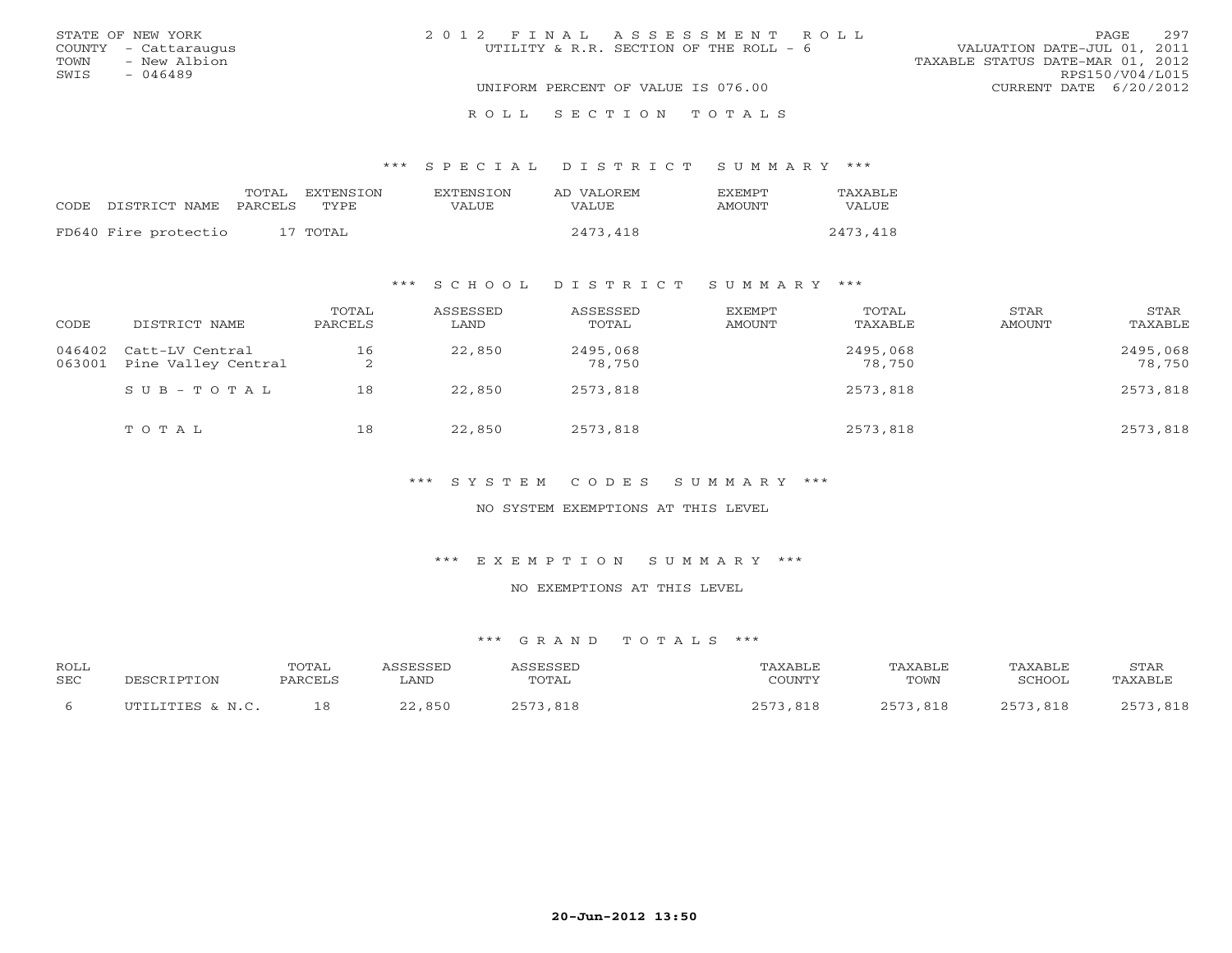|      | STATE OF NEW YORK    | 2012 FINAL ASSESSMENT ROLL             | 297<br>PAGE.                     |
|------|----------------------|----------------------------------------|----------------------------------|
|      | COUNTY - Cattaraugus | UTILITY & R.R. SECTION OF THE ROLL - 6 | VALUATION DATE-JUL 01, 2011      |
| TOWN | - New Albion         |                                        | TAXABLE STATUS DATE-MAR 01, 2012 |
| SWIS | $-046489$            |                                        | RPS150/V04/L015                  |
|      |                      | UNIFORM PERCENT OF VALUE IS 076.00     | CURRENT DATE 6/20/2012           |
|      |                      |                                        |                                  |

|                                 | TOTAL | EXTENSTON | <b>EXTENSION</b> | AD VALOREM | <b>FXFMPT</b> | <b>TAXABLE</b> |
|---------------------------------|-------|-----------|------------------|------------|---------------|----------------|
| CODE DISTRICT NAME PARCELS TYPE |       |           | VALUE.           | VALUE.     | AMOUNT        | VALUE          |
| FD640 Fire protectio            |       | 17 TOTAL  |                  | 2473,418   |               | 2473,418       |

R O L L S E C T I O N T O T A L S

### \*\*\* S C H O O L D I S T R I C T S U M M A R Y \*\*\*

| CODE             | DISTRICT NAME                          | TOTAL<br>PARCELS | ASSESSED<br>LAND | ASSESSED<br>TOTAL  | EXEMPT<br>AMOUNT | TOTAL<br>TAXABLE   | STAR<br>AMOUNT | STAR<br>TAXABLE    |
|------------------|----------------------------------------|------------------|------------------|--------------------|------------------|--------------------|----------------|--------------------|
| 046402<br>063001 | Catt-LV Central<br>Pine Valley Central | 16<br>2          | 22,850           | 2495,068<br>78,750 |                  | 2495,068<br>78,750 |                | 2495,068<br>78,750 |
|                  | $SUB - TO T AL$                        | 18               | 22,850           | 2573,818           |                  | 2573,818           |                | 2573,818           |
|                  | TOTAL                                  | 18               | 22,850           | 2573,818           |                  | 2573,818           |                | 2573,818           |

\*\*\* S Y S T E M C O D E S S U M M A R Y \*\*\*

NO SYSTEM EXEMPTIONS AT THIS LEVEL

\*\*\* E X E M P T I O N S U M M A R Y \*\*\*

NO EXEMPTIONS AT THIS LEVEL

| <b>ROLL</b> |                   | TOTAL   | <i><b>SSESSED</b></i> |            | TAXABLF.      | "AXABLE      | <b>TAXABLF</b> | STAR         |
|-------------|-------------------|---------|-----------------------|------------|---------------|--------------|----------------|--------------|
| SEC         | TPTTON<br>־סים הר | PARCELS | ∟AND                  | TOTAL      | COUNTY        | TOWN         | SCHOOL         | PAXABLE      |
|             | UTILITIES & N.C.  | 1 8     | ,850<br>$\cap$        | ヘロワ<br>818 | 5.572<br>818, | つにワ<br>3.818 | 2573,818       | つにつく<br>,818 |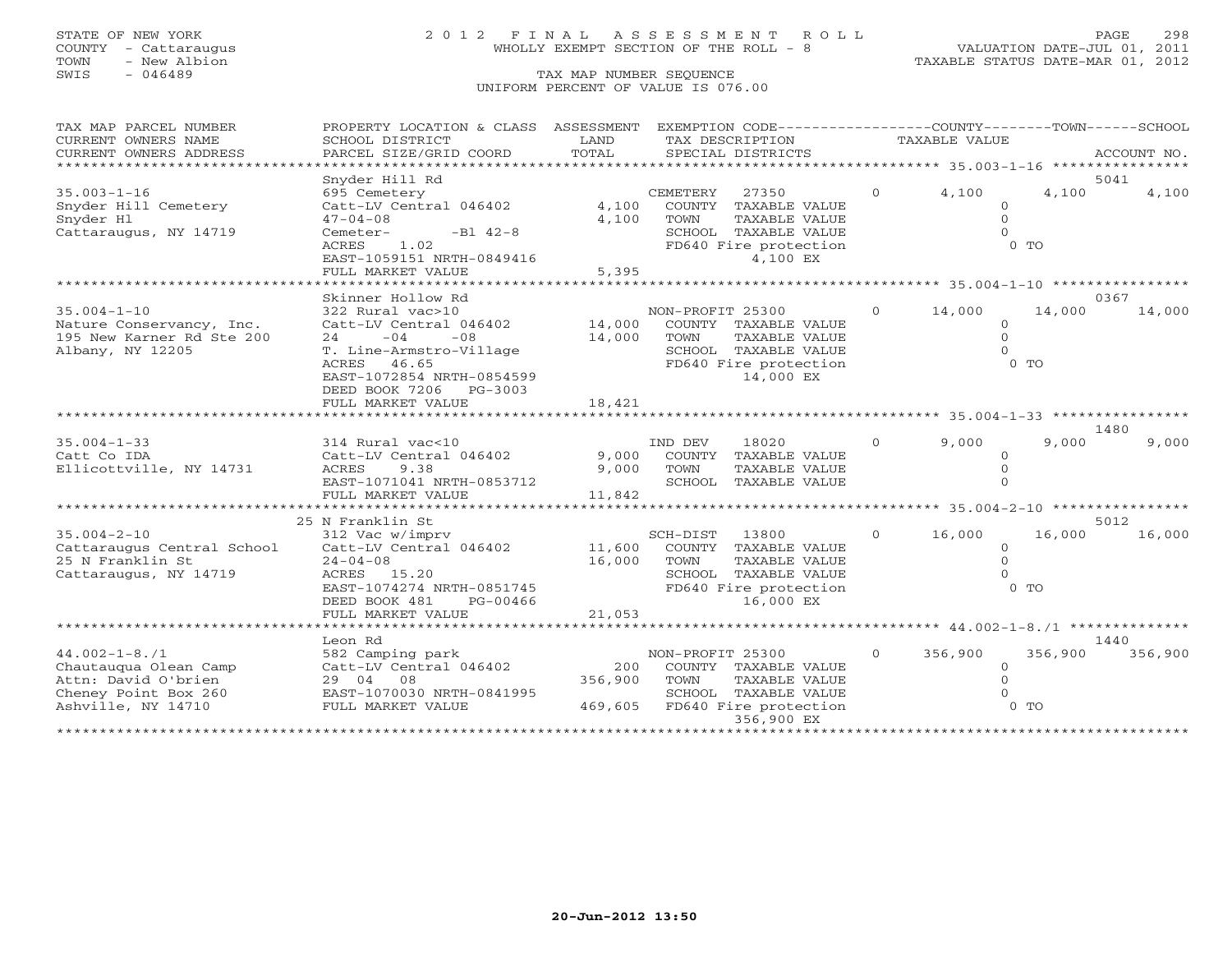# STATE OF NEW YORK 2 0 1 2 F I N A L A S S E S S M E N T R O L L PAGE 298 COUNTY - Cattaraugus WHOLLY EXEMPT SECTION OF THE ROLL - 8 VALUATION DATE-JUL 01, 2011

| TAX MAP PARCEL NUMBER<br>CURRENT OWNERS NAME    | PROPERTY LOCATION & CLASS ASSESSMENT<br>SCHOOL DISTRICT | LAND    |                  | EXEMPTION CODE----------------COUNTY-------TOWN------SCHOOL<br>TAX DESCRIPTION |                | TAXABLE VALUE |                      |                                               |
|-------------------------------------------------|---------------------------------------------------------|---------|------------------|--------------------------------------------------------------------------------|----------------|---------------|----------------------|-----------------------------------------------|
| CURRENT OWNERS ADDRESS                          | PARCEL SIZE/GRID COORD                                  | TOTAL   |                  | SPECIAL DISTRICTS                                                              |                |               |                      | ACCOUNT NO.                                   |
| *************************                       |                                                         |         |                  |                                                                                |                |               |                      |                                               |
|                                                 | Snyder Hill Rd                                          |         |                  |                                                                                |                |               |                      | 5041                                          |
| $35.003 - 1 - 16$                               | 695 Cemetery                                            |         | CEMETERY         | 27350                                                                          | $\overline{O}$ | 4,100         | 4,100                | 4,100                                         |
| Snyder Hill Cemetery                            | Catt-LV Central 046402                                  | 4,100   |                  | COUNTY TAXABLE VALUE                                                           |                |               | $\circ$              |                                               |
| Snyder Hl                                       | $47 - 04 - 08$                                          | 4,100   | TOWN             | TAXABLE VALUE                                                                  |                |               | $\Omega$<br>$\Omega$ |                                               |
| Cattaraugus, NY 14719                           | Cemeter- $-B1 \t42-8$<br>ACRES<br>1.02                  |         |                  | SCHOOL TAXABLE VALUE<br>FD640 Fire protection                                  |                |               | $0$ TO               |                                               |
|                                                 | EAST-1059151 NRTH-0849416                               |         |                  | 4,100 EX                                                                       |                |               |                      |                                               |
|                                                 | FULL MARKET VALUE                                       | 5,395   |                  |                                                                                |                |               |                      |                                               |
|                                                 |                                                         |         |                  |                                                                                |                |               |                      |                                               |
|                                                 | Skinner Hollow Rd                                       |         |                  |                                                                                |                |               |                      | 0367                                          |
| $35.004 - 1 - 10$                               | 322 Rural vac>10                                        |         | NON-PROFIT 25300 |                                                                                | $\Omega$       | 14,000        | 14,000               | 14,000                                        |
| Nature Conservancy, Inc.                        | Catt-LV Central 046402                                  | 14,000  |                  | COUNTY TAXABLE VALUE                                                           |                |               | $\circ$              |                                               |
| 195 New Karner Rd Ste 200                       | 24<br>$-04$<br>$-08$                                    | 14,000  | TOWN             | TAXABLE VALUE                                                                  |                |               | $\Omega$             |                                               |
| Albany, NY 12205                                | T. Line-Armstro-Village                                 |         |                  | SCHOOL TAXABLE VALUE                                                           |                |               | $\Omega$             |                                               |
|                                                 | ACRES 46.65                                             |         |                  | FD640 Fire protection                                                          |                |               | $0$ TO               |                                               |
|                                                 | EAST-1072854 NRTH-0854599<br>DEED BOOK 7206 PG-3003     |         |                  | 14,000 EX                                                                      |                |               |                      |                                               |
|                                                 | FULL MARKET VALUE                                       | 18,421  |                  |                                                                                |                |               |                      |                                               |
|                                                 |                                                         |         |                  |                                                                                |                |               |                      |                                               |
|                                                 |                                                         |         |                  |                                                                                |                |               |                      | 1480                                          |
| $35.004 - 1 - 33$                               | 314 Rural vac<10                                        |         | IND DEV          | 18020                                                                          | $\Omega$       | 9,000         | 9.000                | 9,000                                         |
| Catt Co IDA                                     | Catt-LV Central 046402                                  | 9,000   |                  | COUNTY TAXABLE VALUE                                                           |                |               | $\Omega$             |                                               |
| Ellicottville, NY 14731                         | 9.38<br>ACRES                                           | 9,000   | TOWN             | TAXABLE VALUE                                                                  |                |               | $\Omega$             |                                               |
|                                                 | EAST-1071041 NRTH-0853712                               |         |                  | SCHOOL TAXABLE VALUE                                                           |                |               | $\Omega$             |                                               |
|                                                 | FULL MARKET VALUE                                       | 11,842  |                  |                                                                                |                |               |                      |                                               |
|                                                 |                                                         |         |                  |                                                                                |                |               |                      | *************** 35.004-2-10 ***************** |
|                                                 | 25 N Franklin St                                        |         |                  |                                                                                | $\Omega$       |               |                      | 5012                                          |
| $35.004 - 2 - 10$<br>Cattaraugus Central School | 312 Vac w/imprv<br>Catt-LV Central 046402 11,600        |         | SCH-DIST         | 13800<br>COUNTY TAXABLE VALUE                                                  |                | 16,000        | 16,000<br>$\Omega$   | 16,000                                        |
| 25 N Franklin St                                | $24 - 04 - 08$                                          | 16,000  | TOWN             | TAXABLE VALUE                                                                  |                |               | $\Omega$             |                                               |
| Cattaraugus, NY 14719                           | ACRES 15.20                                             |         |                  | SCHOOL TAXABLE VALUE                                                           |                |               | $\cap$               |                                               |
|                                                 | EAST-1074274 NRTH-0851745                               |         |                  | FD640 Fire protection                                                          |                |               | $0$ TO               |                                               |
|                                                 | DEED BOOK 481<br>PG-00466                               |         |                  | 16,000 EX                                                                      |                |               |                      |                                               |
|                                                 | FULL MARKET VALUE                                       | 21,053  |                  |                                                                                |                |               |                      |                                               |
|                                                 |                                                         |         |                  |                                                                                |                |               |                      |                                               |
|                                                 | Leon Rd                                                 |         |                  |                                                                                |                |               |                      | 1440                                          |
| $44.002 - 1 - 8.71$                             | 582 Camping park                                        |         | NON-PROFIT 25300 |                                                                                | $\circ$        | 356,900       | 356,900              | 356,900                                       |
| Chautaugua Olean Camp                           | Catt-LV Central 046402                                  | 200     |                  | COUNTY TAXABLE VALUE                                                           |                |               | $\circ$              |                                               |
| Attn: David O'brien                             | 29 04 08                                                | 356,900 | TOWN             | TAXABLE VALUE                                                                  |                |               | $\Omega$             |                                               |
| Cheney Point Box 260<br>Ashville, NY 14710      | EAST-1070030 NRTH-0841995<br>FULL MARKET VALUE          |         |                  | SCHOOL TAXABLE VALUE<br>469,605 FD640 Fire protection                          |                |               | $0$ TO               |                                               |
|                                                 |                                                         |         |                  | 356,900 EX                                                                     |                |               |                      |                                               |
|                                                 |                                                         |         |                  |                                                                                |                |               |                      |                                               |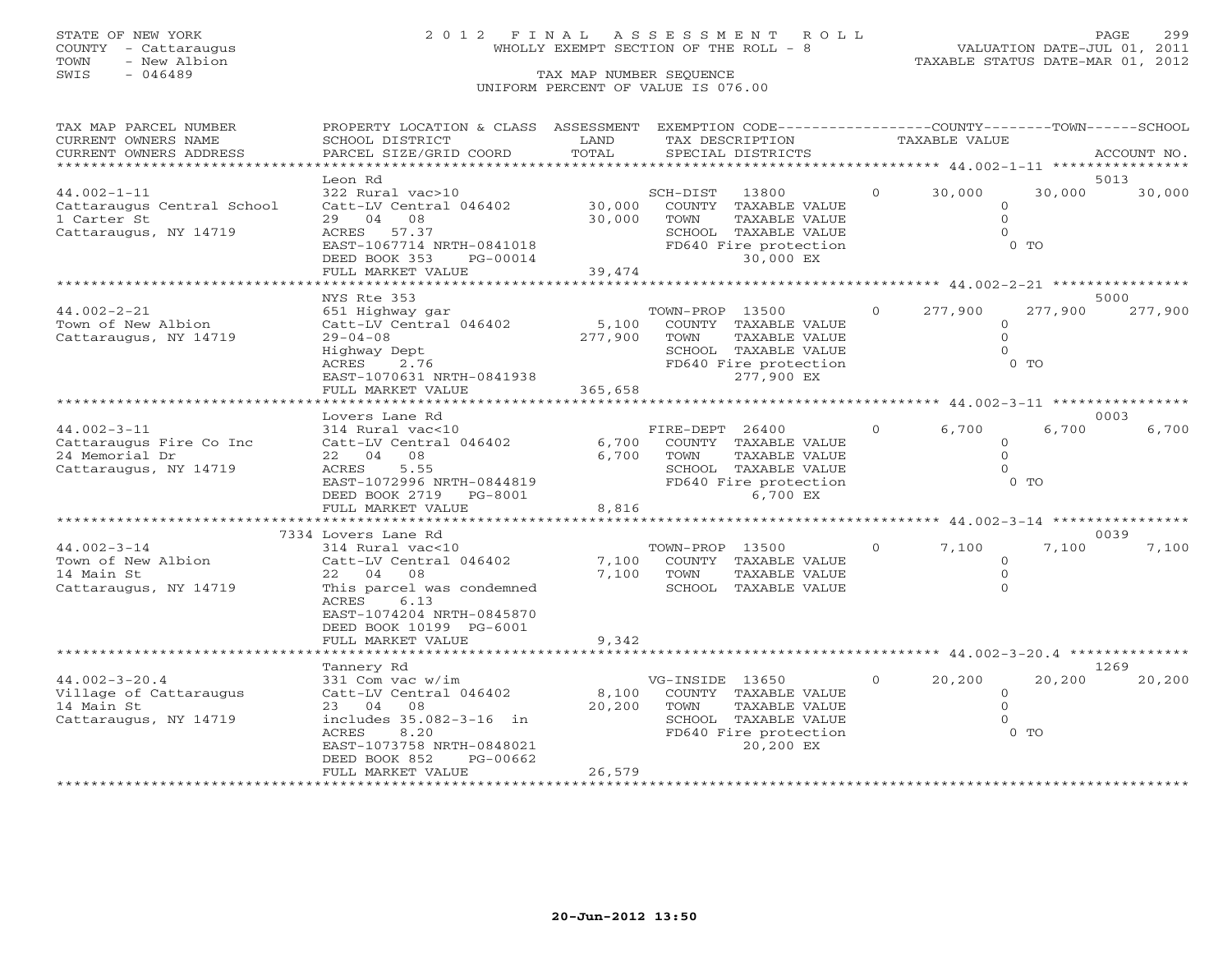# STATE OF NEW YORK 2 0 1 2 F I N A L A S S E S S M E N T R O L L PAGE 299 COUNTY - Cattaraugus WHOLLY EXEMPT SECTION OF THE ROLL - 8 VALUATION DATE-JUL 01, 2011

TOWN - New Albion TAXABLE STATUS DATE-MAR 01, 2012

| TAX MAP PARCEL NUMBER      | PROPERTY LOCATION & CLASS ASSESSMENT         |                             |                 | EXEMPTION CODE-----------------COUNTY-------TOWN------SCHOOL |                |                      |                                          |               |
|----------------------------|----------------------------------------------|-----------------------------|-----------------|--------------------------------------------------------------|----------------|----------------------|------------------------------------------|---------------|
| CURRENT OWNERS NAME        | SCHOOL DISTRICT                              | LAND                        | TAX DESCRIPTION |                                                              |                | <b>TAXABLE VALUE</b> |                                          |               |
| CURRENT OWNERS ADDRESS     | PARCEL SIZE/GRID COORD                       | TOTAL                       |                 | SPECIAL DISTRICTS                                            |                |                      |                                          | ACCOUNT NO.   |
|                            |                                              |                             |                 |                                                              |                |                      |                                          |               |
|                            | Leon Rd                                      |                             |                 |                                                              |                |                      |                                          | 5013          |
| $44.002 - 1 - 11$          | 322 Rural vac>10                             |                             | SCH-DIST        | 13800                                                        | $\circ$        | 30,000               | 30,000                                   | 30,000        |
| Cattaraugus Central School | Catt-LV Central 046402<br>29 04 08           | 30,000<br>30,000            | TOWN            | COUNTY TAXABLE VALUE                                         |                |                      | $\circ$<br>$\overline{O}$                |               |
| 1 Carter St                | ACRES 57.37                                  |                             |                 | TAXABLE VALUE<br>SCHOOL TAXABLE VALUE                        |                |                      | $\Omega$                                 |               |
| Cattaraugus, NY 14719      | EAST-1067714 NRTH-0841018                    |                             |                 | FD640 Fire protection                                        |                |                      | $0$ TO                                   |               |
|                            | DEED BOOK 353<br>PG-00014                    |                             |                 | 30,000 EX                                                    |                |                      |                                          |               |
|                            | FULL MARKET VALUE                            | 39,474                      |                 |                                                              |                |                      |                                          |               |
|                            | ******************                           |                             |                 |                                                              |                |                      |                                          |               |
|                            | NYS Rte 353                                  |                             |                 |                                                              |                |                      |                                          | 5000          |
| $44.002 - 2 - 21$          | 651 Highway gar                              |                             | TOWN-PROP 13500 |                                                              | $\Omega$       | 277,900              | 277,900                                  | 277,900       |
| Town of New Albion         | Catt-LV Central 046402                       | 5,100                       |                 | COUNTY TAXABLE VALUE                                         |                |                      | $\mathbf{0}$                             |               |
| Cattaraugus, NY 14719      | $29 - 04 - 08$                               | 277,900                     | TOWN            | TAXABLE VALUE                                                |                |                      | $\Omega$                                 |               |
|                            | Highway Dept                                 |                             |                 | SCHOOL TAXABLE VALUE                                         |                |                      | $\Omega$                                 |               |
|                            | ACRES<br>2.76                                |                             |                 | FD640 Fire protection                                        |                |                      | $0$ TO                                   |               |
|                            | EAST-1070631 NRTH-0841938                    |                             |                 | 277,900 EX                                                   |                |                      |                                          |               |
|                            | FULL MARKET VALUE                            | 365,658                     |                 |                                                              |                |                      |                                          |               |
|                            |                                              |                             |                 |                                                              |                |                      |                                          |               |
|                            | Lovers Lane Rd                               |                             |                 |                                                              |                |                      |                                          | 0003          |
| $44.002 - 3 - 11$          | 314 Rural vac<10                             |                             | FIRE-DEPT 26400 |                                                              | $\overline{0}$ | 6,700                | 6,700                                    | 6,700         |
| Cattaraugus Fire Co Inc    | Catt-LV Central 046402                       | 6,700                       |                 | COUNTY TAXABLE VALUE                                         |                |                      | $\Omega$                                 |               |
| 24 Memorial Dr             | 22 04 08                                     | 6,700                       | TOWN            | TAXABLE VALUE                                                |                |                      | $\Omega$                                 |               |
| Cattaraugus, NY 14719      | 5.55<br>ACRES                                |                             |                 | SCHOOL TAXABLE VALUE                                         |                |                      | $\cap$                                   |               |
|                            | EAST-1072996 NRTH-0844819                    |                             |                 | FD640 Fire protection                                        |                |                      | $0$ TO                                   |               |
|                            | DEED BOOK 2719<br>PG-8001                    |                             |                 | 6,700 EX                                                     |                |                      |                                          |               |
|                            | FULL MARKET VALUE<br>*********************** | 8,816<br>****************** |                 |                                                              |                |                      |                                          |               |
|                            |                                              |                             |                 |                                                              |                |                      | ********** 44.002-3-14 ***************** |               |
| $44.002 - 3 - 14$          | 7334 Lovers Lane Rd                          |                             |                 |                                                              | $\Omega$       | 7,100                | 7,100                                    | 0039<br>7,100 |
| Town of New Albion         | 314 Rural vac<10<br>Catt-LV Central 046402   | 7,100                       | TOWN-PROP 13500 |                                                              |                |                      | $\Omega$                                 |               |
| 14 Main St                 | 22 04<br>08                                  | 7,100                       | TOWN            | COUNTY TAXABLE VALUE<br>TAXABLE VALUE                        |                |                      | $\mathbf{0}$                             |               |
| Cattaraugus, NY 14719      | This parcel was condemned                    |                             |                 | SCHOOL TAXABLE VALUE                                         |                |                      | $\Omega$                                 |               |
|                            | ACRES<br>6.13                                |                             |                 |                                                              |                |                      |                                          |               |
|                            | EAST-1074204 NRTH-0845870                    |                             |                 |                                                              |                |                      |                                          |               |
|                            | DEED BOOK 10199 PG-6001                      |                             |                 |                                                              |                |                      |                                          |               |
|                            | FULL MARKET VALUE                            | 9,342                       |                 |                                                              |                |                      |                                          |               |
|                            | **************************                   |                             |                 |                                                              |                |                      |                                          |               |
|                            | Tannery Rd                                   |                             |                 |                                                              |                |                      |                                          | 1269          |
| $44.002 - 3 - 20.4$        | 331 Com vac w/im                             |                             | VG-INSIDE 13650 |                                                              | $\Omega$       | 20,200               | 20,200                                   | 20,200        |
| Village of Cattaraugus     | Catt-LV Central 046402                       | 8,100                       |                 | COUNTY TAXABLE VALUE                                         |                |                      | $\overline{0}$                           |               |
| 14 Main St                 | 23 04<br>08                                  | 20,200                      | TOWN            | TAXABLE VALUE                                                |                |                      | $\Omega$                                 |               |
| Cattaraugus, NY 14719      | includes 35.082-3-16 in                      |                             |                 | SCHOOL TAXABLE VALUE                                         |                |                      | $\Omega$                                 |               |
|                            | ACRES<br>8.20                                |                             |                 | FD640 Fire protection                                        |                |                      | $0$ TO                                   |               |
|                            | EAST-1073758 NRTH-0848021                    |                             |                 | 20,200 EX                                                    |                |                      |                                          |               |
|                            | DEED BOOK 852<br>PG-00662                    |                             |                 |                                                              |                |                      |                                          |               |
|                            | FULL MARKET VALUE                            | 26,579                      |                 |                                                              |                |                      |                                          |               |
|                            |                                              |                             |                 |                                                              |                |                      |                                          |               |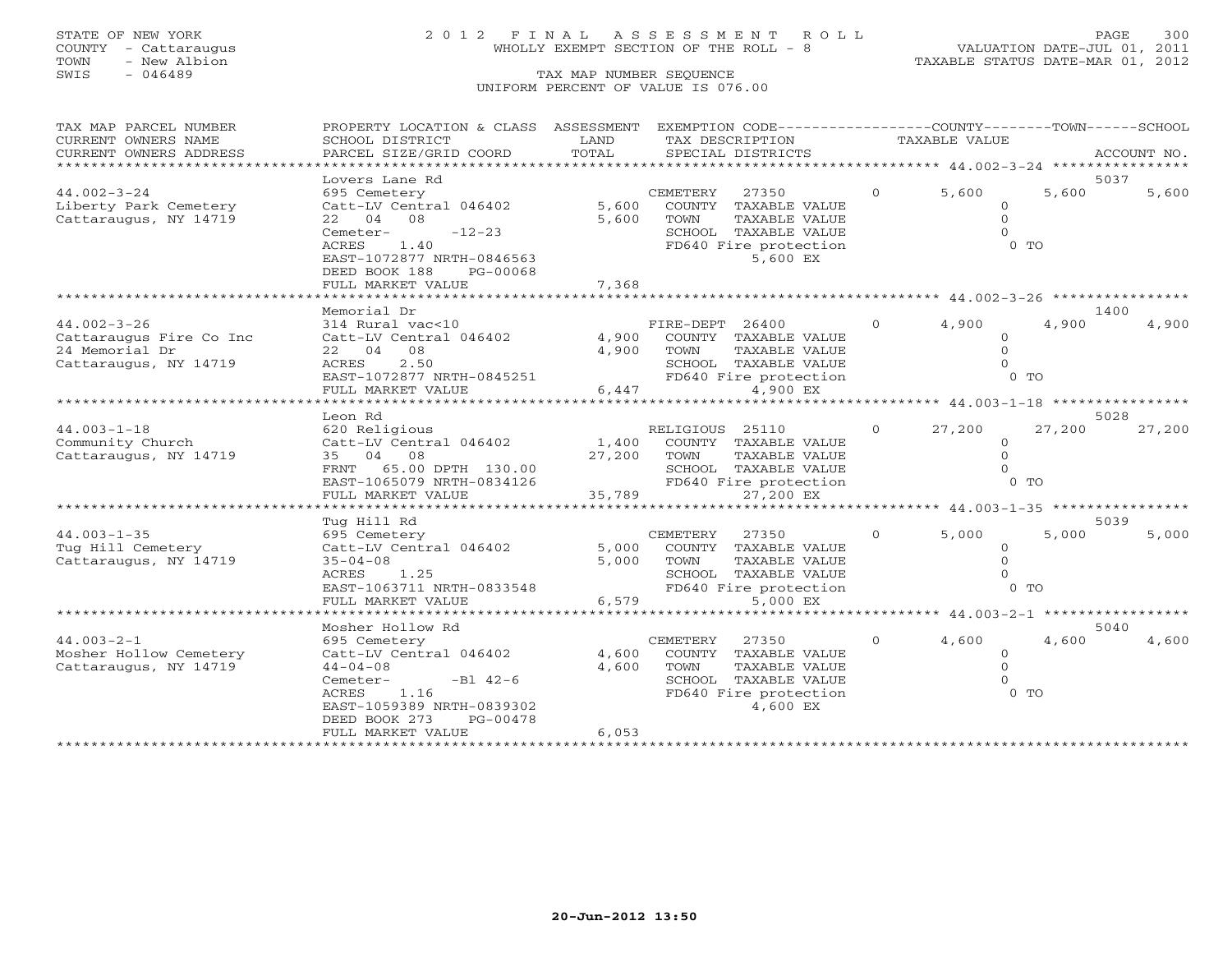# STATE OF NEW YORK 2 0 1 2 F I N A L A S S E S S M E N T R O L L PAGE 300 COUNTY - Cattaraugus WHOLLY EXEMPT SECTION OF THE ROLL - 8 VALUATION DATE-JUL 01, 2011

TOWN - New Albion TAXABLE STATUS DATE-MAR 01, 2012

| TAX MAP PARCEL NUMBER<br>CURRENT OWNERS NAME | PROPERTY LOCATION & CLASS ASSESSMENT<br>SCHOOL DISTRICT  | LAND         | EXEMPTION CODE-----------------COUNTY-------TOWN------SCHOOL<br>TAX DESCRIPTION |          | TAXABLE VALUE    |                                               |             |
|----------------------------------------------|----------------------------------------------------------|--------------|---------------------------------------------------------------------------------|----------|------------------|-----------------------------------------------|-------------|
| CURRENT OWNERS ADDRESS                       | PARCEL SIZE/GRID COORD                                   | TOTAL        | SPECIAL DISTRICTS                                                               |          |                  |                                               | ACCOUNT NO. |
| + + + + + + + + + + + + + + +                |                                                          |              |                                                                                 |          |                  |                                               |             |
|                                              | Lovers Lane Rd                                           |              |                                                                                 |          |                  |                                               | 5037        |
| $44.002 - 3 - 24$                            | 695 Cemetery                                             |              | CEMETERY<br>27350                                                               | $\Omega$ | 5,600            | 5,600                                         | 5,600       |
| Liberty Park Cemetery                        | Catt-LV Central 046402                                   | 5,600        | COUNTY TAXABLE VALUE                                                            |          | $\circ$          |                                               |             |
| Cattaraugus, NY 14719                        | 22 04 08                                                 | 5,600        | TOWN<br>TAXABLE VALUE                                                           |          | $\Omega$         |                                               |             |
|                                              | $-12-23$<br>Cemeter-                                     |              | SCHOOL TAXABLE VALUE                                                            |          | $\Omega$         |                                               |             |
|                                              | 1.40<br>ACRES                                            |              | FD640 Fire protection                                                           |          |                  | $0$ TO                                        |             |
|                                              | EAST-1072877 NRTH-0846563                                |              | 5,600 EX                                                                        |          |                  |                                               |             |
|                                              | DEED BOOK 188<br>PG-00068                                |              |                                                                                 |          |                  |                                               |             |
|                                              | FULL MARKET VALUE<br>* * * * * * * * * * * * * * * * * * | 7,368        | **************************                                                      |          |                  |                                               |             |
|                                              |                                                          |              |                                                                                 |          |                  | *************** 44.002-3-26 ***************** | 1400        |
| $44.002 - 3 - 26$                            | Memorial Dr<br>314 Rural vac<10                          |              | FIRE-DEPT 26400                                                                 | $\Omega$ | 4,900            | 4,900                                         | 4,900       |
| Cattaraugus Fire Co Inc                      | Catt-LV Central 046402                                   |              | 4,900 COUNTY TAXABLE VALUE                                                      |          | $\Omega$         |                                               |             |
| 24 Memorial Dr                               | 22 04 08                                                 | 4,900        | TOWN<br>TAXABLE VALUE                                                           |          | $\Omega$         |                                               |             |
| Cattaraugus, NY 14719                        | 2.50<br>ACRES                                            |              | SCHOOL TAXABLE VALUE                                                            |          |                  |                                               |             |
|                                              | EAST-1072877 NRTH-0845251                                |              | FD640 Fire protection                                                           |          |                  | $0$ TO                                        |             |
|                                              | FULL MARKET VALUE                                        | 6,447        | 4,900 EX                                                                        |          |                  |                                               |             |
|                                              |                                                          |              |                                                                                 |          |                  |                                               |             |
|                                              | Leon Rd                                                  |              |                                                                                 |          |                  |                                               | 5028        |
| $44.003 - 1 - 18$                            | 620 Religious                                            |              | RELIGIOUS 25110                                                                 | $\Omega$ | 27,200           | 27,200                                        | 27,200      |
| Community Church                             | Catt-LV Central 046402                                   | 1,400        | COUNTY TAXABLE VALUE                                                            |          | $\Omega$         |                                               |             |
| Cattaraugus, NY 14719                        | 35 04 08                                                 |              | 27,200 TOWN<br>TAXABLE VALUE                                                    |          | $\Omega$         |                                               |             |
|                                              | FRNT 65.00 DPTH 130.00                                   |              | SCHOOL TAXABLE VALUE                                                            |          | $\Omega$         |                                               |             |
|                                              | EAST-1065079 NRTH-0834126<br>FULL MARKET VALUE           | 35,789       | FD640 Fire protection<br>27,200 EX                                              |          |                  | $0$ TO                                        |             |
|                                              | ********************                                     |              |                                                                                 |          |                  | ******** $44.003 - 1 - 35$ **********         |             |
|                                              | Tug Hill Rd                                              |              |                                                                                 |          |                  |                                               | 5039        |
| $44.003 - 1 - 35$                            | 695 Cemetery                                             |              | 27350<br>CEMETERY                                                               | $\Omega$ | 5,000            | 5,000                                         | 5,000       |
| Tug Hill Cemetery                            | Catt-LV Central 046402                                   | 5,000        | COUNTY TAXABLE VALUE                                                            |          | $\Omega$         |                                               |             |
| Cattaraugus, NY 14719                        | $35 - 04 - 08$                                           | 5,000        | <b>TOWN</b><br><b>TAXABLE VALUE</b>                                             |          | $\Omega$         |                                               |             |
|                                              | $ACRES$ 1.25                                             |              | SCHOOL TAXABLE VALUE                                                            |          | $\Omega$         |                                               |             |
|                                              | EAST-1063711 NRTH-0833548                                |              | FD640 Fire protection                                                           |          |                  | $0$ TO                                        |             |
|                                              | FULL MARKET VALUE                                        | 6,579        | 5,000 EX                                                                        |          |                  |                                               |             |
|                                              | ************************                                 | ************ | ************************* 44.003-2-1 ******************                         |          |                  |                                               |             |
|                                              | Mosher Hollow Rd                                         |              |                                                                                 | $\Omega$ |                  | 4,600                                         | 5040        |
| $44.003 - 2 - 1$<br>Mosher Hollow Cemetery   | 695 Cemetery<br>Catt-LV Central 046402                   | 4,600        | <b>CEMETERY</b><br>27350<br>COUNTY TAXABLE VALUE                                |          | 4,600<br>$\circ$ |                                               | 4,600       |
| Cattaraugus, NY 14719                        | $44 - 04 - 08$                                           | 4,600        | TOWN<br>TAXABLE VALUE                                                           |          | $\Omega$         |                                               |             |
|                                              | $-B1 \ 42-6$<br>Cemeter-                                 |              | SCHOOL TAXABLE VALUE                                                            |          | $\Omega$         |                                               |             |
|                                              | 1.16<br>ACRES                                            |              | FD640 Fire protection                                                           |          |                  | $0$ TO                                        |             |
|                                              | EAST-1059389 NRTH-0839302                                |              | 4,600 EX                                                                        |          |                  |                                               |             |
|                                              | DEED BOOK 273<br>PG-00478                                |              |                                                                                 |          |                  |                                               |             |
|                                              | FULL MARKET VALUE                                        | 6,053        |                                                                                 |          |                  |                                               |             |
|                                              |                                                          |              |                                                                                 |          |                  |                                               |             |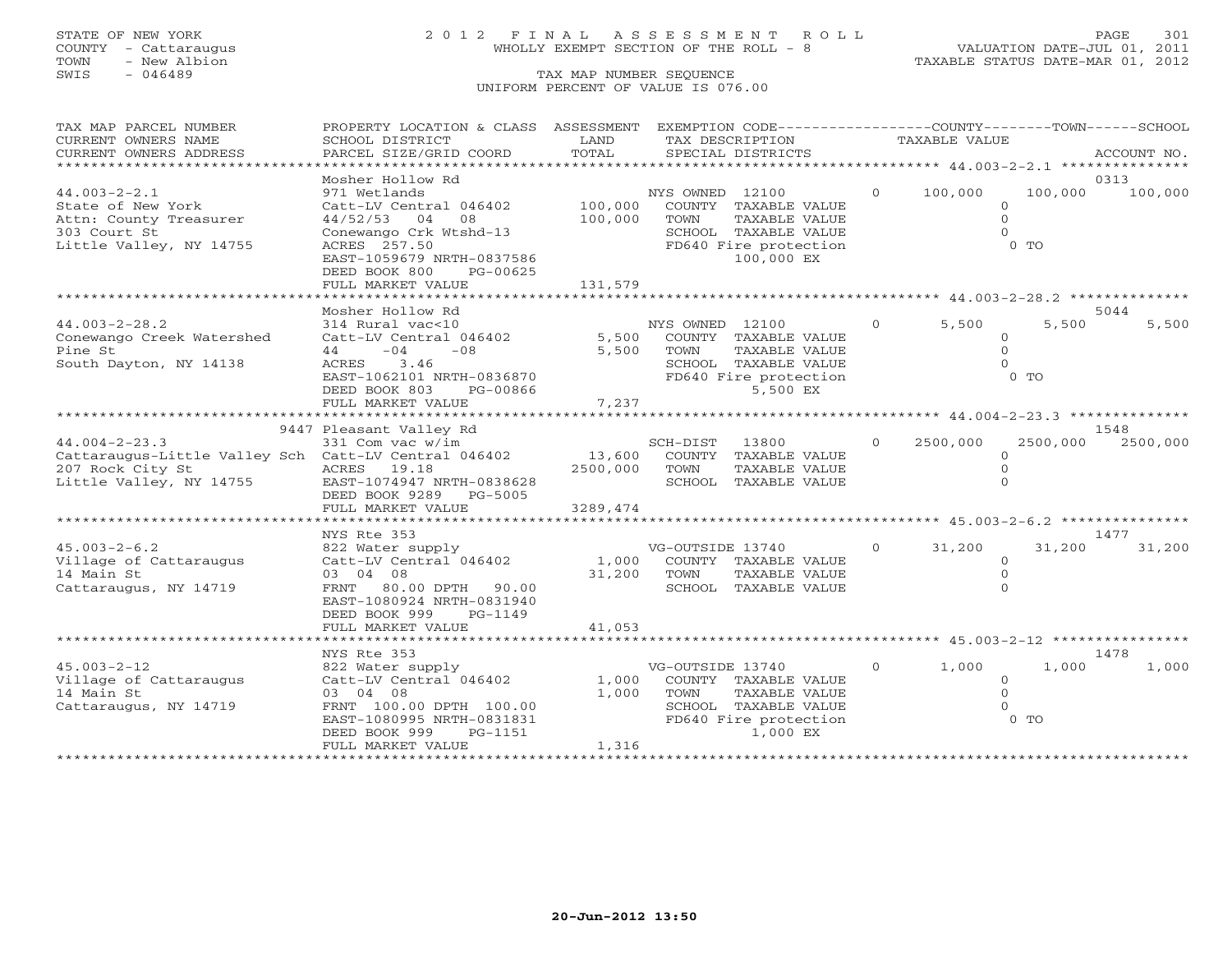TOWN - New Albion TAXABLE STATUS DATE-MAR 01, 2012 TOWN - New Albion<br>
SWIS - 046489 TAX MAP NUMBER SEQUENCE

# STATE OF NEW YORK 2 0 1 2 F I N A L A S S E S S M E N T R O L L PAGE 301 COUNTY - Cattaraugus WHOLLY EXEMPT SECTION OF THE ROLL - 8 VALUATION DATE-JUL 01, 2011

## UNIFORM PERCENT OF VALUE IS 076.00

| TAX MAP PARCEL NUMBER<br>CURRENT OWNERS NAME                                                                               | PROPERTY LOCATION & CLASS ASSESSMENT EXEMPTION CODE----------------COUNTY-------TOWN------SCHOOL<br>SCHOOL DISTRICT                                                              | LAND                    | TAX DESCRIPTION          |                                                                                                      |                | <b>TAXABLE VALUE</b> |                                                      |                 |
|----------------------------------------------------------------------------------------------------------------------------|----------------------------------------------------------------------------------------------------------------------------------------------------------------------------------|-------------------------|--------------------------|------------------------------------------------------------------------------------------------------|----------------|----------------------|------------------------------------------------------|-----------------|
| CURRENT OWNERS ADDRESS                                                                                                     | PARCEL SIZE/GRID COORD                                                                                                                                                           | TOTAL                   |                          | SPECIAL DISTRICTS                                                                                    |                |                      |                                                      | ACCOUNT NO.     |
| **************************                                                                                                 |                                                                                                                                                                                  |                         |                          |                                                                                                      |                |                      |                                                      |                 |
| $44.003 - 2 - 2.1$<br>State of New York<br>Attn: County Treasurer<br>303 Court St<br>Little Valley, NY 14755               | Mosher Hollow Rd<br>971 Wetlands<br>Catt-LV Central 046402<br>44/52/53 04 08<br>Conewango Crk Wtshd-13<br>ACRES 257.50<br>EAST-1059679 NRTH-0837586<br>DEED BOOK 800<br>PG-00625 | 100,000<br>100,000      | NYS OWNED 12100<br>TOWN  | COUNTY TAXABLE VALUE<br>TAXABLE VALUE<br>SCHOOL TAXABLE VALUE<br>FD640 Fire protection<br>100,000 EX | $\Omega$       | 100,000              | 100,000<br>$\circ$<br>$\Omega$<br>$\Omega$<br>$0$ TO | 0313<br>100,000 |
|                                                                                                                            | FULL MARKET VALUE                                                                                                                                                                | 131,579                 |                          |                                                                                                      |                |                      |                                                      |                 |
|                                                                                                                            |                                                                                                                                                                                  |                         |                          |                                                                                                      |                |                      |                                                      |                 |
| $44.003 - 2 - 28.2$<br>Conewango Creek Watershed<br>Pine St<br>South Dayton, NY 14138                                      | Mosher Hollow Rd<br>314 Rural vac<10<br>Catt-LV Central 046402<br>$44 - 04$<br>$-08$<br>ACRES 3.46<br>EAST-1062101 NRTH-0836870<br>DEED BOOK 803<br>PG-00866                     | 5,500<br>5,500          | NYS OWNED 12100<br>TOWN  | COUNTY TAXABLE VALUE<br>TAXABLE VALUE<br>SCHOOL TAXABLE VALUE<br>FD640 Fire protection<br>5,500 EX   | $\Omega$       | 5,500                | 5,500<br>$\Omega$<br>$\Omega$<br>$\Omega$<br>$0$ TO  | 5044<br>5,500   |
|                                                                                                                            | FULL MARKET VALUE                                                                                                                                                                | 7,237                   |                          |                                                                                                      |                |                      |                                                      |                 |
|                                                                                                                            | 9447 Pleasant Valley Rd                                                                                                                                                          |                         |                          |                                                                                                      |                |                      |                                                      | 1548            |
| $44.004 - 2 - 23.3$<br>Cattaraugus-Little Valley Sch Catt-LV Central 046402<br>207 Rock City St<br>Little Valley, NY 14755 | 331 Com vac w/im<br>ACRES 19.18<br>EAST-1074947 NRTH-0838628<br>DEED BOOK 9289 PG-5005                                                                                           | 13,600<br>2500,000      | SCH-DIST 13800<br>TOWN   | COUNTY TAXABLE VALUE<br>TAXABLE VALUE<br>SCHOOL TAXABLE VALUE                                        | $\Omega$       | 2500,000             | 2500,000<br>$\Omega$<br>$\mathbf{0}$<br>$\Omega$     | 2500,000        |
|                                                                                                                            | FULL MARKET VALUE                                                                                                                                                                | 3289,474                |                          |                                                                                                      |                |                      |                                                      |                 |
|                                                                                                                            | NYS Rte 353                                                                                                                                                                      |                         |                          |                                                                                                      |                |                      |                                                      | 1477            |
| $45.003 - 2 - 6.2$<br>Village of Cattaraugus<br>14 Main St<br>Cattaraugus, NY 14719                                        | 822 Water supply<br>Catt-LV Central 046402<br>03 04 08<br>FRNT 80.00 DPTH 90.00<br>EAST-1080924 NRTH-0831940<br>DEED BOOK 999<br>PG-1149                                         | 1,000<br>31,200         | VG-OUTSIDE 13740<br>TOWN | COUNTY TAXABLE VALUE<br>TAXABLE VALUE<br>SCHOOL TAXABLE VALUE                                        | $\circ$        | 31,200               | 31,200<br>$\circ$<br>$\mathbf{0}$<br>$\Omega$        | 31,200          |
|                                                                                                                            | FULL MARKET VALUE                                                                                                                                                                | 41,053                  |                          |                                                                                                      |                |                      |                                                      |                 |
|                                                                                                                            |                                                                                                                                                                                  |                         |                          |                                                                                                      |                |                      |                                                      | 1478            |
| $45.003 - 2 - 12$<br>Village of Cattaraugus<br>14 Main St<br>Cattaraugus, NY 14719                                         | NYS Rte 353<br>822 Water supply<br>Catt-LV Central 046402<br>03 04 08<br>FRNT 100.00 DPTH 100.00<br>EAST-1080995 NRTH-0831831<br>DEED BOOK 999<br>PG-1151<br>FULL MARKET VALUE   | 1,000<br>1,000<br>1,316 | VG-OUTSIDE 13740<br>TOWN | COUNTY TAXABLE VALUE<br>TAXABLE VALUE<br>SCHOOL TAXABLE VALUE<br>FD640 Fire protection<br>1,000 EX   | $\overline{0}$ | 1,000                | 1,000<br>$\Omega$<br>$\Omega$<br>$\Omega$<br>$0$ To  | 1,000           |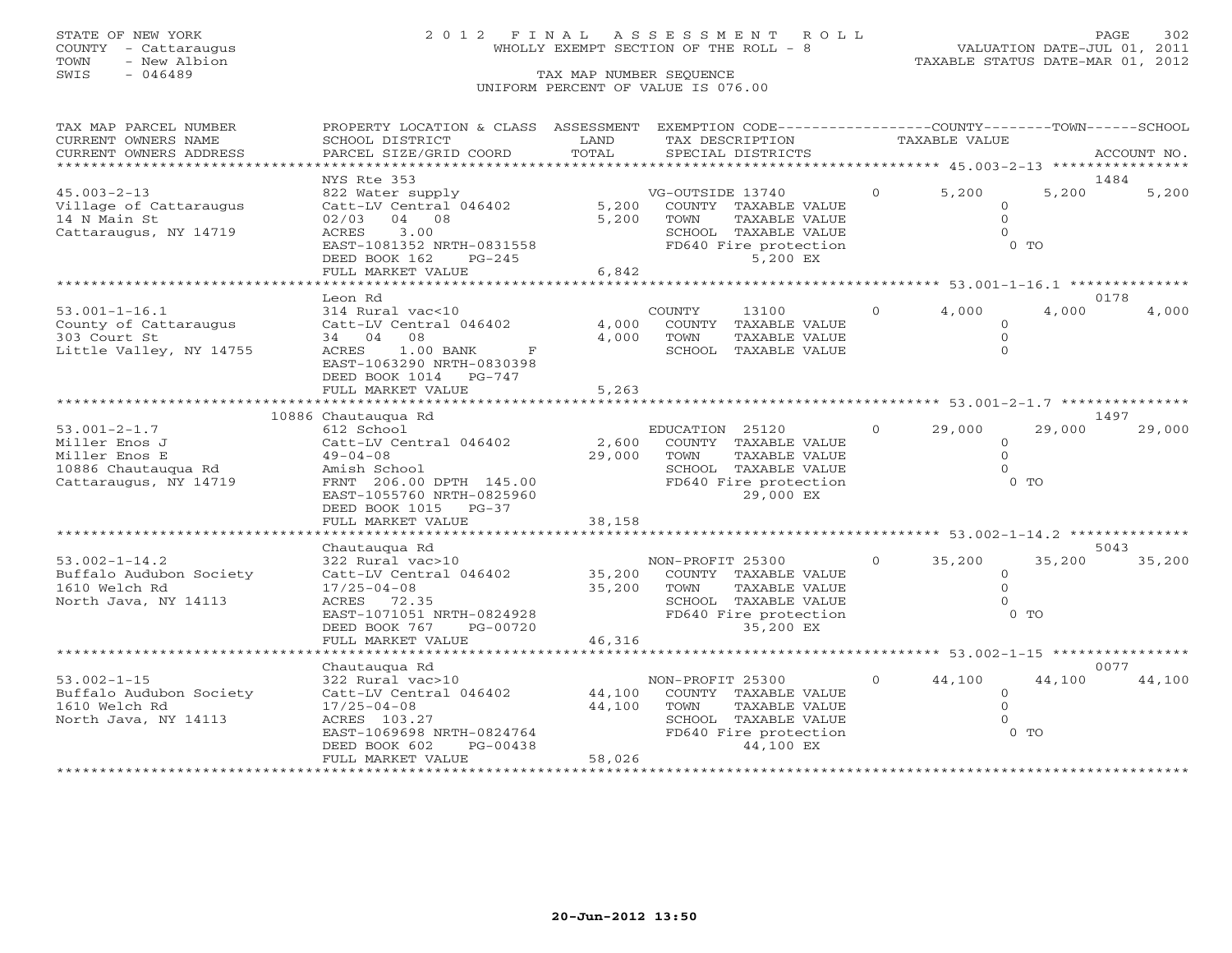# STATE OF NEW YORK 2 0 1 2 F I N A L A S S E S S M E N T R O L L PAGE 302 COUNTY - Cattaraugus WHOLLY EXEMPT SECTION OF THE ROLL - 8 VALUATION DATE-JUL 01, 2011

| TAX MAP PARCEL NUMBER          | PROPERTY LOCATION & CLASS ASSESSMENT EXEMPTION CODE---------------COUNTY-------TOWN------SCHOOL |        |                             |                |                |                |             |
|--------------------------------|-------------------------------------------------------------------------------------------------|--------|-----------------------------|----------------|----------------|----------------|-------------|
| CURRENT OWNERS NAME            | SCHOOL DISTRICT                                                                                 | LAND   | TAX DESCRIPTION             |                | TAXABLE VALUE  |                |             |
| CURRENT OWNERS ADDRESS         | PARCEL SIZE/GRID COORD                                                                          | TOTAL  | SPECIAL DISTRICTS           |                |                |                | ACCOUNT NO. |
| ****************************** |                                                                                                 |        |                             |                |                |                |             |
|                                | NYS Rte 353                                                                                     |        |                             |                |                |                | 1484        |
| $45.003 - 2 - 13$              | 822 Water supply                                                                                |        | VG-OUTSIDE 13740            | $\overline{0}$ | 5,200          | 5,200          | 5,200       |
| Village of Cattaraugus         | Catt-LV Central 046402                                                                          | 5,200  | COUNTY TAXABLE VALUE        |                | $\Omega$       |                |             |
| 14 N Main St                   | 02/03<br>04 08                                                                                  | 5,200  | TOWN<br>TAXABLE VALUE       |                | $\Omega$       |                |             |
| Cattaraugus, NY 14719          | 3.00<br>ACRES                                                                                   |        | SCHOOL TAXABLE VALUE        |                | $\Omega$       |                |             |
|                                | EAST-1081352 NRTH-0831558                                                                       |        | FD640 Fire protection       |                |                | $0$ TO         |             |
|                                | DEED BOOK 162<br>PG-245                                                                         |        | 5,200 EX                    |                |                |                |             |
|                                | FULL MARKET VALUE                                                                               | 6,842  |                             |                |                |                |             |
|                                |                                                                                                 |        |                             |                |                |                |             |
|                                | Leon Rd                                                                                         |        |                             |                |                |                | 0178        |
| $53.001 - 1 - 16.1$            | 314 Rural vac<10                                                                                |        | COUNTY<br>13100             | $\circ$        | 4,000          | 4,000          | 4,000       |
| County of Cattaraugus          | Catt-LV Central 046402                                                                          | 4,000  | COUNTY TAXABLE VALUE        |                | $\circ$        |                |             |
| 303 Court St                   | 34 04 08                                                                                        | 4,000  | TOWN<br>TAXABLE VALUE       |                | $\Omega$       |                |             |
| Little Valley, NY 14755        | $1.00$ BANK<br>ACRES<br>F                                                                       |        | SCHOOL TAXABLE VALUE        |                | $\Omega$       |                |             |
|                                | EAST-1063290 NRTH-0830398                                                                       |        |                             |                |                |                |             |
|                                | DEED BOOK 1014 PG-747                                                                           |        |                             |                |                |                |             |
|                                | FULL MARKET VALUE                                                                               | 5,263  |                             |                |                |                |             |
|                                |                                                                                                 |        |                             |                |                |                |             |
|                                | 10886 Chautauqua Rd                                                                             |        |                             |                |                |                | 1497        |
| $53.001 - 2 - 1.7$             | 612 School                                                                                      |        | EDUCATION 25120             | $\Omega$       | 29,000         | 29,000         | 29,000      |
| Miller Enos J                  | Catt-LV Central 046402                                                                          | 2,600  | COUNTY TAXABLE VALUE        |                | $\circ$        |                |             |
| Miller Enos E                  | $49 - 04 - 08$                                                                                  | 29,000 | TOWN<br>TAXABLE VALUE       |                | $\Omega$       |                |             |
| 10886 Chautaugua Rd            | Amish School                                                                                    |        | SCHOOL TAXABLE VALUE        |                | $\Omega$       |                |             |
| Cattaraugus, NY 14719          | FRNT 206.00 DPTH 145.00                                                                         |        | FD640 Fire protection       |                |                | $0$ TO         |             |
|                                | EAST-1055760 NRTH-0825960                                                                       |        | 29,000 EX                   |                |                |                |             |
|                                | DEED BOOK 1015 PG-37                                                                            |        |                             |                |                |                |             |
|                                | FULL MARKET VALUE                                                                               | 38,158 |                             |                |                |                |             |
|                                |                                                                                                 |        |                             |                |                |                |             |
|                                | Chautauqua Rd                                                                                   |        |                             |                |                |                | 5043        |
| $53.002 - 1 - 14.2$            | 322 Rural vac>10                                                                                |        | NON-PROFIT 25300            | $\Omega$       | 35,200         | 35,200         | 35,200      |
| Buffalo Audubon Society        | Catt-LV Central 046402                                                                          |        | 35,200 COUNTY TAXABLE VALUE |                | $\circ$        |                |             |
| 1610 Welch Rd                  | $17/25 - 04 - 08$                                                                               | 35,200 | TAXABLE VALUE<br>TOWN       |                | $\Omega$       |                |             |
| North Java, NY 14113           | ACRES 72.35                                                                                     |        | SCHOOL TAXABLE VALUE        |                | $\Omega$       |                |             |
|                                | EAST-1071051 NRTH-0824928                                                                       |        | FD640 Fire protection       |                |                | 0 <sub>T</sub> |             |
|                                |                                                                                                 |        | 35,200 EX                   |                |                |                |             |
|                                | DEED BOOK 767<br>PG-00720                                                                       |        |                             |                |                |                |             |
|                                | FULL MARKET VALUE                                                                               | 46,316 |                             |                |                |                |             |
|                                |                                                                                                 |        |                             |                |                |                |             |
|                                | Chautauqua Rd                                                                                   |        |                             |                |                |                | 0077        |
| $53.002 - 1 - 15$              | 322 Rural vac>10                                                                                |        | NON-PROFIT 25300            | $\circ$        | 44,100         | 44,100         | 44,100      |
| Buffalo Audubon Society        | Catt-LV Central 046402                                                                          | 44,100 | COUNTY TAXABLE VALUE        |                | $\overline{O}$ |                |             |
| 1610 Welch Rd                  | $17/25 - 04 - 08$                                                                               | 44,100 | TOWN<br>TAXABLE VALUE       |                | $\mathbf{0}$   |                |             |
| North Java, NY 14113           | ACRES 103.27                                                                                    |        | SCHOOL TAXABLE VALUE        |                | $\Omega$       |                |             |
|                                | EAST-1069698 NRTH-0824764                                                                       |        | FD640 Fire protection       |                |                | 0 <sub>T</sub> |             |
|                                | DEED BOOK 602<br>PG-00438                                                                       |        | 44,100 EX                   |                |                |                |             |
|                                | FULL MARKET VALUE                                                                               | 58,026 |                             |                |                |                |             |
|                                |                                                                                                 |        |                             |                |                |                |             |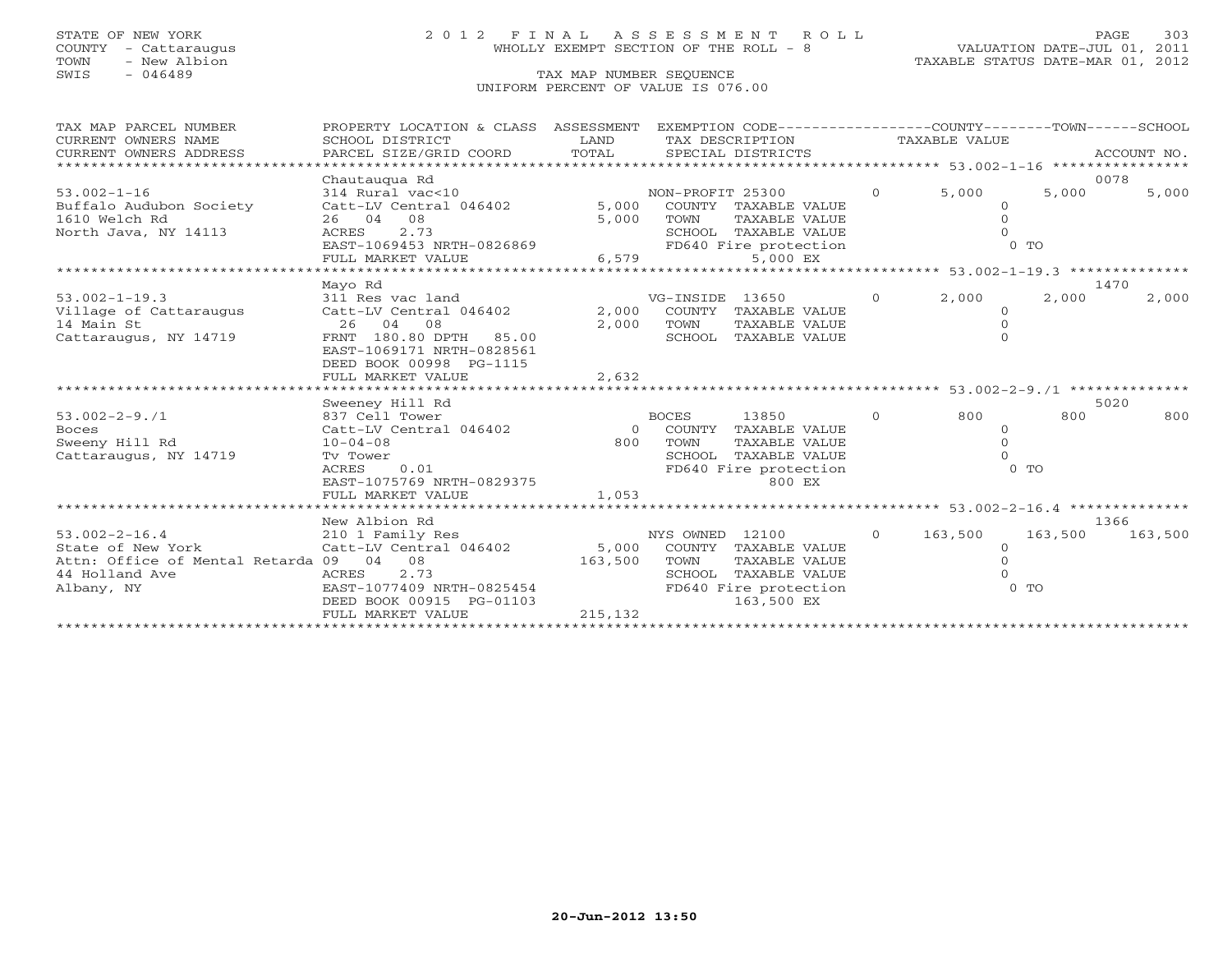# STATE OF NEW YORK 2 0 1 2 F I N A L A S S E S S M E N T R O L L PAGE 303 COUNTY - Cattaraugus WHOLLY EXEMPT SECTION OF THE ROLL - 8 VALUATION DATE-JUL 01, 2011

| TAX MAP PARCEL NUMBER<br>CURRENT OWNERS NAME | EXEMPTION CODE-----------------COUNTY-------TOWN------SCHOOL<br>PROPERTY LOCATION & CLASS ASSESSMENT<br>SCHOOL DISTRICT<br>LAND<br>TAX DESCRIPTION |         |                                               | TAXABLE VALUE  |          |         |             |
|----------------------------------------------|----------------------------------------------------------------------------------------------------------------------------------------------------|---------|-----------------------------------------------|----------------|----------|---------|-------------|
| CURRENT OWNERS ADDRESS                       | PARCEL SIZE/GRID COORD TOTAL                                                                                                                       |         | SPECIAL DISTRICTS                             |                |          |         | ACCOUNT NO. |
|                                              | Chautaugua Rd                                                                                                                                      |         |                                               |                |          | 0078    |             |
| $53.002 - 1 - 16$                            | 314 Rural vac<10                                                                                                                                   |         | NON-PROFIT 25300                              | $\Omega$       | 5,000    | 5,000   | 5,000       |
| Buffalo Audubon Society                      | Catt-LV Central 046402                                                                                                                             |         | 5,000 COUNTY TAXABLE VALUE                    |                |          |         |             |
| 1610 Welch Rd                                | 26 04 08                                                                                                                                           | 5,000   | TAXABLE VALUE<br>TOWN                         |                |          |         |             |
| North Java, NY 14113                         | 2.73<br>ACRES<br>EAST-1069453 NRTH-0826869                                                                                                         |         | SCHOOL TAXABLE VALUE<br>FD640 Fire protection |                |          | $0$ TO  |             |
|                                              | FULL MARKET VALUE                                                                                                                                  |         | 6,579<br>5,000 EX                             |                |          |         |             |
|                                              |                                                                                                                                                    |         |                                               |                |          |         |             |
|                                              | Mayo Rd                                                                                                                                            |         |                                               |                |          | 1470    |             |
| $53.002 - 1 - 19.3$                          | 311 Res vac land                                                                                                                                   |         | VG-INSIDE 13650                               | $\overline{0}$ | 2,000    | 2,000   | 2,000       |
| Village of Cattaraugus                       | Catt-LV Central 046402                                                                                                                             | 2,000   | COUNTY TAXABLE VALUE                          |                | $\Omega$ |         |             |
| 14 Main St                                   | 2.6<br>04<br>08                                                                                                                                    | 2,000   | TOWN<br>TAXABLE VALUE                         |                |          |         |             |
| Cattaraugus, NY 14719                        | FRNT 180.80 DPTH 85.00                                                                                                                             |         | SCHOOL TAXABLE VALUE                          |                | $\Omega$ |         |             |
|                                              | EAST-1069171 NRTH-0828561                                                                                                                          |         |                                               |                |          |         |             |
|                                              | DEED BOOK 00998 PG-1115<br>FULL MARKET VALUE                                                                                                       | 2,632   |                                               |                |          |         |             |
|                                              |                                                                                                                                                    |         |                                               |                |          |         |             |
|                                              | Sweeney Hill Rd                                                                                                                                    |         |                                               |                |          | 5020    |             |
| $53.002 - 2 - 9.71$                          | 837 Cell Tower                                                                                                                                     |         | <b>BOCES</b><br>13850                         | $\Omega$       | 800      | 800     | 800         |
| <b>Boces</b>                                 | Catt-LV Central 046402                                                                                                                             |         | 0 COUNTY TAXABLE VALUE                        |                | $\Omega$ |         |             |
| Sweeny Hill Rd                               | $10 - 04 - 08$                                                                                                                                     | 800     | TOWN<br>TAXABLE VALUE                         |                |          |         |             |
| Cattaraugus, NY 14719                        | Tv Tower                                                                                                                                           |         | SCHOOL TAXABLE VALUE                          |                |          |         |             |
|                                              | 0.01<br>ACRES                                                                                                                                      |         | FD640 Fire protection                         |                |          | $0$ TO  |             |
|                                              | EAST-1075769 NRTH-0829375                                                                                                                          |         | 800 EX                                        |                |          |         |             |
|                                              | FULL MARKET VALUE                                                                                                                                  | 1,053   |                                               |                |          |         |             |
|                                              | New Albion Rd                                                                                                                                      |         |                                               |                |          | 1366    |             |
| $53.002 - 2 - 16.4$                          | 210 1 Family Res                                                                                                                                   |         | NYS OWNED 12100                               | $\overline{0}$ | 163,500  | 163,500 | 163,500     |
| State of New York                            | Catt-LV Central 046402                                                                                                                             | 5,000   | COUNTY TAXABLE VALUE                          |                | $\Omega$ |         |             |
| Attn: Office of Mental Retarda 09 04 08      |                                                                                                                                                    | 163,500 | TOWN<br>TAXABLE VALUE                         |                |          |         |             |
| 44 Holland Ave                               | 2.73<br>ACRES                                                                                                                                      |         | SCHOOL TAXABLE VALUE                          |                |          |         |             |
| Albany, NY                                   | EAST-1077409 NRTH-0825454                                                                                                                          |         | FD640 Fire protection                         |                |          | $0$ TO  |             |
|                                              | DEED BOOK 00915 PG-01103                                                                                                                           |         | 163,500 EX                                    |                |          |         |             |
|                                              | FULL MARKET VALUE                                                                                                                                  | 215,132 |                                               |                |          |         |             |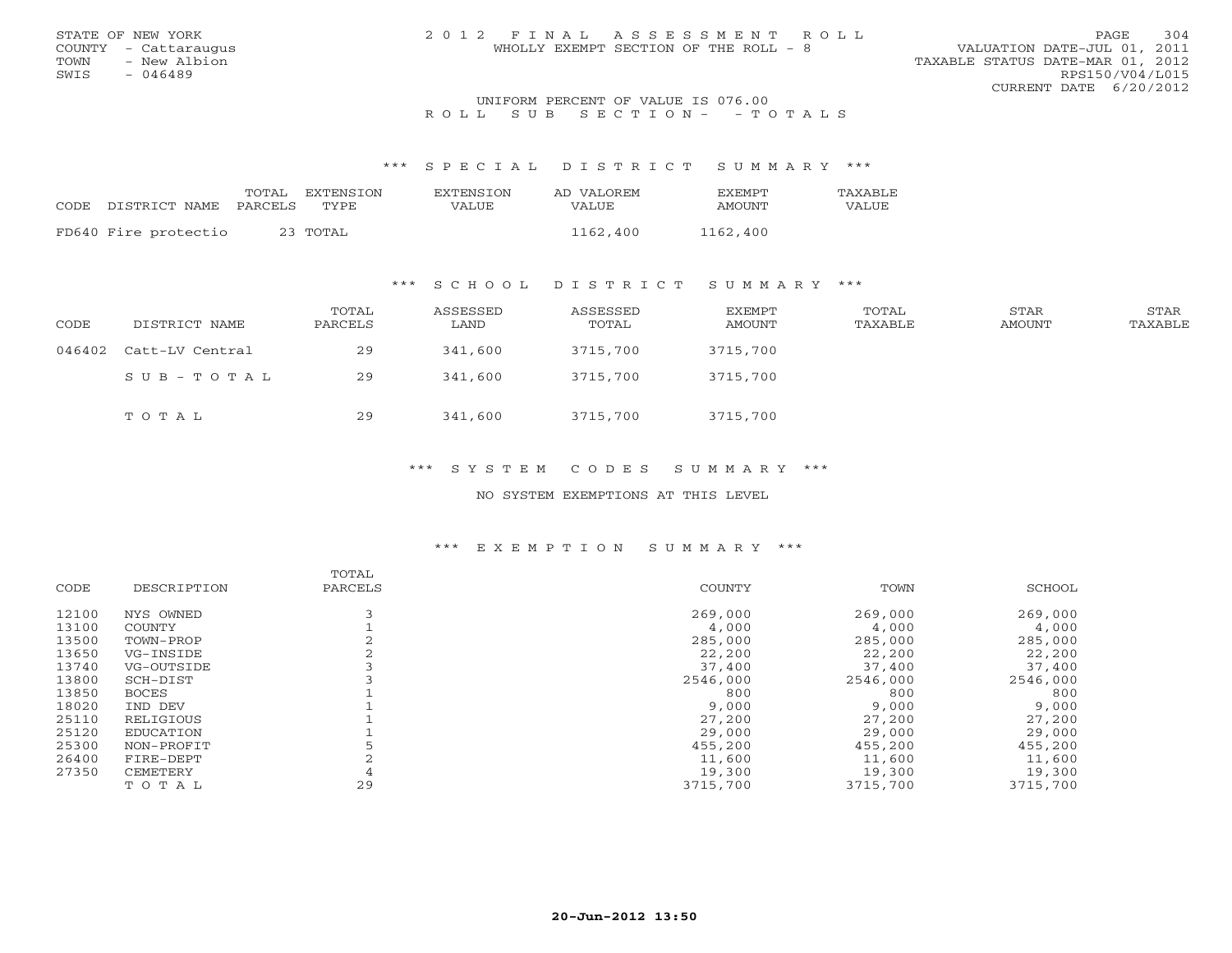### UNIFORM PERCENT OF VALUE IS 076.00 R O L L S U B S E C T I O N - - T O T A L S

#### \*\*\* S P E C I A L D I S T R I C T S U M M A R Y \*\*\*

|      |                      | TOTAL   | EXTENSTON | EXTENSION | AD VALOREM | <b>FXFMPT</b> | <b>TAXABLF</b> |
|------|----------------------|---------|-----------|-----------|------------|---------------|----------------|
| CODE | DISTRICT NAME        | PARCELS | TYPE      | VALUE     | VALUE.     | AMOUNT        | VALUE          |
|      |                      |         |           |           |            |               |                |
|      | FD640 Fire protectio |         | 23 ТОТАL  |           | 1162,400   | 1162,400      |                |

### \*\*\* S C H O O L D I S T R I C T S U M M A R Y \*\*\*

| CODE | DISTRICT NAME          | TOTAL<br>PARCELS | ASSESSED<br>LAND | ASSESSED<br>TOTAL | EXEMPT<br>AMOUNT | TOTAL<br>TAXABLE | STAR<br>AMOUNT | STAR<br>TAXABLE |
|------|------------------------|------------------|------------------|-------------------|------------------|------------------|----------------|-----------------|
|      | 046402 Catt-LV Central | 29               | 341,600          | 3715,700          | 3715,700         |                  |                |                 |
|      | $SUB - TO T AL$        | 29               | 341,600          | 3715,700          | 3715,700         |                  |                |                 |
|      | TOTAL                  | 29               | 341,600          | 3715,700          | 3715,700         |                  |                |                 |

## \*\*\* S Y S T E M C O D E S S U M M A R Y \*\*\*

### NO SYSTEM EXEMPTIONS AT THIS LEVEL

|       |                  | TOTAL   |          |          |          |
|-------|------------------|---------|----------|----------|----------|
| CODE  | DESCRIPTION      | PARCELS | COUNTY   | TOWN     | SCHOOL   |
| 12100 | NYS OWNED        |         | 269,000  | 269,000  | 269,000  |
| 13100 | COUNTY           |         | 4,000    | 4,000    | 4,000    |
| 13500 | TOWN-PROP        |         | 285,000  | 285,000  | 285,000  |
| 13650 | VG-INSIDE        |         | 22,200   | 22,200   | 22,200   |
| 13740 | VG-OUTSIDE       |         | 37,400   | 37,400   | 37,400   |
| 13800 | SCH-DIST         |         | 2546,000 | 2546,000 | 2546,000 |
| 13850 | <b>BOCES</b>     |         | 800      | 800      | 800      |
| 18020 | IND DEV          |         | 9,000    | 9,000    | 9,000    |
| 25110 | RELIGIOUS        |         | 27,200   | 27,200   | 27,200   |
| 25120 | <b>EDUCATION</b> |         | 29,000   | 29,000   | 29,000   |
| 25300 | NON-PROFIT       |         | 455,200  | 455,200  | 455,200  |
| 26400 | FIRE-DEPT        |         | 11,600   | 11,600   | 11,600   |
| 27350 | CEMETERY         |         | 19,300   | 19,300   | 19,300   |
|       | TOTAL            | 29      | 3715,700 | 3715,700 | 3715,700 |
|       |                  |         |          |          |          |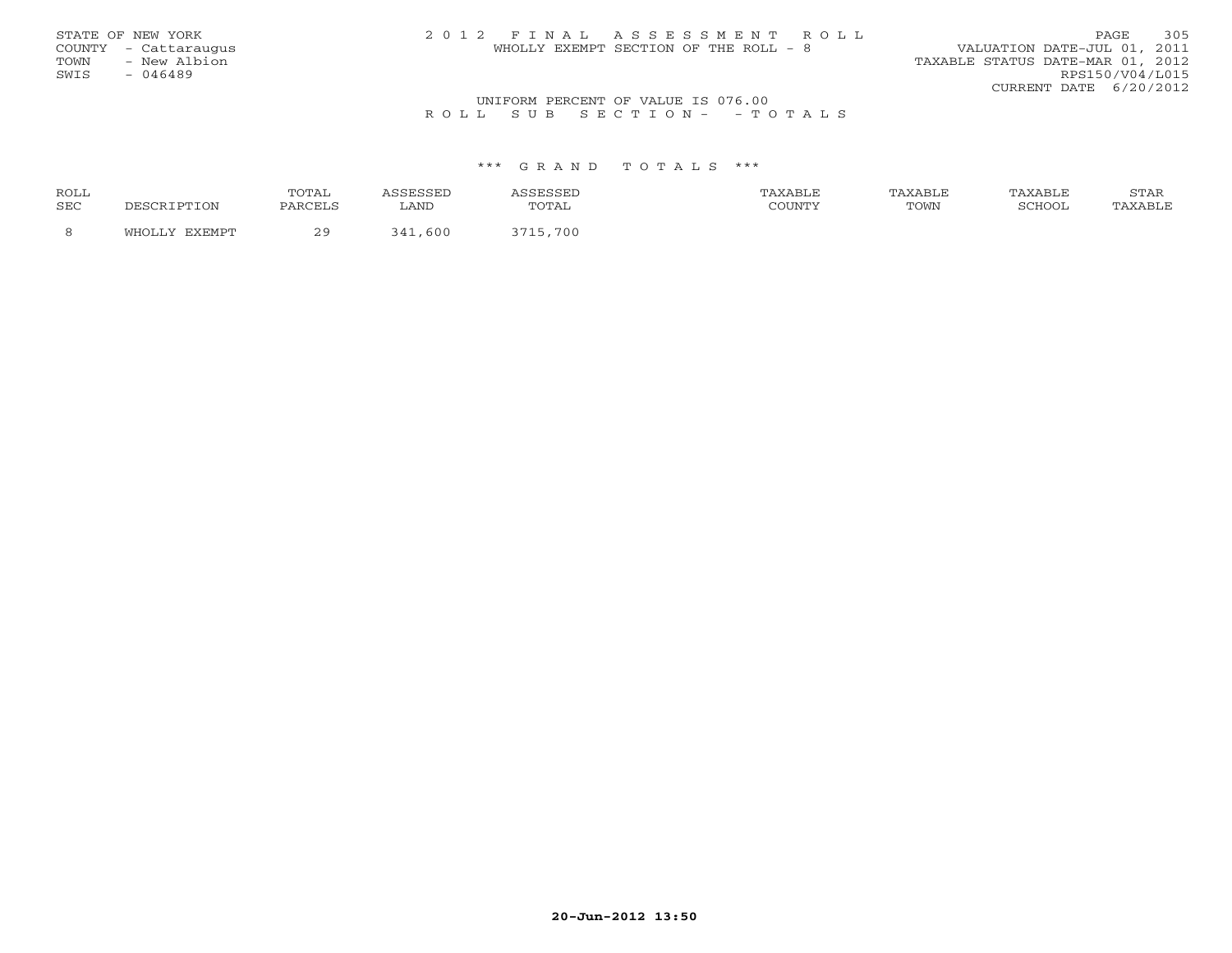| STATE OF NEW YORK                   | 2012 FINAL ASSESSMENT ROLL            | 305<br>PAGE                      |  |  |  |  |  |  |
|-------------------------------------|---------------------------------------|----------------------------------|--|--|--|--|--|--|
| COUNTY - Cattaraugus                | WHOLLY EXEMPT SECTION OF THE ROLL - 8 | VALUATION DATE-JUL 01, 2011      |  |  |  |  |  |  |
| TOWN<br>- New Albion                |                                       | TAXABLE STATUS DATE-MAR 01, 2012 |  |  |  |  |  |  |
| SWIS<br>- 046489                    |                                       | RPS150/V04/L015                  |  |  |  |  |  |  |
|                                     |                                       | CURRENT DATE 6/20/2012           |  |  |  |  |  |  |
| INITEOPM DEPOENT OF UNITE TO 076 00 |                                       |                                  |  |  |  |  |  |  |

## UNIFORM PERCENT OF VALUE IS 076.00<br>R O L L S U B S E C T I O N - - T O T A L S

| <b>ROLL</b> |      | TOTA.<br>101111 |      |       | TAXABLE | 'AXABLE | 'AXABLE            | STAR     |
|-------------|------|-----------------|------|-------|---------|---------|--------------------|----------|
| <b>SEC</b>  | 'TON | PARCELS         | LAND | TOTAL |         | TOWN    | SCHOO <sup>.</sup> | $\cdots$ |
|             |      |                 | 600  | 700   |         |         |                    |          |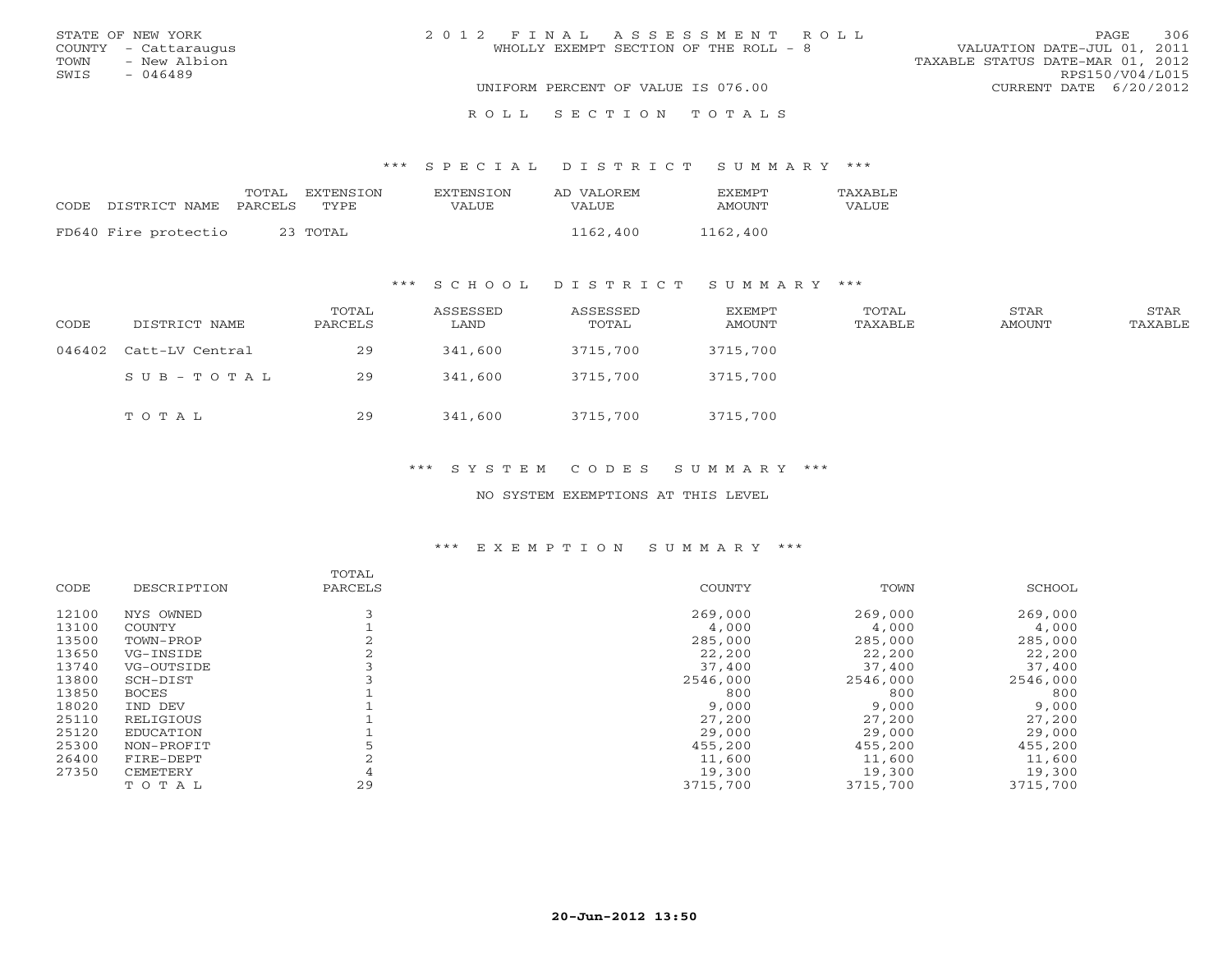| STATE OF NEW YORK    | 2012 FINAL ASSESSMENT ROLL            | 306<br>PAGE.                     |
|----------------------|---------------------------------------|----------------------------------|
| COUNTY - Cattaraugus | WHOLLY EXEMPT SECTION OF THE ROLL - 8 | VALUATION DATE-JUL 01, 2011      |
| - New Albion<br>TOWN |                                       | TAXABLE STATUS DATE-MAR 01, 2012 |
| SWIS<br>$-046489$    |                                       | RPS150/V04/L015                  |
|                      | UNIFORM PERCENT OF VALUE IS 076.00    | CURRENT DATE 6/20/2012           |
|                      |                                       |                                  |
|                      | ROLL SECTION TOTALS                   |                                  |

| CODE | DISTRICT NAME PARCELS | TOTAL EXTENSION<br>TYPE. | <b>EXTENSION</b><br>VALUE | AD VALOREM<br>VALUE | <b>FXFMPT</b><br>AMOUNT | TAXABLE<br>VALUE |
|------|-----------------------|--------------------------|---------------------------|---------------------|-------------------------|------------------|
|      | FD640 Fire protectio  | 23 TOTAL                 |                           | 1162,400            | 1162,400                |                  |

### \*\*\* S C H O O L D I S T R I C T S U M M A R Y \*\*\*

| CODE   | DISTRICT NAME   | TOTAL<br>PARCELS | ASSESSED<br>LAND | ASSESSED<br>TOTAL | EXEMPT<br>AMOUNT | TOTAL<br>TAXABLE | STAR<br>AMOUNT | <b>STAR</b><br>TAXABLE |
|--------|-----------------|------------------|------------------|-------------------|------------------|------------------|----------------|------------------------|
| 046402 | Catt-LV Central | 29               | 341,600          | 3715,700          | 3715,700         |                  |                |                        |
|        | SUB-TOTAL       | 29               | 341,600          | 3715,700          | 3715,700         |                  |                |                        |
|        | TOTAL           | 29               | 341,600          | 3715,700          | 3715,700         |                  |                |                        |

## \*\*\* S Y S T E M C O D E S S U M M A R Y \*\*\*

#### NO SYSTEM EXEMPTIONS AT THIS LEVEL

|       |                  | TOTAL   |          |          |          |
|-------|------------------|---------|----------|----------|----------|
| CODE  | DESCRIPTION      | PARCELS | COUNTY   | TOWN     | SCHOOL   |
| 12100 | NYS OWNED        |         | 269,000  | 269,000  | 269,000  |
| 13100 | COUNTY           |         | 4,000    | 4,000    | 4,000    |
| 13500 | TOWN-PROP        |         | 285,000  | 285,000  | 285,000  |
| 13650 | VG-INSIDE        |         | 22,200   | 22,200   | 22,200   |
| 13740 | VG-OUTSIDE       |         | 37,400   | 37,400   | 37,400   |
| 13800 | SCH-DIST         |         | 2546,000 | 2546,000 | 2546,000 |
| 13850 | <b>BOCES</b>     |         | 800      | 800      | 800      |
| 18020 | IND DEV          |         | 9,000    | 9,000    | 9,000    |
| 25110 | RELIGIOUS        |         | 27,200   | 27,200   | 27,200   |
| 25120 | <b>EDUCATION</b> |         | 29,000   | 29,000   | 29,000   |
| 25300 | NON-PROFIT       |         | 455,200  | 455,200  | 455,200  |
| 26400 | FIRE-DEPT        |         | 11,600   | 11,600   | 11,600   |
| 27350 | CEMETERY         |         | 19,300   | 19,300   | 19,300   |
|       | TOTAL            | 29      | 3715,700 | 3715,700 | 3715,700 |
|       |                  |         |          |          |          |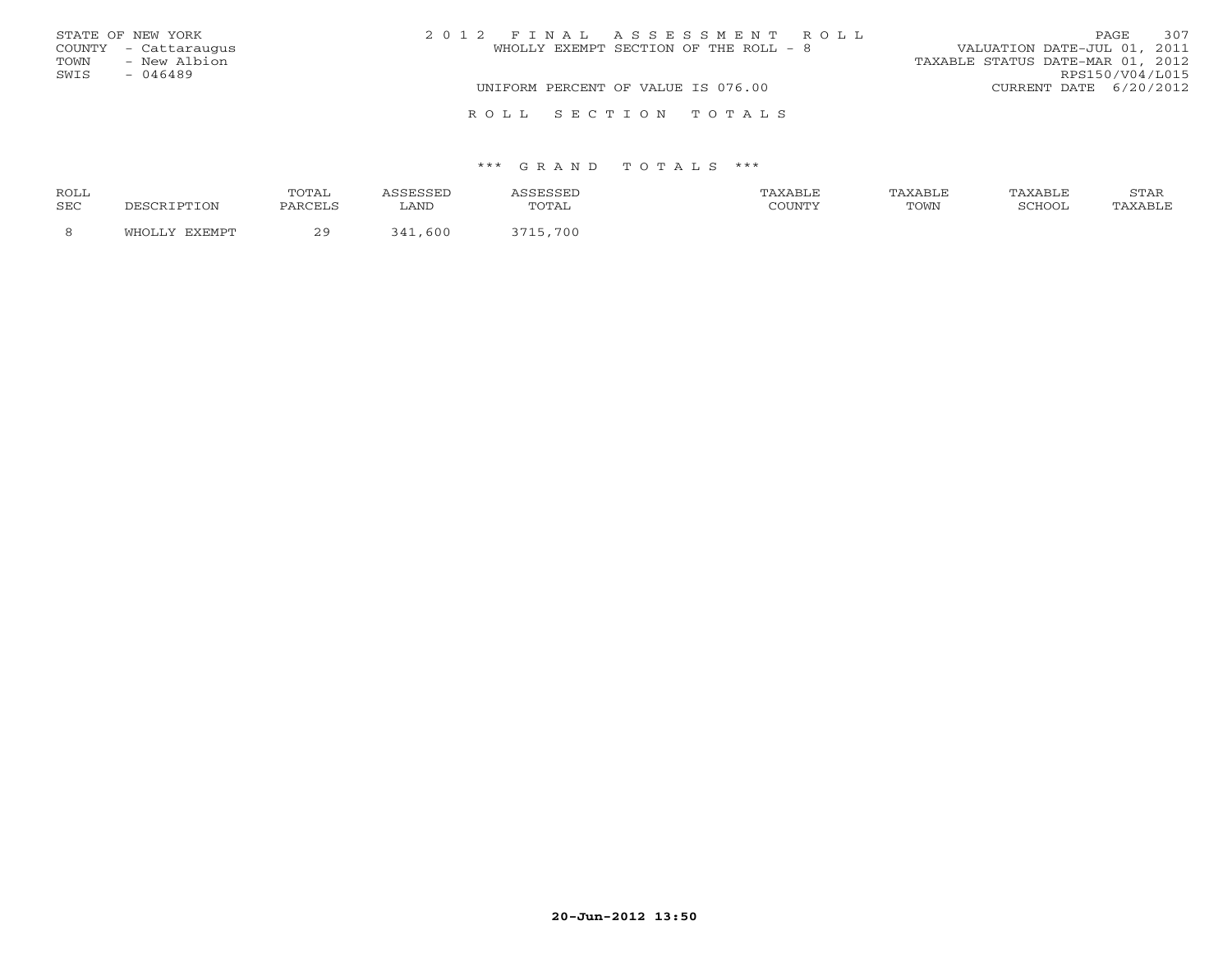|      | STATE OF NEW YORK    | 2012 FINAL ASSESSMENT ROLL            | PAGE                             | 307 |
|------|----------------------|---------------------------------------|----------------------------------|-----|
|      | COUNTY - Cattaraugus | WHOLLY EXEMPT SECTION OF THE ROLL - 8 | VALUATION DATE-JUL 01, 2011      |     |
|      | TOWN - New Albion    |                                       | TAXABLE STATUS DATE-MAR 01, 2012 |     |
| SWIS | $-046489$            |                                       | RPS150/V04/L015                  |     |
|      |                      | UNIFORM PERCENT OF VALUE IS 076.00    | CURRENT DATE 6/20/2012           |     |
|      |                      | ROLL SECTION TOTALS                   |                                  |     |

| ROLL |        | TOTAL                                     |                               |       | ABLF:    | 'AXABLF | XABL.             | 7 <sub>m</sub><br>. |
|------|--------|-------------------------------------------|-------------------------------|-------|----------|---------|-------------------|---------------------|
| SEC  | IPTION | <b>DADCET C</b>                           | LAND                          | TOTAL | CCTINTM1 | TOWN    | $\alpha$ $\alpha$ |                     |
|      | FYFMDT | $\sim$ $\sim$<br>$\overline{\phantom{a}}$ | 600<br>$\sim$ $\prime$ $\sim$ | 700   |          |         |                   |                     |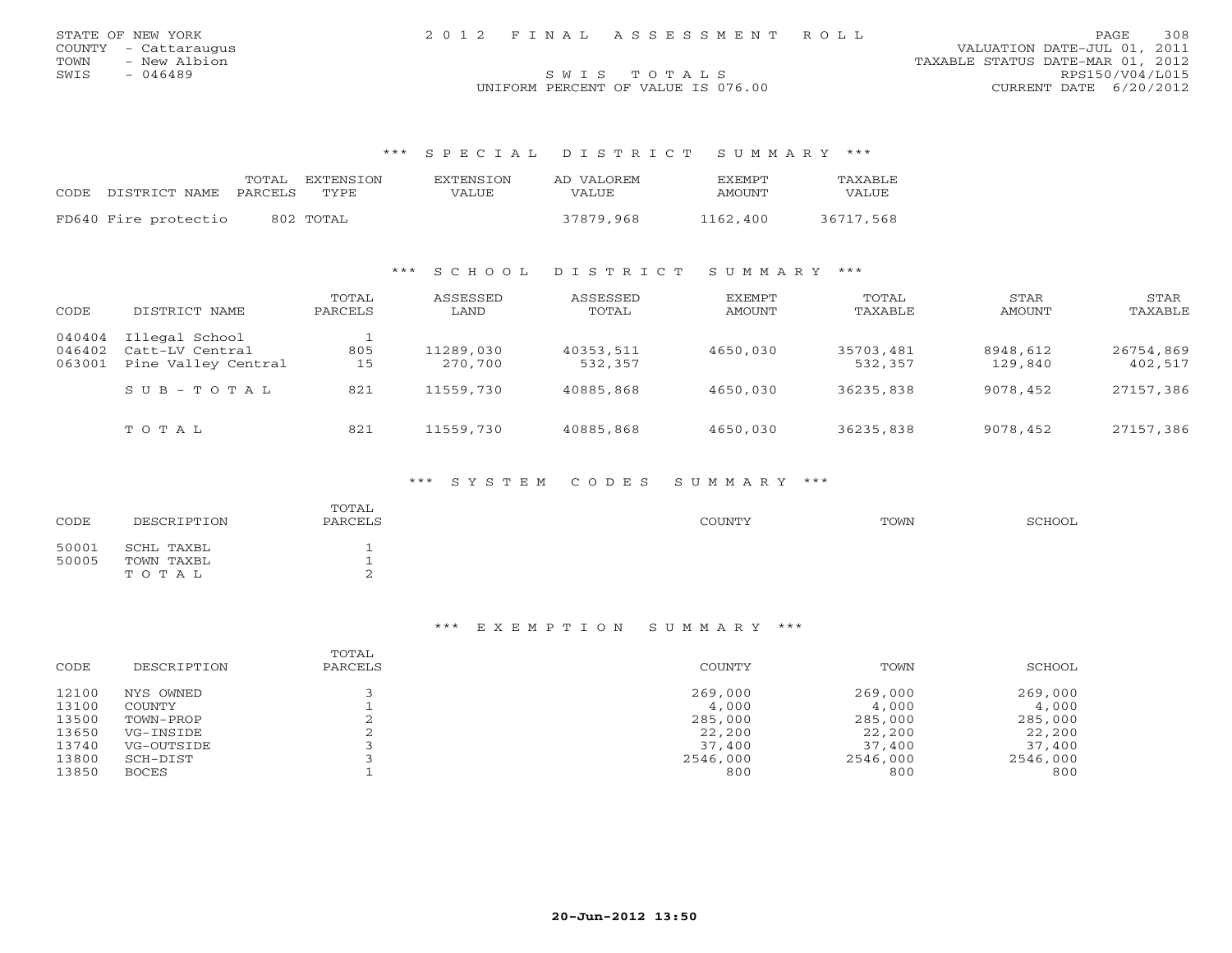| STATE OF NEW YORK    | 2012 FINAL ASSESSMENT ROLL         | <b>PAGE</b>                      | 308 |
|----------------------|------------------------------------|----------------------------------|-----|
| COUNTY - Cattaraugus |                                    | VALUATION DATE-JUL 01, 2011      |     |
| TOWN - New Albion    |                                    | TAXABLE STATUS DATE-MAR 01, 2012 |     |
| SWIS<br>- 046489     | SWIS TOTALS                        | RPS150/V04/L015                  |     |
|                      | UNIFORM PERCENT OF VALUE IS 076.00 | CURRENT DATE 6/20/2012           |     |

| CODE DISTRICT NAME PARCELS TYPE | TOTAL. | EXTENSTON | <b>EXTENSION</b><br>VALUE | AD VALOREM<br><b>VALUE</b> | FXEMPT<br>AMOUNT | <b>TAXABLF</b><br>VALUE |
|---------------------------------|--------|-----------|---------------------------|----------------------------|------------------|-------------------------|
| FD640 Fire protectio            |        | 802 TOTAL |                           | 37879,968                  | 1162,400         | 36717,568               |

### \*\*\* S C H O O L D I S T R I C T S U M M A R Y \*\*\*

| CODE                       | DISTRICT NAME                                            | TOTAL<br>PARCELS | ASSESSED<br>LAND     | ASSESSED<br>TOTAL    | EXEMPT<br>AMOUNT | TOTAL<br>TAXABLE     | STAR<br>AMOUNT      | STAR<br>TAXABLE      |
|----------------------------|----------------------------------------------------------|------------------|----------------------|----------------------|------------------|----------------------|---------------------|----------------------|
| 040404<br>046402<br>063001 | Illegal School<br>Catt-LV Central<br>Pine Valley Central | 805<br>15        | 11289,030<br>270,700 | 40353,511<br>532,357 | 4650,030         | 35703,481<br>532,357 | 8948,612<br>129,840 | 26754,869<br>402,517 |
|                            | $S \cup B - T \cup T A$                                  | 821              | 11559,730            | 40885,868            | 4650,030         | 36235,838            | 9078,452            | 27157,386            |
|                            | TOTAL                                                    | 821              | 11559,730            | 40885,868            | 4650,030         | 36235,838            | 9078,452            | 27157,386            |

### \*\*\* S Y S T E M C O D E S S U M M A R Y \*\*\*

| CODE           | DESCRIPTION                       | TOTAL<br>PARCELS | COUNTY | TOWN | SCHOOL |
|----------------|-----------------------------------|------------------|--------|------|--------|
| 50001<br>50005 | SCHL TAXBL<br>TOWN TAXBL<br>TOTAL | л.<br>л.<br>∠    |        |      |        |

| CODE  | DESCRIPTION  | TOTAL<br>PARCELS | <b>COUNTY</b> | TOWN     | SCHOOL   |
|-------|--------------|------------------|---------------|----------|----------|
| 12100 | NYS OWNED    |                  | 269,000       | 269,000  | 269,000  |
| 13100 | COUNTY       |                  | 4,000         | 4,000    | 4,000    |
| 13500 | TOWN-PROP    |                  | 285,000       | 285,000  | 285,000  |
| 13650 | VG-INSIDE    |                  | 22,200        | 22,200   | 22,200   |
| 13740 | VG-OUTSIDE   |                  | 37,400        | 37,400   | 37,400   |
| 13800 | SCH-DIST     |                  | 2546,000      | 2546,000 | 2546,000 |
| 13850 | <b>BOCES</b> |                  | 800           | 800      | 800      |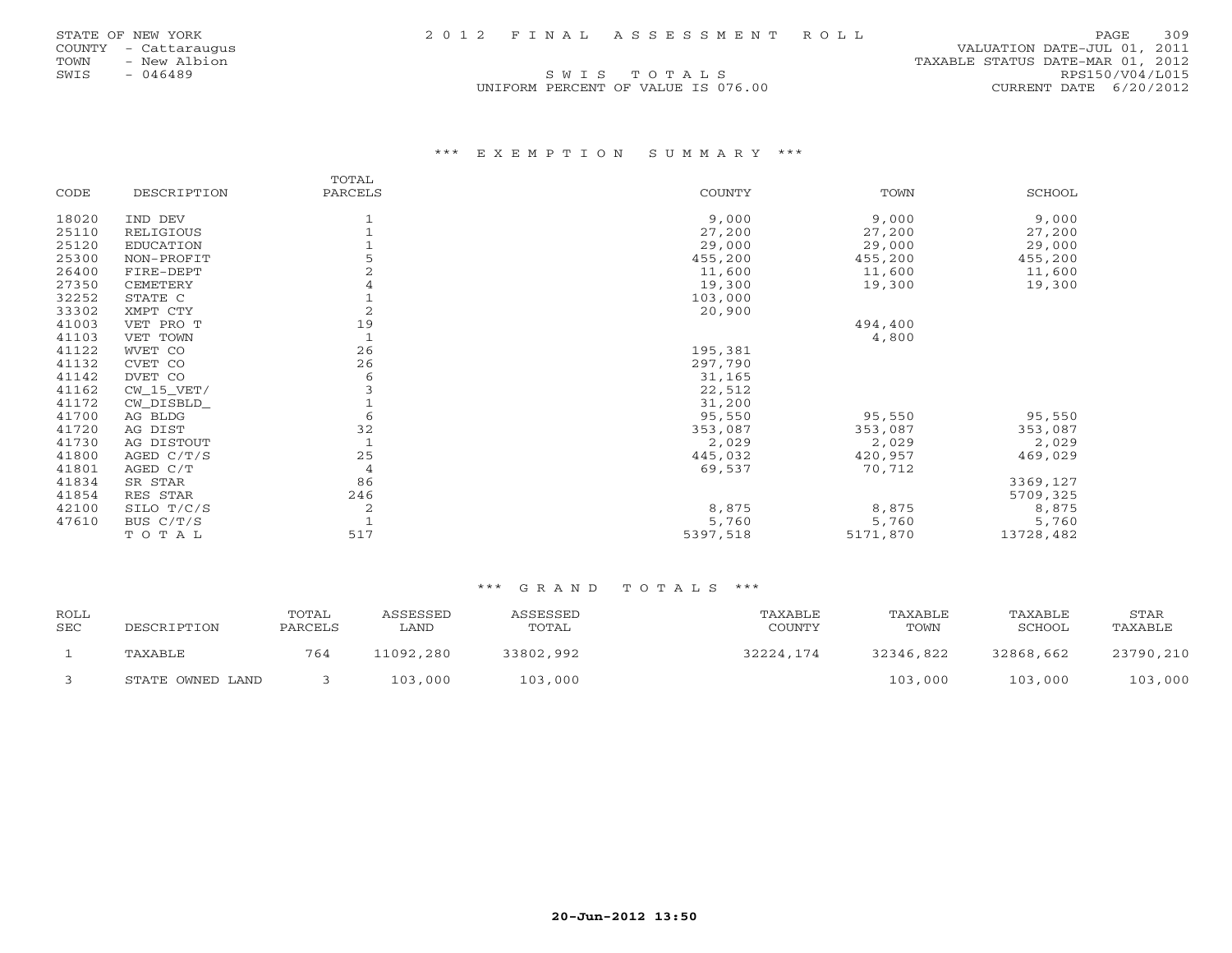COUNTY - Cattaraugus VALUATION DATE-JUL 01, 2011 TOWN - New Albion (1, 2012)<br>S W I S T O T A L S T O T A L S T S T S RPS150/V04/L015  $S$  W I S  $T$  O T A L S RPS150/V04/L015 UNIFORM PERCENT OF VALUE IS 076.00 CURRENT DATE 6/20/2012

### \*\*\* E X E M P T I O N S U M M A R Y \*\*\*

|       |                  | TOTAL          |          |          |           |
|-------|------------------|----------------|----------|----------|-----------|
| CODE  | DESCRIPTION      | PARCELS        | COUNTY   | TOWN     | SCHOOL    |
| 18020 | IND DEV          |                | 9,000    | 9,000    | 9,000     |
| 25110 | RELIGIOUS        |                | 27,200   | 27,200   | 27,200    |
| 25120 | <b>EDUCATION</b> |                | 29,000   | 29,000   | 29,000    |
| 25300 | NON-PROFIT       |                | 455,200  | 455,200  | 455,200   |
| 26400 | FIRE-DEPT        |                | 11,600   | 11,600   | 11,600    |
| 27350 | CEMETERY         | 4              | 19,300   | 19,300   | 19,300    |
| 32252 | STATE C          |                | 103,000  |          |           |
| 33302 | XMPT CTY         | $\overline{2}$ | 20,900   |          |           |
| 41003 | VET PRO T        | 19             |          | 494,400  |           |
| 41103 | VET TOWN         | $\mathbf{1}$   |          | 4,800    |           |
| 41122 | WVET CO          | 26             | 195,381  |          |           |
| 41132 | CVET CO          | 26             | 297,790  |          |           |
| 41142 | DVET CO          | 6              | 31,165   |          |           |
| 41162 | $CW_15_VET/$     |                | 22,512   |          |           |
| 41172 | CW_DISBLD_       |                | 31,200   |          |           |
| 41700 | AG BLDG          | 6              | 95,550   | 95,550   | 95,550    |
| 41720 | AG DIST          | 32             | 353,087  | 353,087  | 353,087   |
| 41730 | AG DISTOUT       | $\mathbf{1}$   | 2,029    | 2,029    | 2,029     |
| 41800 | AGED C/T/S       | 25             | 445,032  | 420,957  | 469,029   |
| 41801 | AGED C/T         | 4              | 69,537   | 70,712   |           |
| 41834 | SR STAR          | 86             |          |          | 3369,127  |
| 41854 | RES STAR         | 246            |          |          | 5709,325  |
| 42100 | SILO T/C/S       | $\overline{c}$ | 8,875    | 8,875    | 8,875     |
| 47610 | BUS C/T/S        |                | 5,760    | 5,760    | 5,760     |
|       | TOTAL            | 517            | 5397,518 | 5171,870 | 13728,482 |
|       |                  |                |          |          |           |

| ROLL<br><b>SEC</b> | DESCRIPTION      | TOTAL<br>PARCELS | ASSESSED<br>LAND | ASSESSED<br>TOTAL | TAXABLE<br>COUNTY | TAXABLE<br>TOWN | TAXABLE<br>SCHOOL | STAR<br>TAXABLE |
|--------------------|------------------|------------------|------------------|-------------------|-------------------|-----------------|-------------------|-----------------|
|                    | TAXABLE          | 764              | 11092,280        | 33802,992         | 32224,174         | 32346,822       | 32868,662         | 23790,210       |
|                    | STATE OWNED LAND |                  | 103,000          | 103,000           |                   | 103,000         | 103,000           | 103,000         |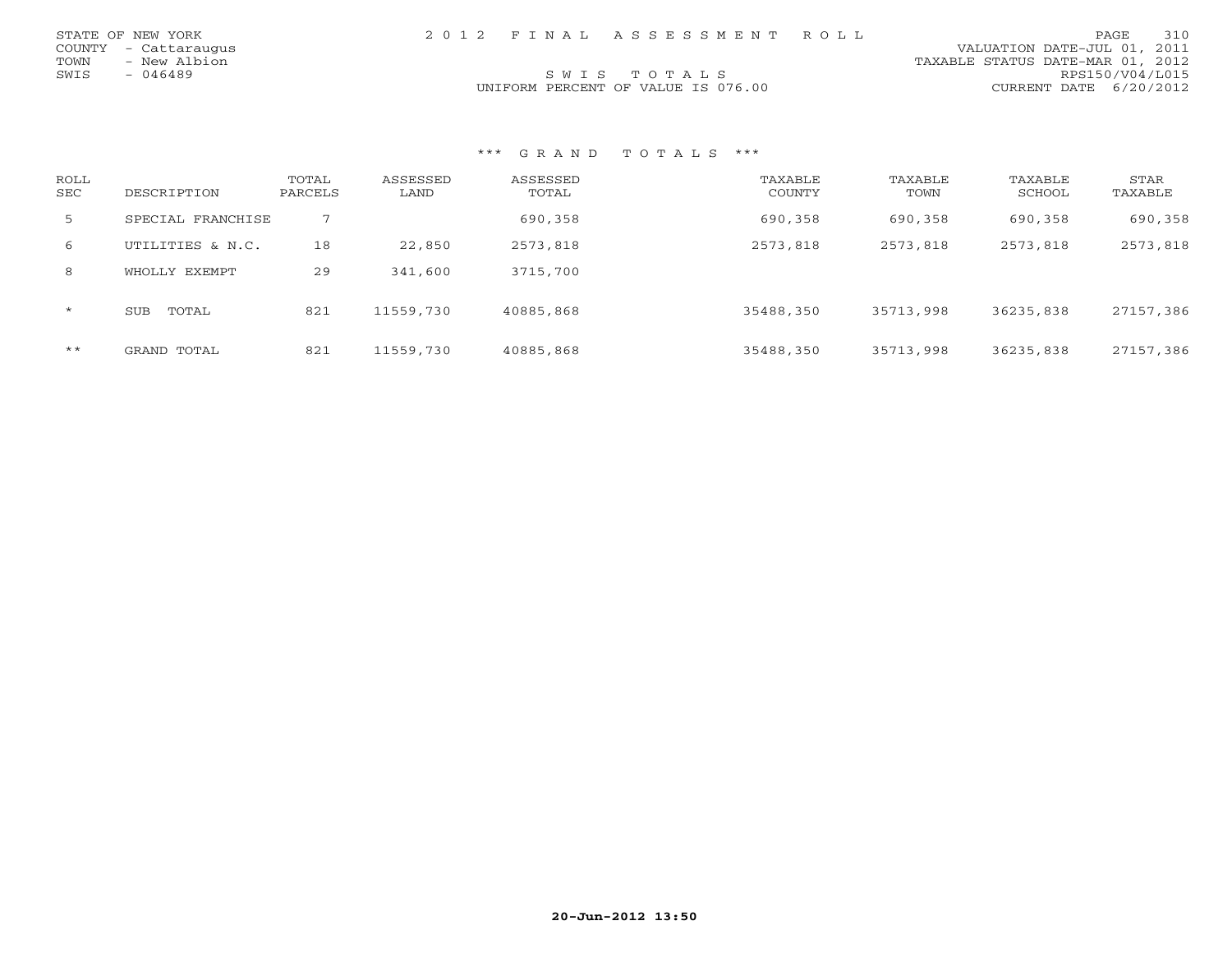| STATE OF NEW YORK    |  | 2012 FINAL ASSESSMENT ROLL         |                                  | PAGE | 310 |
|----------------------|--|------------------------------------|----------------------------------|------|-----|
| COUNTY - Cattaraugus |  |                                    | VALUATION DATE-JUL 01, 2011      |      |     |
| TOWN<br>- New Albion |  |                                    | TAXABLE STATUS DATE-MAR 01, 2012 |      |     |
| SWTS<br>- 046489     |  | SWIS TOTALS                        | RPS150/V04/L015                  |      |     |
|                      |  | UNIFORM PERCENT OF VALUE IS 076.00 | CURRENT DATE 6/20/2012           |      |     |
|                      |  |                                    |                                  |      |     |

| ROLL<br><b>SEC</b> | DESCRIPTION         | TOTAL<br>PARCELS | ASSESSED<br>LAND | ASSESSED<br>TOTAL | TAXABLE<br>COUNTY | TAXABLE<br>TOWN | TAXABLE<br>SCHOOL | STAR<br>TAXABLE |
|--------------------|---------------------|------------------|------------------|-------------------|-------------------|-----------------|-------------------|-----------------|
| 5                  | SPECIAL FRANCHISE   | 7                |                  | 690,358           | 690,358           | 690,358         | 690,358           | 690,358         |
| 6                  | UTILITIES & N.C.    | 18               | 22,850           | 2573,818          | 2573,818          | 2573,818        | 2573,818          | 2573,818        |
| 8                  | WHOLLY EXEMPT       | 29               | 341,600          | 3715,700          |                   |                 |                   |                 |
| $\star$            | <b>SUB</b><br>TOTAL | 821              | 11559,730        | 40885,868         | 35488,350         | 35713,998       | 36235,838         | 27157,386       |
| $***$              | GRAND TOTAL         | 821              | 11559,730        | 40885,868         | 35488,350         | 35713,998       | 36235,838         | 27157,386       |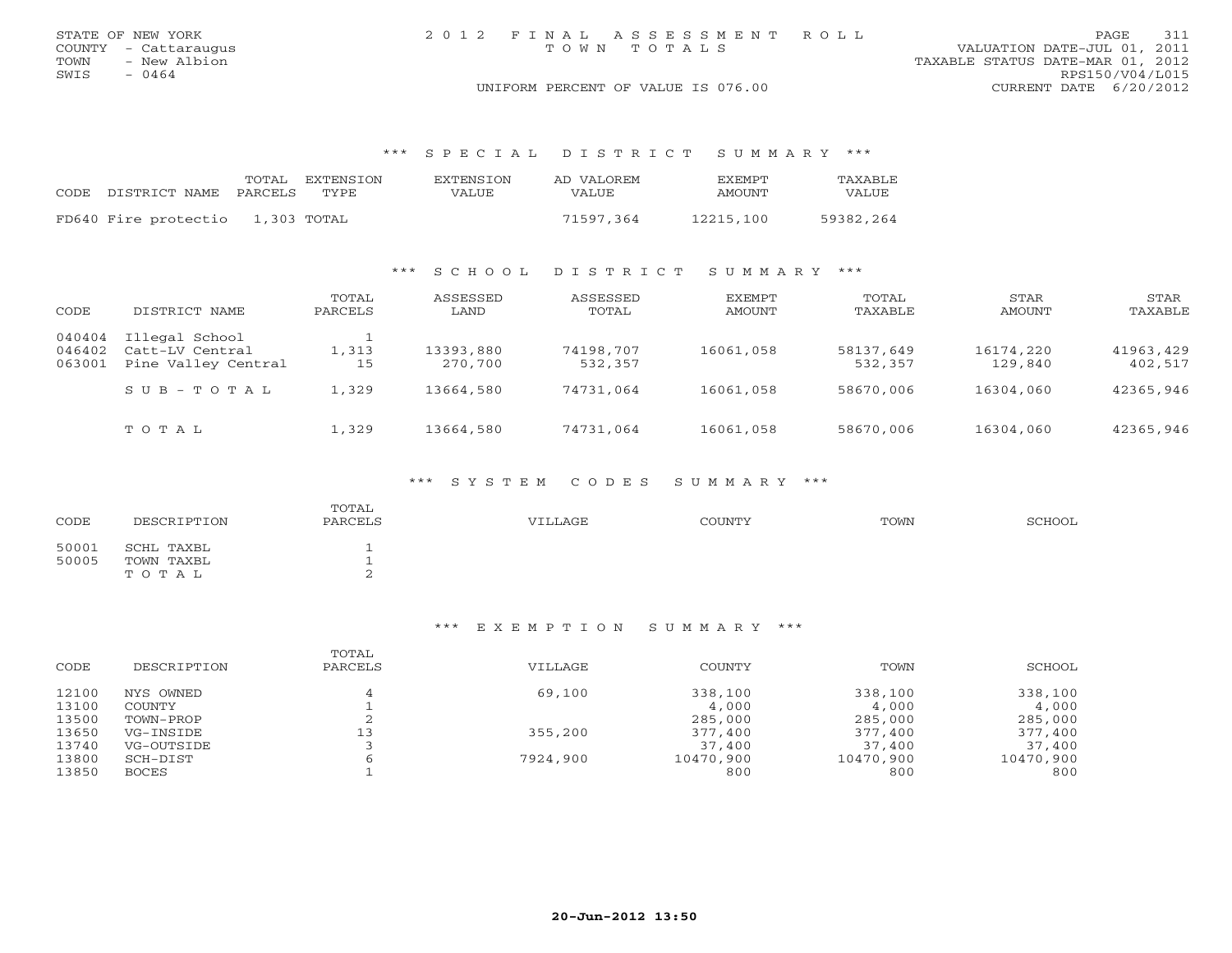|      | STATE OF NEW YORK    | 2012 FINAL ASSESSMENT ROLL                                   | PAGE 311        |
|------|----------------------|--------------------------------------------------------------|-----------------|
|      | COUNTY - Cattaraugus | VALUATION DATE-JUL 01, 2011<br>TOWN TOTALS                   |                 |
| TOWN | - New Albion         | TAXABLE STATUS DATE-MAR 01, 2012                             |                 |
| SWIS | $-0464$              |                                                              | RPS150/V04/L015 |
|      |                      | UNIFORM PERCENT OF VALUE IS 076.00<br>CURRENT DATE 6/20/2012 |                 |

|                            |             | TOTAL EXTENSION | EXTENSION | AD VALOREM | <b>EXEMPT</b> | TAXABLE   |
|----------------------------|-------------|-----------------|-----------|------------|---------------|-----------|
| CODE DISTRICT NAME PARCELS |             | TYPE.           | VALUE     | VALUE      | AMOUNT        | VALUE     |
| FD640 Fire protectio       | 1,303 TOTAL |                 |           | 71597.364  | 12215,100     | 59382,264 |

### \*\*\* S C H O O L D I S T R I C T S U M M A R Y \*\*\*

| CODE                       | DISTRICT NAME                                            | TOTAL<br>PARCELS | ASSESSED<br>LAND     | ASSESSED<br>TOTAL    | EXEMPT<br><b>AMOUNT</b> | TOTAL<br>TAXABLE     | STAR<br>AMOUNT       | STAR<br>TAXABLE      |
|----------------------------|----------------------------------------------------------|------------------|----------------------|----------------------|-------------------------|----------------------|----------------------|----------------------|
| 040404<br>046402<br>063001 | Illegal School<br>Catt-LV Central<br>Pine Valley Central | 1,313<br>15      | 13393,880<br>270,700 | 74198,707<br>532,357 | 16061,058               | 58137,649<br>532,357 | 16174,220<br>129,840 | 41963,429<br>402,517 |
|                            | $S \cup B - T \cup T A$                                  | 1,329            | 13664,580            | 74731,064            | 16061,058               | 58670,006            | 16304,060            | 42365,946            |
|                            | TOTAL                                                    | 1,329            | 13664,580            | 74731,064            | 16061,058               | 58670,006            | 16304,060            | 42365,946            |

### \*\*\* S Y S T E M C O D E S S U M M A R Y \*\*\*

| CODE           | DESCRIPTION                       | TOTAL<br>PARCELS | VILLAGE | <b>COUNTY</b> | TOWN | SCHOOL |
|----------------|-----------------------------------|------------------|---------|---------------|------|--------|
| 50001<br>50005 | SCHL TAXBL<br>TOWN TAXBL<br>TOTAL | <b>.</b><br>∼    |         |               |      |        |

| CODE  | DESCRIPTION   | TOTAL<br>PARCELS | VILLAGE  | <b>COUNTY</b> | TOWN      | SCHOOL    |
|-------|---------------|------------------|----------|---------------|-----------|-----------|
| 12100 | NYS OWNED     |                  | 69,100   | 338,100       | 338,100   | 338,100   |
| 13100 | <b>COUNTY</b> |                  |          | 4,000         | 4,000     | 4,000     |
| 13500 | TOWN-PROP     |                  |          | 285,000       | 285,000   | 285,000   |
| 13650 | VG-INSIDE     | 13               | 355,200  | 377,400       | 377,400   | 377,400   |
| 13740 | VG-OUTSIDE    |                  |          | 37,400        | 37,400    | 37,400    |
| 13800 | SCH-DIST      |                  | 7924,900 | 10470,900     | 10470,900 | 10470,900 |
| 13850 | <b>BOCES</b>  |                  |          | 800           | 800       | 800       |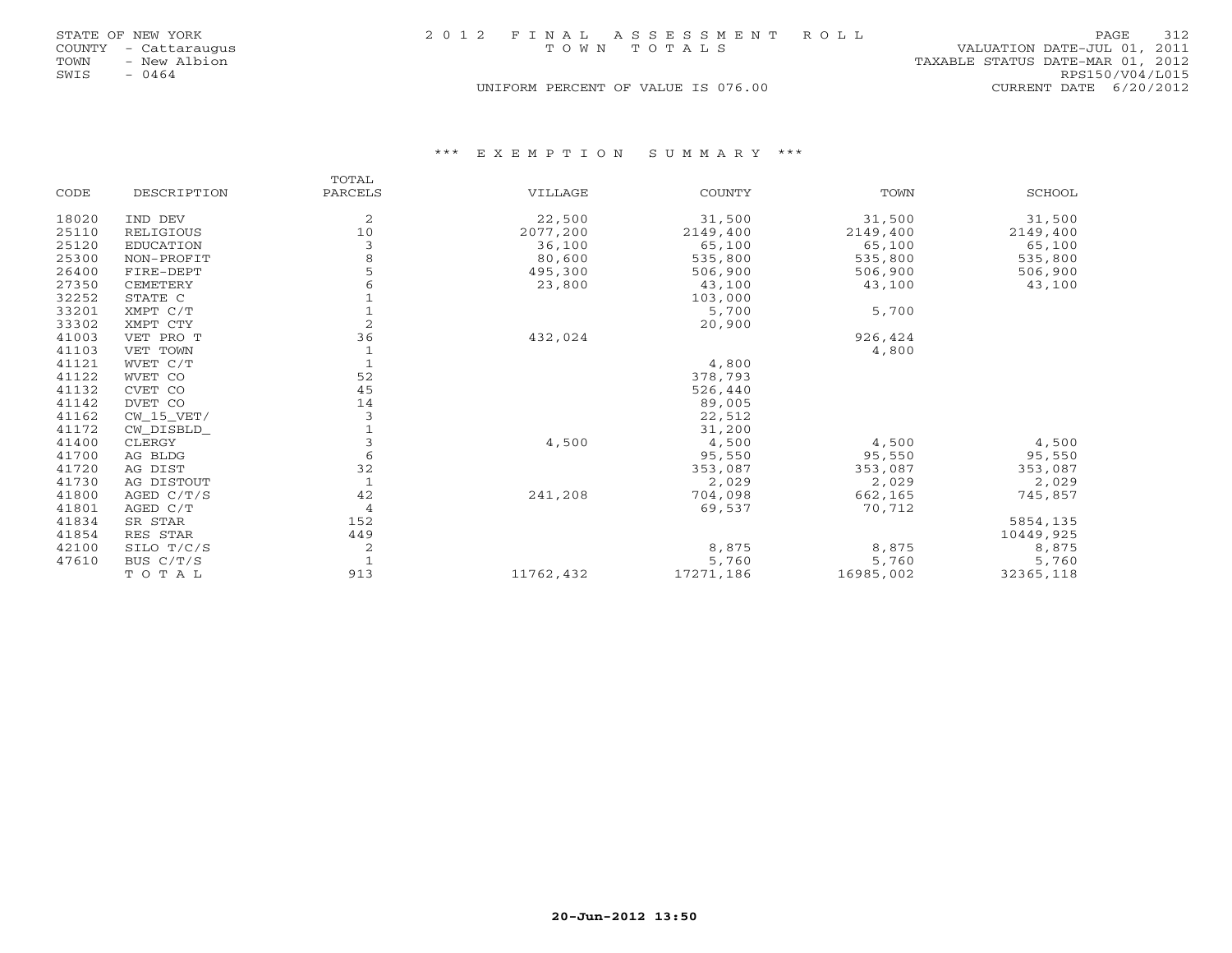|      | STATE OF NEW YORK    | 2012 FINAL ASSESSMENT ROLL         | <b>PAGE</b>                 | 312 |
|------|----------------------|------------------------------------|-----------------------------|-----|
|      | COUNTY - Cattaraugus | TOWN TOTALS                        | VALUATION DATE-JUL 01, 2011 |     |
| TOWN | - New Albion         | TAXABLE STATUS DATE-MAR 01, 2012   |                             |     |
| SWIS | - 0464               |                                    | RPS150/V04/L015             |     |
|      |                      | UNIFORM PERCENT OF VALUE IS 076.00 | CURRENT DATE $6/20/2012$    |     |

|       |                  | TOTAL   |           |               |           |               |
|-------|------------------|---------|-----------|---------------|-----------|---------------|
| CODE  | DESCRIPTION      | PARCELS | VILLAGE   | <b>COUNTY</b> | TOWN      | <b>SCHOOL</b> |
| 18020 | IND DEV          | 2       | 22,500    | 31,500        | 31,500    | 31,500        |
| 25110 | RELIGIOUS        | 10      | 2077,200  | 2149,400      | 2149,400  | 2149,400      |
| 25120 | <b>EDUCATION</b> | 3       | 36,100    | 65,100        | 65,100    | 65,100        |
| 25300 | NON-PROFIT       | 8       | 80,600    | 535,800       | 535,800   | 535,800       |
| 26400 | FIRE-DEPT        | 5       | 495,300   | 506,900       | 506,900   | 506,900       |
| 27350 | CEMETERY         | 6       | 23,800    | 43,100        | 43,100    | 43,100        |
| 32252 | STATE C          |         |           | 103,000       |           |               |
| 33201 | XMPT C/T         |         |           | 5,700         | 5,700     |               |
| 33302 | XMPT CTY         | 2       |           | 20,900        |           |               |
| 41003 | VET PRO T        | 36      | 432,024   |               | 926,424   |               |
| 41103 | VET TOWN         |         |           |               | 4,800     |               |
| 41121 | WVET C/T         |         |           | 4,800         |           |               |
| 41122 | WVET CO          | 52      |           | 378,793       |           |               |
| 41132 | CVET CO          | 45      |           | 526,440       |           |               |
| 41142 | DVET CO          | 14      |           | 89,005        |           |               |
| 41162 | $CW_15_VET/$     | 3       |           | 22,512        |           |               |
| 41172 | CW DISBLD        |         |           | 31,200        |           |               |
| 41400 | CLERGY           | 3       | 4,500     | 4,500         | 4,500     | 4,500         |
| 41700 | AG BLDG          | 6       |           | 95,550        | 95,550    | 95,550        |
| 41720 | AG DIST          | 32      |           | 353,087       | 353,087   | 353,087       |
| 41730 | AG DISTOUT       |         |           | 2,029         | 2,029     | 2,029         |
| 41800 | AGED $C/T/S$     | 42      | 241,208   | 704,098       | 662,165   | 745,857       |
| 41801 | AGED C/T         | 4       |           | 69,537        | 70,712    |               |
| 41834 | SR STAR          | 152     |           |               |           | 5854,135      |
| 41854 | RES STAR         | 449     |           |               |           | 10449,925     |
| 42100 | SILO T/C/S       | 2       |           | 8,875         | 8,875     | 8,875         |
| 47610 | BUS C/T/S        |         |           | 5,760         | 5,760     | 5,760         |
|       | TOTAL            | 913     | 11762,432 | 17271,186     | 16985,002 | 32365,118     |